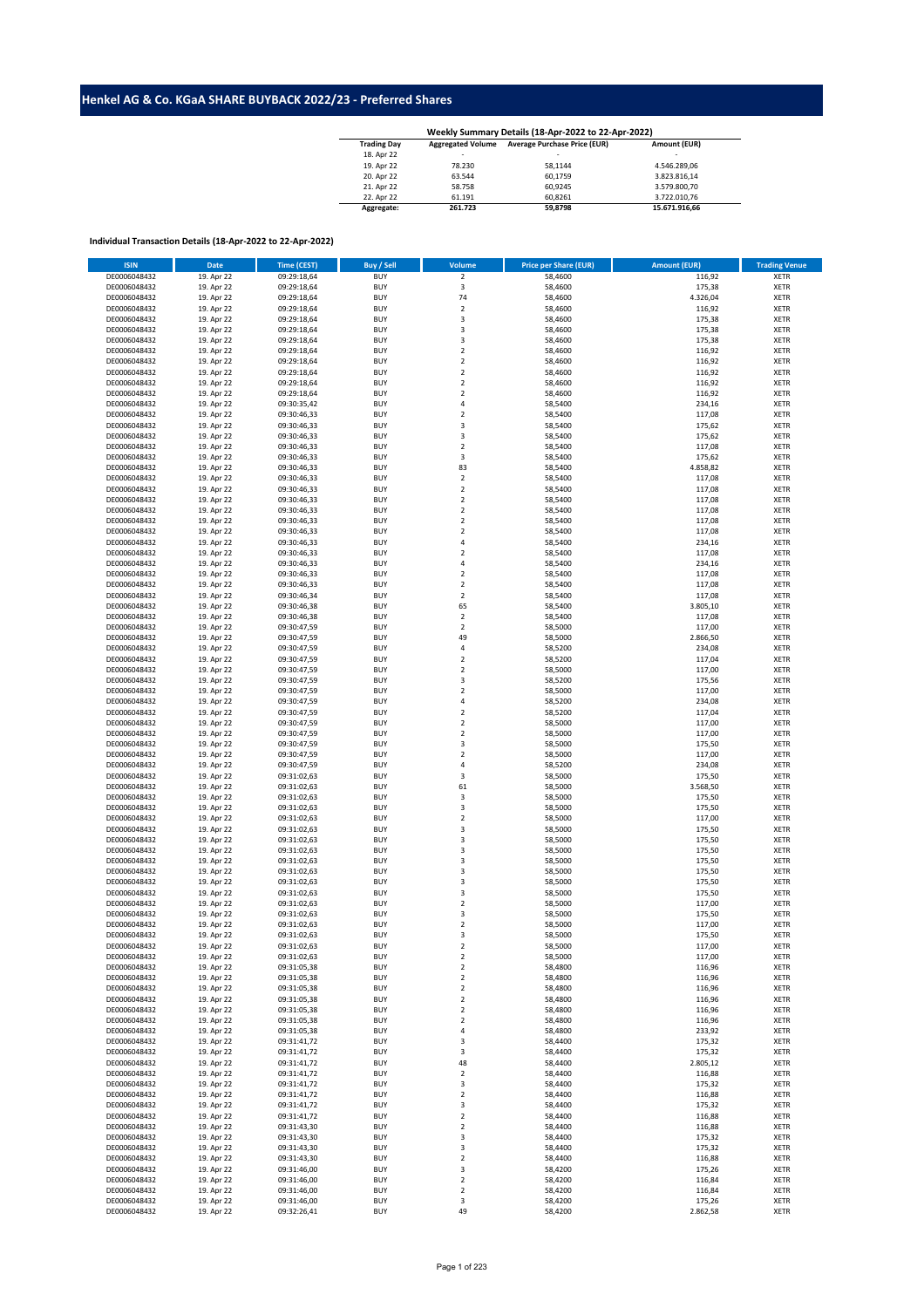## **Henkel AG & Co. KGaA SHARE BUYBACK 2022/23 - Preferred Shares**

| Weekly Summary Details (18-Apr-2022 to 22-Apr-2022) |                          |                                     |               |  |  |  |  |  |  |
|-----------------------------------------------------|--------------------------|-------------------------------------|---------------|--|--|--|--|--|--|
| <b>Trading Day</b>                                  | <b>Aggregated Volume</b> | <b>Average Purchase Price (EUR)</b> | Amount (EUR)  |  |  |  |  |  |  |
| 18. Apr 22                                          | ۰                        | $\overline{\phantom{a}}$            | -             |  |  |  |  |  |  |
| 19. Apr 22                                          | 78.230                   | 58.1144                             | 4.546.289.06  |  |  |  |  |  |  |
| 20. Apr 22                                          | 63.544                   | 60.1759                             | 3.823.816.14  |  |  |  |  |  |  |
| 21. Apr 22                                          | 58.758                   | 60.9245                             | 3.579.800.70  |  |  |  |  |  |  |
| 22. Apr 22                                          | 61.191                   | 60.8261                             | 3.722.010.76  |  |  |  |  |  |  |
| Aggregate:                                          | 261.723                  | 59.8798                             | 15.671.916.66 |  |  |  |  |  |  |

## **Individual Transaction Details (18-Apr-2022 to 22-Apr-2022)**

| <b>ISIN</b>  | <b>Date</b> | Time (CEST) | <b>Buy / Sell</b> | <b>Volume</b>           | <b>Price per Share (EUR)</b> | <b>Amount (EUR)</b> | <b>Trading Venue</b> |
|--------------|-------------|-------------|-------------------|-------------------------|------------------------------|---------------------|----------------------|
|              | 19. Apr 22  |             | <b>BUY</b>        |                         | 58,4600                      |                     | <b>XETR</b>          |
| DE0006048432 |             | 09:29:18,64 |                   | $\mathbf 2$             |                              | 116,92              |                      |
| DE0006048432 | 19. Apr 22  | 09:29:18,64 | <b>BUY</b>        | $\mathsf 3$             | 58,4600                      | 175,38              | <b>XETR</b>          |
| DE0006048432 | 19. Apr 22  | 09:29:18,64 | <b>BUY</b>        | 74                      | 58,4600                      | 4.326,04            | <b>XETR</b>          |
| DE0006048432 | 19. Apr 22  | 09:29:18,64 | <b>BUY</b>        | $\overline{2}$          | 58,4600                      | 116,92              | <b>XETR</b>          |
| DE0006048432 | 19. Apr 22  | 09:29:18,64 | <b>BUY</b>        | $\overline{\mathbf{3}}$ | 58,4600                      | 175,38              | <b>XETR</b>          |
| DE0006048432 | 19. Apr 22  | 09:29:18,64 | <b>BUY</b>        | $\overline{\mathbf{3}}$ | 58,4600                      | 175,38              | <b>XETR</b>          |
| DE0006048432 | 19. Apr 22  | 09:29:18,64 | <b>BUY</b>        | 3                       | 58,4600                      | 175,38              | <b>XETR</b>          |
| DE0006048432 | 19. Apr 22  | 09:29:18,64 | <b>BUY</b>        | $\overline{2}$          | 58,4600                      | 116,92              | <b>XETR</b>          |
|              |             | 09:29:18,64 | <b>BUY</b>        | $\sqrt{2}$              |                              |                     |                      |
| DE0006048432 | 19. Apr 22  |             |                   |                         | 58,4600                      | 116,92              | <b>XETR</b>          |
| DE0006048432 | 19. Apr 22  | 09:29:18,64 | <b>BUY</b>        | $\sqrt{2}$              | 58,4600                      | 116,92              | <b>XETR</b>          |
| DE0006048432 | 19. Apr 22  | 09:29:18,64 | <b>BUY</b>        | $\sqrt{2}$              | 58,4600                      | 116,92              | <b>XETR</b>          |
| DE0006048432 | 19. Apr 22  | 09:29:18,64 | <b>BUY</b>        | $\overline{\mathbf{2}}$ | 58,4600                      | 116,92              | <b>XETR</b>          |
| DE0006048432 | 19. Apr 22  | 09:30:35,42 | <b>BUY</b>        | $\overline{4}$          | 58,5400                      | 234,16              | <b>XETR</b>          |
| DE0006048432 | 19. Apr 22  | 09:30:46,33 | <b>BUY</b>        | $\mathbf 2$             | 58,5400                      | 117,08              | <b>XETR</b>          |
| DE0006048432 | 19. Apr 22  | 09:30:46,33 | <b>BUY</b>        | 3                       | 58,5400                      | 175,62              | <b>XETR</b>          |
| DE0006048432 | 19. Apr 22  | 09:30:46,33 | <b>BUY</b>        | $\overline{\mathbf{3}}$ | 58,5400                      | 175,62              | <b>XETR</b>          |
| DE0006048432 | 19. Apr 22  |             | <b>BUY</b>        | $\sqrt{2}$              | 58,5400                      | 117,08              | <b>XETR</b>          |
|              |             | 09:30:46,33 |                   |                         |                              |                     |                      |
| DE0006048432 | 19. Apr 22  | 09:30:46,33 | <b>BUY</b>        | 3                       | 58,5400                      | 175,62              | <b>XETR</b>          |
| DE0006048432 | 19. Apr 22  | 09:30:46,33 | <b>BUY</b>        | 83                      | 58,5400                      | 4.858,82            | <b>XETR</b>          |
| DE0006048432 | 19. Apr 22  | 09:30:46,33 | <b>BUY</b>        | $\overline{\mathbf{2}}$ | 58,5400                      | 117,08              | <b>XETR</b>          |
| DE0006048432 | 19. Apr 22  | 09:30:46,33 | <b>BUY</b>        | $\overline{\mathbf{2}}$ | 58,5400                      | 117,08              | <b>XETR</b>          |
| DE0006048432 | 19. Apr 22  | 09:30:46,33 | <b>BUY</b>        | $\overline{2}$          | 58,5400                      | 117,08              | <b>XETR</b>          |
| DE0006048432 | 19. Apr 22  | 09:30:46,33 | <b>BUY</b>        | $\sqrt{2}$              | 58,5400                      | 117,08              | <b>XETR</b>          |
| DE0006048432 | 19. Apr 22  | 09:30:46,33 | <b>BUY</b>        | $\mathbf 2$             | 58,5400                      | 117,08              | <b>XETR</b>          |
| DE0006048432 | 19. Apr 22  | 09:30:46,33 | <b>BUY</b>        | $\mathbf 2$             | 58,5400                      | 117,08              | <b>XETR</b>          |
| DE0006048432 | 19. Apr 22  | 09:30:46,33 | <b>BUY</b>        | $\sqrt{4}$              | 58,5400                      | 234,16              | <b>XETR</b>          |
|              |             |             | <b>BUY</b>        | $\overline{2}$          |                              |                     |                      |
| DE0006048432 | 19. Apr 22  | 09:30:46,33 |                   |                         | 58,5400                      | 117,08              | <b>XETR</b>          |
| DE0006048432 | 19. Apr 22  | 09:30:46,33 | <b>BUY</b>        | $\overline{4}$          | 58,5400                      | 234,16              | <b>XETR</b>          |
| DE0006048432 | 19. Apr 22  | 09:30:46,33 | <b>BUY</b>        | $\overline{2}$          | 58.5400                      | 117,08              | <b>XETR</b>          |
| DE0006048432 | 19. Apr 22  | 09:30:46,33 | <b>BUY</b>        | $\overline{2}$          | 58,5400                      | 117,08              | <b>XETR</b>          |
| DE0006048432 | 19. Apr 22  | 09:30:46,34 | <b>BUY</b>        | $\overline{2}$          | 58,5400                      | 117,08              | <b>XETR</b>          |
| DE0006048432 | 19. Apr 22  | 09:30:46,38 | <b>BUY</b>        | 65                      | 58,5400                      | 3.805,10            | <b>XETR</b>          |
| DE0006048432 | 19. Apr 22  | 09:30:46,38 | <b>BUY</b>        | $\sqrt{2}$              | 58,5400                      | 117,08              | <b>XETR</b>          |
| DE0006048432 | 19. Apr 22  | 09:30:47,59 | <b>BUY</b>        | $\sqrt{2}$              | 58,5000                      | 117,00              | <b>XETR</b>          |
|              |             |             |                   |                         |                              |                     |                      |
| DE0006048432 | 19. Apr 22  | 09:30:47,59 | <b>BUY</b>        | 49                      | 58,5000                      | 2.866,50            | <b>XETR</b>          |
| DE0006048432 | 19. Apr 22  | 09:30:47,59 | <b>BUY</b>        | 4                       | 58,5200                      | 234,08              | <b>XETR</b>          |
| DE0006048432 | 19. Apr 22  | 09:30:47,59 | <b>BUY</b>        | $\mathbf 2$             | 58,5200                      | 117,04              | <b>XETR</b>          |
| DE0006048432 | 19. Apr 22  | 09:30:47,59 | <b>BUY</b>        | $\mathbf 2$             | 58,5000                      | 117,00              | <b>XETR</b>          |
| DE0006048432 | 19. Apr 22  | 09:30:47,59 | <b>BUY</b>        | 3                       | 58,5200                      | 175,56              | <b>XETR</b>          |
| DE0006048432 | 19. Apr 22  | 09:30:47,59 | <b>BUY</b>        | $\overline{2}$          | 58,5000                      | 117,00              | <b>XETR</b>          |
| DE0006048432 | 19. Apr 22  | 09:30:47,59 | <b>BUY</b>        | $\overline{4}$          | 58,5200                      | 234,08              | <b>XETR</b>          |
| DE0006048432 | 19. Apr 22  | 09:30:47,59 | <b>BUY</b>        | $\overline{2}$          | 58,5200                      | 117,04              | <b>XETR</b>          |
|              |             |             |                   |                         |                              |                     |                      |
| DE0006048432 | 19. Apr 22  | 09:30:47,59 | <b>BUY</b>        | $\overline{2}$          | 58,5000                      | 117,00              | <b>XETR</b>          |
| DE0006048432 | 19. Apr 22  | 09:30:47,59 | <b>BUY</b>        | $\overline{2}$          | 58,5000                      | 117,00              | <b>XETR</b>          |
| DE0006048432 | 19. Apr 22  | 09:30:47,59 | <b>BUY</b>        | $\overline{3}$          | 58,5000                      | 175,50              | <b>XETR</b>          |
| DE0006048432 | 19. Apr 22  | 09:30:47,59 | <b>BUY</b>        | $\mathbf 2$             | 58,5000                      | 117,00              | <b>XETR</b>          |
| DE0006048432 | 19. Apr 22  | 09:30:47,59 | <b>BUY</b>        | $\overline{4}$          | 58,5200                      | 234,08              | <b>XETR</b>          |
| DE0006048432 | 19. Apr 22  | 09:31:02,63 | <b>BUY</b>        | $\overline{\mathbf{3}}$ | 58,5000                      | 175,50              | <b>XETR</b>          |
| DE0006048432 | 19. Apr 22  | 09:31:02,63 | <b>BUY</b>        | 61                      | 58,5000                      | 3.568,50            | <b>XETR</b>          |
| DE0006048432 | 19. Apr 22  | 09:31:02,63 | <b>BUY</b>        | 3                       | 58,5000                      | 175,50              | <b>XETR</b>          |
|              |             |             | <b>BUY</b>        | $\overline{3}$          |                              |                     |                      |
| DE0006048432 | 19. Apr 22  | 09:31:02,63 |                   |                         | 58,5000                      | 175,50              | <b>XETR</b>          |
| DE0006048432 | 19. Apr 22  | 09:31:02,63 | <b>BUY</b>        | $\sqrt{2}$              | 58,5000                      | 117,00              | <b>XETR</b>          |
| DE0006048432 | 19. Apr 22  | 09:31:02,63 | <b>BUY</b>        | $\overline{\mathbf{3}}$ | 58,5000                      | 175,50              | <b>XETR</b>          |
| DE0006048432 | 19. Apr 22  | 09:31:02,63 | <b>BUY</b>        | $\overline{\mathbf{3}}$ | 58,5000                      | 175,50              | <b>XETR</b>          |
| DE0006048432 | 19. Apr 22  | 09:31:02,63 | <b>BUY</b>        | $\overline{\mathbf{3}}$ | 58,5000                      | 175,50              | <b>XETR</b>          |
| DE0006048432 | 19. Apr 22  | 09:31:02,63 | <b>BUY</b>        | $\overline{3}$          | 58,5000                      | 175,50              | <b>XETR</b>          |
| DE0006048432 | 19. Apr 22  | 09:31:02,63 | <b>BUY</b>        | 3                       | 58,5000                      | 175,50              | <b>XETR</b>          |
| DE0006048432 | 19. Apr 22  | 09:31:02,63 | <b>BUY</b>        | 3                       | 58,5000                      | 175,50              | <b>XETR</b>          |
| DE0006048432 | 19. Apr 22  | 09:31:02,63 | <b>BUY</b>        | $\mathsf 3$             | 58,5000                      |                     | <b>XETR</b>          |
|              |             |             |                   |                         |                              | 175,50              |                      |
| DE0006048432 | 19. Apr 22  | 09:31:02,63 | <b>BUY</b>        | $\overline{2}$          | 58,5000                      | 117,00              | <b>XETR</b>          |
| DE0006048432 | 19. Apr 22  | 09:31:02,63 | <b>BUY</b>        | 3                       | 58,5000                      | 175,50              | <b>XETR</b>          |
| DE0006048432 | 19. Apr 22  | 09:31:02,63 | <b>BUY</b>        | $\overline{\mathbf{2}}$ | 58,5000                      | 117,00              | <b>XETR</b>          |
| DE0006048432 | 19. Apr 22  | 09:31:02,63 | <b>BUY</b>        | $\overline{3}$          | 58,5000                      | 175,50              | <b>XETR</b>          |
| DE0006048432 | 19. Apr 22  | 09:31:02,63 | <b>BUY</b>        | $\overline{2}$          | 58,5000                      | 117,00              | <b>XETR</b>          |
| DE0006048432 | 19. Apr 22  | 09:31:02,63 | <b>BUY</b>        | $\overline{2}$          | 58,5000                      | 117,00              | XETR                 |
| DE0006048432 | 19. Apr 22  | 09:31:05,38 | <b>BUY</b>        | $\sqrt{2}$              | 58,4800                      | 116,96              | <b>XETR</b>          |
| DE0006048432 | 19. Apr 22  | 09:31:05,38 | <b>BUY</b>        | $\overline{2}$          | 58,4800                      | 116,96              | <b>XETR</b>          |
| DE0006048432 | 19. Apr 22  | 09:31:05,38 | <b>BUY</b>        | $\overline{2}$          | 58,4800                      | 116,96              | <b>XETR</b>          |
|              |             |             |                   |                         |                              |                     |                      |
| DE0006048432 | 19. Apr 22  | 09:31:05,38 | <b>BUY</b>        | $\overline{2}$          | 58,4800                      | 116,96              | <b>XETR</b>          |
| DE0006048432 | 19. Apr 22  | 09:31:05,38 | <b>BUY</b>        | $\overline{2}$          | 58,4800                      | 116,96              | <b>XETR</b>          |
| DE0006048432 | 19. Apr 22  | 09:31:05,38 | <b>BUY</b>        | $\overline{2}$          | 58,4800                      | 116,96              | <b>XETR</b>          |
| DE0006048432 | 19. Apr 22  | 09:31:05,38 | <b>BUY</b>        | $\overline{4}$          | 58,4800                      | 233,92              | <b>XETR</b>          |
| DE0006048432 | 19. Apr 22  | 09:31:41,72 | <b>BUY</b>        | 3                       | 58,4400                      | 175,32              | <b>XETR</b>          |
| DE0006048432 | 19. Apr 22  | 09:31:41,72 | <b>BUY</b>        | 3                       | 58,4400                      | 175,32              | <b>XETR</b>          |
| DE0006048432 | 19. Apr 22  | 09:31:41,72 | <b>BUY</b>        | 48                      | 58,4400                      | 2.805,12            | <b>XETR</b>          |
| DE0006048432 | 19. Apr 22  | 09:31:41,72 | <b>BUY</b>        | $\overline{2}$          | 58,4400                      | 116,88              | <b>XETR</b>          |
| DE0006048432 |             |             | <b>BUY</b>        | 3                       | 58,4400                      |                     | <b>XETR</b>          |
|              | 19. Apr 22  | 09:31:41,72 |                   |                         |                              | 175,32              |                      |
| DE0006048432 | 19. Apr 22  | 09:31:41,72 | <b>BUY</b>        | $\overline{2}$          | 58,4400                      | 116,88              | <b>XETR</b>          |
| DE0006048432 | 19. Apr 22  | 09:31:41,72 | <b>BUY</b>        | 3                       | 58,4400                      | 175,32              | <b>XETR</b>          |
| DE0006048432 | 19. Apr 22  | 09:31:41,72 | <b>BUY</b>        | $\overline{2}$          | 58,4400                      | 116,88              | <b>XETR</b>          |
| DE0006048432 | 19. Apr 22  | 09:31:43,30 | <b>BUY</b>        | $\sqrt{2}$              | 58,4400                      | 116,88              | <b>XETR</b>          |
| DE0006048432 | 19. Apr 22  | 09:31:43,30 | <b>BUY</b>        | 3                       | 58,4400                      | 175,32              | <b>XETR</b>          |
| DE0006048432 | 19. Apr 22  | 09:31:43,30 | <b>BUY</b>        | 3                       | 58,4400                      | 175,32              | XETR                 |
| DE0006048432 | 19. Apr 22  | 09:31:43,30 | <b>BUY</b>        | $\overline{2}$          | 58,4400                      | 116,88              | <b>XETR</b>          |
| DE0006048432 | 19. Apr 22  | 09:31:46,00 | <b>BUY</b>        | 3                       | 58,4200                      | 175,26              | XETR                 |
| DE0006048432 | 19. Apr 22  | 09:31:46,00 | <b>BUY</b>        | $\overline{2}$          | 58,4200                      | 116,84              | <b>XETR</b>          |
|              |             |             |                   |                         |                              |                     |                      |
| DE0006048432 | 19. Apr 22  | 09:31:46,00 | <b>BUY</b>        | $\overline{2}$          | 58,4200                      | 116,84              | <b>XETR</b>          |
| DE0006048432 | 19. Apr 22  | 09:31:46,00 | <b>BUY</b>        | 3                       | 58,4200                      | 175,26              | <b>XETR</b>          |
| DE0006048432 | 19. Apr 22  | 09:32:26,41 | <b>BUY</b>        | 49                      | 58,4200                      | 2.862,58            | <b>XETR</b>          |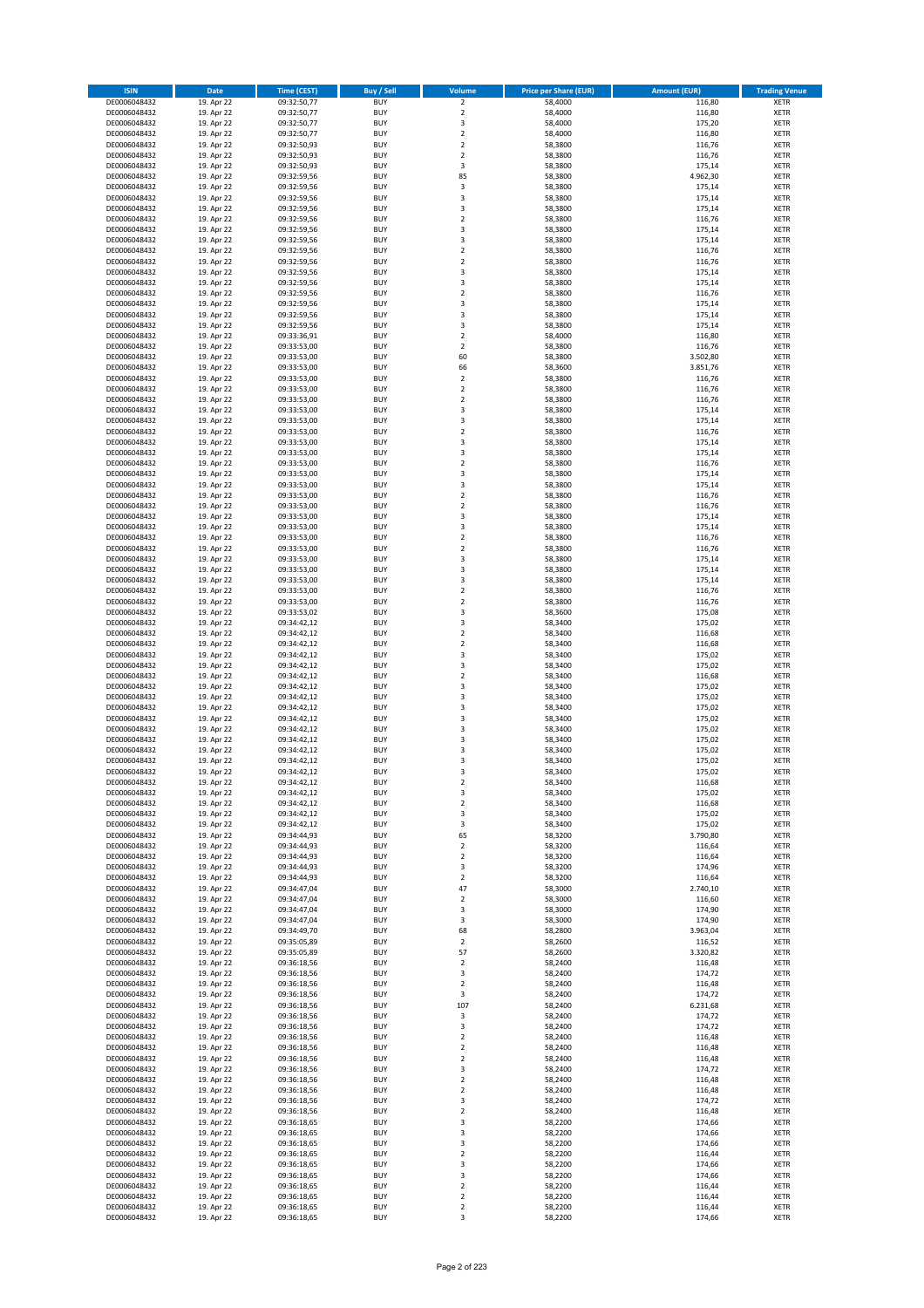| <b>ISIN</b>                  | <b>Date</b>              | <b>Time (CEST)</b>         | <b>Buy / Sell</b>        | Volume                                    | <b>Price per Share (EUR)</b> | <b>Amount (EUR)</b> | <b>Trading Venue</b>       |
|------------------------------|--------------------------|----------------------------|--------------------------|-------------------------------------------|------------------------------|---------------------|----------------------------|
| DE0006048432                 | 19. Apr 22               | 09:32:50,77                | <b>BUY</b>               | $\overline{\mathbf{2}}$                   | 58,4000                      | 116,80              | <b>XETR</b>                |
| DE0006048432                 | 19. Apr 22               | 09:32:50,77                | <b>BUY</b>               | $\mathbf 2$                               | 58,4000                      | 116,80              | <b>XETR</b>                |
| DE0006048432                 | 19. Apr 22               | 09:32:50,77                | <b>BUY</b>               | 3                                         | 58,4000                      | 175,20              | <b>XETR</b>                |
| DE0006048432                 | 19. Apr 22               | 09:32:50,77                | <b>BUY</b>               | $\mathbf 2$                               | 58,4000                      | 116,80              | <b>XETR</b>                |
| DE0006048432                 | 19. Apr 22               | 09:32:50,93                | <b>BUY</b>               | $\overline{2}$                            | 58,3800                      | 116,76              | <b>XETR</b>                |
| DE0006048432                 | 19. Apr 22               | 09:32:50,93                | <b>BUY</b>               | $\mathbf 2$                               | 58,3800                      | 116,76              | <b>XETR</b>                |
| DE0006048432                 | 19. Apr 22               | 09:32:50,93                | <b>BUY</b>               | 3                                         | 58,3800                      | 175,14              | <b>XETR</b>                |
| DE0006048432                 | 19. Apr 22               | 09:32:59,56                | <b>BUY</b>               | 85                                        | 58,3800                      | 4.962,30            | <b>XETR</b>                |
| DE0006048432<br>DE0006048432 | 19. Apr 22<br>19. Apr 22 | 09:32:59,56<br>09:32:59,56 | BUY<br><b>BUY</b>        | 3<br>3                                    | 58,3800<br>58,3800           | 175,14<br>175,14    | <b>XETR</b><br><b>XETR</b> |
| DE0006048432                 | 19. Apr 22               | 09:32:59,56                | <b>BUY</b>               | 3                                         | 58,3800                      | 175,14              | <b>XETR</b>                |
| DE0006048432                 | 19. Apr 22               | 09:32:59,56                | <b>BUY</b>               | $\overline{2}$                            | 58,3800                      | 116,76              | <b>XETR</b>                |
| DE0006048432                 | 19. Apr 22               | 09:32:59,56                | <b>BUY</b>               | $\overline{3}$                            | 58,3800                      | 175,14              | <b>XETR</b>                |
| DE0006048432                 | 19. Apr 22               | 09:32:59,56                | <b>BUY</b>               | $\overline{\mathbf{3}}$                   | 58,3800                      | 175,14              | <b>XETR</b>                |
| DE0006048432                 | 19. Apr 22               | 09:32:59,56                | <b>BUY</b>               | $\overline{2}$                            | 58,3800                      | 116,76              | <b>XETR</b>                |
| DE0006048432                 | 19. Apr 22               | 09:32:59,56                | BUY                      | $\overline{2}$                            | 58,3800                      | 116,76              | <b>XETR</b>                |
| DE0006048432                 | 19. Apr 22               | 09:32:59,56                | <b>BUY</b>               | 3                                         | 58,3800                      | 175,14              | <b>XETR</b>                |
| DE0006048432                 | 19. Apr 22               | 09:32:59,56                | <b>BUY</b>               | 3                                         | 58,3800                      | 175,14              | <b>XETR</b>                |
| DE0006048432                 | 19. Apr 22               | 09:32:59,56                | <b>BUY</b>               | $\overline{2}$                            | 58,3800                      | 116,76              | <b>XETR</b>                |
| DE0006048432<br>DE0006048432 | 19. Apr 22<br>19. Apr 22 | 09:32:59,56<br>09:32:59,56 | <b>BUY</b><br><b>BUY</b> | $\overline{3}$<br>$\overline{\mathbf{3}}$ | 58,3800<br>58,3800           | 175,14<br>175,14    | <b>XETR</b><br><b>XETR</b> |
| DE0006048432                 | 19. Apr 22               | 09:32:59,56                | <b>BUY</b>               | $\overline{\mathbf{3}}$                   | 58,3800                      | 175,14              | <b>XETR</b>                |
| DE0006048432                 | 19. Apr 22               | 09:33:36,91                | <b>BUY</b>               | $\overline{2}$                            | 58,4000                      | 116,80              | <b>XETR</b>                |
| DE0006048432                 | 19. Apr 22               | 09:33:53,00                | <b>BUY</b>               | $\mathbf 2$                               | 58,3800                      | 116,76              | <b>XETR</b>                |
| DE0006048432                 | 19. Apr 22               | 09:33:53,00                | <b>BUY</b>               | 60                                        | 58,3800                      | 3.502,80            | <b>XETR</b>                |
| DE0006048432                 | 19. Apr 22               | 09:33:53,00                | <b>BUY</b>               | 66                                        | 58,3600                      | 3.851,76            | <b>XETR</b>                |
| DE0006048432                 | 19. Apr 22               | 09:33:53,00                | <b>BUY</b>               | $\mathbf 2$                               | 58,3800                      | 116,76              | <b>XETR</b>                |
| DE0006048432                 | 19. Apr 22               | 09:33:53,00                | <b>BUY</b>               | $\overline{2}$                            | 58,3800                      | 116,76              | <b>XETR</b>                |
| DE0006048432                 | 19. Apr 22               | 09:33:53,00                | <b>BUY</b>               | 2                                         | 58,3800                      | 116,76              | <b>XETR</b>                |
| DE0006048432                 | 19. Apr 22               | 09:33:53,00                | <b>BUY</b>               | 3                                         | 58,3800                      | 175,14              | <b>XETR</b>                |
| DE0006048432<br>DE0006048432 | 19. Apr 22<br>19. Apr 22 | 09:33:53,00                | <b>BUY</b><br><b>BUY</b> | 3<br>$\mathbf 2$                          | 58,3800<br>58,3800           | 175,14<br>116,76    | <b>XETR</b><br><b>XETR</b> |
| DE0006048432                 | 19. Apr 22               | 09:33:53,00<br>09:33:53,00 | <b>BUY</b>               | 3                                         | 58,3800                      | 175,14              | <b>XETR</b>                |
| DE0006048432                 | 19. Apr 22               | 09:33:53,00                | <b>BUY</b>               | 3                                         | 58,3800                      | 175,14              | <b>XETR</b>                |
| DE0006048432                 | 19. Apr 22               | 09:33:53,00                | <b>BUY</b>               | $\overline{2}$                            | 58,3800                      | 116,76              | <b>XETR</b>                |
| DE0006048432                 | 19. Apr 22               | 09:33:53,00                | <b>BUY</b>               | 3                                         | 58,3800                      | 175,14              | <b>XETR</b>                |
| DE0006048432                 | 19. Apr 22               | 09:33:53,00                | <b>BUY</b>               | $\overline{\mathbf{3}}$                   | 58,3800                      | 175,14              | <b>XETR</b>                |
| DE0006048432                 | 19. Apr 22               | 09:33:53,00                | <b>BUY</b>               | $\mathbf 2$                               | 58,3800                      | 116,76              | <b>XETR</b>                |
| DE0006048432                 | 19. Apr 22               | 09:33:53,00                | <b>BUY</b>               | $\mathbf 2$                               | 58,3800                      | 116,76              | <b>XETR</b>                |
| DE0006048432                 | 19. Apr 22               | 09:33:53,00                | <b>BUY</b>               | 3                                         | 58,3800                      | 175,14              | <b>XETR</b>                |
| DE0006048432                 | 19. Apr 22               | 09:33:53,00                | <b>BUY</b>               | $\overline{\mathbf{3}}$                   | 58,3800                      | 175,14              | <b>XETR</b>                |
| DE0006048432                 | 19. Apr 22               | 09:33:53,00                | <b>BUY</b>               | $\overline{2}$                            | 58,3800                      | 116,76              | <b>XETR</b>                |
| DE0006048432<br>DE0006048432 | 19. Apr 22<br>19. Apr 22 | 09:33:53,00<br>09:33:53,00 | <b>BUY</b><br><b>BUY</b> | $\mathbf 2$<br>$\overline{\mathbf{3}}$    | 58,3800<br>58,3800           | 116,76<br>175,14    | <b>XETR</b><br><b>XETR</b> |
| DE0006048432                 | 19. Apr 22               | 09:33:53,00                | <b>BUY</b>               | $\overline{3}$                            | 58,3800                      | 175,14              | <b>XETR</b>                |
| DE0006048432                 | 19. Apr 22               | 09:33:53,00                | <b>BUY</b>               | $\overline{\mathbf{3}}$                   | 58,3800                      | 175,14              | <b>XETR</b>                |
| DE0006048432                 | 19. Apr 22               | 09:33:53,00                | <b>BUY</b>               | $\overline{2}$                            | 58,3800                      | 116,76              | <b>XETR</b>                |
| DE0006048432                 | 19. Apr 22               | 09:33:53,00                | <b>BUY</b>               | $\overline{2}$                            | 58,3800                      | 116,76              | <b>XETR</b>                |
| DE0006048432                 | 19. Apr 22               | 09:33:53,02                | <b>BUY</b>               | 3                                         | 58,3600                      | 175,08              | <b>XETR</b>                |
| DE0006048432                 | 19. Apr 22               | 09:34:42,12                | <b>BUY</b>               | 3                                         | 58,3400                      | 175,02              | <b>XETR</b>                |
| DE0006048432                 | 19. Apr 22               | 09:34:42,12                | <b>BUY</b>               | $\overline{2}$                            | 58,3400                      | 116,68              | <b>XETR</b>                |
| DE0006048432                 | 19. Apr 22               | 09:34:42,12                | <b>BUY</b>               | $\overline{2}$                            | 58,3400                      | 116,68              | <b>XETR</b>                |
| DE0006048432                 | 19. Apr 22               | 09:34:42,12                | <b>BUY</b><br><b>BUY</b> | $\overline{\mathbf{3}}$<br>3              | 58,3400                      | 175,02<br>175,02    | <b>XETR</b>                |
| DE0006048432<br>DE0006048432 | 19. Apr 22<br>19. Apr 22 | 09:34:42,12<br>09:34:42,12 | <b>BUY</b>               | $\overline{2}$                            | 58,3400<br>58,3400           | 116,68              | <b>XETR</b><br><b>XETR</b> |
| DE0006048432                 | 19. Apr 22               | 09:34:42,12                | <b>BUY</b>               | $\overline{3}$                            | 58,3400                      | 175,02              | <b>XETR</b>                |
| DE0006048432                 | 19. Apr 22               | 09:34:42,12                | <b>BUY</b>               | $\overline{\mathbf{3}}$                   | 58,3400                      | 175,02              | <b>XETR</b>                |
| DE0006048432                 | 19. Apr 22               | 09:34:42,12                | <b>BUY</b>               | 3                                         | 58,3400                      | 175,02              | <b>XETR</b>                |
| DE0006048432                 | 19. Apr 22               | 09:34:42,12                | <b>BUY</b>               | $\overline{\mathbf{3}}$                   | 58,3400                      | 175,02              | <b>XETR</b>                |
| DE0006048432                 | 19. Apr 22               | 09:34:42,12                | <b>BUY</b>               | $\overline{\mathbf{3}}$                   | 58,3400                      | 175,02              | <b>XETR</b>                |
| DE0006048432                 | 19. Apr 22               | 09:34:42,12                | <b>BUY</b>               | 3                                         | 58,3400                      | 175,02              | <b>XETR</b>                |
| DE0006048432                 | 19. Apr 22               | 09:34:42,12                | BUY                      | 3                                         | 58,3400                      | 175,02              | <b>XETR</b>                |
| DE0006048432                 | 19. Apr 22               | 09:34:42,12                | BUY<br><b>BUY</b>        | $\overline{\mathbf{3}}$<br>$\overline{3}$ | 58,3400                      | 175,02              | <b>XETR</b>                |
| DE0006048432<br>DE0006048432 | 19. Apr 22<br>19. Apr 22 | 09:34:42,12<br>09:34:42,12 | BUY                      | 2                                         | 58,3400<br>58,3400           | 175,02<br>116,68    | <b>XETR</b><br><b>XETR</b> |
| DE0006048432                 | 19. Apr 22               | 09:34:42,12                | <b>BUY</b>               | 3                                         | 58,3400                      | 175,02              | <b>XETR</b>                |
| DE0006048432                 | 19. Apr 22               | 09:34:42,12                | <b>BUY</b>               | $\mathbf 2$                               | 58,3400                      | 116,68              | <b>XETR</b>                |
| DE0006048432                 | 19. Apr 22               | 09:34:42,12                | <b>BUY</b>               | 3                                         | 58,3400                      | 175,02              | <b>XETR</b>                |
| DE0006048432                 | 19. Apr 22               | 09:34:42,12                | <b>BUY</b>               | 3                                         | 58,3400                      | 175,02              | <b>XETR</b>                |
| DE0006048432                 | 19. Apr 22               | 09:34:44,93                | <b>BUY</b>               | 65                                        | 58,3200                      | 3.790,80            | <b>XETR</b>                |
| DE0006048432                 | 19. Apr 22               | 09:34:44,93                | <b>BUY</b>               | 2                                         | 58,3200                      | 116,64              | <b>XETR</b>                |
| DE0006048432                 | 19. Apr 22               | 09:34:44,93                | <b>BUY</b>               | 2                                         | 58,3200                      | 116,64              | <b>XETR</b>                |
| DE0006048432<br>DE0006048432 | 19. Apr 22<br>19. Apr 22 | 09:34:44,93<br>09:34:44,93 | <b>BUY</b><br><b>BUY</b> | 3<br>$\mathbf 2$                          | 58,3200<br>58,3200           | 174,96<br>116,64    | <b>XETR</b><br><b>XETR</b> |
| DE0006048432                 | 19. Apr 22               | 09:34:47,04                | <b>BUY</b>               | 47                                        | 58,3000                      | 2.740,10            | <b>XETR</b>                |
| DE0006048432                 | 19. Apr 22               | 09:34:47,04                | <b>BUY</b>               | $\mathbf 2$                               | 58,3000                      | 116,60              | <b>XETR</b>                |
| DE0006048432                 | 19. Apr 22               | 09:34:47,04                | <b>BUY</b>               | 3                                         | 58,3000                      | 174,90              | <b>XETR</b>                |
| DE0006048432                 | 19. Apr 22               | 09:34:47,04                | <b>BUY</b>               | 3                                         | 58,3000                      | 174,90              | <b>XETR</b>                |
| DE0006048432                 | 19. Apr 22               | 09:34:49,70                | <b>BUY</b>               | 68                                        | 58,2800                      | 3.963,04            | <b>XETR</b>                |
| DE0006048432                 | 19. Apr 22               | 09:35:05,89                | <b>BUY</b>               | $\mathbf 2$                               | 58,2600                      | 116,52              | <b>XETR</b>                |
| DE0006048432                 | 19. Apr 22               | 09:35:05,89                | <b>BUY</b>               | 57                                        | 58,2600                      | 3.320,82            | <b>XETR</b>                |
| DE0006048432                 | 19. Apr 22               | 09:36:18,56                | <b>BUY</b>               | $\mathbf 2$                               | 58,2400                      | 116,48              | <b>XETR</b>                |
| DE0006048432<br>DE0006048432 | 19. Apr 22<br>19. Apr 22 | 09:36:18,56<br>09:36:18,56 | <b>BUY</b><br><b>BUY</b> | 3<br>$\mathbf 2$                          | 58,2400<br>58,2400           | 174,72<br>116,48    | <b>XETR</b><br><b>XETR</b> |
| DE0006048432                 | 19. Apr 22               | 09:36:18,56                | <b>BUY</b>               | 3                                         | 58,2400                      | 174,72              | <b>XETR</b>                |
| DE0006048432                 | 19. Apr 22               | 09:36:18,56                | <b>BUY</b>               | 107                                       | 58,2400                      | 6.231,68            | <b>XETR</b>                |
| DE0006048432                 | 19. Apr 22               | 09:36:18,56                | <b>BUY</b>               | 3                                         | 58,2400                      | 174,72              | <b>XETR</b>                |
| DE0006048432                 | 19. Apr 22               | 09:36:18,56                | <b>BUY</b>               | 3                                         | 58,2400                      | 174,72              | <b>XETR</b>                |
| DE0006048432                 | 19. Apr 22               | 09:36:18,56                | <b>BUY</b>               | $\mathbf 2$                               | 58,2400                      | 116,48              | <b>XETR</b>                |
| DE0006048432                 | 19. Apr 22               | 09:36:18,56                | <b>BUY</b>               | $\mathbf 2$                               | 58,2400                      | 116,48              | <b>XETR</b>                |
| DE0006048432                 | 19. Apr 22               | 09:36:18,56                | <b>BUY</b>               | $\overline{2}$                            | 58,2400                      | 116,48              | <b>XETR</b>                |
| DE0006048432                 | 19. Apr 22               | 09:36:18,56                | <b>BUY</b>               | $\overline{\mathbf{3}}$                   | 58,2400                      | 174,72              | <b>XETR</b>                |
| DE0006048432                 | 19. Apr 22               | 09:36:18,56                | <b>BUY</b><br><b>BUY</b> | $\mathbf 2$<br>$\overline{2}$             | 58,2400                      | 116,48              | <b>XETR</b><br><b>XETR</b> |
| DE0006048432<br>DE0006048432 | 19. Apr 22<br>19. Apr 22 | 09:36:18,56<br>09:36:18,56 | <b>BUY</b>               | 3                                         | 58,2400<br>58,2400           | 116,48<br>174,72    | <b>XETR</b>                |
| DE0006048432                 | 19. Apr 22               | 09:36:18,56                | <b>BUY</b>               | $\mathbf 2$                               | 58,2400                      | 116,48              | <b>XETR</b>                |
| DE0006048432                 | 19. Apr 22               | 09:36:18,65                | <b>BUY</b>               | 3                                         | 58,2200                      | 174,66              | <b>XETR</b>                |
| DE0006048432                 | 19. Apr 22               | 09:36:18,65                | <b>BUY</b>               | $\overline{\mathbf{3}}$                   | 58,2200                      | 174,66              | <b>XETR</b>                |
| DE0006048432                 | 19. Apr 22               | 09:36:18,65                | <b>BUY</b>               | 3                                         | 58,2200                      | 174,66              | <b>XETR</b>                |
| DE0006048432                 | 19. Apr 22               | 09:36:18,65                | <b>BUY</b>               | $\mathbf 2$                               | 58,2200                      | 116,44              | <b>XETR</b>                |
| DE0006048432                 | 19. Apr 22               | 09:36:18,65                | <b>BUY</b>               | 3                                         | 58,2200                      | 174,66              | <b>XETR</b>                |
| DE0006048432                 | 19. Apr 22               | 09:36:18,65                | <b>BUY</b>               | 3                                         | 58,2200                      | 174,66              | <b>XETR</b>                |
| DE0006048432                 | 19. Apr 22               | 09:36:18,65                | <b>BUY</b>               | 2                                         | 58,2200                      | 116,44              | <b>XETR</b>                |
| DE0006048432<br>DE0006048432 | 19. Apr 22<br>19. Apr 22 | 09:36:18,65<br>09:36:18,65 | <b>BUY</b><br><b>BUY</b> | 2<br>$\mathbf 2$                          | 58,2200<br>58,2200           | 116,44<br>116,44    | <b>XETR</b><br><b>XETR</b> |
| DE0006048432                 | 19. Apr 22               | 09:36:18,65                | <b>BUY</b>               | 3                                         | 58,2200                      | 174,66              | <b>XETR</b>                |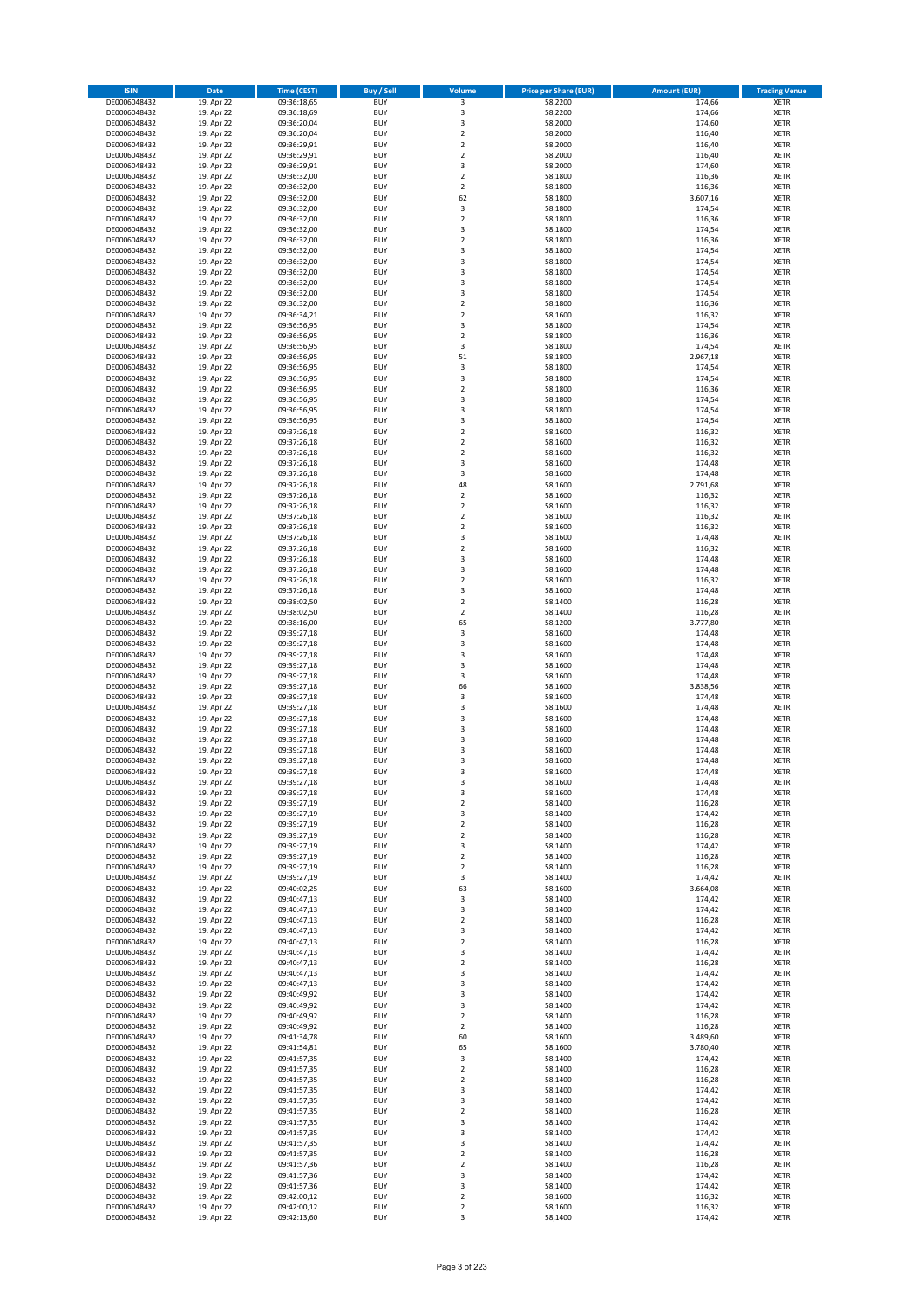| <b>ISIN</b>                  | <b>Date</b>              | <b>Time (CEST)</b>         | <b>Buy / Sell</b>        | Volume                                 | <b>Price per Share (EUR)</b> | <b>Amount (EUR)</b> | <b>Trading Venue</b>       |
|------------------------------|--------------------------|----------------------------|--------------------------|----------------------------------------|------------------------------|---------------------|----------------------------|
| DE0006048432                 | 19. Apr 22               | 09:36:18,65                | <b>BUY</b>               | 3                                      | 58,2200                      | 174,66              | <b>XETR</b>                |
| DE0006048432                 | 19. Apr 22               | 09:36:18,69                | <b>BUY</b>               | 3                                      | 58,2200                      | 174,66              | <b>XETR</b>                |
| DE0006048432                 | 19. Apr 22               | 09:36:20,04                | <b>BUY</b>               | 3                                      | 58,2000                      | 174,60              | <b>XETR</b>                |
| DE0006048432                 | 19. Apr 22               | 09:36:20,04                | <b>BUY</b>               | $\mathbf 2$                            | 58,2000                      | 116,40              | <b>XETR</b>                |
| DE0006048432<br>DE0006048432 | 19. Apr 22<br>19. Apr 22 | 09:36:29,91<br>09:36:29,91 | <b>BUY</b><br><b>BUY</b> | $\overline{\mathbf{c}}$<br>$\mathbf 2$ | 58,2000<br>58,2000           | 116,40<br>116,40    | <b>XETR</b><br><b>XETR</b> |
| DE0006048432                 | 19. Apr 22               | 09:36:29,91                | <b>BUY</b>               | 3                                      | 58,2000                      | 174,60              | <b>XETR</b>                |
| DE0006048432                 | 19. Apr 22               | 09:36:32,00                | <b>BUY</b>               | $\mathbf 2$                            | 58,1800                      | 116,36              | <b>XETR</b>                |
| DE0006048432                 | 19. Apr 22               | 09:36:32,00                | <b>BUY</b>               | $\mathbf 2$                            | 58,1800                      | 116,36              | <b>XETR</b>                |
| DE0006048432                 | 19. Apr 22               | 09:36:32,00                | <b>BUY</b>               | 62                                     | 58,1800                      | 3.607,16            | <b>XETR</b>                |
| DE0006048432                 | 19. Apr 22               | 09:36:32,00                | <b>BUY</b>               | 3                                      | 58,1800                      | 174,54              | <b>XETR</b>                |
| DE0006048432                 | 19. Apr 22               | 09:36:32,00                | <b>BUY</b>               | $\overline{\mathbf{c}}$<br>3           | 58,1800                      | 116,36              | <b>XETR</b><br><b>XETR</b> |
| DE0006048432<br>DE0006048432 | 19. Apr 22<br>19. Apr 22 | 09:36:32,00<br>09:36:32,00 | <b>BUY</b><br><b>BUY</b> | $\overline{\mathbf{c}}$                | 58,1800<br>58,1800           | 174,54<br>116,36    | <b>XETR</b>                |
| DE0006048432                 | 19. Apr 22               | 09:36:32,00                | <b>BUY</b>               | 3                                      | 58,1800                      | 174,54              | <b>XETR</b>                |
| DE0006048432                 | 19. Apr 22               | 09:36:32,00                | <b>BUY</b>               | 3                                      | 58,1800                      | 174,54              | <b>XETR</b>                |
| DE0006048432                 | 19. Apr 22               | 09:36:32,00                | <b>BUY</b>               | 3                                      | 58,1800                      | 174,54              | <b>XETR</b>                |
| DE0006048432                 | 19. Apr 22               | 09:36:32,00                | <b>BUY</b>               | 3                                      | 58,1800                      | 174,54              | <b>XETR</b>                |
| DE0006048432                 | 19. Apr 22               | 09:36:32,00                | <b>BUY</b>               | 3                                      | 58,1800                      | 174,54              | <b>XETR</b>                |
| DE0006048432<br>DE0006048432 | 19. Apr 22<br>19. Apr 22 | 09:36:32,00<br>09:36:34,21 | <b>BUY</b><br><b>BUY</b> | $\mathbf 2$<br>$\overline{\mathbf{c}}$ | 58,1800<br>58,1600           | 116,36<br>116,32    | <b>XETR</b><br><b>XETR</b> |
| DE0006048432                 | 19. Apr 22               | 09:36:56,95                | <b>BUY</b>               | 3                                      | 58,1800                      | 174,54              | <b>XETR</b>                |
| DE0006048432                 | 19. Apr 22               | 09:36:56,95                | <b>BUY</b>               | $\mathbf 2$                            | 58,1800                      | 116,36              | <b>XETR</b>                |
| DE0006048432                 | 19. Apr 22               | 09:36:56,95                | <b>BUY</b>               | 3                                      | 58,1800                      | 174,54              | <b>XETR</b>                |
| DE0006048432                 | 19. Apr 22               | 09:36:56,95                | <b>BUY</b>               | 51                                     | 58,1800                      | 2.967,18            | <b>XETR</b>                |
| DE0006048432                 | 19. Apr 22               | 09:36:56,95                | <b>BUY</b>               | 3                                      | 58,1800                      | 174,54              | <b>XETR</b>                |
| DE0006048432<br>DE0006048432 | 19. Apr 22               | 09:36:56,95                | <b>BUY</b><br><b>BUY</b> | 3<br>$\overline{\mathbf{c}}$           | 58,1800                      | 174,54              | <b>XETR</b><br><b>XETR</b> |
| DE0006048432                 | 19. Apr 22<br>19. Apr 22 | 09:36:56,95<br>09:36:56,95 | <b>BUY</b>               | 3                                      | 58,1800<br>58,1800           | 116,36<br>174,54    | <b>XETR</b>                |
| DE0006048432                 | 19. Apr 22               | 09:36:56,95                | <b>BUY</b>               | 3                                      | 58,1800                      | 174,54              | <b>XETR</b>                |
| DE0006048432                 | 19. Apr 22               | 09:36:56,95                | <b>BUY</b>               | 3                                      | 58,1800                      | 174,54              | <b>XETR</b>                |
| DE0006048432                 | 19. Apr 22               | 09:37:26,18                | <b>BUY</b>               | $\overline{\mathbf{2}}$                | 58,1600                      | 116,32              | <b>XETR</b>                |
| DE0006048432                 | 19. Apr 22               | 09:37:26,18                | <b>BUY</b>               | $\mathbf 2$                            | 58,1600                      | 116,32              | <b>XETR</b>                |
| DE0006048432                 | 19. Apr 22               | 09:37:26,18                | <b>BUY</b>               | $\mathbf 2$                            | 58,1600                      | 116,32              | <b>XETR</b>                |
| DE0006048432<br>DE0006048432 | 19. Apr 22<br>19. Apr 22 | 09:37:26,18<br>09:37:26,18 | <b>BUY</b><br><b>BUY</b> | 3<br>3                                 | 58,1600<br>58,1600           | 174,48<br>174,48    | <b>XETR</b><br><b>XETR</b> |
| DE0006048432                 | 19. Apr 22               | 09:37:26,18                | <b>BUY</b>               | 48                                     | 58,1600                      | 2.791,68            | <b>XETR</b>                |
| DE0006048432                 | 19. Apr 22               | 09:37:26,18                | <b>BUY</b>               | $\mathbf 2$                            | 58,1600                      | 116,32              | <b>XETR</b>                |
| DE0006048432                 | 19. Apr 22               | 09:37:26,18                | <b>BUY</b>               | $\mathbf 2$                            | 58,1600                      | 116,32              | <b>XETR</b>                |
| DE0006048432                 | 19. Apr 22               | 09:37:26,18                | <b>BUY</b>               | $\mathbf 2$                            | 58,1600                      | 116,32              | <b>XETR</b>                |
| DE0006048432                 | 19. Apr 22               | 09:37:26,18                | <b>BUY</b>               | $\mathbf 2$                            | 58,1600                      | 116,32              | <b>XETR</b>                |
| DE0006048432<br>DE0006048432 | 19. Apr 22<br>19. Apr 22 | 09:37:26,18                | <b>BUY</b><br><b>BUY</b> | 3<br>$\mathbf 2$                       | 58,1600<br>58,1600           | 174,48<br>116,32    | <b>XETR</b><br><b>XETR</b> |
| DE0006048432                 | 19. Apr 22               | 09:37:26,18<br>09:37:26,18 | <b>BUY</b>               | 3                                      | 58,1600                      | 174,48              | <b>XETR</b>                |
| DE0006048432                 | 19. Apr 22               | 09:37:26,18                | <b>BUY</b>               | 3                                      | 58,1600                      | 174,48              | <b>XETR</b>                |
| DE0006048432                 | 19. Apr 22               | 09:37:26,18                | <b>BUY</b>               | $\overline{\mathbf{2}}$                | 58,1600                      | 116,32              | <b>XETR</b>                |
| DE0006048432                 | 19. Apr 22               | 09:37:26,18                | <b>BUY</b>               | 3                                      | 58,1600                      | 174,48              | <b>XETR</b>                |
| DE0006048432                 | 19. Apr 22               | 09:38:02,50                | <b>BUY</b>               | $\mathbf 2$                            | 58,1400                      | 116,28              | <b>XETR</b>                |
| DE0006048432<br>DE0006048432 | 19. Apr 22<br>19. Apr 22 | 09:38:02,50<br>09:38:16,00 | <b>BUY</b><br><b>BUY</b> | $\mathbf 2$<br>65                      | 58,1400<br>58,1200           | 116,28<br>3.777,80  | <b>XETR</b><br><b>XETR</b> |
| DE0006048432                 | 19. Apr 22               | 09:39:27,18                | <b>BUY</b>               | 3                                      | 58,1600                      | 174,48              | <b>XETR</b>                |
| DE0006048432                 | 19. Apr 22               | 09:39:27,18                | <b>BUY</b>               | 3                                      | 58,1600                      | 174,48              | <b>XETR</b>                |
| DE0006048432                 | 19. Apr 22               | 09:39:27,18                | <b>BUY</b>               | 3                                      | 58,1600                      | 174,48              | <b>XETR</b>                |
| DE0006048432                 | 19. Apr 22               | 09:39:27,18                | <b>BUY</b>               | 3                                      | 58,1600                      | 174,48              | <b>XETR</b>                |
| DE0006048432                 | 19. Apr 22               | 09:39:27,18                | <b>BUY</b>               | 3                                      | 58,1600                      | 174,48              | <b>XETR</b>                |
| DE0006048432                 | 19. Apr 22               | 09:39:27,18                | <b>BUY</b>               | 66                                     | 58,1600                      | 3.838,56            | <b>XETR</b>                |
| DE0006048432<br>DE0006048432 | 19. Apr 22<br>19. Apr 22 | 09:39:27,18<br>09:39:27,18 | <b>BUY</b><br><b>BUY</b> | 3<br>3                                 | 58,1600<br>58,1600           | 174,48<br>174,48    | <b>XETR</b><br><b>XETR</b> |
| DE0006048432                 | 19. Apr 22               | 09:39:27,18                | <b>BUY</b>               | 3                                      | 58,1600                      | 174,48              | <b>XETR</b>                |
| DE0006048432                 | 19. Apr 22               | 09:39:27,18                | <b>BUY</b>               | 3                                      | 58,1600                      | 174,48              | <b>XETR</b>                |
| DE0006048432                 | 19. Apr 22               | 09:39:27,18                | <b>BUY</b>               | 3                                      | 58,1600                      | 174,48              | <b>XETR</b>                |
| DE0006048432                 | 19. Apr 22               | 09:39:27,18                | <b>BUY</b>               | $\overline{3}$                         | 58,1600                      | 174,48              | <b>XETR</b>                |
| DE0006048432                 | 19. Apr 22               | 09:39:27,18                | <b>BUY</b>               | 3                                      | 58,1600                      | 174,48              | <b>XETR</b>                |
| DE0006048432<br>DE0006048432 | 19. Apr 22<br>19. Apr 22 | 09:39:27,18<br>09:39:27,18 | <b>BUY</b><br>BUY        | 3<br>3                                 | 58,1600<br>58,1600           | 174,48<br>174,48    | <b>XETR</b><br><b>XETR</b> |
| DE0006048432                 | 19. Apr 22               | 09:39:27,18                | <b>BUY</b>               | 3                                      | 58,1600                      | 174,48              | <b>XETR</b>                |
| DE0006048432                 | 19. Apr 22               | 09:39:27,19                | <b>BUY</b>               | $\mathbf 2$                            | 58,1400                      | 116,28              | <b>XETR</b>                |
| DE0006048432                 | 19. Apr 22               | 09:39:27,19                | <b>BUY</b>               | 3                                      | 58,1400                      | 174,42              | XETR                       |
| DE0006048432                 | 19. Apr 22               | 09:39:27,19                | <b>BUY</b>               | $\mathbf 2$                            | 58,1400                      | 116,28              | <b>XETR</b>                |
| DE0006048432                 | 19. Apr 22               | 09:39:27,19                | <b>BUY</b>               | $\mathbf 2$                            | 58,1400                      | 116,28              | <b>XETR</b>                |
| DE0006048432<br>DE0006048432 | 19. Apr 22<br>19. Apr 22 | 09:39:27,19<br>09:39:27,19 | <b>BUY</b><br><b>BUY</b> | 3<br>$\mathbf 2$                       | 58,1400<br>58,1400           | 174,42<br>116,28    | <b>XETR</b><br><b>XETR</b> |
| DE0006048432                 | 19. Apr 22               | 09:39:27,19                | <b>BUY</b>               | $\mathbf 2$                            | 58,1400                      | 116,28              | <b>XETR</b>                |
| DE0006048432                 | 19. Apr 22               | 09:39:27,19                | <b>BUY</b>               | 3                                      | 58,1400                      | 174,42              | <b>XETR</b>                |
| DE0006048432                 | 19. Apr 22               | 09:40:02,25                | <b>BUY</b>               | 63                                     | 58,1600                      | 3.664,08            | <b>XETR</b>                |
| DE0006048432                 | 19. Apr 22               | 09:40:47,13                | <b>BUY</b>               | 3                                      | 58,1400                      | 174,42              | <b>XETR</b>                |
| DE0006048432                 | 19. Apr 22               | 09:40:47,13                | <b>BUY</b>               | 3                                      | 58,1400                      | 174,42              | <b>XETR</b>                |
| DE0006048432                 | 19. Apr 22               | 09:40:47,13                | <b>BUY</b>               | $\overline{\mathbf{c}}$                | 58,1400                      | 116,28              | <b>XETR</b>                |
| DE0006048432<br>DE0006048432 | 19. Apr 22<br>19. Apr 22 | 09:40:47,13<br>09:40:47,13 | <b>BUY</b><br><b>BUY</b> | 3<br>$\overline{\mathbf{c}}$           | 58,1400<br>58,1400           | 174,42<br>116,28    | <b>XETR</b><br><b>XETR</b> |
| DE0006048432                 | 19. Apr 22               | 09:40:47,13                | <b>BUY</b>               | 3                                      | 58,1400                      | 174,42              | <b>XETR</b>                |
| DE0006048432                 | 19. Apr 22               | 09:40:47,13                | <b>BUY</b>               | $\mathbf 2$                            | 58,1400                      | 116,28              | <b>XETR</b>                |
| DE0006048432                 | 19. Apr 22               | 09:40:47,13                | <b>BUY</b>               | 3                                      | 58,1400                      | 174,42              | XETR                       |
| DE0006048432                 | 19. Apr 22               | 09:40:47,13                | <b>BUY</b>               | 3                                      | 58,1400                      | 174,42              | <b>XETR</b>                |
| DE0006048432                 | 19. Apr 22               | 09:40:49,92                | <b>BUY</b>               | 3                                      | 58,1400                      | 174,42              | <b>XETR</b>                |
| DE0006048432<br>DE0006048432 | 19. Apr 22<br>19. Apr 22 | 09:40:49,92<br>09:40:49,92 | <b>BUY</b><br><b>BUY</b> | 3<br>$\overline{\mathbf{2}}$           | 58,1400<br>58,1400           | 174,42<br>116,28    | <b>XETR</b><br><b>XETR</b> |
| DE0006048432                 | 19. Apr 22               | 09:40:49,92                | <b>BUY</b>               | $\mathbf 2$                            | 58,1400                      | 116,28              | <b>XETR</b>                |
| DE0006048432                 | 19. Apr 22               | 09:41:34,78                | <b>BUY</b>               | 60                                     | 58,1600                      | 3.489,60            | <b>XETR</b>                |
| DE0006048432                 | 19. Apr 22               | 09:41:54,81                | <b>BUY</b>               | 65                                     | 58,1600                      | 3.780,40            | <b>XETR</b>                |
| DE0006048432                 | 19. Apr 22               | 09:41:57,35                | <b>BUY</b>               | 3                                      | 58,1400                      | 174,42              | <b>XETR</b>                |
| DE0006048432                 | 19. Apr 22               | 09:41:57,35                | <b>BUY</b>               | $\overline{\mathbf{c}}$                | 58,1400                      | 116,28              | <b>XETR</b>                |
| DE0006048432<br>DE0006048432 | 19. Apr 22<br>19. Apr 22 | 09:41:57,35<br>09:41:57,35 | <b>BUY</b><br><b>BUY</b> | 2<br>3                                 | 58,1400<br>58,1400           | 116,28<br>174,42    | <b>XETR</b><br>XETR        |
| DE0006048432                 | 19. Apr 22               | 09:41:57,35                | <b>BUY</b>               | 3                                      | 58,1400                      | 174,42              | <b>XETR</b>                |
| DE0006048432                 | 19. Apr 22               | 09:41:57,35                | <b>BUY</b>               | $\mathbf 2$                            | 58,1400                      | 116,28              | <b>XETR</b>                |
| DE0006048432                 | 19. Apr 22               | 09:41:57,35                | <b>BUY</b>               | 3                                      | 58,1400                      | 174,42              | <b>XETR</b>                |
| DE0006048432                 | 19. Apr 22               | 09:41:57,35                | <b>BUY</b>               | 3                                      | 58,1400                      | 174,42              | <b>XETR</b>                |
| DE0006048432                 | 19. Apr 22               | 09:41:57,35                | <b>BUY</b>               | 3                                      | 58,1400                      | 174,42              | <b>XETR</b>                |
| DE0006048432                 | 19. Apr 22               | 09:41:57,35                | <b>BUY</b>               | $\mathbf 2$                            | 58,1400                      | 116,28              | <b>XETR</b>                |
| DE0006048432<br>DE0006048432 | 19. Apr 22<br>19. Apr 22 | 09:41:57,36<br>09:41:57,36 | <b>BUY</b><br><b>BUY</b> | $\overline{\mathbf{c}}$<br>3           | 58,1400<br>58,1400           | 116,28<br>174,42    | <b>XETR</b><br>XETR        |
| DE0006048432                 | 19. Apr 22               | 09:41:57,36                | <b>BUY</b>               | 3                                      | 58,1400                      | 174,42              | <b>XETR</b>                |
| DE0006048432                 | 19. Apr 22               | 09:42:00,12                | <b>BUY</b>               | $\mathbf 2$                            | 58,1600                      | 116,32              | XETR                       |
| DE0006048432                 | 19. Apr 22               | 09:42:00,12                | <b>BUY</b>               | $\mathbf 2$                            | 58,1600                      | 116,32              | <b>XETR</b>                |
| DE0006048432                 | 19. Apr 22               | 09:42:13,60                | <b>BUY</b>               | 3                                      | 58,1400                      | 174,42              | <b>XETR</b>                |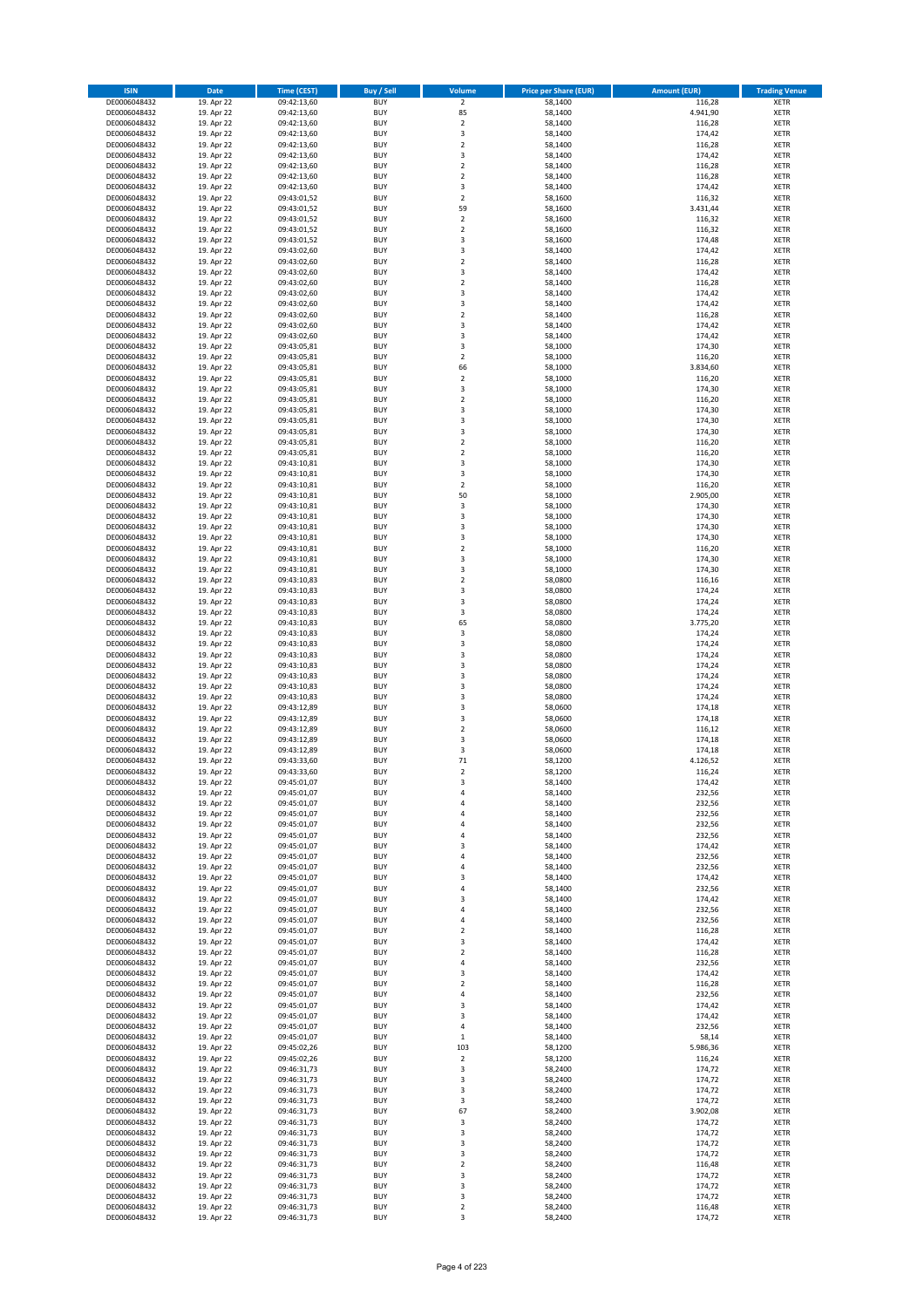| <b>ISIN</b>                  | <b>Date</b>              | <b>Time (CEST)</b>         | <b>Buy / Sell</b>        | Volume                                 | <b>Price per Share (EUR)</b> | <b>Amount (EUR)</b> | <b>Trading Venue</b>       |
|------------------------------|--------------------------|----------------------------|--------------------------|----------------------------------------|------------------------------|---------------------|----------------------------|
| DE0006048432                 | 19. Apr 22               | 09:42:13,60                | <b>BUY</b>               | $\overline{2}$                         | 58,1400                      | 116,28              | <b>XETR</b>                |
| DE0006048432                 | 19. Apr 22               | 09:42:13,60                | <b>BUY</b>               | 85                                     | 58,1400                      | 4.941,90            | <b>XETR</b>                |
| DE0006048432                 | 19. Apr 22               | 09:42:13,60                | <b>BUY</b>               | $\overline{2}$                         | 58,1400                      | 116,28              | <b>XETR</b>                |
| DE0006048432<br>DE0006048432 | 19. Apr 22<br>19. Apr 22 | 09:42:13,60<br>09:42:13,60 | <b>BUY</b><br><b>BUY</b> | 3<br>$\overline{\mathbf{c}}$           | 58,1400<br>58,1400           | 174,42<br>116,28    | <b>XETR</b><br><b>XETR</b> |
| DE0006048432                 | 19. Apr 22               | 09:42:13,60                | <b>BUY</b>               | 3                                      | 58,1400                      | 174,42              | <b>XETR</b>                |
| DE0006048432                 | 19. Apr 22               | 09:42:13,60                | <b>BUY</b>               | $\overline{\mathbf{c}}$                | 58,1400                      | 116,28              | <b>XETR</b>                |
| DE0006048432                 | 19. Apr 22               | 09:42:13,60                | <b>BUY</b>               | $\mathbf 2$                            | 58,1400                      | 116,28              | <b>XETR</b>                |
| DE0006048432                 | 19. Apr 22               | 09:42:13,60                | <b>BUY</b>               | 3                                      | 58,1400                      | 174,42              | <b>XETR</b>                |
| DE0006048432                 | 19. Apr 22               | 09:43:01,52                | <b>BUY</b>               | $\overline{2}$                         | 58,1600                      | 116,32              | <b>XETR</b>                |
| DE0006048432                 | 19. Apr 22               | 09:43:01,52                | <b>BUY</b>               | 59                                     | 58,1600                      | 3.431,44            | <b>XETR</b>                |
| DE0006048432                 | 19. Apr 22<br>19. Apr 22 | 09:43:01,52                | <b>BUY</b><br><b>BUY</b> | $\overline{\mathbf{c}}$<br>$\mathbf 2$ | 58,1600                      | 116,32              | <b>XETR</b><br><b>XETR</b> |
| DE0006048432<br>DE0006048432 | 19. Apr 22               | 09:43:01,52<br>09:43:01,52 | <b>BUY</b>               | 3                                      | 58,1600<br>58,1600           | 116,32<br>174,48    | <b>XETR</b>                |
| DE0006048432                 | 19. Apr 22               | 09:43:02,60                | <b>BUY</b>               | 3                                      | 58,1400                      | 174,42              | <b>XETR</b>                |
| DE0006048432                 | 19. Apr 22               | 09:43:02,60                | <b>BUY</b>               | $\overline{\mathbf{c}}$                | 58,1400                      | 116,28              | <b>XETR</b>                |
| DE0006048432                 | 19. Apr 22               | 09:43:02,60                | <b>BUY</b>               | 3                                      | 58,1400                      | 174,42              | <b>XETR</b>                |
| DE0006048432                 | 19. Apr 22               | 09:43:02,60                | <b>BUY</b>               | $\mathbf 2$                            | 58,1400                      | 116,28              | <b>XETR</b>                |
| DE0006048432                 | 19. Apr 22               | 09:43:02,60                | <b>BUY</b>               | 3                                      | 58,1400                      | 174,42              | <b>XETR</b>                |
| DE0006048432                 | 19. Apr 22               | 09:43:02,60                | <b>BUY</b>               | 3                                      | 58,1400                      | 174,42              | <b>XETR</b>                |
| DE0006048432                 | 19. Apr 22               | 09:43:02,60                | <b>BUY</b>               | $\overline{\mathbf{c}}$                | 58,1400                      | 116,28              | <b>XETR</b>                |
| DE0006048432<br>DE0006048432 | 19. Apr 22<br>19. Apr 22 | 09:43:02,60<br>09:43:02,60 | <b>BUY</b><br><b>BUY</b> | 3<br>3                                 | 58,1400<br>58,1400           | 174,42<br>174,42    | <b>XETR</b><br><b>XETR</b> |
| DE0006048432                 | 19. Apr 22               | 09:43:05,81                | <b>BUY</b>               | 3                                      | 58,1000                      | 174,30              | <b>XETR</b>                |
| DE0006048432                 | 19. Apr 22               | 09:43:05,81                | <b>BUY</b>               | $\mathbf 2$                            | 58,1000                      | 116,20              | <b>XETR</b>                |
| DE0006048432                 | 19. Apr 22               | 09:43:05,81                | <b>BUY</b>               | 66                                     | 58,1000                      | 3.834,60            | <b>XETR</b>                |
| DE0006048432                 | 19. Apr 22               | 09:43:05,81                | <b>BUY</b>               | $\mathbf 2$                            | 58,1000                      | 116,20              | <b>XETR</b>                |
| DE0006048432                 | 19. Apr 22               | 09:43:05,81                | <b>BUY</b>               | 3                                      | 58,1000                      | 174,30              | <b>XETR</b>                |
| DE0006048432                 | 19. Apr 22               | 09:43:05,81                | <b>BUY</b>               | $\mathbf 2$                            | 58,1000                      | 116,20              | <b>XETR</b>                |
| DE0006048432                 | 19. Apr 22<br>19. Apr 22 | 09:43:05,81                | <b>BUY</b>               | 3<br>3                                 | 58,1000                      | 174,30              | <b>XETR</b>                |
| DE0006048432<br>DE0006048432 | 19. Apr 22               | 09:43:05,81<br>09:43:05,81 | <b>BUY</b><br><b>BUY</b> | 3                                      | 58,1000<br>58,1000           | 174,30<br>174,30    | <b>XETR</b><br><b>XETR</b> |
| DE0006048432                 | 19. Apr 22               | 09:43:05,81                | <b>BUY</b>               | $\mathbf 2$                            | 58,1000                      | 116,20              | <b>XETR</b>                |
| DE0006048432                 | 19. Apr 22               | 09:43:05,81                | <b>BUY</b>               | $\mathbf 2$                            | 58,1000                      | 116,20              | <b>XETR</b>                |
| DE0006048432                 | 19. Apr 22               | 09:43:10,81                | <b>BUY</b>               | 3                                      | 58,1000                      | 174,30              | <b>XETR</b>                |
| DE0006048432                 | 19. Apr 22               | 09:43:10,81                | <b>BUY</b>               | 3                                      | 58,1000                      | 174,30              | <b>XETR</b>                |
| DE0006048432                 | 19. Apr 22               | 09:43:10,81                | <b>BUY</b>               | $\overline{\mathbf{c}}$                | 58,1000                      | 116,20              | <b>XETR</b>                |
| DE0006048432                 | 19. Apr 22               | 09:43:10,81                | <b>BUY</b>               | 50                                     | 58,1000                      | 2.905,00            | <b>XETR</b>                |
| DE0006048432                 | 19. Apr 22               | 09:43:10,81                | <b>BUY</b>               | 3                                      | 58,1000                      | 174,30              | <b>XETR</b>                |
| DE0006048432                 | 19. Apr 22               | 09:43:10,81                | <b>BUY</b><br><b>BUY</b> | 3<br>3                                 | 58,1000                      | 174,30              | <b>XETR</b><br><b>XETR</b> |
| DE0006048432<br>DE0006048432 | 19. Apr 22<br>19. Apr 22 | 09:43:10,81<br>09:43:10,81 | <b>BUY</b>               | 3                                      | 58,1000<br>58,1000           | 174,30<br>174,30    | <b>XETR</b>                |
| DE0006048432                 | 19. Apr 22               | 09:43:10,81                | <b>BUY</b>               | $\mathbf 2$                            | 58,1000                      | 116,20              | <b>XETR</b>                |
| DE0006048432                 | 19. Apr 22               | 09:43:10,81                | <b>BUY</b>               | 3                                      | 58,1000                      | 174,30              | <b>XETR</b>                |
| DE0006048432                 | 19. Apr 22               | 09:43:10,81                | <b>BUY</b>               | 3                                      | 58,1000                      | 174,30              | <b>XETR</b>                |
| DE0006048432                 | 19. Apr 22               | 09:43:10,83                | <b>BUY</b>               | $\overline{2}$                         | 58,0800                      | 116,16              | <b>XETR</b>                |
| DE0006048432                 | 19. Apr 22               | 09:43:10,83                | <b>BUY</b>               | 3                                      | 58,0800                      | 174,24              | <b>XETR</b>                |
| DE0006048432                 | 19. Apr 22               | 09:43:10,83                | <b>BUY</b>               | 3                                      | 58,0800                      | 174,24              | <b>XETR</b>                |
| DE0006048432                 | 19. Apr 22               | 09:43:10,83                | <b>BUY</b>               | 3                                      | 58,0800                      | 174,24              | <b>XETR</b>                |
| DE0006048432<br>DE0006048432 | 19. Apr 22<br>19. Apr 22 | 09:43:10,83<br>09:43:10,83 | <b>BUY</b><br><b>BUY</b> | 65<br>3                                | 58,0800<br>58,0800           | 3.775,20<br>174,24  | <b>XETR</b><br><b>XETR</b> |
| DE0006048432                 | 19. Apr 22               | 09:43:10,83                | <b>BUY</b>               | 3                                      | 58,0800                      | 174,24              | <b>XETR</b>                |
| DE0006048432                 | 19. Apr 22               | 09:43:10,83                | <b>BUY</b>               | 3                                      | 58,0800                      | 174,24              | <b>XETR</b>                |
| DE0006048432                 | 19. Apr 22               | 09:43:10,83                | <b>BUY</b>               | 3                                      | 58,0800                      | 174,24              | <b>XETR</b>                |
| DE0006048432                 | 19. Apr 22               | 09:43:10,83                | <b>BUY</b>               | 3                                      | 58,0800                      | 174,24              | <b>XETR</b>                |
| DE0006048432                 | 19. Apr 22               | 09:43:10,83                | <b>BUY</b>               | 3                                      | 58,0800                      | 174,24              | <b>XETR</b>                |
| DE0006048432                 | 19. Apr 22               | 09:43:10,83                | <b>BUY</b>               | 3                                      | 58,0800                      | 174,24              | <b>XETR</b>                |
| DE0006048432                 | 19. Apr 22               | 09:43:12,89                | <b>BUY</b>               | 3                                      | 58,0600                      | 174,18              | <b>XETR</b>                |
| DE0006048432<br>DE0006048432 | 19. Apr 22               | 09:43:12,89                | <b>BUY</b><br><b>BUY</b> | 3<br>$\overline{2}$                    | 58,0600                      | 174,18              | <b>XETR</b><br><b>XETR</b> |
| DE0006048432                 | 19. Apr 22<br>19. Apr 22 | 09:43:12,89<br>09:43:12,89 | <b>BUY</b>               | 3                                      | 58,0600<br>58,0600           | 116,12<br>174,18    | <b>XETR</b>                |
| DE0006048432                 | 19. Apr 22               | 09:43:12,89                | <b>BUY</b>               | 3                                      | 58,0600                      | 174,18              | <b>XETR</b>                |
| DE0006048432                 | 19. Apr 22               | 09:43:33,60                | <b>BUY</b>               | 71                                     | 58,1200                      | 4.126,52            | <b>XETR</b>                |
| DE0006048432                 | 19. Apr 22               | 09:43:33,60                | <b>BUY</b>               | $\overline{2}$                         | 58,1200                      | 116,24              | <b>XETR</b>                |
| DE0006048432                 | 19. Apr 22               | 09:45:01,07                | BUY                      | 3                                      | 58,1400                      | 174,42              | <b>XETR</b>                |
| DE0006048432                 | 19. Apr 22               | 09:45:01,07                | <b>BUY</b>               | 4                                      | 58,1400                      | 232,56              | <b>XETR</b>                |
| DE0006048432                 | 19. Apr 22               | 09:45:01,07                | <b>BUY</b><br><b>BUY</b> | 4                                      | 58,1400<br>58,1400           | 232,56<br>232,56    | <b>XETR</b>                |
| DE0006048432<br>DE0006048432 | 19. Apr 22<br>19. Apr 22 | 09:45:01,07<br>09:45:01,07 | <b>BUY</b>               | 4<br>4                                 | 58,1400                      | 232,56              | XETR<br><b>XETR</b>        |
| DE0006048432                 | 19. Apr 22               | 09:45:01,07                | <b>BUY</b>               | 4                                      | 58,1400                      | 232,56              | <b>XETR</b>                |
| DE0006048432                 | 19. Apr 22               | 09:45:01,07                | <b>BUY</b>               | 3                                      | 58,1400                      | 174,42              | <b>XETR</b>                |
| DE0006048432                 | 19. Apr 22               | 09:45:01,07                | <b>BUY</b>               | 4                                      | 58,1400                      | 232,56              | <b>XETR</b>                |
| DE0006048432                 | 19. Apr 22               | 09:45:01,07                | <b>BUY</b>               | 4                                      | 58,1400                      | 232,56              | <b>XETR</b>                |
| DE0006048432                 | 19. Apr 22               | 09:45:01,07                | <b>BUY</b>               | 3                                      | 58,1400                      | 174,42              | <b>XETR</b>                |
| DE0006048432                 | 19. Apr 22               | 09:45:01,07                | <b>BUY</b>               | 4                                      | 58,1400                      | 232,56              | <b>XETR</b>                |
| DE0006048432<br>DE0006048432 | 19. Apr 22<br>19. Apr 22 | 09:45:01,07<br>09:45:01,07 | <b>BUY</b><br><b>BUY</b> | 3<br>4                                 | 58,1400<br>58,1400           | 174,42<br>232,56    | <b>XETR</b><br><b>XETR</b> |
| DE0006048432                 | 19. Apr 22               | 09:45:01,07                | <b>BUY</b>               | 4                                      | 58,1400                      | 232,56              | <b>XETR</b>                |
| DE0006048432                 | 19. Apr 22               | 09:45:01,07                | <b>BUY</b>               | $\mathbf 2$                            | 58,1400                      | 116,28              | <b>XETR</b>                |
| DE0006048432                 | 19. Apr 22               | 09:45:01,07                | <b>BUY</b>               | 3                                      | 58,1400                      | 174,42              | <b>XETR</b>                |
| DE0006048432                 | 19. Apr 22               | 09:45:01,07                | <b>BUY</b>               | $\mathbf 2$                            | 58,1400                      | 116,28              | <b>XETR</b>                |
| DE0006048432                 | 19. Apr 22               | 09:45:01,07                | <b>BUY</b>               | 4                                      | 58,1400                      | 232,56              | <b>XETR</b>                |
| DE0006048432                 | 19. Apr 22               | 09:45:01,07                | <b>BUY</b>               | 3                                      | 58,1400                      | 174,42              | XETR                       |
| DE0006048432<br>DE0006048432 | 19. Apr 22<br>19. Apr 22 | 09:45:01,07<br>09:45:01,07 | <b>BUY</b><br><b>BUY</b> | $\mathbf 2$<br>4                       | 58,1400<br>58,1400           | 116,28<br>232,56    | <b>XETR</b><br><b>XETR</b> |
| DE0006048432                 | 19. Apr 22               | 09:45:01,07                | <b>BUY</b>               | 3                                      | 58,1400                      | 174,42              | <b>XETR</b>                |
| DE0006048432                 | 19. Apr 22               | 09:45:01,07                | <b>BUY</b>               | 3                                      | 58,1400                      | 174,42              | <b>XETR</b>                |
| DE0006048432                 | 19. Apr 22               | 09:45:01,07                | <b>BUY</b>               | 4                                      | 58,1400                      | 232,56              | <b>XETR</b>                |
| DE0006048432                 | 19. Apr 22               | 09:45:01,07                | <b>BUY</b>               | $\mathbf 1$                            | 58,1400                      | 58,14               | <b>XETR</b>                |
| DE0006048432                 | 19. Apr 22               | 09:45:02,26                | <b>BUY</b>               | 103                                    | 58,1200                      | 5.986,36            | <b>XETR</b>                |
| DE0006048432                 | 19. Apr 22               | 09:45:02,26                | <b>BUY</b>               | $\mathbf 2$                            | 58,1200                      | 116,24              | <b>XETR</b>                |
| DE0006048432                 | 19. Apr 22               | 09:46:31,73                | <b>BUY</b>               | 3                                      | 58,2400                      | 174,72              | <b>XETR</b>                |
| DE0006048432<br>DE0006048432 | 19. Apr 22<br>19. Apr 22 | 09:46:31,73                | <b>BUY</b><br><b>BUY</b> | 3<br>3                                 | 58,2400<br>58,2400           | 174,72<br>174,72    | <b>XETR</b><br>XETR        |
| DE0006048432                 | 19. Apr 22               | 09:46:31,73<br>09:46:31,73 | <b>BUY</b>               | 3                                      | 58,2400                      | 174,72              | <b>XETR</b>                |
| DE0006048432                 | 19. Apr 22               | 09:46:31,73                | <b>BUY</b>               | 67                                     | 58,2400                      | 3.902,08            | <b>XETR</b>                |
| DE0006048432                 | 19. Apr 22               | 09:46:31,73                | <b>BUY</b>               | 3                                      | 58,2400                      | 174,72              | <b>XETR</b>                |
| DE0006048432                 | 19. Apr 22               | 09:46:31,73                | <b>BUY</b>               | 3                                      | 58,2400                      | 174,72              | <b>XETR</b>                |
| DE0006048432                 | 19. Apr 22               | 09:46:31,73                | <b>BUY</b>               | 3                                      | 58,2400                      | 174,72              | <b>XETR</b>                |
| DE0006048432                 | 19. Apr 22               | 09:46:31,73                | <b>BUY</b>               | 3                                      | 58,2400                      | 174,72              | <b>XETR</b>                |
| DE0006048432                 | 19. Apr 22               | 09:46:31,73                | <b>BUY</b>               | $\overline{\mathbf{c}}$                | 58,2400                      | 116,48              | <b>XETR</b>                |
| DE0006048432<br>DE0006048432 | 19. Apr 22<br>19. Apr 22 | 09:46:31,73<br>09:46:31,73 | <b>BUY</b><br><b>BUY</b> | 3<br>3                                 | 58,2400<br>58,2400           | 174,72<br>174,72    | XETR<br><b>XETR</b>        |
| DE0006048432                 | 19. Apr 22               | 09:46:31,73                | <b>BUY</b>               | 3                                      | 58,2400                      | 174,72              | <b>XETR</b>                |
| DE0006048432                 | 19. Apr 22               | 09:46:31,73                | <b>BUY</b>               | $\mathbf 2$                            | 58,2400                      | 116,48              | <b>XETR</b>                |
| DE0006048432                 | 19. Apr 22               | 09:46:31,73                | <b>BUY</b>               | 3                                      | 58,2400                      | 174,72              | <b>XETR</b>                |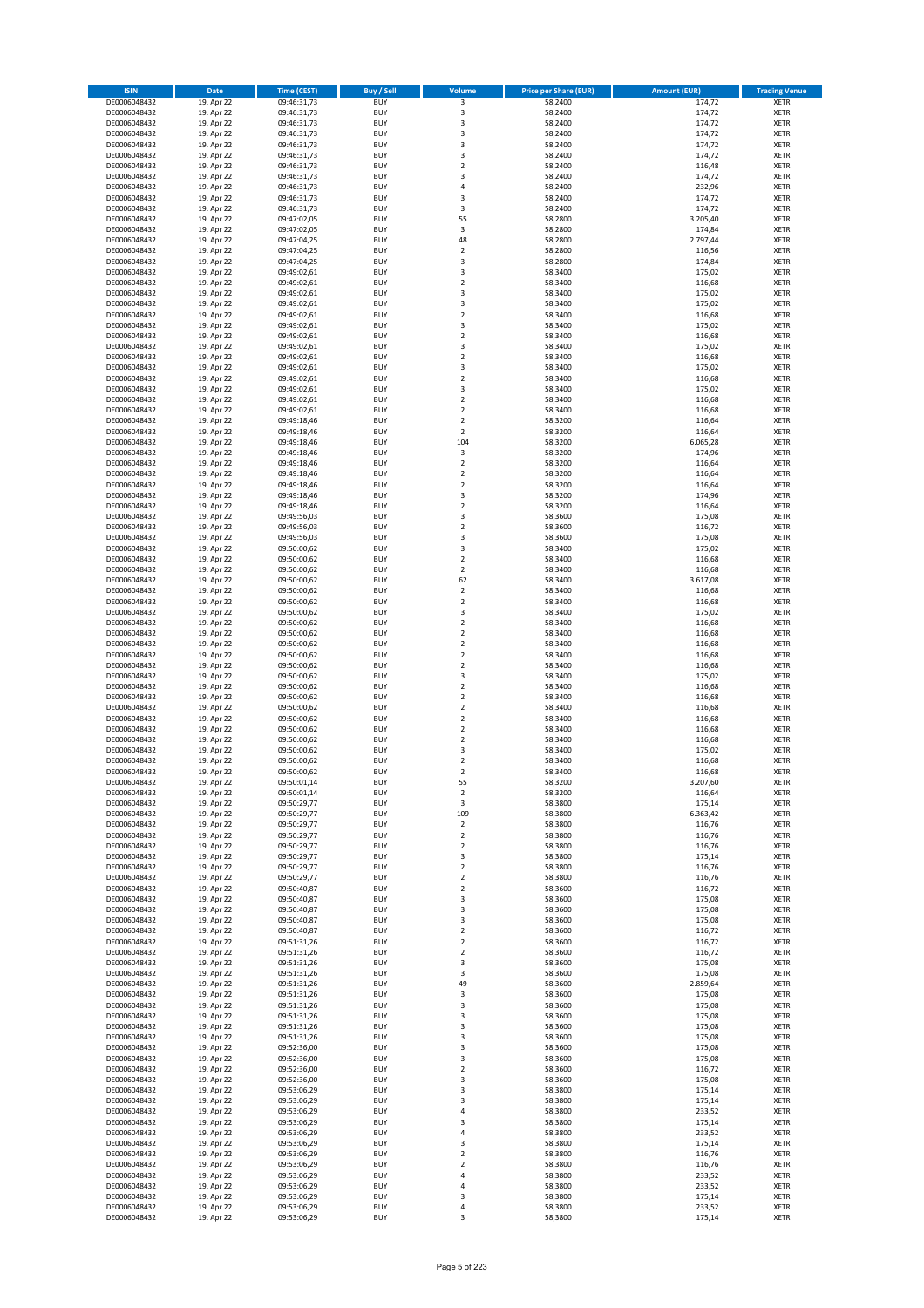| <b>ISIN</b>                  | <b>Date</b>              | <b>Time (CEST)</b>         | <b>Buy / Sell</b>        | <b>Volume</b>                             | <b>Price per Share (EUR)</b> | <b>Amount (EUR)</b> | <b>Trading Venue</b>       |
|------------------------------|--------------------------|----------------------------|--------------------------|-------------------------------------------|------------------------------|---------------------|----------------------------|
| DE0006048432                 | 19. Apr 22               | 09:46:31,73                | <b>BUY</b>               | 3                                         | 58,2400                      | 174,72              | <b>XETR</b>                |
| DE0006048432                 | 19. Apr 22               | 09:46:31,73                | <b>BUY</b>               | 3                                         | 58,2400                      | 174,72              | <b>XETR</b>                |
| DE0006048432                 | 19. Apr 22               | 09:46:31,73                | <b>BUY</b>               | 3                                         | 58,2400                      | 174,72              | <b>XETR</b>                |
| DE0006048432<br>DE0006048432 | 19. Apr 22<br>19. Apr 22 | 09:46:31,73<br>09:46:31,73 | <b>BUY</b><br><b>BUY</b> | 3<br>3                                    | 58,2400<br>58,2400           | 174,72<br>174,72    | <b>XETR</b><br><b>XETR</b> |
| DE0006048432                 | 19. Apr 22               | 09:46:31,73                | <b>BUY</b>               | 3                                         | 58,2400                      | 174,72              | <b>XETR</b>                |
| DE0006048432                 | 19. Apr 22               | 09:46:31,73                | <b>BUY</b>               | $\overline{\mathbf{c}}$                   | 58,2400                      | 116,48              | <b>XETR</b>                |
| DE0006048432                 | 19. Apr 22               | 09:46:31,73                | <b>BUY</b>               | 3                                         | 58,2400                      | 174,72              | <b>XETR</b>                |
| DE0006048432                 | 19. Apr 22               | 09:46:31,73                | <b>BUY</b>               | 4                                         | 58,2400                      | 232,96              | <b>XETR</b>                |
| DE0006048432                 | 19. Apr 22               | 09:46:31,73                | <b>BUY</b>               | 3                                         | 58,2400                      | 174,72              | <b>XETR</b>                |
| DE0006048432                 | 19. Apr 22               | 09:46:31,73                | <b>BUY</b>               | 3                                         | 58,2400                      | 174,72              | <b>XETR</b>                |
| DE0006048432                 | 19. Apr 22<br>19. Apr 22 | 09:47:02,05                | <b>BUY</b><br><b>BUY</b> | 55<br>3                                   | 58,2800                      | 3.205,40            | <b>XETR</b><br><b>XETR</b> |
| DE0006048432<br>DE0006048432 | 19. Apr 22               | 09:47:02,05<br>09:47:04,25 | <b>BUY</b>               | 48                                        | 58,2800<br>58,2800           | 174,84<br>2.797,44  | <b>XETR</b>                |
| DE0006048432                 | 19. Apr 22               | 09:47:04,25                | <b>BUY</b>               | $\mathbf 2$                               | 58,2800                      | 116,56              | <b>XETR</b>                |
| DE0006048432                 | 19. Apr 22               | 09:47:04,25                | <b>BUY</b>               | 3                                         | 58,2800                      | 174,84              | <b>XETR</b>                |
| DE0006048432                 | 19. Apr 22               | 09:49:02,61                | <b>BUY</b>               | 3                                         | 58,3400                      | 175,02              | <b>XETR</b>                |
| DE0006048432                 | 19. Apr 22               | 09:49:02,61                | <b>BUY</b>               | $\mathbf 2$                               | 58,3400                      | 116,68              | <b>XETR</b>                |
| DE0006048432                 | 19. Apr 22               | 09:49:02,61                | <b>BUY</b>               | 3                                         | 58,3400                      | 175,02              | <b>XETR</b>                |
| DE0006048432                 | 19. Apr 22               | 09:49:02,61                | <b>BUY</b>               | 3                                         | 58,3400                      | 175,02              | <b>XETR</b>                |
| DE0006048432<br>DE0006048432 | 19. Apr 22<br>19. Apr 22 | 09:49:02,61<br>09:49:02,61 | <b>BUY</b><br><b>BUY</b> | $\overline{\mathbf{c}}$<br>3              | 58,3400<br>58,3400           | 116,68<br>175,02    | <b>XETR</b><br><b>XETR</b> |
| DE0006048432                 | 19. Apr 22               | 09:49:02,61                | <b>BUY</b>               | $\mathbf 2$                               | 58,3400                      | 116,68              | <b>XETR</b>                |
| DE0006048432                 | 19. Apr 22               | 09:49:02,61                | <b>BUY</b>               | 3                                         | 58,3400                      | 175,02              | <b>XETR</b>                |
| DE0006048432                 | 19. Apr 22               | 09:49:02,61                | <b>BUY</b>               | $\mathbf 2$                               | 58,3400                      | 116,68              | <b>XETR</b>                |
| DE0006048432                 | 19. Apr 22               | 09:49:02,61                | <b>BUY</b>               | 3                                         | 58,3400                      | 175,02              | <b>XETR</b>                |
| DE0006048432                 | 19. Apr 22               | 09:49:02,61                | <b>BUY</b>               | $\mathbf 2$                               | 58,3400                      | 116,68              | <b>XETR</b>                |
| DE0006048432                 | 19. Apr 22               | 09:49:02,61                | <b>BUY</b>               | 3                                         | 58,3400                      | 175,02              | <b>XETR</b>                |
| DE0006048432<br>DE0006048432 | 19. Apr 22<br>19. Apr 22 | 09:49:02,61<br>09:49:02,61 | <b>BUY</b><br><b>BUY</b> | $\mathbf 2$<br>$\overline{\mathbf{c}}$    | 58,3400<br>58,3400           | 116,68<br>116,68    | <b>XETR</b><br><b>XETR</b> |
| DE0006048432                 | 19. Apr 22               | 09:49:18,46                | <b>BUY</b>               | $\overline{2}$                            | 58,3200                      | 116,64              | <b>XETR</b>                |
| DE0006048432                 | 19. Apr 22               | 09:49:18,46                | <b>BUY</b>               | $\overline{2}$                            | 58,3200                      | 116,64              | <b>XETR</b>                |
| DE0006048432                 | 19. Apr 22               | 09:49:18,46                | <b>BUY</b>               | 104                                       | 58,3200                      | 6.065,28            | <b>XETR</b>                |
| DE0006048432                 | 19. Apr 22               | 09:49:18,46                | <b>BUY</b>               | 3                                         | 58,3200                      | 174,96              | <b>XETR</b>                |
| DE0006048432                 | 19. Apr 22               | 09:49:18,46                | <b>BUY</b>               | $\mathbf 2$                               | 58,3200                      | 116,64              | <b>XETR</b>                |
| DE0006048432                 | 19. Apr 22               | 09:49:18,46                | <b>BUY</b>               | $\mathbf 2$                               | 58,3200                      | 116,64              | <b>XETR</b>                |
| DE0006048432                 | 19. Apr 22               | 09:49:18,46<br>09:49:18,46 | <b>BUY</b><br><b>BUY</b> | $\overline{\mathbf{c}}$<br>3              | 58,3200<br>58,3200           | 116,64<br>174,96    | <b>XETR</b><br><b>XETR</b> |
| DE0006048432<br>DE0006048432 | 19. Apr 22<br>19. Apr 22 | 09:49:18,46                | <b>BUY</b>               | $\overline{\mathbf{c}}$                   | 58,3200                      | 116,64              | <b>XETR</b>                |
| DE0006048432                 | 19. Apr 22               | 09:49:56,03                | <b>BUY</b>               | 3                                         | 58,3600                      | 175,08              | <b>XETR</b>                |
| DE0006048432                 | 19. Apr 22               | 09:49:56,03                | <b>BUY</b>               | $\overline{\mathbf{c}}$                   | 58,3600                      | 116,72              | <b>XETR</b>                |
| DE0006048432                 | 19. Apr 22               | 09:49:56,03                | <b>BUY</b>               | 3                                         | 58,3600                      | 175,08              | <b>XETR</b>                |
| DE0006048432                 | 19. Apr 22               | 09:50:00,62                | <b>BUY</b>               | 3                                         | 58,3400                      | 175,02              | <b>XETR</b>                |
| DE0006048432                 | 19. Apr 22               | 09:50:00,62                | <b>BUY</b>               | $\overline{\mathbf{c}}$                   | 58,3400                      | 116,68              | <b>XETR</b>                |
| DE0006048432                 | 19. Apr 22               | 09:50:00,62                | <b>BUY</b>               | $\mathbf 2$                               | 58,3400                      | 116,68              | <b>XETR</b>                |
| DE0006048432                 | 19. Apr 22               | 09:50:00,62                | <b>BUY</b>               | 62                                        | 58,3400                      | 3.617,08            | <b>XETR</b>                |
| DE0006048432<br>DE0006048432 | 19. Apr 22<br>19. Apr 22 | 09:50:00,62<br>09:50:00,62 | <b>BUY</b><br><b>BUY</b> | $\mathbf 2$<br>$\mathbf 2$                | 58,3400<br>58,3400           | 116,68<br>116,68    | <b>XETR</b><br><b>XETR</b> |
| DE0006048432                 | 19. Apr 22               | 09:50:00,62                | <b>BUY</b>               | 3                                         | 58,3400                      | 175,02              | <b>XETR</b>                |
| DE0006048432                 | 19. Apr 22               | 09:50:00,62                | <b>BUY</b>               | $\overline{\mathbf{c}}$                   | 58,3400                      | 116,68              | <b>XETR</b>                |
| DE0006048432                 | 19. Apr 22               | 09:50:00,62                | <b>BUY</b>               | $\overline{\mathbf{c}}$                   | 58,3400                      | 116,68              | <b>XETR</b>                |
| DE0006048432                 | 19. Apr 22               | 09:50:00,62                | <b>BUY</b>               | $\mathbf 2$                               | 58,3400                      | 116,68              | <b>XETR</b>                |
| DE0006048432                 | 19. Apr 22               | 09:50:00,62                | <b>BUY</b>               | $\overline{2}$                            | 58,3400                      | 116,68              | <b>XETR</b>                |
| DE0006048432                 | 19. Apr 22               | 09:50:00,62                | <b>BUY</b>               | $\mathbf 2$                               | 58,3400                      | 116,68              | <b>XETR</b>                |
| DE0006048432<br>DE0006048432 | 19. Apr 22<br>19. Apr 22 | 09:50:00,62<br>09:50:00,62 | <b>BUY</b><br><b>BUY</b> | 3<br>$\mathbf 2$                          | 58,3400<br>58,3400           | 175,02<br>116,68    | <b>XETR</b><br><b>XETR</b> |
| DE0006048432                 | 19. Apr 22               | 09:50:00,62                | <b>BUY</b>               | $\overline{\mathbf{c}}$                   | 58,3400                      | 116,68              | <b>XETR</b>                |
| DE0006048432                 | 19. Apr 22               | 09:50:00,62                | <b>BUY</b>               | $\overline{\mathbf{c}}$                   | 58,3400                      | 116,68              | <b>XETR</b>                |
| DE0006048432                 | 19. Apr 22               | 09:50:00,62                | <b>BUY</b>               | $\overline{\mathbf{c}}$                   | 58,3400                      | 116,68              | <b>XETR</b>                |
| DE0006048432                 | 19. Apr 22               | 09:50:00,62                | <b>BUY</b>               | $\overline{2}$                            | 58,3400                      | 116,68              | <b>XETR</b>                |
| DE0006048432                 | 19. Apr 22               | 09:50:00,62                | <b>BUY</b>               | $\mathbf 2$                               | 58,3400                      | 116,68              | <b>XETR</b>                |
| DE0006048432                 | 19. Apr 22               | 09:50:00,62                | <b>BUY</b>               | 3                                         | 58,3400                      | 175,02              | <b>XETR</b>                |
| DE0006048432<br>DE0006048432 | 19. Apr 22<br>19. Apr 22 | 09:50:00,62<br>09:50:00,62 | <b>BUY</b><br><b>BUY</b> | $\overline{\mathbf{c}}$<br>$\overline{2}$ | 58,3400<br>58,3400           | 116,68<br>116,68    | <b>XETR</b><br><b>XETR</b> |
| DE0006048432                 | 19. Apr 22               | 09:50:01,14                | BUY                      | 55                                        | 58,3200                      | 3.207,60            | <b>XETR</b>                |
| DE0006048432                 | 19. Apr 22               | 09:50:01,14                | <b>BUY</b>               | $\mathbf 2$                               | 58,3200                      | 116,64              | <b>XETR</b>                |
| DE0006048432                 | 19. Apr 22               | 09:50:29,77                | <b>BUY</b>               | 3                                         | 58,3800                      | 175,14              | <b>XETR</b>                |
| DE0006048432                 | 19. Apr 22               | 09:50:29,77                | <b>BUY</b>               | 109                                       | 58,3800                      | 6.363,42            | XETR                       |
| DE0006048432                 | 19. Apr 22               | 09:50:29,77                | <b>BUY</b>               | $\mathbf 2$                               | 58,3800                      | 116,76              | <b>XETR</b>                |
| DE0006048432<br>DE0006048432 | 19. Apr 22<br>19. Apr 22 | 09:50:29,77<br>09:50:29,77 | <b>BUY</b><br><b>BUY</b> | $\mathbf 2$<br>$\overline{2}$             | 58,3800<br>58,3800           | 116,76<br>116,76    | <b>XETR</b>                |
| DE0006048432                 | 19. Apr 22               | 09:50:29,77                | <b>BUY</b>               | 3                                         | 58,3800                      | 175,14              | <b>XETR</b><br><b>XETR</b> |
| DE0006048432                 | 19. Apr 22               | 09:50:29,77                | <b>BUY</b>               | $\mathbf 2$                               | 58,3800                      | 116,76              | <b>XETR</b>                |
| DE0006048432                 | 19. Apr 22               | 09:50:29,77                | <b>BUY</b>               | $\mathbf 2$                               | 58,3800                      | 116,76              | <b>XETR</b>                |
| DE0006048432                 | 19. Apr 22               | 09:50:40,87                | <b>BUY</b>               | $\mathbf 2$                               | 58,3600                      | 116,72              | <b>XETR</b>                |
| DE0006048432                 | 19. Apr 22               | 09:50:40,87                | <b>BUY</b>               | 3                                         | 58,3600                      | 175,08              | <b>XETR</b>                |
| DE0006048432                 | 19. Apr 22               | 09:50:40,87                | <b>BUY</b>               | 3                                         | 58,3600                      | 175,08              | <b>XETR</b>                |
| DE0006048432<br>DE0006048432 | 19. Apr 22<br>19. Apr 22 | 09:50:40,87<br>09:50:40,87 | <b>BUY</b><br><b>BUY</b> | 3<br>$\mathbf 2$                          | 58,3600<br>58,3600           | 175,08<br>116,72    | <b>XETR</b><br><b>XETR</b> |
| DE0006048432                 | 19. Apr 22               | 09:51:31,26                | <b>BUY</b>               | $\mathbf 2$                               | 58,3600                      | 116,72              | <b>XETR</b>                |
| DE0006048432                 | 19. Apr 22               | 09:51:31,26                | <b>BUY</b>               | $\mathbf 2$                               | 58,3600                      | 116,72              | <b>XETR</b>                |
| DE0006048432                 | 19. Apr 22               | 09:51:31,26                | <b>BUY</b>               | 3                                         | 58,3600                      | 175,08              | <b>XETR</b>                |
| DE0006048432                 | 19. Apr 22               | 09:51:31,26                | <b>BUY</b>               | 3                                         | 58,3600                      | 175,08              | XETR                       |
| DE0006048432                 | 19. Apr 22               | 09:51:31,26                | <b>BUY</b>               | 49                                        | 58,3600                      | 2.859,64            | <b>XETR</b>                |
| DE0006048432                 | 19. Apr 22               | 09:51:31,26                | <b>BUY</b>               | 3                                         | 58,3600                      | 175,08              | <b>XETR</b>                |
| DE0006048432<br>DE0006048432 | 19. Apr 22<br>19. Apr 22 | 09:51:31,26<br>09:51:31,26 | <b>BUY</b><br><b>BUY</b> | 3<br>3                                    | 58,3600<br>58,3600           | 175,08<br>175,08    | <b>XETR</b><br><b>XETR</b> |
| DE0006048432                 | 19. Apr 22               | 09:51:31,26                | <b>BUY</b>               | 3                                         | 58,3600                      | 175,08              | <b>XETR</b>                |
| DE0006048432                 | 19. Apr 22               | 09:51:31,26                | <b>BUY</b>               | 3                                         | 58,3600                      | 175,08              | <b>XETR</b>                |
| DE0006048432                 | 19. Apr 22               | 09:52:36,00                | <b>BUY</b>               | 3                                         | 58,3600                      | 175,08              | <b>XETR</b>                |
| DE0006048432                 | 19. Apr 22               | 09:52:36,00                | <b>BUY</b>               | 3                                         | 58,3600                      | 175,08              | <b>XETR</b>                |
| DE0006048432                 | 19. Apr 22               | 09:52:36,00                | <b>BUY</b>               | $\overline{2}$                            | 58,3600                      | 116,72              | <b>XETR</b>                |
| DE0006048432                 | 19. Apr 22               | 09:52:36,00                | <b>BUY</b>               | 3                                         | 58,3600                      | 175,08              | <b>XETR</b>                |
| DE0006048432                 | 19. Apr 22               | 09:53:06,29                | <b>BUY</b><br><b>BUY</b> | 3<br>3                                    | 58,3800<br>58,3800           | 175,14              | <b>XETR</b><br><b>XETR</b> |
| DE0006048432<br>DE0006048432 | 19. Apr 22<br>19. Apr 22 | 09:53:06,29<br>09:53:06,29 | <b>BUY</b>               | 4                                         | 58,3800                      | 175,14<br>233,52    | <b>XETR</b>                |
| DE0006048432                 | 19. Apr 22               | 09:53:06,29                | <b>BUY</b>               | 3                                         | 58,3800                      | 175,14              | <b>XETR</b>                |
| DE0006048432                 | 19. Apr 22               | 09:53:06,29                | <b>BUY</b>               | 4                                         | 58,3800                      | 233,52              | <b>XETR</b>                |
| DE0006048432                 | 19. Apr 22               | 09:53:06,29                | <b>BUY</b>               | 3                                         | 58,3800                      | 175,14              | <b>XETR</b>                |
| DE0006048432                 | 19. Apr 22               | 09:53:06,29                | <b>BUY</b>               | $\mathbf 2$                               | 58,3800                      | 116,76              | <b>XETR</b>                |
| DE0006048432                 | 19. Apr 22               | 09:53:06,29                | <b>BUY</b>               | $\overline{\mathbf{c}}$                   | 58,3800                      | 116,76              | <b>XETR</b>                |
| DE0006048432                 | 19. Apr 22               | 09:53:06,29                | <b>BUY</b><br><b>BUY</b> | 4<br>4                                    | 58,3800                      | 233,52              | XETR<br><b>XETR</b>        |
| DE0006048432<br>DE0006048432 | 19. Apr 22<br>19. Apr 22 | 09:53:06,29<br>09:53:06,29 | <b>BUY</b>               | 3                                         | 58,3800<br>58,3800           | 233,52<br>175,14    | <b>XETR</b>                |
| DE0006048432                 | 19. Apr 22               | 09:53:06,29                | <b>BUY</b>               | 4                                         | 58,3800                      | 233,52              | <b>XETR</b>                |
| DE0006048432                 | 19. Apr 22               | 09:53:06,29                | <b>BUY</b>               | 3                                         | 58,3800                      | 175,14              | <b>XETR</b>                |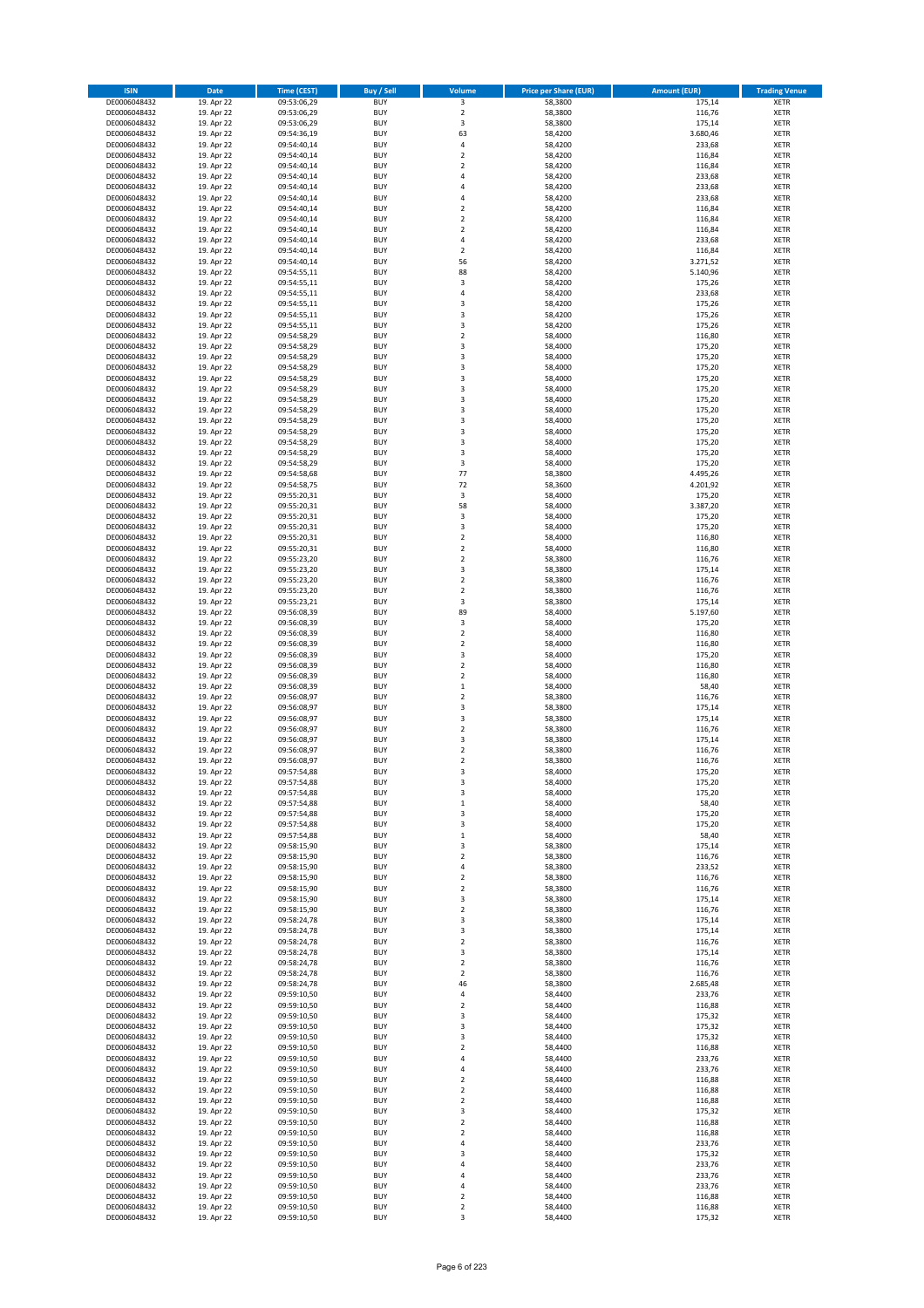| <b>ISIN</b>                  | <b>Date</b>              | <b>Time (CEST)</b>         | <b>Buy / Sell</b>        | <b>Volume</b>                          | <b>Price per Share (EUR)</b> | <b>Amount (EUR)</b> | <b>Trading Venue</b>       |
|------------------------------|--------------------------|----------------------------|--------------------------|----------------------------------------|------------------------------|---------------------|----------------------------|
| DE0006048432                 | 19. Apr 22               | 09:53:06,29                | <b>BUY</b>               | 3                                      | 58,3800                      | 175,14              | <b>XETR</b>                |
| DE0006048432                 | 19. Apr 22               | 09:53:06,29                | <b>BUY</b>               | $\mathbf 2$                            | 58,3800                      | 116,76              | <b>XETR</b>                |
| DE0006048432                 | 19. Apr 22               | 09:53:06,29                | <b>BUY</b>               | 3                                      | 58,3800                      | 175,14              | <b>XETR</b>                |
| DE0006048432<br>DE0006048432 | 19. Apr 22<br>19. Apr 22 | 09:54:36,19<br>09:54:40,14 | <b>BUY</b><br><b>BUY</b> | 63<br>4                                | 58,4200<br>58,4200           | 3.680,46<br>233,68  | <b>XETR</b><br><b>XETR</b> |
| DE0006048432                 | 19. Apr 22               | 09:54:40,14                | <b>BUY</b>               | $\mathbf 2$                            | 58,4200                      | 116,84              | <b>XETR</b>                |
| DE0006048432                 | 19. Apr 22               | 09:54:40,14                | <b>BUY</b>               | $\mathbf 2$                            | 58,4200                      | 116,84              | <b>XETR</b>                |
| DE0006048432                 | 19. Apr 22               | 09:54:40,14                | <b>BUY</b>               | 4                                      | 58,4200                      | 233,68              | <b>XETR</b>                |
| DE0006048432                 | 19. Apr 22               | 09:54:40,14                | <b>BUY</b>               | 4                                      | 58,4200                      | 233,68              | <b>XETR</b>                |
| DE0006048432                 | 19. Apr 22               | 09:54:40,14                | <b>BUY</b>               | 4                                      | 58,4200                      | 233,68              | <b>XETR</b>                |
| DE0006048432                 | 19. Apr 22               | 09:54:40,14                | <b>BUY</b>               | $\mathbf 2$                            | 58,4200                      | 116,84              | <b>XETR</b>                |
| DE0006048432                 | 19. Apr 22<br>19. Apr 22 | 09:54:40,14                | <b>BUY</b><br><b>BUY</b> | $\overline{\mathbf{c}}$<br>$\mathbf 2$ | 58,4200                      | 116,84              | <b>XETR</b><br><b>XETR</b> |
| DE0006048432<br>DE0006048432 | 19. Apr 22               | 09:54:40,14<br>09:54:40,14 | <b>BUY</b>               | 4                                      | 58,4200<br>58,4200           | 116,84<br>233,68    | <b>XETR</b>                |
| DE0006048432                 | 19. Apr 22               | 09:54:40,14                | <b>BUY</b>               | $\mathbf 2$                            | 58,4200                      | 116,84              | <b>XETR</b>                |
| DE0006048432                 | 19. Apr 22               | 09:54:40,14                | <b>BUY</b>               | 56                                     | 58,4200                      | 3.271,52            | <b>XETR</b>                |
| DE0006048432                 | 19. Apr 22               | 09:54:55,11                | <b>BUY</b>               | 88                                     | 58,4200                      | 5.140,96            | <b>XETR</b>                |
| DE0006048432                 | 19. Apr 22               | 09:54:55,11                | <b>BUY</b>               | 3                                      | 58,4200                      | 175,26              | <b>XETR</b>                |
| DE0006048432                 | 19. Apr 22               | 09:54:55,11                | <b>BUY</b>               | 4                                      | 58,4200                      | 233,68              | <b>XETR</b>                |
| DE0006048432                 | 19. Apr 22               | 09:54:55,11                | <b>BUY</b>               | 3                                      | 58,4200                      | 175,26              | <b>XETR</b>                |
| DE0006048432<br>DE0006048432 | 19. Apr 22<br>19. Apr 22 | 09:54:55,11<br>09:54:55,11 | <b>BUY</b><br><b>BUY</b> | 3<br>3                                 | 58,4200<br>58,4200           | 175,26<br>175,26    | <b>XETR</b><br><b>XETR</b> |
| DE0006048432                 | 19. Apr 22               | 09:54:58,29                | <b>BUY</b>               | $\mathbf 2$                            | 58,4000                      | 116,80              | <b>XETR</b>                |
| DE0006048432                 | 19. Apr 22               | 09:54:58,29                | <b>BUY</b>               | 3                                      | 58,4000                      | 175,20              | <b>XETR</b>                |
| DE0006048432                 | 19. Apr 22               | 09:54:58,29                | <b>BUY</b>               | 3                                      | 58,4000                      | 175,20              | <b>XETR</b>                |
| DE0006048432                 | 19. Apr 22               | 09:54:58,29                | <b>BUY</b>               | 3                                      | 58,4000                      | 175,20              | <b>XETR</b>                |
| DE0006048432                 | 19. Apr 22               | 09:54:58,29                | <b>BUY</b>               | 3                                      | 58,4000                      | 175,20              | <b>XETR</b>                |
| DE0006048432                 | 19. Apr 22               | 09:54:58,29                | <b>BUY</b>               | 3                                      | 58,4000                      | 175,20              | <b>XETR</b>                |
| DE0006048432<br>DE0006048432 | 19. Apr 22<br>19. Apr 22 | 09:54:58,29<br>09:54:58,29 | <b>BUY</b><br><b>BUY</b> | 3<br>3                                 | 58,4000<br>58,4000           | 175,20<br>175,20    | <b>XETR</b><br><b>XETR</b> |
| DE0006048432                 | 19. Apr 22               | 09:54:58,29                | <b>BUY</b>               | 3                                      | 58,4000                      | 175,20              | <b>XETR</b>                |
| DE0006048432                 | 19. Apr 22               | 09:54:58,29                | <b>BUY</b>               | 3                                      | 58,4000                      | 175,20              | <b>XETR</b>                |
| DE0006048432                 | 19. Apr 22               | 09:54:58,29                | <b>BUY</b>               | 3                                      | 58,4000                      | 175,20              | <b>XETR</b>                |
| DE0006048432                 | 19. Apr 22               | 09:54:58,29                | <b>BUY</b>               | 3                                      | 58,4000                      | 175,20              | <b>XETR</b>                |
| DE0006048432                 | 19. Apr 22               | 09:54:58,29                | <b>BUY</b>               | 3                                      | 58,4000                      | 175,20              | <b>XETR</b>                |
| DE0006048432                 | 19. Apr 22               | 09:54:58,68                | <b>BUY</b>               | 77                                     | 58,3800                      | 4.495,26            | <b>XETR</b>                |
| DE0006048432                 | 19. Apr 22               | 09:54:58,75                | <b>BUY</b><br><b>BUY</b> | 72<br>$\mathsf 3$                      | 58,3600                      | 4.201,92            | <b>XETR</b>                |
| DE0006048432<br>DE0006048432 | 19. Apr 22<br>19. Apr 22 | 09:55:20,31<br>09:55:20,31 | <b>BUY</b>               | 58                                     | 58,4000<br>58,4000           | 175,20<br>3.387,20  | <b>XETR</b><br><b>XETR</b> |
| DE0006048432                 | 19. Apr 22               | 09:55:20,31                | <b>BUY</b>               | 3                                      | 58,4000                      | 175,20              | <b>XETR</b>                |
| DE0006048432                 | 19. Apr 22               | 09:55:20,31                | <b>BUY</b>               | 3                                      | 58,4000                      | 175,20              | <b>XETR</b>                |
| DE0006048432                 | 19. Apr 22               | 09:55:20,31                | <b>BUY</b>               | $\mathbf 2$                            | 58,4000                      | 116,80              | <b>XETR</b>                |
| DE0006048432                 | 19. Apr 22               | 09:55:20,31                | <b>BUY</b>               | $\mathbf 2$                            | 58,4000                      | 116,80              | <b>XETR</b>                |
| DE0006048432                 | 19. Apr 22               | 09:55:23,20                | <b>BUY</b>               | $\overline{\mathbf{c}}$                | 58,3800                      | 116,76              | <b>XETR</b>                |
| DE0006048432                 | 19. Apr 22               | 09:55:23,20                | <b>BUY</b>               | 3                                      | 58,3800                      | 175,14              | <b>XETR</b>                |
| DE0006048432                 | 19. Apr 22               | 09:55:23,20                | <b>BUY</b>               | $\overline{2}$                         | 58,3800                      | 116,76              | <b>XETR</b>                |
| DE0006048432<br>DE0006048432 | 19. Apr 22<br>19. Apr 22 | 09:55:23,20<br>09:55:23,21 | <b>BUY</b><br><b>BUY</b> | $\mathbf 2$<br>3                       | 58,3800<br>58,3800           | 116,76<br>175,14    | <b>XETR</b><br><b>XETR</b> |
| DE0006048432                 | 19. Apr 22               | 09:56:08,39                | <b>BUY</b>               | 89                                     | 58,4000                      | 5.197,60            | <b>XETR</b>                |
| DE0006048432                 | 19. Apr 22               | 09:56:08,39                | <b>BUY</b>               | 3                                      | 58,4000                      | 175,20              | <b>XETR</b>                |
| DE0006048432                 | 19. Apr 22               | 09:56:08,39                | <b>BUY</b>               | $\overline{\mathbf{c}}$                | 58,4000                      | 116,80              | <b>XETR</b>                |
| DE0006048432                 | 19. Apr 22               | 09:56:08,39                | <b>BUY</b>               | $\mathbf 2$                            | 58,4000                      | 116,80              | <b>XETR</b>                |
| DE0006048432                 | 19. Apr 22               | 09:56:08,39                | <b>BUY</b>               | 3                                      | 58,4000                      | 175,20              | <b>XETR</b>                |
| DE0006048432                 | 19. Apr 22               | 09:56:08,39                | <b>BUY</b>               | $\mathbf 2$                            | 58,4000                      | 116,80              | <b>XETR</b>                |
| DE0006048432<br>DE0006048432 | 19. Apr 22<br>19. Apr 22 | 09:56:08,39<br>09:56:08,39 | <b>BUY</b><br><b>BUY</b> | $\overline{\mathbf{c}}$<br>$\mathbf 1$ | 58,4000<br>58,4000           | 116,80<br>58,40     | <b>XETR</b><br><b>XETR</b> |
| DE0006048432                 | 19. Apr 22               | 09:56:08,97                | <b>BUY</b>               | $\overline{\mathbf{c}}$                | 58,3800                      | 116,76              | <b>XETR</b>                |
| DE0006048432                 | 19. Apr 22               | 09:56:08,97                | <b>BUY</b>               | 3                                      | 58,3800                      | 175,14              | <b>XETR</b>                |
| DE0006048432                 | 19. Apr 22               | 09:56:08,97                | <b>BUY</b>               | 3                                      | 58,3800                      | 175,14              | <b>XETR</b>                |
| DE0006048432                 | 19. Apr 22               | 09:56:08,97                | <b>BUY</b>               | $\overline{2}$                         | 58,3800                      | 116,76              | <b>XETR</b>                |
| DE0006048432                 | 19. Apr 22               | 09:56:08,97                | <b>BUY</b>               | 3                                      | 58,3800                      | 175,14              | <b>XETR</b>                |
| DE0006048432                 | 19. Apr 22               | 09:56:08,97                | <b>BUY</b>               | $\overline{\mathbf{c}}$                | 58,3800                      | 116,76              | <b>XETR</b>                |
| DE0006048432<br>DE0006048432 | 19. Apr 22               | 09:56:08,97<br>09:57:54,88 | <b>BUY</b><br><b>BUY</b> | $\overline{\mathbf{c}}$<br>3           | 58,3800<br>58,4000           | 116,76<br>175,20    | <b>XETR</b><br><b>XETR</b> |
| DE0006048432                 | 19. Apr 22<br>19. Apr 22 | 09:57:54,88                | BUY                      | 3                                      | 58,4000                      | 175,20              | <b>XETR</b>                |
| DE0006048432                 | 19. Apr 22               | 09:57:54,88                | <b>BUY</b>               | 3                                      | 58,4000                      | 175,20              | <b>XETR</b>                |
| DE0006048432                 | 19. Apr 22               | 09:57:54,88                | <b>BUY</b>               | $\mathbf 1$                            | 58,4000                      | 58,40               | <b>XETR</b>                |
| DE0006048432                 | 19. Apr 22               | 09:57:54,88                | <b>BUY</b>               | 3                                      | 58,4000                      | 175,20              | XETR                       |
| DE0006048432                 | 19. Apr 22               | 09:57:54,88                | <b>BUY</b>               | 3                                      | 58,4000                      | 175,20              | <b>XETR</b>                |
| DE0006048432<br>DE0006048432 | 19. Apr 22<br>19. Apr 22 | 09:57:54,88                | <b>BUY</b><br><b>BUY</b> | $\mathbf 1$<br>3                       | 58,4000<br>58,3800           | 58,40               | <b>XETR</b>                |
| DE0006048432                 | 19. Apr 22               | 09:58:15,90<br>09:58:15,90 | <b>BUY</b>               | $\mathbf 2$                            | 58,3800                      | 175,14<br>116,76    | <b>XETR</b><br><b>XETR</b> |
| DE0006048432                 | 19. Apr 22               | 09:58:15,90                | <b>BUY</b>               | 4                                      | 58,3800                      | 233,52              | <b>XETR</b>                |
| DE0006048432                 | 19. Apr 22               | 09:58:15,90                | <b>BUY</b>               | $\mathbf 2$                            | 58,3800                      | 116,76              | <b>XETR</b>                |
| DE0006048432                 | 19. Apr 22               | 09:58:15,90                | <b>BUY</b>               | $\mathbf 2$                            | 58,3800                      | 116,76              | <b>XETR</b>                |
| DE0006048432                 | 19. Apr 22               | 09:58:15,90                | <b>BUY</b>               | 3                                      | 58,3800                      | 175,14              | <b>XETR</b>                |
| DE0006048432                 | 19. Apr 22               | 09:58:15,90                | <b>BUY</b>               | $\mathbf 2$                            | 58,3800                      | 116,76              | <b>XETR</b>                |
| DE0006048432<br>DE0006048432 | 19. Apr 22<br>19. Apr 22 | 09:58:24,78<br>09:58:24,78 | <b>BUY</b><br><b>BUY</b> | 3<br>3                                 | 58,3800<br>58,3800           | 175,14<br>175,14    | <b>XETR</b><br><b>XETR</b> |
| DE0006048432                 | 19. Apr 22               | 09:58:24,78                | <b>BUY</b>               | $\mathbf 2$                            | 58,3800                      | 116,76              | <b>XETR</b>                |
| DE0006048432                 | 19. Apr 22               | 09:58:24,78                | <b>BUY</b>               | 3                                      | 58,3800                      | 175,14              | <b>XETR</b>                |
| DE0006048432                 | 19. Apr 22               | 09:58:24,78                | <b>BUY</b>               | $\mathbf 2$                            | 58,3800                      | 116,76              | <b>XETR</b>                |
| DE0006048432                 | 19. Apr 22               | 09:58:24,78                | <b>BUY</b>               | $\mathbf 2$                            | 58,3800                      | 116,76              | XETR                       |
| DE0006048432                 | 19. Apr 22               | 09:58:24,78                | <b>BUY</b>               | 46                                     | 58,3800                      | 2.685,48            | <b>XETR</b>                |
| DE0006048432                 | 19. Apr 22               | 09:59:10,50                | <b>BUY</b>               | 4                                      | 58,4400                      | 233,76              | <b>XETR</b>                |
| DE0006048432<br>DE0006048432 | 19. Apr 22<br>19. Apr 22 | 09:59:10,50<br>09:59:10,50 | <b>BUY</b><br><b>BUY</b> | $\mathbf 2$<br>3                       | 58,4400<br>58,4400           | 116,88<br>175,32    | <b>XETR</b><br><b>XETR</b> |
| DE0006048432                 | 19. Apr 22               | 09:59:10,50                | <b>BUY</b>               | 3                                      | 58,4400                      | 175,32              | <b>XETR</b>                |
| DE0006048432                 | 19. Apr 22               | 09:59:10,50                | <b>BUY</b>               | 3                                      | 58,4400                      | 175,32              | <b>XETR</b>                |
| DE0006048432                 | 19. Apr 22               | 09:59:10,50                | <b>BUY</b>               | $\mathbf 2$                            | 58,4400                      | 116,88              | <b>XETR</b>                |
| DE0006048432                 | 19. Apr 22               | 09:59:10,50                | <b>BUY</b>               | 4                                      | 58,4400                      | 233,76              | <b>XETR</b>                |
| DE0006048432                 | 19. Apr 22               | 09:59:10,50                | <b>BUY</b>               | 4                                      | 58,4400                      | 233,76              | <b>XETR</b>                |
| DE0006048432                 | 19. Apr 22               | 09:59:10,50                | <b>BUY</b>               | $\mathbf 2$                            | 58,4400                      | 116,88              | <b>XETR</b>                |
| DE0006048432                 | 19. Apr 22               | 09:59:10,50                | <b>BUY</b><br><b>BUY</b> | $\overline{\mathbf{c}}$<br>$\mathbf 2$ | 58,4400<br>58,4400           | 116,88              | <b>XETR</b><br><b>XETR</b> |
| DE0006048432<br>DE0006048432 | 19. Apr 22<br>19. Apr 22 | 09:59:10,50<br>09:59:10,50 | <b>BUY</b>               | 3                                      | 58,4400                      | 116,88<br>175,32    | <b>XETR</b>                |
| DE0006048432                 | 19. Apr 22               | 09:59:10,50                | <b>BUY</b>               | $\mathbf 2$                            | 58,4400                      | 116,88              | <b>XETR</b>                |
| DE0006048432                 | 19. Apr 22               | 09:59:10,50                | <b>BUY</b>               | $\mathbf 2$                            | 58,4400                      | 116,88              | <b>XETR</b>                |
| DE0006048432                 | 19. Apr 22               | 09:59:10,50                | <b>BUY</b>               | 4                                      | 58,4400                      | 233,76              | <b>XETR</b>                |
| DE0006048432                 | 19. Apr 22               | 09:59:10,50                | <b>BUY</b>               | 3                                      | 58,4400                      | 175,32              | <b>XETR</b>                |
| DE0006048432                 | 19. Apr 22               | 09:59:10,50                | <b>BUY</b>               | 4                                      | 58,4400                      | 233,76              | <b>XETR</b>                |
| DE0006048432                 | 19. Apr 22               | 09:59:10,50                | <b>BUY</b><br><b>BUY</b> | 4<br>4                                 | 58,4400                      | 233,76              | XETR<br><b>XETR</b>        |
| DE0006048432<br>DE0006048432 | 19. Apr 22<br>19. Apr 22 | 09:59:10,50<br>09:59:10,50 | <b>BUY</b>               | $\mathbf 2$                            | 58,4400<br>58,4400           | 233,76<br>116,88    | <b>XETR</b>                |
| DE0006048432                 | 19. Apr 22               | 09:59:10,50                | <b>BUY</b>               | $\mathbf 2$                            | 58,4400                      | 116,88              | <b>XETR</b>                |
| DE0006048432                 | 19. Apr 22               | 09:59:10,50                | <b>BUY</b>               | 3                                      | 58,4400                      | 175,32              | <b>XETR</b>                |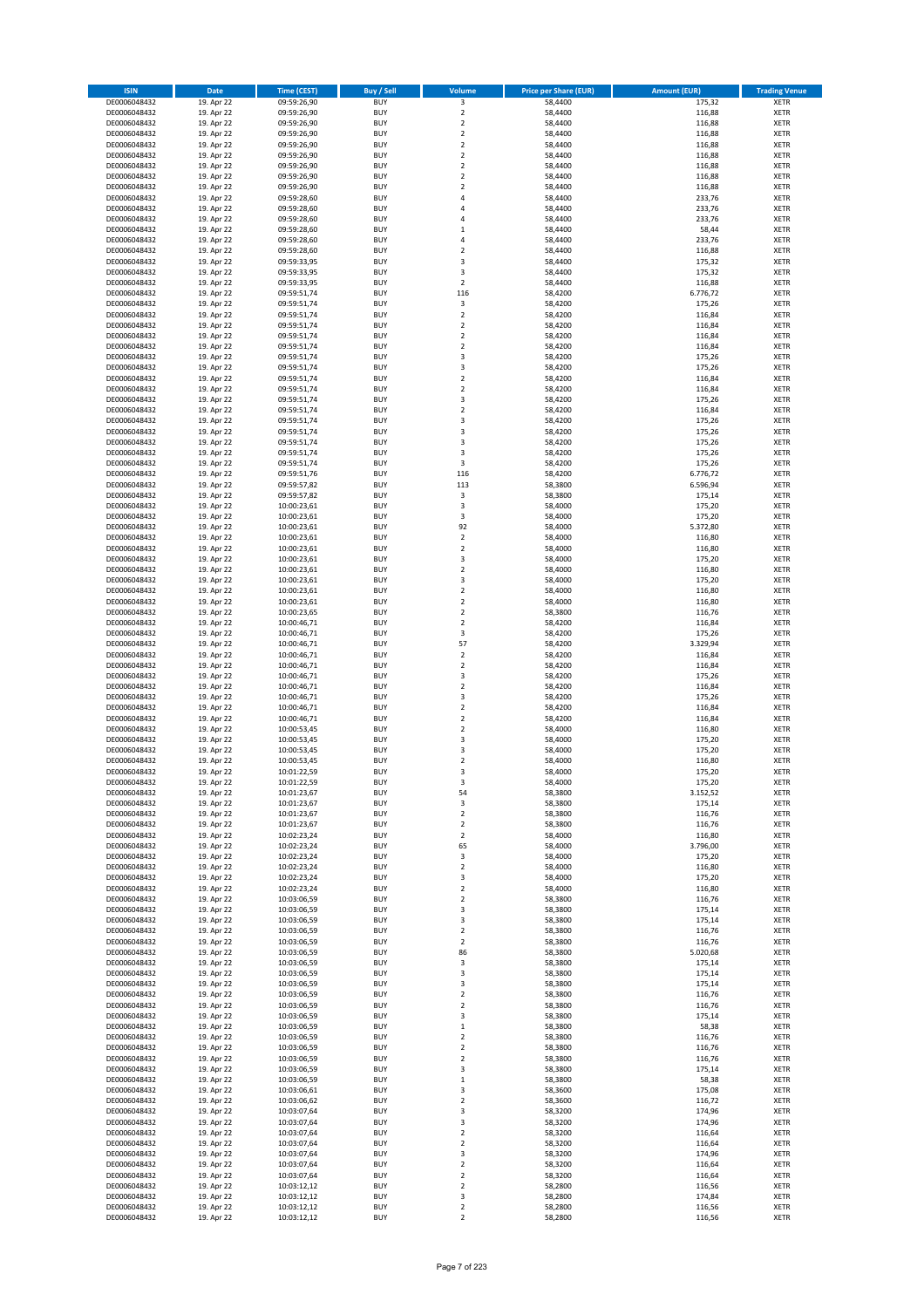| <b>ISIN</b>                  | <b>Date</b>              | <b>Time (CEST)</b>         | <b>Buy / Sell</b>        | <b>Volume</b>                             | <b>Price per Share (EUR)</b> | <b>Amount (EUR)</b> | <b>Trading Venue</b>       |
|------------------------------|--------------------------|----------------------------|--------------------------|-------------------------------------------|------------------------------|---------------------|----------------------------|
| DE0006048432                 | 19. Apr 22               | 09:59:26,90                | <b>BUY</b>               | 3                                         | 58,4400                      | 175,32              | <b>XETR</b>                |
| DE0006048432                 | 19. Apr 22               | 09:59:26,90                | <b>BUY</b>               | $\mathbf 2$                               | 58,4400                      | 116,88              | <b>XETR</b>                |
| DE0006048432                 | 19. Apr 22               | 09:59:26,90                | <b>BUY</b>               | $\overline{2}$                            | 58,4400                      | 116,88              | <b>XETR</b>                |
| DE0006048432<br>DE0006048432 | 19. Apr 22<br>19. Apr 22 | 09:59:26,90<br>09:59:26,90 | <b>BUY</b><br><b>BUY</b> | $\mathbf 2$<br>$\overline{\mathbf{c}}$    | 58,4400<br>58,4400           | 116,88<br>116,88    | <b>XETR</b><br><b>XETR</b> |
| DE0006048432                 | 19. Apr 22               | 09:59:26,90                | <b>BUY</b>               | $\mathbf 2$                               | 58,4400                      | 116,88              | <b>XETR</b>                |
| DE0006048432                 | 19. Apr 22               | 09:59:26,90                | <b>BUY</b>               | $\mathbf 2$                               | 58,4400                      | 116,88              | <b>XETR</b>                |
| DE0006048432                 | 19. Apr 22               | 09:59:26,90                | <b>BUY</b>               | $\overline{\mathbf{c}}$                   | 58,4400                      | 116,88              | <b>XETR</b>                |
| DE0006048432                 | 19. Apr 22               | 09:59:26,90                | <b>BUY</b>               | $\overline{2}$                            | 58,4400                      | 116,88              | <b>XETR</b>                |
| DE0006048432<br>DE0006048432 | 19. Apr 22<br>19. Apr 22 | 09:59:28,60<br>09:59:28,60 | <b>BUY</b><br><b>BUY</b> | 4<br>4                                    | 58,4400<br>58,4400           | 233,76<br>233,76    | <b>XETR</b><br><b>XETR</b> |
| DE0006048432                 | 19. Apr 22               | 09:59:28,60                | <b>BUY</b>               | 4                                         | 58,4400                      | 233,76              | <b>XETR</b>                |
| DE0006048432                 | 19. Apr 22               | 09:59:28,60                | <b>BUY</b>               | $\mathbf{1}$                              | 58,4400                      | 58,44               | <b>XETR</b>                |
| DE0006048432                 | 19. Apr 22               | 09:59:28,60                | <b>BUY</b>               | 4                                         | 58,4400                      | 233,76              | <b>XETR</b>                |
| DE0006048432                 | 19. Apr 22               | 09:59:28,60                | <b>BUY</b>               | $\overline{\mathbf{c}}$                   | 58,4400                      | 116,88              | <b>XETR</b>                |
| DE0006048432<br>DE0006048432 | 19. Apr 22<br>19. Apr 22 | 09:59:33,95<br>09:59:33,95 | <b>BUY</b><br><b>BUY</b> | 3<br>3                                    | 58,4400<br>58,4400           | 175,32<br>175,32    | <b>XETR</b><br><b>XETR</b> |
| DE0006048432                 | 19. Apr 22               | 09:59:33,95                | <b>BUY</b>               | $\mathbf 2$                               | 58,4400                      | 116,88              | <b>XETR</b>                |
| DE0006048432                 | 19. Apr 22               | 09:59:51,74                | <b>BUY</b>               | 116                                       | 58,4200                      | 6.776,72            | <b>XETR</b>                |
| DE0006048432                 | 19. Apr 22               | 09:59:51,74                | <b>BUY</b>               | $\mathsf 3$                               | 58,4200                      | 175,26              | <b>XETR</b>                |
| DE0006048432                 | 19. Apr 22               | 09:59:51,74                | <b>BUY</b>               | $\overline{\mathbf{c}}$                   | 58,4200                      | 116,84              | <b>XETR</b>                |
| DE0006048432<br>DE0006048432 | 19. Apr 22               | 09:59:51,74                | <b>BUY</b><br><b>BUY</b> | $\mathbf 2$<br>$\mathbf 2$                | 58,4200                      | 116,84              | <b>XETR</b><br><b>XETR</b> |
| DE0006048432                 | 19. Apr 22<br>19. Apr 22 | 09:59:51,74<br>09:59:51,74 | <b>BUY</b>               | $\mathbf 2$                               | 58,4200<br>58,4200           | 116,84<br>116,84    | <b>XETR</b>                |
| DE0006048432                 | 19. Apr 22               | 09:59:51,74                | <b>BUY</b>               | 3                                         | 58,4200                      | 175,26              | <b>XETR</b>                |
| DE0006048432                 | 19. Apr 22               | 09:59:51,74                | <b>BUY</b>               | 3                                         | 58,4200                      | 175,26              | <b>XETR</b>                |
| DE0006048432                 | 19. Apr 22               | 09:59:51,74                | <b>BUY</b>               | $\mathbf 2$                               | 58,4200                      | 116,84              | <b>XETR</b>                |
| DE0006048432<br>DE0006048432 | 19. Apr 22<br>19. Apr 22 | 09:59:51,74<br>09:59:51,74 | <b>BUY</b><br><b>BUY</b> | $\overline{\mathbf{c}}$<br>3              | 58,4200<br>58,4200           | 116,84<br>175,26    | <b>XETR</b><br><b>XETR</b> |
| DE0006048432                 | 19. Apr 22               | 09:59:51,74                | <b>BUY</b>               | $\overline{\mathbf{c}}$                   | 58,4200                      | 116,84              | <b>XETR</b>                |
| DE0006048432                 | 19. Apr 22               | 09:59:51,74                | <b>BUY</b>               | 3                                         | 58,4200                      | 175,26              | <b>XETR</b>                |
| DE0006048432                 | 19. Apr 22               | 09:59:51,74                | <b>BUY</b>               | 3                                         | 58,4200                      | 175,26              | <b>XETR</b>                |
| DE0006048432                 | 19. Apr 22               | 09:59:51,74                | <b>BUY</b>               | 3                                         | 58,4200                      | 175,26              | <b>XETR</b>                |
| DE0006048432<br>DE0006048432 | 19. Apr 22               | 09:59:51,74                | <b>BUY</b>               | 3                                         | 58,4200                      | 175,26              | <b>XETR</b>                |
| DE0006048432                 | 19. Apr 22<br>19. Apr 22 | 09:59:51,74<br>09:59:51,76 | <b>BUY</b><br><b>BUY</b> | 3<br>116                                  | 58,4200<br>58,4200           | 175,26<br>6.776,72  | <b>XETR</b><br><b>XETR</b> |
| DE0006048432                 | 19. Apr 22               | 09:59:57,82                | <b>BUY</b>               | 113                                       | 58,3800                      | 6.596,94            | <b>XETR</b>                |
| DE0006048432                 | 19. Apr 22               | 09:59:57,82                | <b>BUY</b>               | $\mathsf 3$                               | 58,3800                      | 175,14              | <b>XETR</b>                |
| DE0006048432                 | 19. Apr 22               | 10:00:23,61                | <b>BUY</b>               | 3                                         | 58,4000                      | 175,20              | <b>XETR</b>                |
| DE0006048432                 | 19. Apr 22               | 10:00:23,61                | <b>BUY</b>               | 3                                         | 58,4000                      | 175,20              | <b>XETR</b>                |
| DE0006048432<br>DE0006048432 | 19. Apr 22<br>19. Apr 22 | 10:00:23,61<br>10:00:23,61 | <b>BUY</b><br><b>BUY</b> | 92<br>$\mathbf 2$                         | 58,4000<br>58,4000           | 5.372,80<br>116,80  | <b>XETR</b><br><b>XETR</b> |
| DE0006048432                 | 19. Apr 22               | 10:00:23,61                | <b>BUY</b>               | $\mathbf 2$                               | 58,4000                      | 116,80              | <b>XETR</b>                |
| DE0006048432                 | 19. Apr 22               | 10:00:23,61                | <b>BUY</b>               | 3                                         | 58,4000                      | 175,20              | <b>XETR</b>                |
| DE0006048432                 | 19. Apr 22               | 10:00:23,61                | <b>BUY</b>               | $\mathbf 2$                               | 58,4000                      | 116,80              | <b>XETR</b>                |
| DE0006048432                 | 19. Apr 22               | 10:00:23,61                | <b>BUY</b>               | 3                                         | 58,4000                      | 175,20              | <b>XETR</b>                |
| DE0006048432<br>DE0006048432 | 19. Apr 22<br>19. Apr 22 | 10:00:23,61<br>10:00:23,61 | <b>BUY</b><br><b>BUY</b> | $\mathbf 2$<br>$\mathbf 2$                | 58,4000<br>58,4000           | 116,80<br>116,80    | <b>XETR</b><br><b>XETR</b> |
| DE0006048432                 | 19. Apr 22               | 10:00:23,65                | <b>BUY</b>               | $\mathbf 2$                               | 58,3800                      | 116,76              | <b>XETR</b>                |
| DE0006048432                 | 19. Apr 22               | 10:00:46,71                | <b>BUY</b>               | $\mathbf 2$                               | 58,4200                      | 116,84              | <b>XETR</b>                |
| DE0006048432                 | 19. Apr 22               | 10:00:46,71                | <b>BUY</b>               | 3                                         | 58,4200                      | 175,26              | <b>XETR</b>                |
| DE0006048432                 | 19. Apr 22               | 10:00:46,71                | <b>BUY</b>               | 57                                        | 58,4200                      | 3.329,94            | <b>XETR</b>                |
| DE0006048432<br>DE0006048432 | 19. Apr 22<br>19. Apr 22 | 10:00:46,71<br>10:00:46,71 | <b>BUY</b><br><b>BUY</b> | $\overline{\mathbf{c}}$<br>$\mathbf 2$    | 58,4200<br>58,4200           | 116,84<br>116,84    | <b>XETR</b><br><b>XETR</b> |
| DE0006048432                 | 19. Apr 22               | 10:00:46,71                | <b>BUY</b>               | 3                                         | 58,4200                      | 175,26              | <b>XETR</b>                |
| DE0006048432                 | 19. Apr 22               | 10:00:46,71                | <b>BUY</b>               | $\mathbf 2$                               | 58,4200                      | 116,84              | <b>XETR</b>                |
| DE0006048432                 | 19. Apr 22               | 10:00:46,71                | <b>BUY</b>               | 3                                         | 58,4200                      | 175,26              | <b>XETR</b>                |
| DE0006048432                 | 19. Apr 22               | 10:00:46,71                | <b>BUY</b>               | $\overline{\mathbf{c}}$                   | 58,4200                      | 116,84              | <b>XETR</b>                |
| DE0006048432<br>DE0006048432 | 19. Apr 22<br>19. Apr 22 | 10:00:46,71<br>10:00:53,45 | <b>BUY</b><br><b>BUY</b> | $\overline{\mathbf{c}}$<br>$\overline{2}$ | 58,4200<br>58,4000           | 116,84<br>116,80    | <b>XETR</b><br><b>XETR</b> |
| DE0006048432                 | 19. Apr 22               | 10:00:53,45                | <b>BUY</b>               | 3                                         | 58,4000                      | 175,20              | <b>XETR</b>                |
| DE0006048432                 | 19. Apr 22               | 10:00:53,45                | <b>BUY</b>               | 3                                         | 58,4000                      | 175,20              | <b>XETR</b>                |
| DE0006048432                 | 19. Apr 22               | 10:00:53,45                | <b>BUY</b>               | $\overline{\mathbf{c}}$                   | 58,4000                      | 116,80              | <b>XETR</b>                |
| DE0006048432                 | 19. Apr 22               | 10:01:22,59                | <b>BUY</b>               | 3                                         | 58,4000                      | 175,20              | <b>XETR</b>                |
| DE0006048432<br>DE0006048432 | 19. Apr 22<br>19. Apr 22 | 10:01:22,59<br>10:01:23,67 | BUY<br><b>BUY</b>        | 3<br>54                                   | 58,4000<br>58,3800           | 175,20<br>3.152,52  | <b>XETR</b><br><b>XETR</b> |
| DE0006048432                 | 19. Apr 22               | 10:01:23,67                | <b>BUY</b>               | 3                                         | 58,3800                      | 175,14              | <b>XETR</b>                |
| DE0006048432                 | 19. Apr 22               | 10:01:23,67                | <b>BUY</b>               | $\mathbf 2$                               | 58,3800                      | 116,76              | XETR                       |
| DE0006048432                 | 19. Apr 22               | 10:01:23,67                | <b>BUY</b>               | $\mathbf 2$                               | 58,3800                      | 116,76              | <b>XETR</b>                |
| DE0006048432                 | 19. Apr 22               | 10:02:23,24                | <b>BUY</b><br><b>BUY</b> | $\mathbf 2$<br>65                         | 58,4000                      | 116,80              | <b>XETR</b>                |
| DE0006048432<br>DE0006048432 | 19. Apr 22<br>19. Apr 22 | 10:02:23,24<br>10:02:23,24 | <b>BUY</b>               | 3                                         | 58,4000<br>58,4000           | 3.796,00<br>175,20  | <b>XETR</b><br><b>XETR</b> |
| DE0006048432                 | 19. Apr 22               | 10:02:23,24                | <b>BUY</b>               | $\mathbf 2$                               | 58,4000                      | 116,80              | <b>XETR</b>                |
| DE0006048432                 | 19. Apr 22               | 10:02:23,24                | <b>BUY</b>               | 3                                         | 58,4000                      | 175,20              | <b>XETR</b>                |
| DE0006048432                 | 19. Apr 22               | 10:02:23,24                | <b>BUY</b>               | $\mathbf 2$                               | 58,4000                      | 116,80              | <b>XETR</b>                |
| DE0006048432<br>DE0006048432 | 19. Apr 22<br>19. Apr 22 | 10:03:06,59<br>10:03:06,59 | <b>BUY</b><br><b>BUY</b> | $\overline{2}$<br>3                       | 58,3800<br>58,3800           | 116,76<br>175,14    | <b>XETR</b><br><b>XETR</b> |
| DE0006048432                 | 19. Apr 22               | 10:03:06,59                | <b>BUY</b>               | 3                                         | 58,3800                      | 175,14              | <b>XETR</b>                |
| DE0006048432                 | 19. Apr 22               | 10:03:06,59                | <b>BUY</b>               | $\mathbf 2$                               | 58,3800                      | 116,76              | <b>XETR</b>                |
| DE0006048432                 | 19. Apr 22               | 10:03:06,59                | <b>BUY</b>               | $\mathbf 2$                               | 58,3800                      | 116,76              | <b>XETR</b>                |
| DE0006048432                 | 19. Apr 22               | 10:03:06,59                | <b>BUY</b>               | 86                                        | 58,3800                      | 5.020,68            | <b>XETR</b>                |
| DE0006048432<br>DE0006048432 | 19. Apr 22<br>19. Apr 22 | 10:03:06,59<br>10:03:06,59 | <b>BUY</b><br><b>BUY</b> | 3<br>3                                    | 58,3800<br>58,3800           | 175,14<br>175,14    | <b>XETR</b><br>XETR        |
| DE0006048432                 | 19. Apr 22               | 10:03:06,59                | <b>BUY</b>               | 3                                         | 58,3800                      | 175,14              | <b>XETR</b>                |
| DE0006048432                 | 19. Apr 22               | 10:03:06,59                | <b>BUY</b>               | $\overline{2}$                            | 58,3800                      | 116,76              | <b>XETR</b>                |
| DE0006048432                 | 19. Apr 22               | 10:03:06,59                | <b>BUY</b>               | $\mathbf 2$                               | 58,3800                      | 116,76              | <b>XETR</b>                |
| DE0006048432                 | 19. Apr 22               | 10:03:06,59                | <b>BUY</b>               | 3                                         | 58,3800                      | 175,14              | <b>XETR</b>                |
| DE0006048432<br>DE0006048432 | 19. Apr 22<br>19. Apr 22 | 10:03:06,59<br>10:03:06,59 | <b>BUY</b><br><b>BUY</b> | $\mathbf 1$<br>$\mathbf 2$                | 58,3800<br>58,3800           | 58,38<br>116,76     | <b>XETR</b><br><b>XETR</b> |
| DE0006048432                 | 19. Apr 22               | 10:03:06,59                | <b>BUY</b>               | $\mathbf 2$                               | 58,3800                      | 116,76              | <b>XETR</b>                |
| DE0006048432                 | 19. Apr 22               | 10:03:06,59                | <b>BUY</b>               | $\mathbf 2$                               | 58,3800                      | 116,76              | <b>XETR</b>                |
| DE0006048432                 | 19. Apr 22               | 10:03:06,59                | <b>BUY</b>               | 3                                         | 58,3800                      | 175,14              | <b>XETR</b>                |
| DE0006048432                 | 19. Apr 22               | 10:03:06,59                | <b>BUY</b>               | $\mathbf 1$                               | 58,3800                      | 58,38               | <b>XETR</b>                |
| DE0006048432<br>DE0006048432 | 19. Apr 22<br>19. Apr 22 | 10:03:06,61<br>10:03:06,62 | <b>BUY</b><br><b>BUY</b> | 3<br>$\mathbf 2$                          | 58,3600<br>58,3600           | 175,08<br>116,72    | <b>XETR</b><br><b>XETR</b> |
| DE0006048432                 | 19. Apr 22               | 10:03:07,64                | <b>BUY</b>               | 3                                         | 58,3200                      | 174,96              | <b>XETR</b>                |
| DE0006048432                 | 19. Apr 22               | 10:03:07,64                | <b>BUY</b>               | 3                                         | 58,3200                      | 174,96              | <b>XETR</b>                |
| DE0006048432                 | 19. Apr 22               | 10:03:07,64                | <b>BUY</b>               | $\mathbf 2$                               | 58,3200                      | 116,64              | <b>XETR</b>                |
| DE0006048432                 | 19. Apr 22               | 10:03:07,64                | <b>BUY</b>               | $\mathbf 2$                               | 58,3200                      | 116,64              | <b>XETR</b>                |
| DE0006048432<br>DE0006048432 | 19. Apr 22<br>19. Apr 22 | 10:03:07,64<br>10:03:07,64 | <b>BUY</b><br><b>BUY</b> | 3<br>$\overline{\mathbf{c}}$              | 58,3200<br>58,3200           | 174,96<br>116,64    | <b>XETR</b><br><b>XETR</b> |
| DE0006048432                 | 19. Apr 22               | 10:03:07,64                | <b>BUY</b>               | $\mathbf 2$                               | 58,3200                      | 116,64              | XETR                       |
| DE0006048432                 | 19. Apr 22               | 10:03:12,12                | <b>BUY</b>               | $\overline{2}$                            | 58,2800                      | 116,56              | <b>XETR</b>                |
| DE0006048432                 | 19. Apr 22               | 10:03:12,12                | <b>BUY</b>               | 3                                         | 58,2800                      | 174,84              | <b>XETR</b>                |
| DE0006048432                 | 19. Apr 22               | 10:03:12,12                | <b>BUY</b>               | $\mathbf 2$                               | 58,2800                      | 116,56              | <b>XETR</b>                |
| DE0006048432                 | 19. Apr 22               | 10:03:12,12                | <b>BUY</b>               | $\mathbf 2$                               | 58,2800                      | 116,56              | <b>XETR</b>                |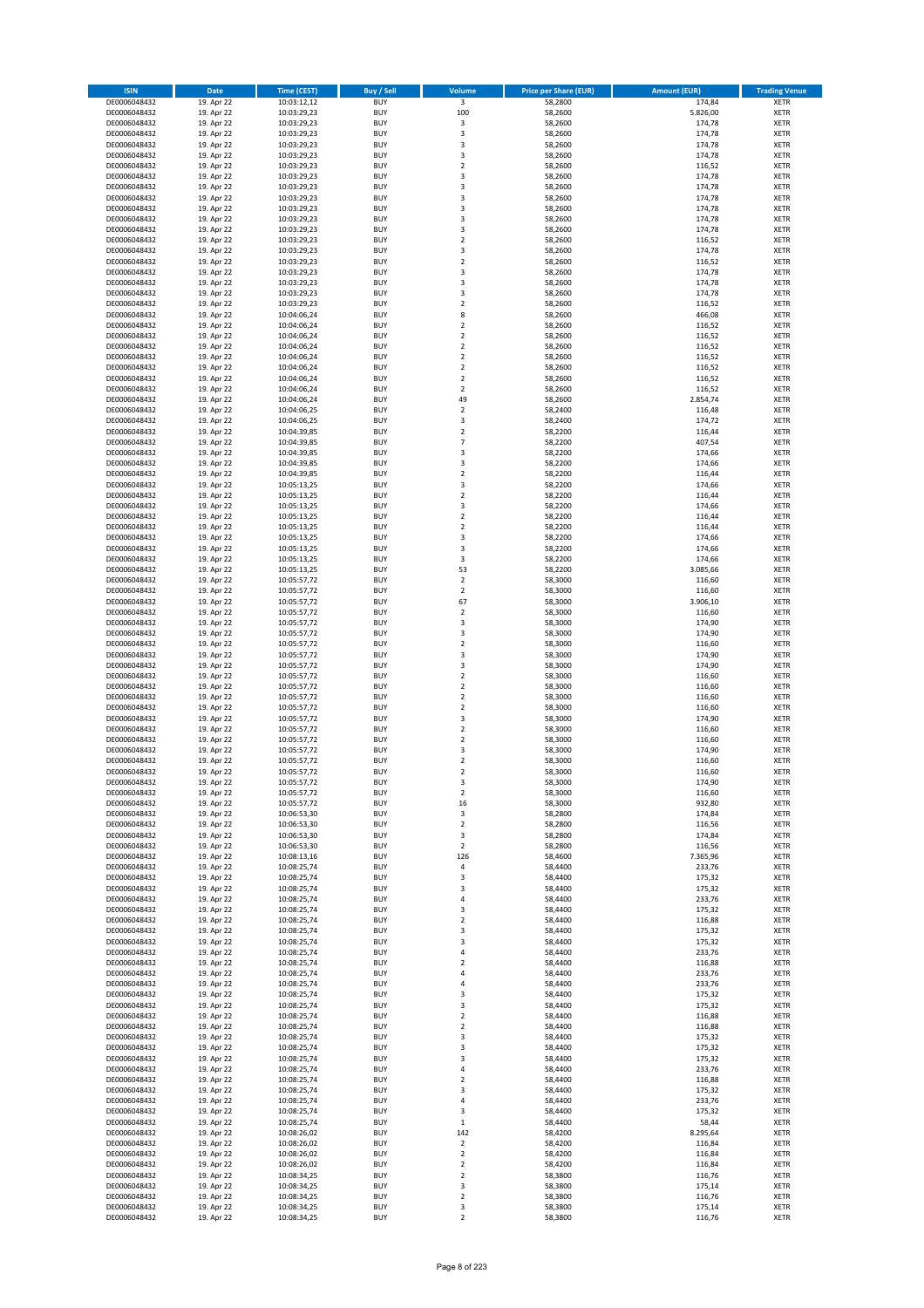| <b>ISIN</b>                  | Date                     | Time (CEST)                | <b>Buy / Sell</b>        | Volume                        | <b>Price per Share (EUR)</b> | <b>Amount (EUR)</b> | <b>Trading Venue</b>       |
|------------------------------|--------------------------|----------------------------|--------------------------|-------------------------------|------------------------------|---------------------|----------------------------|
| DE0006048432                 | 19. Apr 22               | 10:03:12,12                | <b>BUY</b>               | $\overline{\mathbf{3}}$       | 58,2800                      | 174,84              | <b>XETR</b>                |
| DE0006048432                 | 19. Apr 22               | 10:03:29,23                | <b>BUY</b>               | 100                           | 58,2600                      | 5.826,00            | XETR                       |
| DE0006048432                 | 19. Apr 22               | 10:03:29,23                | <b>BUY</b>               | 3                             | 58,2600                      | 174,78              | <b>XETR</b>                |
| DE0006048432                 | 19. Apr 22               | 10:03:29,23                | <b>BUY</b>               | $\mathsf 3$                   | 58,2600                      | 174,78              | XETR                       |
| DE0006048432<br>DE0006048432 | 19. Apr 22<br>19. Apr 22 | 10:03:29,23<br>10:03:29,23 | <b>BUY</b><br><b>BUY</b> | 3<br>3                        | 58,2600<br>58,2600           | 174,78<br>174,78    | <b>XETR</b><br><b>XETR</b> |
| DE0006048432                 | 19. Apr 22               | 10:03:29,23                | <b>BUY</b>               | $\mathbf 2$                   | 58,2600                      | 116,52              | <b>XETR</b>                |
| DE0006048432                 | 19. Apr 22               | 10:03:29,23                | <b>BUY</b>               | 3                             | 58,2600                      | 174,78              | <b>XETR</b>                |
| DE0006048432                 | 19. Apr 22               | 10:03:29,23                | <b>BUY</b>               | 3                             | 58,2600                      | 174,78              | <b>XETR</b>                |
| DE0006048432                 | 19. Apr 22               | 10:03:29,23                | <b>BUY</b>               | 3                             | 58,2600                      | 174,78              | <b>XETR</b>                |
| DE0006048432                 | 19. Apr 22               | 10:03:29,23                | <b>BUY</b>               | $\mathsf 3$                   | 58,2600                      | 174,78              | <b>XETR</b>                |
| DE0006048432                 | 19. Apr 22               | 10:03:29,23                | <b>BUY</b>               | 3<br>3                        | 58,2600                      | 174,78              | <b>XETR</b>                |
| DE0006048432<br>DE0006048432 | 19. Apr 22<br>19. Apr 22 | 10:03:29,23<br>10:03:29,23 | <b>BUY</b><br><b>BUY</b> | $\overline{2}$                | 58,2600<br>58,2600           | 174,78<br>116,52    | <b>XETR</b><br><b>XETR</b> |
| DE0006048432                 | 19. Apr 22               | 10:03:29,23                | <b>BUY</b>               | 3                             | 58,2600                      | 174,78              | <b>XETR</b>                |
| DE0006048432                 | 19. Apr 22               | 10:03:29,23                | <b>BUY</b>               | $\overline{2}$                | 58,2600                      | 116,52              | <b>XETR</b>                |
| DE0006048432                 | 19. Apr 22               | 10:03:29,23                | <b>BUY</b>               | 3                             | 58,2600                      | 174,78              | <b>XETR</b>                |
| DE0006048432                 | 19. Apr 22               | 10:03:29,23                | <b>BUY</b>               | 3                             | 58,2600                      | 174,78              | <b>XETR</b>                |
| DE0006048432                 | 19. Apr 22               | 10:03:29,23                | <b>BUY</b>               | 3                             | 58,2600                      | 174,78              | <b>XETR</b>                |
| DE0006048432<br>DE0006048432 | 19. Apr 22<br>19. Apr 22 | 10:03:29,23                | <b>BUY</b><br><b>BUY</b> | $\mathbf 2$<br>8              | 58,2600<br>58,2600           | 116,52<br>466,08    | <b>XETR</b><br><b>XETR</b> |
| DE0006048432                 | 19. Apr 22               | 10:04:06,24<br>10:04:06,24 | <b>BUY</b>               | $\mathbf 2$                   | 58,2600                      | 116,52              | <b>XETR</b>                |
| DE0006048432                 | 19. Apr 22               | 10:04:06,24                | <b>BUY</b>               | $\mathbf 2$                   | 58,2600                      | 116,52              | <b>XETR</b>                |
| DE0006048432                 | 19. Apr 22               | 10:04:06,24                | <b>BUY</b>               | $\mathbf 2$                   | 58,2600                      | 116,52              | <b>XETR</b>                |
| DE0006048432                 | 19. Apr 22               | 10:04:06,24                | <b>BUY</b>               | $\mathbf 2$                   | 58,2600                      | 116,52              | <b>XETR</b>                |
| DE0006048432                 | 19. Apr 22               | 10:04:06,24                | <b>BUY</b>               | $\mathbf 2$                   | 58,2600                      | 116,52              | <b>XETR</b>                |
| DE0006048432<br>DE0006048432 | 19. Apr 22               | 10:04:06,24                | <b>BUY</b><br><b>BUY</b> | $\mathbf 2$<br>$\overline{2}$ | 58,2600                      | 116,52              | <b>XETR</b><br><b>XETR</b> |
| DE0006048432                 | 19. Apr 22<br>19. Apr 22 | 10:04:06,24<br>10:04:06,24 | <b>BUY</b>               | 49                            | 58,2600<br>58,2600           | 116,52<br>2.854,74  | <b>XETR</b>                |
| DE0006048432                 | 19. Apr 22               | 10:04:06,25                | <b>BUY</b>               | $\overline{2}$                | 58,2400                      | 116,48              | <b>XETR</b>                |
| DE0006048432                 | 19. Apr 22               | 10:04:06,25                | <b>BUY</b>               | 3                             | 58,2400                      | 174,72              | <b>XETR</b>                |
| DE0006048432                 | 19. Apr 22               | 10:04:39,85                | <b>BUY</b>               | $\overline{2}$                | 58,2200                      | 116,44              | <b>XETR</b>                |
| DE0006048432                 | 19. Apr 22               | 10:04:39,85                | <b>BUY</b>               | $\overline{7}$                | 58,2200                      | 407,54              | <b>XETR</b>                |
| DE0006048432                 | 19. Apr 22               | 10:04:39,85                | <b>BUY</b>               | 3                             | 58,2200                      | 174,66              | <b>XETR</b>                |
| DE0006048432<br>DE0006048432 | 19. Apr 22<br>19. Apr 22 | 10:04:39,85<br>10:04:39,85 | <b>BUY</b><br><b>BUY</b> | 3<br>$\overline{2}$           | 58,2200<br>58,2200           | 174,66<br>116,44    | <b>XETR</b><br><b>XETR</b> |
| DE0006048432                 | 19. Apr 22               | 10:05:13,25                | <b>BUY</b>               | 3                             | 58,2200                      | 174,66              | <b>XETR</b>                |
| DE0006048432                 | 19. Apr 22               | 10:05:13,25                | <b>BUY</b>               | $\mathbf 2$                   | 58,2200                      | 116,44              | <b>XETR</b>                |
| DE0006048432                 | 19. Apr 22               | 10:05:13,25                | <b>BUY</b>               | $\mathsf 3$                   | 58,2200                      | 174,66              | <b>XETR</b>                |
| DE0006048432                 | 19. Apr 22               | 10:05:13,25                | <b>BUY</b>               | $\mathbf 2$                   | 58,2200                      | 116,44              | <b>XETR</b>                |
| DE0006048432                 | 19. Apr 22               | 10:05:13,25                | <b>BUY</b>               | $\mathbf 2$                   | 58,2200                      | 116,44              | <b>XETR</b>                |
| DE0006048432                 | 19. Apr 22               | 10:05:13,25                | <b>BUY</b><br><b>BUY</b> | 3                             | 58,2200                      | 174,66              | <b>XETR</b>                |
| DE0006048432<br>DE0006048432 | 19. Apr 22<br>19. Apr 22 | 10:05:13,25<br>10:05:13,25 | <b>BUY</b>               | 3<br>3                        | 58,2200<br>58,2200           | 174,66<br>174,66    | <b>XETR</b><br><b>XETR</b> |
| DE0006048432                 | 19. Apr 22               | 10:05:13,25                | <b>BUY</b>               | 53                            | 58,2200                      | 3.085,66            | <b>XETR</b>                |
| DE0006048432                 | 19. Apr 22               | 10:05:57,72                | <b>BUY</b>               | $\overline{2}$                | 58,3000                      | 116,60              | <b>XETR</b>                |
| DE0006048432                 | 19. Apr 22               | 10:05:57,72                | <b>BUY</b>               | $\mathbf 2$                   | 58,3000                      | 116,60              | <b>XETR</b>                |
| DE0006048432                 | 19. Apr 22               | 10:05:57,72                | <b>BUY</b>               | 67                            | 58,3000                      | 3.906,10            | <b>XETR</b>                |
| DE0006048432<br>DE0006048432 | 19. Apr 22               | 10:05:57,72                | <b>BUY</b><br><b>BUY</b> | $\mathbf 2$<br>3              | 58,3000<br>58,3000           | 116,60<br>174,90    | <b>XETR</b><br><b>XETR</b> |
| DE0006048432                 | 19. Apr 22<br>19. Apr 22 | 10:05:57,72<br>10:05:57,72 | <b>BUY</b>               | 3                             | 58,3000                      | 174,90              | <b>XETR</b>                |
| DE0006048432                 | 19. Apr 22               | 10:05:57,72                | <b>BUY</b>               | $\mathbf 2$                   | 58,3000                      | 116,60              | <b>XETR</b>                |
| DE0006048432                 | 19. Apr 22               | 10:05:57,72                | <b>BUY</b>               | 3                             | 58,3000                      | 174,90              | <b>XETR</b>                |
| DE0006048432                 | 19. Apr 22               | 10:05:57,72                | <b>BUY</b>               | $\mathsf 3$                   | 58,3000                      | 174,90              | <b>XETR</b>                |
| DE0006048432                 | 19. Apr 22               | 10:05:57,72                | <b>BUY</b>               | $\overline{2}$                | 58,3000                      | 116,60              | <b>XETR</b>                |
| DE0006048432                 | 19. Apr 22               | 10:05:57,72                | <b>BUY</b>               | $\mathbf 2$                   | 58,3000                      | 116,60              | <b>XETR</b>                |
| DE0006048432<br>DE0006048432 | 19. Apr 22<br>19. Apr 22 | 10:05:57,72<br>10:05:57,72 | <b>BUY</b><br><b>BUY</b> | $\overline{2}$<br>$\mathbf 2$ | 58,3000<br>58,3000           | 116,60<br>116,60    | <b>XETR</b><br><b>XETR</b> |
| DE0006048432                 | 19. Apr 22               | 10:05:57,72                | <b>BUY</b>               | 3                             | 58,3000                      | 174,90              | <b>XETR</b>                |
| DE0006048432                 | 19. Apr 22               | 10:05:57,72                | <b>BUY</b>               | $\mathbf 2$                   | 58,3000                      | 116,60              | <b>XETR</b>                |
| DE0006048432                 | 19. Apr 22               | 10:05:57,72                | <b>BUY</b>               | $\mathbf 2$                   | 58,3000                      | 116,60              | <b>XETR</b>                |
| DE0006048432                 | 19. Apr 22               | 10:05:57,72                | <b>BUY</b>               | 3                             | 58,3000                      | 174,90              | <b>XETR</b>                |
| DE0006048432                 | 19. Apr 22               | 10:05:57,72                | <b>BUY</b>               | $\overline{2}$                | 58,3000                      | 116,60              | <b>XETR</b>                |
| DE0006048432<br>DE0006048432 | 19. Apr 22<br>19. Apr 22 | 10:05:57,72                | <b>BUY</b><br>BUY        | 2<br>3                        | 58,3000<br>58,3000           | 116,60<br>174,90    | <b>XETR</b><br>XETR        |
| DE0006048432                 | 19. Apr 22               | 10:05:57,72<br>10:05:57,72 | <b>BUY</b>               | $\overline{2}$                | 58,3000                      | 116,60              | <b>XETR</b>                |
| DE0006048432                 | 19. Apr 22               | 10:05:57,72                | <b>BUY</b>               | 16                            | 58,3000                      | 932,80              | <b>XETR</b>                |
| DE0006048432                 | 19. Apr 22               | 10:06:53,30                | <b>BUY</b>               | 3                             | 58,2800                      | 174,84              | <b>XETR</b>                |
| DE0006048432                 | 19. Apr 22               | 10:06:53,30                | <b>BUY</b>               | $\overline{2}$                | 58,2800                      | 116,56              | <b>XETR</b>                |
| DE0006048432                 | 19. Apr 22               | 10:06:53,30                | <b>BUY</b>               | 3                             | 58,2800                      | 174,84              | <b>XETR</b>                |
| DE0006048432<br>DE0006048432 | 19. Apr 22               | 10:06:53,30                | <b>BUY</b>               | $\overline{2}$                | 58,2800                      | 116,56              | <b>XETR</b>                |
| DE0006048432                 | 19. Apr 22<br>19. Apr 22 | 10:08:13,16<br>10:08:25,74 | <b>BUY</b><br><b>BUY</b> | 126<br>4                      | 58,4600<br>58,4400           | 7.365,96<br>233,76  | <b>XETR</b><br>XETR        |
| DE0006048432                 | 19. Apr 22               | 10:08:25,74                | <b>BUY</b>               | 3                             | 58,4400                      | 175,32              | <b>XETR</b>                |
| DE0006048432                 | 19. Apr 22               | 10:08:25,74                | <b>BUY</b>               | 3                             | 58,4400                      | 175,32              | XETR                       |
| DE0006048432                 | 19. Apr 22               | 10:08:25,74                | <b>BUY</b>               | 4                             | 58,4400                      | 233,76              | <b>XETR</b>                |
| DE0006048432                 | 19. Apr 22               | 10:08:25,74                | <b>BUY</b>               | 3                             | 58,4400                      | 175,32              | XETR                       |
| DE0006048432                 | 19. Apr 22               | 10:08:25,74                | <b>BUY</b>               | $\overline{2}$                | 58,4400                      | 116,88              | <b>XETR</b>                |
| DE0006048432<br>DE0006048432 | 19. Apr 22<br>19. Apr 22 | 10:08:25,74<br>10:08:25,74 | <b>BUY</b><br><b>BUY</b> | 3<br>3                        | 58,4400<br>58,4400           | 175,32<br>175,32    | <b>XETR</b><br><b>XETR</b> |
| DE0006048432                 | 19. Apr 22               | 10:08:25,74                | <b>BUY</b>               | 4                             | 58,4400                      | 233,76              | <b>XETR</b>                |
| DE0006048432                 | 19. Apr 22               | 10:08:25,74                | <b>BUY</b>               | $\overline{2}$                | 58,4400                      | 116,88              | <b>XETR</b>                |
| DE0006048432                 | 19. Apr 22               | 10:08:25,74                | <b>BUY</b>               | 4                             | 58,4400                      | 233,76              | XETR                       |
| DE0006048432                 | 19. Apr 22               | 10:08:25,74                | <b>BUY</b>               | 4                             | 58,4400                      | 233,76              | XETR                       |
| DE0006048432                 | 19. Apr 22               | 10:08:25,74                | <b>BUY</b>               | 3                             | 58,4400                      | 175,32              | <b>XETR</b>                |
| DE0006048432                 | 19. Apr 22               | 10:08:25,74                | <b>BUY</b><br><b>BUY</b> | 3<br>$\overline{2}$           | 58,4400                      | 175,32              | <b>XETR</b>                |
| DE0006048432<br>DE0006048432 | 19. Apr 22<br>19. Apr 22 | 10:08:25,74<br>10:08:25,74 | <b>BUY</b>               | $\mathbf 2$                   | 58,4400<br>58,4400           | 116,88<br>116,88    | XETR<br><b>XETR</b>        |
| DE0006048432                 | 19. Apr 22               | 10:08:25,74                | <b>BUY</b>               | 3                             | 58,4400                      | 175,32              | XETR                       |
| DE0006048432                 | 19. Apr 22               | 10:08:25,74                | <b>BUY</b>               | 3                             | 58,4400                      | 175,32              | <b>XETR</b>                |
| DE0006048432                 | 19. Apr 22               | 10:08:25,74                | <b>BUY</b>               | 3                             | 58,4400                      | 175,32              | <b>XETR</b>                |
| DE0006048432                 | 19. Apr 22               | 10:08:25,74                | <b>BUY</b>               | 4                             | 58,4400                      | 233,76              | <b>XETR</b>                |
| DE0006048432                 | 19. Apr 22               | 10:08:25,74                | <b>BUY</b>               | $\mathbf 2$                   | 58,4400                      | 116,88              | <b>XETR</b>                |
| DE0006048432<br>DE0006048432 | 19. Apr 22<br>19. Apr 22 | 10:08:25,74<br>10:08:25,74 | <b>BUY</b><br><b>BUY</b> | 3<br>4                        | 58,4400<br>58,4400           | 175,32<br>233,76    | <b>XETR</b><br><b>XETR</b> |
| DE0006048432                 | 19. Apr 22               | 10:08:25,74                | <b>BUY</b>               | 3                             | 58,4400                      | 175,32              | XETR                       |
| DE0006048432                 | 19. Apr 22               | 10:08:25,74                | <b>BUY</b>               | $\mathbf 1$                   | 58,4400                      | 58,44               | <b>XETR</b>                |
| DE0006048432                 | 19. Apr 22               | 10:08:26,02                | <b>BUY</b>               | 142                           | 58,4200                      | 8.295,64            | <b>XETR</b>                |
| DE0006048432                 | 19. Apr 22               | 10:08:26,02                | <b>BUY</b>               | $\overline{2}$                | 58,4200                      | 116,84              | <b>XETR</b>                |
| DE0006048432                 | 19. Apr 22               | 10:08:26,02                | <b>BUY</b>               | $\mathbf 2$                   | 58,4200                      | 116,84              | <b>XETR</b>                |
| DE0006048432<br>DE0006048432 | 19. Apr 22<br>19. Apr 22 | 10:08:26,02<br>10:08:34,25 | <b>BUY</b><br><b>BUY</b> | $\overline{2}$<br>$\mathbf 2$ | 58,4200<br>58,3800           | 116,84<br>116,76    | XETR<br>XETR               |
| DE0006048432                 | 19. Apr 22               | 10:08:34,25                | <b>BUY</b>               | 3                             | 58,3800                      | 175,14              | <b>XETR</b>                |
| DE0006048432                 | 19. Apr 22               | 10:08:34,25                | <b>BUY</b>               | $\mathbf 2$                   | 58,3800                      | 116,76              | XETR                       |
| DE0006048432                 | 19. Apr 22               | 10:08:34,25                | <b>BUY</b>               | 3                             | 58,3800                      | 175,14              | <b>XETR</b>                |
| DE0006048432                 | 19. Apr 22               | 10:08:34,25                | <b>BUY</b>               | $\overline{2}$                | 58,3800                      | 116,76              | <b>XETR</b>                |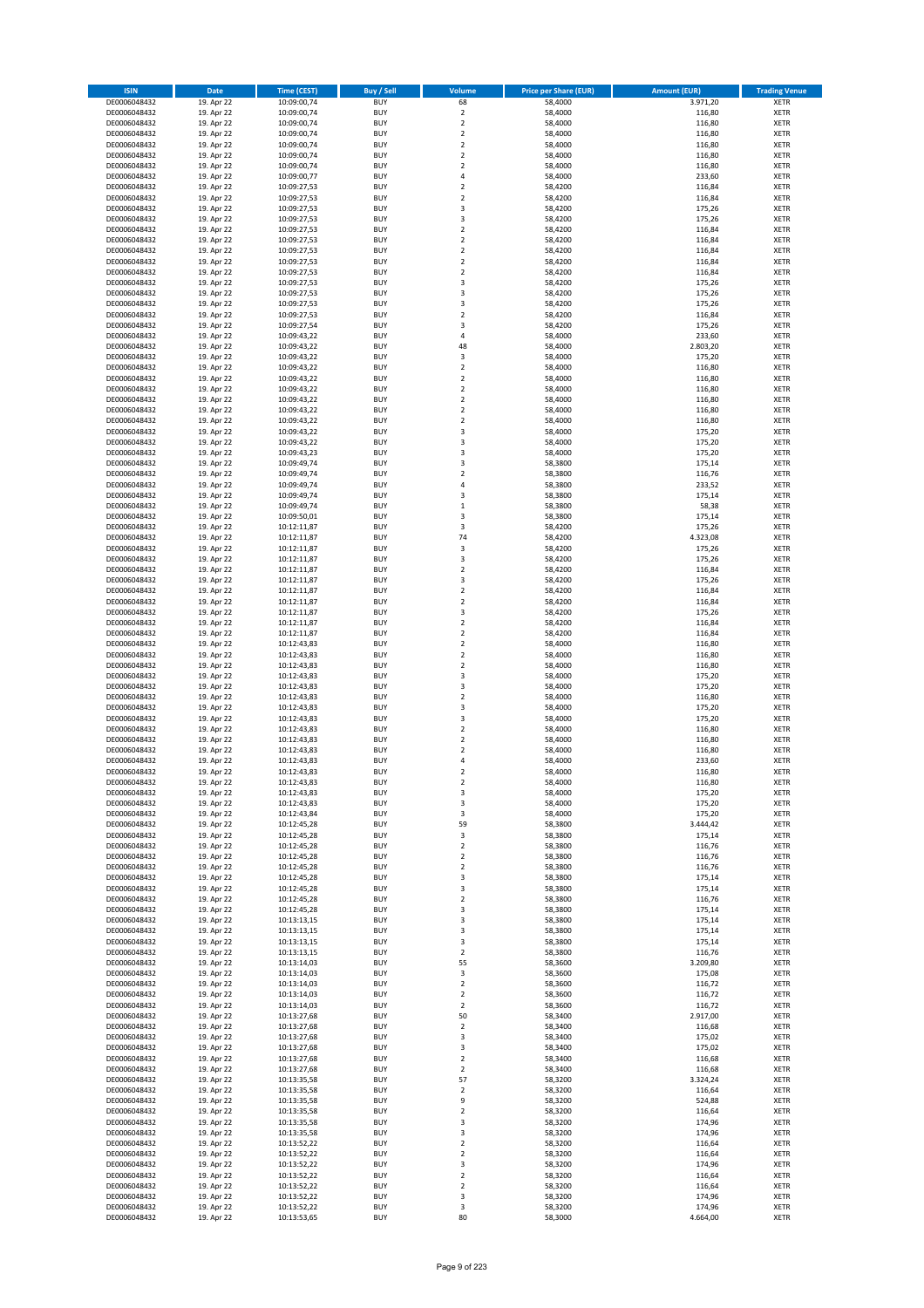| <b>ISIN</b>                  | <b>Date</b>              | <b>Time (CEST)</b>         | <b>Buy / Sell</b>        | Volume                                             | <b>Price per Share (EUR)</b> | <b>Amount (EUR)</b> | <b>Trading Venue</b>       |
|------------------------------|--------------------------|----------------------------|--------------------------|----------------------------------------------------|------------------------------|---------------------|----------------------------|
| DE0006048432                 | 19. Apr 22               | 10:09:00,74                | <b>BUY</b>               | 68                                                 | 58,4000                      | 3.971,20            | <b>XETR</b>                |
| DE0006048432                 | 19. Apr 22               | 10:09:00,74                | <b>BUY</b>               | $\mathbf 2$                                        | 58,4000                      | 116,80              | <b>XETR</b>                |
| DE0006048432                 | 19. Apr 22               | 10:09:00,74                | <b>BUY</b>               | $\overline{\mathbf{2}}$                            | 58,4000                      | 116,80              | <b>XETR</b>                |
| DE0006048432                 | 19. Apr 22               | 10:09:00,74                | <b>BUY</b>               | $\mathbf 2$                                        | 58,4000                      | 116,80              | <b>XETR</b>                |
| DE0006048432<br>DE0006048432 | 19. Apr 22<br>19. Apr 22 | 10:09:00,74<br>10:09:00,74 | <b>BUY</b><br><b>BUY</b> | $\overline{2}$<br>$\mathbf 2$                      | 58,4000<br>58,4000           | 116,80<br>116,80    | <b>XETR</b><br><b>XETR</b> |
| DE0006048432                 | 19. Apr 22               | 10:09:00,74                | <b>BUY</b>               | $\overline{2}$                                     | 58,4000                      | 116,80              | <b>XETR</b>                |
| DE0006048432                 | 19. Apr 22               | 10:09:00,77                | <b>BUY</b>               | 4                                                  | 58,4000                      | 233,60              | <b>XETR</b>                |
| DE0006048432                 | 19. Apr 22               | 10:09:27,53                | BUY                      | $\overline{2}$                                     | 58,4200                      | 116,84              | <b>XETR</b>                |
| DE0006048432                 | 19. Apr 22               | 10:09:27,53                | <b>BUY</b>               | $\overline{2}$                                     | 58,4200                      | 116,84              | <b>XETR</b>                |
| DE0006048432                 | 19. Apr 22               | 10:09:27,53                | <b>BUY</b>               | 3                                                  | 58,4200                      | 175,26              | <b>XETR</b>                |
| DE0006048432                 | 19. Apr 22               | 10:09:27,53                | <b>BUY</b>               | 3<br>$\overline{2}$                                | 58,4200                      | 175,26              | <b>XETR</b>                |
| DE0006048432<br>DE0006048432 | 19. Apr 22<br>19. Apr 22 | 10:09:27,53<br>10:09:27,53 | <b>BUY</b><br><b>BUY</b> | $\overline{2}$                                     | 58,4200<br>58,4200           | 116,84<br>116,84    | <b>XETR</b><br><b>XETR</b> |
| DE0006048432                 | 19. Apr 22               | 10:09:27,53                | <b>BUY</b>               | $\overline{2}$                                     | 58,4200                      | 116,84              | <b>XETR</b>                |
| DE0006048432                 | 19. Apr 22               | 10:09:27,53                | BUY                      | $\overline{2}$                                     | 58,4200                      | 116,84              | <b>XETR</b>                |
| DE0006048432                 | 19. Apr 22               | 10:09:27,53                | <b>BUY</b>               | $\overline{2}$                                     | 58,4200                      | 116,84              | <b>XETR</b>                |
| DE0006048432                 | 19. Apr 22               | 10:09:27,53                | <b>BUY</b>               | 3                                                  | 58,4200                      | 175,26              | <b>XETR</b>                |
| DE0006048432                 | 19. Apr 22               | 10:09:27,53                | <b>BUY</b>               | 3                                                  | 58,4200                      | 175,26              | <b>XETR</b>                |
| DE0006048432<br>DE0006048432 | 19. Apr 22<br>19. Apr 22 | 10:09:27,53                | <b>BUY</b><br><b>BUY</b> | $\overline{\mathbf{3}}$<br>$\overline{2}$          | 58,4200<br>58,4200           | 175,26<br>116,84    | <b>XETR</b><br><b>XETR</b> |
| DE0006048432                 | 19. Apr 22               | 10:09:27,53<br>10:09:27,54 | <b>BUY</b>               | $\overline{\mathbf{3}}$                            | 58,4200                      | 175,26              | <b>XETR</b>                |
| DE0006048432                 | 19. Apr 22               | 10:09:43,22                | <b>BUY</b>               | $\overline{a}$                                     | 58,4000                      | 233,60              | <b>XETR</b>                |
| DE0006048432                 | 19. Apr 22               | 10:09:43,22                | <b>BUY</b>               | 48                                                 | 58,4000                      | 2.803,20            | <b>XETR</b>                |
| DE0006048432                 | 19. Apr 22               | 10:09:43,22                | <b>BUY</b>               | 3                                                  | 58,4000                      | 175,20              | <b>XETR</b>                |
| DE0006048432                 | 19. Apr 22               | 10:09:43,22                | <b>BUY</b>               | $\mathbf 2$                                        | 58,4000                      | 116,80              | <b>XETR</b>                |
| DE0006048432                 | 19. Apr 22               | 10:09:43,22                | <b>BUY</b><br><b>BUY</b> | $\mathbf 2$<br>$\overline{2}$                      | 58,4000                      | 116,80              | <b>XETR</b><br><b>XETR</b> |
| DE0006048432<br>DE0006048432 | 19. Apr 22<br>19. Apr 22 | 10:09:43,22<br>10:09:43,22 | <b>BUY</b>               | $\mathbf 2$                                        | 58,4000<br>58,4000           | 116,80<br>116,80    | <b>XETR</b>                |
| DE0006048432                 | 19. Apr 22               | 10:09:43,22                | <b>BUY</b>               | $\overline{2}$                                     | 58,4000                      | 116,80              | <b>XETR</b>                |
| DE0006048432                 | 19. Apr 22               | 10:09:43,22                | <b>BUY</b>               | $\mathbf 2$                                        | 58,4000                      | 116,80              | <b>XETR</b>                |
| DE0006048432                 | 19. Apr 22               | 10:09:43,22                | <b>BUY</b>               | 3                                                  | 58,4000                      | 175,20              | <b>XETR</b>                |
| DE0006048432                 | 19. Apr 22               | 10:09:43,22                | <b>BUY</b>               | 3                                                  | 58,4000                      | 175,20              | <b>XETR</b>                |
| DE0006048432                 | 19. Apr 22               | 10:09:43,23                | <b>BUY</b>               | 3                                                  | 58,4000                      | 175,20              | <b>XETR</b>                |
| DE0006048432<br>DE0006048432 | 19. Apr 22<br>19. Apr 22 | 10:09:49,74<br>10:09:49,74 | <b>BUY</b><br><b>BUY</b> | $\overline{\mathbf{3}}$<br>$\mathbf 2$             | 58,3800<br>58,3800           | 175,14<br>116,76    | <b>XETR</b><br><b>XETR</b> |
| DE0006048432                 | 19. Apr 22               | 10:09:49,74                | <b>BUY</b>               | 4                                                  | 58,3800                      | 233,52              | <b>XETR</b>                |
| DE0006048432                 | 19. Apr 22               | 10:09:49,74                | <b>BUY</b>               | $\overline{\mathbf{3}}$                            | 58,3800                      | 175,14              | <b>XETR</b>                |
| DE0006048432                 | 19. Apr 22               | 10:09:49,74                | <b>BUY</b>               | $\mathbf 1$                                        | 58,3800                      | 58,38               | <b>XETR</b>                |
| DE0006048432                 | 19. Apr 22               | 10:09:50,01                | <b>BUY</b>               | 3                                                  | 58,3800                      | 175,14              | <b>XETR</b>                |
| DE0006048432                 | 19. Apr 22               | 10:12:11,87                | <b>BUY</b>               | $\overline{\mathbf{3}}$                            | 58,4200                      | 175,26              | <b>XETR</b>                |
| DE0006048432<br>DE0006048432 | 19. Apr 22<br>19. Apr 22 | 10:12:11,87<br>10:12:11,87 | <b>BUY</b><br><b>BUY</b> | 74<br>3                                            | 58,4200<br>58,4200           | 4.323,08<br>175,26  | <b>XETR</b><br><b>XETR</b> |
| DE0006048432                 | 19. Apr 22               | 10:12:11,87                | <b>BUY</b>               | $\overline{\mathbf{3}}$                            | 58,4200                      | 175,26              | <b>XETR</b>                |
| DE0006048432                 | 19. Apr 22               | 10:12:11,87                | <b>BUY</b>               | $\overline{2}$                                     | 58,4200                      | 116,84              | <b>XETR</b>                |
| DE0006048432                 | 19. Apr 22               | 10:12:11,87                | <b>BUY</b>               | 3                                                  | 58,4200                      | 175,26              | <b>XETR</b>                |
| DE0006048432                 | 19. Apr 22               | 10:12:11,87                | <b>BUY</b>               | $\mathbf 2$                                        | 58,4200                      | 116,84              | <b>XETR</b>                |
| DE0006048432                 | 19. Apr 22               | 10:12:11,87                | <b>BUY</b>               | $\overline{2}$                                     | 58,4200                      | 116,84              | <b>XETR</b>                |
| DE0006048432<br>DE0006048432 | 19. Apr 22               | 10:12:11,87<br>10:12:11,87 | <b>BUY</b><br><b>BUY</b> | 3<br>$\overline{\mathbf{2}}$                       | 58,4200<br>58,4200           | 175,26<br>116,84    | <b>XETR</b><br><b>XETR</b> |
| DE0006048432                 | 19. Apr 22<br>19. Apr 22 | 10:12:11,87                | <b>BUY</b>               | $\overline{2}$                                     | 58,4200                      | 116,84              | <b>XETR</b>                |
| DE0006048432                 | 19. Apr 22               | 10:12:43,83                | <b>BUY</b>               | $\overline{2}$                                     | 58,4000                      | 116,80              | <b>XETR</b>                |
| DE0006048432                 | 19. Apr 22               | 10:12:43,83                | <b>BUY</b>               | $\overline{\mathbf{2}}$                            | 58,4000                      | 116,80              | <b>XETR</b>                |
| DE0006048432                 | 19. Apr 22               | 10:12:43,83                | <b>BUY</b>               | $\mathbf 2$                                        | 58,4000                      | 116,80              | <b>XETR</b>                |
| DE0006048432                 | 19. Apr 22               | 10:12:43,83                | <b>BUY</b>               | $\overline{\mathbf{3}}$                            | 58,4000                      | 175,20              | <b>XETR</b>                |
| DE0006048432                 | 19. Apr 22               | 10:12:43,83                | <b>BUY</b>               | $\overline{3}$                                     | 58,4000                      | 175,20              | <b>XETR</b>                |
| DE0006048432<br>DE0006048432 | 19. Apr 22<br>19. Apr 22 | 10:12:43,83<br>10:12:43,83 | <b>BUY</b><br><b>BUY</b> | $\overline{\mathbf{2}}$<br>$\overline{\mathbf{3}}$ | 58,4000<br>58,4000           | 116,80<br>175,20    | <b>XETR</b><br><b>XETR</b> |
| DE0006048432                 | 19. Apr 22               | 10:12:43,83                | BUY                      | 3                                                  | 58,4000                      | 175,20              | <b>XETR</b>                |
| DE0006048432                 | 19. Apr 22               | 10:12:43,83                | <b>BUY</b>               | $\overline{\mathbf{2}}$                            | 58,4000                      | 116,80              | <b>XETR</b>                |
| DE0006048432                 | 19. Apr 22               | 10:12:43,83                | <b>BUY</b>               | $\mathbf 2$                                        | 58,4000                      | 116,80              | <b>XETR</b>                |
| DE0006048432                 | 19. Apr 22               | 10:12:43,83                | BUY                      | $\overline{\mathbf{2}}$                            | 58,4000                      | 116,80              | <b>XETR</b>                |
| DE0006048432                 | 19. Apr 22               | 10:12:43,83                | BUY                      | $\overline{a}$                                     | 58,4000                      | 233,60              | <b>XETR</b>                |
| DE0006048432<br>DE0006048432 | 19. Apr 22<br>19. Apr 22 | 10:12:43,83<br>10:12:43,83 | <b>BUY</b><br>BUY        | $\overline{2}$<br>2                                | 58,4000<br>58,4000           | 116,80              | <b>XETR</b><br><b>XETR</b> |
| DE0006048432                 | 19. Apr 22               | 10:12:43,83                | <b>BUY</b>               | 3                                                  | 58,4000                      | 116,80<br>175,20    | <b>XETR</b>                |
| DE0006048432                 | 19. Apr 22               | 10:12:43,83                | <b>BUY</b>               | 3                                                  | 58,4000                      | 175,20              | <b>XETR</b>                |
| DE0006048432                 | 19. Apr 22               | 10:12:43,84                | <b>BUY</b>               | 3                                                  | 58,4000                      | 175,20              | <b>XETR</b>                |
| DE0006048432                 | 19. Apr 22               | 10:12:45,28                | <b>BUY</b>               | 59                                                 | 58,3800                      | 3.444,42            | <b>XETR</b>                |
| DE0006048432                 | 19. Apr 22               | 10:12:45,28                | <b>BUY</b>               | 3                                                  | 58,3800                      | 175,14              | <b>XETR</b>                |
| DE0006048432                 | 19. Apr 22               | 10:12:45,28                | <b>BUY</b><br><b>BUY</b> | $\mathbf 2$                                        | 58,3800                      | 116,76              | <b>XETR</b>                |
| DE0006048432<br>DE0006048432 | 19. Apr 22<br>19. Apr 22 | 10:12:45,28<br>10:12:45,28 | <b>BUY</b>               | 2<br>$\mathbf 2$                                   | 58,3800<br>58,3800           | 116,76<br>116,76    | <b>XETR</b><br><b>XETR</b> |
| DE0006048432                 | 19. Apr 22               | 10:12:45,28                | <b>BUY</b>               | 3                                                  | 58,3800                      | 175,14              | <b>XETR</b>                |
| DE0006048432                 | 19. Apr 22               | 10:12:45,28                | <b>BUY</b>               | 3                                                  | 58,3800                      | 175,14              | <b>XETR</b>                |
| DE0006048432                 | 19. Apr 22               | 10:12:45,28                | <b>BUY</b>               | $\overline{\mathbf{2}}$                            | 58,3800                      | 116,76              | <b>XETR</b>                |
| DE0006048432                 | 19. Apr 22               | 10:12:45,28                | <b>BUY</b>               | 3                                                  | 58,3800                      | 175,14              | <b>XETR</b>                |
| DE0006048432<br>DE0006048432 | 19. Apr 22<br>19. Apr 22 | 10:13:13,15<br>10:13:13,15 | <b>BUY</b><br><b>BUY</b> | $\overline{\mathbf{3}}$<br>3                       | 58,3800<br>58,3800           | 175,14<br>175,14    | <b>XETR</b><br><b>XETR</b> |
| DE0006048432                 | 19. Apr 22               | 10:13:13,15                | <b>BUY</b>               | 3                                                  | 58,3800                      | 175,14              | <b>XETR</b>                |
| DE0006048432                 | 19. Apr 22               | 10:13:13,15                | <b>BUY</b>               | $\mathbf 2$                                        | 58,3800                      | 116,76              | <b>XETR</b>                |
| DE0006048432                 | 19. Apr 22               | 10:13:14,03                | <b>BUY</b>               | 55                                                 | 58,3600                      | 3.209,80            | <b>XETR</b>                |
| DE0006048432                 | 19. Apr 22               | 10:13:14,03                | <b>BUY</b>               | 3                                                  | 58,3600                      | 175,08              | <b>XETR</b>                |
| DE0006048432                 | 19. Apr 22               | 10:13:14,03                | <b>BUY</b>               | $\mathbf 2$                                        | 58,3600                      | 116,72              | <b>XETR</b>                |
| DE0006048432<br>DE0006048432 | 19. Apr 22<br>19. Apr 22 | 10:13:14,03<br>10:13:14,03 | <b>BUY</b><br><b>BUY</b> | $\overline{\mathbf{2}}$<br>2                       | 58,3600<br>58,3600           | 116,72<br>116,72    | <b>XETR</b><br><b>XETR</b> |
| DE0006048432                 | 19. Apr 22               | 10:13:27,68                | <b>BUY</b>               | 50                                                 | 58,3400                      | 2.917,00            | <b>XETR</b>                |
| DE0006048432                 | 19. Apr 22               | 10:13:27,68                | <b>BUY</b>               | $\mathbf 2$                                        | 58,3400                      | 116,68              | <b>XETR</b>                |
| DE0006048432                 | 19. Apr 22               | 10:13:27,68                | <b>BUY</b>               | 3                                                  | 58,3400                      | 175,02              | <b>XETR</b>                |
| DE0006048432                 | 19. Apr 22               | 10:13:27,68                | <b>BUY</b>               | 3                                                  | 58,3400                      | 175,02              | <b>XETR</b>                |
| DE0006048432                 | 19. Apr 22               | 10:13:27,68                | <b>BUY</b>               | $\overline{\mathbf{2}}$                            | 58,3400                      | 116,68              | <b>XETR</b>                |
| DE0006048432                 | 19. Apr 22               | 10:13:27,68                | <b>BUY</b>               | $\overline{\mathbf{2}}$                            | 58,3400                      | 116,68              | <b>XETR</b>                |
| DE0006048432<br>DE0006048432 | 19. Apr 22<br>19. Apr 22 | 10:13:35,58<br>10:13:35,58 | <b>BUY</b><br><b>BUY</b> | 57<br>$\overline{\mathbf{2}}$                      | 58,3200<br>58,3200           | 3.324,24<br>116,64  | <b>XETR</b><br><b>XETR</b> |
| DE0006048432                 | 19. Apr 22               | 10:13:35,58                | <b>BUY</b>               | 9                                                  | 58,3200                      | 524,88              | <b>XETR</b>                |
| DE0006048432                 | 19. Apr 22               | 10:13:35,58                | <b>BUY</b>               | $\mathbf 2$                                        | 58,3200                      | 116,64              | <b>XETR</b>                |
| DE0006048432                 | 19. Apr 22               | 10:13:35,58                | <b>BUY</b>               | 3                                                  | 58,3200                      | 174,96              | <b>XETR</b>                |
| DE0006048432                 | 19. Apr 22               | 10:13:35,58                | <b>BUY</b>               | 3                                                  | 58,3200                      | 174,96              | <b>XETR</b>                |
| DE0006048432                 | 19. Apr 22               | 10:13:52,22                | <b>BUY</b>               | $\mathbf 2$                                        | 58,3200                      | 116,64              | <b>XETR</b>                |
| DE0006048432<br>DE0006048432 | 19. Apr 22<br>19. Apr 22 | 10:13:52,22<br>10:13:52,22 | <b>BUY</b><br><b>BUY</b> | $\mathbf 2$<br>3                                   | 58,3200<br>58,3200           | 116,64<br>174,96    | <b>XETR</b><br><b>XETR</b> |
| DE0006048432                 | 19. Apr 22               | 10:13:52,22                | <b>BUY</b>               | $\mathbf 2$                                        | 58,3200                      | 116,64              | <b>XETR</b>                |
| DE0006048432                 | 19. Apr 22               | 10:13:52,22                | <b>BUY</b>               | 2                                                  | 58,3200                      | 116,64              | <b>XETR</b>                |
| DE0006048432                 | 19. Apr 22               | 10:13:52,22                | <b>BUY</b>               | 3                                                  | 58,3200                      | 174,96              | <b>XETR</b>                |
| DE0006048432                 | 19. Apr 22               | 10:13:52,22                | <b>BUY</b>               | 3                                                  | 58,3200                      | 174,96              | <b>XETR</b>                |
| DE0006048432                 | 19. Apr 22               | 10:13:53,65                | <b>BUY</b>               | 80                                                 | 58,3000                      | 4.664,00            | <b>XETR</b>                |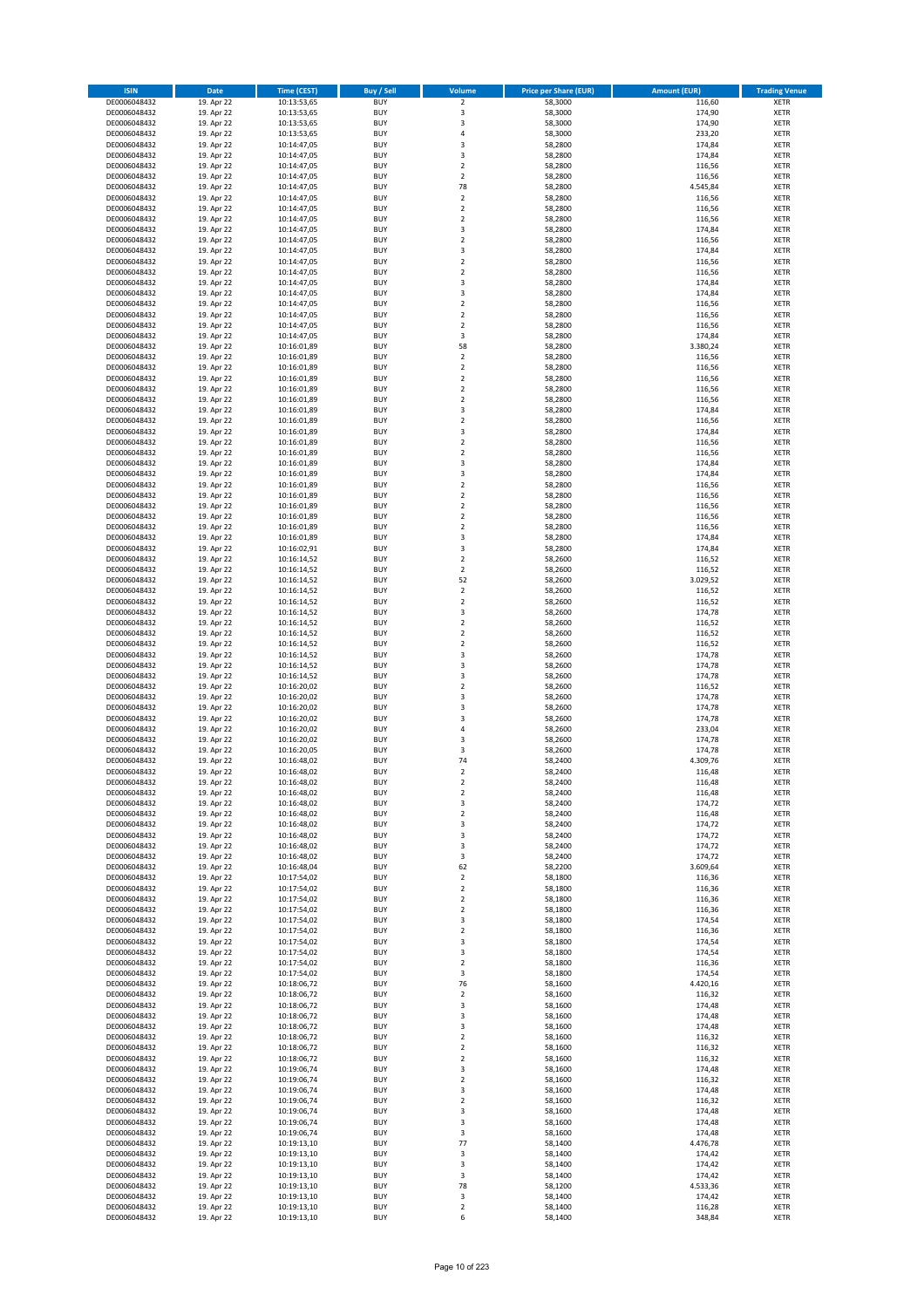| <b>ISIN</b>                  | <b>Date</b>              | <b>Time (CEST)</b>         | <b>Buy / Sell</b>        | Volume                                    | <b>Price per Share (EUR)</b> | <b>Amount (EUR)</b> | <b>Trading Venue</b>       |
|------------------------------|--------------------------|----------------------------|--------------------------|-------------------------------------------|------------------------------|---------------------|----------------------------|
| DE0006048432                 | 19. Apr 22               | 10:13:53,65                | <b>BUY</b>               | $\overline{\mathbf{2}}$                   | 58,3000                      | 116,60              | <b>XETR</b>                |
| DE0006048432                 | 19. Apr 22               | 10:13:53,65                | <b>BUY</b>               | 3                                         | 58,3000                      | 174,90              | <b>XETR</b>                |
| DE0006048432                 | 19. Apr 22               | 10:13:53,65                | <b>BUY</b>               | $\overline{\mathbf{3}}$                   | 58,3000                      | 174,90              | <b>XETR</b>                |
| DE0006048432                 | 19. Apr 22               | 10:13:53,65                | <b>BUY</b>               | 4                                         | 58,3000                      | 233,20              | <b>XETR</b>                |
| DE0006048432                 | 19. Apr 22               | 10:14:47,05                | <b>BUY</b>               | 3                                         | 58,2800                      | 174,84              | <b>XETR</b>                |
| DE0006048432                 | 19. Apr 22               | 10:14:47,05                | <b>BUY</b>               | $\overline{3}$                            | 58,2800                      | 174,84              | <b>XETR</b>                |
| DE0006048432                 | 19. Apr 22               | 10:14:47,05                | <b>BUY</b>               | $\overline{\mathbf{2}}$                   | 58,2800                      | 116,56              | <b>XETR</b>                |
| DE0006048432                 | 19. Apr 22               | 10:14:47,05                | <b>BUY</b>               | $\overline{\mathbf{2}}$<br>78             | 58,2800                      | 116,56              | <b>XETR</b>                |
| DE0006048432<br>DE0006048432 | 19. Apr 22<br>19. Apr 22 | 10:14:47,05                | BUY<br><b>BUY</b>        | $\mathbf 2$                               | 58,2800<br>58,2800           | 4.545,84<br>116,56  | <b>XETR</b>                |
| DE0006048432                 | 19. Apr 22               | 10:14:47,05<br>10:14:47,05 | <b>BUY</b>               | $\mathbf 2$                               | 58,2800                      | 116,56              | <b>XETR</b><br><b>XETR</b> |
| DE0006048432                 | 19. Apr 22               | 10:14:47,05                | <b>BUY</b>               | $\overline{\mathbf{2}}$                   | 58,2800                      | 116,56              | <b>XETR</b>                |
| DE0006048432                 | 19. Apr 22               | 10:14:47,05                | <b>BUY</b>               | $\overline{3}$                            | 58,2800                      | 174,84              | <b>XETR</b>                |
| DE0006048432                 | 19. Apr 22               | 10:14:47,05                | <b>BUY</b>               | $\overline{2}$                            | 58,2800                      | 116,56              | <b>XETR</b>                |
| DE0006048432                 | 19. Apr 22               | 10:14:47,05                | <b>BUY</b>               | 3                                         | 58,2800                      | 174,84              | <b>XETR</b>                |
| DE0006048432                 | 19. Apr 22               | 10:14:47,05                | BUY                      | $\overline{2}$                            | 58,2800                      | 116,56              | <b>XETR</b>                |
| DE0006048432                 | 19. Apr 22               | 10:14:47,05                | <b>BUY</b>               | $\overline{2}$                            | 58,2800                      | 116,56              | <b>XETR</b>                |
| DE0006048432                 | 19. Apr 22               | 10:14:47,05                | <b>BUY</b>               | 3                                         | 58,2800                      | 174,84              | <b>XETR</b>                |
| DE0006048432                 | 19. Apr 22               | 10:14:47,05                | <b>BUY</b>               | 3                                         | 58,2800                      | 174,84              | <b>XETR</b>                |
| DE0006048432                 | 19. Apr 22               | 10:14:47,05                | <b>BUY</b>               | $\overline{2}$                            | 58,2800                      | 116,56              | <b>XETR</b>                |
| DE0006048432                 | 19. Apr 22               | 10:14:47,05                | <b>BUY</b><br><b>BUY</b> | $\overline{2}$                            | 58,2800                      | 116,56              | <b>XETR</b>                |
| DE0006048432                 | 19. Apr 22               | 10:14:47,05                | <b>BUY</b>               | $\mathbf 2$<br>3                          | 58,2800                      | 116,56              | <b>XETR</b><br><b>XETR</b> |
| DE0006048432<br>DE0006048432 | 19. Apr 22<br>19. Apr 22 | 10:14:47,05<br>10:16:01,89 | <b>BUY</b>               | 58                                        | 58,2800<br>58,2800           | 174,84<br>3.380,24  | <b>XETR</b>                |
| DE0006048432                 | 19. Apr 22               | 10:16:01,89                | <b>BUY</b>               | $\mathbf 2$                               | 58,2800                      | 116,56              | <b>XETR</b>                |
| DE0006048432                 | 19. Apr 22               | 10:16:01,89                | <b>BUY</b>               | $\mathbf 2$                               | 58,2800                      | 116,56              | <b>XETR</b>                |
| DE0006048432                 | 19. Apr 22               | 10:16:01,89                | <b>BUY</b>               | $\mathbf 2$                               | 58,2800                      | 116,56              | <b>XETR</b>                |
| DE0006048432                 | 19. Apr 22               | 10:16:01,89                | <b>BUY</b>               | $\overline{2}$                            | 58,2800                      | 116,56              | <b>XETR</b>                |
| DE0006048432                 | 19. Apr 22               | 10:16:01,89                | <b>BUY</b>               | $\mathbf 2$                               | 58,2800                      | 116,56              | <b>XETR</b>                |
| DE0006048432                 | 19. Apr 22               | 10:16:01,89                | <b>BUY</b>               | $\overline{\mathbf{3}}$                   | 58,2800                      | 174,84              | <b>XETR</b>                |
| DE0006048432                 | 19. Apr 22               | 10:16:01,89                | <b>BUY</b>               | $\mathbf 2$                               | 58,2800                      | 116,56              | <b>XETR</b>                |
| DE0006048432                 | 19. Apr 22               | 10:16:01,89                | <b>BUY</b>               | 3                                         | 58,2800                      | 174,84              | <b>XETR</b>                |
| DE0006048432                 | 19. Apr 22               | 10:16:01,89                | <b>BUY</b>               | $\mathbf 2$                               | 58,2800                      | 116,56              | <b>XETR</b>                |
| DE0006048432                 | 19. Apr 22               | 10:16:01,89                | <b>BUY</b>               | $\overline{\mathbf{2}}$                   | 58,2800                      | 116,56              | <b>XETR</b>                |
| DE0006048432                 | 19. Apr 22               | 10:16:01,89                | <b>BUY</b>               | $\overline{\mathbf{3}}$                   | 58,2800                      | 174,84              | <b>XETR</b>                |
| DE0006048432<br>DE0006048432 | 19. Apr 22<br>19. Apr 22 | 10:16:01,89                | <b>BUY</b><br><b>BUY</b> | 3<br>$\overline{\mathbf{2}}$              | 58,2800<br>58,2800           | 174,84              | <b>XETR</b><br><b>XETR</b> |
| DE0006048432                 | 19. Apr 22               | 10:16:01,89<br>10:16:01,89 | <b>BUY</b>               | $\mathbf 2$                               | 58,2800                      | 116,56<br>116,56    | <b>XETR</b>                |
| DE0006048432                 | 19. Apr 22               | 10:16:01,89                | <b>BUY</b>               | $\mathbf 2$                               | 58,2800                      | 116,56              | <b>XETR</b>                |
| DE0006048432                 | 19. Apr 22               | 10:16:01,89                | <b>BUY</b>               | $\mathbf 2$                               | 58,2800                      | 116,56              | <b>XETR</b>                |
| DE0006048432                 | 19. Apr 22               | 10:16:01,89                | <b>BUY</b>               | $\overline{\mathbf{2}}$                   | 58,2800                      | 116,56              | <b>XETR</b>                |
| DE0006048432                 | 19. Apr 22               | 10:16:01,89                | <b>BUY</b>               | 3                                         | 58,2800                      | 174,84              | <b>XETR</b>                |
| DE0006048432                 | 19. Apr 22               | 10:16:02,91                | <b>BUY</b>               | 3                                         | 58,2800                      | 174,84              | <b>XETR</b>                |
| DE0006048432                 | 19. Apr 22               | 10:16:14,52                | <b>BUY</b>               | $\overline{\mathbf{2}}$                   | 58,2600                      | 116,52              | <b>XETR</b>                |
| DE0006048432                 | 19. Apr 22               | 10:16:14,52                | <b>BUY</b>               | $\mathbf 2$                               | 58,2600                      | 116,52              | <b>XETR</b>                |
| DE0006048432                 | 19. Apr 22               | 10:16:14,52                | <b>BUY</b>               | 52                                        | 58,2600                      | 3.029,52            | <b>XETR</b>                |
| DE0006048432                 | 19. Apr 22               | 10:16:14,52                | <b>BUY</b>               | $\mathbf 2$                               | 58,2600                      | 116,52              | <b>XETR</b>                |
| DE0006048432                 | 19. Apr 22               | 10:16:14,52                | <b>BUY</b>               | $\overline{2}$                            | 58,2600                      | 116,52              | <b>XETR</b>                |
| DE0006048432                 | 19. Apr 22               | 10:16:14,52                | <b>BUY</b>               | 3                                         | 58,2600                      | 174,78              | <b>XETR</b>                |
| DE0006048432                 | 19. Apr 22               | 10:16:14,52                | <b>BUY</b>               | $\overline{\mathbf{2}}$<br>$\overline{2}$ | 58,2600                      | 116,52              | <b>XETR</b>                |
| DE0006048432<br>DE0006048432 | 19. Apr 22<br>19. Apr 22 | 10:16:14,52<br>10:16:14,52 | <b>BUY</b><br><b>BUY</b> | $\overline{2}$                            | 58,2600<br>58,2600           | 116,52<br>116,52    | <b>XETR</b><br><b>XETR</b> |
| DE0006048432                 | 19. Apr 22               | 10:16:14,52                | <b>BUY</b>               | 3                                         | 58,2600                      | 174,78              | <b>XETR</b>                |
| DE0006048432                 | 19. Apr 22               | 10:16:14,52                | <b>BUY</b>               | 3                                         | 58,2600                      | 174,78              | <b>XETR</b>                |
| DE0006048432                 | 19. Apr 22               | 10:16:14,52                | <b>BUY</b>               | $\overline{\mathbf{3}}$                   | 58,2600                      | 174,78              | <b>XETR</b>                |
| DE0006048432                 | 19. Apr 22               | 10:16:20,02                | <b>BUY</b>               | $\overline{2}$                            | 58,2600                      | 116,52              | <b>XETR</b>                |
| DE0006048432                 | 19. Apr 22               | 10:16:20,02                | <b>BUY</b>               | $\overline{\mathbf{3}}$                   | 58,2600                      | 174,78              | <b>XETR</b>                |
| DE0006048432                 | 19. Apr 22               | 10:16:20,02                | <b>BUY</b>               | $\overline{\mathbf{3}}$                   | 58,2600                      | 174,78              | <b>XETR</b>                |
| DE0006048432                 | 19. Apr 22               | 10:16:20,02                | <b>BUY</b>               | $\overline{\mathbf{3}}$                   | 58,2600                      | 174,78              | <b>XETR</b>                |
| DE0006048432                 | 19. Apr 22               | 10:16:20,02                | <b>BUY</b>               | $\overline{4}$                            | 58,2600                      | 233,04              | <b>XETR</b>                |
| DE0006048432                 | 19. Apr 22               | 10:16:20,02                | <b>BUY</b>               | 3                                         | 58,2600                      | 174,78              | <b>XETR</b>                |
| DE0006048432                 | 19. Apr 22               | 10:16:20,05                | BUY                      | 3                                         | 58,2600                      | 174,78              | <b>XETR</b>                |
| DE0006048432<br>DE0006048432 | 19. Apr 22               | 10:16:48,02<br>10:16:48,02 | BUY                      | 74<br>$\overline{2}$                      | 58,2400                      | 4.309,76            | <b>XETR</b>                |
| DE0006048432                 | 19. Apr 22<br>19. Apr 22 | 10:16:48,02                | <b>BUY</b><br>BUY        | 2                                         | 58,2400<br>58,2400           | 116,48<br>116,48    | <b>XETR</b><br><b>XETR</b> |
| DE0006048432                 | 19. Apr 22               | 10:16:48,02                | <b>BUY</b>               | $\mathbf 2$                               | 58,2400                      | 116,48              | <b>XETR</b>                |
| DE0006048432                 | 19. Apr 22               | 10:16:48,02                | <b>BUY</b>               | 3                                         | 58,2400                      | 174,72              | <b>XETR</b>                |
| DE0006048432                 | 19. Apr 22               | 10:16:48,02                | <b>BUY</b>               | $\mathbf 2$                               | 58,2400                      | 116,48              | <b>XETR</b>                |
| DE0006048432                 | 19. Apr 22               | 10:16:48,02                | <b>BUY</b>               | 3                                         | 58,2400                      | 174,72              | <b>XETR</b>                |
| DE0006048432                 | 19. Apr 22               | 10:16:48,02                | <b>BUY</b>               | 3                                         | 58,2400                      | 174,72              | <b>XETR</b>                |
| DE0006048432                 | 19. Apr 22               | 10:16:48,02                | <b>BUY</b>               | 3                                         | 58,2400                      | 174,72              | <b>XETR</b>                |
| DE0006048432                 | 19. Apr 22               | 10:16:48,02                | <b>BUY</b>               | 3                                         | 58,2400                      | 174,72              | <b>XETR</b>                |
| DE0006048432                 | 19. Apr 22               | 10:16:48,04                | <b>BUY</b>               | 62                                        | 58,2200                      | 3.609,64            | <b>XETR</b>                |
| DE0006048432                 | 19. Apr 22               | 10:17:54,02                | <b>BUY</b>               | $\mathbf 2$                               | 58,1800                      | 116,36              | <b>XETR</b>                |
| DE0006048432<br>DE0006048432 | 19. Apr 22<br>19. Apr 22 | 10:17:54,02<br>10:17:54,02 | <b>BUY</b><br><b>BUY</b> | $\mathbf 2$<br>$\overline{2}$             | 58,1800<br>58,1800           | 116,36<br>116,36    | <b>XETR</b><br><b>XETR</b> |
| DE0006048432                 | 19. Apr 22               | 10:17:54,02                | <b>BUY</b>               | $\mathbf 2$                               | 58,1800                      | 116,36              | <b>XETR</b>                |
| DE0006048432                 | 19. Apr 22               | 10:17:54,02                | <b>BUY</b>               | $\overline{\mathbf{3}}$                   | 58,1800                      | 174,54              | <b>XETR</b>                |
| DE0006048432                 | 19. Apr 22               | 10:17:54,02                | <b>BUY</b>               | $\mathbf 2$                               | 58,1800                      | 116,36              | <b>XETR</b>                |
| DE0006048432                 | 19. Apr 22               | 10:17:54,02                | <b>BUY</b>               | 3                                         | 58,1800                      | 174,54              | <b>XETR</b>                |
| DE0006048432                 | 19. Apr 22               | 10:17:54,02                | <b>BUY</b>               | 3                                         | 58,1800                      | 174,54              | <b>XETR</b>                |
| DE0006048432                 | 19. Apr 22               | 10:17:54,02                | <b>BUY</b>               | $\mathbf 2$                               | 58,1800                      | 116,36              | <b>XETR</b>                |
| DE0006048432                 | 19. Apr 22               | 10:17:54,02                | <b>BUY</b>               | 3                                         | 58,1800                      | 174,54              | <b>XETR</b>                |
| DE0006048432                 | 19. Apr 22               | 10:18:06,72                | <b>BUY</b>               | 76                                        | 58,1600                      | 4.420,16            | <b>XETR</b>                |
| DE0006048432                 | 19. Apr 22               | 10:18:06,72                | <b>BUY</b>               | $\overline{2}$                            | 58,1600                      | 116,32              | <b>XETR</b>                |
| DE0006048432                 | 19. Apr 22               | 10:18:06,72                | <b>BUY</b>               | 3                                         | 58,1600                      | 174,48              | <b>XETR</b>                |
| DE0006048432                 | 19. Apr 22               | 10:18:06,72                | <b>BUY</b><br><b>BUY</b> | $\overline{\mathbf{3}}$                   | 58,1600                      | 174,48              | <b>XETR</b>                |
| DE0006048432<br>DE0006048432 | 19. Apr 22<br>19. Apr 22 | 10:18:06,72<br>10:18:06,72 | <b>BUY</b>               | 3<br>$\mathbf 2$                          | 58,1600<br>58,1600           | 174,48<br>116,32    | <b>XETR</b><br><b>XETR</b> |
| DE0006048432                 | 19. Apr 22               | 10:18:06,72                | <b>BUY</b>               | $\mathbf 2$                               | 58,1600                      | 116,32              | <b>XETR</b>                |
| DE0006048432                 | 19. Apr 22               | 10:18:06,72                | <b>BUY</b>               | $\overline{2}$                            | 58,1600                      | 116,32              | <b>XETR</b>                |
| DE0006048432                 | 19. Apr 22               | 10:19:06,74                | <b>BUY</b>               | 3                                         | 58,1600                      | 174,48              | <b>XETR</b>                |
| DE0006048432                 | 19. Apr 22               | 10:19:06,74                | <b>BUY</b>               | $\mathbf 2$                               | 58,1600                      | 116,32              | <b>XETR</b>                |
| DE0006048432                 | 19. Apr 22               | 10:19:06,74                | <b>BUY</b>               | $\overline{\mathbf{3}}$                   | 58,1600                      | 174,48              | <b>XETR</b>                |
| DE0006048432                 | 19. Apr 22               | 10:19:06,74                | <b>BUY</b>               | $\mathbf 2$                               | 58,1600                      | 116,32              | <b>XETR</b>                |
| DE0006048432                 | 19. Apr 22               | 10:19:06,74                | <b>BUY</b>               | 3                                         | 58,1600                      | 174,48              | <b>XETR</b>                |
| DE0006048432                 | 19. Apr 22               | 10:19:06,74                | <b>BUY</b>               | 3                                         | 58,1600                      | 174,48              | <b>XETR</b>                |
| DE0006048432                 | 19. Apr 22               | 10:19:06,74                | <b>BUY</b>               | 3                                         | 58,1600                      | 174,48              | <b>XETR</b>                |
| DE0006048432                 | 19. Apr 22               | 10:19:13,10                | <b>BUY</b>               | 77                                        | 58,1400                      | 4.476,78            | <b>XETR</b>                |
| DE0006048432                 | 19. Apr 22               | 10:19:13,10                | <b>BUY</b>               | 3                                         | 58,1400                      | 174,42              | <b>XETR</b>                |
| DE0006048432                 | 19. Apr 22               | 10:19:13,10                | <b>BUY</b>               | $\overline{\mathbf{3}}$                   | 58,1400                      | 174,42              | <b>XETR</b>                |
| DE0006048432<br>DE0006048432 | 19. Apr 22<br>19. Apr 22 | 10:19:13,10<br>10:19:13,10 | <b>BUY</b><br><b>BUY</b> | 3<br>78                                   | 58,1400<br>58,1200           | 174,42<br>4.533,36  | <b>XETR</b><br><b>XETR</b> |
| DE0006048432                 | 19. Apr 22               | 10:19:13,10                | <b>BUY</b>               | 3                                         | 58,1400                      | 174,42              | <b>XETR</b>                |
| DE0006048432                 | 19. Apr 22               | 10:19:13,10                | <b>BUY</b>               | $\mathbf 2$                               | 58,1400                      | 116,28              | <b>XETR</b>                |
| DE0006048432                 | 19. Apr 22               | 10:19:13,10                | <b>BUY</b>               | 6                                         | 58,1400                      | 348,84              | <b>XETR</b>                |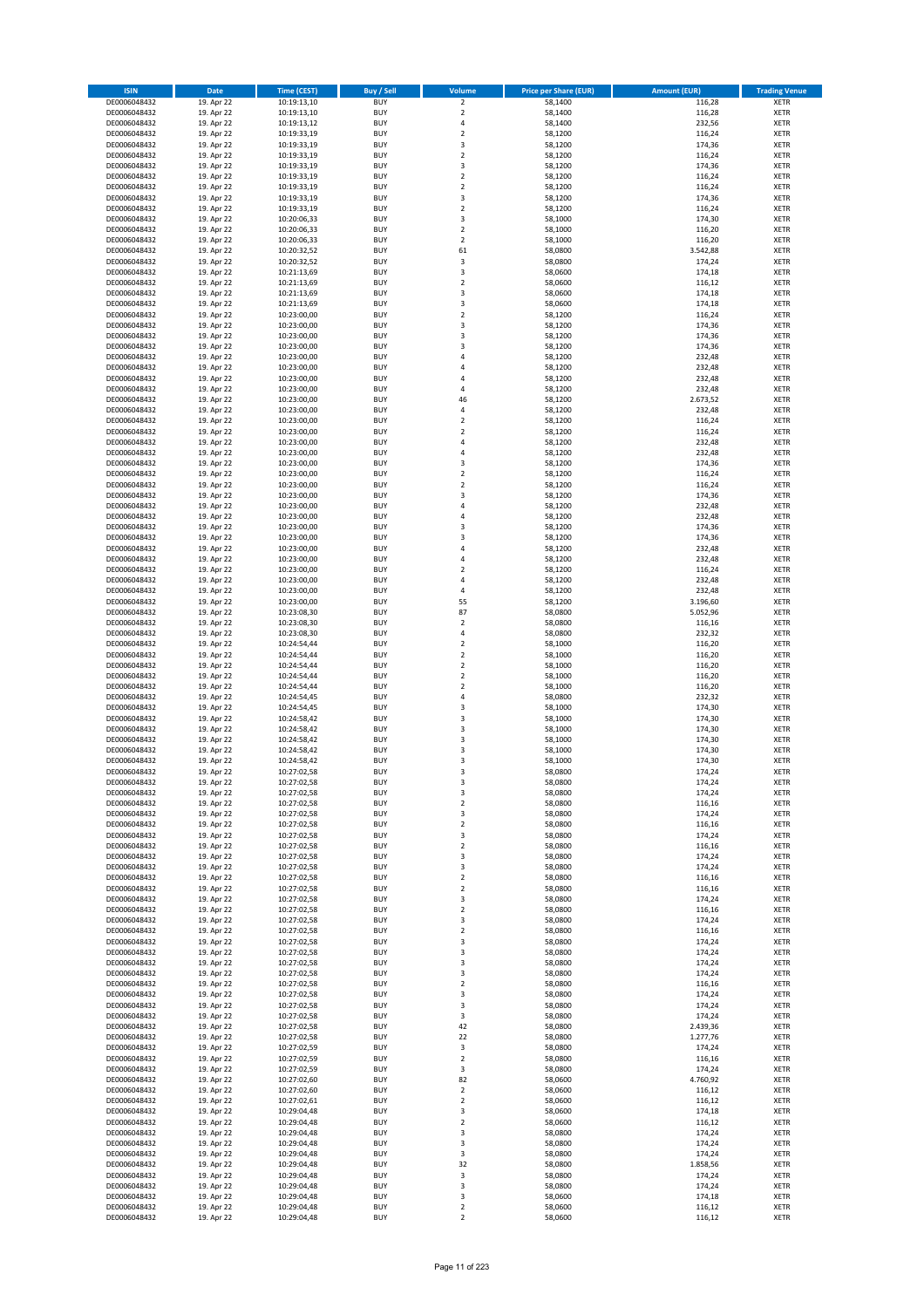| <b>ISIN</b>                  | <b>Date</b>              | <b>Time (CEST)</b>         | <b>Buy / Sell</b>        | <b>Volume</b>                          | <b>Price per Share (EUR)</b> | <b>Amount (EUR)</b>  | <b>Trading Venue</b>       |
|------------------------------|--------------------------|----------------------------|--------------------------|----------------------------------------|------------------------------|----------------------|----------------------------|
| DE0006048432                 | 19. Apr 22               | 10:19:13,10                | <b>BUY</b>               | $\overline{2}$                         | 58,1400                      | 116,28               | <b>XETR</b>                |
| DE0006048432                 | 19. Apr 22               | 10:19:13,10                | <b>BUY</b>               | $\mathbf 2$                            | 58,1400                      | 116,28               | <b>XETR</b>                |
| DE0006048432                 | 19. Apr 22               | 10:19:13,12                | <b>BUY</b>               | 4                                      | 58,1400                      | 232,56               | <b>XETR</b>                |
| DE0006048432<br>DE0006048432 | 19. Apr 22<br>19. Apr 22 | 10:19:33,19<br>10:19:33,19 | <b>BUY</b><br><b>BUY</b> | $\mathbf 2$<br>3                       | 58,1200<br>58,1200           | 116,24<br>174,36     | <b>XETR</b><br><b>XETR</b> |
| DE0006048432                 | 19. Apr 22               | 10:19:33,19                | <b>BUY</b>               | $\mathbf 2$                            | 58,1200                      | 116,24               | <b>XETR</b>                |
| DE0006048432                 | 19. Apr 22               | 10:19:33,19                | <b>BUY</b>               | 3                                      | 58,1200                      | 174,36               | <b>XETR</b>                |
| DE0006048432                 | 19. Apr 22               | 10:19:33,19                | <b>BUY</b>               | $\overline{\mathbf{c}}$                | 58,1200                      | 116,24               | <b>XETR</b>                |
| DE0006048432                 | 19. Apr 22               | 10:19:33,19                | <b>BUY</b>               | $\overline{2}$                         | 58,1200                      | 116,24               | <b>XETR</b>                |
| DE0006048432                 | 19. Apr 22               | 10:19:33,19                | <b>BUY</b><br><b>BUY</b> | 3                                      | 58,1200                      | 174,36               | <b>XETR</b>                |
| DE0006048432<br>DE0006048432 | 19. Apr 22<br>19. Apr 22 | 10:19:33,19<br>10:20:06,33 | <b>BUY</b>               | $\mathbf 2$<br>3                       | 58,1200<br>58,1000           | 116,24<br>174,30     | <b>XETR</b><br><b>XETR</b> |
| DE0006048432                 | 19. Apr 22               | 10:20:06,33                | <b>BUY</b>               | $\mathbf 2$                            | 58,1000                      | 116,20               | <b>XETR</b>                |
| DE0006048432                 | 19. Apr 22               | 10:20:06,33                | <b>BUY</b>               | $\overline{\mathbf{c}}$                | 58,1000                      | 116,20               | <b>XETR</b>                |
| DE0006048432                 | 19. Apr 22               | 10:20:32,52                | <b>BUY</b>               | 61                                     | 58,0800                      | 3.542,88             | <b>XETR</b>                |
| DE0006048432                 | 19. Apr 22               | 10:20:32,52                | <b>BUY</b>               | 3                                      | 58,0800                      | 174,24               | <b>XETR</b>                |
| DE0006048432<br>DE0006048432 | 19. Apr 22<br>19. Apr 22 | 10:21:13,69<br>10:21:13,69 | <b>BUY</b><br><b>BUY</b> | 3<br>$\mathbf 2$                       | 58,0600<br>58,0600           | 174,18<br>116,12     | <b>XETR</b><br><b>XETR</b> |
| DE0006048432                 | 19. Apr 22               | 10:21:13,69                | <b>BUY</b>               | 3                                      | 58,0600                      | 174,18               | <b>XETR</b>                |
| DE0006048432                 | 19. Apr 22               | 10:21:13,69                | <b>BUY</b>               | 3                                      | 58,0600                      | 174,18               | <b>XETR</b>                |
| DE0006048432                 | 19. Apr 22               | 10:23:00,00                | <b>BUY</b>               | $\overline{\mathbf{c}}$                | 58,1200                      | 116,24               | <b>XETR</b>                |
| DE0006048432                 | 19. Apr 22               | 10:23:00,00                | <b>BUY</b>               | 3                                      | 58,1200                      | 174,36               | <b>XETR</b>                |
| DE0006048432                 | 19. Apr 22               | 10:23:00,00                | <b>BUY</b>               | 3                                      | 58,1200                      | 174,36               | <b>XETR</b>                |
| DE0006048432<br>DE0006048432 | 19. Apr 22<br>19. Apr 22 | 10:23:00,00<br>10:23:00,00 | <b>BUY</b><br><b>BUY</b> | 3<br>4                                 | 58,1200<br>58,1200           | 174,36<br>232,48     | <b>XETR</b><br><b>XETR</b> |
| DE0006048432                 | 19. Apr 22               | 10:23:00,00                | <b>BUY</b>               | 4                                      | 58,1200                      | 232,48               | <b>XETR</b>                |
| DE0006048432                 | 19. Apr 22               | 10:23:00,00                | <b>BUY</b>               | 4                                      | 58,1200                      | 232,48               | <b>XETR</b>                |
| DE0006048432                 | 19. Apr 22               | 10:23:00,00                | <b>BUY</b>               | 4                                      | 58,1200                      | 232,48               | <b>XETR</b>                |
| DE0006048432                 | 19. Apr 22               | 10:23:00,00                | <b>BUY</b>               | 46                                     | 58,1200                      | 2.673,52             | <b>XETR</b>                |
| DE0006048432<br>DE0006048432 | 19. Apr 22<br>19. Apr 22 | 10:23:00,00<br>10:23:00,00 | <b>BUY</b><br><b>BUY</b> | 4<br>$\mathbf 2$                       | 58,1200<br>58,1200           | 232,48<br>116,24     | <b>XETR</b><br><b>XETR</b> |
| DE0006048432                 | 19. Apr 22               | 10:23:00,00                | <b>BUY</b>               | $\overline{\mathbf{c}}$                | 58,1200                      | 116,24               | <b>XETR</b>                |
| DE0006048432                 | 19. Apr 22               | 10:23:00,00                | <b>BUY</b>               | 4                                      | 58,1200                      | 232,48               | <b>XETR</b>                |
| DE0006048432                 | 19. Apr 22               | 10:23:00,00                | <b>BUY</b>               | 4                                      | 58,1200                      | 232,48               | <b>XETR</b>                |
| DE0006048432                 | 19. Apr 22               | 10:23:00,00                | <b>BUY</b>               | 3                                      | 58.1200                      | 174,36               | <b>XETR</b>                |
| DE0006048432                 | 19. Apr 22               | 10:23:00,00                | <b>BUY</b>               | $\mathbf 2$                            | 58,1200                      | 116,24               | <b>XETR</b>                |
| DE0006048432<br>DE0006048432 | 19. Apr 22<br>19. Apr 22 | 10:23:00,00<br>10:23:00,00 | <b>BUY</b><br><b>BUY</b> | $\overline{\mathbf{c}}$<br>3           | 58,1200<br>58,1200           | 116,24<br>174,36     | <b>XETR</b><br><b>XETR</b> |
| DE0006048432                 | 19. Apr 22               | 10:23:00,00                | <b>BUY</b>               | 4                                      | 58,1200                      | 232,48               | <b>XETR</b>                |
| DE0006048432                 | 19. Apr 22               | 10:23:00,00                | <b>BUY</b>               | 4                                      | 58,1200                      | 232,48               | <b>XETR</b>                |
| DE0006048432                 | 19. Apr 22               | 10:23:00,00                | <b>BUY</b>               | 3                                      | 58,1200                      | 174,36               | <b>XETR</b>                |
| DE0006048432                 | 19. Apr 22               | 10:23:00,00                | <b>BUY</b>               | 3                                      | 58,1200                      | 174,36               | <b>XETR</b>                |
| DE0006048432                 | 19. Apr 22               | 10:23:00,00                | <b>BUY</b>               | 4                                      | 58,1200                      | 232,48               | <b>XETR</b>                |
| DE0006048432<br>DE0006048432 | 19. Apr 22<br>19. Apr 22 | 10:23:00,00<br>10:23:00,00 | <b>BUY</b><br><b>BUY</b> | 4<br>$\mathbf 2$                       | 58,1200<br>58,1200           | 232,48<br>116,24     | <b>XETR</b><br><b>XETR</b> |
| DE0006048432                 | 19. Apr 22               | 10:23:00,00                | <b>BUY</b>               | 4                                      | 58,1200                      | 232,48               | <b>XETR</b>                |
| DE0006048432                 | 19. Apr 22               | 10:23:00,00                | <b>BUY</b>               | 4                                      | 58,1200                      | 232,48               | <b>XETR</b>                |
| DE0006048432                 | 19. Apr 22               | 10:23:00,00                | <b>BUY</b>               | 55                                     | 58,1200                      | 3.196,60             | <b>XETR</b>                |
| DE0006048432                 | 19. Apr 22               | 10:23:08,30                | <b>BUY</b>               | 87                                     | 58,0800                      | 5.052,96             | <b>XETR</b>                |
| DE0006048432<br>DE0006048432 | 19. Apr 22<br>19. Apr 22 | 10:23:08,30<br>10:23:08,30 | <b>BUY</b><br><b>BUY</b> | $\mathbf 2$<br>4                       | 58,0800<br>58,0800           | 116,16<br>232,32     | <b>XETR</b><br><b>XETR</b> |
| DE0006048432                 | 19. Apr 22               | 10:24:54,44                | <b>BUY</b>               | $\overline{\mathbf{c}}$                | 58,1000                      | 116,20               | <b>XETR</b>                |
| DE0006048432                 | 19. Apr 22               | 10:24:54,44                | <b>BUY</b>               | $\overline{\mathbf{2}}$                | 58,1000                      | 116,20               | <b>XETR</b>                |
| DE0006048432                 | 19. Apr 22               | 10:24:54,44                | <b>BUY</b>               | $\mathbf 2$                            | 58,1000                      | 116,20               | <b>XETR</b>                |
| DE0006048432                 | 19. Apr 22               | 10:24:54,44                | <b>BUY</b>               | $\overline{\mathbf{c}}$                | 58,1000                      | 116,20               | <b>XETR</b>                |
| DE0006048432                 | 19. Apr 22               | 10:24:54,44                | <b>BUY</b>               | $\mathbf 2$                            | 58,1000                      | 116,20               | <b>XETR</b>                |
| DE0006048432<br>DE0006048432 | 19. Apr 22<br>19. Apr 22 | 10:24:54,45<br>10:24:54,45 | <b>BUY</b><br><b>BUY</b> | 4<br>3                                 | 58,0800<br>58,1000           | 232,32<br>174,30     | <b>XETR</b><br><b>XETR</b> |
| DE0006048432                 | 19. Apr 22               | 10:24:58,42                | <b>BUY</b>               | 3                                      | 58,1000                      | 174,30               | <b>XETR</b>                |
| DE0006048432                 | 19. Apr 22               | 10:24:58,42                | <b>BUY</b>               | 3                                      | 58,1000                      | 174,30               | <b>XETR</b>                |
| DE0006048432                 | 19. Apr 22               | 10:24:58,42                | <b>BUY</b>               | 3                                      | 58,1000                      | 174,30               | <b>XETR</b>                |
| DE0006048432                 | 19. Apr 22               | 10:24:58,42                | <b>BUY</b>               | $\overline{3}$                         | 58,1000                      | 174,30               | <b>XETR</b>                |
| DE0006048432<br>DE0006048432 | 19. Apr 22<br>19. Apr 22 | 10:24:58,42<br>10:27:02,58 | <b>BUY</b><br><b>BUY</b> | 3<br>3                                 | 58,1000<br>58,0800           | 174,30<br>174,24     | <b>XETR</b><br><b>XETR</b> |
| DE0006048432                 | 19. Apr 22               | 10:27:02,58                | BUY                      | 3                                      | 58,0800                      | 174,24               | <b>XETR</b>                |
| DE0006048432                 | 19. Apr 22               | 10:27:02,58                | <b>BUY</b>               | 3                                      | 58,0800                      | 174,24               | <b>XETR</b>                |
| DE0006048432                 | 19. Apr 22               | 10:27:02,58                | <b>BUY</b>               | $\mathbf 2$                            | 58,0800                      | 116,16               | <b>XETR</b>                |
| DE0006048432                 | 19. Apr 22               | 10:27:02,58                | <b>BUY</b>               | 3                                      | 58,0800                      | 174,24               | XETR                       |
| DE0006048432<br>DE0006048432 | 19. Apr 22<br>19. Apr 22 | 10:27:02,58<br>10:27:02,58 | <b>BUY</b><br><b>BUY</b> | $\mathbf 2$<br>3                       | 58,0800<br>58,0800           | 116,16<br>174,24     | <b>XETR</b><br><b>XETR</b> |
| DE0006048432                 | 19. Apr 22               | 10:27:02,58                | <b>BUY</b>               | $\overline{\mathbf{2}}$                | 58,0800                      | 116,16               | <b>XETR</b>                |
| DE0006048432                 | 19. Apr 22               | 10:27:02,58                | <b>BUY</b>               | 3                                      | 58,0800                      | 174,24               | <b>XETR</b>                |
| DE0006048432                 | 19. Apr 22               | 10:27:02,58                | <b>BUY</b>               | 3                                      | 58,0800                      | 174,24               | <b>XETR</b>                |
| DE0006048432                 | 19. Apr 22               | 10:27:02,58                | <b>BUY</b>               | $\mathbf 2$                            | 58,0800                      | 116,16               | <b>XETR</b>                |
| DE0006048432<br>DE0006048432 | 19. Apr 22<br>19. Apr 22 | 10:27:02,58<br>10:27:02,58 | <b>BUY</b><br><b>BUY</b> | $\mathbf 2$<br>3                       | 58,0800<br>58.0800           | 116,16<br>174,24     | <b>XETR</b><br><b>XETR</b> |
| DE0006048432                 | 19. Apr 22               | 10:27:02,58                | <b>BUY</b>               | $\mathbf 2$                            | 58,0800                      | 116,16               | <b>XETR</b>                |
| DE0006048432                 | 19. Apr 22               | 10:27:02,58                | <b>BUY</b>               | 3                                      | 58,0800                      | 174,24               | <b>XETR</b>                |
| DE0006048432                 | 19. Apr 22               | 10:27:02,58                | <b>BUY</b>               | $\mathbf 2$                            | 58,0800                      | 116,16               | <b>XETR</b>                |
| DE0006048432                 | 19. Apr 22               | 10:27:02,58                | <b>BUY</b>               | 3                                      | 58,0800                      | 174,24               | <b>XETR</b>                |
| DE0006048432<br>DE0006048432 | 19. Apr 22<br>19. Apr 22 | 10:27:02,58<br>10:27:02,58 | <b>BUY</b><br><b>BUY</b> | 3<br>3                                 | 58,0800<br>58,0800           | 174,24<br>174,24     | <b>XETR</b><br><b>XETR</b> |
| DE0006048432                 | 19. Apr 22               | 10:27:02,58                | <b>BUY</b>               | 3                                      | 58,0800                      | 174,24               | XETR                       |
| DE0006048432                 | 19. Apr 22               | 10:27:02,58                | <b>BUY</b>               | $\mathbf 2$                            | 58,0800                      | 116,16               | <b>XETR</b>                |
| DE0006048432                 | 19. Apr 22               | 10:27:02,58                | <b>BUY</b>               | 3                                      | 58,0800                      | 174,24               | <b>XETR</b>                |
| DE0006048432                 | 19. Apr 22               | 10:27:02,58                | <b>BUY</b>               | 3                                      | 58,0800                      | 174,24               | <b>XETR</b>                |
| DE0006048432                 | 19. Apr 22               | 10:27:02,58                | <b>BUY</b>               | 3                                      | 58,0800                      | 174,24               | <b>XETR</b>                |
| DE0006048432<br>DE0006048432 | 19. Apr 22<br>19. Apr 22 | 10:27:02,58<br>10:27:02,58 | <b>BUY</b><br><b>BUY</b> | 42<br>22                               | 58,0800<br>58,0800           | 2.439,36<br>1.277,76 | <b>XETR</b><br><b>XETR</b> |
| DE0006048432                 | 19. Apr 22               | 10:27:02,59                | <b>BUY</b>               | 3                                      | 58,0800                      | 174,24               | <b>XETR</b>                |
| DE0006048432                 | 19. Apr 22               | 10:27:02,59                | <b>BUY</b>               | $\mathbf 2$                            | 58,0800                      | 116,16               | <b>XETR</b>                |
| DE0006048432                 | 19. Apr 22               | 10:27:02,59                | <b>BUY</b>               | 3                                      | 58,0800                      | 174,24               | <b>XETR</b>                |
| DE0006048432                 | 19. Apr 22               | 10:27:02,60                | <b>BUY</b>               | 82                                     | 58,0600                      | 4.760,92             | <b>XETR</b>                |
| DE0006048432<br>DE0006048432 | 19. Apr 22               | 10:27:02,60                | <b>BUY</b><br><b>BUY</b> | $\overline{\mathbf{c}}$<br>$\mathbf 2$ | 58,0600<br>58,0600           | 116,12<br>116,12     | <b>XETR</b><br><b>XETR</b> |
| DE0006048432                 | 19. Apr 22<br>19. Apr 22 | 10:27:02,61<br>10:29:04,48 | <b>BUY</b>               | 3                                      | 58,0600                      | 174,18               | <b>XETR</b>                |
| DE0006048432                 | 19. Apr 22               | 10:29:04,48                | <b>BUY</b>               | $\mathbf 2$                            | 58,0600                      | 116,12               | <b>XETR</b>                |
| DE0006048432                 | 19. Apr 22               | 10:29:04,48                | <b>BUY</b>               | 3                                      | 58,0800                      | 174,24               | <b>XETR</b>                |
| DE0006048432                 | 19. Apr 22               | 10:29:04,48                | <b>BUY</b>               | 3                                      | 58,0800                      | 174,24               | <b>XETR</b>                |
| DE0006048432                 | 19. Apr 22               | 10:29:04,48                | <b>BUY</b>               | 3                                      | 58,0800                      | 174,24               | <b>XETR</b>                |
| DE0006048432<br>DE0006048432 | 19. Apr 22<br>19. Apr 22 | 10:29:04,48<br>10:29:04,48 | <b>BUY</b><br><b>BUY</b> | 32<br>3                                | 58,0800<br>58,0800           | 1.858,56<br>174,24   | <b>XETR</b><br>XETR        |
| DE0006048432                 | 19. Apr 22               | 10:29:04,48                | <b>BUY</b>               | 3                                      | 58,0800                      | 174,24               | <b>XETR</b>                |
| DE0006048432                 | 19. Apr 22               | 10:29:04,48                | <b>BUY</b>               | 3                                      | 58,0600                      | 174,18               | <b>XETR</b>                |
| DE0006048432                 | 19. Apr 22               | 10:29:04,48                | <b>BUY</b>               | $\mathbf 2$                            | 58,0600                      | 116,12               | <b>XETR</b>                |
| DE0006048432                 | 19. Apr 22               | 10:29:04,48                | <b>BUY</b>               | $\mathbf 2$                            | 58,0600                      | 116,12               | <b>XETR</b>                |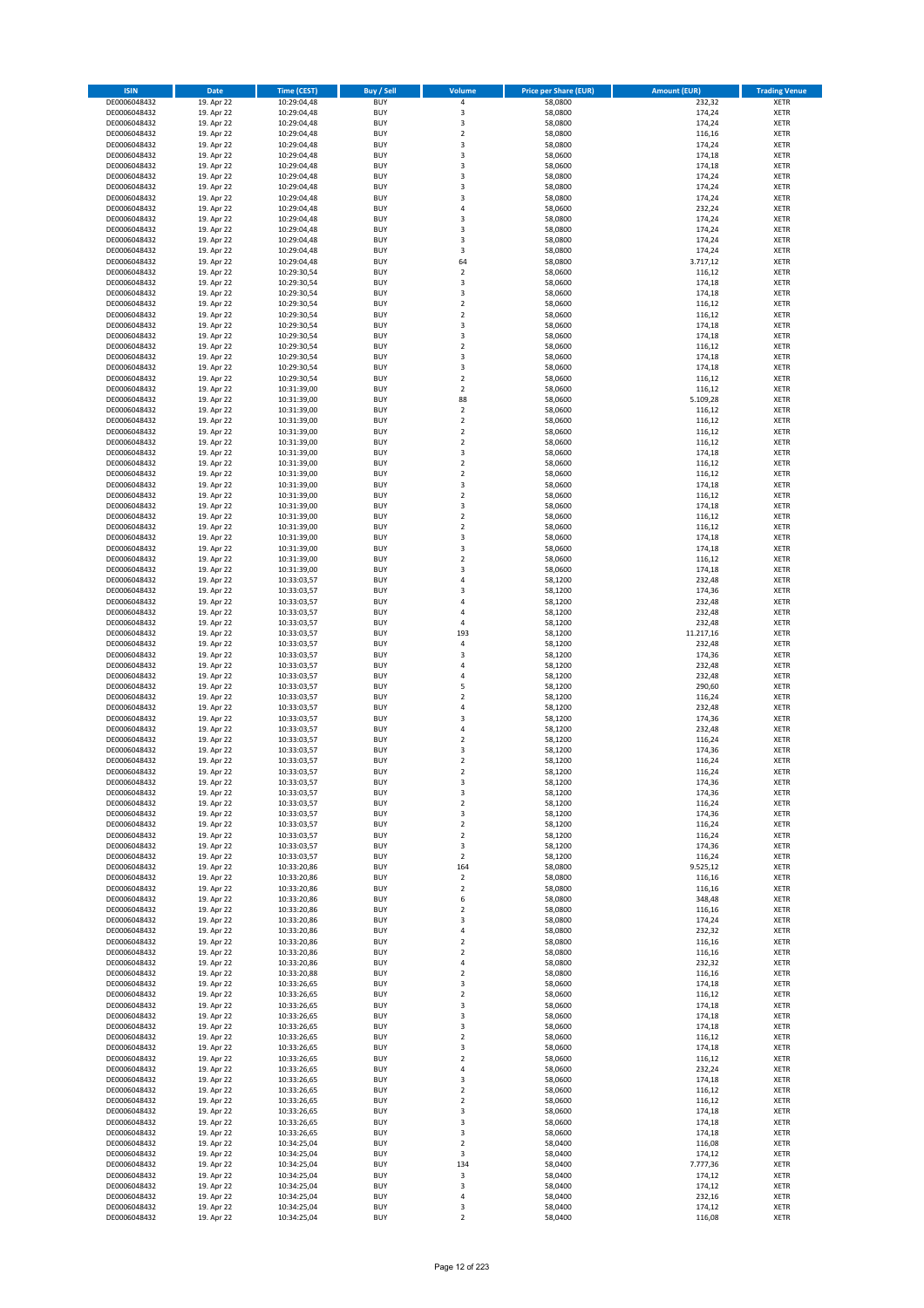| <b>ISIN</b>                  | <b>Date</b>              | <b>Time (CEST)</b>         | <b>Buy / Sell</b>        | <b>Volume</b>                 | <b>Price per Share (EUR)</b> | <b>Amount (EUR)</b> | <b>Trading Venue</b>       |
|------------------------------|--------------------------|----------------------------|--------------------------|-------------------------------|------------------------------|---------------------|----------------------------|
| DE0006048432                 | 19. Apr 22               | 10:29:04,48                | <b>BUY</b>               | 4                             | 58,0800                      | 232,32              | <b>XETR</b>                |
| DE0006048432                 | 19. Apr 22               | 10:29:04,48                | <b>BUY</b>               | 3                             | 58,0800                      | 174,24              | <b>XETR</b>                |
| DE0006048432                 | 19. Apr 22               | 10:29:04,48                | <b>BUY</b>               | 3                             | 58,0800                      | 174,24              | <b>XETR</b>                |
| DE0006048432<br>DE0006048432 | 19. Apr 22<br>19. Apr 22 | 10:29:04,48<br>10:29:04,48 | <b>BUY</b><br><b>BUY</b> | $\mathbf 2$<br>3              | 58,0800<br>58,0800           | 116,16<br>174,24    | <b>XETR</b><br><b>XETR</b> |
| DE0006048432                 | 19. Apr 22               | 10:29:04,48                | <b>BUY</b>               | 3                             | 58,0600                      | 174,18              | <b>XETR</b>                |
| DE0006048432                 | 19. Apr 22               | 10:29:04,48                | <b>BUY</b>               | 3                             | 58,0600                      | 174,18              | <b>XETR</b>                |
| DE0006048432                 | 19. Apr 22               | 10:29:04,48                | <b>BUY</b>               | 3                             | 58,0800                      | 174,24              | <b>XETR</b>                |
| DE0006048432                 | 19. Apr 22               | 10:29:04,48                | <b>BUY</b>               | 3                             | 58,0800                      | 174,24              | <b>XETR</b>                |
| DE0006048432<br>DE0006048432 | 19. Apr 22<br>19. Apr 22 | 10:29:04,48<br>10:29:04,48 | <b>BUY</b><br><b>BUY</b> | 3<br>4                        | 58,0800<br>58,0600           | 174,24<br>232,24    | <b>XETR</b><br><b>XETR</b> |
| DE0006048432                 | 19. Apr 22               | 10:29:04,48                | <b>BUY</b>               | 3                             | 58,0800                      | 174,24              | <b>XETR</b>                |
| DE0006048432                 | 19. Apr 22               | 10:29:04,48                | <b>BUY</b>               | 3                             | 58,0800                      | 174,24              | <b>XETR</b>                |
| DE0006048432                 | 19. Apr 22               | 10:29:04,48                | <b>BUY</b>               | 3                             | 58,0800                      | 174,24              | <b>XETR</b>                |
| DE0006048432                 | 19. Apr 22               | 10:29:04,48                | <b>BUY</b>               | 3                             | 58,0800                      | 174,24              | <b>XETR</b>                |
| DE0006048432<br>DE0006048432 | 19. Apr 22<br>19. Apr 22 | 10:29:04,48<br>10:29:30,54 | <b>BUY</b><br><b>BUY</b> | 64<br>$\mathbf 2$             | 58,0800<br>58,0600           | 3.717,12<br>116,12  | <b>XETR</b><br><b>XETR</b> |
| DE0006048432                 | 19. Apr 22               | 10:29:30,54                | <b>BUY</b>               | 3                             | 58,0600                      | 174,18              | <b>XETR</b>                |
| DE0006048432                 | 19. Apr 22               | 10:29:30,54                | <b>BUY</b>               | 3                             | 58,0600                      | 174,18              | <b>XETR</b>                |
| DE0006048432                 | 19. Apr 22               | 10:29:30,54                | <b>BUY</b>               | $\mathbf 2$                   | 58,0600                      | 116,12              | <b>XETR</b>                |
| DE0006048432                 | 19. Apr 22               | 10:29:30,54                | <b>BUY</b>               | $\overline{\mathbf{c}}$       | 58,0600                      | 116,12              | <b>XETR</b>                |
| DE0006048432<br>DE0006048432 | 19. Apr 22               | 10:29:30,54                | <b>BUY</b><br><b>BUY</b> | 3<br>3                        | 58,0600<br>58,0600           | 174,18              | <b>XETR</b><br><b>XETR</b> |
| DE0006048432                 | 19. Apr 22<br>19. Apr 22 | 10:29:30,54<br>10:29:30,54 | <b>BUY</b>               | $\mathbf 2$                   | 58,0600                      | 174,18<br>116,12    | <b>XETR</b>                |
| DE0006048432                 | 19. Apr 22               | 10:29:30,54                | <b>BUY</b>               | 3                             | 58,0600                      | 174,18              | <b>XETR</b>                |
| DE0006048432                 | 19. Apr 22               | 10:29:30,54                | <b>BUY</b>               | 3                             | 58,0600                      | 174,18              | <b>XETR</b>                |
| DE0006048432                 | 19. Apr 22               | 10:29:30,54                | <b>BUY</b>               | $\mathbf 2$                   | 58,0600                      | 116,12              | <b>XETR</b>                |
| DE0006048432<br>DE0006048432 | 19. Apr 22<br>19. Apr 22 | 10:31:39,00<br>10:31:39,00 | <b>BUY</b><br><b>BUY</b> | $\overline{\mathbf{c}}$<br>88 | 58,0600<br>58,0600           | 116,12<br>5.109,28  | <b>XETR</b><br><b>XETR</b> |
| DE0006048432                 | 19. Apr 22               | 10:31:39,00                | <b>BUY</b>               | $\overline{\mathbf{c}}$       | 58,0600                      | 116,12              | <b>XETR</b>                |
| DE0006048432                 | 19. Apr 22               | 10:31:39,00                | <b>BUY</b>               | $\overline{2}$                | 58,0600                      | 116,12              | <b>XETR</b>                |
| DE0006048432                 | 19. Apr 22               | 10:31:39,00                | <b>BUY</b>               | $\overline{\mathbf{c}}$       | 58,0600                      | 116,12              | <b>XETR</b>                |
| DE0006048432                 | 19. Apr 22               | 10:31:39,00                | <b>BUY</b>               | $\mathbf 2$                   | 58,0600                      | 116,12              | <b>XETR</b>                |
| DE0006048432<br>DE0006048432 | 19. Apr 22               | 10:31:39,00                | <b>BUY</b>               | 3<br>$\mathbf 2$              | 58,0600                      | 174,18              | <b>XETR</b>                |
| DE0006048432                 | 19. Apr 22<br>19. Apr 22 | 10:31:39,00<br>10:31:39,00 | <b>BUY</b><br><b>BUY</b> | $\mathbf 2$                   | 58,0600<br>58,0600           | 116,12<br>116,12    | <b>XETR</b><br><b>XETR</b> |
| DE0006048432                 | 19. Apr 22               | 10:31:39,00                | <b>BUY</b>               | 3                             | 58,0600                      | 174,18              | <b>XETR</b>                |
| DE0006048432                 | 19. Apr 22               | 10:31:39,00                | <b>BUY</b>               | $\mathbf 2$                   | 58,0600                      | 116,12              | <b>XETR</b>                |
| DE0006048432                 | 19. Apr 22               | 10:31:39,00                | <b>BUY</b>               | 3                             | 58,0600                      | 174,18              | <b>XETR</b>                |
| DE0006048432                 | 19. Apr 22               | 10:31:39,00                | <b>BUY</b>               | $\mathbf 2$                   | 58,0600                      | 116,12              | <b>XETR</b>                |
| DE0006048432<br>DE0006048432 | 19. Apr 22<br>19. Apr 22 | 10:31:39,00<br>10:31:39,00 | <b>BUY</b><br><b>BUY</b> | $\overline{\mathbf{c}}$<br>3  | 58,0600<br>58,0600           | 116,12<br>174,18    | <b>XETR</b><br><b>XETR</b> |
| DE0006048432                 | 19. Apr 22               | 10:31:39,00                | <b>BUY</b>               | 3                             | 58,0600                      | 174,18              | <b>XETR</b>                |
| DE0006048432                 | 19. Apr 22               | 10:31:39,00                | <b>BUY</b>               | $\overline{\mathbf{c}}$       | 58,0600                      | 116,12              | <b>XETR</b>                |
| DE0006048432                 | 19. Apr 22               | 10:31:39,00                | <b>BUY</b>               | 3                             | 58,0600                      | 174,18              | <b>XETR</b>                |
| DE0006048432                 | 19. Apr 22               | 10:33:03,57                | <b>BUY</b>               | 4                             | 58,1200                      | 232,48              | <b>XETR</b>                |
| DE0006048432<br>DE0006048432 | 19. Apr 22<br>19. Apr 22 | 10:33:03,57                | <b>BUY</b><br><b>BUY</b> | 3<br>4                        | 58,1200<br>58,1200           | 174,36<br>232,48    | <b>XETR</b><br><b>XETR</b> |
| DE0006048432                 | 19. Apr 22               | 10:33:03,57<br>10:33:03,57 | <b>BUY</b>               | 4                             | 58,1200                      | 232,48              | <b>XETR</b>                |
| DE0006048432                 | 19. Apr 22               | 10:33:03,57                | <b>BUY</b>               | 4                             | 58,1200                      | 232,48              | <b>XETR</b>                |
| DE0006048432                 | 19. Apr 22               | 10:33:03,57                | <b>BUY</b>               | 193                           | 58,1200                      | 11.217,16           | <b>XETR</b>                |
| DE0006048432                 | 19. Apr 22               | 10:33:03,57                | <b>BUY</b>               | 4                             | 58,1200                      | 232,48              | <b>XETR</b>                |
| DE0006048432<br>DE0006048432 | 19. Apr 22<br>19. Apr 22 | 10:33:03,57                | <b>BUY</b><br><b>BUY</b> | 3<br>4                        | 58,1200<br>58,1200           | 174,36<br>232,48    | <b>XETR</b><br><b>XETR</b> |
| DE0006048432                 | 19. Apr 22               | 10:33:03,57<br>10:33:03,57 | <b>BUY</b>               | 4                             | 58,1200                      | 232,48              | <b>XETR</b>                |
| DE0006048432                 | 19. Apr 22               | 10:33:03,57                | <b>BUY</b>               | 5                             | 58,1200                      | 290,60              | <b>XETR</b>                |
| DE0006048432                 | 19. Apr 22               | 10:33:03,57                | <b>BUY</b>               | $\overline{\mathbf{c}}$       | 58,1200                      | 116,24              | <b>XETR</b>                |
| DE0006048432                 | 19. Apr 22               | 10:33:03,57                | <b>BUY</b>               | 4                             | 58,1200                      | 232,48              | <b>XETR</b>                |
| DE0006048432                 | 19. Apr 22               | 10:33:03,57                | <b>BUY</b>               | 3                             | 58,1200                      | 174,36              | <b>XETR</b>                |
| DE0006048432<br>DE0006048432 | 19. Apr 22<br>19. Apr 22 | 10:33:03,57<br>10:33:03,57 | <b>BUY</b><br><b>BUY</b> | 4<br>$\mathbf 2$              | 58,1200<br>58,1200           | 232,48<br>116,24    | <b>XETR</b><br><b>XETR</b> |
| DE0006048432                 | 19. Apr 22               | 10:33:03,57                | <b>BUY</b>               | 3                             | 58,1200                      | 174,36              | <b>XETR</b>                |
| DE0006048432                 | 19. Apr 22               | 10:33:03,57                | <b>BUY</b>               | $\overline{\mathbf{c}}$       | 58,1200                      | 116,24              | <b>XETR</b>                |
| DE0006048432                 | 19. Apr 22               | 10:33:03,57                | <b>BUY</b>               | $\overline{2}$                | 58,1200                      | 116,24              | <b>XETR</b>                |
| DE0006048432                 | 19. Apr 22               | 10:33:03,57                | BUY                      | 3                             | 58,1200                      | 174,36              | <b>XETR</b>                |
| DE0006048432<br>DE0006048432 | 19. Apr 22<br>19. Apr 22 | 10:33:03,57<br>10:33:03,57 | <b>BUY</b><br><b>BUY</b> | 3<br>$\mathbf 2$              | 58,1200<br>58,1200           | 174,36<br>116,24    | <b>XETR</b><br><b>XETR</b> |
| DE0006048432                 | 19. Apr 22               | 10:33:03,57                | <b>BUY</b>               | 3                             | 58,1200                      | 174,36              | XETR                       |
| DE0006048432                 | 19. Apr 22               | 10:33:03,57                | <b>BUY</b>               | $\mathbf 2$                   | 58,1200                      | 116,24              | <b>XETR</b>                |
| DE0006048432                 | 19. Apr 22               | 10:33:03,57                | <b>BUY</b>               | $\mathbf 2$                   | 58,1200                      | 116,24              | <b>XETR</b>                |
| DE0006048432                 | 19. Apr 22               | 10:33:03,57                | <b>BUY</b>               | 3                             | 58,1200                      | 174,36              | <b>XETR</b>                |
| DE0006048432<br>DE0006048432 | 19. Apr 22<br>19. Apr 22 | 10:33:03,57<br>10:33:20,86 | <b>BUY</b><br><b>BUY</b> | $\mathbf 2$<br>164            | 58,1200<br>58,0800           | 116,24<br>9.525,12  | <b>XETR</b><br><b>XETR</b> |
| DE0006048432                 | 19. Apr 22               | 10:33:20,86                | <b>BUY</b>               | $\mathbf 2$                   | 58,0800                      | 116,16              | <b>XETR</b>                |
| DE0006048432                 | 19. Apr 22               | 10:33:20,86                | <b>BUY</b>               | $\mathbf 2$                   | 58,0800                      | 116,16              | <b>XETR</b>                |
| DE0006048432                 | 19. Apr 22               | 10:33:20,86                | <b>BUY</b>               | 6                             | 58,0800                      | 348,48              | <b>XETR</b>                |
| DE0006048432                 | 19. Apr 22               | 10:33:20,86                | <b>BUY</b>               | $\mathbf 2$                   | 58,0800                      | 116,16              | <b>XETR</b>                |
| DE0006048432<br>DE0006048432 | 19. Apr 22<br>19. Apr 22 | 10:33:20,86<br>10:33:20,86 | <b>BUY</b><br><b>BUY</b> | 3<br>4                        | 58,0800<br>58,0800           | 174,24<br>232,32    | <b>XETR</b><br><b>XETR</b> |
| DE0006048432                 | 19. Apr 22               | 10:33:20,86                | <b>BUY</b>               | $\overline{\mathbf{c}}$       | 58,0800                      | 116,16              | <b>XETR</b>                |
| DE0006048432                 | 19. Apr 22               | 10:33:20,86                | <b>BUY</b>               | $\mathbf 2$                   | 58,0800                      | 116,16              | <b>XETR</b>                |
| DE0006048432                 | 19. Apr 22               | 10:33:20,86                | <b>BUY</b>               | 4                             | 58,0800                      | 232,32              | <b>XETR</b>                |
| DE0006048432                 | 19. Apr 22               | 10:33:20,88                | <b>BUY</b>               | $\mathbf 2$                   | 58,0800                      | 116,16              | XETR                       |
| DE0006048432<br>DE0006048432 | 19. Apr 22<br>19. Apr 22 | 10:33:26,65<br>10:33:26,65 | <b>BUY</b><br><b>BUY</b> | 3<br>$\overline{\mathbf{2}}$  | 58,0600<br>58,0600           | 174,18<br>116,12    | <b>XETR</b><br><b>XETR</b> |
| DE0006048432                 | 19. Apr 22               | 10:33:26,65                | <b>BUY</b>               | 3                             | 58,0600                      | 174,18              | <b>XETR</b>                |
| DE0006048432                 | 19. Apr 22               | 10:33:26,65                | <b>BUY</b>               | 3                             | 58,0600                      | 174,18              | <b>XETR</b>                |
| DE0006048432                 | 19. Apr 22               | 10:33:26,65                | <b>BUY</b>               | 3                             | 58,0600                      | 174,18              | <b>XETR</b>                |
| DE0006048432                 | 19. Apr 22               | 10:33:26,65                | <b>BUY</b>               | $\mathbf 2$                   | 58,0600                      | 116,12              | <b>XETR</b>                |
| DE0006048432<br>DE0006048432 | 19. Apr 22<br>19. Apr 22 | 10:33:26,65<br>10:33:26,65 | <b>BUY</b><br><b>BUY</b> | 3<br>$\mathbf 2$              | 58,0600<br>58,0600           | 174,18<br>116,12    | <b>XETR</b><br><b>XETR</b> |
| DE0006048432                 | 19. Apr 22               | 10:33:26,65                | <b>BUY</b>               | 4                             | 58,0600                      | 232,24              | <b>XETR</b>                |
| DE0006048432                 | 19. Apr 22               | 10:33:26,65                | <b>BUY</b>               | 3                             | 58,0600                      | 174,18              | <b>XETR</b>                |
| DE0006048432                 | 19. Apr 22               | 10:33:26,65                | <b>BUY</b>               | $\overline{\mathbf{c}}$       | 58,0600                      | 116,12              | <b>XETR</b>                |
| DE0006048432                 | 19. Apr 22               | 10:33:26,65                | <b>BUY</b>               | $\mathbf 2$                   | 58,0600                      | 116,12              | <b>XETR</b>                |
| DE0006048432                 | 19. Apr 22               | 10:33:26,65                | <b>BUY</b>               | 3                             | 58,0600                      | 174,18              | <b>XETR</b>                |
| DE0006048432<br>DE0006048432 | 19. Apr 22<br>19. Apr 22 | 10:33:26,65<br>10:33:26,65 | <b>BUY</b><br><b>BUY</b> | 3<br>3                        | 58,0600<br>58,0600           | 174,18<br>174,18    | <b>XETR</b><br><b>XETR</b> |
| DE0006048432                 | 19. Apr 22               | 10:34:25,04                | <b>BUY</b>               | $\mathbf 2$                   | 58,0400                      | 116,08              | <b>XETR</b>                |
| DE0006048432                 | 19. Apr 22               | 10:34:25,04                | <b>BUY</b>               | 3                             | 58,0400                      | 174,12              | <b>XETR</b>                |
| DE0006048432                 | 19. Apr 22               | 10:34:25,04                | <b>BUY</b>               | 134                           | 58,0400                      | 7.777,36            | <b>XETR</b>                |
| DE0006048432                 | 19. Apr 22               | 10:34:25,04                | <b>BUY</b>               | 3                             | 58,0400                      | 174,12              | XETR                       |
| DE0006048432<br>DE0006048432 | 19. Apr 22<br>19. Apr 22 | 10:34:25,04<br>10:34:25,04 | <b>BUY</b><br><b>BUY</b> | 3<br>4                        | 58,0400<br>58,0400           | 174,12<br>232,16    | <b>XETR</b><br><b>XETR</b> |
| DE0006048432                 | 19. Apr 22               | 10:34:25,04                | <b>BUY</b>               | 3                             | 58,0400                      | 174,12              | <b>XETR</b>                |
| DE0006048432                 | 19. Apr 22               | 10:34:25,04                | <b>BUY</b>               | $\mathbf 2$                   | 58,0400                      | 116,08              | <b>XETR</b>                |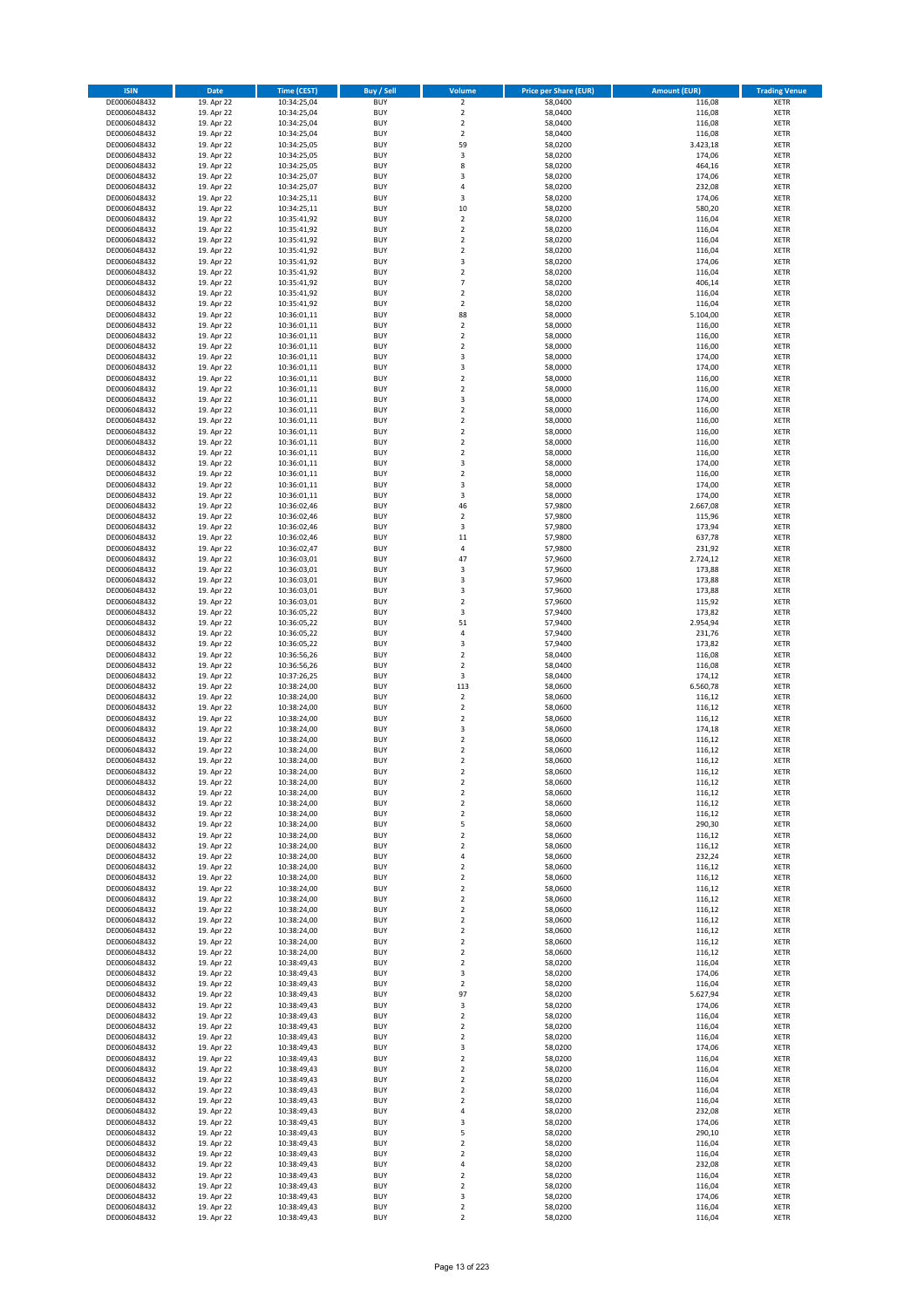| <b>ISIN</b>                  | <b>Date</b>              | <b>Time (CEST)</b>         | <b>Buy / Sell</b>        | Volume                                             | <b>Price per Share (EUR)</b> | <b>Amount (EUR)</b> | <b>Trading Venue</b>       |
|------------------------------|--------------------------|----------------------------|--------------------------|----------------------------------------------------|------------------------------|---------------------|----------------------------|
| DE0006048432                 | 19. Apr 22               | 10:34:25,04                | <b>BUY</b>               | $\overline{2}$                                     | 58,0400                      | 116,08              | <b>XETR</b>                |
| DE0006048432                 | 19. Apr 22               | 10:34:25,04                | <b>BUY</b>               | $\mathbf 2$                                        | 58,0400                      | 116,08              | <b>XETR</b>                |
| DE0006048432                 | 19. Apr 22               | 10:34:25,04                | <b>BUY</b>               | $\overline{2}$                                     | 58,0400                      | 116,08              | <b>XETR</b>                |
| DE0006048432<br>DE0006048432 | 19. Apr 22<br>19. Apr 22 | 10:34:25,04<br>10:34:25,05 | <b>BUY</b><br><b>BUY</b> | $\mathbf 2$<br>59                                  | 58,0400<br>58,0200           | 116,08<br>3.423,18  | <b>XETR</b><br><b>XETR</b> |
| DE0006048432                 | 19. Apr 22               | 10:34:25,05                | <b>BUY</b>               | 3                                                  | 58,0200                      | 174,06              | <b>XETR</b>                |
| DE0006048432                 | 19. Apr 22               | 10:34:25,05                | <b>BUY</b>               | 8                                                  | 58,0200                      | 464,16              | <b>XETR</b>                |
| DE0006048432                 | 19. Apr 22               | 10:34:25,07                | <b>BUY</b>               | 3                                                  | 58,0200                      | 174,06              | <b>XETR</b>                |
| DE0006048432                 | 19. Apr 22               | 10:34:25,07                | <b>BUY</b>               | 4                                                  | 58,0200                      | 232,08              | <b>XETR</b>                |
| DE0006048432                 | 19. Apr 22               | 10:34:25,11                | <b>BUY</b>               | 3                                                  | 58,0200                      | 174,06              | <b>XETR</b>                |
| DE0006048432                 | 19. Apr 22               | 10:34:25,11                | <b>BUY</b>               | 10                                                 | 58,0200                      | 580,20              | <b>XETR</b>                |
| DE0006048432<br>DE0006048432 | 19. Apr 22<br>19. Apr 22 | 10:35:41,92<br>10:35:41,92 | <b>BUY</b><br><b>BUY</b> | $\overline{\mathbf{c}}$<br>$\mathbf 2$             | 58,0200<br>58,0200           | 116,04<br>116,04    | <b>XETR</b><br><b>XETR</b> |
| DE0006048432                 | 19. Apr 22               | 10:35:41,92                | <b>BUY</b>               | $\overline{\mathbf{c}}$                            | 58,0200                      | 116,04              | <b>XETR</b>                |
| DE0006048432                 | 19. Apr 22               | 10:35:41,92                | <b>BUY</b>               | $\mathbf 2$                                        | 58,0200                      | 116,04              | <b>XETR</b>                |
| DE0006048432                 | 19. Apr 22               | 10:35:41,92                | <b>BUY</b>               | 3                                                  | 58,0200                      | 174,06              | <b>XETR</b>                |
| DE0006048432                 | 19. Apr 22               | 10:35:41,92                | <b>BUY</b>               | $\mathbf 2$                                        | 58,0200                      | 116,04              | <b>XETR</b>                |
| DE0006048432                 | 19. Apr 22               | 10:35:41,92                | <b>BUY</b>               | $\overline{7}$                                     | 58,0200                      | 406,14              | <b>XETR</b>                |
| DE0006048432                 | 19. Apr 22               | 10:35:41,92                | <b>BUY</b>               | $\overline{\mathbf{c}}$                            | 58,0200                      | 116,04              | <b>XETR</b>                |
| DE0006048432                 | 19. Apr 22               | 10:35:41,92                | <b>BUY</b>               | $\mathbf 2$                                        | 58,0200                      | 116,04              | <b>XETR</b>                |
| DE0006048432<br>DE0006048432 | 19. Apr 22<br>19. Apr 22 | 10:36:01,11<br>10:36:01,11 | <b>BUY</b><br><b>BUY</b> | 88<br>$\mathbf 2$                                  | 58,0000<br>58,0000           | 5.104,00<br>116,00  | <b>XETR</b><br><b>XETR</b> |
| DE0006048432                 | 19. Apr 22               | 10:36:01,11                | <b>BUY</b>               | $\mathbf 2$                                        | 58,0000                      | 116,00              | <b>XETR</b>                |
| DE0006048432                 | 19. Apr 22               | 10:36:01,11                | <b>BUY</b>               | $\mathbf 2$                                        | 58,0000                      | 116,00              | <b>XETR</b>                |
| DE0006048432                 | 19. Apr 22               | 10:36:01,11                | <b>BUY</b>               | 3                                                  | 58,0000                      | 174,00              | <b>XETR</b>                |
| DE0006048432                 | 19. Apr 22               | 10:36:01,11                | <b>BUY</b>               | 3                                                  | 58,0000                      | 174,00              | <b>XETR</b>                |
| DE0006048432                 | 19. Apr 22               | 10:36:01,11                | <b>BUY</b>               | $\mathbf 2$                                        | 58,0000                      | 116,00              | <b>XETR</b>                |
| DE0006048432                 | 19. Apr 22               | 10:36:01,11                | <b>BUY</b>               | $\overline{\mathbf{c}}$                            | 58,0000                      | 116,00              | <b>XETR</b>                |
| DE0006048432<br>DE0006048432 | 19. Apr 22<br>19. Apr 22 | 10:36:01,11<br>10:36:01,11 | <b>BUY</b><br><b>BUY</b> | 3<br>$\overline{\mathbf{c}}$                       | 58,0000<br>58,0000           | 174,00<br>116,00    | <b>XETR</b><br><b>XETR</b> |
| DE0006048432                 | 19. Apr 22               | 10:36:01,11                | <b>BUY</b>               | $\overline{a}$                                     | 58,0000                      | 116,00              | <b>XETR</b>                |
| DE0006048432                 | 19. Apr 22               | 10:36:01,11                | <b>BUY</b>               | $\overline{\mathbf{c}}$                            | 58,0000                      | 116,00              | <b>XETR</b>                |
| DE0006048432                 | 19. Apr 22               | 10:36:01,11                | <b>BUY</b>               | $\mathbf 2$                                        | 58,0000                      | 116,00              | <b>XETR</b>                |
| DE0006048432                 | 19. Apr 22               | 10:36:01,11                | <b>BUY</b>               | $\mathbf 2$                                        | 58,0000                      | 116,00              | <b>XETR</b>                |
| DE0006048432                 | 19. Apr 22               | 10:36:01,11                | <b>BUY</b>               | 3                                                  | 58,0000                      | 174,00              | <b>XETR</b>                |
| DE0006048432                 | 19. Apr 22               | 10:36:01,11                | <b>BUY</b>               | $\mathbf 2$                                        | 58,0000                      | 116,00              | <b>XETR</b>                |
| DE0006048432                 | 19. Apr 22               | 10:36:01,11                | <b>BUY</b><br><b>BUY</b> | 3<br>3                                             | 58,0000                      | 174,00              | <b>XETR</b>                |
| DE0006048432<br>DE0006048432 | 19. Apr 22<br>19. Apr 22 | 10:36:01,11<br>10:36:02,46 | <b>BUY</b>               | 46                                                 | 58,0000<br>57,9800           | 174,00<br>2.667,08  | <b>XETR</b><br><b>XETR</b> |
| DE0006048432                 | 19. Apr 22               | 10:36:02,46                | <b>BUY</b>               | $\mathbf 2$                                        | 57,9800                      | 115,96              | <b>XETR</b>                |
| DE0006048432                 | 19. Apr 22               | 10:36:02,46                | <b>BUY</b>               | 3                                                  | 57,9800                      | 173,94              | <b>XETR</b>                |
| DE0006048432                 | 19. Apr 22               | 10:36:02,46                | <b>BUY</b>               | 11                                                 | 57,9800                      | 637,78              | <b>XETR</b>                |
| DE0006048432                 | 19. Apr 22               | 10:36:02,47                | <b>BUY</b>               | 4                                                  | 57,9800                      | 231,92              | <b>XETR</b>                |
| DE0006048432                 | 19. Apr 22               | 10:36:03,01                | <b>BUY</b>               | 47                                                 | 57,9600                      | 2.724,12            | <b>XETR</b>                |
| DE0006048432                 | 19. Apr 22               | 10:36:03,01                | <b>BUY</b>               | 3                                                  | 57,9600                      | 173,88              | <b>XETR</b>                |
| DE0006048432                 | 19. Apr 22               | 10:36:03,01                | <b>BUY</b>               | 3                                                  | 57,9600                      | 173,88              | <b>XETR</b>                |
| DE0006048432<br>DE0006048432 | 19. Apr 22<br>19. Apr 22 | 10:36:03,01<br>10:36:03,01 | <b>BUY</b><br><b>BUY</b> | 3<br>$\mathbf 2$                                   | 57,9600<br>57,9600           | 173,88<br>115,92    | <b>XETR</b><br><b>XETR</b> |
| DE0006048432                 | 19. Apr 22               | 10:36:05,22                | <b>BUY</b>               | 3                                                  | 57,9400                      | 173,82              | <b>XETR</b>                |
| DE0006048432                 | 19. Apr 22               | 10:36:05,22                | <b>BUY</b>               | 51                                                 | 57,9400                      | 2.954,94            | <b>XETR</b>                |
| DE0006048432                 | 19. Apr 22               | 10:36:05,22                | <b>BUY</b>               | 4                                                  | 57,9400                      | 231,76              | <b>XETR</b>                |
| DE0006048432                 | 19. Apr 22               | 10:36:05,22                | <b>BUY</b>               | 3                                                  | 57,9400                      | 173,82              | <b>XETR</b>                |
| DE0006048432                 | 19. Apr 22               | 10:36:56,26                | <b>BUY</b>               | $\overline{\mathbf{c}}$                            | 58,0400                      | 116,08              | <b>XETR</b>                |
| DE0006048432                 | 19. Apr 22               | 10:36:56,26                | <b>BUY</b>               | $\mathbf 2$                                        | 58,0400                      | 116,08              | <b>XETR</b>                |
| DE0006048432<br>DE0006048432 | 19. Apr 22<br>19. Apr 22 | 10:37:26,25<br>10:38:24,00 | <b>BUY</b><br><b>BUY</b> | 3<br>113                                           | 58,0400<br>58,0600           | 174,12<br>6.560,78  | <b>XETR</b><br><b>XETR</b> |
| DE0006048432                 | 19. Apr 22               | 10:38:24,00                | <b>BUY</b>               | $\overline{\mathbf{c}}$                            | 58,0600                      | 116,12              | <b>XETR</b>                |
| DE0006048432                 | 19. Apr 22               | 10:38:24,00                | <b>BUY</b>               | $\mathbf 2$                                        | 58,0600                      | 116,12              | <b>XETR</b>                |
| DE0006048432                 | 19. Apr 22               | 10:38:24,00                | <b>BUY</b>               | $\overline{\mathbf{c}}$                            | 58,0600                      | 116,12              | <b>XETR</b>                |
| DE0006048432                 | 19. Apr 22               | 10:38:24,00                | <b>BUY</b>               | 3                                                  | 58,0600                      | 174,18              | <b>XETR</b>                |
| DE0006048432                 | 19. Apr 22               | 10:38:24,00                | <b>BUY</b>               | $\mathbf 2$                                        | 58,0600                      | 116,12              | <b>XETR</b>                |
| DE0006048432                 | 19. Apr 22               | 10:38:24,00                | <b>BUY</b>               | $\overline{\mathbf{c}}$                            | 58,0600                      | 116,12              | <b>XETR</b>                |
| DE0006048432<br>DE0006048432 | 19. Apr 22<br>19. Apr 22 | 10:38:24,00<br>10:38:24,00 | <b>BUY</b><br><b>BUY</b> | $\overline{\mathbf{c}}$<br>$\overline{2}$          | 58,0600<br>58,0600           | 116,12<br>116,12    | <b>XETR</b><br><b>XETR</b> |
| DE0006048432                 | 19. Apr 22               | 10:38:24,00                | BUY                      | 2                                                  | 58,0600                      | 116,12              | <b>XETR</b>                |
| DE0006048432                 | 19. Apr 22               | 10:38:24,00                | <b>BUY</b>               | $\mathbf 2$                                        | 58,0600                      | 116,12              | <b>XETR</b>                |
| DE0006048432                 | 19. Apr 22               | 10:38:24,00                | <b>BUY</b>               | $\mathbf 2$                                        | 58,0600                      | 116,12              | <b>XETR</b>                |
| DE0006048432                 | 19. Apr 22               | 10:38:24,00                | <b>BUY</b>               | $\mathbf 2$                                        | 58,0600                      | 116,12              | <b>XETR</b>                |
| DE0006048432                 | 19. Apr 22               | 10:38:24,00                | <b>BUY</b>               | 5                                                  | 58,0600                      | 290,30              | <b>XETR</b>                |
| DE0006048432<br>DE0006048432 | 19. Apr 22<br>19. Apr 22 | 10:38:24,00                | <b>BUY</b><br><b>BUY</b> | $\mathbf 2$<br>$\overline{2}$                      | 58,0600<br>58,0600           | 116,12<br>116,12    | <b>XETR</b>                |
| DE0006048432                 | 19. Apr 22               | 10:38:24,00<br>10:38:24,00 | <b>BUY</b>               | 4                                                  | 58,0600                      | 232,24              | <b>XETR</b><br><b>XETR</b> |
| DE0006048432                 | 19. Apr 22               | 10:38:24,00                | <b>BUY</b>               | $\mathbf 2$                                        | 58,0600                      | 116,12              | <b>XETR</b>                |
| DE0006048432                 | 19. Apr 22               | 10:38:24,00                | <b>BUY</b>               | $\mathbf 2$                                        | 58,0600                      | 116,12              | <b>XETR</b>                |
| DE0006048432                 | 19. Apr 22               | 10:38:24,00                | <b>BUY</b>               | $\mathbf 2$                                        | 58,0600                      | 116,12              | <b>XETR</b>                |
| DE0006048432                 | 19. Apr 22               | 10:38:24,00                | <b>BUY</b>               | $\overline{2}$                                     | 58,0600                      | 116,12              | <b>XETR</b>                |
| DE0006048432                 | 19. Apr 22               | 10:38:24,00                | <b>BUY</b>               | $\mathbf 2$                                        | 58,0600                      | 116,12              | <b>XETR</b>                |
| DE0006048432<br>DE0006048432 | 19. Apr 22<br>19. Apr 22 | 10:38:24,00<br>10:38:24,00 | <b>BUY</b><br><b>BUY</b> | $\overline{2}$<br>$\mathbf 2$                      | 58,0600<br>58,0600           | 116,12<br>116,12    | <b>XETR</b><br><b>XETR</b> |
| DE0006048432                 | 19. Apr 22               | 10:38:24,00                | <b>BUY</b>               | $\mathbf 2$                                        | 58,0600                      | 116,12              | <b>XETR</b>                |
| DE0006048432                 | 19. Apr 22               | 10:38:24,00                | <b>BUY</b>               | $\mathbf 2$                                        | 58,0600                      | 116,12              | <b>XETR</b>                |
| DE0006048432                 | 19. Apr 22               | 10:38:49,43                | <b>BUY</b>               | $\mathbf 2$                                        | 58,0200                      | 116,04              | <b>XETR</b>                |
| DE0006048432                 | 19. Apr 22               | 10:38:49,43                | <b>BUY</b>               | 3                                                  | 58,0200                      | 174,06              | <b>XETR</b>                |
| DE0006048432                 | 19. Apr 22               | 10:38:49,43                | <b>BUY</b>               | $\mathbf 2$                                        | 58,0200                      | 116,04              | <b>XETR</b>                |
| DE0006048432                 | 19. Apr 22               | 10:38:49,43                | <b>BUY</b>               | 97                                                 | 58,0200                      | 5.627,94            | <b>XETR</b>                |
| DE0006048432<br>DE0006048432 | 19. Apr 22<br>19. Apr 22 | 10:38:49,43<br>10:38:49,43 | <b>BUY</b><br><b>BUY</b> | 3<br>$\overline{\mathbf{c}}$                       | 58,0200<br>58,0200           | 174,06<br>116,04    | <b>XETR</b><br><b>XETR</b> |
| DE0006048432                 | 19. Apr 22               | 10:38:49,43                | <b>BUY</b>               | $\mathbf 2$                                        | 58,0200                      | 116,04              | <b>XETR</b>                |
| DE0006048432                 | 19. Apr 22               | 10:38:49,43                | <b>BUY</b>               | $\mathbf 2$                                        | 58,0200                      | 116,04              | <b>XETR</b>                |
| DE0006048432                 | 19. Apr 22               | 10:38:49,43                | <b>BUY</b>               | 3                                                  | 58,0200                      | 174,06              | <b>XETR</b>                |
| DE0006048432                 | 19. Apr 22               | 10:38:49,43                | <b>BUY</b>               | $\mathbf 2$                                        | 58,0200                      | 116,04              | <b>XETR</b>                |
| DE0006048432                 | 19. Apr 22               | 10:38:49,43                | <b>BUY</b>               | $\overline{\mathbf{2}}$                            | 58,0200                      | 116,04              | <b>XETR</b>                |
| DE0006048432                 | 19. Apr 22               | 10:38:49,43                | <b>BUY</b>               | $\mathbf 2$                                        | 58,0200                      | 116,04              | <b>XETR</b>                |
| DE0006048432                 | 19. Apr 22               | 10:38:49,43                | <b>BUY</b><br><b>BUY</b> | $\overline{\mathbf{c}}$<br>$\mathbf 2$             | 58,0200                      | 116,04              | <b>XETR</b><br><b>XETR</b> |
| DE0006048432<br>DE0006048432 | 19. Apr 22<br>19. Apr 22 | 10:38:49,43<br>10:38:49,43 | <b>BUY</b>               | 4                                                  | 58,0200<br>58,0200           | 116,04<br>232,08    | <b>XETR</b>                |
| DE0006048432                 | 19. Apr 22               | 10:38:49,43                | <b>BUY</b>               | 3                                                  | 58,0200                      | 174,06              | <b>XETR</b>                |
| DE0006048432                 | 19. Apr 22               | 10:38:49,43                | <b>BUY</b>               | 5                                                  | 58,0200                      | 290,10              | <b>XETR</b>                |
| DE0006048432                 | 19. Apr 22               | 10:38:49,43                | <b>BUY</b>               | $\mathbf 2$                                        | 58,0200                      | 116,04              | <b>XETR</b>                |
| DE0006048432                 | 19. Apr 22               | 10:38:49,43                | <b>BUY</b>               | $\mathbf 2$                                        | 58,0200                      | 116,04              | <b>XETR</b>                |
| DE0006048432                 | 19. Apr 22               | 10:38:49,43                | <b>BUY</b>               | 4                                                  | 58,0200                      | 232,08              | <b>XETR</b>                |
| DE0006048432                 | 19. Apr 22               | 10:38:49,43                | <b>BUY</b><br><b>BUY</b> | $\overline{\mathbf{c}}$<br>$\overline{\mathbf{2}}$ | 58,0200                      | 116,04              | XETR<br><b>XETR</b>        |
| DE0006048432<br>DE0006048432 | 19. Apr 22<br>19. Apr 22 | 10:38:49,43<br>10:38:49,43 | <b>BUY</b>               | 3                                                  | 58,0200<br>58,0200           | 116,04<br>174,06    | <b>XETR</b>                |
| DE0006048432                 | 19. Apr 22               | 10:38:49,43                | <b>BUY</b>               | $\mathbf 2$                                        | 58,0200                      | 116,04              | <b>XETR</b>                |
| DE0006048432                 | 19. Apr 22               | 10:38:49,43                | <b>BUY</b>               | $\mathbf 2$                                        | 58,0200                      | 116,04              | <b>XETR</b>                |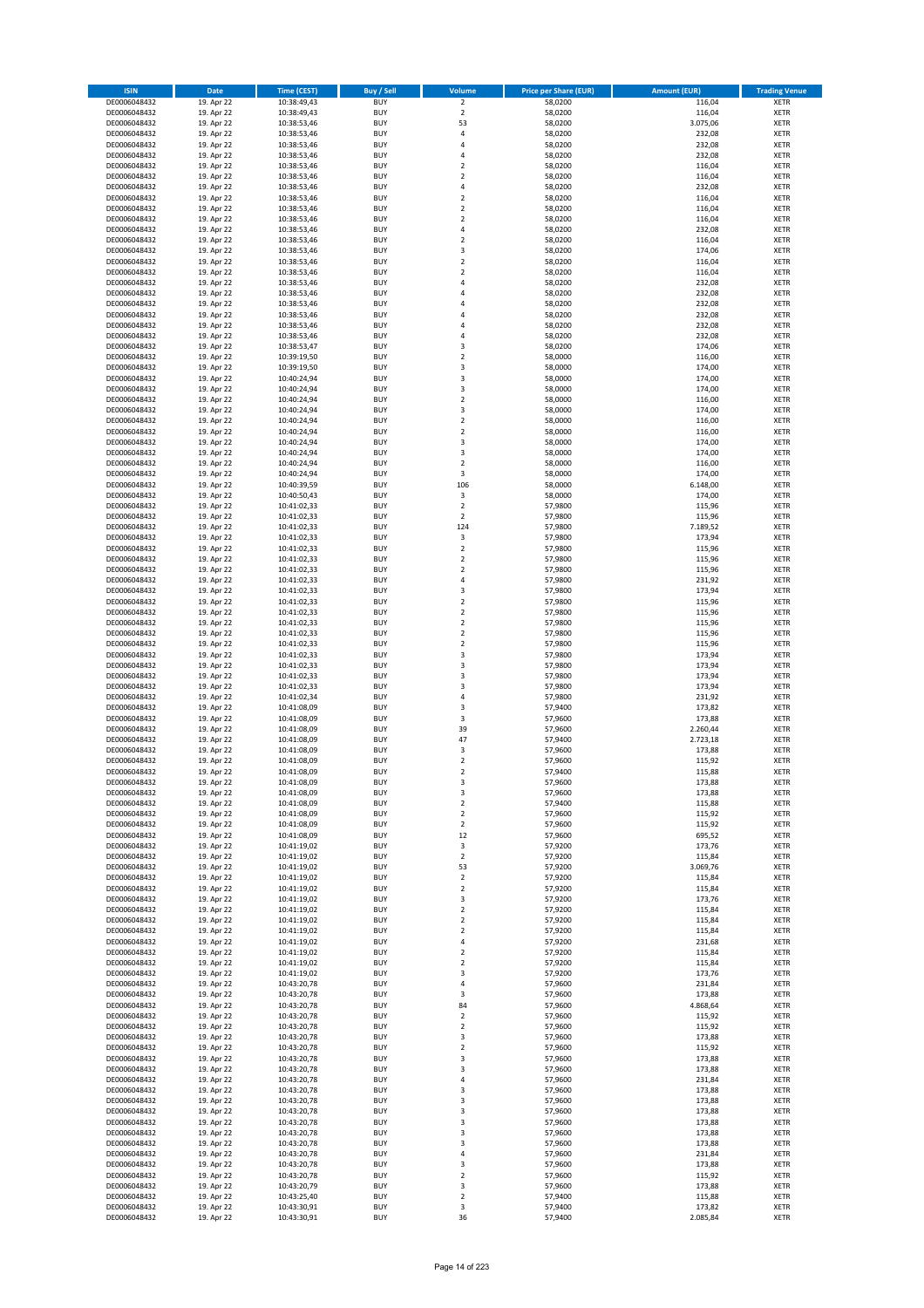| <b>ISIN</b>                  | <b>Date</b>              | <b>Time (CEST)</b>         | <b>Buy / Sell</b>        | <b>Volume</b>                | <b>Price per Share (EUR)</b> | <b>Amount (EUR)</b> | <b>Trading Venue</b>       |
|------------------------------|--------------------------|----------------------------|--------------------------|------------------------------|------------------------------|---------------------|----------------------------|
| DE0006048432                 | 19. Apr 22               | 10:38:49,43                | <b>BUY</b>               | $\overline{2}$               | 58,0200                      | 116,04              | <b>XETR</b>                |
| DE0006048432                 | 19. Apr 22               | 10:38:49,43                | <b>BUY</b>               | $\mathbf 2$                  | 58,0200                      | 116,04              | <b>XETR</b>                |
| DE0006048432                 | 19. Apr 22               | 10:38:53,46                | <b>BUY</b>               | 53                           | 58,0200                      | 3.075,06            | <b>XETR</b>                |
| DE0006048432                 | 19. Apr 22               | 10:38:53,46                | <b>BUY</b>               | 4                            | 58,0200                      | 232,08              | <b>XETR</b>                |
| DE0006048432                 | 19. Apr 22               | 10:38:53,46                | <b>BUY</b>               | 4                            | 58,0200                      | 232,08              | <b>XETR</b>                |
| DE0006048432                 | 19. Apr 22               | 10:38:53,46                | <b>BUY</b>               | 4                            | 58,0200                      | 232,08              | <b>XETR</b>                |
| DE0006048432                 | 19. Apr 22               | 10:38:53,46                | <b>BUY</b>               | $\overline{\mathbf{c}}$      | 58,0200                      | 116,04              | <b>XETR</b>                |
| DE0006048432                 | 19. Apr 22               | 10:38:53,46                | <b>BUY</b>               | $\overline{\mathbf{c}}$      | 58,0200                      | 116,04              | <b>XETR</b>                |
| DE0006048432                 | 19. Apr 22               | 10:38:53,46                | <b>BUY</b>               | 4                            | 58,0200                      | 232,08              | <b>XETR</b>                |
| DE0006048432                 | 19. Apr 22               | 10:38:53,46                | <b>BUY</b>               | $\mathbf 2$                  | 58,0200                      | 116,04              | <b>XETR</b>                |
| DE0006048432                 | 19. Apr 22               | 10:38:53,46                | <b>BUY</b>               | $\mathbf 2$                  | 58,0200                      | 116,04              | <b>XETR</b>                |
| DE0006048432                 | 19. Apr 22               | 10:38:53,46                | <b>BUY</b>               | $\overline{\mathbf{c}}$      | 58,0200                      | 116,04              | <b>XETR</b>                |
| DE0006048432                 | 19. Apr 22               | 10:38:53,46                | <b>BUY</b>               | 4                            | 58,0200                      | 232,08              | <b>XETR</b>                |
| DE0006048432                 | 19. Apr 22               | 10:38:53,46                | <b>BUY</b>               | $\overline{\mathbf{c}}$      | 58,0200                      | 116,04              | <b>XETR</b>                |
| DE0006048432<br>DE0006048432 | 19. Apr 22<br>19. Apr 22 | 10:38:53,46<br>10:38:53,46 | <b>BUY</b><br><b>BUY</b> | 3<br>$\overline{\mathbf{c}}$ | 58,0200<br>58,0200           | 174,06<br>116,04    | <b>XETR</b><br><b>XETR</b> |
| DE0006048432                 | 19. Apr 22               | 10:38:53,46                | <b>BUY</b>               | $\mathbf 2$                  | 58,0200                      | 116,04              | <b>XETR</b>                |
| DE0006048432                 | 19. Apr 22               | 10:38:53,46                | <b>BUY</b>               | 4                            | 58,0200                      | 232,08              | <b>XETR</b>                |
| DE0006048432                 | 19. Apr 22               | 10:38:53,46                | <b>BUY</b>               | 4                            | 58,0200                      | 232,08              | <b>XETR</b>                |
| DE0006048432                 | 19. Apr 22               | 10:38:53,46                | <b>BUY</b>               | 4                            | 58,0200                      | 232,08              | <b>XETR</b>                |
| DE0006048432                 | 19. Apr 22               | 10:38:53,46                | <b>BUY</b>               | 4                            | 58,0200                      | 232,08              | <b>XETR</b>                |
| DE0006048432                 | 19. Apr 22               | 10:38:53,46                | <b>BUY</b>               | 4                            | 58,0200                      | 232,08              | <b>XETR</b>                |
| DE0006048432                 | 19. Apr 22               | 10:38:53,46                | <b>BUY</b>               | 4                            | 58,0200                      | 232,08              | <b>XETR</b>                |
| DE0006048432                 | 19. Apr 22               | 10:38:53,47                | <b>BUY</b>               | 3                            | 58,0200                      | 174,06              | <b>XETR</b>                |
| DE0006048432                 | 19. Apr 22               | 10:39:19,50                | <b>BUY</b>               | $\mathbf 2$                  | 58,0000                      | 116,00              | <b>XETR</b>                |
| DE0006048432                 | 19. Apr 22               | 10:39:19,50                | <b>BUY</b>               | 3                            | 58,0000                      | 174,00              | <b>XETR</b>                |
| DE0006048432                 | 19. Apr 22               | 10:40:24,94                | <b>BUY</b>               | 3                            | 58,0000                      | 174,00              | <b>XETR</b>                |
| DE0006048432                 | 19. Apr 22               | 10:40:24,94                | <b>BUY</b>               | 3                            | 58,0000                      | 174,00              | <b>XETR</b>                |
| DE0006048432                 | 19. Apr 22               | 10:40:24,94                | <b>BUY</b>               | $\mathbf 2$                  | 58,0000                      | 116,00              | <b>XETR</b>                |
| DE0006048432                 | 19. Apr 22               | 10:40:24,94                | <b>BUY</b>               | 3                            | 58,0000                      | 174,00              | <b>XETR</b>                |
| DE0006048432                 | 19. Apr 22               | 10:40:24,94                | <b>BUY</b>               | $\mathbf 2$                  | 58,0000                      | 116,00              | <b>XETR</b>                |
| DE0006048432                 | 19. Apr 22               | 10:40:24,94                | <b>BUY</b>               | $\overline{\mathbf{c}}$      | 58,0000                      | 116,00              | <b>XETR</b>                |
| DE0006048432                 | 19. Apr 22               | 10:40:24,94                | <b>BUY</b>               | 3                            | 58,0000                      | 174,00              | <b>XETR</b>                |
| DE0006048432                 | 19. Apr 22               | 10:40:24,94                | <b>BUY</b>               | 3                            | 58,0000                      | 174,00              | <b>XETR</b>                |
| DE0006048432<br>DE0006048432 | 19. Apr 22<br>19. Apr 22 | 10:40:24,94<br>10:40:24,94 | <b>BUY</b><br><b>BUY</b> | $\overline{\mathbf{c}}$<br>3 | 58,0000<br>58,0000           | 116,00<br>174,00    | <b>XETR</b><br><b>XETR</b> |
| DE0006048432                 | 19. Apr 22               | 10:40:39,59                | <b>BUY</b>               | 106                          | 58,0000                      | 6.148,00            | <b>XETR</b>                |
| DE0006048432                 | 19. Apr 22               | 10:40:50,43                | <b>BUY</b>               | 3                            | 58,0000                      | 174,00              | <b>XETR</b>                |
| DE0006048432                 | 19. Apr 22               | 10:41:02,33                | <b>BUY</b>               | $\mathbf 2$                  | 57,9800                      | 115,96              | <b>XETR</b>                |
| DE0006048432                 | 19. Apr 22               | 10:41:02,33                | <b>BUY</b>               | $\mathbf 2$                  | 57,9800                      | 115,96              | <b>XETR</b>                |
| DE0006048432                 | 19. Apr 22               | 10:41:02,33                | <b>BUY</b>               | 124                          | 57,9800                      | 7.189,52            | <b>XETR</b>                |
| DE0006048432                 | 19. Apr 22               | 10:41:02,33                | <b>BUY</b>               | 3                            | 57,9800                      | 173,94              | <b>XETR</b>                |
| DE0006048432                 | 19. Apr 22               | 10:41:02,33                | <b>BUY</b>               | $\mathbf 2$                  | 57,9800                      | 115,96              | <b>XETR</b>                |
| DE0006048432                 | 19. Apr 22               | 10:41:02,33                | <b>BUY</b>               | $\overline{\mathbf{c}}$      | 57,9800                      | 115,96              | <b>XETR</b>                |
| DE0006048432                 | 19. Apr 22               | 10:41:02,33                | <b>BUY</b>               | $\mathbf 2$                  | 57,9800                      | 115,96              | <b>XETR</b>                |
| DE0006048432                 | 19. Apr 22               | 10:41:02,33                | <b>BUY</b>               | 4                            | 57,9800                      | 231,92              | <b>XETR</b>                |
| DE0006048432                 | 19. Apr 22               | 10:41:02,33                | <b>BUY</b>               | 3                            | 57,9800                      | 173,94              | <b>XETR</b>                |
| DE0006048432                 | 19. Apr 22               | 10:41:02,33                | <b>BUY</b>               | $\mathbf 2$                  | 57,9800                      | 115,96              | <b>XETR</b>                |
| DE0006048432                 | 19. Apr 22               | 10:41:02,33                | <b>BUY</b>               | $\mathbf 2$                  | 57,9800                      | 115,96              | <b>XETR</b>                |
| DE0006048432                 | 19. Apr 22               | 10:41:02,33                | <b>BUY</b>               | $\mathbf 2$                  | 57,9800                      | 115,96              | <b>XETR</b>                |
| DE0006048432                 | 19. Apr 22               | 10:41:02,33                | <b>BUY</b>               | $\overline{\mathbf{c}}$      | 57,9800                      | 115,96              | <b>XETR</b>                |
| DE0006048432                 | 19. Apr 22               | 10:41:02,33                | <b>BUY</b>               | $\mathbf 2$                  | 57,9800                      | 115,96              | <b>XETR</b>                |
| DE0006048432                 | 19. Apr 22               | 10:41:02,33                | <b>BUY</b><br><b>BUY</b> | 3                            | 57,9800                      | 173,94              | <b>XETR</b>                |
| DE0006048432<br>DE0006048432 | 19. Apr 22<br>19. Apr 22 | 10:41:02,33<br>10:41:02,33 | <b>BUY</b>               | 3<br>3                       | 57,9800<br>57,9800           | 173,94<br>173,94    | <b>XETR</b><br><b>XETR</b> |
|                              | 19. Apr 22               |                            | <b>BUY</b>               | 3                            |                              | 173,94              | <b>XETR</b>                |
| DE0006048432<br>DE0006048432 | 19. Apr 22               | 10:41:02,33<br>10:41:02,34 | <b>BUY</b>               | 4                            | 57,9800<br>57,9800           | 231,92              | <b>XETR</b>                |
| DE0006048432                 | 19. Apr 22               | 10:41:08,09                | <b>BUY</b>               | 3                            | 57,9400                      | 173,82              | <b>XETR</b>                |
| DE0006048432                 | 19. Apr 22               | 10:41:08,09                | <b>BUY</b>               | 3                            | 57,9600                      | 173,88              | <b>XETR</b>                |
| DE0006048432                 | 19. Apr 22               | 10:41:08,09                | <b>BUY</b>               | 39                           | 57,9600                      | 2.260,44            | <b>XETR</b>                |
| DE0006048432                 | 19. Apr 22               | 10:41:08,09                | <b>BUY</b>               | 47                           | 57,9400                      | 2.723,18            | <b>XETR</b>                |
| DE0006048432                 | 19. Apr 22               | 10:41:08,09                | <b>BUY</b>               | 3                            | 57,9600                      | 173,88              | <b>XETR</b>                |
| DE0006048432                 | 19. Apr 22               | 10:41:08,09                | <b>BUY</b>               | $\overline{\mathbf{c}}$      | 57,9600                      | 115,92              | <b>XETR</b>                |
| DE0006048432                 | 19. Apr 22               | 10:41:08,09                | <b>BUY</b>               | $\overline{2}$               | 57,9400                      | 115,88              | <b>XETR</b>                |
| DE0006048432                 | 19. Apr 22               | 10:41:08,09                | BUY                      | 3                            | 57,9600                      | 173,88              | <b>XETR</b>                |
| DE0006048432                 | 19. Apr 22               | 10:41:08,09                | <b>BUY</b>               | 3                            | 57,9600                      | 173,88              | <b>XETR</b>                |
| DE0006048432                 | 19. Apr 22               | 10:41:08,09                | <b>BUY</b>               | $\mathbf 2$                  | 57,9400                      | 115,88              | <b>XETR</b>                |
| DE0006048432                 | 19. Apr 22               | 10:41:08,09                | <b>BUY</b>               | $\mathbf 2$                  | 57,9600                      | 115,92              | XETR                       |
| DE0006048432                 | 19. Apr 22               | 10:41:08,09                | <b>BUY</b>               | $\mathbf 2$                  | 57,9600                      | 115,92              | <b>XETR</b>                |
| DE0006048432                 | 19. Apr 22               | 10:41:08,09                | <b>BUY</b>               | 12                           | 57,9600                      | 695,52              | <b>XETR</b>                |
| DE0006048432                 | 19. Apr 22               | 10:41:19,02                | <b>BUY</b>               | 3                            | 57,9200                      | 173,76              | <b>XETR</b>                |
| DE0006048432                 | 19. Apr 22               | 10:41:19,02                | <b>BUY</b>               | $\mathbf 2$                  | 57,9200                      | 115,84              | <b>XETR</b>                |
| DE0006048432                 | 19. Apr 22               | 10:41:19,02                | <b>BUY</b>               | 53                           | 57,9200                      | 3.069,76            | <b>XETR</b>                |
| DE0006048432<br>DE0006048432 | 19. Apr 22<br>19. Apr 22 | 10:41:19,02<br>10:41:19,02 | <b>BUY</b><br><b>BUY</b> | $\mathbf 2$<br>$\mathbf 2$   | 57,9200<br>57,9200           | 115,84<br>115,84    | <b>XETR</b><br><b>XETR</b> |
| DE0006048432                 | 19. Apr 22               | 10:41:19,02                | <b>BUY</b>               | 3                            | 57,9200                      | 173,76              | <b>XETR</b>                |
| DE0006048432                 | 19. Apr 22               | 10:41:19,02                | <b>BUY</b>               | $\mathbf 2$                  | 57,9200                      | 115,84              | <b>XETR</b>                |
| DE0006048432                 | 19. Apr 22               | 10:41:19,02                | <b>BUY</b>               | $\overline{\mathbf{2}}$      | 57,9200                      | 115,84              | <b>XETR</b>                |
| DE0006048432                 | 19. Apr 22               | 10:41:19,02                | <b>BUY</b>               | $\mathbf 2$                  | 57,9200                      | 115,84              | <b>XETR</b>                |
| DE0006048432                 | 19. Apr 22               | 10:41:19,02                | <b>BUY</b>               | 4                            | 57,9200                      | 231,68              | <b>XETR</b>                |
| DE0006048432                 | 19. Apr 22               | 10:41:19,02                | <b>BUY</b>               | $\mathbf 2$                  | 57,9200                      | 115,84              | <b>XETR</b>                |
| DE0006048432                 | 19. Apr 22               | 10:41:19,02                | <b>BUY</b>               | $\mathbf 2$                  | 57,9200                      | 115,84              | <b>XETR</b>                |
| DE0006048432                 | 19. Apr 22               | 10:41:19,02                | <b>BUY</b>               | 3                            | 57,9200                      | 173,76              | XETR                       |
| DE0006048432                 | 19. Apr 22               | 10:43:20,78                | <b>BUY</b>               | 4                            | 57,9600                      | 231,84              | <b>XETR</b>                |
| DE0006048432                 | 19. Apr 22               | 10:43:20,78                | <b>BUY</b>               | 3                            | 57,9600                      | 173,88              | <b>XETR</b>                |
| DE0006048432                 | 19. Apr 22               | 10:43:20,78                | <b>BUY</b>               | 84                           | 57,9600                      | 4.868,64            | <b>XETR</b>                |
| DE0006048432                 | 19. Apr 22               | 10:43:20,78                | <b>BUY</b>               | $\overline{\mathbf{c}}$      | 57,9600                      | 115,92              | <b>XETR</b>                |
| DE0006048432                 | 19. Apr 22               | 10:43:20,78                | <b>BUY</b>               | $\mathbf 2$                  | 57,9600                      | 115,92              | <b>XETR</b>                |
| DE0006048432                 | 19. Apr 22               | 10:43:20,78                | <b>BUY</b>               | 3                            | 57,9600                      | 173,88              | <b>XETR</b>                |
| DE0006048432                 | 19. Apr 22               | 10:43:20,78                | <b>BUY</b>               | $\mathbf 2$                  | 57,9600                      | 115,92              | <b>XETR</b>                |
| DE0006048432                 | 19. Apr 22               | 10:43:20,78                | <b>BUY</b>               | 3                            | 57,9600                      | 173,88              | <b>XETR</b>                |
| DE0006048432                 | 19. Apr 22               | 10:43:20,78                | <b>BUY</b>               | 3                            | 57,9600                      | 173,88              | <b>XETR</b>                |
| DE0006048432                 | 19. Apr 22               | 10:43:20,78                | <b>BUY</b>               | 4                            | 57,9600                      | 231,84              | <b>XETR</b>                |
| DE0006048432                 | 19. Apr 22               | 10:43:20,78                | <b>BUY</b>               | 3                            | 57,9600                      | 173,88              | XETR                       |
| DE0006048432                 | 19. Apr 22               | 10:43:20,78                | <b>BUY</b><br><b>BUY</b> | 3                            | 57,9600                      | 173,88              | <b>XETR</b>                |
| DE0006048432<br>DE0006048432 | 19. Apr 22<br>19. Apr 22 | 10:43:20,78                | <b>BUY</b>               | 3<br>3                       | 57,9600<br>57,9600           | 173,88<br>173,88    | <b>XETR</b><br><b>XETR</b> |
| DE0006048432                 | 19. Apr 22               | 10:43:20,78<br>10:43:20,78 | <b>BUY</b>               | 3                            | 57,9600                      | 173,88              | <b>XETR</b>                |
| DE0006048432                 | 19. Apr 22               | 10:43:20,78                | <b>BUY</b>               | 3                            | 57,9600                      | 173,88              | <b>XETR</b>                |
| DE0006048432                 | 19. Apr 22               | 10:43:20,78                | <b>BUY</b>               | 4                            | 57,9600                      | 231,84              | <b>XETR</b>                |
| DE0006048432                 | 19. Apr 22               | 10:43:20,78                | <b>BUY</b>               | 3                            | 57,9600                      | 173,88              | <b>XETR</b>                |
| DE0006048432                 | 19. Apr 22               | 10:43:20,78                | <b>BUY</b>               | $\mathbf 2$                  | 57,9600                      | 115,92              | XETR                       |
| DE0006048432                 | 19. Apr 22               | 10:43:20,79                | <b>BUY</b>               | 3                            | 57,9600                      | 173,88              | <b>XETR</b>                |
| DE0006048432                 | 19. Apr 22               | 10:43:25,40                | <b>BUY</b>               | $\mathbf 2$                  | 57,9400                      | 115,88              | <b>XETR</b>                |
| DE0006048432                 | 19. Apr 22               | 10:43:30,91                | <b>BUY</b>               | 3                            | 57,9400                      | 173,82              | <b>XETR</b>                |
| DE0006048432                 | 19. Apr 22               | 10:43:30,91                | <b>BUY</b>               | 36                           | 57,9400                      | 2.085,84            | XETR                       |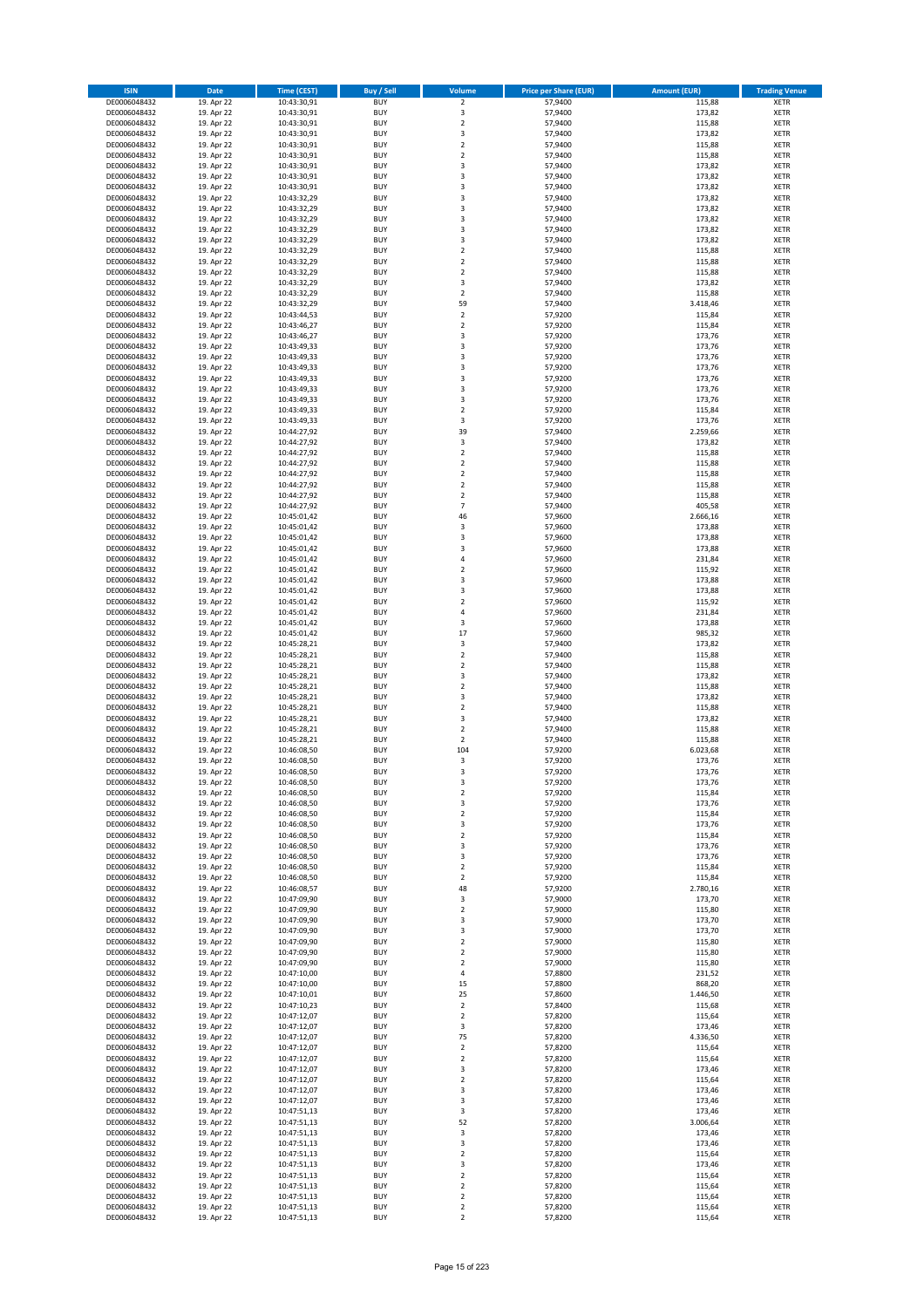| <b>ISIN</b>                  | <b>Date</b>              | <b>Time (CEST)</b>         | <b>Buy / Sell</b>        | Volume                        | <b>Price per Share (EUR)</b> | <b>Amount (EUR)</b> | <b>Trading Venue</b>       |
|------------------------------|--------------------------|----------------------------|--------------------------|-------------------------------|------------------------------|---------------------|----------------------------|
| DE0006048432                 | 19. Apr 22               | 10:43:30,91                | <b>BUY</b>               | $\overline{2}$                | 57,9400                      | 115,88              | <b>XETR</b>                |
| DE0006048432                 | 19. Apr 22               | 10:43:30,91                | <b>BUY</b>               | 3                             | 57,9400                      | 173,82              | <b>XETR</b>                |
| DE0006048432                 | 19. Apr 22               | 10:43:30,91                | <b>BUY</b>               | $\overline{2}$                | 57.9400                      | 115,88              | <b>XETR</b>                |
| DE0006048432<br>DE0006048432 | 19. Apr 22<br>19. Apr 22 | 10:43:30,91<br>10:43:30,91 | <b>BUY</b><br><b>BUY</b> | 3<br>$\overline{\mathbf{c}}$  | 57,9400<br>57,9400           | 173,82<br>115,88    | <b>XETR</b><br><b>XETR</b> |
| DE0006048432                 | 19. Apr 22               | 10:43:30,91                | <b>BUY</b>               | $\mathbf 2$                   | 57,9400                      | 115,88              | <b>XETR</b>                |
| DE0006048432                 | 19. Apr 22               | 10:43:30,91                | <b>BUY</b>               | 3                             | 57,9400                      | 173,82              | <b>XETR</b>                |
| DE0006048432                 | 19. Apr 22               | 10:43:30,91                | <b>BUY</b>               | 3                             | 57,9400                      | 173,82              | <b>XETR</b>                |
| DE0006048432                 | 19. Apr 22               | 10:43:30,91                | <b>BUY</b>               | 3                             | 57,9400                      | 173,82              | <b>XETR</b>                |
| DE0006048432                 | 19. Apr 22               | 10:43:32,29                | <b>BUY</b>               | 3                             | 57,9400                      | 173,82              | <b>XETR</b>                |
| DE0006048432                 | 19. Apr 22               | 10:43:32,29                | <b>BUY</b>               | 3                             | 57,9400                      | 173,82              | <b>XETR</b>                |
| DE0006048432<br>DE0006048432 | 19. Apr 22<br>19. Apr 22 | 10:43:32,29                | <b>BUY</b><br><b>BUY</b> | 3<br>3                        | 57,9400<br>57,9400           | 173,82<br>173,82    | <b>XETR</b><br><b>XETR</b> |
| DE0006048432                 | 19. Apr 22               | 10:43:32,29<br>10:43:32,29 | <b>BUY</b>               | 3                             | 57,9400                      | 173,82              | <b>XETR</b>                |
| DE0006048432                 | 19. Apr 22               | 10:43:32,29                | <b>BUY</b>               | $\mathbf 2$                   | 57,9400                      | 115,88              | <b>XETR</b>                |
| DE0006048432                 | 19. Apr 22               | 10:43:32,29                | <b>BUY</b>               | $\overline{\mathbf{c}}$       | 57,9400                      | 115,88              | <b>XETR</b>                |
| DE0006048432                 | 19. Apr 22               | 10:43:32,29                | <b>BUY</b>               | $\mathbf 2$                   | 57,9400                      | 115,88              | <b>XETR</b>                |
| DE0006048432                 | 19. Apr 22               | 10:43:32,29                | <b>BUY</b>               | 3                             | 57,9400                      | 173,82              | <b>XETR</b>                |
| DE0006048432                 | 19. Apr 22               | 10:43:32,29                | <b>BUY</b>               | $\overline{\mathbf{c}}$       | 57,9400                      | 115,88              | <b>XETR</b>                |
| DE0006048432                 | 19. Apr 22               | 10:43:32,29                | <b>BUY</b>               | 59                            | 57,9400                      | 3.418,46            | <b>XETR</b>                |
| DE0006048432                 | 19. Apr 22               | 10:43:44,53                | <b>BUY</b>               | $\overline{\mathbf{c}}$       | 57,9200                      | 115,84              | <b>XETR</b>                |
| DE0006048432<br>DE0006048432 | 19. Apr 22<br>19. Apr 22 | 10:43:46,27<br>10:43:46,27 | <b>BUY</b><br><b>BUY</b> | $\mathbf 2$<br>3              | 57,9200<br>57,9200           | 115,84<br>173,76    | <b>XETR</b><br><b>XETR</b> |
| DE0006048432                 | 19. Apr 22               | 10:43:49,33                | <b>BUY</b>               | 3                             | 57,9200                      | 173,76              | <b>XETR</b>                |
| DE0006048432                 | 19. Apr 22               | 10:43:49,33                | <b>BUY</b>               | 3                             | 57,9200                      | 173,76              | <b>XETR</b>                |
| DE0006048432                 | 19. Apr 22               | 10:43:49,33                | <b>BUY</b>               | 3                             | 57,9200                      | 173,76              | <b>XETR</b>                |
| DE0006048432                 | 19. Apr 22               | 10:43:49,33                | <b>BUY</b>               | 3                             | 57,9200                      | 173,76              | <b>XETR</b>                |
| DE0006048432                 | 19. Apr 22               | 10:43:49,33                | <b>BUY</b>               | 3                             | 57,9200                      | 173,76              | <b>XETR</b>                |
| DE0006048432                 | 19. Apr 22               | 10:43:49,33                | <b>BUY</b>               | 3                             | 57,9200                      | 173,76              | <b>XETR</b>                |
| DE0006048432<br>DE0006048432 | 19. Apr 22               | 10:43:49,33                | <b>BUY</b><br><b>BUY</b> | $\overline{\mathbf{c}}$<br>3  | 57,9200                      | 115,84              | <b>XETR</b>                |
| DE0006048432                 | 19. Apr 22<br>19. Apr 22 | 10:43:49,33<br>10:44:27,92 | <b>BUY</b>               | 39                            | 57,9200<br>57,9400           | 173,76<br>2.259,66  | <b>XETR</b><br><b>XETR</b> |
| DE0006048432                 | 19. Apr 22               | 10:44:27,92                | <b>BUY</b>               | 3                             | 57,9400                      | 173,82              | <b>XETR</b>                |
| DE0006048432                 | 19. Apr 22               | 10:44:27,92                | <b>BUY</b>               | $\mathbf 2$                   | 57,9400                      | 115,88              | <b>XETR</b>                |
| DE0006048432                 | 19. Apr 22               | 10:44:27,92                | <b>BUY</b>               | $\overline{2}$                | 57.9400                      | 115,88              | <b>XETR</b>                |
| DE0006048432                 | 19. Apr 22               | 10:44:27,92                | <b>BUY</b>               | $\mathbf 2$                   | 57,9400                      | 115,88              | <b>XETR</b>                |
| DE0006048432                 | 19. Apr 22               | 10:44:27,92                | <b>BUY</b>               | $\overline{\mathbf{c}}$       | 57,9400                      | 115,88              | <b>XETR</b>                |
| DE0006048432                 | 19. Apr 22               | 10:44:27,92                | <b>BUY</b>               | $\mathbf 2$                   | 57,9400                      | 115,88              | <b>XETR</b>                |
| DE0006048432                 | 19. Apr 22               | 10:44:27,92                | <b>BUY</b>               | $\overline{7}$                | 57,9400                      | 405,58              | <b>XETR</b>                |
| DE0006048432                 | 19. Apr 22               | 10:45:01,42                | <b>BUY</b>               | 46                            | 57,9600                      | 2.666,16            | <b>XETR</b>                |
| DE0006048432<br>DE0006048432 | 19. Apr 22<br>19. Apr 22 | 10:45:01,42<br>10:45:01,42 | <b>BUY</b><br><b>BUY</b> | 3<br>3                        | 57,9600<br>57,9600           | 173,88<br>173,88    | <b>XETR</b><br><b>XETR</b> |
| DE0006048432                 | 19. Apr 22               | 10:45:01,42                | <b>BUY</b>               | 3                             | 57,9600                      | 173,88              | <b>XETR</b>                |
| DE0006048432                 | 19. Apr 22               | 10:45:01,42                | <b>BUY</b>               | 4                             | 57,9600                      | 231,84              | <b>XETR</b>                |
| DE0006048432                 | 19. Apr 22               | 10:45:01,42                | <b>BUY</b>               | $\mathbf 2$                   | 57,9600                      | 115,92              | <b>XETR</b>                |
| DE0006048432                 | 19. Apr 22               | 10:45:01,42                | <b>BUY</b>               | 3                             | 57,9600                      | 173,88              | <b>XETR</b>                |
| DE0006048432                 | 19. Apr 22               | 10:45:01,42                | <b>BUY</b>               | 3                             | 57,9600                      | 173,88              | <b>XETR</b>                |
| DE0006048432                 | 19. Apr 22               | 10:45:01,42                | <b>BUY</b>               | $\overline{\mathbf{c}}$       | 57,9600                      | 115,92              | <b>XETR</b>                |
| DE0006048432                 | 19. Apr 22               | 10:45:01,42                | <b>BUY</b>               | 4                             | 57,9600                      | 231,84              | <b>XETR</b>                |
| DE0006048432<br>DE0006048432 | 19. Apr 22               | 10:45:01,42                | <b>BUY</b><br><b>BUY</b> | 3<br>17                       | 57,9600                      | 173,88              | <b>XETR</b><br><b>XETR</b> |
| DE0006048432                 | 19. Apr 22<br>19. Apr 22 | 10:45:01,42<br>10:45:28,21 | <b>BUY</b>               | 3                             | 57,9600<br>57,9400           | 985,32<br>173,82    | <b>XETR</b>                |
| DE0006048432                 | 19. Apr 22               | 10:45:28,21                | <b>BUY</b>               | $\overline{2}$                | 57,9400                      | 115,88              | <b>XETR</b>                |
| DE0006048432                 | 19. Apr 22               | 10:45:28,21                | <b>BUY</b>               | $\mathbf 2$                   | 57,9400                      | 115,88              | <b>XETR</b>                |
| DE0006048432                 | 19. Apr 22               | 10:45:28,21                | <b>BUY</b>               | 3                             | 57,9400                      | 173,82              | <b>XETR</b>                |
| DE0006048432                 | 19. Apr 22               | 10:45:28,21                | <b>BUY</b>               | $\mathbf 2$                   | 57,9400                      | 115,88              | <b>XETR</b>                |
| DE0006048432                 | 19. Apr 22               | 10:45:28,21                | <b>BUY</b>               | 3                             | 57,9400                      | 173,82              | <b>XETR</b>                |
| DE0006048432                 | 19. Apr 22               | 10:45:28,21                | <b>BUY</b>               | $\overline{\mathbf{c}}$       | 57,9400                      | 115,88              | <b>XETR</b>                |
| DE0006048432                 | 19. Apr 22               | 10:45:28,21                | <b>BUY</b>               | 3                             | 57,9400                      | 173,82              | <b>XETR</b>                |
| DE0006048432<br>DE0006048432 | 19. Apr 22<br>19. Apr 22 | 10:45:28,21                | <b>BUY</b><br><b>BUY</b> | $\overline{2}$<br>$\mathbf 2$ | 57,9400<br>57,9400           | 115,88<br>115,88    | <b>XETR</b><br><b>XETR</b> |
| DE0006048432                 | 19. Apr 22               | 10:45:28,21<br>10:46:08,50 | <b>BUY</b>               | 104                           | 57,9200                      | 6.023,68            | <b>XETR</b>                |
| DE0006048432                 | 19. Apr 22               | 10:46:08,50                | <b>BUY</b>               | 3                             | 57,9200                      | 173,76              | <b>XETR</b>                |
| DE0006048432                 | 19. Apr 22               | 10:46:08,50                | <b>BUY</b>               | 3                             | 57,9200                      | 173,76              | <b>XETR</b>                |
| DE0006048432                 | 19. Apr 22               | 10:46:08,50                | BUY                      | 3                             | 57,9200                      | 173,76              | <b>XETR</b>                |
| DE0006048432                 | 19. Apr 22               | 10:46:08,50                | <b>BUY</b>               | $\mathbf 2$                   | 57,9200                      | 115,84              | <b>XETR</b>                |
| DE0006048432                 | 19. Apr 22               | 10:46:08,50                | <b>BUY</b>               | 3                             | 57,9200                      | 173,76              | <b>XETR</b>                |
| DE0006048432<br>DE0006048432 | 19. Apr 22               | 10:46:08,50                | <b>BUY</b><br><b>BUY</b> | 2                             | 57,9200                      | 115,84              | XETR<br><b>XETR</b>        |
| DE0006048432                 | 19. Apr 22<br>19. Apr 22 | 10:46:08,50<br>10:46:08,50 | <b>BUY</b>               | 3<br>$\mathbf 2$              | 57,9200<br>57,9200           | 173,76<br>115,84    | <b>XETR</b>                |
| DE0006048432                 | 19. Apr 22               | 10:46:08,50                | <b>BUY</b>               | 3                             | 57,9200                      | 173,76              | <b>XETR</b>                |
| DE0006048432                 | 19. Apr 22               | 10:46:08,50                | <b>BUY</b>               | 3                             | 57,9200                      | 173,76              | <b>XETR</b>                |
| DE0006048432                 | 19. Apr 22               | 10:46:08,50                | <b>BUY</b>               | $\mathbf 2$                   | 57,9200                      | 115,84              | <b>XETR</b>                |
| DE0006048432                 | 19. Apr 22               | 10:46:08,50                | <b>BUY</b>               | $\mathbf 2$                   | 57,9200                      | 115,84              | <b>XETR</b>                |
| DE0006048432                 | 19. Apr 22               | 10:46:08,57                | <b>BUY</b>               | 48                            | 57,9200                      | 2.780,16            | <b>XETR</b>                |
| DE0006048432                 | 19. Apr 22               | 10:47:09,90                | <b>BUY</b>               | 3                             | 57,9000                      | 173,70              | <b>XETR</b>                |
| DE0006048432<br>DE0006048432 | 19. Apr 22<br>19. Apr 22 | 10:47:09,90<br>10:47:09,90 | <b>BUY</b><br><b>BUY</b> | $\mathbf 2$<br>3              | 57,9000<br>57,9000           | 115,80<br>173,70    | <b>XETR</b><br><b>XETR</b> |
| DE0006048432                 | 19. Apr 22               | 10:47:09,90                | <b>BUY</b>               | 3                             | 57,9000                      | 173,70              | <b>XETR</b>                |
| DE0006048432                 | 19. Apr 22               | 10:47:09,90                | <b>BUY</b>               | $\overline{\mathbf{c}}$       | 57,9000                      | 115,80              | <b>XETR</b>                |
| DE0006048432                 | 19. Apr 22               | 10:47:09,90                | <b>BUY</b>               | $\mathbf 2$                   | 57,9000                      | 115,80              | <b>XETR</b>                |
| DE0006048432                 | 19. Apr 22               | 10:47:09,90                | <b>BUY</b>               | $\mathbf 2$                   | 57,9000                      | 115,80              | <b>XETR</b>                |
| DE0006048432                 | 19. Apr 22               | 10:47:10,00                | <b>BUY</b>               | 4                             | 57,8800                      | 231,52              | XETR                       |
| DE0006048432                 | 19. Apr 22               | 10:47:10,00                | <b>BUY</b>               | 15                            | 57,8800                      | 868,20              | <b>XETR</b>                |
| DE0006048432<br>DE0006048432 | 19. Apr 22<br>19. Apr 22 | 10:47:10,01                | <b>BUY</b><br><b>BUY</b> | 25<br>$\mathbf 2$             | 57,8600<br>57,8400           | 1.446,50<br>115,68  | <b>XETR</b><br><b>XETR</b> |
| DE0006048432                 | 19. Apr 22               | 10:47:10,23<br>10:47:12,07 | <b>BUY</b>               | $\overline{2}$                | 57,8200                      | 115,64              | <b>XETR</b>                |
| DE0006048432                 | 19. Apr 22               | 10:47:12,07                | <b>BUY</b>               | 3                             | 57,8200                      | 173,46              | <b>XETR</b>                |
| DE0006048432                 | 19. Apr 22               | 10:47:12,07                | <b>BUY</b>               | 75                            | 57,8200                      | 4.336,50            | <b>XETR</b>                |
| DE0006048432                 | 19. Apr 22               | 10:47:12,07                | <b>BUY</b>               | $\mathbf 2$                   | 57,8200                      | 115,64              | <b>XETR</b>                |
| DE0006048432                 | 19. Apr 22               | 10:47:12,07                | <b>BUY</b>               | $\mathbf 2$                   | 57,8200                      | 115,64              | <b>XETR</b>                |
| DE0006048432                 | 19. Apr 22               | 10:47:12,07                | <b>BUY</b>               | 3                             | 57,8200                      | 173,46              | <b>XETR</b>                |
| DE0006048432                 | 19. Apr 22               | 10:47:12,07                | <b>BUY</b>               | 2                             | 57,8200                      | 115,64              | <b>XETR</b>                |
| DE0006048432<br>DE0006048432 | 19. Apr 22<br>19. Apr 22 | 10:47:12,07<br>10:47:12,07 | <b>BUY</b><br><b>BUY</b> | 3<br>3                        | 57,8200<br>57,8200           | 173,46<br>173,46    | <b>XETR</b><br><b>XETR</b> |
| DE0006048432                 | 19. Apr 22               | 10:47:51,13                | <b>BUY</b>               | 3                             | 57,8200                      | 173,46              | <b>XETR</b>                |
| DE0006048432                 | 19. Apr 22               | 10:47:51,13                | <b>BUY</b>               | 52                            | 57,8200                      | 3.006,64            | <b>XETR</b>                |
| DE0006048432                 | 19. Apr 22               | 10:47:51,13                | <b>BUY</b>               | 3                             | 57,8200                      | 173,46              | <b>XETR</b>                |
| DE0006048432                 | 19. Apr 22               | 10:47:51,13                | <b>BUY</b>               | 3                             | 57,8200                      | 173,46              | <b>XETR</b>                |
| DE0006048432                 | 19. Apr 22               | 10:47:51,13                | <b>BUY</b>               | $\mathbf 2$                   | 57,8200                      | 115,64              | <b>XETR</b>                |
| DE0006048432                 | 19. Apr 22               | 10:47:51,13                | <b>BUY</b>               | 3                             | 57,8200                      | 173,46              | <b>XETR</b>                |
| DE0006048432<br>DE0006048432 | 19. Apr 22<br>19. Apr 22 | 10:47:51,13<br>10:47:51,13 | <b>BUY</b><br><b>BUY</b> | $\mathbf 2$<br>$\overline{2}$ | 57,8200<br>57,8200           | 115,64<br>115,64    | <b>XETR</b><br><b>XETR</b> |
| DE0006048432                 | 19. Apr 22               | 10:47:51,13                | <b>BUY</b>               | $\mathbf 2$                   | 57,8200                      | 115,64              | XETR                       |
| DE0006048432                 | 19. Apr 22               | 10:47:51,13                | <b>BUY</b>               | $\mathbf 2$                   | 57,8200                      | 115,64              | <b>XETR</b>                |
| DE0006048432                 | 19. Apr 22               | 10:47:51,13                | <b>BUY</b>               | $\overline{2}$                | 57,8200                      | 115,64              | <b>XETR</b>                |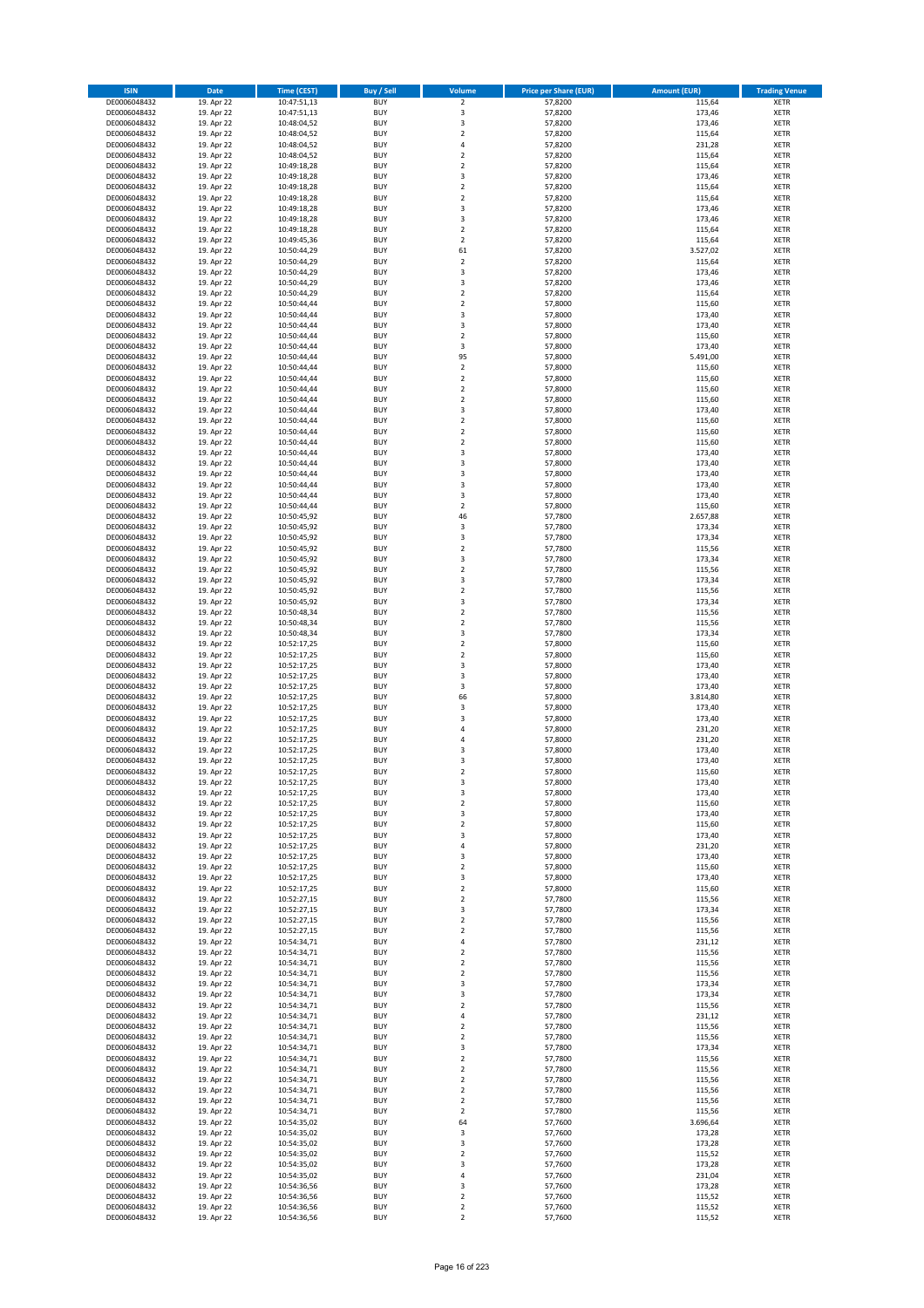| <b>ISIN</b>                  | Date                     | Time (CEST)                | <b>Buy / Sell</b>        | Volume                           | <b>Price per Share (EUR)</b> | <b>Amount (EUR)</b> | <b>Trading Venue</b>       |
|------------------------------|--------------------------|----------------------------|--------------------------|----------------------------------|------------------------------|---------------------|----------------------------|
| DE0006048432                 | 19. Apr 22               | 10:47:51,13                | <b>BUY</b>               | $\overline{2}$                   | 57,8200                      | 115,64              | <b>XETR</b>                |
| DE0006048432                 | 19. Apr 22               | 10:47:51,13                | <b>BUY</b>               | 3                                | 57,8200                      | 173,46              | XETR                       |
| DE0006048432                 | 19. Apr 22               | 10:48:04,52                | <b>BUY</b>               | 3                                | 57,8200                      | 173,46              | <b>XETR</b>                |
| DE0006048432                 | 19. Apr 22               | 10:48:04,52                | <b>BUY</b>               | $\mathbf 2$                      | 57,8200                      | 115,64              | XETR                       |
| DE0006048432                 | 19. Apr 22               | 10:48:04,52                | <b>BUY</b>               | 4                                | 57,8200                      | 231,28              | <b>XETR</b>                |
| DE0006048432                 | 19. Apr 22               | 10:48:04,52                | <b>BUY</b>               | $\mathbf 2$                      | 57,8200                      | 115,64              | <b>XETR</b>                |
| DE0006048432                 | 19. Apr 22               | 10:49:18,28                | <b>BUY</b>               | $\mathbf 2$                      | 57,8200                      | 115,64              | <b>XETR</b>                |
| DE0006048432                 | 19. Apr 22               | 10:49:18,28                | <b>BUY</b>               | 3                                | 57,8200                      | 173,46              | <b>XETR</b>                |
| DE0006048432<br>DE0006048432 | 19. Apr 22<br>19. Apr 22 | 10:49:18,28                | <b>BUY</b><br><b>BUY</b> | $\overline{2}$<br>$\overline{2}$ | 57,8200<br>57,8200           | 115,64<br>115,64    | <b>XETR</b><br><b>XETR</b> |
| DE0006048432                 | 19. Apr 22               | 10:49:18,28<br>10:49:18,28 | <b>BUY</b>               | $\mathsf 3$                      | 57,8200                      | 173,46              | <b>XETR</b>                |
| DE0006048432                 | 19. Apr 22               | 10:49:18,28                | <b>BUY</b>               | 3                                | 57,8200                      | 173,46              | <b>XETR</b>                |
| DE0006048432                 | 19. Apr 22               | 10:49:18,28                | <b>BUY</b>               | $\mathbf 2$                      | 57,8200                      | 115,64              | <b>XETR</b>                |
| DE0006048432                 | 19. Apr 22               | 10:49:45,36                | <b>BUY</b>               | $\overline{2}$                   | 57,8200                      | 115,64              | <b>XETR</b>                |
| DE0006048432                 | 19. Apr 22               | 10:50:44,29                | <b>BUY</b>               | 61                               | 57,8200                      | 3.527,02            | <b>XETR</b>                |
| DE0006048432                 | 19. Apr 22               | 10:50:44,29                | <b>BUY</b>               | $\overline{2}$                   | 57,8200                      | 115,64              | <b>XETR</b>                |
| DE0006048432                 | 19. Apr 22               | 10:50:44,29                | <b>BUY</b>               | 3                                | 57,8200                      | 173,46              | <b>XETR</b>                |
| DE0006048432                 | 19. Apr 22               | 10:50:44,29                | <b>BUY</b>               | 3                                | 57,8200                      | 173,46              | <b>XETR</b>                |
| DE0006048432                 | 19. Apr 22               | 10:50:44,29                | <b>BUY</b>               | $\overline{2}$                   | 57,8200                      | 115,64              | <b>XETR</b>                |
| DE0006048432                 | 19. Apr 22               | 10:50:44,44                | <b>BUY</b>               | $\mathbf 2$                      | 57,8000                      | 115,60              | <b>XETR</b>                |
| DE0006048432                 | 19. Apr 22               | 10:50:44,44                | <b>BUY</b><br><b>BUY</b> | 3<br>3                           | 57,8000<br>57,8000           | 173,40<br>173,40    | <b>XETR</b><br><b>XETR</b> |
| DE0006048432<br>DE0006048432 | 19. Apr 22<br>19. Apr 22 | 10:50:44,44<br>10:50:44,44 | <b>BUY</b>               | $\overline{2}$                   | 57,8000                      | 115,60              | <b>XETR</b>                |
| DE0006048432                 | 19. Apr 22               | 10:50:44,44                | <b>BUY</b>               | 3                                | 57,8000                      | 173,40              | <b>XETR</b>                |
| DE0006048432                 | 19. Apr 22               | 10:50:44,44                | <b>BUY</b>               | 95                               | 57,8000                      | 5.491,00            | <b>XETR</b>                |
| DE0006048432                 | 19. Apr 22               | 10:50:44,44                | <b>BUY</b>               | $\mathbf 2$                      | 57,8000                      | 115,60              | <b>XETR</b>                |
| DE0006048432                 | 19. Apr 22               | 10:50:44,44                | <b>BUY</b>               | $\mathbf 2$                      | 57,8000                      | 115,60              | <b>XETR</b>                |
| DE0006048432                 | 19. Apr 22               | 10:50:44,44                | <b>BUY</b>               | $\overline{2}$                   | 57,8000                      | 115,60              | <b>XETR</b>                |
| DE0006048432                 | 19. Apr 22               | 10:50:44,44                | <b>BUY</b>               | $\mathbf 2$                      | 57,8000                      | 115,60              | <b>XETR</b>                |
| DE0006048432                 | 19. Apr 22               | 10:50:44,44                | <b>BUY</b>               | 3                                | 57,8000                      | 173,40              | <b>XETR</b>                |
| DE0006048432                 | 19. Apr 22               | 10:50:44,44                | <b>BUY</b>               | $\overline{2}$                   | 57,8000                      | 115,60              | <b>XETR</b>                |
| DE0006048432<br>DE0006048432 | 19. Apr 22<br>19. Apr 22 | 10:50:44,44                | <b>BUY</b><br><b>BUY</b> | $\overline{2}$<br>$\mathbf 2$    | 57,8000<br>57,8000           | 115,60<br>115,60    | <b>XETR</b><br><b>XETR</b> |
| DE0006048432                 | 19. Apr 22               | 10:50:44,44<br>10:50:44,44 | <b>BUY</b>               | 3                                | 57,8000                      | 173,40              | <b>XETR</b>                |
| DE0006048432                 | 19. Apr 22               | 10:50:44,44                | <b>BUY</b>               | 3                                | 57,8000                      | 173,40              | <b>XETR</b>                |
| DE0006048432                 | 19. Apr 22               | 10:50:44,44                | <b>BUY</b>               | 3                                | 57,8000                      | 173,40              | <b>XETR</b>                |
| DE0006048432                 | 19. Apr 22               | 10:50:44,44                | <b>BUY</b>               | 3                                | 57,8000                      | 173,40              | <b>XETR</b>                |
| DE0006048432                 | 19. Apr 22               | 10:50:44,44                | <b>BUY</b>               | 3                                | 57,8000                      | 173,40              | <b>XETR</b>                |
| DE0006048432                 | 19. Apr 22               | 10:50:44,44                | <b>BUY</b>               | $\overline{2}$                   | 57,8000                      | 115,60              | <b>XETR</b>                |
| DE0006048432                 | 19. Apr 22               | 10:50:45,92                | <b>BUY</b>               | 46                               | 57,7800                      | 2.657,88            | <b>XETR</b>                |
| DE0006048432                 | 19. Apr 22               | 10:50:45,92                | <b>BUY</b>               | 3                                | 57,7800                      | 173,34              | <b>XETR</b>                |
| DE0006048432                 | 19. Apr 22               | 10:50:45,92                | <b>BUY</b>               | 3                                | 57,7800                      | 173,34              | <b>XETR</b>                |
| DE0006048432                 | 19. Apr 22               | 10:50:45,92                | <b>BUY</b>               | $\mathbf 2$                      | 57,7800                      | 115,56              | <b>XETR</b>                |
| DE0006048432                 | 19. Apr 22               | 10:50:45,92                | <b>BUY</b>               | 3                                | 57,7800                      | 173,34              | <b>XETR</b>                |
| DE0006048432<br>DE0006048432 | 19. Apr 22<br>19. Apr 22 | 10:50:45,92<br>10:50:45,92 | <b>BUY</b><br><b>BUY</b> | $\mathbf 2$<br>3                 | 57,7800<br>57,7800           | 115,56<br>173,34    | <b>XETR</b><br><b>XETR</b> |
| DE0006048432                 | 19. Apr 22               | 10:50:45,92                | <b>BUY</b>               | $\mathbf 2$                      | 57,7800                      | 115,56              | <b>XETR</b>                |
| DE0006048432                 | 19. Apr 22               | 10:50:45,92                | <b>BUY</b>               | 3                                | 57,7800                      | 173,34              | <b>XETR</b>                |
| DE0006048432                 | 19. Apr 22               | 10:50:48,34                | <b>BUY</b>               | $\mathbf 2$                      | 57,7800                      | 115,56              | <b>XETR</b>                |
| DE0006048432                 | 19. Apr 22               | 10:50:48,34                | <b>BUY</b>               | $\mathbf 2$                      | 57,7800                      | 115,56              | <b>XETR</b>                |
| DE0006048432                 | 19. Apr 22               | 10:50:48,34                | <b>BUY</b>               | 3                                | 57,7800                      | 173,34              | <b>XETR</b>                |
| DE0006048432                 | 19. Apr 22               | 10:52:17,25                | <b>BUY</b>               | $\mathbf 2$                      | 57,8000                      | 115,60              | <b>XETR</b>                |
| DE0006048432                 | 19. Apr 22               | 10:52:17,25                | <b>BUY</b>               | $\overline{2}$                   | 57,8000                      | 115,60              | <b>XETR</b>                |
| DE0006048432                 | 19. Apr 22               | 10:52:17,25                | <b>BUY</b>               | $\mathsf 3$                      | 57,8000                      | 173,40              | <b>XETR</b>                |
| DE0006048432                 | 19. Apr 22               | 10:52:17,25                | <b>BUY</b>               | 3                                | 57,8000                      | 173,40              | <b>XETR</b>                |
| DE0006048432<br>DE0006048432 | 19. Apr 22<br>19. Apr 22 | 10:52:17,25<br>10:52:17,25 | <b>BUY</b><br><b>BUY</b> | 3<br>66                          | 57,8000<br>57,8000           | 173,40<br>3.814,80  | <b>XETR</b><br><b>XETR</b> |
| DE0006048432                 | 19. Apr 22               | 10:52:17,25                | <b>BUY</b>               | 3                                | 57,8000                      | 173,40              | <b>XETR</b>                |
| DE0006048432                 | 19. Apr 22               | 10:52:17,25                | <b>BUY</b>               | 3                                | 57,8000                      | 173,40              | <b>XETR</b>                |
| DE0006048432                 | 19. Apr 22               | 10:52:17,25                | <b>BUY</b>               | 4                                | 57,8000                      | 231,20              | <b>XETR</b>                |
| DE0006048432                 | 19. Apr 22               | 10:52:17,25                | <b>BUY</b>               | 4                                | 57,8000                      | 231,20              | <b>XETR</b>                |
| DE0006048432                 | 19. Apr 22               | 10:52:17,25                | <b>BUY</b>               | 3                                | 57,8000                      | 173,40              | <b>XETR</b>                |
| DE0006048432                 | 19. Apr 22               | 10:52:17,25                | <b>BUY</b>               | 3                                | 57,8000                      | 173,40              | <b>XETR</b>                |
| DE0006048432                 | 19. Apr 22               | 10:52:17,25                | <b>BUY</b>               | $\overline{2}$                   | 57,8000                      | 115,60              | <b>XETR</b>                |
| DE0006048432                 | 19. Apr 22               | 10:52:17,25                | BUY                      | 3                                | 57,8000                      | 173,40              | XETR                       |
| DE0006048432                 | 19. Apr 22               | 10:52:17,25                | <b>BUY</b>               | 3                                | 57,8000                      | 173,40              | <b>XETR</b>                |
| DE0006048432<br>DE0006048432 | 19. Apr 22<br>19. Apr 22 | 10:52:17,25<br>10:52:17,25 | <b>BUY</b><br><b>BUY</b> | $\overline{2}$<br>3              | 57,8000<br>57,8000           | 115,60<br>173,40    | <b>XETR</b><br><b>XETR</b> |
| DE0006048432                 | 19. Apr 22               | 10:52:17,25                | <b>BUY</b>               | $\overline{2}$                   | 57,8000                      | 115,60              | XETR                       |
| DE0006048432                 | 19. Apr 22               | 10:52:17,25                | <b>BUY</b>               | 3                                | 57,8000                      | 173,40              | <b>XETR</b>                |
| DE0006048432                 | 19. Apr 22               | 10:52:17,25                | <b>BUY</b>               | $\pmb{4}$                        | 57,8000                      | 231,20              | <b>XETR</b>                |
| DE0006048432                 | 19. Apr 22               | 10:52:17,25                | <b>BUY</b>               | 3                                | 57,8000                      | 173,40              | <b>XETR</b>                |
| DE0006048432                 | 19. Apr 22               | 10:52:17,25                | <b>BUY</b>               | $\overline{2}$                   | 57,8000                      | 115,60              | XETR                       |
| DE0006048432                 | 19. Apr 22               | 10:52:17,25                | <b>BUY</b>               | 3                                | 57,8000                      | 173,40              | <b>XETR</b>                |
| DE0006048432                 | 19. Apr 22               | 10:52:17,25                | <b>BUY</b>               | $\overline{2}$                   | 57,8000                      | 115,60              | XETR                       |
| DE0006048432                 | 19. Apr 22               | 10:52:27,15                | <b>BUY</b>               | $\overline{2}$                   | 57,7800                      | 115,56              | <b>XETR</b>                |
| DE0006048432<br>DE0006048432 | 19. Apr 22<br>19. Apr 22 | 10:52:27,15<br>10:52:27,15 | <b>BUY</b><br><b>BUY</b> | 3<br>$\overline{2}$              | 57,7800<br>57,7800           | 173,34<br>115,56    | XETR<br><b>XETR</b>        |
| DE0006048432                 | 19. Apr 22               | 10:52:27,15                | <b>BUY</b>               | $\mathbf 2$                      | 57,7800                      | 115,56              | XETR                       |
| DE0006048432                 | 19. Apr 22               | 10:54:34,71                | <b>BUY</b>               | $\overline{4}$                   | 57,7800                      | 231,12              | <b>XETR</b>                |
| DE0006048432                 | 19. Apr 22               | 10:54:34,71                | <b>BUY</b>               | $\overline{2}$                   | 57,7800                      | 115,56              | <b>XETR</b>                |
| DE0006048432                 | 19. Apr 22               | 10:54:34,71                | <b>BUY</b>               | $\overline{2}$                   | 57,7800                      | 115,56              | <b>XETR</b>                |
| DE0006048432                 | 19. Apr 22               | 10:54:34,71                | <b>BUY</b>               | $\overline{2}$                   | 57,7800                      | 115,56              | XETR                       |
| DE0006048432                 | 19. Apr 22               | 10:54:34,71                | <b>BUY</b>               | $\mathsf 3$                      | 57,7800                      | 173,34              | XETR                       |
| DE0006048432                 | 19. Apr 22               | 10:54:34,71                | <b>BUY</b>               | 3                                | 57,7800                      | 173,34              | <b>XETR</b>                |
| DE0006048432                 | 19. Apr 22               | 10:54:34,71                | <b>BUY</b>               | $\mathbf 2$                      | 57,7800                      | 115,56              | <b>XETR</b>                |
| DE0006048432                 | 19. Apr 22               | 10:54:34,71                | <b>BUY</b>               | 4                                | 57,7800<br>57,7800           | 231,12              | XETR                       |
| DE0006048432<br>DE0006048432 | 19. Apr 22<br>19. Apr 22 | 10:54:34,71<br>10:54:34,71 | <b>BUY</b><br><b>BUY</b> | $\overline{2}$<br>$\overline{2}$ | 57,7800                      | 115,56<br>115,56    | <b>XETR</b><br>XETR        |
| DE0006048432                 | 19. Apr 22               | 10:54:34,71                | <b>BUY</b>               | 3                                | 57,7800                      | 173,34              | <b>XETR</b>                |
| DE0006048432                 | 19. Apr 22               | 10:54:34,71                | <b>BUY</b>               | $\overline{2}$                   | 57,7800                      | 115,56              | XETR                       |
| DE0006048432                 | 19. Apr 22               | 10:54:34,71                | <b>BUY</b>               | $\overline{2}$                   | 57,7800                      | 115,56              | <b>XETR</b>                |
| DE0006048432                 | 19. Apr 22               | 10:54:34,71                | <b>BUY</b>               | 2                                | 57,7800                      | 115,56              | <b>XETR</b>                |
| DE0006048432                 | 19. Apr 22               | 10:54:34,71                | <b>BUY</b>               | $\overline{2}$                   | 57,7800                      | 115,56              | <b>XETR</b>                |
| DE0006048432                 | 19. Apr 22               | 10:54:34,71                | <b>BUY</b>               | $\overline{2}$                   | 57,7800                      | 115,56              | <b>XETR</b>                |
| DE0006048432                 | 19. Apr 22               | 10:54:34,71                | <b>BUY</b>               | $\overline{2}$                   | 57,7800                      | 115,56              | XETR                       |
| DE0006048432                 | 19. Apr 22               | 10:54:35,02                | <b>BUY</b>               | 64                               | 57,7600                      | 3.696,64            | XETR                       |
| DE0006048432                 | 19. Apr 22               | 10:54:35,02                | <b>BUY</b>               | 3                                | 57,7600                      | 173,28              | <b>XETR</b>                |
| DE0006048432                 | 19. Apr 22               | 10:54:35,02                | <b>BUY</b>               | 3                                | 57,7600                      | 173,28              | <b>XETR</b>                |
| DE0006048432<br>DE0006048432 | 19. Apr 22<br>19. Apr 22 | 10:54:35,02<br>10:54:35,02 | <b>BUY</b><br><b>BUY</b> | $\mathbf 2$<br>3                 | 57,7600<br>57,7600           | 115,52<br>173,28    | <b>XETR</b><br>XETR        |
| DE0006048432                 | 19. Apr 22               | 10:54:35,02                | <b>BUY</b>               | 4                                | 57,7600                      | 231,04              | XETR                       |
| DE0006048432                 | 19. Apr 22               | 10:54:36,56                | <b>BUY</b>               | 3                                | 57,7600                      | 173,28              | <b>XETR</b>                |
| DE0006048432                 | 19. Apr 22               | 10:54:36,56                | <b>BUY</b>               | $\mathbf 2$                      | 57,7600                      | 115,52              | XETR                       |
| DE0006048432                 | 19. Apr 22               | 10:54:36,56                | <b>BUY</b>               | $\mathbf 2$                      | 57,7600                      | 115,52              | <b>XETR</b>                |
| DE0006048432                 | 19. Apr 22               | 10:54:36,56                | <b>BUY</b>               | $\overline{2}$                   | 57,7600                      | 115,52              | <b>XETR</b>                |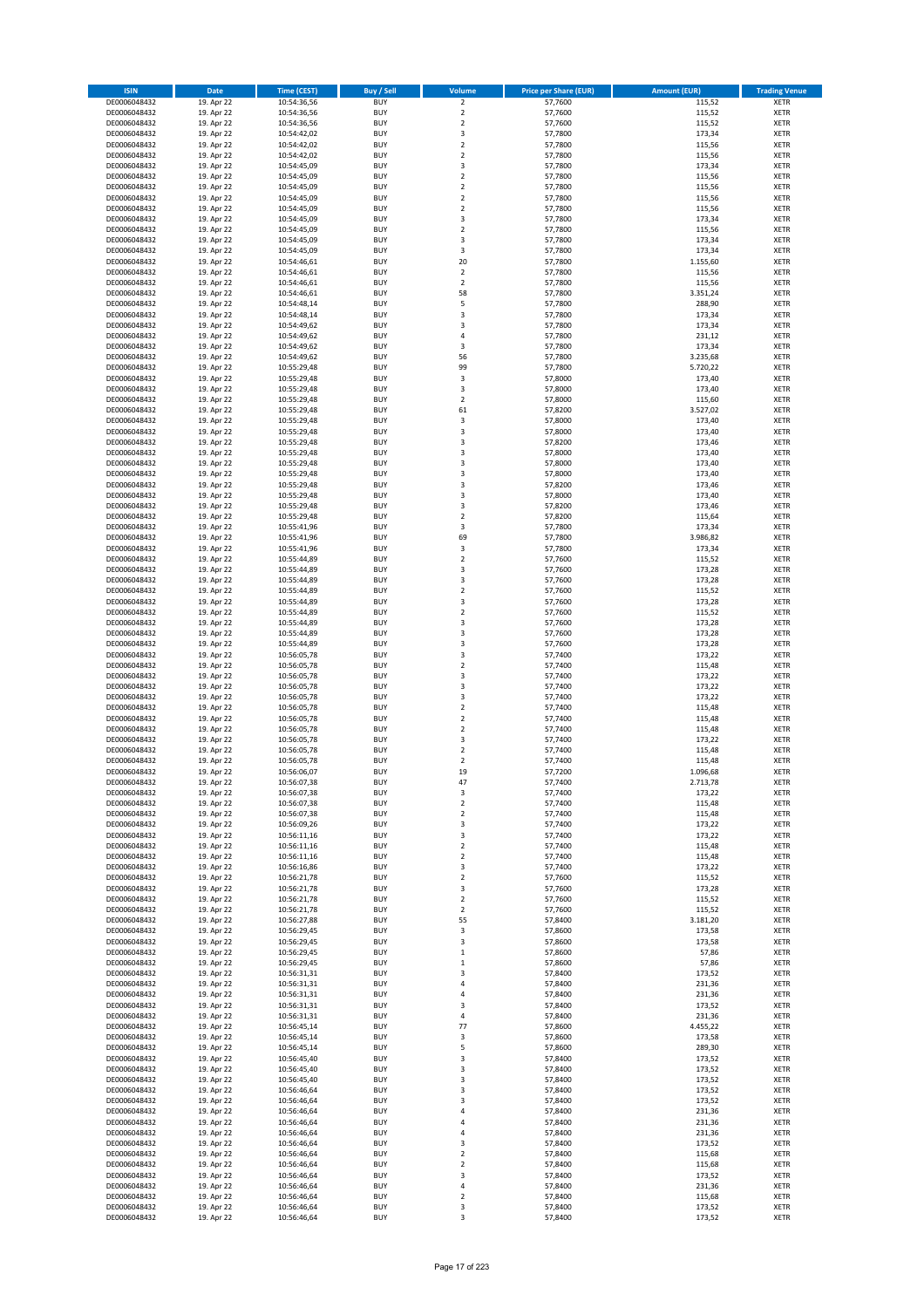| <b>ISIN</b>                  | <b>Date</b>              | <b>Time (CEST)</b>         | <b>Buy / Sell</b>        | Volume                        | <b>Price per Share (EUR)</b> | <b>Amount (EUR)</b> | <b>Trading Venue</b>       |
|------------------------------|--------------------------|----------------------------|--------------------------|-------------------------------|------------------------------|---------------------|----------------------------|
| DE0006048432                 | 19. Apr 22               | 10:54:36,56                | <b>BUY</b>               | $\overline{2}$                | 57,7600                      | 115,52              | <b>XETR</b>                |
| DE0006048432                 | 19. Apr 22               | 10:54:36,56                | <b>BUY</b>               | $\mathbf 2$                   | 57,7600                      | 115,52              | <b>XETR</b>                |
| DE0006048432                 | 19. Apr 22               | 10:54:36,56                | <b>BUY</b>               | $\overline{2}$                | 57,7600                      | 115,52              | <b>XETR</b>                |
| DE0006048432<br>DE0006048432 | 19. Apr 22<br>19. Apr 22 | 10:54:42,02<br>10:54:42,02 | <b>BUY</b><br><b>BUY</b> | 3<br>$\overline{\mathbf{c}}$  | 57,7800<br>57,7800           | 173,34<br>115,56    | <b>XETR</b><br><b>XETR</b> |
| DE0006048432                 | 19. Apr 22               | 10:54:42,02                | <b>BUY</b>               | $\mathbf 2$                   | 57,7800                      | 115,56              | <b>XETR</b>                |
| DE0006048432                 | 19. Apr 22               | 10:54:45,09                | <b>BUY</b>               | 3                             | 57,7800                      | 173,34              | <b>XETR</b>                |
| DE0006048432                 | 19. Apr 22               | 10:54:45,09                | <b>BUY</b>               | $\overline{\mathbf{c}}$       | 57,7800                      | 115,56              | <b>XETR</b>                |
| DE0006048432                 | 19. Apr 22               | 10:54:45,09                | <b>BUY</b>               | $\overline{2}$                | 57,7800                      | 115,56              | <b>XETR</b>                |
| DE0006048432                 | 19. Apr 22               | 10:54:45,09                | <b>BUY</b>               | $\overline{2}$                | 57,7800                      | 115,56              | <b>XETR</b>                |
| DE0006048432                 | 19. Apr 22               | 10:54:45,09                | <b>BUY</b>               | $\mathbf 2$                   | 57,7800                      | 115,56              | <b>XETR</b>                |
| DE0006048432<br>DE0006048432 | 19. Apr 22<br>19. Apr 22 | 10:54:45,09                | <b>BUY</b><br><b>BUY</b> | 3<br>$\mathbf 2$              | 57,7800<br>57,7800           | 173,34<br>115,56    | <b>XETR</b><br><b>XETR</b> |
| DE0006048432                 | 19. Apr 22               | 10:54:45,09<br>10:54:45,09 | <b>BUY</b>               | 3                             | 57,7800                      | 173,34              | <b>XETR</b>                |
| DE0006048432                 | 19. Apr 22               | 10:54:45,09                | <b>BUY</b>               | 3                             | 57,7800                      | 173,34              | <b>XETR</b>                |
| DE0006048432                 | 19. Apr 22               | 10:54:46,61                | <b>BUY</b>               | 20                            | 57,7800                      | 1.155,60            | <b>XETR</b>                |
| DE0006048432                 | 19. Apr 22               | 10:54:46,61                | <b>BUY</b>               | $\mathbf 2$                   | 57,7800                      | 115,56              | <b>XETR</b>                |
| DE0006048432                 | 19. Apr 22               | 10:54:46,61                | <b>BUY</b>               | $\mathbf 2$                   | 57,7800                      | 115,56              | <b>XETR</b>                |
| DE0006048432                 | 19. Apr 22               | 10:54:46,61                | <b>BUY</b>               | 58                            | 57,7800                      | 3.351,24            | <b>XETR</b>                |
| DE0006048432                 | 19. Apr 22               | 10:54:48,14                | <b>BUY</b>               | 5                             | 57,7800                      | 288,90              | <b>XETR</b>                |
| DE0006048432<br>DE0006048432 | 19. Apr 22<br>19. Apr 22 | 10:54:48,14<br>10:54:49,62 | <b>BUY</b><br><b>BUY</b> | 3<br>3                        | 57,7800<br>57,7800           | 173,34<br>173,34    | <b>XETR</b><br><b>XETR</b> |
| DE0006048432                 | 19. Apr 22               | 10:54:49,62                | <b>BUY</b>               | 4                             | 57,7800                      | 231,12              | <b>XETR</b>                |
| DE0006048432                 | 19. Apr 22               | 10:54:49,62                | <b>BUY</b>               | 3                             | 57,7800                      | 173,34              | <b>XETR</b>                |
| DE0006048432                 | 19. Apr 22               | 10:54:49,62                | <b>BUY</b>               | 56                            | 57,7800                      | 3.235,68            | <b>XETR</b>                |
| DE0006048432                 | 19. Apr 22               | 10:55:29,48                | <b>BUY</b>               | 99                            | 57,7800                      | 5.720,22            | <b>XETR</b>                |
| DE0006048432                 | 19. Apr 22               | 10:55:29,48                | <b>BUY</b>               | $\mathsf 3$                   | 57,8000                      | 173,40              | XETR                       |
| DE0006048432                 | 19. Apr 22               | 10:55:29,48                | <b>BUY</b>               | 3                             | 57,8000                      | 173,40              | <b>XETR</b>                |
| DE0006048432<br>DE0006048432 | 19. Apr 22<br>19. Apr 22 | 10:55:29,48<br>10:55:29,48 | <b>BUY</b><br><b>BUY</b> | $\mathbf 2$<br>61             | 57,8000<br>57,8200           | 115,60<br>3.527,02  | <b>XETR</b><br><b>XETR</b> |
| DE0006048432                 | 19. Apr 22               | 10:55:29,48                | <b>BUY</b>               | 3                             | 57,8000                      | 173,40              | <b>XETR</b>                |
| DE0006048432                 | 19. Apr 22               | 10:55:29,48                | <b>BUY</b>               | 3                             | 57,8000                      | 173,40              | <b>XETR</b>                |
| DE0006048432                 | 19. Apr 22               | 10:55:29,48                | <b>BUY</b>               | 3                             | 57,8200                      | 173,46              | <b>XETR</b>                |
| DE0006048432                 | 19. Apr 22               | 10:55:29,48                | <b>BUY</b>               | 3                             | 57,8000                      | 173,40              | <b>XETR</b>                |
| DE0006048432                 | 19. Apr 22               | 10:55:29,48                | <b>BUY</b>               | 3                             | 57,8000                      | 173,40              | <b>XETR</b>                |
| DE0006048432                 | 19. Apr 22               | 10:55:29,48                | <b>BUY</b>               | 3                             | 57,8000                      | 173,40              | <b>XETR</b>                |
| DE0006048432<br>DE0006048432 | 19. Apr 22<br>19. Apr 22 | 10:55:29,48<br>10:55:29,48 | <b>BUY</b><br><b>BUY</b> | 3<br>3                        | 57,8200<br>57,8000           | 173,46<br>173,40    | <b>XETR</b><br><b>XETR</b> |
| DE0006048432                 | 19. Apr 22               | 10:55:29,48                | <b>BUY</b>               | 3                             | 57,8200                      | 173,46              | <b>XETR</b>                |
| DE0006048432                 | 19. Apr 22               | 10:55:29,48                | <b>BUY</b>               | $\mathbf 2$                   | 57,8200                      | 115,64              | <b>XETR</b>                |
| DE0006048432                 | 19. Apr 22               | 10:55:41,96                | <b>BUY</b>               | 3                             | 57,7800                      | 173,34              | <b>XETR</b>                |
| DE0006048432                 | 19. Apr 22               | 10:55:41,96                | <b>BUY</b>               | 69                            | 57,7800                      | 3.986,82            | <b>XETR</b>                |
| DE0006048432                 | 19. Apr 22               | 10:55:41,96                | <b>BUY</b>               | 3                             | 57,7800                      | 173,34              | <b>XETR</b>                |
| DE0006048432                 | 19. Apr 22               | 10:55:44,89                | <b>BUY</b>               | $\overline{\mathbf{c}}$       | 57,7600                      | 115,52              | <b>XETR</b>                |
| DE0006048432                 | 19. Apr 22               | 10:55:44,89                | <b>BUY</b>               | 3                             | 57,7600                      | 173,28              | <b>XETR</b>                |
| DE0006048432<br>DE0006048432 | 19. Apr 22<br>19. Apr 22 | 10:55:44,89<br>10:55:44,89 | <b>BUY</b><br><b>BUY</b> | 3<br>$\mathbf 2$              | 57,7600<br>57,7600           | 173,28<br>115,52    | <b>XETR</b><br><b>XETR</b> |
| DE0006048432                 | 19. Apr 22               | 10:55:44,89                | <b>BUY</b>               | 3                             | 57,7600                      | 173,28              | <b>XETR</b>                |
| DE0006048432                 | 19. Apr 22               | 10:55:44,89                | <b>BUY</b>               | $\mathbf 2$                   | 57,7600                      | 115,52              | <b>XETR</b>                |
| DE0006048432                 | 19. Apr 22               | 10:55:44,89                | <b>BUY</b>               | 3                             | 57,7600                      | 173,28              | <b>XETR</b>                |
| DE0006048432                 | 19. Apr 22               | 10:55:44,89                | <b>BUY</b>               | 3                             | 57,7600                      | 173,28              | <b>XETR</b>                |
| DE0006048432                 | 19. Apr 22               | 10:55:44,89                | <b>BUY</b>               | 3                             | 57,7600                      | 173,28              | <b>XETR</b>                |
| DE0006048432                 | 19. Apr 22               | 10:56:05,78                | <b>BUY</b><br><b>BUY</b> | 3                             | 57,7400                      | 173,22              | <b>XETR</b>                |
| DE0006048432<br>DE0006048432 | 19. Apr 22<br>19. Apr 22 | 10:56:05,78<br>10:56:05,78 | <b>BUY</b>               | $\mathbf 2$<br>3              | 57,7400<br>57,7400           | 115,48<br>173,22    | <b>XETR</b><br><b>XETR</b> |
| DE0006048432                 | 19. Apr 22               | 10:56:05,78                | <b>BUY</b>               | 3                             | 57,7400                      | 173,22              | <b>XETR</b>                |
| DE0006048432                 | 19. Apr 22               | 10:56:05,78                | <b>BUY</b>               | 3                             | 57,7400                      | 173,22              | <b>XETR</b>                |
| DE0006048432                 | 19. Apr 22               | 10:56:05,78                | <b>BUY</b>               | $\overline{\mathbf{c}}$       | 57,7400                      | 115,48              | <b>XETR</b>                |
| DE0006048432                 | 19. Apr 22               | 10:56:05,78                | <b>BUY</b>               | $\overline{\mathbf{c}}$       | 57,7400                      | 115,48              | <b>XETR</b>                |
| DE0006048432                 | 19. Apr 22               | 10:56:05,78                | <b>BUY</b>               | $\overline{2}$                | 57,7400                      | 115,48              | <b>XETR</b>                |
| DE0006048432<br>DE0006048432 | 19. Apr 22               | 10:56:05,78                | <b>BUY</b><br><b>BUY</b> | 3<br>$\overline{\mathbf{c}}$  | 57,7400                      | 173,22              | <b>XETR</b><br><b>XETR</b> |
| DE0006048432                 | 19. Apr 22<br>19. Apr 22 | 10:56:05,78<br>10:56:05,78 | <b>BUY</b>               | $\mathbf 2$                   | 57,7400<br>57,7400           | 115,48<br>115,48    | <b>XETR</b>                |
| DE0006048432                 | 19. Apr 22               | 10:56:06,07                | <b>BUY</b>               | 19                            | 57,7200                      | 1.096,68            | <b>XETR</b>                |
| DE0006048432                 | 19. Apr 22               | 10:56:07,38                | BUY                      | 47                            | 57,7400                      | 2.713,78            | <b>XETR</b>                |
| DE0006048432                 | 19. Apr 22               | 10:56:07,38                | <b>BUY</b>               | 3                             | 57,7400                      | 173,22              | <b>XETR</b>                |
| DE0006048432                 | 19. Apr 22               | 10:56:07,38                | <b>BUY</b>               | $\mathbf 2$                   | 57,7400                      | 115,48              | <b>XETR</b>                |
| DE0006048432                 | 19. Apr 22               | 10:56:07,38                | <b>BUY</b>               | 2                             | 57,7400                      | 115,48              | <b>XETR</b>                |
| DE0006048432<br>DE0006048432 | 19. Apr 22<br>19. Apr 22 | 10:56:09,26<br>10:56:11,16 | <b>BUY</b><br><b>BUY</b> | 3<br>3                        | 57,7400<br>57,7400           | 173,22<br>173,22    | <b>XETR</b><br><b>XETR</b> |
| DE0006048432                 | 19. Apr 22               | 10:56:11,16                | <b>BUY</b>               | $\mathbf 2$                   | 57,7400                      | 115,48              | <b>XETR</b>                |
| DE0006048432                 | 19. Apr 22               | 10:56:11,16                | <b>BUY</b>               | $\mathbf 2$                   | 57,7400                      | 115,48              | <b>XETR</b>                |
| DE0006048432                 | 19. Apr 22               | 10:56:16,86                | <b>BUY</b>               | 3                             | 57,7400                      | 173,22              | <b>XETR</b>                |
| DE0006048432                 | 19. Apr 22               | 10:56:21,78                | <b>BUY</b>               | $\mathbf 2$                   | 57,7600                      | 115,52              | <b>XETR</b>                |
| DE0006048432                 | 19. Apr 22               | 10:56:21,78                | <b>BUY</b>               | 3                             | 57,7600                      | 173,28              | <b>XETR</b>                |
| DE0006048432<br>DE0006048432 | 19. Apr 22<br>19. Apr 22 | 10:56:21,78<br>10:56:21,78 | <b>BUY</b><br><b>BUY</b> | $\overline{2}$<br>$\mathbf 2$ | 57,7600<br>57,7600           | 115,52<br>115,52    | <b>XETR</b><br><b>XETR</b> |
| DE0006048432                 | 19. Apr 22               | 10:56:27,88                | <b>BUY</b>               | 55                            | 57,8400                      | 3.181,20            | <b>XETR</b>                |
| DE0006048432                 | 19. Apr 22               | 10:56:29,45                | <b>BUY</b>               | 3                             | 57,8600                      | 173,58              | <b>XETR</b>                |
| DE0006048432                 | 19. Apr 22               | 10:56:29,45                | <b>BUY</b>               | 3                             | 57,8600                      | 173,58              | <b>XETR</b>                |
| DE0006048432                 | 19. Apr 22               | 10:56:29,45                | <b>BUY</b>               | $\mathbf 1$                   | 57,8600                      | 57,86               | <b>XETR</b>                |
| DE0006048432                 | 19. Apr 22               | 10:56:29,45                | <b>BUY</b>               | $\mathbf 1$                   | 57,8600                      | 57,86               | <b>XETR</b>                |
| DE0006048432                 | 19. Apr 22               | 10:56:31,31                | <b>BUY</b>               | 3                             | 57,8400                      | 173,52              | <b>XETR</b>                |
| DE0006048432<br>DE0006048432 | 19. Apr 22<br>19. Apr 22 | 10:56:31,31<br>10:56:31,31 | <b>BUY</b><br><b>BUY</b> | 4<br>4                        | 57,8400<br>57,8400           | 231,36<br>231,36    | <b>XETR</b><br><b>XETR</b> |
| DE0006048432                 | 19. Apr 22               | 10:56:31,31                | <b>BUY</b>               | 3                             | 57,8400                      | 173,52              | <b>XETR</b>                |
| DE0006048432                 | 19. Apr 22               | 10:56:31,31                | <b>BUY</b>               | 4                             | 57,8400                      | 231,36              | <b>XETR</b>                |
| DE0006048432                 | 19. Apr 22               | 10:56:45,14                | <b>BUY</b>               | 77                            | 57,8600                      | 4.455,22            | <b>XETR</b>                |
| DE0006048432                 | 19. Apr 22               | 10:56:45,14                | <b>BUY</b>               | 3                             | 57,8600                      | 173,58              | <b>XETR</b>                |
| DE0006048432                 | 19. Apr 22               | 10:56:45,14                | <b>BUY</b>               | 5                             | 57,8600                      | 289,30              | <b>XETR</b>                |
| DE0006048432<br>DE0006048432 | 19. Apr 22<br>19. Apr 22 | 10:56:45,40<br>10:56:45,40 | <b>BUY</b><br><b>BUY</b> | 3<br>3                        | 57,8400<br>57,8400           | 173,52<br>173,52    | <b>XETR</b><br><b>XETR</b> |
| DE0006048432                 | 19. Apr 22               | 10:56:45,40                | <b>BUY</b>               | 3                             | 57,8400                      | 173,52              | <b>XETR</b>                |
| DE0006048432                 | 19. Apr 22               | 10:56:46,64                | <b>BUY</b>               | 3                             | 57,8400                      | 173,52              | <b>XETR</b>                |
| DE0006048432                 | 19. Apr 22               | 10:56:46,64                | <b>BUY</b>               | 3                             | 57,8400                      | 173,52              | <b>XETR</b>                |
| DE0006048432                 | 19. Apr 22               | 10:56:46,64                | <b>BUY</b>               | 4                             | 57,8400                      | 231,36              | <b>XETR</b>                |
| DE0006048432                 | 19. Apr 22               | 10:56:46,64                | <b>BUY</b>               | 4                             | 57,8400                      | 231,36              | <b>XETR</b>                |
| DE0006048432                 | 19. Apr 22               | 10:56:46,64                | <b>BUY</b>               | 4                             | 57,8400                      | 231,36              | <b>XETR</b>                |
| DE0006048432<br>DE0006048432 | 19. Apr 22<br>19. Apr 22 | 10:56:46,64<br>10:56:46,64 | <b>BUY</b><br><b>BUY</b> | 3<br>$\mathbf 2$              | 57,8400<br>57,8400           | 173,52<br>115,68    | <b>XETR</b><br><b>XETR</b> |
| DE0006048432                 | 19. Apr 22               | 10:56:46,64                | <b>BUY</b>               | $\overline{\mathbf{c}}$       | 57,8400                      | 115,68              | <b>XETR</b>                |
| DE0006048432                 | 19. Apr 22               | 10:56:46,64                | <b>BUY</b>               | 3                             | 57,8400                      | 173,52              | <b>XETR</b>                |
| DE0006048432                 | 19. Apr 22               | 10:56:46,64                | <b>BUY</b>               | 4                             | 57,8400                      | 231,36              | <b>XETR</b>                |
| DE0006048432                 | 19. Apr 22               | 10:56:46,64                | <b>BUY</b>               | $\mathbf 2$                   | 57,8400                      | 115,68              | <b>XETR</b>                |
| DE0006048432                 | 19. Apr 22               | 10:56:46,64                | <b>BUY</b>               | 3                             | 57,8400                      | 173,52              | <b>XETR</b>                |
| DE0006048432                 | 19. Apr 22               | 10:56:46,64                | <b>BUY</b>               | 3                             | 57,8400                      | 173,52              | <b>XETR</b>                |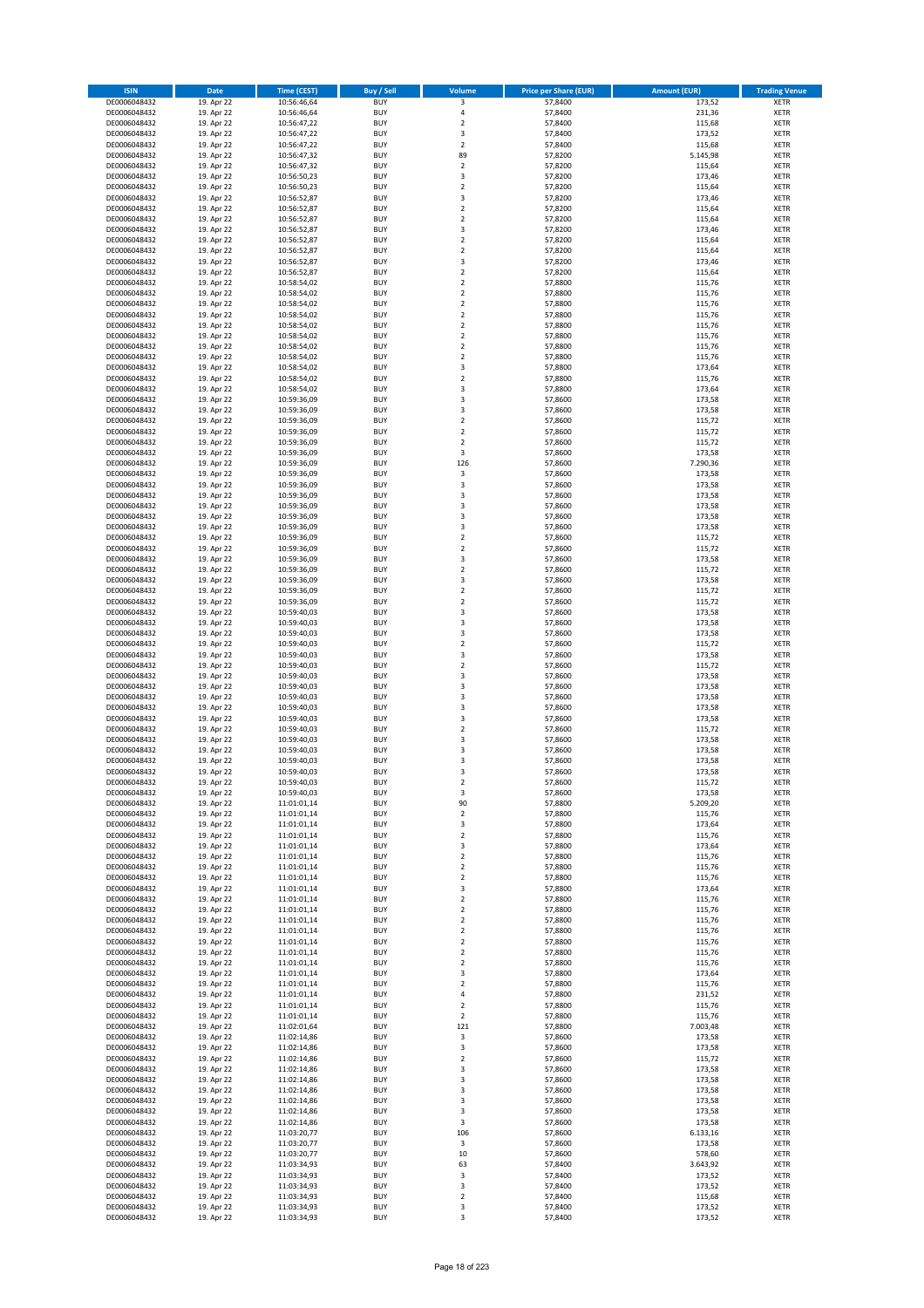| <b>ISIN</b>                  | <b>Date</b>              | <b>Time (CEST)</b>         | <b>Buy / Sell</b>        | <b>Volume</b>                          | <b>Price per Share (EUR)</b> | <b>Amount (EUR)</b> | <b>Trading Venue</b>       |
|------------------------------|--------------------------|----------------------------|--------------------------|----------------------------------------|------------------------------|---------------------|----------------------------|
| DE0006048432                 | 19. Apr 22               | 10:56:46,64                | <b>BUY</b>               | 3                                      | 57,8400                      | 173,52              | <b>XETR</b>                |
| DE0006048432                 | 19. Apr 22               | 10:56:46,64                | <b>BUY</b>               | 4                                      | 57,8400                      | 231,36              | <b>XETR</b>                |
| DE0006048432                 | 19. Apr 22               | 10:56:47,22                | <b>BUY</b>               | $\overline{\mathbf{c}}$                | 57.8400                      | 115,68              | <b>XETR</b>                |
| DE0006048432<br>DE0006048432 | 19. Apr 22<br>19. Apr 22 | 10:56:47,22<br>10:56:47,22 | <b>BUY</b><br><b>BUY</b> | 3<br>$\overline{\mathbf{c}}$           | 57,8400<br>57,8400           | 173,52<br>115,68    | <b>XETR</b><br><b>XETR</b> |
| DE0006048432                 | 19. Apr 22               | 10:56:47,32                | <b>BUY</b>               | 89                                     | 57,8200                      | 5.145,98            | <b>XETR</b>                |
| DE0006048432                 | 19. Apr 22               | 10:56:47,32                | <b>BUY</b>               | $\overline{\mathbf{c}}$                | 57,8200                      | 115,64              | <b>XETR</b>                |
| DE0006048432                 | 19. Apr 22               | 10:56:50,23                | <b>BUY</b>               | 3                                      | 57,8200                      | 173,46              | <b>XETR</b>                |
| DE0006048432                 | 19. Apr 22               | 10:56:50,23                | <b>BUY</b>               | $\overline{2}$                         | 57,8200                      | 115,64              | <b>XETR</b>                |
| DE0006048432                 | 19. Apr 22               | 10:56:52,87                | <b>BUY</b>               | 3                                      | 57,8200                      | 173,46              | <b>XETR</b>                |
| DE0006048432                 | 19. Apr 22               | 10:56:52,87                | <b>BUY</b>               | $\mathbf 2$                            | 57,8200                      | 115,64              | <b>XETR</b>                |
| DE0006048432<br>DE0006048432 | 19. Apr 22<br>19. Apr 22 | 10:56:52,87<br>10:56:52,87 | <b>BUY</b><br><b>BUY</b> | $\overline{\mathbf{c}}$<br>3           | 57,8200<br>57,8200           | 115,64<br>173,46    | <b>XETR</b><br><b>XETR</b> |
| DE0006048432                 | 19. Apr 22               | 10:56:52,87                | <b>BUY</b>               | $\overline{\mathbf{c}}$                | 57,8200                      | 115,64              | <b>XETR</b>                |
| DE0006048432                 | 19. Apr 22               | 10:56:52,87                | <b>BUY</b>               | $\overline{\mathbf{c}}$                | 57,8200                      | 115,64              | <b>XETR</b>                |
| DE0006048432                 | 19. Apr 22               | 10:56:52,87                | <b>BUY</b>               | 3                                      | 57,8200                      | 173,46              | <b>XETR</b>                |
| DE0006048432                 | 19. Apr 22               | 10:56:52,87                | <b>BUY</b>               | $\mathbf 2$                            | 57,8200                      | 115,64              | <b>XETR</b>                |
| DE0006048432                 | 19. Apr 22               | 10:58:54,02                | <b>BUY</b>               | $\mathbf 2$                            | 57,8800                      | 115,76              | <b>XETR</b>                |
| DE0006048432                 | 19. Apr 22               | 10:58:54,02                | <b>BUY</b>               | $\overline{\mathbf{c}}$                | 57,8800                      | 115,76              | <b>XETR</b>                |
| DE0006048432                 | 19. Apr 22               | 10:58:54,02                | <b>BUY</b>               | $\mathbf 2$                            | 57,8800                      | 115,76              | <b>XETR</b>                |
| DE0006048432<br>DE0006048432 | 19. Apr 22<br>19. Apr 22 | 10:58:54,02<br>10:58:54,02 | <b>BUY</b><br><b>BUY</b> | $\overline{\mathbf{c}}$<br>$\mathbf 2$ | 57,8800<br>57,8800           | 115,76<br>115,76    | <b>XETR</b><br><b>XETR</b> |
| DE0006048432                 | 19. Apr 22               | 10:58:54,02                | <b>BUY</b>               | $\mathbf 2$                            | 57,8800                      | 115,76              | <b>XETR</b>                |
| DE0006048432                 | 19. Apr 22               | 10:58:54,02                | <b>BUY</b>               | $\mathbf 2$                            | 57,8800                      | 115,76              | <b>XETR</b>                |
| DE0006048432                 | 19. Apr 22               | 10:58:54,02                | <b>BUY</b>               | $\mathbf 2$                            | 57,8800                      | 115,76              | <b>XETR</b>                |
| DE0006048432                 | 19. Apr 22               | 10:58:54,02                | <b>BUY</b>               | 3                                      | 57,8800                      | 173,64              | <b>XETR</b>                |
| DE0006048432                 | 19. Apr 22               | 10:58:54,02                | <b>BUY</b>               | $\mathbf 2$                            | 57,8800                      | 115,76              | <b>XETR</b>                |
| DE0006048432                 | 19. Apr 22               | 10:58:54,02                | <b>BUY</b>               | 3                                      | 57,8800                      | 173,64              | <b>XETR</b>                |
| DE0006048432<br>DE0006048432 | 19. Apr 22<br>19. Apr 22 | 10:59:36,09<br>10:59:36,09 | <b>BUY</b><br><b>BUY</b> | 3<br>3                                 | 57,8600<br>57,8600           | 173,58<br>173,58    | <b>XETR</b><br><b>XETR</b> |
| DE0006048432                 | 19. Apr 22               | 10:59:36,09                | <b>BUY</b>               | $\mathbf 2$                            | 57,8600                      | 115,72              | <b>XETR</b>                |
| DE0006048432                 | 19. Apr 22               | 10:59:36,09                | <b>BUY</b>               | $\overline{\mathbf{c}}$                | 57,8600                      | 115,72              | <b>XETR</b>                |
| DE0006048432                 | 19. Apr 22               | 10:59:36,09                | <b>BUY</b>               | $\mathbf 2$                            | 57,8600                      | 115,72              | <b>XETR</b>                |
| DE0006048432                 | 19. Apr 22               | 10:59:36,09                | <b>BUY</b>               | 3                                      | 57,8600                      | 173,58              | <b>XETR</b>                |
| DE0006048432                 | 19. Apr 22               | 10:59:36,09                | <b>BUY</b>               | 126                                    | 57,8600                      | 7.290,36            | <b>XETR</b>                |
| DE0006048432                 | 19. Apr 22               | 10:59:36,09                | <b>BUY</b>               | 3                                      | 57,8600                      | 173,58              | <b>XETR</b>                |
| DE0006048432                 | 19. Apr 22               | 10:59:36,09                | <b>BUY</b><br><b>BUY</b> | 3<br>3                                 | 57,8600                      | 173,58              | <b>XETR</b>                |
| DE0006048432<br>DE0006048432 | 19. Apr 22<br>19. Apr 22 | 10:59:36,09<br>10:59:36,09 | <b>BUY</b>               | 3                                      | 57,8600<br>57,8600           | 173,58<br>173,58    | <b>XETR</b><br><b>XETR</b> |
| DE0006048432                 | 19. Apr 22               | 10:59:36,09                | <b>BUY</b>               | 3                                      | 57,8600                      | 173,58              | <b>XETR</b>                |
| DE0006048432                 | 19. Apr 22               | 10:59:36,09                | <b>BUY</b>               | 3                                      | 57,8600                      | 173,58              | <b>XETR</b>                |
| DE0006048432                 | 19. Apr 22               | 10:59:36,09                | <b>BUY</b>               | $\mathbf 2$                            | 57,8600                      | 115,72              | <b>XETR</b>                |
| DE0006048432                 | 19. Apr 22               | 10:59:36,09                | <b>BUY</b>               | $\mathbf 2$                            | 57,8600                      | 115,72              | <b>XETR</b>                |
| DE0006048432                 | 19. Apr 22               | 10:59:36,09                | <b>BUY</b>               | 3                                      | 57,8600                      | 173,58              | <b>XETR</b>                |
| DE0006048432                 | 19. Apr 22               | 10:59:36,09                | <b>BUY</b>               | $\mathbf 2$                            | 57,8600                      | 115,72              | <b>XETR</b>                |
| DE0006048432                 | 19. Apr 22               | 10:59:36,09                | <b>BUY</b><br><b>BUY</b> | 3<br>$\mathbf 2$                       | 57,8600                      | 173,58              | <b>XETR</b>                |
| DE0006048432<br>DE0006048432 | 19. Apr 22<br>19. Apr 22 | 10:59:36,09<br>10:59:36,09 | <b>BUY</b>               | $\mathbf 2$                            | 57,8600<br>57,8600           | 115,72<br>115,72    | <b>XETR</b><br><b>XETR</b> |
| DE0006048432                 | 19. Apr 22               | 10:59:40,03                | <b>BUY</b>               | 3                                      | 57,8600                      | 173,58              | <b>XETR</b>                |
| DE0006048432                 | 19. Apr 22               | 10:59:40,03                | <b>BUY</b>               | 3                                      | 57,8600                      | 173,58              | <b>XETR</b>                |
| DE0006048432                 | 19. Apr 22               | 10:59:40,03                | <b>BUY</b>               | 3                                      | 57,8600                      | 173,58              | <b>XETR</b>                |
| DE0006048432                 | 19. Apr 22               | 10:59:40,03                | <b>BUY</b>               | $\mathbf 2$                            | 57,8600                      | 115,72              | <b>XETR</b>                |
| DE0006048432                 | 19. Apr 22               | 10:59:40,03                | <b>BUY</b>               | 3                                      | 57,8600                      | 173,58              | <b>XETR</b>                |
| DE0006048432<br>DE0006048432 | 19. Apr 22<br>19. Apr 22 | 10:59:40,03<br>10:59:40,03 | <b>BUY</b><br><b>BUY</b> | $\mathbf 2$<br>3                       | 57,8600<br>57,8600           | 115,72<br>173,58    | <b>XETR</b><br><b>XETR</b> |
| DE0006048432                 | 19. Apr 22               | 10:59:40,03                | <b>BUY</b>               | 3                                      | 57,8600                      | 173,58              | <b>XETR</b>                |
| DE0006048432                 | 19. Apr 22               | 10:59:40,03                | <b>BUY</b>               | 3                                      | 57,8600                      | 173,58              | <b>XETR</b>                |
| DE0006048432                 | 19. Apr 22               | 10:59:40,03                | <b>BUY</b>               | 3                                      | 57,8600                      | 173,58              | <b>XETR</b>                |
| DE0006048432                 | 19. Apr 22               | 10:59:40,03                | <b>BUY</b>               | 3                                      | 57,8600                      | 173,58              | <b>XETR</b>                |
| DE0006048432                 | 19. Apr 22               | 10:59:40,03                | <b>BUY</b>               | $\overline{2}$                         | 57,8600                      | 115,72              | <b>XETR</b>                |
| DE0006048432                 | 19. Apr 22               | 10:59:40,03                | <b>BUY</b>               | 3                                      | 57,8600                      | 173,58              | <b>XETR</b>                |
| DE0006048432<br>DE0006048432 | 19. Apr 22<br>19. Apr 22 | 10:59:40,03<br>10:59:40,03 | <b>BUY</b><br><b>BUY</b> | 3<br>3                                 | 57,8600<br>57,8600           | 173,58<br>173,58    | <b>XETR</b><br><b>XETR</b> |
| DE0006048432                 | 19. Apr 22               | 10:59:40,03                | <b>BUY</b>               | 3                                      | 57,8600                      | 173,58              | <b>XETR</b>                |
| DE0006048432                 | 19. Apr 22               | 10:59:40,03                | <b>BUY</b>               | 2                                      | 57,8600                      | 115,72              | <b>XETR</b>                |
| DE0006048432                 | 19. Apr 22               | 10:59:40,03                | <b>BUY</b>               | 3                                      | 57,8600                      | 173,58              | <b>XETR</b>                |
| DE0006048432                 | 19. Apr 22               | 11:01:01,14                | <b>BUY</b>               | 90                                     | 57,8800                      | 5.209,20            | XETR                       |
| DE0006048432                 | 19. Apr 22               | 11:01:01,14                | <b>BUY</b>               | 2                                      | 57,8800                      | 115,76              | XETR                       |
| DE0006048432                 | 19. Apr 22               | 11:01:01,14                | <b>BUY</b>               | 3                                      | 57,8800                      | 173,64              | <b>XETR</b>                |
| DE0006048432<br>DE0006048432 | 19. Apr 22<br>19. Apr 22 | 11:01:01,14<br>11:01:01,14 | <b>BUY</b><br><b>BUY</b> | $\mathbf 2$<br>3                       | 57,8800<br>57,8800           | 115,76<br>173,64    | <b>XETR</b><br><b>XETR</b> |
| DE0006048432                 | 19. Apr 22               | 11:01:01,14                | <b>BUY</b>               | $\mathbf 2$                            | 57,8800                      | 115,76              | <b>XETR</b>                |
| DE0006048432                 | 19. Apr 22               | 11:01:01,14                | <b>BUY</b>               | $\mathbf 2$                            | 57,8800                      | 115,76              | <b>XETR</b>                |
| DE0006048432                 | 19. Apr 22               | 11:01:01,14                | <b>BUY</b>               | $\mathbf 2$                            | 57,8800                      | 115,76              | XETR                       |
| DE0006048432                 | 19. Apr 22               | 11:01:01,14                | <b>BUY</b>               | 3                                      | 57,8800                      | 173,64              | <b>XETR</b>                |
| DE0006048432                 | 19. Apr 22               | 11:01:01,14                | <b>BUY</b>               | $\overline{2}$                         | 57,8800                      | 115,76              | <b>XETR</b>                |
| DE0006048432<br>DE0006048432 | 19. Apr 22<br>19. Apr 22 | 11:01:01,14<br>11:01:01,14 | <b>BUY</b><br><b>BUY</b> | $\mathbf 2$<br>$\overline{2}$          | 57,8800<br>57,8800           | 115,76<br>115,76    | <b>XETR</b><br><b>XETR</b> |
| DE0006048432                 | 19. Apr 22               | 11:01:01,14                | <b>BUY</b>               | $\mathbf 2$                            | 57,8800                      | 115,76              | <b>XETR</b>                |
| DE0006048432                 | 19. Apr 22               | 11:01:01,14                | <b>BUY</b>               | $\overline{2}$                         | 57,8800                      | 115,76              | <b>XETR</b>                |
| DE0006048432                 | 19. Apr 22               | 11:01:01,14                | <b>BUY</b>               | $\mathbf 2$                            | 57,8800                      | 115,76              | <b>XETR</b>                |
| DE0006048432                 | 19. Apr 22               | 11:01:01,14                | <b>BUY</b>               | $\mathbf 2$                            | 57,8800                      | 115,76              | <b>XETR</b>                |
| DE0006048432                 | 19. Apr 22               | 11:01:01,14                | <b>BUY</b>               | 3                                      | 57,8800                      | 173,64              | XETR                       |
| DE0006048432                 | 19. Apr 22               | 11:01:01,14                | <b>BUY</b>               | $\mathbf 2$                            | 57,8800                      | 115,76              | <b>XETR</b>                |
| DE0006048432<br>DE0006048432 | 19. Apr 22<br>19. Apr 22 | 11:01:01,14<br>11:01:01,14 | <b>BUY</b><br><b>BUY</b> | 4<br>$\mathbf 2$                       | 57,8800<br>57,8800           | 231,52<br>115,76    | <b>XETR</b><br><b>XETR</b> |
| DE0006048432                 | 19. Apr 22               | 11:01:01,14                | <b>BUY</b>               | $\overline{2}$                         | 57,8800                      | 115,76              | <b>XETR</b>                |
| DE0006048432                 | 19. Apr 22               | 11:02:01,64                | <b>BUY</b>               | 121                                    | 57,8800                      | 7.003,48            | <b>XETR</b>                |
| DE0006048432                 | 19. Apr 22               | 11:02:14,86                | <b>BUY</b>               | 3                                      | 57,8600                      | 173,58              | <b>XETR</b>                |
| DE0006048432                 | 19. Apr 22               | 11:02:14,86                | <b>BUY</b>               | 3                                      | 57,8600                      | 173,58              | XETR                       |
| DE0006048432                 | 19. Apr 22               | 11:02:14,86                | <b>BUY</b>               | $\mathbf 2$                            | 57,8600                      | 115,72              | <b>XETR</b>                |
| DE0006048432                 | 19. Apr 22               | 11:02:14,86                | <b>BUY</b><br><b>BUY</b> | 3                                      | 57,8600                      | 173,58<br>173,58    | <b>XETR</b>                |
| DE0006048432<br>DE0006048432 | 19. Apr 22<br>19. Apr 22 | 11:02:14,86<br>11:02:14,86 | <b>BUY</b>               | 3<br>3                                 | 57,8600<br>57,8600           | 173,58              | <b>XETR</b><br><b>XETR</b> |
| DE0006048432                 | 19. Apr 22               | 11:02:14,86                | <b>BUY</b>               | 3                                      | 57,8600                      | 173,58              | <b>XETR</b>                |
| DE0006048432                 | 19. Apr 22               | 11:02:14,86                | <b>BUY</b>               | 3                                      | 57,8600                      | 173,58              | <b>XETR</b>                |
| DE0006048432                 | 19. Apr 22               | 11:02:14,86                | <b>BUY</b>               | 3                                      | 57,8600                      | 173,58              | XETR                       |
| DE0006048432                 | 19. Apr 22               | 11:03:20,77                | <b>BUY</b>               | 106                                    | 57,8600                      | 6.133,16            | <b>XETR</b>                |
| DE0006048432                 | 19. Apr 22               | 11:03:20,77                | <b>BUY</b>               | 3                                      | 57,8600                      | 173,58              | <b>XETR</b>                |
| DE0006048432<br>DE0006048432 | 19. Apr 22<br>19. Apr 22 | 11:03:20,77<br>11:03:34,93 | <b>BUY</b><br><b>BUY</b> | 10<br>63                               | 57,8600<br>57,8400           | 578,60<br>3.643,92  | <b>XETR</b><br><b>XETR</b> |
| DE0006048432                 | 19. Apr 22               | 11:03:34,93                | <b>BUY</b>               | 3                                      | 57,8400                      | 173,52              | XETR                       |
| DE0006048432                 | 19. Apr 22               | 11:03:34,93                | <b>BUY</b>               | 3                                      | 57,8400                      | 173,52              | <b>XETR</b>                |
| DE0006048432                 | 19. Apr 22               | 11:03:34,93                | <b>BUY</b>               | $\mathbf 2$                            | 57,8400                      | 115,68              | <b>XETR</b>                |
| DE0006048432                 | 19. Apr 22               | 11:03:34,93                | <b>BUY</b>               | 3                                      | 57,8400                      | 173,52              | <b>XETR</b>                |
| DE0006048432                 | 19. Apr 22               | 11:03:34,93                | <b>BUY</b>               | 3                                      | 57,8400                      | 173,52              | XETR                       |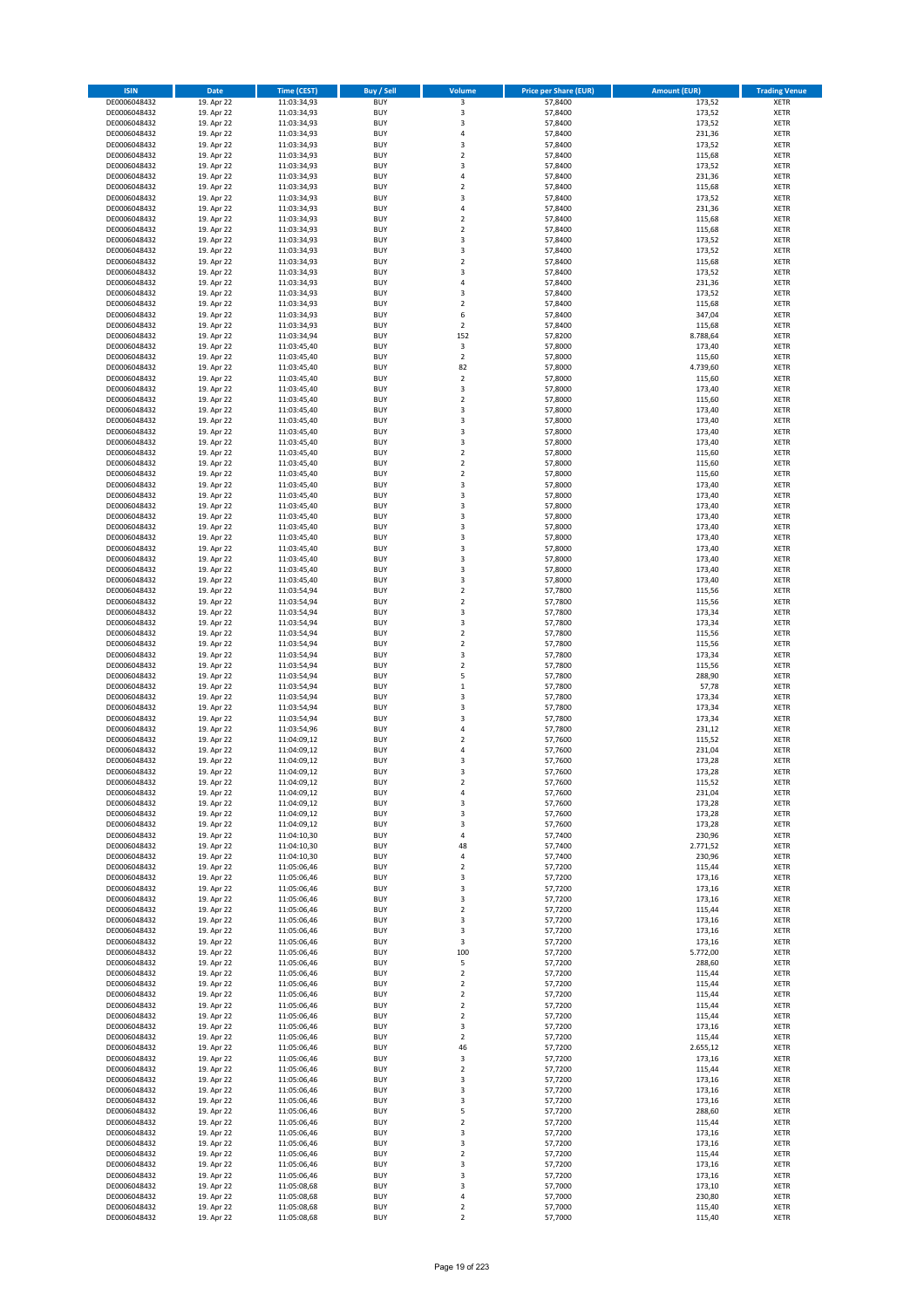| <b>ISIN</b>                  | <b>Date</b>              | <b>Time (CEST)</b>         | <b>Buy / Sell</b>        | Volume                       | <b>Price per Share (EUR)</b> | <b>Amount (EUR)</b> | <b>Trading Venue</b>       |
|------------------------------|--------------------------|----------------------------|--------------------------|------------------------------|------------------------------|---------------------|----------------------------|
| DE0006048432                 | 19. Apr 22               | 11:03:34,93                | <b>BUY</b>               | $\overline{\mathbf{3}}$      | 57,8400                      | 173,52              | <b>XETR</b>                |
| DE0006048432                 | 19. Apr 22               | 11:03:34,93                | <b>BUY</b>               | 3                            | 57,8400                      | 173,52              | <b>XETR</b>                |
| DE0006048432                 | 19. Apr 22               | 11:03:34,93                | <b>BUY</b>               | 3                            | 57,8400                      | 173,52              | <b>XETR</b>                |
| DE0006048432<br>DE0006048432 | 19. Apr 22<br>19. Apr 22 | 11:03:34,93<br>11:03:34,93 | <b>BUY</b><br><b>BUY</b> | 4<br>3                       | 57,8400<br>57,8400           | 231,36<br>173,52    | <b>XETR</b><br><b>XETR</b> |
| DE0006048432                 | 19. Apr 22               | 11:03:34,93                | <b>BUY</b>               | $\mathbf 2$                  | 57,8400                      | 115,68              | <b>XETR</b>                |
| DE0006048432                 | 19. Apr 22               | 11:03:34,93                | <b>BUY</b>               | 3                            | 57,8400                      | 173,52              | <b>XETR</b>                |
| DE0006048432                 | 19. Apr 22               | 11:03:34,93                | <b>BUY</b>               | 4                            | 57,8400                      | 231,36              | <b>XETR</b>                |
| DE0006048432                 | 19. Apr 22               | 11:03:34,93                | <b>BUY</b>               | $\overline{2}$               | 57,8400                      | 115,68              | <b>XETR</b>                |
| DE0006048432                 | 19. Apr 22               | 11:03:34,93                | <b>BUY</b><br><b>BUY</b> | 3                            | 57,8400                      | 173,52              | <b>XETR</b><br><b>XETR</b> |
| DE0006048432<br>DE0006048432 | 19. Apr 22<br>19. Apr 22 | 11:03:34,93<br>11:03:34,93 | <b>BUY</b>               | 4<br>$\overline{\mathbf{c}}$ | 57,8400<br>57,8400           | 231,36<br>115,68    | <b>XETR</b>                |
| DE0006048432                 | 19. Apr 22               | 11:03:34,93                | <b>BUY</b>               | $\mathbf 2$                  | 57,8400                      | 115,68              | <b>XETR</b>                |
| DE0006048432                 | 19. Apr 22               | 11:03:34,93                | <b>BUY</b>               | 3                            | 57,8400                      | 173,52              | <b>XETR</b>                |
| DE0006048432                 | 19. Apr 22               | 11:03:34,93                | <b>BUY</b>               | 3                            | 57,8400                      | 173,52              | <b>XETR</b>                |
| DE0006048432                 | 19. Apr 22               | 11:03:34,93                | <b>BUY</b>               | $\overline{\mathbf{c}}$      | 57,8400                      | 115,68              | <b>XETR</b>                |
| DE0006048432<br>DE0006048432 | 19. Apr 22<br>19. Apr 22 | 11:03:34,93<br>11:03:34,93 | <b>BUY</b><br><b>BUY</b> | 3<br>4                       | 57,8400<br>57,8400           | 173,52<br>231,36    | <b>XETR</b><br><b>XETR</b> |
| DE0006048432                 | 19. Apr 22               | 11:03:34,93                | <b>BUY</b>               | 3                            | 57,8400                      | 173,52              | <b>XETR</b>                |
| DE0006048432                 | 19. Apr 22               | 11:03:34,93                | <b>BUY</b>               | $\mathbf 2$                  | 57,8400                      | 115,68              | <b>XETR</b>                |
| DE0006048432                 | 19. Apr 22               | 11:03:34,93                | <b>BUY</b>               | 6                            | 57,8400                      | 347,04              | <b>XETR</b>                |
| DE0006048432                 | 19. Apr 22               | 11:03:34,93                | <b>BUY</b>               | $\mathbf 2$                  | 57,8400                      | 115,68              | <b>XETR</b>                |
| DE0006048432                 | 19. Apr 22               | 11:03:34,94                | <b>BUY</b><br><b>BUY</b> | 152<br>3                     | 57,8200                      | 8.788,64            | <b>XETR</b><br><b>XETR</b> |
| DE0006048432<br>DE0006048432 | 19. Apr 22<br>19. Apr 22 | 11:03:45,40<br>11:03:45,40 | <b>BUY</b>               | $\mathbf 2$                  | 57,8000<br>57,8000           | 173,40<br>115,60    | <b>XETR</b>                |
| DE0006048432                 | 19. Apr 22               | 11:03:45,40                | <b>BUY</b>               | 82                           | 57,8000                      | 4.739,60            | <b>XETR</b>                |
| DE0006048432                 | 19. Apr 22               | 11:03:45,40                | <b>BUY</b>               | $\mathbf 2$                  | 57,8000                      | 115,60              | <b>XETR</b>                |
| DE0006048432                 | 19. Apr 22               | 11:03:45,40                | <b>BUY</b>               | 3                            | 57,8000                      | 173,40              | <b>XETR</b>                |
| DE0006048432                 | 19. Apr 22               | 11:03:45,40                | <b>BUY</b>               | $\mathbf 2$                  | 57,8000                      | 115,60              | <b>XETR</b>                |
| DE0006048432<br>DE0006048432 | 19. Apr 22<br>19. Apr 22 | 11:03:45,40<br>11:03:45,40 | <b>BUY</b><br><b>BUY</b> | 3<br>3                       | 57,8000<br>57,8000           | 173,40<br>173,40    | <b>XETR</b><br><b>XETR</b> |
| DE0006048432                 | 19. Apr 22               | 11:03:45,40                | <b>BUY</b>               | 3                            | 57,8000                      | 173,40              | <b>XETR</b>                |
| DE0006048432                 | 19. Apr 22               | 11:03:45,40                | <b>BUY</b>               | 3                            | 57,8000                      | 173,40              | <b>XETR</b>                |
| DE0006048432                 | 19. Apr 22               | 11:03:45,40                | <b>BUY</b>               | $\mathbf 2$                  | 57,8000                      | 115,60              | <b>XETR</b>                |
| DE0006048432                 | 19. Apr 22               | 11:03:45,40                | <b>BUY</b>               | $\overline{2}$               | 57,8000                      | 115,60              | <b>XETR</b>                |
| DE0006048432                 | 19. Apr 22               | 11:03:45,40                | <b>BUY</b>               | $\mathbf 2$                  | 57,8000                      | 115,60              | <b>XETR</b>                |
| DE0006048432<br>DE0006048432 | 19. Apr 22<br>19. Apr 22 | 11:03:45,40<br>11:03:45,40 | <b>BUY</b><br><b>BUY</b> | 3<br>3                       | 57,8000<br>57,8000           | 173,40<br>173,40    | <b>XETR</b><br><b>XETR</b> |
| DE0006048432                 | 19. Apr 22               | 11:03:45,40                | <b>BUY</b>               | 3                            | 57,8000                      | 173,40              | <b>XETR</b>                |
| DE0006048432                 | 19. Apr 22               | 11:03:45,40                | <b>BUY</b>               | 3                            | 57,8000                      | 173,40              | <b>XETR</b>                |
| DE0006048432                 | 19. Apr 22               | 11:03:45,40                | <b>BUY</b>               | 3                            | 57,8000                      | 173,40              | <b>XETR</b>                |
| DE0006048432                 | 19. Apr 22               | 11:03:45,40                | <b>BUY</b>               | 3                            | 57,8000                      | 173,40              | <b>XETR</b>                |
| DE0006048432                 | 19. Apr 22               | 11:03:45,40                | <b>BUY</b><br><b>BUY</b> | 3<br>3                       | 57,8000                      | 173,40              | <b>XETR</b><br><b>XETR</b> |
| DE0006048432<br>DE0006048432 | 19. Apr 22<br>19. Apr 22 | 11:03:45,40<br>11:03:45,40 | <b>BUY</b>               | 3                            | 57,8000<br>57,8000           | 173,40<br>173,40    | <b>XETR</b>                |
| DE0006048432                 | 19. Apr 22               | 11:03:45,40                | <b>BUY</b>               | 3                            | 57,8000                      | 173,40              | <b>XETR</b>                |
| DE0006048432                 | 19. Apr 22               | 11:03:54,94                | <b>BUY</b>               | $\mathbf 2$                  | 57,7800                      | 115,56              | <b>XETR</b>                |
| DE0006048432                 | 19. Apr 22               | 11:03:54,94                | <b>BUY</b>               | $\mathbf 2$                  | 57,7800                      | 115,56              | <b>XETR</b>                |
| DE0006048432                 | 19. Apr 22               | 11:03:54,94                | <b>BUY</b>               | 3                            | 57,7800                      | 173,34              | <b>XETR</b>                |
| DE0006048432<br>DE0006048432 | 19. Apr 22<br>19. Apr 22 | 11:03:54,94<br>11:03:54,94 | <b>BUY</b><br><b>BUY</b> | 3<br>$\mathbf 2$             | 57,7800<br>57,7800           | 173,34<br>115,56    | <b>XETR</b><br><b>XETR</b> |
| DE0006048432                 | 19. Apr 22               | 11:03:54,94                | <b>BUY</b>               | $\mathbf 2$                  | 57,7800                      | 115,56              | <b>XETR</b>                |
| DE0006048432                 | 19. Apr 22               | 11:03:54,94                | <b>BUY</b>               | 3                            | 57,7800                      | 173,34              | <b>XETR</b>                |
| DE0006048432                 | 19. Apr 22               | 11:03:54,94                | <b>BUY</b>               | $\mathbf 2$                  | 57,7800                      | 115,56              | <b>XETR</b>                |
| DE0006048432                 | 19. Apr 22               | 11:03:54,94                | <b>BUY</b>               | 5                            | 57,7800                      | 288,90              | <b>XETR</b>                |
| DE0006048432                 | 19. Apr 22               | 11:03:54,94                | <b>BUY</b>               | $\mathbf 1$                  | 57,7800                      | 57,78               | <b>XETR</b>                |
| DE0006048432<br>DE0006048432 | 19. Apr 22<br>19. Apr 22 | 11:03:54,94<br>11:03:54,94 | <b>BUY</b><br><b>BUY</b> | 3<br>3                       | 57,7800<br>57,7800           | 173,34<br>173,34    | <b>XETR</b><br><b>XETR</b> |
| DE0006048432                 | 19. Apr 22               | 11:03:54,94                | <b>BUY</b>               | 3                            | 57,7800                      | 173,34              | <b>XETR</b>                |
| DE0006048432                 | 19. Apr 22               | 11:03:54,96                | <b>BUY</b>               | 4                            | 57,7800                      | 231,12              | <b>XETR</b>                |
| DE0006048432                 | 19. Apr 22               | 11:04:09,12                | <b>BUY</b>               | $\mathbf 2$                  | 57,7600                      | 115,52              | <b>XETR</b>                |
| DE0006048432                 | 19. Apr 22               | 11:04:09,12                | <b>BUY</b>               | 4                            | 57,7600                      | 231,04              | <b>XETR</b>                |
| DE0006048432<br>DE0006048432 | 19. Apr 22<br>19. Apr 22 | 11:04:09,12<br>11:04:09,12 | <b>BUY</b><br><b>BUY</b> | 3<br>3                       | 57,7600<br>57,7600           | 173,28<br>173,28    | <b>XETR</b><br><b>XETR</b> |
| DE0006048432                 | 19. Apr 22               | 11:04:09,12                | BUY                      | 2                            | 57,7600                      | 115,52              | <b>XETR</b>                |
| DE0006048432                 | 19. Apr 22               | 11:04:09,12                | <b>BUY</b>               | 4                            | 57,7600                      | 231,04              | <b>XETR</b>                |
| DE0006048432                 | 19. Apr 22               | 11:04:09,12                | <b>BUY</b>               | 3                            | 57,7600                      | 173,28              | <b>XETR</b>                |
| DE0006048432                 | 19. Apr 22               | 11:04:09,12                | <b>BUY</b>               | 3                            | 57,7600                      | 173,28              | XETR                       |
| DE0006048432                 | 19. Apr 22               | 11:04:09,12<br>11:04:10,30 | <b>BUY</b>               | 3                            | 57,7600                      | 173,28<br>230,96    | <b>XETR</b>                |
| DE0006048432<br>DE0006048432 | 19. Apr 22<br>19. Apr 22 | 11:04:10,30                | <b>BUY</b><br><b>BUY</b> | 4<br>48                      | 57,7400<br>57,7400           | 2.771,52            | <b>XETR</b><br><b>XETR</b> |
| DE0006048432                 | 19. Apr 22               | 11:04:10,30                | <b>BUY</b>               | 4                            | 57,7400                      | 230,96              | <b>XETR</b>                |
| DE0006048432                 | 19. Apr 22               | 11:05:06,46                | <b>BUY</b>               | $\mathbf 2$                  | 57,7200                      | 115,44              | <b>XETR</b>                |
| DE0006048432                 | 19. Apr 22               | 11:05:06,46                | <b>BUY</b>               | 3                            | 57,7200                      | 173,16              | XETR                       |
| DE0006048432                 | 19. Apr 22               | 11:05:06,46<br>11:05:06,46 | <b>BUY</b>               | 3                            | 57,7200<br>57,7200           | 173,16              | <b>XETR</b>                |
| DE0006048432<br>DE0006048432 | 19. Apr 22<br>19. Apr 22 | 11:05:06,46                | <b>BUY</b><br><b>BUY</b> | 3<br>$\mathbf 2$             | 57,7200                      | 173,16<br>115,44    | <b>XETR</b><br><b>XETR</b> |
| DE0006048432                 | 19. Apr 22               | 11:05:06,46                | <b>BUY</b>               | 3                            | 57,7200                      | 173,16              | <b>XETR</b>                |
| DE0006048432                 | 19. Apr 22               | 11:05:06,46                | <b>BUY</b>               | 3                            | 57,7200                      | 173,16              | <b>XETR</b>                |
| DE0006048432                 | 19. Apr 22               | 11:05:06,46                | <b>BUY</b>               | 3                            | 57,7200                      | 173,16              | <b>XETR</b>                |
| DE0006048432                 | 19. Apr 22               | 11:05:06,46                | <b>BUY</b>               | 100                          | 57,7200                      | 5.772,00            | <b>XETR</b>                |
| DE0006048432<br>DE0006048432 | 19. Apr 22<br>19. Apr 22 | 11:05:06,46<br>11:05:06,46 | <b>BUY</b><br><b>BUY</b> | 5<br>$\mathbf 2$             | 57,7200<br>57,7200           | 288,60<br>115,44    | <b>XETR</b><br>XETR        |
| DE0006048432                 | 19. Apr 22               | 11:05:06,46                | <b>BUY</b>               | $\mathbf 2$                  | 57,7200                      | 115,44              | <b>XETR</b>                |
| DE0006048432                 | 19. Apr 22               | 11:05:06,46                | <b>BUY</b>               | $\overline{2}$               | 57,7200                      | 115,44              | <b>XETR</b>                |
| DE0006048432                 | 19. Apr 22               | 11:05:06,46                | <b>BUY</b>               | $\mathbf 2$                  | 57,7200                      | 115,44              | <b>XETR</b>                |
| DE0006048432                 | 19. Apr 22               | 11:05:06,46                | <b>BUY</b>               | $\overline{2}$               | 57,7200                      | 115,44              | <b>XETR</b>                |
| DE0006048432                 | 19. Apr 22               | 11:05:06,46                | <b>BUY</b><br><b>BUY</b> | 3                            | 57,7200                      | 173,16              | <b>XETR</b>                |
| DE0006048432<br>DE0006048432 | 19. Apr 22<br>19. Apr 22 | 11:05:06,46<br>11:05:06,46 | <b>BUY</b>               | $\mathbf 2$<br>46            | 57,7200<br>57,7200           | 115,44<br>2.655,12  | <b>XETR</b><br><b>XETR</b> |
| DE0006048432                 | 19. Apr 22               | 11:05:06,46                | <b>BUY</b>               | 3                            | 57,7200                      | 173,16              | <b>XETR</b>                |
| DE0006048432                 | 19. Apr 22               | 11:05:06,46                | <b>BUY</b>               | $\mathbf 2$                  | 57,7200                      | 115,44              | <b>XETR</b>                |
| DE0006048432                 | 19. Apr 22               | 11:05:06,46                | <b>BUY</b>               | 3                            | 57,7200                      | 173,16              | <b>XETR</b>                |
| DE0006048432                 | 19. Apr 22               | 11:05:06,46                | <b>BUY</b>               | 3                            | 57,7200                      | 173,16              | XETR                       |
| DE0006048432                 | 19. Apr 22               | 11:05:06,46                | <b>BUY</b><br><b>BUY</b> | 3                            | 57,7200                      | 173,16              | <b>XETR</b>                |
| DE0006048432<br>DE0006048432 | 19. Apr 22<br>19. Apr 22 | 11:05:06,46<br>11:05:06,46 | <b>BUY</b>               | 5<br>$\mathbf 2$             | 57,7200<br>57,7200           | 288,60<br>115,44    | <b>XETR</b><br><b>XETR</b> |
| DE0006048432                 | 19. Apr 22               | 11:05:06,46                | <b>BUY</b>               | 3                            | 57,7200                      | 173,16              | <b>XETR</b>                |
| DE0006048432                 | 19. Apr 22               | 11:05:06,46                | <b>BUY</b>               | 3                            | 57,7200                      | 173,16              | <b>XETR</b>                |
| DE0006048432                 | 19. Apr 22               | 11:05:06,46                | <b>BUY</b>               | $\mathbf 2$                  | 57,7200                      | 115,44              | <b>XETR</b>                |
| DE0006048432                 | 19. Apr 22               | 11:05:06,46                | <b>BUY</b>               | 3                            | 57,7200                      | 173,16              | <b>XETR</b>                |
| DE0006048432<br>DE0006048432 | 19. Apr 22<br>19. Apr 22 | 11:05:06,46<br>11:05:08,68 | <b>BUY</b><br><b>BUY</b> | 3<br>3                       | 57,7200<br>57,7000           | 173,16<br>173,10    | XETR<br><b>XETR</b>        |
| DE0006048432                 | 19. Apr 22               | 11:05:08,68                | <b>BUY</b>               | 4                            | 57,7000                      | 230,80              | <b>XETR</b>                |
| DE0006048432                 | 19. Apr 22               | 11:05:08,68                | <b>BUY</b>               | $\mathbf 2$                  | 57,7000                      | 115,40              | <b>XETR</b>                |
| DE0006048432                 | 19. Apr 22               | 11:05:08,68                | <b>BUY</b>               | $\mathbf 2$                  | 57,7000                      | 115,40              | XETR                       |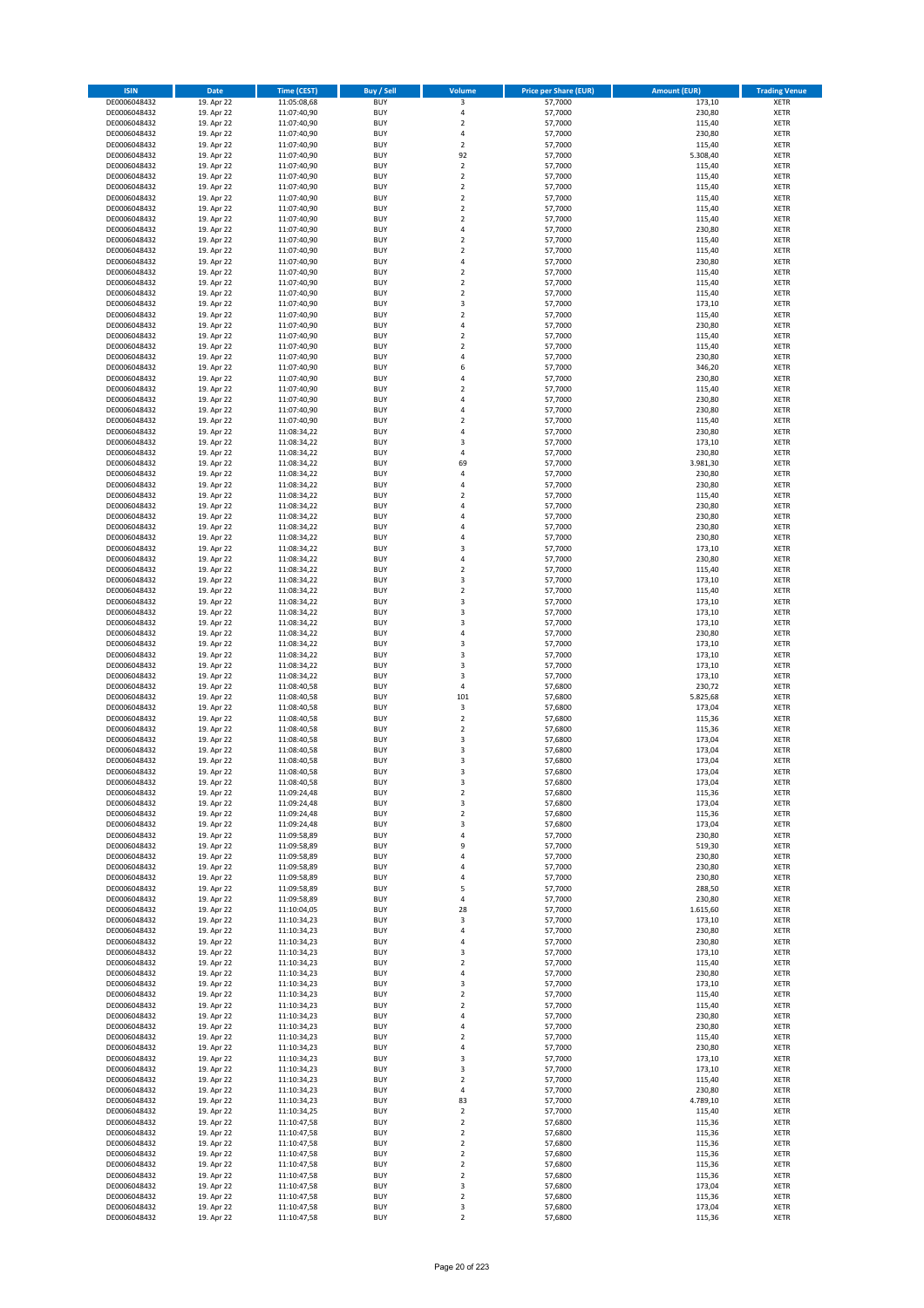| <b>ISIN</b>                  | <b>Date</b>              | <b>Time (CEST)</b>         | <b>Buy / Sell</b>        | <b>Volume</b>                          | <b>Price per Share (EUR)</b> | <b>Amount (EUR)</b> | <b>Trading Venue</b>       |
|------------------------------|--------------------------|----------------------------|--------------------------|----------------------------------------|------------------------------|---------------------|----------------------------|
| DE0006048432                 | 19. Apr 22               | 11:05:08,68                | <b>BUY</b>               | 3                                      | 57,7000                      | 173,10              | <b>XETR</b>                |
| DE0006048432                 | 19. Apr 22               | 11:07:40,90                | <b>BUY</b>               | 4                                      | 57,7000                      | 230,80              | <b>XETR</b>                |
| DE0006048432                 | 19. Apr 22               | 11:07:40,90                | <b>BUY</b>               | $\mathbf 2$                            | 57,7000                      | 115,40              | <b>XETR</b>                |
| DE0006048432                 | 19. Apr 22               | 11:07:40,90                | <b>BUY</b>               | 4                                      | 57,7000                      | 230,80              | <b>XETR</b>                |
| DE0006048432<br>DE0006048432 | 19. Apr 22<br>19. Apr 22 | 11:07:40,90<br>11:07:40,90 | <b>BUY</b><br><b>BUY</b> | $\overline{\mathbf{c}}$<br>92          | 57,7000<br>57,7000           | 115,40<br>5.308,40  | <b>XETR</b><br><b>XETR</b> |
| DE0006048432                 | 19. Apr 22               | 11:07:40,90                | <b>BUY</b>               | $\overline{2}$                         | 57,7000                      | 115,40              | <b>XETR</b>                |
| DE0006048432                 | 19. Apr 22               | 11:07:40,90                | <b>BUY</b>               | $\mathbf 2$                            | 57,7000                      | 115,40              | <b>XETR</b>                |
| DE0006048432                 | 19. Apr 22               | 11:07:40,90                | <b>BUY</b>               | $\mathbf 2$                            | 57,7000                      | 115,40              | <b>XETR</b>                |
| DE0006048432                 | 19. Apr 22               | 11:07:40,90                | <b>BUY</b>               | $\overline{2}$                         | 57,7000                      | 115,40              | <b>XETR</b>                |
| DE0006048432                 | 19. Apr 22               | 11:07:40,90                | <b>BUY</b>               | $\mathbf 2$                            | 57,7000                      | 115,40              | <b>XETR</b>                |
| DE0006048432                 | 19. Apr 22               | 11:07:40,90                | <b>BUY</b>               | $\overline{\mathbf{c}}$                | 57,7000                      | 115,40              | <b>XETR</b><br><b>XETR</b> |
| DE0006048432<br>DE0006048432 | 19. Apr 22<br>19. Apr 22 | 11:07:40,90<br>11:07:40,90 | <b>BUY</b><br><b>BUY</b> | 4<br>$\overline{\mathbf{c}}$           | 57,7000<br>57,7000           | 230,80<br>115,40    | <b>XETR</b>                |
| DE0006048432                 | 19. Apr 22               | 11:07:40,90                | <b>BUY</b>               | $\mathbf 2$                            | 57,7000                      | 115,40              | <b>XETR</b>                |
| DE0006048432                 | 19. Apr 22               | 11:07:40,90                | <b>BUY</b>               | 4                                      | 57,7000                      | 230,80              | <b>XETR</b>                |
| DE0006048432                 | 19. Apr 22               | 11:07:40,90                | <b>BUY</b>               | $\mathbf 2$                            | 57,7000                      | 115,40              | <b>XETR</b>                |
| DE0006048432                 | 19. Apr 22               | 11:07:40,90                | <b>BUY</b>               | $\mathbf 2$                            | 57,7000                      | 115,40              | <b>XETR</b>                |
| DE0006048432                 | 19. Apr 22               | 11:07:40,90                | <b>BUY</b>               | $\overline{\mathbf{c}}$                | 57,7000                      | 115,40              | <b>XETR</b>                |
| DE0006048432<br>DE0006048432 | 19. Apr 22<br>19. Apr 22 | 11:07:40,90<br>11:07:40,90 | <b>BUY</b><br><b>BUY</b> | 3<br>$\overline{\mathbf{c}}$           | 57,7000<br>57,7000           | 173,10<br>115,40    | <b>XETR</b><br><b>XETR</b> |
| DE0006048432                 | 19. Apr 22               | 11:07:40,90                | <b>BUY</b>               | 4                                      | 57,7000                      | 230,80              | <b>XETR</b>                |
| DE0006048432                 | 19. Apr 22               | 11:07:40,90                | <b>BUY</b>               | $\mathbf 2$                            | 57,7000                      | 115,40              | <b>XETR</b>                |
| DE0006048432                 | 19. Apr 22               | 11:07:40,90                | <b>BUY</b>               | $\mathbf 2$                            | 57,7000                      | 115,40              | <b>XETR</b>                |
| DE0006048432                 | 19. Apr 22               | 11:07:40,90                | <b>BUY</b>               | 4                                      | 57,7000                      | 230,80              | <b>XETR</b>                |
| DE0006048432                 | 19. Apr 22               | 11:07:40,90                | <b>BUY</b>               | 6                                      | 57,7000                      | 346,20              | <b>XETR</b>                |
| DE0006048432<br>DE0006048432 | 19. Apr 22<br>19. Apr 22 | 11:07:40,90<br>11:07:40,90 | <b>BUY</b><br><b>BUY</b> | 4<br>$\overline{\mathbf{c}}$           | 57,7000<br>57,7000           | 230,80<br>115,40    | <b>XETR</b><br><b>XETR</b> |
| DE0006048432                 | 19. Apr 22               | 11:07:40,90                | <b>BUY</b>               | 4                                      | 57,7000                      | 230,80              | <b>XETR</b>                |
| DE0006048432                 | 19. Apr 22               | 11:07:40,90                | <b>BUY</b>               | 4                                      | 57,7000                      | 230,80              | <b>XETR</b>                |
| DE0006048432                 | 19. Apr 22               | 11:07:40,90                | <b>BUY</b>               | $\mathbf 2$                            | 57,7000                      | 115,40              | <b>XETR</b>                |
| DE0006048432                 | 19. Apr 22               | 11:08:34,22                | <b>BUY</b>               | 4                                      | 57,7000                      | 230,80              | <b>XETR</b>                |
| DE0006048432                 | 19. Apr 22               | 11:08:34,22                | <b>BUY</b>               | 3                                      | 57,7000                      | 173,10              | <b>XETR</b>                |
| DE0006048432                 | 19. Apr 22               | 11:08:34,22                | <b>BUY</b>               | 4                                      | 57,7000                      | 230,80              | <b>XETR</b>                |
| DE0006048432<br>DE0006048432 | 19. Apr 22<br>19. Apr 22 | 11:08:34,22<br>11:08:34,22 | <b>BUY</b><br><b>BUY</b> | 69<br>4                                | 57,7000<br>57,7000           | 3.981,30<br>230,80  | <b>XETR</b><br><b>XETR</b> |
| DE0006048432                 | 19. Apr 22               | 11:08:34,22                | <b>BUY</b>               | 4                                      | 57,7000                      | 230,80              | <b>XETR</b>                |
| DE0006048432                 | 19. Apr 22               | 11:08:34,22                | <b>BUY</b>               | $\overline{\mathbf{c}}$                | 57,7000                      | 115,40              | <b>XETR</b>                |
| DE0006048432                 | 19. Apr 22               | 11:08:34,22                | <b>BUY</b>               | 4                                      | 57,7000                      | 230,80              | <b>XETR</b>                |
| DE0006048432                 | 19. Apr 22               | 11:08:34,22                | <b>BUY</b>               | 4                                      | 57,7000                      | 230,80              | <b>XETR</b>                |
| DE0006048432                 | 19. Apr 22               | 11:08:34,22                | <b>BUY</b>               | 4                                      | 57,7000                      | 230,80              | <b>XETR</b>                |
| DE0006048432<br>DE0006048432 | 19. Apr 22<br>19. Apr 22 | 11:08:34,22                | <b>BUY</b><br><b>BUY</b> | 4<br>3                                 | 57,7000<br>57,7000           | 230,80<br>173,10    | <b>XETR</b><br><b>XETR</b> |
| DE0006048432                 | 19. Apr 22               | 11:08:34,22<br>11:08:34,22 | <b>BUY</b>               | 4                                      | 57,7000                      | 230,80              | <b>XETR</b>                |
| DE0006048432                 | 19. Apr 22               | 11:08:34,22                | <b>BUY</b>               | $\mathbf 2$                            | 57,7000                      | 115,40              | <b>XETR</b>                |
| DE0006048432                 | 19. Apr 22               | 11:08:34,22                | <b>BUY</b>               | 3                                      | 57,7000                      | 173,10              | <b>XETR</b>                |
| DE0006048432                 | 19. Apr 22               | 11:08:34,22                | <b>BUY</b>               | $\mathbf 2$                            | 57,7000                      | 115,40              | <b>XETR</b>                |
| DE0006048432                 | 19. Apr 22               | 11:08:34,22                | <b>BUY</b>               | 3                                      | 57,7000                      | 173,10              | <b>XETR</b>                |
| DE0006048432<br>DE0006048432 | 19. Apr 22<br>19. Apr 22 | 11:08:34,22<br>11:08:34,22 | <b>BUY</b><br><b>BUY</b> | 3<br>3                                 | 57,7000<br>57,7000           | 173,10<br>173,10    | <b>XETR</b><br><b>XETR</b> |
| DE0006048432                 | 19. Apr 22               | 11:08:34,22                | <b>BUY</b>               | 4                                      | 57,7000                      | 230,80              | <b>XETR</b>                |
| DE0006048432                 | 19. Apr 22               | 11:08:34,22                | <b>BUY</b>               | 3                                      | 57,7000                      | 173,10              | <b>XETR</b>                |
| DE0006048432                 | 19. Apr 22               | 11:08:34,22                | <b>BUY</b>               | 3                                      | 57,7000                      | 173,10              | <b>XETR</b>                |
| DE0006048432                 | 19. Apr 22               | 11:08:34,22                | <b>BUY</b>               | 3                                      | 57,7000                      | 173,10              | <b>XETR</b>                |
| DE0006048432                 | 19. Apr 22               | 11:08:34,22                | <b>BUY</b>               | 3                                      | 57,7000                      | 173,10              | <b>XETR</b>                |
| DE0006048432                 | 19. Apr 22               | 11:08:40,58                | <b>BUY</b>               | 4                                      | 57,6800                      | 230,72              | <b>XETR</b>                |
| DE0006048432<br>DE0006048432 | 19. Apr 22<br>19. Apr 22 | 11:08:40,58<br>11:08:40,58 | <b>BUY</b><br><b>BUY</b> | 101<br>3                               | 57,6800<br>57,6800           | 5.825,68<br>173,04  | <b>XETR</b><br><b>XETR</b> |
| DE0006048432                 | 19. Apr 22               | 11:08:40,58                | <b>BUY</b>               | $\mathbf 2$                            | 57,6800                      | 115,36              | <b>XETR</b>                |
| DE0006048432                 | 19. Apr 22               | 11:08:40,58                | <b>BUY</b>               | $\overline{2}$                         | 57,6800                      | 115,36              | <b>XETR</b>                |
| DE0006048432                 | 19. Apr 22               | 11:08:40,58                | <b>BUY</b>               | 3                                      | 57,6800                      | 173,04              | <b>XETR</b>                |
| DE0006048432                 | 19. Apr 22               | 11:08:40,58                | <b>BUY</b>               | 3                                      | 57,6800                      | 173,04              | <b>XETR</b>                |
| DE0006048432                 | 19. Apr 22               | 11:08:40,58                | <b>BUY</b>               | 3                                      | 57,6800                      | 173,04              | <b>XETR</b>                |
| DE0006048432<br>DE0006048432 | 19. Apr 22<br>19. Apr 22 | 11:08:40,58<br>11:08:40,58 | <b>BUY</b><br>BUY        | 3<br>3                                 | 57,6800<br>57,6800           | 173,04<br>173,04    | <b>XETR</b><br><b>XETR</b> |
| DE0006048432                 | 19. Apr 22               | 11:09:24,48                | <b>BUY</b>               | $\mathbf 2$                            | 57,6800                      | 115,36              | <b>XETR</b>                |
| DE0006048432                 | 19. Apr 22               | 11:09:24,48                | <b>BUY</b>               | 3                                      | 57,6800                      | 173,04              | <b>XETR</b>                |
| DE0006048432                 | 19. Apr 22               | 11:09:24,48                | <b>BUY</b>               | 2                                      | 57,6800                      | 115,36              | XETR                       |
| DE0006048432                 | 19. Apr 22               | 11:09:24,48                | <b>BUY</b>               | 3                                      | 57,6800                      | 173,04              | <b>XETR</b>                |
| DE0006048432                 | 19. Apr 22               | 11:09:58,89                | <b>BUY</b>               | 4                                      | 57,7000                      | 230,80              | <b>XETR</b>                |
| DE0006048432                 | 19. Apr 22<br>19. Apr 22 | 11:09:58,89                | <b>BUY</b>               | 9                                      | 57,7000                      | 519,30              | <b>XETR</b>                |
| DE0006048432<br>DE0006048432 | 19. Apr 22               | 11:09:58,89<br>11:09:58,89 | <b>BUY</b><br><b>BUY</b> | 4<br>4                                 | 57,7000<br>57,7000           | 230,80<br>230,80    | <b>XETR</b><br><b>XETR</b> |
| DE0006048432                 | 19. Apr 22               | 11:09:58,89                | <b>BUY</b>               | 4                                      | 57,7000                      | 230,80              | <b>XETR</b>                |
| DE0006048432                 | 19. Apr 22               | 11:09:58,89                | <b>BUY</b>               | 5                                      | 57,7000                      | 288,50              | <b>XETR</b>                |
| DE0006048432                 | 19. Apr 22               | 11:09:58,89                | <b>BUY</b>               | 4                                      | 57,7000                      | 230,80              | <b>XETR</b>                |
| DE0006048432                 | 19. Apr 22               | 11:10:04,05                | <b>BUY</b>               | 28                                     | 57,7000                      | 1.615,60            | <b>XETR</b>                |
| DE0006048432<br>DE0006048432 | 19. Apr 22<br>19. Apr 22 | 11:10:34,23<br>11:10:34,23 | <b>BUY</b><br><b>BUY</b> | 3<br>4                                 | 57,7000<br>57,7000           | 173,10<br>230,80    | <b>XETR</b><br><b>XETR</b> |
| DE0006048432                 | 19. Apr 22               | 11:10:34,23                | <b>BUY</b>               | 4                                      | 57,7000                      | 230,80              | <b>XETR</b>                |
| DE0006048432                 | 19. Apr 22               | 11:10:34,23                | <b>BUY</b>               | 3                                      | 57,7000                      | 173,10              | <b>XETR</b>                |
| DE0006048432                 | 19. Apr 22               | 11:10:34,23                | <b>BUY</b>               | $\mathbf 2$                            | 57,7000                      | 115,40              | <b>XETR</b>                |
| DE0006048432                 | 19. Apr 22               | 11:10:34,23                | <b>BUY</b>               | 4                                      | 57,7000                      | 230,80              | XETR                       |
| DE0006048432                 | 19. Apr 22               | 11:10:34,23                | <b>BUY</b>               | 3                                      | 57,7000                      | 173,10              | <b>XETR</b>                |
| DE0006048432                 | 19. Apr 22               | 11:10:34,23                | <b>BUY</b><br><b>BUY</b> | $\overline{2}$                         | 57,7000                      | 115,40              | <b>XETR</b>                |
| DE0006048432<br>DE0006048432 | 19. Apr 22<br>19. Apr 22 | 11:10:34,23<br>11:10:34,23 | <b>BUY</b>               | $\mathbf 2$<br>4                       | 57,7000<br>57,7000           | 115,40<br>230,80    | <b>XETR</b><br><b>XETR</b> |
| DE0006048432                 | 19. Apr 22               | 11:10:34,23                | <b>BUY</b>               | 4                                      | 57,7000                      | 230,80              | <b>XETR</b>                |
| DE0006048432                 | 19. Apr 22               | 11:10:34,23                | <b>BUY</b>               | $\mathbf 2$                            | 57,7000                      | 115,40              | <b>XETR</b>                |
| DE0006048432                 | 19. Apr 22               | 11:10:34,23                | <b>BUY</b>               | 4                                      | 57,7000                      | 230,80              | <b>XETR</b>                |
| DE0006048432                 | 19. Apr 22               | 11:10:34,23                | <b>BUY</b>               | 3                                      | 57,7000                      | 173,10              | <b>XETR</b>                |
| DE0006048432                 | 19. Apr 22               | 11:10:34,23                | <b>BUY</b>               | 3                                      | 57,7000                      | 173,10              | <b>XETR</b>                |
| DE0006048432<br>DE0006048432 | 19. Apr 22<br>19. Apr 22 | 11:10:34,23<br>11:10:34,23 | <b>BUY</b><br><b>BUY</b> | $\mathbf 2$<br>4                       | 57,7000<br>57,7000           | 115,40<br>230,80    | <b>XETR</b><br><b>XETR</b> |
| DE0006048432                 | 19. Apr 22               | 11:10:34,23                | <b>BUY</b>               | 83                                     | 57,7000                      | 4.789,10            | <b>XETR</b>                |
| DE0006048432                 | 19. Apr 22               | 11:10:34,25                | <b>BUY</b>               | 2                                      | 57,7000                      | 115,40              | <b>XETR</b>                |
| DE0006048432                 | 19. Apr 22               | 11:10:47,58                | <b>BUY</b>               | $\mathbf 2$                            | 57,6800                      | 115,36              | <b>XETR</b>                |
| DE0006048432                 | 19. Apr 22               | 11:10:47,58                | <b>BUY</b>               | $\mathbf 2$                            | 57,6800                      | 115,36              | <b>XETR</b>                |
| DE0006048432                 | 19. Apr 22               | 11:10:47,58                | <b>BUY</b>               | $\mathbf 2$                            | 57,6800                      | 115,36              | <b>XETR</b>                |
| DE0006048432<br>DE0006048432 | 19. Apr 22<br>19. Apr 22 | 11:10:47,58<br>11:10:47,58 | <b>BUY</b><br><b>BUY</b> | $\mathbf 2$<br>$\overline{\mathbf{c}}$ | 57,6800<br>57,6800           | 115,36<br>115,36    | <b>XETR</b><br><b>XETR</b> |
| DE0006048432                 | 19. Apr 22               | 11:10:47,58                | <b>BUY</b>               | $\mathbf 2$                            | 57,6800                      | 115,36              | XETR                       |
| DE0006048432                 | 19. Apr 22               | 11:10:47,58                | <b>BUY</b>               | 3                                      | 57,6800                      | 173,04              | <b>XETR</b>                |
| DE0006048432                 | 19. Apr 22               | 11:10:47,58                | <b>BUY</b>               | $\mathbf 2$                            | 57,6800                      | 115,36              | <b>XETR</b>                |
| DE0006048432                 | 19. Apr 22               | 11:10:47,58                | <b>BUY</b>               | 3                                      | 57,6800                      | 173,04              | <b>XETR</b>                |
| DE0006048432                 | 19. Apr 22               | 11:10:47,58                | <b>BUY</b>               | $\overline{2}$                         | 57,6800                      | 115,36              | <b>XETR</b>                |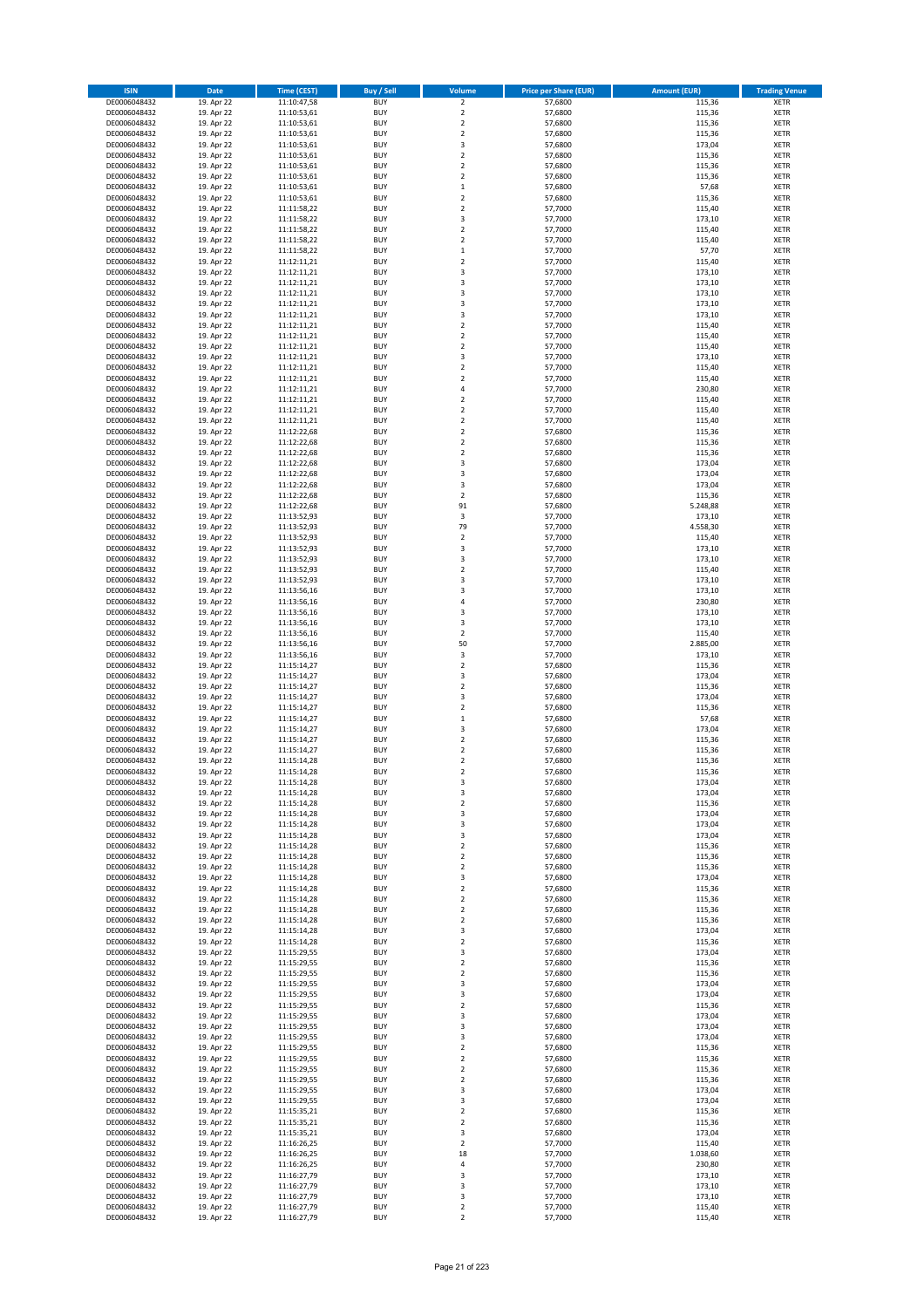| <b>ISIN</b>                  | <b>Date</b>              | Time (CEST)                | Buy / Sell               | Volume                                 | <b>Price per Share (EUR)</b> | <b>Amount (EUR)</b> | <b>Trading Venue</b>       |
|------------------------------|--------------------------|----------------------------|--------------------------|----------------------------------------|------------------------------|---------------------|----------------------------|
| DE0006048432                 | 19. Apr 22               | 11:10:47,58                | <b>BUY</b>               | $\overline{2}$                         | 57,6800                      | 115,36              | <b>XETR</b>                |
| DE0006048432                 | 19. Apr 22               | 11:10:53,61                | <b>BUY</b>               | $\mathbf 2$                            | 57,6800                      | 115,36              | <b>XETR</b>                |
| DE0006048432                 | 19. Apr 22               | 11:10:53,61                | <b>BUY</b>               | $\overline{2}$                         | 57,6800                      | 115,36              | <b>XETR</b>                |
| DE0006048432<br>DE0006048432 | 19. Apr 22<br>19. Apr 22 | 11:10:53,61<br>11:10:53,61 | <b>BUY</b><br><b>BUY</b> | $\mathbf 2$<br>3                       | 57,6800<br>57,6800           | 115,36<br>173,04    | <b>XETR</b><br><b>XETR</b> |
| DE0006048432                 | 19. Apr 22               | 11:10:53,61                | <b>BUY</b>               | $\mathbf 2$                            | 57,6800                      | 115,36              | <b>XETR</b>                |
| DE0006048432                 | 19. Apr 22               | 11:10:53,61                | <b>BUY</b>               | $\mathbf 2$                            | 57,6800                      | 115,36              | <b>XETR</b>                |
| DE0006048432                 | 19. Apr 22               | 11:10:53,61                | <b>BUY</b>               | $\mathbf 2$                            | 57,6800                      | 115,36              | <b>XETR</b>                |
| DE0006048432                 | 19. Apr 22               | 11:10:53,61                | <b>BUY</b>               | $\mathbf{1}$                           | 57,6800                      | 57,68               | <b>XETR</b>                |
| DE0006048432                 | 19. Apr 22<br>19. Apr 22 | 11:10:53,61                | <b>BUY</b><br><b>BUY</b> | $\overline{2}$<br>$\mathbf 2$          | 57,6800<br>57,7000           | 115,36<br>115,40    | <b>XETR</b><br><b>XETR</b> |
| DE0006048432<br>DE0006048432 | 19. Apr 22               | 11:11:58,22<br>11:11:58,22 | <b>BUY</b>               | 3                                      | 57,7000                      | 173,10              | <b>XETR</b>                |
| DE0006048432                 | 19. Apr 22               | 11:11:58,22                | <b>BUY</b>               | $\mathbf 2$                            | 57,7000                      | 115,40              | <b>XETR</b>                |
| DE0006048432                 | 19. Apr 22               | 11:11:58,22                | <b>BUY</b>               | $\overline{2}$                         | 57,7000                      | 115,40              | <b>XETR</b>                |
| DE0006048432                 | 19. Apr 22               | 11:11:58,22                | <b>BUY</b>               | $\mathbf 1$                            | 57,7000                      | 57,70               | <b>XETR</b>                |
| DE0006048432                 | 19. Apr 22               | 11:12:11,21                | <b>BUY</b>               | $\mathbf 2$<br>3                       | 57,7000                      | 115,40              | <b>XETR</b>                |
| DE0006048432<br>DE0006048432 | 19. Apr 22<br>19. Apr 22 | 11:12:11,21<br>11:12:11,21 | <b>BUY</b><br><b>BUY</b> | 3                                      | 57,7000<br>57,7000           | 173,10<br>173,10    | <b>XETR</b><br><b>XETR</b> |
| DE0006048432                 | 19. Apr 22               | 11:12:11,21                | <b>BUY</b>               | 3                                      | 57,7000                      | 173,10              | <b>XETR</b>                |
| DE0006048432                 | 19. Apr 22               | 11:12:11,21                | <b>BUY</b>               | 3                                      | 57,7000                      | 173,10              | <b>XETR</b>                |
| DE0006048432                 | 19. Apr 22               | 11:12:11,21                | <b>BUY</b>               | 3                                      | 57,7000                      | 173,10              | <b>XETR</b>                |
| DE0006048432                 | 19. Apr 22               | 11:12:11,21                | <b>BUY</b>               | $\mathbf 2$                            | 57,7000                      | 115,40              | <b>XETR</b>                |
| DE0006048432<br>DE0006048432 | 19. Apr 22<br>19. Apr 22 | 11:12:11,21<br>11:12:11,21 | <b>BUY</b><br><b>BUY</b> | $\mathbf 2$<br>$\mathbf 2$             | 57,7000<br>57,7000           | 115,40<br>115,40    | <b>XETR</b><br><b>XETR</b> |
| DE0006048432                 | 19. Apr 22               | 11:12:11,21                | <b>BUY</b>               | 3                                      | 57,7000                      | 173,10              | <b>XETR</b>                |
| DE0006048432                 | 19. Apr 22               | 11:12:11,21                | <b>BUY</b>               | $\mathbf 2$                            | 57,7000                      | 115,40              | <b>XETR</b>                |
| DE0006048432                 | 19. Apr 22               | 11:12:11,21                | <b>BUY</b>               | $\mathbf 2$                            | 57,7000                      | 115,40              | <b>XETR</b>                |
| DE0006048432                 | 19. Apr 22               | 11:12:11,21                | <b>BUY</b>               | 4                                      | 57,7000                      | 230,80              | <b>XETR</b>                |
| DE0006048432<br>DE0006048432 | 19. Apr 22<br>19. Apr 22 | 11:12:11,21<br>11:12:11,21 | <b>BUY</b><br><b>BUY</b> | $\mathbf 2$<br>$\overline{\mathbf{c}}$ | 57,7000<br>57,7000           | 115,40<br>115,40    | <b>XETR</b><br><b>XETR</b> |
| DE0006048432                 | 19. Apr 22               | 11:12:11,21                | <b>BUY</b>               | $\overline{a}$                         | 57,7000                      | 115,40              | <b>XETR</b>                |
| DE0006048432                 | 19. Apr 22               | 11:12:22,68                | <b>BUY</b>               | $\overline{2}$                         | 57,6800                      | 115,36              | <b>XETR</b>                |
| DE0006048432                 | 19. Apr 22               | 11:12:22,68                | <b>BUY</b>               | $\mathbf 2$                            | 57,6800                      | 115,36              | <b>XETR</b>                |
| DE0006048432                 | 19. Apr 22               | 11:12:22,68                | <b>BUY</b>               | $\mathbf 2$                            | 57,6800                      | 115,36              | <b>XETR</b>                |
| DE0006048432                 | 19. Apr 22               | 11:12:22,68                | <b>BUY</b>               | 3                                      | 57.6800                      | 173,04              | <b>XETR</b>                |
| DE0006048432<br>DE0006048432 | 19. Apr 22<br>19. Apr 22 | 11:12:22,68<br>11:12:22,68 | <b>BUY</b><br><b>BUY</b> | 3<br>3                                 | 57,6800<br>57,6800           | 173,04<br>173,04    | <b>XETR</b><br><b>XETR</b> |
| DE0006048432                 | 19. Apr 22               | 11:12:22,68                | <b>BUY</b>               | $\mathbf 2$                            | 57,6800                      | 115,36              | <b>XETR</b>                |
| DE0006048432                 | 19. Apr 22               | 11:12:22,68                | <b>BUY</b>               | 91                                     | 57,6800                      | 5.248,88            | <b>XETR</b>                |
| DE0006048432                 | 19. Apr 22               | 11:13:52,93                | <b>BUY</b>               | $\mathsf 3$                            | 57,7000                      | 173,10              | <b>XETR</b>                |
| DE0006048432                 | 19. Apr 22               | 11:13:52,93                | <b>BUY</b>               | 79                                     | 57,7000                      | 4.558,30            | <b>XETR</b>                |
| DE0006048432<br>DE0006048432 | 19. Apr 22<br>19. Apr 22 | 11:13:52,93                | <b>BUY</b><br><b>BUY</b> | $\mathbf 2$<br>3                       | 57,7000<br>57,7000           | 115,40<br>173,10    | <b>XETR</b><br><b>XETR</b> |
| DE0006048432                 | 19. Apr 22               | 11:13:52,93<br>11:13:52,93 | <b>BUY</b>               | 3                                      | 57,7000                      | 173,10              | <b>XETR</b>                |
| DE0006048432                 | 19. Apr 22               | 11:13:52,93                | <b>BUY</b>               | $\mathbf 2$                            | 57,7000                      | 115,40              | <b>XETR</b>                |
| DE0006048432                 | 19. Apr 22               | 11:13:52,93                | <b>BUY</b>               | 3                                      | 57,7000                      | 173,10              | <b>XETR</b>                |
| DE0006048432                 | 19. Apr 22               | 11:13:56,16                | <b>BUY</b>               | 3                                      | 57,7000                      | 173,10              | <b>XETR</b>                |
| DE0006048432                 | 19. Apr 22               | 11:13:56,16                | <b>BUY</b>               | 4<br>3                                 | 57,7000                      | 230,80              | <b>XETR</b>                |
| DE0006048432<br>DE0006048432 | 19. Apr 22<br>19. Apr 22 | 11:13:56,16<br>11:13:56,16 | <b>BUY</b><br><b>BUY</b> | 3                                      | 57,7000<br>57,7000           | 173,10<br>173,10    | <b>XETR</b><br><b>XETR</b> |
| DE0006048432                 | 19. Apr 22               | 11:13:56,16                | <b>BUY</b>               | $\overline{2}$                         | 57,7000                      | 115,40              | <b>XETR</b>                |
| DE0006048432                 | 19. Apr 22               | 11:13:56,16                | <b>BUY</b>               | 50                                     | 57,7000                      | 2.885,00            | <b>XETR</b>                |
| DE0006048432                 | 19. Apr 22               | 11:13:56,16                | <b>BUY</b>               | 3                                      | 57,7000                      | 173,10              | <b>XETR</b>                |
| DE0006048432                 | 19. Apr 22               | 11:15:14,27                | <b>BUY</b>               | $\mathbf 2$                            | 57,6800                      | 115,36              | <b>XETR</b>                |
| DE0006048432<br>DE0006048432 | 19. Apr 22<br>19. Apr 22 | 11:15:14,27<br>11:15:14,27 | <b>BUY</b><br><b>BUY</b> | 3<br>$\mathbf 2$                       | 57,6800<br>57,6800           | 173,04<br>115,36    | <b>XETR</b><br><b>XETR</b> |
| DE0006048432                 | 19. Apr 22               | 11:15:14,27                | <b>BUY</b>               | 3                                      | 57,6800                      | 173,04              | <b>XETR</b>                |
| DE0006048432                 | 19. Apr 22               | 11:15:14,27                | <b>BUY</b>               | $\mathbf 2$                            | 57,6800                      | 115,36              | <b>XETR</b>                |
| DE0006048432                 | 19. Apr 22               | 11:15:14,27                | <b>BUY</b>               | $\mathbf 1$                            | 57,6800                      | 57,68               | <b>XETR</b>                |
| DE0006048432                 | 19. Apr 22               | 11:15:14,27                | <b>BUY</b>               | 3                                      | 57,6800                      | 173,04              | <b>XETR</b>                |
| DE0006048432<br>DE0006048432 | 19. Apr 22<br>19. Apr 22 | 11:15:14,27<br>11:15:14,27 | <b>BUY</b><br><b>BUY</b> | $\mathbf 2$<br>$\overline{\mathbf{c}}$ | 57,6800<br>57,6800           | 115,36<br>115,36    | <b>XETR</b><br><b>XETR</b> |
| DE0006048432                 | 19. Apr 22               | 11:15:14,28                | <b>BUY</b>               | $\overline{\mathbf{c}}$                | 57,6800                      | 115,36              | <b>XETR</b>                |
| DE0006048432                 | 19. Apr 22               | 11:15:14,28                | <b>BUY</b>               | $\overline{2}$                         | 57,6800                      | 115,36              | <b>XETR</b>                |
| DE0006048432                 | 19. Apr 22               | 11:15:14,28                | BUY                      | 3                                      | 57,6800                      | 173,04              | <b>XETR</b>                |
| DE0006048432                 | 19. Apr 22               | 11:15:14,28<br>11:15:14,28 | <b>BUY</b>               | 3                                      | 57,6800                      | 173,04              | <b>XETR</b>                |
| DE0006048432<br>DE0006048432 | 19. Apr 22<br>19. Apr 22 | 11:15:14,28                | <b>BUY</b><br><b>BUY</b> | $\mathbf 2$<br>3                       | 57,6800<br>57,6800           | 115,36<br>173,04    | <b>XETR</b><br>XETR        |
| DE0006048432                 | 19. Apr 22               | 11:15:14,28                | <b>BUY</b>               | 3                                      | 57,6800                      | 173,04              | <b>XETR</b>                |
| DE0006048432                 | 19. Apr 22               | 11:15:14,28                | <b>BUY</b>               | 3                                      | 57,6800                      | 173,04              | <b>XETR</b>                |
| DE0006048432                 | 19. Apr 22               | 11:15:14,28                | <b>BUY</b>               | $\mathbf 2$                            | 57,6800                      | 115,36              | <b>XETR</b>                |
| DE0006048432                 | 19. Apr 22               | 11:15:14,28                | <b>BUY</b>               | $\mathbf 2$                            | 57,6800                      | 115,36              | <b>XETR</b>                |
| DE0006048432<br>DE0006048432 | 19. Apr 22<br>19. Apr 22 | 11:15:14,28<br>11:15:14,28 | <b>BUY</b><br><b>BUY</b> | $\mathbf 2$<br>3                       | 57,6800<br>57,6800           | 115,36<br>173,04    | <b>XETR</b><br><b>XETR</b> |
| DE0006048432                 | 19. Apr 22               | 11:15:14,28                | <b>BUY</b>               | $\mathbf 2$                            | 57,6800                      | 115,36              | <b>XETR</b>                |
| DE0006048432                 | 19. Apr 22               | 11:15:14,28                | <b>BUY</b>               | $\overline{2}$                         | 57,6800                      | 115,36              | <b>XETR</b>                |
| DE0006048432                 | 19. Apr 22               | 11:15:14,28                | <b>BUY</b>               | $\mathbf 2$                            | 57,6800                      | 115,36              | <b>XETR</b>                |
| DE0006048432<br>DE0006048432 | 19. Apr 22<br>19. Apr 22 | 11:15:14,28<br>11:15:14,28 | <b>BUY</b><br><b>BUY</b> | $\overline{2}$<br>3                    | 57,6800<br>57,6800           | 115,36<br>173,04    | <b>XETR</b><br><b>XETR</b> |
| DE0006048432                 | 19. Apr 22               | 11:15:14,28                | <b>BUY</b>               | $\mathbf 2$                            | 57,6800                      | 115,36              | <b>XETR</b>                |
| DE0006048432                 | 19. Apr 22               | 11:15:29,55                | <b>BUY</b>               | 3                                      | 57,6800                      | 173,04              | <b>XETR</b>                |
| DE0006048432                 | 19. Apr 22               | 11:15:29,55                | <b>BUY</b>               | $\mathbf 2$                            | 57,6800                      | 115,36              | <b>XETR</b>                |
| DE0006048432                 | 19. Apr 22               | 11:15:29,55                | <b>BUY</b>               | $\mathbf 2$                            | 57,6800                      | 115,36              | XETR                       |
| DE0006048432<br>DE0006048432 | 19. Apr 22<br>19. Apr 22 | 11:15:29,55<br>11:15:29,55 | <b>BUY</b><br><b>BUY</b> | 3<br>3                                 | 57,6800<br>57,6800           | 173,04<br>173,04    | <b>XETR</b><br><b>XETR</b> |
| DE0006048432                 | 19. Apr 22               | 11:15:29,55                | <b>BUY</b>               | $\mathbf 2$                            | 57,6800                      | 115,36              | <b>XETR</b>                |
| DE0006048432                 | 19. Apr 22               | 11:15:29,55                | <b>BUY</b>               | 3                                      | 57,6800                      | 173,04              | <b>XETR</b>                |
| DE0006048432                 | 19. Apr 22               | 11:15:29,55                | <b>BUY</b>               | 3                                      | 57,6800                      | 173,04              | <b>XETR</b>                |
| DE0006048432                 | 19. Apr 22               | 11:15:29,55                | <b>BUY</b>               | 3                                      | 57,6800                      | 173,04              | <b>XETR</b>                |
| DE0006048432<br>DE0006048432 | 19. Apr 22               | 11:15:29,55                | <b>BUY</b><br><b>BUY</b> | $\mathbf 2$<br>$\mathbf 2$             | 57,6800<br>57,6800           | 115,36              | <b>XETR</b><br><b>XETR</b> |
| DE0006048432                 | 19. Apr 22<br>19. Apr 22 | 11:15:29,55<br>11:15:29,55 | <b>BUY</b>               | $\overline{2}$                         | 57,6800                      | 115,36<br>115,36    | <b>XETR</b>                |
| DE0006048432                 | 19. Apr 22               | 11:15:29,55                | <b>BUY</b>               | $\mathbf 2$                            | 57,6800                      | 115,36              | <b>XETR</b>                |
| DE0006048432                 | 19. Apr 22               | 11:15:29,55                | <b>BUY</b>               | 3                                      | 57,6800                      | 173,04              | <b>XETR</b>                |
| DE0006048432                 | 19. Apr 22               | 11:15:29,55                | <b>BUY</b>               | 3                                      | 57,6800                      | 173,04              | <b>XETR</b>                |
| DE0006048432                 | 19. Apr 22               | 11:15:35,21                | <b>BUY</b>               | $\mathbf 2$                            | 57,6800                      | 115,36              | <b>XETR</b>                |
| DE0006048432<br>DE0006048432 | 19. Apr 22<br>19. Apr 22 | 11:15:35,21<br>11:15:35,21 | <b>BUY</b><br><b>BUY</b> | $\mathbf 2$<br>3                       | 57,6800<br>57,6800           | 115,36<br>173,04    | <b>XETR</b><br><b>XETR</b> |
| DE0006048432                 | 19. Apr 22               | 11:16:26,25                | <b>BUY</b>               | $\mathbf 2$                            | 57,7000                      | 115,40              | <b>XETR</b>                |
| DE0006048432                 | 19. Apr 22               | 11:16:26,25                | <b>BUY</b>               | 18                                     | 57,7000                      | 1.038,60            | <b>XETR</b>                |
| DE0006048432                 | 19. Apr 22               | 11:16:26,25                | <b>BUY</b>               | 4                                      | 57,7000                      | 230,80              | <b>XETR</b>                |
| DE0006048432                 | 19. Apr 22               | 11:16:27,79                | <b>BUY</b>               | 3                                      | 57,7000                      | 173,10              | XETR                       |
| DE0006048432<br>DE0006048432 | 19. Apr 22<br>19. Apr 22 | 11:16:27,79<br>11:16:27,79 | <b>BUY</b><br><b>BUY</b> | 3<br>3                                 | 57,7000<br>57,7000           | 173,10<br>173,10    | <b>XETR</b><br>XETR        |
| DE0006048432                 | 19. Apr 22               | 11:16:27,79                | <b>BUY</b>               | $\mathbf 2$                            | 57,7000                      | 115,40              | <b>XETR</b>                |
| DE0006048432                 | 19. Apr 22               | 11:16:27,79                | <b>BUY</b>               | $\overline{2}$                         | 57,7000                      | 115,40              | <b>XETR</b>                |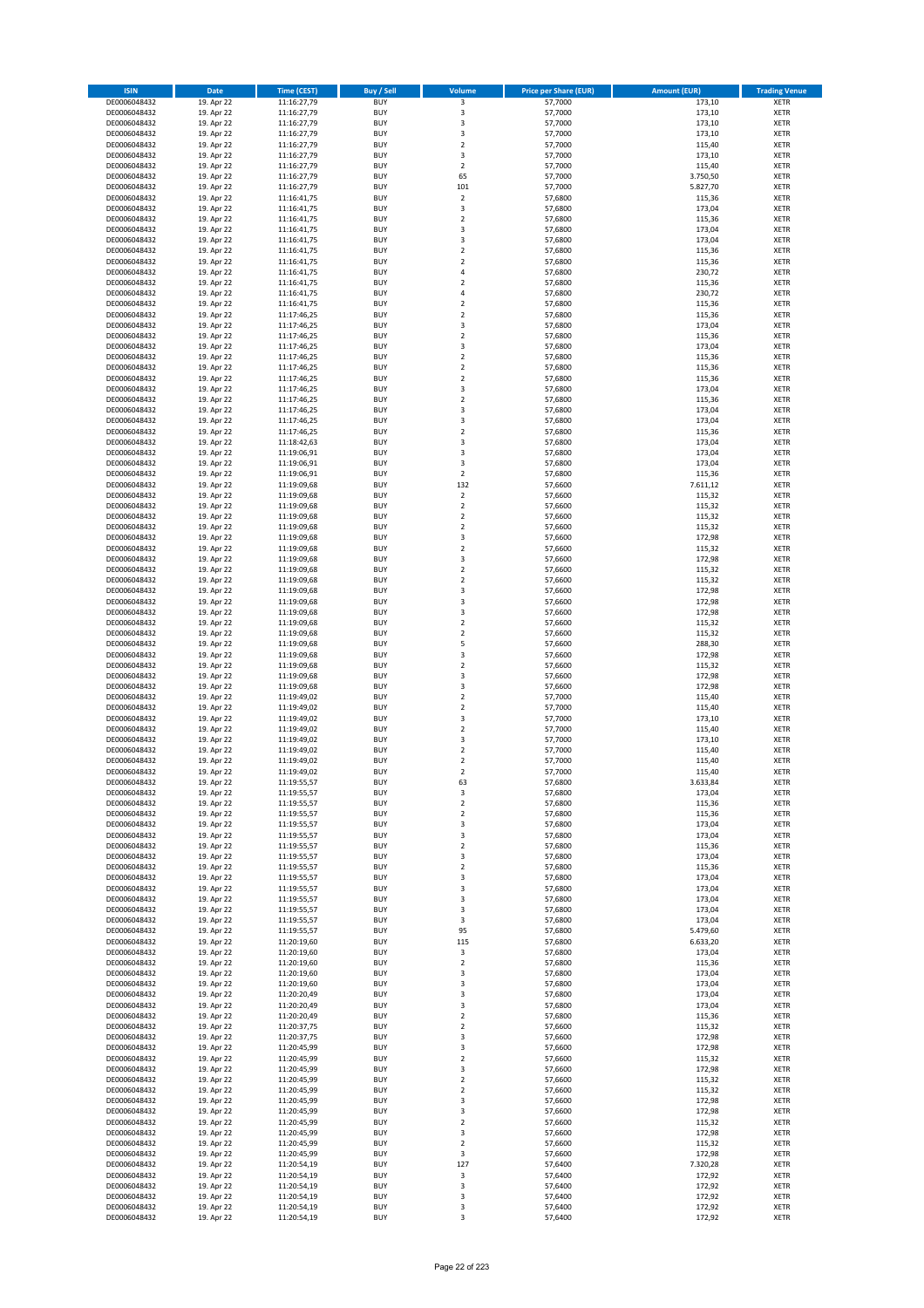| <b>ISIN</b>                  | <b>Date</b>              | <b>Time (CEST)</b>         | <b>Buy / Sell</b>        | Volume                                             | <b>Price per Share (EUR)</b> | <b>Amount (EUR)</b> | <b>Trading Venue</b>       |
|------------------------------|--------------------------|----------------------------|--------------------------|----------------------------------------------------|------------------------------|---------------------|----------------------------|
| DE0006048432                 | 19. Apr 22               | 11:16:27,79                | <b>BUY</b>               | $\overline{\mathbf{3}}$                            | 57,7000                      | 173,10              | <b>XETR</b>                |
| DE0006048432                 | 19. Apr 22               | 11:16:27,79                | <b>BUY</b>               | 3                                                  | 57,7000                      | 173,10              | <b>XETR</b>                |
| DE0006048432                 | 19. Apr 22               | 11:16:27,79                | <b>BUY</b>               | 3                                                  | 57.7000                      | 173,10              | <b>XETR</b>                |
| DE0006048432<br>DE0006048432 | 19. Apr 22<br>19. Apr 22 | 11:16:27,79<br>11:16:27,79 | <b>BUY</b><br><b>BUY</b> | 3<br>$\overline{\mathbf{c}}$                       | 57,7000<br>57,7000           | 173,10<br>115,40    | <b>XETR</b><br><b>XETR</b> |
| DE0006048432                 | 19. Apr 22               | 11:16:27,79                | <b>BUY</b>               | 3                                                  | 57,7000                      | 173,10              | <b>XETR</b>                |
| DE0006048432                 | 19. Apr 22               | 11:16:27,79                | <b>BUY</b>               | $\overline{\mathbf{c}}$                            | 57,7000                      | 115,40              | <b>XETR</b>                |
| DE0006048432                 | 19. Apr 22               | 11:16:27,79                | <b>BUY</b>               | 65                                                 | 57,7000                      | 3.750,50            | <b>XETR</b>                |
| DE0006048432                 | 19. Apr 22               | 11:16:27,79                | <b>BUY</b>               | 101                                                | 57,7000                      | 5.827,70            | <b>XETR</b>                |
| DE0006048432                 | 19. Apr 22               | 11:16:41,75                | <b>BUY</b>               | $\overline{\mathbf{2}}$                            | 57,6800                      | 115,36              | <b>XETR</b>                |
| DE0006048432                 | 19. Apr 22               | 11:16:41,75                | <b>BUY</b>               | 3                                                  | 57,6800                      | 173,04              | <b>XETR</b>                |
| DE0006048432<br>DE0006048432 | 19. Apr 22<br>19. Apr 22 | 11:16:41,75<br>11:16:41,75 | <b>BUY</b><br><b>BUY</b> | $\overline{\mathbf{c}}$<br>3                       | 57,6800<br>57,6800           | 115,36<br>173,04    | <b>XETR</b><br><b>XETR</b> |
| DE0006048432                 | 19. Apr 22               | 11:16:41,75                | <b>BUY</b>               | 3                                                  | 57,6800                      | 173,04              | <b>XETR</b>                |
| DE0006048432                 | 19. Apr 22               | 11:16:41,75                | <b>BUY</b>               | $\mathbf 2$                                        | 57,6800                      | 115,36              | <b>XETR</b>                |
| DE0006048432                 | 19. Apr 22               | 11:16:41,75                | <b>BUY</b>               | $\overline{\mathbf{c}}$                            | 57,6800                      | 115,36              | <b>XETR</b>                |
| DE0006048432                 | 19. Apr 22               | 11:16:41,75                | <b>BUY</b>               | 4                                                  | 57,6800                      | 230,72              | <b>XETR</b>                |
| DE0006048432                 | 19. Apr 22               | 11:16:41,75                | <b>BUY</b>               | $\mathbf 2$                                        | 57,6800                      | 115,36              | <b>XETR</b>                |
| DE0006048432                 | 19. Apr 22               | 11:16:41,75                | <b>BUY</b>               | 4                                                  | 57,6800                      | 230,72              | <b>XETR</b>                |
| DE0006048432                 | 19. Apr 22               | 11:16:41,75                | <b>BUY</b>               | $\mathbf 2$                                        | 57,6800                      | 115,36              | <b>XETR</b>                |
| DE0006048432<br>DE0006048432 | 19. Apr 22<br>19. Apr 22 | 11:17:46,25<br>11:17:46,25 | <b>BUY</b><br><b>BUY</b> | $\overline{\mathbf{c}}$<br>3                       | 57,6800<br>57,6800           | 115,36<br>173,04    | <b>XETR</b><br><b>XETR</b> |
| DE0006048432                 | 19. Apr 22               | 11:17:46,25                | <b>BUY</b>               | $\mathbf 2$                                        | 57,6800                      | 115,36              | <b>XETR</b>                |
| DE0006048432                 | 19. Apr 22               | 11:17:46,25                | <b>BUY</b>               | 3                                                  | 57,6800                      | 173,04              | <b>XETR</b>                |
| DE0006048432                 | 19. Apr 22               | 11:17:46,25                | <b>BUY</b>               | $\mathbf 2$                                        | 57,6800                      | 115,36              | <b>XETR</b>                |
| DE0006048432                 | 19. Apr 22               | 11:17:46,25                | <b>BUY</b>               | $\mathbf 2$                                        | 57,6800                      | 115,36              | <b>XETR</b>                |
| DE0006048432                 | 19. Apr 22               | 11:17:46,25                | <b>BUY</b>               | $\mathbf 2$                                        | 57,6800                      | 115,36              | <b>XETR</b>                |
| DE0006048432                 | 19. Apr 22               | 11:17:46,25                | <b>BUY</b>               | 3                                                  | 57,6800                      | 173,04              | <b>XETR</b>                |
| DE0006048432<br>DE0006048432 | 19. Apr 22<br>19. Apr 22 | 11:17:46,25<br>11:17:46,25 | <b>BUY</b><br><b>BUY</b> | $\mathbf 2$<br>3                                   | 57,6800<br>57,6800           | 115,36<br>173,04    | <b>XETR</b><br><b>XETR</b> |
| DE0006048432                 | 19. Apr 22               | 11:17:46,25                | <b>BUY</b>               | 3                                                  | 57,6800                      | 173,04              | <b>XETR</b>                |
| DE0006048432                 | 19. Apr 22               | 11:17:46,25                | <b>BUY</b>               | $\overline{\mathbf{c}}$                            | 57,6800                      | 115,36              | <b>XETR</b>                |
| DE0006048432                 | 19. Apr 22               | 11:18:42,63                | <b>BUY</b>               | 3                                                  | 57,6800                      | 173,04              | <b>XETR</b>                |
| DE0006048432                 | 19. Apr 22               | 11:19:06,91                | <b>BUY</b>               | 3                                                  | 57,6800                      | 173,04              | <b>XETR</b>                |
| DE0006048432                 | 19. Apr 22               | 11:19:06.91                | <b>BUY</b>               | 3                                                  | 57,6800                      | 173,04              | <b>XETR</b>                |
| DE0006048432                 | 19. Apr 22               | 11:19:06,91                | <b>BUY</b>               | $\mathbf 2$                                        | 57,6800                      | 115,36              | <b>XETR</b>                |
| DE0006048432<br>DE0006048432 | 19. Apr 22               | 11:19:09,68<br>11:19:09,68 | <b>BUY</b><br><b>BUY</b> | 132<br>$\mathbf 2$                                 | 57,6600<br>57,6600           | 7.611,12<br>115,32  | <b>XETR</b><br><b>XETR</b> |
| DE0006048432                 | 19. Apr 22<br>19. Apr 22 | 11:19:09,68                | <b>BUY</b>               | $\mathbf 2$                                        | 57,6600                      | 115,32              | <b>XETR</b>                |
| DE0006048432                 | 19. Apr 22               | 11:19:09,68                | <b>BUY</b>               | $\mathbf 2$                                        | 57,6600                      | 115,32              | <b>XETR</b>                |
| DE0006048432                 | 19. Apr 22               | 11:19:09,68                | <b>BUY</b>               | $\mathbf 2$                                        | 57,6600                      | 115,32              | <b>XETR</b>                |
| DE0006048432                 | 19. Apr 22               | 11:19:09,68                | <b>BUY</b>               | 3                                                  | 57,6600                      | 172,98              | <b>XETR</b>                |
| DE0006048432                 | 19. Apr 22               | 11:19:09,68                | <b>BUY</b>               | $\mathbf 2$                                        | 57,6600                      | 115,32              | <b>XETR</b>                |
| DE0006048432                 | 19. Apr 22               | 11:19:09,68                | <b>BUY</b>               | 3                                                  | 57,6600                      | 172,98              | <b>XETR</b>                |
| DE0006048432                 | 19. Apr 22               | 11:19:09,68                | <b>BUY</b>               | $\mathbf 2$                                        | 57,6600                      | 115,32              | <b>XETR</b>                |
| DE0006048432<br>DE0006048432 | 19. Apr 22<br>19. Apr 22 | 11:19:09,68                | <b>BUY</b><br><b>BUY</b> | $\overline{2}$<br>3                                | 57,6600<br>57,6600           | 115,32<br>172,98    | <b>XETR</b><br><b>XETR</b> |
| DE0006048432                 | 19. Apr 22               | 11:19:09,68<br>11:19:09,68 | <b>BUY</b>               | 3                                                  | 57,6600                      | 172,98              | <b>XETR</b>                |
| DE0006048432                 | 19. Apr 22               | 11:19:09,68                | <b>BUY</b>               | 3                                                  | 57,6600                      | 172,98              | <b>XETR</b>                |
| DE0006048432                 | 19. Apr 22               | 11:19:09,68                | <b>BUY</b>               | $\overline{\mathbf{c}}$                            | 57,6600                      | 115,32              | <b>XETR</b>                |
| DE0006048432                 | 19. Apr 22               | 11:19:09,68                | <b>BUY</b>               | $\mathbf 2$                                        | 57,6600                      | 115,32              | <b>XETR</b>                |
| DE0006048432                 | 19. Apr 22               | 11:19:09,68                | <b>BUY</b>               | 5                                                  | 57,6600                      | 288,30              | <b>XETR</b>                |
| DE0006048432                 | 19. Apr 22               | 11:19:09,68                | <b>BUY</b>               | 3                                                  | 57,6600                      | 172,98              | <b>XETR</b>                |
| DE0006048432<br>DE0006048432 | 19. Apr 22<br>19. Apr 22 | 11:19:09,68<br>11:19:09,68 | <b>BUY</b><br><b>BUY</b> | $\mathbf 2$<br>3                                   | 57,6600<br>57,6600           | 115,32<br>172,98    | <b>XETR</b><br><b>XETR</b> |
| DE0006048432                 | 19. Apr 22               | 11:19:09,68                | <b>BUY</b>               | 3                                                  | 57,6600                      | 172,98              | <b>XETR</b>                |
| DE0006048432                 | 19. Apr 22               | 11:19:49,02                | <b>BUY</b>               | $\overline{\mathbf{c}}$                            | 57,7000                      | 115,40              | <b>XETR</b>                |
| DE0006048432                 | 19. Apr 22               | 11:19:49,02                | <b>BUY</b>               | $\mathbf 2$                                        | 57,7000                      | 115,40              | <b>XETR</b>                |
| DE0006048432                 | 19. Apr 22               | 11:19:49,02                | <b>BUY</b>               | 3                                                  | 57,7000                      | 173,10              | <b>XETR</b>                |
| DE0006048432                 | 19. Apr 22               | 11:19:49,02                | <b>BUY</b>               | $\overline{2}$                                     | 57,7000                      | 115,40              | <b>XETR</b>                |
| DE0006048432                 | 19. Apr 22               | 11:19:49,02                | <b>BUY</b>               | 3                                                  | 57,7000                      | 173,10              | <b>XETR</b>                |
| DE0006048432<br>DE0006048432 | 19. Apr 22<br>19. Apr 22 | 11:19:49,02<br>11:19:49,02 | <b>BUY</b><br><b>BUY</b> | $\overline{\mathbf{c}}$<br>$\overline{\mathbf{c}}$ | 57,7000<br>57,7000           | 115,40<br>115,40    | <b>XETR</b><br><b>XETR</b> |
| DE0006048432                 | 19. Apr 22               | 11:19:49,02                | <b>BUY</b>               | $\overline{2}$                                     | 57,7000                      | 115,40              | <b>XETR</b>                |
| DE0006048432                 | 19. Apr 22               | 11:19:55,57                | BUY                      | 63                                                 | 57,6800                      | 3.633,84            | <b>XETR</b>                |
| DE0006048432                 | 19. Apr 22               | 11:19:55,57                | <b>BUY</b>               | 3                                                  | 57,6800                      | 173,04              | <b>XETR</b>                |
| DE0006048432                 | 19. Apr 22               | 11:19:55,57                | <b>BUY</b>               | $\mathbf 2$                                        | 57,6800                      | 115,36              | XETR                       |
| DE0006048432                 | 19. Apr 22               | 11:19:55,57                | <b>BUY</b>               | $\mathbf 2$                                        | 57,6800                      | 115,36              | XETR                       |
| DE0006048432                 | 19. Apr 22               | 11:19:55,57                | <b>BUY</b>               | 3                                                  | 57,6800                      | 173,04              | <b>XETR</b>                |
| DE0006048432<br>DE0006048432 | 19. Apr 22<br>19. Apr 22 | 11:19:55,57<br>11:19:55,57 | <b>BUY</b><br><b>BUY</b> | 3<br>$\mathbf 2$                                   | 57,6800<br>57,6800           | 173,04<br>115,36    | <b>XETR</b><br><b>XETR</b> |
| DE0006048432                 | 19. Apr 22               | 11:19:55,57                | <b>BUY</b>               | 3                                                  | 57,6800                      | 173,04              | <b>XETR</b>                |
| DE0006048432                 | 19. Apr 22               | 11:19:55,57                | <b>BUY</b>               | $\mathbf 2$                                        | 57,6800                      | 115,36              | <b>XETR</b>                |
| DE0006048432                 | 19. Apr 22               | 11:19:55,57                | <b>BUY</b>               | 3                                                  | 57,6800                      | 173,04              | XETR                       |
| DE0006048432                 | 19. Apr 22               | 11:19:55,57                | <b>BUY</b>               | 3                                                  | 57,6800                      | 173,04              | <b>XETR</b>                |
| DE0006048432                 | 19. Apr 22               | 11:19:55,57                | <b>BUY</b>               | 3                                                  | 57,6800                      | 173,04              | <b>XETR</b>                |
| DE0006048432<br>DE0006048432 | 19. Apr 22<br>19. Apr 22 | 11:19:55,57<br>11:19:55,57 | <b>BUY</b><br><b>BUY</b> | 3<br>3                                             | 57,6800<br>57,6800           | 173,04<br>173,04    | <b>XETR</b><br><b>XETR</b> |
| DE0006048432                 | 19. Apr 22               | 11:19:55,57                | <b>BUY</b>               | 95                                                 | 57,6800                      | 5.479,60            | <b>XETR</b>                |
| DE0006048432                 | 19. Apr 22               | 11:20:19,60                | <b>BUY</b>               | 115                                                | 57,6800                      | 6.633,20            | <b>XETR</b>                |
| DE0006048432                 | 19. Apr 22               | 11:20:19,60                | <b>BUY</b>               | 3                                                  | 57,6800                      | 173,04              | <b>XETR</b>                |
| DE0006048432                 | 19. Apr 22               | 11:20:19,60                | <b>BUY</b>               | $\mathbf 2$                                        | 57,6800                      | 115,36              | <b>XETR</b>                |
| DE0006048432                 | 19. Apr 22               | 11:20:19,60                | <b>BUY</b>               | 3                                                  | 57,6800                      | 173,04              | XETR                       |
| DE0006048432                 | 19. Apr 22               | 11:20:19,60                | <b>BUY</b>               | 3                                                  | 57,6800                      | 173,04              | <b>XETR</b>                |
| DE0006048432<br>DE0006048432 | 19. Apr 22<br>19. Apr 22 | 11:20:20,49<br>11:20:20,49 | <b>BUY</b><br><b>BUY</b> | 3<br>3                                             | 57,6800<br>57,6800           | 173,04<br>173,04    | <b>XETR</b><br><b>XETR</b> |
| DE0006048432                 | 19. Apr 22               | 11:20:20,49                | <b>BUY</b>               | $\overline{\mathbf{2}}$                            | 57,6800                      | 115,36              | <b>XETR</b>                |
| DE0006048432                 | 19. Apr 22               | 11:20:37,75                | <b>BUY</b>               | $\mathbf 2$                                        | 57,6600                      | 115,32              | <b>XETR</b>                |
| DE0006048432                 | 19. Apr 22               | 11:20:37,75                | <b>BUY</b>               | 3                                                  | 57,6600                      | 172,98              | <b>XETR</b>                |
| DE0006048432                 | 19. Apr 22               | 11:20:45,99                | <b>BUY</b>               | 3                                                  | 57,6600                      | 172,98              | XETR                       |
| DE0006048432                 | 19. Apr 22               | 11:20:45,99                | <b>BUY</b>               | $\mathbf 2$                                        | 57,6600                      | 115,32              | <b>XETR</b>                |
| DE0006048432<br>DE0006048432 | 19. Apr 22<br>19. Apr 22 | 11:20:45,99<br>11:20:45,99 | <b>BUY</b><br><b>BUY</b> | 3<br>$\mathbf 2$                                   | 57,6600<br>57,6600           | 172,98<br>115,32    | <b>XETR</b><br><b>XETR</b> |
| DE0006048432                 | 19. Apr 22               | 11:20:45,99                | <b>BUY</b>               | $\overline{\mathbf{2}}$                            | 57,6600                      | 115,32              | XETR                       |
| DE0006048432                 | 19. Apr 22               | 11:20:45,99                | <b>BUY</b>               | 3                                                  | 57,6600                      | 172,98              | <b>XETR</b>                |
| DE0006048432                 | 19. Apr 22               | 11:20:45,99                | <b>BUY</b>               | 3                                                  | 57,6600                      | 172,98              | <b>XETR</b>                |
| DE0006048432                 | 19. Apr 22               | 11:20:45,99                | <b>BUY</b>               | $\mathbf 2$                                        | 57,6600                      | 115,32              | XETR                       |
| DE0006048432                 | 19. Apr 22               | 11:20:45,99                | <b>BUY</b>               | 3                                                  | 57,6600                      | 172,98              | <b>XETR</b>                |
| DE0006048432                 | 19. Apr 22<br>19. Apr 22 | 11:20:45,99                | <b>BUY</b><br><b>BUY</b> | $\mathbf 2$                                        | 57,6600<br>57,6600           | 115,32<br>172,98    | <b>XETR</b>                |
| DE0006048432<br>DE0006048432 | 19. Apr 22               | 11:20:45,99<br>11:20:54,19 | <b>BUY</b>               | 3<br>127                                           | 57,6400                      | 7.320,28            | <b>XETR</b><br><b>XETR</b> |
| DE0006048432                 | 19. Apr 22               | 11:20:54,19                | <b>BUY</b>               | $\mathsf 3$                                        | 57,6400                      | 172,92              | XETR                       |
| DE0006048432                 | 19. Apr 22               | 11:20:54,19                | <b>BUY</b>               | 3                                                  | 57,6400                      | 172,92              | <b>XETR</b>                |
| DE0006048432                 | 19. Apr 22               | 11:20:54,19                | <b>BUY</b>               | 3                                                  | 57,6400                      | 172,92              | <b>XETR</b>                |
| DE0006048432                 | 19. Apr 22               | 11:20:54,19                | <b>BUY</b>               | 3                                                  | 57,6400                      | 172,92              | <b>XETR</b>                |
| DE0006048432                 | 19. Apr 22               | 11:20:54,19                | <b>BUY</b>               | 3                                                  | 57,6400                      | 172,92              | XETR                       |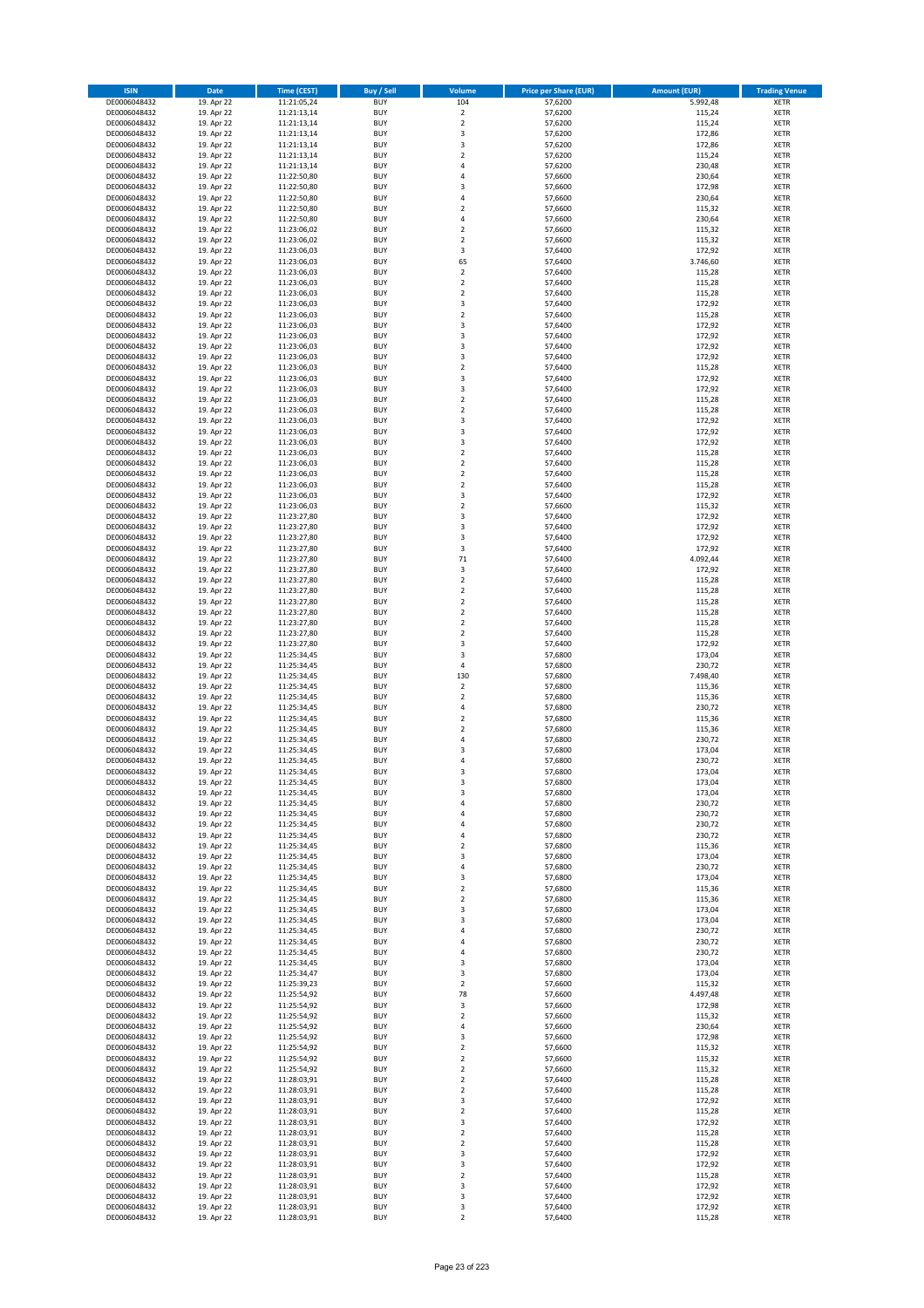| <b>ISIN</b>                  | <b>Date</b>              | <b>Time (CEST)</b>         | <b>Buy / Sell</b>        | Volume                       | <b>Price per Share (EUR)</b> | <b>Amount (EUR)</b> | <b>Trading Venue</b>       |
|------------------------------|--------------------------|----------------------------|--------------------------|------------------------------|------------------------------|---------------------|----------------------------|
| DE0006048432                 | 19. Apr 22               | 11:21:05,24                | <b>BUY</b>               | 104                          | 57,6200                      | 5.992,48            | <b>XETR</b>                |
| DE0006048432                 | 19. Apr 22               | 11:21:13,14                | <b>BUY</b>               | $\mathbf 2$                  | 57,6200                      | 115,24              | <b>XETR</b>                |
| DE0006048432                 | 19. Apr 22               | 11:21:13,14                | <b>BUY</b>               | $\overline{2}$               | 57,6200                      | 115,24              | <b>XETR</b>                |
| DE0006048432<br>DE0006048432 | 19. Apr 22<br>19. Apr 22 | 11:21:13,14<br>11:21:13,14 | <b>BUY</b><br><b>BUY</b> | 3<br>3                       | 57,6200<br>57,6200           | 172,86<br>172,86    | <b>XETR</b><br><b>XETR</b> |
| DE0006048432                 | 19. Apr 22               | 11:21:13,14                | <b>BUY</b>               | $\mathbf 2$                  | 57,6200                      | 115,24              | <b>XETR</b>                |
| DE0006048432                 | 19. Apr 22               | 11:21:13,14                | <b>BUY</b>               | 4                            | 57,6200                      | 230,48              | <b>XETR</b>                |
| DE0006048432                 | 19. Apr 22               | 11:22:50,80                | <b>BUY</b>               | 4                            | 57,6600                      | 230,64              | <b>XETR</b>                |
| DE0006048432                 | 19. Apr 22               | 11:22:50,80                | <b>BUY</b>               | 3                            | 57,6600                      | 172,98              | <b>XETR</b>                |
| DE0006048432                 | 19. Apr 22               | 11:22:50,80                | <b>BUY</b>               | 4                            | 57,6600                      | 230,64              | <b>XETR</b>                |
| DE0006048432                 | 19. Apr 22               | 11:22:50,80                | <b>BUY</b>               | $\mathbf 2$                  | 57,6600                      | 115,32              | <b>XETR</b>                |
| DE0006048432<br>DE0006048432 | 19. Apr 22<br>19. Apr 22 | 11:22:50,80<br>11:23:06,02 | <b>BUY</b><br><b>BUY</b> | 4<br>$\overline{\mathbf{c}}$ | 57,6600<br>57,6600           | 230,64<br>115,32    | <b>XETR</b><br><b>XETR</b> |
| DE0006048432                 | 19. Apr 22               | 11:23:06,02                | <b>BUY</b>               | $\overline{\mathbf{2}}$      | 57,6600                      | 115,32              | <b>XETR</b>                |
| DE0006048432                 | 19. Apr 22               | 11:23:06,03                | <b>BUY</b>               | 3                            | 57,6400                      | 172,92              | <b>XETR</b>                |
| DE0006048432                 | 19. Apr 22               | 11:23:06,03                | <b>BUY</b>               | 65                           | 57,6400                      | 3.746,60            | <b>XETR</b>                |
| DE0006048432                 | 19. Apr 22               | 11:23:06,03                | <b>BUY</b>               | $\mathbf 2$                  | 57,6400                      | 115,28              | <b>XETR</b>                |
| DE0006048432                 | 19. Apr 22               | 11:23:06,03                | <b>BUY</b>               | $\mathbf 2$                  | 57,6400                      | 115,28              | <b>XETR</b>                |
| DE0006048432                 | 19. Apr 22               | 11:23:06,03                | <b>BUY</b>               | $\overline{\mathbf{c}}$      | 57,6400                      | 115,28              | <b>XETR</b>                |
| DE0006048432                 | 19. Apr 22               | 11:23:06,03                | <b>BUY</b>               | 3                            | 57,6400                      | 172,92              | <b>XETR</b>                |
| DE0006048432                 | 19. Apr 22               | 11:23:06,03                | <b>BUY</b>               | $\overline{\mathbf{c}}$      | 57,6400                      | 115,28              | <b>XETR</b>                |
| DE0006048432<br>DE0006048432 | 19. Apr 22<br>19. Apr 22 | 11:23:06,03<br>11:23:06,03 | <b>BUY</b><br><b>BUY</b> | 3<br>3                       | 57,6400<br>57,6400           | 172,92<br>172,92    | <b>XETR</b><br><b>XETR</b> |
| DE0006048432                 | 19. Apr 22               | 11:23:06,03                | <b>BUY</b>               | 3                            | 57,6400                      | 172,92              | <b>XETR</b>                |
| DE0006048432                 | 19. Apr 22               | 11:23:06,03                | <b>BUY</b>               | 3                            | 57,6400                      | 172,92              | <b>XETR</b>                |
| DE0006048432                 | 19. Apr 22               | 11:23:06,03                | <b>BUY</b>               | $\mathbf 2$                  | 57,6400                      | 115,28              | <b>XETR</b>                |
| DE0006048432                 | 19. Apr 22               | 11:23:06,03                | <b>BUY</b>               | 3                            | 57,6400                      | 172,92              | <b>XETR</b>                |
| DE0006048432                 | 19. Apr 22               | 11:23:06,03                | <b>BUY</b>               | 3                            | 57,6400                      | 172,92              | <b>XETR</b>                |
| DE0006048432                 | 19. Apr 22               | 11:23:06,03                | <b>BUY</b>               | $\mathbf 2$                  | 57,6400                      | 115,28              | <b>XETR</b>                |
| DE0006048432                 | 19. Apr 22               | 11:23:06,03                | <b>BUY</b>               | $\overline{\mathbf{c}}$      | 57,6400                      | 115,28              | <b>XETR</b>                |
| DE0006048432<br>DE0006048432 | 19. Apr 22<br>19. Apr 22 | 11:23:06,03<br>11:23:06,03 | <b>BUY</b><br><b>BUY</b> | 3<br>3                       | 57,6400<br>57,6400           | 172,92<br>172,92    | <b>XETR</b><br><b>XETR</b> |
| DE0006048432                 | 19. Apr 22               | 11:23:06,03                | <b>BUY</b>               | 3                            | 57,6400                      | 172,92              | <b>XETR</b>                |
| DE0006048432                 | 19. Apr 22               | 11:23:06,03                | <b>BUY</b>               | $\mathbf 2$                  | 57,6400                      | 115,28              | <b>XETR</b>                |
| DE0006048432                 | 19. Apr 22               | 11:23:06,03                | <b>BUY</b>               | $\overline{2}$               | 57.6400                      | 115,28              | <b>XETR</b>                |
| DE0006048432                 | 19. Apr 22               | 11:23:06,03                | <b>BUY</b>               | $\mathbf 2$                  | 57,6400                      | 115,28              | <b>XETR</b>                |
| DE0006048432                 | 19. Apr 22               | 11:23:06,03                | <b>BUY</b>               | $\overline{\mathbf{c}}$      | 57,6400                      | 115,28              | <b>XETR</b>                |
| DE0006048432                 | 19. Apr 22               | 11:23:06,03                | <b>BUY</b>               | 3                            | 57,6400                      | 172,92              | <b>XETR</b>                |
| DE0006048432                 | 19. Apr 22               | 11:23:06,03                | <b>BUY</b>               | $\overline{2}$               | 57,6600                      | 115,32              | <b>XETR</b>                |
| DE0006048432                 | 19. Apr 22               | 11:23:27,80                | <b>BUY</b>               | 3                            | 57,6400                      | 172,92              | <b>XETR</b>                |
| DE0006048432<br>DE0006048432 | 19. Apr 22<br>19. Apr 22 | 11:23:27,80<br>11:23:27,80 | <b>BUY</b><br><b>BUY</b> | 3<br>3                       | 57,6400<br>57,6400           | 172,92<br>172,92    | <b>XETR</b><br><b>XETR</b> |
| DE0006048432                 | 19. Apr 22               | 11:23:27,80                | <b>BUY</b>               | 3                            | 57,6400                      | 172,92              | <b>XETR</b>                |
| DE0006048432                 | 19. Apr 22               | 11:23:27,80                | <b>BUY</b>               | 71                           | 57,6400                      | 4.092,44            | <b>XETR</b>                |
| DE0006048432                 | 19. Apr 22               | 11:23:27,80                | <b>BUY</b>               | 3                            | 57,6400                      | 172,92              | <b>XETR</b>                |
| DE0006048432                 | 19. Apr 22               | 11:23:27,80                | <b>BUY</b>               | $\overline{\mathbf{2}}$      | 57,6400                      | 115,28              | <b>XETR</b>                |
| DE0006048432                 | 19. Apr 22               | 11:23:27,80                | <b>BUY</b>               | $\mathbf 2$                  | 57,6400                      | 115,28              | <b>XETR</b>                |
| DE0006048432                 | 19. Apr 22               | 11:23:27,80                | <b>BUY</b>               | $\mathbf 2$                  | 57,6400                      | 115,28              | <b>XETR</b>                |
| DE0006048432                 | 19. Apr 22               | 11:23:27,80                | <b>BUY</b>               | $\mathbf 2$                  | 57,6400                      | 115,28              | <b>XETR</b>                |
| DE0006048432                 | 19. Apr 22               | 11:23:27,80                | <b>BUY</b>               | $\mathbf 2$                  | 57,6400                      | 115,28              | <b>XETR</b>                |
| DE0006048432<br>DE0006048432 | 19. Apr 22<br>19. Apr 22 | 11:23:27,80<br>11:23:27,80 | <b>BUY</b><br><b>BUY</b> | $\mathbf 2$<br>3             | 57,6400<br>57,6400           | 115,28<br>172,92    | <b>XETR</b><br><b>XETR</b> |
| DE0006048432                 | 19. Apr 22               | 11:25:34,45                | <b>BUY</b>               | 3                            | 57,6800                      | 173,04              | <b>XETR</b>                |
| DE0006048432                 | 19. Apr 22               | 11:25:34,45                | <b>BUY</b>               | 4                            | 57,6800                      | 230,72              | <b>XETR</b>                |
| DE0006048432                 | 19. Apr 22               | 11:25:34,45                | <b>BUY</b>               | 130                          | 57,6800                      | 7.498,40            | <b>XETR</b>                |
| DE0006048432                 | 19. Apr 22               | 11:25:34,45                | <b>BUY</b>               | $\mathbf 2$                  | 57,6800                      | 115,36              | <b>XETR</b>                |
| DE0006048432                 | 19. Apr 22               | 11:25:34,45                | <b>BUY</b>               | $\overline{\mathbf{c}}$      | 57,6800                      | 115,36              | <b>XETR</b>                |
| DE0006048432                 | 19. Apr 22               | 11:25:34,45                | <b>BUY</b>               | 4                            | 57,6800                      | 230,72              | <b>XETR</b>                |
| DE0006048432                 | 19. Apr 22               | 11:25:34,45                | <b>BUY</b>               | $\overline{\mathbf{c}}$      | 57,6800                      | 115,36              | <b>XETR</b>                |
| DE0006048432                 | 19. Apr 22               | 11:25:34,45                | <b>BUY</b><br><b>BUY</b> | $\overline{2}$               | 57,6800                      | 115,36<br>230,72    | <b>XETR</b><br><b>XETR</b> |
| DE0006048432<br>DE0006048432 | 19. Apr 22<br>19. Apr 22 | 11:25:34,45<br>11:25:34,45 | <b>BUY</b>               | 4<br>3                       | 57,6800<br>57,6800           | 173,04              | <b>XETR</b>                |
| DE0006048432                 | 19. Apr 22               | 11:25:34,45                | <b>BUY</b>               | 4                            | 57,6800                      | 230,72              | <b>XETR</b>                |
| DE0006048432                 | 19. Apr 22               | 11:25:34,45                | <b>BUY</b>               | 3                            | 57,6800                      | 173,04              | <b>XETR</b>                |
| DE0006048432                 | 19. Apr 22               | 11:25:34,45                | BUY                      | 3                            | 57,6800                      | 173,04              | <b>XETR</b>                |
| DE0006048432                 | 19. Apr 22               | 11:25:34,45                | <b>BUY</b>               | 3                            | 57,6800                      | 173,04              | <b>XETR</b>                |
| DE0006048432                 | 19. Apr 22               | 11:25:34,45                | <b>BUY</b>               | 4                            | 57,6800                      | 230,72              | <b>XETR</b>                |
| DE0006048432                 | 19. Apr 22               | 11:25:34,45<br>11:25:34,45 | <b>BUY</b>               | 4                            | 57,6800                      | 230,72              | XETR                       |
| DE0006048432<br>DE0006048432 | 19. Apr 22<br>19. Apr 22 | 11:25:34,45                | <b>BUY</b><br><b>BUY</b> | 4<br>4                       | 57,6800<br>57,6800           | 230,72<br>230,72    | <b>XETR</b><br><b>XETR</b> |
| DE0006048432                 | 19. Apr 22               | 11:25:34,45                | <b>BUY</b>               | $\overline{\mathbf{2}}$      | 57,6800                      | 115,36              | <b>XETR</b>                |
| DE0006048432                 | 19. Apr 22               | 11:25:34,45                | <b>BUY</b>               | 3                            | 57,6800                      | 173,04              | <b>XETR</b>                |
| DE0006048432                 | 19. Apr 22               | 11:25:34,45                | <b>BUY</b>               | 4                            | 57,6800                      | 230,72              | <b>XETR</b>                |
| DE0006048432                 | 19. Apr 22               | 11:25:34,45                | <b>BUY</b>               | 3                            | 57,6800                      | 173,04              | <b>XETR</b>                |
| DE0006048432                 | 19. Apr 22               | 11:25:34,45                | <b>BUY</b>               | $\mathbf 2$                  | 57,6800                      | 115,36              | <b>XETR</b>                |
| DE0006048432                 | 19. Apr 22               | 11:25:34,45                | <b>BUY</b>               | $\overline{2}$               | 57,6800                      | 115,36              | <b>XETR</b>                |
| DE0006048432<br>DE0006048432 | 19. Apr 22<br>19. Apr 22 | 11:25:34,45<br>11:25:34,45 | <b>BUY</b><br><b>BUY</b> | 3<br>3                       | 57,6800<br>57,6800           | 173,04<br>173,04    | <b>XETR</b><br><b>XETR</b> |
| DE0006048432                 | 19. Apr 22               | 11:25:34,45                | <b>BUY</b>               | 4                            | 57,6800                      | 230,72              | <b>XETR</b>                |
| DE0006048432                 | 19. Apr 22               | 11:25:34,45                | <b>BUY</b>               | 4                            | 57,6800                      | 230,72              | <b>XETR</b>                |
| DE0006048432                 | 19. Apr 22               | 11:25:34,45                | <b>BUY</b>               | 4                            | 57,6800                      | 230,72              | <b>XETR</b>                |
| DE0006048432                 | 19. Apr 22               | 11:25:34,45                | <b>BUY</b>               | 3                            | 57,6800                      | 173,04              | <b>XETR</b>                |
| DE0006048432                 | 19. Apr 22               | 11:25:34,47                | <b>BUY</b>               | 3                            | 57,6800                      | 173,04              | XETR                       |
| DE0006048432                 | 19. Apr 22               | 11:25:39,23                | <b>BUY</b>               | $\mathbf 2$                  | 57,6600                      | 115,32              | <b>XETR</b>                |
| DE0006048432<br>DE0006048432 | 19. Apr 22<br>19. Apr 22 | 11:25:54,92<br>11:25:54,92 | <b>BUY</b><br><b>BUY</b> | 78<br>3                      | 57,6600<br>57,6600           | 4.497,48<br>172,98  | <b>XETR</b><br><b>XETR</b> |
| DE0006048432                 | 19. Apr 22               | 11:25:54,92                | <b>BUY</b>               | $\overline{\mathbf{c}}$      | 57,6600                      | 115,32              | <b>XETR</b>                |
| DE0006048432                 | 19. Apr 22               | 11:25:54,92                | <b>BUY</b>               | 4                            | 57,6600                      | 230,64              | <b>XETR</b>                |
| DE0006048432                 | 19. Apr 22               | 11:25:54,92                | <b>BUY</b>               | 3                            | 57,6600                      | 172,98              | <b>XETR</b>                |
| DE0006048432                 | 19. Apr 22               | 11:25:54,92                | <b>BUY</b>               | $\mathbf 2$                  | 57,6600                      | 115,32              | <b>XETR</b>                |
| DE0006048432                 | 19. Apr 22               | 11:25:54,92                | <b>BUY</b>               | $\mathbf 2$                  | 57,6600                      | 115,32              | <b>XETR</b>                |
| DE0006048432                 | 19. Apr 22               | 11:25:54,92                | <b>BUY</b>               | $\overline{2}$               | 57,6600                      | 115,32              | <b>XETR</b>                |
| DE0006048432                 | 19. Apr 22               | 11:28:03,91                | <b>BUY</b>               | $\mathbf 2$                  | 57,6400                      | 115,28              | <b>XETR</b>                |
| DE0006048432<br>DE0006048432 | 19. Apr 22               | 11:28:03,91                | <b>BUY</b><br><b>BUY</b> | $\overline{2}$<br>3          | 57,6400<br>57,6400           | 115,28<br>172,92    | XETR<br><b>XETR</b>        |
| DE0006048432                 | 19. Apr 22<br>19. Apr 22 | 11:28:03,91<br>11:28:03,91 | <b>BUY</b>               | $\mathbf 2$                  | 57,6400                      | 115,28              | <b>XETR</b>                |
| DE0006048432                 | 19. Apr 22               | 11:28:03,91                | <b>BUY</b>               | 3                            | 57,6400                      | 172,92              | <b>XETR</b>                |
| DE0006048432                 | 19. Apr 22               | 11:28:03,91                | <b>BUY</b>               | $\mathbf 2$                  | 57,6400                      | 115,28              | <b>XETR</b>                |
| DE0006048432                 | 19. Apr 22               | 11:28:03,91                | <b>BUY</b>               | $\mathbf 2$                  | 57,6400                      | 115,28              | <b>XETR</b>                |
| DE0006048432                 | 19. Apr 22               | 11:28:03,91                | <b>BUY</b>               | 3                            | 57,6400                      | 172,92              | <b>XETR</b>                |
| DE0006048432                 | 19. Apr 22               | 11:28:03,91                | <b>BUY</b>               | 3                            | 57,6400                      | 172,92              | <b>XETR</b>                |
| DE0006048432                 | 19. Apr 22               | 11:28:03,91                | <b>BUY</b>               | $\mathbf 2$                  | 57,6400                      | 115,28              | XETR                       |
| DE0006048432<br>DE0006048432 | 19. Apr 22<br>19. Apr 22 | 11:28:03,91<br>11:28:03,91 | <b>BUY</b><br><b>BUY</b> | 3<br>3                       | 57,6400<br>57,6400           | 172,92<br>172,92    | <b>XETR</b><br><b>XETR</b> |
| DE0006048432                 | 19. Apr 22               | 11:28:03,91                | <b>BUY</b>               | 3                            | 57,6400                      | 172,92              | <b>XETR</b>                |
| DE0006048432                 | 19. Apr 22               | 11:28:03,91                | <b>BUY</b>               | $\mathbf 2$                  | 57,6400                      | 115,28              | XETR                       |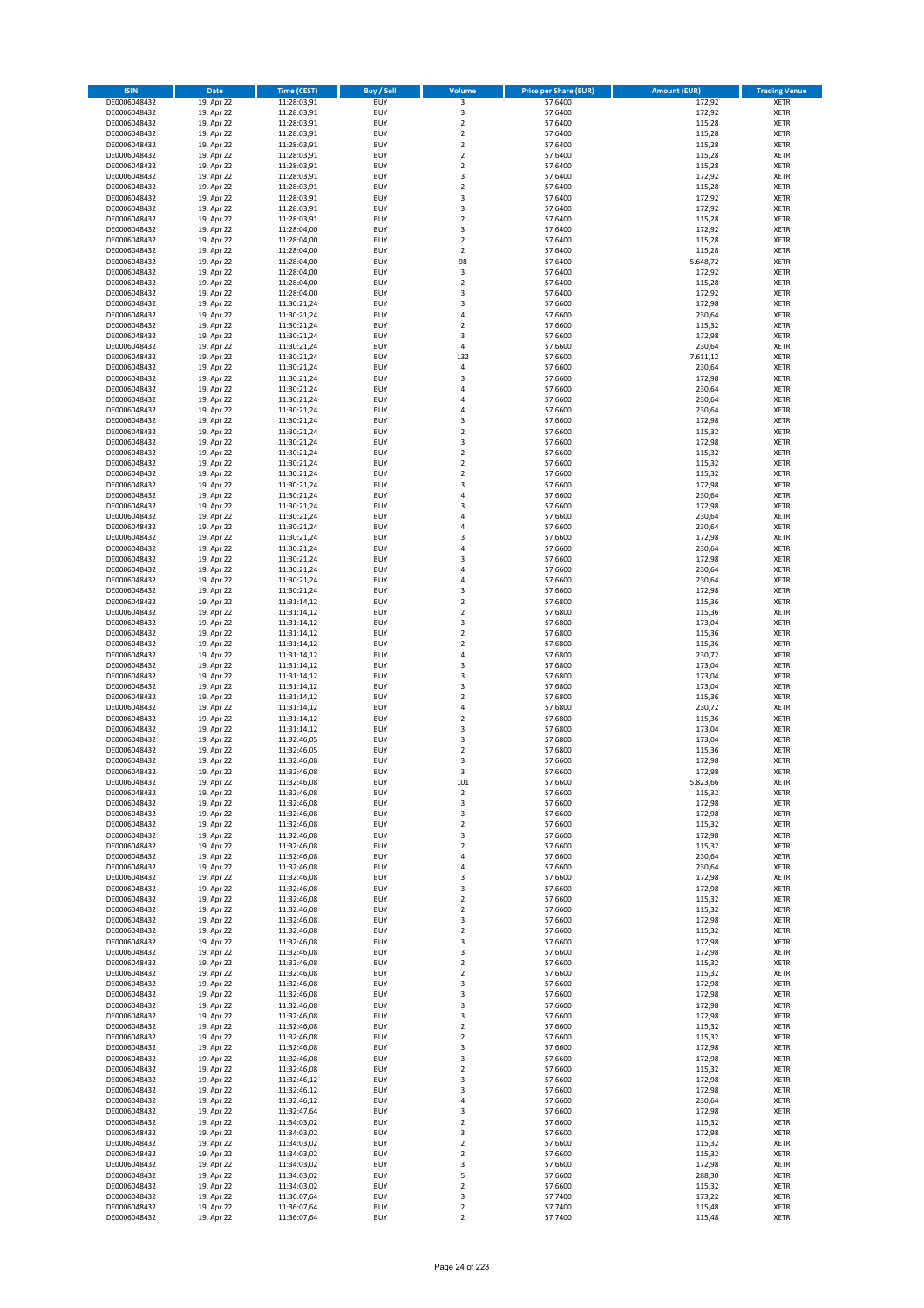| <b>ISIN</b>                  | <b>Date</b>              | Time (CEST)                | <b>Buy / Sell</b>        | Volume                        | <b>Price per Share (EUR)</b> | <b>Amount (EUR)</b> | <b>Trading Venue</b>       |
|------------------------------|--------------------------|----------------------------|--------------------------|-------------------------------|------------------------------|---------------------|----------------------------|
| DE0006048432                 | 19. Apr 22               | 11:28:03,91                | <b>BUY</b>               | $\overline{\mathbf{3}}$       | 57,6400                      | 172,92              | <b>XETR</b>                |
| DE0006048432                 | 19. Apr 22               | 11:28:03,91                | <b>BUY</b>               | 3                             | 57,6400                      | 172,92              | <b>XETR</b>                |
| DE0006048432                 | 19. Apr 22               | 11:28:03,91                | <b>BUY</b>               | $\overline{2}$                | 57.6400                      | 115,28              | <b>XETR</b>                |
| DE0006048432                 | 19. Apr 22               | 11:28:03,91                | <b>BUY</b>               | $\mathbf 2$                   | 57,6400                      | 115,28              | <b>XETR</b>                |
| DE0006048432<br>DE0006048432 | 19. Apr 22<br>19. Apr 22 | 11:28:03,91<br>11:28:03,91 | <b>BUY</b><br><b>BUY</b> | $\mathbf 2$<br>$\mathbf 2$    | 57,6400<br>57,6400           | 115,28<br>115,28    | <b>XETR</b><br><b>XETR</b> |
| DE0006048432                 | 19. Apr 22               | 11:28:03,91                | <b>BUY</b>               | $\mathbf 2$                   | 57,6400                      | 115,28              | <b>XETR</b>                |
| DE0006048432                 | 19. Apr 22               | 11:28:03,91                | <b>BUY</b>               | 3                             | 57,6400                      | 172,92              | <b>XETR</b>                |
| DE0006048432                 | 19. Apr 22               | 11:28:03,91                | <b>BUY</b>               | $\overline{2}$                | 57,6400                      | 115,28              | <b>XETR</b>                |
| DE0006048432                 | 19. Apr 22               | 11:28:03,91                | <b>BUY</b>               | 3                             | 57,6400                      | 172,92              | <b>XETR</b>                |
| DE0006048432                 | 19. Apr 22               | 11:28:03,91                | <b>BUY</b>               | 3                             | 57,6400                      | 172,92              | <b>XETR</b>                |
| DE0006048432                 | 19. Apr 22               | 11:28:03,91                | <b>BUY</b>               | $\overline{\mathbf{c}}$<br>3  | 57,6400                      | 115,28              | <b>XETR</b><br><b>XETR</b> |
| DE0006048432<br>DE0006048432 | 19. Apr 22<br>19. Apr 22 | 11:28:04,00<br>11:28:04,00 | <b>BUY</b><br><b>BUY</b> | $\overline{2}$                | 57,6400<br>57,6400           | 172,92<br>115,28    | <b>XETR</b>                |
| DE0006048432                 | 19. Apr 22               | 11:28:04,00                | <b>BUY</b>               | $\mathbf 2$                   | 57,6400                      | 115,28              | <b>XETR</b>                |
| DE0006048432                 | 19. Apr 22               | 11:28:04,00                | <b>BUY</b>               | 98                            | 57,6400                      | 5.648,72            | <b>XETR</b>                |
| DE0006048432                 | 19. Apr 22               | 11:28:04,00                | <b>BUY</b>               | 3                             | 57,6400                      | 172,92              | <b>XETR</b>                |
| DE0006048432                 | 19. Apr 22               | 11:28:04,00                | <b>BUY</b>               | $\mathbf 2$                   | 57,6400                      | 115,28              | <b>XETR</b>                |
| DE0006048432                 | 19. Apr 22               | 11:28:04,00                | <b>BUY</b>               | 3<br>3                        | 57,6400                      | 172,92              | <b>XETR</b>                |
| DE0006048432<br>DE0006048432 | 19. Apr 22<br>19. Apr 22 | 11:30:21,24<br>11:30:21,24 | <b>BUY</b><br><b>BUY</b> | 4                             | 57,6600<br>57,6600           | 172,98<br>230,64    | <b>XETR</b><br><b>XETR</b> |
| DE0006048432                 | 19. Apr 22               | 11:30:21,24                | <b>BUY</b>               | $\mathbf 2$                   | 57,6600                      | 115,32              | <b>XETR</b>                |
| DE0006048432                 | 19. Apr 22               | 11:30:21,24                | <b>BUY</b>               | 3                             | 57,6600                      | 172,98              | <b>XETR</b>                |
| DE0006048432                 | 19. Apr 22               | 11:30:21,24                | <b>BUY</b>               | 4                             | 57,6600                      | 230,64              | <b>XETR</b>                |
| DE0006048432                 | 19. Apr 22               | 11:30:21,24                | <b>BUY</b>               | 132                           | 57,6600                      | 7.611,12            | <b>XETR</b>                |
| DE0006048432                 | 19. Apr 22               | 11:30:21,24                | <b>BUY</b>               | 4                             | 57,6600                      | 230,64              | <b>XETR</b>                |
| DE0006048432<br>DE0006048432 | 19. Apr 22               | 11:30:21,24                | <b>BUY</b>               | 3<br>4                        | 57,6600                      | 172,98              | <b>XETR</b>                |
| DE0006048432                 | 19. Apr 22<br>19. Apr 22 | 11:30:21,24<br>11:30:21,24 | <b>BUY</b><br><b>BUY</b> | 4                             | 57,6600<br>57,6600           | 230,64<br>230,64    | <b>XETR</b><br><b>XETR</b> |
| DE0006048432                 | 19. Apr 22               | 11:30:21,24                | <b>BUY</b>               | 4                             | 57,6600                      | 230,64              | <b>XETR</b>                |
| DE0006048432                 | 19. Apr 22               | 11:30:21,24                | <b>BUY</b>               | 3                             | 57,6600                      | 172,98              | <b>XETR</b>                |
| DE0006048432                 | 19. Apr 22               | 11:30:21,24                | <b>BUY</b>               | $\overline{\mathbf{c}}$       | 57,6600                      | 115,32              | <b>XETR</b>                |
| DE0006048432                 | 19. Apr 22               | 11:30:21,24                | <b>BUY</b>               | 3                             | 57,6600                      | 172,98              | <b>XETR</b>                |
| DE0006048432                 | 19. Apr 22               | 11:30:21,24                | <b>BUY</b>               | $\mathbf 2$                   | 57,6600                      | 115,32              | <b>XETR</b>                |
| DE0006048432<br>DE0006048432 | 19. Apr 22<br>19. Apr 22 | 11:30:21,24<br>11:30:21,24 | <b>BUY</b><br><b>BUY</b> | $\overline{2}$<br>$\mathbf 2$ | 57,6600<br>57,6600           | 115,32<br>115,32    | <b>XETR</b><br><b>XETR</b> |
| DE0006048432                 | 19. Apr 22               | 11:30:21,24                | <b>BUY</b>               | 3                             | 57,6600                      | 172,98              | <b>XETR</b>                |
| DE0006048432                 | 19. Apr 22               | 11:30:21,24                | <b>BUY</b>               | 4                             | 57,6600                      | 230,64              | <b>XETR</b>                |
| DE0006048432                 | 19. Apr 22               | 11:30:21,24                | <b>BUY</b>               | 3                             | 57,6600                      | 172,98              | <b>XETR</b>                |
| DE0006048432                 | 19. Apr 22               | 11:30:21,24                | <b>BUY</b>               | 4                             | 57,6600                      | 230,64              | <b>XETR</b>                |
| DE0006048432                 | 19. Apr 22               | 11:30:21,24                | <b>BUY</b>               | 4                             | 57,6600                      | 230,64              | <b>XETR</b>                |
| DE0006048432                 | 19. Apr 22               | 11:30:21,24                | <b>BUY</b>               | 3                             | 57,6600                      | 172,98              | <b>XETR</b>                |
| DE0006048432                 | 19. Apr 22               | 11:30:21,24                | <b>BUY</b>               | 4                             | 57,6600                      | 230,64              | <b>XETR</b>                |
| DE0006048432<br>DE0006048432 | 19. Apr 22<br>19. Apr 22 | 11:30:21,24                | <b>BUY</b><br><b>BUY</b> | 3<br>4                        | 57,6600<br>57,6600           | 172,98<br>230,64    | <b>XETR</b><br><b>XETR</b> |
| DE0006048432                 | 19. Apr 22               | 11:30:21,24<br>11:30:21,24 | <b>BUY</b>               | 4                             | 57,6600                      | 230,64              | <b>XETR</b>                |
| DE0006048432                 | 19. Apr 22               | 11:30:21,24                | <b>BUY</b>               | 3                             | 57,6600                      | 172,98              | <b>XETR</b>                |
| DE0006048432                 | 19. Apr 22               | 11:31:14,12                | <b>BUY</b>               | $\mathbf 2$                   | 57,6800                      | 115,36              | <b>XETR</b>                |
| DE0006048432                 | 19. Apr 22               | 11:31:14,12                | <b>BUY</b>               | $\mathbf 2$                   | 57,6800                      | 115,36              | <b>XETR</b>                |
| DE0006048432                 | 19. Apr 22               | 11:31:14,12                | <b>BUY</b>               | 3                             | 57,6800                      | 173,04              | <b>XETR</b>                |
| DE0006048432                 | 19. Apr 22               | 11:31:14,12                | <b>BUY</b>               | $\mathbf 2$                   | 57,6800                      | 115,36              | <b>XETR</b>                |
| DE0006048432                 | 19. Apr 22               | 11:31:14,12                | <b>BUY</b>               | $\mathbf 2$                   | 57,6800                      | 115,36              | <b>XETR</b>                |
| DE0006048432                 | 19. Apr 22               | 11:31:14,12                | <b>BUY</b><br><b>BUY</b> | 4                             | 57,6800                      | 230,72<br>173,04    | <b>XETR</b>                |
| DE0006048432<br>DE0006048432 | 19. Apr 22<br>19. Apr 22 | 11:31:14,12<br>11:31:14,12 | <b>BUY</b>               | 3<br>3                        | 57,6800<br>57,6800           | 173,04              | <b>XETR</b><br><b>XETR</b> |
| DE0006048432                 | 19. Apr 22               | 11:31:14,12                | <b>BUY</b>               | 3                             | 57,6800                      | 173,04              | <b>XETR</b>                |
| DE0006048432                 | 19. Apr 22               | 11:31:14,12                | <b>BUY</b>               | $\overline{\mathbf{c}}$       | 57,6800                      | 115,36              | <b>XETR</b>                |
| DE0006048432                 | 19. Apr 22               | 11:31:14,12                | <b>BUY</b>               | 4                             | 57,6800                      | 230,72              | <b>XETR</b>                |
| DE0006048432                 | 19. Apr 22               | 11:31:14,12                | <b>BUY</b>               | $\overline{\mathbf{c}}$       | 57,6800                      | 115,36              | <b>XETR</b>                |
| DE0006048432                 | 19. Apr 22               | 11:31:14,12                | <b>BUY</b>               | 3                             | 57,6800                      | 173,04              | <b>XETR</b>                |
| DE0006048432                 | 19. Apr 22               | 11:32:46,05                | <b>BUY</b>               | 3                             | 57,6800                      | 173,04              | <b>XETR</b>                |
| DE0006048432<br>DE0006048432 | 19. Apr 22<br>19. Apr 22 | 11:32:46,05<br>11:32:46,08 | <b>BUY</b><br><b>BUY</b> | $\overline{\mathbf{c}}$<br>3  | 57,6800<br>57,6600           | 115,36<br>172,98    | <b>XETR</b><br><b>XETR</b> |
| DE0006048432                 | 19. Apr 22               | 11:32:46,08                | <b>BUY</b>               | 3                             | 57,6600                      | 172,98              | <b>XETR</b>                |
| DE0006048432                 | 19. Apr 22               | 11:32:46,08                | BUY                      | 101                           | 57,6600                      | 5.823,66            | <b>XETR</b>                |
| DE0006048432                 | 19. Apr 22               | 11:32:46,08                | <b>BUY</b>               | $\mathbf 2$                   | 57,6600                      | 115,32              | <b>XETR</b>                |
| DE0006048432                 | 19. Apr 22               | 11:32:46,08                | <b>BUY</b>               | 3                             | 57,6600                      | 172,98              | <b>XETR</b>                |
| DE0006048432                 | 19. Apr 22               | 11:32:46,08                | <b>BUY</b>               | 3                             | 57,6600                      | 172,98              | XETR                       |
| DE0006048432<br>DE0006048432 | 19. Apr 22               | 11:32:46,08                | <b>BUY</b>               | $\mathbf 2$                   | 57,6600                      | 115,32              | <b>XETR</b>                |
| DE0006048432                 | 19. Apr 22<br>19. Apr 22 | 11:32:46,08<br>11:32:46,08 | <b>BUY</b><br><b>BUY</b> | 3<br>$\mathbf 2$              | 57,6600<br>57,6600           | 172,98<br>115,32    | <b>XETR</b><br><b>XETR</b> |
| DE0006048432                 | 19. Apr 22               | 11:32:46,08                | <b>BUY</b>               | 4                             | 57,6600                      | 230,64              | <b>XETR</b>                |
| DE0006048432                 | 19. Apr 22               | 11:32:46,08                | <b>BUY</b>               | 4                             | 57,6600                      | 230,64              | <b>XETR</b>                |
| DE0006048432                 | 19. Apr 22               | 11:32:46,08                | <b>BUY</b>               | 3                             | 57,6600                      | 172,98              | <b>XETR</b>                |
| DE0006048432                 | 19. Apr 22               | 11:32:46,08                | <b>BUY</b>               | 3                             | 57,6600                      | 172,98              | <b>XETR</b>                |
| DE0006048432                 | 19. Apr 22               | 11:32:46,08                | <b>BUY</b>               | $\overline{2}$                | 57,6600                      | 115,32              | <b>XETR</b>                |
| DE0006048432<br>DE0006048432 | 19. Apr 22<br>19. Apr 22 | 11:32:46,08<br>11:32:46,08 | <b>BUY</b><br><b>BUY</b> | $\mathbf 2$<br>3              | 57,6600<br>57,6600           | 115,32<br>172,98    | <b>XETR</b><br><b>XETR</b> |
| DE0006048432                 | 19. Apr 22               | 11:32:46,08                | <b>BUY</b>               | $\mathbf 2$                   | 57,6600                      | 115,32              | <b>XETR</b>                |
| DE0006048432                 | 19. Apr 22               | 11:32:46,08                | <b>BUY</b>               | 3                             | 57,6600                      | 172,98              | <b>XETR</b>                |
| DE0006048432                 | 19. Apr 22               | 11:32:46,08                | <b>BUY</b>               | 3                             | 57,6600                      | 172,98              | <b>XETR</b>                |
| DE0006048432                 | 19. Apr 22               | 11:32:46,08                | <b>BUY</b>               | $\mathbf 2$                   | 57,6600                      | 115,32              | <b>XETR</b>                |
| DE0006048432                 | 19. Apr 22               | 11:32:46,08                | <b>BUY</b>               | $\mathbf 2$                   | 57,6600                      | 115,32              | XETR                       |
| DE0006048432                 | 19. Apr 22               | 11:32:46,08                | <b>BUY</b>               | 3                             | 57,6600                      | 172,98              | <b>XETR</b>                |
| DE0006048432                 | 19. Apr 22               | 11:32:46,08                | <b>BUY</b><br><b>BUY</b> | 3                             | 57,6600                      | 172,98              | <b>XETR</b>                |
| DE0006048432<br>DE0006048432 | 19. Apr 22<br>19. Apr 22 | 11:32:46,08<br>11:32:46,08 | <b>BUY</b>               | 3<br>3                        | 57,6600<br>57,6600           | 172,98<br>172,98    | <b>XETR</b><br><b>XETR</b> |
| DE0006048432                 | 19. Apr 22               | 11:32:46,08                | <b>BUY</b>               | $\mathbf 2$                   | 57,6600                      | 115,32              | <b>XETR</b>                |
| DE0006048432                 | 19. Apr 22               | 11:32:46,08                | <b>BUY</b>               | 2                             | 57,6600                      | 115,32              | <b>XETR</b>                |
| DE0006048432                 | 19. Apr 22               | 11:32:46,08                | <b>BUY</b>               | 3                             | 57,6600                      | 172,98              | <b>XETR</b>                |
| DE0006048432                 | 19. Apr 22               | 11:32:46,08                | <b>BUY</b>               | 3                             | 57,6600                      | 172,98              | <b>XETR</b>                |
| DE0006048432                 | 19. Apr 22               | 11:32:46,08                | <b>BUY</b>               | $\overline{2}$                | 57,6600                      | 115,32              | <b>XETR</b>                |
| DE0006048432                 | 19. Apr 22               | 11:32:46,12                | <b>BUY</b>               | 3                             | 57,6600                      | 172,98              | <b>XETR</b>                |
| DE0006048432                 | 19. Apr 22               | 11:32:46,12                | <b>BUY</b>               | 3                             | 57,6600                      | 172,98              | <b>XETR</b>                |
| DE0006048432<br>DE0006048432 | 19. Apr 22<br>19. Apr 22 | 11:32:46,12<br>11:32:47,64 | <b>BUY</b><br><b>BUY</b> | 4<br>3                        | 57,6600<br>57,6600           | 230,64<br>172,98    | <b>XETR</b><br><b>XETR</b> |
| DE0006048432                 | 19. Apr 22               | 11:34:03,02                | <b>BUY</b>               | $\mathbf 2$                   | 57,6600                      | 115,32              | <b>XETR</b>                |
| DE0006048432                 | 19. Apr 22               | 11:34:03,02                | <b>BUY</b>               | 3                             | 57,6600                      | 172,98              | <b>XETR</b>                |
| DE0006048432                 | 19. Apr 22               | 11:34:03,02                | <b>BUY</b>               | $\mathbf 2$                   | 57,6600                      | 115,32              | <b>XETR</b>                |
| DE0006048432                 | 19. Apr 22               | 11:34:03,02                | <b>BUY</b>               | $\mathbf 2$                   | 57,6600                      | 115,32              | <b>XETR</b>                |
| DE0006048432                 | 19. Apr 22               | 11:34:03,02                | <b>BUY</b>               | 3                             | 57,6600                      | 172,98              | <b>XETR</b>                |
| DE0006048432                 | 19. Apr 22               | 11:34:03,02                | <b>BUY</b>               | 5                             | 57,6600                      | 288,30              | XETR                       |
| DE0006048432                 | 19. Apr 22               | 11:34:03,02                | <b>BUY</b>               | $\overline{2}$                | 57,6600<br>57,7400           | 115,32<br>173,22    | <b>XETR</b><br><b>XETR</b> |
| DE0006048432<br>DE0006048432 | 19. Apr 22<br>19. Apr 22 | 11:36:07,64<br>11:36:07,64 | <b>BUY</b><br><b>BUY</b> | 3<br>$\mathbf 2$              | 57,7400                      | 115,48              | <b>XETR</b>                |
| DE0006048432                 | 19. Apr 22               | 11:36:07,64                | <b>BUY</b>               | $\overline{2}$                | 57,7400                      | 115,48              | <b>XETR</b>                |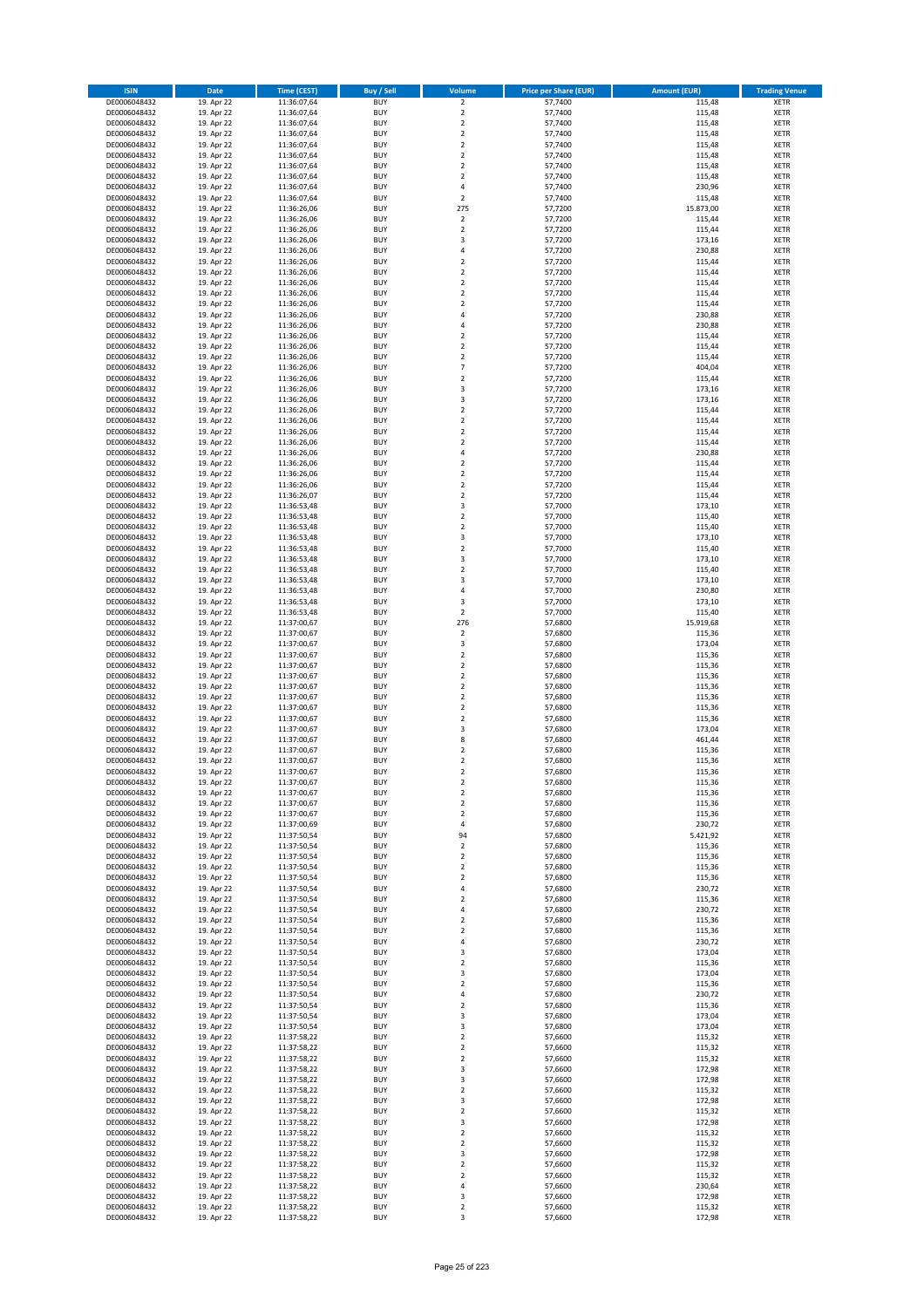| <b>ISIN</b>                  | <b>Date</b>              | Time (CEST)                | <b>Buy / Sell</b>        | Volume                                 | <b>Price per Share (EUR)</b> | Amount (EUR)        | <b>Trading Venue</b>       |
|------------------------------|--------------------------|----------------------------|--------------------------|----------------------------------------|------------------------------|---------------------|----------------------------|
| DE0006048432                 | 19. Apr 22               | 11:36:07,64                | <b>BUY</b>               | $\overline{2}$                         | 57,7400                      | 115,48              | <b>XETR</b>                |
| DE0006048432                 | 19. Apr 22               | 11:36:07,64                | <b>BUY</b>               | $\mathbf 2$                            | 57,7400                      | 115,48              | <b>XETR</b>                |
| DE0006048432                 | 19. Apr 22               | 11:36:07,64                | <b>BUY</b>               | $\overline{2}$                         | 57,7400                      | 115,48              | <b>XETR</b>                |
| DE0006048432                 | 19. Apr 22               | 11:36:07,64                | <b>BUY</b>               | $\mathbf 2$                            | 57,7400                      | 115,48              | <b>XETR</b>                |
| DE0006048432                 | 19. Apr 22               | 11:36:07,64                | <b>BUY</b>               | $\overline{2}$                         | 57,7400                      | 115,48              | <b>XETR</b>                |
| DE0006048432                 | 19. Apr 22               | 11:36:07,64                | <b>BUY</b>               | $\mathbf 2$                            | 57,7400                      | 115,48              | <b>XETR</b>                |
| DE0006048432                 | 19. Apr 22               | 11:36:07,64                | <b>BUY</b>               | $\overline{2}$                         | 57,7400                      | 115,48              | <b>XETR</b>                |
| DE0006048432                 | 19. Apr 22               | 11:36:07,64                | <b>BUY</b>               | $\overline{2}$                         | 57,7400                      | 115,48              | <b>XETR</b>                |
| DE0006048432                 | 19. Apr 22               | 11:36:07,64                | <b>BUY</b>               | 4                                      | 57,7400                      | 230,96              | <b>XETR</b>                |
| DE0006048432                 | 19. Apr 22               | 11:36:07,64                | <b>BUY</b>               | $\mathbf 2$                            | 57,7400                      | 115,48              | <b>XETR</b>                |
| DE0006048432                 | 19. Apr 22               | 11:36:26,06                | <b>BUY</b>               | 275                                    | 57,7200                      | 15.873,00           | <b>XETR</b>                |
| DE0006048432                 | 19. Apr 22               | 11:36:26,06                | <b>BUY</b>               | $\mathbf 2$                            | 57,7200                      | 115,44              | <b>XETR</b>                |
| DE0006048432                 | 19. Apr 22               | 11:36:26,06                | <b>BUY</b><br><b>BUY</b> | $\mathbf 2$<br>$\overline{\mathbf{3}}$ | 57,7200                      | 115,44              | <b>XETR</b><br><b>XETR</b> |
| DE0006048432<br>DE0006048432 | 19. Apr 22<br>19. Apr 22 | 11:36:26,06<br>11:36:26,06 | <b>BUY</b>               | 4                                      | 57,7200<br>57,7200           | 173,16<br>230,88    | <b>XETR</b>                |
| DE0006048432                 | 19. Apr 22               | 11:36:26,06                | <b>BUY</b>               | $\overline{\phantom{a}}$               | 57,7200                      | 115,44              | <b>XETR</b>                |
| DE0006048432                 | 19. Apr 22               | 11:36:26,06                | <b>BUY</b>               | $\overline{2}$                         | 57,7200                      | 115,44              | <b>XETR</b>                |
| DE0006048432                 | 19. Apr 22               | 11:36:26,06                | <b>BUY</b>               | $\overline{2}$                         | 57,7200                      | 115,44              | <b>XETR</b>                |
| DE0006048432                 | 19. Apr 22               | 11:36:26,06                | <b>BUY</b>               | $\overline{2}$                         | 57,7200                      | 115,44              | <b>XETR</b>                |
| DE0006048432                 | 19. Apr 22               | 11:36:26,06                | <b>BUY</b>               | $\overline{2}$                         | 57,7200                      | 115,44              | <b>XETR</b>                |
| DE0006048432                 | 19. Apr 22               | 11:36:26,06                | <b>BUY</b>               | $\overline{4}$                         | 57,7200                      | 230,88              | <b>XETR</b>                |
| DE0006048432                 | 19. Apr 22               | 11:36:26,06                | <b>BUY</b>               | 4                                      | 57,7200                      | 230,88              | <b>XETR</b>                |
| DE0006048432                 | 19. Apr 22               | 11:36:26,06                | <b>BUY</b>               | $\overline{2}$                         | 57,7200                      | 115,44              | <b>XETR</b>                |
| DE0006048432                 | 19. Apr 22               | 11:36:26,06                | <b>BUY</b>               | $\overline{2}$                         | 57,7200                      | 115,44              | <b>XETR</b>                |
| DE0006048432                 | 19. Apr 22               | 11:36:26,06                | <b>BUY</b>               | $\mathbf 2$                            | 57,7200                      | 115,44              | <b>XETR</b>                |
| DE0006048432                 | 19. Apr 22               | 11:36:26,06                | <b>BUY</b>               | $\overline{7}$                         | 57,7200                      | 404,04              | <b>XETR</b>                |
| DE0006048432                 | 19. Apr 22               | 11:36:26,06                | <b>BUY</b>               | $\mathbf 2$                            | 57,7200                      | 115,44              | <b>XETR</b>                |
| DE0006048432                 | 19. Apr 22               | 11:36:26,06                | <b>BUY</b>               | $\overline{\mathbf{3}}$                | 57,7200                      | 173,16              | <b>XETR</b>                |
| DE0006048432                 | 19. Apr 22               | 11:36:26,06                | <b>BUY</b>               | 3                                      | 57,7200                      | 173,16              | <b>XETR</b>                |
| DE0006048432                 | 19. Apr 22               | 11:36:26,06                | <b>BUY</b>               | $\overline{2}$                         | 57,7200                      | 115,44              | <b>XETR</b>                |
| DE0006048432<br>DE0006048432 | 19. Apr 22<br>19. Apr 22 | 11:36:26,06<br>11:36:26,06 | <b>BUY</b><br><b>BUY</b> | $\mathbf 2$<br>$\mathbf 2$             | 57,7200<br>57,7200           | 115,44<br>115,44    | <b>XETR</b><br><b>XETR</b> |
| DE0006048432                 | 19. Apr 22               | 11:36:26,06                | <b>BUY</b>               | $\mathbf 2$                            | 57,7200                      | 115,44              | <b>XETR</b>                |
| DE0006048432                 | 19. Apr 22               | 11:36:26,06                | <b>BUY</b>               | 4                                      | 57,7200                      | 230,88              | <b>XETR</b>                |
| DE0006048432                 | 19. Apr 22               | 11:36:26,06                | <b>BUY</b>               | $\overline{2}$                         | 57,7200                      | 115,44              | <b>XETR</b>                |
| DE0006048432                 | 19. Apr 22               | 11:36:26,06                | <b>BUY</b>               | $\mathbf 2$                            | 57,7200                      | 115,44              | <b>XETR</b>                |
| DE0006048432                 | 19. Apr 22               | 11:36:26,06                | <b>BUY</b>               | $\overline{2}$                         | 57,7200                      | 115,44              | <b>XETR</b>                |
| DE0006048432                 | 19. Apr 22               | 11:36:26,07                | <b>BUY</b>               | $\mathbf 2$                            | 57,7200                      | 115,44              | <b>XETR</b>                |
| DE0006048432                 | 19. Apr 22               | 11:36:53,48                | <b>BUY</b>               | 3                                      | 57,7000                      | 173,10              | <b>XETR</b>                |
| DE0006048432                 | 19. Apr 22               | 11:36:53,48                | <b>BUY</b>               | $\mathbf 2$                            | 57,7000                      | 115,40              | <b>XETR</b>                |
| DE0006048432                 | 19. Apr 22               | 11:36:53,48                | <b>BUY</b>               | $\overline{2}$                         | 57,7000                      | 115,40              | <b>XETR</b>                |
| DE0006048432                 | 19. Apr 22               | 11:36:53,48                | <b>BUY</b>               | 3                                      | 57,7000                      | 173,10              | <b>XETR</b>                |
| DE0006048432                 | 19. Apr 22               | 11:36:53,48                | <b>BUY</b>               | $\mathbf 2$                            | 57,7000                      | 115,40              | <b>XETR</b>                |
| DE0006048432                 | 19. Apr 22               | 11:36:53,48                | <b>BUY</b>               | $\overline{\mathbf{3}}$                | 57,7000                      | 173,10              | <b>XETR</b>                |
| DE0006048432                 | 19. Apr 22               | 11:36:53,48                | <b>BUY</b>               | $\overline{2}$                         | 57,7000                      | 115,40              | <b>XETR</b>                |
| DE0006048432                 | 19. Apr 22               | 11:36:53,48                | <b>BUY</b>               | 3                                      | 57,7000                      | 173,10              | <b>XETR</b>                |
| DE0006048432                 | 19. Apr 22               | 11:36:53,48                | <b>BUY</b>               | 4                                      | 57,7000                      | 230,80              | <b>XETR</b>                |
| DE0006048432                 | 19. Apr 22               | 11:36:53,48                | <b>BUY</b>               | 3                                      | 57,7000                      | 173,10              | <b>XETR</b>                |
| DE0006048432                 | 19. Apr 22               | 11:36:53,48                | <b>BUY</b><br><b>BUY</b> | $\mathbf 2$<br>276                     | 57,7000                      | 115,40              | <b>XETR</b><br><b>XETR</b> |
| DE0006048432<br>DE0006048432 | 19. Apr 22<br>19. Apr 22 | 11:37:00,67<br>11:37:00,67 | <b>BUY</b>               | $\mathbf 2$                            | 57,6800<br>57,6800           | 15.919,68<br>115,36 | <b>XETR</b>                |
| DE0006048432                 | 19. Apr 22               | 11:37:00,67                | <b>BUY</b>               | 3                                      | 57,6800                      | 173,04              | <b>XETR</b>                |
| DE0006048432                 | 19. Apr 22               | 11:37:00,67                | <b>BUY</b>               | $\overline{2}$                         | 57,6800                      | 115,36              | <b>XETR</b>                |
| DE0006048432                 | 19. Apr 22               | 11:37:00,67                | <b>BUY</b>               | $\mathbf 2$                            | 57,6800                      | 115,36              | <b>XETR</b>                |
| DE0006048432                 | 19. Apr 22               | 11:37:00,67                | <b>BUY</b>               | $\overline{2}$                         | 57,6800                      | 115,36              | <b>XETR</b>                |
| DE0006048432                 | 19. Apr 22               | 11:37:00,67                | <b>BUY</b>               | $\overline{2}$                         | 57,6800                      | 115,36              | <b>XETR</b>                |
| DE0006048432                 | 19. Apr 22               | 11:37:00,67                | <b>BUY</b>               | $\overline{2}$                         | 57,6800                      | 115,36              | <b>XETR</b>                |
| DE0006048432                 | 19. Apr 22               | 11:37:00,67                | <b>BUY</b>               | $\overline{2}$                         | 57,6800                      | 115,36              | <b>XETR</b>                |
| DE0006048432                 | 19. Apr 22               | 11:37:00,67                | <b>BUY</b>               | $\overline{2}$                         | 57,6800                      | 115,36              | <b>XETR</b>                |
| DE0006048432                 | 19. Apr 22               | 11:37:00,67                | <b>BUY</b>               | 3                                      | 57,6800                      | 173,04              | <b>XETR</b>                |
| DE0006048432                 | 19. Apr 22               | 11:37:00,67                | <b>BUY</b>               | 8                                      | 57,6800                      | 461,44              | <b>XETR</b>                |
| DE0006048432                 | 19. Apr 22               | 11:37:00,67                | BUY                      | $\overline{2}$                         | 57,6800                      | 115,36              | <b>XETR</b>                |
| DE0006048432                 | 19. Apr 22               | 11:37:00,67                | <b>BUY</b>               | $\mathbf 2$                            | 57,6800                      | 115,36              | <b>XETR</b>                |
| DE0006048432                 | 19. Apr 22               | 11:37:00,67                | <b>BUY</b>               | $\overline{2}$                         | 57,6800                      | 115,36              | <b>XETR</b>                |
| DE0006048432                 | 19. Apr 22               | 11:37:00,67                | <b>BUY</b>               | 2                                      | 57,6800                      | 115,36              | <b>XETR</b>                |
| DE0006048432                 | 19. Apr 22               | 11:37:00,67                | <b>BUY</b>               | $\mathbf 2$                            | 57,6800                      | 115,36              | <b>XETR</b>                |
| DE0006048432                 | 19. Apr 22               | 11:37:00,67                | <b>BUY</b>               | $\mathbf 2$                            | 57,6800                      | 115,36              | <b>XETR</b>                |
| DE0006048432                 | 19. Apr 22               | 11:37:00,67                | <b>BUY</b>               | $\mathbf 2$                            | 57,6800                      | 115,36              | <b>XETR</b>                |
| DE0006048432                 | 19. Apr 22<br>19. Apr 22 | 11:37:00,69                | <b>BUY</b>               | 4                                      | 57,6800                      | 230,72              | <b>XETR</b>                |
| DE0006048432<br>DE0006048432 |                          | 11:37:50,54                | <b>BUY</b><br><b>BUY</b> | 94<br>2                                | 57,6800<br>57,6800           | 5.421,92            | <b>XETR</b><br><b>XETR</b> |
| DE0006048432                 | 19. Apr 22<br>19. Apr 22 | 11:37:50,54<br>11:37:50,54 | <b>BUY</b>               | 2                                      | 57,6800                      | 115,36<br>115,36    | <b>XETR</b>                |
| DE0006048432                 | 19. Apr 22               | 11:37:50,54                | <b>BUY</b>               | $\mathbf 2$                            | 57,6800                      | 115,36              | <b>XETR</b>                |
| DE0006048432                 | 19. Apr 22               | 11:37:50,54                | <b>BUY</b>               | $\mathbf 2$                            | 57,6800                      | 115,36              | <b>XETR</b>                |
| DE0006048432                 | 19. Apr 22               | 11:37:50,54                | <b>BUY</b>               | 4                                      | 57,6800                      | 230,72              | <b>XETR</b>                |
| DE0006048432                 | 19. Apr 22               | 11:37:50,54                | <b>BUY</b>               | $\overline{2}$                         | 57,6800                      | 115,36              | <b>XETR</b>                |
| DE0006048432                 | 19. Apr 22               | 11:37:50,54                | <b>BUY</b>               | 4                                      | 57,6800                      | 230,72              | <b>XETR</b>                |
| DE0006048432                 | 19. Apr 22               | 11:37:50,54                | <b>BUY</b>               | $\overline{2}$                         | 57,6800                      | 115,36              | <b>XETR</b>                |
| DE0006048432                 | 19. Apr 22               | 11:37:50,54                | <b>BUY</b>               | 2                                      | 57,6800                      | 115,36              | <b>XETR</b>                |
| DE0006048432                 | 19. Apr 22               | 11:37:50,54                | <b>BUY</b>               | $\overline{a}$                         | 57,6800                      | 230,72              | <b>XETR</b>                |
| DE0006048432                 | 19. Apr 22               | 11:37:50,54                | <b>BUY</b>               | 3                                      | 57,6800                      | 173,04              | <b>XETR</b>                |
| DE0006048432                 | 19. Apr 22               | 11:37:50,54                | <b>BUY</b>               | $\mathbf 2$                            | 57,6800                      | 115,36              | <b>XETR</b>                |
| DE0006048432                 | 19. Apr 22               | 11:37:50,54                | <b>BUY</b>               | 3                                      | 57,6800                      | 173,04              | <b>XETR</b>                |
| DE0006048432                 | 19. Apr 22               | 11:37:50,54                | <b>BUY</b>               | $\mathbf 2$                            | 57,6800                      | 115,36              | <b>XETR</b>                |
| DE0006048432                 | 19. Apr 22               | 11:37:50,54                | <b>BUY</b>               | 4                                      | 57,6800                      | 230,72              | <b>XETR</b>                |
| DE0006048432<br>DE0006048432 | 19. Apr 22<br>19. Apr 22 | 11:37:50,54<br>11:37:50,54 | <b>BUY</b><br><b>BUY</b> | $\mathbf 2$<br>3                       | 57,6800<br>57,6800           | 115,36<br>173,04    | <b>XETR</b><br><b>XETR</b> |
| DE0006048432                 | 19. Apr 22               | 11:37:50,54                | <b>BUY</b>               | 3                                      | 57,6800                      | 173,04              | <b>XETR</b>                |
| DE0006048432                 | 19. Apr 22               | 11:37:58,22                | <b>BUY</b>               | $\mathbf 2$                            | 57,6600                      | 115,32              | <b>XETR</b>                |
| DE0006048432                 | 19. Apr 22               | 11:37:58,22                | <b>BUY</b>               | $\mathbf 2$                            | 57,6600                      | 115,32              | <b>XETR</b>                |
| DE0006048432                 | 19. Apr 22               | 11:37:58,22                | <b>BUY</b>               | $\overline{2}$                         | 57,6600                      | 115,32              | <b>XETR</b>                |
| DE0006048432                 | 19. Apr 22               | 11:37:58,22                | <b>BUY</b>               | $\overline{\mathbf{3}}$                | 57,6600                      | 172,98              | <b>XETR</b>                |
| DE0006048432                 | 19. Apr 22               | 11:37:58,22                | <b>BUY</b>               | 3                                      | 57,6600                      | 172,98              | <b>XETR</b>                |
| DE0006048432                 | 19. Apr 22               | 11:37:58,22                | <b>BUY</b>               | $\overline{2}$                         | 57,6600                      | 115,32              | <b>XETR</b>                |
| DE0006048432                 | 19. Apr 22               | 11:37:58,22                | <b>BUY</b>               | 3                                      | 57,6600                      | 172,98              | <b>XETR</b>                |
| DE0006048432                 | 19. Apr 22               | 11:37:58,22                | <b>BUY</b>               | $\mathbf 2$                            | 57,6600                      | 115,32              | <b>XETR</b>                |
| DE0006048432                 | 19. Apr 22               | 11:37:58,22                | <b>BUY</b>               | 3                                      | 57,6600                      | 172,98              | <b>XETR</b>                |
| DE0006048432                 | 19. Apr 22               | 11:37:58,22                | <b>BUY</b>               | $\overline{2}$                         | 57,6600                      | 115,32              | <b>XETR</b>                |
| DE0006048432                 | 19. Apr 22               | 11:37:58,22                | <b>BUY</b>               | $\mathbf 2$                            | 57,6600                      | 115,32              | <b>XETR</b>                |
| DE0006048432                 | 19. Apr 22               | 11:37:58,22                | <b>BUY</b>               | 3                                      | 57,6600                      | 172,98              | <b>XETR</b>                |
| DE0006048432                 | 19. Apr 22               | 11:37:58,22                | <b>BUY</b>               | $\overline{2}$                         | 57,6600                      | 115,32              | <b>XETR</b>                |
| DE0006048432                 | 19. Apr 22               | 11:37:58,22                | <b>BUY</b>               | $\mathbf 2$                            | 57,6600                      | 115,32              | <b>XETR</b>                |
| DE0006048432                 | 19. Apr 22               | 11:37:58,22                | <b>BUY</b>               | 4                                      | 57,6600                      | 230,64              | <b>XETR</b>                |
| DE0006048432                 | 19. Apr 22               | 11:37:58,22                | <b>BUY</b>               | 3                                      | 57,6600                      | 172,98              | <b>XETR</b>                |
| DE0006048432                 | 19. Apr 22               | 11:37:58,22                | <b>BUY</b>               | $\mathbf 2$                            | 57,6600                      | 115,32              | <b>XETR</b>                |
| DE0006048432                 | 19. Apr 22               | 11:37:58,22                | <b>BUY</b>               | 3                                      | 57,6600                      | 172,98              | <b>XETR</b>                |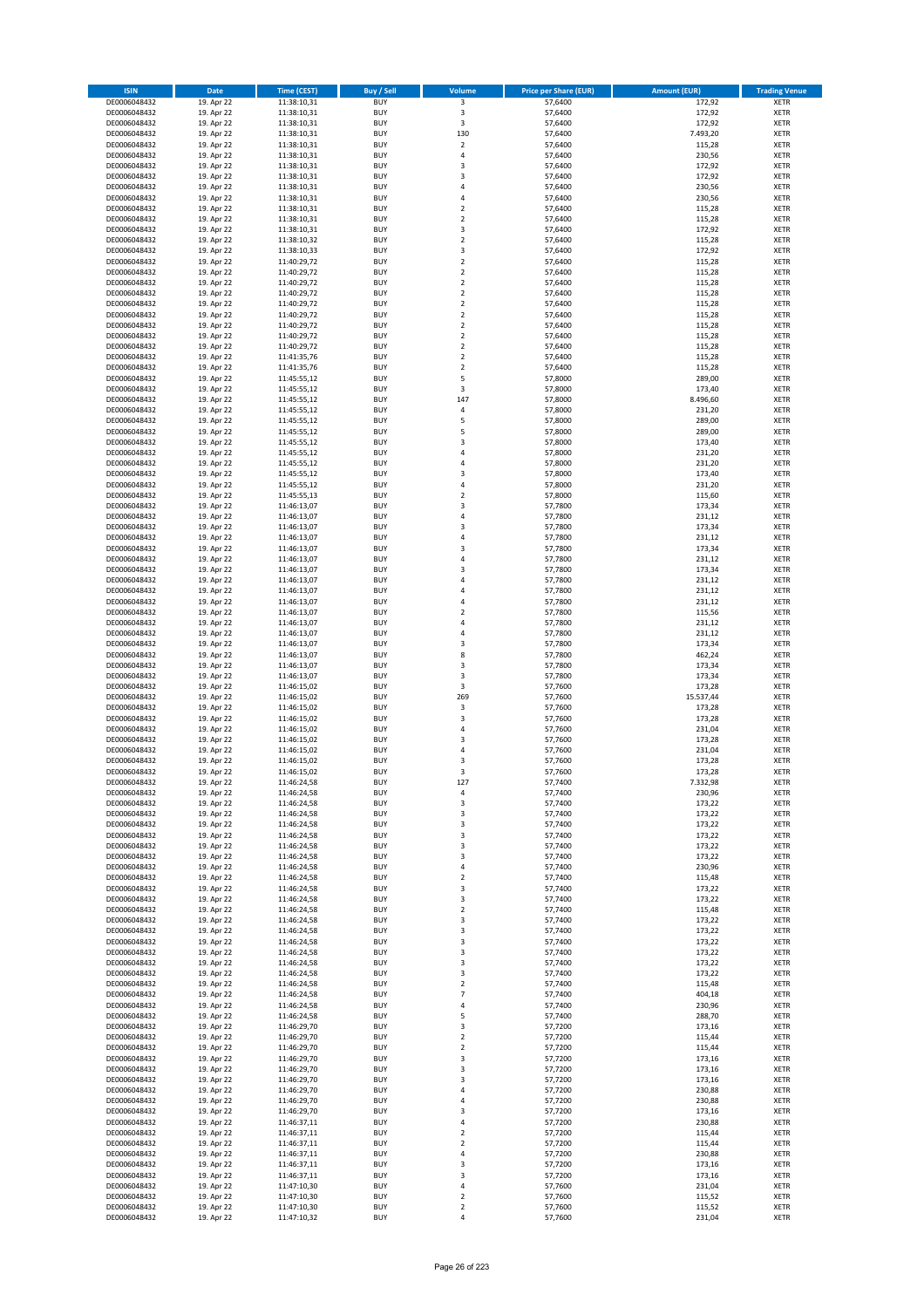| <b>ISIN</b>                  | Date                     | Time (CEST)                | <b>Buy / Sell</b>        | Volume                        | <b>Price per Share (EUR)</b> | <b>Amount (EUR)</b> | <b>Trading Venue</b>       |
|------------------------------|--------------------------|----------------------------|--------------------------|-------------------------------|------------------------------|---------------------|----------------------------|
| DE0006048432                 | 19. Apr 22               | 11:38:10,31                | <b>BUY</b>               | $\overline{\mathbf{3}}$       | 57,6400                      | 172,92              | <b>XETR</b>                |
| DE0006048432                 | 19. Apr 22               | 11:38:10,31                | <b>BUY</b>               | 3                             | 57,6400                      | 172,92              | XETR                       |
| DE0006048432                 | 19. Apr 22               | 11:38:10,31                | <b>BUY</b>               | 3                             | 57,6400                      | 172,92              | <b>XETR</b>                |
| DE0006048432                 | 19. Apr 22               | 11:38:10,31                | <b>BUY</b>               | 130                           | 57,6400                      | 7.493,20            | XETR                       |
| DE0006048432<br>DE0006048432 | 19. Apr 22<br>19. Apr 22 | 11:38:10,31<br>11:38:10,31 | <b>BUY</b><br><b>BUY</b> | $\overline{2}$<br>$\sqrt{4}$  | 57,6400<br>57,6400           | 115,28<br>230,56    | <b>XETR</b><br><b>XETR</b> |
| DE0006048432                 | 19. Apr 22               | 11:38:10,31                | <b>BUY</b>               | 3                             | 57,6400                      | 172,92              | <b>XETR</b>                |
| DE0006048432                 | 19. Apr 22               | 11:38:10,31                | <b>BUY</b>               | 3                             | 57,6400                      | 172,92              | <b>XETR</b>                |
| DE0006048432                 | 19. Apr 22               | 11:38:10,31                | <b>BUY</b>               | $\overline{a}$                | 57,6400                      | 230,56              | <b>XETR</b>                |
| DE0006048432                 | 19. Apr 22               | 11:38:10,31                | <b>BUY</b>               | 4                             | 57,6400                      | 230,56              | <b>XETR</b>                |
| DE0006048432                 | 19. Apr 22               | 11:38:10,31                | <b>BUY</b>               | $\mathbf 2$                   | 57,6400                      | 115,28              | <b>XETR</b>                |
| DE0006048432                 | 19. Apr 22               | 11:38:10,31                | <b>BUY</b>               | $\mathbf 2$<br>3              | 57,6400                      | 115,28              | <b>XETR</b>                |
| DE0006048432<br>DE0006048432 | 19. Apr 22<br>19. Apr 22 | 11:38:10,31<br>11:38:10,32 | <b>BUY</b><br><b>BUY</b> | $\overline{2}$                | 57,6400<br>57,6400           | 172,92<br>115,28    | <b>XETR</b><br><b>XETR</b> |
| DE0006048432                 | 19. Apr 22               | 11:38:10,33                | <b>BUY</b>               | 3                             | 57,6400                      | 172,92              | <b>XETR</b>                |
| DE0006048432                 | 19. Apr 22               | 11:40:29,72                | <b>BUY</b>               | $\mathbf 2$                   | 57,6400                      | 115,28              | <b>XETR</b>                |
| DE0006048432                 | 19. Apr 22               | 11:40:29,72                | <b>BUY</b>               | $\mathbf 2$                   | 57,6400                      | 115,28              | <b>XETR</b>                |
| DE0006048432                 | 19. Apr 22               | 11:40:29,72                | <b>BUY</b>               | $\overline{2}$                | 57,6400                      | 115,28              | <b>XETR</b>                |
| DE0006048432                 | 19. Apr 22               | 11:40:29,72                | <b>BUY</b>               | $\mathbf 2$                   | 57,6400                      | 115,28              | <b>XETR</b>                |
| DE0006048432<br>DE0006048432 | 19. Apr 22<br>19. Apr 22 | 11:40:29,72<br>11:40:29,72 | <b>BUY</b><br><b>BUY</b> | $\mathbf 2$<br>$\overline{2}$ | 57,6400<br>57,6400           | 115,28<br>115,28    | <b>XETR</b><br><b>XETR</b> |
| DE0006048432                 | 19. Apr 22               | 11:40:29,72                | <b>BUY</b>               | $\mathbf 2$                   | 57,6400                      | 115,28              | <b>XETR</b>                |
| DE0006048432                 | 19. Apr 22               | 11:40:29,72                | <b>BUY</b>               | $\mathbf 2$                   | 57,6400                      | 115,28              | <b>XETR</b>                |
| DE0006048432                 | 19. Apr 22               | 11:40:29,72                | <b>BUY</b>               | $\mathbf 2$                   | 57,6400                      | 115,28              | <b>XETR</b>                |
| DE0006048432                 | 19. Apr 22               | 11:41:35,76                | <b>BUY</b>               | $\mathbf 2$                   | 57,6400                      | 115,28              | <b>XETR</b>                |
| DE0006048432                 | 19. Apr 22               | 11:41:35,76                | <b>BUY</b>               | $\mathbf 2$                   | 57,6400                      | 115,28              | <b>XETR</b>                |
| DE0006048432                 | 19. Apr 22               | 11:45:55,12                | <b>BUY</b><br><b>BUY</b> | 5<br>3                        | 57,8000                      | 289,00              | <b>XETR</b><br><b>XETR</b> |
| DE0006048432<br>DE0006048432 | 19. Apr 22<br>19. Apr 22 | 11:45:55,12<br>11:45:55,12 | <b>BUY</b>               | 147                           | 57,8000<br>57,8000           | 173,40<br>8.496,60  | <b>XETR</b>                |
| DE0006048432                 | 19. Apr 22               | 11:45:55,12                | <b>BUY</b>               | 4                             | 57,8000                      | 231,20              | <b>XETR</b>                |
| DE0006048432                 | 19. Apr 22               | 11:45:55,12                | <b>BUY</b>               | 5                             | 57,8000                      | 289,00              | <b>XETR</b>                |
| DE0006048432                 | 19. Apr 22               | 11:45:55,12                | <b>BUY</b>               | 5                             | 57,8000                      | 289,00              | <b>XETR</b>                |
| DE0006048432                 | 19. Apr 22               | 11:45:55,12                | <b>BUY</b>               | 3                             | 57,8000                      | 173,40              | <b>XETR</b>                |
| DE0006048432                 | 19. Apr 22               | 11:45:55,12                | <b>BUY</b>               | $\overline{a}$                | 57,8000                      | 231,20              | <b>XETR</b>                |
| DE0006048432<br>DE0006048432 | 19. Apr 22<br>19. Apr 22 | 11:45:55,12<br>11:45:55,12 | <b>BUY</b><br><b>BUY</b> | $\overline{4}$<br>3           | 57,8000<br>57,8000           | 231,20<br>173,40    | <b>XETR</b><br><b>XETR</b> |
| DE0006048432                 | 19. Apr 22               | 11:45:55,12                | <b>BUY</b>               | 4                             | 57,8000                      | 231,20              | <b>XETR</b>                |
| DE0006048432                 | 19. Apr 22               | 11:45:55,13                | <b>BUY</b>               | $\overline{2}$                | 57,8000                      | 115,60              | <b>XETR</b>                |
| DE0006048432                 | 19. Apr 22               | 11:46:13,07                | <b>BUY</b>               | 3                             | 57,7800                      | 173,34              | <b>XETR</b>                |
| DE0006048432                 | 19. Apr 22               | 11:46:13,07                | <b>BUY</b>               | 4                             | 57,7800                      | 231,12              | <b>XETR</b>                |
| DE0006048432                 | 19. Apr 22               | 11:46:13,07                | <b>BUY</b>               | 3                             | 57,7800                      | 173,34              | <b>XETR</b>                |
| DE0006048432<br>DE0006048432 | 19. Apr 22<br>19. Apr 22 | 11:46:13,07                | <b>BUY</b><br><b>BUY</b> | 4<br>3                        | 57,7800<br>57,7800           | 231,12<br>173,34    | <b>XETR</b><br><b>XETR</b> |
| DE0006048432                 | 19. Apr 22               | 11:46:13,07<br>11:46:13,07 | <b>BUY</b>               | $\overline{4}$                | 57,7800                      | 231,12              | <b>XETR</b>                |
| DE0006048432                 | 19. Apr 22               | 11:46:13,07                | <b>BUY</b>               | 3                             | 57,7800                      | 173,34              | <b>XETR</b>                |
| DE0006048432                 | 19. Apr 22               | 11:46:13,07                | <b>BUY</b>               | $\overline{4}$                | 57,7800                      | 231,12              | <b>XETR</b>                |
| DE0006048432                 | 19. Apr 22               | 11:46:13,07                | <b>BUY</b>               | 4                             | 57,7800                      | 231,12              | <b>XETR</b>                |
| DE0006048432                 | 19. Apr 22               | 11:46:13,07                | <b>BUY</b>               | $\overline{4}$                | 57,7800                      | 231,12              | <b>XETR</b>                |
| DE0006048432<br>DE0006048432 | 19. Apr 22<br>19. Apr 22 | 11:46:13,07<br>11:46:13,07 | <b>BUY</b><br><b>BUY</b> | $\mathbf 2$<br>$\overline{4}$ | 57,7800<br>57,7800           | 115,56<br>231,12    | <b>XETR</b><br><b>XETR</b> |
| DE0006048432                 | 19. Apr 22               | 11:46:13,07                | <b>BUY</b>               | $\overline{4}$                | 57,7800                      | 231,12              | <b>XETR</b>                |
| DE0006048432                 | 19. Apr 22               | 11:46:13,07                | <b>BUY</b>               | 3                             | 57,7800                      | 173,34              | <b>XETR</b>                |
| DE0006048432                 | 19. Apr 22               | 11:46:13,07                | <b>BUY</b>               | 8                             | 57,7800                      | 462,24              | <b>XETR</b>                |
| DE0006048432                 | 19. Apr 22               | 11:46:13,07                | <b>BUY</b>               | $\mathsf 3$                   | 57,7800                      | 173,34              | <b>XETR</b>                |
| DE0006048432                 | 19. Apr 22               | 11:46:13,07                | <b>BUY</b>               | 3                             | 57,7800                      | 173,34              | <b>XETR</b>                |
| DE0006048432                 | 19. Apr 22               | 11:46:15,02                | <b>BUY</b>               | 3                             | 57,7600                      | 173,28              | <b>XETR</b>                |
| DE0006048432<br>DE0006048432 | 19. Apr 22<br>19. Apr 22 | 11:46:15,02<br>11:46:15,02 | <b>BUY</b><br><b>BUY</b> | 269<br>3                      | 57,7600<br>57,7600           | 15.537,44<br>173,28 | <b>XETR</b><br><b>XETR</b> |
| DE0006048432                 | 19. Apr 22               | 11:46:15,02                | <b>BUY</b>               | 3                             | 57,7600                      | 173,28              | <b>XETR</b>                |
| DE0006048432                 | 19. Apr 22               | 11:46:15,02                | <b>BUY</b>               | 4                             | 57,7600                      | 231,04              | <b>XETR</b>                |
| DE0006048432                 | 19. Apr 22               | 11:46:15,02                | <b>BUY</b>               | 3                             | 57,7600                      | 173,28              | <b>XETR</b>                |
| DE0006048432                 | 19. Apr 22               | 11:46:15,02                | <b>BUY</b>               | 4                             | 57,7600                      | 231,04              | <b>XETR</b>                |
| DE0006048432                 | 19. Apr 22               | 11:46:15,02                | <b>BUY</b>               | 3                             | 57,7600                      | 173,28              | <b>XETR</b>                |
| DE0006048432<br>DE0006048432 | 19. Apr 22<br>19. Apr 22 | 11:46:15,02<br>11:46:24,58 | <b>BUY</b><br>BUY        | 3<br>127                      | 57,7600<br>57,7400           | 173,28<br>7.332,98  | <b>XETR</b><br>XETR        |
| DE0006048432                 | 19. Apr 22               | 11:46:24,58                | <b>BUY</b>               | 4                             | 57,7400                      | 230,96              | <b>XETR</b>                |
| DE0006048432                 | 19. Apr 22               | 11:46:24,58                | <b>BUY</b>               | 3                             | 57,7400                      | 173,22              | <b>XETR</b>                |
| DE0006048432                 | 19. Apr 22               | 11:46:24,58                | <b>BUY</b>               | 3                             | 57,7400                      | 173,22              | <b>XETR</b>                |
| DE0006048432                 | 19. Apr 22               | 11:46:24,58                | <b>BUY</b>               | 3                             | 57,7400                      | 173,22              | <b>XETR</b>                |
| DE0006048432                 | 19. Apr 22               | 11:46:24,58                | <b>BUY</b>               | 3                             | 57,7400                      | 173,22              | <b>XETR</b>                |
| DE0006048432<br>DE0006048432 | 19. Apr 22<br>19. Apr 22 | 11:46:24,58                | <b>BUY</b><br><b>BUY</b> | 3<br>3                        | 57,7400<br>57,7400           | 173,22<br>173,22    | <b>XETR</b><br><b>XETR</b> |
| DE0006048432                 | 19. Apr 22               | 11:46:24,58<br>11:46:24,58 | <b>BUY</b>               | 4                             | 57,7400                      | 230,96              | XETR                       |
| DE0006048432                 | 19. Apr 22               | 11:46:24,58                | <b>BUY</b>               | $\overline{2}$                | 57,7400                      | 115,48              | <b>XETR</b>                |
| DE0006048432                 | 19. Apr 22               | 11:46:24,58                | <b>BUY</b>               | 3                             | 57,7400                      | 173,22              | XETR                       |
| DE0006048432                 | 19. Apr 22               | 11:46:24,58                | <b>BUY</b>               | 3                             | 57,7400                      | 173,22              | <b>XETR</b>                |
| DE0006048432                 | 19. Apr 22               | 11:46:24,58                | <b>BUY</b>               | $\mathbf 2$                   | 57,7400                      | 115,48              | XETR                       |
| DE0006048432                 | 19. Apr 22               | 11:46:24,58                | <b>BUY</b><br><b>BUY</b> | 3                             | 57,7400                      | 173,22<br>173,22    | <b>XETR</b>                |
| DE0006048432<br>DE0006048432 | 19. Apr 22<br>19. Apr 22 | 11:46:24,58<br>11:46:24,58 | <b>BUY</b>               | 3<br>3                        | 57,7400<br>57,7400           | 173,22              | XETR<br><b>XETR</b>        |
| DE0006048432                 | 19. Apr 22               | 11:46:24,58                | <b>BUY</b>               | 3                             | 57,7400                      | 173,22              | <b>XETR</b>                |
| DE0006048432                 | 19. Apr 22               | 11:46:24,58                | <b>BUY</b>               | 3                             | 57,7400                      | 173,22              | <b>XETR</b>                |
| DE0006048432                 | 19. Apr 22               | 11:46:24,58                | <b>BUY</b>               | 3                             | 57,7400                      | 173,22              | XETR                       |
| DE0006048432                 | 19. Apr 22               | 11:46:24,58                | <b>BUY</b>               | $\mathbf 2$                   | 57,7400                      | 115,48              | XETR                       |
| DE0006048432                 | 19. Apr 22               | 11:46:24,58                | <b>BUY</b>               | $\overline{7}$                | 57,7400                      | 404,18              | <b>XETR</b>                |
| DE0006048432<br>DE0006048432 | 19. Apr 22<br>19. Apr 22 | 11:46:24,58                | <b>BUY</b><br><b>BUY</b> | $\pmb{4}$<br>5                | 57,7400<br>57,7400           | 230,96<br>288,70    | <b>XETR</b><br>XETR        |
| DE0006048432                 | 19. Apr 22               | 11:46:24,58<br>11:46:29,70 | <b>BUY</b>               | 3                             | 57,7200                      | 173,16              | <b>XETR</b>                |
| DE0006048432                 | 19. Apr 22               | 11:46:29,70                | <b>BUY</b>               | $\overline{2}$                | 57,7200                      | 115,44              | XETR                       |
| DE0006048432                 | 19. Apr 22               | 11:46:29,70                | <b>BUY</b>               | $\overline{2}$                | 57,7200                      | 115,44              | <b>XETR</b>                |
| DE0006048432                 | 19. Apr 22               | 11:46:29,70                | <b>BUY</b>               | 3                             | 57,7200                      | 173,16              | XETR                       |
| DE0006048432                 | 19. Apr 22               | 11:46:29,70                | <b>BUY</b>               | 3                             | 57,7200                      | 173,16              | <b>XETR</b>                |
| DE0006048432                 | 19. Apr 22               | 11:46:29,70                | <b>BUY</b><br><b>BUY</b> | 3<br>4                        | 57,7200                      | 173,16              | <b>XETR</b>                |
| DE0006048432<br>DE0006048432 | 19. Apr 22<br>19. Apr 22 | 11:46:29,70<br>11:46:29,70 | <b>BUY</b>               | 4                             | 57,7200<br>57,7200           | 230,88<br>230,88    | <b>XETR</b><br>XETR        |
| DE0006048432                 | 19. Apr 22               | 11:46:29,70                | <b>BUY</b>               | 3                             | 57,7200                      | 173,16              | XETR                       |
| DE0006048432                 | 19. Apr 22               | 11:46:37,11                | <b>BUY</b>               | 4                             | 57,7200                      | 230,88              | XETR                       |
| DE0006048432                 | 19. Apr 22               | 11:46:37,11                | <b>BUY</b>               | $\mathbf 2$                   | 57,7200                      | 115,44              | <b>XETR</b>                |
| DE0006048432                 | 19. Apr 22               | 11:46:37,11                | <b>BUY</b>               | $\mathbf 2$                   | 57,7200                      | 115,44              | <b>XETR</b>                |
| DE0006048432                 | 19. Apr 22               | 11:46:37,11                | <b>BUY</b>               | $\pmb{4}$                     | 57,7200                      | 230,88              | <b>XETR</b>                |
| DE0006048432<br>DE0006048432 | 19. Apr 22<br>19. Apr 22 | 11:46:37,11<br>11:46:37,11 | <b>BUY</b><br><b>BUY</b> | 3<br>3                        | 57,7200<br>57,7200           | 173,16<br>173,16    | XETR<br>XETR               |
| DE0006048432                 | 19. Apr 22               | 11:47:10,30                | <b>BUY</b>               | $\pmb{4}$                     | 57,7600                      | 231,04              | <b>XETR</b>                |
| DE0006048432                 | 19. Apr 22               | 11:47:10,30                | <b>BUY</b>               | $\mathbf 2$                   | 57,7600                      | 115,52              | XETR                       |
| DE0006048432                 | 19. Apr 22               | 11:47:10,30                | <b>BUY</b>               | $\mathbf 2$                   | 57,7600                      | 115,52              | <b>XETR</b>                |
| DE0006048432                 | 19. Apr 22               | 11:47:10,32                | <b>BUY</b>               | $\pmb{4}$                     | 57,7600                      | 231,04              | <b>XETR</b>                |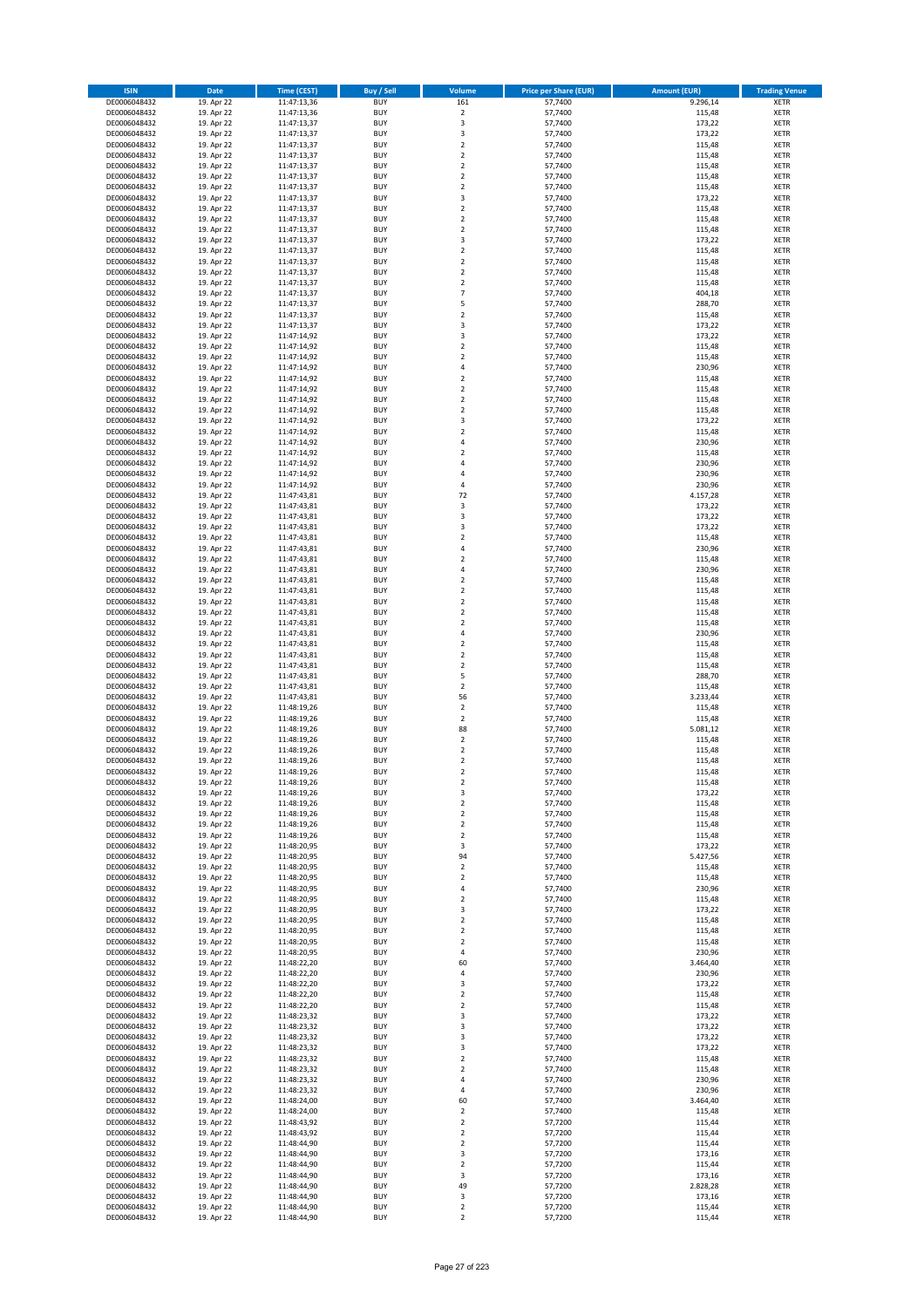| <b>ISIN</b>                  | Date                     | Time (CEST)                | <b>Buy / Sell</b>        | Volume                        | <b>Price per Share (EUR)</b> | <b>Amount (EUR)</b> | <b>Trading Venue</b>       |
|------------------------------|--------------------------|----------------------------|--------------------------|-------------------------------|------------------------------|---------------------|----------------------------|
| DE0006048432                 | 19. Apr 22               | 11:47:13,36                | <b>BUY</b>               | 161                           | 57,7400                      | 9.296,14            | <b>XETR</b>                |
| DE0006048432                 | 19. Apr 22               | 11:47:13,36                | <b>BUY</b>               | $\mathbf 2$                   | 57,7400                      | 115,48              | XETR                       |
| DE0006048432                 | 19. Apr 22               | 11:47:13,37                | <b>BUY</b>               | 3                             | 57,7400                      | 173,22              | <b>XETR</b>                |
| DE0006048432                 | 19. Apr 22               | 11:47:13,37                | <b>BUY</b>               | $\mathsf 3$                   | 57,7400                      | 173,22              | <b>XETR</b>                |
| DE0006048432<br>DE0006048432 | 19. Apr 22<br>19. Apr 22 | 11:47:13,37<br>11:47:13,37 | <b>BUY</b><br><b>BUY</b> | $\mathbf 2$<br>$\mathbf 2$    | 57,7400<br>57,7400           | 115,48<br>115,48    | <b>XETR</b><br><b>XETR</b> |
| DE0006048432                 | 19. Apr 22               | 11:47:13,37                | <b>BUY</b>               | $\mathbf 2$                   | 57,7400                      | 115,48              | <b>XETR</b>                |
| DE0006048432                 | 19. Apr 22               | 11:47:13,37                | <b>BUY</b>               | $\overline{2}$                | 57,7400                      | 115,48              | <b>XETR</b>                |
| DE0006048432                 | 19. Apr 22               | 11:47:13,37                | <b>BUY</b>               | $\overline{2}$                | 57,7400                      | 115,48              | <b>XETR</b>                |
| DE0006048432                 | 19. Apr 22               | 11:47:13,37                | <b>BUY</b>               | 3                             | 57,7400                      | 173,22              | <b>XETR</b>                |
| DE0006048432                 | 19. Apr 22               | 11:47:13,37                | <b>BUY</b>               | $\mathbf 2$                   | 57,7400                      | 115,48              | <b>XETR</b>                |
| DE0006048432                 | 19. Apr 22               | 11:47:13,37                | <b>BUY</b>               | $\mathbf 2$<br>$\mathbf 2$    | 57,7400                      | 115,48              | <b>XETR</b>                |
| DE0006048432<br>DE0006048432 | 19. Apr 22<br>19. Apr 22 | 11:47:13,37<br>11:47:13,37 | <b>BUY</b><br><b>BUY</b> | 3                             | 57,7400<br>57,7400           | 115,48<br>173,22    | <b>XETR</b><br><b>XETR</b> |
| DE0006048432                 | 19. Apr 22               | 11:47:13,37                | <b>BUY</b>               | $\mathbf 2$                   | 57,7400                      | 115,48              | <b>XETR</b>                |
| DE0006048432                 | 19. Apr 22               | 11:47:13,37                | <b>BUY</b>               | $\overline{2}$                | 57,7400                      | 115,48              | <b>XETR</b>                |
| DE0006048432                 | 19. Apr 22               | 11:47:13,37                | <b>BUY</b>               | $\mathbf 2$                   | 57,7400                      | 115,48              | <b>XETR</b>                |
| DE0006048432                 | 19. Apr 22               | 11:47:13,37                | <b>BUY</b>               | $\overline{2}$                | 57,7400                      | 115,48              | <b>XETR</b>                |
| DE0006048432                 | 19. Apr 22               | 11:47:13,37                | <b>BUY</b>               | $\overline{7}$                | 57,7400                      | 404,18              | <b>XETR</b>                |
| DE0006048432<br>DE0006048432 | 19. Apr 22<br>19. Apr 22 | 11:47:13,37<br>11:47:13,37 | <b>BUY</b><br><b>BUY</b> | 5<br>$\overline{2}$           | 57,7400<br>57,7400           | 288,70<br>115,48    | <b>XETR</b><br><b>XETR</b> |
| DE0006048432                 | 19. Apr 22               | 11:47:13,37                | <b>BUY</b>               | 3                             | 57,7400                      | 173,22              | <b>XETR</b>                |
| DE0006048432                 | 19. Apr 22               | 11:47:14,92                | <b>BUY</b>               | 3                             | 57,7400                      | 173,22              | <b>XETR</b>                |
| DE0006048432                 | 19. Apr 22               | 11:47:14,92                | <b>BUY</b>               | $\mathbf 2$                   | 57,7400                      | 115,48              | <b>XETR</b>                |
| DE0006048432                 | 19. Apr 22               | 11:47:14,92                | <b>BUY</b>               | $\overline{2}$                | 57,7400                      | 115,48              | <b>XETR</b>                |
| DE0006048432                 | 19. Apr 22               | 11:47:14,92                | <b>BUY</b>               | 4                             | 57,7400                      | 230,96              | <b>XETR</b>                |
| DE0006048432<br>DE0006048432 | 19. Apr 22<br>19. Apr 22 | 11:47:14,92<br>11:47:14,92 | <b>BUY</b><br><b>BUY</b> | $\mathbf 2$<br>$\mathbf 2$    | 57,7400<br>57,7400           | 115,48<br>115,48    | <b>XETR</b><br><b>XETR</b> |
| DE0006048432                 | 19. Apr 22               | 11:47:14,92                | <b>BUY</b>               | $\mathbf 2$                   | 57,7400                      | 115,48              | <b>XETR</b>                |
| DE0006048432                 | 19. Apr 22               | 11:47:14,92                | <b>BUY</b>               | $\mathbf 2$                   | 57,7400                      | 115,48              | <b>XETR</b>                |
| DE0006048432                 | 19. Apr 22               | 11:47:14,92                | <b>BUY</b>               | 3                             | 57,7400                      | 173,22              | <b>XETR</b>                |
| DE0006048432                 | 19. Apr 22               | 11:47:14,92                | <b>BUY</b>               | $\mathbf 2$                   | 57,7400                      | 115,48              | <b>XETR</b>                |
| DE0006048432                 | 19. Apr 22               | 11:47:14,92                | <b>BUY</b>               | $\sqrt{4}$                    | 57,7400                      | 230,96              | <b>XETR</b>                |
| DE0006048432                 | 19. Apr 22               | 11:47:14,92                | <b>BUY</b>               | $\overline{2}$                | 57,7400<br>57.7400           | 115,48              | <b>XETR</b>                |
| DE0006048432<br>DE0006048432 | 19. Apr 22<br>19. Apr 22 | 11:47:14,92<br>11:47:14,92 | <b>BUY</b><br><b>BUY</b> | $\overline{4}$<br>$\sqrt{4}$  | 57,7400                      | 230,96<br>230,96    | <b>XETR</b><br><b>XETR</b> |
| DE0006048432                 | 19. Apr 22               | 11:47:14,92                | <b>BUY</b>               | 4                             | 57,7400                      | 230,96              | <b>XETR</b>                |
| DE0006048432                 | 19. Apr 22               | 11:47:43,81                | <b>BUY</b>               | 72                            | 57,7400                      | 4.157,28            | <b>XETR</b>                |
| DE0006048432                 | 19. Apr 22               | 11:47:43,81                | <b>BUY</b>               | $\mathsf 3$                   | 57,7400                      | 173,22              | <b>XETR</b>                |
| DE0006048432                 | 19. Apr 22               | 11:47:43,81                | <b>BUY</b>               | 3                             | 57,7400                      | 173,22              | <b>XETR</b>                |
| DE0006048432                 | 19. Apr 22               | 11:47:43,81                | <b>BUY</b>               | 3                             | 57,7400                      | 173,22              | <b>XETR</b>                |
| DE0006048432<br>DE0006048432 | 19. Apr 22<br>19. Apr 22 | 11:47:43,81<br>11:47:43,81 | <b>BUY</b><br><b>BUY</b> | $\mathbf 2$<br>$\sqrt{4}$     | 57,7400<br>57,7400           | 115,48<br>230,96    | <b>XETR</b><br><b>XETR</b> |
| DE0006048432                 | 19. Apr 22               | 11:47:43,81                | <b>BUY</b>               | $\overline{\mathbf{c}}$       | 57,7400                      | 115,48              | <b>XETR</b>                |
| DE0006048432                 | 19. Apr 22               | 11:47:43,81                | <b>BUY</b>               | $\overline{4}$                | 57,7400                      | 230,96              | <b>XETR</b>                |
| DE0006048432                 | 19. Apr 22               | 11:47:43,81                | <b>BUY</b>               | $\overline{2}$                | 57,7400                      | 115,48              | <b>XETR</b>                |
| DE0006048432                 | 19. Apr 22               | 11:47:43,81                | <b>BUY</b>               | $\mathbf 2$                   | 57,7400                      | 115,48              | <b>XETR</b>                |
| DE0006048432                 | 19. Apr 22               | 11:47:43,81                | <b>BUY</b>               | $\mathbf 2$                   | 57,7400                      | 115,48              | <b>XETR</b>                |
| DE0006048432<br>DE0006048432 | 19. Apr 22<br>19. Apr 22 | 11:47:43,81<br>11:47:43,81 | <b>BUY</b><br><b>BUY</b> | $\mathbf 2$<br>$\mathbf 2$    | 57,7400<br>57,7400           | 115,48<br>115,48    | <b>XETR</b><br><b>XETR</b> |
| DE0006048432                 | 19. Apr 22               | 11:47:43,81                | <b>BUY</b>               | 4                             | 57,7400                      | 230,96              | <b>XETR</b>                |
| DE0006048432                 | 19. Apr 22               | 11:47:43,81                | <b>BUY</b>               | $\mathbf 2$                   | 57,7400                      | 115,48              | <b>XETR</b>                |
| DE0006048432                 | 19. Apr 22               | 11:47:43,81                | <b>BUY</b>               | $\overline{2}$                | 57,7400                      | 115,48              | <b>XETR</b>                |
| DE0006048432                 | 19. Apr 22               | 11:47:43,81                | <b>BUY</b>               | $\mathbf 2$                   | 57,7400                      | 115,48              | <b>XETR</b>                |
| DE0006048432                 | 19. Apr 22               | 11:47:43,81                | <b>BUY</b>               | 5                             | 57,7400                      | 288,70              | <b>XETR</b>                |
| DE0006048432                 | 19. Apr 22               | 11:47:43,81                | <b>BUY</b>               | $\mathbf 2$                   | 57,7400                      | 115,48              | <b>XETR</b>                |
| DE0006048432<br>DE0006048432 | 19. Apr 22<br>19. Apr 22 | 11:47:43,81<br>11:48:19,26 | <b>BUY</b><br><b>BUY</b> | 56<br>$\mathbf 2$             | 57,7400<br>57,7400           | 3.233,44<br>115,48  | <b>XETR</b><br><b>XETR</b> |
| DE0006048432                 | 19. Apr 22               | 11:48:19,26                | <b>BUY</b>               | $\mathbf 2$                   | 57,7400                      | 115,48              | <b>XETR</b>                |
| DE0006048432                 | 19. Apr 22               | 11:48:19,26                | <b>BUY</b>               | 88                            | 57,7400                      | 5.081,12            | <b>XETR</b>                |
| DE0006048432                 | 19. Apr 22               | 11:48:19,26                | <b>BUY</b>               | $\mathbf 2$                   | 57,7400                      | 115,48              | <b>XETR</b>                |
| DE0006048432                 | 19. Apr 22               | 11:48:19,26                | <b>BUY</b>               | $\overline{2}$                | 57,7400                      | 115,48              | <b>XETR</b>                |
| DE0006048432                 | 19. Apr 22               | 11:48:19,26                | <b>BUY</b>               | $\overline{2}$                | 57,7400                      | 115,48              | <b>XETR</b>                |
| DE0006048432<br>DE0006048432 | 19. Apr 22<br>19. Apr 22 | 11:48:19,26<br>11:48:19,26 | <b>BUY</b><br>BUY        | 2<br>$\mathbf 2$              | 57,7400<br>57,7400           | 115,48<br>115,48    | <b>XETR</b><br>XETR        |
| DE0006048432                 | 19. Apr 22               | 11:48:19,26                | <b>BUY</b>               | 3                             | 57,7400                      | 173,22              | <b>XETR</b>                |
| DE0006048432                 | 19. Apr 22               | 11:48:19,26                | <b>BUY</b>               | $\overline{2}$                | 57,7400                      | 115,48              | <b>XETR</b>                |
| DE0006048432                 | 19. Apr 22               | 11:48:19,26                | <b>BUY</b>               | $\mathbf 2$                   | 57,7400                      | 115,48              | <b>XETR</b>                |
| DE0006048432                 | 19. Apr 22               | 11:48:19,26                | <b>BUY</b>               | $\overline{2}$                | 57,7400                      | 115,48              | <b>XETR</b>                |
| DE0006048432                 | 19. Apr 22               | 11:48:19,26                | <b>BUY</b>               | $\overline{2}$                | 57,7400                      | 115,48              | <b>XETR</b>                |
| DE0006048432<br>DE0006048432 | 19. Apr 22<br>19. Apr 22 | 11:48:20,95<br>11:48:20,95 | <b>BUY</b><br><b>BUY</b> | 3                             | 57,7400<br>57,7400           | 173,22<br>5.427,56  | <b>XETR</b><br><b>XETR</b> |
| DE0006048432                 | 19. Apr 22               | 11:48:20,95                | <b>BUY</b>               | 94<br>$\overline{2}$          | 57,7400                      | 115,48              | XETR                       |
| DE0006048432                 | 19. Apr 22               | 11:48:20,95                | <b>BUY</b>               | $\overline{2}$                | 57,7400                      | 115,48              | <b>XETR</b>                |
| DE0006048432                 | 19. Apr 22               | 11:48:20,95                | <b>BUY</b>               | $\pmb{4}$                     | 57,7400                      | 230,96              | XETR                       |
| DE0006048432                 | 19. Apr 22               | 11:48:20,95                | <b>BUY</b>               | $\overline{2}$                | 57,7400                      | 115,48              | <b>XETR</b>                |
| DE0006048432                 | 19. Apr 22               | 11:48:20,95                | <b>BUY</b>               | 3                             | 57,7400                      | 173,22              | XETR                       |
| DE0006048432<br>DE0006048432 | 19. Apr 22<br>19. Apr 22 | 11:48:20,95<br>11:48:20,95 | <b>BUY</b><br><b>BUY</b> | $\overline{2}$<br>$\mathbf 2$ | 57,7400<br>57,7400           | 115,48<br>115,48    | <b>XETR</b><br><b>XETR</b> |
| DE0006048432                 | 19. Apr 22               | 11:48:20,95                | <b>BUY</b>               | $\mathbf 2$                   | 57,7400                      | 115,48              | XETR                       |
| DE0006048432                 | 19. Apr 22               | 11:48:20,95                | <b>BUY</b>               | $\sqrt{4}$                    | 57,7400                      | 230,96              | <b>XETR</b>                |
| DE0006048432                 | 19. Apr 22               | 11:48:22,20                | <b>BUY</b>               | 60                            | 57,7400                      | 3.464,40            | XETR                       |
| DE0006048432                 | 19. Apr 22               | 11:48:22,20                | <b>BUY</b>               | 4                             | 57,7400                      | 230,96              | XETR                       |
| DE0006048432                 | 19. Apr 22               | 11:48:22,20                | <b>BUY</b>               | 3                             | 57,7400                      | 173,22              | XETR                       |
| DE0006048432                 | 19. Apr 22               | 11:48:22,20                | <b>BUY</b>               | $\overline{2}$                | 57,7400                      | 115,48              | <b>XETR</b>                |
| DE0006048432<br>DE0006048432 | 19. Apr 22<br>19. Apr 22 | 11:48:22,20<br>11:48:23,32 | <b>BUY</b><br><b>BUY</b> | 2<br>3                        | 57,7400<br>57,7400           | 115,48<br>173,22    | <b>XETR</b><br>XETR        |
| DE0006048432                 | 19. Apr 22               | 11:48:23,32                | <b>BUY</b>               | 3                             | 57,7400                      | 173,22              | <b>XETR</b>                |
| DE0006048432                 | 19. Apr 22               | 11:48:23,32                | <b>BUY</b>               | 3                             | 57,7400                      | 173,22              | XETR                       |
| DE0006048432                 | 19. Apr 22               | 11:48:23,32                | <b>BUY</b>               | 3                             | 57,7400                      | 173,22              | <b>XETR</b>                |
| DE0006048432                 | 19. Apr 22               | 11:48:23,32                | <b>BUY</b>               | $\overline{2}$                | 57,7400                      | 115,48              | XETR                       |
| DE0006048432                 | 19. Apr 22               | 11:48:23,32                | <b>BUY</b>               | $\overline{2}$                | 57,7400                      | 115,48              | <b>XETR</b>                |
| DE0006048432                 | 19. Apr 22               | 11:48:23,32                | <b>BUY</b>               | 4                             | 57,7400                      | 230,96              | <b>XETR</b>                |
| DE0006048432<br>DE0006048432 | 19. Apr 22<br>19. Apr 22 | 11:48:23,32<br>11:48:24,00 | <b>BUY</b><br><b>BUY</b> | 4<br>60                       | 57,7400<br>57,7400           | 230,96<br>3.464,40  | <b>XETR</b><br><b>XETR</b> |
| DE0006048432                 | 19. Apr 22               | 11:48:24,00                | <b>BUY</b>               | $\mathbf 2$                   | 57,7400                      | 115,48              | XETR                       |
| DE0006048432                 | 19. Apr 22               | 11:48:43,92                | <b>BUY</b>               | $\mathbf 2$                   | 57,7200                      | 115,44              | <b>XETR</b>                |
| DE0006048432                 | 19. Apr 22               | 11:48:43,92                | <b>BUY</b>               | $\mathbf 2$                   | 57,7200                      | 115,44              | XETR                       |
| DE0006048432                 | 19. Apr 22               | 11:48:44,90                | <b>BUY</b>               | $\mathbf 2$                   | 57,7200                      | 115,44              | <b>XETR</b>                |
| DE0006048432                 | 19. Apr 22               | 11:48:44,90                | <b>BUY</b>               | 3                             | 57,7200                      | 173,16              | <b>XETR</b>                |
| DE0006048432<br>DE0006048432 | 19. Apr 22<br>19. Apr 22 | 11:48:44,90<br>11:48:44,90 | <b>BUY</b><br><b>BUY</b> | $\overline{2}$<br>3           | 57,7200<br>57,7200           | 115,44<br>173,16    | XETR<br>XETR               |
| DE0006048432                 | 19. Apr 22               | 11:48:44,90                | <b>BUY</b>               | 49                            | 57,7200                      | 2.828,28            | XETR                       |
| DE0006048432                 | 19. Apr 22               | 11:48:44,90                | <b>BUY</b>               | 3                             | 57,7200                      | 173,16              | XETR                       |
| DE0006048432                 | 19. Apr 22               | 11:48:44,90                | <b>BUY</b>               | $\mathbf 2$                   | 57,7200                      | 115,44              | <b>XETR</b>                |
| DE0006048432                 | 19. Apr 22               | 11:48:44,90                | <b>BUY</b>               | $\overline{2}$                | 57,7200                      | 115,44              | <b>XETR</b>                |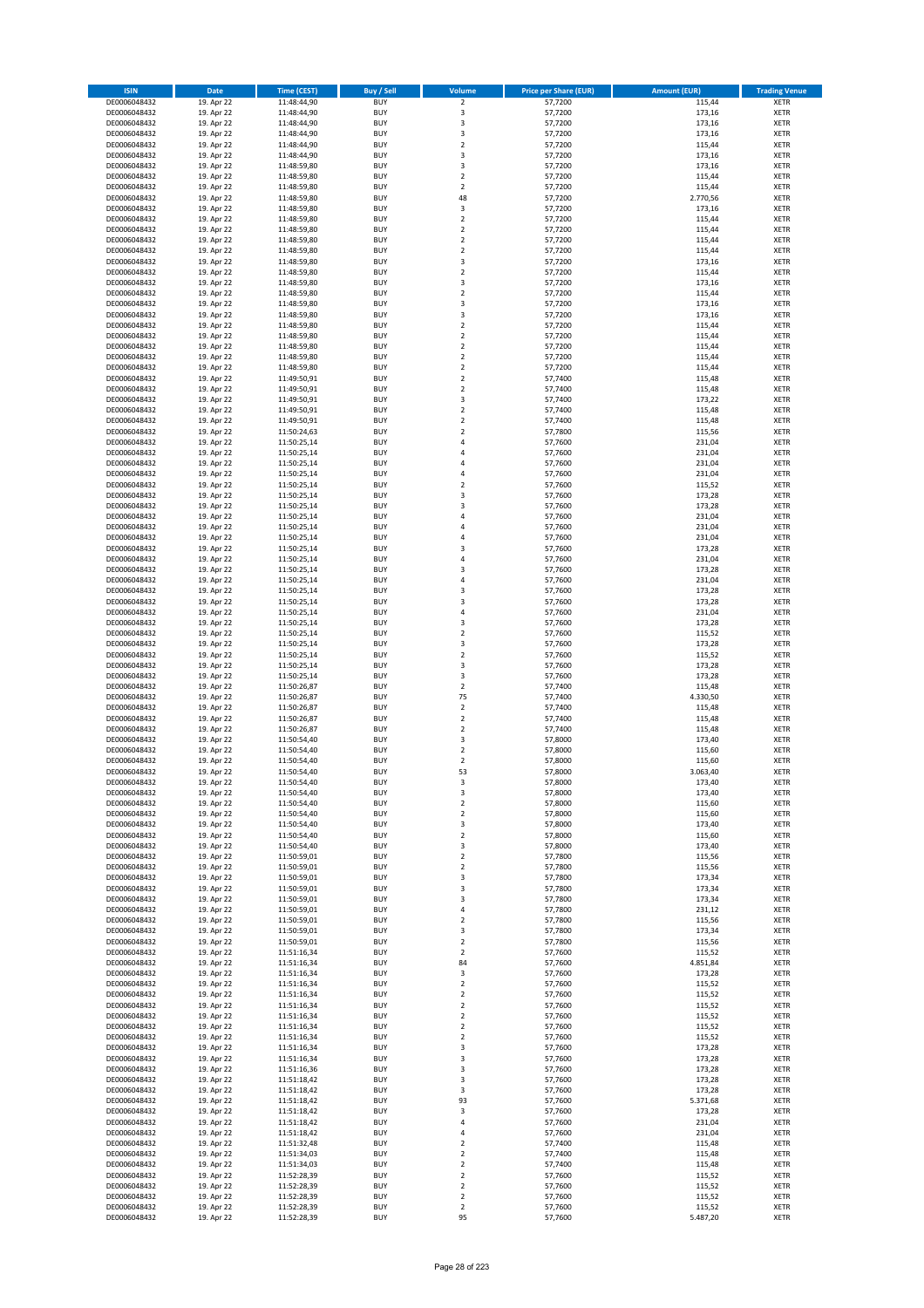| <b>ISIN</b>                  | <b>Date</b>              | <b>Time (CEST)</b>         | <b>Buy / Sell</b>        | Volume                                 | <b>Price per Share (EUR)</b> | <b>Amount (EUR)</b> | <b>Trading Venue</b>       |
|------------------------------|--------------------------|----------------------------|--------------------------|----------------------------------------|------------------------------|---------------------|----------------------------|
| DE0006048432                 | 19. Apr 22               | 11:48:44,90                | <b>BUY</b>               | $\overline{2}$                         | 57,7200                      | 115,44              | <b>XETR</b>                |
| DE0006048432                 | 19. Apr 22               | 11:48:44,90                | <b>BUY</b>               | 3                                      | 57,7200                      | 173,16              | <b>XETR</b>                |
| DE0006048432                 | 19. Apr 22               | 11:48:44,90                | <b>BUY</b>               | 3                                      | 57,7200                      | 173,16              | <b>XETR</b>                |
| DE0006048432<br>DE0006048432 | 19. Apr 22<br>19. Apr 22 | 11:48:44,90<br>11:48:44,90 | <b>BUY</b><br><b>BUY</b> | 3<br>$\overline{\mathbf{c}}$           | 57,7200<br>57,7200           | 173,16<br>115,44    | <b>XETR</b><br><b>XETR</b> |
| DE0006048432                 | 19. Apr 22               | 11:48:44,90                | <b>BUY</b>               | 3                                      | 57,7200                      | 173,16              | <b>XETR</b>                |
| DE0006048432                 | 19. Apr 22               | 11:48:59,80                | <b>BUY</b>               | 3                                      | 57,7200                      | 173,16              | <b>XETR</b>                |
| DE0006048432                 | 19. Apr 22               | 11:48:59,80                | <b>BUY</b>               | $\mathbf 2$                            | 57,7200                      | 115,44              | <b>XETR</b>                |
| DE0006048432                 | 19. Apr 22               | 11:48:59,80                | <b>BUY</b>               | $\mathbf 2$                            | 57,7200                      | 115,44              | <b>XETR</b>                |
| DE0006048432                 | 19. Apr 22               | 11:48:59,80                | <b>BUY</b><br><b>BUY</b> | 48<br>3                                | 57,7200<br>57,7200           | 2.770,56<br>173,16  | <b>XETR</b><br><b>XETR</b> |
| DE0006048432<br>DE0006048432 | 19. Apr 22<br>19. Apr 22 | 11:48:59,80<br>11:48:59,80 | <b>BUY</b>               | $\overline{\mathbf{c}}$                | 57,7200                      | 115,44              | <b>XETR</b>                |
| DE0006048432                 | 19. Apr 22               | 11:48:59,80                | <b>BUY</b>               | $\mathbf 2$                            | 57,7200                      | 115,44              | <b>XETR</b>                |
| DE0006048432                 | 19. Apr 22               | 11:48:59,80                | <b>BUY</b>               | $\overline{\mathbf{c}}$                | 57,7200                      | 115,44              | <b>XETR</b>                |
| DE0006048432                 | 19. Apr 22               | 11:48:59,80                | <b>BUY</b>               | $\mathbf 2$                            | 57,7200                      | 115,44              | <b>XETR</b>                |
| DE0006048432                 | 19. Apr 22               | 11:48:59,80                | <b>BUY</b>               | 3                                      | 57,7200                      | 173,16              | <b>XETR</b>                |
| DE0006048432<br>DE0006048432 | 19. Apr 22<br>19. Apr 22 | 11:48:59,80<br>11:48:59,80 | <b>BUY</b><br><b>BUY</b> | $\mathbf 2$<br>3                       | 57,7200<br>57,7200           | 115,44<br>173,16    | <b>XETR</b><br><b>XETR</b> |
| DE0006048432                 | 19. Apr 22               | 11:48:59,80                | <b>BUY</b>               | $\overline{\mathbf{c}}$                | 57,7200                      | 115,44              | <b>XETR</b>                |
| DE0006048432                 | 19. Apr 22               | 11:48:59,80                | <b>BUY</b>               | 3                                      | 57,7200                      | 173,16              | <b>XETR</b>                |
| DE0006048432                 | 19. Apr 22               | 11:48:59,80                | <b>BUY</b>               | 3                                      | 57,7200                      | 173,16              | <b>XETR</b>                |
| DE0006048432                 | 19. Apr 22               | 11:48:59,80                | <b>BUY</b>               | $\mathbf 2$                            | 57,7200                      | 115,44              | <b>XETR</b>                |
| DE0006048432                 | 19. Apr 22               | 11:48:59,80                | <b>BUY</b><br><b>BUY</b> | $\mathbf 2$<br>$\mathbf 2$             | 57,7200                      | 115,44              | <b>XETR</b>                |
| DE0006048432<br>DE0006048432 | 19. Apr 22<br>19. Apr 22 | 11:48:59,80<br>11:48:59,80 | <b>BUY</b>               | $\mathbf 2$                            | 57,7200<br>57,7200           | 115,44<br>115,44    | <b>XETR</b><br><b>XETR</b> |
| DE0006048432                 | 19. Apr 22               | 11:48:59,80                | <b>BUY</b>               | $\mathbf 2$                            | 57,7200                      | 115,44              | <b>XETR</b>                |
| DE0006048432                 | 19. Apr 22               | 11:49:50,91                | <b>BUY</b>               | $\mathbf 2$                            | 57,7400                      | 115,48              | <b>XETR</b>                |
| DE0006048432                 | 19. Apr 22               | 11:49:50,91                | <b>BUY</b>               | $\overline{\mathbf{c}}$                | 57,7400                      | 115,48              | <b>XETR</b>                |
| DE0006048432                 | 19. Apr 22               | 11:49:50,91                | <b>BUY</b>               | 3                                      | 57,7400                      | 173,22              | <b>XETR</b>                |
| DE0006048432<br>DE0006048432 | 19. Apr 22<br>19. Apr 22 | 11:49:50,91<br>11:49:50,91 | <b>BUY</b><br><b>BUY</b> | $\overline{\mathbf{c}}$<br>$\mathbf 2$ | 57,7400<br>57,7400           | 115,48<br>115,48    | <b>XETR</b><br><b>XETR</b> |
| DE0006048432                 | 19. Apr 22               | 11:50:24,63                | <b>BUY</b>               | $\overline{\mathbf{c}}$                | 57,7800                      | 115,56              | <b>XETR</b>                |
| DE0006048432                 | 19. Apr 22               | 11:50:25,14                | <b>BUY</b>               | 4                                      | 57,7600                      | 231,04              | <b>XETR</b>                |
| DE0006048432                 | 19. Apr 22               | 11:50:25,14                | <b>BUY</b>               | 4                                      | 57,7600                      | 231,04              | <b>XETR</b>                |
| DE0006048432                 | 19. Apr 22               | 11:50:25,14                | <b>BUY</b>               | 4                                      | 57.7600                      | 231,04              | <b>XETR</b>                |
| DE0006048432                 | 19. Apr 22               | 11:50:25,14                | <b>BUY</b><br><b>BUY</b> | 4<br>$\overline{\mathbf{c}}$           | 57,7600                      | 231,04              | <b>XETR</b><br><b>XETR</b> |
| DE0006048432<br>DE0006048432 | 19. Apr 22<br>19. Apr 22 | 11:50:25,14<br>11:50:25,14 | <b>BUY</b>               | 3                                      | 57,7600<br>57,7600           | 115,52<br>173,28    | <b>XETR</b>                |
| DE0006048432                 | 19. Apr 22               | 11:50:25,14                | <b>BUY</b>               | 3                                      | 57,7600                      | 173,28              | <b>XETR</b>                |
| DE0006048432                 | 19. Apr 22               | 11:50:25,14                | <b>BUY</b>               | 4                                      | 57,7600                      | 231,04              | <b>XETR</b>                |
| DE0006048432                 | 19. Apr 22               | 11:50:25,14                | <b>BUY</b>               | 4                                      | 57,7600                      | 231,04              | <b>XETR</b>                |
| DE0006048432                 | 19. Apr 22               | 11:50:25,14                | <b>BUY</b>               | 4                                      | 57,7600                      | 231,04              | <b>XETR</b>                |
| DE0006048432<br>DE0006048432 | 19. Apr 22<br>19. Apr 22 | 11:50:25,14                | <b>BUY</b><br><b>BUY</b> | 3<br>4                                 | 57,7600<br>57,7600           | 173,28<br>231,04    | <b>XETR</b><br><b>XETR</b> |
| DE0006048432                 | 19. Apr 22               | 11:50:25,14<br>11:50:25,14 | <b>BUY</b>               | 3                                      | 57,7600                      | 173,28              | <b>XETR</b>                |
| DE0006048432                 | 19. Apr 22               | 11:50:25,14                | <b>BUY</b>               | 4                                      | 57,7600                      | 231,04              | <b>XETR</b>                |
| DE0006048432                 | 19. Apr 22               | 11:50:25,14                | <b>BUY</b>               | 3                                      | 57,7600                      | 173,28              | <b>XETR</b>                |
| DE0006048432                 | 19. Apr 22               | 11:50:25,14                | <b>BUY</b>               | 3                                      | 57,7600                      | 173,28              | <b>XETR</b>                |
| DE0006048432                 | 19. Apr 22               | 11:50:25,14                | <b>BUY</b>               | 4                                      | 57,7600                      | 231,04              | <b>XETR</b>                |
| DE0006048432<br>DE0006048432 | 19. Apr 22<br>19. Apr 22 | 11:50:25,14<br>11:50:25,14 | <b>BUY</b><br><b>BUY</b> | 3<br>$\mathbf 2$                       | 57,7600<br>57,7600           | 173,28<br>115,52    | <b>XETR</b><br><b>XETR</b> |
| DE0006048432                 | 19. Apr 22               | 11:50:25,14                | <b>BUY</b>               | 3                                      | 57,7600                      | 173,28              | <b>XETR</b>                |
| DE0006048432                 | 19. Apr 22               | 11:50:25,14                | <b>BUY</b>               | $\overline{2}$                         | 57,7600                      | 115,52              | <b>XETR</b>                |
| DE0006048432                 | 19. Apr 22               | 11:50:25,14                | <b>BUY</b>               | 3                                      | 57,7600                      | 173,28              | <b>XETR</b>                |
| DE0006048432                 | 19. Apr 22               | 11:50:25,14                | <b>BUY</b>               | 3                                      | 57,7600                      | 173,28              | <b>XETR</b>                |
| DE0006048432                 | 19. Apr 22               | 11:50:26,87                | <b>BUY</b>               | $\mathbf 2$<br>75                      | 57,7400                      | 115,48              | <b>XETR</b>                |
| DE0006048432<br>DE0006048432 | 19. Apr 22<br>19. Apr 22 | 11:50:26,87<br>11:50:26,87 | <b>BUY</b><br><b>BUY</b> | $\mathbf 2$                            | 57,7400<br>57,7400           | 4.330,50<br>115,48  | <b>XETR</b><br><b>XETR</b> |
| DE0006048432                 | 19. Apr 22               | 11:50:26,87                | <b>BUY</b>               | $\mathbf 2$                            | 57,7400                      | 115,48              | <b>XETR</b>                |
| DE0006048432                 | 19. Apr 22               | 11:50:26,87                | <b>BUY</b>               | $\overline{2}$                         | 57,7400                      | 115,48              | <b>XETR</b>                |
| DE0006048432                 | 19. Apr 22               | 11:50:54,40                | <b>BUY</b>               | 3                                      | 57,8000                      | 173,40              | <b>XETR</b>                |
| DE0006048432                 | 19. Apr 22               | 11:50:54,40                | <b>BUY</b>               | $\overline{\mathbf{c}}$                | 57,8000                      | 115,60              | <b>XETR</b><br><b>XETR</b> |
| DE0006048432<br>DE0006048432 | 19. Apr 22<br>19. Apr 22 | 11:50:54,40<br>11:50:54,40 | <b>BUY</b><br><b>BUY</b> | $\mathbf 2$<br>53                      | 57,8000<br>57,8000           | 115,60<br>3.063,40  | <b>XETR</b>                |
| DE0006048432                 | 19. Apr 22               | 11:50:54,40                | BUY                      | 3                                      | 57,8000                      | 173,40              | <b>XETR</b>                |
| DE0006048432                 | 19. Apr 22               | 11:50:54,40                | <b>BUY</b>               | 3                                      | 57,8000                      | 173,40              | <b>XETR</b>                |
| DE0006048432                 | 19. Apr 22               | 11:50:54,40                | <b>BUY</b>               | $\mathbf 2$                            | 57,8000                      | 115,60              | <b>XETR</b>                |
| DE0006048432                 | 19. Apr 22               | 11:50:54,40                | <b>BUY</b>               | 2                                      | 57,8000                      | 115,60              | XETR                       |
| DE0006048432<br>DE0006048432 | 19. Apr 22<br>19. Apr 22 | 11:50:54,40<br>11:50:54,40 | <b>BUY</b><br><b>BUY</b> | 3<br>$\mathbf 2$                       | 57,8000<br>57,8000           | 173,40<br>115,60    | <b>XETR</b><br><b>XETR</b> |
| DE0006048432                 | 19. Apr 22               | 11:50:54,40                | <b>BUY</b>               | 3                                      | 57,8000                      | 173,40              | <b>XETR</b>                |
| DE0006048432                 | 19. Apr 22               | 11:50:59,01                | <b>BUY</b>               | $\mathbf 2$                            | 57,7800                      | 115,56              | <b>XETR</b>                |
| DE0006048432                 | 19. Apr 22               | 11:50:59,01                | <b>BUY</b>               | $\mathbf 2$                            | 57,7800                      | 115,56              | <b>XETR</b>                |
| DE0006048432                 | 19. Apr 22               | 11:50:59,01                | <b>BUY</b>               | 3                                      | 57,7800                      | 173,34              | <b>XETR</b>                |
| DE0006048432                 | 19. Apr 22               | 11:50:59,01                | <b>BUY</b>               | 3                                      | 57,7800                      | 173,34              | <b>XETR</b>                |
| DE0006048432<br>DE0006048432 | 19. Apr 22<br>19. Apr 22 | 11:50:59,01<br>11:50:59,01 | <b>BUY</b><br><b>BUY</b> | 3<br>4                                 | 57,7800<br>57,7800           | 173,34<br>231,12    | <b>XETR</b><br><b>XETR</b> |
| DE0006048432                 | 19. Apr 22               | 11:50:59,01                | <b>BUY</b>               | $\overline{\mathbf{c}}$                | 57,7800                      | 115,56              | <b>XETR</b>                |
| DE0006048432                 | 19. Apr 22               | 11:50:59,01                | <b>BUY</b>               | 3                                      | 57,7800                      | 173,34              | <b>XETR</b>                |
| DE0006048432                 | 19. Apr 22               | 11:50:59,01                | <b>BUY</b>               | $\mathbf 2$                            | 57,7800                      | 115,56              | <b>XETR</b>                |
| DE0006048432<br>DE0006048432 | 19. Apr 22<br>19. Apr 22 | 11:51:16,34<br>11:51:16,34 | <b>BUY</b><br><b>BUY</b> | $\mathbf 2$<br>84                      | 57,7600<br>57,7600           | 115,52<br>4.851,84  | <b>XETR</b><br><b>XETR</b> |
| DE0006048432                 | 19. Apr 22               | 11:51:16,34                | <b>BUY</b>               | 3                                      | 57,7600                      | 173,28              | XETR                       |
| DE0006048432                 | 19. Apr 22               | 11:51:16,34                | <b>BUY</b>               | $\mathbf 2$                            | 57,7600                      | 115,52              | <b>XETR</b>                |
| DE0006048432                 | 19. Apr 22               | 11:51:16,34                | <b>BUY</b>               | $\overline{2}$                         | 57,7600                      | 115,52              | <b>XETR</b>                |
| DE0006048432                 | 19. Apr 22               | 11:51:16,34                | <b>BUY</b>               | $\mathbf 2$                            | 57,7600                      | 115,52              | <b>XETR</b>                |
| DE0006048432                 | 19. Apr 22               | 11:51:16,34                | <b>BUY</b>               | $\overline{2}$                         | 57,7600                      | 115,52              | <b>XETR</b>                |
| DE0006048432<br>DE0006048432 | 19. Apr 22<br>19. Apr 22 | 11:51:16,34<br>11:51:16,34 | <b>BUY</b><br><b>BUY</b> | $\mathbf 2$<br>$\mathbf 2$             | 57,7600<br>57,7600           | 115,52<br>115,52    | <b>XETR</b><br><b>XETR</b> |
| DE0006048432                 | 19. Apr 22               | 11:51:16,34                | <b>BUY</b>               | 3                                      | 57,7600                      | 173,28              | <b>XETR</b>                |
| DE0006048432                 | 19. Apr 22               | 11:51:16,34                | <b>BUY</b>               | 3                                      | 57,7600                      | 173,28              | <b>XETR</b>                |
| DE0006048432                 | 19. Apr 22               | 11:51:16,36                | <b>BUY</b>               | 3                                      | 57,7600                      | 173,28              | <b>XETR</b>                |
| DE0006048432                 | 19. Apr 22               | 11:51:18,42                | <b>BUY</b>               | 3                                      | 57,7600                      | 173,28              | <b>XETR</b>                |
| DE0006048432                 | 19. Apr 22               | 11:51:18,42                | <b>BUY</b>               | 3                                      | 57,7600                      | 173,28              | XETR                       |
| DE0006048432<br>DE0006048432 | 19. Apr 22<br>19. Apr 22 | 11:51:18,42<br>11:51:18,42 | <b>BUY</b><br><b>BUY</b> | 93<br>3                                | 57,7600<br>57,7600           | 5.371,68<br>173,28  | <b>XETR</b><br><b>XETR</b> |
| DE0006048432                 | 19. Apr 22               | 11:51:18,42                | <b>BUY</b>               | 4                                      | 57,7600                      | 231,04              | <b>XETR</b>                |
| DE0006048432                 | 19. Apr 22               | 11:51:18,42                | <b>BUY</b>               | 4                                      | 57,7600                      | 231,04              | <b>XETR</b>                |
| DE0006048432                 | 19. Apr 22               | 11:51:32,48                | <b>BUY</b>               | $\mathbf 2$                            | 57,7400                      | 115,48              | <b>XETR</b>                |
| DE0006048432                 | 19. Apr 22               | 11:51:34,03                | <b>BUY</b>               | $\mathbf 2$                            | 57,7400                      | 115,48              | <b>XETR</b>                |
| DE0006048432<br>DE0006048432 | 19. Apr 22<br>19. Apr 22 | 11:51:34,03<br>11:52:28,39 | <b>BUY</b><br><b>BUY</b> | $\overline{\mathbf{c}}$<br>$\mathbf 2$ | 57,7400<br>57,7600           | 115,48<br>115,52    | <b>XETR</b><br>XETR        |
| DE0006048432                 | 19. Apr 22               | 11:52:28,39                | <b>BUY</b>               | $\overline{2}$                         | 57,7600                      | 115,52              | <b>XETR</b>                |
| DE0006048432                 | 19. Apr 22               | 11:52:28,39                | <b>BUY</b>               | $\mathbf 2$                            | 57,7600                      | 115,52              | XETR                       |
| DE0006048432                 | 19. Apr 22               | 11:52:28,39                | <b>BUY</b>               | $\mathbf 2$                            | 57,7600                      | 115,52              | <b>XETR</b>                |
| DE0006048432                 | 19. Apr 22               | 11:52:28,39                | <b>BUY</b>               | 95                                     | 57,7600                      | 5.487,20            | <b>XETR</b>                |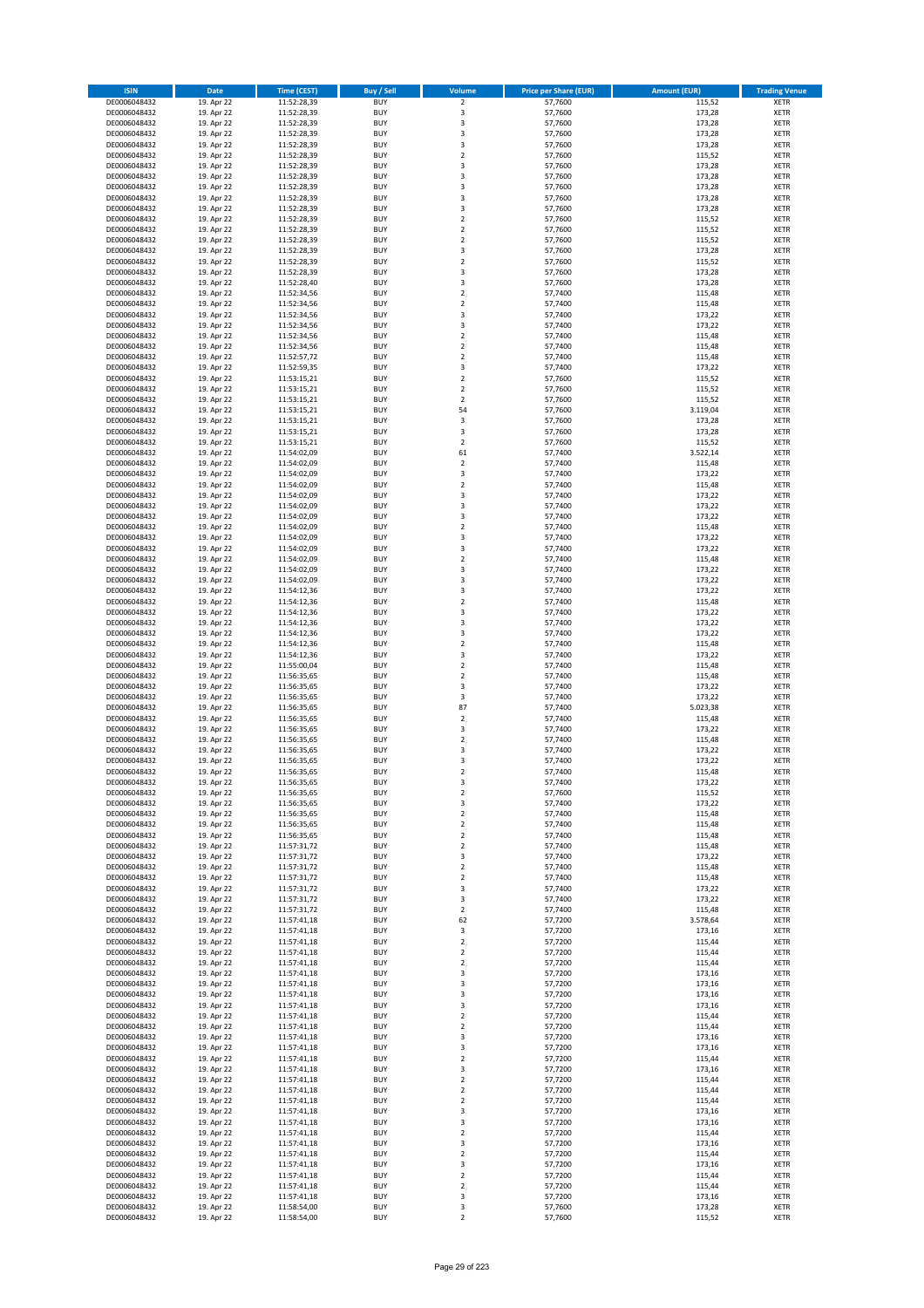| <b>ISIN</b>                  | <b>Date</b>              | Time (CEST)                | <b>Buy / Sell</b>        | Volume                                 | <b>Price per Share (EUR)</b> | <b>Amount (EUR)</b> | <b>Trading Venue</b>       |
|------------------------------|--------------------------|----------------------------|--------------------------|----------------------------------------|------------------------------|---------------------|----------------------------|
| DE0006048432                 | 19. Apr 22               | 11:52:28,39                | <b>BUY</b>               | $\overline{2}$                         | 57,7600                      | 115,52              | <b>XETR</b>                |
| DE0006048432                 | 19. Apr 22               | 11:52:28,39                | <b>BUY</b>               | 3                                      | 57,7600                      | 173,28              | <b>XETR</b>                |
| DE0006048432                 | 19. Apr 22               | 11:52:28,39                | <b>BUY</b>               | 3                                      | 57,7600                      | 173,28              | <b>XETR</b>                |
| DE0006048432<br>DE0006048432 | 19. Apr 22<br>19. Apr 22 | 11:52:28,39<br>11:52:28,39 | <b>BUY</b><br><b>BUY</b> | 3<br>3                                 | 57,7600<br>57,7600           | 173,28<br>173,28    | <b>XETR</b><br><b>XETR</b> |
| DE0006048432                 | 19. Apr 22               | 11:52:28,39                | <b>BUY</b>               | $\mathbf 2$                            | 57,7600                      | 115,52              | <b>XETR</b>                |
| DE0006048432                 | 19. Apr 22               | 11:52:28,39                | <b>BUY</b>               | 3                                      | 57,7600                      | 173,28              | <b>XETR</b>                |
| DE0006048432                 | 19. Apr 22               | 11:52:28,39                | <b>BUY</b>               | 3                                      | 57,7600                      | 173,28              | <b>XETR</b>                |
| DE0006048432                 | 19. Apr 22               | 11:52:28,39                | <b>BUY</b>               | 3                                      | 57,7600                      | 173,28              | <b>XETR</b>                |
| DE0006048432                 | 19. Apr 22               | 11:52:28,39                | <b>BUY</b>               | 3                                      | 57,7600                      | 173,28              | <b>XETR</b>                |
| DE0006048432                 | 19. Apr 22               | 11:52:28,39                | <b>BUY</b>               | 3                                      | 57,7600                      | 173,28              | <b>XETR</b>                |
| DE0006048432<br>DE0006048432 | 19. Apr 22<br>19. Apr 22 | 11:52:28,39<br>11:52:28,39 | <b>BUY</b><br><b>BUY</b> | $\overline{\mathbf{c}}$<br>$\mathbf 2$ | 57,7600<br>57,7600           | 115,52<br>115,52    | <b>XETR</b><br><b>XETR</b> |
| DE0006048432                 | 19. Apr 22               | 11:52:28,39                | <b>BUY</b>               | $\overline{\mathbf{c}}$                | 57,7600                      | 115,52              | <b>XETR</b>                |
| DE0006048432                 | 19. Apr 22               | 11:52:28,39                | <b>BUY</b>               | 3                                      | 57,7600                      | 173,28              | <b>XETR</b>                |
| DE0006048432                 | 19. Apr 22               | 11:52:28,39                | <b>BUY</b>               | $\overline{\mathbf{c}}$                | 57,7600                      | 115,52              | <b>XETR</b>                |
| DE0006048432                 | 19. Apr 22               | 11:52:28,39                | <b>BUY</b>               | 3                                      | 57,7600                      | 173,28              | <b>XETR</b>                |
| DE0006048432                 | 19. Apr 22               | 11:52:28,40                | <b>BUY</b>               | 3                                      | 57,7600                      | 173,28              | <b>XETR</b>                |
| DE0006048432                 | 19. Apr 22               | 11:52:34,56                | <b>BUY</b>               | $\overline{\mathbf{c}}$                | 57,7400                      | 115,48              | <b>XETR</b>                |
| DE0006048432                 | 19. Apr 22               | 11:52:34,56                | <b>BUY</b>               | $\mathbf 2$                            | 57,7400                      | 115,48              | <b>XETR</b>                |
| DE0006048432                 | 19. Apr 22               | 11:52:34,56                | <b>BUY</b><br><b>BUY</b> | 3<br>3                                 | 57,7400<br>57,7400           | 173,22              | <b>XETR</b><br><b>XETR</b> |
| DE0006048432<br>DE0006048432 | 19. Apr 22<br>19. Apr 22 | 11:52:34,56<br>11:52:34,56 | <b>BUY</b>               | $\mathbf 2$                            | 57,7400                      | 173,22<br>115,48    | <b>XETR</b>                |
| DE0006048432                 | 19. Apr 22               | 11:52:34,56                | <b>BUY</b>               | $\mathbf 2$                            | 57,7400                      | 115,48              | <b>XETR</b>                |
| DE0006048432                 | 19. Apr 22               | 11:52:57,72                | <b>BUY</b>               | $\mathbf 2$                            | 57,7400                      | 115,48              | <b>XETR</b>                |
| DE0006048432                 | 19. Apr 22               | 11:52:59,35                | <b>BUY</b>               | 3                                      | 57,7400                      | 173,22              | <b>XETR</b>                |
| DE0006048432                 | 19. Apr 22               | 11:53:15,21                | <b>BUY</b>               | $\mathbf 2$                            | 57,7600                      | 115,52              | <b>XETR</b>                |
| DE0006048432                 | 19. Apr 22               | 11:53:15,21                | <b>BUY</b>               | $\overline{2}$                         | 57,7600                      | 115,52              | <b>XETR</b>                |
| DE0006048432                 | 19. Apr 22<br>19. Apr 22 | 11:53:15,21                | <b>BUY</b>               | $\mathbf 2$                            | 57,7600                      | 115,52              | <b>XETR</b>                |
| DE0006048432<br>DE0006048432 | 19. Apr 22               | 11:53:15,21<br>11:53:15,21 | <b>BUY</b><br><b>BUY</b> | 54<br>3                                | 57,7600<br>57,7600           | 3.119,04<br>173,28  | <b>XETR</b><br><b>XETR</b> |
| DE0006048432                 | 19. Apr 22               | 11:53:15,21                | <b>BUY</b>               | 3                                      | 57,7600                      | 173,28              | <b>XETR</b>                |
| DE0006048432                 | 19. Apr 22               | 11:53:15,21                | <b>BUY</b>               | $\mathbf 2$                            | 57,7600                      | 115,52              | <b>XETR</b>                |
| DE0006048432                 | 19. Apr 22               | 11:54:02,09                | <b>BUY</b>               | 61                                     | 57,7400                      | 3.522,14            | <b>XETR</b>                |
| DE0006048432                 | 19. Apr 22               | 11:54:02.09                | <b>BUY</b>               | $\overline{\mathbf{c}}$                | 57.7400                      | 115,48              | <b>XETR</b>                |
| DE0006048432                 | 19. Apr 22               | 11:54:02,09                | <b>BUY</b>               | 3                                      | 57,7400                      | 173,22              | <b>XETR</b>                |
| DE0006048432                 | 19. Apr 22               | 11:54:02,09                | <b>BUY</b>               | $\overline{\mathbf{c}}$                | 57,7400                      | 115,48              | <b>XETR</b>                |
| DE0006048432                 | 19. Apr 22               | 11:54:02,09                | <b>BUY</b>               | 3                                      | 57,7400                      | 173,22              | <b>XETR</b>                |
| DE0006048432<br>DE0006048432 | 19. Apr 22<br>19. Apr 22 | 11:54:02,09<br>11:54:02,09 | <b>BUY</b><br><b>BUY</b> | 3<br>3                                 | 57,7400<br>57,7400           | 173,22<br>173,22    | <b>XETR</b><br><b>XETR</b> |
| DE0006048432                 | 19. Apr 22               | 11:54:02,09                | <b>BUY</b>               | $\overline{\mathbf{c}}$                | 57,7400                      | 115,48              | <b>XETR</b>                |
| DE0006048432                 | 19. Apr 22               | 11:54:02,09                | <b>BUY</b>               | 3                                      | 57,7400                      | 173,22              | <b>XETR</b>                |
| DE0006048432                 | 19. Apr 22               | 11:54:02,09                | <b>BUY</b>               | 3                                      | 57,7400                      | 173,22              | <b>XETR</b>                |
| DE0006048432                 | 19. Apr 22               | 11:54:02,09                | <b>BUY</b>               | $\overline{\mathbf{c}}$                | 57,7400                      | 115,48              | <b>XETR</b>                |
| DE0006048432                 | 19. Apr 22               | 11:54:02,09                | <b>BUY</b>               | 3                                      | 57,7400                      | 173,22              | <b>XETR</b>                |
| DE0006048432                 | 19. Apr 22               | 11:54:02,09                | <b>BUY</b>               | 3                                      | 57,7400                      | 173,22              | <b>XETR</b>                |
| DE0006048432                 | 19. Apr 22               | 11:54:12,36                | <b>BUY</b>               | 3                                      | 57,7400                      | 173,22              | <b>XETR</b>                |
| DE0006048432<br>DE0006048432 | 19. Apr 22<br>19. Apr 22 | 11:54:12,36<br>11:54:12,36 | <b>BUY</b><br><b>BUY</b> | $\mathbf 2$<br>3                       | 57,7400<br>57,7400           | 115,48<br>173,22    | <b>XETR</b><br><b>XETR</b> |
| DE0006048432                 | 19. Apr 22               | 11:54:12,36                | <b>BUY</b>               | 3                                      | 57,7400                      | 173,22              | <b>XETR</b>                |
| DE0006048432                 | 19. Apr 22               | 11:54:12,36                | <b>BUY</b>               | 3                                      | 57,7400                      | 173,22              | <b>XETR</b>                |
| DE0006048432                 | 19. Apr 22               | 11:54:12,36                | <b>BUY</b>               | $\mathbf 2$                            | 57,7400                      | 115,48              | <b>XETR</b>                |
| DE0006048432                 | 19. Apr 22               | 11:54:12,36                | <b>BUY</b>               | 3                                      | 57,7400                      | 173,22              | <b>XETR</b>                |
| DE0006048432                 | 19. Apr 22               | 11:55:00,04                | <b>BUY</b>               | $\mathbf 2$                            | 57,7400                      | 115,48              | <b>XETR</b>                |
| DE0006048432                 | 19. Apr 22               | 11:56:35,65                | <b>BUY</b>               | $\overline{\mathbf{c}}$                | 57,7400                      | 115,48              | <b>XETR</b>                |
| DE0006048432<br>DE0006048432 | 19. Apr 22<br>19. Apr 22 | 11:56:35,65<br>11:56:35,65 | <b>BUY</b><br><b>BUY</b> | 3<br>3                                 | 57,7400<br>57,7400           | 173,22<br>173,22    | <b>XETR</b><br><b>XETR</b> |
| DE0006048432                 | 19. Apr 22               | 11:56:35,65                | <b>BUY</b>               | 87                                     | 57,7400                      | 5.023,38            | <b>XETR</b>                |
| DE0006048432                 | 19. Apr 22               | 11:56:35,65                | <b>BUY</b>               | $\overline{\mathbf{c}}$                | 57,7400                      | 115,48              | <b>XETR</b>                |
| DE0006048432                 | 19. Apr 22               | 11:56:35,65                | <b>BUY</b>               | 3                                      | 57,7400                      | 173,22              | <b>XETR</b>                |
| DE0006048432                 | 19. Apr 22               | 11:56:35,65                | <b>BUY</b>               | $\mathbf 2$                            | 57,7400                      | 115,48              | <b>XETR</b>                |
| DE0006048432                 | 19. Apr 22               | 11:56:35,65                | <b>BUY</b>               | 3                                      | 57,7400                      | 173,22              | <b>XETR</b>                |
| DE0006048432                 | 19. Apr 22               | 11:56:35,65                | <b>BUY</b>               | 3                                      | 57,7400                      | 173,22              | <b>XETR</b>                |
| DE0006048432                 | 19. Apr 22               | 11:56:35,65                | <b>BUY</b>               | $\overline{2}$                         | 57,7400<br>57,7400           | 115,48              | <b>XETR</b>                |
| DE0006048432<br>DE0006048432 | 19. Apr 22<br>19. Apr 22 | 11:56:35,65<br>11:56:35,65 | BUY<br><b>BUY</b>        | 3<br>$\mathbf 2$                       | 57,7600                      | 173,22<br>115,52    | <b>XETR</b><br><b>XETR</b> |
| DE0006048432                 | 19. Apr 22               | 11:56:35,65                | <b>BUY</b>               | 3                                      | 57,7400                      | 173,22              | <b>XETR</b>                |
| DE0006048432                 | 19. Apr 22               | 11:56:35,65                | <b>BUY</b>               | 2                                      | 57,7400                      | 115,48              | XETR                       |
| DE0006048432                 | 19. Apr 22               | 11:56:35,65                | <b>BUY</b>               | $\mathbf 2$                            | 57,7400                      | 115,48              | <b>XETR</b>                |
| DE0006048432                 | 19. Apr 22               | 11:56:35,65                | <b>BUY</b>               | $\mathbf 2$                            | 57,7400                      | 115,48              | <b>XETR</b>                |
| DE0006048432<br>DE0006048432 | 19. Apr 22               | 11:57:31,72                | <b>BUY</b>               | $\mathbf 2$                            | 57,7400                      | 115,48              | <b>XETR</b>                |
| DE0006048432                 | 19. Apr 22<br>19. Apr 22 | 11:57:31,72<br>11:57:31,72 | <b>BUY</b><br><b>BUY</b> | 3<br>$\mathbf 2$                       | 57,7400<br>57,7400           | 173,22<br>115,48    | <b>XETR</b><br><b>XETR</b> |
| DE0006048432                 | 19. Apr 22               | 11:57:31,72                | <b>BUY</b>               | $\mathbf 2$                            | 57,7400                      | 115,48              | <b>XETR</b>                |
| DE0006048432                 | 19. Apr 22               | 11:57:31,72                | <b>BUY</b>               | 3                                      | 57,7400                      | 173,22              | <b>XETR</b>                |
| DE0006048432                 | 19. Apr 22               | 11:57:31,72                | <b>BUY</b>               | 3                                      | 57,7400                      | 173,22              | <b>XETR</b>                |
| DE0006048432                 | 19. Apr 22               | 11:57:31,72                | <b>BUY</b>               | $\mathbf 2$                            | 57,7400                      | 115,48              | <b>XETR</b>                |
| DE0006048432                 | 19. Apr 22               | 11:57:41,18                | <b>BUY</b>               | 62                                     | 57,7200                      | 3.578,64            | <b>XETR</b>                |
| DE0006048432<br>DE0006048432 | 19. Apr 22<br>19. Apr 22 | 11:57:41,18<br>11:57:41,18 | <b>BUY</b><br><b>BUY</b> | 3<br>$\mathbf 2$                       | 57,7200<br>57,7200           | 173,16<br>115,44    | <b>XETR</b><br><b>XETR</b> |
| DE0006048432                 | 19. Apr 22               | 11:57:41,18                | <b>BUY</b>               | $\mathbf 2$                            | 57,7200                      | 115,44              | <b>XETR</b>                |
| DE0006048432                 | 19. Apr 22               | 11:57:41,18                | <b>BUY</b>               | $\mathbf 2$                            | 57,7200                      | 115,44              | <b>XETR</b>                |
| DE0006048432                 | 19. Apr 22               | 11:57:41,18                | <b>BUY</b>               | 3                                      | 57,7200                      | 173,16              | XETR                       |
| DE0006048432                 | 19. Apr 22               | 11:57:41,18                | <b>BUY</b>               | 3                                      | 57,7200                      | 173,16              | XETR                       |
| DE0006048432                 | 19. Apr 22               | 11:57:41,18                | <b>BUY</b>               | 3                                      | 57,7200                      | 173,16              | <b>XETR</b>                |
| DE0006048432<br>DE0006048432 | 19. Apr 22<br>19. Apr 22 | 11:57:41,18                | <b>BUY</b><br><b>BUY</b> | 3<br>$\overline{\mathbf{c}}$           | 57,7200<br>57,7200           | 173,16<br>115,44    | <b>XETR</b><br><b>XETR</b> |
| DE0006048432                 | 19. Apr 22               | 11:57:41,18<br>11:57:41,18 | <b>BUY</b>               | $\mathbf 2$                            | 57,7200                      | 115,44              | <b>XETR</b>                |
| DE0006048432                 | 19. Apr 22               | 11:57:41,18                | <b>BUY</b>               | 3                                      | 57,7200                      | 173,16              | <b>XETR</b>                |
| DE0006048432                 | 19. Apr 22               | 11:57:41,18                | <b>BUY</b>               | 3                                      | 57,7200                      | 173,16              | <b>XETR</b>                |
| DE0006048432                 | 19. Apr 22               | 11:57:41,18                | <b>BUY</b>               | $\mathbf 2$                            | 57,7200                      | 115,44              | <b>XETR</b>                |
| DE0006048432                 | 19. Apr 22               | 11:57:41,18                | <b>BUY</b>               | 3                                      | 57,7200                      | 173,16              | <b>XETR</b>                |
| DE0006048432                 | 19. Apr 22               | 11:57:41,18                | <b>BUY</b>               | $\mathbf 2$                            | 57,7200                      | 115,44              | <b>XETR</b>                |
| DE0006048432                 | 19. Apr 22               | 11:57:41,18                | <b>BUY</b>               | $\overline{\mathbf{2}}$                | 57,7200                      | 115,44              | <b>XETR</b>                |
| DE0006048432<br>DE0006048432 | 19. Apr 22<br>19. Apr 22 | 11:57:41,18<br>11:57:41,18 | <b>BUY</b><br><b>BUY</b> | $\mathbf 2$<br>3                       | 57,7200<br>57,7200           | 115,44<br>173,16    | <b>XETR</b><br><b>XETR</b> |
| DE0006048432                 | 19. Apr 22               | 11:57:41,18                | <b>BUY</b>               | 3                                      | 57,7200                      | 173,16              | <b>XETR</b>                |
| DE0006048432                 | 19. Apr 22               | 11:57:41,18                | <b>BUY</b>               | $\mathbf 2$                            | 57,7200                      | 115,44              | <b>XETR</b>                |
| DE0006048432                 | 19. Apr 22               | 11:57:41,18                | <b>BUY</b>               | 3                                      | 57,7200                      | 173,16              | <b>XETR</b>                |
| DE0006048432                 | 19. Apr 22               | 11:57:41,18                | <b>BUY</b>               | $\mathbf 2$                            | 57,7200                      | 115,44              | <b>XETR</b>                |
| DE0006048432                 | 19. Apr 22               | 11:57:41,18                | <b>BUY</b>               | 3                                      | 57,7200                      | 173,16              | <b>XETR</b>                |
| DE0006048432<br>DE0006048432 | 19. Apr 22<br>19. Apr 22 | 11:57:41,18<br>11:57:41,18 | <b>BUY</b><br><b>BUY</b> | $\mathbf 2$<br>$\mathbf 2$             | 57,7200<br>57,7200           | 115,44<br>115,44    | XETR<br><b>XETR</b>        |
| DE0006048432                 | 19. Apr 22               | 11:57:41,18                | <b>BUY</b>               | 3                                      | 57,7200                      | 173,16              | XETR                       |
| DE0006048432                 | 19. Apr 22               | 11:58:54,00                | <b>BUY</b>               | 3                                      | 57,7600                      | 173,28              | <b>XETR</b>                |
| DE0006048432                 | 19. Apr 22               | 11:58:54,00                | <b>BUY</b>               | $\overline{2}$                         | 57,7600                      | 115,52              | <b>XETR</b>                |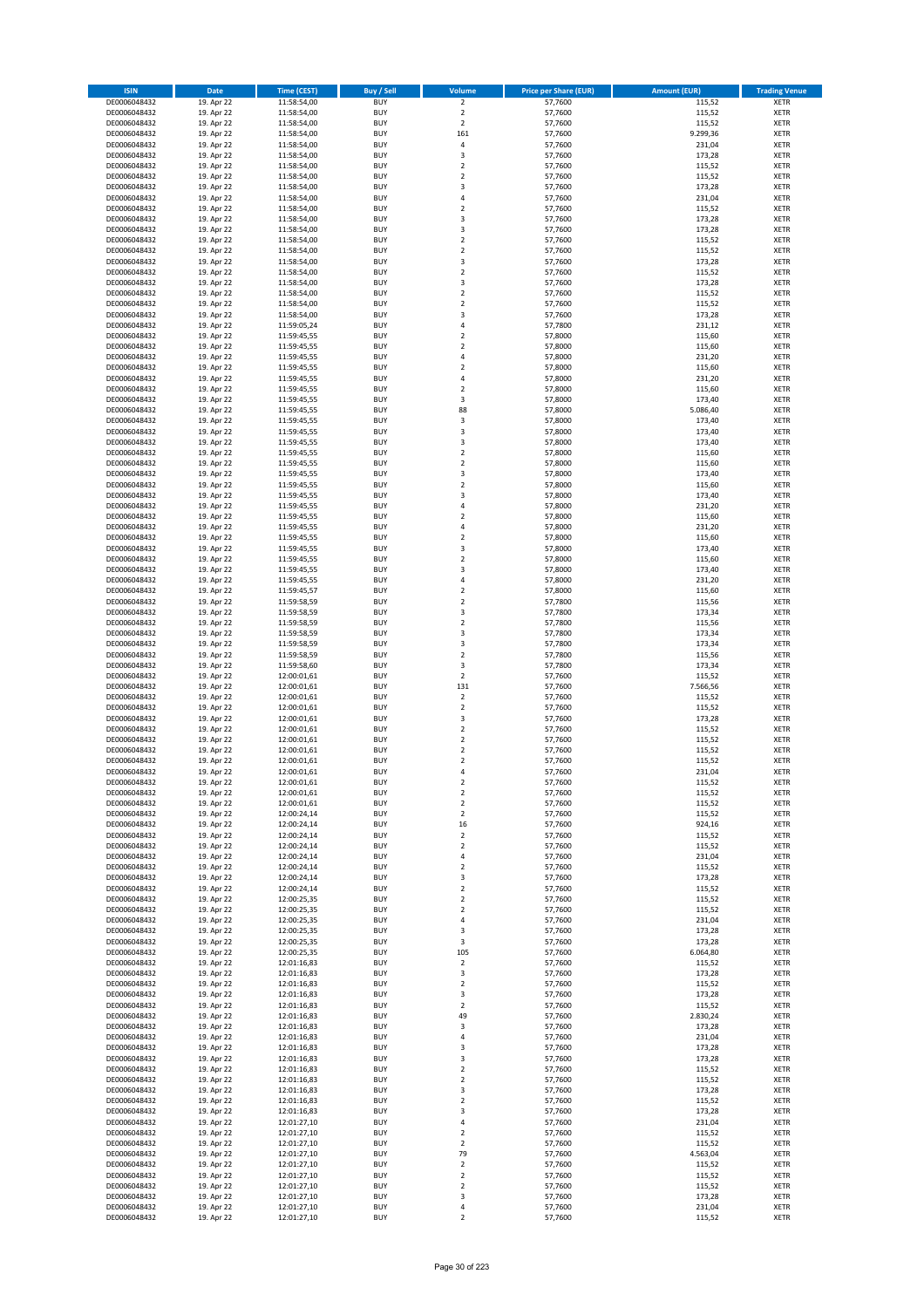| <b>ISIN</b>                  | <b>Date</b>              | <b>Time (CEST)</b>         | <b>Buy / Sell</b>        | Volume                        | <b>Price per Share (EUR)</b> | <b>Amount (EUR)</b> | <b>Trading Venue</b>       |
|------------------------------|--------------------------|----------------------------|--------------------------|-------------------------------|------------------------------|---------------------|----------------------------|
| DE0006048432                 | 19. Apr 22               | 11:58:54,00                | <b>BUY</b>               | $\overline{2}$                | 57,7600                      | 115,52              | <b>XETR</b>                |
| DE0006048432                 | 19. Apr 22               | 11:58:54,00                | <b>BUY</b>               | $\mathbf 2$                   | 57,7600                      | 115,52              | <b>XETR</b>                |
| DE0006048432                 | 19. Apr 22               | 11:58:54,00                | <b>BUY</b>               | $\overline{2}$                | 57,7600                      | 115,52              | <b>XETR</b>                |
| DE0006048432<br>DE0006048432 | 19. Apr 22<br>19. Apr 22 | 11:58:54,00<br>11:58:54,00 | <b>BUY</b><br><b>BUY</b> | 161<br>4                      | 57,7600<br>57,7600           | 9.299,36<br>231,04  | <b>XETR</b><br><b>XETR</b> |
| DE0006048432                 | 19. Apr 22               | 11:58:54,00                | <b>BUY</b>               | 3                             | 57,7600                      | 173,28              | <b>XETR</b>                |
| DE0006048432                 | 19. Apr 22               | 11:58:54,00                | <b>BUY</b>               | $\overline{\mathbf{c}}$       | 57,7600                      | 115,52              | <b>XETR</b>                |
| DE0006048432                 | 19. Apr 22               | 11:58:54,00                | <b>BUY</b>               | $\overline{\mathbf{c}}$       | 57,7600                      | 115,52              | <b>XETR</b>                |
| DE0006048432                 | 19. Apr 22               | 11:58:54,00                | <b>BUY</b>               | 3                             | 57,7600                      | 173,28              | <b>XETR</b>                |
| DE0006048432                 | 19. Apr 22               | 11:58:54,00                | <b>BUY</b><br><b>BUY</b> | 4                             | 57,7600                      | 231,04              | <b>XETR</b><br><b>XETR</b> |
| DE0006048432<br>DE0006048432 | 19. Apr 22<br>19. Apr 22 | 11:58:54,00<br>11:58:54,00 | <b>BUY</b>               | $\mathbf 2$<br>3              | 57,7600<br>57,7600           | 115,52<br>173,28    | <b>XETR</b>                |
| DE0006048432                 | 19. Apr 22               | 11:58:54,00                | <b>BUY</b>               | 3                             | 57,7600                      | 173,28              | <b>XETR</b>                |
| DE0006048432                 | 19. Apr 22               | 11:58:54,00                | <b>BUY</b>               | $\overline{\mathbf{c}}$       | 57,7600                      | 115,52              | <b>XETR</b>                |
| DE0006048432                 | 19. Apr 22               | 11:58:54,00                | <b>BUY</b>               | $\mathbf 2$                   | 57,7600                      | 115,52              | <b>XETR</b>                |
| DE0006048432                 | 19. Apr 22               | 11:58:54,00                | <b>BUY</b>               | 3                             | 57,7600                      | 173,28              | <b>XETR</b>                |
| DE0006048432<br>DE0006048432 | 19. Apr 22<br>19. Apr 22 | 11:58:54,00<br>11:58:54,00 | <b>BUY</b><br><b>BUY</b> | $\mathbf 2$<br>3              | 57,7600<br>57,7600           | 115,52<br>173,28    | <b>XETR</b><br><b>XETR</b> |
| DE0006048432                 | 19. Apr 22               | 11:58:54,00                | <b>BUY</b>               | $\overline{\mathbf{c}}$       | 57,7600                      | 115,52              | <b>XETR</b>                |
| DE0006048432                 | 19. Apr 22               | 11:58:54,00                | <b>BUY</b>               | $\mathbf 2$                   | 57,7600                      | 115,52              | <b>XETR</b>                |
| DE0006048432                 | 19. Apr 22               | 11:58:54,00                | <b>BUY</b>               | 3                             | 57,7600                      | 173,28              | <b>XETR</b>                |
| DE0006048432                 | 19. Apr 22               | 11:59:05,24                | <b>BUY</b>               | 4                             | 57,7800                      | 231,12              | <b>XETR</b>                |
| DE0006048432                 | 19. Apr 22               | 11:59:45,55                | <b>BUY</b>               | $\mathbf 2$                   | 57,8000                      | 115,60              | <b>XETR</b>                |
| DE0006048432<br>DE0006048432 | 19. Apr 22<br>19. Apr 22 | 11:59:45,55<br>11:59:45,55 | <b>BUY</b><br><b>BUY</b> | $\mathbf 2$<br>4              | 57,8000<br>57,8000           | 115,60<br>231,20    | <b>XETR</b><br><b>XETR</b> |
| DE0006048432                 | 19. Apr 22               | 11:59:45,55                | <b>BUY</b>               | $\mathbf 2$                   | 57,8000                      | 115,60              | <b>XETR</b>                |
| DE0006048432                 | 19. Apr 22               | 11:59:45,55                | <b>BUY</b>               | 4                             | 57,8000                      | 231,20              | <b>XETR</b>                |
| DE0006048432                 | 19. Apr 22               | 11:59:45,55                | <b>BUY</b>               | $\overline{\mathbf{c}}$       | 57,8000                      | 115,60              | <b>XETR</b>                |
| DE0006048432                 | 19. Apr 22               | 11:59:45,55                | <b>BUY</b>               | 3                             | 57,8000                      | 173,40              | <b>XETR</b>                |
| DE0006048432<br>DE0006048432 | 19. Apr 22<br>19. Apr 22 | 11:59:45,55<br>11:59:45,55 | <b>BUY</b><br><b>BUY</b> | 88<br>3                       | 57,8000<br>57,8000           | 5.086,40<br>173,40  | <b>XETR</b><br><b>XETR</b> |
| DE0006048432                 | 19. Apr 22               | 11:59:45,55                | <b>BUY</b>               | 3                             | 57,8000                      | 173,40              | <b>XETR</b>                |
| DE0006048432                 | 19. Apr 22               | 11:59:45,55                | <b>BUY</b>               | 3                             | 57,8000                      | 173,40              | <b>XETR</b>                |
| DE0006048432                 | 19. Apr 22               | 11:59:45,55                | <b>BUY</b>               | $\mathbf 2$                   | 57,8000                      | 115,60              | <b>XETR</b>                |
| DE0006048432                 | 19. Apr 22               | 11:59:45,55                | <b>BUY</b>               | $\mathbf 2$                   | 57,8000                      | 115,60              | <b>XETR</b>                |
| DE0006048432                 | 19. Apr 22               | 11:59:45,55                | <b>BUY</b>               | 3                             | 57,8000                      | 173,40              | <b>XETR</b>                |
| DE0006048432<br>DE0006048432 | 19. Apr 22<br>19. Apr 22 | 11:59:45,55<br>11:59:45,55 | <b>BUY</b><br><b>BUY</b> | $\overline{\mathbf{c}}$<br>3  | 57,8000<br>57,8000           | 115,60<br>173,40    | <b>XETR</b><br><b>XETR</b> |
| DE0006048432                 | 19. Apr 22               | 11:59:45,55                | <b>BUY</b>               | 4                             | 57,8000                      | 231,20              | <b>XETR</b>                |
| DE0006048432                 | 19. Apr 22               | 11:59:45,55                | <b>BUY</b>               | $\overline{\mathbf{c}}$       | 57,8000                      | 115,60              | <b>XETR</b>                |
| DE0006048432                 | 19. Apr 22               | 11:59:45,55                | <b>BUY</b>               | 4                             | 57,8000                      | 231,20              | <b>XETR</b>                |
| DE0006048432                 | 19. Apr 22               | 11:59:45,55                | <b>BUY</b>               | $\mathbf 2$                   | 57,8000                      | 115,60              | <b>XETR</b>                |
| DE0006048432                 | 19. Apr 22               | 11:59:45,55                | <b>BUY</b><br><b>BUY</b> | 3<br>$\overline{\mathbf{c}}$  | 57,8000                      | 173,40              | <b>XETR</b><br><b>XETR</b> |
| DE0006048432<br>DE0006048432 | 19. Apr 22<br>19. Apr 22 | 11:59:45,55<br>11:59:45,55 | <b>BUY</b>               | 3                             | 57,8000<br>57,8000           | 115,60<br>173,40    | <b>XETR</b>                |
| DE0006048432                 | 19. Apr 22               | 11:59:45,55                | <b>BUY</b>               | 4                             | 57,8000                      | 231,20              | <b>XETR</b>                |
| DE0006048432                 | 19. Apr 22               | 11:59:45,57                | <b>BUY</b>               | $\mathbf 2$                   | 57,8000                      | 115,60              | <b>XETR</b>                |
| DE0006048432                 | 19. Apr 22               | 11:59:58,59                | <b>BUY</b>               | $\mathbf 2$                   | 57,7800                      | 115,56              | <b>XETR</b>                |
| DE0006048432                 | 19. Apr 22               | 11:59:58,59                | <b>BUY</b>               | 3                             | 57,7800                      | 173,34              | <b>XETR</b>                |
| DE0006048432<br>DE0006048432 | 19. Apr 22<br>19. Apr 22 | 11:59:58,59<br>11:59:58,59 | <b>BUY</b><br><b>BUY</b> | $\mathbf 2$<br>3              | 57,7800<br>57,7800           | 115,56<br>173,34    | <b>XETR</b><br><b>XETR</b> |
| DE0006048432                 | 19. Apr 22               | 11:59:58,59                | <b>BUY</b>               | 3                             | 57,7800                      | 173,34              | <b>XETR</b>                |
| DE0006048432                 | 19. Apr 22               | 11:59:58,59                | <b>BUY</b>               | $\overline{2}$                | 57,7800                      | 115,56              | <b>XETR</b>                |
| DE0006048432                 | 19. Apr 22               | 11:59:58,60                | <b>BUY</b>               | 3                             | 57,7800                      | 173,34              | <b>XETR</b>                |
| DE0006048432                 | 19. Apr 22               | 12:00:01,61                | <b>BUY</b>               | $\overline{\mathbf{c}}$       | 57,7600                      | 115,52              | <b>XETR</b>                |
| DE0006048432                 | 19. Apr 22               | 12:00:01,61                | <b>BUY</b>               | 131                           | 57,7600                      | 7.566,56            | <b>XETR</b>                |
| DE0006048432<br>DE0006048432 | 19. Apr 22<br>19. Apr 22 | 12:00:01,61<br>12:00:01,61 | <b>BUY</b><br><b>BUY</b> | $\mathbf 2$<br>$\mathbf 2$    | 57,7600<br>57,7600           | 115,52<br>115,52    | <b>XETR</b><br><b>XETR</b> |
| DE0006048432                 | 19. Apr 22               | 12:00:01,61                | <b>BUY</b>               | 3                             | 57,7600                      | 173,28              | <b>XETR</b>                |
| DE0006048432                 | 19. Apr 22               | 12:00:01,61                | <b>BUY</b>               | $\overline{2}$                | 57,7600                      | 115,52              | <b>XETR</b>                |
| DE0006048432                 | 19. Apr 22               | 12:00:01,61                | <b>BUY</b>               | $\mathbf 2$                   | 57,7600                      | 115,52              | <b>XETR</b>                |
| DE0006048432                 | 19. Apr 22               | 12:00:01,61                | <b>BUY</b>               | $\overline{\mathbf{c}}$       | 57,7600                      | 115,52              | <b>XETR</b>                |
| DE0006048432<br>DE0006048432 | 19. Apr 22<br>19. Apr 22 | 12:00:01,61<br>12:00:01,61 | <b>BUY</b><br><b>BUY</b> | $\overline{\mathbf{c}}$<br>4  | 57,7600<br>57,7600           | 115,52<br>231,04    | <b>XETR</b><br><b>XETR</b> |
| DE0006048432                 | 19. Apr 22               | 12:00:01,61                | BUY                      | 2                             | 57,7600                      | 115,52              | <b>XETR</b>                |
| DE0006048432                 | 19. Apr 22               | 12:00:01,61                | <b>BUY</b>               | $\mathbf 2$                   | 57,7600                      | 115,52              | <b>XETR</b>                |
| DE0006048432                 | 19. Apr 22               | 12:00:01,61                | <b>BUY</b>               | $\mathbf 2$                   | 57,7600                      | 115,52              | XETR                       |
| DE0006048432                 | 19. Apr 22               | 12:00:24,14                | <b>BUY</b>               | $\mathbf 2$                   | 57,7600                      | 115,52              | XETR                       |
| DE0006048432<br>DE0006048432 | 19. Apr 22<br>19. Apr 22 | 12:00:24,14<br>12:00:24,14 | <b>BUY</b><br><b>BUY</b> | 16<br>$\mathbf 2$             | 57,7600<br>57,7600           | 924,16<br>115,52    | <b>XETR</b><br><b>XETR</b> |
| DE0006048432                 | 19. Apr 22               | 12:00:24,14                | <b>BUY</b>               | $\mathbf 2$                   | 57,7600                      | 115,52              | <b>XETR</b>                |
| DE0006048432                 | 19. Apr 22               | 12:00:24,14                | <b>BUY</b>               | 4                             | 57,7600                      | 231,04              | <b>XETR</b>                |
| DE0006048432                 | 19. Apr 22               | 12:00:24,14                | <b>BUY</b>               | $\mathbf 2$                   | 57,7600                      | 115,52              | <b>XETR</b>                |
| DE0006048432                 | 19. Apr 22               | 12:00:24,14                | <b>BUY</b>               | 3                             | 57,7600                      | 173,28              | XETR                       |
| DE0006048432<br>DE0006048432 | 19. Apr 22<br>19. Apr 22 | 12:00:24,14<br>12:00:25,35 | <b>BUY</b><br><b>BUY</b> | $\mathbf 2$<br>$\overline{2}$ | 57,7600<br>57,7600           | 115,52<br>115,52    | <b>XETR</b><br><b>XETR</b> |
| DE0006048432                 | 19. Apr 22               | 12:00:25,35                | <b>BUY</b>               | $\mathbf 2$                   | 57,7600                      | 115,52              | <b>XETR</b>                |
| DE0006048432                 | 19. Apr 22               | 12:00:25,35                | <b>BUY</b>               | 4                             | 57,7600                      | 231,04              | <b>XETR</b>                |
| DE0006048432                 | 19. Apr 22               | 12:00:25,35                | <b>BUY</b>               | 3                             | 57,7600                      | 173,28              | <b>XETR</b>                |
| DE0006048432                 | 19. Apr 22               | 12:00:25,35                | <b>BUY</b>               | 3                             | 57,7600                      | 173,28              | <b>XETR</b>                |
| DE0006048432<br>DE0006048432 | 19. Apr 22<br>19. Apr 22 | 12:00:25,35<br>12:01:16,83 | <b>BUY</b><br><b>BUY</b> | 105<br>$\mathbf 2$            | 57,7600<br>57,7600           | 6.064,80<br>115,52  | <b>XETR</b><br><b>XETR</b> |
| DE0006048432                 | 19. Apr 22               | 12:01:16,83                | <b>BUY</b>               | 3                             | 57,7600                      | 173,28              | XETR                       |
| DE0006048432                 | 19. Apr 22               | 12:01:16,83                | <b>BUY</b>               | $\mathbf 2$                   | 57,7600                      | 115,52              | <b>XETR</b>                |
| DE0006048432                 | 19. Apr 22               | 12:01:16,83                | <b>BUY</b>               | 3                             | 57,7600                      | 173,28              | <b>XETR</b>                |
| DE0006048432                 | 19. Apr 22               | 12:01:16,83                | <b>BUY</b>               | $\mathbf 2$                   | 57,7600                      | 115,52              | <b>XETR</b>                |
| DE0006048432                 | 19. Apr 22               | 12:01:16,83                | <b>BUY</b><br><b>BUY</b> | 49                            | 57,7600                      | 2.830,24            | <b>XETR</b>                |
| DE0006048432<br>DE0006048432 | 19. Apr 22<br>19. Apr 22 | 12:01:16,83<br>12:01:16,83 | <b>BUY</b>               | 3<br>4                        | 57,7600<br>57,7600           | 173,28<br>231,04    | <b>XETR</b><br><b>XETR</b> |
| DE0006048432                 | 19. Apr 22               | 12:01:16,83                | <b>BUY</b>               | 3                             | 57,7600                      | 173,28              | <b>XETR</b>                |
| DE0006048432                 | 19. Apr 22               | 12:01:16,83                | <b>BUY</b>               | 3                             | 57,7600                      | 173,28              | <b>XETR</b>                |
| DE0006048432                 | 19. Apr 22               | 12:01:16,83                | <b>BUY</b>               | $\overline{2}$                | 57,7600                      | 115,52              | <b>XETR</b>                |
| DE0006048432                 | 19. Apr 22               | 12:01:16,83                | <b>BUY</b>               | $\mathbf 2$                   | 57,7600                      | 115,52              | <b>XETR</b>                |
| DE0006048432<br>DE0006048432 | 19. Apr 22<br>19. Apr 22 | 12:01:16,83                | <b>BUY</b><br><b>BUY</b> | 3<br>$\mathbf 2$              | 57,7600<br>57,7600           | 173,28<br>115,52    | XETR<br><b>XETR</b>        |
| DE0006048432                 | 19. Apr 22               | 12:01:16,83<br>12:01:16,83 | <b>BUY</b>               | 3                             | 57,7600                      | 173,28              | <b>XETR</b>                |
| DE0006048432                 | 19. Apr 22               | 12:01:27,10                | <b>BUY</b>               | 4                             | 57,7600                      | 231,04              | <b>XETR</b>                |
| DE0006048432                 | 19. Apr 22               | 12:01:27,10                | <b>BUY</b>               | $\mathbf 2$                   | 57,7600                      | 115,52              | <b>XETR</b>                |
| DE0006048432                 | 19. Apr 22               | 12:01:27,10                | <b>BUY</b>               | $\mathbf 2$                   | 57,7600                      | 115,52              | <b>XETR</b>                |
| DE0006048432<br>DE0006048432 | 19. Apr 22               | 12:01:27,10                | <b>BUY</b><br><b>BUY</b> | 79<br>$\mathbf 2$             | 57,7600                      | 4.563,04            | <b>XETR</b><br><b>XETR</b> |
| DE0006048432                 | 19. Apr 22<br>19. Apr 22 | 12:01:27,10<br>12:01:27,10 | <b>BUY</b>               | $\mathbf 2$                   | 57,7600<br>57,7600           | 115,52<br>115,52    | XETR                       |
| DE0006048432                 | 19. Apr 22               | 12:01:27,10                | <b>BUY</b>               | $\overline{2}$                | 57,7600                      | 115,52              | <b>XETR</b>                |
| DE0006048432                 | 19. Apr 22               | 12:01:27,10                | <b>BUY</b>               | 3                             | 57,7600                      | 173,28              | <b>XETR</b>                |
| DE0006048432                 | 19. Apr 22               | 12:01:27,10                | <b>BUY</b>               | 4                             | 57,7600                      | 231,04              | <b>XETR</b>                |
| DE0006048432                 | 19. Apr 22               | 12:01:27,10                | <b>BUY</b>               | $\mathbf 2$                   | 57,7600                      | 115,52              | XETR                       |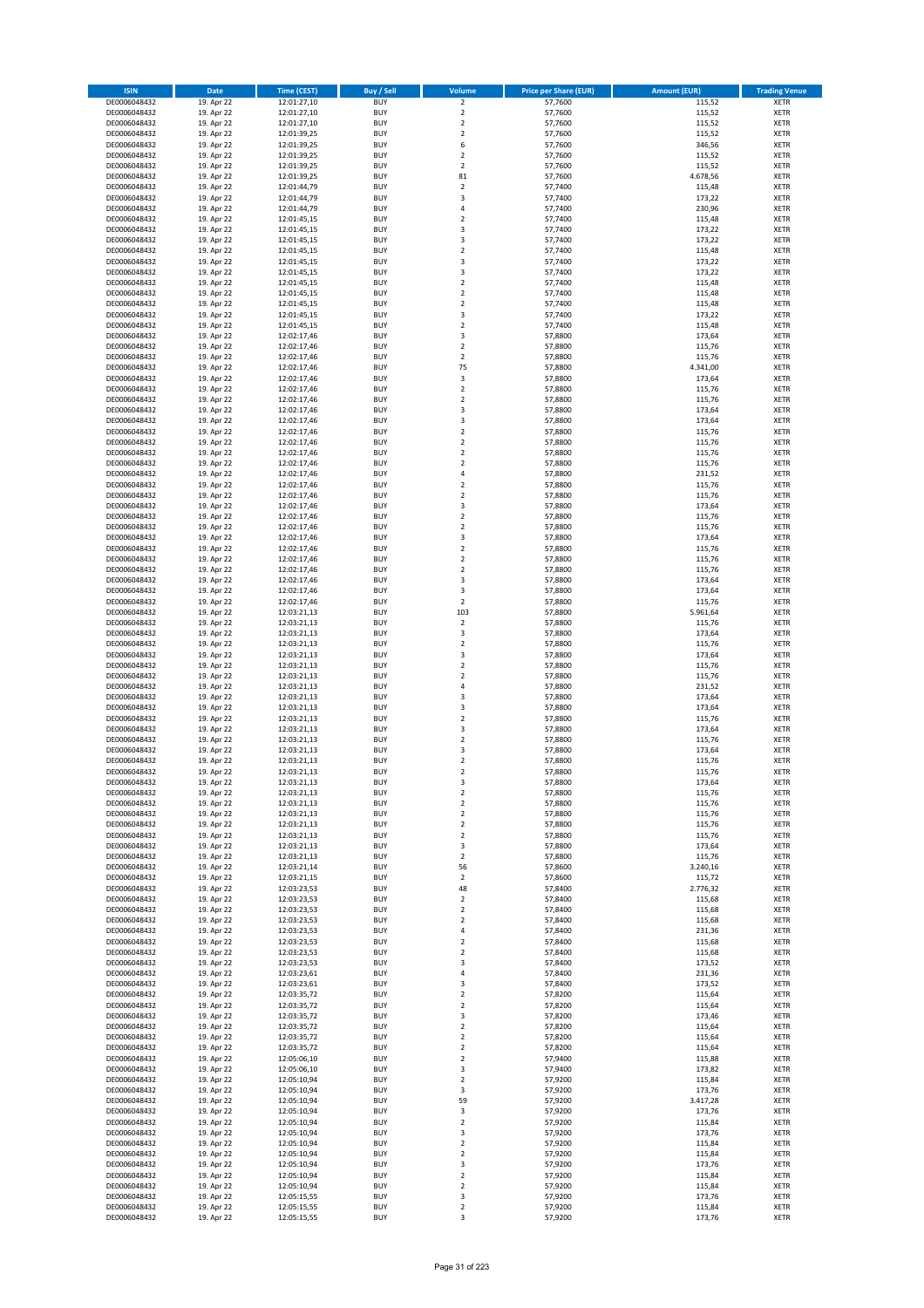| <b>ISIN</b>                  | <b>Date</b>              | Time (CEST)                | <b>Buy / Sell</b>        | Volume                                 | <b>Price per Share (EUR)</b> | <b>Amount (EUR)</b> | <b>Trading Venue</b>       |
|------------------------------|--------------------------|----------------------------|--------------------------|----------------------------------------|------------------------------|---------------------|----------------------------|
| DE0006048432                 | 19. Apr 22               | 12:01:27,10                | <b>BUY</b>               | $\overline{2}$                         | 57,7600                      | 115,52              | <b>XETR</b>                |
| DE0006048432                 | 19. Apr 22               | 12:01:27,10                | <b>BUY</b>               | $\mathbf 2$                            | 57,7600                      | 115,52              | <b>XETR</b>                |
| DE0006048432                 | 19. Apr 22               | 12:01:27,10                | <b>BUY</b>               | $\overline{2}$                         | 57,7600                      | 115,52              | <b>XETR</b>                |
| DE0006048432                 | 19. Apr 22               | 12:01:39,25                | <b>BUY</b>               | $\mathbf 2$                            | 57,7600                      | 115,52              | <b>XETR</b>                |
| DE0006048432<br>DE0006048432 | 19. Apr 22<br>19. Apr 22 | 12:01:39,25<br>12:01:39,25 | <b>BUY</b><br><b>BUY</b> | 6<br>$\mathbf 2$                       | 57,7600<br>57,7600           | 346,56<br>115,52    | <b>XETR</b><br><b>XETR</b> |
| DE0006048432                 | 19. Apr 22               | 12:01:39,25                | <b>BUY</b>               | $\mathbf 2$                            | 57,7600                      | 115,52              | <b>XETR</b>                |
| DE0006048432                 | 19. Apr 22               | 12:01:39,25                | <b>BUY</b>               | 81                                     | 57,7600                      | 4.678,56            | <b>XETR</b>                |
| DE0006048432                 | 19. Apr 22               | 12:01:44,79                | <b>BUY</b>               | $\overline{\mathbf{c}}$                | 57,7400                      | 115,48              | <b>XETR</b>                |
| DE0006048432                 | 19. Apr 22               | 12:01:44,79                | <b>BUY</b>               | 3                                      | 57,7400                      | 173,22              | <b>XETR</b>                |
| DE0006048432                 | 19. Apr 22               | 12:01:44,79                | <b>BUY</b>               | 4                                      | 57,7400                      | 230,96              | <b>XETR</b>                |
| DE0006048432                 | 19. Apr 22               | 12:01:45,15                | <b>BUY</b>               | $\overline{\mathbf{c}}$<br>3           | 57,7400                      | 115,48              | <b>XETR</b><br><b>XETR</b> |
| DE0006048432<br>DE0006048432 | 19. Apr 22<br>19. Apr 22 | 12:01:45,15<br>12:01:45,15 | <b>BUY</b><br><b>BUY</b> | 3                                      | 57,7400<br>57,7400           | 173,22<br>173,22    | <b>XETR</b>                |
| DE0006048432                 | 19. Apr 22               | 12:01:45,15                | <b>BUY</b>               | $\mathbf 2$                            | 57,7400                      | 115,48              | <b>XETR</b>                |
| DE0006048432                 | 19. Apr 22               | 12:01:45,15                | <b>BUY</b>               | 3                                      | 57,7400                      | 173,22              | <b>XETR</b>                |
| DE0006048432                 | 19. Apr 22               | 12:01:45,15                | <b>BUY</b>               | 3                                      | 57,7400                      | 173,22              | <b>XETR</b>                |
| DE0006048432                 | 19. Apr 22               | 12:01:45,15                | <b>BUY</b>               | $\mathbf 2$                            | 57,7400                      | 115,48              | <b>XETR</b>                |
| DE0006048432                 | 19. Apr 22               | 12:01:45,15                | <b>BUY</b>               | $\overline{\mathbf{c}}$                | 57,7400                      | 115,48              | <b>XETR</b>                |
| DE0006048432<br>DE0006048432 | 19. Apr 22<br>19. Apr 22 | 12:01:45,15<br>12:01:45,15 | <b>BUY</b><br><b>BUY</b> | $\mathbf 2$<br>3                       | 57,7400<br>57,7400           | 115,48<br>173,22    | <b>XETR</b><br><b>XETR</b> |
| DE0006048432                 | 19. Apr 22               | 12:01:45,15                | <b>BUY</b>               | $\mathbf 2$                            | 57,7400                      | 115,48              | <b>XETR</b>                |
| DE0006048432                 | 19. Apr 22               | 12:02:17,46                | <b>BUY</b>               | 3                                      | 57,8800                      | 173,64              | <b>XETR</b>                |
| DE0006048432                 | 19. Apr 22               | 12:02:17,46                | <b>BUY</b>               | $\mathbf 2$                            | 57,8800                      | 115,76              | <b>XETR</b>                |
| DE0006048432                 | 19. Apr 22               | 12:02:17,46                | <b>BUY</b>               | $\mathbf 2$                            | 57,8800                      | 115,76              | <b>XETR</b>                |
| DE0006048432                 | 19. Apr 22               | 12:02:17,46                | <b>BUY</b>               | 75                                     | 57,8800                      | 4.341,00            | <b>XETR</b>                |
| DE0006048432<br>DE0006048432 | 19. Apr 22               | 12:02:17,46                | <b>BUY</b>               | 3                                      | 57,8800                      | 173,64              | <b>XETR</b>                |
| DE0006048432                 | 19. Apr 22<br>19. Apr 22 | 12:02:17,46<br>12:02:17,46 | <b>BUY</b><br><b>BUY</b> | $\overline{\mathbf{c}}$<br>$\mathbf 2$ | 57,8800<br>57,8800           | 115,76<br>115,76    | <b>XETR</b><br><b>XETR</b> |
| DE0006048432                 | 19. Apr 22               | 12:02:17,46                | <b>BUY</b>               | 3                                      | 57,8800                      | 173,64              | <b>XETR</b>                |
| DE0006048432                 | 19. Apr 22               | 12:02:17,46                | <b>BUY</b>               | 3                                      | 57,8800                      | 173,64              | <b>XETR</b>                |
| DE0006048432                 | 19. Apr 22               | 12:02:17,46                | <b>BUY</b>               | $\overline{2}$                         | 57,8800                      | 115,76              | <b>XETR</b>                |
| DE0006048432                 | 19. Apr 22               | 12:02:17,46                | <b>BUY</b>               | $\mathbf 2$                            | 57,8800                      | 115,76              | <b>XETR</b>                |
| DE0006048432                 | 19. Apr 22               | 12:02:17,46                | <b>BUY</b>               | $\mathbf 2$                            | 57,8800                      | 115,76              | <b>XETR</b>                |
| DE0006048432<br>DE0006048432 | 19. Apr 22<br>19. Apr 22 | 12:02:17,46<br>12:02:17,46 | <b>BUY</b><br><b>BUY</b> | $\overline{2}$<br>4                    | 57.8800<br>57,8800           | 115,76<br>231,52    | <b>XETR</b><br><b>XETR</b> |
| DE0006048432                 | 19. Apr 22               | 12:02:17,46                | <b>BUY</b>               | $\overline{\mathbf{c}}$                | 57,8800                      | 115,76              | <b>XETR</b>                |
| DE0006048432                 | 19. Apr 22               | 12:02:17,46                | <b>BUY</b>               | $\mathbf 2$                            | 57,8800                      | 115,76              | <b>XETR</b>                |
| DE0006048432                 | 19. Apr 22               | 12:02:17,46                | <b>BUY</b>               | 3                                      | 57,8800                      | 173,64              | <b>XETR</b>                |
| DE0006048432                 | 19. Apr 22               | 12:02:17,46                | <b>BUY</b>               | $\mathbf 2$                            | 57,8800                      | 115,76              | <b>XETR</b>                |
| DE0006048432                 | 19. Apr 22               | 12:02:17,46                | <b>BUY</b>               | $\mathbf 2$                            | 57,8800                      | 115,76              | <b>XETR</b>                |
| DE0006048432                 | 19. Apr 22               | 12:02:17,46                | <b>BUY</b>               | 3                                      | 57,8800                      | 173,64              | <b>XETR</b>                |
| DE0006048432<br>DE0006048432 | 19. Apr 22<br>19. Apr 22 | 12:02:17,46<br>12:02:17,46 | <b>BUY</b><br><b>BUY</b> | $\mathbf 2$<br>$\overline{\mathbf{c}}$ | 57,8800<br>57,8800           | 115,76<br>115,76    | <b>XETR</b><br><b>XETR</b> |
| DE0006048432                 | 19. Apr 22               | 12:02:17,46                | <b>BUY</b>               | $\mathbf 2$                            | 57,8800                      | 115,76              | <b>XETR</b>                |
| DE0006048432                 | 19. Apr 22               | 12:02:17,46                | <b>BUY</b>               | 3                                      | 57,8800                      | 173,64              | <b>XETR</b>                |
| DE0006048432                 | 19. Apr 22               | 12:02:17,46                | <b>BUY</b>               | 3                                      | 57,8800                      | 173,64              | <b>XETR</b>                |
| DE0006048432                 | 19. Apr 22               | 12:02:17,46                | <b>BUY</b>               | $\mathbf 2$                            | 57,8800                      | 115,76              | <b>XETR</b>                |
| DE0006048432                 | 19. Apr 22               | 12:03:21,13                | <b>BUY</b>               | 103                                    | 57,8800                      | 5.961,64            | <b>XETR</b>                |
| DE0006048432                 | 19. Apr 22               | 12:03:21,13                | <b>BUY</b>               | $\mathbf 2$                            | 57,8800                      | 115,76              | <b>XETR</b>                |
| DE0006048432                 | 19. Apr 22               | 12:03:21,13                | <b>BUY</b>               | 3                                      | 57,8800                      | 173,64              | <b>XETR</b>                |
| DE0006048432<br>DE0006048432 | 19. Apr 22<br>19. Apr 22 | 12:03:21,13<br>12:03:21,13 | <b>BUY</b><br><b>BUY</b> | $\mathbf 2$<br>3                       | 57,8800<br>57,8800           | 115,76<br>173,64    | <b>XETR</b><br><b>XETR</b> |
| DE0006048432                 | 19. Apr 22               | 12:03:21,13                | <b>BUY</b>               | $\mathbf 2$                            | 57,8800                      | 115,76              | <b>XETR</b>                |
| DE0006048432                 | 19. Apr 22               | 12:03:21,13                | <b>BUY</b>               | $\overline{\mathbf{c}}$                | 57,8800                      | 115,76              | <b>XETR</b>                |
| DE0006048432                 | 19. Apr 22               | 12:03:21,13                | <b>BUY</b>               | 4                                      | 57,8800                      | 231,52              | <b>XETR</b>                |
| DE0006048432                 | 19. Apr 22               | 12:03:21,13                | <b>BUY</b>               | 3                                      | 57,8800                      | 173,64              | <b>XETR</b>                |
| DE0006048432                 | 19. Apr 22               | 12:03:21,13                | <b>BUY</b>               | 3                                      | 57,8800                      | 173,64              | <b>XETR</b>                |
| DE0006048432                 | 19. Apr 22               | 12:03:21,13                | <b>BUY</b>               | $\mathbf 2$                            | 57,8800                      | 115,76              | <b>XETR</b>                |
| DE0006048432<br>DE0006048432 | 19. Apr 22<br>19. Apr 22 | 12:03:21,13<br>12:03:21,13 | <b>BUY</b><br><b>BUY</b> | 3<br>$\mathbf 2$                       | 57,8800<br>57,8800           | 173,64<br>115,76    | <b>XETR</b><br><b>XETR</b> |
| DE0006048432                 | 19. Apr 22               | 12:03:21,13                | <b>BUY</b>               | 3                                      | 57,8800                      | 173,64              | <b>XETR</b>                |
| DE0006048432                 | 19. Apr 22               | 12:03:21,13                | <b>BUY</b>               | $\overline{\mathbf{c}}$                | 57,8800                      | 115,76              | <b>XETR</b>                |
| DE0006048432                 | 19. Apr 22               | 12:03:21,13                | <b>BUY</b>               | $\overline{2}$                         | 57,8800                      | 115,76              | <b>XETR</b>                |
| DE0006048432                 | 19. Apr 22               | 12:03:21,13                | BUY                      | 3                                      | 57,8800                      | 173,64              | <b>XETR</b>                |
| DE0006048432                 | 19. Apr 22               | 12:03:21,13                | <b>BUY</b>               | 2                                      | 57,8800                      | 115,76              | <b>XETR</b>                |
| DE0006048432<br>DE0006048432 | 19. Apr 22<br>19. Apr 22 | 12:03:21,13<br>12:03:21,13 | <b>BUY</b><br><b>BUY</b> | $\mathbf 2$                            | 57,8800<br>57,8800           | 115,76              | <b>XETR</b><br>XETR        |
| DE0006048432                 | 19. Apr 22               | 12:03:21,13                | <b>BUY</b>               | 2<br>$\mathbf 2$                       | 57,8800                      | 115,76<br>115,76    | <b>XETR</b>                |
| DE0006048432                 | 19. Apr 22               | 12:03:21,13                | <b>BUY</b>               | $\mathbf 2$                            | 57,8800                      | 115,76              | <b>XETR</b>                |
| DE0006048432                 | 19. Apr 22               | 12:03:21,13                | <b>BUY</b>               | 3                                      | 57,8800                      | 173,64              | <b>XETR</b>                |
| DE0006048432                 | 19. Apr 22               | 12:03:21,13                | <b>BUY</b>               | $\mathbf 2$                            | 57,8800                      | 115,76              | <b>XETR</b>                |
| DE0006048432                 | 19. Apr 22               | 12:03:21,14                | <b>BUY</b>               | 56                                     | 57,8600                      | 3.240,16            | <b>XETR</b>                |
| DE0006048432                 | 19. Apr 22               | 12:03:21,15                | <b>BUY</b>               | $\overline{\mathbf{2}}$                | 57,8600                      | 115,72              | <b>XETR</b>                |
| DE0006048432<br>DE0006048432 | 19. Apr 22<br>19. Apr 22 | 12:03:23,53<br>12:03:23,53 | <b>BUY</b><br><b>BUY</b> | 48<br>$\overline{\mathbf{c}}$          | 57,8400<br>57,8400           | 2.776,32<br>115,68  | <b>XETR</b><br><b>XETR</b> |
| DE0006048432                 | 19. Apr 22               | 12:03:23,53                | <b>BUY</b>               | $\mathbf 2$                            | 57,8400                      | 115,68              | <b>XETR</b>                |
| DE0006048432                 | 19. Apr 22               | 12:03:23,53                | <b>BUY</b>               | $\overline{\mathbf{c}}$                | 57,8400                      | 115,68              | <b>XETR</b>                |
| DE0006048432                 | 19. Apr 22               | 12:03:23,53                | <b>BUY</b>               | 4                                      | 57,8400                      | 231,36              | <b>XETR</b>                |
| DE0006048432                 | 19. Apr 22               | 12:03:23,53                | <b>BUY</b>               | $\overline{\mathbf{c}}$                | 57,8400                      | 115,68              | <b>XETR</b>                |
| DE0006048432                 | 19. Apr 22               | 12:03:23,53                | <b>BUY</b>               | $\mathbf 2$                            | 57,8400                      | 115,68              | <b>XETR</b>                |
| DE0006048432                 | 19. Apr 22<br>19. Apr 22 | 12:03:23,53                | <b>BUY</b>               | 3                                      | 57,8400                      | 173,52<br>231,36    | <b>XETR</b>                |
| DE0006048432<br>DE0006048432 | 19. Apr 22               | 12:03:23,61<br>12:03:23,61 | <b>BUY</b><br><b>BUY</b> | 4<br>3                                 | 57,8400<br>57,8400           | 173,52              | XETR<br><b>XETR</b>        |
| DE0006048432                 | 19. Apr 22               | 12:03:35,72                | <b>BUY</b>               | $\overline{2}$                         | 57,8200                      | 115,64              | <b>XETR</b>                |
| DE0006048432                 | 19. Apr 22               | 12:03:35,72                | <b>BUY</b>               | $\mathbf 2$                            | 57,8200                      | 115,64              | <b>XETR</b>                |
| DE0006048432                 | 19. Apr 22               | 12:03:35,72                | <b>BUY</b>               | 3                                      | 57,8200                      | 173,46              | <b>XETR</b>                |
| DE0006048432                 | 19. Apr 22               | 12:03:35,72                | <b>BUY</b>               | $\mathbf 2$                            | 57,8200                      | 115,64              | <b>XETR</b>                |
| DE0006048432                 | 19. Apr 22               | 12:03:35,72                | <b>BUY</b>               | 2                                      | 57,8200                      | 115,64              | <b>XETR</b>                |
| DE0006048432                 | 19. Apr 22               | 12:03:35,72                | <b>BUY</b>               | $\mathbf 2$                            | 57,8200                      | 115,64              | <b>XETR</b>                |
| DE0006048432                 | 19. Apr 22               | 12:05:06,10                | <b>BUY</b>               | $\mathbf 2$                            | 57,9400                      | 115,88              | <b>XETR</b>                |
| DE0006048432<br>DE0006048432 | 19. Apr 22<br>19. Apr 22 | 12:05:06,10<br>12:05:10,94 | <b>BUY</b><br><b>BUY</b> | 3<br>$\mathbf 2$                       | 57,9400<br>57,9200           | 173,82<br>115,84    | <b>XETR</b><br><b>XETR</b> |
| DE0006048432                 | 19. Apr 22               | 12:05:10,94                | <b>BUY</b>               | 3                                      | 57,9200                      | 173,76              | <b>XETR</b>                |
| DE0006048432                 | 19. Apr 22               | 12:05:10,94                | <b>BUY</b>               | 59                                     | 57,9200                      | 3.417,28            | <b>XETR</b>                |
| DE0006048432                 | 19. Apr 22               | 12:05:10,94                | <b>BUY</b>               | 3                                      | 57,9200                      | 173,76              | <b>XETR</b>                |
| DE0006048432                 | 19. Apr 22               | 12:05:10,94                | <b>BUY</b>               | $\mathbf 2$                            | 57,9200                      | 115,84              | <b>XETR</b>                |
| DE0006048432                 | 19. Apr 22               | 12:05:10,94                | <b>BUY</b>               | 3                                      | 57,9200                      | 173,76              | <b>XETR</b>                |
| DE0006048432                 | 19. Apr 22               | 12:05:10,94                | <b>BUY</b>               | $\mathbf 2$                            | 57,9200                      | 115,84              | <b>XETR</b>                |
| DE0006048432<br>DE0006048432 | 19. Apr 22<br>19. Apr 22 | 12:05:10,94<br>12:05:10,94 | <b>BUY</b><br><b>BUY</b> | $\mathbf 2$<br>3                       | 57,9200<br>57,9200           | 115,84<br>173,76    | <b>XETR</b><br><b>XETR</b> |
| DE0006048432                 | 19. Apr 22               | 12:05:10,94                | <b>BUY</b>               | $\mathbf 2$                            | 57,9200                      | 115,84              | XETR                       |
| DE0006048432                 | 19. Apr 22               | 12:05:10,94                | <b>BUY</b>               | $\overline{2}$                         | 57,9200                      | 115,84              | <b>XETR</b>                |
| DE0006048432                 | 19. Apr 22               | 12:05:15,55                | <b>BUY</b>               | 3                                      | 57,9200                      | 173,76              | XETR                       |
| DE0006048432                 | 19. Apr 22               | 12:05:15,55                | <b>BUY</b>               | $\mathbf 2$                            | 57,9200                      | 115,84              | <b>XETR</b>                |
| DE0006048432                 | 19. Apr 22               | 12:05:15,55                | <b>BUY</b>               | 3                                      | 57,9200                      | 173,76              | <b>XETR</b>                |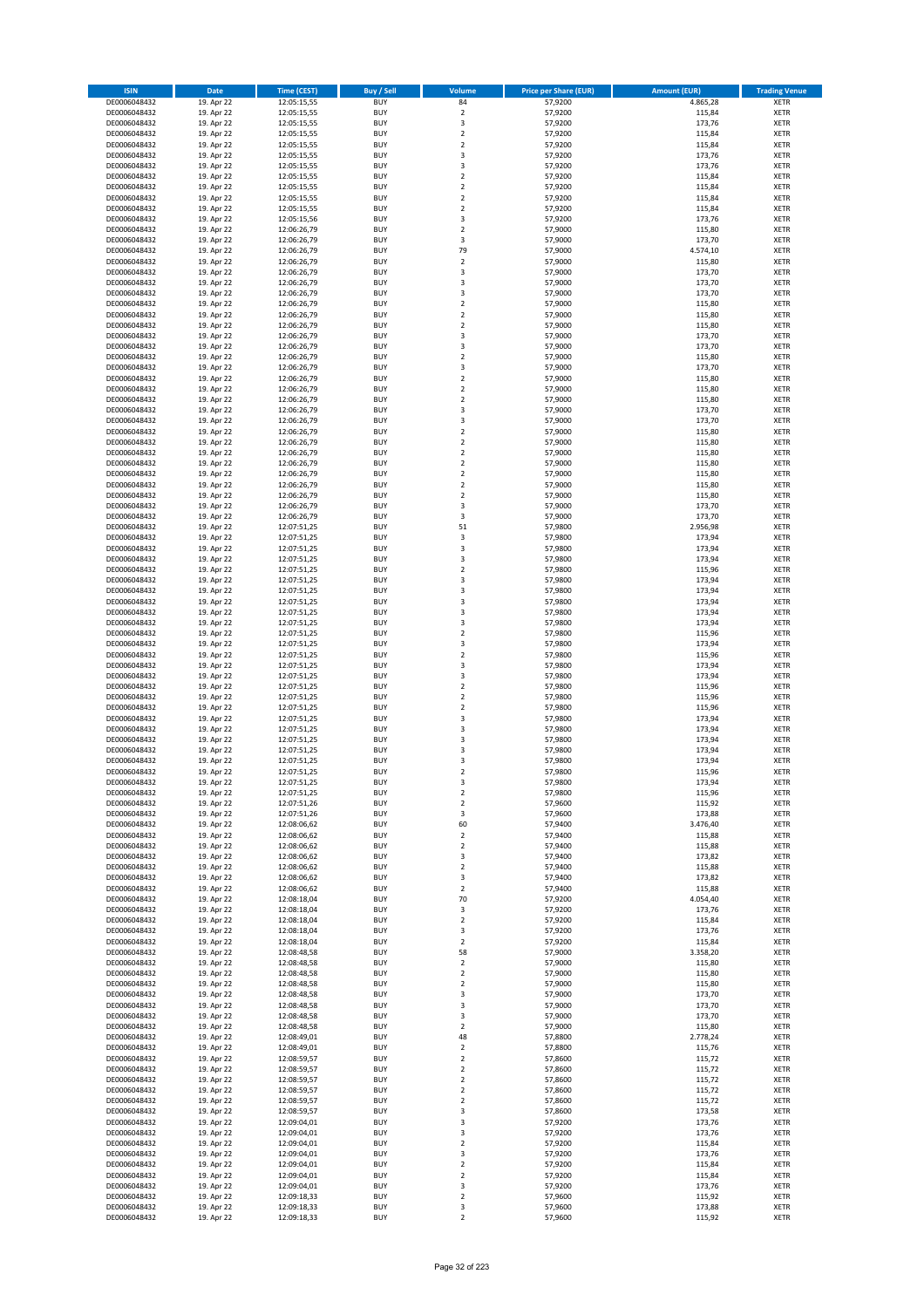| <b>ISIN</b>                  | <b>Date</b>              | <b>Time (CEST)</b>         | <b>Buy / Sell</b>        | <b>Volume</b>                          | <b>Price per Share (EUR)</b> | <b>Amount (EUR)</b> | <b>Trading Venue</b>       |
|------------------------------|--------------------------|----------------------------|--------------------------|----------------------------------------|------------------------------|---------------------|----------------------------|
| DE0006048432                 | 19. Apr 22               | 12:05:15,55                | <b>BUY</b>               | 84                                     | 57,9200                      | 4.865,28            | <b>XETR</b>                |
| DE0006048432                 | 19. Apr 22               | 12:05:15,55                | <b>BUY</b>               | $\mathbf 2$                            | 57,9200                      | 115,84              | <b>XETR</b>                |
| DE0006048432                 | 19. Apr 22               | 12:05:15,55                | <b>BUY</b>               | 3                                      | 57,9200                      | 173,76              | <b>XETR</b>                |
| DE0006048432<br>DE0006048432 | 19. Apr 22<br>19. Apr 22 | 12:05:15,55<br>12:05:15,55 | <b>BUY</b><br><b>BUY</b> | $\mathbf 2$<br>$\overline{\mathbf{c}}$ | 57,9200<br>57,9200           | 115,84<br>115,84    | <b>XETR</b><br><b>XETR</b> |
| DE0006048432                 | 19. Apr 22               | 12:05:15,55                | <b>BUY</b>               | 3                                      | 57,9200                      | 173,76              | <b>XETR</b>                |
| DE0006048432                 | 19. Apr 22               | 12:05:15,55                | <b>BUY</b>               | 3                                      | 57,9200                      | 173,76              | <b>XETR</b>                |
| DE0006048432                 | 19. Apr 22               | 12:05:15,55                | <b>BUY</b>               | $\mathbf 2$                            | 57,9200                      | 115,84              | <b>XETR</b>                |
| DE0006048432                 | 19. Apr 22               | 12:05:15,55                | <b>BUY</b>               | $\overline{2}$                         | 57,9200                      | 115,84              | <b>XETR</b>                |
| DE0006048432                 | 19. Apr 22               | 12:05:15,55                | <b>BUY</b>               | $\overline{2}$                         | 57,9200                      | 115,84              | <b>XETR</b>                |
| DE0006048432                 | 19. Apr 22               | 12:05:15,55                | <b>BUY</b>               | $\mathbf 2$                            | 57,9200                      | 115,84              | <b>XETR</b>                |
| DE0006048432<br>DE0006048432 | 19. Apr 22<br>19. Apr 22 | 12:05:15,56                | <b>BUY</b><br><b>BUY</b> | 3<br>$\mathbf 2$                       | 57,9200<br>57,9000           | 173,76<br>115,80    | <b>XETR</b><br><b>XETR</b> |
| DE0006048432                 | 19. Apr 22               | 12:06:26,79<br>12:06:26,79 | <b>BUY</b>               | 3                                      | 57,9000                      | 173,70              | <b>XETR</b>                |
| DE0006048432                 | 19. Apr 22               | 12:06:26,79                | <b>BUY</b>               | 79                                     | 57,9000                      | 4.574,10            | <b>XETR</b>                |
| DE0006048432                 | 19. Apr 22               | 12:06:26,79                | <b>BUY</b>               | $\overline{\mathbf{c}}$                | 57,9000                      | 115,80              | <b>XETR</b>                |
| DE0006048432                 | 19. Apr 22               | 12:06:26,79                | <b>BUY</b>               | 3                                      | 57,9000                      | 173,70              | <b>XETR</b>                |
| DE0006048432                 | 19. Apr 22               | 12:06:26,79                | <b>BUY</b>               | 3                                      | 57,9000                      | 173,70              | <b>XETR</b>                |
| DE0006048432                 | 19. Apr 22               | 12:06:26,79                | <b>BUY</b>               | 3                                      | 57,9000                      | 173,70              | <b>XETR</b>                |
| DE0006048432                 | 19. Apr 22               | 12:06:26,79                | <b>BUY</b>               | $\mathbf 2$                            | 57,9000                      | 115,80              | <b>XETR</b>                |
| DE0006048432<br>DE0006048432 | 19. Apr 22<br>19. Apr 22 | 12:06:26,79<br>12:06:26,79 | <b>BUY</b><br><b>BUY</b> | $\overline{\mathbf{c}}$<br>$\mathbf 2$ | 57,9000<br>57,9000           | 115,80<br>115,80    | <b>XETR</b><br><b>XETR</b> |
| DE0006048432                 | 19. Apr 22               | 12:06:26,79                | <b>BUY</b>               | 3                                      | 57,9000                      | 173,70              | <b>XETR</b>                |
| DE0006048432                 | 19. Apr 22               | 12:06:26,79                | <b>BUY</b>               | 3                                      | 57,9000                      | 173,70              | <b>XETR</b>                |
| DE0006048432                 | 19. Apr 22               | 12:06:26,79                | <b>BUY</b>               | $\mathbf 2$                            | 57,9000                      | 115,80              | <b>XETR</b>                |
| DE0006048432                 | 19. Apr 22               | 12:06:26,79                | <b>BUY</b>               | 3                                      | 57,9000                      | 173,70              | <b>XETR</b>                |
| DE0006048432                 | 19. Apr 22               | 12:06:26,79                | <b>BUY</b>               | $\mathbf 2$                            | 57,9000                      | 115,80              | <b>XETR</b>                |
| DE0006048432                 | 19. Apr 22               | 12:06:26,79                | <b>BUY</b>               | $\overline{\mathbf{c}}$                | 57,9000                      | 115,80              | <b>XETR</b>                |
| DE0006048432<br>DE0006048432 | 19. Apr 22<br>19. Apr 22 | 12:06:26,79<br>12:06:26,79 | <b>BUY</b><br><b>BUY</b> | $\mathbf 2$<br>3                       | 57,9000<br>57,9000           | 115,80<br>173,70    | <b>XETR</b><br><b>XETR</b> |
| DE0006048432                 | 19. Apr 22               | 12:06:26,79                | <b>BUY</b>               | 3                                      | 57,9000                      | 173,70              | <b>XETR</b>                |
| DE0006048432                 | 19. Apr 22               | 12:06:26,79                | <b>BUY</b>               | $\overline{2}$                         | 57,9000                      | 115,80              | <b>XETR</b>                |
| DE0006048432                 | 19. Apr 22               | 12:06:26,79                | <b>BUY</b>               | $\mathbf 2$                            | 57,9000                      | 115,80              | <b>XETR</b>                |
| DE0006048432                 | 19. Apr 22               | 12:06:26,79                | <b>BUY</b>               | $\mathbf 2$                            | 57,9000                      | 115,80              | <b>XETR</b>                |
| DE0006048432                 | 19. Apr 22               | 12:06:26,79                | <b>BUY</b>               | $\overline{2}$                         | 57.9000                      | 115,80              | <b>XETR</b>                |
| DE0006048432                 | 19. Apr 22               | 12:06:26,79                | <b>BUY</b>               | $\mathbf 2$                            | 57,9000                      | 115,80              | <b>XETR</b>                |
| DE0006048432                 | 19. Apr 22               | 12:06:26,79                | <b>BUY</b><br><b>BUY</b> | $\overline{\mathbf{c}}$<br>$\mathbf 2$ | 57,9000                      | 115,80              | <b>XETR</b>                |
| DE0006048432<br>DE0006048432 | 19. Apr 22<br>19. Apr 22 | 12:06:26,79<br>12:06:26,79 | <b>BUY</b>               | 3                                      | 57,9000<br>57,9000           | 115,80<br>173,70    | <b>XETR</b><br><b>XETR</b> |
| DE0006048432                 | 19. Apr 22               | 12:06:26,79                | <b>BUY</b>               | 3                                      | 57,9000                      | 173,70              | <b>XETR</b>                |
| DE0006048432                 | 19. Apr 22               | 12:07:51,25                | <b>BUY</b>               | 51                                     | 57,9800                      | 2.956,98            | <b>XETR</b>                |
| DE0006048432                 | 19. Apr 22               | 12:07:51,25                | <b>BUY</b>               | 3                                      | 57,9800                      | 173,94              | <b>XETR</b>                |
| DE0006048432                 | 19. Apr 22               | 12:07:51,25                | <b>BUY</b>               | 3                                      | 57,9800                      | 173,94              | <b>XETR</b>                |
| DE0006048432                 | 19. Apr 22               | 12:07:51,25                | <b>BUY</b>               | 3                                      | 57,9800                      | 173,94              | <b>XETR</b>                |
| DE0006048432                 | 19. Apr 22               | 12:07:51,25                | <b>BUY</b>               | $\mathbf 2$                            | 57,9800                      | 115,96              | <b>XETR</b>                |
| DE0006048432                 | 19. Apr 22               | 12:07:51,25                | <b>BUY</b><br><b>BUY</b> | 3                                      | 57,9800                      | 173,94              | <b>XETR</b>                |
| DE0006048432<br>DE0006048432 | 19. Apr 22<br>19. Apr 22 | 12:07:51,25<br>12:07:51,25 | <b>BUY</b>               | 3<br>3                                 | 57,9800<br>57,9800           | 173,94<br>173,94    | <b>XETR</b><br><b>XETR</b> |
| DE0006048432                 | 19. Apr 22               | 12:07:51,25                | <b>BUY</b>               | 3                                      | 57,9800                      | 173,94              | <b>XETR</b>                |
| DE0006048432                 | 19. Apr 22               | 12:07:51,25                | <b>BUY</b>               | 3                                      | 57,9800                      | 173,94              | <b>XETR</b>                |
| DE0006048432                 | 19. Apr 22               | 12:07:51,25                | <b>BUY</b>               | $\overline{\mathbf{c}}$                | 57,9800                      | 115,96              | <b>XETR</b>                |
| DE0006048432                 | 19. Apr 22               | 12:07:51,25                | <b>BUY</b>               | 3                                      | 57,9800                      | 173,94              | <b>XETR</b>                |
| DE0006048432                 | 19. Apr 22               | 12:07:51,25                | <b>BUY</b>               | $\overline{2}$                         | 57,9800                      | 115,96              | <b>XETR</b>                |
| DE0006048432<br>DE0006048432 | 19. Apr 22               | 12:07:51,25                | <b>BUY</b><br><b>BUY</b> | 3<br>3                                 | 57,9800                      | 173,94              | <b>XETR</b><br><b>XETR</b> |
| DE0006048432                 | 19. Apr 22<br>19. Apr 22 | 12:07:51,25<br>12:07:51,25 | <b>BUY</b>               | $\mathbf 2$                            | 57,9800<br>57,9800           | 173,94<br>115,96    | <b>XETR</b>                |
| DE0006048432                 | 19. Apr 22               | 12:07:51,25                | <b>BUY</b>               | $\overline{\mathbf{c}}$                | 57,9800                      | 115,96              | <b>XETR</b>                |
| DE0006048432                 | 19. Apr 22               | 12:07:51,25                | <b>BUY</b>               | $\mathbf 2$                            | 57,9800                      | 115,96              | <b>XETR</b>                |
| DE0006048432                 | 19. Apr 22               | 12:07:51,25                | <b>BUY</b>               | 3                                      | 57,9800                      | 173,94              | <b>XETR</b>                |
| DE0006048432                 | 19. Apr 22               | 12:07:51,25                | <b>BUY</b>               | 3                                      | 57,9800                      | 173,94              | <b>XETR</b>                |
| DE0006048432                 | 19. Apr 22               | 12:07:51,25                | <b>BUY</b>               | 3                                      | 57,9800                      | 173,94              | <b>XETR</b>                |
| DE0006048432                 | 19. Apr 22               | 12:07:51,25                | <b>BUY</b>               | 3                                      | 57,9800                      | 173,94              | <b>XETR</b><br><b>XETR</b> |
| DE0006048432<br>DE0006048432 | 19. Apr 22<br>19. Apr 22 | 12:07:51,25<br>12:07:51,25 | <b>BUY</b><br><b>BUY</b> | 3<br>$\overline{2}$                    | 57,9800<br>57,9800           | 173,94<br>115,96    | <b>XETR</b>                |
| DE0006048432                 | 19. Apr 22               | 12:07:51,25                | BUY                      | 3                                      | 57,9800                      | 173,94              | <b>XETR</b>                |
| DE0006048432                 | 19. Apr 22               | 12:07:51,25                | <b>BUY</b>               | $\mathbf 2$                            | 57,9800                      | 115,96              | <b>XETR</b>                |
| DE0006048432                 | 19. Apr 22               | 12:07:51,26                | <b>BUY</b>               | $\mathbf 2$                            | 57,9600                      | 115,92              | <b>XETR</b>                |
| DE0006048432                 | 19. Apr 22               | 12:07:51,26                | <b>BUY</b>               | 3                                      | 57,9600                      | 173,88              | XETR                       |
| DE0006048432                 | 19. Apr 22               | 12:08:06,62                | <b>BUY</b>               | 60                                     | 57,9400                      | 3.476,40            | <b>XETR</b>                |
| DE0006048432<br>DE0006048432 | 19. Apr 22<br>19. Apr 22 | 12:08:06,62                | <b>BUY</b><br><b>BUY</b> | $\mathbf 2$<br>$\mathbf 2$             | 57,9400<br>57,9400           | 115,88<br>115,88    | <b>XETR</b><br><b>XETR</b> |
| DE0006048432                 | 19. Apr 22               | 12:08:06,62<br>12:08:06,62 | <b>BUY</b>               | 3                                      | 57,9400                      | 173,82              | <b>XETR</b>                |
| DE0006048432                 | 19. Apr 22               | 12:08:06,62                | <b>BUY</b>               | $\mathbf 2$                            | 57,9400                      | 115,88              | <b>XETR</b>                |
| DE0006048432                 | 19. Apr 22               | 12:08:06,62                | <b>BUY</b>               | 3                                      | 57,9400                      | 173,82              | <b>XETR</b>                |
| DE0006048432                 | 19. Apr 22               | 12:08:06,62                | <b>BUY</b>               | $\mathbf 2$                            | 57,9400                      | 115,88              | <b>XETR</b>                |
| DE0006048432                 | 19. Apr 22               | 12:08:18,04                | <b>BUY</b>               | 70                                     | 57,9200                      | 4.054,40            | <b>XETR</b>                |
| DE0006048432                 | 19. Apr 22               | 12:08:18,04                | <b>BUY</b><br><b>BUY</b> | 3<br>$\overline{2}$                    | 57,9200                      | 173,76              | <b>XETR</b><br><b>XETR</b> |
| DE0006048432<br>DE0006048432 | 19. Apr 22<br>19. Apr 22 | 12:08:18,04<br>12:08:18,04 | <b>BUY</b>               | 3                                      | 57,9200<br>57,9200           | 115,84<br>173,76    | <b>XETR</b>                |
| DE0006048432                 | 19. Apr 22               | 12:08:18,04                | <b>BUY</b>               | $\overline{\mathbf{c}}$                | 57,9200                      | 115,84              | <b>XETR</b>                |
| DE0006048432                 | 19. Apr 22               | 12:08:48,58                | <b>BUY</b>               | 58                                     | 57,9000                      | 3.358,20            | <b>XETR</b>                |
| DE0006048432                 | 19. Apr 22               | 12:08:48,58                | <b>BUY</b>               | $\mathbf 2$                            | 57,9000                      | 115,80              | <b>XETR</b>                |
| DE0006048432                 | 19. Apr 22               | 12:08:48,58                | <b>BUY</b>               | $\mathbf 2$                            | 57,9000                      | 115,80              | XETR                       |
| DE0006048432                 | 19. Apr 22               | 12:08:48,58                | <b>BUY</b>               | $\mathbf 2$                            | 57,9000                      | 115,80              | <b>XETR</b>                |
| DE0006048432                 | 19. Apr 22               | 12:08:48,58                | <b>BUY</b>               | 3                                      | 57,9000                      | 173,70              | <b>XETR</b>                |
| DE0006048432<br>DE0006048432 | 19. Apr 22<br>19. Apr 22 | 12:08:48,58<br>12:08:48,58 | <b>BUY</b><br><b>BUY</b> | 3<br>3                                 | 57,9000<br>57,9000           | 173,70<br>173,70    | <b>XETR</b><br><b>XETR</b> |
| DE0006048432                 | 19. Apr 22               | 12:08:48,58                | <b>BUY</b>               | $\mathbf 2$                            | 57,9000                      | 115,80              | <b>XETR</b>                |
| DE0006048432                 | 19. Apr 22               | 12:08:49,01                | <b>BUY</b>               | 48                                     | 57,8800                      | 2.778,24            | <b>XETR</b>                |
| DE0006048432                 | 19. Apr 22               | 12:08:49,01                | <b>BUY</b>               | 2                                      | 57,8800                      | 115,76              | <b>XETR</b>                |
| DE0006048432                 | 19. Apr 22               | 12:08:59,57                | <b>BUY</b>               | $\mathbf 2$                            | 57,8600                      | 115,72              | <b>XETR</b>                |
| DE0006048432                 | 19. Apr 22               | 12:08:59,57                | <b>BUY</b>               | $\overline{2}$                         | 57,8600                      | 115,72              | <b>XETR</b>                |
| DE0006048432                 | 19. Apr 22               | 12:08:59,57                | <b>BUY</b><br><b>BUY</b> | 2<br>$\overline{\mathbf{c}}$           | 57,8600                      | 115,72              | <b>XETR</b>                |
| DE0006048432<br>DE0006048432 | 19. Apr 22<br>19. Apr 22 | 12:08:59,57<br>12:08:59,57 | <b>BUY</b>               | $\mathbf 2$                            | 57,8600<br>57,8600           | 115,72<br>115,72    | <b>XETR</b><br><b>XETR</b> |
| DE0006048432                 | 19. Apr 22               | 12:08:59,57                | <b>BUY</b>               | 3                                      | 57,8600                      | 173,58              | <b>XETR</b>                |
| DE0006048432                 | 19. Apr 22               | 12:09:04,01                | <b>BUY</b>               | 3                                      | 57,9200                      | 173,76              | <b>XETR</b>                |
| DE0006048432                 | 19. Apr 22               | 12:09:04,01                | <b>BUY</b>               | 3                                      | 57,9200                      | 173,76              | <b>XETR</b>                |
| DE0006048432                 | 19. Apr 22               | 12:09:04,01                | <b>BUY</b>               | $\mathbf 2$                            | 57,9200                      | 115,84              | <b>XETR</b>                |
| DE0006048432                 | 19. Apr 22               | 12:09:04,01                | <b>BUY</b>               | 3                                      | 57,9200                      | 173,76              | <b>XETR</b>                |
| DE0006048432                 | 19. Apr 22               | 12:09:04,01                | <b>BUY</b>               | $\overline{\mathbf{c}}$                | 57,9200                      | 115,84<br>115,84    | <b>XETR</b>                |
| DE0006048432<br>DE0006048432 | 19. Apr 22<br>19. Apr 22 | 12:09:04,01<br>12:09:04,01 | <b>BUY</b><br><b>BUY</b> | $\mathbf 2$<br>3                       | 57,9200<br>57,9200           | 173,76              | <b>XETR</b><br><b>XETR</b> |
| DE0006048432                 | 19. Apr 22               | 12:09:18,33                | <b>BUY</b>               | $\mathbf 2$                            | 57,9600                      | 115,92              | <b>XETR</b>                |
| DE0006048432                 | 19. Apr 22               | 12:09:18,33                | <b>BUY</b>               | 3                                      | 57,9600                      | 173,88              | <b>XETR</b>                |
| DE0006048432                 | 19. Apr 22               | 12:09:18,33                | <b>BUY</b>               | $\overline{2}$                         | 57,9600                      | 115,92              | <b>XETR</b>                |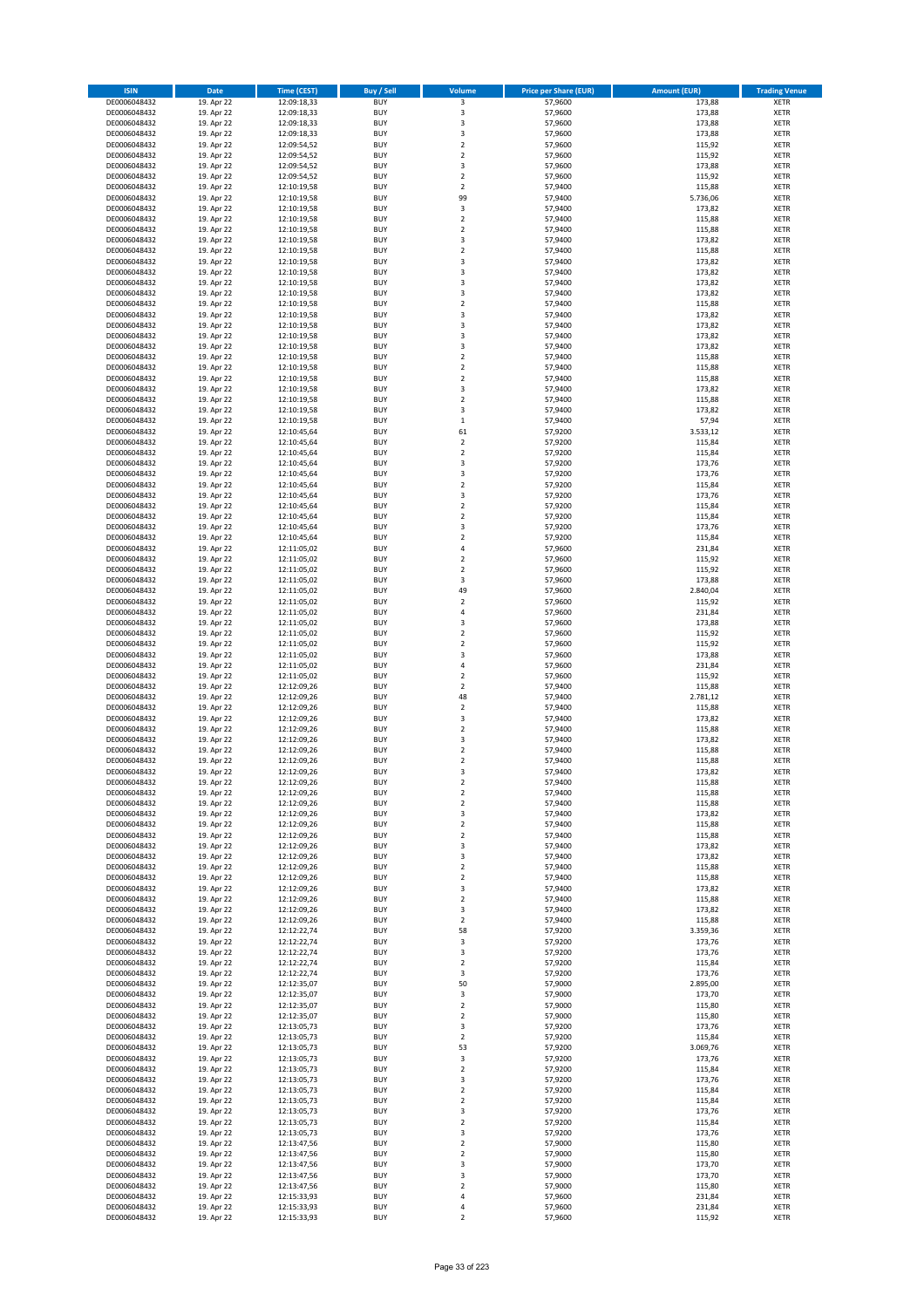| <b>ISIN</b>                  | Date                     | Time (CEST)                | <b>Buy / Sell</b>        | Volume                       | <b>Price per Share (EUR)</b> | <b>Amount (EUR)</b> | <b>Trading Venue</b>       |
|------------------------------|--------------------------|----------------------------|--------------------------|------------------------------|------------------------------|---------------------|----------------------------|
| DE0006048432                 | 19. Apr 22               | 12:09:18,33                | <b>BUY</b>               | $\overline{\mathbf{3}}$      | 57,9600                      | 173,88              | <b>XETR</b>                |
| DE0006048432                 | 19. Apr 22               | 12:09:18,33                | <b>BUY</b>               | 3                            | 57,9600                      | 173,88              | XETR                       |
| DE0006048432                 | 19. Apr 22               | 12:09:18,33                | <b>BUY</b>               | 3                            | 57,9600                      | 173,88              | <b>XETR</b>                |
| DE0006048432                 | 19. Apr 22               | 12:09:18,33                | <b>BUY</b>               | $\mathsf 3$                  | 57,9600                      | 173,88              | XETR                       |
| DE0006048432<br>DE0006048432 | 19. Apr 22<br>19. Apr 22 | 12:09:54,52<br>12:09:54,52 | <b>BUY</b><br><b>BUY</b> | $\mathbf 2$<br>$\mathbf 2$   | 57,9600<br>57,9600           | 115,92<br>115,92    | <b>XETR</b><br><b>XETR</b> |
| DE0006048432                 | 19. Apr 22               | 12:09:54,52                | <b>BUY</b>               | 3                            | 57,9600                      | 173,88              | <b>XETR</b>                |
| DE0006048432                 | 19. Apr 22               | 12:09:54,52                | <b>BUY</b>               | $\overline{2}$               | 57,9600                      | 115,92              | <b>XETR</b>                |
| DE0006048432                 | 19. Apr 22               | 12:10:19,58                | <b>BUY</b>               | $\overline{2}$               | 57,9400                      | 115,88              | <b>XETR</b>                |
| DE0006048432                 | 19. Apr 22               | 12:10:19,58                | <b>BUY</b>               | 99                           | 57,9400                      | 5.736,06            | <b>XETR</b>                |
| DE0006048432                 | 19. Apr 22               | 12:10:19,58                | <b>BUY</b>               | $\mathsf 3$                  | 57,9400                      | 173,82              | <b>XETR</b>                |
| DE0006048432                 | 19. Apr 22               | 12:10:19,58                | <b>BUY</b>               | $\mathbf 2$<br>$\mathbf 2$   | 57,9400                      | 115,88              | <b>XETR</b>                |
| DE0006048432<br>DE0006048432 | 19. Apr 22<br>19. Apr 22 | 12:10:19,58<br>12:10:19,58 | <b>BUY</b><br><b>BUY</b> | 3                            | 57,9400<br>57,9400           | 115,88<br>173,82    | <b>XETR</b><br><b>XETR</b> |
| DE0006048432                 | 19. Apr 22               | 12:10:19,58                | <b>BUY</b>               | $\mathbf 2$                  | 57,9400                      | 115,88              | <b>XETR</b>                |
| DE0006048432                 | 19. Apr 22               | 12:10:19,58                | <b>BUY</b>               | 3                            | 57,9400                      | 173,82              | <b>XETR</b>                |
| DE0006048432                 | 19. Apr 22               | 12:10:19,58                | <b>BUY</b>               | 3                            | 57,9400                      | 173,82              | <b>XETR</b>                |
| DE0006048432                 | 19. Apr 22               | 12:10:19,58                | <b>BUY</b>               | 3                            | 57,9400                      | 173,82              | <b>XETR</b>                |
| DE0006048432                 | 19. Apr 22               | 12:10:19,58                | <b>BUY</b>               | 3                            | 57,9400                      | 173,82              | <b>XETR</b>                |
| DE0006048432<br>DE0006048432 | 19. Apr 22<br>19. Apr 22 | 12:10:19,58<br>12:10:19,58 | <b>BUY</b><br><b>BUY</b> | $\mathbf 2$<br>3             | 57,9400<br>57,9400           | 115,88<br>173,82    | <b>XETR</b><br><b>XETR</b> |
| DE0006048432                 | 19. Apr 22               | 12:10:19,58                | <b>BUY</b>               | 3                            | 57,9400                      | 173,82              | <b>XETR</b>                |
| DE0006048432                 | 19. Apr 22               | 12:10:19,58                | <b>BUY</b>               | 3                            | 57,9400                      | 173,82              | <b>XETR</b>                |
| DE0006048432                 | 19. Apr 22               | 12:10:19,58                | <b>BUY</b>               | 3                            | 57,9400                      | 173,82              | <b>XETR</b>                |
| DE0006048432                 | 19. Apr 22               | 12:10:19,58                | <b>BUY</b>               | $\mathbf 2$                  | 57,9400                      | 115,88              | <b>XETR</b>                |
| DE0006048432                 | 19. Apr 22               | 12:10:19,58                | <b>BUY</b>               | $\mathbf 2$                  | 57,9400                      | 115,88              | <b>XETR</b>                |
| DE0006048432<br>DE0006048432 | 19. Apr 22               | 12:10:19,58                | <b>BUY</b><br><b>BUY</b> | $\mathbf 2$<br>3             | 57,9400                      | 115,88              | <b>XETR</b><br><b>XETR</b> |
| DE0006048432                 | 19. Apr 22<br>19. Apr 22 | 12:10:19,58<br>12:10:19,58 | <b>BUY</b>               | $\mathbf 2$                  | 57,9400<br>57,9400           | 173,82<br>115,88    | <b>XETR</b>                |
| DE0006048432                 | 19. Apr 22               | 12:10:19,58                | <b>BUY</b>               | 3                            | 57,9400                      | 173,82              | <b>XETR</b>                |
| DE0006048432                 | 19. Apr 22               | 12:10:19,58                | <b>BUY</b>               | $\mathbf 1$                  | 57,9400                      | 57,94               | <b>XETR</b>                |
| DE0006048432                 | 19. Apr 22               | 12:10:45,64                | <b>BUY</b>               | 61                           | 57,9200                      | 3.533,12            | <b>XETR</b>                |
| DE0006048432                 | 19. Apr 22               | 12:10:45,64                | <b>BUY</b>               | $\mathbf 2$                  | 57,9200                      | 115,84              | <b>XETR</b>                |
| DE0006048432                 | 19. Apr 22               | 12:10:45,64                | <b>BUY</b>               | $\mathbf 2$                  | 57,9200                      | 115,84              | <b>XETR</b>                |
| DE0006048432<br>DE0006048432 | 19. Apr 22<br>19. Apr 22 | 12:10:45.64<br>12:10:45,64 | <b>BUY</b><br><b>BUY</b> | 3<br>$\mathsf 3$             | 57,9200<br>57,9200           | 173,76<br>173,76    | <b>XETR</b><br><b>XETR</b> |
| DE0006048432                 | 19. Apr 22               | 12:10:45,64                | <b>BUY</b>               | $\overline{2}$               | 57,9200                      | 115,84              | <b>XETR</b>                |
| DE0006048432                 | 19. Apr 22               | 12:10:45,64                | <b>BUY</b>               | 3                            | 57,9200                      | 173,76              | <b>XETR</b>                |
| DE0006048432                 | 19. Apr 22               | 12:10:45,64                | <b>BUY</b>               | $\overline{2}$               | 57,9200                      | 115,84              | <b>XETR</b>                |
| DE0006048432                 | 19. Apr 22               | 12:10:45,64                | <b>BUY</b>               | $\mathbf 2$                  | 57,9200                      | 115,84              | <b>XETR</b>                |
| DE0006048432                 | 19. Apr 22               | 12:10:45,64                | <b>BUY</b>               | 3                            | 57,9200                      | 173,76              | <b>XETR</b>                |
| DE0006048432<br>DE0006048432 | 19. Apr 22<br>19. Apr 22 | 12:10:45,64<br>12:11:05,02 | <b>BUY</b><br><b>BUY</b> | $\overline{2}$<br>$\sqrt{4}$ | 57,9200<br>57,9600           | 115,84<br>231,84    | <b>XETR</b><br><b>XETR</b> |
| DE0006048432                 | 19. Apr 22               | 12:11:05,02                | <b>BUY</b>               | $\overline{2}$               | 57,9600                      | 115,92              | <b>XETR</b>                |
| DE0006048432                 | 19. Apr 22               | 12:11:05,02                | <b>BUY</b>               | $\mathbf 2$                  | 57,9600                      | 115,92              | <b>XETR</b>                |
| DE0006048432                 | 19. Apr 22               | 12:11:05,02                | <b>BUY</b>               | 3                            | 57,9600                      | 173,88              | <b>XETR</b>                |
| DE0006048432                 | 19. Apr 22               | 12:11:05,02                | <b>BUY</b>               | 49                           | 57,9600                      | 2.840,04            | <b>XETR</b>                |
| DE0006048432                 | 19. Apr 22               | 12:11:05,02                | <b>BUY</b>               | $\mathbf 2$                  | 57,9600                      | 115,92              | <b>XETR</b>                |
| DE0006048432<br>DE0006048432 | 19. Apr 22<br>19. Apr 22 | 12:11:05,02<br>12:11:05,02 | <b>BUY</b><br><b>BUY</b> | $\sqrt{4}$<br>3              | 57,9600<br>57,9600           | 231,84<br>173,88    | <b>XETR</b><br><b>XETR</b> |
| DE0006048432                 | 19. Apr 22               | 12:11:05,02                | <b>BUY</b>               | $\mathbf 2$                  | 57,9600                      | 115,92              | <b>XETR</b>                |
| DE0006048432                 | 19. Apr 22               | 12:11:05,02                | <b>BUY</b>               | $\mathbf 2$                  | 57,9600                      | 115,92              | <b>XETR</b>                |
| DE0006048432                 | 19. Apr 22               | 12:11:05,02                | <b>BUY</b>               | 3                            | 57,9600                      | 173,88              | <b>XETR</b>                |
| DE0006048432                 | 19. Apr 22               | 12:11:05,02                | <b>BUY</b>               | $\sqrt{4}$                   | 57,9600                      | 231,84              | <b>XETR</b>                |
| DE0006048432                 | 19. Apr 22               | 12:11:05,02                | <b>BUY</b>               | $\overline{2}$               | 57,9600                      | 115,92              | <b>XETR</b>                |
| DE0006048432                 | 19. Apr 22               | 12:12:09,26                | <b>BUY</b>               | $\mathbf 2$                  | 57,9400                      | 115,88              | <b>XETR</b>                |
| DE0006048432<br>DE0006048432 | 19. Apr 22<br>19. Apr 22 | 12:12:09,26<br>12:12:09,26 | <b>BUY</b><br><b>BUY</b> | 48<br>$\mathbf 2$            | 57,9400<br>57,9400           | 2.781,12<br>115,88  | <b>XETR</b><br><b>XETR</b> |
| DE0006048432                 | 19. Apr 22               | 12:12:09,26                | <b>BUY</b>               | 3                            | 57,9400                      | 173,82              | <b>XETR</b>                |
| DE0006048432                 | 19. Apr 22               | 12:12:09,26                | <b>BUY</b>               | $\overline{2}$               | 57,9400                      | 115,88              | <b>XETR</b>                |
| DE0006048432                 | 19. Apr 22               | 12:12:09,26                | <b>BUY</b>               | 3                            | 57,9400                      | 173,82              | <b>XETR</b>                |
| DE0006048432                 | 19. Apr 22               | 12:12:09,26                | <b>BUY</b>               | $\overline{2}$               | 57,9400                      | 115,88              | <b>XETR</b>                |
| DE0006048432                 | 19. Apr 22               | 12:12:09,26                | <b>BUY</b>               | $\overline{2}$               | 57,9400                      | 115,88              | <b>XETR</b>                |
| DE0006048432<br>DE0006048432 | 19. Apr 22<br>19. Apr 22 | 12:12:09,26<br>12:12:09,26 | <b>BUY</b><br>BUY        | 3<br>$\mathbf 2$             | 57,9400<br>57,9400           | 173,82<br>115,88    | <b>XETR</b><br>XETR        |
| DE0006048432                 | 19. Apr 22               | 12:12:09,26                | <b>BUY</b>               | $\mathbf 2$                  | 57,9400                      | 115,88              | <b>XETR</b>                |
| DE0006048432                 | 19. Apr 22               | 12:12:09,26                | <b>BUY</b>               | $\overline{2}$               | 57,9400                      | 115,88              | <b>XETR</b>                |
| DE0006048432                 | 19. Apr 22               | 12:12:09,26                | <b>BUY</b>               | 3                            | 57,9400                      | 173,82              | <b>XETR</b>                |
| DE0006048432                 | 19. Apr 22               | 12:12:09,26                | <b>BUY</b>               | $\overline{2}$               | 57,9400                      | 115,88              | <b>XETR</b>                |
| DE0006048432                 | 19. Apr 22               | 12:12:09,26                | <b>BUY</b>               | $\overline{2}$               | 57,9400                      | 115,88              | <b>XETR</b>                |
| DE0006048432<br>DE0006048432 | 19. Apr 22<br>19. Apr 22 | 12:12:09,26<br>12:12:09,26 | <b>BUY</b><br><b>BUY</b> | 3<br>3                       | 57,9400<br>57,9400           | 173,82<br>173,82    | <b>XETR</b><br><b>XETR</b> |
| DE0006048432                 | 19. Apr 22               | 12:12:09,26                | <b>BUY</b>               | $\overline{2}$               | 57,9400                      | 115,88              | XETR                       |
| DE0006048432                 | 19. Apr 22               | 12:12:09,26                | <b>BUY</b>               | $\mathbf 2$                  | 57,9400                      | 115,88              | <b>XETR</b>                |
| DE0006048432                 | 19. Apr 22               | 12:12:09,26                | <b>BUY</b>               | 3                            | 57,9400                      | 173,82              | XETR                       |
| DE0006048432                 | 19. Apr 22               | 12:12:09,26                | <b>BUY</b>               | $\overline{2}$               | 57,9400                      | 115,88              | <b>XETR</b>                |
| DE0006048432                 | 19. Apr 22               | 12:12:09,26                | <b>BUY</b>               | 3                            | 57,9400                      | 173,82              | XETR                       |
| DE0006048432                 | 19. Apr 22               | 12:12:09,26                | <b>BUY</b><br><b>BUY</b> | $\overline{2}$               | 57,9400<br>57,9200           | 115,88<br>3.359,36  | <b>XETR</b>                |
| DE0006048432<br>DE0006048432 | 19. Apr 22<br>19. Apr 22 | 12:12:22,74<br>12:12:22,74 | <b>BUY</b>               | 58<br>3                      | 57,9200                      | 173,76              | XETR<br><b>XETR</b>        |
| DE0006048432                 | 19. Apr 22               | 12:12:22,74                | <b>BUY</b>               | 3                            | 57,9200                      | 173,76              | <b>XETR</b>                |
| DE0006048432                 | 19. Apr 22               | 12:12:22,74                | <b>BUY</b>               | $\overline{2}$               | 57,9200                      | 115,84              | <b>XETR</b>                |
| DE0006048432                 | 19. Apr 22               | 12:12:22,74                | <b>BUY</b>               | 3                            | 57,9200                      | 173,76              | XETR                       |
| DE0006048432                 | 19. Apr 22               | 12:12:35,07                | <b>BUY</b>               | 50                           | 57,9000                      | 2.895,00            | <b>XETR</b>                |
| DE0006048432<br>DE0006048432 | 19. Apr 22<br>19. Apr 22 | 12:12:35,07<br>12:12:35,07 | <b>BUY</b><br><b>BUY</b> | 3<br>$\mathbf 2$             | 57,9000<br>57,9000           | 173,70<br>115,80    | <b>XETR</b><br><b>XETR</b> |
| DE0006048432                 | 19. Apr 22               | 12:12:35,07                | <b>BUY</b>               | $\overline{2}$               | 57,9000                      | 115,80              | XETR                       |
| DE0006048432                 | 19. Apr 22               | 12:13:05,73                | <b>BUY</b>               | 3                            | 57,9200                      | 173,76              | <b>XETR</b>                |
| DE0006048432                 | 19. Apr 22               | 12:13:05,73                | <b>BUY</b>               | $\overline{2}$               | 57,9200                      | 115,84              | XETR                       |
| DE0006048432                 | 19. Apr 22               | 12:13:05,73                | <b>BUY</b>               | 53                           | 57,9200                      | 3.069,76            | XETR                       |
| DE0006048432                 | 19. Apr 22               | 12:13:05,73                | <b>BUY</b>               | 3                            | 57,9200                      | 173,76              | XETR                       |
| DE0006048432                 | 19. Apr 22               | 12:13:05,73                | <b>BUY</b>               | $\mathbf 2$                  | 57,9200                      | 115,84              | <b>XETR</b>                |
| DE0006048432<br>DE0006048432 | 19. Apr 22<br>19. Apr 22 | 12:13:05,73<br>12:13:05,73 | <b>BUY</b><br><b>BUY</b> | 3<br>$\overline{2}$          | 57,9200<br>57,9200           | 173,76<br>115,84    | <b>XETR</b><br><b>XETR</b> |
| DE0006048432                 | 19. Apr 22               | 12:13:05,73                | <b>BUY</b>               | $\overline{2}$               | 57,9200                      | 115,84              | <b>XETR</b>                |
| DE0006048432                 | 19. Apr 22               | 12:13:05,73                | <b>BUY</b>               | 3                            | 57,9200                      | 173,76              | XETR                       |
| DE0006048432                 | 19. Apr 22               | 12:13:05,73                | <b>BUY</b>               | $\mathbf 2$                  | 57,9200                      | 115,84              | XETR                       |
| DE0006048432                 | 19. Apr 22               | 12:13:05,73                | <b>BUY</b>               | 3                            | 57,9200                      | 173,76              | <b>XETR</b>                |
| DE0006048432                 | 19. Apr 22               | 12:13:47,56                | <b>BUY</b>               | $\mathbf 2$                  | 57,9000                      | 115,80              | <b>XETR</b>                |
| DE0006048432<br>DE0006048432 | 19. Apr 22<br>19. Apr 22 | 12:13:47,56<br>12:13:47,56 | <b>BUY</b><br><b>BUY</b> | $\mathbf 2$<br>3             | 57,9000<br>57,9000           | 115,80<br>173,70    | <b>XETR</b><br>XETR        |
| DE0006048432                 | 19. Apr 22               | 12:13:47,56                | <b>BUY</b>               | 3                            | 57,9000                      | 173,70              | XETR                       |
| DE0006048432                 | 19. Apr 22               | 12:13:47,56                | <b>BUY</b>               | $\overline{2}$               | 57,9000                      | 115,80              | <b>XETR</b>                |
| DE0006048432                 | 19. Apr 22               | 12:15:33,93                | <b>BUY</b>               | 4                            | 57,9600                      | 231,84              | XETR                       |
| DE0006048432                 | 19. Apr 22               | 12:15:33,93                | <b>BUY</b>               | $\pmb{4}$                    | 57,9600                      | 231,84              | <b>XETR</b>                |
| DE0006048432                 | 19. Apr 22               | 12:15:33,93                | <b>BUY</b>               | $\mathbf 2$                  | 57,9600                      | 115,92              | <b>XETR</b>                |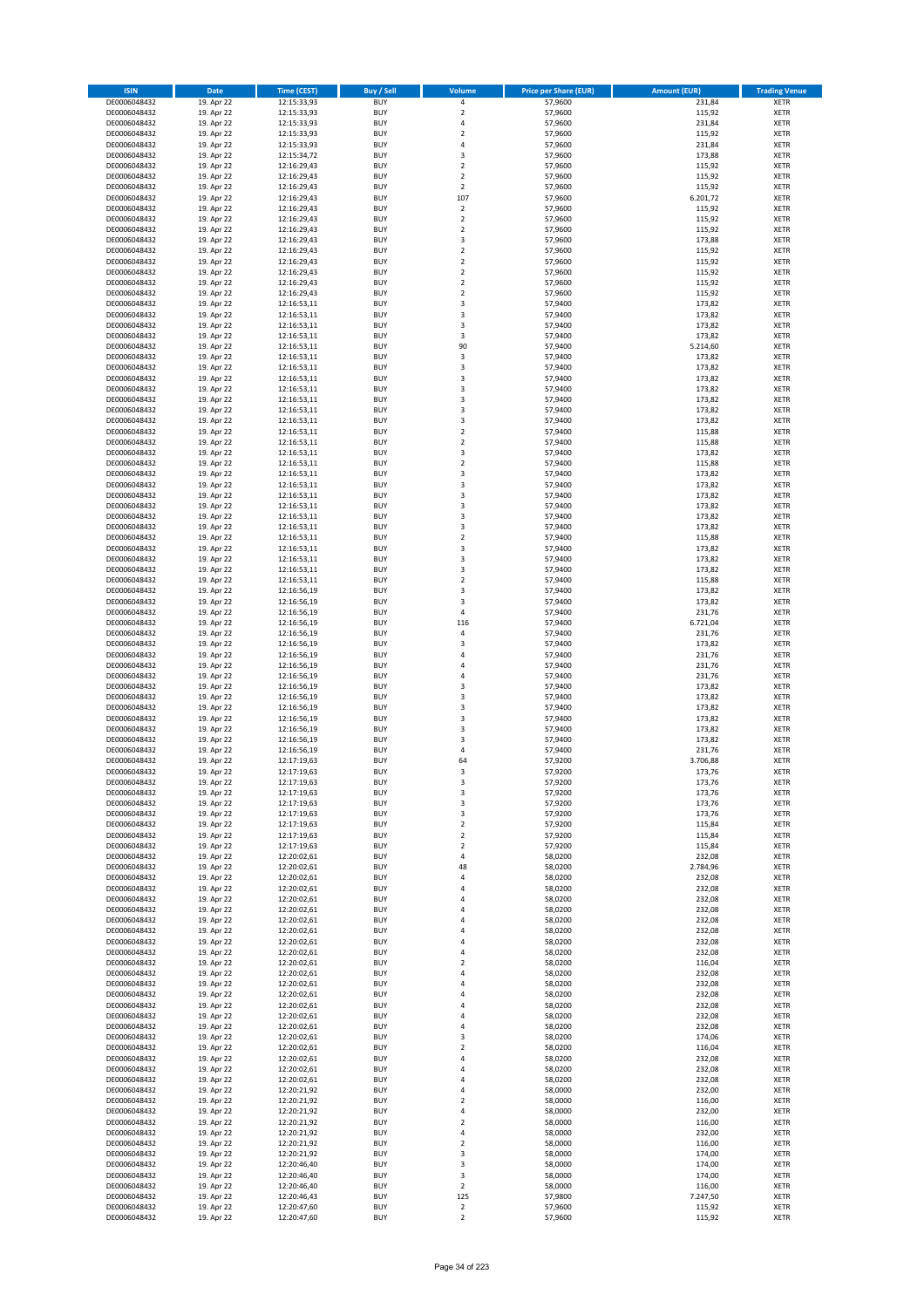| <b>ISIN</b>                  | <b>Date</b>              | Time (CEST)                | <b>Buy / Sell</b>        | <b>Volume</b>                          | <b>Price per Share (EUR)</b> | <b>Amount (EUR)</b> | <b>Trading Venue</b>       |
|------------------------------|--------------------------|----------------------------|--------------------------|----------------------------------------|------------------------------|---------------------|----------------------------|
| DE0006048432                 | 19. Apr 22               | 12:15:33,93                | <b>BUY</b>               | 4                                      | 57,9600                      | 231,84              | <b>XETR</b>                |
| DE0006048432                 | 19. Apr 22               | 12:15:33,93                | <b>BUY</b>               | $\mathbf 2$                            | 57,9600                      | 115,92              | <b>XETR</b>                |
| DE0006048432                 | 19. Apr 22               | 12:15:33,93                | <b>BUY</b>               | 4                                      | 57,9600                      | 231,84              | <b>XETR</b>                |
| DE0006048432<br>DE0006048432 | 19. Apr 22<br>19. Apr 22 | 12:15:33,93<br>12:15:33,93 | <b>BUY</b><br><b>BUY</b> | $\mathbf 2$<br>4                       | 57,9600<br>57,9600           | 115,92<br>231,84    | <b>XETR</b><br><b>XETR</b> |
| DE0006048432                 | 19. Apr 22               | 12:15:34,72                | <b>BUY</b>               | 3                                      | 57,9600                      | 173,88              | <b>XETR</b>                |
| DE0006048432                 | 19. Apr 22               | 12:16:29,43                | <b>BUY</b>               | $\mathbf 2$                            | 57,9600                      | 115,92              | <b>XETR</b>                |
| DE0006048432                 | 19. Apr 22               | 12:16:29,43                | <b>BUY</b>               | $\mathbf 2$                            | 57,9600                      | 115,92              | <b>XETR</b>                |
| DE0006048432                 | 19. Apr 22               | 12:16:29,43                | <b>BUY</b>               | $\overline{2}$                         | 57,9600                      | 115,92              | <b>XETR</b>                |
| DE0006048432                 | 19. Apr 22               | 12:16:29,43                | <b>BUY</b><br><b>BUY</b> | 107                                    | 57,9600                      | 6.201,72            | <b>XETR</b>                |
| DE0006048432<br>DE0006048432 | 19. Apr 22<br>19. Apr 22 | 12:16:29,43<br>12:16:29,43 | <b>BUY</b>               | $\mathbf 2$<br>$\overline{\mathbf{c}}$ | 57,9600<br>57,9600           | 115,92<br>115,92    | <b>XETR</b><br><b>XETR</b> |
| DE0006048432                 | 19. Apr 22               | 12:16:29,43                | <b>BUY</b>               | $\mathbf 2$                            | 57,9600                      | 115,92              | <b>XETR</b>                |
| DE0006048432                 | 19. Apr 22               | 12:16:29,43                | <b>BUY</b>               | 3                                      | 57,9600                      | 173,88              | <b>XETR</b>                |
| DE0006048432                 | 19. Apr 22               | 12:16:29,43                | <b>BUY</b>               | $\mathbf 2$                            | 57,9600                      | 115,92              | <b>XETR</b>                |
| DE0006048432                 | 19. Apr 22               | 12:16:29,43                | <b>BUY</b>               | $\overline{\mathbf{c}}$                | 57,9600                      | 115,92              | <b>XETR</b>                |
| DE0006048432<br>DE0006048432 | 19. Apr 22<br>19. Apr 22 | 12:16:29,43<br>12:16:29,43 | <b>BUY</b><br><b>BUY</b> | $\mathbf 2$<br>$\mathbf 2$             | 57,9600<br>57,9600           | 115,92<br>115,92    | <b>XETR</b><br><b>XETR</b> |
| DE0006048432                 | 19. Apr 22               | 12:16:29,43                | <b>BUY</b>               | $\overline{\mathbf{c}}$                | 57,9600                      | 115,92              | <b>XETR</b>                |
| DE0006048432                 | 19. Apr 22               | 12:16:53,11                | <b>BUY</b>               | 3                                      | 57,9400                      | 173,82              | <b>XETR</b>                |
| DE0006048432                 | 19. Apr 22               | 12:16:53,11                | <b>BUY</b>               | 3                                      | 57,9400                      | 173,82              | <b>XETR</b>                |
| DE0006048432                 | 19. Apr 22               | 12:16:53,11                | <b>BUY</b>               | 3                                      | 57,9400                      | 173,82              | <b>XETR</b>                |
| DE0006048432                 | 19. Apr 22               | 12:16:53,11                | <b>BUY</b><br><b>BUY</b> | 3<br>90                                | 57,9400                      | 173,82              | <b>XETR</b>                |
| DE0006048432<br>DE0006048432 | 19. Apr 22<br>19. Apr 22 | 12:16:53,11<br>12:16:53,11 | <b>BUY</b>               | 3                                      | 57,9400<br>57,9400           | 5.214,60<br>173,82  | <b>XETR</b><br><b>XETR</b> |
| DE0006048432                 | 19. Apr 22               | 12:16:53,11                | <b>BUY</b>               | 3                                      | 57,9400                      | 173,82              | <b>XETR</b>                |
| DE0006048432                 | 19. Apr 22               | 12:16:53,11                | <b>BUY</b>               | 3                                      | 57,9400                      | 173,82              | XETR                       |
| DE0006048432                 | 19. Apr 22               | 12:16:53,11                | <b>BUY</b>               | 3                                      | 57,9400                      | 173,82              | <b>XETR</b>                |
| DE0006048432                 | 19. Apr 22               | 12:16:53,11                | <b>BUY</b>               | 3                                      | 57,9400                      | 173,82              | <b>XETR</b>                |
| DE0006048432<br>DE0006048432 | 19. Apr 22<br>19. Apr 22 | 12:16:53,11<br>12:16:53,11 | <b>BUY</b><br><b>BUY</b> | 3<br>3                                 | 57,9400<br>57,9400           | 173,82<br>173,82    | <b>XETR</b><br><b>XETR</b> |
| DE0006048432                 | 19. Apr 22               | 12:16:53,11                | <b>BUY</b>               | $\overline{2}$                         | 57,9400                      | 115,88              | <b>XETR</b>                |
| DE0006048432                 | 19. Apr 22               | 12:16:53,11                | <b>BUY</b>               | $\mathbf 2$                            | 57,9400                      | 115,88              | <b>XETR</b>                |
| DE0006048432                 | 19. Apr 22               | 12:16:53,11                | <b>BUY</b>               | 3                                      | 57,9400                      | 173,82              | <b>XETR</b>                |
| DE0006048432                 | 19. Apr 22               | 12:16:53,11                | <b>BUY</b>               | $\mathbf 2$                            | 57.9400                      | 115,88              | <b>XETR</b>                |
| DE0006048432<br>DE0006048432 | 19. Apr 22               | 12:16:53,11                | <b>BUY</b>               | 3                                      | 57,9400                      | 173,82              | <b>XETR</b>                |
| DE0006048432                 | 19. Apr 22<br>19. Apr 22 | 12:16:53,11<br>12:16:53,11 | <b>BUY</b><br><b>BUY</b> | 3<br>3                                 | 57,9400<br>57,9400           | 173,82<br>173,82    | <b>XETR</b><br><b>XETR</b> |
| DE0006048432                 | 19. Apr 22               | 12:16:53,11                | <b>BUY</b>               | 3                                      | 57,9400                      | 173,82              | <b>XETR</b>                |
| DE0006048432                 | 19. Apr 22               | 12:16:53,11                | <b>BUY</b>               | 3                                      | 57,9400                      | 173,82              | <b>XETR</b>                |
| DE0006048432                 | 19. Apr 22               | 12:16:53,11                | <b>BUY</b>               | 3                                      | 57,9400                      | 173,82              | <b>XETR</b>                |
| DE0006048432                 | 19. Apr 22               | 12:16:53,11                | <b>BUY</b>               | $\mathbf 2$                            | 57,9400                      | 115,88              | <b>XETR</b>                |
| DE0006048432                 | 19. Apr 22               | 12:16:53,11                | <b>BUY</b><br><b>BUY</b> | 3<br>3                                 | 57,9400                      | 173,82              | <b>XETR</b><br><b>XETR</b> |
| DE0006048432<br>DE0006048432 | 19. Apr 22<br>19. Apr 22 | 12:16:53,11<br>12:16:53,11 | <b>BUY</b>               | 3                                      | 57,9400<br>57,9400           | 173,82<br>173,82    | <b>XETR</b>                |
| DE0006048432                 | 19. Apr 22               | 12:16:53,11                | <b>BUY</b>               | $\overline{2}$                         | 57,9400                      | 115,88              | <b>XETR</b>                |
| DE0006048432                 | 19. Apr 22               | 12:16:56,19                | <b>BUY</b>               | 3                                      | 57,9400                      | 173,82              | <b>XETR</b>                |
| DE0006048432                 | 19. Apr 22               | 12:16:56,19                | <b>BUY</b>               | 3                                      | 57,9400                      | 173,82              | <b>XETR</b>                |
| DE0006048432                 | 19. Apr 22               | 12:16:56,19                | <b>BUY</b>               | 4                                      | 57,9400                      | 231,76              | <b>XETR</b>                |
| DE0006048432<br>DE0006048432 | 19. Apr 22<br>19. Apr 22 | 12:16:56,19<br>12:16:56,19 | <b>BUY</b><br><b>BUY</b> | 116<br>4                               | 57,9400<br>57,9400           | 6.721,04<br>231,76  | <b>XETR</b><br><b>XETR</b> |
| DE0006048432                 | 19. Apr 22               | 12:16:56,19                | <b>BUY</b>               | 3                                      | 57,9400                      | 173,82              | <b>XETR</b>                |
| DE0006048432                 | 19. Apr 22               | 12:16:56,19                | <b>BUY</b>               | 4                                      | 57,9400                      | 231,76              | <b>XETR</b>                |
| DE0006048432                 | 19. Apr 22               | 12:16:56,19                | <b>BUY</b>               | 4                                      | 57,9400                      | 231,76              | <b>XETR</b>                |
| DE0006048432                 | 19. Apr 22               | 12:16:56,19                | <b>BUY</b>               | 4                                      | 57,9400                      | 231,76              | <b>XETR</b>                |
| DE0006048432                 | 19. Apr 22               | 12:16:56,19                | <b>BUY</b>               | 3                                      | 57,9400                      | 173,82              | <b>XETR</b>                |
| DE0006048432<br>DE0006048432 | 19. Apr 22<br>19. Apr 22 | 12:16:56,19<br>12:16:56,19 | <b>BUY</b><br><b>BUY</b> | 3<br>3                                 | 57,9400<br>57,9400           | 173,82<br>173,82    | <b>XETR</b><br><b>XETR</b> |
| DE0006048432                 | 19. Apr 22               | 12:16:56,19                | <b>BUY</b>               | 3                                      | 57,9400                      | 173,82              | <b>XETR</b>                |
| DE0006048432                 | 19. Apr 22               | 12:16:56,19                | <b>BUY</b>               | 3                                      | 57,9400                      | 173,82              | <b>XETR</b>                |
| DE0006048432                 | 19. Apr 22               | 12:16:56,19                | <b>BUY</b>               | 3                                      | 57,9400                      | 173,82              | <b>XETR</b>                |
| DE0006048432                 | 19. Apr 22               | 12:16:56,19                | <b>BUY</b>               | 4                                      | 57,9400                      | 231,76              | <b>XETR</b>                |
| DE0006048432<br>DE0006048432 | 19. Apr 22<br>19. Apr 22 | 12:17:19,63<br>12:17:19,63 | <b>BUY</b><br><b>BUY</b> | 64<br>3                                | 57,9200<br>57,9200           | 3.706,88<br>173,76  | <b>XETR</b><br><b>XETR</b> |
| DE0006048432                 | 19. Apr 22               | 12:17:19,63                | BUY                      | 3                                      | 57,9200                      | 173,76              | <b>XETR</b>                |
| DE0006048432                 | 19. Apr 22               | 12:17:19,63                | <b>BUY</b>               | 3                                      | 57,9200                      | 173,76              | <b>XETR</b>                |
| DE0006048432                 | 19. Apr 22               | 12:17:19,63                | <b>BUY</b>               | 3                                      | 57,9200                      | 173,76              | <b>XETR</b>                |
| DE0006048432                 | 19. Apr 22               | 12:17:19,63                | <b>BUY</b>               | 3                                      | 57,9200                      | 173,76              | XETR                       |
| DE0006048432<br>DE0006048432 | 19. Apr 22<br>19. Apr 22 | 12:17:19,63<br>12:17:19,63 | <b>BUY</b><br><b>BUY</b> | $\mathbf 2$<br>$\mathbf 2$             | 57,9200<br>57,9200           | 115,84<br>115,84    | <b>XETR</b><br><b>XETR</b> |
| DE0006048432                 | 19. Apr 22               | 12:17:19,63                | <b>BUY</b>               | $\overline{2}$                         | 57,9200                      | 115,84              | <b>XETR</b>                |
| DE0006048432                 | 19. Apr 22               | 12:20:02,61                | <b>BUY</b>               | 4                                      | 58,0200                      | 232,08              | <b>XETR</b>                |
| DE0006048432                 | 19. Apr 22               | 12:20:02,61                | <b>BUY</b>               | 48                                     | 58,0200                      | 2.784,96            | <b>XETR</b>                |
| DE0006048432                 | 19. Apr 22               | 12:20:02,61                | <b>BUY</b>               | 4                                      | 58,0200                      | 232,08              | <b>XETR</b>                |
| DE0006048432<br>DE0006048432 | 19. Apr 22<br>19. Apr 22 | 12:20:02,61<br>12:20:02,61 | <b>BUY</b><br><b>BUY</b> | 4<br>4                                 | 58,0200<br>58,0200           | 232,08<br>232,08    | <b>XETR</b><br><b>XETR</b> |
| DE0006048432                 | 19. Apr 22               | 12:20:02,61                | <b>BUY</b>               | 4                                      | 58,0200                      | 232,08              | <b>XETR</b>                |
| DE0006048432                 | 19. Apr 22               | 12:20:02,61                | <b>BUY</b>               | 4                                      | 58,0200                      | 232,08              | <b>XETR</b>                |
| DE0006048432                 | 19. Apr 22               | 12:20:02,61                | <b>BUY</b>               | 4                                      | 58,0200                      | 232,08              | <b>XETR</b>                |
| DE0006048432                 | 19. Apr 22               | 12:20:02,61                | <b>BUY</b>               | 4                                      | 58,0200                      | 232,08              | <b>XETR</b>                |
| DE0006048432<br>DE0006048432 | 19. Apr 22<br>19. Apr 22 | 12:20:02,61<br>12:20:02,61 | <b>BUY</b><br><b>BUY</b> | 4<br>$\overline{\mathbf{c}}$           | 58,0200<br>58,0200           | 232,08<br>116,04    | <b>XETR</b><br><b>XETR</b> |
| DE0006048432                 | 19. Apr 22               | 12:20:02,61                | <b>BUY</b>               | 4                                      | 58,0200                      | 232,08              | XETR                       |
| DE0006048432                 | 19. Apr 22               | 12:20:02,61                | <b>BUY</b>               | 4                                      | 58,0200                      | 232,08              | <b>XETR</b>                |
| DE0006048432                 | 19. Apr 22               | 12:20:02,61                | <b>BUY</b>               | 4                                      | 58,0200                      | 232,08              | <b>XETR</b>                |
| DE0006048432                 | 19. Apr 22               | 12:20:02,61                | <b>BUY</b>               | 4                                      | 58,0200                      | 232,08              | <b>XETR</b>                |
| DE0006048432                 | 19. Apr 22               | 12:20:02,61                | <b>BUY</b><br><b>BUY</b> | 4<br>4                                 | 58,0200<br>58,0200           | 232,08              | <b>XETR</b><br><b>XETR</b> |
| DE0006048432<br>DE0006048432 | 19. Apr 22<br>19. Apr 22 | 12:20:02,61<br>12:20:02,61 | <b>BUY</b>               | 3                                      | 58,0200                      | 232,08<br>174,06    | <b>XETR</b>                |
| DE0006048432                 | 19. Apr 22               | 12:20:02,61                | <b>BUY</b>               | $\mathbf 2$                            | 58,0200                      | 116,04              | <b>XETR</b>                |
| DE0006048432                 | 19. Apr 22               | 12:20:02,61                | <b>BUY</b>               | 4                                      | 58,0200                      | 232,08              | <b>XETR</b>                |
| DE0006048432                 | 19. Apr 22               | 12:20:02,61                | <b>BUY</b>               | 4                                      | 58,0200                      | 232,08              | <b>XETR</b>                |
| DE0006048432                 | 19. Apr 22               | 12:20:02,61                | <b>BUY</b>               | 4                                      | 58,0200                      | 232,08              | <b>XETR</b>                |
| DE0006048432<br>DE0006048432 | 19. Apr 22<br>19. Apr 22 | 12:20:21,92<br>12:20:21,92 | <b>BUY</b><br><b>BUY</b> | 4<br>$\mathbf 2$                       | 58,0000<br>58,0000           | 232,00<br>116,00    | XETR<br><b>XETR</b>        |
| DE0006048432                 | 19. Apr 22               | 12:20:21,92                | <b>BUY</b>               | 4                                      | 58,0000                      | 232,00              | <b>XETR</b>                |
| DE0006048432                 | 19. Apr 22               | 12:20:21,92                | <b>BUY</b>               | $\mathbf 2$                            | 58,0000                      | 116,00              | <b>XETR</b>                |
| DE0006048432                 | 19. Apr 22               | 12:20:21,92                | <b>BUY</b>               | 4                                      | 58,0000                      | 232,00              | <b>XETR</b>                |
| DE0006048432                 | 19. Apr 22               | 12:20:21,92                | <b>BUY</b>               | $\mathbf 2$                            | 58,0000                      | 116,00              | <b>XETR</b>                |
| DE0006048432                 | 19. Apr 22               | 12:20:21,92                | <b>BUY</b><br><b>BUY</b> | 3<br>3                                 | 58,0000                      | 174,00              | <b>XETR</b><br><b>XETR</b> |
| DE0006048432<br>DE0006048432 | 19. Apr 22<br>19. Apr 22 | 12:20:46,40<br>12:20:46,40 | <b>BUY</b>               | 3                                      | 58,0000<br>58,0000           | 174,00<br>174,00    | XETR                       |
| DE0006048432                 | 19. Apr 22               | 12:20:46,40                | <b>BUY</b>               | $\overline{2}$                         | 58,0000                      | 116,00              | <b>XETR</b>                |
| DE0006048432                 | 19. Apr 22               | 12:20:46,43                | <b>BUY</b>               | 125                                    | 57,9800                      | 7.247,50            | <b>XETR</b>                |
| DE0006048432                 | 19. Apr 22               | 12:20:47,60                | <b>BUY</b>               | $\mathbf 2$                            | 57,9600                      | 115,92              | <b>XETR</b>                |
| DE0006048432                 | 19. Apr 22               | 12:20:47,60                | <b>BUY</b>               | $\mathbf 2$                            | 57,9600                      | 115,92              | <b>XETR</b>                |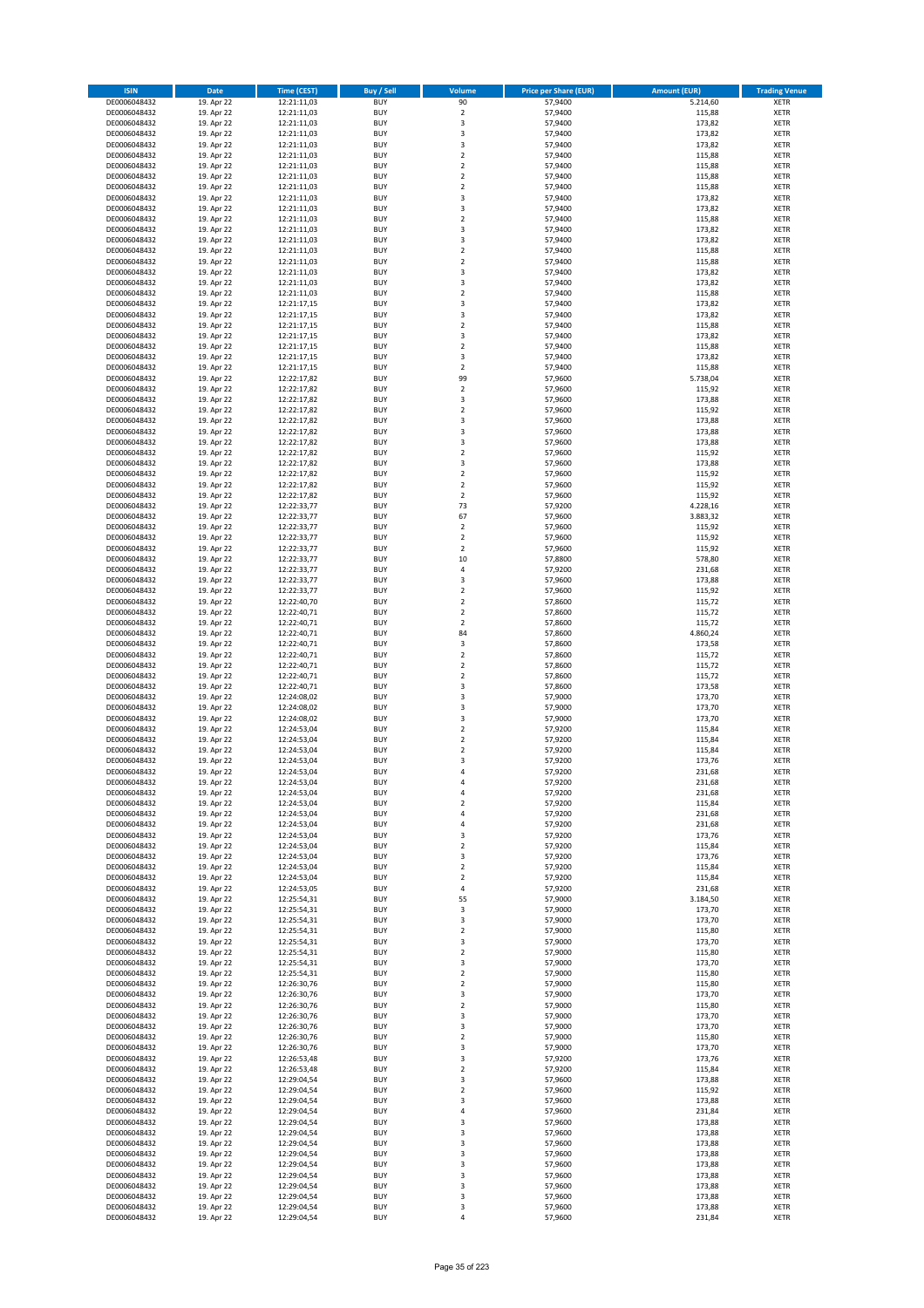| <b>ISIN</b>                  | <b>Date</b>              | <b>Time (CEST)</b>         | <b>Buy / Sell</b>        | Volume                                    | <b>Price per Share (EUR)</b> | <b>Amount (EUR)</b> | <b>Trading Venue</b>       |
|------------------------------|--------------------------|----------------------------|--------------------------|-------------------------------------------|------------------------------|---------------------|----------------------------|
| DE0006048432                 | 19. Apr 22               | 12:21:11,03                | <b>BUY</b>               | 90                                        | 57,9400                      | 5.214,60            | <b>XETR</b>                |
| DE0006048432                 | 19. Apr 22               | 12:21:11,03                | <b>BUY</b>               | $\mathbf 2$                               | 57,9400                      | 115,88              | <b>XETR</b>                |
| DE0006048432                 | 19. Apr 22               | 12:21:11,03                | <b>BUY</b>               | 3                                         | 57.9400                      | 173,82              | <b>XETR</b>                |
| DE0006048432<br>DE0006048432 | 19. Apr 22<br>19. Apr 22 | 12:21:11,03<br>12:21:11,03 | <b>BUY</b><br><b>BUY</b> | 3<br>3                                    | 57,9400<br>57,9400           | 173,82<br>173,82    | <b>XETR</b><br><b>XETR</b> |
| DE0006048432                 | 19. Apr 22               | 12:21:11,03                | <b>BUY</b>               | $\mathbf 2$                               | 57,9400                      | 115,88              | <b>XETR</b>                |
| DE0006048432                 | 19. Apr 22               | 12:21:11,03                | <b>BUY</b>               | $\mathbf 2$                               | 57,9400                      | 115,88              | <b>XETR</b>                |
| DE0006048432                 | 19. Apr 22               | 12:21:11,03                | <b>BUY</b>               | $\mathbf 2$                               | 57,9400                      | 115,88              | <b>XETR</b>                |
| DE0006048432                 | 19. Apr 22               | 12:21:11,03                | <b>BUY</b>               | $\overline{2}$                            | 57,9400                      | 115,88              | <b>XETR</b>                |
| DE0006048432                 | 19. Apr 22               | 12:21:11,03                | <b>BUY</b>               | 3                                         | 57,9400                      | 173,82              | <b>XETR</b>                |
| DE0006048432                 | 19. Apr 22               | 12:21:11,03                | <b>BUY</b>               | 3                                         | 57,9400                      | 173,82              | <b>XETR</b>                |
| DE0006048432<br>DE0006048432 | 19. Apr 22<br>19. Apr 22 | 12:21:11,03<br>12:21:11,03 | <b>BUY</b><br><b>BUY</b> | $\overline{\mathbf{c}}$<br>3              | 57,9400<br>57,9400           | 115,88<br>173,82    | <b>XETR</b><br><b>XETR</b> |
| DE0006048432                 | 19. Apr 22               | 12:21:11,03                | <b>BUY</b>               | 3                                         | 57,9400                      | 173,82              | <b>XETR</b>                |
| DE0006048432                 | 19. Apr 22               | 12:21:11,03                | <b>BUY</b>               | $\mathbf 2$                               | 57,9400                      | 115,88              | <b>XETR</b>                |
| DE0006048432                 | 19. Apr 22               | 12:21:11,03                | <b>BUY</b>               | $\overline{\mathbf{c}}$                   | 57,9400                      | 115,88              | <b>XETR</b>                |
| DE0006048432                 | 19. Apr 22               | 12:21:11,03                | <b>BUY</b>               | 3                                         | 57,9400                      | 173,82              | <b>XETR</b>                |
| DE0006048432                 | 19. Apr 22               | 12:21:11,03                | <b>BUY</b>               | 3                                         | 57,9400                      | 173,82              | <b>XETR</b>                |
| DE0006048432                 | 19. Apr 22               | 12:21:11,03                | <b>BUY</b>               | $\overline{\mathbf{c}}$                   | 57,9400                      | 115,88              | <b>XETR</b>                |
| DE0006048432                 | 19. Apr 22               | 12:21:17,15                | <b>BUY</b>               | 3                                         | 57,9400                      | 173,82              | <b>XETR</b>                |
| DE0006048432<br>DE0006048432 | 19. Apr 22<br>19. Apr 22 | 12:21:17,15<br>12:21:17,15 | <b>BUY</b><br><b>BUY</b> | 3<br>$\mathbf 2$                          | 57,9400<br>57,9400           | 173,82<br>115,88    | <b>XETR</b><br><b>XETR</b> |
| DE0006048432                 | 19. Apr 22               | 12:21:17,15                | <b>BUY</b>               | 3                                         | 57,9400                      | 173,82              | <b>XETR</b>                |
| DE0006048432                 | 19. Apr 22               | 12:21:17,15                | <b>BUY</b>               | $\mathbf 2$                               | 57,9400                      | 115,88              | <b>XETR</b>                |
| DE0006048432                 | 19. Apr 22               | 12:21:17,15                | <b>BUY</b>               | 3                                         | 57,9400                      | 173,82              | <b>XETR</b>                |
| DE0006048432                 | 19. Apr 22               | 12:21:17,15                | <b>BUY</b>               | $\mathbf 2$                               | 57,9400                      | 115,88              | <b>XETR</b>                |
| DE0006048432                 | 19. Apr 22               | 12:22:17,82                | <b>BUY</b>               | 99                                        | 57,9600                      | 5.738,04            | <b>XETR</b>                |
| DE0006048432                 | 19. Apr 22               | 12:22:17,82                | <b>BUY</b>               | $\overline{\mathbf{c}}$                   | 57,9600                      | 115,92              | <b>XETR</b>                |
| DE0006048432<br>DE0006048432 | 19. Apr 22<br>19. Apr 22 | 12:22:17,82<br>12:22:17,82 | <b>BUY</b><br><b>BUY</b> | 3<br>$\overline{\mathbf{c}}$              | 57,9600<br>57,9600           | 173,88<br>115,92    | <b>XETR</b><br><b>XETR</b> |
| DE0006048432                 | 19. Apr 22               | 12:22:17,82                | <b>BUY</b>               | 3                                         | 57,9600                      | 173,88              | <b>XETR</b>                |
| DE0006048432                 | 19. Apr 22               | 12:22:17,82                | <b>BUY</b>               | 3                                         | 57,9600                      | 173,88              | <b>XETR</b>                |
| DE0006048432                 | 19. Apr 22               | 12:22:17,82                | <b>BUY</b>               | 3                                         | 57,9600                      | 173,88              | <b>XETR</b>                |
| DE0006048432                 | 19. Apr 22               | 12:22:17,82                | <b>BUY</b>               | $\mathbf 2$                               | 57,9600                      | 115,92              | <b>XETR</b>                |
| DE0006048432                 | 19. Apr 22               | 12:22:17,82                | <b>BUY</b>               | 3                                         | 57,9600                      | 173,88              | <b>XETR</b>                |
| DE0006048432                 | 19. Apr 22               | 12:22:17,82                | <b>BUY</b>               | $\mathbf 2$                               | 57,9600                      | 115,92              | <b>XETR</b>                |
| DE0006048432<br>DE0006048432 | 19. Apr 22<br>19. Apr 22 | 12:22:17,82<br>12:22:17,82 | <b>BUY</b><br><b>BUY</b> | $\overline{\mathbf{c}}$<br>$\overline{2}$ | 57,9600<br>57,9600           | 115,92<br>115,92    | <b>XETR</b><br><b>XETR</b> |
| DE0006048432                 | 19. Apr 22               | 12:22:33,77                | <b>BUY</b>               | 73                                        | 57,9200                      | 4.228,16            | <b>XETR</b>                |
| DE0006048432                 | 19. Apr 22               | 12:22:33,77                | <b>BUY</b>               | 67                                        | 57,9600                      | 3.883,32            | <b>XETR</b>                |
| DE0006048432                 | 19. Apr 22               | 12:22:33,77                | <b>BUY</b>               | $\mathbf 2$                               | 57,9600                      | 115,92              | <b>XETR</b>                |
| DE0006048432                 | 19. Apr 22               | 12:22:33,77                | <b>BUY</b>               | $\mathbf 2$                               | 57,9600                      | 115,92              | <b>XETR</b>                |
| DE0006048432                 | 19. Apr 22               | 12:22:33,77                | <b>BUY</b>               | $\mathbf 2$                               | 57,9600                      | 115,92              | <b>XETR</b>                |
| DE0006048432                 | 19. Apr 22               | 12:22:33,77                | <b>BUY</b>               | 10                                        | 57,8800                      | 578,80              | <b>XETR</b>                |
| DE0006048432                 | 19. Apr 22               | 12:22:33,77                | <b>BUY</b>               | 4                                         | 57,9200                      | 231,68              | <b>XETR</b>                |
| DE0006048432<br>DE0006048432 | 19. Apr 22<br>19. Apr 22 | 12:22:33,77<br>12:22:33,77 | <b>BUY</b><br><b>BUY</b> | 3<br>$\mathbf 2$                          | 57,9600<br>57,9600           | 173,88<br>115,92    | <b>XETR</b><br><b>XETR</b> |
| DE0006048432                 | 19. Apr 22               | 12:22:40,70                | <b>BUY</b>               | $\mathbf 2$                               | 57,8600                      | 115,72              | <b>XETR</b>                |
| DE0006048432                 | 19. Apr 22               | 12:22:40,71                | <b>BUY</b>               | $\mathbf 2$                               | 57,8600                      | 115,72              | <b>XETR</b>                |
| DE0006048432                 | 19. Apr 22               | 12:22:40,71                | <b>BUY</b>               | $\mathbf 2$                               | 57,8600                      | 115,72              | <b>XETR</b>                |
| DE0006048432                 | 19. Apr 22               | 12:22:40,71                | <b>BUY</b>               | 84                                        | 57,8600                      | 4.860,24            | <b>XETR</b>                |
| DE0006048432                 | 19. Apr 22               | 12:22:40,71                | <b>BUY</b>               | 3                                         | 57,8600                      | 173,58              | <b>XETR</b>                |
| DE0006048432                 | 19. Apr 22               | 12:22:40,71                | <b>BUY</b><br><b>BUY</b> | $\overline{2}$                            | 57,8600                      | 115,72              | <b>XETR</b>                |
| DE0006048432<br>DE0006048432 | 19. Apr 22<br>19. Apr 22 | 12:22:40,71<br>12:22:40,71 | <b>BUY</b>               | $\mathbf 2$<br>$\mathbf 2$                | 57,8600<br>57,8600           | 115,72<br>115,72    | <b>XETR</b><br><b>XETR</b> |
| DE0006048432                 | 19. Apr 22               | 12:22:40,71                | <b>BUY</b>               | 3                                         | 57,8600                      | 173,58              | <b>XETR</b>                |
| DE0006048432                 | 19. Apr 22               | 12:24:08,02                | <b>BUY</b>               | 3                                         | 57,9000                      | 173,70              | <b>XETR</b>                |
| DE0006048432                 | 19. Apr 22               | 12:24:08,02                | <b>BUY</b>               | 3                                         | 57,9000                      | 173,70              | <b>XETR</b>                |
| DE0006048432                 | 19. Apr 22               | 12:24:08,02                | <b>BUY</b>               | 3                                         | 57,9000                      | 173,70              | <b>XETR</b>                |
| DE0006048432                 | 19. Apr 22               | 12:24:53,04                | <b>BUY</b>               | $\overline{2}$                            | 57,9200                      | 115,84              | <b>XETR</b>                |
| DE0006048432<br>DE0006048432 | 19. Apr 22               | 12:24:53,04                | <b>BUY</b><br><b>BUY</b> | $\mathbf 2$<br>$\overline{\mathbf{c}}$    | 57,9200                      | 115,84              | <b>XETR</b><br><b>XETR</b> |
| DE0006048432                 | 19. Apr 22<br>19. Apr 22 | 12:24:53,04<br>12:24:53,04 | <b>BUY</b>               | 3                                         | 57,9200<br>57,9200           | 115,84<br>173,76    | <b>XETR</b>                |
| DE0006048432                 | 19. Apr 22               | 12:24:53,04                | <b>BUY</b>               | 4                                         | 57,9200                      | 231,68              | <b>XETR</b>                |
| DE0006048432                 | 19. Apr 22               | 12:24:53,04                | BUY                      | 4                                         | 57,9200                      | 231,68              | <b>XETR</b>                |
| DE0006048432                 | 19. Apr 22               | 12:24:53,04                | <b>BUY</b>               | 4                                         | 57,9200                      | 231,68              | <b>XETR</b>                |
| DE0006048432                 | 19. Apr 22               | 12:24:53,04                | <b>BUY</b>               | $\mathbf 2$                               | 57,9200                      | 115,84              | <b>XETR</b>                |
| DE0006048432                 | 19. Apr 22               | 12:24:53,04                | <b>BUY</b>               | 4                                         | 57,9200                      | 231,68              | XETR                       |
| DE0006048432<br>DE0006048432 | 19. Apr 22<br>19. Apr 22 | 12:24:53,04<br>12:24:53,04 | <b>BUY</b><br><b>BUY</b> | 4<br>3                                    | 57,9200<br>57,9200           | 231,68<br>173,76    | <b>XETR</b><br><b>XETR</b> |
| DE0006048432                 | 19. Apr 22               | 12:24:53,04                | <b>BUY</b>               | $\mathbf 2$                               | 57,9200                      | 115,84              | <b>XETR</b>                |
| DE0006048432                 | 19. Apr 22               | 12:24:53,04                | <b>BUY</b>               | 3                                         | 57,9200                      | 173,76              | <b>XETR</b>                |
| DE0006048432                 | 19. Apr 22               | 12:24:53,04                | <b>BUY</b>               | $\mathbf 2$                               | 57,9200                      | 115,84              | <b>XETR</b>                |
| DE0006048432                 | 19. Apr 22               | 12:24:53,04                | <b>BUY</b>               | $\mathbf 2$                               | 57,9200                      | 115,84              | <b>XETR</b>                |
| DE0006048432                 | 19. Apr 22               | 12:24:53,05                | <b>BUY</b>               | 4                                         | 57,9200                      | 231,68              | <b>XETR</b>                |
| DE0006048432<br>DE0006048432 | 19. Apr 22<br>19. Apr 22 | 12:25:54,31<br>12:25:54,31 | <b>BUY</b><br><b>BUY</b> | 55<br>3                                   | 57,9000<br>57,9000           | 3.184,50<br>173,70  | <b>XETR</b><br><b>XETR</b> |
| DE0006048432                 | 19. Apr 22               | 12:25:54,31                | <b>BUY</b>               | 3                                         | 57,9000                      | 173,70              | <b>XETR</b>                |
| DE0006048432                 | 19. Apr 22               | 12:25:54,31                | <b>BUY</b>               | $\mathbf 2$                               | 57,9000                      | 115,80              | <b>XETR</b>                |
| DE0006048432                 | 19. Apr 22               | 12:25:54,31                | <b>BUY</b>               | 3                                         | 57,9000                      | 173,70              | <b>XETR</b>                |
| DE0006048432                 | 19. Apr 22               | 12:25:54,31                | <b>BUY</b>               | $\mathbf 2$                               | 57,9000                      | 115,80              | <b>XETR</b>                |
| DE0006048432                 | 19. Apr 22               | 12:25:54,31                | <b>BUY</b>               | 3                                         | 57,9000                      | 173,70              | <b>XETR</b>                |
| DE0006048432                 | 19. Apr 22               | 12:25:54,31                | <b>BUY</b>               | $\mathbf 2$                               | 57,9000                      | 115,80              | XETR<br><b>XETR</b>        |
| DE0006048432<br>DE0006048432 | 19. Apr 22<br>19. Apr 22 | 12:26:30,76<br>12:26:30,76 | <b>BUY</b><br><b>BUY</b> | $\mathbf 2$<br>3                          | 57,9000<br>57,9000           | 115,80<br>173,70    | <b>XETR</b>                |
| DE0006048432                 | 19. Apr 22               | 12:26:30,76                | <b>BUY</b>               | $\mathbf 2$                               | 57,9000                      | 115,80              | <b>XETR</b>                |
| DE0006048432                 | 19. Apr 22               | 12:26:30,76                | <b>BUY</b>               | 3                                         | 57,9000                      | 173,70              | <b>XETR</b>                |
| DE0006048432                 | 19. Apr 22               | 12:26:30,76                | <b>BUY</b>               | 3                                         | 57,9000                      | 173,70              | <b>XETR</b>                |
| DE0006048432                 | 19. Apr 22               | 12:26:30,76                | <b>BUY</b>               | $\mathbf 2$                               | 57,9000                      | 115,80              | <b>XETR</b>                |
| DE0006048432                 | 19. Apr 22               | 12:26:30,76                | <b>BUY</b>               | 3                                         | 57,9000                      | 173,70              | <b>XETR</b>                |
| DE0006048432<br>DE0006048432 | 19. Apr 22<br>19. Apr 22 | 12:26:53,48<br>12:26:53,48 | <b>BUY</b><br><b>BUY</b> | 3<br>$\overline{2}$                       | 57,9200<br>57,9200           | 173,76<br>115,84    | <b>XETR</b><br><b>XETR</b> |
| DE0006048432                 | 19. Apr 22               | 12:29:04,54                | <b>BUY</b>               | 3                                         | 57,9600                      | 173,88              | <b>XETR</b>                |
| DE0006048432                 | 19. Apr 22               | 12:29:04,54                | <b>BUY</b>               | $\overline{\mathbf{c}}$                   | 57,9600                      | 115,92              | <b>XETR</b>                |
| DE0006048432                 | 19. Apr 22               | 12:29:04,54                | <b>BUY</b>               | 3                                         | 57,9600                      | 173,88              | <b>XETR</b>                |
| DE0006048432                 | 19. Apr 22               | 12:29:04,54                | <b>BUY</b>               | 4                                         | 57,9600                      | 231,84              | <b>XETR</b>                |
| DE0006048432                 | 19. Apr 22               | 12:29:04,54                | <b>BUY</b>               | 3                                         | 57,9600                      | 173,88              | <b>XETR</b>                |
| DE0006048432                 | 19. Apr 22               | 12:29:04,54                | <b>BUY</b>               | 3                                         | 57,9600                      | 173,88              | <b>XETR</b>                |
| DE0006048432<br>DE0006048432 | 19. Apr 22<br>19. Apr 22 | 12:29:04,54<br>12:29:04,54 | <b>BUY</b><br><b>BUY</b> | 3<br>3                                    | 57,9600<br>57,9600           | 173,88<br>173,88    | <b>XETR</b><br><b>XETR</b> |
| DE0006048432                 | 19. Apr 22               | 12:29:04,54                | <b>BUY</b>               | 3                                         | 57,9600                      | 173,88              | <b>XETR</b>                |
| DE0006048432                 | 19. Apr 22               | 12:29:04,54                | <b>BUY</b>               | 3                                         | 57,9600                      | 173,88              | XETR                       |
| DE0006048432                 | 19. Apr 22               | 12:29:04,54                | <b>BUY</b>               | 3                                         | 57,9600                      | 173,88              | <b>XETR</b>                |
| DE0006048432                 | 19. Apr 22               | 12:29:04,54                | <b>BUY</b>               | 3                                         | 57,9600                      | 173,88              | <b>XETR</b>                |
| DE0006048432                 | 19. Apr 22               | 12:29:04,54                | <b>BUY</b>               | 3                                         | 57,9600                      | 173,88              | <b>XETR</b>                |
| DE0006048432                 | 19. Apr 22               | 12:29:04,54                | <b>BUY</b>               | 4                                         | 57,9600                      | 231,84              | <b>XETR</b>                |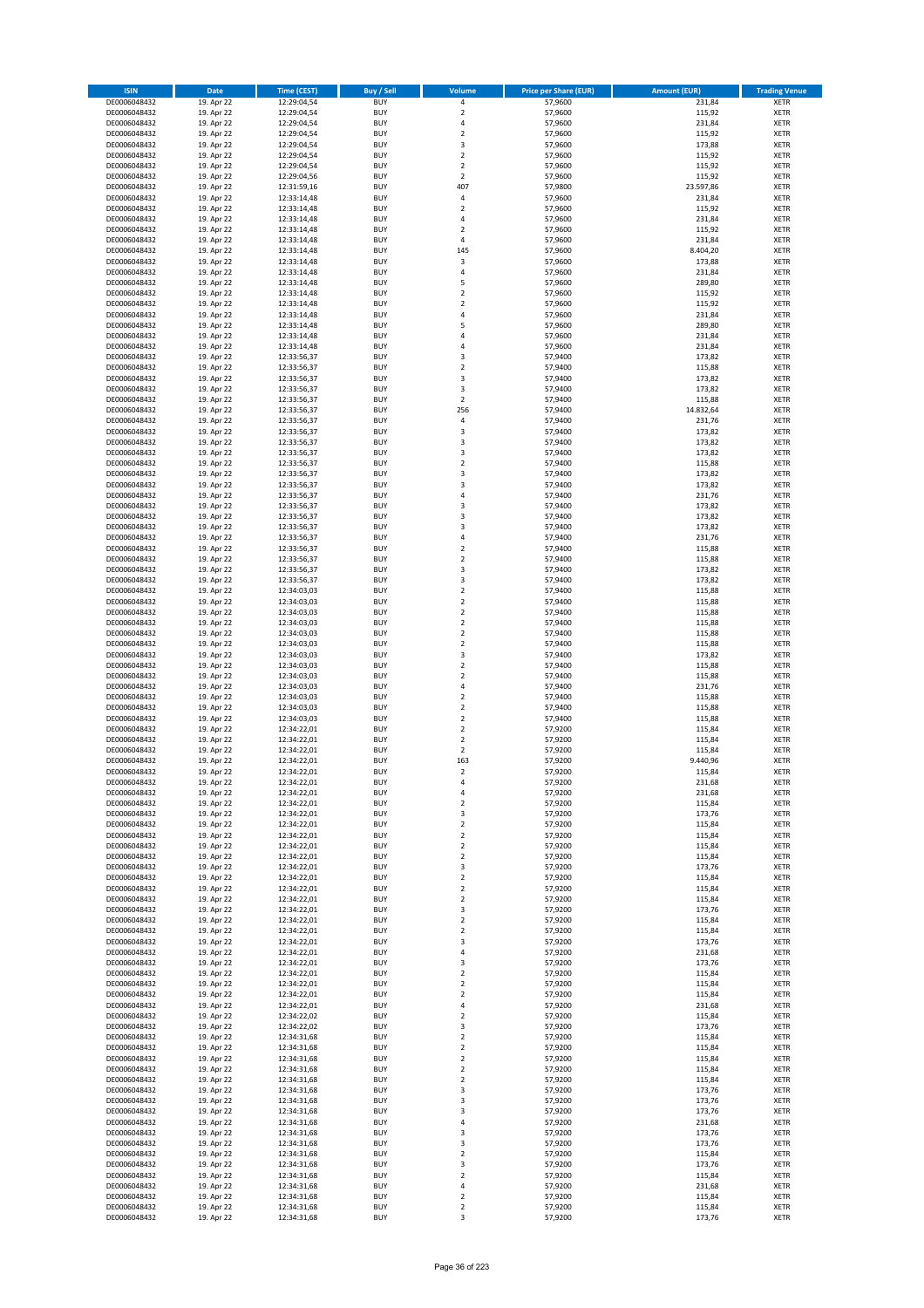| <b>ISIN</b>                  | <b>Date</b>              | <b>Time (CEST)</b>         | <b>Buy / Sell</b>        | <b>Volume</b>                          | <b>Price per Share (EUR)</b> | <b>Amount (EUR)</b> | <b>Trading Venue</b>       |
|------------------------------|--------------------------|----------------------------|--------------------------|----------------------------------------|------------------------------|---------------------|----------------------------|
| DE0006048432                 | 19. Apr 22               | 12:29:04,54                | <b>BUY</b>               | 4                                      | 57,9600                      | 231,84              | <b>XETR</b>                |
| DE0006048432                 | 19. Apr 22               | 12:29:04,54                | <b>BUY</b>               | $\mathbf 2$                            | 57,9600                      | 115,92              | <b>XETR</b>                |
| DE0006048432                 | 19. Apr 22               | 12:29:04,54                | <b>BUY</b>               | 4                                      | 57,9600                      | 231,84              | <b>XETR</b>                |
| DE0006048432                 | 19. Apr 22               | 12:29:04,54                | <b>BUY</b>               | $\mathbf 2$                            | 57,9600                      | 115,92              | <b>XETR</b>                |
| DE0006048432<br>DE0006048432 | 19. Apr 22<br>19. Apr 22 | 12:29:04,54<br>12:29:04,54 | <b>BUY</b><br><b>BUY</b> | 3<br>$\mathbf 2$                       | 57,9600<br>57,9600           | 173,88<br>115,92    | <b>XETR</b><br><b>XETR</b> |
| DE0006048432                 | 19. Apr 22               | 12:29:04.54                | <b>BUY</b>               | $\mathbf 2$                            | 57,9600                      | 115,92              | <b>XETR</b>                |
| DE0006048432                 | 19. Apr 22               | 12:29:04,56                | <b>BUY</b>               | $\overline{\mathbf{2}}$                | 57,9600                      | 115,92              | <b>XETR</b>                |
| DE0006048432                 | 19. Apr 22               | 12:31:59,16                | <b>BUY</b>               | 407                                    | 57,9800                      | 23.597,86           | <b>XETR</b>                |
| DE0006048432                 | 19. Apr 22               | 12:33:14,48                | <b>BUY</b>               | 4                                      | 57,9600                      | 231,84              | <b>XETR</b>                |
| DE0006048432                 | 19. Apr 22               | 12:33:14,48                | <b>BUY</b>               | $\mathbf 2$                            | 57,9600                      | 115,92              | <b>XETR</b>                |
| DE0006048432                 | 19. Apr 22               | 12:33:14,48                | <b>BUY</b>               | 4                                      | 57,9600                      | 231,84              | <b>XETR</b><br><b>XETR</b> |
| DE0006048432<br>DE0006048432 | 19. Apr 22<br>19. Apr 22 | 12:33:14,48<br>12:33:14,48 | <b>BUY</b><br><b>BUY</b> | $\overline{\mathbf{c}}$<br>4           | 57,9600<br>57,9600           | 115,92<br>231,84    | <b>XETR</b>                |
| DE0006048432                 | 19. Apr 22               | 12:33:14,48                | <b>BUY</b>               | 145                                    | 57,9600                      | 8.404,20            | <b>XETR</b>                |
| DE0006048432                 | 19. Apr 22               | 12:33:14,48                | <b>BUY</b>               | 3                                      | 57,9600                      | 173,88              | <b>XETR</b>                |
| DE0006048432                 | 19. Apr 22               | 12:33:14,48                | <b>BUY</b>               | 4                                      | 57,9600                      | 231,84              | <b>XETR</b>                |
| DE0006048432                 | 19. Apr 22               | 12:33:14,48                | <b>BUY</b>               | 5                                      | 57,9600                      | 289,80              | <b>XETR</b>                |
| DE0006048432                 | 19. Apr 22               | 12:33:14,48                | <b>BUY</b>               | $\overline{\mathbf{c}}$                | 57,9600                      | 115,92              | <b>XETR</b>                |
| DE0006048432<br>DE0006048432 | 19. Apr 22<br>19. Apr 22 | 12:33:14,48                | <b>BUY</b><br><b>BUY</b> | $\mathbf 2$<br>4                       | 57,9600<br>57,9600           | 115,92<br>231,84    | <b>XETR</b><br><b>XETR</b> |
| DE0006048432                 | 19. Apr 22               | 12:33:14,48<br>12:33:14,48 | <b>BUY</b>               | 5                                      | 57,9600                      | 289,80              | <b>XETR</b>                |
| DE0006048432                 | 19. Apr 22               | 12:33:14,48                | <b>BUY</b>               | 4                                      | 57,9600                      | 231,84              | <b>XETR</b>                |
| DE0006048432                 | 19. Apr 22               | 12:33:14,48                | <b>BUY</b>               | 4                                      | 57,9600                      | 231,84              | <b>XETR</b>                |
| DE0006048432                 | 19. Apr 22               | 12:33:56,37                | <b>BUY</b>               | 3                                      | 57,9400                      | 173,82              | <b>XETR</b>                |
| DE0006048432                 | 19. Apr 22               | 12:33:56,37                | <b>BUY</b>               | $\mathbf 2$                            | 57,9400                      | 115,88              | <b>XETR</b>                |
| DE0006048432                 | 19. Apr 22               | 12:33:56,37                | <b>BUY</b>               | 3                                      | 57,9400                      | 173,82              | <b>XETR</b>                |
| DE0006048432                 | 19. Apr 22               | 12:33:56,37                | <b>BUY</b>               | 3                                      | 57,9400                      | 173,82              | <b>XETR</b>                |
| DE0006048432<br>DE0006048432 | 19. Apr 22<br>19. Apr 22 | 12:33:56,37                | <b>BUY</b><br><b>BUY</b> | $\mathbf 2$<br>256                     | 57,9400                      | 115,88              | <b>XETR</b><br><b>XETR</b> |
| DE0006048432                 | 19. Apr 22               | 12:33:56,37<br>12:33:56,37 | <b>BUY</b>               | 4                                      | 57,9400<br>57,9400           | 14.832,64<br>231,76 | <b>XETR</b>                |
| DE0006048432                 | 19. Apr 22               | 12:33:56,37                | <b>BUY</b>               | 3                                      | 57,9400                      | 173,82              | <b>XETR</b>                |
| DE0006048432                 | 19. Apr 22               | 12:33:56,37                | <b>BUY</b>               | 3                                      | 57,9400                      | 173,82              | <b>XETR</b>                |
| DE0006048432                 | 19. Apr 22               | 12:33:56,37                | <b>BUY</b>               | 3                                      | 57,9400                      | 173,82              | <b>XETR</b>                |
| DE0006048432                 | 19. Apr 22               | 12:33:56,37                | <b>BUY</b>               | $\mathbf 2$                            | 57.9400                      | 115,88              | <b>XETR</b>                |
| DE0006048432                 | 19. Apr 22               | 12:33:56,37                | <b>BUY</b>               | 3                                      | 57,9400                      | 173,82              | <b>XETR</b>                |
| DE0006048432                 | 19. Apr 22               | 12:33:56,37                | <b>BUY</b>               | 3                                      | 57,9400                      | 173,82              | <b>XETR</b>                |
| DE0006048432                 | 19. Apr 22               | 12:33:56,37                | <b>BUY</b>               | 4                                      | 57,9400                      | 231,76              | <b>XETR</b>                |
| DE0006048432                 | 19. Apr 22               | 12:33:56,37                | <b>BUY</b>               | 3                                      | 57,9400                      | 173,82              | <b>XETR</b>                |
| DE0006048432<br>DE0006048432 | 19. Apr 22<br>19. Apr 22 | 12:33:56,37<br>12:33:56,37 | <b>BUY</b><br><b>BUY</b> | 3<br>3                                 | 57,9400<br>57,9400           | 173,82<br>173,82    | <b>XETR</b><br><b>XETR</b> |
| DE0006048432                 | 19. Apr 22               | 12:33:56,37                | <b>BUY</b>               | 4                                      | 57,9400                      | 231,76              | <b>XETR</b>                |
| DE0006048432                 | 19. Apr 22               | 12:33:56,37                | <b>BUY</b>               | $\mathbf 2$                            | 57,9400                      | 115,88              | <b>XETR</b>                |
| DE0006048432                 | 19. Apr 22               | 12:33:56,37                | <b>BUY</b>               | $\overline{\mathbf{c}}$                | 57,9400                      | 115,88              | <b>XETR</b>                |
| DE0006048432                 | 19. Apr 22               | 12:33:56,37                | <b>BUY</b>               | 3                                      | 57,9400                      | 173,82              | <b>XETR</b>                |
| DE0006048432                 | 19. Apr 22               | 12:33:56,37                | <b>BUY</b>               | 3                                      | 57,9400                      | 173,82              | <b>XETR</b>                |
| DE0006048432                 | 19. Apr 22               | 12:34:03,03                | <b>BUY</b>               | $\mathbf 2$                            | 57,9400                      | 115,88              | <b>XETR</b>                |
| DE0006048432                 | 19. Apr 22               | 12:34:03,03                | <b>BUY</b>               | $\mathbf 2$                            | 57,9400                      | 115,88              | <b>XETR</b>                |
| DE0006048432<br>DE0006048432 | 19. Apr 22<br>19. Apr 22 | 12:34:03,03<br>12:34:03,03 | <b>BUY</b><br><b>BUY</b> | $\mathbf 2$<br>$\mathbf 2$             | 57,9400<br>57,9400           | 115,88<br>115,88    | <b>XETR</b><br><b>XETR</b> |
| DE0006048432                 | 19. Apr 22               | 12:34:03,03                | <b>BUY</b>               | $\mathbf 2$                            | 57,9400                      | 115,88              | <b>XETR</b>                |
| DE0006048432                 | 19. Apr 22               | 12:34:03,03                | <b>BUY</b>               | $\mathbf 2$                            | 57,9400                      | 115,88              | <b>XETR</b>                |
| DE0006048432                 | 19. Apr 22               | 12:34:03,03                | <b>BUY</b>               | 3                                      | 57,9400                      | 173,82              | <b>XETR</b>                |
| DE0006048432                 | 19. Apr 22               | 12:34:03,03                | <b>BUY</b>               | $\mathbf 2$                            | 57,9400                      | 115,88              | <b>XETR</b>                |
| DE0006048432                 | 19. Apr 22               | 12:34:03,03                | <b>BUY</b>               | $\overline{\mathbf{c}}$                | 57,9400                      | 115,88              | <b>XETR</b>                |
| DE0006048432                 | 19. Apr 22               | 12:34:03,03                | <b>BUY</b>               | 4                                      | 57,9400                      | 231,76              | <b>XETR</b>                |
| DE0006048432                 | 19. Apr 22               | 12:34:03,03                | <b>BUY</b>               | $\overline{\mathbf{c}}$                | 57,9400                      | 115,88              | <b>XETR</b>                |
| DE0006048432<br>DE0006048432 | 19. Apr 22<br>19. Apr 22 | 12:34:03,03<br>12:34:03,03 | <b>BUY</b><br><b>BUY</b> | $\mathbf 2$<br>$\mathbf 2$             | 57,9400<br>57,9400           | 115,88<br>115,88    | <b>XETR</b><br><b>XETR</b> |
| DE0006048432                 | 19. Apr 22               | 12:34:22,01                | <b>BUY</b>               | $\overline{2}$                         | 57,9200                      | 115,84              | <b>XETR</b>                |
| DE0006048432                 | 19. Apr 22               | 12:34:22,01                | <b>BUY</b>               | $\mathbf 2$                            | 57,9200                      | 115,84              | <b>XETR</b>                |
| DE0006048432                 | 19. Apr 22               | 12:34:22,01                | <b>BUY</b>               | $\overline{\mathbf{c}}$                | 57,9200                      | 115,84              | <b>XETR</b>                |
| DE0006048432                 | 19. Apr 22               | 12:34:22,01                | <b>BUY</b>               | 163                                    | 57,9200                      | 9.440,96            | <b>XETR</b>                |
| DE0006048432                 | 19. Apr 22               | 12:34:22,01                | <b>BUY</b>               | $\overline{2}$                         | 57,9200                      | 115,84              | <b>XETR</b>                |
| DE0006048432                 | 19. Apr 22               | 12:34:22,01                | BUY                      | 4                                      | 57,9200                      | 231,68              | <b>XETR</b>                |
| DE0006048432<br>DE0006048432 | 19. Apr 22<br>19. Apr 22 | 12:34:22,01<br>12:34:22,01 | <b>BUY</b><br><b>BUY</b> | 4<br>$\mathbf 2$                       | 57,9200<br>57,9200           | 231,68<br>115,84    | <b>XETR</b><br><b>XETR</b> |
| DE0006048432                 | 19. Apr 22               | 12:34:22,01                | <b>BUY</b>               | 3                                      | 57,9200                      | 173,76              | XETR                       |
| DE0006048432                 | 19. Apr 22               | 12:34:22,01                | <b>BUY</b>               | $\mathbf 2$                            | 57,9200                      | 115,84              | <b>XETR</b>                |
| DE0006048432                 | 19. Apr 22               | 12:34:22,01                | <b>BUY</b>               | $\mathbf 2$                            | 57,9200                      | 115,84              | <b>XETR</b>                |
| DE0006048432                 | 19. Apr 22               | 12:34:22,01                | <b>BUY</b>               | $\mathbf 2$                            | 57,9200                      | 115,84              | <b>XETR</b>                |
| DE0006048432                 | 19. Apr 22               | 12:34:22,01                | <b>BUY</b>               | $\mathbf 2$                            | 57,9200                      | 115,84              | <b>XETR</b>                |
| DE0006048432                 | 19. Apr 22               | 12:34:22,01                | <b>BUY</b>               | 3                                      | 57,9200                      | 173,76              | <b>XETR</b>                |
| DE0006048432<br>DE0006048432 | 19. Apr 22<br>19. Apr 22 | 12:34:22,01<br>12:34:22,01 | <b>BUY</b><br><b>BUY</b> | $\mathbf 2$<br>$\mathbf 2$             | 57,9200<br>57,9200           | 115,84<br>115,84    | <b>XETR</b><br><b>XETR</b> |
| DE0006048432                 | 19. Apr 22               | 12:34:22,01                | <b>BUY</b>               | $\overline{2}$                         | 57,9200                      | 115,84              | <b>XETR</b>                |
| DE0006048432                 | 19. Apr 22               | 12:34:22,01                | <b>BUY</b>               | 3                                      | 57,9200                      | 173,76              | <b>XETR</b>                |
| DE0006048432                 | 19. Apr 22               | 12:34:22,01                | <b>BUY</b>               | $\overline{\mathbf{2}}$                | 57,9200                      | 115,84              | <b>XETR</b>                |
| DE0006048432                 | 19. Apr 22               | 12:34:22,01                | <b>BUY</b>               | $\mathbf 2$                            | 57,9200                      | 115,84              | <b>XETR</b>                |
| DE0006048432                 | 19. Apr 22               | 12:34:22,01                | <b>BUY</b>               | 3                                      | 57,9200                      | 173,76              | <b>XETR</b>                |
| DE0006048432                 | 19. Apr 22               | 12:34:22,01                | <b>BUY</b>               | 4                                      | 57,9200                      | 231,68              | <b>XETR</b>                |
| DE0006048432<br>DE0006048432 | 19. Apr 22<br>19. Apr 22 | 12:34:22,01<br>12:34:22,01 | <b>BUY</b><br><b>BUY</b> | 3<br>$\mathbf 2$                       | 57,9200<br>57,9200           | 173,76<br>115,84    | <b>XETR</b><br>XETR        |
| DE0006048432                 | 19. Apr 22               | 12:34:22,01                | <b>BUY</b>               | $\mathbf 2$                            | 57,9200                      | 115,84              | <b>XETR</b>                |
| DE0006048432                 | 19. Apr 22               | 12:34:22,01                | <b>BUY</b>               | $\overline{\mathbf{2}}$                | 57,9200                      | 115,84              | <b>XETR</b>                |
| DE0006048432                 | 19. Apr 22               | 12:34:22,01                | <b>BUY</b>               | 4                                      | 57,9200                      | 231,68              | <b>XETR</b>                |
| DE0006048432                 | 19. Apr 22               | 12:34:22,02                | <b>BUY</b>               | $\overline{\mathbf{c}}$                | 57,9200                      | 115,84              | <b>XETR</b>                |
| DE0006048432                 | 19. Apr 22               | 12:34:22,02                | <b>BUY</b>               | 3                                      | 57,9200                      | 173,76              | <b>XETR</b>                |
| DE0006048432                 | 19. Apr 22               | 12:34:31,68                | <b>BUY</b>               | $\mathbf 2$                            | 57,9200                      | 115,84              | <b>XETR</b>                |
| DE0006048432                 | 19. Apr 22               | 12:34:31,68                | <b>BUY</b>               | $\mathbf 2$                            | 57,9200                      | 115,84              | <b>XETR</b>                |
| DE0006048432<br>DE0006048432 | 19. Apr 22<br>19. Apr 22 | 12:34:31,68<br>12:34:31,68 | <b>BUY</b><br><b>BUY</b> | $\mathbf 2$<br>$\overline{\mathbf{2}}$ | 57,9200<br>57,9200           | 115,84<br>115,84    | <b>XETR</b><br><b>XETR</b> |
| DE0006048432                 | 19. Apr 22               | 12:34:31,68                | <b>BUY</b>               | $\mathbf 2$                            | 57,9200                      | 115,84              | <b>XETR</b>                |
| DE0006048432                 | 19. Apr 22               | 12:34:31,68                | <b>BUY</b>               | 3                                      | 57,9200                      | 173,76              | <b>XETR</b>                |
| DE0006048432                 | 19. Apr 22               | 12:34:31,68                | <b>BUY</b>               | 3                                      | 57,9200                      | 173,76              | <b>XETR</b>                |
| DE0006048432                 | 19. Apr 22               | 12:34:31,68                | <b>BUY</b>               | 3                                      | 57,9200                      | 173,76              | <b>XETR</b>                |
| DE0006048432                 | 19. Apr 22               | 12:34:31,68                | <b>BUY</b>               | 4                                      | 57,9200                      | 231,68              | <b>XETR</b>                |
| DE0006048432                 | 19. Apr 22               | 12:34:31,68                | <b>BUY</b>               | 3                                      | 57,9200                      | 173,76              | <b>XETR</b>                |
| DE0006048432                 | 19. Apr 22               | 12:34:31,68                | <b>BUY</b>               | 3                                      | 57,9200                      | 173,76              | <b>XETR</b>                |
| DE0006048432<br>DE0006048432 | 19. Apr 22<br>19. Apr 22 | 12:34:31,68<br>12:34:31,68 | <b>BUY</b><br><b>BUY</b> | $\mathbf 2$<br>3                       | 57,9200<br>57,9200           | 115,84<br>173,76    | <b>XETR</b><br><b>XETR</b> |
| DE0006048432                 | 19. Apr 22               | 12:34:31,68                | <b>BUY</b>               | $\mathbf 2$                            | 57,9200                      | 115,84              | XETR                       |
| DE0006048432                 | 19. Apr 22               | 12:34:31,68                | <b>BUY</b>               | 4                                      | 57,9200                      | 231,68              | <b>XETR</b>                |
| DE0006048432                 | 19. Apr 22               | 12:34:31,68                | <b>BUY</b>               | $\mathbf 2$                            | 57,9200                      | 115,84              | XETR                       |
| DE0006048432                 | 19. Apr 22               | 12:34:31,68                | <b>BUY</b>               | $\mathbf 2$                            | 57,9200                      | 115,84              | <b>XETR</b>                |
| DE0006048432                 | 19. Apr 22               | 12:34:31,68                | <b>BUY</b>               | 3                                      | 57,9200                      | 173,76              | <b>XETR</b>                |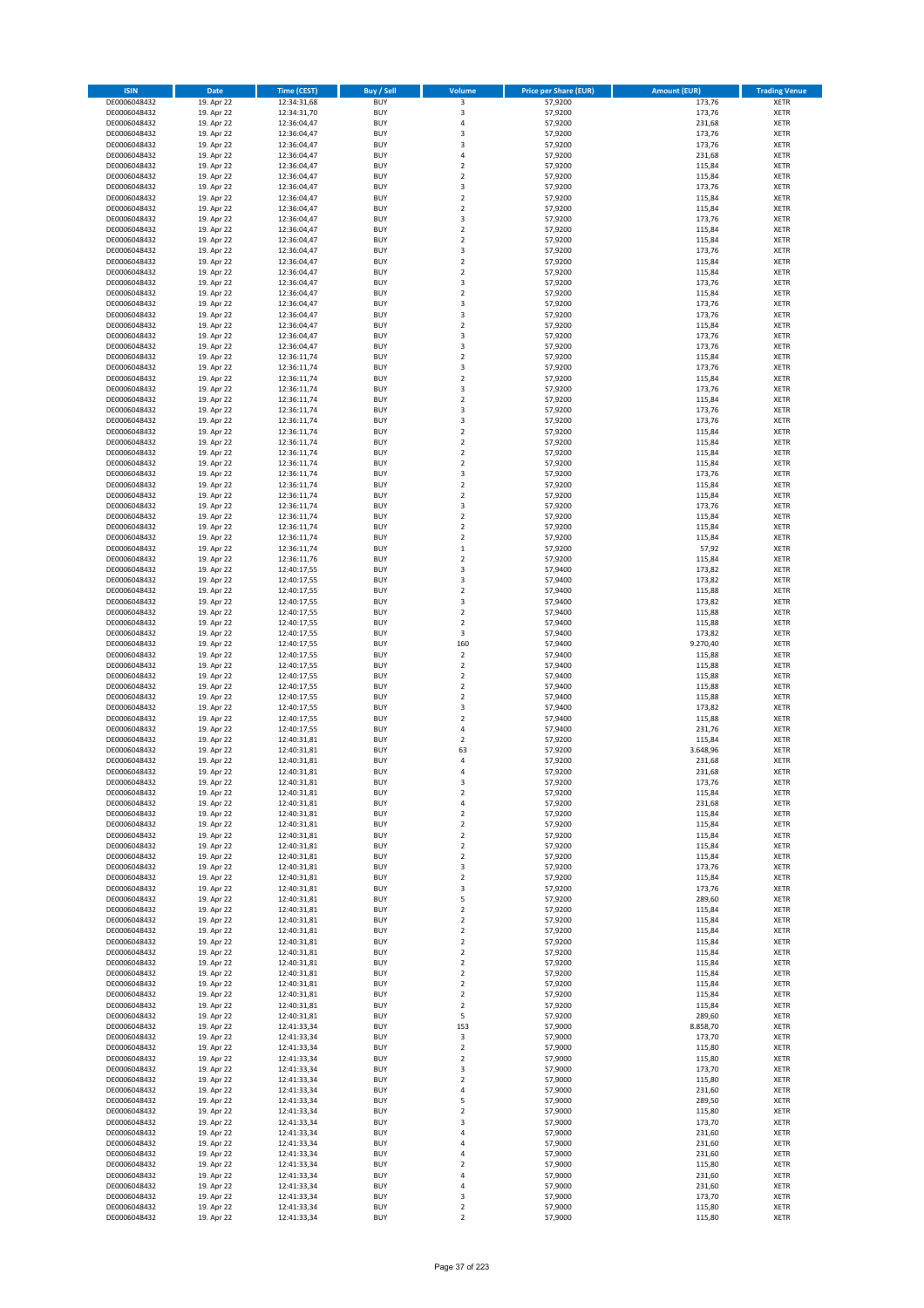| <b>ISIN</b>                  | <b>Date</b>              | Time (CEST)                | <b>Buy / Sell</b>        | Volume                                 | <b>Price per Share (EUR)</b> | <b>Amount (EUR)</b> | <b>Trading Venue</b>       |
|------------------------------|--------------------------|----------------------------|--------------------------|----------------------------------------|------------------------------|---------------------|----------------------------|
| DE0006048432                 | 19. Apr 22               | 12:34:31,68                | <b>BUY</b>               | 3                                      | 57,9200                      | 173,76              | <b>XETR</b>                |
| DE0006048432                 | 19. Apr 22               | 12:34:31,70                | <b>BUY</b>               | 3                                      | 57,9200                      | 173,76              | <b>XETR</b>                |
| DE0006048432                 | 19. Apr 22               | 12:36:04,47                | <b>BUY</b>               | 4                                      | 57,9200                      | 231,68              | <b>XETR</b>                |
| DE0006048432<br>DE0006048432 | 19. Apr 22<br>19. Apr 22 | 12:36:04,47<br>12:36:04,47 | <b>BUY</b><br><b>BUY</b> | 3<br>3                                 | 57,9200<br>57,9200           | 173,76<br>173,76    | <b>XETR</b><br><b>XETR</b> |
| DE0006048432                 | 19. Apr 22               | 12:36:04,47                | <b>BUY</b>               | 4                                      | 57,9200                      | 231,68              | <b>XETR</b>                |
| DE0006048432                 | 19. Apr 22               | 12:36:04,47                | <b>BUY</b>               | $\overline{\mathbf{c}}$                | 57,9200                      | 115,84              | <b>XETR</b>                |
| DE0006048432                 | 19. Apr 22               | 12:36:04,47                | <b>BUY</b>               | $\mathbf 2$                            | 57,9200                      | 115,84              | <b>XETR</b>                |
| DE0006048432                 | 19. Apr 22               | 12:36:04,47                | <b>BUY</b>               | 3                                      | 57,9200                      | 173,76              | <b>XETR</b>                |
| DE0006048432                 | 19. Apr 22               | 12:36:04,47                | <b>BUY</b><br><b>BUY</b> | $\overline{2}$<br>$\mathbf 2$          | 57,9200<br>57,9200           | 115,84<br>115,84    | <b>XETR</b><br><b>XETR</b> |
| DE0006048432<br>DE0006048432 | 19. Apr 22<br>19. Apr 22 | 12:36:04,47<br>12:36:04,47 | <b>BUY</b>               | 3                                      | 57,9200                      | 173,76              | <b>XETR</b>                |
| DE0006048432                 | 19. Apr 22               | 12:36:04,47                | <b>BUY</b>               | $\mathbf 2$                            | 57,9200                      | 115,84              | <b>XETR</b>                |
| DE0006048432                 | 19. Apr 22               | 12:36:04,47                | <b>BUY</b>               | $\overline{\mathbf{c}}$                | 57,9200                      | 115,84              | <b>XETR</b>                |
| DE0006048432                 | 19. Apr 22               | 12:36:04,47                | <b>BUY</b>               | 3                                      | 57,9200                      | 173,76              | <b>XETR</b>                |
| DE0006048432                 | 19. Apr 22               | 12:36:04,47                | <b>BUY</b>               | $\overline{\mathbf{c}}$                | 57,9200                      | 115,84              | <b>XETR</b>                |
| DE0006048432<br>DE0006048432 | 19. Apr 22<br>19. Apr 22 | 12:36:04,47<br>12:36:04,47 | <b>BUY</b><br><b>BUY</b> | $\mathbf 2$<br>3                       | 57,9200<br>57,9200           | 115,84<br>173,76    | <b>XETR</b><br><b>XETR</b> |
| DE0006048432                 | 19. Apr 22               | 12:36:04,47                | <b>BUY</b>               | $\overline{\mathbf{c}}$                | 57,9200                      | 115,84              | <b>XETR</b>                |
| DE0006048432                 | 19. Apr 22               | 12:36:04,47                | <b>BUY</b>               | 3                                      | 57,9200                      | 173,76              | <b>XETR</b>                |
| DE0006048432                 | 19. Apr 22               | 12:36:04,47                | <b>BUY</b>               | 3                                      | 57,9200                      | 173,76              | <b>XETR</b>                |
| DE0006048432                 | 19. Apr 22               | 12:36:04,47                | <b>BUY</b>               | $\mathbf 2$                            | 57,9200                      | 115,84              | <b>XETR</b>                |
| DE0006048432                 | 19. Apr 22               | 12:36:04,47                | <b>BUY</b><br><b>BUY</b> | 3<br>3                                 | 57,9200                      | 173,76              | <b>XETR</b>                |
| DE0006048432<br>DE0006048432 | 19. Apr 22<br>19. Apr 22 | 12:36:04,47<br>12:36:11,74 | <b>BUY</b>               | $\mathbf 2$                            | 57,9200<br>57,9200           | 173,76<br>115,84    | <b>XETR</b><br><b>XETR</b> |
| DE0006048432                 | 19. Apr 22               | 12:36:11,74                | <b>BUY</b>               | 3                                      | 57,9200                      | 173,76              | <b>XETR</b>                |
| DE0006048432                 | 19. Apr 22               | 12:36:11,74                | <b>BUY</b>               | $\mathbf 2$                            | 57,9200                      | 115,84              | XETR                       |
| DE0006048432                 | 19. Apr 22               | 12:36:11,74                | <b>BUY</b>               | 3                                      | 57,9200                      | 173,76              | <b>XETR</b>                |
| DE0006048432                 | 19. Apr 22               | 12:36:11,74                | <b>BUY</b>               | $\mathbf 2$                            | 57,9200                      | 115,84              | <b>XETR</b>                |
| DE0006048432<br>DE0006048432 | 19. Apr 22<br>19. Apr 22 | 12:36:11,74<br>12:36:11,74 | <b>BUY</b><br><b>BUY</b> | 3<br>3                                 | 57,9200<br>57,9200           | 173,76<br>173,76    | <b>XETR</b><br><b>XETR</b> |
| DE0006048432                 | 19. Apr 22               | 12:36:11,74                | <b>BUY</b>               | $\overline{\mathbf{2}}$                | 57,9200                      | 115,84              | <b>XETR</b>                |
| DE0006048432                 | 19. Apr 22               | 12:36:11,74                | <b>BUY</b>               | $\mathbf 2$                            | 57,9200                      | 115,84              | <b>XETR</b>                |
| DE0006048432                 | 19. Apr 22               | 12:36:11,74                | <b>BUY</b>               | $\mathbf 2$                            | 57,9200                      | 115,84              | <b>XETR</b>                |
| DE0006048432                 | 19. Apr 22               | 12:36:11,74                | <b>BUY</b>               | $\overline{2}$                         | 57,9200                      | 115,84              | <b>XETR</b>                |
| DE0006048432                 | 19. Apr 22               | 12:36:11,74                | <b>BUY</b><br><b>BUY</b> | 3<br>$\overline{\mathbf{c}}$           | 57,9200                      | 173,76              | <b>XETR</b><br><b>XETR</b> |
| DE0006048432<br>DE0006048432 | 19. Apr 22<br>19. Apr 22 | 12:36:11,74<br>12:36:11,74 | <b>BUY</b>               | $\mathbf 2$                            | 57,9200<br>57,9200           | 115,84<br>115,84    | <b>XETR</b>                |
| DE0006048432                 | 19. Apr 22               | 12:36:11,74                | <b>BUY</b>               | 3                                      | 57,9200                      | 173,76              | <b>XETR</b>                |
| DE0006048432                 | 19. Apr 22               | 12:36:11,74                | <b>BUY</b>               | $\mathbf 2$                            | 57,9200                      | 115,84              | <b>XETR</b>                |
| DE0006048432                 | 19. Apr 22               | 12:36:11,74                | <b>BUY</b>               | $\overline{\mathbf{c}}$                | 57,9200                      | 115,84              | <b>XETR</b>                |
| DE0006048432                 | 19. Apr 22               | 12:36:11,74                | <b>BUY</b>               | $\mathbf 2$                            | 57,9200                      | 115,84              | <b>XETR</b>                |
| DE0006048432<br>DE0006048432 | 19. Apr 22<br>19. Apr 22 | 12:36:11,74                | <b>BUY</b><br><b>BUY</b> | $\mathbf 1$<br>$\overline{\mathbf{c}}$ | 57,9200<br>57,9200           | 57,92<br>115,84     | <b>XETR</b><br><b>XETR</b> |
| DE0006048432                 | 19. Apr 22               | 12:36:11,76<br>12:40:17,55 | <b>BUY</b>               | 3                                      | 57,9400                      | 173,82              | <b>XETR</b>                |
| DE0006048432                 | 19. Apr 22               | 12:40:17,55                | <b>BUY</b>               | 3                                      | 57,9400                      | 173,82              | <b>XETR</b>                |
| DE0006048432                 | 19. Apr 22               | 12:40:17,55                | <b>BUY</b>               | $\mathbf 2$                            | 57,9400                      | 115,88              | <b>XETR</b>                |
| DE0006048432                 | 19. Apr 22               | 12:40:17,55                | <b>BUY</b>               | 3                                      | 57,9400                      | 173,82              | <b>XETR</b>                |
| DE0006048432                 | 19. Apr 22               | 12:40:17,55                | <b>BUY</b>               | $\mathbf 2$                            | 57,9400                      | 115,88              | <b>XETR</b>                |
| DE0006048432<br>DE0006048432 | 19. Apr 22<br>19. Apr 22 | 12:40:17,55<br>12:40:17,55 | <b>BUY</b><br><b>BUY</b> | $\overline{\mathbf{c}}$<br>3           | 57,9400<br>57,9400           | 115,88<br>173,82    | <b>XETR</b><br><b>XETR</b> |
| DE0006048432                 | 19. Apr 22               | 12:40:17,55                | <b>BUY</b>               | 160                                    | 57,9400                      | 9.270,40            | <b>XETR</b>                |
| DE0006048432                 | 19. Apr 22               | 12:40:17,55                | <b>BUY</b>               | $\overline{\mathbf{2}}$                | 57,9400                      | 115,88              | <b>XETR</b>                |
| DE0006048432                 | 19. Apr 22               | 12:40:17,55                | <b>BUY</b>               | $\mathbf 2$                            | 57,9400                      | 115,88              | <b>XETR</b>                |
| DE0006048432                 | 19. Apr 22               | 12:40:17,55                | <b>BUY</b>               | $\mathbf 2$                            | 57,9400                      | 115,88              | <b>XETR</b>                |
| DE0006048432                 | 19. Apr 22               | 12:40:17,55                | <b>BUY</b>               | $\mathbf 2$                            | 57,9400                      | 115,88              | <b>XETR</b>                |
| DE0006048432<br>DE0006048432 | 19. Apr 22<br>19. Apr 22 | 12:40:17,55<br>12:40:17,55 | <b>BUY</b><br><b>BUY</b> | $\overline{\mathbf{c}}$<br>3           | 57,9400<br>57,9400           | 115,88<br>173,82    | <b>XETR</b><br><b>XETR</b> |
| DE0006048432                 | 19. Apr 22               | 12:40:17,55                | <b>BUY</b>               | $\overline{\mathbf{c}}$                | 57,9400                      | 115,88              | <b>XETR</b>                |
| DE0006048432                 | 19. Apr 22               | 12:40:17,55                | <b>BUY</b>               | 4                                      | 57,9400                      | 231,76              | <b>XETR</b>                |
| DE0006048432                 | 19. Apr 22               | 12:40:31,81                | <b>BUY</b>               | $\mathbf 2$                            | 57,9200                      | 115,84              | <b>XETR</b>                |
| DE0006048432                 | 19. Apr 22               | 12:40:31,81                | <b>BUY</b>               | 63                                     | 57,9200                      | 3.648,96            | <b>XETR</b>                |
| DE0006048432<br>DE0006048432 | 19. Apr 22<br>19. Apr 22 | 12:40:31,81<br>12:40:31,81 | <b>BUY</b><br><b>BUY</b> | 4<br>4                                 | 57,9200<br>57,9200           | 231,68<br>231,68    | <b>XETR</b><br><b>XETR</b> |
| DE0006048432                 | 19. Apr 22               | 12:40:31,81                | BUY                      | 3                                      | 57,9200                      | 173,76              | <b>XETR</b>                |
| DE0006048432                 | 19. Apr 22               | 12:40:31,81                | <b>BUY</b>               | 2                                      | 57,9200                      | 115,84              | <b>XETR</b>                |
| DE0006048432                 | 19. Apr 22               | 12:40:31,81                | <b>BUY</b>               | 4                                      | 57,9200                      | 231,68              | <b>XETR</b>                |
| DE0006048432                 | 19. Apr 22               | 12:40:31,81                | <b>BUY</b>               | 2                                      | 57,9200                      | 115,84              | XETR                       |
| DE0006048432<br>DE0006048432 | 19. Apr 22<br>19. Apr 22 | 12:40:31,81<br>12:40:31,81 | <b>BUY</b><br><b>BUY</b> | $\mathbf 2$<br>$\mathbf 2$             | 57,9200<br>57,9200           | 115,84<br>115,84    | XETR<br><b>XETR</b>        |
| DE0006048432                 | 19. Apr 22               | 12:40:31,81                | <b>BUY</b>               | $\mathbf 2$                            | 57,9200                      | 115,84              | <b>XETR</b>                |
| DE0006048432                 | 19. Apr 22               | 12:40:31,81                | <b>BUY</b>               | $\mathbf 2$                            | 57,9200                      | 115,84              | <b>XETR</b>                |
| DE0006048432                 | 19. Apr 22               | 12:40:31,81                | <b>BUY</b>               | 3                                      | 57,9200                      | 173,76              | <b>XETR</b>                |
| DE0006048432                 | 19. Apr 22               | 12:40:31,81                | <b>BUY</b>               | $\mathbf 2$                            | 57,9200                      | 115,84              | <b>XETR</b>                |
| DE0006048432<br>DE0006048432 | 19. Apr 22<br>19. Apr 22 | 12:40:31,81<br>12:40:31,81 | <b>BUY</b><br><b>BUY</b> | 3<br>5                                 | 57,9200<br>57,9200           | 173,76<br>289,60    | <b>XETR</b><br><b>XETR</b> |
| DE0006048432                 | 19. Apr 22               | 12:40:31,81                | <b>BUY</b>               | $\mathbf 2$                            | 57,9200                      | 115,84              | <b>XETR</b>                |
| DE0006048432                 | 19. Apr 22               | 12:40:31,81                | <b>BUY</b>               | $\overline{\mathbf{2}}$                | 57,9200                      | 115,84              | <b>XETR</b>                |
| DE0006048432                 | 19. Apr 22               | 12:40:31,81                | <b>BUY</b>               | $\mathbf 2$                            | 57,9200                      | 115,84              | <b>XETR</b>                |
| DE0006048432                 | 19. Apr 22               | 12:40:31,81                | <b>BUY</b>               | $\mathbf 2$                            | 57,9200                      | 115,84              | <b>XETR</b>                |
| DE0006048432                 | 19. Apr 22               | 12:40:31,81                | <b>BUY</b>               | $\mathbf 2$                            | 57,9200                      | 115,84              | <b>XETR</b>                |
| DE0006048432<br>DE0006048432 | 19. Apr 22<br>19. Apr 22 | 12:40:31,81<br>12:40:31,81 | <b>BUY</b><br><b>BUY</b> | $\mathbf 2$<br>$\mathbf 2$             | 57,9200<br>57,9200           | 115,84<br>115,84    | <b>XETR</b><br>XETR        |
| DE0006048432                 | 19. Apr 22               | 12:40:31,81                | <b>BUY</b>               | $\mathbf 2$                            | 57,9200                      | 115,84              | <b>XETR</b>                |
| DE0006048432                 | 19. Apr 22               | 12:40:31,81                | <b>BUY</b>               | $\overline{\mathbf{2}}$                | 57,9200                      | 115,84              | <b>XETR</b>                |
| DE0006048432                 | 19. Apr 22               | 12:40:31,81                | <b>BUY</b>               | $\mathbf 2$                            | 57,9200                      | 115,84              | <b>XETR</b>                |
| DE0006048432                 | 19. Apr 22               | 12:40:31,81                | <b>BUY</b>               | 5                                      | 57,9200                      | 289,60              | <b>XETR</b>                |
| DE0006048432<br>DE0006048432 | 19. Apr 22<br>19. Apr 22 | 12:41:33,34<br>12:41:33,34 | <b>BUY</b><br><b>BUY</b> | 153<br>3                               | 57,9000<br>57,9000           | 8.858,70<br>173,70  | <b>XETR</b><br><b>XETR</b> |
| DE0006048432                 | 19. Apr 22               | 12:41:33,34                | <b>BUY</b>               | $\mathbf 2$                            | 57,9000                      | 115,80              | <b>XETR</b>                |
| DE0006048432                 | 19. Apr 22               | 12:41:33,34                | <b>BUY</b>               | $\mathbf 2$                            | 57,9000                      | 115,80              | <b>XETR</b>                |
| DE0006048432                 | 19. Apr 22               | 12:41:33,34                | <b>BUY</b>               | 3                                      | 57,9000                      | 173,70              | <b>XETR</b>                |
| DE0006048432                 | 19. Apr 22               | 12:41:33,34                | <b>BUY</b>               | $\mathbf 2$                            | 57,9000                      | 115,80              | <b>XETR</b>                |
| DE0006048432                 | 19. Apr 22               | 12:41:33,34                | <b>BUY</b>               | 4                                      | 57,9000                      | 231,60              | <b>XETR</b>                |
| DE0006048432<br>DE0006048432 | 19. Apr 22<br>19. Apr 22 | 12:41:33,34<br>12:41:33,34 | <b>BUY</b><br><b>BUY</b> | 5<br>$\mathbf 2$                       | 57,9000<br>57,9000           | 289,50<br>115,80    | <b>XETR</b><br><b>XETR</b> |
| DE0006048432                 | 19. Apr 22               | 12:41:33,34                | <b>BUY</b>               | 3                                      | 57,9000                      | 173,70              | <b>XETR</b>                |
| DE0006048432                 | 19. Apr 22               | 12:41:33,34                | <b>BUY</b>               | 4                                      | 57,9000                      | 231,60              | <b>XETR</b>                |
| DE0006048432                 | 19. Apr 22               | 12:41:33,34                | <b>BUY</b>               | 4                                      | 57,9000                      | 231,60              | <b>XETR</b>                |
| DE0006048432                 | 19. Apr 22               | 12:41:33,34                | <b>BUY</b>               | 4                                      | 57,9000                      | 231,60              | <b>XETR</b>                |
| DE0006048432<br>DE0006048432 | 19. Apr 22<br>19. Apr 22 | 12:41:33,34<br>12:41:33,34 | <b>BUY</b><br><b>BUY</b> | $\overline{\mathbf{c}}$<br>4           | 57,9000<br>57,9000           | 115,80<br>231,60    | <b>XETR</b><br>XETR        |
| DE0006048432                 | 19. Apr 22               | 12:41:33,34                | <b>BUY</b>               | 4                                      | 57,9000                      | 231,60              | <b>XETR</b>                |
| DE0006048432                 | 19. Apr 22               | 12:41:33,34                | <b>BUY</b>               | 3                                      | 57,9000                      | 173,70              | XETR                       |
| DE0006048432                 | 19. Apr 22               | 12:41:33,34                | <b>BUY</b>               | $\mathbf 2$                            | 57,9000                      | 115,80              | <b>XETR</b>                |
| DE0006048432                 | 19. Apr 22               | 12:41:33,34                | <b>BUY</b>               | $\overline{2}$                         | 57,9000                      | 115,80              | <b>XETR</b>                |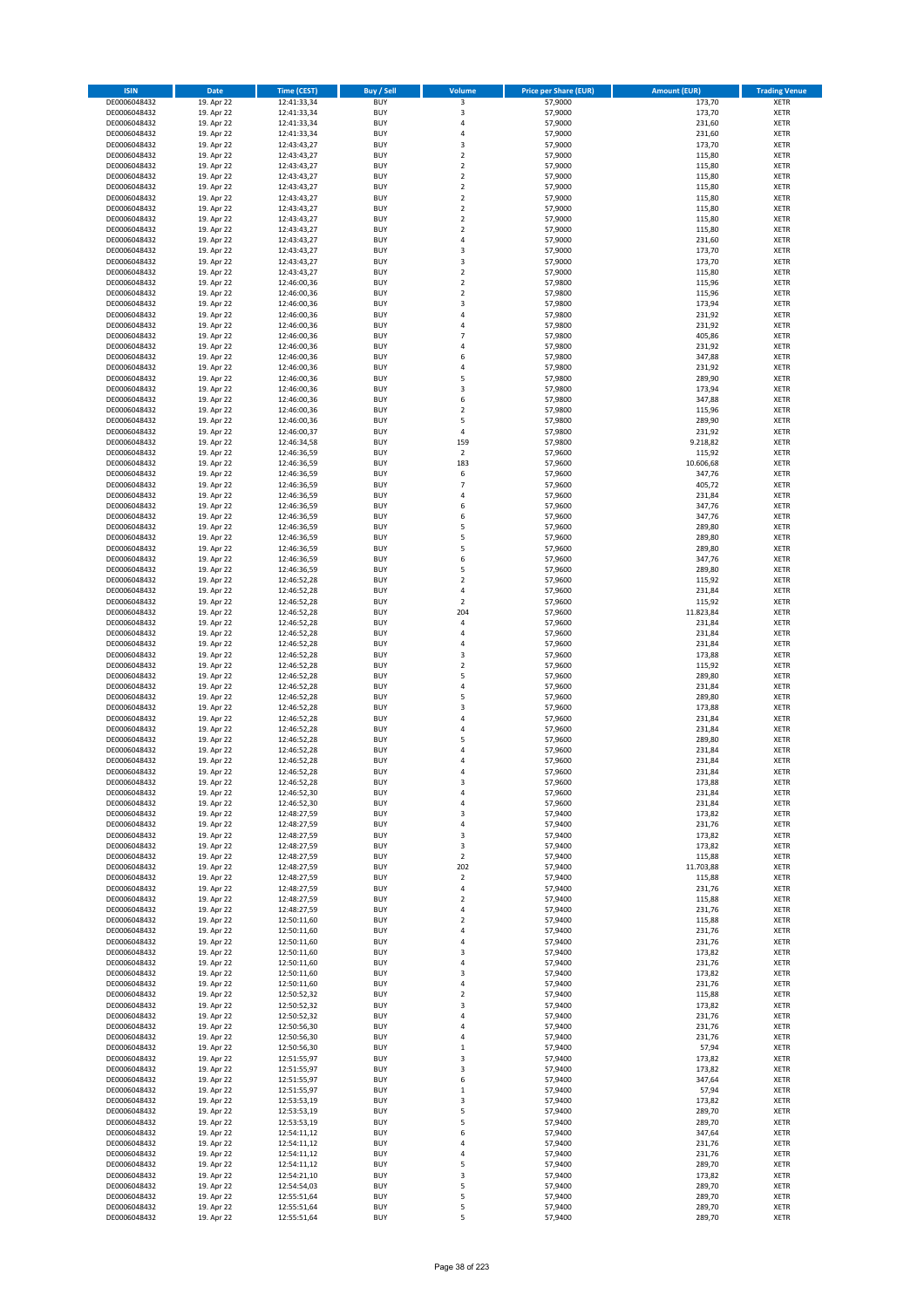| <b>ISIN</b>                  | <b>Date</b>              | <b>Time (CEST)</b>         | <b>Buy / Sell</b>        | <b>Volume</b>                          | <b>Price per Share (EUR)</b> | <b>Amount (EUR)</b> | <b>Trading Venue</b>       |
|------------------------------|--------------------------|----------------------------|--------------------------|----------------------------------------|------------------------------|---------------------|----------------------------|
| DE0006048432                 | 19. Apr 22               | 12:41:33,34                | <b>BUY</b>               | 3                                      | 57,9000                      | 173,70              | <b>XETR</b>                |
| DE0006048432                 | 19. Apr 22               | 12:41:33,34                | <b>BUY</b>               | 3                                      | 57,9000                      | 173,70              | <b>XETR</b>                |
| DE0006048432                 | 19. Apr 22               | 12:41:33,34                | <b>BUY</b>               | 4                                      | 57,9000                      | 231,60              | <b>XETR</b>                |
| DE0006048432<br>DE0006048432 | 19. Apr 22<br>19. Apr 22 | 12:41:33,34<br>12:43:43,27 | <b>BUY</b><br><b>BUY</b> | 4<br>3                                 | 57,9000<br>57,9000           | 231,60<br>173,70    | <b>XETR</b><br><b>XETR</b> |
| DE0006048432                 | 19. Apr 22               | 12:43:43,27                | <b>BUY</b>               | $\mathbf 2$                            | 57,9000                      | 115,80              | <b>XETR</b>                |
| DE0006048432                 | 19. Apr 22               | 12:43:43,27                | <b>BUY</b>               | $\mathbf 2$                            | 57,9000                      | 115,80              | <b>XETR</b>                |
| DE0006048432                 | 19. Apr 22               | 12:43:43,27                | <b>BUY</b>               | $\overline{\mathbf{c}}$                | 57,9000                      | 115,80              | <b>XETR</b>                |
| DE0006048432                 | 19. Apr 22               | 12:43:43,27                | <b>BUY</b>               | $\mathbf 2$                            | 57,9000                      | 115,80              | <b>XETR</b>                |
| DE0006048432                 | 19. Apr 22               | 12:43:43,27                | <b>BUY</b>               | $\overline{2}$                         | 57,9000                      | 115,80              | <b>XETR</b>                |
| DE0006048432                 | 19. Apr 22               | 12:43:43,27                | <b>BUY</b>               | $\mathbf 2$                            | 57,9000                      | 115,80              | <b>XETR</b>                |
| DE0006048432<br>DE0006048432 | 19. Apr 22<br>19. Apr 22 | 12:43:43,27                | <b>BUY</b><br><b>BUY</b> | $\overline{\mathbf{c}}$<br>$\mathbf 2$ | 57,9000<br>57,9000           | 115,80<br>115,80    | <b>XETR</b><br><b>XETR</b> |
| DE0006048432                 | 19. Apr 22               | 12:43:43,27<br>12:43:43,27 | <b>BUY</b>               | 4                                      | 57,9000                      | 231,60              | <b>XETR</b>                |
| DE0006048432                 | 19. Apr 22               | 12:43:43,27                | <b>BUY</b>               | 3                                      | 57,9000                      | 173,70              | <b>XETR</b>                |
| DE0006048432                 | 19. Apr 22               | 12:43:43,27                | <b>BUY</b>               | 3                                      | 57,9000                      | 173,70              | <b>XETR</b>                |
| DE0006048432                 | 19. Apr 22               | 12:43:43,27                | <b>BUY</b>               | $\mathbf 2$                            | 57,9000                      | 115,80              | <b>XETR</b>                |
| DE0006048432                 | 19. Apr 22               | 12:46:00,36                | <b>BUY</b>               | $\mathbf 2$                            | 57,9800                      | 115,96              | <b>XETR</b>                |
| DE0006048432                 | 19. Apr 22               | 12:46:00,36                | <b>BUY</b>               | $\overline{\mathbf{c}}$                | 57,9800                      | 115,96              | <b>XETR</b>                |
| DE0006048432                 | 19. Apr 22               | 12:46:00,36                | <b>BUY</b>               | 3                                      | 57,9800                      | 173,94              | <b>XETR</b>                |
| DE0006048432<br>DE0006048432 | 19. Apr 22<br>19. Apr 22 | 12:46:00,36<br>12:46:00,36 | <b>BUY</b><br><b>BUY</b> | 4<br>4                                 | 57,9800<br>57,9800           | 231,92<br>231,92    | <b>XETR</b><br><b>XETR</b> |
| DE0006048432                 | 19. Apr 22               | 12:46:00,36                | <b>BUY</b>               | $\overline{7}$                         | 57,9800                      | 405,86              | <b>XETR</b>                |
| DE0006048432                 | 19. Apr 22               | 12:46:00,36                | <b>BUY</b>               | 4                                      | 57,9800                      | 231,92              | <b>XETR</b>                |
| DE0006048432                 | 19. Apr 22               | 12:46:00,36                | <b>BUY</b>               | 6                                      | 57,9800                      | 347,88              | <b>XETR</b>                |
| DE0006048432                 | 19. Apr 22               | 12:46:00,36                | <b>BUY</b>               | 4                                      | 57,9800                      | 231,92              | <b>XETR</b>                |
| DE0006048432                 | 19. Apr 22               | 12:46:00,36                | <b>BUY</b>               | 5                                      | 57,9800                      | 289,90              | <b>XETR</b>                |
| DE0006048432                 | 19. Apr 22               | 12:46:00,36                | <b>BUY</b>               | 3                                      | 57,9800                      | 173,94              | <b>XETR</b>                |
| DE0006048432<br>DE0006048432 | 19. Apr 22<br>19. Apr 22 | 12:46:00,36<br>12:46:00,36 | <b>BUY</b><br><b>BUY</b> | 6<br>$\overline{\mathbf{c}}$           | 57,9800<br>57,9800           | 347,88<br>115,96    | <b>XETR</b><br><b>XETR</b> |
| DE0006048432                 | 19. Apr 22               | 12:46:00,36                | <b>BUY</b>               | 5                                      | 57,9800                      | 289,90              | <b>XETR</b>                |
| DE0006048432                 | 19. Apr 22               | 12:46:00,37                | <b>BUY</b>               | 4                                      | 57,9800                      | 231,92              | <b>XETR</b>                |
| DE0006048432                 | 19. Apr 22               | 12:46:34,58                | <b>BUY</b>               | 159                                    | 57,9800                      | 9.218,82            | <b>XETR</b>                |
| DE0006048432                 | 19. Apr 22               | 12:46:36,59                | <b>BUY</b>               | $\overline{\mathbf{2}}$                | 57,9600                      | 115,92              | <b>XETR</b>                |
| DE0006048432                 | 19. Apr 22               | 12:46:36,59                | <b>BUY</b>               | 183                                    | 57,9600                      | 10.606,68           | <b>XETR</b>                |
| DE0006048432                 | 19. Apr 22               | 12:46:36,59                | <b>BUY</b>               | 6                                      | 57,9600                      | 347,76              | <b>XETR</b>                |
| DE0006048432<br>DE0006048432 | 19. Apr 22<br>19. Apr 22 | 12:46:36,59<br>12:46:36,59 | <b>BUY</b><br><b>BUY</b> | $\overline{7}$<br>4                    | 57,9600<br>57,9600           | 405,72<br>231,84    | <b>XETR</b><br><b>XETR</b> |
| DE0006048432                 | 19. Apr 22               | 12:46:36,59                | <b>BUY</b>               | 6                                      | 57,9600                      | 347,76              | <b>XETR</b>                |
| DE0006048432                 | 19. Apr 22               | 12:46:36,59                | <b>BUY</b>               | 6                                      | 57,9600                      | 347,76              | <b>XETR</b>                |
| DE0006048432                 | 19. Apr 22               | 12:46:36,59                | <b>BUY</b>               | 5                                      | 57,9600                      | 289,80              | <b>XETR</b>                |
| DE0006048432                 | 19. Apr 22               | 12:46:36,59                | <b>BUY</b>               | 5                                      | 57,9600                      | 289,80              | <b>XETR</b>                |
| DE0006048432                 | 19. Apr 22               | 12:46:36,59                | <b>BUY</b>               | 5                                      | 57,9600                      | 289,80              | <b>XETR</b>                |
| DE0006048432                 | 19. Apr 22               | 12:46:36,59                | <b>BUY</b>               | 6                                      | 57,9600                      | 347,76              | <b>XETR</b>                |
| DE0006048432                 | 19. Apr 22               | 12:46:36,59                | <b>BUY</b>               | 5                                      | 57,9600                      | 289,80              | <b>XETR</b>                |
| DE0006048432<br>DE0006048432 | 19. Apr 22<br>19. Apr 22 | 12:46:52,28<br>12:46:52,28 | <b>BUY</b><br><b>BUY</b> | $\overline{\mathbf{2}}$<br>4           | 57,9600<br>57,9600           | 115,92<br>231,84    | <b>XETR</b><br><b>XETR</b> |
| DE0006048432                 | 19. Apr 22               | 12:46:52,28                | <b>BUY</b>               | $\mathbf 2$                            | 57,9600                      | 115,92              | <b>XETR</b>                |
| DE0006048432                 | 19. Apr 22               | 12:46:52,28                | <b>BUY</b>               | 204                                    | 57,9600                      | 11.823,84           | <b>XETR</b>                |
| DE0006048432                 | 19. Apr 22               | 12:46:52,28                | <b>BUY</b>               | 4                                      | 57,9600                      | 231,84              | <b>XETR</b>                |
| DE0006048432                 | 19. Apr 22               | 12:46:52,28                | <b>BUY</b>               | 4                                      | 57,9600                      | 231,84              | <b>XETR</b>                |
| DE0006048432                 | 19. Apr 22               | 12:46:52,28                | <b>BUY</b>               | 4                                      | 57,9600                      | 231,84              | <b>XETR</b>                |
| DE0006048432                 | 19. Apr 22               | 12:46:52,28                | <b>BUY</b>               | 3                                      | 57,9600                      | 173,88              | <b>XETR</b>                |
| DE0006048432<br>DE0006048432 | 19. Apr 22<br>19. Apr 22 | 12:46:52,28<br>12:46:52,28 | <b>BUY</b><br><b>BUY</b> | $\mathbf 2$<br>5                       | 57,9600<br>57,9600           | 115,92<br>289,80    | <b>XETR</b><br><b>XETR</b> |
| DE0006048432                 | 19. Apr 22               | 12:46:52,28                | <b>BUY</b>               | 4                                      | 57,9600                      | 231,84              | <b>XETR</b>                |
| DE0006048432                 | 19. Apr 22               | 12:46:52,28                | <b>BUY</b>               | 5                                      | 57,9600                      | 289,80              | <b>XETR</b>                |
| DE0006048432                 | 19. Apr 22               | 12:46:52,28                | <b>BUY</b>               | 3                                      | 57,9600                      | 173,88              | <b>XETR</b>                |
| DE0006048432                 | 19. Apr 22               | 12:46:52,28                | <b>BUY</b>               | 4                                      | 57,9600                      | 231,84              | <b>XETR</b>                |
| DE0006048432                 | 19. Apr 22               | 12:46:52,28                | <b>BUY</b>               | 4                                      | 57,9600                      | 231,84              | <b>XETR</b>                |
| DE0006048432                 | 19. Apr 22               | 12:46:52,28                | <b>BUY</b>               | 5                                      | 57,9600                      | 289,80              | <b>XETR</b>                |
| DE0006048432<br>DE0006048432 | 19. Apr 22<br>19. Apr 22 | 12:46:52,28<br>12:46:52,28 | <b>BUY</b><br><b>BUY</b> | $\overline{a}$<br>4                    | 57,9600<br>57,9600           | 231,84<br>231,84    | <b>XETR</b><br><b>XETR</b> |
| DE0006048432                 | 19. Apr 22               | 12:46:52,28                | <b>BUY</b>               | 4                                      | 57,9600                      | 231,84              | <b>XETR</b>                |
| DE0006048432                 | 19. Apr 22               | 12:46:52,28                | BUY                      | 3                                      | 57,9600                      | 173,88              | <b>XETR</b>                |
| DE0006048432                 | 19. Apr 22               | 12:46:52,30                | <b>BUY</b>               | 4                                      | 57,9600                      | 231,84              | <b>XETR</b>                |
| DE0006048432                 | 19. Apr 22               | 12:46:52,30                | <b>BUY</b>               | 4                                      | 57,9600                      | 231,84              | <b>XETR</b>                |
| DE0006048432                 | 19. Apr 22               | 12:48:27,59                | <b>BUY</b>               | 3                                      | 57,9400                      | 173,82              | XETR                       |
| DE0006048432                 | 19. Apr 22               | 12:48:27,59                | <b>BUY</b>               | 4                                      | 57,9400                      | 231,76              | <b>XETR</b>                |
| DE0006048432<br>DE0006048432 | 19. Apr 22<br>19. Apr 22 | 12:48:27,59<br>12:48:27,59 | <b>BUY</b><br><b>BUY</b> | 3<br>3                                 | 57,9400<br>57,9400           | 173,82<br>173,82    | <b>XETR</b><br><b>XETR</b> |
| DE0006048432                 | 19. Apr 22               | 12:48:27,59                | <b>BUY</b>               | $\mathbf 2$                            | 57,9400                      | 115,88              | <b>XETR</b>                |
| DE0006048432                 | 19. Apr 22               | 12:48:27,59                | <b>BUY</b>               | 202                                    | 57,9400                      | 11.703,88           | <b>XETR</b>                |
| DE0006048432                 | 19. Apr 22               | 12:48:27,59                | <b>BUY</b>               | $\mathbf 2$                            | 57,9400                      | 115,88              | <b>XETR</b>                |
| DE0006048432                 | 19. Apr 22               | 12:48:27,59                | <b>BUY</b>               | 4                                      | 57,9400                      | 231,76              | <b>XETR</b>                |
| DE0006048432                 | 19. Apr 22               | 12:48:27,59                | <b>BUY</b>               | $\overline{\mathbf{c}}$                | 57,9400                      | 115,88              | <b>XETR</b>                |
| DE0006048432<br>DE0006048432 | 19. Apr 22<br>19. Apr 22 | 12:48:27,59<br>12:50:11,60 | <b>BUY</b><br><b>BUY</b> | 4<br>$\overline{\mathbf{c}}$           | 57,9400<br>57,9400           | 231,76<br>115,88    | <b>XETR</b><br><b>XETR</b> |
| DE0006048432                 | 19. Apr 22               | 12:50:11,60                | <b>BUY</b>               | 4                                      | 57,9400                      | 231,76              | <b>XETR</b>                |
| DE0006048432                 | 19. Apr 22               | 12:50:11,60                | <b>BUY</b>               | 4                                      | 57,9400                      | 231,76              | <b>XETR</b>                |
| DE0006048432                 | 19. Apr 22               | 12:50:11,60                | <b>BUY</b>               | 3                                      | 57,9400                      | 173,82              | <b>XETR</b>                |
| DE0006048432                 | 19. Apr 22               | 12:50:11,60                | <b>BUY</b>               | 4                                      | 57,9400                      | 231,76              | <b>XETR</b>                |
| DE0006048432                 | 19. Apr 22               | 12:50:11,60                | <b>BUY</b>               | 3                                      | 57,9400                      | 173,82              | XETR                       |
| DE0006048432                 | 19. Apr 22               | 12:50:11,60                | <b>BUY</b>               | 4                                      | 57,9400                      | 231,76              | <b>XETR</b>                |
| DE0006048432<br>DE0006048432 | 19. Apr 22<br>19. Apr 22 | 12:50:52,32<br>12:50:52,32 | <b>BUY</b><br><b>BUY</b> | $\overline{\mathbf{c}}$<br>3           | 57,9400<br>57,9400           | 115,88<br>173,82    | <b>XETR</b><br><b>XETR</b> |
| DE0006048432                 | 19. Apr 22               | 12:50:52,32                | <b>BUY</b>               | 4                                      | 57,9400                      | 231,76              | <b>XETR</b>                |
| DE0006048432                 | 19. Apr 22               | 12:50:56,30                | <b>BUY</b>               | 4                                      | 57,9400                      | 231,76              | <b>XETR</b>                |
| DE0006048432                 | 19. Apr 22               | 12:50:56,30                | <b>BUY</b>               | 4                                      | 57,9400                      | 231,76              | <b>XETR</b>                |
| DE0006048432                 | 19. Apr 22               | 12:50:56,30                | <b>BUY</b>               | $\mathbf 1$                            | 57,9400                      | 57,94               | <b>XETR</b>                |
| DE0006048432                 | 19. Apr 22               | 12:51:55,97                | <b>BUY</b>               | 3                                      | 57,9400                      | 173,82              | <b>XETR</b>                |
| DE0006048432                 | 19. Apr 22               | 12:51:55,97                | <b>BUY</b>               | 3                                      | 57,9400                      | 173,82<br>347,64    | <b>XETR</b>                |
| DE0006048432<br>DE0006048432 | 19. Apr 22<br>19. Apr 22 | 12:51:55,97<br>12:51:55,97 | <b>BUY</b><br><b>BUY</b> | 6<br>$\mathbf 1$                       | 57,9400<br>57,9400           | 57,94               | <b>XETR</b><br><b>XETR</b> |
| DE0006048432                 | 19. Apr 22               | 12:53:53,19                | <b>BUY</b>               | 3                                      | 57,9400                      | 173,82              | <b>XETR</b>                |
| DE0006048432                 | 19. Apr 22               | 12:53:53,19                | <b>BUY</b>               | 5                                      | 57,9400                      | 289,70              | <b>XETR</b>                |
| DE0006048432                 | 19. Apr 22               | 12:53:53,19                | <b>BUY</b>               | 5                                      | 57,9400                      | 289,70              | <b>XETR</b>                |
| DE0006048432                 | 19. Apr 22               | 12:54:11,12                | <b>BUY</b>               | 6                                      | 57,9400                      | 347,64              | <b>XETR</b>                |
| DE0006048432                 | 19. Apr 22               | 12:54:11,12                | <b>BUY</b>               | 4                                      | 57,9400                      | 231,76              | <b>XETR</b>                |
| DE0006048432<br>DE0006048432 | 19. Apr 22<br>19. Apr 22 | 12:54:11,12<br>12:54:11,12 | <b>BUY</b><br><b>BUY</b> | 4<br>5                                 | 57,9400<br>57,9400           | 231,76<br>289,70    | <b>XETR</b><br><b>XETR</b> |
| DE0006048432                 | 19. Apr 22               | 12:54:21,10                | <b>BUY</b>               | 3                                      | 57,9400                      | 173,82              | XETR                       |
| DE0006048432                 | 19. Apr 22               | 12:54:54,03                | <b>BUY</b>               | 5                                      | 57,9400                      | 289,70              | <b>XETR</b>                |
| DE0006048432                 | 19. Apr 22               | 12:55:51,64                | <b>BUY</b>               | 5                                      | 57,9400                      | 289,70              | XETR                       |
| DE0006048432                 | 19. Apr 22               | 12:55:51,64                | <b>BUY</b>               | 5                                      | 57,9400                      | 289,70              | <b>XETR</b>                |
| DE0006048432                 | 19. Apr 22               | 12:55:51,64                | <b>BUY</b>               | 5                                      | 57,9400                      | 289,70              | <b>XETR</b>                |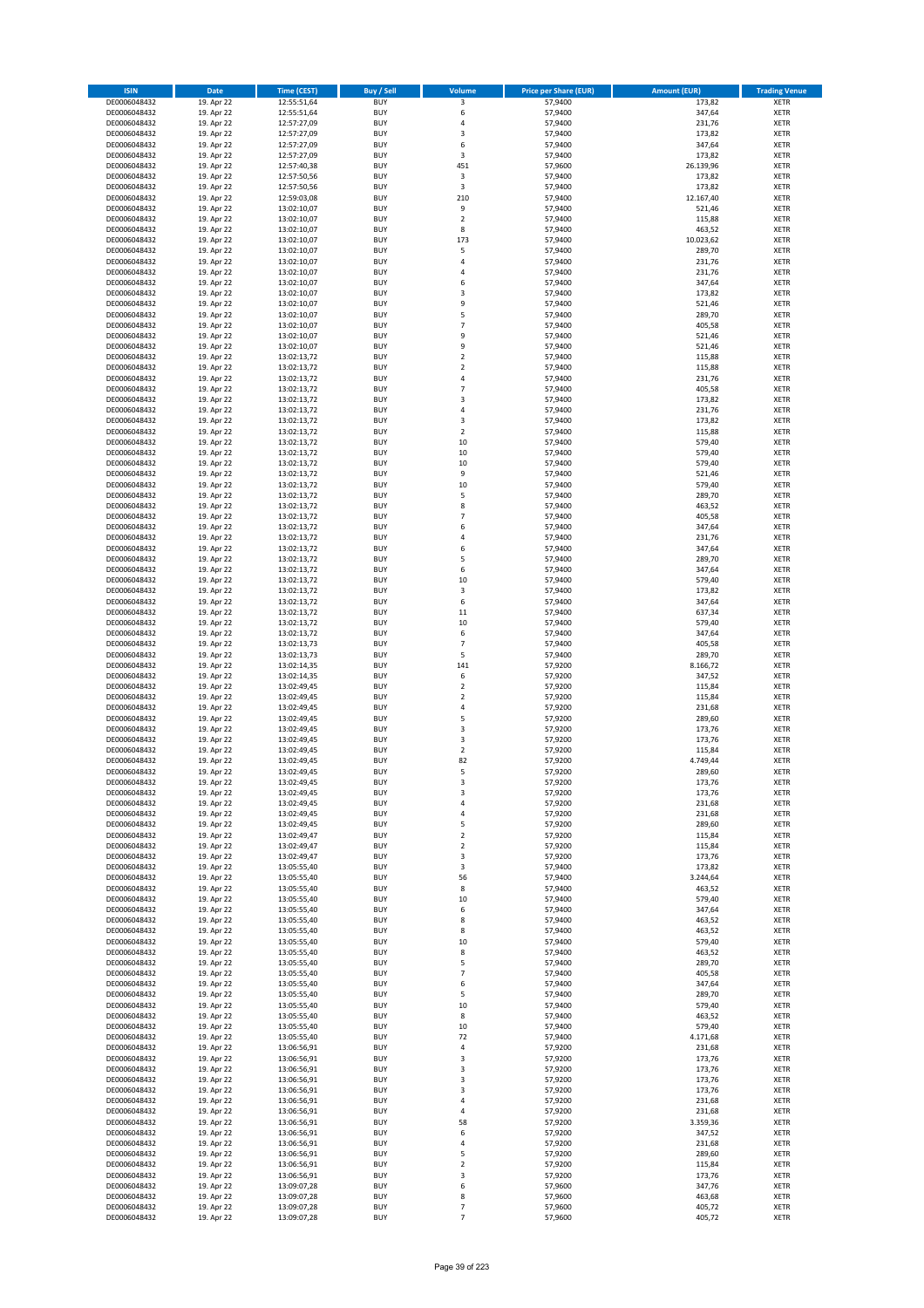| <b>ISIN</b>                  | Date                     | Time (CEST)                | <b>Buy / Sell</b>        | <b>Volume</b>                    | <b>Price per Share (EUR)</b> | <b>Amount (EUR)</b> | <b>Trading Venue</b>       |
|------------------------------|--------------------------|----------------------------|--------------------------|----------------------------------|------------------------------|---------------------|----------------------------|
| DE0006048432                 | 19. Apr 22               | 12:55:51,64                | <b>BUY</b>               | 3                                | 57,9400                      | 173,82              | <b>XETR</b>                |
| DE0006048432                 | 19. Apr 22               | 12:55:51,64                | <b>BUY</b>               | 6                                | 57,9400                      | 347,64              | XETR                       |
| DE0006048432                 | 19. Apr 22               | 12:57:27,09                | <b>BUY</b>               | 4                                | 57,9400                      | 231,76              | <b>XETR</b>                |
| DE0006048432                 | 19. Apr 22               | 12:57:27,09                | <b>BUY</b>               | $\mathsf 3$                      | 57,9400                      | 173,82              | XETR                       |
| DE0006048432<br>DE0006048432 | 19. Apr 22<br>19. Apr 22 | 12:57:27,09<br>12:57:27,09 | <b>BUY</b><br><b>BUY</b> | 6<br>$\mathsf 3$                 | 57,9400<br>57,9400           | 347,64<br>173,82    | <b>XETR</b><br><b>XETR</b> |
| DE0006048432                 | 19. Apr 22               | 12:57:40,38                | <b>BUY</b>               | 451                              | 57,9600                      | 26.139,96           | <b>XETR</b>                |
| DE0006048432                 | 19. Apr 22               | 12:57:50,56                | <b>BUY</b>               | 3                                | 57,9400                      | 173,82              | <b>XETR</b>                |
| DE0006048432                 | 19. Apr 22               | 12:57:50,56                | <b>BUY</b>               | 3                                | 57,9400                      | 173,82              | <b>XETR</b>                |
| DE0006048432                 | 19. Apr 22               | 12:59:03,08                | <b>BUY</b>               | 210                              | 57,9400                      | 12.167,40           | <b>XETR</b>                |
| DE0006048432                 | 19. Apr 22               | 13:02:10,07                | <b>BUY</b>               | 9                                | 57,9400                      | 521,46              | <b>XETR</b>                |
| DE0006048432                 | 19. Apr 22               | 13:02:10,07                | <b>BUY</b>               | $\mathbf 2$                      | 57,9400                      | 115,88              | <b>XETR</b>                |
| DE0006048432<br>DE0006048432 | 19. Apr 22<br>19. Apr 22 | 13:02:10,07<br>13:02:10,07 | <b>BUY</b><br><b>BUY</b> | 8<br>173                         | 57,9400<br>57,9400           | 463,52<br>10.023,62 | <b>XETR</b><br><b>XETR</b> |
| DE0006048432                 | 19. Apr 22               | 13:02:10,07                | <b>BUY</b>               | 5                                | 57,9400                      | 289,70              | <b>XETR</b>                |
| DE0006048432                 | 19. Apr 22               | 13:02:10,07                | <b>BUY</b>               | 4                                | 57,9400                      | 231,76              | <b>XETR</b>                |
| DE0006048432                 | 19. Apr 22               | 13:02:10,07                | <b>BUY</b>               | 4                                | 57,9400                      | 231,76              | <b>XETR</b>                |
| DE0006048432                 | 19. Apr 22               | 13:02:10,07                | <b>BUY</b>               | 6                                | 57,9400                      | 347,64              | <b>XETR</b>                |
| DE0006048432                 | 19. Apr 22               | 13:02:10,07                | <b>BUY</b>               | 3                                | 57,9400                      | 173,82              | <b>XETR</b>                |
| DE0006048432<br>DE0006048432 | 19. Apr 22<br>19. Apr 22 | 13:02:10,07                | <b>BUY</b><br><b>BUY</b> | 9<br>5                           | 57,9400<br>57,9400           | 521,46<br>289,70    | <b>XETR</b><br><b>XETR</b> |
| DE0006048432                 | 19. Apr 22               | 13:02:10,07<br>13:02:10,07 | <b>BUY</b>               | $\overline{7}$                   | 57,9400                      | 405,58              | <b>XETR</b>                |
| DE0006048432                 | 19. Apr 22               | 13:02:10,07                | <b>BUY</b>               | 9                                | 57,9400                      | 521,46              | <b>XETR</b>                |
| DE0006048432                 | 19. Apr 22               | 13:02:10,07                | <b>BUY</b>               | 9                                | 57,9400                      | 521,46              | <b>XETR</b>                |
| DE0006048432                 | 19. Apr 22               | 13:02:13,72                | <b>BUY</b>               | $\mathbf 2$                      | 57,9400                      | 115,88              | <b>XETR</b>                |
| DE0006048432                 | 19. Apr 22               | 13:02:13,72                | <b>BUY</b>               | $\mathbf 2$                      | 57,9400                      | 115,88              | <b>XETR</b>                |
| DE0006048432<br>DE0006048432 | 19. Apr 22               | 13:02:13,72                | <b>BUY</b><br><b>BUY</b> | $\overline{4}$<br>$\overline{7}$ | 57,9400                      | 231,76              | <b>XETR</b><br><b>XETR</b> |
| DE0006048432                 | 19. Apr 22<br>19. Apr 22 | 13:02:13,72<br>13:02:13,72 | <b>BUY</b>               | $\mathsf 3$                      | 57,9400<br>57,9400           | 405,58<br>173,82    | <b>XETR</b>                |
| DE0006048432                 | 19. Apr 22               | 13:02:13,72                | <b>BUY</b>               | 4                                | 57,9400                      | 231,76              | <b>XETR</b>                |
| DE0006048432                 | 19. Apr 22               | 13:02:13,72                | <b>BUY</b>               | 3                                | 57,9400                      | 173,82              | <b>XETR</b>                |
| DE0006048432                 | 19. Apr 22               | 13:02:13,72                | <b>BUY</b>               | $\overline{2}$                   | 57,9400                      | 115,88              | <b>XETR</b>                |
| DE0006048432                 | 19. Apr 22               | 13:02:13,72                | <b>BUY</b>               | 10                               | 57,9400                      | 579,40              | <b>XETR</b>                |
| DE0006048432                 | 19. Apr 22               | 13:02:13,72                | <b>BUY</b>               | 10                               | 57,9400                      | 579,40              | <b>XETR</b>                |
| DE0006048432<br>DE0006048432 | 19. Apr 22<br>19. Apr 22 | 13:02:13,72<br>13:02:13,72 | <b>BUY</b><br><b>BUY</b> | 10<br>9                          | 57,9400<br>57,9400           | 579,40<br>521,46    | <b>XETR</b><br><b>XETR</b> |
| DE0006048432                 | 19. Apr 22               | 13:02:13,72                | <b>BUY</b>               | 10                               | 57,9400                      | 579,40              | <b>XETR</b>                |
| DE0006048432                 | 19. Apr 22               | 13:02:13,72                | <b>BUY</b>               | 5                                | 57,9400                      | 289,70              | <b>XETR</b>                |
| DE0006048432                 | 19. Apr 22               | 13:02:13,72                | <b>BUY</b>               | 8                                | 57,9400                      | 463,52              | <b>XETR</b>                |
| DE0006048432                 | 19. Apr 22               | 13:02:13,72                | <b>BUY</b>               | $\overline{7}$                   | 57,9400                      | 405,58              | <b>XETR</b>                |
| DE0006048432                 | 19. Apr 22               | 13:02:13,72                | <b>BUY</b>               | 6                                | 57,9400                      | 347,64              | <b>XETR</b>                |
| DE0006048432                 | 19. Apr 22               | 13:02:13,72                | <b>BUY</b><br><b>BUY</b> | 4                                | 57,9400                      | 231,76<br>347,64    | <b>XETR</b>                |
| DE0006048432<br>DE0006048432 | 19. Apr 22<br>19. Apr 22 | 13:02:13,72<br>13:02:13,72 | <b>BUY</b>               | 6<br>5                           | 57,9400<br>57,9400           | 289,70              | <b>XETR</b><br><b>XETR</b> |
| DE0006048432                 | 19. Apr 22               | 13:02:13,72                | <b>BUY</b>               | 6                                | 57,9400                      | 347,64              | <b>XETR</b>                |
| DE0006048432                 | 19. Apr 22               | 13:02:13,72                | <b>BUY</b>               | 10                               | 57,9400                      | 579,40              | <b>XETR</b>                |
| DE0006048432                 | 19. Apr 22               | 13:02:13,72                | <b>BUY</b>               | 3                                | 57,9400                      | 173,82              | <b>XETR</b>                |
| DE0006048432                 | 19. Apr 22               | 13:02:13,72                | <b>BUY</b>               | 6                                | 57,9400                      | 347,64              | <b>XETR</b>                |
| DE0006048432<br>DE0006048432 | 19. Apr 22               | 13:02:13,72                | <b>BUY</b><br><b>BUY</b> | 11<br>10                         | 57,9400<br>57,9400           | 637,34<br>579,40    | <b>XETR</b><br><b>XETR</b> |
| DE0006048432                 | 19. Apr 22<br>19. Apr 22 | 13:02:13,72<br>13:02:13,72 | <b>BUY</b>               | 6                                | 57,9400                      | 347,64              | <b>XETR</b>                |
| DE0006048432                 | 19. Apr 22               | 13:02:13,73                | <b>BUY</b>               | $\overline{7}$                   | 57,9400                      | 405,58              | <b>XETR</b>                |
| DE0006048432                 | 19. Apr 22               | 13:02:13,73                | <b>BUY</b>               | 5                                | 57,9400                      | 289,70              | <b>XETR</b>                |
| DE0006048432                 | 19. Apr 22               | 13:02:14,35                | <b>BUY</b>               | 141                              | 57,9200                      | 8.166,72            | <b>XETR</b>                |
| DE0006048432                 | 19. Apr 22               | 13:02:14,35                | <b>BUY</b>               | 6                                | 57,9200                      | 347,52              | <b>XETR</b>                |
| DE0006048432                 | 19. Apr 22               | 13:02:49,45                | <b>BUY</b>               | $\overline{2}$                   | 57,9200                      | 115,84              | <b>XETR</b>                |
| DE0006048432<br>DE0006048432 | 19. Apr 22<br>19. Apr 22 | 13:02:49,45<br>13:02:49,45 | <b>BUY</b><br><b>BUY</b> | $\mathbf 2$<br>$\sqrt{4}$        | 57,9200<br>57,9200           | 115,84<br>231,68    | <b>XETR</b><br><b>XETR</b> |
| DE0006048432                 | 19. Apr 22               | 13:02:49,45                | <b>BUY</b>               | 5                                | 57,9200                      | 289,60              | <b>XETR</b>                |
| DE0006048432                 | 19. Apr 22               | 13:02:49,45                | <b>BUY</b>               | 3                                | 57,9200                      | 173,76              | <b>XETR</b>                |
| DE0006048432                 | 19. Apr 22               | 13:02:49,45                | <b>BUY</b>               | $\mathsf 3$                      | 57,9200                      | 173,76              | <b>XETR</b>                |
| DE0006048432                 | 19. Apr 22               | 13:02:49,45                | <b>BUY</b>               | $\overline{2}$                   | 57,9200                      | 115,84              | <b>XETR</b>                |
| DE0006048432                 | 19. Apr 22               | 13:02:49,45                | <b>BUY</b>               | 82                               | 57,9200                      | 4.749,44            | <b>XETR</b>                |
| DE0006048432<br>DE0006048432 | 19. Apr 22<br>19. Apr 22 | 13:02:49,45<br>13:02:49,45 | <b>BUY</b><br>BUY        | 5<br>3                           | 57,9200                      | 289,60              | <b>XETR</b><br>XETR        |
| DE0006048432                 | 19. Apr 22               | 13:02:49,45                | <b>BUY</b>               | 3                                | 57,9200<br>57,9200           | 173,76<br>173,76    | <b>XETR</b>                |
| DE0006048432                 | 19. Apr 22               | 13:02:49,45                | <b>BUY</b>               | 4                                | 57,9200                      | 231,68              | <b>XETR</b>                |
| DE0006048432                 | 19. Apr 22               | 13:02:49,45                | <b>BUY</b>               | 4                                | 57,9200                      | 231,68              | <b>XETR</b>                |
| DE0006048432                 | 19. Apr 22               | 13:02:49,45                | <b>BUY</b>               | 5                                | 57,9200                      | 289,60              | <b>XETR</b>                |
| DE0006048432                 | 19. Apr 22               | 13:02:49,47                | <b>BUY</b>               | $\overline{2}$                   | 57,9200                      | 115,84              | <b>XETR</b>                |
| DE0006048432                 | 19. Apr 22<br>19. Apr 22 | 13:02:49,47                | <b>BUY</b>               | $\overline{2}$                   | 57,9200                      | 115,84              | <b>XETR</b>                |
| DE0006048432<br>DE0006048432 | 19. Apr 22               | 13:02:49,47<br>13:05:55,40 | <b>BUY</b><br><b>BUY</b> | 3<br>3                           | 57,9200<br>57,9400           | 173,76<br>173,82    | <b>XETR</b><br>XETR        |
| DE0006048432                 | 19. Apr 22               | 13:05:55,40                | <b>BUY</b>               | 56                               | 57,9400                      | 3.244,64            | <b>XETR</b>                |
| DE0006048432                 | 19. Apr 22               | 13:05:55,40                | <b>BUY</b>               | 8                                | 57,9400                      | 463,52              | XETR                       |
| DE0006048432                 | 19. Apr 22               | 13:05:55,40                | <b>BUY</b>               | 10                               | 57,9400                      | 579,40              | <b>XETR</b>                |
| DE0006048432                 | 19. Apr 22               | 13:05:55,40                | <b>BUY</b>               | 6                                | 57,9400                      | 347,64              | XETR                       |
| DE0006048432<br>DE0006048432 | 19. Apr 22<br>19. Apr 22 | 13:05:55,40<br>13:05:55,40 | <b>BUY</b><br><b>BUY</b> | 8<br>8                           | 57,9400<br>57,9400           | 463,52<br>463,52    | <b>XETR</b><br><b>XETR</b> |
| DE0006048432                 | 19. Apr 22               | 13:05:55,40                | <b>BUY</b>               | 10                               | 57,9400                      | 579,40              | <b>XETR</b>                |
| DE0006048432                 | 19. Apr 22               | 13:05:55,40                | <b>BUY</b>               | 8                                | 57,9400                      | 463,52              | <b>XETR</b>                |
| DE0006048432                 | 19. Apr 22               | 13:05:55,40                | <b>BUY</b>               | 5                                | 57,9400                      | 289,70              | <b>XETR</b>                |
| DE0006048432                 | 19. Apr 22               | 13:05:55,40                | <b>BUY</b>               | $\overline{7}$                   | 57,9400                      | 405,58              | XETR                       |
| DE0006048432                 | 19. Apr 22               | 13:05:55,40                | <b>BUY</b>               | 6                                | 57,9400                      | 347,64              | XETR                       |
| DE0006048432                 | 19. Apr 22               | 13:05:55,40                | <b>BUY</b><br><b>BUY</b> | 5                                | 57,9400                      | 289,70              | <b>XETR</b>                |
| DE0006048432<br>DE0006048432 | 19. Apr 22<br>19. Apr 22 | 13:05:55,40<br>13:05:55,40 | <b>BUY</b>               | $10\,$<br>8                      | 57,9400<br>57,9400           | 579,40<br>463,52    | <b>XETR</b><br>XETR        |
| DE0006048432                 | 19. Apr 22               | 13:05:55,40                | <b>BUY</b>               | $10\,$                           | 57,9400                      | 579,40              | <b>XETR</b>                |
| DE0006048432                 | 19. Apr 22               | 13:05:55,40                | <b>BUY</b>               | 72                               | 57,9400                      | 4.171,68            | XETR                       |
| DE0006048432                 | 19. Apr 22               | 13:06:56,91                | <b>BUY</b>               | 4                                | 57,9200                      | 231,68              | <b>XETR</b>                |
| DE0006048432                 | 19. Apr 22               | 13:06:56,91                | <b>BUY</b>               | 3                                | 57,9200                      | 173,76              | XETR                       |
| DE0006048432                 | 19. Apr 22               | 13:06:56,91                | <b>BUY</b>               | 3                                | 57,9200                      | 173,76              | <b>XETR</b>                |
| DE0006048432<br>DE0006048432 | 19. Apr 22<br>19. Apr 22 | 13:06:56,91<br>13:06:56,91 | <b>BUY</b><br><b>BUY</b> | 3<br>3                           | 57,9200<br>57,9200           | 173,76<br>173,76    | <b>XETR</b><br><b>XETR</b> |
| DE0006048432                 | 19. Apr 22               | 13:06:56,91                | <b>BUY</b>               | 4                                | 57,9200                      | 231,68              | <b>XETR</b>                |
| DE0006048432                 | 19. Apr 22               | 13:06:56,91                | <b>BUY</b>               | 4                                | 57,9200                      | 231,68              | XETR                       |
| DE0006048432                 | 19. Apr 22               | 13:06:56,91                | <b>BUY</b>               | 58                               | 57,9200                      | 3.359,36            | XETR                       |
| DE0006048432                 | 19. Apr 22               | 13:06:56,91                | <b>BUY</b>               | 6                                | 57,9200                      | 347,52              | <b>XETR</b>                |
| DE0006048432                 | 19. Apr 22               | 13:06:56,91                | <b>BUY</b>               | 4                                | 57,9200                      | 231,68              | <b>XETR</b>                |
| DE0006048432                 | 19. Apr 22               | 13:06:56,91                | <b>BUY</b>               | 5                                | 57,9200                      | 289,60              | <b>XETR</b>                |
| DE0006048432<br>DE0006048432 | 19. Apr 22<br>19. Apr 22 | 13:06:56,91                | <b>BUY</b><br><b>BUY</b> | $\overline{2}$<br>3              | 57,9200<br>57,9200           | 115,84<br>173,76    | XETR<br>XETR               |
| DE0006048432                 | 19. Apr 22               | 13:06:56,91<br>13:09:07,28 | <b>BUY</b>               | 6                                | 57,9600                      | 347,76              | <b>XETR</b>                |
| DE0006048432                 | 19. Apr 22               | 13:09:07,28                | <b>BUY</b>               | 8                                | 57,9600                      | 463,68              | XETR                       |
| DE0006048432                 | 19. Apr 22               | 13:09:07,28                | <b>BUY</b>               | $\overline{\phantom{a}}$         | 57,9600                      | 405,72              | <b>XETR</b>                |
| DE0006048432                 | 19. Apr 22               | 13:09:07,28                | <b>BUY</b>               | $\overline{7}$                   | 57,9600                      | 405,72              | <b>XETR</b>                |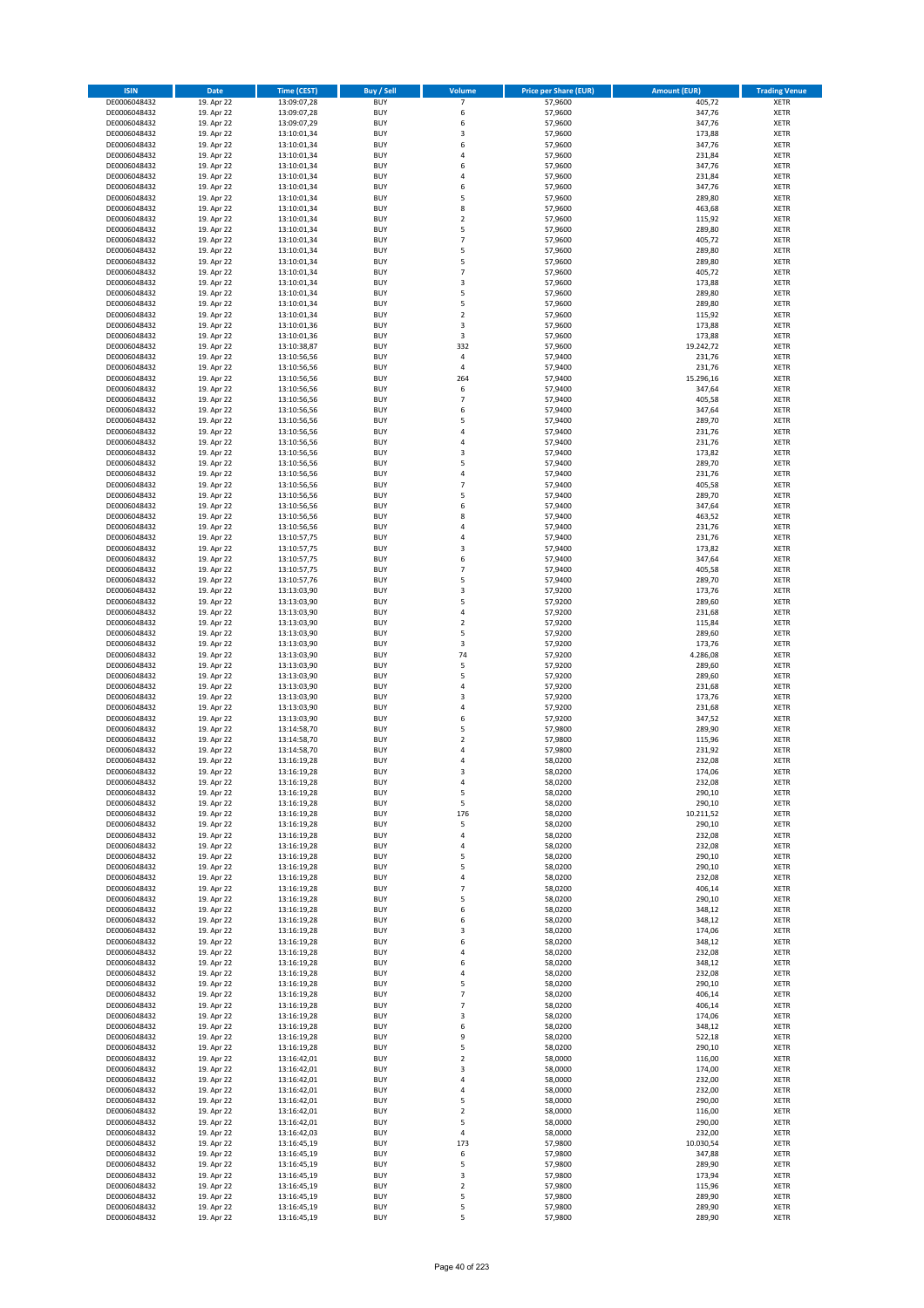| <b>ISIN</b>                  | <b>Date</b>              | Time (CEST)                | <b>Buy / Sell</b>        | <b>Volume</b>                | <b>Price per Share (EUR)</b> | <b>Amount (EUR)</b> | <b>Trading Venue</b>       |
|------------------------------|--------------------------|----------------------------|--------------------------|------------------------------|------------------------------|---------------------|----------------------------|
| DE0006048432                 | 19. Apr 22               | 13:09:07,28                | <b>BUY</b>               | $\overline{7}$               | 57,9600                      | 405,72              | <b>XETR</b>                |
| DE0006048432                 | 19. Apr 22               | 13:09:07,28                | <b>BUY</b>               | 6                            | 57,9600                      | 347,76              | <b>XETR</b>                |
| DE0006048432                 | 19. Apr 22               | 13:09:07,29                | <b>BUY</b>               | 6                            | 57,9600                      | 347,76              | <b>XETR</b>                |
| DE0006048432<br>DE0006048432 | 19. Apr 22<br>19. Apr 22 | 13:10:01,34<br>13:10:01,34 | <b>BUY</b><br><b>BUY</b> | 3<br>6                       | 57,9600<br>57,9600           | 173,88<br>347,76    | <b>XETR</b><br><b>XETR</b> |
| DE0006048432                 | 19. Apr 22               | 13:10:01,34                | <b>BUY</b>               | 4                            | 57,9600                      | 231,84              | <b>XETR</b>                |
| DE0006048432                 | 19. Apr 22               | 13:10:01,34                | <b>BUY</b>               | 6                            | 57,9600                      | 347,76              | <b>XETR</b>                |
| DE0006048432                 | 19. Apr 22               | 13:10:01,34                | <b>BUY</b>               | 4                            | 57,9600                      | 231,84              | <b>XETR</b>                |
| DE0006048432                 | 19. Apr 22               | 13:10:01,34                | <b>BUY</b>               | 6                            | 57,9600                      | 347,76              | <b>XETR</b>                |
| DE0006048432                 | 19. Apr 22               | 13:10:01,34                | <b>BUY</b>               | 5                            | 57,9600                      | 289,80              | <b>XETR</b>                |
| DE0006048432                 | 19. Apr 22               | 13:10:01,34                | <b>BUY</b>               | 8                            | 57,9600                      | 463,68              | <b>XETR</b>                |
| DE0006048432                 | 19. Apr 22<br>19. Apr 22 | 13:10:01,34                | <b>BUY</b><br><b>BUY</b> | $\overline{\mathbf{c}}$<br>5 | 57,9600                      | 115,92<br>289,80    | <b>XETR</b><br><b>XETR</b> |
| DE0006048432<br>DE0006048432 | 19. Apr 22               | 13:10:01,34<br>13:10:01,34 | <b>BUY</b>               | $\overline{7}$               | 57,9600<br>57,9600           | 405,72              | <b>XETR</b>                |
| DE0006048432                 | 19. Apr 22               | 13:10:01,34                | <b>BUY</b>               | 5                            | 57,9600                      | 289,80              | <b>XETR</b>                |
| DE0006048432                 | 19. Apr 22               | 13:10:01,34                | <b>BUY</b>               | 5                            | 57,9600                      | 289,80              | <b>XETR</b>                |
| DE0006048432                 | 19. Apr 22               | 13:10:01,34                | <b>BUY</b>               | $\overline{7}$               | 57,9600                      | 405,72              | <b>XETR</b>                |
| DE0006048432                 | 19. Apr 22               | 13:10:01,34                | <b>BUY</b>               | 3                            | 57,9600                      | 173,88              | <b>XETR</b>                |
| DE0006048432                 | 19. Apr 22               | 13:10:01,34                | <b>BUY</b>               | 5                            | 57,9600                      | 289,80              | <b>XETR</b>                |
| DE0006048432                 | 19. Apr 22               | 13:10:01,34                | <b>BUY</b>               | 5                            | 57,9600                      | 289,80              | <b>XETR</b>                |
| DE0006048432<br>DE0006048432 | 19. Apr 22<br>19. Apr 22 | 13:10:01,34<br>13:10:01,36 | <b>BUY</b><br><b>BUY</b> | $\overline{\mathbf{c}}$<br>3 | 57,9600<br>57,9600           | 115,92<br>173,88    | <b>XETR</b><br><b>XETR</b> |
| DE0006048432                 | 19. Apr 22               | 13:10:01,36                | <b>BUY</b>               | 3                            | 57,9600                      | 173,88              | <b>XETR</b>                |
| DE0006048432                 | 19. Apr 22               | 13:10:38,87                | <b>BUY</b>               | 332                          | 57,9600                      | 19.242,72           | <b>XETR</b>                |
| DE0006048432                 | 19. Apr 22               | 13:10:56,56                | <b>BUY</b>               | 4                            | 57,9400                      | 231,76              | <b>XETR</b>                |
| DE0006048432                 | 19. Apr 22               | 13:10:56,56                | <b>BUY</b>               | 4                            | 57,9400                      | 231,76              | <b>XETR</b>                |
| DE0006048432                 | 19. Apr 22               | 13:10:56,56                | <b>BUY</b>               | 264                          | 57,9400                      | 15.296,16           | <b>XETR</b>                |
| DE0006048432                 | 19. Apr 22               | 13:10:56,56                | <b>BUY</b>               | 6                            | 57,9400                      | 347,64              | <b>XETR</b>                |
| DE0006048432<br>DE0006048432 | 19. Apr 22<br>19. Apr 22 | 13:10:56,56<br>13:10:56,56 | <b>BUY</b><br><b>BUY</b> | $\overline{7}$<br>6          | 57,9400<br>57,9400           | 405,58<br>347,64    | <b>XETR</b><br><b>XETR</b> |
| DE0006048432                 | 19. Apr 22               | 13:10:56,56                | <b>BUY</b>               | 5                            | 57,9400                      | 289,70              | <b>XETR</b>                |
| DE0006048432                 | 19. Apr 22               | 13:10:56,56                | <b>BUY</b>               | 4                            | 57,9400                      | 231,76              | <b>XETR</b>                |
| DE0006048432                 | 19. Apr 22               | 13:10:56,56                | <b>BUY</b>               | 4                            | 57,9400                      | 231,76              | <b>XETR</b>                |
| DE0006048432                 | 19. Apr 22               | 13:10:56,56                | <b>BUY</b>               | 3                            | 57,9400                      | 173,82              | <b>XETR</b>                |
| DE0006048432                 | 19. Apr 22               | 13:10:56,56                | <b>BUY</b>               | 5                            | 57.9400                      | 289,70              | <b>XETR</b>                |
| DE0006048432                 | 19. Apr 22               | 13:10:56,56                | <b>BUY</b>               | 4                            | 57,9400                      | 231,76              | <b>XETR</b>                |
| DE0006048432                 | 19. Apr 22               | 13:10:56,56                | <b>BUY</b><br><b>BUY</b> | $\overline{7}$<br>5          | 57,9400<br>57,9400           | 405,58<br>289,70    | <b>XETR</b><br><b>XETR</b> |
| DE0006048432<br>DE0006048432 | 19. Apr 22<br>19. Apr 22 | 13:10:56,56<br>13:10:56,56 | <b>BUY</b>               | 6                            | 57,9400                      | 347,64              | <b>XETR</b>                |
| DE0006048432                 | 19. Apr 22               | 13:10:56,56                | <b>BUY</b>               | 8                            | 57,9400                      | 463,52              | <b>XETR</b>                |
| DE0006048432                 | 19. Apr 22               | 13:10:56,56                | <b>BUY</b>               | 4                            | 57,9400                      | 231,76              | <b>XETR</b>                |
| DE0006048432                 | 19. Apr 22               | 13:10:57,75                | <b>BUY</b>               | 4                            | 57,9400                      | 231,76              | <b>XETR</b>                |
| DE0006048432                 | 19. Apr 22               | 13:10:57,75                | <b>BUY</b>               | 3                            | 57,9400                      | 173,82              | <b>XETR</b>                |
| DE0006048432                 | 19. Apr 22               | 13:10:57,75                | <b>BUY</b>               | 6                            | 57,9400                      | 347,64              | <b>XETR</b>                |
| DE0006048432                 | 19. Apr 22               | 13:10:57,75                | <b>BUY</b>               | $\overline{7}$               | 57,9400                      | 405,58              | <b>XETR</b>                |
| DE0006048432                 | 19. Apr 22               | 13:10:57,76                | <b>BUY</b>               | 5                            | 57,9400                      | 289,70              | <b>XETR</b>                |
| DE0006048432<br>DE0006048432 | 19. Apr 22<br>19. Apr 22 | 13:13:03,90<br>13:13:03,90 | <b>BUY</b><br><b>BUY</b> | 3<br>5                       | 57,9200<br>57,9200           | 173,76<br>289,60    | <b>XETR</b><br><b>XETR</b> |
| DE0006048432                 | 19. Apr 22               | 13:13:03,90                | <b>BUY</b>               | 4                            | 57,9200                      | 231,68              | <b>XETR</b>                |
| DE0006048432                 | 19. Apr 22               | 13:13:03,90                | <b>BUY</b>               | $\mathbf 2$                  | 57,9200                      | 115,84              | <b>XETR</b>                |
| DE0006048432                 | 19. Apr 22               | 13:13:03,90                | <b>BUY</b>               | 5                            | 57,9200                      | 289,60              | <b>XETR</b>                |
| DE0006048432                 | 19. Apr 22               | 13:13:03,90                | <b>BUY</b>               | 3                            | 57,9200                      | 173,76              | <b>XETR</b>                |
| DE0006048432                 | 19. Apr 22               | 13:13:03,90                | <b>BUY</b>               | 74                           | 57,9200                      | 4.286,08            | <b>XETR</b>                |
| DE0006048432                 | 19. Apr 22               | 13:13:03,90                | <b>BUY</b>               | 5<br>5                       | 57,9200                      | 289,60              | <b>XETR</b>                |
| DE0006048432<br>DE0006048432 | 19. Apr 22<br>19. Apr 22 | 13:13:03,90<br>13:13:03,90 | <b>BUY</b><br><b>BUY</b> | 4                            | 57,9200<br>57,9200           | 289,60<br>231,68    | <b>XETR</b><br><b>XETR</b> |
| DE0006048432                 | 19. Apr 22               | 13:13:03,90                | <b>BUY</b>               | 3                            | 57,9200                      | 173,76              | <b>XETR</b>                |
| DE0006048432                 | 19. Apr 22               | 13:13:03,90                | <b>BUY</b>               | 4                            | 57,9200                      | 231,68              | <b>XETR</b>                |
| DE0006048432                 | 19. Apr 22               | 13:13:03,90                | <b>BUY</b>               | 6                            | 57,9200                      | 347,52              | <b>XETR</b>                |
| DE0006048432                 | 19. Apr 22               | 13:14:58,70                | <b>BUY</b>               | 5                            | 57,9800                      | 289,90              | <b>XETR</b>                |
| DE0006048432                 | 19. Apr 22               | 13:14:58,70                | <b>BUY</b>               | $\mathbf 2$                  | 57,9800                      | 115,96              | <b>XETR</b>                |
| DE0006048432                 | 19. Apr 22               | 13:14:58,70                | <b>BUY</b>               | 4                            | 57,9800                      | 231,92              | <b>XETR</b><br><b>XETR</b> |
| DE0006048432<br>DE0006048432 | 19. Apr 22<br>19. Apr 22 | 13:16:19,28<br>13:16:19,28 | <b>BUY</b><br><b>BUY</b> | 4<br>3                       | 58,0200<br>58,0200           | 232,08<br>174,06    | <b>XETR</b>                |
| DE0006048432                 | 19. Apr 22               | 13:16:19,28                | BUY                      | 4                            | 58,0200                      | 232,08              | <b>XETR</b>                |
| DE0006048432                 | 19. Apr 22               | 13:16:19,28                | <b>BUY</b>               | 5                            | 58,0200                      | 290,10              | <b>XETR</b>                |
| DE0006048432                 | 19. Apr 22               | 13:16:19,28                | <b>BUY</b>               | 5                            | 58,0200                      | 290,10              | <b>XETR</b>                |
| DE0006048432                 | 19. Apr 22               | 13:16:19,28                | <b>BUY</b>               | 176                          | 58,0200                      | 10.211,52           | XETR                       |
| DE0006048432                 | 19. Apr 22               | 13:16:19,28                | <b>BUY</b>               | 5                            | 58,0200                      | 290,10              | <b>XETR</b>                |
| DE0006048432<br>DE0006048432 | 19. Apr 22<br>19. Apr 22 | 13:16:19,28                | <b>BUY</b><br><b>BUY</b> | 4<br>4                       | 58,0200<br>58,0200           | 232,08<br>232,08    | <b>XETR</b>                |
| DE0006048432                 | 19. Apr 22               | 13:16:19,28<br>13:16:19,28 | <b>BUY</b>               | 5                            | 58,0200                      | 290,10              | <b>XETR</b><br><b>XETR</b> |
| DE0006048432                 | 19. Apr 22               | 13:16:19,28                | <b>BUY</b>               | 5                            | 58,0200                      | 290,10              | <b>XETR</b>                |
| DE0006048432                 | 19. Apr 22               | 13:16:19,28                | <b>BUY</b>               | 4                            | 58,0200                      | 232,08              | <b>XETR</b>                |
| DE0006048432                 | 19. Apr 22               | 13:16:19,28                | <b>BUY</b>               | $\overline{7}$               | 58,0200                      | 406,14              | <b>XETR</b>                |
| DE0006048432                 | 19. Apr 22               | 13:16:19,28                | <b>BUY</b>               | 5                            | 58,0200                      | 290,10              | <b>XETR</b>                |
| DE0006048432                 | 19. Apr 22               | 13:16:19,28                | <b>BUY</b>               | 6                            | 58,0200                      | 348,12              | <b>XETR</b>                |
| DE0006048432<br>DE0006048432 | 19. Apr 22<br>19. Apr 22 | 13:16:19,28<br>13:16:19,28 | <b>BUY</b><br><b>BUY</b> | 6<br>3                       | 58,0200<br>58,0200           | 348,12<br>174,06    | <b>XETR</b><br><b>XETR</b> |
| DE0006048432                 | 19. Apr 22               | 13:16:19,28                | <b>BUY</b>               | 6                            | 58,0200                      | 348,12              | <b>XETR</b>                |
| DE0006048432                 | 19. Apr 22               | 13:16:19,28                | <b>BUY</b>               | 4                            | 58,0200                      | 232,08              | <b>XETR</b>                |
| DE0006048432                 | 19. Apr 22               | 13:16:19,28                | <b>BUY</b>               | 6                            | 58,0200                      | 348,12              | <b>XETR</b>                |
| DE0006048432                 | 19. Apr 22               | 13:16:19,28                | <b>BUY</b>               | 4                            | 58,0200                      | 232,08              | XETR                       |
| DE0006048432                 | 19. Apr 22               | 13:16:19,28                | <b>BUY</b>               | 5                            | 58,0200                      | 290,10              | <b>XETR</b>                |
| DE0006048432                 | 19. Apr 22               | 13:16:19,28                | <b>BUY</b>               | $\overline{7}$               | 58,0200                      | 406,14              | <b>XETR</b>                |
| DE0006048432<br>DE0006048432 | 19. Apr 22<br>19. Apr 22 | 13:16:19,28<br>13:16:19,28 | <b>BUY</b><br><b>BUY</b> | $\overline{7}$<br>3          | 58,0200<br>58,0200           | 406,14<br>174,06    | <b>XETR</b><br><b>XETR</b> |
| DE0006048432                 | 19. Apr 22               | 13:16:19,28                | <b>BUY</b>               | 6                            | 58,0200                      | 348,12              | <b>XETR</b>                |
| DE0006048432                 | 19. Apr 22               | 13:16:19,28                | <b>BUY</b>               | 9                            | 58,0200                      | 522,18              | <b>XETR</b>                |
| DE0006048432                 | 19. Apr 22               | 13:16:19,28                | <b>BUY</b>               | 5                            | 58,0200                      | 290,10              | <b>XETR</b>                |
| DE0006048432                 | 19. Apr 22               | 13:16:42,01                | <b>BUY</b>               | $\mathbf 2$                  | 58,0000                      | 116,00              | <b>XETR</b>                |
| DE0006048432                 | 19. Apr 22               | 13:16:42,01                | <b>BUY</b>               | 3                            | 58,0000                      | 174,00              | <b>XETR</b>                |
| DE0006048432                 | 19. Apr 22               | 13:16:42,01                | <b>BUY</b>               | 4                            | 58,0000                      | 232,00              | <b>XETR</b>                |
| DE0006048432<br>DE0006048432 | 19. Apr 22<br>19. Apr 22 | 13:16:42,01                | <b>BUY</b><br><b>BUY</b> | 4<br>5                       | 58,0000<br>58,0000           | 232,00<br>290,00    | XETR<br><b>XETR</b>        |
| DE0006048432                 | 19. Apr 22               | 13:16:42,01<br>13:16:42,01 | <b>BUY</b>               | $\mathbf 2$                  | 58,0000                      | 116,00              | <b>XETR</b>                |
| DE0006048432                 | 19. Apr 22               | 13:16:42,01                | <b>BUY</b>               | 5                            | 58,0000                      | 290,00              | <b>XETR</b>                |
| DE0006048432                 | 19. Apr 22               | 13:16:42,03                | <b>BUY</b>               | 4                            | 58,0000                      | 232,00              | <b>XETR</b>                |
| DE0006048432                 | 19. Apr 22               | 13:16:45,19                | <b>BUY</b>               | 173                          | 57,9800                      | 10.030,54           | <b>XETR</b>                |
| DE0006048432                 | 19. Apr 22               | 13:16:45,19                | <b>BUY</b>               | 6                            | 57,9800                      | 347,88              | <b>XETR</b>                |
| DE0006048432                 | 19. Apr 22               | 13:16:45,19                | <b>BUY</b>               | 5                            | 57,9800                      | 289,90              | <b>XETR</b>                |
| DE0006048432                 | 19. Apr 22               | 13:16:45,19                | <b>BUY</b><br><b>BUY</b> | 3<br>$\overline{\mathbf{2}}$ | 57,9800                      | 173,94              | XETR<br><b>XETR</b>        |
| DE0006048432<br>DE0006048432 | 19. Apr 22<br>19. Apr 22 | 13:16:45,19<br>13:16:45,19 | <b>BUY</b>               | 5                            | 57,9800<br>57,9800           | 115,96<br>289,90    | <b>XETR</b>                |
| DE0006048432                 | 19. Apr 22               | 13:16:45,19                | <b>BUY</b>               | 5                            | 57,9800                      | 289,90              | <b>XETR</b>                |
| DE0006048432                 | 19. Apr 22               | 13:16:45,19                | <b>BUY</b>               | 5                            | 57,9800                      | 289,90              | XETR                       |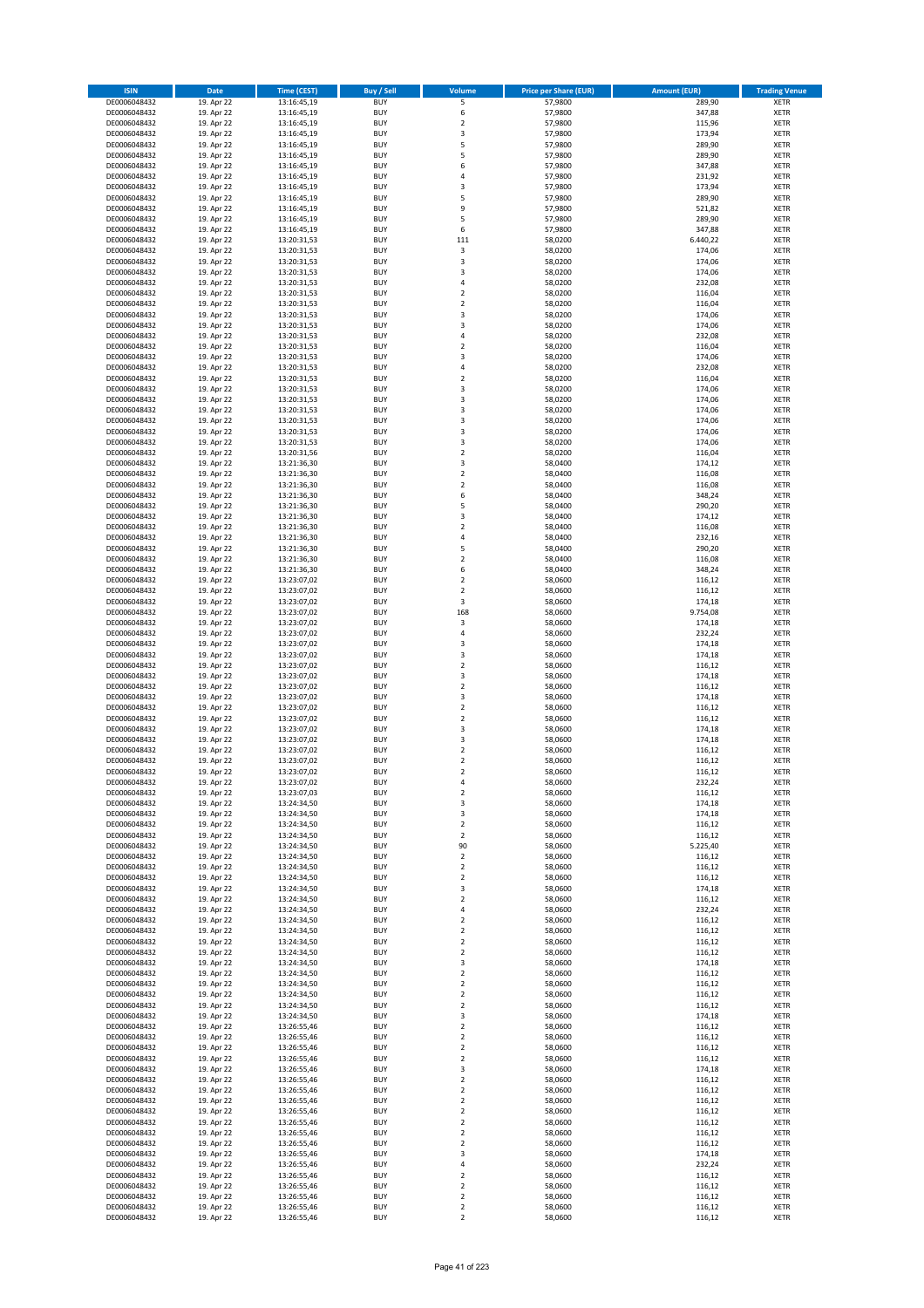| <b>ISIN</b>                  | <b>Date</b>              | <b>Time (CEST)</b>         | <b>Buy / Sell</b>        | <b>Volume</b>                             | <b>Price per Share (EUR)</b> | <b>Amount (EUR)</b> | <b>Trading Venue</b>       |
|------------------------------|--------------------------|----------------------------|--------------------------|-------------------------------------------|------------------------------|---------------------|----------------------------|
| DE0006048432                 | 19. Apr 22               | 13:16:45,19                | <b>BUY</b>               | 5                                         | 57,9800                      | 289,90              | <b>XETR</b>                |
| DE0006048432                 | 19. Apr 22               | 13:16:45,19                | <b>BUY</b>               | 6                                         | 57,9800                      | 347,88              | <b>XETR</b>                |
| DE0006048432                 | 19. Apr 22               | 13:16:45,19                | <b>BUY</b>               | $\mathbf 2$                               | 57,9800                      | 115,96              | <b>XETR</b>                |
| DE0006048432<br>DE0006048432 | 19. Apr 22<br>19. Apr 22 | 13:16:45,19<br>13:16:45,19 | <b>BUY</b><br><b>BUY</b> | 3<br>5                                    | 57,9800<br>57,9800           | 173,94<br>289,90    | <b>XETR</b><br><b>XETR</b> |
| DE0006048432                 | 19. Apr 22               | 13:16:45,19                | <b>BUY</b>               | 5                                         | 57,9800                      | 289,90              | <b>XETR</b>                |
| DE0006048432                 | 19. Apr 22               | 13:16:45,19                | <b>BUY</b>               | 6                                         | 57,9800                      | 347,88              | <b>XETR</b>                |
| DE0006048432                 | 19. Apr 22               | 13:16:45,19                | <b>BUY</b>               | 4                                         | 57,9800                      | 231,92              | <b>XETR</b>                |
| DE0006048432                 | 19. Apr 22               | 13:16:45,19                | <b>BUY</b>               | 3                                         | 57,9800                      | 173,94              | <b>XETR</b>                |
| DE0006048432                 | 19. Apr 22               | 13:16:45,19                | <b>BUY</b>               | 5                                         | 57,9800                      | 289,90              | <b>XETR</b>                |
| DE0006048432                 | 19. Apr 22               | 13:16:45,19                | <b>BUY</b>               | 9                                         | 57,9800                      | 521,82              | <b>XETR</b>                |
| DE0006048432<br>DE0006048432 | 19. Apr 22<br>19. Apr 22 | 13:16:45,19<br>13:16:45,19 | <b>BUY</b><br><b>BUY</b> | 5<br>6                                    | 57,9800<br>57,9800           | 289,90<br>347,88    | <b>XETR</b><br><b>XETR</b> |
| DE0006048432                 | 19. Apr 22               | 13:20:31,53                | <b>BUY</b>               | 111                                       | 58,0200                      | 6.440,22            | <b>XETR</b>                |
| DE0006048432                 | 19. Apr 22               | 13:20:31,53                | <b>BUY</b>               | 3                                         | 58,0200                      | 174,06              | <b>XETR</b>                |
| DE0006048432                 | 19. Apr 22               | 13:20:31,53                | <b>BUY</b>               | 3                                         | 58,0200                      | 174,06              | <b>XETR</b>                |
| DE0006048432                 | 19. Apr 22               | 13:20:31,53                | <b>BUY</b>               | 3                                         | 58,0200                      | 174,06              | <b>XETR</b>                |
| DE0006048432                 | 19. Apr 22               | 13:20:31,53                | <b>BUY</b>               | 4                                         | 58,0200                      | 232,08              | <b>XETR</b>                |
| DE0006048432                 | 19. Apr 22               | 13:20:31,53                | <b>BUY</b>               | $\overline{\mathbf{c}}$                   | 58,0200                      | 116,04              | <b>XETR</b>                |
| DE0006048432                 | 19. Apr 22               | 13:20:31,53                | <b>BUY</b>               | $\mathbf 2$                               | 58,0200                      | 116,04              | <b>XETR</b>                |
| DE0006048432                 | 19. Apr 22               | 13:20:31,53                | <b>BUY</b><br><b>BUY</b> | 3<br>3                                    | 58,0200                      | 174,06              | <b>XETR</b><br><b>XETR</b> |
| DE0006048432<br>DE0006048432 | 19. Apr 22<br>19. Apr 22 | 13:20:31,53<br>13:20:31,53 | <b>BUY</b>               | 4                                         | 58,0200<br>58,0200           | 174,06<br>232,08    | <b>XETR</b>                |
| DE0006048432                 | 19. Apr 22               | 13:20:31,53                | <b>BUY</b>               | $\mathbf 2$                               | 58,0200                      | 116,04              | <b>XETR</b>                |
| DE0006048432                 | 19. Apr 22               | 13:20:31,53                | <b>BUY</b>               | 3                                         | 58,0200                      | 174,06              | <b>XETR</b>                |
| DE0006048432                 | 19. Apr 22               | 13:20:31,53                | <b>BUY</b>               | 4                                         | 58,0200                      | 232,08              | <b>XETR</b>                |
| DE0006048432                 | 19. Apr 22               | 13:20:31,53                | <b>BUY</b>               | $\mathbf 2$                               | 58,0200                      | 116,04              | <b>XETR</b>                |
| DE0006048432                 | 19. Apr 22               | 13:20:31,53                | <b>BUY</b>               | 3                                         | 58,0200                      | 174,06              | <b>XETR</b>                |
| DE0006048432                 | 19. Apr 22               | 13:20:31,53                | <b>BUY</b>               | 3                                         | 58,0200                      | 174,06              | <b>XETR</b>                |
| DE0006048432<br>DE0006048432 | 19. Apr 22<br>19. Apr 22 | 13:20:31,53<br>13:20:31,53 | <b>BUY</b><br><b>BUY</b> | 3<br>3                                    | 58,0200<br>58,0200           | 174,06<br>174,06    | <b>XETR</b><br><b>XETR</b> |
| DE0006048432                 | 19. Apr 22               | 13:20:31,53                | <b>BUY</b>               | 3                                         | 58,0200                      | 174,06              | <b>XETR</b>                |
| DE0006048432                 | 19. Apr 22               | 13:20:31,53                | <b>BUY</b>               | 3                                         | 58,0200                      | 174,06              | <b>XETR</b>                |
| DE0006048432                 | 19. Apr 22               | 13:20:31,56                | <b>BUY</b>               | $\mathbf 2$                               | 58,0200                      | 116,04              | <b>XETR</b>                |
| DE0006048432                 | 19. Apr 22               | 13:21:36,30                | <b>BUY</b>               | 3                                         | 58,0400                      | 174,12              | <b>XETR</b>                |
| DE0006048432                 | 19. Apr 22               | 13:21:36,30                | <b>BUY</b>               | $\mathbf 2$                               | 58,0400                      | 116,08              | <b>XETR</b>                |
| DE0006048432                 | 19. Apr 22               | 13:21:36,30                | <b>BUY</b>               | $\overline{\mathbf{c}}$                   | 58,0400                      | 116,08              | <b>XETR</b>                |
| DE0006048432                 | 19. Apr 22               | 13:21:36,30                | <b>BUY</b>               | 6                                         | 58,0400                      | 348,24              | <b>XETR</b>                |
| DE0006048432<br>DE0006048432 | 19. Apr 22<br>19. Apr 22 | 13:21:36,30<br>13:21:36,30 | <b>BUY</b><br><b>BUY</b> | 5<br>3                                    | 58,0400<br>58,0400           | 290,20<br>174,12    | <b>XETR</b><br><b>XETR</b> |
| DE0006048432                 | 19. Apr 22               | 13:21:36,30                | <b>BUY</b>               | $\overline{\mathbf{c}}$                   | 58,0400                      | 116,08              | <b>XETR</b>                |
| DE0006048432                 | 19. Apr 22               | 13:21:36,30                | <b>BUY</b>               | 4                                         | 58,0400                      | 232,16              | <b>XETR</b>                |
| DE0006048432                 | 19. Apr 22               | 13:21:36,30                | <b>BUY</b>               | 5                                         | 58,0400                      | 290,20              | <b>XETR</b>                |
| DE0006048432                 | 19. Apr 22               | 13:21:36,30                | <b>BUY</b>               | $\overline{\mathbf{c}}$                   | 58,0400                      | 116,08              | <b>XETR</b>                |
| DE0006048432                 | 19. Apr 22               | 13:21:36,30                | <b>BUY</b>               | 6                                         | 58,0400                      | 348,24              | <b>XETR</b>                |
| DE0006048432                 | 19. Apr 22               | 13:23:07,02                | <b>BUY</b>               | $\overline{\mathbf{2}}$                   | 58,0600                      | 116,12              | <b>XETR</b>                |
| DE0006048432<br>DE0006048432 | 19. Apr 22<br>19. Apr 22 | 13:23:07,02<br>13:23:07,02 | <b>BUY</b><br><b>BUY</b> | $\mathbf 2$<br>3                          | 58,0600<br>58,0600           | 116,12<br>174,18    | <b>XETR</b><br><b>XETR</b> |
| DE0006048432                 | 19. Apr 22               | 13:23:07,02                | <b>BUY</b>               | 168                                       | 58,0600                      | 9.754,08            | <b>XETR</b>                |
| DE0006048432                 | 19. Apr 22               | 13:23:07,02                | <b>BUY</b>               | 3                                         | 58,0600                      | 174,18              | <b>XETR</b>                |
| DE0006048432                 | 19. Apr 22               | 13:23:07,02                | <b>BUY</b>               | 4                                         | 58,0600                      | 232,24              | <b>XETR</b>                |
| DE0006048432                 | 19. Apr 22               | 13:23:07,02                | <b>BUY</b>               | 3                                         | 58,0600                      | 174,18              | <b>XETR</b>                |
| DE0006048432                 | 19. Apr 22               | 13:23:07,02                | <b>BUY</b>               | 3                                         | 58,0600                      | 174,18              | <b>XETR</b>                |
| DE0006048432                 | 19. Apr 22               | 13:23:07,02                | <b>BUY</b>               | $\mathbf 2$                               | 58,0600                      | 116,12              | <b>XETR</b>                |
| DE0006048432                 | 19. Apr 22               | 13:23:07,02                | <b>BUY</b>               | 3<br>$\mathbf 2$                          | 58,0600                      | 174,18              | <b>XETR</b>                |
| DE0006048432<br>DE0006048432 | 19. Apr 22<br>19. Apr 22 | 13:23:07,02<br>13:23:07,02 | <b>BUY</b><br><b>BUY</b> | 3                                         | 58,0600<br>58,0600           | 116,12<br>174,18    | <b>XETR</b><br><b>XETR</b> |
| DE0006048432                 | 19. Apr 22               | 13:23:07,02                | <b>BUY</b>               | $\mathbf 2$                               | 58,0600                      | 116,12              | <b>XETR</b>                |
| DE0006048432                 | 19. Apr 22               | 13:23:07,02                | <b>BUY</b>               | $\mathbf 2$                               | 58,0600                      | 116,12              | <b>XETR</b>                |
| DE0006048432                 | 19. Apr 22               | 13:23:07,02                | <b>BUY</b>               | 3                                         | 58,0600                      | 174,18              | <b>XETR</b>                |
| DE0006048432                 | 19. Apr 22               | 13:23:07,02                | <b>BUY</b>               | 3                                         | 58,0600                      | 174,18              | <b>XETR</b>                |
| DE0006048432                 | 19. Apr 22               | 13:23:07,02                | <b>BUY</b>               | $\overline{\mathbf{c}}$                   | 58,0600                      | 116,12              | <b>XETR</b>                |
| DE0006048432<br>DE0006048432 | 19. Apr 22               | 13:23:07,02<br>13:23:07,02 | <b>BUY</b><br><b>BUY</b> | $\overline{\mathbf{c}}$<br>$\overline{2}$ | 58,0600                      | 116,12              | <b>XETR</b>                |
| DE0006048432                 | 19. Apr 22<br>19. Apr 22 | 13:23:07,02                | BUY                      | 4                                         | 58,0600<br>58,0600           | 116,12<br>232,24    | <b>XETR</b><br><b>XETR</b> |
| DE0006048432                 | 19. Apr 22               | 13:23:07,03                | <b>BUY</b>               | $\mathbf 2$                               | 58,0600                      | 116,12              | <b>XETR</b>                |
| DE0006048432                 | 19. Apr 22               | 13:24:34,50                | <b>BUY</b>               | 3                                         | 58,0600                      | 174,18              | <b>XETR</b>                |
| DE0006048432                 | 19. Apr 22               | 13:24:34,50                | <b>BUY</b>               | 3                                         | 58,0600                      | 174,18              | XETR                       |
| DE0006048432                 | 19. Apr 22               | 13:24:34,50                | <b>BUY</b>               | $\mathbf 2$                               | 58,0600                      | 116,12              | <b>XETR</b>                |
| DE0006048432                 | 19. Apr 22               | 13:24:34,50                | <b>BUY</b>               | $\mathbf 2$                               | 58,0600                      | 116,12              | <b>XETR</b>                |
| DE0006048432<br>DE0006048432 | 19. Apr 22<br>19. Apr 22 | 13:24:34,50                | <b>BUY</b><br><b>BUY</b> | 90<br>$\mathbf 2$                         | 58,0600<br>58,0600           | 5.225,40<br>116,12  | <b>XETR</b><br><b>XETR</b> |
| DE0006048432                 | 19. Apr 22               | 13:24:34,50<br>13:24:34,50 | <b>BUY</b>               | $\mathbf 2$                               | 58,0600                      | 116,12              | <b>XETR</b>                |
| DE0006048432                 | 19. Apr 22               | 13:24:34,50                | <b>BUY</b>               | $\mathbf 2$                               | 58,0600                      | 116,12              | <b>XETR</b>                |
| DE0006048432                 | 19. Apr 22               | 13:24:34,50                | <b>BUY</b>               | 3                                         | 58,0600                      | 174,18              | <b>XETR</b>                |
| DE0006048432                 | 19. Apr 22               | 13:24:34,50                | <b>BUY</b>               | $\overline{\mathbf{c}}$                   | 58,0600                      | 116,12              | <b>XETR</b>                |
| DE0006048432                 | 19. Apr 22               | 13:24:34,50                | <b>BUY</b>               | 4                                         | 58,0600                      | 232,24              | <b>XETR</b>                |
| DE0006048432<br>DE0006048432 | 19. Apr 22<br>19. Apr 22 | 13:24:34,50<br>13:24:34,50 | <b>BUY</b><br><b>BUY</b> | $\overline{\mathbf{c}}$<br>$\mathbf 2$    | 58,0600<br>58,0600           | 116,12<br>116,12    | <b>XETR</b><br><b>XETR</b> |
| DE0006048432                 | 19. Apr 22               | 13:24:34,50                | <b>BUY</b>               | $\mathbf 2$                               | 58,0600                      | 116,12              | <b>XETR</b>                |
| DE0006048432                 | 19. Apr 22               | 13:24:34,50                | <b>BUY</b>               | $\mathbf 2$                               | 58,0600                      | 116,12              | <b>XETR</b>                |
| DE0006048432                 | 19. Apr 22               | 13:24:34,50                | <b>BUY</b>               | 3                                         | 58,0600                      | 174,18              | <b>XETR</b>                |
| DE0006048432                 | 19. Apr 22               | 13:24:34,50                | <b>BUY</b>               | $\mathbf 2$                               | 58,0600                      | 116,12              | <b>XETR</b>                |
| DE0006048432                 | 19. Apr 22               | 13:24:34,50                | <b>BUY</b>               | $\mathbf 2$                               | 58,0600                      | 116,12              | <b>XETR</b>                |
| DE0006048432                 | 19. Apr 22               | 13:24:34,50                | <b>BUY</b>               | $\overline{\mathbf{2}}$                   | 58,0600                      | 116,12              | <b>XETR</b>                |
| DE0006048432<br>DE0006048432 | 19. Apr 22<br>19. Apr 22 | 13:24:34,50<br>13:24:34,50 | <b>BUY</b><br><b>BUY</b> | $\mathbf 2$<br>3                          | 58,0600<br>58,0600           | 116,12<br>174,18    | <b>XETR</b><br><b>XETR</b> |
| DE0006048432                 | 19. Apr 22               | 13:26:55,46                | <b>BUY</b>               | $\mathbf 2$                               | 58,0600                      | 116,12              | <b>XETR</b>                |
| DE0006048432                 | 19. Apr 22               | 13:26:55,46                | <b>BUY</b>               | 2                                         | 58,0600                      | 116,12              | <b>XETR</b>                |
| DE0006048432                 | 19. Apr 22               | 13:26:55,46                | <b>BUY</b>               | $\mathbf 2$                               | 58,0600                      | 116,12              | <b>XETR</b>                |
| DE0006048432                 | 19. Apr 22               | 13:26:55,46                | <b>BUY</b>               | $\mathbf 2$                               | 58,0600                      | 116,12              | <b>XETR</b>                |
| DE0006048432                 | 19. Apr 22               | 13:26:55,46                | <b>BUY</b>               | 3                                         | 58,0600                      | 174,18              | <b>XETR</b>                |
| DE0006048432                 | 19. Apr 22               | 13:26:55,46                | <b>BUY</b>               | $\mathbf 2$                               | 58,0600                      | 116,12              | <b>XETR</b>                |
| DE0006048432<br>DE0006048432 | 19. Apr 22<br>19. Apr 22 | 13:26:55,46<br>13:26:55,46 | <b>BUY</b><br><b>BUY</b> | $\overline{\mathbf{c}}$<br>$\mathbf 2$    | 58,0600<br>58,0600           | 116,12<br>116,12    | <b>XETR</b><br><b>XETR</b> |
| DE0006048432                 | 19. Apr 22               | 13:26:55,46                | <b>BUY</b>               | 2                                         | 58,0600                      | 116,12              | <b>XETR</b>                |
| DE0006048432                 | 19. Apr 22               | 13:26:55,46                | <b>BUY</b>               | $\mathbf 2$                               | 58,0600                      | 116,12              | <b>XETR</b>                |
| DE0006048432                 | 19. Apr 22               | 13:26:55,46                | <b>BUY</b>               | $\mathbf 2$                               | 58,0600                      | 116,12              | <b>XETR</b>                |
| DE0006048432                 | 19. Apr 22               | 13:26:55,46                | <b>BUY</b>               | $\mathbf 2$                               | 58,0600                      | 116,12              | <b>XETR</b>                |
| DE0006048432                 | 19. Apr 22               | 13:26:55,46                | <b>BUY</b>               | 3                                         | 58,0600                      | 174,18              | <b>XETR</b>                |
| DE0006048432                 | 19. Apr 22               | 13:26:55,46                | <b>BUY</b>               | 4                                         | 58,0600<br>58,0600           | 232,24<br>116,12    | <b>XETR</b>                |
| DE0006048432<br>DE0006048432 | 19. Apr 22<br>19. Apr 22 | 13:26:55,46<br>13:26:55,46 | <b>BUY</b><br><b>BUY</b> | $\mathbf 2$<br>$\overline{\mathbf{2}}$    | 58,0600                      | 116,12              | XETR<br><b>XETR</b>        |
| DE0006048432                 | 19. Apr 22               | 13:26:55,46                | <b>BUY</b>               | $\mathbf 2$                               | 58,0600                      | 116,12              | XETR                       |
| DE0006048432                 | 19. Apr 22               | 13:26:55,46                | <b>BUY</b>               | $\mathbf 2$                               | 58,0600                      | 116,12              | <b>XETR</b>                |
| DE0006048432                 | 19. Apr 22               | 13:26:55,46                | <b>BUY</b>               | $\overline{2}$                            | 58,0600                      | 116,12              | <b>XETR</b>                |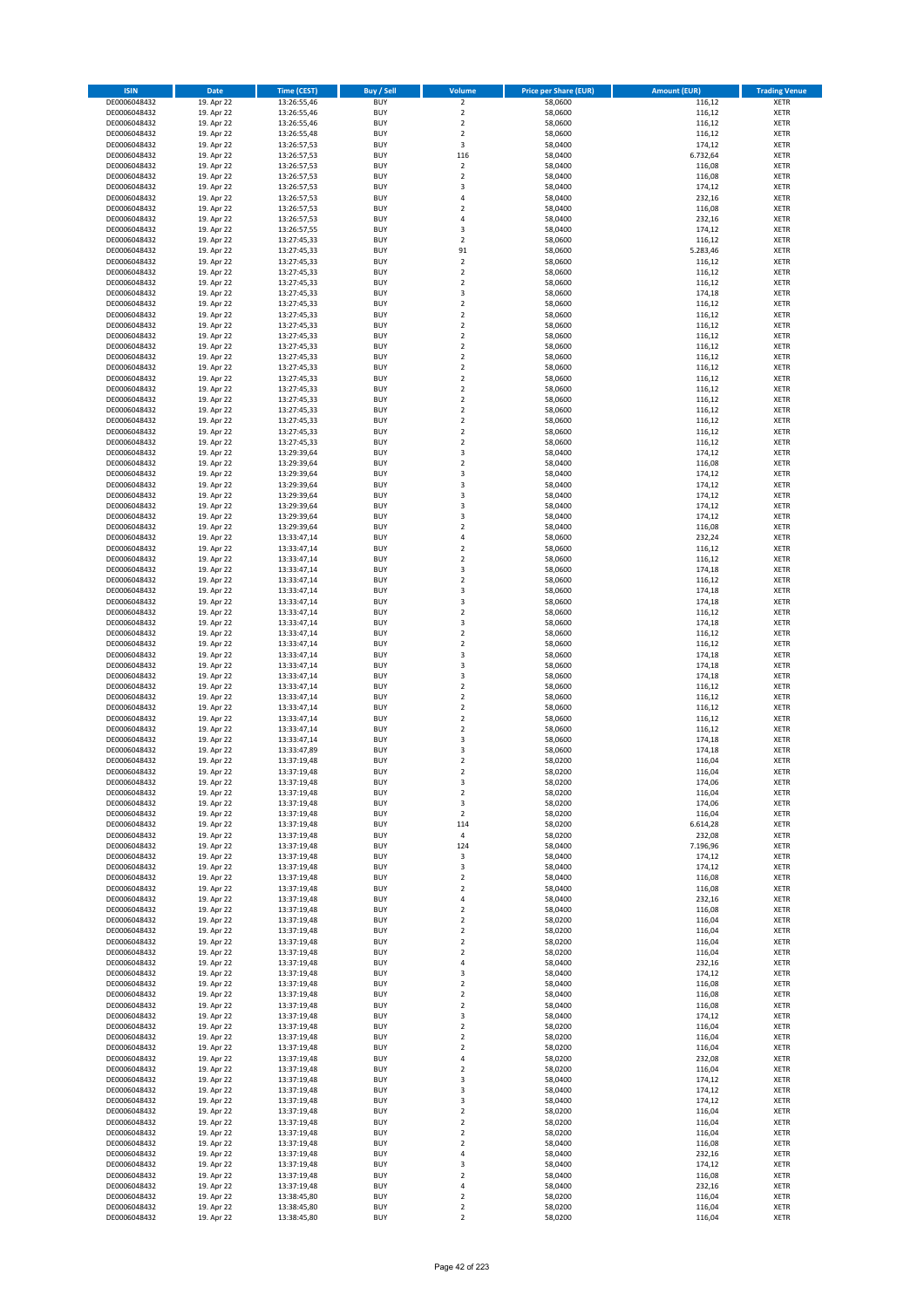| <b>ISIN</b>                  | <b>Date</b>              | <b>Time (CEST)</b>         | <b>Buy / Sell</b>        | Volume                                    | <b>Price per Share (EUR)</b> | <b>Amount (EUR)</b> | <b>Trading Venue</b>       |
|------------------------------|--------------------------|----------------------------|--------------------------|-------------------------------------------|------------------------------|---------------------|----------------------------|
| DE0006048432                 | 19. Apr 22               | 13:26:55,46                | <b>BUY</b>               | $\overline{\mathbf{2}}$                   | 58,0600                      | 116,12              | <b>XETR</b>                |
| DE0006048432                 | 19. Apr 22               | 13:26:55,46                | <b>BUY</b>               | $\mathbf 2$                               | 58,0600                      | 116,12              | <b>XETR</b>                |
| DE0006048432                 | 19. Apr 22               | 13:26:55,46                | <b>BUY</b>               | $\overline{\mathbf{2}}$                   | 58,0600                      | 116,12              | <b>XETR</b>                |
| DE0006048432                 | 19. Apr 22               | 13:26:55,48                | <b>BUY</b>               | $\mathbf 2$                               | 58,0600                      | 116,12              | <b>XETR</b>                |
| DE0006048432<br>DE0006048432 | 19. Apr 22<br>19. Apr 22 | 13:26:57,53                | <b>BUY</b><br><b>BUY</b> | 3<br>116                                  | 58,0400<br>58,0400           | 174,12<br>6.732,64  | <b>XETR</b><br><b>XETR</b> |
| DE0006048432                 | 19. Apr 22               | 13:26:57,53<br>13:26:57,53 | <b>BUY</b>               | $\mathbf 2$                               | 58,0400                      | 116,08              | <b>XETR</b>                |
| DE0006048432                 | 19. Apr 22               | 13:26:57,53                | <b>BUY</b>               | $\overline{\mathbf{2}}$                   | 58,0400                      | 116,08              | <b>XETR</b>                |
| DE0006048432                 | 19. Apr 22               | 13:26:57,53                | BUY                      | $\overline{3}$                            | 58,0400                      | 174,12              | <b>XETR</b>                |
| DE0006048432                 | 19. Apr 22               | 13:26:57,53                | <b>BUY</b>               | 4                                         | 58,0400                      | 232,16              | <b>XETR</b>                |
| DE0006048432                 | 19. Apr 22               | 13:26:57,53                | <b>BUY</b>               | $\mathbf 2$                               | 58,0400                      | 116,08              | <b>XETR</b>                |
| DE0006048432                 | 19. Apr 22               | 13:26:57,53                | <b>BUY</b>               | $\overline{4}$<br>$\overline{\mathbf{3}}$ | 58,0400                      | 232,16              | <b>XETR</b>                |
| DE0006048432<br>DE0006048432 | 19. Apr 22<br>19. Apr 22 | 13:26:57,55<br>13:27:45,33 | <b>BUY</b><br><b>BUY</b> | $\overline{\mathbf{2}}$                   | 58,0400<br>58,0600           | 174,12<br>116,12    | <b>XETR</b><br><b>XETR</b> |
| DE0006048432                 | 19. Apr 22               | 13:27:45,33                | <b>BUY</b>               | 91                                        | 58,0600                      | 5.283,46            | <b>XETR</b>                |
| DE0006048432                 | 19. Apr 22               | 13:27:45,33                | BUY                      | $\mathbf 2$                               | 58,0600                      | 116,12              | <b>XETR</b>                |
| DE0006048432                 | 19. Apr 22               | 13:27:45,33                | <b>BUY</b>               | $\mathbf 2$                               | 58,0600                      | 116,12              | <b>XETR</b>                |
| DE0006048432                 | 19. Apr 22               | 13:27:45,33                | <b>BUY</b>               | $\overline{2}$                            | 58,0600                      | 116,12              | <b>XETR</b>                |
| DE0006048432<br>DE0006048432 | 19. Apr 22<br>19. Apr 22 | 13:27:45,33                | <b>BUY</b>               | 3<br>$\overline{2}$                       | 58,0600                      | 174,18<br>116,12    | <b>XETR</b>                |
| DE0006048432                 | 19. Apr 22               | 13:27:45,33<br>13:27:45,33 | <b>BUY</b><br><b>BUY</b> | $\overline{2}$                            | 58,0600<br>58,0600           | 116,12              | <b>XETR</b><br><b>XETR</b> |
| DE0006048432                 | 19. Apr 22               | 13:27:45,33                | <b>BUY</b>               | $\mathbf 2$                               | 58,0600                      | 116,12              | <b>XETR</b>                |
| DE0006048432                 | 19. Apr 22               | 13:27:45,33                | <b>BUY</b>               | $\overline{2}$                            | 58,0600                      | 116,12              | <b>XETR</b>                |
| DE0006048432                 | 19. Apr 22               | 13:27:45,33                | <b>BUY</b>               | $\overline{2}$                            | 58,0600                      | 116,12              | <b>XETR</b>                |
| DE0006048432                 | 19. Apr 22               | 13:27:45,33                | <b>BUY</b>               | $\mathbf 2$                               | 58,0600                      | 116,12              | <b>XETR</b>                |
| DE0006048432                 | 19. Apr 22               | 13:27:45,33                | <b>BUY</b>               | $\mathbf 2$                               | 58,0600                      | 116,12              | <b>XETR</b>                |
| DE0006048432<br>DE0006048432 | 19. Apr 22<br>19. Apr 22 | 13:27:45,33<br>13:27:45,33 | <b>BUY</b><br><b>BUY</b> | $\mathbf 2$<br>$\overline{2}$             | 58,0600<br>58,0600           | 116,12<br>116,12    | <b>XETR</b><br><b>XETR</b> |
| DE0006048432                 | 19. Apr 22               | 13:27:45,33                | <b>BUY</b>               | $\mathbf 2$                               | 58,0600                      | 116,12              | <b>XETR</b>                |
| DE0006048432                 | 19. Apr 22               | 13:27:45,33                | <b>BUY</b>               | $\overline{2}$                            | 58,0600                      | 116,12              | <b>XETR</b>                |
| DE0006048432                 | 19. Apr 22               | 13:27:45,33                | <b>BUY</b>               | $\mathbf 2$                               | 58,0600                      | 116,12              | <b>XETR</b>                |
| DE0006048432                 | 19. Apr 22               | 13:27:45,33                | <b>BUY</b>               | $\mathbf 2$                               | 58,0600                      | 116,12              | <b>XETR</b>                |
| DE0006048432                 | 19. Apr 22               | 13:27:45,33                | <b>BUY</b>               | $\mathbf 2$                               | 58,0600                      | 116,12              | <b>XETR</b>                |
| DE0006048432<br>DE0006048432 | 19. Apr 22<br>19. Apr 22 | 13:29:39,64<br>13:29:39,64 | <b>BUY</b><br><b>BUY</b> | 3<br>$\overline{2}$                       | 58,0400<br>58,0400           | 174,12<br>116,08    | <b>XETR</b><br><b>XETR</b> |
| DE0006048432                 | 19. Apr 22               | 13:29:39,64                | <b>BUY</b>               | 3                                         | 58,0400                      | 174,12              | <b>XETR</b>                |
| DE0006048432                 | 19. Apr 22               | 13:29:39,64                | <b>BUY</b>               | $\overline{\mathbf{3}}$                   | 58,0400                      | 174,12              | <b>XETR</b>                |
| DE0006048432                 | 19. Apr 22               | 13:29:39,64                | BUY                      | 3                                         | 58,0400                      | 174,12              | <b>XETR</b>                |
| DE0006048432                 | 19. Apr 22               | 13:29:39,64                | <b>BUY</b>               | 3                                         | 58,0400                      | 174,12              | <b>XETR</b>                |
| DE0006048432                 | 19. Apr 22               | 13:29:39,64                | <b>BUY</b>               | 3                                         | 58,0400                      | 174,12              | <b>XETR</b>                |
| DE0006048432<br>DE0006048432 | 19. Apr 22<br>19. Apr 22 | 13:29:39,64<br>13:33:47,14 | <b>BUY</b><br><b>BUY</b> | $\overline{2}$<br>4                       | 58,0400<br>58,0600           | 116,08<br>232,24    | <b>XETR</b><br><b>XETR</b> |
| DE0006048432                 | 19. Apr 22               | 13:33:47,14                | <b>BUY</b>               | $\mathbf 2$                               | 58,0600                      | 116,12              | <b>XETR</b>                |
| DE0006048432                 | 19. Apr 22               | 13:33:47,14                | <b>BUY</b>               | $\overline{2}$                            | 58,0600                      | 116,12              | <b>XETR</b>                |
| DE0006048432                 | 19. Apr 22               | 13:33:47,14                | <b>BUY</b>               | 3                                         | 58,0600                      | 174,18              | <b>XETR</b>                |
| DE0006048432                 | 19. Apr 22               | 13:33:47,14                | <b>BUY</b>               | $\overline{2}$                            | 58,0600                      | 116,12              | <b>XETR</b>                |
| DE0006048432                 | 19. Apr 22               | 13:33:47,14                | <b>BUY</b>               | 3                                         | 58,0600                      | 174,18              | <b>XETR</b>                |
| DE0006048432                 | 19. Apr 22               | 13:33:47,14                | <b>BUY</b>               | $\overline{\mathbf{3}}$<br>$\overline{2}$ | 58,0600                      | 174,18              | <b>XETR</b>                |
| DE0006048432<br>DE0006048432 | 19. Apr 22<br>19. Apr 22 | 13:33:47,14<br>13:33:47,14 | <b>BUY</b><br><b>BUY</b> | 3                                         | 58,0600<br>58,0600           | 116,12<br>174,18    | <b>XETR</b><br><b>XETR</b> |
| DE0006048432                 | 19. Apr 22               | 13:33:47,14                | <b>BUY</b>               | $\overline{2}$                            | 58,0600                      | 116,12              | <b>XETR</b>                |
| DE0006048432                 | 19. Apr 22               | 13:33:47,14                | <b>BUY</b>               | $\overline{2}$                            | 58,0600                      | 116,12              | <b>XETR</b>                |
| DE0006048432                 | 19. Apr 22               | 13:33:47,14                | <b>BUY</b>               | $\overline{\mathbf{3}}$                   | 58,0600                      | 174,18              | <b>XETR</b>                |
| DE0006048432                 | 19. Apr 22               | 13:33:47,14                | <b>BUY</b>               | 3                                         | 58,0600                      | 174,18              | <b>XETR</b>                |
| DE0006048432                 | 19. Apr 22               | 13:33:47,14                | <b>BUY</b>               | $\overline{\mathbf{3}}$                   | 58,0600                      | 174,18              | <b>XETR</b>                |
| DE0006048432<br>DE0006048432 | 19. Apr 22<br>19. Apr 22 | 13:33:47,14<br>13:33:47,14 | <b>BUY</b><br><b>BUY</b> | $\overline{2}$<br>$\overline{2}$          | 58,0600<br>58,0600           | 116,12<br>116,12    | <b>XETR</b><br><b>XETR</b> |
| DE0006048432                 | 19. Apr 22               | 13:33:47,14                | <b>BUY</b>               | $\overline{2}$                            | 58,0600                      | 116,12              | <b>XETR</b>                |
| DE0006048432                 | 19. Apr 22               | 13:33:47,14                | <b>BUY</b>               | $\overline{2}$                            | 58,0600                      | 116,12              | <b>XETR</b>                |
| DE0006048432                 | 19. Apr 22               | 13:33:47,14                | <b>BUY</b>               | $\overline{2}$                            | 58,0600                      | 116,12              | <b>XETR</b>                |
| DE0006048432                 | 19. Apr 22               | 13:33:47,14                | <b>BUY</b>               | 3                                         | 58,0600                      | 174,18              | <b>XETR</b>                |
| DE0006048432                 | 19. Apr 22               | 13:33:47,89                | BUY                      | $\overline{\mathbf{3}}$                   | 58,0600                      | 174,18              | <b>XETR</b>                |
| DE0006048432<br>DE0006048432 | 19. Apr 22               | 13:37:19,48<br>13:37:19,48 | BUY<br><b>BUY</b>        | $\mathbf 2$<br>$\overline{2}$             | 58,0200<br>58,0200           | 116,04<br>116,04    | <b>XETR</b><br><b>XETR</b> |
| DE0006048432                 | 19. Apr 22<br>19. Apr 22 | 13:37:19,48                | BUY                      | 3                                         | 58,0200                      | 174,06              | <b>XETR</b>                |
| DE0006048432                 | 19. Apr 22               | 13:37:19,48                | <b>BUY</b>               | $\mathbf 2$                               | 58,0200                      | 116,04              | <b>XETR</b>                |
| DE0006048432                 | 19. Apr 22               | 13:37:19,48                | <b>BUY</b>               | 3                                         | 58,0200                      | 174,06              | <b>XETR</b>                |
| DE0006048432                 | 19. Apr 22               | 13:37:19,48                | <b>BUY</b>               | $\mathbf 2$                               | 58,0200                      | 116,04              | <b>XETR</b>                |
| DE0006048432                 | 19. Apr 22               | 13:37:19,48                | <b>BUY</b>               | 114                                       | 58,0200                      | 6.614,28            | <b>XETR</b>                |
| DE0006048432<br>DE0006048432 | 19. Apr 22<br>19. Apr 22 | 13:37:19,48<br>13:37:19,48 | <b>BUY</b><br><b>BUY</b> | 4<br>124                                  | 58,0200<br>58,0400           | 232,08<br>7.196,96  | <b>XETR</b><br><b>XETR</b> |
| DE0006048432                 | 19. Apr 22               | 13:37:19,48                | <b>BUY</b>               | 3                                         | 58,0400                      | 174,12              | <b>XETR</b>                |
| DE0006048432                 | 19. Apr 22               | 13:37:19,48                | <b>BUY</b>               | 3                                         | 58,0400                      | 174,12              | <b>XETR</b>                |
| DE0006048432                 | 19. Apr 22               | 13:37:19,48                | <b>BUY</b>               | $\mathbf 2$                               | 58,0400                      | 116,08              | <b>XETR</b>                |
| DE0006048432                 | 19. Apr 22               | 13:37:19,48                | <b>BUY</b>               | 2                                         | 58,0400                      | 116,08              | <b>XETR</b>                |
| DE0006048432                 | 19. Apr 22               | 13:37:19,48                | <b>BUY</b>               | $\overline{4}$                            | 58,0400                      | 232,16              | <b>XETR</b>                |
| DE0006048432<br>DE0006048432 | 19. Apr 22<br>19. Apr 22 | 13:37:19,48<br>13:37:19,48 | <b>BUY</b><br><b>BUY</b> | $\mathbf 2$<br>$\overline{2}$             | 58,0400<br>58,0200           | 116,08<br>116,04    | <b>XETR</b><br><b>XETR</b> |
| DE0006048432                 | 19. Apr 22               | 13:37:19,48                | <b>BUY</b>               | 2                                         | 58,0200                      | 116,04              | <b>XETR</b>                |
| DE0006048432                 | 19. Apr 22               | 13:37:19,48                | <b>BUY</b>               | $\mathbf 2$                               | 58,0200                      | 116,04              | <b>XETR</b>                |
| DE0006048432                 | 19. Apr 22               | 13:37:19,48                | <b>BUY</b>               | $\mathbf 2$                               | 58,0200                      | 116,04              | <b>XETR</b>                |
| DE0006048432                 | 19. Apr 22               | 13:37:19,48                | <b>BUY</b>               | 4                                         | 58,0400                      | 232,16              | <b>XETR</b>                |
| DE0006048432                 | 19. Apr 22               | 13:37:19,48                | <b>BUY</b>               | 3                                         | 58,0400                      | 174,12              | <b>XETR</b>                |
| DE0006048432<br>DE0006048432 | 19. Apr 22<br>19. Apr 22 | 13:37:19,48<br>13:37:19,48 | <b>BUY</b><br><b>BUY</b> | $\mathbf 2$<br>$\overline{\mathbf{2}}$    | 58,0400<br>58,0400           | 116,08<br>116,08    | <b>XETR</b><br><b>XETR</b> |
| DE0006048432                 | 19. Apr 22               | 13:37:19,48                | <b>BUY</b>               | 2                                         | 58,0400                      | 116,08              | <b>XETR</b>                |
| DE0006048432                 | 19. Apr 22               | 13:37:19,48                | <b>BUY</b>               | $\overline{\mathbf{3}}$                   | 58,0400                      | 174,12              | <b>XETR</b>                |
| DE0006048432                 | 19. Apr 22               | 13:37:19,48                | <b>BUY</b>               | $\mathbf 2$                               | 58,0200                      | 116,04              | <b>XETR</b>                |
| DE0006048432                 | 19. Apr 22               | 13:37:19,48                | <b>BUY</b>               | $\mathbf 2$                               | 58,0200                      | 116,04              | <b>XETR</b>                |
| DE0006048432                 | 19. Apr 22               | 13:37:19,48                | <b>BUY</b>               | $\overline{\mathbf{2}}$                   | 58,0200                      | 116,04              | <b>XETR</b>                |
| DE0006048432<br>DE0006048432 | 19. Apr 22               | 13:37:19,48                | <b>BUY</b><br><b>BUY</b> | 4<br>$\overline{\mathbf{2}}$              | 58,0200<br>58,0200           | 232,08              | <b>XETR</b><br><b>XETR</b> |
| DE0006048432                 | 19. Apr 22<br>19. Apr 22 | 13:37:19,48<br>13:37:19,48 | <b>BUY</b>               | 3                                         | 58,0400                      | 116,04<br>174,12    | <b>XETR</b>                |
| DE0006048432                 | 19. Apr 22               | 13:37:19,48                | <b>BUY</b>               | 3                                         | 58,0400                      | 174,12              | <b>XETR</b>                |
| DE0006048432                 | 19. Apr 22               | 13:37:19,48                | <b>BUY</b>               | 3                                         | 58,0400                      | 174,12              | <b>XETR</b>                |
| DE0006048432                 | 19. Apr 22               | 13:37:19,48                | <b>BUY</b>               | $\mathbf 2$                               | 58,0200                      | 116,04              | <b>XETR</b>                |
| DE0006048432                 | 19. Apr 22               | 13:37:19,48                | <b>BUY</b>               | $\mathbf 2$                               | 58,0200                      | 116,04              | <b>XETR</b>                |
| DE0006048432                 | 19. Apr 22               | 13:37:19,48                | <b>BUY</b>               | $\overline{\mathbf{2}}$                   | 58,0200                      | 116,04              | <b>XETR</b>                |
| DE0006048432<br>DE0006048432 | 19. Apr 22<br>19. Apr 22 | 13:37:19,48<br>13:37:19,48 | <b>BUY</b><br><b>BUY</b> | $\mathbf 2$<br>4                          | 58,0400<br>58,0400           | 116,08<br>232,16    | <b>XETR</b><br><b>XETR</b> |
| DE0006048432                 | 19. Apr 22               | 13:37:19,48                | <b>BUY</b>               | 3                                         | 58,0400                      | 174,12              | <b>XETR</b>                |
| DE0006048432                 | 19. Apr 22               | 13:37:19,48                | <b>BUY</b>               | $\mathbf 2$                               | 58,0400                      | 116,08              | <b>XETR</b>                |
| DE0006048432                 | 19. Apr 22               | 13:37:19,48                | <b>BUY</b>               | 4                                         | 58,0400                      | 232,16              | <b>XETR</b>                |
| DE0006048432                 | 19. Apr 22               | 13:38:45,80                | <b>BUY</b>               | 2                                         | 58,0200                      | 116,04              | <b>XETR</b>                |
| DE0006048432                 | 19. Apr 22               | 13:38:45,80                | <b>BUY</b>               | $\mathbf 2$                               | 58,0200                      | 116,04              | <b>XETR</b>                |
| DE0006048432                 | 19. Apr 22               | 13:38:45,80                | <b>BUY</b>               | $\mathbf 2$                               | 58,0200                      | 116,04              | <b>XETR</b>                |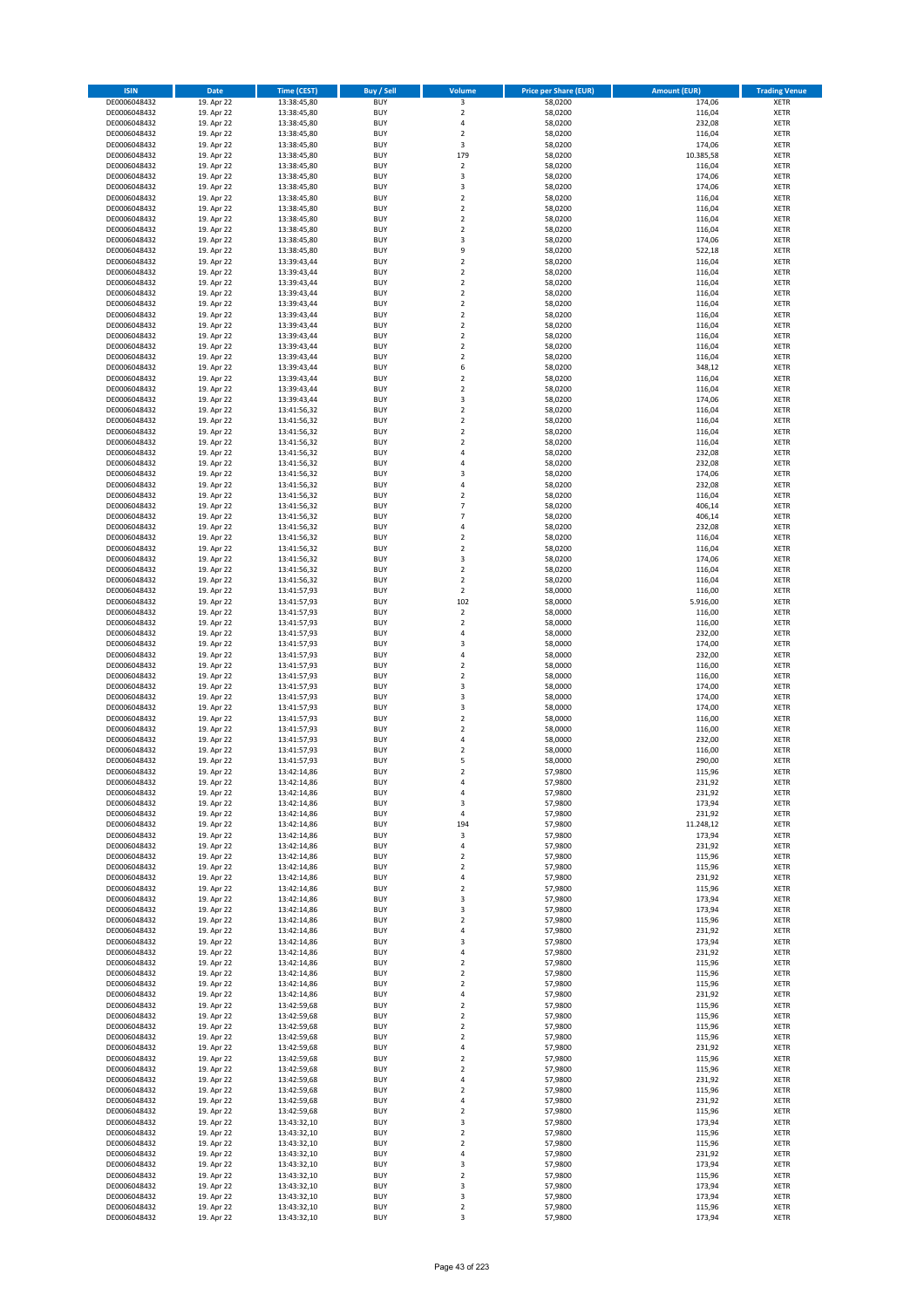| <b>ISIN</b>                  | <b>Date</b>              | <b>Time (CEST)</b>         | <b>Buy / Sell</b>        | Volume                                    | <b>Price per Share (EUR)</b> | Amount (EUR)     | <b>Trading Venue</b>       |
|------------------------------|--------------------------|----------------------------|--------------------------|-------------------------------------------|------------------------------|------------------|----------------------------|
| DE0006048432                 | 19. Apr 22               | 13:38:45,80                | <b>BUY</b>               | 3                                         | 58,0200                      | 174,06           | <b>XETR</b>                |
| DE0006048432                 | 19. Apr 22               | 13:38:45,80                | <b>BUY</b>               | $\mathbf 2$                               | 58,0200                      | 116,04           | <b>XETR</b>                |
| DE0006048432                 | 19. Apr 22               | 13:38:45,80                | <b>BUY</b>               | $\overline{4}$                            | 58,0200                      | 232,08           | <b>XETR</b>                |
| DE0006048432                 | 19. Apr 22               | 13:38:45,80                | <b>BUY</b>               | $\mathbf 2$                               | 58,0200                      | 116,04           | <b>XETR</b>                |
| DE0006048432                 | 19. Apr 22               | 13:38:45,80                | <b>BUY</b>               | 3                                         | 58,0200                      | 174,06           | <b>XETR</b>                |
| DE0006048432                 | 19. Apr 22               | 13:38:45,80                | <b>BUY</b>               | 179                                       | 58,0200                      | 10.385,58        | <b>XETR</b>                |
| DE0006048432                 | 19. Apr 22               | 13:38:45,80                | <b>BUY</b>               | $\mathbf 2$                               | 58,0200                      | 116,04           | <b>XETR</b>                |
| DE0006048432                 | 19. Apr 22               | 13:38:45,80                | <b>BUY</b>               | 3                                         | 58,0200                      | 174,06           | <b>XETR</b>                |
| DE0006048432                 | 19. Apr 22               | 13:38:45,80                | <b>BUY</b>               | 3                                         | 58,0200                      | 174,06           | <b>XETR</b>                |
| DE0006048432                 | 19. Apr 22               | 13:38:45,80                | <b>BUY</b>               | $\overline{2}$                            | 58,0200                      | 116,04           | <b>XETR</b>                |
| DE0006048432                 | 19. Apr 22               | 13:38:45,80                | <b>BUY</b>               | $\mathbf 2$                               | 58,0200                      | 116,04           | <b>XETR</b>                |
| DE0006048432                 | 19. Apr 22               | 13:38:45,80                | <b>BUY</b>               | $\overline{2}$                            | 58,0200                      | 116,04           | <b>XETR</b>                |
| DE0006048432                 | 19. Apr 22<br>19. Apr 22 | 13:38:45,80                | <b>BUY</b>               | $\overline{2}$<br>$\overline{\mathbf{3}}$ | 58,0200                      | 116,04           | <b>XETR</b>                |
| DE0006048432<br>DE0006048432 | 19. Apr 22               | 13:38:45,80                | <b>BUY</b><br><b>BUY</b> | 9                                         | 58,0200                      | 174,06<br>522,18 | <b>XETR</b><br><b>XETR</b> |
| DE0006048432                 | 19. Apr 22               | 13:38:45,80<br>13:39:43,44 | BUY                      | $\overline{2}$                            | 58,0200<br>58,0200           | 116,04           | <b>XETR</b>                |
| DE0006048432                 | 19. Apr 22               | 13:39:43,44                | <b>BUY</b>               | $\overline{2}$                            | 58,0200                      | 116,04           | <b>XETR</b>                |
| DE0006048432                 | 19. Apr 22               | 13:39:43,44                | <b>BUY</b>               | $\overline{2}$                            | 58,0200                      | 116,04           | <b>XETR</b>                |
| DE0006048432                 | 19. Apr 22               | 13:39:43,44                | <b>BUY</b>               | $\overline{2}$                            | 58,0200                      | 116,04           | <b>XETR</b>                |
| DE0006048432                 | 19. Apr 22               | 13:39:43,44                | <b>BUY</b>               | $\overline{2}$                            | 58,0200                      | 116,04           | <b>XETR</b>                |
| DE0006048432                 | 19. Apr 22               | 13:39:43,44                | <b>BUY</b>               | $\overline{2}$                            | 58,0200                      | 116,04           | <b>XETR</b>                |
| DE0006048432                 | 19. Apr 22               | 13:39:43,44                | <b>BUY</b>               | $\mathbf 2$                               | 58,0200                      | 116,04           | <b>XETR</b>                |
| DE0006048432                 | 19. Apr 22               | 13:39:43,44                | <b>BUY</b>               | $\overline{2}$                            | 58,0200                      | 116,04           | <b>XETR</b>                |
| DE0006048432                 | 19. Apr 22               | 13:39:43,44                | <b>BUY</b>               | $\overline{2}$                            | 58,0200                      | 116,04           | <b>XETR</b>                |
| DE0006048432                 | 19. Apr 22               | 13:39:43,44                | <b>BUY</b>               | $\mathbf 2$                               | 58,0200                      | 116,04           | <b>XETR</b>                |
| DE0006048432                 | 19. Apr 22               | 13:39:43,44                | <b>BUY</b>               | 6                                         | 58,0200                      | 348,12           | <b>XETR</b>                |
| DE0006048432                 | 19. Apr 22               | 13:39:43,44                | <b>BUY</b>               | $\mathbf 2$                               | 58,0200                      | 116,04           | <b>XETR</b>                |
| DE0006048432                 | 19. Apr 22               | 13:39:43,44                | <b>BUY</b>               | $\overline{2}$                            | 58,0200                      | 116,04           | <b>XETR</b>                |
| DE0006048432                 | 19. Apr 22               | 13:39:43,44                | <b>BUY</b>               | 3                                         | 58,0200                      | 174,06           | <b>XETR</b>                |
| DE0006048432                 | 19. Apr 22               | 13:41:56,32                | <b>BUY</b>               | $\overline{2}$                            | 58,0200                      | 116,04           | <b>XETR</b>                |
| DE0006048432                 | 19. Apr 22               | 13:41:56,32                | <b>BUY</b>               | $\mathbf 2$                               | 58,0200                      | 116,04           | <b>XETR</b>                |
| DE0006048432                 | 19. Apr 22               | 13:41:56,32                | <b>BUY</b>               | $\mathbf 2$                               | 58,0200                      | 116,04           | <b>XETR</b>                |
| DE0006048432                 | 19. Apr 22               | 13:41:56,32                | <b>BUY</b>               | $\mathbf 2$<br>$\overline{a}$             | 58,0200                      | 116,04           | <b>XETR</b>                |
| DE0006048432                 | 19. Apr 22               | 13:41:56,32                | <b>BUY</b>               | $\overline{4}$                            | 58,0200                      | 232,08           | <b>XETR</b>                |
| DE0006048432<br>DE0006048432 | 19. Apr 22<br>19. Apr 22 | 13:41:56,32<br>13:41:56,32 | <b>BUY</b><br><b>BUY</b> | 3                                         | 58,0200<br>58,0200           | 232,08<br>174,06 | <b>XETR</b><br><b>XETR</b> |
| DE0006048432                 | 19. Apr 22               | 13:41:56,32                | <b>BUY</b>               | $\overline{a}$                            | 58,0200                      | 232,08           | <b>XETR</b>                |
| DE0006048432                 | 19. Apr 22               | 13:41:56,32                | <b>BUY</b>               | $\mathbf 2$                               | 58,0200                      | 116,04           | <b>XETR</b>                |
| DE0006048432                 | 19. Apr 22               | 13:41:56,32                | <b>BUY</b>               | 7                                         | 58,0200                      | 406,14           | <b>XETR</b>                |
| DE0006048432                 | 19. Apr 22               | 13:41:56,32                | <b>BUY</b>               | $\overline{7}$                            | 58,0200                      | 406,14           | <b>XETR</b>                |
| DE0006048432                 | 19. Apr 22               | 13:41:56,32                | <b>BUY</b>               | $\overline{a}$                            | 58,0200                      | 232,08           | <b>XETR</b>                |
| DE0006048432                 | 19. Apr 22               | 13:41:56,32                | <b>BUY</b>               | $\mathbf 2$                               | 58,0200                      | 116,04           | <b>XETR</b>                |
| DE0006048432                 | 19. Apr 22               | 13:41:56,32                | <b>BUY</b>               | $\mathbf 2$                               | 58,0200                      | 116,04           | <b>XETR</b>                |
| DE0006048432                 | 19. Apr 22               | 13:41:56,32                | <b>BUY</b>               | $\overline{\mathbf{3}}$                   | 58,0200                      | 174,06           | <b>XETR</b>                |
| DE0006048432                 | 19. Apr 22               | 13:41:56,32                | <b>BUY</b>               | $\overline{2}$                            | 58,0200                      | 116,04           | <b>XETR</b>                |
| DE0006048432                 | 19. Apr 22               | 13:41:56,32                | <b>BUY</b>               | $\overline{2}$                            | 58,0200                      | 116,04           | <b>XETR</b>                |
| DE0006048432                 | 19. Apr 22               | 13:41:57,93                | <b>BUY</b>               | $\mathbf 2$                               | 58,0000                      | 116,00           | <b>XETR</b>                |
| DE0006048432                 | 19. Apr 22               | 13:41:57,93                | <b>BUY</b>               | 102                                       | 58,0000                      | 5.916,00         | <b>XETR</b>                |
| DE0006048432                 | 19. Apr 22               | 13:41:57,93                | <b>BUY</b>               | $\mathbf 2$                               | 58,0000                      | 116,00           | <b>XETR</b>                |
| DE0006048432                 | 19. Apr 22               | 13:41:57,93                | <b>BUY</b>               | $\overline{2}$                            | 58,0000                      | 116,00           | <b>XETR</b>                |
| DE0006048432                 | 19. Apr 22               | 13:41:57,93                | <b>BUY</b>               | $\overline{a}$                            | 58,0000                      | 232,00           | <b>XETR</b>                |
| DE0006048432                 | 19. Apr 22               | 13:41:57,93                | <b>BUY</b>               | $\overline{\mathbf{3}}$                   | 58,0000                      | 174,00           | <b>XETR</b>                |
| DE0006048432                 | 19. Apr 22               | 13:41:57,93                | <b>BUY</b><br><b>BUY</b> | $\overline{4}$                            | 58,0000                      | 232,00<br>116,00 | <b>XETR</b>                |
| DE0006048432<br>DE0006048432 | 19. Apr 22<br>19. Apr 22 | 13:41:57,93<br>13:41:57,93 | <b>BUY</b>               | $\mathbf 2$<br>$\overline{2}$             | 58,0000<br>58,0000           | 116,00           | <b>XETR</b><br><b>XETR</b> |
| DE0006048432                 | 19. Apr 22               |                            | <b>BUY</b>               | $\overline{\mathbf{3}}$                   | 58,0000                      | 174,00           | <b>XETR</b>                |
| DE0006048432                 | 19. Apr 22               | 13:41:57,93<br>13:41:57,93 | <b>BUY</b>               | $\overline{\mathbf{3}}$                   | 58,0000                      | 174,00           | <b>XETR</b>                |
| DE0006048432                 | 19. Apr 22               | 13:41:57,93                | <b>BUY</b>               | $\overline{\mathbf{3}}$                   | 58,0000                      | 174,00           | <b>XETR</b>                |
| DE0006048432                 | 19. Apr 22               | 13:41:57,93                | <b>BUY</b>               | $\overline{2}$                            | 58,0000                      | 116,00           | <b>XETR</b>                |
| DE0006048432                 | 19. Apr 22               | 13:41:57,93                | <b>BUY</b>               | $\overline{2}$                            | 58,0000                      | 116,00           | <b>XETR</b>                |
| DE0006048432                 | 19. Apr 22               | 13:41:57,93                | <b>BUY</b>               | 4                                         | 58,0000                      | 232,00           | <b>XETR</b>                |
| DE0006048432                 | 19. Apr 22               | 13:41:57,93                | BUY                      | $\overline{2}$                            | 58,0000                      | 116,00           | <b>XETR</b>                |
| DE0006048432                 | 19. Apr 22               | 13:41:57,93                | BUY                      | 5                                         | 58,0000                      | 290,00           | <b>XETR</b>                |
| DE0006048432                 | 19. Apr 22               | 13:42:14,86                | <b>BUY</b>               | $\overline{2}$                            | 57,9800                      | 115,96           | <b>XETR</b>                |
| DE0006048432                 | 19. Apr 22               | 13:42:14,86                | <b>BUY</b>               | 4                                         | 57,9800                      | 231,92           | <b>XETR</b>                |
| DE0006048432                 | 19. Apr 22               | 13:42:14,86                | <b>BUY</b>               | 4                                         | 57,9800                      | 231,92           | <b>XETR</b>                |
| DE0006048432                 | 19. Apr 22               | 13:42:14,86                | <b>BUY</b>               | 3                                         | 57,9800                      | 173,94           | <b>XETR</b>                |
| DE0006048432                 | 19. Apr 22               | 13:42:14,86                | <b>BUY</b>               | 4                                         | 57,9800                      | 231,92           | <b>XETR</b>                |
| DE0006048432                 | 19. Apr 22               | 13:42:14,86                | <b>BUY</b>               | 194                                       | 57,9800                      | 11.248,12        | <b>XETR</b>                |
| DE0006048432                 | 19. Apr 22               | 13:42:14,86                | <b>BUY</b>               | 3                                         | 57,9800                      | 173,94           | <b>XETR</b>                |
| DE0006048432                 | 19. Apr 22               | 13:42:14,86                | <b>BUY</b>               | 4                                         | 57,9800                      | 231,92           | <b>XETR</b>                |
| DE0006048432                 | 19. Apr 22               | 13:42:14,86                | <b>BUY</b>               | $\overline{\mathbf{2}}$                   | 57,9800                      | 115,96           | <b>XETR</b>                |
| DE0006048432                 | 19. Apr 22               | 13:42:14,86                | <b>BUY</b>               | $\mathbf 2$<br>4                          | 57,9800                      | 115,96           | <b>XETR</b>                |
| DE0006048432<br>DE0006048432 | 19. Apr 22<br>19. Apr 22 | 13:42:14,86                | <b>BUY</b><br><b>BUY</b> | 2                                         | 57,9800<br>57,9800           | 231,92<br>115,96 | <b>XETR</b><br><b>XETR</b> |
| DE0006048432                 | 19. Apr 22               | 13:42:14,86<br>13:42:14,86 | <b>BUY</b>               | 3                                         | 57,9800                      | 173,94           | <b>XETR</b>                |
| DE0006048432                 | 19. Apr 22               | 13:42:14,86                | <b>BUY</b>               | 3                                         | 57,9800                      | 173,94           | <b>XETR</b>                |
| DE0006048432                 | 19. Apr 22               | 13:42:14,86                | <b>BUY</b>               | 2                                         | 57,9800                      | 115,96           | <b>XETR</b>                |
| DE0006048432                 | 19. Apr 22               | 13:42:14,86                | <b>BUY</b>               | 4                                         | 57,9800                      | 231,92           | <b>XETR</b>                |
| DE0006048432                 | 19. Apr 22               | 13:42:14,86                | <b>BUY</b>               | $\overline{\mathbf{3}}$                   | 57,9800                      | 173,94           | <b>XETR</b>                |
| DE0006048432                 | 19. Apr 22               | 13:42:14,86                | <b>BUY</b>               | 4                                         | 57,9800                      | 231,92           | <b>XETR</b>                |
| DE0006048432                 | 19. Apr 22               | 13:42:14,86                | <b>BUY</b>               | $\mathbf 2$                               | 57,9800                      | 115,96           | <b>XETR</b>                |
| DE0006048432                 | 19. Apr 22               | 13:42:14,86                | <b>BUY</b>               | $\mathbf 2$                               | 57,9800                      | 115,96           | <b>XETR</b>                |
| DE0006048432                 | 19. Apr 22               | 13:42:14,86                | <b>BUY</b>               | $\mathbf 2$                               | 57,9800                      | 115,96           | <b>XETR</b>                |
| DE0006048432                 | 19. Apr 22               | 13:42:14,86                | <b>BUY</b>               | 4                                         | 57,9800                      | 231,92           | <b>XETR</b>                |
| DE0006048432                 | 19. Apr 22               | 13:42:59,68                | <b>BUY</b>               | $\mathbf 2$                               | 57,9800                      | 115,96           | <b>XETR</b>                |
| DE0006048432                 | 19. Apr 22               | 13:42:59,68                | <b>BUY</b>               | $\overline{\mathbf{2}}$                   | 57,9800                      | 115,96           | <b>XETR</b>                |
| DE0006048432                 | 19. Apr 22               | 13:42:59,68                | <b>BUY</b>               | $\mathbf 2$                               | 57,9800                      | 115,96           | <b>XETR</b>                |
| DE0006048432                 | 19. Apr 22               | 13:42:59,68                | <b>BUY</b>               | $\mathbf 2$                               | 57,9800                      | 115,96           | <b>XETR</b>                |
| DE0006048432                 | 19. Apr 22               | 13:42:59,68                | <b>BUY</b>               | 4                                         | 57,9800                      | 231,92           | <b>XETR</b>                |
| DE0006048432                 | 19. Apr 22               | 13:42:59,68                | <b>BUY</b>               | $\overline{\mathbf{2}}$                   | 57,9800                      | 115,96           | <b>XETR</b>                |
| DE0006048432                 | 19. Apr 22               | 13:42:59,68                | <b>BUY</b>               | $\overline{\mathbf{2}}$                   | 57,9800                      | 115,96           | <b>XETR</b>                |
| DE0006048432                 | 19. Apr 22               | 13:42:59,68                | <b>BUY</b>               | 4                                         | 57,9800                      | 231,92           | <b>XETR</b>                |
| DE0006048432                 | 19. Apr 22               | 13:42:59,68                | <b>BUY</b>               | 2<br>4                                    | 57,9800                      | 115,96<br>231,92 | <b>XETR</b>                |
| DE0006048432<br>DE0006048432 | 19. Apr 22               | 13:42:59,68<br>13:42:59,68 | <b>BUY</b><br><b>BUY</b> | $\mathbf 2$                               | 57,9800<br>57,9800           | 115,96           | <b>XETR</b><br><b>XETR</b> |
| DE0006048432                 | 19. Apr 22<br>19. Apr 22 | 13:43:32,10                | <b>BUY</b>               | 3                                         | 57,9800                      | 173,94           | <b>XETR</b>                |
| DE0006048432                 | 19. Apr 22               | 13:43:32,10                | <b>BUY</b>               | $\overline{\mathbf{2}}$                   | 57,9800                      | 115,96           | <b>XETR</b>                |
| DE0006048432                 | 19. Apr 22               | 13:43:32,10                | <b>BUY</b>               | $\mathbf 2$                               | 57,9800                      | 115,96           | <b>XETR</b>                |
| DE0006048432                 | 19. Apr 22               | 13:43:32,10                | <b>BUY</b>               | 4                                         | 57,9800                      | 231,92           | <b>XETR</b>                |
| DE0006048432                 | 19. Apr 22               | 13:43:32,10                | <b>BUY</b>               | 3                                         | 57,9800                      | 173,94           | <b>XETR</b>                |
| DE0006048432                 | 19. Apr 22               | 13:43:32,10                | <b>BUY</b>               | $\mathbf 2$                               | 57,9800                      | 115,96           | <b>XETR</b>                |
| DE0006048432                 | 19. Apr 22               | 13:43:32,10                | <b>BUY</b>               | 3                                         | 57,9800                      | 173,94           | <b>XETR</b>                |
| DE0006048432                 | 19. Apr 22               | 13:43:32,10                | <b>BUY</b>               | 3                                         | 57,9800                      | 173,94           | <b>XETR</b>                |
| DE0006048432                 | 19. Apr 22               | 13:43:32,10                | <b>BUY</b>               | $\mathbf 2$                               | 57,9800                      | 115,96           | <b>XETR</b>                |
| DE0006048432                 | 19. Apr 22               | 13:43:32,10                | <b>BUY</b>               | 3                                         | 57,9800                      | 173,94           | <b>XETR</b>                |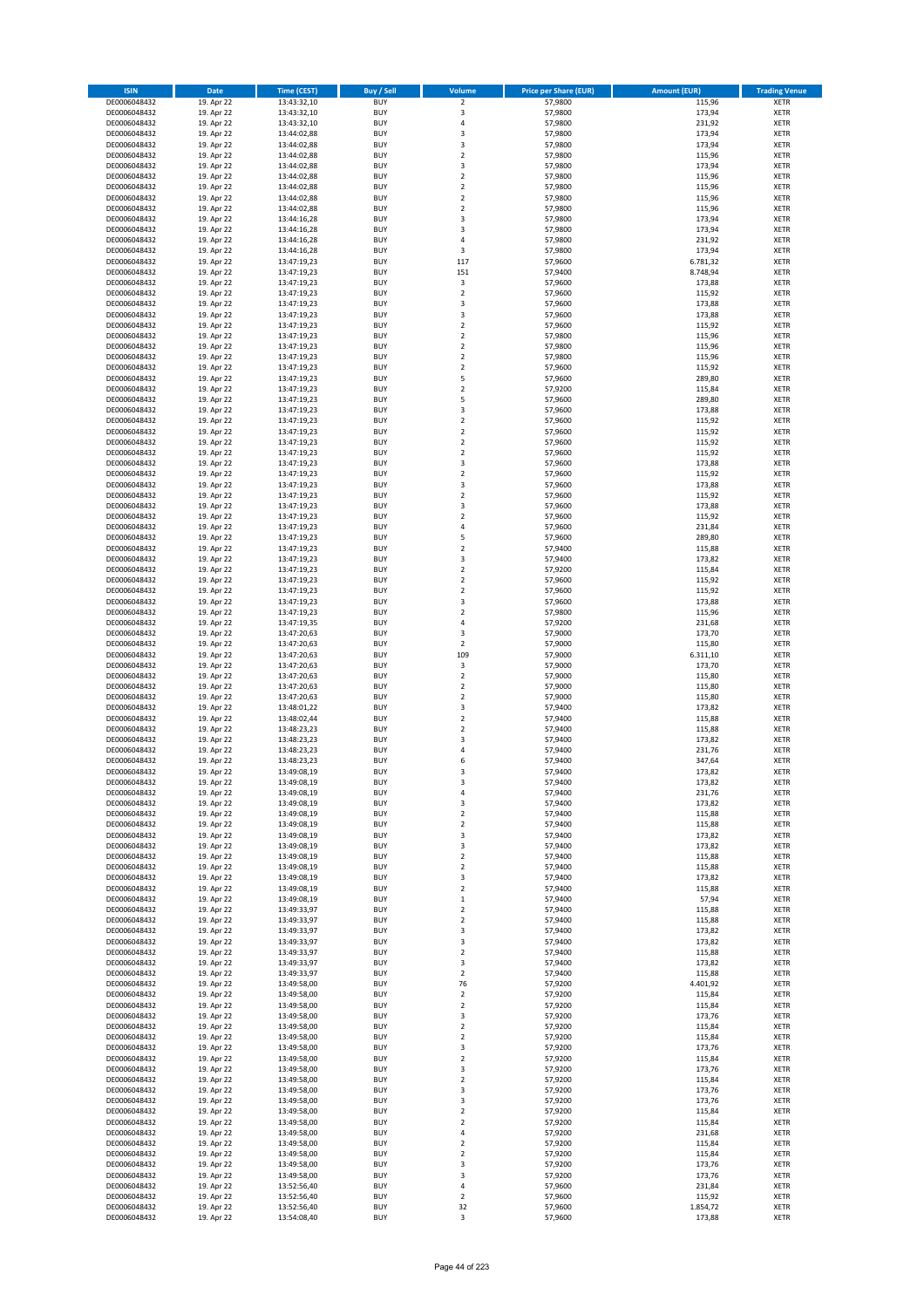| <b>ISIN</b>                  | Date                     | Time (CEST)                | <b>Buy / Sell</b>        | <b>Volume</b>                 | <b>Price per Share (EUR)</b> | <b>Amount (EUR)</b> | <b>Trading Venue</b>       |
|------------------------------|--------------------------|----------------------------|--------------------------|-------------------------------|------------------------------|---------------------|----------------------------|
| DE0006048432                 | 19. Apr 22               | 13:43:32,10                | <b>BUY</b>               | $\overline{2}$                | 57,9800                      | 115,96              | <b>XETR</b>                |
| DE0006048432                 | 19. Apr 22               | 13:43:32,10                | <b>BUY</b>               | 3                             | 57,9800                      | 173,94              | XETR                       |
| DE0006048432                 | 19. Apr 22               | 13:43:32,10                | <b>BUY</b>               | 4                             | 57,9800                      | 231,92              | <b>XETR</b>                |
| DE0006048432                 | 19. Apr 22               | 13:44:02,88                | <b>BUY</b>               | $\mathsf 3$                   | 57,9800                      | 173,94              | XETR                       |
| DE0006048432<br>DE0006048432 | 19. Apr 22<br>19. Apr 22 | 13:44:02,88<br>13:44:02,88 | <b>BUY</b><br><b>BUY</b> | 3<br>$\mathbf 2$              | 57,9800<br>57,9800           | 173,94<br>115,96    | <b>XETR</b><br><b>XETR</b> |
| DE0006048432                 | 19. Apr 22               | 13:44:02,88                | <b>BUY</b>               | 3                             | 57,9800                      | 173,94              | <b>XETR</b>                |
| DE0006048432                 | 19. Apr 22               | 13:44:02,88                | <b>BUY</b>               | $\mathbf 2$                   | 57,9800                      | 115,96              | <b>XETR</b>                |
| DE0006048432                 | 19. Apr 22               | 13:44:02,88                | <b>BUY</b>               | $\mathbf 2$                   | 57,9800                      | 115,96              | <b>XETR</b>                |
| DE0006048432                 | 19. Apr 22               | 13:44:02,88                | <b>BUY</b>               | $\overline{2}$                | 57,9800                      | 115,96              | <b>XETR</b>                |
| DE0006048432                 | 19. Apr 22               | 13:44:02,88                | <b>BUY</b>               | $\mathbf 2$                   | 57,9800                      | 115,96              | <b>XETR</b>                |
| DE0006048432                 | 19. Apr 22               | 13:44:16,28                | <b>BUY</b>               | 3<br>3                        | 57,9800                      | 173,94              | <b>XETR</b>                |
| DE0006048432<br>DE0006048432 | 19. Apr 22<br>19. Apr 22 | 13:44:16,28<br>13:44:16,28 | <b>BUY</b><br><b>BUY</b> | 4                             | 57,9800<br>57,9800           | 173,94<br>231,92    | <b>XETR</b><br><b>XETR</b> |
| DE0006048432                 | 19. Apr 22               | 13:44:16,28                | <b>BUY</b>               | 3                             | 57,9800                      | 173,94              | <b>XETR</b>                |
| DE0006048432                 | 19. Apr 22               | 13:47:19,23                | <b>BUY</b>               | 117                           | 57,9600                      | 6.781,32            | <b>XETR</b>                |
| DE0006048432                 | 19. Apr 22               | 13:47:19,23                | <b>BUY</b>               | 151                           | 57,9400                      | 8.748,94            | <b>XETR</b>                |
| DE0006048432                 | 19. Apr 22               | 13:47:19,23                | <b>BUY</b>               | 3                             | 57,9600                      | 173,88              | <b>XETR</b>                |
| DE0006048432                 | 19. Apr 22               | 13:47:19,23                | <b>BUY</b>               | $\mathbf 2$                   | 57,9600                      | 115,92              | <b>XETR</b>                |
| DE0006048432<br>DE0006048432 | 19. Apr 22<br>19. Apr 22 | 13:47:19,23                | <b>BUY</b><br><b>BUY</b> | $\mathsf 3$<br>3              | 57,9600<br>57,9600           | 173,88<br>173,88    | <b>XETR</b><br><b>XETR</b> |
| DE0006048432                 | 19. Apr 22               | 13:47:19,23<br>13:47:19,23 | <b>BUY</b>               | $\mathbf 2$                   | 57,9600                      | 115,92              | <b>XETR</b>                |
| DE0006048432                 | 19. Apr 22               | 13:47:19,23                | <b>BUY</b>               | $\mathbf 2$                   | 57,9800                      | 115,96              | <b>XETR</b>                |
| DE0006048432                 | 19. Apr 22               | 13:47:19,23                | <b>BUY</b>               | $\mathbf 2$                   | 57,9800                      | 115,96              | <b>XETR</b>                |
| DE0006048432                 | 19. Apr 22               | 13:47:19,23                | <b>BUY</b>               | $\mathbf 2$                   | 57,9800                      | 115,96              | <b>XETR</b>                |
| DE0006048432                 | 19. Apr 22               | 13:47:19,23                | <b>BUY</b>               | $\mathbf 2$                   | 57,9600                      | 115,92              | <b>XETR</b>                |
| DE0006048432                 | 19. Apr 22               | 13:47:19,23                | <b>BUY</b>               | 5                             | 57,9600                      | 289,80              | <b>XETR</b>                |
| DE0006048432                 | 19. Apr 22               | 13:47:19,23                | <b>BUY</b>               | $\overline{2}$                | 57,9200                      | 115,84              | <b>XETR</b>                |
| DE0006048432                 | 19. Apr 22               | 13:47:19,23                | <b>BUY</b>               | 5                             | 57,9600                      | 289,80              | <b>XETR</b>                |
| DE0006048432<br>DE0006048432 | 19. Apr 22<br>19. Apr 22 | 13:47:19,23<br>13:47:19,23 | <b>BUY</b><br><b>BUY</b> | 3<br>$\overline{2}$           | 57,9600<br>57,9600           | 173,88<br>115,92    | <b>XETR</b><br><b>XETR</b> |
| DE0006048432                 | 19. Apr 22               | 13:47:19,23                | <b>BUY</b>               | $\overline{2}$                | 57,9600                      | 115,92              | <b>XETR</b>                |
| DE0006048432                 | 19. Apr 22               | 13:47:19,23                | <b>BUY</b>               | $\mathbf 2$                   | 57,9600                      | 115,92              | <b>XETR</b>                |
| DE0006048432                 | 19. Apr 22               | 13:47:19,23                | <b>BUY</b>               | $\mathbf 2$                   | 57,9600                      | 115,92              | <b>XETR</b>                |
| DE0006048432                 | 19. Apr 22               | 13:47:19,23                | <b>BUY</b>               | 3                             | 57,9600                      | 173,88              | <b>XETR</b>                |
| DE0006048432                 | 19. Apr 22               | 13:47:19,23                | <b>BUY</b>               | $\mathbf 2$                   | 57,9600                      | 115,92              | <b>XETR</b>                |
| DE0006048432                 | 19. Apr 22               | 13:47:19,23                | <b>BUY</b>               | 3                             | 57,9600                      | 173,88              | <b>XETR</b>                |
| DE0006048432                 | 19. Apr 22               | 13:47:19,23                | <b>BUY</b>               | $\mathbf 2$                   | 57,9600                      | 115,92              | <b>XETR</b>                |
| DE0006048432                 | 19. Apr 22               | 13:47:19,23                | <b>BUY</b>               | $\mathsf 3$                   | 57,9600                      | 173,88              | <b>XETR</b>                |
| DE0006048432<br>DE0006048432 | 19. Apr 22<br>19. Apr 22 | 13:47:19,23<br>13:47:19,23 | <b>BUY</b><br><b>BUY</b> | $\mathbf 2$<br>4              | 57,9600<br>57,9600           | 115,92<br>231,84    | <b>XETR</b><br><b>XETR</b> |
| DE0006048432                 | 19. Apr 22               | 13:47:19,23                | <b>BUY</b>               | 5                             | 57,9600                      | 289,80              | <b>XETR</b>                |
| DE0006048432                 | 19. Apr 22               | 13:47:19,23                | <b>BUY</b>               | $\mathbf 2$                   | 57,9400                      | 115,88              | <b>XETR</b>                |
| DE0006048432                 | 19. Apr 22               | 13:47:19,23                | <b>BUY</b>               | 3                             | 57,9400                      | 173,82              | <b>XETR</b>                |
| DE0006048432                 | 19. Apr 22               | 13:47:19,23                | <b>BUY</b>               | $\mathbf 2$                   | 57,9200                      | 115,84              | <b>XETR</b>                |
| DE0006048432                 | 19. Apr 22               | 13:47:19,23                | <b>BUY</b>               | $\overline{2}$                | 57,9600                      | 115,92              | <b>XETR</b>                |
| DE0006048432                 | 19. Apr 22               | 13:47:19,23                | <b>BUY</b>               | $\mathbf 2$                   | 57,9600                      | 115,92              | <b>XETR</b>                |
| DE0006048432                 | 19. Apr 22               | 13:47:19,23                | <b>BUY</b>               | 3                             | 57,9600                      | 173,88              | <b>XETR</b>                |
| DE0006048432                 | 19. Apr 22               | 13:47:19,23                | <b>BUY</b>               | $\mathbf 2$                   | 57,9800                      | 115,96              | <b>XETR</b>                |
| DE0006048432<br>DE0006048432 | 19. Apr 22<br>19. Apr 22 | 13:47:19,35<br>13:47:20,63 | <b>BUY</b><br><b>BUY</b> | $\sqrt{4}$<br>3               | 57,9200<br>57,9000           | 231,68<br>173,70    | <b>XETR</b><br><b>XETR</b> |
| DE0006048432                 | 19. Apr 22               | 13:47:20,63                | <b>BUY</b>               | $\overline{2}$                | 57,9000                      | 115,80              | <b>XETR</b>                |
| DE0006048432                 | 19. Apr 22               | 13:47:20,63                | <b>BUY</b>               | 109                           | 57,9000                      | 6.311,10            | <b>XETR</b>                |
| DE0006048432                 | 19. Apr 22               | 13:47:20,63                | <b>BUY</b>               | $\mathsf 3$                   | 57,9000                      | 173,70              | <b>XETR</b>                |
| DE0006048432                 | 19. Apr 22               | 13:47:20,63                | <b>BUY</b>               | $\mathbf 2$                   | 57,9000                      | 115,80              | <b>XETR</b>                |
| DE0006048432                 | 19. Apr 22               | 13:47:20,63                | <b>BUY</b>               | $\overline{2}$                | 57,9000                      | 115,80              | <b>XETR</b>                |
| DE0006048432                 | 19. Apr 22               | 13:47:20,63                | <b>BUY</b>               | $\overline{2}$                | 57,9000                      | 115,80              | <b>XETR</b>                |
| DE0006048432                 | 19. Apr 22               | 13:48:01,22                | <b>BUY</b>               | 3                             | 57,9400                      | 173,82              | <b>XETR</b>                |
| DE0006048432<br>DE0006048432 | 19. Apr 22               | 13:48:02,44                | <b>BUY</b><br><b>BUY</b> | $\mathbf 2$<br>$\overline{2}$ | 57,9400                      | 115,88              | <b>XETR</b><br><b>XETR</b> |
| DE0006048432                 | 19. Apr 22<br>19. Apr 22 | 13:48:23,23<br>13:48:23,23 | <b>BUY</b>               | 3                             | 57,9400<br>57,9400           | 115,88<br>173,82    | <b>XETR</b>                |
| DE0006048432                 | 19. Apr 22               | 13:48:23,23                | <b>BUY</b>               | 4                             | 57,9400                      | 231,76              | <b>XETR</b>                |
| DE0006048432                 | 19. Apr 22               | 13:48:23,23                | <b>BUY</b>               | 6                             | 57,9400                      | 347,64              | <b>XETR</b>                |
| DE0006048432                 | 19. Apr 22               | 13:49:08,19                | <b>BUY</b>               | 3                             | 57,9400                      | 173,82              | <b>XETR</b>                |
| DE0006048432                 | 19. Apr 22               | 13:49:08,19                | BUY                      | 3                             | 57,9400                      | 173,82              | XETR                       |
| DE0006048432                 | 19. Apr 22               | 13:49:08,19                | <b>BUY</b>               | 4                             | 57,9400                      | 231,76              | <b>XETR</b>                |
| DE0006048432                 | 19. Apr 22               | 13:49:08,19                | <b>BUY</b>               | 3                             | 57,9400                      | 173,82              | <b>XETR</b>                |
| DE0006048432<br>DE0006048432 | 19. Apr 22<br>19. Apr 22 | 13:49:08,19<br>13:49:08,19 | <b>BUY</b><br><b>BUY</b> | $\mathbf 2$<br>$\overline{2}$ | 57,9400<br>57,9400           | 115,88<br>115,88    | <b>XETR</b><br><b>XETR</b> |
| DE0006048432                 | 19. Apr 22               | 13:49:08,19                | <b>BUY</b>               | 3                             | 57,9400                      | 173,82              | <b>XETR</b>                |
| DE0006048432                 | 19. Apr 22               | 13:49:08,19                | <b>BUY</b>               | 3                             | 57,9400                      | 173,82              | <b>XETR</b>                |
| DE0006048432                 | 19. Apr 22               | 13:49:08,19                | <b>BUY</b>               | $\overline{2}$                | 57,9400                      | 115,88              | <b>XETR</b>                |
| DE0006048432                 | 19. Apr 22               | 13:49:08,19                | <b>BUY</b>               | $\overline{2}$                | 57,9400                      | 115,88              | XETR                       |
| DE0006048432                 | 19. Apr 22               | 13:49:08,19                | <b>BUY</b>               | 3                             | 57,9400                      | 173,82              | <b>XETR</b>                |
| DE0006048432                 | 19. Apr 22               | 13:49:08,19                | <b>BUY</b>               | $\overline{2}$                | 57,9400                      | 115,88              | XETR                       |
| DE0006048432<br>DE0006048432 | 19. Apr 22<br>19. Apr 22 | 13:49:08,19<br>13:49:33,97 | <b>BUY</b><br><b>BUY</b> | $\mathbf 1$<br>$\mathbf 2$    | 57,9400<br>57,9400           | 57,94<br>115,88     | <b>XETR</b><br>XETR        |
| DE0006048432                 | 19. Apr 22               | 13:49:33,97                | <b>BUY</b>               | $\mathbf 2$                   | 57,9400                      | 115,88              | <b>XETR</b>                |
| DE0006048432                 | 19. Apr 22               | 13:49:33,97                | <b>BUY</b>               | 3                             | 57,9400                      | 173,82              | XETR                       |
| DE0006048432                 | 19. Apr 22               | 13:49:33,97                | <b>BUY</b>               | 3                             | 57,9400                      | 173,82              | <b>XETR</b>                |
| DE0006048432                 | 19. Apr 22               | 13:49:33,97                | <b>BUY</b>               | $\mathbf 2$                   | 57,9400                      | 115,88              | <b>XETR</b>                |
| DE0006048432                 | 19. Apr 22               | 13:49:33,97                | <b>BUY</b>               | 3                             | 57,9400                      | 173,82              | <b>XETR</b>                |
| DE0006048432                 | 19. Apr 22               | 13:49:33,97                | <b>BUY</b>               | $\overline{2}$                | 57,9400                      | 115,88              | XETR                       |
| DE0006048432                 | 19. Apr 22               | 13:49:58,00                | <b>BUY</b>               | 76                            | 57,9200                      | 4.401,92            | XETR                       |
| DE0006048432<br>DE0006048432 | 19. Apr 22<br>19. Apr 22 | 13:49:58,00<br>13:49:58,00 | <b>BUY</b><br><b>BUY</b> | $\overline{2}$<br>$\mathbf 2$ | 57,9200<br>57,9200           | 115,84<br>115,84    | <b>XETR</b><br><b>XETR</b> |
| DE0006048432                 | 19. Apr 22               | 13:49:58,00                | <b>BUY</b>               | 3                             | 57,9200                      | 173,76              | XETR                       |
| DE0006048432                 | 19. Apr 22               | 13:49:58,00                | <b>BUY</b>               | $\mathbf 2$                   | 57,9200                      | 115,84              | <b>XETR</b>                |
| DE0006048432                 | 19. Apr 22               | 13:49:58,00                | <b>BUY</b>               | $\overline{2}$                | 57,9200                      | 115,84              | XETR                       |
| DE0006048432                 | 19. Apr 22               | 13:49:58,00                | <b>BUY</b>               | 3                             | 57,9200                      | 173,76              | <b>XETR</b>                |
| DE0006048432                 | 19. Apr 22               | 13:49:58,00                | <b>BUY</b>               | $\overline{2}$                | 57,9200                      | 115,84              | XETR                       |
| DE0006048432                 | 19. Apr 22               | 13:49:58,00                | <b>BUY</b>               | 3                             | 57,9200                      | 173,76              | <b>XETR</b>                |
| DE0006048432                 | 19. Apr 22               | 13:49:58,00                | <b>BUY</b>               | $\mathbf 2$                   | 57,9200                      | 115,84              | <b>XETR</b>                |
| DE0006048432                 | 19. Apr 22               | 13:49:58,00                | <b>BUY</b><br><b>BUY</b> | 3<br>3                        | 57,9200<br>57,9200           | 173,76              | <b>XETR</b><br>XETR        |
| DE0006048432<br>DE0006048432 | 19. Apr 22<br>19. Apr 22 | 13:49:58,00<br>13:49:58,00 | <b>BUY</b>               | $\overline{2}$                | 57,9200                      | 173,76<br>115,84    | XETR                       |
| DE0006048432                 | 19. Apr 22               | 13:49:58,00                | <b>BUY</b>               | $\overline{2}$                | 57,9200                      | 115,84              | XETR                       |
| DE0006048432                 | 19. Apr 22               | 13:49:58,00                | <b>BUY</b>               | $\pmb{4}$                     | 57,9200                      | 231,68              | <b>XETR</b>                |
| DE0006048432                 | 19. Apr 22               | 13:49:58,00                | <b>BUY</b>               | $\mathbf 2$                   | 57,9200                      | 115,84              | <b>XETR</b>                |
| DE0006048432                 | 19. Apr 22               | 13:49:58,00                | <b>BUY</b>               | $\mathbf 2$                   | 57,9200                      | 115,84              | <b>XETR</b>                |
| DE0006048432                 | 19. Apr 22               | 13:49:58,00                | <b>BUY</b>               | 3                             | 57,9200                      | 173,76              | XETR                       |
| DE0006048432                 | 19. Apr 22               | 13:49:58,00                | <b>BUY</b>               | 3                             | 57,9200                      | 173,76              | XETR                       |
| DE0006048432<br>DE0006048432 | 19. Apr 22<br>19. Apr 22 | 13:52:56,40<br>13:52:56,40 | <b>BUY</b><br><b>BUY</b> | $\pmb{4}$<br>$\mathbf 2$      | 57,9600<br>57,9600           | 231,84<br>115,92    | <b>XETR</b><br>XETR        |
| DE0006048432                 | 19. Apr 22               | 13:52:56,40                | <b>BUY</b>               | 32                            | 57,9600                      | 1.854,72            | <b>XETR</b>                |
| DE0006048432                 | 19. Apr 22               | 13:54:08,40                | <b>BUY</b>               | 3                             | 57,9600                      | 173,88              | <b>XETR</b>                |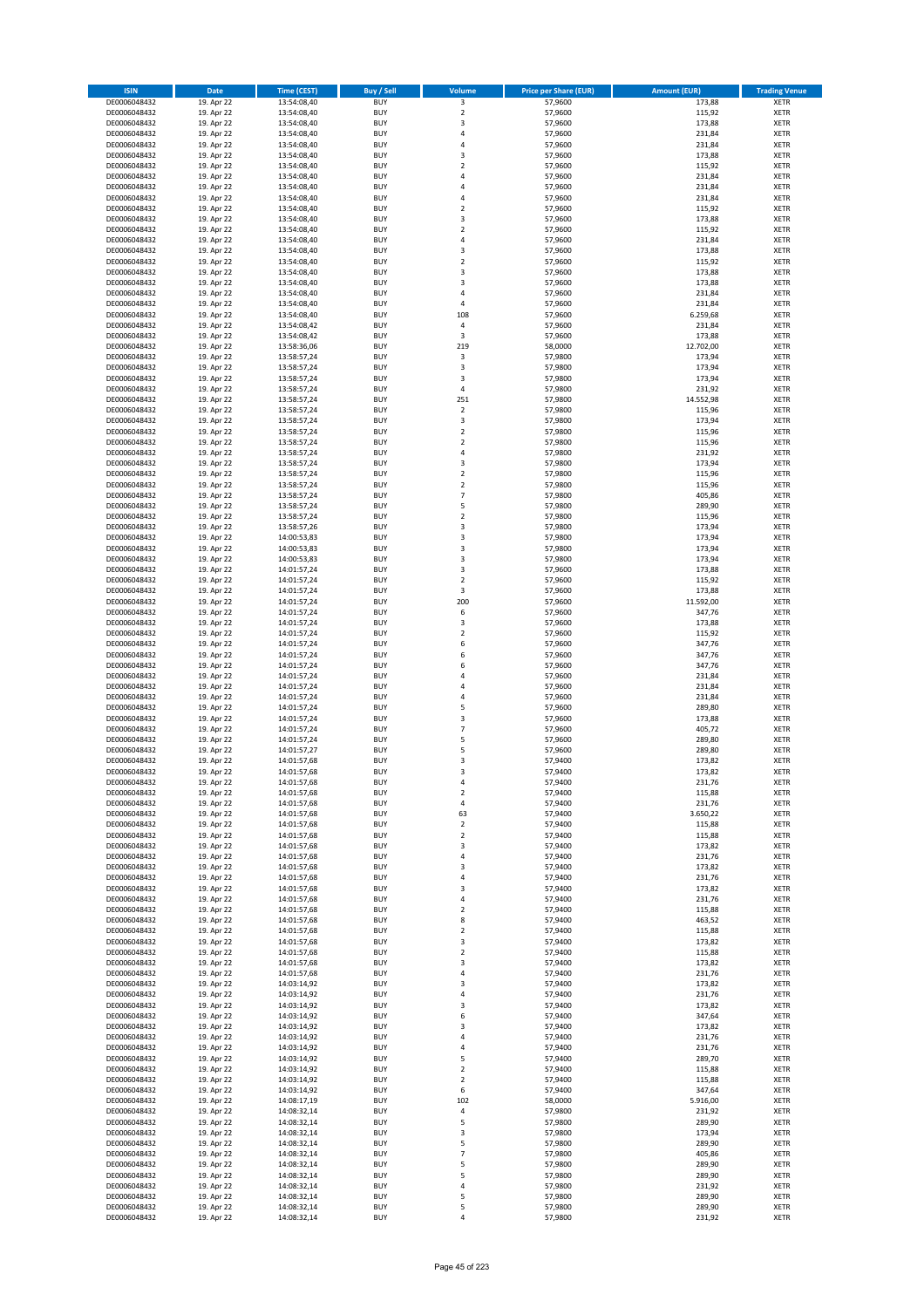| <b>ISIN</b>                  | <b>Date</b>              | <b>Time (CEST)</b>         | <b>Buy / Sell</b>        | <b>Volume</b>                          | <b>Price per Share (EUR)</b> | <b>Amount (EUR)</b> | <b>Trading Venue</b>       |
|------------------------------|--------------------------|----------------------------|--------------------------|----------------------------------------|------------------------------|---------------------|----------------------------|
| DE0006048432                 | 19. Apr 22               | 13:54:08,40                | <b>BUY</b>               | 3                                      | 57,9600                      | 173,88              | <b>XETR</b>                |
| DE0006048432                 | 19. Apr 22               | 13:54:08,40                | <b>BUY</b>               | $\mathbf 2$                            | 57,9600                      | 115,92              | <b>XETR</b>                |
| DE0006048432                 | 19. Apr 22               | 13:54:08,40                | <b>BUY</b>               | 3                                      | 57,9600                      | 173,88              | <b>XETR</b>                |
| DE0006048432<br>DE0006048432 | 19. Apr 22<br>19. Apr 22 | 13:54:08,40<br>13:54:08,40 | <b>BUY</b><br><b>BUY</b> | 4<br>4                                 | 57,9600<br>57,9600           | 231,84<br>231,84    | <b>XETR</b><br><b>XETR</b> |
| DE0006048432                 | 19. Apr 22               | 13:54:08,40                | <b>BUY</b>               | 3                                      | 57,9600                      | 173,88              | <b>XETR</b>                |
| DE0006048432                 | 19. Apr 22               | 13:54:08,40                | <b>BUY</b>               | $\overline{\mathbf{c}}$                | 57,9600                      | 115,92              | <b>XETR</b>                |
| DE0006048432                 | 19. Apr 22               | 13:54:08,40                | <b>BUY</b>               | 4                                      | 57,9600                      | 231,84              | <b>XETR</b>                |
| DE0006048432                 | 19. Apr 22               | 13:54:08,40                | <b>BUY</b>               | 4                                      | 57,9600                      | 231,84              | <b>XETR</b>                |
| DE0006048432                 | 19. Apr 22               | 13:54:08,40                | <b>BUY</b><br><b>BUY</b> | 4                                      | 57,9600                      | 231,84              | <b>XETR</b>                |
| DE0006048432<br>DE0006048432 | 19. Apr 22<br>19. Apr 22 | 13:54:08,40<br>13:54:08,40 | <b>BUY</b>               | $\mathbf 2$<br>3                       | 57,9600<br>57,9600           | 115,92<br>173,88    | <b>XETR</b><br><b>XETR</b> |
| DE0006048432                 | 19. Apr 22               | 13:54:08,40                | <b>BUY</b>               | $\mathbf 2$                            | 57,9600                      | 115,92              | <b>XETR</b>                |
| DE0006048432                 | 19. Apr 22               | 13:54:08,40                | <b>BUY</b>               | 4                                      | 57,9600                      | 231,84              | <b>XETR</b>                |
| DE0006048432                 | 19. Apr 22               | 13:54:08,40                | <b>BUY</b>               | 3                                      | 57,9600                      | 173,88              | <b>XETR</b>                |
| DE0006048432                 | 19. Apr 22               | 13:54:08,40                | <b>BUY</b>               | $\overline{\mathbf{c}}$                | 57,9600                      | 115,92              | <b>XETR</b>                |
| DE0006048432<br>DE0006048432 | 19. Apr 22<br>19. Apr 22 | 13:54:08,40<br>13:54:08,40 | <b>BUY</b><br><b>BUY</b> | 3<br>3                                 | 57,9600<br>57,9600           | 173,88<br>173,88    | <b>XETR</b><br><b>XETR</b> |
| DE0006048432                 | 19. Apr 22               | 13:54:08,40                | <b>BUY</b>               | 4                                      | 57,9600                      | 231,84              | <b>XETR</b>                |
| DE0006048432                 | 19. Apr 22               | 13:54:08,40                | <b>BUY</b>               | 4                                      | 57,9600                      | 231,84              | <b>XETR</b>                |
| DE0006048432                 | 19. Apr 22               | 13:54:08,40                | <b>BUY</b>               | 108                                    | 57,9600                      | 6.259,68            | <b>XETR</b>                |
| DE0006048432                 | 19. Apr 22               | 13:54:08,42                | <b>BUY</b>               | 4                                      | 57,9600                      | 231,84              | <b>XETR</b>                |
| DE0006048432                 | 19. Apr 22               | 13:54:08,42                | <b>BUY</b><br><b>BUY</b> | 3<br>219                               | 57,9600                      | 173,88              | <b>XETR</b>                |
| DE0006048432<br>DE0006048432 | 19. Apr 22<br>19. Apr 22 | 13:58:36,06<br>13:58:57,24 | <b>BUY</b>               | 3                                      | 58,0000<br>57,9800           | 12.702,00<br>173,94 | <b>XETR</b><br><b>XETR</b> |
| DE0006048432                 | 19. Apr 22               | 13:58:57,24                | <b>BUY</b>               | 3                                      | 57,9800                      | 173,94              | <b>XETR</b>                |
| DE0006048432                 | 19. Apr 22               | 13:58:57,24                | <b>BUY</b>               | 3                                      | 57,9800                      | 173,94              | <b>XETR</b>                |
| DE0006048432                 | 19. Apr 22               | 13:58:57,24                | <b>BUY</b>               | 4                                      | 57,9800                      | 231,92              | <b>XETR</b>                |
| DE0006048432                 | 19. Apr 22               | 13:58:57,24                | <b>BUY</b>               | 251                                    | 57,9800                      | 14.552,98           | <b>XETR</b>                |
| DE0006048432<br>DE0006048432 | 19. Apr 22<br>19. Apr 22 | 13:58:57,24<br>13:58:57,24 | <b>BUY</b><br><b>BUY</b> | $\overline{\mathbf{c}}$<br>3           | 57,9800<br>57,9800           | 115,96<br>173,94    | <b>XETR</b><br><b>XETR</b> |
| DE0006048432                 | 19. Apr 22               | 13:58:57,24                | <b>BUY</b>               | $\overline{\mathbf{2}}$                | 57,9800                      | 115,96              | <b>XETR</b>                |
| DE0006048432                 | 19. Apr 22               | 13:58:57,24                | <b>BUY</b>               | $\mathbf 2$                            | 57,9800                      | 115,96              | <b>XETR</b>                |
| DE0006048432                 | 19. Apr 22               | 13:58:57,24                | <b>BUY</b>               | 4                                      | 57,9800                      | 231,92              | <b>XETR</b>                |
| DE0006048432                 | 19. Apr 22               | 13:58:57,24                | <b>BUY</b>               | 3                                      | 57,9800                      | 173,94              | <b>XETR</b>                |
| DE0006048432                 | 19. Apr 22               | 13:58:57,24<br>13:58:57,24 | <b>BUY</b><br><b>BUY</b> | $\mathbf 2$<br>$\overline{\mathbf{c}}$ | 57,9800                      | 115,96              | <b>XETR</b><br><b>XETR</b> |
| DE0006048432<br>DE0006048432 | 19. Apr 22<br>19. Apr 22 | 13:58:57,24                | <b>BUY</b>               | $\overline{7}$                         | 57,9800<br>57,9800           | 115,96<br>405,86    | <b>XETR</b>                |
| DE0006048432                 | 19. Apr 22               | 13:58:57,24                | <b>BUY</b>               | 5                                      | 57,9800                      | 289,90              | <b>XETR</b>                |
| DE0006048432                 | 19. Apr 22               | 13:58:57,24                | <b>BUY</b>               | $\mathbf 2$                            | 57,9800                      | 115,96              | <b>XETR</b>                |
| DE0006048432                 | 19. Apr 22               | 13:58:57,26                | <b>BUY</b>               | 3                                      | 57,9800                      | 173,94              | <b>XETR</b>                |
| DE0006048432                 | 19. Apr 22               | 14:00:53,83                | <b>BUY</b>               | 3                                      | 57,9800                      | 173,94              | <b>XETR</b>                |
| DE0006048432<br>DE0006048432 | 19. Apr 22<br>19. Apr 22 | 14:00:53,83                | <b>BUY</b><br><b>BUY</b> | 3<br>3                                 | 57,9800<br>57,9800           | 173,94<br>173,94    | <b>XETR</b><br><b>XETR</b> |
| DE0006048432                 | 19. Apr 22               | 14:00:53,83<br>14:01:57,24 | <b>BUY</b>               | 3                                      | 57,9600                      | 173,88              | <b>XETR</b>                |
| DE0006048432                 | 19. Apr 22               | 14:01:57,24                | <b>BUY</b>               | $\overline{\mathbf{2}}$                | 57,9600                      | 115,92              | <b>XETR</b>                |
| DE0006048432                 | 19. Apr 22               | 14:01:57,24                | <b>BUY</b>               | 3                                      | 57,9600                      | 173,88              | <b>XETR</b>                |
| DE0006048432                 | 19. Apr 22               | 14:01:57,24                | <b>BUY</b>               | 200                                    | 57,9600                      | 11.592,00           | <b>XETR</b>                |
| DE0006048432                 | 19. Apr 22               | 14:01:57,24                | <b>BUY</b>               | 6                                      | 57,9600                      | 347,76              | <b>XETR</b>                |
| DE0006048432<br>DE0006048432 | 19. Apr 22<br>19. Apr 22 | 14:01:57,24<br>14:01:57,24 | <b>BUY</b><br><b>BUY</b> | 3<br>$\overline{\mathbf{c}}$           | 57,9600<br>57,9600           | 173,88<br>115,92    | <b>XETR</b><br><b>XETR</b> |
| DE0006048432                 | 19. Apr 22               | 14:01:57,24                | <b>BUY</b>               | 6                                      | 57,9600                      | 347,76              | <b>XETR</b>                |
| DE0006048432                 | 19. Apr 22               | 14:01:57,24                | <b>BUY</b>               | 6                                      | 57,9600                      | 347,76              | <b>XETR</b>                |
| DE0006048432                 | 19. Apr 22               | 14:01:57,24                | <b>BUY</b>               | 6                                      | 57,9600                      | 347,76              | <b>XETR</b>                |
| DE0006048432                 | 19. Apr 22               | 14:01:57,24                | <b>BUY</b>               | $\overline{a}$                         | 57,9600                      | 231,84              | <b>XETR</b>                |
| DE0006048432                 | 19. Apr 22<br>19. Apr 22 | 14:01:57,24                | <b>BUY</b>               | 4<br>4                                 | 57,9600                      | 231,84              | <b>XETR</b>                |
| DE0006048432<br>DE0006048432 | 19. Apr 22               | 14:01:57,24<br>14:01:57,24 | <b>BUY</b><br><b>BUY</b> | 5                                      | 57,9600<br>57,9600           | 231,84<br>289,80    | <b>XETR</b><br><b>XETR</b> |
| DE0006048432                 | 19. Apr 22               | 14:01:57,24                | <b>BUY</b>               | 3                                      | 57,9600                      | 173,88              | <b>XETR</b>                |
| DE0006048432                 | 19. Apr 22               | 14:01:57,24                | <b>BUY</b>               | $\overline{7}$                         | 57,9600                      | 405,72              | <b>XETR</b>                |
| DE0006048432                 | 19. Apr 22               | 14:01:57,24                | <b>BUY</b>               | 5                                      | 57,9600                      | 289,80              | <b>XETR</b>                |
| DE0006048432                 | 19. Apr 22               | 14:01:57,27                | <b>BUY</b>               | 5                                      | 57,9600                      | 289,80              | <b>XETR</b>                |
| DE0006048432<br>DE0006048432 | 19. Apr 22<br>19. Apr 22 | 14:01:57,68<br>14:01:57,68 | <b>BUY</b><br><b>BUY</b> | 3<br>3                                 | 57,9400<br>57,9400           | 173,82<br>173,82    | <b>XETR</b><br><b>XETR</b> |
| DE0006048432                 | 19. Apr 22               | 14:01:57,68                | BUY                      | 4                                      | 57,9400                      | 231,76              | <b>XETR</b>                |
| DE0006048432                 | 19. Apr 22               | 14:01:57,68                | <b>BUY</b>               | 2                                      | 57,9400                      | 115,88              | <b>XETR</b>                |
| DE0006048432                 | 19. Apr 22               | 14:01:57,68                | <b>BUY</b>               | 4                                      | 57,9400                      | 231,76              | <b>XETR</b>                |
| DE0006048432                 | 19. Apr 22               | 14:01:57,68                | <b>BUY</b>               | 63                                     | 57,9400                      | 3.650,22            | XETR                       |
| DE0006048432<br>DE0006048432 | 19. Apr 22<br>19. Apr 22 | 14:01:57,68<br>14:01:57,68 | <b>BUY</b><br><b>BUY</b> | $\mathbf 2$<br>$\mathbf 2$             | 57,9400<br>57,9400           | 115,88<br>115,88    | <b>XETR</b><br><b>XETR</b> |
| DE0006048432                 | 19. Apr 22               | 14:01:57,68                | <b>BUY</b>               | 3                                      | 57,9400                      | 173,82              | <b>XETR</b>                |
| DE0006048432                 | 19. Apr 22               | 14:01:57,68                | <b>BUY</b>               | 4                                      | 57,9400                      | 231,76              | <b>XETR</b>                |
| DE0006048432                 | 19. Apr 22               | 14:01:57,68                | <b>BUY</b>               | 3                                      | 57,9400                      | 173,82              | <b>XETR</b>                |
| DE0006048432                 | 19. Apr 22               | 14:01:57,68                | <b>BUY</b>               | 4                                      | 57,9400                      | 231,76              | <b>XETR</b>                |
| DE0006048432<br>DE0006048432 | 19. Apr 22<br>19. Apr 22 | 14:01:57,68<br>14:01:57,68 | <b>BUY</b><br><b>BUY</b> | 3<br>4                                 | 57,9400<br>57,9400           | 173,82<br>231,76    | <b>XETR</b><br><b>XETR</b> |
| DE0006048432                 | 19. Apr 22               | 14:01:57,68                | <b>BUY</b>               | $\mathbf 2$                            | 57,9400                      | 115,88              | <b>XETR</b>                |
| DE0006048432                 | 19. Apr 22               | 14:01:57,68                | <b>BUY</b>               | 8                                      | 57,9400                      | 463,52              | <b>XETR</b>                |
| DE0006048432                 | 19. Apr 22               | 14:01:57,68                | <b>BUY</b>               | $\mathbf 2$                            | 57,9400                      | 115,88              | <b>XETR</b>                |
| DE0006048432                 | 19. Apr 22               | 14:01:57,68                | <b>BUY</b>               | 3                                      | 57,9400                      | 173,82              | <b>XETR</b>                |
| DE0006048432                 | 19. Apr 22               | 14:01:57,68                | <b>BUY</b>               | $\mathbf 2$                            | 57,9400                      | 115,88              | <b>XETR</b>                |
| DE0006048432<br>DE0006048432 | 19. Apr 22<br>19. Apr 22 | 14:01:57,68<br>14:01:57,68 | <b>BUY</b><br><b>BUY</b> | 3<br>4                                 | 57,9400<br>57,9400           | 173,82<br>231,76    | <b>XETR</b><br><b>XETR</b> |
| DE0006048432                 | 19. Apr 22               | 14:03:14,92                | <b>BUY</b>               | 3                                      | 57,9400                      | 173,82              | <b>XETR</b>                |
| DE0006048432                 | 19. Apr 22               | 14:03:14,92                | <b>BUY</b>               | 4                                      | 57,9400                      | 231,76              | <b>XETR</b>                |
| DE0006048432                 | 19. Apr 22               | 14:03:14,92                | <b>BUY</b>               | 3                                      | 57,9400                      | 173,82              | <b>XETR</b>                |
| DE0006048432                 | 19. Apr 22               | 14:03:14,92                | <b>BUY</b>               | 6                                      | 57,9400                      | 347,64              | <b>XETR</b>                |
| DE0006048432<br>DE0006048432 | 19. Apr 22<br>19. Apr 22 | 14:03:14,92<br>14:03:14,92 | <b>BUY</b><br><b>BUY</b> | 3<br>4                                 | 57,9400<br>57,9400           | 173,82<br>231,76    | <b>XETR</b><br><b>XETR</b> |
| DE0006048432                 | 19. Apr 22               | 14:03:14,92                | <b>BUY</b>               | 4                                      | 57,9400                      | 231,76              | <b>XETR</b>                |
| DE0006048432                 | 19. Apr 22               | 14:03:14,92                | <b>BUY</b>               | 5                                      | 57,9400                      | 289,70              | <b>XETR</b>                |
| DE0006048432                 | 19. Apr 22               | 14:03:14,92                | <b>BUY</b>               | $\overline{\mathbf{2}}$                | 57,9400                      | 115,88              | <b>XETR</b>                |
| DE0006048432                 | 19. Apr 22               | 14:03:14,92                | <b>BUY</b>               | 2                                      | 57,9400                      | 115,88              | <b>XETR</b>                |
| DE0006048432                 | 19. Apr 22               | 14:03:14,92                | <b>BUY</b>               | 6<br>102                               | 57,9400                      | 347,64              | <b>XETR</b>                |
| DE0006048432<br>DE0006048432 | 19. Apr 22<br>19. Apr 22 | 14:08:17,19<br>14:08:32,14 | <b>BUY</b><br><b>BUY</b> | 4                                      | 58,0000<br>57,9800           | 5.916,00<br>231,92  | <b>XETR</b><br><b>XETR</b> |
| DE0006048432                 | 19. Apr 22               | 14:08:32,14                | <b>BUY</b>               | 5                                      | 57,9800                      | 289,90              | <b>XETR</b>                |
| DE0006048432                 | 19. Apr 22               | 14:08:32,14                | <b>BUY</b>               | 3                                      | 57,9800                      | 173,94              | <b>XETR</b>                |
| DE0006048432                 | 19. Apr 22               | 14:08:32,14                | <b>BUY</b>               | 5                                      | 57,9800                      | 289,90              | <b>XETR</b>                |
| DE0006048432                 | 19. Apr 22               | 14:08:32,14                | <b>BUY</b>               | $\overline{7}$                         | 57,9800                      | 405,86              | <b>XETR</b>                |
| DE0006048432<br>DE0006048432 | 19. Apr 22<br>19. Apr 22 | 14:08:32,14<br>14:08:32,14 | <b>BUY</b><br><b>BUY</b> | 5<br>5                                 | 57,9800<br>57,9800           | 289,90<br>289,90    | <b>XETR</b><br><b>XETR</b> |
| DE0006048432                 | 19. Apr 22               | 14:08:32,14                | <b>BUY</b>               | 4                                      | 57,9800                      | 231,92              | <b>XETR</b>                |
| DE0006048432                 | 19. Apr 22               | 14:08:32,14                | <b>BUY</b>               | 5                                      | 57,9800                      | 289,90              | XETR                       |
| DE0006048432                 | 19. Apr 22               | 14:08:32,14                | <b>BUY</b>               | 5                                      | 57,9800                      | 289,90              | <b>XETR</b>                |
| DE0006048432                 | 19. Apr 22               | 14:08:32,14                | <b>BUY</b>               | 4                                      | 57,9800                      | 231,92              | <b>XETR</b>                |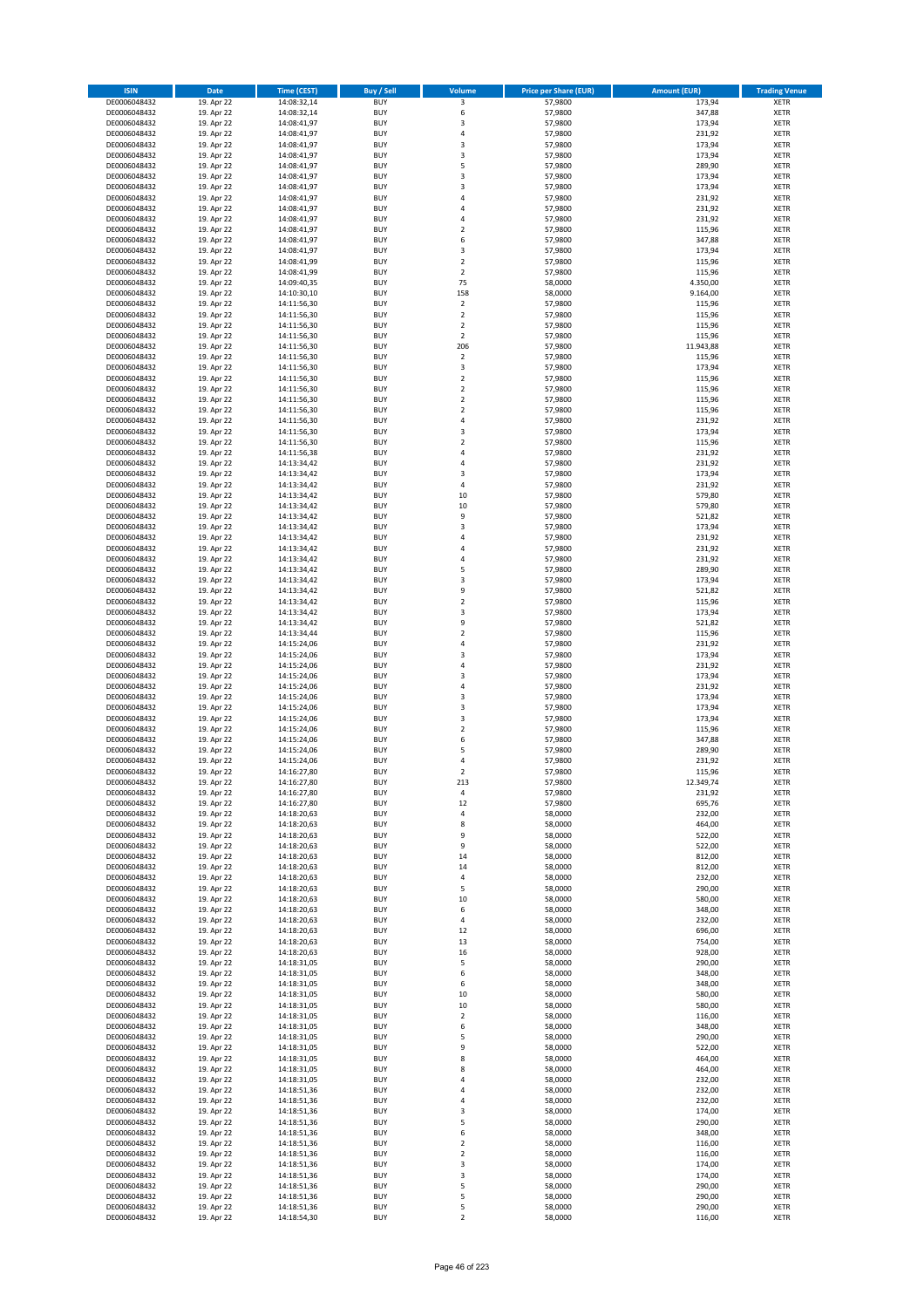| <b>ISIN</b>                  | Date                     | Time (CEST)                | <b>Buy / Sell</b>        | <b>Volume</b>                 | <b>Price per Share (EUR)</b> | <b>Amount (EUR)</b> | <b>Trading Venue</b>       |
|------------------------------|--------------------------|----------------------------|--------------------------|-------------------------------|------------------------------|---------------------|----------------------------|
| DE0006048432                 | 19. Apr 22               | 14:08:32,14                | <b>BUY</b>               | 3                             | 57,9800                      | 173,94              | <b>XETR</b>                |
| DE0006048432                 | 19. Apr 22               | 14:08:32,14                | <b>BUY</b>               | 6                             | 57,9800                      | 347,88              | XETR                       |
| DE0006048432                 | 19. Apr 22               | 14:08:41,97                | <b>BUY</b>               | 3                             | 57,9800                      | 173,94              | <b>XETR</b>                |
| DE0006048432                 | 19. Apr 22               | 14:08:41,97                | <b>BUY</b>               | $\sqrt{4}$                    | 57,9800                      | 231,92              | <b>XETR</b>                |
| DE0006048432<br>DE0006048432 | 19. Apr 22<br>19. Apr 22 | 14:08:41,97<br>14:08:41,97 | <b>BUY</b><br><b>BUY</b> | 3<br>3                        | 57,9800<br>57,9800           | 173,94<br>173,94    | <b>XETR</b><br><b>XETR</b> |
| DE0006048432                 | 19. Apr 22               | 14:08:41,97                | <b>BUY</b>               | 5                             | 57,9800                      | 289,90              | <b>XETR</b>                |
| DE0006048432                 | 19. Apr 22               | 14:08:41,97                | <b>BUY</b>               | 3                             | 57,9800                      | 173,94              | <b>XETR</b>                |
| DE0006048432                 | 19. Apr 22               | 14:08:41,97                | <b>BUY</b>               | 3                             | 57,9800                      | 173,94              | <b>XETR</b>                |
| DE0006048432                 | 19. Apr 22               | 14:08:41,97                | <b>BUY</b>               | 4                             | 57,9800                      | 231,92              | <b>XETR</b>                |
| DE0006048432                 | 19. Apr 22               | 14:08:41,97                | <b>BUY</b>               | $\sqrt{4}$                    | 57,9800                      | 231,92              | <b>XETR</b>                |
| DE0006048432                 | 19. Apr 22               | 14:08:41,97                | <b>BUY</b>               | 4<br>$\overline{2}$           | 57,9800                      | 231,92              | <b>XETR</b>                |
| DE0006048432<br>DE0006048432 | 19. Apr 22<br>19. Apr 22 | 14:08:41,97<br>14:08:41,97 | <b>BUY</b><br><b>BUY</b> | 6                             | 57,9800<br>57,9800           | 115,96<br>347,88    | <b>XETR</b><br><b>XETR</b> |
| DE0006048432                 | 19. Apr 22               | 14:08:41,97                | <b>BUY</b>               | 3                             | 57,9800                      | 173,94              | <b>XETR</b>                |
| DE0006048432                 | 19. Apr 22               | 14:08:41,99                | <b>BUY</b>               | $\overline{2}$                | 57,9800                      | 115,96              | <b>XETR</b>                |
| DE0006048432                 | 19. Apr 22               | 14:08:41,99                | <b>BUY</b>               | $\overline{2}$                | 57,9800                      | 115,96              | <b>XETR</b>                |
| DE0006048432                 | 19. Apr 22               | 14:09:40,35                | <b>BUY</b>               | 75                            | 58,0000                      | 4.350,00            | <b>XETR</b>                |
| DE0006048432                 | 19. Apr 22               | 14:10:30,10                | <b>BUY</b>               | 158                           | 58,0000                      | 9.164,00            | <b>XETR</b>                |
| DE0006048432<br>DE0006048432 | 19. Apr 22<br>19. Apr 22 | 14:11:56,30<br>14:11:56,30 | <b>BUY</b><br><b>BUY</b> | $\mathbf 2$<br>$\overline{2}$ | 57,9800<br>57,9800           | 115,96<br>115,96    | <b>XETR</b><br><b>XETR</b> |
| DE0006048432                 | 19. Apr 22               | 14:11:56,30                | <b>BUY</b>               | $\mathbf 2$                   | 57,9800                      | 115,96              | <b>XETR</b>                |
| DE0006048432                 | 19. Apr 22               | 14:11:56,30                | <b>BUY</b>               | $\overline{2}$                | 57,9800                      | 115,96              | <b>XETR</b>                |
| DE0006048432                 | 19. Apr 22               | 14:11:56,30                | <b>BUY</b>               | 206                           | 57,9800                      | 11.943,88           | <b>XETR</b>                |
| DE0006048432                 | 19. Apr 22               | 14:11:56,30                | <b>BUY</b>               | $\overline{2}$                | 57,9800                      | 115,96              | <b>XETR</b>                |
| DE0006048432                 | 19. Apr 22               | 14:11:56,30                | <b>BUY</b>               | 3                             | 57,9800                      | 173,94              | <b>XETR</b>                |
| DE0006048432                 | 19. Apr 22<br>19. Apr 22 | 14:11:56,30                | <b>BUY</b><br><b>BUY</b> | $\mathbf 2$<br>$\mathbf 2$    | 57,9800                      | 115,96              | <b>XETR</b><br><b>XETR</b> |
| DE0006048432<br>DE0006048432 | 19. Apr 22               | 14:11:56,30<br>14:11:56,30 | <b>BUY</b>               | $\mathbf 2$                   | 57,9800<br>57,9800           | 115,96<br>115,96    | <b>XETR</b>                |
| DE0006048432                 | 19. Apr 22               | 14:11:56,30                | <b>BUY</b>               | $\overline{2}$                | 57,9800                      | 115,96              | <b>XETR</b>                |
| DE0006048432                 | 19. Apr 22               | 14:11:56,30                | <b>BUY</b>               | $\sqrt{4}$                    | 57,9800                      | 231,92              | <b>XETR</b>                |
| DE0006048432                 | 19. Apr 22               | 14:11:56,30                | <b>BUY</b>               | 3                             | 57,9800                      | 173,94              | <b>XETR</b>                |
| DE0006048432                 | 19. Apr 22               | 14:11:56,30                | <b>BUY</b>               | $\mathbf 2$                   | 57,9800                      | 115,96              | <b>XETR</b>                |
| DE0006048432                 | 19. Apr 22               | 14:11:56,38                | <b>BUY</b>               | $\overline{4}$                | 57,9800                      | 231,92              | <b>XETR</b>                |
| DE0006048432<br>DE0006048432 | 19. Apr 22<br>19. Apr 22 | 14:13:34,42<br>14:13:34,42 | <b>BUY</b><br><b>BUY</b> | 4<br>$\mathsf 3$              | 57,9800<br>57,9800           | 231,92<br>173,94    | <b>XETR</b><br><b>XETR</b> |
| DE0006048432                 | 19. Apr 22               | 14:13:34,42                | <b>BUY</b>               | 4                             | 57,9800                      | 231,92              | <b>XETR</b>                |
| DE0006048432                 | 19. Apr 22               | 14:13:34,42                | <b>BUY</b>               | 10                            | 57,9800                      | 579,80              | <b>XETR</b>                |
| DE0006048432                 | 19. Apr 22               | 14:13:34,42                | <b>BUY</b>               | 10                            | 57,9800                      | 579,80              | <b>XETR</b>                |
| DE0006048432                 | 19. Apr 22               | 14:13:34,42                | <b>BUY</b>               | 9                             | 57,9800                      | 521,82              | <b>XETR</b>                |
| DE0006048432                 | 19. Apr 22               | 14:13:34,42                | <b>BUY</b>               | 3                             | 57,9800                      | 173,94              | <b>XETR</b>                |
| DE0006048432<br>DE0006048432 | 19. Apr 22<br>19. Apr 22 | 14:13:34,42<br>14:13:34,42 | <b>BUY</b><br><b>BUY</b> | 4<br>4                        | 57,9800<br>57,9800           | 231,92<br>231,92    | <b>XETR</b><br><b>XETR</b> |
| DE0006048432                 | 19. Apr 22               | 14:13:34,42                | <b>BUY</b>               | 4                             | 57,9800                      | 231,92              | <b>XETR</b>                |
| DE0006048432                 | 19. Apr 22               | 14:13:34,42                | <b>BUY</b>               | 5                             | 57,9800                      | 289,90              | <b>XETR</b>                |
| DE0006048432                 | 19. Apr 22               | 14:13:34,42                | <b>BUY</b>               | 3                             | 57,9800                      | 173,94              | <b>XETR</b>                |
| DE0006048432                 | 19. Apr 22               | 14:13:34,42                | <b>BUY</b>               | 9                             | 57,9800                      | 521,82              | <b>XETR</b>                |
| DE0006048432                 | 19. Apr 22               | 14:13:34,42                | <b>BUY</b>               | $\mathbf 2$                   | 57,9800                      | 115,96              | <b>XETR</b>                |
| DE0006048432<br>DE0006048432 | 19. Apr 22<br>19. Apr 22 | 14:13:34,42<br>14:13:34,42 | <b>BUY</b><br><b>BUY</b> | 3<br>9                        | 57,9800<br>57,9800           | 173,94<br>521,82    | <b>XETR</b><br><b>XETR</b> |
| DE0006048432                 | 19. Apr 22               | 14:13:34,44                | <b>BUY</b>               | $\mathbf 2$                   | 57,9800                      | 115,96              | <b>XETR</b>                |
| DE0006048432                 | 19. Apr 22               | 14:15:24,06                | <b>BUY</b>               | $\overline{4}$                | 57,9800                      | 231,92              | <b>XETR</b>                |
| DE0006048432                 | 19. Apr 22               | 14:15:24,06                | <b>BUY</b>               | 3                             | 57,9800                      | 173,94              | <b>XETR</b>                |
| DE0006048432                 | 19. Apr 22               | 14:15:24,06                | <b>BUY</b>               | 4                             | 57,9800                      | 231,92              | <b>XETR</b>                |
| DE0006048432                 | 19. Apr 22               | 14:15:24,06                | <b>BUY</b>               | 3                             | 57,9800                      | 173,94              | <b>XETR</b>                |
| DE0006048432                 | 19. Apr 22               | 14:15:24,06                | <b>BUY</b>               | $\pmb{4}$                     | 57,9800                      | 231,92              | <b>XETR</b>                |
| DE0006048432<br>DE0006048432 | 19. Apr 22<br>19. Apr 22 | 14:15:24,06<br>14:15:24,06 | <b>BUY</b><br><b>BUY</b> | 3<br>3                        | 57,9800<br>57,9800           | 173,94<br>173,94    | <b>XETR</b><br><b>XETR</b> |
| DE0006048432                 | 19. Apr 22               | 14:15:24,06                | <b>BUY</b>               | 3                             | 57,9800                      | 173,94              | <b>XETR</b>                |
| DE0006048432                 | 19. Apr 22               | 14:15:24,06                | <b>BUY</b>               | $\overline{2}$                | 57,9800                      | 115,96              | <b>XETR</b>                |
| DE0006048432                 | 19. Apr 22               | 14:15:24,06                | <b>BUY</b>               | 6                             | 57,9800                      | 347,88              | <b>XETR</b>                |
| DE0006048432                 | 19. Apr 22               | 14:15:24,06                | <b>BUY</b>               | 5                             | 57,9800                      | 289,90              | <b>XETR</b>                |
| DE0006048432                 | 19. Apr 22               | 14:15:24,06                | <b>BUY</b>               | $\overline{4}$                | 57,9800                      | 231,92              | <b>XETR</b>                |
| DE0006048432<br>DE0006048432 | 19. Apr 22<br>19. Apr 22 | 14:16:27,80<br>14:16:27,80 | <b>BUY</b><br>BUY        | $\overline{2}$<br>213         | 57,9800<br>57,9800           | 115,96<br>12.349,74 | <b>XETR</b><br>XETR        |
| DE0006048432                 | 19. Apr 22               | 14:16:27,80                | <b>BUY</b>               | 4                             | 57,9800                      | 231,92              | <b>XETR</b>                |
| DE0006048432                 | 19. Apr 22               | 14:16:27,80                | <b>BUY</b>               | 12                            | 57,9800                      | 695,76              | <b>XETR</b>                |
| DE0006048432                 | 19. Apr 22               | 14:18:20,63                | <b>BUY</b>               | 4                             | 58,0000                      | 232,00              | <b>XETR</b>                |
| DE0006048432                 | 19. Apr 22               | 14:18:20,63                | <b>BUY</b>               | 8                             | 58,0000                      | 464,00              | <b>XETR</b>                |
| DE0006048432                 | 19. Apr 22               | 14:18:20,63                | <b>BUY</b>               | 9                             | 58,0000                      | 522,00              | <b>XETR</b>                |
| DE0006048432<br>DE0006048432 | 19. Apr 22<br>19. Apr 22 | 14:18:20,63<br>14:18:20,63 | <b>BUY</b><br><b>BUY</b> | 9<br>14                       | 58,0000<br>58,0000           | 522,00<br>812,00    | <b>XETR</b><br><b>XETR</b> |
| DE0006048432                 | 19. Apr 22               | 14:18:20,63                | <b>BUY</b>               | 14                            | 58,0000                      | 812,00              | XETR                       |
| DE0006048432                 | 19. Apr 22               | 14:18:20,63                | <b>BUY</b>               | 4                             | 58,0000                      | 232,00              | <b>XETR</b>                |
| DE0006048432                 | 19. Apr 22               | 14:18:20,63                | <b>BUY</b>               | 5                             | 58,0000                      | 290,00              | XETR                       |
| DE0006048432                 | 19. Apr 22               | 14:18:20,63                | <b>BUY</b>               | 10                            | 58,0000                      | 580,00              | <b>XETR</b>                |
| DE0006048432                 | 19. Apr 22               | 14:18:20,63                | <b>BUY</b>               | 6                             | 58,0000                      | 348,00              | <b>XETR</b>                |
| DE0006048432<br>DE0006048432 | 19. Apr 22<br>19. Apr 22 | 14:18:20,63<br>14:18:20,63 | <b>BUY</b><br><b>BUY</b> | $\pmb{4}$<br>12               | 58,0000<br>58,0000           | 232,00<br>696,00    | <b>XETR</b><br><b>XETR</b> |
| DE0006048432                 | 19. Apr 22               | 14:18:20,63                | <b>BUY</b>               | 13                            | 58,0000                      | 754,00              | <b>XETR</b>                |
| DE0006048432                 | 19. Apr 22               | 14:18:20,63                | <b>BUY</b>               | 16                            | 58,0000                      | 928,00              | <b>XETR</b>                |
| DE0006048432                 | 19. Apr 22               | 14:18:31,05                | <b>BUY</b>               | 5                             | 58,0000                      | 290,00              | <b>XETR</b>                |
| DE0006048432                 | 19. Apr 22               | 14:18:31,05                | <b>BUY</b>               | 6                             | 58,0000                      | 348,00              | XETR                       |
| DE0006048432                 | 19. Apr 22               | 14:18:31,05                | <b>BUY</b>               | 6                             | 58,0000                      | 348,00              | XETR                       |
| DE0006048432                 | 19. Apr 22               | 14:18:31,05                | <b>BUY</b><br><b>BUY</b> | 10                            | 58,0000                      | 580,00<br>580,00    | <b>XETR</b>                |
| DE0006048432<br>DE0006048432 | 19. Apr 22<br>19. Apr 22 | 14:18:31,05<br>14:18:31,05 | <b>BUY</b>               | $10\,$<br>$\overline{2}$      | 58,0000<br>58,0000           | 116,00              | <b>XETR</b><br><b>XETR</b> |
| DE0006048432                 | 19. Apr 22               | 14:18:31,05                | <b>BUY</b>               | 6                             | 58,0000                      | 348,00              | <b>XETR</b>                |
| DE0006048432                 | 19. Apr 22               | 14:18:31,05                | <b>BUY</b>               | 5                             | 58,0000                      | 290,00              | <b>XETR</b>                |
| DE0006048432                 | 19. Apr 22               | 14:18:31,05                | <b>BUY</b>               | 9                             | 58,0000                      | 522,00              | <b>XETR</b>                |
| DE0006048432                 | 19. Apr 22               | 14:18:31,05                | <b>BUY</b>               | 8                             | 58,0000                      | 464,00              | <b>XETR</b>                |
| DE0006048432                 | 19. Apr 22               | 14:18:31,05                | <b>BUY</b>               | 8                             | 58,0000                      | 464,00              | <b>XETR</b>                |
| DE0006048432<br>DE0006048432 | 19. Apr 22<br>19. Apr 22 | 14:18:31,05<br>14:18:51,36 | <b>BUY</b><br><b>BUY</b> | 4<br>4                        | 58,0000<br>58,0000           | 232,00<br>232,00    | <b>XETR</b><br><b>XETR</b> |
| DE0006048432                 | 19. Apr 22               | 14:18:51,36                | <b>BUY</b>               | 4                             | 58,0000                      | 232,00              | <b>XETR</b>                |
| DE0006048432                 | 19. Apr 22               | 14:18:51,36                | <b>BUY</b>               | 3                             | 58,0000                      | 174,00              | <b>XETR</b>                |
| DE0006048432                 | 19. Apr 22               | 14:18:51,36                | <b>BUY</b>               | 5                             | 58,0000                      | 290,00              | <b>XETR</b>                |
| DE0006048432                 | 19. Apr 22               | 14:18:51,36                | <b>BUY</b>               | 6                             | 58,0000                      | 348,00              | <b>XETR</b>                |
| DE0006048432                 | 19. Apr 22               | 14:18:51,36                | <b>BUY</b>               | $\mathbf 2$                   | 58,0000                      | 116,00              | <b>XETR</b>                |
| DE0006048432<br>DE0006048432 | 19. Apr 22<br>19. Apr 22 | 14:18:51,36<br>14:18:51,36 | <b>BUY</b><br><b>BUY</b> | $\mathbf 2$<br>3              | 58,0000<br>58,0000           | 116,00<br>174,00    | <b>XETR</b><br>XETR        |
| DE0006048432                 | 19. Apr 22               | 14:18:51,36                | <b>BUY</b>               | $\mathsf 3$                   | 58,0000                      | 174,00              | XETR                       |
| DE0006048432                 | 19. Apr 22               | 14:18:51,36                | <b>BUY</b>               | 5                             | 58,0000                      | 290,00              | <b>XETR</b>                |
| DE0006048432                 | 19. Apr 22               | 14:18:51,36                | <b>BUY</b>               | 5                             | 58,0000                      | 290,00              | XETR                       |
| DE0006048432                 | 19. Apr 22               | 14:18:51,36                | <b>BUY</b>               | 5                             | 58,0000                      | 290,00              | <b>XETR</b>                |
| DE0006048432                 | 19. Apr 22               | 14:18:54,30                | <b>BUY</b>               | $\overline{2}$                | 58,0000                      | 116,00              | <b>XETR</b>                |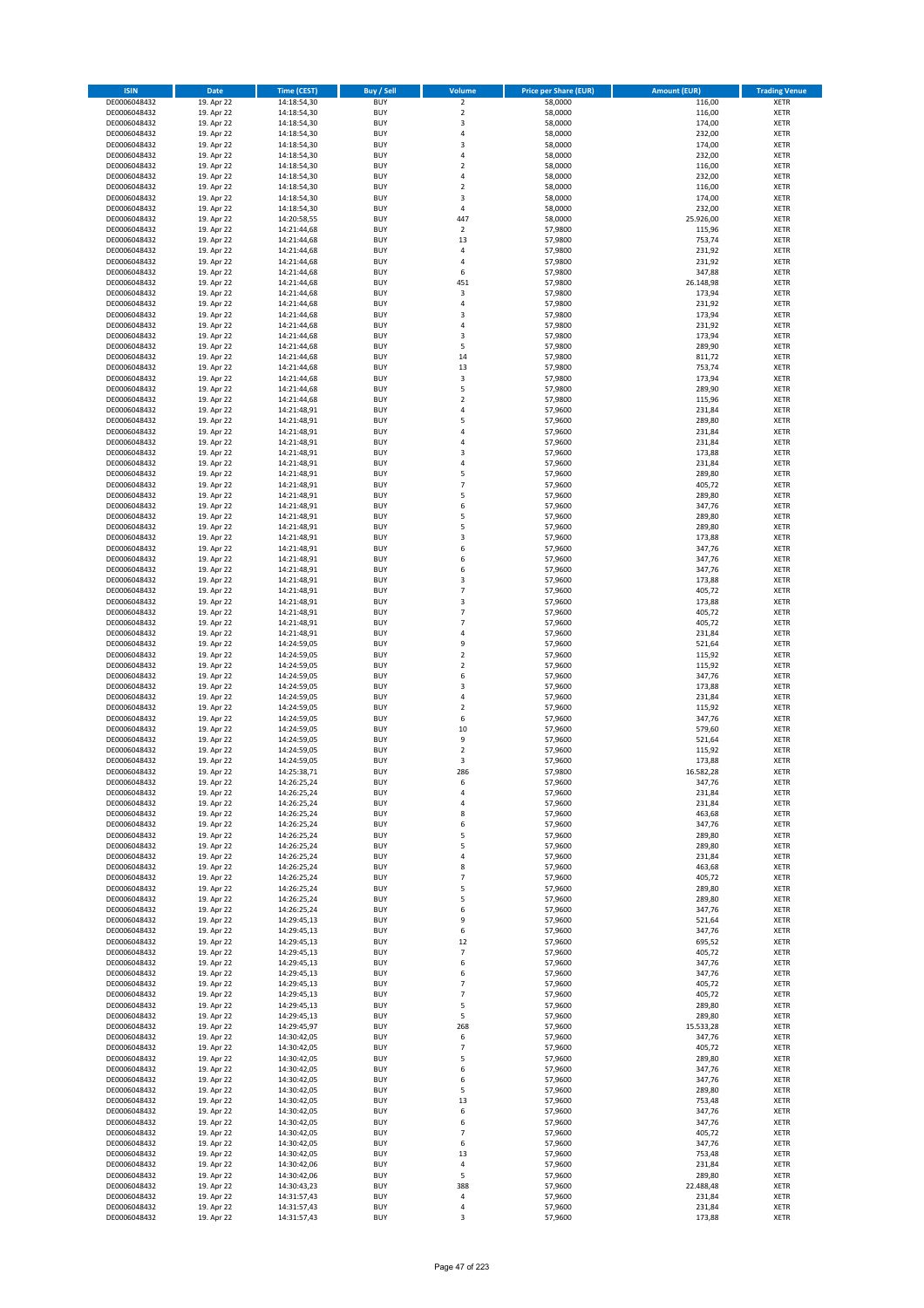| <b>ISIN</b>                  | Date                     | Time (CEST)                | <b>Buy / Sell</b>        | Volume                  | <b>Price per Share (EUR)</b> | <b>Amount (EUR)</b> | <b>Trading Venue</b>       |
|------------------------------|--------------------------|----------------------------|--------------------------|-------------------------|------------------------------|---------------------|----------------------------|
| DE0006048432                 | 19. Apr 22               | 14:18:54,30                | <b>BUY</b>               | $\overline{2}$          | 58,0000                      | 116,00              | <b>XETR</b>                |
| DE0006048432                 | 19. Apr 22               | 14:18:54,30                | <b>BUY</b>               | $\mathbf 2$             | 58,0000                      | 116,00              | XETR                       |
| DE0006048432                 | 19. Apr 22               | 14:18:54,30                | <b>BUY</b>               | 3                       | 58,0000                      | 174,00              | <b>XETR</b>                |
| DE0006048432                 | 19. Apr 22               | 14:18:54,30                | <b>BUY</b>               | $\sqrt{4}$              | 58,0000                      | 232,00              | <b>XETR</b>                |
| DE0006048432<br>DE0006048432 | 19. Apr 22<br>19. Apr 22 | 14:18:54,30<br>14:18:54,30 | <b>BUY</b><br><b>BUY</b> | 3<br>$\overline{4}$     | 58,0000<br>58,0000           | 174,00<br>232,00    | <b>XETR</b><br><b>XETR</b> |
| DE0006048432                 | 19. Apr 22               | 14:18:54,30                | <b>BUY</b>               | $\mathbf 2$             | 58,0000                      | 116,00              | <b>XETR</b>                |
| DE0006048432                 | 19. Apr 22               | 14:18:54,30                | <b>BUY</b>               | $\pmb{4}$               | 58,0000                      | 232,00              | <b>XETR</b>                |
| DE0006048432                 | 19. Apr 22               | 14:18:54,30                | <b>BUY</b>               | $\overline{2}$          | 58,0000                      | 116,00              | <b>XETR</b>                |
| DE0006048432                 | 19. Apr 22               | 14:18:54,30                | <b>BUY</b>               | 3                       | 58,0000                      | 174,00              | <b>XETR</b>                |
| DE0006048432                 | 19. Apr 22               | 14:18:54,30                | <b>BUY</b>               | $\sqrt{4}$              | 58,0000                      | 232,00              | <b>XETR</b>                |
| DE0006048432                 | 19. Apr 22               | 14:20:58,55                | <b>BUY</b>               | 447                     | 58,0000                      | 25.926,00           | <b>XETR</b>                |
| DE0006048432<br>DE0006048432 | 19. Apr 22<br>19. Apr 22 | 14:21:44,68<br>14:21:44,68 | <b>BUY</b><br><b>BUY</b> | $\mathbf 2$<br>13       | 57,9800<br>57,9800           | 115,96<br>753,74    | <b>XETR</b><br><b>XETR</b> |
| DE0006048432                 | 19. Apr 22               | 14:21:44,68                | <b>BUY</b>               | 4                       | 57,9800                      | 231,92              | <b>XETR</b>                |
| DE0006048432                 | 19. Apr 22               | 14:21:44,68                | <b>BUY</b>               | $\overline{4}$          | 57,9800                      | 231,92              | <b>XETR</b>                |
| DE0006048432                 | 19. Apr 22               | 14:21:44,68                | <b>BUY</b>               | 6                       | 57,9800                      | 347,88              | <b>XETR</b>                |
| DE0006048432                 | 19. Apr 22               | 14:21:44,68                | <b>BUY</b>               | 451                     | 57,9800                      | 26.148,98           | <b>XETR</b>                |
| DE0006048432                 | 19. Apr 22               | 14:21:44,68                | <b>BUY</b>               | 3                       | 57,9800                      | 173,94              | <b>XETR</b>                |
| DE0006048432<br>DE0006048432 | 19. Apr 22<br>19. Apr 22 | 14:21:44,68                | <b>BUY</b><br><b>BUY</b> | $\sqrt{4}$<br>3         | 57,9800<br>57,9800           | 231,92<br>173,94    | <b>XETR</b><br><b>XETR</b> |
| DE0006048432                 | 19. Apr 22               | 14:21:44,68<br>14:21:44,68 | <b>BUY</b>               | 4                       | 57,9800                      | 231,92              | <b>XETR</b>                |
| DE0006048432                 | 19. Apr 22               | 14:21:44,68                | <b>BUY</b>               | 3                       | 57,9800                      | 173,94              | <b>XETR</b>                |
| DE0006048432                 | 19. Apr 22               | 14:21:44,68                | <b>BUY</b>               | 5                       | 57,9800                      | 289,90              | <b>XETR</b>                |
| DE0006048432                 | 19. Apr 22               | 14:21:44,68                | <b>BUY</b>               | 14                      | 57,9800                      | 811,72              | <b>XETR</b>                |
| DE0006048432                 | 19. Apr 22               | 14:21:44,68                | <b>BUY</b>               | 13                      | 57,9800                      | 753,74              | <b>XETR</b>                |
| DE0006048432                 | 19. Apr 22               | 14:21:44,68                | <b>BUY</b>               | $\mathsf 3$             | 57,9800                      | 173,94              | <b>XETR</b>                |
| DE0006048432<br>DE0006048432 | 19. Apr 22<br>19. Apr 22 | 14:21:44,68<br>14:21:44,68 | <b>BUY</b><br><b>BUY</b> | 5<br>$\mathbf 2$        | 57,9800<br>57,9800           | 289,90<br>115,96    | <b>XETR</b><br><b>XETR</b> |
| DE0006048432                 | 19. Apr 22               | 14:21:48,91                | <b>BUY</b>               | 4                       | 57,9600                      | 231,84              | <b>XETR</b>                |
| DE0006048432                 | 19. Apr 22               | 14:21:48,91                | <b>BUY</b>               | 5                       | 57,9600                      | 289,80              | <b>XETR</b>                |
| DE0006048432                 | 19. Apr 22               | 14:21:48,91                | <b>BUY</b>               | $\pmb{4}$               | 57,9600                      | 231,84              | <b>XETR</b>                |
| DE0006048432                 | 19. Apr 22               | 14:21:48,91                | <b>BUY</b>               | 4                       | 57,9600                      | 231,84              | <b>XETR</b>                |
| DE0006048432                 | 19. Apr 22               | 14:21:48,91                | <b>BUY</b>               | 3                       | 57,9600                      | 173,88              | <b>XETR</b>                |
| DE0006048432<br>DE0006048432 | 19. Apr 22<br>19. Apr 22 | 14:21:48,91<br>14:21:48,91 | <b>BUY</b><br><b>BUY</b> | $\overline{4}$<br>5     | 57,9600<br>57,9600           | 231,84<br>289,80    | <b>XETR</b><br><b>XETR</b> |
| DE0006048432                 | 19. Apr 22               | 14:21:48,91                | <b>BUY</b>               | $\overline{7}$          | 57,9600                      | 405,72              | <b>XETR</b>                |
| DE0006048432                 | 19. Apr 22               | 14:21:48,91                | <b>BUY</b>               | 5                       | 57,9600                      | 289,80              | <b>XETR</b>                |
| DE0006048432                 | 19. Apr 22               | 14:21:48,91                | <b>BUY</b>               | 6                       | 57,9600                      | 347,76              | <b>XETR</b>                |
| DE0006048432                 | 19. Apr 22               | 14:21:48,91                | <b>BUY</b>               | 5                       | 57,9600                      | 289,80              | <b>XETR</b>                |
| DE0006048432                 | 19. Apr 22               | 14:21:48,91                | <b>BUY</b>               | 5                       | 57,9600                      | 289,80              | <b>XETR</b>                |
| DE0006048432<br>DE0006048432 | 19. Apr 22<br>19. Apr 22 | 14:21:48,91                | <b>BUY</b><br><b>BUY</b> | 3<br>6                  | 57,9600<br>57,9600           | 173,88<br>347,76    | <b>XETR</b><br><b>XETR</b> |
| DE0006048432                 | 19. Apr 22               | 14:21:48,91<br>14:21:48,91 | <b>BUY</b>               | 6                       | 57,9600                      | 347,76              | <b>XETR</b>                |
| DE0006048432                 | 19. Apr 22               | 14:21:48,91                | <b>BUY</b>               | 6                       | 57,9600                      | 347,76              | <b>XETR</b>                |
| DE0006048432                 | 19. Apr 22               | 14:21:48,91                | <b>BUY</b>               | 3                       | 57,9600                      | 173,88              | <b>XETR</b>                |
| DE0006048432                 | 19. Apr 22               | 14:21:48,91                | <b>BUY</b>               | $\overline{7}$          | 57,9600                      | 405,72              | <b>XETR</b>                |
| DE0006048432                 | 19. Apr 22               | 14:21:48,91                | <b>BUY</b>               | 3                       | 57,9600                      | 173,88              | <b>XETR</b>                |
| DE0006048432                 | 19. Apr 22               | 14:21:48,91                | <b>BUY</b>               | $\overline{7}$          | 57,9600                      | 405,72              | <b>XETR</b>                |
| DE0006048432                 | 19. Apr 22               | 14:21:48,91                | <b>BUY</b>               | $\overline{7}$          | 57,9600                      | 405,72              | <b>XETR</b>                |
| DE0006048432<br>DE0006048432 | 19. Apr 22<br>19. Apr 22 | 14:21:48,91<br>14:24:59,05 | <b>BUY</b><br><b>BUY</b> | 4<br>9                  | 57,9600<br>57,9600           | 231,84<br>521,64    | <b>XETR</b><br><b>XETR</b> |
| DE0006048432                 | 19. Apr 22               | 14:24:59,05                | <b>BUY</b>               | $\overline{2}$          | 57,9600                      | 115,92              | <b>XETR</b>                |
| DE0006048432                 | 19. Apr 22               | 14:24:59,05                | <b>BUY</b>               | $\mathbf 2$             | 57,9600                      | 115,92              | <b>XETR</b>                |
| DE0006048432                 | 19. Apr 22               | 14:24:59,05                | <b>BUY</b>               | 6                       | 57,9600                      | 347,76              | <b>XETR</b>                |
| DE0006048432                 | 19. Apr 22               | 14:24:59,05                | <b>BUY</b>               | 3                       | 57,9600                      | 173,88              | <b>XETR</b>                |
| DE0006048432                 | 19. Apr 22               | 14:24:59,05                | <b>BUY</b>               | $\overline{4}$          | 57,9600                      | 231,84              | <b>XETR</b>                |
| DE0006048432<br>DE0006048432 | 19. Apr 22<br>19. Apr 22 | 14:24:59,05<br>14:24:59,05 | <b>BUY</b><br><b>BUY</b> | $\mathbf 2$<br>6        | 57,9600<br>57,9600           | 115,92<br>347,76    | <b>XETR</b><br><b>XETR</b> |
| DE0006048432                 | 19. Apr 22               | 14:24:59,05                | <b>BUY</b>               | 10                      | 57,9600                      | 579,60              | <b>XETR</b>                |
| DE0006048432                 | 19. Apr 22               | 14:24:59,05                | <b>BUY</b>               | 9                       | 57,9600                      | 521,64              | <b>XETR</b>                |
| DE0006048432                 | 19. Apr 22               | 14:24:59,05                | <b>BUY</b>               | $\overline{\mathbf{c}}$ | 57,9600                      | 115,92              | <b>XETR</b>                |
| DE0006048432                 | 19. Apr 22               | 14:24:59,05                | <b>BUY</b>               | 3                       | 57,9600                      | 173,88              | <b>XETR</b>                |
| DE0006048432                 | 19. Apr 22               | 14:25:38,71                | <b>BUY</b>               | 286                     | 57,9800                      | 16.582,28           | <b>XETR</b>                |
| DE0006048432                 | 19. Apr 22               | 14:26:25,24                | BUY                      | 6<br>4                  | 57,9600<br>57,9600           | 347,76              | XETR                       |
| DE0006048432<br>DE0006048432 | 19. Apr 22<br>19. Apr 22 | 14:26:25,24<br>14:26:25,24 | <b>BUY</b><br><b>BUY</b> | 4                       | 57,9600                      | 231,84<br>231,84    | <b>XETR</b><br><b>XETR</b> |
| DE0006048432                 | 19. Apr 22               | 14:26:25,24                | <b>BUY</b>               | 8                       | 57,9600                      | 463,68              | <b>XETR</b>                |
| DE0006048432                 | 19. Apr 22               | 14:26:25,24                | <b>BUY</b>               | 6                       | 57,9600                      | 347,76              | <b>XETR</b>                |
| DE0006048432                 | 19. Apr 22               | 14:26:25,24                | <b>BUY</b>               | 5                       | 57,9600                      | 289,80              | <b>XETR</b>                |
| DE0006048432                 | 19. Apr 22               | 14:26:25,24                | <b>BUY</b>               | 5                       | 57,9600                      | 289,80              | <b>XETR</b>                |
| DE0006048432                 | 19. Apr 22               | 14:26:25,24                | <b>BUY</b>               | $\sqrt{4}$              | 57,9600                      | 231,84              | <b>XETR</b>                |
| DE0006048432<br>DE0006048432 | 19. Apr 22<br>19. Apr 22 | 14:26:25,24<br>14:26:25,24 | <b>BUY</b><br><b>BUY</b> | 8<br>$\overline{7}$     | 57,9600<br>57,9600           | 463,68<br>405,72    | XETR<br><b>XETR</b>        |
| DE0006048432                 | 19. Apr 22               | 14:26:25,24                | <b>BUY</b>               | 5                       | 57,9600                      | 289,80              | XETR                       |
| DE0006048432                 | 19. Apr 22               | 14:26:25,24                | <b>BUY</b>               | 5                       | 57,9600                      | 289,80              | <b>XETR</b>                |
| DE0006048432                 | 19. Apr 22               | 14:26:25,24                | <b>BUY</b>               | 6                       | 57,9600                      | 347,76              | XETR                       |
| DE0006048432                 | 19. Apr 22               | 14:29:45,13                | <b>BUY</b>               | 9                       | 57,9600                      | 521,64              | <b>XETR</b>                |
| DE0006048432                 | 19. Apr 22               | 14:29:45,13                | <b>BUY</b>               | 6                       | 57,9600                      | 347,76              | XETR                       |
| DE0006048432                 | 19. Apr 22               | 14:29:45,13                | <b>BUY</b>               | 12                      | 57,9600                      | 695,52              | <b>XETR</b>                |
| DE0006048432<br>DE0006048432 | 19. Apr 22<br>19. Apr 22 | 14:29:45,13<br>14:29:45,13 | <b>BUY</b><br><b>BUY</b> | $\overline{7}$<br>6     | 57,9600<br>57,9600           | 405,72<br>347,76    | <b>XETR</b><br><b>XETR</b> |
| DE0006048432                 | 19. Apr 22               | 14:29:45,13                | <b>BUY</b>               | 6                       | 57,9600                      | 347,76              | XETR                       |
| DE0006048432                 | 19. Apr 22               | 14:29:45,13                | <b>BUY</b>               | $\overline{7}$          | 57,9600                      | 405,72              | <b>XETR</b>                |
| DE0006048432                 | 19. Apr 22               | 14:29:45,13                | <b>BUY</b>               | $\overline{7}$          | 57,9600                      | 405,72              | <b>XETR</b>                |
| DE0006048432                 | 19. Apr 22               | 14:29:45,13                | <b>BUY</b>               | 5                       | 57,9600                      | 289,80              | <b>XETR</b>                |
| DE0006048432                 | 19. Apr 22               | 14:29:45,13                | <b>BUY</b>               | 5                       | 57,9600                      | 289,80              | XETR                       |
| DE0006048432<br>DE0006048432 | 19. Apr 22               | 14:29:45,97                | <b>BUY</b><br><b>BUY</b> | 268                     | 57,9600<br>57,9600           | 15.533,28           | XETR<br>XETR               |
| DE0006048432                 | 19. Apr 22<br>19. Apr 22 | 14:30:42,05<br>14:30:42,05 | <b>BUY</b>               | 6<br>$\overline{7}$     | 57,9600                      | 347,76<br>405,72    | <b>XETR</b>                |
| DE0006048432                 | 19. Apr 22               | 14:30:42,05                | <b>BUY</b>               | 5                       | 57,9600                      | 289,80              | XETR                       |
| DE0006048432                 | 19. Apr 22               | 14:30:42,05                | <b>BUY</b>               | 6                       | 57,9600                      | 347,76              | <b>XETR</b>                |
| DE0006048432                 | 19. Apr 22               | 14:30:42,05                | <b>BUY</b>               | 6                       | 57,9600                      | 347,76              | <b>XETR</b>                |
| DE0006048432                 | 19. Apr 22               | 14:30:42,05                | <b>BUY</b>               | 5                       | 57,9600                      | 289,80              | <b>XETR</b>                |
| DE0006048432                 | 19. Apr 22               | 14:30:42,05                | <b>BUY</b>               | 13                      | 57,9600                      | 753,48              | XETR                       |
| DE0006048432                 | 19. Apr 22               | 14:30:42,05                | <b>BUY</b>               | 6                       | 57,9600                      | 347,76              | XETR                       |
| DE0006048432<br>DE0006048432 | 19. Apr 22<br>19. Apr 22 | 14:30:42,05<br>14:30:42,05 | <b>BUY</b><br><b>BUY</b> | 6<br>$\overline{7}$     | 57,9600<br>57,9600           | 347,76<br>405,72    | XETR<br><b>XETR</b>        |
| DE0006048432                 | 19. Apr 22               | 14:30:42,05                | <b>BUY</b>               | 6                       | 57,9600                      | 347,76              | <b>XETR</b>                |
| DE0006048432                 | 19. Apr 22               | 14:30:42,05                | <b>BUY</b>               | 13                      | 57,9600                      | 753,48              | XETR                       |
| DE0006048432                 | 19. Apr 22               | 14:30:42,06                | <b>BUY</b>               | $\pmb{4}$               | 57,9600                      | 231,84              | XETR                       |
| DE0006048432                 | 19. Apr 22               | 14:30:42,06                | <b>BUY</b>               | 5                       | 57,9600                      | 289,80              | XETR                       |
| DE0006048432                 | 19. Apr 22               | 14:30:43,23                | <b>BUY</b>               | 388                     | 57,9600                      | 22.488,48           | <b>XETR</b>                |
| DE0006048432<br>DE0006048432 | 19. Apr 22               | 14:31:57,43                | <b>BUY</b><br><b>BUY</b> | 4<br>$\pmb{4}$          | 57,9600                      | 231,84<br>231,84    | XETR<br><b>XETR</b>        |
| DE0006048432                 | 19. Apr 22<br>19. Apr 22 | 14:31:57,43<br>14:31:57,43 | <b>BUY</b>               | 3                       | 57,9600<br>57,9600           | 173,88              | <b>XETR</b>                |
|                              |                          |                            |                          |                         |                              |                     |                            |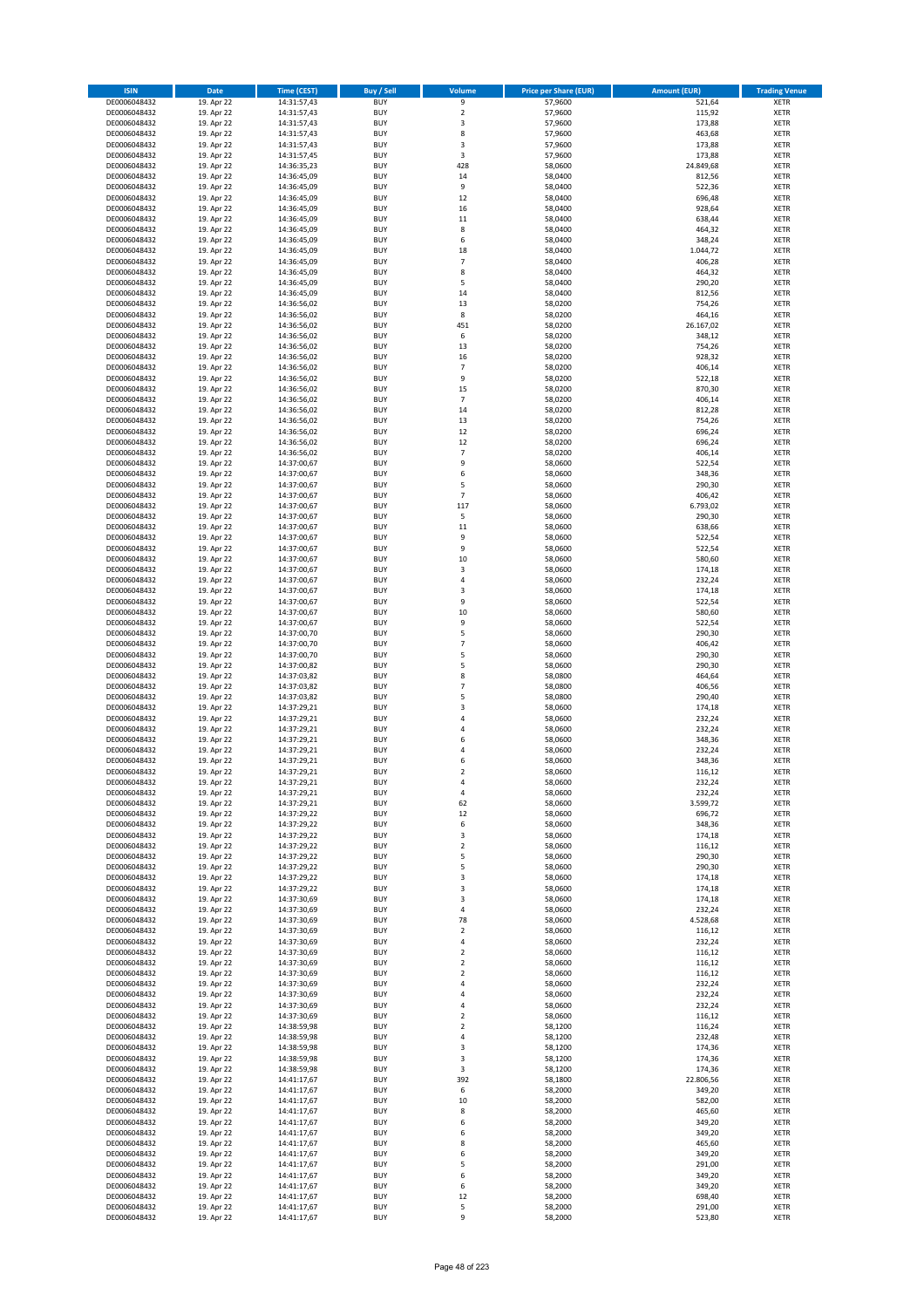| <b>ISIN</b>                  | <b>Date</b>              | <b>Time (CEST)</b>         | <b>Buy / Sell</b>        | <b>Volume</b>                | <b>Price per Share (EUR)</b> | <b>Amount (EUR)</b> | <b>Trading Venue</b>       |
|------------------------------|--------------------------|----------------------------|--------------------------|------------------------------|------------------------------|---------------------|----------------------------|
| DE0006048432                 | 19. Apr 22               | 14:31:57,43                | <b>BUY</b>               | 9                            | 57,9600                      | 521,64              | <b>XETR</b>                |
| DE0006048432                 | 19. Apr 22               | 14:31:57,43                | <b>BUY</b>               | $\mathbf 2$                  | 57,9600                      | 115,92              | <b>XETR</b>                |
| DE0006048432                 | 19. Apr 22               | 14:31:57,43                | <b>BUY</b>               | 3                            | 57,9600                      | 173,88              | <b>XETR</b>                |
| DE0006048432                 | 19. Apr 22               | 14:31:57,43                | <b>BUY</b>               | 8                            | 57,9600                      | 463,68              | <b>XETR</b>                |
| DE0006048432<br>DE0006048432 | 19. Apr 22<br>19. Apr 22 | 14:31:57,43<br>14:31:57,45 | <b>BUY</b><br><b>BUY</b> | 3<br>3                       | 57,9600<br>57,9600           | 173,88<br>173,88    | <b>XETR</b><br><b>XETR</b> |
| DE0006048432                 | 19. Apr 22               | 14:36:35,23                | <b>BUY</b>               | 428                          | 58,0600                      | 24.849,68           | <b>XETR</b>                |
| DE0006048432                 | 19. Apr 22               | 14:36:45,09                | <b>BUY</b>               | 14                           | 58,0400                      | 812,56              | <b>XETR</b>                |
| DE0006048432                 | 19. Apr 22               | 14:36:45,09                | <b>BUY</b>               | 9                            | 58,0400                      | 522,36              | <b>XETR</b>                |
| DE0006048432                 | 19. Apr 22               | 14:36:45,09                | <b>BUY</b>               | 12                           | 58,0400                      | 696,48              | <b>XETR</b>                |
| DE0006048432                 | 19. Apr 22               | 14:36:45,09                | <b>BUY</b>               | 16                           | 58,0400                      | 928,64              | <b>XETR</b>                |
| DE0006048432                 | 19. Apr 22               | 14:36:45,09                | <b>BUY</b>               | 11                           | 58,0400                      | 638,44              | <b>XETR</b>                |
| DE0006048432<br>DE0006048432 | 19. Apr 22<br>19. Apr 22 | 14:36:45,09<br>14:36:45,09 | <b>BUY</b><br><b>BUY</b> | 8<br>6                       | 58,0400<br>58,0400           | 464,32<br>348,24    | <b>XETR</b><br><b>XETR</b> |
| DE0006048432                 | 19. Apr 22               | 14:36:45,09                | <b>BUY</b>               | 18                           | 58,0400                      | 1.044,72            | <b>XETR</b>                |
| DE0006048432                 | 19. Apr 22               | 14:36:45,09                | <b>BUY</b>               | $\overline{7}$               | 58,0400                      | 406,28              | <b>XETR</b>                |
| DE0006048432                 | 19. Apr 22               | 14:36:45,09                | <b>BUY</b>               | 8                            | 58,0400                      | 464,32              | <b>XETR</b>                |
| DE0006048432                 | 19. Apr 22               | 14:36:45,09                | <b>BUY</b>               | 5                            | 58,0400                      | 290,20              | <b>XETR</b>                |
| DE0006048432                 | 19. Apr 22               | 14:36:45,09                | <b>BUY</b>               | 14                           | 58,0400                      | 812,56              | <b>XETR</b>                |
| DE0006048432<br>DE0006048432 | 19. Apr 22<br>19. Apr 22 | 14:36:56,02<br>14:36:56,02 | <b>BUY</b><br><b>BUY</b> | 13<br>8                      | 58,0200<br>58,0200           | 754,26<br>464,16    | <b>XETR</b><br><b>XETR</b> |
| DE0006048432                 | 19. Apr 22               | 14:36:56,02                | <b>BUY</b>               | 451                          | 58,0200                      | 26.167,02           | <b>XETR</b>                |
| DE0006048432                 | 19. Apr 22               | 14:36:56,02                | <b>BUY</b>               | 6                            | 58,0200                      | 348,12              | <b>XETR</b>                |
| DE0006048432                 | 19. Apr 22               | 14:36:56,02                | <b>BUY</b>               | 13                           | 58,0200                      | 754,26              | <b>XETR</b>                |
| DE0006048432                 | 19. Apr 22               | 14:36:56,02                | <b>BUY</b>               | 16                           | 58,0200                      | 928,32              | <b>XETR</b>                |
| DE0006048432                 | 19. Apr 22               | 14:36:56,02                | <b>BUY</b>               | $\overline{7}$               | 58,0200                      | 406,14              | <b>XETR</b>                |
| DE0006048432<br>DE0006048432 | 19. Apr 22<br>19. Apr 22 | 14:36:56,02                | <b>BUY</b><br><b>BUY</b> | 9<br>15                      | 58,0200<br>58,0200           | 522,18<br>870,30    | <b>XETR</b><br><b>XETR</b> |
| DE0006048432                 | 19. Apr 22               | 14:36:56,02<br>14:36:56,02 | <b>BUY</b>               | $\overline{7}$               | 58,0200                      | 406,14              | <b>XETR</b>                |
| DE0006048432                 | 19. Apr 22               | 14:36:56,02                | <b>BUY</b>               | 14                           | 58,0200                      | 812,28              | <b>XETR</b>                |
| DE0006048432                 | 19. Apr 22               | 14:36:56,02                | <b>BUY</b>               | 13                           | 58,0200                      | 754,26              | <b>XETR</b>                |
| DE0006048432                 | 19. Apr 22               | 14:36:56,02                | <b>BUY</b>               | 12                           | 58,0200                      | 696,24              | <b>XETR</b>                |
| DE0006048432                 | 19. Apr 22               | 14:36:56,02                | <b>BUY</b>               | 12                           | 58,0200                      | 696,24              | <b>XETR</b>                |
| DE0006048432                 | 19. Apr 22               | 14:36:56,02                | <b>BUY</b>               | $\overline{7}$               | 58,0200                      | 406,14              | <b>XETR</b>                |
| DE0006048432<br>DE0006048432 | 19. Apr 22<br>19. Apr 22 | 14:37:00,67<br>14:37:00,67 | <b>BUY</b><br><b>BUY</b> | 9<br>6                       | 58,0600<br>58,0600           | 522,54<br>348,36    | <b>XETR</b><br><b>XETR</b> |
| DE0006048432                 | 19. Apr 22               | 14:37:00,67                | <b>BUY</b>               | 5                            | 58,0600                      | 290,30              | <b>XETR</b>                |
| DE0006048432                 | 19. Apr 22               | 14:37:00,67                | <b>BUY</b>               | $\overline{7}$               | 58,0600                      | 406,42              | <b>XETR</b>                |
| DE0006048432                 | 19. Apr 22               | 14:37:00,67                | <b>BUY</b>               | 117                          | 58,0600                      | 6.793,02            | <b>XETR</b>                |
| DE0006048432                 | 19. Apr 22               | 14:37:00,67                | <b>BUY</b>               | 5                            | 58,0600                      | 290,30              | <b>XETR</b>                |
| DE0006048432                 | 19. Apr 22               | 14:37:00,67                | <b>BUY</b>               | 11                           | 58,0600                      | 638,66              | <b>XETR</b>                |
| DE0006048432                 | 19. Apr 22<br>19. Apr 22 | 14:37:00,67                | <b>BUY</b><br><b>BUY</b> | 9<br>9                       | 58,0600<br>58,0600           | 522,54<br>522,54    | <b>XETR</b><br><b>XETR</b> |
| DE0006048432<br>DE0006048432 | 19. Apr 22               | 14:37:00,67<br>14:37:00,67 | <b>BUY</b>               | 10                           | 58,0600                      | 580,60              | <b>XETR</b>                |
| DE0006048432                 | 19. Apr 22               | 14:37:00,67                | <b>BUY</b>               | 3                            | 58,0600                      | 174,18              | <b>XETR</b>                |
| DE0006048432                 | 19. Apr 22               | 14:37:00,67                | <b>BUY</b>               | 4                            | 58,0600                      | 232,24              | <b>XETR</b>                |
| DE0006048432                 | 19. Apr 22               | 14:37:00,67                | <b>BUY</b>               | 3                            | 58,0600                      | 174,18              | <b>XETR</b>                |
| DE0006048432                 | 19. Apr 22               | 14:37:00,67                | <b>BUY</b>               | 9                            | 58,0600                      | 522,54              | <b>XETR</b>                |
| DE0006048432<br>DE0006048432 | 19. Apr 22<br>19. Apr 22 | 14:37:00,67<br>14:37:00,67 | <b>BUY</b><br><b>BUY</b> | 10<br>9                      | 58,0600<br>58,0600           | 580,60<br>522,54    | <b>XETR</b><br><b>XETR</b> |
| DE0006048432                 | 19. Apr 22               | 14:37:00,70                | <b>BUY</b>               | 5                            | 58,0600                      | 290,30              | <b>XETR</b>                |
| DE0006048432                 | 19. Apr 22               | 14:37:00,70                | <b>BUY</b>               | $\overline{7}$               | 58,0600                      | 406,42              | <b>XETR</b>                |
| DE0006048432                 | 19. Apr 22               | 14:37:00,70                | <b>BUY</b>               | 5                            | 58,0600                      | 290,30              | <b>XETR</b>                |
| DE0006048432                 | 19. Apr 22               | 14:37:00,82                | <b>BUY</b>               | 5                            | 58,0600                      | 290,30              | <b>XETR</b>                |
| DE0006048432                 | 19. Apr 22               | 14:37:03,82                | <b>BUY</b>               | 8                            | 58,0800                      | 464,64              | <b>XETR</b>                |
| DE0006048432                 | 19. Apr 22               | 14:37:03,82                | <b>BUY</b>               | $\overline{7}$               | 58,0800                      | 406,56              | <b>XETR</b>                |
| DE0006048432<br>DE0006048432 | 19. Apr 22<br>19. Apr 22 | 14:37:03,82<br>14:37:29,21 | <b>BUY</b><br><b>BUY</b> | 5<br>3                       | 58,0800<br>58,0600           | 290,40<br>174,18    | <b>XETR</b><br><b>XETR</b> |
| DE0006048432                 | 19. Apr 22               | 14:37:29,21                | <b>BUY</b>               | 4                            | 58,0600                      | 232,24              | <b>XETR</b>                |
| DE0006048432                 | 19. Apr 22               | 14:37:29,21                | <b>BUY</b>               | 4                            | 58,0600                      | 232,24              | <b>XETR</b>                |
| DE0006048432                 | 19. Apr 22               | 14:37:29,21                | <b>BUY</b>               | 6                            | 58,0600                      | 348,36              | <b>XETR</b>                |
| DE0006048432                 | 19. Apr 22               | 14:37:29,21                | <b>BUY</b>               | 4                            | 58,0600                      | 232,24              | <b>XETR</b>                |
| DE0006048432                 | 19. Apr 22               | 14:37:29,21                | <b>BUY</b>               | 6                            | 58,0600                      | 348,36              | <b>XETR</b>                |
| DE0006048432<br>DE0006048432 | 19. Apr 22<br>19. Apr 22 | 14:37:29,21<br>14:37:29,21 | <b>BUY</b><br>BUY        | $\overline{2}$<br>4          | 58,0600<br>58,0600           | 116,12<br>232,24    | <b>XETR</b><br><b>XETR</b> |
| DE0006048432                 | 19. Apr 22               | 14:37:29,21                | <b>BUY</b>               | 4                            | 58,0600                      | 232,24              | <b>XETR</b>                |
| DE0006048432                 | 19. Apr 22               | 14:37:29,21                | <b>BUY</b>               | 62                           | 58,0600                      | 3.599,72            | <b>XETR</b>                |
| DE0006048432                 | 19. Apr 22               | 14:37:29,22                | <b>BUY</b>               | 12                           | 58,0600                      | 696,72              | <b>XETR</b>                |
| DE0006048432                 | 19. Apr 22               | 14:37:29,22                | <b>BUY</b>               | 6                            | 58,0600                      | 348,36              | <b>XETR</b>                |
| DE0006048432                 | 19. Apr 22               | 14:37:29,22                | <b>BUY</b>               | 3                            | 58,0600                      | 174,18              | <b>XETR</b>                |
| DE0006048432<br>DE0006048432 | 19. Apr 22               | 14:37:29,22                | <b>BUY</b>               | $\overline{2}$               | 58,0600                      | 116,12              | <b>XETR</b>                |
| DE0006048432                 | 19. Apr 22<br>19. Apr 22 | 14:37:29,22<br>14:37:29,22 | <b>BUY</b><br><b>BUY</b> | 5<br>5                       | 58,0600<br>58,0600           | 290,30<br>290,30    | <b>XETR</b><br><b>XETR</b> |
| DE0006048432                 | 19. Apr 22               | 14:37:29,22                | <b>BUY</b>               | 3                            | 58,0600                      | 174,18              | <b>XETR</b>                |
| DE0006048432                 | 19. Apr 22               | 14:37:29,22                | <b>BUY</b>               | 3                            | 58,0600                      | 174,18              | <b>XETR</b>                |
| DE0006048432                 | 19. Apr 22               | 14:37:30,69                | <b>BUY</b>               | 3                            | 58,0600                      | 174,18              | <b>XETR</b>                |
| DE0006048432                 | 19. Apr 22               | 14:37:30,69                | <b>BUY</b>               | 4                            | 58,0600                      | 232,24              | <b>XETR</b>                |
| DE0006048432                 | 19. Apr 22               | 14:37:30,69                | <b>BUY</b>               | 78                           | 58,0600                      | 4.528,68            | <b>XETR</b>                |
| DE0006048432<br>DE0006048432 | 19. Apr 22<br>19. Apr 22 | 14:37:30,69<br>14:37:30,69 | <b>BUY</b><br><b>BUY</b> | $\mathbf 2$<br>4             | 58,0600<br>58,0600           | 116,12<br>232,24    | <b>XETR</b><br><b>XETR</b> |
| DE0006048432                 | 19. Apr 22               | 14:37:30,69                | <b>BUY</b>               | $\mathbf 2$                  | 58,0600                      | 116,12              | <b>XETR</b>                |
| DE0006048432                 | 19. Apr 22               | 14:37:30,69                | <b>BUY</b>               | $\mathbf 2$                  | 58,0600                      | 116,12              | <b>XETR</b>                |
| DE0006048432                 | 19. Apr 22               | 14:37:30,69                | <b>BUY</b>               | $\mathbf 2$                  | 58,0600                      | 116,12              | <b>XETR</b>                |
| DE0006048432                 | 19. Apr 22               | 14:37:30,69                | <b>BUY</b>               | 4                            | 58,0600                      | 232,24              | <b>XETR</b>                |
| DE0006048432                 | 19. Apr 22               | 14:37:30,69                | <b>BUY</b>               | 4                            | 58,0600                      | 232,24              | <b>XETR</b>                |
| DE0006048432<br>DE0006048432 | 19. Apr 22<br>19. Apr 22 | 14:37:30,69<br>14:37:30,69 | <b>BUY</b><br><b>BUY</b> | 4<br>$\overline{\mathbf{c}}$ | 58,0600<br>58,0600           | 232,24<br>116,12    | <b>XETR</b><br><b>XETR</b> |
| DE0006048432                 | 19. Apr 22               | 14:38:59,98                | <b>BUY</b>               | $\mathbf 2$                  | 58,1200                      | 116,24              | <b>XETR</b>                |
| DE0006048432                 | 19. Apr 22               | 14:38:59,98                | <b>BUY</b>               | 4                            | 58,1200                      | 232,48              | <b>XETR</b>                |
| DE0006048432                 | 19. Apr 22               | 14:38:59,98                | <b>BUY</b>               | 3                            | 58,1200                      | 174,36              | <b>XETR</b>                |
| DE0006048432                 | 19. Apr 22               | 14:38:59,98                | <b>BUY</b>               | 3                            | 58,1200                      | 174,36              | <b>XETR</b>                |
| DE0006048432                 | 19. Apr 22               | 14:38:59,98                | <b>BUY</b>               | 3                            | 58,1200                      | 174,36              | <b>XETR</b>                |
| DE0006048432                 | 19. Apr 22               | 14:41:17,67                | <b>BUY</b>               | 392                          | 58,1800                      | 22.806,56           | <b>XETR</b>                |
| DE0006048432<br>DE0006048432 | 19. Apr 22<br>19. Apr 22 | 14:41:17,67<br>14:41:17,67 | <b>BUY</b><br><b>BUY</b> | 6<br>10                      | 58,2000<br>58,2000           | 349,20<br>582,00    | <b>XETR</b><br><b>XETR</b> |
| DE0006048432                 | 19. Apr 22               | 14:41:17,67                | <b>BUY</b>               | 8                            | 58,2000                      | 465,60              | <b>XETR</b>                |
| DE0006048432                 | 19. Apr 22               | 14:41:17,67                | <b>BUY</b>               | 6                            | 58,2000                      | 349,20              | <b>XETR</b>                |
| DE0006048432                 | 19. Apr 22               | 14:41:17,67                | <b>BUY</b>               | 6                            | 58,2000                      | 349,20              | <b>XETR</b>                |
| DE0006048432                 | 19. Apr 22               | 14:41:17,67                | <b>BUY</b>               | 8                            | 58,2000                      | 465,60              | <b>XETR</b>                |
| DE0006048432                 | 19. Apr 22               | 14:41:17,67                | <b>BUY</b>               | 6                            | 58,2000                      | 349,20              | <b>XETR</b>                |
| DE0006048432<br>DE0006048432 | 19. Apr 22<br>19. Apr 22 | 14:41:17,67                | <b>BUY</b><br><b>BUY</b> | 5<br>6                       | 58,2000<br>58,2000           | 291,00<br>349,20    | <b>XETR</b><br><b>XETR</b> |
| DE0006048432                 | 19. Apr 22               | 14:41:17,67<br>14:41:17,67 | <b>BUY</b>               | 6                            | 58,2000                      | 349,20              | <b>XETR</b>                |
| DE0006048432                 | 19. Apr 22               | 14:41:17,67                | <b>BUY</b>               | 12                           | 58,2000                      | 698,40              | XETR                       |
| DE0006048432                 | 19. Apr 22               | 14:41:17,67                | <b>BUY</b>               | 5                            | 58,2000                      | 291,00              | <b>XETR</b>                |
| DE0006048432                 | 19. Apr 22               | 14:41:17,67                | <b>BUY</b>               | 9                            | 58,2000                      | 523,80              | <b>XETR</b>                |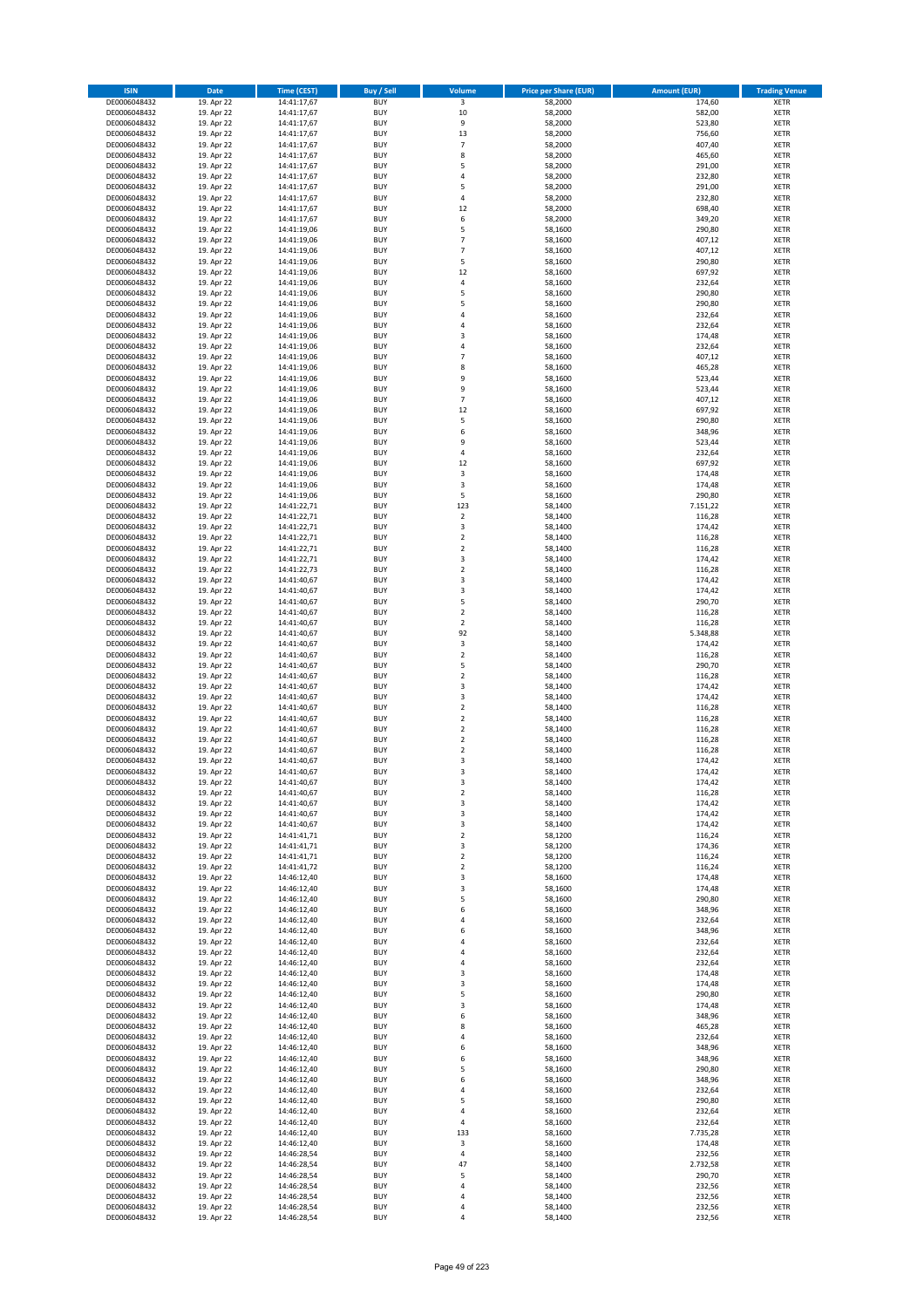| <b>ISIN</b>                  | <b>Date</b>              | Time (CEST)                | <b>Buy / Sell</b>        | Volume                       | <b>Price per Share (EUR)</b> | <b>Amount (EUR)</b> | <b>Trading Venue</b>       |
|------------------------------|--------------------------|----------------------------|--------------------------|------------------------------|------------------------------|---------------------|----------------------------|
| DE0006048432                 | 19. Apr 22               | 14:41:17,67                | <b>BUY</b>               | $\overline{\mathbf{3}}$      | 58,2000                      | 174,60              | <b>XETR</b>                |
| DE0006048432                 | 19. Apr 22               | 14:41:17,67                | <b>BUY</b>               | 10                           | 58,2000                      | 582,00              | <b>XETR</b>                |
| DE0006048432                 | 19. Apr 22               | 14:41:17,67                | <b>BUY</b>               | 9                            | 58,2000                      | 523,80              | <b>XETR</b>                |
| DE0006048432                 | 19. Apr 22               | 14:41:17,67                | <b>BUY</b>               | 13                           | 58,2000                      | 756,60              | <b>XETR</b>                |
| DE0006048432<br>DE0006048432 | 19. Apr 22<br>19. Apr 22 | 14:41:17,67<br>14:41:17,67 | <b>BUY</b><br><b>BUY</b> | $\overline{7}$<br>8          | 58,2000<br>58,2000           | 407,40<br>465,60    | <b>XETR</b><br><b>XETR</b> |
| DE0006048432                 | 19. Apr 22               | 14:41:17,67                | <b>BUY</b>               | 5                            | 58,2000                      | 291,00              | <b>XETR</b>                |
| DE0006048432                 | 19. Apr 22               | 14:41:17,67                | <b>BUY</b>               | 4                            | 58,2000                      | 232,80              | <b>XETR</b>                |
| DE0006048432                 | 19. Apr 22               | 14:41:17,67                | <b>BUY</b>               | 5                            | 58,2000                      | 291,00              | <b>XETR</b>                |
| DE0006048432                 | 19. Apr 22               | 14:41:17,67                | <b>BUY</b>               | 4                            | 58,2000                      | 232,80              | <b>XETR</b>                |
| DE0006048432                 | 19. Apr 22               | 14:41:17,67                | <b>BUY</b>               | 12                           | 58,2000                      | 698,40              | <b>XETR</b>                |
| DE0006048432                 | 19. Apr 22               | 14:41:17,67                | <b>BUY</b>               | 6                            | 58,2000                      | 349,20              | <b>XETR</b>                |
| DE0006048432<br>DE0006048432 | 19. Apr 22<br>19. Apr 22 | 14:41:19,06<br>14:41:19,06 | <b>BUY</b><br><b>BUY</b> | 5<br>$\overline{7}$          | 58,1600<br>58,1600           | 290,80<br>407,12    | <b>XETR</b><br><b>XETR</b> |
| DE0006048432                 | 19. Apr 22               | 14:41:19,06                | <b>BUY</b>               | $\overline{7}$               | 58,1600                      | 407,12              | <b>XETR</b>                |
| DE0006048432                 | 19. Apr 22               | 14:41:19,06                | <b>BUY</b>               | 5                            | 58,1600                      | 290,80              | <b>XETR</b>                |
| DE0006048432                 | 19. Apr 22               | 14:41:19,06                | <b>BUY</b>               | 12                           | 58,1600                      | 697,92              | <b>XETR</b>                |
| DE0006048432                 | 19. Apr 22               | 14:41:19,06                | <b>BUY</b>               | 4                            | 58,1600                      | 232,64              | <b>XETR</b>                |
| DE0006048432                 | 19. Apr 22               | 14:41:19,06                | <b>BUY</b>               | 5                            | 58,1600                      | 290,80              | <b>XETR</b>                |
| DE0006048432                 | 19. Apr 22               | 14:41:19,06                | <b>BUY</b>               | 5                            | 58,1600                      | 290,80              | <b>XETR</b>                |
| DE0006048432<br>DE0006048432 | 19. Apr 22<br>19. Apr 22 | 14:41:19,06<br>14:41:19,06 | <b>BUY</b><br><b>BUY</b> | 4<br>4                       | 58,1600<br>58,1600           | 232,64<br>232,64    | <b>XETR</b><br><b>XETR</b> |
| DE0006048432                 | 19. Apr 22               | 14:41:19,06                | <b>BUY</b>               | 3                            | 58,1600                      | 174,48              | <b>XETR</b>                |
| DE0006048432                 | 19. Apr 22               | 14:41:19,06                | <b>BUY</b>               | 4                            | 58,1600                      | 232,64              | <b>XETR</b>                |
| DE0006048432                 | 19. Apr 22               | 14:41:19,06                | <b>BUY</b>               | $\overline{7}$               | 58,1600                      | 407,12              | <b>XETR</b>                |
| DE0006048432                 | 19. Apr 22               | 14:41:19,06                | <b>BUY</b>               | 8                            | 58,1600                      | 465,28              | <b>XETR</b>                |
| DE0006048432                 | 19. Apr 22               | 14:41:19,06                | <b>BUY</b>               | 9                            | 58,1600                      | 523,44              | <b>XETR</b>                |
| DE0006048432                 | 19. Apr 22               | 14:41:19,06                | <b>BUY</b>               | 9                            | 58,1600                      | 523,44              | <b>XETR</b>                |
| DE0006048432<br>DE0006048432 | 19. Apr 22<br>19. Apr 22 | 14:41:19,06<br>14:41:19,06 | <b>BUY</b><br><b>BUY</b> | $\overline{7}$<br>12         | 58,1600<br>58,1600           | 407,12<br>697,92    | <b>XETR</b><br><b>XETR</b> |
| DE0006048432                 | 19. Apr 22               | 14:41:19,06                | <b>BUY</b>               | 5                            | 58,1600                      | 290,80              | <b>XETR</b>                |
| DE0006048432                 | 19. Apr 22               | 14:41:19,06                | <b>BUY</b>               | 6                            | 58,1600                      | 348,96              | <b>XETR</b>                |
| DE0006048432                 | 19. Apr 22               | 14:41:19,06                | <b>BUY</b>               | 9                            | 58,1600                      | 523,44              | <b>XETR</b>                |
| DE0006048432                 | 19. Apr 22               | 14:41:19,06                | <b>BUY</b>               | 4                            | 58,1600                      | 232,64              | <b>XETR</b>                |
| DE0006048432                 | 19. Apr 22               | 14:41:19,06                | <b>BUY</b>               | 12                           | 58,1600                      | 697,92              | <b>XETR</b>                |
| DE0006048432                 | 19. Apr 22               | 14:41:19,06                | <b>BUY</b>               | 3                            | 58,1600                      | 174,48              | <b>XETR</b>                |
| DE0006048432<br>DE0006048432 | 19. Apr 22               | 14:41:19,06                | <b>BUY</b><br><b>BUY</b> | 3<br>5                       | 58,1600<br>58,1600           | 174,48<br>290,80    | <b>XETR</b><br><b>XETR</b> |
| DE0006048432                 | 19. Apr 22<br>19. Apr 22 | 14:41:19,06<br>14:41:22,71 | <b>BUY</b>               | 123                          | 58,1400                      | 7.151,22            | <b>XETR</b>                |
| DE0006048432                 | 19. Apr 22               | 14:41:22,71                | <b>BUY</b>               | $\mathbf 2$                  | 58,1400                      | 116,28              | <b>XETR</b>                |
| DE0006048432                 | 19. Apr 22               | 14:41:22,71                | <b>BUY</b>               | 3                            | 58,1400                      | 174,42              | <b>XETR</b>                |
| DE0006048432                 | 19. Apr 22               | 14:41:22,71                | <b>BUY</b>               | $\mathbf 2$                  | 58,1400                      | 116,28              | <b>XETR</b>                |
| DE0006048432                 | 19. Apr 22               | 14:41:22,71                | <b>BUY</b>               | $\mathbf 2$                  | 58,1400                      | 116,28              | <b>XETR</b>                |
| DE0006048432                 | 19. Apr 22               | 14:41:22,71                | <b>BUY</b>               | 3                            | 58,1400                      | 174,42              | <b>XETR</b>                |
| DE0006048432                 | 19. Apr 22               | 14:41:22,73                | <b>BUY</b>               | $\mathbf 2$                  | 58,1400                      | 116,28              | <b>XETR</b>                |
| DE0006048432                 | 19. Apr 22               | 14:41:40,67                | <b>BUY</b><br><b>BUY</b> | 3                            | 58,1400                      | 174,42              | <b>XETR</b>                |
| DE0006048432<br>DE0006048432 | 19. Apr 22<br>19. Apr 22 | 14:41:40,67<br>14:41:40,67 | <b>BUY</b>               | 3<br>5                       | 58,1400<br>58,1400           | 174,42<br>290,70    | <b>XETR</b><br><b>XETR</b> |
| DE0006048432                 | 19. Apr 22               | 14:41:40,67                | <b>BUY</b>               | $\mathbf 2$                  | 58,1400                      | 116,28              | <b>XETR</b>                |
| DE0006048432                 | 19. Apr 22               | 14:41:40,67                | <b>BUY</b>               | $\mathbf 2$                  | 58,1400                      | 116,28              | <b>XETR</b>                |
| DE0006048432                 | 19. Apr 22               | 14:41:40,67                | <b>BUY</b>               | 92                           | 58,1400                      | 5.348,88            | <b>XETR</b>                |
| DE0006048432                 | 19. Apr 22               | 14:41:40,67                | <b>BUY</b>               | 3                            | 58,1400                      | 174,42              | <b>XETR</b>                |
| DE0006048432                 | 19. Apr 22               | 14:41:40,67                | <b>BUY</b>               | $\overline{2}$               | 58,1400                      | 116,28              | <b>XETR</b>                |
| DE0006048432<br>DE0006048432 | 19. Apr 22               | 14:41:40,67                | <b>BUY</b><br><b>BUY</b> | 5<br>$\mathbf 2$             | 58,1400                      | 290,70              | <b>XETR</b><br><b>XETR</b> |
| DE0006048432                 | 19. Apr 22<br>19. Apr 22 | 14:41:40,67<br>14:41:40,67 | <b>BUY</b>               | 3                            | 58,1400<br>58,1400           | 116,28<br>174,42    | <b>XETR</b>                |
| DE0006048432                 | 19. Apr 22               | 14:41:40,67                | <b>BUY</b>               | 3                            | 58,1400                      | 174,42              | <b>XETR</b>                |
| DE0006048432                 | 19. Apr 22               | 14:41:40,67                | <b>BUY</b>               | $\mathbf 2$                  | 58,1400                      | 116,28              | <b>XETR</b>                |
| DE0006048432                 | 19. Apr 22               | 14:41:40,67                | <b>BUY</b>               | $\mathbf 2$                  | 58,1400                      | 116,28              | <b>XETR</b>                |
| DE0006048432                 | 19. Apr 22               | 14:41:40,67                | <b>BUY</b>               | $\overline{2}$               | 58,1400                      | 116,28              | <b>XETR</b>                |
| DE0006048432                 | 19. Apr 22               | 14:41:40,67                | <b>BUY</b>               | $\mathbf 2$                  | 58,1400                      | 116,28              | <b>XETR</b>                |
| DE0006048432<br>DE0006048432 | 19. Apr 22<br>19. Apr 22 | 14:41:40,67<br>14:41:40,67 | <b>BUY</b><br><b>BUY</b> | $\overline{\mathbf{c}}$<br>3 | 58,1400<br>58,1400           | 116,28<br>174,42    | <b>XETR</b><br><b>XETR</b> |
| DE0006048432                 | 19. Apr 22               | 14:41:40,67                | <b>BUY</b>               | 3                            | 58,1400                      | 174,42              | <b>XETR</b>                |
| DE0006048432                 | 19. Apr 22               | 14:41:40,67                | BUY                      | 3                            | 58,1400                      | 174,42              | <b>XETR</b>                |
| DE0006048432                 | 19. Apr 22               | 14:41:40,67                | <b>BUY</b>               | $\mathbf 2$                  | 58,1400                      | 116,28              | XETR                       |
| DE0006048432                 | 19. Apr 22               | 14:41:40,67                | <b>BUY</b>               | 3                            | 58,1400                      | 174,42              | <b>XETR</b>                |
| DE0006048432                 | 19. Apr 22               | 14:41:40,67                | <b>BUY</b>               | 3                            | 58,1400                      | 174,42              | XETR                       |
| DE0006048432                 | 19. Apr 22               | 14:41:40,67                | <b>BUY</b>               | 3                            | 58,1400                      | 174,42              | <b>XETR</b>                |
| DE0006048432<br>DE0006048432 | 19. Apr 22<br>19. Apr 22 | 14:41:41,71<br>14:41:41,71 | <b>BUY</b><br><b>BUY</b> | $\mathbf 2$<br>3             | 58,1200<br>58,1200           | 116,24<br>174,36    | <b>XETR</b><br><b>XETR</b> |
| DE0006048432                 | 19. Apr 22               | 14:41:41,71                | <b>BUY</b>               | $\mathbf 2$                  | 58,1200                      | 116,24              | <b>XETR</b>                |
| DE0006048432                 | 19. Apr 22               | 14:41:41,72                | <b>BUY</b>               | $\mathbf 2$                  | 58,1200                      | 116,24              | <b>XETR</b>                |
| DE0006048432                 | 19. Apr 22               | 14:46:12,40                | <b>BUY</b>               | 3                            | 58,1600                      | 174,48              | <b>XETR</b>                |
| DE0006048432                 | 19. Apr 22               | 14:46:12,40                | <b>BUY</b>               | 3                            | 58,1600                      | 174,48              | <b>XETR</b>                |
| DE0006048432                 | 19. Apr 22               | 14:46:12,40                | <b>BUY</b>               | 5                            | 58,1600                      | 290,80              | <b>XETR</b>                |
| DE0006048432<br>DE0006048432 | 19. Apr 22<br>19. Apr 22 | 14:46:12,40<br>14:46:12,40 | <b>BUY</b><br><b>BUY</b> | 6<br>4                       | 58,1600<br>58,1600           | 348,96<br>232,64    | <b>XETR</b><br><b>XETR</b> |
| DE0006048432                 | 19. Apr 22               | 14:46:12,40                | <b>BUY</b>               | 6                            | 58,1600                      | 348,96              | <b>XETR</b>                |
| DE0006048432                 | 19. Apr 22               | 14:46:12,40                | <b>BUY</b>               | 4                            | 58,1600                      | 232,64              | <b>XETR</b>                |
| DE0006048432                 | 19. Apr 22               | 14:46:12,40                | <b>BUY</b>               | 4                            | 58,1600                      | 232,64              | <b>XETR</b>                |
| DE0006048432                 | 19. Apr 22               | 14:46:12,40                | <b>BUY</b>               | 4                            | 58,1600                      | 232,64              | <b>XETR</b>                |
| DE0006048432                 | 19. Apr 22               | 14:46:12,40                | <b>BUY</b>               | 3                            | 58,1600                      | 174,48              | XETR                       |
| DE0006048432                 | 19. Apr 22               | 14:46:12,40                | <b>BUY</b>               | 3                            | 58,1600                      | 174,48              | <b>XETR</b>                |
| DE0006048432<br>DE0006048432 | 19. Apr 22<br>19. Apr 22 | 14:46:12,40<br>14:46:12,40 | <b>BUY</b><br><b>BUY</b> | 5<br>3                       | 58,1600<br>58,1600           | 290,80<br>174,48    | <b>XETR</b><br><b>XETR</b> |
| DE0006048432                 | 19. Apr 22               | 14:46:12,40                | <b>BUY</b>               | 6                            | 58,1600                      | 348,96              | <b>XETR</b>                |
| DE0006048432                 | 19. Apr 22               | 14:46:12,40                | <b>BUY</b>               | 8                            | 58,1600                      | 465,28              | <b>XETR</b>                |
| DE0006048432                 | 19. Apr 22               | 14:46:12,40                | <b>BUY</b>               | 4                            | 58,1600                      | 232,64              | <b>XETR</b>                |
| DE0006048432                 | 19. Apr 22               | 14:46:12,40                | <b>BUY</b>               | 6                            | 58,1600                      | 348,96              | <b>XETR</b>                |
| DE0006048432                 | 19. Apr 22               | 14:46:12,40                | <b>BUY</b>               | 6                            | 58,1600                      | 348,96              | <b>XETR</b>                |
| DE0006048432                 | 19. Apr 22               | 14:46:12,40                | <b>BUY</b>               | 5                            | 58,1600                      | 290,80              | <b>XETR</b>                |
| DE0006048432<br>DE0006048432 | 19. Apr 22<br>19. Apr 22 | 14:46:12,40<br>14:46:12,40 | <b>BUY</b><br><b>BUY</b> | 6<br>4                       | 58,1600<br>58,1600           | 348,96<br>232,64    | <b>XETR</b><br>XETR        |
| DE0006048432                 | 19. Apr 22               | 14:46:12,40                | <b>BUY</b>               | 5                            | 58,1600                      | 290,80              | <b>XETR</b>                |
| DE0006048432                 | 19. Apr 22               | 14:46:12,40                | <b>BUY</b>               | 4                            | 58,1600                      | 232,64              | <b>XETR</b>                |
| DE0006048432                 | 19. Apr 22               | 14:46:12,40                | <b>BUY</b>               | 4                            | 58,1600                      | 232,64              | <b>XETR</b>                |
| DE0006048432                 | 19. Apr 22               | 14:46:12,40                | <b>BUY</b>               | 133                          | 58,1600                      | 7.735,28            | <b>XETR</b>                |
| DE0006048432                 | 19. Apr 22               | 14:46:12,40                | <b>BUY</b>               | 3                            | 58,1600                      | 174,48              | <b>XETR</b>                |
| DE0006048432                 | 19. Apr 22               | 14:46:28,54                | <b>BUY</b>               | 4                            | 58,1400                      | 232,56              | <b>XETR</b>                |
| DE0006048432<br>DE0006048432 | 19. Apr 22<br>19. Apr 22 | 14:46:28,54<br>14:46:28,54 | <b>BUY</b><br><b>BUY</b> | 47<br>5                      | 58,1400<br>58,1400           | 2.732,58<br>290,70  | <b>XETR</b><br>XETR        |
| DE0006048432                 | 19. Apr 22               | 14:46:28,54                | <b>BUY</b>               | 4                            | 58,1400                      | 232,56              | <b>XETR</b>                |
| DE0006048432                 | 19. Apr 22               | 14:46:28,54                | <b>BUY</b>               | 4                            | 58,1400                      | 232,56              | <b>XETR</b>                |
| DE0006048432                 | 19. Apr 22               | 14:46:28,54                | <b>BUY</b>               | 4                            | 58,1400                      | 232,56              | <b>XETR</b>                |
| DE0006048432                 | 19. Apr 22               | 14:46:28,54                | <b>BUY</b>               | 4                            | 58,1400                      | 232,56              | <b>XETR</b>                |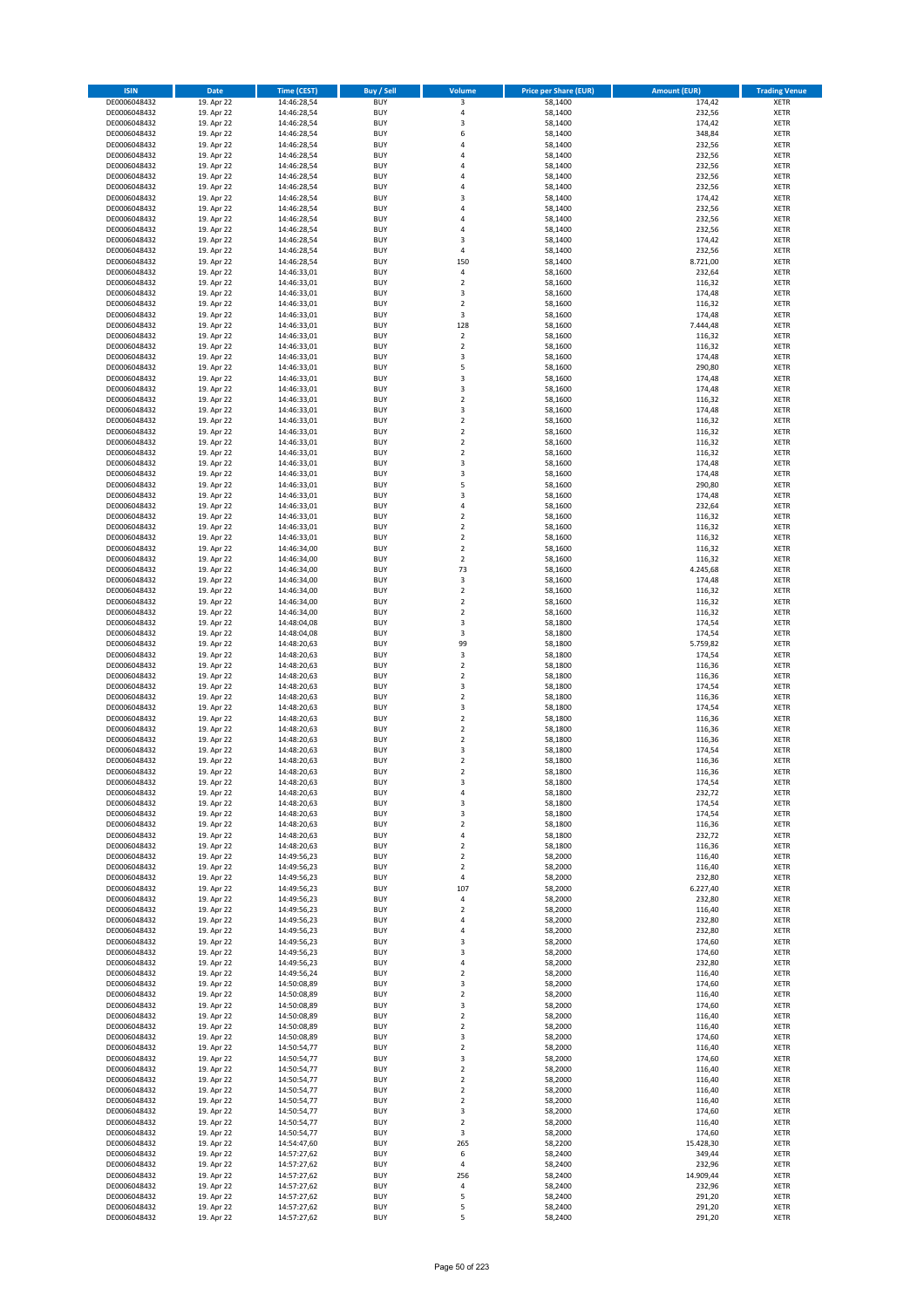| <b>ISIN</b>                  | Date                     | Time (CEST)                | <b>Buy / Sell</b>        | Volume                        | <b>Price per Share (EUR)</b> | <b>Amount (EUR)</b> | <b>Trading Venue</b>       |
|------------------------------|--------------------------|----------------------------|--------------------------|-------------------------------|------------------------------|---------------------|----------------------------|
| DE0006048432                 | 19. Apr 22               | 14:46:28,54                | <b>BUY</b>               | 3                             | 58,1400                      | 174,42              | <b>XETR</b>                |
| DE0006048432                 | 19. Apr 22               | 14:46:28,54                | <b>BUY</b>               | 4                             | 58,1400                      | 232,56              | XETR                       |
| DE0006048432                 | 19. Apr 22               | 14:46:28,54                | <b>BUY</b>               | 3                             | 58,1400                      | 174,42              | <b>XETR</b>                |
| DE0006048432<br>DE0006048432 | 19. Apr 22<br>19. Apr 22 | 14:46:28,54<br>14:46:28,54 | <b>BUY</b><br><b>BUY</b> | 6<br>4                        | 58,1400<br>58,1400           | 348,84<br>232,56    | XETR<br><b>XETR</b>        |
| DE0006048432                 | 19. Apr 22               | 14:46:28,54                | <b>BUY</b>               | $\overline{4}$                | 58,1400                      | 232,56              | <b>XETR</b>                |
| DE0006048432                 | 19. Apr 22               | 14:46:28,54                | <b>BUY</b>               | $\overline{a}$                | 58,1400                      | 232,56              | <b>XETR</b>                |
| DE0006048432                 | 19. Apr 22               | 14:46:28,54                | <b>BUY</b>               | 4                             | 58,1400                      | 232,56              | <b>XETR</b>                |
| DE0006048432                 | 19. Apr 22               | 14:46:28,54                | <b>BUY</b>               | $\overline{a}$                | 58,1400                      | 232,56              | <b>XETR</b>                |
| DE0006048432                 | 19. Apr 22               | 14:46:28,54                | <b>BUY</b>               | 3                             | 58,1400                      | 174,42              | <b>XETR</b>                |
| DE0006048432                 | 19. Apr 22               | 14:46:28,54                | <b>BUY</b>               | 4                             | 58,1400                      | 232,56              | <b>XETR</b>                |
| DE0006048432<br>DE0006048432 | 19. Apr 22<br>19. Apr 22 | 14:46:28,54                | <b>BUY</b><br><b>BUY</b> | 4<br>$\overline{4}$           | 58,1400<br>58,1400           | 232,56<br>232,56    | <b>XETR</b><br><b>XETR</b> |
| DE0006048432                 | 19. Apr 22               | 14:46:28,54<br>14:46:28,54 | <b>BUY</b>               | 3                             | 58,1400                      | 174,42              | <b>XETR</b>                |
| DE0006048432                 | 19. Apr 22               | 14:46:28,54                | <b>BUY</b>               | $\pmb{4}$                     | 58,1400                      | 232,56              | <b>XETR</b>                |
| DE0006048432                 | 19. Apr 22               | 14:46:28,54                | <b>BUY</b>               | 150                           | 58,1400                      | 8.721,00            | <b>XETR</b>                |
| DE0006048432                 | 19. Apr 22               | 14:46:33,01                | <b>BUY</b>               | 4                             | 58,1600                      | 232,64              | <b>XETR</b>                |
| DE0006048432                 | 19. Apr 22               | 14:46:33,01                | <b>BUY</b>               | $\mathbf 2$                   | 58,1600                      | 116,32              | <b>XETR</b>                |
| DE0006048432                 | 19. Apr 22               | 14:46:33,01                | <b>BUY</b>               | 3                             | 58,1600                      | 174,48              | <b>XETR</b>                |
| DE0006048432                 | 19. Apr 22               | 14:46:33,01                | <b>BUY</b>               | $\mathbf 2$                   | 58,1600                      | 116,32              | <b>XETR</b>                |
| DE0006048432<br>DE0006048432 | 19. Apr 22<br>19. Apr 22 | 14:46:33,01<br>14:46:33,01 | <b>BUY</b><br><b>BUY</b> | 3<br>128                      | 58,1600<br>58,1600           | 174,48<br>7.444,48  | <b>XETR</b><br><b>XETR</b> |
| DE0006048432                 | 19. Apr 22               | 14:46:33,01                | <b>BUY</b>               | $\mathbf 2$                   | 58,1600                      | 116,32              | <b>XETR</b>                |
| DE0006048432                 | 19. Apr 22               | 14:46:33,01                | <b>BUY</b>               | $\mathbf 2$                   | 58,1600                      | 116,32              | <b>XETR</b>                |
| DE0006048432                 | 19. Apr 22               | 14:46:33,01                | <b>BUY</b>               | 3                             | 58,1600                      | 174,48              | <b>XETR</b>                |
| DE0006048432                 | 19. Apr 22               | 14:46:33,01                | <b>BUY</b>               | 5                             | 58,1600                      | 290,80              | <b>XETR</b>                |
| DE0006048432                 | 19. Apr 22               | 14:46:33,01                | <b>BUY</b>               | $\mathsf 3$                   | 58,1600                      | 174,48              | <b>XETR</b>                |
| DE0006048432                 | 19. Apr 22               | 14:46:33,01                | <b>BUY</b>               | 3                             | 58,1600                      | 174,48              | <b>XETR</b>                |
| DE0006048432<br>DE0006048432 | 19. Apr 22<br>19. Apr 22 | 14:46:33,01<br>14:46:33,01 | <b>BUY</b><br><b>BUY</b> | $\mathbf 2$<br>3              | 58,1600<br>58,1600           | 116,32<br>174,48    | <b>XETR</b><br><b>XETR</b> |
| DE0006048432                 | 19. Apr 22               | 14:46:33,01                | <b>BUY</b>               | $\overline{\mathbf{2}}$       | 58,1600                      | 116,32              | <b>XETR</b>                |
| DE0006048432                 | 19. Apr 22               | 14:46:33,01                | <b>BUY</b>               | $\overline{2}$                | 58,1600                      | 116,32              | <b>XETR</b>                |
| DE0006048432                 | 19. Apr 22               | 14:46:33,01                | <b>BUY</b>               | $\mathbf 2$                   | 58,1600                      | 116,32              | <b>XETR</b>                |
| DE0006048432                 | 19. Apr 22               | 14:46:33,01                | <b>BUY</b>               | $\mathbf 2$                   | 58,1600                      | 116,32              | <b>XETR</b>                |
| DE0006048432                 | 19. Apr 22               | 14:46:33,01                | <b>BUY</b>               | 3                             | 58,1600                      | 174,48              | <b>XETR</b>                |
| DE0006048432                 | 19. Apr 22               | 14:46:33,01                | <b>BUY</b>               | 3                             | 58,1600                      | 174,48              | <b>XETR</b>                |
| DE0006048432<br>DE0006048432 | 19. Apr 22               | 14:46:33,01                | <b>BUY</b><br><b>BUY</b> | 5<br>3                        | 58,1600<br>58,1600           | 290,80<br>174,48    | <b>XETR</b><br><b>XETR</b> |
| DE0006048432                 | 19. Apr 22<br>19. Apr 22 | 14:46:33,01<br>14:46:33,01 | <b>BUY</b>               | $\pmb{4}$                     | 58,1600                      | 232,64              | <b>XETR</b>                |
| DE0006048432                 | 19. Apr 22               | 14:46:33,01                | <b>BUY</b>               | $\mathbf 2$                   | 58,1600                      | 116,32              | <b>XETR</b>                |
| DE0006048432                 | 19. Apr 22               | 14:46:33,01                | <b>BUY</b>               | $\mathbf 2$                   | 58,1600                      | 116,32              | <b>XETR</b>                |
| DE0006048432                 | 19. Apr 22               | 14:46:33,01                | <b>BUY</b>               | $\mathbf 2$                   | 58,1600                      | 116,32              | <b>XETR</b>                |
| DE0006048432                 | 19. Apr 22               | 14:46:34,00                | <b>BUY</b>               | $\mathbf 2$                   | 58,1600                      | 116,32              | <b>XETR</b>                |
| DE0006048432                 | 19. Apr 22               | 14:46:34,00                | <b>BUY</b>               | $\overline{2}$                | 58,1600                      | 116,32              | <b>XETR</b>                |
| DE0006048432                 | 19. Apr 22               | 14:46:34,00                | <b>BUY</b>               | 73                            | 58,1600                      | 4.245,68            | <b>XETR</b>                |
| DE0006048432<br>DE0006048432 | 19. Apr 22<br>19. Apr 22 | 14:46:34,00                | <b>BUY</b><br><b>BUY</b> | 3<br>$\mathbf 2$              | 58,1600<br>58,1600           | 174,48<br>116,32    | <b>XETR</b><br><b>XETR</b> |
| DE0006048432                 | 19. Apr 22               | 14:46:34,00<br>14:46:34,00 | <b>BUY</b>               | $\mathbf 2$                   | 58,1600                      | 116,32              | <b>XETR</b>                |
| DE0006048432                 | 19. Apr 22               | 14:46:34,00                | <b>BUY</b>               | $\mathbf 2$                   | 58,1600                      | 116,32              | <b>XETR</b>                |
| DE0006048432                 | 19. Apr 22               | 14:48:04,08                | <b>BUY</b>               | 3                             | 58,1800                      | 174,54              | <b>XETR</b>                |
| DE0006048432                 | 19. Apr 22               | 14:48:04,08                | <b>BUY</b>               | 3                             | 58,1800                      | 174,54              | <b>XETR</b>                |
| DE0006048432                 | 19. Apr 22               | 14:48:20,63                | <b>BUY</b>               | 99                            | 58,1800                      | 5.759,82            | <b>XETR</b>                |
| DE0006048432                 | 19. Apr 22               | 14:48:20,63                | <b>BUY</b>               | 3                             | 58,1800                      | 174,54              | <b>XETR</b>                |
| DE0006048432<br>DE0006048432 | 19. Apr 22<br>19. Apr 22 | 14:48:20,63<br>14:48:20,63 | <b>BUY</b><br><b>BUY</b> | $\mathbf 2$<br>$\mathbf 2$    | 58,1800<br>58,1800           | 116,36<br>116,36    | <b>XETR</b><br><b>XETR</b> |
| DE0006048432                 | 19. Apr 22               | 14:48:20,63                | <b>BUY</b>               | 3                             | 58,1800                      | 174,54              | <b>XETR</b>                |
| DE0006048432                 | 19. Apr 22               | 14:48:20,63                | <b>BUY</b>               | $\overline{2}$                | 58,1800                      | 116,36              | <b>XETR</b>                |
| DE0006048432                 | 19. Apr 22               | 14:48:20,63                | <b>BUY</b>               | 3                             | 58,1800                      | 174,54              | <b>XETR</b>                |
| DE0006048432                 | 19. Apr 22               | 14:48:20,63                | <b>BUY</b>               | $\mathbf 2$                   | 58,1800                      | 116,36              | <b>XETR</b>                |
| DE0006048432                 | 19. Apr 22               | 14:48:20,63                | <b>BUY</b>               | $\overline{2}$                | 58,1800                      | 116,36              | <b>XETR</b>                |
| DE0006048432                 | 19. Apr 22               | 14:48:20,63                | <b>BUY</b>               | $\mathbf 2$                   | 58,1800                      | 116,36              | <b>XETR</b>                |
| DE0006048432<br>DE0006048432 | 19. Apr 22<br>19. Apr 22 | 14:48:20,63<br>14:48:20,63 | <b>BUY</b><br><b>BUY</b> | 3<br>$\overline{2}$           | 58,1800<br>58,1800           | 174,54<br>116,36    | <b>XETR</b><br><b>XETR</b> |
| DE0006048432                 | 19. Apr 22               | 14:48:20,63                | <b>BUY</b>               | $\overline{2}$                | 58,1800                      | 116,36              | <b>XETR</b>                |
| DE0006048432                 | 19. Apr 22               | 14:48:20,63                | BUY                      | 3                             | 58,1800                      | 174,54              | XETR                       |
| DE0006048432                 | 19. Apr 22               | 14:48:20,63                | <b>BUY</b>               | 4                             | 58,1800                      | 232,72              | <b>XETR</b>                |
| DE0006048432                 | 19. Apr 22               | 14:48:20,63                | <b>BUY</b>               | 3                             | 58,1800                      | 174,54              | <b>XETR</b>                |
| DE0006048432                 | 19. Apr 22               | 14:48:20,63                | <b>BUY</b>               | 3                             | 58,1800                      | 174,54              | <b>XETR</b>                |
| DE0006048432                 | 19. Apr 22               | 14:48:20,63                | <b>BUY</b>               | $\mathbf 2$                   | 58,1800                      | 116,36              | <b>XETR</b>                |
| DE0006048432<br>DE0006048432 | 19. Apr 22<br>19. Apr 22 | 14:48:20,63<br>14:48:20,63 | <b>BUY</b><br><b>BUY</b> | $\pmb{4}$<br>$\overline{2}$   | 58,1800<br>58,1800           | 232,72<br>116,36    | <b>XETR</b><br><b>XETR</b> |
| DE0006048432                 | 19. Apr 22               | 14:49:56,23                | <b>BUY</b>               | $\mathbf 2$                   | 58,2000                      | 116,40              | <b>XETR</b>                |
| DE0006048432                 | 19. Apr 22               | 14:49:56,23                | <b>BUY</b>               | $\overline{2}$                | 58,2000                      | 116,40              | XETR                       |
| DE0006048432                 | 19. Apr 22               | 14:49:56,23                | <b>BUY</b>               | 4                             | 58,2000                      | 232,80              | <b>XETR</b>                |
| DE0006048432                 | 19. Apr 22               | 14:49:56,23                | <b>BUY</b>               | 107                           | 58,2000                      | 6.227,40            | XETR                       |
| DE0006048432                 | 19. Apr 22               | 14:49:56,23                | <b>BUY</b>               | 4                             | 58,2000                      | 232,80              | <b>XETR</b>                |
| DE0006048432<br>DE0006048432 | 19. Apr 22<br>19. Apr 22 | 14:49:56,23<br>14:49:56,23 | <b>BUY</b><br><b>BUY</b> | $\mathbf 2$<br>$\overline{4}$ | 58,2000<br>58,2000           | 116,40<br>232,80    | XETR<br><b>XETR</b>        |
| DE0006048432                 | 19. Apr 22               | 14:49:56,23                | <b>BUY</b>               | $\pmb{4}$                     | 58,2000                      | 232,80              | XETR                       |
| DE0006048432                 | 19. Apr 22               | 14:49:56,23                | <b>BUY</b>               | 3                             | 58,2000                      | 174,60              | <b>XETR</b>                |
| DE0006048432                 | 19. Apr 22               | 14:49:56,23                | <b>BUY</b>               | 3                             | 58,2000                      | 174,60              | <b>XETR</b>                |
| DE0006048432                 | 19. Apr 22               | 14:49:56,23                | <b>BUY</b>               | 4                             | 58,2000                      | 232,80              | <b>XETR</b>                |
| DE0006048432                 | 19. Apr 22               | 14:49:56,24                | <b>BUY</b>               | $\mathbf 2$                   | 58,2000                      | 116,40              | XETR                       |
| DE0006048432                 | 19. Apr 22               | 14:50:08,89                | <b>BUY</b>               | $\mathsf 3$                   | 58,2000                      | 174,60              | XETR                       |
| DE0006048432<br>DE0006048432 | 19. Apr 22<br>19. Apr 22 | 14:50:08,89<br>14:50:08,89 | <b>BUY</b><br><b>BUY</b> | $\overline{2}$<br>3           | 58,2000<br>58,2000           | 116,40<br>174,60    | <b>XETR</b><br><b>XETR</b> |
| DE0006048432                 | 19. Apr 22               | 14:50:08,89                | <b>BUY</b>               | $\overline{2}$                | 58,2000                      | 116,40              | XETR                       |
| DE0006048432                 | 19. Apr 22               | 14:50:08,89                | <b>BUY</b>               | $\mathbf 2$                   | 58,2000                      | 116,40              | <b>XETR</b>                |
| DE0006048432                 | 19. Apr 22               | 14:50:08,89                | <b>BUY</b>               | 3                             | 58,2000                      | 174,60              | XETR                       |
| DE0006048432                 | 19. Apr 22               | 14:50:54,77                | <b>BUY</b>               | $\overline{2}$                | 58,2000                      | 116,40              | <b>XETR</b>                |
| DE0006048432                 | 19. Apr 22               | 14:50:54,77                | <b>BUY</b>               | 3                             | 58,2000                      | 174,60              | XETR                       |
| DE0006048432<br>DE0006048432 | 19. Apr 22<br>19. Apr 22 | 14:50:54,77<br>14:50:54,77 | <b>BUY</b><br><b>BUY</b> | $\overline{2}$<br>$\mathbf 2$ | 58,2000<br>58,2000           | 116,40<br>116,40    | <b>XETR</b><br><b>XETR</b> |
| DE0006048432                 | 19. Apr 22               | 14:50:54,77                | <b>BUY</b>               | $\overline{2}$                | 58,2000                      | 116,40              | <b>XETR</b>                |
| DE0006048432                 | 19. Apr 22               | 14:50:54,77                | <b>BUY</b>               | $\overline{2}$                | 58,2000                      | 116,40              | XETR                       |
| DE0006048432                 | 19. Apr 22               | 14:50:54,77                | <b>BUY</b>               | 3                             | 58,2000                      | 174,60              | XETR                       |
| DE0006048432                 | 19. Apr 22               | 14:50:54,77                | <b>BUY</b>               | $\mathbf 2$                   | 58,2000                      | 116,40              | XETR                       |
| DE0006048432                 | 19. Apr 22               | 14:50:54,77                | <b>BUY</b>               | 3                             | 58,2000                      | 174,60              | <b>XETR</b>                |
| DE0006048432                 | 19. Apr 22               | 14:54:47,60                | <b>BUY</b>               | 265                           | 58,2200                      | 15.428,30           | <b>XETR</b>                |
| DE0006048432<br>DE0006048432 | 19. Apr 22<br>19. Apr 22 | 14:57:27,62<br>14:57:27,62 | <b>BUY</b><br><b>BUY</b> | 6<br>$\sqrt{4}$               | 58,2400<br>58,2400           | 349,44<br>232,96    | XETR<br>XETR               |
| DE0006048432                 | 19. Apr 22               | 14:57:27,62                | <b>BUY</b>               | 256                           | 58,2400                      | 14.909,44           | XETR                       |
| DE0006048432                 | 19. Apr 22               | 14:57:27,62                | <b>BUY</b>               | 4                             | 58,2400                      | 232,96              | <b>XETR</b>                |
| DE0006048432                 | 19. Apr 22               | 14:57:27,62                | <b>BUY</b>               | 5                             | 58,2400                      | 291,20              | XETR                       |
| DE0006048432                 | 19. Apr 22               | 14:57:27,62                | <b>BUY</b>               | 5                             | 58,2400                      | 291,20              | <b>XETR</b>                |
| DE0006048432                 | 19. Apr 22               | 14:57:27,62                | <b>BUY</b>               | 5                             | 58,2400                      | 291,20              | <b>XETR</b>                |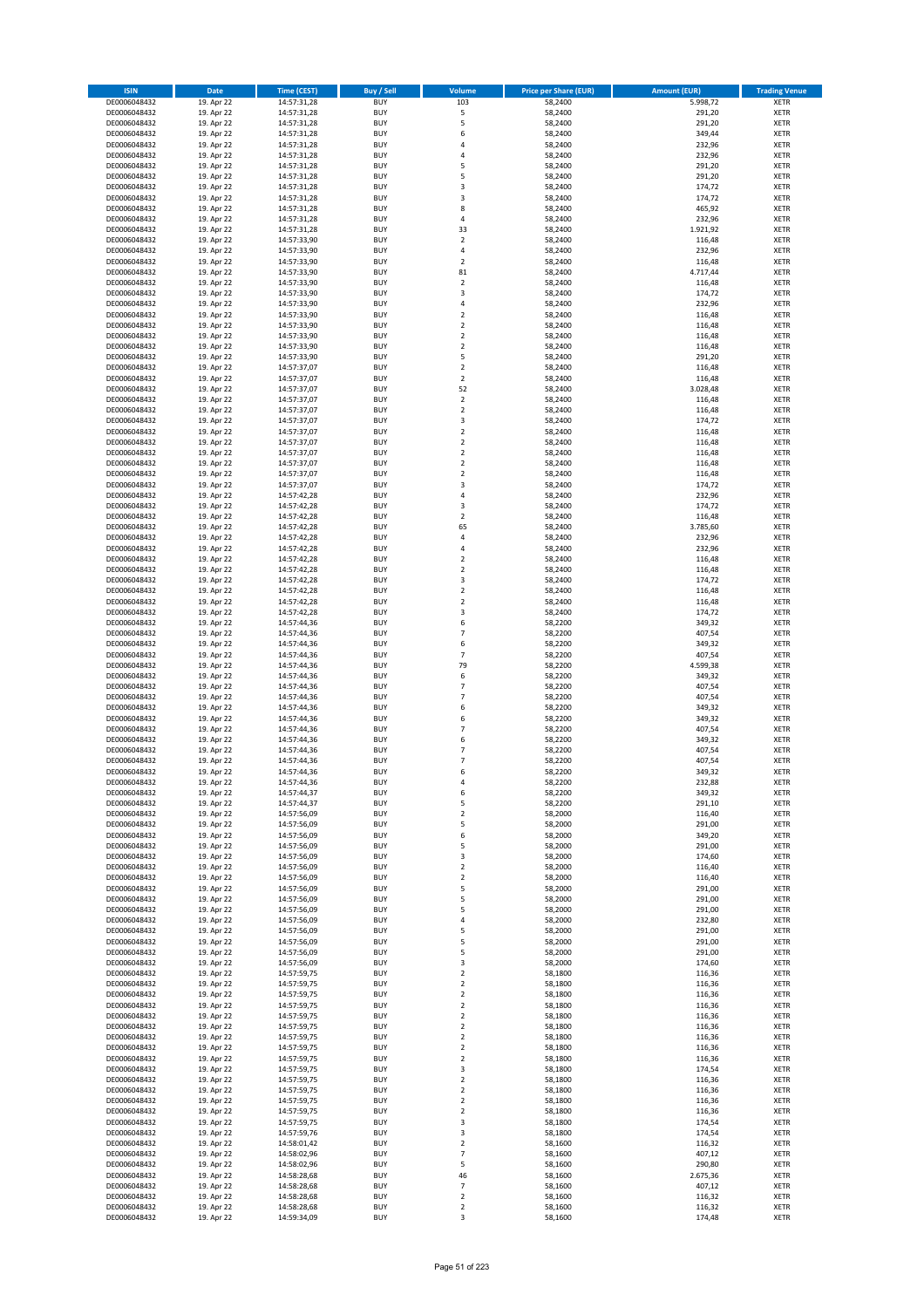| <b>ISIN</b>                  | <b>Date</b>              | <b>Time (CEST)</b>         | <b>Buy / Sell</b>        | Volume                           | <b>Price per Share (EUR)</b> | <b>Amount (EUR)</b> | <b>Trading Venue</b>       |
|------------------------------|--------------------------|----------------------------|--------------------------|----------------------------------|------------------------------|---------------------|----------------------------|
| DE0006048432                 | 19. Apr 22               | 14:57:31,28                | <b>BUY</b>               | 103                              | 58,2400                      | 5.998,72            | <b>XETR</b>                |
| DE0006048432                 | 19. Apr 22               | 14:57:31,28                | <b>BUY</b>               | 5                                | 58,2400                      | 291,20              | <b>XETR</b>                |
| DE0006048432                 | 19. Apr 22               | 14:57:31,28                | <b>BUY</b>               | 5                                | 58,2400                      | 291,20              | <b>XETR</b>                |
| DE0006048432                 | 19. Apr 22               | 14:57:31,28                | <b>BUY</b>               | 6                                | 58,2400                      | 349,44              | <b>XETR</b>                |
| DE0006048432                 | 19. Apr 22               | 14:57:31,28                | <b>BUY</b>               | 4                                | 58,2400                      | 232,96              | <b>XETR</b>                |
| DE0006048432                 | 19. Apr 22               | 14:57:31,28                | <b>BUY</b>               | $\overline{a}$                   | 58,2400                      | 232,96              | <b>XETR</b>                |
| DE0006048432                 | 19. Apr 22               | 14:57:31,28                | <b>BUY</b>               | 5                                | 58,2400                      | 291,20              | <b>XETR</b>                |
| DE0006048432                 | 19. Apr 22               | 14:57:31,28                | <b>BUY</b>               | 5                                | 58,2400                      | 291,20              | <b>XETR</b>                |
| DE0006048432                 | 19. Apr 22<br>19. Apr 22 | 14:57:31,28                | BUY<br><b>BUY</b>        | 3<br>3                           | 58,2400<br>58,2400           | 174,72<br>174,72    | <b>XETR</b>                |
| DE0006048432<br>DE0006048432 | 19. Apr 22               | 14:57:31,28<br>14:57:31,28 | <b>BUY</b>               | 8                                | 58,2400                      | 465,92              | <b>XETR</b><br><b>XETR</b> |
| DE0006048432                 | 19. Apr 22               | 14:57:31,28                | <b>BUY</b>               | 4                                | 58,2400                      | 232,96              | <b>XETR</b>                |
| DE0006048432                 | 19. Apr 22               | 14:57:31,28                | <b>BUY</b>               | 33                               | 58,2400                      | 1.921,92            | <b>XETR</b>                |
| DE0006048432                 | 19. Apr 22               | 14:57:33,90                | <b>BUY</b>               | $\overline{2}$                   | 58,2400                      | 116,48              | <b>XETR</b>                |
| DE0006048432                 | 19. Apr 22               | 14:57:33,90                | <b>BUY</b>               | 4                                | 58,2400                      | 232,96              | <b>XETR</b>                |
| DE0006048432                 | 19. Apr 22               | 14:57:33,90                | BUY                      | $\overline{2}$                   | 58,2400                      | 116,48              | <b>XETR</b>                |
| DE0006048432                 | 19. Apr 22               | 14:57:33,90                | <b>BUY</b>               | 81                               | 58,2400                      | 4.717,44            | <b>XETR</b>                |
| DE0006048432                 | 19. Apr 22               | 14:57:33,90                | <b>BUY</b>               | $\overline{2}$                   | 58,2400                      | 116,48              | <b>XETR</b>                |
| DE0006048432                 | 19. Apr 22               | 14:57:33,90                | <b>BUY</b>               | $\overline{\mathbf{3}}$          | 58,2400                      | 174,72              | <b>XETR</b>                |
| DE0006048432                 | 19. Apr 22               | 14:57:33,90                | <b>BUY</b>               | $\overline{a}$                   | 58,2400                      | 232,96              | <b>XETR</b>                |
| DE0006048432                 | 19. Apr 22               | 14:57:33,90                | <b>BUY</b><br><b>BUY</b> | $\overline{2}$<br>$\mathbf 2$    | 58,2400<br>58,2400           | 116,48<br>116,48    | <b>XETR</b><br><b>XETR</b> |
| DE0006048432<br>DE0006048432 | 19. Apr 22<br>19. Apr 22 | 14:57:33,90<br>14:57:33,90 | <b>BUY</b>               | $\overline{2}$                   | 58,2400                      | 116,48              | <b>XETR</b>                |
| DE0006048432                 | 19. Apr 22               | 14:57:33,90                | <b>BUY</b>               | $\overline{2}$                   | 58,2400                      | 116,48              | <b>XETR</b>                |
| DE0006048432                 | 19. Apr 22               | 14:57:33,90                | <b>BUY</b>               | 5                                | 58,2400                      | 291,20              | <b>XETR</b>                |
| DE0006048432                 | 19. Apr 22               | 14:57:37,07                | <b>BUY</b>               | $\mathbf 2$                      | 58,2400                      | 116,48              | <b>XETR</b>                |
| DE0006048432                 | 19. Apr 22               | 14:57:37,07                | <b>BUY</b>               | $\mathbf 2$                      | 58,2400                      | 116,48              | <b>XETR</b>                |
| DE0006048432                 | 19. Apr 22               | 14:57:37,07                | <b>BUY</b>               | 52                               | 58,2400                      | 3.028,48            | <b>XETR</b>                |
| DE0006048432                 | 19. Apr 22               | 14:57:37,07                | <b>BUY</b>               | $\mathbf 2$                      | 58,2400                      | 116,48              | <b>XETR</b>                |
| DE0006048432                 | 19. Apr 22               | 14:57:37,07                | <b>BUY</b>               | $\overline{2}$                   | 58,2400                      | 116,48              | <b>XETR</b>                |
| DE0006048432                 | 19. Apr 22               | 14:57:37,07                | <b>BUY</b>               | 3                                | 58,2400                      | 174,72              | <b>XETR</b>                |
| DE0006048432<br>DE0006048432 | 19. Apr 22<br>19. Apr 22 | 14:57:37,07<br>14:57:37,07 | <b>BUY</b><br><b>BUY</b> | $\mathbf 2$<br>$\mathbf 2$       | 58,2400<br>58,2400           | 116,48<br>116,48    | <b>XETR</b><br><b>XETR</b> |
| DE0006048432                 | 19. Apr 22               | 14:57:37,07                | <b>BUY</b>               | $\mathbf 2$                      | 58,2400                      | 116,48              | <b>XETR</b>                |
| DE0006048432                 | 19. Apr 22               | 14:57:37,07                | <b>BUY</b>               | $\overline{2}$                   | 58,2400                      | 116,48              | <b>XETR</b>                |
| DE0006048432                 | 19. Apr 22               | 14:57:37,07                | <b>BUY</b>               | $\mathbf 2$                      | 58,2400                      | 116,48              | <b>XETR</b>                |
| DE0006048432                 | 19. Apr 22               | 14:57:37,07                | <b>BUY</b>               | $\overline{\mathbf{3}}$          | 58,2400                      | 174,72              | <b>XETR</b>                |
| DE0006048432                 | 19. Apr 22               | 14:57:42,28                | BUY                      | $\overline{4}$                   | 58,2400                      | 232,96              | <b>XETR</b>                |
| DE0006048432                 | 19. Apr 22               | 14:57:42,28                | <b>BUY</b>               | 3                                | 58,2400                      | 174,72              | <b>XETR</b>                |
| DE0006048432                 | 19. Apr 22               | 14:57:42,28                | <b>BUY</b>               | $\mathbf 2$                      | 58,2400                      | 116,48              | <b>XETR</b>                |
| DE0006048432                 | 19. Apr 22               | 14:57:42,28                | <b>BUY</b>               | 65                               | 58,2400                      | 3.785,60            | <b>XETR</b>                |
| DE0006048432                 | 19. Apr 22               | 14:57:42,28                | <b>BUY</b>               | 4                                | 58,2400                      | 232,96              | <b>XETR</b>                |
| DE0006048432                 | 19. Apr 22               | 14:57:42,28                | <b>BUY</b>               | 4                                | 58,2400                      | 232,96              | <b>XETR</b>                |
| DE0006048432<br>DE0006048432 | 19. Apr 22<br>19. Apr 22 | 14:57:42,28                | <b>BUY</b><br><b>BUY</b> | $\overline{2}$<br>$\overline{2}$ | 58,2400<br>58,2400           | 116,48<br>116,48    | <b>XETR</b><br><b>XETR</b> |
| DE0006048432                 | 19. Apr 22               | 14:57:42,28<br>14:57:42,28 | <b>BUY</b>               | 3                                | 58,2400                      | 174,72              | <b>XETR</b>                |
| DE0006048432                 | 19. Apr 22               | 14:57:42,28                | <b>BUY</b>               | $\mathbf 2$                      | 58,2400                      | 116,48              | <b>XETR</b>                |
| DE0006048432                 | 19. Apr 22               | 14:57:42,28                | <b>BUY</b>               | $\overline{2}$                   | 58,2400                      | 116,48              | <b>XETR</b>                |
| DE0006048432                 | 19. Apr 22               | 14:57:42,28                | <b>BUY</b>               | 3                                | 58,2400                      | 174,72              | <b>XETR</b>                |
| DE0006048432                 | 19. Apr 22               | 14:57:44,36                | <b>BUY</b>               | 6                                | 58,2200                      | 349,32              | <b>XETR</b>                |
| DE0006048432                 | 19. Apr 22               | 14:57:44,36                | <b>BUY</b>               | $\overline{7}$                   | 58,2200                      | 407,54              | <b>XETR</b>                |
| DE0006048432                 | 19. Apr 22               | 14:57:44,36                | <b>BUY</b>               | 6                                | 58,2200                      | 349,32              | <b>XETR</b>                |
| DE0006048432                 | 19. Apr 22               | 14:57:44,36                | <b>BUY</b>               | 7                                | 58,2200                      | 407,54              | <b>XETR</b>                |
| DE0006048432                 | 19. Apr 22               | 14:57:44,36                | <b>BUY</b>               | 79<br>6                          | 58,2200                      | 4.599,38            | <b>XETR</b>                |
| DE0006048432<br>DE0006048432 | 19. Apr 22<br>19. Apr 22 | 14:57:44,36<br>14:57:44,36 | <b>BUY</b><br><b>BUY</b> | $\overline{7}$                   | 58,2200<br>58,2200           | 349,32<br>407,54    | <b>XETR</b><br><b>XETR</b> |
| DE0006048432                 | 19. Apr 22               | 14:57:44,36                | <b>BUY</b>               | $\overline{7}$                   | 58,2200                      | 407,54              | <b>XETR</b>                |
| DE0006048432                 | 19. Apr 22               | 14:57:44,36                | <b>BUY</b>               | 6                                | 58,2200                      | 349,32              | <b>XETR</b>                |
| DE0006048432                 | 19. Apr 22               | 14:57:44,36                | BUY                      | 6                                | 58,2200                      | 349,32              | <b>XETR</b>                |
| DE0006048432                 | 19. Apr 22               | 14:57:44,36                | <b>BUY</b>               | 7                                | 58,2200                      | 407,54              | <b>XETR</b>                |
| DE0006048432                 | 19. Apr 22               | 14:57:44,36                | <b>BUY</b>               | 6                                | 58,2200                      | 349,32              | <b>XETR</b>                |
| DE0006048432                 | 19. Apr 22               | 14:57:44,36                | BUY                      | $\overline{7}$                   | 58,2200                      | 407,54              | <b>XETR</b>                |
| DE0006048432                 | 19. Apr 22               | 14:57:44,36                | BUY                      | $\overline{7}$                   | 58,2200                      | 407,54              | <b>XETR</b>                |
| DE0006048432                 | 19. Apr 22               | 14:57:44,36                | <b>BUY</b>               | 6                                | 58,2200                      | 349,32              | <b>XETR</b>                |
| DE0006048432                 | 19. Apr 22               | 14:57:44,36                | <b>BUY</b>               | 4                                | 58,2200                      | 232,88              | <b>XETR</b>                |
| DE0006048432<br>DE0006048432 | 19. Apr 22<br>19. Apr 22 | 14:57:44,37<br>14:57:44,37 | <b>BUY</b><br><b>BUY</b> | 6<br>5                           | 58,2200<br>58,2200           | 349,32<br>291,10    | <b>XETR</b><br><b>XETR</b> |
| DE0006048432                 | 19. Apr 22               | 14:57:56,09                | <b>BUY</b>               | $\mathbf 2$                      | 58,2000                      | 116,40              | <b>XETR</b>                |
| DE0006048432                 | 19. Apr 22               | 14:57:56,09                | <b>BUY</b>               | 5                                | 58,2000                      | 291,00              | <b>XETR</b>                |
| DE0006048432                 | 19. Apr 22               | 14:57:56,09                | <b>BUY</b>               | 6                                | 58,2000                      | 349,20              | <b>XETR</b>                |
| DE0006048432                 | 19. Apr 22               | 14:57:56,09                | <b>BUY</b>               | 5                                | 58,2000                      | 291,00              | <b>XETR</b>                |
| DE0006048432                 | 19. Apr 22               | 14:57:56,09                | <b>BUY</b>               | 3                                | 58,2000                      | 174,60              | <b>XETR</b>                |
| DE0006048432                 | 19. Apr 22               | 14:57:56,09                | <b>BUY</b>               | $\mathbf 2$                      | 58,2000                      | 116,40              | <b>XETR</b>                |
| DE0006048432                 | 19. Apr 22               | 14:57:56,09                | <b>BUY</b>               | $\mathbf 2$                      | 58,2000                      | 116,40              | <b>XETR</b>                |
| DE0006048432                 | 19. Apr 22               | 14:57:56,09                | <b>BUY</b>               | 5                                | 58,2000                      | 291,00              | <b>XETR</b>                |
| DE0006048432<br>DE0006048432 | 19. Apr 22<br>19. Apr 22 | 14:57:56,09<br>14:57:56,09 | <b>BUY</b><br><b>BUY</b> | 5<br>5                           | 58,2000<br>58,2000           | 291,00<br>291,00    | <b>XETR</b><br><b>XETR</b> |
| DE0006048432                 | 19. Apr 22               | 14:57:56,09                | <b>BUY</b>               | 4                                | 58,2000                      | 232,80              | <b>XETR</b>                |
| DE0006048432                 | 19. Apr 22               | 14:57:56,09                | <b>BUY</b>               | 5                                | 58,2000                      | 291,00              | <b>XETR</b>                |
| DE0006048432                 | 19. Apr 22               | 14:57:56,09                | <b>BUY</b>               | 5                                | 58,2000                      | 291,00              | <b>XETR</b>                |
| DE0006048432                 | 19. Apr 22               | 14:57:56,09                | <b>BUY</b>               | 5                                | 58,2000                      | 291,00              | <b>XETR</b>                |
| DE0006048432                 | 19. Apr 22               | 14:57:56,09                | <b>BUY</b>               | 3                                | 58,2000                      | 174,60              | <b>XETR</b>                |
| DE0006048432                 | 19. Apr 22               | 14:57:59,75                | <b>BUY</b>               | $\mathbf 2$                      | 58,1800                      | 116,36              | <b>XETR</b>                |
| DE0006048432                 | 19. Apr 22               | 14:57:59,75                | <b>BUY</b>               | $\mathbf 2$                      | 58,1800                      | 116,36              | <b>XETR</b>                |
| DE0006048432                 | 19. Apr 22               | 14:57:59,75                | <b>BUY</b>               | $\overline{2}$                   | 58,1800                      | 116,36              | <b>XETR</b>                |
| DE0006048432<br>DE0006048432 | 19. Apr 22<br>19. Apr 22 | 14:57:59,75<br>14:57:59,75 | <b>BUY</b><br><b>BUY</b> | 2<br>$\overline{\mathbf{2}}$     | 58,1800<br>58,1800           | 116,36<br>116,36    | <b>XETR</b><br><b>XETR</b> |
| DE0006048432                 | 19. Apr 22               | 14:57:59,75                | <b>BUY</b>               | $\mathbf 2$                      | 58,1800                      | 116,36              | <b>XETR</b>                |
| DE0006048432                 | 19. Apr 22               | 14:57:59,75                | <b>BUY</b>               | $\mathbf 2$                      | 58,1800                      | 116,36              | <b>XETR</b>                |
| DE0006048432                 | 19. Apr 22               | 14:57:59,75                | <b>BUY</b>               | $\mathbf 2$                      | 58,1800                      | 116,36              | <b>XETR</b>                |
| DE0006048432                 | 19. Apr 22               | 14:57:59,75                | <b>BUY</b>               | $\overline{\mathbf{2}}$          | 58,1800                      | 116,36              | <b>XETR</b>                |
| DE0006048432                 | 19. Apr 22               | 14:57:59,75                | <b>BUY</b>               | $\overline{\mathbf{3}}$          | 58,1800                      | 174,54              | <b>XETR</b>                |
| DE0006048432                 | 19. Apr 22               | 14:57:59,75                | <b>BUY</b>               | 2                                | 58,1800                      | 116,36              | <b>XETR</b>                |
| DE0006048432                 | 19. Apr 22               | 14:57:59,75                | <b>BUY</b>               | $\overline{\mathbf{2}}$          | 58,1800                      | 116,36              | <b>XETR</b>                |
| DE0006048432                 | 19. Apr 22               | 14:57:59,75                | <b>BUY</b>               | $\mathbf 2$                      | 58,1800                      | 116,36              | <b>XETR</b>                |
| DE0006048432                 | 19. Apr 22               | 14:57:59,75                | <b>BUY</b>               | $\mathbf 2$                      | 58,1800                      | 116,36              | <b>XETR</b>                |
| DE0006048432                 | 19. Apr 22               | 14:57:59,75                | <b>BUY</b>               | 3<br>$\overline{\mathbf{3}}$     | 58,1800                      | 174,54              | <b>XETR</b><br><b>XETR</b> |
| DE0006048432<br>DE0006048432 | 19. Apr 22<br>19. Apr 22 | 14:57:59,76<br>14:58:01,42 | <b>BUY</b><br><b>BUY</b> | $\mathbf 2$                      | 58,1800<br>58,1600           | 174,54<br>116,32    | <b>XETR</b>                |
| DE0006048432                 | 19. Apr 22               | 14:58:02,96                | <b>BUY</b>               | $\overline{7}$                   | 58,1600                      | 407,12              | <b>XETR</b>                |
| DE0006048432                 | 19. Apr 22               | 14:58:02,96                | <b>BUY</b>               | 5                                | 58,1600                      | 290,80              | <b>XETR</b>                |
| DE0006048432                 | 19. Apr 22               | 14:58:28,68                | <b>BUY</b>               | 46                               | 58,1600                      | 2.675,36            | <b>XETR</b>                |
| DE0006048432                 | 19. Apr 22               | 14:58:28,68                | <b>BUY</b>               | 7                                | 58,1600                      | 407,12              | <b>XETR</b>                |
| DE0006048432                 | 19. Apr 22               | 14:58:28,68                | <b>BUY</b>               | $\mathbf 2$                      | 58,1600                      | 116,32              | <b>XETR</b>                |
| DE0006048432                 | 19. Apr 22               | 14:58:28,68                | <b>BUY</b>               | $\mathbf 2$                      | 58,1600                      | 116,32              | <b>XETR</b>                |
| DE0006048432                 | 19. Apr 22               | 14:59:34,09                | <b>BUY</b>               | 3                                | 58,1600                      | 174,48              | <b>XETR</b>                |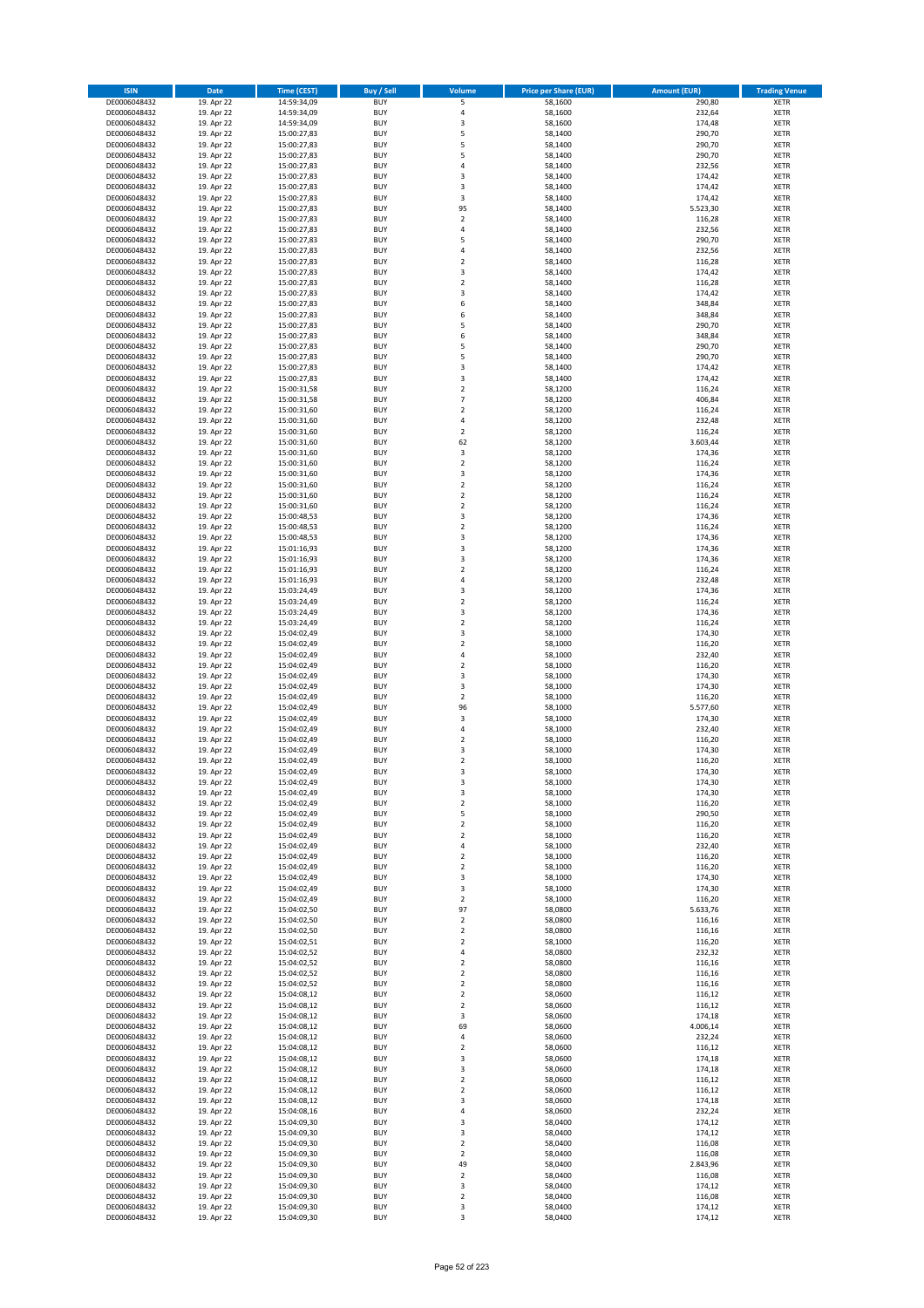| <b>ISIN</b>                  | <b>Date</b>              | <b>Time (CEST)</b>         | <b>Buy / Sell</b>        | <b>Volume</b>                 | <b>Price per Share (EUR)</b> | <b>Amount (EUR)</b> | <b>Trading Venue</b>       |
|------------------------------|--------------------------|----------------------------|--------------------------|-------------------------------|------------------------------|---------------------|----------------------------|
| DE0006048432                 | 19. Apr 22               | 14:59:34,09                | <b>BUY</b>               | 5                             | 58,1600                      | 290,80              | <b>XETR</b>                |
| DE0006048432                 | 19. Apr 22               | 14:59:34,09                | <b>BUY</b>               | 4                             | 58,1600                      | 232,64              | <b>XETR</b>                |
| DE0006048432                 | 19. Apr 22               | 14:59:34,09                | <b>BUY</b>               | 3                             | 58,1600                      | 174,48              | <b>XETR</b>                |
| DE0006048432<br>DE0006048432 | 19. Apr 22<br>19. Apr 22 | 15:00:27,83<br>15:00:27,83 | <b>BUY</b><br><b>BUY</b> | 5<br>5                        | 58,1400<br>58,1400           | 290,70<br>290,70    | <b>XETR</b><br><b>XETR</b> |
| DE0006048432                 | 19. Apr 22               | 15:00:27,83                | <b>BUY</b>               | 5                             | 58,1400                      | 290,70              | <b>XETR</b>                |
| DE0006048432                 | 19. Apr 22               | 15:00:27,83                | <b>BUY</b>               | 4                             | 58,1400                      | 232,56              | <b>XETR</b>                |
| DE0006048432                 | 19. Apr 22               | 15:00:27,83                | <b>BUY</b>               | 3                             | 58,1400                      | 174,42              | <b>XETR</b>                |
| DE0006048432                 | 19. Apr 22               | 15:00:27,83                | <b>BUY</b>               | 3                             | 58,1400                      | 174,42              | <b>XETR</b>                |
| DE0006048432                 | 19. Apr 22               | 15:00:27,83                | <b>BUY</b>               | 3                             | 58,1400                      | 174,42              | <b>XETR</b>                |
| DE0006048432                 | 19. Apr 22               | 15:00:27,83                | <b>BUY</b>               | 95                            | 58,1400                      | 5.523,30            | <b>XETR</b>                |
| DE0006048432<br>DE0006048432 | 19. Apr 22<br>19. Apr 22 | 15:00:27,83                | <b>BUY</b><br><b>BUY</b> | $\overline{\mathbf{c}}$<br>4  | 58,1400<br>58,1400           | 116,28<br>232,56    | <b>XETR</b><br><b>XETR</b> |
| DE0006048432                 | 19. Apr 22               | 15:00:27,83<br>15:00:27,83 | <b>BUY</b>               | 5                             | 58,1400                      | 290,70              | <b>XETR</b>                |
| DE0006048432                 | 19. Apr 22               | 15:00:27,83                | <b>BUY</b>               | 4                             | 58,1400                      | 232,56              | <b>XETR</b>                |
| DE0006048432                 | 19. Apr 22               | 15:00:27,83                | <b>BUY</b>               | $\overline{\mathbf{c}}$       | 58,1400                      | 116,28              | <b>XETR</b>                |
| DE0006048432                 | 19. Apr 22               | 15:00:27,83                | <b>BUY</b>               | 3                             | 58,1400                      | 174,42              | <b>XETR</b>                |
| DE0006048432                 | 19. Apr 22               | 15:00:27,83                | <b>BUY</b>               | $\mathbf 2$                   | 58,1400                      | 116,28              | <b>XETR</b>                |
| DE0006048432                 | 19. Apr 22               | 15:00:27,83                | <b>BUY</b>               | 3                             | 58,1400                      | 174,42              | <b>XETR</b>                |
| DE0006048432                 | 19. Apr 22               | 15:00:27,83                | <b>BUY</b>               | 6                             | 58,1400                      | 348,84              | <b>XETR</b>                |
| DE0006048432                 | 19. Apr 22               | 15:00:27,83                | <b>BUY</b>               | 6                             | 58,1400                      | 348,84              | <b>XETR</b>                |
| DE0006048432<br>DE0006048432 | 19. Apr 22<br>19. Apr 22 | 15:00:27,83<br>15:00:27,83 | <b>BUY</b><br><b>BUY</b> | 5<br>6                        | 58,1400<br>58,1400           | 290,70<br>348,84    | <b>XETR</b><br><b>XETR</b> |
| DE0006048432                 | 19. Apr 22               | 15:00:27,83                | <b>BUY</b>               | 5                             | 58,1400                      | 290,70              | <b>XETR</b>                |
| DE0006048432                 | 19. Apr 22               | 15:00:27,83                | <b>BUY</b>               | 5                             | 58,1400                      | 290,70              | <b>XETR</b>                |
| DE0006048432                 | 19. Apr 22               | 15:00:27,83                | <b>BUY</b>               | 3                             | 58,1400                      | 174,42              | <b>XETR</b>                |
| DE0006048432                 | 19. Apr 22               | 15:00:27,83                | <b>BUY</b>               | 3                             | 58,1400                      | 174,42              | <b>XETR</b>                |
| DE0006048432                 | 19. Apr 22               | 15:00:31,58                | <b>BUY</b>               | $\overline{\mathbf{c}}$       | 58,1200                      | 116,24              | <b>XETR</b>                |
| DE0006048432                 | 19. Apr 22               | 15:00:31,58                | <b>BUY</b>               | $\overline{7}$                | 58,1200                      | 406,84              | <b>XETR</b>                |
| DE0006048432<br>DE0006048432 | 19. Apr 22<br>19. Apr 22 | 15:00:31,60                | <b>BUY</b><br><b>BUY</b> | $\overline{\mathbf{c}}$<br>4  | 58,1200<br>58,1200           | 116,24<br>232,48    | <b>XETR</b><br><b>XETR</b> |
| DE0006048432                 | 19. Apr 22               | 15:00:31,60<br>15:00:31,60 | <b>BUY</b>               | $\overline{\mathbf{c}}$       | 58,1200                      | 116,24              | <b>XETR</b>                |
| DE0006048432                 | 19. Apr 22               | 15:00:31,60                | <b>BUY</b>               | 62                            | 58,1200                      | 3.603,44            | <b>XETR</b>                |
| DE0006048432                 | 19. Apr 22               | 15:00:31,60                | <b>BUY</b>               | 3                             | 58,1200                      | 174,36              | <b>XETR</b>                |
| DE0006048432                 | 19. Apr 22               | 15:00:31,60                | <b>BUY</b>               | $\mathbf 2$                   | 58.1200                      | 116,24              | <b>XETR</b>                |
| DE0006048432                 | 19. Apr 22               | 15:00:31,60                | <b>BUY</b>               | 3                             | 58,1200                      | 174,36              | <b>XETR</b>                |
| DE0006048432                 | 19. Apr 22               | 15:00:31,60                | <b>BUY</b>               | $\overline{\mathbf{c}}$       | 58,1200                      | 116,24              | <b>XETR</b>                |
| DE0006048432                 | 19. Apr 22               | 15:00:31,60                | <b>BUY</b>               | $\mathbf 2$                   | 58,1200                      | 116,24              | <b>XETR</b>                |
| DE0006048432                 | 19. Apr 22               | 15:00:31,60                | <b>BUY</b>               | $\mathbf 2$                   | 58,1200                      | 116,24              | <b>XETR</b>                |
| DE0006048432<br>DE0006048432 | 19. Apr 22<br>19. Apr 22 | 15:00:48,53<br>15:00:48,53 | <b>BUY</b><br><b>BUY</b> | 3<br>$\mathbf 2$              | 58,1200<br>58,1200           | 174,36<br>116,24    | <b>XETR</b><br><b>XETR</b> |
| DE0006048432                 | 19. Apr 22               | 15:00:48,53                | <b>BUY</b>               | 3                             | 58,1200                      | 174,36              | <b>XETR</b>                |
| DE0006048432                 | 19. Apr 22               | 15:01:16,93                | <b>BUY</b>               | 3                             | 58,1200                      | 174,36              | <b>XETR</b>                |
| DE0006048432                 | 19. Apr 22               | 15:01:16,93                | <b>BUY</b>               | 3                             | 58,1200                      | 174,36              | <b>XETR</b>                |
| DE0006048432                 | 19. Apr 22               | 15:01:16,93                | <b>BUY</b>               | $\mathbf 2$                   | 58,1200                      | 116,24              | <b>XETR</b>                |
| DE0006048432                 | 19. Apr 22               | 15:01:16,93                | <b>BUY</b>               | 4                             | 58,1200                      | 232,48              | <b>XETR</b>                |
| DE0006048432                 | 19. Apr 22               | 15:03:24,49                | <b>BUY</b>               | 3                             | 58,1200                      | 174,36              | <b>XETR</b>                |
| DE0006048432                 | 19. Apr 22               | 15:03:24,49                | <b>BUY</b>               | $\mathbf 2$                   | 58,1200                      | 116,24              | <b>XETR</b>                |
| DE0006048432<br>DE0006048432 | 19. Apr 22<br>19. Apr 22 | 15:03:24,49<br>15:03:24,49 | <b>BUY</b><br><b>BUY</b> | 3<br>$\overline{\mathbf{c}}$  | 58,1200<br>58,1200           | 174,36<br>116,24    | <b>XETR</b><br><b>XETR</b> |
| DE0006048432                 | 19. Apr 22               | 15:04:02,49                | <b>BUY</b>               | 3                             | 58,1000                      | 174,30              | <b>XETR</b>                |
| DE0006048432                 | 19. Apr 22               | 15:04:02,49                | <b>BUY</b>               | $\mathbf 2$                   | 58,1000                      | 116,20              | <b>XETR</b>                |
| DE0006048432                 | 19. Apr 22               | 15:04:02,49                | <b>BUY</b>               | 4                             | 58,1000                      | 232,40              | <b>XETR</b>                |
| DE0006048432                 | 19. Apr 22               | 15:04:02,49                | <b>BUY</b>               | $\mathbf 2$                   | 58,1000                      | 116,20              | <b>XETR</b>                |
| DE0006048432                 | 19. Apr 22               | 15:04:02,49                | <b>BUY</b>               | 3                             | 58,1000                      | 174,30              | <b>XETR</b>                |
| DE0006048432                 | 19. Apr 22               | 15:04:02,49                | <b>BUY</b>               | 3                             | 58,1000                      | 174,30              | <b>XETR</b>                |
| DE0006048432                 | 19. Apr 22               | 15:04:02,49                | <b>BUY</b><br><b>BUY</b> | $\overline{\mathbf{c}}$<br>96 | 58,1000                      | 116,20              | <b>XETR</b><br><b>XETR</b> |
| DE0006048432<br>DE0006048432 | 19. Apr 22<br>19. Apr 22 | 15:04:02,49<br>15:04:02,49 | <b>BUY</b>               | 3                             | 58,1000<br>58,1000           | 5.577,60<br>174,30  | <b>XETR</b>                |
| DE0006048432                 | 19. Apr 22               | 15:04:02,49                | <b>BUY</b>               | 4                             | 58,1000                      | 232,40              | <b>XETR</b>                |
| DE0006048432                 | 19. Apr 22               | 15:04:02,49                | <b>BUY</b>               | $\mathbf 2$                   | 58,1000                      | 116,20              | <b>XETR</b>                |
| DE0006048432                 | 19. Apr 22               | 15:04:02,49                | <b>BUY</b>               | 3                             | 58,1000                      | 174,30              | <b>XETR</b>                |
| DE0006048432                 | 19. Apr 22               | 15:04:02,49                | <b>BUY</b>               | $\overline{\mathbf{c}}$       | 58,1000                      | 116,20              | <b>XETR</b>                |
| DE0006048432                 | 19. Apr 22               | 15:04:02,49                | <b>BUY</b>               | 3                             | 58,1000                      | 174,30              | <b>XETR</b>                |
| DE0006048432                 | 19. Apr 22               | 15:04:02,49                | BUY                      | 3                             | 58,1000                      | 174,30              | <b>XETR</b>                |
| DE0006048432<br>DE0006048432 | 19. Apr 22<br>19. Apr 22 | 15:04:02,49<br>15:04:02,49 | <b>BUY</b><br><b>BUY</b> | 3<br>$\mathbf 2$              | 58,1000<br>58,1000           | 174,30<br>116,20    | <b>XETR</b><br><b>XETR</b> |
| DE0006048432                 | 19. Apr 22               | 15:04:02,49                | <b>BUY</b>               | 5                             | 58,1000                      | 290,50              | XETR                       |
| DE0006048432                 | 19. Apr 22               | 15:04:02,49                | <b>BUY</b>               | $\mathbf 2$                   | 58,1000                      | 116,20              | <b>XETR</b>                |
| DE0006048432                 | 19. Apr 22               | 15:04:02,49                | <b>BUY</b>               | $\mathbf 2$                   | 58,1000                      | 116,20              | <b>XETR</b>                |
| DE0006048432                 | 19. Apr 22               | 15:04:02,49                | <b>BUY</b>               | 4                             | 58,1000                      | 232,40              | <b>XETR</b>                |
| DE0006048432                 | 19. Apr 22               | 15:04:02,49                | <b>BUY</b>               | $\mathbf 2$                   | 58,1000                      | 116,20              | <b>XETR</b>                |
| DE0006048432                 | 19. Apr 22               | 15:04:02,49                | <b>BUY</b>               | $\mathbf 2$                   | 58,1000                      | 116,20              | <b>XETR</b>                |
| DE0006048432<br>DE0006048432 | 19. Apr 22<br>19. Apr 22 | 15:04:02,49<br>15:04:02,49 | <b>BUY</b><br><b>BUY</b> | 3<br>3                        | 58,1000<br>58,1000           | 174,30<br>174,30    | <b>XETR</b><br><b>XETR</b> |
| DE0006048432                 | 19. Apr 22               | 15:04:02,49                | <b>BUY</b>               | $\overline{\mathbf{c}}$       | 58,1000                      | 116,20              | <b>XETR</b>                |
| DE0006048432                 | 19. Apr 22               | 15:04:02,50                | <b>BUY</b>               | 97                            | 58,0800                      | 5.633,76            | <b>XETR</b>                |
| DE0006048432                 | 19. Apr 22               | 15:04:02,50                | <b>BUY</b>               | $\overline{\mathbf{2}}$       | 58,0800                      | 116,16              | <b>XETR</b>                |
| DE0006048432                 | 19. Apr 22               | 15:04:02,50                | <b>BUY</b>               | $\mathbf 2$                   | 58,0800                      | 116,16              | <b>XETR</b>                |
| DE0006048432                 | 19. Apr 22               | 15:04:02,51                | <b>BUY</b>               | $\overline{\mathbf{c}}$       | 58,1000                      | 116,20              | <b>XETR</b>                |
| DE0006048432<br>DE0006048432 | 19. Apr 22<br>19. Apr 22 | 15:04:02,52<br>15:04:02,52 | <b>BUY</b><br><b>BUY</b> | 4<br>$\mathbf 2$              | 58,0800<br>58,0800           | 232,32<br>116,16    | <b>XETR</b><br><b>XETR</b> |
| DE0006048432                 | 19. Apr 22               | 15:04:02,52                | <b>BUY</b>               | $\mathbf 2$                   | 58,0800                      | 116,16              | XETR                       |
| DE0006048432                 | 19. Apr 22               | 15:04:02,52                | <b>BUY</b>               | $\mathbf 2$                   | 58,0800                      | 116,16              | <b>XETR</b>                |
| DE0006048432                 | 19. Apr 22               | 15:04:08,12                | <b>BUY</b>               | $\overline{2}$                | 58,0600                      | 116,12              | <b>XETR</b>                |
| DE0006048432                 | 19. Apr 22               | 15:04:08,12                | <b>BUY</b>               | $\mathbf 2$                   | 58,0600                      | 116,12              | <b>XETR</b>                |
| DE0006048432                 | 19. Apr 22               | 15:04:08,12                | <b>BUY</b>               | 3                             | 58,0600                      | 174,18              | <b>XETR</b>                |
| DE0006048432                 | 19. Apr 22               | 15:04:08,12                | <b>BUY</b>               | 69                            | 58,0600                      | 4.006,14            | <b>XETR</b>                |
| DE0006048432                 | 19. Apr 22               | 15:04:08,12                | <b>BUY</b>               | 4                             | 58,0600                      | 232,24              | <b>XETR</b>                |
| DE0006048432<br>DE0006048432 | 19. Apr 22<br>19. Apr 22 | 15:04:08,12<br>15:04:08,12 | <b>BUY</b><br><b>BUY</b> | $\mathbf 2$<br>3              | 58,0600<br>58,0600           | 116,12<br>174,18    | <b>XETR</b><br><b>XETR</b> |
| DE0006048432                 | 19. Apr 22               | 15:04:08,12                | <b>BUY</b>               | 3                             | 58,0600                      | 174,18              | <b>XETR</b>                |
| DE0006048432                 | 19. Apr 22               | 15:04:08,12                | <b>BUY</b>               | $\mathbf 2$                   | 58,0600                      | 116,12              | <b>XETR</b>                |
| DE0006048432                 | 19. Apr 22               | 15:04:08,12                | <b>BUY</b>               | $\overline{\mathbf{c}}$       | 58,0600                      | 116,12              | <b>XETR</b>                |
| DE0006048432                 | 19. Apr 22               | 15:04:08,12                | <b>BUY</b>               | 3                             | 58,0600                      | 174,18              | <b>XETR</b>                |
| DE0006048432                 | 19. Apr 22               | 15:04:08,16                | <b>BUY</b>               | 4                             | 58,0600                      | 232,24              | <b>XETR</b>                |
| DE0006048432                 | 19. Apr 22               | 15:04:09,30                | <b>BUY</b>               | 3                             | 58,0400                      | 174,12              | <b>XETR</b>                |
| DE0006048432                 | 19. Apr 22               | 15:04:09,30                | <b>BUY</b>               | 3                             | 58,0400                      | 174,12              | <b>XETR</b>                |
| DE0006048432<br>DE0006048432 | 19. Apr 22<br>19. Apr 22 | 15:04:09,30<br>15:04:09,30 | <b>BUY</b><br><b>BUY</b> | $\mathbf 2$<br>$\mathbf 2$    | 58,0400<br>58,0400           | 116,08<br>116,08    | <b>XETR</b><br><b>XETR</b> |
| DE0006048432                 | 19. Apr 22               | 15:04:09,30                | <b>BUY</b>               | 49                            | 58,0400                      | 2.843,96            | <b>XETR</b>                |
| DE0006048432                 | 19. Apr 22               | 15:04:09,30                | <b>BUY</b>               | $\mathbf 2$                   | 58,0400                      | 116,08              | XETR                       |
| DE0006048432                 | 19. Apr 22               | 15:04:09,30                | <b>BUY</b>               | 3                             | 58,0400                      | 174,12              | <b>XETR</b>                |
| DE0006048432                 | 19. Apr 22               | 15:04:09,30                | <b>BUY</b>               | $\mathbf 2$                   | 58,0400                      | 116,08              | <b>XETR</b>                |
| DE0006048432                 | 19. Apr 22               | 15:04:09,30                | <b>BUY</b>               | 3                             | 58,0400                      | 174,12              | <b>XETR</b>                |
| DE0006048432                 | 19. Apr 22               | 15:04:09,30                | <b>BUY</b>               | 3                             | 58,0400                      | 174,12              | <b>XETR</b>                |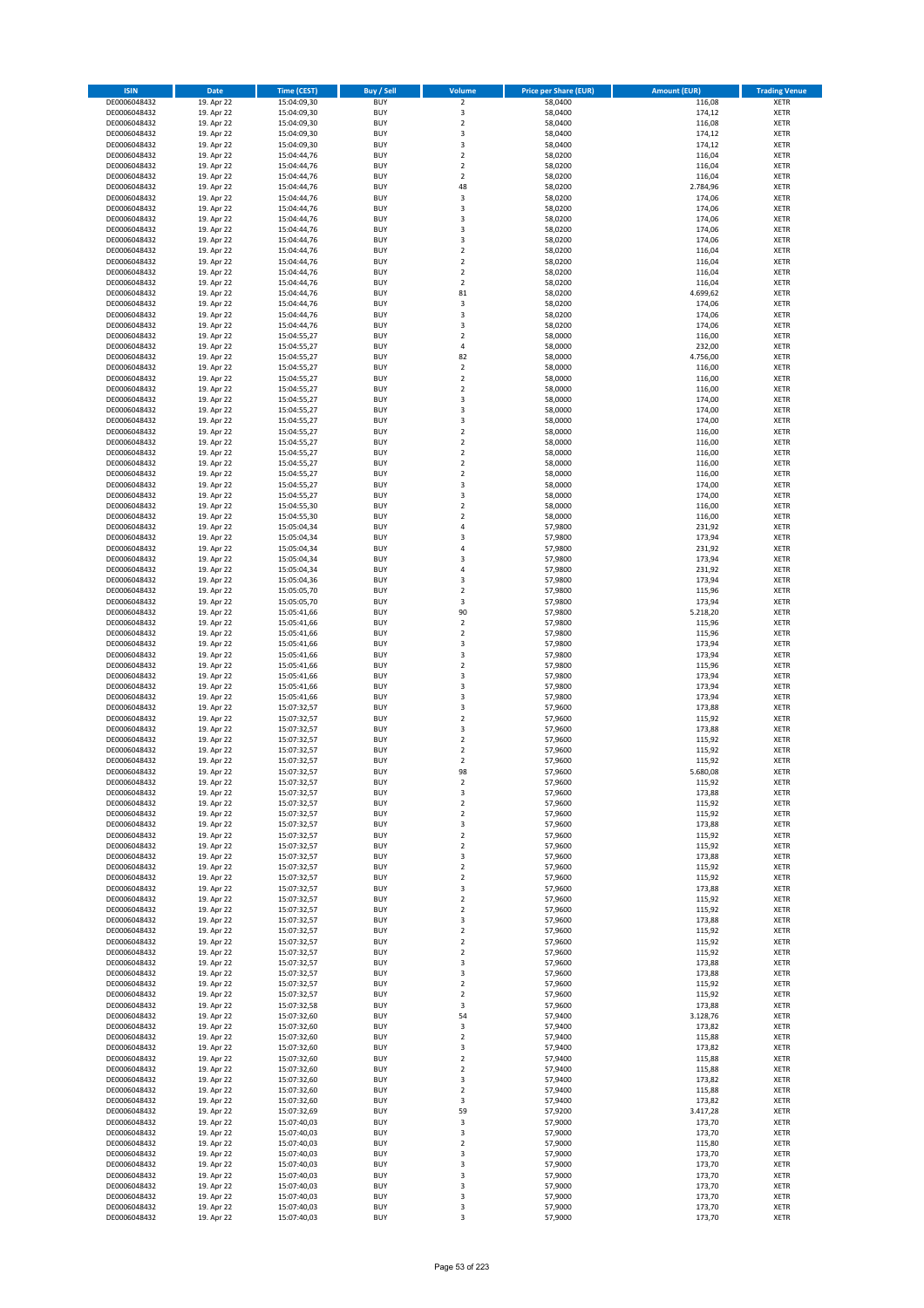| <b>ISIN</b>                  | <b>Date</b>              | <b>Time (CEST)</b>         | <b>Buy / Sell</b>        | <b>Volume</b>           | <b>Price per Share (EUR)</b> | <b>Amount (EUR)</b> | <b>Trading Venue</b>       |
|------------------------------|--------------------------|----------------------------|--------------------------|-------------------------|------------------------------|---------------------|----------------------------|
| DE0006048432                 | 19. Apr 22               | 15:04:09,30                | <b>BUY</b>               | $\overline{2}$          | 58,0400                      | 116,08              | <b>XETR</b>                |
| DE0006048432                 | 19. Apr 22               | 15:04:09,30                | <b>BUY</b>               | 3                       | 58,0400                      | 174,12              | <b>XETR</b>                |
| DE0006048432                 | 19. Apr 22               | 15:04:09,30                | <b>BUY</b>               | $\overline{2}$          | 58,0400                      | 116,08              | <b>XETR</b>                |
| DE0006048432<br>DE0006048432 | 19. Apr 22<br>19. Apr 22 | 15:04:09,30<br>15:04:09,30 | <b>BUY</b><br><b>BUY</b> | 3<br>3                  | 58,0400<br>58,0400           | 174,12<br>174,12    | <b>XETR</b><br><b>XETR</b> |
| DE0006048432                 | 19. Apr 22               | 15:04:44,76                | <b>BUY</b>               | $\mathbf 2$             | 58,0200                      | 116,04              | <b>XETR</b>                |
| DE0006048432                 | 19. Apr 22               | 15:04:44,76                | <b>BUY</b>               | $\mathbf 2$             | 58,0200                      | 116,04              | <b>XETR</b>                |
| DE0006048432                 | 19. Apr 22               | 15:04:44,76                | <b>BUY</b>               | $\overline{\mathbf{c}}$ | 58,0200                      | 116,04              | <b>XETR</b>                |
| DE0006048432                 | 19. Apr 22               | 15:04:44,76                | <b>BUY</b>               | 48                      | 58,0200                      | 2.784,96            | <b>XETR</b>                |
| DE0006048432                 | 19. Apr 22               | 15:04:44,76                | <b>BUY</b>               | 3                       | 58,0200                      | 174,06              | <b>XETR</b>                |
| DE0006048432                 | 19. Apr 22               | 15:04:44,76                | <b>BUY</b>               | 3                       | 58,0200                      | 174,06              | <b>XETR</b>                |
| DE0006048432                 | 19. Apr 22<br>19. Apr 22 | 15:04:44,76                | <b>BUY</b><br><b>BUY</b> | 3<br>3                  | 58,0200                      | 174,06<br>174,06    | <b>XETR</b><br><b>XETR</b> |
| DE0006048432<br>DE0006048432 | 19. Apr 22               | 15:04:44,76<br>15:04:44,76 | <b>BUY</b>               | 3                       | 58,0200<br>58,0200           | 174,06              | <b>XETR</b>                |
| DE0006048432                 | 19. Apr 22               | 15:04:44,76                | <b>BUY</b>               | $\mathbf 2$             | 58,0200                      | 116,04              | <b>XETR</b>                |
| DE0006048432                 | 19. Apr 22               | 15:04:44,76                | <b>BUY</b>               | $\overline{\mathbf{c}}$ | 58,0200                      | 116,04              | <b>XETR</b>                |
| DE0006048432                 | 19. Apr 22               | 15:04:44,76                | <b>BUY</b>               | $\mathbf 2$             | 58,0200                      | 116,04              | <b>XETR</b>                |
| DE0006048432                 | 19. Apr 22               | 15:04:44,76                | <b>BUY</b>               | $\mathbf 2$             | 58,0200                      | 116,04              | <b>XETR</b>                |
| DE0006048432                 | 19. Apr 22               | 15:04:44,76                | <b>BUY</b>               | 81                      | 58,0200                      | 4.699,62            | <b>XETR</b>                |
| DE0006048432                 | 19. Apr 22               | 15:04:44,76                | <b>BUY</b>               | 3                       | 58,0200                      | 174,06              | <b>XETR</b>                |
| DE0006048432<br>DE0006048432 | 19. Apr 22<br>19. Apr 22 | 15:04:44,76<br>15:04:44,76 | <b>BUY</b><br><b>BUY</b> | 3<br>3                  | 58,0200<br>58,0200           | 174,06<br>174,06    | <b>XETR</b><br><b>XETR</b> |
| DE0006048432                 | 19. Apr 22               | 15:04:55,27                | <b>BUY</b>               | $\mathbf 2$             | 58,0000                      | 116,00              | <b>XETR</b>                |
| DE0006048432                 | 19. Apr 22               | 15:04:55,27                | <b>BUY</b>               | 4                       | 58,0000                      | 232,00              | <b>XETR</b>                |
| DE0006048432                 | 19. Apr 22               | 15:04:55,27                | <b>BUY</b>               | 82                      | 58,0000                      | 4.756,00            | <b>XETR</b>                |
| DE0006048432                 | 19. Apr 22               | 15:04:55,27                | <b>BUY</b>               | $\mathbf 2$             | 58,0000                      | 116,00              | <b>XETR</b>                |
| DE0006048432                 | 19. Apr 22               | 15:04:55,27                | <b>BUY</b>               | $\mathbf 2$             | 58,0000                      | 116,00              | <b>XETR</b>                |
| DE0006048432                 | 19. Apr 22               | 15:04:55,27                | <b>BUY</b>               | $\overline{\mathbf{c}}$ | 58,0000                      | 116,00              | <b>XETR</b>                |
| DE0006048432<br>DE0006048432 | 19. Apr 22<br>19. Apr 22 | 15:04:55,27<br>15:04:55,27 | <b>BUY</b><br><b>BUY</b> | 3<br>3                  | 58,0000<br>58,0000           | 174,00<br>174,00    | <b>XETR</b><br><b>XETR</b> |
| DE0006048432                 | 19. Apr 22               | 15:04:55,27                | <b>BUY</b>               | 3                       | 58,0000                      | 174,00              | <b>XETR</b>                |
| DE0006048432                 | 19. Apr 22               | 15:04:55,27                | <b>BUY</b>               | $\overline{\mathbf{c}}$ | 58,0000                      | 116,00              | <b>XETR</b>                |
| DE0006048432                 | 19. Apr 22               | 15:04:55,27                | <b>BUY</b>               | $\mathbf 2$             | 58,0000                      | 116,00              | <b>XETR</b>                |
| DE0006048432                 | 19. Apr 22               | 15:04:55,27                | <b>BUY</b>               | $\mathbf 2$             | 58,0000                      | 116,00              | <b>XETR</b>                |
| DE0006048432                 | 19. Apr 22               | 15:04:55,27                | <b>BUY</b>               | $\overline{2}$          | 58,0000                      | 116,00              | <b>XETR</b>                |
| DE0006048432                 | 19. Apr 22               | 15:04:55,27                | <b>BUY</b>               | $\mathbf 2$             | 58,0000                      | 116,00              | <b>XETR</b>                |
| DE0006048432                 | 19. Apr 22               | 15:04:55,27<br>15:04:55,27 | <b>BUY</b><br><b>BUY</b> | 3<br>3                  | 58,0000                      | 174,00              | <b>XETR</b>                |
| DE0006048432<br>DE0006048432 | 19. Apr 22<br>19. Apr 22 | 15:04:55,30                | <b>BUY</b>               | $\mathbf 2$             | 58,0000<br>58,0000           | 174,00<br>116,00    | <b>XETR</b><br><b>XETR</b> |
| DE0006048432                 | 19. Apr 22               | 15:04:55,30                | <b>BUY</b>               | $\overline{\mathbf{c}}$ | 58,0000                      | 116,00              | <b>XETR</b>                |
| DE0006048432                 | 19. Apr 22               | 15:05:04,34                | <b>BUY</b>               | 4                       | 57,9800                      | 231,92              | <b>XETR</b>                |
| DE0006048432                 | 19. Apr 22               | 15:05:04,34                | <b>BUY</b>               | 3                       | 57,9800                      | 173,94              | <b>XETR</b>                |
| DE0006048432                 | 19. Apr 22               | 15:05:04,34                | <b>BUY</b>               | 4                       | 57,9800                      | 231,92              | <b>XETR</b>                |
| DE0006048432                 | 19. Apr 22               | 15:05:04,34                | <b>BUY</b>               | 3                       | 57,9800                      | 173,94              | <b>XETR</b>                |
| DE0006048432                 | 19. Apr 22               | 15:05:04,34                | <b>BUY</b>               | 4                       | 57,9800                      | 231,92              | <b>XETR</b>                |
| DE0006048432                 | 19. Apr 22               | 15:05:04,36                | <b>BUY</b>               | 3                       | 57,9800                      | 173,94              | <b>XETR</b>                |
| DE0006048432<br>DE0006048432 | 19. Apr 22<br>19. Apr 22 | 15:05:05,70<br>15:05:05,70 | <b>BUY</b><br><b>BUY</b> | $\mathbf 2$<br>3        | 57,9800<br>57,9800           | 115,96<br>173,94    | <b>XETR</b><br><b>XETR</b> |
| DE0006048432                 | 19. Apr 22               | 15:05:41,66                | <b>BUY</b>               | 90                      | 57,9800                      | 5.218,20            | <b>XETR</b>                |
| DE0006048432                 | 19. Apr 22               | 15:05:41,66                | <b>BUY</b>               | $\mathbf 2$             | 57,9800                      | 115,96              | <b>XETR</b>                |
| DE0006048432                 | 19. Apr 22               | 15:05:41,66                | <b>BUY</b>               | $\overline{\mathbf{c}}$ | 57,9800                      | 115,96              | <b>XETR</b>                |
| DE0006048432                 | 19. Apr 22               | 15:05:41,66                | <b>BUY</b>               | 3                       | 57,9800                      | 173,94              | <b>XETR</b>                |
| DE0006048432                 | 19. Apr 22               | 15:05:41,66                | <b>BUY</b>               | 3                       | 57,9800                      | 173,94              | <b>XETR</b>                |
| DE0006048432                 | 19. Apr 22               | 15:05:41,66                | <b>BUY</b>               | $\mathbf 2$             | 57,9800                      | 115,96              | <b>XETR</b>                |
| DE0006048432<br>DE0006048432 | 19. Apr 22<br>19. Apr 22 | 15:05:41,66<br>15:05:41,66 | <b>BUY</b><br><b>BUY</b> | 3<br>3                  | 57,9800<br>57,9800           | 173,94<br>173,94    | <b>XETR</b><br><b>XETR</b> |
| DE0006048432                 | 19. Apr 22               | 15:05:41,66                | <b>BUY</b>               | 3                       | 57,9800                      | 173,94              | <b>XETR</b>                |
| DE0006048432                 | 19. Apr 22               | 15:07:32,57                | <b>BUY</b>               | 3                       | 57,9600                      | 173,88              | <b>XETR</b>                |
| DE0006048432                 | 19. Apr 22               | 15:07:32,57                | <b>BUY</b>               | $\overline{\mathbf{c}}$ | 57,9600                      | 115,92              | <b>XETR</b>                |
| DE0006048432                 | 19. Apr 22               | 15:07:32,57                | <b>BUY</b>               | 3                       | 57,9600                      | 173,88              | <b>XETR</b>                |
| DE0006048432                 | 19. Apr 22               | 15:07:32,57                | <b>BUY</b>               | $\mathbf 2$             | 57,9600                      | 115,92              | <b>XETR</b>                |
| DE0006048432                 | 19. Apr 22               | 15:07:32,57                | <b>BUY</b>               | $\overline{\mathbf{c}}$ | 57,9600                      | 115,92              | <b>XETR</b>                |
| DE0006048432<br>DE0006048432 | 19. Apr 22               | 15:07:32,57                | <b>BUY</b><br><b>BUY</b> | $\mathbf 2$<br>98       | 57,9600                      | 115,92              | <b>XETR</b><br><b>XETR</b> |
| DE0006048432                 | 19. Apr 22<br>19. Apr 22 | 15:07:32,57<br>15:07:32,57 | BUY                      | 2                       | 57,9600<br>57,9600           | 5.680,08<br>115,92  | <b>XETR</b>                |
| DE0006048432                 | 19. Apr 22               | 15:07:32,57                | <b>BUY</b>               | 3                       | 57,9600                      | 173,88              | <b>XETR</b>                |
| DE0006048432                 | 19. Apr 22               | 15:07:32,57                | <b>BUY</b>               | $\mathbf 2$             | 57,9600                      | 115,92              | <b>XETR</b>                |
| DE0006048432                 | 19. Apr 22               | 15:07:32,57                | <b>BUY</b>               | $\mathbf 2$             | 57,9600                      | 115,92              | XETR                       |
| DE0006048432                 | 19. Apr 22               | 15:07:32,57                | <b>BUY</b>               | 3                       | 57,9600                      | 173,88              | <b>XETR</b>                |
| DE0006048432                 | 19. Apr 22               | 15:07:32,57                | <b>BUY</b>               | $\mathbf 2$             | 57,9600                      | 115,92              | <b>XETR</b>                |
| DE0006048432<br>DE0006048432 | 19. Apr 22<br>19. Apr 22 | 15:07:32,57<br>15:07:32,57 | <b>BUY</b><br><b>BUY</b> | $\overline{2}$<br>3     | 57,9600<br>57,9600           | 115,92<br>173,88    | <b>XETR</b><br><b>XETR</b> |
| DE0006048432                 | 19. Apr 22               | 15:07:32,57                | <b>BUY</b>               | $\mathbf 2$             | 57,9600                      | 115,92              | <b>XETR</b>                |
| DE0006048432                 | 19. Apr 22               | 15:07:32,57                | <b>BUY</b>               | $\mathbf 2$             | 57,9600                      | 115,92              | <b>XETR</b>                |
| DE0006048432                 | 19. Apr 22               | 15:07:32,57                | <b>BUY</b>               | 3                       | 57,9600                      | 173,88              | <b>XETR</b>                |
| DE0006048432                 | 19. Apr 22               | 15:07:32,57                | <b>BUY</b>               | $\overline{2}$          | 57,9600                      | 115,92              | <b>XETR</b>                |
| DE0006048432                 | 19. Apr 22               | 15:07:32,57                | <b>BUY</b>               | $\mathbf 2$             | 57,9600                      | 115,92              | <b>XETR</b>                |
| DE0006048432<br>DE0006048432 | 19. Apr 22<br>19. Apr 22 | 15:07:32,57<br>15:07:32,57 | <b>BUY</b><br><b>BUY</b> | 3<br>$\mathbf 2$        | 57,9600<br>57,9600           | 173,88<br>115,92    | <b>XETR</b><br><b>XETR</b> |
| DE0006048432                 | 19. Apr 22               | 15:07:32,57                | <b>BUY</b>               | $\mathbf 2$             | 57,9600                      | 115,92              | <b>XETR</b>                |
| DE0006048432                 | 19. Apr 22               | 15:07:32,57                | <b>BUY</b>               | $\mathbf 2$             | 57,9600                      | 115,92              | <b>XETR</b>                |
| DE0006048432                 | 19. Apr 22               | 15:07:32,57                | <b>BUY</b>               | 3                       | 57,9600                      | 173,88              | <b>XETR</b>                |
| DE0006048432                 | 19. Apr 22               | 15:07:32,57                | <b>BUY</b>               | 3                       | 57,9600                      | 173,88              | XETR                       |
| DE0006048432                 | 19. Apr 22               | 15:07:32,57                | <b>BUY</b>               | $\mathbf 2$             | 57,9600                      | 115,92              | <b>XETR</b>                |
| DE0006048432                 | 19. Apr 22               | 15:07:32,57                | <b>BUY</b>               | $\overline{2}$          | 57,9600                      | 115,92              | <b>XETR</b>                |
| DE0006048432<br>DE0006048432 | 19. Apr 22<br>19. Apr 22 | 15:07:32,58<br>15:07:32,60 | <b>BUY</b><br><b>BUY</b> | 3<br>54                 | 57,9600<br>57,9400           | 173,88<br>3.128,76  | <b>XETR</b><br><b>XETR</b> |
| DE0006048432                 | 19. Apr 22               | 15:07:32,60                | <b>BUY</b>               | 3                       | 57,9400                      | 173,82              | <b>XETR</b>                |
| DE0006048432                 | 19. Apr 22               | 15:07:32,60                | <b>BUY</b>               | $\mathbf 2$             | 57,9400                      | 115,88              | <b>XETR</b>                |
| DE0006048432                 | 19. Apr 22               | 15:07:32,60                | <b>BUY</b>               | 3                       | 57,9400                      | 173,82              | <b>XETR</b>                |
| DE0006048432                 | 19. Apr 22               | 15:07:32,60                | <b>BUY</b>               | $\mathbf 2$             | 57,9400                      | 115,88              | <b>XETR</b>                |
| DE0006048432                 | 19. Apr 22               | 15:07:32,60                | <b>BUY</b>               | $\overline{2}$          | 57,9400                      | 115,88              | <b>XETR</b>                |
| DE0006048432                 | 19. Apr 22               | 15:07:32,60                | <b>BUY</b>               | 3                       | 57,9400                      | 173,82              | <b>XETR</b>                |
| DE0006048432                 | 19. Apr 22               | 15:07:32,60                | <b>BUY</b>               | $\overline{2}$          | 57,9400                      | 115,88              | XETR                       |
| DE0006048432<br>DE0006048432 | 19. Apr 22<br>19. Apr 22 | 15:07:32,60<br>15:07:32,69 | <b>BUY</b><br><b>BUY</b> | 3<br>59                 | 57,9400<br>57,9200           | 173,82<br>3.417,28  | <b>XETR</b><br><b>XETR</b> |
| DE0006048432                 | 19. Apr 22               | 15:07:40,03                | <b>BUY</b>               | 3                       | 57,9000                      | 173,70              | <b>XETR</b>                |
| DE0006048432                 | 19. Apr 22               | 15:07:40,03                | <b>BUY</b>               | 3                       | 57,9000                      | 173,70              | <b>XETR</b>                |
| DE0006048432                 | 19. Apr 22               | 15:07:40,03                | <b>BUY</b>               | $\mathbf 2$             | 57,9000                      | 115,80              | <b>XETR</b>                |
| DE0006048432                 | 19. Apr 22               | 15:07:40,03                | <b>BUY</b>               | 3                       | 57,9000                      | 173,70              | <b>XETR</b>                |
| DE0006048432                 | 19. Apr 22               | 15:07:40,03                | <b>BUY</b>               | 3                       | 57,9000                      | 173,70              | <b>XETR</b>                |
| DE0006048432                 | 19. Apr 22               | 15:07:40,03                | <b>BUY</b>               | 3                       | 57,9000                      | 173,70              | XETR                       |
| DE0006048432<br>DE0006048432 | 19. Apr 22<br>19. Apr 22 | 15:07:40,03<br>15:07:40,03 | <b>BUY</b><br><b>BUY</b> | 3<br>3                  | 57,9000<br>57,9000           | 173,70<br>173,70    | <b>XETR</b><br><b>XETR</b> |
| DE0006048432                 | 19. Apr 22               | 15:07:40,03                | <b>BUY</b>               | 3                       | 57,9000                      | 173,70              | <b>XETR</b>                |
| DE0006048432                 | 19. Apr 22               | 15:07:40,03                | <b>BUY</b>               | 3                       | 57,9000                      | 173,70              | XETR                       |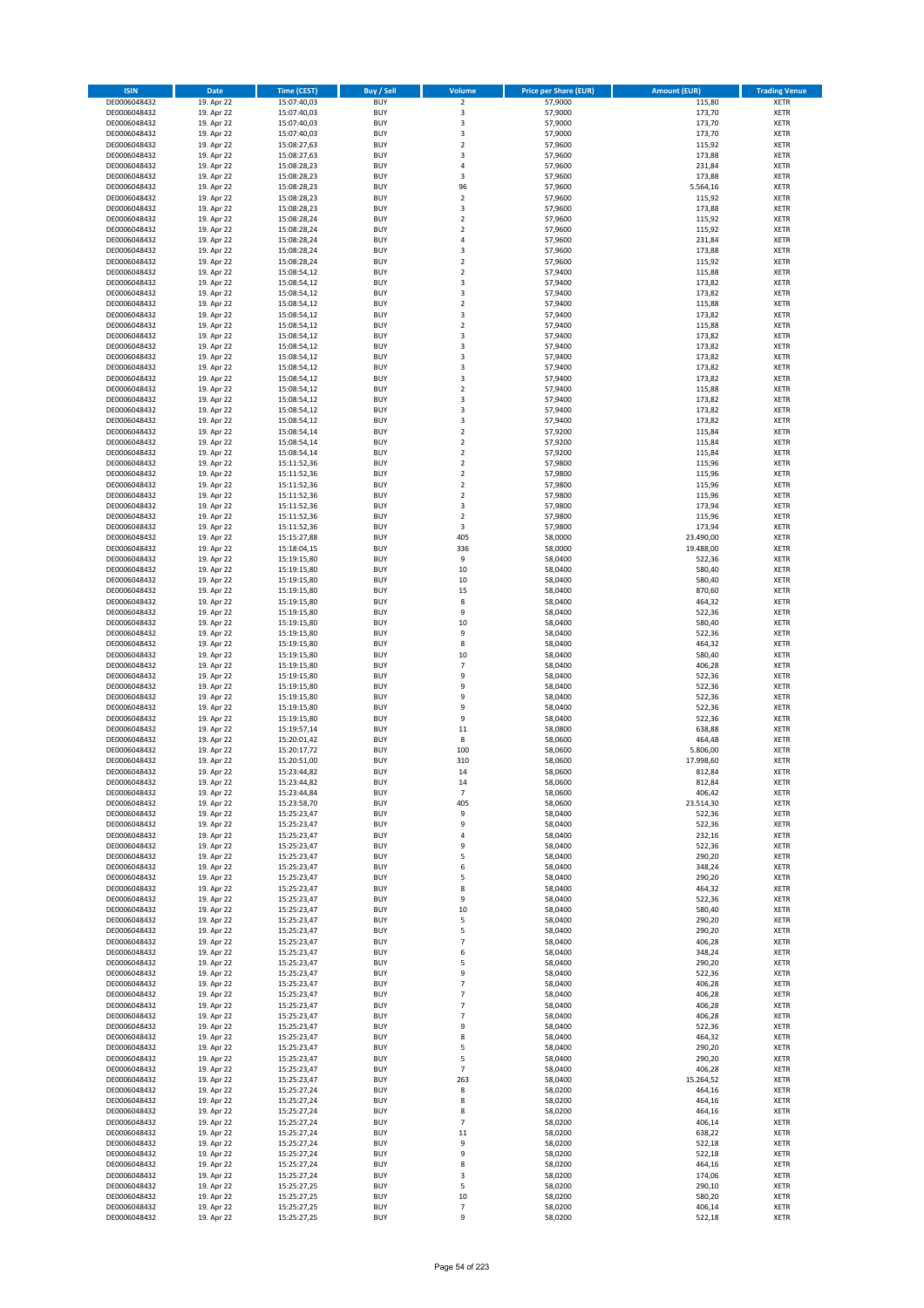| <b>ISIN</b>                  | <b>Date</b>              | <b>Time (CEST)</b>         | <b>Buy / Sell</b>        | <b>Volume</b>                          | <b>Price per Share (EUR)</b> | <b>Amount (EUR)</b>    | <b>Trading Venue</b>       |
|------------------------------|--------------------------|----------------------------|--------------------------|----------------------------------------|------------------------------|------------------------|----------------------------|
| DE0006048432                 | 19. Apr 22               | 15:07:40,03                | <b>BUY</b>               | $\overline{2}$                         | 57,9000                      | 115,80                 | <b>XETR</b>                |
| DE0006048432                 | 19. Apr 22               | 15:07:40,03                | <b>BUY</b>               | 3                                      | 57,9000                      | 173,70                 | <b>XETR</b>                |
| DE0006048432                 | 19. Apr 22               | 15:07:40,03                | <b>BUY</b>               | 3                                      | 57,9000                      | 173,70                 | <b>XETR</b>                |
| DE0006048432<br>DE0006048432 | 19. Apr 22<br>19. Apr 22 | 15:07:40,03<br>15:08:27,63 | <b>BUY</b><br><b>BUY</b> | 3<br>$\overline{\mathbf{c}}$           | 57,9000<br>57,9600           | 173,70<br>115,92       | <b>XETR</b><br><b>XETR</b> |
| DE0006048432                 | 19. Apr 22               | 15:08:27,63                | <b>BUY</b>               | 3                                      | 57,9600                      | 173,88                 | <b>XETR</b>                |
| DE0006048432                 | 19. Apr 22               | 15:08:28,23                | <b>BUY</b>               | 4                                      | 57,9600                      | 231,84                 | <b>XETR</b>                |
| DE0006048432                 | 19. Apr 22               | 15:08:28,23                | <b>BUY</b>               | 3                                      | 57,9600                      | 173,88                 | <b>XETR</b>                |
| DE0006048432                 | 19. Apr 22               | 15:08:28,23                | <b>BUY</b>               | 96                                     | 57,9600                      | 5.564,16               | <b>XETR</b>                |
| DE0006048432                 | 19. Apr 22               | 15:08:28,23                | <b>BUY</b><br><b>BUY</b> | $\overline{2}$<br>3                    | 57,9600<br>57,9600           | 115,92<br>173,88       | <b>XETR</b><br><b>XETR</b> |
| DE0006048432<br>DE0006048432 | 19. Apr 22<br>19. Apr 22 | 15:08:28,23<br>15:08:28,24 | <b>BUY</b>               | $\overline{\mathbf{c}}$                | 57,9600                      | 115,92                 | <b>XETR</b>                |
| DE0006048432                 | 19. Apr 22               | 15:08:28,24                | <b>BUY</b>               | $\mathbf 2$                            | 57,9600                      | 115,92                 | <b>XETR</b>                |
| DE0006048432                 | 19. Apr 22               | 15:08:28,24                | <b>BUY</b>               | 4                                      | 57,9600                      | 231,84                 | <b>XETR</b>                |
| DE0006048432                 | 19. Apr 22               | 15:08:28,24                | <b>BUY</b>               | 3                                      | 57,9600                      | 173,88                 | <b>XETR</b>                |
| DE0006048432                 | 19. Apr 22               | 15:08:28,24                | <b>BUY</b>               | $\overline{\mathbf{c}}$                | 57,9600                      | 115,92                 | <b>XETR</b>                |
| DE0006048432<br>DE0006048432 | 19. Apr 22<br>19. Apr 22 | 15:08:54,12<br>15:08:54,12 | <b>BUY</b><br><b>BUY</b> | $\mathbf 2$<br>3                       | 57,9400<br>57,9400           | 115,88<br>173,82       | <b>XETR</b><br><b>XETR</b> |
| DE0006048432                 | 19. Apr 22               | 15:08:54,12                | <b>BUY</b>               | 3                                      | 57,9400                      | 173,82                 | <b>XETR</b>                |
| DE0006048432                 | 19. Apr 22               | 15:08:54,12                | <b>BUY</b>               | $\mathbf 2$                            | 57,9400                      | 115,88                 | <b>XETR</b>                |
| DE0006048432                 | 19. Apr 22               | 15:08:54,12                | <b>BUY</b>               | 3                                      | 57,9400                      | 173,82                 | <b>XETR</b>                |
| DE0006048432                 | 19. Apr 22               | 15:08:54,12                | <b>BUY</b>               | $\mathbf 2$                            | 57,9400                      | 115,88                 | <b>XETR</b>                |
| DE0006048432<br>DE0006048432 | 19. Apr 22<br>19. Apr 22 | 15:08:54,12<br>15:08:54,12 | <b>BUY</b><br><b>BUY</b> | 3<br>3                                 | 57,9400<br>57,9400           | 173,82<br>173,82       | <b>XETR</b><br><b>XETR</b> |
| DE0006048432                 | 19. Apr 22               | 15:08:54,12                | <b>BUY</b>               | 3                                      | 57,9400                      | 173,82                 | <b>XETR</b>                |
| DE0006048432                 | 19. Apr 22               | 15:08:54,12                | <b>BUY</b>               | 3                                      | 57,9400                      | 173,82                 | <b>XETR</b>                |
| DE0006048432                 | 19. Apr 22               | 15:08:54,12                | <b>BUY</b>               | 3                                      | 57,9400                      | 173,82                 | <b>XETR</b>                |
| DE0006048432                 | 19. Apr 22               | 15:08:54,12                | <b>BUY</b>               | $\overline{\mathbf{c}}$                | 57,9400                      | 115,88                 | <b>XETR</b>                |
| DE0006048432<br>DE0006048432 | 19. Apr 22<br>19. Apr 22 | 15:08:54,12<br>15:08:54,12 | <b>BUY</b><br><b>BUY</b> | 3<br>3                                 | 57,9400<br>57,9400           | 173,82<br>173,82       | <b>XETR</b><br><b>XETR</b> |
| DE0006048432                 | 19. Apr 22               | 15:08:54,12                | <b>BUY</b>               | 3                                      | 57,9400                      | 173,82                 | <b>XETR</b>                |
| DE0006048432                 | 19. Apr 22               | 15:08:54,14                | <b>BUY</b>               | $\overline{2}$                         | 57,9200                      | 115,84                 | <b>XETR</b>                |
| DE0006048432                 | 19. Apr 22               | 15:08:54,14                | <b>BUY</b>               | $\mathbf 2$                            | 57,9200                      | 115,84                 | <b>XETR</b>                |
| DE0006048432                 | 19. Apr 22               | 15:08:54,14                | <b>BUY</b>               | $\mathbf 2$                            | 57,9200                      | 115,84                 | <b>XETR</b>                |
| DE0006048432                 | 19. Apr 22               | 15:11:52,36                | <b>BUY</b>               | $\overline{2}$                         | 57,9800                      | 115,96                 | <b>XETR</b>                |
| DE0006048432<br>DE0006048432 | 19. Apr 22<br>19. Apr 22 | 15:11:52,36<br>15:11:52,36 | <b>BUY</b><br><b>BUY</b> | $\mathbf 2$<br>$\overline{\mathbf{c}}$ | 57,9800<br>57,9800           | 115,96<br>115,96       | <b>XETR</b><br><b>XETR</b> |
| DE0006048432                 | 19. Apr 22               | 15:11:52,36                | <b>BUY</b>               | $\mathbf 2$                            | 57,9800                      | 115,96                 | <b>XETR</b>                |
| DE0006048432                 | 19. Apr 22               | 15:11:52,36                | <b>BUY</b>               | 3                                      | 57,9800                      | 173,94                 | <b>XETR</b>                |
| DE0006048432                 | 19. Apr 22               | 15:11:52,36                | <b>BUY</b>               | $\mathbf 2$                            | 57,9800                      | 115,96                 | <b>XETR</b>                |
| DE0006048432                 | 19. Apr 22               | 15:11:52,36                | <b>BUY</b>               | 3                                      | 57,9800                      | 173,94                 | <b>XETR</b>                |
| DE0006048432<br>DE0006048432 | 19. Apr 22<br>19. Apr 22 | 15:15:27,88<br>15:18:04,15 | <b>BUY</b><br><b>BUY</b> | 405<br>336                             | 58,0000<br>58,0000           | 23.490,00<br>19.488,00 | <b>XETR</b><br><b>XETR</b> |
| DE0006048432                 | 19. Apr 22               | 15:19:15,80                | <b>BUY</b>               | 9                                      | 58,0400                      | 522,36                 | <b>XETR</b>                |
| DE0006048432                 | 19. Apr 22               | 15:19:15,80                | <b>BUY</b>               | 10                                     | 58,0400                      | 580,40                 | <b>XETR</b>                |
| DE0006048432                 | 19. Apr 22               | 15:19:15,80                | <b>BUY</b>               | 10                                     | 58,0400                      | 580,40                 | <b>XETR</b>                |
| DE0006048432                 | 19. Apr 22               | 15:19:15,80                | <b>BUY</b>               | 15                                     | 58,0400                      | 870,60                 | <b>XETR</b>                |
| DE0006048432                 | 19. Apr 22               | 15:19:15,80                | <b>BUY</b>               | 8<br>9                                 | 58,0400                      | 464,32                 | <b>XETR</b>                |
| DE0006048432<br>DE0006048432 | 19. Apr 22<br>19. Apr 22 | 15:19:15,80<br>15:19:15,80 | <b>BUY</b><br><b>BUY</b> | 10                                     | 58,0400<br>58,0400           | 522,36<br>580,40       | <b>XETR</b><br><b>XETR</b> |
| DE0006048432                 | 19. Apr 22               | 15:19:15,80                | <b>BUY</b>               | 9                                      | 58,0400                      | 522,36                 | <b>XETR</b>                |
| DE0006048432                 | 19. Apr 22               | 15:19:15,80                | <b>BUY</b>               | 8                                      | 58,0400                      | 464,32                 | <b>XETR</b>                |
| DE0006048432                 | 19. Apr 22               | 15:19:15,80                | <b>BUY</b>               | 10                                     | 58,0400                      | 580,40                 | <b>XETR</b>                |
| DE0006048432                 | 19. Apr 22               | 15:19:15,80                | <b>BUY</b>               | $\overline{7}$                         | 58,0400                      | 406,28                 | <b>XETR</b>                |
| DE0006048432<br>DE0006048432 | 19. Apr 22<br>19. Apr 22 | 15:19:15,80<br>15:19:15,80 | <b>BUY</b><br><b>BUY</b> | 9<br>9                                 | 58,0400<br>58,0400           | 522,36<br>522,36       | <b>XETR</b><br><b>XETR</b> |
| DE0006048432                 | 19. Apr 22               | 15:19:15,80                | <b>BUY</b>               | 9                                      | 58,0400                      | 522,36                 | <b>XETR</b>                |
| DE0006048432                 | 19. Apr 22               | 15:19:15,80                | <b>BUY</b>               | 9                                      | 58,0400                      | 522,36                 | <b>XETR</b>                |
| DE0006048432                 | 19. Apr 22               | 15:19:15,80                | <b>BUY</b>               | 9                                      | 58,0400                      | 522,36                 | <b>XETR</b>                |
| DE0006048432                 | 19. Apr 22               | 15:19:57,14                | <b>BUY</b>               | 11                                     | 58,0800                      | 638,88                 | <b>XETR</b>                |
| DE0006048432<br>DE0006048432 | 19. Apr 22<br>19. Apr 22 | 15:20:01,42<br>15:20:17,72 | <b>BUY</b><br><b>BUY</b> | 8<br>100                               | 58,0600<br>58,0600           | 464,48<br>5.806,00     | <b>XETR</b><br><b>XETR</b> |
| DE0006048432                 | 19. Apr 22               | 15:20:51,00                | <b>BUY</b>               | 310                                    | 58,0600                      | 17.998,60              | <b>XETR</b>                |
| DE0006048432                 | 19. Apr 22               | 15:23:44,82                | <b>BUY</b>               | 14                                     | 58,0600                      | 812,84                 | <b>XETR</b>                |
| DE0006048432                 | 19. Apr 22               | 15:23:44,82                | BUY                      | 14                                     | 58,0600                      | 812,84                 | <b>XETR</b>                |
| DE0006048432                 | 19. Apr 22               | 15:23:44,84                | <b>BUY</b>               | $\overline{7}$                         | 58,0600                      | 406,42                 | <b>XETR</b>                |
| DE0006048432<br>DE0006048432 | 19. Apr 22<br>19. Apr 22 | 15:23:58,70<br>15:25:23,47 | <b>BUY</b><br><b>BUY</b> | 405<br>9                               | 58,0600<br>58,0400           | 23.514,30<br>522,36    | <b>XETR</b><br><b>XETR</b> |
| DE0006048432                 | 19. Apr 22               | 15:25:23,47                | <b>BUY</b>               | 9                                      | 58,0400                      | 522,36                 | <b>XETR</b>                |
| DE0006048432                 | 19. Apr 22               | 15:25:23,47                | <b>BUY</b>               | 4                                      | 58,0400                      | 232,16                 | <b>XETR</b>                |
| DE0006048432                 | 19. Apr 22               | 15:25:23,47                | <b>BUY</b>               | 9                                      | 58,0400                      | 522,36                 | <b>XETR</b>                |
| DE0006048432                 | 19. Apr 22               | 15:25:23,47                | <b>BUY</b>               | 5                                      | 58,0400                      | 290,20                 | <b>XETR</b>                |
| DE0006048432<br>DE0006048432 | 19. Apr 22<br>19. Apr 22 | 15:25:23,47<br>15:25:23,47 | <b>BUY</b><br><b>BUY</b> | 6<br>5                                 | 58,0400<br>58,0400           | 348,24<br>290,20       | <b>XETR</b><br><b>XETR</b> |
| DE0006048432                 | 19. Apr 22               | 15:25:23,47                | <b>BUY</b>               | 8                                      | 58,0400                      | 464,32                 | <b>XETR</b>                |
| DE0006048432                 | 19. Apr 22               | 15:25:23,47                | <b>BUY</b>               | 9                                      | 58.0400                      | 522,36                 | <b>XETR</b>                |
| DE0006048432                 | 19. Apr 22               | 15:25:23,47                | <b>BUY</b>               | 10                                     | 58,0400                      | 580,40                 | <b>XETR</b>                |
| DE0006048432<br>DE0006048432 | 19. Apr 22               | 15:25:23,47<br>15:25:23,47 | <b>BUY</b><br><b>BUY</b> | 5<br>5                                 | 58,0400<br>58,0400           | 290,20<br>290,20       | <b>XETR</b><br><b>XETR</b> |
| DE0006048432                 | 19. Apr 22<br>19. Apr 22 | 15:25:23,47                | <b>BUY</b>               | $\overline{7}$                         | 58,0400                      | 406,28                 | <b>XETR</b>                |
| DE0006048432                 | 19. Apr 22               | 15:25:23,47                | <b>BUY</b>               | 6                                      | 58,0400                      | 348,24                 | <b>XETR</b>                |
| DE0006048432                 | 19. Apr 22               | 15:25:23,47                | <b>BUY</b>               | 5                                      | 58,0400                      | 290,20                 | <b>XETR</b>                |
| DE0006048432                 | 19. Apr 22               | 15:25:23,47                | <b>BUY</b>               | 9                                      | 58,0400                      | 522,36                 | <b>XETR</b>                |
| DE0006048432<br>DE0006048432 | 19. Apr 22<br>19. Apr 22 | 15:25:23,47<br>15:25:23,47 | <b>BUY</b><br><b>BUY</b> | $\overline{7}$<br>$\overline{7}$       | 58,0400<br>58,0400           | 406,28<br>406,28       | <b>XETR</b><br><b>XETR</b> |
| DE0006048432                 | 19. Apr 22               | 15:25:23,47                | <b>BUY</b>               | $\overline{7}$                         | 58,0400                      | 406,28                 | <b>XETR</b>                |
| DE0006048432                 | 19. Apr 22               | 15:25:23,47                | <b>BUY</b>               | $\overline{7}$                         | 58,0400                      | 406,28                 | <b>XETR</b>                |
| DE0006048432                 | 19. Apr 22               | 15:25:23,47                | <b>BUY</b>               | 9                                      | 58,0400                      | 522,36                 | <b>XETR</b>                |
| DE0006048432                 | 19. Apr 22               | 15:25:23,47                | <b>BUY</b>               | 8                                      | 58,0400                      | 464,32                 | <b>XETR</b>                |
| DE0006048432<br>DE0006048432 | 19. Apr 22<br>19. Apr 22 | 15:25:23,47                | <b>BUY</b><br><b>BUY</b> | 5<br>5                                 | 58,0400<br>58,0400           | 290,20<br>290,20       | <b>XETR</b><br><b>XETR</b> |
| DE0006048432                 | 19. Apr 22               | 15:25:23,47<br>15:25:23,47 | <b>BUY</b>               | $\overline{7}$                         | 58,0400                      | 406,28                 | <b>XETR</b>                |
| DE0006048432                 | 19. Apr 22               | 15:25:23,47                | <b>BUY</b>               | 263                                    | 58,0400                      | 15.264,52              | <b>XETR</b>                |
| DE0006048432                 | 19. Apr 22               | 15:25:27,24                | <b>BUY</b>               | 8                                      | 58,0200                      | 464,16                 | <b>XETR</b>                |
| DE0006048432                 | 19. Apr 22               | 15:25:27,24                | <b>BUY</b>               | 8                                      | 58,0200                      | 464,16                 | <b>XETR</b>                |
| DE0006048432                 | 19. Apr 22               | 15:25:27,24                | <b>BUY</b>               | 8                                      | 58,0200                      | 464,16                 | <b>XETR</b>                |
| DE0006048432<br>DE0006048432 | 19. Apr 22<br>19. Apr 22 | 15:25:27,24<br>15:25:27,24 | <b>BUY</b><br><b>BUY</b> | $\overline{7}$<br>11                   | 58,0200<br>58,0200           | 406,14<br>638,22       | <b>XETR</b><br><b>XETR</b> |
| DE0006048432                 | 19. Apr 22               | 15:25:27,24                | <b>BUY</b>               | 9                                      | 58,0200                      | 522,18                 | <b>XETR</b>                |
| DE0006048432                 | 19. Apr 22               | 15:25:27,24                | <b>BUY</b>               | 9                                      | 58,0200                      | 522,18                 | <b>XETR</b>                |
| DE0006048432                 | 19. Apr 22               | 15:25:27,24                | <b>BUY</b>               | 8                                      | 58,0200                      | 464,16                 | <b>XETR</b>                |
| DE0006048432                 | 19. Apr 22               | 15:25:27,24                | <b>BUY</b>               | 3                                      | 58,0200                      | 174,06                 | <b>XETR</b>                |
| DE0006048432<br>DE0006048432 | 19. Apr 22<br>19. Apr 22 | 15:25:27,25<br>15:25:27,25 | <b>BUY</b><br><b>BUY</b> | 5<br>10                                | 58,0200<br>58,0200           | 290,10<br>580,20       | <b>XETR</b><br>XETR        |
| DE0006048432                 | 19. Apr 22               | 15:25:27,25                | <b>BUY</b>               | $\overline{7}$                         | 58,0200                      | 406,14                 | <b>XETR</b>                |
| DE0006048432                 | 19. Apr 22               | 15:25:27,25                | <b>BUY</b>               | 9                                      | 58,0200                      | 522,18                 | <b>XETR</b>                |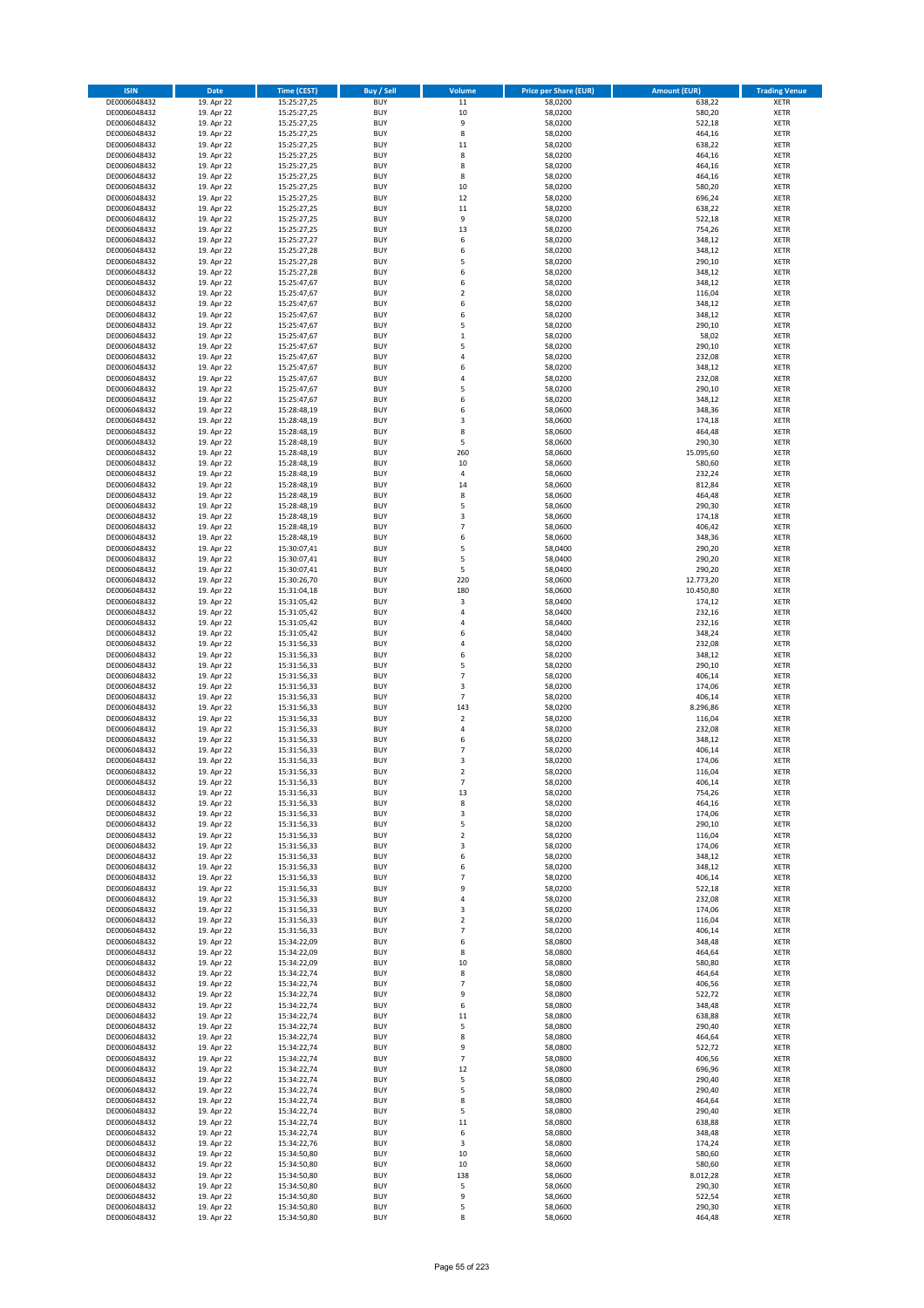| <b>ISIN</b>                  | <b>Date</b>              | <b>Time (CEST)</b>         | <b>Buy / Sell</b>        | Volume                  | <b>Price per Share (EUR)</b> | <b>Amount (EUR)</b>    | <b>Trading Venue</b>       |
|------------------------------|--------------------------|----------------------------|--------------------------|-------------------------|------------------------------|------------------------|----------------------------|
| DE0006048432                 | 19. Apr 22               | 15:25:27,25                | <b>BUY</b>               | $11\,$                  | 58,0200                      | 638,22                 | <b>XETR</b>                |
| DE0006048432                 | 19. Apr 22               | 15:25:27,25                | <b>BUY</b>               | 10                      | 58,0200                      | 580,20                 | <b>XETR</b>                |
| DE0006048432                 | 19. Apr 22               | 15:25:27,25                | <b>BUY</b>               | 9                       | 58,0200                      | 522,18                 | <b>XETR</b>                |
| DE0006048432                 | 19. Apr 22               | 15:25:27,25                | <b>BUY</b>               | 8                       | 58,0200                      | 464,16                 | <b>XETR</b>                |
| DE0006048432                 | 19. Apr 22               | 15:25:27,25                | <b>BUY</b>               | $11\,$                  | 58,0200                      | 638,22                 | <b>XETR</b>                |
| DE0006048432                 | 19. Apr 22               | 15:25:27,25                | <b>BUY</b>               | 8                       | 58,0200                      | 464,16                 | <b>XETR</b>                |
| DE0006048432                 | 19. Apr 22               | 15:25:27,25                | <b>BUY</b>               | 8                       | 58,0200                      | 464,16                 | <b>XETR</b>                |
| DE0006048432                 | 19. Apr 22               | 15:25:27,25                | <b>BUY</b>               | 8                       | 58,0200                      | 464,16                 | <b>XETR</b>                |
| DE0006048432                 | 19. Apr 22               | 15:25:27,25                | BUY<br><b>BUY</b>        | 10<br>12                | 58,0200                      | 580,20                 | <b>XETR</b>                |
| DE0006048432<br>DE0006048432 | 19. Apr 22<br>19. Apr 22 | 15:25:27,25<br>15:25:27,25 | <b>BUY</b>               | $11\,$                  | 58,0200<br>58,0200           | 696,24<br>638,22       | <b>XETR</b><br><b>XETR</b> |
| DE0006048432                 | 19. Apr 22               | 15:25:27,25                | <b>BUY</b>               | 9                       | 58,0200                      | 522,18                 | <b>XETR</b>                |
| DE0006048432                 | 19. Apr 22               | 15:25:27,25                | <b>BUY</b>               | 13                      | 58,0200                      | 754,26                 | <b>XETR</b>                |
| DE0006048432                 | 19. Apr 22               | 15:25:27,27                | <b>BUY</b>               | 6                       | 58,0200                      | 348,12                 | <b>XETR</b>                |
| DE0006048432                 | 19. Apr 22               | 15:25:27,28                | <b>BUY</b>               | 6                       | 58,0200                      | 348,12                 | <b>XETR</b>                |
| DE0006048432                 | 19. Apr 22               | 15:25:27,28                | BUY                      | 5                       | 58,0200                      | 290,10                 | <b>XETR</b>                |
| DE0006048432                 | 19. Apr 22               | 15:25:27,28                | <b>BUY</b>               | 6                       | 58,0200                      | 348,12                 | <b>XETR</b>                |
| DE0006048432                 | 19. Apr 22               | 15:25:47,67                | <b>BUY</b>               | 6                       | 58,0200                      | 348,12                 | <b>XETR</b>                |
| DE0006048432                 | 19. Apr 22               | 15:25:47,67                | <b>BUY</b>               | $\overline{2}$          | 58,0200                      | 116,04                 | <b>XETR</b>                |
| DE0006048432                 | 19. Apr 22               | 15:25:47,67                | <b>BUY</b>               | 6                       | 58,0200                      | 348,12                 | <b>XETR</b>                |
| DE0006048432                 | 19. Apr 22               | 15:25:47,67                | <b>BUY</b>               | 6                       | 58,0200                      | 348,12                 | <b>XETR</b>                |
| DE0006048432<br>DE0006048432 | 19. Apr 22<br>19. Apr 22 | 15:25:47,67<br>15:25:47,67 | <b>BUY</b><br><b>BUY</b> | 5<br>$\mathbf{1}$       | 58,0200<br>58,0200           | 290,10<br>58,02        | <b>XETR</b><br><b>XETR</b> |
| DE0006048432                 | 19. Apr 22               | 15:25:47,67                | <b>BUY</b>               | 5                       | 58,0200                      | 290,10                 | <b>XETR</b>                |
| DE0006048432                 | 19. Apr 22               | 15:25:47,67                | <b>BUY</b>               | $\overline{4}$          | 58,0200                      | 232,08                 | <b>XETR</b>                |
| DE0006048432                 | 19. Apr 22               | 15:25:47,67                | <b>BUY</b>               | 6                       | 58,0200                      | 348,12                 | <b>XETR</b>                |
| DE0006048432                 | 19. Apr 22               | 15:25:47,67                | <b>BUY</b>               | $\overline{a}$          | 58,0200                      | 232,08                 | <b>XETR</b>                |
| DE0006048432                 | 19. Apr 22               | 15:25:47,67                | <b>BUY</b>               | 5                       | 58,0200                      | 290,10                 | <b>XETR</b>                |
| DE0006048432                 | 19. Apr 22               | 15:25:47,67                | <b>BUY</b>               | 6                       | 58,0200                      | 348,12                 | <b>XETR</b>                |
| DE0006048432                 | 19. Apr 22               | 15:28:48,19                | <b>BUY</b>               | 6                       | 58,0600                      | 348,36                 | <b>XETR</b>                |
| DE0006048432                 | 19. Apr 22               | 15:28:48,19                | <b>BUY</b>               | $\overline{\mathbf{3}}$ | 58,0600                      | 174,18                 | <b>XETR</b>                |
| DE0006048432                 | 19. Apr 22               | 15:28:48,19                | <b>BUY</b>               | 8                       | 58,0600                      | 464,48                 | <b>XETR</b>                |
| DE0006048432                 | 19. Apr 22               | 15:28:48,19                | <b>BUY</b><br><b>BUY</b> | 5<br>260                | 58,0600<br>58,0600           | 290,30                 | <b>XETR</b><br><b>XETR</b> |
| DE0006048432<br>DE0006048432 | 19. Apr 22<br>19. Apr 22 | 15:28:48,19<br>15:28:48,19 | <b>BUY</b>               | 10                      | 58,0600                      | 15.095,60<br>580,60    | <b>XETR</b>                |
| DE0006048432                 | 19. Apr 22               | 15:28:48,19                | <b>BUY</b>               | 4                       | 58,0600                      | 232,24                 | <b>XETR</b>                |
| DE0006048432                 | 19. Apr 22               | 15:28:48,19                | <b>BUY</b>               | 14                      | 58,0600                      | 812,84                 | <b>XETR</b>                |
| DE0006048432                 | 19. Apr 22               | 15:28:48,19                | BUY                      | 8                       | 58,0600                      | 464,48                 | <b>XETR</b>                |
| DE0006048432                 | 19. Apr 22               | 15:28:48,19                | <b>BUY</b>               | 5                       | 58,0600                      | 290,30                 | <b>XETR</b>                |
| DE0006048432                 | 19. Apr 22               | 15:28:48,19                | <b>BUY</b>               | 3                       | 58,0600                      | 174,18                 | <b>XETR</b>                |
| DE0006048432                 | 19. Apr 22               | 15:28:48,19                | <b>BUY</b>               | $\overline{7}$          | 58,0600                      | 406,42                 | <b>XETR</b>                |
| DE0006048432                 | 19. Apr 22               | 15:28:48,19                | <b>BUY</b>               | 6                       | 58,0600                      | 348,36                 | <b>XETR</b>                |
| DE0006048432                 | 19. Apr 22               | 15:30:07,41                | <b>BUY</b>               | 5                       | 58,0400                      | 290,20                 | <b>XETR</b>                |
| DE0006048432                 | 19. Apr 22               | 15:30:07,41                | <b>BUY</b>               | 5                       | 58,0400                      | 290,20                 | <b>XETR</b>                |
| DE0006048432                 | 19. Apr 22               | 15:30:07,41                | <b>BUY</b>               | 5                       | 58,0400                      | 290,20                 | <b>XETR</b>                |
| DE0006048432                 | 19. Apr 22               | 15:30:26,70                | <b>BUY</b><br><b>BUY</b> | 220                     | 58,0600                      | 12.773,20<br>10.450,80 | <b>XETR</b><br><b>XETR</b> |
| DE0006048432<br>DE0006048432 | 19. Apr 22<br>19. Apr 22 | 15:31:04,18<br>15:31:05,42 | <b>BUY</b>               | 180<br>3                | 58,0600<br>58,0400           | 174,12                 | <b>XETR</b>                |
| DE0006048432                 | 19. Apr 22               | 15:31:05,42                | <b>BUY</b>               | 4                       | 58,0400                      | 232,16                 | <b>XETR</b>                |
| DE0006048432                 | 19. Apr 22               | 15:31:05,42                | <b>BUY</b>               | $\overline{a}$          | 58,0400                      | 232,16                 | <b>XETR</b>                |
| DE0006048432                 | 19. Apr 22               | 15:31:05,42                | <b>BUY</b>               | 6                       | 58,0400                      | 348,24                 | <b>XETR</b>                |
| DE0006048432                 | 19. Apr 22               | 15:31:56,33                | <b>BUY</b>               | $\overline{a}$          | 58,0200                      | 232,08                 | <b>XETR</b>                |
| DE0006048432                 | 19. Apr 22               | 15:31:56,33                | <b>BUY</b>               | 6                       | 58,0200                      | 348,12                 | <b>XETR</b>                |
| DE0006048432                 | 19. Apr 22               | 15:31:56,33                | <b>BUY</b>               | 5                       | 58,0200                      | 290,10                 | <b>XETR</b>                |
| DE0006048432                 | 19. Apr 22               | 15:31:56,33                | <b>BUY</b>               | $\overline{7}$          | 58,0200                      | 406,14                 | <b>XETR</b>                |
| DE0006048432                 | 19. Apr 22               | 15:31:56,33                | <b>BUY</b>               | $\overline{3}$          | 58,0200                      | 174,06                 | <b>XETR</b>                |
| DE0006048432                 | 19. Apr 22               | 15:31:56,33                | <b>BUY</b>               | $\overline{7}$          | 58,0200                      | 406,14                 | <b>XETR</b>                |
| DE0006048432<br>DE0006048432 | 19. Apr 22<br>19. Apr 22 | 15:31:56,33<br>15:31:56,33 | <b>BUY</b><br>BUY        | 143<br>$\overline{2}$   | 58,0200<br>58,0200           | 8.296,86<br>116,04     | <b>XETR</b><br><b>XETR</b> |
| DE0006048432                 | 19. Apr 22               | 15:31:56,33                | <b>BUY</b>               | $\overline{4}$          | 58,0200                      | 232,08                 | <b>XETR</b>                |
| DE0006048432                 | 19. Apr 22               | 15:31:56,33                | <b>BUY</b>               | 6                       | 58,0200                      | 348,12                 | <b>XETR</b>                |
| DE0006048432                 | 19. Apr 22               | 15:31:56,33                | BUY                      | $\overline{7}$          | 58,0200                      | 406,14                 | <b>XETR</b>                |
| DE0006048432                 | 19. Apr 22               | 15:31:56,33                | BUY                      | $\overline{\mathbf{3}}$ | 58,0200                      | 174,06                 | <b>XETR</b>                |
| DE0006048432                 | 19. Apr 22               | 15:31:56,33                | <b>BUY</b>               | $\overline{2}$          | 58,0200                      | 116,04                 | <b>XETR</b>                |
| DE0006048432                 | 19. Apr 22               | 15:31:56,33                | <b>BUY</b>               | 7                       | 58,0200                      | 406,14                 | <b>XETR</b>                |
| DE0006048432                 | 19. Apr 22               | 15:31:56,33                | <b>BUY</b>               | 13                      | 58,0200                      | 754,26                 | <b>XETR</b>                |
| DE0006048432                 | 19. Apr 22               | 15:31:56,33                | <b>BUY</b>               | 8                       | 58,0200                      | 464,16                 | <b>XETR</b>                |
| DE0006048432<br>DE0006048432 | 19. Apr 22               | 15:31:56,33                | <b>BUY</b><br><b>BUY</b> | 3                       | 58,0200                      | 174,06                 | <b>XETR</b><br><b>XETR</b> |
| DE0006048432                 | 19. Apr 22<br>19. Apr 22 | 15:31:56,33<br>15:31:56,33 | <b>BUY</b>               | 5<br>$\mathbf 2$        | 58,0200<br>58,0200           | 290,10<br>116,04       | <b>XETR</b>                |
| DE0006048432                 | 19. Apr 22               | 15:31:56,33                | <b>BUY</b>               | 3                       | 58,0200                      | 174,06                 | <b>XETR</b>                |
| DE0006048432                 | 19. Apr 22               | 15:31:56,33                | <b>BUY</b>               | 6                       | 58,0200                      | 348,12                 | <b>XETR</b>                |
| DE0006048432                 | 19. Apr 22               | 15:31:56,33                | <b>BUY</b>               | 6                       | 58,0200                      | 348,12                 | <b>XETR</b>                |
| DE0006048432                 | 19. Apr 22               | 15:31:56,33                | <b>BUY</b>               | 7                       | 58,0200                      | 406,14                 | <b>XETR</b>                |
| DE0006048432                 | 19. Apr 22               | 15:31:56,33                | <b>BUY</b>               | 9                       | 58,0200                      | 522,18                 | <b>XETR</b>                |
| DE0006048432                 | 19. Apr 22               | 15:31:56,33                | <b>BUY</b>               | $\overline{4}$          | 58,0200                      | 232,08                 | <b>XETR</b>                |
| DE0006048432                 | 19. Apr 22               | 15:31:56,33                | <b>BUY</b>               | 3                       | 58,0200                      | 174,06                 | <b>XETR</b>                |
| DE0006048432                 | 19. Apr 22               | 15:31:56,33                | <b>BUY</b>               | 2<br>$\overline{7}$     | 58,0200                      | 116,04                 | <b>XETR</b>                |
| DE0006048432<br>DE0006048432 | 19. Apr 22               | 15:31:56,33<br>15:34:22,09 | <b>BUY</b><br><b>BUY</b> | 6                       | 58,0200<br>58,0800           | 406,14                 | <b>XETR</b><br><b>XETR</b> |
| DE0006048432                 | 19. Apr 22<br>19. Apr 22 | 15:34:22,09                | <b>BUY</b>               | 8                       | 58,0800                      | 348,48<br>464,64       | <b>XETR</b>                |
| DE0006048432                 | 19. Apr 22               | 15:34:22,09                | <b>BUY</b>               | $10\,$                  | 58,0800                      | 580,80                 | <b>XETR</b>                |
| DE0006048432                 | 19. Apr 22               | 15:34:22,74                | <b>BUY</b>               | 8                       | 58,0800                      | 464,64                 | <b>XETR</b>                |
| DE0006048432                 | 19. Apr 22               | 15:34:22,74                | <b>BUY</b>               | $\overline{7}$          | 58,0800                      | 406,56                 | <b>XETR</b>                |
| DE0006048432                 | 19. Apr 22               | 15:34:22,74                | <b>BUY</b>               | 9                       | 58,0800                      | 522,72                 | <b>XETR</b>                |
| DE0006048432                 | 19. Apr 22               | 15:34:22,74                | <b>BUY</b>               | 6                       | 58,0800                      | 348,48                 | <b>XETR</b>                |
| DE0006048432                 | 19. Apr 22               | 15:34:22,74                | <b>BUY</b>               | 11                      | 58,0800                      | 638,88                 | <b>XETR</b>                |
| DE0006048432                 | 19. Apr 22               | 15:34:22,74                | <b>BUY</b>               | 5                       | 58,0800                      | 290,40                 | <b>XETR</b>                |
| DE0006048432                 | 19. Apr 22               | 15:34:22,74                | <b>BUY</b><br><b>BUY</b> | 8<br>9                  | 58,0800                      | 464,64                 | <b>XETR</b>                |
| DE0006048432<br>DE0006048432 | 19. Apr 22<br>19. Apr 22 | 15:34:22,74<br>15:34:22,74 | <b>BUY</b>               | $\overline{7}$          | 58,0800<br>58,0800           | 522,72<br>406,56       | <b>XETR</b><br><b>XETR</b> |
| DE0006048432                 | 19. Apr 22               | 15:34:22,74                | <b>BUY</b>               | 12                      | 58,0800                      | 696,96                 | <b>XETR</b>                |
| DE0006048432                 | 19. Apr 22               | 15:34:22,74                | <b>BUY</b>               | 5                       | 58,0800                      | 290,40                 | <b>XETR</b>                |
| DE0006048432                 | 19. Apr 22               | 15:34:22,74                | <b>BUY</b>               | 5                       | 58,0800                      | 290,40                 | <b>XETR</b>                |
| DE0006048432                 | 19. Apr 22               | 15:34:22,74                | <b>BUY</b>               | 8                       | 58,0800                      | 464,64                 | <b>XETR</b>                |
| DE0006048432                 | 19. Apr 22               | 15:34:22,74                | <b>BUY</b>               | 5                       | 58,0800                      | 290,40                 | <b>XETR</b>                |
| DE0006048432                 | 19. Apr 22               | 15:34:22,74                | <b>BUY</b>               | 11                      | 58,0800                      | 638,88                 | <b>XETR</b>                |
| DE0006048432                 | 19. Apr 22               | 15:34:22,74                | <b>BUY</b>               | 6                       | 58,0800                      | 348,48                 | <b>XETR</b>                |
| DE0006048432                 | 19. Apr 22               | 15:34:22,76                | <b>BUY</b>               | 3                       | 58,0800                      | 174,24                 | <b>XETR</b>                |
| DE0006048432                 | 19. Apr 22               | 15:34:50,80                | <b>BUY</b>               | $10\,$                  | 58,0600                      | 580,60                 | <b>XETR</b>                |
| DE0006048432<br>DE0006048432 | 19. Apr 22<br>19. Apr 22 | 15:34:50,80<br>15:34:50,80 | <b>BUY</b><br><b>BUY</b> | 10<br>138               | 58,0600<br>58,0600           | 580,60<br>8.012,28     | <b>XETR</b><br><b>XETR</b> |
| DE0006048432                 | 19. Apr 22               | 15:34:50,80                | <b>BUY</b>               | 5                       | 58,0600                      | 290,30                 | <b>XETR</b>                |
| DE0006048432                 | 19. Apr 22               | 15:34:50,80                | <b>BUY</b>               | 9                       | 58,0600                      | 522,54                 | <b>XETR</b>                |
| DE0006048432                 | 19. Apr 22               | 15:34:50,80                | <b>BUY</b>               | 5                       | 58,0600                      | 290,30                 | <b>XETR</b>                |
| DE0006048432                 | 19. Apr 22               | 15:34:50,80                | <b>BUY</b>               | 8                       | 58,0600                      | 464,48                 | <b>XETR</b>                |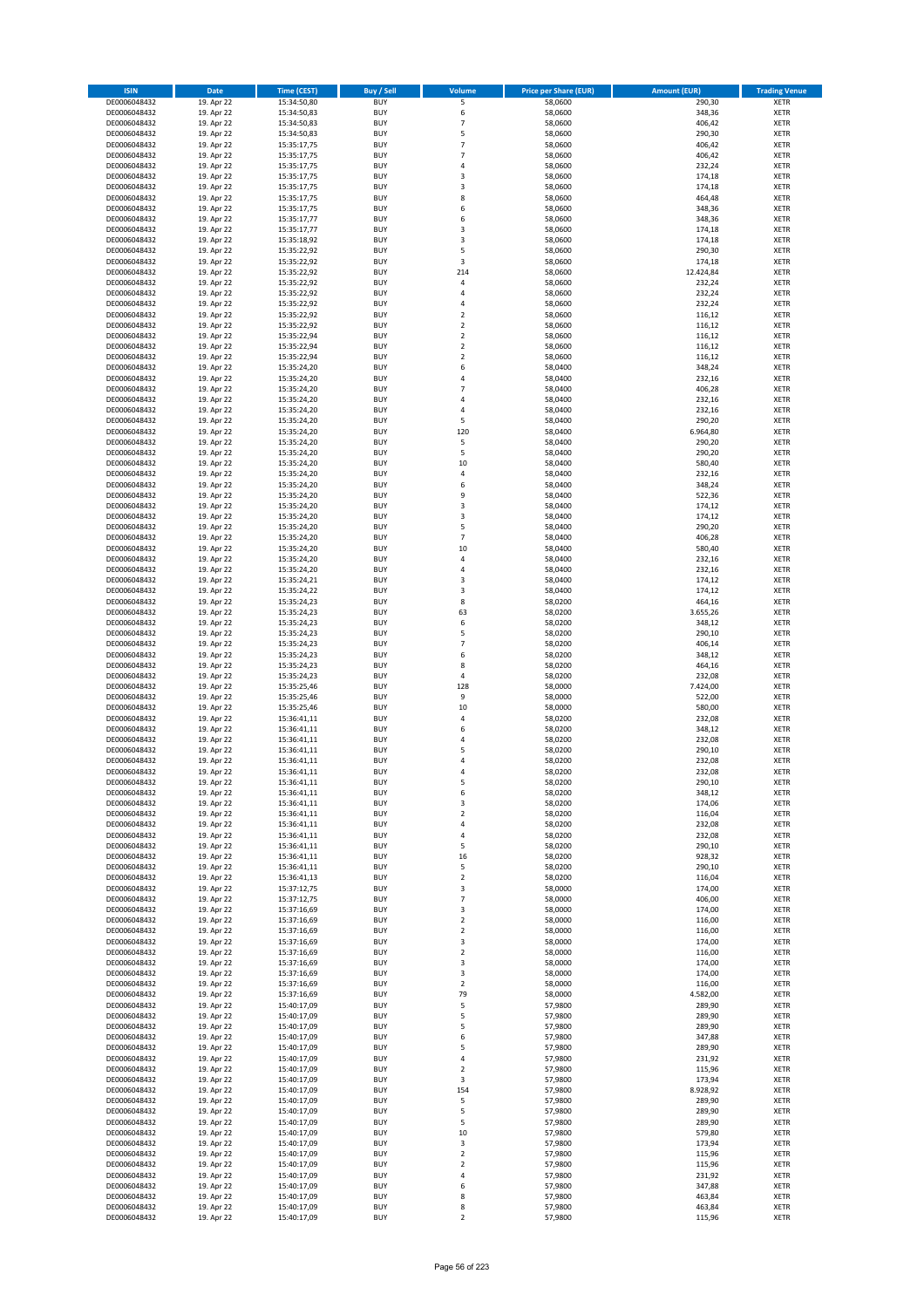| <b>ISIN</b>                  | <b>Date</b>              | <b>Time (CEST)</b>         | <b>Buy / Sell</b>        | <b>Volume</b>              | <b>Price per Share (EUR)</b> | <b>Amount (EUR)</b> | <b>Trading Venue</b>       |
|------------------------------|--------------------------|----------------------------|--------------------------|----------------------------|------------------------------|---------------------|----------------------------|
| DE0006048432                 | 19. Apr 22               | 15:34:50,80                | <b>BUY</b>               | 5                          | 58,0600                      | 290,30              | <b>XETR</b>                |
| DE0006048432                 | 19. Apr 22               | 15:34:50,83                | <b>BUY</b>               | 6                          | 58,0600                      | 348,36              | <b>XETR</b>                |
| DE0006048432                 | 19. Apr 22               | 15:34:50,83                | <b>BUY</b>               | $\overline{7}$             | 58,0600                      | 406,42              | <b>XETR</b>                |
| DE0006048432<br>DE0006048432 | 19. Apr 22<br>19. Apr 22 | 15:34:50,83<br>15:35:17,75 | <b>BUY</b><br><b>BUY</b> | 5<br>$\overline{7}$        | 58,0600<br>58,0600           | 290,30<br>406,42    | <b>XETR</b><br><b>XETR</b> |
| DE0006048432                 | 19. Apr 22               | 15:35:17,75                | <b>BUY</b>               | $\overline{7}$             | 58,0600                      | 406,42              | <b>XETR</b>                |
| DE0006048432                 | 19. Apr 22               | 15:35:17,75                | <b>BUY</b>               | 4                          | 58,0600                      | 232,24              | <b>XETR</b>                |
| DE0006048432                 | 19. Apr 22               | 15:35:17,75                | <b>BUY</b>               | 3                          | 58,0600                      | 174,18              | <b>XETR</b>                |
| DE0006048432                 | 19. Apr 22               | 15:35:17,75                | <b>BUY</b>               | 3                          | 58,0600                      | 174,18              | <b>XETR</b>                |
| DE0006048432                 | 19. Apr 22               | 15:35:17,75                | <b>BUY</b><br><b>BUY</b> | 8                          | 58,0600                      | 464,48              | <b>XETR</b>                |
| DE0006048432<br>DE0006048432 | 19. Apr 22<br>19. Apr 22 | 15:35:17,75<br>15:35:17,77 | <b>BUY</b>               | 6<br>6                     | 58,0600<br>58,0600           | 348,36<br>348,36    | <b>XETR</b><br><b>XETR</b> |
| DE0006048432                 | 19. Apr 22               | 15:35:17,77                | <b>BUY</b>               | 3                          | 58,0600                      | 174,18              | <b>XETR</b>                |
| DE0006048432                 | 19. Apr 22               | 15:35:18,92                | <b>BUY</b>               | 3                          | 58,0600                      | 174,18              | <b>XETR</b>                |
| DE0006048432                 | 19. Apr 22               | 15:35:22,92                | <b>BUY</b>               | 5                          | 58,0600                      | 290,30              | <b>XETR</b>                |
| DE0006048432                 | 19. Apr 22               | 15:35:22,92                | <b>BUY</b>               | 3                          | 58,0600                      | 174,18              | <b>XETR</b>                |
| DE0006048432                 | 19. Apr 22               | 15:35:22,92                | <b>BUY</b><br><b>BUY</b> | 214                        | 58,0600                      | 12.424,84           | <b>XETR</b><br><b>XETR</b> |
| DE0006048432<br>DE0006048432 | 19. Apr 22<br>19. Apr 22 | 15:35:22,92<br>15:35:22,92 | <b>BUY</b>               | 4<br>4                     | 58,0600<br>58,0600           | 232,24<br>232,24    | <b>XETR</b>                |
| DE0006048432                 | 19. Apr 22               | 15:35:22,92                | <b>BUY</b>               | 4                          | 58,0600                      | 232,24              | <b>XETR</b>                |
| DE0006048432                 | 19. Apr 22               | 15:35:22,92                | <b>BUY</b>               | $\overline{\mathbf{c}}$    | 58,0600                      | 116,12              | <b>XETR</b>                |
| DE0006048432                 | 19. Apr 22               | 15:35:22,92                | <b>BUY</b>               | $\mathbf 2$                | 58,0600                      | 116,12              | <b>XETR</b>                |
| DE0006048432                 | 19. Apr 22               | 15:35:22,94                | <b>BUY</b>               | $\mathbf 2$                | 58,0600                      | 116,12              | <b>XETR</b>                |
| DE0006048432<br>DE0006048432 | 19. Apr 22               | 15:35:22,94                | <b>BUY</b><br><b>BUY</b> | $\mathbf 2$<br>$\mathbf 2$ | 58,0600<br>58,0600           | 116,12              | <b>XETR</b><br><b>XETR</b> |
| DE0006048432                 | 19. Apr 22<br>19. Apr 22 | 15:35:22,94<br>15:35:24,20 | <b>BUY</b>               | 6                          | 58,0400                      | 116,12<br>348,24    | <b>XETR</b>                |
| DE0006048432                 | 19. Apr 22               | 15:35:24,20                | <b>BUY</b>               | 4                          | 58,0400                      | 232,16              | <b>XETR</b>                |
| DE0006048432                 | 19. Apr 22               | 15:35:24,20                | <b>BUY</b>               | $\overline{7}$             | 58,0400                      | 406,28              | <b>XETR</b>                |
| DE0006048432                 | 19. Apr 22               | 15:35:24,20                | <b>BUY</b>               | 4                          | 58,0400                      | 232,16              | <b>XETR</b>                |
| DE0006048432                 | 19. Apr 22               | 15:35:24,20                | <b>BUY</b>               | 4                          | 58,0400                      | 232,16              | <b>XETR</b>                |
| DE0006048432<br>DE0006048432 | 19. Apr 22<br>19. Apr 22 | 15:35:24,20<br>15:35:24,20 | <b>BUY</b><br><b>BUY</b> | 5<br>120                   | 58,0400<br>58,0400           | 290,20<br>6.964,80  | <b>XETR</b><br><b>XETR</b> |
| DE0006048432                 | 19. Apr 22               | 15:35:24,20                | <b>BUY</b>               | 5                          | 58,0400                      | 290,20              | <b>XETR</b>                |
| DE0006048432                 | 19. Apr 22               | 15:35:24,20                | <b>BUY</b>               | 5                          | 58,0400                      | 290,20              | <b>XETR</b>                |
| DE0006048432                 | 19. Apr 22               | 15:35:24,20                | <b>BUY</b>               | 10                         | 58,0400                      | 580,40              | <b>XETR</b>                |
| DE0006048432                 | 19. Apr 22               | 15:35:24,20                | <b>BUY</b>               | 4                          | 58,0400                      | 232,16              | <b>XETR</b>                |
| DE0006048432                 | 19. Apr 22               | 15:35:24,20                | <b>BUY</b>               | 6                          | 58,0400                      | 348,24              | <b>XETR</b>                |
| DE0006048432<br>DE0006048432 | 19. Apr 22<br>19. Apr 22 | 15:35:24,20<br>15:35:24,20 | <b>BUY</b><br><b>BUY</b> | 9<br>3                     | 58,0400<br>58,0400           | 522,36<br>174,12    | <b>XETR</b><br><b>XETR</b> |
| DE0006048432                 | 19. Apr 22               | 15:35:24,20                | <b>BUY</b>               | 3                          | 58,0400                      | 174,12              | <b>XETR</b>                |
| DE0006048432                 | 19. Apr 22               | 15:35:24,20                | <b>BUY</b>               | 5                          | 58,0400                      | 290,20              | <b>XETR</b>                |
| DE0006048432                 | 19. Apr 22               | 15:35:24,20                | <b>BUY</b>               | $\overline{7}$             | 58,0400                      | 406,28              | <b>XETR</b>                |
| DE0006048432                 | 19. Apr 22               | 15:35:24,20                | <b>BUY</b>               | 10                         | 58,0400                      | 580,40              | <b>XETR</b>                |
| DE0006048432                 | 19. Apr 22               | 15:35:24,20                | <b>BUY</b>               | 4                          | 58,0400                      | 232,16              | <b>XETR</b>                |
| DE0006048432<br>DE0006048432 | 19. Apr 22               | 15:35:24,20                | <b>BUY</b><br><b>BUY</b> | 4<br>3                     | 58,0400<br>58,0400           | 232,16<br>174,12    | <b>XETR</b><br><b>XETR</b> |
| DE0006048432                 | 19. Apr 22<br>19. Apr 22 | 15:35:24,21<br>15:35:24,22 | <b>BUY</b>               | 3                          | 58,0400                      | 174,12              | <b>XETR</b>                |
| DE0006048432                 | 19. Apr 22               | 15:35:24,23                | <b>BUY</b>               | 8                          | 58,0200                      | 464,16              | <b>XETR</b>                |
| DE0006048432                 | 19. Apr 22               | 15:35:24,23                | <b>BUY</b>               | 63                         | 58,0200                      | 3.655,26            | <b>XETR</b>                |
| DE0006048432                 | 19. Apr 22               | 15:35:24,23                | <b>BUY</b>               | 6                          | 58,0200                      | 348,12              | <b>XETR</b>                |
| DE0006048432                 | 19. Apr 22               | 15:35:24,23                | <b>BUY</b>               | 5                          | 58,0200                      | 290,10              | <b>XETR</b>                |
| DE0006048432                 | 19. Apr 22               | 15:35:24,23                | <b>BUY</b>               | $\overline{7}$             | 58,0200                      | 406,14              | <b>XETR</b>                |
| DE0006048432<br>DE0006048432 | 19. Apr 22<br>19. Apr 22 | 15:35:24,23<br>15:35:24,23 | <b>BUY</b><br><b>BUY</b> | 6<br>8                     | 58,0200<br>58,0200           | 348,12<br>464,16    | <b>XETR</b><br><b>XETR</b> |
| DE0006048432                 | 19. Apr 22               | 15:35:24,23                | <b>BUY</b>               | 4                          | 58,0200                      | 232,08              | <b>XETR</b>                |
| DE0006048432                 | 19. Apr 22               | 15:35:25,46                | <b>BUY</b>               | 128                        | 58,0000                      | 7.424,00            | <b>XETR</b>                |
| DE0006048432                 | 19. Apr 22               | 15:35:25,46                | <b>BUY</b>               | 9                          | 58,0000                      | 522,00              | <b>XETR</b>                |
| DE0006048432                 | 19. Apr 22               | 15:35:25,46                | <b>BUY</b>               | 10                         | 58,0000                      | 580,00              | <b>XETR</b>                |
| DE0006048432                 | 19. Apr 22               | 15:36:41,11                | <b>BUY</b>               | 4                          | 58,0200                      | 232,08              | <b>XETR</b>                |
| DE0006048432<br>DE0006048432 | 19. Apr 22<br>19. Apr 22 | 15:36:41,11<br>15:36:41,11 | <b>BUY</b><br><b>BUY</b> | 6<br>4                     | 58,0200<br>58,0200           | 348,12<br>232,08    | <b>XETR</b><br><b>XETR</b> |
| DE0006048432                 | 19. Apr 22               | 15:36:41,11                | <b>BUY</b>               | 5                          | 58,0200                      | 290,10              | <b>XETR</b>                |
| DE0006048432                 | 19. Apr 22               | 15:36:41,11                | <b>BUY</b>               | $\overline{a}$             | 58,0200                      | 232,08              | <b>XETR</b>                |
| DE0006048432                 | 19. Apr 22               | 15:36:41,11                | <b>BUY</b>               | 4                          | 58,0200                      | 232,08              | <b>XETR</b>                |
| DE0006048432                 | 19. Apr 22               | 15:36:41,11                | BUY                      | 5                          | 58,0200                      | 290,10              | <b>XETR</b>                |
| DE0006048432<br>DE0006048432 | 19. Apr 22               | 15:36:41,11                | <b>BUY</b><br><b>BUY</b> | 6                          | 58,0200                      | 348,12              | <b>XETR</b>                |
| DE0006048432                 | 19. Apr 22<br>19. Apr 22 | 15:36:41,11<br>15:36:41,11 | <b>BUY</b>               | 3<br>$\mathbf 2$           | 58,0200<br>58,0200           | 174,06<br>116,04    | <b>XETR</b><br>XETR        |
| DE0006048432                 | 19. Apr 22               | 15:36:41,11                | <b>BUY</b>               | 4                          | 58,0200                      | 232,08              | <b>XETR</b>                |
| DE0006048432                 | 19. Apr 22               | 15:36:41,11                | <b>BUY</b>               | 4                          | 58,0200                      | 232,08              | <b>XETR</b>                |
| DE0006048432                 | 19. Apr 22               | 15:36:41,11                | <b>BUY</b>               | 5                          | 58,0200                      | 290,10              | <b>XETR</b>                |
| DE0006048432                 | 19. Apr 22               | 15:36:41,11                | <b>BUY</b>               | 16                         | 58,0200                      | 928,32              | <b>XETR</b>                |
| DE0006048432<br>DE0006048432 | 19. Apr 22<br>19. Apr 22 | 15:36:41,11<br>15:36:41,13 | <b>BUY</b><br><b>BUY</b> | 5<br>$\mathbf 2$           | 58,0200<br>58,0200           | 290,10<br>116,04    | <b>XETR</b><br><b>XETR</b> |
| DE0006048432                 | 19. Apr 22               | 15:37:12,75                | <b>BUY</b>               | 3                          | 58,0000                      | 174,00              | <b>XETR</b>                |
| DE0006048432                 | 19. Apr 22               | 15:37:12,75                | <b>BUY</b>               | $\overline{7}$             | 58,0000                      | 406,00              | <b>XETR</b>                |
| DE0006048432                 | 19. Apr 22               | 15:37:16,69                | <b>BUY</b>               | 3                          | 58,0000                      | 174,00              | <b>XETR</b>                |
| DE0006048432                 | 19. Apr 22               | 15:37:16,69                | <b>BUY</b>               | $\overline{2}$             | 58,0000                      | 116,00              | <b>XETR</b>                |
| DE0006048432                 | 19. Apr 22               | 15:37:16,69                | <b>BUY</b>               | $\mathbf 2$                | 58,0000                      | 116,00              | <b>XETR</b>                |
| DE0006048432<br>DE0006048432 | 19. Apr 22<br>19. Apr 22 | 15:37:16,69<br>15:37:16,69 | <b>BUY</b><br><b>BUY</b> | 3<br>$\mathbf 2$           | 58,0000<br>58,0000           | 174,00<br>116,00    | <b>XETR</b><br><b>XETR</b> |
| DE0006048432                 | 19. Apr 22               | 15:37:16,69                | <b>BUY</b>               | 3                          | 58,0000                      | 174,00              | <b>XETR</b>                |
| DE0006048432                 | 19. Apr 22               | 15:37:16,69                | <b>BUY</b>               | 3                          | 58,0000                      | 174,00              | XETR                       |
| DE0006048432                 | 19. Apr 22               | 15:37:16,69                | <b>BUY</b>               | $\mathbf 2$                | 58,0000                      | 116,00              | <b>XETR</b>                |
| DE0006048432                 | 19. Apr 22               | 15:37:16,69                | <b>BUY</b>               | 79                         | 58,0000                      | 4.582,00            | <b>XETR</b>                |
| DE0006048432                 | 19. Apr 22               | 15:40:17,09                | <b>BUY</b>               | 5                          | 57,9800                      | 289,90              | <b>XETR</b>                |
| DE0006048432<br>DE0006048432 | 19. Apr 22<br>19. Apr 22 | 15:40:17,09<br>15:40:17,09 | <b>BUY</b><br><b>BUY</b> | 5<br>5                     | 57,9800<br>57,9800           | 289,90<br>289,90    | <b>XETR</b><br><b>XETR</b> |
| DE0006048432                 | 19. Apr 22               | 15:40:17,09                | <b>BUY</b>               | 6                          | 57,9800                      | 347,88              | <b>XETR</b>                |
| DE0006048432                 | 19. Apr 22               | 15:40:17,09                | <b>BUY</b>               | 5                          | 57,9800                      | 289,90              | <b>XETR</b>                |
| DE0006048432                 | 19. Apr 22               | 15:40:17,09                | <b>BUY</b>               | 4                          | 57,9800                      | 231,92              | <b>XETR</b>                |
| DE0006048432                 | 19. Apr 22               | 15:40:17,09                | <b>BUY</b>               | $\overline{2}$             | 57,9800                      | 115,96              | <b>XETR</b>                |
| DE0006048432                 | 19. Apr 22               | 15:40:17,09                | <b>BUY</b>               | 3                          | 57,9800                      | 173,94              | <b>XETR</b>                |
| DE0006048432                 | 19. Apr 22               | 15:40:17,09                | <b>BUY</b>               | 154<br>5                   | 57,9800                      | 8.928,92            | <b>XETR</b>                |
| DE0006048432<br>DE0006048432 | 19. Apr 22<br>19. Apr 22 | 15:40:17,09<br>15:40:17,09 | <b>BUY</b><br><b>BUY</b> | 5                          | 57,9800<br>57,9800           | 289,90<br>289,90    | <b>XETR</b><br><b>XETR</b> |
| DE0006048432                 | 19. Apr 22               | 15:40:17,09                | <b>BUY</b>               | 5                          | 57,9800                      | 289,90              | <b>XETR</b>                |
| DE0006048432                 | 19. Apr 22               | 15:40:17,09                | <b>BUY</b>               | 10                         | 57,9800                      | 579,80              | <b>XETR</b>                |
| DE0006048432                 | 19. Apr 22               | 15:40:17,09                | <b>BUY</b>               | 3                          | 57,9800                      | 173,94              | <b>XETR</b>                |
| DE0006048432                 | 19. Apr 22               | 15:40:17,09                | <b>BUY</b>               | $\mathbf 2$                | 57,9800                      | 115,96              | <b>XETR</b>                |
| DE0006048432                 | 19. Apr 22               | 15:40:17,09                | <b>BUY</b>               | $\overline{\mathbf{c}}$    | 57,9800                      | 115,96              | <b>XETR</b>                |
| DE0006048432<br>DE0006048432 | 19. Apr 22<br>19. Apr 22 | 15:40:17,09<br>15:40:17,09 | <b>BUY</b><br><b>BUY</b> | 4<br>6                     | 57,9800<br>57,9800           | 231,92<br>347,88    | XETR<br><b>XETR</b>        |
| DE0006048432                 | 19. Apr 22               | 15:40:17,09                | <b>BUY</b>               | 8                          | 57,9800                      | 463,84              | <b>XETR</b>                |
| DE0006048432                 | 19. Apr 22               | 15:40:17,09                | <b>BUY</b>               | 8                          | 57,9800                      | 463,84              | <b>XETR</b>                |
| DE0006048432                 | 19. Apr 22               | 15:40:17,09                | <b>BUY</b>               | $\mathbf 2$                | 57,9800                      | 115,96              | XETR                       |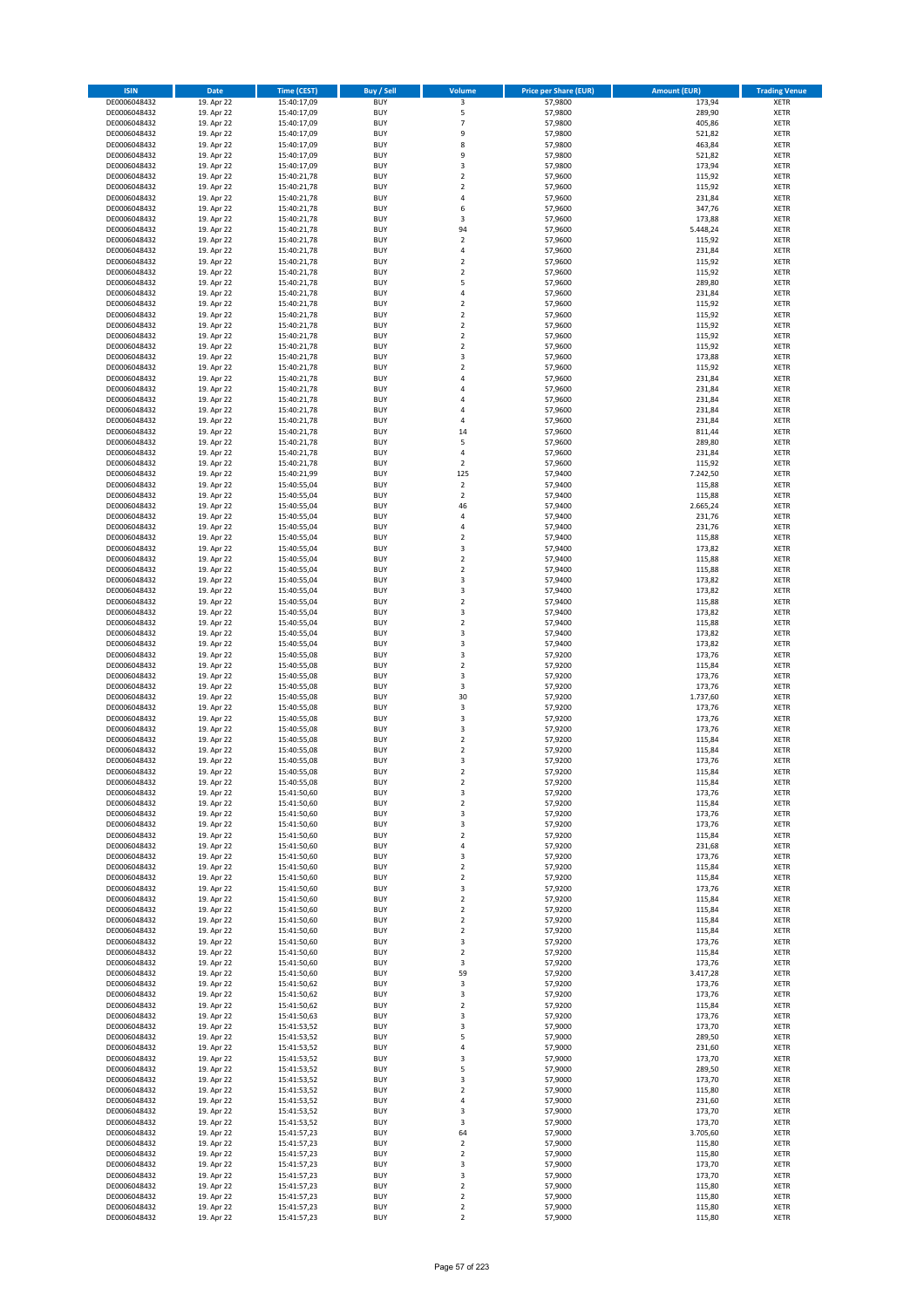| <b>ISIN</b>                  | <b>Date</b>              | <b>Time (CEST)</b>         | <b>Buy / Sell</b>        | <b>Volume</b>                          | <b>Price per Share (EUR)</b> | <b>Amount (EUR)</b> | <b>Trading Venue</b>       |
|------------------------------|--------------------------|----------------------------|--------------------------|----------------------------------------|------------------------------|---------------------|----------------------------|
| DE0006048432                 | 19. Apr 22               | 15:40:17,09                | <b>BUY</b>               | 3                                      | 57,9800                      | 173,94              | <b>XETR</b>                |
| DE0006048432                 | 19. Apr 22               | 15:40:17,09                | <b>BUY</b>               | 5                                      | 57,9800                      | 289,90              | <b>XETR</b>                |
| DE0006048432                 | 19. Apr 22               | 15:40:17,09                | <b>BUY</b>               | $\overline{7}$                         | 57,9800                      | 405,86              | <b>XETR</b>                |
| DE0006048432                 | 19. Apr 22               | 15:40:17,09                | <b>BUY</b>               | 9                                      | 57,9800                      | 521,82              | <b>XETR</b>                |
| DE0006048432<br>DE0006048432 | 19. Apr 22<br>19. Apr 22 | 15:40:17,09<br>15:40:17,09 | <b>BUY</b><br><b>BUY</b> | 8<br>9                                 | 57,9800<br>57,9800           | 463,84<br>521,82    | <b>XETR</b><br><b>XETR</b> |
| DE0006048432                 | 19. Apr 22               | 15:40:17,09                | <b>BUY</b>               | 3                                      | 57,9800                      | 173,94              | <b>XETR</b>                |
| DE0006048432                 | 19. Apr 22               | 15:40:21,78                | <b>BUY</b>               | $\overline{\mathbf{c}}$                | 57,9600                      | 115,92              | <b>XETR</b>                |
| DE0006048432                 | 19. Apr 22               | 15:40:21,78                | <b>BUY</b>               | $\overline{\mathbf{c}}$                | 57,9600                      | 115,92              | <b>XETR</b>                |
| DE0006048432                 | 19. Apr 22               | 15:40:21,78                | <b>BUY</b>               | 4                                      | 57,9600                      | 231,84              | <b>XETR</b>                |
| DE0006048432                 | 19. Apr 22               | 15:40:21,78                | <b>BUY</b>               | 6                                      | 57,9600                      | 347,76              | <b>XETR</b>                |
| DE0006048432                 | 19. Apr 22               | 15:40:21,78                | <b>BUY</b>               | 3                                      | 57,9600                      | 173,88              | <b>XETR</b><br><b>XETR</b> |
| DE0006048432<br>DE0006048432 | 19. Apr 22<br>19. Apr 22 | 15:40:21,78<br>15:40:21,78 | <b>BUY</b><br><b>BUY</b> | 94<br>$\overline{\mathbf{c}}$          | 57,9600<br>57,9600           | 5.448,24<br>115,92  | <b>XETR</b>                |
| DE0006048432                 | 19. Apr 22               | 15:40:21,78                | <b>BUY</b>               | 4                                      | 57,9600                      | 231,84              | <b>XETR</b>                |
| DE0006048432                 | 19. Apr 22               | 15:40:21,78                | <b>BUY</b>               | $\overline{\mathbf{c}}$                | 57,9600                      | 115,92              | <b>XETR</b>                |
| DE0006048432                 | 19. Apr 22               | 15:40:21,78                | <b>BUY</b>               | $\mathbf 2$                            | 57,9600                      | 115,92              | <b>XETR</b>                |
| DE0006048432                 | 19. Apr 22               | 15:40:21,78                | <b>BUY</b>               | 5                                      | 57,9600                      | 289,80              | <b>XETR</b>                |
| DE0006048432                 | 19. Apr 22               | 15:40:21,78<br>15:40:21,78 | <b>BUY</b>               | 4                                      | 57,9600                      | 231,84<br>115,92    | <b>XETR</b>                |
| DE0006048432<br>DE0006048432 | 19. Apr 22<br>19. Apr 22 | 15:40:21,78                | <b>BUY</b><br><b>BUY</b> | $\mathbf 2$<br>$\overline{\mathbf{c}}$ | 57,9600<br>57,9600           | 115,92              | <b>XETR</b><br><b>XETR</b> |
| DE0006048432                 | 19. Apr 22               | 15:40:21,78                | <b>BUY</b>               | $\mathbf 2$                            | 57,9600                      | 115,92              | <b>XETR</b>                |
| DE0006048432                 | 19. Apr 22               | 15:40:21,78                | <b>BUY</b>               | $\mathbf 2$                            | 57,9600                      | 115,92              | <b>XETR</b>                |
| DE0006048432                 | 19. Apr 22               | 15:40:21,78                | <b>BUY</b>               | $\mathbf 2$                            | 57,9600                      | 115,92              | <b>XETR</b>                |
| DE0006048432                 | 19. Apr 22               | 15:40:21,78                | <b>BUY</b>               | 3                                      | 57,9600                      | 173,88              | <b>XETR</b>                |
| DE0006048432                 | 19. Apr 22               | 15:40:21,78                | <b>BUY</b>               | $\mathbf 2$                            | 57,9600                      | 115,92              | <b>XETR</b>                |
| DE0006048432<br>DE0006048432 | 19. Apr 22<br>19. Apr 22 | 15:40:21,78<br>15:40:21,78 | <b>BUY</b><br><b>BUY</b> | 4<br>4                                 | 57,9600<br>57,9600           | 231,84<br>231,84    | <b>XETR</b><br><b>XETR</b> |
| DE0006048432                 | 19. Apr 22               | 15:40:21,78                | <b>BUY</b>               | 4                                      | 57,9600                      | 231,84              | <b>XETR</b>                |
| DE0006048432                 | 19. Apr 22               | 15:40:21,78                | <b>BUY</b>               | 4                                      | 57,9600                      | 231,84              | <b>XETR</b>                |
| DE0006048432                 | 19. Apr 22               | 15:40:21,78                | <b>BUY</b>               | 4                                      | 57,9600                      | 231,84              | <b>XETR</b>                |
| DE0006048432                 | 19. Apr 22               | 15:40:21,78                | <b>BUY</b>               | 14                                     | 57,9600                      | 811,44              | <b>XETR</b>                |
| DE0006048432                 | 19. Apr 22               | 15:40:21,78                | <b>BUY</b>               | 5                                      | 57,9600                      | 289,80              | <b>XETR</b>                |
| DE0006048432<br>DE0006048432 | 19. Apr 22<br>19. Apr 22 | 15:40:21,78<br>15:40:21,78 | <b>BUY</b><br><b>BUY</b> | 4<br>$\overline{\mathbf{c}}$           | 57,9600<br>57,9600           | 231,84<br>115,92    | <b>XETR</b><br><b>XETR</b> |
| DE0006048432                 | 19. Apr 22               | 15:40:21,99                | <b>BUY</b>               | 125                                    | 57,9400                      | 7.242,50            | <b>XETR</b>                |
| DE0006048432                 | 19. Apr 22               | 15:40:55,04                | <b>BUY</b>               | $\overline{\mathbf{c}}$                | 57,9400                      | 115,88              | <b>XETR</b>                |
| DE0006048432                 | 19. Apr 22               | 15:40:55,04                | <b>BUY</b>               | $\mathbf 2$                            | 57,9400                      | 115,88              | <b>XETR</b>                |
| DE0006048432                 | 19. Apr 22               | 15:40:55,04                | <b>BUY</b>               | 46                                     | 57,9400                      | 2.665,24            | <b>XETR</b>                |
| DE0006048432                 | 19. Apr 22               | 15:40:55,04                | <b>BUY</b>               | 4                                      | 57,9400                      | 231,76              | <b>XETR</b>                |
| DE0006048432                 | 19. Apr 22               | 15:40:55,04                | <b>BUY</b><br><b>BUY</b> | 4<br>$\mathbf 2$                       | 57,9400                      | 231,76<br>115,88    | <b>XETR</b>                |
| DE0006048432<br>DE0006048432 | 19. Apr 22<br>19. Apr 22 | 15:40:55,04<br>15:40:55,04 | <b>BUY</b>               | 3                                      | 57,9400<br>57,9400           | 173,82              | <b>XETR</b><br><b>XETR</b> |
| DE0006048432                 | 19. Apr 22               | 15:40:55,04                | <b>BUY</b>               | $\overline{\mathbf{c}}$                | 57,9400                      | 115,88              | <b>XETR</b>                |
| DE0006048432                 | 19. Apr 22               | 15:40:55,04                | <b>BUY</b>               | $\mathbf 2$                            | 57,9400                      | 115,88              | <b>XETR</b>                |
| DE0006048432                 | 19. Apr 22               | 15:40:55,04                | <b>BUY</b>               | 3                                      | 57,9400                      | 173,82              | <b>XETR</b>                |
| DE0006048432                 | 19. Apr 22               | 15:40:55,04                | <b>BUY</b>               | 3                                      | 57,9400                      | 173,82              | <b>XETR</b>                |
| DE0006048432                 | 19. Apr 22               | 15:40:55,04                | <b>BUY</b>               | $\mathbf 2$                            | 57,9400                      | 115,88              | <b>XETR</b>                |
| DE0006048432<br>DE0006048432 | 19. Apr 22<br>19. Apr 22 | 15:40:55,04<br>15:40:55,04 | <b>BUY</b><br><b>BUY</b> | 3<br>$\mathbf 2$                       | 57,9400<br>57,9400           | 173,82<br>115,88    | <b>XETR</b><br><b>XETR</b> |
| DE0006048432                 | 19. Apr 22               | 15:40:55,04                | <b>BUY</b>               | 3                                      | 57,9400                      | 173,82              | <b>XETR</b>                |
| DE0006048432                 | 19. Apr 22               | 15:40:55,04                | <b>BUY</b>               | 3                                      | 57,9400                      | 173,82              | <b>XETR</b>                |
| DE0006048432                 | 19. Apr 22               | 15:40:55,08                | <b>BUY</b>               | 3                                      | 57,9200                      | 173,76              | <b>XETR</b>                |
| DE0006048432                 | 19. Apr 22               | 15:40:55,08                | <b>BUY</b>               | $\mathbf 2$                            | 57,9200                      | 115,84              | <b>XETR</b>                |
| DE0006048432                 | 19. Apr 22               | 15:40:55,08                | <b>BUY</b>               | 3                                      | 57,9200                      | 173,76              | <b>XETR</b>                |
| DE0006048432<br>DE0006048432 | 19. Apr 22<br>19. Apr 22 | 15:40:55,08<br>15:40:55,08 | <b>BUY</b><br><b>BUY</b> | 3<br>30                                | 57,9200<br>57,9200           | 173,76<br>1.737,60  | <b>XETR</b><br><b>XETR</b> |
| DE0006048432                 | 19. Apr 22               | 15:40:55,08                | <b>BUY</b>               | 3                                      | 57,9200                      | 173,76              | <b>XETR</b>                |
| DE0006048432                 | 19. Apr 22               | 15:40:55,08                | <b>BUY</b>               | 3                                      | 57,9200                      | 173,76              | <b>XETR</b>                |
| DE0006048432                 | 19. Apr 22               | 15:40:55,08                | <b>BUY</b>               | 3                                      | 57,9200                      | 173,76              | <b>XETR</b>                |
| DE0006048432                 | 19. Apr 22               | 15:40:55,08                | <b>BUY</b>               | $\mathbf 2$                            | 57,9200                      | 115,84              | <b>XETR</b>                |
| DE0006048432                 | 19. Apr 22               | 15:40:55,08                | <b>BUY</b>               | $\overline{\mathbf{c}}$                | 57,9200                      | 115,84              | <b>XETR</b>                |
| DE0006048432<br>DE0006048432 | 19. Apr 22               | 15:40:55,08<br>15:40:55,08 | <b>BUY</b><br><b>BUY</b> | 3<br>$\overline{2}$                    | 57,9200<br>57,9200           | 173,76<br>115,84    | <b>XETR</b><br><b>XETR</b> |
| DE0006048432                 | 19. Apr 22<br>19. Apr 22 | 15:40:55,08                | BUY                      | 2                                      | 57,9200                      | 115,84              | <b>XETR</b>                |
| DE0006048432                 | 19. Apr 22               | 15:41:50,60                | <b>BUY</b>               | 3                                      | 57,9200                      | 173,76              | <b>XETR</b>                |
| DE0006048432                 | 19. Apr 22               | 15:41:50,60                | <b>BUY</b>               | $\mathbf 2$                            | 57,9200                      | 115,84              | <b>XETR</b>                |
| DE0006048432                 | 19. Apr 22               | 15:41:50,60                | <b>BUY</b>               | 3                                      | 57,9200                      | 173,76              | XETR                       |
| DE0006048432                 | 19. Apr 22               | 15:41:50,60                | <b>BUY</b>               | 3                                      | 57,9200                      | 173,76              | <b>XETR</b>                |
| DE0006048432<br>DE0006048432 | 19. Apr 22<br>19. Apr 22 | 15:41:50,60<br>15:41:50,60 | <b>BUY</b><br><b>BUY</b> | $\mathbf 2$<br>4                       | 57,9200<br>57,9200           | 115,84<br>231,68    | <b>XETR</b><br><b>XETR</b> |
| DE0006048432                 | 19. Apr 22               | 15:41:50,60                | <b>BUY</b>               | 3                                      | 57,9200                      | 173,76              | <b>XETR</b>                |
| DE0006048432                 | 19. Apr 22               | 15:41:50,60                | <b>BUY</b>               | $\mathbf 2$                            | 57,9200                      | 115,84              | <b>XETR</b>                |
| DE0006048432                 | 19. Apr 22               | 15:41:50,60                | <b>BUY</b>               | $\mathbf 2$                            | 57,9200                      | 115,84              | <b>XETR</b>                |
| DE0006048432                 | 19. Apr 22               | 15:41:50,60                | <b>BUY</b>               | 3                                      | 57,9200                      | 173,76              | <b>XETR</b>                |
| DE0006048432                 | 19. Apr 22               | 15:41:50,60                | <b>BUY</b>               | $\overline{\mathbf{c}}$                | 57,9200                      | 115,84              | <b>XETR</b>                |
| DE0006048432<br>DE0006048432 | 19. Apr 22<br>19. Apr 22 | 15:41:50,60<br>15:41:50,60 | <b>BUY</b><br><b>BUY</b> | $\mathbf 2$<br>$\overline{2}$          | 57,9200<br>57,9200           | 115,84<br>115,84    | <b>XETR</b><br><b>XETR</b> |
| DE0006048432                 | 19. Apr 22               | 15:41:50,60                | <b>BUY</b>               | $\mathbf 2$                            | 57,9200                      | 115,84              | <b>XETR</b>                |
| DE0006048432                 | 19. Apr 22               | 15:41:50,60                | <b>BUY</b>               | 3                                      | 57,9200                      | 173,76              | <b>XETR</b>                |
| DE0006048432                 | 19. Apr 22               | 15:41:50,60                | <b>BUY</b>               | $\mathbf 2$                            | 57,9200                      | 115,84              | <b>XETR</b>                |
| DE0006048432                 | 19. Apr 22               | 15:41:50,60                | <b>BUY</b>               | 3                                      | 57,9200                      | 173,76              | <b>XETR</b>                |
| DE0006048432                 | 19. Apr 22               | 15:41:50,60                | <b>BUY</b>               | 59                                     | 57,9200                      | 3.417,28            | XETR                       |
| DE0006048432<br>DE0006048432 | 19. Apr 22<br>19. Apr 22 | 15:41:50,62<br>15:41:50,62 | <b>BUY</b><br><b>BUY</b> | 3<br>3                                 | 57,9200<br>57,9200           | 173,76<br>173,76    | <b>XETR</b><br><b>XETR</b> |
| DE0006048432                 | 19. Apr 22               | 15:41:50,62                | <b>BUY</b>               | $\mathbf 2$                            | 57,9200                      | 115,84              | <b>XETR</b>                |
| DE0006048432                 | 19. Apr 22               | 15:41:50,63                | <b>BUY</b>               | 3                                      | 57,9200                      | 173,76              | <b>XETR</b>                |
| DE0006048432                 | 19. Apr 22               | 15:41:53,52                | <b>BUY</b>               | 3                                      | 57,9000                      | 173,70              | <b>XETR</b>                |
| DE0006048432                 | 19. Apr 22               | 15:41:53,52                | <b>BUY</b>               | 5                                      | 57,9000                      | 289,50              | <b>XETR</b>                |
| DE0006048432                 | 19. Apr 22               | 15:41:53,52                | <b>BUY</b>               | 4                                      | 57,9000                      | 231,60              | <b>XETR</b>                |
| DE0006048432                 | 19. Apr 22               | 15:41:53,52                | <b>BUY</b><br><b>BUY</b> | 3<br>5                                 | 57,9000                      | 173,70              | <b>XETR</b><br><b>XETR</b> |
| DE0006048432<br>DE0006048432 | 19. Apr 22<br>19. Apr 22 | 15:41:53,52<br>15:41:53,52 | <b>BUY</b>               | 3                                      | 57,9000<br>57,9000           | 289,50<br>173,70    | <b>XETR</b>                |
| DE0006048432                 | 19. Apr 22               | 15:41:53,52                | <b>BUY</b>               | $\overline{\mathbf{c}}$                | 57,9000                      | 115,80              | <b>XETR</b>                |
| DE0006048432                 | 19. Apr 22               | 15:41:53,52                | <b>BUY</b>               | 4                                      | 57,9000                      | 231,60              | <b>XETR</b>                |
| DE0006048432                 | 19. Apr 22               | 15:41:53,52                | <b>BUY</b>               | 3                                      | 57,9000                      | 173,70              | <b>XETR</b>                |
| DE0006048432                 | 19. Apr 22               | 15:41:53,52                | <b>BUY</b>               | 3                                      | 57,9000                      | 173,70              | <b>XETR</b>                |
| DE0006048432                 | 19. Apr 22               | 15:41:57,23                | <b>BUY</b>               | 64                                     | 57,9000                      | 3.705,60            | <b>XETR</b>                |
| DE0006048432<br>DE0006048432 | 19. Apr 22<br>19. Apr 22 | 15:41:57,23<br>15:41:57,23 | <b>BUY</b><br><b>BUY</b> | $\mathbf 2$<br>$\mathbf 2$             | 57,9000<br>57,9000           | 115,80<br>115,80    | <b>XETR</b><br><b>XETR</b> |
| DE0006048432                 | 19. Apr 22               | 15:41:57,23                | <b>BUY</b>               | 3                                      | 57,9000                      | 173,70              | <b>XETR</b>                |
| DE0006048432                 | 19. Apr 22               | 15:41:57,23                | <b>BUY</b>               | 3                                      | 57,9000                      | 173,70              | XETR                       |
| DE0006048432                 | 19. Apr 22               | 15:41:57,23                | <b>BUY</b>               | $\overline{2}$                         | 57,9000                      | 115,80              | <b>XETR</b>                |
| DE0006048432                 | 19. Apr 22               | 15:41:57,23                | <b>BUY</b>               | $\mathbf 2$                            | 57,9000                      | 115,80              | XETR                       |
| DE0006048432                 | 19. Apr 22               | 15:41:57,23                | <b>BUY</b>               | $\mathbf 2$                            | 57,9000                      | 115,80              | <b>XETR</b>                |
| DE0006048432                 | 19. Apr 22               | 15:41:57,23                | <b>BUY</b>               | $\overline{2}$                         | 57,9000                      | 115,80              | <b>XETR</b>                |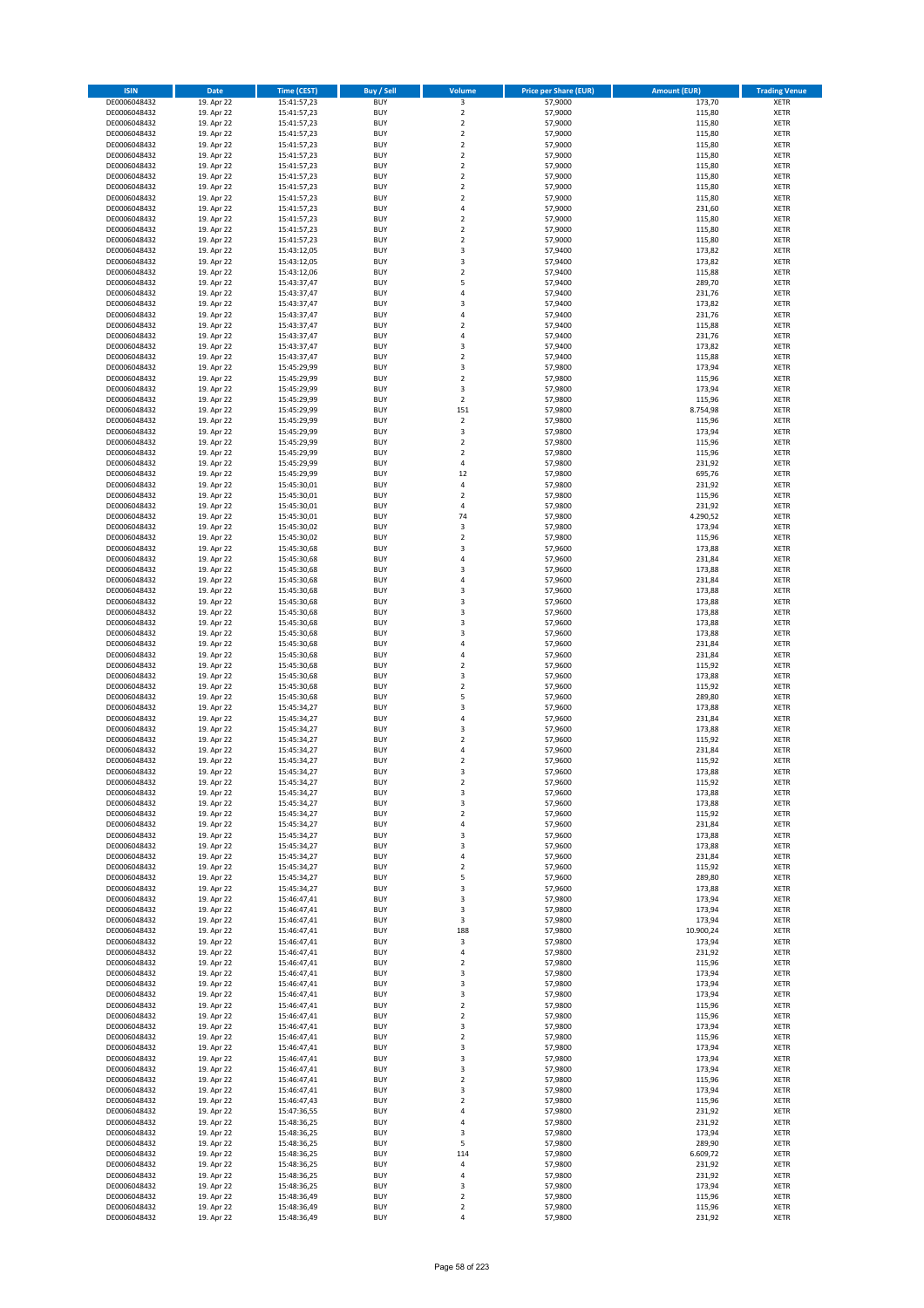| <b>ISIN</b>                  | <b>Date</b>              | <b>Time (CEST)</b>         | <b>Buy / Sell</b>        | <b>Volume</b>                          | <b>Price per Share (EUR)</b> | <b>Amount (EUR)</b> | <b>Trading Venue</b>       |
|------------------------------|--------------------------|----------------------------|--------------------------|----------------------------------------|------------------------------|---------------------|----------------------------|
| DE0006048432                 | 19. Apr 22               | 15:41:57,23                | <b>BUY</b>               | 3                                      | 57,9000                      | 173,70              | <b>XETR</b>                |
| DE0006048432                 | 19. Apr 22               | 15:41:57,23                | <b>BUY</b>               | $\mathbf 2$                            | 57,9000                      | 115,80              | <b>XETR</b>                |
| DE0006048432                 | 19. Apr 22               | 15:41:57,23                | <b>BUY</b>               | $\overline{2}$                         | 57,9000                      | 115,80              | <b>XETR</b>                |
| DE0006048432<br>DE0006048432 | 19. Apr 22<br>19. Apr 22 | 15:41:57,23<br>15:41:57,23 | <b>BUY</b><br><b>BUY</b> | $\mathbf 2$<br>$\overline{\mathbf{c}}$ | 57,9000<br>57,9000           | 115,80<br>115,80    | <b>XETR</b><br><b>XETR</b> |
| DE0006048432                 | 19. Apr 22               | 15:41:57,23                | <b>BUY</b>               | $\mathbf 2$                            | 57,9000                      | 115,80              | <b>XETR</b>                |
| DE0006048432                 | 19. Apr 22               | 15:41:57,23                | <b>BUY</b>               | $\mathbf 2$                            | 57,9000                      | 115,80              | <b>XETR</b>                |
| DE0006048432                 | 19. Apr 22               | 15:41:57,23                | <b>BUY</b>               | $\mathbf 2$                            | 57,9000                      | 115,80              | <b>XETR</b>                |
| DE0006048432                 | 19. Apr 22               | 15:41:57,23                | <b>BUY</b>               | $\overline{2}$                         | 57,9000                      | 115,80              | <b>XETR</b>                |
| DE0006048432                 | 19. Apr 22               | 15:41:57,23                | <b>BUY</b>               | $\overline{2}$                         | 57,9000                      | 115,80              | <b>XETR</b>                |
| DE0006048432                 | 19. Apr 22               | 15:41:57,23                | <b>BUY</b>               | 4                                      | 57,9000                      | 231,60              | <b>XETR</b>                |
| DE0006048432                 | 19. Apr 22<br>19. Apr 22 | 15:41:57,23                | <b>BUY</b>               | $\overline{\mathbf{c}}$<br>$\mathbf 2$ | 57,9000                      | 115,80              | <b>XETR</b><br><b>XETR</b> |
| DE0006048432<br>DE0006048432 | 19. Apr 22               | 15:41:57,23<br>15:41:57,23 | <b>BUY</b><br><b>BUY</b> | $\overline{\mathbf{c}}$                | 57,9000<br>57,9000           | 115,80<br>115,80    | <b>XETR</b>                |
| DE0006048432                 | 19. Apr 22               | 15:43:12,05                | <b>BUY</b>               | 3                                      | 57,9400                      | 173,82              | <b>XETR</b>                |
| DE0006048432                 | 19. Apr 22               | 15:43:12,05                | <b>BUY</b>               | 3                                      | 57,9400                      | 173,82              | <b>XETR</b>                |
| DE0006048432                 | 19. Apr 22               | 15:43:12,06                | <b>BUY</b>               | $\mathbf 2$                            | 57,9400                      | 115,88              | <b>XETR</b>                |
| DE0006048432                 | 19. Apr 22               | 15:43:37,47                | <b>BUY</b>               | 5                                      | 57,9400                      | 289,70              | <b>XETR</b>                |
| DE0006048432                 | 19. Apr 22               | 15:43:37,47                | <b>BUY</b>               | 4                                      | 57,9400                      | 231,76              | <b>XETR</b>                |
| DE0006048432                 | 19. Apr 22               | 15:43:37,47                | <b>BUY</b>               | 3                                      | 57,9400                      | 173,82              | <b>XETR</b>                |
| DE0006048432                 | 19. Apr 22               | 15:43:37,47                | <b>BUY</b>               | 4                                      | 57,9400                      | 231,76              | <b>XETR</b>                |
| DE0006048432<br>DE0006048432 | 19. Apr 22<br>19. Apr 22 | 15:43:37,47<br>15:43:37,47 | <b>BUY</b><br><b>BUY</b> | $\mathbf 2$<br>4                       | 57,9400<br>57,9400           | 115,88<br>231,76    | <b>XETR</b><br><b>XETR</b> |
| DE0006048432                 | 19. Apr 22               | 15:43:37,47                | <b>BUY</b>               | 3                                      | 57,9400                      | 173,82              | <b>XETR</b>                |
| DE0006048432                 | 19. Apr 22               | 15:43:37,47                | <b>BUY</b>               | $\mathbf 2$                            | 57,9400                      | 115,88              | <b>XETR</b>                |
| DE0006048432                 | 19. Apr 22               | 15:45:29,99                | <b>BUY</b>               | 3                                      | 57,9800                      | 173,94              | <b>XETR</b>                |
| DE0006048432                 | 19. Apr 22               | 15:45:29,99                | <b>BUY</b>               | $\mathbf 2$                            | 57,9800                      | 115,96              | <b>XETR</b>                |
| DE0006048432                 | 19. Apr 22               | 15:45:29,99                | <b>BUY</b>               | 3                                      | 57,9800                      | 173,94              | <b>XETR</b>                |
| DE0006048432                 | 19. Apr 22               | 15:45:29,99                | <b>BUY</b>               | $\mathbf 2$                            | 57,9800                      | 115,96              | <b>XETR</b>                |
| DE0006048432                 | 19. Apr 22               | 15:45:29,99                | <b>BUY</b>               | 151<br>$\mathbf 2$                     | 57,9800                      | 8.754,98            | <b>XETR</b>                |
| DE0006048432<br>DE0006048432 | 19. Apr 22<br>19. Apr 22 | 15:45:29,99<br>15:45:29,99 | <b>BUY</b><br><b>BUY</b> | 3                                      | 57,9800<br>57,9800           | 115,96<br>173,94    | <b>XETR</b><br><b>XETR</b> |
| DE0006048432                 | 19. Apr 22               | 15:45:29,99                | <b>BUY</b>               | $\mathbf 2$                            | 57,9800                      | 115,96              | <b>XETR</b>                |
| DE0006048432                 | 19. Apr 22               | 15:45:29,99                | <b>BUY</b>               | $\overline{\mathbf{c}}$                | 57,9800                      | 115,96              | <b>XETR</b>                |
| DE0006048432                 | 19. Apr 22               | 15:45:29,99                | <b>BUY</b>               | 4                                      | 57,9800                      | 231,92              | <b>XETR</b>                |
| DE0006048432                 | 19. Apr 22               | 15:45:29,99                | <b>BUY</b>               | 12                                     | 57,9800                      | 695,76              | <b>XETR</b>                |
| DE0006048432                 | 19. Apr 22               | 15:45:30,01                | <b>BUY</b>               | 4                                      | 57,9800                      | 231,92              | <b>XETR</b>                |
| DE0006048432                 | 19. Apr 22               | 15:45:30,01                | <b>BUY</b>               | $\mathbf 2$                            | 57,9800                      | 115,96              | <b>XETR</b>                |
| DE0006048432                 | 19. Apr 22               | 15:45:30,01                | <b>BUY</b>               | 4                                      | 57,9800                      | 231,92              | <b>XETR</b>                |
| DE0006048432                 | 19. Apr 22<br>19. Apr 22 | 15:45:30,01                | <b>BUY</b><br><b>BUY</b> | 74                                     | 57,9800                      | 4.290,52            | <b>XETR</b><br><b>XETR</b> |
| DE0006048432<br>DE0006048432 | 19. Apr 22               | 15:45:30,02<br>15:45:30,02 | <b>BUY</b>               | 3<br>$\mathbf 2$                       | 57,9800<br>57,9800           | 173,94<br>115,96    | <b>XETR</b>                |
| DE0006048432                 | 19. Apr 22               | 15:45:30,68                | <b>BUY</b>               | 3                                      | 57,9600                      | 173,88              | <b>XETR</b>                |
| DE0006048432                 | 19. Apr 22               | 15:45:30,68                | <b>BUY</b>               | 4                                      | 57,9600                      | 231,84              | <b>XETR</b>                |
| DE0006048432                 | 19. Apr 22               | 15:45:30,68                | <b>BUY</b>               | 3                                      | 57,9600                      | 173,88              | <b>XETR</b>                |
| DE0006048432                 | 19. Apr 22               | 15:45:30,68                | <b>BUY</b>               | 4                                      | 57,9600                      | 231,84              | <b>XETR</b>                |
| DE0006048432                 | 19. Apr 22               | 15:45:30,68                | <b>BUY</b>               | 3                                      | 57,9600                      | 173,88              | <b>XETR</b>                |
| DE0006048432                 | 19. Apr 22               | 15:45:30,68                | <b>BUY</b>               | 3                                      | 57,9600                      | 173,88              | <b>XETR</b>                |
| DE0006048432                 | 19. Apr 22               | 15:45:30,68                | <b>BUY</b>               | 3                                      | 57,9600                      | 173,88              | <b>XETR</b>                |
| DE0006048432<br>DE0006048432 | 19. Apr 22<br>19. Apr 22 | 15:45:30,68<br>15:45:30,68 | <b>BUY</b><br><b>BUY</b> | 3<br>3                                 | 57,9600<br>57,9600           | 173,88<br>173,88    | <b>XETR</b><br><b>XETR</b> |
| DE0006048432                 | 19. Apr 22               | 15:45:30,68                | <b>BUY</b>               | 4                                      | 57,9600                      | 231,84              | <b>XETR</b>                |
| DE0006048432                 | 19. Apr 22               | 15:45:30,68                | <b>BUY</b>               | 4                                      | 57,9600                      | 231,84              | <b>XETR</b>                |
| DE0006048432                 | 19. Apr 22               | 15:45:30,68                | <b>BUY</b>               | $\mathbf 2$                            | 57,9600                      | 115,92              | <b>XETR</b>                |
| DE0006048432                 | 19. Apr 22               | 15:45:30,68                | <b>BUY</b>               | 3                                      | 57,9600                      | 173,88              | <b>XETR</b>                |
| DE0006048432                 | 19. Apr 22               | 15:45:30,68                | <b>BUY</b>               | $\mathbf 2$                            | 57,9600                      | 115,92              | <b>XETR</b>                |
| DE0006048432                 | 19. Apr 22               | 15:45:30,68                | <b>BUY</b>               | 5                                      | 57,9600                      | 289,80              | <b>XETR</b>                |
| DE0006048432                 | 19. Apr 22               | 15:45:34,27                | <b>BUY</b>               | 3                                      | 57,9600                      | 173,88              | <b>XETR</b>                |
| DE0006048432<br>DE0006048432 | 19. Apr 22               | 15:45:34,27                | <b>BUY</b><br><b>BUY</b> | 4<br>3                                 | 57,9600                      | 231,84              | <b>XETR</b><br><b>XETR</b> |
| DE0006048432                 | 19. Apr 22<br>19. Apr 22 | 15:45:34,27<br>15:45:34,27 | <b>BUY</b>               | $\mathbf 2$                            | 57,9600<br>57,9600           | 173,88<br>115,92    | <b>XETR</b>                |
| DE0006048432                 | 19. Apr 22               | 15:45:34,27                | <b>BUY</b>               | 4                                      | 57,9600                      | 231,84              | <b>XETR</b>                |
| DE0006048432                 | 19. Apr 22               | 15:45:34,27                | <b>BUY</b>               | $\overline{\mathbf{c}}$                | 57,9600                      | 115,92              | <b>XETR</b>                |
| DE0006048432                 | 19. Apr 22               | 15:45:34,27                | <b>BUY</b>               | 3                                      | 57,9600                      | 173,88              | <b>XETR</b>                |
| DE0006048432                 | 19. Apr 22               | 15:45:34,27                | BUY                      | 2                                      | 57,9600                      | 115,92              | <b>XETR</b>                |
| DE0006048432                 | 19. Apr 22               | 15:45:34,27                | <b>BUY</b>               | 3                                      | 57,9600                      | 173,88              | XETR                       |
| DE0006048432                 | 19. Apr 22               | 15:45:34,27                | <b>BUY</b><br><b>BUY</b> | 3                                      | 57,9600<br>57,9600           | 173,88<br>115,92    | <b>XETR</b>                |
| DE0006048432<br>DE0006048432 | 19. Apr 22<br>19. Apr 22 | 15:45:34,27<br>15:45:34,27 | <b>BUY</b>               | $\mathbf 2$<br>4                       | 57,9600                      | 231,84              | XETR<br><b>XETR</b>        |
| DE0006048432                 | 19. Apr 22               | 15:45:34,27                | <b>BUY</b>               | 3                                      | 57,9600                      | 173,88              | <b>XETR</b>                |
| DE0006048432                 | 19. Apr 22               | 15:45:34,27                | <b>BUY</b>               | 3                                      | 57,9600                      | 173,88              | <b>XETR</b>                |
| DE0006048432                 | 19. Apr 22               | 15:45:34,27                | <b>BUY</b>               | 4                                      | 57,9600                      | 231,84              | <b>XETR</b>                |
| DE0006048432                 | 19. Apr 22               | 15:45:34,27                | <b>BUY</b>               | $\mathbf 2$                            | 57,9600                      | 115,92              | <b>XETR</b>                |
| DE0006048432                 | 19. Apr 22               | 15:45:34,27                | <b>BUY</b>               | 5                                      | 57,9600                      | 289,80              | XETR                       |
| DE0006048432<br>DE0006048432 | 19. Apr 22               | 15:45:34,27                | <b>BUY</b><br><b>BUY</b> | 3<br>3                                 | 57,9600<br>57,9800           | 173,88<br>173,94    | XETR<br><b>XETR</b>        |
| DE0006048432                 | 19. Apr 22<br>19. Apr 22 | 15:46:47,41<br>15:46:47,41 | <b>BUY</b>               | 3                                      | 57,9800                      | 173,94              | <b>XETR</b>                |
| DE0006048432                 | 19. Apr 22               | 15:46:47,41                | <b>BUY</b>               | 3                                      | 57,9800                      | 173,94              | <b>XETR</b>                |
| DE0006048432                 | 19. Apr 22               | 15:46:47,41                | <b>BUY</b>               | 188                                    | 57,9800                      | 10.900,24           | <b>XETR</b>                |
| DE0006048432                 | 19. Apr 22               | 15:46:47,41                | <b>BUY</b>               | 3                                      | 57,9800                      | 173,94              | <b>XETR</b>                |
| DE0006048432                 | 19. Apr 22               | 15:46:47,41                | <b>BUY</b>               | 4                                      | 57,9800                      | 231,92              | <b>XETR</b>                |
| DE0006048432                 | 19. Apr 22               | 15:46:47,41                | <b>BUY</b>               | $\mathbf 2$                            | 57,9800                      | 115,96              | <b>XETR</b>                |
| DE0006048432                 | 19. Apr 22               | 15:46:47,41                | <b>BUY</b>               | 3                                      | 57,9800                      | 173,94              | XETR                       |
| DE0006048432<br>DE0006048432 | 19. Apr 22<br>19. Apr 22 | 15:46:47,41<br>15:46:47,41 | <b>BUY</b><br><b>BUY</b> | 3<br>3                                 | 57,9800<br>57,9800           | 173,94<br>173,94    | <b>XETR</b><br><b>XETR</b> |
| DE0006048432                 | 19. Apr 22               | 15:46:47,41                | <b>BUY</b>               | $\mathbf 2$                            | 57,9800                      | 115,96              | <b>XETR</b>                |
| DE0006048432                 | 19. Apr 22               | 15:46:47,41                | <b>BUY</b>               | $\overline{2}$                         | 57,9800                      | 115,96              | <b>XETR</b>                |
| DE0006048432                 | 19. Apr 22               | 15:46:47,41                | <b>BUY</b>               | 3                                      | 57,9800                      | 173,94              | <b>XETR</b>                |
| DE0006048432                 | 19. Apr 22               | 15:46:47,41                | <b>BUY</b>               | $\mathbf 2$                            | 57,9800                      | 115,96              | <b>XETR</b>                |
| DE0006048432                 | 19. Apr 22               | 15:46:47,41                | <b>BUY</b>               | 3                                      | 57,9800                      | 173,94              | <b>XETR</b>                |
| DE0006048432                 | 19. Apr 22               | 15:46:47,41                | <b>BUY</b>               | 3                                      | 57,9800                      | 173,94              | <b>XETR</b>                |
| DE0006048432                 | 19. Apr 22               | 15:46:47,41                | <b>BUY</b>               | 3                                      | 57,9800                      | 173,94              | <b>XETR</b>                |
| DE0006048432<br>DE0006048432 | 19. Apr 22<br>19. Apr 22 | 15:46:47,41<br>15:46:47,41 | <b>BUY</b><br><b>BUY</b> | $\mathbf 2$<br>3                       | 57,9800<br>57,9800           | 115,96<br>173,94    | <b>XETR</b><br>XETR        |
| DE0006048432                 | 19. Apr 22               | 15:46:47,43                | <b>BUY</b>               | $\mathbf 2$                            | 57,9800                      | 115,96              | <b>XETR</b>                |
| DE0006048432                 | 19. Apr 22               | 15:47:36,55                | <b>BUY</b>               | 4                                      | 57,9800                      | 231,92              | <b>XETR</b>                |
| DE0006048432                 | 19. Apr 22               | 15:48:36,25                | <b>BUY</b>               | 4                                      | 57,9800                      | 231,92              | XETR                       |
| DE0006048432                 | 19. Apr 22               | 15:48:36,25                | <b>BUY</b>               | 3                                      | 57,9800                      | 173,94              | <b>XETR</b>                |
| DE0006048432                 | 19. Apr 22               | 15:48:36,25                | <b>BUY</b>               | 5                                      | 57,9800                      | 289,90              | <b>XETR</b>                |
| DE0006048432                 | 19. Apr 22               | 15:48:36,25                | <b>BUY</b>               | 114                                    | 57,9800                      | 6.609,72            | <b>XETR</b>                |
| DE0006048432<br>DE0006048432 | 19. Apr 22<br>19. Apr 22 | 15:48:36,25<br>15:48:36,25 | <b>BUY</b><br><b>BUY</b> | 4<br>4                                 | 57,9800<br>57,9800           | 231,92<br>231,92    | <b>XETR</b><br>XETR        |
| DE0006048432                 | 19. Apr 22               | 15:48:36,25                | <b>BUY</b>               | 3                                      | 57,9800                      | 173,94              | <b>XETR</b>                |
| DE0006048432                 | 19. Apr 22               | 15:48:36,49                | <b>BUY</b>               | $\mathbf 2$                            | 57,9800                      | 115,96              | <b>XETR</b>                |
| DE0006048432                 | 19. Apr 22               | 15:48:36,49                | <b>BUY</b>               | $\mathbf 2$                            | 57,9800                      | 115,96              | <b>XETR</b>                |
| DE0006048432                 | 19. Apr 22               | 15:48:36,49                | <b>BUY</b>               | 4                                      | 57,9800                      | 231,92              | XETR                       |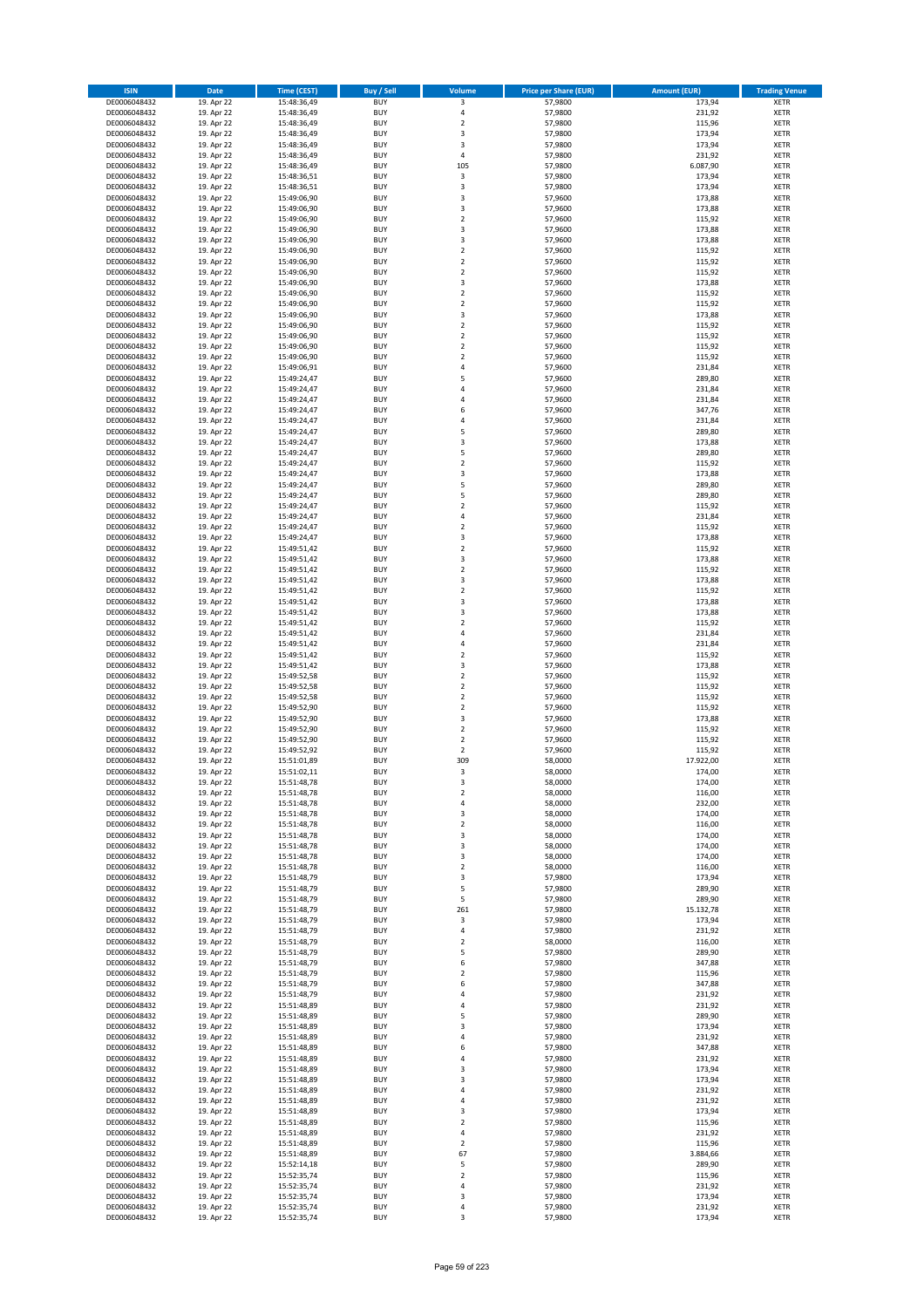| <b>ISIN</b>                  | <b>Date</b>              | <b>Time (CEST)</b>         | <b>Buy / Sell</b>        | <b>Volume</b>                          | <b>Price per Share (EUR)</b> | <b>Amount (EUR)</b> | <b>Trading Venue</b>       |
|------------------------------|--------------------------|----------------------------|--------------------------|----------------------------------------|------------------------------|---------------------|----------------------------|
| DE0006048432                 | 19. Apr 22               | 15:48:36,49                | <b>BUY</b>               | 3                                      | 57,9800                      | 173,94              | <b>XETR</b>                |
| DE0006048432                 | 19. Apr 22               | 15:48:36,49                | <b>BUY</b>               | 4                                      | 57,9800                      | 231,92              | <b>XETR</b>                |
| DE0006048432                 | 19. Apr 22               | 15:48:36,49                | <b>BUY</b>               | $\mathbf 2$                            | 57,9800                      | 115,96              | <b>XETR</b>                |
| DE0006048432                 | 19. Apr 22               | 15:48:36,49                | <b>BUY</b>               | 3                                      | 57,9800                      | 173,94              | <b>XETR</b>                |
| DE0006048432<br>DE0006048432 | 19. Apr 22<br>19. Apr 22 | 15:48:36,49<br>15:48:36,49 | <b>BUY</b><br><b>BUY</b> | 3<br>4                                 | 57,9800<br>57,9800           | 173,94<br>231,92    | <b>XETR</b><br><b>XETR</b> |
| DE0006048432                 | 19. Apr 22               | 15:48:36,49                | <b>BUY</b>               | 105                                    | 57,9800                      | 6.087,90            | <b>XETR</b>                |
| DE0006048432                 | 19. Apr 22               | 15:48:36,51                | <b>BUY</b>               | 3                                      | 57,9800                      | 173,94              | <b>XETR</b>                |
| DE0006048432                 | 19. Apr 22               | 15:48:36,51                | <b>BUY</b>               | 3                                      | 57,9800                      | 173,94              | <b>XETR</b>                |
| DE0006048432                 | 19. Apr 22               | 15:49:06,90                | <b>BUY</b>               | 3                                      | 57,9600                      | 173,88              | <b>XETR</b>                |
| DE0006048432                 | 19. Apr 22               | 15:49:06,90                | <b>BUY</b>               | 3                                      | 57,9600                      | 173,88              | <b>XETR</b>                |
| DE0006048432                 | 19. Apr 22               | 15:49:06,90                | <b>BUY</b>               | $\overline{\mathbf{c}}$                | 57,9600                      | 115,92              | <b>XETR</b>                |
| DE0006048432<br>DE0006048432 | 19. Apr 22<br>19. Apr 22 | 15:49:06,90                | <b>BUY</b><br><b>BUY</b> | 3<br>3                                 | 57,9600<br>57,9600           | 173,88<br>173,88    | <b>XETR</b><br><b>XETR</b> |
| DE0006048432                 | 19. Apr 22               | 15:49:06,90<br>15:49:06,90 | <b>BUY</b>               | $\mathbf 2$                            | 57,9600                      | 115,92              | <b>XETR</b>                |
| DE0006048432                 | 19. Apr 22               | 15:49:06,90                | <b>BUY</b>               | $\overline{\mathbf{c}}$                | 57,9600                      | 115,92              | <b>XETR</b>                |
| DE0006048432                 | 19. Apr 22               | 15:49:06,90                | <b>BUY</b>               | $\mathbf 2$                            | 57,9600                      | 115,92              | <b>XETR</b>                |
| DE0006048432                 | 19. Apr 22               | 15:49:06,90                | <b>BUY</b>               | 3                                      | 57,9600                      | 173,88              | <b>XETR</b>                |
| DE0006048432                 | 19. Apr 22               | 15:49:06,90                | <b>BUY</b>               | $\overline{\mathbf{c}}$                | 57,9600                      | 115,92              | <b>XETR</b>                |
| DE0006048432                 | 19. Apr 22               | 15:49:06,90                | <b>BUY</b>               | $\mathbf 2$                            | 57,9600                      | 115,92              | <b>XETR</b>                |
| DE0006048432                 | 19. Apr 22               | 15:49:06,90                | <b>BUY</b>               | 3                                      | 57,9600                      | 173,88              | <b>XETR</b>                |
| DE0006048432<br>DE0006048432 | 19. Apr 22<br>19. Apr 22 | 15:49:06,90<br>15:49:06,90 | <b>BUY</b><br><b>BUY</b> | $\mathbf 2$<br>$\mathbf 2$             | 57,9600<br>57,9600           | 115,92<br>115,92    | <b>XETR</b><br><b>XETR</b> |
| DE0006048432                 | 19. Apr 22               | 15:49:06,90                | <b>BUY</b>               | $\mathbf 2$                            | 57,9600                      | 115,92              | <b>XETR</b>                |
| DE0006048432                 | 19. Apr 22               | 15:49:06,90                | <b>BUY</b>               | $\mathbf 2$                            | 57,9600                      | 115,92              | <b>XETR</b>                |
| DE0006048432                 | 19. Apr 22               | 15:49:06,91                | <b>BUY</b>               | 4                                      | 57,9600                      | 231,84              | <b>XETR</b>                |
| DE0006048432                 | 19. Apr 22               | 15:49:24,47                | <b>BUY</b>               | 5                                      | 57,9600                      | 289,80              | <b>XETR</b>                |
| DE0006048432                 | 19. Apr 22               | 15:49:24,47                | <b>BUY</b>               | 4                                      | 57,9600                      | 231,84              | <b>XETR</b>                |
| DE0006048432                 | 19. Apr 22               | 15:49:24,47                | <b>BUY</b>               | 4                                      | 57,9600                      | 231,84              | <b>XETR</b>                |
| DE0006048432                 | 19. Apr 22<br>19. Apr 22 | 15:49:24,47                | <b>BUY</b><br><b>BUY</b> | 6<br>4                                 | 57,9600                      | 347,76<br>231,84    | <b>XETR</b><br><b>XETR</b> |
| DE0006048432<br>DE0006048432 | 19. Apr 22               | 15:49:24,47<br>15:49:24,47 | <b>BUY</b>               | 5                                      | 57,9600<br>57,9600           | 289,80              | <b>XETR</b>                |
| DE0006048432                 | 19. Apr 22               | 15:49:24,47                | <b>BUY</b>               | 3                                      | 57,9600                      | 173,88              | <b>XETR</b>                |
| DE0006048432                 | 19. Apr 22               | 15:49:24,47                | <b>BUY</b>               | 5                                      | 57,9600                      | 289,80              | <b>XETR</b>                |
| DE0006048432                 | 19. Apr 22               | 15:49:24,47                | <b>BUY</b>               | $\mathbf 2$                            | 57,9600                      | 115,92              | <b>XETR</b>                |
| DE0006048432                 | 19. Apr 22               | 15:49:24,47                | <b>BUY</b>               | 3                                      | 57,9600                      | 173,88              | <b>XETR</b>                |
| DE0006048432                 | 19. Apr 22               | 15:49:24,47                | <b>BUY</b>               | 5                                      | 57,9600                      | 289,80              | <b>XETR</b>                |
| DE0006048432                 | 19. Apr 22               | 15:49:24,47                | <b>BUY</b>               | 5                                      | 57,9600                      | 289,80              | <b>XETR</b>                |
| DE0006048432<br>DE0006048432 | 19. Apr 22<br>19. Apr 22 | 15:49:24,47<br>15:49:24,47 | <b>BUY</b><br><b>BUY</b> | $\overline{\mathbf{c}}$<br>4           | 57,9600<br>57,9600           | 115,92<br>231,84    | <b>XETR</b><br><b>XETR</b> |
| DE0006048432                 | 19. Apr 22               | 15:49:24,47                | <b>BUY</b>               | $\overline{\mathbf{c}}$                | 57,9600                      | 115,92              | <b>XETR</b>                |
| DE0006048432                 | 19. Apr 22               | 15:49:24,47                | <b>BUY</b>               | 3                                      | 57,9600                      | 173,88              | <b>XETR</b>                |
| DE0006048432                 | 19. Apr 22               | 15:49:51,42                | <b>BUY</b>               | $\mathbf 2$                            | 57,9600                      | 115,92              | <b>XETR</b>                |
| DE0006048432                 | 19. Apr 22               | 15:49:51,42                | <b>BUY</b>               | 3                                      | 57,9600                      | 173,88              | <b>XETR</b>                |
| DE0006048432                 | 19. Apr 22               | 15:49:51,42                | <b>BUY</b>               | $\mathbf 2$                            | 57,9600                      | 115,92              | <b>XETR</b>                |
| DE0006048432                 | 19. Apr 22               | 15:49:51,42                | <b>BUY</b>               | 3                                      | 57,9600                      | 173,88              | <b>XETR</b>                |
| DE0006048432                 | 19. Apr 22               | 15:49:51,42                | <b>BUY</b>               | $\mathbf 2$                            | 57,9600                      | 115,92              | <b>XETR</b>                |
| DE0006048432<br>DE0006048432 | 19. Apr 22<br>19. Apr 22 | 15:49:51,42<br>15:49:51,42 | <b>BUY</b><br><b>BUY</b> | 3<br>3                                 | 57,9600<br>57,9600           | 173,88<br>173,88    | <b>XETR</b><br><b>XETR</b> |
| DE0006048432                 | 19. Apr 22               | 15:49:51,42                | <b>BUY</b>               | $\overline{\mathbf{c}}$                | 57,9600                      | 115,92              | <b>XETR</b>                |
| DE0006048432                 | 19. Apr 22               | 15:49:51,42                | <b>BUY</b>               | 4                                      | 57,9600                      | 231,84              | <b>XETR</b>                |
| DE0006048432                 | 19. Apr 22               | 15:49:51,42                | <b>BUY</b>               | 4                                      | 57,9600                      | 231,84              | <b>XETR</b>                |
| DE0006048432                 | 19. Apr 22               | 15:49:51,42                | <b>BUY</b>               | $\overline{\mathbf{c}}$                | 57,9600                      | 115,92              | <b>XETR</b>                |
| DE0006048432                 | 19. Apr 22               | 15:49:51,42                | <b>BUY</b>               | 3                                      | 57,9600                      | 173,88              | <b>XETR</b>                |
| DE0006048432                 | 19. Apr 22               | 15:49:52,58                | <b>BUY</b>               | $\overline{\mathbf{c}}$                | 57,9600                      | 115,92              | <b>XETR</b>                |
| DE0006048432                 | 19. Apr 22               | 15:49:52,58                | <b>BUY</b><br><b>BUY</b> | $\mathbf 2$<br>$\overline{\mathbf{c}}$ | 57,9600                      | 115,92              | <b>XETR</b><br><b>XETR</b> |
| DE0006048432<br>DE0006048432 | 19. Apr 22<br>19. Apr 22 | 15:49:52,58<br>15:49:52,90 | <b>BUY</b>               | $\mathbf 2$                            | 57,9600<br>57,9600           | 115,92<br>115,92    | <b>XETR</b>                |
| DE0006048432                 | 19. Apr 22               | 15:49:52,90                | <b>BUY</b>               | 3                                      | 57,9600                      | 173,88              | <b>XETR</b>                |
| DE0006048432                 | 19. Apr 22               | 15:49:52,90                | <b>BUY</b>               | $\overline{2}$                         | 57,9600                      | 115,92              | <b>XETR</b>                |
| DE0006048432                 | 19. Apr 22               | 15:49:52,90                | <b>BUY</b>               | $\mathbf 2$                            | 57,9600                      | 115,92              | <b>XETR</b>                |
| DE0006048432                 | 19. Apr 22               | 15:49:52,92                | <b>BUY</b>               | $\overline{\mathbf{c}}$                | 57,9600                      | 115,92              | <b>XETR</b>                |
| DE0006048432                 | 19. Apr 22               | 15:51:01,89                | <b>BUY</b>               | 309                                    | 58,0000                      | 17.922,00           | <b>XETR</b>                |
| DE0006048432                 | 19. Apr 22               | 15:51:02,11                | <b>BUY</b>               | 3                                      | 58,0000                      | 174,00              | <b>XETR</b>                |
| DE0006048432<br>DE0006048432 | 19. Apr 22<br>19. Apr 22 | 15:51:48,78<br>15:51:48,78 | BUY<br><b>BUY</b>        | 3<br>$\mathbf 2$                       | 58,0000<br>58,0000           | 174,00<br>116,00    | <b>XETR</b><br><b>XETR</b> |
| DE0006048432                 | 19. Apr 22               | 15:51:48,78                | <b>BUY</b>               | 4                                      | 58,0000                      | 232,00              | <b>XETR</b>                |
| DE0006048432                 | 19. Apr 22               | 15:51:48,78                | <b>BUY</b>               | 3                                      | 58,0000                      | 174,00              | XETR                       |
| DE0006048432                 | 19. Apr 22               | 15:51:48,78                | <b>BUY</b>               | $\mathbf 2$                            | 58,0000                      | 116,00              | <b>XETR</b>                |
| DE0006048432                 | 19. Apr 22               | 15:51:48,78                | <b>BUY</b>               | 3                                      | 58,0000                      | 174,00              | <b>XETR</b>                |
| DE0006048432                 | 19. Apr 22               | 15:51:48,78                | <b>BUY</b>               | 3                                      | 58,0000                      | 174,00              | <b>XETR</b>                |
| DE0006048432<br>DE0006048432 | 19. Apr 22<br>19. Apr 22 | 15:51:48,78<br>15:51:48,78 | <b>BUY</b><br><b>BUY</b> | 3<br>$\mathbf 2$                       | 58,0000<br>58,0000           | 174,00<br>116,00    | <b>XETR</b><br><b>XETR</b> |
| DE0006048432                 | 19. Apr 22               | 15:51:48,79                | <b>BUY</b>               | 3                                      | 57,9800                      | 173,94              | <b>XETR</b>                |
| DE0006048432                 | 19. Apr 22               | 15:51:48,79                | <b>BUY</b>               | 5                                      | 57,9800                      | 289,90              | <b>XETR</b>                |
| DE0006048432                 | 19. Apr 22               | 15:51:48,79                | <b>BUY</b>               | 5                                      | 57,9800                      | 289,90              | <b>XETR</b>                |
| DE0006048432                 | 19. Apr 22               | 15:51:48,79                | <b>BUY</b>               | 261                                    | 57,9800                      | 15.132,78           | <b>XETR</b>                |
| DE0006048432                 | 19. Apr 22               | 15:51:48,79                | <b>BUY</b>               | 3                                      | 57,9800                      | 173,94              | <b>XETR</b>                |
| DE0006048432<br>DE0006048432 | 19. Apr 22<br>19. Apr 22 | 15:51:48,79<br>15:51:48,79 | <b>BUY</b><br><b>BUY</b> | 4<br>$\overline{\mathbf{c}}$           | 57,9800<br>58,0000           | 231,92<br>116,00    | <b>XETR</b><br><b>XETR</b> |
| DE0006048432                 | 19. Apr 22               | 15:51:48,79                | <b>BUY</b>               | 5                                      | 57,9800                      | 289,90              | <b>XETR</b>                |
| DE0006048432                 | 19. Apr 22               | 15:51:48,79                | <b>BUY</b>               | 6                                      | 57,9800                      | 347,88              | <b>XETR</b>                |
| DE0006048432                 | 19. Apr 22               | 15:51:48,79                | <b>BUY</b>               | $\mathbf 2$                            | 57,9800                      | 115,96              | XETR                       |
| DE0006048432                 | 19. Apr 22               | 15:51:48,79                | <b>BUY</b>               | 6                                      | 57,9800                      | 347,88              | <b>XETR</b>                |
| DE0006048432                 | 19. Apr 22               | 15:51:48,79                | <b>BUY</b>               | 4                                      | 57,9800                      | 231,92              | <b>XETR</b>                |
| DE0006048432                 | 19. Apr 22               | 15:51:48,89                | <b>BUY</b><br><b>BUY</b> | 4                                      | 57,9800                      | 231,92              | <b>XETR</b><br><b>XETR</b> |
| DE0006048432<br>DE0006048432 | 19. Apr 22<br>19. Apr 22 | 15:51:48,89<br>15:51:48,89 | <b>BUY</b>               | 5<br>3                                 | 57,9800<br>57,9800           | 289,90<br>173,94    | <b>XETR</b>                |
| DE0006048432                 | 19. Apr 22               | 15:51:48,89                | <b>BUY</b>               | 4                                      | 57,9800                      | 231,92              | <b>XETR</b>                |
| DE0006048432                 | 19. Apr 22               | 15:51:48,89                | <b>BUY</b>               | 6                                      | 57,9800                      | 347,88              | <b>XETR</b>                |
| DE0006048432                 | 19. Apr 22               | 15:51:48,89                | <b>BUY</b>               | 4                                      | 57,9800                      | 231,92              | <b>XETR</b>                |
| DE0006048432                 | 19. Apr 22               | 15:51:48,89                | <b>BUY</b>               | 3                                      | 57,9800                      | 173,94              | <b>XETR</b>                |
| DE0006048432                 | 19. Apr 22               | 15:51:48,89                | <b>BUY</b>               | 3                                      | 57,9800                      | 173,94              | <b>XETR</b>                |
| DE0006048432                 | 19. Apr 22               | 15:51:48,89                | <b>BUY</b>               | 4<br>4                                 | 57,9800                      | 231,92<br>231,92    | <b>XETR</b>                |
| DE0006048432<br>DE0006048432 | 19. Apr 22<br>19. Apr 22 | 15:51:48,89<br>15:51:48,89 | <b>BUY</b><br><b>BUY</b> | 3                                      | 57,9800<br>57,9800           | 173,94              | <b>XETR</b><br><b>XETR</b> |
| DE0006048432                 | 19. Apr 22               | 15:51:48,89                | <b>BUY</b>               | $\mathbf 2$                            | 57,9800                      | 115,96              | <b>XETR</b>                |
| DE0006048432                 | 19. Apr 22               | 15:51:48,89                | <b>BUY</b>               | 4                                      | 57,9800                      | 231,92              | <b>XETR</b>                |
| DE0006048432                 | 19. Apr 22               | 15:51:48,89                | <b>BUY</b>               | $\mathbf 2$                            | 57,9800                      | 115,96              | <b>XETR</b>                |
| DE0006048432                 | 19. Apr 22               | 15:51:48,89                | <b>BUY</b>               | 67                                     | 57,9800                      | 3.884,66            | <b>XETR</b>                |
| DE0006048432                 | 19. Apr 22               | 15:52:14,18                | <b>BUY</b>               | 5                                      | 57,9800                      | 289,90              | <b>XETR</b>                |
| DE0006048432<br>DE0006048432 | 19. Apr 22<br>19. Apr 22 | 15:52:35,74<br>15:52:35,74 | <b>BUY</b><br><b>BUY</b> | $\mathbf 2$<br>4                       | 57,9800<br>57,9800           | 115,96<br>231,92    | XETR<br><b>XETR</b>        |
| DE0006048432                 | 19. Apr 22               | 15:52:35,74                | <b>BUY</b>               | 3                                      | 57,9800                      | 173,94              | <b>XETR</b>                |
| DE0006048432                 | 19. Apr 22               | 15:52:35,74                | <b>BUY</b>               | 4                                      | 57,9800                      | 231,92              | <b>XETR</b>                |
| DE0006048432                 | 19. Apr 22               | 15:52:35,74                | <b>BUY</b>               | 3                                      | 57,9800                      | 173,94              | <b>XETR</b>                |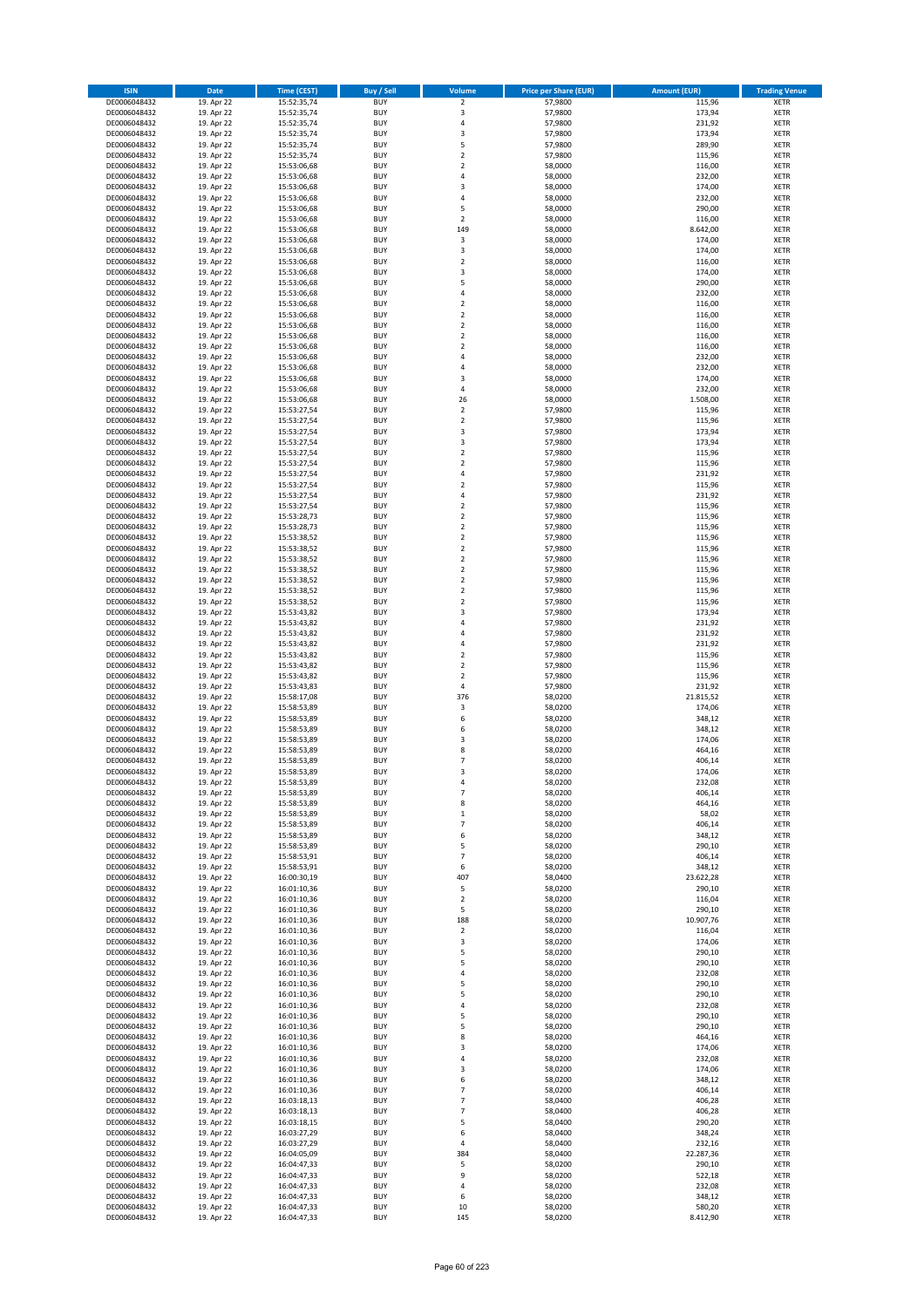| <b>ISIN</b>                  | Date                     | Time (CEST)                | <b>Buy / Sell</b>        | <b>Volume</b>                 | <b>Price per Share (EUR)</b> | <b>Amount (EUR)</b> | <b>Trading Venue</b>       |
|------------------------------|--------------------------|----------------------------|--------------------------|-------------------------------|------------------------------|---------------------|----------------------------|
| DE0006048432                 | 19. Apr 22               | 15:52:35,74                | <b>BUY</b>               | $\overline{2}$                | 57,9800                      | 115,96              | <b>XETR</b>                |
| DE0006048432                 | 19. Apr 22               | 15:52:35,74                | <b>BUY</b>               | 3                             | 57,9800                      | 173,94              | XETR                       |
| DE0006048432                 | 19. Apr 22               | 15:52:35,74                | <b>BUY</b>               | 4                             | 57,9800                      | 231,92              | <b>XETR</b>                |
| DE0006048432                 | 19. Apr 22               | 15:52:35,74                | <b>BUY</b>               | $\mathsf 3$                   | 57,9800                      | 173,94              | XETR                       |
| DE0006048432<br>DE0006048432 | 19. Apr 22<br>19. Apr 22 | 15:52:35,74<br>15:52:35,74 | <b>BUY</b><br><b>BUY</b> | 5<br>$\mathbf 2$              | 57,9800<br>57,9800           | 289,90<br>115,96    | <b>XETR</b><br><b>XETR</b> |
| DE0006048432                 | 19. Apr 22               | 15:53:06,68                | <b>BUY</b>               | $\mathbf 2$                   | 58,0000                      | 116,00              | <b>XETR</b>                |
| DE0006048432                 | 19. Apr 22               | 15:53:06,68                | <b>BUY</b>               | $\sqrt{4}$                    | 58,0000                      | 232,00              | <b>XETR</b>                |
| DE0006048432                 | 19. Apr 22               | 15:53:06,68                | <b>BUY</b>               | 3                             | 58,0000                      | 174,00              | <b>XETR</b>                |
| DE0006048432                 | 19. Apr 22               | 15:53:06,68                | <b>BUY</b>               | 4                             | 58,0000                      | 232,00              | <b>XETR</b>                |
| DE0006048432                 | 19. Apr 22               | 15:53:06,68                | <b>BUY</b>               | 5                             | 58,0000                      | 290,00              | <b>XETR</b>                |
| DE0006048432                 | 19. Apr 22               | 15:53:06,68                | <b>BUY</b>               | $\overline{2}$                | 58,0000                      | 116,00              | <b>XETR</b>                |
| DE0006048432<br>DE0006048432 | 19. Apr 22<br>19. Apr 22 | 15:53:06,68<br>15:53:06,68 | <b>BUY</b><br><b>BUY</b> | 149<br>3                      | 58,0000<br>58,0000           | 8.642,00<br>174,00  | <b>XETR</b><br><b>XETR</b> |
| DE0006048432                 | 19. Apr 22               | 15:53:06,68                | <b>BUY</b>               | 3                             | 58,0000                      | 174,00              | <b>XETR</b>                |
| DE0006048432                 | 19. Apr 22               | 15:53:06,68                | <b>BUY</b>               | $\overline{2}$                | 58,0000                      | 116,00              | <b>XETR</b>                |
| DE0006048432                 | 19. Apr 22               | 15:53:06,68                | <b>BUY</b>               | 3                             | 58,0000                      | 174,00              | <b>XETR</b>                |
| DE0006048432                 | 19. Apr 22               | 15:53:06,68                | <b>BUY</b>               | 5                             | 58,0000                      | 290,00              | <b>XETR</b>                |
| DE0006048432                 | 19. Apr 22               | 15:53:06,68                | <b>BUY</b>               | 4                             | 58,0000                      | 232,00              | <b>XETR</b>                |
| DE0006048432<br>DE0006048432 | 19. Apr 22<br>19. Apr 22 | 15:53:06,68                | <b>BUY</b><br><b>BUY</b> | $\mathbf 2$<br>$\overline{2}$ | 58,0000<br>58,0000           | 116,00<br>116,00    | <b>XETR</b><br><b>XETR</b> |
| DE0006048432                 | 19. Apr 22               | 15:53:06,68<br>15:53:06,68 | <b>BUY</b>               | $\mathbf 2$                   | 58,0000                      | 116,00              | <b>XETR</b>                |
| DE0006048432                 | 19. Apr 22               | 15:53:06,68                | <b>BUY</b>               | $\overline{2}$                | 58,0000                      | 116,00              | <b>XETR</b>                |
| DE0006048432                 | 19. Apr 22               | 15:53:06,68                | <b>BUY</b>               | $\mathbf 2$                   | 58,0000                      | 116,00              | <b>XETR</b>                |
| DE0006048432                 | 19. Apr 22               | 15:53:06,68                | <b>BUY</b>               | $\sqrt{4}$                    | 58,0000                      | 232,00              | <b>XETR</b>                |
| DE0006048432                 | 19. Apr 22               | 15:53:06,68                | <b>BUY</b>               | 4                             | 58,0000                      | 232,00              | <b>XETR</b>                |
| DE0006048432<br>DE0006048432 | 19. Apr 22               | 15:53:06,68                | <b>BUY</b><br><b>BUY</b> | 3<br>4                        | 58,0000                      | 174,00              | <b>XETR</b><br><b>XETR</b> |
| DE0006048432                 | 19. Apr 22<br>19. Apr 22 | 15:53:06,68<br>15:53:06,68 | <b>BUY</b>               | 26                            | 58,0000<br>58,0000           | 232,00<br>1.508,00  | <b>XETR</b>                |
| DE0006048432                 | 19. Apr 22               | 15:53:27,54                | <b>BUY</b>               | $\overline{2}$                | 57,9800                      | 115,96              | <b>XETR</b>                |
| DE0006048432                 | 19. Apr 22               | 15:53:27,54                | <b>BUY</b>               | $\overline{2}$                | 57,9800                      | 115,96              | <b>XETR</b>                |
| DE0006048432                 | 19. Apr 22               | 15:53:27,54                | <b>BUY</b>               | 3                             | 57,9800                      | 173,94              | <b>XETR</b>                |
| DE0006048432                 | 19. Apr 22               | 15:53:27,54                | <b>BUY</b>               | 3                             | 57,9800                      | 173,94              | <b>XETR</b>                |
| DE0006048432                 | 19. Apr 22               | 15:53:27,54                | <b>BUY</b>               | $\mathbf 2$                   | 57,9800                      | 115,96              | <b>XETR</b>                |
| DE0006048432<br>DE0006048432 | 19. Apr 22<br>19. Apr 22 | 15:53:27,54<br>15:53:27,54 | <b>BUY</b><br><b>BUY</b> | $\mathbf 2$<br>4              | 57,9800<br>57,9800           | 115,96<br>231,92    | <b>XETR</b><br><b>XETR</b> |
| DE0006048432                 | 19. Apr 22               | 15:53:27,54                | <b>BUY</b>               | $\overline{\mathbf{c}}$       | 57,9800                      | 115,96              | <b>XETR</b>                |
| DE0006048432                 | 19. Apr 22               | 15:53:27,54                | <b>BUY</b>               | $\overline{4}$                | 57,9800                      | 231,92              | <b>XETR</b>                |
| DE0006048432                 | 19. Apr 22               | 15:53:27,54                | <b>BUY</b>               | $\overline{2}$                | 57,9800                      | 115,96              | <b>XETR</b>                |
| DE0006048432                 | 19. Apr 22               | 15:53:28,73                | <b>BUY</b>               | $\mathbf 2$                   | 57,9800                      | 115,96              | <b>XETR</b>                |
| DE0006048432                 | 19. Apr 22               | 15:53:28,73                | <b>BUY</b>               | $\mathbf 2$                   | 57,9800                      | 115,96              | <b>XETR</b>                |
| DE0006048432                 | 19. Apr 22               | 15:53:38,52                | <b>BUY</b><br><b>BUY</b> | $\mathbf 2$                   | 57,9800                      | 115,96              | <b>XETR</b>                |
| DE0006048432<br>DE0006048432 | 19. Apr 22<br>19. Apr 22 | 15:53:38,52<br>15:53:38,52 | <b>BUY</b>               | $\mathbf 2$<br>$\overline{2}$ | 57,9800<br>57,9800           | 115,96<br>115,96    | <b>XETR</b><br><b>XETR</b> |
| DE0006048432                 | 19. Apr 22               | 15:53:38,52                | <b>BUY</b>               | $\mathbf 2$                   | 57,9800                      | 115,96              | <b>XETR</b>                |
| DE0006048432                 | 19. Apr 22               | 15:53:38,52                | <b>BUY</b>               | $\overline{2}$                | 57,9800                      | 115,96              | <b>XETR</b>                |
| DE0006048432                 | 19. Apr 22               | 15:53:38,52                | <b>BUY</b>               | $\mathbf 2$                   | 57,9800                      | 115,96              | <b>XETR</b>                |
| DE0006048432                 | 19. Apr 22               | 15:53:38,52                | <b>BUY</b>               | $\mathbf 2$                   | 57,9800                      | 115,96              | <b>XETR</b>                |
| DE0006048432<br>DE0006048432 | 19. Apr 22<br>19. Apr 22 | 15:53:43,82                | <b>BUY</b><br><b>BUY</b> | 3<br>4                        | 57,9800<br>57,9800           | 173,94<br>231,92    | <b>XETR</b><br><b>XETR</b> |
| DE0006048432                 | 19. Apr 22               | 15:53:43,82<br>15:53:43,82 | <b>BUY</b>               | $\overline{a}$                | 57,9800                      | 231,92              | <b>XETR</b>                |
| DE0006048432                 | 19. Apr 22               | 15:53:43,82                | <b>BUY</b>               | $\overline{4}$                | 57,9800                      | 231,92              | <b>XETR</b>                |
| DE0006048432                 | 19. Apr 22               | 15:53:43,82                | <b>BUY</b>               | $\overline{2}$                | 57,9800                      | 115,96              | <b>XETR</b>                |
| DE0006048432                 | 19. Apr 22               | 15:53:43,82                | <b>BUY</b>               | $\mathbf 2$                   | 57,9800                      | 115,96              | <b>XETR</b>                |
| DE0006048432                 | 19. Apr 22               | 15:53:43,82                | <b>BUY</b>               | $\mathbf 2$                   | 57,9800                      | 115,96              | <b>XETR</b>                |
| DE0006048432                 | 19. Apr 22               | 15:53:43,83                | <b>BUY</b>               | $\pmb{4}$                     | 57,9800                      | 231,92              | <b>XETR</b>                |
| DE0006048432<br>DE0006048432 | 19. Apr 22<br>19. Apr 22 | 15:58:17,08<br>15:58:53,89 | <b>BUY</b><br><b>BUY</b> | 376<br>3                      | 58,0200<br>58,0200           | 21.815,52<br>174,06 | <b>XETR</b><br><b>XETR</b> |
| DE0006048432                 | 19. Apr 22               | 15:58:53,89                | <b>BUY</b>               | 6                             | 58,0200                      | 348,12              | <b>XETR</b>                |
| DE0006048432                 | 19. Apr 22               | 15:58:53,89                | <b>BUY</b>               | 6                             | 58,0200                      | 348,12              | <b>XETR</b>                |
| DE0006048432                 | 19. Apr 22               | 15:58:53,89                | <b>BUY</b>               | 3                             | 58,0200                      | 174,06              | <b>XETR</b>                |
| DE0006048432                 | 19. Apr 22               | 15:58:53,89                | <b>BUY</b>               | 8                             | 58,0200                      | 464,16              | <b>XETR</b>                |
| DE0006048432                 | 19. Apr 22               | 15:58:53,89                | <b>BUY</b>               | $\overline{7}$                | 58,0200                      | 406,14              | <b>XETR</b>                |
| DE0006048432<br>DE0006048432 | 19. Apr 22<br>19. Apr 22 | 15:58:53,89                | <b>BUY</b><br>BUY        | 3<br>4                        | 58,0200<br>58,0200           | 174,06<br>232,08    | <b>XETR</b><br>XETR        |
| DE0006048432                 | 19. Apr 22               | 15:58:53,89<br>15:58:53,89 | <b>BUY</b>               | $\overline{\phantom{a}}$      | 58,0200                      | 406,14              | <b>XETR</b>                |
| DE0006048432                 | 19. Apr 22               | 15:58:53,89                | <b>BUY</b>               | 8                             | 58,0200                      | 464,16              | <b>XETR</b>                |
| DE0006048432                 | 19. Apr 22               | 15:58:53,89                | <b>BUY</b>               | $\,$ 1                        | 58,0200                      | 58,02               | <b>XETR</b>                |
| DE0006048432                 | 19. Apr 22               | 15:58:53,89                | <b>BUY</b>               | $\overline{7}$                | 58,0200                      | 406,14              | <b>XETR</b>                |
| DE0006048432                 | 19. Apr 22               | 15:58:53,89                | <b>BUY</b>               | 6                             | 58,0200                      | 348,12              | <b>XETR</b>                |
| DE0006048432                 | 19. Apr 22<br>19. Apr 22 | 15:58:53,89                | <b>BUY</b>               | 5<br>$\overline{7}$           | 58,0200                      | 290,10              | <b>XETR</b>                |
| DE0006048432<br>DE0006048432 | 19. Apr 22               | 15:58:53,91<br>15:58:53,91 | <b>BUY</b><br><b>BUY</b> | 6                             | 58,0200<br>58,0200           | 406,14<br>348,12    | <b>XETR</b><br>XETR        |
| DE0006048432                 | 19. Apr 22               | 16:00:30,19                | <b>BUY</b>               | 407                           | 58,0400                      | 23.622,28           | <b>XETR</b>                |
| DE0006048432                 | 19. Apr 22               | 16:01:10,36                | <b>BUY</b>               | 5                             | 58,0200                      | 290,10              | XETR                       |
| DE0006048432                 | 19. Apr 22               | 16:01:10,36                | <b>BUY</b>               | $\overline{2}$                | 58,0200                      | 116,04              | <b>XETR</b>                |
| DE0006048432                 | 19. Apr 22               | 16:01:10,36                | <b>BUY</b>               | 5                             | 58,0200                      | 290,10              | XETR                       |
| DE0006048432<br>DE0006048432 | 19. Apr 22<br>19. Apr 22 | 16:01:10,36<br>16:01:10,36 | <b>BUY</b><br><b>BUY</b> | 188<br>$\mathbf 2$            | 58,0200<br>58,0200           | 10.907,76<br>116,04 | <b>XETR</b><br>XETR        |
| DE0006048432                 | 19. Apr 22               | 16:01:10,36                | <b>BUY</b>               | 3                             | 58,0200                      | 174,06              | <b>XETR</b>                |
| DE0006048432                 | 19. Apr 22               | 16:01:10,36                | <b>BUY</b>               | 5                             | 58,0200                      | 290,10              | <b>XETR</b>                |
| DE0006048432                 | 19. Apr 22               | 16:01:10,36                | <b>BUY</b>               | 5                             | 58,0200                      | 290,10              | <b>XETR</b>                |
| DE0006048432                 | 19. Apr 22               | 16:01:10,36                | <b>BUY</b>               | 4                             | 58,0200                      | 232,08              | XETR                       |
| DE0006048432                 | 19. Apr 22               | 16:01:10,36                | <b>BUY</b>               | 5                             | 58,0200                      | 290,10              | <b>XETR</b>                |
| DE0006048432                 | 19. Apr 22               | 16:01:10,36                | <b>BUY</b>               | 5                             | 58,0200                      | 290,10              | <b>XETR</b>                |
| DE0006048432<br>DE0006048432 | 19. Apr 22<br>19. Apr 22 | 16:01:10,36<br>16:01:10,36 | <b>BUY</b><br><b>BUY</b> | $\sqrt{4}$<br>5               | 58,0200<br>58,0200           | 232,08<br>290,10    | <b>XETR</b><br><b>XETR</b> |
| DE0006048432                 | 19. Apr 22               | 16:01:10,36                | <b>BUY</b>               | 5                             | 58,0200                      | 290,10              | <b>XETR</b>                |
| DE0006048432                 | 19. Apr 22               | 16:01:10,36                | <b>BUY</b>               | 8                             | 58,0200                      | 464,16              | XETR                       |
| DE0006048432                 | 19. Apr 22               | 16:01:10,36                | <b>BUY</b>               | 3                             | 58,0200                      | 174,06              | <b>XETR</b>                |
| DE0006048432                 | 19. Apr 22               | 16:01:10,36                | <b>BUY</b>               | 4                             | 58,0200                      | 232,08              | <b>XETR</b>                |
| DE0006048432                 | 19. Apr 22               | 16:01:10,36                | <b>BUY</b>               | 3                             | 58,0200                      | 174,06              | <b>XETR</b>                |
| DE0006048432<br>DE0006048432 | 19. Apr 22<br>19. Apr 22 | 16:01:10,36<br>16:01:10,36 | <b>BUY</b><br><b>BUY</b> | 6<br>$\overline{7}$           | 58,0200<br>58,0200           | 348,12<br>406,14    | <b>XETR</b><br><b>XETR</b> |
| DE0006048432                 | 19. Apr 22               | 16:03:18,13                | <b>BUY</b>               | $\overline{7}$                | 58,0400                      | 406,28              | XETR                       |
| DE0006048432                 | 19. Apr 22               | 16:03:18,13                | <b>BUY</b>               | $\overline{7}$                | 58,0400                      | 406,28              | XETR                       |
| DE0006048432                 | 19. Apr 22               | 16:03:18,15                | <b>BUY</b>               | 5                             | 58,0400                      | 290,20              | XETR                       |
| DE0006048432                 | 19. Apr 22               | 16:03:27,29                | <b>BUY</b>               | 6                             | 58,0400                      | 348,24              | <b>XETR</b>                |
| DE0006048432                 | 19. Apr 22               | 16:03:27,29                | <b>BUY</b>               | $\pmb{4}$                     | 58,0400                      | 232,16              | <b>XETR</b>                |
| DE0006048432<br>DE0006048432 | 19. Apr 22               | 16:04:05,09                | <b>BUY</b><br><b>BUY</b> | 384<br>5                      | 58,0400                      | 22.287,36           | <b>XETR</b><br><b>XETR</b> |
| DE0006048432                 | 19. Apr 22<br>19. Apr 22 | 16:04:47,33<br>16:04:47,33 | <b>BUY</b>               | 9                             | 58,0200<br>58,0200           | 290,10<br>522,18    | XETR                       |
| DE0006048432                 | 19. Apr 22               | 16:04:47,33                | <b>BUY</b>               | 4                             | 58,0200                      | 232,08              | <b>XETR</b>                |
| DE0006048432                 | 19. Apr 22               | 16:04:47,33                | <b>BUY</b>               | 6                             | 58,0200                      | 348,12              | XETR                       |
| DE0006048432                 | 19. Apr 22               | 16:04:47,33                | <b>BUY</b>               | $10\,$                        | 58,0200                      | 580,20              | <b>XETR</b>                |
| DE0006048432                 | 19. Apr 22               | 16:04:47,33                | <b>BUY</b>               | 145                           | 58,0200                      | 8.412,90            | <b>XETR</b>                |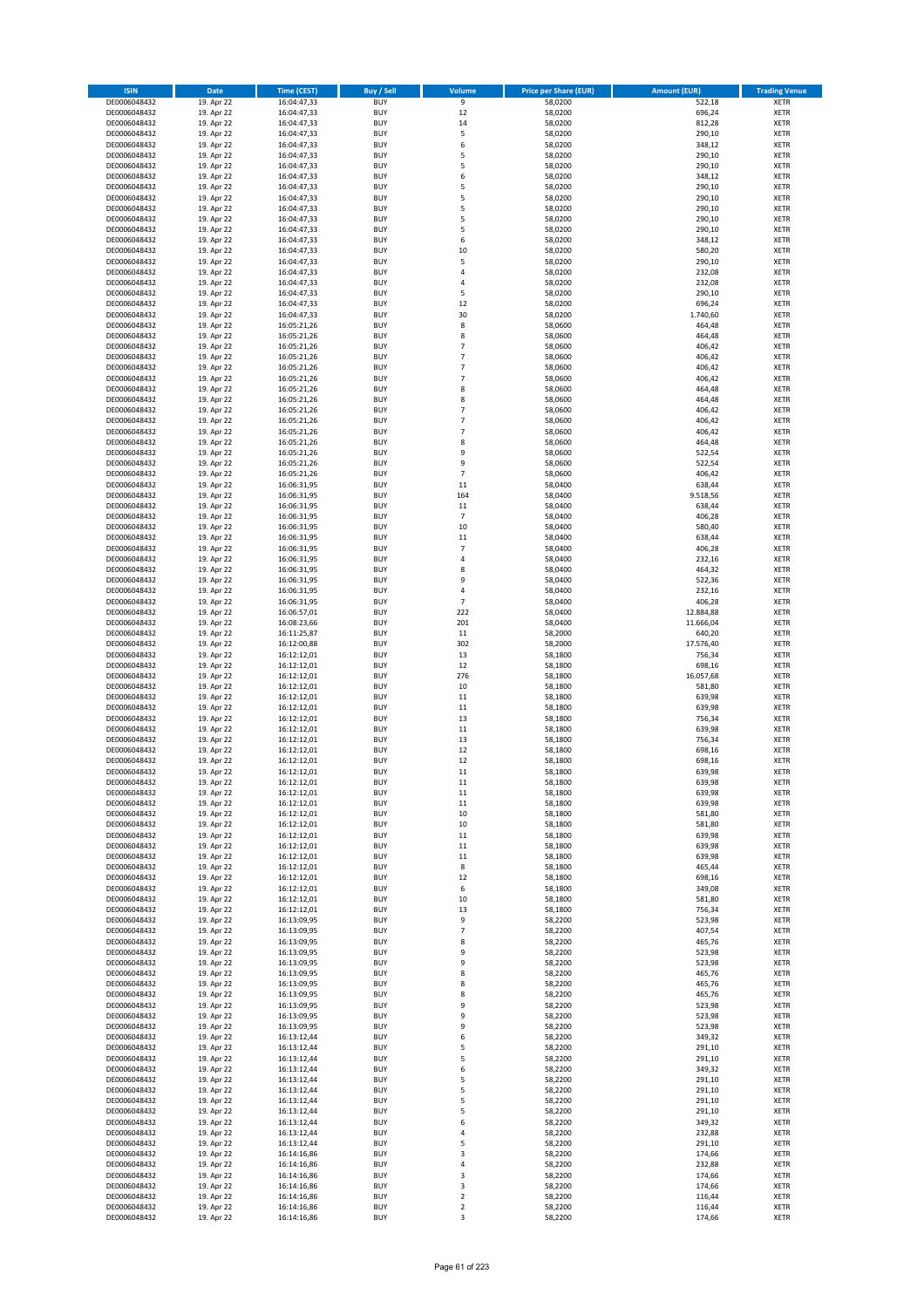| <b>ISIN</b>                  | <b>Date</b>              | <b>Time (CEST)</b>         | <b>Buy / Sell</b>        | Volume         | <b>Price per Share (EUR)</b> | <b>Amount (EUR)</b> | <b>Trading Venue</b>       |
|------------------------------|--------------------------|----------------------------|--------------------------|----------------|------------------------------|---------------------|----------------------------|
| DE0006048432                 | 19. Apr 22               | 16:04:47,33                | <b>BUY</b>               | $\overline{9}$ | 58,0200                      | 522,18              | <b>XETR</b>                |
| DE0006048432                 | 19. Apr 22               | 16:04:47,33                | <b>BUY</b>               | $12\,$         | 58,0200                      | 696,24              | <b>XETR</b>                |
| DE0006048432                 | 19. Apr 22               | 16:04:47,33                | <b>BUY</b>               | 14             | 58,0200                      | 812,28              | <b>XETR</b>                |
| DE0006048432                 | 19. Apr 22               | 16:04:47,33                | <b>BUY</b>               | 5              | 58,0200                      | 290,10              | <b>XETR</b>                |
| DE0006048432                 | 19. Apr 22               | 16:04:47,33                | <b>BUY</b>               | 6              | 58,0200                      | 348,12              | <b>XETR</b>                |
| DE0006048432                 | 19. Apr 22               | 16:04:47,33                | <b>BUY</b>               | 5              | 58,0200                      | 290,10              | <b>XETR</b>                |
| DE0006048432                 | 19. Apr 22               | 16:04:47,33                | <b>BUY</b>               | 5              | 58,0200                      | 290,10              | <b>XETR</b>                |
| DE0006048432                 | 19. Apr 22               | 16:04:47,33                | <b>BUY</b>               | 6              | 58,0200                      | 348,12              | <b>XETR</b>                |
| DE0006048432                 | 19. Apr 22               | 16:04:47,33                | BUY                      | 5              | 58,0200                      | 290,10              | <b>XETR</b>                |
| DE0006048432                 | 19. Apr 22               | 16:04:47,33                | <b>BUY</b>               | 5              | 58,0200                      | 290,10              | <b>XETR</b>                |
| DE0006048432                 | 19. Apr 22               | 16:04:47,33                | <b>BUY</b>               | 5              | 58,0200                      | 290,10              | <b>XETR</b>                |
| DE0006048432                 | 19. Apr 22               | 16:04:47,33                | <b>BUY</b>               | 5              | 58,0200                      | 290,10              | <b>XETR</b>                |
| DE0006048432                 | 19. Apr 22               | 16:04:47,33                | <b>BUY</b>               | 5<br>6         | 58,0200                      | 290,10              | <b>XETR</b>                |
| DE0006048432                 | 19. Apr 22<br>19. Apr 22 | 16:04:47,33                | <b>BUY</b><br><b>BUY</b> | 10             | 58,0200                      | 348,12<br>580,20    | <b>XETR</b><br><b>XETR</b> |
| DE0006048432<br>DE0006048432 | 19. Apr 22               | 16:04:47,33<br>16:04:47,33 | BUY                      | 5              | 58,0200<br>58,0200           | 290,10              | <b>XETR</b>                |
| DE0006048432                 | 19. Apr 22               | 16:04:47,33                | <b>BUY</b>               | 4              | 58,0200                      | 232,08              | <b>XETR</b>                |
| DE0006048432                 | 19. Apr 22               | 16:04:47,33                | <b>BUY</b>               | $\overline{4}$ | 58,0200                      | 232,08              | <b>XETR</b>                |
| DE0006048432                 | 19. Apr 22               | 16:04:47,33                | <b>BUY</b>               | 5              | 58,0200                      | 290,10              | <b>XETR</b>                |
| DE0006048432                 | 19. Apr 22               | 16:04:47,33                | <b>BUY</b>               | 12             | 58,0200                      | 696,24              | <b>XETR</b>                |
| DE0006048432                 | 19. Apr 22               | 16:04:47,33                | <b>BUY</b>               | 30             | 58,0200                      | 1.740,60            | <b>XETR</b>                |
| DE0006048432                 | 19. Apr 22               | 16:05:21,26                | <b>BUY</b>               | 8              | 58,0600                      | 464,48              | <b>XETR</b>                |
| DE0006048432                 | 19. Apr 22               | 16:05:21,26                | <b>BUY</b>               | 8              | 58,0600                      | 464,48              | <b>XETR</b>                |
| DE0006048432                 | 19. Apr 22               | 16:05:21,26                | <b>BUY</b>               | $\overline{7}$ | 58,0600                      | 406,42              | <b>XETR</b>                |
| DE0006048432                 | 19. Apr 22               | 16:05:21,26                | <b>BUY</b>               | $\overline{7}$ | 58,0600                      | 406,42              | <b>XETR</b>                |
| DE0006048432                 | 19. Apr 22               | 16:05:21,26                | <b>BUY</b>               | $\overline{7}$ | 58,0600                      | 406,42              | <b>XETR</b>                |
| DE0006048432                 | 19. Apr 22               | 16:05:21,26                | <b>BUY</b>               | $\overline{7}$ | 58,0600                      | 406,42              | <b>XETR</b>                |
| DE0006048432                 | 19. Apr 22               | 16:05:21,26                | <b>BUY</b>               | 8              | 58,0600                      | 464,48              | <b>XETR</b>                |
| DE0006048432                 | 19. Apr 22               | 16:05:21,26                | <b>BUY</b>               | 8              | 58,0600                      | 464,48              | <b>XETR</b>                |
| DE0006048432                 | 19. Apr 22               | 16:05:21,26                | <b>BUY</b>               | 7              | 58,0600                      | 406,42              | <b>XETR</b>                |
| DE0006048432                 | 19. Apr 22               | 16:05:21,26                | <b>BUY</b>               | $\overline{7}$ | 58,0600                      | 406,42              | <b>XETR</b>                |
| DE0006048432                 | 19. Apr 22               | 16:05:21,26                | <b>BUY</b><br><b>BUY</b> | 7<br>8         | 58,0600<br>58,0600           | 406,42<br>464,48    | <b>XETR</b><br><b>XETR</b> |
| DE0006048432<br>DE0006048432 | 19. Apr 22<br>19. Apr 22 | 16:05:21,26<br>16:05:21,26 | <b>BUY</b>               | 9              | 58,0600                      | 522,54              | <b>XETR</b>                |
| DE0006048432                 | 19. Apr 22               | 16:05:21,26                | <b>BUY</b>               | 9              | 58,0600                      | 522,54              | <b>XETR</b>                |
| DE0006048432                 | 19. Apr 22               | 16:05:21,26                | <b>BUY</b>               | $\overline{7}$ | 58,0600                      | 406,42              | <b>XETR</b>                |
| DE0006048432                 | 19. Apr 22               | 16:06:31,95                | <b>BUY</b>               | $11\,$         | 58,0400                      | 638,44              | <b>XETR</b>                |
| DE0006048432                 | 19. Apr 22               | 16:06:31,95                | BUY                      | 164            | 58,0400                      | 9.518,56            | <b>XETR</b>                |
| DE0006048432                 | 19. Apr 22               | 16:06:31,95                | <b>BUY</b>               | $11\,$         | 58,0400                      | 638,44              | <b>XETR</b>                |
| DE0006048432                 | 19. Apr 22               | 16:06:31,95                | <b>BUY</b>               | $\overline{7}$ | 58,0400                      | 406,28              | <b>XETR</b>                |
| DE0006048432                 | 19. Apr 22               | 16:06:31,95                | <b>BUY</b>               | 10             | 58,0400                      | 580,40              | <b>XETR</b>                |
| DE0006048432                 | 19. Apr 22               | 16:06:31,95                | <b>BUY</b>               | $11\,$         | 58,0400                      | 638,44              | <b>XETR</b>                |
| DE0006048432                 | 19. Apr 22               | 16:06:31,95                | <b>BUY</b>               | $\overline{7}$ | 58,0400                      | 406,28              | <b>XETR</b>                |
| DE0006048432                 | 19. Apr 22               | 16:06:31,95                | <b>BUY</b>               | $\overline{4}$ | 58,0400                      | 232,16              | <b>XETR</b>                |
| DE0006048432                 | 19. Apr 22               | 16:06:31,95                | <b>BUY</b>               | 8              | 58,0400                      | 464,32              | <b>XETR</b>                |
| DE0006048432                 | 19. Apr 22               | 16:06:31,95                | <b>BUY</b>               | 9              | 58,0400                      | 522,36              | <b>XETR</b>                |
| DE0006048432                 | 19. Apr 22               | 16:06:31,95                | <b>BUY</b>               | $\pmb{4}$      | 58,0400                      | 232,16              | <b>XETR</b>                |
| DE0006048432                 | 19. Apr 22               | 16:06:31,95                | <b>BUY</b>               | $\overline{7}$ | 58,0400                      | 406,28              | <b>XETR</b>                |
| DE0006048432                 | 19. Apr 22               | 16:06:57,01                | <b>BUY</b>               | 222            | 58,0400                      | 12.884,88           | <b>XETR</b>                |
| DE0006048432                 | 19. Apr 22               | 16:08:23,66                | <b>BUY</b>               | 201            | 58,0400                      | 11.666,04           | <b>XETR</b>                |
| DE0006048432                 | 19. Apr 22               | 16:11:25,87                | <b>BUY</b><br><b>BUY</b> | $11\,$<br>302  | 58,2000                      | 640,20              | <b>XETR</b>                |
| DE0006048432<br>DE0006048432 | 19. Apr 22<br>19. Apr 22 | 16:12:00,88<br>16:12:12,01 | <b>BUY</b>               | 13             | 58,2000<br>58,1800           | 17.576,40<br>756,34 | <b>XETR</b><br><b>XETR</b> |
| DE0006048432                 | 19. Apr 22               | 16:12:12,01                | <b>BUY</b>               | 12             | 58,1800                      | 698,16              | <b>XETR</b>                |
| DE0006048432                 | 19. Apr 22               | 16:12:12,01                | <b>BUY</b>               | 276            | 58,1800                      | 16.057,68           | <b>XETR</b>                |
| DE0006048432                 | 19. Apr 22               | 16:12:12,01                | <b>BUY</b>               | 10             | 58,1800                      | 581,80              | <b>XETR</b>                |
| DE0006048432                 | 19. Apr 22               | 16:12:12,01                | <b>BUY</b>               | $11\,$         | 58,1800                      | 639,98              | <b>XETR</b>                |
| DE0006048432                 | 19. Apr 22               | 16:12:12,01                | <b>BUY</b>               | $11\,$         | 58,1800                      | 639,98              | <b>XETR</b>                |
| DE0006048432                 | 19. Apr 22               | 16:12:12,01                | BUY                      | 13             | 58,1800                      | 756,34              | <b>XETR</b>                |
| DE0006048432                 | 19. Apr 22               | 16:12:12,01                | <b>BUY</b>               | $11\,$         | 58,1800                      | 639,98              | <b>XETR</b>                |
| DE0006048432                 | 19. Apr 22               | 16:12:12,01                | <b>BUY</b>               | 13             | 58,1800                      | 756,34              | <b>XETR</b>                |
| DE0006048432                 | 19. Apr 22               | 16:12:12,01                | BUY                      | 12             | 58,1800                      | 698,16              | <b>XETR</b>                |
| DE0006048432                 | 19. Apr 22               | 16:12:12,01                | BUY                      | 12             | 58,1800                      | 698,16              | <b>XETR</b>                |
| DE0006048432                 | 19. Apr 22               | 16:12:12,01                | <b>BUY</b>               | $11\,$         | 58,1800                      | 639,98              | <b>XETR</b>                |
| DE0006048432                 | 19. Apr 22               | 16:12:12,01                | BUY                      | 11             | 58,1800                      | 639,98              | <b>XETR</b>                |
| DE0006048432                 | 19. Apr 22               | 16:12:12,01                | <b>BUY</b>               | $11\,$         | 58,1800                      | 639,98              | <b>XETR</b>                |
| DE0006048432                 | 19. Apr 22               | 16:12:12,01                | <b>BUY</b>               | 11             | 58,1800                      | 639,98              | <b>XETR</b>                |
| DE0006048432                 | 19. Apr 22               | 16:12:12,01                | <b>BUY</b>               | $10\,$         | 58,1800                      | 581,80              | <b>XETR</b>                |
| DE0006048432                 | 19. Apr 22               | 16:12:12,01                | <b>BUY</b>               | 10             | 58,1800                      | 581,80              | <b>XETR</b>                |
| DE0006048432                 | 19. Apr 22               | 16:12:12,01                | <b>BUY</b>               | $11\,$         | 58,1800                      | 639,98              | <b>XETR</b>                |
| DE0006048432                 | 19. Apr 22               | 16:12:12,01                | <b>BUY</b>               | 11             | 58,1800                      | 639,98              | <b>XETR</b>                |
| DE0006048432<br>DE0006048432 | 19. Apr 22               | 16:12:12,01                | <b>BUY</b>               | 11             | 58,1800                      | 639,98              | <b>XETR</b>                |
| DE0006048432                 | 19. Apr 22<br>19. Apr 22 | 16:12:12,01<br>16:12:12,01 | <b>BUY</b><br><b>BUY</b> | 8<br>12        | 58,1800<br>58,1800           | 465,44<br>698,16    | <b>XETR</b><br><b>XETR</b> |
| DE0006048432                 | 19. Apr 22               | 16:12:12,01                | <b>BUY</b>               | 6              | 58,1800                      | 349,08              | <b>XETR</b>                |
| DE0006048432                 | 19. Apr 22               | 16:12:12,01                | <b>BUY</b>               | 10             | 58,1800                      | 581,80              | <b>XETR</b>                |
| DE0006048432                 | 19. Apr 22               | 16:12:12,01                | <b>BUY</b>               | 13             | 58,1800                      | 756,34              | <b>XETR</b>                |
| DE0006048432                 | 19. Apr 22               | 16:13:09,95                | <b>BUY</b>               | 9              | 58,2200                      | 523,98              | <b>XETR</b>                |
| DE0006048432                 | 19. Apr 22               | 16:13:09,95                | <b>BUY</b>               | $\overline{7}$ | 58,2200                      | 407,54              | <b>XETR</b>                |
| DE0006048432                 | 19. Apr 22               | 16:13:09,95                | <b>BUY</b>               | 8              | 58,2200                      | 465,76              | <b>XETR</b>                |
| DE0006048432                 | 19. Apr 22               | 16:13:09,95                | <b>BUY</b>               | 9              | 58,2200                      | 523,98              | <b>XETR</b>                |
| DE0006048432                 | 19. Apr 22               | 16:13:09,95                | <b>BUY</b>               | 9              | 58,2200                      | 523,98              | <b>XETR</b>                |
| DE0006048432                 | 19. Apr 22               | 16:13:09,95                | <b>BUY</b>               | 8              | 58,2200                      | 465,76              | <b>XETR</b>                |
| DE0006048432                 | 19. Apr 22               | 16:13:09,95                | <b>BUY</b>               | 8              | 58,2200                      | 465,76              | <b>XETR</b>                |
| DE0006048432                 | 19. Apr 22               | 16:13:09,95                | <b>BUY</b>               | 8              | 58,2200                      | 465,76              | <b>XETR</b>                |
| DE0006048432                 | 19. Apr 22               | 16:13:09,95                | <b>BUY</b>               | 9              | 58,2200                      | 523,98              | <b>XETR</b>                |
| DE0006048432                 | 19. Apr 22               | 16:13:09,95                | <b>BUY</b>               | 9              | 58,2200                      | 523,98              | <b>XETR</b>                |
| DE0006048432                 | 19. Apr 22               | 16:13:09,95                | <b>BUY</b>               | 9              | 58,2200                      | 523,98              | <b>XETR</b>                |
| DE0006048432                 | 19. Apr 22               | 16:13:12,44                | <b>BUY</b>               | 6              | 58,2200                      | 349,32              | <b>XETR</b>                |
| DE0006048432                 | 19. Apr 22               | 16:13:12,44                | <b>BUY</b>               | 5<br>5         | 58,2200                      | 291,10<br>291,10    | <b>XETR</b><br><b>XETR</b> |
| DE0006048432<br>DE0006048432 | 19. Apr 22<br>19. Apr 22 | 16:13:12,44                | <b>BUY</b><br><b>BUY</b> | 6              | 58,2200                      | 349,32              | <b>XETR</b>                |
| DE0006048432                 | 19. Apr 22               | 16:13:12,44<br>16:13:12,44 | <b>BUY</b>               | 5              | 58,2200<br>58,2200           | 291,10              | <b>XETR</b>                |
| DE0006048432                 | 19. Apr 22               | 16:13:12,44                | <b>BUY</b>               | 5              | 58,2200                      | 291,10              | <b>XETR</b>                |
| DE0006048432                 | 19. Apr 22               | 16:13:12,44                | <b>BUY</b>               | 5              | 58,2200                      | 291,10              | <b>XETR</b>                |
| DE0006048432                 | 19. Apr 22               | 16:13:12,44                | <b>BUY</b>               | 5              | 58,2200                      | 291,10              | <b>XETR</b>                |
| DE0006048432                 | 19. Apr 22               | 16:13:12,44                | <b>BUY</b>               | 6              | 58,2200                      | 349,32              | <b>XETR</b>                |
| DE0006048432                 | 19. Apr 22               | 16:13:12,44                | <b>BUY</b>               | $\overline{a}$ | 58,2200                      | 232,88              | <b>XETR</b>                |
| DE0006048432                 | 19. Apr 22               | 16:13:12,44                | <b>BUY</b>               | 5              | 58,2200                      | 291,10              | <b>XETR</b>                |
| DE0006048432                 | 19. Apr 22               | 16:14:16,86                | <b>BUY</b>               | 3              | 58,2200                      | 174,66              | <b>XETR</b>                |
| DE0006048432                 | 19. Apr 22               | 16:14:16,86                | <b>BUY</b>               | 4              | 58,2200                      | 232,88              | <b>XETR</b>                |
| DE0006048432                 | 19. Apr 22               | 16:14:16,86                | <b>BUY</b>               | 3              | 58,2200                      | 174,66              | <b>XETR</b>                |
| DE0006048432                 | 19. Apr 22               | 16:14:16,86                | <b>BUY</b>               | 3              | 58,2200                      | 174,66              | <b>XETR</b>                |
| DE0006048432                 | 19. Apr 22               | 16:14:16,86                | <b>BUY</b>               | 2              | 58,2200                      | 116,44              | <b>XETR</b>                |
| DE0006048432                 | 19. Apr 22               | 16:14:16,86                | <b>BUY</b>               | $\mathbf 2$    | 58,2200                      | 116,44              | <b>XETR</b>                |
| DE0006048432                 | 19. Apr 22               | 16:14:16,86                | <b>BUY</b>               | 3              | 58,2200                      | 174,66              | <b>XETR</b>                |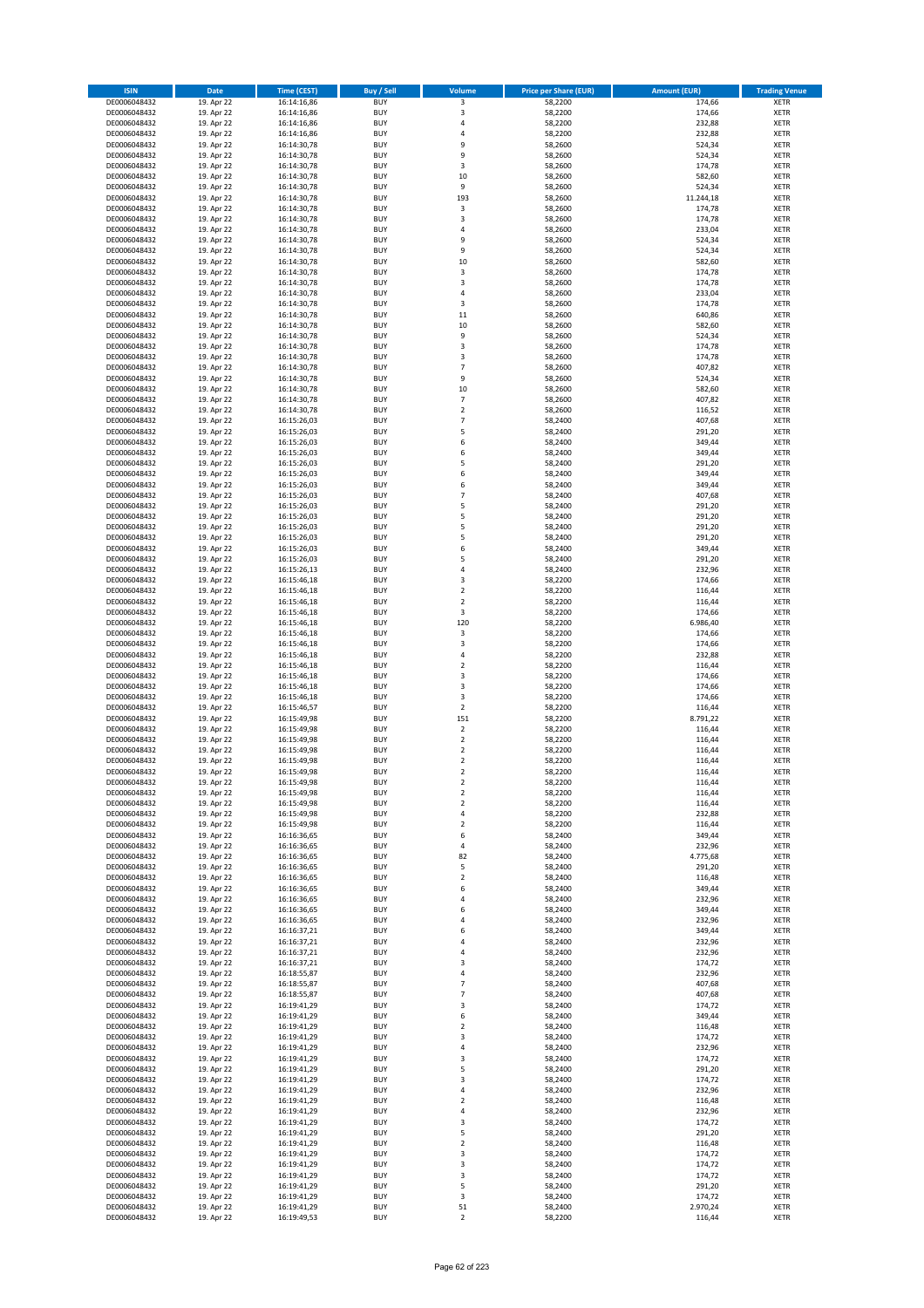| <b>ISIN</b>                  | <b>Date</b>              | <b>Time (CEST)</b>         | <b>Buy / Sell</b>        | Volume                        | <b>Price per Share (EUR)</b> | Amount (EUR)     | <b>Trading Venue</b>       |
|------------------------------|--------------------------|----------------------------|--------------------------|-------------------------------|------------------------------|------------------|----------------------------|
| DE0006048432                 | 19. Apr 22               | 16:14:16,86                | <b>BUY</b>               | 3                             | 58,2200                      | 174,66           | <b>XETR</b>                |
| DE0006048432                 | 19. Apr 22               | 16:14:16,86                | <b>BUY</b>               | 3                             | 58,2200                      | 174,66           | <b>XETR</b>                |
| DE0006048432                 | 19. Apr 22               | 16:14:16,86                | <b>BUY</b>               | 4                             | 58,2200                      | 232,88           | <b>XETR</b>                |
| DE0006048432                 | 19. Apr 22               | 16:14:16,86                | <b>BUY</b>               | 4                             | 58,2200                      | 232,88           | <b>XETR</b>                |
| DE0006048432                 | 19. Apr 22               | 16:14:30,78                | <b>BUY</b>               | 9                             | 58,2600                      | 524,34           | <b>XETR</b>                |
| DE0006048432                 | 19. Apr 22               | 16:14:30,78                | <b>BUY</b>               | 9                             | 58,2600                      | 524,34           | <b>XETR</b>                |
| DE0006048432                 | 19. Apr 22               | 16:14:30,78                | <b>BUY</b>               | 3                             | 58,2600                      | 174,78           | <b>XETR</b>                |
| DE0006048432                 | 19. Apr 22               | 16:14:30,78                | <b>BUY</b>               | 10                            | 58,2600                      | 582,60           | <b>XETR</b>                |
| DE0006048432                 | 19. Apr 22               | 16:14:30,78                | BUY                      | 9                             | 58,2600                      | 524,34           | <b>XETR</b>                |
| DE0006048432                 | 19. Apr 22               | 16:14:30,78                | <b>BUY</b>               | 193                           | 58,2600                      | 11.244,18        | <b>XETR</b>                |
| DE0006048432                 | 19. Apr 22               | 16:14:30,78                | <b>BUY</b>               | 3                             | 58,2600                      | 174,78           | <b>XETR</b>                |
| DE0006048432                 | 19. Apr 22               | 16:14:30,78                | <b>BUY</b>               | 3                             | 58,2600                      | 174,78           | <b>XETR</b>                |
| DE0006048432                 | 19. Apr 22               | 16:14:30,78                | <b>BUY</b>               | $\overline{a}$<br>9           | 58,2600                      | 233,04           | <b>XETR</b>                |
| DE0006048432                 | 19. Apr 22<br>19. Apr 22 | 16:14:30,78                | <b>BUY</b><br><b>BUY</b> | 9                             | 58,2600                      | 524,34<br>524,34 | <b>XETR</b><br><b>XETR</b> |
| DE0006048432<br>DE0006048432 | 19. Apr 22               | 16:14:30,78<br>16:14:30,78 | BUY                      | 10                            | 58,2600<br>58,2600           | 582,60           | <b>XETR</b>                |
| DE0006048432                 | 19. Apr 22               | 16:14:30,78                | <b>BUY</b>               | 3                             | 58,2600                      | 174,78           | <b>XETR</b>                |
| DE0006048432                 | 19. Apr 22               | 16:14:30,78                | <b>BUY</b>               | 3                             | 58,2600                      | 174,78           | <b>XETR</b>                |
| DE0006048432                 | 19. Apr 22               | 16:14:30,78                | <b>BUY</b>               | 4                             | 58,2600                      | 233,04           | <b>XETR</b>                |
| DE0006048432                 | 19. Apr 22               | 16:14:30,78                | <b>BUY</b>               | $\overline{\mathbf{3}}$       | 58,2600                      | 174,78           | <b>XETR</b>                |
| DE0006048432                 | 19. Apr 22               | 16:14:30,78                | <b>BUY</b>               | $11\,$                        | 58,2600                      | 640,86           | <b>XETR</b>                |
| DE0006048432                 | 19. Apr 22               | 16:14:30,78                | <b>BUY</b>               | 10                            | 58,2600                      | 582,60           | <b>XETR</b>                |
| DE0006048432                 | 19. Apr 22               | 16:14:30,78                | <b>BUY</b>               | 9                             | 58,2600                      | 524,34           | <b>XETR</b>                |
| DE0006048432                 | 19. Apr 22               | 16:14:30,78                | <b>BUY</b>               | 3                             | 58,2600                      | 174,78           | <b>XETR</b>                |
| DE0006048432                 | 19. Apr 22               | 16:14:30,78                | <b>BUY</b>               | 3                             | 58,2600                      | 174,78           | <b>XETR</b>                |
| DE0006048432                 | 19. Apr 22               | 16:14:30,78                | <b>BUY</b>               | $\overline{7}$                | 58,2600                      | 407,82           | <b>XETR</b>                |
| DE0006048432                 | 19. Apr 22               | 16:14:30,78                | <b>BUY</b>               | 9                             | 58,2600                      | 524,34           | <b>XETR</b>                |
| DE0006048432                 | 19. Apr 22               | 16:14:30,78                | <b>BUY</b>               | 10                            | 58,2600                      | 582,60           | <b>XETR</b>                |
| DE0006048432                 | 19. Apr 22               | 16:14:30,78                | <b>BUY</b>               | $\overline{7}$                | 58,2600                      | 407,82           | <b>XETR</b>                |
| DE0006048432                 | 19. Apr 22               | 16:14:30,78                | <b>BUY</b>               | $\overline{\mathbf{2}}$       | 58,2600                      | 116,52           | <b>XETR</b>                |
| DE0006048432                 | 19. Apr 22               | 16:15:26,03                | <b>BUY</b>               | $\overline{7}$                | 58,2400                      | 407,68           | <b>XETR</b>                |
| DE0006048432                 | 19. Apr 22               | 16:15:26,03                | <b>BUY</b>               | 5                             | 58,2400                      | 291,20           | <b>XETR</b>                |
| DE0006048432                 | 19. Apr 22               | 16:15:26,03                | <b>BUY</b>               | 6<br>6                        | 58,2400                      | 349,44           | <b>XETR</b>                |
| DE0006048432                 | 19. Apr 22               | 16:15:26,03                | <b>BUY</b>               | 5                             | 58,2400                      | 349,44           | <b>XETR</b>                |
| DE0006048432<br>DE0006048432 | 19. Apr 22<br>19. Apr 22 | 16:15:26,03<br>16:15:26,03 | <b>BUY</b><br><b>BUY</b> | 6                             | 58,2400<br>58,2400           | 291,20<br>349,44 | <b>XETR</b><br><b>XETR</b> |
| DE0006048432                 | 19. Apr 22               | 16:15:26,03                | <b>BUY</b>               | 6                             | 58,2400                      | 349,44           | <b>XETR</b>                |
| DE0006048432                 | 19. Apr 22               | 16:15:26,03                | <b>BUY</b>               | $\overline{7}$                | 58,2400                      | 407,68           | <b>XETR</b>                |
| DE0006048432                 | 19. Apr 22               | 16:15:26,03                | <b>BUY</b>               | 5                             | 58,2400                      | 291,20           | <b>XETR</b>                |
| DE0006048432                 | 19. Apr 22               | 16:15:26,03                | <b>BUY</b>               | 5                             | 58,2400                      | 291,20           | <b>XETR</b>                |
| DE0006048432                 | 19. Apr 22               | 16:15:26,03                | <b>BUY</b>               | 5                             | 58,2400                      | 291,20           | <b>XETR</b>                |
| DE0006048432                 | 19. Apr 22               | 16:15:26,03                | <b>BUY</b>               | 5                             | 58,2400                      | 291,20           | <b>XETR</b>                |
| DE0006048432                 | 19. Apr 22               | 16:15:26,03                | <b>BUY</b>               | 6                             | 58,2400                      | 349,44           | <b>XETR</b>                |
| DE0006048432                 | 19. Apr 22               | 16:15:26,03                | <b>BUY</b>               | 5                             | 58,2400                      | 291,20           | <b>XETR</b>                |
| DE0006048432                 | 19. Apr 22               | 16:15:26,13                | <b>BUY</b>               | $\overline{a}$                | 58,2400                      | 232,96           | <b>XETR</b>                |
| DE0006048432                 | 19. Apr 22               | 16:15:46,18                | <b>BUY</b>               | $\overline{3}$                | 58,2200                      | 174,66           | <b>XETR</b>                |
| DE0006048432                 | 19. Apr 22               | 16:15:46,18                | <b>BUY</b>               | $\overline{2}$                | 58,2200                      | 116,44           | <b>XETR</b>                |
| DE0006048432                 | 19. Apr 22               | 16:15:46,18                | <b>BUY</b>               | $\overline{2}$                | 58,2200                      | 116,44           | <b>XETR</b>                |
| DE0006048432                 | 19. Apr 22               | 16:15:46,18                | <b>BUY</b>               | 3                             | 58,2200                      | 174,66           | <b>XETR</b>                |
| DE0006048432                 | 19. Apr 22               | 16:15:46,18                | <b>BUY</b>               | 120                           | 58,2200                      | 6.986,40         | <b>XETR</b>                |
| DE0006048432                 | 19. Apr 22               | 16:15:46,18                | <b>BUY</b>               | 3                             | 58,2200                      | 174,66           | <b>XETR</b>                |
| DE0006048432                 | 19. Apr 22               | 16:15:46,18                | <b>BUY</b>               | $\overline{\mathbf{3}}$       | 58,2200                      | 174,66           | <b>XETR</b>                |
| DE0006048432                 | 19. Apr 22               | 16:15:46,18                | <b>BUY</b><br><b>BUY</b> | $\overline{4}$                | 58,2200                      | 232,88<br>116,44 | <b>XETR</b>                |
| DE0006048432<br>DE0006048432 | 19. Apr 22<br>19. Apr 22 | 16:15:46,18<br>16:15:46,18 | <b>BUY</b>               | $\mathbf 2$<br>$\overline{3}$ | 58,2200<br>58,2200           | 174,66           | <b>XETR</b><br><b>XETR</b> |
| DE0006048432                 | 19. Apr 22               | 16:15:46,18                | <b>BUY</b>               | $\overline{\mathbf{3}}$       | 58,2200                      | 174,66           | <b>XETR</b>                |
| DE0006048432                 | 19. Apr 22               | 16:15:46,18                | <b>BUY</b>               | 3                             | 58,2200                      | 174,66           | <b>XETR</b>                |
| DE0006048432                 | 19. Apr 22               | 16:15:46,57                | <b>BUY</b>               | $\mathbf 2$                   | 58,2200                      | 116,44           | <b>XETR</b>                |
| DE0006048432                 | 19. Apr 22               | 16:15:49,98                | <b>BUY</b>               | 151                           | 58,2200                      | 8.791,22         | <b>XETR</b>                |
| DE0006048432                 | 19. Apr 22               | 16:15:49,98                | <b>BUY</b>               | $\mathbf 2$                   | 58,2200                      | 116,44           | <b>XETR</b>                |
| DE0006048432                 | 19. Apr 22               | 16:15:49,98                | <b>BUY</b>               | $\mathbf 2$                   | 58,2200                      | 116,44           | <b>XETR</b>                |
| DE0006048432                 | 19. Apr 22               | 16:15:49,98                | BUY                      | $\overline{2}$                | 58,2200                      | 116,44           | <b>XETR</b>                |
| DE0006048432                 | 19. Apr 22               | 16:15:49,98                | BUY                      | $\mathbf 2$                   | 58,2200                      | 116,44           | <b>XETR</b>                |
| DE0006048432                 | 19. Apr 22               | 16:15:49,98                | <b>BUY</b>               | $\overline{2}$                | 58,2200                      | 116,44           | <b>XETR</b>                |
| DE0006048432                 | 19. Apr 22               | 16:15:49,98                | <b>BUY</b>               | 2                             | 58,2200                      | 116,44           | <b>XETR</b>                |
| DE0006048432                 | 19. Apr 22               | 16:15:49,98                | <b>BUY</b>               | $\mathbf 2$                   | 58,2200                      | 116,44           | <b>XETR</b>                |
| DE0006048432                 | 19. Apr 22               | 16:15:49,98                | <b>BUY</b>               | $\mathbf 2$                   | 58,2200                      | 116,44           | <b>XETR</b>                |
| DE0006048432                 | 19. Apr 22               | 16:15:49,98                | <b>BUY</b>               | 4                             | 58,2200                      | 232,88           | <b>XETR</b>                |
| DE0006048432                 | 19. Apr 22               | 16:15:49,98                | <b>BUY</b>               | $\overline{2}$                | 58,2200                      | 116,44           | <b>XETR</b>                |
| DE0006048432                 | 19. Apr 22               | 16:16:36,65                | <b>BUY</b>               | 6                             | 58,2400                      | 349,44           | <b>XETR</b>                |
| DE0006048432                 | 19. Apr 22               | 16:16:36,65                | <b>BUY</b>               | 4                             | 58,2400                      | 232,96           | <b>XETR</b>                |
| DE0006048432                 | 19. Apr 22               | 16:16:36,65                | <b>BUY</b>               | 82                            | 58,2400                      | 4.775,68         | <b>XETR</b>                |
| DE0006048432                 | 19. Apr 22               | 16:16:36,65<br>16:16:36,65 | <b>BUY</b>               | 5                             | 58,2400                      | 291,20           | <b>XETR</b>                |
| DE0006048432                 | 19. Apr 22               |                            | <b>BUY</b>               | $\mathbf 2$                   | 58,2400                      | 116,48           | <b>XETR</b>                |
| DE0006048432<br>DE0006048432 | 19. Apr 22<br>19. Apr 22 | 16:16:36,65<br>16:16:36,65 | <b>BUY</b><br><b>BUY</b> | 6<br>4                        | 58,2400<br>58,2400           | 349,44<br>232,96 | <b>XETR</b><br><b>XETR</b> |
| DE0006048432                 | 19. Apr 22               | 16:16:36,65                | <b>BUY</b>               | 6                             | 58,2400                      | 349,44           | <b>XETR</b>                |
| DE0006048432                 | 19. Apr 22               | 16:16:36,65                | <b>BUY</b>               | 4                             | 58,2400                      | 232,96           | <b>XETR</b>                |
| DE0006048432                 | 19. Apr 22               | 16:16:37,21                | <b>BUY</b>               | 6                             | 58,2400                      | 349,44           | <b>XETR</b>                |
| DE0006048432                 | 19. Apr 22               | 16:16:37,21                | <b>BUY</b>               | $\overline{a}$                | 58,2400                      | 232,96           | <b>XETR</b>                |
| DE0006048432                 | 19. Apr 22               | 16:16:37,21                | <b>BUY</b>               | 4                             | 58,2400                      | 232,96           | <b>XETR</b>                |
| DE0006048432                 | 19. Apr 22               | 16:16:37,21                | <b>BUY</b>               | $\overline{3}$                | 58,2400                      | 174,72           | <b>XETR</b>                |
| DE0006048432                 | 19. Apr 22               | 16:18:55,87                | <b>BUY</b>               | 4                             | 58,2400                      | 232,96           | <b>XETR</b>                |
| DE0006048432                 | 19. Apr 22               | 16:18:55,87                | <b>BUY</b>               | $\overline{7}$                | 58,2400                      | 407,68           | <b>XETR</b>                |
| DE0006048432                 | 19. Apr 22               | 16:18:55,87                | <b>BUY</b>               | 7                             | 58,2400                      | 407,68           | <b>XETR</b>                |
| DE0006048432                 | 19. Apr 22               | 16:19:41,29                | <b>BUY</b>               | 3                             | 58,2400                      | 174,72           | <b>XETR</b>                |
| DE0006048432                 | 19. Apr 22               | 16:19:41,29                | <b>BUY</b>               | 6                             | 58,2400                      | 349,44           | <b>XETR</b>                |
| DE0006048432                 | 19. Apr 22               | 16:19:41,29                | <b>BUY</b>               | $\mathbf 2$                   | 58,2400                      | 116,48           | <b>XETR</b>                |
| DE0006048432                 | 19. Apr 22               | 16:19:41,29                | <b>BUY</b>               | 3                             | 58,2400                      | 174,72           | <b>XETR</b>                |
| DE0006048432                 | 19. Apr 22               | 16:19:41,29                | <b>BUY</b>               | 4                             | 58,2400                      | 232,96           | <b>XETR</b>                |
| DE0006048432                 | 19. Apr 22               | 16:19:41,29                | <b>BUY</b>               | $\overline{3}$                | 58,2400                      | 174,72           | <b>XETR</b>                |
| DE0006048432                 | 19. Apr 22               | 16:19:41,29                | <b>BUY</b>               | 5                             | 58,2400                      | 291,20           | <b>XETR</b>                |
| DE0006048432                 | 19. Apr 22               | 16:19:41,29                | <b>BUY</b>               | 3                             | 58,2400                      | 174,72           | <b>XETR</b>                |
| DE0006048432                 | 19. Apr 22               | 16:19:41,29                | <b>BUY</b>               | 4                             | 58,2400                      | 232,96           | <b>XETR</b>                |
| DE0006048432                 | 19. Apr 22               | 16:19:41,29                | <b>BUY</b><br><b>BUY</b> | $\mathbf 2$                   | 58,2400                      | 116,48           | <b>XETR</b>                |
| DE0006048432<br>DE0006048432 | 19. Apr 22<br>19. Apr 22 | 16:19:41,29<br>16:19:41,29 | <b>BUY</b>               | 4<br>3                        | 58,2400<br>58,2400           | 232,96<br>174,72 | <b>XETR</b><br><b>XETR</b> |
| DE0006048432                 | 19. Apr 22               | 16:19:41,29                | <b>BUY</b>               | 5                             | 58,2400                      | 291,20           | <b>XETR</b>                |
| DE0006048432                 | 19. Apr 22               | 16:19:41,29                | <b>BUY</b>               | $\mathbf 2$                   | 58,2400                      | 116,48           | <b>XETR</b>                |
| DE0006048432                 | 19. Apr 22               | 16:19:41,29                | <b>BUY</b>               | 3                             | 58,2400                      | 174,72           | <b>XETR</b>                |
| DE0006048432                 | 19. Apr 22               | 16:19:41,29                | <b>BUY</b>               | 3                             | 58,2400                      | 174,72           | <b>XETR</b>                |
| DE0006048432                 | 19. Apr 22               | 16:19:41,29                | <b>BUY</b>               | 3                             | 58,2400                      | 174,72           | <b>XETR</b>                |
| DE0006048432                 | 19. Apr 22               | 16:19:41,29                | <b>BUY</b>               | 5                             | 58,2400                      | 291,20           | <b>XETR</b>                |
| DE0006048432                 | 19. Apr 22               | 16:19:41,29                | <b>BUY</b>               | 3                             | 58,2400                      | 174,72           | <b>XETR</b>                |
| DE0006048432                 | 19. Apr 22               | 16:19:41,29                | <b>BUY</b>               | 51                            | 58,2400                      | 2.970,24         | <b>XETR</b>                |
| DE0006048432                 | 19. Apr 22               | 16:19:49,53                | <b>BUY</b>               | 2                             | 58,2200                      | 116,44           | <b>XETR</b>                |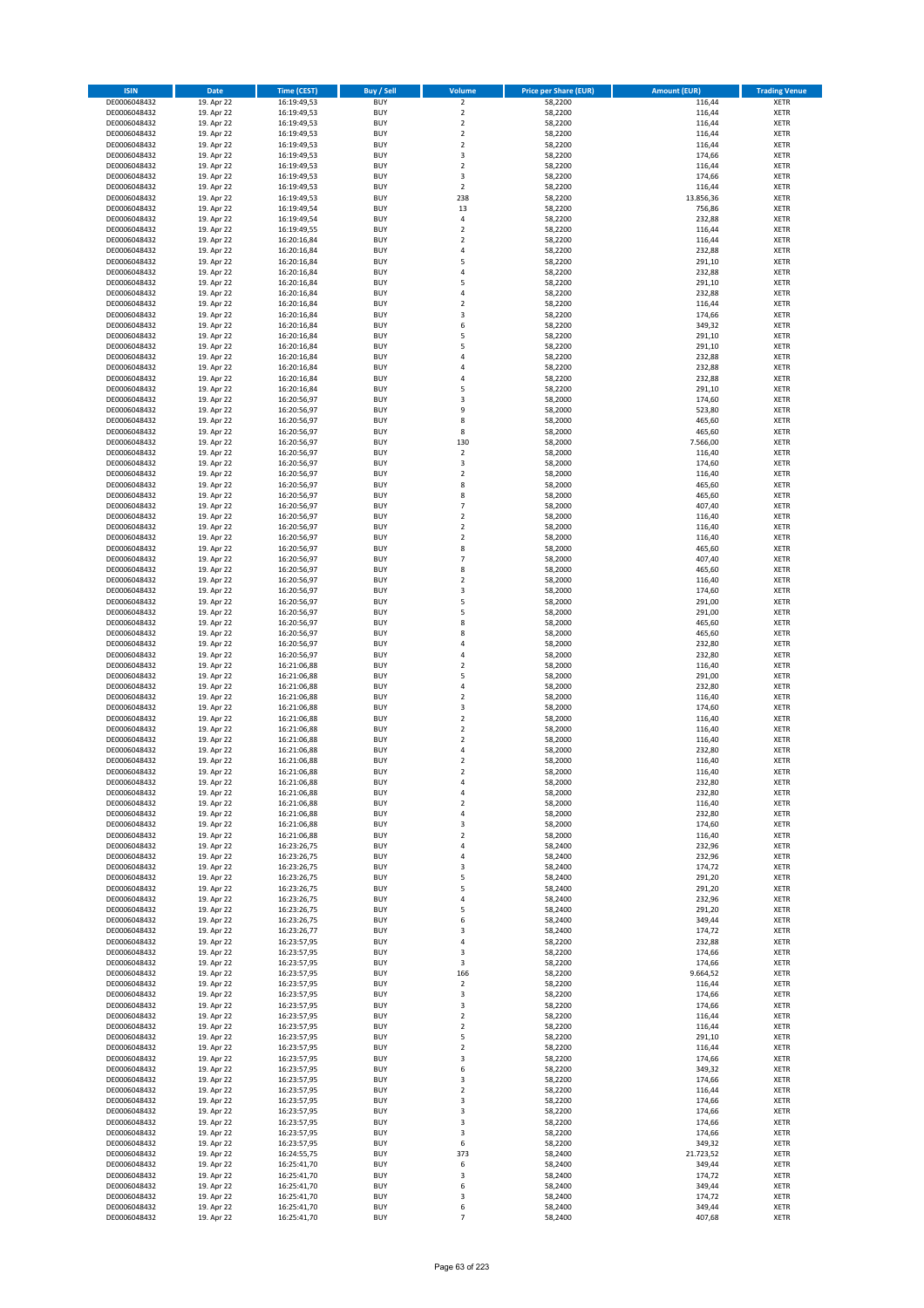| <b>ISIN</b>                  | <b>Date</b>              | <b>Time (CEST)</b>         | <b>Buy / Sell</b>        | <b>Volume</b>                | <b>Price per Share (EUR)</b> | <b>Amount (EUR)</b> | <b>Trading Venue</b>       |
|------------------------------|--------------------------|----------------------------|--------------------------|------------------------------|------------------------------|---------------------|----------------------------|
| DE0006048432                 | 19. Apr 22               | 16:19:49,53                | <b>BUY</b>               | $\overline{2}$               | 58,2200                      | 116,44              | <b>XETR</b>                |
| DE0006048432                 | 19. Apr 22               | 16:19:49,53                | <b>BUY</b>               | $\mathbf 2$                  | 58,2200                      | 116,44              | <b>XETR</b>                |
| DE0006048432                 | 19. Apr 22               | 16:19:49,53                | <b>BUY</b>               | $\overline{2}$               | 58,2200                      | 116,44              | <b>XETR</b>                |
| DE0006048432<br>DE0006048432 | 19. Apr 22<br>19. Apr 22 | 16:19:49,53<br>16:19:49,53 | <b>BUY</b><br><b>BUY</b> | $\mathbf 2$<br>$\mathbf 2$   | 58,2200<br>58,2200           | 116,44<br>116,44    | <b>XETR</b><br><b>XETR</b> |
| DE0006048432                 | 19. Apr 22               | 16:19:49,53                | <b>BUY</b>               | 3                            | 58,2200                      | 174,66              | <b>XETR</b>                |
| DE0006048432                 | 19. Apr 22               | 16:19:49,53                | <b>BUY</b>               | $\mathbf 2$                  | 58,2200                      | 116,44              | <b>XETR</b>                |
| DE0006048432                 | 19. Apr 22               | 16:19:49,53                | <b>BUY</b>               | 3                            | 58,2200                      | 174,66              | <b>XETR</b>                |
| DE0006048432                 | 19. Apr 22               | 16:19:49,53                | <b>BUY</b>               | $\overline{2}$               | 58,2200                      | 116,44              | <b>XETR</b>                |
| DE0006048432                 | 19. Apr 22               | 16:19:49,53                | <b>BUY</b>               | 238                          | 58,2200                      | 13.856,36           | <b>XETR</b>                |
| DE0006048432                 | 19. Apr 22               | 16:19:49,54                | <b>BUY</b>               | 13                           | 58,2200                      | 756,86              | <b>XETR</b>                |
| DE0006048432<br>DE0006048432 | 19. Apr 22<br>19. Apr 22 | 16:19:49,54<br>16:19:49,55 | <b>BUY</b><br><b>BUY</b> | 4<br>$\mathbf 2$             | 58,2200<br>58,2200           | 232,88<br>116,44    | <b>XETR</b><br><b>XETR</b> |
| DE0006048432                 | 19. Apr 22               | 16:20:16,84                | <b>BUY</b>               | $\overline{\mathbf{c}}$      | 58,2200                      | 116,44              | <b>XETR</b>                |
| DE0006048432                 | 19. Apr 22               | 16:20:16,84                | <b>BUY</b>               | 4                            | 58,2200                      | 232,88              | <b>XETR</b>                |
| DE0006048432                 | 19. Apr 22               | 16:20:16,84                | <b>BUY</b>               | 5                            | 58,2200                      | 291,10              | <b>XETR</b>                |
| DE0006048432                 | 19. Apr 22               | 16:20:16,84                | <b>BUY</b>               | 4                            | 58,2200                      | 232,88              | <b>XETR</b>                |
| DE0006048432                 | 19. Apr 22               | 16:20:16,84                | <b>BUY</b>               | 5                            | 58,2200                      | 291,10              | <b>XETR</b>                |
| DE0006048432                 | 19. Apr 22               | 16:20:16,84                | <b>BUY</b>               | 4                            | 58,2200                      | 232,88              | <b>XETR</b>                |
| DE0006048432                 | 19. Apr 22               | 16:20:16,84                | <b>BUY</b>               | $\mathbf 2$                  | 58,2200                      | 116,44              | <b>XETR</b>                |
| DE0006048432<br>DE0006048432 | 19. Apr 22<br>19. Apr 22 | 16:20:16,84<br>16:20:16,84 | <b>BUY</b><br><b>BUY</b> | 3<br>6                       | 58,2200<br>58,2200           | 174,66<br>349,32    | <b>XETR</b><br><b>XETR</b> |
| DE0006048432                 | 19. Apr 22               | 16:20:16,84                | <b>BUY</b>               | 5                            | 58,2200                      | 291,10              | <b>XETR</b>                |
| DE0006048432                 | 19. Apr 22               | 16:20:16,84                | <b>BUY</b>               | 5                            | 58,2200                      | 291,10              | <b>XETR</b>                |
| DE0006048432                 | 19. Apr 22               | 16:20:16,84                | <b>BUY</b>               | 4                            | 58,2200                      | 232,88              | <b>XETR</b>                |
| DE0006048432                 | 19. Apr 22               | 16:20:16,84                | <b>BUY</b>               | 4                            | 58,2200                      | 232,88              | <b>XETR</b>                |
| DE0006048432                 | 19. Apr 22               | 16:20:16,84                | <b>BUY</b>               | 4                            | 58,2200                      | 232,88              | <b>XETR</b>                |
| DE0006048432                 | 19. Apr 22               | 16:20:16,84                | <b>BUY</b>               | 5                            | 58,2200                      | 291,10              | <b>XETR</b>                |
| DE0006048432<br>DE0006048432 | 19. Apr 22<br>19. Apr 22 | 16:20:56,97<br>16:20:56,97 | <b>BUY</b><br><b>BUY</b> | 3<br>9                       | 58,2000<br>58,2000           | 174,60<br>523,80    | <b>XETR</b><br><b>XETR</b> |
| DE0006048432                 | 19. Apr 22               | 16:20:56,97                | <b>BUY</b>               | 8                            | 58,2000                      | 465,60              | <b>XETR</b>                |
| DE0006048432                 | 19. Apr 22               | 16:20:56,97                | <b>BUY</b>               | 8                            | 58,2000                      | 465,60              | <b>XETR</b>                |
| DE0006048432                 | 19. Apr 22               | 16:20:56,97                | <b>BUY</b>               | 130                          | 58,2000                      | 7.566,00            | <b>XETR</b>                |
| DE0006048432                 | 19. Apr 22               | 16:20:56,97                | <b>BUY</b>               | $\overline{2}$               | 58,2000                      | 116,40              | <b>XETR</b>                |
| DE0006048432                 | 19. Apr 22               | 16:20:56,97                | <b>BUY</b>               | 3                            | 58,2000                      | 174,60              | <b>XETR</b>                |
| DE0006048432                 | 19. Apr 22               | 16:20:56,97                | <b>BUY</b>               | $\mathbf 2$                  | 58,2000                      | 116,40              | <b>XETR</b>                |
| DE0006048432<br>DE0006048432 | 19. Apr 22               | 16:20:56,97                | <b>BUY</b><br><b>BUY</b> | 8<br>8                       | 58,2000                      | 465,60              | <b>XETR</b>                |
| DE0006048432                 | 19. Apr 22<br>19. Apr 22 | 16:20:56,97<br>16:20:56,97 | <b>BUY</b>               | $\overline{7}$               | 58,2000<br>58,2000           | 465,60<br>407,40    | <b>XETR</b><br><b>XETR</b> |
| DE0006048432                 | 19. Apr 22               | 16:20:56,97                | <b>BUY</b>               | $\mathbf 2$                  | 58,2000                      | 116,40              | <b>XETR</b>                |
| DE0006048432                 | 19. Apr 22               | 16:20:56,97                | <b>BUY</b>               | $\overline{\mathbf{c}}$      | 58,2000                      | 116,40              | <b>XETR</b>                |
| DE0006048432                 | 19. Apr 22               | 16:20:56,97                | <b>BUY</b>               | $\mathbf 2$                  | 58,2000                      | 116,40              | <b>XETR</b>                |
| DE0006048432                 | 19. Apr 22               | 16:20:56,97                | <b>BUY</b>               | 8                            | 58,2000                      | 465,60              | <b>XETR</b>                |
| DE0006048432                 | 19. Apr 22               | 16:20:56,97                | <b>BUY</b>               | $\overline{7}$               | 58,2000                      | 407,40              | <b>XETR</b>                |
| DE0006048432                 | 19. Apr 22               | 16:20:56,97                | <b>BUY</b>               | 8                            | 58,2000                      | 465,60              | <b>XETR</b>                |
| DE0006048432                 | 19. Apr 22<br>19. Apr 22 | 16:20:56,97                | <b>BUY</b><br><b>BUY</b> | $\overline{2}$<br>3          | 58,2000<br>58,2000           | 116,40<br>174,60    | <b>XETR</b><br><b>XETR</b> |
| DE0006048432<br>DE0006048432 | 19. Apr 22               | 16:20:56,97<br>16:20:56,97 | <b>BUY</b>               | 5                            | 58,2000                      | 291,00              | <b>XETR</b>                |
| DE0006048432                 | 19. Apr 22               | 16:20:56,97                | <b>BUY</b>               | 5                            | 58,2000                      | 291,00              | <b>XETR</b>                |
| DE0006048432                 | 19. Apr 22               | 16:20:56,97                | <b>BUY</b>               | 8                            | 58,2000                      | 465,60              | <b>XETR</b>                |
| DE0006048432                 | 19. Apr 22               | 16:20:56,97                | <b>BUY</b>               | 8                            | 58,2000                      | 465,60              | <b>XETR</b>                |
| DE0006048432                 | 19. Apr 22               | 16:20:56,97                | <b>BUY</b>               | 4                            | 58,2000                      | 232,80              | <b>XETR</b>                |
| DE0006048432                 | 19. Apr 22               | 16:20:56,97                | <b>BUY</b>               | 4                            | 58,2000                      | 232,80              | <b>XETR</b>                |
| DE0006048432<br>DE0006048432 | 19. Apr 22<br>19. Apr 22 | 16:21:06,88<br>16:21:06,88 | <b>BUY</b><br><b>BUY</b> | $\mathbf 2$<br>5             | 58,2000<br>58,2000           | 116,40<br>291,00    | <b>XETR</b><br><b>XETR</b> |
| DE0006048432                 | 19. Apr 22               | 16:21:06,88                | <b>BUY</b>               | 4                            | 58,2000                      | 232,80              | <b>XETR</b>                |
| DE0006048432                 | 19. Apr 22               | 16:21:06,88                | <b>BUY</b>               | $\overline{\mathbf{c}}$      | 58,2000                      | 116,40              | <b>XETR</b>                |
| DE0006048432                 | 19. Apr 22               | 16:21:06,88                | <b>BUY</b>               | 3                            | 58,2000                      | 174,60              | <b>XETR</b>                |
| DE0006048432                 | 19. Apr 22               | 16:21:06,88                | <b>BUY</b>               | $\mathbf 2$                  | 58,2000                      | 116,40              | <b>XETR</b>                |
| DE0006048432                 | 19. Apr 22               | 16:21:06,88                | <b>BUY</b>               | $\overline{2}$               | 58,2000                      | 116,40              | <b>XETR</b>                |
| DE0006048432                 | 19. Apr 22               | 16:21:06,88                | <b>BUY</b>               | $\mathbf 2$                  | 58,2000                      | 116,40              | <b>XETR</b>                |
| DE0006048432<br>DE0006048432 | 19. Apr 22<br>19. Apr 22 | 16:21:06,88<br>16:21:06,88 | <b>BUY</b><br><b>BUY</b> | 4<br>$\overline{\mathbf{c}}$ | 58,2000<br>58,2000           | 232,80<br>116,40    | <b>XETR</b><br><b>XETR</b> |
| DE0006048432                 | 19. Apr 22               | 16:21:06,88                | <b>BUY</b>               | $\overline{2}$               | 58,2000                      | 116,40              | <b>XETR</b>                |
| DE0006048432                 | 19. Apr 22               | 16:21:06,88                | BUY                      | 4                            | 58,2000                      | 232,80              | <b>XETR</b>                |
| DE0006048432                 | 19. Apr 22               | 16:21:06,88                | <b>BUY</b>               | 4                            | 58,2000                      | 232,80              | <b>XETR</b>                |
| DE0006048432                 | 19. Apr 22               | 16:21:06,88                | <b>BUY</b>               | $\mathbf 2$                  | 58,2000                      | 116,40              | <b>XETR</b>                |
| DE0006048432                 | 19. Apr 22               | 16:21:06,88                | <b>BUY</b>               | 4                            | 58,2000                      | 232,80              | XETR                       |
| DE0006048432                 | 19. Apr 22               | 16:21:06,88                | <b>BUY</b>               | 3                            | 58,2000                      | 174,60              | <b>XETR</b>                |
| DE0006048432<br>DE0006048432 | 19. Apr 22<br>19. Apr 22 | 16:21:06,88<br>16:23:26,75 | <b>BUY</b><br><b>BUY</b> | $\mathbf 2$<br>4             | 58,2000<br>58,2400           | 116,40<br>232,96    | <b>XETR</b><br><b>XETR</b> |
| DE0006048432                 | 19. Apr 22               | 16:23:26,75                | <b>BUY</b>               | 4                            | 58,2400                      | 232,96              | <b>XETR</b>                |
| DE0006048432                 | 19. Apr 22               | 16:23:26,75                | <b>BUY</b>               | 3                            | 58,2400                      | 174,72              | <b>XETR</b>                |
| DE0006048432                 | 19. Apr 22               | 16:23:26,75                | <b>BUY</b>               | 5                            | 58,2400                      | 291,20              | <b>XETR</b>                |
| DE0006048432                 | 19. Apr 22               | 16:23:26,75                | <b>BUY</b>               | 5                            | 58,2400                      | 291,20              | <b>XETR</b>                |
| DE0006048432                 | 19. Apr 22               | 16:23:26,75                | <b>BUY</b>               | 4                            | 58,2400                      | 232,96              | <b>XETR</b>                |
| DE0006048432<br>DE0006048432 | 19. Apr 22<br>19. Apr 22 | 16:23:26,75<br>16:23:26,75 | <b>BUY</b><br><b>BUY</b> | 5<br>6                       | 58,2400<br>58,2400           | 291,20<br>349,44    | <b>XETR</b><br><b>XETR</b> |
| DE0006048432                 | 19. Apr 22               | 16:23:26,77                | <b>BUY</b>               | 3                            | 58,2400                      | 174,72              | <b>XETR</b>                |
| DE0006048432                 | 19. Apr 22               | 16:23:57,95                | <b>BUY</b>               | 4                            | 58,2200                      | 232,88              | <b>XETR</b>                |
| DE0006048432                 | 19. Apr 22               | 16:23:57,95                | <b>BUY</b>               | 3                            | 58,2200                      | 174,66              | <b>XETR</b>                |
| DE0006048432                 | 19. Apr 22               | 16:23:57,95                | <b>BUY</b>               | 3                            | 58,2200                      | 174,66              | <b>XETR</b>                |
| DE0006048432                 | 19. Apr 22               | 16:23:57,95                | <b>BUY</b>               | 166                          | 58,2200                      | 9.664,52            | XETR                       |
| DE0006048432                 | 19. Apr 22               | 16:23:57,95                | <b>BUY</b>               | $\mathbf 2$                  | 58,2200                      | 116,44              | <b>XETR</b>                |
| DE0006048432<br>DE0006048432 | 19. Apr 22<br>19. Apr 22 | 16:23:57,95<br>16:23:57,95 | <b>BUY</b><br><b>BUY</b> | 3<br>3                       | 58,2200<br>58,2200           | 174,66<br>174,66    | <b>XETR</b><br><b>XETR</b> |
| DE0006048432                 | 19. Apr 22               | 16:23:57,95                | <b>BUY</b>               | $\overline{\mathbf{c}}$      | 58,2200                      | 116,44              | <b>XETR</b>                |
| DE0006048432                 | 19. Apr 22               | 16:23:57,95                | <b>BUY</b>               | $\mathbf 2$                  | 58,2200                      | 116,44              | <b>XETR</b>                |
| DE0006048432                 | 19. Apr 22               | 16:23:57,95                | <b>BUY</b>               | 5                            | 58,2200                      | 291,10              | <b>XETR</b>                |
| DE0006048432                 | 19. Apr 22               | 16:23:57,95                | <b>BUY</b>               | $\mathbf 2$                  | 58,2200                      | 116,44              | <b>XETR</b>                |
| DE0006048432                 | 19. Apr 22               | 16:23:57,95                | <b>BUY</b>               | 3                            | 58,2200                      | 174,66              | <b>XETR</b>                |
| DE0006048432<br>DE0006048432 | 19. Apr 22<br>19. Apr 22 | 16:23:57,95<br>16:23:57,95 | <b>BUY</b><br><b>BUY</b> | 6<br>3                       | 58,2200<br>58,2200           | 349,32<br>174,66    | <b>XETR</b><br><b>XETR</b> |
| DE0006048432                 | 19. Apr 22               | 16:23:57,95                | <b>BUY</b>               | $\overline{\mathbf{c}}$      | 58,2200                      | 116,44              | XETR                       |
| DE0006048432                 | 19. Apr 22               | 16:23:57,95                | <b>BUY</b>               | 3                            | 58,2200                      | 174,66              | <b>XETR</b>                |
| DE0006048432                 | 19. Apr 22               | 16:23:57,95                | <b>BUY</b>               | 3                            | 58,2200                      | 174,66              | <b>XETR</b>                |
| DE0006048432                 | 19. Apr 22               | 16:23:57,95                | <b>BUY</b>               | 3                            | 58,2200                      | 174,66              | <b>XETR</b>                |
| DE0006048432                 | 19. Apr 22               | 16:23:57,95                | <b>BUY</b>               | 3                            | 58,2200                      | 174,66              | <b>XETR</b>                |
| DE0006048432                 | 19. Apr 22               | 16:23:57,95                | <b>BUY</b>               | 6                            | 58,2200                      | 349,32              | <b>XETR</b>                |
| DE0006048432<br>DE0006048432 | 19. Apr 22<br>19. Apr 22 | 16:24:55,75<br>16:25:41,70 | <b>BUY</b><br><b>BUY</b> | 373<br>6                     | 58,2400<br>58,2400           | 21.723,52<br>349,44 | <b>XETR</b><br><b>XETR</b> |
| DE0006048432                 | 19. Apr 22               | 16:25:41,70                | <b>BUY</b>               | 3                            | 58,2400                      | 174,72              | XETR                       |
| DE0006048432                 | 19. Apr 22               | 16:25:41,70                | <b>BUY</b>               | 6                            | 58,2400                      | 349,44              | <b>XETR</b>                |
| DE0006048432                 | 19. Apr 22               | 16:25:41,70                | <b>BUY</b>               | 3                            | 58,2400                      | 174,72              | <b>XETR</b>                |
| DE0006048432                 | 19. Apr 22               | 16:25:41,70                | <b>BUY</b>               | 6                            | 58,2400                      | 349,44              | <b>XETR</b>                |
| DE0006048432                 | 19. Apr 22               | 16:25:41,70                | <b>BUY</b>               | $\overline{7}$               | 58,2400                      | 407,68              | XETR                       |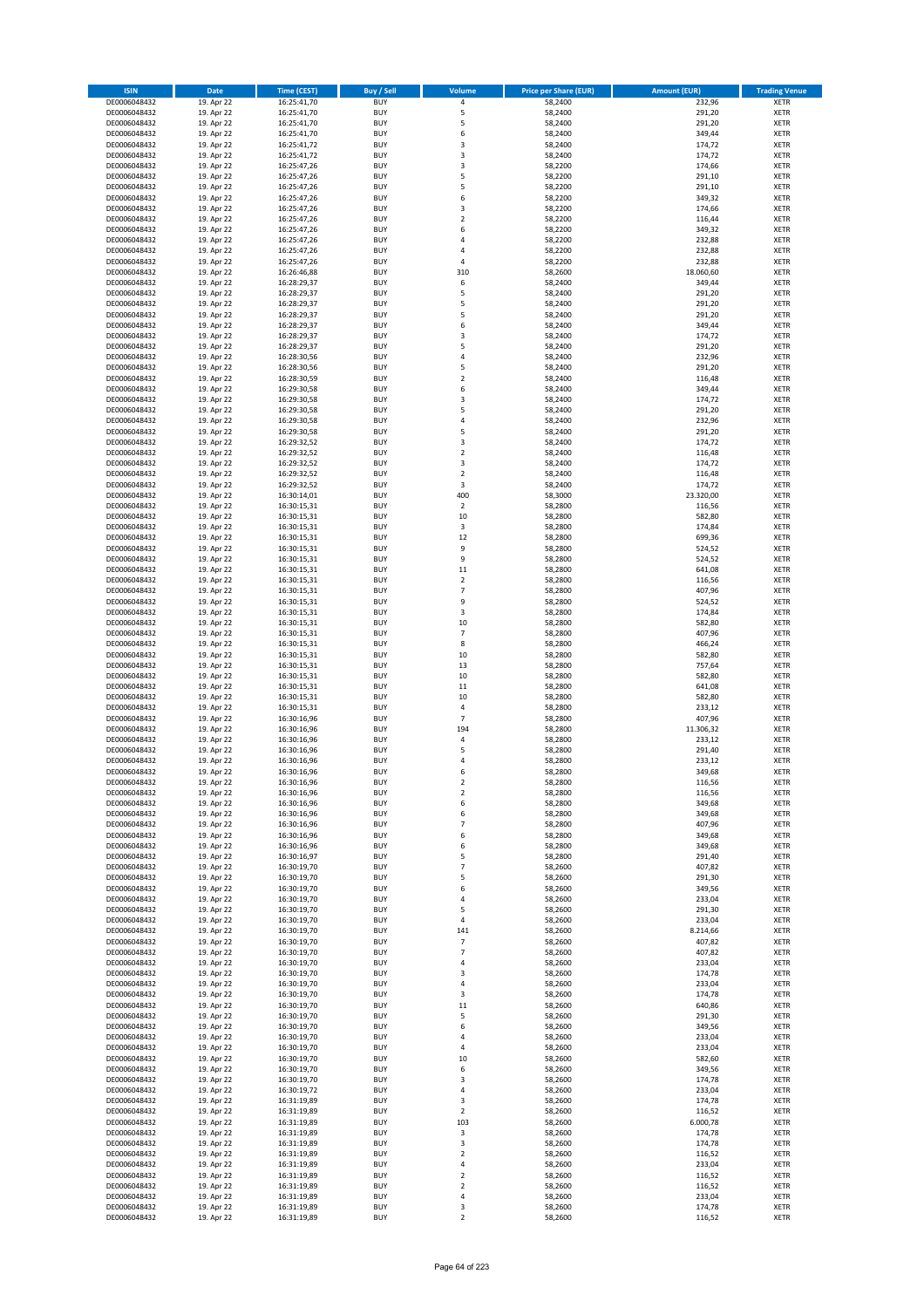| <b>ISIN</b>                  | <b>Date</b>              | <b>Time (CEST)</b>         | <b>Buy / Sell</b>        | <b>Volume</b>                | <b>Price per Share (EUR)</b> | <b>Amount (EUR)</b> | <b>Trading Venue</b>       |
|------------------------------|--------------------------|----------------------------|--------------------------|------------------------------|------------------------------|---------------------|----------------------------|
| DE0006048432                 | 19. Apr 22               | 16:25:41,70                | <b>BUY</b>               | 4                            | 58,2400                      | 232,96              | <b>XETR</b>                |
| DE0006048432                 | 19. Apr 22               | 16:25:41,70                | <b>BUY</b>               | 5                            | 58,2400                      | 291,20              | <b>XETR</b>                |
| DE0006048432                 | 19. Apr 22               | 16:25:41,70                | <b>BUY</b>               | 5                            | 58,2400                      | 291,20              | <b>XETR</b>                |
| DE0006048432                 | 19. Apr 22               | 16:25:41,70                | <b>BUY</b>               | 6                            | 58,2400                      | 349,44              | <b>XETR</b>                |
| DE0006048432<br>DE0006048432 | 19. Apr 22<br>19. Apr 22 | 16:25:41,72<br>16:25:41,72 | <b>BUY</b><br><b>BUY</b> | 3<br>3                       | 58,2400<br>58,2400           | 174,72<br>174,72    | <b>XETR</b><br><b>XETR</b> |
| DE0006048432                 | 19. Apr 22               | 16:25:47,26                | <b>BUY</b>               | 3                            | 58,2200                      | 174,66              | <b>XETR</b>                |
| DE0006048432                 | 19. Apr 22               | 16:25:47,26                | <b>BUY</b>               | 5                            | 58,2200                      | 291,10              | <b>XETR</b>                |
| DE0006048432                 | 19. Apr 22               | 16:25:47,26                | <b>BUY</b>               | 5                            | 58,2200                      | 291,10              | <b>XETR</b>                |
| DE0006048432                 | 19. Apr 22               | 16:25:47,26                | <b>BUY</b>               | 6                            | 58,2200                      | 349,32              | <b>XETR</b>                |
| DE0006048432                 | 19. Apr 22               | 16:25:47,26                | <b>BUY</b>               | 3                            | 58,2200                      | 174,66              | <b>XETR</b>                |
| DE0006048432                 | 19. Apr 22               | 16:25:47,26                | <b>BUY</b>               | $\overline{\mathbf{c}}$      | 58,2200                      | 116,44              | <b>XETR</b><br><b>XETR</b> |
| DE0006048432<br>DE0006048432 | 19. Apr 22<br>19. Apr 22 | 16:25:47,26<br>16:25:47,26 | <b>BUY</b><br><b>BUY</b> | 6<br>4                       | 58,2200<br>58,2200           | 349,32<br>232,88    | <b>XETR</b>                |
| DE0006048432                 | 19. Apr 22               | 16:25:47,26                | <b>BUY</b>               | 4                            | 58,2200                      | 232,88              | <b>XETR</b>                |
| DE0006048432                 | 19. Apr 22               | 16:25:47,26                | <b>BUY</b>               | 4                            | 58,2200                      | 232,88              | <b>XETR</b>                |
| DE0006048432                 | 19. Apr 22               | 16:26:46,88                | <b>BUY</b>               | 310                          | 58,2600                      | 18.060,60           | <b>XETR</b>                |
| DE0006048432                 | 19. Apr 22               | 16:28:29,37                | <b>BUY</b>               | 6                            | 58,2400                      | 349,44              | <b>XETR</b>                |
| DE0006048432                 | 19. Apr 22               | 16:28:29,37                | <b>BUY</b>               | 5                            | 58,2400                      | 291,20              | <b>XETR</b>                |
| DE0006048432<br>DE0006048432 | 19. Apr 22<br>19. Apr 22 | 16:28:29,37<br>16:28:29,37 | <b>BUY</b><br><b>BUY</b> | 5<br>5                       | 58,2400<br>58,2400           | 291,20<br>291,20    | <b>XETR</b><br><b>XETR</b> |
| DE0006048432                 | 19. Apr 22               | 16:28:29,37                | <b>BUY</b>               | 6                            | 58,2400                      | 349,44              | <b>XETR</b>                |
| DE0006048432                 | 19. Apr 22               | 16:28:29,37                | <b>BUY</b>               | 3                            | 58,2400                      | 174,72              | <b>XETR</b>                |
| DE0006048432                 | 19. Apr 22               | 16:28:29,37                | <b>BUY</b>               | 5                            | 58,2400                      | 291,20              | <b>XETR</b>                |
| DE0006048432                 | 19. Apr 22               | 16:28:30,56                | <b>BUY</b>               | 4                            | 58,2400                      | 232,96              | <b>XETR</b>                |
| DE0006048432                 | 19. Apr 22               | 16:28:30,56                | <b>BUY</b>               | 5                            | 58,2400                      | 291,20              | <b>XETR</b>                |
| DE0006048432<br>DE0006048432 | 19. Apr 22<br>19. Apr 22 | 16:28:30,59<br>16:29:30,58 | <b>BUY</b><br><b>BUY</b> | $\mathbf 2$<br>6             | 58,2400<br>58,2400           | 116,48<br>349,44    | <b>XETR</b><br><b>XETR</b> |
| DE0006048432                 | 19. Apr 22               | 16:29:30,58                | <b>BUY</b>               | 3                            | 58,2400                      | 174,72              | <b>XETR</b>                |
| DE0006048432                 | 19. Apr 22               | 16:29:30,58                | <b>BUY</b>               | 5                            | 58,2400                      | 291,20              | <b>XETR</b>                |
| DE0006048432                 | 19. Apr 22               | 16:29:30,58                | <b>BUY</b>               | 4                            | 58,2400                      | 232,96              | <b>XETR</b>                |
| DE0006048432                 | 19. Apr 22               | 16:29:30,58                | <b>BUY</b>               | 5                            | 58,2400                      | 291,20              | <b>XETR</b>                |
| DE0006048432                 | 19. Apr 22               | 16:29:32,52                | <b>BUY</b>               | 3                            | 58,2400                      | 174,72              | <b>XETR</b>                |
| DE0006048432                 | 19. Apr 22               | 16:29:32,52                | <b>BUY</b>               | $\mathbf 2$                  | 58,2400                      | 116,48              | <b>XETR</b>                |
| DE0006048432<br>DE0006048432 | 19. Apr 22<br>19. Apr 22 | 16:29:32,52<br>16:29:32,52 | <b>BUY</b><br><b>BUY</b> | 3<br>$\overline{\mathbf{c}}$ | 58,2400<br>58,2400           | 174,72<br>116,48    | <b>XETR</b><br><b>XETR</b> |
| DE0006048432                 | 19. Apr 22               | 16:29:32,52                | <b>BUY</b>               | 3                            | 58,2400                      | 174,72              | <b>XETR</b>                |
| DE0006048432                 | 19. Apr 22               | 16:30:14,01                | <b>BUY</b>               | 400                          | 58,3000                      | 23.320,00           | <b>XETR</b>                |
| DE0006048432                 | 19. Apr 22               | 16:30:15,31                | <b>BUY</b>               | $\mathbf 2$                  | 58,2800                      | 116,56              | <b>XETR</b>                |
| DE0006048432                 | 19. Apr 22               | 16:30:15,31                | <b>BUY</b>               | 10                           | 58,2800                      | 582,80              | <b>XETR</b>                |
| DE0006048432                 | 19. Apr 22               | 16:30:15,31                | <b>BUY</b>               | 3                            | 58,2800                      | 174,84              | <b>XETR</b>                |
| DE0006048432                 | 19. Apr 22<br>19. Apr 22 | 16:30:15,31                | <b>BUY</b><br><b>BUY</b> | 12<br>9                      | 58,2800<br>58,2800           | 699,36<br>524,52    | <b>XETR</b><br><b>XETR</b> |
| DE0006048432<br>DE0006048432 | 19. Apr 22               | 16:30:15,31<br>16:30:15,31 | <b>BUY</b>               | 9                            | 58,2800                      | 524,52              | <b>XETR</b>                |
| DE0006048432                 | 19. Apr 22               | 16:30:15,31                | <b>BUY</b>               | 11                           | 58,2800                      | 641,08              | <b>XETR</b>                |
| DE0006048432                 | 19. Apr 22               | 16:30:15,31                | <b>BUY</b>               | $\overline{2}$               | 58,2800                      | 116,56              | <b>XETR</b>                |
| DE0006048432                 | 19. Apr 22               | 16:30:15,31                | <b>BUY</b>               | $\overline{7}$               | 58,2800                      | 407,96              | <b>XETR</b>                |
| DE0006048432                 | 19. Apr 22               | 16:30:15,31                | <b>BUY</b>               | 9                            | 58,2800                      | 524,52              | <b>XETR</b>                |
| DE0006048432<br>DE0006048432 | 19. Apr 22<br>19. Apr 22 | 16:30:15,31                | <b>BUY</b><br><b>BUY</b> | 3<br>10                      | 58,2800<br>58,2800           | 174,84<br>582,80    | <b>XETR</b><br><b>XETR</b> |
| DE0006048432                 | 19. Apr 22               | 16:30:15,31<br>16:30:15,31 | <b>BUY</b>               | $\overline{7}$               | 58,2800                      | 407,96              | <b>XETR</b>                |
| DE0006048432                 | 19. Apr 22               | 16:30:15,31                | <b>BUY</b>               | 8                            | 58,2800                      | 466,24              | <b>XETR</b>                |
| DE0006048432                 | 19. Apr 22               | 16:30:15,31                | <b>BUY</b>               | 10                           | 58,2800                      | 582,80              | <b>XETR</b>                |
| DE0006048432                 | 19. Apr 22               | 16:30:15,31                | <b>BUY</b>               | 13                           | 58,2800                      | 757,64              | <b>XETR</b>                |
| DE0006048432                 | 19. Apr 22               | 16:30:15,31                | <b>BUY</b>               | 10                           | 58,2800                      | 582,80              | <b>XETR</b>                |
| DE0006048432                 | 19. Apr 22               | 16:30:15,31                | <b>BUY</b>               | 11                           | 58,2800                      | 641,08              | <b>XETR</b>                |
| DE0006048432<br>DE0006048432 | 19. Apr 22<br>19. Apr 22 | 16:30:15,31<br>16:30:15,31 | <b>BUY</b><br><b>BUY</b> | 10<br>4                      | 58,2800<br>58,2800           | 582,80<br>233,12    | <b>XETR</b><br><b>XETR</b> |
| DE0006048432                 | 19. Apr 22               | 16:30:16,96                | <b>BUY</b>               | $\overline{7}$               | 58,2800                      | 407,96              | <b>XETR</b>                |
| DE0006048432                 | 19. Apr 22               | 16:30:16,96                | <b>BUY</b>               | 194                          | 58,2800                      | 11.306,32           | <b>XETR</b>                |
| DE0006048432                 | 19. Apr 22               | 16:30:16,96                | <b>BUY</b>               | 4                            | 58,2800                      | 233,12              | <b>XETR</b>                |
| DE0006048432                 | 19. Apr 22               | 16:30:16,96                | <b>BUY</b>               | 5                            | 58,2800                      | 291,40              | <b>XETR</b>                |
| DE0006048432                 | 19. Apr 22               | 16:30:16,96                | <b>BUY</b>               | 4                            | 58,2800                      | 233,12              | <b>XETR</b>                |
| DE0006048432<br>DE0006048432 | 19. Apr 22<br>19. Apr 22 | 16:30:16,96<br>16:30:16,96 | <b>BUY</b><br>BUY        | 6<br>2                       | 58,2800<br>58,2800           | 349,68<br>116,56    | <b>XETR</b><br><b>XETR</b> |
| DE0006048432                 | 19. Apr 22               | 16:30:16,96                | <b>BUY</b>               | $\mathbf 2$                  | 58,2800                      | 116,56              | <b>XETR</b>                |
| DE0006048432                 | 19. Apr 22               | 16:30:16,96                | <b>BUY</b>               | 6                            | 58,2800                      | 349,68              | <b>XETR</b>                |
| DE0006048432                 | 19. Apr 22               | 16:30:16,96                | <b>BUY</b>               | 6                            | 58,2800                      | 349,68              | <b>XETR</b>                |
| DE0006048432                 | 19. Apr 22               | 16:30:16,96                | <b>BUY</b>               | $\overline{7}$               | 58,2800                      | 407,96              | <b>XETR</b>                |
| DE0006048432                 | 19. Apr 22               | 16:30:16,96                | <b>BUY</b>               | 6                            | 58,2800                      | 349,68              | <b>XETR</b>                |
| DE0006048432<br>DE0006048432 | 19. Apr 22<br>19. Apr 22 | 16:30:16,96                | <b>BUY</b><br><b>BUY</b> | 6<br>5                       | 58,2800<br>58,2800           | 349,68<br>291,40    | <b>XETR</b><br><b>XETR</b> |
| DE0006048432                 | 19. Apr 22               | 16:30:16,97<br>16:30:19,70 | <b>BUY</b>               | $\overline{7}$               | 58,2600                      | 407,82              | <b>XETR</b>                |
| DE0006048432                 | 19. Apr 22               | 16:30:19,70                | <b>BUY</b>               | 5                            | 58,2600                      | 291,30              | <b>XETR</b>                |
| DE0006048432                 | 19. Apr 22               | 16:30:19,70                | <b>BUY</b>               | 6                            | 58,2600                      | 349,56              | <b>XETR</b>                |
| DE0006048432                 | 19. Apr 22               | 16:30:19,70                | <b>BUY</b>               | 4                            | 58,2600                      | 233,04              | <b>XETR</b>                |
| DE0006048432                 | 19. Apr 22               | 16:30:19,70                | <b>BUY</b>               | 5                            | 58,2600                      | 291,30              | <b>XETR</b>                |
| DE0006048432<br>DE0006048432 | 19. Apr 22<br>19. Apr 22 | 16:30:19,70<br>16:30:19,70 | <b>BUY</b><br><b>BUY</b> | 4<br>141                     | 58,2600<br>58,2600           | 233,04<br>8.214,66  | <b>XETR</b><br><b>XETR</b> |
| DE0006048432                 | 19. Apr 22               | 16:30:19,70                | <b>BUY</b>               | $\overline{7}$               | 58,2600                      | 407,82              | <b>XETR</b>                |
| DE0006048432                 | 19. Apr 22               | 16:30:19,70                | <b>BUY</b>               | $\overline{7}$               | 58,2600                      | 407,82              | <b>XETR</b>                |
| DE0006048432                 | 19. Apr 22               | 16:30:19,70                | <b>BUY</b>               | 4                            | 58,2600                      | 233,04              | <b>XETR</b>                |
| DE0006048432                 | 19. Apr 22               | 16:30:19,70                | <b>BUY</b>               | 3                            | 58,2600                      | 174,78              | <b>XETR</b>                |
| DE0006048432                 | 19. Apr 22               | 16:30:19,70                | <b>BUY</b>               | 4                            | 58,2600                      | 233,04              | <b>XETR</b>                |
| DE0006048432                 | 19. Apr 22               | 16:30:19,70                | <b>BUY</b>               | 3                            | 58,2600                      | 174,78              | <b>XETR</b>                |
| DE0006048432<br>DE0006048432 | 19. Apr 22<br>19. Apr 22 | 16:30:19,70                | <b>BUY</b><br><b>BUY</b> | 11<br>5                      | 58,2600<br>58,2600           | 640,86<br>291,30    | <b>XETR</b><br><b>XETR</b> |
| DE0006048432                 | 19. Apr 22               | 16:30:19,70<br>16:30:19,70 | <b>BUY</b>               | 6                            | 58,2600                      | 349,56              | <b>XETR</b>                |
| DE0006048432                 | 19. Apr 22               | 16:30:19,70                | <b>BUY</b>               | 4                            | 58,2600                      | 233,04              | <b>XETR</b>                |
| DE0006048432                 | 19. Apr 22               | 16:30:19,70                | <b>BUY</b>               | 4                            | 58,2600                      | 233,04              | <b>XETR</b>                |
| DE0006048432                 | 19. Apr 22               | 16:30:19,70                | <b>BUY</b>               | 10                           | 58,2600                      | 582,60              | <b>XETR</b>                |
| DE0006048432                 | 19. Apr 22               | 16:30:19,70                | <b>BUY</b>               | 6                            | 58,2600                      | 349,56              | <b>XETR</b>                |
| DE0006048432                 | 19. Apr 22               | 16:30:19,70                | <b>BUY</b>               | 3                            | 58,2600                      | 174,78              | <b>XETR</b>                |
| DE0006048432<br>DE0006048432 | 19. Apr 22<br>19. Apr 22 | 16:30:19,72<br>16:31:19,89 | <b>BUY</b><br><b>BUY</b> | 4<br>3                       | 58,2600<br>58,2600           | 233,04<br>174,78    | <b>XETR</b><br><b>XETR</b> |
| DE0006048432                 | 19. Apr 22               | 16:31:19,89                | <b>BUY</b>               | $\mathbf 2$                  | 58,2600                      | 116,52              | <b>XETR</b>                |
| DE0006048432                 | 19. Apr 22               | 16:31:19,89                | <b>BUY</b>               | 103                          | 58,2600                      | 6.000,78            | <b>XETR</b>                |
| DE0006048432                 | 19. Apr 22               | 16:31:19,89                | <b>BUY</b>               | 3                            | 58,2600                      | 174,78              | <b>XETR</b>                |
| DE0006048432                 | 19. Apr 22               | 16:31:19,89                | <b>BUY</b>               | 3                            | 58,2600                      | 174,78              | <b>XETR</b>                |
| DE0006048432                 | 19. Apr 22               | 16:31:19,89                | <b>BUY</b>               | $\mathbf 2$                  | 58,2600                      | 116,52              | <b>XETR</b>                |
| DE0006048432<br>DE0006048432 | 19. Apr 22<br>19. Apr 22 | 16:31:19,89<br>16:31:19,89 | <b>BUY</b><br><b>BUY</b> | 4<br>$\overline{\mathbf{c}}$ | 58,2600<br>58,2600           | 233,04<br>116,52    | <b>XETR</b><br><b>XETR</b> |
| DE0006048432                 | 19. Apr 22               | 16:31:19,89                | <b>BUY</b>               | $\overline{2}$               | 58,2600                      | 116,52              | <b>XETR</b>                |
| DE0006048432                 | 19. Apr 22               | 16:31:19,89                | <b>BUY</b>               | 4                            | 58,2600                      | 233,04              | XETR                       |
| DE0006048432                 | 19. Apr 22               | 16:31:19,89                | <b>BUY</b>               | 3                            | 58,2600                      | 174,78              | <b>XETR</b>                |
| DE0006048432                 | 19. Apr 22               | 16:31:19,89                | <b>BUY</b>               | $\overline{2}$               | 58,2600                      | 116,52              | <b>XETR</b>                |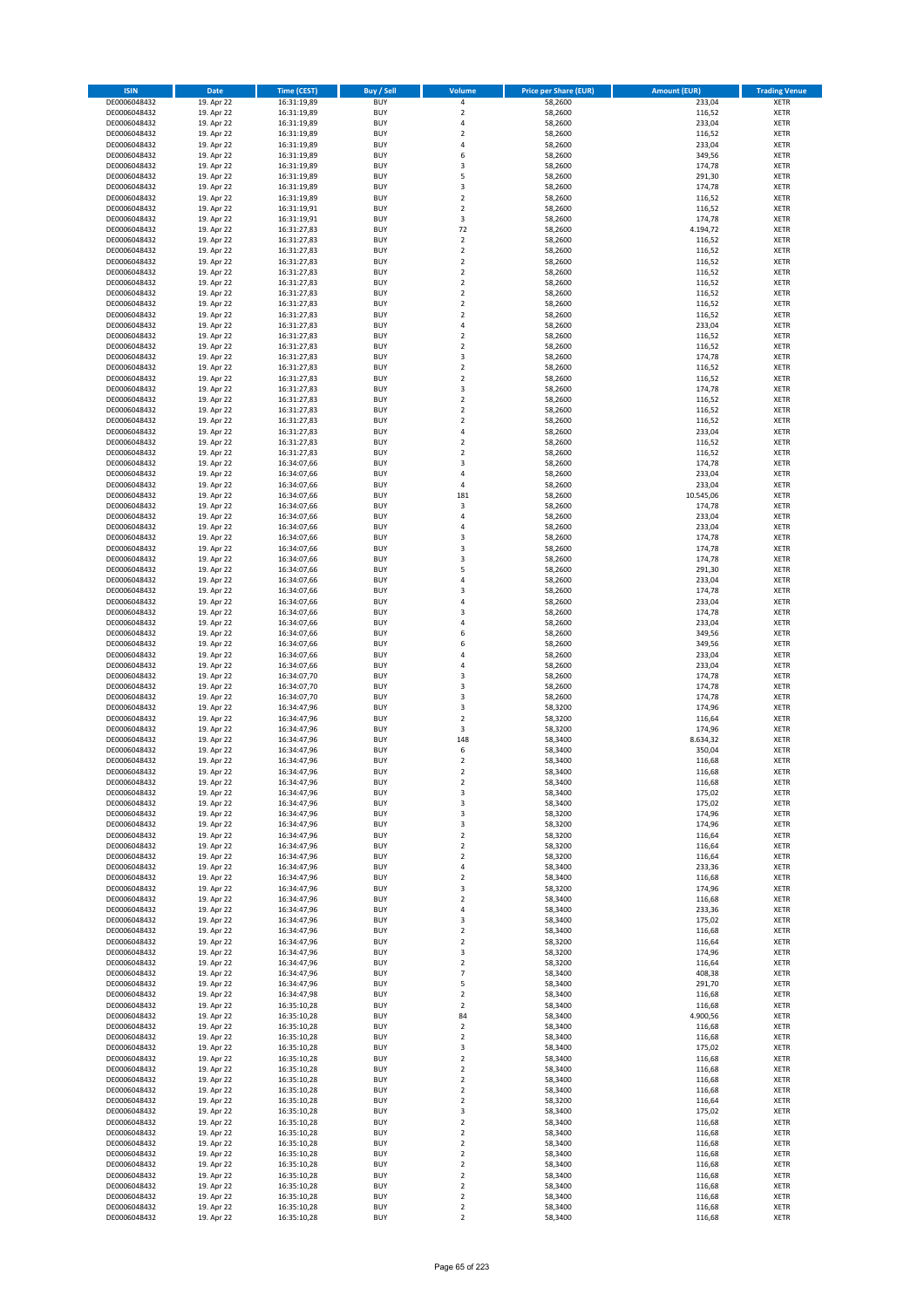| <b>ISIN</b>                  | <b>Date</b>              | <b>Time (CEST)</b>         | <b>Buy / Sell</b>        | Volume                                             | <b>Price per Share (EUR)</b> | <b>Amount (EUR)</b> | <b>Trading Venue</b>       |
|------------------------------|--------------------------|----------------------------|--------------------------|----------------------------------------------------|------------------------------|---------------------|----------------------------|
| DE0006048432                 | 19. Apr 22               | 16:31:19,89                | <b>BUY</b>               | 4                                                  | 58,2600                      | 233,04              | <b>XETR</b>                |
| DE0006048432                 | 19. Apr 22               | 16:31:19,89                | <b>BUY</b>               | $\mathbf 2$                                        | 58,2600                      | 116,52              | <b>XETR</b>                |
| DE0006048432                 | 19. Apr 22               | 16:31:19,89                | <b>BUY</b>               | 4                                                  | 58,2600                      | 233,04              | <b>XETR</b>                |
| DE0006048432                 | 19. Apr 22               | 16:31:19,89                | <b>BUY</b>               | $\mathbf 2$                                        | 58,2600                      | 116,52              | <b>XETR</b>                |
| DE0006048432<br>DE0006048432 | 19. Apr 22<br>19. Apr 22 | 16:31:19,89<br>16:31:19,89 | <b>BUY</b><br><b>BUY</b> | 4<br>6                                             | 58,2600<br>58,2600           | 233,04<br>349,56    | <b>XETR</b><br><b>XETR</b> |
| DE0006048432                 | 19. Apr 22               | 16:31:19,89                | <b>BUY</b>               | $\overline{\mathbf{3}}$                            | 58,2600                      | 174,78              | <b>XETR</b>                |
| DE0006048432                 | 19. Apr 22               | 16:31:19,89                | <b>BUY</b>               | 5                                                  | 58,2600                      | 291,30              | <b>XETR</b>                |
| DE0006048432                 | 19. Apr 22               | 16:31:19,89                | BUY                      | 3                                                  | 58,2600                      | 174,78              | <b>XETR</b>                |
| DE0006048432                 | 19. Apr 22               | 16:31:19,89                | <b>BUY</b>               | $\overline{2}$                                     | 58,2600                      | 116,52              | <b>XETR</b>                |
| DE0006048432                 | 19. Apr 22               | 16:31:19,91                | <b>BUY</b>               | $\mathbf 2$                                        | 58,2600                      | 116,52              | <b>XETR</b>                |
| DE0006048432                 | 19. Apr 22               | 16:31:19,91                | <b>BUY</b>               | 3<br>72                                            | 58,2600                      | 174,78              | <b>XETR</b>                |
| DE0006048432<br>DE0006048432 | 19. Apr 22<br>19. Apr 22 | 16:31:27,83<br>16:31:27,83 | <b>BUY</b><br><b>BUY</b> | $\overline{2}$                                     | 58,2600<br>58,2600           | 4.194,72<br>116,52  | <b>XETR</b><br><b>XETR</b> |
| DE0006048432                 | 19. Apr 22               | 16:31:27,83                | <b>BUY</b>               | $\overline{2}$                                     | 58,2600                      | 116,52              | <b>XETR</b>                |
| DE0006048432                 | 19. Apr 22               | 16:31:27,83                | BUY                      | $\overline{2}$                                     | 58,2600                      | 116,52              | <b>XETR</b>                |
| DE0006048432                 | 19. Apr 22               | 16:31:27,83                | <b>BUY</b>               | $\overline{2}$                                     | 58,2600                      | 116,52              | <b>XETR</b>                |
| DE0006048432                 | 19. Apr 22               | 16:31:27,83                | <b>BUY</b>               | $\overline{2}$                                     | 58,2600                      | 116,52              | <b>XETR</b>                |
| DE0006048432                 | 19. Apr 22               | 16:31:27,83                | <b>BUY</b>               | $\overline{2}$                                     | 58,2600                      | 116,52              | <b>XETR</b>                |
| DE0006048432<br>DE0006048432 | 19. Apr 22<br>19. Apr 22 | 16:31:27,83<br>16:31:27,83 | <b>BUY</b><br><b>BUY</b> | $\overline{2}$<br>$\overline{2}$                   | 58,2600<br>58,2600           | 116,52<br>116,52    | <b>XETR</b><br><b>XETR</b> |
| DE0006048432                 | 19. Apr 22               | 16:31:27,83                | <b>BUY</b>               | 4                                                  | 58,2600                      | 233,04              | <b>XETR</b>                |
| DE0006048432                 | 19. Apr 22               | 16:31:27,83                | <b>BUY</b>               | $\overline{2}$                                     | 58,2600                      | 116,52              | <b>XETR</b>                |
| DE0006048432                 | 19. Apr 22               | 16:31:27,83                | <b>BUY</b>               | $\overline{2}$                                     | 58,2600                      | 116,52              | <b>XETR</b>                |
| DE0006048432                 | 19. Apr 22               | 16:31:27,83                | <b>BUY</b>               | 3                                                  | 58,2600                      | 174,78              | <b>XETR</b>                |
| DE0006048432                 | 19. Apr 22               | 16:31:27,83                | <b>BUY</b>               | $\mathbf 2$                                        | 58,2600                      | 116,52              | <b>XETR</b>                |
| DE0006048432                 | 19. Apr 22               | 16:31:27,83                | <b>BUY</b><br><b>BUY</b> | $\mathbf 2$<br>$\overline{\mathbf{3}}$             | 58,2600                      | 116,52              | <b>XETR</b><br><b>XETR</b> |
| DE0006048432<br>DE0006048432 | 19. Apr 22<br>19. Apr 22 | 16:31:27,83<br>16:31:27,83 | <b>BUY</b>               | $\mathbf 2$                                        | 58,2600<br>58,2600           | 174,78<br>116,52    | <b>XETR</b>                |
| DE0006048432                 | 19. Apr 22               | 16:31:27,83                | <b>BUY</b>               | $\overline{2}$                                     | 58,2600                      | 116,52              | <b>XETR</b>                |
| DE0006048432                 | 19. Apr 22               | 16:31:27,83                | <b>BUY</b>               | $\mathbf 2$                                        | 58,2600                      | 116,52              | <b>XETR</b>                |
| DE0006048432                 | 19. Apr 22               | 16:31:27,83                | <b>BUY</b>               | 4                                                  | 58,2600                      | 233,04              | <b>XETR</b>                |
| DE0006048432                 | 19. Apr 22               | 16:31:27,83                | <b>BUY</b>               | $\mathbf 2$                                        | 58,2600                      | 116,52              | <b>XETR</b>                |
| DE0006048432                 | 19. Apr 22               | 16:31:27,83                | <b>BUY</b>               | $\overline{2}$                                     | 58,2600                      | 116,52              | <b>XETR</b>                |
| DE0006048432<br>DE0006048432 | 19. Apr 22<br>19. Apr 22 | 16:34:07,66<br>16:34:07,66 | <b>BUY</b><br><b>BUY</b> | $\overline{\mathbf{3}}$<br>4                       | 58,2600<br>58,2600           | 174,78<br>233,04    | <b>XETR</b><br><b>XETR</b> |
| DE0006048432                 | 19. Apr 22               | 16:34:07,66                | <b>BUY</b>               | 4                                                  | 58,2600                      | 233,04              | <b>XETR</b>                |
| DE0006048432                 | 19. Apr 22               | 16:34:07,66                | <b>BUY</b>               | 181                                                | 58,2600                      | 10.545,06           | <b>XETR</b>                |
| DE0006048432                 | 19. Apr 22               | 16:34:07,66                | <b>BUY</b>               | 3                                                  | 58,2600                      | 174,78              | <b>XETR</b>                |
| DE0006048432                 | 19. Apr 22               | 16:34:07,66                | <b>BUY</b>               | 4                                                  | 58,2600                      | 233,04              | <b>XETR</b>                |
| DE0006048432                 | 19. Apr 22               | 16:34:07,66                | <b>BUY</b>               | $\overline{a}$                                     | 58,2600                      | 233,04              | <b>XETR</b>                |
| DE0006048432                 | 19. Apr 22               | 16:34:07,66                | <b>BUY</b><br><b>BUY</b> | $\overline{\mathbf{3}}$<br>$\overline{\mathbf{3}}$ | 58,2600                      | 174,78<br>174,78    | <b>XETR</b>                |
| DE0006048432<br>DE0006048432 | 19. Apr 22<br>19. Apr 22 | 16:34:07,66<br>16:34:07,66 | <b>BUY</b>               | $\overline{\mathbf{3}}$                            | 58,2600<br>58,2600           | 174,78              | <b>XETR</b><br><b>XETR</b> |
| DE0006048432                 | 19. Apr 22               | 16:34:07,66                | <b>BUY</b>               | 5                                                  | 58,2600                      | 291,30              | <b>XETR</b>                |
| DE0006048432                 | 19. Apr 22               | 16:34:07,66                | <b>BUY</b>               | 4                                                  | 58,2600                      | 233,04              | <b>XETR</b>                |
| DE0006048432                 | 19. Apr 22               | 16:34:07,66                | <b>BUY</b>               | $\overline{\mathbf{3}}$                            | 58,2600                      | 174,78              | <b>XETR</b>                |
| DE0006048432                 | 19. Apr 22               | 16:34:07,66                | <b>BUY</b>               | $\overline{a}$                                     | 58,2600                      | 233,04              | <b>XETR</b>                |
| DE0006048432<br>DE0006048432 | 19. Apr 22               | 16:34:07,66                | <b>BUY</b><br><b>BUY</b> | $\overline{\mathbf{3}}$<br>$\overline{a}$          | 58,2600<br>58,2600           | 174,78<br>233,04    | <b>XETR</b><br><b>XETR</b> |
| DE0006048432                 | 19. Apr 22<br>19. Apr 22 | 16:34:07,66<br>16:34:07,66 | <b>BUY</b>               | 6                                                  | 58,2600                      | 349,56              | <b>XETR</b>                |
| DE0006048432                 | 19. Apr 22               | 16:34:07,66                | <b>BUY</b>               | 6                                                  | 58,2600                      | 349,56              | <b>XETR</b>                |
| DE0006048432                 | 19. Apr 22               | 16:34:07,66                | <b>BUY</b>               | $\overline{a}$                                     | 58,2600                      | 233,04              | <b>XETR</b>                |
| DE0006048432                 | 19. Apr 22               | 16:34:07,66                | <b>BUY</b>               | $\overline{4}$                                     | 58,2600                      | 233,04              | <b>XETR</b>                |
| DE0006048432                 | 19. Apr 22               | 16:34:07,70                | <b>BUY</b>               | $\overline{\mathbf{3}}$                            | 58,2600                      | 174,78              | <b>XETR</b>                |
| DE0006048432                 | 19. Apr 22               | 16:34:07,70                | <b>BUY</b>               | $\overline{3}$                                     | 58,2600                      | 174,78              | <b>XETR</b>                |
| DE0006048432<br>DE0006048432 | 19. Apr 22<br>19. Apr 22 | 16:34:07,70<br>16:34:47,96 | <b>BUY</b><br><b>BUY</b> | $\overline{3}$<br>$\overline{\mathbf{3}}$          | 58,2600<br>58,3200           | 174,78<br>174,96    | <b>XETR</b><br><b>XETR</b> |
| DE0006048432                 | 19. Apr 22               | 16:34:47,96                | <b>BUY</b>               | $\overline{2}$                                     | 58,3200                      | 116,64              | <b>XETR</b>                |
| DE0006048432                 | 19. Apr 22               | 16:34:47,96                | <b>BUY</b>               | 3                                                  | 58,3200                      | 174,96              | <b>XETR</b>                |
| DE0006048432                 | 19. Apr 22               | 16:34:47,96                | <b>BUY</b>               | 148                                                | 58,3400                      | 8.634,32            | <b>XETR</b>                |
| DE0006048432                 | 19. Apr 22               | 16:34:47,96                | BUY                      | 6                                                  | 58,3400                      | 350,04              | <b>XETR</b>                |
| DE0006048432                 | 19. Apr 22               | 16:34:47,96                | BUY                      | $\mathbf 2$                                        | 58,3400                      | 116,68              | <b>XETR</b>                |
| DE0006048432<br>DE0006048432 | 19. Apr 22<br>19. Apr 22 | 16:34:47,96<br>16:34:47,96 | <b>BUY</b><br>BUY        | $\overline{2}$<br>2                                | 58,3400<br>58,3400           | 116,68              | <b>XETR</b><br><b>XETR</b> |
| DE0006048432                 | 19. Apr 22               | 16:34:47,96                | <b>BUY</b>               | 3                                                  | 58,3400                      | 116,68<br>175,02    | <b>XETR</b>                |
| DE0006048432                 | 19. Apr 22               | 16:34:47,96                | <b>BUY</b>               | 3                                                  | 58,3400                      | 175,02              | <b>XETR</b>                |
| DE0006048432                 | 19. Apr 22               | 16:34:47,96                | <b>BUY</b>               | 3                                                  | 58,3200                      | 174,96              | <b>XETR</b>                |
| DE0006048432                 | 19. Apr 22               | 16:34:47,96                | <b>BUY</b>               | 3                                                  | 58,3200                      | 174,96              | <b>XETR</b>                |
| DE0006048432                 | 19. Apr 22               | 16:34:47,96                | <b>BUY</b>               | $\mathbf 2$                                        | 58,3200                      | 116,64              | <b>XETR</b>                |
| DE0006048432<br>DE0006048432 | 19. Apr 22<br>19. Apr 22 | 16:34:47,96<br>16:34:47,96 | <b>BUY</b><br><b>BUY</b> | 2<br>$\overline{\mathbf{c}}$                       | 58,3200<br>58,3200           | 116,64<br>116,64    | <b>XETR</b>                |
| DE0006048432                 | 19. Apr 22               | 16:34:47,96                | <b>BUY</b>               | $\overline{4}$                                     | 58,3400                      | 233,36              | <b>XETR</b><br><b>XETR</b> |
| DE0006048432                 | 19. Apr 22               | 16:34:47,96                | <b>BUY</b>               | $\mathbf 2$                                        | 58,3400                      | 116,68              | <b>XETR</b>                |
| DE0006048432                 | 19. Apr 22               | 16:34:47,96                | <b>BUY</b>               | 3                                                  | 58,3200                      | 174,96              | <b>XETR</b>                |
| DE0006048432                 | 19. Apr 22               | 16:34:47,96                | <b>BUY</b>               | $\overline{\mathbf{2}}$                            | 58,3400                      | 116,68              | <b>XETR</b>                |
| DE0006048432                 | 19. Apr 22               | 16:34:47,96                | <b>BUY</b><br><b>BUY</b> | 4<br>$\overline{\mathbf{3}}$                       | 58,3400                      | 233,36              | <b>XETR</b>                |
| DE0006048432<br>DE0006048432 | 19. Apr 22<br>19. Apr 22 | 16:34:47,96<br>16:34:47,96 | <b>BUY</b>               | $\mathbf 2$                                        | 58,3400<br>58,3400           | 175,02<br>116,68    | <b>XETR</b><br><b>XETR</b> |
| DE0006048432                 | 19. Apr 22               | 16:34:47,96                | <b>BUY</b>               | $\mathbf 2$                                        | 58,3200                      | 116,64              | <b>XETR</b>                |
| DE0006048432                 | 19. Apr 22               | 16:34:47,96                | <b>BUY</b>               | 3                                                  | 58,3200                      | 174,96              | <b>XETR</b>                |
| DE0006048432                 | 19. Apr 22               | 16:34:47,96                | <b>BUY</b>               | $\mathbf 2$                                        | 58,3200                      | 116,64              | <b>XETR</b>                |
| DE0006048432                 | 19. Apr 22               | 16:34:47,96                | <b>BUY</b>               | $\overline{7}$                                     | 58,3400                      | 408,38              | <b>XETR</b>                |
| DE0006048432                 | 19. Apr 22               | 16:34:47,96                | <b>BUY</b>               | 5                                                  | 58,3400                      | 291,70              | <b>XETR</b>                |
| DE0006048432<br>DE0006048432 | 19. Apr 22<br>19. Apr 22 | 16:34:47,98<br>16:35:10,28 | <b>BUY</b><br><b>BUY</b> | $\overline{\mathbf{2}}$<br>2                       | 58,3400<br>58,3400           | 116,68<br>116,68    | <b>XETR</b><br><b>XETR</b> |
| DE0006048432                 | 19. Apr 22               | 16:35:10,28                | <b>BUY</b>               | 84                                                 | 58,3400                      | 4.900,56            | <b>XETR</b>                |
| DE0006048432                 | 19. Apr 22               | 16:35:10,28                | <b>BUY</b>               | $\mathbf 2$                                        | 58,3400                      | 116,68              | <b>XETR</b>                |
| DE0006048432                 | 19. Apr 22               | 16:35:10,28                | <b>BUY</b>               | $\mathbf 2$                                        | 58,3400                      | 116,68              | <b>XETR</b>                |
| DE0006048432                 | 19. Apr 22               | 16:35:10,28                | <b>BUY</b>               | 3                                                  | 58,3400                      | 175,02              | <b>XETR</b>                |
| DE0006048432                 | 19. Apr 22               | 16:35:10,28                | <b>BUY</b>               | $\overline{\mathbf{2}}$                            | 58,3400                      | 116,68              | <b>XETR</b>                |
| DE0006048432                 | 19. Apr 22               | 16:35:10,28                | <b>BUY</b>               | $\overline{\mathbf{2}}$                            | 58,3400                      | 116,68              | <b>XETR</b>                |
| DE0006048432<br>DE0006048432 | 19. Apr 22<br>19. Apr 22 | 16:35:10,28<br>16:35:10,28 | <b>BUY</b><br><b>BUY</b> | 2<br>$\overline{\mathbf{2}}$                       | 58,3400<br>58,3400           | 116,68<br>116,68    | <b>XETR</b><br><b>XETR</b> |
| DE0006048432                 | 19. Apr 22               | 16:35:10,28                | <b>BUY</b>               | $\mathbf 2$                                        | 58,3200                      | 116,64              | <b>XETR</b>                |
| DE0006048432                 | 19. Apr 22               | 16:35:10,28                | <b>BUY</b>               | 3                                                  | 58,3400                      | 175,02              | <b>XETR</b>                |
| DE0006048432                 | 19. Apr 22               | 16:35:10,28                | <b>BUY</b>               | $\mathbf 2$                                        | 58,3400                      | 116,68              | <b>XETR</b>                |
| DE0006048432                 | 19. Apr 22               | 16:35:10,28                | <b>BUY</b>               | $\overline{\mathbf{2}}$                            | 58,3400                      | 116,68              | <b>XETR</b>                |
| DE0006048432                 | 19. Apr 22               | 16:35:10,28                | <b>BUY</b>               | $\mathbf 2$                                        | 58,3400                      | 116,68              | <b>XETR</b>                |
| DE0006048432<br>DE0006048432 | 19. Apr 22<br>19. Apr 22 | 16:35:10,28<br>16:35:10,28 | <b>BUY</b><br><b>BUY</b> | $\mathbf 2$<br>$\overline{\mathbf{2}}$             | 58,3400<br>58,3400           | 116,68<br>116,68    | <b>XETR</b><br><b>XETR</b> |
| DE0006048432                 | 19. Apr 22               | 16:35:10,28                | <b>BUY</b>               | $\mathbf 2$                                        | 58,3400                      | 116,68              | <b>XETR</b>                |
| DE0006048432                 | 19. Apr 22               | 16:35:10,28                | <b>BUY</b>               | 2                                                  | 58,3400                      | 116,68              | <b>XETR</b>                |
| DE0006048432                 | 19. Apr 22               | 16:35:10,28                | <b>BUY</b>               | 2                                                  | 58,3400                      | 116,68              | <b>XETR</b>                |
| DE0006048432                 | 19. Apr 22               | 16:35:10,28                | <b>BUY</b>               | $\mathbf 2$                                        | 58,3400                      | 116,68              | <b>XETR</b>                |
| DE0006048432                 | 19. Apr 22               | 16:35:10,28                | <b>BUY</b>               | $\mathbf 2$                                        | 58,3400                      | 116,68              | <b>XETR</b>                |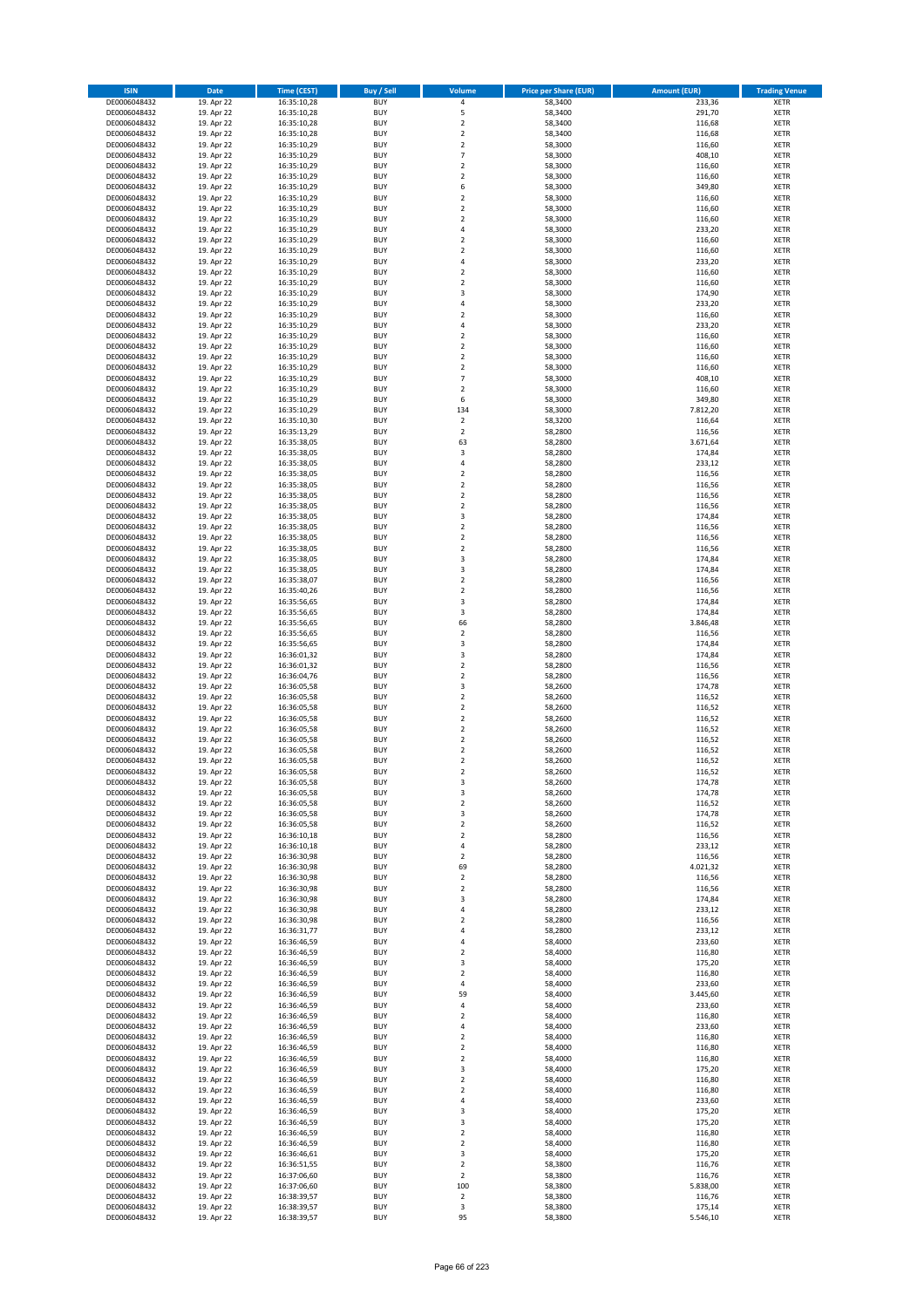| <b>ISIN</b>                  | <b>Date</b>              | <b>Time (CEST)</b>         | <b>Buy / Sell</b>        | Volume                                 | <b>Price per Share (EUR)</b> | <b>Amount (EUR)</b> | <b>Trading Venue</b>       |
|------------------------------|--------------------------|----------------------------|--------------------------|----------------------------------------|------------------------------|---------------------|----------------------------|
| DE0006048432                 | 19. Apr 22               | 16:35:10,28                | <b>BUY</b>               | 4                                      | 58,3400                      | 233,36              | <b>XETR</b>                |
| DE0006048432                 | 19. Apr 22               | 16:35:10,28                | <b>BUY</b>               | 5                                      | 58,3400                      | 291,70              | <b>XETR</b>                |
| DE0006048432                 | 19. Apr 22               | 16:35:10,28                | <b>BUY</b>               | $\overline{2}$                         | 58,3400                      | 116,68              | <b>XETR</b>                |
| DE0006048432                 | 19. Apr 22               | 16:35:10,28                | <b>BUY</b>               | $\mathbf 2$                            | 58,3400                      | 116,68              | <b>XETR</b>                |
| DE0006048432<br>DE0006048432 | 19. Apr 22<br>19. Apr 22 | 16:35:10,29<br>16:35:10,29 | <b>BUY</b><br><b>BUY</b> | $\overline{2}$<br>$\overline{7}$       | 58,3000<br>58,3000           | 116,60<br>408,10    | <b>XETR</b><br><b>XETR</b> |
| DE0006048432                 | 19. Apr 22               | 16:35:10,29                | <b>BUY</b>               | $\overline{2}$                         | 58,3000                      | 116,60              | <b>XETR</b>                |
| DE0006048432                 | 19. Apr 22               | 16:35:10,29                | <b>BUY</b>               | $\overline{2}$                         | 58,3000                      | 116,60              | <b>XETR</b>                |
| DE0006048432                 | 19. Apr 22               | 16:35:10,29                | BUY                      | 6                                      | 58,3000                      | 349,80              | <b>XETR</b>                |
| DE0006048432                 | 19. Apr 22               | 16:35:10,29                | <b>BUY</b>               | $\overline{2}$                         | 58,3000                      | 116,60              | <b>XETR</b>                |
| DE0006048432                 | 19. Apr 22               | 16:35:10,29                | <b>BUY</b>               | $\mathbf 2$                            | 58,3000                      | 116,60              | <b>XETR</b>                |
| DE0006048432                 | 19. Apr 22               | 16:35:10,29                | <b>BUY</b>               | $\overline{2}$                         | 58,3000                      | 116,60              | <b>XETR</b>                |
| DE0006048432<br>DE0006048432 | 19. Apr 22<br>19. Apr 22 | 16:35:10,29<br>16:35:10,29 | <b>BUY</b><br><b>BUY</b> | $\overline{4}$<br>$\overline{2}$       | 58,3000<br>58,3000           | 233,20<br>116,60    | <b>XETR</b><br><b>XETR</b> |
| DE0006048432                 | 19. Apr 22               | 16:35:10,29                | <b>BUY</b>               | $\overline{2}$                         | 58,3000                      | 116,60              | <b>XETR</b>                |
| DE0006048432                 | 19. Apr 22               | 16:35:10,29                | BUY                      | $\overline{a}$                         | 58,3000                      | 233,20              | <b>XETR</b>                |
| DE0006048432                 | 19. Apr 22               | 16:35:10,29                | <b>BUY</b>               | $\overline{2}$                         | 58,3000                      | 116,60              | <b>XETR</b>                |
| DE0006048432                 | 19. Apr 22               | 16:35:10,29                | <b>BUY</b>               | $\overline{2}$                         | 58,3000                      | 116,60              | <b>XETR</b>                |
| DE0006048432                 | 19. Apr 22               | 16:35:10,29                | <b>BUY</b>               | $\overline{\mathbf{3}}$                | 58,3000                      | 174,90              | <b>XETR</b>                |
| DE0006048432<br>DE0006048432 | 19. Apr 22<br>19. Apr 22 | 16:35:10,29<br>16:35:10,29 | <b>BUY</b><br><b>BUY</b> | $\overline{a}$<br>$\overline{2}$       | 58,3000<br>58,3000           | 233,20<br>116,60    | <b>XETR</b><br><b>XETR</b> |
| DE0006048432                 | 19. Apr 22               | 16:35:10,29                | <b>BUY</b>               | 4                                      | 58,3000                      | 233,20              | <b>XETR</b>                |
| DE0006048432                 | 19. Apr 22               | 16:35:10,29                | <b>BUY</b>               | $\overline{2}$                         | 58,3000                      | 116,60              | <b>XETR</b>                |
| DE0006048432                 | 19. Apr 22               | 16:35:10,29                | <b>BUY</b>               | $\overline{2}$                         | 58,3000                      | 116,60              | <b>XETR</b>                |
| DE0006048432                 | 19. Apr 22               | 16:35:10,29                | <b>BUY</b>               | $\mathbf 2$                            | 58,3000                      | 116,60              | <b>XETR</b>                |
| DE0006048432                 | 19. Apr 22               | 16:35:10,29                | <b>BUY</b>               | $\mathbf 2$                            | 58,3000                      | 116,60              | <b>XETR</b>                |
| DE0006048432                 | 19. Apr 22               | 16:35:10,29                | <b>BUY</b><br><b>BUY</b> | $\overline{7}$<br>$\overline{2}$       | 58,3000                      | 408,10              | <b>XETR</b><br><b>XETR</b> |
| DE0006048432<br>DE0006048432 | 19. Apr 22<br>19. Apr 22 | 16:35:10,29<br>16:35:10,29 | <b>BUY</b>               | 6                                      | 58,3000<br>58,3000           | 116,60<br>349,80    | <b>XETR</b>                |
| DE0006048432                 | 19. Apr 22               | 16:35:10,29                | <b>BUY</b>               | 134                                    | 58,3000                      | 7.812,20            | <b>XETR</b>                |
| DE0006048432                 | 19. Apr 22               | 16:35:10,30                | <b>BUY</b>               | $\mathbf 2$                            | 58,3200                      | 116,64              | <b>XETR</b>                |
| DE0006048432                 | 19. Apr 22               | 16:35:13,29                | <b>BUY</b>               | $\mathbf 2$                            | 58,2800                      | 116,56              | <b>XETR</b>                |
| DE0006048432                 | 19. Apr 22               | 16:35:38,05                | <b>BUY</b>               | 63                                     | 58,2800                      | 3.671,64            | <b>XETR</b>                |
| DE0006048432                 | 19. Apr 22               | 16:35:38,05                | <b>BUY</b>               | 3                                      | 58,2800                      | 174,84              | <b>XETR</b>                |
| DE0006048432<br>DE0006048432 | 19. Apr 22<br>19. Apr 22 | 16:35:38,05<br>16:35:38,05 | <b>BUY</b><br><b>BUY</b> | $\overline{4}$<br>$\mathbf 2$          | 58,2800<br>58,2800           | 233,12<br>116,56    | <b>XETR</b><br><b>XETR</b> |
| DE0006048432                 | 19. Apr 22               | 16:35:38,05                | <b>BUY</b>               | $\overline{2}$                         | 58,2800                      | 116,56              | <b>XETR</b>                |
| DE0006048432                 | 19. Apr 22               | 16:35:38,05                | BUY                      | $\mathbf 2$                            | 58,2800                      | 116,56              | <b>XETR</b>                |
| DE0006048432                 | 19. Apr 22               | 16:35:38,05                | <b>BUY</b>               | $\mathbf 2$                            | 58,2800                      | 116,56              | <b>XETR</b>                |
| DE0006048432                 | 19. Apr 22               | 16:35:38,05                | <b>BUY</b>               | 3                                      | 58,2800                      | 174,84              | <b>XETR</b>                |
| DE0006048432                 | 19. Apr 22               | 16:35:38,05                | <b>BUY</b>               | $\overline{\mathbf{2}}$                | 58,2800                      | 116,56              | <b>XETR</b>                |
| DE0006048432                 | 19. Apr 22               | 16:35:38,05                | <b>BUY</b>               | $\overline{2}$                         | 58,2800                      | 116,56              | <b>XETR</b>                |
| DE0006048432<br>DE0006048432 | 19. Apr 22<br>19. Apr 22 | 16:35:38,05<br>16:35:38,05 | <b>BUY</b><br><b>BUY</b> | $\mathbf 2$<br>$\overline{\mathbf{3}}$ | 58,2800<br>58,2800           | 116,56<br>174,84    | <b>XETR</b><br><b>XETR</b> |
| DE0006048432                 | 19. Apr 22               | 16:35:38,05                | <b>BUY</b>               | $\overline{\mathbf{3}}$                | 58,2800                      | 174,84              | <b>XETR</b>                |
| DE0006048432                 | 19. Apr 22               | 16:35:38,07                | <b>BUY</b>               | $\overline{\mathbf{2}}$                | 58,2800                      | 116,56              | <b>XETR</b>                |
| DE0006048432                 | 19. Apr 22               | 16:35:40,26                | <b>BUY</b>               | $\overline{2}$                         | 58,2800                      | 116,56              | <b>XETR</b>                |
| DE0006048432                 | 19. Apr 22               | 16:35:56,65                | <b>BUY</b>               | 3                                      | 58,2800                      | 174,84              | <b>XETR</b>                |
| DE0006048432                 | 19. Apr 22               | 16:35:56,65                | <b>BUY</b><br><b>BUY</b> | 3<br>66                                | 58,2800                      | 174,84              | <b>XETR</b><br><b>XETR</b> |
| DE0006048432<br>DE0006048432 | 19. Apr 22<br>19. Apr 22 | 16:35:56,65<br>16:35:56,65 | <b>BUY</b>               | $\overline{\mathbf{2}}$                | 58,2800<br>58,2800           | 3.846,48<br>116,56  | <b>XETR</b>                |
| DE0006048432                 | 19. Apr 22               | 16:35:56,65                | <b>BUY</b>               | 3                                      | 58,2800                      | 174,84              | <b>XETR</b>                |
| DE0006048432                 | 19. Apr 22               | 16:36:01,32                | <b>BUY</b>               | $\overline{\mathbf{3}}$                | 58,2800                      | 174,84              | <b>XETR</b>                |
| DE0006048432                 | 19. Apr 22               | 16:36:01,32                | <b>BUY</b>               | $\mathbf 2$                            | 58,2800                      | 116,56              | <b>XETR</b>                |
| DE0006048432                 | 19. Apr 22               | 16:36:04,76                | <b>BUY</b>               | $\overline{\mathbf{2}}$                | 58,2800                      | 116,56              | <b>XETR</b>                |
| DE0006048432                 | 19. Apr 22               | 16:36:05,58                | <b>BUY</b>               | 3                                      | 58,2600                      | 174,78              | <b>XETR</b>                |
| DE0006048432<br>DE0006048432 | 19. Apr 22<br>19. Apr 22 | 16:36:05,58<br>16:36:05,58 | <b>BUY</b><br><b>BUY</b> | $\overline{2}$<br>$\overline{2}$       | 58,2600<br>58,2600           | 116,52<br>116,52    | <b>XETR</b><br><b>XETR</b> |
| DE0006048432                 | 19. Apr 22               | 16:36:05,58                | BUY                      | $\overline{2}$                         | 58,2600                      | 116,52              | <b>XETR</b>                |
| DE0006048432                 | 19. Apr 22               | 16:36:05,58                | <b>BUY</b>               | $\overline{2}$                         | 58,2600                      | 116,52              | <b>XETR</b>                |
| DE0006048432                 | 19. Apr 22               | 16:36:05,58                | <b>BUY</b>               | $\mathbf 2$                            | 58,2600                      | 116,52              | <b>XETR</b>                |
| DE0006048432                 | 19. Apr 22               | 16:36:05,58                | BUY                      | $\overline{2}$                         | 58,2600                      | 116,52              | <b>XETR</b>                |
| DE0006048432                 | 19. Apr 22               | 16:36:05,58                | BUY                      | $\mathbf 2$                            | 58,2600                      | 116,52              | <b>XETR</b>                |
| DE0006048432                 | 19. Apr 22<br>19. Apr 22 | 16:36:05,58<br>16:36:05,58 | <b>BUY</b>               | $\overline{2}$                         | 58,2600                      | 116,52              | <b>XETR</b>                |
| DE0006048432<br>DE0006048432 | 19. Apr 22               | 16:36:05,58                | <b>BUY</b><br><b>BUY</b> | 3<br>3                                 | 58,2600<br>58,2600           | 174,78<br>174,78    | <b>XETR</b><br><b>XETR</b> |
| DE0006048432                 | 19. Apr 22               | 16:36:05,58                | <b>BUY</b>               | $\mathbf 2$                            | 58,2600                      | 116,52              | <b>XETR</b>                |
| DE0006048432                 | 19. Apr 22               | 16:36:05,58                | <b>BUY</b>               | 3                                      | 58,2600                      | 174,78              | <b>XETR</b>                |
| DE0006048432                 | 19. Apr 22               | 16:36:05,58                | <b>BUY</b>               | $\overline{2}$                         | 58,2600                      | 116,52              | <b>XETR</b>                |
| DE0006048432                 | 19. Apr 22               | 16:36:10,18                | <b>BUY</b>               | $\mathbf 2$                            | 58,2800                      | 116,56              | <b>XETR</b>                |
| DE0006048432                 | 19. Apr 22               | 16:36:10,18                | <b>BUY</b>               | 4                                      | 58,2800                      | 233,12              | <b>XETR</b>                |
| DE0006048432<br>DE0006048432 | 19. Apr 22<br>19. Apr 22 | 16:36:30,98<br>16:36:30,98 | <b>BUY</b><br><b>BUY</b> | 2<br>69                                | 58,2800<br>58,2800           | 116,56<br>4.021,32  | <b>XETR</b><br><b>XETR</b> |
| DE0006048432                 | 19. Apr 22               | 16:36:30,98                | <b>BUY</b>               | $\mathbf 2$                            | 58,2800                      | 116,56              | <b>XETR</b>                |
| DE0006048432                 | 19. Apr 22               | 16:36:30,98                | <b>BUY</b>               | 2                                      | 58,2800                      | 116,56              | <b>XETR</b>                |
| DE0006048432                 | 19. Apr 22               | 16:36:30,98                | <b>BUY</b>               | 3                                      | 58,2800                      | 174,84              | <b>XETR</b>                |
| DE0006048432                 | 19. Apr 22               | 16:36:30,98                | <b>BUY</b>               | 4                                      | 58,2800                      | 233,12              | <b>XETR</b>                |
| DE0006048432                 | 19. Apr 22               | 16:36:30,98                | <b>BUY</b>               | $\overline{2}$                         | 58,2800                      | 116,56              | <b>XETR</b>                |
| DE0006048432<br>DE0006048432 | 19. Apr 22<br>19. Apr 22 | 16:36:31,77<br>16:36:46,59 | <b>BUY</b><br><b>BUY</b> | 4<br>$\overline{a}$                    | 58,2800<br>58,4000           | 233,12<br>233,60    | <b>XETR</b><br><b>XETR</b> |
| DE0006048432                 | 19. Apr 22               | 16:36:46,59                | <b>BUY</b>               | $\mathbf 2$                            | 58,4000                      | 116,80              | <b>XETR</b>                |
| DE0006048432                 | 19. Apr 22               | 16:36:46,59                | <b>BUY</b>               | 3                                      | 58,4000                      | 175,20              | <b>XETR</b>                |
| DE0006048432                 | 19. Apr 22               | 16:36:46,59                | <b>BUY</b>               | $\mathbf 2$                            | 58,4000                      | 116,80              | <b>XETR</b>                |
| DE0006048432                 | 19. Apr 22               | 16:36:46,59                | <b>BUY</b>               | 4                                      | 58,4000                      | 233,60              | <b>XETR</b>                |
| DE0006048432                 | 19. Apr 22               | 16:36:46,59                | <b>BUY</b>               | 59                                     | 58,4000                      | 3.445,60            | <b>XETR</b>                |
| DE0006048432<br>DE0006048432 | 19. Apr 22<br>19. Apr 22 | 16:36:46,59<br>16:36:46,59 | <b>BUY</b><br><b>BUY</b> | 4<br>$\overline{2}$                    | 58,4000<br>58,4000           | 233,60<br>116,80    | <b>XETR</b><br><b>XETR</b> |
| DE0006048432                 | 19. Apr 22               | 16:36:46,59                | <b>BUY</b>               | 4                                      | 58,4000                      | 233,60              | <b>XETR</b>                |
| DE0006048432                 | 19. Apr 22               | 16:36:46,59                | <b>BUY</b>               | $\mathbf 2$                            | 58,4000                      | 116,80              | <b>XETR</b>                |
| DE0006048432                 | 19. Apr 22               | 16:36:46,59                | <b>BUY</b>               | $\mathbf 2$                            | 58,4000                      | 116,80              | <b>XETR</b>                |
| DE0006048432                 | 19. Apr 22               | 16:36:46,59                | <b>BUY</b>               | $\overline{2}$                         | 58,4000                      | 116,80              | <b>XETR</b>                |
| DE0006048432                 | 19. Apr 22               | 16:36:46,59                | <b>BUY</b>               | 3                                      | 58,4000                      | 175,20              | <b>XETR</b>                |
| DE0006048432<br>DE0006048432 | 19. Apr 22<br>19. Apr 22 | 16:36:46,59<br>16:36:46,59 | <b>BUY</b><br><b>BUY</b> | $\mathbf 2$<br>$\overline{2}$          | 58,4000<br>58,4000           | 116,80<br>116,80    | <b>XETR</b><br><b>XETR</b> |
| DE0006048432                 | 19. Apr 22               | 16:36:46,59                | <b>BUY</b>               | 4                                      | 58,4000                      | 233,60              | <b>XETR</b>                |
| DE0006048432                 | 19. Apr 22               | 16:36:46,59                | <b>BUY</b>               | 3                                      | 58,4000                      | 175,20              | <b>XETR</b>                |
| DE0006048432                 | 19. Apr 22               | 16:36:46,59                | <b>BUY</b>               | 3                                      | 58,4000                      | 175,20              | <b>XETR</b>                |
| DE0006048432                 | 19. Apr 22               | 16:36:46,59                | <b>BUY</b>               | $\overline{2}$                         | 58,4000                      | 116,80              | <b>XETR</b>                |
| DE0006048432                 | 19. Apr 22               | 16:36:46,59                | <b>BUY</b>               | $\mathbf 2$                            | 58,4000                      | 116,80              | <b>XETR</b>                |
| DE0006048432                 | 19. Apr 22               | 16:36:46,61                | <b>BUY</b>               | 3                                      | 58,4000                      | 175,20              | <b>XETR</b>                |
| DE0006048432<br>DE0006048432 | 19. Apr 22<br>19. Apr 22 | 16:36:51,55<br>16:37:06,60 | <b>BUY</b><br><b>BUY</b> | $\overline{2}$<br>$\mathbf 2$          | 58,3800<br>58,3800           | 116,76<br>116,76    | <b>XETR</b><br><b>XETR</b> |
| DE0006048432                 | 19. Apr 22               | 16:37:06,60                | <b>BUY</b>               | 100                                    | 58,3800                      | 5.838,00            | <b>XETR</b>                |
| DE0006048432                 | 19. Apr 22               | 16:38:39,57                | <b>BUY</b>               | $\mathbf 2$                            | 58,3800                      | 116,76              | <b>XETR</b>                |
| DE0006048432                 | 19. Apr 22               | 16:38:39,57                | <b>BUY</b>               | 3                                      | 58,3800                      | 175,14              | <b>XETR</b>                |
| DE0006048432                 | 19. Apr 22               | 16:38:39,57                | <b>BUY</b>               | 95                                     | 58,3800                      | 5.546,10            | <b>XETR</b>                |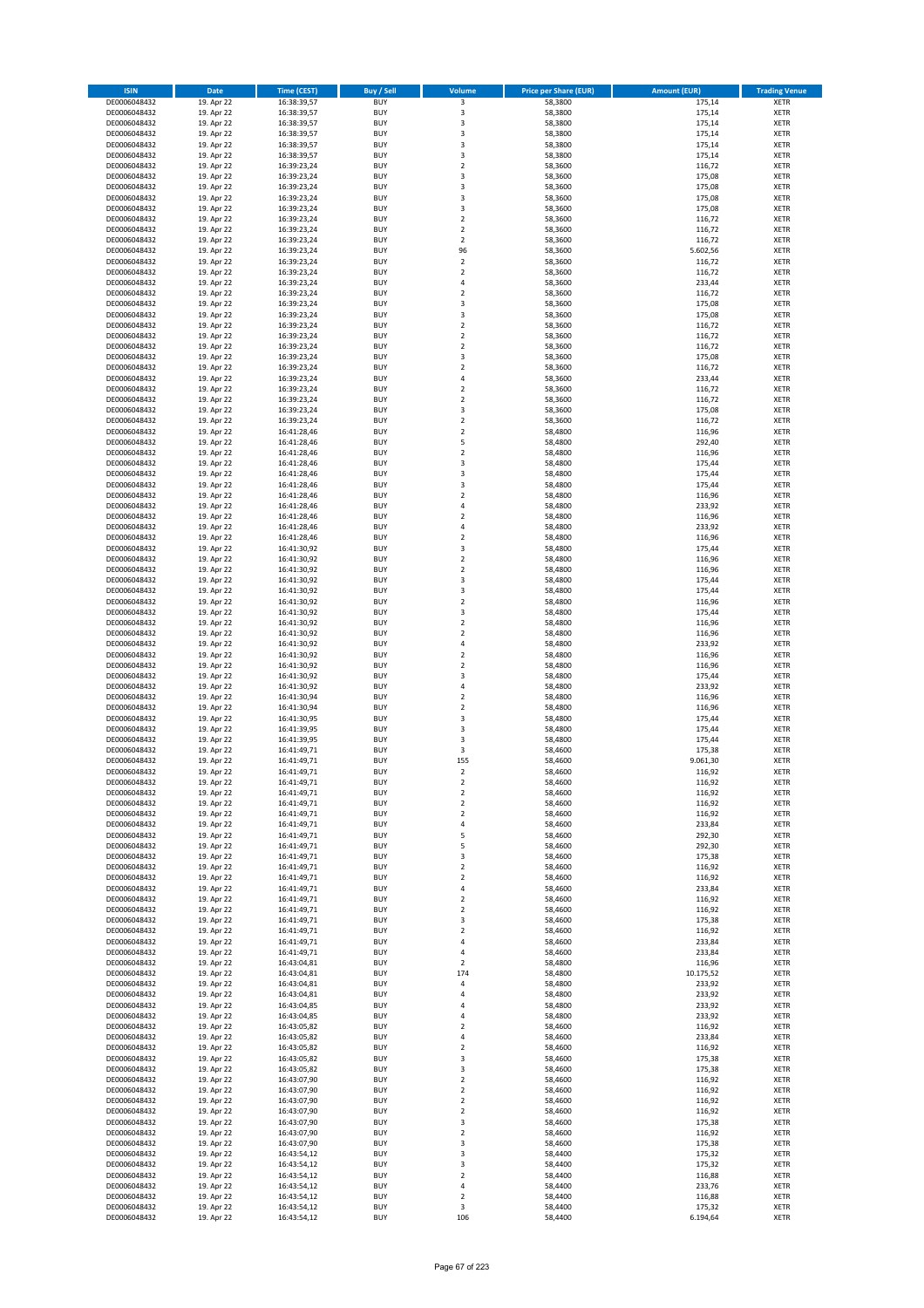| <b>ISIN</b>                  | <b>Date</b>              | <b>Time (CEST)</b>         | <b>Buy / Sell</b>        | <b>Volume</b>                          | <b>Price per Share (EUR)</b> | <b>Amount (EUR)</b> | <b>Trading Venue</b>       |
|------------------------------|--------------------------|----------------------------|--------------------------|----------------------------------------|------------------------------|---------------------|----------------------------|
| DE0006048432                 | 19. Apr 22               | 16:38:39,57                | <b>BUY</b>               | 3                                      | 58,3800                      | 175,14              | <b>XETR</b>                |
| DE0006048432                 | 19. Apr 22               | 16:38:39,57                | <b>BUY</b>               | 3                                      | 58,3800                      | 175,14              | <b>XETR</b>                |
| DE0006048432                 | 19. Apr 22               | 16:38:39,57                | <b>BUY</b>               | 3                                      | 58,3800                      | 175,14              | <b>XETR</b>                |
| DE0006048432<br>DE0006048432 | 19. Apr 22<br>19. Apr 22 | 16:38:39,57<br>16:38:39,57 | <b>BUY</b><br><b>BUY</b> | 3<br>3                                 | 58,3800<br>58,3800           | 175,14<br>175,14    | <b>XETR</b><br><b>XETR</b> |
| DE0006048432                 | 19. Apr 22               | 16:38:39,57                | <b>BUY</b>               | 3                                      | 58,3800                      | 175,14              | <b>XETR</b>                |
| DE0006048432                 | 19. Apr 22               | 16:39:23,24                | <b>BUY</b>               | $\overline{\mathbf{c}}$                | 58,3600                      | 116,72              | <b>XETR</b>                |
| DE0006048432                 | 19. Apr 22               | 16:39:23,24                | <b>BUY</b>               | 3                                      | 58,3600                      | 175,08              | <b>XETR</b>                |
| DE0006048432                 | 19. Apr 22               | 16:39:23,24                | <b>BUY</b>               | 3                                      | 58,3600                      | 175,08              | <b>XETR</b>                |
| DE0006048432                 | 19. Apr 22               | 16:39:23,24                | <b>BUY</b>               | 3                                      | 58,3600                      | 175,08              | <b>XETR</b>                |
| DE0006048432                 | 19. Apr 22               | 16:39:23,24                | <b>BUY</b>               | 3                                      | 58,3600                      | 175,08              | <b>XETR</b>                |
| DE0006048432                 | 19. Apr 22<br>19. Apr 22 | 16:39:23,24                | <b>BUY</b>               | $\overline{\mathbf{c}}$<br>$\mathbf 2$ | 58,3600                      | 116,72              | <b>XETR</b><br><b>XETR</b> |
| DE0006048432<br>DE0006048432 | 19. Apr 22               | 16:39:23,24<br>16:39:23,24 | <b>BUY</b><br><b>BUY</b> | $\overline{\mathbf{c}}$                | 58,3600<br>58,3600           | 116,72<br>116,72    | <b>XETR</b>                |
| DE0006048432                 | 19. Apr 22               | 16:39:23,24                | <b>BUY</b>               | 96                                     | 58,3600                      | 5.602,56            | <b>XETR</b>                |
| DE0006048432                 | 19. Apr 22               | 16:39:23,24                | <b>BUY</b>               | $\mathbf 2$                            | 58,3600                      | 116,72              | <b>XETR</b>                |
| DE0006048432                 | 19. Apr 22               | 16:39:23,24                | <b>BUY</b>               | $\mathbf 2$                            | 58,3600                      | 116,72              | <b>XETR</b>                |
| DE0006048432                 | 19. Apr 22               | 16:39:23,24                | <b>BUY</b>               | 4                                      | 58,3600                      | 233,44              | <b>XETR</b>                |
| DE0006048432                 | 19. Apr 22               | 16:39:23,24                | <b>BUY</b>               | $\overline{\mathbf{c}}$                | 58,3600                      | 116,72              | <b>XETR</b>                |
| DE0006048432                 | 19. Apr 22               | 16:39:23,24                | <b>BUY</b>               | 3                                      | 58,3600                      | 175,08              | <b>XETR</b>                |
| DE0006048432<br>DE0006048432 | 19. Apr 22<br>19. Apr 22 | 16:39:23,24<br>16:39:23,24 | <b>BUY</b><br><b>BUY</b> | 3<br>$\mathbf 2$                       | 58,3600<br>58,3600           | 175,08<br>116,72    | <b>XETR</b><br><b>XETR</b> |
| DE0006048432                 | 19. Apr 22               | 16:39:23,24                | <b>BUY</b>               | $\mathbf 2$                            | 58,3600                      | 116,72              | <b>XETR</b>                |
| DE0006048432                 | 19. Apr 22               | 16:39:23,24                | <b>BUY</b>               | $\mathbf 2$                            | 58,3600                      | 116,72              | <b>XETR</b>                |
| DE0006048432                 | 19. Apr 22               | 16:39:23,24                | <b>BUY</b>               | 3                                      | 58,3600                      | 175,08              | <b>XETR</b>                |
| DE0006048432                 | 19. Apr 22               | 16:39:23,24                | <b>BUY</b>               | $\mathbf 2$                            | 58,3600                      | 116,72              | <b>XETR</b>                |
| DE0006048432                 | 19. Apr 22               | 16:39:23,24                | <b>BUY</b>               | 4                                      | 58,3600                      | 233,44              | <b>XETR</b>                |
| DE0006048432                 | 19. Apr 22               | 16:39:23,24                | <b>BUY</b>               | $\overline{\mathbf{c}}$                | 58,3600                      | 116,72              | <b>XETR</b>                |
| DE0006048432<br>DE0006048432 | 19. Apr 22<br>19. Apr 22 | 16:39:23,24<br>16:39:23,24 | <b>BUY</b><br><b>BUY</b> | $\mathbf 2$<br>3                       | 58,3600<br>58,3600           | 116,72<br>175,08    | <b>XETR</b><br><b>XETR</b> |
| DE0006048432                 | 19. Apr 22               | 16:39:23,24                | <b>BUY</b>               | $\mathbf 2$                            | 58,3600                      | 116,72              | <b>XETR</b>                |
| DE0006048432                 | 19. Apr 22               | 16:41:28,46                | <b>BUY</b>               | $\overline{\mathbf{c}}$                | 58,4800                      | 116,96              | <b>XETR</b>                |
| DE0006048432                 | 19. Apr 22               | 16:41:28,46                | <b>BUY</b>               | 5                                      | 58,4800                      | 292,40              | <b>XETR</b>                |
| DE0006048432                 | 19. Apr 22               | 16:41:28,46                | <b>BUY</b>               | $\mathbf 2$                            | 58,4800                      | 116,96              | <b>XETR</b>                |
| DE0006048432                 | 19. Apr 22               | 16:41:28,46                | <b>BUY</b>               | 3                                      | 58,4800                      | 175,44              | <b>XETR</b>                |
| DE0006048432                 | 19. Apr 22               | 16:41:28,46                | <b>BUY</b>               | 3                                      | 58,4800                      | 175,44              | <b>XETR</b>                |
| DE0006048432<br>DE0006048432 | 19. Apr 22               | 16:41:28,46                | <b>BUY</b><br><b>BUY</b> | 3<br>$\mathbf 2$                       | 58,4800                      | 175,44<br>116,96    | <b>XETR</b>                |
| DE0006048432                 | 19. Apr 22<br>19. Apr 22 | 16:41:28,46<br>16:41:28,46 | <b>BUY</b>               | 4                                      | 58,4800<br>58,4800           | 233,92              | <b>XETR</b><br><b>XETR</b> |
| DE0006048432                 | 19. Apr 22               | 16:41:28,46                | <b>BUY</b>               | $\overline{\mathbf{c}}$                | 58,4800                      | 116,96              | <b>XETR</b>                |
| DE0006048432                 | 19. Apr 22               | 16:41:28,46                | <b>BUY</b>               | 4                                      | 58,4800                      | 233,92              | <b>XETR</b>                |
| DE0006048432                 | 19. Apr 22               | 16:41:28,46                | <b>BUY</b>               | $\mathbf 2$                            | 58,4800                      | 116,96              | <b>XETR</b>                |
| DE0006048432                 | 19. Apr 22               | 16:41:30,92                | <b>BUY</b>               | 3                                      | 58,4800                      | 175,44              | <b>XETR</b>                |
| DE0006048432                 | 19. Apr 22               | 16:41:30,92                | <b>BUY</b>               | $\overline{\mathbf{c}}$                | 58,4800                      | 116,96              | <b>XETR</b>                |
| DE0006048432                 | 19. Apr 22               | 16:41:30,92                | <b>BUY</b>               | $\mathbf 2$                            | 58,4800                      | 116,96              | <b>XETR</b>                |
| DE0006048432                 | 19. Apr 22               | 16:41:30,92                | <b>BUY</b>               | 3                                      | 58,4800                      | 175,44              | <b>XETR</b>                |
| DE0006048432<br>DE0006048432 | 19. Apr 22<br>19. Apr 22 | 16:41:30,92<br>16:41:30,92 | <b>BUY</b><br><b>BUY</b> | 3<br>$\mathbf 2$                       | 58,4800<br>58,4800           | 175,44<br>116,96    | <b>XETR</b><br><b>XETR</b> |
| DE0006048432                 | 19. Apr 22               | 16:41:30,92                | <b>BUY</b>               | 3                                      | 58,4800                      | 175,44              | <b>XETR</b>                |
| DE0006048432                 | 19. Apr 22               | 16:41:30,92                | <b>BUY</b>               | $\overline{\mathbf{c}}$                | 58,4800                      | 116,96              | <b>XETR</b>                |
| DE0006048432                 | 19. Apr 22               | 16:41:30,92                | <b>BUY</b>               | $\overline{\mathbf{c}}$                | 58,4800                      | 116,96              | <b>XETR</b>                |
| DE0006048432                 | 19. Apr 22               | 16:41:30,92                | <b>BUY</b>               | 4                                      | 58,4800                      | 233,92              | <b>XETR</b>                |
| DE0006048432                 | 19. Apr 22               | 16:41:30,92                | <b>BUY</b>               | $\overline{\mathbf{c}}$                | 58,4800                      | 116,96              | <b>XETR</b>                |
| DE0006048432                 | 19. Apr 22               | 16:41:30,92                | <b>BUY</b>               | $\mathbf 2$                            | 58,4800                      | 116,96              | <b>XETR</b>                |
| DE0006048432<br>DE0006048432 | 19. Apr 22<br>19. Apr 22 | 16:41:30,92<br>16:41:30,92 | <b>BUY</b><br><b>BUY</b> | 3<br>4                                 | 58,4800<br>58,4800           | 175,44<br>233,92    | <b>XETR</b><br><b>XETR</b> |
| DE0006048432                 | 19. Apr 22               | 16:41:30,94                | <b>BUY</b>               | $\overline{\mathbf{c}}$                | 58,4800                      | 116,96              | <b>XETR</b>                |
| DE0006048432                 | 19. Apr 22               | 16:41:30,94                | <b>BUY</b>               | $\overline{\mathbf{c}}$                | 58,4800                      | 116,96              | <b>XETR</b>                |
| DE0006048432                 | 19. Apr 22               | 16:41:30,95                | <b>BUY</b>               | 3                                      | 58,4800                      | 175,44              | <b>XETR</b>                |
| DE0006048432                 | 19. Apr 22               | 16:41:39,95                | <b>BUY</b>               | 3                                      | 58,4800                      | 175,44              | <b>XETR</b>                |
| DE0006048432                 | 19. Apr 22               | 16:41:39,95                | <b>BUY</b>               | 3                                      | 58,4800                      | 175,44              | <b>XETR</b>                |
| DE0006048432<br>DE0006048432 | 19. Apr 22               | 16:41:49,71                | <b>BUY</b><br><b>BUY</b> | 3<br>155                               | 58,4600                      | 175,38              | <b>XETR</b><br><b>XETR</b> |
| DE0006048432                 | 19. Apr 22<br>19. Apr 22 | 16:41:49,71<br>16:41:49,71 | <b>BUY</b>               | $\overline{2}$                         | 58,4600<br>58,4600           | 9.061,30<br>116,92  | <b>XETR</b>                |
| DE0006048432                 | 19. Apr 22               | 16:41:49,71                | BUY                      | 2                                      | 58,4600                      | 116,92              | <b>XETR</b>                |
| DE0006048432                 | 19. Apr 22               | 16:41:49,71                | <b>BUY</b>               | $\mathbf 2$                            | 58,4600                      | 116,92              | <b>XETR</b>                |
| DE0006048432                 | 19. Apr 22               | 16:41:49,71                | <b>BUY</b>               | $\mathbf 2$                            | 58,4600                      | 116,92              | <b>XETR</b>                |
| DE0006048432                 | 19. Apr 22               | 16:41:49,71                | <b>BUY</b>               | $\mathbf 2$                            | 58,4600                      | 116,92              | XETR                       |
| DE0006048432                 | 19. Apr 22               | 16:41:49,71                | <b>BUY</b>               | 4                                      | 58,4600                      | 233,84              | <b>XETR</b>                |
| DE0006048432<br>DE0006048432 | 19. Apr 22<br>19. Apr 22 | 16:41:49,71<br>16:41:49,71 | <b>BUY</b><br><b>BUY</b> | 5<br>5                                 | 58,4600<br>58,4600           | 292,30<br>292,30    | <b>XETR</b><br><b>XETR</b> |
| DE0006048432                 | 19. Apr 22               | 16:41:49,71                | <b>BUY</b>               | 3                                      | 58,4600                      | 175,38              | <b>XETR</b>                |
| DE0006048432                 | 19. Apr 22               | 16:41:49,71                | <b>BUY</b>               | $\mathbf 2$                            | 58,4600                      | 116,92              | <b>XETR</b>                |
| DE0006048432                 | 19. Apr 22               | 16:41:49,71                | <b>BUY</b>               | $\mathbf 2$                            | 58,4600                      | 116,92              | <b>XETR</b>                |
| DE0006048432                 | 19. Apr 22               | 16:41:49,71                | <b>BUY</b>               | 4                                      | 58,4600                      | 233,84              | <b>XETR</b>                |
| DE0006048432                 | 19. Apr 22               | 16:41:49,71                | <b>BUY</b>               | $\overline{\mathbf{c}}$                | 58,4600                      | 116,92              | <b>XETR</b>                |
| DE0006048432                 | 19. Apr 22               | 16:41:49,71                | <b>BUY</b>               | $\mathbf 2$                            | 58,4600                      | 116,92              | <b>XETR</b>                |
| DE0006048432<br>DE0006048432 | 19. Apr 22<br>19. Apr 22 | 16:41:49,71<br>16:41:49,71 | <b>BUY</b><br><b>BUY</b> | 3<br>$\mathbf 2$                       | 58,4600<br>58,4600           | 175,38<br>116,92    | <b>XETR</b><br><b>XETR</b> |
| DE0006048432                 | 19. Apr 22               | 16:41:49,71                | <b>BUY</b>               | 4                                      | 58,4600                      | 233,84              | <b>XETR</b>                |
| DE0006048432                 | 19. Apr 22               | 16:41:49,71                | <b>BUY</b>               | 4                                      | 58,4600                      | 233,84              | <b>XETR</b>                |
| DE0006048432                 | 19. Apr 22               | 16:43:04,81                | <b>BUY</b>               | $\overline{2}$                         | 58,4800                      | 116,96              | <b>XETR</b>                |
| DE0006048432                 | 19. Apr 22               | 16:43:04,81                | <b>BUY</b>               | 174                                    | 58,4800                      | 10.175,52           | XETR                       |
| DE0006048432                 | 19. Apr 22               | 16:43:04,81                | <b>BUY</b>               | 4                                      | 58,4800                      | 233,92              | <b>XETR</b>                |
| DE0006048432                 | 19. Apr 22               | 16:43:04,81                | <b>BUY</b><br><b>BUY</b> | 4                                      | 58,4800                      | 233,92<br>233,92    | <b>XETR</b>                |
| DE0006048432<br>DE0006048432 | 19. Apr 22<br>19. Apr 22 | 16:43:04,85<br>16:43:04,85 | <b>BUY</b>               | 4<br>4                                 | 58,4800<br>58,4800           | 233,92              | <b>XETR</b><br><b>XETR</b> |
| DE0006048432                 | 19. Apr 22               | 16:43:05,82                | <b>BUY</b>               | $\mathbf 2$                            | 58,4600                      | 116,92              | <b>XETR</b>                |
| DE0006048432                 | 19. Apr 22               | 16:43:05,82                | <b>BUY</b>               | 4                                      | 58,4600                      | 233,84              | <b>XETR</b>                |
| DE0006048432                 | 19. Apr 22               | 16:43:05,82                | <b>BUY</b>               | $\mathbf 2$                            | 58,4600                      | 116,92              | <b>XETR</b>                |
| DE0006048432                 | 19. Apr 22               | 16:43:05,82                | <b>BUY</b>               | 3                                      | 58,4600                      | 175,38              | <b>XETR</b>                |
| DE0006048432                 | 19. Apr 22               | 16:43:05,82                | <b>BUY</b>               | 3                                      | 58,4600                      | 175,38              | <b>XETR</b>                |
| DE0006048432<br>DE0006048432 | 19. Apr 22<br>19. Apr 22 | 16:43:07,90<br>16:43:07,90 | <b>BUY</b><br><b>BUY</b> | $\mathbf 2$<br>$\overline{\mathbf{c}}$ | 58,4600<br>58,4600           | 116,92<br>116,92    | <b>XETR</b><br><b>XETR</b> |
| DE0006048432                 | 19. Apr 22               | 16:43:07,90                | <b>BUY</b>               | $\mathbf 2$                            | 58,4600                      | 116,92              | <b>XETR</b>                |
| DE0006048432                 | 19. Apr 22               | 16:43:07,90                | <b>BUY</b>               | $\mathbf 2$                            | 58,4600                      | 116,92              | <b>XETR</b>                |
| DE0006048432                 | 19. Apr 22               | 16:43:07,90                | <b>BUY</b>               | 3                                      | 58,4600                      | 175,38              | <b>XETR</b>                |
| DE0006048432                 | 19. Apr 22               | 16:43:07,90                | <b>BUY</b>               | $\mathbf 2$                            | 58,4600                      | 116,92              | <b>XETR</b>                |
| DE0006048432                 | 19. Apr 22               | 16:43:07,90                | <b>BUY</b>               | 3                                      | 58,4600                      | 175,38              | <b>XETR</b>                |
| DE0006048432                 | 19. Apr 22               | 16:43:54,12                | <b>BUY</b>               | 3                                      | 58,4400                      | 175,32              | <b>XETR</b>                |
| DE0006048432<br>DE0006048432 | 19. Apr 22<br>19. Apr 22 | 16:43:54,12<br>16:43:54,12 | <b>BUY</b><br><b>BUY</b> | 3<br>$\mathbf 2$                       | 58,4400<br>58,4400           | 175,32<br>116,88    | <b>XETR</b><br>XETR        |
| DE0006048432                 | 19. Apr 22               | 16:43:54,12                | <b>BUY</b>               | 4                                      | 58,4400                      | 233,76              | <b>XETR</b>                |
| DE0006048432                 | 19. Apr 22               | 16:43:54,12                | <b>BUY</b>               | $\mathbf 2$                            | 58,4400                      | 116,88              | <b>XETR</b>                |
| DE0006048432                 | 19. Apr 22               | 16:43:54,12                | <b>BUY</b>               | 3                                      | 58,4400                      | 175,32              | <b>XETR</b>                |
| DE0006048432                 | 19. Apr 22               | 16:43:54,12                | <b>BUY</b>               | 106                                    | 58,4400                      | 6.194,64            | <b>XETR</b>                |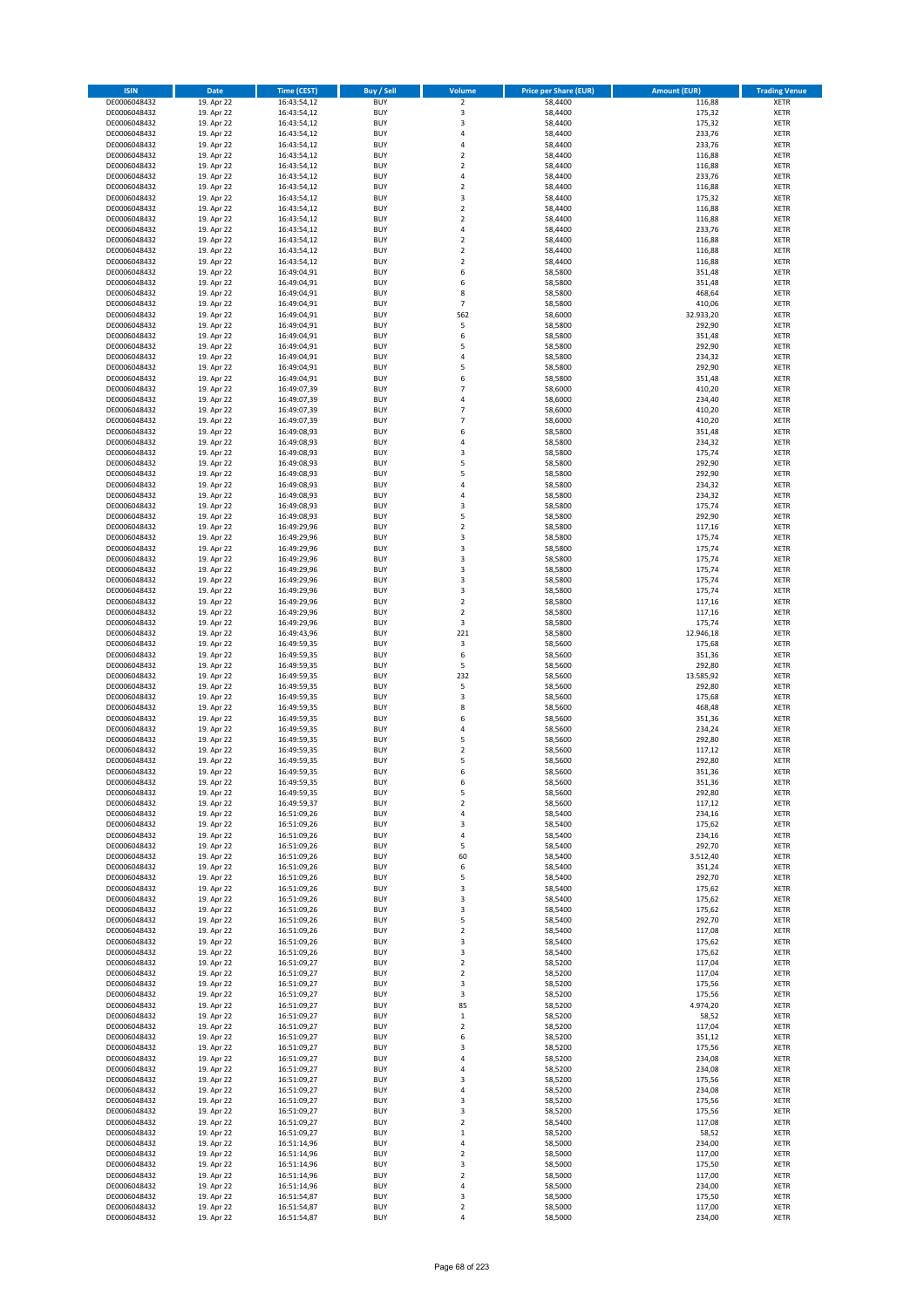| <b>ISIN</b>                  | <b>Date</b>              | <b>Time (CEST)</b>         | <b>Buy / Sell</b>        | <b>Volume</b>                | <b>Price per Share (EUR)</b> | <b>Amount (EUR)</b> | <b>Trading Venue</b>       |
|------------------------------|--------------------------|----------------------------|--------------------------|------------------------------|------------------------------|---------------------|----------------------------|
| DE0006048432                 | 19. Apr 22               | 16:43:54,12                | <b>BUY</b>               | $\overline{\mathbf{2}}$      | 58,4400                      | 116,88              | <b>XETR</b>                |
| DE0006048432                 | 19. Apr 22               | 16:43:54,12                | <b>BUY</b>               | 3                            | 58,4400                      | 175,32              | <b>XETR</b>                |
| DE0006048432                 | 19. Apr 22               | 16:43:54,12                | <b>BUY</b>               | 3                            | 58,4400                      | 175,32              | <b>XETR</b>                |
| DE0006048432<br>DE0006048432 | 19. Apr 22<br>19. Apr 22 | 16:43:54,12<br>16:43:54,12 | <b>BUY</b><br><b>BUY</b> | 4<br>4                       | 58,4400<br>58,4400           | 233,76<br>233,76    | <b>XETR</b><br><b>XETR</b> |
| DE0006048432                 | 19. Apr 22               | 16:43:54,12                | <b>BUY</b>               | $\overline{\mathbf{c}}$      | 58,4400                      | 116,88              | <b>XETR</b>                |
| DE0006048432                 | 19. Apr 22               | 16:43:54,12                | <b>BUY</b>               | $\mathbf 2$                  | 58,4400                      | 116,88              | <b>XETR</b>                |
| DE0006048432                 | 19. Apr 22               | 16:43:54,12                | <b>BUY</b>               | 4                            | 58,4400                      | 233,76              | <b>XETR</b>                |
| DE0006048432                 | 19. Apr 22               | 16:43:54,12                | <b>BUY</b>               | $\overline{2}$               | 58,4400                      | 116,88              | <b>XETR</b>                |
| DE0006048432                 | 19. Apr 22               | 16:43:54,12                | <b>BUY</b>               | 3                            | 58,4400                      | 175,32              | <b>XETR</b>                |
| DE0006048432                 | 19. Apr 22               | 16:43:54,12                | <b>BUY</b>               | $\mathbf 2$                  | 58,4400                      | 116,88              | <b>XETR</b>                |
| DE0006048432<br>DE0006048432 | 19. Apr 22<br>19. Apr 22 | 16:43:54,12                | <b>BUY</b><br><b>BUY</b> | $\overline{\mathbf{c}}$<br>4 | 58,4400<br>58,4400           | 116,88<br>233,76    | <b>XETR</b><br><b>XETR</b> |
| DE0006048432                 | 19. Apr 22               | 16:43:54,12<br>16:43:54,12 | <b>BUY</b>               | $\overline{\mathbf{c}}$      | 58,4400                      | 116,88              | <b>XETR</b>                |
| DE0006048432                 | 19. Apr 22               | 16:43:54,12                | <b>BUY</b>               | $\overline{\mathbf{c}}$      | 58,4400                      | 116,88              | <b>XETR</b>                |
| DE0006048432                 | 19. Apr 22               | 16:43:54,12                | <b>BUY</b>               | $\overline{\mathbf{c}}$      | 58,4400                      | 116,88              | <b>XETR</b>                |
| DE0006048432                 | 19. Apr 22               | 16:49:04,91                | <b>BUY</b>               | 6                            | 58,5800                      | 351,48              | <b>XETR</b>                |
| DE0006048432                 | 19. Apr 22               | 16:49:04,91                | <b>BUY</b>               | 6                            | 58,5800                      | 351,48              | <b>XETR</b>                |
| DE0006048432                 | 19. Apr 22               | 16:49:04,91                | <b>BUY</b>               | 8                            | 58,5800                      | 468,64              | <b>XETR</b>                |
| DE0006048432                 | 19. Apr 22               | 16:49:04,91                | <b>BUY</b>               | $\overline{\phantom{a}}$     | 58,5800                      | 410,06              | <b>XETR</b>                |
| DE0006048432<br>DE0006048432 | 19. Apr 22<br>19. Apr 22 | 16:49:04,91<br>16:49:04,91 | <b>BUY</b><br><b>BUY</b> | 562<br>5                     | 58,6000<br>58,5800           | 32.933,20<br>292,90 | <b>XETR</b><br><b>XETR</b> |
| DE0006048432                 | 19. Apr 22               | 16:49:04,91                | <b>BUY</b>               | 6                            | 58,5800                      | 351,48              | <b>XETR</b>                |
| DE0006048432                 | 19. Apr 22               | 16:49:04,91                | <b>BUY</b>               | 5                            | 58,5800                      | 292,90              | <b>XETR</b>                |
| DE0006048432                 | 19. Apr 22               | 16:49:04,91                | <b>BUY</b>               | 4                            | 58,5800                      | 234,32              | <b>XETR</b>                |
| DE0006048432                 | 19. Apr 22               | 16:49:04,91                | <b>BUY</b>               | 5                            | 58,5800                      | 292,90              | <b>XETR</b>                |
| DE0006048432                 | 19. Apr 22               | 16:49:04,91                | <b>BUY</b>               | 6                            | 58,5800                      | 351,48              | <b>XETR</b>                |
| DE0006048432                 | 19. Apr 22               | 16:49:07,39                | <b>BUY</b>               | $\overline{7}$               | 58,6000                      | 410,20              | <b>XETR</b>                |
| DE0006048432<br>DE0006048432 | 19. Apr 22<br>19. Apr 22 | 16:49:07,39<br>16:49:07,39 | <b>BUY</b><br><b>BUY</b> | 4<br>$\overline{7}$          | 58,6000<br>58,6000           | 234,40<br>410,20    | <b>XETR</b><br><b>XETR</b> |
| DE0006048432                 | 19. Apr 22               | 16:49:07,39                | <b>BUY</b>               | $\overline{7}$               | 58,6000                      | 410,20              | <b>XETR</b>                |
| DE0006048432                 | 19. Apr 22               | 16:49:08,93                | <b>BUY</b>               | 6                            | 58,5800                      | 351,48              | <b>XETR</b>                |
| DE0006048432                 | 19. Apr 22               | 16:49:08,93                | <b>BUY</b>               | 4                            | 58,5800                      | 234,32              | <b>XETR</b>                |
| DE0006048432                 | 19. Apr 22               | 16:49:08,93                | <b>BUY</b>               | 3                            | 58,5800                      | 175,74              | <b>XETR</b>                |
| DE0006048432                 | 19. Apr 22               | 16:49:08,93                | <b>BUY</b>               | 5                            | 58,5800                      | 292,90              | <b>XETR</b>                |
| DE0006048432                 | 19. Apr 22               | 16:49:08,93                | <b>BUY</b>               | 5                            | 58,5800                      | 292,90              | <b>XETR</b>                |
| DE0006048432<br>DE0006048432 | 19. Apr 22               | 16:49:08,93                | <b>BUY</b><br><b>BUY</b> | 4<br>4                       | 58,5800                      | 234,32              | <b>XETR</b>                |
| DE0006048432                 | 19. Apr 22<br>19. Apr 22 | 16:49:08,93<br>16:49:08,93 | <b>BUY</b>               | 3                            | 58,5800<br>58,5800           | 234,32<br>175,74    | <b>XETR</b><br><b>XETR</b> |
| DE0006048432                 | 19. Apr 22               | 16:49:08,93                | <b>BUY</b>               | 5                            | 58,5800                      | 292,90              | <b>XETR</b>                |
| DE0006048432                 | 19. Apr 22               | 16:49:29,96                | <b>BUY</b>               | $\overline{\mathbf{c}}$      | 58,5800                      | 117,16              | <b>XETR</b>                |
| DE0006048432                 | 19. Apr 22               | 16:49:29,96                | <b>BUY</b>               | 3                            | 58,5800                      | 175,74              | <b>XETR</b>                |
| DE0006048432                 | 19. Apr 22               | 16:49:29,96                | <b>BUY</b>               | 3                            | 58,5800                      | 175,74              | <b>XETR</b>                |
| DE0006048432                 | 19. Apr 22               | 16:49:29,96                | <b>BUY</b>               | 3                            | 58,5800                      | 175,74              | <b>XETR</b>                |
| DE0006048432                 | 19. Apr 22               | 16:49:29,96                | <b>BUY</b>               | 3                            | 58,5800                      | 175,74              | <b>XETR</b>                |
| DE0006048432                 | 19. Apr 22               | 16:49:29,96                | <b>BUY</b>               | 3                            | 58,5800                      | 175,74              | <b>XETR</b>                |
| DE0006048432<br>DE0006048432 | 19. Apr 22<br>19. Apr 22 | 16:49:29,96<br>16:49:29,96 | <b>BUY</b><br><b>BUY</b> | 3<br>$\mathbf 2$             | 58,5800<br>58,5800           | 175,74<br>117,16    | <b>XETR</b><br><b>XETR</b> |
| DE0006048432                 | 19. Apr 22               | 16:49:29,96                | <b>BUY</b>               | $\mathbf 2$                  | 58,5800                      | 117,16              | <b>XETR</b>                |
| DE0006048432                 | 19. Apr 22               | 16:49:29,96                | <b>BUY</b>               | 3                            | 58,5800                      | 175,74              | <b>XETR</b>                |
| DE0006048432                 | 19. Apr 22               | 16:49:43,96                | <b>BUY</b>               | 221                          | 58,5800                      | 12.946,18           | <b>XETR</b>                |
| DE0006048432                 | 19. Apr 22               | 16:49:59,35                | <b>BUY</b>               | $\mathsf 3$                  | 58,5600                      | 175,68              | <b>XETR</b>                |
| DE0006048432                 | 19. Apr 22               | 16:49:59,35                | <b>BUY</b>               | 6                            | 58,5600                      | 351,36              | <b>XETR</b>                |
| DE0006048432                 | 19. Apr 22               | 16:49:59,35                | <b>BUY</b>               | 5                            | 58,5600                      | 292,80              | <b>XETR</b>                |
| DE0006048432<br>DE0006048432 | 19. Apr 22<br>19. Apr 22 | 16:49:59,35<br>16:49:59,35 | <b>BUY</b><br><b>BUY</b> | 232<br>5                     | 58,5600<br>58,5600           | 13.585,92<br>292,80 | <b>XETR</b><br><b>XETR</b> |
| DE0006048432                 | 19. Apr 22               | 16:49:59,35                | <b>BUY</b>               | 3                            | 58,5600                      | 175,68              | <b>XETR</b>                |
| DE0006048432                 | 19. Apr 22               | 16:49:59,35                | <b>BUY</b>               | 8                            | 58,5600                      | 468,48              | <b>XETR</b>                |
| DE0006048432                 | 19. Apr 22               | 16:49:59,35                | <b>BUY</b>               | 6                            | 58,5600                      | 351,36              | <b>XETR</b>                |
| DE0006048432                 | 19. Apr 22               | 16:49:59,35                | <b>BUY</b>               | 4                            | 58,5600                      | 234,24              | <b>XETR</b>                |
| DE0006048432                 | 19. Apr 22               | 16:49:59,35                | <b>BUY</b>               | 5                            | 58,5600                      | 292,80              | <b>XETR</b>                |
| DE0006048432                 | 19. Apr 22               | 16:49:59,35                | <b>BUY</b>               | $\overline{\mathbf{c}}$      | 58,5600                      | 117,12              | <b>XETR</b>                |
| DE0006048432<br>DE0006048432 | 19. Apr 22<br>19. Apr 22 | 16:49:59,35<br>16:49:59,35 | <b>BUY</b><br><b>BUY</b> | 5<br>6                       | 58,5600<br>58,5600           | 292,80<br>351,36    | <b>XETR</b><br><b>XETR</b> |
| DE0006048432                 | 19. Apr 22               | 16:49:59,35                | BUY                      | 6                            | 58,5600                      | 351,36              | <b>XETR</b>                |
| DE0006048432                 | 19. Apr 22               | 16:49:59,35                | <b>BUY</b>               | 5                            | 58,5600                      | 292,80              | <b>XETR</b>                |
| DE0006048432                 | 19. Apr 22               | 16:49:59,37                | <b>BUY</b>               | $\mathbf 2$                  | 58,5600                      | 117,12              | <b>XETR</b>                |
| DE0006048432                 | 19. Apr 22               | 16:51:09,26                | <b>BUY</b>               | 4                            | 58,5400                      | 234,16              | <b>XETR</b>                |
| DE0006048432                 | 19. Apr 22               | 16:51:09,26                | <b>BUY</b>               | 3                            | 58,5400                      | 175,62              | <b>XETR</b>                |
| DE0006048432<br>DE0006048432 | 19. Apr 22<br>19. Apr 22 | 16:51:09,26                | <b>BUY</b><br><b>BUY</b> | 4<br>5                       | 58,5400<br>58,5400           | 234,16<br>292,70    | <b>XETR</b><br><b>XETR</b> |
| DE0006048432                 | 19. Apr 22               | 16:51:09,26<br>16:51:09,26 | <b>BUY</b>               | 60                           | 58,5400                      | 3.512,40            | <b>XETR</b>                |
| DE0006048432                 | 19. Apr 22               | 16:51:09,26                | <b>BUY</b>               | 6                            | 58,5400                      | 351,24              | <b>XETR</b>                |
| DE0006048432                 | 19. Apr 22               | 16:51:09,26                | <b>BUY</b>               | 5                            | 58,5400                      | 292,70              | <b>XETR</b>                |
| DE0006048432                 | 19. Apr 22               | 16:51:09,26                | <b>BUY</b>               | 3                            | 58,5400                      | 175,62              | <b>XETR</b>                |
| DE0006048432                 | 19. Apr 22               | 16:51:09,26                | <b>BUY</b>               | 3                            | 58,5400                      | 175,62              | <b>XETR</b>                |
| DE0006048432                 | 19. Apr 22               | 16:51:09,26                | <b>BUY</b><br><b>BUY</b> | 3<br>5                       | 58,5400                      | 175,62              | <b>XETR</b><br><b>XETR</b> |
| DE0006048432<br>DE0006048432 | 19. Apr 22<br>19. Apr 22 | 16:51:09,26<br>16:51:09,26 | <b>BUY</b>               | $\mathbf 2$                  | 58,5400<br>58,5400           | 292,70<br>117,08    | <b>XETR</b>                |
| DE0006048432                 | 19. Apr 22               | 16:51:09,26                | <b>BUY</b>               | 3                            | 58,5400                      | 175,62              | <b>XETR</b>                |
| DE0006048432                 | 19. Apr 22               | 16:51:09,26                | <b>BUY</b>               | 3                            | 58,5400                      | 175,62              | <b>XETR</b>                |
| DE0006048432                 | 19. Apr 22               | 16:51:09,27                | <b>BUY</b>               | $\mathbf 2$                  | 58,5200                      | 117,04              | <b>XETR</b>                |
| DE0006048432                 | 19. Apr 22               | 16:51:09,27                | <b>BUY</b>               | $\mathbf 2$                  | 58,5200                      | 117,04              | <b>XETR</b>                |
| DE0006048432                 | 19. Apr 22               | 16:51:09,27                | <b>BUY</b>               | 3                            | 58,5200                      | 175,56              | <b>XETR</b>                |
| DE0006048432                 | 19. Apr 22               | 16:51:09,27                | <b>BUY</b>               | 3                            | 58,5200                      | 175,56<br>4.974,20  | <b>XETR</b>                |
| DE0006048432<br>DE0006048432 | 19. Apr 22<br>19. Apr 22 | 16:51:09,27<br>16:51:09,27 | <b>BUY</b><br><b>BUY</b> | 85<br>$\mathbf 1$            | 58,5200<br>58,5200           | 58,52               | <b>XETR</b><br><b>XETR</b> |
| DE0006048432                 | 19. Apr 22               | 16:51:09,27                | <b>BUY</b>               | $\mathbf 2$                  | 58,5200                      | 117,04              | <b>XETR</b>                |
| DE0006048432                 | 19. Apr 22               | 16:51:09,27                | <b>BUY</b>               | 6                            | 58,5200                      | 351,12              | <b>XETR</b>                |
| DE0006048432                 | 19. Apr 22               | 16:51:09,27                | <b>BUY</b>               | 3                            | 58,5200                      | 175,56              | <b>XETR</b>                |
| DE0006048432                 | 19. Apr 22               | 16:51:09,27                | <b>BUY</b>               | 4                            | 58,5200                      | 234,08              | <b>XETR</b>                |
| DE0006048432                 | 19. Apr 22               | 16:51:09,27                | <b>BUY</b>               | 4                            | 58,5200                      | 234,08              | <b>XETR</b>                |
| DE0006048432                 | 19. Apr 22               | 16:51:09,27                | <b>BUY</b>               | 3                            | 58,5200                      | 175,56              | <b>XETR</b>                |
| DE0006048432<br>DE0006048432 | 19. Apr 22<br>19. Apr 22 | 16:51:09,27<br>16:51:09,27 | <b>BUY</b><br><b>BUY</b> | 4<br>3                       | 58,5200<br>58,5200           | 234,08<br>175,56    | <b>XETR</b><br><b>XETR</b> |
| DE0006048432                 | 19. Apr 22               | 16:51:09,27                | <b>BUY</b>               | 3                            | 58,5200                      | 175,56              | <b>XETR</b>                |
| DE0006048432                 | 19. Apr 22               | 16:51:09,27                | <b>BUY</b>               | $\mathbf 2$                  | 58,5400                      | 117,08              | <b>XETR</b>                |
| DE0006048432                 | 19. Apr 22               | 16:51:09,27                | <b>BUY</b>               | $\mathbf 1$                  | 58,5200                      | 58,52               | <b>XETR</b>                |
| DE0006048432                 | 19. Apr 22               | 16:51:14,96                | <b>BUY</b>               | 4                            | 58,5000                      | 234,00              | <b>XETR</b>                |
| DE0006048432                 | 19. Apr 22               | 16:51:14,96                | <b>BUY</b>               | $\mathbf 2$                  | 58,5000                      | 117,00              | <b>XETR</b>                |
| DE0006048432                 | 19. Apr 22               | 16:51:14,96                | <b>BUY</b>               | 3                            | 58,5000                      | 175,50              | <b>XETR</b>                |
| DE0006048432<br>DE0006048432 | 19. Apr 22<br>19. Apr 22 | 16:51:14,96<br>16:51:14,96 | <b>BUY</b><br><b>BUY</b> | $\mathbf 2$<br>4             | 58,5000<br>58,5000           | 117,00<br>234,00    | <b>XETR</b><br><b>XETR</b> |
| DE0006048432                 | 19. Apr 22               | 16:51:54,87                | <b>BUY</b>               | 3                            | 58,5000                      | 175,50              | XETR                       |
| DE0006048432                 | 19. Apr 22               | 16:51:54,87                | <b>BUY</b>               | $\mathbf 2$                  | 58,5000                      | 117,00              | <b>XETR</b>                |
| DE0006048432                 | 19. Apr 22               | 16:51:54,87                | <b>BUY</b>               | 4                            | 58,5000                      | 234,00              | <b>XETR</b>                |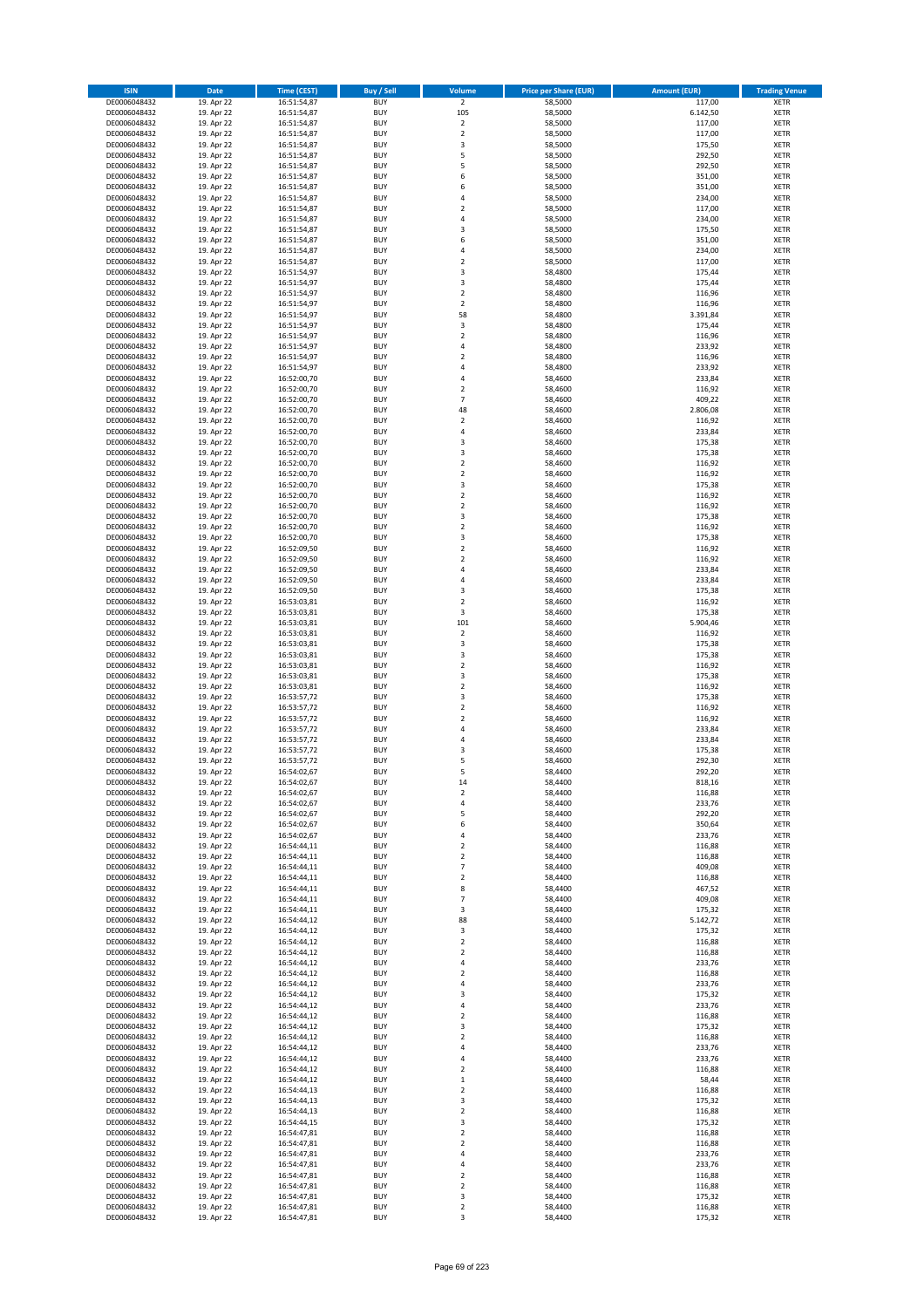| <b>ISIN</b>                  | <b>Date</b>              | <b>Time (CEST)</b>         | <b>Buy / Sell</b>        | Volume                                    | <b>Price per Share (EUR)</b> | <b>Amount (EUR)</b> | <b>Trading Venue</b>       |
|------------------------------|--------------------------|----------------------------|--------------------------|-------------------------------------------|------------------------------|---------------------|----------------------------|
| DE0006048432                 | 19. Apr 22               | 16:51:54,87                | <b>BUY</b>               | $\overline{2}$                            | 58,5000                      | 117,00              | <b>XETR</b>                |
| DE0006048432                 | 19. Apr 22               | 16:51:54,87                | <b>BUY</b>               | 105                                       | 58,5000                      | 6.142,50            | <b>XETR</b>                |
| DE0006048432                 | 19. Apr 22               | 16:51:54,87                | <b>BUY</b>               | $\overline{2}$                            | 58,5000                      | 117,00              | <b>XETR</b>                |
| DE0006048432<br>DE0006048432 | 19. Apr 22<br>19. Apr 22 | 16:51:54,87<br>16:51:54,87 | <b>BUY</b><br><b>BUY</b> | $\mathbf 2$<br>3                          | 58,5000<br>58,5000           | 117,00<br>175,50    | <b>XETR</b><br><b>XETR</b> |
| DE0006048432                 | 19. Apr 22               | 16:51:54,87                | <b>BUY</b>               | 5                                         | 58,5000                      | 292,50              | <b>XETR</b>                |
| DE0006048432                 | 19. Apr 22               | 16:51:54,87                | <b>BUY</b>               | 5                                         | 58,5000                      | 292,50              | <b>XETR</b>                |
| DE0006048432                 | 19. Apr 22               | 16:51:54,87                | <b>BUY</b>               | 6                                         | 58,5000                      | 351,00              | <b>XETR</b>                |
| DE0006048432                 | 19. Apr 22               | 16:51:54,87                | <b>BUY</b>               | 6                                         | 58,5000                      | 351,00              | <b>XETR</b>                |
| DE0006048432                 | 19. Apr 22               | 16:51:54,87                | <b>BUY</b><br><b>BUY</b> | 4                                         | 58,5000                      | 234,00              | <b>XETR</b>                |
| DE0006048432<br>DE0006048432 | 19. Apr 22<br>19. Apr 22 | 16:51:54,87<br>16:51:54,87 | <b>BUY</b>               | $\overline{\mathbf{c}}$<br>4              | 58,5000<br>58,5000           | 117,00<br>234,00    | <b>XETR</b><br><b>XETR</b> |
| DE0006048432                 | 19. Apr 22               | 16:51:54,87                | <b>BUY</b>               | 3                                         | 58,5000                      | 175,50              | <b>XETR</b>                |
| DE0006048432                 | 19. Apr 22               | 16:51:54,87                | <b>BUY</b>               | 6                                         | 58,5000                      | 351,00              | <b>XETR</b>                |
| DE0006048432                 | 19. Apr 22               | 16:51:54,87                | <b>BUY</b>               | 4                                         | 58,5000                      | 234,00              | <b>XETR</b>                |
| DE0006048432                 | 19. Apr 22               | 16:51:54,87                | <b>BUY</b>               | $\overline{\mathbf{c}}$                   | 58,5000                      | 117,00              | <b>XETR</b>                |
| DE0006048432<br>DE0006048432 | 19. Apr 22<br>19. Apr 22 | 16:51:54,97<br>16:51:54,97 | <b>BUY</b><br><b>BUY</b> | 3<br>3                                    | 58,4800<br>58,4800           | 175,44<br>175,44    | <b>XETR</b><br><b>XETR</b> |
| DE0006048432                 | 19. Apr 22               | 16:51:54,97                | <b>BUY</b>               | $\overline{\mathbf{c}}$                   | 58,4800                      | 116,96              | <b>XETR</b>                |
| DE0006048432                 | 19. Apr 22               | 16:51:54,97                | <b>BUY</b>               | $\mathbf 2$                               | 58,4800                      | 116,96              | <b>XETR</b>                |
| DE0006048432                 | 19. Apr 22               | 16:51:54,97                | <b>BUY</b>               | 58                                        | 58,4800                      | 3.391,84            | <b>XETR</b>                |
| DE0006048432                 | 19. Apr 22               | 16:51:54,97                | <b>BUY</b>               | 3                                         | 58,4800                      | 175,44              | <b>XETR</b>                |
| DE0006048432                 | 19. Apr 22               | 16:51:54,97                | <b>BUY</b>               | $\mathbf 2$                               | 58,4800                      | 116,96              | <b>XETR</b>                |
| DE0006048432<br>DE0006048432 | 19. Apr 22<br>19. Apr 22 | 16:51:54,97<br>16:51:54,97 | <b>BUY</b><br><b>BUY</b> | 4<br>$\mathbf 2$                          | 58,4800<br>58,4800           | 233,92<br>116,96    | <b>XETR</b><br><b>XETR</b> |
| DE0006048432                 | 19. Apr 22               | 16:51:54,97                | <b>BUY</b>               | 4                                         | 58,4800                      | 233,92              | <b>XETR</b>                |
| DE0006048432                 | 19. Apr 22               | 16:52:00,70                | <b>BUY</b>               | 4                                         | 58,4600                      | 233,84              | <b>XETR</b>                |
| DE0006048432                 | 19. Apr 22               | 16:52:00,70                | <b>BUY</b>               | $\overline{\mathbf{c}}$                   | 58,4600                      | 116,92              | <b>XETR</b>                |
| DE0006048432                 | 19. Apr 22               | 16:52:00,70                | <b>BUY</b>               | $\overline{7}$                            | 58,4600                      | 409,22              | <b>XETR</b>                |
| DE0006048432<br>DE0006048432 | 19. Apr 22<br>19. Apr 22 | 16:52:00,70<br>16:52:00,70 | <b>BUY</b><br><b>BUY</b> | 48<br>$\mathbf 2$                         | 58,4600<br>58,4600           | 2.806,08<br>116,92  | <b>XETR</b><br><b>XETR</b> |
| DE0006048432                 | 19. Apr 22               | 16:52:00,70                | <b>BUY</b>               | 4                                         | 58,4600                      | 233,84              | <b>XETR</b>                |
| DE0006048432                 | 19. Apr 22               | 16:52:00,70                | <b>BUY</b>               | 3                                         | 58,4600                      | 175,38              | <b>XETR</b>                |
| DE0006048432                 | 19. Apr 22               | 16:52:00,70                | <b>BUY</b>               | 3                                         | 58,4600                      | 175,38              | <b>XETR</b>                |
| DE0006048432                 | 19. Apr 22               | 16:52:00,70                | <b>BUY</b>               | $\mathbf 2$                               | 58,4600                      | 116,92              | <b>XETR</b>                |
| DE0006048432                 | 19. Apr 22               | 16:52:00,70                | <b>BUY</b>               | $\mathbf 2$                               | 58,4600                      | 116,92              | <b>XETR</b>                |
| DE0006048432<br>DE0006048432 | 19. Apr 22<br>19. Apr 22 | 16:52:00,70<br>16:52:00,70 | <b>BUY</b><br><b>BUY</b> | 3<br>$\mathbf 2$                          | 58,4600<br>58,4600           | 175,38<br>116,92    | <b>XETR</b><br><b>XETR</b> |
| DE0006048432                 | 19. Apr 22               | 16:52:00,70                | <b>BUY</b>               | $\mathbf 2$                               | 58,4600                      | 116,92              | <b>XETR</b>                |
| DE0006048432                 | 19. Apr 22               | 16:52:00,70                | <b>BUY</b>               | 3                                         | 58,4600                      | 175,38              | <b>XETR</b>                |
| DE0006048432                 | 19. Apr 22               | 16:52:00,70                | <b>BUY</b>               | $\overline{\mathbf{c}}$                   | 58,4600                      | 116,92              | <b>XETR</b>                |
| DE0006048432                 | 19. Apr 22               | 16:52:00,70                | <b>BUY</b>               | 3                                         | 58,4600                      | 175,38              | <b>XETR</b>                |
| DE0006048432                 | 19. Apr 22               | 16:52:09,50                | <b>BUY</b><br><b>BUY</b> | $\mathbf 2$<br>$\overline{\mathbf{c}}$    | 58,4600                      | 116,92              | <b>XETR</b><br><b>XETR</b> |
| DE0006048432<br>DE0006048432 | 19. Apr 22<br>19. Apr 22 | 16:52:09,50<br>16:52:09,50 | <b>BUY</b>               | 4                                         | 58,4600<br>58,4600           | 116,92<br>233,84    | <b>XETR</b>                |
| DE0006048432                 | 19. Apr 22               | 16:52:09,50                | <b>BUY</b>               | 4                                         | 58,4600                      | 233,84              | <b>XETR</b>                |
| DE0006048432                 | 19. Apr 22               | 16:52:09,50                | <b>BUY</b>               | 3                                         | 58,4600                      | 175,38              | <b>XETR</b>                |
| DE0006048432                 | 19. Apr 22               | 16:53:03,81                | <b>BUY</b>               | $\overline{\mathbf{c}}$                   | 58,4600                      | 116,92              | <b>XETR</b>                |
| DE0006048432                 | 19. Apr 22               | 16:53:03,81                | <b>BUY</b>               | 3                                         | 58,4600                      | 175,38              | <b>XETR</b>                |
| DE0006048432<br>DE0006048432 | 19. Apr 22<br>19. Apr 22 | 16:53:03,81<br>16:53:03,81 | <b>BUY</b><br><b>BUY</b> | 101<br>$\mathbf 2$                        | 58,4600<br>58,4600           | 5.904,46<br>116,92  | <b>XETR</b><br><b>XETR</b> |
| DE0006048432                 | 19. Apr 22               | 16:53:03,81                | <b>BUY</b>               | 3                                         | 58,4600                      | 175,38              | <b>XETR</b>                |
| DE0006048432                 | 19. Apr 22               | 16:53:03,81                | <b>BUY</b>               | 3                                         | 58,4600                      | 175,38              | <b>XETR</b>                |
| DE0006048432                 | 19. Apr 22               | 16:53:03,81                | <b>BUY</b>               | $\mathbf 2$                               | 58,4600                      | 116,92              | <b>XETR</b>                |
| DE0006048432                 | 19. Apr 22               | 16:53:03,81                | <b>BUY</b>               | 3                                         | 58,4600                      | 175,38              | <b>XETR</b>                |
| DE0006048432                 | 19. Apr 22               | 16:53:03,81                | <b>BUY</b>               | $\mathbf 2$                               | 58,4600                      | 116,92              | <b>XETR</b>                |
| DE0006048432<br>DE0006048432 | 19. Apr 22<br>19. Apr 22 | 16:53:57,72<br>16:53:57,72 | <b>BUY</b><br><b>BUY</b> | 3<br>$\overline{\mathbf{c}}$              | 58,4600<br>58,4600           | 175,38<br>116,92    | <b>XETR</b><br><b>XETR</b> |
| DE0006048432                 | 19. Apr 22               | 16:53:57,72                | <b>BUY</b>               | $\overline{\mathbf{c}}$                   | 58,4600                      | 116,92              | <b>XETR</b>                |
| DE0006048432                 | 19. Apr 22               | 16:53:57,72                | <b>BUY</b>               | 4                                         | 58,4600                      | 233,84              | <b>XETR</b>                |
| DE0006048432                 | 19. Apr 22               | 16:53:57,72                | <b>BUY</b>               | 4                                         | 58,4600                      | 233,84              | <b>XETR</b>                |
| DE0006048432                 | 19. Apr 22               | 16:53:57,72                | <b>BUY</b>               | 3                                         | 58,4600                      | 175,38              | <b>XETR</b>                |
| DE0006048432<br>DE0006048432 | 19. Apr 22<br>19. Apr 22 | 16:53:57,72<br>16:54:02,67 | <b>BUY</b><br><b>BUY</b> | 5<br>5                                    | 58,4600<br>58,4400           | 292,30<br>292,20    | <b>XETR</b><br><b>XETR</b> |
| DE0006048432                 | 19. Apr 22               | 16:54:02,67                | BUY                      | 14                                        | 58,4400                      | 818,16              | <b>XETR</b>                |
| DE0006048432                 | 19. Apr 22               | 16:54:02,67                | <b>BUY</b>               | 2                                         | 58,4400                      | 116,88              | <b>XETR</b>                |
| DE0006048432                 | 19. Apr 22               | 16:54:02,67                | <b>BUY</b>               | 4                                         | 58,4400                      | 233,76              | <b>XETR</b>                |
| DE0006048432                 | 19. Apr 22               | 16:54:02,67                | <b>BUY</b>               | 5                                         | 58,4400                      | 292,20              | XETR                       |
| DE0006048432                 | 19. Apr 22               | 16:54:02,67                | <b>BUY</b>               | 6<br>4                                    | 58,4400<br>58,4400           | 350,64              | <b>XETR</b>                |
| DE0006048432<br>DE0006048432 | 19. Apr 22<br>19. Apr 22 | 16:54:02,67<br>16:54:44,11 | <b>BUY</b><br><b>BUY</b> | $\overline{2}$                            | 58,4400                      | 233,76<br>116,88    | <b>XETR</b><br><b>XETR</b> |
| DE0006048432                 | 19. Apr 22               | 16:54:44,11                | <b>BUY</b>               | $\mathbf 2$                               | 58,4400                      | 116,88              | <b>XETR</b>                |
| DE0006048432                 | 19. Apr 22               | 16:54:44,11                | <b>BUY</b>               | $\overline{7}$                            | 58,4400                      | 409,08              | <b>XETR</b>                |
| DE0006048432                 | 19. Apr 22               | 16:54:44,11                | <b>BUY</b>               | $\mathbf 2$                               | 58,4400                      | 116,88              | <b>XETR</b>                |
| DE0006048432                 | 19. Apr 22               | 16:54:44,11                | <b>BUY</b>               | 8<br>$\overline{7}$                       | 58,4400<br>58,4400           | 467,52              | <b>XETR</b>                |
| DE0006048432<br>DE0006048432 | 19. Apr 22<br>19. Apr 22 | 16:54:44,11<br>16:54:44,11 | <b>BUY</b><br><b>BUY</b> | 3                                         | 58,4400                      | 409,08<br>175,32    | <b>XETR</b><br><b>XETR</b> |
| DE0006048432                 | 19. Apr 22               | 16:54:44,12                | <b>BUY</b>               | 88                                        | 58,4400                      | 5.142,72            | <b>XETR</b>                |
| DE0006048432                 | 19. Apr 22               | 16:54:44,12                | <b>BUY</b>               | 3                                         | 58,4400                      | 175,32              | <b>XETR</b>                |
| DE0006048432                 | 19. Apr 22               | 16:54:44,12                | <b>BUY</b>               | $\mathbf 2$                               | 58,4400                      | 116,88              | <b>XETR</b>                |
| DE0006048432                 | 19. Apr 22               | 16:54:44,12                | <b>BUY</b>               | $\mathbf 2$                               | 58,4400                      | 116,88              | <b>XETR</b>                |
| DE0006048432<br>DE0006048432 | 19. Apr 22<br>19. Apr 22 | 16:54:44,12<br>16:54:44,12 | <b>BUY</b><br><b>BUY</b> | 4<br>$\mathbf 2$                          | 58,4400<br>58,4400           | 233,76<br>116,88    | <b>XETR</b><br>XETR        |
| DE0006048432                 | 19. Apr 22               | 16:54:44,12                | <b>BUY</b>               | 4                                         | 58,4400                      | 233,76              | <b>XETR</b>                |
| DE0006048432                 | 19. Apr 22               | 16:54:44,12                | <b>BUY</b>               | 3                                         | 58,4400                      | 175,32              | <b>XETR</b>                |
| DE0006048432                 | 19. Apr 22               | 16:54:44,12                | <b>BUY</b>               | 4                                         | 58,4400                      | 233,76              | <b>XETR</b>                |
| DE0006048432                 | 19. Apr 22               | 16:54:44,12                | <b>BUY</b>               | $\overline{\mathbf{c}}$                   | 58,4400                      | 116,88              | <b>XETR</b>                |
| DE0006048432                 | 19. Apr 22               | 16:54:44,12                | <b>BUY</b>               | 3                                         | 58,4400                      | 175,32              | <b>XETR</b>                |
| DE0006048432<br>DE0006048432 | 19. Apr 22<br>19. Apr 22 | 16:54:44,12<br>16:54:44,12 | <b>BUY</b><br><b>BUY</b> | $\mathbf 2$<br>4                          | 58,4400<br>58,4400           | 116,88<br>233,76    | <b>XETR</b><br><b>XETR</b> |
| DE0006048432                 | 19. Apr 22               | 16:54:44,12                | <b>BUY</b>               | 4                                         | 58,4400                      | 233,76              | <b>XETR</b>                |
| DE0006048432                 | 19. Apr 22               | 16:54:44,12                | <b>BUY</b>               | $\overline{2}$                            | 58,4400                      | 116,88              | <b>XETR</b>                |
| DE0006048432                 | 19. Apr 22               | 16:54:44,12                | <b>BUY</b>               | $\mathbf 1$                               | 58,4400                      | 58,44               | <b>XETR</b>                |
| DE0006048432                 | 19. Apr 22               | 16:54:44,13                | <b>BUY</b>               | $\overline{\mathbf{c}}$                   | 58,4400                      | 116,88              | XETR                       |
| DE0006048432                 | 19. Apr 22               | 16:54:44,13                | <b>BUY</b><br><b>BUY</b> | 3                                         | 58,4400<br>58,4400           | 175,32              | <b>XETR</b>                |
| DE0006048432<br>DE0006048432 | 19. Apr 22<br>19. Apr 22 | 16:54:44,13<br>16:54:44,15 | <b>BUY</b>               | $\mathbf 2$<br>3                          | 58,4400                      | 116,88<br>175,32    | <b>XETR</b><br><b>XETR</b> |
| DE0006048432                 | 19. Apr 22               | 16:54:47,81                | <b>BUY</b>               | $\mathbf 2$                               | 58,4400                      | 116,88              | <b>XETR</b>                |
| DE0006048432                 | 19. Apr 22               | 16:54:47,81                | <b>BUY</b>               | $\mathbf 2$                               | 58,4400                      | 116,88              | <b>XETR</b>                |
| DE0006048432                 | 19. Apr 22               | 16:54:47,81                | <b>BUY</b>               | 4                                         | 58,4400                      | 233,76              | <b>XETR</b>                |
| DE0006048432                 | 19. Apr 22               | 16:54:47,81                | <b>BUY</b>               | 4                                         | 58,4400                      | 233,76              | <b>XETR</b>                |
| DE0006048432<br>DE0006048432 | 19. Apr 22<br>19. Apr 22 | 16:54:47,81<br>16:54:47,81 | <b>BUY</b><br><b>BUY</b> | $\overline{\mathbf{c}}$<br>$\overline{2}$ | 58,4400<br>58,4400           | 116,88<br>116,88    | XETR<br><b>XETR</b>        |
| DE0006048432                 | 19. Apr 22               | 16:54:47,81                | <b>BUY</b>               | 3                                         | 58,4400                      | 175,32              | <b>XETR</b>                |
| DE0006048432                 | 19. Apr 22               | 16:54:47,81                | <b>BUY</b>               | $\mathbf 2$                               | 58,4400                      | 116,88              | <b>XETR</b>                |
| DE0006048432                 | 19. Apr 22               | 16:54:47,81                | <b>BUY</b>               | 3                                         | 58,4400                      | 175,32              | <b>XETR</b>                |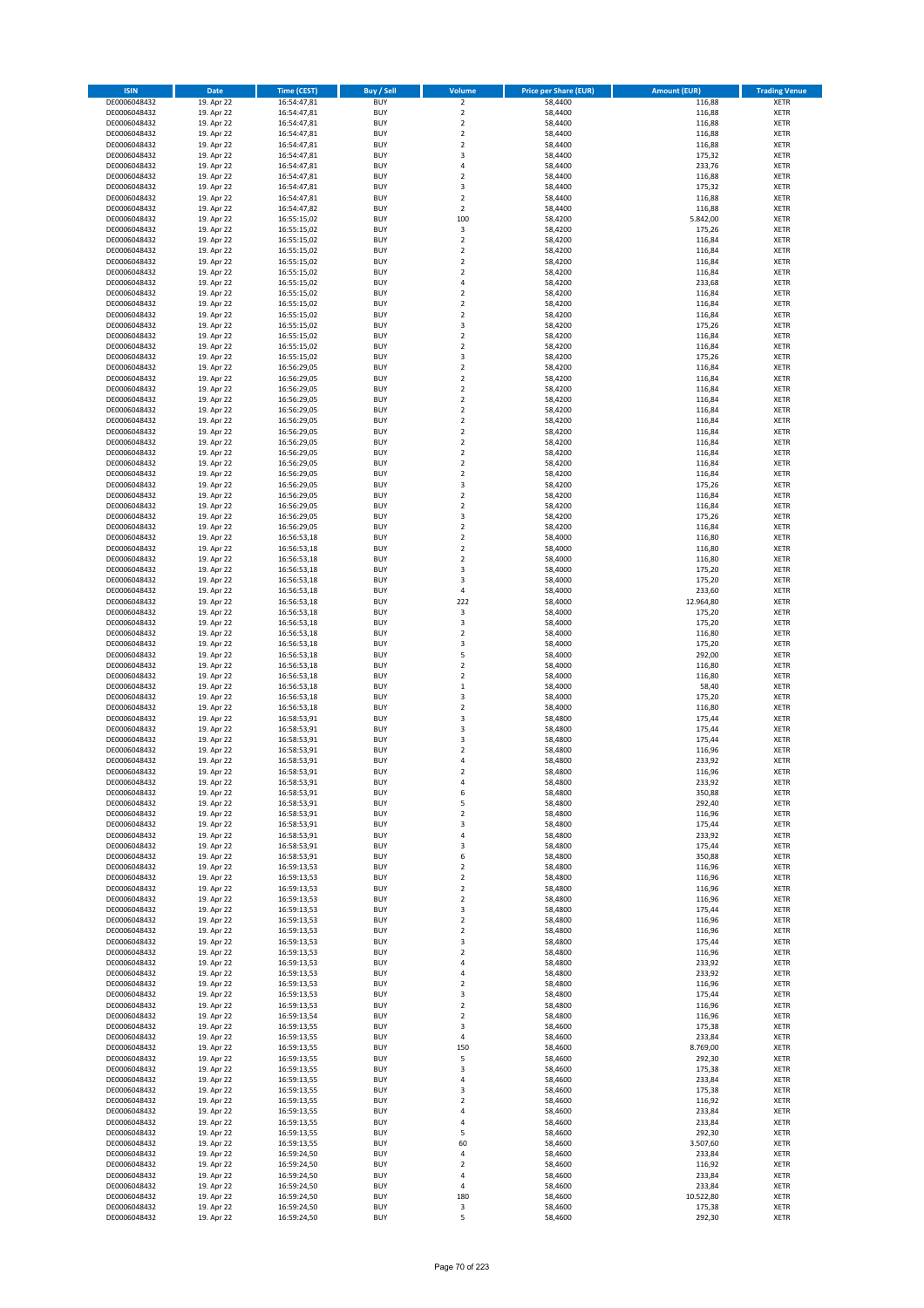| <b>ISIN</b>                  | <b>Date</b>              | <b>Time (CEST)</b>         | <b>Buy / Sell</b>        | Volume                                 | <b>Price per Share (EUR)</b> | <b>Amount (EUR)</b> | <b>Trading Venue</b>       |
|------------------------------|--------------------------|----------------------------|--------------------------|----------------------------------------|------------------------------|---------------------|----------------------------|
| DE0006048432                 | 19. Apr 22               | 16:54:47,81                | <b>BUY</b>               | $\overline{\mathbf{2}}$                | 58,4400                      | 116,88              | <b>XETR</b>                |
| DE0006048432                 | 19. Apr 22               | 16:54:47,81                | <b>BUY</b>               | $\mathbf 2$                            | 58,4400                      | 116,88              | <b>XETR</b>                |
| DE0006048432                 | 19. Apr 22               | 16:54:47,81                | <b>BUY</b>               | $\overline{2}$                         | 58,4400                      | 116,88              | <b>XETR</b>                |
| DE0006048432                 | 19. Apr 22               | 16:54:47,81                | <b>BUY</b>               | $\mathbf 2$                            | 58,4400                      | 116,88              | <b>XETR</b>                |
| DE0006048432                 | 19. Apr 22               | 16:54:47,81                | <b>BUY</b>               | $\overline{2}$                         | 58,4400                      | 116,88              | <b>XETR</b>                |
| DE0006048432                 | 19. Apr 22               | 16:54:47,81                | <b>BUY</b>               | $\overline{\mathbf{3}}$                | 58,4400                      | 175,32              | <b>XETR</b>                |
| DE0006048432                 | 19. Apr 22               | 16:54:47,81                | <b>BUY</b>               | $\overline{a}$                         | 58,4400                      | 233,76              | <b>XETR</b>                |
| DE0006048432                 | 19. Apr 22               | 16:54:47,81                | <b>BUY</b>               | $\overline{2}$                         | 58,4400                      | 116,88              | <b>XETR</b>                |
| DE0006048432                 | 19. Apr 22<br>19. Apr 22 | 16:54:47,81                | BUY<br><b>BUY</b>        | 3<br>$\overline{2}$                    | 58,4400<br>58,4400           | 175,32<br>116,88    | <b>XETR</b>                |
| DE0006048432<br>DE0006048432 | 19. Apr 22               | 16:54:47,81<br>16:54:47,82 | <b>BUY</b>               | $\mathbf 2$                            | 58,4400                      | 116,88              | <b>XETR</b><br><b>XETR</b> |
| DE0006048432                 | 19. Apr 22               | 16:55:15,02                | <b>BUY</b>               | 100                                    | 58,4200                      | 5.842,00            | <b>XETR</b>                |
| DE0006048432                 | 19. Apr 22               | 16:55:15,02                | <b>BUY</b>               | 3                                      | 58,4200                      | 175,26              | <b>XETR</b>                |
| DE0006048432                 | 19. Apr 22               | 16:55:15,02                | <b>BUY</b>               | $\overline{2}$                         | 58,4200                      | 116,84              | <b>XETR</b>                |
| DE0006048432                 | 19. Apr 22               | 16:55:15,02                | <b>BUY</b>               | $\overline{2}$                         | 58,4200                      | 116,84              | <b>XETR</b>                |
| DE0006048432                 | 19. Apr 22               | 16:55:15,02                | BUY                      | $\overline{2}$                         | 58,4200                      | 116,84              | <b>XETR</b>                |
| DE0006048432                 | 19. Apr 22               | 16:55:15,02                | <b>BUY</b>               | $\overline{2}$                         | 58,4200                      | 116,84              | <b>XETR</b>                |
| DE0006048432                 | 19. Apr 22               | 16:55:15,02                | <b>BUY</b>               | 4                                      | 58,4200                      | 233,68              | <b>XETR</b>                |
| DE0006048432                 | 19. Apr 22               | 16:55:15,02                | <b>BUY</b>               | $\overline{2}$                         | 58,4200                      | 116,84              | <b>XETR</b>                |
| DE0006048432                 | 19. Apr 22               | 16:55:15,02                | <b>BUY</b>               | $\overline{2}$                         | 58,4200                      | 116,84              | <b>XETR</b>                |
| DE0006048432                 | 19. Apr 22               | 16:55:15,02                | <b>BUY</b><br><b>BUY</b> | $\overline{2}$<br>3                    | 58,4200<br>58,4200           | 116,84<br>175,26    | <b>XETR</b><br><b>XETR</b> |
| DE0006048432<br>DE0006048432 | 19. Apr 22<br>19. Apr 22 | 16:55:15,02<br>16:55:15,02 | <b>BUY</b>               | $\overline{2}$                         | 58,4200                      | 116,84              | <b>XETR</b>                |
| DE0006048432                 | 19. Apr 22               | 16:55:15,02                | <b>BUY</b>               | $\overline{2}$                         | 58,4200                      | 116,84              | <b>XETR</b>                |
| DE0006048432                 | 19. Apr 22               | 16:55:15,02                | <b>BUY</b>               | 3                                      | 58,4200                      | 175,26              | <b>XETR</b>                |
| DE0006048432                 | 19. Apr 22               | 16:56:29,05                | <b>BUY</b>               | $\mathbf 2$                            | 58,4200                      | 116,84              | <b>XETR</b>                |
| DE0006048432                 | 19. Apr 22               | 16:56:29,05                | <b>BUY</b>               | $\mathbf 2$                            | 58,4200                      | 116,84              | <b>XETR</b>                |
| DE0006048432                 | 19. Apr 22               | 16:56:29,05                | <b>BUY</b>               | $\overline{2}$                         | 58,4200                      | 116,84              | <b>XETR</b>                |
| DE0006048432                 | 19. Apr 22               | 16:56:29,05                | <b>BUY</b>               | $\mathbf 2$                            | 58,4200                      | 116,84              | <b>XETR</b>                |
| DE0006048432                 | 19. Apr 22               | 16:56:29,05                | <b>BUY</b>               | $\overline{2}$                         | 58,4200                      | 116,84              | <b>XETR</b>                |
| DE0006048432                 | 19. Apr 22               | 16:56:29,05                | <b>BUY</b>               | $\mathbf 2$                            | 58,4200                      | 116,84              | <b>XETR</b>                |
| DE0006048432<br>DE0006048432 | 19. Apr 22<br>19. Apr 22 | 16:56:29,05<br>16:56:29,05 | <b>BUY</b><br><b>BUY</b> | $\mathbf 2$<br>$\mathbf 2$             | 58,4200<br>58,4200           | 116,84<br>116,84    | <b>XETR</b><br><b>XETR</b> |
| DE0006048432                 | 19. Apr 22               | 16:56:29,05                | <b>BUY</b>               | $\mathbf 2$                            | 58,4200                      | 116,84              | <b>XETR</b>                |
| DE0006048432                 | 19. Apr 22               | 16:56:29,05                | <b>BUY</b>               | $\overline{2}$                         | 58,4200                      | 116,84              | <b>XETR</b>                |
| DE0006048432                 | 19. Apr 22               | 16:56:29,05                | <b>BUY</b>               | $\mathbf 2$                            | 58,4200                      | 116,84              | <b>XETR</b>                |
| DE0006048432                 | 19. Apr 22               | 16:56:29,05                | <b>BUY</b>               | $\overline{\mathbf{3}}$                | 58,4200                      | 175,26              | <b>XETR</b>                |
| DE0006048432                 | 19. Apr 22               | 16:56:29,05                | BUY                      | $\mathbf 2$                            | 58,4200                      | 116,84              | <b>XETR</b>                |
| DE0006048432                 | 19. Apr 22               | 16:56:29,05                | <b>BUY</b>               | $\mathbf 2$                            | 58,4200                      | 116,84              | <b>XETR</b>                |
| DE0006048432                 | 19. Apr 22               | 16:56:29,05                | <b>BUY</b>               | 3                                      | 58,4200                      | 175,26              | <b>XETR</b>                |
| DE0006048432                 | 19. Apr 22               | 16:56:29,05                | <b>BUY</b>               | $\overline{2}$                         | 58,4200                      | 116,84              | <b>XETR</b>                |
| DE0006048432                 | 19. Apr 22               | 16:56:53,18                | <b>BUY</b>               | $\mathbf 2$                            | 58,4000                      | 116,80              | <b>XETR</b>                |
| DE0006048432                 | 19. Apr 22               | 16:56:53,18                | <b>BUY</b>               | $\mathbf 2$                            | 58,4000                      | 116,80              | <b>XETR</b>                |
| DE0006048432<br>DE0006048432 | 19. Apr 22<br>19. Apr 22 | 16:56:53,18                | <b>BUY</b><br><b>BUY</b> | $\overline{2}$<br>3                    | 58,4000<br>58,4000           | 116,80<br>175,20    | <b>XETR</b><br><b>XETR</b> |
| DE0006048432                 | 19. Apr 22               | 16:56:53,18<br>16:56:53,18 | <b>BUY</b>               | $\overline{\mathbf{3}}$                | 58,4000                      | 175,20              | <b>XETR</b>                |
| DE0006048432                 | 19. Apr 22               | 16:56:53,18                | <b>BUY</b>               | $\sqrt{4}$                             | 58,4000                      | 233,60              | <b>XETR</b>                |
| DE0006048432                 | 19. Apr 22               | 16:56:53,18                | <b>BUY</b>               | 222                                    | 58,4000                      | 12.964,80           | <b>XETR</b>                |
| DE0006048432                 | 19. Apr 22               | 16:56:53,18                | <b>BUY</b>               | 3                                      | 58,4000                      | 175,20              | <b>XETR</b>                |
| DE0006048432                 | 19. Apr 22               | 16:56:53,18                | <b>BUY</b>               | 3                                      | 58,4000                      | 175,20              | <b>XETR</b>                |
| DE0006048432                 | 19. Apr 22               | 16:56:53,18                | <b>BUY</b>               | $\overline{2}$                         | 58,4000                      | 116,80              | <b>XETR</b>                |
| DE0006048432                 | 19. Apr 22               | 16:56:53,18                | <b>BUY</b>               | $\overline{\mathbf{3}}$                | 58,4000                      | 175,20              | <b>XETR</b>                |
| DE0006048432                 | 19. Apr 22               | 16:56:53,18                | <b>BUY</b>               | 5                                      | 58,4000                      | 292,00              | <b>XETR</b>                |
| DE0006048432                 | 19. Apr 22               | 16:56:53,18                | <b>BUY</b>               | $\mathbf 2$                            | 58,4000                      | 116,80              | <b>XETR</b>                |
| DE0006048432<br>DE0006048432 | 19. Apr 22<br>19. Apr 22 | 16:56:53,18<br>16:56:53,18 | <b>BUY</b><br><b>BUY</b> | $\overline{2}$<br>$\mathbf{1}$         | 58,4000<br>58,4000           | 116,80<br>58,40     | <b>XETR</b><br><b>XETR</b> |
| DE0006048432                 | 19. Apr 22               | 16:56:53,18                | <b>BUY</b>               | 3                                      | 58,4000                      | 175,20              | <b>XETR</b>                |
| DE0006048432                 | 19. Apr 22               | 16:56:53,18                | <b>BUY</b>               | $\overline{2}$                         | 58,4000                      | 116,80              | <b>XETR</b>                |
| DE0006048432                 | 19. Apr 22               | 16:58:53,91                | <b>BUY</b>               | 3                                      | 58,4800                      | 175,44              | <b>XETR</b>                |
| DE0006048432                 | 19. Apr 22               | 16:58:53,91                | <b>BUY</b>               | $\overline{\mathbf{3}}$                | 58,4800                      | 175,44              | <b>XETR</b>                |
| DE0006048432                 | 19. Apr 22               | 16:58:53,91                | <b>BUY</b>               | 3                                      | 58,4800                      | 175,44              | <b>XETR</b>                |
| DE0006048432                 | 19. Apr 22               | 16:58:53,91                | BUY                      | $\overline{\mathbf{2}}$                | 58,4800                      | 116,96              | <b>XETR</b>                |
| DE0006048432                 | 19. Apr 22               | 16:58:53,91                | BUY                      | $\overline{a}$                         | 58,4800                      | 233,92              | <b>XETR</b>                |
| DE0006048432                 | 19. Apr 22               | 16:58:53,91                | <b>BUY</b>               | $\overline{2}$                         | 58,4800                      | 116,96              | <b>XETR</b>                |
| DE0006048432<br>DE0006048432 | 19. Apr 22               | 16:58:53,91                | BUY<br><b>BUY</b>        | 4<br>6                                 | 58,4800<br>58,4800           | 233,92              | <b>XETR</b><br><b>XETR</b> |
| DE0006048432                 | 19. Apr 22<br>19. Apr 22 | 16:58:53,91<br>16:58:53,91 | <b>BUY</b>               | 5                                      | 58,4800                      | 350,88<br>292,40    | <b>XETR</b>                |
| DE0006048432                 | 19. Apr 22               | 16:58:53,91                | <b>BUY</b>               | $\mathbf 2$                            | 58,4800                      | 116,96              | <b>XETR</b>                |
| DE0006048432                 | 19. Apr 22               | 16:58:53,91                | <b>BUY</b>               | 3                                      | 58,4800                      | 175,44              | <b>XETR</b>                |
| DE0006048432                 | 19. Apr 22               | 16:58:53,91                | <b>BUY</b>               | 4                                      | 58,4800                      | 233,92              | <b>XETR</b>                |
| DE0006048432                 | 19. Apr 22               | 16:58:53,91                | <b>BUY</b>               | 3                                      | 58,4800                      | 175,44              | <b>XETR</b>                |
| DE0006048432                 | 19. Apr 22               | 16:58:53,91                | <b>BUY</b>               | 6                                      | 58,4800                      | 350,88              | <b>XETR</b>                |
| DE0006048432                 | 19. Apr 22               | 16:59:13,53                | <b>BUY</b>               | $\mathbf 2$                            | 58,4800                      | 116,96              | <b>XETR</b>                |
| DE0006048432                 | 19. Apr 22               | 16:59:13,53                | <b>BUY</b>               | $\mathbf 2$                            | 58,4800                      | 116,96              | <b>XETR</b>                |
| DE0006048432<br>DE0006048432 | 19. Apr 22               | 16:59:13,53                | <b>BUY</b><br><b>BUY</b> | 2<br>$\overline{\mathbf{2}}$           | 58,4800                      | 116,96              | <b>XETR</b><br><b>XETR</b> |
| DE0006048432                 | 19. Apr 22<br>19. Apr 22 | 16:59:13,53<br>16:59:13,53 | <b>BUY</b>               | 3                                      | 58,4800<br>58,4800           | 116,96<br>175,44    | <b>XETR</b>                |
| DE0006048432                 | 19. Apr 22               | 16:59:13,53                | <b>BUY</b>               | $\overline{\mathbf{2}}$                | 58,4800                      | 116,96              | <b>XETR</b>                |
| DE0006048432                 | 19. Apr 22               | 16:59:13,53                | <b>BUY</b>               | 2                                      | 58,4800                      | 116,96              | <b>XETR</b>                |
| DE0006048432                 | 19. Apr 22               | 16:59:13,53                | <b>BUY</b>               | 3                                      | 58,4800                      | 175,44              | <b>XETR</b>                |
| DE0006048432                 | 19. Apr 22               | 16:59:13,53                | <b>BUY</b>               | $\mathbf 2$                            | 58,4800                      | 116,96              | <b>XETR</b>                |
| DE0006048432                 | 19. Apr 22               | 16:59:13,53                | <b>BUY</b>               | 4                                      | 58,4800                      | 233,92              | <b>XETR</b>                |
| DE0006048432                 | 19. Apr 22               | 16:59:13,53                | <b>BUY</b>               | 4                                      | 58,4800                      | 233,92              | <b>XETR</b>                |
| DE0006048432                 | 19. Apr 22               | 16:59:13,53                | <b>BUY</b>               | $\overline{\mathbf{c}}$                | 58,4800                      | 116,96              | <b>XETR</b>                |
| DE0006048432<br>DE0006048432 | 19. Apr 22<br>19. Apr 22 | 16:59:13,53<br>16:59:13,53 | <b>BUY</b><br><b>BUY</b> | $\overline{\mathbf{3}}$<br>$\mathbf 2$ | 58,4800<br>58,4800           | 175,44<br>116,96    | <b>XETR</b><br><b>XETR</b> |
| DE0006048432                 | 19. Apr 22               | 16:59:13,54                | <b>BUY</b>               | $\overline{\mathbf{2}}$                | 58,4800                      | 116,96              | <b>XETR</b>                |
| DE0006048432                 | 19. Apr 22               | 16:59:13,55                | <b>BUY</b>               | 3                                      | 58,4600                      | 175,38              | <b>XETR</b>                |
| DE0006048432                 | 19. Apr 22               | 16:59:13,55                | <b>BUY</b>               | $\sqrt{4}$                             | 58,4600                      | 233,84              | <b>XETR</b>                |
| DE0006048432                 | 19. Apr 22               | 16:59:13,55                | <b>BUY</b>               | 150                                    | 58,4600                      | 8.769,00            | <b>XETR</b>                |
| DE0006048432                 | 19. Apr 22               | 16:59:13,55                | <b>BUY</b>               | 5                                      | 58,4600                      | 292,30              | <b>XETR</b>                |
| DE0006048432                 | 19. Apr 22               | 16:59:13,55                | <b>BUY</b>               | $\overline{\mathbf{3}}$                | 58,4600                      | 175,38              | <b>XETR</b>                |
| DE0006048432                 | 19. Apr 22               | 16:59:13,55                | <b>BUY</b>               | 4                                      | 58,4600                      | 233,84              | <b>XETR</b>                |
| DE0006048432                 | 19. Apr 22               | 16:59:13,55                | <b>BUY</b>               | 3                                      | 58,4600                      | 175,38              | <b>XETR</b>                |
| DE0006048432                 | 19. Apr 22               | 16:59:13,55                | <b>BUY</b>               | $\mathbf 2$                            | 58,4600                      | 116,92              | <b>XETR</b>                |
| DE0006048432                 | 19. Apr 22               | 16:59:13,55                | <b>BUY</b><br><b>BUY</b> | 4<br>4                                 | 58,4600                      | 233,84              | <b>XETR</b>                |
| DE0006048432<br>DE0006048432 | 19. Apr 22<br>19. Apr 22 | 16:59:13,55<br>16:59:13,55 | <b>BUY</b>               | 5                                      | 58,4600<br>58,4600           | 233,84<br>292,30    | <b>XETR</b><br><b>XETR</b> |
| DE0006048432                 | 19. Apr 22               | 16:59:13,55                | <b>BUY</b>               | 60                                     | 58,4600                      | 3.507,60            | <b>XETR</b>                |
| DE0006048432                 | 19. Apr 22               | 16:59:24,50                | <b>BUY</b>               | 4                                      | 58,4600                      | 233,84              | <b>XETR</b>                |
| DE0006048432                 | 19. Apr 22               | 16:59:24,50                | <b>BUY</b>               | 2                                      | 58,4600                      | 116,92              | <b>XETR</b>                |
| DE0006048432                 | 19. Apr 22               | 16:59:24,50                | <b>BUY</b>               | 4                                      | 58,4600                      | 233,84              | <b>XETR</b>                |
| DE0006048432                 | 19. Apr 22               | 16:59:24,50                | <b>BUY</b>               | 4                                      | 58,4600                      | 233,84              | <b>XETR</b>                |
| DE0006048432                 | 19. Apr 22               | 16:59:24,50                | <b>BUY</b>               | 180                                    | 58,4600                      | 10.522,80           | <b>XETR</b>                |
| DE0006048432                 | 19. Apr 22               | 16:59:24,50                | <b>BUY</b>               | 3                                      | 58,4600                      | 175,38              | <b>XETR</b>                |
| DE0006048432                 | 19. Apr 22               | 16:59:24,50                | <b>BUY</b>               | 5                                      | 58,4600                      | 292,30              | <b>XETR</b>                |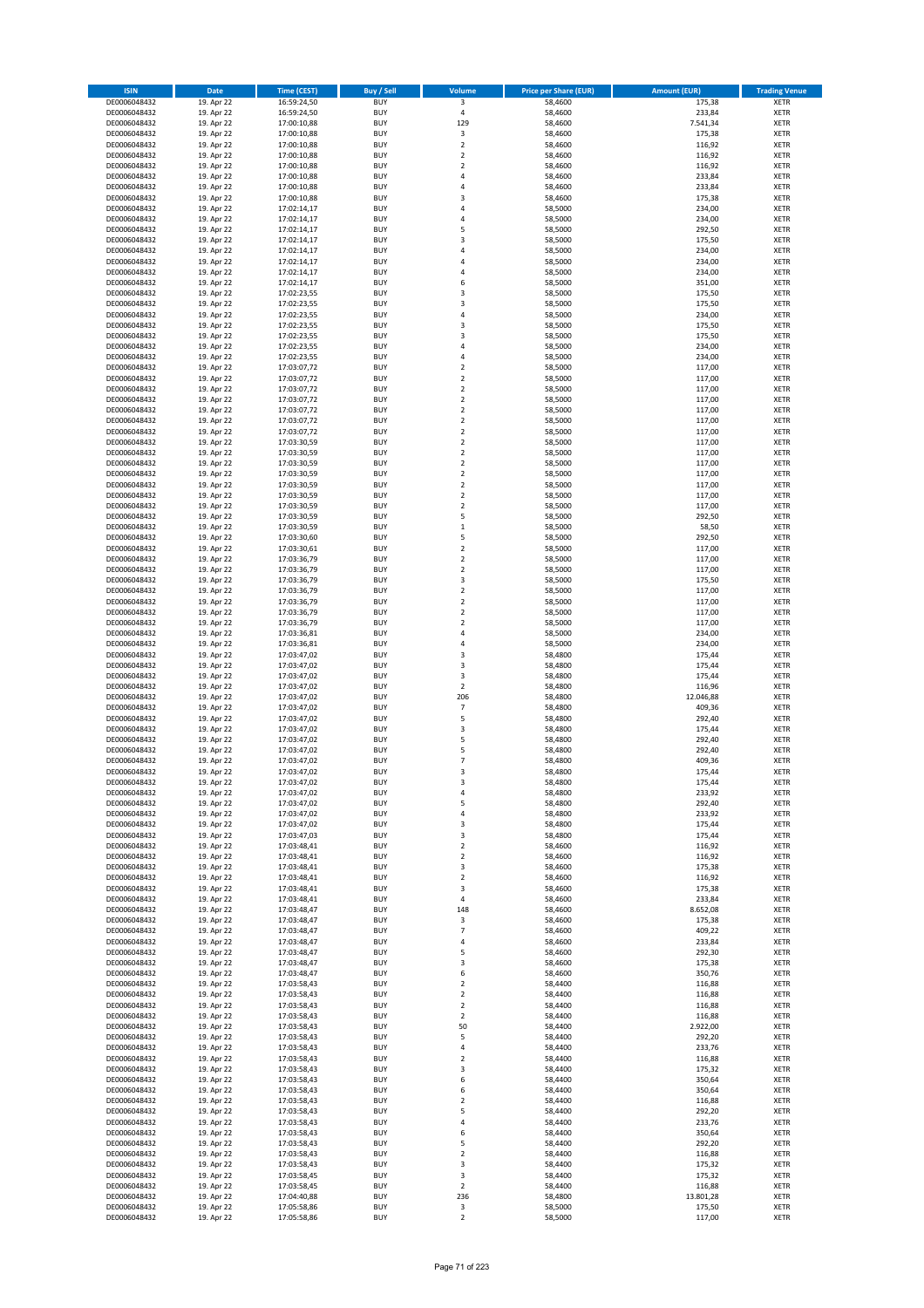| <b>ISIN</b>                  | Date                     | Time (CEST)                | <b>Buy / Sell</b>        | <b>Volume</b>                 | <b>Price per Share (EUR)</b> | <b>Amount (EUR)</b> | <b>Trading Venue</b>       |
|------------------------------|--------------------------|----------------------------|--------------------------|-------------------------------|------------------------------|---------------------|----------------------------|
| DE0006048432                 | 19. Apr 22               | 16:59:24,50                | <b>BUY</b>               | $\overline{\mathbf{3}}$       | 58,4600                      | 175,38              | <b>XETR</b>                |
| DE0006048432                 | 19. Apr 22               | 16:59:24,50                | <b>BUY</b>               | $\sqrt{4}$                    | 58,4600                      | 233,84              | XETR                       |
| DE0006048432                 | 19. Apr 22               | 17:00:10,88                | <b>BUY</b>               | 129                           | 58,4600                      | 7.541,34            | <b>XETR</b>                |
| DE0006048432                 | 19. Apr 22               | 17:00:10,88                | <b>BUY</b>               | $\mathsf 3$                   | 58,4600                      | 175,38              | <b>XETR</b>                |
| DE0006048432<br>DE0006048432 | 19. Apr 22<br>19. Apr 22 | 17:00:10,88<br>17:00:10,88 | <b>BUY</b><br><b>BUY</b> | $\mathbf 2$<br>$\mathbf 2$    | 58,4600<br>58,4600           | 116,92<br>116,92    | <b>XETR</b><br><b>XETR</b> |
| DE0006048432                 | 19. Apr 22               | 17:00:10,88                | <b>BUY</b>               | $\mathbf 2$                   | 58,4600                      | 116,92              | <b>XETR</b>                |
| DE0006048432                 | 19. Apr 22               | 17:00:10,88                | <b>BUY</b>               | 4                             | 58,4600                      | 233,84              | <b>XETR</b>                |
| DE0006048432                 | 19. Apr 22               | 17:00:10,88                | <b>BUY</b>               | $\overline{a}$                | 58,4600                      | 233,84              | <b>XETR</b>                |
| DE0006048432                 | 19. Apr 22               | 17:00:10,88                | <b>BUY</b>               | 3                             | 58,4600                      | 175,38              | <b>XETR</b>                |
| DE0006048432                 | 19. Apr 22               | 17:02:14,17                | <b>BUY</b>               | 4                             | 58,5000                      | 234,00              | <b>XETR</b>                |
| DE0006048432                 | 19. Apr 22               | 17:02:14,17                | <b>BUY</b>               | 4<br>5                        | 58,5000                      | 234,00              | <b>XETR</b>                |
| DE0006048432<br>DE0006048432 | 19. Apr 22<br>19. Apr 22 | 17:02:14,17<br>17:02:14,17 | <b>BUY</b><br><b>BUY</b> | 3                             | 58,5000<br>58,5000           | 292,50<br>175,50    | <b>XETR</b><br><b>XETR</b> |
| DE0006048432                 | 19. Apr 22               | 17:02:14,17                | <b>BUY</b>               | 4                             | 58,5000                      | 234,00              | <b>XETR</b>                |
| DE0006048432                 | 19. Apr 22               | 17:02:14,17                | <b>BUY</b>               | $\overline{a}$                | 58,5000                      | 234,00              | <b>XETR</b>                |
| DE0006048432                 | 19. Apr 22               | 17:02:14,17                | <b>BUY</b>               | 4                             | 58,5000                      | 234,00              | <b>XETR</b>                |
| DE0006048432                 | 19. Apr 22               | 17:02:14,17                | <b>BUY</b>               | 6                             | 58,5000                      | 351,00              | <b>XETR</b>                |
| DE0006048432                 | 19. Apr 22               | 17:02:23,55                | <b>BUY</b>               | 3                             | 58,5000                      | 175,50              | <b>XETR</b>                |
| DE0006048432<br>DE0006048432 | 19. Apr 22<br>19. Apr 22 | 17:02:23,55<br>17:02:23,55 | <b>BUY</b><br><b>BUY</b> | 3<br>4                        | 58,5000<br>58,5000           | 175,50<br>234,00    | <b>XETR</b><br><b>XETR</b> |
| DE0006048432                 | 19. Apr 22               | 17:02:23,55                | <b>BUY</b>               | 3                             | 58,5000                      | 175,50              | <b>XETR</b>                |
| DE0006048432                 | 19. Apr 22               | 17:02:23,55                | <b>BUY</b>               | 3                             | 58,5000                      | 175,50              | <b>XETR</b>                |
| DE0006048432                 | 19. Apr 22               | 17:02:23,55                | <b>BUY</b>               | 4                             | 58,5000                      | 234,00              | <b>XETR</b>                |
| DE0006048432                 | 19. Apr 22               | 17:02:23,55                | <b>BUY</b>               | $\sqrt{4}$                    | 58,5000                      | 234,00              | <b>XETR</b>                |
| DE0006048432                 | 19. Apr 22               | 17:03:07,72                | <b>BUY</b>               | $\mathbf 2$                   | 58,5000                      | 117,00              | <b>XETR</b>                |
| DE0006048432<br>DE0006048432 | 19. Apr 22<br>19. Apr 22 | 17:03:07,72<br>17:03:07,72 | <b>BUY</b><br><b>BUY</b> | $\mathbf 2$<br>$\mathbf 2$    | 58,5000<br>58,5000           | 117,00<br>117,00    | <b>XETR</b><br><b>XETR</b> |
| DE0006048432                 | 19. Apr 22               | 17:03:07,72                | <b>BUY</b>               | $\mathbf 2$                   | 58,5000                      | 117,00              | <b>XETR</b>                |
| DE0006048432                 | 19. Apr 22               | 17:03:07,72                | <b>BUY</b>               | $\mathbf 2$                   | 58,5000                      | 117,00              | <b>XETR</b>                |
| DE0006048432                 | 19. Apr 22               | 17:03:07,72                | <b>BUY</b>               | $\overline{2}$                | 58,5000                      | 117,00              | <b>XETR</b>                |
| DE0006048432                 | 19. Apr 22               | 17:03:07,72                | <b>BUY</b>               | $\overline{2}$                | 58,5000                      | 117,00              | <b>XETR</b>                |
| DE0006048432                 | 19. Apr 22               | 17:03:30,59                | <b>BUY</b>               | $\mathbf 2$                   | 58,5000                      | 117,00              | <b>XETR</b>                |
| DE0006048432                 | 19. Apr 22               | 17:03:30,59                | <b>BUY</b>               | $\mathbf 2$                   | 58,5000                      | 117,00              | <b>XETR</b>                |
| DE0006048432<br>DE0006048432 | 19. Apr 22<br>19. Apr 22 | 17:03:30,59<br>17:03:30,59 | <b>BUY</b><br><b>BUY</b> | $\mathbf 2$<br>$\mathbf 2$    | 58,5000<br>58,5000           | 117,00<br>117,00    | <b>XETR</b><br><b>XETR</b> |
| DE0006048432                 | 19. Apr 22               | 17:03:30,59                | <b>BUY</b>               | $\overline{2}$                | 58,5000                      | 117,00              | <b>XETR</b>                |
| DE0006048432                 | 19. Apr 22               | 17:03:30,59                | <b>BUY</b>               | $\mathbf 2$                   | 58,5000                      | 117,00              | <b>XETR</b>                |
| DE0006048432                 | 19. Apr 22               | 17:03:30,59                | <b>BUY</b>               | $\overline{2}$                | 58,5000                      | 117,00              | <b>XETR</b>                |
| DE0006048432                 | 19. Apr 22               | 17:03:30,59                | <b>BUY</b>               | 5                             | 58,5000                      | 292,50              | <b>XETR</b>                |
| DE0006048432                 | 19. Apr 22               | 17:03:30,59                | <b>BUY</b>               | $\,1\,$                       | 58,5000                      | 58,50               | <b>XETR</b>                |
| DE0006048432<br>DE0006048432 | 19. Apr 22<br>19. Apr 22 | 17:03:30,60<br>17:03:30,61 | <b>BUY</b><br><b>BUY</b> | 5<br>$\mathbf 2$              | 58,5000<br>58,5000           | 292,50<br>117,00    | <b>XETR</b><br><b>XETR</b> |
| DE0006048432                 | 19. Apr 22               | 17:03:36,79                | <b>BUY</b>               | $\overline{2}$                | 58,5000                      | 117,00              | <b>XETR</b>                |
| DE0006048432                 | 19. Apr 22               | 17:03:36,79                | <b>BUY</b>               | $\mathbf 2$                   | 58,5000                      | 117,00              | <b>XETR</b>                |
| DE0006048432                 | 19. Apr 22               | 17:03:36,79                | <b>BUY</b>               | 3                             | 58,5000                      | 175,50              | <b>XETR</b>                |
| DE0006048432                 | 19. Apr 22               | 17:03:36,79                | <b>BUY</b>               | $\mathbf 2$                   | 58,5000                      | 117,00              | <b>XETR</b>                |
| DE0006048432                 | 19. Apr 22               | 17:03:36,79                | <b>BUY</b>               | $\mathbf 2$                   | 58,5000                      | 117,00              | <b>XETR</b>                |
| DE0006048432<br>DE0006048432 | 19. Apr 22<br>19. Apr 22 | 17:03:36,79<br>17:03:36,79 | <b>BUY</b><br><b>BUY</b> | $\mathbf 2$<br>$\overline{2}$ | 58,5000<br>58,5000           | 117,00<br>117,00    | <b>XETR</b><br><b>XETR</b> |
| DE0006048432                 | 19. Apr 22               | 17:03:36,81                | <b>BUY</b>               | $\overline{4}$                | 58,5000                      | 234,00              | <b>XETR</b>                |
| DE0006048432                 | 19. Apr 22               | 17:03:36,81                | <b>BUY</b>               | $\overline{4}$                | 58,5000                      | 234,00              | <b>XETR</b>                |
| DE0006048432                 | 19. Apr 22               | 17:03:47,02                | <b>BUY</b>               | 3                             | 58,4800                      | 175,44              | <b>XETR</b>                |
| DE0006048432                 | 19. Apr 22               | 17:03:47,02                | <b>BUY</b>               | $\mathsf 3$                   | 58,4800                      | 175,44              | <b>XETR</b>                |
| DE0006048432                 | 19. Apr 22               | 17:03:47,02                | <b>BUY</b>               | 3                             | 58,4800                      | 175,44              | <b>XETR</b>                |
| DE0006048432                 | 19. Apr 22               | 17:03:47,02                | <b>BUY</b>               | $\mathbf 2$                   | 58,4800                      | 116,96              | <b>XETR</b>                |
| DE0006048432<br>DE0006048432 | 19. Apr 22<br>19. Apr 22 | 17:03:47,02<br>17:03:47,02 | <b>BUY</b><br><b>BUY</b> | 206<br>$\overline{7}$         | 58,4800<br>58,4800           | 12.046,88<br>409,36 | <b>XETR</b><br><b>XETR</b> |
| DE0006048432                 | 19. Apr 22               | 17:03:47,02                | <b>BUY</b>               | 5                             | 58,4800                      | 292,40              | <b>XETR</b>                |
| DE0006048432                 | 19. Apr 22               | 17:03:47,02                | <b>BUY</b>               | 3                             | 58,4800                      | 175,44              | <b>XETR</b>                |
| DE0006048432                 | 19. Apr 22               | 17:03:47,02                | <b>BUY</b>               | 5                             | 58,4800                      | 292,40              | <b>XETR</b>                |
| DE0006048432                 | 19. Apr 22               | 17:03:47,02                | <b>BUY</b>               | 5                             | 58,4800                      | 292,40              | <b>XETR</b>                |
| DE0006048432                 | 19. Apr 22               | 17:03:47,02                | <b>BUY</b>               | $\overline{7}$                | 58,4800                      | 409,36              | <b>XETR</b>                |
| DE0006048432<br>DE0006048432 | 19. Apr 22<br>19. Apr 22 | 17:03:47,02<br>17:03:47,02 | <b>BUY</b><br>BUY        | 3<br>3                        | 58,4800<br>58,4800           | 175,44<br>175,44    | <b>XETR</b><br>XETR        |
| DE0006048432                 | 19. Apr 22               | 17:03:47,02                | <b>BUY</b>               | 4                             | 58,4800                      | 233,92              | <b>XETR</b>                |
| DE0006048432                 | 19. Apr 22               | 17:03:47,02                | <b>BUY</b>               | 5                             | 58,4800                      | 292,40              | <b>XETR</b>                |
| DE0006048432                 | 19. Apr 22               | 17:03:47,02                | <b>BUY</b>               | 4                             | 58,4800                      | 233,92              | <b>XETR</b>                |
| DE0006048432                 | 19. Apr 22               | 17:03:47,02                | <b>BUY</b>               | 3                             | 58,4800                      | 175,44              | <b>XETR</b>                |
| DE0006048432                 | 19. Apr 22               | 17:03:47,03                | <b>BUY</b>               | 3                             | 58,4800                      | 175,44              | <b>XETR</b>                |
| DE0006048432<br>DE0006048432 | 19. Apr 22<br>19. Apr 22 | 17:03:48,41                | <b>BUY</b><br><b>BUY</b> | $\overline{2}$<br>$\mathbf 2$ | 58,4600<br>58,4600           | 116,92<br>116,92    | <b>XETR</b><br><b>XETR</b> |
| DE0006048432                 | 19. Apr 22               | 17:03:48,41<br>17:03:48,41 | <b>BUY</b>               | 3                             | 58,4600                      | 175,38              | XETR                       |
| DE0006048432                 | 19. Apr 22               | 17:03:48,41                | <b>BUY</b>               | $\overline{2}$                | 58,4600                      | 116,92              | <b>XETR</b>                |
| DE0006048432                 | 19. Apr 22               | 17:03:48,41                | <b>BUY</b>               | 3                             | 58,4600                      | 175,38              | XETR                       |
| DE0006048432                 | 19. Apr 22               | 17:03:48,41                | <b>BUY</b>               | 4                             | 58,4600                      | 233,84              | <b>XETR</b>                |
| DE0006048432                 | 19. Apr 22               | 17:03:48,47                | <b>BUY</b>               | 148                           | 58,4600                      | 8.652,08            | XETR                       |
| DE0006048432<br>DE0006048432 | 19. Apr 22               | 17:03:48,47                | <b>BUY</b><br><b>BUY</b> | 3<br>$\overline{7}$           | 58.4600                      | 175,38<br>409,22    | <b>XETR</b>                |
| DE0006048432                 | 19. Apr 22<br>19. Apr 22 | 17:03:48,47<br>17:03:48,47 | <b>BUY</b>               | 4                             | 58,4600<br>58,4600           | 233,84              | <b>XETR</b><br><b>XETR</b> |
| DE0006048432                 | 19. Apr 22               | 17:03:48,47                | <b>BUY</b>               | 5                             | 58,4600                      | 292,30              | <b>XETR</b>                |
| DE0006048432                 | 19. Apr 22               | 17:03:48,47                | <b>BUY</b>               | 3                             | 58,4600                      | 175,38              | <b>XETR</b>                |
| DE0006048432                 | 19. Apr 22               | 17:03:48,47                | <b>BUY</b>               | 6                             | 58,4600                      | 350,76              | XETR                       |
| DE0006048432                 | 19. Apr 22               | 17:03:58,43                | <b>BUY</b>               | $\mathbf 2$                   | 58,4400                      | 116,88              | XETR                       |
| DE0006048432<br>DE0006048432 | 19. Apr 22<br>19. Apr 22 | 17:03:58,43<br>17:03:58,43 | <b>BUY</b><br><b>BUY</b> | $\overline{2}$<br>$\mathbf 2$ | 58,4400<br>58,4400           | 116,88<br>116,88    | <b>XETR</b><br><b>XETR</b> |
| DE0006048432                 | 19. Apr 22               | 17:03:58,43                | <b>BUY</b>               | $\overline{2}$                | 58,4400                      | 116,88              | <b>XETR</b>                |
| DE0006048432                 | 19. Apr 22               | 17:03:58,43                | <b>BUY</b>               | 50                            | 58,4400                      | 2.922,00            | <b>XETR</b>                |
| DE0006048432                 | 19. Apr 22               | 17:03:58,43                | <b>BUY</b>               | 5                             | 58,4400                      | 292,20              | XETR                       |
| DE0006048432                 | 19. Apr 22               | 17:03:58,43                | <b>BUY</b>               | 4                             | 58,4400                      | 233,76              | <b>XETR</b>                |
| DE0006048432                 | 19. Apr 22               | 17:03:58,43                | <b>BUY</b>               | $\mathbf 2$                   | 58,4400                      | 116,88              | <b>XETR</b>                |
| DE0006048432                 | 19. Apr 22               | 17:03:58,43                | <b>BUY</b>               | 3                             | 58,4400                      | 175,32              | <b>XETR</b>                |
| DE0006048432<br>DE0006048432 | 19. Apr 22<br>19. Apr 22 | 17:03:58,43<br>17:03:58,43 | <b>BUY</b><br><b>BUY</b> | 6<br>6                        | 58,4400<br>58,4400           | 350,64<br>350,64    | <b>XETR</b><br><b>XETR</b> |
| DE0006048432                 | 19. Apr 22               | 17:03:58,43                | <b>BUY</b>               | $\mathbf 2$                   | 58,4400                      | 116,88              | <b>XETR</b>                |
| DE0006048432                 | 19. Apr 22               | 17:03:58,43                | <b>BUY</b>               | 5                             | 58,4400                      | 292,20              | <b>XETR</b>                |
| DE0006048432                 | 19. Apr 22               | 17:03:58,43                | <b>BUY</b>               | 4                             | 58,4400                      | 233,76              | XETR                       |
| DE0006048432                 | 19. Apr 22               | 17:03:58,43                | <b>BUY</b>               | 6                             | 58,4400                      | 350,64              | <b>XETR</b>                |
| DE0006048432                 | 19. Apr 22               | 17:03:58,43                | <b>BUY</b>               | 5                             | 58,4400                      | 292,20              | <b>XETR</b>                |
| DE0006048432<br>DE0006048432 | 19. Apr 22<br>19. Apr 22 | 17:03:58,43<br>17:03:58,43 | <b>BUY</b><br><b>BUY</b> | $\mathbf 2$<br>3              | 58,4400<br>58,4400           | 116,88<br>175,32    | <b>XETR</b><br>XETR        |
| DE0006048432                 | 19. Apr 22               | 17:03:58,45                | <b>BUY</b>               | 3                             | 58,4400                      | 175,32              | XETR                       |
| DE0006048432                 | 19. Apr 22               | 17:03:58,45                | <b>BUY</b>               | $\overline{2}$                | 58,4400                      | 116,88              | <b>XETR</b>                |
| DE0006048432                 | 19. Apr 22               | 17:04:40,88                | <b>BUY</b>               | 236                           | 58,4800                      | 13.801,28           | XETR                       |
| DE0006048432                 | 19. Apr 22               | 17:05:58,86                | <b>BUY</b>               | 3                             | 58,5000                      | 175,50              | <b>XETR</b>                |
| DE0006048432                 | 19. Apr 22               | 17:05:58,86                | <b>BUY</b>               | $\mathbf 2$                   | 58,5000                      | 117,00              | <b>XETR</b>                |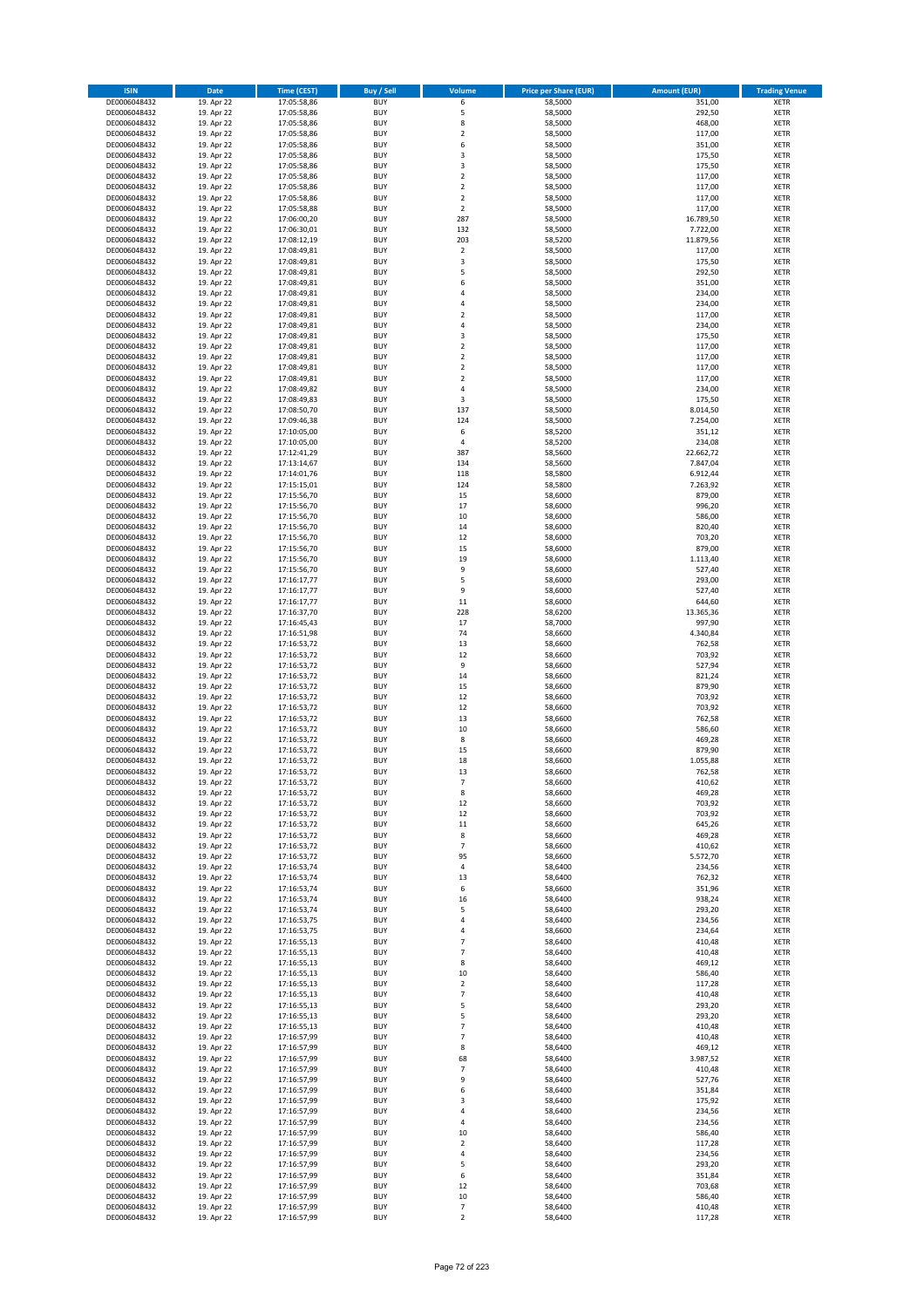| <b>ISIN</b>                  | Date                     | Time (CEST)                | <b>Buy / Sell</b>        | <b>Volume</b>                    | <b>Price per Share (EUR)</b> | <b>Amount (EUR)</b> | <b>Trading Venue</b>       |
|------------------------------|--------------------------|----------------------------|--------------------------|----------------------------------|------------------------------|---------------------|----------------------------|
| DE0006048432                 | 19. Apr 22               | 17:05:58,86                | <b>BUY</b>               | 6                                | 58,5000                      | 351,00              | <b>XETR</b>                |
| DE0006048432                 | 19. Apr 22               | 17:05:58,86                | <b>BUY</b>               | 5                                | 58,5000                      | 292,50              | XETR                       |
| DE0006048432                 | 19. Apr 22               | 17:05:58,86                | <b>BUY</b>               | 8                                | 58,5000                      | 468,00              | <b>XETR</b>                |
| DE0006048432                 | 19. Apr 22               | 17:05:58,86                | <b>BUY</b>               | $\mathbf 2$                      | 58,5000                      | 117,00              | <b>XETR</b>                |
| DE0006048432                 | 19. Apr 22               | 17:05:58,86                | <b>BUY</b>               | 6                                | 58,5000                      | 351,00              | <b>XETR</b>                |
| DE0006048432                 | 19. Apr 22               | 17:05:58,86                | <b>BUY</b>               | 3                                | 58,5000                      | 175,50              | <b>XETR</b>                |
| DE0006048432                 | 19. Apr 22               | 17:05:58,86                | <b>BUY</b>               | 3                                | 58,5000                      | 175,50              | <b>XETR</b>                |
| DE0006048432                 | 19. Apr 22               | 17:05:58,86                | <b>BUY</b>               | $\mathbf 2$                      | 58,5000                      | 117,00              | <b>XETR</b>                |
| DE0006048432                 | 19. Apr 22               | 17:05:58,86                | <b>BUY</b><br><b>BUY</b> | $\overline{2}$<br>$\overline{2}$ | 58,5000                      | 117,00              | <b>XETR</b>                |
| DE0006048432<br>DE0006048432 | 19. Apr 22<br>19. Apr 22 | 17:05:58,86<br>17:05:58,88 | <b>BUY</b>               | $\overline{2}$                   | 58,5000<br>58,5000           | 117,00<br>117,00    | <b>XETR</b><br><b>XETR</b> |
| DE0006048432                 | 19. Apr 22               | 17:06:00,20                | <b>BUY</b>               | 287                              | 58,5000                      | 16.789,50           | <b>XETR</b>                |
| DE0006048432                 | 19. Apr 22               | 17:06:30,01                | <b>BUY</b>               | 132                              | 58,5000                      | 7.722,00            | <b>XETR</b>                |
| DE0006048432                 | 19. Apr 22               | 17:08:12,19                | <b>BUY</b>               | 203                              | 58,5200                      | 11.879,56           | <b>XETR</b>                |
| DE0006048432                 | 19. Apr 22               | 17:08:49,81                | <b>BUY</b>               | $\mathbf 2$                      | 58,5000                      | 117,00              | <b>XETR</b>                |
| DE0006048432                 | 19. Apr 22               | 17:08:49,81                | <b>BUY</b>               | 3                                | 58,5000                      | 175,50              | <b>XETR</b>                |
| DE0006048432                 | 19. Apr 22               | 17:08:49,81                | <b>BUY</b>               | 5                                | 58,5000                      | 292,50              | <b>XETR</b>                |
| DE0006048432                 | 19. Apr 22               | 17:08:49,81                | <b>BUY</b>               | 6                                | 58,5000                      | 351,00              | <b>XETR</b>                |
| DE0006048432                 | 19. Apr 22               | 17:08:49,81                | <b>BUY</b>               | 4                                | 58,5000                      | 234,00              | <b>XETR</b>                |
| DE0006048432                 | 19. Apr 22               | 17:08:49,81                | <b>BUY</b>               | $\overline{4}$                   | 58,5000                      | 234,00              | <b>XETR</b>                |
| DE0006048432                 | 19. Apr 22               | 17:08:49,81                | <b>BUY</b>               | $\overline{2}$                   | 58,5000                      | 117,00              | <b>XETR</b>                |
| DE0006048432<br>DE0006048432 | 19. Apr 22<br>19. Apr 22 | 17:08:49,81                | <b>BUY</b><br><b>BUY</b> | 4<br>3                           | 58,5000<br>58,5000           | 234,00              | <b>XETR</b><br><b>XETR</b> |
| DE0006048432                 | 19. Apr 22               | 17:08:49,81<br>17:08:49,81 | <b>BUY</b>               | $\mathbf 2$                      | 58,5000                      | 175,50<br>117,00    | <b>XETR</b>                |
| DE0006048432                 | 19. Apr 22               | 17:08:49,81                | <b>BUY</b>               | $\overline{2}$                   | 58,5000                      | 117,00              | <b>XETR</b>                |
| DE0006048432                 | 19. Apr 22               | 17:08:49,81                | <b>BUY</b>               | $\mathbf 2$                      | 58,5000                      | 117,00              | <b>XETR</b>                |
| DE0006048432                 | 19. Apr 22               | 17:08:49,81                | <b>BUY</b>               | $\mathbf 2$                      | 58,5000                      | 117,00              | <b>XETR</b>                |
| DE0006048432                 | 19. Apr 22               | 17:08:49,82                | <b>BUY</b>               | 4                                | 58,5000                      | 234,00              | <b>XETR</b>                |
| DE0006048432                 | 19. Apr 22               | 17:08:49,83                | <b>BUY</b>               | 3                                | 58,5000                      | 175,50              | <b>XETR</b>                |
| DE0006048432                 | 19. Apr 22               | 17:08:50,70                | <b>BUY</b>               | 137                              | 58,5000                      | 8.014,50            | <b>XETR</b>                |
| DE0006048432                 | 19. Apr 22               | 17:09:46,38                | <b>BUY</b>               | 124                              | 58,5000                      | 7.254,00            | <b>XETR</b>                |
| DE0006048432                 | 19. Apr 22               | 17:10:05,00                | <b>BUY</b>               | 6                                | 58,5200                      | 351,12              | <b>XETR</b>                |
| DE0006048432<br>DE0006048432 | 19. Apr 22               | 17:10:05,00<br>17:12:41,29 | <b>BUY</b><br><b>BUY</b> | 4<br>387                         | 58,5200<br>58,5600           | 234,08<br>22.662,72 | <b>XETR</b><br><b>XETR</b> |
| DE0006048432                 | 19. Apr 22<br>19. Apr 22 | 17:13:14,67                | <b>BUY</b>               | 134                              | 58,5600                      | 7.847,04            | <b>XETR</b>                |
| DE0006048432                 | 19. Apr 22               | 17:14:01,76                | <b>BUY</b>               | 118                              | 58,5800                      | 6.912,44            | <b>XETR</b>                |
| DE0006048432                 | 19. Apr 22               | 17:15:15,01                | <b>BUY</b>               | 124                              | 58,5800                      | 7.263,92            | <b>XETR</b>                |
| DE0006048432                 | 19. Apr 22               | 17:15:56,70                | <b>BUY</b>               | 15                               | 58,6000                      | 879,00              | <b>XETR</b>                |
| DE0006048432                 | 19. Apr 22               | 17:15:56,70                | <b>BUY</b>               | 17                               | 58,6000                      | 996,20              | <b>XETR</b>                |
| DE0006048432                 | 19. Apr 22               | 17:15:56,70                | <b>BUY</b>               | $10\,$                           | 58,6000                      | 586,00              | <b>XETR</b>                |
| DE0006048432                 | 19. Apr 22               | 17:15:56,70                | <b>BUY</b>               | 14                               | 58,6000                      | 820,40              | <b>XETR</b>                |
| DE0006048432                 | 19. Apr 22               | 17:15:56,70                | <b>BUY</b>               | 12                               | 58,6000                      | 703,20              | <b>XETR</b>                |
| DE0006048432                 | 19. Apr 22               | 17:15:56,70                | <b>BUY</b>               | 15                               | 58,6000                      | 879,00              | <b>XETR</b>                |
| DE0006048432                 | 19. Apr 22               | 17:15:56,70                | <b>BUY</b>               | 19                               | 58,6000                      | 1.113,40            | <b>XETR</b>                |
| DE0006048432                 | 19. Apr 22               | 17:15:56,70                | <b>BUY</b>               | 9                                | 58,6000                      | 527,40              | <b>XETR</b>                |
| DE0006048432<br>DE0006048432 | 19. Apr 22<br>19. Apr 22 | 17:16:17,77                | <b>BUY</b><br><b>BUY</b> | 5<br>9                           | 58,6000<br>58,6000           | 293,00<br>527,40    | <b>XETR</b><br><b>XETR</b> |
| DE0006048432                 | 19. Apr 22               | 17:16:17,77<br>17:16:17,77 | <b>BUY</b>               | 11                               | 58,6000                      | 644,60              | <b>XETR</b>                |
| DE0006048432                 | 19. Apr 22               | 17:16:37,70                | <b>BUY</b>               | 228                              | 58,6200                      | 13.365,36           | <b>XETR</b>                |
| DE0006048432                 | 19. Apr 22               | 17:16:45,43                | <b>BUY</b>               | 17                               | 58,7000                      | 997,90              | <b>XETR</b>                |
| DE0006048432                 | 19. Apr 22               | 17:16:51,98                | <b>BUY</b>               | 74                               | 58,6600                      | 4.340,84            | <b>XETR</b>                |
| DE0006048432                 | 19. Apr 22               | 17:16:53,72                | <b>BUY</b>               | 13                               | 58,6600                      | 762,58              | <b>XETR</b>                |
| DE0006048432                 | 19. Apr 22               | 17:16:53,72                | <b>BUY</b>               | 12                               | 58,6600                      | 703,92              | <b>XETR</b>                |
| DE0006048432                 | 19. Apr 22               | 17:16:53,72                | <b>BUY</b>               | 9                                | 58,6600                      | 527,94              | <b>XETR</b>                |
| DE0006048432                 | 19. Apr 22               | 17:16:53,72                | <b>BUY</b>               | 14                               | 58,6600                      | 821,24              | <b>XETR</b>                |
| DE0006048432                 | 19. Apr 22               | 17:16:53,72                | <b>BUY</b>               | 15                               | 58,6600                      | 879,90              | <b>XETR</b>                |
| DE0006048432                 | 19. Apr 22<br>19. Apr 22 | 17:16:53,72<br>17:16:53,72 | <b>BUY</b><br><b>BUY</b> | 12<br>12                         | 58,6600<br>58,6600           | 703,92<br>703,92    | <b>XETR</b><br><b>XETR</b> |
| DE0006048432<br>DE0006048432 | 19. Apr 22               | 17:16:53,72                | <b>BUY</b>               | 13                               | 58,6600                      | 762,58              | <b>XETR</b>                |
| DE0006048432                 | 19. Apr 22               | 17:16:53,72                | <b>BUY</b>               | 10                               | 58,6600                      | 586,60              | <b>XETR</b>                |
| DE0006048432                 | 19. Apr 22               | 17:16:53,72                | <b>BUY</b>               | 8                                | 58,6600                      | 469,28              | <b>XETR</b>                |
| DE0006048432                 | 19. Apr 22               | 17:16:53,72                | <b>BUY</b>               | 15                               | 58,6600                      | 879,90              | <b>XETR</b>                |
| DE0006048432                 | 19. Apr 22               | 17:16:53,72                | <b>BUY</b>               | 18                               | 58,6600                      | 1.055,88            | <b>XETR</b>                |
| DE0006048432                 | 19. Apr 22               | 17:16:53,72                | <b>BUY</b>               | 13                               | 58,6600                      | 762,58              | <b>XETR</b>                |
| DE0006048432                 | 19. Apr 22               | 17:16:53,72                | BUY                      | 7                                | 58,6600                      | 410,62              | XETR                       |
| DE0006048432                 | 19. Apr 22               | 17:16:53,72                | <b>BUY</b>               | 8                                | 58,6600                      | 469,28              | <b>XETR</b>                |
| DE0006048432                 | 19. Apr 22               | 17:16:53,72                | <b>BUY</b>               | 12                               | 58,6600                      | 703,92              | <b>XETR</b>                |
| DE0006048432                 | 19. Apr 22               | 17:16:53,72                | <b>BUY</b><br><b>BUY</b> | 12<br>11                         | 58,6600                      | 703,92              | <b>XETR</b>                |
| DE0006048432<br>DE0006048432 | 19. Apr 22<br>19. Apr 22 | 17:16:53,72<br>17:16:53,72 | <b>BUY</b>               | 8                                | 58,6600<br>58,6600           | 645,26<br>469,28    | <b>XETR</b><br><b>XETR</b> |
| DE0006048432                 | 19. Apr 22               | 17:16:53,72                | <b>BUY</b>               | $\overline{7}$                   | 58,6600                      | 410,62              | <b>XETR</b>                |
| DE0006048432                 | 19. Apr 22               | 17:16:53,72                | <b>BUY</b>               | 95                               | 58,6600                      | 5.572,70            | <b>XETR</b>                |
| DE0006048432                 | 19. Apr 22               | 17:16:53,74                | <b>BUY</b>               | $\sqrt{4}$                       | 58,6400                      | 234,56              | XETR                       |
| DE0006048432                 | 19. Apr 22               | 17:16:53,74                | <b>BUY</b>               | 13                               | 58,6400                      | 762,32              | <b>XETR</b>                |
| DE0006048432                 | 19. Apr 22               | 17:16:53,74                | <b>BUY</b>               | 6                                | 58,6600                      | 351,96              | XETR                       |
| DE0006048432                 | 19. Apr 22               | 17:16:53,74                | <b>BUY</b>               | 16                               | 58,6400                      | 938,24              | <b>XETR</b>                |
| DE0006048432                 | 19. Apr 22               | 17:16:53,74                | <b>BUY</b>               | 5                                | 58,6400                      | 293,20              | XETR                       |
| DE0006048432<br>DE0006048432 | 19. Apr 22               | 17:16:53,75<br>17:16:53,75 | <b>BUY</b><br><b>BUY</b> | 4<br>$\pmb{4}$                   | 58,6400<br>58,6600           | 234,56<br>234,64    | <b>XETR</b><br><b>XETR</b> |
| DE0006048432                 | 19. Apr 22<br>19. Apr 22 | 17:16:55,13                | <b>BUY</b>               | $\overline{7}$                   | 58,6400                      | 410,48              | <b>XETR</b>                |
| DE0006048432                 | 19. Apr 22               | 17:16:55,13                | <b>BUY</b>               | $\overline{7}$                   | 58,6400                      | 410,48              | <b>XETR</b>                |
| DE0006048432                 | 19. Apr 22               | 17:16:55,13                | <b>BUY</b>               | 8                                | 58,6400                      | 469,12              | <b>XETR</b>                |
| DE0006048432                 | 19. Apr 22               | 17:16:55,13                | <b>BUY</b>               | 10                               | 58,6400                      | 586,40              | XETR                       |
| DE0006048432                 | 19. Apr 22               | 17:16:55,13                | <b>BUY</b>               | $\mathbf 2$                      | 58,6400                      | 117,28              | XETR                       |
| DE0006048432                 | 19. Apr 22               | 17:16:55,13                | <b>BUY</b>               | $\overline{7}$                   | 58,6400                      | 410,48              | <b>XETR</b>                |
| DE0006048432                 | 19. Apr 22               | 17:16:55,13                | <b>BUY</b>               | 5                                | 58,6400                      | 293,20              | <b>XETR</b>                |
| DE0006048432                 | 19. Apr 22               | 17:16:55,13                | <b>BUY</b>               | 5                                | 58,6400                      | 293,20              | XETR                       |
| DE0006048432                 | 19. Apr 22               | 17:16:55,13                | <b>BUY</b>               | $\overline{7}$                   | 58,6400                      | 410,48              | <b>XETR</b>                |
| DE0006048432<br>DE0006048432 | 19. Apr 22               | 17:16:57,99                | <b>BUY</b><br><b>BUY</b> | $\overline{7}$<br>8              | 58,6400<br>58,6400           | 410,48<br>469,12    | XETR<br><b>XETR</b>        |
| DE0006048432                 | 19. Apr 22<br>19. Apr 22 | 17:16:57,99<br>17:16:57,99 | <b>BUY</b>               | 68                               | 58,6400                      | 3.987,52            | XETR                       |
| DE0006048432                 | 19. Apr 22               | 17:16:57,99                | <b>BUY</b>               | $\overline{7}$                   | 58,6400                      | 410,48              | <b>XETR</b>                |
| DE0006048432                 | 19. Apr 22               | 17:16:57,99                | <b>BUY</b>               | 9                                | 58,6400                      | 527,76              | <b>XETR</b>                |
| DE0006048432                 | 19. Apr 22               | 17:16:57,99                | <b>BUY</b>               | 6                                | 58,6400                      | 351,84              | <b>XETR</b>                |
| DE0006048432                 | 19. Apr 22               | 17:16:57,99                | <b>BUY</b>               | 3                                | 58,6400                      | 175,92              | <b>XETR</b>                |
| DE0006048432                 | 19. Apr 22               | 17:16:57,99                | <b>BUY</b>               | 4                                | 58,6400                      | 234,56              | XETR                       |
| DE0006048432                 | 19. Apr 22               | 17:16:57,99                | <b>BUY</b>               | 4                                | 58,6400                      | 234,56              | XETR                       |
| DE0006048432                 | 19. Apr 22               | 17:16:57,99                | <b>BUY</b>               | 10                               | 58,6400                      | 586,40              | <b>XETR</b>                |
| DE0006048432                 | 19. Apr 22               | 17:16:57,99                | <b>BUY</b>               | $\mathbf 2$                      | 58,6400                      | 117,28              | <b>XETR</b>                |
| DE0006048432                 | 19. Apr 22               | 17:16:57,99                | <b>BUY</b>               | $\pmb{4}$                        | 58,6400                      | 234,56              | <b>XETR</b>                |
| DE0006048432                 | 19. Apr 22               | 17:16:57,99                | <b>BUY</b><br><b>BUY</b> | 5                                | 58,6400<br>58,6400           | 293,20              | XETR                       |
| DE0006048432<br>DE0006048432 | 19. Apr 22<br>19. Apr 22 | 17:16:57,99<br>17:16:57,99 | <b>BUY</b>               | 6<br>12                          | 58,6400                      | 351,84<br>703,68    | XETR<br><b>XETR</b>        |
| DE0006048432                 | 19. Apr 22               | 17:16:57,99                | <b>BUY</b>               | $10\,$                           | 58,6400                      | 586,40              | XETR                       |
| DE0006048432                 | 19. Apr 22               | 17:16:57,99                | <b>BUY</b>               | $\overline{7}$                   | 58,6400                      | 410,48              | <b>XETR</b>                |
| DE0006048432                 | 19. Apr 22               | 17:16:57,99                | <b>BUY</b>               | $\overline{2}$                   | 58,6400                      | 117,28              | <b>XETR</b>                |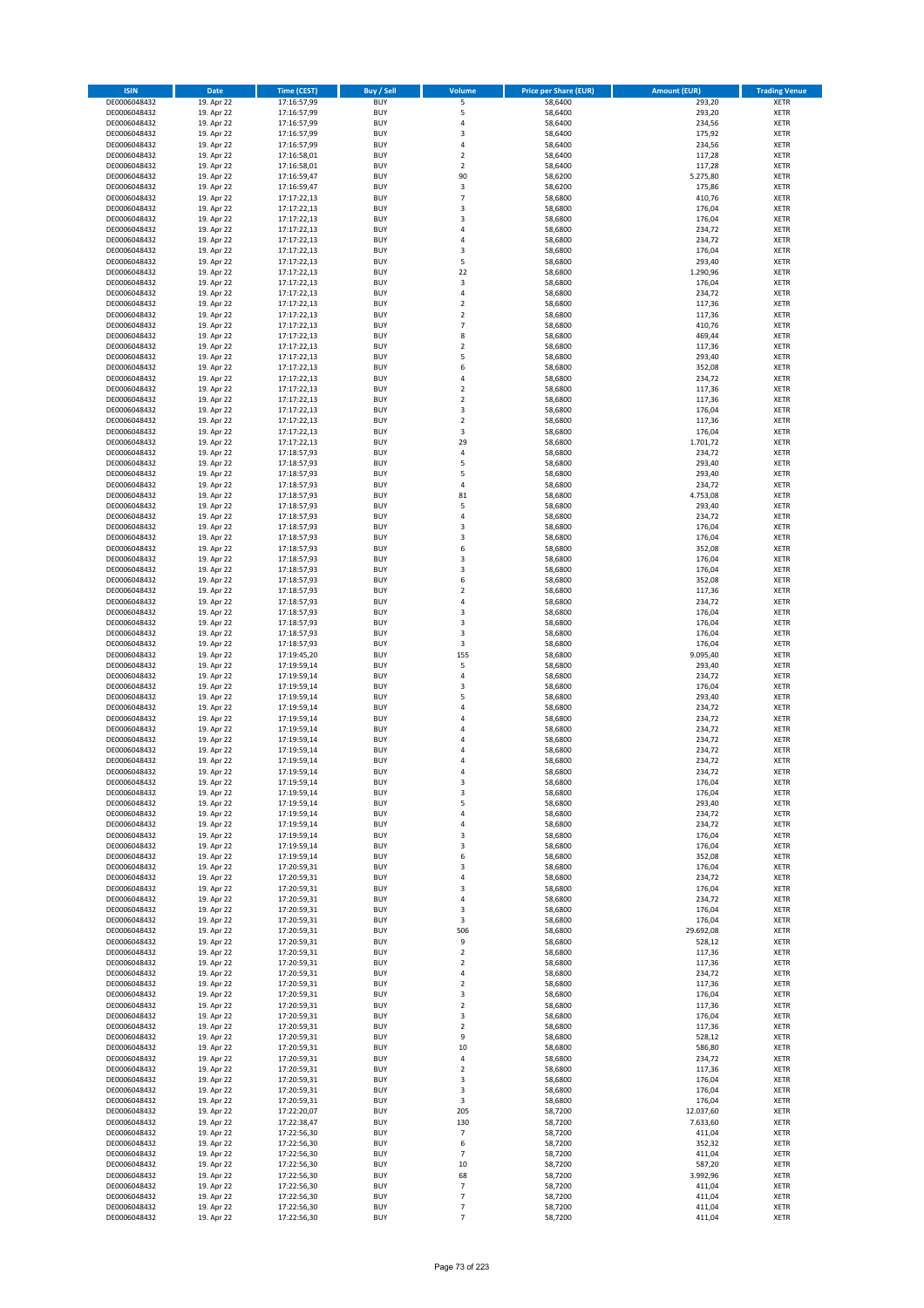| <b>ISIN</b>                  | <b>Date</b>              | Time (CEST)                | <b>Buy / Sell</b>        | <b>Volume</b>                 | <b>Price per Share (EUR)</b> | <b>Amount (EUR)</b> | <b>Trading Venue</b>       |
|------------------------------|--------------------------|----------------------------|--------------------------|-------------------------------|------------------------------|---------------------|----------------------------|
| DE0006048432                 | 19. Apr 22               | 17:16:57,99                | <b>BUY</b>               | 5                             | 58,6400                      | 293,20              | <b>XETR</b>                |
| DE0006048432                 | 19. Apr 22               | 17:16:57,99                | <b>BUY</b>               | 5                             | 58,6400                      | 293,20              | <b>XETR</b>                |
| DE0006048432                 | 19. Apr 22               | 17:16:57,99                | <b>BUY</b>               | 4                             | 58,6400                      | 234,56              | <b>XETR</b>                |
| DE0006048432<br>DE0006048432 | 19. Apr 22<br>19. Apr 22 | 17:16:57,99<br>17:16:57,99 | <b>BUY</b><br><b>BUY</b> | 3<br>4                        | 58,6400<br>58,6400           | 175,92<br>234,56    | <b>XETR</b><br><b>XETR</b> |
| DE0006048432                 | 19. Apr 22               | 17:16:58,01                | <b>BUY</b>               | $\mathbf 2$                   | 58,6400                      | 117,28              | <b>XETR</b>                |
| DE0006048432                 | 19. Apr 22               | 17:16:58,01                | <b>BUY</b>               | $\mathbf 2$                   | 58,6400                      | 117,28              | <b>XETR</b>                |
| DE0006048432                 | 19. Apr 22               | 17:16:59,47                | <b>BUY</b>               | 90                            | 58,6200                      | 5.275,80            | <b>XETR</b>                |
| DE0006048432                 | 19. Apr 22               | 17:16:59,47                | <b>BUY</b>               | 3                             | 58,6200                      | 175,86              | <b>XETR</b>                |
| DE0006048432                 | 19. Apr 22               | 17:17:22,13                | <b>BUY</b><br><b>BUY</b> | $\overline{7}$                | 58,6800                      | 410,76              | <b>XETR</b>                |
| DE0006048432<br>DE0006048432 | 19. Apr 22<br>19. Apr 22 | 17:17:22,13<br>17:17:22,13 | <b>BUY</b>               | 3<br>3                        | 58,6800<br>58,6800           | 176,04<br>176,04    | <b>XETR</b><br><b>XETR</b> |
| DE0006048432                 | 19. Apr 22               | 17:17:22,13                | <b>BUY</b>               | 4                             | 58,6800                      | 234,72              | <b>XETR</b>                |
| DE0006048432                 | 19. Apr 22               | 17:17:22,13                | <b>BUY</b>               | 4                             | 58,6800                      | 234,72              | <b>XETR</b>                |
| DE0006048432                 | 19. Apr 22               | 17:17:22,13                | <b>BUY</b>               | 3                             | 58,6800                      | 176,04              | <b>XETR</b>                |
| DE0006048432                 | 19. Apr 22               | 17:17:22,13                | <b>BUY</b>               | 5                             | 58,6800                      | 293,40              | <b>XETR</b>                |
| DE0006048432<br>DE0006048432 | 19. Apr 22<br>19. Apr 22 | 17:17:22,13<br>17:17:22,13 | <b>BUY</b><br><b>BUY</b> | 22<br>3                       | 58,6800<br>58,6800           | 1.290,96<br>176,04  | <b>XETR</b><br><b>XETR</b> |
| DE0006048432                 | 19. Apr 22               | 17:17:22,13                | <b>BUY</b>               | 4                             | 58,6800                      | 234,72              | <b>XETR</b>                |
| DE0006048432                 | 19. Apr 22               | 17:17:22,13                | <b>BUY</b>               | $\mathbf 2$                   | 58,6800                      | 117,36              | <b>XETR</b>                |
| DE0006048432                 | 19. Apr 22               | 17:17:22,13                | <b>BUY</b>               | $\overline{\mathbf{c}}$       | 58,6800                      | 117,36              | <b>XETR</b>                |
| DE0006048432                 | 19. Apr 22               | 17:17:22,13                | <b>BUY</b>               | $\overline{7}$                | 58,6800                      | 410,76              | <b>XETR</b>                |
| DE0006048432                 | 19. Apr 22               | 17:17:22,13                | <b>BUY</b>               | 8                             | 58,6800                      | 469,44              | <b>XETR</b>                |
| DE0006048432<br>DE0006048432 | 19. Apr 22<br>19. Apr 22 | 17:17:22,13<br>17:17:22,13 | <b>BUY</b><br><b>BUY</b> | $\mathbf 2$<br>5              | 58,6800<br>58,6800           | 117,36<br>293,40    | <b>XETR</b><br><b>XETR</b> |
| DE0006048432                 | 19. Apr 22               | 17:17:22,13                | <b>BUY</b>               | 6                             | 58,6800                      | 352,08              | <b>XETR</b>                |
| DE0006048432                 | 19. Apr 22               | 17:17:22,13                | <b>BUY</b>               | 4                             | 58,6800                      | 234,72              | <b>XETR</b>                |
| DE0006048432                 | 19. Apr 22               | 17:17:22,13                | <b>BUY</b>               | $\overline{\mathbf{c}}$       | 58,6800                      | 117,36              | <b>XETR</b>                |
| DE0006048432                 | 19. Apr 22               | 17:17:22,13                | <b>BUY</b>               | $\mathbf 2$                   | 58,6800                      | 117,36              | <b>XETR</b>                |
| DE0006048432<br>DE0006048432 | 19. Apr 22<br>19. Apr 22 | 17:17:22,13<br>17:17:22,13 | <b>BUY</b><br><b>BUY</b> | 3<br>$\mathbf 2$              | 58,6800<br>58,6800           | 176,04<br>117,36    | <b>XETR</b><br><b>XETR</b> |
| DE0006048432                 | 19. Apr 22               | 17:17:22,13                | <b>BUY</b>               | 3                             | 58,6800                      | 176,04              | <b>XETR</b>                |
| DE0006048432                 | 19. Apr 22               | 17:17:22,13                | <b>BUY</b>               | 29                            | 58,6800                      | 1.701,72            | <b>XETR</b>                |
| DE0006048432                 | 19. Apr 22               | 17:18:57,93                | <b>BUY</b>               | 4                             | 58,6800                      | 234,72              | <b>XETR</b>                |
| DE0006048432                 | 19. Apr 22               | 17:18:57,93                | <b>BUY</b>               | 5                             | 58,6800                      | 293,40              | <b>XETR</b>                |
| DE0006048432                 | 19. Apr 22               | 17:18:57,93                | <b>BUY</b>               | 5                             | 58,6800                      | 293,40              | <b>XETR</b>                |
| DE0006048432<br>DE0006048432 | 19. Apr 22<br>19. Apr 22 | 17:18:57,93<br>17:18:57,93 | <b>BUY</b><br><b>BUY</b> | 4<br>81                       | 58,6800<br>58,6800           | 234,72<br>4.753,08  | <b>XETR</b><br><b>XETR</b> |
| DE0006048432                 | 19. Apr 22               | 17:18:57,93                | <b>BUY</b>               | 5                             | 58,6800                      | 293,40              | <b>XETR</b>                |
| DE0006048432                 | 19. Apr 22               | 17:18:57,93                | <b>BUY</b>               | 4                             | 58,6800                      | 234,72              | <b>XETR</b>                |
| DE0006048432                 | 19. Apr 22               | 17:18:57,93                | <b>BUY</b>               | 3                             | 58,6800                      | 176,04              | <b>XETR</b>                |
| DE0006048432                 | 19. Apr 22               | 17:18:57,93                | <b>BUY</b>               | 3                             | 58,6800                      | 176,04              | <b>XETR</b>                |
| DE0006048432                 | 19. Apr 22               | 17:18:57,93                | <b>BUY</b>               | 6                             | 58,6800                      | 352,08              | <b>XETR</b>                |
| DE0006048432<br>DE0006048432 | 19. Apr 22<br>19. Apr 22 | 17:18:57,93<br>17:18:57,93 | <b>BUY</b><br><b>BUY</b> | 3<br>3                        | 58,6800<br>58,6800           | 176,04<br>176,04    | <b>XETR</b><br><b>XETR</b> |
| DE0006048432                 | 19. Apr 22               | 17:18:57,93                | <b>BUY</b>               | 6                             | 58,6800                      | 352,08              | <b>XETR</b>                |
| DE0006048432                 | 19. Apr 22               | 17:18:57,93                | <b>BUY</b>               | $\mathbf 2$                   | 58,6800                      | 117,36              | <b>XETR</b>                |
| DE0006048432                 | 19. Apr 22               | 17:18:57,93                | <b>BUY</b>               | 4                             | 58,6800                      | 234,72              | <b>XETR</b>                |
| DE0006048432                 | 19. Apr 22               | 17:18:57,93                | <b>BUY</b>               | 3                             | 58,6800                      | 176,04              | <b>XETR</b>                |
| DE0006048432<br>DE0006048432 | 19. Apr 22<br>19. Apr 22 | 17:18:57,93<br>17:18:57,93 | <b>BUY</b><br><b>BUY</b> | 3<br>3                        | 58,6800<br>58,6800           | 176,04<br>176,04    | <b>XETR</b><br><b>XETR</b> |
| DE0006048432                 | 19. Apr 22               | 17:18:57,93                | <b>BUY</b>               | 3                             | 58,6800                      | 176,04              | <b>XETR</b>                |
| DE0006048432                 | 19. Apr 22               | 17:19:45,20                | <b>BUY</b>               | 155                           | 58,6800                      | 9.095,40            | <b>XETR</b>                |
| DE0006048432                 | 19. Apr 22               | 17:19:59,14                | <b>BUY</b>               | 5                             | 58,6800                      | 293,40              | <b>XETR</b>                |
| DE0006048432                 | 19. Apr 22               | 17:19:59,14                | <b>BUY</b>               | 4                             | 58,6800                      | 234,72              | <b>XETR</b>                |
| DE0006048432                 | 19. Apr 22               | 17:19:59,14                | <b>BUY</b>               | 3                             | 58,6800                      | 176,04              | <b>XETR</b>                |
| DE0006048432<br>DE0006048432 | 19. Apr 22<br>19. Apr 22 | 17:19:59,14<br>17:19:59,14 | <b>BUY</b><br><b>BUY</b> | 5<br>4                        | 58,6800<br>58,6800           | 293,40<br>234,72    | <b>XETR</b><br><b>XETR</b> |
| DE0006048432                 | 19. Apr 22               | 17:19:59,14                | <b>BUY</b>               | 4                             | 58,6800                      | 234,72              | <b>XETR</b>                |
| DE0006048432                 | 19. Apr 22               | 17:19:59,14                | <b>BUY</b>               | 4                             | 58,6800                      | 234,72              | <b>XETR</b>                |
| DE0006048432                 | 19. Apr 22               | 17:19:59,14                | <b>BUY</b>               | 4                             | 58,6800                      | 234,72              | <b>XETR</b>                |
| DE0006048432                 | 19. Apr 22               | 17:19:59,14                | <b>BUY</b>               | $\overline{a}$                | 58,6800                      | 234,72              | <b>XETR</b>                |
| DE0006048432<br>DE0006048432 | 19. Apr 22<br>19. Apr 22 | 17:19:59,14<br>17:19:59,14 | <b>BUY</b><br><b>BUY</b> | $\overline{a}$<br>4           | 58,6800<br>58,6800           | 234,72<br>234,72    | <b>XETR</b><br><b>XETR</b> |
| DE0006048432                 | 19. Apr 22               | 17:19:59,14                | BUY                      | 3                             | 58,6800                      | 176,04              | <b>XETR</b>                |
| DE0006048432                 | 19. Apr 22               | 17:19:59,14                | <b>BUY</b>               | 3                             | 58,6800                      | 176,04              | XETR                       |
| DE0006048432                 | 19. Apr 22               | 17:19:59,14                | <b>BUY</b>               | 5                             | 58,6800                      | 293,40              | <b>XETR</b>                |
| DE0006048432                 | 19. Apr 22               | 17:19:59,14                | <b>BUY</b>               | 4                             | 58,6800                      | 234,72              | XETR                       |
| DE0006048432<br>DE0006048432 | 19. Apr 22<br>19. Apr 22 | 17:19:59,14<br>17:19:59,14 | <b>BUY</b><br><b>BUY</b> | 4<br>3                        | 58,6800<br>58,6800           | 234,72<br>176,04    | <b>XETR</b><br><b>XETR</b> |
| DE0006048432                 | 19. Apr 22               | 17:19:59,14                | <b>BUY</b>               | 3                             | 58,6800                      | 176,04              | <b>XETR</b>                |
| DE0006048432                 | 19. Apr 22               | 17:19:59,14                | <b>BUY</b>               | 6                             | 58,6800                      | 352,08              | <b>XETR</b>                |
| DE0006048432                 | 19. Apr 22               | 17:20:59,31                | <b>BUY</b>               | 3                             | 58,6800                      | 176,04              | <b>XETR</b>                |
| DE0006048432                 | 19. Apr 22               | 17:20:59,31                | <b>BUY</b>               | 4                             | 58,6800                      | 234,72              | <b>XETR</b>                |
| DE0006048432<br>DE0006048432 | 19. Apr 22<br>19. Apr 22 | 17:20:59,31<br>17:20:59,31 | <b>BUY</b><br><b>BUY</b> | 3<br>4                        | 58,6800<br>58,6800           | 176,04<br>234,72    | <b>XETR</b><br><b>XETR</b> |
| DE0006048432                 | 19. Apr 22               | 17:20:59,31                | <b>BUY</b>               | 3                             | 58,6800                      | 176,04              | <b>XETR</b>                |
| DE0006048432                 | 19. Apr 22               | 17:20:59,31                | <b>BUY</b>               | 3                             | 58,6800                      | 176,04              | <b>XETR</b>                |
| DE0006048432                 | 19. Apr 22               | 17:20:59,31                | <b>BUY</b>               | 506                           | 58,6800                      | 29.692,08           | <b>XETR</b>                |
| DE0006048432                 | 19. Apr 22               | 17:20:59,31                | <b>BUY</b>               | 9                             | 58,6800                      | 528,12              | <b>XETR</b>                |
| DE0006048432<br>DE0006048432 | 19. Apr 22<br>19. Apr 22 | 17:20:59,31<br>17:20:59,31 | <b>BUY</b><br><b>BUY</b> | $\mathbf 2$<br>$\overline{2}$ | 58,6800<br>58,6800           | 117,36<br>117,36    | <b>XETR</b><br><b>XETR</b> |
| DE0006048432                 | 19. Apr 22               | 17:20:59,31                | <b>BUY</b>               | 4                             | 58,6800                      | 234,72              | XETR                       |
| DE0006048432                 | 19. Apr 22               | 17:20:59,31                | <b>BUY</b>               | $\mathbf 2$                   | 58,6800                      | 117,36              | <b>XETR</b>                |
| DE0006048432                 | 19. Apr 22               | 17:20:59,31                | <b>BUY</b>               | 3                             | 58,6800                      | 176,04              | <b>XETR</b>                |
| DE0006048432                 | 19. Apr 22               | 17:20:59,31                | <b>BUY</b>               | $\mathbf 2$                   | 58,6800                      | 117,36              | <b>XETR</b>                |
| DE0006048432                 | 19. Apr 22               | 17:20:59,31                | <b>BUY</b><br><b>BUY</b> | 3                             | 58,6800                      | 176,04              | <b>XETR</b>                |
| DE0006048432<br>DE0006048432 | 19. Apr 22<br>19. Apr 22 | 17:20:59,31<br>17:20:59,31 | <b>BUY</b>               | $\mathbf 2$<br>9              | 58,6800<br>58,6800           | 117,36<br>528,12    | <b>XETR</b><br><b>XETR</b> |
| DE0006048432                 | 19. Apr 22               | 17:20:59,31                | <b>BUY</b>               | 10                            | 58,6800                      | 586,80              | <b>XETR</b>                |
| DE0006048432                 | 19. Apr 22               | 17:20:59,31                | <b>BUY</b>               | 4                             | 58,6800                      | 234,72              | <b>XETR</b>                |
| DE0006048432                 | 19. Apr 22               | 17:20:59,31                | <b>BUY</b>               | $\overline{2}$                | 58,6800                      | 117,36              | <b>XETR</b>                |
| DE0006048432                 | 19. Apr 22               | 17:20:59,31                | <b>BUY</b>               | 3                             | 58,6800                      | 176,04              | <b>XETR</b>                |
| DE0006048432<br>DE0006048432 | 19. Apr 22               | 17:20:59,31                | <b>BUY</b><br><b>BUY</b> | 3<br>3                        | 58,6800                      | 176,04              | XETR<br><b>XETR</b>        |
| DE0006048432                 | 19. Apr 22<br>19. Apr 22 | 17:20:59,31<br>17:22:20,07 | <b>BUY</b>               | 205                           | 58,6800<br>58,7200           | 176,04<br>12.037,60 | <b>XETR</b>                |
| DE0006048432                 | 19. Apr 22               | 17:22:38,47                | <b>BUY</b>               | 130                           | 58,7200                      | 7.633,60            | <b>XETR</b>                |
| DE0006048432                 | 19. Apr 22               | 17:22:56,30                | <b>BUY</b>               | $\overline{7}$                | 58,7200                      | 411,04              | <b>XETR</b>                |
| DE0006048432                 | 19. Apr 22               | 17:22:56,30                | <b>BUY</b>               | 6                             | 58,7200                      | 352,32              | <b>XETR</b>                |
| DE0006048432                 | 19. Apr 22               | 17:22:56,30                | <b>BUY</b>               | $\overline{7}$                | 58,7200                      | 411,04              | <b>XETR</b>                |
| DE0006048432<br>DE0006048432 | 19. Apr 22<br>19. Apr 22 | 17:22:56,30<br>17:22:56,30 | <b>BUY</b><br><b>BUY</b> | 10<br>68                      | 58,7200<br>58,7200           | 587,20<br>3.992,96  | <b>XETR</b><br>XETR        |
| DE0006048432                 | 19. Apr 22               | 17:22:56,30                | <b>BUY</b>               | $\overline{7}$                | 58,7200                      | 411,04              | <b>XETR</b>                |
| DE0006048432                 | 19. Apr 22               | 17:22:56,30                | <b>BUY</b>               | $\overline{7}$                | 58,7200                      | 411,04              | <b>XETR</b>                |
| DE0006048432                 | 19. Apr 22               | 17:22:56,30                | <b>BUY</b>               | $\overline{7}$                | 58,7200                      | 411,04              | <b>XETR</b>                |
| DE0006048432                 | 19. Apr 22               | 17:22:56,30                | <b>BUY</b>               | $\overline{7}$                | 58,7200                      | 411,04              | XETR                       |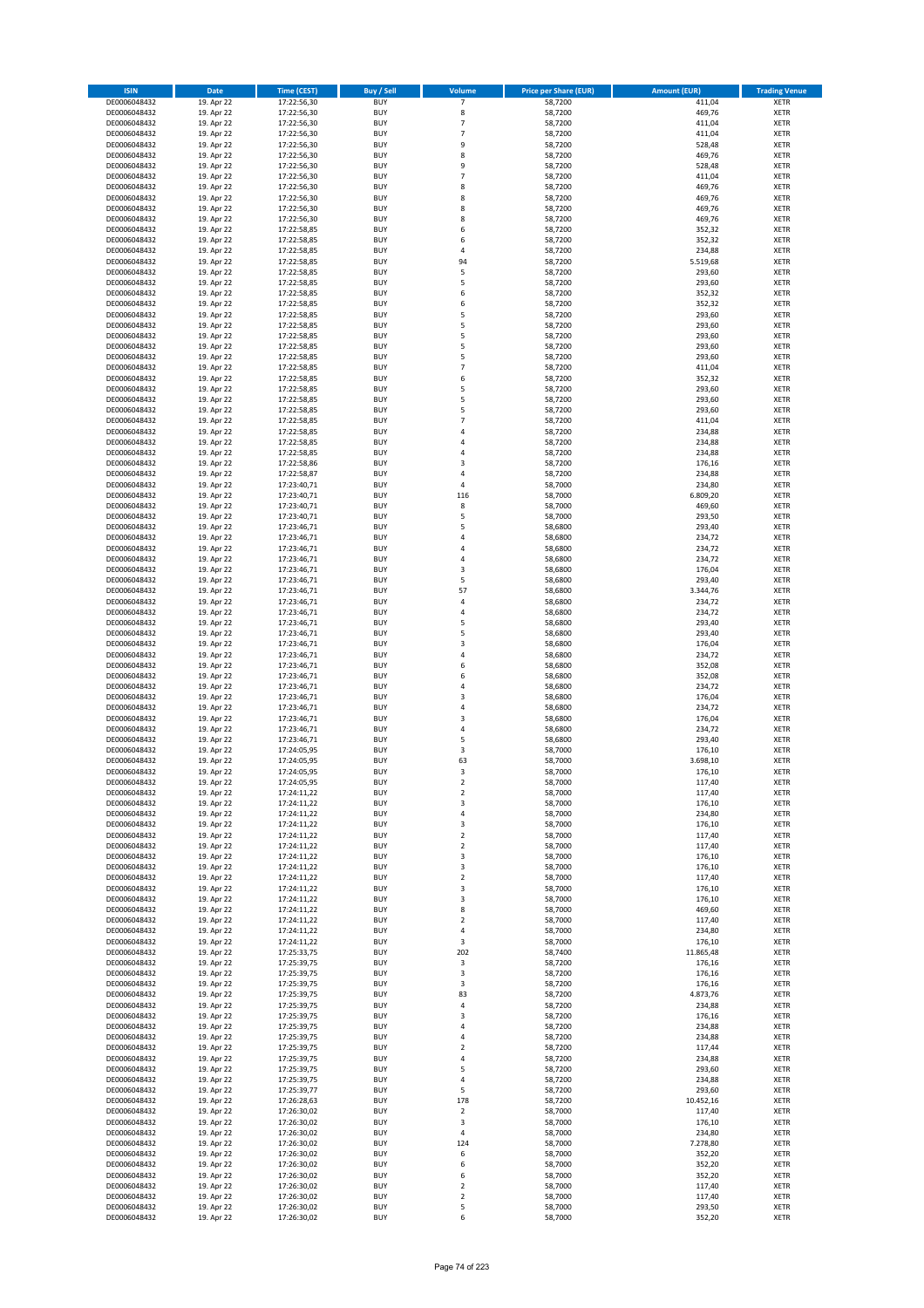| <b>ISIN</b>                  | <b>Date</b>              | <b>Time (CEST)</b>         | <b>Buy / Sell</b>        | Volume                       | <b>Price per Share (EUR)</b> | <b>Amount (EUR)</b> | <b>Trading Venue</b>       |
|------------------------------|--------------------------|----------------------------|--------------------------|------------------------------|------------------------------|---------------------|----------------------------|
| DE0006048432                 | 19. Apr 22               | 17:22:56,30                | <b>BUY</b>               | 7                            | 58,7200                      | 411,04              | <b>XETR</b>                |
| DE0006048432                 | 19. Apr 22               | 17:22:56,30                | <b>BUY</b>               | 8                            | 58,7200                      | 469,76              | <b>XETR</b>                |
| DE0006048432                 | 19. Apr 22               | 17:22:56,30                | <b>BUY</b>               | 7                            | 58,7200                      | 411,04              | <b>XETR</b>                |
| DE0006048432                 | 19. Apr 22               | 17:22:56,30                | <b>BUY</b>               | $\overline{7}$               | 58,7200                      | 411,04              | <b>XETR</b>                |
| DE0006048432<br>DE0006048432 | 19. Apr 22<br>19. Apr 22 | 17:22:56,30<br>17:22:56,30 | <b>BUY</b><br><b>BUY</b> | 9<br>8                       | 58,7200<br>58,7200           | 528,48<br>469,76    | <b>XETR</b><br><b>XETR</b> |
| DE0006048432                 | 19. Apr 22               | 17:22:56,30                | <b>BUY</b>               | 9                            | 58,7200                      | 528,48              | <b>XETR</b>                |
| DE0006048432                 | 19. Apr 22               | 17:22:56,30                | <b>BUY</b>               | $\overline{7}$               | 58,7200                      | 411,04              | <b>XETR</b>                |
| DE0006048432                 | 19. Apr 22               | 17:22:56,30                | BUY                      | 8                            | 58,7200                      | 469,76              | <b>XETR</b>                |
| DE0006048432                 | 19. Apr 22               | 17:22:56,30                | <b>BUY</b>               | 8                            | 58,7200                      | 469,76              | <b>XETR</b>                |
| DE0006048432                 | 19. Apr 22               | 17:22:56,30                | <b>BUY</b>               | 8                            | 58,7200                      | 469,76              | <b>XETR</b>                |
| DE0006048432                 | 19. Apr 22               | 17:22:56,30                | <b>BUY</b>               | 8                            | 58,7200                      | 469,76              | <b>XETR</b>                |
| DE0006048432<br>DE0006048432 | 19. Apr 22<br>19. Apr 22 | 17:22:58,85<br>17:22:58,85 | <b>BUY</b><br><b>BUY</b> | 6<br>6                       | 58,7200<br>58,7200           | 352,32<br>352,32    | <b>XETR</b><br><b>XETR</b> |
| DE0006048432                 | 19. Apr 22               | 17:22:58,85                | <b>BUY</b>               | 4                            | 58,7200                      | 234,88              | <b>XETR</b>                |
| DE0006048432                 | 19. Apr 22               | 17:22:58,85                | BUY                      | 94                           | 58,7200                      | 5.519,68            | <b>XETR</b>                |
| DE0006048432                 | 19. Apr 22               | 17:22:58,85                | <b>BUY</b>               | 5                            | 58,7200                      | 293,60              | <b>XETR</b>                |
| DE0006048432                 | 19. Apr 22               | 17:22:58,85                | <b>BUY</b>               | 5                            | 58,7200                      | 293,60              | <b>XETR</b>                |
| DE0006048432                 | 19. Apr 22               | 17:22:58,85                | <b>BUY</b>               | 6                            | 58,7200                      | 352,32              | <b>XETR</b>                |
| DE0006048432<br>DE0006048432 | 19. Apr 22<br>19. Apr 22 | 17:22:58,85<br>17:22:58,85 | <b>BUY</b><br><b>BUY</b> | 6<br>5                       | 58,7200<br>58,7200           | 352,32<br>293,60    | <b>XETR</b><br><b>XETR</b> |
| DE0006048432                 | 19. Apr 22               | 17:22:58,85                | <b>BUY</b>               | 5                            | 58,7200                      | 293,60              | <b>XETR</b>                |
| DE0006048432                 | 19. Apr 22               | 17:22:58,85                | <b>BUY</b>               | 5                            | 58,7200                      | 293,60              | <b>XETR</b>                |
| DE0006048432                 | 19. Apr 22               | 17:22:58,85                | <b>BUY</b>               | 5                            | 58,7200                      | 293,60              | <b>XETR</b>                |
| DE0006048432                 | 19. Apr 22               | 17:22:58,85                | <b>BUY</b>               | 5                            | 58,7200                      | 293,60              | <b>XETR</b>                |
| DE0006048432                 | 19. Apr 22               | 17:22:58,85                | <b>BUY</b>               | $\overline{7}$               | 58,7200                      | 411,04              | <b>XETR</b>                |
| DE0006048432                 | 19. Apr 22               | 17:22:58,85<br>17:22:58,85 | <b>BUY</b><br><b>BUY</b> | 6<br>5                       | 58,7200                      | 352,32              | <b>XETR</b><br><b>XETR</b> |
| DE0006048432<br>DE0006048432 | 19. Apr 22<br>19. Apr 22 | 17:22:58,85                | <b>BUY</b>               | 5                            | 58,7200<br>58,7200           | 293,60<br>293,60    | <b>XETR</b>                |
| DE0006048432                 | 19. Apr 22               | 17:22:58,85                | <b>BUY</b>               | 5                            | 58,7200                      | 293,60              | <b>XETR</b>                |
| DE0006048432                 | 19. Apr 22               | 17:22:58,85                | <b>BUY</b>               | $\overline{7}$               | 58,7200                      | 411,04              | <b>XETR</b>                |
| DE0006048432                 | 19. Apr 22               | 17:22:58,85                | <b>BUY</b>               | 4                            | 58,7200                      | 234,88              | <b>XETR</b>                |
| DE0006048432                 | 19. Apr 22               | 17:22:58,85                | <b>BUY</b>               | 4                            | 58,7200                      | 234,88              | <b>XETR</b>                |
| DE0006048432                 | 19. Apr 22               | 17:22:58,85                | <b>BUY</b>               | $\overline{a}$               | 58,7200                      | 234,88              | <b>XETR</b>                |
| DE0006048432<br>DE0006048432 | 19. Apr 22<br>19. Apr 22 | 17:22:58,86<br>17:22:58,87 | <b>BUY</b><br><b>BUY</b> | $\overline{\mathbf{3}}$<br>4 | 58,7200<br>58,7200           | 176,16<br>234,88    | <b>XETR</b><br><b>XETR</b> |
| DE0006048432                 | 19. Apr 22               | 17:23:40,71                | <b>BUY</b>               | 4                            | 58,7000                      | 234,80              | <b>XETR</b>                |
| DE0006048432                 | 19. Apr 22               | 17:23:40,71                | <b>BUY</b>               | 116                          | 58,7000                      | 6.809,20            | <b>XETR</b>                |
| DE0006048432                 | 19. Apr 22               | 17:23:40,71                | <b>BUY</b>               | 8                            | 58,7000                      | 469,60              | <b>XETR</b>                |
| DE0006048432                 | 19. Apr 22               | 17:23:40,71                | <b>BUY</b>               | 5                            | 58,7000                      | 293,50              | <b>XETR</b>                |
| DE0006048432                 | 19. Apr 22               | 17:23:46,71                | <b>BUY</b>               | 5                            | 58,6800                      | 293,40              | <b>XETR</b>                |
| DE0006048432                 | 19. Apr 22               | 17:23:46,71                | <b>BUY</b><br><b>BUY</b> | 4<br>4                       | 58,6800                      | 234,72<br>234,72    | <b>XETR</b>                |
| DE0006048432<br>DE0006048432 | 19. Apr 22<br>19. Apr 22 | 17:23:46,71<br>17:23:46,71 | <b>BUY</b>               | $\overline{a}$               | 58,6800<br>58,6800           | 234,72              | <b>XETR</b><br><b>XETR</b> |
| DE0006048432                 | 19. Apr 22               | 17:23:46,71                | <b>BUY</b>               | $\overline{\mathbf{3}}$      | 58,6800                      | 176,04              | <b>XETR</b>                |
| DE0006048432                 | 19. Apr 22               | 17:23:46,71                | <b>BUY</b>               | 5                            | 58,6800                      | 293,40              | <b>XETR</b>                |
| DE0006048432                 | 19. Apr 22               | 17:23:46,71                | <b>BUY</b>               | 57                           | 58,6800                      | 3.344,76            | <b>XETR</b>                |
| DE0006048432                 | 19. Apr 22               | 17:23:46,71                | <b>BUY</b>               | $\overline{a}$               | 58,6800                      | 234,72              | <b>XETR</b>                |
| DE0006048432                 | 19. Apr 22               | 17:23:46,71                | <b>BUY</b><br><b>BUY</b> | 4<br>5                       | 58,6800                      | 234,72              | <b>XETR</b><br><b>XETR</b> |
| DE0006048432<br>DE0006048432 | 19. Apr 22<br>19. Apr 22 | 17:23:46,71<br>17:23:46,71 | <b>BUY</b>               | 5                            | 58,6800<br>58,6800           | 293,40<br>293,40    | <b>XETR</b>                |
| DE0006048432                 | 19. Apr 22               | 17:23:46,71                | <b>BUY</b>               | $\overline{\mathbf{3}}$      | 58,6800                      | 176,04              | <b>XETR</b>                |
| DE0006048432                 | 19. Apr 22               | 17:23:46,71                | <b>BUY</b>               | 4                            | 58,6800                      | 234,72              | <b>XETR</b>                |
| DE0006048432                 | 19. Apr 22               | 17:23:46,71                | <b>BUY</b>               | 6                            | 58,6800                      | 352,08              | <b>XETR</b>                |
| DE0006048432                 | 19. Apr 22               | 17:23:46,71                | <b>BUY</b>               | 6                            | 58,6800                      | 352,08              | <b>XETR</b>                |
| DE0006048432                 | 19. Apr 22               | 17:23:46,71                | <b>BUY</b>               | 4                            | 58,6800                      | 234,72              | <b>XETR</b>                |
| DE0006048432<br>DE0006048432 | 19. Apr 22<br>19. Apr 22 | 17:23:46,71<br>17:23:46,71 | <b>BUY</b><br><b>BUY</b> | $\overline{\mathbf{3}}$<br>4 | 58,6800<br>58,6800           | 176,04<br>234,72    | <b>XETR</b><br><b>XETR</b> |
| DE0006048432                 | 19. Apr 22               | 17:23:46,71                | <b>BUY</b>               | $\overline{\mathbf{3}}$      | 58,6800                      | 176,04              | <b>XETR</b>                |
| DE0006048432                 | 19. Apr 22               | 17:23:46,71                | <b>BUY</b>               | 4                            | 58,6800                      | 234,72              | <b>XETR</b>                |
| DE0006048432                 | 19. Apr 22               | 17:23:46,71                | <b>BUY</b>               | 5                            | 58,6800                      | 293,40              | <b>XETR</b>                |
| DE0006048432                 | 19. Apr 22               | 17:24:05,95                | BUY                      | 3                            | 58,7000                      | 176,10              | <b>XETR</b>                |
| DE0006048432                 | 19. Apr 22               | 17:24:05,95                | BUY                      | 63                           | 58,7000                      | 3.698,10            | <b>XETR</b>                |
| DE0006048432<br>DE0006048432 | 19. Apr 22<br>19. Apr 22 | 17:24:05,95                | <b>BUY</b>               | $\overline{3}$               | 58,7000                      | 176,10              | <b>XETR</b>                |
| DE0006048432                 | 19. Apr 22               | 17:24:05,95<br>17:24:11,22 | BUY<br><b>BUY</b>        | 2<br>$\mathbf 2$             | 58,7000<br>58,7000           | 117,40<br>117,40    | <b>XETR</b><br><b>XETR</b> |
| DE0006048432                 | 19. Apr 22               | 17:24:11,22                | <b>BUY</b>               | 3                            | 58,7000                      | 176,10              | <b>XETR</b>                |
| DE0006048432                 | 19. Apr 22               | 17:24:11,22                | <b>BUY</b>               | 4                            | 58,7000                      | 234,80              | <b>XETR</b>                |
| DE0006048432                 | 19. Apr 22               | 17:24:11,22                | <b>BUY</b>               | 3                            | 58,7000                      | 176,10              | <b>XETR</b>                |
| DE0006048432                 | 19. Apr 22               | 17:24:11,22                | <b>BUY</b>               | $\mathbf 2$                  | 58,7000                      | 117,40              | <b>XETR</b>                |
| DE0006048432                 | 19. Apr 22               | 17:24:11,22                | <b>BUY</b>               | 2                            | 58,7000                      | 117,40              | <b>XETR</b>                |
| DE0006048432<br>DE0006048432 | 19. Apr 22<br>19. Apr 22 | 17:24:11,22<br>17:24:11,22 | <b>BUY</b><br><b>BUY</b> | 3<br>3                       | 58,7000<br>58,7000           | 176,10<br>176,10    | <b>XETR</b><br><b>XETR</b> |
| DE0006048432                 | 19. Apr 22               | 17:24:11,22                | <b>BUY</b>               | $\mathbf 2$                  | 58,7000                      | 117,40              | <b>XETR</b>                |
| DE0006048432                 | 19. Apr 22               | 17:24:11,22                | <b>BUY</b>               | 3                            | 58,7000                      | 176,10              | <b>XETR</b>                |
| DE0006048432                 | 19. Apr 22               | 17:24:11,22                | <b>BUY</b>               | 3                            | 58,7000                      | 176,10              | <b>XETR</b>                |
| DE0006048432                 | 19. Apr 22               | 17:24:11,22                | <b>BUY</b>               | 8                            | 58,7000                      | 469,60              | <b>XETR</b>                |
| DE0006048432                 | 19. Apr 22               | 17:24:11,22                | <b>BUY</b>               | $\overline{2}$               | 58,7000                      | 117,40              | <b>XETR</b>                |
| DE0006048432<br>DE0006048432 | 19. Apr 22<br>19. Apr 22 | 17:24:11,22<br>17:24:11,22 | <b>BUY</b><br><b>BUY</b> | 4<br>3                       | 58,7000<br>58,7000           | 234,80<br>176,10    | <b>XETR</b><br><b>XETR</b> |
| DE0006048432                 | 19. Apr 22               | 17:25:33,75                | <b>BUY</b>               | 202                          | 58,7400                      | 11.865,48           | <b>XETR</b>                |
| DE0006048432                 | 19. Apr 22               | 17:25:39,75                | <b>BUY</b>               | 3                            | 58,7200                      | 176,16              | <b>XETR</b>                |
| DE0006048432                 | 19. Apr 22               | 17:25:39,75                | <b>BUY</b>               | 3                            | 58,7200                      | 176,16              | <b>XETR</b>                |
| DE0006048432                 | 19. Apr 22               | 17:25:39,75                | <b>BUY</b>               | 3                            | 58,7200                      | 176,16              | <b>XETR</b>                |
| DE0006048432                 | 19. Apr 22               | 17:25:39,75                | <b>BUY</b>               | 83                           | 58,7200                      | 4.873,76            | <b>XETR</b>                |
| DE0006048432<br>DE0006048432 | 19. Apr 22<br>19. Apr 22 | 17:25:39,75<br>17:25:39,75 | <b>BUY</b><br><b>BUY</b> | 4<br>3                       | 58,7200<br>58,7200           | 234,88<br>176,16    | <b>XETR</b><br><b>XETR</b> |
| DE0006048432                 | 19. Apr 22               | 17:25:39,75                | <b>BUY</b>               | 4                            | 58,7200                      | 234,88              | <b>XETR</b>                |
| DE0006048432                 | 19. Apr 22               | 17:25:39,75                | <b>BUY</b>               | 4                            | 58,7200                      | 234,88              | <b>XETR</b>                |
| DE0006048432                 | 19. Apr 22               | 17:25:39,75                | <b>BUY</b>               | $\overline{2}$               | 58,7200                      | 117,44              | <b>XETR</b>                |
| DE0006048432                 | 19. Apr 22               | 17:25:39,75                | <b>BUY</b>               | 4                            | 58,7200                      | 234,88              | <b>XETR</b>                |
| DE0006048432                 | 19. Apr 22               | 17:25:39,75                | <b>BUY</b>               | 5                            | 58,7200                      | 293,60              | <b>XETR</b>                |
| DE0006048432<br>DE0006048432 | 19. Apr 22<br>19. Apr 22 | 17:25:39,75<br>17:25:39,77 | <b>BUY</b><br><b>BUY</b> | 4<br>5                       | 58,7200<br>58,7200           | 234,88<br>293,60    | <b>XETR</b><br><b>XETR</b> |
| DE0006048432                 | 19. Apr 22               | 17:26:28,63                | <b>BUY</b>               | 178                          | 58,7200                      | 10.452,16           | <b>XETR</b>                |
| DE0006048432                 | 19. Apr 22               | 17:26:30,02                | <b>BUY</b>               | $\mathbf 2$                  | 58,7000                      | 117,40              | <b>XETR</b>                |
| DE0006048432                 | 19. Apr 22               | 17:26:30,02                | <b>BUY</b>               | 3                            | 58,7000                      | 176,10              | <b>XETR</b>                |
| DE0006048432                 | 19. Apr 22               | 17:26:30,02                | <b>BUY</b>               | 4                            | 58,7000                      | 234,80              | <b>XETR</b>                |
| DE0006048432                 | 19. Apr 22               | 17:26:30,02                | <b>BUY</b>               | 124                          | 58,7000                      | 7.278,80            | <b>XETR</b>                |
| DE0006048432                 | 19. Apr 22               | 17:26:30,02                | <b>BUY</b>               | 6                            | 58,7000                      | 352,20              | <b>XETR</b>                |
| DE0006048432<br>DE0006048432 | 19. Apr 22<br>19. Apr 22 | 17:26:30,02<br>17:26:30,02 | <b>BUY</b><br><b>BUY</b> | 6<br>6                       | 58,7000<br>58,7000           | 352,20<br>352,20    | <b>XETR</b><br><b>XETR</b> |
| DE0006048432                 | 19. Apr 22               | 17:26:30,02                | <b>BUY</b>               | 2                            | 58,7000                      | 117,40              | <b>XETR</b>                |
| DE0006048432                 | 19. Apr 22               | 17:26:30,02                | <b>BUY</b>               | $\mathbf 2$                  | 58,7000                      | 117,40              | <b>XETR</b>                |
| DE0006048432                 | 19. Apr 22               | 17:26:30,02                | <b>BUY</b>               | 5                            | 58,7000                      | 293,50              | <b>XETR</b>                |
| DE0006048432                 | 19. Apr 22               | 17:26:30,02                | <b>BUY</b>               | 6                            | 58,7000                      | 352,20              | <b>XETR</b>                |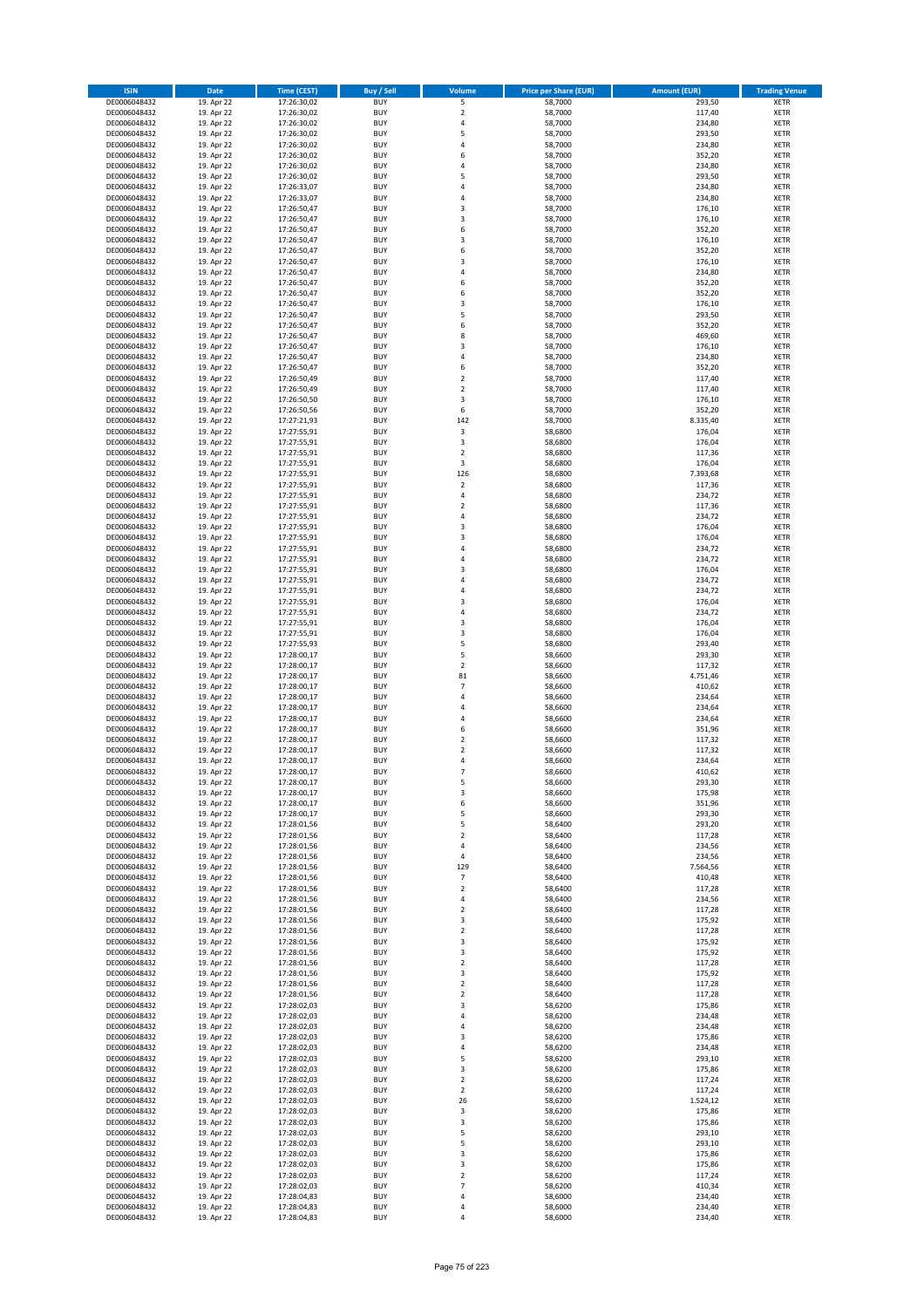| <b>ISIN</b>                  | <b>Date</b>              | <b>Time (CEST)</b>         | <b>Buy / Sell</b>        | Volume                        | <b>Price per Share (EUR)</b> | <b>Amount (EUR)</b> | <b>Trading Venue</b>       |
|------------------------------|--------------------------|----------------------------|--------------------------|-------------------------------|------------------------------|---------------------|----------------------------|
| DE0006048432                 | 19. Apr 22               | 17:26:30,02                | <b>BUY</b>               | 5                             | 58,7000                      | 293,50              | <b>XETR</b>                |
| DE0006048432                 | 19. Apr 22               | 17:26:30,02                | <b>BUY</b>               | $\mathbf 2$                   | 58,7000                      | 117,40              | <b>XETR</b>                |
| DE0006048432                 | 19. Apr 22               | 17:26:30,02                | <b>BUY</b>               | 4                             | 58,7000                      | 234,80              | <b>XETR</b>                |
| DE0006048432                 | 19. Apr 22               | 17:26:30,02                | <b>BUY</b>               | 5                             | 58,7000                      | 293,50              | <b>XETR</b>                |
| DE0006048432<br>DE0006048432 | 19. Apr 22<br>19. Apr 22 | 17:26:30,02<br>17:26:30,02 | <b>BUY</b><br><b>BUY</b> | 4<br>6                        | 58,7000<br>58,7000           | 234,80<br>352,20    | <b>XETR</b><br><b>XETR</b> |
| DE0006048432                 | 19. Apr 22               | 17:26:30,02                | <b>BUY</b>               | $\overline{a}$                | 58,7000                      | 234,80              | <b>XETR</b>                |
| DE0006048432                 | 19. Apr 22               | 17:26:30,02                | <b>BUY</b>               | 5                             | 58,7000                      | 293,50              | <b>XETR</b>                |
| DE0006048432                 | 19. Apr 22               | 17:26:33,07                | BUY                      | $\overline{a}$                | 58,7000                      | 234,80              | <b>XETR</b>                |
| DE0006048432                 | 19. Apr 22               | 17:26:33,07                | <b>BUY</b>               | 4                             | 58,7000                      | 234,80              | <b>XETR</b>                |
| DE0006048432                 | 19. Apr 22               | 17:26:50,47                | <b>BUY</b>               | 3                             | 58,7000                      | 176,10              | <b>XETR</b>                |
| DE0006048432                 | 19. Apr 22               | 17:26:50,47                | <b>BUY</b>               | $\overline{\mathbf{3}}$<br>6  | 58,7000                      | 176,10              | <b>XETR</b>                |
| DE0006048432<br>DE0006048432 | 19. Apr 22<br>19. Apr 22 | 17:26:50,47<br>17:26:50,47 | <b>BUY</b><br><b>BUY</b> | $\overline{\mathbf{3}}$       | 58,7000<br>58,7000           | 352,20<br>176,10    | <b>XETR</b><br><b>XETR</b> |
| DE0006048432                 | 19. Apr 22               | 17:26:50,47                | <b>BUY</b>               | 6                             | 58,7000                      | 352,20              | <b>XETR</b>                |
| DE0006048432                 | 19. Apr 22               | 17:26:50,47                | BUY                      | $\overline{3}$                | 58,7000                      | 176,10              | <b>XETR</b>                |
| DE0006048432                 | 19. Apr 22               | 17:26:50,47                | <b>BUY</b>               | 4                             | 58,7000                      | 234,80              | <b>XETR</b>                |
| DE0006048432                 | 19. Apr 22               | 17:26:50,47                | <b>BUY</b>               | 6                             | 58,7000                      | 352,20              | <b>XETR</b>                |
| DE0006048432                 | 19. Apr 22               | 17:26:50,47                | <b>BUY</b>               | 6<br>$\overline{\mathbf{3}}$  | 58,7000                      | 352,20              | <b>XETR</b>                |
| DE0006048432<br>DE0006048432 | 19. Apr 22<br>19. Apr 22 | 17:26:50,47<br>17:26:50,47 | <b>BUY</b><br><b>BUY</b> | 5                             | 58,7000<br>58,7000           | 176,10<br>293,50    | <b>XETR</b><br><b>XETR</b> |
| DE0006048432                 | 19. Apr 22               | 17:26:50,47                | <b>BUY</b>               | 6                             | 58,7000                      | 352,20              | <b>XETR</b>                |
| DE0006048432                 | 19. Apr 22               | 17:26:50,47                | <b>BUY</b>               | 8                             | 58,7000                      | 469,60              | <b>XETR</b>                |
| DE0006048432                 | 19. Apr 22               | 17:26:50,47                | <b>BUY</b>               | $\overline{\mathbf{3}}$       | 58,7000                      | 176,10              | <b>XETR</b>                |
| DE0006048432                 | 19. Apr 22               | 17:26:50,47                | <b>BUY</b>               | 4                             | 58,7000                      | 234,80              | <b>XETR</b>                |
| DE0006048432                 | 19. Apr 22               | 17:26:50,47                | <b>BUY</b>               | 6                             | 58,7000                      | 352,20              | <b>XETR</b>                |
| DE0006048432<br>DE0006048432 | 19. Apr 22<br>19. Apr 22 | 17:26:50,49                | <b>BUY</b><br><b>BUY</b> | $\mathbf 2$<br>$\overline{2}$ | 58,7000<br>58,7000           | 117,40<br>117,40    | <b>XETR</b><br><b>XETR</b> |
| DE0006048432                 | 19. Apr 22               | 17:26:50,49<br>17:26:50,50 | <b>BUY</b>               | 3                             | 58,7000                      | 176,10              | <b>XETR</b>                |
| DE0006048432                 | 19. Apr 22               | 17:26:50,56                | <b>BUY</b>               | 6                             | 58,7000                      | 352,20              | <b>XETR</b>                |
| DE0006048432                 | 19. Apr 22               | 17:27:21,93                | <b>BUY</b>               | 142                           | 58,7000                      | 8.335,40            | <b>XETR</b>                |
| DE0006048432                 | 19. Apr 22               | 17:27:55,91                | <b>BUY</b>               | 3                             | 58,6800                      | 176,04              | <b>XETR</b>                |
| DE0006048432                 | 19. Apr 22               | 17:27:55,91                | <b>BUY</b>               | 3                             | 58,6800                      | 176,04              | <b>XETR</b>                |
| DE0006048432                 | 19. Apr 22               | 17:27:55,91                | <b>BUY</b>               | $\overline{2}$                | 58,6800                      | 117,36              | <b>XETR</b>                |
| DE0006048432<br>DE0006048432 | 19. Apr 22<br>19. Apr 22 | 17:27:55,91<br>17:27:55,91 | <b>BUY</b><br><b>BUY</b> | 3<br>126                      | 58,6800<br>58,6800           | 176,04<br>7.393,68  | <b>XETR</b><br><b>XETR</b> |
| DE0006048432                 | 19. Apr 22               | 17:27:55,91                | <b>BUY</b>               | $\overline{2}$                | 58,6800                      | 117,36              | <b>XETR</b>                |
| DE0006048432                 | 19. Apr 22               | 17:27:55,91                | <b>BUY</b>               | $\overline{4}$                | 58,6800                      | 234,72              | <b>XETR</b>                |
| DE0006048432                 | 19. Apr 22               | 17:27:55,91                | <b>BUY</b>               | $\mathbf 2$                   | 58,6800                      | 117,36              | <b>XETR</b>                |
| DE0006048432                 | 19. Apr 22               | 17:27:55,91                | <b>BUY</b>               | 4                             | 58,6800                      | 234,72              | <b>XETR</b>                |
| DE0006048432                 | 19. Apr 22               | 17:27:55,91                | <b>BUY</b>               | $\overline{\mathbf{3}}$       | 58,6800                      | 176,04              | <b>XETR</b>                |
| DE0006048432<br>DE0006048432 | 19. Apr 22<br>19. Apr 22 | 17:27:55,91                | <b>BUY</b><br><b>BUY</b> | $\overline{\mathbf{3}}$<br>4  | 58,6800<br>58,6800           | 176,04<br>234,72    | <b>XETR</b><br><b>XETR</b> |
| DE0006048432                 | 19. Apr 22               | 17:27:55,91<br>17:27:55,91 | <b>BUY</b>               | $\overline{a}$                | 58,6800                      | 234,72              | <b>XETR</b>                |
| DE0006048432                 | 19. Apr 22               | 17:27:55,91                | <b>BUY</b>               | $\overline{\mathbf{3}}$       | 58,6800                      | 176,04              | <b>XETR</b>                |
| DE0006048432                 | 19. Apr 22               | 17:27:55,91                | <b>BUY</b>               | 4                             | 58,6800                      | 234,72              | <b>XETR</b>                |
| DE0006048432                 | 19. Apr 22               | 17:27:55,91                | <b>BUY</b>               | 4                             | 58,6800                      | 234,72              | <b>XETR</b>                |
| DE0006048432                 | 19. Apr 22               | 17:27:55,91                | <b>BUY</b>               | $\overline{3}$                | 58,6800                      | 176,04              | <b>XETR</b>                |
| DE0006048432<br>DE0006048432 | 19. Apr 22<br>19. Apr 22 | 17:27:55,91<br>17:27:55,91 | <b>BUY</b><br><b>BUY</b> | 4<br>$\overline{\mathbf{3}}$  | 58,6800<br>58,6800           | 234,72<br>176,04    | <b>XETR</b><br><b>XETR</b> |
| DE0006048432                 | 19. Apr 22               | 17:27:55,91                | <b>BUY</b>               | $\overline{\mathbf{3}}$       | 58,6800                      | 176,04              | <b>XETR</b>                |
| DE0006048432                 | 19. Apr 22               | 17:27:55,93                | <b>BUY</b>               | 5                             | 58,6800                      | 293,40              | <b>XETR</b>                |
| DE0006048432                 | 19. Apr 22               | 17:28:00,17                | <b>BUY</b>               | 5                             | 58,6600                      | 293,30              | <b>XETR</b>                |
| DE0006048432                 | 19. Apr 22               | 17:28:00,17                | <b>BUY</b>               | $\mathbf 2$                   | 58,6600                      | 117,32              | <b>XETR</b>                |
| DE0006048432                 | 19. Apr 22               | 17:28:00,17                | <b>BUY</b>               | 81                            | 58,6600                      | 4.751,46            | <b>XETR</b>                |
| DE0006048432                 | 19. Apr 22               | 17:28:00,17                | <b>BUY</b>               | $\overline{7}$                | 58,6600                      | 410,62              | <b>XETR</b>                |
| DE0006048432<br>DE0006048432 | 19. Apr 22<br>19. Apr 22 | 17:28:00,17<br>17:28:00,17 | <b>BUY</b><br><b>BUY</b> | $\overline{a}$<br>4           | 58,6600<br>58,6600           | 234,64<br>234,64    | <b>XETR</b><br><b>XETR</b> |
| DE0006048432                 | 19. Apr 22               | 17:28:00,17                | <b>BUY</b>               | $\overline{a}$                | 58,6600                      | 234,64              | <b>XETR</b>                |
| DE0006048432                 | 19. Apr 22               | 17:28:00,17                | <b>BUY</b>               | 6                             | 58,6600                      | 351,96              | <b>XETR</b>                |
| DE0006048432                 | 19. Apr 22               | 17:28:00,17                | <b>BUY</b>               | 2                             | 58,6600                      | 117,32              | <b>XETR</b>                |
| DE0006048432                 | 19. Apr 22               | 17:28:00,17                | BUY                      | $\overline{\mathbf{2}}$       | 58,6600                      | 117,32              | <b>XETR</b>                |
| DE0006048432                 | 19. Apr 22               | 17:28:00,17                | BUY                      | $\overline{a}$                | 58,6600                      | 234,64              | <b>XETR</b>                |
| DE0006048432<br>DE0006048432 | 19. Apr 22<br>19. Apr 22 | 17:28:00,17<br>17:28:00,17 | <b>BUY</b><br><b>BUY</b> | $\overline{7}$<br>5           | 58,6600<br>58,6600           | 410,62<br>293,30    | <b>XETR</b><br><b>XETR</b> |
| DE0006048432                 | 19. Apr 22               | 17:28:00,17                | <b>BUY</b>               | 3                             | 58,6600                      | 175,98              | <b>XETR</b>                |
| DE0006048432                 | 19. Apr 22               | 17:28:00,17                | <b>BUY</b>               | 6                             | 58,6600                      | 351,96              | <b>XETR</b>                |
| DE0006048432                 | 19. Apr 22               | 17:28:00,17                | <b>BUY</b>               | 5                             | 58,6600                      | 293,30              | <b>XETR</b>                |
| DE0006048432                 | 19. Apr 22               | 17:28:01,56                | <b>BUY</b>               | 5                             | 58,6400                      | 293,20              | <b>XETR</b>                |
| DE0006048432                 | 19. Apr 22               | 17:28:01,56                | <b>BUY</b>               | $\mathbf 2$                   | 58,6400                      | 117,28              | <b>XETR</b>                |
| DE0006048432                 | 19. Apr 22<br>19. Apr 22 | 17:28:01,56                | <b>BUY</b><br><b>BUY</b> | 4<br>4                        | 58,6400<br>58,6400           | 234,56<br>234,56    | <b>XETR</b>                |
| DE0006048432<br>DE0006048432 | 19. Apr 22               | 17:28:01,56<br>17:28:01,56 | <b>BUY</b>               | 129                           | 58,6400                      | 7.564,56            | <b>XETR</b><br><b>XETR</b> |
| DE0006048432                 | 19. Apr 22               | 17:28:01,56                | <b>BUY</b>               | $\overline{7}$                | 58,6400                      | 410,48              | <b>XETR</b>                |
| DE0006048432                 | 19. Apr 22               | 17:28:01,56                | <b>BUY</b>               | 2                             | 58,6400                      | 117,28              | <b>XETR</b>                |
| DE0006048432                 | 19. Apr 22               | 17:28:01,56                | <b>BUY</b>               | 4                             | 58,6400                      | 234,56              | <b>XETR</b>                |
| DE0006048432                 | 19. Apr 22               | 17:28:01,56                | <b>BUY</b>               | $\mathbf 2$                   | 58,6400                      | 117,28              | <b>XETR</b>                |
| DE0006048432                 | 19. Apr 22               | 17:28:01,56                | <b>BUY</b>               | 3                             | 58,6400                      | 175,92              | <b>XETR</b>                |
| DE0006048432<br>DE0006048432 | 19. Apr 22<br>19. Apr 22 | 17:28:01,56<br>17:28:01,56 | <b>BUY</b><br><b>BUY</b> | 2<br>3                        | 58,6400<br>58,6400           | 117,28<br>175,92    | <b>XETR</b><br><b>XETR</b> |
| DE0006048432                 | 19. Apr 22               | 17:28:01,56                | <b>BUY</b>               | 3                             | 58,6400                      | 175,92              | <b>XETR</b>                |
| DE0006048432                 | 19. Apr 22               | 17:28:01,56                | <b>BUY</b>               | $\mathbf 2$                   | 58,6400                      | 117,28              | <b>XETR</b>                |
| DE0006048432                 | 19. Apr 22               | 17:28:01,56                | <b>BUY</b>               | 3                             | 58,6400                      | 175,92              | <b>XETR</b>                |
| DE0006048432                 | 19. Apr 22               | 17:28:01,56                | <b>BUY</b>               | $\mathbf 2$                   | 58,6400                      | 117,28              | <b>XETR</b>                |
| DE0006048432                 | 19. Apr 22               | 17:28:01,56                | <b>BUY</b>               | $\overline{\mathbf{2}}$       | 58,6400                      | 117,28              | <b>XETR</b>                |
| DE0006048432<br>DE0006048432 | 19. Apr 22<br>19. Apr 22 | 17:28:02,03<br>17:28:02,03 | <b>BUY</b><br><b>BUY</b> | 3<br>4                        | 58,6200<br>58,6200           | 175,86<br>234,48    | <b>XETR</b><br><b>XETR</b> |
| DE0006048432                 | 19. Apr 22               | 17:28:02,03                | <b>BUY</b>               | 4                             | 58,6200                      | 234,48              | <b>XETR</b>                |
| DE0006048432                 | 19. Apr 22               | 17:28:02,03                | <b>BUY</b>               | $\overline{\mathbf{3}}$       | 58,6200                      | 175,86              | <b>XETR</b>                |
| DE0006048432                 | 19. Apr 22               | 17:28:02,03                | <b>BUY</b>               | 4                             | 58,6200                      | 234,48              | <b>XETR</b>                |
| DE0006048432                 | 19. Apr 22               | 17:28:02,03                | <b>BUY</b>               | 5                             | 58,6200                      | 293,10              | <b>XETR</b>                |
| DE0006048432                 | 19. Apr 22               | 17:28:02,03                | <b>BUY</b>               | $\overline{\mathbf{3}}$       | 58,6200                      | 175,86              | <b>XETR</b>                |
| DE0006048432                 | 19. Apr 22               | 17:28:02,03                | <b>BUY</b>               | 2                             | 58,6200                      | 117,24              | <b>XETR</b>                |
| DE0006048432<br>DE0006048432 | 19. Apr 22<br>19. Apr 22 | 17:28:02,03<br>17:28:02,03 | <b>BUY</b><br><b>BUY</b> | $\overline{2}$<br>26          | 58,6200<br>58,6200           | 117,24<br>1.524,12  | <b>XETR</b><br><b>XETR</b> |
| DE0006048432                 | 19. Apr 22               | 17:28:02,03                | <b>BUY</b>               | 3                             | 58,6200                      | 175,86              | <b>XETR</b>                |
| DE0006048432                 | 19. Apr 22               | 17:28:02,03                | <b>BUY</b>               | 3                             | 58,6200                      | 175,86              | <b>XETR</b>                |
| DE0006048432                 | 19. Apr 22               | 17:28:02,03                | <b>BUY</b>               | 5                             | 58,6200                      | 293,10              | <b>XETR</b>                |
| DE0006048432                 | 19. Apr 22               | 17:28:02,03                | <b>BUY</b>               | 5                             | 58,6200                      | 293,10              | <b>XETR</b>                |
| DE0006048432                 | 19. Apr 22               | 17:28:02,03                | <b>BUY</b>               | 3                             | 58,6200                      | 175,86              | <b>XETR</b>                |
| DE0006048432<br>DE0006048432 | 19. Apr 22<br>19. Apr 22 | 17:28:02,03<br>17:28:02,03 | <b>BUY</b><br><b>BUY</b> | 3<br>$\mathbf 2$              | 58,6200<br>58,6200           | 175,86<br>117,24    | <b>XETR</b><br><b>XETR</b> |
| DE0006048432                 | 19. Apr 22               | 17:28:02,03                | <b>BUY</b>               | 7                             | 58,6200                      | 410,34              | <b>XETR</b>                |
| DE0006048432                 | 19. Apr 22               | 17:28:04,83                | <b>BUY</b>               | 4                             | 58,6000                      | 234,40              | <b>XETR</b>                |
| DE0006048432                 | 19. Apr 22               | 17:28:04,83                | <b>BUY</b>               | 4                             | 58,6000                      | 234,40              | <b>XETR</b>                |
| DE0006048432                 | 19. Apr 22               | 17:28:04,83                | <b>BUY</b>               | 4                             | 58,6000                      | 234,40              | <b>XETR</b>                |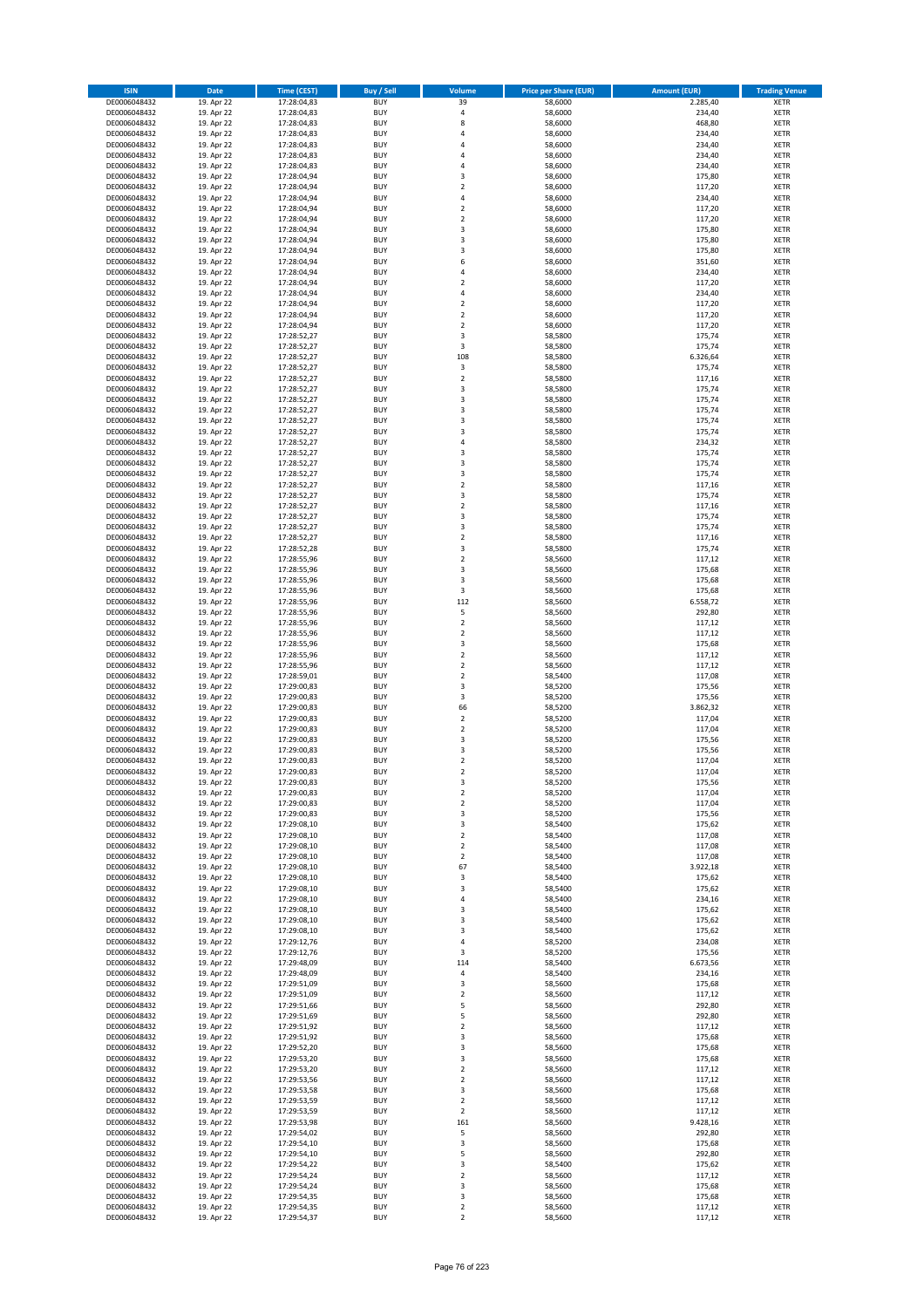| <b>ISIN</b>                  | <b>Date</b>              | <b>Time (CEST)</b>         | <b>Buy / Sell</b>        | Volume                                    | <b>Price per Share (EUR)</b> | <b>Amount (EUR)</b> | <b>Trading Venue</b>       |
|------------------------------|--------------------------|----------------------------|--------------------------|-------------------------------------------|------------------------------|---------------------|----------------------------|
| DE0006048432                 | 19. Apr 22               | 17:28:04,83                | <b>BUY</b>               | 39                                        | 58,6000                      | 2.285,40            | <b>XETR</b>                |
| DE0006048432                 | 19. Apr 22               | 17:28:04,83                | <b>BUY</b>               | 4                                         | 58,6000                      | 234,40              | <b>XETR</b>                |
| DE0006048432                 | 19. Apr 22               | 17:28:04,83                | <b>BUY</b>               | 8                                         | 58,6000                      | 468,80              | <b>XETR</b>                |
| DE0006048432                 | 19. Apr 22               | 17:28:04,83                | <b>BUY</b>               | 4                                         | 58,6000                      | 234,40              | <b>XETR</b>                |
| DE0006048432<br>DE0006048432 | 19. Apr 22<br>19. Apr 22 | 17:28:04,83<br>17:28:04,83 | <b>BUY</b><br><b>BUY</b> | 4<br>$\overline{a}$                       | 58,6000<br>58,6000           | 234,40<br>234,40    | <b>XETR</b><br><b>XETR</b> |
| DE0006048432                 | 19. Apr 22               | 17:28:04,83                | <b>BUY</b>               | $\overline{a}$                            | 58,6000                      | 234,40              | <b>XETR</b>                |
| DE0006048432                 | 19. Apr 22               | 17:28:04,94                | <b>BUY</b>               | $\overline{\mathbf{3}}$                   | 58,6000                      | 175,80              | <b>XETR</b>                |
| DE0006048432                 | 19. Apr 22               | 17:28:04,94                | BUY                      | $\overline{\phantom{a}}$                  | 58,6000                      | 117,20              | <b>XETR</b>                |
| DE0006048432                 | 19. Apr 22               | 17:28:04,94                | <b>BUY</b>               | 4                                         | 58,6000                      | 234,40              | <b>XETR</b>                |
| DE0006048432                 | 19. Apr 22               | 17:28:04,94                | <b>BUY</b>               | $\mathbf 2$                               | 58,6000                      | 117,20              | <b>XETR</b>                |
| DE0006048432                 | 19. Apr 22               | 17:28:04,94                | <b>BUY</b>               | $\overline{2}$<br>$\overline{\mathbf{3}}$ | 58,6000                      | 117,20              | <b>XETR</b>                |
| DE0006048432<br>DE0006048432 | 19. Apr 22<br>19. Apr 22 | 17:28:04,94<br>17:28:04,94 | <b>BUY</b><br><b>BUY</b> | $\overline{\mathbf{3}}$                   | 58,6000<br>58,6000           | 175,80<br>175,80    | <b>XETR</b><br><b>XETR</b> |
| DE0006048432                 | 19. Apr 22               | 17:28:04,94                | <b>BUY</b>               | $\overline{\mathbf{3}}$                   | 58,6000                      | 175,80              | <b>XETR</b>                |
| DE0006048432                 | 19. Apr 22               | 17:28:04,94                | BUY                      | 6                                         | 58,6000                      | 351,60              | <b>XETR</b>                |
| DE0006048432                 | 19. Apr 22               | 17:28:04,94                | <b>BUY</b>               | 4                                         | 58,6000                      | 234,40              | <b>XETR</b>                |
| DE0006048432                 | 19. Apr 22               | 17:28:04,94                | <b>BUY</b>               | $\overline{2}$                            | 58,6000                      | 117,20              | <b>XETR</b>                |
| DE0006048432                 | 19. Apr 22               | 17:28:04,94                | <b>BUY</b>               | 4                                         | 58,6000                      | 234,40              | <b>XETR</b>                |
| DE0006048432<br>DE0006048432 | 19. Apr 22<br>19. Apr 22 | 17:28:04,94<br>17:28:04,94 | <b>BUY</b><br><b>BUY</b> | $\overline{2}$<br>$\overline{2}$          | 58,6000<br>58,6000           | 117,20<br>117,20    | <b>XETR</b><br><b>XETR</b> |
| DE0006048432                 | 19. Apr 22               | 17:28:04,94                | <b>BUY</b>               | $\mathbf 2$                               | 58,6000                      | 117,20              | <b>XETR</b>                |
| DE0006048432                 | 19. Apr 22               | 17:28:52,27                | <b>BUY</b>               | 3                                         | 58,5800                      | 175,74              | <b>XETR</b>                |
| DE0006048432                 | 19. Apr 22               | 17:28:52,27                | <b>BUY</b>               | 3                                         | 58,5800                      | 175,74              | <b>XETR</b>                |
| DE0006048432                 | 19. Apr 22               | 17:28:52,27                | <b>BUY</b>               | 108                                       | 58,5800                      | 6.326,64            | <b>XETR</b>                |
| DE0006048432                 | 19. Apr 22               | 17:28:52,27                | <b>BUY</b>               | 3                                         | 58,5800                      | 175,74              | <b>XETR</b>                |
| DE0006048432                 | 19. Apr 22               | 17:28:52,27                | <b>BUY</b><br><b>BUY</b> | $\mathbf 2$<br>$\overline{\mathbf{3}}$    | 58,5800                      | 117,16              | <b>XETR</b><br><b>XETR</b> |
| DE0006048432<br>DE0006048432 | 19. Apr 22<br>19. Apr 22 | 17:28:52,27<br>17:28:52,27 | <b>BUY</b>               | 3                                         | 58,5800<br>58,5800           | 175,74<br>175,74    | <b>XETR</b>                |
| DE0006048432                 | 19. Apr 22               | 17:28:52,27                | <b>BUY</b>               | 3                                         | 58,5800                      | 175,74              | <b>XETR</b>                |
| DE0006048432                 | 19. Apr 22               | 17:28:52,27                | <b>BUY</b>               | $\overline{\mathbf{3}}$                   | 58,5800                      | 175,74              | <b>XETR</b>                |
| DE0006048432                 | 19. Apr 22               | 17:28:52,27                | <b>BUY</b>               | 3                                         | 58,5800                      | 175,74              | <b>XETR</b>                |
| DE0006048432                 | 19. Apr 22               | 17:28:52,27                | <b>BUY</b>               | 4                                         | 58,5800                      | 234,32              | <b>XETR</b>                |
| DE0006048432                 | 19. Apr 22               | 17:28:52,27                | <b>BUY</b>               | $\overline{\mathbf{3}}$                   | 58,5800                      | 175,74              | <b>XETR</b>                |
| DE0006048432<br>DE0006048432 | 19. Apr 22<br>19. Apr 22 | 17:28:52,27<br>17:28:52,27 | <b>BUY</b><br><b>BUY</b> | $\overline{\mathbf{3}}$<br>3              | 58,5800<br>58,5800           | 175,74<br>175,74    | <b>XETR</b><br><b>XETR</b> |
| DE0006048432                 | 19. Apr 22               | 17:28:52,27                | <b>BUY</b>               | $\overline{2}$                            | 58,5800                      | 117,16              | <b>XETR</b>                |
| DE0006048432                 | 19. Apr 22               | 17:28:52,27                | BUY                      | 3                                         | 58,5800                      | 175,74              | <b>XETR</b>                |
| DE0006048432                 | 19. Apr 22               | 17:28:52,27                | <b>BUY</b>               | $\mathbf 2$                               | 58,5800                      | 117,16              | <b>XETR</b>                |
| DE0006048432                 | 19. Apr 22               | 17:28:52,27                | <b>BUY</b>               | 3                                         | 58,5800                      | 175,74              | <b>XETR</b>                |
| DE0006048432                 | 19. Apr 22               | 17:28:52,27                | <b>BUY</b>               | $\overline{\mathbf{3}}$                   | 58,5800                      | 175,74              | <b>XETR</b>                |
| DE0006048432                 | 19. Apr 22               | 17:28:52,27                | <b>BUY</b><br><b>BUY</b> | $\overline{2}$<br>3                       | 58,5800                      | 117,16<br>175,74    | <b>XETR</b>                |
| DE0006048432<br>DE0006048432 | 19. Apr 22<br>19. Apr 22 | 17:28:52,28<br>17:28:55,96 | <b>BUY</b>               | $\overline{2}$                            | 58,5800<br>58,5600           | 117,12              | <b>XETR</b><br><b>XETR</b> |
| DE0006048432                 | 19. Apr 22               | 17:28:55,96                | <b>BUY</b>               | $\overline{\mathbf{3}}$                   | 58,5600                      | 175,68              | <b>XETR</b>                |
| DE0006048432                 | 19. Apr 22               | 17:28:55,96                | <b>BUY</b>               | 3                                         | 58,5600                      | 175,68              | <b>XETR</b>                |
| DE0006048432                 | 19. Apr 22               | 17:28:55,96                | <b>BUY</b>               | 3                                         | 58,5600                      | 175,68              | <b>XETR</b>                |
| DE0006048432                 | 19. Apr 22               | 17:28:55,96                | <b>BUY</b>               | 112                                       | 58,5600                      | 6.558,72            | <b>XETR</b>                |
| DE0006048432<br>DE0006048432 | 19. Apr 22               | 17:28:55,96                | <b>BUY</b><br><b>BUY</b> | 5<br>$\overline{2}$                       | 58,5600<br>58,5600           | 292,80<br>117,12    | <b>XETR</b><br><b>XETR</b> |
| DE0006048432                 | 19. Apr 22<br>19. Apr 22 | 17:28:55,96<br>17:28:55,96 | <b>BUY</b>               | $\overline{2}$                            | 58,5600                      | 117,12              | <b>XETR</b>                |
| DE0006048432                 | 19. Apr 22               | 17:28:55,96                | <b>BUY</b>               | $\overline{\mathbf{3}}$                   | 58,5600                      | 175,68              | <b>XETR</b>                |
| DE0006048432                 | 19. Apr 22               | 17:28:55,96                | <b>BUY</b>               | $\overline{2}$                            | 58,5600                      | 117,12              | <b>XETR</b>                |
| DE0006048432                 | 19. Apr 22               | 17:28:55,96                | <b>BUY</b>               | $\mathbf 2$                               | 58,5600                      | 117,12              | <b>XETR</b>                |
| DE0006048432                 | 19. Apr 22               | 17:28:59,01                | <b>BUY</b>               | $\overline{2}$                            | 58,5400                      | 117,08              | <b>XETR</b>                |
| DE0006048432                 | 19. Apr 22               | 17:29:00,83                | <b>BUY</b>               | 3                                         | 58,5200                      | 175,56              | <b>XETR</b>                |
| DE0006048432<br>DE0006048432 | 19. Apr 22<br>19. Apr 22 | 17:29:00,83<br>17:29:00,83 | <b>BUY</b><br><b>BUY</b> | 3<br>66                                   | 58,5200<br>58,5200           | 175,56<br>3.862,32  | <b>XETR</b><br><b>XETR</b> |
| DE0006048432                 | 19. Apr 22               | 17:29:00,83                | <b>BUY</b>               | $\overline{2}$                            | 58,5200                      | 117,04              | <b>XETR</b>                |
| DE0006048432                 | 19. Apr 22               | 17:29:00,83                | <b>BUY</b>               | $\overline{2}$                            | 58,5200                      | 117,04              | <b>XETR</b>                |
| DE0006048432                 | 19. Apr 22               | 17:29:00,83                | <b>BUY</b>               | 3                                         | 58,5200                      | 175,56              | <b>XETR</b>                |
| DE0006048432                 | 19. Apr 22               | 17:29:00,83                | BUY                      | $\overline{\mathbf{3}}$                   | 58,5200                      | 175,56              | <b>XETR</b>                |
| DE0006048432                 | 19. Apr 22               | 17:29:00,83                | BUY                      | $\mathbf 2$                               | 58,5200                      | 117,04              | <b>XETR</b>                |
| DE0006048432<br>DE0006048432 | 19. Apr 22<br>19. Apr 22 | 17:29:00,83<br>17:29:00,83 | <b>BUY</b><br><b>BUY</b> | $\overline{2}$<br>3                       | 58,5200<br>58,5200           | 117,04              | <b>XETR</b><br><b>XETR</b> |
| DE0006048432                 | 19. Apr 22               | 17:29:00,83                | <b>BUY</b>               | $\mathbf 2$                               | 58,5200                      | 175,56<br>117,04    | <b>XETR</b>                |
| DE0006048432                 | 19. Apr 22               | 17:29:00,83                | <b>BUY</b>               | $\mathbf 2$                               | 58,5200                      | 117,04              | <b>XETR</b>                |
| DE0006048432                 | 19. Apr 22               | 17:29:00,83                | <b>BUY</b>               | 3                                         | 58,5200                      | 175,56              | <b>XETR</b>                |
| DE0006048432                 | 19. Apr 22               | 17:29:08,10                | <b>BUY</b>               | 3                                         | 58,5400                      | 175,62              | <b>XETR</b>                |
| DE0006048432                 | 19. Apr 22               | 17:29:08,10                | <b>BUY</b>               | $\mathbf 2$                               | 58,5400                      | 117,08              | <b>XETR</b>                |
| DE0006048432<br>DE0006048432 | 19. Apr 22<br>19. Apr 22 | 17:29:08,10                | <b>BUY</b><br><b>BUY</b> | 2                                         | 58,5400<br>58,5400           | 117,08<br>117,08    | <b>XETR</b>                |
| DE0006048432                 | 19. Apr 22               | 17:29:08,10<br>17:29:08,10 | <b>BUY</b>               | 2<br>67                                   | 58,5400                      | 3.922,18            | <b>XETR</b><br><b>XETR</b> |
| DE0006048432                 | 19. Apr 22               | 17:29:08,10                | <b>BUY</b>               | 3                                         | 58,5400                      | 175,62              | <b>XETR</b>                |
| DE0006048432                 | 19. Apr 22               | 17:29:08,10                | <b>BUY</b>               | 3                                         | 58,5400                      | 175,62              | <b>XETR</b>                |
| DE0006048432                 | 19. Apr 22               | 17:29:08,10                | <b>BUY</b>               | 4                                         | 58,5400                      | 234,16              | <b>XETR</b>                |
| DE0006048432                 | 19. Apr 22<br>19. Apr 22 | 17:29:08,10<br>17:29:08,10 | <b>BUY</b><br><b>BUY</b> | 3<br>3                                    | 58,5400                      | 175,62              | <b>XETR</b>                |
| DE0006048432<br>DE0006048432 | 19. Apr 22               | 17:29:08,10                | <b>BUY</b>               | 3                                         | 58,5400<br>58,5400           | 175,62<br>175,62    | <b>XETR</b><br><b>XETR</b> |
| DE0006048432                 | 19. Apr 22               | 17:29:12,76                | <b>BUY</b>               | $\overline{a}$                            | 58,5200                      | 234,08              | <b>XETR</b>                |
| DE0006048432                 | 19. Apr 22               | 17:29:12,76                | <b>BUY</b>               | 3                                         | 58,5200                      | 175,56              | <b>XETR</b>                |
| DE0006048432                 | 19. Apr 22               | 17:29:48,09                | <b>BUY</b>               | 114                                       | 58,5400                      | 6.673,56            | <b>XETR</b>                |
| DE0006048432                 | 19. Apr 22               | 17:29:48,09                | <b>BUY</b>               | 4                                         | 58,5400                      | 234,16              | <b>XETR</b>                |
| DE0006048432                 | 19. Apr 22               | 17:29:51,09                | <b>BUY</b>               | $\mathsf 3$                               | 58,5600                      | 175,68              | <b>XETR</b>                |
| DE0006048432<br>DE0006048432 | 19. Apr 22<br>19. Apr 22 | 17:29:51,09<br>17:29:51,66 | <b>BUY</b><br><b>BUY</b> | $\overline{2}$<br>5                       | 58,5600<br>58,5600           | 117,12<br>292,80    | <b>XETR</b><br><b>XETR</b> |
| DE0006048432                 | 19. Apr 22               | 17:29:51,69                | <b>BUY</b>               | 5                                         | 58,5600                      | 292,80              | <b>XETR</b>                |
| DE0006048432                 | 19. Apr 22               | 17:29:51,92                | <b>BUY</b>               | $\mathbf 2$                               | 58,5600                      | 117,12              | <b>XETR</b>                |
| DE0006048432                 | 19. Apr 22               | 17:29:51,92                | <b>BUY</b>               | 3                                         | 58,5600                      | 175,68              | <b>XETR</b>                |
| DE0006048432                 | 19. Apr 22               | 17:29:52,20                | <b>BUY</b>               | 3                                         | 58,5600                      | 175,68              | <b>XETR</b>                |
| DE0006048432                 | 19. Apr 22               | 17:29:53,20                | <b>BUY</b>               | 3                                         | 58,5600                      | 175,68              | <b>XETR</b>                |
| DE0006048432                 | 19. Apr 22               | 17:29:53,20                | <b>BUY</b>               | $\overline{2}$                            | 58,5600                      | 117,12              | <b>XETR</b>                |
| DE0006048432<br>DE0006048432 | 19. Apr 22<br>19. Apr 22 | 17:29:53,56<br>17:29:53,58 | <b>BUY</b><br><b>BUY</b> | 2<br>3                                    | 58,5600<br>58,5600           | 117,12<br>175,68    | <b>XETR</b><br><b>XETR</b> |
| DE0006048432                 | 19. Apr 22               | 17:29:53,59                | <b>BUY</b>               | $\mathbf 2$                               | 58,5600                      | 117,12              | <b>XETR</b>                |
| DE0006048432                 | 19. Apr 22               | 17:29:53,59                | <b>BUY</b>               | $\mathbf 2$                               | 58,5600                      | 117,12              | <b>XETR</b>                |
| DE0006048432                 | 19. Apr 22               | 17:29:53,98                | <b>BUY</b>               | 161                                       | 58,5600                      | 9.428,16            | <b>XETR</b>                |
| DE0006048432                 | 19. Apr 22               | 17:29:54,02                | <b>BUY</b>               | 5                                         | 58,5600                      | 292,80              | <b>XETR</b>                |
| DE0006048432                 | 19. Apr 22               | 17:29:54,10                | <b>BUY</b>               | 3                                         | 58,5600                      | 175,68              | <b>XETR</b>                |
| DE0006048432<br>DE0006048432 | 19. Apr 22<br>19. Apr 22 | 17:29:54,10<br>17:29:54,22 | <b>BUY</b><br><b>BUY</b> | 5<br>3                                    | 58,5600<br>58,5400           | 292,80<br>175,62    | <b>XETR</b><br><b>XETR</b> |
| DE0006048432                 | 19. Apr 22               | 17:29:54,24                | <b>BUY</b>               | $\mathbf 2$                               | 58,5600                      | 117,12              | <b>XETR</b>                |
| DE0006048432                 | 19. Apr 22               | 17:29:54,24                | <b>BUY</b>               | 3                                         | 58,5600                      | 175,68              | <b>XETR</b>                |
| DE0006048432                 | 19. Apr 22               | 17:29:54,35                | <b>BUY</b>               | 3                                         | 58,5600                      | 175,68              | <b>XETR</b>                |
| DE0006048432                 | 19. Apr 22               | 17:29:54,35                | <b>BUY</b>               | $\mathbf 2$                               | 58,5600                      | 117,12              | <b>XETR</b>                |
| DE0006048432                 | 19. Apr 22               | 17:29:54,37                | <b>BUY</b>               | $\mathbf 2$                               | 58,5600                      | 117,12              | <b>XETR</b>                |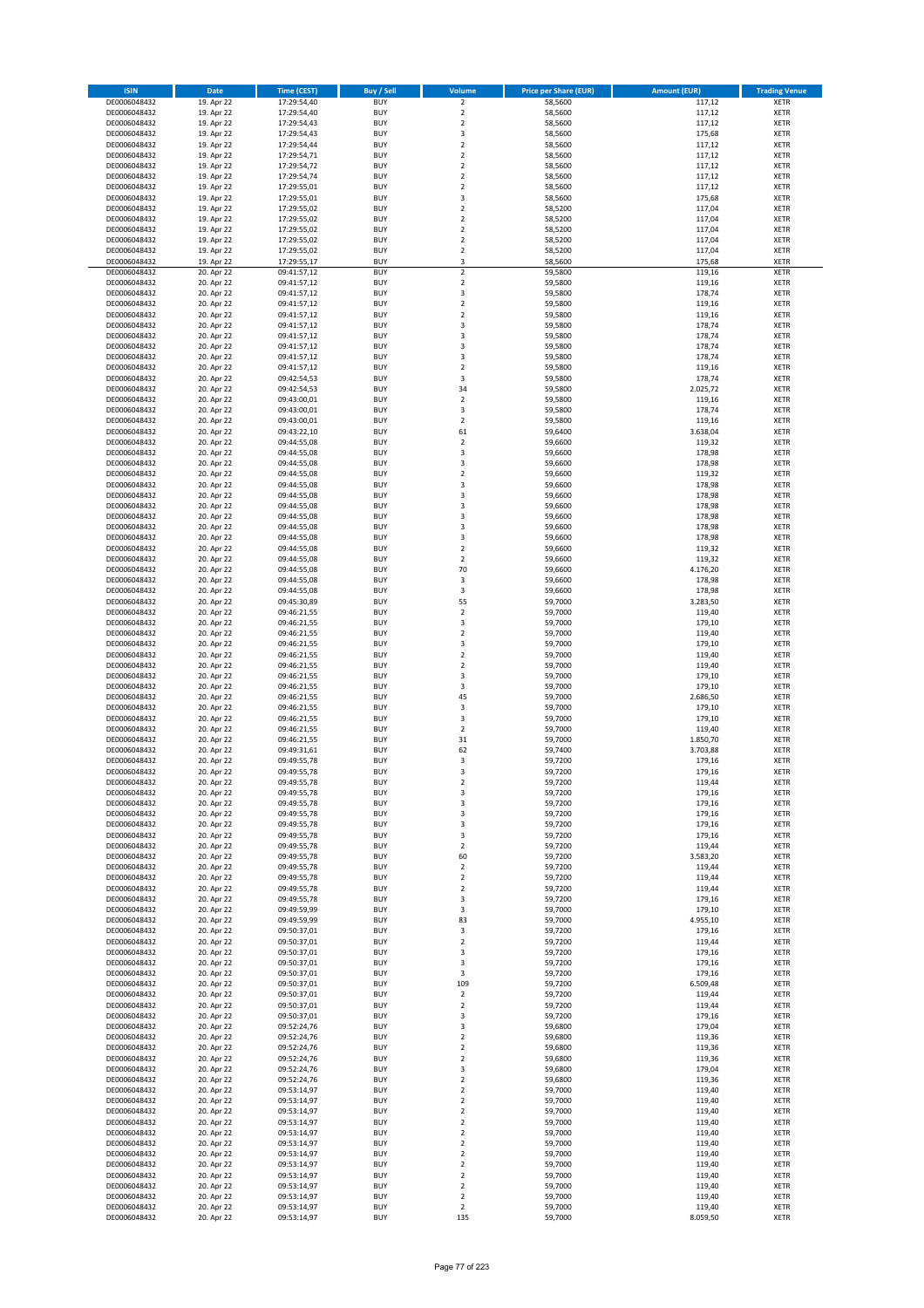| <b>ISIN</b>                  | Date                     | <b>Time (CEST)</b>         | <b>Buy / Sell</b>        | <b>Volume</b>                    | <b>Price per Share (EUR)</b> | <b>Amount (EUR)</b> | <b>Trading Venue</b>       |
|------------------------------|--------------------------|----------------------------|--------------------------|----------------------------------|------------------------------|---------------------|----------------------------|
| DE0006048432                 | 19. Apr 22               | 17:29:54,40                | <b>BUY</b>               | $\overline{2}$                   | 58,5600                      | 117,12              | <b>XETR</b>                |
| DE0006048432                 | 19. Apr 22               | 17:29:54,40                | <b>BUY</b>               | $\overline{2}$                   | 58,5600                      | 117,12              | <b>XETR</b>                |
| DE0006048432                 | 19. Apr 22               | 17:29:54,43                | <b>BUY</b>               | $\overline{2}$                   | 58,5600                      | 117,12              | <b>XETR</b>                |
| DE0006048432                 | 19. Apr 22               | 17:29:54,43                | <b>BUY</b>               | 3                                | 58,5600                      | 175,68              | <b>XETR</b>                |
| DE0006048432                 | 19. Apr 22               | 17:29:54,44                | <b>BUY</b>               | $\overline{2}$                   | 58,5600                      | 117,12              | <b>XETR</b>                |
| DE0006048432                 | 19. Apr 22               | 17:29:54,71                | <b>BUY</b>               | 2                                | 58,5600                      | 117,12              | <b>XETR</b>                |
| DE0006048432                 | 19. Apr 22               | 17:29:54,72                | <b>BUY</b>               | $\overline{2}$                   | 58,5600                      | 117,12              | <b>XETR</b>                |
| DE0006048432                 | 19. Apr 22               | 17:29:54,74                | <b>BUY</b>               | $\overline{2}$                   | 58,5600                      | 117,12              | <b>XETR</b>                |
| DE0006048432                 | 19. Apr 22               | 17:29:55,01                | <b>BUY</b>               | $\overline{2}$                   | 58,5600                      | 117,12              | <b>XETR</b>                |
| DE0006048432                 | 19. Apr 22               | 17:29:55,01                | <b>BUY</b>               | 3                                | 58,5600                      | 175,68              | <b>XETR</b>                |
| DE0006048432                 | 19. Apr 22               | 17:29:55,02                | <b>BUY</b>               | $\mathbf 2$                      | 58,5200                      | 117,04              | <b>XETR</b>                |
| DE0006048432                 | 19. Apr 22               | 17:29:55,02                | <b>BUY</b>               | $\overline{2}$                   | 58,5200                      | 117,04              | <b>XETR</b>                |
| DE0006048432<br>DE0006048432 | 19. Apr 22<br>19. Apr 22 | 17:29:55,02                | <b>BUY</b><br><b>BUY</b> | $\mathbf 2$<br>$\overline{2}$    | 58,5200<br>58,5200           | 117,04<br>117,04    | <b>XETR</b><br><b>XETR</b> |
| DE0006048432                 | 19. Apr 22               | 17:29:55,02<br>17:29:55,02 | <b>BUY</b>               | $\overline{2}$                   | 58,5200                      | 117,04              | <b>XETR</b>                |
| DE0006048432                 | 19. Apr 22               | 17:29:55,17                | <b>BUY</b>               | 3                                | 58,5600                      | 175,68              | <b>XETR</b>                |
| DE0006048432                 | 20. Apr 22               | 09:41:57,12                | <b>BUY</b>               | $\overline{2}$                   | 59,5800                      | 119,16              | <b>XETR</b>                |
| DE0006048432                 | 20. Apr 22               | 09:41:57,12                | <b>BUY</b>               | $\mathbf 2$                      | 59,5800                      | 119,16              | <b>XETR</b>                |
| DE0006048432                 | 20. Apr 22               | 09:41:57,12                | <b>BUY</b>               | 3                                | 59,5800                      | 178,74              | <b>XETR</b>                |
| DE0006048432                 | 20. Apr 22               | 09:41:57,12                | <b>BUY</b>               | $\mathbf 2$                      | 59,5800                      | 119,16              | <b>XETR</b>                |
| DE0006048432                 | 20. Apr 22               | 09:41:57,12                | <b>BUY</b>               | $\overline{2}$                   | 59,5800                      | 119,16              | <b>XETR</b>                |
| DE0006048432                 | 20. Apr 22               | 09:41:57,12                | <b>BUY</b>               | 3                                | 59,5800                      | 178,74              | <b>XETR</b>                |
| DE0006048432                 | 20. Apr 22               | 09:41:57,12                | <b>BUY</b>               | 3                                | 59,5800                      | 178,74              | <b>XETR</b>                |
| DE0006048432                 | 20. Apr 22               | 09:41:57,12                | <b>BUY</b>               | 3                                | 59,5800                      | 178,74              | <b>XETR</b>                |
| DE0006048432                 | 20. Apr 22               | 09:41:57,12                | <b>BUY</b>               | 3                                | 59,5800                      | 178,74              | <b>XETR</b>                |
| DE0006048432                 | 20. Apr 22               | 09:41:57,12                | <b>BUY</b>               | $\overline{2}$                   | 59,5800                      | 119,16              | <b>XETR</b>                |
| DE0006048432                 | 20. Apr 22               | 09:42:54,53                | <b>BUY</b>               | 3                                | 59,5800                      | 178,74              | <b>XETR</b>                |
| DE0006048432<br>DE0006048432 | 20. Apr 22<br>20. Apr 22 | 09:42:54,53<br>09:43:00,01 | <b>BUY</b><br><b>BUY</b> | 34<br>$\overline{2}$             | 59,5800<br>59,5800           | 2.025,72<br>119,16  | <b>XETR</b><br><b>XETR</b> |
| DE0006048432                 | 20. Apr 22               | 09:43:00,01                | <b>BUY</b>               | 3                                | 59,5800                      | 178,74              | <b>XETR</b>                |
| DE0006048432                 | 20. Apr 22               | 09:43:00,01                | <b>BUY</b>               | $\overline{2}$                   | 59,5800                      | 119,16              | <b>XETR</b>                |
| DE0006048432                 | 20. Apr 22               | 09:43:22,10                | <b>BUY</b>               | 61                               | 59,6400                      | 3.638,04            | <b>XETR</b>                |
| DE0006048432                 | 20. Apr 22               | 09:44:55,08                | <b>BUY</b>               | $\overline{2}$                   | 59,6600                      | 119,32              | <b>XETR</b>                |
| DE0006048432                 | 20. Apr 22               | 09:44:55,08                | <b>BUY</b>               | 3                                | 59,6600                      | 178,98              | <b>XETR</b>                |
| DE0006048432                 | 20. Apr 22               | 09:44:55,08                | <b>BUY</b>               | 3                                | 59,6600                      | 178,98              | <b>XETR</b>                |
| DE0006048432                 | 20. Apr 22               | 09:44:55,08                | <b>BUY</b>               | $\mathbf 2$                      | 59,6600                      | 119,32              | <b>XETR</b>                |
| DE0006048432                 | 20. Apr 22               | 09:44:55,08                | <b>BUY</b>               | 3                                | 59,6600                      | 178,98              | <b>XETR</b>                |
| DE0006048432                 | 20. Apr 22               | 09:44:55,08                | <b>BUY</b>               | 3                                | 59,6600                      | 178,98              | <b>XETR</b>                |
| DE0006048432                 | 20. Apr 22               | 09:44:55,08                | <b>BUY</b>               | 3                                | 59,6600                      | 178,98              | <b>XETR</b>                |
| DE0006048432                 | 20. Apr 22               | 09:44:55,08                | <b>BUY</b>               | 3                                | 59,6600                      | 178,98              | <b>XETR</b>                |
| DE0006048432                 | 20. Apr 22               | 09:44:55,08                | <b>BUY</b>               | 3                                | 59,6600                      | 178,98              | <b>XETR</b>                |
| DE0006048432                 | 20. Apr 22               | 09:44:55,08                | <b>BUY</b>               | 3                                | 59,6600                      | 178,98              | <b>XETR</b>                |
| DE0006048432                 | 20. Apr 22               | 09:44:55,08                | <b>BUY</b>               | $\overline{2}$                   | 59,6600                      | 119,32              | <b>XETR</b>                |
| DE0006048432                 | 20. Apr 22               | 09:44:55,08                | <b>BUY</b>               | $\overline{2}$                   | 59,6600                      | 119,32              | <b>XETR</b>                |
| DE0006048432                 | 20. Apr 22               | 09:44:55,08                | <b>BUY</b><br><b>BUY</b> | 70<br>3                          | 59,6600                      | 4.176,20            | <b>XETR</b><br><b>XETR</b> |
| DE0006048432                 | 20. Apr 22<br>20. Apr 22 | 09:44:55,08<br>09:44:55,08 |                          | 3                                | 59,6600                      | 178,98<br>178,98    |                            |
| DE0006048432<br>DE0006048432 | 20. Apr 22               | 09:45:30,89                | <b>BUY</b><br><b>BUY</b> | 55                               | 59,6600<br>59,7000           | 3.283,50            | <b>XETR</b><br><b>XETR</b> |
| DE0006048432                 | 20. Apr 22               | 09:46:21,55                | <b>BUY</b>               | $\mathbf 2$                      | 59,7000                      | 119,40              | <b>XETR</b>                |
| DE0006048432                 | 20. Apr 22               | 09:46:21,55                | <b>BUY</b>               | 3                                | 59,7000                      | 179,10              | <b>XETR</b>                |
| DE0006048432                 | 20. Apr 22               | 09:46:21,55                | <b>BUY</b>               | $\overline{2}$                   | 59,7000                      | 119,40              | <b>XETR</b>                |
| DE0006048432                 | 20. Apr 22               | 09:46:21,55                | <b>BUY</b>               | 3                                | 59,7000                      | 179,10              | <b>XETR</b>                |
| DE0006048432                 | 20. Apr 22               | 09:46:21,55                | <b>BUY</b>               | $\overline{2}$                   | 59,7000                      | 119,40              | <b>XETR</b>                |
| DE0006048432                 | 20. Apr 22               | 09:46:21,55                | <b>BUY</b>               | $\overline{2}$                   | 59,7000                      | 119,40              | <b>XETR</b>                |
| DE0006048432                 | 20. Apr 22               | 09:46:21,55                | <b>BUY</b>               | 3                                | 59,7000                      | 179,10              | <b>XETR</b>                |
| DE0006048432                 | 20. Apr 22               | 09:46:21,55                | <b>BUY</b>               | 3                                | 59,7000                      | 179,10              | <b>XETR</b>                |
| DE0006048432                 | 20. Apr 22               | 09:46:21,55                | <b>BUY</b>               | 45                               | 59,7000                      | 2.686,50            | <b>XETR</b>                |
| DE0006048432                 | 20. Apr 22               | 09:46:21,55                | <b>BUY</b>               | 3                                | 59,7000                      | 179,10              | <b>XETR</b>                |
| DE0006048432                 | 20. Apr 22               | 09:46:21,55                | <b>BUY</b>               | 3                                | 59,7000                      | 179,10              | <b>XETR</b>                |
| DE0006048432                 | 20. Apr 22               | 09:46:21,55                | <b>BUY</b>               | $\overline{2}$                   | 59,7000                      | 119,40              | <b>XETR</b>                |
| DE0006048432                 | 20. Apr 22               | 09:46:21,55                | <b>BUY</b>               | 31                               | 59,7000                      | 1.850,70            | <b>XETR</b>                |
| DE0006048432                 | 20. Apr 22               | 09:49:31,61<br>09:49:55,78 | <b>BUY</b><br><b>BUY</b> | 62                               | 59,7400                      | 3.703,88<br>179,16  | <b>XETR</b><br><b>XETR</b> |
| DE0006048432<br>DE0006048432 | 20. Apr 22<br>20. Apr 22 |                            | <b>BUY</b>               | 3<br>$\overline{3}$              | 59,7200<br>59,7200           | 179,16              | <b>XETR</b>                |
| DE0006048432                 | 20. Apr 22               | 09:49:55,78<br>09:49:55,78 | BUY                      | $\overline{2}$                   | 59,7200                      | 119,44              | <b>XETR</b>                |
| DE0006048432                 | 20. Apr 22               | 09:49:55,78                | <b>BUY</b>               | 3                                | 59,7200                      | 179,16              | <b>XETR</b>                |
| DE0006048432                 | 20. Apr 22               | 09:49:55,78                | <b>BUY</b>               | 3                                | 59,7200                      | 179,16              | <b>XETR</b>                |
| DE0006048432                 | 20. Apr 22               | 09:49:55,78                | <b>BUY</b>               | 3                                | 59,7200                      | 179,16              | <b>XETR</b>                |
| DE0006048432                 | 20. Apr 22               | 09:49:55,78                | <b>BUY</b>               | 3                                | 59,7200                      | 179,16              | <b>XETR</b>                |
| DE0006048432                 | 20. Apr 22               | 09:49:55,78                | <b>BUY</b>               | 3                                | 59,7200                      | 179,16              | <b>XETR</b>                |
| DE0006048432                 | 20. Apr 22               | 09:49:55,78                | <b>BUY</b>               | $\overline{2}$                   | 59,7200                      | 119,44              | <b>XETR</b>                |
| DE0006048432                 | 20. Apr 22               | 09:49:55,78                | <b>BUY</b>               | 60                               | 59,7200                      | 3.583,20            | <b>XETR</b>                |
| DE0006048432                 | 20. Apr 22               | 09:49:55,78                | <b>BUY</b>               | $\overline{2}$                   | 59,7200                      | 119,44              | <b>XETR</b>                |
| DE0006048432                 | 20. Apr 22               | 09:49:55,78                | <b>BUY</b>               | $\overline{2}$                   | 59,7200                      | 119,44              | <b>XETR</b>                |
| DE0006048432                 | 20. Apr 22               | 09:49:55,78                | <b>BUY</b>               | $\overline{2}$                   | 59,7200                      | 119,44              | <b>XETR</b>                |
| DE0006048432<br>DE0006048432 | 20. Apr 22<br>20. Apr 22 | 09:49:55,78<br>09:49:59,99 | <b>BUY</b><br><b>BUY</b> | 3<br>3                           | 59,7200<br>59,7000           | 179,16<br>179,10    | <b>XETR</b><br><b>XETR</b> |
| DE0006048432                 | 20. Apr 22               | 09:49:59,99                | <b>BUY</b>               | 83                               | 59,7000                      | 4.955,10            | <b>XETR</b>                |
| DE0006048432                 | 20. Apr 22               | 09:50:37,01                | <b>BUY</b>               | 3                                | 59,7200                      | 179,16              | <b>XETR</b>                |
| DE0006048432                 | 20. Apr 22               | 09:50:37,01                | <b>BUY</b>               | $\overline{2}$                   | 59,7200                      | 119,44              | <b>XETR</b>                |
| DE0006048432                 | 20. Apr 22               | 09:50:37,01                | <b>BUY</b>               | 3                                | 59,7200                      | 179,16              | <b>XETR</b>                |
| DE0006048432                 | 20. Apr 22               | 09:50:37,01                | <b>BUY</b>               | 3                                | 59,7200                      | 179,16              | <b>XETR</b>                |
| DE0006048432                 | 20. Apr 22               | 09:50:37,01                | <b>BUY</b>               | 3                                | 59,7200                      | 179,16              | <b>XETR</b>                |
| DE0006048432                 | 20. Apr 22               | 09:50:37,01                | <b>BUY</b>               | 109                              | 59,7200                      | 6.509,48            | <b>XETR</b>                |
| DE0006048432                 | 20. Apr 22               | 09:50:37,01                | <b>BUY</b>               | $\overline{2}$                   | 59,7200                      | 119,44              | <b>XETR</b>                |
| DE0006048432                 | 20. Apr 22               | 09:50:37,01                | <b>BUY</b>               | $\overline{2}$                   | 59,7200                      | 119,44              | <b>XETR</b>                |
| DE0006048432                 | 20. Apr 22               | 09:50:37,01                | <b>BUY</b>               | 3                                | 59,7200                      | 179,16              | <b>XETR</b>                |
| DE0006048432                 | 20. Apr 22               | 09:52:24,76                | <b>BUY</b>               | 3                                | 59,6800                      | 179,04              | <b>XETR</b>                |
| DE0006048432                 | 20. Apr 22<br>20. Apr 22 | 09:52:24,76                | <b>BUY</b>               | $\overline{2}$<br>$\overline{2}$ | 59,6800                      | 119,36              | <b>XETR</b>                |
| DE0006048432<br>DE0006048432 | 20. Apr 22               | 09:52:24,76<br>09:52:24,76 | <b>BUY</b><br><b>BUY</b> | $\overline{2}$                   | 59,6800<br>59,6800           | 119,36<br>119,36    | <b>XETR</b><br><b>XETR</b> |
| DE0006048432                 | 20. Apr 22               | 09:52:24,76                | <b>BUY</b>               | 3                                | 59,6800                      | 179,04              | <b>XETR</b>                |
| DE0006048432                 | 20. Apr 22               | 09:52:24,76                | <b>BUY</b>               | $\overline{2}$                   | 59,6800                      | 119,36              | <b>XETR</b>                |
| DE0006048432                 | 20. Apr 22               | 09:53:14,97                | <b>BUY</b>               | $\overline{2}$                   | 59,7000                      | 119,40              | <b>XETR</b>                |
| DE0006048432                 | 20. Apr 22               | 09:53:14,97                | <b>BUY</b>               | $\overline{2}$                   | 59,7000                      | 119,40              | <b>XETR</b>                |
| DE0006048432                 | 20. Apr 22               | 09:53:14,97                | <b>BUY</b>               | $\overline{2}$                   | 59,7000                      | 119,40              | <b>XETR</b>                |
| DE0006048432                 | 20. Apr 22               | 09:53:14,97                | <b>BUY</b>               | $\overline{2}$                   | 59,7000                      | 119,40              | <b>XETR</b>                |
| DE0006048432                 | 20. Apr 22               | 09:53:14,97                | <b>BUY</b>               | $\overline{2}$                   | 59,7000                      | 119,40              | <b>XETR</b>                |
| DE0006048432                 | 20. Apr 22               | 09:53:14,97                | <b>BUY</b>               | $\overline{2}$                   | 59,7000                      | 119,40              | <b>XETR</b>                |
| DE0006048432                 | 20. Apr 22               | 09:53:14,97                | <b>BUY</b>               | $\overline{2}$                   | 59,7000                      | 119,40              | <b>XETR</b>                |
| DE0006048432                 | 20. Apr 22               | 09:53:14,97                | <b>BUY</b>               | $\overline{2}$                   | 59,7000                      | 119,40              | <b>XETR</b>                |
| DE0006048432                 | 20. Apr 22               | 09:53:14,97                | <b>BUY</b>               | $\overline{2}$                   | 59,7000                      | 119,40              | <b>XETR</b>                |
| DE0006048432                 | 20. Apr 22               | 09:53:14,97                | <b>BUY</b>               | $\overline{2}$                   | 59,7000                      | 119,40              | <b>XETR</b>                |
| DE0006048432                 | 20. Apr 22               | 09:53:14,97                | <b>BUY</b>               | $\mathbf 2$                      | 59,7000                      | 119,40              | <b>XETR</b>                |
| DE0006048432                 | 20. Apr 22               | 09:53:14,97                | <b>BUY</b>               | $\overline{2}$                   | 59,7000                      | 119,40              | <b>XETR</b>                |
| DE0006048432                 | 20. Apr 22               | 09:53:14,97                | <b>BUY</b>               | 135                              | 59,7000                      | 8.059,50            | <b>XETR</b>                |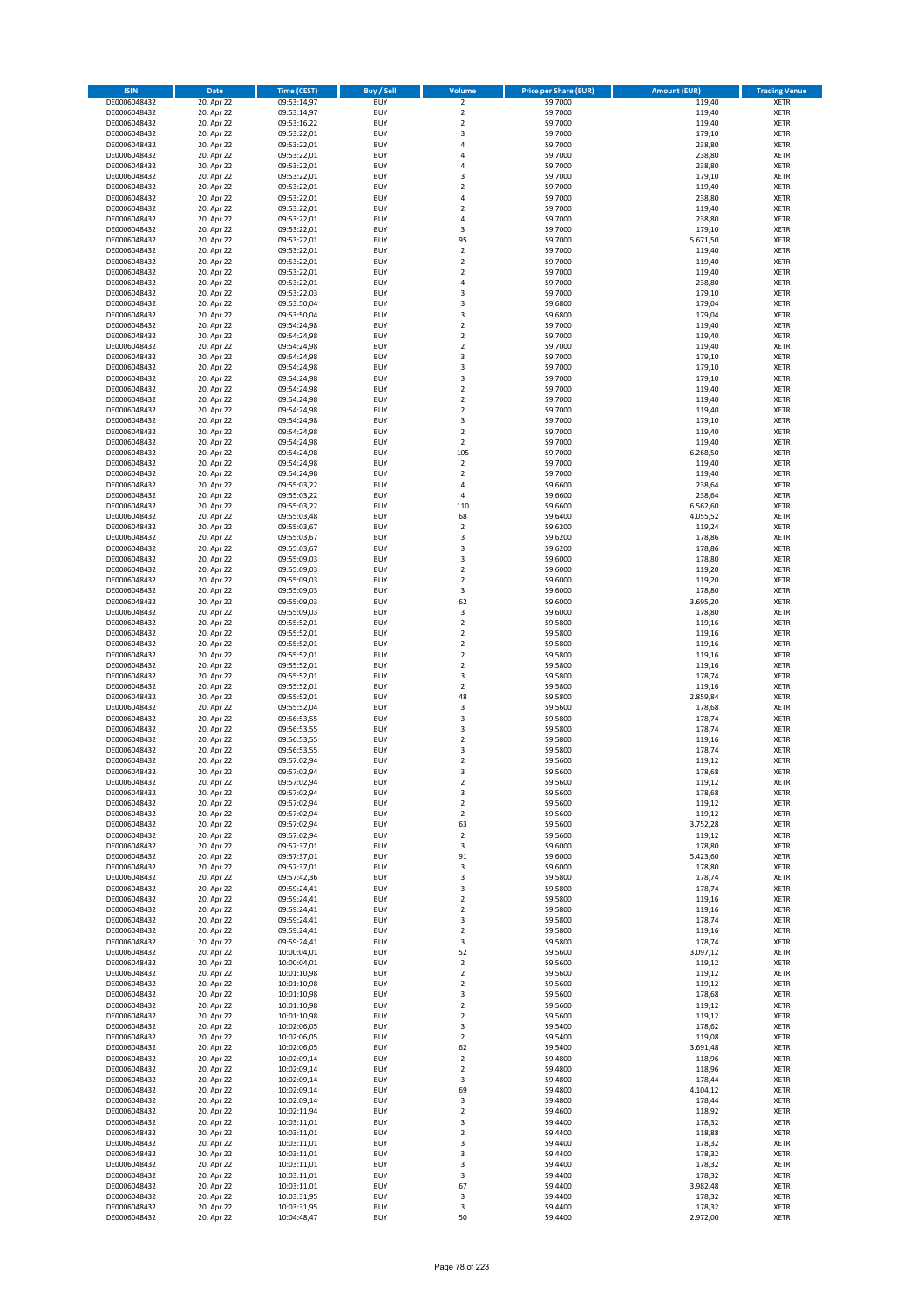| <b>ISIN</b>                  | <b>Date</b>              | <b>Time (CEST)</b>         | <b>Buy / Sell</b>        | Volume                                 | <b>Price per Share (EUR)</b> | <b>Amount (EUR)</b>  | <b>Trading Venue</b>       |
|------------------------------|--------------------------|----------------------------|--------------------------|----------------------------------------|------------------------------|----------------------|----------------------------|
| DE0006048432                 | 20. Apr 22               | 09:53:14,97                | <b>BUY</b>               | $\overline{2}$                         | 59,7000                      | 119,40               | <b>XETR</b>                |
| DE0006048432                 | 20. Apr 22               | 09:53:14,97                | <b>BUY</b>               | $\mathbf 2$                            | 59,7000                      | 119,40               | <b>XETR</b>                |
| DE0006048432                 | 20. Apr 22               | 09:53:16,22                | <b>BUY</b>               | $\overline{2}$                         | 59,7000                      | 119,40               | <b>XETR</b>                |
| DE0006048432<br>DE0006048432 | 20. Apr 22<br>20. Apr 22 | 09:53:22,01<br>09:53:22,01 | <b>BUY</b><br><b>BUY</b> | 3<br>4                                 | 59,7000<br>59,7000           | 179,10<br>238,80     | <b>XETR</b><br><b>XETR</b> |
| DE0006048432                 | 20. Apr 22               | 09:53:22,01                | <b>BUY</b>               | 4                                      | 59,7000                      | 238,80               | <b>XETR</b>                |
| DE0006048432                 | 20. Apr 22               | 09:53:22,01                | <b>BUY</b>               | 4                                      | 59,7000                      | 238,80               | <b>XETR</b>                |
| DE0006048432                 | 20. Apr 22               | 09:53:22,01                | <b>BUY</b>               | 3                                      | 59,7000                      | 179,10               | <b>XETR</b>                |
| DE0006048432                 | 20. Apr 22               | 09:53:22,01                | <b>BUY</b>               | $\overline{2}$                         | 59,7000                      | 119,40               | <b>XETR</b>                |
| DE0006048432                 | 20. Apr 22               | 09:53:22,01                | <b>BUY</b>               | 4                                      | 59,7000                      | 238,80               | <b>XETR</b>                |
| DE0006048432                 | 20. Apr 22               | 09:53:22,01                | <b>BUY</b>               | $\mathbf 2$                            | 59,7000                      | 119,40               | <b>XETR</b>                |
| DE0006048432                 | 20. Apr 22<br>20. Apr 22 | 09:53:22,01                | <b>BUY</b><br><b>BUY</b> | 4<br>3                                 | 59,7000                      | 238,80<br>179,10     | <b>XETR</b><br><b>XETR</b> |
| DE0006048432<br>DE0006048432 | 20. Apr 22               | 09:53:22,01<br>09:53:22,01 | <b>BUY</b>               | 95                                     | 59,7000<br>59,7000           | 5.671,50             | <b>XETR</b>                |
| DE0006048432                 | 20. Apr 22               | 09:53:22,01                | <b>BUY</b>               | $\mathbf 2$                            | 59,7000                      | 119,40               | <b>XETR</b>                |
| DE0006048432                 | 20. Apr 22               | 09:53:22,01                | <b>BUY</b>               | $\overline{\mathbf{c}}$                | 59,7000                      | 119,40               | <b>XETR</b>                |
| DE0006048432                 | 20. Apr 22               | 09:53:22,01                | <b>BUY</b>               | $\mathbf 2$                            | 59,7000                      | 119,40               | <b>XETR</b>                |
| DE0006048432                 | 20. Apr 22               | 09:53:22,01                | <b>BUY</b>               | 4                                      | 59,7000                      | 238,80               | <b>XETR</b>                |
| DE0006048432                 | 20. Apr 22               | 09:53:22,03                | <b>BUY</b>               | 3                                      | 59,7000                      | 179,10               | <b>XETR</b>                |
| DE0006048432                 | 20. Apr 22               | 09:53:50,04                | <b>BUY</b>               | 3                                      | 59,6800                      | 179,04               | <b>XETR</b>                |
| DE0006048432<br>DE0006048432 | 20. Apr 22<br>20. Apr 22 | 09:53:50,04<br>09:54:24,98 | <b>BUY</b><br><b>BUY</b> | 3<br>$\mathbf 2$                       | 59,6800<br>59,7000           | 179,04<br>119,40     | <b>XETR</b><br><b>XETR</b> |
| DE0006048432                 | 20. Apr 22               | 09:54:24,98                | <b>BUY</b>               | $\overline{\mathbf{c}}$                | 59,7000                      | 119,40               | <b>XETR</b>                |
| DE0006048432                 | 20. Apr 22               | 09:54:24,98                | <b>BUY</b>               | $\mathbf 2$                            | 59,7000                      | 119,40               | <b>XETR</b>                |
| DE0006048432                 | 20. Apr 22               | 09:54:24,98                | <b>BUY</b>               | 3                                      | 59,7000                      | 179,10               | <b>XETR</b>                |
| DE0006048432                 | 20. Apr 22               | 09:54:24,98                | <b>BUY</b>               | 3                                      | 59,7000                      | 179,10               | <b>XETR</b>                |
| DE0006048432                 | 20. Apr 22               | 09:54:24,98                | <b>BUY</b>               | 3                                      | 59,7000                      | 179,10               | <b>XETR</b>                |
| DE0006048432                 | 20. Apr 22               | 09:54:24,98                | <b>BUY</b>               | $\overline{\mathbf{c}}$                | 59,7000                      | 119,40               | <b>XETR</b>                |
| DE0006048432<br>DE0006048432 | 20. Apr 22<br>20. Apr 22 | 09:54:24,98<br>09:54:24,98 | <b>BUY</b><br><b>BUY</b> | $\mathbf 2$<br>$\overline{\mathbf{c}}$ | 59,7000<br>59,7000           | 119,40<br>119,40     | <b>XETR</b><br><b>XETR</b> |
| DE0006048432                 | 20. Apr 22               | 09:54:24,98                | <b>BUY</b>               | 3                                      | 59,7000                      | 179,10               | <b>XETR</b>                |
| DE0006048432                 | 20. Apr 22               | 09:54:24,98                | <b>BUY</b>               | $\overline{2}$                         | 59,7000                      | 119,40               | <b>XETR</b>                |
| DE0006048432                 | 20. Apr 22               | 09:54:24,98                | <b>BUY</b>               | $\mathbf 2$                            | 59,7000                      | 119,40               | <b>XETR</b>                |
| DE0006048432                 | 20. Apr 22               | 09:54:24,98                | <b>BUY</b>               | 105                                    | 59,7000                      | 6.268,50             | <b>XETR</b>                |
| DE0006048432                 | 20. Apr 22               | 09:54:24,98                | <b>BUY</b>               | $\overline{\mathbf{c}}$                | 59,7000                      | 119,40               | <b>XETR</b>                |
| DE0006048432                 | 20. Apr 22               | 09:54:24,98                | <b>BUY</b>               | $\mathbf 2$                            | 59,7000                      | 119,40               | <b>XETR</b>                |
| DE0006048432                 | 20. Apr 22               | 09:55:03,22                | <b>BUY</b>               | 4                                      | 59,6600                      | 238,64               | <b>XETR</b>                |
| DE0006048432<br>DE0006048432 | 20. Apr 22<br>20. Apr 22 | 09:55:03,22<br>09:55:03,22 | <b>BUY</b><br><b>BUY</b> | 4<br>110                               | 59,6600<br>59,6600           | 238,64               | <b>XETR</b><br><b>XETR</b> |
| DE0006048432                 | 20. Apr 22               | 09:55:03,48                | <b>BUY</b>               | 68                                     | 59,6400                      | 6.562,60<br>4.055,52 | <b>XETR</b>                |
| DE0006048432                 | 20. Apr 22               | 09:55:03,67                | <b>BUY</b>               | $\mathbf 2$                            | 59,6200                      | 119,24               | <b>XETR</b>                |
| DE0006048432                 | 20. Apr 22               | 09:55:03,67                | <b>BUY</b>               | 3                                      | 59,6200                      | 178,86               | <b>XETR</b>                |
| DE0006048432                 | 20. Apr 22               | 09:55:03,67                | <b>BUY</b>               | 3                                      | 59,6200                      | 178,86               | <b>XETR</b>                |
| DE0006048432                 | 20. Apr 22               | 09:55:09,03                | <b>BUY</b>               | 3                                      | 59,6000                      | 178,80               | <b>XETR</b>                |
| DE0006048432                 | 20. Apr 22               | 09:55:09,03                | <b>BUY</b>               | $\mathbf 2$                            | 59,6000                      | 119,20               | <b>XETR</b>                |
| DE0006048432                 | 20. Apr 22               | 09:55:09,03                | <b>BUY</b>               | $\overline{2}$                         | 59,6000                      | 119,20               | <b>XETR</b>                |
| DE0006048432                 | 20. Apr 22               | 09:55:09,03                | <b>BUY</b><br><b>BUY</b> | 3<br>62                                | 59,6000                      | 178,80               | <b>XETR</b><br><b>XETR</b> |
| DE0006048432<br>DE0006048432 | 20. Apr 22<br>20. Apr 22 | 09:55:09,03<br>09:55:09,03 | <b>BUY</b>               | 3                                      | 59,6000<br>59,6000           | 3.695,20<br>178,80   | <b>XETR</b>                |
| DE0006048432                 | 20. Apr 22               | 09:55:52,01                | <b>BUY</b>               | $\overline{\mathbf{c}}$                | 59,5800                      | 119,16               | <b>XETR</b>                |
| DE0006048432                 | 20. Apr 22               | 09:55:52,01                | <b>BUY</b>               | $\overline{\mathbf{c}}$                | 59,5800                      | 119,16               | <b>XETR</b>                |
| DE0006048432                 | 20. Apr 22               | 09:55:52,01                | <b>BUY</b>               | $\mathbf 2$                            | 59,5800                      | 119,16               | <b>XETR</b>                |
| DE0006048432                 | 20. Apr 22               | 09:55:52,01                | <b>BUY</b>               | $\overline{2}$                         | 59,5800                      | 119,16               | <b>XETR</b>                |
| DE0006048432                 | 20. Apr 22               | 09:55:52,01                | <b>BUY</b>               | $\mathbf 2$                            | 59,5800                      | 119,16               | <b>XETR</b>                |
| DE0006048432                 | 20. Apr 22               | 09:55:52,01                | <b>BUY</b>               | 3<br>$\mathbf 2$                       | 59,5800                      | 178,74               | <b>XETR</b>                |
| DE0006048432<br>DE0006048432 | 20. Apr 22<br>20. Apr 22 | 09:55:52,01<br>09:55:52,01 | <b>BUY</b><br><b>BUY</b> | 48                                     | 59,5800<br>59,5800           | 119,16<br>2.859,84   | <b>XETR</b><br><b>XETR</b> |
| DE0006048432                 | 20. Apr 22               | 09:55:52,04                | <b>BUY</b>               | 3                                      | 59,5600                      | 178,68               | <b>XETR</b>                |
| DE0006048432                 | 20. Apr 22               | 09:56:53,55                | <b>BUY</b>               | 3                                      | 59,5800                      | 178,74               | <b>XETR</b>                |
| DE0006048432                 | 20. Apr 22               | 09:56:53,55                | <b>BUY</b>               | 3                                      | 59,5800                      | 178,74               | <b>XETR</b>                |
| DE0006048432                 | 20. Apr 22               | 09:56:53,55                | <b>BUY</b>               | $\mathbf 2$                            | 59,5800                      | 119,16               | <b>XETR</b>                |
| DE0006048432                 | 20. Apr 22               | 09:56:53,55                | <b>BUY</b>               | 3                                      | 59,5800                      | 178,74               | <b>XETR</b>                |
| DE0006048432<br>DE0006048432 | 20. Apr 22               | 09:57:02,94                | <b>BUY</b><br><b>BUY</b> | $\overline{\mathbf{c}}$<br>3           | 59,5600                      | 119,12               | <b>XETR</b><br><b>XETR</b> |
| DE0006048432                 | 20. Apr 22<br>20. Apr 22 | 09:57:02,94<br>09:57:02,94 | BUY                      | 2                                      | 59,5600<br>59,5600           | 178,68<br>119,12     | <b>XETR</b>                |
| DE0006048432                 | 20. Apr 22               | 09:57:02,94                | <b>BUY</b>               | 3                                      | 59,5600                      | 178,68               | <b>XETR</b>                |
| DE0006048432                 | 20. Apr 22               | 09:57:02,94                | <b>BUY</b>               | $\mathbf 2$                            | 59,5600                      | 119,12               | <b>XETR</b>                |
| DE0006048432                 | 20. Apr 22               | 09:57:02,94                | <b>BUY</b>               | $\mathbf 2$                            | 59,5600                      | 119,12               | XETR                       |
| DE0006048432                 | 20. Apr 22               | 09:57:02,94                | <b>BUY</b>               | 63                                     | 59.5600                      | 3.752,28             | <b>XETR</b>                |
| DE0006048432                 | 20. Apr 22               | 09:57:02,94                | <b>BUY</b>               | $\mathbf 2$                            | 59,5600                      | 119,12               | <b>XETR</b>                |
| DE0006048432<br>DE0006048432 | 20. Apr 22<br>20. Apr 22 | 09:57:37,01<br>09:57:37,01 | <b>BUY</b><br><b>BUY</b> | 3<br>91                                | 59,6000<br>59,6000           | 178,80<br>5.423,60   | <b>XETR</b><br><b>XETR</b> |
| DE0006048432                 | 20. Apr 22               | 09:57:37,01                | <b>BUY</b>               | 3                                      | 59,6000                      | 178,80               | <b>XETR</b>                |
| DE0006048432                 | 20. Apr 22               | 09:57:42,36                | <b>BUY</b>               | 3                                      | 59,5800                      | 178,74               | <b>XETR</b>                |
| DE0006048432                 | 20. Apr 22               | 09:59:24,41                | <b>BUY</b>               | 3                                      | 59,5800                      | 178,74               | <b>XETR</b>                |
| DE0006048432                 | 20. Apr 22               | 09:59:24,41                | <b>BUY</b>               | $\mathbf 2$                            | 59,5800                      | 119,16               | <b>XETR</b>                |
| DE0006048432                 | 20. Apr 22               | 09:59:24,41                | <b>BUY</b>               | $\mathbf 2$                            | 59,5800                      | 119,16               | <b>XETR</b>                |
| DE0006048432<br>DE0006048432 | 20. Apr 22<br>20. Apr 22 | 09:59:24,41<br>09:59:24,41 | <b>BUY</b><br><b>BUY</b> | 3<br>$\mathbf 2$                       | 59,5800<br>59,5800           | 178,74<br>119,16     | <b>XETR</b><br><b>XETR</b> |
| DE0006048432                 | 20. Apr 22               | 09:59:24,41                | <b>BUY</b>               | 3                                      | 59,5800                      | 178,74               | <b>XETR</b>                |
| DE0006048432                 | 20. Apr 22               | 10:00:04,01                | <b>BUY</b>               | 52                                     | 59,5600                      | 3.097,12             | <b>XETR</b>                |
| DE0006048432                 | 20. Apr 22               | 10:00:04,01                | <b>BUY</b>               | $\mathbf 2$                            | 59,5600                      | 119,12               | <b>XETR</b>                |
| DE0006048432                 | 20. Apr 22               | 10:01:10,98                | <b>BUY</b>               | $\mathbf 2$                            | 59,5600                      | 119,12               | XETR                       |
| DE0006048432                 | 20. Apr 22               | 10:01:10,98                | <b>BUY</b>               | $\mathbf 2$                            | 59,5600                      | 119,12               | <b>XETR</b>                |
| DE0006048432                 | 20. Apr 22               | 10:01:10,98                | <b>BUY</b>               | 3                                      | 59,5600                      | 178,68               | <b>XETR</b>                |
| DE0006048432<br>DE0006048432 | 20. Apr 22<br>20. Apr 22 | 10:01:10,98<br>10:01:10,98 | <b>BUY</b><br><b>BUY</b> | $\mathbf 2$<br>$\overline{2}$          | 59,5600<br>59,5600           | 119,12<br>119,12     | <b>XETR</b><br><b>XETR</b> |
| DE0006048432                 | 20. Apr 22               | 10:02:06,05                | <b>BUY</b>               | 3                                      | 59,5400                      | 178,62               | <b>XETR</b>                |
| DE0006048432                 | 20. Apr 22               | 10:02:06,05                | <b>BUY</b>               | $\mathbf 2$                            | 59,5400                      | 119,08               | <b>XETR</b>                |
| DE0006048432                 | 20. Apr 22               | 10:02:06,05                | <b>BUY</b>               | 62                                     | 59,5400                      | 3.691,48             | <b>XETR</b>                |
| DE0006048432                 | 20. Apr 22               | 10:02:09,14                | <b>BUY</b>               | $\mathbf 2$                            | 59,4800                      | 118,96               | <b>XETR</b>                |
| DE0006048432                 | 20. Apr 22               | 10:02:09,14                | <b>BUY</b>               | $\overline{2}$                         | 59,4800                      | 118,96               | <b>XETR</b>                |
| DE0006048432                 | 20. Apr 22               | 10:02:09,14                | <b>BUY</b>               | 3                                      | 59,4800                      | 178,44               | <b>XETR</b>                |
| DE0006048432                 | 20. Apr 22               | 10:02:09,14                | <b>BUY</b>               | 69                                     | 59,4800                      | 4.104,12             | <b>XETR</b>                |
| DE0006048432<br>DE0006048432 | 20. Apr 22<br>20. Apr 22 | 10:02:09,14<br>10:02:11,94 | <b>BUY</b><br><b>BUY</b> | 3<br>$\mathbf 2$                       | 59,4800<br>59,4600           | 178,44<br>118,92     | <b>XETR</b><br><b>XETR</b> |
| DE0006048432                 | 20. Apr 22               | 10:03:11,01                | <b>BUY</b>               | 3                                      | 59,4400                      | 178,32               | <b>XETR</b>                |
| DE0006048432                 | 20. Apr 22               | 10:03:11,01                | <b>BUY</b>               | $\mathbf 2$                            | 59,4400                      | 118,88               | <b>XETR</b>                |
| DE0006048432                 | 20. Apr 22               | 10:03:11,01                | <b>BUY</b>               | 3                                      | 59,4400                      | 178,32               | <b>XETR</b>                |
| DE0006048432                 | 20. Apr 22               | 10:03:11,01                | <b>BUY</b>               | 3                                      | 59,4400                      | 178,32               | <b>XETR</b>                |
| DE0006048432                 | 20. Apr 22               | 10:03:11,01                | <b>BUY</b>               | 3                                      | 59,4400                      | 178,32               | <b>XETR</b>                |
| DE0006048432<br>DE0006048432 | 20. Apr 22<br>20. Apr 22 | 10:03:11,01<br>10:03:11,01 | <b>BUY</b><br><b>BUY</b> | 3<br>67                                | 59,4400<br>59,4400           | 178,32<br>3.982,48   | XETR<br><b>XETR</b>        |
| DE0006048432                 | 20. Apr 22               | 10:03:31,95                | <b>BUY</b>               | 3                                      | 59,4400                      | 178,32               | <b>XETR</b>                |
| DE0006048432                 | 20. Apr 22               | 10:03:31,95                | <b>BUY</b>               | 3                                      | 59,4400                      | 178,32               | <b>XETR</b>                |
| DE0006048432                 | 20. Apr 22               | 10:04:48,47                | <b>BUY</b>               | 50                                     | 59,4400                      | 2.972,00             | XETR                       |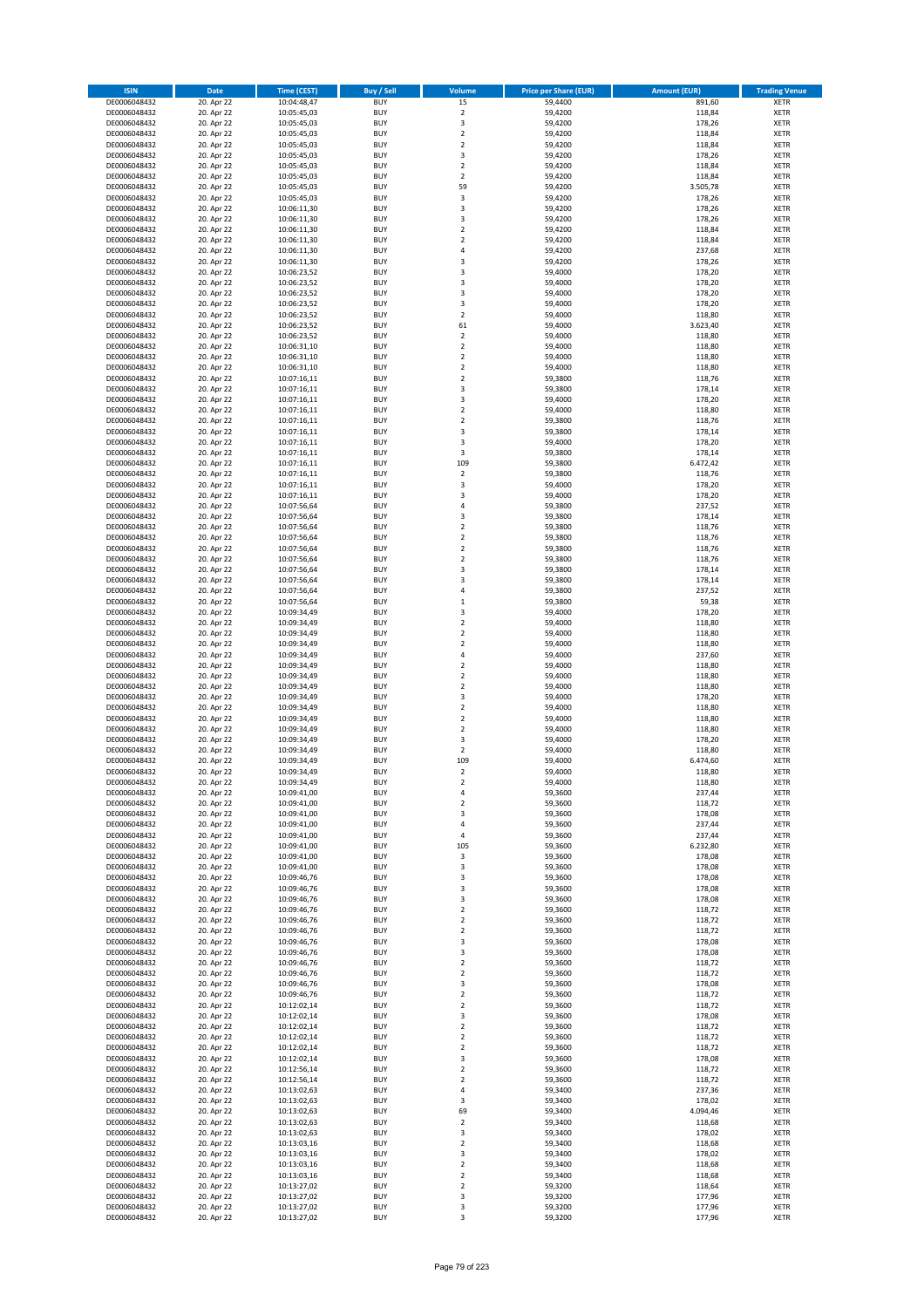| <b>ISIN</b>                  | <b>Date</b>              | <b>Time (CEST)</b>         | <b>Buy / Sell</b>        | Volume                                    | <b>Price per Share (EUR)</b> | <b>Amount (EUR)</b> | <b>Trading Venue</b>       |
|------------------------------|--------------------------|----------------------------|--------------------------|-------------------------------------------|------------------------------|---------------------|----------------------------|
| DE0006048432                 | 20. Apr 22               | 10:04:48,47                | <b>BUY</b>               | 15                                        | 59,4400                      | 891,60              | <b>XETR</b>                |
| DE0006048432                 | 20. Apr 22               | 10:05:45,03                | <b>BUY</b>               | $\mathbf 2$                               | 59,4200                      | 118,84              | <b>XETR</b>                |
| DE0006048432                 | 20. Apr 22               | 10:05:45,03                | <b>BUY</b>               | 3                                         | 59,4200                      | 178,26              | <b>XETR</b>                |
| DE0006048432                 | 20. Apr 22               | 10:05:45,03                | <b>BUY</b>               | $\mathbf 2$                               | 59,4200                      | 118,84              | <b>XETR</b>                |
| DE0006048432<br>DE0006048432 | 20. Apr 22<br>20. Apr 22 | 10:05:45,03<br>10:05:45,03 | <b>BUY</b><br><b>BUY</b> | $\overline{2}$<br>3                       | 59,4200<br>59,4200           | 118,84<br>178,26    | <b>XETR</b><br><b>XETR</b> |
| DE0006048432                 | 20. Apr 22               | 10:05:45,03                | <b>BUY</b>               | $\overline{2}$                            | 59,4200                      | 118,84              | <b>XETR</b>                |
| DE0006048432                 | 20. Apr 22               | 10:05:45,03                | <b>BUY</b>               | $\overline{2}$                            | 59,4200                      | 118,84              | <b>XETR</b>                |
| DE0006048432                 | 20. Apr 22               | 10:05:45,03                | BUY                      | 59                                        | 59,4200                      | 3.505,78            | <b>XETR</b>                |
| DE0006048432                 | 20. Apr 22               | 10:05:45,03                | <b>BUY</b>               | 3                                         | 59,4200                      | 178,26              | <b>XETR</b>                |
| DE0006048432                 | 20. Apr 22               | 10:06:11,30                | <b>BUY</b>               | 3                                         | 59,4200                      | 178,26              | <b>XETR</b>                |
| DE0006048432                 | 20. Apr 22               | 10:06:11,30                | <b>BUY</b>               | $\overline{\mathbf{3}}$<br>$\overline{2}$ | 59,4200                      | 178,26              | <b>XETR</b>                |
| DE0006048432<br>DE0006048432 | 20. Apr 22<br>20. Apr 22 | 10:06:11,30<br>10:06:11,30 | <b>BUY</b><br><b>BUY</b> | $\overline{2}$                            | 59,4200<br>59,4200           | 118,84<br>118,84    | <b>XETR</b><br><b>XETR</b> |
| DE0006048432                 | 20. Apr 22               | 10:06:11,30                | <b>BUY</b>               | 4                                         | 59,4200                      | 237,68              | <b>XETR</b>                |
| DE0006048432                 | 20. Apr 22               | 10:06:11,30                | BUY                      | $\overline{3}$                            | 59,4200                      | 178,26              | <b>XETR</b>                |
| DE0006048432                 | 20. Apr 22               | 10:06:23,52                | <b>BUY</b>               | $\overline{\mathbf{3}}$                   | 59,4000                      | 178,20              | <b>XETR</b>                |
| DE0006048432                 | 20. Apr 22               | 10:06:23,52                | <b>BUY</b>               | 3                                         | 59,4000                      | 178,20              | <b>XETR</b>                |
| DE0006048432                 | 20. Apr 22               | 10:06:23,52                | <b>BUY</b>               | 3                                         | 59,4000                      | 178,20              | <b>XETR</b>                |
| DE0006048432<br>DE0006048432 | 20. Apr 22<br>20. Apr 22 | 10:06:23,52<br>10:06:23,52 | <b>BUY</b><br><b>BUY</b> | $\overline{\mathbf{3}}$<br>$\overline{2}$ | 59,4000<br>59,4000           | 178,20<br>118,80    | <b>XETR</b><br><b>XETR</b> |
| DE0006048432                 | 20. Apr 22               | 10:06:23,52                | <b>BUY</b>               | 61                                        | 59,4000                      | 3.623,40            | <b>XETR</b>                |
| DE0006048432                 | 20. Apr 22               | 10:06:23,52                | <b>BUY</b>               | $\overline{2}$                            | 59,4000                      | 118,80              | <b>XETR</b>                |
| DE0006048432                 | 20. Apr 22               | 10:06:31,10                | <b>BUY</b>               | $\mathbf 2$                               | 59,4000                      | 118,80              | <b>XETR</b>                |
| DE0006048432                 | 20. Apr 22               | 10:06:31,10                | <b>BUY</b>               | $\mathbf 2$                               | 59,4000                      | 118,80              | <b>XETR</b>                |
| DE0006048432                 | 20. Apr 22               | 10:06:31,10                | <b>BUY</b>               | $\mathbf 2$                               | 59,4000                      | 118,80              | <b>XETR</b>                |
| DE0006048432                 | 20. Apr 22               | 10:07:16,11                | <b>BUY</b><br><b>BUY</b> | $\mathbf 2$<br>$\overline{\mathbf{3}}$    | 59,3800                      | 118,76              | <b>XETR</b><br><b>XETR</b> |
| DE0006048432<br>DE0006048432 | 20. Apr 22<br>20. Apr 22 | 10:07:16,11<br>10:07:16,11 | <b>BUY</b>               | 3                                         | 59,3800<br>59,4000           | 178,14<br>178,20    | <b>XETR</b>                |
| DE0006048432                 | 20. Apr 22               | 10:07:16,11                | <b>BUY</b>               | $\overline{2}$                            | 59,4000                      | 118,80              | <b>XETR</b>                |
| DE0006048432                 | 20. Apr 22               | 10:07:16,11                | <b>BUY</b>               | $\mathbf 2$                               | 59,3800                      | 118,76              | <b>XETR</b>                |
| DE0006048432                 | 20. Apr 22               | 10:07:16,11                | <b>BUY</b>               | 3                                         | 59,3800                      | 178,14              | <b>XETR</b>                |
| DE0006048432                 | 20. Apr 22               | 10:07:16,11                | <b>BUY</b>               | 3                                         | 59,4000                      | 178,20              | <b>XETR</b>                |
| DE0006048432                 | 20. Apr 22               | 10:07:16,11                | <b>BUY</b>               | 3                                         | 59,3800                      | 178,14              | <b>XETR</b>                |
| DE0006048432<br>DE0006048432 | 20. Apr 22<br>20. Apr 22 | 10:07:16,11<br>10:07:16,11 | <b>BUY</b><br><b>BUY</b> | 109<br>$\mathbf 2$                        | 59,3800<br>59,3800           | 6.472,42<br>118,76  | <b>XETR</b><br><b>XETR</b> |
| DE0006048432                 | 20. Apr 22               | 10:07:16,11                | <b>BUY</b>               | 3                                         | 59,4000                      | 178,20              | <b>XETR</b>                |
| DE0006048432                 | 20. Apr 22               | 10:07:16,11                | <b>BUY</b>               | $\overline{\mathbf{3}}$                   | 59,4000                      | 178,20              | <b>XETR</b>                |
| DE0006048432                 | 20. Apr 22               | 10:07:56,64                | <b>BUY</b>               | $\overline{4}$                            | 59,3800                      | 237,52              | <b>XETR</b>                |
| DE0006048432                 | 20. Apr 22               | 10:07:56,64                | <b>BUY</b>               | 3                                         | 59,3800                      | 178,14              | <b>XETR</b>                |
| DE0006048432                 | 20. Apr 22               | 10:07:56,64                | <b>BUY</b>               | $\overline{2}$                            | 59,3800                      | 118,76              | <b>XETR</b>                |
| DE0006048432                 | 20. Apr 22               | 10:07:56,64                | <b>BUY</b><br><b>BUY</b> | $\overline{2}$                            | 59,3800                      | 118,76              | <b>XETR</b>                |
| DE0006048432<br>DE0006048432 | 20. Apr 22<br>20. Apr 22 | 10:07:56,64<br>10:07:56,64 | <b>BUY</b>               | $\mathbf 2$<br>$\overline{2}$             | 59,3800<br>59,3800           | 118,76<br>118,76    | <b>XETR</b><br><b>XETR</b> |
| DE0006048432                 | 20. Apr 22               | 10:07:56,64                | <b>BUY</b>               | $\overline{\mathbf{3}}$                   | 59,3800                      | 178,14              | <b>XETR</b>                |
| DE0006048432                 | 20. Apr 22               | 10:07:56,64                | <b>BUY</b>               | $\overline{\mathbf{3}}$                   | 59,3800                      | 178,14              | <b>XETR</b>                |
| DE0006048432                 | 20. Apr 22               | 10:07:56,64                | <b>BUY</b>               | 4                                         | 59,3800                      | 237,52              | <b>XETR</b>                |
| DE0006048432                 | 20. Apr 22               | 10:07:56,64                | <b>BUY</b>               | $\mathbf{1}$                              | 59,3800                      | 59,38               | <b>XETR</b>                |
| DE0006048432<br>DE0006048432 | 20. Apr 22               | 10:09:34,49                | <b>BUY</b><br><b>BUY</b> | 3<br>$\overline{2}$                       | 59,4000<br>59,4000           | 178,20<br>118,80    | <b>XETR</b><br><b>XETR</b> |
| DE0006048432                 | 20. Apr 22<br>20. Apr 22 | 10:09:34,49<br>10:09:34,49 | <b>BUY</b>               | $\overline{2}$                            | 59,4000                      | 118,80              | <b>XETR</b>                |
| DE0006048432                 | 20. Apr 22               | 10:09:34,49                | <b>BUY</b>               | $\overline{2}$                            | 59,4000                      | 118,80              | <b>XETR</b>                |
| DE0006048432                 | 20. Apr 22               | 10:09:34,49                | <b>BUY</b>               | $\overline{4}$                            | 59,4000                      | 237,60              | <b>XETR</b>                |
| DE0006048432                 | 20. Apr 22               | 10:09:34,49                | <b>BUY</b>               | $\mathbf 2$                               | 59,4000                      | 118,80              | <b>XETR</b>                |
| DE0006048432                 | 20. Apr 22               | 10:09:34,49                | <b>BUY</b>               | $\overline{2}$                            | 59,4000                      | 118,80              | <b>XETR</b>                |
| DE0006048432                 | 20. Apr 22               | 10:09:34,49                | <b>BUY</b>               | $\overline{2}$                            | 59,4000                      | 118,80              | <b>XETR</b>                |
| DE0006048432                 | 20. Apr 22               | 10:09:34,49                | <b>BUY</b><br><b>BUY</b> | 3<br>$\overline{2}$                       | 59,4000                      | 178,20              | <b>XETR</b><br><b>XETR</b> |
| DE0006048432<br>DE0006048432 | 20. Apr 22<br>20. Apr 22 | 10:09:34,49<br>10:09:34,49 | BUY                      | $\overline{\mathbf{2}}$                   | 59,4000<br>59,4000           | 118,80<br>118,80    | <b>XETR</b>                |
| DE0006048432                 | 20. Apr 22               | 10:09:34,49                | <b>BUY</b>               | $\overline{\mathbf{2}}$                   | 59,4000                      | 118,80              | <b>XETR</b>                |
| DE0006048432                 | 20. Apr 22               | 10:09:34,49                | <b>BUY</b>               | 3                                         | 59,4000                      | 178,20              | <b>XETR</b>                |
| DE0006048432                 | 20. Apr 22               | 10:09:34,49                | BUY                      | $\overline{\mathbf{2}}$                   | 59,4000                      | 118,80              | <b>XETR</b>                |
| DE0006048432                 | 20. Apr 22               | 10:09:34,49                | BUY                      | 109                                       | 59,4000                      | 6.474,60            | <b>XETR</b>                |
| DE0006048432                 | 20. Apr 22               | 10:09:34,49                | <b>BUY</b>               | $\overline{2}$                            | 59,4000                      | 118,80              | <b>XETR</b>                |
| DE0006048432<br>DE0006048432 | 20. Apr 22<br>20. Apr 22 | 10:09:34,49<br>10:09:41,00 | BUY<br><b>BUY</b>        | $\overline{\mathbf{2}}$<br>$\overline{4}$ | 59,4000<br>59,3600           | 118,80<br>237,44    | <b>XETR</b><br><b>XETR</b> |
| DE0006048432                 | 20. Apr 22               | 10:09:41,00                | <b>BUY</b>               | 2                                         | 59,3600                      | 118,72              | <b>XETR</b>                |
| DE0006048432                 | 20. Apr 22               | 10:09:41,00                | <b>BUY</b>               | 3                                         | 59,3600                      | 178,08              | <b>XETR</b>                |
| DE0006048432                 | 20. Apr 22               | 10:09:41,00                | <b>BUY</b>               | 4                                         | 59,3600                      | 237,44              | <b>XETR</b>                |
| DE0006048432                 | 20. Apr 22               | 10:09:41,00                | <b>BUY</b>               | 4                                         | 59,3600                      | 237,44              | <b>XETR</b>                |
| DE0006048432                 | 20. Apr 22               | 10:09:41,00                | <b>BUY</b>               | 105                                       | 59,3600                      | 6.232,80            | <b>XETR</b>                |
| DE0006048432<br>DE0006048432 | 20. Apr 22               | 10:09:41,00                | <b>BUY</b><br><b>BUY</b> | 3<br>3                                    | 59,3600<br>59,3600           | 178,08              | <b>XETR</b><br><b>XETR</b> |
| DE0006048432                 | 20. Apr 22<br>20. Apr 22 | 10:09:41,00<br>10:09:46,76 | <b>BUY</b>               | 3                                         | 59,3600                      | 178,08<br>178,08    | <b>XETR</b>                |
| DE0006048432                 | 20. Apr 22               | 10:09:46,76                | <b>BUY</b>               | 3                                         | 59,3600                      | 178,08              | <b>XETR</b>                |
| DE0006048432                 | 20. Apr 22               | 10:09:46,76                | <b>BUY</b>               | 3                                         | 59,3600                      | 178,08              | <b>XETR</b>                |
| DE0006048432                 | 20. Apr 22               | 10:09:46,76                | <b>BUY</b>               | $\mathbf 2$                               | 59,3600                      | 118,72              | <b>XETR</b>                |
| DE0006048432                 | 20. Apr 22               | 10:09:46,76                | <b>BUY</b>               | $\overline{\mathbf{2}}$                   | 59,3600                      | 118,72              | <b>XETR</b>                |
| DE0006048432<br>DE0006048432 | 20. Apr 22<br>20. Apr 22 | 10:09:46,76<br>10:09:46,76 | <b>BUY</b><br><b>BUY</b> | 2<br>3                                    | 59,3600<br>59,3600           | 118,72<br>178,08    | <b>XETR</b><br><b>XETR</b> |
| DE0006048432                 | 20. Apr 22               | 10:09:46,76                | <b>BUY</b>               | 3                                         | 59,3600                      | 178,08              | <b>XETR</b>                |
| DE0006048432                 | 20. Apr 22               | 10:09:46,76                | <b>BUY</b>               | $\mathbf 2$                               | 59,3600                      | 118,72              | <b>XETR</b>                |
| DE0006048432                 | 20. Apr 22               | 10:09:46,76                | <b>BUY</b>               | $\mathbf 2$                               | 59,3600                      | 118,72              | <b>XETR</b>                |
| DE0006048432                 | 20. Apr 22               | 10:09:46,76                | <b>BUY</b>               | 3                                         | 59,3600                      | 178,08              | <b>XETR</b>                |
| DE0006048432                 | 20. Apr 22               | 10:09:46,76                | <b>BUY</b>               | $\overline{\mathbf{2}}$                   | 59,3600                      | 118,72              | <b>XETR</b>                |
| DE0006048432<br>DE0006048432 | 20. Apr 22<br>20. Apr 22 | 10:12:02,14<br>10:12:02,14 | <b>BUY</b><br><b>BUY</b> | $\mathbf 2$<br>$\overline{\mathbf{3}}$    | 59,3600<br>59,3600           | 118,72<br>178,08    | <b>XETR</b><br><b>XETR</b> |
| DE0006048432                 | 20. Apr 22               | 10:12:02,14                | <b>BUY</b>               | $\mathbf 2$                               | 59,3600                      | 118,72              | <b>XETR</b>                |
| DE0006048432                 | 20. Apr 22               | 10:12:02,14                | <b>BUY</b>               | $\mathbf 2$                               | 59,3600                      | 118,72              | <b>XETR</b>                |
| DE0006048432                 | 20. Apr 22               | 10:12:02,14                | <b>BUY</b>               | $\mathbf 2$                               | 59,3600                      | 118,72              | <b>XETR</b>                |
| DE0006048432                 | 20. Apr 22               | 10:12:02,14                | <b>BUY</b>               | 3                                         | 59,3600                      | 178,08              | <b>XETR</b>                |
| DE0006048432                 | 20. Apr 22               | 10:12:56,14                | <b>BUY</b>               | $\overline{\mathbf{2}}$                   | 59,3600                      | 118,72              | <b>XETR</b>                |
| DE0006048432                 | 20. Apr 22               | 10:12:56,14                | <b>BUY</b>               | $\mathbf 2$                               | 59,3600                      | 118,72              | <b>XETR</b>                |
| DE0006048432                 | 20. Apr 22               | 10:13:02,63                | <b>BUY</b><br><b>BUY</b> | 4                                         | 59,3400                      | 237,36              | <b>XETR</b>                |
| DE0006048432<br>DE0006048432 | 20. Apr 22<br>20. Apr 22 | 10:13:02,63<br>10:13:02,63 | <b>BUY</b>               | 3<br>69                                   | 59,3400<br>59,3400           | 178,02<br>4.094,46  | <b>XETR</b><br><b>XETR</b> |
| DE0006048432                 | 20. Apr 22               | 10:13:02,63                | <b>BUY</b>               | 2                                         | 59,3400                      | 118,68              | <b>XETR</b>                |
| DE0006048432                 | 20. Apr 22               | 10:13:02,63                | <b>BUY</b>               | 3                                         | 59,3400                      | 178,02              | <b>XETR</b>                |
| DE0006048432                 | 20. Apr 22               | 10:13:03,16                | <b>BUY</b>               | $\overline{\mathbf{2}}$                   | 59,3400                      | 118,68              | <b>XETR</b>                |
| DE0006048432                 | 20. Apr 22               | 10:13:03,16                | <b>BUY</b>               | 3                                         | 59,3400                      | 178,02              | <b>XETR</b>                |
| DE0006048432                 | 20. Apr 22               | 10:13:03,16                | <b>BUY</b>               | $\overline{\mathbf{2}}$                   | 59,3400                      | 118,68              | <b>XETR</b>                |
| DE0006048432<br>DE0006048432 | 20. Apr 22<br>20. Apr 22 | 10:13:03,16<br>10:13:27,02 | <b>BUY</b><br><b>BUY</b> | $\mathbf 2$<br>2                          | 59,3400<br>59,3200           | 118,68<br>118,64    | <b>XETR</b><br><b>XETR</b> |
| DE0006048432                 | 20. Apr 22               | 10:13:27,02                | <b>BUY</b>               | 3                                         | 59,3200                      | 177,96              | <b>XETR</b>                |
| DE0006048432                 | 20. Apr 22               | 10:13:27,02                | <b>BUY</b>               | 3                                         | 59,3200                      | 177,96              | <b>XETR</b>                |
| DE0006048432                 | 20. Apr 22               | 10:13:27,02                | <b>BUY</b>               | 3                                         | 59,3200                      | 177,96              | <b>XETR</b>                |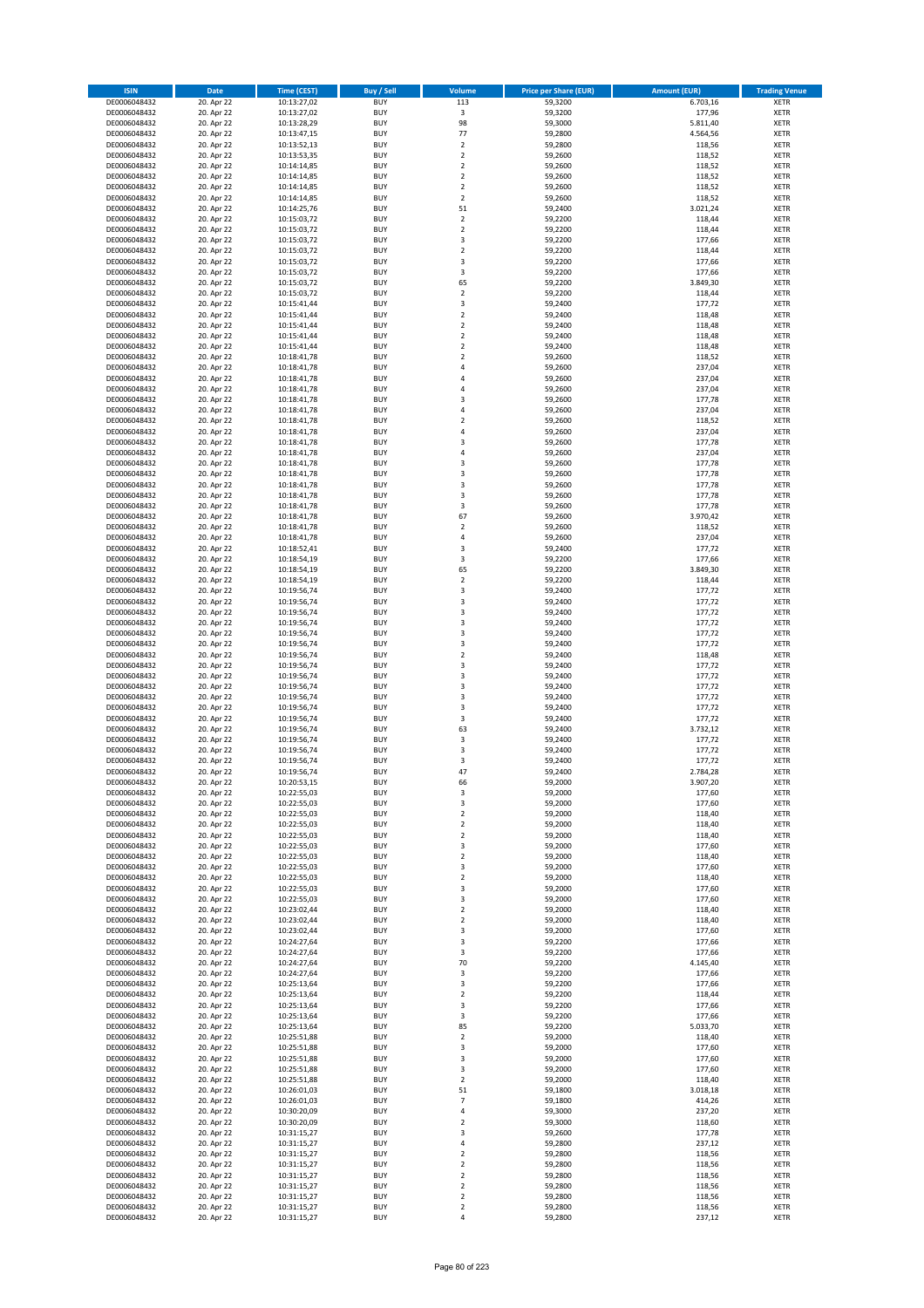| <b>ISIN</b>                  | <b>Date</b>              | <b>Time (CEST)</b>         | <b>Buy / Sell</b>        | Volume                                 | <b>Price per Share (EUR)</b> | <b>Amount (EUR)</b> | <b>Trading Venue</b>       |
|------------------------------|--------------------------|----------------------------|--------------------------|----------------------------------------|------------------------------|---------------------|----------------------------|
| DE0006048432                 | 20. Apr 22               | 10:13:27,02                | <b>BUY</b>               | 113                                    | 59,3200                      | 6.703,16            | <b>XETR</b>                |
| DE0006048432                 | 20. Apr 22               | 10:13:27,02                | <b>BUY</b>               | $\mathsf 3$                            | 59,3200                      | 177,96              | <b>XETR</b>                |
| DE0006048432                 | 20. Apr 22               | 10:13:28,29                | <b>BUY</b>               | 98                                     | 59,3000                      | 5.811,40            | <b>XETR</b>                |
| DE0006048432                 | 20. Apr 22               | 10:13:47,15                | <b>BUY</b>               | 77                                     | 59,2800                      | 4.564,56            | <b>XETR</b>                |
| DE0006048432<br>DE0006048432 | 20. Apr 22<br>20. Apr 22 | 10:13:52,13<br>10:13:53,35 | <b>BUY</b><br><b>BUY</b> | $\mathbf 2$<br>$\mathbf 2$             | 59,2800<br>59,2600           | 118,56<br>118,52    | <b>XETR</b><br><b>XETR</b> |
| DE0006048432                 | 20. Apr 22               | 10:14:14,85                | <b>BUY</b>               | $\mathbf 2$                            | 59,2600                      | 118,52              | <b>XETR</b>                |
| DE0006048432                 | 20. Apr 22               | 10:14:14,85                | <b>BUY</b>               | $\overline{\mathbf{c}}$                | 59,2600                      | 118,52              | <b>XETR</b>                |
| DE0006048432                 | 20. Apr 22               | 10:14:14,85                | <b>BUY</b>               | $\mathbf 2$                            | 59,2600                      | 118,52              | <b>XETR</b>                |
| DE0006048432                 | 20. Apr 22               | 10:14:14,85                | <b>BUY</b>               | $\overline{2}$                         | 59,2600                      | 118,52              | <b>XETR</b>                |
| DE0006048432                 | 20. Apr 22               | 10:14:25,76                | <b>BUY</b>               | 51                                     | 59,2400                      | 3.021,24            | <b>XETR</b>                |
| DE0006048432<br>DE0006048432 | 20. Apr 22<br>20. Apr 22 | 10:15:03,72<br>10:15:03,72 | <b>BUY</b><br><b>BUY</b> | $\mathbf 2$<br>$\mathbf 2$             | 59,2200<br>59,2200           | 118,44<br>118,44    | <b>XETR</b><br><b>XETR</b> |
| DE0006048432                 | 20. Apr 22               | 10:15:03,72                | <b>BUY</b>               | 3                                      | 59,2200                      | 177,66              | <b>XETR</b>                |
| DE0006048432                 | 20. Apr 22               | 10:15:03,72                | <b>BUY</b>               | $\mathbf 2$                            | 59,2200                      | 118,44              | <b>XETR</b>                |
| DE0006048432                 | 20. Apr 22               | 10:15:03,72                | <b>BUY</b>               | 3                                      | 59,2200                      | 177,66              | <b>XETR</b>                |
| DE0006048432                 | 20. Apr 22               | 10:15:03,72                | <b>BUY</b>               | 3                                      | 59,2200                      | 177,66              | <b>XETR</b>                |
| DE0006048432                 | 20. Apr 22               | 10:15:03,72                | <b>BUY</b>               | 65                                     | 59,2200                      | 3.849,30            | <b>XETR</b>                |
| DE0006048432<br>DE0006048432 | 20. Apr 22<br>20. Apr 22 | 10:15:03,72<br>10:15:41,44 | <b>BUY</b><br><b>BUY</b> | $\overline{\mathbf{c}}$<br>3           | 59,2200<br>59,2400           | 118,44<br>177,72    | <b>XETR</b><br><b>XETR</b> |
| DE0006048432                 | 20. Apr 22               | 10:15:41,44                | <b>BUY</b>               | $\overline{\mathbf{c}}$                | 59,2400                      | 118,48              | <b>XETR</b>                |
| DE0006048432                 | 20. Apr 22               | 10:15:41,44                | <b>BUY</b>               | $\mathbf 2$                            | 59,2400                      | 118,48              | <b>XETR</b>                |
| DE0006048432                 | 20. Apr 22               | 10:15:41,44                | <b>BUY</b>               | $\mathbf 2$                            | 59,2400                      | 118,48              | <b>XETR</b>                |
| DE0006048432                 | 20. Apr 22               | 10:15:41,44                | <b>BUY</b>               | $\mathbf 2$                            | 59,2400                      | 118,48              | <b>XETR</b>                |
| DE0006048432                 | 20. Apr 22               | 10:18:41,78                | <b>BUY</b>               | $\mathbf 2$                            | 59,2600                      | 118,52              | <b>XETR</b>                |
| DE0006048432                 | 20. Apr 22               | 10:18:41,78                | <b>BUY</b>               | 4                                      | 59,2600                      | 237,04              | <b>XETR</b>                |
| DE0006048432<br>DE0006048432 | 20. Apr 22<br>20. Apr 22 | 10:18:41,78<br>10:18:41,78 | <b>BUY</b><br><b>BUY</b> | 4<br>4                                 | 59,2600<br>59,2600           | 237,04<br>237,04    | <b>XETR</b><br><b>XETR</b> |
| DE0006048432                 | 20. Apr 22               | 10:18:41,78                | <b>BUY</b>               | 3                                      | 59,2600                      | 177,78              | <b>XETR</b>                |
| DE0006048432                 | 20. Apr 22               | 10:18:41,78                | <b>BUY</b>               | 4                                      | 59,2600                      | 237,04              | <b>XETR</b>                |
| DE0006048432                 | 20. Apr 22               | 10:18:41,78                | <b>BUY</b>               | $\mathbf 2$                            | 59,2600                      | 118,52              | <b>XETR</b>                |
| DE0006048432                 | 20. Apr 22               | 10:18:41,78                | <b>BUY</b>               | 4                                      | 59,2600                      | 237,04              | <b>XETR</b>                |
| DE0006048432                 | 20. Apr 22               | 10:18:41,78                | <b>BUY</b>               | 3                                      | 59,2600                      | 177,78              | <b>XETR</b>                |
| DE0006048432<br>DE0006048432 | 20. Apr 22<br>20. Apr 22 | 10:18:41,78<br>10:18:41,78 | <b>BUY</b><br><b>BUY</b> | 4<br>3                                 | 59,2600<br>59,2600           | 237,04<br>177,78    | <b>XETR</b><br><b>XETR</b> |
| DE0006048432                 | 20. Apr 22               | 10:18:41,78                | <b>BUY</b>               | 3                                      | 59,2600                      | 177,78              | <b>XETR</b>                |
| DE0006048432                 | 20. Apr 22               | 10:18:41,78                | <b>BUY</b>               | 3                                      | 59,2600                      | 177,78              | <b>XETR</b>                |
| DE0006048432                 | 20. Apr 22               | 10:18:41,78                | <b>BUY</b>               | 3                                      | 59,2600                      | 177,78              | <b>XETR</b>                |
| DE0006048432                 | 20. Apr 22               | 10:18:41,78                | <b>BUY</b>               | 3                                      | 59,2600                      | 177,78              | <b>XETR</b>                |
| DE0006048432                 | 20. Apr 22               | 10:18:41,78                | <b>BUY</b>               | 67                                     | 59,2600                      | 3.970,42            | <b>XETR</b>                |
| DE0006048432                 | 20. Apr 22<br>20. Apr 22 | 10:18:41,78                | <b>BUY</b><br><b>BUY</b> | $\mathbf 2$<br>4                       | 59,2600<br>59,2600           | 118,52<br>237,04    | <b>XETR</b><br><b>XETR</b> |
| DE0006048432<br>DE0006048432 | 20. Apr 22               | 10:18:41,78<br>10:18:52,41 | <b>BUY</b>               | 3                                      | 59,2400                      | 177,72              | <b>XETR</b>                |
| DE0006048432                 | 20. Apr 22               | 10:18:54,19                | <b>BUY</b>               | 3                                      | 59,2200                      | 177,66              | <b>XETR</b>                |
| DE0006048432                 | 20. Apr 22               | 10:18:54,19                | <b>BUY</b>               | 65                                     | 59,2200                      | 3.849,30            | <b>XETR</b>                |
| DE0006048432                 | 20. Apr 22               | 10:18:54,19                | <b>BUY</b>               | $\overline{\mathbf{2}}$                | 59,2200                      | 118,44              | <b>XETR</b>                |
| DE0006048432                 | 20. Apr 22               | 10:19:56,74                | <b>BUY</b>               | 3                                      | 59,2400                      | 177,72              | <b>XETR</b>                |
| DE0006048432                 | 20. Apr 22               | 10:19:56,74                | <b>BUY</b>               | 3                                      | 59,2400                      | 177,72              | <b>XETR</b>                |
| DE0006048432<br>DE0006048432 | 20. Apr 22<br>20. Apr 22 | 10:19:56,74<br>10:19:56,74 | <b>BUY</b><br><b>BUY</b> | 3<br>3                                 | 59,2400<br>59,2400           | 177,72<br>177,72    | <b>XETR</b><br><b>XETR</b> |
| DE0006048432                 | 20. Apr 22               | 10:19:56,74                | <b>BUY</b>               | 3                                      | 59,2400                      | 177,72              | <b>XETR</b>                |
| DE0006048432                 | 20. Apr 22               | 10:19:56,74                | <b>BUY</b>               | 3                                      | 59,2400                      | 177,72              | <b>XETR</b>                |
| DE0006048432                 | 20. Apr 22               | 10:19:56,74                | <b>BUY</b>               | $\overline{\mathbf{2}}$                | 59,2400                      | 118,48              | <b>XETR</b>                |
| DE0006048432                 | 20. Apr 22               | 10:19:56,74                | <b>BUY</b>               | 3                                      | 59,2400                      | 177,72              | <b>XETR</b>                |
| DE0006048432                 | 20. Apr 22               | 10:19:56,74                | <b>BUY</b>               | 3                                      | 59,2400                      | 177,72              | <b>XETR</b>                |
| DE0006048432<br>DE0006048432 | 20. Apr 22<br>20. Apr 22 | 10:19:56,74<br>10:19:56,74 | <b>BUY</b><br><b>BUY</b> | 3<br>3                                 | 59,2400<br>59,2400           | 177,72<br>177,72    | <b>XETR</b><br><b>XETR</b> |
| DE0006048432                 | 20. Apr 22               | 10:19:56,74                | <b>BUY</b>               | 3                                      | 59,2400                      | 177,72              | <b>XETR</b>                |
| DE0006048432                 | 20. Apr 22               | 10:19:56,74                | <b>BUY</b>               | 3                                      | 59,2400                      | 177,72              | <b>XETR</b>                |
| DE0006048432                 | 20. Apr 22               | 10:19:56,74                | <b>BUY</b>               | 63                                     | 59,2400                      | 3.732,12            | <b>XETR</b>                |
| DE0006048432                 | 20. Apr 22               | 10:19:56,74                | <b>BUY</b>               | 3                                      | 59,2400                      | 177,72              | <b>XETR</b>                |
| DE0006048432                 | 20. Apr 22               | 10:19:56,74                | <b>BUY</b>               | 3                                      | 59,2400                      | 177,72              | <b>XETR</b>                |
| DE0006048432<br>DE0006048432 | 20. Apr 22               | 10:19:56,74<br>10:19:56,74 | <b>BUY</b><br><b>BUY</b> | 3<br>47                                | 59,2400<br>59,2400           | 177,72<br>2.784,28  | <b>XETR</b><br><b>XETR</b> |
| DE0006048432                 | 20. Apr 22<br>20. Apr 22 | 10:20:53,15                | BUY                      | 66                                     | 59,2000                      | 3.907,20            | <b>XETR</b>                |
| DE0006048432                 | 20. Apr 22               | 10:22:55,03                | <b>BUY</b>               | 3                                      | 59,2000                      | 177,60              | <b>XETR</b>                |
| DE0006048432                 | 20. Apr 22               | 10:22:55,03                | <b>BUY</b>               | 3                                      | 59,2000                      | 177,60              | <b>XETR</b>                |
| DE0006048432                 | 20. Apr 22               | 10:22:55,03                | <b>BUY</b>               | $\mathbf 2$                            | 59,2000                      | 118,40              | XETR                       |
| DE0006048432                 | 20. Apr 22               | 10:22:55,03                | <b>BUY</b>               | $\mathbf 2$                            | 59,2000                      | 118,40              | <b>XETR</b>                |
| DE0006048432<br>DE0006048432 | 20. Apr 22<br>20. Apr 22 | 10:22:55,03<br>10:22:55,03 | <b>BUY</b><br><b>BUY</b> | $\mathbf 2$<br>3                       | 59,2000<br>59,2000           | 118,40<br>177,60    | <b>XETR</b><br><b>XETR</b> |
| DE0006048432                 | 20. Apr 22               | 10:22:55,03                | <b>BUY</b>               | $\mathbf 2$                            | 59,2000                      | 118,40              | <b>XETR</b>                |
| DE0006048432                 | 20. Apr 22               | 10:22:55,03                | <b>BUY</b>               | 3                                      | 59,2000                      | 177,60              | <b>XETR</b>                |
| DE0006048432                 | 20. Apr 22               | 10:22:55,03                | <b>BUY</b>               | $\mathbf 2$                            | 59,2000                      | 118,40              | <b>XETR</b>                |
| DE0006048432                 | 20. Apr 22               | 10:22:55,03                | <b>BUY</b>               | 3                                      | 59,2000                      | 177,60              | <b>XETR</b>                |
| DE0006048432                 | 20. Apr 22               | 10:22:55,03                | <b>BUY</b>               | 3                                      | 59,2000                      | 177,60              | <b>XETR</b>                |
| DE0006048432<br>DE0006048432 | 20. Apr 22<br>20. Apr 22 | 10:23:02,44<br>10:23:02,44 | <b>BUY</b><br><b>BUY</b> | $\mathbf 2$<br>$\overline{\mathbf{c}}$ | 59,2000<br>59,2000           | 118,40<br>118,40    | <b>XETR</b><br><b>XETR</b> |
| DE0006048432                 | 20. Apr 22               | 10:23:02,44                | <b>BUY</b>               | 3                                      | 59,2000                      | 177,60              | <b>XETR</b>                |
| DE0006048432                 | 20. Apr 22               | 10:24:27,64                | <b>BUY</b>               | 3                                      | 59,2200                      | 177,66              | <b>XETR</b>                |
| DE0006048432                 | 20. Apr 22               | 10:24:27,64                | <b>BUY</b>               | 3                                      | 59,2200                      | 177,66              | <b>XETR</b>                |
| DE0006048432                 | 20. Apr 22               | 10:24:27,64                | <b>BUY</b>               | 70                                     | 59,2200                      | 4.145,40            | <b>XETR</b>                |
| DE0006048432                 | 20. Apr 22               | 10:24:27,64                | <b>BUY</b>               | 3                                      | 59,2200                      | 177,66              | XETR                       |
| DE0006048432<br>DE0006048432 | 20. Apr 22<br>20. Apr 22 | 10:25:13,64<br>10:25:13,64 | <b>BUY</b><br><b>BUY</b> | 3<br>$\overline{\mathbf{2}}$           | 59,2200<br>59,2200           | 177,66<br>118,44    | <b>XETR</b><br><b>XETR</b> |
| DE0006048432                 | 20. Apr 22               | 10:25:13,64                | <b>BUY</b>               | 3                                      | 59,2200                      | 177,66              | <b>XETR</b>                |
| DE0006048432                 | 20. Apr 22               | 10:25:13,64                | <b>BUY</b>               | 3                                      | 59,2200                      | 177,66              | <b>XETR</b>                |
| DE0006048432                 | 20. Apr 22               | 10:25:13,64                | <b>BUY</b>               | 85                                     | 59,2200                      | 5.033,70            | <b>XETR</b>                |
| DE0006048432                 | 20. Apr 22               | 10:25:51,88                | <b>BUY</b>               | 2                                      | 59,2000                      | 118,40              | <b>XETR</b>                |
| DE0006048432                 | 20. Apr 22               | 10:25:51,88                | <b>BUY</b>               | 3                                      | 59,2000                      | 177,60              | <b>XETR</b>                |
| DE0006048432                 | 20. Apr 22               | 10:25:51,88                | <b>BUY</b><br><b>BUY</b> | 3<br>3                                 | 59,2000                      | 177,60              | <b>XETR</b><br><b>XETR</b> |
| DE0006048432<br>DE0006048432 | 20. Apr 22<br>20. Apr 22 | 10:25:51,88<br>10:25:51,88 | <b>BUY</b>               | 2                                      | 59,2000<br>59,2000           | 177,60<br>118,40    | <b>XETR</b>                |
| DE0006048432                 | 20. Apr 22               | 10:26:01,03                | <b>BUY</b>               | 51                                     | 59,1800                      | 3.018,18            | <b>XETR</b>                |
| DE0006048432                 | 20. Apr 22               | 10:26:01,03                | <b>BUY</b>               | 7                                      | 59,1800                      | 414,26              | <b>XETR</b>                |
| DE0006048432                 | 20. Apr 22               | 10:30:20,09                | <b>BUY</b>               | 4                                      | 59,3000                      | 237,20              | <b>XETR</b>                |
| DE0006048432                 | 20. Apr 22               | 10:30:20,09                | <b>BUY</b>               | $\mathbf 2$                            | 59,3000                      | 118,60              | <b>XETR</b>                |
| DE0006048432                 | 20. Apr 22               | 10:31:15,27                | <b>BUY</b>               | 3                                      | 59,2600                      | 177,78              | <b>XETR</b>                |
| DE0006048432<br>DE0006048432 | 20. Apr 22<br>20. Apr 22 | 10:31:15,27<br>10:31:15,27 | <b>BUY</b><br><b>BUY</b> | 4<br>$\mathbf 2$                       | 59,2800<br>59,2800           | 237,12<br>118,56    | <b>XETR</b><br><b>XETR</b> |
| DE0006048432                 | 20. Apr 22               | 10:31:15,27                | <b>BUY</b>               | $\overline{\mathbf{c}}$                | 59,2800                      | 118,56              | <b>XETR</b>                |
| DE0006048432                 | 20. Apr 22               | 10:31:15,27                | <b>BUY</b>               | $\mathbf 2$                            | 59,2800                      | 118,56              | XETR                       |
| DE0006048432                 | 20. Apr 22               | 10:31:15,27                | <b>BUY</b>               | $\overline{\mathbf{2}}$                | 59,2800                      | 118,56              | <b>XETR</b>                |
| DE0006048432                 | 20. Apr 22               | 10:31:15,27                | <b>BUY</b>               | $\mathbf 2$                            | 59,2800                      | 118,56              | <b>XETR</b>                |
| DE0006048432                 | 20. Apr 22               | 10:31:15,27                | <b>BUY</b>               | $\mathbf 2$                            | 59,2800                      | 118,56              | <b>XETR</b>                |
| DE0006048432                 | 20. Apr 22               | 10:31:15,27                | <b>BUY</b>               | 4                                      | 59,2800                      | 237,12              | <b>XETR</b>                |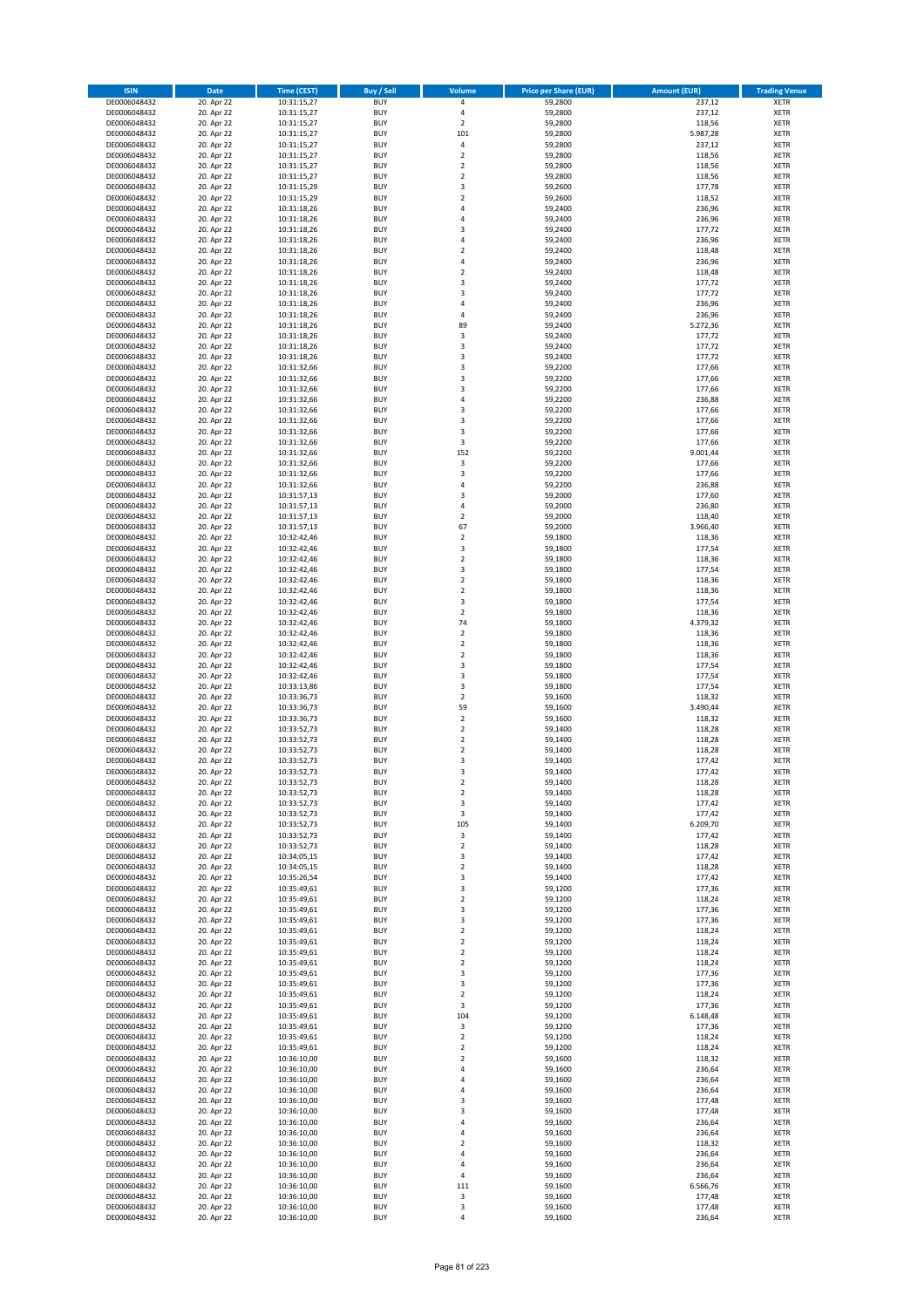| <b>ISIN</b>                  | <b>Date</b>              | <b>Time (CEST)</b>         | <b>Buy / Sell</b>        | Volume                  | <b>Price per Share (EUR)</b> | <b>Amount (EUR)</b> | <b>Trading Venue</b>       |
|------------------------------|--------------------------|----------------------------|--------------------------|-------------------------|------------------------------|---------------------|----------------------------|
| DE0006048432                 | 20. Apr 22               | 10:31:15,27                | <b>BUY</b>               | 4                       | 59,2800                      | 237,12              | <b>XETR</b>                |
| DE0006048432                 | 20. Apr 22               | 10:31:15,27                | <b>BUY</b>               | 4                       | 59,2800                      | 237,12              | <b>XETR</b>                |
| DE0006048432                 | 20. Apr 22               | 10:31:15,27                | <b>BUY</b>               | $\overline{\mathbf{2}}$ | 59,2800                      | 118,56              | <b>XETR</b>                |
| DE0006048432<br>DE0006048432 | 20. Apr 22<br>20. Apr 22 | 10:31:15,27<br>10:31:15,27 | <b>BUY</b><br><b>BUY</b> | 101<br>4                | 59,2800<br>59,2800           | 5.987,28<br>237,12  | <b>XETR</b><br><b>XETR</b> |
| DE0006048432                 | 20. Apr 22               | 10:31:15,27                | <b>BUY</b>               | $\mathbf 2$             | 59,2800                      | 118,56              | <b>XETR</b>                |
| DE0006048432                 | 20. Apr 22               | 10:31:15,27                | <b>BUY</b>               | $\mathbf 2$             | 59,2800                      | 118,56              | <b>XETR</b>                |
| DE0006048432                 | 20. Apr 22               | 10:31:15,27                | <b>BUY</b>               | $\overline{\mathbf{c}}$ | 59,2800                      | 118,56              | <b>XETR</b>                |
| DE0006048432                 | 20. Apr 22               | 10:31:15,29                | <b>BUY</b>               | 3                       | 59,2600                      | 177,78              | <b>XETR</b>                |
| DE0006048432                 | 20. Apr 22               | 10:31:15,29                | <b>BUY</b>               | $\mathbf 2$             | 59,2600                      | 118,52              | <b>XETR</b>                |
| DE0006048432                 | 20. Apr 22               | 10:31:18,26                | <b>BUY</b>               | 4                       | 59,2400                      | 236,96              | <b>XETR</b>                |
| DE0006048432                 | 20. Apr 22<br>20. Apr 22 | 10:31:18,26                | <b>BUY</b><br><b>BUY</b> | 4<br>3                  | 59,2400                      | 236,96              | <b>XETR</b><br><b>XETR</b> |
| DE0006048432<br>DE0006048432 | 20. Apr 22               | 10:31:18,26<br>10:31:18,26 | <b>BUY</b>               | 4                       | 59,2400<br>59,2400           | 177,72<br>236,96    | <b>XETR</b>                |
| DE0006048432                 | 20. Apr 22               | 10:31:18,26                | <b>BUY</b>               | $\mathbf 2$             | 59,2400                      | 118,48              | <b>XETR</b>                |
| DE0006048432                 | 20. Apr 22               | 10:31:18,26                | <b>BUY</b>               | 4                       | 59,2400                      | 236,96              | <b>XETR</b>                |
| DE0006048432                 | 20. Apr 22               | 10:31:18,26                | <b>BUY</b>               | $\overline{\mathbf{c}}$ | 59,2400                      | 118,48              | <b>XETR</b>                |
| DE0006048432                 | 20. Apr 22               | 10:31:18,26                | <b>BUY</b>               | 3                       | 59,2400                      | 177,72              | <b>XETR</b>                |
| DE0006048432                 | 20. Apr 22               | 10:31:18,26                | <b>BUY</b>               | 3                       | 59,2400                      | 177,72              | <b>XETR</b>                |
| DE0006048432                 | 20. Apr 22               | 10:31:18,26                | <b>BUY</b>               | 4                       | 59,2400                      | 236,96              | <b>XETR</b>                |
| DE0006048432                 | 20. Apr 22               | 10:31:18,26                | <b>BUY</b>               | 4                       | 59,2400                      | 236,96              | <b>XETR</b>                |
| DE0006048432<br>DE0006048432 | 20. Apr 22<br>20. Apr 22 | 10:31:18,26<br>10:31:18,26 | <b>BUY</b><br><b>BUY</b> | 89<br>3                 | 59,2400<br>59,2400           | 5.272,36<br>177,72  | <b>XETR</b><br><b>XETR</b> |
| DE0006048432                 | 20. Apr 22               | 10:31:18,26                | <b>BUY</b>               | 3                       | 59,2400                      | 177,72              | <b>XETR</b>                |
| DE0006048432                 | 20. Apr 22               | 10:31:18,26                | <b>BUY</b>               | 3                       | 59,2400                      | 177,72              | <b>XETR</b>                |
| DE0006048432                 | 20. Apr 22               | 10:31:32,66                | <b>BUY</b>               | 3                       | 59,2200                      | 177,66              | <b>XETR</b>                |
| DE0006048432                 | 20. Apr 22               | 10:31:32,66                | <b>BUY</b>               | 3                       | 59,2200                      | 177,66              | <b>XETR</b>                |
| DE0006048432                 | 20. Apr 22               | 10:31:32,66                | <b>BUY</b>               | 3                       | 59,2200                      | 177,66              | <b>XETR</b>                |
| DE0006048432                 | 20. Apr 22               | 10:31:32,66                | <b>BUY</b>               | 4                       | 59,2200                      | 236,88              | <b>XETR</b>                |
| DE0006048432                 | 20. Apr 22               | 10:31:32,66                | <b>BUY</b>               | 3<br>3                  | 59,2200                      | 177,66              | <b>XETR</b>                |
| DE0006048432<br>DE0006048432 | 20. Apr 22<br>20. Apr 22 | 10:31:32,66<br>10:31:32,66 | <b>BUY</b><br><b>BUY</b> | 3                       | 59,2200<br>59,2200           | 177,66<br>177,66    | <b>XETR</b><br><b>XETR</b> |
| DE0006048432                 | 20. Apr 22               | 10:31:32,66                | <b>BUY</b>               | 3                       | 59,2200                      | 177,66              | <b>XETR</b>                |
| DE0006048432                 | 20. Apr 22               | 10:31:32,66                | <b>BUY</b>               | 152                     | 59,2200                      | 9.001,44            | <b>XETR</b>                |
| DE0006048432                 | 20. Apr 22               | 10:31:32,66                | <b>BUY</b>               | 3                       | 59,2200                      | 177,66              | <b>XETR</b>                |
| DE0006048432                 | 20. Apr 22               | 10:31:32,66                | <b>BUY</b>               | 3                       | 59,2200                      | 177,66              | <b>XETR</b>                |
| DE0006048432                 | 20. Apr 22               | 10:31:32,66                | <b>BUY</b>               | 4                       | 59,2200                      | 236,88              | <b>XETR</b>                |
| DE0006048432                 | 20. Apr 22               | 10:31:57,13                | <b>BUY</b>               | 3                       | 59,2000                      | 177,60              | <b>XETR</b>                |
| DE0006048432                 | 20. Apr 22               | 10:31:57,13                | <b>BUY</b>               | 4                       | 59,2000                      | 236,80              | <b>XETR</b>                |
| DE0006048432<br>DE0006048432 | 20. Apr 22<br>20. Apr 22 | 10:31:57,13<br>10:31:57,13 | <b>BUY</b><br><b>BUY</b> | $\mathbf 2$<br>67       | 59,2000<br>59,2000           | 118,40<br>3.966,40  | <b>XETR</b><br><b>XETR</b> |
| DE0006048432                 | 20. Apr 22               | 10:32:42,46                | <b>BUY</b>               | $\mathbf 2$             | 59,1800                      | 118,36              | <b>XETR</b>                |
| DE0006048432                 | 20. Apr 22               | 10:32:42,46                | <b>BUY</b>               | 3                       | 59,1800                      | 177,54              | <b>XETR</b>                |
| DE0006048432                 | 20. Apr 22               | 10:32:42,46                | <b>BUY</b>               | $\overline{\mathbf{c}}$ | 59,1800                      | 118,36              | <b>XETR</b>                |
| DE0006048432                 | 20. Apr 22               | 10:32:42,46                | <b>BUY</b>               | 3                       | 59,1800                      | 177,54              | <b>XETR</b>                |
| DE0006048432                 | 20. Apr 22               | 10:32:42,46                | <b>BUY</b>               | $\overline{\mathbf{2}}$ | 59,1800                      | 118,36              | <b>XETR</b>                |
| DE0006048432                 | 20. Apr 22               | 10:32:42,46                | <b>BUY</b>               | $\mathbf 2$             | 59,1800                      | 118,36              | <b>XETR</b>                |
| DE0006048432                 | 20. Apr 22               | 10:32:42,46                | <b>BUY</b>               | 3                       | 59,1800                      | 177,54              | <b>XETR</b>                |
| DE0006048432<br>DE0006048432 | 20. Apr 22<br>20. Apr 22 | 10:32:42,46                | <b>BUY</b><br><b>BUY</b> | $\mathbf 2$<br>74       | 59,1800<br>59,1800           | 118,36<br>4.379,32  | <b>XETR</b><br><b>XETR</b> |
| DE0006048432                 | 20. Apr 22               | 10:32:42,46<br>10:32:42,46 | <b>BUY</b>               | $\mathbf 2$             | 59,1800                      | 118,36              | <b>XETR</b>                |
| DE0006048432                 | 20. Apr 22               | 10:32:42,46                | <b>BUY</b>               | $\mathbf 2$             | 59,1800                      | 118,36              | <b>XETR</b>                |
| DE0006048432                 | 20. Apr 22               | 10:32:42,46                | <b>BUY</b>               | $\overline{\mathbf{2}}$ | 59,1800                      | 118,36              | <b>XETR</b>                |
| DE0006048432                 | 20. Apr 22               | 10:32:42,46                | <b>BUY</b>               | 3                       | 59,1800                      | 177,54              | <b>XETR</b>                |
| DE0006048432                 | 20. Apr 22               | 10:32:42,46                | <b>BUY</b>               | 3                       | 59,1800                      | 177,54              | <b>XETR</b>                |
| DE0006048432                 | 20. Apr 22               | 10:33:13,86                | <b>BUY</b>               | 3                       | 59,1800                      | 177,54              | <b>XETR</b>                |
| DE0006048432                 | 20. Apr 22               | 10:33:36,73                | <b>BUY</b>               | $\overline{\mathbf{c}}$ | 59,1600                      | 118,32              | <b>XETR</b>                |
| DE0006048432                 | 20. Apr 22               | 10:33:36,73                | <b>BUY</b><br><b>BUY</b> | 59<br>$\mathbf 2$       | 59,1600                      | 3.490,44            | <b>XETR</b><br><b>XETR</b> |
| DE0006048432<br>DE0006048432 | 20. Apr 22<br>20. Apr 22 | 10:33:36,73<br>10:33:52,73 | <b>BUY</b>               | $\overline{2}$          | 59,1600<br>59,1400           | 118,32<br>118,28    | <b>XETR</b>                |
| DE0006048432                 | 20. Apr 22               | 10:33:52,73                | <b>BUY</b>               | $\mathbf 2$             | 59,1400                      | 118,28              | <b>XETR</b>                |
| DE0006048432                 | 20. Apr 22               | 10:33:52,73                | <b>BUY</b>               | $\overline{\mathbf{c}}$ | 59,1400                      | 118,28              | <b>XETR</b>                |
| DE0006048432                 | 20. Apr 22               | 10:33:52,73                | <b>BUY</b>               | 3                       | 59,1400                      | 177,42              | <b>XETR</b>                |
| DE0006048432                 | 20. Apr 22               | 10:33:52,73                | <b>BUY</b>               | 3                       | 59,1400                      | 177,42              | <b>XETR</b>                |
| DE0006048432                 | 20. Apr 22               | 10:33:52,73                | BUY                      | 2                       | 59,1400                      | 118,28              | <b>XETR</b>                |
| DE0006048432<br>DE0006048432 | 20. Apr 22<br>20. Apr 22 | 10:33:52,73                | <b>BUY</b><br><b>BUY</b> | $\mathbf 2$<br>3        | 59,1400<br>59,1400           | 118,28<br>177,42    | <b>XETR</b><br><b>XETR</b> |
| DE0006048432                 | 20. Apr 22               | 10:33:52,73<br>10:33:52,73 | <b>BUY</b>               | 3                       | 59,1400                      | 177,42              | XETR                       |
| DE0006048432                 | 20. Apr 22               | 10:33:52,73                | <b>BUY</b>               | 105                     | 59,1400                      | 6.209,70            | <b>XETR</b>                |
| DE0006048432                 | 20. Apr 22               | 10:33:52,73                | <b>BUY</b>               | $\mathsf 3$             | 59,1400                      | 177,42              | <b>XETR</b>                |
| DE0006048432                 | 20. Apr 22               | 10:33:52,73                | <b>BUY</b>               | $\mathbf 2$             | 59,1400                      | 118,28              | <b>XETR</b>                |
| DE0006048432                 | 20. Apr 22               | 10:34:05,15                | <b>BUY</b>               | 3                       | 59,1400                      | 177,42              | <b>XETR</b>                |
| DE0006048432                 | 20. Apr 22               | 10:34:05,15                | <b>BUY</b>               | $\mathbf 2$             | 59,1400                      | 118,28              | <b>XETR</b>                |
| DE0006048432                 | 20. Apr 22               | 10:35:26,54                | <b>BUY</b>               | 3                       | 59,1400                      | 177,42              | <b>XETR</b>                |
| DE0006048432<br>DE0006048432 | 20. Apr 22<br>20. Apr 22 | 10:35:49,61<br>10:35:49,61 | <b>BUY</b><br><b>BUY</b> | 3<br>$\overline{2}$     | 59,1200<br>59,1200           | 177,36<br>118,24    | <b>XETR</b><br><b>XETR</b> |
| DE0006048432                 | 20. Apr 22               | 10:35:49,61                | <b>BUY</b>               | 3                       | 59,1200                      | 177,36              | <b>XETR</b>                |
| DE0006048432                 | 20. Apr 22               | 10:35:49,61                | <b>BUY</b>               | 3                       | 59,1200                      | 177,36              | <b>XETR</b>                |
| DE0006048432                 | 20. Apr 22               | 10:35:49,61                | <b>BUY</b>               | $\mathbf 2$             | 59,1200                      | 118,24              | <b>XETR</b>                |
| DE0006048432                 | 20. Apr 22               | 10:35:49,61                | <b>BUY</b>               | $\mathbf 2$             | 59,1200                      | 118,24              | <b>XETR</b>                |
| DE0006048432                 | 20. Apr 22               | 10:35:49,61                | <b>BUY</b>               | $\mathbf 2$             | 59,1200                      | 118,24              | <b>XETR</b>                |
| DE0006048432                 | 20. Apr 22<br>20. Apr 22 | 10:35:49,61                | <b>BUY</b>               | $\mathbf 2$             | 59,1200                      | 118,24              | <b>XETR</b>                |
| DE0006048432<br>DE0006048432 | 20. Apr 22               | 10:35:49,61<br>10:35:49,61 | <b>BUY</b><br><b>BUY</b> | 3<br>3                  | 59,1200<br>59,1200           | 177,36<br>177,36    | XETR<br><b>XETR</b>        |
| DE0006048432                 | 20. Apr 22               | 10:35:49,61                | <b>BUY</b>               | $\overline{2}$          | 59,1200                      | 118,24              | <b>XETR</b>                |
| DE0006048432                 | 20. Apr 22               | 10:35:49,61                | <b>BUY</b>               | 3                       | 59,1200                      | 177,36              | <b>XETR</b>                |
| DE0006048432                 | 20. Apr 22               | 10:35:49,61                | <b>BUY</b>               | 104                     | 59,1200                      | 6.148,48            | <b>XETR</b>                |
| DE0006048432                 | 20. Apr 22               | 10:35:49,61                | <b>BUY</b>               | 3                       | 59,1200                      | 177,36              | <b>XETR</b>                |
| DE0006048432                 | 20. Apr 22               | 10:35:49,61                | <b>BUY</b>               | $\mathbf 2$             | 59,1200                      | 118,24              | <b>XETR</b>                |
| DE0006048432                 | 20. Apr 22               | 10:35:49,61                | <b>BUY</b>               | $\mathbf 2$             | 59,1200                      | 118,24              | <b>XETR</b>                |
| DE0006048432                 | 20. Apr 22               | 10:36:10,00                | <b>BUY</b>               | $\mathbf 2$             | 59,1600                      | 118,32              | <b>XETR</b>                |
| DE0006048432<br>DE0006048432 | 20. Apr 22<br>20. Apr 22 | 10:36:10,00<br>10:36:10,00 | <b>BUY</b><br><b>BUY</b> | 4<br>4                  | 59,1600<br>59,1600           | 236,64<br>236,64    | <b>XETR</b><br><b>XETR</b> |
| DE0006048432                 | 20. Apr 22               | 10:36:10,00                | <b>BUY</b>               | 4                       | 59,1600                      | 236,64              | XETR                       |
| DE0006048432                 | 20. Apr 22               | 10:36:10,00                | <b>BUY</b>               | 3                       | 59,1600                      | 177,48              | <b>XETR</b>                |
| DE0006048432                 | 20. Apr 22               | 10:36:10,00                | <b>BUY</b>               | 3                       | 59,1600                      | 177,48              | <b>XETR</b>                |
| DE0006048432                 | 20. Apr 22               | 10:36:10,00                | <b>BUY</b>               | 4                       | 59,1600                      | 236,64              | <b>XETR</b>                |
| DE0006048432                 | 20. Apr 22               | 10:36:10,00                | <b>BUY</b>               | 4                       | 59,1600                      | 236,64              | <b>XETR</b>                |
| DE0006048432                 | 20. Apr 22               | 10:36:10,00                | <b>BUY</b>               | $\mathbf 2$             | 59,1600                      | 118,32              | <b>XETR</b>                |
| DE0006048432                 | 20. Apr 22               | 10:36:10,00                | <b>BUY</b>               | 4                       | 59,1600                      | 236,64              | <b>XETR</b>                |
| DE0006048432<br>DE0006048432 | 20. Apr 22<br>20. Apr 22 | 10:36:10,00<br>10:36:10,00 | <b>BUY</b><br><b>BUY</b> | 4<br>4                  | 59,1600<br>59,1600           | 236,64<br>236,64    | <b>XETR</b><br>XETR        |
| DE0006048432                 | 20. Apr 22               | 10:36:10,00                | <b>BUY</b>               | 111                     | 59,1600                      | 6.566,76            | <b>XETR</b>                |
| DE0006048432                 | 20. Apr 22               | 10:36:10,00                | <b>BUY</b>               | 3                       | 59,1600                      | 177,48              | <b>XETR</b>                |
| DE0006048432                 | 20. Apr 22               | 10:36:10,00                | <b>BUY</b>               | 3                       | 59,1600                      | 177,48              | <b>XETR</b>                |
| DE0006048432                 | 20. Apr 22               | 10:36:10,00                | <b>BUY</b>               | 4                       | 59,1600                      | 236,64              | XETR                       |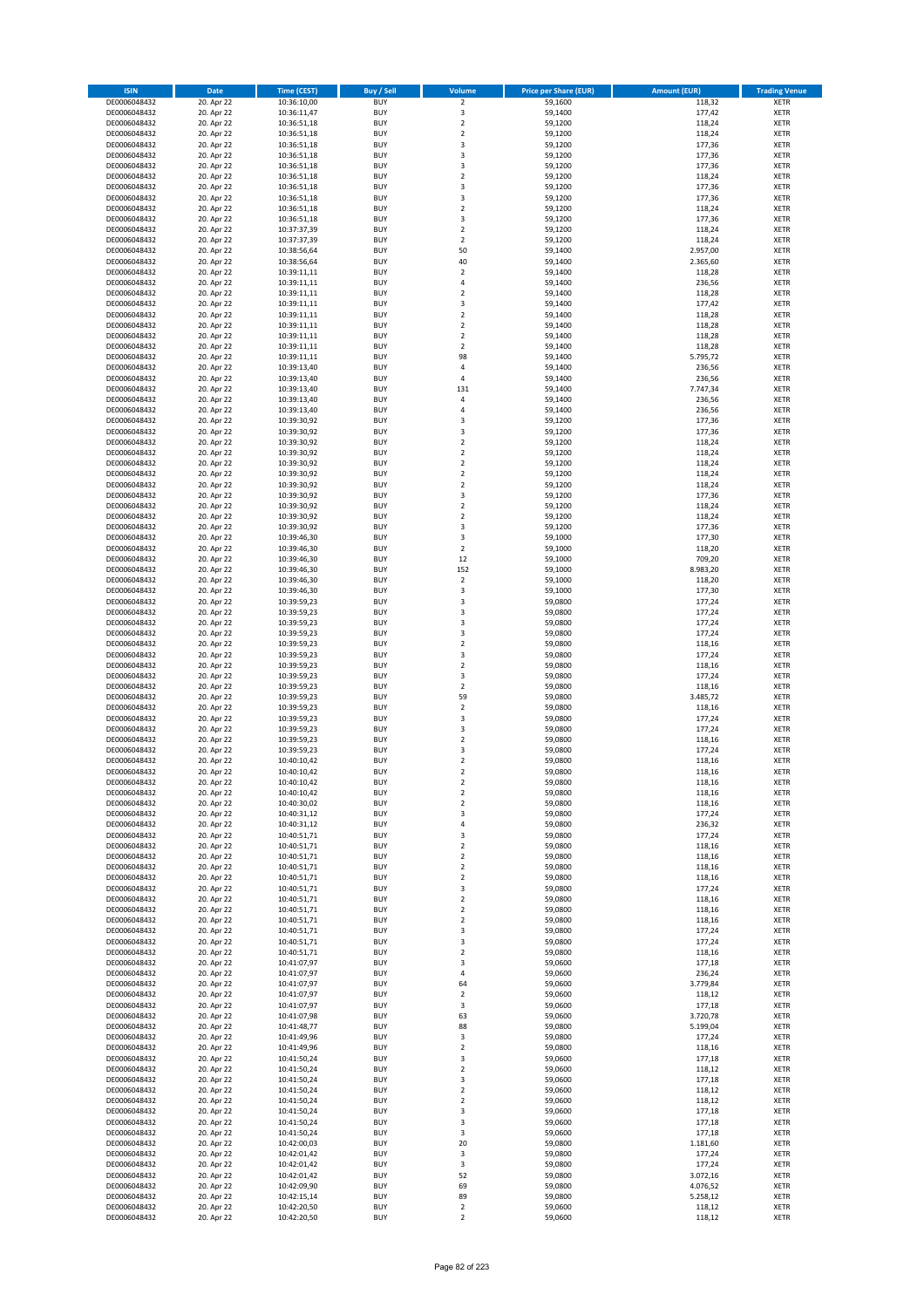| <b>ISIN</b>                  | <b>Date</b>              | <b>Time (CEST)</b>         | <b>Buy / Sell</b>        | <b>Volume</b>                | <b>Price per Share (EUR)</b> | <b>Amount (EUR)</b>  | <b>Trading Venue</b>       |
|------------------------------|--------------------------|----------------------------|--------------------------|------------------------------|------------------------------|----------------------|----------------------------|
| DE0006048432                 | 20. Apr 22               | 10:36:10,00                | <b>BUY</b>               | $\overline{2}$               | 59,1600                      | 118,32               | <b>XETR</b>                |
| DE0006048432                 | 20. Apr 22               | 10:36:11,47                | <b>BUY</b>               | 3                            | 59,1400                      | 177,42               | <b>XETR</b>                |
| DE0006048432                 | 20. Apr 22               | 10:36:51,18                | <b>BUY</b>               | $\overline{2}$               | 59,1200                      | 118,24               | <b>XETR</b>                |
| DE0006048432<br>DE0006048432 | 20. Apr 22<br>20. Apr 22 | 10:36:51,18<br>10:36:51,18 | <b>BUY</b><br><b>BUY</b> | $\mathbf 2$<br>3             | 59,1200<br>59,1200           | 118,24<br>177,36     | <b>XETR</b><br><b>XETR</b> |
| DE0006048432                 | 20. Apr 22               | 10:36:51,18                | <b>BUY</b>               | 3                            | 59,1200                      | 177,36               | <b>XETR</b>                |
| DE0006048432                 | 20. Apr 22               | 10:36:51,18                | <b>BUY</b>               | 3                            | 59,1200                      | 177,36               | <b>XETR</b>                |
| DE0006048432                 | 20. Apr 22               | 10:36:51,18                | <b>BUY</b>               | $\overline{\mathbf{c}}$      | 59,1200                      | 118,24               | <b>XETR</b>                |
| DE0006048432                 | 20. Apr 22               | 10:36:51,18                | <b>BUY</b>               | 3<br>3                       | 59,1200                      | 177,36               | <b>XETR</b>                |
| DE0006048432<br>DE0006048432 | 20. Apr 22<br>20. Apr 22 | 10:36:51,18<br>10:36:51,18 | <b>BUY</b><br><b>BUY</b> | $\mathbf 2$                  | 59,1200<br>59,1200           | 177,36<br>118,24     | <b>XETR</b><br><b>XETR</b> |
| DE0006048432                 | 20. Apr 22               | 10:36:51,18                | <b>BUY</b>               | 3                            | 59,1200                      | 177,36               | <b>XETR</b>                |
| DE0006048432                 | 20. Apr 22               | 10:37:37,39                | <b>BUY</b>               | $\mathbf 2$                  | 59,1200                      | 118,24               | <b>XETR</b>                |
| DE0006048432                 | 20. Apr 22               | 10:37:37,39                | <b>BUY</b>               | $\overline{\mathbf{c}}$      | 59,1200                      | 118,24               | <b>XETR</b>                |
| DE0006048432                 | 20. Apr 22               | 10:38:56,64                | <b>BUY</b>               | 50                           | 59,1400                      | 2.957,00             | <b>XETR</b>                |
| DE0006048432<br>DE0006048432 | 20. Apr 22<br>20. Apr 22 | 10:38:56,64<br>10:39:11,11 | <b>BUY</b><br><b>BUY</b> | 40<br>$\mathbf 2$            | 59,1400<br>59,1400           | 2.365,60<br>118,28   | <b>XETR</b><br><b>XETR</b> |
| DE0006048432                 | 20. Apr 22               | 10:39:11,11                | <b>BUY</b>               | 4                            | 59,1400                      | 236,56               | <b>XETR</b>                |
| DE0006048432                 | 20. Apr 22               | 10:39:11,11                | <b>BUY</b>               | $\overline{\mathbf{c}}$      | 59,1400                      | 118,28               | <b>XETR</b>                |
| DE0006048432                 | 20. Apr 22               | 10:39:11,11                | <b>BUY</b>               | 3                            | 59,1400                      | 177,42               | <b>XETR</b>                |
| DE0006048432                 | 20. Apr 22               | 10:39:11,11                | <b>BUY</b>               | $\overline{\mathbf{c}}$      | 59,1400                      | 118,28               | <b>XETR</b>                |
| DE0006048432<br>DE0006048432 | 20. Apr 22<br>20. Apr 22 | 10:39:11,11<br>10:39:11,11 | <b>BUY</b><br><b>BUY</b> | $\mathbf 2$<br>$\mathbf 2$   | 59,1400<br>59,1400           | 118,28               | <b>XETR</b><br><b>XETR</b> |
| DE0006048432                 | 20. Apr 22               | 10:39:11,11                | <b>BUY</b>               | $\mathbf 2$                  | 59,1400                      | 118,28<br>118,28     | <b>XETR</b>                |
| DE0006048432                 | 20. Apr 22               | 10:39:11,11                | <b>BUY</b>               | 98                           | 59,1400                      | 5.795,72             | <b>XETR</b>                |
| DE0006048432                 | 20. Apr 22               | 10:39:13,40                | <b>BUY</b>               | 4                            | 59,1400                      | 236,56               | <b>XETR</b>                |
| DE0006048432                 | 20. Apr 22               | 10:39:13,40                | <b>BUY</b>               | 4                            | 59,1400                      | 236,56               | <b>XETR</b>                |
| DE0006048432                 | 20. Apr 22               | 10:39:13,40                | <b>BUY</b><br><b>BUY</b> | 131                          | 59,1400                      | 7.747,34<br>236,56   | <b>XETR</b>                |
| DE0006048432<br>DE0006048432 | 20. Apr 22<br>20. Apr 22 | 10:39:13,40<br>10:39:13,40 | <b>BUY</b>               | 4<br>4                       | 59,1400<br>59,1400           | 236,56               | <b>XETR</b><br><b>XETR</b> |
| DE0006048432                 | 20. Apr 22               | 10:39:30,92                | <b>BUY</b>               | 3                            | 59,1200                      | 177,36               | <b>XETR</b>                |
| DE0006048432                 | 20. Apr 22               | 10:39:30,92                | <b>BUY</b>               | 3                            | 59,1200                      | 177,36               | <b>XETR</b>                |
| DE0006048432                 | 20. Apr 22               | 10:39:30,92                | <b>BUY</b>               | $\mathbf 2$                  | 59,1200                      | 118,24               | <b>XETR</b>                |
| DE0006048432                 | 20. Apr 22               | 10:39:30,92                | <b>BUY</b>               | $\mathbf 2$                  | 59,1200                      | 118,24               | <b>XETR</b>                |
| DE0006048432<br>DE0006048432 | 20. Apr 22<br>20. Apr 22 | 10:39:30,92<br>10:39:30,92 | <b>BUY</b><br><b>BUY</b> | $\mathbf 2$<br>$\mathbf 2$   | 59,1200<br>59,1200           | 118,24<br>118,24     | <b>XETR</b><br><b>XETR</b> |
| DE0006048432                 | 20. Apr 22               | 10:39:30,92                | <b>BUY</b>               | $\overline{\mathbf{c}}$      | 59,1200                      | 118,24               | <b>XETR</b>                |
| DE0006048432                 | 20. Apr 22               | 10:39:30,92                | <b>BUY</b>               | 3                            | 59,1200                      | 177,36               | <b>XETR</b>                |
| DE0006048432                 | 20. Apr 22               | 10:39:30,92                | <b>BUY</b>               | $\mathbf 2$                  | 59,1200                      | 118,24               | <b>XETR</b>                |
| DE0006048432                 | 20. Apr 22               | 10:39:30,92                | <b>BUY</b>               | $\mathbf 2$                  | 59,1200                      | 118,24               | <b>XETR</b>                |
| DE0006048432                 | 20. Apr 22<br>20. Apr 22 | 10:39:30,92                | <b>BUY</b><br><b>BUY</b> | 3<br>3                       | 59,1200<br>59,1000           | 177,36<br>177,30     | <b>XETR</b><br><b>XETR</b> |
| DE0006048432<br>DE0006048432 | 20. Apr 22               | 10:39:46,30<br>10:39:46,30 | <b>BUY</b>               | $\mathbf 2$                  | 59,1000                      | 118,20               | <b>XETR</b>                |
| DE0006048432                 | 20. Apr 22               | 10:39:46,30                | <b>BUY</b>               | 12                           | 59,1000                      | 709,20               | <b>XETR</b>                |
| DE0006048432                 | 20. Apr 22               | 10:39:46,30                | <b>BUY</b>               | 152                          | 59,1000                      | 8.983,20             | <b>XETR</b>                |
| DE0006048432                 | 20. Apr 22               | 10:39:46,30                | <b>BUY</b>               | $\mathbf 2$                  | 59,1000                      | 118,20               | <b>XETR</b>                |
| DE0006048432                 | 20. Apr 22               | 10:39:46,30                | <b>BUY</b>               | 3                            | 59,1000                      | 177,30               | <b>XETR</b>                |
| DE0006048432<br>DE0006048432 | 20. Apr 22<br>20. Apr 22 | 10:39:59,23<br>10:39:59,23 | <b>BUY</b><br><b>BUY</b> | 3<br>3                       | 59,0800<br>59,0800           | 177,24<br>177,24     | <b>XETR</b><br><b>XETR</b> |
| DE0006048432                 | 20. Apr 22               | 10:39:59,23                | <b>BUY</b>               | 3                            | 59,0800                      | 177,24               | <b>XETR</b>                |
| DE0006048432                 | 20. Apr 22               | 10:39:59,23                | <b>BUY</b>               | 3                            | 59,0800                      | 177,24               | <b>XETR</b>                |
| DE0006048432                 | 20. Apr 22               | 10:39:59,23                | <b>BUY</b>               | $\mathbf 2$                  | 59,0800                      | 118,16               | <b>XETR</b>                |
| DE0006048432                 | 20. Apr 22               | 10:39:59,23                | <b>BUY</b>               | 3                            | 59,0800                      | 177,24               | <b>XETR</b>                |
| DE0006048432<br>DE0006048432 | 20. Apr 22<br>20. Apr 22 | 10:39:59,23<br>10:39:59,23 | <b>BUY</b><br><b>BUY</b> | $\mathbf 2$<br>3             | 59,0800<br>59,0800           | 118,16<br>177,24     | <b>XETR</b><br><b>XETR</b> |
| DE0006048432                 | 20. Apr 22               | 10:39:59,23                | <b>BUY</b>               | $\mathbf 2$                  | 59,0800                      | 118,16               | <b>XETR</b>                |
| DE0006048432                 | 20. Apr 22               | 10:39:59,23                | <b>BUY</b>               | 59                           | 59,0800                      | 3.485,72             | <b>XETR</b>                |
| DE0006048432                 | 20. Apr 22               | 10:39:59,23                | <b>BUY</b>               | $\mathbf 2$                  | 59,0800                      | 118,16               | <b>XETR</b>                |
| DE0006048432                 | 20. Apr 22               | 10:39:59,23                | <b>BUY</b>               | 3                            | 59,0800                      | 177,24               | <b>XETR</b>                |
| DE0006048432<br>DE0006048432 | 20. Apr 22<br>20. Apr 22 | 10:39:59,23<br>10:39:59,23 | <b>BUY</b><br><b>BUY</b> | 3<br>$\mathbf 2$             | 59,0800<br>59,0800           | 177,24<br>118,16     | <b>XETR</b><br><b>XETR</b> |
| DE0006048432                 | 20. Apr 22               | 10:39:59,23                | <b>BUY</b>               | 3                            | 59,0800                      | 177,24               | <b>XETR</b>                |
| DE0006048432                 | 20. Apr 22               | 10:40:10,42                | <b>BUY</b>               | $\overline{\mathbf{c}}$      | 59,0800                      | 118,16               | <b>XETR</b>                |
| DE0006048432                 | 20. Apr 22               | 10:40:10,42                | <b>BUY</b>               | $\overline{2}$               | 59,0800                      | 118,16               | <b>XETR</b>                |
| DE0006048432                 | 20. Apr 22               | 10:40:10,42                | BUY                      | 2                            | 59,0800                      | 118,16               | <b>XETR</b>                |
| DE0006048432<br>DE0006048432 | 20. Apr 22<br>20. Apr 22 | 10:40:10,42<br>10:40:30,02 | <b>BUY</b><br><b>BUY</b> | $\mathbf 2$<br>$\mathbf 2$   | 59,0800<br>59,0800           | 118,16<br>118,16     | <b>XETR</b><br><b>XETR</b> |
| DE0006048432                 | 20. Apr 22               | 10:40:31,12                | <b>BUY</b>               | 3                            | 59,0800                      | 177,24               | XETR                       |
| DE0006048432                 | 20. Apr 22               | 10:40:31,12                | <b>BUY</b>               | 4                            | 59,0800                      | 236,32               | <b>XETR</b>                |
| DE0006048432                 | 20. Apr 22               | 10:40:51,71                | <b>BUY</b>               | 3                            | 59,0800                      | 177,24               | <b>XETR</b>                |
| DE0006048432                 | 20. Apr 22               | 10:40:51,71                | <b>BUY</b>               | $\overline{2}$               | 59,0800                      | 118,16               | <b>XETR</b>                |
| DE0006048432<br>DE0006048432 | 20. Apr 22<br>20. Apr 22 | 10:40:51,71<br>10:40:51,71 | <b>BUY</b><br><b>BUY</b> | $\mathbf 2$<br>$\mathbf 2$   | 59,0800<br>59,0800           | 118,16<br>118,16     | <b>XETR</b><br><b>XETR</b> |
| DE0006048432                 | 20. Apr 22               | 10:40:51,71                | <b>BUY</b>               | $\mathbf 2$                  | 59,0800                      | 118,16               | <b>XETR</b>                |
| DE0006048432                 | 20. Apr 22               | 10:40:51,71                | <b>BUY</b>               | 3                            | 59,0800                      | 177,24               | <b>XETR</b>                |
| DE0006048432                 | 20. Apr 22               | 10:40:51,71                | <b>BUY</b>               | $\mathbf 2$                  | 59,0800                      | 118,16               | <b>XETR</b>                |
| DE0006048432                 | 20. Apr 22               | 10:40:51,71                | <b>BUY</b>               | $\mathbf 2$                  | 59,0800                      | 118,16               | <b>XETR</b>                |
| DE0006048432<br>DE0006048432 | 20. Apr 22<br>20. Apr 22 | 10:40:51,71<br>10:40:51,71 | <b>BUY</b><br><b>BUY</b> | $\overline{\mathbf{c}}$<br>3 | 59,0800<br>59,0800           | 118,16<br>177,24     | <b>XETR</b><br><b>XETR</b> |
| DE0006048432                 | 20. Apr 22               | 10:40:51,71                | <b>BUY</b>               | 3                            | 59,0800                      | 177,24               | <b>XETR</b>                |
| DE0006048432                 | 20. Apr 22               | 10:40:51,71                | <b>BUY</b>               | $\overline{2}$               | 59,0800                      | 118,16               | <b>XETR</b>                |
| DE0006048432                 | 20. Apr 22               | 10:41:07,97                | <b>BUY</b>               | 3                            | 59,0600                      | 177,18               | <b>XETR</b>                |
| DE0006048432                 | 20. Apr 22               | 10:41:07,97                | <b>BUY</b>               | 4                            | 59,0600                      | 236,24               | XETR                       |
| DE0006048432<br>DE0006048432 | 20. Apr 22<br>20. Apr 22 | 10:41:07,97<br>10:41:07,97 | <b>BUY</b><br><b>BUY</b> | 64<br>$\overline{2}$         | 59,0600<br>59,0600           | 3.779,84<br>118,12   | <b>XETR</b><br><b>XETR</b> |
| DE0006048432                 | 20. Apr 22               | 10:41:07,97                | <b>BUY</b>               | 3                            | 59,0600                      | 177,18               | <b>XETR</b>                |
| DE0006048432                 | 20. Apr 22               | 10:41:07,98                | <b>BUY</b>               | 63                           | 59,0600                      | 3.720,78             | <b>XETR</b>                |
| DE0006048432                 | 20. Apr 22               | 10:41:48,77                | <b>BUY</b>               | 88                           | 59,0800                      | 5.199,04             | <b>XETR</b>                |
| DE0006048432                 | 20. Apr 22               | 10:41:49,96                | <b>BUY</b>               | 3                            | 59,0800                      | 177,24               | <b>XETR</b>                |
| DE0006048432<br>DE0006048432 | 20. Apr 22<br>20. Apr 22 | 10:41:49,96                | <b>BUY</b><br><b>BUY</b> | $\mathbf 2$<br>3             | 59,0800<br>59,0600           | 118,16<br>177,18     | <b>XETR</b><br><b>XETR</b> |
| DE0006048432                 | 20. Apr 22               | 10:41:50,24<br>10:41:50,24 | <b>BUY</b>               | $\overline{2}$               | 59,0600                      | 118,12               | <b>XETR</b>                |
| DE0006048432                 | 20. Apr 22               | 10:41:50,24                | <b>BUY</b>               | 3                            | 59,0600                      | 177,18               | <b>XETR</b>                |
| DE0006048432                 | 20. Apr 22               | 10:41:50,24                | <b>BUY</b>               | $\overline{\mathbf{c}}$      | 59,0600                      | 118,12               | <b>XETR</b>                |
| DE0006048432                 | 20. Apr 22               | 10:41:50,24                | <b>BUY</b>               | $\mathbf 2$                  | 59,0600                      | 118,12               | <b>XETR</b>                |
| DE0006048432                 | 20. Apr 22               | 10:41:50,24                | <b>BUY</b>               | 3                            | 59,0600                      | 177,18               | <b>XETR</b>                |
| DE0006048432<br>DE0006048432 | 20. Apr 22<br>20. Apr 22 | 10:41:50,24<br>10:41:50,24 | <b>BUY</b><br><b>BUY</b> | 3<br>3                       | 59,0600<br>59,0600           | 177,18<br>177,18     | <b>XETR</b><br><b>XETR</b> |
| DE0006048432                 | 20. Apr 22               | 10:42:00,03                | <b>BUY</b>               | 20                           | 59,0800                      | 1.181,60             | <b>XETR</b>                |
| DE0006048432                 | 20. Apr 22               | 10:42:01,42                | <b>BUY</b>               | 3                            | 59,0800                      | 177,24               | <b>XETR</b>                |
| DE0006048432                 | 20. Apr 22               | 10:42:01,42                | <b>BUY</b>               | 3                            | 59,0800                      | 177,24               | <b>XETR</b>                |
| DE0006048432                 | 20. Apr 22               | 10:42:01,42                | <b>BUY</b>               | 52                           | 59,0800                      | 3.072,16             | XETR                       |
| DE0006048432<br>DE0006048432 | 20. Apr 22<br>20. Apr 22 | 10:42:09,90<br>10:42:15,14 | <b>BUY</b><br><b>BUY</b> | 69<br>89                     | 59,0800<br>59,0800           | 4.076,52<br>5.258,12 | <b>XETR</b><br><b>XETR</b> |
| DE0006048432                 | 20. Apr 22               | 10:42:20,50                | <b>BUY</b>               | $\mathbf 2$                  | 59,0600                      | 118,12               | <b>XETR</b>                |
| DE0006048432                 | 20. Apr 22               | 10:42:20,50                | <b>BUY</b>               | $\mathbf 2$                  | 59,0600                      | 118,12               | <b>XETR</b>                |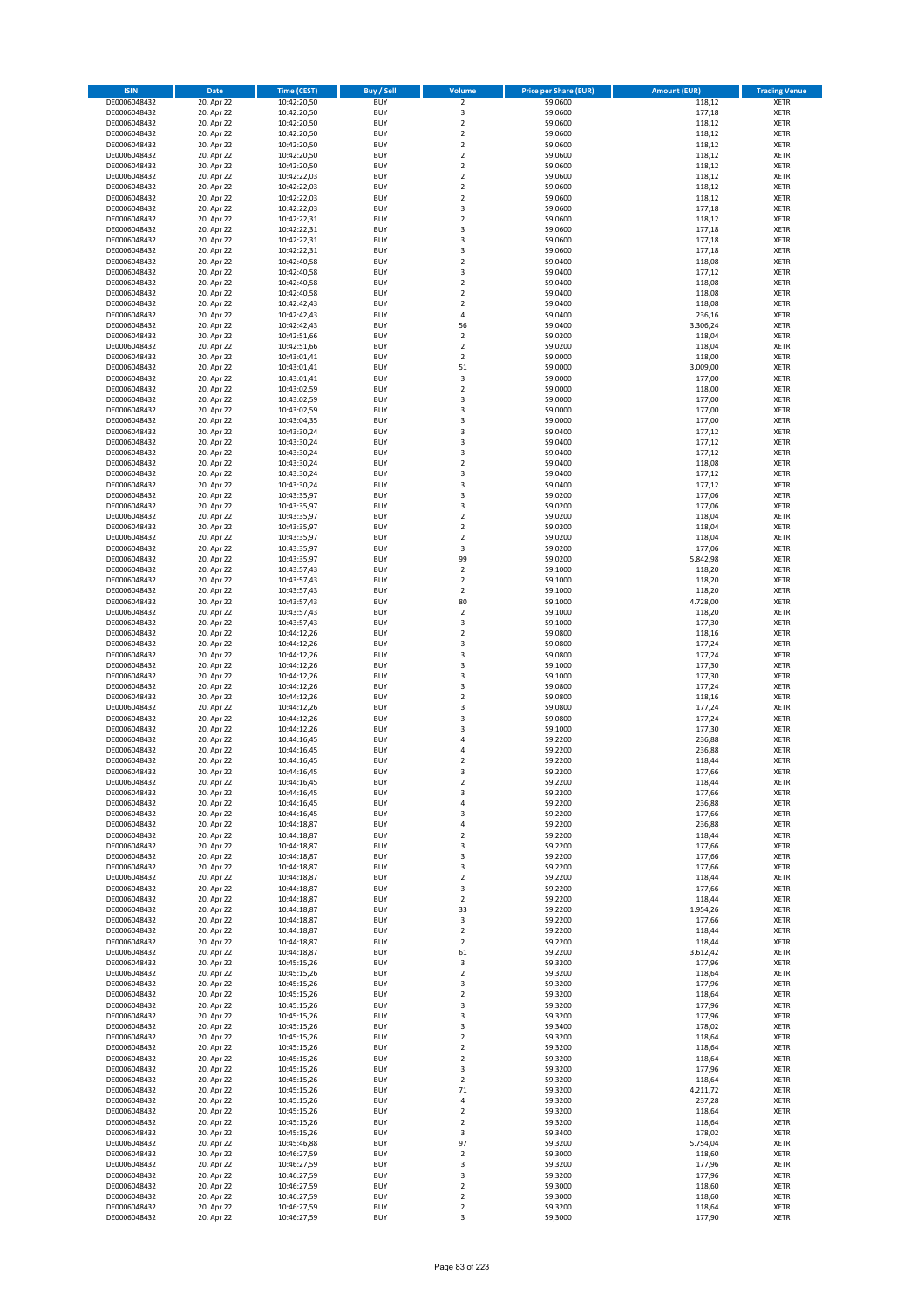| <b>ISIN</b>                  | <b>Date</b>              | <b>Time (CEST)</b>         | <b>Buy / Sell</b>        | Volume                                    | <b>Price per Share (EUR)</b> | <b>Amount (EUR)</b> | <b>Trading Venue</b>       |
|------------------------------|--------------------------|----------------------------|--------------------------|-------------------------------------------|------------------------------|---------------------|----------------------------|
| DE0006048432                 | 20. Apr 22               | 10:42:20,50                | <b>BUY</b>               | $\overline{\mathbf{2}}$                   | 59,0600                      | 118,12              | <b>XETR</b>                |
| DE0006048432                 | 20. Apr 22               | 10:42:20,50                | <b>BUY</b>               | 3                                         | 59,0600                      | 177,18              | <b>XETR</b>                |
| DE0006048432                 | 20. Apr 22               | 10:42:20,50                | <b>BUY</b>               | $\overline{2}$                            | 59,0600                      | 118,12              | <b>XETR</b>                |
| DE0006048432                 | 20. Apr 22               | 10:42:20,50                | <b>BUY</b>               | $\mathbf 2$                               | 59,0600                      | 118,12              | <b>XETR</b>                |
| DE0006048432<br>DE0006048432 | 20. Apr 22<br>20. Apr 22 | 10:42:20,50<br>10:42:20,50 | <b>BUY</b><br><b>BUY</b> | $\overline{2}$<br>$\mathbf 2$             | 59,0600<br>59,0600           | 118,12<br>118,12    | <b>XETR</b><br><b>XETR</b> |
| DE0006048432                 | 20. Apr 22               | 10:42:20,50                | <b>BUY</b>               | $\overline{2}$                            | 59,0600                      | 118,12              | <b>XETR</b>                |
| DE0006048432                 | 20. Apr 22               | 10:42:22,03                | <b>BUY</b>               | $\overline{2}$                            | 59,0600                      | 118,12              | <b>XETR</b>                |
| DE0006048432                 | 20. Apr 22               | 10:42:22,03                | BUY                      | $\overline{2}$                            | 59,0600                      | 118,12              | <b>XETR</b>                |
| DE0006048432                 | 20. Apr 22               | 10:42:22,03                | <b>BUY</b>               | $\overline{2}$                            | 59,0600                      | 118,12              | <b>XETR</b>                |
| DE0006048432                 | 20. Apr 22               | 10:42:22,03                | <b>BUY</b>               | 3                                         | 59,0600                      | 177,18              | <b>XETR</b>                |
| DE0006048432                 | 20. Apr 22               | 10:42:22,31                | <b>BUY</b><br><b>BUY</b> | $\overline{2}$<br>$\overline{\mathbf{3}}$ | 59,0600                      | 118,12              | <b>XETR</b>                |
| DE0006048432<br>DE0006048432 | 20. Apr 22<br>20. Apr 22 | 10:42:22,31<br>10:42:22,31 | <b>BUY</b>               | $\overline{\mathbf{3}}$                   | 59,0600<br>59,0600           | 177,18<br>177,18    | <b>XETR</b><br><b>XETR</b> |
| DE0006048432                 | 20. Apr 22               | 10:42:22,31                | <b>BUY</b>               | 3                                         | 59,0600                      | 177,18              | <b>XETR</b>                |
| DE0006048432                 | 20. Apr 22               | 10:42:40,58                | BUY                      | $\overline{2}$                            | 59,0400                      | 118,08              | <b>XETR</b>                |
| DE0006048432                 | 20. Apr 22               | 10:42:40,58                | <b>BUY</b>               | 3                                         | 59,0400                      | 177,12              | <b>XETR</b>                |
| DE0006048432                 | 20. Apr 22               | 10:42:40,58                | <b>BUY</b>               | $\overline{2}$                            | 59,0400                      | 118,08              | <b>XETR</b>                |
| DE0006048432                 | 20. Apr 22               | 10:42:40.58                | <b>BUY</b>               | $\overline{2}$                            | 59.0400                      | 118,08              | <b>XETR</b>                |
| DE0006048432<br>DE0006048432 | 20. Apr 22<br>20. Apr 22 | 10:42:42,43<br>10:42:42,43 | <b>BUY</b><br><b>BUY</b> | $\overline{2}$<br>$\overline{4}$          | 59,0400<br>59,0400           | 118,08<br>236,16    | <b>XETR</b><br><b>XETR</b> |
| DE0006048432                 | 20. Apr 22               | 10:42:42,43                | <b>BUY</b>               | 56                                        | 59,0400                      | 3.306,24            | <b>XETR</b>                |
| DE0006048432                 | 20. Apr 22               | 10:42:51,66                | <b>BUY</b>               | $\mathbf 2$                               | 59,0200                      | 118,04              | <b>XETR</b>                |
| DE0006048432                 | 20. Apr 22               | 10:42:51,66                | <b>BUY</b>               | $\mathbf 2$                               | 59,0200                      | 118,04              | <b>XETR</b>                |
| DE0006048432                 | 20. Apr 22               | 10:43:01,41                | <b>BUY</b>               | $\overline{2}$                            | 59,0000                      | 118,00              | <b>XETR</b>                |
| DE0006048432                 | 20. Apr 22               | 10:43:01,41                | <b>BUY</b>               | 51                                        | 59,0000                      | 3.009,00            | <b>XETR</b>                |
| DE0006048432<br>DE0006048432 | 20. Apr 22               | 10:43:01,41                | <b>BUY</b><br><b>BUY</b> | 3<br>$\overline{\mathbf{2}}$              | 59,0000                      | 177,00              | <b>XETR</b><br><b>XETR</b> |
| DE0006048432                 | 20. Apr 22<br>20. Apr 22 | 10:43:02,59<br>10:43:02,59 | <b>BUY</b>               | 3                                         | 59,0000<br>59,0000           | 118,00<br>177,00    | <b>XETR</b>                |
| DE0006048432                 | 20. Apr 22               | 10:43:02,59                | <b>BUY</b>               | $\overline{\mathbf{3}}$                   | 59,0000                      | 177,00              | <b>XETR</b>                |
| DE0006048432                 | 20. Apr 22               | 10:43:04,35                | <b>BUY</b>               | $\overline{\mathbf{3}}$                   | 59,0000                      | 177,00              | <b>XETR</b>                |
| DE0006048432                 | 20. Apr 22               | 10:43:30,24                | <b>BUY</b>               | 3                                         | 59,0400                      | 177,12              | <b>XETR</b>                |
| DE0006048432                 | 20. Apr 22               | 10:43:30,24                | <b>BUY</b>               | 3                                         | 59,0400                      | 177,12              | <b>XETR</b>                |
| DE0006048432                 | 20. Apr 22               | 10:43:30,24                | <b>BUY</b>               | 3                                         | 59,0400                      | 177,12              | <b>XETR</b>                |
| DE0006048432<br>DE0006048432 | 20. Apr 22<br>20. Apr 22 | 10:43:30,24<br>10:43:30,24 | <b>BUY</b><br><b>BUY</b> | $\overline{\mathbf{2}}$<br>3              | 59,0400<br>59,0400           | 118,08<br>177,12    | <b>XETR</b><br><b>XETR</b> |
| DE0006048432                 | 20. Apr 22               | 10:43:30,24                | <b>BUY</b>               | $\overline{\mathbf{3}}$                   | 59,0400                      | 177,12              | <b>XETR</b>                |
| DE0006048432                 | 20. Apr 22               | 10:43:35,97                | <b>BUY</b>               | $\overline{\mathbf{3}}$                   | 59,0200                      | 177,06              | <b>XETR</b>                |
| DE0006048432                 | 20. Apr 22               | 10:43:35,97                | <b>BUY</b>               | 3                                         | 59,0200                      | 177,06              | <b>XETR</b>                |
| DE0006048432                 | 20. Apr 22               | 10:43:35,97                | <b>BUY</b>               | $\mathbf 2$                               | 59,0200                      | 118,04              | <b>XETR</b>                |
| DE0006048432                 | 20. Apr 22               | 10:43:35,97                | <b>BUY</b>               | $\overline{\mathbf{2}}$                   | 59,0200                      | 118,04              | <b>XETR</b>                |
| DE0006048432                 | 20. Apr 22               | 10:43:35,97                | <b>BUY</b><br><b>BUY</b> | $\overline{2}$                            | 59,0200                      | 118,04              | <b>XETR</b>                |
| DE0006048432<br>DE0006048432 | 20. Apr 22<br>20. Apr 22 | 10:43:35,97<br>10:43:35,97 | <b>BUY</b>               | 3<br>99                                   | 59,0200<br>59,0200           | 177,06<br>5.842,98  | <b>XETR</b><br><b>XETR</b> |
| DE0006048432                 | 20. Apr 22               | 10:43:57,43                | <b>BUY</b>               | $\mathbf 2$                               | 59,1000                      | 118,20              | <b>XETR</b>                |
| DE0006048432                 | 20. Apr 22               | 10:43:57,43                | <b>BUY</b>               | $\overline{\mathbf{2}}$                   | 59,1000                      | 118,20              | <b>XETR</b>                |
| DE0006048432                 | 20. Apr 22               | 10:43:57,43                | <b>BUY</b>               | $\mathbf 2$                               | 59,1000                      | 118,20              | <b>XETR</b>                |
| DE0006048432                 | 20. Apr 22               | 10:43:57,43                | <b>BUY</b>               | 80                                        | 59,1000                      | 4.728,00            | <b>XETR</b>                |
| DE0006048432                 | 20. Apr 22               | 10:43:57,43                | <b>BUY</b><br><b>BUY</b> | $\overline{2}$<br>3                       | 59,1000                      | 118,20              | <b>XETR</b><br><b>XETR</b> |
| DE0006048432<br>DE0006048432 | 20. Apr 22<br>20. Apr 22 | 10:43:57,43<br>10:44:12,26 | <b>BUY</b>               | $\overline{2}$                            | 59,1000<br>59,0800           | 177,30<br>118,16    | <b>XETR</b>                |
| DE0006048432                 | 20. Apr 22               | 10:44:12,26                | <b>BUY</b>               | $\overline{\mathbf{3}}$                   | 59,0800                      | 177,24              | <b>XETR</b>                |
| DE0006048432                 | 20. Apr 22               | 10:44:12,26                | <b>BUY</b>               | $\overline{\mathbf{3}}$                   | 59,0800                      | 177,24              | <b>XETR</b>                |
| DE0006048432                 | 20. Apr 22               | 10:44:12,26                | <b>BUY</b>               | 3                                         | 59,1000                      | 177,30              | <b>XETR</b>                |
| DE0006048432                 | 20. Apr 22               | 10:44:12,26                | <b>BUY</b>               | $\overline{\mathbf{3}}$                   | 59,1000                      | 177,30              | <b>XETR</b>                |
| DE0006048432                 | 20. Apr 22               | 10:44:12,26                | <b>BUY</b>               | $\overline{\mathbf{3}}$                   | 59,0800                      | 177,24              | <b>XETR</b>                |
| DE0006048432<br>DE0006048432 | 20. Apr 22<br>20. Apr 22 | 10:44:12,26<br>10:44:12,26 | <b>BUY</b><br><b>BUY</b> | $\overline{2}$<br>$\overline{\mathbf{3}}$ | 59,0800<br>59,0800           | 118,16<br>177,24    | <b>XETR</b><br><b>XETR</b> |
| DE0006048432                 | 20. Apr 22               | 10:44:12,26                | BUY                      | $\overline{\mathbf{3}}$                   | 59,0800                      | 177,24              | <b>XETR</b>                |
| DE0006048432                 | 20. Apr 22               | 10:44:12,26                | <b>BUY</b>               | $\overline{\mathbf{3}}$                   | 59,1000                      | 177,30              | <b>XETR</b>                |
| DE0006048432                 | 20. Apr 22               | 10:44:16,45                | <b>BUY</b>               | 4                                         | 59,2200                      | 236,88              | <b>XETR</b>                |
| DE0006048432                 | 20. Apr 22               | 10:44:16,45                | BUY                      | 4                                         | 59,2200                      | 236,88              | <b>XETR</b>                |
| DE0006048432                 | 20. Apr 22               | 10:44:16,45                | BUY                      | $\overline{2}$                            | 59,2200                      | 118,44              | <b>XETR</b>                |
| DE0006048432                 | 20. Apr 22<br>20. Apr 22 | 10:44:16,45                | <b>BUY</b>               | $\overline{3}$                            | 59,2200                      | 177,66              | <b>XETR</b>                |
| DE0006048432<br>DE0006048432 | 20. Apr 22               | 10:44:16,45<br>10:44:16,45 | <b>BUY</b><br><b>BUY</b> | 2<br>3                                    | 59,2200<br>59,2200           | 118,44<br>177,66    | <b>XETR</b><br><b>XETR</b> |
| DE0006048432                 | 20. Apr 22               | 10:44:16,45                | <b>BUY</b>               | 4                                         | 59,2200                      | 236,88              | <b>XETR</b>                |
| DE0006048432                 | 20. Apr 22               | 10:44:16,45                | <b>BUY</b>               | 3                                         | 59,2200                      | 177,66              | <b>XETR</b>                |
| DE0006048432                 | 20. Apr 22               | 10:44:18,87                | <b>BUY</b>               | 4                                         | 59,2200                      | 236,88              | <b>XETR</b>                |
| DE0006048432                 | 20. Apr 22               | 10:44:18,87                | <b>BUY</b>               | $\mathbf 2$                               | 59,2200                      | 118,44              | <b>XETR</b>                |
| DE0006048432                 | 20. Apr 22               | 10:44:18,87                | <b>BUY</b>               | 3                                         | 59,2200                      | 177,66              | <b>XETR</b>                |
| DE0006048432<br>DE0006048432 | 20. Apr 22<br>20. Apr 22 | 10:44:18,87<br>10:44:18,87 | <b>BUY</b><br><b>BUY</b> | 3<br>3                                    | 59,2200<br>59,2200           | 177,66<br>177,66    | <b>XETR</b><br><b>XETR</b> |
| DE0006048432                 | 20. Apr 22               | 10:44:18,87                | <b>BUY</b>               | $\mathbf 2$                               | 59,2200                      | 118,44              | <b>XETR</b>                |
| DE0006048432                 | 20. Apr 22               | 10:44:18,87                | <b>BUY</b>               | 3                                         | 59,2200                      | 177,66              | <b>XETR</b>                |
| DE0006048432                 | 20. Apr 22               | 10:44:18,87                | <b>BUY</b>               | $\overline{2}$                            | 59,2200                      | 118,44              | <b>XETR</b>                |
| DE0006048432                 | 20. Apr 22               | 10:44:18,87                | <b>BUY</b>               | 33                                        | 59,2200                      | 1.954,26            | <b>XETR</b>                |
| DE0006048432                 | 20. Apr 22               | 10:44:18,87                | <b>BUY</b>               | 3                                         | 59,2200                      | 177,66              | <b>XETR</b>                |
| DE0006048432<br>DE0006048432 | 20. Apr 22               | 10:44:18,87<br>10:44:18,87 | <b>BUY</b><br><b>BUY</b> | $\mathbf 2$<br>$\mathbf 2$                | 59,2200<br>59,2200           | 118,44<br>118,44    | <b>XETR</b><br><b>XETR</b> |
| DE0006048432                 | 20. Apr 22<br>20. Apr 22 | 10:44:18,87                | <b>BUY</b>               | 61                                        | 59,2200                      | 3.612,42            | <b>XETR</b>                |
| DE0006048432                 | 20. Apr 22               | 10:45:15,26                | <b>BUY</b>               | 3                                         | 59,3200                      | 177,96              | <b>XETR</b>                |
| DE0006048432                 | 20. Apr 22               | 10:45:15,26                | <b>BUY</b>               | $\mathbf 2$                               | 59,3200                      | 118,64              | <b>XETR</b>                |
| DE0006048432                 | 20. Apr 22               | 10:45:15,26                | <b>BUY</b>               | 3                                         | 59,3200                      | 177,96              | <b>XETR</b>                |
| DE0006048432                 | 20. Apr 22               | 10:45:15,26                | <b>BUY</b>               | $\overline{2}$                            | 59,3200                      | 118,64              | <b>XETR</b>                |
| DE0006048432                 | 20. Apr 22               | 10:45:15,26                | <b>BUY</b><br><b>BUY</b> | 3<br>$\overline{\mathbf{3}}$              | 59,3200                      | 177,96              | <b>XETR</b><br><b>XETR</b> |
| DE0006048432<br>DE0006048432 | 20. Apr 22<br>20. Apr 22 | 10:45:15,26<br>10:45:15,26 | <b>BUY</b>               | 3                                         | 59,3200<br>59,3400           | 177,96<br>178,02    | <b>XETR</b>                |
| DE0006048432                 | 20. Apr 22               | 10:45:15,26                | <b>BUY</b>               | $\mathbf 2$                               | 59,3200                      | 118,64              | <b>XETR</b>                |
| DE0006048432                 | 20. Apr 22               | 10:45:15,26                | <b>BUY</b>               | $\mathbf 2$                               | 59,3200                      | 118,64              | <b>XETR</b>                |
| DE0006048432                 | 20. Apr 22               | 10:45:15,26                | <b>BUY</b>               | $\overline{\mathbf{2}}$                   | 59,3200                      | 118,64              | <b>XETR</b>                |
| DE0006048432                 | 20. Apr 22               | 10:45:15,26                | <b>BUY</b>               | 3                                         | 59,3200                      | 177,96              | <b>XETR</b>                |
| DE0006048432                 | 20. Apr 22               | 10:45:15,26                | <b>BUY</b>               | $\mathbf 2$                               | 59,3200                      | 118,64              | <b>XETR</b>                |
| DE0006048432<br>DE0006048432 | 20. Apr 22<br>20. Apr 22 | 10:45:15,26<br>10:45:15,26 | <b>BUY</b><br><b>BUY</b> | 71<br>$\overline{4}$                      | 59,3200<br>59,3200           | 4.211,72<br>237,28  | <b>XETR</b><br><b>XETR</b> |
| DE0006048432                 | 20. Apr 22               | 10:45:15,26                | <b>BUY</b>               | $\mathbf 2$                               | 59,3200                      | 118,64              | <b>XETR</b>                |
| DE0006048432                 | 20. Apr 22               | 10:45:15,26                | <b>BUY</b>               | $\mathbf 2$                               | 59,3200                      | 118,64              | <b>XETR</b>                |
| DE0006048432                 | 20. Apr 22               | 10:45:15,26                | <b>BUY</b>               | 3                                         | 59,3400                      | 178,02              | <b>XETR</b>                |
| DE0006048432                 | 20. Apr 22               | 10:45:46,88                | <b>BUY</b>               | 97                                        | 59,3200                      | 5.754,04            | <b>XETR</b>                |
| DE0006048432                 | 20. Apr 22               | 10:46:27,59                | <b>BUY</b>               | $\mathbf 2$                               | 59,3000                      | 118,60              | <b>XETR</b>                |
| DE0006048432                 | 20. Apr 22               | 10:46:27,59                | <b>BUY</b>               | 3                                         | 59,3200                      | 177,96              | <b>XETR</b>                |
| DE0006048432<br>DE0006048432 | 20. Apr 22<br>20. Apr 22 | 10:46:27,59<br>10:46:27,59 | <b>BUY</b><br><b>BUY</b> | 3<br>2                                    | 59,3200<br>59,3000           | 177,96<br>118,60    | <b>XETR</b><br><b>XETR</b> |
| DE0006048432                 | 20. Apr 22               | 10:46:27,59                | <b>BUY</b>               | 2                                         | 59,3000                      | 118,60              | <b>XETR</b>                |
| DE0006048432                 | 20. Apr 22               | 10:46:27,59                | <b>BUY</b>               | $\mathbf 2$                               | 59,3200                      | 118,64              | <b>XETR</b>                |
| DE0006048432                 | 20. Apr 22               | 10:46:27,59                | <b>BUY</b>               | 3                                         | 59,3000                      | 177,90              | <b>XETR</b>                |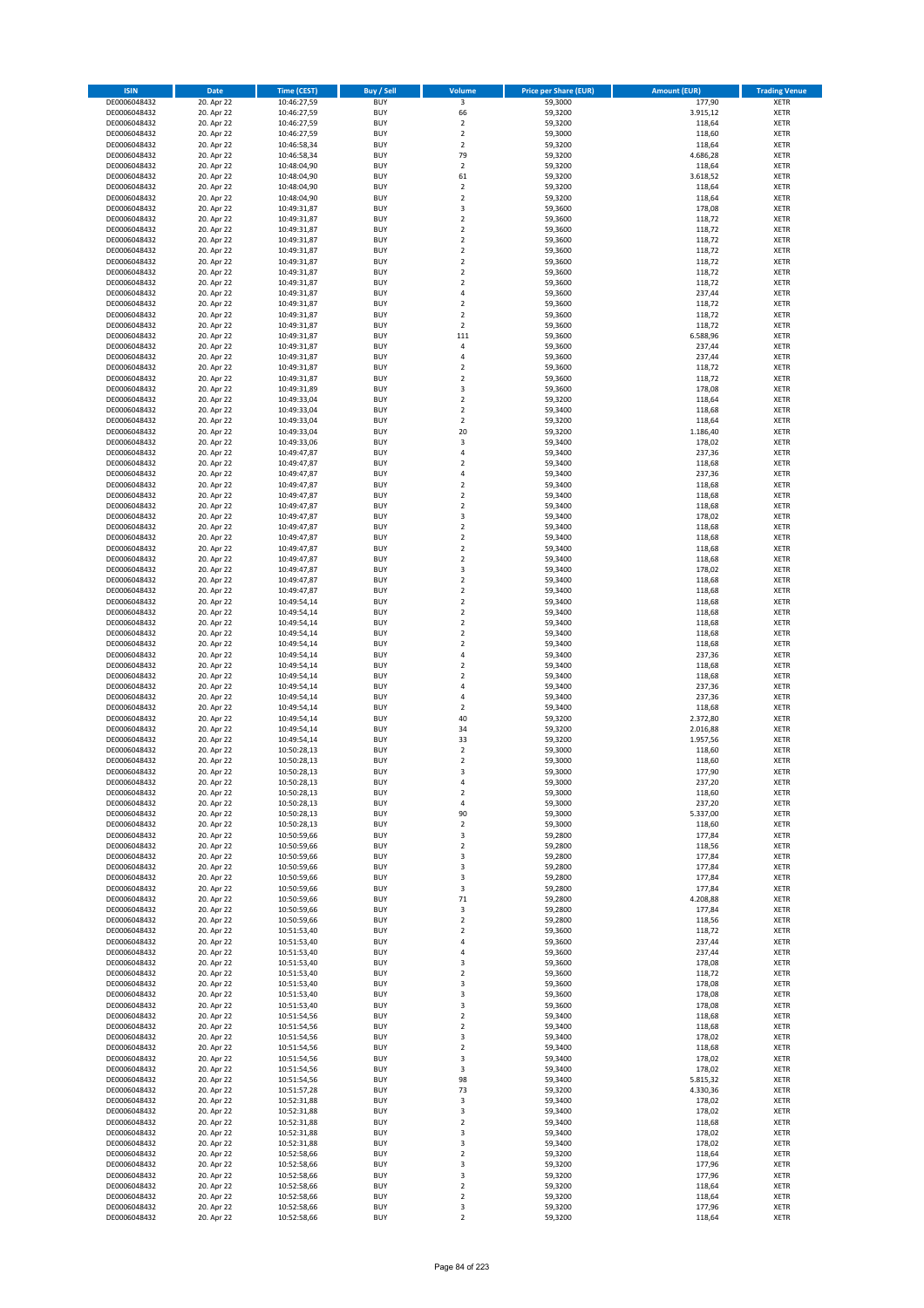| <b>ISIN</b>                  | <b>Date</b>              | <b>Time (CEST)</b>         | <b>Buy / Sell</b>        | <b>Volume</b>                             | <b>Price per Share (EUR)</b> | <b>Amount (EUR)</b>  | <b>Trading Venue</b>       |
|------------------------------|--------------------------|----------------------------|--------------------------|-------------------------------------------|------------------------------|----------------------|----------------------------|
| DE0006048432                 | 20. Apr 22               | 10:46:27,59                | <b>BUY</b>               | $\overline{\mathbf{3}}$                   | 59,3000                      | 177,90               | <b>XETR</b>                |
| DE0006048432                 | 20. Apr 22               | 10:46:27,59                | <b>BUY</b>               | 66                                        | 59,3200                      | 3.915,12             | <b>XETR</b>                |
| DE0006048432                 | 20. Apr 22               | 10:46:27,59                | <b>BUY</b>               | $\overline{\mathbf{2}}$                   | 59,3200                      | 118,64               | <b>XETR</b>                |
| DE0006048432<br>DE0006048432 | 20. Apr 22<br>20. Apr 22 | 10:46:27,59<br>10:46:58,34 | <b>BUY</b><br><b>BUY</b> | $\mathbf 2$<br>$\overline{\mathbf{c}}$    | 59,3000<br>59,3200           | 118,60<br>118,64     | <b>XETR</b><br><b>XETR</b> |
| DE0006048432                 | 20. Apr 22               | 10:46:58,34                | <b>BUY</b>               | 79                                        | 59,3200                      | 4.686,28             | <b>XETR</b>                |
| DE0006048432                 | 20. Apr 22               | 10:48:04,90                | <b>BUY</b>               | $\overline{\mathbf{c}}$                   | 59,3200                      | 118,64               | <b>XETR</b>                |
| DE0006048432                 | 20. Apr 22               | 10:48:04,90                | <b>BUY</b>               | 61                                        | 59,3200                      | 3.618,52             | <b>XETR</b>                |
| DE0006048432                 | 20. Apr 22               | 10:48:04,90                | <b>BUY</b>               | $\overline{\mathbf{c}}$                   | 59,3200                      | 118,64               | <b>XETR</b>                |
| DE0006048432                 | 20. Apr 22               | 10:48:04,90                | <b>BUY</b>               | $\overline{2}$                            | 59,3200                      | 118,64               | <b>XETR</b>                |
| DE0006048432                 | 20. Apr 22               | 10:49:31,87                | <b>BUY</b>               | 3                                         | 59,3600                      | 178,08               | <b>XETR</b>                |
| DE0006048432<br>DE0006048432 | 20. Apr 22<br>20. Apr 22 | 10:49:31,87                | <b>BUY</b><br><b>BUY</b> | $\overline{\mathbf{c}}$<br>$\mathbf 2$    | 59,3600<br>59,3600           | 118,72<br>118,72     | <b>XETR</b><br><b>XETR</b> |
| DE0006048432                 | 20. Apr 22               | 10:49:31,87<br>10:49:31,87 | <b>BUY</b>               | $\overline{\mathbf{c}}$                   | 59,3600                      | 118,72               | <b>XETR</b>                |
| DE0006048432                 | 20. Apr 22               | 10:49:31,87                | <b>BUY</b>               | $\mathbf 2$                               | 59,3600                      | 118,72               | <b>XETR</b>                |
| DE0006048432                 | 20. Apr 22               | 10:49:31,87                | <b>BUY</b>               | $\overline{\mathbf{c}}$                   | 59,3600                      | 118,72               | <b>XETR</b>                |
| DE0006048432                 | 20. Apr 22               | 10:49:31,87                | <b>BUY</b>               | $\mathbf 2$                               | 59,3600                      | 118,72               | <b>XETR</b>                |
| DE0006048432                 | 20. Apr 22               | 10:49:31,87                | <b>BUY</b>               | $\mathbf 2$                               | 59,3600                      | 118,72               | <b>XETR</b>                |
| DE0006048432                 | 20. Apr 22               | 10:49:31,87                | <b>BUY</b>               | 4                                         | 59,3600                      | 237,44               | <b>XETR</b>                |
| DE0006048432                 | 20. Apr 22               | 10:49:31,87                | <b>BUY</b>               | $\mathbf 2$                               | 59,3600                      | 118,72               | <b>XETR</b>                |
| DE0006048432                 | 20. Apr 22               | 10:49:31,87                | <b>BUY</b>               | $\overline{\mathbf{c}}$                   | 59,3600                      | 118,72               | <b>XETR</b>                |
| DE0006048432<br>DE0006048432 | 20. Apr 22<br>20. Apr 22 | 10:49:31,87<br>10:49:31,87 | <b>BUY</b><br><b>BUY</b> | $\mathbf 2$<br>111                        | 59,3600<br>59,3600           | 118,72<br>6.588,96   | <b>XETR</b><br><b>XETR</b> |
| DE0006048432                 | 20. Apr 22               | 10:49:31,87                | <b>BUY</b>               | 4                                         | 59,3600                      | 237,44               | <b>XETR</b>                |
| DE0006048432                 | 20. Apr 22               | 10:49:31,87                | <b>BUY</b>               | 4                                         | 59,3600                      | 237,44               | <b>XETR</b>                |
| DE0006048432                 | 20. Apr 22               | 10:49:31,87                | <b>BUY</b>               | $\mathbf 2$                               | 59,3600                      | 118,72               | <b>XETR</b>                |
| DE0006048432                 | 20. Apr 22               | 10:49:31,87                | <b>BUY</b>               | $\mathbf 2$                               | 59,3600                      | 118,72               | <b>XETR</b>                |
| DE0006048432                 | 20. Apr 22               | 10:49:31,89                | <b>BUY</b>               | 3                                         | 59,3600                      | 178,08               | <b>XETR</b>                |
| DE0006048432                 | 20. Apr 22               | 10:49:33,04                | <b>BUY</b>               | $\mathbf 2$                               | 59,3200                      | 118,64               | <b>XETR</b>                |
| DE0006048432                 | 20. Apr 22               | 10:49:33,04                | <b>BUY</b><br><b>BUY</b> | $\overline{\mathbf{c}}$<br>$\overline{2}$ | 59,3400                      | 118,68               | <b>XETR</b><br><b>XETR</b> |
| DE0006048432<br>DE0006048432 | 20. Apr 22<br>20. Apr 22 | 10:49:33,04<br>10:49:33,04 | <b>BUY</b>               | 20                                        | 59,3200<br>59,3200           | 118,64<br>1.186,40   | <b>XETR</b>                |
| DE0006048432                 | 20. Apr 22               | 10:49:33,06                | <b>BUY</b>               | 3                                         | 59,3400                      | 178,02               | <b>XETR</b>                |
| DE0006048432                 | 20. Apr 22               | 10:49:47,87                | <b>BUY</b>               | 4                                         | 59,3400                      | 237,36               | <b>XETR</b>                |
| DE0006048432                 | 20. Apr 22               | 10:49:47,87                | <b>BUY</b>               | $\overline{\mathbf{c}}$                   | 59,3400                      | 118,68               | <b>XETR</b>                |
| DE0006048432                 | 20. Apr 22               | 10:49:47,87                | <b>BUY</b>               | 4                                         | 59,3400                      | 237,36               | <b>XETR</b>                |
| DE0006048432                 | 20. Apr 22               | 10:49:47,87                | <b>BUY</b>               | $\overline{\mathbf{c}}$                   | 59,3400                      | 118,68               | <b>XETR</b>                |
| DE0006048432                 | 20. Apr 22               | 10:49:47,87                | <b>BUY</b>               | $\mathbf 2$                               | 59,3400                      | 118,68               | <b>XETR</b>                |
| DE0006048432                 | 20. Apr 22               | 10:49:47,87                | <b>BUY</b>               | $\mathbf 2$                               | 59,3400                      | 118,68               | <b>XETR</b>                |
| DE0006048432<br>DE0006048432 | 20. Apr 22<br>20. Apr 22 | 10:49:47,87<br>10:49:47,87 | <b>BUY</b><br><b>BUY</b> | 3<br>$\mathbf 2$                          | 59,3400<br>59,3400           | 178,02<br>118,68     | <b>XETR</b><br><b>XETR</b> |
| DE0006048432                 | 20. Apr 22               | 10:49:47,87                | <b>BUY</b>               | $\mathbf 2$                               | 59,3400                      | 118,68               | <b>XETR</b>                |
| DE0006048432                 | 20. Apr 22               | 10:49:47,87                | <b>BUY</b>               | $\mathbf 2$                               | 59,3400                      | 118,68               | <b>XETR</b>                |
| DE0006048432                 | 20. Apr 22               | 10:49:47,87                | <b>BUY</b>               | $\overline{\mathbf{c}}$                   | 59,3400                      | 118,68               | <b>XETR</b>                |
| DE0006048432                 | 20. Apr 22               | 10:49:47,87                | <b>BUY</b>               | 3                                         | 59,3400                      | 178,02               | <b>XETR</b>                |
| DE0006048432                 | 20. Apr 22               | 10:49:47,87                | <b>BUY</b>               | $\overline{2}$                            | 59,3400                      | 118,68               | <b>XETR</b>                |
| DE0006048432                 | 20. Apr 22               | 10:49:47,87                | <b>BUY</b>               | $\mathbf 2$                               | 59,3400                      | 118,68               | <b>XETR</b>                |
| DE0006048432                 | 20. Apr 22               | 10:49:54,14                | <b>BUY</b>               | $\mathbf 2$                               | 59,3400                      | 118,68               | <b>XETR</b>                |
| DE0006048432                 | 20. Apr 22               | 10:49:54,14                | <b>BUY</b>               | $\mathbf 2$                               | 59,3400                      | 118,68               | <b>XETR</b>                |
| DE0006048432<br>DE0006048432 | 20. Apr 22<br>20. Apr 22 | 10:49:54,14<br>10:49:54,14 | <b>BUY</b><br><b>BUY</b> | $\mathbf 2$<br>$\overline{\mathbf{c}}$    | 59,3400<br>59,3400           | 118,68<br>118,68     | <b>XETR</b><br><b>XETR</b> |
| DE0006048432                 | 20. Apr 22               | 10:49:54,14                | <b>BUY</b>               | $\mathbf 2$                               | 59,3400                      | 118,68               | <b>XETR</b>                |
| DE0006048432                 | 20. Apr 22               | 10:49:54,14                | <b>BUY</b>               | 4                                         | 59,3400                      | 237,36               | <b>XETR</b>                |
| DE0006048432                 | 20. Apr 22               | 10:49:54,14                | <b>BUY</b>               | $\mathbf 2$                               | 59,3400                      | 118,68               | <b>XETR</b>                |
| DE0006048432                 | 20. Apr 22               | 10:49:54,14                | <b>BUY</b>               | $\overline{\mathbf{c}}$                   | 59,3400                      | 118,68               | <b>XETR</b>                |
| DE0006048432                 | 20. Apr 22               | 10:49:54,14                | <b>BUY</b>               | 4                                         | 59,3400                      | 237,36               | <b>XETR</b>                |
| DE0006048432                 | 20. Apr 22               | 10:49:54,14                | <b>BUY</b>               | 4                                         | 59,3400                      | 237,36               | <b>XETR</b>                |
| DE0006048432                 | 20. Apr 22               | 10:49:54,14                | <b>BUY</b>               | $\overline{\mathbf{c}}$                   | 59,3400                      | 118,68               | <b>XETR</b>                |
| DE0006048432<br>DE0006048432 | 20. Apr 22<br>20. Apr 22 | 10:49:54,14                | <b>BUY</b><br><b>BUY</b> | 40<br>34                                  | 59,3200<br>59,3200           | 2.372,80<br>2.016,88 | <b>XETR</b><br><b>XETR</b> |
| DE0006048432                 | 20. Apr 22               | 10:49:54,14<br>10:49:54,14 | <b>BUY</b>               | 33                                        | 59,3200                      | 1.957,56             | <b>XETR</b>                |
| DE0006048432                 | 20. Apr 22               | 10:50:28,13                | <b>BUY</b>               | $\overline{\mathbf{c}}$                   | 59,3000                      | 118,60               | <b>XETR</b>                |
| DE0006048432                 | 20. Apr 22               | 10:50:28,13                | <b>BUY</b>               | $\overline{\mathbf{c}}$                   | 59,3000                      | 118,60               | <b>XETR</b>                |
| DE0006048432                 | 20. Apr 22               | 10:50:28,13                | <b>BUY</b>               | 3                                         | 59,3000                      | 177,90               | <b>XETR</b>                |
| DE0006048432                 | 20. Apr 22               | 10:50:28,13                | BUY                      | 4                                         | 59,3000                      | 237,20               | <b>XETR</b>                |
| DE0006048432                 | 20. Apr 22               | 10:50:28,13                | <b>BUY</b>               | $\mathbf 2$                               | 59,3000                      | 118,60               | <b>XETR</b>                |
| DE0006048432<br>DE0006048432 | 20. Apr 22<br>20. Apr 22 | 10:50:28,13<br>10:50:28,13 | <b>BUY</b><br><b>BUY</b> | 4<br>90                                   | 59,3000<br>59,3000           | 237,20<br>5.337,00   | <b>XETR</b><br><b>XETR</b> |
| DE0006048432                 | 20. Apr 22               | 10:50:28,13                | <b>BUY</b>               | $\mathbf 2$                               | 59,3000                      | 118,60               | <b>XETR</b>                |
| DE0006048432                 | 20. Apr 22               | 10:50:59,66                | <b>BUY</b>               | 3                                         | 59,2800                      | 177,84               | <b>XETR</b>                |
| DE0006048432                 | 20. Apr 22               | 10:50:59,66                | <b>BUY</b>               | $\overline{2}$                            | 59,2800                      | 118,56               | <b>XETR</b>                |
| DE0006048432                 | 20. Apr 22               | 10:50:59,66                | <b>BUY</b>               | 3                                         | 59,2800                      | 177,84               | <b>XETR</b>                |
| DE0006048432                 | 20. Apr 22               | 10:50:59,66                | <b>BUY</b>               | 3                                         | 59,2800                      | 177,84               | <b>XETR</b>                |
| DE0006048432                 | 20. Apr 22               | 10:50:59,66                | <b>BUY</b>               | 3                                         | 59,2800                      | 177,84               | <b>XETR</b>                |
| DE0006048432                 | 20. Apr 22               | 10:50:59,66<br>10:50:59,66 | <b>BUY</b>               | 3                                         | 59,2800                      | 177,84               | <b>XETR</b>                |
| DE0006048432<br>DE0006048432 | 20. Apr 22<br>20. Apr 22 | 10:50:59,66                | <b>BUY</b><br><b>BUY</b> | 71<br>3                                   | 59,2800<br>59,2800           | 4.208,88<br>177,84   | <b>XETR</b><br><b>XETR</b> |
| DE0006048432                 | 20. Apr 22               | 10:50:59,66                | <b>BUY</b>               | $\overline{2}$                            | 59,2800                      | 118,56               | <b>XETR</b>                |
| DE0006048432                 | 20. Apr 22               | 10:51:53,40                | <b>BUY</b>               | $\mathbf 2$                               | 59,3600                      | 118,72               | <b>XETR</b>                |
| DE0006048432                 | 20. Apr 22               | 10:51:53,40                | <b>BUY</b>               | 4                                         | 59,3600                      | 237,44               | <b>XETR</b>                |
| DE0006048432                 | 20. Apr 22               | 10:51:53,40                | <b>BUY</b>               | 4                                         | 59,3600                      | 237,44               | <b>XETR</b>                |
| DE0006048432                 | 20. Apr 22               | 10:51:53,40                | <b>BUY</b>               | 3                                         | 59,3600                      | 178,08               | <b>XETR</b>                |
| DE0006048432                 | 20. Apr 22               | 10:51:53,40                | <b>BUY</b>               | $\mathbf 2$                               | 59,3600                      | 118,72               | XETR                       |
| DE0006048432<br>DE0006048432 | 20. Apr 22<br>20. Apr 22 | 10:51:53,40<br>10:51:53,40 | <b>BUY</b><br><b>BUY</b> | 3<br>3                                    | 59,3600<br>59,3600           | 178,08<br>178,08     | <b>XETR</b><br><b>XETR</b> |
| DE0006048432                 | 20. Apr 22               | 10:51:53,40                | <b>BUY</b>               | 3                                         | 59,3600                      | 178,08               | <b>XETR</b>                |
| DE0006048432                 | 20. Apr 22               | 10:51:54,56                | <b>BUY</b>               | $\overline{\mathbf{c}}$                   | 59,3400                      | 118,68               | <b>XETR</b>                |
| DE0006048432                 | 20. Apr 22               | 10:51:54,56                | <b>BUY</b>               | $\mathbf 2$                               | 59,3400                      | 118,68               | <b>XETR</b>                |
| DE0006048432                 | 20. Apr 22               | 10:51:54,56                | <b>BUY</b>               | 3                                         | 59,3400                      | 178,02               | <b>XETR</b>                |
| DE0006048432                 | 20. Apr 22               | 10:51:54,56                | <b>BUY</b>               | $\mathbf 2$                               | 59,3400                      | 118,68               | <b>XETR</b>                |
| DE0006048432                 | 20. Apr 22               | 10:51:54,56                | <b>BUY</b>               | 3                                         | 59,3400                      | 178,02               | <b>XETR</b>                |
| DE0006048432                 | 20. Apr 22               | 10:51:54,56                | <b>BUY</b>               | 3                                         | 59,3400                      | 178,02               | <b>XETR</b>                |
| DE0006048432<br>DE0006048432 | 20. Apr 22<br>20. Apr 22 | 10:51:54,56<br>10:51:57,28 | <b>BUY</b><br><b>BUY</b> | 98<br>73                                  | 59,3400<br>59,3200           | 5.815,32<br>4.330,36 | <b>XETR</b><br><b>XETR</b> |
| DE0006048432                 | 20. Apr 22               | 10:52:31,88                | <b>BUY</b>               | 3                                         | 59,3400                      | 178,02               | <b>XETR</b>                |
| DE0006048432                 | 20. Apr 22               | 10:52:31,88                | <b>BUY</b>               | 3                                         | 59,3400                      | 178,02               | <b>XETR</b>                |
| DE0006048432                 | 20. Apr 22               | 10:52:31,88                | <b>BUY</b>               | $\mathbf 2$                               | 59,3400                      | 118,68               | <b>XETR</b>                |
| DE0006048432                 | 20. Apr 22               | 10:52:31,88                | <b>BUY</b>               | 3                                         | 59,3400                      | 178,02               | <b>XETR</b>                |
| DE0006048432                 | 20. Apr 22               | 10:52:31,88                | <b>BUY</b>               | 3                                         | 59,3400                      | 178,02               | <b>XETR</b>                |
| DE0006048432                 | 20. Apr 22               | 10:52:58,66                | <b>BUY</b>               | $\mathbf 2$                               | 59,3200                      | 118,64               | <b>XETR</b>                |
| DE0006048432                 | 20. Apr 22               | 10:52:58,66                | <b>BUY</b>               | 3                                         | 59,3200                      | 177,96               | <b>XETR</b>                |
| DE0006048432<br>DE0006048432 | 20. Apr 22<br>20. Apr 22 | 10:52:58,66<br>10:52:58,66 | <b>BUY</b><br><b>BUY</b> | 3<br>$\overline{2}$                       | 59,3200<br>59,3200           | 177,96<br>118,64     | XETR<br><b>XETR</b>        |
| DE0006048432                 | 20. Apr 22               | 10:52:58,66                | <b>BUY</b>               | $\mathbf 2$                               | 59,3200                      | 118,64               | <b>XETR</b>                |
| DE0006048432                 | 20. Apr 22               | 10:52:58,66                | <b>BUY</b>               | 3                                         | 59,3200                      | 177,96               | <b>XETR</b>                |
| DE0006048432                 | 20. Apr 22               | 10:52:58,66                | <b>BUY</b>               | $\mathbf 2$                               | 59,3200                      | 118,64               | <b>XETR</b>                |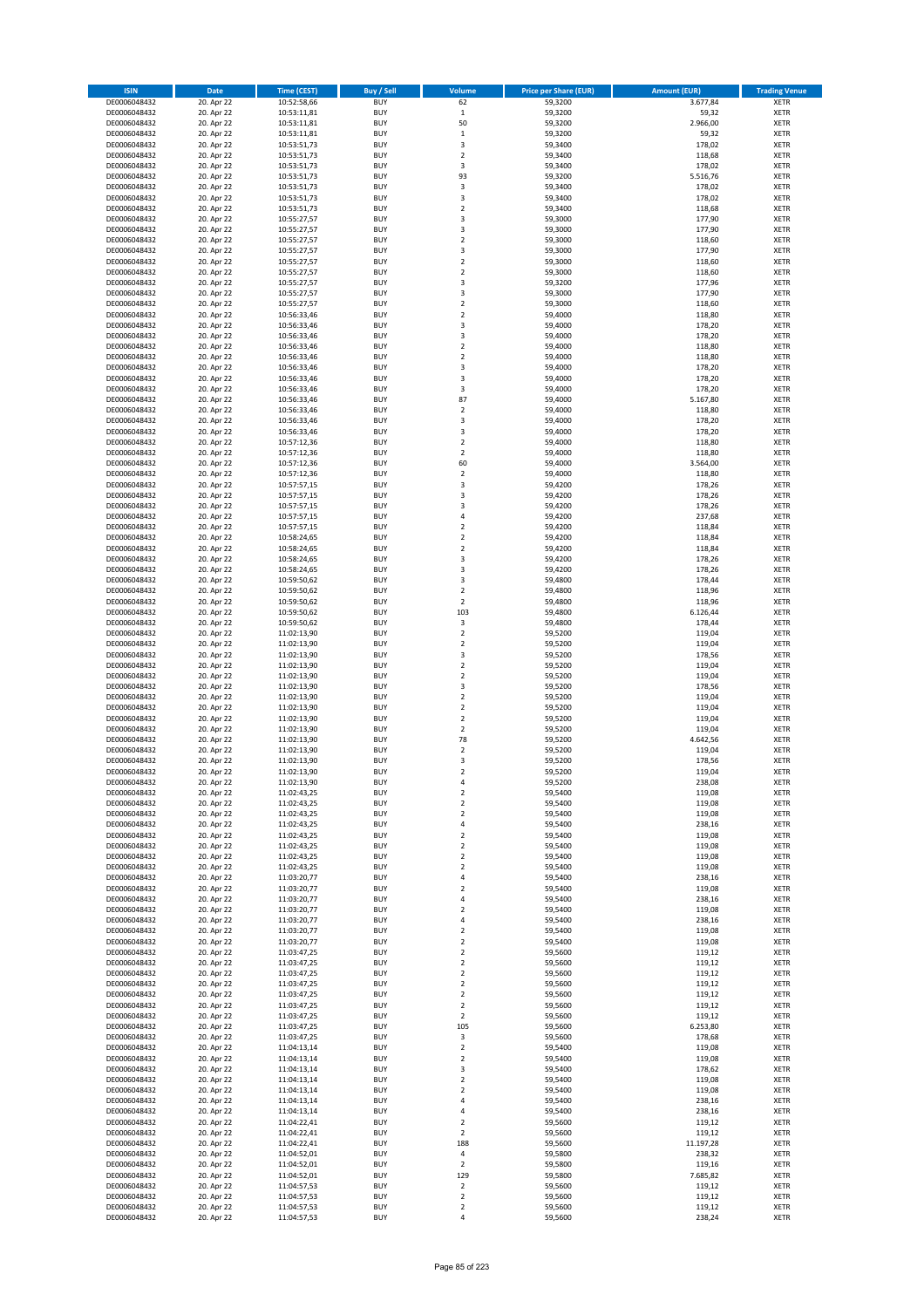| <b>ISIN</b>                  | Date                     | Time (CEST)                | <b>Buy / Sell</b>        | <b>Volume</b>                    | <b>Price per Share (EUR)</b> | <b>Amount (EUR)</b> | <b>Trading Venue</b>       |
|------------------------------|--------------------------|----------------------------|--------------------------|----------------------------------|------------------------------|---------------------|----------------------------|
| DE0006048432                 | 20. Apr 22               | 10:52:58,66                | <b>BUY</b>               | 62                               | 59,3200                      | 3.677,84            | <b>XETR</b>                |
| DE0006048432                 | 20. Apr 22               | 10:53:11,81                | <b>BUY</b>               | $\mathbf 1$                      | 59,3200                      | 59,32               | XETR                       |
| DE0006048432                 | 20. Apr 22               | 10:53:11,81                | <b>BUY</b>               | 50                               | 59,3200                      | 2.966,00            | <b>XETR</b>                |
| DE0006048432                 | 20. Apr 22               | 10:53:11,81                | <b>BUY</b>               | $\mathbf 1$                      | 59,3200                      | 59,32               | <b>XETR</b>                |
| DE0006048432<br>DE0006048432 | 20. Apr 22<br>20. Apr 22 | 10:53:51,73<br>10:53:51,73 | <b>BUY</b><br><b>BUY</b> | 3<br>$\mathbf 2$                 | 59,3400<br>59,3400           | 178,02<br>118,68    | <b>XETR</b><br><b>XETR</b> |
| DE0006048432                 | 20. Apr 22               | 10:53:51,73                | <b>BUY</b>               | 3                                | 59,3400                      | 178,02              | <b>XETR</b>                |
| DE0006048432                 | 20. Apr 22               | 10:53:51,73                | <b>BUY</b>               | 93                               | 59,3200                      | 5.516,76            | <b>XETR</b>                |
| DE0006048432                 | 20. Apr 22               | 10:53:51,73                | <b>BUY</b>               | 3                                | 59,3400                      | 178,02              | <b>XETR</b>                |
| DE0006048432                 | 20. Apr 22               | 10:53:51,73                | <b>BUY</b>               | 3                                | 59,3400                      | 178,02              | <b>XETR</b>                |
| DE0006048432                 | 20. Apr 22               | 10:53:51,73                | <b>BUY</b>               | $\mathbf 2$                      | 59,3400                      | 118,68              | <b>XETR</b>                |
| DE0006048432                 | 20. Apr 22               | 10:55:27,57                | <b>BUY</b>               | 3<br>3                           | 59,3000                      | 177,90              | <b>XETR</b>                |
| DE0006048432<br>DE0006048432 | 20. Apr 22<br>20. Apr 22 | 10:55:27,57<br>10:55:27,57 | <b>BUY</b><br><b>BUY</b> | $\overline{2}$                   | 59,3000<br>59,3000           | 177,90<br>118,60    | <b>XETR</b><br><b>XETR</b> |
| DE0006048432                 | 20. Apr 22               | 10:55:27,57                | <b>BUY</b>               | 3                                | 59,3000                      | 177,90              | <b>XETR</b>                |
| DE0006048432                 | 20. Apr 22               | 10:55:27,57                | <b>BUY</b>               | $\overline{2}$                   | 59,3000                      | 118,60              | <b>XETR</b>                |
| DE0006048432                 | 20. Apr 22               | 10:55:27,57                | <b>BUY</b>               | $\mathbf 2$                      | 59,3000                      | 118,60              | <b>XETR</b>                |
| DE0006048432                 | 20. Apr 22               | 10:55:27,57                | <b>BUY</b>               | 3                                | 59,3200                      | 177,96              | <b>XETR</b>                |
| DE0006048432                 | 20. Apr 22               | 10:55:27,57                | <b>BUY</b>               | 3                                | 59,3000                      | 177,90              | <b>XETR</b>                |
| DE0006048432<br>DE0006048432 | 20. Apr 22<br>20. Apr 22 | 10:55:27,57<br>10:56:33,46 | <b>BUY</b><br><b>BUY</b> | $\mathbf 2$<br>$\overline{2}$    | 59,3000<br>59,4000           | 118,60<br>118,80    | <b>XETR</b><br><b>XETR</b> |
| DE0006048432                 | 20. Apr 22               | 10:56:33,46                | <b>BUY</b>               | 3                                | 59,4000                      | 178,20              | <b>XETR</b>                |
| DE0006048432                 | 20. Apr 22               | 10:56:33,46                | <b>BUY</b>               | 3                                | 59,4000                      | 178,20              | <b>XETR</b>                |
| DE0006048432                 | 20. Apr 22               | 10:56:33,46                | <b>BUY</b>               | $\mathbf 2$                      | 59,4000                      | 118,80              | <b>XETR</b>                |
| DE0006048432                 | 20. Apr 22               | 10:56:33,46                | <b>BUY</b>               | $\overline{2}$                   | 59,4000                      | 118,80              | <b>XETR</b>                |
| DE0006048432                 | 20. Apr 22               | 10:56:33,46                | <b>BUY</b>               | 3                                | 59,4000                      | 178,20              | <b>XETR</b>                |
| DE0006048432<br>DE0006048432 | 20. Apr 22               | 10:56:33,46                | <b>BUY</b><br><b>BUY</b> | 3<br>3                           | 59,4000                      | 178,20              | <b>XETR</b><br><b>XETR</b> |
| DE0006048432                 | 20. Apr 22<br>20. Apr 22 | 10:56:33,46<br>10:56:33,46 | <b>BUY</b>               | 87                               | 59,4000<br>59,4000           | 178,20<br>5.167,80  | <b>XETR</b>                |
| DE0006048432                 | 20. Apr 22               | 10:56:33,46                | <b>BUY</b>               | $\overline{2}$                   | 59,4000                      | 118,80              | <b>XETR</b>                |
| DE0006048432                 | 20. Apr 22               | 10:56:33,46                | <b>BUY</b>               | 3                                | 59,4000                      | 178,20              | <b>XETR</b>                |
| DE0006048432                 | 20. Apr 22               | 10:56:33,46                | <b>BUY</b>               | 3                                | 59,4000                      | 178,20              | <b>XETR</b>                |
| DE0006048432                 | 20. Apr 22               | 10:57:12,36                | <b>BUY</b>               | $\mathbf 2$                      | 59,4000                      | 118,80              | <b>XETR</b>                |
| DE0006048432                 | 20. Apr 22               | 10:57:12,36                | <b>BUY</b>               | $\mathbf 2$                      | 59,4000                      | 118,80              | <b>XETR</b>                |
| DE0006048432<br>DE0006048432 | 20. Apr 22<br>20. Apr 22 | 10:57:12,36<br>10:57:12,36 | <b>BUY</b><br><b>BUY</b> | 60<br>$\mathbf 2$                | 59,4000<br>59,4000           | 3.564,00<br>118,80  | <b>XETR</b><br><b>XETR</b> |
| DE0006048432                 | 20. Apr 22               | 10:57:57,15                | <b>BUY</b>               | 3                                | 59,4200                      | 178,26              | <b>XETR</b>                |
| DE0006048432                 | 20. Apr 22               | 10:57:57,15                | <b>BUY</b>               | 3                                | 59,4200                      | 178,26              | <b>XETR</b>                |
| DE0006048432                 | 20. Apr 22               | 10:57:57,15                | <b>BUY</b>               | 3                                | 59,4200                      | 178,26              | <b>XETR</b>                |
| DE0006048432                 | 20. Apr 22               | 10:57:57,15                | <b>BUY</b>               | 4                                | 59,4200                      | 237,68              | <b>XETR</b>                |
| DE0006048432                 | 20. Apr 22               | 10:57:57,15                | <b>BUY</b>               | $\overline{2}$                   | 59,4200                      | 118,84              | <b>XETR</b>                |
| DE0006048432                 | 20. Apr 22               | 10:58:24,65                | <b>BUY</b>               | $\mathbf 2$                      | 59,4200                      | 118,84              | <b>XETR</b>                |
| DE0006048432<br>DE0006048432 | 20. Apr 22<br>20. Apr 22 | 10:58:24,65<br>10:58:24,65 | <b>BUY</b><br><b>BUY</b> | $\mathbf 2$<br>3                 | 59,4200<br>59,4200           | 118,84<br>178,26    | <b>XETR</b><br><b>XETR</b> |
| DE0006048432                 | 20. Apr 22               | 10:58:24,65                | <b>BUY</b>               | 3                                | 59,4200                      | 178,26              | <b>XETR</b>                |
| DE0006048432                 | 20. Apr 22               | 10:59:50,62                | <b>BUY</b>               | 3                                | 59,4800                      | 178,44              | <b>XETR</b>                |
| DE0006048432                 | 20. Apr 22               | 10:59:50,62                | <b>BUY</b>               | $\mathbf 2$                      | 59,4800                      | 118,96              | <b>XETR</b>                |
| DE0006048432                 | 20. Apr 22               | 10:59:50,62                | <b>BUY</b>               | $\mathbf 2$                      | 59,4800                      | 118,96              | <b>XETR</b>                |
| DE0006048432                 | 20. Apr 22               | 10:59:50,62                | <b>BUY</b><br><b>BUY</b> | 103                              | 59,4800                      | 6.126,44            | <b>XETR</b><br><b>XETR</b> |
| DE0006048432<br>DE0006048432 | 20. Apr 22<br>20. Apr 22 | 10:59:50,62<br>11:02:13,90 | <b>BUY</b>               | 3<br>$\mathbf 2$                 | 59,4800<br>59,5200           | 178,44<br>119,04    | <b>XETR</b>                |
| DE0006048432                 | 20. Apr 22               | 11:02:13,90                | <b>BUY</b>               | $\mathbf 2$                      | 59,5200                      | 119,04              | <b>XETR</b>                |
| DE0006048432                 | 20. Apr 22               | 11:02:13,90                | <b>BUY</b>               | 3                                | 59,5200                      | 178,56              | <b>XETR</b>                |
| DE0006048432                 | 20. Apr 22               | 11:02:13,90                | <b>BUY</b>               | $\mathbf 2$                      | 59,5200                      | 119,04              | <b>XETR</b>                |
| DE0006048432                 | 20. Apr 22               | 11:02:13,90                | <b>BUY</b>               | $\mathbf 2$                      | 59,5200                      | 119,04              | <b>XETR</b>                |
| DE0006048432                 | 20. Apr 22               | 11:02:13,90                | <b>BUY</b>               | 3                                | 59,5200                      | 178,56              | <b>XETR</b>                |
| DE0006048432<br>DE0006048432 | 20. Apr 22<br>20. Apr 22 | 11:02:13,90<br>11:02:13,90 | <b>BUY</b><br><b>BUY</b> | $\overline{2}$<br>$\mathbf 2$    | 59,5200<br>59,5200           | 119,04<br>119,04    | <b>XETR</b><br><b>XETR</b> |
| DE0006048432                 | 20. Apr 22               | 11:02:13,90                | <b>BUY</b>               | $\mathbf 2$                      | 59,5200                      | 119,04              | <b>XETR</b>                |
| DE0006048432                 | 20. Apr 22               | 11:02:13,90                | <b>BUY</b>               | $\overline{2}$                   | 59,5200                      | 119,04              | <b>XETR</b>                |
| DE0006048432                 | 20. Apr 22               | 11:02:13,90                | <b>BUY</b>               | 78                               | 59,5200                      | 4.642,56            | <b>XETR</b>                |
| DE0006048432                 | 20. Apr 22               | 11:02:13,90                | <b>BUY</b>               | $\overline{\mathbf{2}}$          | 59,5200                      | 119,04              | <b>XETR</b>                |
| DE0006048432                 | 20. Apr 22               | 11:02:13,90                | <b>BUY</b>               | 3                                | 59,5200                      | 178,56              | <b>XETR</b>                |
| DE0006048432                 | 20. Apr 22               | 11:02:13,90<br>11:02:13,90 | <b>BUY</b><br><b>BUY</b> | $\overline{2}$                   | 59,5200<br>59,5200           | 119,04              | <b>XETR</b>                |
| DE0006048432<br>DE0006048432 | 20. Apr 22<br>20. Apr 22 | 11:02:43,25                | <b>BUY</b>               | 4<br>$\mathbf 2$                 | 59,5400                      | 238,08<br>119,08    | XETR<br><b>XETR</b>        |
| DE0006048432                 | 20. Apr 22               | 11:02:43,25                | <b>BUY</b>               | $\overline{2}$                   | 59,5400                      | 119,08              | <b>XETR</b>                |
| DE0006048432                 | 20. Apr 22               | 11:02:43,25                | <b>BUY</b>               | $\mathbf 2$                      | 59,5400                      | 119,08              | <b>XETR</b>                |
| DE0006048432                 | 20. Apr 22               | 11:02:43,25                | <b>BUY</b>               | 4                                | 59,5400                      | 238,16              | <b>XETR</b>                |
| DE0006048432                 | 20. Apr 22               | 11:02:43,25                | <b>BUY</b>               | $\overline{2}$                   | 59,5400                      | 119,08              | <b>XETR</b>                |
| DE0006048432                 | 20. Apr 22               | 11:02:43,25                | <b>BUY</b>               | $\overline{2}$                   | 59,5400                      | 119,08              | <b>XETR</b>                |
| DE0006048432<br>DE0006048432 | 20. Apr 22<br>20. Apr 22 | 11:02:43,25<br>11:02:43,25 | <b>BUY</b><br><b>BUY</b> | $\overline{2}$<br>$\overline{2}$ | 59,5400<br>59,5400           | 119,08<br>119,08    | <b>XETR</b><br>XETR        |
| DE0006048432                 | 20. Apr 22               | 11:03:20,77                | <b>BUY</b>               | $\sqrt{4}$                       | 59,5400                      | 238,16              | <b>XETR</b>                |
| DE0006048432                 | 20. Apr 22               | 11:03:20,77                | <b>BUY</b>               | $\mathbf 2$                      | 59,5400                      | 119,08              | XETR                       |
| DE0006048432                 | 20. Apr 22               | 11:03:20,77                | <b>BUY</b>               | $\sqrt{4}$                       | 59,5400                      | 238,16              | <b>XETR</b>                |
| DE0006048432                 | 20. Apr 22               | 11:03:20,77                | <b>BUY</b>               | $\mathbf 2$                      | 59,5400                      | 119,08              | XETR                       |
| DE0006048432<br>DE0006048432 | 20. Apr 22<br>20. Apr 22 | 11:03:20,77<br>11:03:20,77 | <b>BUY</b><br><b>BUY</b> | $\sqrt{4}$<br>$\mathbf 2$        | 59,5400<br>59,5400           | 238,16<br>119,08    | <b>XETR</b><br>XETR        |
| DE0006048432                 | 20. Apr 22               | 11:03:20,77                | <b>BUY</b>               | $\mathbf 2$                      | 59,5400                      | 119,08              | <b>XETR</b>                |
| DE0006048432                 | 20. Apr 22               | 11:03:47,25                | <b>BUY</b>               | $\overline{2}$                   | 59,5600                      | 119,12              | <b>XETR</b>                |
| DE0006048432                 | 20. Apr 22               | 11:03:47,25                | <b>BUY</b>               | $\overline{2}$                   | 59,5600                      | 119,12              | <b>XETR</b>                |
| DE0006048432                 | 20. Apr 22               | 11:03:47,25                | <b>BUY</b>               | $\mathbf 2$                      | 59,5600                      | 119,12              | XETR                       |
| DE0006048432                 | 20. Apr 22               | 11:03:47,25                | <b>BUY</b>               | $\overline{2}$                   | 59,5600                      | 119,12              | <b>XETR</b>                |
| DE0006048432                 | 20. Apr 22               | 11:03:47,25                | <b>BUY</b>               | $\overline{2}$                   | 59,5600                      | 119,12              | <b>XETR</b>                |
| DE0006048432<br>DE0006048432 | 20. Apr 22<br>20. Apr 22 | 11:03:47,25<br>11:03:47,25 | <b>BUY</b><br><b>BUY</b> | $\overline{2}$<br>$\overline{2}$ | 59,5600<br>59,5600           | 119,12<br>119,12    | <b>XETR</b><br>XETR        |
| DE0006048432                 | 20. Apr 22               | 11:03:47,25                | <b>BUY</b>               | 105                              | 59,5600                      | 6.253,80            | XETR                       |
| DE0006048432                 | 20. Apr 22               | 11:03:47,25                | <b>BUY</b>               | 3                                | 59,5600                      | 178,68              | XETR                       |
| DE0006048432                 | 20. Apr 22               | 11:04:13,14                | <b>BUY</b>               | $\mathbf 2$                      | 59,5400                      | 119,08              | <b>XETR</b>                |
| DE0006048432                 | 20. Apr 22               | 11:04:13,14                | <b>BUY</b>               | $\mathbf 2$                      | 59,5400                      | 119,08              | <b>XETR</b>                |
| DE0006048432                 | 20. Apr 22               | 11:04:13,14                | <b>BUY</b>               | 3                                | 59,5400                      | 178,62              | <b>XETR</b>                |
| DE0006048432                 | 20. Apr 22               | 11:04:13,14                | <b>BUY</b><br><b>BUY</b> | $\mathbf 2$<br>$\overline{2}$    | 59,5400                      | 119,08              | <b>XETR</b>                |
| DE0006048432<br>DE0006048432 | 20. Apr 22<br>20. Apr 22 | 11:04:13,14<br>11:04:13,14 | <b>BUY</b>               | 4                                | 59,5400<br>59,5400           | 119,08<br>238,16    | <b>XETR</b><br>XETR        |
| DE0006048432                 | 20. Apr 22               | 11:04:13,14                | <b>BUY</b>               | 4                                | 59,5400                      | 238,16              | XETR                       |
| DE0006048432                 | 20. Apr 22               | 11:04:22,41                | <b>BUY</b>               | $\mathbf 2$                      | 59,5600                      | 119,12              | XETR                       |
| DE0006048432                 | 20. Apr 22               | 11:04:22,41                | <b>BUY</b>               | $\mathbf 2$                      | 59,5600                      | 119,12              | <b>XETR</b>                |
| DE0006048432                 | 20. Apr 22               | 11:04:22,41                | <b>BUY</b>               | 188                              | 59,5600                      | 11.197,28           | <b>XETR</b>                |
| DE0006048432                 | 20. Apr 22               | 11:04:52,01                | <b>BUY</b>               | $\pmb{4}$<br>$\overline{2}$      | 59,5800                      | 238,32              | XETR                       |
| DE0006048432<br>DE0006048432 | 20. Apr 22<br>20. Apr 22 | 11:04:52,01<br>11:04:52,01 | <b>BUY</b><br><b>BUY</b> | 129                              | 59,5800<br>59,5800           | 119,16<br>7.685,82  | <b>XETR</b><br>XETR        |
| DE0006048432                 | 20. Apr 22               | 11:04:57,53                | <b>BUY</b>               | $\overline{2}$                   | 59,5600                      | 119,12              | <b>XETR</b>                |
| DE0006048432                 | 20. Apr 22               | 11:04:57,53                | <b>BUY</b>               | $\mathbf 2$                      | 59,5600                      | 119,12              | XETR                       |
| DE0006048432                 | 20. Apr 22               | 11:04:57,53                | <b>BUY</b>               | $\mathbf 2$                      | 59,5600                      | 119,12              | <b>XETR</b>                |
| DE0006048432                 | 20. Apr 22               | 11:04:57,53                | <b>BUY</b>               | $\sqrt{4}$                       | 59,5600                      | 238,24              | XETR                       |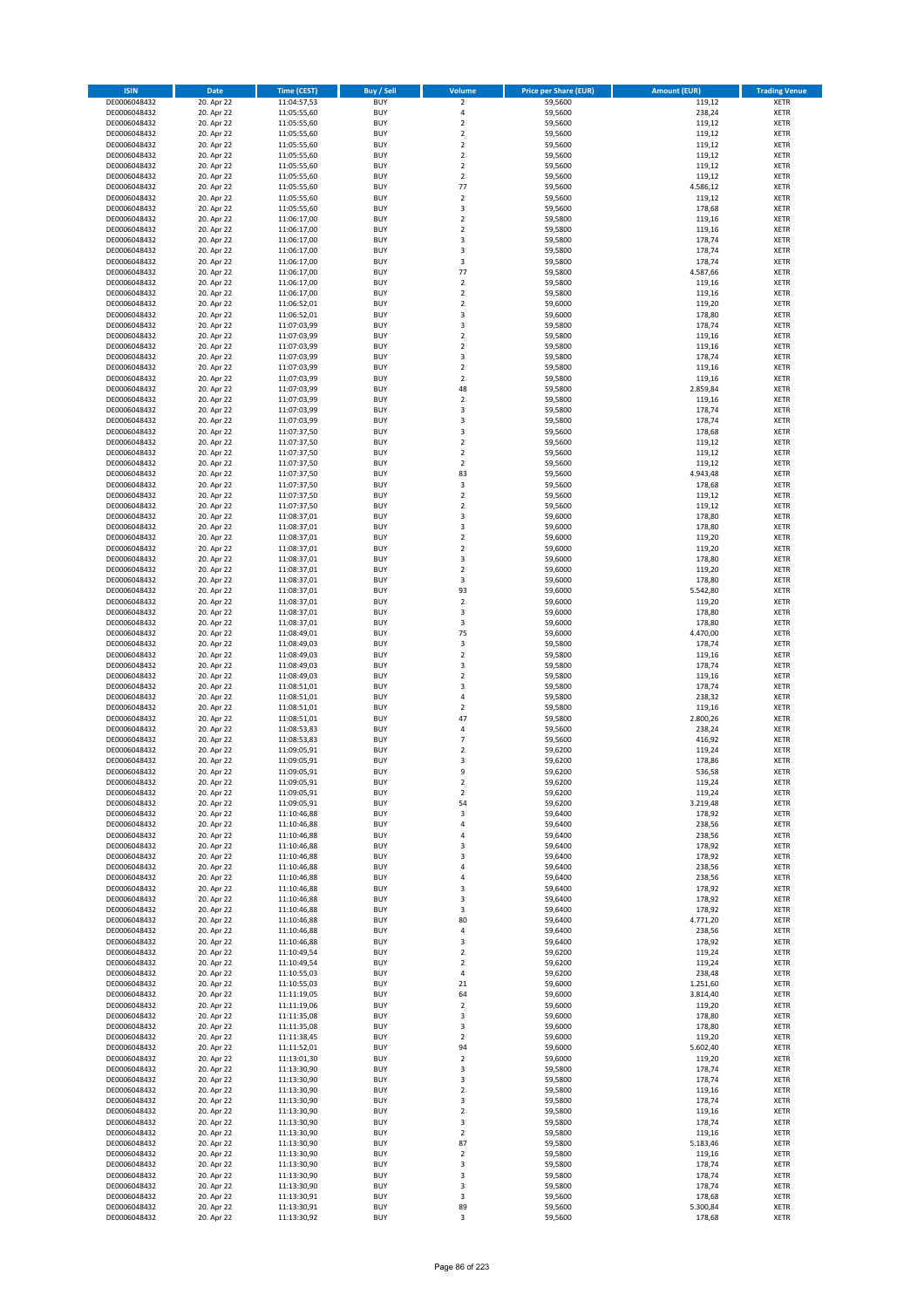| <b>ISIN</b>                  | <b>Date</b>              | Time (CEST)                | <b>Buy / Sell</b>        | Volume                                 | <b>Price per Share (EUR)</b> | <b>Amount (EUR)</b> | <b>Trading Venue</b>       |
|------------------------------|--------------------------|----------------------------|--------------------------|----------------------------------------|------------------------------|---------------------|----------------------------|
| DE0006048432                 | 20. Apr 22               | 11:04:57,53                | <b>BUY</b>               | $\overline{\mathbf{2}}$                | 59,5600                      | 119,12              | <b>XETR</b>                |
| DE0006048432                 | 20. Apr 22               | 11:05:55,60                | <b>BUY</b>               | 4                                      | 59,5600                      | 238,24              | <b>XETR</b>                |
| DE0006048432                 | 20. Apr 22               | 11:05:55,60                | <b>BUY</b>               | $\mathbf 2$                            | 59,5600                      | 119,12              | <b>XETR</b>                |
| DE0006048432<br>DE0006048432 | 20. Apr 22<br>20. Apr 22 | 11:05:55,60<br>11:05:55,60 | <b>BUY</b><br><b>BUY</b> | $\mathbf 2$<br>$\overline{\mathbf{c}}$ | 59,5600<br>59,5600           | 119,12<br>119,12    | <b>XETR</b><br><b>XETR</b> |
| DE0006048432                 | 20. Apr 22               | 11:05:55,60                | <b>BUY</b>               | $\mathbf 2$                            | 59,5600                      | 119,12              | <b>XETR</b>                |
| DE0006048432                 | 20. Apr 22               | 11:05:55,60                | <b>BUY</b>               | $\mathbf 2$                            | 59,5600                      | 119,12              | <b>XETR</b>                |
| DE0006048432                 | 20. Apr 22               | 11:05:55,60                | <b>BUY</b>               | $\overline{\mathbf{c}}$                | 59,5600                      | 119,12              | <b>XETR</b>                |
| DE0006048432                 | 20. Apr 22               | 11:05:55,60                | <b>BUY</b>               | 77                                     | 59,5600                      | 4.586,12            | <b>XETR</b>                |
| DE0006048432                 | 20. Apr 22               | 11:05:55,60                | <b>BUY</b><br><b>BUY</b> | $\mathbf 2$                            | 59,5600                      | 119,12              | <b>XETR</b><br><b>XETR</b> |
| DE0006048432<br>DE0006048432 | 20. Apr 22<br>20. Apr 22 | 11:05:55,60<br>11:06:17,00 | <b>BUY</b>               | 3<br>$\overline{\mathbf{c}}$           | 59,5600<br>59,5800           | 178,68<br>119,16    | <b>XETR</b>                |
| DE0006048432                 | 20. Apr 22               | 11:06:17,00                | <b>BUY</b>               | $\mathbf 2$                            | 59,5800                      | 119,16              | <b>XETR</b>                |
| DE0006048432                 | 20. Apr 22               | 11:06:17,00                | <b>BUY</b>               | 3                                      | 59,5800                      | 178,74              | <b>XETR</b>                |
| DE0006048432                 | 20. Apr 22               | 11:06:17,00                | <b>BUY</b>               | 3                                      | 59,5800                      | 178,74              | <b>XETR</b>                |
| DE0006048432                 | 20. Apr 22               | 11:06:17,00                | <b>BUY</b>               | 3                                      | 59,5800                      | 178,74              | <b>XETR</b>                |
| DE0006048432<br>DE0006048432 | 20. Apr 22<br>20. Apr 22 | 11:06:17,00<br>11:06:17,00 | <b>BUY</b><br><b>BUY</b> | 77<br>$\mathbf 2$                      | 59,5800<br>59,5800           | 4.587,66<br>119,16  | <b>XETR</b><br><b>XETR</b> |
| DE0006048432                 | 20. Apr 22               | 11:06:17,00                | <b>BUY</b>               | $\overline{\mathbf{c}}$                | 59,5800                      | 119,16              | <b>XETR</b>                |
| DE0006048432                 | 20. Apr 22               | 11:06:52,01                | <b>BUY</b>               | $\mathbf 2$                            | 59,6000                      | 119,20              | <b>XETR</b>                |
| DE0006048432                 | 20. Apr 22               | 11:06:52,01                | <b>BUY</b>               | 3                                      | 59,6000                      | 178,80              | <b>XETR</b>                |
| DE0006048432                 | 20. Apr 22               | 11:07:03,99                | <b>BUY</b>               | 3                                      | 59,5800                      | 178,74              | <b>XETR</b>                |
| DE0006048432                 | 20. Apr 22               | 11:07:03,99                | <b>BUY</b>               | $\mathbf 2$                            | 59,5800                      | 119,16              | <b>XETR</b>                |
| DE0006048432<br>DE0006048432 | 20. Apr 22<br>20. Apr 22 | 11:07:03,99<br>11:07:03,99 | <b>BUY</b><br><b>BUY</b> | $\mathbf 2$<br>3                       | 59,5800<br>59,5800           | 119,16<br>178,74    | <b>XETR</b><br><b>XETR</b> |
| DE0006048432                 | 20. Apr 22               | 11:07:03,99                | <b>BUY</b>               | $\mathbf 2$                            | 59,5800                      | 119,16              | <b>XETR</b>                |
| DE0006048432                 | 20. Apr 22               | 11:07:03,99                | <b>BUY</b>               | $\mathbf 2$                            | 59,5800                      | 119,16              | <b>XETR</b>                |
| DE0006048432                 | 20. Apr 22               | 11:07:03,99                | <b>BUY</b>               | 48                                     | 59,5800                      | 2.859,84            | <b>XETR</b>                |
| DE0006048432                 | 20. Apr 22               | 11:07:03,99                | <b>BUY</b>               | $\mathbf 2$                            | 59,5800                      | 119,16              | <b>XETR</b>                |
| DE0006048432<br>DE0006048432 | 20. Apr 22<br>20. Apr 22 | 11:07:03,99<br>11:07:03,99 | <b>BUY</b><br><b>BUY</b> | 3<br>3                                 | 59,5800<br>59,5800           | 178,74<br>178,74    | <b>XETR</b><br><b>XETR</b> |
| DE0006048432                 | 20. Apr 22               | 11:07:37,50                | <b>BUY</b>               | 3                                      | 59,5600                      | 178,68              | <b>XETR</b>                |
| DE0006048432                 | 20. Apr 22               | 11:07:37,50                | <b>BUY</b>               | $\mathbf 2$                            | 59,5600                      | 119,12              | <b>XETR</b>                |
| DE0006048432                 | 20. Apr 22               | 11:07:37,50                | <b>BUY</b>               | $\mathbf 2$                            | 59,5600                      | 119,12              | <b>XETR</b>                |
| DE0006048432                 | 20. Apr 22               | 11:07:37,50                | <b>BUY</b>               | $\mathbf 2$                            | 59,5600                      | 119,12              | <b>XETR</b>                |
| DE0006048432                 | 20. Apr 22               | 11:07:37,50                | <b>BUY</b>               | 83                                     | 59,5600                      | 4.943,48            | <b>XETR</b>                |
| DE0006048432<br>DE0006048432 | 20. Apr 22<br>20. Apr 22 | 11:07:37,50<br>11:07:37,50 | <b>BUY</b><br><b>BUY</b> | 3<br>$\mathbf 2$                       | 59,5600<br>59,5600           | 178,68<br>119,12    | <b>XETR</b><br><b>XETR</b> |
| DE0006048432                 | 20. Apr 22               | 11:07:37,50                | <b>BUY</b>               | $\mathbf 2$                            | 59,5600                      | 119,12              | <b>XETR</b>                |
| DE0006048432                 | 20. Apr 22               | 11:08:37,01                | <b>BUY</b>               | 3                                      | 59,6000                      | 178,80              | <b>XETR</b>                |
| DE0006048432                 | 20. Apr 22               | 11:08:37,01                | <b>BUY</b>               | 3                                      | 59,6000                      | 178,80              | <b>XETR</b>                |
| DE0006048432                 | 20. Apr 22               | 11:08:37,01                | <b>BUY</b>               | $\mathbf 2$                            | 59,6000                      | 119,20              | <b>XETR</b>                |
| DE0006048432                 | 20. Apr 22               | 11:08:37,01                | <b>BUY</b><br><b>BUY</b> | $\mathbf 2$<br>3                       | 59,6000                      | 119,20              | <b>XETR</b><br><b>XETR</b> |
| DE0006048432<br>DE0006048432 | 20. Apr 22<br>20. Apr 22 | 11:08:37,01<br>11:08:37,01 | <b>BUY</b>               | $\mathbf 2$                            | 59,6000<br>59,6000           | 178,80<br>119,20    | <b>XETR</b>                |
| DE0006048432                 | 20. Apr 22               | 11:08:37,01                | <b>BUY</b>               | 3                                      | 59,6000                      | 178,80              | <b>XETR</b>                |
| DE0006048432                 | 20. Apr 22               | 11:08:37,01                | <b>BUY</b>               | 93                                     | 59,6000                      | 5.542,80            | <b>XETR</b>                |
| DE0006048432                 | 20. Apr 22               | 11:08:37,01                | <b>BUY</b>               | $\mathbf 2$                            | 59,6000                      | 119,20              | <b>XETR</b>                |
| DE0006048432                 | 20. Apr 22               | 11:08:37,01                | <b>BUY</b>               | 3                                      | 59,6000                      | 178,80              | <b>XETR</b>                |
| DE0006048432<br>DE0006048432 | 20. Apr 22<br>20. Apr 22 | 11:08:37,01<br>11:08:49,01 | <b>BUY</b><br><b>BUY</b> | 3<br>75                                | 59,6000<br>59,6000           | 178,80<br>4.470,00  | <b>XETR</b><br><b>XETR</b> |
| DE0006048432                 | 20. Apr 22               | 11:08:49,03                | <b>BUY</b>               | 3                                      | 59,5800                      | 178,74              | <b>XETR</b>                |
| DE0006048432                 | 20. Apr 22               | 11:08:49,03                | <b>BUY</b>               | $\overline{\mathbf{c}}$                | 59,5800                      | 119,16              | <b>XETR</b>                |
| DE0006048432                 | 20. Apr 22               | 11:08:49,03                | <b>BUY</b>               | 3                                      | 59,5800                      | 178,74              | <b>XETR</b>                |
| DE0006048432                 | 20. Apr 22               | 11:08:49,03                | <b>BUY</b>               | $\overline{\mathbf{c}}$                | 59,5800                      | 119,16              | <b>XETR</b>                |
| DE0006048432<br>DE0006048432 | 20. Apr 22<br>20. Apr 22 | 11:08:51,01<br>11:08:51,01 | <b>BUY</b><br><b>BUY</b> | 3<br>4                                 | 59,5800<br>59,5800           | 178,74<br>238,32    | <b>XETR</b><br><b>XETR</b> |
| DE0006048432                 | 20. Apr 22               | 11:08:51,01                | <b>BUY</b>               | $\mathbf 2$                            | 59,5800                      | 119,16              | <b>XETR</b>                |
| DE0006048432                 | 20. Apr 22               | 11:08:51,01                | <b>BUY</b>               | 47                                     | 59,5800                      | 2.800,26            | <b>XETR</b>                |
| DE0006048432                 | 20. Apr 22               | 11:08:53,83                | <b>BUY</b>               | 4                                      | 59,5600                      | 238,24              | <b>XETR</b>                |
| DE0006048432                 | 20. Apr 22               | 11:08:53,83                | <b>BUY</b>               | $\overline{7}$                         | 59,5600                      | 416,92              | <b>XETR</b>                |
| DE0006048432<br>DE0006048432 | 20. Apr 22<br>20. Apr 22 | 11:09:05,91<br>11:09:05,91 | <b>BUY</b><br><b>BUY</b> | $\overline{\mathbf{c}}$<br>3           | 59,6200<br>59,6200           | 119,24<br>178,86    | <b>XETR</b><br><b>XETR</b> |
| DE0006048432                 | 20. Apr 22               | 11:09:05,91                | <b>BUY</b>               | 9                                      | 59,6200                      | 536,58              | <b>XETR</b>                |
| DE0006048432                 | 20. Apr 22               | 11:09:05,91                | <b>BUY</b>               | 2                                      | 59,6200                      | 119,24              | <b>XETR</b>                |
| DE0006048432                 | 20. Apr 22               | 11:09:05,91                | <b>BUY</b>               | $\mathbf 2$                            | 59,6200                      | 119,24              | <b>XETR</b>                |
| DE0006048432                 | 20. Apr 22               | 11:09:05,91                | <b>BUY</b>               | 54                                     | 59,6200                      | 3.219,48            | XETR                       |
| DE0006048432<br>DE0006048432 | 20. Apr 22<br>20. Apr 22 | 11:10:46,88<br>11:10:46,88 | <b>BUY</b><br><b>BUY</b> | 3<br>4                                 | 59,6400<br>59,6400           | 178,92<br>238,56    | XETR<br><b>XETR</b>        |
| DE0006048432                 | 20. Apr 22               | 11:10:46,88                | <b>BUY</b>               | 4                                      | 59,6400                      | 238,56              | <b>XETR</b>                |
| DE0006048432                 | 20. Apr 22               | 11:10:46,88                | <b>BUY</b>               | 3                                      | 59,6400                      | 178,92              | <b>XETR</b>                |
| DE0006048432                 | 20. Apr 22               | 11:10:46,88                | <b>BUY</b>               | 3                                      | 59,6400                      | 178,92              | <b>XETR</b>                |
| DE0006048432                 | 20. Apr 22               | 11:10:46,88                | <b>BUY</b>               | 4                                      | 59,6400                      | 238,56              | <b>XETR</b>                |
| DE0006048432<br>DE0006048432 | 20. Apr 22<br>20. Apr 22 | 11:10:46,88<br>11:10:46,88 | <b>BUY</b><br><b>BUY</b> | 4<br>3                                 | 59,6400<br>59,6400           | 238,56<br>178,92    | <b>XETR</b><br><b>XETR</b> |
| DE0006048432                 | 20. Apr 22               | 11:10:46,88                | <b>BUY</b>               | 3                                      | 59,6400                      | 178,92              | <b>XETR</b>                |
| DE0006048432                 | 20. Apr 22               | 11:10:46,88                | <b>BUY</b>               | 3                                      | 59,6400                      | 178,92              | <b>XETR</b>                |
| DE0006048432                 | 20. Apr 22               | 11:10:46,88                | <b>BUY</b>               | 80                                     | 59,6400                      | 4.771,20            | <b>XETR</b>                |
| DE0006048432                 | 20. Apr 22               | 11:10:46,88                | <b>BUY</b>               | 4                                      | 59,6400                      | 238,56              | <b>XETR</b>                |
| DE0006048432                 | 20. Apr 22               | 11:10:46,88                | <b>BUY</b><br><b>BUY</b> | 3<br>$\overline{2}$                    | 59,6400                      | 178,92              | <b>XETR</b>                |
| DE0006048432<br>DE0006048432 | 20. Apr 22<br>20. Apr 22 | 11:10:49,54<br>11:10:49,54 | <b>BUY</b>               | $\overline{\mathbf{2}}$                | 59,6200<br>59,6200           | 119,24<br>119,24    | <b>XETR</b><br><b>XETR</b> |
| DE0006048432                 | 20. Apr 22               | 11:10:55,03                | <b>BUY</b>               | 4                                      | 59,6200                      | 238,48              | XETR                       |
| DE0006048432                 | 20. Apr 22               | 11:10:55,03                | <b>BUY</b>               | 21                                     | 59,6000                      | 1.251,60            | <b>XETR</b>                |
| DE0006048432                 | 20. Apr 22               | 11:11:19,05                | <b>BUY</b>               | 64                                     | 59,6000                      | 3.814,40            | <b>XETR</b>                |
| DE0006048432                 | 20. Apr 22               | 11:11:19,06                | <b>BUY</b><br><b>BUY</b> | $\mathbf 2$<br>3                       | 59,6000                      | 119,20              | <b>XETR</b><br><b>XETR</b> |
| DE0006048432<br>DE0006048432 | 20. Apr 22<br>20. Apr 22 | 11:11:35,08<br>11:11:35,08 | <b>BUY</b>               | 3                                      | 59,6000<br>59,6000           | 178,80<br>178,80    | <b>XETR</b>                |
| DE0006048432                 | 20. Apr 22               | 11:11:38,45                | <b>BUY</b>               | $\mathbf 2$                            | 59,6000                      | 119,20              | <b>XETR</b>                |
| DE0006048432                 | 20. Apr 22               | 11:11:52,01                | <b>BUY</b>               | 94                                     | 59,6000                      | 5.602,40            | XETR                       |
| DE0006048432                 | 20. Apr 22               | 11:13:01,30                | <b>BUY</b>               | $\mathbf 2$                            | 59,6000                      | 119,20              | <b>XETR</b>                |
| DE0006048432                 | 20. Apr 22               | 11:13:30,90                | <b>BUY</b>               | 3                                      | 59,5800                      | 178,74              | <b>XETR</b>                |
| DE0006048432<br>DE0006048432 | 20. Apr 22<br>20. Apr 22 | 11:13:30,90<br>11:13:30,90 | <b>BUY</b><br><b>BUY</b> | 3<br>$\overline{\mathbf{c}}$           | 59,5800<br>59,5800           | 178,74<br>119,16    | <b>XETR</b><br><b>XETR</b> |
| DE0006048432                 | 20. Apr 22               | 11:13:30,90                | <b>BUY</b>               | 3                                      | 59,5800                      | 178,74              | <b>XETR</b>                |
| DE0006048432                 | 20. Apr 22               | 11:13:30,90                | <b>BUY</b>               | $\mathbf 2$                            | 59,5800                      | 119,16              | <b>XETR</b>                |
| DE0006048432                 | 20. Apr 22               | 11:13:30,90                | <b>BUY</b>               | 3                                      | 59,5800                      | 178,74              | XETR                       |
| DE0006048432                 | 20. Apr 22               | 11:13:30,90                | <b>BUY</b>               | $\mathbf 2$                            | 59,5800                      | 119,16              | <b>XETR</b>                |
| DE0006048432<br>DE0006048432 | 20. Apr 22<br>20. Apr 22 | 11:13:30,90<br>11:13:30,90 | <b>BUY</b><br><b>BUY</b> | 87<br>$\mathbf 2$                      | 59,5800<br>59,5800           | 5.183,46<br>119,16  | <b>XETR</b><br><b>XETR</b> |
| DE0006048432                 | 20. Apr 22               | 11:13:30,90                | <b>BUY</b>               | 3                                      | 59,5800                      | 178,74              | <b>XETR</b>                |
| DE0006048432                 | 20. Apr 22               | 11:13:30,90                | <b>BUY</b>               | 3                                      | 59,5800                      | 178,74              | XETR                       |
| DE0006048432                 | 20. Apr 22               | 11:13:30,90                | <b>BUY</b>               | 3                                      | 59,5800                      | 178,74              | <b>XETR</b>                |
| DE0006048432                 | 20. Apr 22               | 11:13:30,91                | <b>BUY</b>               | 3                                      | 59,5600                      | 178,68              | <b>XETR</b>                |
| DE0006048432<br>DE0006048432 | 20. Apr 22<br>20. Apr 22 | 11:13:30,91<br>11:13:30,92 | <b>BUY</b><br><b>BUY</b> | 89<br>3                                | 59,5600<br>59,5600           | 5.300,84<br>178,68  | <b>XETR</b><br>XETR        |
|                              |                          |                            |                          |                                        |                              |                     |                            |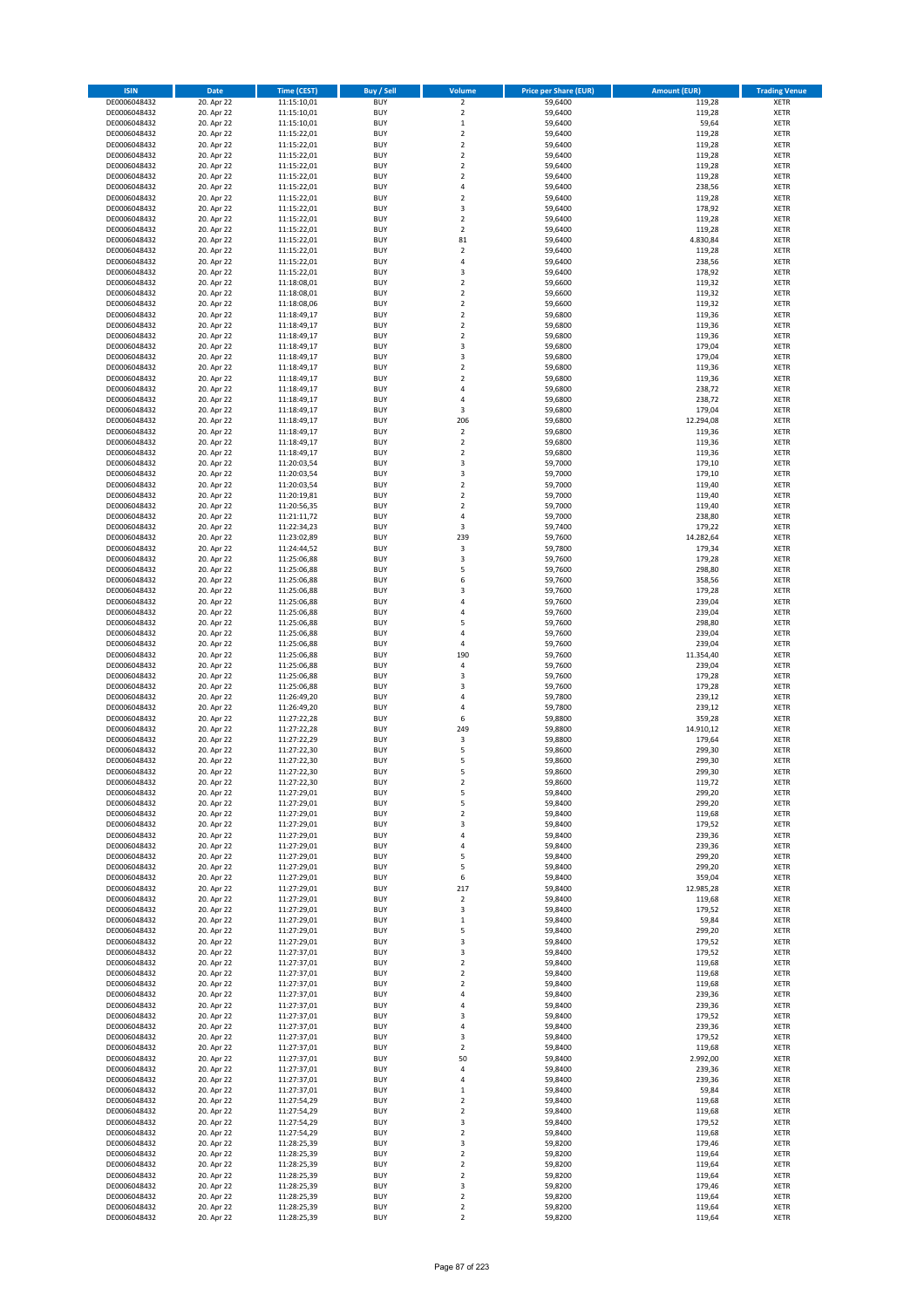| <b>ISIN</b>                  | <b>Date</b>              | Time (CEST)                | <b>Buy / Sell</b>        | Volume                                 | <b>Price per Share (EUR)</b> | <b>Amount (EUR)</b> | <b>Trading Venue</b>       |
|------------------------------|--------------------------|----------------------------|--------------------------|----------------------------------------|------------------------------|---------------------|----------------------------|
| DE0006048432                 | 20. Apr 22               | 11:15:10,01                | <b>BUY</b>               | $\overline{2}$                         | 59,6400                      | 119,28              | <b>XETR</b>                |
| DE0006048432                 | 20. Apr 22               | 11:15:10,01                | <b>BUY</b>               | $\mathbf 2$                            | 59,6400                      | 119,28              | <b>XETR</b>                |
| DE0006048432                 | 20. Apr 22               | 11:15:10,01                | <b>BUY</b>               | $\mathbf 1$                            | 59,6400                      | 59,64               | <b>XETR</b>                |
| DE0006048432                 | 20. Apr 22               | 11:15:22,01                | <b>BUY</b>               | $\mathbf 2$                            | 59,6400                      | 119,28              | <b>XETR</b>                |
| DE0006048432<br>DE0006048432 | 20. Apr 22<br>20. Apr 22 | 11:15:22,01<br>11:15:22,01 | <b>BUY</b><br><b>BUY</b> | $\overline{\mathbf{c}}$<br>$\mathbf 2$ | 59,6400<br>59,6400           | 119,28<br>119,28    | <b>XETR</b><br><b>XETR</b> |
| DE0006048432                 | 20. Apr 22               | 11:15:22,01                | <b>BUY</b>               | $\mathbf 2$                            | 59.6400                      | 119,28              | <b>XETR</b>                |
| DE0006048432                 | 20. Apr 22               | 11:15:22,01                | <b>BUY</b>               | $\mathbf 2$                            | 59,6400                      | 119,28              | <b>XETR</b>                |
| DE0006048432                 | 20. Apr 22               | 11:15:22.01                | <b>BUY</b>               | 4                                      | 59,6400                      | 238,56              | <b>XETR</b>                |
| DE0006048432                 | 20. Apr 22               | 11:15:22,01                | <b>BUY</b>               | $\mathbf 2$                            | 59,6400                      | 119,28              | <b>XETR</b>                |
| DE0006048432                 | 20. Apr 22               | 11:15:22,01                | <b>BUY</b>               | 3                                      | 59,6400                      | 178,92              | <b>XETR</b>                |
| DE0006048432                 | 20. Apr 22               | 11:15:22,01                | <b>BUY</b>               | $\overline{\mathbf{c}}$<br>$\mathbf 2$ | 59,6400                      | 119,28              | <b>XETR</b><br><b>XETR</b> |
| DE0006048432<br>DE0006048432 | 20. Apr 22<br>20. Apr 22 | 11:15:22,01<br>11:15:22,01 | <b>BUY</b><br><b>BUY</b> | 81                                     | 59,6400<br>59,6400           | 119,28<br>4.830,84  | <b>XETR</b>                |
| DE0006048432                 | 20. Apr 22               | 11:15:22,01                | <b>BUY</b>               | $\mathbf 2$                            | 59,6400                      | 119,28              | <b>XETR</b>                |
| DE0006048432                 | 20. Apr 22               | 11:15:22,01                | <b>BUY</b>               | 4                                      | 59,6400                      | 238,56              | <b>XETR</b>                |
| DE0006048432                 | 20. Apr 22               | 11:15:22,01                | <b>BUY</b>               | 3                                      | 59,6400                      | 178,92              | <b>XETR</b>                |
| DE0006048432                 | 20. Apr 22               | 11:18:08,01                | <b>BUY</b>               | $\mathbf 2$                            | 59,6600                      | 119,32              | <b>XETR</b>                |
| DE0006048432                 | 20. Apr 22               | 11:18:08,01                | <b>BUY</b>               | $\overline{\mathbf{c}}$                | 59.6600                      | 119,32              | <b>XETR</b>                |
| DE0006048432<br>DE0006048432 | 20. Apr 22<br>20. Apr 22 | 11:18:08,06<br>11:18:49,17 | <b>BUY</b><br><b>BUY</b> | $\mathbf 2$<br>$\overline{\mathbf{c}}$ | 59,6600<br>59,6800           | 119,32<br>119,36    | <b>XETR</b><br><b>XETR</b> |
| DE0006048432                 | 20. Apr 22               | 11:18:49,17                | <b>BUY</b>               | $\mathbf 2$                            | 59,6800                      | 119,36              | <b>XETR</b>                |
| DE0006048432                 | 20. Apr 22               | 11:18:49,17                | <b>BUY</b>               | $\mathbf 2$                            | 59,6800                      | 119,36              | <b>XETR</b>                |
| DE0006048432                 | 20. Apr 22               | 11:18:49,17                | <b>BUY</b>               | 3                                      | 59,6800                      | 179,04              | <b>XETR</b>                |
| DE0006048432                 | 20. Apr 22               | 11:18:49,17                | <b>BUY</b>               | 3                                      | 59,6800                      | 179,04              | <b>XETR</b>                |
| DE0006048432                 | 20. Apr 22               | 11:18:49,17                | <b>BUY</b>               | $\mathbf 2$                            | 59,6800                      | 119,36              | <b>XETR</b>                |
| DE0006048432<br>DE0006048432 | 20. Apr 22<br>20. Apr 22 | 11:18:49,17                | <b>BUY</b><br><b>BUY</b> | $\mathbf 2$<br>4                       | 59,6800                      | 119,36<br>238,72    | <b>XETR</b><br><b>XETR</b> |
| DE0006048432                 | 20. Apr 22               | 11:18:49,17<br>11:18:49,17 | <b>BUY</b>               | 4                                      | 59,6800<br>59,6800           | 238,72              | <b>XETR</b>                |
| DE0006048432                 | 20. Apr 22               | 11:18:49,17                | <b>BUY</b>               | 3                                      | 59,6800                      | 179,04              | <b>XETR</b>                |
| DE0006048432                 | 20. Apr 22               | 11:18:49,17                | <b>BUY</b>               | 206                                    | 59,6800                      | 12.294,08           | <b>XETR</b>                |
| DE0006048432                 | 20. Apr 22               | 11:18:49,17                | <b>BUY</b>               | $\overline{\mathbf{2}}$                | 59,6800                      | 119,36              | <b>XETR</b>                |
| DE0006048432                 | 20. Apr 22               | 11:18:49,17                | <b>BUY</b>               | $\mathbf 2$                            | 59,6800                      | 119,36              | <b>XETR</b>                |
| DE0006048432                 | 20. Apr 22               | 11:18:49,17                | <b>BUY</b>               | $\mathbf 2$                            | 59,6800                      | 119,36              | <b>XETR</b>                |
| DE0006048432<br>DE0006048432 | 20. Apr 22<br>20. Apr 22 | 11:20:03.54<br>11:20:03,54 | <b>BUY</b><br><b>BUY</b> | 3<br>3                                 | 59,7000<br>59,7000           | 179,10<br>179,10    | <b>XETR</b><br><b>XETR</b> |
| DE0006048432                 | 20. Apr 22               | 11:20:03,54                | <b>BUY</b>               | $\overline{\mathbf{c}}$                | 59,7000                      | 119,40              | <b>XETR</b>                |
| DE0006048432                 | 20. Apr 22               | 11:20:19,81                | <b>BUY</b>               | $\mathbf 2$                            | 59,7000                      | 119,40              | <b>XETR</b>                |
| DE0006048432                 | 20. Apr 22               | 11:20:56,35                | <b>BUY</b>               | $\mathbf 2$                            | 59,7000                      | 119,40              | <b>XETR</b>                |
| DE0006048432                 | 20. Apr 22               | 11:21:11,72                | <b>BUY</b>               | 4                                      | 59,7000                      | 238,80              | <b>XETR</b>                |
| DE0006048432                 | 20. Apr 22               | 11:22:34,23                | <b>BUY</b>               | 3                                      | 59,7400                      | 179,22              | <b>XETR</b>                |
| DE0006048432<br>DE0006048432 | 20. Apr 22<br>20. Apr 22 | 11:23:02,89                | <b>BUY</b><br><b>BUY</b> | 239<br>3                               | 59,7600<br>59,7800           | 14.282,64<br>179,34 | <b>XETR</b><br><b>XETR</b> |
| DE0006048432                 | 20. Apr 22               | 11:24:44,52<br>11:25:06,88 | <b>BUY</b>               | 3                                      | 59,7600                      | 179,28              | <b>XETR</b>                |
| DE0006048432                 | 20. Apr 22               | 11:25:06,88                | <b>BUY</b>               | 5                                      | 59,7600                      | 298,80              | <b>XETR</b>                |
| DE0006048432                 | 20. Apr 22               | 11:25:06,88                | <b>BUY</b>               | 6                                      | 59,7600                      | 358,56              | <b>XETR</b>                |
| DE0006048432                 | 20. Apr 22               | 11:25:06,88                | <b>BUY</b>               | 3                                      | 59,7600                      | 179,28              | <b>XETR</b>                |
| DE0006048432                 | 20. Apr 22               | 11:25:06,88                | <b>BUY</b>               | 4                                      | 59,7600                      | 239,04              | <b>XETR</b>                |
| DE0006048432<br>DE0006048432 | 20. Apr 22<br>20. Apr 22 | 11:25:06,88<br>11:25:06,88 | <b>BUY</b><br><b>BUY</b> | 4<br>5                                 | 59,7600<br>59,7600           | 239,04<br>298,80    | <b>XETR</b><br><b>XETR</b> |
| DE0006048432                 | 20. Apr 22               | 11:25:06,88                | <b>BUY</b>               | 4                                      | 59,7600                      | 239,04              | <b>XETR</b>                |
| DE0006048432                 | 20. Apr 22               | 11:25:06,88                | <b>BUY</b>               | 4                                      | 59,7600                      | 239,04              | <b>XETR</b>                |
| DE0006048432                 | 20. Apr 22               | 11:25:06,88                | <b>BUY</b>               | 190                                    | 59,7600                      | 11.354,40           | <b>XETR</b>                |
| DE0006048432                 | 20. Apr 22               | 11:25:06,88                | <b>BUY</b>               | 4                                      | 59,7600                      | 239,04              | <b>XETR</b>                |
| DE0006048432                 | 20. Apr 22               | 11:25:06,88                | <b>BUY</b>               | 3                                      | 59,7600                      | 179,28              | <b>XETR</b>                |
| DE0006048432                 | 20. Apr 22               | 11:25:06,88                | <b>BUY</b>               | 3                                      | 59,7600                      | 179,28              | <b>XETR</b>                |
| DE0006048432<br>DE0006048432 | 20. Apr 22<br>20. Apr 22 | 11:26:49,20<br>11:26:49,20 | <b>BUY</b><br><b>BUY</b> | 4<br>4                                 | 59,7800<br>59,7800           | 239,12<br>239,12    | <b>XETR</b><br><b>XETR</b> |
| DE0006048432                 | 20. Apr 22               | 11:27:22,28                | <b>BUY</b>               | 6                                      | 59,8800                      | 359,28              | <b>XETR</b>                |
| DE0006048432                 | 20. Apr 22               | 11:27:22,28                | <b>BUY</b>               | 249                                    | 59,8800                      | 14.910,12           | <b>XETR</b>                |
| DE0006048432                 | 20. Apr 22               | 11:27:22,29                | <b>BUY</b>               | $\mathsf 3$                            | 59,8800                      | 179,64              | <b>XETR</b>                |
| DE0006048432                 | 20. Apr 22               | 11:27:22,30                | <b>BUY</b>               | 5                                      | 59,8600                      | 299,30              | <b>XETR</b>                |
| DE0006048432                 | 20. Apr 22               | 11:27:22,30                | <b>BUY</b>               | 5                                      | 59,8600                      | 299,30              | <b>XETR</b>                |
| DE0006048432<br>DE0006048432 | 20. Apr 22<br>20. Apr 22 | 11:27:22,30<br>11:27:22,30 | <b>BUY</b><br>BUY        | 5<br>2                                 | 59,8600<br>59,8600           | 299,30<br>119,72    | <b>XETR</b><br><b>XETR</b> |
| DE0006048432                 | 20. Apr 22               | 11:27:29,01                | <b>BUY</b>               | 5                                      | 59,8400                      | 299,20              | <b>XETR</b>                |
| DE0006048432                 | 20. Apr 22               | 11:27:29,01                | <b>BUY</b>               | 5                                      | 59,8400                      | 299,20              | <b>XETR</b>                |
| DE0006048432                 | 20. Apr 22               | 11:27:29,01                | <b>BUY</b>               | $\mathbf 2$                            | 59,8400                      | 119,68              | XETR                       |
| DE0006048432                 | 20. Apr 22               | 11:27:29,01                | <b>BUY</b>               | 3                                      | 59,8400                      | 179,52              | <b>XETR</b>                |
| DE0006048432                 | 20. Apr 22               | 11:27:29,01                | <b>BUY</b>               | 4                                      | 59,8400                      | 239,36              | <b>XETR</b>                |
| DE0006048432                 | 20. Apr 22               | 11:27:29,01                | <b>BUY</b>               | 4                                      | 59,8400                      | 239,36              | <b>XETR</b>                |
| DE0006048432<br>DE0006048432 | 20. Apr 22<br>20. Apr 22 | 11:27:29,01<br>11:27:29,01 | <b>BUY</b><br><b>BUY</b> | 5<br>5                                 | 59,8400<br>59,8400           | 299,20<br>299,20    | <b>XETR</b><br><b>XETR</b> |
| DE0006048432                 | 20. Apr 22               | 11:27:29,01                | <b>BUY</b>               | 6                                      | 59,8400                      | 359,04              | <b>XETR</b>                |
| DE0006048432                 | 20. Apr 22               | 11:27:29,01                | <b>BUY</b>               | 217                                    | 59,8400                      | 12.985,28           | <b>XETR</b>                |
| DE0006048432                 | 20. Apr 22               | 11:27:29,01                | <b>BUY</b>               | $\overline{\mathbf{c}}$                | 59,8400                      | 119,68              | <b>XETR</b>                |
| DE0006048432                 | 20. Apr 22               | 11:27:29,01                | <b>BUY</b>               | 3                                      | 59,8400                      | 179,52              | <b>XETR</b>                |
| DE0006048432                 | 20. Apr 22               | 11:27:29,01                | <b>BUY</b><br><b>BUY</b> | $\mathbf 1$                            | 59,8400                      | 59,84<br>299,20     | <b>XETR</b>                |
| DE0006048432<br>DE0006048432 | 20. Apr 22<br>20. Apr 22 | 11:27:29,01<br>11:27:29,01 | <b>BUY</b>               | 5<br>3                                 | 59,8400<br>59,8400           | 179,52              | <b>XETR</b><br><b>XETR</b> |
| DE0006048432                 | 20. Apr 22               | 11:27:37,01                | <b>BUY</b>               | 3                                      | 59,8400                      | 179,52              | <b>XETR</b>                |
| DE0006048432                 | 20. Apr 22               | 11:27:37,01                | <b>BUY</b>               | $\mathbf 2$                            | 59,8400                      | 119,68              | <b>XETR</b>                |
| DE0006048432                 | 20. Apr 22               | 11:27:37,01                | <b>BUY</b>               | $\mathbf 2$                            | 59,8400                      | 119,68              | <b>XETR</b>                |
| DE0006048432                 | 20. Apr 22               | 11:27:37,01                | <b>BUY</b>               | $\mathbf 2$                            | 59,8400                      | 119,68              | <b>XETR</b>                |
| DE0006048432                 | 20. Apr 22               | 11:27:37,01                | <b>BUY</b>               | 4                                      | 59,8400                      | 239,36              | <b>XETR</b>                |
| DE0006048432<br>DE0006048432 | 20. Apr 22<br>20. Apr 22 | 11:27:37,01<br>11:27:37,01 | <b>BUY</b><br><b>BUY</b> | 4<br>3                                 | 59,8400<br>59,8400           | 239,36<br>179,52    | <b>XETR</b><br><b>XETR</b> |
| DE0006048432                 | 20. Apr 22               | 11:27:37,01                | <b>BUY</b>               | 4                                      | 59,8400                      | 239,36              | <b>XETR</b>                |
| DE0006048432                 | 20. Apr 22               | 11:27:37,01                | <b>BUY</b>               | 3                                      | 59,8400                      | 179,52              | <b>XETR</b>                |
| DE0006048432                 | 20. Apr 22               | 11:27:37,01                | <b>BUY</b>               | $\mathbf 2$                            | 59,8400                      | 119,68              | <b>XETR</b>                |
| DE0006048432                 | 20. Apr 22               | 11:27:37,01                | <b>BUY</b>               | 50                                     | 59,8400                      | 2.992,00            | <b>XETR</b>                |
| DE0006048432                 | 20. Apr 22               | 11:27:37,01                | <b>BUY</b>               | 4                                      | 59,8400                      | 239,36              | <b>XETR</b>                |
| DE0006048432                 | 20. Apr 22               | 11:27:37,01                | <b>BUY</b>               | 4                                      | 59,8400                      | 239,36              | <b>XETR</b>                |
| DE0006048432<br>DE0006048432 | 20. Apr 22<br>20. Apr 22 | 11:27:37,01<br>11:27:54,29 | <b>BUY</b><br><b>BUY</b> | $\mathbf 1$<br>$\mathbf 2$             | 59,8400<br>59,8400           | 59,84<br>119,68     | <b>XETR</b><br><b>XETR</b> |
| DE0006048432                 | 20. Apr 22               | 11:27:54,29                | <b>BUY</b>               | $\mathbf 2$                            | 59,8400                      | 119,68              | <b>XETR</b>                |
| DE0006048432                 | 20. Apr 22               | 11:27:54,29                | <b>BUY</b>               | 3                                      | 59,8400                      | 179,52              | <b>XETR</b>                |
| DE0006048432                 | 20. Apr 22               | 11:27:54,29                | <b>BUY</b>               | $\mathbf 2$                            | 59,8400                      | 119,68              | <b>XETR</b>                |
| DE0006048432                 | 20. Apr 22               | 11:28:25,39                | <b>BUY</b>               | 3                                      | 59,8200                      | 179,46              | <b>XETR</b>                |
| DE0006048432                 | 20. Apr 22               | 11:28:25,39                | <b>BUY</b>               | $\mathbf 2$                            | 59,8200                      | 119,64              | <b>XETR</b>                |
| DE0006048432<br>DE0006048432 | 20. Apr 22<br>20. Apr 22 | 11:28:25,39<br>11:28:25,39 | <b>BUY</b><br><b>BUY</b> | $\overline{\mathbf{c}}$<br>$\mathbf 2$ | 59,8200<br>59,8200           | 119,64<br>119,64    | <b>XETR</b><br><b>XETR</b> |
| DE0006048432                 | 20. Apr 22               | 11:28:25,39                | <b>BUY</b>               | 3                                      | 59,8200                      | 179,46              | <b>XETR</b>                |
| DE0006048432                 | 20. Apr 22               | 11:28:25,39                | <b>BUY</b>               | $\mathbf 2$                            | 59,8200                      | 119,64              | <b>XETR</b>                |
| DE0006048432                 | 20. Apr 22               | 11:28:25,39                | <b>BUY</b>               | $\mathbf 2$                            | 59,8200                      | 119,64              | <b>XETR</b>                |
| DE0006048432                 | 20. Apr 22               | 11:28:25,39                | <b>BUY</b>               | $\overline{2}$                         | 59,8200                      | 119,64              | <b>XETR</b>                |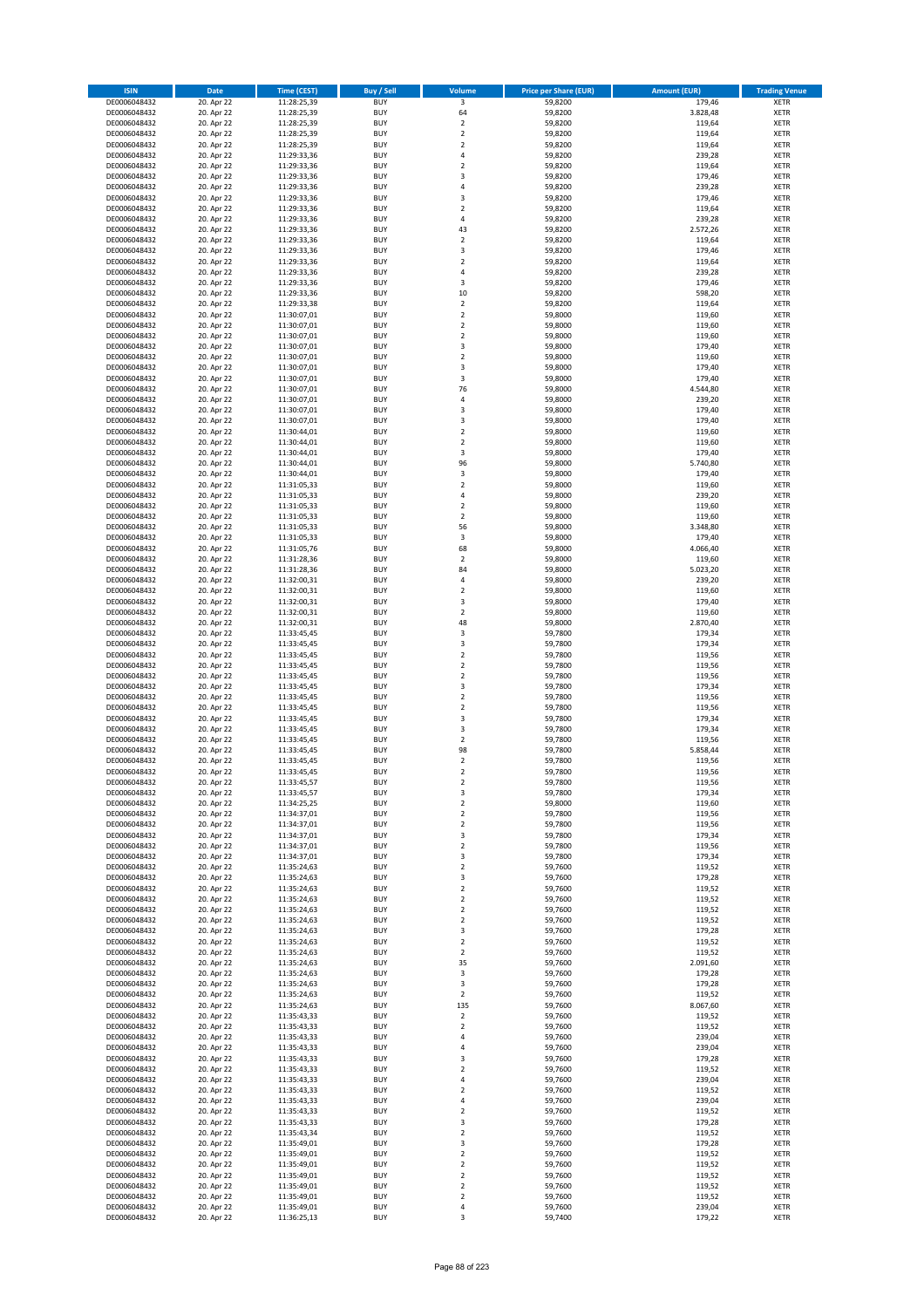| <b>ISIN</b>                  | Date                     | Time (CEST)                | <b>Buy / Sell</b>        | Volume                           | <b>Price per Share (EUR)</b> | Amount (EUR)       | <b>Trading Venue</b>       |
|------------------------------|--------------------------|----------------------------|--------------------------|----------------------------------|------------------------------|--------------------|----------------------------|
| DE0006048432                 | 20. Apr 22               | 11:28:25,39                | <b>BUY</b>               | $\overline{\mathbf{3}}$          | 59,8200                      | 179,46             | <b>XETR</b>                |
| DE0006048432                 | 20. Apr 22               | 11:28:25,39                | <b>BUY</b>               | 64                               | 59,8200                      | 3.828,48           | XETR                       |
| DE0006048432                 | 20. Apr 22               | 11:28:25,39                | <b>BUY</b>               | $\overline{2}$                   | 59,8200                      | 119,64             | <b>XETR</b>                |
| DE0006048432<br>DE0006048432 | 20. Apr 22<br>20. Apr 22 | 11:28:25,39<br>11:28:25,39 | <b>BUY</b><br><b>BUY</b> | $\mathbf 2$<br>$\mathbf 2$       | 59,8200<br>59,8200           | 119,64<br>119,64   | XETR<br><b>XETR</b>        |
| DE0006048432                 | 20. Apr 22               | 11:29:33,36                | <b>BUY</b>               | $\overline{4}$                   | 59,8200                      | 239,28             | <b>XETR</b>                |
| DE0006048432                 | 20. Apr 22               | 11:29:33,36                | <b>BUY</b>               | $\mathbf 2$                      | 59,8200                      | 119,64             | <b>XETR</b>                |
| DE0006048432                 | 20. Apr 22               | 11:29:33,36                | <b>BUY</b>               | 3                                | 59,8200                      | 179,46             | <b>XETR</b>                |
| DE0006048432                 | 20. Apr 22               | 11:29:33,36                | <b>BUY</b>               | $\overline{4}$                   | 59,8200                      | 239,28             | <b>XETR</b>                |
| DE0006048432                 | 20. Apr 22               | 11:29:33,36                | <b>BUY</b><br><b>BUY</b> | 3<br>$\mathbf 2$                 | 59,8200                      | 179,46             | <b>XETR</b><br><b>XETR</b> |
| DE0006048432<br>DE0006048432 | 20. Apr 22<br>20. Apr 22 | 11:29:33,36<br>11:29:33,36 | <b>BUY</b>               | 4                                | 59,8200<br>59,8200           | 119,64<br>239,28   | <b>XETR</b>                |
| DE0006048432                 | 20. Apr 22               | 11:29:33,36                | <b>BUY</b>               | 43                               | 59,8200                      | 2.572,26           | <b>XETR</b>                |
| DE0006048432                 | 20. Apr 22               | 11:29:33,36                | <b>BUY</b>               | $\overline{2}$                   | 59,8200                      | 119,64             | <b>XETR</b>                |
| DE0006048432                 | 20. Apr 22               | 11:29:33,36                | <b>BUY</b>               | 3                                | 59,8200                      | 179,46             | <b>XETR</b>                |
| DE0006048432                 | 20. Apr 22               | 11:29:33,36                | <b>BUY</b>               | $\overline{2}$                   | 59,8200                      | 119,64             | <b>XETR</b>                |
| DE0006048432<br>DE0006048432 | 20. Apr 22<br>20. Apr 22 | 11:29:33,36<br>11:29:33,36 | <b>BUY</b><br><b>BUY</b> | $\sqrt{4}$<br>3                  | 59,8200<br>59,8200           | 239,28<br>179,46   | <b>XETR</b><br><b>XETR</b> |
| DE0006048432                 | 20. Apr 22               | 11:29:33,36                | <b>BUY</b>               | 10                               | 59,8200                      | 598,20             | <b>XETR</b>                |
| DE0006048432                 | 20. Apr 22               | 11:29:33,38                | <b>BUY</b>               | $\mathbf 2$                      | 59,8200                      | 119,64             | <b>XETR</b>                |
| DE0006048432                 | 20. Apr 22               | 11:30:07,01                | <b>BUY</b>               | $\overline{2}$                   | 59,8000                      | 119,60             | <b>XETR</b>                |
| DE0006048432                 | 20. Apr 22               | 11:30:07,01                | <b>BUY</b>               | $\mathbf 2$                      | 59,8000                      | 119,60             | <b>XETR</b>                |
| DE0006048432                 | 20. Apr 22               | 11:30:07,01                | <b>BUY</b>               | $\mathbf 2$<br>3                 | 59,8000                      | 119,60             | <b>XETR</b>                |
| DE0006048432<br>DE0006048432 | 20. Apr 22<br>20. Apr 22 | 11:30:07,01<br>11:30:07,01 | <b>BUY</b><br><b>BUY</b> | $\overline{2}$                   | 59,8000<br>59,8000           | 179,40<br>119,60   | <b>XETR</b><br><b>XETR</b> |
| DE0006048432                 | 20. Apr 22               | 11:30:07,01                | <b>BUY</b>               | 3                                | 59,8000                      | 179,40             | <b>XETR</b>                |
| DE0006048432                 | 20. Apr 22               | 11:30:07,01                | <b>BUY</b>               | 3                                | 59,8000                      | 179,40             | <b>XETR</b>                |
| DE0006048432                 | 20. Apr 22               | 11:30:07,01                | <b>BUY</b>               | 76                               | 59,8000                      | 4.544,80           | <b>XETR</b>                |
| DE0006048432                 | 20. Apr 22               | 11:30:07,01                | <b>BUY</b>               | $\pmb{4}$                        | 59,8000                      | 239,20             | <b>XETR</b>                |
| DE0006048432<br>DE0006048432 | 20. Apr 22<br>20. Apr 22 | 11:30:07,01<br>11:30:07,01 | <b>BUY</b><br><b>BUY</b> | 3<br>3                           | 59,8000<br>59,8000           | 179,40<br>179,40   | <b>XETR</b><br><b>XETR</b> |
| DE0006048432                 | 20. Apr 22               | 11:30:44,01                | <b>BUY</b>               | $\overline{2}$                   | 59,8000                      | 119,60             | <b>XETR</b>                |
| DE0006048432                 | 20. Apr 22               | 11:30:44,01                | <b>BUY</b>               | $\overline{2}$                   | 59,8000                      | 119,60             | <b>XETR</b>                |
| DE0006048432                 | 20. Apr 22               | 11:30:44,01                | <b>BUY</b>               | 3                                | 59,8000                      | 179,40             | <b>XETR</b>                |
| DE0006048432                 | 20. Apr 22               | 11:30:44.01                | <b>BUY</b>               | 96                               | 59,8000                      | 5.740,80           | <b>XETR</b>                |
| DE0006048432                 | 20. Apr 22               | 11:30:44,01                | <b>BUY</b>               | $\mathsf 3$                      | 59,8000                      | 179,40             | <b>XETR</b>                |
| DE0006048432<br>DE0006048432 | 20. Apr 22<br>20. Apr 22 | 11:31:05,33<br>11:31:05,33 | <b>BUY</b><br><b>BUY</b> | $\overline{2}$<br>$\overline{4}$ | 59,8000<br>59,8000           | 119,60<br>239,20   | <b>XETR</b><br><b>XETR</b> |
| DE0006048432                 | 20. Apr 22               | 11:31:05,33                | <b>BUY</b>               | $\overline{2}$                   | 59,8000                      | 119,60             | <b>XETR</b>                |
| DE0006048432                 | 20. Apr 22               | 11:31:05,33                | <b>BUY</b>               | $\mathbf 2$                      | 59,8000                      | 119,60             | <b>XETR</b>                |
| DE0006048432                 | 20. Apr 22               | 11:31:05,33                | <b>BUY</b>               | 56                               | 59,8000                      | 3.348,80           | <b>XETR</b>                |
| DE0006048432                 | 20. Apr 22               | 11:31:05,33                | <b>BUY</b>               | 3                                | 59,8000                      | 179,40             | <b>XETR</b>                |
| DE0006048432<br>DE0006048432 | 20. Apr 22<br>20. Apr 22 | 11:31:05,76                | <b>BUY</b><br><b>BUY</b> | 68<br>$\overline{2}$             | 59,8000<br>59,8000           | 4.066,40<br>119,60 | <b>XETR</b><br><b>XETR</b> |
| DE0006048432                 | 20. Apr 22               | 11:31:28,36<br>11:31:28,36 | <b>BUY</b>               | 84                               | 59,8000                      | 5.023,20           | <b>XETR</b>                |
| DE0006048432                 | 20. Apr 22               | 11:32:00,31                | <b>BUY</b>               | $\sqrt{4}$                       | 59,8000                      | 239,20             | <b>XETR</b>                |
| DE0006048432                 | 20. Apr 22               | 11:32:00,31                | <b>BUY</b>               | $\mathbf 2$                      | 59,8000                      | 119,60             | <b>XETR</b>                |
| DE0006048432                 | 20. Apr 22               | 11:32:00,31                | <b>BUY</b>               | 3                                | 59,8000                      | 179,40             | <b>XETR</b>                |
| DE0006048432                 | 20. Apr 22               | 11:32:00,31                | <b>BUY</b>               | $\mathbf 2$                      | 59,8000                      | 119,60             | <b>XETR</b>                |
| DE0006048432<br>DE0006048432 | 20. Apr 22<br>20. Apr 22 | 11:32:00,31<br>11:33:45,45 | <b>BUY</b><br><b>BUY</b> | 48<br>3                          | 59,8000<br>59,7800           | 2.870,40<br>179,34 | <b>XETR</b><br><b>XETR</b> |
| DE0006048432                 | 20. Apr 22               | 11:33:45,45                | <b>BUY</b>               | 3                                | 59,7800                      | 179,34             | <b>XETR</b>                |
| DE0006048432                 | 20. Apr 22               | 11:33:45,45                | <b>BUY</b>               | $\mathbf 2$                      | 59,7800                      | 119,56             | <b>XETR</b>                |
| DE0006048432                 | 20. Apr 22               | 11:33:45,45                | <b>BUY</b>               | $\mathbf 2$                      | 59,7800                      | 119,56             | <b>XETR</b>                |
| DE0006048432                 | 20. Apr 22               | 11:33:45,45                | <b>BUY</b>               | $\mathbf 2$                      | 59,7800                      | 119,56             | <b>XETR</b>                |
| DE0006048432<br>DE0006048432 | 20. Apr 22               | 11:33:45,45                | <b>BUY</b>               | 3                                | 59,7800                      | 179,34             | <b>XETR</b>                |
| DE0006048432                 | 20. Apr 22<br>20. Apr 22 | 11:33:45,45<br>11:33:45,45 | <b>BUY</b><br><b>BUY</b> | $\mathbf 2$<br>$\mathbf 2$       | 59,7800<br>59,7800           | 119,56<br>119,56   | <b>XETR</b><br><b>XETR</b> |
| DE0006048432                 | 20. Apr 22               | 11:33:45,45                | <b>BUY</b>               | 3                                | 59,7800                      | 179,34             | <b>XETR</b>                |
| DE0006048432                 | 20. Apr 22               | 11:33:45,45                | <b>BUY</b>               | 3                                | 59,7800                      | 179,34             | <b>XETR</b>                |
| DE0006048432                 | 20. Apr 22               | 11:33:45,45                | <b>BUY</b>               | $\mathbf 2$                      | 59,7800                      | 119,56             | <b>XETR</b>                |
| DE0006048432                 | 20. Apr 22               | 11:33:45,45                | <b>BUY</b>               | 98                               | 59,7800                      | 5.858,44           | <b>XETR</b>                |
| DE0006048432<br>DE0006048432 | 20. Apr 22<br>20. Apr 22 | 11:33:45,45<br>11:33:45,45 | <b>BUY</b><br><b>BUY</b> | $\mathbf 2$<br>2                 | 59,7800<br>59,7800           | 119,56<br>119,56   | <b>XETR</b><br><b>XETR</b> |
| DE0006048432                 | 20. Apr 22               | 11:33:45,57                | BUY                      | $\mathbf 2$                      | 59,7800                      | 119,56             | XETR                       |
| DE0006048432                 | 20. Apr 22               | 11:33:45,57                | <b>BUY</b>               | 3                                | 59,7800                      | 179,34             | <b>XETR</b>                |
| DE0006048432                 | 20. Apr 22               | 11:34:25,25                | <b>BUY</b>               | $\overline{2}$                   | 59,8000                      | 119,60             | <b>XETR</b>                |
| DE0006048432                 | 20. Apr 22               | 11:34:37,01                | <b>BUY</b>               | $\mathbf 2$                      | 59,7800                      | 119,56             | <b>XETR</b>                |
| DE0006048432<br>DE0006048432 | 20. Apr 22<br>20. Apr 22 | 11:34:37,01<br>11:34:37,01 | <b>BUY</b><br><b>BUY</b> | $\overline{2}$<br>3              | 59,7800<br>59,7800           | 119,56<br>179,34   | <b>XETR</b><br><b>XETR</b> |
| DE0006048432                 | 20. Apr 22               | 11:34:37,01                | <b>BUY</b>               | $\overline{2}$                   | 59,7800                      | 119,56             | <b>XETR</b>                |
| DE0006048432                 | 20. Apr 22               | 11:34:37,01                | <b>BUY</b>               | 3                                | 59,7800                      | 179,34             | <b>XETR</b>                |
| DE0006048432                 | 20. Apr 22               | 11:35:24,63                | <b>BUY</b>               | $\overline{2}$                   | 59,7600                      | 119,52             | XETR                       |
| DE0006048432                 | 20. Apr 22               | 11:35:24,63                | <b>BUY</b>               | 3                                | 59,7600                      | 179,28             | <b>XETR</b>                |
| DE0006048432<br>DE0006048432 | 20. Apr 22<br>20. Apr 22 | 11:35:24,63<br>11:35:24,63 | <b>BUY</b><br><b>BUY</b> | $\overline{2}$<br>$\overline{2}$ | 59,7600<br>59,7600           | 119,52<br>119,52   | XETR<br><b>XETR</b>        |
| DE0006048432                 | 20. Apr 22               | 11:35:24,63                | <b>BUY</b>               | $\mathbf 2$                      | 59,7600                      | 119,52             | XETR                       |
| DE0006048432                 | 20. Apr 22               | 11:35:24,63                | <b>BUY</b>               | $\overline{2}$                   | 59,7600                      | 119,52             | <b>XETR</b>                |
| DE0006048432                 | 20. Apr 22               | 11:35:24,63                | <b>BUY</b>               | 3                                | 59,7600                      | 179,28             | XETR                       |
| DE0006048432                 | 20. Apr 22               | 11:35:24,63                | <b>BUY</b>               | $\mathbf 2$                      | 59,7600                      | 119,52             | <b>XETR</b>                |
| DE0006048432<br>DE0006048432 | 20. Apr 22<br>20. Apr 22 | 11:35:24,63<br>11:35:24,63 | <b>BUY</b><br><b>BUY</b> | $\overline{2}$<br>35             | 59,7600<br>59,7600           | 119,52<br>2.091,60 | <b>XETR</b><br><b>XETR</b> |
| DE0006048432                 | 20. Apr 22               | 11:35:24,63                | <b>BUY</b>               | 3                                | 59,7600                      | 179,28             | XETR                       |
| DE0006048432                 | 20. Apr 22               | 11:35:24,63                | <b>BUY</b>               | 3                                | 59,7600                      | 179,28             | <b>XETR</b>                |
| DE0006048432                 | 20. Apr 22               | 11:35:24,63                | <b>BUY</b>               | $\overline{2}$                   | 59,7600                      | 119,52             | <b>XETR</b>                |
| DE0006048432                 | 20. Apr 22               | 11:35:24,63                | <b>BUY</b>               | 135                              | 59,7600                      | 8.067,60           | <b>XETR</b>                |
| DE0006048432<br>DE0006048432 | 20. Apr 22<br>20. Apr 22 | 11:35:43,33<br>11:35:43,33 | <b>BUY</b><br><b>BUY</b> | $\overline{2}$<br>$\mathbf 2$    | 59,7600<br>59,7600           | 119,52<br>119,52   | XETR<br>XETR               |
| DE0006048432                 | 20. Apr 22               | 11:35:43,33                | <b>BUY</b>               | 4                                | 59,7600                      | 239,04             | XETR                       |
| DE0006048432                 | 20. Apr 22               | 11:35:43,33                | <b>BUY</b>               | 4                                | 59,7600                      | 239,04             | <b>XETR</b>                |
| DE0006048432                 | 20. Apr 22               | 11:35:43,33                | <b>BUY</b>               | 3                                | 59,7600                      | 179,28             | XETR                       |
| DE0006048432                 | 20. Apr 22               | 11:35:43,33                | <b>BUY</b>               | $\overline{2}$                   | 59,7600                      | 119,52             | <b>XETR</b>                |
| DE0006048432                 | 20. Apr 22               | 11:35:43,33                | <b>BUY</b>               | $\pmb{4}$                        | 59,7600                      | 239,04             | <b>XETR</b>                |
| DE0006048432<br>DE0006048432 | 20. Apr 22<br>20. Apr 22 | 11:35:43,33                | <b>BUY</b><br><b>BUY</b> | $\overline{2}$<br>$\pmb{4}$      | 59,7600<br>59,7600           | 119,52<br>239,04   | <b>XETR</b><br>XETR        |
| DE0006048432                 | 20. Apr 22               | 11:35:43,33<br>11:35:43,33 | <b>BUY</b>               | $\overline{2}$                   | 59,7600                      | 119,52             | XETR                       |
| DE0006048432                 | 20. Apr 22               | 11:35:43,33                | <b>BUY</b>               | 3                                | 59,7600                      | 179,28             | XETR                       |
| DE0006048432                 | 20. Apr 22               | 11:35:43,34                | <b>BUY</b>               | $\overline{2}$                   | 59,7600                      | 119,52             | <b>XETR</b>                |
| DE0006048432                 | 20. Apr 22               | 11:35:49,01                | <b>BUY</b>               | 3                                | 59,7600                      | 179,28             | <b>XETR</b>                |
| DE0006048432<br>DE0006048432 | 20. Apr 22               | 11:35:49,01                | <b>BUY</b><br><b>BUY</b> | $\mathbf 2$<br>$\overline{2}$    | 59,7600                      | 119,52             | XETR<br><b>XETR</b>        |
| DE0006048432                 | 20. Apr 22<br>20. Apr 22 | 11:35:49,01<br>11:35:49,01 | <b>BUY</b>               | $\mathbf 2$                      | 59,7600<br>59,7600           | 119,52<br>119,52   | XETR                       |
| DE0006048432                 | 20. Apr 22               | 11:35:49,01                | <b>BUY</b>               | $\mathbf 2$                      | 59,7600                      | 119,52             | <b>XETR</b>                |
| DE0006048432                 | 20. Apr 22               | 11:35:49,01                | <b>BUY</b>               | $\mathbf 2$                      | 59,7600                      | 119,52             | XETR                       |
| DE0006048432                 | 20. Apr 22               | 11:35:49,01                | <b>BUY</b>               | $\sqrt{4}$                       | 59,7600                      | 239,04             | <b>XETR</b>                |
| DE0006048432                 | 20. Apr 22               | 11:36:25,13                | <b>BUY</b>               | 3                                | 59,7400                      | 179,22             | XETR                       |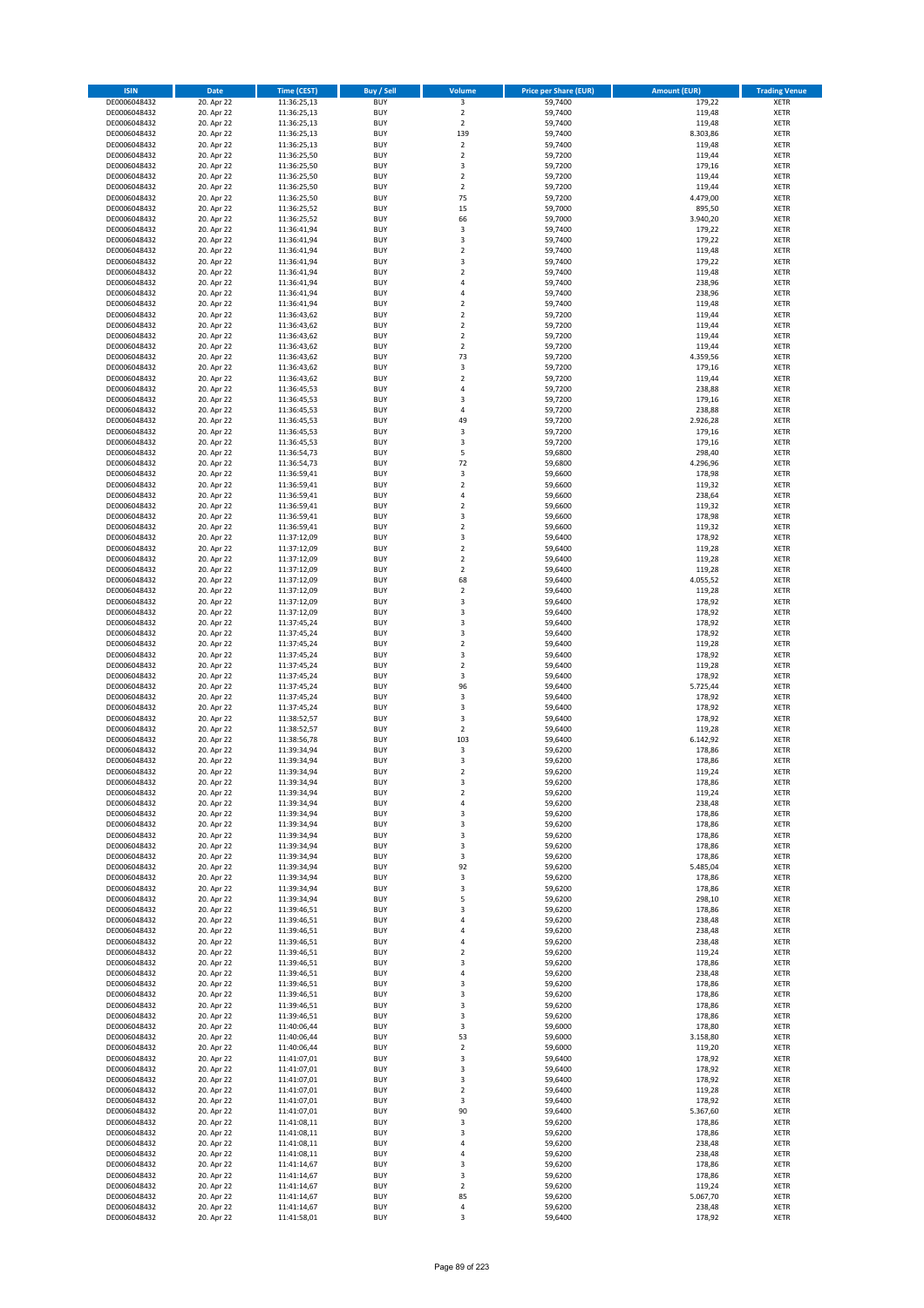| <b>ISIN</b>                  | <b>Date</b>              | <b>Time (CEST)</b>         | <b>Buy / Sell</b>        | Volume                         | <b>Price per Share (EUR)</b> | <b>Amount (EUR)</b> | <b>Trading Venue</b>       |
|------------------------------|--------------------------|----------------------------|--------------------------|--------------------------------|------------------------------|---------------------|----------------------------|
| DE0006048432                 | 20. Apr 22               | 11:36:25,13                | <b>BUY</b>               | $\overline{\mathbf{3}}$        | 59,7400                      | 179,22              | <b>XETR</b>                |
| DE0006048432                 | 20. Apr 22               | 11:36:25,13                | <b>BUY</b>               | $\mathbf 2$                    | 59,7400                      | 119,48              | <b>XETR</b>                |
| DE0006048432                 | 20. Apr 22               | 11:36:25,13                | <b>BUY</b>               | $\overline{2}$                 | 59,7400                      | 119,48              | <b>XETR</b>                |
| DE0006048432<br>DE0006048432 | 20. Apr 22<br>20. Apr 22 | 11:36:25,13<br>11:36:25,13 | <b>BUY</b><br><b>BUY</b> | 139<br>$\overline{\mathbf{c}}$ | 59,7400<br>59,7400           | 8.303,86<br>119,48  | <b>XETR</b><br><b>XETR</b> |
| DE0006048432                 | 20. Apr 22               | 11:36:25,50                | <b>BUY</b>               | $\mathbf 2$                    | 59,7200                      | 119,44              | <b>XETR</b>                |
| DE0006048432                 | 20. Apr 22               | 11:36:25,50                | <b>BUY</b>               | 3                              | 59,7200                      | 179,16              | <b>XETR</b>                |
| DE0006048432                 | 20. Apr 22               | 11:36:25,50                | <b>BUY</b>               | $\overline{\mathbf{c}}$        | 59,7200                      | 119,44              | <b>XETR</b>                |
| DE0006048432                 | 20. Apr 22               | 11:36:25,50                | <b>BUY</b>               | $\overline{2}$<br>75           | 59,7200                      | 119,44              | <b>XETR</b>                |
| DE0006048432<br>DE0006048432 | 20. Apr 22<br>20. Apr 22 | 11:36:25,50<br>11:36:25,52 | <b>BUY</b><br><b>BUY</b> | 15                             | 59,7200<br>59,7000           | 4.479,00<br>895,50  | <b>XETR</b><br><b>XETR</b> |
| DE0006048432                 | 20. Apr 22               | 11:36:25,52                | <b>BUY</b>               | 66                             | 59,7000                      | 3.940,20            | <b>XETR</b>                |
| DE0006048432                 | 20. Apr 22               | 11:36:41,94                | <b>BUY</b>               | 3                              | 59,7400                      | 179,22              | <b>XETR</b>                |
| DE0006048432                 | 20. Apr 22               | 11:36:41,94                | <b>BUY</b>               | 3                              | 59,7400                      | 179,22              | <b>XETR</b>                |
| DE0006048432                 | 20. Apr 22               | 11:36:41,94                | <b>BUY</b>               | $\overline{\mathbf{c}}$        | 59,7400                      | 119,48              | <b>XETR</b>                |
| DE0006048432<br>DE0006048432 | 20. Apr 22<br>20. Apr 22 | 11:36:41,94<br>11:36:41,94 | <b>BUY</b><br><b>BUY</b> | 3<br>$\mathbf 2$               | 59,7400<br>59,7400           | 179,22<br>119,48    | <b>XETR</b><br><b>XETR</b> |
| DE0006048432                 | 20. Apr 22               | 11:36:41,94                | <b>BUY</b>               | 4                              | 59,7400                      | 238,96              | <b>XETR</b>                |
| DE0006048432                 | 20. Apr 22               | 11:36:41,94                | <b>BUY</b>               | 4                              | 59.7400                      | 238,96              | <b>XETR</b>                |
| DE0006048432                 | 20. Apr 22               | 11:36:41,94                | <b>BUY</b>               | $\mathbf 2$                    | 59,7400                      | 119,48              | <b>XETR</b>                |
| DE0006048432                 | 20. Apr 22               | 11:36:43,62                | <b>BUY</b>               | $\overline{\mathbf{c}}$        | 59,7200                      | 119,44              | <b>XETR</b>                |
| DE0006048432<br>DE0006048432 | 20. Apr 22<br>20. Apr 22 | 11:36:43,62<br>11:36:43,62 | <b>BUY</b><br><b>BUY</b> | $\mathbf 2$<br>$\mathbf 2$     | 59,7200<br>59,7200           | 119,44<br>119,44    | <b>XETR</b><br><b>XETR</b> |
| DE0006048432                 | 20. Apr 22               | 11:36:43,62                | <b>BUY</b>               | $\mathbf 2$                    | 59,7200                      | 119,44              | <b>XETR</b>                |
| DE0006048432                 | 20. Apr 22               | 11:36:43,62                | <b>BUY</b>               | 73                             | 59,7200                      | 4.359,56            | <b>XETR</b>                |
| DE0006048432                 | 20. Apr 22               | 11:36:43,62                | <b>BUY</b>               | 3                              | 59,7200                      | 179,16              | <b>XETR</b>                |
| DE0006048432                 | 20. Apr 22               | 11:36:43,62                | <b>BUY</b>               | $\mathbf 2$                    | 59,7200                      | 119,44              | <b>XETR</b>                |
| DE0006048432<br>DE0006048432 | 20. Apr 22<br>20. Apr 22 | 11:36:45,53<br>11:36:45,53 | <b>BUY</b><br><b>BUY</b> | 4<br>3                         | 59,7200<br>59,7200           | 238,88<br>179,16    | <b>XETR</b><br><b>XETR</b> |
| DE0006048432                 | 20. Apr 22               | 11:36:45,53                | <b>BUY</b>               | 4                              | 59,7200                      | 238,88              | <b>XETR</b>                |
| DE0006048432                 | 20. Apr 22               | 11:36:45,53                | <b>BUY</b>               | 49                             | 59,7200                      | 2.926,28            | <b>XETR</b>                |
| DE0006048432                 | 20. Apr 22               | 11:36:45,53                | <b>BUY</b>               | 3                              | 59,7200                      | 179,16              | <b>XETR</b>                |
| DE0006048432                 | 20. Apr 22               | 11:36:45,53                | <b>BUY</b>               | 3                              | 59,7200                      | 179,16              | <b>XETR</b>                |
| DE0006048432<br>DE0006048432 | 20. Apr 22<br>20. Apr 22 | 11:36:54,73<br>11:36:54,73 | <b>BUY</b><br><b>BUY</b> | 5<br>72                        | 59,6800<br>59,6800           | 298,40<br>4.296,96  | <b>XETR</b><br><b>XETR</b> |
| DE0006048432                 | 20. Apr 22               | 11:36:59,41                | <b>BUY</b>               | 3                              | 59,6600                      | 178,98              | <b>XETR</b>                |
| DE0006048432                 | 20. Apr 22               | 11:36:59,41                | <b>BUY</b>               | $\overline{\mathbf{c}}$        | 59,6600                      | 119,32              | <b>XETR</b>                |
| DE0006048432                 | 20. Apr 22               | 11:36:59,41                | <b>BUY</b>               | 4                              | 59,6600                      | 238,64              | <b>XETR</b>                |
| DE0006048432                 | 20. Apr 22               | 11:36:59,41                | <b>BUY</b>               | $\overline{\mathbf{c}}$        | 59,6600                      | 119,32              | <b>XETR</b>                |
| DE0006048432<br>DE0006048432 | 20. Apr 22<br>20. Apr 22 | 11:36:59,41<br>11:36:59,41 | <b>BUY</b><br><b>BUY</b> | 3<br>$\mathbf 2$               | 59,6600<br>59,6600           | 178,98<br>119,32    | <b>XETR</b><br><b>XETR</b> |
| DE0006048432                 | 20. Apr 22               | 11:37:12,09                | <b>BUY</b>               | 3                              | 59,6400                      | 178,92              | <b>XETR</b>                |
| DE0006048432                 | 20. Apr 22               | 11:37:12,09                | <b>BUY</b>               | $\mathbf 2$                    | 59,6400                      | 119,28              | <b>XETR</b>                |
| DE0006048432                 | 20. Apr 22               | 11:37:12,09                | <b>BUY</b>               | $\overline{\mathbf{c}}$        | 59,6400                      | 119,28              | <b>XETR</b>                |
| DE0006048432                 | 20. Apr 22               | 11:37:12,09                | <b>BUY</b>               | $\mathbf 2$                    | 59,6400                      | 119,28              | <b>XETR</b>                |
| DE0006048432                 | 20. Apr 22               | 11:37:12,09                | <b>BUY</b>               | 68                             | 59,6400                      | 4.055,52            | <b>XETR</b>                |
| DE0006048432<br>DE0006048432 | 20. Apr 22<br>20. Apr 22 | 11:37:12,09<br>11:37:12,09 | <b>BUY</b><br><b>BUY</b> | $\mathbf 2$<br>3               | 59,6400<br>59,6400           | 119,28<br>178,92    | <b>XETR</b><br><b>XETR</b> |
| DE0006048432                 | 20. Apr 22               | 11:37:12,09                | <b>BUY</b>               | 3                              | 59,6400                      | 178,92              | <b>XETR</b>                |
| DE0006048432                 | 20. Apr 22               | 11:37:45,24                | <b>BUY</b>               | 3                              | 59,6400                      | 178,92              | <b>XETR</b>                |
| DE0006048432                 | 20. Apr 22               | 11:37:45,24                | <b>BUY</b>               | 3                              | 59,6400                      | 178,92              | <b>XETR</b>                |
| DE0006048432<br>DE0006048432 | 20. Apr 22<br>20. Apr 22 | 11:37:45,24<br>11:37:45,24 | <b>BUY</b><br><b>BUY</b> | $\mathbf 2$<br>3               | 59,6400<br>59,6400           | 119,28<br>178,92    | <b>XETR</b><br><b>XETR</b> |
| DE0006048432                 | 20. Apr 22               | 11:37:45,24                | <b>BUY</b>               | $\mathbf 2$                    | 59,6400                      | 119,28              | <b>XETR</b>                |
| DE0006048432                 | 20. Apr 22               | 11:37:45,24                | <b>BUY</b>               | 3                              | 59,6400                      | 178,92              | <b>XETR</b>                |
| DE0006048432                 | 20. Apr 22               | 11:37:45,24                | <b>BUY</b>               | 96                             | 59,6400                      | 5.725,44            | <b>XETR</b>                |
| DE0006048432                 | 20. Apr 22               | 11:37:45,24                | <b>BUY</b>               | 3                              | 59,6400                      | 178,92              | <b>XETR</b>                |
| DE0006048432<br>DE0006048432 | 20. Apr 22<br>20. Apr 22 | 11:37:45,24<br>11:38:52,57 | <b>BUY</b><br><b>BUY</b> | 3<br>3                         | 59,6400<br>59,6400           | 178,92<br>178,92    | <b>XETR</b><br><b>XETR</b> |
| DE0006048432                 | 20. Apr 22               | 11:38:52,57                | <b>BUY</b>               | $\overline{2}$                 | 59,6400                      | 119,28              | <b>XETR</b>                |
| DE0006048432                 | 20. Apr 22               | 11:38:56,78                | <b>BUY</b>               | 103                            | 59,6400                      | 6.142,92            | <b>XETR</b>                |
| DE0006048432                 | 20. Apr 22               | 11:39:34,94                | <b>BUY</b>               | 3                              | 59,6200                      | 178,86              | <b>XETR</b>                |
| DE0006048432                 | 20. Apr 22               | 11:39:34,94                | <b>BUY</b>               | 3                              | 59,6200                      | 178,86              | <b>XETR</b>                |
| DE0006048432<br>DE0006048432 | 20. Apr 22<br>20. Apr 22 | 11:39:34,94<br>11:39:34,94 | <b>BUY</b><br>BUY        | $\overline{2}$<br>3            | 59,6200<br>59,6200           | 119,24<br>178,86    | <b>XETR</b><br><b>XETR</b> |
| DE0006048432                 | 20. Apr 22               | 11:39:34,94                | <b>BUY</b>               | $\mathbf 2$                    | 59,6200                      | 119,24              | <b>XETR</b>                |
| DE0006048432                 | 20. Apr 22               | 11:39:34,94                | <b>BUY</b>               | 4                              | 59,6200                      | 238,48              | <b>XETR</b>                |
| DE0006048432                 | 20. Apr 22               | 11:39:34,94                | <b>BUY</b>               | 3                              | 59,6200                      | 178,86              | XETR                       |
| DE0006048432                 | 20. Apr 22               | 11:39:34,94                | <b>BUY</b>               | 3                              | 59,6200                      | 178,86              | <b>XETR</b>                |
| DE0006048432<br>DE0006048432 | 20. Apr 22<br>20. Apr 22 | 11:39:34,94<br>11:39:34,94 | <b>BUY</b><br><b>BUY</b> | 3<br>3                         | 59,6200<br>59,6200           | 178,86<br>178,86    | <b>XETR</b><br><b>XETR</b> |
| DE0006048432                 | 20. Apr 22               | 11:39:34,94                | <b>BUY</b>               | 3                              | 59,6200                      | 178,86              | <b>XETR</b>                |
| DE0006048432                 | 20. Apr 22               | 11:39:34,94                | <b>BUY</b>               | 92                             | 59,6200                      | 5.485,04            | <b>XETR</b>                |
| DE0006048432                 | 20. Apr 22               | 11:39:34,94                | <b>BUY</b>               | 3                              | 59,6200                      | 178,86              | <b>XETR</b>                |
| DE0006048432                 | 20. Apr 22               | 11:39:34,94                | <b>BUY</b>               | 3                              | 59,6200                      | 178,86              | <b>XETR</b>                |
| DE0006048432<br>DE0006048432 | 20. Apr 22<br>20. Apr 22 | 11:39:34,94<br>11:39:46,51 | <b>BUY</b><br><b>BUY</b> | 5<br>3                         | 59,6200<br>59,6200           | 298,10<br>178,86    | <b>XETR</b><br><b>XETR</b> |
| DE0006048432                 | 20. Apr 22               | 11:39:46,51                | <b>BUY</b>               | 4                              | 59,6200                      | 238,48              | <b>XETR</b>                |
| DE0006048432                 | 20. Apr 22               | 11:39:46,51                | <b>BUY</b>               | 4                              | 59,6200                      | 238,48              | <b>XETR</b>                |
| DE0006048432                 | 20. Apr 22               | 11:39:46,51                | <b>BUY</b>               | 4                              | 59,6200                      | 238,48              | <b>XETR</b>                |
| DE0006048432<br>DE0006048432 | 20. Apr 22<br>20. Apr 22 | 11:39:46,51<br>11:39:46,51 | <b>BUY</b><br><b>BUY</b> | $\overline{\mathbf{c}}$<br>3   | 59,6200<br>59,6200           | 119,24<br>178,86    | <b>XETR</b><br><b>XETR</b> |
| DE0006048432                 | 20. Apr 22               | 11:39:46,51                | <b>BUY</b>               | 4                              | 59,6200                      | 238,48              | XETR                       |
| DE0006048432                 | 20. Apr 22               | 11:39:46,51                | <b>BUY</b>               | 3                              | 59,6200                      | 178,86              | <b>XETR</b>                |
| DE0006048432                 | 20. Apr 22               | 11:39:46,51                | <b>BUY</b>               | 3                              | 59,6200                      | 178,86              | <b>XETR</b>                |
| DE0006048432                 | 20. Apr 22               | 11:39:46,51                | <b>BUY</b>               | 3                              | 59,6200                      | 178,86              | <b>XETR</b>                |
| DE0006048432<br>DE0006048432 | 20. Apr 22<br>20. Apr 22 | 11:39:46,51<br>11:40:06,44 | <b>BUY</b><br><b>BUY</b> | 3<br>3                         | 59,6200<br>59,6000           | 178,86<br>178,80    | <b>XETR</b><br><b>XETR</b> |
| DE0006048432                 | 20. Apr 22               | 11:40:06,44                | <b>BUY</b>               | 53                             | 59,6000                      | 3.158,80            | <b>XETR</b>                |
| DE0006048432                 | 20. Apr 22               | 11:40:06,44                | <b>BUY</b>               | $\mathbf 2$                    | 59,6000                      | 119,20              | <b>XETR</b>                |
| DE0006048432                 | 20. Apr 22               | 11:41:07,01                | <b>BUY</b>               | 3                              | 59,6400                      | 178,92              | <b>XETR</b>                |
| DE0006048432                 | 20. Apr 22               | 11:41:07,01                | <b>BUY</b>               | 3                              | 59,6400                      | 178,92              | <b>XETR</b>                |
| DE0006048432                 | 20. Apr 22               | 11:41:07,01                | <b>BUY</b><br><b>BUY</b> | 3<br>$\overline{\mathbf{2}}$   | 59,6400                      | 178,92              | <b>XETR</b>                |
| DE0006048432<br>DE0006048432 | 20. Apr 22<br>20. Apr 22 | 11:41:07,01<br>11:41:07,01 | <b>BUY</b>               | 3                              | 59,6400<br>59,6400           | 119,28<br>178,92    | <b>XETR</b><br><b>XETR</b> |
| DE0006048432                 | 20. Apr 22               | 11:41:07,01                | <b>BUY</b>               | 90                             | 59,6400                      | 5.367,60            | <b>XETR</b>                |
| DE0006048432                 | 20. Apr 22               | 11:41:08,11                | <b>BUY</b>               | 3                              | 59,6200                      | 178,86              | <b>XETR</b>                |
| DE0006048432                 | 20. Apr 22               | 11:41:08,11                | <b>BUY</b>               | 3                              | 59,6200                      | 178,86              | <b>XETR</b>                |
| DE0006048432                 | 20. Apr 22               | 11:41:08,11                | <b>BUY</b><br><b>BUY</b> | 4                              | 59,6200                      | 238,48              | <b>XETR</b>                |
| DE0006048432<br>DE0006048432 | 20. Apr 22<br>20. Apr 22 | 11:41:08,11<br>11:41:14,67 | <b>BUY</b>               | 4<br>3                         | 59,6200<br>59,6200           | 238,48<br>178,86    | <b>XETR</b><br><b>XETR</b> |
| DE0006048432                 | 20. Apr 22               | 11:41:14,67                | <b>BUY</b>               | 3                              | 59,6200                      | 178,86              | XETR                       |
| DE0006048432                 | 20. Apr 22               | 11:41:14,67                | <b>BUY</b>               | $\overline{\mathbf{2}}$        | 59,6200                      | 119,24              | <b>XETR</b>                |
| DE0006048432                 | 20. Apr 22               | 11:41:14,67                | <b>BUY</b>               | 85                             | 59,6200                      | 5.067,70            | <b>XETR</b>                |
| DE0006048432<br>DE0006048432 | 20. Apr 22<br>20. Apr 22 | 11:41:14,67                | <b>BUY</b>               | 4<br>3                         | 59,6200                      | 238,48<br>178,92    | <b>XETR</b>                |
|                              |                          | 11:41:58,01                | <b>BUY</b>               |                                | 59,6400                      |                     | <b>XETR</b>                |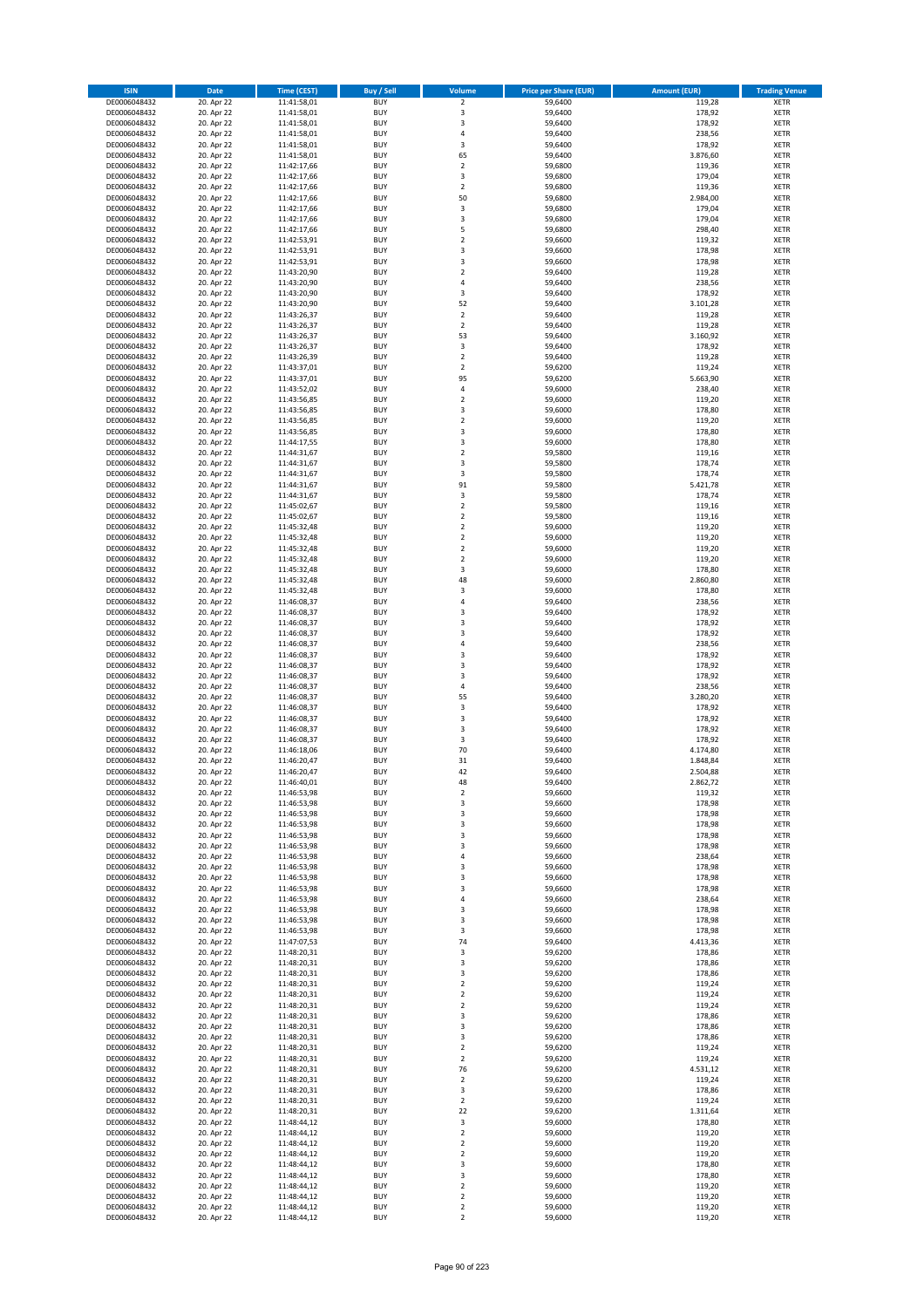| <b>ISIN</b>                  | <b>Date</b>              | Time (CEST)                | <b>Buy / Sell</b>        | Volume                                 | <b>Price per Share (EUR)</b> | <b>Amount (EUR)</b>  | <b>Trading Venue</b>       |
|------------------------------|--------------------------|----------------------------|--------------------------|----------------------------------------|------------------------------|----------------------|----------------------------|
| DE0006048432                 | 20. Apr 22               | 11:41:58,01                | <b>BUY</b>               | $\overline{2}$                         | 59,6400                      | 119,28               | <b>XETR</b>                |
| DE0006048432                 | 20. Apr 22               | 11:41:58,01                | <b>BUY</b>               | 3                                      | 59,6400                      | 178,92               | <b>XETR</b>                |
| DE0006048432                 | 20. Apr 22               | 11:41:58,01                | <b>BUY</b>               | 3                                      | 59,6400                      | 178,92               | <b>XETR</b>                |
| DE0006048432<br>DE0006048432 | 20. Apr 22<br>20. Apr 22 | 11:41:58,01<br>11:41:58,01 | <b>BUY</b><br><b>BUY</b> | 4<br>3                                 | 59,6400<br>59,6400           | 238,56<br>178,92     | <b>XETR</b><br><b>XETR</b> |
| DE0006048432                 | 20. Apr 22               | 11:41:58,01                | <b>BUY</b>               | 65                                     | 59,6400                      | 3.876,60             | <b>XETR</b>                |
| DE0006048432                 | 20. Apr 22               | 11:42:17,66                | <b>BUY</b>               | $\overline{\mathbf{c}}$                | 59,6800                      | 119,36               | <b>XETR</b>                |
| DE0006048432                 | 20. Apr 22               | 11:42:17,66                | <b>BUY</b>               | 3                                      | 59,6800                      | 179,04               | <b>XETR</b>                |
| DE0006048432                 | 20. Apr 22               | 11:42:17,66                | <b>BUY</b>               | $\mathbf 2$                            | 59,6800                      | 119,36               | <b>XETR</b>                |
| DE0006048432                 | 20. Apr 22               | 11:42:17,66                | <b>BUY</b>               | 50                                     | 59,6800                      | 2.984,00             | <b>XETR</b>                |
| DE0006048432                 | 20. Apr 22               | 11:42:17,66                | <b>BUY</b>               | 3                                      | 59,6800                      | 179,04               | <b>XETR</b>                |
| DE0006048432                 | 20. Apr 22<br>20. Apr 22 | 11:42:17,66                | <b>BUY</b><br><b>BUY</b> | 3<br>5                                 | 59,6800                      | 179,04<br>298,40     | <b>XETR</b><br><b>XETR</b> |
| DE0006048432<br>DE0006048432 | 20. Apr 22               | 11:42:17,66<br>11:42:53,91 | <b>BUY</b>               | $\overline{\mathbf{c}}$                | 59,6800<br>59,6600           | 119,32               | <b>XETR</b>                |
| DE0006048432                 | 20. Apr 22               | 11:42:53,91                | <b>BUY</b>               | 3                                      | 59,6600                      | 178,98               | <b>XETR</b>                |
| DE0006048432                 | 20. Apr 22               | 11:42:53,91                | <b>BUY</b>               | 3                                      | 59,6600                      | 178,98               | <b>XETR</b>                |
| DE0006048432                 | 20. Apr 22               | 11:43:20,90                | <b>BUY</b>               | $\mathbf 2$                            | 59,6400                      | 119,28               | <b>XETR</b>                |
| DE0006048432                 | 20. Apr 22               | 11:43:20,90                | <b>BUY</b>               | 4                                      | 59,6400                      | 238,56               | <b>XETR</b>                |
| DE0006048432                 | 20. Apr 22               | 11:43:20,90                | <b>BUY</b>               | 3                                      | 59,6400                      | 178,92               | <b>XETR</b>                |
| DE0006048432                 | 20. Apr 22               | 11:43:20,90                | <b>BUY</b>               | 52                                     | 59,6400                      | 3.101,28             | <b>XETR</b>                |
| DE0006048432<br>DE0006048432 | 20. Apr 22<br>20. Apr 22 | 11:43:26,37<br>11:43:26,37 | <b>BUY</b><br><b>BUY</b> | $\overline{\mathbf{2}}$<br>$\mathbf 2$ | 59,6400<br>59,6400           | 119,28<br>119,28     | <b>XETR</b><br><b>XETR</b> |
| DE0006048432                 | 20. Apr 22               | 11:43:26,37                | <b>BUY</b>               | 53                                     | 59,6400                      | 3.160,92             | <b>XETR</b>                |
| DE0006048432                 | 20. Apr 22               | 11:43:26,37                | <b>BUY</b>               | 3                                      | 59,6400                      | 178,92               | <b>XETR</b>                |
| DE0006048432                 | 20. Apr 22               | 11:43:26,39                | <b>BUY</b>               | $\mathbf 2$                            | 59,6400                      | 119,28               | <b>XETR</b>                |
| DE0006048432                 | 20. Apr 22               | 11:43:37,01                | <b>BUY</b>               | $\mathbf 2$                            | 59,6200                      | 119,24               | <b>XETR</b>                |
| DE0006048432                 | 20. Apr 22               | 11:43:37,01                | <b>BUY</b>               | 95                                     | 59,6200                      | 5.663,90             | <b>XETR</b>                |
| DE0006048432                 | 20. Apr 22               | 11:43:52,02                | <b>BUY</b>               | 4                                      | 59,6000                      | 238,40               | <b>XETR</b>                |
| DE0006048432<br>DE0006048432 | 20. Apr 22<br>20. Apr 22 | 11:43:56,85<br>11:43:56,85 | <b>BUY</b><br><b>BUY</b> | $\mathbf 2$<br>3                       | 59,6000<br>59,6000           | 119,20<br>178,80     | <b>XETR</b><br><b>XETR</b> |
| DE0006048432                 | 20. Apr 22               | 11:43:56,85                | <b>BUY</b>               | $\mathbf 2$                            | 59,6000                      | 119,20               | <b>XETR</b>                |
| DE0006048432                 | 20. Apr 22               | 11:43:56,85                | <b>BUY</b>               | 3                                      | 59,6000                      | 178,80               | <b>XETR</b>                |
| DE0006048432                 | 20. Apr 22               | 11:44:17,55                | <b>BUY</b>               | 3                                      | 59,6000                      | 178,80               | <b>XETR</b>                |
| DE0006048432                 | 20. Apr 22               | 11:44:31,67                | <b>BUY</b>               | $\mathbf 2$                            | 59,5800                      | 119,16               | <b>XETR</b>                |
| DE0006048432                 | 20. Apr 22               | 11:44:31,67                | <b>BUY</b>               | 3                                      | 59,5800                      | 178,74               | <b>XETR</b>                |
| DE0006048432                 | 20. Apr 22               | 11:44:31,67                | <b>BUY</b>               | 3                                      | 59,5800                      | 178,74               | <b>XETR</b>                |
| DE0006048432                 | 20. Apr 22               | 11:44:31,67                | <b>BUY</b><br><b>BUY</b> | 91<br>3                                | 59,5800                      | 5.421,78             | <b>XETR</b><br><b>XETR</b> |
| DE0006048432<br>DE0006048432 | 20. Apr 22<br>20. Apr 22 | 11:44:31,67<br>11:45:02,67 | <b>BUY</b>               | $\mathbf 2$                            | 59,5800<br>59,5800           | 178,74<br>119,16     | <b>XETR</b>                |
| DE0006048432                 | 20. Apr 22               | 11:45:02,67                | <b>BUY</b>               | $\mathbf 2$                            | 59,5800                      | 119,16               | <b>XETR</b>                |
| DE0006048432                 | 20. Apr 22               | 11:45:32,48                | <b>BUY</b>               | $\mathbf 2$                            | 59,6000                      | 119,20               | <b>XETR</b>                |
| DE0006048432                 | 20. Apr 22               | 11:45:32,48                | <b>BUY</b>               | $\mathbf 2$                            | 59,6000                      | 119,20               | <b>XETR</b>                |
| DE0006048432                 | 20. Apr 22               | 11:45:32,48                | <b>BUY</b>               | $\mathbf 2$                            | 59,6000                      | 119,20               | <b>XETR</b>                |
| DE0006048432                 | 20. Apr 22               | 11:45:32,48                | <b>BUY</b>               | $\overline{\mathbf{c}}$                | 59,6000                      | 119,20               | <b>XETR</b>                |
| DE0006048432                 | 20. Apr 22               | 11:45:32,48                | <b>BUY</b>               | 3                                      | 59,6000                      | 178,80               | <b>XETR</b>                |
| DE0006048432<br>DE0006048432 | 20. Apr 22<br>20. Apr 22 | 11:45:32,48                | <b>BUY</b><br><b>BUY</b> | 48<br>3                                | 59,6000<br>59,6000           | 2.860,80<br>178,80   | <b>XETR</b><br><b>XETR</b> |
| DE0006048432                 | 20. Apr 22               | 11:45:32,48<br>11:46:08,37 | <b>BUY</b>               | 4                                      | 59,6400                      | 238,56               | <b>XETR</b>                |
| DE0006048432                 | 20. Apr 22               | 11:46:08,37                | <b>BUY</b>               | 3                                      | 59,6400                      | 178,92               | <b>XETR</b>                |
| DE0006048432                 | 20. Apr 22               | 11:46:08,37                | <b>BUY</b>               | 3                                      | 59,6400                      | 178,92               | <b>XETR</b>                |
| DE0006048432                 | 20. Apr 22               | 11:46:08,37                | <b>BUY</b>               | 3                                      | 59,6400                      | 178,92               | <b>XETR</b>                |
| DE0006048432                 | 20. Apr 22               | 11:46:08,37                | <b>BUY</b>               | 4                                      | 59,6400                      | 238,56               | <b>XETR</b>                |
| DE0006048432                 | 20. Apr 22               | 11:46:08,37                | <b>BUY</b>               | 3                                      | 59,6400                      | 178,92               | <b>XETR</b>                |
| DE0006048432<br>DE0006048432 | 20. Apr 22<br>20. Apr 22 | 11:46:08,37<br>11:46:08,37 | <b>BUY</b><br><b>BUY</b> | 3<br>3                                 | 59,6400<br>59,6400           | 178,92<br>178,92     | <b>XETR</b><br><b>XETR</b> |
| DE0006048432                 | 20. Apr 22               | 11:46:08,37                | <b>BUY</b>               | 4                                      | 59,6400                      | 238,56               | <b>XETR</b>                |
| DE0006048432                 | 20. Apr 22               | 11:46:08,37                | <b>BUY</b>               | 55                                     | 59,6400                      | 3.280,20             | <b>XETR</b>                |
| DE0006048432                 | 20. Apr 22               | 11:46:08,37                | <b>BUY</b>               | 3                                      | 59,6400                      | 178,92               | <b>XETR</b>                |
| DE0006048432                 | 20. Apr 22               | 11:46:08,37                | <b>BUY</b>               | 3                                      | 59,6400                      | 178,92               | <b>XETR</b>                |
| DE0006048432                 | 20. Apr 22               | 11:46:08,37                | <b>BUY</b>               | 3                                      | 59,6400                      | 178,92               | <b>XETR</b>                |
| DE0006048432                 | 20. Apr 22               | 11:46:08,37                | <b>BUY</b>               | 3                                      | 59,6400                      | 178,92               | <b>XETR</b>                |
| DE0006048432<br>DE0006048432 | 20. Apr 22<br>20. Apr 22 | 11:46:18,06<br>11:46:20,47 | <b>BUY</b><br><b>BUY</b> | 70<br>31                               | 59,6400<br>59,6400           | 4.174,80<br>1.848,84 | <b>XETR</b><br><b>XETR</b> |
| DE0006048432                 | 20. Apr 22               | 11:46:20,47                | <b>BUY</b>               | 42                                     | 59,6400                      | 2.504,88             | <b>XETR</b>                |
| DE0006048432                 | 20. Apr 22               | 11:46:40,01                | BUY                      | 48                                     | 59,6400                      | 2.862,72             | <b>XETR</b>                |
| DE0006048432                 | 20. Apr 22               | 11:46:53,98                | <b>BUY</b>               | 2                                      | 59,6600                      | 119,32               | <b>XETR</b>                |
| DE0006048432                 | 20. Apr 22               | 11:46:53,98                | <b>BUY</b>               | 3                                      | 59,6600                      | 178,98               | <b>XETR</b>                |
| DE0006048432                 | 20. Apr 22               | 11:46:53,98                | <b>BUY</b>               | 3                                      | 59,6600                      | 178,98               | XETR                       |
| DE0006048432                 | 20. Apr 22               | 11:46:53,98                | <b>BUY</b>               | 3                                      | 59.6600                      | 178,98               | <b>XETR</b>                |
| DE0006048432<br>DE0006048432 | 20. Apr 22<br>20. Apr 22 | 11:46:53,98<br>11:46:53,98 | <b>BUY</b><br><b>BUY</b> | 3<br>3                                 | 59,6600<br>59,6600           | 178,98<br>178,98     | <b>XETR</b><br><b>XETR</b> |
| DE0006048432                 | 20. Apr 22               | 11:46:53,98                | <b>BUY</b>               | 4                                      | 59,6600                      | 238,64               | <b>XETR</b>                |
| DE0006048432                 | 20. Apr 22               | 11:46:53,98                | <b>BUY</b>               | 3                                      | 59,6600                      | 178,98               | <b>XETR</b>                |
| DE0006048432                 | 20. Apr 22               | 11:46:53,98                | <b>BUY</b>               | 3                                      | 59,6600                      | 178,98               | <b>XETR</b>                |
| DE0006048432                 | 20. Apr 22               | 11:46:53,98                | <b>BUY</b>               | 3                                      | 59,6600                      | 178,98               | <b>XETR</b>                |
| DE0006048432                 | 20. Apr 22               | 11:46:53,98                | <b>BUY</b>               | 4                                      | 59,6600                      | 238,64               | <b>XETR</b>                |
| DE0006048432<br>DE0006048432 | 20. Apr 22<br>20. Apr 22 | 11:46:53,98<br>11:46:53,98 | <b>BUY</b><br><b>BUY</b> | 3<br>3                                 | 59,6600<br>59.6600           | 178,98<br>178,98     | <b>XETR</b><br><b>XETR</b> |
| DE0006048432                 | 20. Apr 22               | 11:46:53,98                | <b>BUY</b>               | 3                                      | 59,6600                      | 178,98               | <b>XETR</b>                |
| DE0006048432                 | 20. Apr 22               | 11:47:07,53                | <b>BUY</b>               | 74                                     | 59,6400                      | 4.413,36             | <b>XETR</b>                |
| DE0006048432                 | 20. Apr 22               | 11:48:20,31                | <b>BUY</b>               | 3                                      | 59,6200                      | 178,86               | <b>XETR</b>                |
| DE0006048432                 | 20. Apr 22               | 11:48:20,31                | <b>BUY</b>               | 3                                      | 59,6200                      | 178,86               | <b>XETR</b>                |
| DE0006048432                 | 20. Apr 22               | 11:48:20,31                | <b>BUY</b>               | 3                                      | 59,6200                      | 178,86               | XETR                       |
| DE0006048432                 | 20. Apr 22               | 11:48:20,31                | <b>BUY</b>               | $\mathbf 2$                            | 59,6200                      | 119,24               | <b>XETR</b>                |
| DE0006048432<br>DE0006048432 | 20. Apr 22<br>20. Apr 22 | 11:48:20,31<br>11:48:20,31 | <b>BUY</b><br><b>BUY</b> | $\overline{\mathbf{2}}$<br>$\mathbf 2$ | 59,6200<br>59,6200           | 119,24<br>119,24     | <b>XETR</b><br><b>XETR</b> |
| DE0006048432                 | 20. Apr 22               | 11:48:20,31                | <b>BUY</b>               | 3                                      | 59,6200                      | 178,86               | <b>XETR</b>                |
| DE0006048432                 | 20. Apr 22               | 11:48:20,31                | <b>BUY</b>               | 3                                      | 59,6200                      | 178,86               | <b>XETR</b>                |
| DE0006048432                 | 20. Apr 22               | 11:48:20,31                | <b>BUY</b>               | 3                                      | 59,6200                      | 178,86               | <b>XETR</b>                |
| DE0006048432                 | 20. Apr 22               | 11:48:20,31                | <b>BUY</b>               | $\mathbf 2$                            | 59,6200                      | 119,24               | <b>XETR</b>                |
| DE0006048432                 | 20. Apr 22               | 11:48:20,31                | <b>BUY</b>               | $\mathbf 2$                            | 59,6200                      | 119,24               | <b>XETR</b>                |
| DE0006048432<br>DE0006048432 | 20. Apr 22<br>20. Apr 22 | 11:48:20,31                | <b>BUY</b><br><b>BUY</b> | 76<br>$\mathbf 2$                      | 59,6200<br>59,6200           | 4.531,12<br>119,24   | <b>XETR</b><br><b>XETR</b> |
| DE0006048432                 | 20. Apr 22               | 11:48:20,31<br>11:48:20,31 | <b>BUY</b>               | 3                                      | 59,6200                      | 178,86               | <b>XETR</b>                |
| DE0006048432                 | 20. Apr 22               | 11:48:20,31                | <b>BUY</b>               | $\mathbf 2$                            | 59,6200                      | 119,24               | <b>XETR</b>                |
| DE0006048432                 | 20. Apr 22               | 11:48:20,31                | <b>BUY</b>               | 22                                     | 59,6200                      | 1.311,64             | <b>XETR</b>                |
| DE0006048432                 | 20. Apr 22               | 11:48:44,12                | <b>BUY</b>               | 3                                      | 59,6000                      | 178,80               | <b>XETR</b>                |
| DE0006048432                 | 20. Apr 22               | 11:48:44,12                | <b>BUY</b>               | $\mathbf 2$                            | 59,6000                      | 119,20               | <b>XETR</b>                |
| DE0006048432                 | 20. Apr 22               | 11:48:44,12                | <b>BUY</b>               | $\mathbf 2$                            | 59,6000                      | 119,20               | <b>XETR</b>                |
| DE0006048432<br>DE0006048432 | 20. Apr 22<br>20. Apr 22 | 11:48:44,12<br>11:48:44,12 | <b>BUY</b><br><b>BUY</b> | $\mathbf 2$<br>3                       | 59,6000<br>59,6000           | 119,20<br>178,80     | <b>XETR</b><br><b>XETR</b> |
| DE0006048432                 | 20. Apr 22               | 11:48:44,12                | <b>BUY</b>               | 3                                      | 59,6000                      | 178,80               | XETR                       |
| DE0006048432                 | 20. Apr 22               | 11:48:44,12                | <b>BUY</b>               | $\overline{\mathbf{2}}$                | 59,6000                      | 119,20               | <b>XETR</b>                |
| DE0006048432                 | 20. Apr 22               | 11:48:44,12                | <b>BUY</b>               | $\mathbf 2$                            | 59,6000                      | 119,20               | <b>XETR</b>                |
| DE0006048432                 | 20. Apr 22               | 11:48:44,12                | <b>BUY</b>               | $\mathbf 2$                            | 59,6000                      | 119,20               | <b>XETR</b>                |
| DE0006048432                 | 20. Apr 22               | 11:48:44,12                | <b>BUY</b>               | $\mathbf 2$                            | 59,6000                      | 119,20               | <b>XETR</b>                |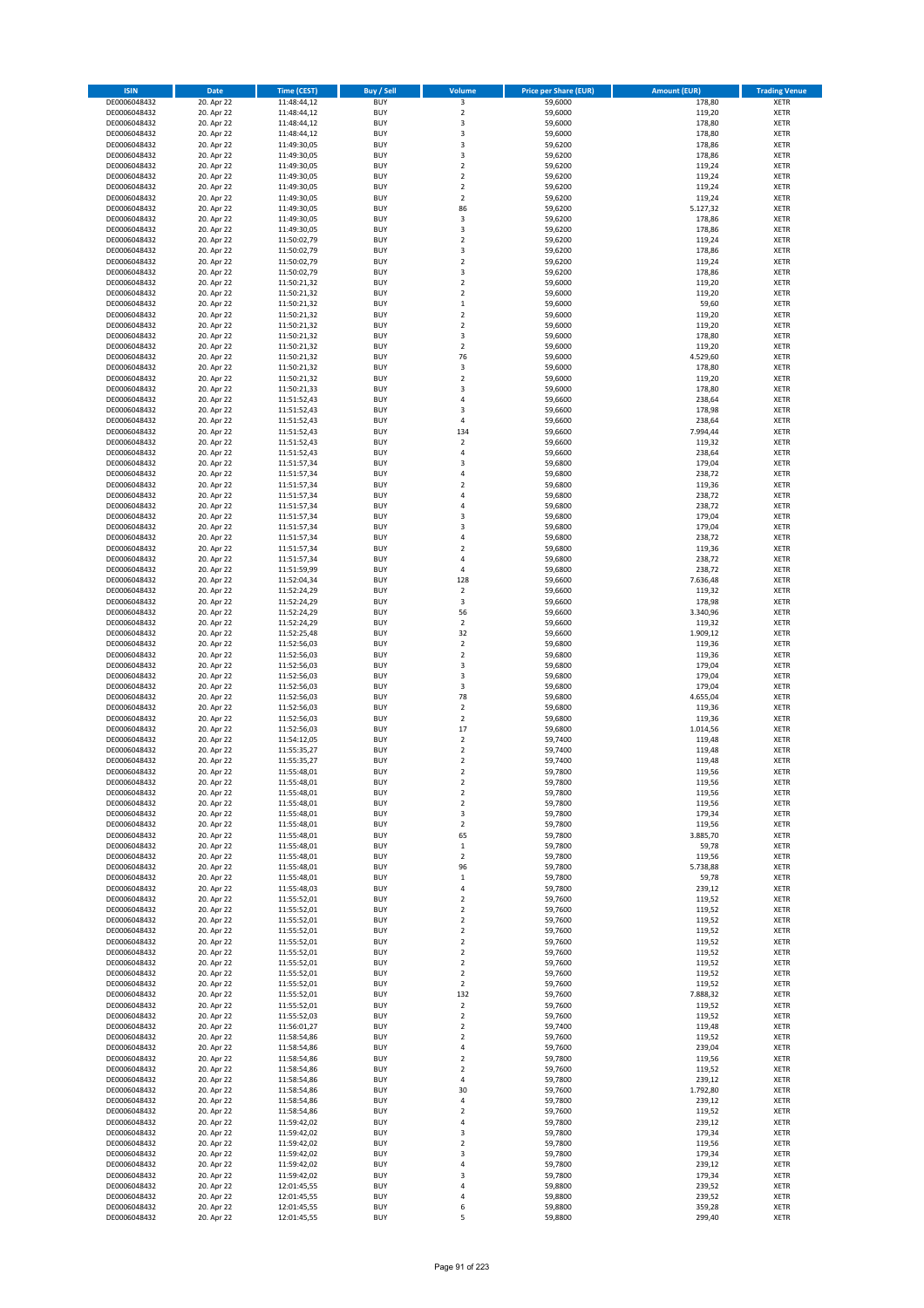| <b>ISIN</b>                  | <b>Date</b>              | Time (CEST)                | <b>Buy / Sell</b>        | Volume                                             | <b>Price per Share (EUR)</b> | <b>Amount (EUR)</b> | <b>Trading Venue</b>       |
|------------------------------|--------------------------|----------------------------|--------------------------|----------------------------------------------------|------------------------------|---------------------|----------------------------|
| DE0006048432                 | 20. Apr 22               | 11:48:44,12                | <b>BUY</b>               | $\overline{\mathbf{3}}$                            | 59,6000                      | 178,80              | <b>XETR</b>                |
| DE0006048432                 | 20. Apr 22               | 11:48:44,12                | <b>BUY</b>               | $\mathbf 2$                                        | 59,6000                      | 119,20              | <b>XETR</b>                |
| DE0006048432                 | 20. Apr 22               | 11:48:44,12                | <b>BUY</b>               | 3                                                  | 59,6000                      | 178,80              | <b>XETR</b>                |
| DE0006048432<br>DE0006048432 | 20. Apr 22<br>20. Apr 22 | 11:48:44,12<br>11:49:30,05 | <b>BUY</b><br><b>BUY</b> | 3<br>3                                             | 59,6000<br>59,6200           | 178,80<br>178,86    | <b>XETR</b><br><b>XETR</b> |
| DE0006048432                 | 20. Apr 22               | 11:49:30,05                | <b>BUY</b>               | 3                                                  | 59,6200                      | 178,86              | <b>XETR</b>                |
| DE0006048432                 | 20. Apr 22               | 11:49:30,05                | <b>BUY</b>               | $\mathbf 2$                                        | 59,6200                      | 119,24              | <b>XETR</b>                |
| DE0006048432                 | 20. Apr 22               | 11:49:30,05                | <b>BUY</b>               | $\mathbf 2$                                        | 59,6200                      | 119,24              | <b>XETR</b>                |
| DE0006048432                 | 20. Apr 22               | 11:49:30,05                | <b>BUY</b>               | $\mathbf 2$                                        | 59,6200                      | 119,24              | <b>XETR</b>                |
| DE0006048432                 | 20. Apr 22               | 11:49:30,05                | <b>BUY</b>               | $\overline{2}$                                     | 59,6200                      | 119,24              | <b>XETR</b>                |
| DE0006048432                 | 20. Apr 22               | 11:49:30,05                | <b>BUY</b>               | 86                                                 | 59,6200                      | 5.127,32            | <b>XETR</b>                |
| DE0006048432                 | 20. Apr 22<br>20. Apr 22 | 11:49:30,05                | <b>BUY</b><br><b>BUY</b> | 3<br>3                                             | 59,6200                      | 178,86<br>178,86    | <b>XETR</b><br><b>XETR</b> |
| DE0006048432<br>DE0006048432 | 20. Apr 22               | 11:49:30,05<br>11:50:02,79 | <b>BUY</b>               | $\overline{\mathbf{c}}$                            | 59,6200<br>59,6200           | 119,24              | <b>XETR</b>                |
| DE0006048432                 | 20. Apr 22               | 11:50:02,79                | <b>BUY</b>               | 3                                                  | 59,6200                      | 178,86              | <b>XETR</b>                |
| DE0006048432                 | 20. Apr 22               | 11:50:02,79                | <b>BUY</b>               | $\overline{\mathbf{c}}$                            | 59,6200                      | 119,24              | <b>XETR</b>                |
| DE0006048432                 | 20. Apr 22               | 11:50:02,79                | <b>BUY</b>               | 3                                                  | 59,6200                      | 178,86              | <b>XETR</b>                |
| DE0006048432                 | 20. Apr 22               | 11:50:21,32                | <b>BUY</b>               | $\mathbf 2$                                        | 59,6000                      | 119,20              | <b>XETR</b>                |
| DE0006048432                 | 20. Apr 22               | 11:50:21,32                | <b>BUY</b>               | $\overline{\mathbf{c}}$                            | 59,6000                      | 119,20              | <b>XETR</b>                |
| DE0006048432                 | 20. Apr 22               | 11:50:21,32                | <b>BUY</b>               | $\mathbf 1$                                        | 59,6000                      | 59,60               | <b>XETR</b>                |
| DE0006048432<br>DE0006048432 | 20. Apr 22<br>20. Apr 22 | 11:50:21,32<br>11:50:21,32 | <b>BUY</b><br><b>BUY</b> | $\overline{\mathbf{c}}$<br>$\mathbf 2$             | 59,6000<br>59,6000           | 119,20<br>119,20    | <b>XETR</b><br><b>XETR</b> |
| DE0006048432                 | 20. Apr 22               | 11:50:21,32                | <b>BUY</b>               | 3                                                  | 59,6000                      | 178,80              | <b>XETR</b>                |
| DE0006048432                 | 20. Apr 22               | 11:50:21,32                | <b>BUY</b>               | $\mathbf 2$                                        | 59,6000                      | 119,20              | <b>XETR</b>                |
| DE0006048432                 | 20. Apr 22               | 11:50:21,32                | <b>BUY</b>               | 76                                                 | 59,6000                      | 4.529,60            | <b>XETR</b>                |
| DE0006048432                 | 20. Apr 22               | 11:50:21,32                | <b>BUY</b>               | 3                                                  | 59,6000                      | 178,80              | <b>XETR</b>                |
| DE0006048432                 | 20. Apr 22               | 11:50:21,32                | <b>BUY</b>               | $\mathbf 2$                                        | 59,6000                      | 119,20              | <b>XETR</b>                |
| DE0006048432                 | 20. Apr 22               | 11:50:21,33                | <b>BUY</b>               | 3                                                  | 59,6000                      | 178,80              | <b>XETR</b>                |
| DE0006048432<br>DE0006048432 | 20. Apr 22<br>20. Apr 22 | 11:51:52,43<br>11:51:52,43 | <b>BUY</b><br><b>BUY</b> | 4<br>3                                             | 59,6600<br>59,6600           | 238,64<br>178,98    | <b>XETR</b><br><b>XETR</b> |
| DE0006048432                 | 20. Apr 22               | 11:51:52,43                | <b>BUY</b>               | 4                                                  | 59,6600                      | 238,64              | <b>XETR</b>                |
| DE0006048432                 | 20. Apr 22               | 11:51:52,43                | <b>BUY</b>               | 134                                                | 59,6600                      | 7.994,44            | <b>XETR</b>                |
| DE0006048432                 | 20. Apr 22               | 11:51:52,43                | <b>BUY</b>               | $\mathbf 2$                                        | 59,6600                      | 119,32              | <b>XETR</b>                |
| DE0006048432                 | 20. Apr 22               | 11:51:52,43                | <b>BUY</b>               | 4                                                  | 59,6600                      | 238,64              | <b>XETR</b>                |
| DE0006048432                 | 20. Apr 22               | 11:51:57,34                | <b>BUY</b>               | 3                                                  | 59,6800                      | 179,04              | <b>XETR</b>                |
| DE0006048432                 | 20. Apr 22               | 11:51:57,34                | <b>BUY</b>               | 4                                                  | 59,6800                      | 238,72              | <b>XETR</b>                |
| DE0006048432                 | 20. Apr 22               | 11:51:57,34                | <b>BUY</b><br><b>BUY</b> | $\overline{\mathbf{c}}$<br>4                       | 59,6800                      | 119,36<br>238,72    | <b>XETR</b><br><b>XETR</b> |
| DE0006048432<br>DE0006048432 | 20. Apr 22<br>20. Apr 22 | 11:51:57,34<br>11:51:57,34 | <b>BUY</b>               | 4                                                  | 59,6800<br>59,6800           | 238,72              | <b>XETR</b>                |
| DE0006048432                 | 20. Apr 22               | 11:51:57,34                | <b>BUY</b>               | 3                                                  | 59,6800                      | 179,04              | <b>XETR</b>                |
| DE0006048432                 | 20. Apr 22               | 11:51:57,34                | <b>BUY</b>               | 3                                                  | 59,6800                      | 179,04              | <b>XETR</b>                |
| DE0006048432                 | 20. Apr 22               | 11:51:57,34                | <b>BUY</b>               | 4                                                  | 59,6800                      | 238,72              | <b>XETR</b>                |
| DE0006048432                 | 20. Apr 22               | 11:51:57,34                | <b>BUY</b>               | $\mathbf 2$                                        | 59,6800                      | 119,36              | <b>XETR</b>                |
| DE0006048432                 | 20. Apr 22               | 11:51:57,34                | <b>BUY</b>               | 4                                                  | 59,6800                      | 238,72              | <b>XETR</b>                |
| DE0006048432                 | 20. Apr 22               | 11:51:59,99                | <b>BUY</b>               | 4                                                  | 59,6800                      | 238,72              | <b>XETR</b>                |
| DE0006048432<br>DE0006048432 | 20. Apr 22<br>20. Apr 22 | 11:52:04,34                | <b>BUY</b><br><b>BUY</b> | 128<br>$\mathbf 2$                                 | 59,6600<br>59,6600           | 7.636,48<br>119,32  | <b>XETR</b><br><b>XETR</b> |
| DE0006048432                 | 20. Apr 22               | 11:52:24,29<br>11:52:24,29 | <b>BUY</b>               | 3                                                  | 59,6600                      | 178,98              | <b>XETR</b>                |
| DE0006048432                 | 20. Apr 22               | 11:52:24,29                | <b>BUY</b>               | 56                                                 | 59,6600                      | 3.340,96            | <b>XETR</b>                |
| DE0006048432                 | 20. Apr 22               | 11:52:24,29                | <b>BUY</b>               | $\mathbf 2$                                        | 59,6600                      | 119,32              | <b>XETR</b>                |
| DE0006048432                 | 20. Apr 22               | 11:52:25,48                | <b>BUY</b>               | 32                                                 | 59,6600                      | 1.909,12            | <b>XETR</b>                |
| DE0006048432                 | 20. Apr 22               | 11:52:56,03                | <b>BUY</b>               | $\mathbf 2$                                        | 59,6800                      | 119,36              | <b>XETR</b>                |
| DE0006048432                 | 20. Apr 22               | 11:52:56,03                | <b>BUY</b>               | $\overline{2}$                                     | 59,6800                      | 119,36              | <b>XETR</b>                |
| DE0006048432<br>DE0006048432 | 20. Apr 22<br>20. Apr 22 | 11:52:56,03<br>11:52:56,03 | <b>BUY</b><br><b>BUY</b> | 3<br>3                                             | 59,6800<br>59,6800           | 179,04<br>179,04    | <b>XETR</b><br><b>XETR</b> |
| DE0006048432                 | 20. Apr 22               | 11:52:56,03                | <b>BUY</b>               | 3                                                  | 59,6800                      | 179,04              | <b>XETR</b>                |
| DE0006048432                 | 20. Apr 22               | 11:52:56,03                | <b>BUY</b>               | 78                                                 | 59,6800                      | 4.655,04            | <b>XETR</b>                |
| DE0006048432                 | 20. Apr 22               | 11:52:56,03                | <b>BUY</b>               | $\mathbf 2$                                        | 59,6800                      | 119,36              | <b>XETR</b>                |
| DE0006048432                 | 20. Apr 22               | 11:52:56,03                | <b>BUY</b>               | $\mathbf 2$                                        | 59,6800                      | 119,36              | <b>XETR</b>                |
| DE0006048432                 | 20. Apr 22               | 11:52:56,03                | <b>BUY</b>               | 17                                                 | 59,6800                      | 1.014,56            | <b>XETR</b>                |
| DE0006048432                 | 20. Apr 22               | 11:54:12,05                | <b>BUY</b>               | $\mathbf 2$                                        | 59,7400                      | 119,48              | <b>XETR</b>                |
| DE0006048432<br>DE0006048432 | 20. Apr 22<br>20. Apr 22 | 11:55:35,27<br>11:55:35,27 | <b>BUY</b><br><b>BUY</b> | $\overline{\mathbf{c}}$<br>$\overline{\mathbf{c}}$ | 59,7400<br>59,7400           | 119,48<br>119,48    | <b>XETR</b><br><b>XETR</b> |
| DE0006048432                 | 20. Apr 22               | 11:55:48,01                | <b>BUY</b>               | $\overline{2}$                                     | 59,7800                      | 119,56              | <b>XETR</b>                |
| DE0006048432                 | 20. Apr 22               | 11:55:48,01                | BUY                      | 2                                                  | 59,7800                      | 119,56              | <b>XETR</b>                |
| DE0006048432                 | 20. Apr 22               | 11:55:48,01                | <b>BUY</b>               | $\mathbf 2$                                        | 59,7800                      | 119,56              | <b>XETR</b>                |
| DE0006048432                 | 20. Apr 22               | 11:55:48,01                | <b>BUY</b>               | $\mathbf 2$                                        | 59,7800                      | 119,56              | <b>XETR</b>                |
| DE0006048432                 | 20. Apr 22               | 11:55:48,01                | <b>BUY</b>               | 3                                                  | 59,7800                      | 179,34              | XETR                       |
| DE0006048432                 | 20. Apr 22               | 11:55:48,01                | <b>BUY</b>               | $\mathbf 2$                                        | 59,7800                      | 119,56              | <b>XETR</b>                |
| DE0006048432<br>DE0006048432 | 20. Apr 22<br>20. Apr 22 | 11:55:48,01<br>11:55:48,01 | <b>BUY</b><br><b>BUY</b> | 65<br>$\mathbf 1$                                  | 59,7800<br>59,7800           | 3.885,70<br>59,78   | <b>XETR</b><br><b>XETR</b> |
| DE0006048432                 | 20. Apr 22               | 11:55:48,01                | <b>BUY</b>               | $\mathbf 2$                                        | 59,7800                      | 119,56              | <b>XETR</b>                |
| DE0006048432                 | 20. Apr 22               | 11:55:48,01                | <b>BUY</b>               | 96                                                 | 59,7800                      | 5.738,88            | <b>XETR</b>                |
| DE0006048432                 | 20. Apr 22               | 11:55:48,01                | <b>BUY</b>               | $\mathbf 1$                                        | 59,7800                      | 59,78               | <b>XETR</b>                |
| DE0006048432                 | 20. Apr 22               | 11:55:48,03                | <b>BUY</b>               | 4                                                  | 59,7800                      | 239,12              | <b>XETR</b>                |
| DE0006048432                 | 20. Apr 22               | 11:55:52,01                | <b>BUY</b>               | $\overline{\mathbf{c}}$                            | 59.7600                      | 119,52              | <b>XETR</b>                |
| DE0006048432<br>DE0006048432 | 20. Apr 22<br>20. Apr 22 | 11:55:52,01<br>11:55:52,01 | <b>BUY</b><br><b>BUY</b> | $\mathbf 2$<br>$\overline{2}$                      | 59,7600<br>59,7600           | 119,52<br>119,52    | <b>XETR</b><br><b>XETR</b> |
| DE0006048432                 | 20. Apr 22               | 11:55:52,01                | <b>BUY</b>               | $\mathbf 2$                                        | 59,7600                      | 119,52              | <b>XETR</b>                |
| DE0006048432                 | 20. Apr 22               | 11:55:52,01                | <b>BUY</b>               | $\mathbf 2$                                        | 59,7600                      | 119,52              | <b>XETR</b>                |
| DE0006048432                 | 20. Apr 22               | 11:55:52,01                | <b>BUY</b>               | $\overline{2}$                                     | 59,7600                      | 119,52              | <b>XETR</b>                |
| DE0006048432                 | 20. Apr 22               | 11:55:52,01                | <b>BUY</b>               | $\overline{2}$                                     | 59,7600                      | 119,52              | <b>XETR</b>                |
| DE0006048432                 | 20. Apr 22               | 11:55:52,01                | <b>BUY</b>               | $\mathbf 2$                                        | 59,7600                      | 119,52              | XETR                       |
| DE0006048432                 | 20. Apr 22               | 11:55:52,01                | <b>BUY</b>               | $\mathbf 2$                                        | 59,7600                      | 119,52              | <b>XETR</b>                |
| DE0006048432<br>DE0006048432 | 20. Apr 22<br>20. Apr 22 | 11:55:52,01<br>11:55:52,01 | <b>BUY</b><br><b>BUY</b> | 132<br>$\mathbf 2$                                 | 59,7600<br>59,7600           | 7.888,32<br>119,52  | <b>XETR</b><br><b>XETR</b> |
| DE0006048432                 | 20. Apr 22               | 11:55:52,03                | <b>BUY</b>               | $\overline{2}$                                     | 59,7600                      | 119,52              | <b>XETR</b>                |
| DE0006048432                 | 20. Apr 22               | 11:56:01,27                | <b>BUY</b>               | $\mathbf 2$                                        | 59,7400                      | 119,48              | <b>XETR</b>                |
| DE0006048432                 | 20. Apr 22               | 11:58:54,86                | <b>BUY</b>               | $\mathbf 2$                                        | 59,7600                      | 119,52              | <b>XETR</b>                |
| DE0006048432                 | 20. Apr 22               | 11:58:54,86                | <b>BUY</b>               | 4                                                  | 59,7600                      | 239,04              | <b>XETR</b>                |
| DE0006048432                 | 20. Apr 22               | 11:58:54,86                | <b>BUY</b>               | $\mathbf 2$                                        | 59,7800                      | 119,56              | <b>XETR</b>                |
| DE0006048432                 | 20. Apr 22               | 11:58:54,86                | <b>BUY</b><br><b>BUY</b> | $\overline{2}$                                     | 59,7600                      | 119,52              | <b>XETR</b>                |
| DE0006048432<br>DE0006048432 | 20. Apr 22<br>20. Apr 22 | 11:58:54,86<br>11:58:54,86 | <b>BUY</b>               | 4<br>30                                            | 59,7800<br>59,7600           | 239,12<br>1.792,80  | <b>XETR</b><br><b>XETR</b> |
| DE0006048432                 | 20. Apr 22               | 11:58:54,86                | <b>BUY</b>               | 4                                                  | 59,7800                      | 239,12              | <b>XETR</b>                |
| DE0006048432                 | 20. Apr 22               | 11:58:54,86                | <b>BUY</b>               | $\mathbf 2$                                        | 59,7600                      | 119,52              | <b>XETR</b>                |
| DE0006048432                 | 20. Apr 22               | 11:59:42,02                | <b>BUY</b>               | 4                                                  | 59,7800                      | 239,12              | <b>XETR</b>                |
| DE0006048432                 | 20. Apr 22               | 11:59:42,02                | <b>BUY</b>               | 3                                                  | 59,7800                      | 179,34              | <b>XETR</b>                |
| DE0006048432                 | 20. Apr 22               | 11:59:42,02                | <b>BUY</b>               | $\mathbf 2$                                        | 59,7800                      | 119,56              | <b>XETR</b>                |
| DE0006048432<br>DE0006048432 | 20. Apr 22<br>20. Apr 22 | 11:59:42,02<br>11:59:42,02 | <b>BUY</b><br><b>BUY</b> | 3<br>4                                             | 59,7800<br>59,7800           | 179,34<br>239,12    | <b>XETR</b><br><b>XETR</b> |
| DE0006048432                 | 20. Apr 22               | 11:59:42,02                | <b>BUY</b>               | 3                                                  | 59,7800                      | 179,34              | XETR                       |
| DE0006048432                 | 20. Apr 22               | 12:01:45,55                | <b>BUY</b>               | 4                                                  | 59,8800                      | 239,52              | <b>XETR</b>                |
| DE0006048432                 | 20. Apr 22               | 12:01:45,55                | <b>BUY</b>               | 4                                                  | 59,8800                      | 239,52              | <b>XETR</b>                |
| DE0006048432                 | 20. Apr 22               | 12:01:45,55                | <b>BUY</b>               | 6                                                  | 59,8800                      | 359,28              | <b>XETR</b>                |
| DE0006048432                 | 20. Apr 22               | 12:01:45,55                | <b>BUY</b>               | 5                                                  | 59,8800                      | 299,40              | XETR                       |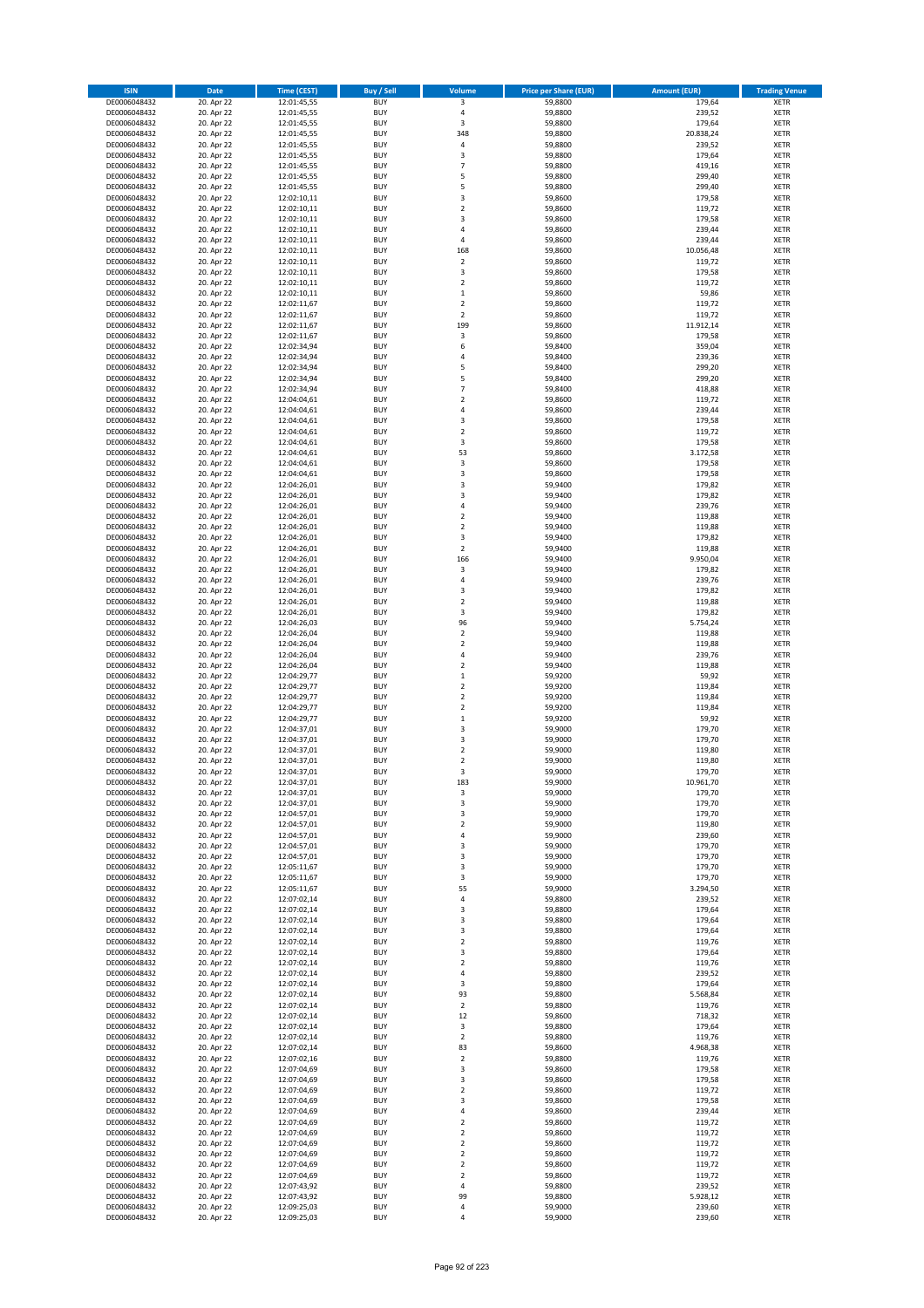| <b>ISIN</b>                  | Date                     | Time (CEST)                | <b>Buy / Sell</b>        | <b>Volume</b>                             | <b>Price per Share (EUR)</b> | <b>Amount (EUR)</b> | <b>Trading Venue</b>       |
|------------------------------|--------------------------|----------------------------|--------------------------|-------------------------------------------|------------------------------|---------------------|----------------------------|
| DE0006048432                 | 20. Apr 22               | 12:01:45,55                | <b>BUY</b>               | 3                                         | 59,8800                      | 179,64              | <b>XETR</b>                |
| DE0006048432                 | 20. Apr 22               | 12:01:45,55                | <b>BUY</b>               | $\sqrt{4}$                                | 59,8800                      | 239,52              | XETR                       |
| DE0006048432                 | 20. Apr 22               | 12:01:45,55                | <b>BUY</b>               | 3                                         | 59,8800                      | 179,64              | <b>XETR</b>                |
| DE0006048432                 | 20. Apr 22               | 12:01:45,55                | <b>BUY</b>               | 348                                       | 59,8800                      | 20.838,24           | XETR                       |
| DE0006048432<br>DE0006048432 | 20. Apr 22<br>20. Apr 22 | 12:01:45,55<br>12:01:45,55 | <b>BUY</b><br><b>BUY</b> | 4<br>3                                    | 59,8800<br>59,8800           | 239,52<br>179,64    | <b>XETR</b><br><b>XETR</b> |
| DE0006048432                 | 20. Apr 22               | 12:01:45,55                | <b>BUY</b>               | $\overline{7}$                            | 59,8800                      | 419,16              | <b>XETR</b>                |
| DE0006048432                 | 20. Apr 22               | 12:01:45,55                | <b>BUY</b>               | 5                                         | 59,8800                      | 299,40              | <b>XETR</b>                |
| DE0006048432                 | 20. Apr 22               | 12:01:45,55                | <b>BUY</b>               | 5                                         | 59,8800                      | 299,40              | <b>XETR</b>                |
| DE0006048432                 | 20. Apr 22               | 12:02:10,11                | <b>BUY</b>               | 3                                         | 59,8600                      | 179,58              | <b>XETR</b>                |
| DE0006048432                 | 20. Apr 22               | 12:02:10,11                | <b>BUY</b>               | $\mathbf 2$                               | 59,8600                      | 119,72              | <b>XETR</b>                |
| DE0006048432                 | 20. Apr 22               | 12:02:10,11                | <b>BUY</b>               | 3<br>$\overline{4}$                       | 59,8600                      | 179,58              | <b>XETR</b>                |
| DE0006048432<br>DE0006048432 | 20. Apr 22<br>20. Apr 22 | 12:02:10,11<br>12:02:10,11 | <b>BUY</b><br><b>BUY</b> | 4                                         | 59,8600<br>59,8600           | 239,44<br>239,44    | <b>XETR</b><br><b>XETR</b> |
| DE0006048432                 | 20. Apr 22               | 12:02:10,11                | <b>BUY</b>               | 168                                       | 59,8600                      | 10.056,48           | <b>XETR</b>                |
| DE0006048432                 | 20. Apr 22               | 12:02:10,11                | <b>BUY</b>               | $\mathbf 2$                               | 59,8600                      | 119,72              | <b>XETR</b>                |
| DE0006048432                 | 20. Apr 22               | 12:02:10,11                | <b>BUY</b>               | 3                                         | 59,8600                      | 179,58              | <b>XETR</b>                |
| DE0006048432                 | 20. Apr 22               | 12:02:10,11                | <b>BUY</b>               | $\overline{2}$                            | 59,8600                      | 119,72              | <b>XETR</b>                |
| DE0006048432                 | 20. Apr 22               | 12:02:10,11                | <b>BUY</b>               | $\,1\,$                                   | 59,8600                      | 59,86               | <b>XETR</b>                |
| DE0006048432<br>DE0006048432 | 20. Apr 22<br>20. Apr 22 | 12:02:11,67                | <b>BUY</b><br><b>BUY</b> | $\mathbf 2$<br>$\overline{2}$             | 59,8600<br>59,8600           | 119,72<br>119,72    | <b>XETR</b><br><b>XETR</b> |
| DE0006048432                 | 20. Apr 22               | 12:02:11,67<br>12:02:11,67 | <b>BUY</b>               | 199                                       | 59,8600                      | 11.912,14           | <b>XETR</b>                |
| DE0006048432                 | 20. Apr 22               | 12:02:11,67                | <b>BUY</b>               | $\mathsf 3$                               | 59,8600                      | 179,58              | <b>XETR</b>                |
| DE0006048432                 | 20. Apr 22               | 12:02:34,94                | <b>BUY</b>               | 6                                         | 59,8400                      | 359,04              | <b>XETR</b>                |
| DE0006048432                 | 20. Apr 22               | 12:02:34,94                | <b>BUY</b>               | $\pmb{4}$                                 | 59,8400                      | 239,36              | <b>XETR</b>                |
| DE0006048432                 | 20. Apr 22               | 12:02:34,94                | <b>BUY</b>               | 5                                         | 59,8400                      | 299,20              | <b>XETR</b>                |
| DE0006048432                 | 20. Apr 22               | 12:02:34,94                | <b>BUY</b>               | 5                                         | 59,8400                      | 299,20              | <b>XETR</b>                |
| DE0006048432<br>DE0006048432 | 20. Apr 22<br>20. Apr 22 | 12:02:34,94<br>12:04:04,61 | <b>BUY</b><br><b>BUY</b> | $\overline{7}$<br>$\mathbf 2$             | 59,8400<br>59,8600           | 418,88<br>119,72    | <b>XETR</b><br><b>XETR</b> |
| DE0006048432                 | 20. Apr 22               | 12:04:04,61                | <b>BUY</b>               | 4                                         | 59,8600                      | 239,44              | <b>XETR</b>                |
| DE0006048432                 | 20. Apr 22               | 12:04:04,61                | <b>BUY</b>               | 3                                         | 59,8600                      | 179,58              | <b>XETR</b>                |
| DE0006048432                 | 20. Apr 22               | 12:04:04,61                | <b>BUY</b>               | $\mathbf 2$                               | 59,8600                      | 119,72              | <b>XETR</b>                |
| DE0006048432                 | 20. Apr 22               | 12:04:04,61                | <b>BUY</b>               | 3                                         | 59,8600                      | 179,58              | <b>XETR</b>                |
| DE0006048432                 | 20. Apr 22               | 12:04:04,61                | <b>BUY</b>               | 53                                        | 59,8600                      | 3.172,58            | <b>XETR</b>                |
| DE0006048432                 | 20. Apr 22               | 12:04:04.61                | <b>BUY</b>               | 3                                         | 59,8600                      | 179,58              | <b>XETR</b>                |
| DE0006048432<br>DE0006048432 | 20. Apr 22<br>20. Apr 22 | 12:04:04,61<br>12:04:26,01 | <b>BUY</b><br><b>BUY</b> | $\mathsf 3$<br>3                          | 59,8600<br>59,9400           | 179,58<br>179,82    | <b>XETR</b><br><b>XETR</b> |
| DE0006048432                 | 20. Apr 22               | 12:04:26,01                | <b>BUY</b>               | 3                                         | 59,9400                      | 179,82              | <b>XETR</b>                |
| DE0006048432                 | 20. Apr 22               | 12:04:26,01                | <b>BUY</b>               | $\pmb{4}$                                 | 59,9400                      | 239,76              | <b>XETR</b>                |
| DE0006048432                 | 20. Apr 22               | 12:04:26,01                | <b>BUY</b>               | $\mathbf 2$                               | 59,9400                      | 119,88              | <b>XETR</b>                |
| DE0006048432                 | 20. Apr 22               | 12:04:26,01                | <b>BUY</b>               | $\mathbf 2$                               | 59,9400                      | 119,88              | <b>XETR</b>                |
| DE0006048432                 | 20. Apr 22               | 12:04:26,01                | <b>BUY</b>               | 3                                         | 59,9400                      | 179,82              | <b>XETR</b>                |
| DE0006048432                 | 20. Apr 22               | 12:04:26,01                | <b>BUY</b>               | $\mathbf 2$                               | 59,9400                      | 119,88              | <b>XETR</b>                |
| DE0006048432                 | 20. Apr 22               | 12:04:26,01                | <b>BUY</b>               | 166                                       | 59,9400                      | 9.950,04            | <b>XETR</b>                |
| DE0006048432<br>DE0006048432 | 20. Apr 22               | 12:04:26,01                | <b>BUY</b><br><b>BUY</b> | $\mathsf 3$<br>4                          | 59,9400<br>59,9400           | 179,82<br>239,76    | <b>XETR</b><br><b>XETR</b> |
| DE0006048432                 | 20. Apr 22<br>20. Apr 22 | 12:04:26,01<br>12:04:26,01 | <b>BUY</b>               | $\mathsf 3$                               | 59,9400                      | 179,82              | <b>XETR</b>                |
| DE0006048432                 | 20. Apr 22               | 12:04:26,01                | <b>BUY</b>               | $\mathbf 2$                               | 59,9400                      | 119,88              | <b>XETR</b>                |
| DE0006048432                 | 20. Apr 22               | 12:04:26,01                | <b>BUY</b>               | 3                                         | 59,9400                      | 179,82              | <b>XETR</b>                |
| DE0006048432                 | 20. Apr 22               | 12:04:26,03                | <b>BUY</b>               | 96                                        | 59,9400                      | 5.754,24            | <b>XETR</b>                |
| DE0006048432                 | 20. Apr 22               | 12:04:26,04                | <b>BUY</b>               | $\mathbf 2$                               | 59,9400                      | 119,88              | <b>XETR</b>                |
| DE0006048432                 | 20. Apr 22               | 12:04:26,04                | <b>BUY</b>               | $\mathbf 2$                               | 59,9400                      | 119,88              | <b>XETR</b>                |
| DE0006048432                 | 20. Apr 22               | 12:04:26,04                | <b>BUY</b>               | 4                                         | 59,9400                      | 239,76              | <b>XETR</b>                |
| DE0006048432<br>DE0006048432 | 20. Apr 22<br>20. Apr 22 | 12:04:26,04<br>12:04:29,77 | <b>BUY</b><br><b>BUY</b> | $\mathbf 2$<br>$\,1\,$                    | 59,9400<br>59,9200           | 119,88<br>59,92     | <b>XETR</b><br><b>XETR</b> |
| DE0006048432                 | 20. Apr 22               | 12:04:29,77                | <b>BUY</b>               | $\mathbf 2$                               | 59,9200                      | 119,84              | <b>XETR</b>                |
| DE0006048432                 | 20. Apr 22               | 12:04:29,77                | <b>BUY</b>               | $\mathbf 2$                               | 59,9200                      | 119,84              | <b>XETR</b>                |
| DE0006048432                 | 20. Apr 22               | 12:04:29,77                | <b>BUY</b>               | $\mathbf 2$                               | 59,9200                      | 119,84              | <b>XETR</b>                |
| DE0006048432                 | 20. Apr 22               | 12:04:29,77                | <b>BUY</b>               | $\,1\,$                                   | 59,9200                      | 59,92               | <b>XETR</b>                |
| DE0006048432                 | 20. Apr 22               | 12:04:37,01                | <b>BUY</b>               | 3                                         | 59,9000                      | 179,70              | <b>XETR</b>                |
| DE0006048432                 | 20. Apr 22               | 12:04:37,01                | <b>BUY</b>               | $\mathsf 3$                               | 59,9000                      | 179,70              | <b>XETR</b>                |
| DE0006048432<br>DE0006048432 | 20. Apr 22<br>20. Apr 22 | 12:04:37,01                | <b>BUY</b><br><b>BUY</b> | $\overline{\mathbf{c}}$<br>$\overline{2}$ | 59,9000<br>59,9000           | 119,80<br>119,80    | <b>XETR</b><br><b>XETR</b> |
| DE0006048432                 | 20. Apr 22               | 12:04:37,01<br>12:04:37,01 | <b>BUY</b>               | 3                                         | 59,9000                      | 179,70              | <b>XETR</b>                |
| DE0006048432                 | 20. Apr 22               | 12:04:37,01                | BUY                      | 183                                       | 59,9000                      | 10.961,70           | XETR                       |
| DE0006048432                 | 20. Apr 22               | 12:04:37,01                | <b>BUY</b>               | 3                                         | 59,9000                      | 179,70              | <b>XETR</b>                |
| DE0006048432                 | 20. Apr 22               | 12:04:37,01                | <b>BUY</b>               | 3                                         | 59,9000                      | 179,70              | <b>XETR</b>                |
| DE0006048432                 | 20. Apr 22               | 12:04:57,01                | <b>BUY</b>               | 3                                         | 59,9000                      | 179,70              | <b>XETR</b>                |
| DE0006048432                 | 20. Apr 22               | 12:04:57,01                | <b>BUY</b>               | $\mathbf 2$                               | 59,9000                      | 119,80              | <b>XETR</b>                |
| DE0006048432<br>DE0006048432 | 20. Apr 22<br>20. Apr 22 | 12:04:57,01<br>12:04:57,01 | <b>BUY</b><br><b>BUY</b> | $\sqrt{4}$<br>3                           | 59,9000<br>59,9000           | 239,60<br>179,70    | <b>XETR</b><br><b>XETR</b> |
| DE0006048432                 | 20. Apr 22               | 12:04:57,01                | <b>BUY</b>               | 3                                         | 59,9000                      | 179,70              | <b>XETR</b>                |
| DE0006048432                 | 20. Apr 22               | 12:05:11,67                | <b>BUY</b>               | 3                                         | 59,9000                      | 179,70              | XETR                       |
| DE0006048432                 | 20. Apr 22               | 12:05:11,67                | <b>BUY</b>               | 3                                         | 59,9000                      | 179,70              | <b>XETR</b>                |
| DE0006048432                 | 20. Apr 22               | 12:05:11,67                | <b>BUY</b>               | 55                                        | 59,9000                      | 3.294,50            | XETR                       |
| DE0006048432                 | 20. Apr 22               | 12:07:02,14                | <b>BUY</b>               | 4                                         | 59,8800                      | 239,52              | <b>XETR</b>                |
| DE0006048432<br>DE0006048432 | 20. Apr 22<br>20. Apr 22 | 12:07:02,14<br>12:07:02,14 | <b>BUY</b><br><b>BUY</b> | $\mathsf 3$<br>3                          | 59,8800<br>59,8800           | 179,64<br>179,64    | XETR<br><b>XETR</b>        |
| DE0006048432                 | 20. Apr 22               | 12:07:02,14                | <b>BUY</b>               | 3                                         | 59,8800                      | 179,64              | XETR                       |
| DE0006048432                 | 20. Apr 22               | 12:07:02,14                | <b>BUY</b>               | $\mathbf 2$                               | 59,8800                      | 119,76              | <b>XETR</b>                |
| DE0006048432                 | 20. Apr 22               | 12:07:02,14                | <b>BUY</b>               | 3                                         | 59,8800                      | 179,64              | <b>XETR</b>                |
| DE0006048432                 | 20. Apr 22               | 12:07:02,14                | <b>BUY</b>               | $\overline{2}$                            | 59,8800                      | 119,76              | <b>XETR</b>                |
| DE0006048432                 | 20. Apr 22               | 12:07:02,14                | <b>BUY</b>               | 4                                         | 59,8800                      | 239,52              | XETR                       |
| DE0006048432                 | 20. Apr 22               | 12:07:02,14                | <b>BUY</b>               | $\mathsf 3$                               | 59,8800                      | 179,64              | <b>XETR</b>                |
| DE0006048432<br>DE0006048432 | 20. Apr 22<br>20. Apr 22 | 12:07:02,14                | <b>BUY</b><br><b>BUY</b> | 93<br>$\mathbf 2$                         | 59,8800<br>59,8800           | 5.568,84<br>119,76  | <b>XETR</b><br><b>XETR</b> |
| DE0006048432                 | 20. Apr 22               | 12:07:02,14<br>12:07:02,14 | <b>BUY</b>               | 12                                        | 59,8600                      | 718,32              | XETR                       |
| DE0006048432                 | 20. Apr 22               | 12:07:02,14                | <b>BUY</b>               | 3                                         | 59,8800                      | 179,64              | XETR                       |
| DE0006048432                 | 20. Apr 22               | 12:07:02,14                | <b>BUY</b>               | $\overline{2}$                            | 59,8800                      | 119,76              | XETR                       |
| DE0006048432                 | 20. Apr 22               | 12:07:02,14                | <b>BUY</b>               | 83                                        | 59,8600                      | 4.968,38            | <b>XETR</b>                |
| DE0006048432                 | 20. Apr 22               | 12:07:02,16                | <b>BUY</b>               | $\mathbf 2$                               | 59,8800                      | 119,76              | <b>XETR</b>                |
| DE0006048432                 | 20. Apr 22               | 12:07:04,69                | <b>BUY</b>               | 3                                         | 59,8600                      | 179,58              | <b>XETR</b>                |
| DE0006048432                 | 20. Apr 22               | 12:07:04,69                | <b>BUY</b>               | 3                                         | 59,8600                      | 179,58              | <b>XETR</b>                |
| DE0006048432                 | 20. Apr 22               | 12:07:04,69                | <b>BUY</b><br><b>BUY</b> | $\overline{2}$<br>3                       | 59,8600<br>59,8600           | 119,72              | <b>XETR</b><br>XETR        |
| DE0006048432<br>DE0006048432 | 20. Apr 22<br>20. Apr 22 | 12:07:04,69<br>12:07:04,69 | <b>BUY</b>               | 4                                         | 59,8600                      | 179,58<br>239,44    | XETR                       |
| DE0006048432                 | 20. Apr 22               | 12:07:04,69                | <b>BUY</b>               | $\overline{2}$                            | 59,8600                      | 119,72              | XETR                       |
| DE0006048432                 | 20. Apr 22               | 12:07:04,69                | <b>BUY</b>               | $\mathbf 2$                               | 59,8600                      | 119,72              | <b>XETR</b>                |
| DE0006048432                 | 20. Apr 22               | 12:07:04,69                | <b>BUY</b>               | $\mathbf 2$                               | 59,8600                      | 119,72              | <b>XETR</b>                |
| DE0006048432                 | 20. Apr 22               | 12:07:04,69                | <b>BUY</b>               | $\overline{2}$                            | 59,8600                      | 119,72              | XETR                       |
| DE0006048432                 | 20. Apr 22               | 12:07:04,69                | <b>BUY</b>               | $\overline{2}$                            | 59,8600                      | 119,72              | <b>XETR</b>                |
| DE0006048432                 | 20. Apr 22               | 12:07:04,69                | <b>BUY</b><br><b>BUY</b> | $\mathbf 2$<br>$\sqrt{4}$                 | 59,8600                      | 119,72              | XETR<br><b>XETR</b>        |
| DE0006048432<br>DE0006048432 | 20. Apr 22<br>20. Apr 22 | 12:07:43,92<br>12:07:43,92 | <b>BUY</b>               | 99                                        | 59,8800<br>59,8800           | 239,52<br>5.928,12  | XETR                       |
| DE0006048432                 | 20. Apr 22               | 12:09:25,03                | <b>BUY</b>               | $\sqrt{4}$                                | 59,9000                      | 239,60              | <b>XETR</b>                |
| DE0006048432                 | 20. Apr 22               | 12:09:25,03                | <b>BUY</b>               | $\sqrt{4}$                                | 59,9000                      | 239,60              | XETR                       |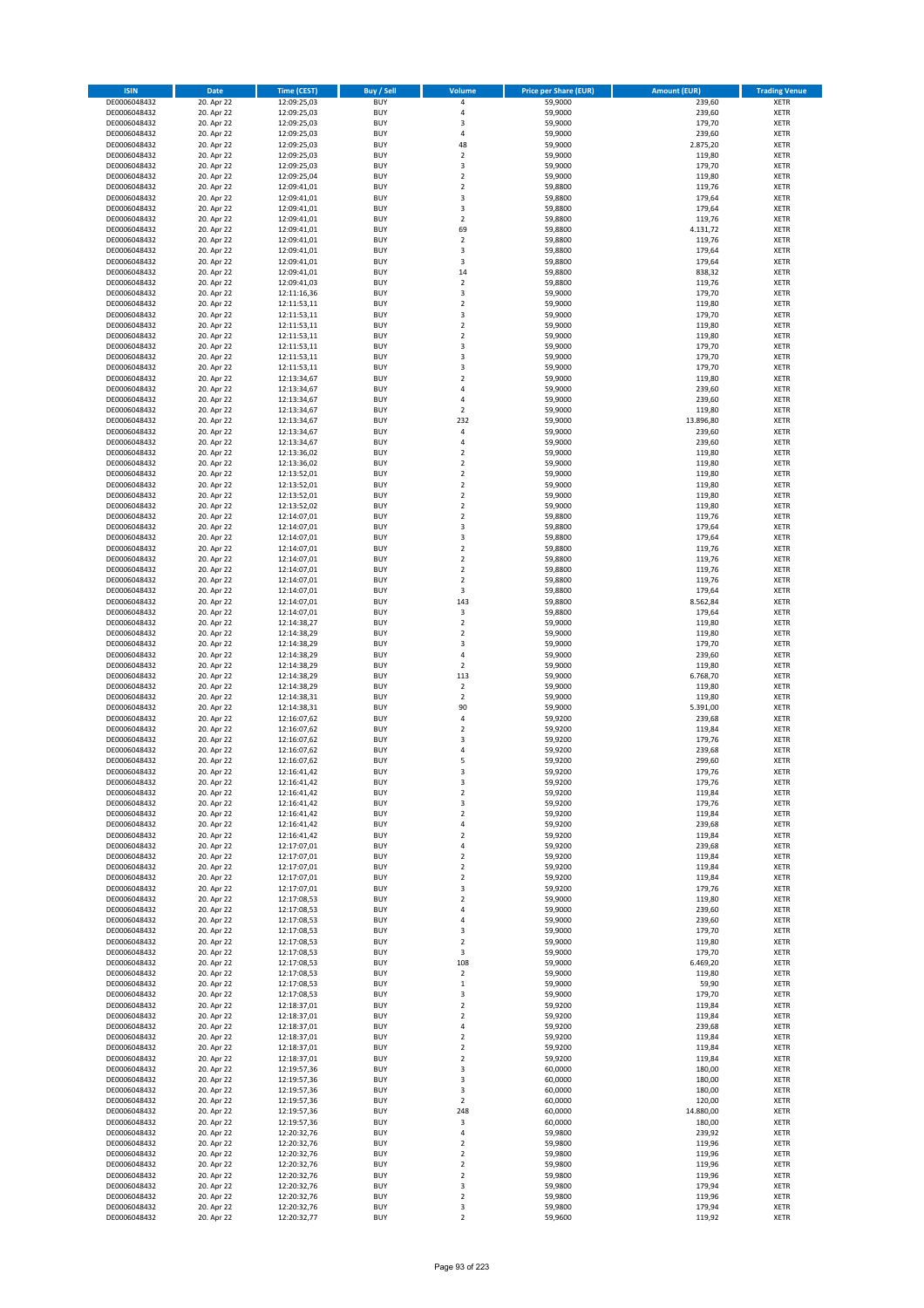| <b>ISIN</b>                  | Date                     | Time (CEST)                | <b>Buy / Sell</b>        | <b>Volume</b>                 | <b>Price per Share (EUR)</b> | <b>Amount (EUR)</b> | <b>Trading Venue</b>       |
|------------------------------|--------------------------|----------------------------|--------------------------|-------------------------------|------------------------------|---------------------|----------------------------|
| DE0006048432                 | 20. Apr 22               | 12:09:25,03                | <b>BUY</b>               | $\pmb{4}$                     | 59,9000                      | 239,60              | <b>XETR</b>                |
| DE0006048432                 | 20. Apr 22               | 12:09:25,03                | <b>BUY</b>               | 4                             | 59,9000                      | 239,60              | XETR                       |
| DE0006048432                 | 20. Apr 22               | 12:09:25,03                | <b>BUY</b>               | 3                             | 59,9000                      | 179,70              | <b>XETR</b>                |
| DE0006048432                 | 20. Apr 22               | 12:09:25,03                | <b>BUY</b>               | $\sqrt{4}$                    | 59,9000                      | 239,60              | XETR                       |
| DE0006048432<br>DE0006048432 | 20. Apr 22<br>20. Apr 22 | 12:09:25,03<br>12:09:25,03 | <b>BUY</b><br><b>BUY</b> | 48<br>$\mathbf 2$             | 59,9000<br>59,9000           | 2.875,20<br>119,80  | <b>XETR</b><br><b>XETR</b> |
| DE0006048432                 | 20. Apr 22               | 12:09:25,03                | <b>BUY</b>               | 3                             | 59,9000                      | 179,70              | <b>XETR</b>                |
| DE0006048432                 | 20. Apr 22               | 12:09:25,04                | <b>BUY</b>               | $\mathbf 2$                   | 59,9000                      | 119,80              | <b>XETR</b>                |
| DE0006048432                 | 20. Apr 22               | 12:09:41,01                | <b>BUY</b>               | $\overline{2}$                | 59,8800                      | 119,76              | <b>XETR</b>                |
| DE0006048432                 | 20. Apr 22               | 12:09:41,01                | <b>BUY</b>               | 3                             | 59,8800                      | 179,64              | <b>XETR</b>                |
| DE0006048432                 | 20. Apr 22               | 12:09:41,01                | <b>BUY</b>               | $\mathsf 3$                   | 59,8800                      | 179,64              | <b>XETR</b>                |
| DE0006048432                 | 20. Apr 22               | 12:09:41,01                | <b>BUY</b>               | $\overline{2}$                | 59,8800                      | 119,76              | <b>XETR</b>                |
| DE0006048432<br>DE0006048432 | 20. Apr 22<br>20. Apr 22 | 12:09:41,01<br>12:09:41,01 | <b>BUY</b><br><b>BUY</b> | 69<br>$\overline{2}$          | 59,8800<br>59,8800           | 4.131,72<br>119,76  | <b>XETR</b><br><b>XETR</b> |
| DE0006048432                 | 20. Apr 22               | 12:09:41,01                | <b>BUY</b>               | 3                             | 59,8800                      | 179,64              | <b>XETR</b>                |
| DE0006048432                 | 20. Apr 22               | 12:09:41,01                | <b>BUY</b>               | 3                             | 59,8800                      | 179,64              | <b>XETR</b>                |
| DE0006048432                 | 20. Apr 22               | 12:09:41,01                | <b>BUY</b>               | 14                            | 59,8800                      | 838,32              | <b>XETR</b>                |
| DE0006048432                 | 20. Apr 22               | 12:09:41,03                | <b>BUY</b>               | $\overline{2}$                | 59,8800                      | 119,76              | <b>XETR</b>                |
| DE0006048432                 | 20. Apr 22               | 12:11:16,36                | <b>BUY</b>               | 3                             | 59,9000                      | 179,70              | <b>XETR</b>                |
| DE0006048432<br>DE0006048432 | 20. Apr 22<br>20. Apr 22 | 12:11:53,11<br>12:11:53,11 | <b>BUY</b><br><b>BUY</b> | $\mathbf 2$<br>3              | 59,9000<br>59,9000           | 119,80<br>179,70    | <b>XETR</b><br><b>XETR</b> |
| DE0006048432                 | 20. Apr 22               | 12:11:53,11                | <b>BUY</b>               | $\mathbf 2$                   | 59,9000                      | 119,80              | <b>XETR</b>                |
| DE0006048432                 | 20. Apr 22               | 12:11:53,11                | <b>BUY</b>               | $\mathbf 2$                   | 59,9000                      | 119,80              | <b>XETR</b>                |
| DE0006048432                 | 20. Apr 22               | 12:11:53,11                | <b>BUY</b>               | 3                             | 59,9000                      | 179,70              | <b>XETR</b>                |
| DE0006048432                 | 20. Apr 22               | 12:11:53,11                | <b>BUY</b>               | 3                             | 59,9000                      | 179,70              | <b>XETR</b>                |
| DE0006048432                 | 20. Apr 22               | 12:11:53,11                | <b>BUY</b>               | 3                             | 59,9000                      | 179,70              | <b>XETR</b>                |
| DE0006048432                 | 20. Apr 22               | 12:13:34,67                | <b>BUY</b>               | $\mathbf 2$<br>$\overline{4}$ | 59,9000                      | 119,80              | <b>XETR</b>                |
| DE0006048432<br>DE0006048432 | 20. Apr 22<br>20. Apr 22 | 12:13:34,67<br>12:13:34,67 | <b>BUY</b><br><b>BUY</b> | $\sqrt{4}$                    | 59,9000<br>59,9000           | 239,60<br>239,60    | <b>XETR</b><br><b>XETR</b> |
| DE0006048432                 | 20. Apr 22               | 12:13:34,67                | <b>BUY</b>               | $\overline{2}$                | 59,9000                      | 119,80              | <b>XETR</b>                |
| DE0006048432                 | 20. Apr 22               | 12:13:34,67                | <b>BUY</b>               | 232                           | 59,9000                      | 13.896,80           | <b>XETR</b>                |
| DE0006048432                 | 20. Apr 22               | 12:13:34,67                | <b>BUY</b>               | $\sqrt{4}$                    | 59,9000                      | 239,60              | <b>XETR</b>                |
| DE0006048432                 | 20. Apr 22               | 12:13:34,67                | <b>BUY</b>               | 4                             | 59,9000                      | 239,60              | <b>XETR</b>                |
| DE0006048432                 | 20. Apr 22               | 12:13:36,02                | <b>BUY</b>               | $\overline{2}$                | 59,9000                      | 119,80              | <b>XETR</b>                |
| DE0006048432<br>DE0006048432 | 20. Apr 22<br>20. Apr 22 | 12:13:36.02<br>12:13:52,01 | <b>BUY</b><br><b>BUY</b> | $\mathbf 2$<br>$\overline{2}$ | 59,9000<br>59,9000           | 119,80<br>119,80    | <b>XETR</b><br><b>XETR</b> |
| DE0006048432                 | 20. Apr 22               | 12:13:52,01                | <b>BUY</b>               | $\overline{2}$                | 59,9000                      | 119,80              | <b>XETR</b>                |
| DE0006048432                 | 20. Apr 22               | 12:13:52,01                | <b>BUY</b>               | $\mathbf 2$                   | 59,9000                      | 119,80              | <b>XETR</b>                |
| DE0006048432                 | 20. Apr 22               | 12:13:52,02                | <b>BUY</b>               | $\overline{2}$                | 59,9000                      | 119,80              | <b>XETR</b>                |
| DE0006048432                 | 20. Apr 22               | 12:14:07,01                | <b>BUY</b>               | $\mathbf 2$                   | 59,8800                      | 119,76              | <b>XETR</b>                |
| DE0006048432                 | 20. Apr 22               | 12:14:07,01                | <b>BUY</b>               | 3                             | 59,8800                      | 179,64              | <b>XETR</b>                |
| DE0006048432                 | 20. Apr 22               | 12:14:07,01                | <b>BUY</b>               | 3                             | 59,8800                      | 179,64              | <b>XETR</b>                |
| DE0006048432<br>DE0006048432 | 20. Apr 22<br>20. Apr 22 | 12:14:07,01<br>12:14:07,01 | <b>BUY</b><br><b>BUY</b> | $\mathbf 2$<br>$\overline{2}$ | 59,8800<br>59,8800           | 119,76<br>119,76    | <b>XETR</b><br><b>XETR</b> |
| DE0006048432                 | 20. Apr 22               | 12:14:07,01                | <b>BUY</b>               | $\mathbf 2$                   | 59,8800                      | 119,76              | <b>XETR</b>                |
| DE0006048432                 | 20. Apr 22               | 12:14:07,01                | <b>BUY</b>               | $\overline{2}$                | 59,8800                      | 119,76              | <b>XETR</b>                |
| DE0006048432                 | 20. Apr 22               | 12:14:07,01                | <b>BUY</b>               | 3                             | 59,8800                      | 179,64              | <b>XETR</b>                |
| DE0006048432                 | 20. Apr 22               | 12:14:07,01                | <b>BUY</b>               | 143                           | 59,8800                      | 8.562,84            | <b>XETR</b>                |
| DE0006048432                 | 20. Apr 22               | 12:14:07,01                | <b>BUY</b><br><b>BUY</b> | 3<br>$\mathbf 2$              | 59,8800                      | 179,64              | <b>XETR</b><br><b>XETR</b> |
| DE0006048432<br>DE0006048432 | 20. Apr 22<br>20. Apr 22 | 12:14:38,27<br>12:14:38,29 | <b>BUY</b>               | $\mathbf 2$                   | 59,9000<br>59,9000           | 119,80<br>119,80    | <b>XETR</b>                |
| DE0006048432                 | 20. Apr 22               | 12:14:38,29                | <b>BUY</b>               | 3                             | 59,9000                      | 179,70              | <b>XETR</b>                |
| DE0006048432                 | 20. Apr 22               | 12:14:38,29                | <b>BUY</b>               | 4                             | 59,9000                      | 239,60              | <b>XETR</b>                |
| DE0006048432                 | 20. Apr 22               | 12:14:38,29                | <b>BUY</b>               | $\mathbf 2$                   | 59,9000                      | 119,80              | <b>XETR</b>                |
| DE0006048432                 | 20. Apr 22               | 12:14:38,29                | <b>BUY</b>               | 113                           | 59,9000                      | 6.768,70            | <b>XETR</b>                |
| DE0006048432                 | 20. Apr 22               | 12:14:38,29                | <b>BUY</b>               | $\overline{2}$                | 59,9000                      | 119,80              | <b>XETR</b>                |
| DE0006048432<br>DE0006048432 | 20. Apr 22<br>20. Apr 22 | 12:14:38,31<br>12:14:38,31 | <b>BUY</b><br><b>BUY</b> | $\mathbf 2$<br>90             | 59,9000<br>59,9000           | 119,80<br>5.391,00  | <b>XETR</b><br><b>XETR</b> |
| DE0006048432                 | 20. Apr 22               | 12:16:07,62                | <b>BUY</b>               | 4                             | 59,9200                      | 239,68              | <b>XETR</b>                |
| DE0006048432                 | 20. Apr 22               | 12:16:07,62                | <b>BUY</b>               | $\mathbf 2$                   | 59,9200                      | 119,84              | <b>XETR</b>                |
| DE0006048432                 | 20. Apr 22               | 12:16:07,62                | <b>BUY</b>               | 3                             | 59,9200                      | 179,76              | <b>XETR</b>                |
| DE0006048432                 | 20. Apr 22               | 12:16:07,62                | <b>BUY</b>               | 4                             | 59,9200                      | 239,68              | <b>XETR</b>                |
| DE0006048432                 | 20. Apr 22               | 12:16:07,62                | <b>BUY</b>               | 5                             | 59,9200                      | 299,60              | <b>XETR</b>                |
| DE0006048432                 | 20. Apr 22               | 12:16:41,42                | <b>BUY</b>               | 3                             | 59,9200                      | 179,76              | <b>XETR</b>                |
| DE0006048432<br>DE0006048432 | 20. Apr 22<br>20. Apr 22 | 12:16:41,42<br>12:16:41,42 | BUY<br><b>BUY</b>        | 3<br>$\overline{2}$           | 59,9200<br>59,9200           | 179,76<br>119,84    | XETR<br><b>XETR</b>        |
| DE0006048432                 | 20. Apr 22               | 12:16:41,42                | <b>BUY</b>               | 3                             | 59,9200                      | 179,76              | <b>XETR</b>                |
| DE0006048432                 | 20. Apr 22               | 12:16:41,42                | <b>BUY</b>               | $\mathbf 2$                   | 59,9200                      | 119,84              | <b>XETR</b>                |
| DE0006048432                 | 20. Apr 22               | 12:16:41,42                | <b>BUY</b>               | 4                             | 59,9200                      | 239,68              | <b>XETR</b>                |
| DE0006048432                 | 20. Apr 22               | 12:16:41,42                | <b>BUY</b>               | $\mathbf 2$                   | 59,9200                      | 119,84              | <b>XETR</b>                |
| DE0006048432                 | 20. Apr 22               | 12:17:07,01                | <b>BUY</b>               | $\sqrt{4}$                    | 59,9200                      | 239,68              | <b>XETR</b>                |
| DE0006048432<br>DE0006048432 | 20. Apr 22<br>20. Apr 22 | 12:17:07,01<br>12:17:07,01 | <b>BUY</b><br><b>BUY</b> | $\mathbf 2$<br>$\overline{2}$ | 59,9200<br>59,9200           | 119,84<br>119,84    | <b>XETR</b><br>XETR        |
| DE0006048432                 | 20. Apr 22               | 12:17:07,01                | <b>BUY</b>               | $\mathbf 2$                   | 59,9200                      | 119,84              | <b>XETR</b>                |
| DE0006048432                 | 20. Apr 22               | 12:17:07,01                | <b>BUY</b>               | 3                             | 59,9200                      | 179,76              | XETR                       |
| DE0006048432                 | 20. Apr 22               | 12:17:08,53                | <b>BUY</b>               | $\mathbf 2$                   | 59.9000                      | 119,80              | <b>XETR</b>                |
| DE0006048432                 | 20. Apr 22               | 12:17:08,53                | <b>BUY</b>               | 4                             | 59,9000                      | 239,60              | XETR                       |
| DE0006048432                 | 20. Apr 22               | 12:17:08,53<br>12:17:08,53 | <b>BUY</b>               | 4                             | 59,9000                      | 239,60              | <b>XETR</b>                |
| DE0006048432<br>DE0006048432 | 20. Apr 22<br>20. Apr 22 | 12:17:08,53                | <b>BUY</b><br><b>BUY</b> | 3<br>$\overline{2}$           | 59,9000<br>59,9000           | 179,70<br>119,80    | XETR<br><b>XETR</b>        |
| DE0006048432                 | 20. Apr 22               | 12:17:08,53                | <b>BUY</b>               | 3                             | 59,9000                      | 179,70              | <b>XETR</b>                |
| DE0006048432                 | 20. Apr 22               | 12:17:08,53                | <b>BUY</b>               | 108                           | 59,9000                      | 6.469,20            | <b>XETR</b>                |
| DE0006048432                 | 20. Apr 22               | 12:17:08,53                | <b>BUY</b>               | $\mathbf 2$                   | 59,9000                      | 119,80              | XETR                       |
| DE0006048432                 | 20. Apr 22               | 12:17:08,53                | <b>BUY</b>               | $\mathbf 1$                   | 59,9000                      | 59,90               | <b>XETR</b>                |
| DE0006048432                 | 20. Apr 22               | 12:17:08,53                | <b>BUY</b>               | 3                             | 59,9000                      | 179,70              | <b>XETR</b>                |
| DE0006048432<br>DE0006048432 | 20. Apr 22<br>20. Apr 22 | 12:18:37,01<br>12:18:37,01 | <b>BUY</b><br><b>BUY</b> | $\mathbf 2$<br>$\overline{2}$ | 59,9200<br>59,9200           | 119,84<br>119,84    | <b>XETR</b><br>XETR        |
| DE0006048432                 | 20. Apr 22               | 12:18:37,01                | <b>BUY</b>               | $\sqrt{4}$                    | 59,9200                      | 239,68              | XETR                       |
| DE0006048432                 | 20. Apr 22               | 12:18:37,01                | <b>BUY</b>               | $\overline{2}$                | 59,9200                      | 119,84              | XETR                       |
| DE0006048432                 | 20. Apr 22               | 12:18:37,01                | <b>BUY</b>               | $\overline{2}$                | 59,9200                      | 119,84              | <b>XETR</b>                |
| DE0006048432                 | 20. Apr 22               | 12:18:37,01                | <b>BUY</b>               | $\overline{2}$                | 59,9200                      | 119,84              | <b>XETR</b>                |
| DE0006048432                 | 20. Apr 22               | 12:19:57,36                | <b>BUY</b>               | 3                             | 60,0000                      | 180,00              | <b>XETR</b>                |
| DE0006048432<br>DE0006048432 | 20. Apr 22<br>20. Apr 22 | 12:19:57,36                | <b>BUY</b><br><b>BUY</b> | 3<br>3                        | 60,0000<br>60,0000           | 180,00<br>180,00    | <b>XETR</b><br><b>XETR</b> |
| DE0006048432                 | 20. Apr 22               | 12:19:57,36<br>12:19:57,36 | <b>BUY</b>               | $\overline{2}$                | 60,0000                      | 120,00              | XETR                       |
| DE0006048432                 | 20. Apr 22               | 12:19:57,36                | <b>BUY</b>               | 248                           | 60,0000                      | 14.880,00           | XETR                       |
| DE0006048432                 | 20. Apr 22               | 12:19:57,36                | <b>BUY</b>               | 3                             | 60,0000                      | 180,00              | XETR                       |
| DE0006048432                 | 20. Apr 22               | 12:20:32,76                | <b>BUY</b>               | $\sqrt{4}$                    | 59,9800                      | 239,92              | <b>XETR</b>                |
| DE0006048432                 | 20. Apr 22               | 12:20:32,76                | <b>BUY</b>               | $\mathbf 2$                   | 59,9800                      | 119,96              | <b>XETR</b>                |
| DE0006048432                 | 20. Apr 22               | 12:20:32,76                | <b>BUY</b>               | $\overline{2}$                | 59,9800                      | 119,96              | XETR                       |
| DE0006048432<br>DE0006048432 | 20. Apr 22<br>20. Apr 22 | 12:20:32,76<br>12:20:32,76 | <b>BUY</b><br><b>BUY</b> | $\overline{2}$<br>$\mathbf 2$ | 59,9800<br>59,9800           | 119,96<br>119,96    | <b>XETR</b><br>XETR        |
| DE0006048432                 | 20. Apr 22               | 12:20:32,76                | <b>BUY</b>               | 3                             | 59,9800                      | 179,94              | <b>XETR</b>                |
| DE0006048432                 | 20. Apr 22               | 12:20:32,76                | <b>BUY</b>               | $\mathbf 2$                   | 59,9800                      | 119,96              | XETR                       |
| DE0006048432                 | 20. Apr 22               | 12:20:32,76                | <b>BUY</b>               | 3                             | 59,9800                      | 179,94              | <b>XETR</b>                |
| DE0006048432                 | 20. Apr 22               | 12:20:32,77                | <b>BUY</b>               | $\mathbf 2$                   | 59,9600                      | 119,92              | XETR                       |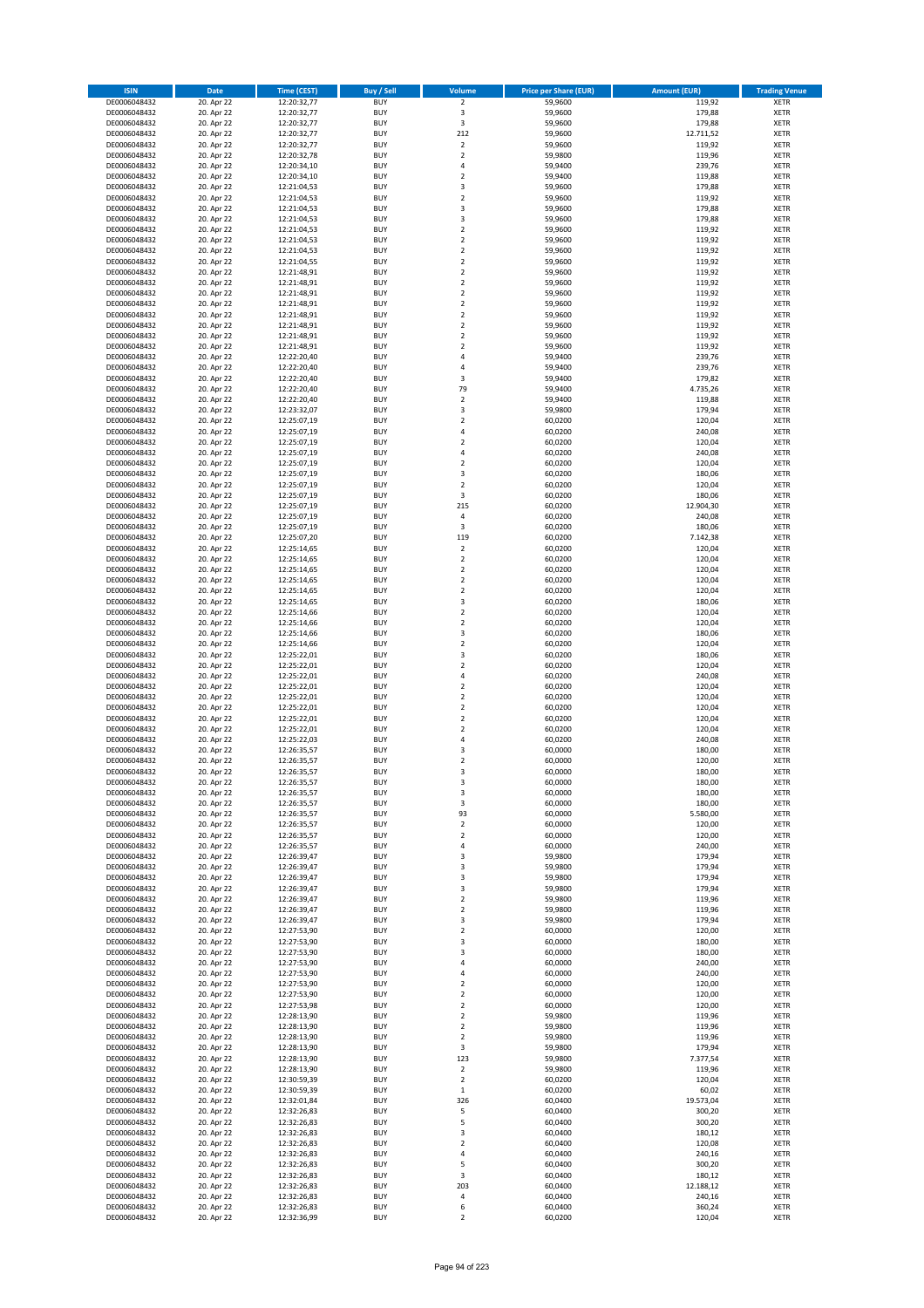| <b>ISIN</b>                  | <b>Date</b>              | <b>Time (CEST)</b>         | <b>Buy / Sell</b>        | Volume                                 | <b>Price per Share (EUR)</b> | <b>Amount (EUR)</b> | <b>Trading Venue</b>       |
|------------------------------|--------------------------|----------------------------|--------------------------|----------------------------------------|------------------------------|---------------------|----------------------------|
| DE0006048432                 | 20. Apr 22               | 12:20:32,77                | <b>BUY</b>               | $\overline{2}$                         | 59,9600                      | 119,92              | <b>XETR</b>                |
| DE0006048432                 | 20. Apr 22               | 12:20:32,77                | <b>BUY</b>               | 3                                      | 59,9600                      | 179,88              | <b>XETR</b>                |
| DE0006048432                 | 20. Apr 22               | 12:20:32,77                | <b>BUY</b>               | 3                                      | 59,9600                      | 179,88              | <b>XETR</b>                |
| DE0006048432<br>DE0006048432 | 20. Apr 22<br>20. Apr 22 | 12:20:32,77<br>12:20:32,77 | <b>BUY</b><br><b>BUY</b> | 212<br>$\overline{\mathbf{c}}$         | 59,9600<br>59,9600           | 12.711,52<br>119,92 | <b>XETR</b><br><b>XETR</b> |
| DE0006048432                 | 20. Apr 22               | 12:20:32,78                | <b>BUY</b>               | $\mathbf 2$                            | 59,9800                      | 119,96              | <b>XETR</b>                |
| DE0006048432                 | 20. Apr 22               | 12:20:34,10                | <b>BUY</b>               | 4                                      | 59,9400                      | 239,76              | <b>XETR</b>                |
| DE0006048432                 | 20. Apr 22               | 12:20:34,10                | <b>BUY</b>               | $\overline{\mathbf{c}}$                | 59,9400                      | 119,88              | <b>XETR</b>                |
| DE0006048432                 | 20. Apr 22               | 12:21:04,53                | <b>BUY</b>               | 3                                      | 59,9600                      | 179,88              | <b>XETR</b>                |
| DE0006048432                 | 20. Apr 22               | 12:21:04,53                | <b>BUY</b>               | $\mathbf 2$                            | 59,9600                      | 119,92              | <b>XETR</b>                |
| DE0006048432<br>DE0006048432 | 20. Apr 22<br>20. Apr 22 | 12:21:04,53<br>12:21:04,53 | <b>BUY</b><br><b>BUY</b> | 3<br>3                                 | 59,9600<br>59,9600           | 179,88<br>179,88    | <b>XETR</b><br><b>XETR</b> |
| DE0006048432                 | 20. Apr 22               | 12:21:04,53                | <b>BUY</b>               | $\mathbf 2$                            | 59,9600                      | 119,92              | <b>XETR</b>                |
| DE0006048432                 | 20. Apr 22               | 12:21:04,53                | <b>BUY</b>               | $\overline{\mathbf{c}}$                | 59,9600                      | 119,92              | <b>XETR</b>                |
| DE0006048432                 | 20. Apr 22               | 12:21:04,53                | <b>BUY</b>               | $\mathbf 2$                            | 59,9600                      | 119,92              | <b>XETR</b>                |
| DE0006048432                 | 20. Apr 22               | 12:21:04,55                | <b>BUY</b>               | $\overline{\mathbf{c}}$                | 59,9600                      | 119,92              | <b>XETR</b>                |
| DE0006048432                 | 20. Apr 22               | 12:21:48,91                | <b>BUY</b>               | $\mathbf 2$                            | 59,9600                      | 119,92              | <b>XETR</b>                |
| DE0006048432                 | 20. Apr 22               | 12:21:48,91                | <b>BUY</b>               | $\mathbf 2$                            | 59,9600                      | 119,92              | <b>XETR</b>                |
| DE0006048432<br>DE0006048432 | 20. Apr 22<br>20. Apr 22 | 12:21:48,91<br>12:21:48,91 | <b>BUY</b><br><b>BUY</b> | $\overline{\mathbf{c}}$<br>$\mathbf 2$ | 59,9600<br>59,9600           | 119,92<br>119,92    | <b>XETR</b><br><b>XETR</b> |
| DE0006048432                 | 20. Apr 22               | 12:21:48,91                | <b>BUY</b>               | $\overline{\mathbf{c}}$                | 59,9600                      | 119,92              | <b>XETR</b>                |
| DE0006048432                 | 20. Apr 22               | 12:21:48,91                | <b>BUY</b>               | $\mathbf 2$                            | 59,9600                      | 119,92              | <b>XETR</b>                |
| DE0006048432                 | 20. Apr 22               | 12:21:48,91                | <b>BUY</b>               | $\overline{\mathbf{c}}$                | 59,9600                      | 119,92              | <b>XETR</b>                |
| DE0006048432                 | 20. Apr 22               | 12:21:48,91                | <b>BUY</b>               | $\mathbf 2$                            | 59,9600                      | 119,92              | <b>XETR</b>                |
| DE0006048432                 | 20. Apr 22               | 12:22:20,40                | <b>BUY</b>               | 4                                      | 59,9400                      | 239,76              | <b>XETR</b>                |
| DE0006048432<br>DE0006048432 | 20. Apr 22<br>20. Apr 22 | 12:22:20,40<br>12:22:20,40 | <b>BUY</b><br><b>BUY</b> | 4<br>3                                 | 59,9400<br>59,9400           | 239,76<br>179,82    | <b>XETR</b><br><b>XETR</b> |
| DE0006048432                 | 20. Apr 22               | 12:22:20,40                | <b>BUY</b>               | 79                                     | 59,9400                      | 4.735,26            | <b>XETR</b>                |
| DE0006048432                 | 20. Apr 22               | 12:22:20,40                | <b>BUY</b>               | $\mathbf 2$                            | 59,9400                      | 119,88              | <b>XETR</b>                |
| DE0006048432                 | 20. Apr 22               | 12:23:32,07                | <b>BUY</b>               | 3                                      | 59,9800                      | 179,94              | <b>XETR</b>                |
| DE0006048432                 | 20. Apr 22               | 12:25:07,19                | <b>BUY</b>               | $\mathbf 2$                            | 60,0200                      | 120,04              | <b>XETR</b>                |
| DE0006048432                 | 20. Apr 22               | 12:25:07,19                | <b>BUY</b>               | 4                                      | 60,0200                      | 240,08              | <b>XETR</b>                |
| DE0006048432                 | 20. Apr 22               | 12:25:07,19                | <b>BUY</b><br><b>BUY</b> | $\mathbf 2$<br>4                       | 60,0200                      | 120,04              | <b>XETR</b><br><b>XETR</b> |
| DE0006048432<br>DE0006048432 | 20. Apr 22<br>20. Apr 22 | 12:25:07,19<br>12:25:07,19 | <b>BUY</b>               | $\mathbf 2$                            | 60,0200<br>60,0200           | 240,08<br>120,04    | <b>XETR</b>                |
| DE0006048432                 | 20. Apr 22               | 12:25:07,19                | <b>BUY</b>               | 3                                      | 60,0200                      | 180,06              | <b>XETR</b>                |
| DE0006048432                 | 20. Apr 22               | 12:25:07,19                | <b>BUY</b>               | $\overline{\mathbf{c}}$                | 60,0200                      | 120,04              | <b>XETR</b>                |
| DE0006048432                 | 20. Apr 22               | 12:25:07,19                | <b>BUY</b>               | 3                                      | 60,0200                      | 180,06              | <b>XETR</b>                |
| DE0006048432                 | 20. Apr 22               | 12:25:07,19                | <b>BUY</b>               | 215                                    | 60,0200                      | 12.904,30           | <b>XETR</b>                |
| DE0006048432                 | 20. Apr 22               | 12:25:07,19                | <b>BUY</b>               | 4                                      | 60,0200                      | 240,08              | <b>XETR</b>                |
| DE0006048432<br>DE0006048432 | 20. Apr 22<br>20. Apr 22 | 12:25:07,19<br>12:25:07,20 | <b>BUY</b><br><b>BUY</b> | 3<br>119                               | 60,0200<br>60,0200           | 180,06<br>7.142,38  | <b>XETR</b><br><b>XETR</b> |
| DE0006048432                 | 20. Apr 22               | 12:25:14,65                | <b>BUY</b>               | $\mathbf 2$                            | 60,0200                      | 120,04              | <b>XETR</b>                |
| DE0006048432                 | 20. Apr 22               | 12:25:14,65                | <b>BUY</b>               | $\overline{\mathbf{c}}$                | 60,0200                      | 120,04              | <b>XETR</b>                |
| DE0006048432                 | 20. Apr 22               | 12:25:14,65                | <b>BUY</b>               | $\mathbf 2$                            | 60,0200                      | 120,04              | <b>XETR</b>                |
| DE0006048432                 | 20. Apr 22               | 12:25:14,65                | <b>BUY</b>               | $\overline{2}$                         | 60,0200                      | 120,04              | <b>XETR</b>                |
| DE0006048432                 | 20. Apr 22               | 12:25:14,65                | <b>BUY</b>               | $\mathbf 2$                            | 60,0200                      | 120,04              | <b>XETR</b>                |
| DE0006048432<br>DE0006048432 | 20. Apr 22<br>20. Apr 22 | 12:25:14,65                | <b>BUY</b><br><b>BUY</b> | 3<br>$\mathbf 2$                       | 60,0200<br>60,0200           | 180,06<br>120,04    | <b>XETR</b><br><b>XETR</b> |
| DE0006048432                 | 20. Apr 22               | 12:25:14,66<br>12:25:14,66 | <b>BUY</b>               | $\overline{\mathbf{c}}$                | 60,0200                      | 120,04              | <b>XETR</b>                |
| DE0006048432                 | 20. Apr 22               | 12:25:14,66                | <b>BUY</b>               | 3                                      | 60,0200                      | 180,06              | <b>XETR</b>                |
| DE0006048432                 | 20. Apr 22               | 12:25:14,66                | <b>BUY</b>               | $\mathbf 2$                            | 60,0200                      | 120,04              | <b>XETR</b>                |
| DE0006048432                 | 20. Apr 22               | 12:25:22,01                | <b>BUY</b>               | 3                                      | 60,0200                      | 180,06              | <b>XETR</b>                |
| DE0006048432                 | 20. Apr 22               | 12:25:22,01                | <b>BUY</b>               | $\mathbf 2$                            | 60,0200                      | 120,04              | <b>XETR</b>                |
| DE0006048432<br>DE0006048432 | 20. Apr 22<br>20. Apr 22 | 12:25:22,01<br>12:25:22,01 | <b>BUY</b><br><b>BUY</b> | 4<br>$\mathbf 2$                       | 60,0200<br>60,0200           | 240,08<br>120,04    | <b>XETR</b><br><b>XETR</b> |
| DE0006048432                 | 20. Apr 22               | 12:25:22,01                | <b>BUY</b>               | $\overline{\mathbf{c}}$                | 60,0200                      | 120,04              | <b>XETR</b>                |
| DE0006048432                 | 20. Apr 22               | 12:25:22,01                | <b>BUY</b>               | $\mathbf 2$                            | 60,0200                      | 120,04              | <b>XETR</b>                |
| DE0006048432                 | 20. Apr 22               | 12:25:22,01                | <b>BUY</b>               | $\mathbf 2$                            | 60,0200                      | 120,04              | <b>XETR</b>                |
| DE0006048432                 | 20. Apr 22               | 12:25:22,01                | <b>BUY</b>               | $\overline{2}$                         | 60,0200                      | 120,04              | <b>XETR</b>                |
| DE0006048432                 | 20. Apr 22               | 12:25:22,03                | <b>BUY</b>               | 4                                      | 60,0200                      | 240,08              | <b>XETR</b>                |
| DE0006048432<br>DE0006048432 | 20. Apr 22<br>20. Apr 22 | 12:26:35,57<br>12:26:35,57 | <b>BUY</b><br><b>BUY</b> | 3<br>$\overline{\mathbf{c}}$           | 60,0000<br>60,0000           | 180,00<br>120,00    | <b>XETR</b><br><b>XETR</b> |
| DE0006048432                 | 20. Apr 22               | 12:26:35,57                | <b>BUY</b>               | 3                                      | 60,0000                      | 180,00              | <b>XETR</b>                |
| DE0006048432                 | 20. Apr 22               | 12:26:35,57                | BUY                      | 3                                      | 60,0000                      | 180,00              | <b>XETR</b>                |
| DE0006048432                 | 20. Apr 22               | 12:26:35,57                | <b>BUY</b>               | 3                                      | 60,0000                      | 180,00              | <b>XETR</b>                |
| DE0006048432                 | 20. Apr 22               | 12:26:35,57                | <b>BUY</b>               | 3                                      | 60,0000                      | 180,00              | <b>XETR</b>                |
| DE0006048432                 | 20. Apr 22               | 12:26:35,57                | <b>BUY</b>               | 93                                     | 60,0000                      | 5.580,00            | XETR                       |
| DE0006048432                 | 20. Apr 22               | 12:26:35,57                | <b>BUY</b>               | $\mathbf 2$                            | 60,0000                      | 120,00              | <b>XETR</b>                |
| DE0006048432<br>DE0006048432 | 20. Apr 22<br>20. Apr 22 | 12:26:35,57<br>12:26:35,57 | <b>BUY</b><br><b>BUY</b> | $\mathbf 2$<br>4                       | 60,0000<br>60,0000           | 120,00<br>240,00    | <b>XETR</b><br><b>XETR</b> |
| DE0006048432                 | 20. Apr 22               | 12:26:39,47                | <b>BUY</b>               | 3                                      | 59,9800                      | 179,94              | <b>XETR</b>                |
| DE0006048432                 | 20. Apr 22               | 12:26:39,47                | <b>BUY</b>               | 3                                      | 59,9800                      | 179,94              | <b>XETR</b>                |
| DE0006048432                 | 20. Apr 22               | 12:26:39,47                | <b>BUY</b>               | 3                                      | 59,9800                      | 179,94              | <b>XETR</b>                |
| DE0006048432                 | 20. Apr 22               | 12:26:39,47                | <b>BUY</b>               | 3                                      | 59,9800                      | 179,94              | <b>XETR</b>                |
| DE0006048432<br>DE0006048432 | 20. Apr 22<br>20. Apr 22 | 12:26:39,47<br>12:26:39,47 | <b>BUY</b><br><b>BUY</b> | $\overline{2}$<br>$\mathbf 2$          | 59,9800<br>59,9800           | 119,96<br>119,96    | <b>XETR</b><br><b>XETR</b> |
| DE0006048432                 | 20. Apr 22               | 12:26:39,47                | <b>BUY</b>               | 3                                      | 59,9800                      | 179,94              | <b>XETR</b>                |
| DE0006048432                 | 20. Apr 22               | 12:27:53,90                | <b>BUY</b>               | $\mathbf 2$                            | 60,0000                      | 120,00              | <b>XETR</b>                |
| DE0006048432                 | 20. Apr 22               | 12:27:53,90                | <b>BUY</b>               | 3                                      | 60,0000                      | 180,00              | <b>XETR</b>                |
| DE0006048432                 | 20. Apr 22               | 12:27:53,90                | <b>BUY</b>               | 3                                      | 60,0000                      | 180,00              | <b>XETR</b>                |
| DE0006048432                 | 20. Apr 22               | 12:27:53,90                | <b>BUY</b>               | 4                                      | 60,0000                      | 240,00              | <b>XETR</b>                |
| DE0006048432                 | 20. Apr 22               | 12:27:53,90                | <b>BUY</b>               | 4                                      | 60,0000                      | 240,00              | XETR                       |
| DE0006048432<br>DE0006048432 | 20. Apr 22<br>20. Apr 22 | 12:27:53,90<br>12:27:53,90 | <b>BUY</b><br><b>BUY</b> | $\mathbf 2$<br>$\overline{\mathbf{2}}$ | 60,0000<br>60,0000           | 120,00<br>120,00    | <b>XETR</b><br><b>XETR</b> |
| DE0006048432                 | 20. Apr 22               | 12:27:53,98                | <b>BUY</b>               | $\mathbf 2$                            | 60,0000                      | 120,00              | <b>XETR</b>                |
| DE0006048432                 | 20. Apr 22               | 12:28:13,90                | <b>BUY</b>               | $\overline{\mathbf{2}}$                | 59,9800                      | 119,96              | <b>XETR</b>                |
| DE0006048432                 | 20. Apr 22               | 12:28:13,90                | <b>BUY</b>               | $\mathbf 2$                            | 59,9800                      | 119,96              | <b>XETR</b>                |
| DE0006048432                 | 20. Apr 22               | 12:28:13,90                | <b>BUY</b>               | $\mathbf 2$                            | 59,9800                      | 119,96              | <b>XETR</b>                |
| DE0006048432                 | 20. Apr 22               | 12:28:13,90                | <b>BUY</b>               | 3                                      | 59,9800                      | 179,94              | <b>XETR</b>                |
| DE0006048432                 | 20. Apr 22               | 12:28:13,90                | <b>BUY</b>               | 123                                    | 59,9800                      | 7.377,54            | <b>XETR</b>                |
| DE0006048432<br>DE0006048432 | 20. Apr 22<br>20. Apr 22 | 12:28:13,90<br>12:30:59,39 | <b>BUY</b><br><b>BUY</b> | $\overline{\mathbf{2}}$<br>$\mathbf 2$ | 59,9800<br>60,0200           | 119,96<br>120,04    | <b>XETR</b><br><b>XETR</b> |
| DE0006048432                 | 20. Apr 22               | 12:30:59,39                | <b>BUY</b>               | $\mathbf 1$                            | 60,0200                      | 60,02               | <b>XETR</b>                |
| DE0006048432                 | 20. Apr 22               | 12:32:01,84                | <b>BUY</b>               | 326                                    | 60,0400                      | 19.573,04           | <b>XETR</b>                |
| DE0006048432                 | 20. Apr 22               | 12:32:26,83                | <b>BUY</b>               | 5                                      | 60,0400                      | 300,20              | <b>XETR</b>                |
| DE0006048432                 | 20. Apr 22               | 12:32:26,83                | <b>BUY</b>               | 5                                      | 60,0400                      | 300,20              | <b>XETR</b>                |
| DE0006048432                 | 20. Apr 22               | 12:32:26,83                | <b>BUY</b>               | 3                                      | 60,0400                      | 180,12              | <b>XETR</b>                |
| DE0006048432<br>DE0006048432 | 20. Apr 22<br>20. Apr 22 | 12:32:26,83<br>12:32:26,83 | <b>BUY</b><br><b>BUY</b> | $\mathbf 2$<br>4                       | 60,0400<br>60,0400           | 120,08<br>240,16    | <b>XETR</b><br><b>XETR</b> |
| DE0006048432                 | 20. Apr 22               | 12:32:26,83                | <b>BUY</b>               | 5                                      | 60,0400                      | 300,20              | <b>XETR</b>                |
| DE0006048432                 | 20. Apr 22               | 12:32:26,83                | <b>BUY</b>               | 3                                      | 60,0400                      | 180,12              | XETR                       |
| DE0006048432                 | 20. Apr 22               | 12:32:26,83                | <b>BUY</b>               | 203                                    | 60,0400                      | 12.188,12           | <b>XETR</b>                |
| DE0006048432                 | 20. Apr 22               | 12:32:26,83                | <b>BUY</b>               | 4                                      | 60,0400                      | 240,16              | <b>XETR</b>                |
| DE0006048432                 | 20. Apr 22               | 12:32:26,83                | <b>BUY</b>               | 6                                      | 60,0400                      | 360,24              | <b>XETR</b>                |
| DE0006048432                 | 20. Apr 22               | 12:32:36,99                | <b>BUY</b>               | $\mathbf 2$                            | 60,0200                      | 120,04              | XETR                       |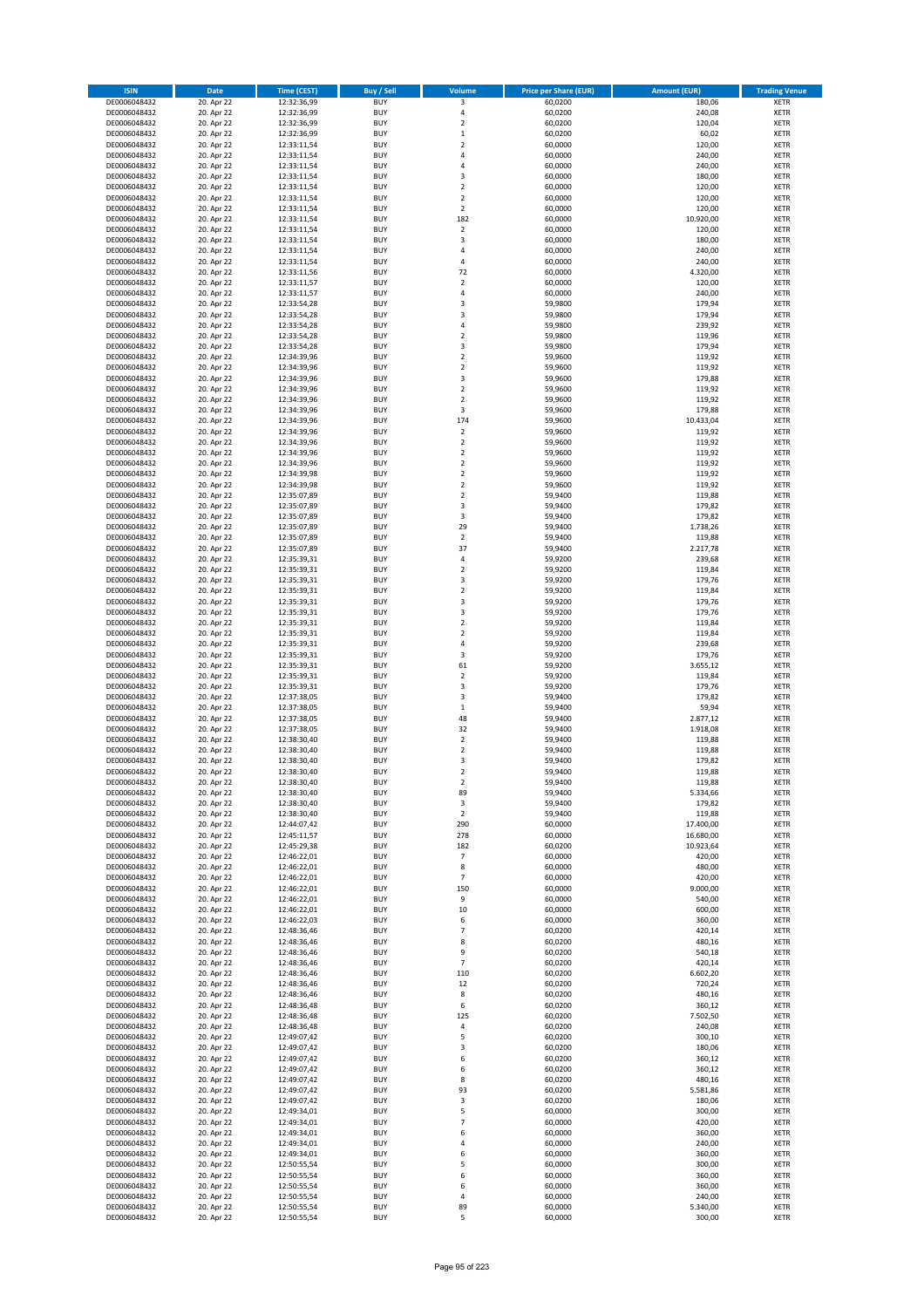| <b>ISIN</b>                  | <b>Date</b>              | <b>Time (CEST)</b>         | <b>Buy / Sell</b>        | Volume                        | <b>Price per Share (EUR)</b> | <b>Amount (EUR)</b> | <b>Trading Venue</b>       |
|------------------------------|--------------------------|----------------------------|--------------------------|-------------------------------|------------------------------|---------------------|----------------------------|
| DE0006048432                 | 20. Apr 22               | 12:32:36,99                | <b>BUY</b>               | 3                             | 60,0200                      | 180,06              | <b>XETR</b>                |
| DE0006048432                 | 20. Apr 22               | 12:32:36,99                | <b>BUY</b>               | 4                             | 60,0200                      | 240,08              | <b>XETR</b>                |
| DE0006048432                 | 20. Apr 22               | 12:32:36,99                | <b>BUY</b>               | $\overline{\mathbf{c}}$       | 60,0200                      | 120,04              | <b>XETR</b>                |
| DE0006048432                 | 20. Apr 22               | 12:32:36,99                | <b>BUY</b>               | $\mathbf 1$                   | 60,0200                      | 60,02               | <b>XETR</b>                |
| DE0006048432<br>DE0006048432 | 20. Apr 22<br>20. Apr 22 | 12:33:11,54<br>12:33:11,54 | <b>BUY</b><br><b>BUY</b> | $\overline{\mathbf{c}}$<br>4  | 60,0000<br>60,0000           | 120,00<br>240,00    | <b>XETR</b><br><b>XETR</b> |
| DE0006048432                 | 20. Apr 22               | 12:33:11,54                | <b>BUY</b>               | 4                             | 60,0000                      | 240,00              | <b>XETR</b>                |
| DE0006048432                 | 20. Apr 22               | 12:33:11,54                | <b>BUY</b>               | 3                             | 60,0000                      | 180,00              | <b>XETR</b>                |
| DE0006048432                 | 20. Apr 22               | 12:33:11,54                | <b>BUY</b>               | $\overline{2}$                | 60,0000                      | 120,00              | <b>XETR</b>                |
| DE0006048432                 | 20. Apr 22               | 12:33:11,54                | <b>BUY</b>               | $\overline{2}$                | 60,0000                      | 120,00              | <b>XETR</b>                |
| DE0006048432                 | 20. Apr 22               | 12:33:11,54                | <b>BUY</b>               | $\mathbf 2$                   | 60,0000                      | 120,00              | <b>XETR</b>                |
| DE0006048432                 | 20. Apr 22               | 12:33:11,54                | <b>BUY</b>               | 182                           | 60,0000                      | 10.920,00           | <b>XETR</b><br><b>XETR</b> |
| DE0006048432<br>DE0006048432 | 20. Apr 22<br>20. Apr 22 | 12:33:11,54<br>12:33:11,54 | <b>BUY</b><br><b>BUY</b> | $\mathbf 2$<br>3              | 60,0000<br>60,0000           | 120,00<br>180,00    | <b>XETR</b>                |
| DE0006048432                 | 20. Apr 22               | 12:33:11,54                | <b>BUY</b>               | 4                             | 60,0000                      | 240,00              | <b>XETR</b>                |
| DE0006048432                 | 20. Apr 22               | 12:33:11,54                | <b>BUY</b>               | 4                             | 60,0000                      | 240,00              | <b>XETR</b>                |
| DE0006048432                 | 20. Apr 22               | 12:33:11,56                | <b>BUY</b>               | 72                            | 60,0000                      | 4.320,00            | <b>XETR</b>                |
| DE0006048432                 | 20. Apr 22               | 12:33:11,57                | <b>BUY</b>               | $\mathbf 2$                   | 60,0000                      | 120,00              | <b>XETR</b>                |
| DE0006048432                 | 20. Apr 22               | 12:33:11,57                | <b>BUY</b>               | 4                             | 60,0000                      | 240,00              | <b>XETR</b>                |
| DE0006048432<br>DE0006048432 | 20. Apr 22<br>20. Apr 22 | 12:33:54,28<br>12:33:54,28 | <b>BUY</b><br><b>BUY</b> | 3<br>3                        | 59,9800<br>59,9800           | 179,94<br>179,94    | <b>XETR</b><br><b>XETR</b> |
| DE0006048432                 | 20. Apr 22               | 12:33:54,28                | <b>BUY</b>               | 4                             | 59,9800                      | 239,92              | <b>XETR</b>                |
| DE0006048432                 | 20. Apr 22               | 12:33:54,28                | <b>BUY</b>               | $\mathbf 2$                   | 59,9800                      | 119,96              | <b>XETR</b>                |
| DE0006048432                 | 20. Apr 22               | 12:33:54,28                | <b>BUY</b>               | 3                             | 59,9800                      | 179,94              | <b>XETR</b>                |
| DE0006048432                 | 20. Apr 22               | 12:34:39,96                | <b>BUY</b>               | $\mathbf 2$                   | 59,9600                      | 119,92              | <b>XETR</b>                |
| DE0006048432                 | 20. Apr 22               | 12:34:39,96                | <b>BUY</b>               | $\mathbf 2$                   | 59,9600                      | 119,92              | <b>XETR</b>                |
| DE0006048432<br>DE0006048432 | 20. Apr 22<br>20. Apr 22 | 12:34:39,96<br>12:34:39,96 | <b>BUY</b><br><b>BUY</b> | 3<br>$\overline{\mathbf{c}}$  | 59,9600<br>59,9600           | 179,88<br>119,92    | <b>XETR</b><br><b>XETR</b> |
| DE0006048432                 | 20. Apr 22               | 12:34:39,96                | <b>BUY</b>               | $\overline{\mathbf{c}}$       | 59,9600                      | 119,92              | <b>XETR</b>                |
| DE0006048432                 | 20. Apr 22               | 12:34:39,96                | <b>BUY</b>               | 3                             | 59,9600                      | 179,88              | <b>XETR</b>                |
| DE0006048432                 | 20. Apr 22               | 12:34:39,96                | <b>BUY</b>               | 174                           | 59,9600                      | 10.433,04           | <b>XETR</b>                |
| DE0006048432                 | 20. Apr 22               | 12:34:39,96                | <b>BUY</b>               | $\mathbf 2$                   | 59,9600                      | 119,92              | <b>XETR</b>                |
| DE0006048432                 | 20. Apr 22               | 12:34:39,96                | <b>BUY</b>               | $\mathbf 2$                   | 59,9600                      | 119,92              | <b>XETR</b>                |
| DE0006048432                 | 20. Apr 22               | 12:34:39,96                | <b>BUY</b>               | $\mathbf 2$                   | 59,9600                      | 119,92              | <b>XETR</b>                |
| DE0006048432<br>DE0006048432 | 20. Apr 22<br>20. Apr 22 | 12:34:39.96<br>12:34:39,98 | <b>BUY</b><br><b>BUY</b> | $\overline{2}$<br>$\mathbf 2$ | 59,9600<br>59,9600           | 119,92<br>119,92    | <b>XETR</b><br><b>XETR</b> |
| DE0006048432                 | 20. Apr 22               | 12:34:39,98                | <b>BUY</b>               | $\overline{\mathbf{c}}$       | 59,9600                      | 119,92              | <b>XETR</b>                |
| DE0006048432                 | 20. Apr 22               | 12:35:07,89                | <b>BUY</b>               | $\mathbf 2$                   | 59,9400                      | 119,88              | <b>XETR</b>                |
| DE0006048432                 | 20. Apr 22               | 12:35:07,89                | <b>BUY</b>               | 3                             | 59,9400                      | 179,82              | <b>XETR</b>                |
| DE0006048432                 | 20. Apr 22               | 12:35:07,89                | <b>BUY</b>               | 3                             | 59,9400                      | 179,82              | <b>XETR</b>                |
| DE0006048432                 | 20. Apr 22               | 12:35:07,89                | <b>BUY</b>               | 29                            | 59,9400                      | 1.738,26            | <b>XETR</b>                |
| DE0006048432<br>DE0006048432 | 20. Apr 22<br>20. Apr 22 | 12:35:07,89<br>12:35:07,89 | <b>BUY</b><br><b>BUY</b> | $\mathbf 2$<br>37             | 59,9400<br>59,9400           | 119,88<br>2.217,78  | <b>XETR</b><br><b>XETR</b> |
| DE0006048432                 | 20. Apr 22               | 12:35:39,31                | <b>BUY</b>               | 4                             | 59,9200                      | 239,68              | <b>XETR</b>                |
| DE0006048432                 | 20. Apr 22               | 12:35:39,31                | <b>BUY</b>               | $\mathbf 2$                   | 59,9200                      | 119,84              | <b>XETR</b>                |
| DE0006048432                 | 20. Apr 22               | 12:35:39,31                | <b>BUY</b>               | 3                             | 59,9200                      | 179,76              | <b>XETR</b>                |
| DE0006048432                 | 20. Apr 22               | 12:35:39,31                | <b>BUY</b>               | $\mathbf 2$                   | 59,9200                      | 119,84              | <b>XETR</b>                |
| DE0006048432                 | 20. Apr 22               | 12:35:39,31                | <b>BUY</b>               | 3                             | 59,9200                      | 179,76              | <b>XETR</b>                |
| DE0006048432<br>DE0006048432 | 20. Apr 22<br>20. Apr 22 | 12:35:39,31                | <b>BUY</b><br><b>BUY</b> | 3<br>$\overline{\mathbf{c}}$  | 59,9200<br>59,9200           | 179,76<br>119,84    | <b>XETR</b><br><b>XETR</b> |
| DE0006048432                 | 20. Apr 22               | 12:35:39,31<br>12:35:39,31 | <b>BUY</b>               | $\overline{\mathbf{c}}$       | 59,9200                      | 119,84              | <b>XETR</b>                |
| DE0006048432                 | 20. Apr 22               | 12:35:39,31                | <b>BUY</b>               | 4                             | 59,9200                      | 239,68              | <b>XETR</b>                |
| DE0006048432                 | 20. Apr 22               | 12:35:39,31                | <b>BUY</b>               | 3                             | 59,9200                      | 179,76              | <b>XETR</b>                |
| DE0006048432                 | 20. Apr 22               | 12:35:39,31                | <b>BUY</b>               | 61                            | 59,9200                      | 3.655,12            | <b>XETR</b>                |
| DE0006048432                 | 20. Apr 22               | 12:35:39,31                | <b>BUY</b>               | $\overline{\mathbf{c}}$       | 59,9200                      | 119,84              | <b>XETR</b>                |
| DE0006048432                 | 20. Apr 22               | 12:35:39,31                | <b>BUY</b>               | 3                             | 59,9200                      | 179,76              | <b>XETR</b>                |
| DE0006048432<br>DE0006048432 | 20. Apr 22<br>20. Apr 22 | 12:37:38,05<br>12:37:38,05 | <b>BUY</b><br><b>BUY</b> | 3<br>$\mathbf 1$              | 59,9400<br>59,9400           | 179,82<br>59,94     | <b>XETR</b><br><b>XETR</b> |
| DE0006048432                 | 20. Apr 22               | 12:37:38,05                | <b>BUY</b>               | 48                            | 59,9400                      | 2.877,12            | <b>XETR</b>                |
| DE0006048432                 | 20. Apr 22               | 12:37:38,05                | <b>BUY</b>               | 32                            | 59,9400                      | 1.918,08            | <b>XETR</b>                |
| DE0006048432                 | 20. Apr 22               | 12:38:30,40                | <b>BUY</b>               | $\mathbf 2$                   | 59,9400                      | 119,88              | <b>XETR</b>                |
| DE0006048432                 | 20. Apr 22               | 12:38:30,40                | <b>BUY</b>               | $\overline{\mathbf{c}}$       | 59,9400                      | 119,88              | <b>XETR</b>                |
| DE0006048432                 | 20. Apr 22               | 12:38:30,40                | <b>BUY</b>               | 3                             | 59,9400                      | 179,82              | <b>XETR</b>                |
| DE0006048432<br>DE0006048432 | 20. Apr 22<br>20. Apr 22 | 12:38:30,40<br>12:38:30,40 | <b>BUY</b><br>BUY        | $\overline{2}$<br>2           | 59,9400<br>59,9400           | 119,88<br>119,88    | <b>XETR</b><br><b>XETR</b> |
| DE0006048432                 | 20. Apr 22               | 12:38:30,40                | <b>BUY</b>               | 89                            | 59,9400                      | 5.334,66            | <b>XETR</b>                |
| DE0006048432                 | 20. Apr 22               | 12:38:30,40                | <b>BUY</b>               | 3                             | 59,9400                      | 179,82              | <b>XETR</b>                |
| DE0006048432                 | 20. Apr 22               | 12:38:30,40                | <b>BUY</b>               | $\mathbf 2$                   | 59,9400                      | 119,88              | <b>XETR</b>                |
| DE0006048432                 | 20. Apr 22               | 12:44:07,42                | <b>BUY</b>               | 290                           | 60,0000                      | 17.400,00           | <b>XETR</b>                |
| DE0006048432                 | 20. Apr 22               | 12:45:11,57                | <b>BUY</b>               | 278                           | 60,0000                      | 16.680,00           | <b>XETR</b>                |
| DE0006048432<br>DE0006048432 | 20. Apr 22<br>20. Apr 22 | 12:45:29,38<br>12:46:22,01 | <b>BUY</b><br><b>BUY</b> | 182<br>$\overline{7}$         | 60,0200<br>60,0000           | 10.923,64<br>420,00 | <b>XETR</b><br><b>XETR</b> |
| DE0006048432                 | 20. Apr 22               | 12:46:22,01                | <b>BUY</b>               | 8                             | 60,0000                      | 480,00              | <b>XETR</b>                |
| DE0006048432                 | 20. Apr 22               | 12:46:22,01                | <b>BUY</b>               | 7                             | 60,0000                      | 420,00              | <b>XETR</b>                |
| DE0006048432                 | 20. Apr 22               | 12:46:22,01                | <b>BUY</b>               | 150                           | 60,0000                      | 9.000,00            | <b>XETR</b>                |
| DE0006048432                 | 20. Apr 22               | 12:46:22,01                | <b>BUY</b>               | 9                             | 60,0000                      | 540,00              | <b>XETR</b>                |
| DE0006048432                 | 20. Apr 22<br>20. Apr 22 | 12:46:22,01                | <b>BUY</b>               | 10                            | 60,0000                      | 600,00              | <b>XETR</b>                |
| DE0006048432<br>DE0006048432 | 20. Apr 22               | 12:46:22,03<br>12:48:36,46 | <b>BUY</b><br><b>BUY</b> | 6<br>$\overline{7}$           | 60,0000<br>60,0200           | 360,00<br>420,14    | <b>XETR</b><br><b>XETR</b> |
| DE0006048432                 | 20. Apr 22               | 12:48:36,46                | <b>BUY</b>               | 8                             | 60,0200                      | 480,16              | <b>XETR</b>                |
| DE0006048432                 | 20. Apr 22               | 12:48:36,46                | <b>BUY</b>               | 9                             | 60,0200                      | 540,18              | <b>XETR</b>                |
| DE0006048432                 | 20. Apr 22               | 12:48:36,46                | <b>BUY</b>               | $\overline{7}$                | 60,0200                      | 420,14              | <b>XETR</b>                |
| DE0006048432                 | 20. Apr 22               | 12:48:36,46                | <b>BUY</b>               | 110                           | 60,0200                      | 6.602,20            | <b>XETR</b>                |
| DE0006048432                 | 20. Apr 22               | 12:48:36,46                | <b>BUY</b>               | 12                            | 60,0200                      | 720,24              | <b>XETR</b>                |
| DE0006048432<br>DE0006048432 | 20. Apr 22<br>20. Apr 22 | 12:48:36,46<br>12:48:36,48 | <b>BUY</b><br><b>BUY</b> | 8<br>6                        | 60,0200<br>60,0200           | 480,16<br>360,12    | <b>XETR</b><br><b>XETR</b> |
| DE0006048432                 | 20. Apr 22               | 12:48:36,48                | <b>BUY</b>               | 125                           | 60,0200                      | 7.502,50            | <b>XETR</b>                |
| DE0006048432                 | 20. Apr 22               | 12:48:36,48                | <b>BUY</b>               | 4                             | 60,0200                      | 240,08              | <b>XETR</b>                |
| DE0006048432                 | 20. Apr 22               | 12:49:07,42                | <b>BUY</b>               | 5                             | 60,0200                      | 300,10              | <b>XETR</b>                |
| DE0006048432                 | 20. Apr 22               | 12:49:07,42                | <b>BUY</b>               | 3                             | 60,0200                      | 180,06              | <b>XETR</b>                |
| DE0006048432                 | 20. Apr 22               | 12:49:07,42                | <b>BUY</b>               | 6                             | 60,0200                      | 360,12              | <b>XETR</b>                |
| DE0006048432                 | 20. Apr 22               | 12:49:07,42                | <b>BUY</b>               | 6                             | 60,0200                      | 360,12              | <b>XETR</b>                |
| DE0006048432<br>DE0006048432 | 20. Apr 22<br>20. Apr 22 | 12:49:07,42<br>12:49:07,42 | <b>BUY</b><br><b>BUY</b> | 8<br>93                       | 60,0200<br>60,0200           | 480,16<br>5.581,86  | <b>XETR</b><br><b>XETR</b> |
| DE0006048432                 | 20. Apr 22               | 12:49:07,42                | <b>BUY</b>               | 3                             | 60,0200                      | 180,06              | <b>XETR</b>                |
| DE0006048432                 | 20. Apr 22               | 12:49:34,01                | <b>BUY</b>               | 5                             | 60,0000                      | 300,00              | <b>XETR</b>                |
| DE0006048432                 | 20. Apr 22               | 12:49:34,01                | <b>BUY</b>               | $\overline{7}$                | 60,0000                      | 420,00              | <b>XETR</b>                |
| DE0006048432                 | 20. Apr 22               | 12:49:34,01                | <b>BUY</b>               | 6                             | 60,0000                      | 360,00              | <b>XETR</b>                |
| DE0006048432                 | 20. Apr 22               | 12:49:34,01                | <b>BUY</b>               | 4                             | 60,0000                      | 240,00              | <b>XETR</b>                |
| DE0006048432<br>DE0006048432 | 20. Apr 22<br>20. Apr 22 | 12:49:34,01<br>12:50:55,54 | <b>BUY</b><br><b>BUY</b> | 6<br>5                        | 60,0000<br>60,0000           | 360,00<br>300,00    | <b>XETR</b><br><b>XETR</b> |
| DE0006048432                 | 20. Apr 22               | 12:50:55,54                | <b>BUY</b>               | 6                             | 60,0000                      | 360,00              | <b>XETR</b>                |
| DE0006048432                 | 20. Apr 22               | 12:50:55,54                | <b>BUY</b>               | 6                             | 60,0000                      | 360,00              | <b>XETR</b>                |
| DE0006048432                 | 20. Apr 22               | 12:50:55,54                | <b>BUY</b>               | 4                             | 60,0000                      | 240,00              | <b>XETR</b>                |
| DE0006048432                 | 20. Apr 22               | 12:50:55,54                | <b>BUY</b>               | 89                            | 60,0000                      | 5.340,00            | <b>XETR</b>                |
| DE0006048432                 | 20. Apr 22               | 12:50:55,54                | <b>BUY</b>               | 5                             | 60,0000                      | 300,00              | <b>XETR</b>                |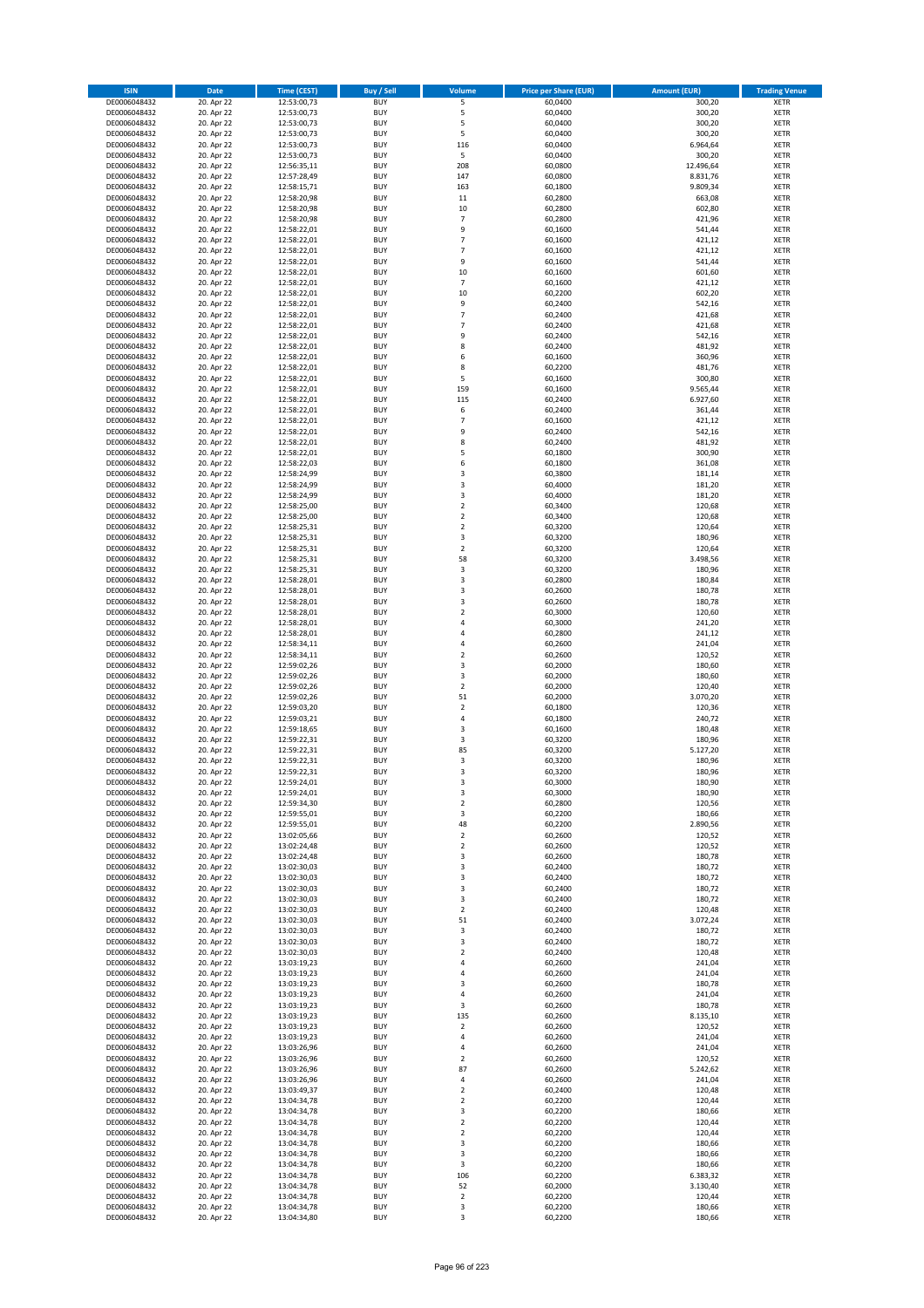| <b>ISIN</b>                  | Date                     | Time (CEST)                | <b>Buy / Sell</b>        | <b>Volume</b>                    | <b>Price per Share (EUR)</b> | <b>Amount (EUR)</b>  | <b>Trading Venue</b>       |
|------------------------------|--------------------------|----------------------------|--------------------------|----------------------------------|------------------------------|----------------------|----------------------------|
| DE0006048432                 | 20. Apr 22               | 12:53:00,73                | <b>BUY</b>               | 5                                | 60,0400                      | 300,20               | <b>XETR</b>                |
| DE0006048432                 | 20. Apr 22               | 12:53:00,73                | <b>BUY</b>               | 5                                | 60,0400                      | 300,20               | XETR                       |
| DE0006048432                 | 20. Apr 22               | 12:53:00,73                | <b>BUY</b>               | 5                                | 60,0400                      | 300,20               | <b>XETR</b>                |
| DE0006048432                 | 20. Apr 22               | 12:53:00,73                | <b>BUY</b>               | 5                                | 60,0400                      | 300,20               | XETR                       |
| DE0006048432<br>DE0006048432 | 20. Apr 22<br>20. Apr 22 | 12:53:00,73<br>12:53:00,73 | <b>BUY</b><br><b>BUY</b> | 116<br>5                         | 60,0400<br>60,0400           | 6.964,64<br>300,20   | <b>XETR</b><br><b>XETR</b> |
| DE0006048432                 | 20. Apr 22               | 12:56:35,11                | <b>BUY</b>               | 208                              | 60,0800                      | 12.496,64            | <b>XETR</b>                |
| DE0006048432                 | 20. Apr 22               | 12:57:28,49                | <b>BUY</b>               | 147                              | 60,0800                      | 8.831,76             | <b>XETR</b>                |
| DE0006048432                 | 20. Apr 22               | 12:58:15,71                | <b>BUY</b>               | 163                              | 60,1800                      | 9.809,34             | <b>XETR</b>                |
| DE0006048432                 | 20. Apr 22               | 12:58:20,98                | <b>BUY</b>               | $11\,$                           | 60,2800                      | 663,08               | <b>XETR</b>                |
| DE0006048432                 | 20. Apr 22               | 12:58:20,98                | <b>BUY</b>               | 10                               | 60,2800                      | 602,80               | <b>XETR</b>                |
| DE0006048432                 | 20. Apr 22               | 12:58:20,98                | <b>BUY</b>               | $\overline{7}$                   | 60,2800                      | 421,96               | <b>XETR</b>                |
| DE0006048432<br>DE0006048432 | 20. Apr 22<br>20. Apr 22 | 12:58:22,01<br>12:58:22,01 | <b>BUY</b><br><b>BUY</b> | 9<br>$\overline{7}$              | 60,1600<br>60,1600           | 541,44<br>421,12     | <b>XETR</b><br><b>XETR</b> |
| DE0006048432                 | 20. Apr 22               | 12:58:22,01                | <b>BUY</b>               | $\overline{7}$                   | 60,1600                      | 421,12               | <b>XETR</b>                |
| DE0006048432                 | 20. Apr 22               | 12:58:22,01                | <b>BUY</b>               | 9                                | 60,1600                      | 541,44               | <b>XETR</b>                |
| DE0006048432                 | 20. Apr 22               | 12:58:22,01                | <b>BUY</b>               | 10                               | 60,1600                      | 601,60               | <b>XETR</b>                |
| DE0006048432                 | 20. Apr 22               | 12:58:22,01                | <b>BUY</b>               | $\overline{7}$                   | 60,1600                      | 421,12               | <b>XETR</b>                |
| DE0006048432                 | 20. Apr 22               | 12:58:22,01                | <b>BUY</b>               | 10                               | 60,2200                      | 602,20               | <b>XETR</b>                |
| DE0006048432<br>DE0006048432 | 20. Apr 22<br>20. Apr 22 | 12:58:22,01<br>12:58:22,01 | <b>BUY</b><br><b>BUY</b> | 9<br>$\overline{7}$              | 60,2400<br>60,2400           | 542,16<br>421,68     | <b>XETR</b><br><b>XETR</b> |
| DE0006048432                 | 20. Apr 22               | 12:58:22,01                | <b>BUY</b>               | $\overline{7}$                   | 60,2400                      | 421,68               | <b>XETR</b>                |
| DE0006048432                 | 20. Apr 22               | 12:58:22,01                | <b>BUY</b>               | 9                                | 60,2400                      | 542,16               | <b>XETR</b>                |
| DE0006048432                 | 20. Apr 22               | 12:58:22,01                | <b>BUY</b>               | 8                                | 60,2400                      | 481,92               | <b>XETR</b>                |
| DE0006048432                 | 20. Apr 22               | 12:58:22,01                | <b>BUY</b>               | 6                                | 60,1600                      | 360,96               | <b>XETR</b>                |
| DE0006048432                 | 20. Apr 22               | 12:58:22,01                | <b>BUY</b>               | 8                                | 60,2200                      | 481,76               | <b>XETR</b>                |
| DE0006048432                 | 20. Apr 22<br>20. Apr 22 | 12:58:22,01                | <b>BUY</b>               | 5                                | 60,1600                      | 300,80               | <b>XETR</b>                |
| DE0006048432<br>DE0006048432 | 20. Apr 22               | 12:58:22,01<br>12:58:22,01 | <b>BUY</b><br><b>BUY</b> | 159<br>115                       | 60,1600<br>60,2400           | 9.565,44<br>6.927,60 | <b>XETR</b><br><b>XETR</b> |
| DE0006048432                 | 20. Apr 22               | 12:58:22,01                | <b>BUY</b>               | 6                                | 60,2400                      | 361,44               | <b>XETR</b>                |
| DE0006048432                 | 20. Apr 22               | 12:58:22,01                | <b>BUY</b>               | $\overline{7}$                   | 60,1600                      | 421,12               | <b>XETR</b>                |
| DE0006048432                 | 20. Apr 22               | 12:58:22,01                | <b>BUY</b>               | 9                                | 60,2400                      | 542,16               | <b>XETR</b>                |
| DE0006048432                 | 20. Apr 22               | 12:58:22,01                | <b>BUY</b>               | 8                                | 60,2400                      | 481,92               | <b>XETR</b>                |
| DE0006048432                 | 20. Apr 22               | 12:58:22,01                | <b>BUY</b>               | 5                                | 60,1800                      | 300,90               | <b>XETR</b>                |
| DE0006048432<br>DE0006048432 | 20. Apr 22<br>20. Apr 22 | 12:58:22.03<br>12:58:24,99 | <b>BUY</b><br><b>BUY</b> | 6<br>3                           | 60,1800<br>60,3800           | 361,08<br>181,14     | <b>XETR</b><br><b>XETR</b> |
| DE0006048432                 | 20. Apr 22               | 12:58:24,99                | <b>BUY</b>               | 3                                | 60,4000                      | 181,20               | <b>XETR</b>                |
| DE0006048432                 | 20. Apr 22               | 12:58:24,99                | <b>BUY</b>               | 3                                | 60,4000                      | 181,20               | <b>XETR</b>                |
| DE0006048432                 | 20. Apr 22               | 12:58:25,00                | <b>BUY</b>               | $\overline{2}$                   | 60,3400                      | 120,68               | <b>XETR</b>                |
| DE0006048432                 | 20. Apr 22               | 12:58:25,00                | <b>BUY</b>               | $\mathbf 2$                      | 60,3400                      | 120,68               | <b>XETR</b>                |
| DE0006048432                 | 20. Apr 22               | 12:58:25,31                | <b>BUY</b>               | $\mathbf 2$                      | 60,3200                      | 120,64               | <b>XETR</b>                |
| DE0006048432                 | 20. Apr 22               | 12:58:25,31                | <b>BUY</b>               | 3                                | 60,3200                      | 180,96               | <b>XETR</b>                |
| DE0006048432<br>DE0006048432 | 20. Apr 22<br>20. Apr 22 | 12:58:25,31<br>12:58:25,31 | <b>BUY</b><br><b>BUY</b> | $\mathbf 2$<br>58                | 60,3200<br>60,3200           | 120,64<br>3.498,56   | <b>XETR</b><br><b>XETR</b> |
| DE0006048432                 | 20. Apr 22               | 12:58:25,31                | <b>BUY</b>               | $\mathsf 3$                      | 60,3200                      | 180,96               | <b>XETR</b>                |
| DE0006048432                 | 20. Apr 22               | 12:58:28,01                | <b>BUY</b>               | 3                                | 60,2800                      | 180,84               | <b>XETR</b>                |
| DE0006048432                 | 20. Apr 22               | 12:58:28,01                | <b>BUY</b>               | 3                                | 60,2600                      | 180,78               | <b>XETR</b>                |
| DE0006048432                 | 20. Apr 22               | 12:58:28,01                | <b>BUY</b>               | 3                                | 60,2600                      | 180,78               | <b>XETR</b>                |
| DE0006048432                 | 20. Apr 22               | 12:58:28,01                | <b>BUY</b><br><b>BUY</b> | $\mathbf 2$<br>$\overline{4}$    | 60,3000                      | 120,60               | <b>XETR</b><br><b>XETR</b> |
| DE0006048432<br>DE0006048432 | 20. Apr 22<br>20. Apr 22 | 12:58:28,01<br>12:58:28,01 | <b>BUY</b>               | $\overline{a}$                   | 60,3000<br>60,2800           | 241,20<br>241,12     | <b>XETR</b>                |
| DE0006048432                 | 20. Apr 22               | 12:58:34,11                | <b>BUY</b>               | $\overline{4}$                   | 60,2600                      | 241,04               | <b>XETR</b>                |
| DE0006048432                 | 20. Apr 22               | 12:58:34,11                | <b>BUY</b>               | $\overline{2}$                   | 60,2600                      | 120,52               | <b>XETR</b>                |
| DE0006048432                 | 20. Apr 22               | 12:59:02,26                | <b>BUY</b>               | $\mathsf 3$                      | 60,2000                      | 180,60               | <b>XETR</b>                |
| DE0006048432                 | 20. Apr 22               | 12:59:02,26                | <b>BUY</b>               | 3                                | 60,2000                      | 180,60               | <b>XETR</b>                |
| DE0006048432                 | 20. Apr 22               | 12:59:02,26                | <b>BUY</b>               | $\overline{\mathbf{2}}$          | 60,2000                      | 120,40               | <b>XETR</b>                |
| DE0006048432<br>DE0006048432 | 20. Apr 22<br>20. Apr 22 | 12:59:02,26<br>12:59:03,20 | <b>BUY</b><br><b>BUY</b> | 51<br>$\mathbf 2$                | 60,2000<br>60,1800           | 3.070,20<br>120,36   | <b>XETR</b><br><b>XETR</b> |
| DE0006048432                 | 20. Apr 22               | 12:59:03,21                | <b>BUY</b>               | 4                                | 60,1800                      | 240,72               | <b>XETR</b>                |
| DE0006048432                 | 20. Apr 22               | 12:59:18,65                | <b>BUY</b>               | 3                                | 60,1600                      | 180,48               | <b>XETR</b>                |
| DE0006048432                 | 20. Apr 22               | 12:59:22,31                | <b>BUY</b>               | 3                                | 60,3200                      | 180,96               | <b>XETR</b>                |
| DE0006048432                 | 20. Apr 22               | 12:59:22,31                | <b>BUY</b>               | 85                               | 60,3200                      | 5.127,20             | <b>XETR</b>                |
| DE0006048432                 | 20. Apr 22               | 12:59:22,31                | <b>BUY</b>               | 3                                | 60,3200                      | 180,96               | <b>XETR</b>                |
| DE0006048432                 | 20. Apr 22               | 12:59:22,31                | <b>BUY</b>               | 3                                | 60,3200<br>60,3000           | 180,96<br>180,90     | <b>XETR</b>                |
| DE0006048432<br>DE0006048432 | 20. Apr 22<br>20. Apr 22 | 12:59:24,01<br>12:59:24,01 | BUY<br><b>BUY</b>        | 3<br>3                           | 60,3000                      | 180,90               | XETR<br><b>XETR</b>        |
| DE0006048432                 | 20. Apr 22               | 12:59:34,30                | <b>BUY</b>               | $\overline{2}$                   | 60,2800                      | 120,56               | <b>XETR</b>                |
| DE0006048432                 | 20. Apr 22               | 12:59:55,01                | <b>BUY</b>               | 3                                | 60,2200                      | 180,66               | <b>XETR</b>                |
| DE0006048432                 | 20. Apr 22               | 12:59:55,01                | <b>BUY</b>               | 48                               | 60,2200                      | 2.890,56             | <b>XETR</b>                |
| DE0006048432                 | 20. Apr 22               | 13:02:05,66                | <b>BUY</b>               | $\overline{2}$                   | 60,2600                      | 120,52               | <b>XETR</b>                |
| DE0006048432                 | 20. Apr 22               | 13:02:24,48                | <b>BUY</b>               | $\overline{2}$                   | 60,2600                      | 120,52               | <b>XETR</b>                |
| DE0006048432<br>DE0006048432 | 20. Apr 22<br>20. Apr 22 | 13:02:24,48<br>13:02:30,03 | <b>BUY</b><br><b>BUY</b> | 3<br>3                           | 60,2600<br>60,2400           | 180,78<br>180,72     | <b>XETR</b><br>XETR        |
| DE0006048432                 | 20. Apr 22               | 13:02:30,03                | <b>BUY</b>               | 3                                | 60,2400                      | 180,72               | <b>XETR</b>                |
| DE0006048432                 | 20. Apr 22               | 13:02:30,03                | <b>BUY</b>               | 3                                | 60,2400                      | 180,72               | XETR                       |
| DE0006048432                 | 20. Apr 22               | 13:02:30,03                | <b>BUY</b>               | 3                                | 60,2400                      | 180,72               | <b>XETR</b>                |
| DE0006048432                 | 20. Apr 22               | 13:02:30,03                | <b>BUY</b>               | $\mathbf 2$                      | 60,2400                      | 120,48               | XETR                       |
| DE0006048432                 | 20. Apr 22               | 13:02:30,03                | <b>BUY</b>               | 51                               | 60,2400                      | 3.072,24             | <b>XETR</b>                |
| DE0006048432<br>DE0006048432 | 20. Apr 22<br>20. Apr 22 | 13:02:30,03<br>13:02:30,03 | <b>BUY</b><br><b>BUY</b> | 3<br>3                           | 60,2400<br>60,2400           | 180,72<br>180,72     | XETR<br><b>XETR</b>        |
| DE0006048432                 | 20. Apr 22               | 13:02:30,03                | <b>BUY</b>               | $\overline{2}$                   | 60,2400                      | 120,48               | <b>XETR</b>                |
| DE0006048432                 | 20. Apr 22               | 13:03:19,23                | <b>BUY</b>               | $\sqrt{4}$                       | 60,2600                      | 241,04               | <b>XETR</b>                |
| DE0006048432                 | 20. Apr 22               | 13:03:19,23                | <b>BUY</b>               | 4                                | 60,2600                      | 241,04               | XETR                       |
| DE0006048432                 | 20. Apr 22               | 13:03:19,23                | <b>BUY</b>               | 3                                | 60,2600                      | 180,78               | <b>XETR</b>                |
| DE0006048432                 | 20. Apr 22               | 13:03:19,23                | <b>BUY</b>               | $\sqrt{4}$                       | 60,2600                      | 241,04               | <b>XETR</b>                |
| DE0006048432                 | 20. Apr 22               | 13:03:19,23                | <b>BUY</b><br><b>BUY</b> | 3<br>135                         | 60,2600                      | 180,78               | <b>XETR</b>                |
| DE0006048432<br>DE0006048432 | 20. Apr 22<br>20. Apr 22 | 13:03:19,23<br>13:03:19,23 | <b>BUY</b>               | $\mathbf 2$                      | 60,2600<br>60,2600           | 8.135,10<br>120,52   | <b>XETR</b><br>XETR        |
| DE0006048432                 | 20. Apr 22               | 13:03:19,23                | <b>BUY</b>               | 4                                | 60,2600                      | 241,04               | XETR                       |
| DE0006048432                 | 20. Apr 22               | 13:03:26,96                | <b>BUY</b>               | 4                                | 60,2600                      | 241,04               | <b>XETR</b>                |
| DE0006048432                 | 20. Apr 22               | 13:03:26,96                | <b>BUY</b>               | $\mathbf 2$                      | 60,2600                      | 120,52               | <b>XETR</b>                |
| DE0006048432                 | 20. Apr 22               | 13:03:26,96                | <b>BUY</b>               | 87                               | 60,2600                      | 5.242,62             | <b>XETR</b>                |
| DE0006048432                 | 20. Apr 22               | 13:03:26,96                | <b>BUY</b>               | 4                                | 60,2600                      | 241,04               | <b>XETR</b>                |
| DE0006048432<br>DE0006048432 | 20. Apr 22<br>20. Apr 22 | 13:03:49,37<br>13:04:34,78 | <b>BUY</b><br><b>BUY</b> | $\overline{2}$<br>$\overline{2}$ | 60,2400<br>60,2200           | 120,48<br>120,44     | <b>XETR</b><br>XETR        |
| DE0006048432                 | 20. Apr 22               | 13:04:34,78                | <b>BUY</b>               | 3                                | 60,2200                      | 180,66               | XETR                       |
| DE0006048432                 | 20. Apr 22               | 13:04:34,78                | <b>BUY</b>               | $\mathbf 2$                      | 60,2200                      | 120,44               | XETR                       |
| DE0006048432                 | 20. Apr 22               | 13:04:34,78                | <b>BUY</b>               | $\overline{2}$                   | 60,2200                      | 120,44               | <b>XETR</b>                |
| DE0006048432                 | 20. Apr 22               | 13:04:34,78                | <b>BUY</b>               | 3                                | 60,2200                      | 180,66               | <b>XETR</b>                |
| DE0006048432                 | 20. Apr 22               | 13:04:34,78                | <b>BUY</b>               | 3                                | 60,2200                      | 180,66               | <b>XETR</b>                |
| DE0006048432                 | 20. Apr 22<br>20. Apr 22 | 13:04:34,78                | <b>BUY</b><br><b>BUY</b> | 3<br>106                         | 60,2200<br>60,2200           | 180,66<br>6.383,32   | <b>XETR</b>                |
| DE0006048432<br>DE0006048432 | 20. Apr 22               | 13:04:34,78<br>13:04:34,78 | <b>BUY</b>               | 52                               | 60,2000                      | 3.130,40             | XETR<br><b>XETR</b>        |
| DE0006048432                 | 20. Apr 22               | 13:04:34,78                | <b>BUY</b>               | $\mathbf 2$                      | 60,2200                      | 120,44               | XETR                       |
| DE0006048432                 | 20. Apr 22               | 13:04:34,78                | <b>BUY</b>               | 3                                | 60,2200                      | 180,66               | <b>XETR</b>                |
| DE0006048432                 | 20. Apr 22               | 13:04:34,80                | <b>BUY</b>               | 3                                | 60,2200                      | 180,66               | XETR                       |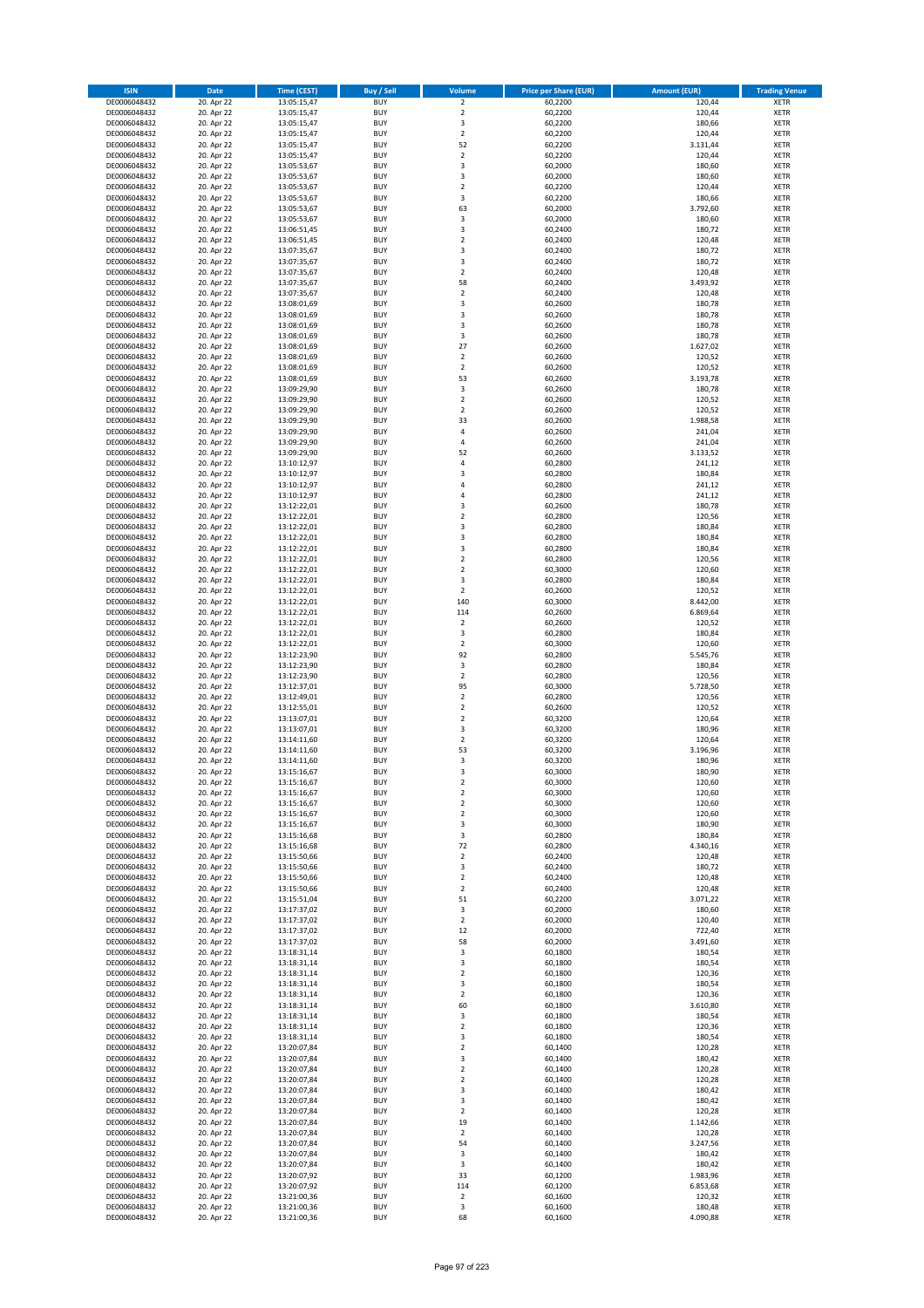| <b>ISIN</b>                  | <b>Date</b>              | <b>Time (CEST)</b>         | <b>Buy / Sell</b>        | Volume                       | <b>Price per Share (EUR)</b> | <b>Amount (EUR)</b>  | <b>Trading Venue</b>       |
|------------------------------|--------------------------|----------------------------|--------------------------|------------------------------|------------------------------|----------------------|----------------------------|
| DE0006048432                 | 20. Apr 22               | 13:05:15,47                | <b>BUY</b>               | $\overline{2}$               | 60,2200                      | 120,44               | <b>XETR</b>                |
| DE0006048432                 | 20. Apr 22               | 13:05:15,47                | <b>BUY</b>               | $\mathbf 2$                  | 60,2200                      | 120,44               | <b>XETR</b>                |
| DE0006048432                 | 20. Apr 22               | 13:05:15,47                | <b>BUY</b>               | 3                            | 60,2200                      | 180,66               | <b>XETR</b>                |
| DE0006048432<br>DE0006048432 | 20. Apr 22<br>20. Apr 22 | 13:05:15,47<br>13:05:15,47 | <b>BUY</b><br><b>BUY</b> | $\mathbf 2$<br>52            | 60,2200<br>60,2200           | 120,44<br>3.131,44   | <b>XETR</b><br><b>XETR</b> |
| DE0006048432                 | 20. Apr 22               | 13:05:15,47                | <b>BUY</b>               | $\mathbf 2$                  | 60,2200                      | 120,44               | <b>XETR</b>                |
| DE0006048432                 | 20. Apr 22               | 13:05:53,67                | <b>BUY</b>               | 3                            | 60,2000                      | 180,60               | <b>XETR</b>                |
| DE0006048432                 | 20. Apr 22               | 13:05:53,67                | <b>BUY</b>               | 3                            | 60,2000                      | 180,60               | <b>XETR</b>                |
| DE0006048432                 | 20. Apr 22               | 13:05:53,67                | <b>BUY</b>               | $\overline{2}$               | 60,2200                      | 120,44               | <b>XETR</b>                |
| DE0006048432                 | 20. Apr 22               | 13:05:53,67                | <b>BUY</b>               | 3                            | 60,2200                      | 180,66               | <b>XETR</b>                |
| DE0006048432<br>DE0006048432 | 20. Apr 22<br>20. Apr 22 | 13:05:53,67<br>13:05:53,67 | <b>BUY</b><br><b>BUY</b> | 63<br>3                      | 60,2000<br>60,2000           | 3.792,60<br>180,60   | <b>XETR</b><br><b>XETR</b> |
| DE0006048432                 | 20. Apr 22               | 13:06:51,45                | <b>BUY</b>               | 3                            | 60,2400                      | 180,72               | <b>XETR</b>                |
| DE0006048432                 | 20. Apr 22               | 13:06:51,45                | <b>BUY</b>               | $\overline{\mathbf{c}}$      | 60,2400                      | 120,48               | <b>XETR</b>                |
| DE0006048432                 | 20. Apr 22               | 13:07:35,67                | <b>BUY</b>               | 3                            | 60,2400                      | 180,72               | <b>XETR</b>                |
| DE0006048432                 | 20. Apr 22               | 13:07:35,67                | <b>BUY</b>               | 3                            | 60,2400                      | 180,72               | <b>XETR</b>                |
| DE0006048432                 | 20. Apr 22               | 13:07:35,67                | <b>BUY</b>               | $\mathbf 2$                  | 60,2400                      | 120,48               | <b>XETR</b>                |
| DE0006048432                 | 20. Apr 22<br>20. Apr 22 | 13:07:35,67                | <b>BUY</b>               | 58                           | 60,2400                      | 3.493,92             | <b>XETR</b>                |
| DE0006048432<br>DE0006048432 | 20. Apr 22               | 13:07:35,67<br>13:08:01,69 | <b>BUY</b><br><b>BUY</b> | $\overline{\mathbf{c}}$<br>3 | 60,2400<br>60,2600           | 120,48<br>180,78     | <b>XETR</b><br><b>XETR</b> |
| DE0006048432                 | 20. Apr 22               | 13:08:01,69                | <b>BUY</b>               | 3                            | 60,2600                      | 180,78               | <b>XETR</b>                |
| DE0006048432                 | 20. Apr 22               | 13:08:01,69                | <b>BUY</b>               | 3                            | 60,2600                      | 180,78               | <b>XETR</b>                |
| DE0006048432                 | 20. Apr 22               | 13:08:01,69                | <b>BUY</b>               | 3                            | 60,2600                      | 180,78               | <b>XETR</b>                |
| DE0006048432                 | 20. Apr 22               | 13:08:01,69                | <b>BUY</b>               | 27                           | 60,2600                      | 1.627,02             | <b>XETR</b>                |
| DE0006048432                 | 20. Apr 22               | 13:08:01,69                | <b>BUY</b>               | $\mathbf 2$                  | 60,2600                      | 120,52               | <b>XETR</b>                |
| DE0006048432<br>DE0006048432 | 20. Apr 22<br>20. Apr 22 | 13:08:01,69<br>13:08:01,69 | <b>BUY</b><br><b>BUY</b> | $\mathbf 2$<br>53            | 60,2600<br>60,2600           | 120,52<br>3.193,78   | <b>XETR</b><br><b>XETR</b> |
| DE0006048432                 | 20. Apr 22               | 13:09:29,90                | <b>BUY</b>               | 3                            | 60,2600                      | 180,78               | <b>XETR</b>                |
| DE0006048432                 | 20. Apr 22               | 13:09:29,90                | <b>BUY</b>               | $\mathbf 2$                  | 60,2600                      | 120,52               | <b>XETR</b>                |
| DE0006048432                 | 20. Apr 22               | 13:09:29,90                | <b>BUY</b>               | $\overline{2}$               | 60,2600                      | 120,52               | <b>XETR</b>                |
| DE0006048432                 | 20. Apr 22               | 13:09:29,90                | <b>BUY</b>               | 33                           | 60,2600                      | 1.988,58             | <b>XETR</b>                |
| DE0006048432                 | 20. Apr 22               | 13:09:29,90                | <b>BUY</b>               | 4                            | 60,2600                      | 241,04               | <b>XETR</b>                |
| DE0006048432                 | 20. Apr 22               | 13:09:29,90<br>13:09:29,90 | <b>BUY</b><br><b>BUY</b> | 4<br>52                      | 60,2600                      | 241,04               | <b>XETR</b><br><b>XETR</b> |
| DE0006048432<br>DE0006048432 | 20. Apr 22<br>20. Apr 22 | 13:10:12,97                | <b>BUY</b>               | 4                            | 60,2600<br>60,2800           | 3.133,52<br>241,12   | <b>XETR</b>                |
| DE0006048432                 | 20. Apr 22               | 13:10:12,97                | <b>BUY</b>               | 3                            | 60,2800                      | 180,84               | <b>XETR</b>                |
| DE0006048432                 | 20. Apr 22               | 13:10:12,97                | <b>BUY</b>               | 4                            | 60,2800                      | 241,12               | <b>XETR</b>                |
| DE0006048432                 | 20. Apr 22               | 13:10:12,97                | <b>BUY</b>               | 4                            | 60,2800                      | 241,12               | <b>XETR</b>                |
| DE0006048432                 | 20. Apr 22               | 13:12:22,01                | <b>BUY</b>               | 3                            | 60,2600                      | 180,78               | <b>XETR</b>                |
| DE0006048432                 | 20. Apr 22               | 13:12:22,01                | <b>BUY</b>               | $\mathbf 2$                  | 60,2800                      | 120,56               | <b>XETR</b>                |
| DE0006048432<br>DE0006048432 | 20. Apr 22<br>20. Apr 22 | 13:12:22,01<br>13:12:22,01 | <b>BUY</b><br><b>BUY</b> | 3<br>3                       | 60,2800<br>60,2800           | 180,84<br>180,84     | <b>XETR</b><br><b>XETR</b> |
| DE0006048432                 | 20. Apr 22               | 13:12:22,01                | <b>BUY</b>               | 3                            | 60,2800                      | 180,84               | <b>XETR</b>                |
| DE0006048432                 | 20. Apr 22               | 13:12:22,01                | <b>BUY</b>               | $\overline{\mathbf{c}}$      | 60,2800                      | 120,56               | <b>XETR</b>                |
| DE0006048432                 | 20. Apr 22               | 13:12:22,01                | <b>BUY</b>               | $\mathbf 2$                  | 60,3000                      | 120,60               | <b>XETR</b>                |
| DE0006048432                 | 20. Apr 22               | 13:12:22,01                | <b>BUY</b>               | 3                            | 60,2800                      | 180,84               | <b>XETR</b>                |
| DE0006048432                 | 20. Apr 22               | 13:12:22,01                | <b>BUY</b>               | $\mathbf 2$                  | 60,2600                      | 120,52               | <b>XETR</b>                |
| DE0006048432<br>DE0006048432 | 20. Apr 22<br>20. Apr 22 | 13:12:22,01                | <b>BUY</b><br><b>BUY</b> | 140<br>114                   | 60,3000<br>60,2600           | 8.442,00<br>6.869,64 | <b>XETR</b><br><b>XETR</b> |
| DE0006048432                 | 20. Apr 22               | 13:12:22,01<br>13:12:22,01 | <b>BUY</b>               | $\mathbf 2$                  | 60,2600                      | 120,52               | <b>XETR</b>                |
| DE0006048432                 | 20. Apr 22               | 13:12:22,01                | <b>BUY</b>               | 3                            | 60,2800                      | 180,84               | <b>XETR</b>                |
| DE0006048432                 | 20. Apr 22               | 13:12:22,01                | <b>BUY</b>               | $\mathbf 2$                  | 60,3000                      | 120,60               | <b>XETR</b>                |
| DE0006048432                 | 20. Apr 22               | 13:12:23,90                | <b>BUY</b>               | 92                           | 60,2800                      | 5.545,76             | <b>XETR</b>                |
| DE0006048432                 | 20. Apr 22               | 13:12:23,90                | <b>BUY</b>               | 3                            | 60,2800                      | 180,84               | <b>XETR</b>                |
| DE0006048432<br>DE0006048432 | 20. Apr 22<br>20. Apr 22 | 13:12:23,90<br>13:12:37,01 | <b>BUY</b><br><b>BUY</b> | $\mathbf 2$<br>95            | 60,2800<br>60,3000           | 120,56<br>5.728,50   | <b>XETR</b><br><b>XETR</b> |
| DE0006048432                 | 20. Apr 22               | 13:12:49,01                | <b>BUY</b>               | $\overline{\mathbf{c}}$      | 60,2800                      | 120,56               | <b>XETR</b>                |
| DE0006048432                 | 20. Apr 22               | 13:12:55,01                | <b>BUY</b>               | $\mathbf 2$                  | 60,2600                      | 120,52               | <b>XETR</b>                |
| DE0006048432                 | 20. Apr 22               | 13:13:07,01                | <b>BUY</b>               | $\mathbf 2$                  | 60,3200                      | 120,64               | <b>XETR</b>                |
| DE0006048432                 | 20. Apr 22               | 13:13:07,01                | <b>BUY</b>               | 3                            | 60,3200                      | 180,96               | <b>XETR</b>                |
| DE0006048432                 | 20. Apr 22               | 13:14:11,60                | <b>BUY</b>               | $\mathbf 2$                  | 60,3200                      | 120,64               | <b>XETR</b>                |
| DE0006048432<br>DE0006048432 | 20. Apr 22<br>20. Apr 22 | 13:14:11,60<br>13:14:11,60 | <b>BUY</b><br><b>BUY</b> | 53<br>3                      | 60,3200<br>60,3200           | 3.196,96<br>180,96   | <b>XETR</b><br><b>XETR</b> |
| DE0006048432                 | 20. Apr 22               | 13:15:16,67                | <b>BUY</b>               | 3                            | 60,3000                      | 180,90               | <b>XETR</b>                |
| DE0006048432                 | 20. Apr 22               | 13:15:16,67                | BUY                      | 2                            | 60,3000                      | 120,60               | <b>XETR</b>                |
| DE0006048432                 | 20. Apr 22               | 13:15:16,67                | <b>BUY</b>               | $\mathbf 2$                  | 60,3000                      | 120,60               | <b>XETR</b>                |
| DE0006048432                 | 20. Apr 22               | 13:15:16,67                | <b>BUY</b>               | $\mathbf 2$                  | 60,3000                      | 120,60               | XETR                       |
| DE0006048432                 | 20. Apr 22               | 13:15:16,67                | <b>BUY</b>               | $\mathbf 2$                  | 60,3000                      | 120,60               | XETR                       |
| DE0006048432<br>DE0006048432 | 20. Apr 22<br>20. Apr 22 | 13:15:16,67<br>13:15:16,68 | <b>BUY</b><br><b>BUY</b> | 3<br>3                       | 60,3000<br>60,2800           | 180,90<br>180,84     | <b>XETR</b><br><b>XETR</b> |
| DE0006048432                 | 20. Apr 22               | 13:15:16,68                | <b>BUY</b>               | 72                           | 60,2800                      | 4.340,16             | <b>XETR</b>                |
| DE0006048432                 | 20. Apr 22               | 13:15:50,66                | <b>BUY</b>               | $\mathbf 2$                  | 60,2400                      | 120,48               | <b>XETR</b>                |
| DE0006048432                 | 20. Apr 22               | 13:15:50,66                | <b>BUY</b>               | 3                            | 60,2400                      | 180,72               | <b>XETR</b>                |
| DE0006048432                 | 20. Apr 22               | 13:15:50,66                | <b>BUY</b>               | $\mathbf 2$                  | 60,2400                      | 120,48               | <b>XETR</b>                |
| DE0006048432                 | 20. Apr 22               | 13:15:50,66                | <b>BUY</b>               | $\mathbf 2$                  | 60,2400                      | 120,48               | <b>XETR</b>                |
| DE0006048432<br>DE0006048432 | 20. Apr 22<br>20. Apr 22 | 13:15:51,04<br>13:17:37,02 | <b>BUY</b><br><b>BUY</b> | 51<br>3                      | 60,2200<br>60,2000           | 3.071,22<br>180,60   | <b>XETR</b><br><b>XETR</b> |
| DE0006048432                 | 20. Apr 22               | 13:17:37,02                | <b>BUY</b>               | $\overline{2}$               | 60,2000                      | 120,40               | <b>XETR</b>                |
| DE0006048432                 | 20. Apr 22               | 13:17:37,02                | <b>BUY</b>               | 12                           | 60,2000                      | 722,40               | <b>XETR</b>                |
| DE0006048432                 | 20. Apr 22               | 13:17:37,02                | <b>BUY</b>               | 58                           | 60,2000                      | 3.491,60             | <b>XETR</b>                |
| DE0006048432                 | 20. Apr 22               | 13:18:31,14                | <b>BUY</b>               | 3                            | 60,1800                      | 180,54               | <b>XETR</b>                |
| DE0006048432                 | 20. Apr 22               | 13:18:31,14                | <b>BUY</b>               | 3                            | 60,1800                      | 180,54               | <b>XETR</b>                |
| DE0006048432<br>DE0006048432 | 20. Apr 22<br>20. Apr 22 | 13:18:31,14<br>13:18:31,14 | <b>BUY</b><br><b>BUY</b> | $\mathbf 2$<br>3             | 60,1800<br>60,1800           | 120,36<br>180,54     | XETR<br><b>XETR</b>        |
| DE0006048432                 | 20. Apr 22               | 13:18:31,14                | <b>BUY</b>               | $\overline{2}$               | 60,1800                      | 120,36               | <b>XETR</b>                |
| DE0006048432                 | 20. Apr 22               | 13:18:31,14                | <b>BUY</b>               | 60                           | 60,1800                      | 3.610,80             | <b>XETR</b>                |
| DE0006048432                 | 20. Apr 22               | 13:18:31,14                | <b>BUY</b>               | 3                            | 60,1800                      | 180,54               | <b>XETR</b>                |
| DE0006048432                 | 20. Apr 22               | 13:18:31,14                | <b>BUY</b>               | $\mathbf 2$                  | 60,1800                      | 120,36               | <b>XETR</b>                |
| DE0006048432                 | 20. Apr 22               | 13:18:31,14                | <b>BUY</b>               | 3                            | 60,1800                      | 180,54               | <b>XETR</b>                |
| DE0006048432                 | 20. Apr 22               | 13:20:07,84                | <b>BUY</b>               | $\mathbf 2$                  | 60,1400                      | 120,28               | XETR                       |
| DE0006048432<br>DE0006048432 | 20. Apr 22<br>20. Apr 22 | 13:20:07,84<br>13:20:07,84 | <b>BUY</b><br><b>BUY</b> | 3<br>$\overline{2}$          | 60,1400<br>60,1400           | 180,42<br>120,28     | <b>XETR</b><br><b>XETR</b> |
| DE0006048432                 | 20. Apr 22               | 13:20:07,84                | <b>BUY</b>               | $\mathbf 2$                  | 60,1400                      | 120,28               | <b>XETR</b>                |
| DE0006048432                 | 20. Apr 22               | 13:20:07,84                | <b>BUY</b>               | 3                            | 60,1400                      | 180,42               | XETR                       |
| DE0006048432                 | 20. Apr 22               | 13:20:07,84                | <b>BUY</b>               | 3                            | 60,1400                      | 180,42               | <b>XETR</b>                |
| DE0006048432                 | 20. Apr 22               | 13:20:07,84                | <b>BUY</b>               | $\mathbf 2$                  | 60,1400                      | 120,28               | <b>XETR</b>                |
| DE0006048432                 | 20. Apr 22               | 13:20:07,84                | <b>BUY</b>               | 19                           | 60,1400                      | 1.142,66             | XETR                       |
| DE0006048432<br>DE0006048432 | 20. Apr 22<br>20. Apr 22 | 13:20:07,84<br>13:20:07,84 | <b>BUY</b><br><b>BUY</b> | $\mathbf 2$<br>54            | 60,1400<br>60,1400           | 120,28<br>3.247,56   | <b>XETR</b><br><b>XETR</b> |
| DE0006048432                 | 20. Apr 22               | 13:20:07,84                | <b>BUY</b>               | 3                            | 60,1400                      | 180,42               | <b>XETR</b>                |
| DE0006048432                 | 20. Apr 22               | 13:20:07,84                | <b>BUY</b>               | 3                            | 60,1400                      | 180,42               | <b>XETR</b>                |
| DE0006048432                 | 20. Apr 22               | 13:20:07,92                | <b>BUY</b>               | 33                           | 60,1200                      | 1.983,96             | XETR                       |
| DE0006048432                 | 20. Apr 22               | 13:20:07,92                | <b>BUY</b>               | 114                          | 60,1200                      | 6.853,68             | <b>XETR</b>                |
| DE0006048432                 | 20. Apr 22               | 13:21:00,36                | <b>BUY</b>               | $\mathbf 2$                  | 60,1600                      | 120,32               | <b>XETR</b>                |
| DE0006048432<br>DE0006048432 | 20. Apr 22<br>20. Apr 22 | 13:21:00,36<br>13:21:00,36 | <b>BUY</b><br><b>BUY</b> | 3<br>68                      | 60,1600<br>60,1600           | 180,48<br>4.090,88   | <b>XETR</b><br>XETR        |
|                              |                          |                            |                          |                              |                              |                      |                            |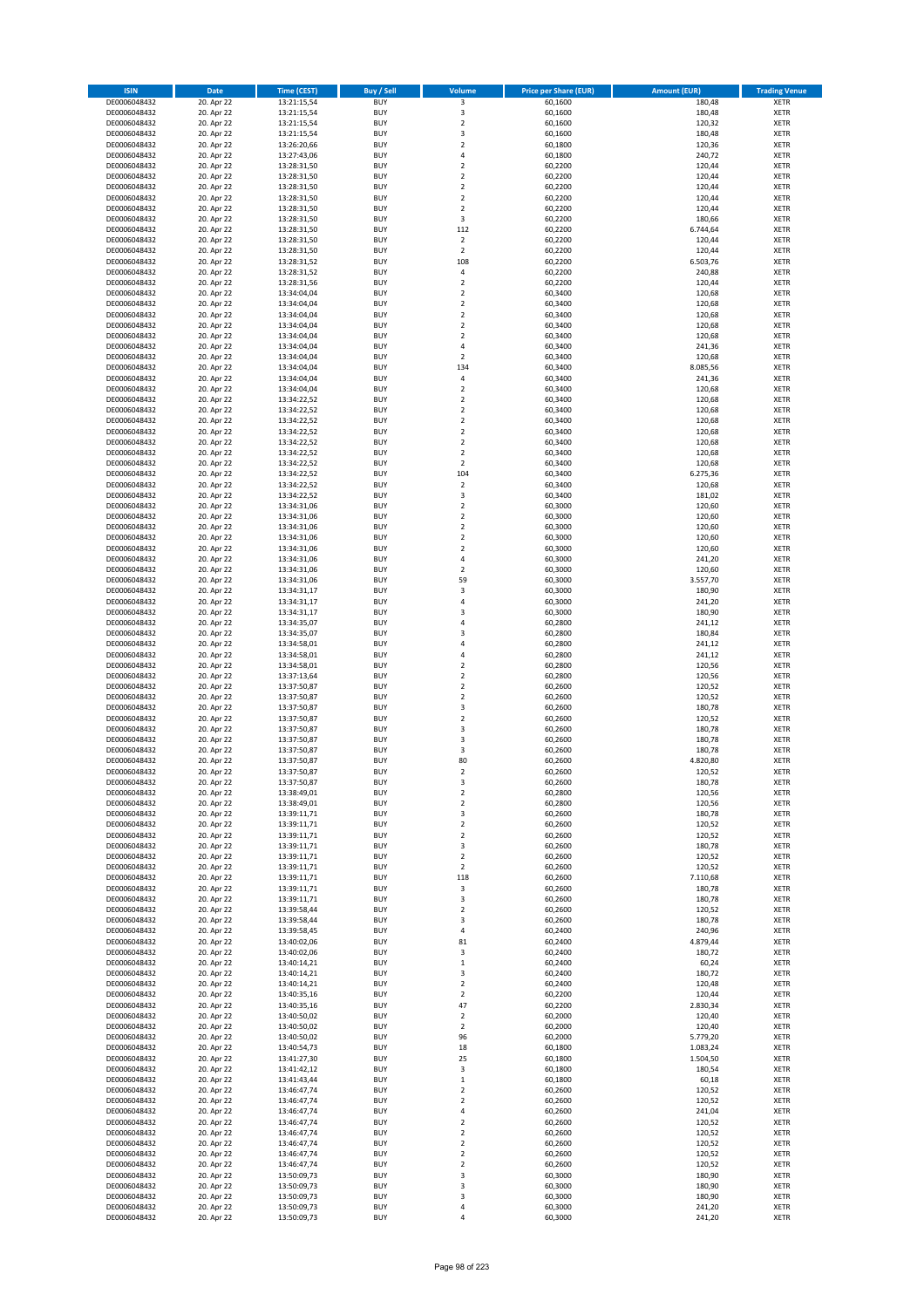| <b>ISIN</b>                  | <b>Date</b>              | <b>Time (CEST)</b>         | <b>Buy / Sell</b>        | Volume                                 | <b>Price per Share (EUR)</b> | <b>Amount (EUR)</b>  | <b>Trading Venue</b>       |
|------------------------------|--------------------------|----------------------------|--------------------------|----------------------------------------|------------------------------|----------------------|----------------------------|
| DE0006048432                 | 20. Apr 22               | 13:21:15,54                | <b>BUY</b>               | 3                                      | 60,1600                      | 180,48               | <b>XETR</b>                |
| DE0006048432                 | 20. Apr 22               | 13:21:15,54                | <b>BUY</b>               | 3                                      | 60,1600                      | 180,48               | <b>XETR</b>                |
| DE0006048432                 | 20. Apr 22               | 13:21:15,54                | <b>BUY</b>               | $\overline{2}$                         | 60,1600                      | 120,32               | <b>XETR</b>                |
| DE0006048432                 | 20. Apr 22               | 13:21:15,54                | <b>BUY</b>               | 3                                      | 60,1600                      | 180,48               | <b>XETR</b>                |
| DE0006048432<br>DE0006048432 | 20. Apr 22<br>20. Apr 22 | 13:26:20,66<br>13:27:43,06 | <b>BUY</b><br><b>BUY</b> | $\overline{\mathbf{c}}$<br>4           | 60,1800<br>60,1800           | 120,36<br>240,72     | <b>XETR</b><br><b>XETR</b> |
| DE0006048432                 | 20. Apr 22               | 13:28:31,50                | <b>BUY</b>               | $\overline{\mathbf{c}}$                | 60,2200                      | 120,44               | <b>XETR</b>                |
| DE0006048432                 | 20. Apr 22               | 13:28:31,50                | <b>BUY</b>               | $\mathbf 2$                            | 60,2200                      | 120,44               | <b>XETR</b>                |
| DE0006048432                 | 20. Apr 22               | 13:28:31,50                | <b>BUY</b>               | $\overline{2}$                         | 60,2200                      | 120,44               | <b>XETR</b>                |
| DE0006048432                 | 20. Apr 22               | 13:28:31,50                | <b>BUY</b>               | $\overline{2}$                         | 60,2200                      | 120,44               | <b>XETR</b>                |
| DE0006048432                 | 20. Apr 22               | 13:28:31,50                | <b>BUY</b>               | $\mathbf 2$                            | 60,2200                      | 120,44               | <b>XETR</b>                |
| DE0006048432                 | 20. Apr 22               | 13:28:31,50                | <b>BUY</b>               | 3<br>112                               | 60,2200                      | 180,66               | <b>XETR</b><br><b>XETR</b> |
| DE0006048432<br>DE0006048432 | 20. Apr 22<br>20. Apr 22 | 13:28:31,50<br>13:28:31,50 | <b>BUY</b><br><b>BUY</b> | $\overline{2}$                         | 60,2200<br>60,2200           | 6.744,64<br>120,44   | <b>XETR</b>                |
| DE0006048432                 | 20. Apr 22               | 13:28:31,50                | <b>BUY</b>               | $\mathbf 2$                            | 60,2200                      | 120,44               | <b>XETR</b>                |
| DE0006048432                 | 20. Apr 22               | 13:28:31,52                | <b>BUY</b>               | 108                                    | 60,2200                      | 6.503,76             | <b>XETR</b>                |
| DE0006048432                 | 20. Apr 22               | 13:28:31,52                | <b>BUY</b>               | 4                                      | 60,2200                      | 240,88               | <b>XETR</b>                |
| DE0006048432                 | 20. Apr 22               | 13:28:31,56                | <b>BUY</b>               | $\mathbf 2$                            | 60,2200                      | 120,44               | <b>XETR</b>                |
| DE0006048432                 | 20. Apr 22               | 13:34:04,04                | <b>BUY</b>               | $\overline{\mathbf{c}}$                | 60,3400                      | 120,68               | <b>XETR</b>                |
| DE0006048432<br>DE0006048432 | 20. Apr 22<br>20. Apr 22 | 13:34:04,04<br>13:34:04,04 | <b>BUY</b><br><b>BUY</b> | $\mathbf 2$<br>$\overline{\mathbf{c}}$ | 60,3400<br>60,3400           | 120,68<br>120,68     | <b>XETR</b><br><b>XETR</b> |
| DE0006048432                 | 20. Apr 22               | 13:34:04,04                | <b>BUY</b>               | $\mathbf 2$                            | 60,3400                      | 120,68               | <b>XETR</b>                |
| DE0006048432                 | 20. Apr 22               | 13:34:04,04                | <b>BUY</b>               | $\overline{\mathbf{c}}$                | 60,3400                      | 120,68               | <b>XETR</b>                |
| DE0006048432                 | 20. Apr 22               | 13:34:04,04                | <b>BUY</b>               | 4                                      | 60,3400                      | 241,36               | <b>XETR</b>                |
| DE0006048432                 | 20. Apr 22               | 13:34:04,04                | <b>BUY</b>               | $\overline{2}$                         | 60,3400                      | 120,68               | <b>XETR</b>                |
| DE0006048432                 | 20. Apr 22               | 13:34:04,04                | <b>BUY</b>               | 134                                    | 60,3400                      | 8.085,56             | <b>XETR</b>                |
| DE0006048432                 | 20. Apr 22               | 13:34:04,04                | <b>BUY</b>               | 4                                      | 60,3400                      | 241,36               | <b>XETR</b>                |
| DE0006048432<br>DE0006048432 | 20. Apr 22<br>20. Apr 22 | 13:34:04,04<br>13:34:22,52 | <b>BUY</b><br><b>BUY</b> | $\overline{\mathbf{c}}$<br>$\mathbf 2$ | 60,3400<br>60,3400           | 120,68<br>120,68     | <b>XETR</b><br><b>XETR</b> |
| DE0006048432                 | 20. Apr 22               | 13:34:22,52                | <b>BUY</b>               | $\overline{\mathbf{c}}$                | 60,3400                      | 120,68               | <b>XETR</b>                |
| DE0006048432                 | 20. Apr 22               | 13:34:22,52                | <b>BUY</b>               | $\overline{2}$                         | 60,3400                      | 120,68               | <b>XETR</b>                |
| DE0006048432                 | 20. Apr 22               | 13:34:22,52                | <b>BUY</b>               | $\overline{\mathbf{c}}$                | 60,3400                      | 120,68               | <b>XETR</b>                |
| DE0006048432                 | 20. Apr 22               | 13:34:22,52                | <b>BUY</b>               | $\mathbf 2$                            | 60,3400                      | 120,68               | <b>XETR</b>                |
| DE0006048432                 | 20. Apr 22               | 13:34:22,52                | <b>BUY</b>               | $\mathbf 2$                            | 60,3400                      | 120,68               | <b>XETR</b>                |
| DE0006048432<br>DE0006048432 | 20. Apr 22<br>20. Apr 22 | 13:34:22,52<br>13:34:22,52 | <b>BUY</b><br><b>BUY</b> | $\overline{\mathbf{c}}$<br>104         | 60,3400<br>60,3400           | 120,68<br>6.275,36   | <b>XETR</b><br><b>XETR</b> |
| DE0006048432                 | 20. Apr 22               | 13:34:22,52                | <b>BUY</b>               | $\overline{\mathbf{c}}$                | 60,3400                      | 120,68               | <b>XETR</b>                |
| DE0006048432                 | 20. Apr 22               | 13:34:22,52                | <b>BUY</b>               | 3                                      | 60,3400                      | 181,02               | <b>XETR</b>                |
| DE0006048432                 | 20. Apr 22               | 13:34:31,06                | <b>BUY</b>               | $\overline{\mathbf{c}}$                | 60,3000                      | 120,60               | <b>XETR</b>                |
| DE0006048432                 | 20. Apr 22               | 13:34:31,06                | <b>BUY</b>               | $\mathbf 2$                            | 60,3000                      | 120,60               | <b>XETR</b>                |
| DE0006048432                 | 20. Apr 22               | 13:34:31,06                | <b>BUY</b>               | $\mathbf 2$                            | 60,3000                      | 120,60               | <b>XETR</b>                |
| DE0006048432                 | 20. Apr 22               | 13:34:31,06                | <b>BUY</b>               | $\mathbf 2$                            | 60,3000                      | 120,60               | <b>XETR</b>                |
| DE0006048432<br>DE0006048432 | 20. Apr 22<br>20. Apr 22 | 13:34:31,06<br>13:34:31,06 | <b>BUY</b><br><b>BUY</b> | $\mathbf 2$<br>4                       | 60,3000<br>60,3000           | 120,60<br>241,20     | <b>XETR</b><br><b>XETR</b> |
| DE0006048432                 | 20. Apr 22               | 13:34:31,06                | <b>BUY</b>               | $\mathbf 2$                            | 60,3000                      | 120,60               | <b>XETR</b>                |
| DE0006048432                 | 20. Apr 22               | 13:34:31,06                | <b>BUY</b>               | 59                                     | 60,3000                      | 3.557,70             | <b>XETR</b>                |
| DE0006048432                 | 20. Apr 22               | 13:34:31,17                | <b>BUY</b>               | 3                                      | 60,3000                      | 180,90               | <b>XETR</b>                |
| DE0006048432                 | 20. Apr 22               | 13:34:31,17                | <b>BUY</b>               | 4                                      | 60,3000                      | 241,20               | <b>XETR</b>                |
| DE0006048432                 | 20. Apr 22               | 13:34:31,17                | <b>BUY</b>               | 3                                      | 60,3000                      | 180,90               | <b>XETR</b>                |
| DE0006048432                 | 20. Apr 22               | 13:34:35,07                | <b>BUY</b>               | 4                                      | 60,2800                      | 241,12               | <b>XETR</b>                |
| DE0006048432                 | 20. Apr 22               | 13:34:35,07                | <b>BUY</b>               | 3                                      | 60,2800                      | 180,84               | <b>XETR</b>                |
| DE0006048432<br>DE0006048432 | 20. Apr 22<br>20. Apr 22 | 13:34:58,01<br>13:34:58,01 | <b>BUY</b><br><b>BUY</b> | 4<br>4                                 | 60,2800<br>60,2800           | 241,12<br>241,12     | <b>XETR</b><br><b>XETR</b> |
| DE0006048432                 | 20. Apr 22               | 13:34:58,01                | <b>BUY</b>               | $\mathbf 2$                            | 60,2800                      | 120,56               | <b>XETR</b>                |
| DE0006048432                 | 20. Apr 22               | 13:37:13,64                | <b>BUY</b>               | $\overline{\mathbf{c}}$                | 60,2800                      | 120,56               | <b>XETR</b>                |
| DE0006048432                 | 20. Apr 22               | 13:37:50,87                | <b>BUY</b>               | $\mathbf 2$                            | 60,2600                      | 120,52               | <b>XETR</b>                |
| DE0006048432                 | 20. Apr 22               | 13:37:50,87                | <b>BUY</b>               | $\overline{\mathbf{c}}$                | 60,2600                      | 120,52               | <b>XETR</b>                |
| DE0006048432                 | 20. Apr 22               | 13:37:50,87                | <b>BUY</b>               | 3                                      | 60,2600                      | 180,78               | <b>XETR</b>                |
| DE0006048432<br>DE0006048432 | 20. Apr 22<br>20. Apr 22 | 13:37:50,87<br>13:37:50,87 | <b>BUY</b><br><b>BUY</b> | $\mathbf 2$<br>3                       | 60,2600<br>60,2600           | 120,52<br>180,78     | <b>XETR</b><br><b>XETR</b> |
| DE0006048432                 | 20. Apr 22               | 13:37:50,87                | <b>BUY</b>               | 3                                      | 60,2600                      | 180,78               | <b>XETR</b>                |
| DE0006048432                 | 20. Apr 22               | 13:37:50,87                | <b>BUY</b>               | 3                                      | 60,2600                      | 180,78               | <b>XETR</b>                |
| DE0006048432                 | 20. Apr 22               | 13:37:50,87                | <b>BUY</b>               | 80                                     | 60,2600                      | 4.820,80             | <b>XETR</b>                |
| DE0006048432                 | 20. Apr 22               | 13:37:50,87                | <b>BUY</b>               | $\overline{2}$                         | 60,2600                      | 120,52               | <b>XETR</b>                |
| DE0006048432                 | 20. Apr 22               | 13:37:50,87                | BUY                      | 3                                      | 60,2600                      | 180,78               | <b>XETR</b>                |
| DE0006048432                 | 20. Apr 22               | 13:38:49,01                | <b>BUY</b>               | $\mathbf 2$                            | 60,2800<br>60,2800           | 120,56               | <b>XETR</b>                |
| DE0006048432<br>DE0006048432 | 20. Apr 22<br>20. Apr 22 | 13:38:49,01<br>13:39:11,71 | <b>BUY</b><br><b>BUY</b> | $\mathbf 2$<br>3                       | 60,2600                      | 120,56<br>180,78     | <b>XETR</b><br><b>XETR</b> |
| DE0006048432                 | 20. Apr 22               | 13:39:11,71                | <b>BUY</b>               | $\mathbf 2$                            | 60,2600                      | 120,52               | <b>XETR</b>                |
| DE0006048432                 | 20. Apr 22               | 13:39:11,71                | <b>BUY</b>               | $\mathbf 2$                            | 60,2600                      | 120,52               | <b>XETR</b>                |
| DE0006048432                 | 20. Apr 22               | 13:39:11,71                | <b>BUY</b>               | 3                                      | 60,2600                      | 180,78               | <b>XETR</b>                |
| DE0006048432                 | 20. Apr 22               | 13:39:11,71                | <b>BUY</b>               | $\mathbf 2$                            | 60,2600                      | 120,52               | <b>XETR</b>                |
| DE0006048432                 | 20. Apr 22               | 13:39:11,71                | <b>BUY</b>               | $\mathbf 2$                            | 60,2600                      | 120,52               | <b>XETR</b>                |
| DE0006048432<br>DE0006048432 | 20. Apr 22               | 13:39:11,71                | <b>BUY</b><br><b>BUY</b> | 118                                    | 60,2600                      | 7.110,68             | <b>XETR</b>                |
| DE0006048432                 | 20. Apr 22<br>20. Apr 22 | 13:39:11,71<br>13:39:11,71 | <b>BUY</b>               | 3<br>3                                 | 60,2600<br>60,2600           | 180,78<br>180,78     | <b>XETR</b><br><b>XETR</b> |
| DE0006048432                 | 20. Apr 22               | 13:39:58,44                | <b>BUY</b>               | $\mathbf 2$                            | 60,2600                      | 120,52               | <b>XETR</b>                |
| DE0006048432                 | 20. Apr 22               | 13:39:58,44                | <b>BUY</b>               | 3                                      | 60,2600                      | 180,78               | <b>XETR</b>                |
| DE0006048432                 | 20. Apr 22               | 13:39:58,45                | <b>BUY</b>               | 4                                      | 60,2400                      | 240,96               | <b>XETR</b>                |
| DE0006048432                 | 20. Apr 22               | 13:40:02,06                | <b>BUY</b>               | 81                                     | 60,2400                      | 4.879,44             | <b>XETR</b>                |
| DE0006048432                 | 20. Apr 22               | 13:40:02,06                | <b>BUY</b><br><b>BUY</b> | 3                                      | 60,2400                      | 180,72               | <b>XETR</b><br><b>XETR</b> |
| DE0006048432<br>DE0006048432 | 20. Apr 22<br>20. Apr 22 | 13:40:14,21<br>13:40:14,21 | <b>BUY</b>               | $\mathbf 1$<br>3                       | 60,2400<br>60,2400           | 60,24<br>180,72      | <b>XETR</b>                |
| DE0006048432                 | 20. Apr 22               | 13:40:14,21                | <b>BUY</b>               | $\mathbf 2$                            | 60,2400                      | 120,48               | <b>XETR</b>                |
| DE0006048432                 | 20. Apr 22               | 13:40:35,16                | <b>BUY</b>               | $\overline{2}$                         | 60,2200                      | 120,44               | <b>XETR</b>                |
| DE0006048432                 | 20. Apr 22               | 13:40:35,16                | <b>BUY</b>               | 47                                     | 60,2200                      | 2.830,34             | <b>XETR</b>                |
| DE0006048432                 | 20. Apr 22               | 13:40:50,02                | <b>BUY</b>               | $\overline{\mathbf{c}}$                | 60,2000                      | 120,40               | <b>XETR</b>                |
| DE0006048432                 | 20. Apr 22               | 13:40:50,02                | <b>BUY</b>               | $\mathbf 2$                            | 60,2000                      | 120,40               | <b>XETR</b>                |
| DE0006048432                 | 20. Apr 22               | 13:40:50,02                | <b>BUY</b>               | 96                                     | 60,2000                      | 5.779,20             | <b>XETR</b>                |
| DE0006048432<br>DE0006048432 | 20. Apr 22<br>20. Apr 22 | 13:40:54,73<br>13:41:27,30 | <b>BUY</b><br><b>BUY</b> | 18<br>25                               | 60,1800<br>60,1800           | 1.083,24<br>1.504,50 | <b>XETR</b><br><b>XETR</b> |
| DE0006048432                 | 20. Apr 22               | 13:41:42,12                | <b>BUY</b>               | 3                                      | 60,1800                      | 180,54               | <b>XETR</b>                |
| DE0006048432                 | 20. Apr 22               | 13:41:43,44                | <b>BUY</b>               | $\mathbf 1$                            | 60,1800                      | 60,18                | <b>XETR</b>                |
| DE0006048432                 | 20. Apr 22               | 13:46:47,74                | <b>BUY</b>               | $\overline{\mathbf{c}}$                | 60,2600                      | 120,52               | <b>XETR</b>                |
| DE0006048432                 | 20. Apr 22               | 13:46:47,74                | <b>BUY</b>               | $\mathbf 2$                            | 60,2600                      | 120,52               | <b>XETR</b>                |
| DE0006048432                 | 20. Apr 22               | 13:46:47,74                | <b>BUY</b>               | 4                                      | 60,2600                      | 241,04               | <b>XETR</b>                |
| DE0006048432                 | 20. Apr 22               | 13:46:47,74                | <b>BUY</b>               | $\mathbf 2$                            | 60,2600                      | 120,52               | <b>XETR</b>                |
| DE0006048432<br>DE0006048432 | 20. Apr 22<br>20. Apr 22 | 13:46:47,74                | <b>BUY</b><br><b>BUY</b> | $\mathbf 2$<br>$\mathbf 2$             | 60,2600<br>60,2600           | 120,52<br>120,52     | <b>XETR</b>                |
| DE0006048432                 | 20. Apr 22               | 13:46:47,74<br>13:46:47,74 | <b>BUY</b>               | $\mathbf 2$                            | 60,2600                      | 120,52               | <b>XETR</b><br><b>XETR</b> |
| DE0006048432                 | 20. Apr 22               | 13:46:47,74                | <b>BUY</b>               | $\overline{\mathbf{c}}$                | 60,2600                      | 120,52               | <b>XETR</b>                |
| DE0006048432                 | 20. Apr 22               | 13:50:09,73                | <b>BUY</b>               | 3                                      | 60,3000                      | 180,90               | <b>XETR</b>                |
| DE0006048432                 | 20. Apr 22               | 13:50:09,73                | <b>BUY</b>               | 3                                      | 60,3000                      | 180,90               | <b>XETR</b>                |
| DE0006048432                 | 20. Apr 22               | 13:50:09,73                | <b>BUY</b>               | 3                                      | 60,3000                      | 180,90               | <b>XETR</b>                |
| DE0006048432                 | 20. Apr 22               | 13:50:09,73                | <b>BUY</b>               | 4                                      | 60,3000                      | 241,20               | <b>XETR</b>                |
| DE0006048432                 | 20. Apr 22               | 13:50:09,73                | <b>BUY</b>               | 4                                      | 60,3000                      | 241,20               | <b>XETR</b>                |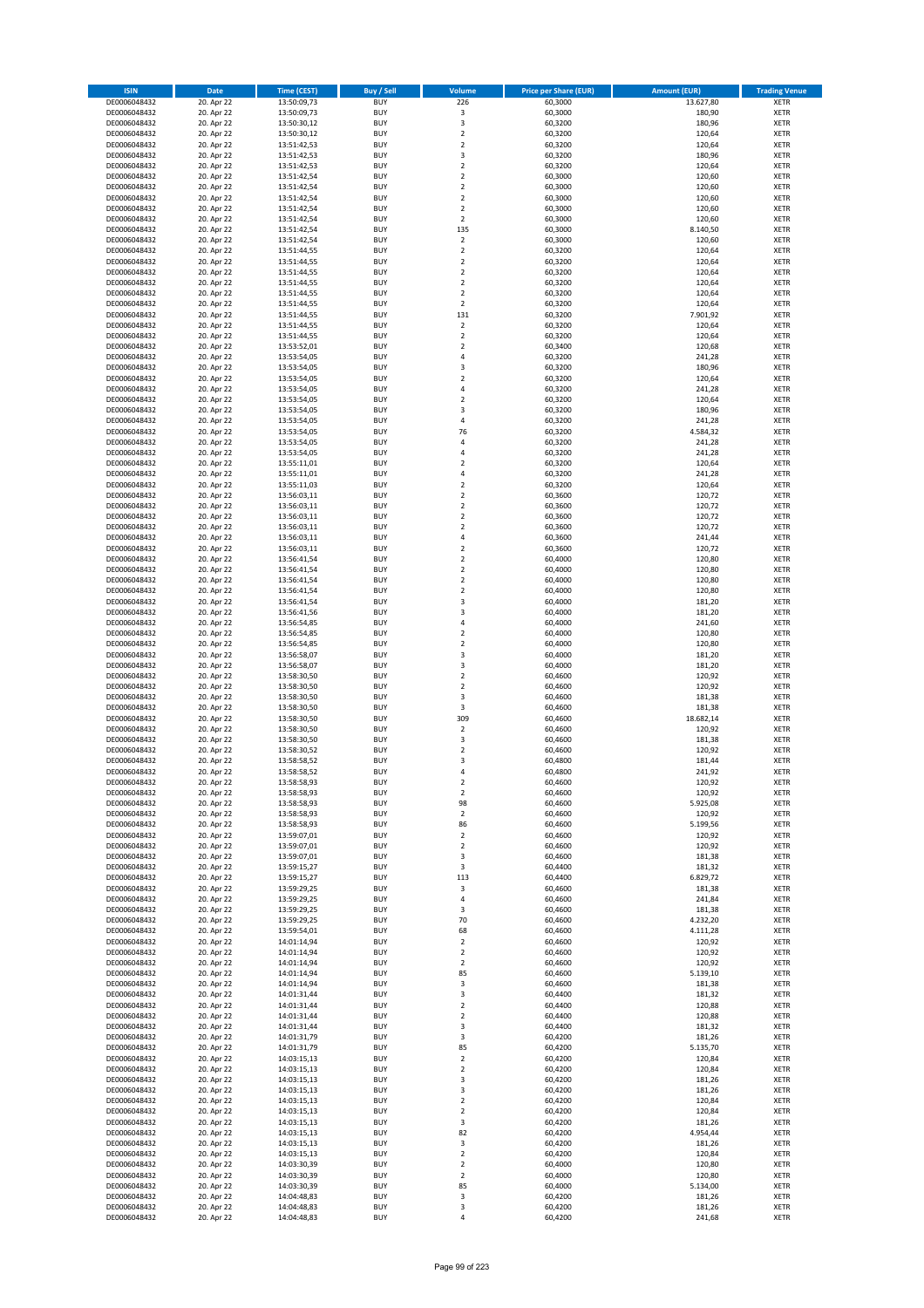| <b>ISIN</b>                  | <b>Date</b>              | <b>Time (CEST)</b>         | <b>Buy / Sell</b>        | <b>Volume</b>                          | <b>Price per Share (EUR)</b> | <b>Amount (EUR)</b> | <b>Trading Venue</b>       |
|------------------------------|--------------------------|----------------------------|--------------------------|----------------------------------------|------------------------------|---------------------|----------------------------|
| DE0006048432                 | 20. Apr 22               | 13:50:09,73                | <b>BUY</b>               | 226                                    | 60,3000                      | 13.627,80           | <b>XETR</b>                |
| DE0006048432                 | 20. Apr 22               | 13:50:09,73                | <b>BUY</b>               | $\mathsf 3$                            | 60,3000                      | 180,90              | <b>XETR</b>                |
| DE0006048432                 | 20. Apr 22               | 13:50:30,12                | <b>BUY</b>               | 3                                      | 60,3200                      | 180,96              | <b>XETR</b>                |
| DE0006048432                 | 20. Apr 22               | 13:50:30,12                | <b>BUY</b>               | $\mathbf 2$                            | 60,3200                      | 120,64              | <b>XETR</b>                |
| DE0006048432                 | 20. Apr 22               | 13:51:42,53                | <b>BUY</b>               | $\overline{\mathbf{c}}$                | 60,3200                      | 120,64              | <b>XETR</b>                |
| DE0006048432                 | 20. Apr 22               | 13:51:42,53                | <b>BUY</b>               | 3                                      | 60,3200                      | 180,96              | <b>XETR</b>                |
| DE0006048432                 | 20. Apr 22               | 13:51:42,53                | <b>BUY</b>               | $\overline{\mathbf{c}}$                | 60,3200                      | 120,64              | <b>XETR</b>                |
| DE0006048432                 | 20. Apr 22               | 13:51:42,54                | <b>BUY</b>               | $\mathbf 2$                            | 60,3000                      | 120,60              | <b>XETR</b>                |
| DE0006048432                 | 20. Apr 22               | 13:51:42,54                | <b>BUY</b>               | $\overline{2}$                         | 60,3000                      | 120,60              | <b>XETR</b>                |
| DE0006048432                 | 20. Apr 22               | 13:51:42,54                | <b>BUY</b>               | $\overline{2}$                         | 60,3000                      | 120,60              | <b>XETR</b>                |
| DE0006048432                 | 20. Apr 22               | 13:51:42,54                | <b>BUY</b>               | $\mathbf 2$                            | 60,3000                      | 120,60              | <b>XETR</b>                |
| DE0006048432                 | 20. Apr 22               | 13:51:42,54                | <b>BUY</b>               | $\overline{\mathbf{c}}$                | 60,3000                      | 120,60              | <b>XETR</b>                |
| DE0006048432                 | 20. Apr 22               | 13:51:42,54                | <b>BUY</b>               | 135                                    | 60,3000                      | 8.140,50            | <b>XETR</b>                |
| DE0006048432                 | 20. Apr 22               | 13:51:42,54                | <b>BUY</b>               | $\overline{\mathbf{c}}$                | 60,3000                      | 120,60              | <b>XETR</b>                |
| DE0006048432<br>DE0006048432 | 20. Apr 22<br>20. Apr 22 | 13:51:44,55<br>13:51:44,55 | <b>BUY</b><br><b>BUY</b> | $\mathbf 2$<br>$\overline{\mathbf{c}}$ | 60,3200<br>60,3200           | 120,64<br>120,64    | <b>XETR</b><br><b>XETR</b> |
| DE0006048432                 | 20. Apr 22               | 13:51:44,55                | <b>BUY</b>               | $\mathbf 2$                            | 60,3200                      | 120,64              | <b>XETR</b>                |
| DE0006048432                 | 20. Apr 22               | 13:51:44,55                | <b>BUY</b>               | $\mathbf 2$                            | 60,3200                      | 120,64              | <b>XETR</b>                |
| DE0006048432                 | 20. Apr 22               | 13:51:44,55                | <b>BUY</b>               | $\overline{\mathbf{c}}$                | 60,3200                      | 120,64              | <b>XETR</b>                |
| DE0006048432                 | 20. Apr 22               | 13:51:44,55                | <b>BUY</b>               | $\mathbf 2$                            | 60,3200                      | 120,64              | <b>XETR</b>                |
| DE0006048432                 | 20. Apr 22               | 13:51:44,55                | <b>BUY</b>               | 131                                    | 60,3200                      | 7.901,92            | <b>XETR</b>                |
| DE0006048432                 | 20. Apr 22               | 13:51:44,55                | <b>BUY</b>               | $\mathbf 2$                            | 60,3200                      | 120,64              | <b>XETR</b>                |
| DE0006048432                 | 20. Apr 22               | 13:51:44,55                | <b>BUY</b>               | $\mathbf 2$                            | 60,3200                      | 120,64              | <b>XETR</b>                |
| DE0006048432                 | 20. Apr 22               | 13:53:52,01                | <b>BUY</b>               | $\mathbf 2$                            | 60,3400                      | 120,68              | <b>XETR</b>                |
| DE0006048432                 | 20. Apr 22               | 13:53:54,05                | <b>BUY</b>               | 4                                      | 60,3200                      | 241,28              | <b>XETR</b>                |
| DE0006048432                 | 20. Apr 22               | 13:53:54,05                | <b>BUY</b>               | 3                                      | 60,3200                      | 180,96              | <b>XETR</b>                |
| DE0006048432                 | 20. Apr 22               | 13:53:54,05                | <b>BUY</b>               | $\mathbf 2$                            | 60,3200                      | 120,64              | <b>XETR</b>                |
| DE0006048432                 | 20. Apr 22               | 13:53:54,05                | <b>BUY</b>               | 4                                      | 60,3200                      | 241,28              | <b>XETR</b>                |
| DE0006048432                 | 20. Apr 22               | 13:53:54,05                | <b>BUY</b>               | $\mathbf 2$                            | 60,3200                      | 120,64              | <b>XETR</b>                |
| DE0006048432                 | 20. Apr 22               | 13:53:54,05                | <b>BUY</b>               | 3                                      | 60,3200                      | 180,96              | <b>XETR</b>                |
| DE0006048432                 | 20. Apr 22               | 13:53:54,05                | <b>BUY</b>               | 4                                      | 60,3200                      | 241,28              | <b>XETR</b>                |
| DE0006048432                 | 20. Apr 22               | 13:53:54,05                | <b>BUY</b>               | 76                                     | 60,3200                      | 4.584,32            | <b>XETR</b>                |
| DE0006048432                 | 20. Apr 22               | 13:53:54,05                | <b>BUY</b>               | 4                                      | 60,3200                      | 241,28              | <b>XETR</b>                |
| DE0006048432                 | 20. Apr 22               | 13:53:54,05                | <b>BUY</b>               | 4                                      | 60,3200                      | 241,28              | <b>XETR</b>                |
| DE0006048432                 | 20. Apr 22<br>20. Apr 22 | 13:55:11,01<br>13:55:11,01 | <b>BUY</b><br><b>BUY</b> | $\overline{\mathbf{c}}$                | 60,3200                      | 120,64              | <b>XETR</b><br><b>XETR</b> |
| DE0006048432<br>DE0006048432 | 20. Apr 22               | 13:55:11,03                | <b>BUY</b>               | 4<br>$\overline{\mathbf{c}}$           | 60,3200<br>60,3200           | 241,28<br>120,64    | <b>XETR</b>                |
| DE0006048432                 | 20. Apr 22               | 13:56:03,11                | <b>BUY</b>               | $\mathbf 2$                            | 60,3600                      | 120,72              | <b>XETR</b>                |
| DE0006048432                 | 20. Apr 22               | 13:56:03,11                | <b>BUY</b>               | $\mathbf 2$                            | 60,3600                      | 120,72              | <b>XETR</b>                |
| DE0006048432                 | 20. Apr 22               | 13:56:03,11                | <b>BUY</b>               | $\mathbf 2$                            | 60,3600                      | 120,72              | <b>XETR</b>                |
| DE0006048432                 | 20. Apr 22               | 13:56:03,11                | <b>BUY</b>               | $\overline{\mathbf{c}}$                | 60,3600                      | 120,72              | <b>XETR</b>                |
| DE0006048432                 | 20. Apr 22               | 13:56:03,11                | <b>BUY</b>               | 4                                      | 60,3600                      | 241,44              | <b>XETR</b>                |
| DE0006048432                 | 20. Apr 22               | 13:56:03,11                | <b>BUY</b>               | $\mathbf 2$                            | 60,3600                      | 120,72              | <b>XETR</b>                |
| DE0006048432                 | 20. Apr 22               | 13:56:41,54                | <b>BUY</b>               | $\overline{\mathbf{c}}$                | 60,4000                      | 120,80              | <b>XETR</b>                |
| DE0006048432                 | 20. Apr 22               | 13:56:41,54                | <b>BUY</b>               | $\mathbf 2$                            | 60,4000                      | 120,80              | <b>XETR</b>                |
| DE0006048432                 | 20. Apr 22               | 13:56:41,54                | <b>BUY</b>               | $\overline{2}$                         | 60,4000                      | 120,80              | <b>XETR</b>                |
| DE0006048432                 | 20. Apr 22               | 13:56:41,54                | <b>BUY</b>               | $\mathbf 2$                            | 60,4000                      | 120,80              | <b>XETR</b>                |
| DE0006048432                 | 20. Apr 22               | 13:56:41,54                | <b>BUY</b>               | 3                                      | 60,4000                      | 181,20              | <b>XETR</b>                |
| DE0006048432                 | 20. Apr 22               | 13:56:41,56                | <b>BUY</b>               | 3                                      | 60,4000                      | 181,20              | <b>XETR</b>                |
| DE0006048432                 | 20. Apr 22               | 13:56:54,85                | <b>BUY</b>               | 4                                      | 60,4000                      | 241,60              | <b>XETR</b>                |
| DE0006048432                 | 20. Apr 22               | 13:56:54,85                | <b>BUY</b>               | $\overline{\mathbf{c}}$                | 60,4000                      | 120,80              | <b>XETR</b>                |
| DE0006048432                 | 20. Apr 22               | 13:56:54,85                | <b>BUY</b>               | $\mathbf 2$                            | 60,4000                      | 120,80              | <b>XETR</b>                |
| DE0006048432                 | 20. Apr 22               | 13:56:58,07                | <b>BUY</b>               | 3                                      | 60,4000                      | 181,20              | <b>XETR</b>                |
| DE0006048432<br>DE0006048432 | 20. Apr 22               | 13:56:58,07                | <b>BUY</b><br><b>BUY</b> | 3<br>$\overline{\mathbf{c}}$           | 60,4000                      | 181,20              | <b>XETR</b><br><b>XETR</b> |
|                              | 20. Apr 22<br>20. Apr 22 | 13:58:30,50                | <b>BUY</b>               | $\mathbf 2$                            | 60,4600                      | 120,92              | <b>XETR</b>                |
| DE0006048432<br>DE0006048432 | 20. Apr 22               | 13:58:30,50<br>13:58:30,50 | <b>BUY</b>               | 3                                      | 60,4600<br>60,4600           | 120,92<br>181,38    | <b>XETR</b>                |
| DE0006048432                 | 20. Apr 22               | 13:58:30,50                | <b>BUY</b>               | 3                                      | 60,4600                      | 181,38              | <b>XETR</b>                |
| DE0006048432                 | 20. Apr 22               | 13:58:30,50                | <b>BUY</b>               | 309                                    | 60,4600                      | 18.682,14           | <b>XETR</b>                |
| DE0006048432                 | 20. Apr 22               | 13:58:30,50                | <b>BUY</b>               | $\overline{\mathbf{c}}$                | 60,4600                      | 120,92              | <b>XETR</b>                |
| DE0006048432                 | 20. Apr 22               | 13:58:30,50                | <b>BUY</b>               | 3                                      | 60,4600                      | 181,38              | <b>XETR</b>                |
| DE0006048432                 | 20. Apr 22               | 13:58:30,52                | <b>BUY</b>               | $\overline{\mathbf{c}}$                | 60,4600                      | 120,92              | <b>XETR</b>                |
| DE0006048432                 | 20. Apr 22               | 13:58:58,52                | <b>BUY</b>               | 3                                      | 60,4800                      | 181,44              | <b>XETR</b>                |
| DE0006048432                 | 20. Apr 22               | 13:58:58,52                | <b>BUY</b>               | 4                                      | 60,4800                      | 241,92              | <b>XETR</b>                |
| DE0006048432                 | 20. Apr 22               | 13:58:58,93                | BUY                      | 2                                      | 60,4600                      | 120,92              | <b>XETR</b>                |
| DE0006048432                 | 20. Apr 22               | 13:58:58,93                | <b>BUY</b>               | $\mathbf 2$                            | 60,4600                      | 120,92              | <b>XETR</b>                |
| DE0006048432                 | 20. Apr 22               | 13:58:58,93                | <b>BUY</b>               | 98                                     | 60,4600                      | 5.925,08            | <b>XETR</b>                |
| DE0006048432                 | 20. Apr 22               | 13:58:58,93                | <b>BUY</b>               | $\mathbf 2$                            | 60,4600                      | 120,92              | XETR                       |
| DE0006048432                 | 20. Apr 22               | 13:58:58,93                | <b>BUY</b>               | 86                                     | 60,4600                      | 5.199,56            | <b>XETR</b>                |
| DE0006048432                 | 20. Apr 22               | 13:59:07,01                | <b>BUY</b>               | $\mathbf 2$                            | 60,4600                      | 120,92              | <b>XETR</b>                |
| DE0006048432                 | 20. Apr 22               | 13:59:07,01                | <b>BUY</b>               | $\overline{2}$                         | 60,4600                      | 120,92              | <b>XETR</b>                |
| DE0006048432                 | 20. Apr 22               | 13:59:07,01                | <b>BUY</b>               | 3                                      | 60,4600                      | 181,38              | <b>XETR</b>                |
| DE0006048432                 | 20. Apr 22               | 13:59:15,27                | <b>BUY</b>               | 3                                      | 60,4400                      | 181,32              | <b>XETR</b>                |
| DE0006048432                 | 20. Apr 22               | 13:59:15,27                | <b>BUY</b>               | 113                                    | 60,4400                      | 6.829,72            | <b>XETR</b>                |
| DE0006048432<br>DE0006048432 | 20. Apr 22<br>20. Apr 22 | 13:59:29,25<br>13:59:29,25 | <b>BUY</b><br><b>BUY</b> | 3<br>4                                 | 60,4600<br>60.4600           | 181,38<br>241,84    | <b>XETR</b><br><b>XETR</b> |
| DE0006048432                 | 20. Apr 22               |                            |                          | 3                                      | 60,4600                      | 181,38              |                            |
| DE0006048432                 | 20. Apr 22               | 13:59:29,25<br>13:59:29,25 | <b>BUY</b><br><b>BUY</b> | 70                                     | 60,4600                      | 4.232,20            | <b>XETR</b><br><b>XETR</b> |
| DE0006048432                 | 20. Apr 22               | 13:59:54,01                | <b>BUY</b>               | 68                                     | 60,4600                      | 4.111,28            | <b>XETR</b>                |
| DE0006048432                 | 20. Apr 22               | 14:01:14,94                | <b>BUY</b>               | $\overline{2}$                         | 60,4600                      | 120,92              | <b>XETR</b>                |
| DE0006048432                 | 20. Apr 22               | 14:01:14,94                | <b>BUY</b>               | $\mathbf 2$                            | 60,4600                      | 120,92              | <b>XETR</b>                |
| DE0006048432                 | 20. Apr 22               | 14:01:14,94                | <b>BUY</b>               | $\mathbf 2$                            | 60,4600                      | 120,92              | <b>XETR</b>                |
| DE0006048432                 | 20. Apr 22               | 14:01:14,94                | <b>BUY</b>               | 85                                     | 60,4600                      | 5.139,10            | XETR                       |
| DE0006048432                 | 20. Apr 22               | 14:01:14,94                | <b>BUY</b>               | 3                                      | 60,4600                      | 181,38              | <b>XETR</b>                |
| DE0006048432                 | 20. Apr 22               | 14:01:31,44                | <b>BUY</b>               | 3                                      | 60,4400                      | 181,32              | <b>XETR</b>                |
| DE0006048432                 | 20. Apr 22               | 14:01:31,44                | <b>BUY</b>               | $\mathbf 2$                            | 60,4400                      | 120,88              | <b>XETR</b>                |
| DE0006048432                 | 20. Apr 22               | 14:01:31,44                | <b>BUY</b>               | $\overline{2}$                         | 60,4400                      | 120,88              | <b>XETR</b>                |
| DE0006048432                 | 20. Apr 22               | 14:01:31,44                | <b>BUY</b>               | 3                                      | 60,4400                      | 181,32              | <b>XETR</b>                |
| DE0006048432                 | 20. Apr 22               | 14:01:31,79                | <b>BUY</b>               | 3                                      | 60,4200                      | 181,26              | <b>XETR</b>                |
| DE0006048432                 | 20. Apr 22               | 14:01:31,79                | <b>BUY</b>               | 85                                     | 60,4200                      | 5.135,70            | <b>XETR</b>                |
| DE0006048432                 | 20. Apr 22               | 14:03:15,13                | <b>BUY</b>               | $\mathbf 2$                            | 60,4200                      | 120,84              | <b>XETR</b>                |
| DE0006048432                 | 20. Apr 22               | 14:03:15,13                | <b>BUY</b>               | $\overline{2}$                         | 60,4200                      | 120,84              | <b>XETR</b>                |
| DE0006048432                 | 20. Apr 22               | 14:03:15,13                | <b>BUY</b>               | 3                                      | 60,4200                      | 181,26              | <b>XETR</b>                |
| DE0006048432                 | 20. Apr 22               | 14:03:15,13                | <b>BUY</b>               | 3                                      | 60,4200                      | 181,26              | <b>XETR</b>                |
| DE0006048432                 | 20. Apr 22               | 14:03:15,13                | <b>BUY</b><br><b>BUY</b> | $\mathbf 2$                            | 60,4200<br>60,4200           | 120,84              | <b>XETR</b><br><b>XETR</b> |
| DE0006048432<br>DE0006048432 | 20. Apr 22<br>20. Apr 22 | 14:03:15,13<br>14:03:15,13 | <b>BUY</b>               | $\mathbf 2$<br>3                       | 60,4200                      | 120,84<br>181,26    | <b>XETR</b>                |
| DE0006048432                 | 20. Apr 22               | 14:03:15,13                | <b>BUY</b>               | 82                                     | 60,4200                      | 4.954,44            | <b>XETR</b>                |
| DE0006048432                 | 20. Apr 22               | 14:03:15,13                | <b>BUY</b>               | 3                                      | 60,4200                      | 181,26              | <b>XETR</b>                |
| DE0006048432                 | 20. Apr 22               | 14:03:15,13                | <b>BUY</b>               | $\mathbf 2$                            | 60,4200                      | 120,84              | <b>XETR</b>                |
| DE0006048432                 | 20. Apr 22               | 14:03:30,39                | <b>BUY</b>               | $\overline{2}$                         | 60,4000                      | 120,80              | <b>XETR</b>                |
| DE0006048432                 | 20. Apr 22               | 14:03:30,39                | <b>BUY</b>               | $\mathbf 2$                            | 60,4000                      | 120,80              | XETR                       |
| DE0006048432                 | 20. Apr 22               | 14:03:30,39                | <b>BUY</b>               | 85                                     | 60,4000                      | 5.134,00            | <b>XETR</b>                |
| DE0006048432                 | 20. Apr 22               | 14:04:48,83                | <b>BUY</b>               | 3                                      | 60,4200                      | 181,26              | <b>XETR</b>                |
| DE0006048432                 | 20. Apr 22               | 14:04:48,83                | <b>BUY</b>               | 3                                      | 60,4200                      | 181,26              | <b>XETR</b>                |
| DE0006048432                 | 20. Apr 22               | 14:04:48,83                | <b>BUY</b>               | 4                                      | 60,4200                      | 241,68              | <b>XETR</b>                |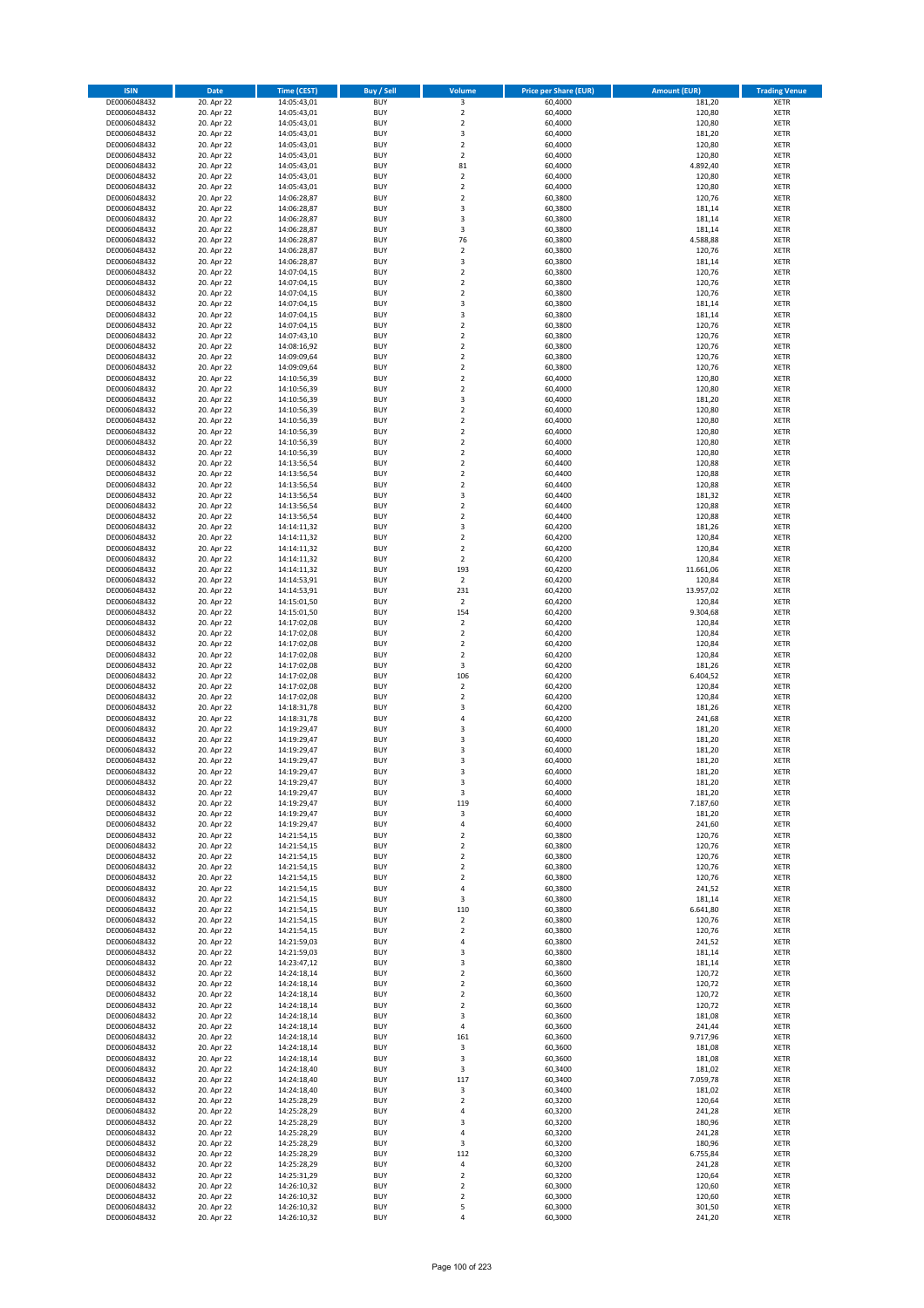| <b>ISIN</b>                  | Date                     | <b>Time (CEST)</b>         | <b>Buy / Sell</b>        | <b>Volume</b>                          | <b>Price per Share (EUR)</b> | <b>Amount (EUR)</b> | <b>Trading Venue</b>       |
|------------------------------|--------------------------|----------------------------|--------------------------|----------------------------------------|------------------------------|---------------------|----------------------------|
| DE0006048432                 | 20. Apr 22               | 14:05:43,01                | <b>BUY</b>               | 3                                      | 60,4000                      | 181,20              | <b>XETR</b>                |
| DE0006048432                 | 20. Apr 22               | 14:05:43,01                | <b>BUY</b>               | $\overline{2}$                         | 60,4000                      | 120,80              | <b>XETR</b>                |
| DE0006048432                 | 20. Apr 22               | 14:05:43,01                | <b>BUY</b>               | $\mathbf 2$                            | 60,4000                      | 120,80              | <b>XETR</b>                |
| DE0006048432                 | 20. Apr 22               | 14:05:43,01                | <b>BUY</b>               | 3                                      | 60,4000                      | 181,20              | <b>XETR</b>                |
| DE0006048432<br>DE0006048432 | 20. Apr 22<br>20. Apr 22 | 14:05:43,01<br>14:05:43,01 | <b>BUY</b><br><b>BUY</b> | $\mathbf 2$<br>$\overline{2}$          | 60,4000<br>60,4000           | 120,80<br>120,80    | <b>XETR</b><br><b>XETR</b> |
| DE0006048432                 | 20. Apr 22               | 14:05:43,01                | <b>BUY</b>               | 81                                     | 60,4000                      | 4.892,40            | <b>XETR</b>                |
| DE0006048432                 | 20. Apr 22               | 14:05:43,01                | <b>BUY</b>               | $\mathbf 2$                            | 60,4000                      | 120,80              | <b>XETR</b>                |
| DE0006048432                 | 20. Apr 22               | 14:05:43,01                | <b>BUY</b>               | $\overline{2}$                         | 60,4000                      | 120,80              | <b>XETR</b>                |
| DE0006048432                 | 20. Apr 22               | 14:06:28,87                | <b>BUY</b>               | $\mathbf 2$                            | 60,3800                      | 120,76              | <b>XETR</b>                |
| DE0006048432                 | 20. Apr 22               | 14:06:28,87                | <b>BUY</b>               | 3                                      | 60,3800                      | 181,14              | <b>XETR</b>                |
| DE0006048432                 | 20. Apr 22               | 14:06:28,87                | <b>BUY</b>               | 3                                      | 60,3800                      | 181,14              | <b>XETR</b>                |
| DE0006048432<br>DE0006048432 | 20. Apr 22               | 14:06:28,87                | <b>BUY</b><br><b>BUY</b> | 3<br>76                                | 60,3800                      | 181,14<br>4.588,88  | <b>XETR</b><br><b>XETR</b> |
| DE0006048432                 | 20. Apr 22<br>20. Apr 22 | 14:06:28,87<br>14:06:28,87 | <b>BUY</b>               | $\overline{2}$                         | 60,3800<br>60,3800           | 120,76              | <b>XETR</b>                |
| DE0006048432                 | 20. Apr 22               | 14:06:28,87                | <b>BUY</b>               | 3                                      | 60,3800                      | 181,14              | <b>XETR</b>                |
| DE0006048432                 | 20. Apr 22               | 14:07:04,15                | <b>BUY</b>               | $\overline{2}$                         | 60,3800                      | 120,76              | <b>XETR</b>                |
| DE0006048432                 | 20. Apr 22               | 14:07:04,15                | <b>BUY</b>               | $\mathbf 2$                            | 60,3800                      | 120,76              | <b>XETR</b>                |
| DE0006048432                 | 20. Apr 22               | 14:07:04,15                | <b>BUY</b>               | $\mathbf 2$                            | 60,3800                      | 120,76              | <b>XETR</b>                |
| DE0006048432                 | 20. Apr 22               | 14:07:04,15                | <b>BUY</b>               | 3                                      | 60,3800                      | 181,14              | <b>XETR</b>                |
| DE0006048432                 | 20. Apr 22               | 14:07:04,15                | <b>BUY</b>               | 3                                      | 60,3800                      | 181,14              | <b>XETR</b>                |
| DE0006048432                 | 20. Apr 22               | 14:07:04,15                | <b>BUY</b><br><b>BUY</b> | $\overline{\mathbf{c}}$<br>$\mathbf 2$ | 60,3800                      | 120,76              | <b>XETR</b>                |
| DE0006048432<br>DE0006048432 | 20. Apr 22<br>20. Apr 22 | 14:07:43,10<br>14:08:16,92 | <b>BUY</b>               | $\overline{2}$                         | 60,3800<br>60,3800           | 120,76<br>120,76    | <b>XETR</b><br><b>XETR</b> |
| DE0006048432                 | 20. Apr 22               | 14:09:09,64                | <b>BUY</b>               | $\mathbf 2$                            | 60,3800                      | 120,76              | <b>XETR</b>                |
| DE0006048432                 | 20. Apr 22               | 14:09:09,64                | <b>BUY</b>               | $\mathbf 2$                            | 60,3800                      | 120,76              | <b>XETR</b>                |
| DE0006048432                 | 20. Apr 22               | 14:10:56,39                | <b>BUY</b>               | $\overline{2}$                         | 60,4000                      | 120,80              | <b>XETR</b>                |
| DE0006048432                 | 20. Apr 22               | 14:10:56,39                | <b>BUY</b>               | $\mathbf 2$                            | 60,4000                      | 120,80              | <b>XETR</b>                |
| DE0006048432                 | 20. Apr 22               | 14:10:56,39                | <b>BUY</b>               | 3                                      | 60,4000                      | 181,20              | <b>XETR</b>                |
| DE0006048432                 | 20. Apr 22               | 14:10:56,39                | <b>BUY</b>               | $\overline{2}$                         | 60,4000                      | 120,80              | <b>XETR</b>                |
| DE0006048432<br>DE0006048432 | 20. Apr 22               | 14:10:56,39                | <b>BUY</b><br><b>BUY</b> | $\mathbf 2$<br>$\mathbf 2$             | 60,4000                      | 120,80<br>120,80    | <b>XETR</b><br><b>XETR</b> |
| DE0006048432                 | 20. Apr 22<br>20. Apr 22 | 14:10:56,39<br>14:10:56,39 | <b>BUY</b>               | $\mathbf 2$                            | 60,4000<br>60,4000           | 120,80              | <b>XETR</b>                |
| DE0006048432                 | 20. Apr 22               | 14:10:56,39                | <b>BUY</b>               | $\mathbf 2$                            | 60,4000                      | 120,80              | <b>XETR</b>                |
| DE0006048432                 | 20. Apr 22               | 14:13:56,54                | <b>BUY</b>               | $\mathbf 2$                            | 60,4400                      | 120,88              | <b>XETR</b>                |
| DE0006048432                 | 20. Apr 22               | 14:13:56,54                | <b>BUY</b>               | $\overline{\mathbf{c}}$                | 60,4400                      | 120,88              | <b>XETR</b>                |
| DE0006048432                 | 20. Apr 22               | 14:13:56,54                | <b>BUY</b>               | $\overline{2}$                         | 60,4400                      | 120,88              | <b>XETR</b>                |
| DE0006048432                 | 20. Apr 22               | 14:13:56,54                | <b>BUY</b>               | 3                                      | 60,4400                      | 181,32              | <b>XETR</b>                |
| DE0006048432                 | 20. Apr 22               | 14:13:56,54                | <b>BUY</b>               | $\mathbf 2$                            | 60,4400                      | 120,88              | <b>XETR</b>                |
| DE0006048432                 | 20. Apr 22               | 14:13:56,54                | <b>BUY</b>               | $\overline{2}$                         | 60,4400                      | 120,88              | <b>XETR</b>                |
| DE0006048432<br>DE0006048432 | 20. Apr 22<br>20. Apr 22 | 14:14:11,32<br>14:14:11,32 | <b>BUY</b><br><b>BUY</b> | 3<br>$\overline{2}$                    | 60,4200<br>60,4200           | 181,26<br>120,84    | <b>XETR</b><br><b>XETR</b> |
| DE0006048432                 | 20. Apr 22               | 14:14:11,32                | <b>BUY</b>               | $\overline{2}$                         | 60,4200                      | 120,84              | <b>XETR</b>                |
| DE0006048432                 | 20. Apr 22               | 14:14:11,32                | <b>BUY</b>               | $\overline{2}$                         | 60,4200                      | 120,84              | <b>XETR</b>                |
| DE0006048432                 | 20. Apr 22               | 14:14:11,32                | <b>BUY</b>               | 193                                    | 60,4200                      | 11.661,06           | <b>XETR</b>                |
| DE0006048432                 | 20. Apr 22               | 14:14:53,91                | <b>BUY</b>               | $\mathbf 2$                            | 60,4200                      | 120,84              | <b>XETR</b>                |
| DE0006048432                 | 20. Apr 22               | 14:14:53,91                | <b>BUY</b>               | 231                                    | 60,4200                      | 13.957,02           | <b>XETR</b>                |
| DE0006048432                 | 20. Apr 22               | 14:15:01,50                | <b>BUY</b>               | $\mathbf 2$                            | 60,4200                      | 120,84              | <b>XETR</b>                |
| DE0006048432                 | 20. Apr 22               | 14:15:01,50                | <b>BUY</b>               | 154                                    | 60,4200                      | 9.304,68            | <b>XETR</b>                |
| DE0006048432                 | 20. Apr 22               | 14:17:02,08                | <b>BUY</b><br><b>BUY</b> | $\mathbf 2$<br>$\mathbf 2$             | 60,4200                      | 120,84              | <b>XETR</b><br><b>XETR</b> |
| DE0006048432<br>DE0006048432 | 20. Apr 22<br>20. Apr 22 | 14:17:02,08<br>14:17:02,08 | <b>BUY</b>               | $\overline{2}$                         | 60,4200<br>60,4200           | 120,84<br>120,84    | <b>XETR</b>                |
| DE0006048432                 | 20. Apr 22               | 14:17:02,08                | <b>BUY</b>               | $\mathbf 2$                            | 60,4200                      | 120,84              | <b>XETR</b>                |
| DE0006048432                 | 20. Apr 22               | 14:17:02,08                | <b>BUY</b>               | 3                                      | 60,4200                      | 181,26              | <b>XETR</b>                |
| DE0006048432                 | 20. Apr 22               | 14:17:02,08                | <b>BUY</b>               | 106                                    | 60,4200                      | 6.404,52            | <b>XETR</b>                |
| DE0006048432                 | 20. Apr 22               | 14:17:02,08                | <b>BUY</b>               | $\overline{2}$                         | 60,4200                      | 120,84              | <b>XETR</b>                |
| DE0006048432                 | 20. Apr 22               | 14:17:02,08                | <b>BUY</b>               | $\overline{2}$                         | 60,4200                      | 120,84              | <b>XETR</b>                |
| DE0006048432                 | 20. Apr 22               | 14:18:31,78                | <b>BUY</b>               | 3                                      | 60,4200                      | 181,26              | <b>XETR</b>                |
| DE0006048432                 | 20. Apr 22               | 14:18:31,78                | <b>BUY</b>               | 4                                      | 60,4200                      | 241,68              | <b>XETR</b>                |
| DE0006048432<br>DE0006048432 | 20. Apr 22<br>20. Apr 22 | 14:19:29,47<br>14:19:29,47 | <b>BUY</b><br><b>BUY</b> | 3<br>3                                 | 60,4000<br>60,4000           | 181,20<br>181,20    | <b>XETR</b><br><b>XETR</b> |
| DE0006048432                 | 20. Apr 22               | 14:19:29,47                | <b>BUY</b>               | 3                                      | 60,4000                      | 181,20              | <b>XETR</b>                |
| DE0006048432                 | 20. Apr 22               | 14:19:29.47                | <b>BUY</b>               | 3                                      | 60,4000                      | 181,20              | <b>XETR</b>                |
| DE0006048432                 | 20. Apr 22               | 14:19:29,47                | <b>BUY</b>               | $\overline{3}$                         | 60,4000                      | 181,20              | <b>XETR</b>                |
| DE0006048432                 | 20. Apr 22               | 14:19:29,47                | <b>BUY</b>               | 3                                      | 60,4000                      | 181,20              | <b>XETR</b>                |
| DE0006048432                 | 20. Apr 22               | 14:19:29,47                | <b>BUY</b>               | 3                                      | 60,4000                      | 181,20              | <b>XETR</b>                |
| DE0006048432<br>DE0006048432 | 20. Apr 22<br>20. Apr 22 | 14:19:29,47                | <b>BUY</b><br><b>BUY</b> | 119<br>3                               | 60,4000<br>60,4000           | 7.187,60            | <b>XETR</b><br><b>XETR</b> |
| DE0006048432                 | 20. Apr 22               | 14:19:29,47<br>14:19:29,47 | <b>BUY</b>               | $\sqrt{4}$                             | 60,4000                      | 181,20<br>241,60    | <b>XETR</b>                |
| DE0006048432                 | 20. Apr 22               | 14:21:54,15                | <b>BUY</b>               | $\overline{2}$                         | 60,3800                      | 120,76              | <b>XETR</b>                |
| DE0006048432                 | 20. Apr 22               | 14:21:54,15                | <b>BUY</b>               | $\overline{2}$                         | 60,3800                      | 120,76              | <b>XETR</b>                |
| DE0006048432                 | 20. Apr 22               | 14:21:54,15                | <b>BUY</b>               | $\overline{2}$                         | 60,3800                      | 120,76              | <b>XETR</b>                |
| DE0006048432                 | 20. Apr 22               | 14:21:54,15                | <b>BUY</b>               | $\overline{2}$                         | 60,3800                      | 120,76              | <b>XETR</b>                |
| DE0006048432                 | 20. Apr 22               | 14:21:54,15                | <b>BUY</b>               | $\overline{2}$                         | 60,3800                      | 120,76              | <b>XETR</b>                |
| DE0006048432                 | 20. Apr 22               | 14:21:54,15                | <b>BUY</b>               | $\sqrt{4}$                             | 60,3800                      | 241,52              | <b>XETR</b>                |
| DE0006048432<br>DE0006048432 | 20. Apr 22<br>20. Apr 22 | 14:21:54,15<br>14:21:54,15 | <b>BUY</b><br><b>BUY</b> | 3<br>110                               | 60,3800<br>60,3800           | 181,14<br>6.641,80  | <b>XETR</b><br><b>XETR</b> |
| DE0006048432                 | 20. Apr 22               | 14:21:54,15                | <b>BUY</b>               | $\overline{2}$                         | 60,3800                      | 120,76              | <b>XETR</b>                |
| DE0006048432                 | 20. Apr 22               | 14:21:54,15                | <b>BUY</b>               | $\overline{2}$                         | 60,3800                      | 120,76              | <b>XETR</b>                |
| DE0006048432                 | 20. Apr 22               | 14:21:59,03                | <b>BUY</b>               | $\sqrt{4}$                             | 60,3800                      | 241,52              | <b>XETR</b>                |
| DE0006048432                 | 20. Apr 22               | 14:21:59,03                | <b>BUY</b>               | 3                                      | 60,3800                      | 181,14              | <b>XETR</b>                |
| DE0006048432                 | 20. Apr 22               | 14:23:47,12                | <b>BUY</b>               | 3                                      | 60,3800                      | 181,14              | <b>XETR</b>                |
| DE0006048432<br>DE0006048432 | 20. Apr 22<br>20. Apr 22 | 14:24:18,14                | <b>BUY</b><br><b>BUY</b> | $\overline{2}$<br>$\overline{2}$       | 60,3600                      | 120,72              | <b>XETR</b><br><b>XETR</b> |
| DE0006048432                 | 20. Apr 22               | 14:24:18,14<br>14:24:18,14 | <b>BUY</b>               | $\overline{2}$                         | 60,3600<br>60,3600           | 120,72<br>120,72    | <b>XETR</b>                |
| DE0006048432                 | 20. Apr 22               | 14:24:18,14                | <b>BUY</b>               | $\overline{2}$                         | 60,3600                      | 120,72              | <b>XETR</b>                |
| DE0006048432                 | 20. Apr 22               | 14:24:18,14                | <b>BUY</b>               | 3                                      | 60,3600                      | 181,08              | <b>XETR</b>                |
| DE0006048432                 | 20. Apr 22               | 14:24:18,14                | <b>BUY</b>               | 4                                      | 60,3600                      | 241,44              | <b>XETR</b>                |
| DE0006048432                 | 20. Apr 22               | 14:24:18,14                | <b>BUY</b>               | 161                                    | 60,3600                      | 9.717,96            | <b>XETR</b>                |
| DE0006048432                 | 20. Apr 22               | 14:24:18,14                | <b>BUY</b>               | 3                                      | 60,3600                      | 181,08              | <b>XETR</b>                |
| DE0006048432                 | 20. Apr 22               | 14:24:18,14                | <b>BUY</b>               | 3                                      | 60,3600                      | 181,08              | <b>XETR</b>                |
| DE0006048432<br>DE0006048432 | 20. Apr 22<br>20. Apr 22 | 14:24:18,40<br>14:24:18,40 | <b>BUY</b><br><b>BUY</b> | 3<br>117                               | 60,3400<br>60,3400           | 181,02<br>7.059,78  | <b>XETR</b><br><b>XETR</b> |
| DE0006048432                 | 20. Apr 22               | 14:24:18,40                | <b>BUY</b>               | 3                                      | 60,3400                      | 181,02              | <b>XETR</b>                |
| DE0006048432                 | 20. Apr 22               | 14:25:28,29                | <b>BUY</b>               | $\overline{2}$                         | 60,3200                      | 120,64              | <b>XETR</b>                |
| DE0006048432                 | 20. Apr 22               | 14:25:28,29                | <b>BUY</b>               | $\sqrt{4}$                             | 60,3200                      | 241,28              | <b>XETR</b>                |
| DE0006048432                 | 20. Apr 22               | 14:25:28,29                | <b>BUY</b>               | 3                                      | 60,3200                      | 180,96              | <b>XETR</b>                |
| DE0006048432                 | 20. Apr 22               | 14:25:28,29                | <b>BUY</b>               | $\sqrt{4}$                             | 60,3200                      | 241,28              | <b>XETR</b>                |
| DE0006048432                 | 20. Apr 22               | 14:25:28,29                | <b>BUY</b>               | 3                                      | 60,3200                      | 180,96              | <b>XETR</b>                |
| DE0006048432                 | 20. Apr 22               | 14:25:28,29                | <b>BUY</b>               | 112<br>$\sqrt{4}$                      | 60,3200                      | 6.755,84            | <b>XETR</b>                |
| DE0006048432<br>DE0006048432 | 20. Apr 22<br>20. Apr 22 | 14:25:28,29<br>14:25:31,29 | <b>BUY</b><br><b>BUY</b> | $\overline{2}$                         | 60,3200<br>60,3200           | 241,28<br>120,64    | <b>XETR</b><br><b>XETR</b> |
| DE0006048432                 | 20. Apr 22               | 14:26:10,32                | <b>BUY</b>               | $\mathbf 2$                            | 60,3000                      | 120,60              | <b>XETR</b>                |
| DE0006048432                 | 20. Apr 22               | 14:26:10,32                | <b>BUY</b>               | $\mathbf 2$                            | 60,3000                      | 120,60              | <b>XETR</b>                |
| DE0006048432                 | 20. Apr 22               | 14:26:10,32                | <b>BUY</b>               | 5                                      | 60,3000                      | 301,50              | <b>XETR</b>                |
| DE0006048432                 | 20. Apr 22               | 14:26:10,32                | <b>BUY</b>               | 4                                      | 60,3000                      | 241,20              | <b>XETR</b>                |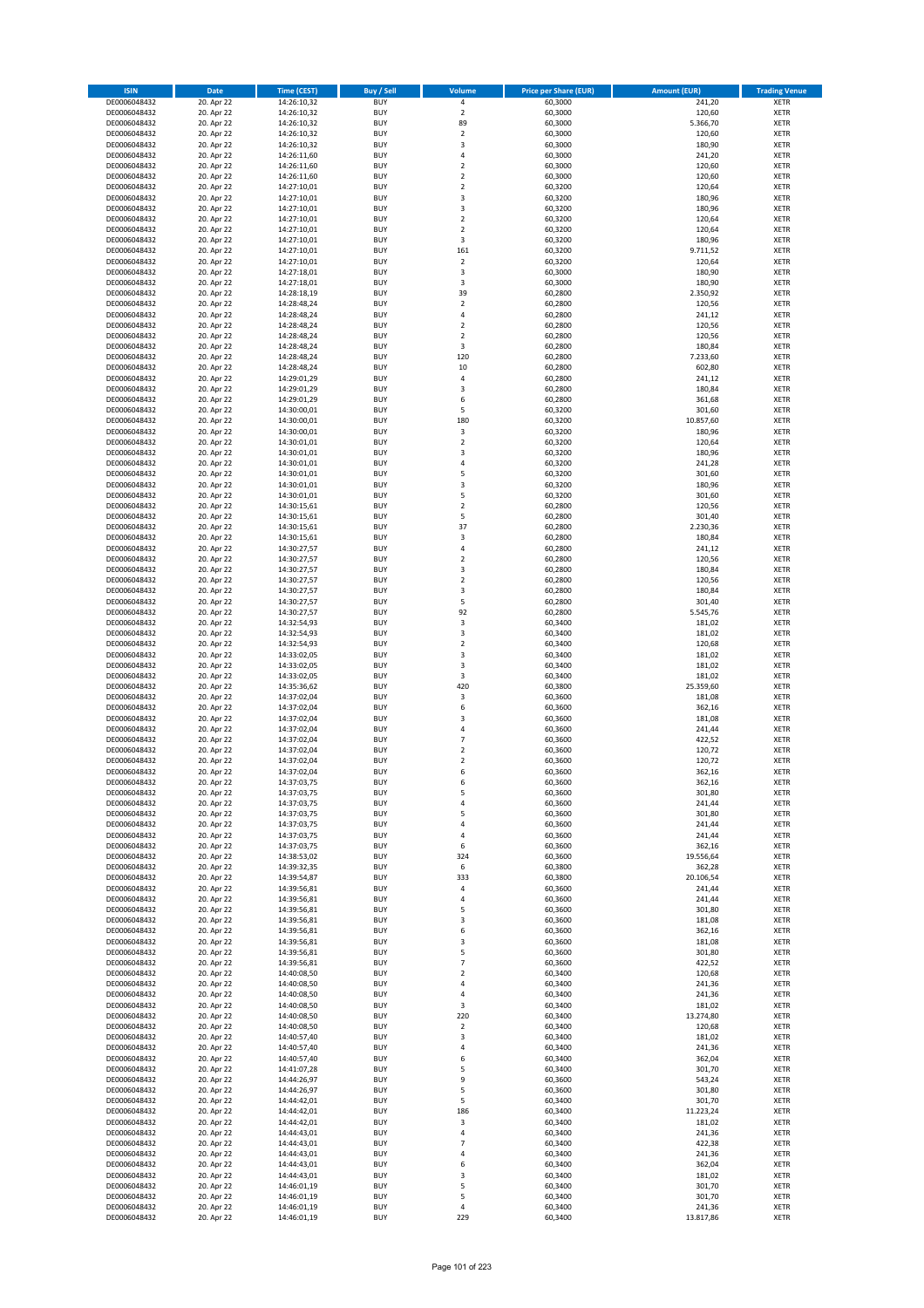| <b>ISIN</b>                  | Date                     | Time (CEST)                | <b>Buy / Sell</b>        | <b>Volume</b>                             | <b>Price per Share (EUR)</b> | <b>Amount (EUR)</b> | <b>Trading Venue</b>       |
|------------------------------|--------------------------|----------------------------|--------------------------|-------------------------------------------|------------------------------|---------------------|----------------------------|
| DE0006048432                 | 20. Apr 22               | 14:26:10,32                | <b>BUY</b>               | $\pmb{4}$                                 | 60,3000                      | 241,20              | <b>XETR</b>                |
| DE0006048432                 | 20. Apr 22               | 14:26:10,32                | <b>BUY</b>               | $\mathbf 2$                               | 60,3000                      | 120,60              | XETR                       |
| DE0006048432                 | 20. Apr 22               | 14:26:10,32                | <b>BUY</b>               | 89                                        | 60,3000                      | 5.366,70            | <b>XETR</b>                |
| DE0006048432<br>DE0006048432 | 20. Apr 22               | 14:26:10,32                | <b>BUY</b><br><b>BUY</b> | $\mathbf 2$<br>3                          | 60,3000                      | 120,60<br>180,90    | XETR<br><b>XETR</b>        |
| DE0006048432                 | 20. Apr 22<br>20. Apr 22 | 14:26:10,32<br>14:26:11,60 | <b>BUY</b>               | $\overline{4}$                            | 60,3000<br>60,3000           | 241,20              | <b>XETR</b>                |
| DE0006048432                 | 20. Apr 22               | 14:26:11,60                | <b>BUY</b>               | $\mathbf 2$                               | 60,3000                      | 120,60              | <b>XETR</b>                |
| DE0006048432                 | 20. Apr 22               | 14:26:11,60                | <b>BUY</b>               | $\mathbf 2$                               | 60,3000                      | 120,60              | <b>XETR</b>                |
| DE0006048432                 | 20. Apr 22               | 14:27:10,01                | <b>BUY</b>               | $\overline{2}$                            | 60,3200                      | 120,64              | <b>XETR</b>                |
| DE0006048432                 | 20. Apr 22               | 14:27:10,01                | <b>BUY</b>               | 3                                         | 60,3200                      | 180,96              | <b>XETR</b>                |
| DE0006048432                 | 20. Apr 22               | 14:27:10,01                | <b>BUY</b>               | $\mathsf 3$                               | 60,3200                      | 180,96              | <b>XETR</b>                |
| DE0006048432                 | 20. Apr 22<br>20. Apr 22 | 14:27:10,01                | <b>BUY</b><br><b>BUY</b> | $\overline{2}$<br>$\mathbf 2$             | 60,3200                      | 120,64<br>120,64    | <b>XETR</b><br><b>XETR</b> |
| DE0006048432<br>DE0006048432 | 20. Apr 22               | 14:27:10,01<br>14:27:10,01 | <b>BUY</b>               | 3                                         | 60,3200<br>60,3200           | 180,96              | <b>XETR</b>                |
| DE0006048432                 | 20. Apr 22               | 14:27:10,01                | <b>BUY</b>               | 161                                       | 60,3200                      | 9.711,52            | <b>XETR</b>                |
| DE0006048432                 | 20. Apr 22               | 14:27:10,01                | <b>BUY</b>               | $\mathbf 2$                               | 60,3200                      | 120,64              | <b>XETR</b>                |
| DE0006048432                 | 20. Apr 22               | 14:27:18,01                | <b>BUY</b>               | 3                                         | 60,3000                      | 180,90              | <b>XETR</b>                |
| DE0006048432                 | 20. Apr 22               | 14:27:18,01                | <b>BUY</b>               | 3                                         | 60,3000                      | 180,90              | <b>XETR</b>                |
| DE0006048432                 | 20. Apr 22               | 14:28:18,19                | <b>BUY</b>               | 39                                        | 60,2800                      | 2.350,92            | <b>XETR</b>                |
| DE0006048432                 | 20. Apr 22               | 14:28:48,24                | <b>BUY</b>               | $\mathbf 2$                               | 60,2800                      | 120,56              | <b>XETR</b>                |
| DE0006048432<br>DE0006048432 | 20. Apr 22<br>20. Apr 22 | 14:28:48,24<br>14:28:48,24 | <b>BUY</b><br><b>BUY</b> | 4<br>$\mathbf 2$                          | 60,2800<br>60,2800           | 241,12<br>120,56    | <b>XETR</b><br><b>XETR</b> |
| DE0006048432                 | 20. Apr 22               | 14:28:48,24                | <b>BUY</b>               | $\overline{2}$                            | 60,2800                      | 120,56              | <b>XETR</b>                |
| DE0006048432                 | 20. Apr 22               | 14:28:48,24                | <b>BUY</b>               | 3                                         | 60,2800                      | 180,84              | <b>XETR</b>                |
| DE0006048432                 | 20. Apr 22               | 14:28:48,24                | <b>BUY</b>               | 120                                       | 60,2800                      | 7.233,60            | <b>XETR</b>                |
| DE0006048432                 | 20. Apr 22               | 14:28:48,24                | <b>BUY</b>               | $10\,$                                    | 60,2800                      | 602,80              | <b>XETR</b>                |
| DE0006048432                 | 20. Apr 22               | 14:29:01,29                | <b>BUY</b>               | $\sqrt{4}$                                | 60,2800                      | 241,12              | <b>XETR</b>                |
| DE0006048432                 | 20. Apr 22               | 14:29:01,29                | <b>BUY</b>               | 3                                         | 60,2800                      | 180,84              | <b>XETR</b>                |
| DE0006048432<br>DE0006048432 | 20. Apr 22<br>20. Apr 22 | 14:29:01,29<br>14:30:00,01 | <b>BUY</b><br><b>BUY</b> | 6<br>5                                    | 60,2800<br>60,3200           | 361,68<br>301,60    | <b>XETR</b><br><b>XETR</b> |
| DE0006048432                 | 20. Apr 22               | 14:30:00,01                | <b>BUY</b>               | 180                                       | 60,3200                      | 10.857,60           | <b>XETR</b>                |
| DE0006048432                 | 20. Apr 22               | 14:30:00,01                | <b>BUY</b>               | 3                                         | 60,3200                      | 180,96              | <b>XETR</b>                |
| DE0006048432                 | 20. Apr 22               | 14:30:01,01                | <b>BUY</b>               | $\mathbf 2$                               | 60,3200                      | 120,64              | <b>XETR</b>                |
| DE0006048432                 | 20. Apr 22               | 14:30:01,01                | <b>BUY</b>               | 3                                         | 60,3200                      | 180,96              | <b>XETR</b>                |
| DE0006048432                 | 20. Apr 22               | 14:30:01,01                | <b>BUY</b>               | 4                                         | 60,3200                      | 241,28              | <b>XETR</b>                |
| DE0006048432                 | 20. Apr 22               | 14:30:01,01                | <b>BUY</b>               | 5                                         | 60,3200                      | 301,60              | <b>XETR</b>                |
| DE0006048432                 | 20. Apr 22               | 14:30:01,01                | <b>BUY</b><br><b>BUY</b> | 3<br>5                                    | 60,3200                      | 180,96              | <b>XETR</b>                |
| DE0006048432<br>DE0006048432 | 20. Apr 22<br>20. Apr 22 | 14:30:01,01<br>14:30:15,61 | <b>BUY</b>               | $\overline{2}$                            | 60,3200<br>60,2800           | 301,60<br>120,56    | <b>XETR</b><br><b>XETR</b> |
| DE0006048432                 | 20. Apr 22               | 14:30:15,61                | <b>BUY</b>               | 5                                         | 60,2800                      | 301,40              | <b>XETR</b>                |
| DE0006048432                 | 20. Apr 22               | 14:30:15,61                | <b>BUY</b>               | 37                                        | 60,2800                      | 2.230,36            | <b>XETR</b>                |
| DE0006048432                 | 20. Apr 22               | 14:30:15,61                | <b>BUY</b>               | 3                                         | 60,2800                      | 180,84              | <b>XETR</b>                |
| DE0006048432                 | 20. Apr 22               | 14:30:27,57                | <b>BUY</b>               | $\sqrt{4}$                                | 60,2800                      | 241,12              | <b>XETR</b>                |
| DE0006048432                 | 20. Apr 22               | 14:30:27,57                | <b>BUY</b>               | $\overline{2}$                            | 60,2800                      | 120,56              | <b>XETR</b>                |
| DE0006048432                 | 20. Apr 22               | 14:30:27,57                | <b>BUY</b>               | 3                                         | 60,2800                      | 180,84              | <b>XETR</b>                |
| DE0006048432                 | 20. Apr 22               | 14:30:27,57                | <b>BUY</b><br><b>BUY</b> | $\overline{2}$                            | 60,2800                      | 120,56              | <b>XETR</b>                |
| DE0006048432<br>DE0006048432 | 20. Apr 22<br>20. Apr 22 | 14:30:27,57<br>14:30:27,57 | <b>BUY</b>               | 3<br>5                                    | 60,2800<br>60,2800           | 180,84<br>301,40    | <b>XETR</b><br><b>XETR</b> |
| DE0006048432                 | 20. Apr 22               | 14:30:27,57                | <b>BUY</b>               | 92                                        | 60,2800                      | 5.545,76            | <b>XETR</b>                |
| DE0006048432                 | 20. Apr 22               | 14:32:54,93                | <b>BUY</b>               | 3                                         | 60,3400                      | 181,02              | <b>XETR</b>                |
| DE0006048432                 | 20. Apr 22               | 14:32:54,93                | <b>BUY</b>               | 3                                         | 60,3400                      | 181,02              | <b>XETR</b>                |
| DE0006048432                 | 20. Apr 22               | 14:32:54,93                | <b>BUY</b>               | $\mathbf 2$                               | 60,3400                      | 120,68              | <b>XETR</b>                |
| DE0006048432                 | 20. Apr 22               | 14:33:02,05                | <b>BUY</b>               | 3                                         | 60,3400                      | 181,02              | <b>XETR</b>                |
| DE0006048432<br>DE0006048432 | 20. Apr 22<br>20. Apr 22 | 14:33:02,05<br>14:33:02,05 | <b>BUY</b><br><b>BUY</b> | $\mathsf 3$<br>3                          | 60,3400<br>60,3400           | 181,02<br>181,02    | <b>XETR</b><br><b>XETR</b> |
| DE0006048432                 | 20. Apr 22               | 14:35:36,62                | <b>BUY</b>               | 420                                       | 60,3800                      | 25.359,60           | <b>XETR</b>                |
| DE0006048432                 | 20. Apr 22               | 14:37:02,04                | <b>BUY</b>               | 3                                         | 60,3600                      | 181,08              | <b>XETR</b>                |
| DE0006048432                 | 20. Apr 22               | 14:37:02,04                | <b>BUY</b>               | 6                                         | 60,3600                      | 362,16              | <b>XETR</b>                |
| DE0006048432                 | 20. Apr 22               | 14:37:02,04                | <b>BUY</b>               | 3                                         | 60,3600                      | 181,08              | <b>XETR</b>                |
| DE0006048432                 | 20. Apr 22               | 14:37:02,04                | <b>BUY</b>               | 4                                         | 60,3600                      | 241,44              | <b>XETR</b>                |
| DE0006048432                 | 20. Apr 22               | 14:37:02,04                | <b>BUY</b>               | $\overline{7}$                            | 60,3600                      | 422,52              | <b>XETR</b>                |
| DE0006048432<br>DE0006048432 | 20. Apr 22<br>20. Apr 22 | 14:37:02,04<br>14:37:02,04 | <b>BUY</b><br><b>BUY</b> | $\overline{\mathbf{c}}$<br>$\overline{2}$ | 60,3600<br>60,3600           | 120,72<br>120,72    | <b>XETR</b><br><b>XETR</b> |
| DE0006048432                 | 20. Apr 22               | 14:37:02,04                | <b>BUY</b>               | 6                                         | 60,3600                      | 362,16              | <b>XETR</b>                |
| DE0006048432                 | 20. Apr 22               | 14:37:03,75                | BUY                      | 6                                         | 60,3600                      | 362,16              | XETR                       |
| DE0006048432                 | 20. Apr 22               | 14:37:03,75                | <b>BUY</b>               | 5                                         | 60,3600                      | 301,80              | <b>XETR</b>                |
| DE0006048432                 | 20. Apr 22               | 14:37:03,75                | <b>BUY</b>               | 4                                         | 60,3600                      | 241,44              | <b>XETR</b>                |
| DE0006048432                 | 20. Apr 22               | 14:37:03,75                | <b>BUY</b>               | 5                                         | 60,3600                      | 301,80              | XETR                       |
| DE0006048432<br>DE0006048432 | 20. Apr 22<br>20. Apr 22 | 14:37:03,75<br>14:37:03,75 | <b>BUY</b><br><b>BUY</b> | 4<br>4                                    | 60,3600<br>60,3600           | 241,44<br>241,44    | <b>XETR</b><br><b>XETR</b> |
| DE0006048432                 | 20. Apr 22               | 14:37:03,75                | <b>BUY</b>               | 6                                         | 60,3600                      | 362,16              | <b>XETR</b>                |
| DE0006048432                 | 20. Apr 22               | 14:38:53,02                | <b>BUY</b>               | 324                                       | 60,3600                      | 19.556,64           | <b>XETR</b>                |
| DE0006048432                 | 20. Apr 22               | 14:39:32,35                | <b>BUY</b>               | 6                                         | 60,3800                      | 362,28              | XETR                       |
| DE0006048432                 | 20. Apr 22               | 14:39:54,87                | <b>BUY</b>               | 333                                       | 60,3800                      | 20.106,54           | <b>XETR</b>                |
| DE0006048432                 | 20. Apr 22               | 14:39:56,81                | <b>BUY</b>               | 4                                         | 60,3600                      | 241,44              | XETR                       |
| DE0006048432                 | 20. Apr 22               | 14:39:56,81                | <b>BUY</b>               | 4                                         | 60,3600                      | 241,44              | <b>XETR</b>                |
| DE0006048432<br>DE0006048432 | 20. Apr 22<br>20. Apr 22 | 14:39:56,81<br>14:39:56,81 | <b>BUY</b><br><b>BUY</b> | 5<br>3                                    | 60,3600<br>60,3600           | 301,80<br>181,08    | XETR<br><b>XETR</b>        |
| DE0006048432                 | 20. Apr 22               | 14:39:56,81                | <b>BUY</b>               | 6                                         | 60,3600                      | 362,16              | XETR                       |
| DE0006048432                 | 20. Apr 22               | 14:39:56,81                | <b>BUY</b>               | 3                                         | 60,3600                      | 181,08              | <b>XETR</b>                |
| DE0006048432                 | 20. Apr 22               | 14:39:56,81                | <b>BUY</b>               | 5                                         | 60,3600                      | 301,80              | <b>XETR</b>                |
| DE0006048432                 | 20. Apr 22               | 14:39:56,81                | <b>BUY</b>               | $\overline{7}$                            | 60,3600                      | 422,52              | <b>XETR</b>                |
| DE0006048432                 | 20. Apr 22               | 14:40:08,50                | <b>BUY</b>               | $\mathbf 2$                               | 60,3400                      | 120,68              | XETR                       |
| DE0006048432<br>DE0006048432 | 20. Apr 22<br>20. Apr 22 | 14:40:08,50<br>14:40:08,50 | <b>BUY</b><br><b>BUY</b> | 4<br>4                                    | 60,3400<br>60,3400           | 241,36<br>241,36    | <b>XETR</b><br><b>XETR</b> |
| DE0006048432                 | 20. Apr 22               | 14:40:08,50                | <b>BUY</b>               | 3                                         | 60,3400                      | 181,02              | <b>XETR</b>                |
| DE0006048432                 | 20. Apr 22               | 14:40:08,50                | <b>BUY</b>               | 220                                       | 60,3400                      | 13.274,80           | XETR                       |
| DE0006048432                 | 20. Apr 22               | 14:40:08,50                | <b>BUY</b>               | $\mathbf 2$                               | 60,3400                      | 120,68              | XETR                       |
| DE0006048432                 | 20. Apr 22               | 14:40:57,40                | <b>BUY</b>               | 3                                         | 60,3400                      | 181,02              | XETR                       |
| DE0006048432                 | 20. Apr 22               | 14:40:57,40                | <b>BUY</b>               | 4                                         | 60,3400                      | 241,36              | <b>XETR</b>                |
| DE0006048432                 | 20. Apr 22               | 14:40:57,40                | <b>BUY</b>               | 6                                         | 60,3400                      | 362,04              | <b>XETR</b>                |
| DE0006048432<br>DE0006048432 | 20. Apr 22<br>20. Apr 22 | 14:41:07,28                | <b>BUY</b><br><b>BUY</b> | 5<br>9                                    | 60,3400<br>60,3600           | 301,70<br>543,24    | <b>XETR</b><br><b>XETR</b> |
| DE0006048432                 | 20. Apr 22               | 14:44:26,97<br>14:44:26,97 | <b>BUY</b>               | 5                                         | 60,3600                      | 301,80              | <b>XETR</b>                |
| DE0006048432                 | 20. Apr 22               | 14:44:42,01                | <b>BUY</b>               | 5                                         | 60,3400                      | 301,70              | XETR                       |
| DE0006048432                 | 20. Apr 22               | 14:44:42,01                | <b>BUY</b>               | 186                                       | 60,3400                      | 11.223,24           | XETR                       |
| DE0006048432                 | 20. Apr 22               | 14:44:42,01                | <b>BUY</b>               | 3                                         | 60,3400                      | 181,02              | XETR                       |
| DE0006048432                 | 20. Apr 22               | 14:44:43,01                | <b>BUY</b>               | $\sqrt{4}$                                | 60,3400                      | 241,36              | <b>XETR</b>                |
| DE0006048432                 | 20. Apr 22               | 14:44:43,01                | <b>BUY</b>               | $\overline{7}$                            | 60,3400                      | 422,38              | <b>XETR</b>                |
| DE0006048432<br>DE0006048432 | 20. Apr 22<br>20. Apr 22 | 14:44:43,01<br>14:44:43,01 | <b>BUY</b><br><b>BUY</b> | $\sqrt{4}$<br>6                           | 60,3400<br>60,3400           | 241,36<br>362,04    | XETR<br><b>XETR</b>        |
| DE0006048432                 | 20. Apr 22               | 14:44:43,01                | <b>BUY</b>               | 3                                         | 60,3400                      | 181,02              | XETR                       |
| DE0006048432                 | 20. Apr 22               | 14:46:01,19                | <b>BUY</b>               | 5                                         | 60,3400                      | 301,70              | <b>XETR</b>                |
| DE0006048432                 | 20. Apr 22               | 14:46:01,19                | <b>BUY</b>               | 5                                         | 60,3400                      | 301,70              | XETR                       |
| DE0006048432                 | 20. Apr 22               | 14:46:01,19                | <b>BUY</b>               | $\pmb{4}$                                 | 60,3400                      | 241,36              | <b>XETR</b>                |
| DE0006048432                 | 20. Apr 22               | 14:46:01,19                | <b>BUY</b>               | 229                                       | 60,3400                      | 13.817,86           | <b>XETR</b>                |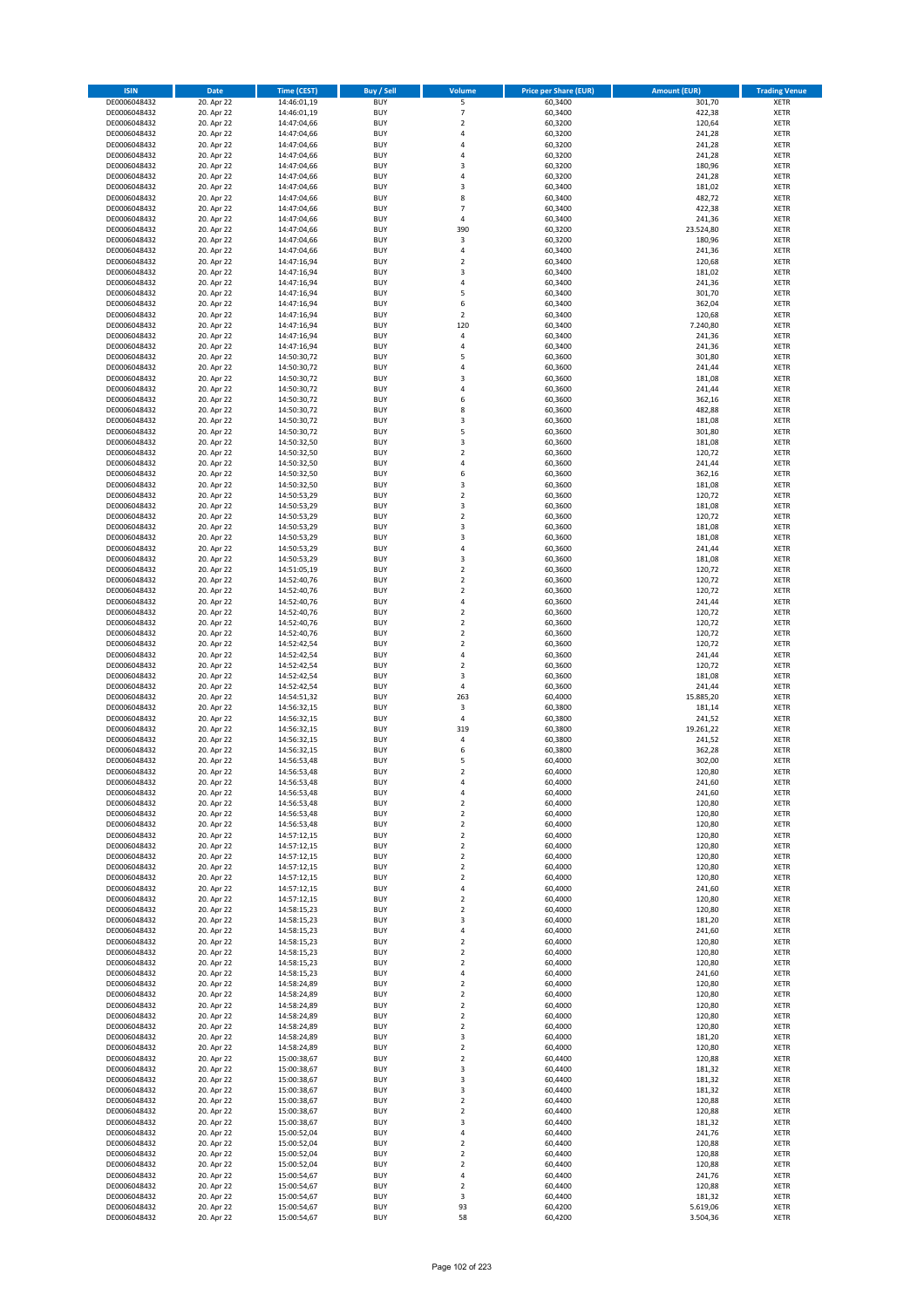| <b>ISIN</b>                  | <b>Date</b>              | <b>Time (CEST)</b>         | <b>Buy / Sell</b>        | Volume                           | <b>Price per Share (EUR)</b> | <b>Amount (EUR)</b> | <b>Trading Venue</b>       |
|------------------------------|--------------------------|----------------------------|--------------------------|----------------------------------|------------------------------|---------------------|----------------------------|
| DE0006048432                 | 20. Apr 22               | 14:46:01,19                | <b>BUY</b>               | 5                                | 60,3400                      | 301,70              | <b>XETR</b>                |
| DE0006048432                 | 20. Apr 22               | 14:46:01,19                | <b>BUY</b>               | $\overline{7}$                   | 60,3400                      | 422,38              | <b>XETR</b>                |
| DE0006048432                 | 20. Apr 22               | 14:47:04,66                | <b>BUY</b>               | $\mathbf 2$                      | 60,3200                      | 120,64              | <b>XETR</b>                |
| DE0006048432                 | 20. Apr 22               | 14:47:04,66                | <b>BUY</b>               | 4                                | 60,3200                      | 241,28              | <b>XETR</b>                |
| DE0006048432<br>DE0006048432 | 20. Apr 22<br>20. Apr 22 | 14:47:04,66<br>14:47:04,66 | <b>BUY</b><br><b>BUY</b> | $\overline{4}$<br>$\overline{a}$ | 60,3200<br>60,3200           | 241,28<br>241,28    | <b>XETR</b><br><b>XETR</b> |
| DE0006048432                 | 20. Apr 22               | 14:47:04,66                | <b>BUY</b>               | $\overline{\mathbf{3}}$          | 60,3200                      | 180,96              | <b>XETR</b>                |
| DE0006048432                 | 20. Apr 22               | 14:47:04,66                | <b>BUY</b>               | 4                                | 60,3200                      | 241,28              | <b>XETR</b>                |
| DE0006048432                 | 20. Apr 22               | 14:47:04,66                | BUY                      | $\overline{3}$                   | 60,3400                      | 181,02              | <b>XETR</b>                |
| DE0006048432                 | 20. Apr 22               | 14:47:04,66                | <b>BUY</b>               | 8                                | 60,3400                      | 482,72              | <b>XETR</b>                |
| DE0006048432                 | 20. Apr 22               | 14:47:04,66                | <b>BUY</b>               | $\overline{7}$                   | 60,3400                      | 422,38              | <b>XETR</b>                |
| DE0006048432                 | 20. Apr 22               | 14:47:04,66                | <b>BUY</b>               | 4<br>390                         | 60,3400                      | 241,36              | <b>XETR</b>                |
| DE0006048432<br>DE0006048432 | 20. Apr 22<br>20. Apr 22 | 14:47:04,66<br>14:47:04,66 | BUY<br><b>BUY</b>        | 3                                | 60,3200<br>60,3200           | 23.524,80<br>180,96 | <b>XETR</b><br><b>XETR</b> |
| DE0006048432                 | 20. Apr 22               | 14:47:04,66                | <b>BUY</b>               | 4                                | 60,3400                      | 241,36              | <b>XETR</b>                |
| DE0006048432                 | 20. Apr 22               | 14:47:16,94                | BUY                      | $\overline{\phantom{a}}$         | 60,3400                      | 120,68              | <b>XETR</b>                |
| DE0006048432                 | 20. Apr 22               | 14:47:16,94                | <b>BUY</b>               | 3                                | 60,3400                      | 181,02              | <b>XETR</b>                |
| DE0006048432                 | 20. Apr 22               | 14:47:16,94                | <b>BUY</b>               | 4                                | 60,3400                      | 241,36              | <b>XETR</b>                |
| DE0006048432                 | 20. Apr 22               | 14:47:16,94                | <b>BUY</b>               | 5                                | 60.3400                      | 301,70              | <b>XETR</b>                |
| DE0006048432<br>DE0006048432 | 20. Apr 22<br>20. Apr 22 | 14:47:16,94<br>14:47:16,94 | <b>BUY</b><br><b>BUY</b> | 6<br>$\overline{2}$              | 60,3400<br>60,3400           | 362,04<br>120,68    | <b>XETR</b><br><b>XETR</b> |
| DE0006048432                 | 20. Apr 22               | 14:47:16,94                | <b>BUY</b>               | 120                              | 60,3400                      | 7.240,80            | <b>XETR</b>                |
| DE0006048432                 | 20. Apr 22               | 14:47:16,94                | <b>BUY</b>               | $\overline{a}$                   | 60,3400                      | 241,36              | <b>XETR</b>                |
| DE0006048432                 | 20. Apr 22               | 14:47:16,94                | <b>BUY</b>               | 4                                | 60,3400                      | 241,36              | <b>XETR</b>                |
| DE0006048432                 | 20. Apr 22               | 14:50:30,72                | <b>BUY</b>               | 5                                | 60,3600                      | 301,80              | <b>XETR</b>                |
| DE0006048432                 | 20. Apr 22               | 14:50:30,72                | <b>BUY</b>               | 4                                | 60,3600                      | 241,44              | <b>XETR</b>                |
| DE0006048432<br>DE0006048432 | 20. Apr 22<br>20. Apr 22 | 14:50:30,72                | <b>BUY</b><br><b>BUY</b> | $\overline{\mathbf{3}}$<br>4     | 60,3600<br>60,3600           | 181,08<br>241,44    | <b>XETR</b><br><b>XETR</b> |
| DE0006048432                 | 20. Apr 22               | 14:50:30,72<br>14:50:30,72 | <b>BUY</b>               | 6                                | 60,3600                      | 362,16              | <b>XETR</b>                |
| DE0006048432                 | 20. Apr 22               | 14:50:30,72                | <b>BUY</b>               | 8                                | 60,3600                      | 482,88              | <b>XETR</b>                |
| DE0006048432                 | 20. Apr 22               | 14:50:30,72                | <b>BUY</b>               | $\overline{\mathbf{3}}$          | 60,3600                      | 181,08              | <b>XETR</b>                |
| DE0006048432                 | 20. Apr 22               | 14:50:30,72                | <b>BUY</b>               | 5                                | 60,3600                      | 301,80              | <b>XETR</b>                |
| DE0006048432                 | 20. Apr 22               | 14:50:32,50                | <b>BUY</b>               | 3                                | 60,3600                      | 181,08              | <b>XETR</b>                |
| DE0006048432                 | 20. Apr 22               | 14:50:32,50                | <b>BUY</b>               | $\overline{2}$                   | 60,3600                      | 120,72              | <b>XETR</b>                |
| DE0006048432<br>DE0006048432 | 20. Apr 22<br>20. Apr 22 | 14:50:32,50<br>14:50:32,50 | <b>BUY</b><br><b>BUY</b> | $\overline{4}$<br>6              | 60,3600<br>60,3600           | 241,44<br>362,16    | <b>XETR</b><br><b>XETR</b> |
| DE0006048432                 | 20. Apr 22               | 14:50:32,50                | BUY                      | 3                                | 60,3600                      | 181,08              | <b>XETR</b>                |
| DE0006048432                 | 20. Apr 22               | 14:50:53,29                | BUY                      | $\mathbf 2$                      | 60,3600                      | 120,72              | <b>XETR</b>                |
| DE0006048432                 | 20. Apr 22               | 14:50:53,29                | <b>BUY</b>               | 3                                | 60,3600                      | 181,08              | <b>XETR</b>                |
| DE0006048432                 | 20. Apr 22               | 14:50:53,29                | <b>BUY</b>               | $\mathbf 2$                      | 60,3600                      | 120,72              | <b>XETR</b>                |
| DE0006048432                 | 20. Apr 22               | 14:50:53,29                | <b>BUY</b>               | $\overline{\mathbf{3}}$          | 60,3600                      | 181,08              | <b>XETR</b>                |
| DE0006048432<br>DE0006048432 | 20. Apr 22<br>20. Apr 22 | 14:50:53,29                | <b>BUY</b><br><b>BUY</b> | 3<br>4                           | 60,3600<br>60,3600           | 181,08<br>241,44    | <b>XETR</b><br><b>XETR</b> |
| DE0006048432                 | 20. Apr 22               | 14:50:53,29<br>14:50:53,29 | <b>BUY</b>               | $\overline{\mathbf{3}}$          | 60,3600                      | 181,08              | <b>XETR</b>                |
| DE0006048432                 | 20. Apr 22               | 14:51:05,19                | <b>BUY</b>               | $\overline{2}$                   | 60,3600                      | 120,72              | <b>XETR</b>                |
| DE0006048432                 | 20. Apr 22               | 14:52:40,76                | <b>BUY</b>               | $\overline{2}$                   | 60,3600                      | 120,72              | <b>XETR</b>                |
| DE0006048432                 | 20. Apr 22               | 14:52:40,76                | <b>BUY</b>               | $\overline{2}$                   | 60,3600                      | 120,72              | <b>XETR</b>                |
| DE0006048432                 | 20. Apr 22               | 14:52:40,76                | <b>BUY</b>               | $\overline{a}$                   | 60,3600                      | 241,44              | <b>XETR</b>                |
| DE0006048432<br>DE0006048432 | 20. Apr 22<br>20. Apr 22 | 14:52:40,76<br>14:52:40,76 | <b>BUY</b><br><b>BUY</b> | $\overline{2}$<br>$\overline{2}$ | 60,3600<br>60,3600           | 120,72<br>120,72    | <b>XETR</b><br><b>XETR</b> |
| DE0006048432                 | 20. Apr 22               | 14:52:40,76                | <b>BUY</b>               | $\overline{2}$                   | 60,3600                      | 120,72              | <b>XETR</b>                |
| DE0006048432                 | 20. Apr 22               | 14:52:42,54                | <b>BUY</b>               | $\overline{2}$                   | 60,3600                      | 120,72              | <b>XETR</b>                |
| DE0006048432                 | 20. Apr 22               | 14:52:42,54                | <b>BUY</b>               | $\overline{4}$                   | 60,3600                      | 241,44              | <b>XETR</b>                |
| DE0006048432                 | 20. Apr 22               | 14:52:42,54                | <b>BUY</b>               | $\mathbf 2$                      | 60,3600                      | 120,72              | <b>XETR</b>                |
| DE0006048432                 | 20. Apr 22               | 14:52:42,54                | <b>BUY</b>               | $\overline{\mathbf{3}}$          | 60,3600                      | 181,08              | <b>XETR</b>                |
| DE0006048432                 | 20. Apr 22               | 14:52:42,54                | <b>BUY</b>               | $\overline{4}$                   | 60,3600                      | 241,44              | <b>XETR</b>                |
| DE0006048432<br>DE0006048432 | 20. Apr 22<br>20. Apr 22 | 14:54:51,32<br>14:56:32,15 | <b>BUY</b><br><b>BUY</b> | 263<br>3                         | 60,4000<br>60,3800           | 15.885,20<br>181,14 | <b>XETR</b><br><b>XETR</b> |
| DE0006048432                 | 20. Apr 22               | 14:56:32,15                | BUY                      | $\pmb{4}$                        | 60,3800                      | 241,52              | <b>XETR</b>                |
| DE0006048432                 | 20. Apr 22               | 14:56:32,15                | <b>BUY</b>               | 319                              | 60,3800                      | 19.261,22           | <b>XETR</b>                |
| DE0006048432                 | 20. Apr 22               | 14:56:32,15                | <b>BUY</b>               | 4                                | 60,3800                      | 241,52              | <b>XETR</b>                |
| DE0006048432                 | 20. Apr 22               | 14:56:32,15                | BUY                      | 6                                | 60,3800                      | 362,28              | <b>XETR</b>                |
| DE0006048432                 | 20. Apr 22               | 14:56:53,48                | BUY                      | 5                                | 60,4000                      | 302,00              | <b>XETR</b>                |
| DE0006048432<br>DE0006048432 | 20. Apr 22<br>20. Apr 22 | 14:56:53,48<br>14:56:53,48 | <b>BUY</b><br><b>BUY</b> | $\overline{2}$<br>4              | 60,4000<br>60,4000           | 120,80<br>241,60    | <b>XETR</b><br><b>XETR</b> |
| DE0006048432                 | 20. Apr 22               | 14:56:53,48                | <b>BUY</b>               | 4                                | 60,4000                      | 241,60              | <b>XETR</b>                |
| DE0006048432                 | 20. Apr 22               | 14:56:53,48                | <b>BUY</b>               | 2                                | 60,4000                      | 120,80              | <b>XETR</b>                |
| DE0006048432                 | 20. Apr 22               | 14:56:53,48                | <b>BUY</b>               | $\mathbf 2$                      | 60,4000                      | 120,80              | <b>XETR</b>                |
| DE0006048432                 | 20. Apr 22               | 14:56:53,48                | <b>BUY</b>               | $\overline{2}$                   | 60,4000                      | 120,80              | <b>XETR</b>                |
| DE0006048432                 | 20. Apr 22               | 14:57:12,15                | <b>BUY</b>               | $\mathbf 2$                      | 60,4000                      | 120,80              | <b>XETR</b>                |
| DE0006048432                 | 20. Apr 22<br>20. Apr 22 | 14:57:12,15<br>14:57:12,15 | <b>BUY</b><br><b>BUY</b> | 2                                | 60,4000                      | 120,80<br>120,80    | <b>XETR</b>                |
| DE0006048432<br>DE0006048432 | 20. Apr 22               | 14:57:12,15                | <b>BUY</b>               | 2<br>$\mathbf 2$                 | 60,4000<br>60,4000           | 120,80              | <b>XETR</b><br><b>XETR</b> |
| DE0006048432                 | 20. Apr 22               | 14:57:12,15                | <b>BUY</b>               | $\mathbf 2$                      | 60,4000                      | 120,80              | <b>XETR</b>                |
| DE0006048432                 | 20. Apr 22               | 14:57:12,15                | <b>BUY</b>               | 4                                | 60,4000                      | 241,60              | <b>XETR</b>                |
| DE0006048432                 | 20. Apr 22               | 14:57:12,15                | <b>BUY</b>               | $\overline{2}$                   | 60,4000                      | 120,80              | <b>XETR</b>                |
| DE0006048432                 | 20. Apr 22               | 14:58:15,23                | <b>BUY</b>               | $\mathbf 2$                      | 60,4000                      | 120,80              | <b>XETR</b>                |
| DE0006048432                 | 20. Apr 22               | 14:58:15,23                | <b>BUY</b>               | 3                                | 60,4000                      | 181,20              | <b>XETR</b>                |
| DE0006048432<br>DE0006048432 | 20. Apr 22<br>20. Apr 22 | 14:58:15,23<br>14:58:15,23 | <b>BUY</b><br><b>BUY</b> | 4<br>$\mathbf 2$                 | 60,4000<br>60,4000           | 241,60<br>120,80    | <b>XETR</b><br><b>XETR</b> |
| DE0006048432                 | 20. Apr 22               | 14:58:15,23                | <b>BUY</b>               | $\mathbf 2$                      | 60,4000                      | 120,80              | <b>XETR</b>                |
| DE0006048432                 | 20. Apr 22               | 14:58:15,23                | <b>BUY</b>               | $\mathbf 2$                      | 60,4000                      | 120,80              | <b>XETR</b>                |
| DE0006048432                 | 20. Apr 22               | 14:58:15,23                | <b>BUY</b>               | 4                                | 60,4000                      | 241,60              | <b>XETR</b>                |
| DE0006048432                 | 20. Apr 22               | 14:58:24,89                | <b>BUY</b>               | $\mathbf 2$                      | 60,4000                      | 120,80              | <b>XETR</b>                |
| DE0006048432                 | 20. Apr 22               | 14:58:24,89                | <b>BUY</b>               | $\overline{2}$                   | 60,4000                      | 120,80              | <b>XETR</b>                |
| DE0006048432<br>DE0006048432 | 20. Apr 22<br>20. Apr 22 | 14:58:24,89<br>14:58:24,89 | <b>BUY</b><br><b>BUY</b> | 2<br>$\overline{2}$              | 60,4000<br>60,4000           | 120,80<br>120,80    | <b>XETR</b><br><b>XETR</b> |
| DE0006048432                 | 20. Apr 22               | 14:58:24,89                | <b>BUY</b>               | $\mathbf 2$                      | 60,4000                      | 120,80              | <b>XETR</b>                |
| DE0006048432                 | 20. Apr 22               | 14:58:24,89                | <b>BUY</b>               | 3                                | 60,4000                      | 181,20              | <b>XETR</b>                |
| DE0006048432                 | 20. Apr 22               | 14:58:24,89                | <b>BUY</b>               | $\mathbf 2$                      | 60,4000                      | 120,80              | <b>XETR</b>                |
| DE0006048432                 | 20. Apr 22               | 15:00:38,67                | <b>BUY</b>               | $\overline{2}$                   | 60,4400                      | 120,88              | <b>XETR</b>                |
| DE0006048432                 | 20. Apr 22               | 15:00:38,67                | <b>BUY</b>               | $\overline{\mathbf{3}}$          | 60,4400                      | 181,32              | <b>XETR</b>                |
| DE0006048432<br>DE0006048432 | 20. Apr 22<br>20. Apr 22 | 15:00:38,67<br>15:00:38,67 | <b>BUY</b><br><b>BUY</b> | 3<br>3                           | 60,4400<br>60,4400           | 181,32<br>181,32    | <b>XETR</b><br><b>XETR</b> |
| DE0006048432                 | 20. Apr 22               | 15:00:38,67                | <b>BUY</b>               | $\mathbf 2$                      | 60,4400                      | 120,88              | <b>XETR</b>                |
| DE0006048432                 | 20. Apr 22               | 15:00:38,67                | <b>BUY</b>               | $\mathbf 2$                      | 60,4400                      | 120,88              | <b>XETR</b>                |
| DE0006048432                 | 20. Apr 22               | 15:00:38,67                | <b>BUY</b>               | 3                                | 60,4400                      | 181,32              | <b>XETR</b>                |
| DE0006048432                 | 20. Apr 22               | 15:00:52,04                | <b>BUY</b>               | $\overline{a}$                   | 60,4400                      | 241,76              | <b>XETR</b>                |
| DE0006048432                 | 20. Apr 22               | 15:00:52,04                | <b>BUY</b>               | $\mathbf 2$                      | 60,4400                      | 120,88              | <b>XETR</b>                |
| DE0006048432<br>DE0006048432 | 20. Apr 22<br>20. Apr 22 | 15:00:52,04<br>15:00:52,04 | <b>BUY</b><br><b>BUY</b> | 2<br>2                           | 60,4400<br>60,4400           | 120,88<br>120,88    | <b>XETR</b><br><b>XETR</b> |
| DE0006048432                 | 20. Apr 22               | 15:00:54,67                | <b>BUY</b>               | 4                                | 60,4400                      | 241,76              | <b>XETR</b>                |
| DE0006048432                 | 20. Apr 22               | 15:00:54,67                | <b>BUY</b>               | 2                                | 60,4400                      | 120,88              | <b>XETR</b>                |
| DE0006048432                 | 20. Apr 22               | 15:00:54,67                | <b>BUY</b>               | 3                                | 60,4400                      | 181,32              | <b>XETR</b>                |
| DE0006048432                 | 20. Apr 22               | 15:00:54,67                | <b>BUY</b>               | 93                               | 60,4200                      | 5.619,06            | <b>XETR</b>                |
| DE0006048432                 | 20. Apr 22               | 15:00:54,67                | <b>BUY</b>               | 58                               | 60,4200                      | 3.504,36            | <b>XETR</b>                |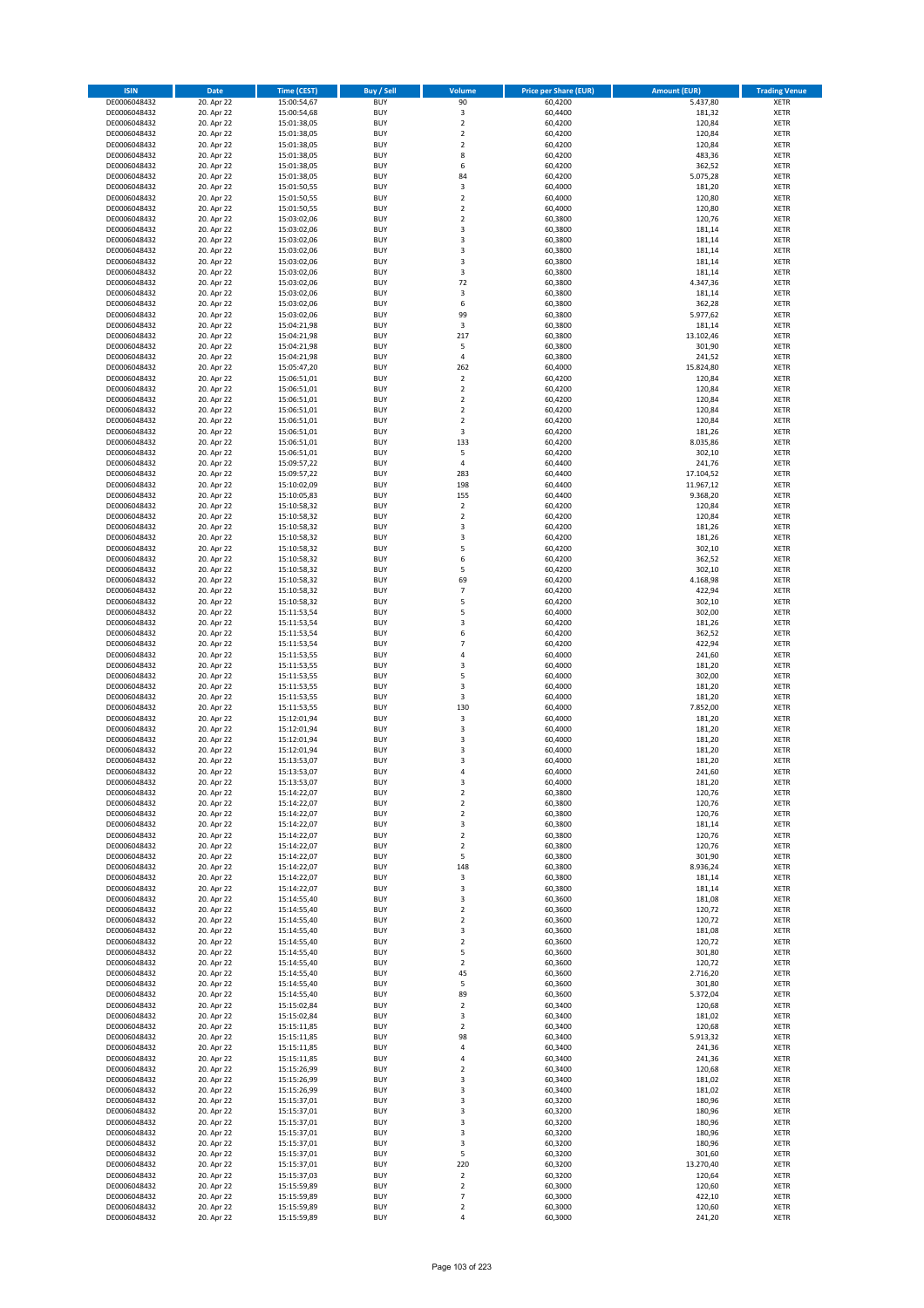| <b>ISIN</b>                  | <b>Date</b>              | <b>Time (CEST)</b>         | <b>Buy / Sell</b>        | <b>Volume</b>                          | <b>Price per Share (EUR)</b> | <b>Amount (EUR)</b> | <b>Trading Venue</b>       |
|------------------------------|--------------------------|----------------------------|--------------------------|----------------------------------------|------------------------------|---------------------|----------------------------|
| DE0006048432                 | 20. Apr 22               | 15:00:54,67                | <b>BUY</b>               | 90                                     | 60,4200                      | 5.437,80            | <b>XETR</b>                |
| DE0006048432                 | 20. Apr 22               | 15:00:54,68                | <b>BUY</b>               | 3                                      | 60,4400                      | 181,32              | <b>XETR</b>                |
| DE0006048432                 | 20. Apr 22               | 15:01:38,05                | <b>BUY</b>               | $\overline{2}$                         | 60,4200                      | 120,84              | <b>XETR</b>                |
| DE0006048432<br>DE0006048432 | 20. Apr 22<br>20. Apr 22 | 15:01:38,05<br>15:01:38,05 | <b>BUY</b><br><b>BUY</b> | $\mathbf 2$<br>$\overline{\mathbf{c}}$ | 60,4200<br>60,4200           | 120,84<br>120,84    | <b>XETR</b><br><b>XETR</b> |
| DE0006048432                 | 20. Apr 22               | 15:01:38,05                | <b>BUY</b>               | 8                                      | 60,4200                      | 483,36              | <b>XETR</b>                |
| DE0006048432                 | 20. Apr 22               | 15:01:38,05                | <b>BUY</b>               | 6                                      | 60,4200                      | 362,52              | <b>XETR</b>                |
| DE0006048432                 | 20. Apr 22               | 15:01:38,05                | <b>BUY</b>               | 84                                     | 60,4200                      | 5.075,28            | <b>XETR</b>                |
| DE0006048432                 | 20. Apr 22               | 15:01:50,55                | <b>BUY</b>               | 3                                      | 60,4000                      | 181,20              | <b>XETR</b>                |
| DE0006048432                 | 20. Apr 22               | 15:01:50,55                | <b>BUY</b>               | $\mathbf 2$                            | 60,4000                      | 120,80              | <b>XETR</b>                |
| DE0006048432                 | 20. Apr 22               | 15:01:50,55                | <b>BUY</b>               | $\mathbf 2$                            | 60,4000                      | 120,80              | <b>XETR</b>                |
| DE0006048432<br>DE0006048432 | 20. Apr 22<br>20. Apr 22 | 15:03:02,06                | <b>BUY</b><br><b>BUY</b> | $\overline{\mathbf{c}}$<br>3           | 60,3800<br>60,3800           | 120,76<br>181,14    | <b>XETR</b><br><b>XETR</b> |
| DE0006048432                 | 20. Apr 22               | 15:03:02,06<br>15:03:02,06 | <b>BUY</b>               | 3                                      | 60,3800                      | 181,14              | <b>XETR</b>                |
| DE0006048432                 | 20. Apr 22               | 15:03:02,06                | <b>BUY</b>               | 3                                      | 60,3800                      | 181,14              | <b>XETR</b>                |
| DE0006048432                 | 20. Apr 22               | 15:03:02,06                | <b>BUY</b>               | 3                                      | 60,3800                      | 181,14              | <b>XETR</b>                |
| DE0006048432                 | 20. Apr 22               | 15:03:02,06                | <b>BUY</b>               | 3                                      | 60,3800                      | 181,14              | <b>XETR</b>                |
| DE0006048432                 | 20. Apr 22               | 15:03:02,06                | <b>BUY</b>               | 72                                     | 60,3800                      | 4.347,36            | <b>XETR</b>                |
| DE0006048432                 | 20. Apr 22               | 15:03:02,06                | <b>BUY</b>               | 3                                      | 60,3800                      | 181,14              | <b>XETR</b>                |
| DE0006048432                 | 20. Apr 22               | 15:03:02,06                | <b>BUY</b>               | 6                                      | 60,3800                      | 362,28              | <b>XETR</b>                |
| DE0006048432<br>DE0006048432 | 20. Apr 22<br>20. Apr 22 | 15:03:02,06<br>15:04:21,98 | <b>BUY</b><br><b>BUY</b> | 99<br>3                                | 60,3800<br>60,3800           | 5.977,62<br>181,14  | <b>XETR</b><br><b>XETR</b> |
| DE0006048432                 | 20. Apr 22               | 15:04:21,98                | <b>BUY</b>               | 217                                    | 60,3800                      | 13.102,46           | <b>XETR</b>                |
| DE0006048432                 | 20. Apr 22               | 15:04:21,98                | <b>BUY</b>               | 5                                      | 60,3800                      | 301,90              | <b>XETR</b>                |
| DE0006048432                 | 20. Apr 22               | 15:04:21,98                | <b>BUY</b>               | 4                                      | 60,3800                      | 241,52              | <b>XETR</b>                |
| DE0006048432                 | 20. Apr 22               | 15:05:47,20                | <b>BUY</b>               | 262                                    | 60,4000                      | 15.824,80           | <b>XETR</b>                |
| DE0006048432                 | 20. Apr 22               | 15:06:51,01                | <b>BUY</b>               | $\mathbf 2$                            | 60,4200                      | 120,84              | <b>XETR</b>                |
| DE0006048432                 | 20. Apr 22               | 15:06:51,01                | <b>BUY</b>               | $\overline{\mathbf{c}}$                | 60,4200                      | 120,84              | <b>XETR</b>                |
| DE0006048432<br>DE0006048432 | 20. Apr 22<br>20. Apr 22 | 15:06:51,01<br>15:06:51,01 | <b>BUY</b><br><b>BUY</b> | $\mathbf 2$<br>$\overline{\mathbf{c}}$ | 60,4200<br>60,4200           | 120,84<br>120,84    | <b>XETR</b><br><b>XETR</b> |
| DE0006048432                 | 20. Apr 22               | 15:06:51,01                | <b>BUY</b>               | $\overline{2}$                         | 60,4200                      | 120,84              | <b>XETR</b>                |
| DE0006048432                 | 20. Apr 22               | 15:06:51,01                | <b>BUY</b>               | 3                                      | 60,4200                      | 181,26              | <b>XETR</b>                |
| DE0006048432                 | 20. Apr 22               | 15:06:51,01                | <b>BUY</b>               | 133                                    | 60,4200                      | 8.035,86            | <b>XETR</b>                |
| DE0006048432                 | 20. Apr 22               | 15:06:51,01                | <b>BUY</b>               | 5                                      | 60,4200                      | 302,10              | <b>XETR</b>                |
| DE0006048432                 | 20. Apr 22               | 15:09:57,22                | <b>BUY</b>               | 4                                      | 60,4400                      | 241,76              | <b>XETR</b>                |
| DE0006048432                 | 20. Apr 22               | 15:09:57,22                | <b>BUY</b>               | 283                                    | 60,4400                      | 17.104,52           | <b>XETR</b>                |
| DE0006048432                 | 20. Apr 22               | 15:10:02,09                | <b>BUY</b><br><b>BUY</b> | 198<br>155                             | 60,4400                      | 11.967,12           | <b>XETR</b>                |
| DE0006048432<br>DE0006048432 | 20. Apr 22<br>20. Apr 22 | 15:10:05,83<br>15:10:58,32 | <b>BUY</b>               | $\mathbf 2$                            | 60,4400<br>60,4200           | 9.368,20<br>120,84  | <b>XETR</b><br><b>XETR</b> |
| DE0006048432                 | 20. Apr 22               | 15:10:58,32                | <b>BUY</b>               | $\mathbf 2$                            | 60,4200                      | 120,84              | <b>XETR</b>                |
| DE0006048432                 | 20. Apr 22               | 15:10:58,32                | <b>BUY</b>               | 3                                      | 60,4200                      | 181,26              | <b>XETR</b>                |
| DE0006048432                 | 20. Apr 22               | 15:10:58,32                | <b>BUY</b>               | 3                                      | 60,4200                      | 181,26              | <b>XETR</b>                |
| DE0006048432                 | 20. Apr 22               | 15:10:58,32                | <b>BUY</b>               | 5                                      | 60,4200                      | 302,10              | <b>XETR</b>                |
| DE0006048432                 | 20. Apr 22               | 15:10:58,32                | <b>BUY</b>               | 6                                      | 60,4200                      | 362,52              | <b>XETR</b>                |
| DE0006048432                 | 20. Apr 22               | 15:10:58,32                | <b>BUY</b>               | 5                                      | 60,4200                      | 302,10              | <b>XETR</b>                |
| DE0006048432                 | 20. Apr 22               | 15:10:58,32                | <b>BUY</b>               | 69                                     | 60,4200                      | 4.168,98            | <b>XETR</b>                |
| DE0006048432<br>DE0006048432 | 20. Apr 22<br>20. Apr 22 | 15:10:58,32<br>15:10:58,32 | <b>BUY</b><br><b>BUY</b> | $\overline{7}$<br>5                    | 60,4200<br>60,4200           | 422,94<br>302,10    | <b>XETR</b><br><b>XETR</b> |
| DE0006048432                 | 20. Apr 22               | 15:11:53,54                | <b>BUY</b>               | 5                                      | 60,4000                      | 302,00              | <b>XETR</b>                |
| DE0006048432                 | 20. Apr 22               | 15:11:53,54                | <b>BUY</b>               | 3                                      | 60,4200                      | 181,26              | <b>XETR</b>                |
| DE0006048432                 | 20. Apr 22               | 15:11:53,54                | <b>BUY</b>               | 6                                      | 60,4200                      | 362,52              | <b>XETR</b>                |
| DE0006048432                 | 20. Apr 22               | 15:11:53,54                | <b>BUY</b>               | $\overline{7}$                         | 60,4200                      | 422,94              | <b>XETR</b>                |
| DE0006048432                 | 20. Apr 22               | 15:11:53,55                | <b>BUY</b>               | 4                                      | 60,4000                      | 241,60              | <b>XETR</b>                |
| DE0006048432                 | 20. Apr 22               | 15:11:53,55                | <b>BUY</b>               | 3                                      | 60,4000                      | 181,20              | <b>XETR</b>                |
| DE0006048432<br>DE0006048432 | 20. Apr 22<br>20. Apr 22 | 15:11:53,55                | <b>BUY</b><br><b>BUY</b> | 5<br>3                                 | 60,4000<br>60,4000           | 302,00<br>181,20    | <b>XETR</b><br><b>XETR</b> |
| DE0006048432                 | 20. Apr 22               | 15:11:53,55<br>15:11:53,55 | <b>BUY</b>               | 3                                      | 60,4000                      | 181,20              | <b>XETR</b>                |
| DE0006048432                 | 20. Apr 22               | 15:11:53,55                | <b>BUY</b>               | 130                                    | 60,4000                      | 7.852,00            | <b>XETR</b>                |
| DE0006048432                 | 20. Apr 22               | 15:12:01,94                | <b>BUY</b>               | 3                                      | 60,4000                      | 181,20              | <b>XETR</b>                |
| DE0006048432                 | 20. Apr 22               | 15:12:01,94                | <b>BUY</b>               | 3                                      | 60,4000                      | 181,20              | <b>XETR</b>                |
| DE0006048432                 | 20. Apr 22               | 15:12:01,94                | <b>BUY</b>               | 3                                      | 60,4000                      | 181,20              | <b>XETR</b>                |
| DE0006048432                 | 20. Apr 22               | 15:12:01,94                | <b>BUY</b><br><b>BUY</b> | 3<br>3                                 | 60,4000                      | 181,20              | <b>XETR</b><br><b>XETR</b> |
| DE0006048432<br>DE0006048432 | 20. Apr 22<br>20. Apr 22 | 15:13:53,07<br>15:13:53,07 | <b>BUY</b>               | 4                                      | 60,4000<br>60,4000           | 181,20<br>241,60    | <b>XETR</b>                |
| DE0006048432                 | 20. Apr 22               | 15:13:53,07                | BUY                      | 3                                      | 60,4000                      | 181,20              | <b>XETR</b>                |
| DE0006048432                 | 20. Apr 22               | 15:14:22,07                | <b>BUY</b>               | $\mathbf 2$                            | 60,3800                      | 120,76              | <b>XETR</b>                |
| DE0006048432                 | 20. Apr 22               | 15:14:22,07                | <b>BUY</b>               | $\mathbf 2$                            | 60,3800                      | 120,76              | <b>XETR</b>                |
| DE0006048432                 | 20. Apr 22               | 15:14:22,07                | <b>BUY</b>               | $\mathbf 2$                            | 60,3800                      | 120,76              | XETR                       |
| DE0006048432                 | 20. Apr 22               | 15:14:22,07                | <b>BUY</b>               | 3                                      | 60,3800                      | 181,14              | <b>XETR</b>                |
| DE0006048432<br>DE0006048432 | 20. Apr 22<br>20. Apr 22 | 15:14:22,07<br>15:14:22,07 | <b>BUY</b><br><b>BUY</b> | $\mathbf 2$<br>$\overline{\mathbf{2}}$ | 60,3800<br>60,3800           | 120,76<br>120,76    | <b>XETR</b><br><b>XETR</b> |
| DE0006048432                 | 20. Apr 22               | 15:14:22,07                | <b>BUY</b>               | 5                                      | 60,3800                      | 301,90              | <b>XETR</b>                |
| DE0006048432                 | 20. Apr 22               | 15:14:22,07                | <b>BUY</b>               | 148                                    | 60,3800                      | 8.936,24            | <b>XETR</b>                |
| DE0006048432                 | 20. Apr 22               | 15:14:22,07                | <b>BUY</b>               | 3                                      | 60,3800                      | 181,14              | <b>XETR</b>                |
| DE0006048432                 | 20. Apr 22               | 15:14:22,07                | <b>BUY</b>               | 3                                      | 60,3800                      | 181,14              | <b>XETR</b>                |
| DE0006048432                 | 20. Apr 22               | 15:14:55,40                | <b>BUY</b>               | 3                                      | 60,3600                      | 181,08              | <b>XETR</b>                |
| DE0006048432<br>DE0006048432 | 20. Apr 22<br>20. Apr 22 | 15:14:55,40<br>15:14:55,40 | <b>BUY</b><br><b>BUY</b> | $\mathbf 2$<br>$\overline{\mathbf{2}}$ | 60,3600<br>60,3600           | 120,72<br>120,72    | <b>XETR</b><br><b>XETR</b> |
| DE0006048432                 | 20. Apr 22               | 15:14:55,40                | <b>BUY</b>               | 3                                      | 60,3600                      | 181,08              | <b>XETR</b>                |
| DE0006048432                 | 20. Apr 22               | 15:14:55,40                | <b>BUY</b>               | $\mathbf 2$                            | 60,3600                      | 120,72              | <b>XETR</b>                |
| DE0006048432                 | 20. Apr 22               | 15:14:55,40                | <b>BUY</b>               | 5                                      | 60,3600                      | 301,80              | <b>XETR</b>                |
| DE0006048432                 | 20. Apr 22               | 15:14:55,40                | <b>BUY</b>               | $\mathbf 2$                            | 60,3600                      | 120,72              | <b>XETR</b>                |
| DE0006048432                 | 20. Apr 22               | 15:14:55,40                | <b>BUY</b>               | 45                                     | 60,3600                      | 2.716,20            | XETR                       |
| DE0006048432                 | 20. Apr 22               | 15:14:55,40                | <b>BUY</b>               | 5                                      | 60,3600                      | 301,80              | <b>XETR</b>                |
| DE0006048432<br>DE0006048432 | 20. Apr 22<br>20. Apr 22 | 15:14:55,40<br>15:15:02,84 | <b>BUY</b><br><b>BUY</b> | 89<br>$\mathbf 2$                      | 60,3600<br>60,3400           | 5.372,04<br>120,68  | <b>XETR</b><br><b>XETR</b> |
| DE0006048432                 | 20. Apr 22               | 15:15:02,84                | <b>BUY</b>               | 3                                      | 60,3400                      | 181,02              | <b>XETR</b>                |
| DE0006048432                 | 20. Apr 22               | 15:15:11,85                | <b>BUY</b>               | $\mathbf 2$                            | 60,3400                      | 120,68              | <b>XETR</b>                |
| DE0006048432                 | 20. Apr 22               | 15:15:11,85                | <b>BUY</b>               | 98                                     | 60,3400                      | 5.913,32            | <b>XETR</b>                |
| DE0006048432                 | 20. Apr 22               | 15:15:11,85                | <b>BUY</b>               | 4                                      | 60,3400                      | 241,36              | <b>XETR</b>                |
| DE0006048432                 | 20. Apr 22               | 15:15:11,85                | <b>BUY</b>               | 4                                      | 60,3400                      | 241,36              | <b>XETR</b>                |
| DE0006048432<br>DE0006048432 | 20. Apr 22<br>20. Apr 22 | 15:15:26,99                | <b>BUY</b><br><b>BUY</b> | $\overline{\mathbf{c}}$                | 60,3400<br>60,3400           | 120,68<br>181,02    | <b>XETR</b><br><b>XETR</b> |
| DE0006048432                 | 20. Apr 22               | 15:15:26,99<br>15:15:26,99 | <b>BUY</b>               | 3<br>3                                 | 60,3400                      | 181,02              | <b>XETR</b>                |
| DE0006048432                 | 20. Apr 22               | 15:15:37,01                | <b>BUY</b>               | 3                                      | 60,3200                      | 180,96              | <b>XETR</b>                |
| DE0006048432                 | 20. Apr 22               | 15:15:37,01                | <b>BUY</b>               | 3                                      | 60,3200                      | 180,96              | <b>XETR</b>                |
| DE0006048432                 | 20. Apr 22               | 15:15:37,01                | <b>BUY</b>               | 3                                      | 60,3200                      | 180,96              | <b>XETR</b>                |
| DE0006048432                 | 20. Apr 22               | 15:15:37,01                | <b>BUY</b>               | 3                                      | 60,3200                      | 180,96              | <b>XETR</b>                |
| DE0006048432                 | 20. Apr 22               | 15:15:37,01                | <b>BUY</b>               | 3                                      | 60,3200                      | 180,96              | <b>XETR</b>                |
| DE0006048432<br>DE0006048432 | 20. Apr 22<br>20. Apr 22 | 15:15:37,01<br>15:15:37,01 | <b>BUY</b><br><b>BUY</b> | 5<br>220                               | 60,3200<br>60,3200           | 301,60<br>13.270,40 | <b>XETR</b><br><b>XETR</b> |
| DE0006048432                 | 20. Apr 22               | 15:15:37,03                | <b>BUY</b>               | $\mathbf 2$                            | 60,3200                      | 120,64              | XETR                       |
| DE0006048432                 | 20. Apr 22               | 15:15:59,89                | <b>BUY</b>               | $\overline{2}$                         | 60,3000                      | 120,60              | <b>XETR</b>                |
| DE0006048432                 | 20. Apr 22               | 15:15:59,89                | <b>BUY</b>               | $\overline{\phantom{a}}$               | 60,3000                      | 422,10              | <b>XETR</b>                |
| DE0006048432                 | 20. Apr 22               | 15:15:59,89                | <b>BUY</b>               | $\mathbf 2$                            | 60,3000                      | 120,60              | <b>XETR</b>                |
| DE0006048432                 | 20. Apr 22               | 15:15:59,89                | <b>BUY</b>               | 4                                      | 60,3000                      | 241,20              | XETR                       |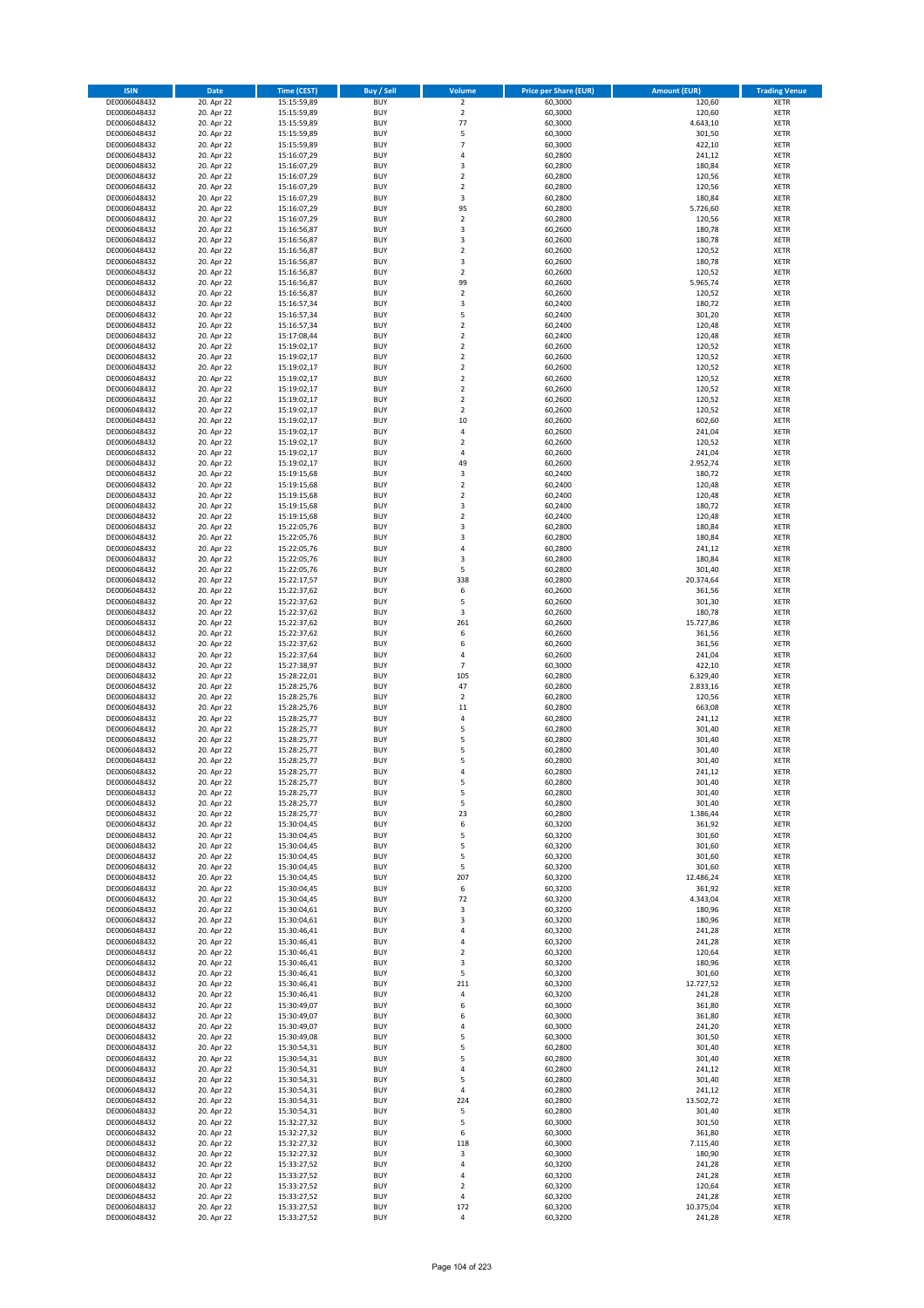| <b>ISIN</b>                  | Date                     | Time (CEST)                | <b>Buy / Sell</b>        | <b>Volume</b>         | <b>Price per Share (EUR)</b> | <b>Amount (EUR)</b> | <b>Trading Venue</b>       |
|------------------------------|--------------------------|----------------------------|--------------------------|-----------------------|------------------------------|---------------------|----------------------------|
| DE0006048432                 | 20. Apr 22               | 15:15:59,89                | <b>BUY</b>               | $\overline{2}$        | 60,3000                      | 120,60              | <b>XETR</b>                |
| DE0006048432                 | 20. Apr 22               | 15:15:59,89                | <b>BUY</b>               | $\overline{2}$        | 60,3000                      | 120,60              | XETR                       |
| DE0006048432                 | 20. Apr 22               | 15:15:59,89                | <b>BUY</b>               | 77                    | 60,3000                      | 4.643,10            | <b>XETR</b>                |
| DE0006048432                 | 20. Apr 22               | 15:15:59,89                | <b>BUY</b>               | 5                     | 60,3000                      | 301,50              | XETR                       |
| DE0006048432                 | 20. Apr 22               | 15:15:59,89                | <b>BUY</b>               | $\overline{7}$        | 60,3000                      | 422,10              | <b>XETR</b>                |
| DE0006048432                 | 20. Apr 22               | 15:16:07,29                | <b>BUY</b>               | $\overline{4}$        | 60,2800                      | 241,12              | <b>XETR</b>                |
| DE0006048432                 | 20. Apr 22               | 15:16:07,29                | <b>BUY</b>               | 3                     | 60,2800                      | 180,84              | <b>XETR</b>                |
| DE0006048432                 | 20. Apr 22               | 15:16:07,29                | <b>BUY</b>               | $\mathbf 2$           | 60,2800                      | 120,56              | <b>XETR</b>                |
| DE0006048432                 | 20. Apr 22               | 15:16:07,29                | <b>BUY</b>               | $\overline{2}$        | 60,2800                      | 120,56              | <b>XETR</b>                |
| DE0006048432                 | 20. Apr 22               | 15:16:07,29                | <b>BUY</b>               | 3                     | 60,2800                      | 180,84              | <b>XETR</b>                |
| DE0006048432                 | 20. Apr 22               | 15:16:07,29                | <b>BUY</b>               | 95                    | 60,2800                      | 5.726,60            | <b>XETR</b>                |
| DE0006048432                 | 20. Apr 22               | 15:16:07,29                | <b>BUY</b>               | $\mathbf 2$           | 60,2800                      | 120,56              | <b>XETR</b>                |
| DE0006048432                 | 20. Apr 22               | 15:16:56,87                | <b>BUY</b>               | 3                     | 60,2600                      | 180,78              | <b>XETR</b>                |
| DE0006048432                 | 20. Apr 22               | 15:16:56,87<br>15:16:56,87 | <b>BUY</b><br><b>BUY</b> | 3<br>$\mathbf 2$      | 60,2600                      | 180,78              | <b>XETR</b><br><b>XETR</b> |
| DE0006048432<br>DE0006048432 | 20. Apr 22<br>20. Apr 22 | 15:16:56,87                | <b>BUY</b>               | 3                     | 60,2600<br>60,2600           | 120,52<br>180,78    | <b>XETR</b>                |
| DE0006048432                 | 20. Apr 22               | 15:16:56,87                | <b>BUY</b>               | $\overline{2}$        | 60,2600                      | 120,52              | <b>XETR</b>                |
| DE0006048432                 | 20. Apr 22               | 15:16:56,87                | <b>BUY</b>               | 99                    | 60,2600                      | 5.965,74            | <b>XETR</b>                |
| DE0006048432                 | 20. Apr 22               | 15:16:56,87                | <b>BUY</b>               | $\overline{2}$        | 60,2600                      | 120,52              | <b>XETR</b>                |
| DE0006048432                 | 20. Apr 22               | 15:16:57,34                | <b>BUY</b>               | $\mathsf 3$           | 60,2400                      | 180,72              | <b>XETR</b>                |
| DE0006048432                 | 20. Apr 22               | 15:16:57,34                | <b>BUY</b>               | 5                     | 60,2400                      | 301,20              | <b>XETR</b>                |
| DE0006048432                 | 20. Apr 22               | 15:16:57,34                | <b>BUY</b>               | $\mathbf 2$           | 60,2400                      | 120,48              | <b>XETR</b>                |
| DE0006048432                 | 20. Apr 22               | 15:17:08,44                | <b>BUY</b>               | $\overline{2}$        | 60,2400                      | 120,48              | <b>XETR</b>                |
| DE0006048432                 | 20. Apr 22               | 15:19:02,17                | <b>BUY</b>               | $\mathbf 2$           | 60,2600                      | 120,52              | <b>XETR</b>                |
| DE0006048432                 | 20. Apr 22               | 15:19:02,17                | <b>BUY</b>               | $\mathbf 2$           | 60,2600                      | 120,52              | <b>XETR</b>                |
| DE0006048432                 | 20. Apr 22               | 15:19:02,17                | <b>BUY</b>               | $\mathbf 2$           | 60,2600                      | 120,52              | <b>XETR</b>                |
| DE0006048432                 | 20. Apr 22               | 15:19:02,17                | <b>BUY</b>               | $\mathbf 2$           | 60,2600                      | 120,52              | <b>XETR</b>                |
| DE0006048432                 | 20. Apr 22               | 15:19:02,17                | <b>BUY</b>               | $\overline{2}$        | 60,2600                      | 120,52              | <b>XETR</b>                |
| DE0006048432                 | 20. Apr 22               | 15:19:02,17                | <b>BUY</b>               | $\mathbf 2$           | 60,2600                      | 120,52              | <b>XETR</b>                |
| DE0006048432                 | 20. Apr 22               | 15:19:02,17                | <b>BUY</b>               | $\overline{2}$        | 60,2600                      | 120,52              | <b>XETR</b>                |
| DE0006048432                 | 20. Apr 22               | 15:19:02,17                | <b>BUY</b>               | 10                    | 60,2600                      | 602,60              | <b>XETR</b>                |
| DE0006048432                 | 20. Apr 22               | 15:19:02,17                | <b>BUY</b>               | $\pmb{4}$             | 60,2600                      | 241,04              | <b>XETR</b>                |
| DE0006048432                 | 20. Apr 22               | 15:19:02,17                | <b>BUY</b>               | $\mathbf 2$           | 60,2600                      | 120,52              | <b>XETR</b>                |
| DE0006048432                 | 20. Apr 22               | 15:19:02,17                | <b>BUY</b>               | $\overline{4}$        | 60,2600                      | 241,04              | <b>XETR</b>                |
| DE0006048432                 | 20. Apr 22<br>20. Apr 22 | 15:19:02,17<br>15:19:15,68 | <b>BUY</b><br><b>BUY</b> | 49                    | 60,2600                      | 2.952,74<br>180,72  | <b>XETR</b>                |
| DE0006048432<br>DE0006048432 | 20. Apr 22               | 15:19:15,68                | <b>BUY</b>               | 3<br>$\overline{2}$   | 60,2400<br>60,2400           | 120,48              | <b>XETR</b><br><b>XETR</b> |
| DE0006048432                 | 20. Apr 22               | 15:19:15,68                | <b>BUY</b>               | $\mathbf 2$           | 60,2400                      | 120,48              | <b>XETR</b>                |
| DE0006048432                 | 20. Apr 22               | 15:19:15,68                | <b>BUY</b>               | 3                     | 60,2400                      | 180,72              | <b>XETR</b>                |
| DE0006048432                 | 20. Apr 22               | 15:19:15,68                | <b>BUY</b>               | $\mathbf 2$           | 60,2400                      | 120,48              | <b>XETR</b>                |
| DE0006048432                 | 20. Apr 22               | 15:22:05,76                | <b>BUY</b>               | 3                     | 60,2800                      | 180,84              | <b>XETR</b>                |
| DE0006048432                 | 20. Apr 22               | 15:22:05,76                | <b>BUY</b>               | 3                     | 60,2800                      | 180,84              | <b>XETR</b>                |
| DE0006048432                 | 20. Apr 22               | 15:22:05,76                | <b>BUY</b>               | $\pmb{4}$             | 60,2800                      | 241,12              | <b>XETR</b>                |
| DE0006048432                 | 20. Apr 22               | 15:22:05,76                | <b>BUY</b>               | 3                     | 60,2800                      | 180,84              | <b>XETR</b>                |
| DE0006048432                 | 20. Apr 22               | 15:22:05,76                | <b>BUY</b>               | 5                     | 60,2800                      | 301,40              | <b>XETR</b>                |
| DE0006048432                 | 20. Apr 22               | 15:22:17,57                | <b>BUY</b>               | 338                   | 60,2800                      | 20.374,64           | <b>XETR</b>                |
| DE0006048432                 | 20. Apr 22               | 15:22:37,62                | <b>BUY</b>               | 6                     | 60,2600                      | 361,56              | <b>XETR</b>                |
| DE0006048432                 | 20. Apr 22               | 15:22:37,62                | <b>BUY</b>               | 5                     | 60,2600                      | 301,30              | <b>XETR</b>                |
| DE0006048432                 | 20. Apr 22               | 15:22:37,62                | <b>BUY</b>               | 3                     | 60,2600                      | 180,78              | <b>XETR</b>                |
| DE0006048432                 | 20. Apr 22               | 15:22:37,62                | <b>BUY</b>               | 261                   | 60,2600                      | 15.727,86           | <b>XETR</b>                |
| DE0006048432                 | 20. Apr 22               | 15:22:37,62                | <b>BUY</b>               | 6                     | 60,2600                      | 361,56              | <b>XETR</b>                |
| DE0006048432                 | 20. Apr 22               | 15:22:37,62                | <b>BUY</b>               | 6                     | 60,2600                      | 361,56              | <b>XETR</b>                |
| DE0006048432                 | 20. Apr 22               | 15:22:37,64                | <b>BUY</b>               | 4                     | 60,2600                      | 241,04              | <b>XETR</b>                |
| DE0006048432<br>DE0006048432 | 20. Apr 22               | 15:27:38,97                | <b>BUY</b><br><b>BUY</b> | $\overline{7}$<br>105 | 60,3000                      | 422,10              | <b>XETR</b><br><b>XETR</b> |
|                              | 20. Apr 22               | 15:28:22,01                |                          | 47                    | 60,2800                      | 6.329,40            |                            |
| DE0006048432<br>DE0006048432 | 20. Apr 22<br>20. Apr 22 | 15:28:25,76<br>15:28:25,76 | <b>BUY</b><br><b>BUY</b> | $\overline{2}$        | 60,2800<br>60,2800           | 2.833,16<br>120,56  | <b>XETR</b><br><b>XETR</b> |
| DE0006048432                 | 20. Apr 22               | 15:28:25,76                | <b>BUY</b>               | 11                    | 60,2800                      | 663,08              | <b>XETR</b>                |
| DE0006048432                 | 20. Apr 22               | 15:28:25,77                | <b>BUY</b>               | 4                     | 60,2800                      | 241,12              | <b>XETR</b>                |
| DE0006048432                 | 20. Apr 22               | 15:28:25,77                | <b>BUY</b>               | 5                     | 60,2800                      | 301,40              | <b>XETR</b>                |
| DE0006048432                 | 20. Apr 22               | 15:28:25,77                | <b>BUY</b>               | 5                     | 60,2800                      | 301,40              | <b>XETR</b>                |
| DE0006048432                 | 20. Apr 22               | 15:28:25,77                | <b>BUY</b>               | 5                     | 60,2800                      | 301,40              | <b>XETR</b>                |
| DE0006048432                 | 20. Apr 22               | 15:28:25,77                | <b>BUY</b>               | 5                     | 60,2800                      | 301,40              | <b>XETR</b>                |
| DE0006048432                 | 20. Apr 22               | 15:28:25,77                | <b>BUY</b>               | $\overline{4}$        | 60,2800                      | 241,12              | <b>XETR</b>                |
| DE0006048432                 | 20. Apr 22               | 15:28:25,77                | BUY                      | 5                     | 60,2800                      | 301,40              | XETR                       |
| DE0006048432                 | 20. Apr 22               | 15:28:25,77                | <b>BUY</b>               | 5                     | 60,2800                      | 301,40              | <b>XETR</b>                |
| DE0006048432                 | 20. Apr 22               | 15:28:25,77                | <b>BUY</b>               | 5                     | 60,2800                      | 301,40              | <b>XETR</b>                |
| DE0006048432                 | 20. Apr 22               | 15:28:25,77                | <b>BUY</b>               | 23                    | 60,2800                      | 1.386,44            | <b>XETR</b>                |
| DE0006048432                 | 20. Apr 22               | 15:30:04,45                | <b>BUY</b>               | 6                     | 60,3200                      | 361,92              | <b>XETR</b>                |
| DE0006048432                 | 20. Apr 22               | 15:30:04,45                | <b>BUY</b>               | 5                     | 60,3200                      | 301,60              | <b>XETR</b>                |
| DE0006048432                 | 20. Apr 22               | 15:30:04,45                | <b>BUY</b>               | 5                     | 60,3200                      | 301,60              | <b>XETR</b>                |
| DE0006048432                 | 20. Apr 22               | 15:30:04,45                | <b>BUY</b>               | 5                     | 60,3200                      | 301,60              | <b>XETR</b>                |
| DE0006048432                 | 20. Apr 22               | 15:30:04,45                | <b>BUY</b>               | 5                     | 60,3200                      | 301,60              | XETR                       |
| DE0006048432                 | 20. Apr 22               | 15:30:04,45<br>15:30:04,45 | <b>BUY</b>               | 207                   | 60,3200                      | 12.486,24           | <b>XETR</b>                |
| DE0006048432<br>DE0006048432 | 20. Apr 22               |                            | <b>BUY</b><br><b>BUY</b> | 6<br>72               | 60,3200                      | 361,92<br>4.343,04  | XETR<br><b>XETR</b>        |
| DE0006048432                 | 20. Apr 22<br>20. Apr 22 | 15:30:04,45<br>15:30:04,61 | <b>BUY</b>               | $\mathsf 3$           | 60,3200<br>60,3200           | 180,96              | XETR                       |
| DE0006048432                 | 20. Apr 22               | 15:30:04,61                | <b>BUY</b>               | 3                     | 60,3200                      | 180,96              | <b>XETR</b>                |
| DE0006048432                 | 20. Apr 22               | 15:30:46,41                | <b>BUY</b>               | $\pmb{4}$             | 60,3200                      | 241,28              | XETR                       |
| DE0006048432                 | 20. Apr 22               | 15:30:46,41                | <b>BUY</b>               | $\overline{4}$        | 60,3200                      | 241,28              | <b>XETR</b>                |
| DE0006048432                 | 20. Apr 22               | 15:30:46,41                | <b>BUY</b>               | $\overline{2}$        | 60,3200                      | 120,64              | <b>XETR</b>                |
| DE0006048432                 | 20. Apr 22               | 15:30:46,41                | <b>BUY</b>               | 3                     | 60,3200                      | 180,96              | <b>XETR</b>                |
| DE0006048432                 | 20. Apr 22               | 15:30:46,41                | <b>BUY</b>               | 5                     | 60,3200                      | 301,60              | XETR                       |
| DE0006048432                 | 20. Apr 22               | 15:30:46,41                | <b>BUY</b>               | 211                   | 60,3200                      | 12.727,52           | <b>XETR</b>                |
| DE0006048432                 | 20. Apr 22               | 15:30:46,41                | <b>BUY</b>               | $\pmb{4}$             | 60,3200                      | 241,28              | <b>XETR</b>                |
| DE0006048432                 | 20. Apr 22               | 15:30:49,07                | <b>BUY</b>               | 6                     | 60,3000                      | 361,80              | XETR                       |
| DE0006048432                 | 20. Apr 22               | 15:30:49,07                | <b>BUY</b>               | 6                     | 60,3000                      | 361,80              | XETR                       |
| DE0006048432                 | 20. Apr 22               | 15:30:49,07                | <b>BUY</b>               | 4                     | 60,3000                      | 241,20              | XETR                       |
| DE0006048432                 | 20. Apr 22               | 15:30:49,08                | <b>BUY</b>               | 5                     | 60,3000                      | 301,50              | XETR                       |
| DE0006048432                 | 20. Apr 22               | 15:30:54,31                | <b>BUY</b>               | 5                     | 60,2800                      | 301,40              | <b>XETR</b>                |
| DE0006048432                 | 20. Apr 22               | 15:30:54,31                | <b>BUY</b>               | 5                     | 60,2800                      | 301,40              | <b>XETR</b>                |
| DE0006048432                 | 20. Apr 22               | 15:30:54,31                | <b>BUY</b>               | $\pmb{4}$             | 60,2800                      | 241,12              | <b>XETR</b>                |
| DE0006048432                 | 20. Apr 22               | 15:30:54,31                | <b>BUY</b>               | 5                     | 60,2800                      | 301,40              | <b>XETR</b>                |
| DE0006048432                 | 20. Apr 22               | 15:30:54,31                | <b>BUY</b><br><b>BUY</b> | $\pmb{4}$<br>224      | 60,2800<br>60,2800           | 241,12              | <b>XETR</b>                |
| DE0006048432<br>DE0006048432 | 20. Apr 22<br>20. Apr 22 | 15:30:54,31<br>15:30:54,31 | <b>BUY</b>               | 5                     | 60,2800                      | 13.502,72<br>301,40 | XETR<br>XETR               |
| DE0006048432                 | 20. Apr 22               | 15:32:27,32                | <b>BUY</b>               | 5                     | 60,3000                      | 301,50              | XETR                       |
| DE0006048432                 | 20. Apr 22               | 15:32:27,32                | <b>BUY</b>               | 6                     | 60,3000                      | 361,80              | <b>XETR</b>                |
| DE0006048432                 | 20. Apr 22               | 15:32:27,32                | <b>BUY</b>               | 118                   | 60,3000                      | 7.115,40            | <b>XETR</b>                |
| DE0006048432                 | 20. Apr 22               | 15:32:27,32                | <b>BUY</b>               | $\mathsf 3$           | 60,3000                      | 180,90              | XETR                       |
| DE0006048432                 | 20. Apr 22               | 15:33:27,52                | <b>BUY</b>               | 4                     | 60,3200                      | 241,28              | <b>XETR</b>                |
| DE0006048432                 | 20. Apr 22               | 15:33:27,52                | <b>BUY</b>               | $\overline{4}$        | 60,3200                      | 241,28              | XETR                       |
| DE0006048432                 | 20. Apr 22               | 15:33:27,52                | <b>BUY</b>               | $\overline{2}$        | 60,3200                      | 120,64              | <b>XETR</b>                |
| DE0006048432                 | 20. Apr 22               | 15:33:27,52                | <b>BUY</b>               | 4                     | 60,3200                      | 241,28              | XETR                       |
| DE0006048432                 | 20. Apr 22               | 15:33:27,52                | <b>BUY</b>               | 172                   | 60,3200                      | 10.375,04           | <b>XETR</b>                |
| DE0006048432                 | 20. Apr 22               | 15:33:27,52                | <b>BUY</b>               | $\pmb{4}$             | 60,3200                      | 241,28              | XETR                       |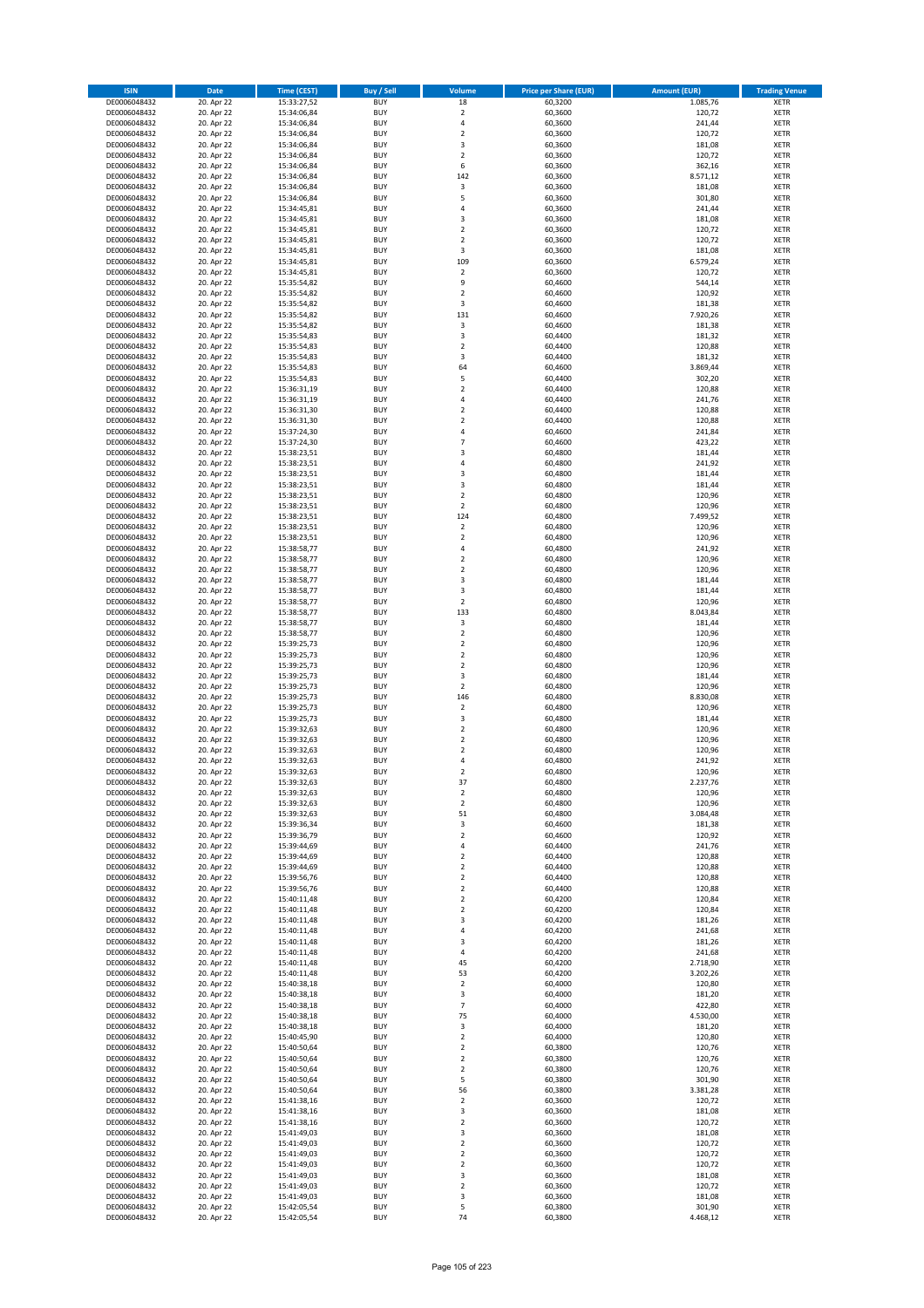| <b>ISIN</b>                  | <b>Date</b>              | <b>Time (CEST)</b>         | <b>Buy / Sell</b>        | <b>Volume</b>                          | <b>Price per Share (EUR)</b> | <b>Amount (EUR)</b>  | <b>Trading Venue</b>       |
|------------------------------|--------------------------|----------------------------|--------------------------|----------------------------------------|------------------------------|----------------------|----------------------------|
| DE0006048432                 | 20. Apr 22               | 15:33:27,52                | <b>BUY</b>               | 18                                     | 60,3200                      | 1.085,76             | <b>XETR</b>                |
| DE0006048432                 | 20. Apr 22               | 15:34:06,84                | <b>BUY</b>               | $\mathbf 2$                            | 60,3600                      | 120,72               | <b>XETR</b>                |
| DE0006048432                 | 20. Apr 22               | 15:34:06,84                | <b>BUY</b>               | 4                                      | 60,3600                      | 241,44               | <b>XETR</b>                |
| DE0006048432<br>DE0006048432 | 20. Apr 22<br>20. Apr 22 | 15:34:06,84<br>15:34:06,84 | <b>BUY</b><br><b>BUY</b> | $\mathbf 2$<br>3                       | 60,3600<br>60,3600           | 120,72<br>181,08     | <b>XETR</b><br><b>XETR</b> |
| DE0006048432                 | 20. Apr 22               | 15:34:06,84                | <b>BUY</b>               | $\mathbf 2$                            | 60,3600                      | 120,72               | <b>XETR</b>                |
| DE0006048432                 | 20. Apr 22               | 15:34:06,84                | <b>BUY</b>               | 6                                      | 60,3600                      | 362,16               | <b>XETR</b>                |
| DE0006048432                 | 20. Apr 22               | 15:34:06,84                | <b>BUY</b>               | 142                                    | 60,3600                      | 8.571,12             | <b>XETR</b>                |
| DE0006048432                 | 20. Apr 22               | 15:34:06,84                | <b>BUY</b>               | 3                                      | 60,3600                      | 181,08               | <b>XETR</b>                |
| DE0006048432                 | 20. Apr 22               | 15:34:06,84                | <b>BUY</b><br><b>BUY</b> | 5                                      | 60,3600                      | 301,80               | <b>XETR</b><br><b>XETR</b> |
| DE0006048432<br>DE0006048432 | 20. Apr 22<br>20. Apr 22 | 15:34:45,81<br>15:34:45,81 | <b>BUY</b>               | 4<br>3                                 | 60,3600<br>60,3600           | 241,44<br>181,08     | <b>XETR</b>                |
| DE0006048432                 | 20. Apr 22               | 15:34:45,81                | <b>BUY</b>               | $\mathbf 2$                            | 60,3600                      | 120,72               | <b>XETR</b>                |
| DE0006048432                 | 20. Apr 22               | 15:34:45,81                | <b>BUY</b>               | $\overline{\mathbf{c}}$                | 60,3600                      | 120,72               | <b>XETR</b>                |
| DE0006048432                 | 20. Apr 22               | 15:34:45,81                | <b>BUY</b>               | 3                                      | 60,3600                      | 181,08               | <b>XETR</b>                |
| DE0006048432                 | 20. Apr 22               | 15:34:45,81                | <b>BUY</b>               | 109                                    | 60,3600                      | 6.579,24             | <b>XETR</b>                |
| DE0006048432<br>DE0006048432 | 20. Apr 22<br>20. Apr 22 | 15:34:45,81<br>15:35:54,82 | <b>BUY</b><br><b>BUY</b> | $\mathbf 2$<br>9                       | 60,3600<br>60,4600           | 120,72<br>544,14     | <b>XETR</b><br><b>XETR</b> |
| DE0006048432                 | 20. Apr 22               | 15:35:54,82                | <b>BUY</b>               | $\overline{\mathbf{c}}$                | 60,4600                      | 120,92               | <b>XETR</b>                |
| DE0006048432                 | 20. Apr 22               | 15:35:54,82                | <b>BUY</b>               | 3                                      | 60,4600                      | 181,38               | <b>XETR</b>                |
| DE0006048432                 | 20. Apr 22               | 15:35:54,82                | <b>BUY</b>               | 131                                    | 60,4600                      | 7.920,26             | <b>XETR</b>                |
| DE0006048432                 | 20. Apr 22               | 15:35:54,82                | <b>BUY</b>               | 3                                      | 60,4600                      | 181,38               | <b>XETR</b>                |
| DE0006048432                 | 20. Apr 22               | 15:35:54,83                | <b>BUY</b>               | 3                                      | 60,4400                      | 181,32               | <b>XETR</b>                |
| DE0006048432<br>DE0006048432 | 20. Apr 22<br>20. Apr 22 | 15:35:54,83<br>15:35:54,83 | <b>BUY</b><br><b>BUY</b> | $\mathbf 2$<br>3                       | 60,4400<br>60,4400           | 120,88<br>181,32     | <b>XETR</b><br><b>XETR</b> |
| DE0006048432                 | 20. Apr 22               | 15:35:54,83                | <b>BUY</b>               | 64                                     | 60,4600                      | 3.869,44             | <b>XETR</b>                |
| DE0006048432                 | 20. Apr 22               | 15:35:54,83                | <b>BUY</b>               | 5                                      | 60,4400                      | 302,20               | <b>XETR</b>                |
| DE0006048432                 | 20. Apr 22               | 15:36:31,19                | <b>BUY</b>               | $\overline{\mathbf{c}}$                | 60,4400                      | 120,88               | <b>XETR</b>                |
| DE0006048432                 | 20. Apr 22               | 15:36:31,19                | <b>BUY</b>               | 4                                      | 60,4400                      | 241,76               | <b>XETR</b>                |
| DE0006048432<br>DE0006048432 | 20. Apr 22<br>20. Apr 22 | 15:36:31,30<br>15:36:31,30 | <b>BUY</b><br><b>BUY</b> | $\overline{\mathbf{c}}$<br>$\mathbf 2$ | 60,4400<br>60,4400           | 120,88<br>120,88     | <b>XETR</b><br><b>XETR</b> |
| DE0006048432                 | 20. Apr 22               | 15:37:24,30                | <b>BUY</b>               | 4                                      | 60,4600                      | 241,84               | <b>XETR</b>                |
| DE0006048432                 | 20. Apr 22               | 15:37:24,30                | <b>BUY</b>               | $\overline{7}$                         | 60,4600                      | 423,22               | <b>XETR</b>                |
| DE0006048432                 | 20. Apr 22               | 15:38:23,51                | <b>BUY</b>               | $\overline{\mathbf{3}}$                | 60,4800                      | 181,44               | <b>XETR</b>                |
| DE0006048432                 | 20. Apr 22               | 15:38:23,51                | <b>BUY</b>               | 4                                      | 60,4800                      | 241,92               | <b>XETR</b>                |
| DE0006048432                 | 20. Apr 22               | 15:38:23,51                | <b>BUY</b><br><b>BUY</b> | 3<br>3                                 | 60,4800                      | 181,44               | <b>XETR</b><br><b>XETR</b> |
| DE0006048432<br>DE0006048432 | 20. Apr 22<br>20. Apr 22 | 15:38:23,51<br>15:38:23,51 | <b>BUY</b>               | $\mathbf 2$                            | 60,4800<br>60,4800           | 181,44<br>120,96     | <b>XETR</b>                |
| DE0006048432                 | 20. Apr 22               | 15:38:23,51                | <b>BUY</b>               | $\overline{2}$                         | 60,4800                      | 120,96               | <b>XETR</b>                |
| DE0006048432                 | 20. Apr 22               | 15:38:23,51                | <b>BUY</b>               | 124                                    | 60,4800                      | 7.499,52             | <b>XETR</b>                |
| DE0006048432                 | 20. Apr 22               | 15:38:23,51                | <b>BUY</b>               | $\mathbf 2$                            | 60,4800                      | 120,96               | <b>XETR</b>                |
| DE0006048432                 | 20. Apr 22               | 15:38:23,51                | <b>BUY</b>               | $\mathbf 2$                            | 60,4800                      | 120,96               | <b>XETR</b>                |
| DE0006048432                 | 20. Apr 22               | 15:38:58,77                | <b>BUY</b><br><b>BUY</b> | 4<br>$\overline{\mathbf{c}}$           | 60,4800                      | 241,92               | <b>XETR</b><br><b>XETR</b> |
| DE0006048432<br>DE0006048432 | 20. Apr 22<br>20. Apr 22 | 15:38:58,77<br>15:38:58,77 | <b>BUY</b>               | $\mathbf 2$                            | 60,4800<br>60,4800           | 120,96<br>120,96     | <b>XETR</b>                |
| DE0006048432                 | 20. Apr 22               | 15:38:58,77                | <b>BUY</b>               | 3                                      | 60,4800                      | 181,44               | <b>XETR</b>                |
| DE0006048432                 | 20. Apr 22               | 15:38:58,77                | <b>BUY</b>               | 3                                      | 60,4800                      | 181,44               | <b>XETR</b>                |
| DE0006048432                 | 20. Apr 22               | 15:38:58,77                | <b>BUY</b>               | $\mathbf 2$                            | 60,4800                      | 120,96               | <b>XETR</b>                |
| DE0006048432                 | 20. Apr 22               | 15:38:58,77                | <b>BUY</b>               | 133                                    | 60,4800                      | 8.043,84             | <b>XETR</b>                |
| DE0006048432<br>DE0006048432 | 20. Apr 22<br>20. Apr 22 | 15:38:58,77<br>15:38:58,77 | <b>BUY</b><br><b>BUY</b> | 3<br>$\mathbf 2$                       | 60,4800<br>60,4800           | 181,44<br>120,96     | <b>XETR</b><br><b>XETR</b> |
| DE0006048432                 | 20. Apr 22               | 15:39:25,73                | <b>BUY</b>               | $\mathbf 2$                            | 60,4800                      | 120,96               | <b>XETR</b>                |
| DE0006048432                 | 20. Apr 22               | 15:39:25,73                | <b>BUY</b>               | $\overline{\mathbf{2}}$                | 60,4800                      | 120,96               | <b>XETR</b>                |
| DE0006048432                 | 20. Apr 22               | 15:39:25,73                | <b>BUY</b>               | $\mathbf 2$                            | 60,4800                      | 120,96               | <b>XETR</b>                |
| DE0006048432                 | 20. Apr 22               | 15:39:25,73                | <b>BUY</b>               | 3                                      | 60,4800                      | 181,44               | <b>XETR</b>                |
| DE0006048432                 | 20. Apr 22               | 15:39:25,73                | <b>BUY</b>               | $\mathbf 2$                            | 60,4800                      | 120,96               | <b>XETR</b>                |
| DE0006048432<br>DE0006048432 | 20. Apr 22<br>20. Apr 22 | 15:39:25,73<br>15:39:25,73 | <b>BUY</b><br><b>BUY</b> | 146<br>$\overline{\mathbf{c}}$         | 60,4800<br>60,4800           | 8.830,08<br>120,96   | <b>XETR</b><br><b>XETR</b> |
| DE0006048432                 | 20. Apr 22               | 15:39:25,73                | <b>BUY</b>               | 3                                      | 60,4800                      | 181,44               | <b>XETR</b>                |
| DE0006048432                 | 20. Apr 22               | 15:39:32,63                | <b>BUY</b>               | $\overline{2}$                         | 60,4800                      | 120,96               | <b>XETR</b>                |
| DE0006048432                 | 20. Apr 22               | 15:39:32,63                | <b>BUY</b>               | $\mathbf 2$                            | 60,4800                      | 120,96               | <b>XETR</b>                |
| DE0006048432                 | 20. Apr 22               | 15:39:32,63                | <b>BUY</b>               | $\overline{\mathbf{c}}$                | 60,4800                      | 120,96               | <b>XETR</b>                |
| DE0006048432<br>DE0006048432 | 20. Apr 22<br>20. Apr 22 | 15:39:32,63<br>15:39:32,63 | <b>BUY</b><br><b>BUY</b> | 4<br>$\overline{2}$                    | 60,4800<br>60,4800           | 241,92<br>120,96     | <b>XETR</b><br><b>XETR</b> |
| DE0006048432                 | 20. Apr 22               | 15:39:32,63                | BUY                      | 37                                     | 60,4800                      | 2.237,76             | <b>XETR</b>                |
| DE0006048432                 | 20. Apr 22               | 15:39:32,63                | <b>BUY</b>               | $\mathbf 2$                            | 60,4800                      | 120,96               | <b>XETR</b>                |
| DE0006048432                 | 20. Apr 22               | 15:39:32,63                | <b>BUY</b>               | $\overline{\mathbf{2}}$                | 60,4800                      | 120,96               | <b>XETR</b>                |
| DE0006048432                 | 20. Apr 22               | 15:39:32,63                | <b>BUY</b>               | 51                                     | 60,4800                      | 3.084,48             | XETR                       |
| DE0006048432<br>DE0006048432 | 20. Apr 22               | 15:39:36,34                | <b>BUY</b>               | 3                                      | 60,4600<br>60,4600           | 181,38<br>120,92     | <b>XETR</b>                |
| DE0006048432                 | 20. Apr 22<br>20. Apr 22 | 15:39:36,79<br>15:39:44,69 | <b>BUY</b><br><b>BUY</b> | $\mathbf 2$<br>4                       | 60,4400                      | 241,76               | <b>XETR</b><br><b>XETR</b> |
| DE0006048432                 | 20. Apr 22               | 15:39:44,69                | <b>BUY</b>               | $\mathbf 2$                            | 60,4400                      | 120,88               | <b>XETR</b>                |
| DE0006048432                 | 20. Apr 22               | 15:39:44,69                | <b>BUY</b>               | $\mathbf 2$                            | 60,4400                      | 120,88               | <b>XETR</b>                |
| DE0006048432                 | 20. Apr 22               | 15:39:56,76                | <b>BUY</b>               | $\mathbf 2$                            | 60,4400                      | 120,88               | <b>XETR</b>                |
| DE0006048432                 | 20. Apr 22               | 15:39:56,76                | <b>BUY</b>               | $\mathbf 2$<br>$\overline{2}$          | 60,4400                      | 120,88               | <b>XETR</b>                |
| DE0006048432<br>DE0006048432 | 20. Apr 22<br>20. Apr 22 | 15:40:11,48<br>15:40:11,48 | <b>BUY</b><br><b>BUY</b> | $\mathbf 2$                            | 60,4200<br>60,4200           | 120,84<br>120,84     | <b>XETR</b><br><b>XETR</b> |
| DE0006048432                 | 20. Apr 22               | 15:40:11,48                | <b>BUY</b>               | 3                                      | 60,4200                      | 181,26               | <b>XETR</b>                |
| DE0006048432                 | 20. Apr 22               | 15:40:11,48                | <b>BUY</b>               | 4                                      | 60,4200                      | 241,68               | <b>XETR</b>                |
| DE0006048432                 | 20. Apr 22               | 15:40:11,48                | <b>BUY</b>               | 3                                      | 60,4200                      | 181,26               | <b>XETR</b>                |
| DE0006048432                 | 20. Apr 22               | 15:40:11,48                | <b>BUY</b>               | 4                                      | 60,4200                      | 241,68               | <b>XETR</b>                |
| DE0006048432<br>DE0006048432 | 20. Apr 22<br>20. Apr 22 | 15:40:11,48<br>15:40:11,48 | <b>BUY</b><br><b>BUY</b> | 45<br>53                               | 60,4200<br>60,4200           | 2.718,90<br>3.202,26 | <b>XETR</b><br>XETR        |
| DE0006048432                 | 20. Apr 22               | 15:40:38,18                | <b>BUY</b>               | $\mathbf 2$                            | 60,4000                      | 120,80               | <b>XETR</b>                |
| DE0006048432                 | 20. Apr 22               | 15:40:38,18                | <b>BUY</b>               | 3                                      | 60,4000                      | 181,20               | <b>XETR</b>                |
| DE0006048432                 | 20. Apr 22               | 15:40:38,18                | <b>BUY</b>               | 7                                      | 60,4000                      | 422,80               | <b>XETR</b>                |
| DE0006048432                 | 20. Apr 22               | 15:40:38,18                | <b>BUY</b>               | 75                                     | 60,4000                      | 4.530,00             | <b>XETR</b>                |
| DE0006048432<br>DE0006048432 | 20. Apr 22<br>20. Apr 22 | 15:40:38,18<br>15:40:45,90 | <b>BUY</b><br><b>BUY</b> | 3<br>$\mathbf 2$                       | 60,4000<br>60,4000           | 181,20<br>120,80     | <b>XETR</b><br><b>XETR</b> |
| DE0006048432                 | 20. Apr 22               | 15:40:50,64                | <b>BUY</b>               | $\mathbf 2$                            | 60,3800                      | 120,76               | <b>XETR</b>                |
| DE0006048432                 | 20. Apr 22               | 15:40:50,64                | <b>BUY</b>               | $\mathbf 2$                            | 60,3800                      | 120,76               | <b>XETR</b>                |
| DE0006048432                 | 20. Apr 22               | 15:40:50,64                | <b>BUY</b>               | $\overline{\mathbf{2}}$                | 60,3800                      | 120,76               | <b>XETR</b>                |
| DE0006048432                 | 20. Apr 22               | 15:40:50,64                | <b>BUY</b>               | 5                                      | 60,3800                      | 301,90               | <b>XETR</b>                |
| DE0006048432                 | 20. Apr 22               | 15:40:50,64                | <b>BUY</b>               | 56                                     | 60,3800                      | 3.381,28             | <b>XETR</b>                |
| DE0006048432<br>DE0006048432 | 20. Apr 22<br>20. Apr 22 | 15:41:38,16<br>15:41:38,16 | <b>BUY</b><br><b>BUY</b> | $\mathbf 2$<br>3                       | 60,3600<br>60,3600           | 120,72<br>181,08     | <b>XETR</b><br><b>XETR</b> |
| DE0006048432                 | 20. Apr 22               | 15:41:38,16                | <b>BUY</b>               | $\mathbf 2$                            | 60,3600                      | 120,72               | <b>XETR</b>                |
| DE0006048432                 | 20. Apr 22               | 15:41:49,03                | <b>BUY</b>               | 3                                      | 60,3600                      | 181,08               | <b>XETR</b>                |
| DE0006048432                 | 20. Apr 22               | 15:41:49,03                | <b>BUY</b>               | $\mathbf 2$                            | 60,3600                      | 120,72               | <b>XETR</b>                |
| DE0006048432                 | 20. Apr 22               | 15:41:49,03                | <b>BUY</b>               | $\mathbf 2$                            | 60,3600                      | 120,72               | <b>XETR</b>                |
| DE0006048432<br>DE0006048432 | 20. Apr 22<br>20. Apr 22 | 15:41:49,03<br>15:41:49,03 | <b>BUY</b><br><b>BUY</b> | $\overline{\mathbf{c}}$<br>3           | 60,3600<br>60,3600           | 120,72<br>181,08     | <b>XETR</b><br>XETR        |
| DE0006048432                 | 20. Apr 22               | 15:41:49,03                | <b>BUY</b>               | $\overline{\mathbf{2}}$                | 60,3600                      | 120,72               | <b>XETR</b>                |
| DE0006048432                 | 20. Apr 22               | 15:41:49,03                | <b>BUY</b>               | 3                                      | 60,3600                      | 181,08               | <b>XETR</b>                |
| DE0006048432                 | 20. Apr 22               | 15:42:05,54                | <b>BUY</b>               | 5                                      | 60,3800                      | 301,90               | <b>XETR</b>                |
| DE0006048432                 | 20. Apr 22               | 15:42:05,54                | <b>BUY</b>               | 74                                     | 60,3800                      | 4.468,12             | XETR                       |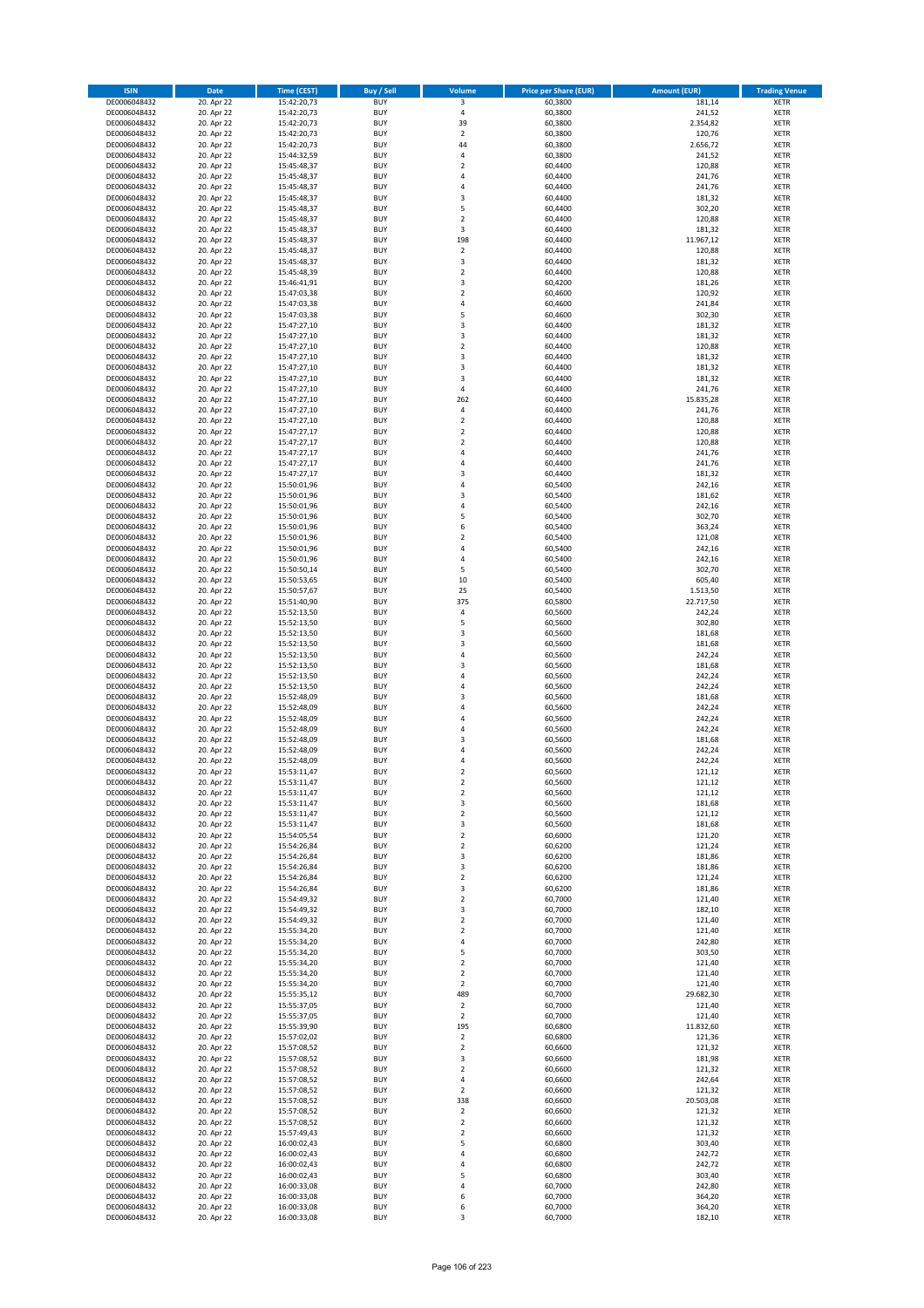| <b>ISIN</b>                  | Date                     | <b>Time (CEST)</b>         | <b>Buy / Sell</b>        | <b>Volume</b>                 | <b>Price per Share (EUR)</b> | <b>Amount (EUR)</b> | <b>Trading Venue</b>       |
|------------------------------|--------------------------|----------------------------|--------------------------|-------------------------------|------------------------------|---------------------|----------------------------|
| DE0006048432                 | 20. Apr 22               | 15:42:20,73                | <b>BUY</b>               | 3                             | 60,3800                      | 181,14              | <b>XETR</b>                |
| DE0006048432                 | 20. Apr 22               | 15:42:20,73                | <b>BUY</b>               | $\sqrt{4}$                    | 60,3800                      | 241,52              | XETR                       |
| DE0006048432                 | 20. Apr 22               | 15:42:20,73                | <b>BUY</b>               | 39                            | 60,3800                      | 2.354,82            | <b>XETR</b>                |
| DE0006048432                 | 20. Apr 22               | 15:42:20,73                | <b>BUY</b>               | $\mathbf 2$                   | 60,3800                      | 120,76              | <b>XETR</b>                |
| DE0006048432<br>DE0006048432 | 20. Apr 22<br>20. Apr 22 | 15:42:20,73<br>15:44:32,59 | <b>BUY</b><br><b>BUY</b> | 44<br>4                       | 60,3800<br>60,3800           | 2.656,72<br>241,52  | <b>XETR</b><br><b>XETR</b> |
| DE0006048432                 | 20. Apr 22               | 15:45:48,37                | <b>BUY</b>               | $\mathbf 2$                   | 60,4400                      | 120,88              | <b>XETR</b>                |
| DE0006048432                 | 20. Apr 22               | 15:45:48,37                | <b>BUY</b>               | 4                             | 60,4400                      | 241,76              | <b>XETR</b>                |
| DE0006048432                 | 20. Apr 22               | 15:45:48,37                | <b>BUY</b>               | $\overline{4}$                | 60,4400                      | 241,76              | <b>XETR</b>                |
| DE0006048432                 | 20. Apr 22               | 15:45:48,37                | <b>BUY</b>               | 3                             | 60,4400                      | 181,32              | <b>XETR</b>                |
| DE0006048432                 | 20. Apr 22               | 15:45:48,37                | <b>BUY</b>               | 5                             | 60,4400                      | 302,20              | <b>XETR</b>                |
| DE0006048432                 | 20. Apr 22               | 15:45:48,37                | <b>BUY</b>               | $\overline{2}$                | 60,4400                      | 120,88              | <b>XETR</b>                |
| DE0006048432<br>DE0006048432 | 20. Apr 22<br>20. Apr 22 | 15:45:48,37<br>15:45:48,37 | <b>BUY</b><br><b>BUY</b> | 3<br>198                      | 60,4400<br>60,4400           | 181,32<br>11.967,12 | <b>XETR</b><br><b>XETR</b> |
| DE0006048432                 | 20. Apr 22               | 15:45:48,37                | <b>BUY</b>               | $\mathbf 2$                   | 60,4400                      | 120,88              | <b>XETR</b>                |
| DE0006048432                 | 20. Apr 22               | 15:45:48,37                | <b>BUY</b>               | 3                             | 60,4400                      | 181,32              | <b>XETR</b>                |
| DE0006048432                 | 20. Apr 22               | 15:45:48,39                | <b>BUY</b>               | $\mathbf 2$                   | 60,4400                      | 120,88              | <b>XETR</b>                |
| DE0006048432                 | 20. Apr 22               | 15:46:41,91                | <b>BUY</b>               | 3                             | 60,4200                      | 181,26              | <b>XETR</b>                |
| DE0006048432                 | 20. Apr 22               | 15:47:03,38                | <b>BUY</b>               | $\overline{\mathbf{c}}$       | 60,4600                      | 120,92              | <b>XETR</b>                |
| DE0006048432<br>DE0006048432 | 20. Apr 22<br>20. Apr 22 | 15:47:03,38<br>15:47:03,38 | <b>BUY</b><br><b>BUY</b> | 4<br>5                        | 60,4600<br>60,4600           | 241,84<br>302,30    | <b>XETR</b><br><b>XETR</b> |
| DE0006048432                 | 20. Apr 22               | 15:47:27,10                | <b>BUY</b>               | 3                             | 60,4400                      | 181,32              | <b>XETR</b>                |
| DE0006048432                 | 20. Apr 22               | 15:47:27,10                | <b>BUY</b>               | 3                             | 60,4400                      | 181,32              | <b>XETR</b>                |
| DE0006048432                 | 20. Apr 22               | 15:47:27,10                | <b>BUY</b>               | $\mathbf 2$                   | 60,4400                      | 120,88              | <b>XETR</b>                |
| DE0006048432                 | 20. Apr 22               | 15:47:27,10                | <b>BUY</b>               | 3                             | 60,4400                      | 181,32              | <b>XETR</b>                |
| DE0006048432                 | 20. Apr 22               | 15:47:27,10                | <b>BUY</b>               | 3                             | 60,4400                      | 181,32              | <b>XETR</b>                |
| DE0006048432<br>DE0006048432 | 20. Apr 22               | 15:47:27,10                | <b>BUY</b><br><b>BUY</b> | 3<br>4                        | 60,4400<br>60,4400           | 181,32              | <b>XETR</b><br><b>XETR</b> |
| DE0006048432                 | 20. Apr 22<br>20. Apr 22 | 15:47:27,10<br>15:47:27,10 | <b>BUY</b>               | 262                           | 60,4400                      | 241,76<br>15.835,28 | <b>XETR</b>                |
| DE0006048432                 | 20. Apr 22               | 15:47:27,10                | <b>BUY</b>               | 4                             | 60,4400                      | 241,76              | <b>XETR</b>                |
| DE0006048432                 | 20. Apr 22               | 15:47:27,10                | <b>BUY</b>               | $\mathbf 2$                   | 60,4400                      | 120,88              | <b>XETR</b>                |
| DE0006048432                 | 20. Apr 22               | 15:47:27,17                | <b>BUY</b>               | $\mathbf 2$                   | 60,4400                      | 120,88              | <b>XETR</b>                |
| DE0006048432                 | 20. Apr 22               | 15:47:27,17                | <b>BUY</b>               | $\mathbf 2$                   | 60,4400                      | 120,88              | <b>XETR</b>                |
| DE0006048432                 | 20. Apr 22               | 15:47:27,17                | <b>BUY</b>               | $\overline{4}$                | 60,4400                      | 241,76              | <b>XETR</b>                |
| DE0006048432<br>DE0006048432 | 20. Apr 22<br>20. Apr 22 | 15:47:27,17<br>15:47:27,17 | <b>BUY</b><br><b>BUY</b> | 4<br>3                        | 60,4400<br>60,4400           | 241,76<br>181,32    | <b>XETR</b><br><b>XETR</b> |
| DE0006048432                 | 20. Apr 22               | 15:50:01,96                | <b>BUY</b>               | $\overline{4}$                | 60,5400                      | 242,16              | <b>XETR</b>                |
| DE0006048432                 | 20. Apr 22               | 15:50:01,96                | <b>BUY</b>               | 3                             | 60,5400                      | 181,62              | <b>XETR</b>                |
| DE0006048432                 | 20. Apr 22               | 15:50:01,96                | <b>BUY</b>               | $\sqrt{4}$                    | 60,5400                      | 242,16              | <b>XETR</b>                |
| DE0006048432                 | 20. Apr 22               | 15:50:01,96                | <b>BUY</b>               | 5                             | 60,5400                      | 302,70              | <b>XETR</b>                |
| DE0006048432                 | 20. Apr 22               | 15:50:01,96                | <b>BUY</b>               | 6                             | 60,5400                      | 363,24              | <b>XETR</b>                |
| DE0006048432                 | 20. Apr 22               | 15:50:01,96                | <b>BUY</b><br><b>BUY</b> | $\mathbf 2$<br>4              | 60,5400                      | 121,08              | <b>XETR</b>                |
| DE0006048432<br>DE0006048432 | 20. Apr 22<br>20. Apr 22 | 15:50:01,96<br>15:50:01,96 | <b>BUY</b>               | 4                             | 60,5400<br>60,5400           | 242,16<br>242,16    | <b>XETR</b><br><b>XETR</b> |
| DE0006048432                 | 20. Apr 22               | 15:50:50,14                | <b>BUY</b>               | 5                             | 60,5400                      | 302,70              | <b>XETR</b>                |
| DE0006048432                 | 20. Apr 22               | 15:50:53,65                | <b>BUY</b>               | 10                            | 60,5400                      | 605,40              | <b>XETR</b>                |
| DE0006048432                 | 20. Apr 22               | 15:50:57,67                | <b>BUY</b>               | 25                            | 60,5400                      | 1.513,50            | <b>XETR</b>                |
| DE0006048432                 | 20. Apr 22               | 15:51:40,90                | <b>BUY</b>               | 375                           | 60,5800                      | 22.717,50           | <b>XETR</b>                |
| DE0006048432                 | 20. Apr 22               | 15:52:13,50                | <b>BUY</b><br><b>BUY</b> | 4<br>5                        | 60,5600                      | 242,24              | <b>XETR</b>                |
| DE0006048432<br>DE0006048432 | 20. Apr 22<br>20. Apr 22 | 15:52:13,50<br>15:52:13,50 | <b>BUY</b>               | 3                             | 60,5600<br>60,5600           | 302,80<br>181,68    | <b>XETR</b><br><b>XETR</b> |
| DE0006048432                 | 20. Apr 22               | 15:52:13,50                | <b>BUY</b>               | 3                             | 60,5600                      | 181,68              | <b>XETR</b>                |
| DE0006048432                 | 20. Apr 22               | 15:52:13,50                | <b>BUY</b>               | 4                             | 60,5600                      | 242,24              | <b>XETR</b>                |
| DE0006048432                 | 20. Apr 22               | 15:52:13,50                | <b>BUY</b>               | 3                             | 60,5600                      | 181,68              | <b>XETR</b>                |
| DE0006048432                 | 20. Apr 22               | 15:52:13,50                | <b>BUY</b>               | $\overline{4}$                | 60,5600                      | 242,24              | <b>XETR</b>                |
| DE0006048432                 | 20. Apr 22               | 15:52:13,50                | <b>BUY</b>               | 4                             | 60,5600                      | 242,24              | <b>XETR</b>                |
| DE0006048432<br>DE0006048432 | 20. Apr 22<br>20. Apr 22 | 15:52:48,09<br>15:52:48,09 | <b>BUY</b><br><b>BUY</b> | 3<br>4                        | 60,5600<br>60,5600           | 181,68<br>242,24    | <b>XETR</b><br><b>XETR</b> |
| DE0006048432                 | 20. Apr 22               | 15:52:48,09                | <b>BUY</b>               | $\overline{a}$                | 60,5600                      | 242,24              | <b>XETR</b>                |
| DE0006048432                 | 20. Apr 22               | 15:52:48,09                | <b>BUY</b>               | $\overline{4}$                | 60,5600                      | 242,24              | <b>XETR</b>                |
| DE0006048432                 | 20. Apr 22               | 15:52:48,09                | <b>BUY</b>               | 3                             | 60,5600                      | 181,68              | <b>XETR</b>                |
| DE0006048432                 | 20. Apr 22               | 15:52:48,09                | <b>BUY</b>               | $\overline{4}$                | 60,5600                      | 242,24              | <b>XETR</b>                |
| DE0006048432                 | 20. Apr 22               | 15:52:48,09                | <b>BUY</b>               | $\overline{4}$                | 60,5600                      | 242,24              | <b>XETR</b>                |
| DE0006048432                 | 20. Apr 22               | 15:53:11,47                | <b>BUY</b>               | 2                             | 60,5600                      | 121,12              | <b>XETR</b>                |
| DE0006048432<br>DE0006048432 | 20. Apr 22<br>20. Apr 22 | 15:53:11,47<br>15:53:11,47 | BUY<br><b>BUY</b>        | 2<br>$\mathbf 2$              | 60,5600<br>60,5600           | 121,12<br>121,12    | XETR<br><b>XETR</b>        |
| DE0006048432                 | 20. Apr 22               | 15:53:11,47                | <b>BUY</b>               | 3                             | 60,5600                      | 181,68              | <b>XETR</b>                |
| DE0006048432                 | 20. Apr 22               | 15:53:11,47                | <b>BUY</b>               | $\overline{2}$                | 60,5600                      | 121,12              | XETR                       |
| DE0006048432                 | 20. Apr 22               | 15:53:11,47                | <b>BUY</b>               | 3                             | 60,5600                      | 181,68              | <b>XETR</b>                |
| DE0006048432                 | 20. Apr 22               | 15:54:05,54                | <b>BUY</b>               | $\mathbf 2$                   | 60,6000                      | 121,20              | <b>XETR</b>                |
| DE0006048432                 | 20. Apr 22               | 15:54:26,84                | <b>BUY</b>               | $\overline{2}$                | 60,6200                      | 121,24              | <b>XETR</b>                |
| DE0006048432<br>DE0006048432 | 20. Apr 22<br>20. Apr 22 | 15:54:26,84<br>15:54:26,84 | <b>BUY</b><br><b>BUY</b> | 3<br>3                        | 60,6200<br>60,6200           | 181,86<br>181,86    | <b>XETR</b><br>XETR        |
| DE0006048432                 | 20. Apr 22               | 15:54:26,84                | <b>BUY</b>               | $\mathbf 2$                   | 60,6200                      | 121,24              | <b>XETR</b>                |
| DE0006048432                 | 20. Apr 22               | 15:54:26,84                | <b>BUY</b>               | 3                             | 60,6200                      | 181,86              | XETR                       |
| DE0006048432                 | 20. Apr 22               | 15:54:49,32                | <b>BUY</b>               | $\overline{2}$                | 60,7000                      | 121,40              | <b>XETR</b>                |
| DE0006048432                 | 20. Apr 22               | 15:54:49,32                | <b>BUY</b>               | 3                             | 60,7000                      | 182,10              | XETR                       |
| DE0006048432                 | 20. Apr 22               | 15:54:49,32<br>15:55:34,20 | <b>BUY</b><br><b>BUY</b> | $\overline{2}$                | 60.7000<br>60,7000           | 121,40<br>121,40    | <b>XETR</b>                |
| DE0006048432                 | 20. Apr 22               | 15:55:34,20                | <b>BUY</b>               | $\mathbf 2$<br>$\overline{4}$ |                              |                     | XETR                       |
| DE0006048432<br>DE0006048432 | 20. Apr 22<br>20. Apr 22 | 15:55:34,20                | <b>BUY</b>               | 5                             | 60,7000<br>60,7000           | 242,80<br>303,50    | <b>XETR</b><br><b>XETR</b> |
| DE0006048432                 | 20. Apr 22               | 15:55:34,20                | <b>BUY</b>               | $\overline{2}$                | 60,7000                      | 121,40              | <b>XETR</b>                |
| DE0006048432                 | 20. Apr 22               | 15:55:34,20                | <b>BUY</b>               | $\mathbf 2$                   | 60,7000                      | 121,40              | XETR                       |
| DE0006048432                 | 20. Apr 22               | 15:55:34,20                | <b>BUY</b>               | $\mathbf 2$                   | 60,7000                      | 121,40              | <b>XETR</b>                |
| DE0006048432                 | 20. Apr 22               | 15:55:35,12                | <b>BUY</b>               | 489                           | 60,7000                      | 29.682,30           | <b>XETR</b>                |
| DE0006048432                 | 20. Apr 22               | 15:55:37,05                | <b>BUY</b><br><b>BUY</b> | $\mathbf 2$<br>$\overline{2}$ | 60,7000                      | 121,40              | <b>XETR</b>                |
| DE0006048432<br>DE0006048432 | 20. Apr 22<br>20. Apr 22 | 15:55:37,05<br>15:55:39,90 | <b>BUY</b>               | 195                           | 60,7000<br>60,6800           | 121,40<br>11.832,60 | XETR<br>XETR               |
| DE0006048432                 | 20. Apr 22               | 15:57:02,02                | <b>BUY</b>               | $\mathbf 2$                   | 60,6800                      | 121,36              | XETR                       |
| DE0006048432                 | 20. Apr 22               | 15:57:08,52                | <b>BUY</b>               | $\mathbf 2$                   | 60,6600                      | 121,32              | <b>XETR</b>                |
| DE0006048432                 | 20. Apr 22               | 15:57:08,52                | <b>BUY</b>               | 3                             | 60,6600                      | 181,98              | <b>XETR</b>                |
| DE0006048432                 | 20. Apr 22               | 15:57:08,52                | <b>BUY</b>               | $\overline{2}$                | 60,6600                      | 121,32              | <b>XETR</b>                |
| DE0006048432                 | 20. Apr 22               | 15:57:08,52                | <b>BUY</b>               | $\pmb{4}$                     | 60,6600                      | 242,64              | <b>XETR</b>                |
| DE0006048432<br>DE0006048432 | 20. Apr 22<br>20. Apr 22 | 15:57:08,52<br>15:57:08,52 | <b>BUY</b><br><b>BUY</b> | $\overline{2}$<br>338         | 60,6600<br>60,6600           | 121,32<br>20.503,08 | <b>XETR</b><br>XETR        |
| DE0006048432                 | 20. Apr 22               | 15:57:08,52                | <b>BUY</b>               | $\mathbf 2$                   | 60,6600                      | 121,32              | XETR                       |
| DE0006048432                 | 20. Apr 22               | 15:57:08,52                | <b>BUY</b>               | $\mathbf 2$                   | 60,6600                      | 121,32              | XETR                       |
| DE0006048432                 | 20. Apr 22               | 15:57:49,43                | <b>BUY</b>               | $\overline{2}$                | 60,6600                      | 121,32              | <b>XETR</b>                |
| DE0006048432                 | 20. Apr 22               | 16:00:02,43                | <b>BUY</b>               | 5                             | 60,6800                      | 303,40              | <b>XETR</b>                |
| DE0006048432                 | 20. Apr 22               | 16:00:02,43                | <b>BUY</b>               | $\pmb{4}$                     | 60,6800                      | 242,72              | XETR                       |
| DE0006048432                 | 20. Apr 22<br>20. Apr 22 | 16:00:02,43                | <b>BUY</b><br><b>BUY</b> | 4<br>5                        | 60,6800<br>60,6800           | 242,72<br>303,40    | <b>XETR</b>                |
| DE0006048432<br>DE0006048432 | 20. Apr 22               | 16:00:02,43<br>16:00:33,08 | <b>BUY</b>               | 4                             | 60,7000                      | 242,80              | XETR<br><b>XETR</b>        |
| DE0006048432                 | 20. Apr 22               | 16:00:33,08                | <b>BUY</b>               | 6                             | 60,7000                      | 364,20              | XETR                       |
| DE0006048432                 | 20. Apr 22               | 16:00:33,08                | <b>BUY</b>               | 6                             | 60,7000                      | 364,20              | <b>XETR</b>                |
| DE0006048432                 | 20. Apr 22               | 16:00:33,08                | <b>BUY</b>               | 3                             | 60,7000                      | 182,10              | XETR                       |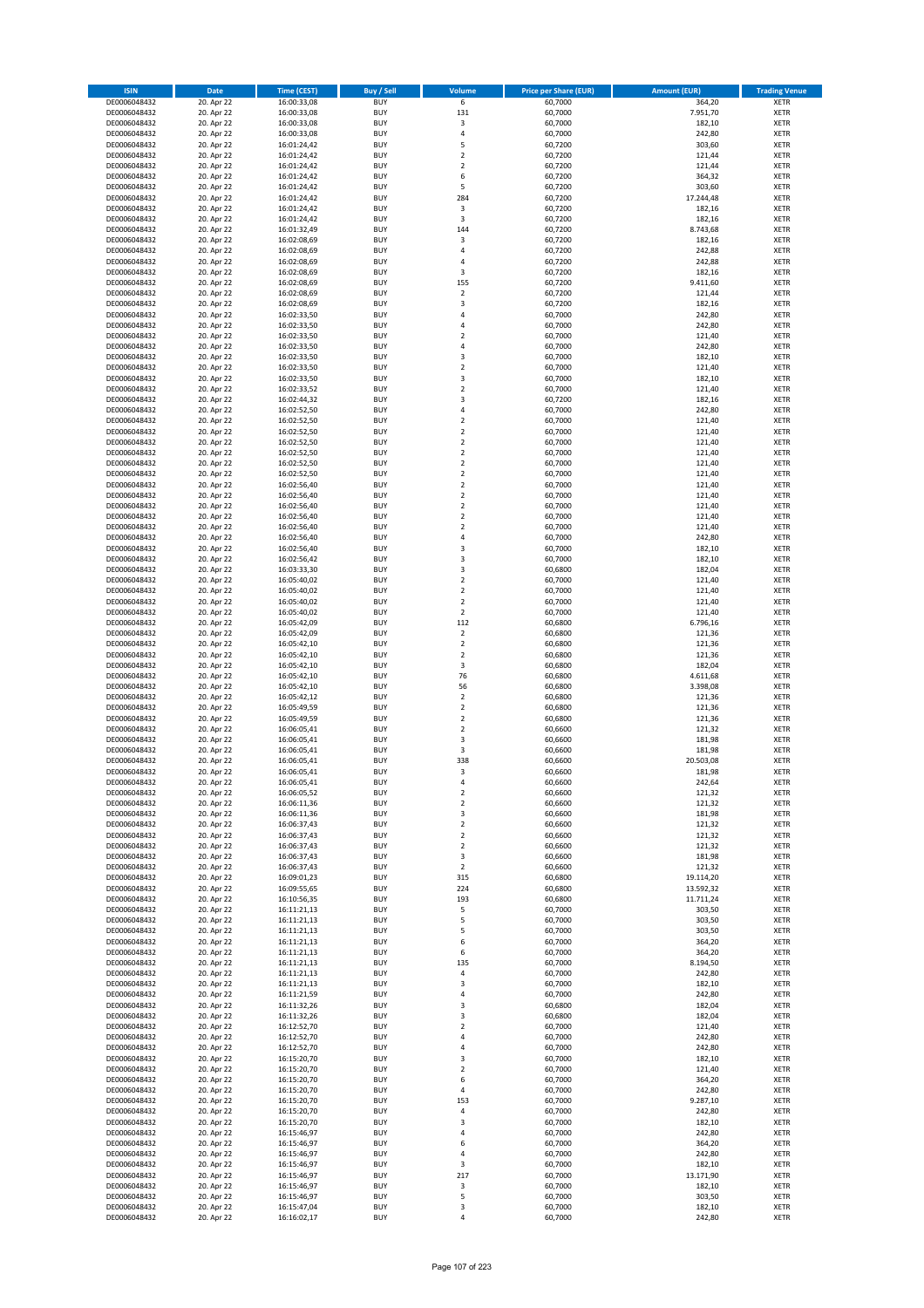| <b>ISIN</b>                  | Date                     | Time (CEST)                | <b>Buy / Sell</b>        | Volume                        | <b>Price per Share (EUR)</b> | <b>Amount (EUR)</b> | <b>Trading Venue</b>       |
|------------------------------|--------------------------|----------------------------|--------------------------|-------------------------------|------------------------------|---------------------|----------------------------|
| DE0006048432                 | 20. Apr 22               | 16:00:33,08                | <b>BUY</b>               | $6\overline{}$                | 60,7000                      | 364,20              | <b>XETR</b>                |
| DE0006048432                 | 20. Apr 22               | 16:00:33,08                | <b>BUY</b>               | 131                           | 60,7000                      | 7.951,70            | XETR                       |
| DE0006048432                 | 20. Apr 22               | 16:00:33,08                | <b>BUY</b>               | 3                             | 60,7000                      | 182,10              | <b>XETR</b>                |
| DE0006048432                 | 20. Apr 22               | 16:00:33,08                | <b>BUY</b>               | $\sqrt{4}$                    | 60,7000                      | 242,80              | XETR                       |
| DE0006048432<br>DE0006048432 | 20. Apr 22<br>20. Apr 22 | 16:01:24,42<br>16:01:24,42 | <b>BUY</b><br><b>BUY</b> | 5<br>$\mathbf 2$              | 60,7200<br>60,7200           | 303,60<br>121,44    | <b>XETR</b><br><b>XETR</b> |
| DE0006048432                 | 20. Apr 22               | 16:01:24,42                | <b>BUY</b>               | $\mathbf 2$                   | 60,7200                      | 121,44              | <b>XETR</b>                |
| DE0006048432                 | 20. Apr 22               | 16:01:24,42                | <b>BUY</b>               | 6                             | 60,7200                      | 364,32              | <b>XETR</b>                |
| DE0006048432                 | 20. Apr 22               | 16:01:24,42                | <b>BUY</b>               | 5                             | 60,7200                      | 303,60              | <b>XETR</b>                |
| DE0006048432                 | 20. Apr 22               | 16:01:24,42                | <b>BUY</b>               | 284                           | 60,7200                      | 17.244,48           | <b>XETR</b>                |
| DE0006048432                 | 20. Apr 22               | 16:01:24,42                | <b>BUY</b>               | $\mathsf 3$                   | 60,7200                      | 182,16              | <b>XETR</b>                |
| DE0006048432                 | 20. Apr 22               | 16:01:24,42                | <b>BUY</b>               | 3                             | 60,7200                      | 182,16              | <b>XETR</b>                |
| DE0006048432<br>DE0006048432 | 20. Apr 22<br>20. Apr 22 | 16:01:32,49<br>16:02:08,69 | <b>BUY</b><br><b>BUY</b> | 144<br>3                      | 60,7200<br>60,7200           | 8.743,68<br>182,16  | <b>XETR</b><br><b>XETR</b> |
| DE0006048432                 | 20. Apr 22               | 16:02:08,69                | <b>BUY</b>               | 4                             | 60,7200                      | 242,88              | <b>XETR</b>                |
| DE0006048432                 | 20. Apr 22               | 16:02:08,69                | <b>BUY</b>               | $\overline{4}$                | 60,7200                      | 242,88              | <b>XETR</b>                |
| DE0006048432                 | 20. Apr 22               | 16:02:08,69                | <b>BUY</b>               | 3                             | 60,7200                      | 182,16              | <b>XETR</b>                |
| DE0006048432                 | 20. Apr 22               | 16:02:08,69                | <b>BUY</b>               | 155                           | 60,7200                      | 9.411,60            | <b>XETR</b>                |
| DE0006048432                 | 20. Apr 22               | 16:02:08,69                | <b>BUY</b>               | $\mathbf 2$                   | 60,7200                      | 121,44              | <b>XETR</b>                |
| DE0006048432<br>DE0006048432 | 20. Apr 22<br>20. Apr 22 | 16:02:08,69<br>16:02:33,50 | <b>BUY</b><br><b>BUY</b> | $\mathsf 3$<br>4              | 60,7200<br>60,7000           | 182,16<br>242,80    | <b>XETR</b><br><b>XETR</b> |
| DE0006048432                 | 20. Apr 22               | 16:02:33,50                | <b>BUY</b>               | 4                             | 60,7000                      | 242,80              | <b>XETR</b>                |
| DE0006048432                 | 20. Apr 22               | 16:02:33,50                | <b>BUY</b>               | $\overline{\mathbf{c}}$       | 60,7000                      | 121,40              | <b>XETR</b>                |
| DE0006048432                 | 20. Apr 22               | 16:02:33,50                | <b>BUY</b>               | 4                             | 60,7000                      | 242,80              | <b>XETR</b>                |
| DE0006048432                 | 20. Apr 22               | 16:02:33,50                | <b>BUY</b>               | $\mathsf 3$                   | 60,7000                      | 182,10              | <b>XETR</b>                |
| DE0006048432                 | 20. Apr 22               | 16:02:33,50                | <b>BUY</b>               | $\mathbf 2$                   | 60,7000                      | 121,40              | <b>XETR</b>                |
| DE0006048432                 | 20. Apr 22               | 16:02:33,50                | <b>BUY</b>               | $\mathsf 3$                   | 60,7000                      | 182,10              | <b>XETR</b>                |
| DE0006048432<br>DE0006048432 | 20. Apr 22<br>20. Apr 22 | 16:02:33,52<br>16:02:44,32 | <b>BUY</b><br><b>BUY</b> | $\overline{2}$<br>3           | 60,7000<br>60,7200           | 121,40<br>182,16    | <b>XETR</b><br><b>XETR</b> |
| DE0006048432                 | 20. Apr 22               | 16:02:52,50                | <b>BUY</b>               | 4                             | 60,7000                      | 242,80              | <b>XETR</b>                |
| DE0006048432                 | 20. Apr 22               | 16:02:52,50                | <b>BUY</b>               | $\mathbf 2$                   | 60,7000                      | 121,40              | <b>XETR</b>                |
| DE0006048432                 | 20. Apr 22               | 16:02:52,50                | <b>BUY</b>               | $\overline{2}$                | 60,7000                      | 121,40              | <b>XETR</b>                |
| DE0006048432                 | 20. Apr 22               | 16:02:52,50                | <b>BUY</b>               | $\mathbf 2$                   | 60,7000                      | 121,40              | <b>XETR</b>                |
| DE0006048432                 | 20. Apr 22               | 16:02:52,50                | <b>BUY</b>               | $\mathbf 2$                   | 60,7000                      | 121,40              | <b>XETR</b>                |
| DE0006048432<br>DE0006048432 | 20. Apr 22<br>20. Apr 22 | 16:02:52,50<br>16:02:52,50 | <b>BUY</b><br><b>BUY</b> | $\mathbf 2$<br>$\overline{2}$ | 60,7000<br>60,7000           | 121,40<br>121,40    | <b>XETR</b><br><b>XETR</b> |
| DE0006048432                 | 20. Apr 22               | 16:02:56,40                | <b>BUY</b>               | $\overline{2}$                | 60,7000                      | 121,40              | <b>XETR</b>                |
| DE0006048432                 | 20. Apr 22               | 16:02:56,40                | <b>BUY</b>               | $\mathbf 2$                   | 60,7000                      | 121,40              | <b>XETR</b>                |
| DE0006048432                 | 20. Apr 22               | 16:02:56,40                | <b>BUY</b>               | $\overline{2}$                | 60,7000                      | 121,40              | <b>XETR</b>                |
| DE0006048432                 | 20. Apr 22               | 16:02:56,40                | <b>BUY</b>               | $\mathbf 2$                   | 60,7000                      | 121,40              | <b>XETR</b>                |
| DE0006048432                 | 20. Apr 22               | 16:02:56,40                | <b>BUY</b>               | $\mathbf 2$                   | 60,7000                      | 121,40              | <b>XETR</b>                |
| DE0006048432                 | 20. Apr 22               | 16:02:56,40                | <b>BUY</b>               | 4                             | 60,7000                      | 242,80              | <b>XETR</b>                |
| DE0006048432<br>DE0006048432 | 20. Apr 22<br>20. Apr 22 | 16:02:56,40<br>16:02:56,42 | <b>BUY</b><br><b>BUY</b> | 3<br>3                        | 60,7000<br>60,7000           | 182,10<br>182,10    | <b>XETR</b><br><b>XETR</b> |
| DE0006048432                 | 20. Apr 22               | 16:03:33,30                | <b>BUY</b>               | 3                             | 60,6800                      | 182,04              | <b>XETR</b>                |
| DE0006048432                 | 20. Apr 22               | 16:05:40,02                | <b>BUY</b>               | $\overline{2}$                | 60,7000                      | 121,40              | <b>XETR</b>                |
| DE0006048432                 | 20. Apr 22               | 16:05:40,02                | <b>BUY</b>               | $\mathbf 2$                   | 60,7000                      | 121,40              | <b>XETR</b>                |
| DE0006048432                 | 20. Apr 22               | 16:05:40,02                | <b>BUY</b>               | $\mathbf 2$                   | 60,7000                      | 121,40              | <b>XETR</b>                |
| DE0006048432                 | 20. Apr 22               | 16:05:40,02                | <b>BUY</b><br><b>BUY</b> | $\mathbf 2$<br>112            | 60,7000                      | 121,40              | <b>XETR</b><br><b>XETR</b> |
| DE0006048432<br>DE0006048432 | 20. Apr 22<br>20. Apr 22 | 16:05:42,09<br>16:05:42,09 | <b>BUY</b>               | $\mathbf 2$                   | 60,6800<br>60,6800           | 6.796,16<br>121,36  | <b>XETR</b>                |
| DE0006048432                 | 20. Apr 22               | 16:05:42,10                | <b>BUY</b>               | $\overline{2}$                | 60,6800                      | 121,36              | <b>XETR</b>                |
| DE0006048432                 | 20. Apr 22               | 16:05:42,10                | <b>BUY</b>               | $\overline{2}$                | 60,6800                      | 121,36              | <b>XETR</b>                |
| DE0006048432                 | 20. Apr 22               | 16:05:42,10                | <b>BUY</b>               | $\mathsf 3$                   | 60,6800                      | 182,04              | <b>XETR</b>                |
| DE0006048432                 | 20. Apr 22               | 16:05:42,10                | <b>BUY</b>               | 76                            | 60,6800                      | 4.611,68            | <b>XETR</b>                |
| DE0006048432                 | 20. Apr 22               | 16:05:42,10                | <b>BUY</b>               | 56                            | 60,6800                      | 3.398,08            | <b>XETR</b>                |
| DE0006048432<br>DE0006048432 | 20. Apr 22<br>20. Apr 22 | 16:05:42,12<br>16:05:49,59 | <b>BUY</b><br><b>BUY</b> | $\overline{2}$<br>$\mathbf 2$ | 60,6800<br>60,6800           | 121,36<br>121,36    | <b>XETR</b><br><b>XETR</b> |
| DE0006048432                 | 20. Apr 22               | 16:05:49,59                | <b>BUY</b>               | $\mathbf 2$                   | 60,6800                      | 121,36              | <b>XETR</b>                |
| DE0006048432                 | 20. Apr 22               | 16:06:05,41                | <b>BUY</b>               | $\overline{2}$                | 60,6600                      | 121,32              | <b>XETR</b>                |
| DE0006048432                 | 20. Apr 22               | 16:06:05,41                | <b>BUY</b>               | $\mathsf 3$                   | 60,6600                      | 181,98              | <b>XETR</b>                |
| DE0006048432                 | 20. Apr 22               | 16:06:05,41                | <b>BUY</b>               | 3                             | 60,6600                      | 181,98              | <b>XETR</b>                |
| DE0006048432                 | 20. Apr 22               | 16:06:05,41                | <b>BUY</b>               | 338                           | 60,6600                      | 20.503,08           | <b>XETR</b>                |
| DE0006048432                 | 20. Apr 22               | 16:06:05,41                | <b>BUY</b>               | 3                             | 60,6600                      | 181,98              | <b>XETR</b>                |
| DE0006048432<br>DE0006048432 | 20. Apr 22<br>20. Apr 22 | 16:06:05,41<br>16:06:05,52 | BUY<br><b>BUY</b>        | 4<br>$\mathbf 2$              | 60,6600<br>60,6600           | 242,64<br>121,32    | XETR<br><b>XETR</b>        |
| DE0006048432                 | 20. Apr 22               | 16:06:11,36                | <b>BUY</b>               | $\overline{2}$                | 60,6600                      | 121,32              | <b>XETR</b>                |
| DE0006048432                 | 20. Apr 22               | 16:06:11,36                | <b>BUY</b>               | 3                             | 60,6600                      | 181,98              | XETR                       |
| DE0006048432                 | 20. Apr 22               | 16:06:37,43                | <b>BUY</b>               | $\overline{2}$                | 60,6600                      | 121,32              | <b>XETR</b>                |
| DE0006048432                 | 20. Apr 22               | 16:06:37,43                | <b>BUY</b>               | $\overline{2}$                | 60,6600                      | 121,32              | <b>XETR</b>                |
| DE0006048432                 | 20. Apr 22               | 16:06:37,43                | <b>BUY</b>               | $\overline{2}$                | 60,6600                      | 121,32              | <b>XETR</b>                |
| DE0006048432<br>DE0006048432 | 20. Apr 22<br>20. Apr 22 | 16:06:37,43<br>16:06:37,43 | <b>BUY</b><br><b>BUY</b> | 3<br>$\overline{2}$           | 60,6600<br>60,6600           | 181,98<br>121,32    | <b>XETR</b><br>XETR        |
| DE0006048432                 | 20. Apr 22               | 16:09:01,23                | <b>BUY</b>               | 315                           | 60,6800                      | 19.114,20           | <b>XETR</b>                |
| DE0006048432                 | 20. Apr 22               | 16:09:55,65                | <b>BUY</b>               | 224                           | 60,6800                      | 13.592,32           | XETR                       |
| DE0006048432                 | 20. Apr 22               | 16:10:56,35                | <b>BUY</b>               | 193                           | 60,6800                      | 11.711,24           | <b>XETR</b>                |
| DE0006048432                 | 20. Apr 22               | 16:11:21,13                | <b>BUY</b>               | 5                             | 60,7000                      | 303,50              | XETR                       |
| DE0006048432                 | 20. Apr 22               | 16:11:21,13                | <b>BUY</b>               | 5                             | 60.7000                      | 303,50              | <b>XETR</b>                |
| DE0006048432<br>DE0006048432 | 20. Apr 22<br>20. Apr 22 | 16:11:21,13<br>16:11:21,13 | <b>BUY</b><br><b>BUY</b> | 5<br>6                        | 60,7000<br>60,7000           | 303,50<br>364,20    | XETR<br><b>XETR</b>        |
| DE0006048432                 | 20. Apr 22               | 16:11:21,13                | <b>BUY</b>               | 6                             | 60,7000                      | 364,20              | <b>XETR</b>                |
| DE0006048432                 | 20. Apr 22               | 16:11:21,13                | <b>BUY</b>               | 135                           | 60,7000                      | 8.194,50            | <b>XETR</b>                |
| DE0006048432                 | 20. Apr 22               | 16:11:21,13                | <b>BUY</b>               | 4                             | 60,7000                      | 242,80              | XETR                       |
| DE0006048432                 | 20. Apr 22               | 16:11:21,13                | <b>BUY</b>               | 3                             | 60,7000                      | 182,10              | <b>XETR</b>                |
| DE0006048432                 | 20. Apr 22               | 16:11:21,59                | <b>BUY</b>               | 4                             | 60,7000                      | 242,80              | <b>XETR</b>                |
| DE0006048432<br>DE0006048432 | 20. Apr 22<br>20. Apr 22 | 16:11:32,26<br>16:11:32,26 | <b>BUY</b><br><b>BUY</b> | 3<br>3                        | 60,6800<br>60,6800           | 182,04<br>182,04    | <b>XETR</b><br>XETR        |
| DE0006048432                 | 20. Apr 22               | 16:12:52,70                | <b>BUY</b>               | $\mathbf 2$                   | 60,7000                      | 121,40              | XETR                       |
| DE0006048432                 | 20. Apr 22               | 16:12:52,70                | <b>BUY</b>               | 4                             | 60,7000                      | 242,80              | XETR                       |
| DE0006048432                 | 20. Apr 22               | 16:12:52,70                | <b>BUY</b>               | 4                             | 60,7000                      | 242,80              | XETR                       |
| DE0006048432                 | 20. Apr 22               | 16:15:20,70                | <b>BUY</b>               | 3                             | 60,7000                      | 182,10              | <b>XETR</b>                |
| DE0006048432                 | 20. Apr 22               | 16:15:20,70                | <b>BUY</b>               | $\overline{2}$                | 60,7000                      | 121,40              | <b>XETR</b>                |
| DE0006048432<br>DE0006048432 | 20. Apr 22<br>20. Apr 22 | 16:15:20,70<br>16:15:20,70 | <b>BUY</b><br><b>BUY</b> | 6<br>$\sqrt{4}$               | 60,7000<br>60,7000           | 364,20<br>242,80    | XETR<br><b>XETR</b>        |
| DE0006048432                 | 20. Apr 22               | 16:15:20,70                | <b>BUY</b>               | 153                           | 60,7000                      | 9.287,10            | XETR                       |
| DE0006048432                 | 20. Apr 22               | 16:15:20,70                | <b>BUY</b>               | 4                             | 60,7000                      | 242,80              | XETR                       |
| DE0006048432                 | 20. Apr 22               | 16:15:20,70                | <b>BUY</b>               | 3                             | 60,7000                      | 182,10              | XETR                       |
| DE0006048432                 | 20. Apr 22               | 16:15:46,97                | <b>BUY</b>               | $\overline{4}$                | 60,7000                      | 242,80              | <b>XETR</b>                |
| DE0006048432                 | 20. Apr 22               | 16:15:46,97                | <b>BUY</b>               | 6                             | 60,7000                      | 364,20              | <b>XETR</b>                |
| DE0006048432                 | 20. Apr 22               | 16:15:46,97                | <b>BUY</b>               | $\sqrt{4}$                    | 60,7000                      | 242,80              | XETR                       |
| DE0006048432<br>DE0006048432 | 20. Apr 22<br>20. Apr 22 | 16:15:46,97<br>16:15:46,97 | <b>BUY</b><br><b>BUY</b> | 3<br>217                      | 60,7000<br>60,7000           | 182,10<br>13.171,90 | <b>XETR</b><br>XETR        |
| DE0006048432                 | 20. Apr 22               | 16:15:46,97                | <b>BUY</b>               | 3                             | 60,7000                      | 182,10              | <b>XETR</b>                |
| DE0006048432                 | 20. Apr 22               | 16:15:46,97                | <b>BUY</b>               | 5                             | 60,7000                      | 303,50              | XETR                       |
| DE0006048432                 | 20. Apr 22               | 16:15:47,04                | <b>BUY</b>               | 3                             | 60,7000                      | 182,10              | <b>XETR</b>                |
| DE0006048432                 | 20. Apr 22               | 16:16:02,17                | <b>BUY</b>               | $\sqrt{4}$                    | 60,7000                      | 242,80              | XETR                       |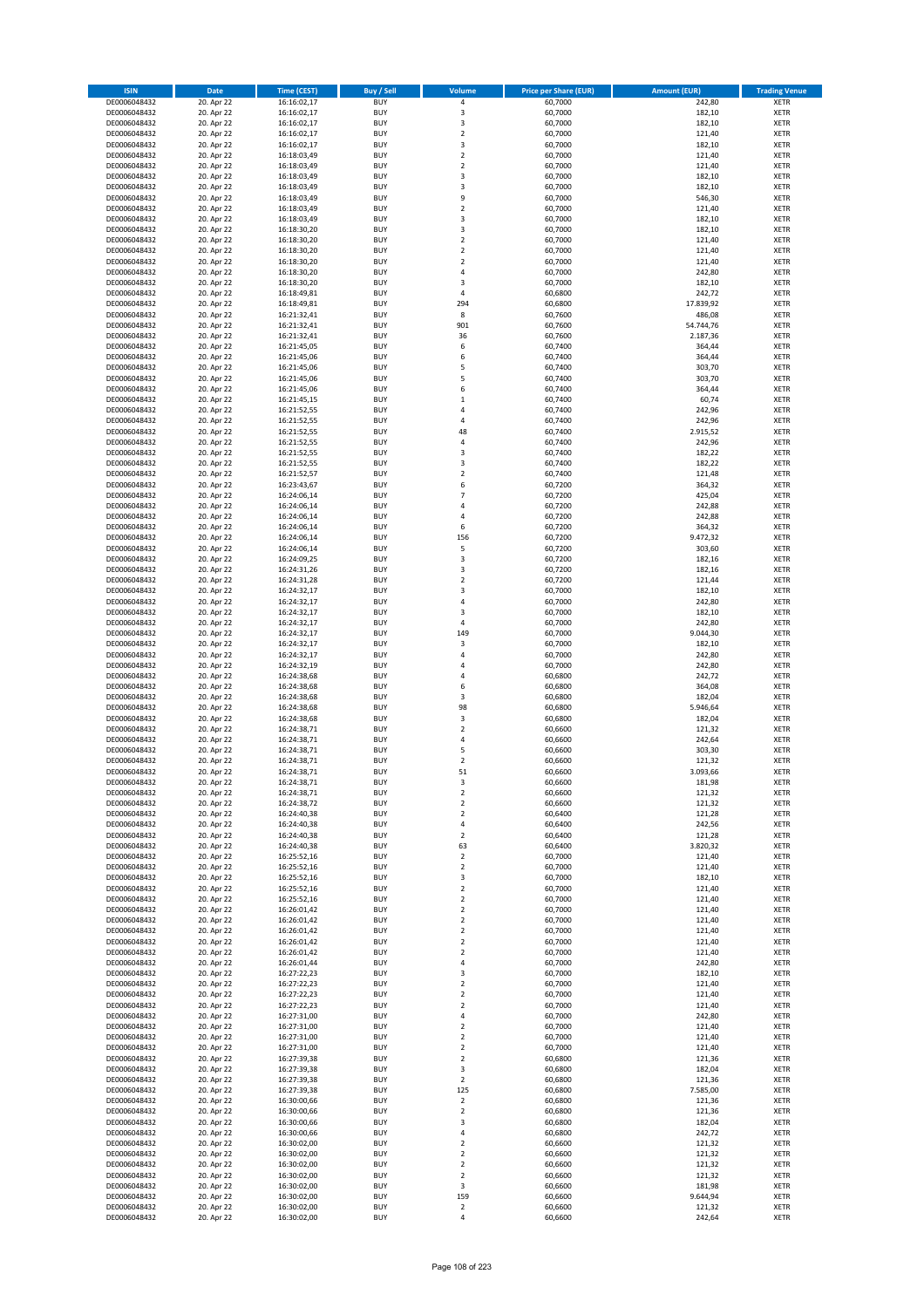| <b>ISIN</b>                  | <b>Date</b>              | <b>Time (CEST)</b>         | <b>Buy / Sell</b>        | Volume                        | <b>Price per Share (EUR)</b> | <b>Amount (EUR)</b> | <b>Trading Venue</b>       |
|------------------------------|--------------------------|----------------------------|--------------------------|-------------------------------|------------------------------|---------------------|----------------------------|
| DE0006048432                 | 20. Apr 22               | 16:16:02,17                | <b>BUY</b>               | 4                             | 60,7000                      | 242,80              | <b>XETR</b>                |
| DE0006048432                 | 20. Apr 22               | 16:16:02,17                | <b>BUY</b>               | 3                             | 60,7000                      | 182,10              | <b>XETR</b>                |
| DE0006048432                 | 20. Apr 22               | 16:16:02,17                | <b>BUY</b>               | 3                             | 60,7000                      | 182,10              | <b>XETR</b>                |
| DE0006048432<br>DE0006048432 | 20. Apr 22<br>20. Apr 22 | 16:16:02,17<br>16:16:02,17 | <b>BUY</b><br><b>BUY</b> | $\mathbf 2$<br>3              | 60,7000<br>60,7000           | 121,40<br>182,10    | <b>XETR</b><br><b>XETR</b> |
| DE0006048432                 | 20. Apr 22               | 16:18:03,49                | <b>BUY</b>               | $\mathbf 2$                   | 60,7000                      | 121,40              | <b>XETR</b>                |
| DE0006048432                 | 20. Apr 22               | 16:18:03,49                | <b>BUY</b>               | $\mathbf 2$                   | 60,7000                      | 121,40              | <b>XETR</b>                |
| DE0006048432                 | 20. Apr 22               | 16:18:03,49                | <b>BUY</b>               | 3                             | 60,7000                      | 182,10              | <b>XETR</b>                |
| DE0006048432                 | 20. Apr 22               | 16:18:03,49                | <b>BUY</b>               | 3                             | 60,7000                      | 182,10              | <b>XETR</b>                |
| DE0006048432                 | 20. Apr 22               | 16:18:03,49                | <b>BUY</b>               | 9                             | 60,7000                      | 546,30              | <b>XETR</b>                |
| DE0006048432                 | 20. Apr 22               | 16:18:03,49                | <b>BUY</b>               | $\mathbf 2$                   | 60,7000                      | 121,40              | <b>XETR</b>                |
| DE0006048432<br>DE0006048432 | 20. Apr 22<br>20. Apr 22 | 16:18:03,49<br>16:18:30,20 | <b>BUY</b><br><b>BUY</b> | 3<br>3                        | 60,7000<br>60,7000           | 182,10<br>182,10    | <b>XETR</b><br><b>XETR</b> |
| DE0006048432                 | 20. Apr 22               | 16:18:30,20                | <b>BUY</b>               | $\overline{\mathbf{c}}$       | 60,7000                      | 121,40              | <b>XETR</b>                |
| DE0006048432                 | 20. Apr 22               | 16:18:30,20                | <b>BUY</b>               | $\overline{\mathbf{c}}$       | 60,7000                      | 121,40              | <b>XETR</b>                |
| DE0006048432                 | 20. Apr 22               | 16:18:30,20                | <b>BUY</b>               | $\overline{\mathbf{c}}$       | 60,7000                      | 121,40              | <b>XETR</b>                |
| DE0006048432                 | 20. Apr 22               | 16:18:30,20                | <b>BUY</b>               | 4                             | 60,7000                      | 242,80              | <b>XETR</b>                |
| DE0006048432                 | 20. Apr 22               | 16:18:30,20                | <b>BUY</b>               | 3                             | 60,7000                      | 182,10              | <b>XETR</b>                |
| DE0006048432                 | 20. Apr 22               | 16:18:49,81                | <b>BUY</b>               | 4                             | 60,6800                      | 242,72              | <b>XETR</b>                |
| DE0006048432                 | 20. Apr 22               | 16:18:49,81                | <b>BUY</b>               | 294                           | 60,6800                      | 17.839,92           | <b>XETR</b>                |
| DE0006048432<br>DE0006048432 | 20. Apr 22<br>20. Apr 22 | 16:21:32,41<br>16:21:32,41 | <b>BUY</b><br><b>BUY</b> | 8<br>901                      | 60,7600<br>60,7600           | 486,08<br>54.744,76 | <b>XETR</b><br><b>XETR</b> |
| DE0006048432                 | 20. Apr 22               | 16:21:32,41                | <b>BUY</b>               | 36                            | 60,7600                      | 2.187,36            | <b>XETR</b>                |
| DE0006048432                 | 20. Apr 22               | 16:21:45,05                | <b>BUY</b>               | 6                             | 60,7400                      | 364,44              | <b>XETR</b>                |
| DE0006048432                 | 20. Apr 22               | 16:21:45,06                | <b>BUY</b>               | 6                             | 60,7400                      | 364,44              | <b>XETR</b>                |
| DE0006048432                 | 20. Apr 22               | 16:21:45,06                | <b>BUY</b>               | 5                             | 60,7400                      | 303,70              | <b>XETR</b>                |
| DE0006048432                 | 20. Apr 22               | 16:21:45,06                | <b>BUY</b>               | 5                             | 60,7400                      | 303,70              | <b>XETR</b>                |
| DE0006048432                 | 20. Apr 22               | 16:21:45,06                | <b>BUY</b>               | 6                             | 60,7400                      | 364,44              | <b>XETR</b>                |
| DE0006048432<br>DE0006048432 | 20. Apr 22<br>20. Apr 22 | 16:21:45,15<br>16:21:52,55 | <b>BUY</b><br><b>BUY</b> | $\mathbf 1$<br>4              | 60,7400<br>60,7400           | 60,74<br>242,96     | <b>XETR</b><br><b>XETR</b> |
| DE0006048432                 | 20. Apr 22               | 16:21:52,55                | <b>BUY</b>               | 4                             | 60,7400                      | 242,96              | <b>XETR</b>                |
| DE0006048432                 | 20. Apr 22               | 16:21:52,55                | <b>BUY</b>               | 48                            | 60,7400                      | 2.915,52            | <b>XETR</b>                |
| DE0006048432                 | 20. Apr 22               | 16:21:52,55                | <b>BUY</b>               | 4                             | 60,7400                      | 242,96              | <b>XETR</b>                |
| DE0006048432                 | 20. Apr 22               | 16:21:52,55                | <b>BUY</b>               | 3                             | 60,7400                      | 182,22              | <b>XETR</b>                |
| DE0006048432                 | 20. Apr 22               | 16:21:52,55                | <b>BUY</b>               | 3                             | 60,7400                      | 182,22              | <b>XETR</b>                |
| DE0006048432                 | 20. Apr 22               | 16:21:52,57                | <b>BUY</b>               | $\mathbf 2$                   | 60,7400                      | 121,48              | <b>XETR</b>                |
| DE0006048432                 | 20. Apr 22               | 16:23:43,67                | <b>BUY</b><br><b>BUY</b> | 6<br>$\overline{7}$           | 60,7200                      | 364,32              | <b>XETR</b>                |
| DE0006048432<br>DE0006048432 | 20. Apr 22<br>20. Apr 22 | 16:24:06,14<br>16:24:06,14 | <b>BUY</b>               | 4                             | 60,7200<br>60,7200           | 425,04<br>242,88    | <b>XETR</b><br><b>XETR</b> |
| DE0006048432                 | 20. Apr 22               | 16:24:06,14                | <b>BUY</b>               | 4                             | 60,7200                      | 242,88              | <b>XETR</b>                |
| DE0006048432                 | 20. Apr 22               | 16:24:06,14                | <b>BUY</b>               | 6                             | 60,7200                      | 364,32              | <b>XETR</b>                |
| DE0006048432                 | 20. Apr 22               | 16:24:06,14                | <b>BUY</b>               | 156                           | 60,7200                      | 9.472,32            | <b>XETR</b>                |
| DE0006048432                 | 20. Apr 22               | 16:24:06,14                | <b>BUY</b>               | 5                             | 60,7200                      | 303,60              | <b>XETR</b>                |
| DE0006048432                 | 20. Apr 22               | 16:24:09,25                | <b>BUY</b>               | 3                             | 60,7200                      | 182,16              | <b>XETR</b>                |
| DE0006048432                 | 20. Apr 22               | 16:24:31,26                | <b>BUY</b>               | 3                             | 60,7200                      | 182,16              | <b>XETR</b>                |
| DE0006048432                 | 20. Apr 22               | 16:24:31,28                | <b>BUY</b>               | $\overline{2}$                | 60,7200                      | 121,44              | <b>XETR</b>                |
| DE0006048432<br>DE0006048432 | 20. Apr 22<br>20. Apr 22 | 16:24:32,17<br>16:24:32,17 | <b>BUY</b><br><b>BUY</b> | 3<br>4                        | 60,7000<br>60,7000           | 182,10<br>242,80    | <b>XETR</b><br><b>XETR</b> |
| DE0006048432                 | 20. Apr 22               | 16:24:32,17                | <b>BUY</b>               | 3                             | 60,7000                      | 182,10              | <b>XETR</b>                |
| DE0006048432                 | 20. Apr 22               | 16:24:32,17                | <b>BUY</b>               | 4                             | 60,7000                      | 242,80              | <b>XETR</b>                |
| DE0006048432                 | 20. Apr 22               | 16:24:32,17                | <b>BUY</b>               | 149                           | 60,7000                      | 9.044,30            | <b>XETR</b>                |
| DE0006048432                 | 20. Apr 22               | 16:24:32,17                | <b>BUY</b>               | 3                             | 60,7000                      | 182,10              | <b>XETR</b>                |
| DE0006048432                 | 20. Apr 22               | 16:24:32,17                | <b>BUY</b>               | 4                             | 60,7000                      | 242,80              | <b>XETR</b>                |
| DE0006048432                 | 20. Apr 22               | 16:24:32,19                | <b>BUY</b>               | 4                             | 60,7000                      | 242,80              | <b>XETR</b>                |
| DE0006048432<br>DE0006048432 | 20. Apr 22<br>20. Apr 22 | 16:24:38,68                | <b>BUY</b><br><b>BUY</b> | $\overline{a}$<br>6           | 60,6800<br>60,6800           | 242,72<br>364,08    | <b>XETR</b><br><b>XETR</b> |
| DE0006048432                 | 20. Apr 22               | 16:24:38,68<br>16:24:38,68 | <b>BUY</b>               | 3                             | 60,6800                      | 182,04              | <b>XETR</b>                |
| DE0006048432                 | 20. Apr 22               | 16:24:38,68                | <b>BUY</b>               | 98                            | 60,6800                      | 5.946,64            | <b>XETR</b>                |
| DE0006048432                 | 20. Apr 22               | 16:24:38,68                | <b>BUY</b>               | 3                             | 60,6800                      | 182,04              | <b>XETR</b>                |
| DE0006048432                 | 20. Apr 22               | 16:24:38,71                | <b>BUY</b>               | $\mathbf 2$                   | 60,6600                      | 121,32              | <b>XETR</b>                |
| DE0006048432                 | 20. Apr 22               | 16:24:38,71                | <b>BUY</b>               | 4                             | 60,6600                      | 242,64              | <b>XETR</b>                |
| DE0006048432                 | 20. Apr 22               | 16:24:38,71                | <b>BUY</b>               | 5                             | 60,6600                      | 303,30              | <b>XETR</b>                |
| DE0006048432<br>DE0006048432 | 20. Apr 22               | 16:24:38,71<br>16:24:38,71 | <b>BUY</b><br><b>BUY</b> | $\mathbf 2$<br>51             | 60,6600<br>60,6600           | 121,32<br>3.093,66  | <b>XETR</b><br><b>XETR</b> |
| DE0006048432                 | 20. Apr 22<br>20. Apr 22 | 16:24:38,71                | BUY                      | 3                             | 60,6600                      | 181,98              | <b>XETR</b>                |
| DE0006048432                 | 20. Apr 22               | 16:24:38,71                | <b>BUY</b>               | $\mathbf 2$                   | 60,6600                      | 121,32              | <b>XETR</b>                |
| DE0006048432                 | 20. Apr 22               | 16:24:38,72                | <b>BUY</b>               | $\mathbf 2$                   | 60,6600                      | 121,32              | <b>XETR</b>                |
| DE0006048432                 | 20. Apr 22               | 16:24:40,38                | <b>BUY</b>               | $\mathbf 2$                   | 60,6400                      | 121,28              | XETR                       |
| DE0006048432                 | 20. Apr 22               | 16:24:40,38                | <b>BUY</b>               | 4                             | 60,6400                      | 242,56              | <b>XETR</b>                |
| DE0006048432<br>DE0006048432 | 20. Apr 22<br>20. Apr 22 | 16:24:40,38<br>16:24:40,38 | <b>BUY</b><br><b>BUY</b> | $\mathbf 2$<br>63             | 60,6400<br>60,6400           | 121,28<br>3.820,32  | <b>XETR</b>                |
| DE0006048432                 | 20. Apr 22               | 16:25:52,16                | <b>BUY</b>               | $\mathbf 2$                   | 60,7000                      | 121,40              | <b>XETR</b><br><b>XETR</b> |
| DE0006048432                 | 20. Apr 22               | 16:25:52,16                | <b>BUY</b>               | $\mathbf 2$                   | 60,7000                      | 121,40              | <b>XETR</b>                |
| DE0006048432                 | 20. Apr 22               | 16:25:52,16                | <b>BUY</b>               | 3                             | 60,7000                      | 182,10              | <b>XETR</b>                |
| DE0006048432                 | 20. Apr 22               | 16:25:52,16                | <b>BUY</b>               | $\mathbf 2$                   | 60,7000                      | 121,40              | <b>XETR</b>                |
| DE0006048432                 | 20. Apr 22               | 16:25:52,16                | <b>BUY</b>               | $\overline{2}$                | 60,7000                      | 121,40              | <b>XETR</b>                |
| DE0006048432<br>DE0006048432 | 20. Apr 22               | 16:26:01,42                | <b>BUY</b>               | $\mathbf 2$                   | 60,7000                      | 121,40              | <b>XETR</b>                |
| DE0006048432                 | 20. Apr 22<br>20. Apr 22 | 16:26:01,42<br>16:26:01,42 | <b>BUY</b><br><b>BUY</b> | $\overline{2}$<br>$\mathbf 2$ | 60,7000<br>60,7000           | 121,40<br>121,40    | <b>XETR</b><br><b>XETR</b> |
| DE0006048432                 | 20. Apr 22               | 16:26:01,42                | <b>BUY</b>               | $\mathbf 2$                   | 60,7000                      | 121,40              | <b>XETR</b>                |
| DE0006048432                 | 20. Apr 22               | 16:26:01,42                | <b>BUY</b>               | $\mathbf 2$                   | 60,7000                      | 121,40              | <b>XETR</b>                |
| DE0006048432                 | 20. Apr 22               | 16:26:01,44                | <b>BUY</b>               | 4                             | 60,7000                      | 242,80              | <b>XETR</b>                |
| DE0006048432                 | 20. Apr 22               | 16:27:22,23                | <b>BUY</b>               | 3                             | 60,7000                      | 182,10              | XETR                       |
| DE0006048432                 | 20. Apr 22               | 16:27:22,23                | <b>BUY</b>               | $\mathbf 2$                   | 60,7000                      | 121,40              | <b>XETR</b>                |
| DE0006048432                 | 20. Apr 22               | 16:27:22,23                | <b>BUY</b>               | $\overline{2}$                | 60,7000                      | 121,40              | <b>XETR</b>                |
| DE0006048432<br>DE0006048432 | 20. Apr 22<br>20. Apr 22 | 16:27:22,23<br>16:27:31,00 | <b>BUY</b><br><b>BUY</b> | $\mathbf 2$<br>4              | 60,7000<br>60,7000           | 121,40<br>242,80    | <b>XETR</b><br><b>XETR</b> |
| DE0006048432                 | 20. Apr 22               | 16:27:31,00                | <b>BUY</b>               | $\mathbf 2$                   | 60,7000                      | 121,40              | <b>XETR</b>                |
| DE0006048432                 | 20. Apr 22               | 16:27:31,00                | <b>BUY</b>               | $\mathbf 2$                   | 60,7000                      | 121,40              | <b>XETR</b>                |
| DE0006048432                 | 20. Apr 22               | 16:27:31,00                | <b>BUY</b>               | $\mathbf 2$                   | 60,7000                      | 121,40              | <b>XETR</b>                |
| DE0006048432                 | 20. Apr 22               | 16:27:39,38                | <b>BUY</b>               | $\mathbf 2$                   | 60,6800                      | 121,36              | <b>XETR</b>                |
| DE0006048432                 | 20. Apr 22               | 16:27:39,38                | <b>BUY</b>               | 3                             | 60,6800                      | 182,04              | <b>XETR</b>                |
| DE0006048432                 | 20. Apr 22               | 16:27:39,38                | <b>BUY</b>               | $\mathbf 2$                   | 60,6800                      | 121,36              | <b>XETR</b>                |
| DE0006048432                 | 20. Apr 22               | 16:27:39,38                | <b>BUY</b><br><b>BUY</b> | 125<br>$\mathbf 2$            | 60,6800<br>60,6800           | 7.585,00            | <b>XETR</b><br><b>XETR</b> |
| DE0006048432<br>DE0006048432 | 20. Apr 22<br>20. Apr 22 | 16:30:00,66<br>16:30:00,66 | <b>BUY</b>               | $\mathbf 2$                   | 60,6800                      | 121,36<br>121,36    | <b>XETR</b>                |
| DE0006048432                 | 20. Apr 22               | 16:30:00,66                | <b>BUY</b>               | 3                             | 60,6800                      | 182,04              | <b>XETR</b>                |
| DE0006048432                 | 20. Apr 22               | 16:30:00,66                | <b>BUY</b>               | 4                             | 60,6800                      | 242,72              | <b>XETR</b>                |
| DE0006048432                 | 20. Apr 22               | 16:30:02,00                | <b>BUY</b>               | $\mathbf 2$                   | 60,6600                      | 121,32              | <b>XETR</b>                |
| DE0006048432                 | 20. Apr 22               | 16:30:02,00                | <b>BUY</b>               | $\mathbf 2$                   | 60,6600                      | 121,32              | <b>XETR</b>                |
| DE0006048432                 | 20. Apr 22               | 16:30:02,00                | <b>BUY</b>               | $\overline{\mathbf{c}}$       | 60,6600                      | 121,32              | <b>XETR</b>                |
| DE0006048432                 | 20. Apr 22               | 16:30:02,00                | <b>BUY</b><br><b>BUY</b> | $\mathbf 2$<br>3              | 60,6600                      | 121,32              | XETR<br><b>XETR</b>        |
| DE0006048432<br>DE0006048432 | 20. Apr 22<br>20. Apr 22 | 16:30:02,00<br>16:30:02,00 | <b>BUY</b>               | 159                           | 60,6600<br>60,6600           | 181,98<br>9.644,94  | <b>XETR</b>                |
| DE0006048432                 | 20. Apr 22               | 16:30:02,00                | <b>BUY</b>               | $\mathbf 2$                   | 60,6600                      | 121,32              | <b>XETR</b>                |
| DE0006048432                 | 20. Apr 22               | 16:30:02,00                | <b>BUY</b>               | 4                             | 60,6600                      | 242,64              | <b>XETR</b>                |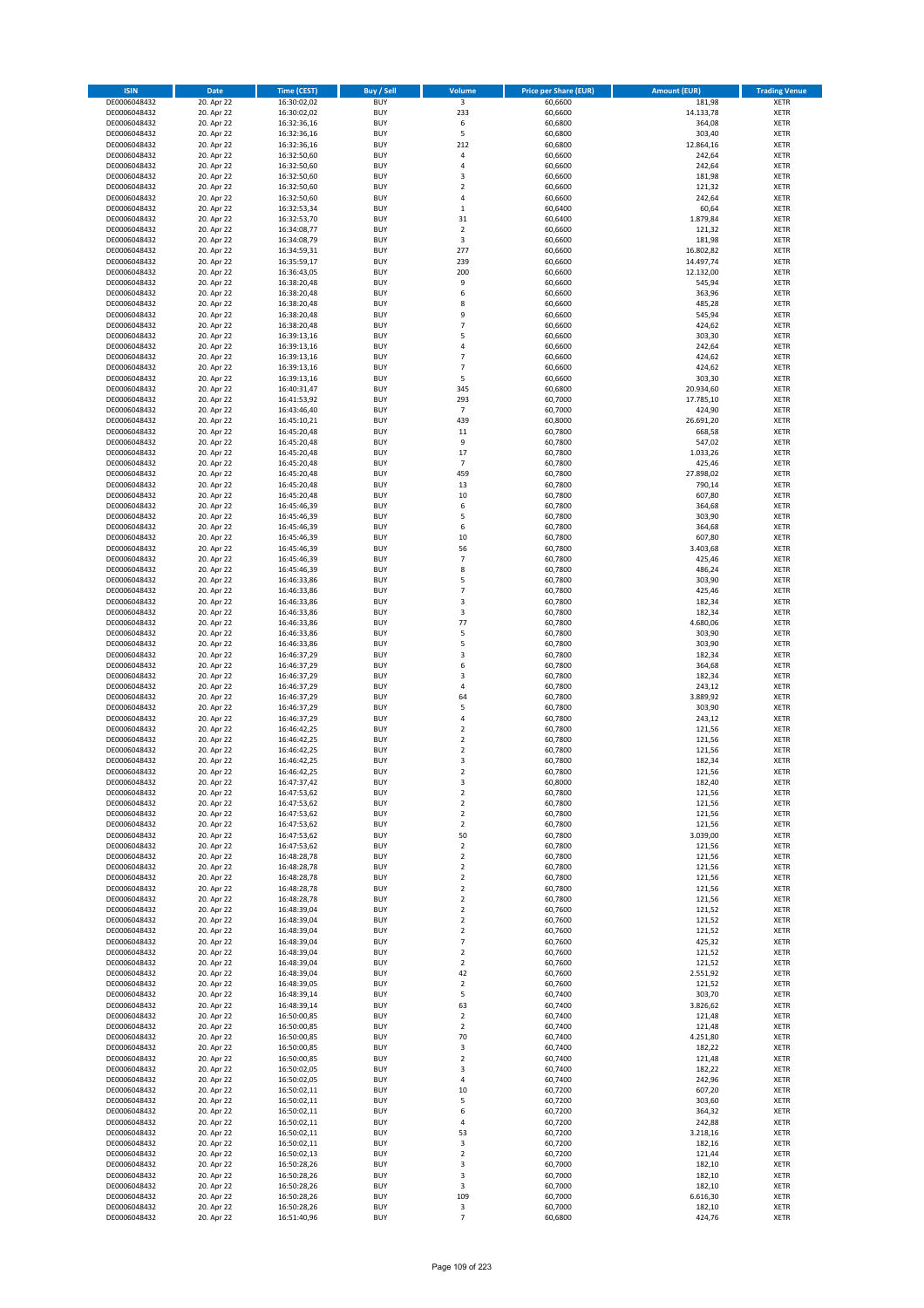| <b>ISIN</b>                  | Date                     | Time (CEST)                | <b>Buy / Sell</b>        | Volume                        | <b>Price per Share (EUR)</b> | <b>Amount (EUR)</b> | <b>Trading Venue</b>       |
|------------------------------|--------------------------|----------------------------|--------------------------|-------------------------------|------------------------------|---------------------|----------------------------|
| DE0006048432                 | 20. Apr 22               | 16:30:02,02                | <b>BUY</b>               | $\overline{\mathbf{3}}$       | 60,6600                      | 181,98              | <b>XETR</b>                |
| DE0006048432                 | 20. Apr 22               | 16:30:02,02                | <b>BUY</b>               | 233                           | 60,6600                      | 14.133,78           | XETR                       |
| DE0006048432                 | 20. Apr 22               | 16:32:36,16                | <b>BUY</b>               | 6                             | 60,6800                      | 364,08              | <b>XETR</b>                |
| DE0006048432<br>DE0006048432 | 20. Apr 22<br>20. Apr 22 | 16:32:36,16<br>16:32:36,16 | <b>BUY</b><br><b>BUY</b> | 5<br>212                      | 60,6800<br>60,6800           | 303,40<br>12.864,16 | XETR<br><b>XETR</b>        |
| DE0006048432                 | 20. Apr 22               | 16:32:50,60                | <b>BUY</b>               | 4                             | 60,6600                      | 242,64              | <b>XETR</b>                |
| DE0006048432                 | 20. Apr 22               | 16:32:50,60                | <b>BUY</b>               | 4                             | 60,6600                      | 242,64              | <b>XETR</b>                |
| DE0006048432                 | 20. Apr 22               | 16:32:50,60                | <b>BUY</b>               | 3                             | 60,6600                      | 181,98              | <b>XETR</b>                |
| DE0006048432                 | 20. Apr 22               | 16:32:50,60                | <b>BUY</b>               | $\overline{2}$                | 60,6600                      | 121,32              | <b>XETR</b>                |
| DE0006048432                 | 20. Apr 22               | 16:32:50,60                | <b>BUY</b>               | 4                             | 60,6600                      | 242,64              | <b>XETR</b>                |
| DE0006048432                 | 20. Apr 22               | 16:32:53,34                | <b>BUY</b>               | $\,1\,$                       | 60,6400                      | 60,64               | <b>XETR</b>                |
| DE0006048432<br>DE0006048432 | 20. Apr 22<br>20. Apr 22 | 16:32:53,70<br>16:34:08,77 | <b>BUY</b><br><b>BUY</b> | 31<br>$\mathbf 2$             | 60,6400<br>60,6600           | 1.879,84<br>121,32  | <b>XETR</b><br><b>XETR</b> |
| DE0006048432                 | 20. Apr 22               | 16:34:08,79                | <b>BUY</b>               | 3                             | 60,6600                      | 181,98              | <b>XETR</b>                |
| DE0006048432                 | 20. Apr 22               | 16:34:59,31                | <b>BUY</b>               | 277                           | 60,6600                      | 16.802,82           | <b>XETR</b>                |
| DE0006048432                 | 20. Apr 22               | 16:35:59,17                | <b>BUY</b>               | 239                           | 60,6600                      | 14.497,74           | <b>XETR</b>                |
| DE0006048432                 | 20. Apr 22               | 16:36:43,05                | <b>BUY</b>               | 200                           | 60,6600                      | 12.132,00           | <b>XETR</b>                |
| DE0006048432                 | 20. Apr 22               | 16:38:20,48                | <b>BUY</b>               | 9                             | 60,6600                      | 545,94              | <b>XETR</b>                |
| DE0006048432                 | 20. Apr 22               | 16:38:20,48                | <b>BUY</b>               | 6                             | 60,6600                      | 363,96              | <b>XETR</b>                |
| DE0006048432                 | 20. Apr 22               | 16:38:20,48                | <b>BUY</b>               | 8                             | 60,6600                      | 485,28              | <b>XETR</b>                |
| DE0006048432<br>DE0006048432 | 20. Apr 22<br>20. Apr 22 | 16:38:20,48<br>16:38:20,48 | <b>BUY</b><br><b>BUY</b> | 9<br>$\overline{7}$           | 60,6600<br>60,6600           | 545,94<br>424,62    | <b>XETR</b><br><b>XETR</b> |
| DE0006048432                 | 20. Apr 22               | 16:39:13,16                | <b>BUY</b>               | 5                             | 60,6600                      | 303,30              | <b>XETR</b>                |
| DE0006048432                 | 20. Apr 22               | 16:39:13,16                | <b>BUY</b>               | $\pmb{4}$                     | 60,6600                      | 242,64              | <b>XETR</b>                |
| DE0006048432                 | 20. Apr 22               | 16:39:13,16                | <b>BUY</b>               | $\overline{7}$                | 60,6600                      | 424,62              | <b>XETR</b>                |
| DE0006048432                 | 20. Apr 22               | 16:39:13,16                | <b>BUY</b>               | $\overline{7}$                | 60,6600                      | 424,62              | <b>XETR</b>                |
| DE0006048432                 | 20. Apr 22               | 16:39:13,16                | <b>BUY</b>               | 5                             | 60,6600                      | 303,30              | <b>XETR</b>                |
| DE0006048432                 | 20. Apr 22               | 16:40:31,47                | <b>BUY</b>               | 345                           | 60,6800                      | 20.934,60           | <b>XETR</b>                |
| DE0006048432<br>DE0006048432 | 20. Apr 22<br>20. Apr 22 | 16:41:53,92<br>16:43:46,40 | <b>BUY</b><br><b>BUY</b> | 293<br>$\overline{7}$         | 60,7000<br>60,7000           | 17.785,10<br>424,90 | <b>XETR</b><br><b>XETR</b> |
| DE0006048432                 | 20. Apr 22               | 16:45:10,21                | <b>BUY</b>               | 439                           | 60,8000                      | 26.691,20           | <b>XETR</b>                |
| DE0006048432                 | 20. Apr 22               | 16:45:20,48                | <b>BUY</b>               | 11                            | 60,7800                      | 668,58              | <b>XETR</b>                |
| DE0006048432                 | 20. Apr 22               | 16:45:20,48                | <b>BUY</b>               | 9                             | 60,7800                      | 547,02              | <b>XETR</b>                |
| DE0006048432                 | 20. Apr 22               | 16:45:20,48                | <b>BUY</b>               | 17                            | 60,7800                      | 1.033,26            | <b>XETR</b>                |
| DE0006048432                 | 20. Apr 22               | 16:45:20,48                | <b>BUY</b>               | $\overline{7}$                | 60,7800                      | 425,46              | <b>XETR</b>                |
| DE0006048432                 | 20. Apr 22               | 16:45:20,48                | <b>BUY</b>               | 459                           | 60,7800                      | 27.898,02           | <b>XETR</b>                |
| DE0006048432                 | 20. Apr 22               | 16:45:20,48<br>16:45:20,48 | <b>BUY</b><br><b>BUY</b> | 13<br>10                      | 60,7800                      | 790,14              | <b>XETR</b>                |
| DE0006048432<br>DE0006048432 | 20. Apr 22<br>20. Apr 22 | 16:45:46,39                | <b>BUY</b>               | 6                             | 60,7800<br>60,7800           | 607,80<br>364,68    | <b>XETR</b><br><b>XETR</b> |
| DE0006048432                 | 20. Apr 22               | 16:45:46,39                | <b>BUY</b>               | 5                             | 60,7800                      | 303,90              | <b>XETR</b>                |
| DE0006048432                 | 20. Apr 22               | 16:45:46,39                | <b>BUY</b>               | 6                             | 60,7800                      | 364,68              | <b>XETR</b>                |
| DE0006048432                 | 20. Apr 22               | 16:45:46,39                | <b>BUY</b>               | 10                            | 60,7800                      | 607,80              | <b>XETR</b>                |
| DE0006048432                 | 20. Apr 22               | 16:45:46,39                | <b>BUY</b>               | 56                            | 60,7800                      | 3.403,68            | <b>XETR</b>                |
| DE0006048432                 | 20. Apr 22               | 16:45:46,39                | <b>BUY</b>               | $\overline{7}$                | 60,7800                      | 425,46              | <b>XETR</b>                |
| DE0006048432                 | 20. Apr 22               | 16:45:46,39                | <b>BUY</b>               | 8                             | 60,7800                      | 486,24              | <b>XETR</b>                |
| DE0006048432                 | 20. Apr 22<br>20. Apr 22 | 16:46:33,86                | <b>BUY</b><br><b>BUY</b> | 5<br>$\overline{7}$           | 60,7800<br>60,7800           | 303,90<br>425,46    | <b>XETR</b><br><b>XETR</b> |
| DE0006048432<br>DE0006048432 | 20. Apr 22               | 16:46:33,86<br>16:46:33,86 | <b>BUY</b>               | 3                             | 60,7800                      | 182,34              | <b>XETR</b>                |
| DE0006048432                 | 20. Apr 22               | 16:46:33,86                | <b>BUY</b>               | 3                             | 60,7800                      | 182,34              | <b>XETR</b>                |
| DE0006048432                 | 20. Apr 22               | 16:46:33,86                | <b>BUY</b>               | 77                            | 60,7800                      | 4.680,06            | <b>XETR</b>                |
| DE0006048432                 | 20. Apr 22               | 16:46:33,86                | <b>BUY</b>               | 5                             | 60,7800                      | 303,90              | <b>XETR</b>                |
| DE0006048432                 | 20. Apr 22               | 16:46:33,86                | <b>BUY</b>               | 5                             | 60,7800                      | 303,90              | <b>XETR</b>                |
| DE0006048432                 | 20. Apr 22               | 16:46:37,29                | <b>BUY</b>               | 3                             | 60,7800                      | 182,34              | <b>XETR</b>                |
| DE0006048432<br>DE0006048432 | 20. Apr 22<br>20. Apr 22 | 16:46:37,29<br>16:46:37,29 | <b>BUY</b><br><b>BUY</b> | 6<br>3                        | 60,7800<br>60,7800           | 364,68<br>182,34    | <b>XETR</b><br><b>XETR</b> |
| DE0006048432                 | 20. Apr 22               | 16:46:37,29                | <b>BUY</b>               | 4                             | 60,7800                      | 243,12              | <b>XETR</b>                |
| DE0006048432                 | 20. Apr 22               | 16:46:37,29                | <b>BUY</b>               | 64                            | 60,7800                      | 3.889,92            | <b>XETR</b>                |
| DE0006048432                 | 20. Apr 22               | 16:46:37,29                | <b>BUY</b>               | 5                             | 60,7800                      | 303,90              | <b>XETR</b>                |
| DE0006048432                 | 20. Apr 22               | 16:46:37,29                | <b>BUY</b>               | $\overline{4}$                | 60,7800                      | 243,12              | <b>XETR</b>                |
| DE0006048432                 | 20. Apr 22               | 16:46:42,25                | <b>BUY</b>               | $\mathbf 2$                   | 60,7800                      | 121,56              | <b>XETR</b>                |
| DE0006048432                 | 20. Apr 22               | 16:46:42,25                | <b>BUY</b>               | $\mathbf 2$                   | 60,7800                      | 121,56              | <b>XETR</b>                |
| DE0006048432<br>DE0006048432 | 20. Apr 22<br>20. Apr 22 | 16:46:42,25<br>16:46:42,25 | <b>BUY</b><br><b>BUY</b> | $\overline{2}$<br>3           | 60,7800<br>60,7800           | 121,56<br>182,34    | <b>XETR</b><br><b>XETR</b> |
| DE0006048432                 | 20. Apr 22               | 16:46:42,25                | <b>BUY</b>               | $\overline{2}$                | 60,7800                      | 121,56              | <b>XETR</b>                |
| DE0006048432                 | 20. Apr 22               | 16:47:37,42                | BUY                      | 3                             | 60,8000                      | 182,40              | XETR                       |
| DE0006048432                 | 20. Apr 22               | 16:47:53,62                | <b>BUY</b>               | $\overline{2}$                | 60,7800                      | 121,56              | <b>XETR</b>                |
| DE0006048432                 | 20. Apr 22               | 16:47:53,62                | <b>BUY</b>               | $\overline{2}$                | 60,7800                      | 121,56              | <b>XETR</b>                |
| DE0006048432                 | 20. Apr 22               | 16:47:53,62                | <b>BUY</b>               | $\overline{2}$                | 60,7800                      | 121,56              | <b>XETR</b>                |
| DE0006048432                 | 20. Apr 22               | 16:47:53,62                | <b>BUY</b>               | $\overline{2}$                | 60,7800                      | 121,56              | <b>XETR</b>                |
| DE0006048432<br>DE0006048432 | 20. Apr 22<br>20. Apr 22 | 16:47:53,62<br>16:47:53,62 | <b>BUY</b><br><b>BUY</b> | 50<br>$\overline{2}$          | 60,7800<br>60,7800           | 3.039,00<br>121,56  | <b>XETR</b><br><b>XETR</b> |
| DE0006048432                 | 20. Apr 22               | 16:48:28,78                | <b>BUY</b>               | $\overline{2}$                | 60,7800                      | 121,56              | <b>XETR</b>                |
| DE0006048432                 | 20. Apr 22               | 16:48:28,78                | <b>BUY</b>               | $\overline{2}$                | 60,7800                      | 121,56              | XETR                       |
| DE0006048432                 | 20. Apr 22               | 16:48:28,78                | <b>BUY</b>               | $\overline{2}$                | 60,7800                      | 121,56              | <b>XETR</b>                |
| DE0006048432                 | 20. Apr 22               | 16:48:28,78                | <b>BUY</b>               | $\overline{2}$                | 60,7800                      | 121,56              | XETR                       |
| DE0006048432                 | 20. Apr 22               | 16:48:28,78                | <b>BUY</b>               | $\overline{2}$                | 60,7800                      | 121,56              | <b>XETR</b>                |
| DE0006048432<br>DE0006048432 | 20. Apr 22<br>20. Apr 22 | 16:48:39,04<br>16:48:39,04 | <b>BUY</b><br><b>BUY</b> | $\mathbf 2$<br>$\overline{2}$ | 60,7600<br>60,7600           | 121,52<br>121,52    | XETR<br><b>XETR</b>        |
| DE0006048432                 | 20. Apr 22               | 16:48:39,04                | <b>BUY</b>               | $\mathbf 2$                   | 60,7600                      | 121,52              | XETR                       |
| DE0006048432                 | 20. Apr 22               | 16:48:39,04                | <b>BUY</b>               | $\overline{7}$                | 60,7600                      | 425,32              | <b>XETR</b>                |
| DE0006048432                 | 20. Apr 22               | 16:48:39,04                | <b>BUY</b>               | $\overline{2}$                | 60,7600                      | 121,52              | <b>XETR</b>                |
| DE0006048432                 | 20. Apr 22               | 16:48:39,04                | <b>BUY</b>               | $\overline{2}$                | 60,7600                      | 121,52              | <b>XETR</b>                |
| DE0006048432                 | 20. Apr 22               | 16:48:39,04                | <b>BUY</b>               | 42                            | 60,7600                      | 2.551,92            | XETR                       |
| DE0006048432                 | 20. Apr 22               | 16:48:39,05                | <b>BUY</b>               | $\mathbf 2$                   | 60,7600                      | 121,52              | <b>XETR</b>                |
| DE0006048432<br>DE0006048432 | 20. Apr 22<br>20. Apr 22 | 16:48:39,14<br>16:48:39,14 | <b>BUY</b><br><b>BUY</b> | 5<br>63                       | 60,7400<br>60,7400           | 303,70<br>3.826,62  | <b>XETR</b><br><b>XETR</b> |
| DE0006048432                 | 20. Apr 22               | 16:50:00,85                | <b>BUY</b>               | $\overline{2}$                | 60,7400                      | 121,48              | XETR                       |
| DE0006048432                 | 20. Apr 22               | 16:50:00,85                | <b>BUY</b>               | $\overline{2}$                | 60,7400                      | 121,48              | XETR                       |
| DE0006048432                 | 20. Apr 22               | 16:50:00,85                | <b>BUY</b>               | 70                            | 60,7400                      | 4.251,80            | XETR                       |
| DE0006048432                 | 20. Apr 22               | 16:50:00,85                | <b>BUY</b>               | 3                             | 60,7400                      | 182,22              | <b>XETR</b>                |
| DE0006048432                 | 20. Apr 22               | 16:50:00,85                | <b>BUY</b>               | $\overline{2}$                | 60,7400                      | 121,48              | <b>XETR</b>                |
| DE0006048432                 | 20. Apr 22               | 16:50:02,05                | <b>BUY</b>               | 3                             | 60,7400                      | 182,22<br>242,96    | <b>XETR</b>                |
| DE0006048432<br>DE0006048432 | 20. Apr 22<br>20. Apr 22 | 16:50:02,05<br>16:50:02,11 | <b>BUY</b><br><b>BUY</b> | 4<br>10                       | 60,7400<br>60,7200           | 607,20              | <b>XETR</b><br><b>XETR</b> |
| DE0006048432                 | 20. Apr 22               | 16:50:02,11                | <b>BUY</b>               | 5                             | 60,7200                      | 303,60              | XETR                       |
| DE0006048432                 | 20. Apr 22               | 16:50:02,11                | <b>BUY</b>               | 6                             | 60,7200                      | 364,32              | XETR                       |
| DE0006048432                 | 20. Apr 22               | 16:50:02,11                | <b>BUY</b>               | 4                             | 60,7200                      | 242,88              | XETR                       |
| DE0006048432                 | 20. Apr 22               | 16:50:02,11                | <b>BUY</b>               | 53                            | 60,7200                      | 3.218,16            | <b>XETR</b>                |
| DE0006048432                 | 20. Apr 22               | 16:50:02,11                | <b>BUY</b>               | 3                             | 60,7200                      | 182,16              | <b>XETR</b>                |
| DE0006048432                 | 20. Apr 22               | 16:50:02,13                | <b>BUY</b>               | $\mathbf 2$                   | 60,7200                      | 121,44              | XETR                       |
| DE0006048432<br>DE0006048432 | 20. Apr 22<br>20. Apr 22 | 16:50:28,26<br>16:50:28,26 | <b>BUY</b><br><b>BUY</b> | 3<br>3                        | 60,7000<br>60,7000           | 182,10<br>182,10    | <b>XETR</b><br>XETR        |
| DE0006048432                 | 20. Apr 22               | 16:50:28,26                | <b>BUY</b>               | 3                             | 60,7000                      | 182,10              | <b>XETR</b>                |
| DE0006048432                 | 20. Apr 22               | 16:50:28,26                | <b>BUY</b>               | 109                           | 60,7000                      | 6.616,30            | XETR                       |
| DE0006048432                 | 20. Apr 22               | 16:50:28,26                | <b>BUY</b>               | 3                             | 60,7000                      | 182,10              | <b>XETR</b>                |
| DE0006048432                 | 20. Apr 22               | 16:51:40,96                | <b>BUY</b>               | $\overline{7}$                | 60,6800                      | 424,76              | XETR                       |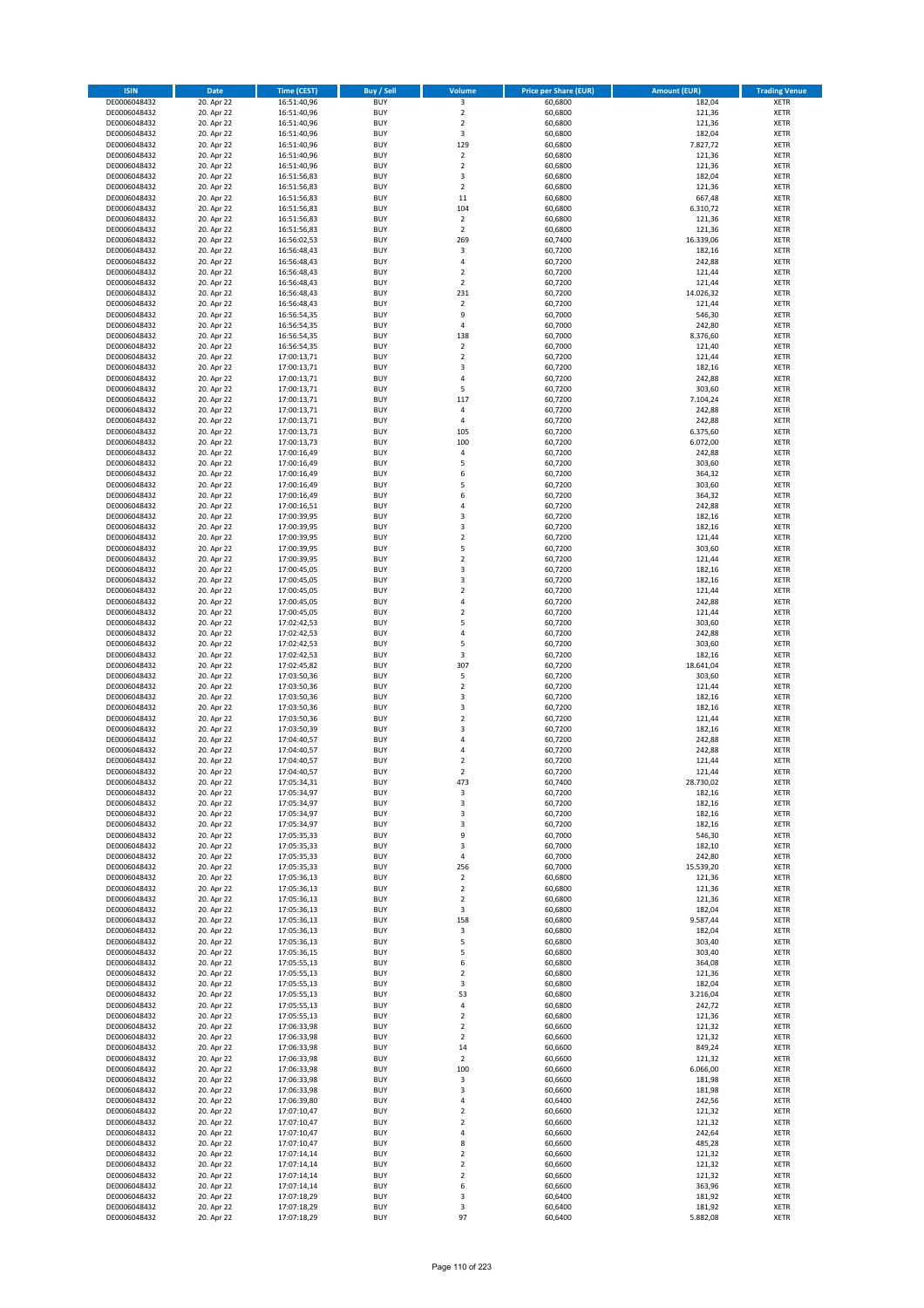| <b>ISIN</b>                  | Date                     | Time (CEST)                | <b>Buy / Sell</b>        | <b>Volume</b>                 | <b>Price per Share (EUR)</b> | <b>Amount (EUR)</b> | <b>Trading Venue</b>       |
|------------------------------|--------------------------|----------------------------|--------------------------|-------------------------------|------------------------------|---------------------|----------------------------|
| DE0006048432                 | 20. Apr 22               | 16:51:40,96                | <b>BUY</b>               | 3                             | 60,6800                      | 182,04              | <b>XETR</b>                |
| DE0006048432                 | 20. Apr 22               | 16:51:40,96                | <b>BUY</b>               | $\mathbf 2$                   | 60,6800                      | 121,36              | XETR                       |
| DE0006048432                 | 20. Apr 22               | 16:51:40,96                | <b>BUY</b>               | $\overline{2}$                | 60,6800                      | 121,36              | <b>XETR</b>                |
| DE0006048432                 | 20. Apr 22               | 16:51:40,96                | <b>BUY</b>               | $\mathsf 3$                   | 60,6800                      | 182,04              | XETR                       |
| DE0006048432<br>DE0006048432 | 20. Apr 22<br>20. Apr 22 | 16:51:40,96<br>16:51:40,96 | <b>BUY</b><br><b>BUY</b> | 129<br>$\mathbf 2$            | 60,6800<br>60,6800           | 7.827,72<br>121,36  | <b>XETR</b><br><b>XETR</b> |
| DE0006048432                 | 20. Apr 22               | 16:51:40,96                | <b>BUY</b>               | $\mathbf 2$                   | 60,6800                      | 121,36              | <b>XETR</b>                |
| DE0006048432                 | 20. Apr 22               | 16:51:56,83                | <b>BUY</b>               | 3                             | 60,6800                      | 182,04              | <b>XETR</b>                |
| DE0006048432                 | 20. Apr 22               | 16:51:56,83                | <b>BUY</b>               | 2                             | 60,6800                      | 121,36              | <b>XETR</b>                |
| DE0006048432                 | 20. Apr 22               | 16:51:56,83                | <b>BUY</b>               | $11\,$                        | 60,6800                      | 667,48              | <b>XETR</b>                |
| DE0006048432                 | 20. Apr 22               | 16:51:56,83                | <b>BUY</b>               | 104                           | 60,6800                      | 6.310,72            | <b>XETR</b>                |
| DE0006048432                 | 20. Apr 22               | 16:51:56,83                | <b>BUY</b>               | $\overline{2}$                | 60,6800                      | 121,36              | <b>XETR</b>                |
| DE0006048432<br>DE0006048432 | 20. Apr 22<br>20. Apr 22 | 16:51:56,83<br>16:56:02,53 | <b>BUY</b><br><b>BUY</b> | $\mathbf 2$<br>269            | 60,6800<br>60,7400           | 121,36<br>16.339,06 | <b>XETR</b><br><b>XETR</b> |
| DE0006048432                 | 20. Apr 22               | 16:56:48,43                | <b>BUY</b>               | 3                             | 60,7200                      | 182,16              | <b>XETR</b>                |
| DE0006048432                 | 20. Apr 22               | 16:56:48,43                | <b>BUY</b>               | $\overline{4}$                | 60,7200                      | 242,88              | <b>XETR</b>                |
| DE0006048432                 | 20. Apr 22               | 16:56:48,43                | <b>BUY</b>               | $\overline{2}$                | 60,7200                      | 121,44              | <b>XETR</b>                |
| DE0006048432                 | 20. Apr 22               | 16:56:48,43                | <b>BUY</b>               | $\overline{2}$                | 60,7200                      | 121,44              | <b>XETR</b>                |
| DE0006048432                 | 20. Apr 22               | 16:56:48,43                | <b>BUY</b>               | 231                           | 60,7200                      | 14.026,32           | <b>XETR</b>                |
| DE0006048432<br>DE0006048432 | 20. Apr 22<br>20. Apr 22 | 16:56:48,43<br>16:56:54,35 | <b>BUY</b><br><b>BUY</b> | $\mathbf 2$<br>9              | 60,7200<br>60,7000           | 121,44<br>546,30    | <b>XETR</b><br><b>XETR</b> |
| DE0006048432                 | 20. Apr 22               | 16:56:54,35                | <b>BUY</b>               | 4                             | 60,7000                      | 242,80              | <b>XETR</b>                |
| DE0006048432                 | 20. Apr 22               | 16:56:54,35                | <b>BUY</b>               | 138                           | 60,7000                      | 8.376,60            | <b>XETR</b>                |
| DE0006048432                 | 20. Apr 22               | 16:56:54,35                | <b>BUY</b>               | $\mathbf 2$                   | 60,7000                      | 121,40              | <b>XETR</b>                |
| DE0006048432                 | 20. Apr 22               | 17:00:13,71                | <b>BUY</b>               | $\mathbf 2$                   | 60,7200                      | 121,44              | <b>XETR</b>                |
| DE0006048432                 | 20. Apr 22               | 17:00:13,71                | <b>BUY</b>               | 3                             | 60,7200                      | 182,16              | <b>XETR</b>                |
| DE0006048432<br>DE0006048432 | 20. Apr 22               | 17:00:13,71                | <b>BUY</b><br><b>BUY</b> | $\overline{4}$<br>5           | 60,7200                      | 242,88              | <b>XETR</b><br><b>XETR</b> |
| DE0006048432                 | 20. Apr 22<br>20. Apr 22 | 17:00:13,71<br>17:00:13,71 | <b>BUY</b>               | 117                           | 60,7200<br>60,7200           | 303,60<br>7.104,24  | <b>XETR</b>                |
| DE0006048432                 | 20. Apr 22               | 17:00:13,71                | <b>BUY</b>               | 4                             | 60,7200                      | 242,88              | <b>XETR</b>                |
| DE0006048432                 | 20. Apr 22               | 17:00:13,71                | <b>BUY</b>               | 4                             | 60,7200                      | 242,88              | <b>XETR</b>                |
| DE0006048432                 | 20. Apr 22               | 17:00:13,73                | <b>BUY</b>               | 105                           | 60,7200                      | 6.375,60            | <b>XETR</b>                |
| DE0006048432                 | 20. Apr 22               | 17:00:13,73                | <b>BUY</b>               | 100                           | 60,7200                      | 6.072,00            | <b>XETR</b>                |
| DE0006048432                 | 20. Apr 22               | 17:00:16,49                | <b>BUY</b>               | 4                             | 60,7200                      | 242,88              | <b>XETR</b>                |
| DE0006048432<br>DE0006048432 | 20. Apr 22<br>20. Apr 22 | 17:00:16,49<br>17:00:16,49 | <b>BUY</b><br><b>BUY</b> | 5<br>6                        | 60,7200<br>60,7200           | 303,60<br>364,32    | <b>XETR</b><br><b>XETR</b> |
| DE0006048432                 | 20. Apr 22               | 17:00:16,49                | <b>BUY</b>               | 5                             | 60,7200                      | 303,60              | <b>XETR</b>                |
| DE0006048432                 | 20. Apr 22               | 17:00:16,49                | <b>BUY</b>               | 6                             | 60,7200                      | 364,32              | <b>XETR</b>                |
| DE0006048432                 | 20. Apr 22               | 17:00:16,51                | <b>BUY</b>               | $\sqrt{4}$                    | 60,7200                      | 242,88              | <b>XETR</b>                |
| DE0006048432                 | 20. Apr 22               | 17:00:39,95                | <b>BUY</b>               | 3                             | 60,7200                      | 182,16              | <b>XETR</b>                |
| DE0006048432                 | 20. Apr 22               | 17:00:39,95                | <b>BUY</b>               | 3                             | 60,7200                      | 182,16              | <b>XETR</b>                |
| DE0006048432                 | 20. Apr 22               | 17:00:39,95                | <b>BUY</b>               | $\mathbf 2$                   | 60,7200                      | 121,44              | <b>XETR</b>                |
| DE0006048432<br>DE0006048432 | 20. Apr 22<br>20. Apr 22 | 17:00:39,95<br>17:00:39,95 | <b>BUY</b><br><b>BUY</b> | 5<br>$\overline{2}$           | 60,7200<br>60,7200           | 303,60<br>121,44    | <b>XETR</b><br><b>XETR</b> |
| DE0006048432                 | 20. Apr 22               | 17:00:45,05                | <b>BUY</b>               | 3                             | 60,7200                      | 182,16              | <b>XETR</b>                |
| DE0006048432                 | 20. Apr 22               | 17:00:45,05                | <b>BUY</b>               | 3                             | 60,7200                      | 182,16              | <b>XETR</b>                |
| DE0006048432                 | 20. Apr 22               | 17:00:45,05                | <b>BUY</b>               | $\mathbf 2$                   | 60,7200                      | 121,44              | <b>XETR</b>                |
| DE0006048432                 | 20. Apr 22               | 17:00:45,05                | <b>BUY</b>               | 4                             | 60,7200                      | 242,88              | <b>XETR</b>                |
| DE0006048432                 | 20. Apr 22               | 17:00:45,05                | <b>BUY</b><br><b>BUY</b> | $\mathbf 2$<br>5              | 60,7200                      | 121,44              | <b>XETR</b>                |
| DE0006048432<br>DE0006048432 | 20. Apr 22<br>20. Apr 22 | 17:02:42,53<br>17:02:42,53 | <b>BUY</b>               | 4                             | 60,7200<br>60,7200           | 303,60<br>242,88    | <b>XETR</b><br><b>XETR</b> |
| DE0006048432                 | 20. Apr 22               | 17:02:42,53                | <b>BUY</b>               | 5                             | 60,7200                      | 303,60              | <b>XETR</b>                |
| DE0006048432                 | 20. Apr 22               | 17:02:42,53                | <b>BUY</b>               | 3                             | 60,7200                      | 182,16              | <b>XETR</b>                |
| DE0006048432                 | 20. Apr 22               | 17:02:45,82                | <b>BUY</b>               | 307                           | 60,7200                      | 18.641,04           | <b>XETR</b>                |
| DE0006048432                 | 20. Apr 22               | 17:03:50,36                | <b>BUY</b>               | 5                             | 60,7200                      | 303,60              | <b>XETR</b>                |
| DE0006048432                 | 20. Apr 22               | 17:03:50,36                | <b>BUY</b>               | $\overline{\mathbf{2}}$       | 60,7200                      | 121,44              | <b>XETR</b>                |
| DE0006048432<br>DE0006048432 | 20. Apr 22<br>20. Apr 22 | 17:03:50,36<br>17:03:50,36 | <b>BUY</b><br><b>BUY</b> | 3<br>3                        | 60,7200<br>60,7200           | 182,16<br>182,16    | <b>XETR</b><br><b>XETR</b> |
| DE0006048432                 | 20. Apr 22               | 17:03:50,36                | <b>BUY</b>               | $\overline{2}$                | 60,7200                      | 121,44              | <b>XETR</b>                |
| DE0006048432                 | 20. Apr 22               | 17:03:50,39                | <b>BUY</b>               | 3                             | 60,7200                      | 182,16              | <b>XETR</b>                |
| DE0006048432                 | 20. Apr 22               | 17:04:40,57                | <b>BUY</b>               | 4                             | 60,7200                      | 242,88              | <b>XETR</b>                |
| DE0006048432                 | 20. Apr 22               | 17:04:40.57                | <b>BUY</b>               | 4                             | 60,7200                      | 242,88              | <b>XETR</b>                |
| DE0006048432                 | 20. Apr 22               | 17:04:40,57                | <b>BUY</b>               | $\overline{2}$                | 60,7200                      | 121,44              | <b>XETR</b>                |
| DE0006048432                 | 20. Apr 22               | 17:04:40,57                | <b>BUY</b>               | 2                             | 60,7200<br>60,7400           | 121,44              | <b>XETR</b>                |
| DE0006048432<br>DE0006048432 | 20. Apr 22<br>20. Apr 22 | 17:05:34,31<br>17:05:34,97 | BUY<br><b>BUY</b>        | 473<br>3                      | 60,7200                      | 28.730,02<br>182,16 | XETR<br><b>XETR</b>        |
| DE0006048432                 | 20. Apr 22               | 17:05:34,97                | <b>BUY</b>               | 3                             | 60,7200                      | 182,16              | <b>XETR</b>                |
| DE0006048432                 | 20. Apr 22               | 17:05:34,97                | <b>BUY</b>               | 3                             | 60,7200                      | 182,16              | XETR                       |
| DE0006048432                 | 20. Apr 22               | 17:05:34,97                | <b>BUY</b>               | 3                             | 60,7200                      | 182,16              | <b>XETR</b>                |
| DE0006048432                 | 20. Apr 22               | 17:05:35,33                | <b>BUY</b>               | 9                             | 60,7000                      | 546,30              | <b>XETR</b>                |
| DE0006048432                 | 20. Apr 22               | 17:05:35,33                | <b>BUY</b>               | 3                             | 60,7000                      | 182,10              | <b>XETR</b>                |
| DE0006048432<br>DE0006048432 | 20. Apr 22<br>20. Apr 22 | 17:05:35,33<br>17:05:35,33 | <b>BUY</b><br><b>BUY</b> | 4<br>256                      | 60,7000<br>60,7000           | 242,80<br>15.539,20 | <b>XETR</b><br>XETR        |
| DE0006048432                 | 20. Apr 22               | 17:05:36,13                | <b>BUY</b>               | $\mathbf 2$                   | 60,6800                      | 121,36              | <b>XETR</b>                |
| DE0006048432                 | 20. Apr 22               | 17:05:36,13                | <b>BUY</b>               | $\mathbf 2$                   | 60,6800                      | 121,36              | XETR                       |
| DE0006048432                 | 20. Apr 22               | 17:05:36,13                | <b>BUY</b>               | $\overline{2}$                | 60,6800                      | 121,36              | <b>XETR</b>                |
| DE0006048432                 | 20. Apr 22               | 17:05:36,13                | <b>BUY</b>               | $\mathsf 3$                   | 60,6800                      | 182,04              | XETR                       |
| DE0006048432                 | 20. Apr 22               | 17:05:36,13                | <b>BUY</b>               | 158                           | 60,6800                      | 9.587,44            | <b>XETR</b>                |
| DE0006048432<br>DE0006048432 | 20. Apr 22<br>20. Apr 22 | 17:05:36,13<br>17:05:36,13 | <b>BUY</b><br><b>BUY</b> | 3<br>5                        | 60,6800<br>60,6800           | 182,04<br>303,40    | XETR<br><b>XETR</b>        |
| DE0006048432                 | 20. Apr 22               | 17:05:36,15                | <b>BUY</b>               | 5                             | 60,6800                      | 303,40              | <b>XETR</b>                |
| DE0006048432                 | 20. Apr 22               | 17:05:55,13                | <b>BUY</b>               | 6                             | 60,6800                      | 364,08              | <b>XETR</b>                |
| DE0006048432                 | 20. Apr 22               | 17:05:55,13                | <b>BUY</b>               | $\overline{2}$                | 60,6800                      | 121,36              | XETR                       |
| DE0006048432                 | 20. Apr 22               | 17:05:55,13                | <b>BUY</b>               | $\mathsf 3$                   | 60,6800                      | 182,04              | <b>XETR</b>                |
| DE0006048432                 | 20. Apr 22               | 17:05:55,13                | <b>BUY</b>               | 53                            | 60,6800                      | 3.216,04            | <b>XETR</b>                |
| DE0006048432<br>DE0006048432 | 20. Apr 22<br>20. Apr 22 | 17:05:55,13<br>17:05:55,13 | <b>BUY</b><br><b>BUY</b> | 4<br>$\overline{2}$           | 60,6800<br>60,6800           | 242,72<br>121,36    | <b>XETR</b><br>XETR        |
| DE0006048432                 | 20. Apr 22               | 17:06:33,98                | <b>BUY</b>               | $\overline{2}$                | 60,6600                      | 121,32              | XETR                       |
| DE0006048432                 | 20. Apr 22               | 17:06:33,98                | <b>BUY</b>               | $\overline{2}$                | 60,6600                      | 121,32              | XETR                       |
| DE0006048432                 | 20. Apr 22               | 17:06:33,98                | <b>BUY</b>               | 14                            | 60,6600                      | 849,24              | <b>XETR</b>                |
| DE0006048432                 | 20. Apr 22               | 17:06:33,98                | <b>BUY</b>               | $\overline{2}$                | 60,6600                      | 121,32              | <b>XETR</b>                |
| DE0006048432                 | 20. Apr 22               | 17:06:33,98                | <b>BUY</b>               | 100                           | 60,6600                      | 6.066,00            | <b>XETR</b>                |
| DE0006048432<br>DE0006048432 | 20. Apr 22<br>20. Apr 22 | 17:06:33,98                | <b>BUY</b><br><b>BUY</b> | 3<br>3                        | 60,6600<br>60,6600           | 181,98<br>181,98    | XETR<br><b>XETR</b>        |
| DE0006048432                 | 20. Apr 22               | 17:06:33,98<br>17:06:39,80 | <b>BUY</b>               | $\sqrt{4}$                    | 60,6400                      | 242,56              | XETR                       |
| DE0006048432                 | 20. Apr 22               | 17:07:10,47                | <b>BUY</b>               | $\overline{2}$                | 60,6600                      | 121,32              | XETR                       |
| DE0006048432                 | 20. Apr 22               | 17:07:10,47                | <b>BUY</b>               | $\overline{2}$                | 60,6600                      | 121,32              | XETR                       |
| DE0006048432                 | 20. Apr 22               | 17:07:10,47                | <b>BUY</b>               | $\pmb{4}$                     | 60,6600                      | 242,64              | <b>XETR</b>                |
| DE0006048432                 | 20. Apr 22               | 17:07:10,47                | <b>BUY</b>               | 8                             | 60,6600                      | 485,28              | <b>XETR</b>                |
| DE0006048432                 | 20. Apr 22               | 17:07:14,14                | <b>BUY</b>               | $\mathbf 2$                   | 60,6600                      | 121,32              | XETR                       |
| DE0006048432<br>DE0006048432 | 20. Apr 22<br>20. Apr 22 | 17:07:14,14<br>17:07:14,14 | <b>BUY</b><br><b>BUY</b> | $\overline{2}$<br>$\mathbf 2$ | 60,6600<br>60,6600           | 121,32<br>121,32    | <b>XETR</b><br>XETR        |
| DE0006048432                 | 20. Apr 22               | 17:07:14,14                | <b>BUY</b>               | 6                             | 60,6600                      | 363,96              | <b>XETR</b>                |
| DE0006048432                 | 20. Apr 22               | 17:07:18,29                | <b>BUY</b>               | 3                             | 60,6400                      | 181,92              | XETR                       |
| DE0006048432                 | 20. Apr 22               | 17:07:18,29                | <b>BUY</b>               | 3                             | 60,6400                      | 181,92              | <b>XETR</b>                |
| DE0006048432                 | 20. Apr 22               | 17:07:18,29                | <b>BUY</b>               | 97                            | 60,6400                      | 5.882,08            | XETR                       |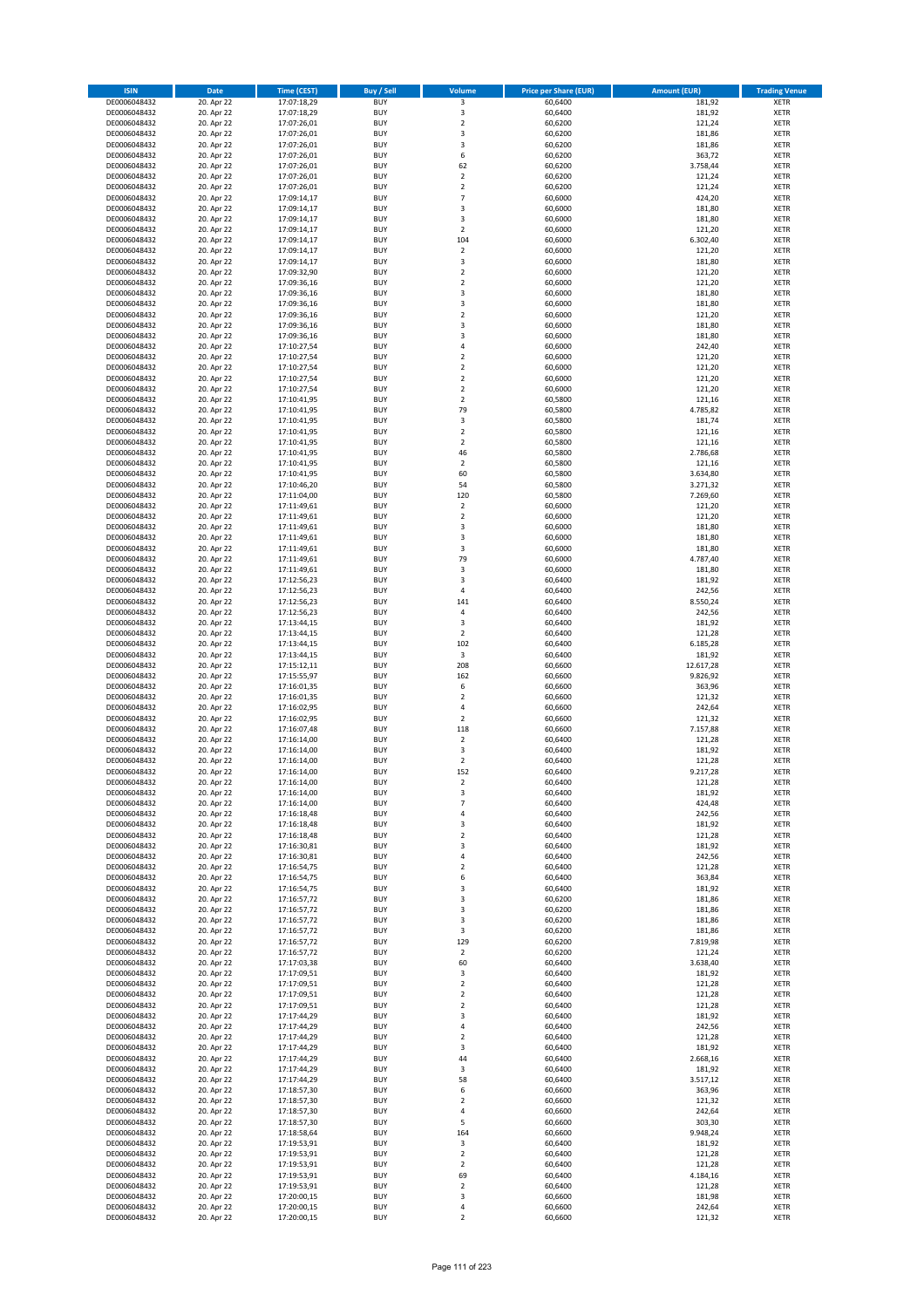| <b>ISIN</b>                  | <b>Date</b>              | <b>Time (CEST)</b>         | <b>Buy / Sell</b>        | Volume                                 | <b>Price per Share (EUR)</b> | <b>Amount (EUR)</b> | <b>Trading Venue</b>       |
|------------------------------|--------------------------|----------------------------|--------------------------|----------------------------------------|------------------------------|---------------------|----------------------------|
| DE0006048432                 | 20. Apr 22               | 17:07:18,29                | <b>BUY</b>               | 3                                      | 60,6400                      | 181,92              | <b>XETR</b>                |
| DE0006048432                 | 20. Apr 22               | 17:07:18,29                | <b>BUY</b>               | 3                                      | 60,6400                      | 181,92              | <b>XETR</b>                |
| DE0006048432                 | 20. Apr 22               | 17:07:26,01                | <b>BUY</b>               | $\overline{2}$                         | 60,6200                      | 121,24              | <b>XETR</b>                |
| DE0006048432                 | 20. Apr 22               | 17:07:26,01                | <b>BUY</b>               | 3                                      | 60,6200                      | 181,86              | <b>XETR</b>                |
| DE0006048432<br>DE0006048432 | 20. Apr 22<br>20. Apr 22 | 17:07:26,01<br>17:07:26,01 | <b>BUY</b><br><b>BUY</b> | 3<br>6                                 | 60,6200<br>60,6200           | 181,86<br>363,72    | <b>XETR</b><br><b>XETR</b> |
| DE0006048432                 | 20. Apr 22               | 17:07:26,01                | <b>BUY</b>               | 62                                     | 60,6200                      | 3.758,44            | <b>XETR</b>                |
| DE0006048432                 | 20. Apr 22               | 17:07:26,01                | <b>BUY</b>               | $\overline{\mathbf{c}}$                | 60,6200                      | 121,24              | <b>XETR</b>                |
| DE0006048432                 | 20. Apr 22               | 17:07:26,01                | <b>BUY</b>               | $\mathbf 2$                            | 60,6200                      | 121,24              | <b>XETR</b>                |
| DE0006048432                 | 20. Apr 22               | 17:09:14,17                | <b>BUY</b>               | $\overline{7}$                         | 60,6000                      | 424,20              | <b>XETR</b>                |
| DE0006048432                 | 20. Apr 22               | 17:09:14,17                | <b>BUY</b>               | 3                                      | 60,6000                      | 181,80              | <b>XETR</b>                |
| DE0006048432                 | 20. Apr 22               | 17:09:14,17                | <b>BUY</b>               | 3                                      | 60,6000                      | 181,80              | <b>XETR</b>                |
| DE0006048432<br>DE0006048432 | 20. Apr 22<br>20. Apr 22 | 17:09:14,17<br>17:09:14,17 | <b>BUY</b><br><b>BUY</b> | $\overline{\mathbf{c}}$<br>104         | 60,6000<br>60,6000           | 121,20<br>6.302,40  | <b>XETR</b><br><b>XETR</b> |
| DE0006048432                 | 20. Apr 22               | 17:09:14,17                | <b>BUY</b>               | $\mathbf 2$                            | 60,6000                      | 121,20              | <b>XETR</b>                |
| DE0006048432                 | 20. Apr 22               | 17:09:14,17                | <b>BUY</b>               | 3                                      | 60,6000                      | 181,80              | <b>XETR</b>                |
| DE0006048432                 | 20. Apr 22               | 17:09:32,90                | <b>BUY</b>               | $\overline{2}$                         | 60,6000                      | 121,20              | <b>XETR</b>                |
| DE0006048432                 | 20. Apr 22               | 17:09:36,16                | <b>BUY</b>               | $\mathbf 2$                            | 60,6000                      | 121,20              | <b>XETR</b>                |
| DE0006048432                 | 20. Apr 22               | 17:09:36,16                | <b>BUY</b>               | 3                                      | 60,6000                      | 181,80              | <b>XETR</b>                |
| DE0006048432<br>DE0006048432 | 20. Apr 22<br>20. Apr 22 | 17:09:36,16<br>17:09:36,16 | <b>BUY</b><br><b>BUY</b> | 3<br>$\overline{\mathbf{c}}$           | 60,6000<br>60,6000           | 181,80<br>121,20    | <b>XETR</b><br><b>XETR</b> |
| DE0006048432                 | 20. Apr 22               | 17:09:36,16                | <b>BUY</b>               | 3                                      | 60,6000                      | 181,80              | <b>XETR</b>                |
| DE0006048432                 | 20. Apr 22               | 17:09:36,16                | <b>BUY</b>               | 3                                      | 60,6000                      | 181,80              | <b>XETR</b>                |
| DE0006048432                 | 20. Apr 22               | 17:10:27,54                | <b>BUY</b>               | 4                                      | 60,6000                      | 242,40              | <b>XETR</b>                |
| DE0006048432                 | 20. Apr 22               | 17:10:27,54                | <b>BUY</b>               | $\mathbf 2$                            | 60,6000                      | 121,20              | <b>XETR</b>                |
| DE0006048432                 | 20. Apr 22               | 17:10:27,54                | <b>BUY</b>               | $\mathbf 2$                            | 60,6000                      | 121,20              | <b>XETR</b>                |
| DE0006048432                 | 20. Apr 22               | 17:10:27,54                | <b>BUY</b>               | $\mathbf 2$                            | 60,6000                      | 121,20              | <b>XETR</b>                |
| DE0006048432<br>DE0006048432 | 20. Apr 22<br>20. Apr 22 | 17:10:27,54<br>17:10:41,95 | <b>BUY</b><br><b>BUY</b> | $\overline{\mathbf{c}}$<br>$\mathbf 2$ | 60,6000<br>60,5800           | 121,20<br>121,16    | <b>XETR</b><br><b>XETR</b> |
| DE0006048432                 | 20. Apr 22               | 17:10:41,95                | <b>BUY</b>               | 79                                     | 60,5800                      | 4.785,82            | <b>XETR</b>                |
| DE0006048432                 | 20. Apr 22               | 17:10:41,95                | <b>BUY</b>               | 3                                      | 60,5800                      | 181,74              | <b>XETR</b>                |
| DE0006048432                 | 20. Apr 22               | 17:10:41,95                | <b>BUY</b>               | $\overline{2}$                         | 60,5800                      | 121,16              | <b>XETR</b>                |
| DE0006048432                 | 20. Apr 22               | 17:10:41,95                | <b>BUY</b>               | $\mathbf 2$                            | 60,5800                      | 121,16              | <b>XETR</b>                |
| DE0006048432                 | 20. Apr 22               | 17:10:41,95                | <b>BUY</b>               | 46                                     | 60,5800                      | 2.786,68            | <b>XETR</b>                |
| DE0006048432<br>DE0006048432 | 20. Apr 22<br>20. Apr 22 | 17:10:41,95<br>17:10:41,95 | <b>BUY</b><br><b>BUY</b> | $\overline{\mathbf{c}}$<br>60          | 60,5800<br>60,5800           | 121,16<br>3.634,80  | <b>XETR</b><br><b>XETR</b> |
| DE0006048432                 | 20. Apr 22               | 17:10:46,20                | <b>BUY</b>               | 54                                     | 60,5800                      | 3.271,32            | <b>XETR</b>                |
| DE0006048432                 | 20. Apr 22               | 17:11:04,00                | <b>BUY</b>               | 120                                    | 60,5800                      | 7.269,60            | <b>XETR</b>                |
| DE0006048432                 | 20. Apr 22               | 17:11:49,61                | <b>BUY</b>               | $\mathbf 2$                            | 60,6000                      | 121,20              | <b>XETR</b>                |
| DE0006048432                 | 20. Apr 22               | 17:11:49,61                | <b>BUY</b>               | $\mathbf 2$                            | 60,6000                      | 121,20              | <b>XETR</b>                |
| DE0006048432                 | 20. Apr 22               | 17:11:49,61                | <b>BUY</b>               | 3                                      | 60,6000                      | 181,80              | <b>XETR</b>                |
| DE0006048432                 | 20. Apr 22               | 17:11:49,61                | <b>BUY</b>               | 3                                      | 60,6000                      | 181,80              | <b>XETR</b>                |
| DE0006048432<br>DE0006048432 | 20. Apr 22<br>20. Apr 22 | 17:11:49,61<br>17:11:49,61 | <b>BUY</b><br><b>BUY</b> | 3<br>79                                | 60,6000<br>60,6000           | 181,80<br>4.787,40  | <b>XETR</b><br><b>XETR</b> |
| DE0006048432                 | 20. Apr 22               | 17:11:49,61                | <b>BUY</b>               | 3                                      | 60,6000                      | 181,80              | <b>XETR</b>                |
| DE0006048432                 | 20. Apr 22               | 17:12:56,23                | <b>BUY</b>               | 3                                      | 60,6400                      | 181,92              | <b>XETR</b>                |
| DE0006048432                 | 20. Apr 22               | 17:12:56,23                | <b>BUY</b>               | 4                                      | 60,6400                      | 242,56              | <b>XETR</b>                |
| DE0006048432                 | 20. Apr 22               | 17:12:56,23                | <b>BUY</b>               | 141                                    | 60,6400                      | 8.550,24            | <b>XETR</b>                |
| DE0006048432                 | 20. Apr 22               | 17:12:56,23                | <b>BUY</b><br><b>BUY</b> | 4                                      | 60,6400                      | 242,56              | <b>XETR</b><br><b>XETR</b> |
| DE0006048432<br>DE0006048432 | 20. Apr 22<br>20. Apr 22 | 17:13:44,15<br>17:13:44,15 | <b>BUY</b>               | 3<br>$\overline{2}$                    | 60,6400<br>60,6400           | 181,92<br>121,28    | <b>XETR</b>                |
| DE0006048432                 | 20. Apr 22               | 17:13:44,15                | <b>BUY</b>               | 102                                    | 60,6400                      | 6.185,28            | <b>XETR</b>                |
| DE0006048432                 | 20. Apr 22               | 17:13:44,15                | <b>BUY</b>               | 3                                      | 60,6400                      | 181,92              | <b>XETR</b>                |
| DE0006048432                 | 20. Apr 22               | 17:15:12,11                | <b>BUY</b>               | 208                                    | 60,6600                      | 12.617,28           | <b>XETR</b>                |
| DE0006048432                 | 20. Apr 22               | 17:15:55,97                | <b>BUY</b>               | 162                                    | 60,6600                      | 9.826,92            | <b>XETR</b>                |
| DE0006048432                 | 20. Apr 22               | 17:16:01,35                | <b>BUY</b>               | 6                                      | 60,6600                      | 363,96              | <b>XETR</b>                |
| DE0006048432<br>DE0006048432 | 20. Apr 22<br>20. Apr 22 | 17:16:01,35<br>17:16:02,95 | <b>BUY</b><br><b>BUY</b> | $\overline{\mathbf{c}}$<br>4           | 60,6600<br>60,6600           | 121,32<br>242,64    | <b>XETR</b><br><b>XETR</b> |
| DE0006048432                 | 20. Apr 22               | 17:16:02,95                | <b>BUY</b>               | $\overline{\mathbf{c}}$                | 60,6600                      | 121,32              | <b>XETR</b>                |
| DE0006048432                 | 20. Apr 22               | 17:16:07,48                | <b>BUY</b>               | 118                                    | 60,6600                      | 7.157,88            | <b>XETR</b>                |
| DE0006048432                 | 20. Apr 22               | 17:16:14,00                | <b>BUY</b>               | $\mathbf 2$                            | 60,6400                      | 121,28              | <b>XETR</b>                |
| DE0006048432                 | 20. Apr 22               | 17:16:14,00                | <b>BUY</b>               | 3                                      | 60,6400                      | 181,92              | <b>XETR</b>                |
| DE0006048432                 | 20. Apr 22               | 17:16:14,00                | <b>BUY</b>               | $\mathbf 2$                            | 60,6400                      | 121,28              | <b>XETR</b>                |
| DE0006048432                 | 20. Apr 22               | 17:16:14,00<br>17:16:14,00 | <b>BUY</b>               | 152                                    | 60,6400<br>60,6400           | 9.217,28            | <b>XETR</b>                |
| DE0006048432<br>DE0006048432 | 20. Apr 22<br>20. Apr 22 | 17:16:14,00                | BUY<br><b>BUY</b>        | 2<br>3                                 | 60,6400                      | 121,28<br>181,92    | <b>XETR</b><br><b>XETR</b> |
| DE0006048432                 | 20. Apr 22               | 17:16:14,00                | <b>BUY</b>               | $\overline{7}$                         | 60,6400                      | 424,48              | <b>XETR</b>                |
| DE0006048432                 | 20. Apr 22               | 17:16:18,48                | <b>BUY</b>               | 4                                      | 60,6400                      | 242,56              | XETR                       |
| DE0006048432                 | 20. Apr 22               | 17:16:18,48                | <b>BUY</b>               | 3                                      | 60,6400                      | 181,92              | <b>XETR</b>                |
| DE0006048432                 | 20. Apr 22               | 17:16:18,48                | <b>BUY</b>               | $\mathbf 2$                            | 60,6400                      | 121,28              | <b>XETR</b>                |
| DE0006048432                 | 20. Apr 22               | 17:16:30,81                | <b>BUY</b>               | 3                                      | 60,6400                      | 181,92              | <b>XETR</b>                |
| DE0006048432<br>DE0006048432 | 20. Apr 22<br>20. Apr 22 | 17:16:30,81<br>17:16:54,75 | <b>BUY</b><br><b>BUY</b> | 4<br>$\mathbf 2$                       | 60,6400<br>60,6400           | 242,56<br>121,28    | <b>XETR</b><br><b>XETR</b> |
| DE0006048432                 | 20. Apr 22               | 17:16:54,75                | <b>BUY</b>               | 6                                      | 60,6400                      | 363,84              | <b>XETR</b>                |
| DE0006048432                 | 20. Apr 22               | 17:16:54,75                | <b>BUY</b>               | 3                                      | 60,6400                      | 181,92              | <b>XETR</b>                |
| DE0006048432                 | 20. Apr 22               | 17:16:57,72                | <b>BUY</b>               | 3                                      | 60,6200                      | 181,86              | <b>XETR</b>                |
| DE0006048432                 | 20. Apr 22               | 17:16:57,72                | <b>BUY</b>               | 3                                      | 60,6200                      | 181,86              | <b>XETR</b>                |
| DE0006048432                 | 20. Apr 22               | 17:16:57,72                | <b>BUY</b>               | 3                                      | 60,6200                      | 181,86              | <b>XETR</b>                |
| DE0006048432<br>DE0006048432 | 20. Apr 22<br>20. Apr 22 | 17:16:57,72<br>17:16:57,72 | <b>BUY</b><br><b>BUY</b> | 3<br>129                               | 60,6200<br>60,6200           | 181,86<br>7.819,98  | <b>XETR</b><br><b>XETR</b> |
| DE0006048432                 | 20. Apr 22               | 17:16:57,72                | <b>BUY</b>               | $\mathbf 2$                            | 60,6200                      | 121,24              | <b>XETR</b>                |
| DE0006048432                 | 20. Apr 22               | 17:17:03,38                | <b>BUY</b>               | 60                                     | 60,6400                      | 3.638,40            | <b>XETR</b>                |
| DE0006048432                 | 20. Apr 22               | 17:17:09,51                | <b>BUY</b>               | 3                                      | 60,6400                      | 181,92              | XETR                       |
| DE0006048432                 | 20. Apr 22               | 17:17:09,51                | <b>BUY</b>               | $\mathbf 2$                            | 60,6400                      | 121,28              | <b>XETR</b>                |
| DE0006048432                 | 20. Apr 22               | 17:17:09,51                | <b>BUY</b>               | $\overline{2}$                         | 60,6400                      | 121,28              | <b>XETR</b>                |
| DE0006048432<br>DE0006048432 | 20. Apr 22<br>20. Apr 22 | 17:17:09,51<br>17:17:44,29 | <b>BUY</b><br><b>BUY</b> | $\mathbf 2$<br>3                       | 60,6400<br>60,6400           | 121,28<br>181,92    | <b>XETR</b><br><b>XETR</b> |
| DE0006048432                 | 20. Apr 22               | 17:17:44,29                | <b>BUY</b>               | 4                                      | 60,6400                      | 242,56              | <b>XETR</b>                |
| DE0006048432                 | 20. Apr 22               | 17:17:44,29                | <b>BUY</b>               | $\mathbf 2$                            | 60,6400                      | 121,28              | <b>XETR</b>                |
| DE0006048432                 | 20. Apr 22               | 17:17:44,29                | <b>BUY</b>               | 3                                      | 60,6400                      | 181,92              | <b>XETR</b>                |
| DE0006048432                 | 20. Apr 22               | 17:17:44,29                | <b>BUY</b>               | 44                                     | 60,6400                      | 2.668,16            | <b>XETR</b>                |
| DE0006048432                 | 20. Apr 22               | 17:17:44,29                | <b>BUY</b>               | 3                                      | 60,6400                      | 181,92              | <b>XETR</b>                |
| DE0006048432                 | 20. Apr 22               | 17:17:44,29                | <b>BUY</b>               | 58                                     | 60,6400                      | 3.517,12            | <b>XETR</b>                |
| DE0006048432<br>DE0006048432 | 20. Apr 22<br>20. Apr 22 | 17:18:57,30                | <b>BUY</b><br><b>BUY</b> | 6<br>$\mathbf 2$                       | 60,6600<br>60,6600           | 363,96<br>121,32    | <b>XETR</b><br><b>XETR</b> |
| DE0006048432                 | 20. Apr 22               | 17:18:57,30<br>17:18:57,30 | <b>BUY</b>               | 4                                      | 60,6600                      | 242,64              | <b>XETR</b>                |
| DE0006048432                 | 20. Apr 22               | 17:18:57,30                | <b>BUY</b>               | 5                                      | 60,6600                      | 303,30              | <b>XETR</b>                |
| DE0006048432                 | 20. Apr 22               | 17:18:58,64                | <b>BUY</b>               | 164                                    | 60,6600                      | 9.948,24            | <b>XETR</b>                |
| DE0006048432                 | 20. Apr 22               | 17:19:53,91                | <b>BUY</b>               | 3                                      | 60,6400                      | 181,92              | <b>XETR</b>                |
| DE0006048432                 | 20. Apr 22               | 17:19:53,91                | <b>BUY</b>               | $\mathbf 2$                            | 60,6400                      | 121,28              | <b>XETR</b>                |
| DE0006048432                 | 20. Apr 22<br>20. Apr 22 | 17:19:53,91                | <b>BUY</b><br><b>BUY</b> | $\overline{2}$<br>69                   | 60,6400<br>60,6400           | 121,28              | <b>XETR</b><br>XETR        |
| DE0006048432<br>DE0006048432 | 20. Apr 22               | 17:19:53,91<br>17:19:53,91 | <b>BUY</b>               | $\overline{2}$                         | 60,6400                      | 4.184,16<br>121,28  | <b>XETR</b>                |
| DE0006048432                 | 20. Apr 22               | 17:20:00,15                | <b>BUY</b>               | 3                                      | 60,6600                      | 181,98              | <b>XETR</b>                |
| DE0006048432                 | 20. Apr 22               | 17:20:00,15                | <b>BUY</b>               | 4                                      | 60,6600                      | 242,64              | <b>XETR</b>                |
| DE0006048432                 | 20. Apr 22               | 17:20:00,15                | <b>BUY</b>               | $\mathbf 2$                            | 60,6600                      | 121,32              | <b>XETR</b>                |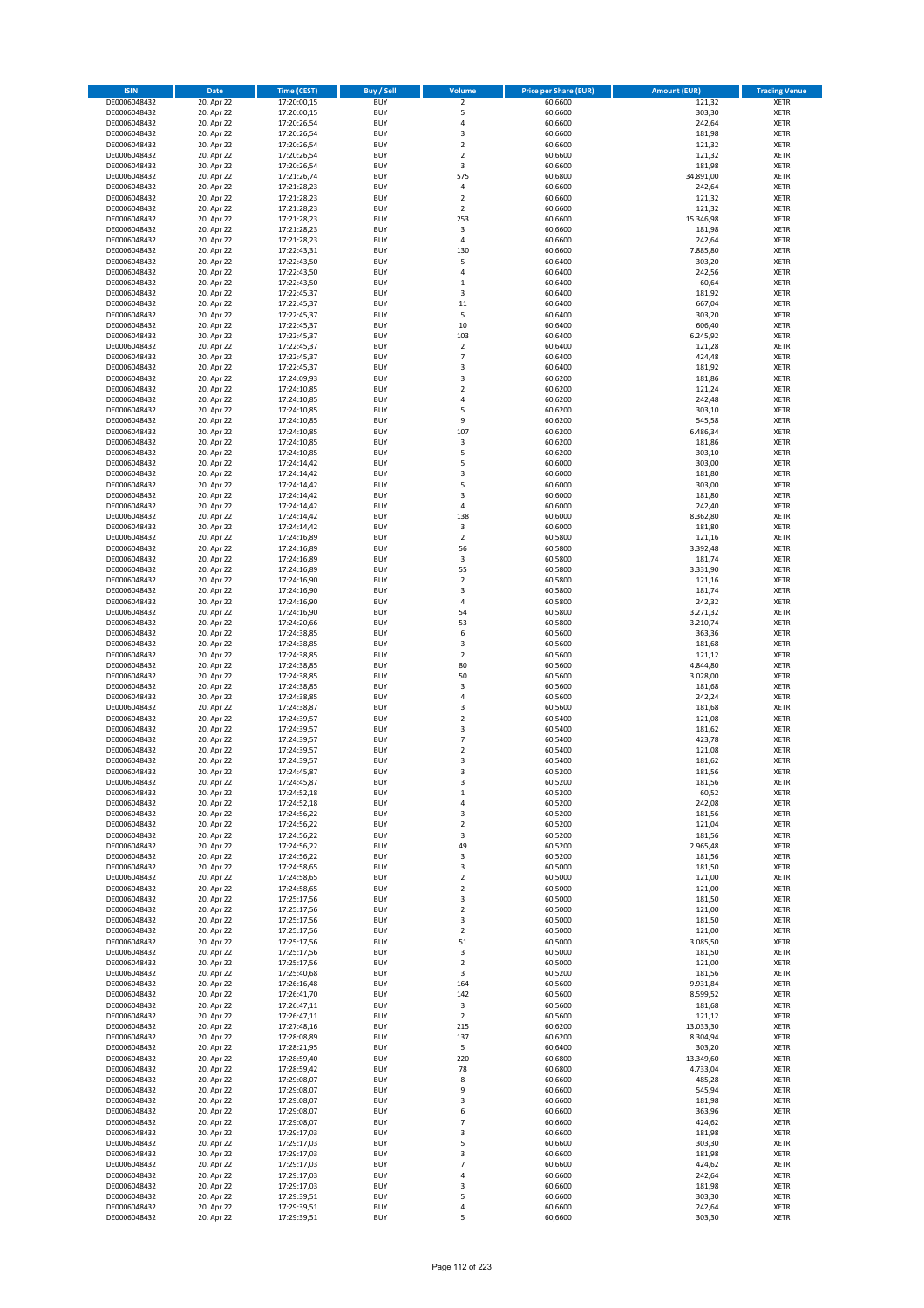| <b>ISIN</b>                  | Date                     | Time (CEST)                | <b>Buy / Sell</b>        | <b>Volume</b>                 | <b>Price per Share (EUR)</b> | <b>Amount (EUR)</b> | <b>Trading Venue</b>       |
|------------------------------|--------------------------|----------------------------|--------------------------|-------------------------------|------------------------------|---------------------|----------------------------|
| DE0006048432                 | 20. Apr 22               | 17:20:00,15                | <b>BUY</b>               | $\overline{2}$                | 60,6600                      | 121,32              | <b>XETR</b>                |
| DE0006048432                 | 20. Apr 22               | 17:20:00,15                | <b>BUY</b>               | 5                             | 60,6600                      | 303,30              | XETR                       |
| DE0006048432                 | 20. Apr 22               | 17:20:26,54                | <b>BUY</b>               | 4                             | 60,6600                      | 242,64              | <b>XETR</b>                |
| DE0006048432                 | 20. Apr 22               | 17:20:26,54                | <b>BUY</b>               | $\mathsf 3$                   | 60,6600                      | 181,98              | XETR                       |
| DE0006048432<br>DE0006048432 | 20. Apr 22<br>20. Apr 22 | 17:20:26,54<br>17:20:26,54 | <b>BUY</b><br><b>BUY</b> | $\overline{2}$<br>$\mathbf 2$ | 60,6600<br>60,6600           | 121,32<br>121,32    | <b>XETR</b><br><b>XETR</b> |
| DE0006048432                 | 20. Apr 22               | 17:20:26,54                | <b>BUY</b>               | 3                             | 60,6600                      | 181,98              | <b>XETR</b>                |
| DE0006048432                 | 20. Apr 22               | 17:21:26,74                | <b>BUY</b>               | 575                           | 60,6800                      | 34.891,00           | <b>XETR</b>                |
| DE0006048432                 | 20. Apr 22               | 17:21:28,23                | <b>BUY</b>               | $\overline{4}$                | 60,6600                      | 242,64              | <b>XETR</b>                |
| DE0006048432                 | 20. Apr 22               | 17:21:28,23                | <b>BUY</b>               | $\overline{2}$                | 60,6600                      | 121,32              | <b>XETR</b>                |
| DE0006048432                 | 20. Apr 22               | 17:21:28,23                | <b>BUY</b>               | $\overline{2}$                | 60,6600                      | 121,32              | <b>XETR</b>                |
| DE0006048432                 | 20. Apr 22               | 17:21:28,23                | <b>BUY</b>               | 253                           | 60,6600                      | 15.346,98           | <b>XETR</b>                |
| DE0006048432<br>DE0006048432 | 20. Apr 22<br>20. Apr 22 | 17:21:28,23<br>17:21:28,23 | <b>BUY</b><br><b>BUY</b> | 3<br>4                        | 60,6600<br>60,6600           | 181,98<br>242,64    | <b>XETR</b><br><b>XETR</b> |
| DE0006048432                 | 20. Apr 22               | 17:22:43,31                | <b>BUY</b>               | 130                           | 60,6600                      | 7.885,80            | <b>XETR</b>                |
| DE0006048432                 | 20. Apr 22               | 17:22:43,50                | <b>BUY</b>               | 5                             | 60,6400                      | 303,20              | <b>XETR</b>                |
| DE0006048432                 | 20. Apr 22               | 17:22:43,50                | <b>BUY</b>               | 4                             | 60,6400                      | 242,56              | <b>XETR</b>                |
| DE0006048432                 | 20. Apr 22               | 17:22:43,50                | <b>BUY</b>               | $\,$ 1                        | 60,6400                      | 60,64               | <b>XETR</b>                |
| DE0006048432                 | 20. Apr 22               | 17:22:45,37                | <b>BUY</b>               | 3                             | 60,6400                      | 181,92              | <b>XETR</b>                |
| DE0006048432<br>DE0006048432 | 20. Apr 22<br>20. Apr 22 | 17:22:45,37<br>17:22:45,37 | <b>BUY</b><br><b>BUY</b> | 11<br>5                       | 60,6400<br>60,6400           | 667,04<br>303,20    | <b>XETR</b><br><b>XETR</b> |
| DE0006048432                 | 20. Apr 22               | 17:22:45,37                | <b>BUY</b>               | $10\,$                        | 60,6400                      | 606,40              | <b>XETR</b>                |
| DE0006048432                 | 20. Apr 22               | 17:22:45,37                | <b>BUY</b>               | 103                           | 60,6400                      | 6.245,92            | <b>XETR</b>                |
| DE0006048432                 | 20. Apr 22               | 17:22:45,37                | <b>BUY</b>               | $\mathbf 2$                   | 60,6400                      | 121,28              | <b>XETR</b>                |
| DE0006048432                 | 20. Apr 22               | 17:22:45,37                | <b>BUY</b>               | $\overline{7}$                | 60,6400                      | 424,48              | <b>XETR</b>                |
| DE0006048432                 | 20. Apr 22               | 17:22:45,37                | <b>BUY</b>               | 3                             | 60,6400                      | 181,92              | <b>XETR</b>                |
| DE0006048432<br>DE0006048432 | 20. Apr 22               | 17:24:09,93                | <b>BUY</b><br><b>BUY</b> | $\mathsf 3$<br>$\overline{2}$ | 60,6200                      | 181,86              | <b>XETR</b><br><b>XETR</b> |
| DE0006048432                 | 20. Apr 22<br>20. Apr 22 | 17:24:10,85<br>17:24:10,85 | <b>BUY</b>               | 4                             | 60,6200<br>60,6200           | 121,24<br>242,48    | <b>XETR</b>                |
| DE0006048432                 | 20. Apr 22               | 17:24:10,85                | <b>BUY</b>               | 5                             | 60,6200                      | 303,10              | <b>XETR</b>                |
| DE0006048432                 | 20. Apr 22               | 17:24:10,85                | <b>BUY</b>               | 9                             | 60,6200                      | 545,58              | <b>XETR</b>                |
| DE0006048432                 | 20. Apr 22               | 17:24:10,85                | <b>BUY</b>               | 107                           | 60,6200                      | 6.486,34            | <b>XETR</b>                |
| DE0006048432                 | 20. Apr 22               | 17:24:10,85                | <b>BUY</b>               | 3                             | 60,6200                      | 181,86              | <b>XETR</b>                |
| DE0006048432                 | 20. Apr 22               | 17:24:10,85                | <b>BUY</b>               | 5                             | 60,6200                      | 303,10              | <b>XETR</b>                |
| DE0006048432<br>DE0006048432 | 20. Apr 22<br>20. Apr 22 | 17:24:14,42<br>17:24:14,42 | <b>BUY</b><br><b>BUY</b> | 5<br>3                        | 60,6000<br>60,6000           | 303,00<br>181,80    | <b>XETR</b><br><b>XETR</b> |
| DE0006048432                 | 20. Apr 22               | 17:24:14,42                | <b>BUY</b>               | 5                             | 60,6000                      | 303,00              | <b>XETR</b>                |
| DE0006048432                 | 20. Apr 22               | 17:24:14,42                | <b>BUY</b>               | 3                             | 60,6000                      | 181,80              | <b>XETR</b>                |
| DE0006048432                 | 20. Apr 22               | 17:24:14,42                | <b>BUY</b>               | $\pmb{4}$                     | 60,6000                      | 242,40              | <b>XETR</b>                |
| DE0006048432                 | 20. Apr 22               | 17:24:14,42                | <b>BUY</b>               | 138                           | 60,6000                      | 8.362,80            | <b>XETR</b>                |
| DE0006048432                 | 20. Apr 22               | 17:24:14,42                | <b>BUY</b>               | 3                             | 60,6000                      | 181,80              | <b>XETR</b>                |
| DE0006048432                 | 20. Apr 22               | 17:24:16,89                | <b>BUY</b>               | $\overline{2}$                | 60,5800                      | 121,16              | <b>XETR</b>                |
| DE0006048432<br>DE0006048432 | 20. Apr 22<br>20. Apr 22 | 17:24:16,89<br>17:24:16,89 | <b>BUY</b><br><b>BUY</b> | 56<br>3                       | 60,5800<br>60,5800           | 3.392,48<br>181,74  | <b>XETR</b><br><b>XETR</b> |
| DE0006048432                 | 20. Apr 22               | 17:24:16,89                | <b>BUY</b>               | 55                            | 60,5800                      | 3.331,90            | <b>XETR</b>                |
| DE0006048432                 | 20. Apr 22               | 17:24:16,90                | <b>BUY</b>               | $\overline{2}$                | 60,5800                      | 121,16              | <b>XETR</b>                |
| DE0006048432                 | 20. Apr 22               | 17:24:16,90                | <b>BUY</b>               | 3                             | 60,5800                      | 181,74              | <b>XETR</b>                |
| DE0006048432                 | 20. Apr 22               | 17:24:16,90                | <b>BUY</b>               | $\overline{4}$                | 60,5800                      | 242,32              | <b>XETR</b>                |
| DE0006048432                 | 20. Apr 22               | 17:24:16,90                | <b>BUY</b><br><b>BUY</b> | 54<br>53                      | 60,5800                      | 3.271,32            | <b>XETR</b><br><b>XETR</b> |
| DE0006048432<br>DE0006048432 | 20. Apr 22<br>20. Apr 22 | 17:24:20,66<br>17:24:38,85 | <b>BUY</b>               | 6                             | 60,5800<br>60,5600           | 3.210,74<br>363,36  | <b>XETR</b>                |
| DE0006048432                 | 20. Apr 22               | 17:24:38,85                | <b>BUY</b>               | 3                             | 60,5600                      | 181,68              | <b>XETR</b>                |
| DE0006048432                 | 20. Apr 22               | 17:24:38,85                | <b>BUY</b>               | $\overline{2}$                | 60,5600                      | 121,12              | <b>XETR</b>                |
| DE0006048432                 | 20. Apr 22               | 17:24:38,85                | <b>BUY</b>               | 80                            | 60,5600                      | 4.844,80            | <b>XETR</b>                |
| DE0006048432                 | 20. Apr 22               | 17:24:38,85                | <b>BUY</b>               | 50                            | 60,5600                      | 3.028,00            | <b>XETR</b>                |
| DE0006048432                 | 20. Apr 22               | 17:24:38,85                | <b>BUY</b>               | 3                             | 60,5600                      | 181,68              | <b>XETR</b>                |
| DE0006048432<br>DE0006048432 | 20. Apr 22<br>20. Apr 22 | 17:24:38,85<br>17:24:38,87 | <b>BUY</b><br><b>BUY</b> | $\overline{4}$<br>3           | 60,5600<br>60,5600           | 242,24<br>181,68    | <b>XETR</b><br><b>XETR</b> |
| DE0006048432                 | 20. Apr 22               | 17:24:39,57                | <b>BUY</b>               | $\overline{2}$                | 60,5400                      | 121,08              | <b>XETR</b>                |
| DE0006048432                 | 20. Apr 22               | 17:24:39,57                | <b>BUY</b>               | 3                             | 60,5400                      | 181,62              | <b>XETR</b>                |
| DE0006048432                 | 20. Apr 22               | 17:24:39,57                | <b>BUY</b>               | $\overline{7}$                | 60,5400                      | 423,78              | <b>XETR</b>                |
| DE0006048432                 | 20. Apr 22               | 17:24:39,57                | <b>BUY</b>               | $\overline{\mathbf{c}}$       | 60,5400                      | 121,08              | <b>XETR</b>                |
| DE0006048432                 | 20. Apr 22               | 17:24:39,57                | <b>BUY</b>               | 3                             | 60,5400                      | 181,62              | <b>XETR</b>                |
| DE0006048432                 | 20. Apr 22               | 17:24:45,87                | <b>BUY</b>               | 3                             | 60,5200                      | 181,56              | <b>XETR</b>                |
| DE0006048432<br>DE0006048432 | 20. Apr 22<br>20. Apr 22 | 17:24:45,87<br>17:24:52,18 | BUY<br><b>BUY</b>        | 3<br>$\,$ 1                   | 60,5200<br>60,5200           | 181,56<br>60,52     | XETR<br><b>XETR</b>        |
| DE0006048432                 | 20. Apr 22               | 17:24:52,18                | <b>BUY</b>               | 4                             | 60,5200                      | 242,08              | <b>XETR</b>                |
| DE0006048432                 | 20. Apr 22               | 17:24:56,22                | <b>BUY</b>               | 3                             | 60,5200                      | 181,56              | XETR                       |
| DE0006048432                 | 20. Apr 22               | 17:24:56,22                | <b>BUY</b>               | $\overline{2}$                | 60,5200                      | 121,04              | <b>XETR</b>                |
| DE0006048432                 | 20. Apr 22               | 17:24:56,22                | <b>BUY</b>               | 3                             | 60,5200                      | 181,56              | <b>XETR</b>                |
| DE0006048432                 | 20. Apr 22               | 17:24:56,22                | <b>BUY</b>               | 49                            | 60,5200                      | 2.965,48            | <b>XETR</b>                |
| DE0006048432<br>DE0006048432 | 20. Apr 22<br>20. Apr 22 | 17:24:56,22<br>17:24:58,65 | <b>BUY</b><br><b>BUY</b> | 3<br>3                        | 60,5200<br>60,5000           | 181,56<br>181,50    | <b>XETR</b><br>XETR        |
| DE0006048432                 | 20. Apr 22               | 17:24:58,65                | <b>BUY</b>               | $\mathbf 2$                   | 60,5000                      | 121,00              | <b>XETR</b>                |
| DE0006048432                 | 20. Apr 22               | 17:24:58,65                | <b>BUY</b>               | $\overline{2}$                | 60,5000                      | 121,00              | XETR                       |
| DE0006048432                 | 20. Apr 22               | 17:25:17,56                | <b>BUY</b>               | 3                             | 60,5000                      | 181,50              | <b>XETR</b>                |
| DE0006048432                 | 20. Apr 22               | 17:25:17,56                | <b>BUY</b>               | $\mathbf 2$                   | 60,5000                      | 121,00              | XETR                       |
| DE0006048432                 | 20. Apr 22               | 17:25:17,56                | <b>BUY</b>               | 3                             | 60,5000                      | 181,50              | <b>XETR</b>                |
| DE0006048432<br>DE0006048432 | 20. Apr 22<br>20. Apr 22 | 17:25:17,56<br>17:25:17,56 | <b>BUY</b><br><b>BUY</b> | $\mathbf 2$<br>51             | 60,5000<br>60,5000           | 121,00<br>3.085,50  | XETR<br><b>XETR</b>        |
| DE0006048432                 | 20. Apr 22               | 17:25:17,56                | <b>BUY</b>               | 3                             | 60,5000                      | 181,50              | <b>XETR</b>                |
| DE0006048432                 | 20. Apr 22               | 17:25:17,56                | <b>BUY</b>               | $\overline{2}$                | 60,5000                      | 121,00              | <b>XETR</b>                |
| DE0006048432                 | 20. Apr 22               | 17:25:40,68                | <b>BUY</b>               | 3                             | 60,5200                      | 181,56              | XETR                       |
| DE0006048432                 | 20. Apr 22               | 17:26:16,48                | <b>BUY</b>               | 164                           | 60,5600                      | 9.931,84            | <b>XETR</b>                |
| DE0006048432                 | 20. Apr 22               | 17:26:41,70                | <b>BUY</b>               | 142                           | 60,5600                      | 8.599,52            | <b>XETR</b>                |
| DE0006048432<br>DE0006048432 | 20. Apr 22<br>20. Apr 22 | 17:26:47,11                | <b>BUY</b><br><b>BUY</b> | 3<br>$\overline{2}$           | 60,5600<br>60,5600           | 181,68<br>121,12    | <b>XETR</b><br>XETR        |
| DE0006048432                 | 20. Apr 22               | 17:26:47,11<br>17:27:48,16 | <b>BUY</b>               | 215                           | 60,6200                      | 13.033,30           | XETR                       |
| DE0006048432                 | 20. Apr 22               | 17:28:08,89                | <b>BUY</b>               | 137                           | 60,6200                      | 8.304,94            | XETR                       |
| DE0006048432                 | 20. Apr 22               | 17:28:21,95                | <b>BUY</b>               | 5                             | 60,6400                      | 303,20              | XETR                       |
| DE0006048432                 | 20. Apr 22               | 17:28:59,40                | <b>BUY</b>               | 220                           | 60,6800                      | 13.349,60           | <b>XETR</b>                |
| DE0006048432                 | 20. Apr 22               | 17:28:59,42                | <b>BUY</b>               | 78                            | 60,6800                      | 4.733,04            | <b>XETR</b>                |
| DE0006048432                 | 20. Apr 22               | 17:29:08,07                | <b>BUY</b>               | 8                             | 60,6600                      | 485,28              | XETR                       |
| DE0006048432<br>DE0006048432 | 20. Apr 22<br>20. Apr 22 | 17:29:08,07                | <b>BUY</b><br><b>BUY</b> | 9<br>3                        | 60,6600<br>60,6600           | 545,94<br>181,98    | <b>XETR</b><br>XETR        |
| DE0006048432                 | 20. Apr 22               | 17:29:08,07<br>17:29:08,07 | <b>BUY</b>               | 6                             | 60,6600                      | 363,96              | XETR                       |
| DE0006048432                 | 20. Apr 22               | 17:29:08,07                | <b>BUY</b>               | $\overline{\phantom{a}}$      | 60,6600                      | 424,62              | XETR                       |
| DE0006048432                 | 20. Apr 22               | 17:29:17,03                | <b>BUY</b>               | 3                             | 60,6600                      | 181,98              | <b>XETR</b>                |
| DE0006048432                 | 20. Apr 22               | 17:29:17,03                | <b>BUY</b>               | 5                             | 60,6600                      | 303,30              | <b>XETR</b>                |
| DE0006048432                 | 20. Apr 22               | 17:29:17,03                | <b>BUY</b>               | 3                             | 60,6600                      | 181,98              | <b>XETR</b>                |
| DE0006048432                 | 20. Apr 22<br>20. Apr 22 | 17:29:17,03                | <b>BUY</b><br><b>BUY</b> | $\overline{7}$<br>$\sqrt{4}$  | 60,6600<br>60,6600           | 424,62<br>242,64    | <b>XETR</b>                |
| DE0006048432<br>DE0006048432 | 20. Apr 22               | 17:29:17,03<br>17:29:17,03 | <b>BUY</b>               | 3                             | 60,6600                      | 181,98              | XETR<br><b>XETR</b>        |
| DE0006048432                 | 20. Apr 22               | 17:29:39,51                | <b>BUY</b>               | 5                             | 60,6600                      | 303,30              | XETR                       |
| DE0006048432                 | 20. Apr 22               | 17:29:39,51                | <b>BUY</b>               | $\pmb{4}$                     | 60,6600                      | 242,64              | <b>XETR</b>                |
| DE0006048432                 | 20. Apr 22               | 17:29:39,51                | <b>BUY</b>               | 5                             | 60,6600                      | 303,30              | XETR                       |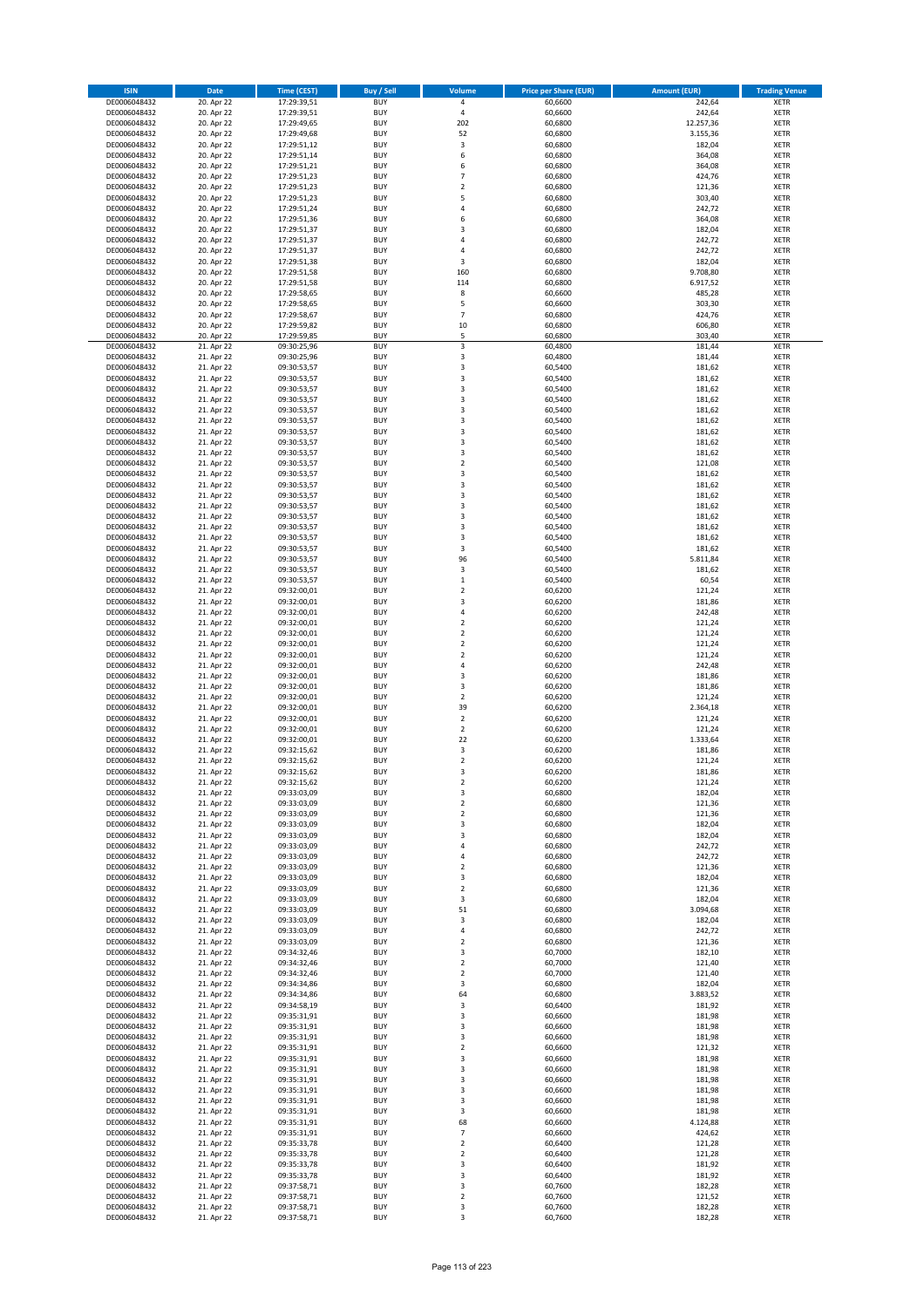| <b>ISIN</b>                  | <b>Date</b>              | <b>Time (CEST)</b>         | <b>Buy / Sell</b>        | <b>Volume</b>                    | <b>Price per Share (EUR)</b> | <b>Amount (EUR)</b> | <b>Trading Venue</b>       |
|------------------------------|--------------------------|----------------------------|--------------------------|----------------------------------|------------------------------|---------------------|----------------------------|
| DE0006048432                 | 20. Apr 22               | 17:29:39,51                | <b>BUY</b>               | 4                                | 60,6600                      | 242,64              | <b>XETR</b>                |
| DE0006048432                 | 20. Apr 22               | 17:29:39,51                | <b>BUY</b>               | 4                                | 60,6600                      | 242,64              | <b>XETR</b>                |
| DE0006048432                 | 20. Apr 22               | 17:29:49.65                | <b>BUY</b>               | 202                              | 60,6800                      | 12.257,36           | <b>XETR</b>                |
| DE0006048432                 | 20. Apr 22               | 17:29:49,68                | <b>BUY</b>               | 52                               | 60,6800                      | 3.155,36            | <b>XETR</b>                |
| DE0006048432                 | 20. Apr 22               | 17:29:51,12                | <b>BUY</b>               | 3                                | 60,6800                      | 182,04              | <b>XETR</b>                |
| DE0006048432                 | 20. Apr 22               | 17:29:51,14                | <b>BUY</b>               | 6                                | 60,6800                      | 364,08              | <b>XETR</b>                |
| DE0006048432                 | 20. Apr 22               | 17:29:51,21                | <b>BUY</b>               | 6                                | 60,6800                      | 364,08              | <b>XETR</b>                |
| DE0006048432                 | 20. Apr 22               | 17:29:51,23                | <b>BUY</b>               | 7                                | 60,6800                      | 424,76              | <b>XETR</b>                |
| DE0006048432                 | 20. Apr 22               | 17:29:51,23                | <b>BUY</b>               | $\overline{2}$                   | 60,6800                      | 121,36              | <b>XETR</b>                |
| DE0006048432                 | 20. Apr 22               | 17:29:51,23                | <b>BUY</b>               | 5                                | 60,6800                      | 303,40              | <b>XETR</b>                |
| DE0006048432                 | 20. Apr 22               | 17:29:51,24                | <b>BUY</b>               | 4                                | 60,6800                      | 242,72              | <b>XETR</b>                |
| DE0006048432                 | 20. Apr 22               | 17:29:51,36                | <b>BUY</b>               | 6                                | 60,6800                      | 364,08              | <b>XETR</b>                |
| DE0006048432                 | 20. Apr 22               | 17:29:51,37                | <b>BUY</b>               | 3                                | 60,6800                      | 182,04              | <b>XETR</b>                |
| DE0006048432                 | 20. Apr 22               | 17:29:51,37                | <b>BUY</b>               | $\overline{a}$                   | 60,6800                      | 242,72              | <b>XETR</b>                |
| DE0006048432<br>DE0006048432 | 20. Apr 22               | 17:29:51,37                | <b>BUY</b><br><b>BUY</b> | 4<br>3                           | 60,6800<br>60,6800           | 242,72              | <b>XETR</b><br><b>XETR</b> |
| DE0006048432                 | 20. Apr 22<br>20. Apr 22 | 17:29:51,38<br>17:29:51,58 | <b>BUY</b>               | 160                              | 60,6800                      | 182,04<br>9.708,80  | <b>XETR</b>                |
| DE0006048432                 | 20. Apr 22               | 17:29:51,58                | <b>BUY</b>               | 114                              | 60,6800                      | 6.917,52            | <b>XETR</b>                |
| DE0006048432                 | 20. Apr 22               | 17:29:58,65                | <b>BUY</b>               | 8                                | 60,6600                      | 485,28              | <b>XETR</b>                |
| DE0006048432                 | 20. Apr 22               | 17:29:58,65                | <b>BUY</b>               | 5                                | 60,6600                      | 303,30              | <b>XETR</b>                |
| DE0006048432                 | 20. Apr 22               | 17:29:58,67                | <b>BUY</b>               | $\overline{7}$                   | 60,6800                      | 424,76              | <b>XETR</b>                |
| DE0006048432                 | 20. Apr 22               | 17:29:59,82                | <b>BUY</b>               | 10                               | 60,6800                      | 606,80              | <b>XETR</b>                |
| DE0006048432                 | 20. Apr 22               | 17:29:59,85                | <b>BUY</b>               | 5                                | 60,6800                      | 303,40              | <b>XETR</b>                |
| DE0006048432                 | 21. Apr 22               | 09:30:25,96                | <b>BUY</b>               | 3                                | 60,4800                      | 181,44              | <b>XETR</b>                |
| DE0006048432                 | 21. Apr 22               | 09:30:25,96                | <b>BUY</b>               | 3                                | 60,4800                      | 181,44              | <b>XETR</b>                |
| DE0006048432                 | 21. Apr 22               | 09:30:53,57                | <b>BUY</b>               | 3                                | 60,5400                      | 181,62              | <b>XETR</b>                |
| DE0006048432                 | 21. Apr 22               | 09:30:53,57                | <b>BUY</b>               | 3                                | 60,5400                      | 181,62              | <b>XETR</b>                |
| DE0006048432                 | 21. Apr 22               | 09:30:53,57                | <b>BUY</b>               | 3                                | 60,5400                      | 181,62              | <b>XETR</b>                |
| DE0006048432<br>DE0006048432 | 21. Apr 22<br>21. Apr 22 | 09:30:53,57                | <b>BUY</b><br><b>BUY</b> | 3<br>3                           | 60,5400<br>60,5400           | 181,62<br>181,62    | <b>XETR</b><br><b>XETR</b> |
| DE0006048432                 | 21. Apr 22               | 09:30:53,57<br>09:30:53,57 | <b>BUY</b>               | 3                                | 60,5400                      | 181,62              | <b>XETR</b>                |
| DE0006048432                 | 21. Apr 22               | 09:30:53,57                | <b>BUY</b>               | 3                                | 60,5400                      | 181,62              | <b>XETR</b>                |
| DE0006048432                 | 21. Apr 22               | 09:30:53,57                | <b>BUY</b>               | 3                                | 60,5400                      | 181,62              | <b>XETR</b>                |
| DE0006048432                 | 21. Apr 22               | 09:30:53,57                | <b>BUY</b>               | 3                                | 60,5400                      | 181,62              | <b>XETR</b>                |
| DE0006048432                 | 21. Apr 22               | 09:30:53,57                | <b>BUY</b>               | $\overline{\mathbf{c}}$          | 60,5400                      | 121,08              | <b>XETR</b>                |
| DE0006048432                 | 21. Apr 22               | 09:30:53,57                | <b>BUY</b>               | 3                                | 60,5400                      | 181,62              | <b>XETR</b>                |
| DE0006048432                 | 21. Apr 22               | 09:30:53,57                | <b>BUY</b>               | 3                                | 60,5400                      | 181,62              | <b>XETR</b>                |
| DE0006048432                 | 21. Apr 22               | 09:30:53,57                | <b>BUY</b>               | 3                                | 60,5400                      | 181,62              | <b>XETR</b>                |
| DE0006048432                 | 21. Apr 22               | 09:30:53,57                | <b>BUY</b>               | 3                                | 60,5400                      | 181,62              | <b>XETR</b>                |
| DE0006048432                 | 21. Apr 22               | 09:30:53,57                | <b>BUY</b>               | 3                                | 60,5400                      | 181,62              | <b>XETR</b>                |
| DE0006048432                 | 21. Apr 22               | 09:30:53,57                | <b>BUY</b>               | 3                                | 60,5400                      | 181,62              | <b>XETR</b>                |
| DE0006048432                 | 21. Apr 22               | 09:30:53,57                | <b>BUY</b>               | 3                                | 60,5400                      | 181,62              | <b>XETR</b>                |
| DE0006048432                 | 21. Apr 22               | 09:30:53,57                | <b>BUY</b>               | 3                                | 60,5400                      | 181,62              | <b>XETR</b>                |
| DE0006048432                 | 21. Apr 22               | 09:30:53,57                | <b>BUY</b>               | 96                               | 60,5400                      | 5.811,84            | <b>XETR</b>                |
| DE0006048432                 | 21. Apr 22               | 09:30:53,57                | <b>BUY</b>               | 3                                | 60,5400                      | 181,62              | <b>XETR</b>                |
| DE0006048432                 | 21. Apr 22               | 09:30:53,57                | <b>BUY</b>               | $\mathbf{1}$                     | 60,5400                      | 60,54               | <b>XETR</b>                |
| DE0006048432                 | 21. Apr 22               | 09:32:00,01                | <b>BUY</b>               | $\overline{2}$                   | 60,6200                      | 121,24              | <b>XETR</b>                |
| DE0006048432                 | 21. Apr 22               | 09:32:00,01                | <b>BUY</b><br><b>BUY</b> | 3<br>4                           | 60,6200                      | 181,86              | <b>XETR</b>                |
| DE0006048432<br>DE0006048432 | 21. Apr 22<br>21. Apr 22 | 09:32:00,01<br>09:32:00,01 | <b>BUY</b>               | $\overline{2}$                   | 60,6200<br>60,6200           | 242,48<br>121,24    | <b>XETR</b><br><b>XETR</b> |
| DE0006048432                 | 21. Apr 22               | 09:32:00,01                | <b>BUY</b>               | $\overline{2}$                   | 60,6200                      | 121,24              | <b>XETR</b>                |
| DE0006048432                 | 21. Apr 22               | 09:32:00,01                | <b>BUY</b>               | $\mathbf 2$                      | 60,6200                      | 121,24              | <b>XETR</b>                |
| DE0006048432                 | 21. Apr 22               | 09:32:00,01                | <b>BUY</b>               | $\overline{\mathbf{c}}$          | 60,6200                      | 121,24              | <b>XETR</b>                |
| DE0006048432                 | 21. Apr 22               | 09:32:00,01                | <b>BUY</b>               | 4                                | 60,6200                      | 242,48              | <b>XETR</b>                |
| DE0006048432                 | 21. Apr 22               | 09:32:00,01                | <b>BUY</b>               | 3                                | 60,6200                      | 181,86              | <b>XETR</b>                |
| DE0006048432                 | 21. Apr 22               | 09:32:00,01                | <b>BUY</b>               | 3                                | 60,6200                      | 181,86              | <b>XETR</b>                |
| DE0006048432                 | 21. Apr 22               | 09:32:00,01                | <b>BUY</b>               | $\overline{2}$                   | 60,6200                      | 121,24              | <b>XETR</b>                |
| DE0006048432                 | 21. Apr 22               | 09:32:00,01                | <b>BUY</b>               | 39                               | 60,6200                      | 2.364,18            | <b>XETR</b>                |
| DE0006048432                 | 21. Apr 22               | 09:32:00,01                | <b>BUY</b>               | $\overline{2}$                   | 60,6200                      | 121,24              | <b>XETR</b>                |
| DE0006048432                 | 21. Apr 22               | 09:32:00,01                | <b>BUY</b>               | $\overline{2}$                   | 60,6200                      | 121,24              | <b>XETR</b>                |
| DE0006048432                 | 21. Apr 22               | 09:32:00,01                | <b>BUY</b>               | 22                               | 60,6200                      | 1.333,64            | <b>XETR</b>                |
| DE0006048432                 | 21. Apr 22               | 09:32:15,62                | <b>BUY</b>               | 3                                | 60,6200                      | 181,86              | <b>XETR</b>                |
| DE0006048432                 | 21. Apr 22               | 09:32:15,62                | <b>BUY</b>               | $\overline{\mathbf{2}}$          | 60,6200                      | 121,24              | <b>XETR</b>                |
| DE0006048432                 | 21. Apr 22               | 09:32:15,62                | <b>BUY</b>               | $\overline{3}$<br>$\overline{2}$ | 60,6200                      | 181,86              | <b>XETR</b>                |
| DE0006048432<br>DE0006048432 | 21. Apr 22<br>21. Apr 22 | 09:32:15,62<br>09:33:03,09 | <b>BUY</b><br><b>BUY</b> | 3                                | 60,6200<br>60,6800           | 121,24<br>182,04    | <b>XETR</b><br><b>XETR</b> |
| DE0006048432                 | 21. Apr 22               | 09:33:03,09                | <b>BUY</b>               | $\mathbf 2$                      | 60,6800                      | 121,36              | <b>XETR</b>                |
| DE0006048432                 | 21. Apr 22               | 09:33:03,09                | <b>BUY</b>               | $\mathbf 2$                      | 60,6800                      | 121,36              | <b>XETR</b>                |
| DE0006048432                 | 21. Apr 22               | 09:33:03,09                | <b>BUY</b>               | 3                                | 60,6800                      | 182,04              | <b>XETR</b>                |
| DE0006048432                 | 21. Apr 22               | 09:33:03,09                | <b>BUY</b>               | 3                                | 60,6800                      | 182,04              | <b>XETR</b>                |
| DE0006048432                 | 21. Apr 22               | 09:33:03,09                | <b>BUY</b>               | 4                                | 60,6800                      | 242,72              | <b>XETR</b>                |
| DE0006048432                 | 21. Apr 22               | 09:33:03,09                | <b>BUY</b>               | 4                                | 60,6800                      | 242,72              | <b>XETR</b>                |
| DE0006048432                 | 21. Apr 22               | 09:33:03,09                | <b>BUY</b>               | $\overline{2}$                   | 60,6800                      | 121,36              | <b>XETR</b>                |
| DE0006048432                 | 21. Apr 22               | 09:33:03,09                | <b>BUY</b>               | 3                                | 60,6800                      | 182,04              | <b>XETR</b>                |
| DE0006048432                 | 21. Apr 22               | 09:33:03,09                | <b>BUY</b>               | $\overline{2}$                   | 60,6800                      | 121,36              | <b>XETR</b>                |
| DE0006048432                 | 21. Apr 22               | 09:33:03,09                | <b>BUY</b>               | 3                                | 60,6800                      | 182,04              | <b>XETR</b>                |
| DE0006048432                 | 21. Apr 22               | 09:33:03,09                | <b>BUY</b>               | 51                               | 60,6800                      | 3.094,68            | <b>XETR</b>                |
| DE0006048432                 | 21. Apr 22               | 09:33:03,09                | <b>BUY</b>               | 3                                | 60,6800                      | 182,04              | <b>XETR</b>                |
| DE0006048432<br>DE0006048432 | 21. Apr 22<br>21. Apr 22 | 09:33:03,09<br>09:33:03,09 | <b>BUY</b><br><b>BUY</b> | 4<br>$\overline{2}$              | 60,6800<br>60,6800           | 242,72<br>121,36    | <b>XETR</b><br><b>XETR</b> |
| DE0006048432                 | 21. Apr 22               | 09:34:32,46                | <b>BUY</b>               | 3                                | 60,7000                      | 182,10              | <b>XETR</b>                |
| DE0006048432                 | 21. Apr 22               | 09:34:32,46                | <b>BUY</b>               | $\overline{2}$                   | 60,7000                      | 121,40              | <b>XETR</b>                |
| DE0006048432                 | 21. Apr 22               | 09:34:32,46                | <b>BUY</b>               | $\overline{2}$                   | 60,7000                      | 121,40              | <b>XETR</b>                |
| DE0006048432                 | 21. Apr 22               | 09:34:34,86                | <b>BUY</b>               | 3                                | 60,6800                      | 182,04              | <b>XETR</b>                |
| DE0006048432                 | 21. Apr 22               | 09:34:34,86                | <b>BUY</b>               | 64                               | 60,6800                      | 3.883,52            | <b>XETR</b>                |
| DE0006048432                 | 21. Apr 22               | 09:34:58,19                | <b>BUY</b>               | $\mathsf 3$                      | 60,6400                      | 181,92              | <b>XETR</b>                |
| DE0006048432                 | 21. Apr 22               | 09:35:31,91                | <b>BUY</b>               | 3                                | 60,6600                      | 181,98              | <b>XETR</b>                |
| DE0006048432                 | 21. Apr 22               | 09:35:31,91                | <b>BUY</b>               | 3                                | 60,6600                      | 181,98              | <b>XETR</b>                |
| DE0006048432                 | 21. Apr 22               | 09:35:31,91                | <b>BUY</b>               | 3                                | 60,6600                      | 181,98              | <b>XETR</b>                |
| DE0006048432                 | 21. Apr 22               | 09:35:31,91                | <b>BUY</b>               | $\overline{2}$                   | 60,6600                      | 121,32              | <b>XETR</b>                |
| DE0006048432                 | 21. Apr 22               | 09:35:31,91                | <b>BUY</b>               | 3                                | 60,6600                      | 181,98              | <b>XETR</b>                |
| DE0006048432                 | 21. Apr 22               | 09:35:31,91                | <b>BUY</b>               | 3                                | 60,6600                      | 181,98              | <b>XETR</b>                |
| DE0006048432                 | 21. Apr 22               | 09:35:31,91                | <b>BUY</b>               | 3                                | 60,6600                      | 181,98              | <b>XETR</b>                |
| DE0006048432                 | 21. Apr 22               | 09:35:31,91                | <b>BUY</b><br><b>BUY</b> | 3<br>3                           | 60,6600<br>60,6600           | 181,98<br>181,98    | <b>XETR</b><br><b>XETR</b> |
| DE0006048432<br>DE0006048432 | 21. Apr 22<br>21. Apr 22 | 09:35:31,91<br>09:35:31,91 | <b>BUY</b>               | 3                                | 60,6600                      | 181,98              | <b>XETR</b>                |
| DE0006048432                 | 21. Apr 22               | 09:35:31,91                | <b>BUY</b>               | 68                               | 60,6600                      | 4.124,88            | <b>XETR</b>                |
| DE0006048432                 | 21. Apr 22               | 09:35:31,91                | <b>BUY</b>               | $\overline{7}$                   | 60,6600                      | 424,62              | <b>XETR</b>                |
| DE0006048432                 | 21. Apr 22               | 09:35:33,78                | <b>BUY</b>               | $\mathbf 2$                      | 60,6400                      | 121,28              | <b>XETR</b>                |
| DE0006048432                 | 21. Apr 22               | 09:35:33,78                | <b>BUY</b>               | $\mathbf 2$                      | 60,6400                      | 121,28              | <b>XETR</b>                |
| DE0006048432                 | 21. Apr 22               | 09:35:33,78                | <b>BUY</b>               | 3                                | 60,6400                      | 181,92              | <b>XETR</b>                |
| DE0006048432                 | 21. Apr 22               | 09:35:33,78                | <b>BUY</b>               | 3                                | 60,6400                      | 181,92              | <b>XETR</b>                |
| DE0006048432                 | 21. Apr 22               | 09:37:58,71                | <b>BUY</b>               | 3                                | 60,7600                      | 182,28              | <b>XETR</b>                |
| DE0006048432                 | 21. Apr 22               | 09:37:58,71                | <b>BUY</b>               | $\overline{2}$                   | 60,7600                      | 121,52              | <b>XETR</b>                |
| DE0006048432                 | 21. Apr 22               | 09:37:58,71                | <b>BUY</b>               | 3                                | 60,7600                      | 182,28              | <b>XETR</b>                |
| DE0006048432                 | 21. Apr 22               | 09:37:58,71                | <b>BUY</b>               | 3                                | 60,7600                      | 182,28              | <b>XETR</b>                |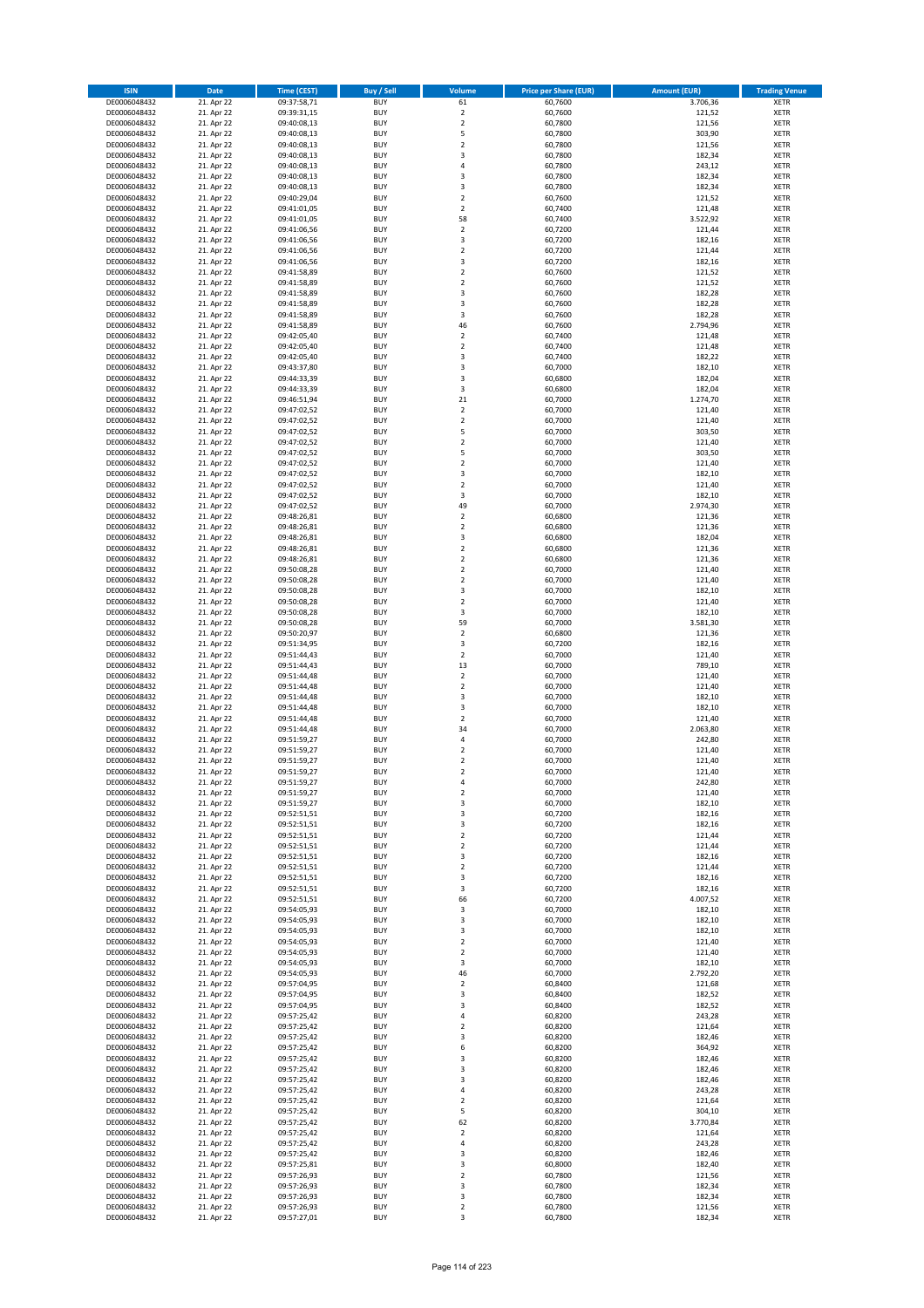| <b>ISIN</b>                  | Date                     | <b>Time (CEST)</b>         | <b>Buy / Sell</b>        | <b>Volume</b>                          | <b>Price per Share (EUR)</b> | <b>Amount (EUR)</b> | <b>Trading Venue</b>       |
|------------------------------|--------------------------|----------------------------|--------------------------|----------------------------------------|------------------------------|---------------------|----------------------------|
| DE0006048432                 | 21. Apr 22               | 09:37:58,71                | <b>BUY</b>               | 61                                     | 60,7600                      | 3.706,36            | <b>XETR</b>                |
| DE0006048432                 | 21. Apr 22               | 09:39:31,15                | <b>BUY</b>               | $\overline{2}$                         | 60,7600                      | 121,52              | <b>XETR</b>                |
| DE0006048432                 | 21. Apr 22               | 09:40:08,13                | <b>BUY</b>               | $\mathbf 2$                            | 60,7800                      | 121,56              | <b>XETR</b>                |
| DE0006048432<br>DE0006048432 | 21. Apr 22<br>21. Apr 22 | 09:40:08,13<br>09:40:08,13 | <b>BUY</b><br><b>BUY</b> | 5<br>$\mathbf 2$                       | 60,7800<br>60,7800           | 303,90<br>121,56    | <b>XETR</b><br><b>XETR</b> |
| DE0006048432                 | 21. Apr 22               | 09:40:08,13                | <b>BUY</b>               | 3                                      | 60,7800                      | 182,34              | <b>XETR</b>                |
| DE0006048432                 | 21. Apr 22               | 09:40:08,13                | <b>BUY</b>               | 4                                      | 60,7800                      | 243,12              | <b>XETR</b>                |
| DE0006048432                 | 21. Apr 22               | 09:40:08,13                | <b>BUY</b>               | 3                                      | 60,7800                      | 182,34              | <b>XETR</b>                |
| DE0006048432                 | 21. Apr 22               | 09:40:08,13                | <b>BUY</b>               | 3                                      | 60,7800                      | 182,34              | <b>XETR</b>                |
| DE0006048432                 | 21. Apr 22               | 09:40:29,04                | <b>BUY</b>               | $\mathbf 2$                            | 60,7600                      | 121,52              | <b>XETR</b>                |
| DE0006048432<br>DE0006048432 | 21. Apr 22<br>21. Apr 22 | 09:41:01,05<br>09:41:01,05 | <b>BUY</b><br><b>BUY</b> | $\overline{2}$<br>58                   | 60,7400<br>60,7400           | 121,48<br>3.522,92  | <b>XETR</b><br><b>XETR</b> |
| DE0006048432                 | 21. Apr 22               | 09:41:06,56                | <b>BUY</b>               | $\overline{2}$                         | 60,7200                      | 121,44              | <b>XETR</b>                |
| DE0006048432                 | 21. Apr 22               | 09:41:06,56                | <b>BUY</b>               | 3                                      | 60,7200                      | 182,16              | <b>XETR</b>                |
| DE0006048432                 | 21. Apr 22               | 09:41:06,56                | <b>BUY</b>               | $\overline{\mathbf{c}}$                | 60,7200                      | 121,44              | <b>XETR</b>                |
| DE0006048432                 | 21. Apr 22               | 09:41:06,56                | <b>BUY</b>               | 3                                      | 60,7200                      | 182,16              | <b>XETR</b>                |
| DE0006048432                 | 21. Apr 22               | 09:41:58,89                | <b>BUY</b>               | $\overline{2}$                         | 60,7600                      | 121,52              | <b>XETR</b>                |
| DE0006048432<br>DE0006048432 | 21. Apr 22<br>21. Apr 22 | 09:41:58,89<br>09:41:58,89 | <b>BUY</b><br><b>BUY</b> | $\mathbf 2$<br>3                       | 60,7600<br>60,7600           | 121,52<br>182,28    | <b>XETR</b><br><b>XETR</b> |
| DE0006048432                 | 21. Apr 22               | 09:41:58,89                | <b>BUY</b>               | 3                                      | 60,7600                      | 182,28              | <b>XETR</b>                |
| DE0006048432                 | 21. Apr 22               | 09:41:58,89                | <b>BUY</b>               | 3                                      | 60,7600                      | 182,28              | <b>XETR</b>                |
| DE0006048432                 | 21. Apr 22               | 09:41:58,89                | <b>BUY</b>               | 46                                     | 60,7600                      | 2.794,96            | <b>XETR</b>                |
| DE0006048432                 | 21. Apr 22               | 09:42:05,40                | <b>BUY</b>               | $\mathbf 2$                            | 60,7400                      | 121,48              | <b>XETR</b>                |
| DE0006048432                 | 21. Apr 22               | 09:42:05,40                | <b>BUY</b>               | $\overline{2}$                         | 60,7400                      | 121,48              | <b>XETR</b>                |
| DE0006048432<br>DE0006048432 | 21. Apr 22<br>21. Apr 22 | 09:42:05,40<br>09:43:37,80 | <b>BUY</b><br><b>BUY</b> | 3<br>3                                 | 60,7400<br>60,7000           | 182,22<br>182,10    | <b>XETR</b><br><b>XETR</b> |
| DE0006048432                 | 21. Apr 22               | 09:44:33,39                | <b>BUY</b>               | 3                                      | 60,6800                      | 182,04              | <b>XETR</b>                |
| DE0006048432                 | 21. Apr 22               | 09:44:33,39                | <b>BUY</b>               | 3                                      | 60,6800                      | 182,04              | <b>XETR</b>                |
| DE0006048432                 | 21. Apr 22               | 09:46:51,94                | <b>BUY</b>               | 21                                     | 60,7000                      | 1.274,70            | <b>XETR</b>                |
| DE0006048432                 | 21. Apr 22               | 09:47:02,52                | <b>BUY</b>               | $\mathbf 2$                            | 60,7000                      | 121,40              | <b>XETR</b>                |
| DE0006048432                 | 21. Apr 22               | 09:47:02,52                | <b>BUY</b>               | $\overline{2}$                         | 60,7000                      | 121,40              | <b>XETR</b>                |
| DE0006048432<br>DE0006048432 | 21. Apr 22               | 09:47:02,52                | <b>BUY</b><br><b>BUY</b> | 5<br>$\overline{\mathbf{c}}$           | 60,7000                      | 303,50              | <b>XETR</b><br><b>XETR</b> |
| DE0006048432                 | 21. Apr 22<br>21. Apr 22 | 09:47:02,52<br>09:47:02,52 | <b>BUY</b>               | 5                                      | 60,7000<br>60,7000           | 121,40<br>303,50    | <b>XETR</b>                |
| DE0006048432                 | 21. Apr 22               | 09:47:02,52                | <b>BUY</b>               | $\mathbf 2$                            | 60,7000                      | 121,40              | <b>XETR</b>                |
| DE0006048432                 | 21. Apr 22               | 09:47:02,52                | <b>BUY</b>               | 3                                      | 60,7000                      | 182,10              | <b>XETR</b>                |
| DE0006048432                 | 21. Apr 22               | 09:47:02,52                | <b>BUY</b>               | $\overline{2}$                         | 60,7000                      | 121,40              | <b>XETR</b>                |
| DE0006048432                 | 21. Apr 22               | 09:47:02,52                | <b>BUY</b>               | 3                                      | 60,7000                      | 182,10              | <b>XETR</b>                |
| DE0006048432                 | 21. Apr 22               | 09:47:02,52                | <b>BUY</b>               | 49                                     | 60,7000                      | 2.974,30            | <b>XETR</b>                |
| DE0006048432<br>DE0006048432 | 21. Apr 22<br>21. Apr 22 | 09:48:26,81<br>09:48:26,81 | <b>BUY</b><br><b>BUY</b> | $\overline{\mathbf{c}}$<br>$\mathbf 2$ | 60,6800<br>60,6800           | 121,36<br>121,36    | <b>XETR</b><br><b>XETR</b> |
| DE0006048432                 | 21. Apr 22               | 09:48:26,81                | <b>BUY</b>               | 3                                      | 60,6800                      | 182,04              | <b>XETR</b>                |
| DE0006048432                 | 21. Apr 22               | 09:48:26,81                | <b>BUY</b>               | $\overline{\mathbf{c}}$                | 60,6800                      | 121,36              | <b>XETR</b>                |
| DE0006048432                 | 21. Apr 22               | 09:48:26,81                | <b>BUY</b>               | $\mathbf 2$                            | 60,6800                      | 121,36              | <b>XETR</b>                |
| DE0006048432                 | 21. Apr 22               | 09:50:08,28                | <b>BUY</b>               | $\overline{2}$                         | 60,7000                      | 121,40              | <b>XETR</b>                |
| DE0006048432                 | 21. Apr 22               | 09:50:08,28                | <b>BUY</b>               | $\mathbf 2$                            | 60,7000                      | 121,40              | <b>XETR</b>                |
| DE0006048432                 | 21. Apr 22               | 09:50:08,28                | <b>BUY</b><br><b>BUY</b> | 3<br>$\overline{2}$                    | 60,7000                      | 182,10              | <b>XETR</b>                |
| DE0006048432<br>DE0006048432 | 21. Apr 22<br>21. Apr 22 | 09:50:08,28<br>09:50:08,28 | <b>BUY</b>               | 3                                      | 60,7000<br>60,7000           | 121,40<br>182,10    | <b>XETR</b><br><b>XETR</b> |
| DE0006048432                 | 21. Apr 22               | 09:50:08,28                | <b>BUY</b>               | 59                                     | 60,7000                      | 3.581,30            | <b>XETR</b>                |
| DE0006048432                 | 21. Apr 22               | 09:50:20,97                | <b>BUY</b>               | $\mathbf 2$                            | 60,6800                      | 121,36              | <b>XETR</b>                |
| DE0006048432                 | 21. Apr 22               | 09:51:34,95                | <b>BUY</b>               | 3                                      | 60,7200                      | 182,16              | <b>XETR</b>                |
| DE0006048432                 | 21. Apr 22               | 09:51:44,43                | <b>BUY</b>               | $\mathbf 2$                            | 60,7000                      | 121,40              | <b>XETR</b>                |
| DE0006048432<br>DE0006048432 | 21. Apr 22<br>21. Apr 22 | 09:51:44,43<br>09:51:44,48 | <b>BUY</b><br><b>BUY</b> | 13<br>$\mathbf 2$                      | 60,7000<br>60,7000           | 789,10<br>121,40    | <b>XETR</b><br><b>XETR</b> |
| DE0006048432                 | 21. Apr 22               | 09:51:44,48                | <b>BUY</b>               | $\mathbf 2$                            | 60,7000                      | 121,40              | <b>XETR</b>                |
| DE0006048432                 | 21. Apr 22               | 09:51:44,48                | <b>BUY</b>               | 3                                      | 60,7000                      | 182,10              | <b>XETR</b>                |
| DE0006048432                 | 21. Apr 22               | 09:51:44,48                | <b>BUY</b>               | 3                                      | 60,7000                      | 182,10              | <b>XETR</b>                |
| DE0006048432                 | 21. Apr 22               | 09:51:44,48                | <b>BUY</b>               | $\overline{2}$                         | 60,7000                      | 121,40              | <b>XETR</b>                |
| DE0006048432                 | 21. Apr 22               | 09:51:44,48                | <b>BUY</b>               | 34                                     | 60,7000                      | 2.063,80            | <b>XETR</b>                |
| DE0006048432<br>DE0006048432 | 21. Apr 22<br>21. Apr 22 | 09:51:59,27                | <b>BUY</b><br><b>BUY</b> | 4<br>$\overline{\mathbf{c}}$           | 60,7000<br>60,7000           | 242,80<br>121,40    | <b>XETR</b><br><b>XETR</b> |
| DE0006048432                 | 21. Apr 22               | 09:51:59,27<br>09:51:59,27 | <b>BUY</b>               | $\overline{2}$                         | 60,7000                      | 121,40              | <b>XETR</b>                |
| DE0006048432                 | 21. Apr 22               | 09:51:59,27                | <b>BUY</b>               | $\mathcal{P}$                          | 60,7000                      | 121,40              | <b>XETR</b>                |
| DE0006048432                 | 21. Apr 22               | 09:51:59,27                | <b>BUY</b>               | 4                                      | 60,7000                      | 242,80              | <b>XETR</b>                |
| DE0006048432                 | 21. Apr 22               | 09:51:59,27                | <b>BUY</b>               | $\mathbf 2$                            | 60,7000                      | 121,40              | <b>XETR</b>                |
| DE0006048432                 | 21. Apr 22               | 09:51:59,27                | <b>BUY</b>               | 3                                      | 60,7000                      | 182,10              | <b>XETR</b>                |
| DE0006048432<br>DE0006048432 | 21. Apr 22               | 09:52:51,51                | <b>BUY</b>               | 3<br>3                                 | 60,7200                      | 182,16              | <b>XETR</b>                |
| DE0006048432                 | 21. Apr 22<br>21. Apr 22 | 09:52:51,51<br>09:52:51,51 | <b>BUY</b><br><b>BUY</b> | $\overline{2}$                         | 60,7200<br>60,7200           | 182,16<br>121,44    | <b>XETR</b><br><b>XETR</b> |
| DE0006048432                 | 21. Apr 22               | 09:52:51,51                | <b>BUY</b>               | $\mathbf 2$                            | 60,7200                      | 121,44              | <b>XETR</b>                |
| DE0006048432                 | 21. Apr 22               | 09:52:51,51                | <b>BUY</b>               | 3                                      | 60,7200                      | 182,16              | <b>XETR</b>                |
| DE0006048432                 | 21. Apr 22               | 09:52:51,51                | <b>BUY</b>               | $\overline{2}$                         | 60,7200                      | 121,44              | <b>XETR</b>                |
| DE0006048432                 | 21. Apr 22               | 09:52:51,51                | <b>BUY</b>               | 3                                      | 60,7200                      | 182,16              | <b>XETR</b>                |
| DE0006048432<br>DE0006048432 | 21. Apr 22<br>21. Apr 22 | 09:52:51,51<br>09:52:51,51 | <b>BUY</b><br><b>BUY</b> | 3<br>66                                | 60,7200<br>60,7200           | 182,16<br>4.007,52  | <b>XETR</b><br><b>XETR</b> |
| DE0006048432                 | 21. Apr 22               | 09:54:05,93                | <b>BUY</b>               | 3                                      | 60,7000                      | 182,10              | <b>XETR</b>                |
| DE0006048432                 | 21. Apr 22               | 09:54:05,93                | <b>BUY</b>               | 3                                      | 60,7000                      | 182,10              | <b>XETR</b>                |
| DE0006048432                 | 21. Apr 22               | 09:54:05,93                | <b>BUY</b>               | 3                                      | 60,7000                      | 182,10              | <b>XETR</b>                |
| DE0006048432                 | 21. Apr 22               | 09:54:05,93                | <b>BUY</b>               | $\overline{2}$                         | 60,7000                      | 121,40              | <b>XETR</b>                |
| DE0006048432                 | 21. Apr 22               | 09:54:05,93                | <b>BUY</b>               | $\overline{2}$                         | 60,7000                      | 121,40              | <b>XETR</b>                |
| DE0006048432<br>DE0006048432 | 21. Apr 22<br>21. Apr 22 | 09:54:05,93<br>09:54:05,93 | <b>BUY</b><br><b>BUY</b> | 3<br>46                                | 60,7000<br>60,7000           | 182,10<br>2.792,20  | <b>XETR</b><br><b>XETR</b> |
| DE0006048432                 | 21. Apr 22               | 09:57:04,95                | <b>BUY</b>               | $\overline{2}$                         | 60,8400                      | 121,68              | <b>XETR</b>                |
| DE0006048432                 | 21. Apr 22               | 09:57:04,95                | <b>BUY</b>               | 3                                      | 60,8400                      | 182,52              | <b>XETR</b>                |
| DE0006048432                 | 21. Apr 22               | 09:57:04,95                | <b>BUY</b>               | 3                                      | 60,8400                      | 182,52              | <b>XETR</b>                |
| DE0006048432                 | 21. Apr 22               | 09:57:25,42                | <b>BUY</b>               | $\sqrt{4}$                             | 60,8200                      | 243,28              | <b>XETR</b>                |
| DE0006048432                 | 21. Apr 22               | 09:57:25,42                | <b>BUY</b>               | $\overline{2}$                         | 60,8200                      | 121,64              | <b>XETR</b>                |
| DE0006048432<br>DE0006048432 | 21. Apr 22<br>21. Apr 22 | 09:57:25,42<br>09:57:25,42 | <b>BUY</b><br><b>BUY</b> | 3<br>6                                 | 60,8200<br>60,8200           | 182,46<br>364,92    | <b>XETR</b><br><b>XETR</b> |
| DE0006048432                 | 21. Apr 22               | 09:57:25,42                | <b>BUY</b>               | 3                                      | 60,8200                      | 182,46              | <b>XETR</b>                |
| DE0006048432                 | 21. Apr 22               | 09:57:25,42                | <b>BUY</b>               | 3                                      | 60,8200                      | 182,46              | <b>XETR</b>                |
| DE0006048432                 | 21. Apr 22               | 09:57:25,42                | <b>BUY</b>               | 3                                      | 60,8200                      | 182,46              | <b>XETR</b>                |
| DE0006048432                 | 21. Apr 22               | 09:57:25,42                | <b>BUY</b>               | $\overline{4}$                         | 60,8200                      | 243,28              | <b>XETR</b>                |
| DE0006048432                 | 21. Apr 22               | 09:57:25,42                | <b>BUY</b>               | $\overline{2}$                         | 60,8200                      | 121,64              | <b>XETR</b>                |
| DE0006048432                 | 21. Apr 22               | 09:57:25,42                | <b>BUY</b>               | 5                                      | 60,8200                      | 304,10              | <b>XETR</b>                |
| DE0006048432<br>DE0006048432 | 21. Apr 22<br>21. Apr 22 | 09:57:25,42<br>09:57:25,42 | <b>BUY</b><br><b>BUY</b> | 62<br>$\overline{2}$                   | 60,8200<br>60,8200           | 3.770,84<br>121,64  | <b>XETR</b><br><b>XETR</b> |
| DE0006048432                 | 21. Apr 22               | 09:57:25,42                | <b>BUY</b>               | $\pmb{4}$                              | 60,8200                      | 243,28              | <b>XETR</b>                |
| DE0006048432                 | 21. Apr 22               | 09:57:25,42                | <b>BUY</b>               | 3                                      | 60,8200                      | 182,46              | <b>XETR</b>                |
| DE0006048432                 | 21. Apr 22               | 09:57:25,81                | <b>BUY</b>               | 3                                      | 60,8000                      | 182,40              | <b>XETR</b>                |
| DE0006048432                 | 21. Apr 22               | 09:57:26,93                | <b>BUY</b>               | $\overline{2}$                         | 60,7800                      | 121,56              | <b>XETR</b>                |
| DE0006048432                 | 21. Apr 22               | 09:57:26,93                | <b>BUY</b>               | 3                                      | 60,7800                      | 182,34              | <b>XETR</b>                |
| DE0006048432<br>DE0006048432 | 21. Apr 22<br>21. Apr 22 | 09:57:26,93<br>09:57:26,93 | <b>BUY</b><br><b>BUY</b> | $\mathsf 3$<br>$\mathbf 2$             | 60,7800<br>60,7800           | 182,34<br>121,56    | <b>XETR</b><br><b>XETR</b> |
| DE0006048432                 | 21. Apr 22               | 09:57:27,01                | <b>BUY</b>               | 3                                      | 60,7800                      | 182,34              | <b>XETR</b>                |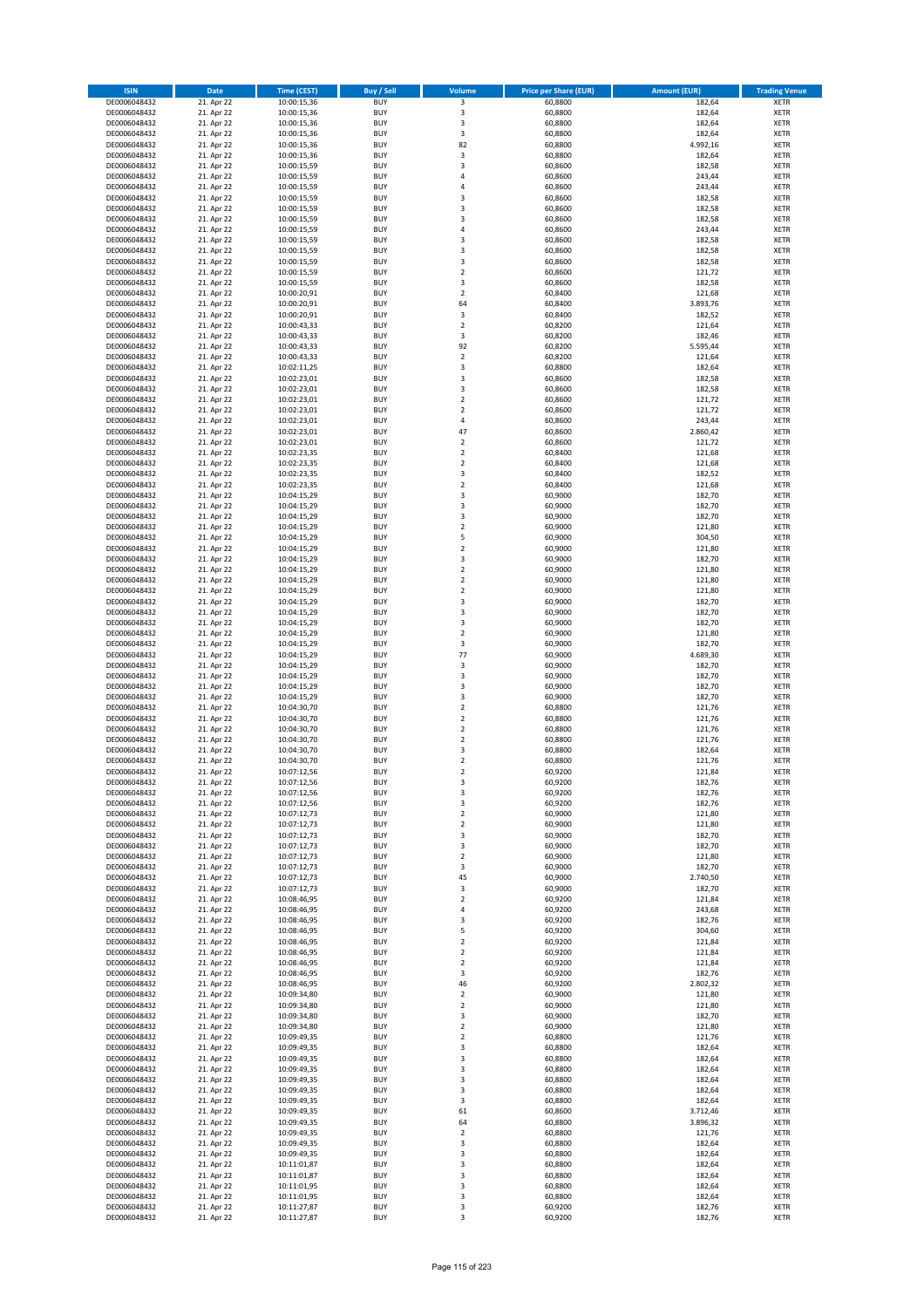| <b>ISIN</b>                  | <b>Date</b>              | Time (CEST)                | <b>Buy / Sell</b>        | Volume                                 | <b>Price per Share (EUR)</b> | Amount (EUR)       | <b>Trading Venue</b>       |
|------------------------------|--------------------------|----------------------------|--------------------------|----------------------------------------|------------------------------|--------------------|----------------------------|
| DE0006048432                 | 21. Apr 22               | 10:00:15,36                | <b>BUY</b>               | $\overline{\mathbf{3}}$                | 60,8800                      | 182,64             | <b>XETR</b>                |
| DE0006048432                 | 21. Apr 22               | 10:00:15,36                | <b>BUY</b>               | 3                                      | 60,8800                      | 182,64             | <b>XETR</b>                |
| DE0006048432                 | 21. Apr 22               | 10:00:15,36                | <b>BUY</b>               | 3                                      | 60.8800                      | 182,64             | <b>XETR</b>                |
| DE0006048432<br>DE0006048432 | 21. Apr 22<br>21. Apr 22 | 10:00:15,36<br>10:00:15,36 | <b>BUY</b><br><b>BUY</b> | 3<br>82                                | 60,8800<br>60,8800           | 182,64<br>4.992,16 | <b>XETR</b><br><b>XETR</b> |
| DE0006048432                 | 21. Apr 22               | 10:00:15,36                | <b>BUY</b>               | 3                                      | 60,8800                      | 182,64             | <b>XETR</b>                |
| DE0006048432                 | 21. Apr 22               | 10:00:15,59                | <b>BUY</b>               | $\overline{\mathbf{3}}$                | 60,8600                      | 182,58             | <b>XETR</b>                |
| DE0006048432                 | 21. Apr 22               | 10:00:15,59                | <b>BUY</b>               | 4                                      | 60,8600                      | 243,44             | <b>XETR</b>                |
| DE0006048432                 | 21. Apr 22               | 10:00:15,59                | BUY                      | $\overline{a}$                         | 60,8600                      | 243,44             | <b>XETR</b>                |
| DE0006048432                 | 21. Apr 22               | 10:00:15,59                | <b>BUY</b><br><b>BUY</b> | $\overline{\mathbf{3}}$                | 60,8600                      | 182,58             | <b>XETR</b>                |
| DE0006048432<br>DE0006048432 | 21. Apr 22<br>21. Apr 22 | 10:00:15,59<br>10:00:15,59 | <b>BUY</b>               | 3<br>$\overline{\mathbf{3}}$           | 60,8600<br>60,8600           | 182,58<br>182,58   | <b>XETR</b><br><b>XETR</b> |
| DE0006048432                 | 21. Apr 22               | 10:00:15,59                | BUY                      | $\overline{a}$                         | 60,8600                      | 243,44             | <b>XETR</b>                |
| DE0006048432                 | 21. Apr 22               | 10:00:15,59                | <b>BUY</b>               | $\overline{\mathbf{3}}$                | 60,8600                      | 182,58             | <b>XETR</b>                |
| DE0006048432                 | 21. Apr 22               | 10:00:15,59                | <b>BUY</b>               | $\overline{\mathbf{3}}$                | 60,8600                      | 182,58             | <b>XETR</b>                |
| DE0006048432                 | 21. Apr 22               | 10:00:15,59                | BUY                      | $\overline{3}$                         | 60,8600                      | 182,58             | <b>XETR</b>                |
| DE0006048432                 | 21. Apr 22               | 10:00:15,59                | <b>BUY</b><br><b>BUY</b> | $\overline{2}$<br>3                    | 60,8600                      | 121,72<br>182,58   | <b>XETR</b><br><b>XETR</b> |
| DE0006048432<br>DE0006048432 | 21. Apr 22<br>21. Apr 22 | 10:00:15,59<br>10:00:20,91 | <b>BUY</b>               | $\mathbf 2$                            | 60,8600<br>60,8400           | 121,68             | <b>XETR</b>                |
| DE0006048432                 | 21. Apr 22               | 10:00:20,91                | <b>BUY</b>               | 64                                     | 60,8400                      | 3.893,76           | <b>XETR</b>                |
| DE0006048432                 | 21. Apr 22               | 10:00:20,91                | <b>BUY</b>               | 3                                      | 60,8400                      | 182,52             | <b>XETR</b>                |
| DE0006048432                 | 21. Apr 22               | 10:00:43,33                | <b>BUY</b>               | $\mathbf 2$                            | 60,8200                      | 121,64             | <b>XETR</b>                |
| DE0006048432                 | 21. Apr 22               | 10:00:43,33                | <b>BUY</b>               | 3                                      | 60,8200                      | 182,46             | <b>XETR</b>                |
| DE0006048432<br>DE0006048432 | 21. Apr 22               | 10:00:43,33                | <b>BUY</b><br><b>BUY</b> | 92<br>$\mathbf 2$                      | 60,8200<br>60,8200           | 5.595,44<br>121,64 | <b>XETR</b><br><b>XETR</b> |
| DE0006048432                 | 21. Apr 22<br>21. Apr 22 | 10:00:43,33<br>10:02:11,25 | <b>BUY</b>               | 3                                      | 60,8800                      | 182,64             | <b>XETR</b>                |
| DE0006048432                 | 21. Apr 22               | 10:02:23,01                | <b>BUY</b>               | 3                                      | 60,8600                      | 182,58             | <b>XETR</b>                |
| DE0006048432                 | 21. Apr 22               | 10:02:23,01                | <b>BUY</b>               | $\overline{\mathbf{3}}$                | 60,8600                      | 182,58             | <b>XETR</b>                |
| DE0006048432                 | 21. Apr 22               | 10:02:23,01                | <b>BUY</b>               | $\mathbf 2$                            | 60,8600                      | 121,72             | <b>XETR</b>                |
| DE0006048432                 | 21. Apr 22               | 10:02:23,01                | <b>BUY</b>               | $\overline{2}$                         | 60,8600                      | 121,72             | <b>XETR</b>                |
| DE0006048432<br>DE0006048432 | 21. Apr 22<br>21. Apr 22 | 10:02:23,01<br>10:02:23,01 | <b>BUY</b><br><b>BUY</b> | 4<br>47                                | 60,8600<br>60,8600           | 243,44<br>2.860,42 | <b>XETR</b><br><b>XETR</b> |
| DE0006048432                 | 21. Apr 22               | 10:02:23,01                | <b>BUY</b>               | $\mathbf 2$                            | 60,8600                      | 121,72             | <b>XETR</b>                |
| DE0006048432                 | 21. Apr 22               | 10:02:23,35                | <b>BUY</b>               | $\mathbf 2$                            | 60,8400                      | 121,68             | <b>XETR</b>                |
| DE0006048432                 | 21. Apr 22               | 10:02:23,35                | <b>BUY</b>               | $\overline{2}$                         | 60,8400                      | 121,68             | <b>XETR</b>                |
| DE0006048432                 | 21. Apr 22               | 10:02:23,35                | <b>BUY</b>               | 3                                      | 60,8400                      | 182,52             | <b>XETR</b>                |
| DE0006048432                 | 21. Apr 22               | 10:02:23,35                | <b>BUY</b>               | $\overline{2}$                         | 60,8400                      | 121,68             | <b>XETR</b>                |
| DE0006048432<br>DE0006048432 | 21. Apr 22<br>21. Apr 22 | 10:04:15,29<br>10:04:15,29 | <b>BUY</b><br><b>BUY</b> | 3<br>3                                 | 60,9000<br>60,9000           | 182,70<br>182,70   | <b>XETR</b><br><b>XETR</b> |
| DE0006048432                 | 21. Apr 22               | 10:04:15,29                | <b>BUY</b>               | 3                                      | 60,9000                      | 182,70             | <b>XETR</b>                |
| DE0006048432                 | 21. Apr 22               | 10:04:15,29                | <b>BUY</b>               | $\overline{2}$                         | 60,9000                      | 121,80             | <b>XETR</b>                |
| DE0006048432                 | 21. Apr 22               | 10:04:15,29                | <b>BUY</b>               | 5                                      | 60,9000                      | 304,50             | <b>XETR</b>                |
| DE0006048432                 | 21. Apr 22               | 10:04:15,29                | <b>BUY</b>               | $\mathbf 2$                            | 60,9000                      | 121,80             | <b>XETR</b>                |
| DE0006048432                 | 21. Apr 22               | 10:04:15,29                | <b>BUY</b>               | $\overline{\mathbf{3}}$                | 60,9000                      | 182,70             | <b>XETR</b>                |
| DE0006048432<br>DE0006048432 | 21. Apr 22               | 10:04:15,29                | <b>BUY</b><br><b>BUY</b> | $\mathbf 2$<br>$\overline{2}$          | 60,9000                      | 121,80             | <b>XETR</b><br><b>XETR</b> |
| DE0006048432                 | 21. Apr 22<br>21. Apr 22 | 10:04:15,29<br>10:04:15,29 | <b>BUY</b>               | $\mathbf 2$                            | 60,9000<br>60,9000           | 121,80<br>121,80   | <b>XETR</b>                |
| DE0006048432                 | 21. Apr 22               | 10:04:15,29                | <b>BUY</b>               | $\overline{\mathbf{3}}$                | 60,9000                      | 182,70             | <b>XETR</b>                |
| DE0006048432                 | 21. Apr 22               | 10:04:15,29                | <b>BUY</b>               | 3                                      | 60,9000                      | 182,70             | <b>XETR</b>                |
| DE0006048432                 | 21. Apr 22               | 10:04:15,29                | <b>BUY</b>               | 3                                      | 60,9000                      | 182,70             | <b>XETR</b>                |
| DE0006048432                 | 21. Apr 22               | 10:04:15,29                | <b>BUY</b>               | $\overline{2}$                         | 60,9000                      | 121,80             | <b>XETR</b>                |
| DE0006048432                 | 21. Apr 22               | 10:04:15,29                | <b>BUY</b>               | 3                                      | 60,9000                      | 182,70             | <b>XETR</b>                |
| DE0006048432<br>DE0006048432 | 21. Apr 22<br>21. Apr 22 | 10:04:15,29<br>10:04:15,29 | <b>BUY</b><br><b>BUY</b> | 77<br>3                                | 60,9000<br>60,9000           | 4.689,30<br>182,70 | <b>XETR</b><br><b>XETR</b> |
| DE0006048432                 | 21. Apr 22               | 10:04:15,29                | <b>BUY</b>               | $\overline{\mathbf{3}}$                | 60,9000                      | 182,70             | <b>XETR</b>                |
| DE0006048432                 | 21. Apr 22               | 10:04:15,29                | <b>BUY</b>               | $\overline{\mathbf{3}}$                | 60,9000                      | 182,70             | <b>XETR</b>                |
| DE0006048432                 | 21. Apr 22               | 10:04:15,29                | <b>BUY</b>               | $\overline{\mathbf{3}}$                | 60,9000                      | 182,70             | <b>XETR</b>                |
| DE0006048432                 | 21. Apr 22               | 10:04:30,70                | <b>BUY</b>               | $\overline{2}$                         | 60,8800                      | 121,76             | <b>XETR</b>                |
| DE0006048432                 | 21. Apr 22               | 10:04:30,70                | BUY                      | $\overline{2}$                         | 60,8800                      | 121,76             | <b>XETR</b>                |
| DE0006048432<br>DE0006048432 | 21. Apr 22<br>21. Apr 22 | 10:04:30,70<br>10:04:30,70 | <b>BUY</b><br><b>BUY</b> | $\overline{2}$<br>$\mathbf 2$          | 60,8800<br>60,8800           | 121,76<br>121,76   | <b>XETR</b><br><b>XETR</b> |
| DE0006048432                 | 21. Apr 22               | 10:04:30,70                | BUY                      | 3                                      | 60,8800                      | 182,64             | <b>XETR</b>                |
| DE0006048432                 | 21. Apr 22               | 10:04:30,70                | BUY                      | $\mathbf 2$                            | 60,8800                      | 121,76             | <b>XETR</b>                |
| DE0006048432                 | 21. Apr 22               | 10:07:12,56                | <b>BUY</b>               | $\overline{2}$                         | 60,9200                      | 121,84             | <b>XETR</b>                |
| DE0006048432                 | 21. Apr 22               | 10:07:12,56                | <b>BUY</b>               | 3                                      | 60,9200                      | 182,76             | <b>XETR</b>                |
| DE0006048432                 | 21. Apr 22               | 10:07:12,56                | <b>BUY</b>               | 3                                      | 60,9200                      | 182,76             | <b>XETR</b>                |
| DE0006048432<br>DE0006048432 | 21. Apr 22<br>21. Apr 22 | 10:07:12,56<br>10:07:12,73 | <b>BUY</b><br><b>BUY</b> | 3<br>$\mathbf 2$                       | 60,9200<br>60,9000           | 182,76<br>121,80   | <b>XETR</b><br><b>XETR</b> |
| DE0006048432                 | 21. Apr 22               | 10:07:12,73                | <b>BUY</b>               | $\overline{2}$                         | 60,9000                      | 121,80             | <b>XETR</b>                |
| DE0006048432                 | 21. Apr 22               | 10:07:12,73                | <b>BUY</b>               | 3                                      | 60,9000                      | 182,70             | <b>XETR</b>                |
| DE0006048432                 | 21. Apr 22               | 10:07:12,73                | <b>BUY</b>               | 3                                      | 60,9000                      | 182,70             | <b>XETR</b>                |
| DE0006048432                 | 21. Apr 22               | 10:07:12,73                | <b>BUY</b>               | 2                                      | 60,9000                      | 121,80             | <b>XETR</b>                |
| DE0006048432<br>DE0006048432 | 21. Apr 22<br>21. Apr 22 | 10:07:12,73<br>10:07:12,73 | <b>BUY</b><br><b>BUY</b> | 3<br>45                                | 60,9000<br>60,9000           | 182,70<br>2.740,50 | <b>XETR</b><br><b>XETR</b> |
| DE0006048432                 | 21. Apr 22               | 10:07:12,73                | <b>BUY</b>               | 3                                      | 60,9000                      | 182,70             | <b>XETR</b>                |
| DE0006048432                 | 21. Apr 22               | 10:08:46,95                | <b>BUY</b>               | $\overline{2}$                         | 60,9200                      | 121,84             | <b>XETR</b>                |
| DE0006048432                 | 21. Apr 22               | 10:08:46,95                | <b>BUY</b>               | 4                                      | 60,9200                      | 243,68             | <b>XETR</b>                |
| DE0006048432                 | 21. Apr 22               | 10:08:46,95                | <b>BUY</b>               | 3                                      | 60,9200                      | 182,76             | <b>XETR</b>                |
| DE0006048432                 | 21. Apr 22<br>21. Apr 22 | 10:08:46,95                | <b>BUY</b><br><b>BUY</b> | 5                                      | 60,9200<br>60,9200           | 304,60             | <b>XETR</b>                |
| DE0006048432<br>DE0006048432 | 21. Apr 22               | 10:08:46,95<br>10:08:46,95 | <b>BUY</b>               | $\mathbf 2$<br>$\mathbf 2$             | 60,9200                      | 121,84<br>121,84   | <b>XETR</b><br><b>XETR</b> |
| DE0006048432                 | 21. Apr 22               | 10:08:46,95                | <b>BUY</b>               | $\mathbf 2$                            | 60,9200                      | 121,84             | <b>XETR</b>                |
| DE0006048432                 | 21. Apr 22               | 10:08:46,95                | <b>BUY</b>               | 3                                      | 60,9200                      | 182,76             | <b>XETR</b>                |
| DE0006048432                 | 21. Apr 22               | 10:08:46,95                | <b>BUY</b>               | 46                                     | 60,9200                      | 2.802,32           | <b>XETR</b>                |
| DE0006048432                 | 21. Apr 22               | 10:09:34,80                | <b>BUY</b>               | $\overline{2}$                         | 60,9000                      | 121,80             | <b>XETR</b>                |
| DE0006048432                 | 21. Apr 22               | 10:09:34,80                | <b>BUY</b>               | $\mathbf 2$<br>$\overline{\mathbf{3}}$ | 60,9000                      | 121,80             | <b>XETR</b>                |
| DE0006048432<br>DE0006048432 | 21. Apr 22<br>21. Apr 22 | 10:09:34,80<br>10:09:34,80 | <b>BUY</b><br><b>BUY</b> | $\mathbf 2$                            | 60,9000<br>60,9000           | 182,70<br>121,80   | <b>XETR</b><br><b>XETR</b> |
| DE0006048432                 | 21. Apr 22               | 10:09:49,35                | <b>BUY</b>               | $\mathbf 2$                            | 60,8800                      | 121,76             | <b>XETR</b>                |
| DE0006048432                 | 21. Apr 22               | 10:09:49,35                | <b>BUY</b>               | 3                                      | 60,8800                      | 182,64             | <b>XETR</b>                |
| DE0006048432                 | 21. Apr 22               | 10:09:49,35                | <b>BUY</b>               | 3                                      | 60,8800                      | 182,64             | <b>XETR</b>                |
| DE0006048432                 | 21. Apr 22               | 10:09:49,35                | <b>BUY</b>               | $\overline{\mathbf{3}}$                | 60,8800                      | 182,64             | <b>XETR</b>                |
| DE0006048432                 | 21. Apr 22               | 10:09:49,35                | <b>BUY</b>               | 3                                      | 60,8800                      | 182,64             | <b>XETR</b>                |
| DE0006048432<br>DE0006048432 | 21. Apr 22<br>21. Apr 22 | 10:09:49,35<br>10:09:49,35 | <b>BUY</b><br><b>BUY</b> | 3<br>3                                 | 60,8800<br>60,8800           | 182,64<br>182,64   | <b>XETR</b><br><b>XETR</b> |
| DE0006048432                 | 21. Apr 22               | 10:09:49,35                | <b>BUY</b>               | 61                                     | 60,8600                      | 3.712,46           | <b>XETR</b>                |
| DE0006048432                 | 21. Apr 22               | 10:09:49,35                | <b>BUY</b>               | 64                                     | 60,8800                      | 3.896,32           | <b>XETR</b>                |
| DE0006048432                 | 21. Apr 22               | 10:09:49,35                | <b>BUY</b>               | $\mathbf 2$                            | 60,8800                      | 121,76             | <b>XETR</b>                |
| DE0006048432                 | 21. Apr 22               | 10:09:49,35                | <b>BUY</b>               | 3                                      | 60,8800                      | 182,64             | <b>XETR</b>                |
| DE0006048432                 | 21. Apr 22               | 10:09:49,35                | <b>BUY</b>               | 3                                      | 60,8800                      | 182,64             | <b>XETR</b>                |
| DE0006048432<br>DE0006048432 | 21. Apr 22<br>21. Apr 22 | 10:11:01,87<br>10:11:01,87 | <b>BUY</b><br><b>BUY</b> | 3<br>3                                 | 60,8800<br>60,8800           | 182,64<br>182,64   | <b>XETR</b><br><b>XETR</b> |
| DE0006048432                 | 21. Apr 22               | 10:11:01,95                | <b>BUY</b>               | 3                                      | 60,8800                      | 182,64             | <b>XETR</b>                |
| DE0006048432                 | 21. Apr 22               | 10:11:01,95                | <b>BUY</b>               | 3                                      | 60,8800                      | 182,64             | <b>XETR</b>                |
| DE0006048432                 | 21. Apr 22               | 10:11:27,87                | <b>BUY</b>               | 3                                      | 60,9200                      | 182,76             | <b>XETR</b>                |
| DE0006048432                 | 21. Apr 22               | 10:11:27,87                | <b>BUY</b>               | 3                                      | 60,9200                      | 182,76             | <b>XETR</b>                |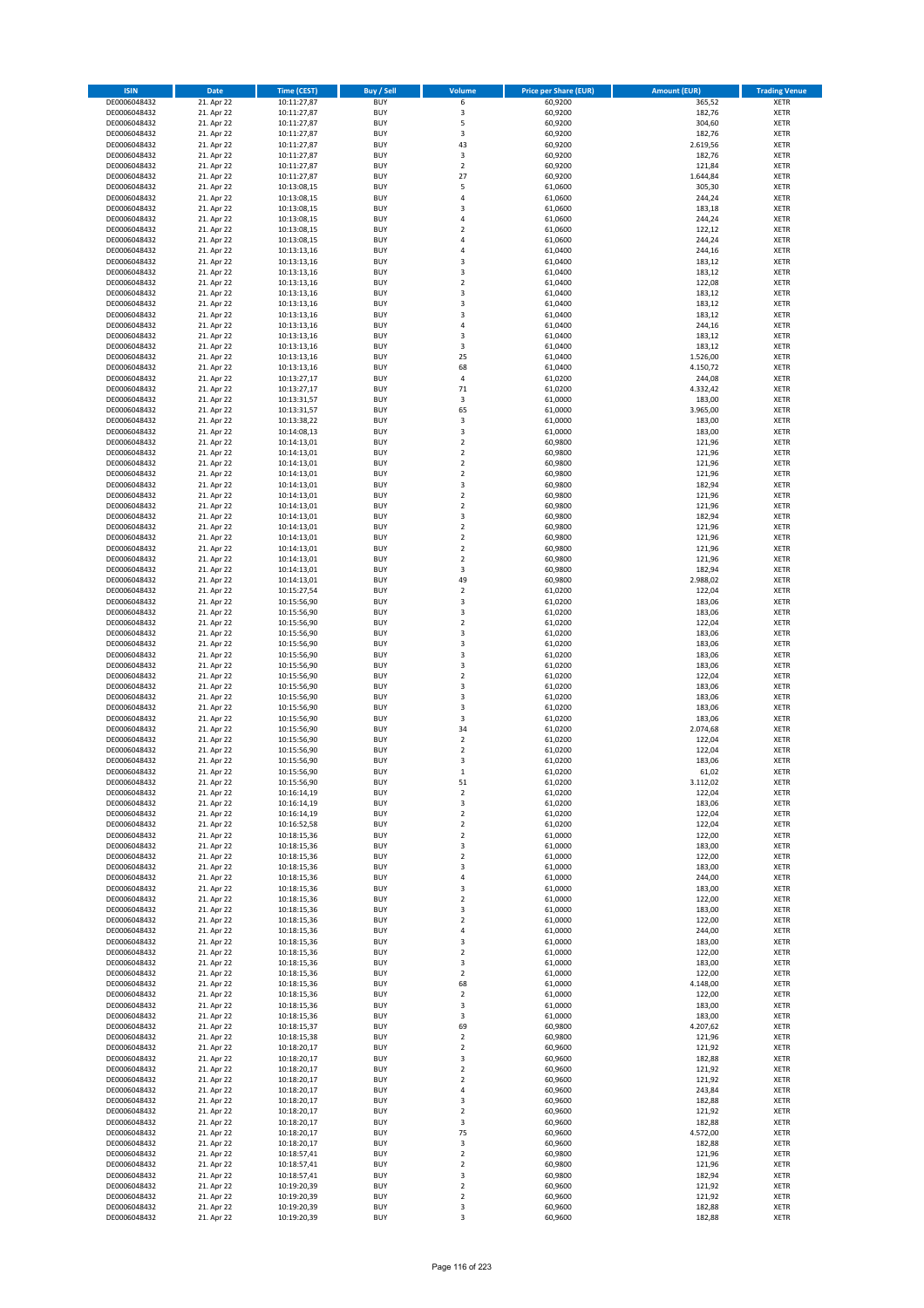| <b>ISIN</b>                  | <b>Date</b>              | <b>Time (CEST)</b>         | <b>Buy / Sell</b>        | Volume                        | <b>Price per Share (EUR)</b> | <b>Amount (EUR)</b>  | <b>Trading Venue</b>       |
|------------------------------|--------------------------|----------------------------|--------------------------|-------------------------------|------------------------------|----------------------|----------------------------|
| DE0006048432                 | 21. Apr 22               | 10:11:27,87                | <b>BUY</b>               | 6                             | 60,9200                      | 365,52               | <b>XETR</b>                |
| DE0006048432                 | 21. Apr 22               | 10:11:27,87                | <b>BUY</b>               | 3                             | 60,9200                      | 182,76               | <b>XETR</b>                |
| DE0006048432                 | 21. Apr 22               | 10:11:27,87                | <b>BUY</b>               | 5                             | 60,9200                      | 304,60               | <b>XETR</b>                |
| DE0006048432<br>DE0006048432 | 21. Apr 22<br>21. Apr 22 | 10:11:27,87<br>10:11:27,87 | <b>BUY</b><br><b>BUY</b> | 3<br>43                       | 60,9200<br>60,9200           | 182,76<br>2.619,56   | <b>XETR</b><br><b>XETR</b> |
| DE0006048432                 | 21. Apr 22               | 10:11:27,87                | <b>BUY</b>               | 3                             | 60,9200                      | 182,76               | <b>XETR</b>                |
| DE0006048432                 | 21. Apr 22               | 10:11:27,87                | <b>BUY</b>               | $\mathbf 2$                   | 60,9200                      | 121,84               | <b>XETR</b>                |
| DE0006048432                 | 21. Apr 22               | 10:11:27,87                | <b>BUY</b>               | 27                            | 60,9200                      | 1.644,84             | <b>XETR</b>                |
| DE0006048432                 | 21. Apr 22               | 10:13:08,15                | <b>BUY</b>               | 5                             | 61,0600                      | 305,30               | <b>XETR</b>                |
| DE0006048432                 | 21. Apr 22               | 10:13:08,15                | <b>BUY</b>               | 4                             | 61,0600                      | 244,24               | <b>XETR</b>                |
| DE0006048432<br>DE0006048432 | 21. Apr 22<br>21. Apr 22 | 10:13:08,15<br>10:13:08,15 | <b>BUY</b><br><b>BUY</b> | 3<br>4                        | 61,0600<br>61,0600           | 183,18<br>244,24     | <b>XETR</b><br><b>XETR</b> |
| DE0006048432                 | 21. Apr 22               | 10:13:08,15                | <b>BUY</b>               | $\overline{\mathbf{c}}$       | 61,0600                      | 122,12               | <b>XETR</b>                |
| DE0006048432                 | 21. Apr 22               | 10:13:08,15                | <b>BUY</b>               | 4                             | 61,0600                      | 244,24               | <b>XETR</b>                |
| DE0006048432                 | 21. Apr 22               | 10:13:13,16                | <b>BUY</b>               | 4                             | 61,0400                      | 244,16               | <b>XETR</b>                |
| DE0006048432                 | 21. Apr 22               | 10:13:13,16                | <b>BUY</b>               | 3                             | 61,0400                      | 183,12               | <b>XETR</b>                |
| DE0006048432<br>DE0006048432 | 21. Apr 22               | 10:13:13,16                | <b>BUY</b><br><b>BUY</b> | 3                             | 61,0400                      | 183,12               | <b>XETR</b><br><b>XETR</b> |
| DE0006048432                 | 21. Apr 22<br>21. Apr 22 | 10:13:13,16<br>10:13:13,16 | <b>BUY</b>               | $\mathbf 2$<br>3              | 61,0400<br>61,0400           | 122,08<br>183,12     | <b>XETR</b>                |
| DE0006048432                 | 21. Apr 22               | 10:13:13,16                | <b>BUY</b>               | 3                             | 61,0400                      | 183,12               | <b>XETR</b>                |
| DE0006048432                 | 21. Apr 22               | 10:13:13,16                | <b>BUY</b>               | 3                             | 61,0400                      | 183,12               | <b>XETR</b>                |
| DE0006048432                 | 21. Apr 22               | 10:13:13,16                | <b>BUY</b>               | 4                             | 61,0400                      | 244,16               | <b>XETR</b>                |
| DE0006048432                 | 21. Apr 22               | 10:13:13,16                | <b>BUY</b>               | 3                             | 61,0400                      | 183,12               | <b>XETR</b>                |
| DE0006048432<br>DE0006048432 | 21. Apr 22               | 10:13:13,16                | <b>BUY</b><br><b>BUY</b> | 3<br>25                       | 61,0400<br>61,0400           | 183,12               | <b>XETR</b><br><b>XETR</b> |
| DE0006048432                 | 21. Apr 22<br>21. Apr 22 | 10:13:13,16<br>10:13:13,16 | <b>BUY</b>               | 68                            | 61,0400                      | 1.526,00<br>4.150,72 | <b>XETR</b>                |
| DE0006048432                 | 21. Apr 22               | 10:13:27,17                | <b>BUY</b>               | 4                             | 61,0200                      | 244,08               | <b>XETR</b>                |
| DE0006048432                 | 21. Apr 22               | 10:13:27,17                | <b>BUY</b>               | 71                            | 61,0200                      | 4.332,42             | <b>XETR</b>                |
| DE0006048432                 | 21. Apr 22               | 10:13:31,57                | <b>BUY</b>               | 3                             | 61,0000                      | 183,00               | <b>XETR</b>                |
| DE0006048432                 | 21. Apr 22               | 10:13:31,57                | <b>BUY</b>               | 65                            | 61,0000                      | 3.965,00             | <b>XETR</b>                |
| DE0006048432<br>DE0006048432 | 21. Apr 22<br>21. Apr 22 | 10:13:38,22<br>10:14:08,13 | <b>BUY</b><br><b>BUY</b> | 3<br>3                        | 61,0000<br>61,0000           | 183,00<br>183,00     | <b>XETR</b><br><b>XETR</b> |
| DE0006048432                 | 21. Apr 22               | 10:14:13,01                | <b>BUY</b>               | $\mathbf 2$                   | 60,9800                      | 121,96               | <b>XETR</b>                |
| DE0006048432                 | 21. Apr 22               | 10:14:13,01                | <b>BUY</b>               | $\mathbf 2$                   | 60,9800                      | 121,96               | <b>XETR</b>                |
| DE0006048432                 | 21. Apr 22               | 10:14:13,01                | <b>BUY</b>               | $\overline{2}$                | 60,9800                      | 121,96               | <b>XETR</b>                |
| DE0006048432                 | 21. Apr 22               | 10:14:13,01                | <b>BUY</b>               | $\mathbf 2$                   | 60,9800                      | 121,96               | <b>XETR</b>                |
| DE0006048432                 | 21. Apr 22               | 10:14:13,01                | <b>BUY</b>               | 3                             | 60,9800                      | 182,94               | <b>XETR</b>                |
| DE0006048432<br>DE0006048432 | 21. Apr 22<br>21. Apr 22 | 10:14:13,01<br>10:14:13,01 | <b>BUY</b><br><b>BUY</b> | $\mathbf 2$<br>$\overline{2}$ | 60,9800<br>60,9800           | 121,96<br>121,96     | <b>XETR</b><br><b>XETR</b> |
| DE0006048432                 | 21. Apr 22               | 10:14:13,01                | <b>BUY</b>               | 3                             | 60,9800                      | 182,94               | <b>XETR</b>                |
| DE0006048432                 | 21. Apr 22               | 10:14:13,01                | <b>BUY</b>               | $\mathbf 2$                   | 60,9800                      | 121,96               | <b>XETR</b>                |
| DE0006048432                 | 21. Apr 22               | 10:14:13,01                | <b>BUY</b>               | $\mathbf 2$                   | 60,9800                      | 121,96               | <b>XETR</b>                |
| DE0006048432                 | 21. Apr 22               | 10:14:13,01                | <b>BUY</b>               | $\mathbf 2$                   | 60,9800                      | 121,96               | <b>XETR</b>                |
| DE0006048432                 | 21. Apr 22               | 10:14:13,01                | <b>BUY</b>               | $\overline{\mathbf{c}}$       | 60,9800                      | 121,96               | <b>XETR</b>                |
| DE0006048432                 | 21. Apr 22               | 10:14:13,01                | <b>BUY</b><br><b>BUY</b> | 3                             | 60,9800                      | 182,94               | <b>XETR</b><br><b>XETR</b> |
| DE0006048432<br>DE0006048432 | 21. Apr 22<br>21. Apr 22 | 10:14:13,01<br>10:15:27,54 | <b>BUY</b>               | 49<br>$\mathbf 2$             | 60,9800<br>61,0200           | 2.988,02<br>122,04   | <b>XETR</b>                |
| DE0006048432                 | 21. Apr 22               | 10:15:56,90                | <b>BUY</b>               | 3                             | 61,0200                      | 183,06               | <b>XETR</b>                |
| DE0006048432                 | 21. Apr 22               | 10:15:56,90                | <b>BUY</b>               | 3                             | 61,0200                      | 183,06               | <b>XETR</b>                |
| DE0006048432                 | 21. Apr 22               | 10:15:56,90                | <b>BUY</b>               | $\overline{\mathbf{c}}$       | 61,0200                      | 122,04               | <b>XETR</b>                |
| DE0006048432                 | 21. Apr 22               | 10:15:56,90                | <b>BUY</b>               | 3                             | 61,0200                      | 183,06               | <b>XETR</b>                |
| DE0006048432                 | 21. Apr 22               | 10:15:56,90                | <b>BUY</b>               | 3                             | 61,0200                      | 183,06               | <b>XETR</b>                |
| DE0006048432<br>DE0006048432 | 21. Apr 22<br>21. Apr 22 | 10:15:56,90<br>10:15:56,90 | <b>BUY</b><br><b>BUY</b> | 3<br>3                        | 61,0200<br>61,0200           | 183,06<br>183,06     | <b>XETR</b><br><b>XETR</b> |
| DE0006048432                 | 21. Apr 22               | 10:15:56,90                | <b>BUY</b>               | $\overline{\mathbf{c}}$       | 61,0200                      | 122,04               | <b>XETR</b>                |
| DE0006048432                 | 21. Apr 22               | 10:15:56,90                | <b>BUY</b>               | 3                             | 61,0200                      | 183,06               | <b>XETR</b>                |
| DE0006048432                 | 21. Apr 22               | 10:15:56,90                | <b>BUY</b>               | 3                             | 61,0200                      | 183,06               | <b>XETR</b>                |
| DE0006048432                 | 21. Apr 22               | 10:15:56,90                | <b>BUY</b>               | 3                             | 61,0200                      | 183,06               | <b>XETR</b>                |
| DE0006048432                 | 21. Apr 22               | 10:15:56,90                | <b>BUY</b>               | 3                             | 61,0200                      | 183,06               | <b>XETR</b>                |
| DE0006048432<br>DE0006048432 | 21. Apr 22<br>21. Apr 22 | 10:15:56,90<br>10:15:56,90 | <b>BUY</b><br><b>BUY</b> | 34<br>$\mathbf 2$             | 61,0200<br>61,0200           | 2.074,68<br>122,04   | <b>XETR</b><br><b>XETR</b> |
| DE0006048432                 | 21. Apr 22               | 10:15:56,90                | <b>BUY</b>               | $\overline{\mathbf{c}}$       | 61,0200                      | 122,04               | <b>XETR</b>                |
| DE0006048432                 | 21. Apr 22               | 10:15:56,90                | <b>BUY</b>               | 3                             | 61,0200                      | 183,06               | <b>XETR</b>                |
| DE0006048432                 | 21. Apr 22               | 10:15:56,90                | <b>BUY</b>               | $\mathbf{1}$                  | 61,0200                      | 61,02                | <b>XETR</b>                |
| DE0006048432                 | 21. Apr 22               | 10:15:56,90                | BUY                      | 51                            | 61,0200                      | 3.112,02             | <b>XETR</b>                |
| DE0006048432<br>DE0006048432 | 21. Apr 22<br>21. Apr 22 | 10:16:14,19<br>10:16:14,19 | <b>BUY</b><br><b>BUY</b> | 2<br>3                        | 61,0200<br>61,0200           | 122,04<br>183,06     | XETR<br><b>XETR</b>        |
| DE0006048432                 | 21. Apr 22               | 10:16:14,19                | <b>BUY</b>               | $\mathbf 2$                   | 61,0200                      | 122,04               | XETR                       |
| DE0006048432                 | 21. Apr 22               | 10:16:52,58                | <b>BUY</b>               | $\mathbf 2$                   | 61,0200                      | 122,04               | <b>XETR</b>                |
| DE0006048432                 | 21. Apr 22               | 10:18:15,36                | <b>BUY</b>               | $\mathbf 2$                   | 61,0000                      | 122,00               | <b>XETR</b>                |
| DE0006048432                 | 21. Apr 22               | 10:18:15,36                | <b>BUY</b>               | 3                             | 61,0000                      | 183,00               | <b>XETR</b>                |
| DE0006048432                 | 21. Apr 22               | 10:18:15,36                | <b>BUY</b>               | $\mathbf 2$                   | 61,0000                      | 122,00               | <b>XETR</b>                |
| DE0006048432<br>DE0006048432 | 21. Apr 22<br>21. Apr 22 | 10:18:15,36<br>10:18:15,36 | <b>BUY</b><br><b>BUY</b> | 3<br>4                        | 61,0000<br>61,0000           | 183,00<br>244,00     | <b>XETR</b><br>XETR        |
| DE0006048432                 | 21. Apr 22               | 10:18:15,36                | <b>BUY</b>               | 3                             | 61,0000                      | 183,00               | <b>XETR</b>                |
| DE0006048432                 | 21. Apr 22               | 10:18:15,36                | <b>BUY</b>               | $\overline{2}$                | 61,0000                      | 122,00               | <b>XETR</b>                |
| DE0006048432                 | 21. Apr 22               | 10:18:15,36                | <b>BUY</b>               | 3                             | 61,0000                      | 183,00               | <b>XETR</b>                |
| DE0006048432                 | 21. Apr 22               | 10:18:15,36                | <b>BUY</b>               | $\overline{2}$                | 61,0000                      | 122,00               | <b>XETR</b>                |
| DE0006048432<br>DE0006048432 | 21. Apr 22<br>21. Apr 22 | 10:18:15,36<br>10:18:15,36 | <b>BUY</b><br><b>BUY</b> | 4<br>3                        | 61,0000<br>61,0000           | 244,00<br>183,00     | <b>XETR</b><br><b>XETR</b> |
| DE0006048432                 | 21. Apr 22               | 10:18:15,36                | <b>BUY</b>               | $\overline{2}$                | 61,0000                      | 122,00               | <b>XETR</b>                |
| DE0006048432                 | 21. Apr 22               | 10:18:15,36                | <b>BUY</b>               | 3                             | 61,0000                      | 183,00               | <b>XETR</b>                |
| DE0006048432                 | 21. Apr 22               | 10:18:15,36                | <b>BUY</b>               | $\mathbf 2$                   | 61,0000                      | 122,00               | XETR                       |
| DE0006048432                 | 21. Apr 22               | 10:18:15,36                | <b>BUY</b>               | 68                            | 61,0000                      | 4.148,00             | <b>XETR</b>                |
| DE0006048432                 | 21. Apr 22               | 10:18:15,36                | <b>BUY</b>               | $\overline{2}$                | 61,0000                      | 122,00               | <b>XETR</b>                |
| DE0006048432<br>DE0006048432 | 21. Apr 22<br>21. Apr 22 | 10:18:15,36<br>10:18:15,36 | <b>BUY</b><br><b>BUY</b> | 3<br>3                        | 61,0000<br>61,0000           | 183,00<br>183,00     | <b>XETR</b><br><b>XETR</b> |
| DE0006048432                 | 21. Apr 22               | 10:18:15,37                | <b>BUY</b>               | 69                            | 60,9800                      | 4.207,62             | <b>XETR</b>                |
| DE0006048432                 | 21. Apr 22               | 10:18:15,38                | <b>BUY</b>               | $\mathbf 2$                   | 60,9800                      | 121,96               | <b>XETR</b>                |
| DE0006048432                 | 21. Apr 22               | 10:18:20,17                | <b>BUY</b>               | $\mathbf 2$                   | 60,9600                      | 121,92               | <b>XETR</b>                |
| DE0006048432                 | 21. Apr 22               | 10:18:20,17                | <b>BUY</b>               | 3                             | 60,9600                      | 182,88               | <b>XETR</b>                |
| DE0006048432                 | 21. Apr 22               | 10:18:20,17                | <b>BUY</b><br><b>BUY</b> | $\overline{2}$                | 60,9600                      | 121,92               | <b>XETR</b>                |
| DE0006048432<br>DE0006048432 | 21. Apr 22<br>21. Apr 22 | 10:18:20,17<br>10:18:20,17 | <b>BUY</b>               | $\mathbf 2$<br>4              | 60,9600<br>60,9600           | 121,92<br>243,84     | <b>XETR</b><br>XETR        |
| DE0006048432                 | 21. Apr 22               | 10:18:20,17                | <b>BUY</b>               | 3                             | 60,9600                      | 182,88               | <b>XETR</b>                |
| DE0006048432                 | 21. Apr 22               | 10:18:20,17                | <b>BUY</b>               | $\mathbf 2$                   | 60,9600                      | 121,92               | <b>XETR</b>                |
| DE0006048432                 | 21. Apr 22               | 10:18:20,17                | <b>BUY</b>               | 3                             | 60,9600                      | 182,88               | <b>XETR</b>                |
| DE0006048432                 | 21. Apr 22               | 10:18:20,17                | <b>BUY</b>               | 75                            | 60,9600                      | 4.572,00             | <b>XETR</b>                |
| DE0006048432                 | 21. Apr 22<br>21. Apr 22 | 10:18:20,17                | <b>BUY</b><br><b>BUY</b> | 3<br>$\mathbf 2$              | 60,9600<br>60,9800           | 182,88<br>121,96     | <b>XETR</b>                |
| DE0006048432<br>DE0006048432 | 21. Apr 22               | 10:18:57,41<br>10:18:57,41 | <b>BUY</b>               | $\overline{2}$                | 60,9800                      | 121,96               | <b>XETR</b><br><b>XETR</b> |
| DE0006048432                 | 21. Apr 22               | 10:18:57,41                | <b>BUY</b>               | 3                             | 60,9800                      | 182,94               | XETR                       |
| DE0006048432                 | 21. Apr 22               | 10:19:20,39                | <b>BUY</b>               | $\overline{2}$                | 60,9600                      | 121,92               | <b>XETR</b>                |
| DE0006048432                 | 21. Apr 22               | 10:19:20,39                | <b>BUY</b>               | $\mathbf 2$                   | 60,9600                      | 121,92               | XETR                       |
| DE0006048432                 | 21. Apr 22               | 10:19:20,39                | <b>BUY</b>               | 3                             | 60,9600                      | 182,88               | <b>XETR</b>                |
| DE0006048432                 | 21. Apr 22               | 10:19:20,39                | <b>BUY</b>               | 3                             | 60,9600                      | 182,88               | XETR                       |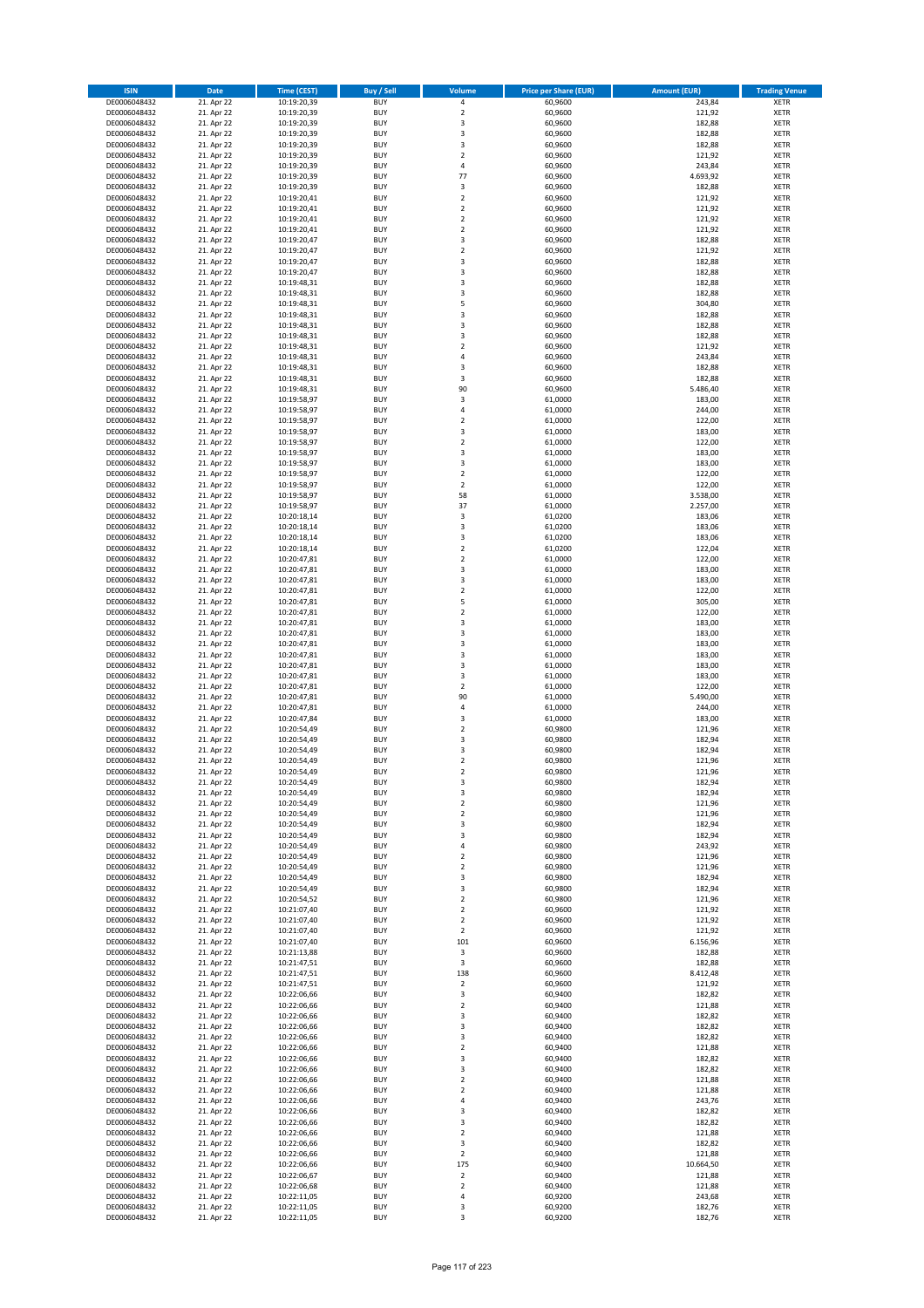| <b>ISIN</b>                  | <b>Date</b>              | <b>Time (CEST)</b>         | <b>Buy / Sell</b>        | <b>Volume</b>                          | <b>Price per Share (EUR)</b> | <b>Amount (EUR)</b> | <b>Trading Venue</b>       |
|------------------------------|--------------------------|----------------------------|--------------------------|----------------------------------------|------------------------------|---------------------|----------------------------|
| DE0006048432                 | 21. Apr 22               | 10:19:20,39                | <b>BUY</b>               | 4                                      | 60,9600                      | 243,84              | <b>XETR</b>                |
| DE0006048432                 | 21. Apr 22               | 10:19:20,39                | <b>BUY</b>               | $\mathbf 2$                            | 60,9600                      | 121,92              | <b>XETR</b>                |
| DE0006048432                 | 21. Apr 22               | 10:19:20,39                | <b>BUY</b>               | 3                                      | 60,9600                      | 182,88              | <b>XETR</b>                |
| DE0006048432<br>DE0006048432 | 21. Apr 22<br>21. Apr 22 | 10:19:20,39<br>10:19:20,39 | <b>BUY</b><br><b>BUY</b> | 3<br>3                                 | 60,9600<br>60,9600           | 182,88<br>182,88    | <b>XETR</b><br><b>XETR</b> |
| DE0006048432                 | 21. Apr 22               | 10:19:20,39                | <b>BUY</b>               | $\mathbf 2$                            | 60,9600                      | 121,92              | <b>XETR</b>                |
| DE0006048432                 | 21. Apr 22               | 10:19:20,39                | <b>BUY</b>               | 4                                      | 60,9600                      | 243,84              | <b>XETR</b>                |
| DE0006048432                 | 21. Apr 22               | 10:19:20,39                | <b>BUY</b>               | 77                                     | 60,9600                      | 4.693,92            | <b>XETR</b>                |
| DE0006048432                 | 21. Apr 22               | 10:19:20,39                | <b>BUY</b>               | 3<br>$\mathbf 2$                       | 60,9600                      | 182,88              | <b>XETR</b>                |
| DE0006048432<br>DE0006048432 | 21. Apr 22<br>21. Apr 22 | 10:19:20,41<br>10:19:20,41 | <b>BUY</b><br><b>BUY</b> | $\mathbf 2$                            | 60,9600<br>60,9600           | 121,92<br>121,92    | <b>XETR</b><br><b>XETR</b> |
| DE0006048432                 | 21. Apr 22               | 10:19:20,41                | <b>BUY</b>               | $\overline{\mathbf{c}}$                | 60,9600                      | 121,92              | <b>XETR</b>                |
| DE0006048432                 | 21. Apr 22               | 10:19:20,41                | <b>BUY</b>               | $\mathbf 2$                            | 60,9600                      | 121,92              | <b>XETR</b>                |
| DE0006048432                 | 21. Apr 22               | 10:19:20,47                | <b>BUY</b>               | 3                                      | 60,9600                      | 182,88              | <b>XETR</b>                |
| DE0006048432                 | 21. Apr 22               | 10:19:20,47                | <b>BUY</b>               | $\mathbf 2$                            | 60,9600                      | 121,92              | <b>XETR</b>                |
| DE0006048432<br>DE0006048432 | 21. Apr 22<br>21. Apr 22 | 10:19:20,47<br>10:19:20,47 | <b>BUY</b><br><b>BUY</b> | 3<br>3                                 | 60,9600<br>60,9600           | 182,88<br>182,88    | <b>XETR</b><br><b>XETR</b> |
| DE0006048432                 | 21. Apr 22               | 10:19:48,31                | <b>BUY</b>               | 3                                      | 60,9600                      | 182,88              | <b>XETR</b>                |
| DE0006048432                 | 21. Apr 22               | 10:19:48,31                | <b>BUY</b>               | 3                                      | 60,9600                      | 182,88              | <b>XETR</b>                |
| DE0006048432                 | 21. Apr 22               | 10:19:48,31                | <b>BUY</b>               | 5                                      | 60,9600                      | 304,80              | <b>XETR</b>                |
| DE0006048432                 | 21. Apr 22               | 10:19:48,31                | <b>BUY</b>               | 3                                      | 60,9600                      | 182,88              | <b>XETR</b>                |
| DE0006048432<br>DE0006048432 | 21. Apr 22<br>21. Apr 22 | 10:19:48,31<br>10:19:48,31 | <b>BUY</b><br><b>BUY</b> | 3<br>3                                 | 60,9600<br>60,9600           | 182,88<br>182,88    | <b>XETR</b><br><b>XETR</b> |
| DE0006048432                 | 21. Apr 22               | 10:19:48,31                | <b>BUY</b>               | $\mathbf 2$                            | 60,9600                      | 121,92              | <b>XETR</b>                |
| DE0006048432                 | 21. Apr 22               | 10:19:48,31                | <b>BUY</b>               | 4                                      | 60,9600                      | 243,84              | <b>XETR</b>                |
| DE0006048432                 | 21. Apr 22               | 10:19:48,31                | <b>BUY</b>               | 3                                      | 60,9600                      | 182,88              | <b>XETR</b>                |
| DE0006048432                 | 21. Apr 22               | 10:19:48,31                | <b>BUY</b>               | 3                                      | 60,9600                      | 182,88              | <b>XETR</b>                |
| DE0006048432<br>DE0006048432 | 21. Apr 22<br>21. Apr 22 | 10:19:48,31<br>10:19:58,97 | <b>BUY</b><br><b>BUY</b> | 90<br>3                                | 60,9600<br>61,0000           | 5.486,40<br>183,00  | <b>XETR</b><br><b>XETR</b> |
| DE0006048432                 | 21. Apr 22               | 10:19:58,97                | <b>BUY</b>               | 4                                      | 61,0000                      | 244,00              | <b>XETR</b>                |
| DE0006048432                 | 21. Apr 22               | 10:19:58,97                | <b>BUY</b>               | $\mathbf 2$                            | 61,0000                      | 122,00              | <b>XETR</b>                |
| DE0006048432                 | 21. Apr 22               | 10:19:58,97                | <b>BUY</b>               | 3                                      | 61,0000                      | 183,00              | <b>XETR</b>                |
| DE0006048432                 | 21. Apr 22               | 10:19:58,97                | <b>BUY</b>               | $\mathbf 2$                            | 61,0000                      | 122,00              | <b>XETR</b>                |
| DE0006048432<br>DE0006048432 | 21. Apr 22<br>21. Apr 22 | 10:19:58,97<br>10:19:58,97 | <b>BUY</b><br><b>BUY</b> | 3<br>3                                 | 61,0000<br>61,0000           | 183,00<br>183,00    | <b>XETR</b><br><b>XETR</b> |
| DE0006048432                 | 21. Apr 22               | 10:19:58,97                | <b>BUY</b>               | $\overline{\mathbf{c}}$                | 61,0000                      | 122,00              | <b>XETR</b>                |
| DE0006048432                 | 21. Apr 22               | 10:19:58,97                | <b>BUY</b>               | $\overline{2}$                         | 61,0000                      | 122,00              | <b>XETR</b>                |
| DE0006048432                 | 21. Apr 22               | 10:19:58,97                | <b>BUY</b>               | 58                                     | 61,0000                      | 3.538,00            | <b>XETR</b>                |
| DE0006048432                 | 21. Apr 22               | 10:19:58,97                | <b>BUY</b>               | 37                                     | 61,0000                      | 2.257,00            | <b>XETR</b>                |
| DE0006048432<br>DE0006048432 | 21. Apr 22<br>21. Apr 22 | 10:20:18,14<br>10:20:18,14 | <b>BUY</b><br><b>BUY</b> | 3<br>3                                 | 61,0200<br>61,0200           | 183,06<br>183,06    | <b>XETR</b><br><b>XETR</b> |
| DE0006048432                 | 21. Apr 22               | 10:20:18,14                | <b>BUY</b>               | 3                                      | 61,0200                      | 183,06              | <b>XETR</b>                |
| DE0006048432                 | 21. Apr 22               | 10:20:18,14                | <b>BUY</b>               | $\mathbf 2$                            | 61,0200                      | 122,04              | <b>XETR</b>                |
| DE0006048432                 | 21. Apr 22               | 10:20:47,81                | <b>BUY</b>               | $\overline{\mathbf{c}}$                | 61,0000                      | 122,00              | <b>XETR</b>                |
| DE0006048432                 | 21. Apr 22               | 10:20:47,81                | <b>BUY</b>               | 3                                      | 61,0000                      | 183,00              | <b>XETR</b>                |
| DE0006048432                 | 21. Apr 22               | 10:20:47,81                | <b>BUY</b><br><b>BUY</b> | 3<br>$\mathbf 2$                       | 61,0000                      | 183,00              | <b>XETR</b>                |
| DE0006048432<br>DE0006048432 | 21. Apr 22<br>21. Apr 22 | 10:20:47,81<br>10:20:47,81 | <b>BUY</b>               | 5                                      | 61,0000<br>61,0000           | 122,00<br>305,00    | <b>XETR</b><br><b>XETR</b> |
| DE0006048432                 | 21. Apr 22               | 10:20:47,81                | <b>BUY</b>               | $\mathbf 2$                            | 61,0000                      | 122,00              | <b>XETR</b>                |
| DE0006048432                 | 21. Apr 22               | 10:20:47,81                | <b>BUY</b>               | 3                                      | 61,0000                      | 183,00              | <b>XETR</b>                |
| DE0006048432                 | 21. Apr 22               | 10:20:47,81                | <b>BUY</b>               | 3                                      | 61,0000                      | 183,00              | <b>XETR</b>                |
| DE0006048432<br>DE0006048432 | 21. Apr 22<br>21. Apr 22 | 10:20:47,81<br>10:20:47,81 | <b>BUY</b><br><b>BUY</b> | 3<br>3                                 | 61,0000<br>61,0000           | 183,00<br>183,00    | <b>XETR</b><br><b>XETR</b> |
| DE0006048432                 | 21. Apr 22               | 10:20:47,81                | <b>BUY</b>               | 3                                      | 61,0000                      | 183,00              | <b>XETR</b>                |
| DE0006048432                 | 21. Apr 22               | 10:20:47,81                | <b>BUY</b>               | 3                                      | 61,0000                      | 183,00              | <b>XETR</b>                |
| DE0006048432                 | 21. Apr 22               | 10:20:47,81                | <b>BUY</b>               | $\mathbf 2$                            | 61,0000                      | 122,00              | <b>XETR</b>                |
| DE0006048432                 | 21. Apr 22               | 10:20:47,81                | <b>BUY</b>               | 90                                     | 61,0000                      | 5.490,00            | <b>XETR</b>                |
| DE0006048432<br>DE0006048432 | 21. Apr 22<br>21. Apr 22 | 10:20:47,81<br>10:20:47,84 | <b>BUY</b><br><b>BUY</b> | 4<br>3                                 | 61,0000<br>61,0000           | 244,00<br>183,00    | <b>XETR</b><br><b>XETR</b> |
| DE0006048432                 | 21. Apr 22               | 10:20:54,49                | <b>BUY</b>               | $\overline{2}$                         | 60,9800                      | 121,96              | <b>XETR</b>                |
| DE0006048432                 | 21. Apr 22               | 10:20:54,49                | <b>BUY</b>               | 3                                      | 60,9800                      | 182,94              | <b>XETR</b>                |
| DE0006048432                 | 21. Apr 22               | 10:20:54,49                | <b>BUY</b>               | 3                                      | 60,9800                      | 182,94              | <b>XETR</b>                |
| DE0006048432                 | 21. Apr 22               | 10:20:54,49                | <b>BUY</b>               | $\overline{\mathbf{c}}$                | 60,9800                      | 121,96              | <b>XETR</b>                |
| DE0006048432<br>DE0006048432 | 21. Apr 22<br>21. Apr 22 | 10:20:54,49<br>10:20:54,49 | <b>BUY</b><br>BUY        | $\overline{2}$<br>3                    | 60,9800<br>60,9800           | 121,96<br>182,94    | <b>XETR</b><br><b>XETR</b> |
| DE0006048432                 | 21. Apr 22               | 10:20:54,49                | <b>BUY</b>               | 3                                      | 60,9800                      | 182,94              | <b>XETR</b>                |
| DE0006048432                 | 21. Apr 22               | 10:20:54,49                | <b>BUY</b>               | $\mathbf 2$                            | 60,9800                      | 121,96              | <b>XETR</b>                |
| DE0006048432                 | 21. Apr 22               | 10:20:54,49                | <b>BUY</b>               | $\mathbf 2$                            | 60,9800                      | 121,96              | XETR                       |
| DE0006048432                 | 21. Apr 22               | 10:20:54,49                | <b>BUY</b>               | 3                                      | 60,9800                      | 182,94              | <b>XETR</b>                |
| DE0006048432<br>DE0006048432 | 21. Apr 22<br>21. Apr 22 | 10:20:54,49<br>10:20:54,49 | <b>BUY</b><br><b>BUY</b> | 3<br>4                                 | 60,9800<br>60,9800           | 182,94<br>243,92    | <b>XETR</b><br><b>XETR</b> |
| DE0006048432                 | 21. Apr 22               | 10:20:54,49                | <b>BUY</b>               | $\mathbf 2$                            | 60,9800                      | 121,96              | <b>XETR</b>                |
| DE0006048432                 | 21. Apr 22               | 10:20:54,49                | <b>BUY</b>               | $\mathbf 2$                            | 60,9800                      | 121,96              | <b>XETR</b>                |
| DE0006048432                 | 21. Apr 22               | 10:20:54,49                | <b>BUY</b>               | 3                                      | 60,9800                      | 182,94              | <b>XETR</b>                |
| DE0006048432                 | 21. Apr 22               | 10:20:54,49                | <b>BUY</b>               | 3                                      | 60,9800                      | 182,94              | <b>XETR</b>                |
| DE0006048432<br>DE0006048432 | 21. Apr 22<br>21. Apr 22 | 10:20:54,52<br>10:21:07,40 | <b>BUY</b><br><b>BUY</b> | $\overline{2}$<br>$\mathbf 2$          | 60.9800<br>60,9600           | 121,96<br>121,92    | <b>XETR</b><br><b>XETR</b> |
| DE0006048432                 | 21. Apr 22               | 10:21:07,40                | <b>BUY</b>               | $\overline{2}$                         | 60,9600                      | 121,92              | <b>XETR</b>                |
| DE0006048432                 | 21. Apr 22               | 10:21:07,40                | <b>BUY</b>               | $\mathbf 2$                            | 60,9600                      | 121,92              | <b>XETR</b>                |
| DE0006048432                 | 21. Apr 22               | 10:21:07,40                | <b>BUY</b>               | 101                                    | 60,9600                      | 6.156,96            | <b>XETR</b>                |
| DE0006048432<br>DE0006048432 | 21. Apr 22<br>21. Apr 22 | 10:21:13,88<br>10:21:47,51 | <b>BUY</b><br><b>BUY</b> | 3<br>3                                 | 60,9600<br>60,9600           | 182,88<br>182,88    | <b>XETR</b><br><b>XETR</b> |
| DE0006048432                 | 21. Apr 22               | 10:21:47,51                | <b>BUY</b>               | 138                                    | 60,9600                      | 8.412,48            | XETR                       |
| DE0006048432                 | 21. Apr 22               | 10:21:47,51                | <b>BUY</b>               | $\mathbf 2$                            | 60,9600                      | 121,92              | <b>XETR</b>                |
| DE0006048432                 | 21. Apr 22               | 10:22:06,66                | <b>BUY</b>               | 3                                      | 60,9400                      | 182,82              | <b>XETR</b>                |
| DE0006048432                 | 21. Apr 22               | 10:22:06,66                | <b>BUY</b>               | $\mathbf 2$                            | 60,9400                      | 121,88              | <b>XETR</b>                |
| DE0006048432<br>DE0006048432 | 21. Apr 22<br>21. Apr 22 | 10:22:06,66<br>10:22:06,66 | <b>BUY</b><br><b>BUY</b> | 3<br>3                                 | 60,9400<br>60,9400           | 182,82<br>182,82    | <b>XETR</b><br><b>XETR</b> |
| DE0006048432                 | 21. Apr 22               | 10:22:06,66                | <b>BUY</b>               | 3                                      | 60,9400                      | 182,82              | <b>XETR</b>                |
| DE0006048432                 | 21. Apr 22               | 10:22:06,66                | <b>BUY</b>               | $\mathbf 2$                            | 60,9400                      | 121,88              | <b>XETR</b>                |
| DE0006048432                 | 21. Apr 22               | 10:22:06,66                | <b>BUY</b>               | 3                                      | 60,9400                      | 182,82              | <b>XETR</b>                |
| DE0006048432                 | 21. Apr 22               | 10:22:06,66                | <b>BUY</b>               | 3                                      | 60,9400                      | 182,82              | <b>XETR</b>                |
| DE0006048432<br>DE0006048432 | 21. Apr 22<br>21. Apr 22 | 10:22:06,66<br>10:22:06,66 | <b>BUY</b><br><b>BUY</b> | $\mathbf 2$<br>$\overline{\mathbf{c}}$ | 60,9400<br>60,9400           | 121,88<br>121,88    | <b>XETR</b><br><b>XETR</b> |
| DE0006048432                 | 21. Apr 22               | 10:22:06,66                | <b>BUY</b>               | 4                                      | 60,9400                      | 243,76              | <b>XETR</b>                |
| DE0006048432                 | 21. Apr 22               | 10:22:06,66                | <b>BUY</b>               | 3                                      | 60,9400                      | 182,82              | <b>XETR</b>                |
| DE0006048432                 | 21. Apr 22               | 10:22:06,66                | <b>BUY</b>               | 3                                      | 60,9400                      | 182,82              | <b>XETR</b>                |
| DE0006048432                 | 21. Apr 22               | 10:22:06,66                | <b>BUY</b>               | $\overline{\mathbf{c}}$                | 60,9400                      | 121,88              | <b>XETR</b>                |
| DE0006048432<br>DE0006048432 | 21. Apr 22<br>21. Apr 22 | 10:22:06,66<br>10:22:06,66 | <b>BUY</b><br><b>BUY</b> | 3<br>$\mathbf 2$                       | 60,9400<br>60,9400           | 182,82<br>121,88    | <b>XETR</b><br><b>XETR</b> |
| DE0006048432                 | 21. Apr 22               | 10:22:06,66                | <b>BUY</b>               | 175                                    | 60,9400                      | 10.664,50           | <b>XETR</b>                |
| DE0006048432                 | 21. Apr 22               | 10:22:06,67                | <b>BUY</b>               | $\mathbf 2$                            | 60,9400                      | 121,88              | XETR                       |
| DE0006048432                 | 21. Apr 22               | 10:22:06,68                | <b>BUY</b>               | $\overline{2}$                         | 60,9400                      | 121,88              | <b>XETR</b>                |
| DE0006048432                 | 21. Apr 22               | 10:22:11,05                | <b>BUY</b>               | 4                                      | 60,9200                      | 243,68              | <b>XETR</b>                |
| DE0006048432<br>DE0006048432 | 21. Apr 22<br>21. Apr 22 | 10:22:11,05<br>10:22:11,05 | <b>BUY</b><br><b>BUY</b> | 3<br>3                                 | 60,9200<br>60,9200           | 182,76<br>182,76    | <b>XETR</b><br>XETR        |
|                              |                          |                            |                          |                                        |                              |                     |                            |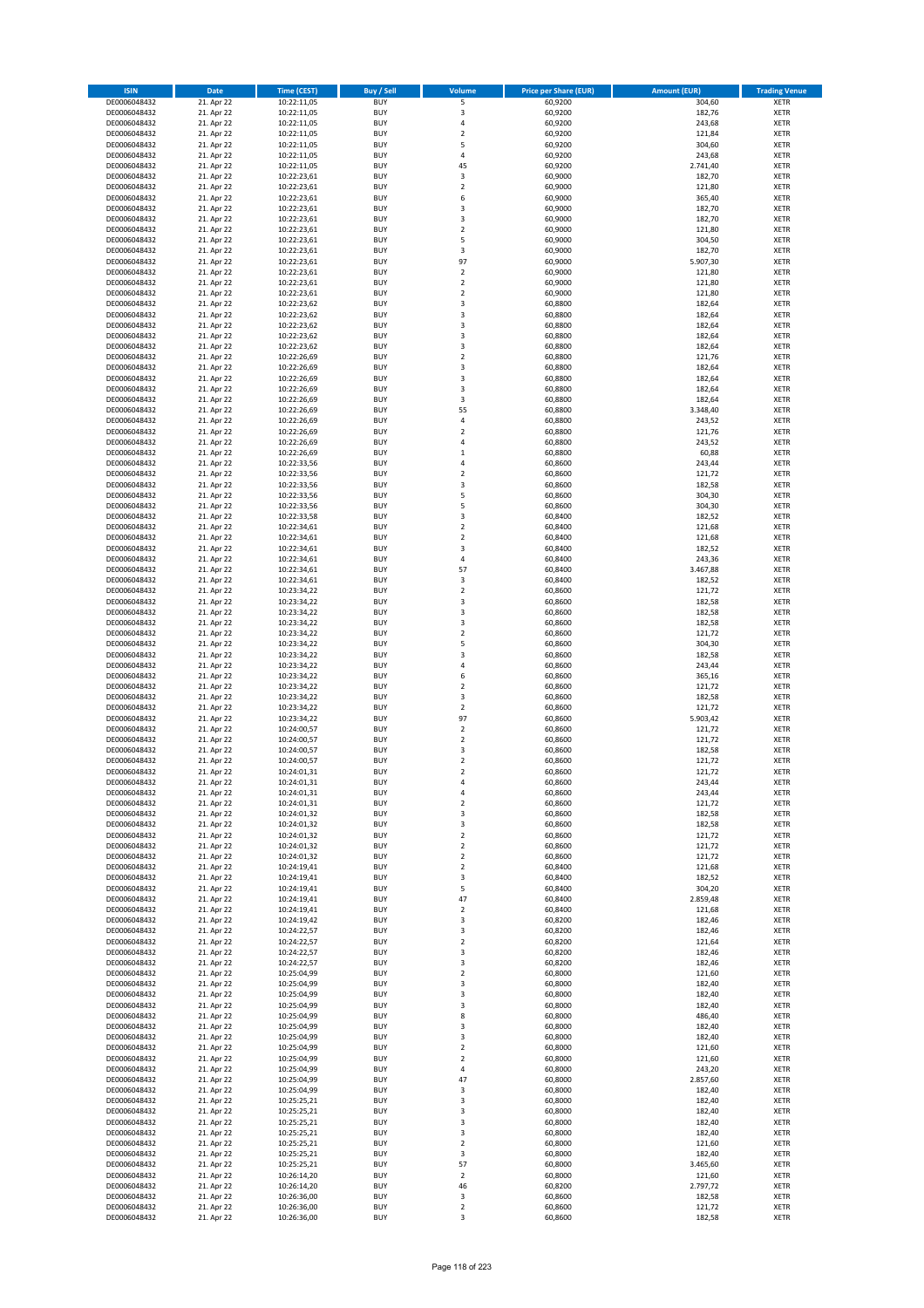| <b>ISIN</b>                  | <b>Date</b>              | Time (CEST)                | <b>Buy / Sell</b>        | <b>Volume</b>              | <b>Price per Share (EUR)</b> | <b>Amount (EUR)</b> | <b>Trading Venue</b>       |
|------------------------------|--------------------------|----------------------------|--------------------------|----------------------------|------------------------------|---------------------|----------------------------|
| DE0006048432                 | 21. Apr 22               | 10:22:11,05                | <b>BUY</b>               | 5                          | 60,9200                      | 304,60              | <b>XETR</b>                |
| DE0006048432                 | 21. Apr 22               | 10:22:11,05                | <b>BUY</b>               | 3                          | 60,9200                      | 182,76              | <b>XETR</b>                |
| DE0006048432                 | 21. Apr 22               | 10:22:11,05                | <b>BUY</b>               | 4                          | 60,9200                      | 243,68              | <b>XETR</b>                |
| DE0006048432                 | 21. Apr 22               | 10:22:11,05                | <b>BUY</b>               | $\mathbf 2$                | 60,9200                      | 121,84              | <b>XETR</b>                |
| DE0006048432<br>DE0006048432 | 21. Apr 22<br>21. Apr 22 | 10:22:11,05<br>10:22:11,05 | <b>BUY</b><br><b>BUY</b> | 5<br>4                     | 60,9200<br>60,9200           | 304,60<br>243,68    | <b>XETR</b><br><b>XETR</b> |
| DE0006048432                 | 21. Apr 22               | 10:22:11,05                | <b>BUY</b>               | 45                         | 60,9200                      | 2.741,40            | <b>XETR</b>                |
| DE0006048432                 | 21. Apr 22               | 10:22:23,61                | <b>BUY</b>               | 3                          | 60,9000                      | 182,70              | <b>XETR</b>                |
| DE0006048432                 | 21. Apr 22               | 10:22:23,61                | <b>BUY</b>               | $\overline{2}$             | 60,9000                      | 121,80              | <b>XETR</b>                |
| DE0006048432                 | 21. Apr 22               | 10:22:23,61                | <b>BUY</b>               | 6                          | 60,9000                      | 365,40              | <b>XETR</b>                |
| DE0006048432                 | 21. Apr 22               | 10:22:23,61                | <b>BUY</b>               | 3                          | 60,9000                      | 182,70              | <b>XETR</b>                |
| DE0006048432                 | 21. Apr 22               | 10:22:23,61                | <b>BUY</b>               | 3                          | 60,9000                      | 182,70              | <b>XETR</b>                |
| DE0006048432<br>DE0006048432 | 21. Apr 22<br>21. Apr 22 | 10:22:23,61<br>10:22:23,61 | <b>BUY</b><br><b>BUY</b> | $\mathbf 2$<br>5           | 60,9000<br>60,9000           | 121,80<br>304,50    | <b>XETR</b><br><b>XETR</b> |
| DE0006048432                 | 21. Apr 22               | 10:22:23,61                | <b>BUY</b>               | 3                          | 60,9000                      | 182,70              | <b>XETR</b>                |
| DE0006048432                 | 21. Apr 22               | 10:22:23,61                | <b>BUY</b>               | 97                         | 60,9000                      | 5.907,30            | <b>XETR</b>                |
| DE0006048432                 | 21. Apr 22               | 10:22:23,61                | <b>BUY</b>               | $\mathbf 2$                | 60,9000                      | 121,80              | <b>XETR</b>                |
| DE0006048432                 | 21. Apr 22               | 10:22:23,61                | <b>BUY</b>               | $\mathbf 2$                | 60,9000                      | 121,80              | <b>XETR</b>                |
| DE0006048432                 | 21. Apr 22               | 10:22:23,61                | <b>BUY</b>               | $\overline{\mathbf{c}}$    | 60,9000                      | 121,80              | <b>XETR</b>                |
| DE0006048432<br>DE0006048432 | 21. Apr 22<br>21. Apr 22 | 10:22:23,62<br>10:22:23,62 | <b>BUY</b><br><b>BUY</b> | 3<br>3                     | 60,8800<br>60,8800           | 182,64<br>182,64    | <b>XETR</b><br><b>XETR</b> |
| DE0006048432                 | 21. Apr 22               | 10:22:23,62                | <b>BUY</b>               | 3                          | 60,8800                      | 182,64              | <b>XETR</b>                |
| DE0006048432                 | 21. Apr 22               | 10:22:23,62                | <b>BUY</b>               | 3                          | 60,8800                      | 182,64              | <b>XETR</b>                |
| DE0006048432                 | 21. Apr 22               | 10:22:23,62                | <b>BUY</b>               | 3                          | 60,8800                      | 182,64              | <b>XETR</b>                |
| DE0006048432                 | 21. Apr 22               | 10:22:26,69                | <b>BUY</b>               | $\mathbf 2$                | 60,8800                      | 121,76              | <b>XETR</b>                |
| DE0006048432                 | 21. Apr 22               | 10:22:26,69                | <b>BUY</b>               | 3                          | 60,8800                      | 182,64              | <b>XETR</b>                |
| DE0006048432<br>DE0006048432 | 21. Apr 22               | 10:22:26,69                | <b>BUY</b><br><b>BUY</b> | 3<br>3                     | 60,8800                      | 182,64              | <b>XETR</b><br><b>XETR</b> |
| DE0006048432                 | 21. Apr 22<br>21. Apr 22 | 10:22:26,69<br>10:22:26,69 | <b>BUY</b>               | 3                          | 60,8800<br>60,8800           | 182,64<br>182,64    | <b>XETR</b>                |
| DE0006048432                 | 21. Apr 22               | 10:22:26,69                | <b>BUY</b>               | 55                         | 60,8800                      | 3.348,40            | <b>XETR</b>                |
| DE0006048432                 | 21. Apr 22               | 10:22:26,69                | <b>BUY</b>               | 4                          | 60,8800                      | 243,52              | <b>XETR</b>                |
| DE0006048432                 | 21. Apr 22               | 10:22:26,69                | <b>BUY</b>               | $\overline{\mathbf{c}}$    | 60,8800                      | 121,76              | <b>XETR</b>                |
| DE0006048432                 | 21. Apr 22               | 10:22:26,69                | <b>BUY</b>               | 4                          | 60,8800                      | 243,52              | <b>XETR</b>                |
| DE0006048432                 | 21. Apr 22               | 10:22:26,69                | <b>BUY</b>               | $\mathbf 1$                | 60,8800                      | 60,88               | <b>XETR</b>                |
| DE0006048432<br>DE0006048432 | 21. Apr 22<br>21. Apr 22 | 10:22:33,56<br>10:22:33,56 | <b>BUY</b><br><b>BUY</b> | 4<br>$\mathbf 2$           | 60,8600<br>60,8600           | 243,44<br>121,72    | <b>XETR</b><br><b>XETR</b> |
| DE0006048432                 | 21. Apr 22               | 10:22:33,56                | <b>BUY</b>               | 3                          | 60,8600                      | 182,58              | <b>XETR</b>                |
| DE0006048432                 | 21. Apr 22               | 10:22:33,56                | <b>BUY</b>               | 5                          | 60,8600                      | 304,30              | <b>XETR</b>                |
| DE0006048432                 | 21. Apr 22               | 10:22:33,56                | <b>BUY</b>               | 5                          | 60,8600                      | 304,30              | <b>XETR</b>                |
| DE0006048432                 | 21. Apr 22               | 10:22:33,58                | <b>BUY</b>               | 3                          | 60,8400                      | 182,52              | <b>XETR</b>                |
| DE0006048432                 | 21. Apr 22               | 10:22:34,61                | <b>BUY</b>               | $\mathbf 2$                | 60,8400                      | 121,68              | <b>XETR</b>                |
| DE0006048432                 | 21. Apr 22               | 10:22:34,61                | <b>BUY</b><br><b>BUY</b> | $\mathbf 2$                | 60,8400                      | 121,68<br>182,52    | <b>XETR</b>                |
| DE0006048432<br>DE0006048432 | 21. Apr 22<br>21. Apr 22 | 10:22:34,61<br>10:22:34,61 | <b>BUY</b>               | 3<br>4                     | 60,8400<br>60,8400           | 243,36              | <b>XETR</b><br><b>XETR</b> |
| DE0006048432                 | 21. Apr 22               | 10:22:34,61                | <b>BUY</b>               | 57                         | 60,8400                      | 3.467,88            | <b>XETR</b>                |
| DE0006048432                 | 21. Apr 22               | 10:22:34,61                | <b>BUY</b>               | 3                          | 60,8400                      | 182,52              | <b>XETR</b>                |
| DE0006048432                 | 21. Apr 22               | 10:23:34,22                | <b>BUY</b>               | $\mathbf 2$                | 60,8600                      | 121,72              | <b>XETR</b>                |
| DE0006048432                 | 21. Apr 22               | 10:23:34,22                | <b>BUY</b>               | 3                          | 60,8600                      | 182,58              | <b>XETR</b>                |
| DE0006048432                 | 21. Apr 22               | 10:23:34,22                | <b>BUY</b><br><b>BUY</b> | 3<br>3                     | 60,8600                      | 182,58              | <b>XETR</b><br><b>XETR</b> |
| DE0006048432<br>DE0006048432 | 21. Apr 22<br>21. Apr 22 | 10:23:34,22<br>10:23:34,22 | <b>BUY</b>               | $\overline{\mathbf{c}}$    | 60,8600<br>60,8600           | 182,58<br>121,72    | <b>XETR</b>                |
| DE0006048432                 | 21. Apr 22               | 10:23:34,22                | <b>BUY</b>               | 5                          | 60,8600                      | 304,30              | <b>XETR</b>                |
| DE0006048432                 | 21. Apr 22               | 10:23:34,22                | <b>BUY</b>               | 3                          | 60,8600                      | 182,58              | <b>XETR</b>                |
| DE0006048432                 | 21. Apr 22               | 10:23:34,22                | <b>BUY</b>               | 4                          | 60,8600                      | 243,44              | <b>XETR</b>                |
| DE0006048432                 | 21. Apr 22               | 10:23:34,22                | <b>BUY</b>               | 6                          | 60,8600                      | 365,16              | <b>XETR</b>                |
| DE0006048432                 | 21. Apr 22               | 10:23:34,22                | <b>BUY</b>               | $\mathbf 2$                | 60,8600                      | 121,72              | <b>XETR</b>                |
| DE0006048432<br>DE0006048432 | 21. Apr 22<br>21. Apr 22 | 10:23:34,22<br>10:23:34,22 | <b>BUY</b><br><b>BUY</b> | 3<br>$\mathbf 2$           | 60,8600<br>60,8600           | 182,58<br>121,72    | <b>XETR</b><br><b>XETR</b> |
| DE0006048432                 | 21. Apr 22               | 10:23:34,22                | <b>BUY</b>               | 97                         | 60,8600                      | 5.903,42            | <b>XETR</b>                |
| DE0006048432                 | 21. Apr 22               | 10:24:00,57                | <b>BUY</b>               | $\overline{2}$             | 60,8600                      | 121,72              | <b>XETR</b>                |
| DE0006048432                 | 21. Apr 22               | 10:24:00,57                | <b>BUY</b>               | $\mathbf 2$                | 60,8600                      | 121,72              | <b>XETR</b>                |
| DE0006048432                 | 21. Apr 22               | 10:24:00,57                | <b>BUY</b>               | 3                          | 60,8600                      | 182,58              | <b>XETR</b>                |
| DE0006048432                 | 21. Apr 22               | 10:24:00,57                | <b>BUY</b>               | $\overline{\mathbf{c}}$    | 60,8600                      | 121,72              | <b>XETR</b>                |
| DE0006048432                 | 21. Apr 22               | 10:24:01,31                | <b>BUY</b>               | $\overline{2}$             | 60,8600<br>60,8600           | 121,72<br>243,44    | <b>XETR</b>                |
| DE0006048432<br>DE0006048432 | 21. Apr 22<br>21. Apr 22 | 10:24:01,31<br>10:24:01,31 | BUY<br><b>BUY</b>        | 4<br>4                     | 60,8600                      | 243,44              | <b>XETR</b><br><b>XETR</b> |
| DE0006048432                 | 21. Apr 22               | 10:24:01,31                | <b>BUY</b>               | $\mathbf 2$                | 60,8600                      | 121,72              | <b>XETR</b>                |
| DE0006048432                 | 21. Apr 22               | 10:24:01,32                | <b>BUY</b>               | 3                          | 60,8600                      | 182,58              | XETR                       |
| DE0006048432                 | 21. Apr 22               | 10:24:01,32                | <b>BUY</b>               | 3                          | 60,8600                      | 182,58              | <b>XETR</b>                |
| DE0006048432                 | 21. Apr 22               | 10:24:01,32                | <b>BUY</b>               | $\mathbf 2$                | 60,8600                      | 121,72              | <b>XETR</b>                |
| DE0006048432                 | 21. Apr 22               | 10:24:01,32                | <b>BUY</b>               | $\overline{2}$             | 60,8600                      | 121,72              | <b>XETR</b>                |
| DE0006048432<br>DE0006048432 | 21. Apr 22<br>21. Apr 22 | 10:24:01,32<br>10:24:19,41 | <b>BUY</b><br><b>BUY</b> | $\mathbf 2$<br>$\mathbf 2$ | 60,8600<br>60,8400           | 121,72<br>121,68    | <b>XETR</b><br><b>XETR</b> |
| DE0006048432                 | 21. Apr 22               | 10:24:19,41                | <b>BUY</b>               | 3                          | 60,8400                      | 182,52              | <b>XETR</b>                |
| DE0006048432                 | 21. Apr 22               | 10:24:19,41                | <b>BUY</b>               | 5                          | 60,8400                      | 304,20              | <b>XETR</b>                |
| DE0006048432                 | 21. Apr 22               | 10:24:19,41                | <b>BUY</b>               | 47                         | 60,8400                      | 2.859,48            | <b>XETR</b>                |
| DE0006048432                 | 21. Apr 22               | 10:24:19,41                | <b>BUY</b>               | $\mathbf 2$                | 60,8400                      | 121,68              | <b>XETR</b>                |
| DE0006048432                 | 21. Apr 22<br>21. Apr 22 | 10:24:19,42                | <b>BUY</b>               | 3                          | 60,8200                      | 182,46              | <b>XETR</b>                |
| DE0006048432<br>DE0006048432 | 21. Apr 22               | 10:24:22,57<br>10:24:22,57 | <b>BUY</b><br><b>BUY</b> | 3<br>$\mathbf 2$           | 60,8200<br>60,8200           | 182,46<br>121,64    | <b>XETR</b><br><b>XETR</b> |
| DE0006048432                 | 21. Apr 22               | 10:24:22,57                | <b>BUY</b>               | 3                          | 60,8200                      | 182,46              | <b>XETR</b>                |
| DE0006048432                 | 21. Apr 22               | 10:24:22,57                | <b>BUY</b>               | 3                          | 60,8200                      | 182,46              | <b>XETR</b>                |
| DE0006048432                 | 21. Apr 22               | 10:25:04,99                | <b>BUY</b>               | $\mathbf 2$                | 60,8000                      | 121,60              | XETR                       |
| DE0006048432                 | 21. Apr 22               | 10:25:04,99                | <b>BUY</b>               | 3                          | 60,8000                      | 182,40              | <b>XETR</b>                |
| DE0006048432                 | 21. Apr 22               | 10:25:04,99                | <b>BUY</b>               | 3                          | 60,8000                      | 182,40              | <b>XETR</b>                |
| DE0006048432                 | 21. Apr 22               | 10:25:04,99                | <b>BUY</b><br><b>BUY</b> | 3<br>8                     | 60,8000                      | 182,40              | <b>XETR</b><br><b>XETR</b> |
| DE0006048432<br>DE0006048432 | 21. Apr 22<br>21. Apr 22 | 10:25:04,99<br>10:25:04,99 | <b>BUY</b>               | 3                          | 60,8000<br>60,8000           | 486,40<br>182,40    | <b>XETR</b>                |
| DE0006048432                 | 21. Apr 22               | 10:25:04,99                | <b>BUY</b>               | 3                          | 60,8000                      | 182,40              | <b>XETR</b>                |
| DE0006048432                 | 21. Apr 22               | 10:25:04,99                | <b>BUY</b>               | $\mathbf 2$                | 60,8000                      | 121,60              | <b>XETR</b>                |
| DE0006048432                 | 21. Apr 22               | 10:25:04,99                | <b>BUY</b>               | $\mathbf 2$                | 60,8000                      | 121,60              | <b>XETR</b>                |
| DE0006048432                 | 21. Apr 22               | 10:25:04,99                | <b>BUY</b>               | 4                          | 60,8000                      | 243,20              | <b>XETR</b>                |
| DE0006048432                 | 21. Apr 22               | 10:25:04,99                | <b>BUY</b>               | 47                         | 60,8000                      | 2.857,60            | <b>XETR</b>                |
| DE0006048432                 | 21. Apr 22               | 10:25:04,99                | <b>BUY</b>               | 3                          | 60,8000<br>60,8000           | 182,40              | <b>XETR</b>                |
| DE0006048432<br>DE0006048432 | 21. Apr 22<br>21. Apr 22 | 10:25:25,21<br>10:25:25,21 | <b>BUY</b><br><b>BUY</b> | 3<br>3                     | 60,8000                      | 182,40<br>182,40    | <b>XETR</b><br><b>XETR</b> |
| DE0006048432                 | 21. Apr 22               | 10:25:25,21                | <b>BUY</b>               | 3                          | 60,8000                      | 182,40              | <b>XETR</b>                |
| DE0006048432                 | 21. Apr 22               | 10:25:25,21                | <b>BUY</b>               | 3                          | 60,8000                      | 182,40              | <b>XETR</b>                |
| DE0006048432                 | 21. Apr 22               | 10:25:25,21                | <b>BUY</b>               | $\mathbf 2$                | 60,8000                      | 121,60              | <b>XETR</b>                |
| DE0006048432                 | 21. Apr 22               | 10:25:25,21                | <b>BUY</b>               | 3                          | 60,8000                      | 182,40              | <b>XETR</b>                |
| DE0006048432                 | 21. Apr 22               | 10:25:25,21                | <b>BUY</b>               | 57                         | 60,8000                      | 3.465,60            | <b>XETR</b>                |
| DE0006048432<br>DE0006048432 | 21. Apr 22<br>21. Apr 22 | 10:26:14,20<br>10:26:14,20 | <b>BUY</b><br><b>BUY</b> | $\mathbf 2$<br>46          | 60,8000<br>60,8200           | 121,60<br>2.797,72  | <b>XETR</b><br><b>XETR</b> |
| DE0006048432                 | 21. Apr 22               | 10:26:36,00                | <b>BUY</b>               | 3                          | 60,8600                      | 182,58              | <b>XETR</b>                |
| DE0006048432                 | 21. Apr 22               | 10:26:36,00                | <b>BUY</b>               | $\mathbf 2$                | 60,8600                      | 121,72              | <b>XETR</b>                |
| DE0006048432                 | 21. Apr 22               | 10:26:36,00                | <b>BUY</b>               | 3                          | 60,8600                      | 182,58              | XETR                       |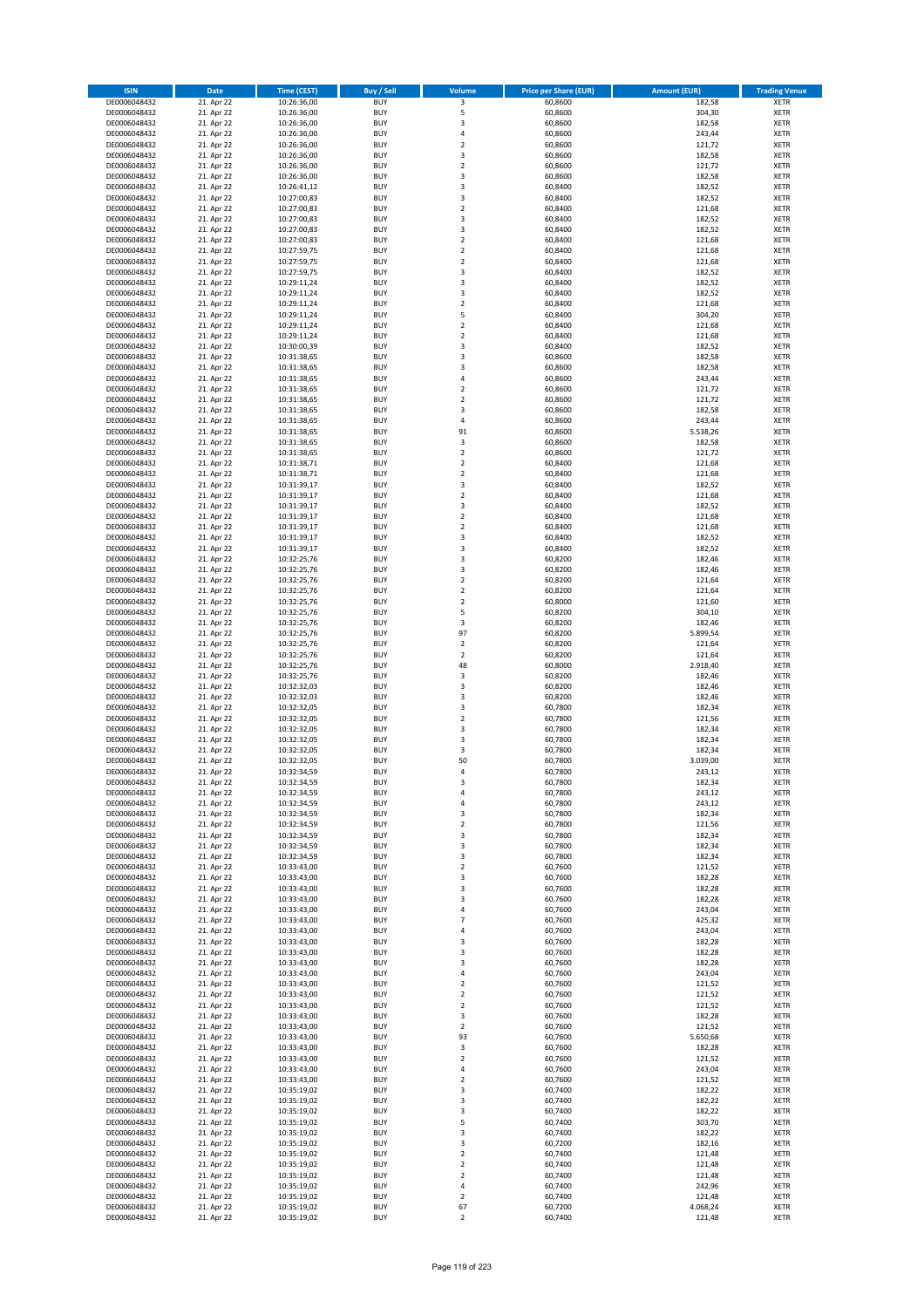| <b>ISIN</b>                  | <b>Date</b>              | <b>Time (CEST)</b>         | <b>Buy / Sell</b>        | <b>Volume</b>                 | <b>Price per Share (EUR)</b> | <b>Amount (EUR)</b> | <b>Trading Venue</b>       |
|------------------------------|--------------------------|----------------------------|--------------------------|-------------------------------|------------------------------|---------------------|----------------------------|
| DE0006048432                 | 21. Apr 22               | 10:26:36,00                | <b>BUY</b>               | 3                             | 60,8600                      | 182,58              | <b>XETR</b>                |
| DE0006048432                 | 21. Apr 22               | 10:26:36,00                | <b>BUY</b>               | 5                             | 60,8600                      | 304,30              | <b>XETR</b>                |
| DE0006048432                 | 21. Apr 22               | 10:26:36,00                | <b>BUY</b>               | 3                             | 60,8600                      | 182,58              | <b>XETR</b>                |
| DE0006048432<br>DE0006048432 | 21. Apr 22<br>21. Apr 22 | 10:26:36,00<br>10:26:36,00 | <b>BUY</b><br><b>BUY</b> | 4<br>$\overline{\mathbf{c}}$  | 60,8600<br>60,8600           | 243,44<br>121,72    | <b>XETR</b><br><b>XETR</b> |
| DE0006048432                 | 21. Apr 22               | 10:26:36,00                | <b>BUY</b>               | 3                             | 60,8600                      | 182,58              | <b>XETR</b>                |
| DE0006048432                 | 21. Apr 22               | 10:26:36,00                | <b>BUY</b>               | $\overline{\mathbf{c}}$       | 60,8600                      | 121,72              | <b>XETR</b>                |
| DE0006048432                 | 21. Apr 22               | 10:26:36,00                | <b>BUY</b>               | 3                             | 60,8600                      | 182,58              | <b>XETR</b>                |
| DE0006048432                 | 21. Apr 22               | 10:26:41,12                | <b>BUY</b>               | 3                             | 60,8400                      | 182,52              | <b>XETR</b>                |
| DE0006048432                 | 21. Apr 22               | 10:27:00,83                | <b>BUY</b><br><b>BUY</b> | 3                             | 60,8400                      | 182,52              | <b>XETR</b>                |
| DE0006048432<br>DE0006048432 | 21. Apr 22<br>21. Apr 22 | 10:27:00,83<br>10:27:00,83 | <b>BUY</b>               | $\mathbf 2$<br>3              | 60,8400<br>60,8400           | 121,68<br>182,52    | <b>XETR</b><br><b>XETR</b> |
| DE0006048432                 | 21. Apr 22               | 10:27:00,83                | <b>BUY</b>               | 3                             | 60,8400                      | 182,52              | <b>XETR</b>                |
| DE0006048432                 | 21. Apr 22               | 10:27:00,83                | <b>BUY</b>               | $\overline{\mathbf{c}}$       | 60,8400                      | 121,68              | <b>XETR</b>                |
| DE0006048432                 | 21. Apr 22               | 10:27:59,75                | <b>BUY</b>               | $\mathbf 2$                   | 60,8400                      | 121,68              | <b>XETR</b>                |
| DE0006048432                 | 21. Apr 22               | 10:27:59,75                | <b>BUY</b>               | $\overline{\mathbf{c}}$       | 60,8400                      | 121,68              | <b>XETR</b>                |
| DE0006048432<br>DE0006048432 | 21. Apr 22<br>21. Apr 22 | 10:27:59,75<br>10:29:11,24 | <b>BUY</b><br><b>BUY</b> | 3<br>3                        | 60,8400<br>60,8400           | 182,52<br>182,52    | <b>XETR</b><br><b>XETR</b> |
| DE0006048432                 | 21. Apr 22               | 10:29:11,24                | <b>BUY</b>               | 3                             | 60,8400                      | 182,52              | <b>XETR</b>                |
| DE0006048432                 | 21. Apr 22               | 10:29:11,24                | <b>BUY</b>               | $\mathbf 2$                   | 60,8400                      | 121,68              | <b>XETR</b>                |
| DE0006048432                 | 21. Apr 22               | 10:29:11,24                | <b>BUY</b>               | 5                             | 60,8400                      | 304,20              | <b>XETR</b>                |
| DE0006048432                 | 21. Apr 22               | 10:29:11,24                | <b>BUY</b>               | $\mathbf 2$                   | 60,8400                      | 121,68              | <b>XETR</b>                |
| DE0006048432                 | 21. Apr 22               | 10:29:11,24                | <b>BUY</b>               | $\mathbf 2$                   | 60,8400                      | 121,68              | <b>XETR</b>                |
| DE0006048432<br>DE0006048432 | 21. Apr 22<br>21. Apr 22 | 10:30:00,39<br>10:31:38,65 | <b>BUY</b><br><b>BUY</b> | 3<br>3                        | 60,8400<br>60,8600           | 182,52<br>182,58    | <b>XETR</b><br><b>XETR</b> |
| DE0006048432                 | 21. Apr 22               | 10:31:38,65                | <b>BUY</b>               | 3                             | 60,8600                      | 182,58              | <b>XETR</b>                |
| DE0006048432                 | 21. Apr 22               | 10:31:38,65                | <b>BUY</b>               | 4                             | 60,8600                      | 243,44              | <b>XETR</b>                |
| DE0006048432                 | 21. Apr 22               | 10:31:38,65                | <b>BUY</b>               | $\overline{\mathbf{c}}$       | 60,8600                      | 121,72              | <b>XETR</b>                |
| DE0006048432                 | 21. Apr 22               | 10:31:38,65                | <b>BUY</b>               | $\mathbf 2$                   | 60,8600                      | 121,72              | <b>XETR</b>                |
| DE0006048432<br>DE0006048432 | 21. Apr 22<br>21. Apr 22 | 10:31:38,65<br>10:31:38,65 | <b>BUY</b><br><b>BUY</b> | 3<br>4                        | 60,8600<br>60,8600           | 182,58<br>243,44    | <b>XETR</b><br><b>XETR</b> |
| DE0006048432                 | 21. Apr 22               | 10:31:38,65                | <b>BUY</b>               | 91                            | 60,8600                      | 5.538,26            | <b>XETR</b>                |
| DE0006048432                 | 21. Apr 22               | 10:31:38,65                | <b>BUY</b>               | 3                             | 60,8600                      | 182,58              | <b>XETR</b>                |
| DE0006048432                 | 21. Apr 22               | 10:31:38,65                | <b>BUY</b>               | $\mathbf 2$                   | 60,8600                      | 121,72              | <b>XETR</b>                |
| DE0006048432                 | 21. Apr 22               | 10:31:38,71                | <b>BUY</b>               | $\overline{2}$                | 60,8400                      | 121,68              | <b>XETR</b>                |
| DE0006048432                 | 21. Apr 22<br>21. Apr 22 | 10:31:38,71                | <b>BUY</b>               | $\mathbf 2$                   | 60,8400                      | 121,68              | <b>XETR</b>                |
| DE0006048432<br>DE0006048432 | 21. Apr 22               | 10:31:39,17<br>10:31:39,17 | <b>BUY</b><br><b>BUY</b> | 3<br>$\mathbf 2$              | 60,8400<br>60,8400           | 182,52<br>121,68    | <b>XETR</b><br><b>XETR</b> |
| DE0006048432                 | 21. Apr 22               | 10:31:39,17                | <b>BUY</b>               | 3                             | 60,8400                      | 182,52              | <b>XETR</b>                |
| DE0006048432                 | 21. Apr 22               | 10:31:39,17                | <b>BUY</b>               | $\mathbf 2$                   | 60,8400                      | 121,68              | <b>XETR</b>                |
| DE0006048432                 | 21. Apr 22               | 10:31:39,17                | <b>BUY</b>               | $\overline{\mathbf{c}}$       | 60,8400                      | 121,68              | <b>XETR</b>                |
| DE0006048432                 | 21. Apr 22               | 10:31:39,17                | <b>BUY</b>               | 3                             | 60,8400                      | 182,52              | <b>XETR</b>                |
| DE0006048432                 | 21. Apr 22               | 10:31:39,17                | <b>BUY</b>               | 3                             | 60,8400                      | 182,52              | <b>XETR</b>                |
| DE0006048432<br>DE0006048432 | 21. Apr 22<br>21. Apr 22 | 10:32:25,76<br>10:32:25,76 | <b>BUY</b><br><b>BUY</b> | 3<br>3                        | 60,8200<br>60,8200           | 182,46<br>182,46    | <b>XETR</b><br><b>XETR</b> |
| DE0006048432                 | 21. Apr 22               | 10:32:25,76                | <b>BUY</b>               | $\overline{2}$                | 60,8200                      | 121,64              | <b>XETR</b>                |
| DE0006048432                 | 21. Apr 22               | 10:32:25,76                | <b>BUY</b>               | $\mathbf 2$                   | 60,8200                      | 121,64              | <b>XETR</b>                |
| DE0006048432                 | 21. Apr 22               | 10:32:25,76                | <b>BUY</b>               | $\mathbf 2$                   | 60,8000                      | 121,60              | <b>XETR</b>                |
| DE0006048432                 | 21. Apr 22               | 10:32:25,76                | <b>BUY</b>               | 5                             | 60,8200                      | 304,10              | <b>XETR</b>                |
| DE0006048432<br>DE0006048432 | 21. Apr 22<br>21. Apr 22 | 10:32:25,76                | <b>BUY</b><br><b>BUY</b> | 3<br>97                       | 60,8200<br>60,8200           | 182,46<br>5.899,54  | <b>XETR</b><br><b>XETR</b> |
| DE0006048432                 | 21. Apr 22               | 10:32:25,76<br>10:32:25,76 | <b>BUY</b>               | $\mathbf 2$                   | 60,8200                      | 121,64              | <b>XETR</b>                |
| DE0006048432                 | 21. Apr 22               | 10:32:25,76                | <b>BUY</b>               | $\overline{2}$                | 60,8200                      | 121,64              | <b>XETR</b>                |
| DE0006048432                 | 21. Apr 22               | 10:32:25,76                | <b>BUY</b>               | 48                            | 60,8000                      | 2.918,40            | <b>XETR</b>                |
| DE0006048432                 | 21. Apr 22               | 10:32:25,76                | <b>BUY</b>               | 3                             | 60,8200                      | 182,46              | <b>XETR</b>                |
| DE0006048432                 | 21. Apr 22               | 10:32:32,03                | <b>BUY</b>               | 3                             | 60,8200                      | 182,46              | <b>XETR</b>                |
| DE0006048432<br>DE0006048432 | 21. Apr 22<br>21. Apr 22 | 10:32:32,03<br>10:32:32,05 | <b>BUY</b><br><b>BUY</b> | 3<br>3                        | 60,8200<br>60,7800           | 182,46<br>182,34    | <b>XETR</b><br><b>XETR</b> |
| DE0006048432                 | 21. Apr 22               | 10:32:32,05                | <b>BUY</b>               | $\overline{\mathbf{c}}$       | 60,7800                      | 121,56              | <b>XETR</b>                |
| DE0006048432                 | 21. Apr 22               | 10:32:32,05                | <b>BUY</b>               | 3                             | 60,7800                      | 182,34              | <b>XETR</b>                |
| DE0006048432                 | 21. Apr 22               | 10:32:32,05                | <b>BUY</b>               | 3                             | 60,7800                      | 182,34              | <b>XETR</b>                |
| DE0006048432                 | 21. Apr 22               | 10:32:32,05                | <b>BUY</b>               | 3                             | 60,7800                      | 182,34              | <b>XETR</b>                |
| DE0006048432<br>DE0006048432 | 21. Apr 22<br>21. Apr 22 | 10:32:32,05<br>10:32:34,59 | <b>BUY</b><br><b>BUY</b> | 50<br>4                       | 60,7800<br>60,7800           | 3.039,00<br>243,12  | <b>XETR</b><br><b>XETR</b> |
| DE0006048432                 | 21. Apr 22               | 10:32:34,59                | BUY                      | 3                             | 60,7800                      | 182,34              | <b>XETR</b>                |
| DE0006048432                 | 21. Apr 22               | 10:32:34,59                | <b>BUY</b>               | 4                             | 60,7800                      | 243,12              | <b>XETR</b>                |
| DE0006048432                 | 21. Apr 22               | 10:32:34,59                | <b>BUY</b>               | 4                             | 60,7800                      | 243,12              | <b>XETR</b>                |
| DE0006048432                 | 21. Apr 22               | 10:32:34,59                | <b>BUY</b>               | 3                             | 60,7800                      | 182,34              | XETR                       |
| DE0006048432<br>DE0006048432 | 21. Apr 22<br>21. Apr 22 | 10:32:34,59                | <b>BUY</b>               | $\mathbf 2$                   | 60,7800<br>60,7800           | 121,56              | <b>XETR</b>                |
| DE0006048432                 | 21. Apr 22               | 10:32:34,59<br>10:32:34,59 | <b>BUY</b><br><b>BUY</b> | 3<br>3                        | 60,7800                      | 182,34<br>182,34    | <b>XETR</b><br><b>XETR</b> |
| DE0006048432                 | 21. Apr 22               | 10:32:34,59                | <b>BUY</b>               | 3                             | 60,7800                      | 182,34              | <b>XETR</b>                |
| DE0006048432                 | 21. Apr 22               | 10:33:43,00                | <b>BUY</b>               | $\mathbf 2$                   | 60,7600                      | 121,52              | <b>XETR</b>                |
| DE0006048432                 | 21. Apr 22               | 10:33:43,00                | <b>BUY</b>               | 3                             | 60,7600                      | 182,28              | <b>XETR</b>                |
| DE0006048432<br>DE0006048432 | 21. Apr 22               | 10:33:43,00                | <b>BUY</b><br><b>BUY</b> | 3<br>3                        | 60,7600<br>60.7600           | 182,28              | <b>XETR</b><br><b>XETR</b> |
| DE0006048432                 | 21. Apr 22<br>21. Apr 22 | 10:33:43,00<br>10:33:43,00 | <b>BUY</b>               | 4                             | 60,7600                      | 182,28<br>243,04    | <b>XETR</b>                |
| DE0006048432                 | 21. Apr 22               | 10:33:43,00                | <b>BUY</b>               | $\overline{7}$                | 60,7600                      | 425,32              | <b>XETR</b>                |
| DE0006048432                 | 21. Apr 22               | 10:33:43,00                | <b>BUY</b>               | 4                             | 60,7600                      | 243,04              | <b>XETR</b>                |
| DE0006048432                 | 21. Apr 22               | 10:33:43,00                | <b>BUY</b>               | 3                             | 60,7600                      | 182,28              | <b>XETR</b>                |
| DE0006048432                 | 21. Apr 22<br>21. Apr 22 | 10:33:43,00<br>10:33:43,00 | <b>BUY</b><br><b>BUY</b> | 3                             | 60,7600                      | 182,28              | <b>XETR</b>                |
| DE0006048432<br>DE0006048432 | 21. Apr 22               | 10:33:43,00                | <b>BUY</b>               | 3<br>4                        | 60,7600<br>60,7600           | 182,28<br>243,04    | <b>XETR</b><br>XETR        |
| DE0006048432                 | 21. Apr 22               | 10:33:43,00                | <b>BUY</b>               | $\mathbf 2$                   | 60,7600                      | 121,52              | <b>XETR</b>                |
| DE0006048432                 | 21. Apr 22               | 10:33:43,00                | <b>BUY</b>               | $\overline{2}$                | 60,7600                      | 121,52              | <b>XETR</b>                |
| DE0006048432                 | 21. Apr 22               | 10:33:43,00                | <b>BUY</b>               | $\mathbf 2$                   | 60,7600                      | 121,52              | <b>XETR</b>                |
| DE0006048432                 | 21. Apr 22               | 10:33:43,00                | <b>BUY</b>               | 3                             | 60,7600                      | 182,28              | <b>XETR</b>                |
| DE0006048432<br>DE0006048432 | 21. Apr 22<br>21. Apr 22 | 10:33:43,00<br>10:33:43,00 | <b>BUY</b><br><b>BUY</b> | $\mathbf 2$<br>93             | 60,7600<br>60,7600           | 121,52<br>5.650,68  | <b>XETR</b><br><b>XETR</b> |
| DE0006048432                 | 21. Apr 22               | 10:33:43,00                | <b>BUY</b>               | 3                             | 60,7600                      | 182,28              | <b>XETR</b>                |
| DE0006048432                 | 21. Apr 22               | 10:33:43,00                | <b>BUY</b>               | $\mathbf 2$                   | 60,7600                      | 121,52              | <b>XETR</b>                |
| DE0006048432                 | 21. Apr 22               | 10:33:43,00                | <b>BUY</b>               | 4                             | 60,7600                      | 243,04              | <b>XETR</b>                |
| DE0006048432                 | 21. Apr 22               | 10:33:43,00                | <b>BUY</b>               | $\mathbf 2$                   | 60,7600                      | 121,52              | <b>XETR</b>                |
| DE0006048432                 | 21. Apr 22               | 10:35:19,02                | <b>BUY</b>               | 3                             | 60,7400                      | 182,22              | <b>XETR</b>                |
| DE0006048432<br>DE0006048432 | 21. Apr 22<br>21. Apr 22 | 10:35:19,02<br>10:35:19,02 | <b>BUY</b><br><b>BUY</b> | 3<br>3                        | 60,7400<br>60,7400           | 182,22<br>182,22    | <b>XETR</b><br><b>XETR</b> |
| DE0006048432                 | 21. Apr 22               | 10:35:19,02                | <b>BUY</b>               | 5                             | 60,7400                      | 303,70              | <b>XETR</b>                |
| DE0006048432                 | 21. Apr 22               | 10:35:19,02                | <b>BUY</b>               | 3                             | 60,7400                      | 182,22              | <b>XETR</b>                |
| DE0006048432                 | 21. Apr 22               | 10:35:19,02                | <b>BUY</b>               | 3                             | 60,7200                      | 182,16              | <b>XETR</b>                |
| DE0006048432                 | 21. Apr 22               | 10:35:19,02                | <b>BUY</b>               | $\mathbf 2$                   | 60,7400                      | 121,48              | <b>XETR</b>                |
| DE0006048432<br>DE0006048432 | 21. Apr 22<br>21. Apr 22 | 10:35:19,02<br>10:35:19,02 | <b>BUY</b><br><b>BUY</b> | $\overline{2}$<br>$\mathbf 2$ | 60,7400<br>60,7400           | 121,48<br>121,48    | <b>XETR</b><br><b>XETR</b> |
| DE0006048432                 | 21. Apr 22               | 10:35:19,02                | <b>BUY</b>               | 4                             | 60,7400                      | 242,96              | <b>XETR</b>                |
| DE0006048432                 | 21. Apr 22               | 10:35:19,02                | <b>BUY</b>               | $\mathbf 2$                   | 60,7400                      | 121,48              | <b>XETR</b>                |
| DE0006048432                 | 21. Apr 22               | 10:35:19,02                | <b>BUY</b>               | 67                            | 60,7200                      | 4.068,24            | <b>XETR</b>                |
| DE0006048432                 | 21. Apr 22               | 10:35:19,02                | <b>BUY</b>               | $\mathbf 2$                   | 60,7400                      | 121,48              | XETR                       |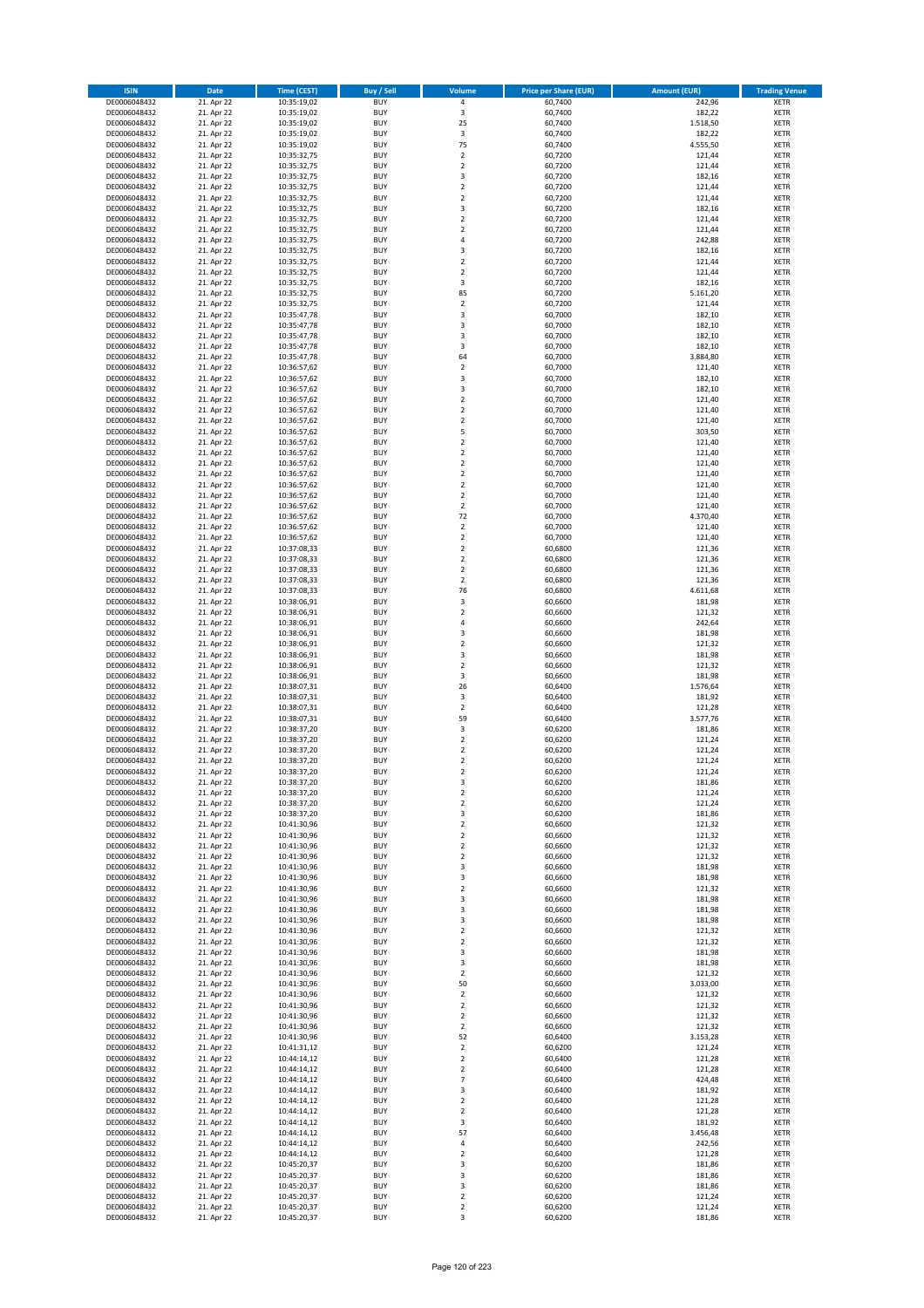| <b>ISIN</b>                  | Date                     | Time (CEST)                | <b>Buy / Sell</b>        | <b>Volume</b>                 | <b>Price per Share (EUR)</b> | <b>Amount (EUR)</b> | <b>Trading Venue</b>       |
|------------------------------|--------------------------|----------------------------|--------------------------|-------------------------------|------------------------------|---------------------|----------------------------|
| DE0006048432                 | 21. Apr 22               | 10:35:19,02                | <b>BUY</b>               | $\pmb{4}$                     | 60,7400                      | 242,96              | <b>XETR</b>                |
| DE0006048432                 | 21. Apr 22               | 10:35:19,02                | <b>BUY</b>               | 3                             | 60,7400                      | 182,22              | XETR                       |
| DE0006048432                 | 21. Apr 22               | 10:35:19,02                | <b>BUY</b>               | 25                            | 60,7400                      | 1.518,50            | <b>XETR</b>                |
| DE0006048432                 | 21. Apr 22               | 10:35:19,02                | <b>BUY</b>               | $\mathsf 3$                   | 60,7400                      | 182,22              | <b>XETR</b>                |
| DE0006048432<br>DE0006048432 | 21. Apr 22<br>21. Apr 22 | 10:35:19,02<br>10:35:32,75 | <b>BUY</b><br><b>BUY</b> | 75<br>$\mathbf 2$             | 60,7400<br>60,7200           | 4.555,50<br>121,44  | <b>XETR</b><br><b>XETR</b> |
| DE0006048432                 | 21. Apr 22               | 10:35:32,75                | <b>BUY</b>               | $\mathbf 2$                   | 60,7200                      | 121,44              | <b>XETR</b>                |
| DE0006048432                 | 21. Apr 22               | 10:35:32,75                | <b>BUY</b>               | 3                             | 60,7200                      | 182,16              | <b>XETR</b>                |
| DE0006048432                 | 21. Apr 22               | 10:35:32,75                | <b>BUY</b>               | $\overline{2}$                | 60,7200                      | 121,44              | <b>XETR</b>                |
| DE0006048432                 | 21. Apr 22               | 10:35:32,75                | <b>BUY</b>               | $\overline{2}$                | 60,7200                      | 121,44              | <b>XETR</b>                |
| DE0006048432                 | 21. Apr 22               | 10:35:32,75                | <b>BUY</b>               | $\mathsf 3$                   | 60,7200                      | 182,16              | <b>XETR</b>                |
| DE0006048432                 | 21. Apr 22               | 10:35:32,75                | <b>BUY</b>               | $\overline{2}$                | 60,7200                      | 121,44              | <b>XETR</b>                |
| DE0006048432<br>DE0006048432 | 21. Apr 22<br>21. Apr 22 | 10:35:32,75<br>10:35:32,75 | <b>BUY</b><br><b>BUY</b> | $\mathbf 2$<br>4              | 60,7200<br>60,7200           | 121,44<br>242,88    | <b>XETR</b><br><b>XETR</b> |
| DE0006048432                 | 21. Apr 22               | 10:35:32,75                | <b>BUY</b>               | 3                             | 60,7200                      | 182,16              | <b>XETR</b>                |
| DE0006048432                 | 21. Apr 22               | 10:35:32,75                | <b>BUY</b>               | $\overline{2}$                | 60,7200                      | 121,44              | <b>XETR</b>                |
| DE0006048432                 | 21. Apr 22               | 10:35:32,75                | <b>BUY</b>               | $\mathbf 2$                   | 60,7200                      | 121,44              | <b>XETR</b>                |
| DE0006048432                 | 21. Apr 22               | 10:35:32,75                | <b>BUY</b>               | 3                             | 60,7200                      | 182,16              | <b>XETR</b>                |
| DE0006048432                 | 21. Apr 22               | 10:35:32,75                | <b>BUY</b>               | 85                            | 60,7200                      | 5.161,20            | <b>XETR</b>                |
| DE0006048432<br>DE0006048432 | 21. Apr 22<br>21. Apr 22 | 10:35:32,75<br>10:35:47,78 | <b>BUY</b><br><b>BUY</b> | $\mathbf 2$<br>3              | 60,7200<br>60,7000           | 121,44<br>182,10    | <b>XETR</b><br><b>XETR</b> |
| DE0006048432                 | 21. Apr 22               | 10:35:47,78                | <b>BUY</b>               | 3                             | 60,7000                      | 182,10              | <b>XETR</b>                |
| DE0006048432                 | 21. Apr 22               | 10:35:47,78                | <b>BUY</b>               | 3                             | 60,7000                      | 182,10              | <b>XETR</b>                |
| DE0006048432                 | 21. Apr 22               | 10:35:47,78                | <b>BUY</b>               | 3                             | 60,7000                      | 182,10              | <b>XETR</b>                |
| DE0006048432                 | 21. Apr 22               | 10:35:47,78                | <b>BUY</b>               | 64                            | 60,7000                      | 3.884,80            | <b>XETR</b>                |
| DE0006048432                 | 21. Apr 22               | 10:36:57,62                | <b>BUY</b>               | $\mathbf 2$                   | 60,7000                      | 121,40              | <b>XETR</b>                |
| DE0006048432<br>DE0006048432 | 21. Apr 22               | 10:36:57,62                | <b>BUY</b><br><b>BUY</b> | $\mathsf 3$<br>3              | 60,7000                      | 182,10              | <b>XETR</b><br><b>XETR</b> |
| DE0006048432                 | 21. Apr 22<br>21. Apr 22 | 10:36:57,62<br>10:36:57,62 | <b>BUY</b>               | $\mathbf 2$                   | 60,7000<br>60,7000           | 182,10<br>121,40    | <b>XETR</b>                |
| DE0006048432                 | 21. Apr 22               | 10:36:57,62                | <b>BUY</b>               | $\overline{2}$                | 60,7000                      | 121,40              | <b>XETR</b>                |
| DE0006048432                 | 21. Apr 22               | 10:36:57,62                | <b>BUY</b>               | $\overline{2}$                | 60,7000                      | 121,40              | <b>XETR</b>                |
| DE0006048432                 | 21. Apr 22               | 10:36:57,62                | <b>BUY</b>               | 5                             | 60,7000                      | 303,50              | <b>XETR</b>                |
| DE0006048432                 | 21. Apr 22               | 10:36:57,62                | <b>BUY</b>               | $\mathbf 2$                   | 60,7000                      | 121,40              | <b>XETR</b>                |
| DE0006048432                 | 21. Apr 22               | 10:36:57,62                | <b>BUY</b>               | $\mathbf 2$                   | 60,7000                      | 121,40              | <b>XETR</b>                |
| DE0006048432<br>DE0006048432 | 21. Apr 22<br>21. Apr 22 | 10:36:57,62<br>10:36:57,62 | <b>BUY</b><br><b>BUY</b> | $\mathbf 2$<br>$\mathbf 2$    | 60,7000<br>60,7000           | 121,40<br>121,40    | <b>XETR</b><br><b>XETR</b> |
| DE0006048432                 | 21. Apr 22               | 10:36:57,62                | <b>BUY</b>               | $\overline{2}$                | 60,7000                      | 121,40              | <b>XETR</b>                |
| DE0006048432                 | 21. Apr 22               | 10:36:57,62                | <b>BUY</b>               | $\mathbf 2$                   | 60,7000                      | 121,40              | <b>XETR</b>                |
| DE0006048432                 | 21. Apr 22               | 10:36:57,62                | <b>BUY</b>               | $\overline{2}$                | 60,7000                      | 121,40              | <b>XETR</b>                |
| DE0006048432                 | 21. Apr 22               | 10:36:57,62                | <b>BUY</b>               | 72                            | 60,7000                      | 4.370,40            | <b>XETR</b>                |
| DE0006048432                 | 21. Apr 22               | 10:36:57,62                | <b>BUY</b>               | $\mathbf 2$                   | 60,7000                      | 121,40              | <b>XETR</b>                |
| DE0006048432                 | 21. Apr 22               | 10:36:57,62                | <b>BUY</b><br><b>BUY</b> | $\mathbf 2$                   | 60,7000                      | 121,40              | <b>XETR</b>                |
| DE0006048432<br>DE0006048432 | 21. Apr 22<br>21. Apr 22 | 10:37:08,33<br>10:37:08,33 | <b>BUY</b>               | $\mathbf 2$<br>$\overline{2}$ | 60,6800<br>60,6800           | 121,36<br>121,36    | <b>XETR</b><br><b>XETR</b> |
| DE0006048432                 | 21. Apr 22               | 10:37:08,33                | <b>BUY</b>               | $\overline{2}$                | 60,6800                      | 121,36              | <b>XETR</b>                |
| DE0006048432                 | 21. Apr 22               | 10:37:08,33                | <b>BUY</b>               | $\overline{2}$                | 60,6800                      | 121,36              | <b>XETR</b>                |
| DE0006048432                 | 21. Apr 22               | 10:37:08,33                | <b>BUY</b>               | 76                            | 60,6800                      | 4.611,68            | <b>XETR</b>                |
| DE0006048432                 | 21. Apr 22               | 10:38:06,91                | <b>BUY</b>               | $\mathsf 3$                   | 60,6600                      | 181,98              | <b>XETR</b>                |
| DE0006048432                 | 21. Apr 22               | 10:38:06,91                | <b>BUY</b><br><b>BUY</b> | $\mathbf 2$<br>$\sqrt{4}$     | 60,6600                      | 121,32              | <b>XETR</b>                |
| DE0006048432<br>DE0006048432 | 21. Apr 22<br>21. Apr 22 | 10:38:06,91<br>10:38:06,91 | <b>BUY</b>               | 3                             | 60,6600<br>60,6600           | 242,64<br>181,98    | <b>XETR</b><br><b>XETR</b> |
| DE0006048432                 | 21. Apr 22               | 10:38:06,91                | <b>BUY</b>               | $\mathbf 2$                   | 60,6600                      | 121,32              | <b>XETR</b>                |
| DE0006048432                 | 21. Apr 22               | 10:38:06,91                | <b>BUY</b>               | 3                             | 60,6600                      | 181,98              | <b>XETR</b>                |
| DE0006048432                 | 21. Apr 22               | 10:38:06,91                | <b>BUY</b>               | $\mathbf 2$                   | 60,6600                      | 121,32              | <b>XETR</b>                |
| DE0006048432                 | 21. Apr 22               | 10:38:06,91                | <b>BUY</b>               | 3                             | 60,6600                      | 181,98              | <b>XETR</b>                |
| DE0006048432                 | 21. Apr 22               | 10:38:07,31                | <b>BUY</b>               | 26                            | 60,6400                      | 1.576,64            | <b>XETR</b>                |
| DE0006048432<br>DE0006048432 | 21. Apr 22<br>21. Apr 22 | 10:38:07,31<br>10:38:07,31 | <b>BUY</b><br><b>BUY</b> | 3<br>$\mathbf 2$              | 60,6400<br>60,6400           | 181,92<br>121,28    | <b>XETR</b><br><b>XETR</b> |
| DE0006048432                 | 21. Apr 22               | 10:38:07,31                | <b>BUY</b>               | 59                            | 60,6400                      | 3.577,76            | <b>XETR</b>                |
| DE0006048432                 | 21. Apr 22               | 10:38:37,20                | <b>BUY</b>               | 3                             | 60,6200                      | 181,86              | <b>XETR</b>                |
| DE0006048432                 | 21. Apr 22               | 10:38:37,20                | <b>BUY</b>               | $\mathbf 2$                   | 60,6200                      | 121,24              | <b>XETR</b>                |
| DE0006048432                 | 21. Apr 22               | 10:38:37,20                | <b>BUY</b>               | $\overline{2}$                | 60,6200                      | 121,24              | <b>XETR</b>                |
| DE0006048432                 | 21. Apr 22               | 10:38:37,20                | <b>BUY</b>               | $\overline{2}$                | 60,6200                      | 121,24              | <b>XETR</b>                |
| DE0006048432                 | 21. Apr 22               | 10:38:37,20<br>10:38:37,20 | <b>BUY</b><br><b>BUY</b> | 2                             | 60,6200                      | 121,24              | <b>XETR</b>                |
| DE0006048432<br>DE0006048432 | 21. Apr 22<br>21. Apr 22 | 10:38:37,20                | <b>BUY</b>               | 3<br>$\mathbf 2$              | 60,6200<br>60,6200           | 181,86<br>121,24    | XETR<br><b>XETR</b>        |
| DE0006048432                 | 21. Apr 22               | 10:38:37,20                | <b>BUY</b>               | $\overline{2}$                | 60,6200                      | 121,24              | <b>XETR</b>                |
| DE0006048432                 | 21. Apr 22               | 10:38:37,20                | <b>BUY</b>               | 3                             | 60,6200                      | 181,86              | <b>XETR</b>                |
| DE0006048432                 | 21. Apr 22               | 10:41:30,96                | <b>BUY</b>               | $\overline{2}$                | 60,6600                      | 121,32              | <b>XETR</b>                |
| DE0006048432                 | 21. Apr 22               | 10:41:30,96                | <b>BUY</b>               | $\overline{2}$                | 60,6600                      | 121,32              | <b>XETR</b>                |
| DE0006048432                 | 21. Apr 22               | 10:41:30,96                | <b>BUY</b>               | $\overline{2}$                | 60,6600                      | 121,32              | <b>XETR</b>                |
| DE0006048432<br>DE0006048432 | 21. Apr 22<br>21. Apr 22 | 10:41:30,96<br>10:41:30,96 | <b>BUY</b><br><b>BUY</b> | $\overline{2}$<br>3           | 60,6600<br>60,6600           | 121,32<br>181,98    | <b>XETR</b><br>XETR        |
| DE0006048432                 | 21. Apr 22               | 10:41:30,96                | <b>BUY</b>               | 3                             | 60,6600                      | 181,98              | <b>XETR</b>                |
| DE0006048432                 | 21. Apr 22               | 10:41:30,96                | <b>BUY</b>               | $\mathbf 2$                   | 60,6600                      | 121,32              | XETR                       |
| DE0006048432                 | 21. Apr 22               | 10:41:30,96                | <b>BUY</b>               | 3                             | 60,6600                      | 181,98              | <b>XETR</b>                |
| DE0006048432                 | 21. Apr 22               | 10:41:30,96                | <b>BUY</b>               | $\mathsf 3$                   | 60,6600                      | 181,98              | XETR                       |
| DE0006048432                 | 21. Apr 22<br>21. Apr 22 | 10:41:30,96<br>10:41:30,96 | <b>BUY</b><br><b>BUY</b> | 3<br>$\mathbf 2$              | 60,6600<br>60,6600           | 181,98<br>121,32    | <b>XETR</b>                |
| DE0006048432<br>DE0006048432 | 21. Apr 22               | 10:41:30,96                | <b>BUY</b>               | $\overline{2}$                | 60,6600                      | 121,32              | XETR<br><b>XETR</b>        |
| DE0006048432                 | 21. Apr 22               | 10:41:30,96                | <b>BUY</b>               | 3                             | 60,6600                      | 181,98              | <b>XETR</b>                |
| DE0006048432                 | 21. Apr 22               | 10:41:30,96                | <b>BUY</b>               | 3                             | 60,6600                      | 181,98              | <b>XETR</b>                |
| DE0006048432                 | 21. Apr 22               | 10:41:30,96                | <b>BUY</b>               | $\mathbf 2$                   | 60,6600                      | 121,32              | XETR                       |
| DE0006048432                 | 21. Apr 22               | 10:41:30,96                | <b>BUY</b>               | 50                            | 60,6600                      | 3.033,00            | XETR                       |
| DE0006048432                 | 21. Apr 22               | 10:41:30,96                | <b>BUY</b>               | $\overline{2}$                | 60,6600                      | 121,32              | <b>XETR</b>                |
| DE0006048432<br>DE0006048432 | 21. Apr 22               | 10:41:30,96                | <b>BUY</b><br><b>BUY</b> | $\mathbf 2$<br>$\overline{2}$ | 60,6600<br>60,6600           | 121,32<br>121,32    | XETR<br>XETR               |
| DE0006048432                 | 21. Apr 22<br>21. Apr 22 | 10:41:30,96<br>10:41:30,96 | <b>BUY</b>               | $\overline{2}$                | 60,6600                      | 121,32              | XETR                       |
| DE0006048432                 | 21. Apr 22               | 10:41:30,96                | <b>BUY</b>               | 52                            | 60,6400                      | 3.153,28            | XETR                       |
| DE0006048432                 | 21. Apr 22               | 10:41:31,12                | <b>BUY</b>               | $\mathbf 2$                   | 60,6200                      | 121,24              | <b>XETR</b>                |
| DE0006048432                 | 21. Apr 22               | 10:44:14,12                | <b>BUY</b>               | $\mathbf 2$                   | 60,6400                      | 121,28              | <b>XETR</b>                |
| DE0006048432                 | 21. Apr 22               | 10:44:14,12                | <b>BUY</b>               | $\overline{2}$                | 60,6400                      | 121,28              | <b>XETR</b>                |
| DE0006048432                 | 21. Apr 22               | 10:44:14,12                | <b>BUY</b>               | $\overline{7}$                | 60,6400                      | 424,48              | <b>XETR</b>                |
| DE0006048432<br>DE0006048432 | 21. Apr 22<br>21. Apr 22 | 10:44:14,12<br>10:44:14,12 | <b>BUY</b><br><b>BUY</b> | 3<br>$\mathbf 2$              | 60,6400<br>60,6400           | 181,92<br>121,28    | <b>XETR</b><br>XETR        |
| DE0006048432                 | 21. Apr 22               | 10:44:14,12                | <b>BUY</b>               | $\mathbf 2$                   | 60,6400                      | 121,28              | XETR                       |
| DE0006048432                 | 21. Apr 22               | 10:44:14,12                | <b>BUY</b>               | 3                             | 60,6400                      | 181,92              | XETR                       |
| DE0006048432                 | 21. Apr 22               | 10:44:14,12                | <b>BUY</b>               | 57                            | 60,6400                      | 3.456,48            | <b>XETR</b>                |
| DE0006048432                 | 21. Apr 22               | 10:44:14,12                | <b>BUY</b>               | $\sqrt{4}$                    | 60,6400                      | 242,56              | <b>XETR</b>                |
| DE0006048432                 | 21. Apr 22               | 10:44:14,12                | <b>BUY</b>               | $\mathbf 2$                   | 60,6400                      | 121,28              | XETR                       |
| DE0006048432                 | 21. Apr 22<br>21. Apr 22 | 10:45:20,37                | <b>BUY</b><br><b>BUY</b> | 3<br>3                        | 60,6200<br>60,6200           | 181,86<br>181,86    | <b>XETR</b>                |
| DE0006048432<br>DE0006048432 | 21. Apr 22               | 10:45:20,37<br>10:45:20,37 | <b>BUY</b>               | 3                             | 60,6200                      | 181,86              | XETR<br>XETR               |
| DE0006048432                 | 21. Apr 22               | 10:45:20,37                | <b>BUY</b>               | $\mathbf 2$                   | 60,6200                      | 121,24              | XETR                       |
| DE0006048432                 | 21. Apr 22               | 10:45:20,37                | <b>BUY</b>               | $\mathbf 2$                   | 60,6200                      | 121,24              | <b>XETR</b>                |
| DE0006048432                 | 21. Apr 22               | 10:45:20,37                | <b>BUY</b>               | 3                             | 60,6200                      | 181,86              | XETR                       |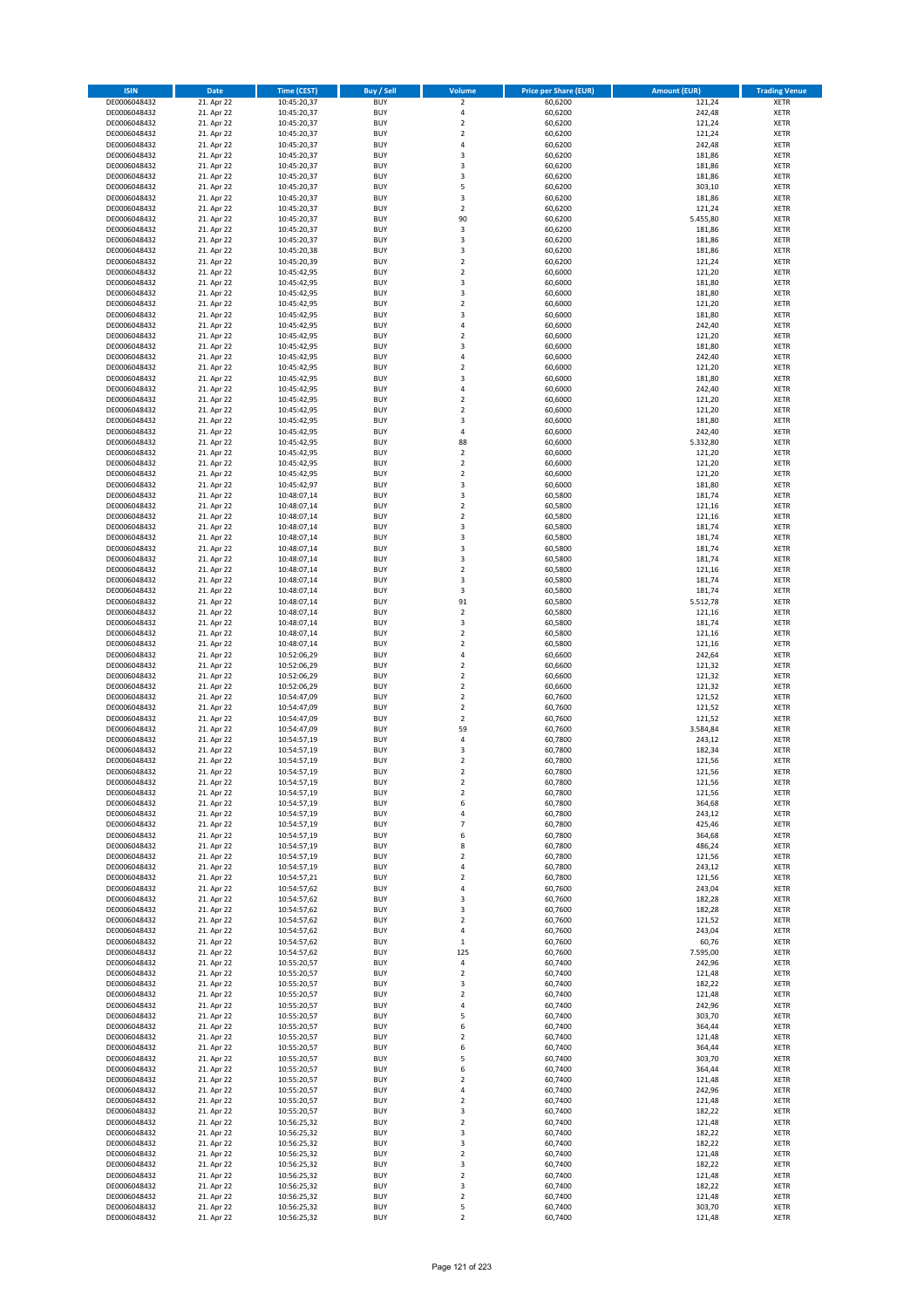| <b>ISIN</b>                  | <b>Date</b>              | <b>Time (CEST)</b>         | <b>Buy / Sell</b>        | Volume                       | <b>Price per Share (EUR)</b> | Amount (EUR)     | <b>Trading Venue</b>       |
|------------------------------|--------------------------|----------------------------|--------------------------|------------------------------|------------------------------|------------------|----------------------------|
| DE0006048432                 | 21. Apr 22               | 10:45:20,37                | <b>BUY</b>               | $\overline{\mathbf{2}}$      | 60,6200                      | 121,24           | <b>XETR</b>                |
| DE0006048432                 | 21. Apr 22               | 10:45:20,37                | <b>BUY</b>               | 4                            | 60,6200                      | 242,48           | <b>XETR</b>                |
| DE0006048432                 | 21. Apr 22               | 10:45:20,37                | <b>BUY</b>               | $\overline{\mathbf{2}}$      | 60,6200                      | 121,24           | <b>XETR</b>                |
| DE0006048432                 | 21. Apr 22               | 10:45:20,37                | <b>BUY</b>               | $\mathbf 2$                  | 60,6200                      | 121,24           | <b>XETR</b>                |
| DE0006048432                 | 21. Apr 22               | 10:45:20,37                | <b>BUY</b>               | $\overline{4}$               | 60,6200                      | 242,48           | <b>XETR</b>                |
| DE0006048432                 | 21. Apr 22               | 10:45:20,37                | <b>BUY</b>               | $\overline{\mathbf{3}}$      | 60,6200                      | 181,86           | <b>XETR</b>                |
| DE0006048432                 | 21. Apr 22               | 10:45:20,37                | <b>BUY</b>               | $\overline{\mathbf{3}}$      | 60,6200                      | 181,86           | <b>XETR</b>                |
| DE0006048432                 | 21. Apr 22               | 10:45:20,37                | <b>BUY</b>               | 3                            | 60,6200                      | 181,86           | <b>XETR</b>                |
| DE0006048432                 | 21. Apr 22               | 10:45:20,37                | BUY                      | 5                            | 60,6200                      | 303,10           | <b>XETR</b>                |
| DE0006048432                 | 21. Apr 22               | 10:45:20,37                | <b>BUY</b>               | 3                            | 60,6200                      | 181,86           | <b>XETR</b>                |
| DE0006048432                 | 21. Apr 22               | 10:45:20,37                | <b>BUY</b>               | $\mathbf 2$                  | 60,6200                      | 121,24           | <b>XETR</b>                |
| DE0006048432                 | 21. Apr 22               | 10:45:20,37                | <b>BUY</b>               | 90                           | 60,6200                      | 5.455,80         | <b>XETR</b>                |
| DE0006048432                 | 21. Apr 22               | 10:45:20,37                | <b>BUY</b><br><b>BUY</b> | 3<br>$\overline{\mathbf{3}}$ | 60,6200                      | 181,86           | <b>XETR</b><br><b>XETR</b> |
| DE0006048432                 | 21. Apr 22<br>21. Apr 22 | 10:45:20,37                | <b>BUY</b>               | 3                            | 60,6200<br>60,6200           | 181,86<br>181,86 | <b>XETR</b>                |
| DE0006048432<br>DE0006048432 | 21. Apr 22               | 10:45:20,38<br>10:45:20,39 | BUY                      | $\overline{2}$               | 60,6200                      | 121,24           | <b>XETR</b>                |
| DE0006048432                 | 21. Apr 22               | 10:45:42,95                | <b>BUY</b>               | $\overline{2}$               | 60,6000                      | 121,20           | <b>XETR</b>                |
| DE0006048432                 | 21. Apr 22               | 10:45:42,95                | <b>BUY</b>               | 3                            | 60,6000                      | 181,80           | <b>XETR</b>                |
| DE0006048432                 | 21. Apr 22               | 10:45:42,95                | <b>BUY</b>               | 3                            | 60.6000                      | 181,80           | <b>XETR</b>                |
| DE0006048432                 | 21. Apr 22               | 10:45:42,95                | <b>BUY</b>               | $\overline{2}$               | 60,6000                      | 121,20           | <b>XETR</b>                |
| DE0006048432                 | 21. Apr 22               | 10:45:42,95                | <b>BUY</b>               | $\overline{\mathbf{3}}$      | 60,6000                      | 181,80           | <b>XETR</b>                |
| DE0006048432                 | 21. Apr 22               | 10:45:42,95                | <b>BUY</b>               | 4                            | 60,6000                      | 242,40           | <b>XETR</b>                |
| DE0006048432                 | 21. Apr 22               | 10:45:42,95                | <b>BUY</b>               | $\overline{2}$               | 60,6000                      | 121,20           | <b>XETR</b>                |
| DE0006048432                 | 21. Apr 22               | 10:45:42,95                | <b>BUY</b>               | 3                            | 60,6000                      | 181,80           | <b>XETR</b>                |
| DE0006048432                 | 21. Apr 22               | 10:45:42,95                | <b>BUY</b>               | 4                            | 60,6000                      | 242,40           | <b>XETR</b>                |
| DE0006048432                 | 21. Apr 22               | 10:45:42,95                | <b>BUY</b>               | $\overline{\mathbf{c}}$      | 60,6000                      | 121,20           | <b>XETR</b>                |
| DE0006048432                 | 21. Apr 22               | 10:45:42,95                | <b>BUY</b>               | $\overline{\mathbf{3}}$      | 60,6000                      | 181,80           | <b>XETR</b>                |
| DE0006048432                 | 21. Apr 22               | 10:45:42,95                | <b>BUY</b>               | $\overline{4}$               | 60,6000                      | 242,40           | <b>XETR</b>                |
| DE0006048432                 | 21. Apr 22               | 10:45:42,95                | <b>BUY</b>               | $\mathbf 2$                  | 60,6000                      | 121,20           | <b>XETR</b>                |
| DE0006048432                 | 21. Apr 22               | 10:45:42,95                | <b>BUY</b>               | $\overline{\mathbf{2}}$      | 60,6000                      | 121,20           | <b>XETR</b>                |
| DE0006048432<br>DE0006048432 | 21. Apr 22<br>21. Apr 22 | 10:45:42,95<br>10:45:42,95 | <b>BUY</b><br><b>BUY</b> | 3<br>4                       | 60,6000<br>60,6000           | 181,80<br>242,40 | <b>XETR</b><br><b>XETR</b> |
| DE0006048432                 | 21. Apr 22               | 10:45:42,95                | <b>BUY</b>               | 88                           | 60,6000                      | 5.332,80         | <b>XETR</b>                |
| DE0006048432                 | 21. Apr 22               | 10:45:42,95                | <b>BUY</b>               | $\mathbf 2$                  | 60,6000                      | 121,20           | <b>XETR</b>                |
| DE0006048432                 | 21. Apr 22               | 10:45:42,95                | <b>BUY</b>               | $\overline{\mathbf{2}}$      | 60,6000                      | 121,20           | <b>XETR</b>                |
| DE0006048432                 | 21. Apr 22               | 10:45:42,95                | <b>BUY</b>               | $\mathbf 2$                  | 60,6000                      | 121,20           | <b>XETR</b>                |
| DE0006048432                 | 21. Apr 22               | 10:45:42,97                | <b>BUY</b>               | $\overline{\mathbf{3}}$      | 60,6000                      | 181,80           | <b>XETR</b>                |
| DE0006048432                 | 21. Apr 22               | 10:48:07,14                | <b>BUY</b>               | 3                            | 60,5800                      | 181,74           | <b>XETR</b>                |
| DE0006048432                 | 21. Apr 22               | 10:48:07,14                | <b>BUY</b>               | $\mathbf 2$                  | 60,5800                      | 121,16           | <b>XETR</b>                |
| DE0006048432                 | 21. Apr 22               | 10:48:07,14                | <b>BUY</b>               | $\mathbf 2$                  | 60,5800                      | 121,16           | <b>XETR</b>                |
| DE0006048432                 | 21. Apr 22               | 10:48:07,14                | <b>BUY</b>               | $\overline{\mathbf{3}}$      | 60,5800                      | 181,74           | <b>XETR</b>                |
| DE0006048432                 | 21. Apr 22               | 10:48:07,14                | <b>BUY</b>               | 3                            | 60,5800                      | 181,74           | <b>XETR</b>                |
| DE0006048432                 | 21. Apr 22               | 10:48:07,14                | <b>BUY</b>               | 3                            | 60,5800                      | 181,74           | <b>XETR</b>                |
| DE0006048432                 | 21. Apr 22               | 10:48:07,14                | <b>BUY</b>               | $\overline{\mathbf{3}}$      | 60,5800                      | 181,74           | <b>XETR</b>                |
| DE0006048432                 | 21. Apr 22               | 10:48:07,14                | <b>BUY</b>               | $\overline{2}$               | 60,5800                      | 121,16           | <b>XETR</b>                |
| DE0006048432                 | 21. Apr 22               | 10:48:07,14                | <b>BUY</b>               | 3                            | 60,5800                      | 181,74           | <b>XETR</b>                |
| DE0006048432                 | 21. Apr 22               | 10:48:07,14                | <b>BUY</b>               | 3                            | 60,5800                      | 181,74           | <b>XETR</b>                |
| DE0006048432                 | 21. Apr 22               | 10:48:07,14                | <b>BUY</b>               | 91                           | 60,5800                      | 5.512,78         | <b>XETR</b>                |
| DE0006048432                 | 21. Apr 22               | 10:48:07,14                | <b>BUY</b><br><b>BUY</b> | $\mathbf 2$<br>3             | 60,5800                      | 121,16<br>181,74 | <b>XETR</b><br><b>XETR</b> |
| DE0006048432<br>DE0006048432 | 21. Apr 22<br>21. Apr 22 | 10:48:07,14<br>10:48:07,14 | <b>BUY</b>               | $\overline{\mathbf{2}}$      | 60,5800<br>60,5800           | 121,16           | <b>XETR</b>                |
| DE0006048432                 | 21. Apr 22               | 10:48:07,14                | <b>BUY</b>               | $\overline{2}$               | 60,5800                      | 121,16           | <b>XETR</b>                |
| DE0006048432                 | 21. Apr 22               | 10:52:06,29                | <b>BUY</b>               | $\overline{4}$               | 60,6600                      | 242,64           | <b>XETR</b>                |
| DE0006048432                 | 21. Apr 22               | 10:52:06,29                | <b>BUY</b>               | $\mathbf 2$                  | 60,6600                      | 121,32           | <b>XETR</b>                |
| DE0006048432                 | 21. Apr 22               | 10:52:06,29                | <b>BUY</b>               | $\overline{\mathbf{2}}$      | 60,6600                      | 121,32           | <b>XETR</b>                |
| DE0006048432                 | 21. Apr 22               | 10:52:06,29                | <b>BUY</b>               | $\overline{2}$               | 60,6600                      | 121,32           | <b>XETR</b>                |
| DE0006048432                 | 21. Apr 22               | 10:54:47,09                | <b>BUY</b>               | $\overline{\mathbf{2}}$      | 60,7600                      | 121,52           | <b>XETR</b>                |
| DE0006048432                 | 21. Apr 22               | 10:54:47,09                | <b>BUY</b>               | $\overline{\mathbf{2}}$      | 60,7600                      | 121,52           | <b>XETR</b>                |
| DE0006048432                 | 21. Apr 22               | 10:54:47,09                | BUY                      | $\overline{2}$               | 60,7600                      | 121,52           | <b>XETR</b>                |
| DE0006048432                 | 21. Apr 22               | 10:54:47,09                | <b>BUY</b>               | 59                           | 60,7600                      | 3.584,84         | <b>XETR</b>                |
| DE0006048432                 | 21. Apr 22               | 10:54:57,19                | <b>BUY</b>               | 4                            | 60,7800                      | 243,12           | <b>XETR</b>                |
| DE0006048432                 | 21. Apr 22               | 10:54:57,19                | BUY                      | 3                            | 60,7800                      | 182,34           | <b>XETR</b>                |
| DE0006048432                 | 21. Apr 22               | 10:54:57,19                | BUY                      | $\overline{2}$               | 60,7800                      | 121,56           | <b>XETR</b>                |
| DE0006048432                 | 21. Apr 22               | 10:54:57,19                | <b>BUY</b>               | $\overline{2}$               | 60,7800                      | 121,56           | <b>XETR</b>                |
| DE0006048432                 | 21. Apr 22               | 10:54:57,19                | <b>BUY</b>               | 2                            | 60,7800                      | 121,56           | <b>XETR</b>                |
| DE0006048432                 | 21. Apr 22               | 10:54:57,19                | <b>BUY</b>               | $\mathbf 2$                  | 60,7800                      | 121,56           | <b>XETR</b>                |
| DE0006048432                 | 21. Apr 22               | 10:54:57,19                | <b>BUY</b>               | 6                            | 60,7800                      | 364,68           | <b>XETR</b>                |
| DE0006048432                 | 21. Apr 22               | 10:54:57,19                | <b>BUY</b>               | 4                            | 60,7800                      | 243,12           | <b>XETR</b>                |
| DE0006048432                 | 21. Apr 22               | 10:54:57,19                | <b>BUY</b>               | $\overline{7}$<br>6          | 60,7800                      | 425,46           | <b>XETR</b>                |
| DE0006048432<br>DE0006048432 | 21. Apr 22               | 10:54:57,19                | <b>BUY</b><br><b>BUY</b> | 8                            | 60,7800<br>60,7800           | 364,68<br>486,24 | <b>XETR</b><br><b>XETR</b> |
| DE0006048432                 | 21. Apr 22<br>21. Apr 22 | 10:54:57,19                | <b>BUY</b>               | $\overline{\mathbf{2}}$      | 60,7800                      | 121,56           |                            |
| DE0006048432                 | 21. Apr 22               | 10:54:57,19<br>10:54:57,19 | <b>BUY</b>               | $\overline{a}$               | 60,7800                      | 243,12           | <b>XETR</b><br><b>XETR</b> |
| DE0006048432                 | 21. Apr 22               | 10:54:57,21                | <b>BUY</b>               | 2                            | 60,7800                      | 121,56           | <b>XETR</b>                |
| DE0006048432                 | 21. Apr 22               | 10:54:57,62                | <b>BUY</b>               | 4                            | 60,7600                      | 243,04           | <b>XETR</b>                |
| DE0006048432                 | 21. Apr 22               | 10:54:57,62                | <b>BUY</b>               | 3                            | 60,7600                      | 182,28           | <b>XETR</b>                |
| DE0006048432                 | 21. Apr 22               | 10:54:57,62                | <b>BUY</b>               | 3                            | 60,7600                      | 182,28           | <b>XETR</b>                |
| DE0006048432                 | 21. Apr 22               | 10:54:57,62                | <b>BUY</b>               | 2                            | 60,7600                      | 121,52           | <b>XETR</b>                |
| DE0006048432                 | 21. Apr 22               | 10:54:57,62                | <b>BUY</b>               | 4                            | 60,7600                      | 243,04           | <b>XETR</b>                |
| DE0006048432                 | 21. Apr 22               | 10:54:57,62                | <b>BUY</b>               | $\mathbf 1$                  | 60,7600                      | 60,76            | <b>XETR</b>                |
| DE0006048432                 | 21. Apr 22               | 10:54:57,62                | <b>BUY</b>               | 125                          | 60,7600                      | 7.595,00         | <b>XETR</b>                |
| DE0006048432                 | 21. Apr 22               | 10:55:20,57                | <b>BUY</b>               | 4                            | 60,7400                      | 242,96           | <b>XETR</b>                |
| DE0006048432                 | 21. Apr 22               | 10:55:20,57                | <b>BUY</b>               | $\mathbf 2$                  | 60,7400                      | 121,48           | <b>XETR</b>                |
| DE0006048432                 | 21. Apr 22               | 10:55:20,57                | <b>BUY</b>               | 3                            | 60,7400                      | 182,22           | <b>XETR</b>                |
| DE0006048432                 | 21. Apr 22               | 10:55:20,57                | <b>BUY</b>               | $\overline{2}$               | 60,7400                      | 121,48           | <b>XETR</b>                |
| DE0006048432<br>DE0006048432 | 21. Apr 22<br>21. Apr 22 | 10:55:20,57<br>10:55:20,57 | <b>BUY</b><br><b>BUY</b> | 4<br>5                       | 60,7400<br>60,7400           | 242,96<br>303,70 | <b>XETR</b><br><b>XETR</b> |
| DE0006048432                 | 21. Apr 22               | 10:55:20,57                | <b>BUY</b>               | 6                            | 60,7400                      | 364,44           | <b>XETR</b>                |
| DE0006048432                 | 21. Apr 22               | 10:55:20,57                | <b>BUY</b>               | $\mathbf 2$                  | 60,7400                      | 121,48           | <b>XETR</b>                |
| DE0006048432                 | 21. Apr 22               | 10:55:20,57                | <b>BUY</b>               | 6                            | 60,7400                      | 364,44           | <b>XETR</b>                |
| DE0006048432                 | 21. Apr 22               | 10:55:20,57                | <b>BUY</b>               | 5                            | 60,7400                      | 303,70           | <b>XETR</b>                |
| DE0006048432                 | 21. Apr 22               | 10:55:20,57                | <b>BUY</b>               | 6                            | 60,7400                      | 364,44           | <b>XETR</b>                |
| DE0006048432                 | 21. Apr 22               | 10:55:20,57                | <b>BUY</b>               | 2                            | 60,7400                      | 121,48           | <b>XETR</b>                |
| DE0006048432                 | 21. Apr 22               | 10:55:20,57                | <b>BUY</b>               | 4                            | 60,7400                      | 242,96           | <b>XETR</b>                |
| DE0006048432                 | 21. Apr 22               | 10:55:20,57                | <b>BUY</b>               | $\mathbf 2$                  | 60,7400                      | 121,48           | <b>XETR</b>                |
| DE0006048432                 | 21. Apr 22               | 10:55:20,57                | <b>BUY</b>               | 3                            | 60,7400                      | 182,22           | <b>XETR</b>                |
| DE0006048432                 | 21. Apr 22               | 10:56:25,32                | <b>BUY</b>               | $\mathbf 2$                  | 60,7400                      | 121,48           | <b>XETR</b>                |
| DE0006048432                 | 21. Apr 22               | 10:56:25,32                | <b>BUY</b>               | $\overline{\mathbf{3}}$      | 60,7400                      | 182,22           | <b>XETR</b>                |
| DE0006048432                 | 21. Apr 22               | 10:56:25,32                | <b>BUY</b>               | 3                            | 60,7400                      | 182,22           | <b>XETR</b>                |
| DE0006048432                 | 21. Apr 22               | 10:56:25,32                | <b>BUY</b>               | $\mathbf 2$                  | 60,7400                      | 121,48           | <b>XETR</b>                |
| DE0006048432                 | 21. Apr 22               | 10:56:25,32                | <b>BUY</b>               | 3                            | 60,7400                      | 182,22           | <b>XETR</b>                |
| DE0006048432                 | 21. Apr 22               | 10:56:25,32                | <b>BUY</b>               | $\mathbf 2$                  | 60,7400                      | 121,48           | <b>XETR</b>                |
| DE0006048432                 | 21. Apr 22               | 10:56:25,32                | <b>BUY</b>               | 3                            | 60,7400                      | 182,22           | <b>XETR</b>                |
| DE0006048432                 | 21. Apr 22               | 10:56:25,32                | <b>BUY</b>               | $\mathbf 2$                  | 60,7400                      | 121,48           | <b>XETR</b>                |
| DE0006048432                 | 21. Apr 22               | 10:56:25,32                | <b>BUY</b>               | 5                            | 60,7400                      | 303,70           | <b>XETR</b>                |
| DE0006048432                 | 21. Apr 22               | 10:56:25,32                | <b>BUY</b>               | $\mathbf 2$                  | 60,7400                      | 121,48           | <b>XETR</b>                |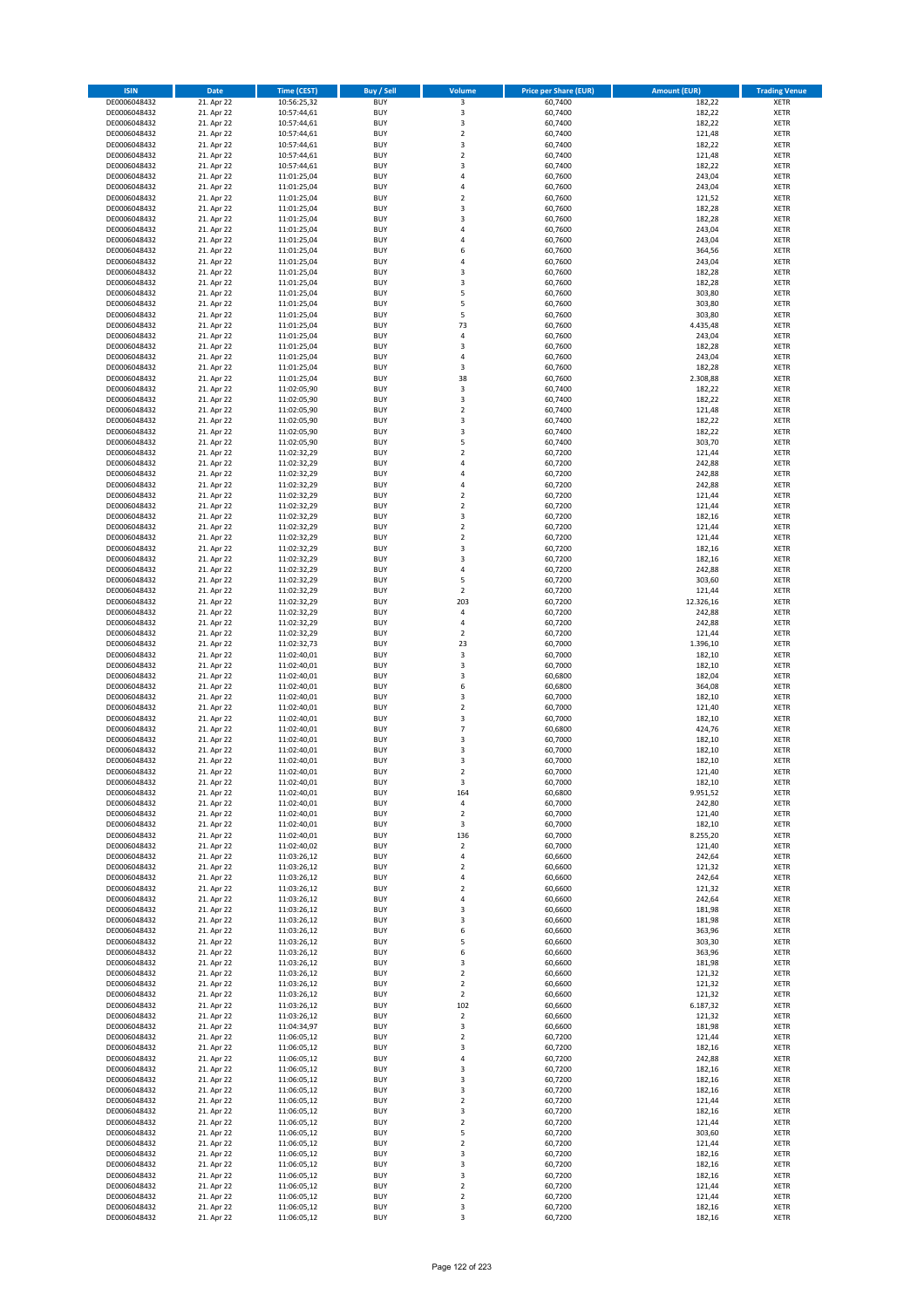| <b>ISIN</b>                  | <b>Date</b>              | Time (CEST)                | <b>Buy / Sell</b>        | Volume                                    | <b>Price per Share (EUR)</b> | <b>Amount (EUR)</b> | <b>Trading Venue</b>       |
|------------------------------|--------------------------|----------------------------|--------------------------|-------------------------------------------|------------------------------|---------------------|----------------------------|
| DE0006048432                 | 21. Apr 22               | 10:56:25,32                | <b>BUY</b>               | $\overline{\mathbf{3}}$                   | 60,7400                      | 182,22              | <b>XETR</b>                |
| DE0006048432                 | 21. Apr 22               | 10:57:44,61                | <b>BUY</b>               | 3                                         | 60,7400                      | 182,22              | <b>XETR</b>                |
| DE0006048432                 | 21. Apr 22               | 10:57:44,61                | <b>BUY</b>               | $\overline{\mathbf{3}}$                   | 60,7400                      | 182,22              | <b>XETR</b>                |
| DE0006048432                 | 21. Apr 22               | 10:57:44,61                | <b>BUY</b>               | $\mathbf 2$                               | 60,7400                      | 121,48              | <b>XETR</b>                |
| DE0006048432<br>DE0006048432 | 21. Apr 22<br>21. Apr 22 | 10:57:44,61<br>10:57:44,61 | <b>BUY</b><br><b>BUY</b> | 3<br>$\mathbf 2$                          | 60,7400<br>60,7400           | 182,22<br>121,48    | <b>XETR</b><br><b>XETR</b> |
| DE0006048432                 | 21. Apr 22               | 10:57:44,61                | <b>BUY</b>               | 3                                         | 60,7400                      | 182,22              | <b>XETR</b>                |
| DE0006048432                 | 21. Apr 22               | 11:01:25,04                | <b>BUY</b>               | 4                                         | 60,7600                      | 243,04              | <b>XETR</b>                |
| DE0006048432                 | 21. Apr 22               | 11:01:25,04                | <b>BUY</b>               | $\overline{a}$                            | 60,7600                      | 243,04              | <b>XETR</b>                |
| DE0006048432                 | 21. Apr 22               | 11:01:25,04                | <b>BUY</b>               | $\overline{2}$                            | 60,7600                      | 121,52              | <b>XETR</b>                |
| DE0006048432                 | 21. Apr 22               | 11:01:25,04                | <b>BUY</b>               | 3                                         | 60,7600                      | 182,28              | <b>XETR</b>                |
| DE0006048432                 | 21. Apr 22               | 11:01:25,04                | <b>BUY</b>               | $\overline{\mathbf{3}}$<br>$\overline{a}$ | 60,7600                      | 182,28              | <b>XETR</b>                |
| DE0006048432<br>DE0006048432 | 21. Apr 22<br>21. Apr 22 | 11:01:25,04<br>11:01:25,04 | <b>BUY</b><br><b>BUY</b> | $\overline{a}$                            | 60,7600<br>60,7600           | 243,04<br>243,04    | <b>XETR</b><br><b>XETR</b> |
| DE0006048432                 | 21. Apr 22               | 11:01:25,04                | <b>BUY</b>               | 6                                         | 60,7600                      | 364,56              | <b>XETR</b>                |
| DE0006048432                 | 21. Apr 22               | 11:01:25,04                | <b>BUY</b>               | $\overline{a}$                            | 60,7600                      | 243,04              | <b>XETR</b>                |
| DE0006048432                 | 21. Apr 22               | 11:01:25,04                | <b>BUY</b>               | $\overline{\mathbf{3}}$                   | 60,7600                      | 182,28              | <b>XETR</b>                |
| DE0006048432                 | 21. Apr 22               | 11:01:25,04                | <b>BUY</b>               | 3                                         | 60,7600                      | 182,28              | <b>XETR</b>                |
| DE0006048432                 | 21. Apr 22               | 11:01:25.04                | <b>BUY</b>               | 5                                         | 60,7600                      | 303,80              | <b>XETR</b>                |
| DE0006048432<br>DE0006048432 | 21. Apr 22<br>21. Apr 22 | 11:01:25,04<br>11:01:25,04 | <b>BUY</b><br><b>BUY</b> | 5<br>5                                    | 60,7600<br>60,7600           | 303,80<br>303,80    | <b>XETR</b><br><b>XETR</b> |
| DE0006048432                 | 21. Apr 22               | 11:01:25,04                | <b>BUY</b>               | 73                                        | 60,7600                      | 4.435,48            | <b>XETR</b>                |
| DE0006048432                 | 21. Apr 22               | 11:01:25,04                | <b>BUY</b>               | $\overline{a}$                            | 60,7600                      | 243,04              | <b>XETR</b>                |
| DE0006048432                 | 21. Apr 22               | 11:01:25,04                | <b>BUY</b>               | $\overline{\mathbf{3}}$                   | 60,7600                      | 182,28              | <b>XETR</b>                |
| DE0006048432                 | 21. Apr 22               | 11:01:25,04                | <b>BUY</b>               | 4                                         | 60,7600                      | 243,04              | <b>XETR</b>                |
| DE0006048432                 | 21. Apr 22               | 11:01:25,04                | <b>BUY</b>               | $\overline{\mathbf{3}}$                   | 60,7600                      | 182,28              | <b>XETR</b>                |
| DE0006048432<br>DE0006048432 | 21. Apr 22               | 11:01:25,04                | <b>BUY</b><br><b>BUY</b> | 38<br>3                                   | 60,7600                      | 2.308,88            | <b>XETR</b><br><b>XETR</b> |
| DE0006048432                 | 21. Apr 22<br>21. Apr 22 | 11:02:05,90<br>11:02:05,90 | <b>BUY</b>               | 3                                         | 60,7400<br>60,7400           | 182,22<br>182,22    | <b>XETR</b>                |
| DE0006048432                 | 21. Apr 22               | 11:02:05,90                | <b>BUY</b>               | $\overline{\mathbf{2}}$                   | 60,7400                      | 121,48              | <b>XETR</b>                |
| DE0006048432                 | 21. Apr 22               | 11:02:05,90                | <b>BUY</b>               | 3                                         | 60,7400                      | 182,22              | <b>XETR</b>                |
| DE0006048432                 | 21. Apr 22               | 11:02:05,90                | <b>BUY</b>               | 3                                         | 60,7400                      | 182,22              | <b>XETR</b>                |
| DE0006048432                 | 21. Apr 22               | 11:02:05,90                | <b>BUY</b>               | 5                                         | 60,7400                      | 303,70              | <b>XETR</b>                |
| DE0006048432                 | 21. Apr 22               | 11:02:32,29                | <b>BUY</b>               | $\overline{\mathbf{2}}$                   | 60,7200                      | 121,44              | <b>XETR</b>                |
| DE0006048432<br>DE0006048432 | 21. Apr 22<br>21. Apr 22 | 11:02:32,29<br>11:02:32,29 | <b>BUY</b><br><b>BUY</b> | $\overline{4}$<br>$\overline{4}$          | 60,7200<br>60,7200           | 242,88<br>242,88    | <b>XETR</b><br><b>XETR</b> |
| DE0006048432                 | 21. Apr 22               | 11:02:32,29                | <b>BUY</b>               | $\overline{a}$                            | 60,7200                      | 242,88              | <b>XETR</b>                |
| DE0006048432                 | 21. Apr 22               | 11:02:32,29                | <b>BUY</b>               | $\mathbf 2$                               | 60,7200                      | 121,44              | <b>XETR</b>                |
| DE0006048432                 | 21. Apr 22               | 11:02:32,29                | <b>BUY</b>               | $\mathbf 2$                               | 60,7200                      | 121,44              | <b>XETR</b>                |
| DE0006048432                 | 21. Apr 22               | 11:02:32,29                | <b>BUY</b>               | 3                                         | 60,7200                      | 182,16              | <b>XETR</b>                |
| DE0006048432                 | 21. Apr 22               | 11:02:32,29                | <b>BUY</b>               | $\overline{2}$                            | 60,7200                      | 121,44              | <b>XETR</b>                |
| DE0006048432                 | 21. Apr 22               | 11:02:32,29                | <b>BUY</b><br><b>BUY</b> | $\mathbf 2$<br>$\overline{\mathbf{3}}$    | 60,7200                      | 121,44              | <b>XETR</b>                |
| DE0006048432<br>DE0006048432 | 21. Apr 22<br>21. Apr 22 | 11:02:32,29<br>11:02:32,29 | <b>BUY</b>               | $\overline{\mathbf{3}}$                   | 60,7200<br>60,7200           | 182,16<br>182,16    | <b>XETR</b><br><b>XETR</b> |
| DE0006048432                 | 21. Apr 22               | 11:02:32,29                | <b>BUY</b>               | $\overline{a}$                            | 60,7200                      | 242,88              | <b>XETR</b>                |
| DE0006048432                 | 21. Apr 22               | 11:02:32,29                | <b>BUY</b>               | 5                                         | 60,7200                      | 303,60              | <b>XETR</b>                |
| DE0006048432                 | 21. Apr 22               | 11:02:32,29                | <b>BUY</b>               | $\mathbf 2$                               | 60,7200                      | 121,44              | <b>XETR</b>                |
| DE0006048432                 | 21. Apr 22               | 11:02:32,29                | <b>BUY</b>               | 203                                       | 60,7200                      | 12.326,16           | <b>XETR</b>                |
| DE0006048432<br>DE0006048432 | 21. Apr 22<br>21. Apr 22 | 11:02:32,29<br>11:02:32,29 | <b>BUY</b><br><b>BUY</b> | 4<br>$\overline{a}$                       | 60,7200<br>60,7200           | 242,88<br>242,88    | <b>XETR</b><br><b>XETR</b> |
| DE0006048432                 | 21. Apr 22               | 11:02:32,29                | <b>BUY</b>               | $\overline{2}$                            | 60,7200                      | 121,44              | <b>XETR</b>                |
| DE0006048432                 | 21. Apr 22               | 11:02:32,73                | <b>BUY</b>               | 23                                        | 60,7000                      | 1.396,10            | <b>XETR</b>                |
| DE0006048432                 | 21. Apr 22               | 11:02:40,01                | <b>BUY</b>               | 3                                         | 60,7000                      | 182,10              | <b>XETR</b>                |
| DE0006048432                 | 21. Apr 22               | 11:02:40,01                | <b>BUY</b>               | $\mathsf 3$                               | 60,7000                      | 182,10              | <b>XETR</b>                |
| DE0006048432                 | 21. Apr 22               | 11:02:40,01                | <b>BUY</b>               | $\overline{\mathbf{3}}$                   | 60,6800                      | 182,04              | <b>XETR</b>                |
| DE0006048432                 | 21. Apr 22               | 11:02:40,01                | <b>BUY</b>               | 6                                         | 60,6800                      | 364,08              | <b>XETR</b>                |
| DE0006048432<br>DE0006048432 | 21. Apr 22<br>21. Apr 22 | 11:02:40,01<br>11:02:40,01 | <b>BUY</b><br><b>BUY</b> | $\overline{\mathbf{3}}$<br>$\overline{2}$ | 60,7000<br>60,7000           | 182,10<br>121,40    | <b>XETR</b><br><b>XETR</b> |
| DE0006048432                 | 21. Apr 22               | 11:02:40,01                | BUY                      | 3                                         | 60,7000                      | 182,10              | <b>XETR</b>                |
| DE0006048432                 | 21. Apr 22               | 11:02:40,01                | <b>BUY</b>               | $\overline{7}$                            | 60,6800                      | 424,76              | <b>XETR</b>                |
| DE0006048432                 | 21. Apr 22               | 11:02:40,01                | <b>BUY</b>               | 3                                         | 60,7000                      | 182,10              | <b>XETR</b>                |
| DE0006048432                 | 21. Apr 22               | 11:02:40.01                | BUY                      | $\overline{\mathbf{3}}$                   | 60,7000                      | 182,10              | <b>XETR</b>                |
| DE0006048432                 | 21. Apr 22               | 11:02:40,01                | BUY                      | $\overline{\mathbf{3}}$                   | 60,7000                      | 182,10              | <b>XETR</b>                |
| DE0006048432                 | 21. Apr 22               | 11:02:40,01<br>11:02:40,01 | <b>BUY</b>               | $\overline{2}$                            | 60,7000<br>60,7000           | 121,40<br>182,10    | <b>XETR</b>                |
| DE0006048432<br>DE0006048432 | 21. Apr 22<br>21. Apr 22 | 11:02:40,01                | <b>BUY</b><br><b>BUY</b> | 3<br>164                                  | 60,6800                      | 9.951,52            | <b>XETR</b><br><b>XETR</b> |
| DE0006048432                 | 21. Apr 22               | 11:02:40,01                | <b>BUY</b>               | 4                                         | 60,7000                      | 242,80              | <b>XETR</b>                |
| DE0006048432                 | 21. Apr 22               | 11:02:40,01                | <b>BUY</b>               | $\mathbf 2$                               | 60,7000                      | 121,40              | <b>XETR</b>                |
| DE0006048432                 | 21. Apr 22               | 11:02:40,01                | <b>BUY</b>               | 3                                         | 60,7000                      | 182,10              | <b>XETR</b>                |
| DE0006048432                 | 21. Apr 22               | 11:02:40,01                | <b>BUY</b>               | 136                                       | 60,7000                      | 8.255,20            | <b>XETR</b>                |
| DE0006048432                 | 21. Apr 22               | 11:02:40,02                | <b>BUY</b>               | 2                                         | 60,7000                      | 121,40              | <b>XETR</b>                |
| DE0006048432<br>DE0006048432 | 21. Apr 22<br>21. Apr 22 | 11:03:26,12<br>11:03:26,12 | <b>BUY</b><br><b>BUY</b> | 4<br>$\mathbf 2$                          | 60,6600<br>60,6600           | 242,64<br>121,32    | <b>XETR</b><br><b>XETR</b> |
| DE0006048432                 | 21. Apr 22               | 11:03:26,12                | <b>BUY</b>               | 4                                         | 60,6600                      | 242,64              | <b>XETR</b>                |
| DE0006048432                 | 21. Apr 22               | 11:03:26,12                | <b>BUY</b>               | $\mathbf 2$                               | 60,6600                      | 121,32              | <b>XETR</b>                |
| DE0006048432                 | 21. Apr 22               | 11:03:26,12                | <b>BUY</b>               | $\overline{4}$                            | 60,6600                      | 242,64              | <b>XETR</b>                |
| DE0006048432                 | 21. Apr 22               | 11:03:26,12                | <b>BUY</b>               | 3                                         | 60,6600                      | 181,98              | <b>XETR</b>                |
| DE0006048432                 | 21. Apr 22               | 11:03:26,12                | <b>BUY</b>               | $\overline{\mathbf{3}}$                   | 60,6600                      | 181,98              | <b>XETR</b>                |
| DE0006048432<br>DE0006048432 | 21. Apr 22<br>21. Apr 22 | 11:03:26,12<br>11:03:26,12 | <b>BUY</b><br><b>BUY</b> | 6<br>5                                    | 60,6600<br>60,6600           | 363,96<br>303,30    | <b>XETR</b><br><b>XETR</b> |
| DE0006048432                 | 21. Apr 22               | 11:03:26,12                | <b>BUY</b>               | 6                                         | 60,6600                      | 363,96              | <b>XETR</b>                |
| DE0006048432                 | 21. Apr 22               | 11:03:26,12                | <b>BUY</b>               | 3                                         | 60,6600                      | 181,98              | <b>XETR</b>                |
| DE0006048432                 | 21. Apr 22               | 11:03:26,12                | <b>BUY</b>               | $\mathbf 2$                               | 60,6600                      | 121,32              | <b>XETR</b>                |
| DE0006048432                 | 21. Apr 22               | 11:03:26,12                | <b>BUY</b>               | $\mathbf 2$                               | 60,6600                      | 121,32              | <b>XETR</b>                |
| DE0006048432                 | 21. Apr 22               | 11:03:26,12                | <b>BUY</b>               | $\overline{2}$                            | 60,6600                      | 121,32              | <b>XETR</b>                |
| DE0006048432<br>DE0006048432 | 21. Apr 22<br>21. Apr 22 | 11:03:26,12<br>11:03:26,12 | <b>BUY</b><br><b>BUY</b> | 102<br>$\overline{2}$                     | 60,6600<br>60,6600           | 6.187,32<br>121,32  | <b>XETR</b><br><b>XETR</b> |
| DE0006048432                 | 21. Apr 22               | 11:04:34,97                | <b>BUY</b>               | 3                                         | 60,6600                      | 181,98              | <b>XETR</b>                |
| DE0006048432                 | 21. Apr 22               | 11:06:05,12                | <b>BUY</b>               | $\mathbf 2$                               | 60,7200                      | 121,44              | <b>XETR</b>                |
| DE0006048432                 | 21. Apr 22               | 11:06:05,12                | <b>BUY</b>               | 3                                         | 60,7200                      | 182,16              | <b>XETR</b>                |
| DE0006048432                 | 21. Apr 22               | 11:06:05,12                | <b>BUY</b>               | 4                                         | 60,7200                      | 242,88              | <b>XETR</b>                |
| DE0006048432                 | 21. Apr 22               | 11:06:05,12                | <b>BUY</b>               | $\overline{\mathbf{3}}$                   | 60,7200                      | 182,16              | <b>XETR</b>                |
| DE0006048432<br>DE0006048432 | 21. Apr 22<br>21. Apr 22 | 11:06:05,12<br>11:06:05,12 | <b>BUY</b><br><b>BUY</b> | 3<br>$\overline{\mathbf{3}}$              | 60,7200<br>60,7200           | 182,16<br>182,16    | <b>XETR</b><br><b>XETR</b> |
| DE0006048432                 | 21. Apr 22               | 11:06:05,12                | <b>BUY</b>               | $\mathbf 2$                               | 60,7200                      | 121,44              | <b>XETR</b>                |
| DE0006048432                 | 21. Apr 22               | 11:06:05,12                | <b>BUY</b>               | 3                                         | 60,7200                      | 182,16              | <b>XETR</b>                |
| DE0006048432                 | 21. Apr 22               | 11:06:05,12                | <b>BUY</b>               | $\mathbf 2$                               | 60,7200                      | 121,44              | <b>XETR</b>                |
| DE0006048432                 | 21. Apr 22               | 11:06:05,12                | <b>BUY</b>               | 5                                         | 60,7200                      | 303,60              | <b>XETR</b>                |
| DE0006048432                 | 21. Apr 22               | 11:06:05,12                | <b>BUY</b>               | $\mathbf 2$                               | 60,7200                      | 121,44              | <b>XETR</b>                |
| DE0006048432                 | 21. Apr 22               | 11:06:05,12                | <b>BUY</b>               | 3                                         | 60,7200                      | 182,16              | <b>XETR</b>                |
| DE0006048432<br>DE0006048432 | 21. Apr 22<br>21. Apr 22 | 11:06:05,12<br>11:06:05,12 | <b>BUY</b><br><b>BUY</b> | $\overline{\mathbf{3}}$<br>3              | 60,7200<br>60,7200           | 182,16<br>182,16    | <b>XETR</b><br><b>XETR</b> |
| DE0006048432                 | 21. Apr 22               | 11:06:05,12                | <b>BUY</b>               | $\mathbf 2$                               | 60,7200                      | 121,44              | <b>XETR</b>                |
| DE0006048432                 | 21. Apr 22               | 11:06:05,12                | <b>BUY</b>               | $\mathbf 2$                               | 60,7200                      | 121,44              | <b>XETR</b>                |
| DE0006048432                 | 21. Apr 22               | 11:06:05,12                | <b>BUY</b>               | 3                                         | 60,7200                      | 182,16              | <b>XETR</b>                |
| DE0006048432                 | 21. Apr 22               | 11:06:05,12                | <b>BUY</b>               | 3                                         | 60,7200                      | 182,16              | <b>XETR</b>                |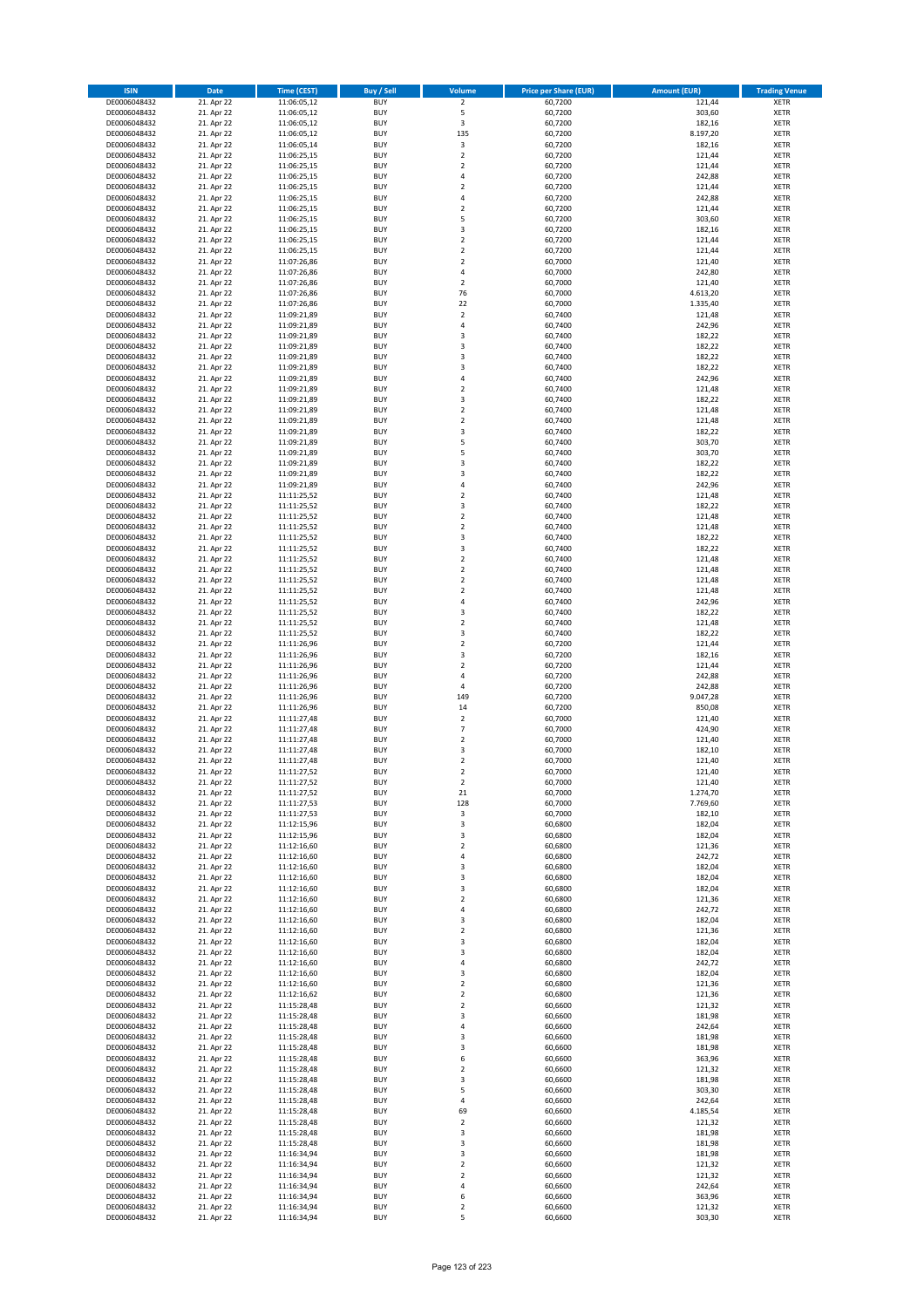| <b>ISIN</b>                  | <b>Date</b>              | Time (CEST)                | <b>Buy / Sell</b>        | Volume                       | <b>Price per Share (EUR)</b> | <b>Amount (EUR)</b> | <b>Trading Venue</b>       |
|------------------------------|--------------------------|----------------------------|--------------------------|------------------------------|------------------------------|---------------------|----------------------------|
| DE0006048432                 | 21. Apr 22               | 11:06:05,12                | <b>BUY</b>               | $\overline{2}$               | 60,7200                      | 121,44              | <b>XETR</b>                |
| DE0006048432                 | 21. Apr 22               | 11:06:05,12                | <b>BUY</b>               | 5                            | 60,7200                      | 303,60              | <b>XETR</b>                |
| DE0006048432                 | 21. Apr 22               | 11:06:05,12                | <b>BUY</b>               | 3                            | 60,7200                      | 182,16              | <b>XETR</b>                |
| DE0006048432<br>DE0006048432 | 21. Apr 22<br>21. Apr 22 | 11:06:05,12<br>11:06:05,14 | <b>BUY</b><br><b>BUY</b> | 135<br>3                     | 60,7200<br>60,7200           | 8.197,20<br>182,16  | <b>XETR</b><br><b>XETR</b> |
| DE0006048432                 | 21. Apr 22               | 11:06:25,15                | <b>BUY</b>               | $\mathbf 2$                  | 60,7200                      | 121,44              | <b>XETR</b>                |
| DE0006048432                 | 21. Apr 22               | 11:06:25,15                | <b>BUY</b>               | $\mathbf 2$                  | 60,7200                      | 121,44              | <b>XETR</b>                |
| DE0006048432                 | 21. Apr 22               | 11:06:25,15                | <b>BUY</b>               | 4                            | 60,7200                      | 242,88              | <b>XETR</b>                |
| DE0006048432                 | 21. Apr 22               | 11:06:25,15                | <b>BUY</b>               | $\overline{2}$               | 60,7200                      | 121,44              | <b>XETR</b>                |
| DE0006048432                 | 21. Apr 22               | 11:06:25,15                | <b>BUY</b><br><b>BUY</b> | 4                            | 60,7200                      | 242,88              | <b>XETR</b><br><b>XETR</b> |
| DE0006048432<br>DE0006048432 | 21. Apr 22<br>21. Apr 22 | 11:06:25,15<br>11:06:25,15 | <b>BUY</b>               | $\mathbf 2$<br>5             | 60,7200<br>60,7200           | 121,44<br>303,60    | <b>XETR</b>                |
| DE0006048432                 | 21. Apr 22               | 11:06:25,15                | <b>BUY</b>               | 3                            | 60,7200                      | 182,16              | <b>XETR</b>                |
| DE0006048432                 | 21. Apr 22               | 11:06:25,15                | <b>BUY</b>               | $\overline{2}$               | 60,7200                      | 121,44              | <b>XETR</b>                |
| DE0006048432                 | 21. Apr 22               | 11:06:25,15                | <b>BUY</b>               | $\mathbf 2$                  | 60,7200                      | 121,44              | <b>XETR</b>                |
| DE0006048432                 | 21. Apr 22               | 11:07:26,86                | <b>BUY</b>               | $\mathbf 2$                  | 60,7000                      | 121,40              | <b>XETR</b>                |
| DE0006048432<br>DE0006048432 | 21. Apr 22<br>21. Apr 22 | 11:07:26,86<br>11:07:26,86 | <b>BUY</b><br><b>BUY</b> | 4<br>$\mathbf 2$             | 60,7000<br>60,7000           | 242,80<br>121,40    | <b>XETR</b><br><b>XETR</b> |
| DE0006048432                 | 21. Apr 22               | 11:07:26,86                | <b>BUY</b>               | 76                           | 60,7000                      | 4.613,20            | <b>XETR</b>                |
| DE0006048432                 | 21. Apr 22               | 11:07:26,86                | <b>BUY</b>               | 22                           | 60,7000                      | 1.335,40            | <b>XETR</b>                |
| DE0006048432                 | 21. Apr 22               | 11:09:21,89                | <b>BUY</b>               | $\overline{\mathbf{c}}$      | 60,7400                      | 121,48              | <b>XETR</b>                |
| DE0006048432                 | 21. Apr 22               | 11:09:21,89                | <b>BUY</b>               | 4                            | 60,7400                      | 242,96              | <b>XETR</b>                |
| DE0006048432                 | 21. Apr 22               | 11:09:21,89                | <b>BUY</b>               | 3                            | 60,7400                      | 182,22              | <b>XETR</b>                |
| DE0006048432<br>DE0006048432 | 21. Apr 22<br>21. Apr 22 | 11:09:21,89<br>11:09:21,89 | <b>BUY</b><br><b>BUY</b> | 3<br>3                       | 60,7400<br>60,7400           | 182,22<br>182,22    | <b>XETR</b><br><b>XETR</b> |
| DE0006048432                 | 21. Apr 22               | 11:09:21,89                | <b>BUY</b>               | 3                            | 60,7400                      | 182,22              | <b>XETR</b>                |
| DE0006048432                 | 21. Apr 22               | 11:09:21,89                | <b>BUY</b>               | 4                            | 60,7400                      | 242,96              | <b>XETR</b>                |
| DE0006048432                 | 21. Apr 22               | 11:09:21,89                | <b>BUY</b>               | $\overline{\mathbf{c}}$      | 60,7400                      | 121,48              | <b>XETR</b>                |
| DE0006048432                 | 21. Apr 22               | 11:09:21,89                | <b>BUY</b>               | 3<br>$\mathbf 2$             | 60,7400                      | 182,22              | <b>XETR</b>                |
| DE0006048432<br>DE0006048432 | 21. Apr 22<br>21. Apr 22 | 11:09:21,89<br>11:09:21,89 | <b>BUY</b><br><b>BUY</b> | $\overline{a}$               | 60,7400<br>60,7400           | 121,48<br>121,48    | <b>XETR</b><br><b>XETR</b> |
| DE0006048432                 | 21. Apr 22               | 11:09:21,89                | <b>BUY</b>               | 3                            | 60,7400                      | 182,22              | <b>XETR</b>                |
| DE0006048432                 | 21. Apr 22               | 11:09:21,89                | <b>BUY</b>               | 5                            | 60,7400                      | 303,70              | <b>XETR</b>                |
| DE0006048432                 | 21. Apr 22               | 11:09:21,89                | <b>BUY</b>               | 5                            | 60,7400                      | 303,70              | <b>XETR</b>                |
| DE0006048432                 | 21. Apr 22               | 11:09:21.89                | <b>BUY</b>               | 3                            | 60,7400                      | 182,22              | <b>XETR</b>                |
| DE0006048432<br>DE0006048432 | 21. Apr 22<br>21. Apr 22 | 11:09:21,89<br>11:09:21,89 | <b>BUY</b><br><b>BUY</b> | 3<br>4                       | 60,7400<br>60,7400           | 182,22<br>242,96    | <b>XETR</b><br><b>XETR</b> |
| DE0006048432                 | 21. Apr 22               | 11:11:25,52                | <b>BUY</b>               | $\mathbf 2$                  | 60,7400                      | 121,48              | <b>XETR</b>                |
| DE0006048432                 | 21. Apr 22               | 11:11:25,52                | <b>BUY</b>               | 3                            | 60,7400                      | 182,22              | <b>XETR</b>                |
| DE0006048432                 | 21. Apr 22               | 11:11:25,52                | <b>BUY</b>               | $\mathbf 2$                  | 60,7400                      | 121,48              | <b>XETR</b>                |
| DE0006048432                 | 21. Apr 22               | 11:11:25,52                | <b>BUY</b>               | $\mathbf 2$                  | 60,7400                      | 121,48              | <b>XETR</b>                |
| DE0006048432                 | 21. Apr 22               | 11:11:25,52                | <b>BUY</b>               | 3                            | 60,7400                      | 182,22              | <b>XETR</b>                |
| DE0006048432<br>DE0006048432 | 21. Apr 22<br>21. Apr 22 | 11:11:25,52<br>11:11:25,52 | <b>BUY</b><br><b>BUY</b> | 3<br>$\overline{\mathbf{c}}$ | 60,7400<br>60,7400           | 182,22<br>121,48    | <b>XETR</b><br><b>XETR</b> |
| DE0006048432                 | 21. Apr 22               | 11:11:25,52                | <b>BUY</b>               | $\mathbf 2$                  | 60,7400                      | 121,48              | <b>XETR</b>                |
| DE0006048432                 | 21. Apr 22               | 11:11:25,52                | <b>BUY</b>               | $\overline{2}$               | 60,7400                      | 121,48              | <b>XETR</b>                |
| DE0006048432                 | 21. Apr 22               | 11:11:25,52                | <b>BUY</b>               | $\mathbf 2$                  | 60,7400                      | 121,48              | <b>XETR</b>                |
| DE0006048432                 | 21. Apr 22               | 11:11:25,52                | <b>BUY</b>               | 4                            | 60,7400                      | 242,96              | <b>XETR</b>                |
| DE0006048432<br>DE0006048432 | 21. Apr 22<br>21. Apr 22 | 11:11:25,52<br>11:11:25,52 | <b>BUY</b><br><b>BUY</b> | 3<br>$\overline{\mathbf{c}}$ | 60,7400<br>60,7400           | 182,22<br>121,48    | <b>XETR</b><br><b>XETR</b> |
| DE0006048432                 | 21. Apr 22               | 11:11:25,52                | <b>BUY</b>               | 3                            | 60,7400                      | 182,22              | <b>XETR</b>                |
| DE0006048432                 | 21. Apr 22               | 11:11:26,96                | <b>BUY</b>               | $\mathbf 2$                  | 60,7200                      | 121,44              | <b>XETR</b>                |
| DE0006048432                 | 21. Apr 22               | 11:11:26,96                | <b>BUY</b>               | 3                            | 60,7200                      | 182,16              | <b>XETR</b>                |
| DE0006048432                 | 21. Apr 22               | 11:11:26,96                | <b>BUY</b>               | $\mathbf 2$                  | 60,7200                      | 121,44              | <b>XETR</b>                |
| DE0006048432                 | 21. Apr 22               | 11:11:26,96                | <b>BUY</b>               | 4                            | 60,7200                      | 242,88              | <b>XETR</b>                |
| DE0006048432<br>DE0006048432 | 21. Apr 22<br>21. Apr 22 | 11:11:26,96<br>11:11:26,96 | <b>BUY</b><br><b>BUY</b> | 4<br>149                     | 60,7200<br>60,7200           | 242,88<br>9.047,28  | <b>XETR</b><br><b>XETR</b> |
| DE0006048432                 | 21. Apr 22               | 11:11:26,96                | <b>BUY</b>               | 14                           | 60,7200                      | 850,08              | <b>XETR</b>                |
| DE0006048432                 | 21. Apr 22               | 11:11:27,48                | <b>BUY</b>               | $\mathbf 2$                  | 60,7000                      | 121,40              | <b>XETR</b>                |
| DE0006048432                 | 21. Apr 22               | 11:11:27,48                | <b>BUY</b>               | $\overline{7}$               | 60,7000                      | 424,90              | <b>XETR</b>                |
| DE0006048432                 | 21. Apr 22               | 11:11:27,48                | <b>BUY</b>               | $\mathbf 2$                  | 60,7000                      | 121,40              | <b>XETR</b>                |
| DE0006048432<br>DE0006048432 | 21. Apr 22<br>21. Apr 22 | 11:11:27,48<br>11:11:27,48 | <b>BUY</b><br><b>BUY</b> | 3<br>$\overline{\mathbf{c}}$ | 60,7000<br>60,7000           | 182,10<br>121,40    | <b>XETR</b><br><b>XETR</b> |
| DE0006048432                 | 21. Apr 22               | 11:11:27,52                | <b>BUY</b>               | $\overline{2}$               | 60,7000                      | 121,40              | <b>XETR</b>                |
| DE0006048432                 | 21. Apr 22               | 11:11:27,52                | <b>BUY</b>               | 2                            | 60,7000                      | 121,40              | <b>XETR</b>                |
| DE0006048432                 | 21. Apr 22               | 11:11:27,52                | <b>BUY</b>               | 21                           | 60,7000                      | 1.274,70            | XETR                       |
| DE0006048432                 | 21. Apr 22               | 11:11:27,53                | <b>BUY</b>               | 128                          | 60,7000                      | 7.769,60            | XETR                       |
| DE0006048432<br>DE0006048432 | 21. Apr 22<br>21. Apr 22 | 11:11:27,53<br>11:12:15,96 | <b>BUY</b><br><b>BUY</b> | $\mathsf 3$<br>3             | 60,7000<br>60,6800           | 182,10<br>182,04    | XETR<br><b>XETR</b>        |
| DE0006048432                 | 21. Apr 22               | 11:12:15,96                | <b>BUY</b>               | 3                            | 60,6800                      | 182,04              | <b>XETR</b>                |
| DE0006048432                 | 21. Apr 22               | 11:12:16,60                | <b>BUY</b>               | $\overline{2}$               | 60,6800                      | 121,36              | <b>XETR</b>                |
| DE0006048432                 | 21. Apr 22               | 11:12:16,60                | <b>BUY</b>               | 4                            | 60,6800                      | 242,72              | <b>XETR</b>                |
| DE0006048432                 | 21. Apr 22               | 11:12:16,60                | <b>BUY</b>               | 3                            | 60,6800                      | 182,04              | <b>XETR</b>                |
| DE0006048432<br>DE0006048432 | 21. Apr 22<br>21. Apr 22 | 11:12:16,60<br>11:12:16,60 | <b>BUY</b><br><b>BUY</b> | 3<br>3                       | 60,6800<br>60,6800           | 182,04<br>182,04    | <b>XETR</b><br><b>XETR</b> |
| DE0006048432                 | 21. Apr 22               | 11:12:16,60                | <b>BUY</b>               | $\mathbf 2$                  | 60,6800                      | 121,36              | <b>XETR</b>                |
| DE0006048432                 | 21. Apr 22               | 11:12:16,60                | <b>BUY</b>               | 4                            | 60,6800                      | 242,72              | <b>XETR</b>                |
| DE0006048432                 | 21. Apr 22               | 11:12:16,60                | <b>BUY</b>               | 3                            | 60,6800                      | 182,04              | <b>XETR</b>                |
| DE0006048432                 | 21. Apr 22               | 11:12:16,60                | <b>BUY</b>               | $\mathbf 2$                  | 60,6800                      | 121,36              | <b>XETR</b>                |
| DE0006048432<br>DE0006048432 | 21. Apr 22<br>21. Apr 22 | 11:12:16,60<br>11:12:16,60 | <b>BUY</b><br><b>BUY</b> | 3<br>3                       | 60,6800<br>60,6800           | 182,04<br>182,04    | <b>XETR</b><br><b>XETR</b> |
| DE0006048432                 | 21. Apr 22               | 11:12:16,60                | <b>BUY</b>               | 4                            | 60,6800                      | 242,72              | <b>XETR</b>                |
| DE0006048432                 | 21. Apr 22               | 11:12:16,60                | <b>BUY</b>               | 3                            | 60,6800                      | 182,04              | XETR                       |
| DE0006048432                 | 21. Apr 22               | 11:12:16,60                | <b>BUY</b>               | $\overline{2}$               | 60,6800                      | 121,36              | <b>XETR</b>                |
| DE0006048432                 | 21. Apr 22               | 11:12:16,62                | <b>BUY</b>               | $\overline{2}$               | 60,6800                      | 121,36              | <b>XETR</b>                |
| DE0006048432<br>DE0006048432 | 21. Apr 22<br>21. Apr 22 | 11:15:28,48<br>11:15:28,48 | <b>BUY</b><br><b>BUY</b> | $\mathbf 2$<br>3             | 60,6600<br>60,6600           | 121,32<br>181,98    | <b>XETR</b><br><b>XETR</b> |
| DE0006048432                 | 21. Apr 22               | 11:15:28,48                | <b>BUY</b>               | 4                            | 60,6600                      | 242,64              | <b>XETR</b>                |
| DE0006048432                 | 21. Apr 22               | 11:15:28,48                | <b>BUY</b>               | 3                            | 60,6600                      | 181,98              | <b>XETR</b>                |
| DE0006048432                 | 21. Apr 22               | 11:15:28,48                | <b>BUY</b>               | 3                            | 60,6600                      | 181,98              | XETR                       |
| DE0006048432                 | 21. Apr 22               | 11:15:28,48                | <b>BUY</b>               | 6                            | 60,6600                      | 363,96              | <b>XETR</b>                |
| DE0006048432                 | 21. Apr 22               | 11:15:28,48                | <b>BUY</b><br><b>BUY</b> | $\overline{2}$               | 60,6600                      | 121,32<br>181,98    | <b>XETR</b>                |
| DE0006048432<br>DE0006048432 | 21. Apr 22<br>21. Apr 22 | 11:15:28,48<br>11:15:28,48 | <b>BUY</b>               | 3<br>5                       | 60,6600<br>60,6600           | 303,30              | <b>XETR</b><br>XETR        |
| DE0006048432                 | 21. Apr 22               | 11:15:28,48                | <b>BUY</b>               | 4                            | 60,6600                      | 242,64              | <b>XETR</b>                |
| DE0006048432                 | 21. Apr 22               | 11:15:28,48                | <b>BUY</b>               | 69                           | 60,6600                      | 4.185,54            | <b>XETR</b>                |
| DE0006048432                 | 21. Apr 22               | 11:15:28,48                | <b>BUY</b>               | $\mathbf 2$                  | 60,6600                      | 121,32              | XETR                       |
| DE0006048432<br>DE0006048432 | 21. Apr 22<br>21. Apr 22 | 11:15:28,48<br>11:15:28,48 | <b>BUY</b><br><b>BUY</b> | 3<br>3                       | 60,6600<br>60,6600           | 181,98<br>181,98    | <b>XETR</b><br><b>XETR</b> |
| DE0006048432                 | 21. Apr 22               | 11:16:34,94                | <b>BUY</b>               | 3                            | 60,6600                      | 181,98              | <b>XETR</b>                |
| DE0006048432                 | 21. Apr 22               | 11:16:34,94                | <b>BUY</b>               | $\overline{2}$               | 60,6600                      | 121,32              | <b>XETR</b>                |
| DE0006048432                 | 21. Apr 22               | 11:16:34,94                | <b>BUY</b>               | $\mathbf 2$                  | 60,6600                      | 121,32              | XETR                       |
| DE0006048432                 | 21. Apr 22               | 11:16:34,94                | <b>BUY</b>               | 4                            | 60,6600                      | 242,64              | <b>XETR</b>                |
| DE0006048432<br>DE0006048432 | 21. Apr 22<br>21. Apr 22 | 11:16:34,94                | <b>BUY</b><br><b>BUY</b> | 6                            | 60,6600<br>60,6600           | 363,96<br>121,32    | <b>XETR</b><br><b>XETR</b> |
| DE0006048432                 | 21. Apr 22               | 11:16:34,94<br>11:16:34,94 | <b>BUY</b>               | $\mathbf 2$<br>5             | 60,6600                      | 303,30              | XETR                       |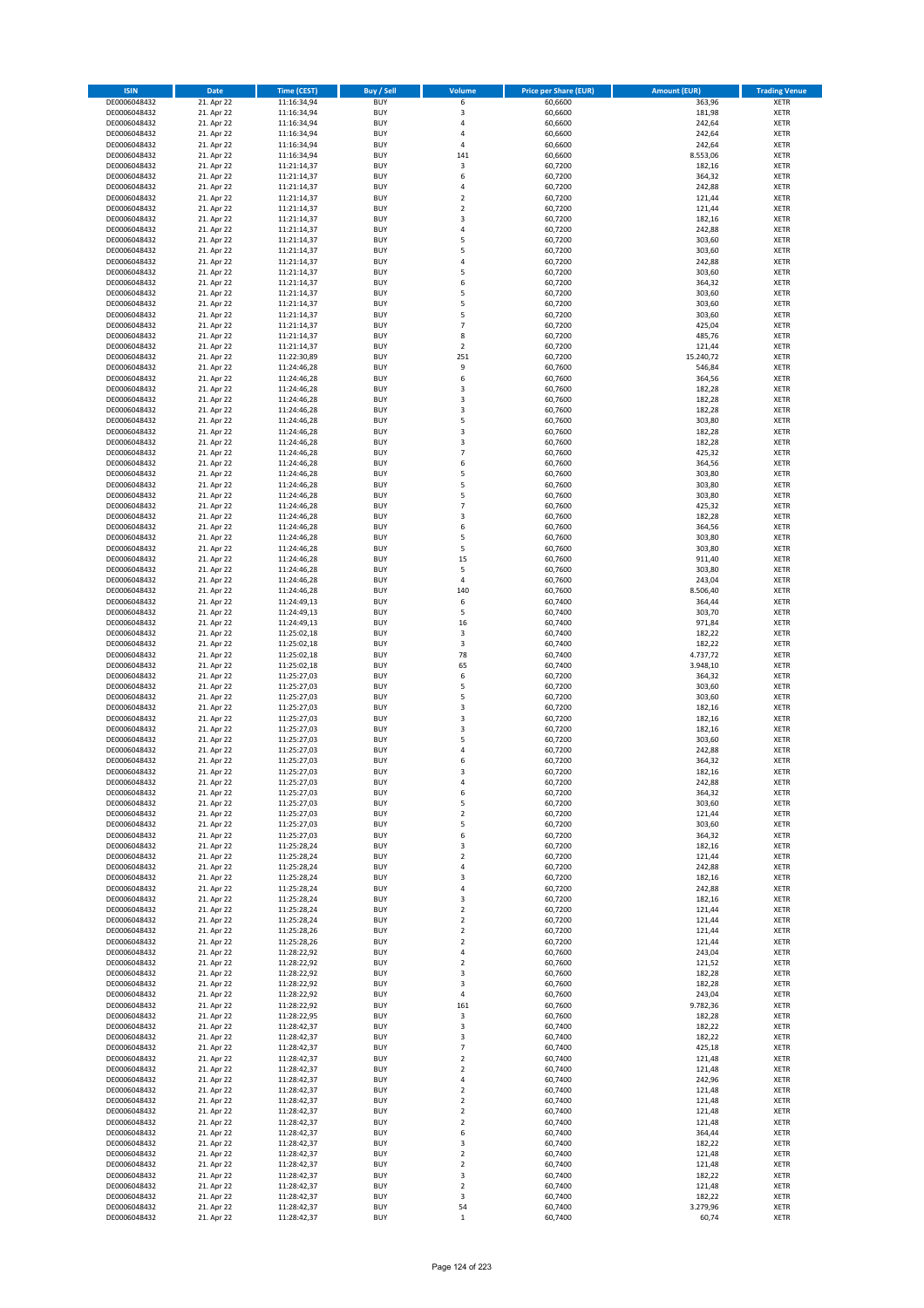| <b>ISIN</b>                  | <b>Date</b>              | Time (CEST)                | <b>Buy / Sell</b>        | Volume                        | <b>Price per Share (EUR)</b> | <b>Amount (EUR)</b> | <b>Trading Venue</b>       |
|------------------------------|--------------------------|----------------------------|--------------------------|-------------------------------|------------------------------|---------------------|----------------------------|
| DE0006048432                 | 21. Apr 22               | 11:16:34,94                | <b>BUY</b>               | 6                             | 60,6600                      | 363,96              | <b>XETR</b>                |
| DE0006048432                 | 21. Apr 22               | 11:16:34,94                | <b>BUY</b>               | 3                             | 60,6600                      | 181,98              | <b>XETR</b>                |
| DE0006048432                 | 21. Apr 22               | 11:16:34,94                | <b>BUY</b>               | 4                             | 60,6600                      | 242,64              | <b>XETR</b>                |
| DE0006048432<br>DE0006048432 | 21. Apr 22<br>21. Apr 22 | 11:16:34,94<br>11:16:34,94 | <b>BUY</b><br><b>BUY</b> | 4<br>4                        | 60,6600<br>60,6600           | 242,64<br>242,64    | <b>XETR</b><br><b>XETR</b> |
| DE0006048432                 | 21. Apr 22               | 11:16:34,94                | <b>BUY</b>               | 141                           | 60,6600                      | 8.553,06            | <b>XETR</b>                |
| DE0006048432                 | 21. Apr 22               | 11:21:14,37                | <b>BUY</b>               | 3                             | 60.7200                      | 182,16              | <b>XETR</b>                |
| DE0006048432                 | 21. Apr 22               | 11:21:14,37                | <b>BUY</b>               | 6                             | 60,7200                      | 364,32              | <b>XETR</b>                |
| DE0006048432                 | 21. Apr 22               | 11:21:14,37                | <b>BUY</b>               | 4                             | 60,7200                      | 242,88              | <b>XETR</b>                |
| DE0006048432                 | 21. Apr 22               | 11:21:14,37                | <b>BUY</b>               | $\mathbf 2$                   | 60,7200                      | 121,44              | <b>XETR</b>                |
| DE0006048432                 | 21. Apr 22               | 11:21:14,37                | <b>BUY</b>               | $\mathbf 2$                   | 60,7200                      | 121,44              | <b>XETR</b>                |
| DE0006048432                 | 21. Apr 22<br>21. Apr 22 | 11:21:14,37                | <b>BUY</b><br><b>BUY</b> | 3<br>4                        | 60,7200                      | 182,16<br>242,88    | <b>XETR</b><br><b>XETR</b> |
| DE0006048432<br>DE0006048432 | 21. Apr 22               | 11:21:14,37<br>11:21:14,37 | <b>BUY</b>               | 5                             | 60,7200<br>60,7200           | 303,60              | <b>XETR</b>                |
| DE0006048432                 | 21. Apr 22               | 11:21:14,37                | <b>BUY</b>               | 5                             | 60,7200                      | 303,60              | <b>XETR</b>                |
| DE0006048432                 | 21. Apr 22               | 11:21:14,37                | <b>BUY</b>               | 4                             | 60,7200                      | 242,88              | <b>XETR</b>                |
| DE0006048432                 | 21. Apr 22               | 11:21:14,37                | <b>BUY</b>               | 5                             | 60,7200                      | 303,60              | <b>XETR</b>                |
| DE0006048432                 | 21. Apr 22               | 11:21:14,37                | <b>BUY</b>               | 6                             | 60,7200                      | 364,32              | <b>XETR</b>                |
| DE0006048432                 | 21. Apr 22               | 11:21:14,37                | <b>BUY</b>               | 5                             | 60,7200                      | 303,60              | <b>XETR</b>                |
| DE0006048432                 | 21. Apr 22               | 11:21:14,37                | <b>BUY</b>               | 5                             | 60,7200                      | 303,60              | <b>XETR</b>                |
| DE0006048432<br>DE0006048432 | 21. Apr 22<br>21. Apr 22 | 11:21:14,37<br>11:21:14,37 | <b>BUY</b><br><b>BUY</b> | 5<br>$\overline{7}$           | 60,7200<br>60,7200           | 303,60<br>425,04    | <b>XETR</b><br><b>XETR</b> |
| DE0006048432                 | 21. Apr 22               | 11:21:14,37                | <b>BUY</b>               | 8                             | 60,7200                      | 485,76              | <b>XETR</b>                |
| DE0006048432                 | 21. Apr 22               | 11:21:14,37                | <b>BUY</b>               | $\mathbf 2$                   | 60,7200                      | 121,44              | <b>XETR</b>                |
| DE0006048432                 | 21. Apr 22               | 11:22:30,89                | <b>BUY</b>               | 251                           | 60,7200                      | 15.240,72           | <b>XETR</b>                |
| DE0006048432                 | 21. Apr 22               | 11:24:46,28                | <b>BUY</b>               | 9                             | 60,7600                      | 546,84              | <b>XETR</b>                |
| DE0006048432                 | 21. Apr 22               | 11:24:46,28                | <b>BUY</b>               | 6                             | 60,7600                      | 364,56              | <b>XETR</b>                |
| DE0006048432                 | 21. Apr 22               | 11:24:46,28                | <b>BUY</b>               | 3                             | 60,7600                      | 182,28              | <b>XETR</b>                |
| DE0006048432<br>DE0006048432 | 21. Apr 22<br>21. Apr 22 | 11:24:46,28<br>11:24:46,28 | <b>BUY</b><br><b>BUY</b> | 3<br>3                        | 60,7600<br>60,7600           | 182,28<br>182,28    | <b>XETR</b><br><b>XETR</b> |
| DE0006048432                 | 21. Apr 22               | 11:24:46,28                | <b>BUY</b>               | 5                             | 60,7600                      | 303,80              | <b>XETR</b>                |
| DE0006048432                 | 21. Apr 22               | 11:24:46,28                | <b>BUY</b>               | 3                             | 60,7600                      | 182,28              | <b>XETR</b>                |
| DE0006048432                 | 21. Apr 22               | 11:24:46,28                | <b>BUY</b>               | 3                             | 60,7600                      | 182,28              | <b>XETR</b>                |
| DE0006048432                 | 21. Apr 22               | 11:24:46,28                | <b>BUY</b>               | $\overline{7}$                | 60,7600                      | 425,32              | <b>XETR</b>                |
| DE0006048432                 | 21. Apr 22               | 11:24:46,28                | <b>BUY</b>               | 6                             | 60,7600                      | 364,56              | <b>XETR</b>                |
| DE0006048432                 | 21. Apr 22               | 11:24:46,28                | <b>BUY</b>               | 5                             | 60,7600                      | 303,80              | <b>XETR</b>                |
| DE0006048432                 | 21. Apr 22<br>21. Apr 22 | 11:24:46,28                | <b>BUY</b><br><b>BUY</b> | 5<br>5                        | 60,7600                      | 303,80<br>303,80    | <b>XETR</b><br><b>XETR</b> |
| DE0006048432<br>DE0006048432 | 21. Apr 22               | 11:24:46,28<br>11:24:46,28 | <b>BUY</b>               | $\overline{7}$                | 60,7600<br>60,7600           | 425,32              | <b>XETR</b>                |
| DE0006048432                 | 21. Apr 22               | 11:24:46,28                | <b>BUY</b>               | 3                             | 60,7600                      | 182,28              | <b>XETR</b>                |
| DE0006048432                 | 21. Apr 22               | 11:24:46,28                | <b>BUY</b>               | 6                             | 60,7600                      | 364,56              | <b>XETR</b>                |
| DE0006048432                 | 21. Apr 22               | 11:24:46,28                | <b>BUY</b>               | 5                             | 60,7600                      | 303,80              | <b>XETR</b>                |
| DE0006048432                 | 21. Apr 22               | 11:24:46,28                | <b>BUY</b>               | 5                             | 60,7600                      | 303,80              | <b>XETR</b>                |
| DE0006048432                 | 21. Apr 22               | 11:24:46,28                | <b>BUY</b>               | 15                            | 60,7600                      | 911,40              | <b>XETR</b>                |
| DE0006048432                 | 21. Apr 22               | 11:24:46,28                | <b>BUY</b>               | 5                             | 60,7600                      | 303,80              | <b>XETR</b>                |
| DE0006048432                 | 21. Apr 22               | 11:24:46,28                | <b>BUY</b><br><b>BUY</b> | 4                             | 60,7600                      | 243,04              | <b>XETR</b><br><b>XETR</b> |
| DE0006048432<br>DE0006048432 | 21. Apr 22<br>21. Apr 22 | 11:24:46,28<br>11:24:49,13 | <b>BUY</b>               | 140<br>6                      | 60,7600<br>60,7400           | 8.506,40<br>364,44  | <b>XETR</b>                |
| DE0006048432                 | 21. Apr 22               | 11:24:49,13                | <b>BUY</b>               | 5                             | 60,7400                      | 303,70              | <b>XETR</b>                |
| DE0006048432                 | 21. Apr 22               | 11:24:49,13                | <b>BUY</b>               | 16                            | 60,7400                      | 971,84              | <b>XETR</b>                |
| DE0006048432                 | 21. Apr 22               | 11:25:02,18                | <b>BUY</b>               | 3                             | 60,7400                      | 182,22              | <b>XETR</b>                |
| DE0006048432                 | 21. Apr 22               | 11:25:02,18                | <b>BUY</b>               | 3                             | 60,7400                      | 182,22              | <b>XETR</b>                |
| DE0006048432                 | 21. Apr 22               | 11:25:02,18                | <b>BUY</b>               | 78                            | 60,7400                      | 4.737,72            | <b>XETR</b>                |
| DE0006048432<br>DE0006048432 | 21. Apr 22<br>21. Apr 22 | 11:25:02,18<br>11:25:27,03 | <b>BUY</b><br><b>BUY</b> | 65<br>6                       | 60,7400<br>60,7200           | 3.948,10<br>364,32  | <b>XETR</b><br><b>XETR</b> |
| DE0006048432                 | 21. Apr 22               | 11:25:27,03                | <b>BUY</b>               | 5                             | 60,7200                      | 303,60              | <b>XETR</b>                |
| DE0006048432                 | 21. Apr 22               | 11:25:27,03                | <b>BUY</b>               | 5                             | 60,7200                      | 303,60              | <b>XETR</b>                |
| DE0006048432                 | 21. Apr 22               | 11:25:27,03                | <b>BUY</b>               | 3                             | 60,7200                      | 182,16              | <b>XETR</b>                |
| DE0006048432                 | 21. Apr 22               | 11:25:27,03                | <b>BUY</b>               | 3                             | 60,7200                      | 182,16              | <b>XETR</b>                |
| DE0006048432                 | 21. Apr 22               | 11:25:27,03                | <b>BUY</b>               | 3                             | 60,7200                      | 182,16              | <b>XETR</b>                |
| DE0006048432                 | 21. Apr 22               | 11:25:27,03                | <b>BUY</b>               | 5                             | 60,7200                      | 303,60              | <b>XETR</b>                |
| DE0006048432<br>DE0006048432 | 21. Apr 22<br>21. Apr 22 | 11:25:27,03<br>11:25:27,03 | <b>BUY</b><br><b>BUY</b> | 4<br>6                        | 60,7200<br>60,7200           | 242,88<br>364,32    | <b>XETR</b><br><b>XETR</b> |
| DE0006048432                 | 21. Apr 22               | 11:25:27,03                | <b>BUY</b>               | 3                             | 60,7200                      | 182,16              | <b>XETR</b>                |
| DE0006048432                 | 21. Apr 22               | 11:25:27,03                | <b>BUY</b>               | 4                             | 60,7200                      | 242,88              | <b>XETR</b>                |
| DE0006048432                 | 21. Apr 22               | 11:25:27,03                | <b>BUY</b>               | 6                             | 60,7200                      | 364,32              | XETR                       |
| DE0006048432                 | 21. Apr 22               | 11:25:27,03                | <b>BUY</b>               | 5                             | 60,7200                      | 303,60              | XETR                       |
| DE0006048432                 | 21. Apr 22               | 11:25:27,03                | <b>BUY</b>               | $\mathbf 2$                   | 60,7200                      | 121,44              | XETR                       |
| DE0006048432                 | 21. Apr 22               | 11:25:27,03                | <b>BUY</b>               | 5                             | 60,7200                      | 303,60              | <b>XETR</b>                |
| DE0006048432<br>DE0006048432 | 21. Apr 22<br>21. Apr 22 | 11:25:27,03<br>11:25:28,24 | <b>BUY</b><br><b>BUY</b> | 6<br>3                        | 60,7200<br>60,7200           | 364,32<br>182,16    | <b>XETR</b><br><b>XETR</b> |
| DE0006048432                 | 21. Apr 22               | 11:25:28,24                | <b>BUY</b>               | $\mathbf 2$                   | 60,7200                      | 121,44              | <b>XETR</b>                |
| DE0006048432                 | 21. Apr 22               | 11:25:28,24                | <b>BUY</b>               | 4                             | 60,7200                      | 242,88              | <b>XETR</b>                |
| DE0006048432                 | 21. Apr 22               | 11:25:28,24                | <b>BUY</b>               | 3                             | 60,7200                      | 182,16              | XETR                       |
| DE0006048432                 | 21. Apr 22               | 11:25:28,24                | <b>BUY</b>               | 4                             | 60,7200                      | 242,88              | XETR                       |
| DE0006048432                 | 21. Apr 22               | 11:25:28,24                | <b>BUY</b>               | 3                             | 60,7200                      | 182,16              | <b>XETR</b>                |
| DE0006048432<br>DE0006048432 | 21. Apr 22<br>21. Apr 22 | 11:25:28,24<br>11:25:28,24 | <b>BUY</b><br><b>BUY</b> | $\mathbf 2$<br>$\overline{2}$ | 60,7200<br>60,7200           | 121,44<br>121,44    | <b>XETR</b><br><b>XETR</b> |
| DE0006048432                 | 21. Apr 22               | 11:25:28,26                | <b>BUY</b>               | $\mathbf 2$                   | 60,7200                      | 121,44              | <b>XETR</b>                |
| DE0006048432                 | 21. Apr 22               | 11:25:28.26                | <b>BUY</b>               | $\mathbf 2$                   | 60,7200                      | 121,44              | <b>XETR</b>                |
| DE0006048432                 | 21. Apr 22               | 11:28:22,92                | <b>BUY</b>               | 4                             | 60,7600                      | 243,04              | <b>XETR</b>                |
| DE0006048432                 | 21. Apr 22               | 11:28:22,92                | <b>BUY</b>               | $\overline{2}$                | 60,7600                      | 121,52              | <b>XETR</b>                |
| DE0006048432                 | 21. Apr 22               | 11:28:22,92                | <b>BUY</b>               | 3                             | 60,7600                      | 182,28              | XETR                       |
| DE0006048432                 | 21. Apr 22               | 11:28:22,92                | <b>BUY</b>               | 3                             | 60,7600                      | 182,28              | <b>XETR</b>                |
| DE0006048432                 | 21. Apr 22               | 11:28:22,92                | <b>BUY</b>               | 4                             | 60,7600                      | 243,04              | <b>XETR</b>                |
| DE0006048432<br>DE0006048432 | 21. Apr 22<br>21. Apr 22 | 11:28:22,92<br>11:28:22,95 | <b>BUY</b><br><b>BUY</b> | 161<br>3                      | 60,7600<br>60,7600           | 9.782,36<br>182,28  | <b>XETR</b><br><b>XETR</b> |
| DE0006048432                 | 21. Apr 22               | 11:28:42,37                | <b>BUY</b>               | 3                             | 60,7400                      | 182,22              | <b>XETR</b>                |
| DE0006048432                 | 21. Apr 22               | 11:28:42,37                | <b>BUY</b>               | 3                             | 60,7400                      | 182,22              | <b>XETR</b>                |
| DE0006048432                 | 21. Apr 22               | 11:28:42,37                | <b>BUY</b>               | $\overline{\phantom{a}}$      | 60,7400                      | 425,18              | XETR                       |
| DE0006048432                 | 21. Apr 22               | 11:28:42,37                | <b>BUY</b>               | $\mathbf 2$                   | 60,7400                      | 121,48              | <b>XETR</b>                |
| DE0006048432                 | 21. Apr 22               | 11:28:42,37                | <b>BUY</b>               | $\overline{2}$                | 60,7400                      | 121,48              | <b>XETR</b>                |
| DE0006048432                 | 21. Apr 22               | 11:28:42,37                | <b>BUY</b><br><b>BUY</b> | 4<br>$\overline{\mathbf{c}}$  | 60,7400                      | 242,96              | <b>XETR</b>                |
| DE0006048432<br>DE0006048432 | 21. Apr 22<br>21. Apr 22 | 11:28:42,37<br>11:28:42,37 | <b>BUY</b>               | $\mathbf 2$                   | 60,7400<br>60,7400           | 121,48<br>121,48    | XETR<br><b>XETR</b>        |
| DE0006048432                 | 21. Apr 22               | 11:28:42,37                | <b>BUY</b>               | $\mathbf 2$                   | 60,7400                      | 121,48              | <b>XETR</b>                |
| DE0006048432                 | 21. Apr 22               | 11:28:42,37                | <b>BUY</b>               | $\mathbf 2$                   | 60,7400                      | 121,48              | XETR                       |
| DE0006048432                 | 21. Apr 22               | 11:28:42,37                | <b>BUY</b>               | 6                             | 60,7400                      | 364,44              | <b>XETR</b>                |
| DE0006048432                 | 21. Apr 22               | 11:28:42,37                | <b>BUY</b>               | 3                             | 60,7400                      | 182,22              | <b>XETR</b>                |
| DE0006048432                 | 21. Apr 22               | 11:28:42,37                | <b>BUY</b>               | $\mathbf 2$                   | 60,7400                      | 121,48              | <b>XETR</b>                |
| DE0006048432                 | 21. Apr 22<br>21. Apr 22 | 11:28:42,37                | <b>BUY</b><br><b>BUY</b> | $\overline{2}$<br>3           | 60,7400<br>60,7400           | 121,48<br>182,22    | <b>XETR</b><br>XETR        |
| DE0006048432<br>DE0006048432 | 21. Apr 22               | 11:28:42,37<br>11:28:42,37 | <b>BUY</b>               | $\overline{2}$                | 60,7400                      | 121,48              | <b>XETR</b>                |
| DE0006048432                 | 21. Apr 22               | 11:28:42,37                | <b>BUY</b>               | 3                             | 60,7400                      | 182,22              | <b>XETR</b>                |
| DE0006048432                 | 21. Apr 22               | 11:28:42,37                | <b>BUY</b>               | 54                            | 60,7400                      | 3.279,96            | <b>XETR</b>                |
| DE0006048432                 | 21. Apr 22               | 11:28:42,37                | <b>BUY</b>               | $\mathbf 1$                   | 60,7400                      | 60,74               | XETR                       |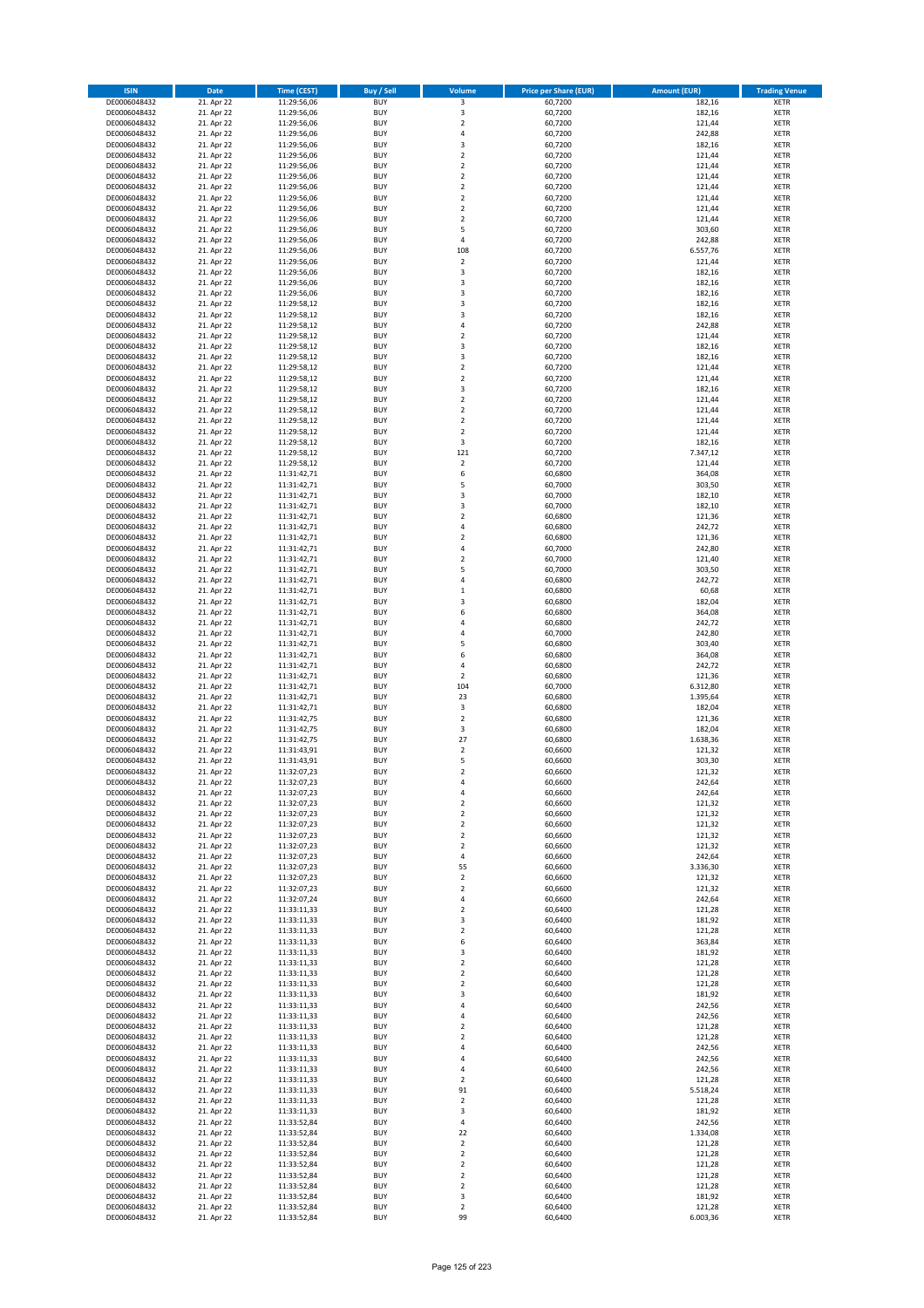| <b>ISIN</b>                  | <b>Date</b>              | Time (CEST)                | <b>Buy / Sell</b>        | Volume                                    | <b>Price per Share (EUR)</b> | <b>Amount (EUR)</b> | <b>Trading Venue</b>       |
|------------------------------|--------------------------|----------------------------|--------------------------|-------------------------------------------|------------------------------|---------------------|----------------------------|
| DE0006048432                 | 21. Apr 22               | 11:29:56,06                | <b>BUY</b>               | $\overline{\mathbf{3}}$                   | 60,7200                      | 182,16              | <b>XETR</b>                |
| DE0006048432                 | 21. Apr 22               | 11:29:56,06                | <b>BUY</b>               | 3                                         | 60,7200                      | 182,16              | <b>XETR</b>                |
| DE0006048432                 | 21. Apr 22               | 11:29:56,06                | <b>BUY</b>               | $\overline{2}$                            | 60,7200                      | 121,44              | <b>XETR</b>                |
| DE0006048432<br>DE0006048432 | 21. Apr 22<br>21. Apr 22 | 11:29:56,06<br>11:29:56,06 | <b>BUY</b><br><b>BUY</b> | 4<br>3                                    | 60,7200<br>60,7200           | 242,88<br>182,16    | <b>XETR</b><br><b>XETR</b> |
| DE0006048432                 | 21. Apr 22               | 11:29:56,06                | <b>BUY</b>               | $\mathbf 2$                               | 60,7200                      | 121,44              | <b>XETR</b>                |
| DE0006048432                 | 21. Apr 22               | 11:29:56,06                | <b>BUY</b>               | $\mathbf 2$                               | 60,7200                      | 121,44              | <b>XETR</b>                |
| DE0006048432                 | 21. Apr 22               | 11:29:56,06                | <b>BUY</b>               | $\mathbf 2$                               | 60,7200                      | 121,44              | <b>XETR</b>                |
| DE0006048432                 | 21. Apr 22               | 11:29:56,06                | <b>BUY</b>               | $\overline{2}$                            | 60,7200                      | 121,44              | <b>XETR</b>                |
| DE0006048432                 | 21. Apr 22               | 11:29:56,06                | <b>BUY</b>               | $\overline{2}$                            | 60,7200                      | 121,44              | <b>XETR</b>                |
| DE0006048432                 | 21. Apr 22               | 11:29:56,06                | <b>BUY</b>               | $\mathbf 2$                               | 60,7200                      | 121,44              | <b>XETR</b>                |
| DE0006048432                 | 21. Apr 22<br>21. Apr 22 | 11:29:56,06                | <b>BUY</b><br><b>BUY</b> | $\overline{\mathbf{c}}$<br>5              | 60,7200                      | 121,44<br>303,60    | <b>XETR</b><br><b>XETR</b> |
| DE0006048432<br>DE0006048432 | 21. Apr 22               | 11:29:56,06<br>11:29:56,06 | <b>BUY</b>               | 4                                         | 60,7200<br>60,7200           | 242,88              | <b>XETR</b>                |
| DE0006048432                 | 21. Apr 22               | 11:29:56,06                | <b>BUY</b>               | 108                                       | 60,7200                      | 6.557,76            | <b>XETR</b>                |
| DE0006048432                 | 21. Apr 22               | 11:29:56,06                | <b>BUY</b>               | $\mathbf 2$                               | 60,7200                      | 121,44              | <b>XETR</b>                |
| DE0006048432                 | 21. Apr 22               | 11:29:56,06                | <b>BUY</b>               | 3                                         | 60,7200                      | 182,16              | <b>XETR</b>                |
| DE0006048432                 | 21. Apr 22               | 11:29:56,06                | <b>BUY</b>               | 3                                         | 60,7200                      | 182,16              | <b>XETR</b>                |
| DE0006048432                 | 21. Apr 22               | 11:29:56,06                | <b>BUY</b>               | 3                                         | 60,7200                      | 182,16              | <b>XETR</b>                |
| DE0006048432                 | 21. Apr 22               | 11:29:58,12                | <b>BUY</b>               | 3                                         | 60,7200                      | 182,16              | <b>XETR</b>                |
| DE0006048432                 | 21. Apr 22               | 11:29:58,12                | <b>BUY</b>               | 3                                         | 60,7200                      | 182,16              | <b>XETR</b>                |
| DE0006048432<br>DE0006048432 | 21. Apr 22<br>21. Apr 22 | 11:29:58,12<br>11:29:58,12 | <b>BUY</b><br><b>BUY</b> | 4<br>$\mathbf 2$                          | 60,7200<br>60,7200           | 242,88<br>121,44    | <b>XETR</b><br><b>XETR</b> |
| DE0006048432                 | 21. Apr 22               | 11:29:58,12                | <b>BUY</b>               | 3                                         | 60,7200                      | 182,16              | <b>XETR</b>                |
| DE0006048432                 | 21. Apr 22               | 11:29:58,12                | <b>BUY</b>               | 3                                         | 60,7200                      | 182,16              | <b>XETR</b>                |
| DE0006048432                 | 21. Apr 22               | 11:29:58,12                | <b>BUY</b>               | $\mathbf 2$                               | 60,7200                      | 121,44              | <b>XETR</b>                |
| DE0006048432                 | 21. Apr 22               | 11:29:58,12                | <b>BUY</b>               | $\mathbf 2$                               | 60,7200                      | 121,44              | <b>XETR</b>                |
| DE0006048432                 | 21. Apr 22               | 11:29:58,12                | <b>BUY</b>               | 3                                         | 60,7200                      | 182,16              | <b>XETR</b>                |
| DE0006048432                 | 21. Apr 22               | 11:29:58,12                | <b>BUY</b>               | $\mathbf 2$                               | 60,7200                      | 121,44              | <b>XETR</b>                |
| DE0006048432                 | 21. Apr 22               | 11:29:58,12                | <b>BUY</b><br><b>BUY</b> | $\overline{\mathbf{c}}$<br>$\overline{a}$ | 60,7200                      | 121,44              | <b>XETR</b>                |
| DE0006048432<br>DE0006048432 | 21. Apr 22<br>21. Apr 22 | 11:29:58,12<br>11:29:58,12 | <b>BUY</b>               | $\mathbf 2$                               | 60,7200<br>60,7200           | 121,44<br>121,44    | <b>XETR</b><br><b>XETR</b> |
| DE0006048432                 | 21. Apr 22               | 11:29:58,12                | <b>BUY</b>               | 3                                         | 60,7200                      | 182,16              | <b>XETR</b>                |
| DE0006048432                 | 21. Apr 22               | 11:29:58,12                | <b>BUY</b>               | 121                                       | 60,7200                      | 7.347,12            | <b>XETR</b>                |
| DE0006048432                 | 21. Apr 22               | 11:29:58,12                | <b>BUY</b>               | $\overline{2}$                            | 60,7200                      | 121,44              | <b>XETR</b>                |
| DE0006048432                 | 21. Apr 22               | 11:31:42,71                | <b>BUY</b>               | 6                                         | 60,6800                      | 364,08              | <b>XETR</b>                |
| DE0006048432                 | 21. Apr 22               | 11:31:42,71                | <b>BUY</b>               | 5                                         | 60,7000                      | 303,50              | <b>XETR</b>                |
| DE0006048432                 | 21. Apr 22               | 11:31:42,71                | <b>BUY</b>               | 3                                         | 60,7000                      | 182,10              | <b>XETR</b>                |
| DE0006048432                 | 21. Apr 22               | 11:31:42,71                | <b>BUY</b>               | 3                                         | 60,7000                      | 182,10              | <b>XETR</b>                |
| DE0006048432<br>DE0006048432 | 21. Apr 22<br>21. Apr 22 | 11:31:42,71                | <b>BUY</b><br><b>BUY</b> | $\overline{\mathbf{c}}$<br>4              | 60,6800                      | 121,36              | <b>XETR</b><br><b>XETR</b> |
| DE0006048432                 | 21. Apr 22               | 11:31:42,71<br>11:31:42,71 | <b>BUY</b>               | $\mathbf 2$                               | 60,6800<br>60,6800           | 242,72<br>121,36    | <b>XETR</b>                |
| DE0006048432                 | 21. Apr 22               | 11:31:42,71                | <b>BUY</b>               | 4                                         | 60,7000                      | 242,80              | <b>XETR</b>                |
| DE0006048432                 | 21. Apr 22               | 11:31:42,71                | <b>BUY</b>               | $\overline{\mathbf{c}}$                   | 60,7000                      | 121,40              | <b>XETR</b>                |
| DE0006048432                 | 21. Apr 22               | 11:31:42,71                | <b>BUY</b>               | 5                                         | 60,7000                      | 303,50              | <b>XETR</b>                |
| DE0006048432                 | 21. Apr 22               | 11:31:42,71                | <b>BUY</b>               | 4                                         | 60,6800                      | 242,72              | <b>XETR</b>                |
| DE0006048432                 | 21. Apr 22               | 11:31:42,71                | <b>BUY</b>               | $\mathbf 1$                               | 60,6800                      | 60,68               | <b>XETR</b>                |
| DE0006048432                 | 21. Apr 22               | 11:31:42,71                | <b>BUY</b>               | 3                                         | 60,6800                      | 182,04              | <b>XETR</b>                |
| DE0006048432                 | 21. Apr 22               | 11:31:42,71                | <b>BUY</b>               | 6                                         | 60,6800                      | 364,08              | <b>XETR</b>                |
| DE0006048432<br>DE0006048432 | 21. Apr 22<br>21. Apr 22 | 11:31:42,71<br>11:31:42,71 | <b>BUY</b><br><b>BUY</b> | 4<br>4                                    | 60,6800<br>60,7000           | 242,72<br>242,80    | <b>XETR</b><br><b>XETR</b> |
| DE0006048432                 | 21. Apr 22               | 11:31:42,71                | <b>BUY</b>               | 5                                         | 60,6800                      | 303,40              | <b>XETR</b>                |
| DE0006048432                 | 21. Apr 22               | 11:31:42,71                | <b>BUY</b>               | 6                                         | 60,6800                      | 364,08              | <b>XETR</b>                |
| DE0006048432                 | 21. Apr 22               | 11:31:42,71                | <b>BUY</b>               | 4                                         | 60,6800                      | 242,72              | <b>XETR</b>                |
| DE0006048432                 | 21. Apr 22               | 11:31:42,71                | <b>BUY</b>               | $\overline{\mathbf{c}}$                   | 60,6800                      | 121,36              | <b>XETR</b>                |
| DE0006048432                 | 21. Apr 22               | 11:31:42,71                | <b>BUY</b>               | 104                                       | 60,7000                      | 6.312,80            | <b>XETR</b>                |
| DE0006048432                 | 21. Apr 22               | 11:31:42,71                | <b>BUY</b>               | 23                                        | 60,6800                      | 1.395,64            | <b>XETR</b>                |
| DE0006048432                 | 21. Apr 22               | 11:31:42,71                | <b>BUY</b>               | 3                                         | 60,6800                      | 182,04              | <b>XETR</b>                |
| DE0006048432<br>DE0006048432 | 21. Apr 22               | 11:31:42,75                | <b>BUY</b><br><b>BUY</b> | $\mathbf 2$<br>3                          | 60,6800                      | 121,36              | <b>XETR</b><br><b>XETR</b> |
| DE0006048432                 | 21. Apr 22<br>21. Apr 22 | 11:31:42,75<br>11:31:42,75 | <b>BUY</b>               | 27                                        | 60,6800<br>60,6800           | 182,04<br>1.638,36  | <b>XETR</b>                |
| DE0006048432                 | 21. Apr 22               | 11:31:43,91                | <b>BUY</b>               | $\overline{\mathbf{c}}$                   | 60,6600                      | 121,32              | <b>XETR</b>                |
| DE0006048432                 | 21. Apr 22               | 11:31:43,91                | <b>BUY</b>               | 5                                         | 60,6600                      | 303,30              | <b>XETR</b>                |
| DE0006048432                 | 21. Apr 22               | 11:32:07,23                | <b>BUY</b>               | $\overline{2}$                            | 60,6600                      | 121,32              | <b>XETR</b>                |
| DE0006048432                 | 21. Apr 22               | 11:32:07,23                | <b>BUY</b>               | 4                                         | 60,6600                      | 242,64              | <b>XETR</b>                |
| DE0006048432                 | 21. Apr 22               | 11:32:07,23                | <b>BUY</b>               | 4                                         | 60,6600                      | 242,64              | XETR                       |
| DE0006048432<br>DE0006048432 | 21. Apr 22<br>21. Apr 22 | 11:32:07,23                | <b>BUY</b><br><b>BUY</b> | $\mathbf 2$                               | 60,6600<br>60,6600           | 121,32<br>121,32    | XETR                       |
| DE0006048432                 | 21. Apr 22               | 11:32:07,23<br>11:32:07,23 | <b>BUY</b>               | 2<br>$\mathbf 2$                          | 60,6600                      | 121,32              | XETR<br><b>XETR</b>        |
| DE0006048432                 | 21. Apr 22               | 11:32:07,23                | <b>BUY</b>               | $\mathbf 2$                               | 60,6600                      | 121,32              | <b>XETR</b>                |
| DE0006048432                 | 21. Apr 22               | 11:32:07,23                | <b>BUY</b>               | $\overline{\mathbf{2}}$                   | 60,6600                      | 121,32              | <b>XETR</b>                |
| DE0006048432                 | 21. Apr 22               | 11:32:07,23                | <b>BUY</b>               | 4                                         | 60,6600                      | 242,64              | <b>XETR</b>                |
| DE0006048432                 | 21. Apr 22               | 11:32:07,23                | <b>BUY</b>               | 55                                        | 60,6600                      | 3.336,30            | <b>XETR</b>                |
| DE0006048432                 | 21. Apr 22               | 11:32:07,23                | <b>BUY</b>               | $\mathbf 2$                               | 60,6600                      | 121,32              | XETR                       |
| DE0006048432<br>DE0006048432 | 21. Apr 22<br>21. Apr 22 | 11:32:07,23                | <b>BUY</b><br><b>BUY</b> | $\mathbf 2$<br>4                          | 60,6600<br>60.6600           | 121,32<br>242,64    | <b>XETR</b><br><b>XETR</b> |
| DE0006048432                 | 21. Apr 22               | 11:32:07,24<br>11:33:11,33 | <b>BUY</b>               | $\mathbf 2$                               | 60,6400                      | 121,28              | <b>XETR</b>                |
| DE0006048432                 | 21. Apr 22               | 11:33:11,33                | <b>BUY</b>               | 3                                         | 60,6400                      | 181,92              | <b>XETR</b>                |
| DE0006048432                 | 21. Apr 22               | 11:33:11,33                | <b>BUY</b>               | $\mathbf 2$                               | 60,6400                      | 121,28              | <b>XETR</b>                |
| DE0006048432                 | 21. Apr 22               | 11:33:11,33                | <b>BUY</b>               | 6                                         | 60,6400                      | 363,84              | <b>XETR</b>                |
| DE0006048432                 | 21. Apr 22               | 11:33:11,33                | <b>BUY</b>               | 3                                         | 60,6400                      | 181,92              | <b>XETR</b>                |
| DE0006048432                 | 21. Apr 22               | 11:33:11,33                | <b>BUY</b>               | $\mathbf 2$                               | 60,6400                      | 121,28              | <b>XETR</b>                |
| DE0006048432                 | 21. Apr 22               | 11:33:11,33                | <b>BUY</b>               | $\mathbf 2$                               | 60,6400                      | 121,28              | XETR                       |
| DE0006048432<br>DE0006048432 | 21. Apr 22<br>21. Apr 22 | 11:33:11,33<br>11:33:11,33 | <b>BUY</b><br><b>BUY</b> | $\mathbf 2$<br>3                          | 60,6400<br>60,6400           | 121,28<br>181,92    | <b>XETR</b><br><b>XETR</b> |
| DE0006048432                 | 21. Apr 22               | 11:33:11,33                | <b>BUY</b>               | 4                                         | 60,6400                      | 242,56              | <b>XETR</b>                |
| DE0006048432                 | 21. Apr 22               | 11:33:11,33                | <b>BUY</b>               | 4                                         | 60,6400                      | 242,56              | <b>XETR</b>                |
| DE0006048432                 | 21. Apr 22               | 11:33:11,33                | <b>BUY</b>               | $\mathbf 2$                               | 60,6400                      | 121,28              | <b>XETR</b>                |
| DE0006048432                 | 21. Apr 22               | 11:33:11,33                | <b>BUY</b>               | $\mathbf 2$                               | 60,6400                      | 121,28              | <b>XETR</b>                |
| DE0006048432                 | 21. Apr 22               | 11:33:11,33                | <b>BUY</b>               | 4                                         | 60,6400                      | 242,56              | <b>XETR</b>                |
| DE0006048432                 | 21. Apr 22               | 11:33:11,33                | <b>BUY</b>               | 4                                         | 60,6400                      | 242,56              | <b>XETR</b>                |
| DE0006048432<br>DE0006048432 | 21. Apr 22<br>21. Apr 22 | 11:33:11,33                | <b>BUY</b><br><b>BUY</b> | 4<br>$\mathbf 2$                          | 60,6400<br>60,6400           | 242,56<br>121,28    | <b>XETR</b><br><b>XETR</b> |
| DE0006048432                 | 21. Apr 22               | 11:33:11,33<br>11:33:11,33 | <b>BUY</b>               | 91                                        | 60,6400                      | 5.518,24            | XETR                       |
| DE0006048432                 | 21. Apr 22               | 11:33:11,33                | <b>BUY</b>               | $\mathbf 2$                               | 60,6400                      | 121,28              | <b>XETR</b>                |
| DE0006048432                 | 21. Apr 22               | 11:33:11,33                | <b>BUY</b>               | 3                                         | 60,6400                      | 181,92              | <b>XETR</b>                |
| DE0006048432                 | 21. Apr 22               | 11:33:52,84                | <b>BUY</b>               | 4                                         | 60,6400                      | 242,56              | <b>XETR</b>                |
| DE0006048432                 | 21. Apr 22               | 11:33:52,84                | <b>BUY</b>               | 22                                        | 60,6400                      | 1.334,08            | <b>XETR</b>                |
| DE0006048432                 | 21. Apr 22               | 11:33:52,84                | <b>BUY</b>               | $\mathbf 2$                               | 60,6400                      | 121,28              | <b>XETR</b>                |
| DE0006048432                 | 21. Apr 22               | 11:33:52,84                | <b>BUY</b>               | $\mathbf 2$                               | 60,6400                      | 121,28              | <b>XETR</b>                |
| DE0006048432<br>DE0006048432 | 21. Apr 22<br>21. Apr 22 | 11:33:52,84<br>11:33:52,84 | <b>BUY</b><br><b>BUY</b> | $\overline{\mathbf{2}}$<br>$\mathbf 2$    | 60,6400<br>60,6400           | 121,28<br>121,28    | <b>XETR</b><br>XETR        |
| DE0006048432                 | 21. Apr 22               | 11:33:52,84                | <b>BUY</b>               | $\overline{2}$                            | 60,6400                      | 121,28              | <b>XETR</b>                |
| DE0006048432                 | 21. Apr 22               | 11:33:52,84                | <b>BUY</b>               | 3                                         | 60,6400                      | 181,92              | XETR                       |
| DE0006048432                 | 21. Apr 22               | 11:33:52,84                | <b>BUY</b>               | $\mathbf 2$                               | 60,6400                      | 121,28              | <b>XETR</b>                |
| DE0006048432                 | 21. Apr 22               | 11:33:52,84                | <b>BUY</b>               | 99                                        | 60,6400                      | 6.003,36            | XETR                       |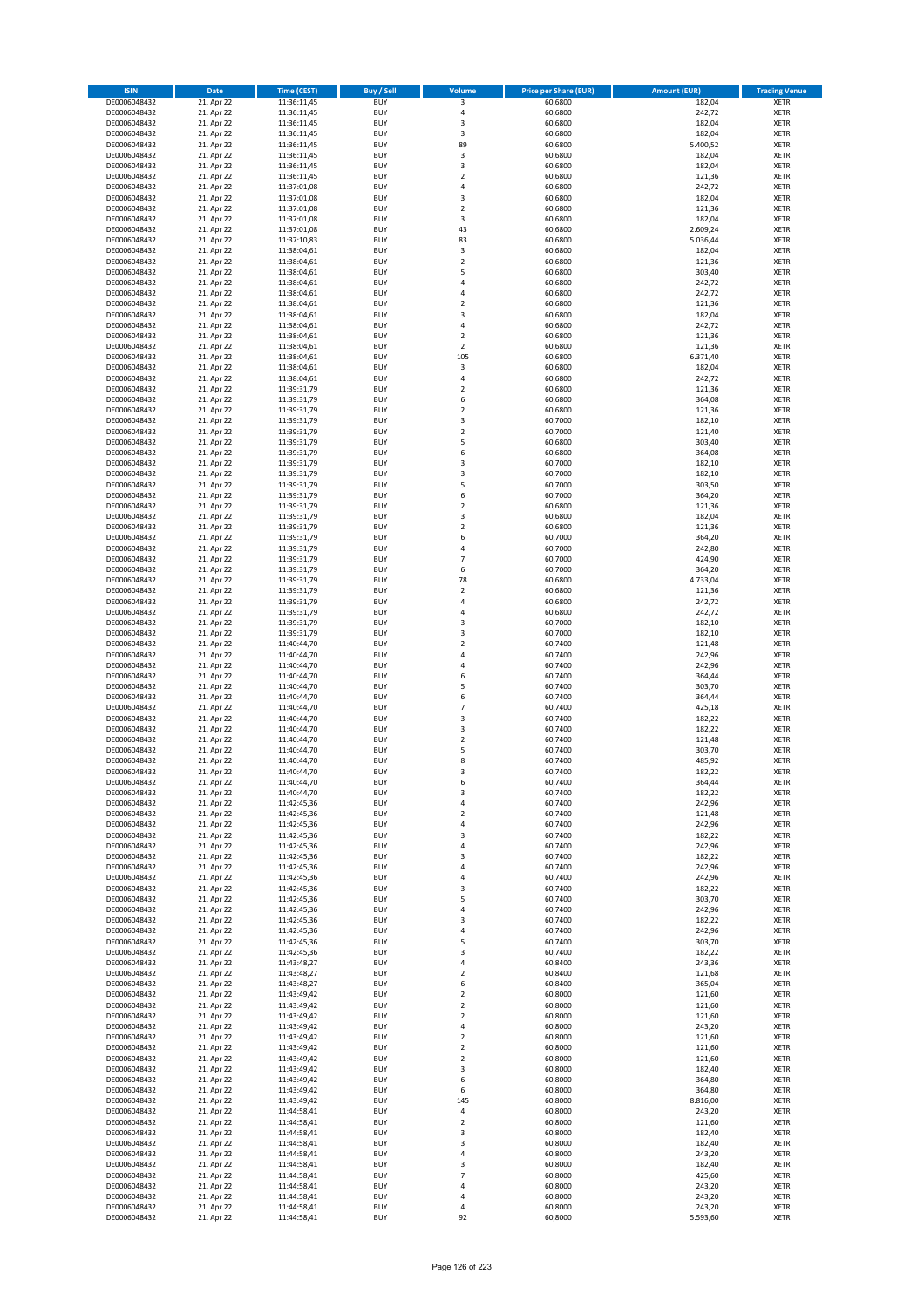| <b>ISIN</b>                  | <b>Date</b>              | Time (CEST)                | <b>Buy / Sell</b>        | Volume                       | <b>Price per Share (EUR)</b> | Amount (EUR)       | <b>Trading Venue</b>       |
|------------------------------|--------------------------|----------------------------|--------------------------|------------------------------|------------------------------|--------------------|----------------------------|
| DE0006048432                 | 21. Apr 22               | 11:36:11,45                | <b>BUY</b>               | 3                            | 60,6800                      | 182,04             | <b>XETR</b>                |
| DE0006048432                 | 21. Apr 22               | 11:36:11,45                | <b>BUY</b>               | 4                            | 60,6800                      | 242,72             | <b>XETR</b>                |
| DE0006048432                 | 21. Apr 22               | 11:36:11,45                | <b>BUY</b>               | 3                            | 60,6800                      | 182,04             | <b>XETR</b>                |
| DE0006048432                 | 21. Apr 22               | 11:36:11,45                | <b>BUY</b>               | 3                            | 60,6800                      | 182,04             | <b>XETR</b>                |
| DE0006048432                 | 21. Apr 22               | 11:36:11,45                | <b>BUY</b>               | 89                           | 60,6800                      | 5.400,52           | <b>XETR</b>                |
| DE0006048432                 | 21. Apr 22               | 11:36:11,45                | <b>BUY</b>               | 3                            | 60,6800                      | 182,04             | <b>XETR</b>                |
| DE0006048432                 | 21. Apr 22               | 11:36:11,45                | <b>BUY</b>               | $\overline{\mathbf{3}}$      | 60,6800                      | 182,04             | <b>XETR</b>                |
| DE0006048432                 | 21. Apr 22               | 11:36:11,45                | <b>BUY</b>               | $\overline{\mathbf{2}}$      | 60,6800                      | 121,36             | <b>XETR</b>                |
| DE0006048432                 | 21. Apr 22               | 11:37:01,08                | BUY                      | $\overline{a}$               | 60,6800                      | 242,72             | <b>XETR</b>                |
| DE0006048432                 | 21. Apr 22               | 11:37:01,08                | <b>BUY</b>               | 3                            | 60,6800                      | 182,04             | <b>XETR</b>                |
| DE0006048432                 | 21. Apr 22               | 11:37:01,08                | <b>BUY</b>               | $\mathbf 2$                  | 60,6800                      | 121,36             | <b>XETR</b>                |
| DE0006048432                 | 21. Apr 22               | 11:37:01,08                | <b>BUY</b>               | 3                            | 60,6800                      | 182,04             | <b>XETR</b>                |
| DE0006048432                 | 21. Apr 22               | 11:37:01,08                | <b>BUY</b>               | 43                           | 60,6800                      | 2.609,24           | <b>XETR</b>                |
| DE0006048432                 | 21. Apr 22               | 11:37:10,83                | <b>BUY</b><br><b>BUY</b> | 83                           | 60,6800                      | 5.036,44           | <b>XETR</b>                |
| DE0006048432<br>DE0006048432 | 21. Apr 22<br>21. Apr 22 | 11:38:04,61<br>11:38:04,61 | <b>BUY</b>               | 3<br>$\overline{2}$          | 60,6800<br>60,6800           | 182,04<br>121,36   | <b>XETR</b><br><b>XETR</b> |
| DE0006048432                 | 21. Apr 22               | 11:38:04,61                | <b>BUY</b>               | 5                            | 60,6800                      | 303,40             | <b>XETR</b>                |
| DE0006048432                 | 21. Apr 22               | 11:38:04,61                | <b>BUY</b>               | $\overline{4}$               | 60,6800                      | 242,72             | <b>XETR</b>                |
| DE0006048432                 | 21. Apr 22               | 11:38:04,61                | <b>BUY</b>               | $\overline{4}$               | 60,6800                      | 242,72             | <b>XETR</b>                |
| DE0006048432                 | 21. Apr 22               | 11:38:04,61                | <b>BUY</b>               | $\overline{2}$               | 60,6800                      | 121,36             | <b>XETR</b>                |
| DE0006048432                 | 21. Apr 22               | 11:38:04,61                | <b>BUY</b>               | $\overline{\mathbf{3}}$      | 60,6800                      | 182,04             | <b>XETR</b>                |
| DE0006048432                 | 21. Apr 22               | 11:38:04,61                | <b>BUY</b>               | 4                            | 60,6800                      | 242,72             | <b>XETR</b>                |
| DE0006048432                 | 21. Apr 22               | 11:38:04,61                | <b>BUY</b>               | $\overline{\mathbf{2}}$      | 60,6800                      | 121,36             | <b>XETR</b>                |
| DE0006048432                 | 21. Apr 22               | 11:38:04,61                | <b>BUY</b>               | $\mathbf 2$                  | 60,6800                      | 121,36             | <b>XETR</b>                |
| DE0006048432                 | 21. Apr 22               | 11:38:04,61                | <b>BUY</b>               | 105                          | 60,6800                      | 6.371,40           | <b>XETR</b>                |
| DE0006048432                 | 21. Apr 22               | 11:38:04,61                | <b>BUY</b>               | 3                            | 60,6800                      | 182,04             | <b>XETR</b>                |
| DE0006048432                 | 21. Apr 22               | 11:38:04,61                | <b>BUY</b>               | $\overline{4}$               | 60,6800                      | 242,72             | <b>XETR</b>                |
| DE0006048432                 | 21. Apr 22               | 11:39:31,79                | <b>BUY</b>               | $\overline{\mathbf{2}}$      | 60,6800                      | 121,36             | <b>XETR</b>                |
| DE0006048432                 | 21. Apr 22               | 11:39:31,79                | <b>BUY</b>               | 6                            | 60,6800                      | 364,08             | <b>XETR</b>                |
| DE0006048432                 | 21. Apr 22               | 11:39:31,79                | <b>BUY</b>               | $\overline{\mathbf{2}}$      | 60,6800                      | 121,36             | <b>XETR</b>                |
| DE0006048432                 | 21. Apr 22               | 11:39:31,79                | <b>BUY</b>               | 3                            | 60,7000                      | 182,10             | <b>XETR</b>                |
| DE0006048432                 | 21. Apr 22               | 11:39:31,79                | <b>BUY</b>               | $\mathbf 2$                  | 60,7000                      | 121,40             | <b>XETR</b>                |
| DE0006048432                 | 21. Apr 22               | 11:39:31,79                | <b>BUY</b>               | 5                            | 60,6800                      | 303,40             | <b>XETR</b>                |
| DE0006048432                 | 21. Apr 22               | 11:39:31,79                | <b>BUY</b>               | 6                            | 60,6800                      | 364,08             | <b>XETR</b>                |
| DE0006048432                 | 21. Apr 22               | 11:39:31,79                | <b>BUY</b>               | $\overline{\mathbf{3}}$<br>3 | 60,7000                      | 182,10             | <b>XETR</b>                |
| DE0006048432<br>DE0006048432 | 21. Apr 22<br>21. Apr 22 | 11:39:31,79<br>11:39:31,79 | <b>BUY</b><br><b>BUY</b> | 5                            | 60,7000<br>60,7000           | 182,10<br>303,50   | <b>XETR</b><br><b>XETR</b> |
| DE0006048432                 | 21. Apr 22               | 11:39:31,79                | <b>BUY</b>               | 6                            | 60,7000                      | 364,20             | <b>XETR</b>                |
| DE0006048432                 | 21. Apr 22               | 11:39:31,79                | <b>BUY</b>               | $\mathbf 2$                  | 60,6800                      | 121,36             | <b>XETR</b>                |
| DE0006048432                 | 21. Apr 22               | 11:39:31,79                | <b>BUY</b>               | 3                            | 60,6800                      | 182,04             | <b>XETR</b>                |
| DE0006048432                 | 21. Apr 22               | 11:39:31,79                | <b>BUY</b>               | $\overline{\mathbf{2}}$      | 60,6800                      | 121,36             | <b>XETR</b>                |
| DE0006048432                 | 21. Apr 22               | 11:39:31,79                | <b>BUY</b>               | 6                            | 60,7000                      | 364,20             | <b>XETR</b>                |
| DE0006048432                 | 21. Apr 22               | 11:39:31,79                | <b>BUY</b>               | 4                            | 60,7000                      | 242,80             | <b>XETR</b>                |
| DE0006048432                 | 21. Apr 22               | 11:39:31,79                | <b>BUY</b>               | $\overline{7}$               | 60,7000                      | 424,90             | <b>XETR</b>                |
| DE0006048432                 | 21. Apr 22               | 11:39:31,79                | <b>BUY</b>               | 6                            | 60,7000                      | 364,20             | <b>XETR</b>                |
| DE0006048432                 | 21. Apr 22               | 11:39:31,79                | <b>BUY</b>               | 78                           | 60,6800                      | 4.733,04           | <b>XETR</b>                |
| DE0006048432                 | 21. Apr 22               | 11:39:31,79                | <b>BUY</b>               | $\mathbf 2$                  | 60,6800                      | 121,36             | <b>XETR</b>                |
| DE0006048432                 | 21. Apr 22               | 11:39:31,79                | <b>BUY</b>               | $\overline{a}$               | 60,6800                      | 242,72             | <b>XETR</b>                |
| DE0006048432                 | 21. Apr 22               | 11:39:31,79                | <b>BUY</b>               | $\overline{4}$               | 60,6800                      | 242,72             | <b>XETR</b>                |
| DE0006048432                 | 21. Apr 22               | 11:39:31,79                | <b>BUY</b>               | $\overline{\mathbf{3}}$      | 60,7000                      | 182,10             | <b>XETR</b>                |
| DE0006048432                 | 21. Apr 22               | 11:39:31,79                | <b>BUY</b>               | $\overline{\mathbf{3}}$      | 60,7000                      | 182,10             | <b>XETR</b>                |
| DE0006048432                 | 21. Apr 22               | 11:40:44,70                | <b>BUY</b>               | $\overline{2}$               | 60,7400                      | 121,48             | <b>XETR</b>                |
| DE0006048432                 | 21. Apr 22               | 11:40:44,70                | <b>BUY</b>               | $\overline{4}$               | 60,7400                      | 242,96             | <b>XETR</b>                |
| DE0006048432                 | 21. Apr 22               | 11:40:44,70                | <b>BUY</b>               | $\overline{4}$<br>6          | 60,7400                      | 242,96             | <b>XETR</b>                |
| DE0006048432                 | 21. Apr 22               | 11:40:44,70                | <b>BUY</b>               | 5                            | 60,7400                      | 364,44             | <b>XETR</b>                |
| DE0006048432<br>DE0006048432 | 21. Apr 22<br>21. Apr 22 | 11:40:44,70<br>11:40:44,70 | <b>BUY</b><br><b>BUY</b> | 6                            | 60,7400<br>60,7400           | 303,70<br>364,44   | <b>XETR</b><br><b>XETR</b> |
| DE0006048432                 | 21. Apr 22               | 11:40:44,70                | <b>BUY</b>               | $\overline{7}$               | 60,7400                      | 425,18             | <b>XETR</b>                |
| DE0006048432                 | 21. Apr 22               | 11:40:44,70                | BUY                      | $\overline{\mathbf{3}}$      | 60,7400                      | 182,22             | <b>XETR</b>                |
| DE0006048432                 | 21. Apr 22               | 11:40:44,70                | <b>BUY</b>               | $\overline{\mathbf{3}}$      | 60,7400                      | 182,22             | <b>XETR</b>                |
| DE0006048432                 | 21. Apr 22               | 11:40:44,70                | <b>BUY</b>               | $\mathbf 2$                  | 60,7400                      | 121,48             | <b>XETR</b>                |
| DE0006048432                 | 21. Apr 22               | 11:40:44,70                | BUY                      | 5                            | 60,7400                      | 303,70             | <b>XETR</b>                |
| DE0006048432                 | 21. Apr 22               | 11:40:44,70                | BUY                      | 8                            | 60,7400                      | 485,92             | <b>XETR</b>                |
| DE0006048432                 | 21. Apr 22               | 11:40:44,70                | <b>BUY</b>               | $\overline{3}$               | 60,7400                      | 182,22             | <b>XETR</b>                |
| DE0006048432                 | 21. Apr 22               | 11:40:44,70                | BUY                      | 6                            | 60,7400                      | 364,44             | <b>XETR</b>                |
| DE0006048432                 | 21. Apr 22               | 11:40:44,70                | <b>BUY</b>               | 3                            | 60,7400                      | 182,22             | <b>XETR</b>                |
| DE0006048432                 | 21. Apr 22               | 11:42:45,36                | <b>BUY</b>               | 4                            | 60,7400                      | 242,96             | <b>XETR</b>                |
| DE0006048432                 | 21. Apr 22               | 11:42:45,36                | <b>BUY</b>               | $\mathbf 2$                  | 60,7400                      | 121,48             | <b>XETR</b>                |
| DE0006048432                 | 21. Apr 22               | 11:42:45,36                | <b>BUY</b>               | 4                            | 60,7400                      | 242,96             | <b>XETR</b>                |
| DE0006048432                 | 21. Apr 22               | 11:42:45,36                | <b>BUY</b>               | 3                            | 60,7400                      | 182,22             | <b>XETR</b>                |
| DE0006048432                 | 21. Apr 22               | 11:42:45,36                | <b>BUY</b>               | 4                            | 60,7400                      | 242,96             | <b>XETR</b>                |
| DE0006048432                 | 21. Apr 22               | 11:42:45,36                | <b>BUY</b>               | 3                            | 60,7400                      | 182,22             | <b>XETR</b>                |
| DE0006048432                 | 21. Apr 22               | 11:42:45,36                | <b>BUY</b>               | $\overline{a}$               | 60,7400                      | 242,96             | <b>XETR</b>                |
| DE0006048432<br>DE0006048432 | 21. Apr 22               | 11:42:45,36                | <b>BUY</b>               | 4                            | 60,7400                      | 242,96             | <b>XETR</b>                |
| DE0006048432                 | 21. Apr 22               | 11:42:45,36                | <b>BUY</b><br><b>BUY</b> | 3<br>5                       | 60,7400                      | 182,22             | <b>XETR</b><br><b>XETR</b> |
| DE0006048432                 | 21. Apr 22<br>21. Apr 22 | 11:42:45,36<br>11:42:45,36 | <b>BUY</b>               | $\overline{4}$               | 60,7400<br>60,7400           | 303,70<br>242,96   | <b>XETR</b>                |
| DE0006048432                 | 21. Apr 22               | 11:42:45,36                | <b>BUY</b>               | $\overline{\mathbf{3}}$      | 60,7400                      | 182,22             | <b>XETR</b>                |
| DE0006048432                 | 21. Apr 22               | 11:42:45,36                | <b>BUY</b>               | 4                            | 60,7400                      | 242,96             | <b>XETR</b>                |
| DE0006048432                 | 21. Apr 22               | 11:42:45,36                | <b>BUY</b>               | 5                            | 60,7400                      | 303,70             | <b>XETR</b>                |
| DE0006048432                 | 21. Apr 22               | 11:42:45,36                | <b>BUY</b>               | 3                            | 60,7400                      | 182,22             | <b>XETR</b>                |
| DE0006048432                 | 21. Apr 22               | 11:43:48,27                | <b>BUY</b>               | 4                            | 60,8400                      | 243,36             | <b>XETR</b>                |
| DE0006048432                 | 21. Apr 22               | 11:43:48,27                | <b>BUY</b>               | $\overline{\mathbf{c}}$      | 60,8400                      | 121,68             | <b>XETR</b>                |
| DE0006048432                 | 21. Apr 22               | 11:43:48,27                | <b>BUY</b>               | 6                            | 60,8400                      | 365,04             | <b>XETR</b>                |
| DE0006048432                 | 21. Apr 22               | 11:43:49,42                | <b>BUY</b>               | $\overline{2}$               | 60,8000                      | 121,60             | <b>XETR</b>                |
| DE0006048432                 | 21. Apr 22               | 11:43:49,42                | <b>BUY</b>               | $\mathbf 2$                  | 60,8000                      | 121,60             | <b>XETR</b>                |
| DE0006048432                 | 21. Apr 22               | 11:43:49,42                | <b>BUY</b>               | $\overline{2}$               | 60,8000                      | 121,60             | <b>XETR</b>                |
| DE0006048432                 | 21. Apr 22               | 11:43:49,42                | <b>BUY</b>               | $\overline{4}$               | 60,8000                      | 243,20             | <b>XETR</b>                |
| DE0006048432                 | 21. Apr 22               | 11:43:49,42                | <b>BUY</b>               | $\mathbf 2$                  | 60,8000                      | 121,60             | <b>XETR</b>                |
| DE0006048432                 | 21. Apr 22               | 11:43:49,42                | <b>BUY</b>               | $\mathbf 2$                  | 60,8000                      | 121,60             | <b>XETR</b>                |
| DE0006048432                 | 21. Apr 22               | 11:43:49,42                | <b>BUY</b>               | $\overline{2}$               | 60,8000                      | 121,60             | <b>XETR</b>                |
| DE0006048432                 | 21. Apr 22               | 11:43:49,42                | <b>BUY</b>               | $\overline{\mathbf{3}}$      | 60,8000                      | 182,40             | <b>XETR</b>                |
| DE0006048432                 | 21. Apr 22               | 11:43:49,42                | <b>BUY</b>               | 6                            | 60,8000                      | 364,80             | <b>XETR</b>                |
| DE0006048432                 | 21. Apr 22               | 11:43:49,42                | <b>BUY</b><br><b>BUY</b> | 6<br>145                     | 60,8000<br>60,8000           | 364,80<br>8.816,00 | <b>XETR</b>                |
| DE0006048432<br>DE0006048432 | 21. Apr 22<br>21. Apr 22 | 11:43:49,42<br>11:44:58,41 | <b>BUY</b>               | 4                            | 60,8000                      | 243,20             | <b>XETR</b><br><b>XETR</b> |
| DE0006048432                 | 21. Apr 22               | 11:44:58,41                | <b>BUY</b>               | $\mathbf 2$                  | 60,8000                      | 121,60             | <b>XETR</b>                |
| DE0006048432                 | 21. Apr 22               | 11:44:58,41                | <b>BUY</b>               | $\overline{\mathbf{3}}$      | 60,8000                      | 182,40             | <b>XETR</b>                |
| DE0006048432                 | 21. Apr 22               | 11:44:58,41                | <b>BUY</b>               | 3                            | 60,8000                      | 182,40             | <b>XETR</b>                |
| DE0006048432                 | 21. Apr 22               | 11:44:58,41                | <b>BUY</b>               | 4                            | 60,8000                      | 243,20             | <b>XETR</b>                |
| DE0006048432                 | 21. Apr 22               | 11:44:58,41                | <b>BUY</b>               | 3                            | 60,8000                      | 182,40             | <b>XETR</b>                |
| DE0006048432                 | 21. Apr 22               | 11:44:58,41                | <b>BUY</b>               | $\overline{7}$               | 60,8000                      | 425,60             | <b>XETR</b>                |
| DE0006048432                 | 21. Apr 22               | 11:44:58,41                | <b>BUY</b>               | $\overline{4}$               | 60,8000                      | 243,20             | <b>XETR</b>                |
| DE0006048432                 | 21. Apr 22               | 11:44:58,41                | <b>BUY</b>               | 4                            | 60,8000                      | 243,20             | <b>XETR</b>                |
| DE0006048432                 | 21. Apr 22               | 11:44:58,41                | <b>BUY</b>               | 4                            | 60,8000                      | 243,20             | <b>XETR</b>                |
| DE0006048432                 | 21. Apr 22               | 11:44:58,41                | <b>BUY</b>               | 92                           | 60,8000                      | 5.593,60           | <b>XETR</b>                |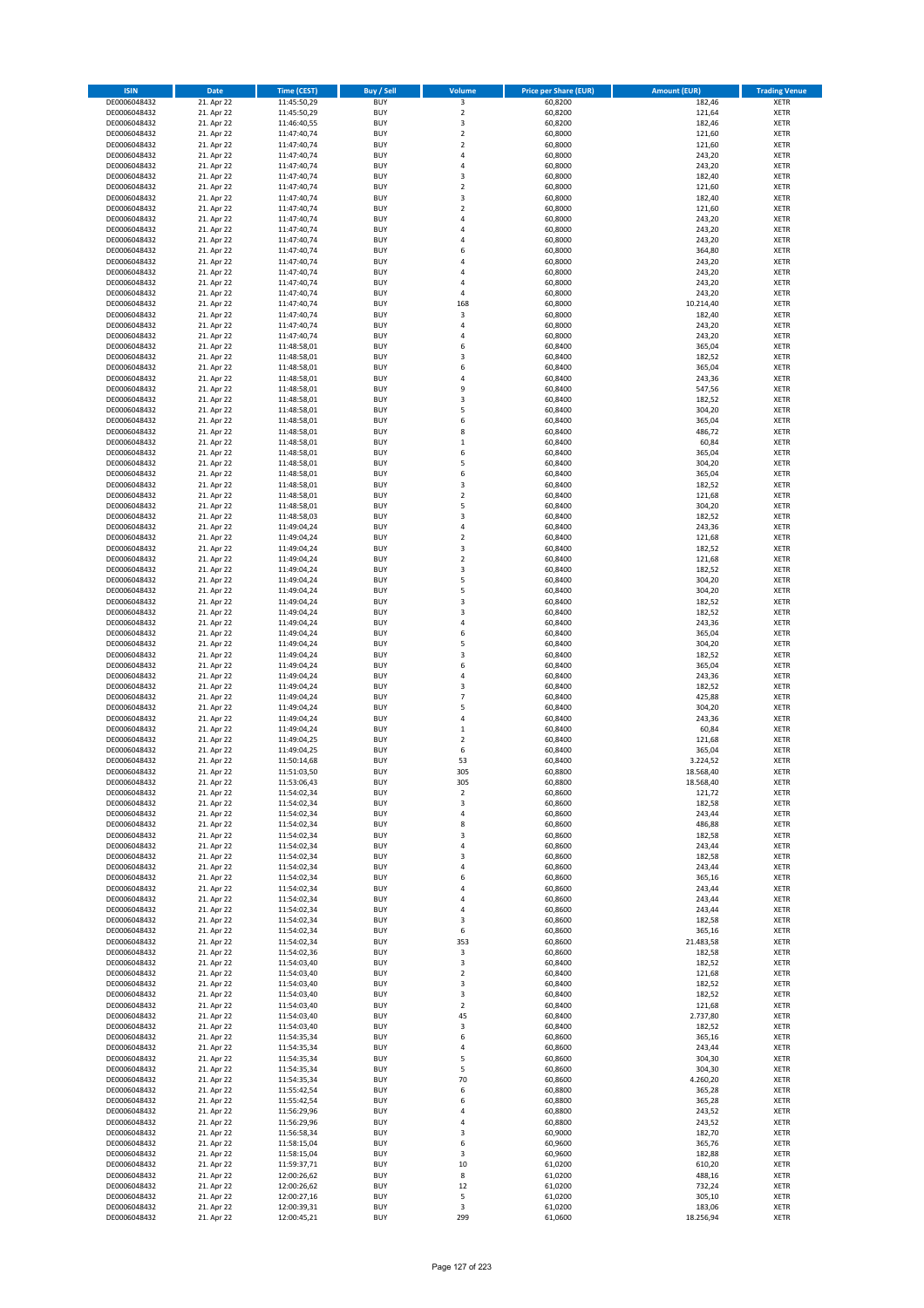| <b>ISIN</b>                  | Date                     | Time (CEST)                | Buy / Sell               | <b>Volume</b>                    | <b>Price per Share (EUR)</b> | <b>Amount (EUR)</b> | <b>Trading Venue</b>       |
|------------------------------|--------------------------|----------------------------|--------------------------|----------------------------------|------------------------------|---------------------|----------------------------|
| DE0006048432                 | 21. Apr 22               | 11:45:50,29                | <b>BUY</b>               | $\overline{\mathbf{3}}$          | 60,8200                      | 182,46              | <b>XETR</b>                |
| DE0006048432                 | 21. Apr 22               | 11:45:50,29                | <b>BUY</b>               | $\mathbf 2$                      | 60,8200                      | 121,64              | <b>XETR</b>                |
| DE0006048432                 | 21. Apr 22               | 11:46:40,55                | <b>BUY</b>               | 3                                | 60,8200                      | 182,46              | <b>XETR</b>                |
| DE0006048432<br>DE0006048432 | 21. Apr 22<br>21. Apr 22 | 11:47:40,74<br>11:47:40,74 | <b>BUY</b><br><b>BUY</b> | $\mathbf 2$<br>$\mathbf 2$       | 60,8000<br>60,8000           | 121,60<br>121,60    | <b>XETR</b><br><b>XETR</b> |
| DE0006048432                 | 21. Apr 22               | 11:47:40,74                | <b>BUY</b>               | $\overline{4}$                   | 60,8000                      | 243,20              | <b>XETR</b>                |
| DE0006048432                 | 21. Apr 22               | 11:47:40,74                | <b>BUY</b>               | $\overline{4}$                   | 60,8000                      | 243,20              | <b>XETR</b>                |
| DE0006048432                 | 21. Apr 22               | 11:47:40,74                | <b>BUY</b>               | 3                                | 60,8000                      | 182,40              | <b>XETR</b>                |
| DE0006048432                 | 21. Apr 22               | 11:47:40,74                | <b>BUY</b>               | $\mathbf 2$                      | 60,8000                      | 121,60              | <b>XETR</b>                |
| DE0006048432<br>DE0006048432 | 21. Apr 22<br>21. Apr 22 | 11:47:40,74<br>11:47:40,74 | <b>BUY</b><br><b>BUY</b> | 3<br>$\overline{a}$              | 60,8000<br>60,8000           | 182,40<br>121,60    | <b>XETR</b><br><b>XETR</b> |
| DE0006048432                 | 21. Apr 22               | 11:47:40,74                | <b>BUY</b>               | $\overline{4}$                   | 60,8000                      | 243,20              | <b>XETR</b>                |
| DE0006048432                 | 21. Apr 22               | 11:47:40,74                | <b>BUY</b>               | $\overline{4}$                   | 60,8000                      | 243,20              | <b>XETR</b>                |
| DE0006048432                 | 21. Apr 22               | 11:47:40,74                | <b>BUY</b>               | $\overline{4}$                   | 60,8000                      | 243,20              | <b>XETR</b>                |
| DE0006048432                 | 21. Apr 22               | 11:47:40,74                | <b>BUY</b>               | 6                                | 60,8000                      | 364,80              | <b>XETR</b>                |
| DE0006048432<br>DE0006048432 | 21. Apr 22<br>21. Apr 22 | 11:47:40,74<br>11:47:40,74 | <b>BUY</b><br><b>BUY</b> | $\overline{4}$<br>4              | 60,8000<br>60,8000           | 243,20<br>243,20    | <b>XETR</b><br><b>XETR</b> |
| DE0006048432                 | 21. Apr 22               | 11:47:40,74                | <b>BUY</b>               | $\overline{4}$                   | 60,8000                      | 243,20              | <b>XETR</b>                |
| DE0006048432                 | 21. Apr 22               | 11:47:40,74                | <b>BUY</b>               | $\overline{a}$                   | 60,8000                      | 243,20              | <b>XETR</b>                |
| DE0006048432                 | 21. Apr 22               | 11:47:40,74                | <b>BUY</b>               | 168                              | 60,8000                      | 10.214,40           | <b>XETR</b>                |
| DE0006048432                 | 21. Apr 22               | 11:47:40,74                | <b>BUY</b>               | $\overline{\mathbf{3}}$          | 60,8000                      | 182,40              | <b>XETR</b>                |
| DE0006048432<br>DE0006048432 | 21. Apr 22<br>21. Apr 22 | 11:47:40,74<br>11:47:40,74 | <b>BUY</b><br><b>BUY</b> | $\overline{4}$<br>$\overline{4}$ | 60,8000<br>60,8000           | 243,20<br>243,20    | <b>XETR</b><br><b>XETR</b> |
| DE0006048432                 | 21. Apr 22               | 11:48:58,01                | <b>BUY</b>               | 6                                | 60,8400                      | 365,04              | <b>XETR</b>                |
| DE0006048432                 | 21. Apr 22               | 11:48:58,01                | <b>BUY</b>               | 3                                | 60,8400                      | 182,52              | <b>XETR</b>                |
| DE0006048432                 | 21. Apr 22               | 11:48:58,01                | <b>BUY</b>               | 6                                | 60,8400                      | 365,04              | <b>XETR</b>                |
| DE0006048432                 | 21. Apr 22               | 11:48:58,01                | <b>BUY</b>               | $\overline{4}$                   | 60,8400                      | 243,36              | <b>XETR</b>                |
| DE0006048432                 | 21. Apr 22<br>21. Apr 22 | 11:48:58,01                | <b>BUY</b><br><b>BUY</b> | 9<br>3                           | 60,8400                      | 547,56              | <b>XETR</b><br><b>XETR</b> |
| DE0006048432<br>DE0006048432 | 21. Apr 22               | 11:48:58,01<br>11:48:58,01 | <b>BUY</b>               | 5                                | 60,8400<br>60,8400           | 182,52<br>304,20    | <b>XETR</b>                |
| DE0006048432                 | 21. Apr 22               | 11:48:58,01                | <b>BUY</b>               | 6                                | 60,8400                      | 365,04              | <b>XETR</b>                |
| DE0006048432                 | 21. Apr 22               | 11:48:58,01                | <b>BUY</b>               | 8                                | 60,8400                      | 486,72              | <b>XETR</b>                |
| DE0006048432                 | 21. Apr 22               | 11:48:58,01                | <b>BUY</b>               | $\,$ 1                           | 60,8400                      | 60,84               | <b>XETR</b>                |
| DE0006048432                 | 21. Apr 22               | 11:48:58,01                | <b>BUY</b>               | 6                                | 60,8400                      | 365,04              | <b>XETR</b>                |
| DE0006048432<br>DE0006048432 | 21. Apr 22<br>21. Apr 22 | 11:48:58,01<br>11:48:58,01 | <b>BUY</b><br><b>BUY</b> | 5<br>6                           | 60,8400<br>60,8400           | 304,20<br>365,04    | <b>XETR</b><br><b>XETR</b> |
| DE0006048432                 | 21. Apr 22               | 11:48:58,01                | <b>BUY</b>               | 3                                | 60,8400                      | 182,52              | <b>XETR</b>                |
| DE0006048432                 | 21. Apr 22               | 11:48:58,01                | <b>BUY</b>               | $\overline{2}$                   | 60,8400                      | 121,68              | <b>XETR</b>                |
| DE0006048432                 | 21. Apr 22               | 11:48:58,01                | <b>BUY</b>               | 5                                | 60,8400                      | 304,20              | <b>XETR</b>                |
| DE0006048432                 | 21. Apr 22               | 11:48:58,03                | <b>BUY</b>               | 3                                | 60,8400                      | 182,52              | <b>XETR</b>                |
| DE0006048432<br>DE0006048432 | 21. Apr 22<br>21. Apr 22 | 11:49:04,24<br>11:49:04,24 | <b>BUY</b><br><b>BUY</b> | 4<br>$\mathbf 2$                 | 60,8400<br>60,8400           | 243,36<br>121,68    | <b>XETR</b><br><b>XETR</b> |
| DE0006048432                 | 21. Apr 22               | 11:49:04,24                | <b>BUY</b>               | 3                                | 60,8400                      | 182,52              | <b>XETR</b>                |
| DE0006048432                 | 21. Apr 22               | 11:49:04,24                | <b>BUY</b>               | $\mathbf 2$                      | 60,8400                      | 121,68              | <b>XETR</b>                |
| DE0006048432                 | 21. Apr 22               | 11:49:04,24                | <b>BUY</b>               | 3                                | 60,8400                      | 182,52              | <b>XETR</b>                |
| DE0006048432                 | 21. Apr 22               | 11:49:04,24                | <b>BUY</b>               | 5                                | 60,8400                      | 304,20              | <b>XETR</b>                |
| DE0006048432<br>DE0006048432 | 21. Apr 22<br>21. Apr 22 | 11:49:04,24                | <b>BUY</b><br><b>BUY</b> | 5<br>3                           | 60,8400<br>60,8400           | 304,20<br>182,52    | <b>XETR</b><br><b>XETR</b> |
| DE0006048432                 | 21. Apr 22               | 11:49:04,24<br>11:49:04,24 | <b>BUY</b>               | 3                                | 60,8400                      | 182,52              | <b>XETR</b>                |
| DE0006048432                 | 21. Apr 22               | 11:49:04,24                | <b>BUY</b>               | 4                                | 60,8400                      | 243,36              | <b>XETR</b>                |
| DE0006048432                 | 21. Apr 22               | 11:49:04,24                | <b>BUY</b>               | 6                                | 60,8400                      | 365,04              | <b>XETR</b>                |
| DE0006048432                 | 21. Apr 22               | 11:49:04,24                | <b>BUY</b>               | 5                                | 60,8400                      | 304,20              | <b>XETR</b>                |
| DE0006048432<br>DE0006048432 | 21. Apr 22<br>21. Apr 22 | 11:49:04,24<br>11:49:04,24 | <b>BUY</b><br><b>BUY</b> | $\mathsf 3$<br>6                 | 60,8400<br>60,8400           | 182,52<br>365,04    | <b>XETR</b><br><b>XETR</b> |
| DE0006048432                 | 21. Apr 22               | 11:49:04,24                | <b>BUY</b>               | $\overline{4}$                   | 60,8400                      | 243,36              | <b>XETR</b>                |
| DE0006048432                 | 21. Apr 22               | 11:49:04,24                | <b>BUY</b>               | 3                                | 60,8400                      | 182,52              | <b>XETR</b>                |
| DE0006048432                 | 21. Apr 22               | 11:49:04,24                | <b>BUY</b>               | $\overline{7}$                   | 60,8400                      | 425,88              | <b>XETR</b>                |
| DE0006048432                 | 21. Apr 22               | 11:49:04,24                | <b>BUY</b>               | 5                                | 60,8400                      | 304,20              | <b>XETR</b>                |
| DE0006048432<br>DE0006048432 | 21. Apr 22<br>21. Apr 22 | 11:49:04,24<br>11:49:04,24 | <b>BUY</b><br><b>BUY</b> | 4<br>$\mathbf 1$                 | 60,8400<br>60,8400           | 243,36<br>60,84     | <b>XETR</b><br><b>XETR</b> |
| DE0006048432                 | 21. Apr 22               | 11:49:04,25                | <b>BUY</b>               | $\mathbf 2$                      | 60,8400                      | 121,68              | <b>XETR</b>                |
| DE0006048432                 | 21. Apr 22               | 11:49:04,25                | <b>BUY</b>               | 6                                | 60,8400                      | 365,04              | <b>XETR</b>                |
| DE0006048432                 | 21. Apr 22               | 11:50:14,68                | <b>BUY</b>               | 53                               | 60,8400                      | 3.224,52            | <b>XETR</b>                |
| DE0006048432                 | 21. Apr 22               | 11:51:03,50                | <b>BUY</b>               | 305                              | 60,8800                      | 18.568,40           | <b>XETR</b>                |
| DE0006048432<br>DE0006048432 | 21. Apr 22<br>21. Apr 22 | 11:53:06,43<br>11:54:02,34 | <b>BUY</b><br><b>BUY</b> | 305<br>$\mathbf 2$               | 60,8800<br>60,8600           | 18.568,40<br>121,72 | <b>XETR</b><br><b>XETR</b> |
| DE0006048432                 | 21. Apr 22               | 11:54:02,34                | <b>BUY</b>               | 3                                | 60,8600                      | 182,58              | XETR                       |
| DE0006048432                 | 21. Apr 22               | 11:54:02,34                | <b>BUY</b>               | $\sqrt{4}$                       | 60.8600                      | 243,44              | <b>XETR</b>                |
| DE0006048432                 | 21. Apr 22               | 11:54:02,34                | <b>BUY</b>               | 8                                | 60,8600                      | 486,88              | <b>XETR</b>                |
| DE0006048432                 | 21. Apr 22               | 11:54:02,34                | <b>BUY</b>               | 3                                | 60,8600                      | 182,58              | <b>XETR</b>                |
| DE0006048432<br>DE0006048432 | 21. Apr 22<br>21. Apr 22 | 11:54:02,34<br>11:54:02,34 | <b>BUY</b><br><b>BUY</b> | 4<br>3                           | 60,8600<br>60,8600           | 243,44<br>182,58    | <b>XETR</b><br><b>XETR</b> |
| DE0006048432                 | 21. Apr 22               | 11:54:02,34                | <b>BUY</b>               | 4                                | 60,8600                      | 243,44              | <b>XETR</b>                |
| DE0006048432                 | 21. Apr 22               | 11:54:02,34                | <b>BUY</b>               | 6                                | 60,8600                      | 365,16              | XETR                       |
| DE0006048432                 | 21. Apr 22               | 11:54:02,34                | <b>BUY</b>               | 4                                | 60,8600                      | 243,44              | <b>XETR</b>                |
| DE0006048432                 | 21. Apr 22               | 11:54:02,34                | <b>BUY</b><br><b>BUY</b> | $\sqrt{4}$<br>4                  | 60,8600                      | 243,44              | <b>XETR</b>                |
| DE0006048432<br>DE0006048432 | 21. Apr 22<br>21. Apr 22 | 11:54:02,34<br>11:54:02,34 | <b>BUY</b>               | 3                                | 60,8600<br>60,8600           | 243,44<br>182,58    | <b>XETR</b><br><b>XETR</b> |
| DE0006048432                 | 21. Apr 22               | 11:54:02,34                | <b>BUY</b>               | 6                                | 60,8600                      | 365,16              | <b>XETR</b>                |
| DE0006048432                 | 21. Apr 22               | 11:54:02,34                | <b>BUY</b>               | 353                              | 60,8600                      | 21.483,58           | <b>XETR</b>                |
| DE0006048432                 | 21. Apr 22               | 11:54:02,36                | <b>BUY</b>               | 3                                | 60,8600                      | 182,58              | XETR                       |
| DE0006048432<br>DE0006048432 | 21. Apr 22<br>21. Apr 22 | 11:54:03,40<br>11:54:03,40 | <b>BUY</b><br><b>BUY</b> | 3<br>$\mathbf 2$                 | 60,8400<br>60,8400           | 182,52<br>121,68    | <b>XETR</b><br><b>XETR</b> |
| DE0006048432                 | 21. Apr 22               | 11:54:03,40                | <b>BUY</b>               | 3                                | 60,8400                      | 182,52              | <b>XETR</b>                |
| DE0006048432                 | 21. Apr 22               | 11:54:03,40                | <b>BUY</b>               | 3                                | 60,8400                      | 182,52              | XETR                       |
| DE0006048432                 | 21. Apr 22               | 11:54:03,40                | <b>BUY</b>               | $\overline{2}$                   | 60,8400                      | 121,68              | <b>XETR</b>                |
| DE0006048432                 | 21. Apr 22               | 11:54:03,40                | <b>BUY</b>               | 45                               | 60,8400                      | 2.737,80            | XETR                       |
| DE0006048432<br>DE0006048432 | 21. Apr 22<br>21. Apr 22 | 11:54:03,40<br>11:54:35,34 | <b>BUY</b><br><b>BUY</b> | 3<br>6                           | 60,8400<br>60,8600           | 182,52<br>365,16    | <b>XETR</b><br>XETR        |
| DE0006048432                 | 21. Apr 22               | 11:54:35,34                | <b>BUY</b>               | 4                                | 60,8600                      | 243,44              | <b>XETR</b>                |
| DE0006048432                 | 21. Apr 22               | 11:54:35,34                | <b>BUY</b>               | 5                                | 60,8600                      | 304,30              | <b>XETR</b>                |
| DE0006048432                 | 21. Apr 22               | 11:54:35,34                | <b>BUY</b>               | 5                                | 60,8600                      | 304,30              | XETR                       |
| DE0006048432                 | 21. Apr 22               | 11:54:35,34                | <b>BUY</b>               | 70                               | 60,8600                      | 4.260,20            | <b>XETR</b>                |
| DE0006048432<br>DE0006048432 | 21. Apr 22<br>21. Apr 22 | 11:55:42,54<br>11:55:42,54 | <b>BUY</b><br><b>BUY</b> | 6<br>6                           | 60,8800<br>60,8800           | 365,28<br>365,28    | XETR<br><b>XETR</b>        |
| DE0006048432                 | 21. Apr 22               | 11:56:29,96                | <b>BUY</b>               | $\sqrt{4}$                       | 60,8800                      | 243,52              | <b>XETR</b>                |
| DE0006048432                 | 21. Apr 22               | 11:56:29,96                | <b>BUY</b>               | $\sqrt{4}$                       | 60,8800                      | 243,52              | <b>XETR</b>                |
| DE0006048432                 | 21. Apr 22               | 11:56:58,34                | <b>BUY</b>               | 3                                | 60,9000                      | 182,70              | <b>XETR</b>                |
| DE0006048432                 | 21. Apr 22               | 11:58:15,04                | <b>BUY</b>               | 6                                | 60,9600                      | 365,76              | XETR                       |
| DE0006048432<br>DE0006048432 | 21. Apr 22<br>21. Apr 22 | 11:58:15,04<br>11:59:37,71 | <b>BUY</b><br><b>BUY</b> | 3<br>10                          | 60,9600<br>61,0200           | 182,88<br>610,20    | <b>XETR</b><br>XETR        |
| DE0006048432                 | 21. Apr 22               | 12:00:26,62                | <b>BUY</b>               | 8                                | 61,0200                      | 488,16              | <b>XETR</b>                |
| DE0006048432                 | 21. Apr 22               | 12:00:26,62                | <b>BUY</b>               | 12                               | 61,0200                      | 732,24              | XETR                       |
| DE0006048432                 | 21. Apr 22               | 12:00:27,16                | <b>BUY</b>               | 5                                | 61,0200                      | 305,10              | XETR                       |
| DE0006048432<br>DE0006048432 | 21. Apr 22<br>21. Apr 22 | 12:00:39,31<br>12:00:45,21 | <b>BUY</b><br><b>BUY</b> | 3<br>299                         | 61,0200<br>61,0600           | 183,06<br>18.256,94 | <b>XETR</b><br>XETR        |
|                              |                          |                            |                          |                                  |                              |                     |                            |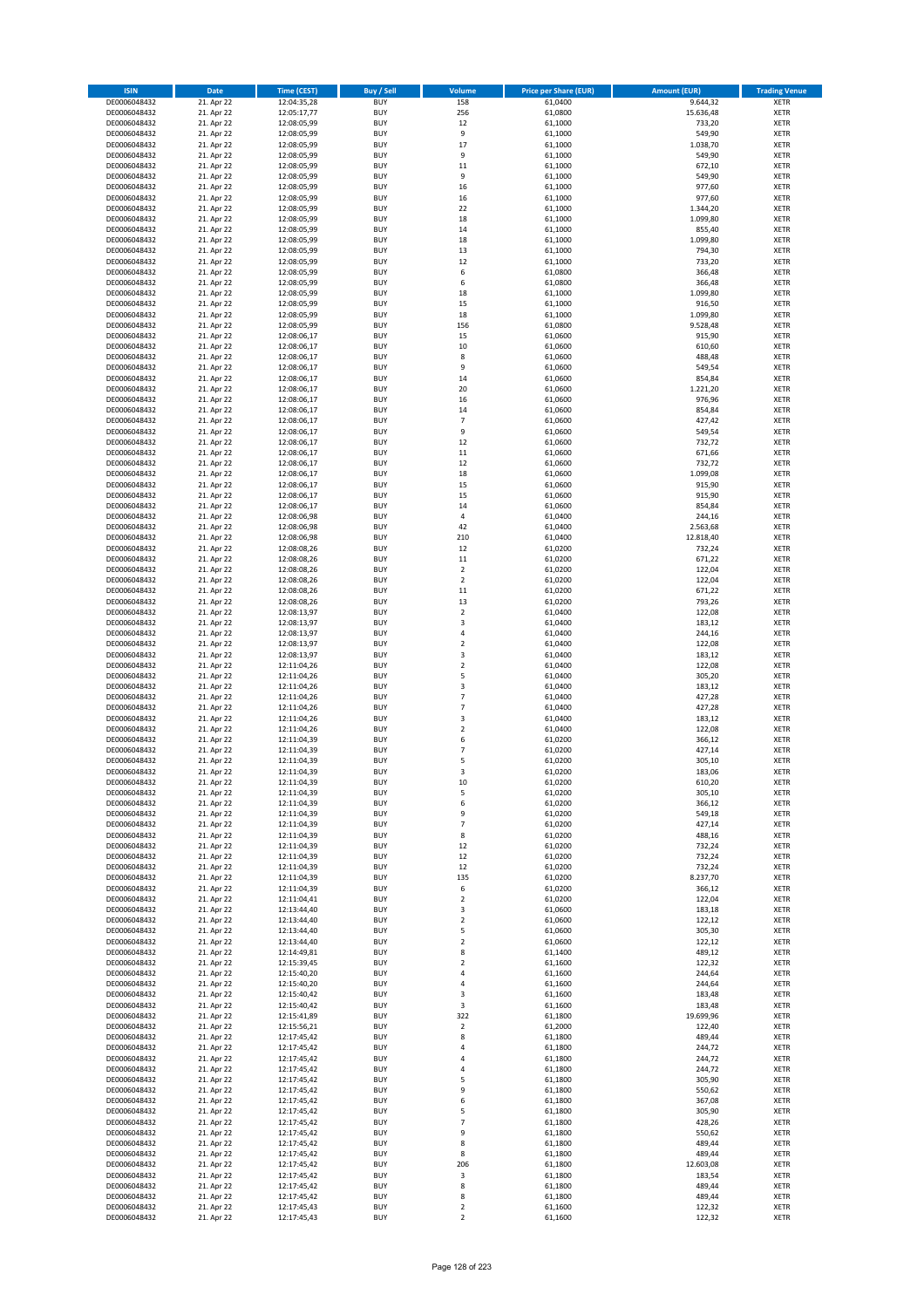| <b>ISIN</b>                  | Date                     | Time (CEST)                | <b>Buy / Sell</b>        | Volume                     | <b>Price per Share (EUR)</b> | <b>Amount (EUR)</b>   | <b>Trading Venue</b>       |
|------------------------------|--------------------------|----------------------------|--------------------------|----------------------------|------------------------------|-----------------------|----------------------------|
| DE0006048432                 | 21. Apr 22               | 12:04:35,28                | <b>BUY</b>               | 158                        | 61,0400                      | 9.644,32              | <b>XETR</b>                |
| DE0006048432                 | 21. Apr 22               | 12:05:17,77                | <b>BUY</b>               | 256                        | 61,0800                      | 15.636,48             | XETR                       |
| DE0006048432                 | 21. Apr 22               | 12:08:05,99                | <b>BUY</b>               | 12                         | 61,1000                      | 733,20                | <b>XETR</b>                |
| DE0006048432<br>DE0006048432 | 21. Apr 22<br>21. Apr 22 | 12:08:05,99<br>12:08:05,99 | <b>BUY</b><br><b>BUY</b> | 9<br>17                    | 61,1000<br>61,1000           | 549,90<br>1.038,70    | XETR<br><b>XETR</b>        |
| DE0006048432                 | 21. Apr 22               | 12:08:05,99                | <b>BUY</b>               | 9                          | 61,1000                      | 549,90                | <b>XETR</b>                |
| DE0006048432                 | 21. Apr 22               | 12:08:05,99                | <b>BUY</b>               | 11                         | 61,1000                      | 672,10                | <b>XETR</b>                |
| DE0006048432                 | 21. Apr 22               | 12:08:05,99                | <b>BUY</b>               | 9                          | 61,1000                      | 549,90                | <b>XETR</b>                |
| DE0006048432                 | 21. Apr 22               | 12:08:05,99                | <b>BUY</b><br><b>BUY</b> | 16<br>16                   | 61,1000                      | 977,60                | <b>XETR</b>                |
| DE0006048432<br>DE0006048432 | 21. Apr 22<br>21. Apr 22 | 12:08:05,99<br>12:08:05,99 | <b>BUY</b>               | 22                         | 61,1000<br>61,1000           | 977,60<br>1.344,20    | <b>XETR</b><br><b>XETR</b> |
| DE0006048432                 | 21. Apr 22               | 12:08:05,99                | <b>BUY</b>               | 18                         | 61,1000                      | 1.099,80              | <b>XETR</b>                |
| DE0006048432                 | 21. Apr 22               | 12:08:05,99                | <b>BUY</b>               | 14                         | 61,1000                      | 855,40                | <b>XETR</b>                |
| DE0006048432                 | 21. Apr 22               | 12:08:05,99                | <b>BUY</b>               | 18                         | 61,1000                      | 1.099,80              | <b>XETR</b>                |
| DE0006048432                 | 21. Apr 22               | 12:08:05,99                | <b>BUY</b>               | 13                         | 61,1000                      | 794,30                | <b>XETR</b>                |
| DE0006048432<br>DE0006048432 | 21. Apr 22<br>21. Apr 22 | 12:08:05,99<br>12:08:05,99 | <b>BUY</b><br><b>BUY</b> | 12<br>6                    | 61,1000<br>61,0800           | 733,20<br>366,48      | <b>XETR</b><br><b>XETR</b> |
| DE0006048432                 | 21. Apr 22               | 12:08:05,99                | <b>BUY</b>               | 6                          | 61,0800                      | 366,48                | <b>XETR</b>                |
| DE0006048432                 | 21. Apr 22               | 12:08:05,99                | <b>BUY</b>               | 18                         | 61,1000                      | 1.099,80              | <b>XETR</b>                |
| DE0006048432                 | 21. Apr 22               | 12:08:05,99                | <b>BUY</b>               | 15                         | 61,1000                      | 916,50                | <b>XETR</b>                |
| DE0006048432                 | 21. Apr 22               | 12:08:05,99                | <b>BUY</b>               | 18                         | 61,1000                      | 1.099,80              | <b>XETR</b>                |
| DE0006048432<br>DE0006048432 | 21. Apr 22<br>21. Apr 22 | 12:08:05,99<br>12:08:06,17 | <b>BUY</b><br><b>BUY</b> | 156<br>15                  | 61,0800<br>61,0600           | 9.528,48<br>915,90    | <b>XETR</b><br><b>XETR</b> |
| DE0006048432                 | 21. Apr 22               | 12:08:06,17                | <b>BUY</b>               | $10\,$                     | 61,0600                      | 610,60                | <b>XETR</b>                |
| DE0006048432                 | 21. Apr 22               | 12:08:06,17                | <b>BUY</b>               | 8                          | 61,0600                      | 488,48                | <b>XETR</b>                |
| DE0006048432                 | 21. Apr 22               | 12:08:06,17                | <b>BUY</b>               | 9                          | 61,0600                      | 549,54                | <b>XETR</b>                |
| DE0006048432                 | 21. Apr 22               | 12:08:06,17                | <b>BUY</b>               | 14                         | 61,0600                      | 854,84                | <b>XETR</b>                |
| DE0006048432<br>DE0006048432 | 21. Apr 22<br>21. Apr 22 | 12:08:06,17<br>12:08:06,17 | <b>BUY</b><br><b>BUY</b> | 20<br>16                   | 61,0600<br>61,0600           | 1.221,20<br>976,96    | <b>XETR</b><br><b>XETR</b> |
| DE0006048432                 | 21. Apr 22               | 12:08:06,17                | <b>BUY</b>               | 14                         | 61,0600                      | 854,84                | <b>XETR</b>                |
| DE0006048432                 | 21. Apr 22               | 12:08:06,17                | <b>BUY</b>               | $\overline{7}$             | 61,0600                      | 427,42                | <b>XETR</b>                |
| DE0006048432                 | 21. Apr 22               | 12:08:06,17                | <b>BUY</b>               | 9                          | 61,0600                      | 549,54                | <b>XETR</b>                |
| DE0006048432                 | 21. Apr 22               | 12:08:06,17                | <b>BUY</b>               | 12                         | 61,0600                      | 732,72                | <b>XETR</b>                |
| DE0006048432<br>DE0006048432 | 21. Apr 22<br>21. Apr 22 | 12:08:06,17                | <b>BUY</b><br><b>BUY</b> | 11<br>12                   | 61,0600<br>61,0600           | 671,66<br>732,72      | <b>XETR</b><br><b>XETR</b> |
| DE0006048432                 | 21. Apr 22               | 12:08:06,17<br>12:08:06,17 | <b>BUY</b>               | 18                         | 61,0600                      | 1.099,08              | <b>XETR</b>                |
| DE0006048432                 | 21. Apr 22               | 12:08:06,17                | <b>BUY</b>               | 15                         | 61,0600                      | 915,90                | <b>XETR</b>                |
| DE0006048432                 | 21. Apr 22               | 12:08:06,17                | <b>BUY</b>               | 15                         | 61,0600                      | 915,90                | <b>XETR</b>                |
| DE0006048432                 | 21. Apr 22               | 12:08:06,17                | <b>BUY</b>               | 14                         | 61,0600                      | 854,84                | <b>XETR</b>                |
| DE0006048432                 | 21. Apr 22               | 12:08:06,98                | <b>BUY</b><br><b>BUY</b> | $\sqrt{4}$<br>42           | 61,0400                      | 244,16                | <b>XETR</b><br><b>XETR</b> |
| DE0006048432<br>DE0006048432 | 21. Apr 22<br>21. Apr 22 | 12:08:06,98<br>12:08:06,98 | <b>BUY</b>               | 210                        | 61,0400<br>61,0400           | 2.563,68<br>12.818,40 | <b>XETR</b>                |
| DE0006048432                 | 21. Apr 22               | 12:08:08,26                | <b>BUY</b>               | 12                         | 61,0200                      | 732,24                | <b>XETR</b>                |
| DE0006048432                 | 21. Apr 22               | 12:08:08,26                | <b>BUY</b>               | 11                         | 61,0200                      | 671,22                | <b>XETR</b>                |
| DE0006048432                 | 21. Apr 22               | 12:08:08,26                | <b>BUY</b>               | $\mathbf 2$                | 61,0200                      | 122,04                | <b>XETR</b>                |
| DE0006048432                 | 21. Apr 22               | 12:08:08,26                | <b>BUY</b>               | $\overline{2}$             | 61,0200                      | 122,04                | <b>XETR</b>                |
| DE0006048432<br>DE0006048432 | 21. Apr 22<br>21. Apr 22 | 12:08:08,26<br>12:08:08,26 | <b>BUY</b><br><b>BUY</b> | 11<br>13                   | 61,0200<br>61,0200           | 671,22<br>793,26      | <b>XETR</b><br><b>XETR</b> |
| DE0006048432                 | 21. Apr 22               | 12:08:13,97                | <b>BUY</b>               | $\mathbf 2$                | 61,0400                      | 122,08                | <b>XETR</b>                |
| DE0006048432                 | 21. Apr 22               | 12:08:13,97                | <b>BUY</b>               | 3                          | 61,0400                      | 183,12                | <b>XETR</b>                |
| DE0006048432                 | 21. Apr 22               | 12:08:13,97                | <b>BUY</b>               | 4                          | 61,0400                      | 244,16                | <b>XETR</b>                |
| DE0006048432                 | 21. Apr 22               | 12:08:13,97                | <b>BUY</b>               | $\mathbf 2$                | 61,0400                      | 122,08                | <b>XETR</b>                |
| DE0006048432<br>DE0006048432 | 21. Apr 22<br>21. Apr 22 | 12:08:13,97<br>12:11:04,26 | <b>BUY</b><br><b>BUY</b> | 3<br>$\mathbf 2$           | 61,0400<br>61,0400           | 183,12<br>122,08      | <b>XETR</b><br><b>XETR</b> |
| DE0006048432                 | 21. Apr 22               | 12:11:04,26                | <b>BUY</b>               | 5                          | 61,0400                      | 305,20                | <b>XETR</b>                |
| DE0006048432                 | 21. Apr 22               | 12:11:04,26                | <b>BUY</b>               | 3                          | 61,0400                      | 183,12                | <b>XETR</b>                |
| DE0006048432                 | 21. Apr 22               | 12:11:04,26                | <b>BUY</b>               | $\overline{7}$             | 61,0400                      | 427,28                | <b>XETR</b>                |
| DE0006048432<br>DE0006048432 | 21. Apr 22               | 12:11:04,26<br>12:11:04,26 | <b>BUY</b><br><b>BUY</b> | $\overline{7}$<br>3        | 61,0400<br>61,0400           | 427,28<br>183,12      | <b>XETR</b><br><b>XETR</b> |
| DE0006048432                 | 21. Apr 22<br>21. Apr 22 | 12:11:04,26                | <b>BUY</b>               | $\overline{2}$             | 61,0400                      | 122,08                | <b>XETR</b>                |
| DE0006048432                 | 21. Apr 22               | 12:11:04,39                | <b>BUY</b>               | 6                          | 61,0200                      | 366,12                | <b>XETR</b>                |
| DE0006048432                 | 21. Apr 22               | 12:11:04,39                | <b>BUY</b>               | $\overline{7}$             | 61,0200                      | 427,14                | <b>XETR</b>                |
| DE0006048432                 | 21. Apr 22               | 12:11:04,39                | <b>BUY</b>               | 5                          | 61,0200                      | 305,10                | <b>XETR</b>                |
| DE0006048432<br>DE0006048432 | 21. Apr 22<br>21. Apr 22 | 12:11:04,39<br>12:11:04,39 | <b>BUY</b><br>BUY        | 3<br>10                    | 61,0200<br>61,0200           | 183,06<br>610,20      | <b>XETR</b><br>XETR        |
| DE0006048432                 | 21. Apr 22               | 12:11:04,39                | <b>BUY</b>               | 5                          | 61,0200                      | 305,10                | <b>XETR</b>                |
| DE0006048432                 | 21. Apr 22               | 12:11:04,39                | <b>BUY</b>               | 6                          | 61,0200                      | 366,12                | <b>XETR</b>                |
| DE0006048432                 | 21. Apr 22               | 12:11:04,39                | <b>BUY</b>               | 9                          | 61,0200                      | 549,18                | <b>XETR</b>                |
| DE0006048432                 | 21. Apr 22               | 12:11:04,39                | <b>BUY</b>               | $\overline{7}$             | 61,0200                      | 427,14                | <b>XETR</b>                |
| DE0006048432<br>DE0006048432 | 21. Apr 22<br>21. Apr 22 | 12:11:04,39<br>12:11:04,39 | <b>BUY</b><br><b>BUY</b> | 8<br>12                    | 61,0200<br>61,0200           | 488,16<br>732,24      | <b>XETR</b><br><b>XETR</b> |
| DE0006048432                 | 21. Apr 22               | 12:11:04,39                | <b>BUY</b>               | 12                         | 61,0200                      | 732,24                | <b>XETR</b>                |
| DE0006048432                 | 21. Apr 22               | 12:11:04,39                | <b>BUY</b>               | 12                         | 61,0200                      | 732,24                | XETR                       |
| DE0006048432                 | 21. Apr 22               | 12:11:04,39                | <b>BUY</b>               | 135                        | 61,0200                      | 8.237,70              | <b>XETR</b>                |
| DE0006048432                 | 21. Apr 22               | 12:11:04,39                | <b>BUY</b>               | 6                          | 61,0200                      | 366,12                | XETR                       |
| DE0006048432<br>DE0006048432 | 21. Apr 22<br>21. Apr 22 | 12:11:04,41<br>12:13:44,40 | <b>BUY</b><br><b>BUY</b> | $\mathbf 2$<br>$\mathsf 3$ | 61,0200<br>61,0600           | 122,04<br>183,18      | <b>XETR</b><br>XETR        |
| DE0006048432                 | 21. Apr 22               | 12:13:44,40                | <b>BUY</b>               | $\overline{2}$             | 61,0600                      | 122,12                | <b>XETR</b>                |
| DE0006048432                 | 21. Apr 22               | 12:13:44,40                | <b>BUY</b>               | 5                          | 61,0600                      | 305,30                | XETR                       |
| DE0006048432                 | 21. Apr 22               | 12:13:44,40                | <b>BUY</b>               | $\mathbf 2$                | 61,0600                      | 122,12                | <b>XETR</b>                |
| DE0006048432<br>DE0006048432 | 21. Apr 22<br>21. Apr 22 | 12:14:49,81<br>12:15:39,45 | <b>BUY</b><br><b>BUY</b> | 8<br>$\overline{2}$        | 61,1400<br>61,1600           | 489,12<br>122,32      | <b>XETR</b><br><b>XETR</b> |
| DE0006048432                 | 21. Apr 22               | 12:15:40,20                | <b>BUY</b>               | 4                          | 61,1600                      | 244,64                | XETR                       |
| DE0006048432                 | 21. Apr 22               | 12:15:40,20                | <b>BUY</b>               | 4                          | 61,1600                      | 244,64                | XETR                       |
| DE0006048432                 | 21. Apr 22               | 12:15:40,42                | <b>BUY</b>               | 3                          | 61,1600                      | 183,48                | <b>XETR</b>                |
| DE0006048432                 | 21. Apr 22               | 12:15:40,42                | <b>BUY</b>               | 3                          | 61,1600                      | 183,48                | <b>XETR</b>                |
| DE0006048432<br>DE0006048432 | 21. Apr 22<br>21. Apr 22 | 12:15:41,89<br>12:15:56,21 | <b>BUY</b><br><b>BUY</b> | 322<br>$\mathbf 2$         | 61,1800<br>61,2000           | 19.699,96<br>122,40   | XETR<br><b>XETR</b>        |
| DE0006048432                 | 21. Apr 22               | 12:17:45,42                | <b>BUY</b>               | 8                          | 61,1800                      | 489,44                | XETR                       |
| DE0006048432                 | 21. Apr 22               | 12:17:45,42                | <b>BUY</b>               | 4                          | 61,1800                      | 244,72                | <b>XETR</b>                |
| DE0006048432                 | 21. Apr 22               | 12:17:45,42                | <b>BUY</b>               | 4                          | 61,1800                      | 244,72                | <b>XETR</b>                |
| DE0006048432                 | 21. Apr 22               | 12:17:45,42                | <b>BUY</b>               | 4                          | 61,1800                      | 244,72                | <b>XETR</b>                |
| DE0006048432<br>DE0006048432 | 21. Apr 22<br>21. Apr 22 | 12:17:45,42<br>12:17:45,42 | <b>BUY</b><br><b>BUY</b> | 5<br>9                     | 61,1800<br>61,1800           | 305,90<br>550,62      | <b>XETR</b><br><b>XETR</b> |
| DE0006048432                 | 21. Apr 22               | 12:17:45,42                | <b>BUY</b>               | 6                          | 61,1800                      | 367,08                | XETR                       |
| DE0006048432                 | 21. Apr 22               | 12:17:45,42                | <b>BUY</b>               | 5                          | 61,1800                      | 305,90                | XETR                       |
| DE0006048432                 | 21. Apr 22               | 12:17:45,42                | <b>BUY</b>               | $\overline{7}$             | 61,1800                      | 428,26                | XETR                       |
| DE0006048432                 | 21. Apr 22               | 12:17:45,42                | <b>BUY</b>               | 9                          | 61,1800                      | 550,62                | XETR                       |
| DE0006048432<br>DE0006048432 | 21. Apr 22<br>21. Apr 22 | 12:17:45,42<br>12:17:45,42 | <b>BUY</b><br><b>BUY</b> | 8<br>8                     | 61,1800<br>61,1800           | 489,44<br>489,44      | <b>XETR</b><br><b>XETR</b> |
| DE0006048432                 | 21. Apr 22               | 12:17:45,42                | <b>BUY</b>               | 206                        | 61,1800                      | 12.603,08             | XETR                       |
| DE0006048432                 | 21. Apr 22               | 12:17:45,42                | <b>BUY</b>               | $\mathsf 3$                | 61,1800                      | 183,54                | XETR                       |
| DE0006048432                 | 21. Apr 22               | 12:17:45,42                | <b>BUY</b>               | 8                          | 61,1800                      | 489,44                | XETR                       |
| DE0006048432<br>DE0006048432 | 21. Apr 22<br>21. Apr 22 | 12:17:45,42<br>12:17:45,43 | <b>BUY</b><br><b>BUY</b> | 8<br>$\mathbf 2$           | 61,1800<br>61,1600           | 489,44<br>122,32      | XETR<br><b>XETR</b>        |
| DE0006048432                 | 21. Apr 22               | 12:17:45,43                | <b>BUY</b>               | $\overline{2}$             | 61,1600                      | 122,32                | <b>XETR</b>                |
|                              |                          |                            |                          |                            |                              |                       |                            |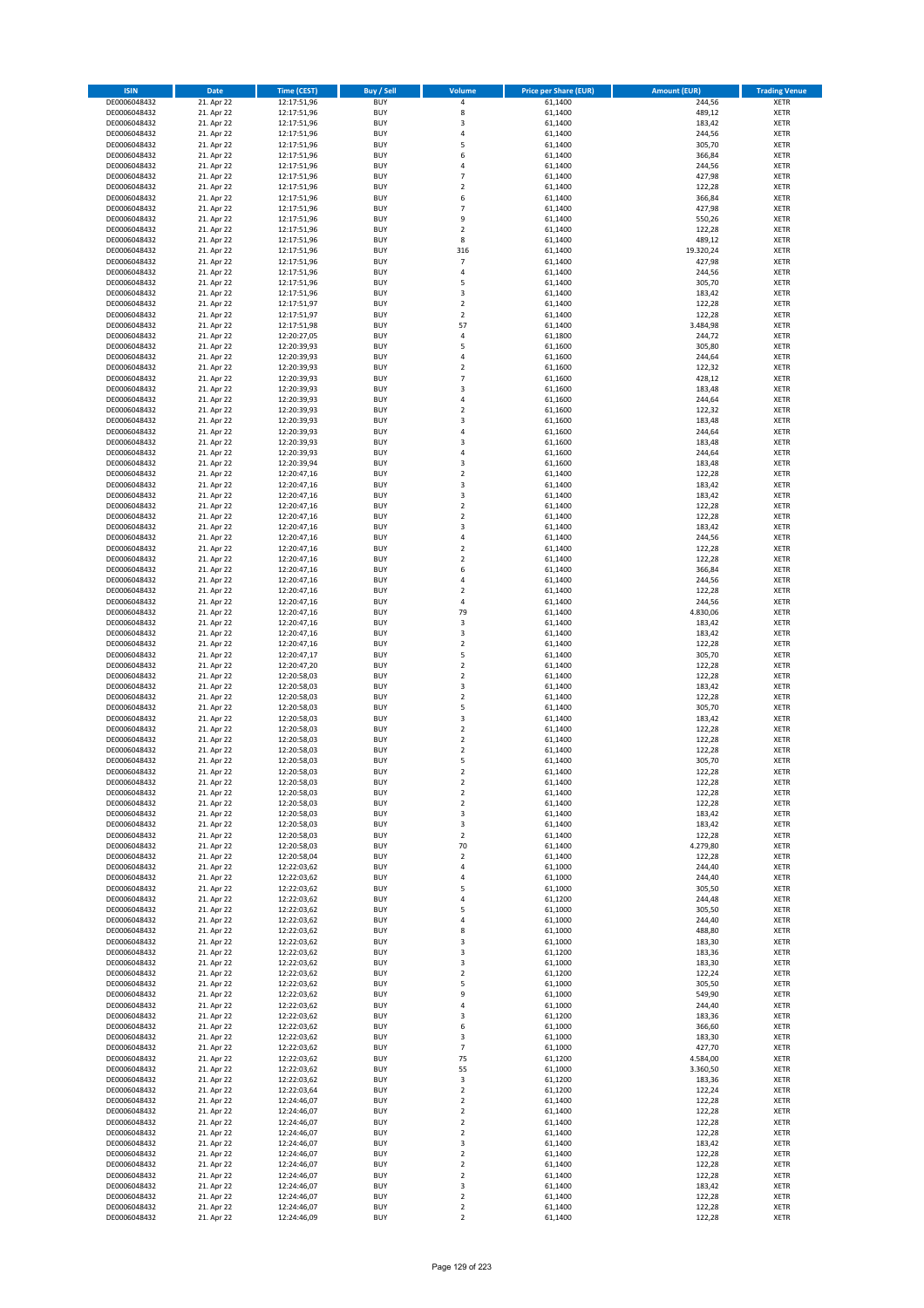| <b>ISIN</b>                  | <b>Date</b>              | Time (CEST)                | <b>Buy / Sell</b>        | <b>Volume</b>                          | <b>Price per Share (EUR)</b> | <b>Amount (EUR)</b> | <b>Trading Venue</b>       |
|------------------------------|--------------------------|----------------------------|--------------------------|----------------------------------------|------------------------------|---------------------|----------------------------|
| DE0006048432                 | 21. Apr 22               | 12:17:51,96                | <b>BUY</b>               | 4                                      | 61,1400                      | 244,56              | <b>XETR</b>                |
| DE0006048432                 | 21. Apr 22               | 12:17:51,96                | <b>BUY</b>               | 8                                      | 61,1400                      | 489,12              | <b>XETR</b>                |
| DE0006048432                 | 21. Apr 22               | 12:17:51,96                | <b>BUY</b>               | 3                                      | 61,1400                      | 183,42              | <b>XETR</b>                |
| DE0006048432<br>DE0006048432 | 21. Apr 22<br>21. Apr 22 | 12:17:51,96<br>12:17:51,96 | <b>BUY</b><br><b>BUY</b> | 4<br>5                                 | 61,1400<br>61,1400           | 244,56<br>305,70    | <b>XETR</b><br><b>XETR</b> |
| DE0006048432                 | 21. Apr 22               | 12:17:51,96                | <b>BUY</b>               | 6                                      | 61,1400                      | 366,84              | <b>XETR</b>                |
| DE0006048432                 | 21. Apr 22               | 12:17:51,96                | <b>BUY</b>               | 4                                      | 61,1400                      | 244,56              | <b>XETR</b>                |
| DE0006048432                 | 21. Apr 22               | 12:17:51,96                | <b>BUY</b>               | $\overline{7}$                         | 61,1400                      | 427,98              | <b>XETR</b>                |
| DE0006048432                 | 21. Apr 22               | 12:17:51,96                | <b>BUY</b>               | $\overline{2}$                         | 61,1400                      | 122,28              | <b>XETR</b>                |
| DE0006048432                 | 21. Apr 22               | 12:17:51,96                | <b>BUY</b>               | 6                                      | 61,1400                      | 366,84              | <b>XETR</b>                |
| DE0006048432                 | 21. Apr 22               | 12:17:51,96                | <b>BUY</b>               | $\overline{7}$                         | 61,1400                      | 427,98              | <b>XETR</b>                |
| DE0006048432<br>DE0006048432 | 21. Apr 22<br>21. Apr 22 | 12:17:51,96<br>12:17:51,96 | <b>BUY</b><br><b>BUY</b> | 9<br>$\mathbf 2$                       | 61,1400<br>61,1400           | 550,26<br>122,28    | <b>XETR</b><br><b>XETR</b> |
| DE0006048432                 | 21. Apr 22               | 12:17:51,96                | <b>BUY</b>               | 8                                      | 61,1400                      | 489,12              | <b>XETR</b>                |
| DE0006048432                 | 21. Apr 22               | 12:17:51,96                | <b>BUY</b>               | 316                                    | 61,1400                      | 19.320,24           | <b>XETR</b>                |
| DE0006048432                 | 21. Apr 22               | 12:17:51,96                | <b>BUY</b>               | $\overline{7}$                         | 61,1400                      | 427,98              | <b>XETR</b>                |
| DE0006048432                 | 21. Apr 22               | 12:17:51,96                | <b>BUY</b>               | 4                                      | 61,1400                      | 244,56              | <b>XETR</b>                |
| DE0006048432                 | 21. Apr 22               | 12:17:51,96                | <b>BUY</b>               | 5                                      | 61,1400                      | 305,70              | <b>XETR</b>                |
| DE0006048432                 | 21. Apr 22               | 12:17:51,96                | <b>BUY</b>               | 3                                      | 61,1400                      | 183,42              | <b>XETR</b>                |
| DE0006048432                 | 21. Apr 22               | 12:17:51,97                | <b>BUY</b>               | $\mathbf 2$                            | 61,1400                      | 122,28              | <b>XETR</b>                |
| DE0006048432<br>DE0006048432 | 21. Apr 22<br>21. Apr 22 | 12:17:51,97<br>12:17:51,98 | <b>BUY</b><br><b>BUY</b> | $\overline{\mathbf{c}}$<br>57          | 61,1400<br>61,1400           | 122,28<br>3.484,98  | <b>XETR</b><br><b>XETR</b> |
| DE0006048432                 | 21. Apr 22               | 12:20:27,05                | <b>BUY</b>               | 4                                      | 61,1800                      | 244,72              | <b>XETR</b>                |
| DE0006048432                 | 21. Apr 22               | 12:20:39,93                | <b>BUY</b>               | 5                                      | 61,1600                      | 305,80              | <b>XETR</b>                |
| DE0006048432                 | 21. Apr 22               | 12:20:39,93                | <b>BUY</b>               | 4                                      | 61,1600                      | 244,64              | <b>XETR</b>                |
| DE0006048432                 | 21. Apr 22               | 12:20:39,93                | <b>BUY</b>               | $\mathbf 2$                            | 61,1600                      | 122,32              | <b>XETR</b>                |
| DE0006048432                 | 21. Apr 22               | 12:20:39,93                | <b>BUY</b>               | $\overline{7}$                         | 61,1600                      | 428,12              | <b>XETR</b>                |
| DE0006048432                 | 21. Apr 22               | 12:20:39,93                | <b>BUY</b>               | 3                                      | 61,1600                      | 183,48              | <b>XETR</b>                |
| DE0006048432<br>DE0006048432 | 21. Apr 22<br>21. Apr 22 | 12:20:39,93<br>12:20:39,93 | <b>BUY</b><br><b>BUY</b> | 4<br>$\overline{\mathbf{c}}$           | 61,1600<br>61,1600           | 244,64<br>122,32    | <b>XETR</b><br><b>XETR</b> |
| DE0006048432                 | 21. Apr 22               | 12:20:39,93                | <b>BUY</b>               | 3                                      | 61,1600                      | 183,48              | <b>XETR</b>                |
| DE0006048432                 | 21. Apr 22               | 12:20:39,93                | <b>BUY</b>               | 4                                      | 61,1600                      | 244,64              | <b>XETR</b>                |
| DE0006048432                 | 21. Apr 22               | 12:20:39,93                | <b>BUY</b>               | 3                                      | 61,1600                      | 183,48              | <b>XETR</b>                |
| DE0006048432                 | 21. Apr 22               | 12:20:39,93                | <b>BUY</b>               | 4                                      | 61,1600                      | 244,64              | <b>XETR</b>                |
| DE0006048432                 | 21. Apr 22               | 12:20:39,94                | <b>BUY</b>               | 3                                      | 61,1600                      | 183,48              | <b>XETR</b>                |
| DE0006048432                 | 21. Apr 22               | 12:20:47,16                | <b>BUY</b>               | $\overline{\mathbf{c}}$                | 61,1400                      | 122,28              | <b>XETR</b>                |
| DE0006048432                 | 21. Apr 22               | 12:20:47,16                | <b>BUY</b><br><b>BUY</b> | 3<br>3                                 | 61,1400                      | 183,42              | <b>XETR</b>                |
| DE0006048432<br>DE0006048432 | 21. Apr 22<br>21. Apr 22 | 12:20:47,16<br>12:20:47,16 | <b>BUY</b>               | $\overline{2}$                         | 61,1400<br>61,1400           | 183,42<br>122,28    | <b>XETR</b><br><b>XETR</b> |
| DE0006048432                 | 21. Apr 22               | 12:20:47,16                | <b>BUY</b>               | $\mathbf 2$                            | 61,1400                      | 122,28              | <b>XETR</b>                |
| DE0006048432                 | 21. Apr 22               | 12:20:47,16                | <b>BUY</b>               | 3                                      | 61,1400                      | 183,42              | <b>XETR</b>                |
| DE0006048432                 | 21. Apr 22               | 12:20:47,16                | <b>BUY</b>               | 4                                      | 61,1400                      | 244,56              | <b>XETR</b>                |
| DE0006048432                 | 21. Apr 22               | 12:20:47,16                | <b>BUY</b>               | $\mathbf 2$                            | 61,1400                      | 122,28              | <b>XETR</b>                |
| DE0006048432                 | 21. Apr 22               | 12:20:47,16                | <b>BUY</b>               | $\overline{\mathbf{c}}$                | 61,1400                      | 122,28              | <b>XETR</b>                |
| DE0006048432                 | 21. Apr 22               | 12:20:47,16                | <b>BUY</b>               | 6                                      | 61,1400                      | 366,84              | <b>XETR</b>                |
| DE0006048432                 | 21. Apr 22               | 12:20:47,16                | <b>BUY</b>               | 4                                      | 61,1400                      | 244,56              | <b>XETR</b>                |
| DE0006048432<br>DE0006048432 | 21. Apr 22<br>21. Apr 22 | 12:20:47,16<br>12:20:47,16 | <b>BUY</b><br><b>BUY</b> | $\mathbf 2$<br>4                       | 61,1400<br>61,1400           | 122,28<br>244,56    | <b>XETR</b><br><b>XETR</b> |
| DE0006048432                 | 21. Apr 22               | 12:20:47,16                | <b>BUY</b>               | 79                                     | 61,1400                      | 4.830,06            | <b>XETR</b>                |
| DE0006048432                 | 21. Apr 22               | 12:20:47,16                | <b>BUY</b>               | 3                                      | 61,1400                      | 183,42              | <b>XETR</b>                |
| DE0006048432                 | 21. Apr 22               | 12:20:47,16                | <b>BUY</b>               | 3                                      | 61,1400                      | 183,42              | <b>XETR</b>                |
| DE0006048432                 | 21. Apr 22               | 12:20:47,16                | <b>BUY</b>               | $\mathbf 2$                            | 61,1400                      | 122,28              | <b>XETR</b>                |
| DE0006048432                 | 21. Apr 22               | 12:20:47,17                | <b>BUY</b>               | 5                                      | 61,1400                      | 305,70              | <b>XETR</b>                |
| DE0006048432                 | 21. Apr 22               | 12:20:47,20                | <b>BUY</b>               | $\mathbf 2$                            | 61,1400                      | 122,28              | <b>XETR</b>                |
| DE0006048432                 | 21. Apr 22               | 12:20:58,03                | <b>BUY</b>               | $\overline{\mathbf{c}}$<br>3           | 61,1400                      | 122,28              | <b>XETR</b>                |
| DE0006048432<br>DE0006048432 | 21. Apr 22<br>21. Apr 22 | 12:20:58,03<br>12:20:58,03 | <b>BUY</b><br><b>BUY</b> | $\overline{\mathbf{c}}$                | 61,1400<br>61,1400           | 183,42<br>122,28    | <b>XETR</b><br><b>XETR</b> |
| DE0006048432                 | 21. Apr 22               | 12:20:58,03                | <b>BUY</b>               | 5                                      | 61,1400                      | 305,70              | <b>XETR</b>                |
| DE0006048432                 | 21. Apr 22               | 12:20:58,03                | <b>BUY</b>               | 3                                      | 61,1400                      | 183,42              | <b>XETR</b>                |
| DE0006048432                 | 21. Apr 22               | 12:20:58,03                | <b>BUY</b>               | $\overline{2}$                         | 61,1400                      | 122,28              | <b>XETR</b>                |
| DE0006048432                 | 21. Apr 22               | 12:20:58,03                | <b>BUY</b>               | $\mathbf 2$                            | 61,1400                      | 122,28              | <b>XETR</b>                |
| DE0006048432                 | 21. Apr 22               | 12:20:58,03                | <b>BUY</b>               | $\overline{\mathbf{c}}$                | 61,1400                      | 122,28              | <b>XETR</b>                |
| DE0006048432                 | 21. Apr 22               | 12:20:58,03                | <b>BUY</b><br><b>BUY</b> | 5<br>$\overline{2}$                    | 61,1400                      | 305,70              | <b>XETR</b>                |
| DE0006048432<br>DE0006048432 | 21. Apr 22<br>21. Apr 22 | 12:20:58,03<br>12:20:58,03 | BUY                      | 2                                      | 61,1400<br>61,1400           | 122,28<br>122,28    | <b>XETR</b><br><b>XETR</b> |
| DE0006048432                 | 21. Apr 22               | 12:20:58,03                | <b>BUY</b>               | $\mathbf 2$                            | 61,1400                      | 122,28              | <b>XETR</b>                |
| DE0006048432                 | 21. Apr 22               | 12:20:58,03                | <b>BUY</b>               | $\mathbf 2$                            | 61,1400                      | 122,28              | <b>XETR</b>                |
| DE0006048432                 | 21. Apr 22               | 12:20:58,03                | <b>BUY</b>               | 3                                      | 61,1400                      | 183,42              | XETR                       |
| DE0006048432                 | 21. Apr 22               | 12:20:58,03                | <b>BUY</b>               | 3                                      | 61,1400                      | 183,42              | <b>XETR</b>                |
| DE0006048432                 | 21. Apr 22               | 12:20:58,03                | <b>BUY</b>               | $\mathbf 2$                            | 61,1400                      | 122,28              | <b>XETR</b>                |
| DE0006048432<br>DE0006048432 | 21. Apr 22<br>21. Apr 22 | 12:20:58,03<br>12:20:58,04 | <b>BUY</b><br><b>BUY</b> | 70<br>$\mathbf 2$                      | 61,1400<br>61,1400           | 4.279,80<br>122,28  | <b>XETR</b><br><b>XETR</b> |
| DE0006048432                 | 21. Apr 22               | 12:22:03,62                | <b>BUY</b>               | 4                                      | 61,1000                      | 244,40              | <b>XETR</b>                |
| DE0006048432                 | 21. Apr 22               | 12:22:03,62                | <b>BUY</b>               | 4                                      | 61,1000                      | 244,40              | <b>XETR</b>                |
| DE0006048432                 | 21. Apr 22               | 12:22:03,62                | <b>BUY</b>               | 5                                      | 61,1000                      | 305,50              | <b>XETR</b>                |
| DE0006048432                 | 21. Apr 22               | 12:22:03,62                | <b>BUY</b>               | 4                                      | 61,1200                      | 244,48              | <b>XETR</b>                |
| DE0006048432                 | 21. Apr 22               | 12:22:03,62                | <b>BUY</b>               | 5                                      | 61,1000                      | 305,50              | <b>XETR</b>                |
| DE0006048432<br>DE0006048432 | 21. Apr 22<br>21. Apr 22 | 12:22:03,62<br>12:22:03,62 | <b>BUY</b><br><b>BUY</b> | 4<br>8                                 | 61,1000<br>61,1000           | 244,40<br>488,80    | <b>XETR</b><br><b>XETR</b> |
| DE0006048432                 | 21. Apr 22               | 12:22:03,62                | <b>BUY</b>               | 3                                      | 61,1000                      | 183,30              | <b>XETR</b>                |
| DE0006048432                 | 21. Apr 22               | 12:22:03,62                | <b>BUY</b>               | 3                                      | 61,1200                      | 183,36              | <b>XETR</b>                |
| DE0006048432                 | 21. Apr 22               | 12:22:03,62                | <b>BUY</b>               | 3                                      | 61,1000                      | 183,30              | <b>XETR</b>                |
| DE0006048432                 | 21. Apr 22               | 12:22:03,62                | <b>BUY</b>               | $\mathbf 2$                            | 61,1200                      | 122,24              | XETR                       |
| DE0006048432                 | 21. Apr 22               | 12:22:03,62                | <b>BUY</b>               | 5                                      | 61,1000                      | 305,50              | <b>XETR</b>                |
| DE0006048432                 | 21. Apr 22               | 12:22:03,62                | <b>BUY</b><br><b>BUY</b> | 9                                      | 61,1000                      | 549,90              | <b>XETR</b>                |
| DE0006048432<br>DE0006048432 | 21. Apr 22<br>21. Apr 22 | 12:22:03,62<br>12:22:03,62 | <b>BUY</b>               | 4<br>3                                 | 61,1000<br>61,1200           | 244,40<br>183,36    | <b>XETR</b><br><b>XETR</b> |
| DE0006048432                 | 21. Apr 22               | 12:22:03,62                | <b>BUY</b>               | 6                                      | 61,1000                      | 366,60              | <b>XETR</b>                |
| DE0006048432                 | 21. Apr 22               | 12:22:03,62                | <b>BUY</b>               | 3                                      | 61,1000                      | 183,30              | <b>XETR</b>                |
| DE0006048432                 | 21. Apr 22               | 12:22:03,62                | <b>BUY</b>               | $\overline{\phantom{a}}$               | 61,1000                      | 427,70              | <b>XETR</b>                |
| DE0006048432                 | 21. Apr 22               | 12:22:03,62                | <b>BUY</b>               | 75                                     | 61,1200                      | 4.584,00            | <b>XETR</b>                |
| DE0006048432                 | 21. Apr 22               | 12:22:03,62                | <b>BUY</b>               | 55                                     | 61,1000                      | 3.360,50            | <b>XETR</b>                |
| DE0006048432                 | 21. Apr 22               | 12:22:03,62                | <b>BUY</b>               | 3                                      | 61,1200                      | 183,36              | <b>XETR</b>                |
| DE0006048432<br>DE0006048432 | 21. Apr 22<br>21. Apr 22 | 12:22:03,64<br>12:24:46,07 | <b>BUY</b><br><b>BUY</b> | $\overline{\mathbf{c}}$<br>$\mathbf 2$ | 61,1200<br>61,1400           | 122,24<br>122,28    | XETR<br><b>XETR</b>        |
| DE0006048432                 | 21. Apr 22               | 12:24:46,07                | <b>BUY</b>               | $\mathbf 2$                            | 61,1400                      | 122,28              | <b>XETR</b>                |
| DE0006048432                 | 21. Apr 22               | 12:24:46,07                | <b>BUY</b>               | $\mathbf 2$                            | 61,1400                      | 122,28              | <b>XETR</b>                |
| DE0006048432                 | 21. Apr 22               | 12:24:46,07                | <b>BUY</b>               | $\mathbf 2$                            | 61,1400                      | 122,28              | <b>XETR</b>                |
| DE0006048432                 | 21. Apr 22               | 12:24:46,07                | <b>BUY</b>               | 3                                      | 61,1400                      | 183,42              | <b>XETR</b>                |
| DE0006048432                 | 21. Apr 22               | 12:24:46,07                | <b>BUY</b>               | $\mathbf 2$                            | 61,1400                      | 122,28              | <b>XETR</b>                |
| DE0006048432                 | 21. Apr 22               | 12:24:46,07                | <b>BUY</b><br><b>BUY</b> | $\overline{\mathbf{c}}$                | 61,1400                      | 122,28              | <b>XETR</b>                |
| DE0006048432<br>DE0006048432 | 21. Apr 22<br>21. Apr 22 | 12:24:46,07<br>12:24:46,07 | <b>BUY</b>               | $\mathbf 2$<br>3                       | 61,1400<br>61,1400           | 122,28<br>183,42    | XETR<br><b>XETR</b>        |
| DE0006048432                 | 21. Apr 22               | 12:24:46,07                | <b>BUY</b>               | $\mathbf 2$                            | 61,1400                      | 122,28              | XETR                       |
| DE0006048432                 | 21. Apr 22               | 12:24:46,07                | <b>BUY</b>               | $\mathbf 2$                            | 61,1400                      | 122,28              | <b>XETR</b>                |
| DE0006048432                 | 21. Apr 22               | 12:24:46,09                | <b>BUY</b>               | $\overline{2}$                         | 61,1400                      | 122,28              | <b>XETR</b>                |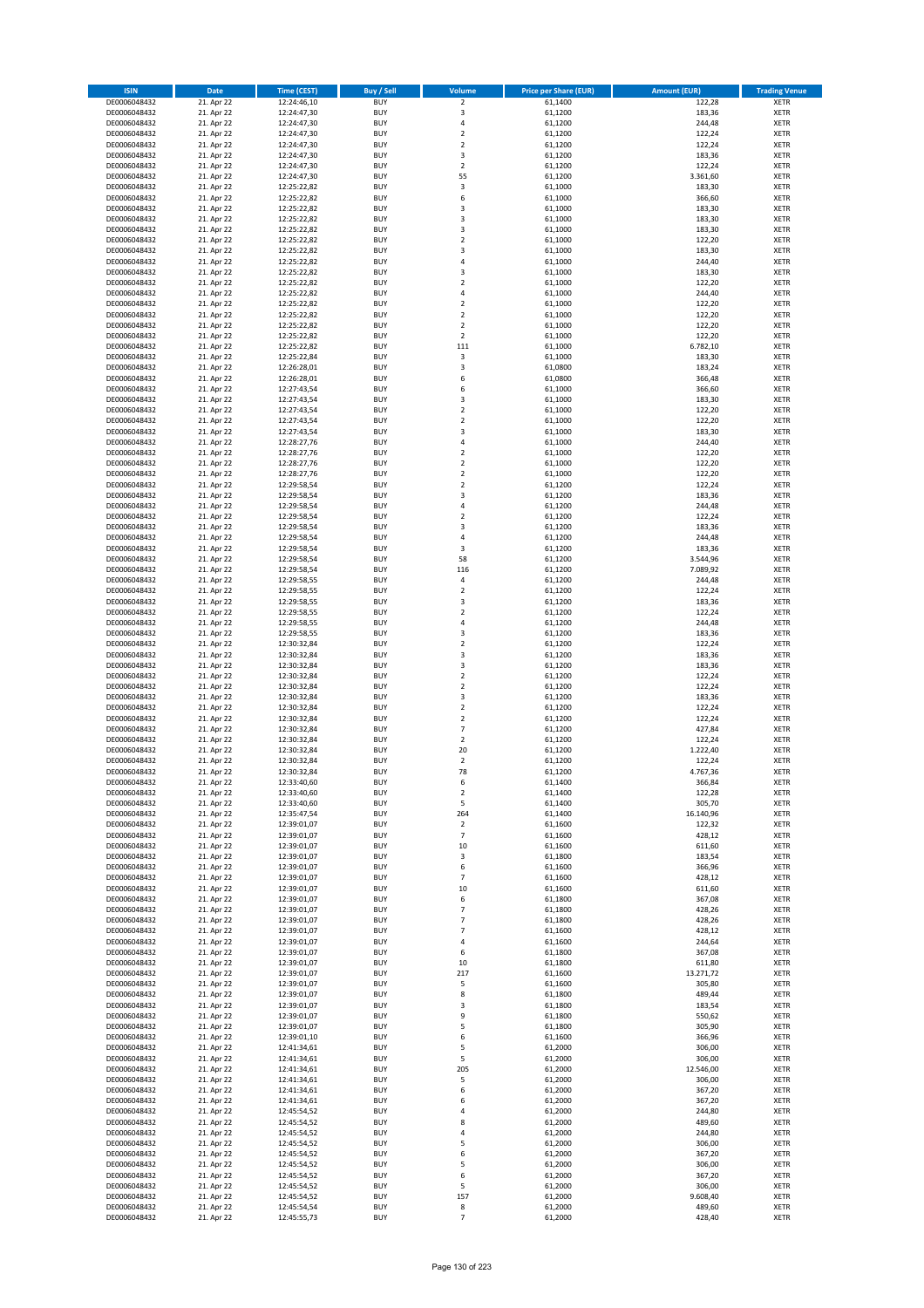| <b>ISIN</b>                  | <b>Date</b>              | <b>Time (CEST)</b>         | <b>Buy / Sell</b>        | Volume                                     | <b>Price per Share (EUR)</b> | <b>Amount (EUR)</b>  | <b>Trading Venue</b>       |
|------------------------------|--------------------------|----------------------------|--------------------------|--------------------------------------------|------------------------------|----------------------|----------------------------|
| DE0006048432                 | 21. Apr 22               | 12:24:46,10                | <b>BUY</b>               | $\overline{2}$                             | 61,1400                      | 122,28               | <b>XETR</b>                |
| DE0006048432                 | 21. Apr 22               | 12:24:47,30                | <b>BUY</b>               | 3                                          | 61,1200                      | 183,36               | <b>XETR</b>                |
| DE0006048432                 | 21. Apr 22               | 12:24:47,30                | <b>BUY</b>               | 4                                          | 61,1200                      | 244,48               | <b>XETR</b>                |
| DE0006048432<br>DE0006048432 | 21. Apr 22<br>21. Apr 22 | 12:24:47,30<br>12:24:47,30 | <b>BUY</b><br><b>BUY</b> | $\mathbf 2$<br>$\overline{\mathbf{c}}$     | 61,1200<br>61,1200           | 122,24<br>122,24     | <b>XETR</b><br><b>XETR</b> |
| DE0006048432                 | 21. Apr 22               | 12:24:47,30                | <b>BUY</b>               | 3                                          | 61,1200                      | 183,36               | <b>XETR</b>                |
| DE0006048432                 | 21. Apr 22               | 12:24:47,30                | <b>BUY</b>               | $\mathbf 2$                                | 61.1200                      | 122,24               | <b>XETR</b>                |
| DE0006048432                 | 21. Apr 22               | 12:24:47,30                | <b>BUY</b>               | 55                                         | 61,1200                      | 3.361,60             | <b>XETR</b>                |
| DE0006048432                 | 21. Apr 22               | 12:25:22,82                | <b>BUY</b>               | 3                                          | 61,1000                      | 183,30               | <b>XETR</b>                |
| DE0006048432                 | 21. Apr 22               | 12:25:22,82                | <b>BUY</b><br><b>BUY</b> | 6                                          | 61,1000                      | 366,60               | <b>XETR</b>                |
| DE0006048432<br>DE0006048432 | 21. Apr 22<br>21. Apr 22 | 12:25:22,82<br>12:25:22,82 | <b>BUY</b>               | 3<br>3                                     | 61,1000<br>61,1000           | 183,30<br>183,30     | <b>XETR</b><br><b>XETR</b> |
| DE0006048432                 | 21. Apr 22               | 12:25:22,82                | <b>BUY</b>               | 3                                          | 61,1000                      | 183,30               | <b>XETR</b>                |
| DE0006048432                 | 21. Apr 22               | 12:25:22,82                | <b>BUY</b>               | $\overline{\mathbf{c}}$                    | 61,1000                      | 122,20               | <b>XETR</b>                |
| DE0006048432                 | 21. Apr 22               | 12:25:22,82                | <b>BUY</b>               | 3                                          | 61,1000                      | 183,30               | <b>XETR</b>                |
| DE0006048432                 | 21. Apr 22               | 12:25:22,82                | <b>BUY</b>               | 4                                          | 61,1000                      | 244,40               | <b>XETR</b>                |
| DE0006048432<br>DE0006048432 | 21. Apr 22<br>21. Apr 22 | 12:25:22,82<br>12:25:22,82 | <b>BUY</b><br><b>BUY</b> | 3<br>$\mathbf 2$                           | 61,1000<br>61,1000           | 183,30<br>122,20     | <b>XETR</b><br><b>XETR</b> |
| DE0006048432                 | 21. Apr 22               | 12:25:22,82                | <b>BUY</b>               | 4                                          | 61,1000                      | 244,40               | <b>XETR</b>                |
| DE0006048432                 | 21. Apr 22               | 12:25:22,82                | <b>BUY</b>               | $\mathbf 2$                                | 61,1000                      | 122,20               | <b>XETR</b>                |
| DE0006048432                 | 21. Apr 22               | 12:25:22,82                | <b>BUY</b>               | $\overline{\mathbf{c}}$                    | 61,1000                      | 122,20               | <b>XETR</b>                |
| DE0006048432                 | 21. Apr 22               | 12:25:22,82                | <b>BUY</b>               | $\mathbf 2$                                | 61,1000                      | 122,20               | <b>XETR</b>                |
| DE0006048432                 | 21. Apr 22               | 12:25:22,82                | <b>BUY</b>               | $\mathbf 2$                                | 61,1000                      | 122,20               | <b>XETR</b>                |
| DE0006048432<br>DE0006048432 | 21. Apr 22<br>21. Apr 22 | 12:25:22,82<br>12:25:22,84 | <b>BUY</b><br><b>BUY</b> | 111<br>3                                   | 61,1000<br>61,1000           | 6.782,10<br>183,30   | <b>XETR</b><br><b>XETR</b> |
| DE0006048432                 | 21. Apr 22               | 12:26:28,01                | <b>BUY</b>               | 3                                          | 61,0800                      | 183,24               | <b>XETR</b>                |
| DE0006048432                 | 21. Apr 22               | 12:26:28,01                | <b>BUY</b>               | 6                                          | 61,0800                      | 366,48               | <b>XETR</b>                |
| DE0006048432                 | 21. Apr 22               | 12:27:43,54                | <b>BUY</b>               | 6                                          | 61,1000                      | 366,60               | <b>XETR</b>                |
| DE0006048432                 | 21. Apr 22               | 12:27:43,54                | <b>BUY</b>               | 3                                          | 61,1000                      | 183,30               | <b>XETR</b>                |
| DE0006048432<br>DE0006048432 | 21. Apr 22<br>21. Apr 22 | 12:27:43,54<br>12:27:43,54 | <b>BUY</b><br><b>BUY</b> | $\overline{\mathbf{c}}$<br>$\overline{2}$  | 61,1000<br>61,1000           | 122,20<br>122,20     | <b>XETR</b><br><b>XETR</b> |
| DE0006048432                 | 21. Apr 22               | 12:27:43,54                | <b>BUY</b>               | 3                                          | 61,1000                      | 183,30               | <b>XETR</b>                |
| DE0006048432                 | 21. Apr 22               | 12:28:27,76                | <b>BUY</b>               | 4                                          | 61,1000                      | 244,40               | <b>XETR</b>                |
| DE0006048432                 | 21. Apr 22               | 12:28:27,76                | <b>BUY</b>               | $\overline{\mathbf{c}}$                    | 61,1000                      | 122,20               | <b>XETR</b>                |
| DE0006048432                 | 21. Apr 22               | 12:28:27,76                | <b>BUY</b>               | $\overline{2}$                             | 61,1000                      | 122,20               | <b>XETR</b>                |
| DE0006048432                 | 21. Apr 22               | 12:28:27,76                | <b>BUY</b>               | $\mathbf 2$                                | 61,1000                      | 122,20               | <b>XETR</b>                |
| DE0006048432<br>DE0006048432 | 21. Apr 22<br>21. Apr 22 | 12:29:58,54<br>12:29:58,54 | <b>BUY</b><br><b>BUY</b> | $\overline{\mathbf{c}}$<br>3               | 61,1200<br>61,1200           | 122,24<br>183,36     | <b>XETR</b><br><b>XETR</b> |
| DE0006048432                 | 21. Apr 22               | 12:29:58,54                | <b>BUY</b>               | 4                                          | 61,1200                      | 244,48               | <b>XETR</b>                |
| DE0006048432                 | 21. Apr 22               | 12:29:58,54                | <b>BUY</b>               | $\mathbf 2$                                | 61,1200                      | 122,24               | <b>XETR</b>                |
| DE0006048432                 | 21. Apr 22               | 12:29:58,54                | <b>BUY</b>               | 3                                          | 61,1200                      | 183,36               | <b>XETR</b>                |
| DE0006048432                 | 21. Apr 22               | 12:29:58,54                | <b>BUY</b>               | 4                                          | 61,1200                      | 244,48               | <b>XETR</b>                |
| DE0006048432                 | 21. Apr 22               | 12:29:58,54                | <b>BUY</b><br><b>BUY</b> | 3<br>58                                    | 61,1200                      | 183,36               | <b>XETR</b><br><b>XETR</b> |
| DE0006048432<br>DE0006048432 | 21. Apr 22<br>21. Apr 22 | 12:29:58,54<br>12:29:58,54 | <b>BUY</b>               | 116                                        | 61,1200<br>61,1200           | 3.544,96<br>7.089,92 | <b>XETR</b>                |
| DE0006048432                 | 21. Apr 22               | 12:29:58,55                | <b>BUY</b>               | 4                                          | 61,1200                      | 244,48               | <b>XETR</b>                |
| DE0006048432                 | 21. Apr 22               | 12:29:58,55                | <b>BUY</b>               | $\mathbf 2$                                | 61,1200                      | 122,24               | <b>XETR</b>                |
| DE0006048432                 | 21. Apr 22               | 12:29:58,55                | <b>BUY</b>               | 3                                          | 61,1200                      | 183,36               | <b>XETR</b>                |
| DE0006048432                 | 21. Apr 22               | 12:29:58,55                | <b>BUY</b>               | $\mathbf 2$                                | 61,1200                      | 122,24               | <b>XETR</b>                |
| DE0006048432<br>DE0006048432 | 21. Apr 22<br>21. Apr 22 | 12:29:58,55<br>12:29:58,55 | <b>BUY</b><br><b>BUY</b> | 4<br>3                                     | 61,1200<br>61,1200           | 244,48<br>183,36     | <b>XETR</b><br><b>XETR</b> |
| DE0006048432                 | 21. Apr 22               | 12:30:32,84                | <b>BUY</b>               | $\mathbf 2$                                | 61,1200                      | 122,24               | <b>XETR</b>                |
| DE0006048432                 | 21. Apr 22               | 12:30:32,84                | <b>BUY</b>               | 3                                          | 61,1200                      | 183,36               | <b>XETR</b>                |
| DE0006048432                 | 21. Apr 22               | 12:30:32,84                | <b>BUY</b>               | 3                                          | 61,1200                      | 183,36               | <b>XETR</b>                |
| DE0006048432                 | 21. Apr 22               | 12:30:32,84                | <b>BUY</b>               | $\mathbf 2$                                | 61,1200                      | 122,24               | <b>XETR</b>                |
| DE0006048432                 | 21. Apr 22               | 12:30:32,84                | <b>BUY</b>               | $\mathbf 2$                                | 61,1200                      | 122,24               | <b>XETR</b>                |
| DE0006048432<br>DE0006048432 | 21. Apr 22<br>21. Apr 22 | 12:30:32,84<br>12:30:32,84 | <b>BUY</b><br><b>BUY</b> | 3<br>$\mathbf 2$                           | 61,1200<br>61,1200           | 183,36<br>122,24     | <b>XETR</b><br><b>XETR</b> |
| DE0006048432                 | 21. Apr 22               | 12:30:32,84                | <b>BUY</b>               | $\mathbf 2$                                | 61,1200                      | 122,24               | <b>XETR</b>                |
| DE0006048432                 | 21. Apr 22               | 12:30:32,84                | <b>BUY</b>               | $\overline{7}$                             | 61,1200                      | 427,84               | <b>XETR</b>                |
| DE0006048432                 | 21. Apr 22               | 12:30:32,84                | <b>BUY</b>               | $\mathbf 2$                                | 61,1200                      | 122,24               | <b>XETR</b>                |
| DE0006048432                 | 21. Apr 22               | 12:30:32,84                | <b>BUY</b>               | 20                                         | 61,1200                      | 1.222,40             | <b>XETR</b>                |
| DE0006048432<br>DE0006048432 | 21. Apr 22<br>21. Apr 22 | 12:30:32,84<br>12:30:32,84 | <b>BUY</b><br><b>BUY</b> | $\mathbf 2$<br>78                          | 61,1200<br>61,1200           | 122,24<br>4.767,36   | <b>XETR</b><br><b>XETR</b> |
| DE0006048432                 | 21. Apr 22               | 12:33:40,60                | BUY                      | 6                                          | 61,1400                      | 366,84               | <b>XETR</b>                |
| DE0006048432                 | 21. Apr 22               | 12:33:40,60                | <b>BUY</b>               | $\mathbf 2$                                | 61,1400                      | 122,28               | XETR                       |
| DE0006048432                 | 21. Apr 22               | 12:33:40,60                | <b>BUY</b>               | 5                                          | 61,1400                      | 305,70               | XETR                       |
| DE0006048432                 | 21. Apr 22               | 12:35:47,54                | <b>BUY</b>               | 264                                        | 61,1400                      | 16.140,96            | XETR                       |
| DE0006048432<br>DE0006048432 | 21. Apr 22<br>21. Apr 22 | 12:39:01,07<br>12:39:01,07 | <b>BUY</b><br><b>BUY</b> | $\overline{2}$<br>$\overline{\phantom{a}}$ | 61,1600<br>61,1600           | 122,32<br>428,12     | <b>XETR</b><br><b>XETR</b> |
| DE0006048432                 | 21. Apr 22               | 12:39:01,07                | <b>BUY</b>               | 10                                         | 61,1600                      | 611,60               | <b>XETR</b>                |
| DE0006048432                 | 21. Apr 22               | 12:39:01,07                | <b>BUY</b>               | 3                                          | 61,1800                      | 183,54               | <b>XETR</b>                |
| DE0006048432                 | 21. Apr 22               | 12:39:01,07                | <b>BUY</b>               | 6                                          | 61,1600                      | 366,96               | <b>XETR</b>                |
| DE0006048432                 | 21. Apr 22               | 12:39:01,07                | <b>BUY</b>               | $\overline{7}$                             | 61,1600                      | 428,12               | XETR                       |
| DE0006048432<br>DE0006048432 | 21. Apr 22<br>21. Apr 22 | 12:39:01,07<br>12:39:01,07 | <b>BUY</b><br><b>BUY</b> | 10<br>6                                    | 61,1600<br>61,1800           | 611,60<br>367,08     | <b>XETR</b><br><b>XETR</b> |
| DE0006048432                 | 21. Apr 22               | 12:39:01,07                | <b>BUY</b>               | $\overline{\phantom{a}}$                   | 61,1800                      | 428,26               | <b>XETR</b>                |
| DE0006048432                 | 21. Apr 22               | 12:39:01,07                | <b>BUY</b>               | $\overline{7}$                             | 61,1800                      | 428,26               | <b>XETR</b>                |
| DE0006048432                 | 21. Apr 22               | 12:39:01,07                | <b>BUY</b>               | $\overline{7}$                             | 61,1600                      | 428,12               | <b>XETR</b>                |
| DE0006048432                 | 21. Apr 22               | 12:39:01,07                | <b>BUY</b>               | 4                                          | 61,1600                      | 244,64               | <b>XETR</b>                |
| DE0006048432<br>DE0006048432 | 21. Apr 22<br>21. Apr 22 | 12:39:01,07<br>12:39:01,07 | <b>BUY</b><br><b>BUY</b> | 6<br>10                                    | 61,1800<br>61,1800           | 367,08<br>611,80     | <b>XETR</b><br><b>XETR</b> |
| DE0006048432                 | 21. Apr 22               | 12:39:01,07                | <b>BUY</b>               | 217                                        | 61,1600                      | 13.271,72            | XETR                       |
| DE0006048432                 | 21. Apr 22               | 12:39:01,07                | <b>BUY</b>               | 5                                          | 61,1600                      | 305,80               | <b>XETR</b>                |
| DE0006048432                 | 21. Apr 22               | 12:39:01,07                | <b>BUY</b>               | 8                                          | 61,1800                      | 489,44               | <b>XETR</b>                |
| DE0006048432                 | 21. Apr 22               | 12:39:01,07                | <b>BUY</b>               | 3                                          | 61,1800                      | 183,54               | <b>XETR</b>                |
| DE0006048432                 | 21. Apr 22               | 12:39:01,07                | <b>BUY</b><br><b>BUY</b> | 9<br>5                                     | 61,1800                      | 550,62               | <b>XETR</b>                |
| DE0006048432<br>DE0006048432 | 21. Apr 22<br>21. Apr 22 | 12:39:01,07<br>12:39:01,10 | <b>BUY</b>               | 6                                          | 61,1800<br>61,1600           | 305,90<br>366,96     | <b>XETR</b><br><b>XETR</b> |
| DE0006048432                 | 21. Apr 22               | 12:41:34,61                | <b>BUY</b>               | 5                                          | 61,2000                      | 306,00               | XETR                       |
| DE0006048432                 | 21. Apr 22               | 12:41:34,61                | <b>BUY</b>               | 5                                          | 61,2000                      | 306,00               | <b>XETR</b>                |
| DE0006048432                 | 21. Apr 22               | 12:41:34,61                | <b>BUY</b>               | 205                                        | 61,2000                      | 12.546,00            | <b>XETR</b>                |
| DE0006048432                 | 21. Apr 22               | 12:41:34,61                | <b>BUY</b>               | 5                                          | 61,2000                      | 306,00               | <b>XETR</b>                |
| DE0006048432<br>DE0006048432 | 21. Apr 22               | 12:41:34,61                | <b>BUY</b><br><b>BUY</b> | 6<br>6                                     | 61,2000<br>61,2000           | 367,20               | XETR<br><b>XETR</b>        |
| DE0006048432                 | 21. Apr 22<br>21. Apr 22 | 12:41:34,61<br>12:45:54,52 | <b>BUY</b>               | 4                                          | 61,2000                      | 367,20<br>244,80     | <b>XETR</b>                |
| DE0006048432                 | 21. Apr 22               | 12:45:54,52                | <b>BUY</b>               | 8                                          | 61,2000                      | 489,60               | XETR                       |
| DE0006048432                 | 21. Apr 22               | 12:45:54,52                | <b>BUY</b>               | 4                                          | 61,2000                      | 244,80               | <b>XETR</b>                |
| DE0006048432                 | 21. Apr 22               | 12:45:54,52                | <b>BUY</b>               | 5                                          | 61,2000                      | 306,00               | <b>XETR</b>                |
| DE0006048432                 | 21. Apr 22               | 12:45:54,52                | <b>BUY</b>               | 6                                          | 61,2000                      | 367,20               | <b>XETR</b>                |
| DE0006048432<br>DE0006048432 | 21. Apr 22<br>21. Apr 22 | 12:45:54,52<br>12:45:54,52 | <b>BUY</b><br><b>BUY</b> | 5<br>6                                     | 61,2000<br>61,2000           | 306,00<br>367,20     | <b>XETR</b><br>XETR        |
| DE0006048432                 | 21. Apr 22               | 12:45:54,52                | <b>BUY</b>               | 5                                          | 61,2000                      | 306,00               | <b>XETR</b>                |
| DE0006048432                 | 21. Apr 22               | 12:45:54,52                | <b>BUY</b>               | 157                                        | 61,2000                      | 9.608,40             | <b>XETR</b>                |
| DE0006048432                 | 21. Apr 22               | 12:45:54,54                | <b>BUY</b>               | 8                                          | 61,2000                      | 489,60               | <b>XETR</b>                |
| DE0006048432                 | 21. Apr 22               | 12:45:55,73                | <b>BUY</b>               | $\overline{7}$                             | 61,2000                      | 428,40               | XETR                       |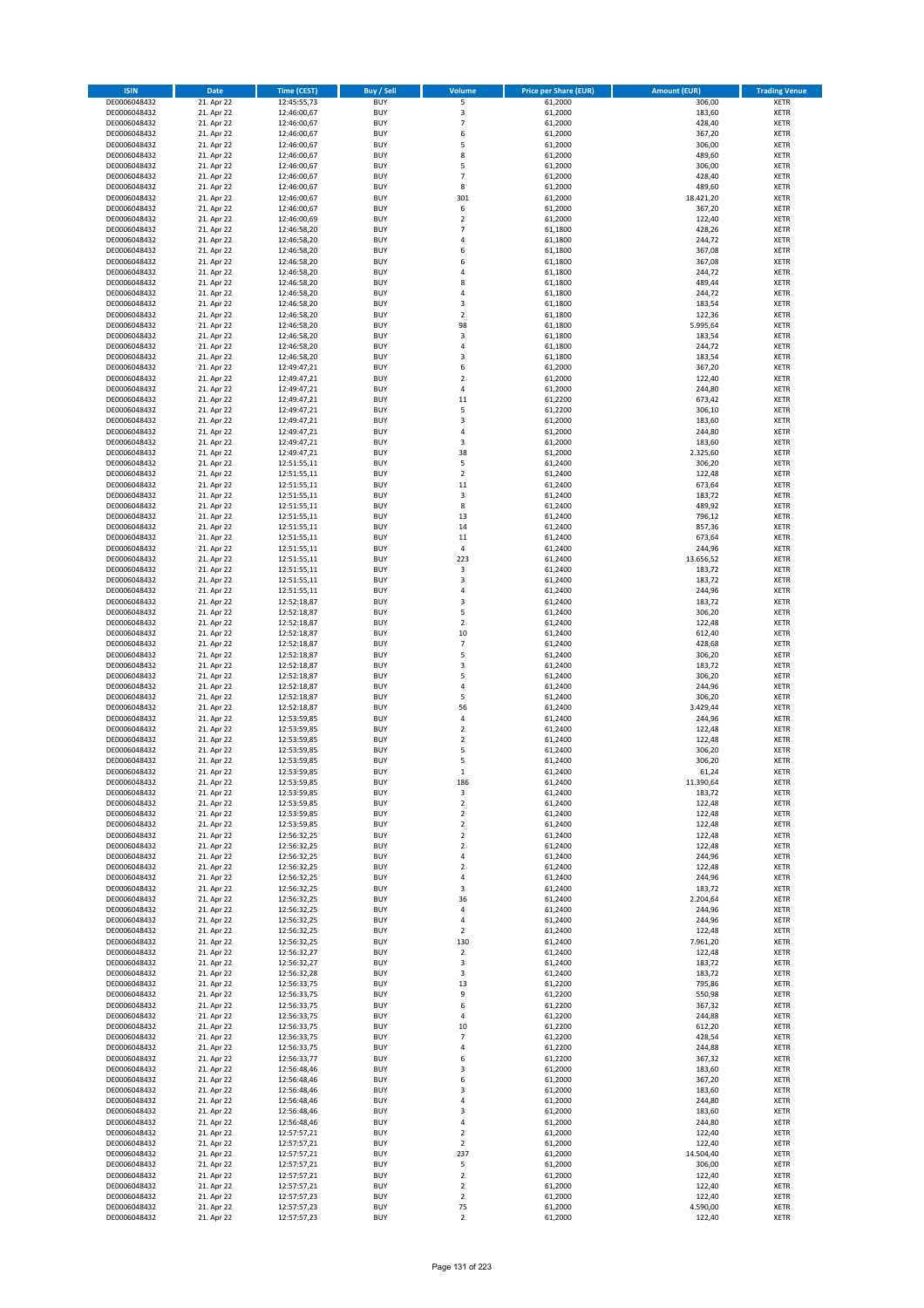| <b>ISIN</b>                  | Date                     | Time (CEST)                | <b>Buy / Sell</b>        | Volume                           | <b>Price per Share (EUR)</b> | <b>Amount (EUR)</b> | <b>Trading Venue</b>       |
|------------------------------|--------------------------|----------------------------|--------------------------|----------------------------------|------------------------------|---------------------|----------------------------|
| DE0006048432                 | 21. Apr 22               | 12:45:55,73                | <b>BUY</b>               | 5                                | 61,2000                      | 306,00              | <b>XETR</b>                |
| DE0006048432                 | 21. Apr 22               | 12:46:00,67                | <b>BUY</b>               | 3                                | 61,2000                      | 183,60              | XETR                       |
| DE0006048432                 | 21. Apr 22               | 12:46:00,67                | <b>BUY</b>               | $\overline{7}$                   | 61,2000                      | 428,40              | <b>XETR</b>                |
| DE0006048432                 | 21. Apr 22               | 12:46:00,67                | <b>BUY</b>               | 6                                | 61,2000                      | 367,20              | XETR                       |
| DE0006048432<br>DE0006048432 | 21. Apr 22<br>21. Apr 22 | 12:46:00,67<br>12:46:00,67 | <b>BUY</b><br><b>BUY</b> | 5<br>8                           | 61,2000<br>61,2000           | 306,00<br>489,60    | <b>XETR</b><br><b>XETR</b> |
| DE0006048432                 | 21. Apr 22               | 12:46:00,67                | <b>BUY</b>               | 5                                | 61,2000                      | 306,00              | <b>XETR</b>                |
| DE0006048432                 | 21. Apr 22               | 12:46:00,67                | <b>BUY</b>               | $\overline{7}$                   | 61,2000                      | 428,40              | <b>XETR</b>                |
| DE0006048432                 | 21. Apr 22               | 12:46:00,67                | <b>BUY</b>               | 8                                | 61,2000                      | 489,60              | <b>XETR</b>                |
| DE0006048432                 | 21. Apr 22               | 12:46:00,67                | <b>BUY</b>               | 301                              | 61,2000                      | 18.421,20           | <b>XETR</b>                |
| DE0006048432                 | 21. Apr 22               | 12:46:00,67                | <b>BUY</b>               | 6                                | 61,2000                      | 367,20              | <b>XETR</b>                |
| DE0006048432                 | 21. Apr 22               | 12:46:00,69                | <b>BUY</b>               | $\overline{2}$<br>$\overline{7}$ | 61,2000                      | 122,40              | <b>XETR</b>                |
| DE0006048432<br>DE0006048432 | 21. Apr 22<br>21. Apr 22 | 12:46:58,20<br>12:46:58,20 | <b>BUY</b><br><b>BUY</b> | $\overline{4}$                   | 61,1800<br>61,1800           | 428,26<br>244,72    | <b>XETR</b><br><b>XETR</b> |
| DE0006048432                 | 21. Apr 22               | 12:46:58,20                | <b>BUY</b>               | 6                                | 61,1800                      | 367,08              | <b>XETR</b>                |
| DE0006048432                 | 21. Apr 22               | 12:46:58,20                | <b>BUY</b>               | 6                                | 61,1800                      | 367,08              | <b>XETR</b>                |
| DE0006048432                 | 21. Apr 22               | 12:46:58,20                | <b>BUY</b>               | 4                                | 61,1800                      | 244,72              | <b>XETR</b>                |
| DE0006048432                 | 21. Apr 22               | 12:46:58,20                | <b>BUY</b>               | 8                                | 61,1800                      | 489,44              | <b>XETR</b>                |
| DE0006048432                 | 21. Apr 22               | 12:46:58,20                | <b>BUY</b>               | 4                                | 61,1800                      | 244,72              | <b>XETR</b>                |
| DE0006048432<br>DE0006048432 | 21. Apr 22<br>21. Apr 22 | 12:46:58,20<br>12:46:58,20 | <b>BUY</b><br><b>BUY</b> | 3<br>$\overline{2}$              | 61,1800<br>61,1800           | 183,54<br>122,36    | <b>XETR</b><br><b>XETR</b> |
| DE0006048432                 | 21. Apr 22               | 12:46:58,20                | <b>BUY</b>               | 98                               | 61,1800                      | 5.995,64            | <b>XETR</b>                |
| DE0006048432                 | 21. Apr 22               | 12:46:58,20                | <b>BUY</b>               | 3                                | 61,1800                      | 183,54              | <b>XETR</b>                |
| DE0006048432                 | 21. Apr 22               | 12:46:58,20                | <b>BUY</b>               | 4                                | 61,1800                      | 244,72              | <b>XETR</b>                |
| DE0006048432                 | 21. Apr 22               | 12:46:58,20                | <b>BUY</b>               | 3                                | 61,1800                      | 183,54              | <b>XETR</b>                |
| DE0006048432                 | 21. Apr 22               | 12:49:47,21                | <b>BUY</b>               | 6                                | 61,2000                      | 367,20              | <b>XETR</b>                |
| DE0006048432<br>DE0006048432 | 21. Apr 22<br>21. Apr 22 | 12:49:47,21<br>12:49:47,21 | <b>BUY</b><br><b>BUY</b> | $\mathbf 2$<br>4                 | 61,2000<br>61,2000           | 122,40<br>244,80    | <b>XETR</b><br><b>XETR</b> |
| DE0006048432                 | 21. Apr 22               | 12:49:47,21                | <b>BUY</b>               | 11                               | 61,2200                      | 673,42              | <b>XETR</b>                |
| DE0006048432                 | 21. Apr 22               | 12:49:47,21                | <b>BUY</b>               | 5                                | 61,2200                      | 306,10              | <b>XETR</b>                |
| DE0006048432                 | 21. Apr 22               | 12:49:47,21                | <b>BUY</b>               | 3                                | 61,2000                      | 183,60              | <b>XETR</b>                |
| DE0006048432                 | 21. Apr 22               | 12:49:47,21                | <b>BUY</b>               | $\pmb{4}$                        | 61,2000                      | 244,80              | <b>XETR</b>                |
| DE0006048432                 | 21. Apr 22               | 12:49:47,21                | <b>BUY</b>               | 3                                | 61,2000                      | 183,60              | <b>XETR</b>                |
| DE0006048432                 | 21. Apr 22               | 12:49:47,21                | <b>BUY</b>               | 38                               | 61,2000                      | 2.325,60            | <b>XETR</b>                |
| DE0006048432<br>DE0006048432 | 21. Apr 22<br>21. Apr 22 | 12:51:55,11<br>12:51:55,11 | <b>BUY</b><br><b>BUY</b> | 5<br>$\mathbf 2$                 | 61,2400<br>61,2400           | 306,20<br>122,48    | <b>XETR</b><br><b>XETR</b> |
| DE0006048432                 | 21. Apr 22               | 12:51:55,11                | <b>BUY</b>               | 11                               | 61,2400                      | 673,64              | <b>XETR</b>                |
| DE0006048432                 | 21. Apr 22               | 12:51:55,11                | <b>BUY</b>               | 3                                | 61,2400                      | 183,72              | <b>XETR</b>                |
| DE0006048432                 | 21. Apr 22               | 12:51:55,11                | <b>BUY</b>               | 8                                | 61,2400                      | 489,92              | <b>XETR</b>                |
| DE0006048432                 | 21. Apr 22               | 12:51:55,11                | <b>BUY</b>               | 13                               | 61,2400                      | 796,12              | <b>XETR</b>                |
| DE0006048432                 | 21. Apr 22               | 12:51:55,11                | <b>BUY</b>               | 14                               | 61,2400                      | 857,36              | <b>XETR</b>                |
| DE0006048432<br>DE0006048432 | 21. Apr 22<br>21. Apr 22 | 12:51:55,11                | <b>BUY</b><br><b>BUY</b> | 11<br>$\pmb{4}$                  | 61,2400<br>61,2400           | 673,64              | <b>XETR</b><br><b>XETR</b> |
| DE0006048432                 | 21. Apr 22               | 12:51:55,11<br>12:51:55,11 | <b>BUY</b>               | 223                              | 61,2400                      | 244,96<br>13.656,52 | <b>XETR</b>                |
| DE0006048432                 | 21. Apr 22               | 12:51:55,11                | <b>BUY</b>               | $\mathsf 3$                      | 61,2400                      | 183,72              | <b>XETR</b>                |
| DE0006048432                 | 21. Apr 22               | 12:51:55,11                | <b>BUY</b>               | 3                                | 61,2400                      | 183,72              | <b>XETR</b>                |
| DE0006048432                 | 21. Apr 22               | 12:51:55,11                | <b>BUY</b>               | $\pmb{4}$                        | 61,2400                      | 244,96              | <b>XETR</b>                |
| DE0006048432                 | 21. Apr 22               | 12:52:18,87                | <b>BUY</b>               | 3                                | 61,2400                      | 183,72              | <b>XETR</b>                |
| DE0006048432<br>DE0006048432 | 21. Apr 22<br>21. Apr 22 | 12:52:18,87<br>12:52:18,87 | <b>BUY</b><br><b>BUY</b> | 5<br>$\overline{2}$              | 61,2400<br>61,2400           | 306,20<br>122,48    | <b>XETR</b><br><b>XETR</b> |
| DE0006048432                 | 21. Apr 22               | 12:52:18,87                | <b>BUY</b>               | 10                               | 61,2400                      | 612,40              | <b>XETR</b>                |
| DE0006048432                 | 21. Apr 22               | 12:52:18,87                | <b>BUY</b>               | $\overline{7}$                   | 61,2400                      | 428,68              | <b>XETR</b>                |
| DE0006048432                 | 21. Apr 22               | 12:52:18,87                | <b>BUY</b>               | 5                                | 61,2400                      | 306,20              | <b>XETR</b>                |
| DE0006048432                 | 21. Apr 22               | 12:52:18,87                | <b>BUY</b>               | $\mathsf 3$                      | 61,2400                      | 183,72              | <b>XETR</b>                |
| DE0006048432                 | 21. Apr 22               | 12:52:18,87                | <b>BUY</b>               | 5                                | 61,2400                      | 306,20              | <b>XETR</b>                |
| DE0006048432                 | 21. Apr 22               | 12:52:18,87                | <b>BUY</b>               | 4                                | 61,2400                      | 244,96              | <b>XETR</b>                |
| DE0006048432<br>DE0006048432 | 21. Apr 22<br>21. Apr 22 | 12:52:18,87<br>12:52:18,87 | <b>BUY</b><br><b>BUY</b> | 5<br>56                          | 61,2400<br>61,2400           | 306,20<br>3.429,44  | <b>XETR</b><br><b>XETR</b> |
| DE0006048432                 | 21. Apr 22               | 12:53:59,85                | <b>BUY</b>               | $\overline{4}$                   | 61,2400                      | 244,96              | <b>XETR</b>                |
| DE0006048432                 | 21. Apr 22               | 12:53:59,85                | <b>BUY</b>               | $\mathbf 2$                      | 61,2400                      | 122,48              | <b>XETR</b>                |
| DE0006048432                 | 21. Apr 22               | 12:53:59,85                | <b>BUY</b>               | $\mathbf 2$                      | 61,2400                      | 122,48              | <b>XETR</b>                |
| DE0006048432                 | 21. Apr 22               | 12:53:59,85                | <b>BUY</b>               | 5                                | 61,2400                      | 306,20              | <b>XETR</b>                |
| DE0006048432                 | 21. Apr 22               | 12:53:59,85                | <b>BUY</b>               | 5                                | 61,2400                      | 306,20              | <b>XETR</b>                |
| DE0006048432<br>DE0006048432 | 21. Apr 22<br>21. Apr 22 | 12:53:59,85<br>12:53:59,85 | <b>BUY</b><br>BUY        | $\mathbf{1}$<br>186              | 61,2400<br>61,2400           | 61,24<br>11.390,64  | <b>XETR</b><br>XETR        |
| DE0006048432                 | 21. Apr 22               | 12:53:59,85                | <b>BUY</b>               | 3                                | 61,2400                      | 183,72              | <b>XETR</b>                |
| DE0006048432                 | 21. Apr 22               | 12:53:59,85                | <b>BUY</b>               | $\overline{2}$                   | 61,2400                      | 122,48              | <b>XETR</b>                |
| DE0006048432                 | 21. Apr 22               | 12:53:59,85                | <b>BUY</b>               | $\mathbf 2$                      | 61,2400                      | 122,48              | XETR                       |
| DE0006048432                 | 21. Apr 22               | 12:53:59,85                | <b>BUY</b>               | $\overline{2}$                   | 61,2400                      | 122,48              | <b>XETR</b>                |
| DE0006048432                 | 21. Apr 22               | 12:56:32,25                | <b>BUY</b>               | $\overline{2}$                   | 61,2400                      | 122,48              | <b>XETR</b>                |
| DE0006048432<br>DE0006048432 | 21. Apr 22<br>21. Apr 22 | 12:56:32,25<br>12:56:32,25 | <b>BUY</b><br><b>BUY</b> | $\overline{2}$<br>4              | 61,2400<br>61,2400           | 122,48<br>244,96    | <b>XETR</b><br><b>XETR</b> |
| DE0006048432                 | 21. Apr 22               | 12:56:32,25                | <b>BUY</b>               | $\overline{2}$                   | 61,2400                      | 122,48              | XETR                       |
| DE0006048432                 | 21. Apr 22               | 12:56:32,25                | <b>BUY</b>               | $\pmb{4}$                        | 61,2400                      | 244,96              | <b>XETR</b>                |
| DE0006048432                 | 21. Apr 22               | 12:56:32,25                | <b>BUY</b>               | 3                                | 61,2400                      | 183,72              | XETR                       |
| DE0006048432                 | 21. Apr 22               | 12:56:32,25                | <b>BUY</b>               | 36                               | 61,2400                      | 2.204,64            | <b>XETR</b>                |
| DE0006048432                 | 21. Apr 22               | 12:56:32,25                | <b>BUY</b>               | 4                                | 61,2400                      | 244,96              | XETR                       |
| DE0006048432                 | 21. Apr 22               | 12:56:32,25<br>12:56:32,25 | <b>BUY</b><br><b>BUY</b> | $\pmb{4}$                        | 61,2400                      | 244,96<br>122,48    | <b>XETR</b>                |
| DE0006048432<br>DE0006048432 | 21. Apr 22<br>21. Apr 22 | 12:56:32,25                | <b>BUY</b>               | $\mathbf 2$<br>130               | 61,2400<br>61,2400           | 7.961,20            | XETR<br><b>XETR</b>        |
| DE0006048432                 | 21. Apr 22               | 12:56:32,27                | <b>BUY</b>               | $\mathbf 2$                      | 61,2400                      | 122,48              | <b>XETR</b>                |
| DE0006048432                 | 21. Apr 22               | 12:56:32,27                | <b>BUY</b>               | 3                                | 61,2400                      | 183,72              | <b>XETR</b>                |
| DE0006048432                 | 21. Apr 22               | 12:56:32,28                | <b>BUY</b>               | 3                                | 61,2400                      | 183,72              | XETR                       |
| DE0006048432                 | 21. Apr 22               | 12:56:33,75                | <b>BUY</b>               | 13                               | 61,2200                      | 795,86              | XETR                       |
| DE0006048432                 | 21. Apr 22               | 12:56:33,75                | <b>BUY</b>               | 9                                | 61,2200                      | 550,98              | <b>XETR</b>                |
| DE0006048432<br>DE0006048432 | 21. Apr 22<br>21. Apr 22 | 12:56:33,75                | <b>BUY</b><br><b>BUY</b> | 6<br>4                           | 61,2200<br>61,2200           | 367,32<br>244,88    | XETR<br>XETR               |
| DE0006048432                 | 21. Apr 22               | 12:56:33,75<br>12:56:33,75 | <b>BUY</b>               | 10                               | 61,2200                      | 612,20              | <b>XETR</b>                |
| DE0006048432                 | 21. Apr 22               | 12:56:33,75                | <b>BUY</b>               | $\overline{7}$                   | 61,2200                      | 428,54              | XETR                       |
| DE0006048432                 | 21. Apr 22               | 12:56:33,75                | <b>BUY</b>               | 4                                | 61,2200                      | 244,88              | <b>XETR</b>                |
| DE0006048432                 | 21. Apr 22               | 12:56:33,77                | <b>BUY</b>               | 6                                | 61,2200                      | 367,32              | XETR                       |
| DE0006048432                 | 21. Apr 22               | 12:56:48,46                | <b>BUY</b>               | 3                                | 61,2000                      | 183,60              | <b>XETR</b>                |
| DE0006048432                 | 21. Apr 22               | 12:56:48,46                | <b>BUY</b>               | 6                                | 61,2000                      | 367,20              | <b>XETR</b>                |
| DE0006048432<br>DE0006048432 | 21. Apr 22<br>21. Apr 22 | 12:56:48,46<br>12:56:48,46 | <b>BUY</b><br><b>BUY</b> | 3<br>4                           | 61,2000<br>61,2000           | 183,60<br>244,80    | <b>XETR</b><br>XETR        |
| DE0006048432                 | 21. Apr 22               | 12:56:48,46                | <b>BUY</b>               | 3                                | 61,2000                      | 183,60              | XETR                       |
| DE0006048432                 | 21. Apr 22               | 12:56:48,46                | <b>BUY</b>               | 4                                | 61,2000                      | 244,80              | XETR                       |
| DE0006048432                 | 21. Apr 22               | 12:57:57,21                | <b>BUY</b>               | $\overline{2}$                   | 61,2000                      | 122,40              | XETR                       |
| DE0006048432                 | 21. Apr 22               | 12:57:57,21                | <b>BUY</b>               | $\mathbf 2$                      | 61,2000                      | 122,40              | <b>XETR</b>                |
| DE0006048432                 | 21. Apr 22               | 12:57:57,21                | <b>BUY</b>               | 237                              | 61,2000                      | 14.504,40           | XETR                       |
| DE0006048432<br>DE0006048432 | 21. Apr 22<br>21. Apr 22 | 12:57:57,21                | <b>BUY</b><br><b>BUY</b> | 5<br>$\mathbf 2$                 | 61,2000<br>61,2000           | 306,00<br>122,40    | XETR<br>XETR               |
| DE0006048432                 | 21. Apr 22               | 12:57:57,21<br>12:57:57,21 | <b>BUY</b>               | $\overline{2}$                   | 61,2000                      | 122,40              | <b>XETR</b>                |
| DE0006048432                 | 21. Apr 22               | 12:57:57,23                | <b>BUY</b>               | $\mathbf 2$                      | 61,2000                      | 122,40              | XETR                       |
| DE0006048432                 | 21. Apr 22               | 12:57:57,23                | <b>BUY</b>               | 75                               | 61,2000                      | 4.590,00            | <b>XETR</b>                |
| DE0006048432                 | 21. Apr 22               | 12:57:57,23                | <b>BUY</b>               | $\overline{2}$                   | 61,2000                      | 122,40              | <b>XETR</b>                |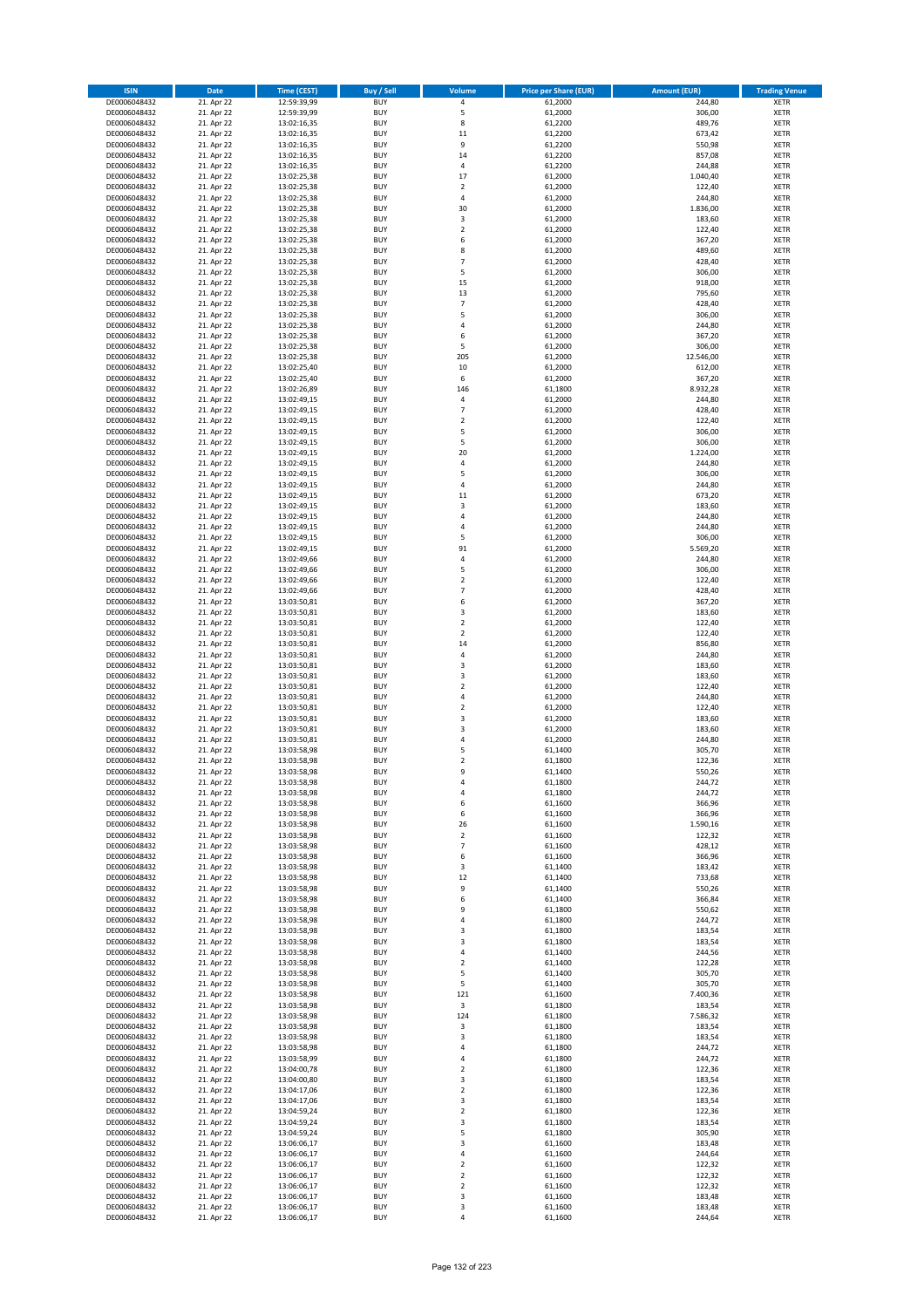| <b>ISIN</b>                  | Date                     | Time (CEST)                | <b>Buy / Sell</b>        | Volume                       | <b>Price per Share (EUR)</b> | <b>Amount (EUR)</b> | <b>Trading Venue</b>       |
|------------------------------|--------------------------|----------------------------|--------------------------|------------------------------|------------------------------|---------------------|----------------------------|
| DE0006048432                 | 21. Apr 22               | 12:59:39,99                | <b>BUY</b>               | $\pmb{4}$                    | 61,2000                      | 244,80              | <b>XETR</b>                |
| DE0006048432                 | 21. Apr 22               | 12:59:39,99                | <b>BUY</b>               | 5                            | 61,2000                      | 306,00              | XETR                       |
| DE0006048432                 | 21. Apr 22               | 13:02:16,35                | <b>BUY</b>               | 8                            | 61,2200                      | 489,76              | <b>XETR</b>                |
| DE0006048432<br>DE0006048432 | 21. Apr 22<br>21. Apr 22 | 13:02:16,35<br>13:02:16,35 | <b>BUY</b><br><b>BUY</b> | 11<br>9                      | 61,2200<br>61,2200           | 673,42<br>550,98    | XETR<br><b>XETR</b>        |
| DE0006048432                 | 21. Apr 22               | 13:02:16,35                | <b>BUY</b>               | 14                           | 61,2200                      | 857,08              | <b>XETR</b>                |
| DE0006048432                 | 21. Apr 22               | 13:02:16,35                | <b>BUY</b>               | $\overline{4}$               | 61,2200                      | 244,88              | <b>XETR</b>                |
| DE0006048432                 | 21. Apr 22               | 13:02:25,38                | <b>BUY</b>               | 17                           | 61,2000                      | 1.040,40            | <b>XETR</b>                |
| DE0006048432                 | 21. Apr 22               | 13:02:25,38                | <b>BUY</b><br><b>BUY</b> | $\overline{2}$<br>$\sqrt{4}$ | 61,2000                      | 122,40              | <b>XETR</b>                |
| DE0006048432<br>DE0006048432 | 21. Apr 22<br>21. Apr 22 | 13:02:25,38<br>13:02:25,38 | <b>BUY</b>               | 30                           | 61,2000<br>61,2000           | 244,80<br>1.836,00  | <b>XETR</b><br><b>XETR</b> |
| DE0006048432                 | 21. Apr 22               | 13:02:25,38                | <b>BUY</b>               | 3                            | 61,2000                      | 183,60              | <b>XETR</b>                |
| DE0006048432                 | 21. Apr 22               | 13:02:25,38                | <b>BUY</b>               | $\mathbf 2$                  | 61,2000                      | 122,40              | <b>XETR</b>                |
| DE0006048432                 | 21. Apr 22               | 13:02:25,38                | <b>BUY</b>               | 6                            | 61,2000                      | 367,20              | <b>XETR</b>                |
| DE0006048432                 | 21. Apr 22               | 13:02:25,38                | <b>BUY</b>               | 8                            | 61,2000                      | 489,60              | <b>XETR</b>                |
| DE0006048432<br>DE0006048432 | 21. Apr 22<br>21. Apr 22 | 13:02:25,38<br>13:02:25,38 | <b>BUY</b><br><b>BUY</b> | $\overline{7}$<br>5          | 61,2000<br>61,2000           | 428,40<br>306,00    | <b>XETR</b><br><b>XETR</b> |
| DE0006048432                 | 21. Apr 22               | 13:02:25,38                | <b>BUY</b>               | 15                           | 61,2000                      | 918,00              | <b>XETR</b>                |
| DE0006048432                 | 21. Apr 22               | 13:02:25,38                | <b>BUY</b>               | 13                           | 61,2000                      | 795,60              | <b>XETR</b>                |
| DE0006048432                 | 21. Apr 22               | 13:02:25,38                | <b>BUY</b>               | $\overline{7}$               | 61,2000                      | 428,40              | <b>XETR</b>                |
| DE0006048432                 | 21. Apr 22               | 13:02:25,38                | <b>BUY</b>               | 5                            | 61,2000                      | 306,00              | <b>XETR</b>                |
| DE0006048432<br>DE0006048432 | 21. Apr 22<br>21. Apr 22 | 13:02:25,38<br>13:02:25,38 | <b>BUY</b><br><b>BUY</b> | $\pmb{4}$<br>6               | 61,2000<br>61,2000           | 244,80              | <b>XETR</b><br><b>XETR</b> |
| DE0006048432                 | 21. Apr 22               | 13:02:25,38                | <b>BUY</b>               | 5                            | 61,2000                      | 367,20<br>306,00    | <b>XETR</b>                |
| DE0006048432                 | 21. Apr 22               | 13:02:25,38                | <b>BUY</b>               | 205                          | 61,2000                      | 12.546,00           | <b>XETR</b>                |
| DE0006048432                 | 21. Apr 22               | 13:02:25,40                | <b>BUY</b>               | $10\,$                       | 61,2000                      | 612,00              | <b>XETR</b>                |
| DE0006048432                 | 21. Apr 22               | 13:02:25,40                | <b>BUY</b>               | 6                            | 61,2000                      | 367,20              | <b>XETR</b>                |
| DE0006048432                 | 21. Apr 22<br>21. Apr 22 | 13:02:26,89                | <b>BUY</b><br><b>BUY</b> | 146<br>4                     | 61,1800                      | 8.932,28<br>244,80  | <b>XETR</b>                |
| DE0006048432<br>DE0006048432 | 21. Apr 22               | 13:02:49,15<br>13:02:49,15 | <b>BUY</b>               | $\overline{7}$               | 61,2000<br>61,2000           | 428,40              | <b>XETR</b><br><b>XETR</b> |
| DE0006048432                 | 21. Apr 22               | 13:02:49,15                | <b>BUY</b>               | $\overline{\mathbf{2}}$      | 61,2000                      | 122,40              | <b>XETR</b>                |
| DE0006048432                 | 21. Apr 22               | 13:02:49,15                | <b>BUY</b>               | 5                            | 61,2000                      | 306,00              | <b>XETR</b>                |
| DE0006048432                 | 21. Apr 22               | 13:02:49,15                | <b>BUY</b>               | 5                            | 61,2000                      | 306,00              | <b>XETR</b>                |
| DE0006048432                 | 21. Apr 22               | 13:02:49,15                | <b>BUY</b>               | 20                           | 61,2000                      | 1.224,00            | <b>XETR</b>                |
| DE0006048432<br>DE0006048432 | 21. Apr 22<br>21. Apr 22 | 13:02:49,15<br>13:02:49,15 | <b>BUY</b><br><b>BUY</b> | 4<br>5                       | 61,2000<br>61,2000           | 244,80<br>306,00    | <b>XETR</b><br><b>XETR</b> |
| DE0006048432                 | 21. Apr 22               | 13:02:49,15                | <b>BUY</b>               | $\pmb{4}$                    | 61,2000                      | 244,80              | <b>XETR</b>                |
| DE0006048432                 | 21. Apr 22               | 13:02:49,15                | <b>BUY</b>               | 11                           | 61,2000                      | 673,20              | <b>XETR</b>                |
| DE0006048432                 | 21. Apr 22               | 13:02:49,15                | <b>BUY</b>               | 3                            | 61,2000                      | 183,60              | <b>XETR</b>                |
| DE0006048432                 | 21. Apr 22               | 13:02:49,15                | <b>BUY</b>               | 4                            | 61,2000                      | 244,80              | <b>XETR</b>                |
| DE0006048432<br>DE0006048432 | 21. Apr 22<br>21. Apr 22 | 13:02:49,15<br>13:02:49,15 | <b>BUY</b><br><b>BUY</b> | $\overline{4}$<br>5          | 61,2000<br>61,2000           | 244,80<br>306,00    | <b>XETR</b><br><b>XETR</b> |
| DE0006048432                 | 21. Apr 22               | 13:02:49,15                | <b>BUY</b>               | 91                           | 61,2000                      | 5.569,20            | <b>XETR</b>                |
| DE0006048432                 | 21. Apr 22               | 13:02:49,66                | <b>BUY</b>               | 4                            | 61,2000                      | 244,80              | <b>XETR</b>                |
| DE0006048432                 | 21. Apr 22               | 13:02:49,66                | <b>BUY</b>               | 5                            | 61,2000                      | 306,00              | <b>XETR</b>                |
| DE0006048432                 | 21. Apr 22               | 13:02:49,66                | <b>BUY</b>               | $\overline{2}$               | 61,2000                      | 122,40              | <b>XETR</b>                |
| DE0006048432                 | 21. Apr 22               | 13:02:49,66                | <b>BUY</b>               | $\overline{7}$<br>6          | 61,2000                      | 428,40              | <b>XETR</b>                |
| DE0006048432<br>DE0006048432 | 21. Apr 22<br>21. Apr 22 | 13:03:50,81<br>13:03:50,81 | <b>BUY</b><br><b>BUY</b> | 3                            | 61,2000<br>61,2000           | 367,20<br>183,60    | <b>XETR</b><br><b>XETR</b> |
| DE0006048432                 | 21. Apr 22               | 13:03:50,81                | <b>BUY</b>               | $\overline{2}$               | 61,2000                      | 122,40              | <b>XETR</b>                |
| DE0006048432                 | 21. Apr 22               | 13:03:50,81                | <b>BUY</b>               | $\mathbf 2$                  | 61,2000                      | 122,40              | <b>XETR</b>                |
| DE0006048432                 | 21. Apr 22               | 13:03:50,81                | <b>BUY</b>               | 14                           | 61,2000                      | 856,80              | <b>XETR</b>                |
| DE0006048432                 | 21. Apr 22               | 13:03:50,81                | <b>BUY</b><br><b>BUY</b> | $\sqrt{4}$<br>$\mathsf 3$    | 61,2000                      | 244,80<br>183,60    | <b>XETR</b><br><b>XETR</b> |
| DE0006048432<br>DE0006048432 | 21. Apr 22<br>21. Apr 22 | 13:03:50,81<br>13:03:50,81 | <b>BUY</b>               | 3                            | 61,2000<br>61,2000           | 183,60              | <b>XETR</b>                |
| DE0006048432                 | 21. Apr 22               | 13:03:50,81                | <b>BUY</b>               | $\mathbf 2$                  | 61,2000                      | 122,40              | <b>XETR</b>                |
| DE0006048432                 | 21. Apr 22               | 13:03:50,81                | <b>BUY</b>               | $\overline{4}$               | 61,2000                      | 244,80              | <b>XETR</b>                |
| DE0006048432                 | 21. Apr 22               | 13:03:50,81                | <b>BUY</b>               | $\mathbf 2$                  | 61,2000                      | 122,40              | <b>XETR</b>                |
| DE0006048432                 | 21. Apr 22               | 13:03:50,81                | <b>BUY</b>               | 3                            | 61,2000                      | 183,60              | <b>XETR</b>                |
| DE0006048432<br>DE0006048432 | 21. Apr 22<br>21. Apr 22 | 13:03:50,81<br>13:03:50,81 | <b>BUY</b><br><b>BUY</b> | 3<br>$\sqrt{4}$              | 61,2000<br>61,2000           | 183,60<br>244,80    | <b>XETR</b><br><b>XETR</b> |
| DE0006048432                 | 21. Apr 22               | 13:03:58,98                | <b>BUY</b>               | 5                            | 61,1400                      | 305,70              | <b>XETR</b>                |
| DE0006048432                 | 21. Apr 22               | 13:03:58,98                | <b>BUY</b>               | $\mathbf 2$                  | 61,1800                      | 122,36              | <b>XETR</b>                |
| DE0006048432                 | 21. Apr 22               | 13:03:58,98                | <b>BUY</b>               | 9                            | 61,1400                      | 550,26              | <b>XETR</b>                |
| DE0006048432                 | 21. Apr 22               | 13:03:58,98                | BUY                      | 4                            | 61,1800                      | 244,72              | XETR                       |
| DE0006048432<br>DE0006048432 | 21. Apr 22<br>21. Apr 22 | 13:03:58,98<br>13:03:58,98 | <b>BUY</b><br><b>BUY</b> | 4<br>6                       | 61,1800<br>61,1600           | 244,72<br>366,96    | <b>XETR</b><br><b>XETR</b> |
| DE0006048432                 | 21. Apr 22               | 13:03:58,98                | <b>BUY</b>               | 6                            | 61,1600                      | 366,96              | <b>XETR</b>                |
| DE0006048432                 | 21. Apr 22               | 13:03:58,98                | <b>BUY</b>               | 26                           | 61,1600                      | 1.590,16            | <b>XETR</b>                |
| DE0006048432                 | 21. Apr 22               | 13:03:58,98                | <b>BUY</b>               | $\overline{2}$               | 61,1600                      | 122,32              | <b>XETR</b>                |
| DE0006048432                 | 21. Apr 22               | 13:03:58,98                | <b>BUY</b>               | $\overline{7}$               | 61,1600                      | 428,12              | <b>XETR</b>                |
| DE0006048432<br>DE0006048432 | 21. Apr 22<br>21. Apr 22 | 13:03:58,98<br>13:03:58,98 | <b>BUY</b><br><b>BUY</b> | 6<br>3                       | 61,1600<br>61,1400           | 366,96<br>183,42    | <b>XETR</b><br>XETR        |
| DE0006048432                 | 21. Apr 22               | 13:03:58,98                | <b>BUY</b>               | 12                           | 61,1400                      | 733,68              | <b>XETR</b>                |
| DE0006048432                 | 21. Apr 22               | 13:03:58,98                | <b>BUY</b>               | 9                            | 61,1400                      | 550,26              | XETR                       |
| DE0006048432                 | 21. Apr 22               | 13:03:58,98                | <b>BUY</b>               | 6                            | 61,1400                      | 366,84              | <b>XETR</b>                |
| DE0006048432<br>DE0006048432 | 21. Apr 22               | 13:03:58,98                | <b>BUY</b>               | 9                            | 61,1800                      | 550,62              | XETR                       |
| DE0006048432                 | 21. Apr 22<br>21. Apr 22 | 13:03:58,98<br>13:03:58,98 | <b>BUY</b><br><b>BUY</b> | 4<br>3                       | 61,1800<br>61,1800           | 244,72<br>183,54    | <b>XETR</b><br>XETR        |
| DE0006048432                 | 21. Apr 22               | 13:03:58,98                | <b>BUY</b>               | 3                            | 61,1800                      | 183,54              | <b>XETR</b>                |
| DE0006048432                 | 21. Apr 22               | 13:03:58,98                | <b>BUY</b>               | $\sqrt{4}$                   | 61,1400                      | 244,56              | <b>XETR</b>                |
| DE0006048432                 | 21. Apr 22               | 13:03:58,98                | <b>BUY</b>               | $\overline{2}$               | 61,1400                      | 122,28              | <b>XETR</b>                |
| DE0006048432                 | 21. Apr 22<br>21. Apr 22 | 13:03:58,98                | <b>BUY</b><br><b>BUY</b> | 5<br>5                       | 61,1400<br>61,1400           | 305,70<br>305,70    | XETR                       |
| DE0006048432<br>DE0006048432 | 21. Apr 22               | 13:03:58,98<br>13:03:58,98 | <b>BUY</b>               | 121                          | 61,1600                      | 7.400,36            | XETR<br><b>XETR</b>        |
| DE0006048432                 | 21. Apr 22               | 13:03:58,98                | <b>BUY</b>               | 3                            | 61,1800                      | 183,54              | <b>XETR</b>                |
| DE0006048432                 | 21. Apr 22               | 13:03:58,98                | <b>BUY</b>               | 124                          | 61,1800                      | 7.586,32            | XETR                       |
| DE0006048432                 | 21. Apr 22               | 13:03:58,98                | <b>BUY</b>               | 3                            | 61,1800                      | 183,54              | <b>XETR</b>                |
| DE0006048432<br>DE0006048432 | 21. Apr 22<br>21. Apr 22 | 13:03:58,98                | <b>BUY</b><br><b>BUY</b> | 3<br>4                       | 61,1800<br>61,1800           | 183,54<br>244,72    | XETR<br><b>XETR</b>        |
| DE0006048432                 | 21. Apr 22               | 13:03:58,98<br>13:03:58,99 | <b>BUY</b>               | 4                            | 61,1800                      | 244,72              | <b>XETR</b>                |
| DE0006048432                 | 21. Apr 22               | 13:04:00,78                | <b>BUY</b>               | $\mathbf 2$                  | 61,1800                      | 122,36              | <b>XETR</b>                |
| DE0006048432                 | 21. Apr 22               | 13:04:00,80                | <b>BUY</b>               | 3                            | 61,1800                      | 183,54              | <b>XETR</b>                |
| DE0006048432                 | 21. Apr 22               | 13:04:17,06                | <b>BUY</b>               | $\overline{2}$               | 61,1800                      | 122,36              | <b>XETR</b>                |
| DE0006048432                 | 21. Apr 22               | 13:04:17,06                | <b>BUY</b>               | 3                            | 61,1800                      | 183,54              | XETR                       |
| DE0006048432<br>DE0006048432 | 21. Apr 22<br>21. Apr 22 | 13:04:59,24<br>13:04:59,24 | <b>BUY</b><br><b>BUY</b> | $\mathbf 2$<br>3             | 61,1800<br>61,1800           | 122,36<br>183,54    | XETR<br><b>XETR</b>        |
| DE0006048432                 | 21. Apr 22               | 13:04:59,24                | <b>BUY</b>               | 5                            | 61,1800                      | 305,90              | <b>XETR</b>                |
| DE0006048432                 | 21. Apr 22               | 13:06:06,17                | <b>BUY</b>               | 3                            | 61,1600                      | 183,48              | <b>XETR</b>                |
| DE0006048432                 | 21. Apr 22               | 13:06:06,17                | <b>BUY</b>               | $\sqrt{4}$                   | 61,1600                      | 244,64              | <b>XETR</b>                |
| DE0006048432                 | 21. Apr 22               | 13:06:06,17                | <b>BUY</b>               | $\overline{2}$               | 61,1600                      | 122,32              | XETR                       |
| DE0006048432<br>DE0006048432 | 21. Apr 22<br>21. Apr 22 | 13:06:06,17<br>13:06:06,17 | <b>BUY</b><br><b>BUY</b> | $\mathbf 2$<br>$\mathbf 2$   | 61,1600<br>61,1600           | 122,32<br>122,32    | XETR<br><b>XETR</b>        |
| DE0006048432                 | 21. Apr 22               | 13:06:06,17                | <b>BUY</b>               | 3                            | 61,1600                      | 183,48              | XETR                       |
| DE0006048432                 | 21. Apr 22               | 13:06:06,17                | <b>BUY</b>               | 3                            | 61,1600                      | 183,48              | <b>XETR</b>                |
| DE0006048432                 | 21. Apr 22               | 13:06:06,17                | <b>BUY</b>               | $\sqrt{4}$                   | 61,1600                      | 244,64              | <b>XETR</b>                |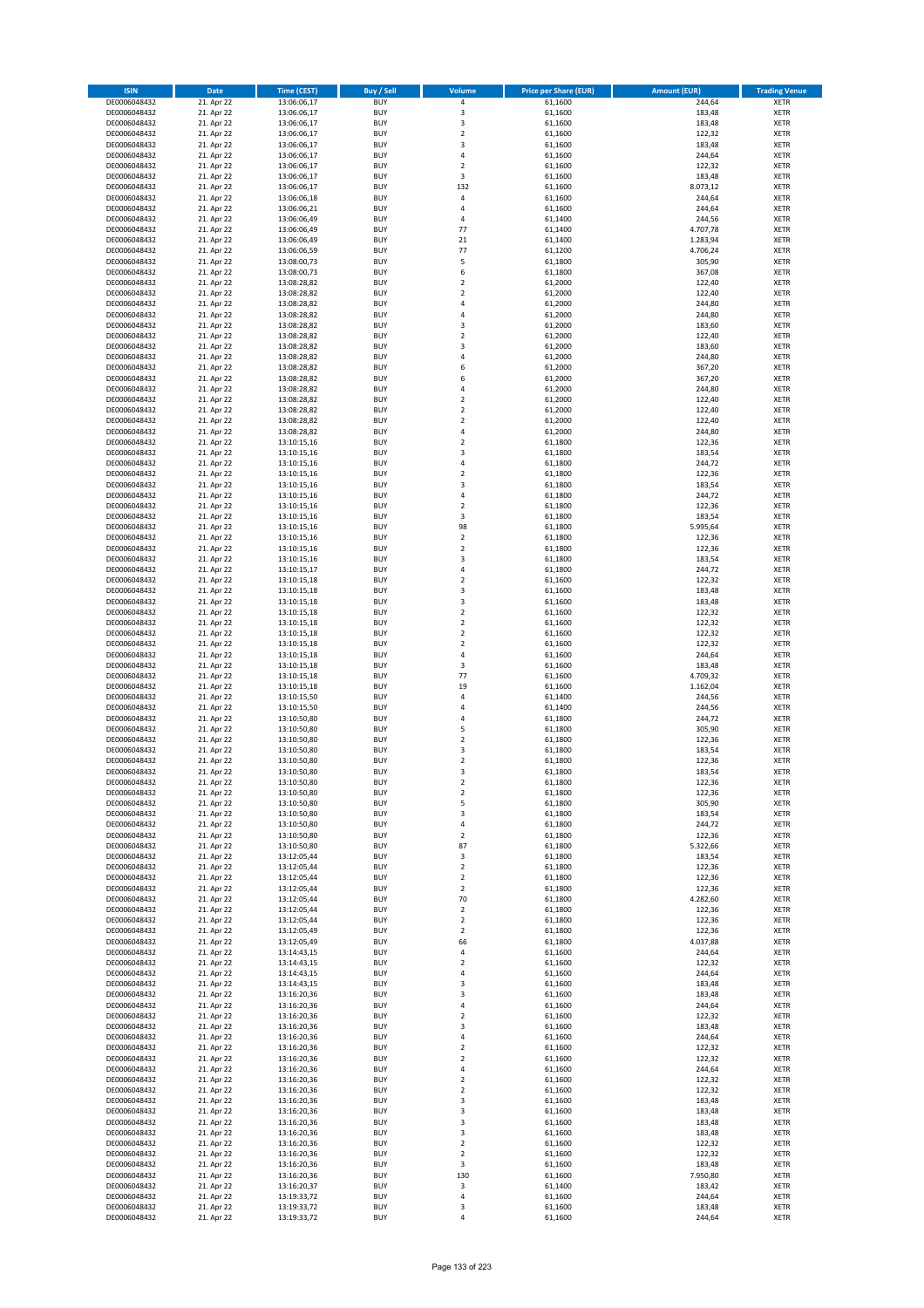| <b>ISIN</b>                  | <b>Date</b>              | <b>Time (CEST)</b>         | <b>Buy / Sell</b>        | Volume                                 | <b>Price per Share (EUR)</b> | <b>Amount (EUR)</b> | <b>Trading Venue</b>       |
|------------------------------|--------------------------|----------------------------|--------------------------|----------------------------------------|------------------------------|---------------------|----------------------------|
| DE0006048432                 | 21. Apr 22               | 13:06:06,17                | <b>BUY</b>               | 4                                      | 61,1600                      | 244,64              | <b>XETR</b>                |
| DE0006048432                 | 21. Apr 22               | 13:06:06,17                | <b>BUY</b>               | 3                                      | 61,1600                      | 183,48              | <b>XETR</b>                |
| DE0006048432                 | 21. Apr 22               | 13:06:06,17                | <b>BUY</b>               | 3                                      | 61,1600                      | 183,48              | <b>XETR</b>                |
| DE0006048432<br>DE0006048432 | 21. Apr 22<br>21. Apr 22 | 13:06:06,17<br>13:06:06,17 | <b>BUY</b><br><b>BUY</b> | $\mathbf 2$<br>3                       | 61,1600<br>61,1600           | 122,32<br>183,48    | <b>XETR</b><br><b>XETR</b> |
| DE0006048432                 | 21. Apr 22               | 13:06:06,17                | <b>BUY</b>               | 4                                      | 61,1600                      | 244,64              | <b>XETR</b>                |
| DE0006048432                 | 21. Apr 22               | 13:06:06,17                | <b>BUY</b>               | $\overline{\mathbf{c}}$                | 61,1600                      | 122,32              | <b>XETR</b>                |
| DE0006048432                 | 21. Apr 22               | 13:06:06,17                | <b>BUY</b>               | 3                                      | 61,1600                      | 183,48              | <b>XETR</b>                |
| DE0006048432                 | 21. Apr 22               | 13:06:06,17                | <b>BUY</b>               | 132                                    | 61,1600                      | 8.073,12            | <b>XETR</b>                |
| DE0006048432                 | 21. Apr 22               | 13:06:06,18                | <b>BUY</b><br><b>BUY</b> | 4<br>4                                 | 61,1600                      | 244,64              | <b>XETR</b>                |
| DE0006048432<br>DE0006048432 | 21. Apr 22<br>21. Apr 22 | 13:06:06,21<br>13:06:06,49 | <b>BUY</b>               | 4                                      | 61,1600<br>61,1400           | 244,64<br>244,56    | <b>XETR</b><br><b>XETR</b> |
| DE0006048432                 | 21. Apr 22               | 13:06:06,49                | <b>BUY</b>               | 77                                     | 61,1400                      | 4.707,78            | <b>XETR</b>                |
| DE0006048432                 | 21. Apr 22               | 13:06:06,49                | <b>BUY</b>               | 21                                     | 61,1400                      | 1.283,94            | <b>XETR</b>                |
| DE0006048432                 | 21. Apr 22               | 13:06:06,59                | <b>BUY</b>               | 77                                     | 61,1200                      | 4.706,24            | <b>XETR</b>                |
| DE0006048432                 | 21. Apr 22               | 13:08:00,73                | <b>BUY</b>               | 5                                      | 61,1800                      | 305,90              | <b>XETR</b>                |
| DE0006048432<br>DE0006048432 | 21. Apr 22<br>21. Apr 22 | 13:08:00,73<br>13:08:28,82 | <b>BUY</b><br><b>BUY</b> | 6<br>$\mathbf 2$                       | 61,1800<br>61,2000           | 367,08<br>122,40    | <b>XETR</b><br><b>XETR</b> |
| DE0006048432                 | 21. Apr 22               | 13:08:28,82                | <b>BUY</b>               | $\overline{\mathbf{c}}$                | 61,2000                      | 122,40              | <b>XETR</b>                |
| DE0006048432                 | 21. Apr 22               | 13:08:28,82                | <b>BUY</b>               | 4                                      | 61,2000                      | 244,80              | <b>XETR</b>                |
| DE0006048432                 | 21. Apr 22               | 13:08:28,82                | <b>BUY</b>               | 4                                      | 61,2000                      | 244,80              | <b>XETR</b>                |
| DE0006048432                 | 21. Apr 22               | 13:08:28,82                | <b>BUY</b>               | 3                                      | 61,2000                      | 183,60              | <b>XETR</b>                |
| DE0006048432<br>DE0006048432 | 21. Apr 22<br>21. Apr 22 | 13:08:28,82<br>13:08:28,82 | <b>BUY</b><br><b>BUY</b> | $\mathbf 2$<br>3                       | 61,2000<br>61,2000           | 122,40<br>183,60    | <b>XETR</b><br><b>XETR</b> |
| DE0006048432                 | 21. Apr 22               | 13:08:28,82                | <b>BUY</b>               | 4                                      | 61,2000                      | 244,80              | <b>XETR</b>                |
| DE0006048432                 | 21. Apr 22               | 13:08:28,82                | <b>BUY</b>               | 6                                      | 61,2000                      | 367,20              | <b>XETR</b>                |
| DE0006048432                 | 21. Apr 22               | 13:08:28,82                | <b>BUY</b>               | 6                                      | 61,2000                      | 367,20              | <b>XETR</b>                |
| DE0006048432                 | 21. Apr 22               | 13:08:28,82                | <b>BUY</b>               | 4                                      | 61,2000                      | 244,80              | <b>XETR</b>                |
| DE0006048432<br>DE0006048432 | 21. Apr 22<br>21. Apr 22 | 13:08:28,82<br>13:08:28,82 | <b>BUY</b><br><b>BUY</b> | $\mathbf 2$<br>$\overline{\mathbf{c}}$ | 61,2000<br>61,2000           | 122,40<br>122,40    | <b>XETR</b><br><b>XETR</b> |
| DE0006048432                 | 21. Apr 22               | 13:08:28,82                | <b>BUY</b>               | $\mathbf 2$                            | 61,2000                      | 122,40              | <b>XETR</b>                |
| DE0006048432                 | 21. Apr 22               | 13:08:28,82                | <b>BUY</b>               | 4                                      | 61,2000                      | 244,80              | <b>XETR</b>                |
| DE0006048432                 | 21. Apr 22               | 13:10:15,16                | <b>BUY</b>               | $\mathbf 2$                            | 61,1800                      | 122,36              | <b>XETR</b>                |
| DE0006048432                 | 21. Apr 22               | 13:10:15,16                | <b>BUY</b>               | 3                                      | 61,1800                      | 183,54              | <b>XETR</b>                |
| DE0006048432<br>DE0006048432 | 21. Apr 22<br>21. Apr 22 | 13:10:15,16<br>13:10:15,16 | <b>BUY</b><br><b>BUY</b> | 4<br>$\overline{\mathbf{c}}$           | 61,1800<br>61,1800           | 244,72<br>122,36    | <b>XETR</b><br><b>XETR</b> |
| DE0006048432                 | 21. Apr 22               | 13:10:15,16                | <b>BUY</b>               | 3                                      | 61,1800                      | 183,54              | <b>XETR</b>                |
| DE0006048432                 | 21. Apr 22               | 13:10:15,16                | <b>BUY</b>               | 4                                      | 61,1800                      | 244,72              | <b>XETR</b>                |
| DE0006048432                 | 21. Apr 22               | 13:10:15,16                | <b>BUY</b>               | $\overline{2}$                         | 61,1800                      | 122,36              | <b>XETR</b>                |
| DE0006048432                 | 21. Apr 22               | 13:10:15,16                | <b>BUY</b>               | 3                                      | 61,1800                      | 183,54              | <b>XETR</b>                |
| DE0006048432                 | 21. Apr 22               | 13:10:15,16                | <b>BUY</b>               | 98                                     | 61,1800                      | 5.995,64            | <b>XETR</b>                |
| DE0006048432<br>DE0006048432 | 21. Apr 22<br>21. Apr 22 | 13:10:15,16<br>13:10:15,16 | <b>BUY</b><br><b>BUY</b> | $\mathbf 2$<br>$\mathbf 2$             | 61,1800<br>61,1800           | 122,36<br>122,36    | <b>XETR</b><br><b>XETR</b> |
| DE0006048432                 | 21. Apr 22               | 13:10:15,16                | <b>BUY</b>               | 3                                      | 61,1800                      | 183,54              | <b>XETR</b>                |
| DE0006048432                 | 21. Apr 22               | 13:10:15,17                | <b>BUY</b>               | 4                                      | 61,1800                      | 244,72              | <b>XETR</b>                |
| DE0006048432                 | 21. Apr 22               | 13:10:15,18                | <b>BUY</b>               | $\overline{2}$                         | 61,1600                      | 122,32              | <b>XETR</b>                |
| DE0006048432                 | 21. Apr 22               | 13:10:15,18                | <b>BUY</b>               | 3                                      | 61,1600                      | 183,48              | <b>XETR</b>                |
| DE0006048432<br>DE0006048432 | 21. Apr 22<br>21. Apr 22 | 13:10:15,18<br>13:10:15,18 | <b>BUY</b><br><b>BUY</b> | 3<br>$\mathbf 2$                       | 61,1600<br>61,1600           | 183,48<br>122,32    | <b>XETR</b><br><b>XETR</b> |
| DE0006048432                 | 21. Apr 22               | 13:10:15,18                | <b>BUY</b>               | $\mathbf 2$                            | 61,1600                      | 122,32              | <b>XETR</b>                |
| DE0006048432                 | 21. Apr 22               | 13:10:15,18                | <b>BUY</b>               | $\mathbf 2$                            | 61,1600                      | 122,32              | <b>XETR</b>                |
| DE0006048432                 | 21. Apr 22               | 13:10:15,18                | <b>BUY</b>               | $\mathbf 2$                            | 61,1600                      | 122,32              | <b>XETR</b>                |
| DE0006048432                 | 21. Apr 22               | 13:10:15,18                | <b>BUY</b>               | 4                                      | 61,1600                      | 244,64              | <b>XETR</b>                |
| DE0006048432<br>DE0006048432 | 21. Apr 22<br>21. Apr 22 | 13:10:15,18<br>13:10:15,18 | <b>BUY</b><br><b>BUY</b> | 3<br>77                                | 61,1600<br>61,1600           | 183,48<br>4.709,32  | <b>XETR</b><br><b>XETR</b> |
| DE0006048432                 | 21. Apr 22               | 13:10:15,18                | <b>BUY</b>               | 19                                     | 61,1600                      | 1.162,04            | <b>XETR</b>                |
| DE0006048432                 | 21. Apr 22               | 13:10:15,50                | <b>BUY</b>               | 4                                      | 61,1400                      | 244,56              | <b>XETR</b>                |
| DE0006048432                 | 21. Apr 22               | 13:10:15,50                | <b>BUY</b>               | 4                                      | 61,1400                      | 244,56              | <b>XETR</b>                |
| DE0006048432                 | 21. Apr 22               | 13:10:50,80                | <b>BUY</b>               | 4                                      | 61,1800                      | 244,72              | <b>XETR</b>                |
| DE0006048432<br>DE0006048432 | 21. Apr 22<br>21. Apr 22 | 13:10:50,80<br>13:10:50,80 | <b>BUY</b><br><b>BUY</b> | 5<br>$\mathbf 2$                       | 61,1800<br>61,1800           | 305,90<br>122,36    | <b>XETR</b><br><b>XETR</b> |
| DE0006048432                 | 21. Apr 22               | 13:10:50,80                | <b>BUY</b>               | 3                                      | 61,1800                      | 183,54              | <b>XETR</b>                |
| DE0006048432                 | 21. Apr 22               | 13:10:50,80                | <b>BUY</b>               | $\mathbf 2$                            | 61,1800                      | 122,36              | <b>XETR</b>                |
| DE0006048432                 | 21. Apr 22               | 13:10:50,80                | <b>BUY</b>               | 3                                      | 61,1800                      | 183,54              | <b>XETR</b>                |
| DE0006048432                 | 21. Apr 22               | 13:10:50,80                | <b>BUY</b>               | 2                                      | 61,1800                      | 122,36              | <b>XETR</b>                |
| DE0006048432<br>DE0006048432 | 21. Apr 22<br>21. Apr 22 | 13:10:50,80<br>13:10:50,80 | <b>BUY</b><br><b>BUY</b> | $\mathbf 2$<br>5                       | 61,1800<br>61,1800           | 122,36<br>305,90    | XETR<br>XETR               |
| DE0006048432                 | 21. Apr 22               | 13:10:50,80                | <b>BUY</b>               | 3                                      | 61,1800                      | 183,54              | XETR                       |
| DE0006048432                 | 21. Apr 22               | 13:10:50,80                | <b>BUY</b>               | 4                                      | 61,1800                      | 244,72              | <b>XETR</b>                |
| DE0006048432                 | 21. Apr 22               | 13:10:50,80                | <b>BUY</b>               | $\mathbf 2$                            | 61,1800                      | 122,36              | <b>XETR</b>                |
| DE0006048432                 | 21. Apr 22               | 13:10:50,80                | <b>BUY</b>               | 87                                     | 61,1800                      | 5.322,66            | <b>XETR</b>                |
| DE0006048432<br>DE0006048432 | 21. Apr 22<br>21. Apr 22 | 13:12:05,44<br>13:12:05,44 | <b>BUY</b><br><b>BUY</b> | 3<br>$\mathbf 2$                       | 61,1800<br>61,1800           | 183,54<br>122,36    | <b>XETR</b><br><b>XETR</b> |
| DE0006048432                 | 21. Apr 22               | 13:12:05,44                | <b>BUY</b>               | $\overline{\mathbf{2}}$                | 61,1800                      | 122,36              | XETR                       |
| DE0006048432                 | 21. Apr 22               | 13:12:05,44                | <b>BUY</b>               | $\mathbf 2$                            | 61,1800                      | 122,36              | XETR                       |
| DE0006048432                 | 21. Apr 22               | 13:12:05,44                | <b>BUY</b>               | 70                                     | 61,1800                      | 4.282,60            | <b>XETR</b>                |
| DE0006048432                 | 21. Apr 22               | 13:12:05,44                | <b>BUY</b>               | $\mathbf 2$                            | 61,1800                      | 122,36              | <b>XETR</b>                |
| DE0006048432<br>DE0006048432 | 21. Apr 22<br>21. Apr 22 | 13:12:05,44<br>13:12:05,49 | <b>BUY</b><br><b>BUY</b> | $\overline{2}$<br>$\mathbf 2$          | 61,1800<br>61,1800           | 122,36<br>122,36    | <b>XETR</b><br><b>XETR</b> |
| DE0006048432                 | 21. Apr 22               | 13:12:05,49                | <b>BUY</b>               | 66                                     | 61,1800                      | 4.037,88            | <b>XETR</b>                |
| DE0006048432                 | 21. Apr 22               | 13:14:43,15                | <b>BUY</b>               | 4                                      | 61,1600                      | 244,64              | <b>XETR</b>                |
| DE0006048432                 | 21. Apr 22               | 13:14:43,15                | <b>BUY</b>               | $\overline{2}$                         | 61,1600                      | 122,32              | <b>XETR</b>                |
| DE0006048432                 | 21. Apr 22               | 13:14:43,15                | <b>BUY</b>               | 4                                      | 61,1600                      | 244,64              | XETR                       |
| DE0006048432<br>DE0006048432 | 21. Apr 22<br>21. Apr 22 | 13:14:43,15<br>13:16:20,36 | <b>BUY</b><br><b>BUY</b> | 3<br>3                                 | 61,1600<br>61,1600           | 183,48<br>183,48    | <b>XETR</b><br><b>XETR</b> |
| DE0006048432                 | 21. Apr 22               | 13:16:20,36                | <b>BUY</b>               | 4                                      | 61,1600                      | 244,64              | <b>XETR</b>                |
| DE0006048432                 | 21. Apr 22               | 13:16:20,36                | <b>BUY</b>               | $\overline{\mathbf{c}}$                | 61,1600                      | 122,32              | XETR                       |
| DE0006048432                 | 21. Apr 22               | 13:16:20,36                | <b>BUY</b>               | 3                                      | 61,1600                      | 183,48              | <b>XETR</b>                |
| DE0006048432                 | 21. Apr 22               | 13:16:20,36                | <b>BUY</b>               | 4                                      | 61,1600                      | 244,64              | <b>XETR</b>                |
| DE0006048432<br>DE0006048432 | 21. Apr 22<br>21. Apr 22 | 13:16:20,36<br>13:16:20,36 | <b>BUY</b><br><b>BUY</b> | $\mathbf 2$<br>$\mathbf 2$             | 61,1600<br>61,1600           | 122,32<br>122,32    | <b>XETR</b><br><b>XETR</b> |
| DE0006048432                 | 21. Apr 22               | 13:16:20,36                | <b>BUY</b>               | 4                                      | 61,1600                      | 244,64              | <b>XETR</b>                |
| DE0006048432                 | 21. Apr 22               | 13:16:20,36                | <b>BUY</b>               | $\mathbf 2$                            | 61,1600                      | 122,32              | <b>XETR</b>                |
| DE0006048432                 | 21. Apr 22               | 13:16:20,36                | <b>BUY</b>               | $\overline{2}$                         | 61,1600                      | 122,32              | XETR                       |
| DE0006048432                 | 21. Apr 22               | 13:16:20,36                | <b>BUY</b>               | 3                                      | 61,1600                      | 183,48              | <b>XETR</b>                |
| DE0006048432                 | 21. Apr 22               | 13:16:20,36                | <b>BUY</b>               | 3                                      | 61,1600                      | 183,48              | <b>XETR</b>                |
| DE0006048432<br>DE0006048432 | 21. Apr 22<br>21. Apr 22 | 13:16:20,36<br>13:16:20,36 | <b>BUY</b><br><b>BUY</b> | 3<br>3                                 | 61,1600<br>61,1600           | 183,48<br>183,48    | XETR<br><b>XETR</b>        |
| DE0006048432                 | 21. Apr 22               | 13:16:20,36                | <b>BUY</b>               | $\mathbf 2$                            | 61,1600                      | 122,32              | <b>XETR</b>                |
| DE0006048432                 | 21. Apr 22               | 13:16:20,36                | <b>BUY</b>               | $\mathbf 2$                            | 61,1600                      | 122,32              | <b>XETR</b>                |
| DE0006048432                 | 21. Apr 22               | 13:16:20,36                | <b>BUY</b>               | 3                                      | 61,1600                      | 183,48              | <b>XETR</b>                |
| DE0006048432                 | 21. Apr 22               | 13:16:20,36                | <b>BUY</b>               | 130                                    | 61,1600                      | 7.950,80            | XETR                       |
| DE0006048432<br>DE0006048432 | 21. Apr 22<br>21. Apr 22 | 13:16:20,37<br>13:19:33,72 | <b>BUY</b><br><b>BUY</b> | 3<br>4                                 | 61,1400<br>61,1600           | 183,42<br>244,64    | <b>XETR</b><br>XETR        |
| DE0006048432                 | 21. Apr 22               | 13:19:33,72                | <b>BUY</b>               | 3                                      | 61,1600                      | 183,48              | <b>XETR</b>                |
| DE0006048432                 | 21. Apr 22               | 13:19:33,72                | <b>BUY</b>               | 4                                      | 61,1600                      | 244,64              | XETR                       |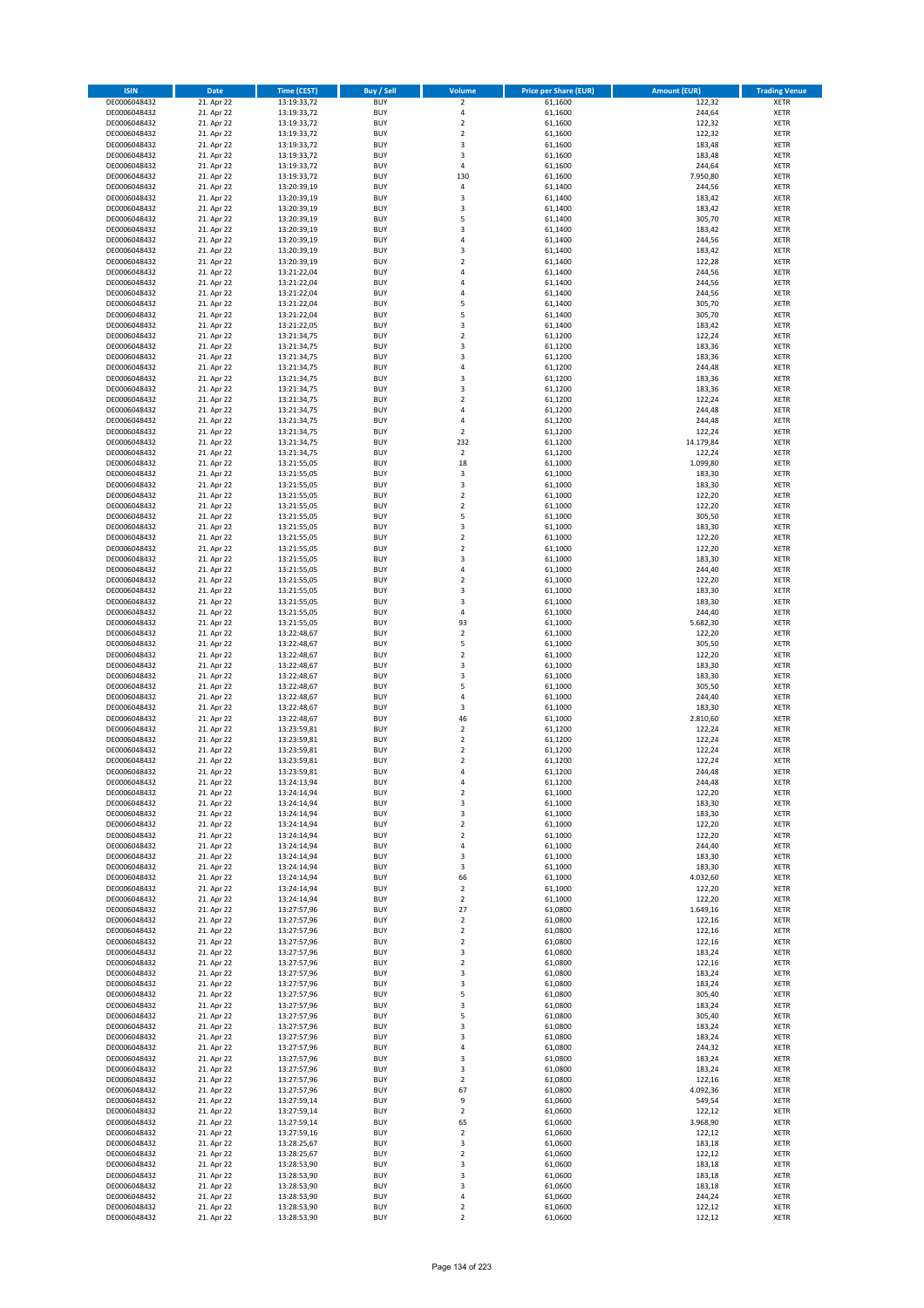| <b>ISIN</b>                  | <b>Date</b>              | Time (CEST)                | <b>Buy / Sell</b>        | Volume                                 | <b>Price per Share (EUR)</b> | <b>Amount (EUR)</b> | <b>Trading Venue</b>       |
|------------------------------|--------------------------|----------------------------|--------------------------|----------------------------------------|------------------------------|---------------------|----------------------------|
| DE0006048432                 | 21. Apr 22               | 13:19:33,72                | <b>BUY</b>               | $\overline{2}$                         | 61,1600                      | 122,32              | <b>XETR</b>                |
| DE0006048432                 | 21. Apr 22               | 13:19:33,72                | <b>BUY</b>               | 4                                      | 61,1600                      | 244,64              | <b>XETR</b>                |
| DE0006048432                 | 21. Apr 22               | 13:19:33,72                | <b>BUY</b>               | $\mathbf 2$                            | 61,1600                      | 122,32              | <b>XETR</b>                |
| DE0006048432<br>DE0006048432 | 21. Apr 22<br>21. Apr 22 | 13:19:33,72<br>13:19:33,72 | <b>BUY</b><br><b>BUY</b> | $\mathbf 2$<br>3                       | 61,1600<br>61,1600           | 122,32<br>183,48    | <b>XETR</b><br><b>XETR</b> |
| DE0006048432                 | 21. Apr 22               | 13:19:33,72                | <b>BUY</b>               | 3                                      | 61,1600                      | 183,48              | <b>XETR</b>                |
| DE0006048432                 | 21. Apr 22               | 13:19:33,72                | <b>BUY</b>               | 4                                      | 61,1600                      | 244,64              | <b>XETR</b>                |
| DE0006048432                 | 21. Apr 22               | 13:19:33,72                | <b>BUY</b>               | 130                                    | 61,1600                      | 7.950,80            | <b>XETR</b>                |
| DE0006048432                 | 21. Apr 22               | 13:20:39,19                | <b>BUY</b>               | $\overline{4}$                         | 61,1400                      | 244,56              | <b>XETR</b>                |
| DE0006048432                 | 21. Apr 22               | 13:20:39,19                | <b>BUY</b>               | 3                                      | 61,1400                      | 183,42              | <b>XETR</b>                |
| DE0006048432                 | 21. Apr 22               | 13:20:39,19                | <b>BUY</b>               | 3                                      | 61,1400                      | 183,42              | <b>XETR</b>                |
| DE0006048432<br>DE0006048432 | 21. Apr 22<br>21. Apr 22 | 13:20:39,19<br>13:20:39,19 | <b>BUY</b><br><b>BUY</b> | 5<br>3                                 | 61,1400<br>61,1400           | 305,70<br>183,42    | <b>XETR</b><br><b>XETR</b> |
| DE0006048432                 | 21. Apr 22               | 13:20:39,19                | <b>BUY</b>               | 4                                      | 61,1400                      | 244,56              | <b>XETR</b>                |
| DE0006048432                 | 21. Apr 22               | 13:20:39,19                | <b>BUY</b>               | 3                                      | 61,1400                      | 183,42              | <b>XETR</b>                |
| DE0006048432                 | 21. Apr 22               | 13:20:39,19                | <b>BUY</b>               | $\overline{\mathbf{c}}$                | 61,1400                      | 122,28              | <b>XETR</b>                |
| DE0006048432                 | 21. Apr 22               | 13:21:22,04                | <b>BUY</b>               | 4                                      | 61,1400                      | 244,56              | <b>XETR</b>                |
| DE0006048432                 | 21. Apr 22               | 13:21:22,04                | <b>BUY</b>               | 4                                      | 61,1400                      | 244,56              | <b>XETR</b>                |
| DE0006048432                 | 21. Apr 22               | 13:21:22,04                | <b>BUY</b>               | 4                                      | 61,1400                      | 244,56              | <b>XETR</b>                |
| DE0006048432                 | 21. Apr 22               | 13:21:22,04                | <b>BUY</b>               | 5                                      | 61,1400                      | 305,70              | <b>XETR</b>                |
| DE0006048432<br>DE0006048432 | 21. Apr 22<br>21. Apr 22 | 13:21:22,04<br>13:21:22,05 | <b>BUY</b><br><b>BUY</b> | 5<br>3                                 | 61,1400<br>61,1400           | 305,70<br>183,42    | <b>XETR</b><br><b>XETR</b> |
| DE0006048432                 | 21. Apr 22               | 13:21:34,75                | <b>BUY</b>               | $\mathbf 2$                            | 61,1200                      | 122,24              | <b>XETR</b>                |
| DE0006048432                 | 21. Apr 22               | 13:21:34,75                | <b>BUY</b>               | 3                                      | 61,1200                      | 183,36              | <b>XETR</b>                |
| DE0006048432                 | 21. Apr 22               | 13:21:34,75                | <b>BUY</b>               | 3                                      | 61,1200                      | 183,36              | <b>XETR</b>                |
| DE0006048432                 | 21. Apr 22               | 13:21:34,75                | <b>BUY</b>               | 4                                      | 61,1200                      | 244,48              | <b>XETR</b>                |
| DE0006048432                 | 21. Apr 22               | 13:21:34,75                | <b>BUY</b>               | 3                                      | 61,1200                      | 183,36              | <b>XETR</b>                |
| DE0006048432                 | 21. Apr 22               | 13:21:34,75                | <b>BUY</b>               | 3                                      | 61,1200                      | 183,36              | <b>XETR</b>                |
| DE0006048432<br>DE0006048432 | 21. Apr 22<br>21. Apr 22 | 13:21:34,75<br>13:21:34,75 | <b>BUY</b><br><b>BUY</b> | $\mathbf 2$<br>4                       | 61,1200<br>61,1200           | 122,24<br>244,48    | <b>XETR</b><br><b>XETR</b> |
| DE0006048432                 | 21. Apr 22               | 13:21:34,75                | <b>BUY</b>               | 4                                      | 61,1200                      | 244,48              | <b>XETR</b>                |
| DE0006048432                 | 21. Apr 22               | 13:21:34,75                | <b>BUY</b>               | $\overline{2}$                         | 61,1200                      | 122,24              | <b>XETR</b>                |
| DE0006048432                 | 21. Apr 22               | 13:21:34,75                | <b>BUY</b>               | 232                                    | 61,1200                      | 14.179,84           | <b>XETR</b>                |
| DE0006048432                 | 21. Apr 22               | 13:21:34,75                | <b>BUY</b>               | $\overline{2}$                         | 61,1200                      | 122,24              | <b>XETR</b>                |
| DE0006048432                 | 21. Apr 22               | 13:21:55,05                | <b>BUY</b>               | 18                                     | 61,1000                      | 1.099,80            | <b>XETR</b>                |
| DE0006048432                 | 21. Apr 22               | 13:21:55,05                | <b>BUY</b>               | 3                                      | 61,1000                      | 183,30              | <b>XETR</b>                |
| DE0006048432<br>DE0006048432 | 21. Apr 22<br>21. Apr 22 | 13:21:55,05<br>13:21:55,05 | <b>BUY</b><br><b>BUY</b> | 3<br>$\mathbf 2$                       | 61,1000<br>61,1000           | 183,30<br>122,20    | <b>XETR</b><br><b>XETR</b> |
| DE0006048432                 | 21. Apr 22               | 13:21:55,05                | <b>BUY</b>               | $\overline{2}$                         | 61,1000                      | 122,20              | <b>XETR</b>                |
| DE0006048432                 | 21. Apr 22               | 13:21:55,05                | <b>BUY</b>               | 5                                      | 61,1000                      | 305,50              | <b>XETR</b>                |
| DE0006048432                 | 21. Apr 22               | 13:21:55,05                | <b>BUY</b>               | 3                                      | 61,1000                      | 183,30              | <b>XETR</b>                |
| DE0006048432                 | 21. Apr 22               | 13:21:55,05                | <b>BUY</b>               | $\mathbf 2$                            | 61,1000                      | 122,20              | <b>XETR</b>                |
| DE0006048432                 | 21. Apr 22               | 13:21:55,05                | <b>BUY</b>               | $\mathbf 2$                            | 61,1000                      | 122,20              | <b>XETR</b>                |
| DE0006048432                 | 21. Apr 22               | 13:21:55,05                | <b>BUY</b>               | 3                                      | 61,1000                      | 183,30              | <b>XETR</b>                |
| DE0006048432                 | 21. Apr 22               | 13:21:55,05                | <b>BUY</b>               | 4                                      | 61,1000                      | 244,40              | <b>XETR</b>                |
| DE0006048432<br>DE0006048432 | 21. Apr 22<br>21. Apr 22 | 13:21:55,05<br>13:21:55,05 | <b>BUY</b><br><b>BUY</b> | $\overline{2}$<br>3                    | 61,1000<br>61,1000           | 122,20<br>183,30    | <b>XETR</b><br><b>XETR</b> |
| DE0006048432                 | 21. Apr 22               | 13:21:55,05                | <b>BUY</b>               | 3                                      | 61,1000                      | 183,30              | <b>XETR</b>                |
| DE0006048432                 | 21. Apr 22               | 13:21:55,05                | <b>BUY</b>               | 4                                      | 61,1000                      | 244,40              | <b>XETR</b>                |
| DE0006048432                 | 21. Apr 22               | 13:21:55,05                | <b>BUY</b>               | 93                                     | 61,1000                      | 5.682,30            | <b>XETR</b>                |
| DE0006048432                 | 21. Apr 22               | 13:22:48,67                | <b>BUY</b>               | $\mathbf 2$                            | 61,1000                      | 122,20              | <b>XETR</b>                |
| DE0006048432                 | 21. Apr 22               | 13:22:48,67                | <b>BUY</b>               | 5                                      | 61,1000                      | 305,50              | <b>XETR</b>                |
| DE0006048432                 | 21. Apr 22               | 13:22:48,67                | <b>BUY</b>               | $\overline{2}$                         | 61,1000                      | 122,20              | <b>XETR</b>                |
| DE0006048432<br>DE0006048432 | 21. Apr 22<br>21. Apr 22 | 13:22:48,67<br>13:22:48,67 | <b>BUY</b><br><b>BUY</b> | 3<br>3                                 | 61,1000<br>61,1000           | 183,30<br>183,30    | <b>XETR</b><br><b>XETR</b> |
| DE0006048432                 | 21. Apr 22               | 13:22:48,67                | <b>BUY</b>               | 5                                      | 61,1000                      | 305,50              | <b>XETR</b>                |
| DE0006048432                 | 21. Apr 22               | 13:22:48,67                | <b>BUY</b>               | 4                                      | 61,1000                      | 244,40              | <b>XETR</b>                |
| DE0006048432                 | 21. Apr 22               | 13:22:48,67                | <b>BUY</b>               | 3                                      | 61,1000                      | 183,30              | <b>XETR</b>                |
| DE0006048432                 | 21. Apr 22               | 13:22:48,67                | <b>BUY</b>               | 46                                     | 61,1000                      | 2.810,60            | <b>XETR</b>                |
| DE0006048432                 | 21. Apr 22               | 13:23:59,81                | <b>BUY</b>               | $\overline{2}$                         | 61,1200                      | 122,24              | <b>XETR</b>                |
| DE0006048432<br>DE0006048432 | 21. Apr 22               | 13:23:59,81                | <b>BUY</b><br><b>BUY</b> | $\mathbf 2$<br>$\overline{\mathbf{c}}$ | 61,1200                      | 122,24              | <b>XETR</b><br><b>XETR</b> |
| DE0006048432                 | 21. Apr 22<br>21. Apr 22 | 13:23:59,81<br>13:23:59,81 | <b>BUY</b>               | $\overline{\mathbf{c}}$                | 61,1200<br>61,1200           | 122,24<br>122,24    | <b>XETR</b>                |
| DE0006048432                 | 21. Apr 22               | 13:23:59,81                | <b>BUY</b>               | 4                                      | 61,1200                      | 244,48              | <b>XETR</b>                |
| DE0006048432                 | 21. Apr 22               | 13:24:13,94                | BUY                      | 4                                      | 61,1200                      | 244,48              | <b>XETR</b>                |
| DE0006048432                 | 21. Apr 22               | 13:24:14,94                | <b>BUY</b>               | $\mathbf 2$                            | 61,1000                      | 122,20              | <b>XETR</b>                |
| DE0006048432                 | 21. Apr 22               | 13:24:14,94                | <b>BUY</b>               | 3                                      | 61,1000                      | 183,30              | <b>XETR</b>                |
| DE0006048432                 | 21. Apr 22               | 13:24:14,94                | <b>BUY</b>               | 3                                      | 61,1000                      | 183,30              | XETR                       |
| DE0006048432<br>DE0006048432 | 21. Apr 22<br>21. Apr 22 | 13:24:14,94<br>13:24:14,94 | <b>BUY</b><br><b>BUY</b> | $\mathbf 2$<br>$\mathbf 2$             | 61,1000<br>61,1000           | 122,20<br>122,20    | <b>XETR</b><br><b>XETR</b> |
| DE0006048432                 | 21. Apr 22               | 13:24:14,94                | <b>BUY</b>               | 4                                      | 61,1000                      | 244,40              | <b>XETR</b>                |
| DE0006048432                 | 21. Apr 22               | 13:24:14,94                | <b>BUY</b>               | 3                                      | 61,1000                      | 183,30              | <b>XETR</b>                |
| DE0006048432                 | 21. Apr 22               | 13:24:14,94                | <b>BUY</b>               | 3                                      | 61,1000                      | 183,30              | <b>XETR</b>                |
| DE0006048432                 | 21. Apr 22               | 13:24:14,94                | <b>BUY</b>               | 66                                     | 61,1000                      | 4.032,60            | <b>XETR</b>                |
| DE0006048432                 | 21. Apr 22               | 13:24:14,94                | <b>BUY</b>               | $\mathbf 2$                            | 61,1000                      | 122,20              | <b>XETR</b>                |
| DE0006048432<br>DE0006048432 | 21. Apr 22<br>21. Apr 22 | 13:24:14,94<br>13:27:57,96 | <b>BUY</b><br><b>BUY</b> | $\overline{2}$<br>27                   | 61,1000<br>61,0800           | 122,20<br>1.649,16  | <b>XETR</b><br><b>XETR</b> |
| DE0006048432                 | 21. Apr 22               | 13:27:57,96                | <b>BUY</b>               | $\overline{2}$                         | 61,0800                      | 122,16              | <b>XETR</b>                |
| DE0006048432                 | 21. Apr 22               | 13:27:57,96                | <b>BUY</b>               | $\mathbf 2$                            | 61,0800                      | 122,16              | <b>XETR</b>                |
| DE0006048432                 | 21. Apr 22               | 13:27:57,96                | <b>BUY</b>               | $\mathbf 2$                            | 61,0800                      | 122,16              | <b>XETR</b>                |
| DE0006048432                 | 21. Apr 22               | 13:27:57,96                | <b>BUY</b>               | 3                                      | 61,0800                      | 183,24              | <b>XETR</b>                |
| DE0006048432                 | 21. Apr 22               | 13:27:57,96                | <b>BUY</b>               | $\mathbf 2$                            | 61,0800                      | 122,16              | <b>XETR</b>                |
| DE0006048432                 | 21. Apr 22               | 13:27:57,96                | <b>BUY</b>               | 3                                      | 61,0800                      | 183,24              | XETR                       |
| DE0006048432<br>DE0006048432 | 21. Apr 22<br>21. Apr 22 | 13:27:57,96<br>13:27:57,96 | <b>BUY</b><br><b>BUY</b> | 3<br>5                                 | 61,0800<br>61,0800           | 183,24<br>305,40    | <b>XETR</b><br><b>XETR</b> |
| DE0006048432                 | 21. Apr 22               | 13:27:57,96                | <b>BUY</b>               | 3                                      | 61,0800                      | 183,24              | <b>XETR</b>                |
| DE0006048432                 | 21. Apr 22               | 13:27:57,96                | <b>BUY</b>               | 5                                      | 61,0800                      | 305,40              | <b>XETR</b>                |
| DE0006048432                 | 21. Apr 22               | 13:27:57,96                | <b>BUY</b>               | 3                                      | 61,0800                      | 183,24              | <b>XETR</b>                |
| DE0006048432                 | 21. Apr 22               | 13:27:57,96                | <b>BUY</b>               | 3                                      | 61,0800                      | 183,24              | <b>XETR</b>                |
| DE0006048432                 | 21. Apr 22               | 13:27:57,96                | <b>BUY</b>               | 4                                      | 61,0800                      | 244,32              | <b>XETR</b>                |
| DE0006048432                 | 21. Apr 22               | 13:27:57,96                | <b>BUY</b><br><b>BUY</b> | 3<br>3                                 | 61,0800                      | 183,24              | <b>XETR</b><br><b>XETR</b> |
| DE0006048432<br>DE0006048432 | 21. Apr 22<br>21. Apr 22 | 13:27:57,96<br>13:27:57,96 | <b>BUY</b>               | 2                                      | 61,0800<br>61,0800           | 183,24<br>122,16    | <b>XETR</b>                |
| DE0006048432                 | 21. Apr 22               | 13:27:57,96                | <b>BUY</b>               | 67                                     | 61,0800                      | 4.092,36            | XETR                       |
| DE0006048432                 | 21. Apr 22               | 13:27:59,14                | <b>BUY</b>               | 9                                      | 61,0600                      | 549,54              | <b>XETR</b>                |
| DE0006048432                 | 21. Apr 22               | 13:27:59,14                | <b>BUY</b>               | $\mathbf 2$                            | 61,0600                      | 122,12              | <b>XETR</b>                |
| DE0006048432                 | 21. Apr 22               | 13:27:59,14                | <b>BUY</b>               | 65                                     | 61,0600                      | 3.968,90            | <b>XETR</b>                |
| DE0006048432                 | 21. Apr 22               | 13:27:59,16                | <b>BUY</b>               | $\mathbf 2$                            | 61,0600                      | 122,12              | <b>XETR</b>                |
| DE0006048432<br>DE0006048432 | 21. Apr 22<br>21. Apr 22 | 13:28:25,67<br>13:28:25,67 | <b>BUY</b><br><b>BUY</b> | 3<br>$\mathbf 2$                       | 61,0600<br>61,0600           | 183,18<br>122,12    | <b>XETR</b><br><b>XETR</b> |
| DE0006048432                 | 21. Apr 22               | 13:28:53,90                | <b>BUY</b>               | 3                                      | 61,0600                      | 183,18              | <b>XETR</b>                |
| DE0006048432                 | 21. Apr 22               | 13:28:53,90                | <b>BUY</b>               | 3                                      | 61,0600                      | 183,18              | XETR                       |
| DE0006048432                 | 21. Apr 22               | 13:28:53,90                | <b>BUY</b>               | 3                                      | 61,0600                      | 183,18              | <b>XETR</b>                |
| DE0006048432                 | 21. Apr 22               | 13:28:53,90                | <b>BUY</b>               | 4                                      | 61,0600                      | 244,24              | XETR                       |
| DE0006048432                 | 21. Apr 22               | 13:28:53,90                | <b>BUY</b>               | $\mathbf 2$                            | 61,0600                      | 122,12              | <b>XETR</b>                |
| DE0006048432                 | 21. Apr 22               | 13:28:53,90                | <b>BUY</b>               | $\overline{2}$                         | 61,0600                      | 122,12              | <b>XETR</b>                |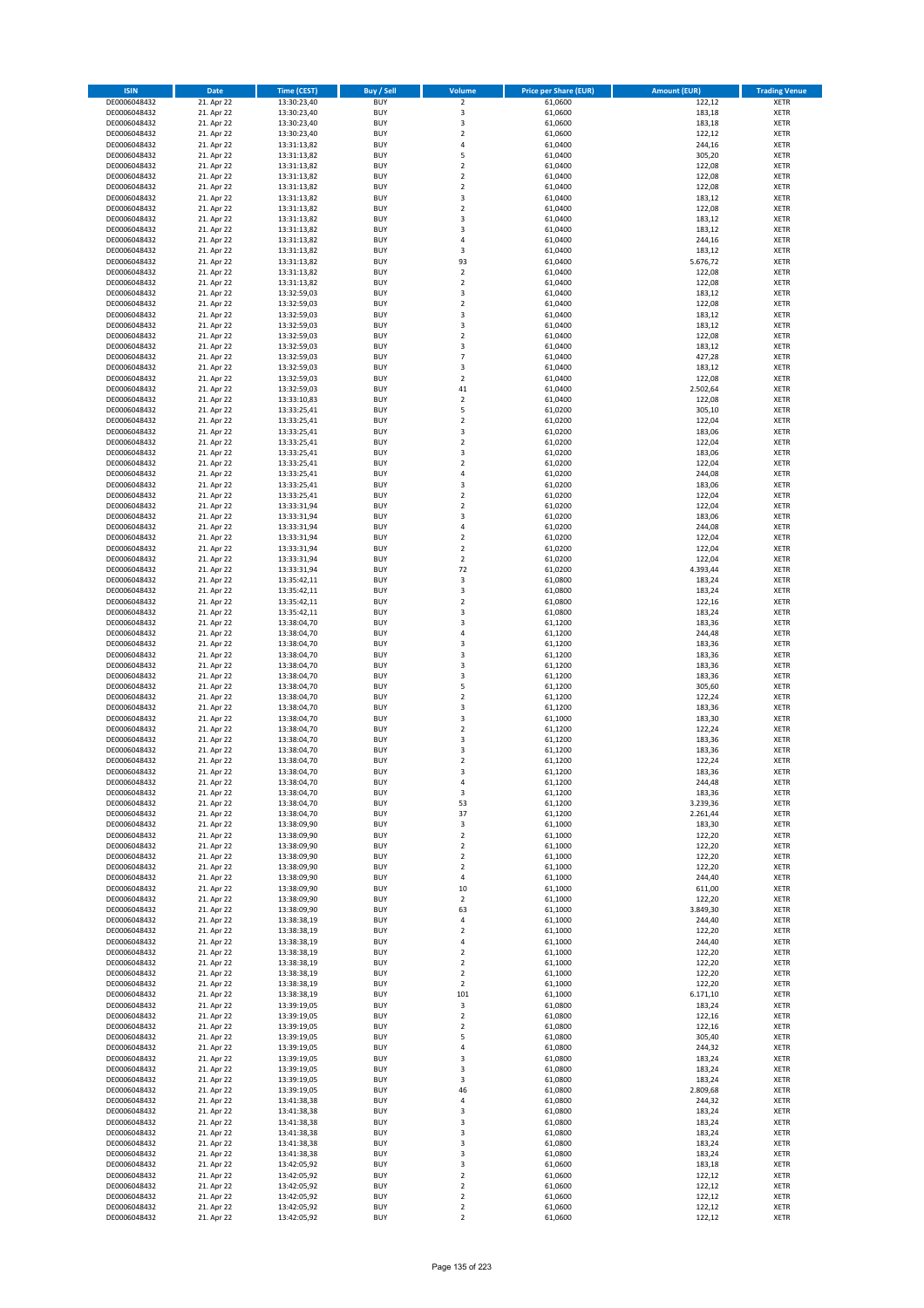| <b>ISIN</b>                  | <b>Date</b>              | Time (CEST)                | <b>Buy / Sell</b>        | Volume                        | <b>Price per Share (EUR)</b> | <b>Amount (EUR)</b> | <b>Trading Venue</b>       |
|------------------------------|--------------------------|----------------------------|--------------------------|-------------------------------|------------------------------|---------------------|----------------------------|
| DE0006048432                 | 21. Apr 22               | 13:30:23,40                | <b>BUY</b>               | $\overline{2}$                | 61,0600                      | 122,12              | <b>XETR</b>                |
| DE0006048432                 | 21. Apr 22               | 13:30:23,40                | <b>BUY</b>               | 3                             | 61,0600                      | 183,18              | <b>XETR</b>                |
| DE0006048432                 | 21. Apr 22               | 13:30:23,40                | <b>BUY</b>               | 3                             | 61,0600                      | 183,18              | <b>XETR</b>                |
| DE0006048432<br>DE0006048432 | 21. Apr 22<br>21. Apr 22 | 13:30:23,40<br>13:31:13,82 | <b>BUY</b><br><b>BUY</b> | $\mathbf 2$<br>4              | 61,0600<br>61,0400           | 122,12<br>244,16    | <b>XETR</b><br><b>XETR</b> |
| DE0006048432                 | 21. Apr 22               | 13:31:13,82                | <b>BUY</b>               | 5                             | 61,0400                      | 305,20              | <b>XETR</b>                |
| DE0006048432                 | 21. Apr 22               | 13:31:13,82                | <b>BUY</b>               | $\mathbf 2$                   | 61,0400                      | 122,08              | <b>XETR</b>                |
| DE0006048432                 | 21. Apr 22               | 13:31:13,82                | <b>BUY</b>               | $\mathbf 2$                   | 61,0400                      | 122,08              | <b>XETR</b>                |
| DE0006048432                 | 21. Apr 22               | 13:31:13,82                | <b>BUY</b>               | $\overline{2}$                | 61,0400                      | 122,08              | <b>XETR</b>                |
| DE0006048432                 | 21. Apr 22               | 13:31:13,82                | <b>BUY</b>               | 3                             | 61,0400                      | 183,12              | <b>XETR</b>                |
| DE0006048432                 | 21. Apr 22               | 13:31:13,82                | <b>BUY</b>               | $\mathbf 2$                   | 61,0400                      | 122,08              | <b>XETR</b>                |
| DE0006048432<br>DE0006048432 | 21. Apr 22<br>21. Apr 22 | 13:31:13,82<br>13:31:13,82 | <b>BUY</b><br><b>BUY</b> | 3<br>3                        | 61,0400<br>61,0400           | 183,12<br>183,12    | <b>XETR</b><br><b>XETR</b> |
| DE0006048432                 | 21. Apr 22               | 13:31:13,82                | <b>BUY</b>               | 4                             | 61,0400                      | 244,16              | <b>XETR</b>                |
| DE0006048432                 | 21. Apr 22               | 13:31:13,82                | <b>BUY</b>               | 3                             | 61,0400                      | 183,12              | <b>XETR</b>                |
| DE0006048432                 | 21. Apr 22               | 13:31:13,82                | <b>BUY</b>               | 93                            | 61,0400                      | 5.676,72            | <b>XETR</b>                |
| DE0006048432                 | 21. Apr 22               | 13:31:13,82                | <b>BUY</b>               | $\mathbf 2$                   | 61,0400                      | 122,08              | <b>XETR</b>                |
| DE0006048432                 | 21. Apr 22               | 13:31:13,82                | <b>BUY</b>               | $\mathbf 2$                   | 61,0400                      | 122,08              | <b>XETR</b>                |
| DE0006048432                 | 21. Apr 22               | 13:32:59,03                | <b>BUY</b>               | 3                             | 61,0400                      | 183,12              | <b>XETR</b>                |
| DE0006048432                 | 21. Apr 22               | 13:32:59,03                | <b>BUY</b>               | $\mathbf 2$                   | 61,0400                      | 122,08              | <b>XETR</b>                |
| DE0006048432<br>DE0006048432 | 21. Apr 22<br>21. Apr 22 | 13:32:59,03<br>13:32:59,03 | <b>BUY</b><br><b>BUY</b> | 3<br>3                        | 61,0400<br>61,0400           | 183,12<br>183,12    | <b>XETR</b><br><b>XETR</b> |
| DE0006048432                 | 21. Apr 22               | 13:32:59,03                | <b>BUY</b>               | $\mathbf 2$                   | 61,0400                      | 122,08              | <b>XETR</b>                |
| DE0006048432                 | 21. Apr 22               | 13:32:59,03                | <b>BUY</b>               | 3                             | 61,0400                      | 183,12              | <b>XETR</b>                |
| DE0006048432                 | 21. Apr 22               | 13:32:59,03                | <b>BUY</b>               | $\overline{7}$                | 61,0400                      | 427,28              | <b>XETR</b>                |
| DE0006048432                 | 21. Apr 22               | 13:32:59,03                | <b>BUY</b>               | 3                             | 61,0400                      | 183,12              | <b>XETR</b>                |
| DE0006048432                 | 21. Apr 22               | 13:32:59,03                | <b>BUY</b>               | $\mathbf 2$                   | 61,0400                      | 122,08              | <b>XETR</b>                |
| DE0006048432                 | 21. Apr 22               | 13:32:59,03                | <b>BUY</b>               | 41                            | 61,0400                      | 2.502,64            | <b>XETR</b>                |
| DE0006048432<br>DE0006048432 | 21. Apr 22<br>21. Apr 22 | 13:33:10,83<br>13:33:25,41 | <b>BUY</b><br><b>BUY</b> | $\mathbf 2$<br>5              | 61,0400<br>61,0200           | 122,08<br>305,10    | <b>XETR</b><br><b>XETR</b> |
| DE0006048432                 | 21. Apr 22               | 13:33:25,41                | <b>BUY</b>               | $\overline{a}$                | 61,0200                      | 122,04              | <b>XETR</b>                |
| DE0006048432                 | 21. Apr 22               | 13:33:25,41                | <b>BUY</b>               | 3                             | 61,0200                      | 183,06              | <b>XETR</b>                |
| DE0006048432                 | 21. Apr 22               | 13:33:25,41                | <b>BUY</b>               | $\mathbf 2$                   | 61,0200                      | 122,04              | <b>XETR</b>                |
| DE0006048432                 | 21. Apr 22               | 13:33:25,41                | <b>BUY</b>               | 3                             | 61,0200                      | 183,06              | <b>XETR</b>                |
| DE0006048432                 | 21. Apr 22               | 13:33:25,41                | <b>BUY</b>               | $\mathbf 2$                   | 61.0200                      | 122,04              | <b>XETR</b>                |
| DE0006048432                 | 21. Apr 22               | 13:33:25,41                | <b>BUY</b>               | 4                             | 61,0200                      | 244,08              | <b>XETR</b>                |
| DE0006048432                 | 21. Apr 22               | 13:33:25,41                | <b>BUY</b><br><b>BUY</b> | 3<br>$\mathbf 2$              | 61,0200                      | 183,06<br>122,04    | <b>XETR</b>                |
| DE0006048432<br>DE0006048432 | 21. Apr 22<br>21. Apr 22 | 13:33:25,41<br>13:33:31,94 | <b>BUY</b>               | $\overline{2}$                | 61,0200<br>61,0200           | 122,04              | <b>XETR</b><br><b>XETR</b> |
| DE0006048432                 | 21. Apr 22               | 13:33:31,94                | <b>BUY</b>               | 3                             | 61,0200                      | 183,06              | <b>XETR</b>                |
| DE0006048432                 | 21. Apr 22               | 13:33:31,94                | <b>BUY</b>               | 4                             | 61,0200                      | 244,08              | <b>XETR</b>                |
| DE0006048432                 | 21. Apr 22               | 13:33:31,94                | <b>BUY</b>               | $\mathbf 2$                   | 61,0200                      | 122,04              | <b>XETR</b>                |
| DE0006048432                 | 21. Apr 22               | 13:33:31,94                | <b>BUY</b>               | $\mathbf 2$                   | 61,0200                      | 122,04              | <b>XETR</b>                |
| DE0006048432                 | 21. Apr 22               | 13:33:31,94                | <b>BUY</b>               | $\overline{2}$                | 61,0200                      | 122,04              | <b>XETR</b>                |
| DE0006048432                 | 21. Apr 22               | 13:33:31,94                | <b>BUY</b>               | 72                            | 61,0200                      | 4.393,44            | <b>XETR</b>                |
| DE0006048432                 | 21. Apr 22               | 13:35:42,11                | <b>BUY</b><br><b>BUY</b> | 3<br>3                        | 61,0800                      | 183,24              | <b>XETR</b>                |
| DE0006048432<br>DE0006048432 | 21. Apr 22<br>21. Apr 22 | 13:35:42,11<br>13:35:42,11 | <b>BUY</b>               | $\mathbf 2$                   | 61,0800<br>61,0800           | 183,24<br>122,16    | <b>XETR</b><br><b>XETR</b> |
| DE0006048432                 | 21. Apr 22               | 13:35:42,11                | <b>BUY</b>               | 3                             | 61,0800                      | 183,24              | <b>XETR</b>                |
| DE0006048432                 | 21. Apr 22               | 13:38:04,70                | <b>BUY</b>               | 3                             | 61,1200                      | 183,36              | <b>XETR</b>                |
| DE0006048432                 | 21. Apr 22               | 13:38:04,70                | <b>BUY</b>               | 4                             | 61,1200                      | 244,48              | <b>XETR</b>                |
| DE0006048432                 | 21. Apr 22               | 13:38:04,70                | <b>BUY</b>               | 3                             | 61,1200                      | 183,36              | <b>XETR</b>                |
| DE0006048432                 | 21. Apr 22               | 13:38:04,70                | <b>BUY</b>               | 3                             | 61,1200                      | 183,36              | <b>XETR</b>                |
| DE0006048432<br>DE0006048432 | 21. Apr 22<br>21. Apr 22 | 13:38:04,70<br>13:38:04,70 | <b>BUY</b><br><b>BUY</b> | 3<br>3                        | 61,1200<br>61,1200           | 183,36<br>183,36    | <b>XETR</b><br><b>XETR</b> |
| DE0006048432                 | 21. Apr 22               | 13:38:04,70                | <b>BUY</b>               | 5                             | 61,1200                      | 305,60              | <b>XETR</b>                |
| DE0006048432                 | 21. Apr 22               | 13:38:04,70                | <b>BUY</b>               | $\overline{\mathbf{c}}$       | 61,1200                      | 122,24              | <b>XETR</b>                |
| DE0006048432                 | 21. Apr 22               | 13:38:04,70                | <b>BUY</b>               | 3                             | 61,1200                      | 183,36              | <b>XETR</b>                |
| DE0006048432                 | 21. Apr 22               | 13:38:04,70                | <b>BUY</b>               | 3                             | 61,1000                      | 183,30              | <b>XETR</b>                |
| DE0006048432                 | 21. Apr 22               | 13:38:04,70                | <b>BUY</b>               | $\overline{2}$                | 61,1200                      | 122,24              | <b>XETR</b>                |
| DE0006048432                 | 21. Apr 22               | 13:38:04,70                | <b>BUY</b>               | 3                             | 61,1200                      | 183,36              | <b>XETR</b>                |
| DE0006048432<br>DE0006048432 | 21. Apr 22<br>21. Apr 22 | 13:38:04,70<br>13:38:04,70 | <b>BUY</b><br><b>BUY</b> | 3<br>$\overline{\mathbf{c}}$  | 61,1200<br>61,1200           | 183,36<br>122,24    | <b>XETR</b><br><b>XETR</b> |
| DE0006048432                 | 21. Apr 22               | 13:38:04,70                | <b>BUY</b>               | 3                             | 61,1200                      | 183,36              | <b>XETR</b>                |
| DE0006048432                 | 21. Apr 22               | 13:38:04,70                | BUY                      | 4                             | 61,1200                      | 244,48              | <b>XETR</b>                |
| DE0006048432                 | 21. Apr 22               | 13:38:04,70                | <b>BUY</b>               | 3                             | 61,1200                      | 183,36              | XETR                       |
| DE0006048432                 | 21. Apr 22               | 13:38:04,70                | <b>BUY</b>               | 53                            | 61,1200                      | 3.239,36            | XETR                       |
| DE0006048432                 | 21. Apr 22               | 13:38:04,70                | <b>BUY</b>               | 37                            | 61,1200                      | 2.261,44            | XETR                       |
| DE0006048432                 | 21. Apr 22               | 13:38:09,90                | <b>BUY</b>               | 3                             | 61,1000                      | 183,30              | <b>XETR</b>                |
| DE0006048432<br>DE0006048432 | 21. Apr 22<br>21. Apr 22 | 13:38:09,90<br>13:38:09,90 | <b>BUY</b><br><b>BUY</b> | $\mathbf 2$<br>$\overline{2}$ | 61,1000<br>61,1000           | 122,20<br>122,20    | <b>XETR</b><br><b>XETR</b> |
| DE0006048432                 | 21. Apr 22               | 13:38:09,90                | <b>BUY</b>               | $\mathbf 2$                   | 61,1000                      | 122,20              | <b>XETR</b>                |
| DE0006048432                 | 21. Apr 22               | 13:38:09,90                | <b>BUY</b>               | $\mathbf 2$                   | 61,1000                      | 122,20              | <b>XETR</b>                |
| DE0006048432                 | 21. Apr 22               | 13:38:09,90                | <b>BUY</b>               | 4                             | 61,1000                      | 244,40              | XETR                       |
| DE0006048432                 | 21. Apr 22               | 13:38:09,90                | <b>BUY</b>               | 10                            | 61,1000                      | 611,00              | <b>XETR</b>                |
| DE0006048432                 | 21. Apr 22               | 13:38:09,90                | <b>BUY</b>               | $\overline{2}$                | 61,1000                      | 122,20              | <b>XETR</b>                |
| DE0006048432<br>DE0006048432 | 21. Apr 22<br>21. Apr 22 | 13:38:09,90<br>13:38:38,19 | <b>BUY</b><br><b>BUY</b> | 63<br>4                       | 61,1000<br>61,1000           | 3.849,30<br>244,40  | <b>XETR</b><br><b>XETR</b> |
| DE0006048432                 | 21. Apr 22               | 13:38:38,19                | <b>BUY</b>               | $\mathbf 2$                   | 61,1000                      | 122,20              | <b>XETR</b>                |
| DE0006048432                 | 21. Apr 22               | 13:38:38,19                | <b>BUY</b>               | 4                             | 61,1000                      | 244,40              | <b>XETR</b>                |
| DE0006048432                 | 21. Apr 22               | 13:38:38,19                | <b>BUY</b>               | $\overline{2}$                | 61,1000                      | 122,20              | <b>XETR</b>                |
| DE0006048432                 | 21. Apr 22               | 13:38:38,19                | <b>BUY</b>               | $\overline{2}$                | 61,1000                      | 122,20              | <b>XETR</b>                |
| DE0006048432                 | 21. Apr 22               | 13:38:38,19                | <b>BUY</b>               | $\mathbf 2$                   | 61,1000                      | 122,20              | XETR                       |
| DE0006048432                 | 21. Apr 22               | 13:38:38,19                | <b>BUY</b>               | $\mathbf 2$                   | 61,1000                      | 122,20              | <b>XETR</b>                |
| DE0006048432<br>DE0006048432 | 21. Apr 22<br>21. Apr 22 | 13:38:38,19<br>13:39:19,05 | <b>BUY</b><br><b>BUY</b> | 101<br>3                      | 61,1000<br>61,0800           | 6.171,10<br>183,24  | <b>XETR</b><br><b>XETR</b> |
| DE0006048432                 | 21. Apr 22               | 13:39:19,05                | <b>BUY</b>               | $\overline{\mathbf{2}}$       | 61,0800                      | 122,16              | <b>XETR</b>                |
| DE0006048432                 | 21. Apr 22               | 13:39:19,05                | <b>BUY</b>               | $\mathbf 2$                   | 61,0800                      | 122,16              | <b>XETR</b>                |
| DE0006048432                 | 21. Apr 22               | 13:39:19,05                | <b>BUY</b>               | 5                             | 61,0800                      | 305,40              | <b>XETR</b>                |
| DE0006048432                 | 21. Apr 22               | 13:39:19,05                | <b>BUY</b>               | 4                             | 61,0800                      | 244,32              | <b>XETR</b>                |
| DE0006048432                 | 21. Apr 22               | 13:39:19,05                | <b>BUY</b>               | 3                             | 61,0800                      | 183,24              | <b>XETR</b>                |
| DE0006048432<br>DE0006048432 | 21. Apr 22<br>21. Apr 22 | 13:39:19,05                | <b>BUY</b><br><b>BUY</b> | 3<br>3                        | 61,0800<br>61,0800           | 183,24<br>183,24    | <b>XETR</b><br><b>XETR</b> |
| DE0006048432                 | 21. Apr 22               | 13:39:19,05<br>13:39:19,05 | <b>BUY</b>               | 46                            | 61,0800                      | 2.809,68            | XETR                       |
| DE0006048432                 | 21. Apr 22               | 13:41:38,38                | <b>BUY</b>               | 4                             | 61,0800                      | 244,32              | <b>XETR</b>                |
| DE0006048432                 | 21. Apr 22               | 13:41:38,38                | <b>BUY</b>               | 3                             | 61,0800                      | 183,24              | <b>XETR</b>                |
| DE0006048432                 | 21. Apr 22               | 13:41:38,38                | <b>BUY</b>               | 3                             | 61,0800                      | 183,24              | <b>XETR</b>                |
| DE0006048432                 | 21. Apr 22               | 13:41:38,38                | <b>BUY</b>               | 3                             | 61,0800                      | 183,24              | <b>XETR</b>                |
| DE0006048432                 | 21. Apr 22               | 13:41:38,38                | <b>BUY</b>               | 3                             | 61,0800                      | 183,24              | <b>XETR</b>                |
| DE0006048432<br>DE0006048432 | 21. Apr 22<br>21. Apr 22 | 13:41:38,38<br>13:42:05,92 | <b>BUY</b><br><b>BUY</b> | 3<br>3                        | 61,0800<br>61,0600           | 183,24<br>183,18    | <b>XETR</b><br><b>XETR</b> |
| DE0006048432                 | 21. Apr 22               | 13:42:05,92                | <b>BUY</b>               | $\mathbf 2$                   | 61,0600                      | 122,12              | XETR                       |
| DE0006048432                 | 21. Apr 22               | 13:42:05,92                | <b>BUY</b>               | $\overline{2}$                | 61,0600                      | 122,12              | <b>XETR</b>                |
| DE0006048432                 | 21. Apr 22               | 13:42:05,92                | <b>BUY</b>               | $\mathbf 2$                   | 61,0600                      | 122,12              | <b>XETR</b>                |
| DE0006048432                 | 21. Apr 22               | 13:42:05,92                | <b>BUY</b>               | $\mathbf 2$                   | 61,0600                      | 122,12              | <b>XETR</b>                |
| DE0006048432                 | 21. Apr 22               | 13:42:05,92                | <b>BUY</b>               | $\mathbf 2$                   | 61,0600                      | 122,12              | XETR                       |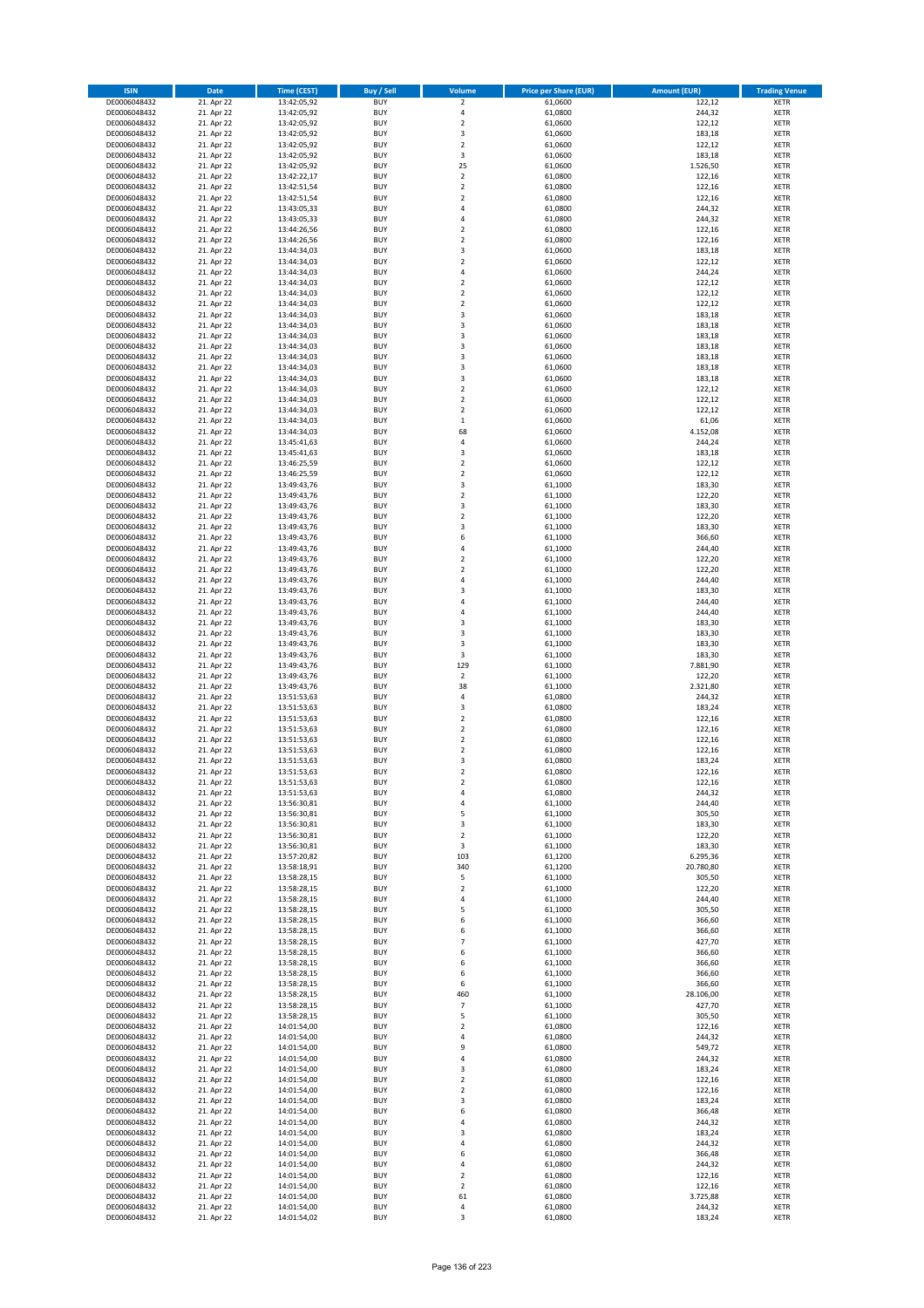| <b>ISIN</b>                  | <b>Date</b>              | Time (CEST)                | <b>Buy / Sell</b>        | <b>Volume</b>                          | <b>Price per Share (EUR)</b> | <b>Amount (EUR)</b> | <b>Trading Venue</b>       |
|------------------------------|--------------------------|----------------------------|--------------------------|----------------------------------------|------------------------------|---------------------|----------------------------|
| DE0006048432                 | 21. Apr 22               | 13:42:05,92                | <b>BUY</b>               | $\overline{\mathbf{2}}$                | 61,0600                      | 122,12              | <b>XETR</b>                |
| DE0006048432                 | 21. Apr 22               | 13:42:05,92                | <b>BUY</b>               | 4                                      | 61,0800                      | 244,32              | <b>XETR</b>                |
| DE0006048432                 | 21. Apr 22               | 13:42:05,92                | <b>BUY</b>               | $\mathbf 2$                            | 61,0600                      | 122,12              | <b>XETR</b>                |
| DE0006048432<br>DE0006048432 | 21. Apr 22<br>21. Apr 22 | 13:42:05,92<br>13:42:05,92 | <b>BUY</b><br><b>BUY</b> | 3<br>$\overline{\mathbf{c}}$           | 61,0600<br>61,0600           | 183,18<br>122,12    | <b>XETR</b><br><b>XETR</b> |
| DE0006048432                 | 21. Apr 22               | 13:42:05,92                | <b>BUY</b>               | 3                                      | 61,0600                      | 183,18              | <b>XETR</b>                |
| DE0006048432                 | 21. Apr 22               | 13:42:05,92                | <b>BUY</b>               | 25                                     | 61,0600                      | 1.526,50            | <b>XETR</b>                |
| DE0006048432                 | 21. Apr 22               | 13:42:22,17                | <b>BUY</b>               | $\mathbf 2$                            | 61,0800                      | 122,16              | <b>XETR</b>                |
| DE0006048432                 | 21. Apr 22               | 13:42:51,54                | <b>BUY</b>               | $\mathbf 2$                            | 61,0800                      | 122,16              | <b>XETR</b>                |
| DE0006048432                 | 21. Apr 22               | 13:42:51,54                | <b>BUY</b>               | $\overline{2}$                         | 61,0800                      | 122,16              | <b>XETR</b>                |
| DE0006048432                 | 21. Apr 22               | 13:43:05,33                | <b>BUY</b>               | 4                                      | 61,0800                      | 244,32              | <b>XETR</b>                |
| DE0006048432                 | 21. Apr 22<br>21. Apr 22 | 13:43:05,33                | <b>BUY</b><br><b>BUY</b> | 4<br>$\overline{\mathbf{c}}$           | 61,0800                      | 244,32              | <b>XETR</b><br><b>XETR</b> |
| DE0006048432<br>DE0006048432 | 21. Apr 22               | 13:44:26,56<br>13:44:26,56 | <b>BUY</b>               | $\overline{\mathbf{c}}$                | 61,0800<br>61,0800           | 122,16<br>122,16    | <b>XETR</b>                |
| DE0006048432                 | 21. Apr 22               | 13:44:34,03                | <b>BUY</b>               | 3                                      | 61,0600                      | 183,18              | <b>XETR</b>                |
| DE0006048432                 | 21. Apr 22               | 13:44:34,03                | <b>BUY</b>               | $\overline{\mathbf{c}}$                | 61,0600                      | 122,12              | <b>XETR</b>                |
| DE0006048432                 | 21. Apr 22               | 13:44:34,03                | <b>BUY</b>               | 4                                      | 61,0600                      | 244,24              | <b>XETR</b>                |
| DE0006048432                 | 21. Apr 22               | 13:44:34,03                | <b>BUY</b>               | $\mathbf 2$                            | 61,0600                      | 122,12              | <b>XETR</b>                |
| DE0006048432                 | 21. Apr 22               | 13:44:34,03                | <b>BUY</b>               | $\overline{\mathbf{c}}$                | 61,0600                      | 122,12              | <b>XETR</b>                |
| DE0006048432                 | 21. Apr 22               | 13:44:34,03                | <b>BUY</b>               | $\mathbf 2$                            | 61,0600                      | 122,12              | <b>XETR</b>                |
| DE0006048432<br>DE0006048432 | 21. Apr 22<br>21. Apr 22 | 13:44:34,03<br>13:44:34,03 | <b>BUY</b><br><b>BUY</b> | 3<br>3                                 | 61,0600<br>61,0600           | 183,18<br>183,18    | <b>XETR</b><br><b>XETR</b> |
| DE0006048432                 | 21. Apr 22               | 13:44:34,03                | <b>BUY</b>               | 3                                      | 61,0600                      | 183,18              | <b>XETR</b>                |
| DE0006048432                 | 21. Apr 22               | 13:44:34,03                | <b>BUY</b>               | 3                                      | 61,0600                      | 183,18              | <b>XETR</b>                |
| DE0006048432                 | 21. Apr 22               | 13:44:34,03                | <b>BUY</b>               | 3                                      | 61,0600                      | 183,18              | <b>XETR</b>                |
| DE0006048432                 | 21. Apr 22               | 13:44:34,03                | <b>BUY</b>               | 3                                      | 61,0600                      | 183,18              | <b>XETR</b>                |
| DE0006048432                 | 21. Apr 22               | 13:44:34,03                | <b>BUY</b>               | 3                                      | 61,0600                      | 183,18              | <b>XETR</b>                |
| DE0006048432                 | 21. Apr 22               | 13:44:34,03                | <b>BUY</b>               | $\overline{\mathbf{c}}$                | 61,0600                      | 122,12              | <b>XETR</b>                |
| DE0006048432<br>DE0006048432 | 21. Apr 22<br>21. Apr 22 | 13:44:34,03<br>13:44:34,03 | <b>BUY</b><br><b>BUY</b> | $\mathbf 2$<br>$\overline{\mathbf{c}}$ | 61,0600<br>61,0600           | 122,12<br>122,12    | <b>XETR</b><br><b>XETR</b> |
| DE0006048432                 | 21. Apr 22               | 13:44:34,03                | <b>BUY</b>               | $\mathbf 1$                            | 61,0600                      | 61,06               | <b>XETR</b>                |
| DE0006048432                 | 21. Apr 22               | 13:44:34,03                | <b>BUY</b>               | 68                                     | 61,0600                      | 4.152,08            | <b>XETR</b>                |
| DE0006048432                 | 21. Apr 22               | 13:45:41,63                | <b>BUY</b>               | 4                                      | 61,0600                      | 244,24              | <b>XETR</b>                |
| DE0006048432                 | 21. Apr 22               | 13:45:41,63                | <b>BUY</b>               | 3                                      | 61,0600                      | 183,18              | <b>XETR</b>                |
| DE0006048432                 | 21. Apr 22               | 13:46:25,59                | <b>BUY</b>               | $\mathbf 2$                            | 61,0600                      | 122,12              | <b>XETR</b>                |
| DE0006048432                 | 21. Apr 22               | 13:46:25,59                | <b>BUY</b>               | $\mathbf 2$                            | 61,0600                      | 122,12              | <b>XETR</b>                |
| DE0006048432                 | 21. Apr 22               | 13:49:43,76                | <b>BUY</b><br><b>BUY</b> | 3<br>$\mathbf 2$                       | 61,1000                      | 183,30              | <b>XETR</b>                |
| DE0006048432<br>DE0006048432 | 21. Apr 22<br>21. Apr 22 | 13:49:43,76<br>13:49:43,76 | <b>BUY</b>               | 3                                      | 61,1000<br>61,1000           | 122,20<br>183,30    | <b>XETR</b><br><b>XETR</b> |
| DE0006048432                 | 21. Apr 22               | 13:49:43,76                | <b>BUY</b>               | $\mathbf 2$                            | 61,1000                      | 122,20              | <b>XETR</b>                |
| DE0006048432                 | 21. Apr 22               | 13:49:43,76                | <b>BUY</b>               | 3                                      | 61,1000                      | 183,30              | <b>XETR</b>                |
| DE0006048432                 | 21. Apr 22               | 13:49:43,76                | <b>BUY</b>               | 6                                      | 61,1000                      | 366,60              | <b>XETR</b>                |
| DE0006048432                 | 21. Apr 22               | 13:49:43,76                | <b>BUY</b>               | 4                                      | 61,1000                      | 244,40              | <b>XETR</b>                |
| DE0006048432                 | 21. Apr 22               | 13:49:43,76                | <b>BUY</b>               | $\overline{\mathbf{c}}$                | 61,1000                      | 122,20              | <b>XETR</b>                |
| DE0006048432                 | 21. Apr 22               | 13:49:43,76                | <b>BUY</b>               | $\mathbf 2$                            | 61,1000                      | 122,20              | <b>XETR</b>                |
| DE0006048432                 | 21. Apr 22               | 13:49:43,76                | <b>BUY</b><br><b>BUY</b> | 4<br>3                                 | 61,1000                      | 244,40              | <b>XETR</b>                |
| DE0006048432<br>DE0006048432 | 21. Apr 22<br>21. Apr 22 | 13:49:43,76<br>13:49:43,76 | <b>BUY</b>               | 4                                      | 61,1000<br>61,1000           | 183,30<br>244,40    | <b>XETR</b><br><b>XETR</b> |
| DE0006048432                 | 21. Apr 22               | 13:49:43,76                | <b>BUY</b>               | 4                                      | 61,1000                      | 244,40              | <b>XETR</b>                |
| DE0006048432                 | 21. Apr 22               | 13:49:43,76                | <b>BUY</b>               | 3                                      | 61,1000                      | 183,30              | <b>XETR</b>                |
| DE0006048432                 | 21. Apr 22               | 13:49:43,76                | <b>BUY</b>               | 3                                      | 61,1000                      | 183,30              | <b>XETR</b>                |
| DE0006048432                 | 21. Apr 22               | 13:49:43,76                | <b>BUY</b>               | 3                                      | 61,1000                      | 183,30              | <b>XETR</b>                |
| DE0006048432                 | 21. Apr 22               | 13:49:43,76                | <b>BUY</b>               | 3                                      | 61,1000                      | 183,30              | <b>XETR</b>                |
| DE0006048432<br>DE0006048432 | 21. Apr 22<br>21. Apr 22 | 13:49:43,76<br>13:49:43,76 | <b>BUY</b><br><b>BUY</b> | 129<br>$\overline{\mathbf{c}}$         | 61,1000<br>61,1000           | 7.881,90<br>122,20  | <b>XETR</b><br><b>XETR</b> |
| DE0006048432                 | 21. Apr 22               | 13:49:43,76                | <b>BUY</b>               | 38                                     | 61,1000                      | 2.321,80            | <b>XETR</b>                |
| DE0006048432                 | 21. Apr 22               | 13:51:53,63                | <b>BUY</b>               | 4                                      | 61,0800                      | 244,32              | <b>XETR</b>                |
| DE0006048432                 | 21. Apr 22               | 13:51:53,63                | <b>BUY</b>               | 3                                      | 61,0800                      | 183,24              | <b>XETR</b>                |
| DE0006048432                 | 21. Apr 22               | 13:51:53,63                | <b>BUY</b>               | $\overline{\mathbf{c}}$                | 61,0800                      | 122,16              | <b>XETR</b>                |
| DE0006048432                 | 21. Apr 22               | 13:51:53,63                | <b>BUY</b>               | $\overline{2}$                         | 61,0800                      | 122,16              | <b>XETR</b>                |
| DE0006048432                 | 21. Apr 22               | 13:51:53,63                | <b>BUY</b>               | $\mathbf 2$                            | 61,0800                      | 122,16              | <b>XETR</b>                |
| DE0006048432<br>DE0006048432 | 21. Apr 22<br>21. Apr 22 | 13:51:53,63<br>13:51:53,63 | <b>BUY</b><br><b>BUY</b> | $\overline{\mathbf{c}}$<br>3           | 61,0800<br>61,0800           | 122,16<br>183,24    | <b>XETR</b><br><b>XETR</b> |
| DE0006048432                 | 21. Apr 22               | 13:51:53,63                | <b>BUY</b>               | $\overline{2}$                         | 61,0800                      | 122,16              | <b>XETR</b>                |
| DE0006048432                 | 21. Apr 22               | 13:51:53,63                | BUY                      | 2                                      | 61,0800                      | 122,16              | <b>XETR</b>                |
| DE0006048432                 | 21. Apr 22               | 13:51:53,63                | <b>BUY</b>               | 4                                      | 61,0800                      | 244,32              | XETR                       |
| DE0006048432                 | 21. Apr 22               | 13:56:30,81                | <b>BUY</b>               | 4                                      | 61,1000                      | 244,40              | XETR                       |
| DE0006048432                 | 21. Apr 22               | 13:56:30,81                | <b>BUY</b>               | 5                                      | 61,1000                      | 305,50              | XETR                       |
| DE0006048432                 | 21. Apr 22               | 13:56:30,81                | <b>BUY</b>               | 3                                      | 61,1000                      | 183,30              | <b>XETR</b>                |
| DE0006048432<br>DE0006048432 | 21. Apr 22<br>21. Apr 22 | 13:56:30,81<br>13:56:30,81 | <b>BUY</b><br><b>BUY</b> | $\mathbf 2$<br>3                       | 61,1000<br>61,1000           | 122,20<br>183,30    | <b>XETR</b><br><b>XETR</b> |
| DE0006048432                 | 21. Apr 22               | 13:57:20,82                | <b>BUY</b>               | 103                                    | 61,1200                      | 6.295,36            | <b>XETR</b>                |
| DE0006048432                 | 21. Apr 22               | 13:58:18,91                | <b>BUY</b>               | 340                                    | 61,1200                      | 20.780,80           | <b>XETR</b>                |
| DE0006048432                 | 21. Apr 22               | 13:58:28,15                | <b>BUY</b>               | 5                                      | 61,1000                      | 305,50              | XETR                       |
| DE0006048432                 | 21. Apr 22               | 13:58:28,15                | <b>BUY</b>               | $\mathbf 2$                            | 61,1000                      | 122,20              | <b>XETR</b>                |
| DE0006048432                 | 21. Apr 22               | 13:58:28,15                | <b>BUY</b>               | 4                                      | 61,1000                      | 244,40              | <b>XETR</b>                |
| DE0006048432<br>DE0006048432 | 21. Apr 22<br>21. Apr 22 | 13:58:28,15<br>13:58:28,15 | <b>BUY</b><br><b>BUY</b> | 5<br>6                                 | 61,1000<br>61,1000           | 305,50<br>366,60    | <b>XETR</b><br><b>XETR</b> |
| DE0006048432                 | 21. Apr 22               | 13:58:28,15                | <b>BUY</b>               | 6                                      | 61,1000                      | 366,60              | <b>XETR</b>                |
| DE0006048432                 | 21. Apr 22               | 13:58:28,15                | <b>BUY</b>               | $\overline{7}$                         | 61,1000                      | 427,70              | <b>XETR</b>                |
| DE0006048432                 | 21. Apr 22               | 13:58:28,15                | <b>BUY</b>               | 6                                      | 61,1000                      | 366,60              | <b>XETR</b>                |
| DE0006048432                 | 21. Apr 22               | 13:58:28,15                | <b>BUY</b>               | 6                                      | 61,1000                      | 366,60              | <b>XETR</b>                |
| DE0006048432                 | 21. Apr 22               | 13:58:28,15                | <b>BUY</b>               | 6                                      | 61,1000                      | 366,60              | XETR                       |
| DE0006048432                 | 21. Apr 22               | 13:58:28,15                | <b>BUY</b>               | 6                                      | 61,1000                      | 366,60              | <b>XETR</b>                |
| DE0006048432<br>DE0006048432 | 21. Apr 22<br>21. Apr 22 | 13:58:28,15<br>13:58:28,15 | <b>BUY</b><br><b>BUY</b> | 460<br>$\overline{7}$                  | 61,1000<br>61,1000           | 28.106,00<br>427,70 | <b>XETR</b><br><b>XETR</b> |
| DE0006048432                 | 21. Apr 22               | 13:58:28,15                | <b>BUY</b>               | 5                                      | 61,1000                      | 305,50              | <b>XETR</b>                |
| DE0006048432                 | 21. Apr 22               | 14:01:54,00                | <b>BUY</b>               | $\mathbf 2$                            | 61,0800                      | 122,16              | <b>XETR</b>                |
| DE0006048432                 | 21. Apr 22               | 14:01:54,00                | <b>BUY</b>               | 4                                      | 61,0800                      | 244,32              | <b>XETR</b>                |
| DE0006048432                 | 21. Apr 22               | 14:01:54,00                | <b>BUY</b>               | 9                                      | 61,0800                      | 549,72              | <b>XETR</b>                |
| DE0006048432                 | 21. Apr 22               | 14:01:54,00                | <b>BUY</b>               | 4                                      | 61,0800                      | 244,32              | <b>XETR</b>                |
| DE0006048432                 | 21. Apr 22               | 14:01:54,00                | <b>BUY</b>               | 3                                      | 61,0800                      | 183,24              | <b>XETR</b>                |
| DE0006048432<br>DE0006048432 | 21. Apr 22<br>21. Apr 22 | 14:01:54,00<br>14:01:54,00 | <b>BUY</b><br><b>BUY</b> | $\mathbf 2$<br>$\overline{2}$          | 61,0800<br>61,0800           | 122,16<br>122,16    | <b>XETR</b><br>XETR        |
| DE0006048432                 | 21. Apr 22               | 14:01:54,00                | <b>BUY</b>               | 3                                      | 61,0800                      | 183,24              | <b>XETR</b>                |
| DE0006048432                 | 21. Apr 22               | 14:01:54,00                | <b>BUY</b>               | 6                                      | 61,0800                      | 366,48              | <b>XETR</b>                |
| DE0006048432                 | 21. Apr 22               | 14:01:54,00                | <b>BUY</b>               | 4                                      | 61,0800                      | 244,32              | <b>XETR</b>                |
| DE0006048432                 | 21. Apr 22               | 14:01:54,00                | <b>BUY</b>               | 3                                      | 61,0800                      | 183,24              | <b>XETR</b>                |
| DE0006048432                 | 21. Apr 22               | 14:01:54,00                | <b>BUY</b>               | 4                                      | 61,0800                      | 244,32              | <b>XETR</b>                |
| DE0006048432                 | 21. Apr 22               | 14:01:54,00                | <b>BUY</b>               | 6                                      | 61,0800                      | 366,48              | <b>XETR</b>                |
| DE0006048432<br>DE0006048432 | 21. Apr 22<br>21. Apr 22 | 14:01:54,00<br>14:01:54,00 | <b>BUY</b><br><b>BUY</b> | 4<br>$\overline{\mathbf{c}}$           | 61,0800<br>61,0800           | 244,32<br>122,16    | <b>XETR</b><br>XETR        |
| DE0006048432                 | 21. Apr 22               | 14:01:54,00                | <b>BUY</b>               | $\overline{2}$                         | 61,0800                      | 122,16              | <b>XETR</b>                |
| DE0006048432                 | 21. Apr 22               | 14:01:54,00                | <b>BUY</b>               | 61                                     | 61,0800                      | 3.725,88            | <b>XETR</b>                |
| DE0006048432                 | 21. Apr 22               | 14:01:54,00                | <b>BUY</b>               | 4                                      | 61,0800                      | 244,32              | <b>XETR</b>                |
| DE0006048432                 | 21. Apr 22               | 14:01:54,02                | <b>BUY</b>               | 3                                      | 61,0800                      | 183,24              | XETR                       |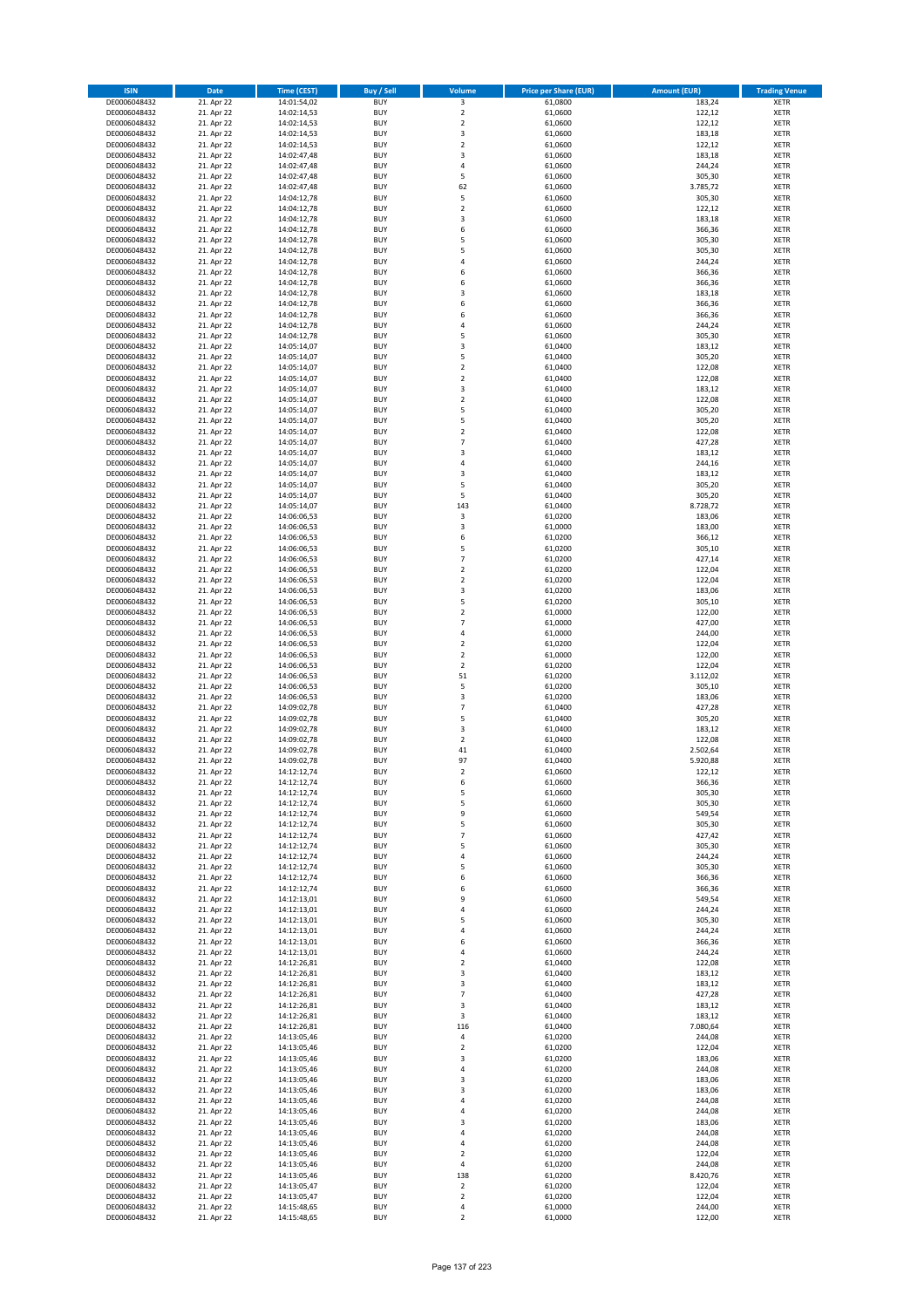| <b>ISIN</b>                  | <b>Date</b>              | <b>Time (CEST)</b>         | <b>Buy / Sell</b>        | Volume                        | <b>Price per Share (EUR)</b> | <b>Amount (EUR)</b>  | <b>Trading Venue</b>       |
|------------------------------|--------------------------|----------------------------|--------------------------|-------------------------------|------------------------------|----------------------|----------------------------|
| DE0006048432                 | 21. Apr 22               | 14:01:54,02                | <b>BUY</b>               | $\overline{\mathbf{3}}$       | 61,0800                      | 183,24               | <b>XETR</b>                |
| DE0006048432                 | 21. Apr 22               | 14:02:14,53                | <b>BUY</b>               | $\mathbf 2$                   | 61,0600                      | 122,12               | <b>XETR</b>                |
| DE0006048432                 | 21. Apr 22               | 14:02:14,53                | <b>BUY</b>               | $\overline{2}$                | 61,0600                      | 122,12               | <b>XETR</b>                |
| DE0006048432<br>DE0006048432 | 21. Apr 22<br>21. Apr 22 | 14:02:14,53<br>14:02:14,53 | <b>BUY</b><br><b>BUY</b> | 3<br>$\overline{\mathbf{c}}$  | 61,0600<br>61,0600           | 183,18<br>122,12     | <b>XETR</b><br><b>XETR</b> |
| DE0006048432                 | 21. Apr 22               | 14:02:47,48                | <b>BUY</b>               | 3                             | 61,0600                      | 183,18               | <b>XETR</b>                |
| DE0006048432                 | 21. Apr 22               | 14:02:47,48                | <b>BUY</b>               | 4                             | 61,0600                      | 244,24               | <b>XETR</b>                |
| DE0006048432                 | 21. Apr 22               | 14:02:47,48                | <b>BUY</b>               | 5                             | 61,0600                      | 305,30               | <b>XETR</b>                |
| DE0006048432                 | 21. Apr 22               | 14:02:47,48                | <b>BUY</b>               | 62                            | 61,0600                      | 3.785,72             | <b>XETR</b>                |
| DE0006048432                 | 21. Apr 22               | 14:04:12,78                | <b>BUY</b><br><b>BUY</b> | 5                             | 61,0600                      | 305,30               | <b>XETR</b><br><b>XETR</b> |
| DE0006048432<br>DE0006048432 | 21. Apr 22<br>21. Apr 22 | 14:04:12,78<br>14:04:12,78 | <b>BUY</b>               | $\mathbf 2$<br>3              | 61,0600<br>61,0600           | 122,12<br>183,18     | <b>XETR</b>                |
| DE0006048432                 | 21. Apr 22               | 14:04:12,78                | <b>BUY</b>               | 6                             | 61,0600                      | 366,36               | <b>XETR</b>                |
| DE0006048432                 | 21. Apr 22               | 14:04:12,78                | <b>BUY</b>               | 5                             | 61,0600                      | 305,30               | <b>XETR</b>                |
| DE0006048432                 | 21. Apr 22               | 14:04:12,78                | <b>BUY</b>               | 5                             | 61,0600                      | 305,30               | <b>XETR</b>                |
| DE0006048432                 | 21. Apr 22               | 14:04:12,78                | <b>BUY</b>               | 4                             | 61,0600                      | 244,24               | <b>XETR</b>                |
| DE0006048432<br>DE0006048432 | 21. Apr 22<br>21. Apr 22 | 14:04:12,78<br>14:04:12,78 | <b>BUY</b><br><b>BUY</b> | 6<br>6                        | 61,0600<br>61,0600           | 366,36<br>366,36     | <b>XETR</b><br><b>XETR</b> |
| DE0006048432                 | 21. Apr 22               | 14:04:12,78                | <b>BUY</b>               | 3                             | 61,0600                      | 183,18               | <b>XETR</b>                |
| DE0006048432                 | 21. Apr 22               | 14:04:12,78                | <b>BUY</b>               | 6                             | 61,0600                      | 366,36               | <b>XETR</b>                |
| DE0006048432                 | 21. Apr 22               | 14:04:12,78                | <b>BUY</b>               | 6                             | 61,0600                      | 366,36               | <b>XETR</b>                |
| DE0006048432                 | 21. Apr 22               | 14:04:12,78                | <b>BUY</b>               | 4                             | 61,0600                      | 244,24               | <b>XETR</b>                |
| DE0006048432                 | 21. Apr 22<br>21. Apr 22 | 14:04:12,78                | <b>BUY</b><br><b>BUY</b> | 5<br>3                        | 61,0600<br>61,0400           | 305,30<br>183,12     | <b>XETR</b><br><b>XETR</b> |
| DE0006048432<br>DE0006048432 | 21. Apr 22               | 14:05:14,07<br>14:05:14,07 | <b>BUY</b>               | 5                             | 61,0400                      | 305,20               | <b>XETR</b>                |
| DE0006048432                 | 21. Apr 22               | 14:05:14,07                | <b>BUY</b>               | $\mathbf 2$                   | 61,0400                      | 122,08               | <b>XETR</b>                |
| DE0006048432                 | 21. Apr 22               | 14:05:14,07                | <b>BUY</b>               | $\mathbf 2$                   | 61,0400                      | 122,08               | <b>XETR</b>                |
| DE0006048432                 | 21. Apr 22               | 14:05:14,07                | <b>BUY</b>               | 3                             | 61,0400                      | 183,12               | <b>XETR</b>                |
| DE0006048432                 | 21. Apr 22               | 14:05:14,07                | <b>BUY</b><br><b>BUY</b> | $\mathbf 2$<br>5              | 61,0400                      | 122,08               | <b>XETR</b><br><b>XETR</b> |
| DE0006048432<br>DE0006048432 | 21. Apr 22<br>21. Apr 22 | 14:05:14,07<br>14:05:14,07 | <b>BUY</b>               | 5                             | 61,0400<br>61,0400           | 305,20<br>305,20     | <b>XETR</b>                |
| DE0006048432                 | 21. Apr 22               | 14:05:14,07                | <b>BUY</b>               | $\overline{\mathbf{c}}$       | 61,0400                      | 122,08               | <b>XETR</b>                |
| DE0006048432                 | 21. Apr 22               | 14:05:14,07                | <b>BUY</b>               | $\overline{7}$                | 61,0400                      | 427,28               | <b>XETR</b>                |
| DE0006048432                 | 21. Apr 22               | 14:05:14,07                | <b>BUY</b>               | 3                             | 61,0400                      | 183,12               | <b>XETR</b>                |
| DE0006048432                 | 21. Apr 22               | 14:05:14,07                | <b>BUY</b>               | 4                             | 61.0400                      | 244,16               | <b>XETR</b>                |
| DE0006048432<br>DE0006048432 | 21. Apr 22<br>21. Apr 22 | 14:05:14,07<br>14:05:14,07 | <b>BUY</b><br><b>BUY</b> | 3<br>5                        | 61,0400<br>61,0400           | 183,12<br>305,20     | <b>XETR</b><br><b>XETR</b> |
| DE0006048432                 | 21. Apr 22               | 14:05:14,07                | <b>BUY</b>               | 5                             | 61,0400                      | 305,20               | <b>XETR</b>                |
| DE0006048432                 | 21. Apr 22               | 14:05:14,07                | <b>BUY</b>               | 143                           | 61,0400                      | 8.728,72             | <b>XETR</b>                |
| DE0006048432                 | 21. Apr 22               | 14:06:06,53                | <b>BUY</b>               | 3                             | 61,0200                      | 183,06               | <b>XETR</b>                |
| DE0006048432                 | 21. Apr 22               | 14:06:06,53                | <b>BUY</b>               | 3                             | 61,0000                      | 183,00               | <b>XETR</b>                |
| DE0006048432                 | 21. Apr 22               | 14:06:06,53                | <b>BUY</b>               | 6                             | 61,0200                      | 366,12               | <b>XETR</b>                |
| DE0006048432<br>DE0006048432 | 21. Apr 22<br>21. Apr 22 | 14:06:06,53<br>14:06:06,53 | <b>BUY</b><br><b>BUY</b> | 5<br>$\overline{7}$           | 61,0200<br>61,0200           | 305,10<br>427,14     | <b>XETR</b><br><b>XETR</b> |
| DE0006048432                 | 21. Apr 22               | 14:06:06,53                | <b>BUY</b>               | $\mathbf 2$                   | 61,0200                      | 122,04               | <b>XETR</b>                |
| DE0006048432                 | 21. Apr 22               | 14:06:06,53                | <b>BUY</b>               | $\overline{2}$                | 61,0200                      | 122,04               | <b>XETR</b>                |
| DE0006048432                 | 21. Apr 22               | 14:06:06,53                | <b>BUY</b>               | 3                             | 61,0200                      | 183,06               | <b>XETR</b>                |
| DE0006048432                 | 21. Apr 22               | 14:06:06,53                | <b>BUY</b>               | 5                             | 61,0200                      | 305,10               | <b>XETR</b>                |
| DE0006048432<br>DE0006048432 | 21. Apr 22               | 14:06:06,53                | <b>BUY</b><br><b>BUY</b> | $\mathbf 2$<br>$\overline{7}$ | 61,0000                      | 122,00<br>427,00     | <b>XETR</b><br><b>XETR</b> |
| DE0006048432                 | 21. Apr 22<br>21. Apr 22 | 14:06:06,53<br>14:06:06,53 | <b>BUY</b>               | 4                             | 61,0000<br>61,0000           | 244,00               | <b>XETR</b>                |
| DE0006048432                 | 21. Apr 22               | 14:06:06,53                | <b>BUY</b>               | $\overline{\mathbf{c}}$       | 61,0200                      | 122,04               | <b>XETR</b>                |
| DE0006048432                 | 21. Apr 22               | 14:06:06,53                | <b>BUY</b>               | $\overline{2}$                | 61,0000                      | 122,00               | <b>XETR</b>                |
| DE0006048432                 | 21. Apr 22               | 14:06:06,53                | <b>BUY</b>               | $\mathbf 2$                   | 61,0200                      | 122,04               | <b>XETR</b>                |
| DE0006048432                 | 21. Apr 22               | 14:06:06,53                | <b>BUY</b>               | 51                            | 61,0200                      | 3.112,02             | <b>XETR</b>                |
| DE0006048432<br>DE0006048432 | 21. Apr 22<br>21. Apr 22 | 14:06:06,53<br>14:06:06,53 | <b>BUY</b><br><b>BUY</b> | 5<br>3                        | 61,0200<br>61,0200           | 305,10<br>183,06     | <b>XETR</b><br><b>XETR</b> |
| DE0006048432                 | 21. Apr 22               | 14:09:02,78                | <b>BUY</b>               | $\overline{7}$                | 61,0400                      | 427,28               | <b>XETR</b>                |
| DE0006048432                 | 21. Apr 22               | 14:09:02,78                | <b>BUY</b>               | 5                             | 61,0400                      | 305,20               | <b>XETR</b>                |
| DE0006048432                 | 21. Apr 22               | 14:09:02,78                | <b>BUY</b>               | 3                             | 61,0400                      | 183,12               | <b>XETR</b>                |
| DE0006048432                 | 21. Apr 22               | 14:09:02,78                | <b>BUY</b>               | $\mathbf 2$                   | 61,0400                      | 122,08               | <b>XETR</b>                |
| DE0006048432<br>DE0006048432 | 21. Apr 22<br>21. Apr 22 | 14:09:02,78<br>14:09:02,78 | <b>BUY</b><br><b>BUY</b> | 41<br>97                      | 61,0400<br>61,0400           | 2.502,64<br>5.920,88 | <b>XETR</b><br><b>XETR</b> |
| DE0006048432                 | 21. Apr 22               | 14:12:12,74                | <b>BUY</b>               | $\overline{2}$                | 61,0600                      | 122,12               | <b>XETR</b>                |
| DE0006048432                 | 21. Apr 22               | 14:12:12,74                | BUY                      | 6                             | 61,0600                      | 366,36               | <b>XETR</b>                |
| DE0006048432                 | 21. Apr 22               | 14:12:12,74                | <b>BUY</b>               | 5                             | 61,0600                      | 305,30               | XETR                       |
| DE0006048432                 | 21. Apr 22               | 14:12:12,74                | <b>BUY</b>               | 5                             | 61,0600                      | 305,30               | XETR                       |
| DE0006048432<br>DE0006048432 | 21. Apr 22<br>21. Apr 22 | 14:12:12,74<br>14:12:12,74 | <b>BUY</b><br><b>BUY</b> | 9<br>5                        | 61,0600<br>61,0600           | 549,54<br>305,30     | XETR<br><b>XETR</b>        |
| DE0006048432                 | 21. Apr 22               | 14:12:12,74                | <b>BUY</b>               | $\overline{\phantom{a}}$      | 61,0600                      | 427,42               | <b>XETR</b>                |
| DE0006048432                 | 21. Apr 22               | 14:12:12,74                | <b>BUY</b>               | 5                             | 61,0600                      | 305,30               | <b>XETR</b>                |
| DE0006048432                 | 21. Apr 22               | 14:12:12,74                | <b>BUY</b>               | 4                             | 61,0600                      | 244,24               | <b>XETR</b>                |
| DE0006048432                 | 21. Apr 22               | 14:12:12,74                | <b>BUY</b>               | 5                             | 61,0600                      | 305,30               | <b>XETR</b>                |
| DE0006048432<br>DE0006048432 | 21. Apr 22<br>21. Apr 22 | 14:12:12,74<br>14:12:12,74 | <b>BUY</b><br><b>BUY</b> | 6<br>6                        | 61,0600<br>61,0600           | 366,36<br>366,36     | XETR<br><b>XETR</b>        |
| DE0006048432                 | 21. Apr 22               | 14:12:13,01                | <b>BUY</b>               | 9                             | 61,0600                      | 549,54               | <b>XETR</b>                |
| DE0006048432                 | 21. Apr 22               | 14:12:13,01                | <b>BUY</b>               | 4                             | 61,0600                      | 244,24               | <b>XETR</b>                |
| DE0006048432                 | 21. Apr 22               | 14:12:13,01                | <b>BUY</b>               | 5                             | 61,0600                      | 305,30               | <b>XETR</b>                |
| DE0006048432                 | 21. Apr 22               | 14:12:13,01                | <b>BUY</b>               | 4                             | 61,0600                      | 244,24               | <b>XETR</b>                |
| DE0006048432<br>DE0006048432 | 21. Apr 22<br>21. Apr 22 | 14:12:13,01<br>14:12:13,01 | <b>BUY</b><br><b>BUY</b> | 6<br>4                        | 61,0600<br>61,0600           | 366,36<br>244,24     | <b>XETR</b><br><b>XETR</b> |
| DE0006048432                 | 21. Apr 22               | 14:12:26,81                | <b>BUY</b>               | $\mathbf 2$                   | 61,0400                      | 122,08               | <b>XETR</b>                |
| DE0006048432                 | 21. Apr 22               | 14:12:26,81                | <b>BUY</b>               | 3                             | 61,0400                      | 183,12               | XETR                       |
| DE0006048432                 | 21. Apr 22               | 14:12:26,81                | <b>BUY</b>               | 3                             | 61,0400                      | 183,12               | <b>XETR</b>                |
| DE0006048432                 | 21. Apr 22               | 14:12:26,81                | <b>BUY</b>               | $\overline{7}$                | 61,0400                      | 427,28               | <b>XETR</b>                |
| DE0006048432<br>DE0006048432 | 21. Apr 22<br>21. Apr 22 | 14:12:26,81<br>14:12:26,81 | <b>BUY</b><br><b>BUY</b> | 3<br>3                        | 61,0400<br>61,0400           | 183,12<br>183,12     | <b>XETR</b><br><b>XETR</b> |
| DE0006048432                 | 21. Apr 22               | 14:12:26,81                | <b>BUY</b>               | 116                           | 61,0400                      | 7.080,64             | <b>XETR</b>                |
| DE0006048432                 | 21. Apr 22               | 14:13:05,46                | <b>BUY</b>               | 4                             | 61,0200                      | 244,08               | <b>XETR</b>                |
| DE0006048432                 | 21. Apr 22               | 14:13:05,46                | <b>BUY</b>               | $\mathbf 2$                   | 61,0200                      | 122,04               | XETR                       |
| DE0006048432                 | 21. Apr 22               | 14:13:05,46                | <b>BUY</b>               | 3                             | 61,0200                      | 183,06               | <b>XETR</b>                |
| DE0006048432                 | 21. Apr 22               | 14:13:05,46                | <b>BUY</b>               | 4                             | 61,0200                      | 244,08               | <b>XETR</b>                |
| DE0006048432<br>DE0006048432 | 21. Apr 22<br>21. Apr 22 | 14:13:05,46<br>14:13:05,46 | <b>BUY</b><br><b>BUY</b> | 3<br>3                        | 61,0200<br>61,0200           | 183,06<br>183,06     | <b>XETR</b><br>XETR        |
| DE0006048432                 | 21. Apr 22               | 14:13:05,46                | <b>BUY</b>               | 4                             | 61,0200                      | 244,08               | <b>XETR</b>                |
| DE0006048432                 | 21. Apr 22               | 14:13:05,46                | <b>BUY</b>               | 4                             | 61,0200                      | 244,08               | <b>XETR</b>                |
| DE0006048432                 | 21. Apr 22               | 14:13:05,46                | <b>BUY</b>               | 3                             | 61,0200                      | 183,06               | <b>XETR</b>                |
| DE0006048432                 | 21. Apr 22               | 14:13:05,46                | <b>BUY</b>               | 4                             | 61,0200                      | 244,08               | <b>XETR</b>                |
| DE0006048432<br>DE0006048432 | 21. Apr 22<br>21. Apr 22 | 14:13:05,46<br>14:13:05,46 | <b>BUY</b><br><b>BUY</b> | 4<br>$\mathbf 2$              | 61,0200<br>61,0200           | 244,08<br>122,04     | <b>XETR</b><br><b>XETR</b> |
| DE0006048432                 | 21. Apr 22               | 14:13:05,46                | <b>BUY</b>               | 4                             | 61,0200                      | 244,08               | <b>XETR</b>                |
| DE0006048432                 | 21. Apr 22               | 14:13:05,46                | <b>BUY</b>               | 138                           | 61,0200                      | 8.420,76             | <b>XETR</b>                |
| DE0006048432                 | 21. Apr 22               | 14:13:05,47                | <b>BUY</b>               | $\overline{2}$                | 61,0200                      | 122,04               | <b>XETR</b>                |
| DE0006048432                 | 21. Apr 22               | 14:13:05,47                | <b>BUY</b>               | $\mathbf 2$                   | 61,0200                      | 122,04               | <b>XETR</b>                |
| DE0006048432<br>DE0006048432 | 21. Apr 22<br>21. Apr 22 | 14:15:48,65<br>14:15:48,65 | <b>BUY</b><br><b>BUY</b> | 4<br>$\mathbf 2$              | 61,0000<br>61,0000           | 244,00<br>122,00     | <b>XETR</b><br>XETR        |
|                              |                          |                            |                          |                               |                              |                      |                            |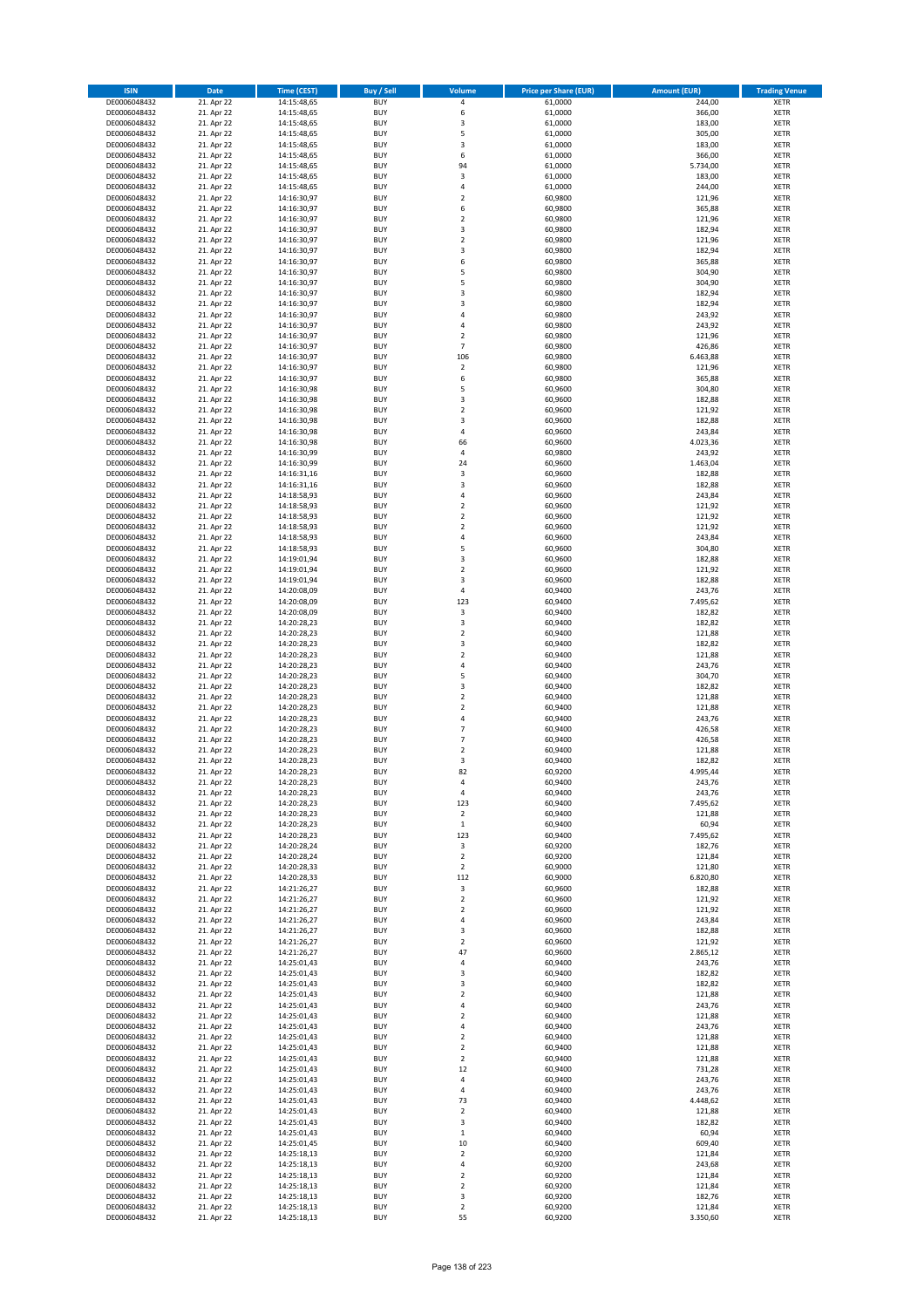| <b>ISIN</b>                  | <b>Date</b>              | Time (CEST)                | <b>Buy / Sell</b>        | Volume                           | <b>Price per Share (EUR)</b> | <b>Amount (EUR)</b> | <b>Trading Venue</b>       |
|------------------------------|--------------------------|----------------------------|--------------------------|----------------------------------|------------------------------|---------------------|----------------------------|
| DE0006048432                 | 21. Apr 22               | 14:15:48,65                | <b>BUY</b>               | 4                                | 61,0000                      | 244,00              | <b>XETR</b>                |
| DE0006048432                 | 21. Apr 22               | 14:15:48,65                | <b>BUY</b>               | 6                                | 61,0000                      | 366,00              | <b>XETR</b>                |
| DE0006048432                 | 21. Apr 22               | 14:15:48,65                | <b>BUY</b>               | $\overline{\mathbf{3}}$          | 61,0000                      | 183,00              | <b>XETR</b>                |
| DE0006048432                 | 21. Apr 22               | 14:15:48,65                | <b>BUY</b>               | 5                                | 61,0000                      | 305,00              | <b>XETR</b>                |
| DE0006048432                 | 21. Apr 22               | 14:15:48,65                | <b>BUY</b>               | 3                                | 61,0000                      | 183,00              | <b>XETR</b>                |
| DE0006048432                 | 21. Apr 22               | 14:15:48,65                | <b>BUY</b>               | 6                                | 61,0000                      | 366,00              | <b>XETR</b>                |
| DE0006048432                 | 21. Apr 22               | 14:15:48,65                | <b>BUY</b>               | 94                               | 61,0000                      | 5.734,00            | <b>XETR</b>                |
| DE0006048432                 | 21. Apr 22               | 14:15:48,65                | <b>BUY</b>               | 3                                | 61,0000                      | 183,00              | <b>XETR</b>                |
| DE0006048432                 | 21. Apr 22               | 14:15:48,65                | BUY<br><b>BUY</b>        | $\overline{a}$<br>$\overline{2}$ | 61,0000                      | 244,00              | <b>XETR</b>                |
| DE0006048432<br>DE0006048432 | 21. Apr 22<br>21. Apr 22 | 14:16:30,97<br>14:16:30,97 | <b>BUY</b>               | 6                                | 60,9800<br>60,9800           | 121,96<br>365,88    | <b>XETR</b><br><b>XETR</b> |
| DE0006048432                 | 21. Apr 22               | 14:16:30,97                | <b>BUY</b>               | $\overline{2}$                   | 60,9800                      | 121,96              | <b>XETR</b>                |
| DE0006048432                 | 21. Apr 22               | 14:16:30,97                | <b>BUY</b>               | $\overline{3}$                   | 60,9800                      | 182,94              | <b>XETR</b>                |
| DE0006048432                 | 21. Apr 22               | 14:16:30,97                | <b>BUY</b>               | $\overline{2}$                   | 60,9800                      | 121,96              | <b>XETR</b>                |
| DE0006048432                 | 21. Apr 22               | 14:16:30,97                | <b>BUY</b>               | 3                                | 60,9800                      | 182,94              | <b>XETR</b>                |
| DE0006048432                 | 21. Apr 22               | 14:16:30,97                | BUY                      | 6                                | 60,9800                      | 365,88              | <b>XETR</b>                |
| DE0006048432                 | 21. Apr 22               | 14:16:30,97                | <b>BUY</b>               | 5                                | 60,9800                      | 304,90              | <b>XETR</b>                |
| DE0006048432                 | 21. Apr 22               | 14:16:30,97                | <b>BUY</b>               | 5                                | 60,9800                      | 304,90              | <b>XETR</b>                |
| DE0006048432                 | 21. Apr 22               | 14:16:30.97                | <b>BUY</b>               | 3                                | 60.9800                      | 182,94              | <b>XETR</b>                |
| DE0006048432                 | 21. Apr 22               | 14:16:30,97                | <b>BUY</b>               | $\overline{3}$                   | 60,9800                      | 182,94              | <b>XETR</b>                |
| DE0006048432                 | 21. Apr 22               | 14:16:30,97                | <b>BUY</b>               | 4                                | 60,9800                      | 243,92              | <b>XETR</b>                |
| DE0006048432<br>DE0006048432 | 21. Apr 22<br>21. Apr 22 | 14:16:30,97<br>14:16:30,97 | <b>BUY</b><br><b>BUY</b> | 4<br>$\overline{2}$              | 60,9800<br>60,9800           | 243,92<br>121,96    | <b>XETR</b><br><b>XETR</b> |
| DE0006048432                 | 21. Apr 22               | 14:16:30,97                | <b>BUY</b>               | $\overline{7}$                   | 60,9800                      | 426,86              | <b>XETR</b>                |
| DE0006048432                 | 21. Apr 22               | 14:16:30,97                | <b>BUY</b>               | 106                              | 60,9800                      | 6.463,88            | <b>XETR</b>                |
| DE0006048432                 | 21. Apr 22               | 14:16:30,97                | <b>BUY</b>               | $\mathbf 2$                      | 60,9800                      | 121,96              | <b>XETR</b>                |
| DE0006048432                 | 21. Apr 22               | 14:16:30,97                | <b>BUY</b>               | 6                                | 60,9800                      | 365,88              | <b>XETR</b>                |
| DE0006048432                 | 21. Apr 22               | 14:16:30,98                | <b>BUY</b>               | 5                                | 60,9600                      | 304,80              | <b>XETR</b>                |
| DE0006048432                 | 21. Apr 22               | 14:16:30,98                | <b>BUY</b>               | 3                                | 60,9600                      | 182,88              | <b>XETR</b>                |
| DE0006048432                 | 21. Apr 22               | 14:16:30,98                | <b>BUY</b>               | $\overline{2}$                   | 60,9600                      | 121,92              | <b>XETR</b>                |
| DE0006048432                 | 21. Apr 22               | 14:16:30,98                | <b>BUY</b>               | 3                                | 60,9600                      | 182,88              | <b>XETR</b>                |
| DE0006048432                 | 21. Apr 22               | 14:16:30,98                | <b>BUY</b>               | 4                                | 60,9600                      | 243,84              | <b>XETR</b>                |
| DE0006048432                 | 21. Apr 22               | 14:16:30,98                | <b>BUY</b>               | 66                               | 60,9600                      | 4.023,36            | <b>XETR</b>                |
| DE0006048432                 | 21. Apr 22               | 14:16:30,99<br>14:16:30,99 | <b>BUY</b><br><b>BUY</b> | 4<br>24                          | 60,9800                      | 243,92              | <b>XETR</b><br><b>XETR</b> |
| DE0006048432<br>DE0006048432 | 21. Apr 22<br>21. Apr 22 | 14:16:31,16                | <b>BUY</b>               | 3                                | 60,9600<br>60,9600           | 1.463,04<br>182,88  | <b>XETR</b>                |
| DE0006048432                 | 21. Apr 22               | 14:16:31,16                | <b>BUY</b>               | $\overline{\mathbf{3}}$          | 60,9600                      | 182,88              | <b>XETR</b>                |
| DE0006048432                 | 21. Apr 22               | 14:18:58,93                | <b>BUY</b>               | $\overline{4}$                   | 60,9600                      | 243,84              | <b>XETR</b>                |
| DE0006048432                 | 21. Apr 22               | 14:18:58,93                | <b>BUY</b>               | $\mathbf 2$                      | 60,9600                      | 121,92              | <b>XETR</b>                |
| DE0006048432                 | 21. Apr 22               | 14:18:58,93                | <b>BUY</b>               | $\mathbf 2$                      | 60,9600                      | 121,92              | <b>XETR</b>                |
| DE0006048432                 | 21. Apr 22               | 14:18:58,93                | <b>BUY</b>               | $\overline{2}$                   | 60,9600                      | 121,92              | <b>XETR</b>                |
| DE0006048432                 | 21. Apr 22               | 14:18:58,93                | <b>BUY</b>               | 4                                | 60,9600                      | 243,84              | <b>XETR</b>                |
| DE0006048432                 | 21. Apr 22               | 14:18:58,93                | <b>BUY</b>               | 5                                | 60,9600                      | 304,80              | <b>XETR</b>                |
| DE0006048432                 | 21. Apr 22               | 14:19:01,94                | <b>BUY</b>               | $\overline{\mathbf{3}}$          | 60,9600                      | 182,88              | <b>XETR</b>                |
| DE0006048432                 | 21. Apr 22               | 14:19:01,94                | <b>BUY</b>               | $\overline{2}$                   | 60,9600                      | 121,92              | <b>XETR</b>                |
| DE0006048432                 | 21. Apr 22               | 14:19:01,94                | <b>BUY</b>               | $\overline{\mathbf{3}}$          | 60,9600                      | 182,88              | <b>XETR</b>                |
| DE0006048432<br>DE0006048432 | 21. Apr 22<br>21. Apr 22 | 14:20:08,09<br>14:20:08,09 | <b>BUY</b><br><b>BUY</b> | $\sqrt{4}$<br>123                | 60,9400<br>60,9400           | 243,76<br>7.495,62  | <b>XETR</b><br><b>XETR</b> |
| DE0006048432                 | 21. Apr 22               | 14:20:08,09                | <b>BUY</b>               | 3                                | 60,9400                      | 182,82              | <b>XETR</b>                |
| DE0006048432                 | 21. Apr 22               | 14:20:28,23                | <b>BUY</b>               | 3                                | 60,9400                      | 182,82              | <b>XETR</b>                |
| DE0006048432                 | 21. Apr 22               | 14:20:28,23                | <b>BUY</b>               | $\overline{2}$                   | 60,9400                      | 121,88              | <b>XETR</b>                |
| DE0006048432                 | 21. Apr 22               | 14:20:28,23                | <b>BUY</b>               | $\overline{\mathbf{3}}$          | 60,9400                      | 182,82              | <b>XETR</b>                |
| DE0006048432                 | 21. Apr 22               | 14:20:28,23                | <b>BUY</b>               | $\overline{2}$                   | 60,9400                      | 121,88              | <b>XETR</b>                |
| DE0006048432                 | 21. Apr 22               | 14:20:28,23                | <b>BUY</b>               | $\overline{4}$                   | 60,9400                      | 243,76              | <b>XETR</b>                |
| DE0006048432                 | 21. Apr 22               | 14:20:28,23                | <b>BUY</b>               | 5                                | 60,9400                      | 304,70              | <b>XETR</b>                |
| DE0006048432                 | 21. Apr 22               | 14:20:28,23                | <b>BUY</b>               | 3                                | 60,9400                      | 182,82              | <b>XETR</b>                |
| DE0006048432                 | 21. Apr 22               | 14:20:28,23                | <b>BUY</b>               | $\overline{2}$                   | 60,9400                      | 121,88              | <b>XETR</b>                |
| DE0006048432                 | 21. Apr 22               | 14:20:28,23                | <b>BUY</b>               | $\overline{2}$                   | 60,9400                      | 121,88              | <b>XETR</b>                |
| DE0006048432                 | 21. Apr 22<br>21. Apr 22 | 14:20:28,23                | BUY                      | $\overline{a}$                   | 60,9400                      | 243,76              | <b>XETR</b>                |
| DE0006048432<br>DE0006048432 | 21. Apr 22               | 14:20:28,23<br>14:20:28,23 | <b>BUY</b><br><b>BUY</b> | 7<br>$\overline{7}$              | 60,9400<br>60,9400           | 426,58<br>426,58    | <b>XETR</b><br><b>XETR</b> |
| DE0006048432                 | 21. Apr 22               | 14:20:28,23                | BUY                      | $\overline{2}$                   | 60,9400                      | 121,88              | <b>XETR</b>                |
| DE0006048432                 | 21. Apr 22               | 14:20:28,23                | BUY                      | 3                                | 60,9400                      | 182,82              | <b>XETR</b>                |
| DE0006048432                 | 21. Apr 22               | 14:20:28,23                | <b>BUY</b>               | 82                               | 60,9200                      | 4.995,44            | <b>XETR</b>                |
| DE0006048432                 | 21. Apr 22               | 14:20:28,23                | BUY                      | 4                                | 60,9400                      | 243,76              | <b>XETR</b>                |
| DE0006048432                 | 21. Apr 22               | 14:20:28,23                | <b>BUY</b>               | $\sqrt{4}$                       | 60,9400                      | 243,76              | <b>XETR</b>                |
| DE0006048432                 | 21. Apr 22               | 14:20:28,23                | <b>BUY</b>               | 123                              | 60,9400                      | 7.495,62            | <b>XETR</b>                |
| DE0006048432                 | 21. Apr 22               | 14:20:28,23                | <b>BUY</b>               | $\mathbf 2$                      | 60,9400                      | 121,88              | <b>XETR</b>                |
| DE0006048432                 | 21. Apr 22               | 14:20:28,23                | <b>BUY</b>               | $\mathbf 1$                      | 60,9400                      | 60,94               | <b>XETR</b>                |
| DE0006048432                 | 21. Apr 22               | 14:20:28,23                | <b>BUY</b><br><b>BUY</b> | 123                              | 60,9400                      | 7.495,62            | <b>XETR</b>                |
| DE0006048432<br>DE0006048432 | 21. Apr 22<br>21. Apr 22 | 14:20:28,24                | <b>BUY</b>               | 3<br>$\mathbf 2$                 | 60,9200<br>60,9200           | 182,76<br>121,84    | <b>XETR</b>                |
| DE0006048432                 | 21. Apr 22               | 14:20:28,24<br>14:20:28,33 | <b>BUY</b>               | $\overline{2}$                   | 60,9000                      | 121,80              | <b>XETR</b><br><b>XETR</b> |
| DE0006048432                 | 21. Apr 22               | 14:20:28,33                | <b>BUY</b>               | 112                              | 60,9000                      | 6.820,80            | <b>XETR</b>                |
| DE0006048432                 | 21. Apr 22               | 14:21:26,27                | <b>BUY</b>               | 3                                | 60,9600                      | 182,88              | <b>XETR</b>                |
| DE0006048432                 | 21. Apr 22               | 14:21:26,27                | <b>BUY</b>               | $\mathbf 2$                      | 60,9600                      | 121,92              | <b>XETR</b>                |
| DE0006048432                 | 21. Apr 22               | 14:21:26,27                | <b>BUY</b>               | $\mathbf 2$                      | 60,9600                      | 121,92              | <b>XETR</b>                |
| DE0006048432                 | 21. Apr 22               | 14:21:26,27                | <b>BUY</b>               | $\overline{4}$                   | 60,9600                      | 243,84              | <b>XETR</b>                |
| DE0006048432                 | 21. Apr 22               | 14:21:26,27                | <b>BUY</b>               | 3                                | 60,9600                      | 182,88              | <b>XETR</b>                |
| DE0006048432                 | 21. Apr 22               | 14:21:26,27                | <b>BUY</b>               | $\overline{2}$                   | 60,9600                      | 121,92              | <b>XETR</b>                |
| DE0006048432<br>DE0006048432 | 21. Apr 22<br>21. Apr 22 | 14:21:26,27<br>14:25:01,43 | <b>BUY</b><br><b>BUY</b> | 47<br>4                          | 60,9600<br>60,9400           | 2.865,12            | <b>XETR</b><br><b>XETR</b> |
| DE0006048432                 | 21. Apr 22               | 14:25:01,43                | <b>BUY</b>               | 3                                | 60,9400                      | 243,76<br>182,82    | <b>XETR</b>                |
| DE0006048432                 | 21. Apr 22               | 14:25:01,43                | <b>BUY</b>               | 3                                | 60,9400                      | 182,82              | <b>XETR</b>                |
| DE0006048432                 | 21. Apr 22               | 14:25:01,43                | <b>BUY</b>               | $\overline{2}$                   | 60,9400                      | 121,88              | <b>XETR</b>                |
| DE0006048432                 | 21. Apr 22               | 14:25:01,43                | <b>BUY</b>               | 4                                | 60,9400                      | 243,76              | <b>XETR</b>                |
| DE0006048432                 | 21. Apr 22               | 14:25:01,43                | <b>BUY</b>               | $\overline{2}$                   | 60,9400                      | 121,88              | <b>XETR</b>                |
| DE0006048432                 | 21. Apr 22               | 14:25:01,43                | <b>BUY</b>               | $\overline{4}$                   | 60,9400                      | 243,76              | <b>XETR</b>                |
| DE0006048432                 | 21. Apr 22               | 14:25:01,43                | <b>BUY</b>               | $\overline{2}$                   | 60,9400                      | 121,88              | <b>XETR</b>                |
| DE0006048432                 | 21. Apr 22               | 14:25:01,43                | <b>BUY</b>               | $\mathbf 2$                      | 60,9400                      | 121,88              | <b>XETR</b>                |
| DE0006048432                 | 21. Apr 22               | 14:25:01,43                | <b>BUY</b>               | $\overline{2}$                   | 60,9400                      | 121,88              | <b>XETR</b>                |
| DE0006048432                 | 21. Apr 22               | 14:25:01,43                | <b>BUY</b>               | 12                               | 60,9400                      | 731,28              | <b>XETR</b>                |
| DE0006048432                 | 21. Apr 22               | 14:25:01,43                | <b>BUY</b>               | 4<br>$\overline{4}$              | 60,9400                      | 243,76              | <b>XETR</b>                |
| DE0006048432<br>DE0006048432 | 21. Apr 22<br>21. Apr 22 | 14:25:01,43<br>14:25:01,43 | <b>BUY</b><br><b>BUY</b> | 73                               | 60,9400<br>60,9400           | 243,76<br>4.448,62  | <b>XETR</b><br><b>XETR</b> |
| DE0006048432                 | 21. Apr 22               | 14:25:01,43                | <b>BUY</b>               | $\mathbf 2$                      | 60,9400                      | 121,88              | <b>XETR</b>                |
| DE0006048432                 | 21. Apr 22               | 14:25:01,43                | <b>BUY</b>               | 3                                | 60,9400                      | 182,82              | <b>XETR</b>                |
| DE0006048432                 | 21. Apr 22               | 14:25:01,43                | <b>BUY</b>               | $\mathbf 1$                      | 60,9400                      | 60,94               | <b>XETR</b>                |
| DE0006048432                 | 21. Apr 22               | 14:25:01,45                | <b>BUY</b>               | $10\,$                           | 60,9400                      | 609,40              | <b>XETR</b>                |
| DE0006048432                 | 21. Apr 22               | 14:25:18,13                | <b>BUY</b>               | $\mathbf 2$                      | 60,9200                      | 121,84              | <b>XETR</b>                |
| DE0006048432                 | 21. Apr 22               | 14:25:18,13                | <b>BUY</b>               | $\overline{4}$                   | 60,9200                      | 243,68              | <b>XETR</b>                |
| DE0006048432                 | 21. Apr 22               | 14:25:18,13                | <b>BUY</b>               | $\mathbf 2$                      | 60,9200                      | 121,84              | <b>XETR</b>                |
| DE0006048432                 | 21. Apr 22               | 14:25:18,13                | <b>BUY</b>               | $\mathbf 2$                      | 60,9200                      | 121,84              | <b>XETR</b>                |
| DE0006048432                 | 21. Apr 22               | 14:25:18,13                | <b>BUY</b>               | 3                                | 60,9200                      | 182,76              | <b>XETR</b>                |
| DE0006048432                 | 21. Apr 22               | 14:25:18,13                | <b>BUY</b>               | $\mathbf 2$                      | 60,9200                      | 121,84              | <b>XETR</b>                |
| DE0006048432                 | 21. Apr 22               | 14:25:18,13                | <b>BUY</b>               | 55                               | 60,9200                      | 3.350,60            | <b>XETR</b>                |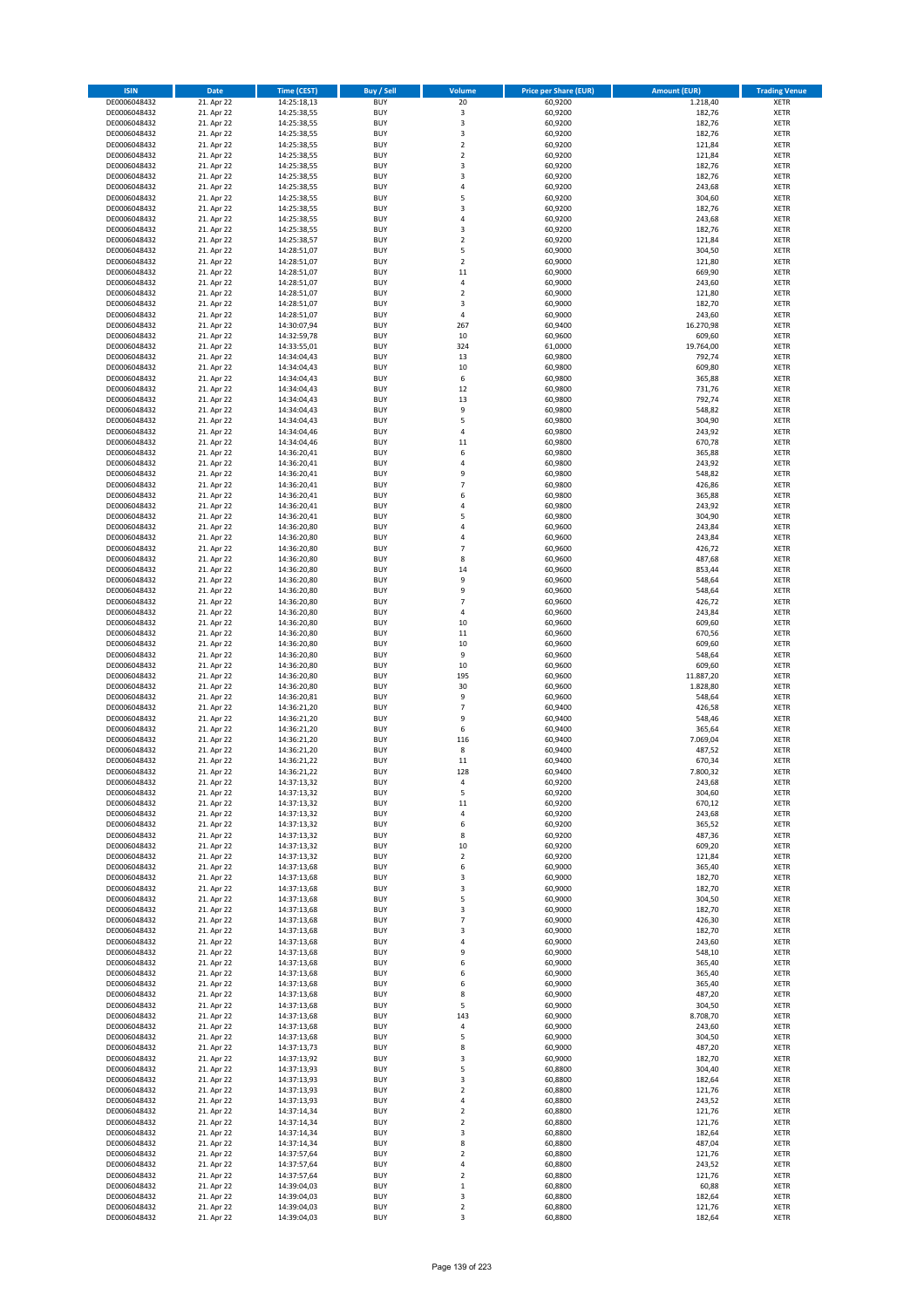| <b>ISIN</b>                  | <b>Date</b>              | <b>Time (CEST)</b>         | <b>Buy / Sell</b>        | Volume                                    | <b>Price per Share (EUR)</b> | <b>Amount (EUR)</b> | <b>Trading Venue</b>       |
|------------------------------|--------------------------|----------------------------|--------------------------|-------------------------------------------|------------------------------|---------------------|----------------------------|
| DE0006048432                 | 21. Apr 22               | 14:25:18,13                | <b>BUY</b>               | 20                                        | 60,9200                      | 1.218,40            | <b>XETR</b>                |
| DE0006048432                 | 21. Apr 22               | 14:25:38,55                | <b>BUY</b>               | 3                                         | 60,9200                      | 182,76              | <b>XETR</b>                |
| DE0006048432                 | 21. Apr 22               | 14:25:38,55                | <b>BUY</b>               | 3                                         | 60,9200                      | 182,76              | <b>XETR</b>                |
| DE0006048432                 | 21. Apr 22               | 14:25:38,55                | <b>BUY</b>               | 3                                         | 60,9200                      | 182,76              | <b>XETR</b>                |
| DE0006048432<br>DE0006048432 | 21. Apr 22<br>21. Apr 22 | 14:25:38,55<br>14:25:38,55 | <b>BUY</b><br><b>BUY</b> | $\overline{2}$<br>$\mathbf 2$             | 60,9200<br>60,9200           | 121,84<br>121,84    | <b>XETR</b><br><b>XETR</b> |
| DE0006048432                 | 21. Apr 22               | 14:25:38,55                | <b>BUY</b>               | $\overline{\mathbf{3}}$                   | 60,9200                      | 182,76              | <b>XETR</b>                |
| DE0006048432                 | 21. Apr 22               | 14:25:38,55                | <b>BUY</b>               | 3                                         | 60,9200                      | 182,76              | <b>XETR</b>                |
| DE0006048432                 | 21. Apr 22               | 14:25:38,55                | BUY                      | $\overline{a}$                            | 60,9200                      | 243,68              | <b>XETR</b>                |
| DE0006048432                 | 21. Apr 22               | 14:25:38,55                | <b>BUY</b>               | 5                                         | 60,9200                      | 304,60              | <b>XETR</b>                |
| DE0006048432                 | 21. Apr 22               | 14:25:38,55                | <b>BUY</b>               | 3                                         | 60,9200                      | 182,76              | <b>XETR</b>                |
| DE0006048432                 | 21. Apr 22               | 14:25:38,55                | <b>BUY</b>               | $\overline{4}$<br>$\overline{\mathbf{3}}$ | 60,9200                      | 243,68              | <b>XETR</b>                |
| DE0006048432<br>DE0006048432 | 21. Apr 22<br>21. Apr 22 | 14:25:38,55<br>14:25:38,57 | <b>BUY</b><br><b>BUY</b> | $\overline{2}$                            | 60,9200<br>60,9200           | 182,76<br>121,84    | <b>XETR</b><br><b>XETR</b> |
| DE0006048432                 | 21. Apr 22               | 14:28:51,07                | <b>BUY</b>               | 5                                         | 60,9000                      | 304,50              | <b>XETR</b>                |
| DE0006048432                 | 21. Apr 22               | 14:28:51,07                | BUY                      | $\overline{2}$                            | 60,9000                      | 121,80              | <b>XETR</b>                |
| DE0006048432                 | 21. Apr 22               | 14:28:51,07                | <b>BUY</b>               | $11\,$                                    | 60,9000                      | 669,90              | <b>XETR</b>                |
| DE0006048432                 | 21. Apr 22               | 14:28:51,07                | <b>BUY</b>               | $\sqrt{4}$                                | 60,9000                      | 243,60              | <b>XETR</b>                |
| DE0006048432                 | 21. Apr 22               | 14:28:51,07                | <b>BUY</b>               | $\overline{2}$                            | 60.9000                      | 121,80              | <b>XETR</b>                |
| DE0006048432<br>DE0006048432 | 21. Apr 22<br>21. Apr 22 | 14:28:51,07<br>14:28:51,07 | <b>BUY</b><br><b>BUY</b> | $\overline{\mathbf{3}}$<br>4              | 60,9000<br>60,9000           | 182,70<br>243,60    | <b>XETR</b><br><b>XETR</b> |
| DE0006048432                 | 21. Apr 22               | 14:30:07,94                | <b>BUY</b>               | 267                                       | 60,9400                      | 16.270,98           | <b>XETR</b>                |
| DE0006048432                 | 21. Apr 22               | 14:32:59,78                | <b>BUY</b>               | 10                                        | 60,9600                      | 609,60              | <b>XETR</b>                |
| DE0006048432                 | 21. Apr 22               | 14:33:55,01                | <b>BUY</b>               | 324                                       | 61,0000                      | 19.764,00           | <b>XETR</b>                |
| DE0006048432                 | 21. Apr 22               | 14:34:04,43                | <b>BUY</b>               | 13                                        | 60,9800                      | 792,74              | <b>XETR</b>                |
| DE0006048432                 | 21. Apr 22               | 14:34:04,43                | <b>BUY</b>               | $10\,$                                    | 60,9800                      | 609,80              | <b>XETR</b>                |
| DE0006048432<br>DE0006048432 | 21. Apr 22<br>21. Apr 22 | 14:34:04,43<br>14:34:04,43 | <b>BUY</b><br><b>BUY</b> | 6<br>12                                   | 60,9800<br>60,9800           | 365,88<br>731,76    | <b>XETR</b><br><b>XETR</b> |
| DE0006048432                 | 21. Apr 22               | 14:34:04,43                | <b>BUY</b>               | 13                                        | 60,9800                      | 792,74              | <b>XETR</b>                |
| DE0006048432                 | 21. Apr 22               | 14:34:04,43                | <b>BUY</b>               | 9                                         | 60,9800                      | 548,82              | <b>XETR</b>                |
| DE0006048432                 | 21. Apr 22               | 14:34:04,43                | <b>BUY</b>               | 5                                         | 60,9800                      | 304,90              | <b>XETR</b>                |
| DE0006048432                 | 21. Apr 22               | 14:34:04,46                | <b>BUY</b>               | 4                                         | 60,9800                      | 243,92              | <b>XETR</b>                |
| DE0006048432                 | 21. Apr 22               | 14:34:04,46                | <b>BUY</b>               | 11                                        | 60,9800                      | 670,78              | <b>XETR</b>                |
| DE0006048432                 | 21. Apr 22               | 14:36:20,41                | <b>BUY</b>               | 6                                         | 60,9800                      | 365,88              | <b>XETR</b>                |
| DE0006048432<br>DE0006048432 | 21. Apr 22<br>21. Apr 22 | 14:36:20,41<br>14:36:20,41 | <b>BUY</b><br><b>BUY</b> | $\overline{4}$<br>9                       | 60,9800<br>60,9800           | 243,92<br>548,82    | <b>XETR</b><br><b>XETR</b> |
| DE0006048432                 | 21. Apr 22               | 14:36:20,41                | <b>BUY</b>               | $\overline{7}$                            | 60,9800                      | 426,86              | <b>XETR</b>                |
| DE0006048432                 | 21. Apr 22               | 14:36:20,41                | <b>BUY</b>               | 6                                         | 60,9800                      | 365,88              | <b>XETR</b>                |
| DE0006048432                 | 21. Apr 22               | 14:36:20,41                | <b>BUY</b>               | $\overline{4}$                            | 60,9800                      | 243,92              | <b>XETR</b>                |
| DE0006048432                 | 21. Apr 22               | 14:36:20,41                | <b>BUY</b>               | 5                                         | 60,9800                      | 304,90              | <b>XETR</b>                |
| DE0006048432                 | 21. Apr 22               | 14:36:20,80                | <b>BUY</b>               | $\overline{a}$                            | 60,9600                      | 243,84              | <b>XETR</b>                |
| DE0006048432<br>DE0006048432 | 21. Apr 22<br>21. Apr 22 | 14:36:20,80<br>14:36:20,80 | <b>BUY</b><br><b>BUY</b> | 4<br>$\overline{7}$                       | 60,9600<br>60,9600           | 243,84<br>426,72    | <b>XETR</b><br><b>XETR</b> |
| DE0006048432                 | 21. Apr 22               | 14:36:20,80                | <b>BUY</b>               | 8                                         | 60,9600                      | 487,68              | <b>XETR</b>                |
| DE0006048432                 | 21. Apr 22               | 14:36:20,80                | <b>BUY</b>               | $14\,$                                    | 60,9600                      | 853,44              | <b>XETR</b>                |
| DE0006048432                 | 21. Apr 22               | 14:36:20,80                | <b>BUY</b>               | 9                                         | 60,9600                      | 548,64              | <b>XETR</b>                |
| DE0006048432                 | 21. Apr 22               | 14:36:20,80                | <b>BUY</b>               | 9                                         | 60,9600                      | 548,64              | <b>XETR</b>                |
| DE0006048432                 | 21. Apr 22               | 14:36:20,80                | <b>BUY</b>               | $\overline{7}$                            | 60,9600                      | 426,72              | <b>XETR</b>                |
| DE0006048432<br>DE0006048432 | 21. Apr 22<br>21. Apr 22 | 14:36:20,80<br>14:36:20,80 | <b>BUY</b><br><b>BUY</b> | 4<br>10                                   | 60,9600<br>60,9600           | 243,84<br>609,60    | <b>XETR</b><br><b>XETR</b> |
| DE0006048432                 | 21. Apr 22               | 14:36:20,80                | <b>BUY</b>               | $11\,$                                    | 60,9600                      | 670,56              | <b>XETR</b>                |
| DE0006048432                 | 21. Apr 22               | 14:36:20,80                | <b>BUY</b>               | 10                                        | 60,9600                      | 609,60              | <b>XETR</b>                |
| DE0006048432                 | 21. Apr 22               | 14:36:20,80                | <b>BUY</b>               | 9                                         | 60,9600                      | 548,64              | <b>XETR</b>                |
| DE0006048432                 | 21. Apr 22               | 14:36:20,80                | <b>BUY</b>               | 10                                        | 60,9600                      | 609,60              | <b>XETR</b>                |
| DE0006048432                 | 21. Apr 22               | 14:36:20,80                | <b>BUY</b>               | 195                                       | 60,9600                      | 11.887,20           | <b>XETR</b>                |
| DE0006048432                 | 21. Apr 22               | 14:36:20,80                | <b>BUY</b>               | 30                                        | 60,9600                      | 1.828,80            | <b>XETR</b>                |
| DE0006048432<br>DE0006048432 | 21. Apr 22<br>21. Apr 22 | 14:36:20,81<br>14:36:21,20 | <b>BUY</b><br><b>BUY</b> | 9<br>$\overline{7}$                       | 60,9600<br>60,9400           | 548,64<br>426,58    | <b>XETR</b><br><b>XETR</b> |
| DE0006048432                 | 21. Apr 22               | 14:36:21,20                | BUY                      | 9                                         | 60,9400                      | 548,46              | <b>XETR</b>                |
| DE0006048432                 | 21. Apr 22               | 14:36:21,20                | <b>BUY</b>               | 6                                         | 60,9400                      | 365,64              | <b>XETR</b>                |
| DE0006048432                 | 21. Apr 22               | 14:36:21,20                | <b>BUY</b>               | 116                                       | 60,9400                      | 7.069,04            | <b>XETR</b>                |
| DE0006048432                 | 21. Apr 22               | 14:36:21,20                | BUY                      | 8                                         | 60,9400                      | 487,52              | <b>XETR</b>                |
| DE0006048432                 | 21. Apr 22               | 14:36:21,22                | BUY                      | $11\,$                                    | 60,9400                      | 670,34              | <b>XETR</b>                |
| DE0006048432<br>DE0006048432 | 21. Apr 22<br>21. Apr 22 | 14:36:21,22<br>14:37:13,32 | <b>BUY</b><br>BUY        | 128<br>4                                  | 60,9400<br>60,9200           | 7.800,32<br>243,68  | <b>XETR</b><br><b>XETR</b> |
| DE0006048432                 | 21. Apr 22               | 14:37:13,32                | <b>BUY</b>               | 5                                         | 60,9200                      | 304,60              | <b>XETR</b>                |
| DE0006048432                 | 21. Apr 22               | 14:37:13,32                | <b>BUY</b>               | $11\,$                                    | 60,9200                      | 670,12              | <b>XETR</b>                |
| DE0006048432                 | 21. Apr 22               | 14:37:13,32                | <b>BUY</b>               | 4                                         | 60,9200                      | 243,68              | <b>XETR</b>                |
| DE0006048432                 | 21. Apr 22               | 14:37:13,32                | <b>BUY</b>               | 6                                         | 60,9200                      | 365,52              | <b>XETR</b>                |
| DE0006048432                 | 21. Apr 22               | 14:37:13,32                | <b>BUY</b>               | 8                                         | 60,9200                      | 487,36              | <b>XETR</b>                |
| DE0006048432<br>DE0006048432 | 21. Apr 22<br>21. Apr 22 | 14:37:13,32<br>14:37:13,32 | <b>BUY</b><br><b>BUY</b> | $10\,$<br>2                               | 60,9200<br>60,9200           | 609,20<br>121,84    | <b>XETR</b><br><b>XETR</b> |
| DE0006048432                 | 21. Apr 22               | 14:37:13,68                | <b>BUY</b>               | 6                                         | 60,9000                      | 365,40              | <b>XETR</b>                |
| DE0006048432                 | 21. Apr 22               | 14:37:13,68                | <b>BUY</b>               | 3                                         | 60,9000                      | 182,70              | <b>XETR</b>                |
| DE0006048432                 | 21. Apr 22               | 14:37:13,68                | <b>BUY</b>               | 3                                         | 60,9000                      | 182,70              | <b>XETR</b>                |
| DE0006048432                 | 21. Apr 22               | 14:37:13,68                | <b>BUY</b>               | 5                                         | 60,9000                      | 304,50              | <b>XETR</b>                |
| DE0006048432<br>DE0006048432 | 21. Apr 22<br>21. Apr 22 | 14:37:13,68<br>14:37:13,68 | <b>BUY</b><br><b>BUY</b> | 3<br>7                                    | 60,9000<br>60,9000           | 182,70<br>426,30    | <b>XETR</b><br><b>XETR</b> |
| DE0006048432                 | 21. Apr 22               | 14:37:13,68                | <b>BUY</b>               | 3                                         | 60,9000                      | 182,70              | <b>XETR</b>                |
| DE0006048432                 | 21. Apr 22               | 14:37:13,68                | <b>BUY</b>               | $\overline{a}$                            | 60,9000                      | 243,60              | <b>XETR</b>                |
| DE0006048432                 | 21. Apr 22               | 14:37:13,68                | <b>BUY</b>               | 9                                         | 60,9000                      | 548,10              | <b>XETR</b>                |
| DE0006048432                 | 21. Apr 22               | 14:37:13,68                | <b>BUY</b>               | 6                                         | 60,9000                      | 365,40              | <b>XETR</b>                |
| DE0006048432                 | 21. Apr 22               | 14:37:13,68                | <b>BUY</b>               | 6                                         | 60,9000                      | 365,40              | <b>XETR</b>                |
| DE0006048432                 | 21. Apr 22               | 14:37:13,68                | <b>BUY</b>               | 6<br>8                                    | 60,9000                      | 365,40              | <b>XETR</b>                |
| DE0006048432<br>DE0006048432 | 21. Apr 22<br>21. Apr 22 | 14:37:13,68<br>14:37:13,68 | <b>BUY</b><br><b>BUY</b> | 5                                         | 60,9000<br>60,9000           | 487,20<br>304,50    | <b>XETR</b><br><b>XETR</b> |
| DE0006048432                 | 21. Apr 22               | 14:37:13,68                | <b>BUY</b>               | 143                                       | 60,9000                      | 8.708,70            | <b>XETR</b>                |
| DE0006048432                 | 21. Apr 22               | 14:37:13,68                | <b>BUY</b>               | 4                                         | 60,9000                      | 243,60              | <b>XETR</b>                |
| DE0006048432                 | 21. Apr 22               | 14:37:13,68                | <b>BUY</b>               | 5                                         | 60,9000                      | 304,50              | <b>XETR</b>                |
| DE0006048432                 | 21. Apr 22               | 14:37:13,73                | <b>BUY</b>               | 8                                         | 60,9000                      | 487,20              | <b>XETR</b>                |
| DE0006048432                 | 21. Apr 22               | 14:37:13,92                | <b>BUY</b>               | $\overline{\mathbf{3}}$                   | 60,9000                      | 182,70              | <b>XETR</b>                |
| DE0006048432<br>DE0006048432 | 21. Apr 22<br>21. Apr 22 | 14:37:13,93                | <b>BUY</b><br><b>BUY</b> | 5<br>3                                    | 60,8800<br>60,8800           | 304,40<br>182,64    | <b>XETR</b><br><b>XETR</b> |
| DE0006048432                 | 21. Apr 22               | 14:37:13,93<br>14:37:13,93 | <b>BUY</b>               | $\overline{\mathbf{2}}$                   | 60,8800                      | 121,76              | <b>XETR</b>                |
| DE0006048432                 | 21. Apr 22               | 14:37:13,93                | <b>BUY</b>               | 4                                         | 60,8800                      | 243,52              | <b>XETR</b>                |
| DE0006048432                 | 21. Apr 22               | 14:37:14,34                | <b>BUY</b>               | $\mathbf 2$                               | 60,8800                      | 121,76              | <b>XETR</b>                |
| DE0006048432                 | 21. Apr 22               | 14:37:14,34                | <b>BUY</b>               | $\mathbf 2$                               | 60,8800                      | 121,76              | <b>XETR</b>                |
| DE0006048432                 | 21. Apr 22               | 14:37:14,34                | <b>BUY</b>               | $\overline{\mathbf{3}}$                   | 60,8800                      | 182,64              | <b>XETR</b>                |
| DE0006048432                 | 21. Apr 22               | 14:37:14,34                | <b>BUY</b>               | 8                                         | 60,8800                      | 487,04              | <b>XETR</b>                |
| DE0006048432<br>DE0006048432 | 21. Apr 22<br>21. Apr 22 | 14:37:57,64<br>14:37:57,64 | <b>BUY</b><br><b>BUY</b> | $\mathbf 2$<br>4                          | 60,8800<br>60,8800           | 121,76<br>243,52    | <b>XETR</b><br><b>XETR</b> |
| DE0006048432                 | 21. Apr 22               | 14:37:57,64                | <b>BUY</b>               | $\mathbf 2$                               | 60,8800                      | 121,76              | <b>XETR</b>                |
| DE0006048432                 | 21. Apr 22               | 14:39:04,03                | <b>BUY</b>               | $\mathbf 1$                               | 60,8800                      | 60,88               | <b>XETR</b>                |
| DE0006048432                 | 21. Apr 22               | 14:39:04,03                | <b>BUY</b>               | 3                                         | 60,8800                      | 182,64              | <b>XETR</b>                |
| DE0006048432                 | 21. Apr 22               | 14:39:04,03                | <b>BUY</b>               | $\mathbf 2$                               | 60,8800                      | 121,76              | <b>XETR</b>                |
| DE0006048432                 | 21. Apr 22               | 14:39:04,03                | <b>BUY</b>               | 3                                         | 60,8800                      | 182,64              | <b>XETR</b>                |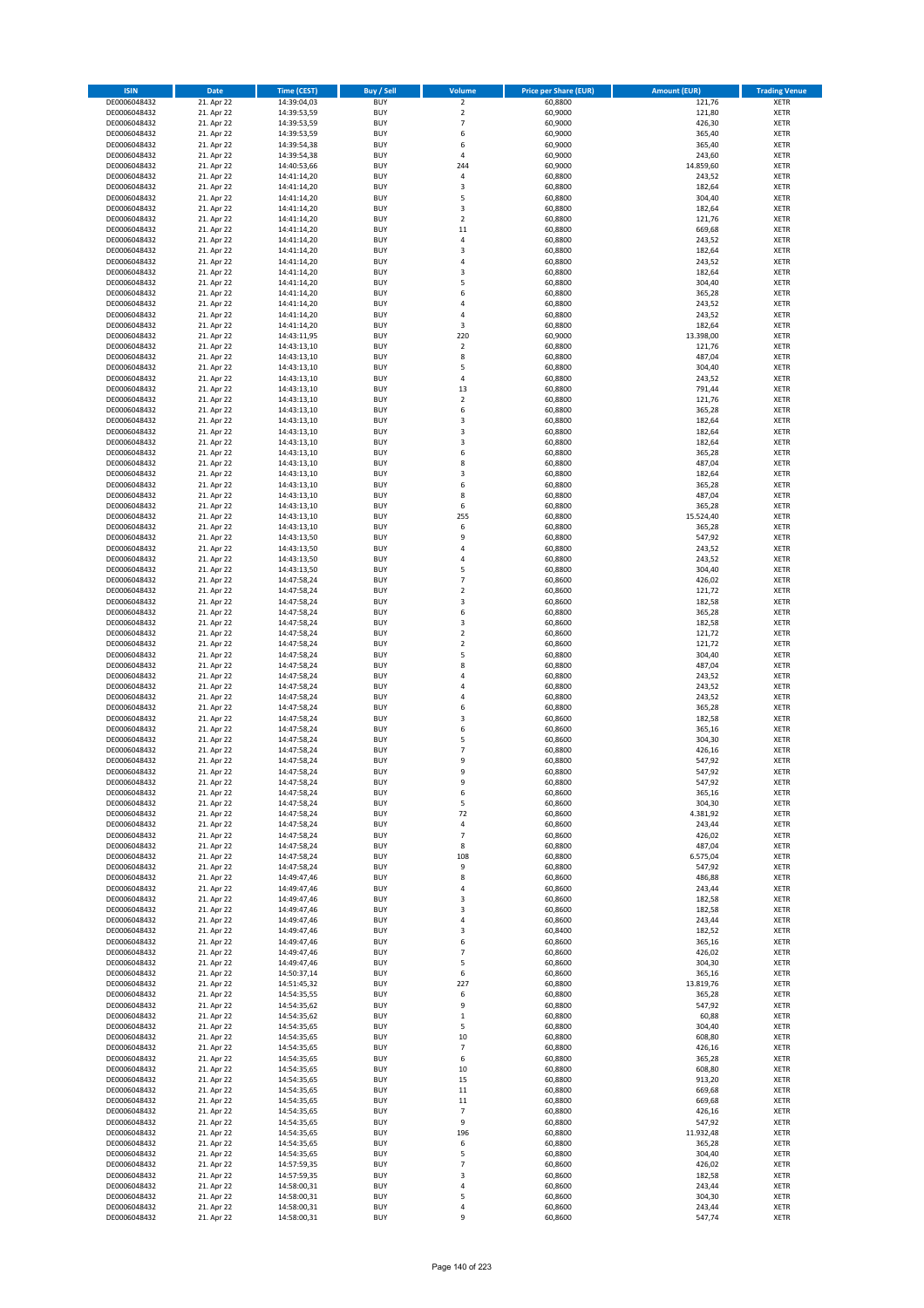| <b>ISIN</b>                  | <b>Date</b>              | <b>Time (CEST)</b>         | <b>Buy / Sell</b>        | Volume                                 | <b>Price per Share (EUR)</b> | <b>Amount (EUR)</b> | <b>Trading Venue</b>       |
|------------------------------|--------------------------|----------------------------|--------------------------|----------------------------------------|------------------------------|---------------------|----------------------------|
| DE0006048432                 | 21. Apr 22               | 14:39:04,03                | <b>BUY</b>               | $\overline{\mathbf{2}}$                | 60,8800                      | 121,76              | <b>XETR</b>                |
| DE0006048432                 | 21. Apr 22               | 14:39:53,59                | <b>BUY</b>               | $\mathbf 2$                            | 60,9000                      | 121,80              | <b>XETR</b>                |
| DE0006048432                 | 21. Apr 22               | 14:39:53,59                | <b>BUY</b>               | $\overline{7}$                         | 60.9000                      | 426,30              | <b>XETR</b>                |
| DE0006048432                 | 21. Apr 22               | 14:39:53,59                | <b>BUY</b>               | 6                                      | 60,9000                      | 365,40              | <b>XETR</b>                |
| DE0006048432                 | 21. Apr 22               | 14:39:54,38                | <b>BUY</b>               | 6                                      | 60,9000                      | 365,40              | <b>XETR</b>                |
| DE0006048432                 | 21. Apr 22               | 14:39:54,38                | <b>BUY</b>               | $\overline{a}$                         | 60,9000                      | 243,60              | <b>XETR</b>                |
| DE0006048432                 | 21. Apr 22               | 14:40:53,66                | <b>BUY</b>               | 244                                    | 60,9000                      | 14.859,60           | <b>XETR</b>                |
| DE0006048432                 | 21. Apr 22               | 14:41:14,20                | <b>BUY</b>               | 4                                      | 60,8800                      | 243,52              | <b>XETR</b>                |
| DE0006048432<br>DE0006048432 | 21. Apr 22<br>21. Apr 22 | 14:41:14,20                | BUY<br><b>BUY</b>        | 3<br>5                                 | 60,8800<br>60,8800           | 182,64<br>304,40    | <b>XETR</b>                |
| DE0006048432                 | 21. Apr 22               | 14:41:14,20<br>14:41:14,20 | <b>BUY</b>               | 3                                      | 60,8800                      | 182,64              | <b>XETR</b><br><b>XETR</b> |
| DE0006048432                 | 21. Apr 22               | 14:41:14,20                | <b>BUY</b>               | $\overline{2}$                         | 60,8800                      | 121,76              | <b>XETR</b>                |
| DE0006048432                 | 21. Apr 22               | 14:41:14,20                | <b>BUY</b>               | $11\,$                                 | 60,8800                      | 669,68              | <b>XETR</b>                |
| DE0006048432                 | 21. Apr 22               | 14:41:14,20                | <b>BUY</b>               | 4                                      | 60,8800                      | 243,52              | <b>XETR</b>                |
| DE0006048432                 | 21. Apr 22               | 14:41:14,20                | <b>BUY</b>               | $\overline{3}$                         | 60,8800                      | 182,64              | <b>XETR</b>                |
| DE0006048432                 | 21. Apr 22               | 14:41:14,20                | BUY                      | $\overline{a}$                         | 60,8800                      | 243,52              | <b>XETR</b>                |
| DE0006048432                 | 21. Apr 22               | 14:41:14,20                | <b>BUY</b>               | $\overline{3}$                         | 60,8800                      | 182,64              | <b>XETR</b>                |
| DE0006048432                 | 21. Apr 22               | 14:41:14,20                | <b>BUY</b>               | 5                                      | 60,8800                      | 304,40              | <b>XETR</b>                |
| DE0006048432                 | 21. Apr 22               | 14:41:14,20                | <b>BUY</b>               | 6                                      | 60.8800                      | 365,28              | <b>XETR</b>                |
| DE0006048432                 | 21. Apr 22               | 14:41:14,20                | <b>BUY</b>               | $\overline{a}$                         | 60,8800                      | 243,52              | <b>XETR</b>                |
| DE0006048432                 | 21. Apr 22               | 14:41:14,20                | <b>BUY</b><br><b>BUY</b> | 4                                      | 60,8800                      | 243,52              | <b>XETR</b>                |
| DE0006048432<br>DE0006048432 | 21. Apr 22<br>21. Apr 22 | 14:41:14,20<br>14:43:11,95 | <b>BUY</b>               | 3<br>220                               | 60,8800<br>60,9000           | 182,64<br>13.398,00 | <b>XETR</b><br><b>XETR</b> |
| DE0006048432                 | 21. Apr 22               | 14:43:13,10                | <b>BUY</b>               | $\mathbf 2$                            | 60,8800                      | 121,76              | <b>XETR</b>                |
| DE0006048432                 | 21. Apr 22               | 14:43:13,10                | <b>BUY</b>               | 8                                      | 60,8800                      | 487,04              | <b>XETR</b>                |
| DE0006048432                 | 21. Apr 22               | 14:43:13,10                | <b>BUY</b>               | 5                                      | 60,8800                      | 304,40              | <b>XETR</b>                |
| DE0006048432                 | 21. Apr 22               | 14:43:13,10                | <b>BUY</b>               | 4                                      | 60,8800                      | 243,52              | <b>XETR</b>                |
| DE0006048432                 | 21. Apr 22               | 14:43:13,10                | <b>BUY</b>               | 13                                     | 60,8800                      | 791,44              | <b>XETR</b>                |
| DE0006048432                 | 21. Apr 22               | 14:43:13,10                | <b>BUY</b>               | $\mathbf 2$                            | 60,8800                      | 121,76              | <b>XETR</b>                |
| DE0006048432                 | 21. Apr 22               | 14:43:13,10                | <b>BUY</b>               | 6                                      | 60,8800                      | 365,28              | <b>XETR</b>                |
| DE0006048432                 | 21. Apr 22               | 14:43:13,10                | <b>BUY</b>               | 3                                      | 60,8800                      | 182,64              | <b>XETR</b>                |
| DE0006048432                 | 21. Apr 22               | 14:43:13,10                | <b>BUY</b>               | 3                                      | 60,8800                      | 182,64              | <b>XETR</b>                |
| DE0006048432                 | 21. Apr 22               | 14:43:13,10                | <b>BUY</b>               | 3<br>6                                 | 60,8800                      | 182,64              | <b>XETR</b>                |
| DE0006048432                 | 21. Apr 22               | 14:43:13,10                | <b>BUY</b><br><b>BUY</b> | 8                                      | 60,8800<br>60,8800           | 365,28              | <b>XETR</b><br><b>XETR</b> |
| DE0006048432<br>DE0006048432 | 21. Apr 22<br>21. Apr 22 | 14:43:13,10<br>14:43:13,10 | <b>BUY</b>               | 3                                      | 60,8800                      | 487,04<br>182,64    | <b>XETR</b>                |
| DE0006048432                 | 21. Apr 22               | 14:43:13,10                | <b>BUY</b>               | 6                                      | 60,8800                      | 365,28              | <b>XETR</b>                |
| DE0006048432                 | 21. Apr 22               | 14:43:13,10                | <b>BUY</b>               | 8                                      | 60,8800                      | 487,04              | <b>XETR</b>                |
| DE0006048432                 | 21. Apr 22               | 14:43:13,10                | <b>BUY</b>               | 6                                      | 60,8800                      | 365,28              | <b>XETR</b>                |
| DE0006048432                 | 21. Apr 22               | 14:43:13,10                | <b>BUY</b>               | 255                                    | 60,8800                      | 15.524,40           | <b>XETR</b>                |
| DE0006048432                 | 21. Apr 22               | 14:43:13,10                | <b>BUY</b>               | 6                                      | 60,8800                      | 365,28              | <b>XETR</b>                |
| DE0006048432                 | 21. Apr 22               | 14:43:13,50                | <b>BUY</b>               | 9                                      | 60,8800                      | 547,92              | <b>XETR</b>                |
| DE0006048432                 | 21. Apr 22               | 14:43:13,50                | <b>BUY</b>               | 4                                      | 60,8800                      | 243,52              | <b>XETR</b>                |
| DE0006048432                 | 21. Apr 22               | 14:43:13,50                | <b>BUY</b>               | $\overline{a}$                         | 60,8800                      | 243,52              | <b>XETR</b>                |
| DE0006048432                 | 21. Apr 22               | 14:43:13,50                | <b>BUY</b>               | 5                                      | 60,8800                      | 304,40              | <b>XETR</b>                |
| DE0006048432                 | 21. Apr 22               | 14:47:58,24                | <b>BUY</b>               | 7                                      | 60,8600                      | 426,02              | <b>XETR</b>                |
| DE0006048432                 | 21. Apr 22<br>21. Apr 22 | 14:47:58,24                | <b>BUY</b><br><b>BUY</b> | $\mathbf 2$<br>$\overline{\mathbf{3}}$ | 60,8600<br>60,8600           | 121,72              | <b>XETR</b><br><b>XETR</b> |
| DE0006048432<br>DE0006048432 | 21. Apr 22               | 14:47:58,24<br>14:47:58,24 | <b>BUY</b>               | 6                                      | 60,8800                      | 182,58<br>365,28    | <b>XETR</b>                |
| DE0006048432                 | 21. Apr 22               | 14:47:58,24                | <b>BUY</b>               | 3                                      | 60,8600                      | 182,58              | <b>XETR</b>                |
| DE0006048432                 | 21. Apr 22               | 14:47:58,24                | <b>BUY</b>               | $\overline{\mathbf{2}}$                | 60,8600                      | 121,72              | <b>XETR</b>                |
| DE0006048432                 | 21. Apr 22               | 14:47:58,24                | <b>BUY</b>               | $\overline{2}$                         | 60,8600                      | 121,72              | <b>XETR</b>                |
| DE0006048432                 | 21. Apr 22               | 14:47:58,24                | <b>BUY</b>               | 5                                      | 60,8800                      | 304,40              | <b>XETR</b>                |
| DE0006048432                 | 21. Apr 22               | 14:47:58,24                | <b>BUY</b>               | 8                                      | 60,8800                      | 487,04              | <b>XETR</b>                |
| DE0006048432                 | 21. Apr 22               | 14:47:58,24                | <b>BUY</b>               | $\overline{a}$                         | 60,8800                      | 243,52              | <b>XETR</b>                |
| DE0006048432                 | 21. Apr 22               | 14:47:58,24                | <b>BUY</b>               | 4                                      | 60,8800                      | 243,52              | <b>XETR</b>                |
| DE0006048432                 | 21. Apr 22               | 14:47:58,24                | <b>BUY</b>               | $\overline{a}$                         | 60,8800                      | 243,52              | <b>XETR</b>                |
| DE0006048432                 | 21. Apr 22               | 14:47:58,24                | <b>BUY</b>               | 6                                      | 60,8800                      | 365,28              | <b>XETR</b>                |
| DE0006048432                 | 21. Apr 22<br>21. Apr 22 | 14:47:58,24                | BUY                      | $\overline{\mathbf{3}}$<br>6           | 60,8600                      | 182,58              | <b>XETR</b>                |
| DE0006048432<br>DE0006048432 | 21. Apr 22               | 14:47:58,24<br>14:47:58,24 | <b>BUY</b><br><b>BUY</b> | 5                                      | 60,8600<br>60,8600           | 365,16<br>304,30    | <b>XETR</b><br><b>XETR</b> |
| DE0006048432                 | 21. Apr 22               | 14:47:58,24                | BUY                      | $\overline{7}$                         | 60,8800                      | 426,16              | <b>XETR</b>                |
| DE0006048432                 | 21. Apr 22               | 14:47:58,24                | BUY                      | 9                                      | 60,8800                      | 547,92              | <b>XETR</b>                |
| DE0006048432                 | 21. Apr 22               | 14:47:58,24                | <b>BUY</b>               | 9                                      | 60,8800                      | 547,92              | <b>XETR</b>                |
| DE0006048432                 | 21. Apr 22               | 14:47:58,24                | <b>BUY</b>               | 9                                      | 60,8800                      | 547,92              | <b>XETR</b>                |
| DE0006048432                 | 21. Apr 22               | 14:47:58,24                | <b>BUY</b>               | 6                                      | 60,8600                      | 365,16              | <b>XETR</b>                |
| DE0006048432                 | 21. Apr 22               | 14:47:58,24                | <b>BUY</b>               | 5                                      | 60,8600                      | 304,30              | <b>XETR</b>                |
| DE0006048432                 | 21. Apr 22               | 14:47:58,24                | <b>BUY</b>               | 72                                     | 60,8600                      | 4.381,92            | <b>XETR</b>                |
| DE0006048432                 | 21. Apr 22               | 14:47:58,24                | <b>BUY</b>               | 4                                      | 60,8600                      | 243,44              | <b>XETR</b>                |
| DE0006048432                 | 21. Apr 22               | 14:47:58,24                | <b>BUY</b><br><b>BUY</b> | 7<br>8                                 | 60,8600                      | 426,02              | <b>XETR</b>                |
| DE0006048432<br>DE0006048432 | 21. Apr 22<br>21. Apr 22 | 14:47:58,24<br>14:47:58,24 | <b>BUY</b>               | 108                                    | 60,8800<br>60,8800           | 487,04<br>6.575,04  | <b>XETR</b><br><b>XETR</b> |
| DE0006048432                 | 21. Apr 22               | 14:47:58,24                | <b>BUY</b>               | 9                                      | 60,8800                      | 547,92              | <b>XETR</b>                |
| DE0006048432                 | 21. Apr 22               | 14:49:47,46                | <b>BUY</b>               | 8                                      | 60,8600                      | 486,88              | <b>XETR</b>                |
| DE0006048432                 | 21. Apr 22               | 14:49:47,46                | <b>BUY</b>               | 4                                      | 60,8600                      | 243,44              | <b>XETR</b>                |
| DE0006048432                 | 21. Apr 22               | 14:49:47,46                | <b>BUY</b>               | 3                                      | 60,8600                      | 182,58              | <b>XETR</b>                |
| DE0006048432                 | 21. Apr 22               | 14:49:47,46                | <b>BUY</b>               | 3                                      | 60,8600                      | 182,58              | <b>XETR</b>                |
| DE0006048432                 | 21. Apr 22               | 14:49:47,46                | <b>BUY</b>               | 4                                      | 60,8600                      | 243,44              | <b>XETR</b>                |
| DE0006048432                 | 21. Apr 22               | 14:49:47,46                | <b>BUY</b>               | 3                                      | 60,8400                      | 182,52              | <b>XETR</b>                |
| DE0006048432                 | 21. Apr 22               | 14:49:47,46                | <b>BUY</b>               | 6                                      | 60,8600                      | 365,16              | <b>XETR</b>                |
| DE0006048432<br>DE0006048432 | 21. Apr 22<br>21. Apr 22 | 14:49:47,46<br>14:49:47,46 | <b>BUY</b><br><b>BUY</b> | $\overline{7}$<br>5                    | 60,8600<br>60,8600           | 426,02<br>304,30    | <b>XETR</b><br><b>XETR</b> |
| DE0006048432                 | 21. Apr 22               | 14:50:37,14                | <b>BUY</b>               | 6                                      | 60,8600                      | 365,16              | <b>XETR</b>                |
| DE0006048432                 | 21. Apr 22               | 14:51:45,32                | <b>BUY</b>               | 227                                    | 60,8800                      | 13.819,76           | <b>XETR</b>                |
| DE0006048432                 | 21. Apr 22               | 14:54:35,55                | <b>BUY</b>               | 6                                      | 60,8800                      | 365,28              | <b>XETR</b>                |
| DE0006048432                 | 21. Apr 22               | 14:54:35,62                | <b>BUY</b>               | 9                                      | 60,8800                      | 547,92              | <b>XETR</b>                |
| DE0006048432                 | 21. Apr 22               | 14:54:35,62                | <b>BUY</b>               | $\mathbf{1}$                           | 60,8800                      | 60,88               | <b>XETR</b>                |
| DE0006048432                 | 21. Apr 22               | 14:54:35,65                | <b>BUY</b>               | 5                                      | 60,8800                      | 304,40              | <b>XETR</b>                |
| DE0006048432                 | 21. Apr 22               | 14:54:35,65                | <b>BUY</b>               | $10\,$                                 | 60,8800                      | 608,80              | <b>XETR</b>                |
| DE0006048432                 | 21. Apr 22               | 14:54:35,65                | <b>BUY</b>               | $\overline{7}$                         | 60,8800                      | 426,16              | <b>XETR</b>                |
| DE0006048432                 | 21. Apr 22               | 14:54:35,65                | <b>BUY</b>               | 6                                      | 60,8800                      | 365,28              | <b>XETR</b>                |
| DE0006048432                 | 21. Apr 22               | 14:54:35,65                | <b>BUY</b>               | 10                                     | 60,8800                      | 608,80              | <b>XETR</b>                |
| DE0006048432                 | 21. Apr 22               | 14:54:35,65                | <b>BUY</b>               | 15                                     | 60,8800                      | 913,20              | <b>XETR</b>                |
| DE0006048432<br>DE0006048432 | 21. Apr 22<br>21. Apr 22 | 14:54:35,65<br>14:54:35,65 | <b>BUY</b><br><b>BUY</b> | $11\,$<br>$11\,$                       | 60,8800<br>60,8800           | 669,68<br>669,68    | <b>XETR</b><br><b>XETR</b> |
| DE0006048432                 | 21. Apr 22               | 14:54:35,65                | <b>BUY</b>               | $\overline{7}$                         | 60,8800                      | 426,16              | <b>XETR</b>                |
| DE0006048432                 | 21. Apr 22               | 14:54:35,65                | <b>BUY</b>               | 9                                      | 60,8800                      | 547,92              | <b>XETR</b>                |
| DE0006048432                 | 21. Apr 22               | 14:54:35,65                | <b>BUY</b>               | 196                                    | 60,8800                      | 11.932,48           | <b>XETR</b>                |
| DE0006048432                 | 21. Apr 22               | 14:54:35,65                | <b>BUY</b>               | 6                                      | 60,8800                      | 365,28              | <b>XETR</b>                |
| DE0006048432                 | 21. Apr 22               | 14:54:35,65                | <b>BUY</b>               | 5                                      | 60,8800                      | 304,40              | <b>XETR</b>                |
| DE0006048432                 | 21. Apr 22               | 14:57:59,35                | <b>BUY</b>               | $\overline{7}$                         | 60,8600                      | 426,02              | <b>XETR</b>                |
| DE0006048432                 | 21. Apr 22               | 14:57:59,35                | <b>BUY</b>               | 3                                      | 60,8600                      | 182,58              | <b>XETR</b>                |
| DE0006048432                 | 21. Apr 22               | 14:58:00,31                | <b>BUY</b>               | 4                                      | 60,8600                      | 243,44              | <b>XETR</b>                |
| DE0006048432                 | 21. Apr 22               | 14:58:00,31                | <b>BUY</b>               | 5                                      | 60,8600                      | 304,30              | <b>XETR</b>                |
| DE0006048432<br>DE0006048432 | 21. Apr 22               | 14:58:00,31                | <b>BUY</b><br><b>BUY</b> | 4<br>9                                 | 60,8600<br>60,8600           | 243,44              | <b>XETR</b>                |
|                              | 21. Apr 22               | 14:58:00,31                |                          |                                        |                              | 547,74              | <b>XETR</b>                |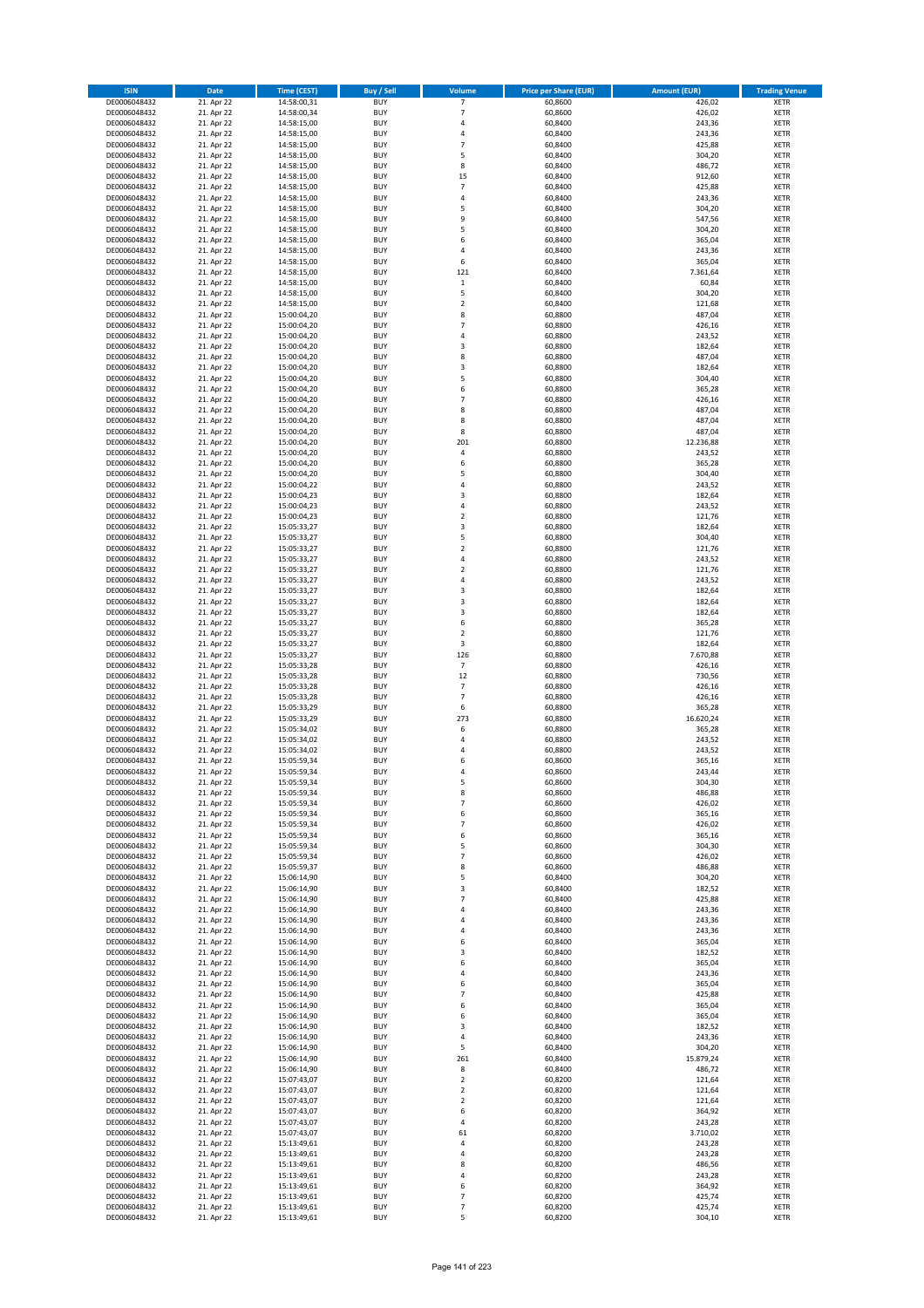| <b>ISIN</b>                  | <b>Date</b>              | <b>Time (CEST)</b>         | <b>Buy / Sell</b>        | <b>Volume</b>                          | <b>Price per Share (EUR)</b> | <b>Amount (EUR)</b> | <b>Trading Venue</b>       |
|------------------------------|--------------------------|----------------------------|--------------------------|----------------------------------------|------------------------------|---------------------|----------------------------|
| DE0006048432                 | 21. Apr 22               | 14:58:00,31                | <b>BUY</b>               | 7                                      | 60,8600                      | 426,02              | <b>XETR</b>                |
| DE0006048432                 | 21. Apr 22               | 14:58:00,34                | <b>BUY</b>               | $\overline{7}$                         | 60,8600                      | 426,02              | <b>XETR</b>                |
| DE0006048432                 | 21. Apr 22               | 14:58:15,00                | <b>BUY</b>               | 4                                      | 60,8400                      | 243,36              | <b>XETR</b>                |
| DE0006048432                 | 21. Apr 22               | 14:58:15,00                | <b>BUY</b>               | 4                                      | 60,8400                      | 243,36              | <b>XETR</b>                |
| DE0006048432<br>DE0006048432 | 21. Apr 22<br>21. Apr 22 | 14:58:15,00<br>14:58:15,00 | <b>BUY</b><br><b>BUY</b> | $\overline{7}$<br>5                    | 60,8400<br>60,8400           | 425,88<br>304,20    | <b>XETR</b><br><b>XETR</b> |
| DE0006048432                 | 21. Apr 22               | 14:58:15,00                | <b>BUY</b>               | 8                                      | 60,8400                      | 486,72              | <b>XETR</b>                |
| DE0006048432                 | 21. Apr 22               | 14:58:15,00                | <b>BUY</b>               | 15                                     | 60,8400                      | 912,60              | <b>XETR</b>                |
| DE0006048432                 | 21. Apr 22               | 14:58:15,00                | <b>BUY</b>               | $\overline{7}$                         | 60,8400                      | 425,88              | <b>XETR</b>                |
| DE0006048432                 | 21. Apr 22               | 14:58:15,00                | <b>BUY</b>               | 4                                      | 60,8400                      | 243,36              | <b>XETR</b>                |
| DE0006048432                 | 21. Apr 22               | 14:58:15,00                | <b>BUY</b>               | 5                                      | 60,8400                      | 304,20              | <b>XETR</b>                |
| DE0006048432                 | 21. Apr 22               | 14:58:15,00                | <b>BUY</b>               | 9                                      | 60,8400                      | 547,56              | <b>XETR</b>                |
| DE0006048432<br>DE0006048432 | 21. Apr 22<br>21. Apr 22 | 14:58:15,00<br>14:58:15,00 | <b>BUY</b><br><b>BUY</b> | 5<br>6                                 | 60,8400<br>60,8400           | 304,20<br>365,04    | <b>XETR</b><br><b>XETR</b> |
| DE0006048432                 | 21. Apr 22               | 14:58:15,00                | <b>BUY</b>               | 4                                      | 60,8400                      | 243,36              | <b>XETR</b>                |
| DE0006048432                 | 21. Apr 22               | 14:58:15,00                | <b>BUY</b>               | 6                                      | 60,8400                      | 365,04              | <b>XETR</b>                |
| DE0006048432                 | 21. Apr 22               | 14:58:15,00                | <b>BUY</b>               | 121                                    | 60,8400                      | 7.361,64            | <b>XETR</b>                |
| DE0006048432                 | 21. Apr 22               | 14:58:15,00                | <b>BUY</b>               | $\mathbf 1$                            | 60,8400                      | 60,84               | <b>XETR</b>                |
| DE0006048432                 | 21. Apr 22               | 14:58:15,00                | <b>BUY</b>               | 5                                      | 60,8400                      | 304,20              | <b>XETR</b>                |
| DE0006048432<br>DE0006048432 | 21. Apr 22<br>21. Apr 22 | 14:58:15,00<br>15:00:04,20 | <b>BUY</b><br><b>BUY</b> | $\mathbf 2$<br>8                       | 60,8400<br>60,8800           | 121,68<br>487,04    | <b>XETR</b><br><b>XETR</b> |
| DE0006048432                 | 21. Apr 22               | 15:00:04,20                | <b>BUY</b>               | $\overline{7}$                         | 60,8800                      | 426,16              | <b>XETR</b>                |
| DE0006048432                 | 21. Apr 22               | 15:00:04,20                | <b>BUY</b>               | 4                                      | 60,8800                      | 243,52              | <b>XETR</b>                |
| DE0006048432                 | 21. Apr 22               | 15:00:04,20                | <b>BUY</b>               | 3                                      | 60,8800                      | 182,64              | <b>XETR</b>                |
| DE0006048432                 | 21. Apr 22               | 15:00:04,20                | <b>BUY</b>               | 8                                      | 60,8800                      | 487,04              | <b>XETR</b>                |
| DE0006048432                 | 21. Apr 22               | 15:00:04,20                | <b>BUY</b>               | 3                                      | 60,8800                      | 182,64              | <b>XETR</b>                |
| DE0006048432<br>DE0006048432 | 21. Apr 22<br>21. Apr 22 | 15:00:04,20                | <b>BUY</b><br><b>BUY</b> | 5<br>6                                 | 60,8800                      | 304,40              | <b>XETR</b><br><b>XETR</b> |
| DE0006048432                 | 21. Apr 22               | 15:00:04,20<br>15:00:04,20 | <b>BUY</b>               | $\overline{7}$                         | 60,8800<br>60,8800           | 365,28<br>426,16    | <b>XETR</b>                |
| DE0006048432                 | 21. Apr 22               | 15:00:04,20                | <b>BUY</b>               | 8                                      | 60,8800                      | 487,04              | <b>XETR</b>                |
| DE0006048432                 | 21. Apr 22               | 15:00:04,20                | <b>BUY</b>               | 8                                      | 60,8800                      | 487,04              | <b>XETR</b>                |
| DE0006048432                 | 21. Apr 22               | 15:00:04,20                | <b>BUY</b>               | 8                                      | 60,8800                      | 487,04              | <b>XETR</b>                |
| DE0006048432                 | 21. Apr 22               | 15:00:04,20                | <b>BUY</b>               | 201                                    | 60,8800                      | 12.236,88           | <b>XETR</b>                |
| DE0006048432                 | 21. Apr 22               | 15:00:04,20                | <b>BUY</b>               | 4                                      | 60,8800                      | 243,52              | <b>XETR</b>                |
| DE0006048432<br>DE0006048432 | 21. Apr 22<br>21. Apr 22 | 15:00:04,20<br>15:00:04,20 | <b>BUY</b><br><b>BUY</b> | 6<br>5                                 | 60,8800<br>60,8800           | 365,28<br>304,40    | <b>XETR</b><br><b>XETR</b> |
| DE0006048432                 | 21. Apr 22               | 15:00:04,22                | <b>BUY</b>               | 4                                      | 60,8800                      | 243,52              | <b>XETR</b>                |
| DE0006048432                 | 21. Apr 22               | 15:00:04,23                | <b>BUY</b>               | 3                                      | 60,8800                      | 182,64              | <b>XETR</b>                |
| DE0006048432                 | 21. Apr 22               | 15:00:04,23                | <b>BUY</b>               | 4                                      | 60,8800                      | 243,52              | <b>XETR</b>                |
| DE0006048432                 | 21. Apr 22               | 15:00:04,23                | <b>BUY</b>               | $\mathbf 2$                            | 60,8800                      | 121,76              | <b>XETR</b>                |
| DE0006048432                 | 21. Apr 22               | 15:05:33,27                | <b>BUY</b>               | 3                                      | 60,8800                      | 182,64              | <b>XETR</b>                |
| DE0006048432                 | 21. Apr 22               | 15:05:33,27                | <b>BUY</b><br><b>BUY</b> | 5                                      | 60,8800                      | 304,40              | <b>XETR</b>                |
| DE0006048432<br>DE0006048432 | 21. Apr 22<br>21. Apr 22 | 15:05:33,27<br>15:05:33,27 | <b>BUY</b>               | $\mathbf 2$<br>4                       | 60,8800<br>60,8800           | 121,76<br>243,52    | <b>XETR</b><br><b>XETR</b> |
| DE0006048432                 | 21. Apr 22               | 15:05:33,27                | <b>BUY</b>               | $\mathbf 2$                            | 60,8800                      | 121,76              | <b>XETR</b>                |
| DE0006048432                 | 21. Apr 22               | 15:05:33,27                | <b>BUY</b>               | 4                                      | 60,8800                      | 243,52              | <b>XETR</b>                |
| DE0006048432                 | 21. Apr 22               | 15:05:33,27                | <b>BUY</b>               | 3                                      | 60,8800                      | 182,64              | <b>XETR</b>                |
| DE0006048432                 | 21. Apr 22               | 15:05:33,27                | <b>BUY</b>               | 3                                      | 60,8800                      | 182,64              | <b>XETR</b>                |
| DE0006048432                 | 21. Apr 22               | 15:05:33,27                | <b>BUY</b><br><b>BUY</b> | 3                                      | 60,8800                      | 182,64              | <b>XETR</b>                |
| DE0006048432<br>DE0006048432 | 21. Apr 22<br>21. Apr 22 | 15:05:33,27<br>15:05:33,27 | <b>BUY</b>               | 6<br>$\overline{\mathbf{c}}$           | 60,8800<br>60,8800           | 365,28<br>121,76    | <b>XETR</b><br><b>XETR</b> |
| DE0006048432                 | 21. Apr 22               | 15:05:33,27                | <b>BUY</b>               | 3                                      | 60,8800                      | 182,64              | <b>XETR</b>                |
| DE0006048432                 | 21. Apr 22               | 15:05:33,27                | <b>BUY</b>               | 126                                    | 60,8800                      | 7.670,88            | <b>XETR</b>                |
| DE0006048432                 | 21. Apr 22               | 15:05:33,28                | <b>BUY</b>               | $\overline{7}$                         | 60,8800                      | 426,16              | <b>XETR</b>                |
| DE0006048432                 | 21. Apr 22               | 15:05:33,28                | <b>BUY</b>               | 12                                     | 60,8800                      | 730,56              | <b>XETR</b>                |
| DE0006048432                 | 21. Apr 22               | 15:05:33,28                | <b>BUY</b>               | $\overline{7}$                         | 60,8800                      | 426,16              | <b>XETR</b>                |
| DE0006048432<br>DE0006048432 | 21. Apr 22<br>21. Apr 22 | 15:05:33,28<br>15:05:33,29 | <b>BUY</b><br><b>BUY</b> | $\overline{7}$<br>6                    | 60,8800<br>60,8800           | 426,16<br>365,28    | <b>XETR</b><br><b>XETR</b> |
| DE0006048432                 | 21. Apr 22               | 15:05:33,29                | <b>BUY</b>               | 273                                    | 60,8800                      | 16.620,24           | <b>XETR</b>                |
| DE0006048432                 | 21. Apr 22               | 15:05:34,02                | <b>BUY</b>               | 6                                      | 60,8800                      | 365,28              | <b>XETR</b>                |
| DE0006048432                 | 21. Apr 22               | 15:05:34,02                | <b>BUY</b>               | 4                                      | 60,8800                      | 243,52              | <b>XETR</b>                |
| DE0006048432                 | 21. Apr 22               | 15:05:34,02                | <b>BUY</b>               | $\overline{a}$                         | 60,8800                      | 243,52              | <b>XETR</b>                |
| DE0006048432                 | 21. Apr 22               | 15:05:59,34                | <b>BUY</b>               | 6                                      | 60,8600                      | 365,16              | <b>XETR</b>                |
| DE0006048432                 | 21. Apr 22               | 15:05:59,34                | <b>BUY</b>               | 4                                      | 60,8600<br>60,8600           | 243,44              | <b>XETR</b>                |
| DE0006048432<br>DE0006048432 | 21. Apr 22<br>21. Apr 22 | 15:05:59,34<br>15:05:59,34 | BUY<br><b>BUY</b>        | 5<br>8                                 | 60,8600                      | 304,30<br>486,88    | <b>XETR</b><br><b>XETR</b> |
| DE0006048432                 | 21. Apr 22               | 15:05:59,34                | <b>BUY</b>               | 7                                      | 60,8600                      | 426,02              | <b>XETR</b>                |
| DE0006048432                 | 21. Apr 22               | 15:05:59,34                | <b>BUY</b>               | 6                                      | 60,8600                      | 365,16              | XETR                       |
| DE0006048432                 | 21. Apr 22               | 15:05:59,34                | <b>BUY</b>               | $\overline{7}$                         | 60,8600                      | 426,02              | <b>XETR</b>                |
| DE0006048432                 | 21. Apr 22               | 15:05:59,34                | <b>BUY</b>               | 6                                      | 60,8600                      | 365,16              | <b>XETR</b>                |
| DE0006048432                 | 21. Apr 22               | 15:05:59,34                | <b>BUY</b>               | 5                                      | 60,8600                      | 304,30              | <b>XETR</b>                |
| DE0006048432<br>DE0006048432 | 21. Apr 22<br>21. Apr 22 | 15:05:59,34<br>15:05:59,37 | <b>BUY</b><br><b>BUY</b> | $\overline{7}$<br>8                    | 60,8600<br>60,8600           | 426,02<br>486,88    | <b>XETR</b><br><b>XETR</b> |
| DE0006048432                 | 21. Apr 22               | 15:06:14,90                | <b>BUY</b>               | 5                                      | 60,8400                      | 304,20              | <b>XETR</b>                |
| DE0006048432                 | 21. Apr 22               | 15:06:14,90                | <b>BUY</b>               | 3                                      | 60,8400                      | 182,52              | <b>XETR</b>                |
| DE0006048432                 | 21. Apr 22               | 15:06:14,90                | <b>BUY</b>               | $\overline{7}$                         | 60,8400                      | 425,88              | <b>XETR</b>                |
| DE0006048432                 | 21. Apr 22               | 15:06:14,90                | <b>BUY</b>               | 4                                      | 60,8400                      | 243,36              | <b>XETR</b>                |
| DE0006048432                 | 21. Apr 22<br>21. Apr 22 | 15:06:14,90                | <b>BUY</b><br><b>BUY</b> | 4<br>4                                 | 60,8400<br>60,8400           | 243,36<br>243,36    | <b>XETR</b>                |
| DE0006048432<br>DE0006048432 | 21. Apr 22               | 15:06:14,90<br>15:06:14,90 | <b>BUY</b>               | 6                                      | 60,8400                      | 365,04              | <b>XETR</b><br><b>XETR</b> |
| DE0006048432                 | 21. Apr 22               | 15:06:14,90                | <b>BUY</b>               | 3                                      | 60,8400                      | 182,52              | <b>XETR</b>                |
| DE0006048432                 | 21. Apr 22               | 15:06:14,90                | <b>BUY</b>               | 6                                      | 60,8400                      | 365,04              | <b>XETR</b>                |
| DE0006048432                 | 21. Apr 22               | 15:06:14,90                | <b>BUY</b>               | 4                                      | 60,8400                      | 243,36              | XETR                       |
| DE0006048432                 | 21. Apr 22               | 15:06:14,90                | <b>BUY</b>               | 6                                      | 60,8400                      | 365,04              | <b>XETR</b>                |
| DE0006048432                 | 21. Apr 22               | 15:06:14,90                | <b>BUY</b>               | $\overline{7}$                         | 60,8400                      | 425,88              | <b>XETR</b>                |
| DE0006048432<br>DE0006048432 | 21. Apr 22<br>21. Apr 22 | 15:06:14,90<br>15:06:14,90 | <b>BUY</b><br><b>BUY</b> | 6<br>6                                 | 60,8400<br>60,8400           | 365,04<br>365,04    | <b>XETR</b><br><b>XETR</b> |
| DE0006048432                 | 21. Apr 22               | 15:06:14,90                | <b>BUY</b>               | 3                                      | 60,8400                      | 182,52              | <b>XETR</b>                |
| DE0006048432                 | 21. Apr 22               | 15:06:14,90                | <b>BUY</b>               | 4                                      | 60,8400                      | 243,36              | <b>XETR</b>                |
| DE0006048432                 | 21. Apr 22               | 15:06:14,90                | <b>BUY</b>               | 5                                      | 60,8400                      | 304,20              | <b>XETR</b>                |
| DE0006048432                 | 21. Apr 22               | 15:06:14,90                | <b>BUY</b>               | 261                                    | 60,8400                      | 15.879,24           | <b>XETR</b>                |
| DE0006048432                 | 21. Apr 22               | 15:06:14,90                | <b>BUY</b>               | 8                                      | 60,8400                      | 486,72              | <b>XETR</b>                |
| DE0006048432                 | 21. Apr 22               | 15:07:43,07                | <b>BUY</b>               | $\mathbf 2$                            | 60,8200                      | 121,64              | <b>XETR</b>                |
| DE0006048432<br>DE0006048432 | 21. Apr 22<br>21. Apr 22 | 15:07:43,07<br>15:07:43,07 | <b>BUY</b><br><b>BUY</b> | $\overline{\mathbf{2}}$<br>$\mathbf 2$ | 60,8200<br>60,8200           | 121,64<br>121,64    | XETR<br><b>XETR</b>        |
| DE0006048432                 | 21. Apr 22               | 15:07:43,07                | <b>BUY</b>               | 6                                      | 60,8200                      | 364,92              | <b>XETR</b>                |
| DE0006048432                 | 21. Apr 22               | 15:07:43,07                | <b>BUY</b>               | 4                                      | 60,8200                      | 243,28              | <b>XETR</b>                |
| DE0006048432                 | 21. Apr 22               | 15:07:43,07                | <b>BUY</b>               | 61                                     | 60,8200                      | 3.710,02            | <b>XETR</b>                |
| DE0006048432                 | 21. Apr 22               | 15:13:49,61                | <b>BUY</b>               | 4                                      | 60,8200                      | 243,28              | <b>XETR</b>                |
| DE0006048432                 | 21. Apr 22               | 15:13:49,61                | <b>BUY</b>               | 4                                      | 60,8200                      | 243,28              | <b>XETR</b>                |
| DE0006048432                 | 21. Apr 22<br>21. Apr 22 | 15:13:49,61                | <b>BUY</b><br><b>BUY</b> | 8<br>4                                 | 60,8200<br>60,8200           | 486,56<br>243,28    | <b>XETR</b><br><b>XETR</b> |
| DE0006048432<br>DE0006048432 | 21. Apr 22               | 15:13:49,61<br>15:13:49,61 | <b>BUY</b>               | 6                                      | 60,8200                      | 364,92              | <b>XETR</b>                |
| DE0006048432                 | 21. Apr 22               | 15:13:49,61                | <b>BUY</b>               | $\overline{7}$                         | 60,8200                      | 425,74              | <b>XETR</b>                |
| DE0006048432                 | 21. Apr 22               | 15:13:49,61                | <b>BUY</b>               | $\overline{7}$                         | 60,8200                      | 425,74              | <b>XETR</b>                |
| DE0006048432                 | 21. Apr 22               | 15:13:49,61                | <b>BUY</b>               | 5                                      | 60,8200                      | 304,10              | XETR                       |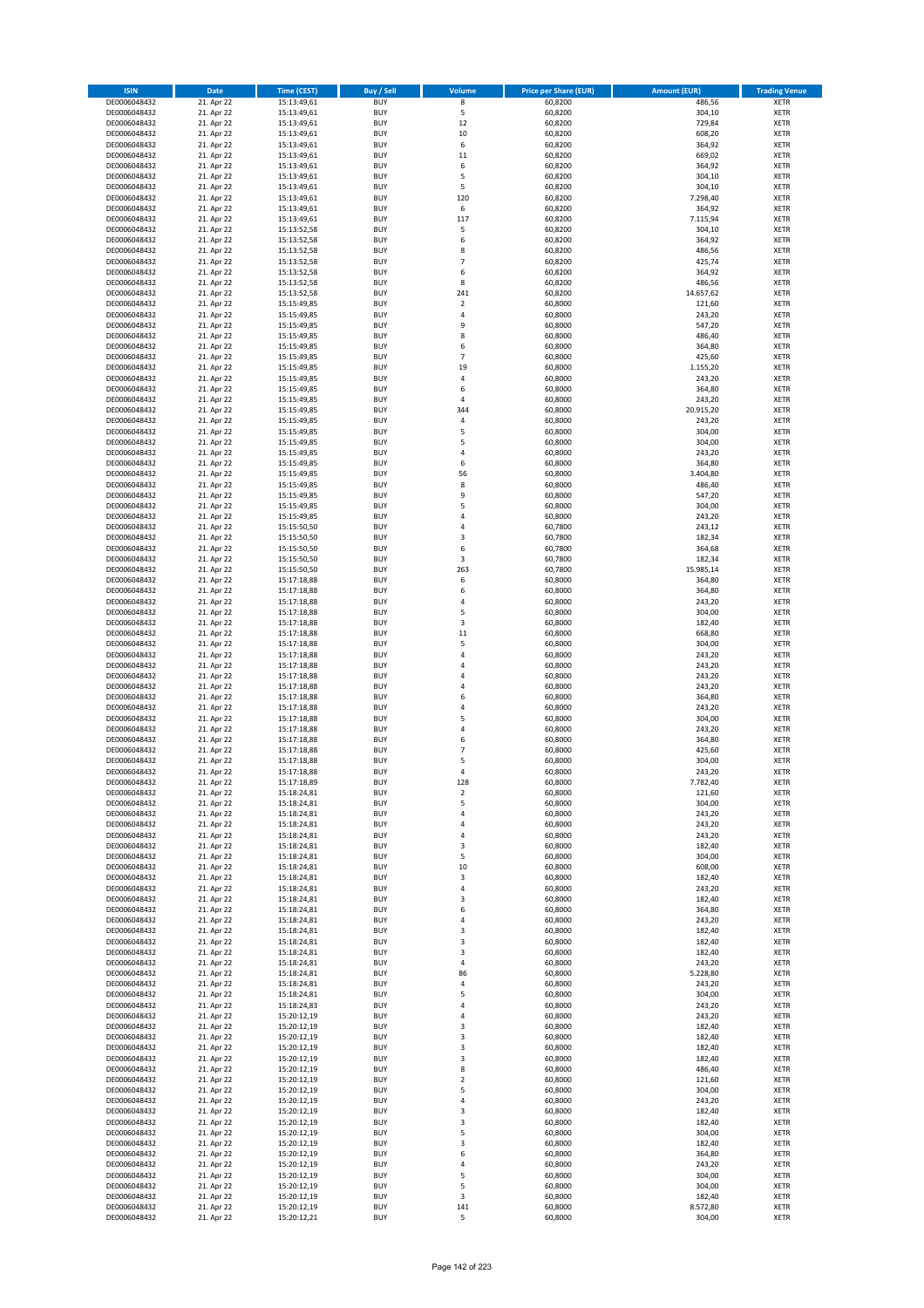| <b>ISIN</b>                  | Date                     | Time (CEST)                | <b>Buy / Sell</b>        | <b>Volume</b>               | <b>Price per Share (EUR)</b> | <b>Amount (EUR)</b> | <b>Trading Venue</b>       |
|------------------------------|--------------------------|----------------------------|--------------------------|-----------------------------|------------------------------|---------------------|----------------------------|
| DE0006048432                 | 21. Apr 22               | 15:13:49,61                | <b>BUY</b>               | $\overline{\mathbf{8}}$     | 60,8200                      | 486,56              | <b>XETR</b>                |
| DE0006048432                 | 21. Apr 22               | 15:13:49,61                | <b>BUY</b>               | 5                           | 60,8200                      | 304,10              | XETR                       |
| DE0006048432                 | 21. Apr 22               | 15:13:49,61                | <b>BUY</b>               | 12                          | 60,8200                      | 729,84              | <b>XETR</b>                |
| DE0006048432<br>DE0006048432 | 21. Apr 22<br>21. Apr 22 | 15:13:49,61<br>15:13:49,61 | <b>BUY</b><br><b>BUY</b> | 10<br>6                     | 60,8200<br>60,8200           | 608,20<br>364,92    | XETR<br><b>XETR</b>        |
| DE0006048432                 | 21. Apr 22               | 15:13:49,61                | <b>BUY</b>               | 11                          | 60,8200                      | 669,02              | <b>XETR</b>                |
| DE0006048432                 | 21. Apr 22               | 15:13:49,61                | <b>BUY</b>               | 6                           | 60,8200                      | 364,92              | <b>XETR</b>                |
| DE0006048432                 | 21. Apr 22               | 15:13:49,61                | <b>BUY</b>               | 5                           | 60,8200                      | 304,10              | <b>XETR</b>                |
| DE0006048432                 | 21. Apr 22               | 15:13:49,61                | <b>BUY</b>               | 5                           | 60,8200                      | 304,10              | <b>XETR</b>                |
| DE0006048432                 | 21. Apr 22               | 15:13:49,61                | <b>BUY</b><br><b>BUY</b> | 120                         | 60,8200                      | 7.298,40            | <b>XETR</b><br><b>XETR</b> |
| DE0006048432<br>DE0006048432 | 21. Apr 22<br>21. Apr 22 | 15:13:49,61<br>15:13:49,61 | <b>BUY</b>               | 6<br>117                    | 60,8200<br>60,8200           | 364,92<br>7.115,94  | <b>XETR</b>                |
| DE0006048432                 | 21. Apr 22               | 15:13:52,58                | <b>BUY</b>               | 5                           | 60,8200                      | 304,10              | <b>XETR</b>                |
| DE0006048432                 | 21. Apr 22               | 15:13:52,58                | <b>BUY</b>               | 6                           | 60,8200                      | 364,92              | <b>XETR</b>                |
| DE0006048432                 | 21. Apr 22               | 15:13:52,58                | <b>BUY</b>               | 8                           | 60,8200                      | 486,56              | <b>XETR</b>                |
| DE0006048432                 | 21. Apr 22               | 15:13:52,58                | <b>BUY</b>               | $\overline{7}$              | 60,8200                      | 425,74              | <b>XETR</b>                |
| DE0006048432<br>DE0006048432 | 21. Apr 22<br>21. Apr 22 | 15:13:52,58<br>15:13:52,58 | <b>BUY</b><br><b>BUY</b> | 6<br>8                      | 60,8200<br>60,8200           | 364,92<br>486,56    | <b>XETR</b><br><b>XETR</b> |
| DE0006048432                 | 21. Apr 22               | 15:13:52,58                | <b>BUY</b>               | 241                         | 60,8200                      | 14.657,62           | <b>XETR</b>                |
| DE0006048432                 | 21. Apr 22               | 15:15:49,85                | <b>BUY</b>               | $\mathbf 2$                 | 60,8000                      | 121,60              | <b>XETR</b>                |
| DE0006048432                 | 21. Apr 22               | 15:15:49,85                | <b>BUY</b>               | 4                           | 60,8000                      | 243,20              | <b>XETR</b>                |
| DE0006048432                 | 21. Apr 22               | 15:15:49,85                | <b>BUY</b>               | 9                           | 60,8000                      | 547,20              | <b>XETR</b>                |
| DE0006048432<br>DE0006048432 | 21. Apr 22<br>21. Apr 22 | 15:15:49,85<br>15:15:49,85 | <b>BUY</b><br><b>BUY</b> | 8<br>6                      | 60,8000<br>60,8000           | 486,40<br>364,80    | <b>XETR</b><br><b>XETR</b> |
| DE0006048432                 | 21. Apr 22               | 15:15:49,85                | <b>BUY</b>               | $\overline{7}$              | 60,8000                      | 425,60              | <b>XETR</b>                |
| DE0006048432                 | 21. Apr 22               | 15:15:49,85                | <b>BUY</b>               | 19                          | 60,8000                      | 1.155,20            | <b>XETR</b>                |
| DE0006048432                 | 21. Apr 22               | 15:15:49,85                | <b>BUY</b>               | 4                           | 60,8000                      | 243,20              | <b>XETR</b>                |
| DE0006048432                 | 21. Apr 22               | 15:15:49,85                | <b>BUY</b>               | 6                           | 60,8000                      | 364,80              | <b>XETR</b>                |
| DE0006048432<br>DE0006048432 | 21. Apr 22<br>21. Apr 22 | 15:15:49,85<br>15:15:49,85 | <b>BUY</b><br><b>BUY</b> | 4<br>344                    | 60,8000<br>60,8000           | 243,20<br>20.915,20 | <b>XETR</b><br><b>XETR</b> |
| DE0006048432                 | 21. Apr 22               | 15:15:49,85                | <b>BUY</b>               | $\pmb{4}$                   | 60,8000                      | 243,20              | <b>XETR</b>                |
| DE0006048432                 | 21. Apr 22               | 15:15:49,85                | <b>BUY</b>               | 5                           | 60,8000                      | 304,00              | <b>XETR</b>                |
| DE0006048432                 | 21. Apr 22               | 15:15:49,85                | <b>BUY</b>               | 5                           | 60,8000                      | 304,00              | <b>XETR</b>                |
| DE0006048432                 | 21. Apr 22               | 15:15:49,85                | <b>BUY</b>               | $\overline{4}$              | 60,8000                      | 243,20              | <b>XETR</b>                |
| DE0006048432                 | 21. Apr 22               | 15:15:49,85                | <b>BUY</b>               | 6                           | 60,8000                      | 364,80              | <b>XETR</b>                |
| DE0006048432<br>DE0006048432 | 21. Apr 22<br>21. Apr 22 | 15:15:49,85<br>15:15:49,85 | <b>BUY</b><br><b>BUY</b> | 56<br>8                     | 60,8000<br>60,8000           | 3.404,80<br>486,40  | <b>XETR</b><br><b>XETR</b> |
| DE0006048432                 | 21. Apr 22               | 15:15:49,85                | <b>BUY</b>               | 9                           | 60,8000                      | 547,20              | <b>XETR</b>                |
| DE0006048432                 | 21. Apr 22               | 15:15:49,85                | <b>BUY</b>               | 5                           | 60,8000                      | 304,00              | <b>XETR</b>                |
| DE0006048432                 | 21. Apr 22               | 15:15:49,85                | <b>BUY</b>               | 4                           | 60,8000                      | 243,20              | <b>XETR</b>                |
| DE0006048432                 | 21. Apr 22               | 15:15:50,50                | <b>BUY</b>               | $\overline{4}$              | 60,7800                      | 243,12              | <b>XETR</b>                |
| DE0006048432<br>DE0006048432 | 21. Apr 22<br>21. Apr 22 | 15:15:50,50                | <b>BUY</b><br><b>BUY</b> | 3<br>6                      | 60,7800<br>60,7800           | 182,34<br>364,68    | <b>XETR</b><br><b>XETR</b> |
| DE0006048432                 | 21. Apr 22               | 15:15:50,50<br>15:15:50,50 | <b>BUY</b>               | 3                           | 60,7800                      | 182,34              | <b>XETR</b>                |
| DE0006048432                 | 21. Apr 22               | 15:15:50,50                | <b>BUY</b>               | 263                         | 60,7800                      | 15.985,14           | <b>XETR</b>                |
| DE0006048432                 | 21. Apr 22               | 15:17:18,88                | <b>BUY</b>               | 6                           | 60,8000                      | 364,80              | <b>XETR</b>                |
| DE0006048432                 | 21. Apr 22               | 15:17:18,88                | <b>BUY</b>               | 6                           | 60,8000                      | 364,80              | <b>XETR</b>                |
| DE0006048432                 | 21. Apr 22               | 15:17:18,88                | <b>BUY</b>               | $\overline{4}$<br>5         | 60,8000                      | 243,20              | <b>XETR</b>                |
| DE0006048432<br>DE0006048432 | 21. Apr 22<br>21. Apr 22 | 15:17:18,88<br>15:17:18,88 | <b>BUY</b><br><b>BUY</b> | 3                           | 60,8000<br>60,8000           | 304,00<br>182,40    | <b>XETR</b><br><b>XETR</b> |
| DE0006048432                 | 21. Apr 22               | 15:17:18,88                | <b>BUY</b>               | 11                          | 60,8000                      | 668,80              | <b>XETR</b>                |
| DE0006048432                 | 21. Apr 22               | 15:17:18,88                | <b>BUY</b>               | 5                           | 60,8000                      | 304,00              | <b>XETR</b>                |
| DE0006048432                 | 21. Apr 22               | 15:17:18,88                | <b>BUY</b>               | 4                           | 60,8000                      | 243,20              | <b>XETR</b>                |
| DE0006048432                 | 21. Apr 22               | 15:17:18,88                | <b>BUY</b>               | $\pmb{4}$<br>$\overline{a}$ | 60,8000                      | 243,20              | <b>XETR</b>                |
| DE0006048432<br>DE0006048432 | 21. Apr 22<br>21. Apr 22 | 15:17:18,88<br>15:17:18,88 | <b>BUY</b><br><b>BUY</b> | 4                           | 60,8000<br>60,8000           | 243,20<br>243,20    | <b>XETR</b><br><b>XETR</b> |
| DE0006048432                 | 21. Apr 22               | 15:17:18,88                | <b>BUY</b>               | 6                           | 60,8000                      | 364,80              | <b>XETR</b>                |
| DE0006048432                 | 21. Apr 22               | 15:17:18,88                | <b>BUY</b>               | 4                           | 60,8000                      | 243,20              | <b>XETR</b>                |
| DE0006048432                 | 21. Apr 22               | 15:17:18,88                | <b>BUY</b>               | 5                           | 60,8000                      | 304,00              | <b>XETR</b>                |
| DE0006048432                 | 21. Apr 22               | 15:17:18,88                | <b>BUY</b>               | $\overline{4}$              | 60,8000                      | 243,20              | <b>XETR</b>                |
| DE0006048432<br>DE0006048432 | 21. Apr 22<br>21. Apr 22 | 15:17:18,88<br>15:17:18,88 | <b>BUY</b><br><b>BUY</b> | 6<br>$\overline{7}$         | 60,8000<br>60,8000           | 364,80<br>425,60    | <b>XETR</b><br><b>XETR</b> |
| DE0006048432                 | 21. Apr 22               | 15:17:18,88                | <b>BUY</b>               | 5                           | 60,8000                      | 304,00              | <b>XETR</b>                |
| DE0006048432                 | 21. Apr 22               | 15:17:18,88                | <b>BUY</b>               | $\overline{4}$              | 60,8000                      | 243,20              | <b>XETR</b>                |
| DE0006048432                 | 21. Apr 22               | 15:17:18,89                | <b>BUY</b>               | 128                         | 60,8000                      | 7.782,40            | XETR                       |
| DE0006048432                 | 21. Apr 22               | 15:18:24,81                | <b>BUY</b>               | $\mathbf 2$                 | 60,8000                      | 121,60              | <b>XETR</b>                |
| DE0006048432<br>DE0006048432 | 21. Apr 22<br>21. Apr 22 | 15:18:24,81<br>15:18:24,81 | <b>BUY</b><br><b>BUY</b> | 5<br>4                      | 60,8000<br>60,8000           | 304,00<br>243,20    | <b>XETR</b><br><b>XETR</b> |
| DE0006048432                 | 21. Apr 22               | 15:18:24,81                | <b>BUY</b>               | 4                           | 60,8000                      | 243,20              | <b>XETR</b>                |
| DE0006048432                 | 21. Apr 22               | 15:18:24,81                | <b>BUY</b>               | 4                           | 60,8000                      | 243,20              | <b>XETR</b>                |
| DE0006048432                 | 21. Apr 22               | 15:18:24,81                | <b>BUY</b>               | 3                           | 60,8000                      | 182,40              | <b>XETR</b>                |
| DE0006048432                 | 21. Apr 22               | 15:18:24,81                | <b>BUY</b>               | 5                           | 60,8000                      | 304,00              | <b>XETR</b>                |
| DE0006048432<br>DE0006048432 | 21. Apr 22<br>21. Apr 22 | 15:18:24,81<br>15:18:24,81 | <b>BUY</b><br><b>BUY</b> | 10<br>3                     | 60,8000<br>60,8000           | 608,00<br>182,40    | XETR<br><b>XETR</b>        |
| DE0006048432                 | 21. Apr 22               | 15:18:24,81                | <b>BUY</b>               | 4                           | 60,8000                      | 243,20              | XETR                       |
| DE0006048432                 | 21. Apr 22               | 15:18:24,81                | <b>BUY</b>               | 3                           | 60,8000                      | 182,40              | <b>XETR</b>                |
| DE0006048432                 | 21. Apr 22               | 15:18:24,81                | <b>BUY</b>               | 6                           | 60,8000                      | 364,80              | XETR                       |
| DE0006048432                 | 21. Apr 22<br>21. Apr 22 | 15:18:24,81                | <b>BUY</b>               | $\sqrt{4}$                  | 60,8000                      | 243,20              | <b>XETR</b>                |
| DE0006048432<br>DE0006048432 | 21. Apr 22               | 15:18:24,81<br>15:18:24,81 | <b>BUY</b><br><b>BUY</b> | $\mathsf 3$<br>3            | 60,8000<br>60,8000           | 182,40<br>182,40    | XETR<br><b>XETR</b>        |
| DE0006048432                 | 21. Apr 22               | 15:18:24,81                | <b>BUY</b>               | 3                           | 60,8000                      | 182,40              | <b>XETR</b>                |
| DE0006048432                 | 21. Apr 22               | 15:18:24,81                | <b>BUY</b>               | $\sqrt{4}$                  | 60,8000                      | 243,20              | <b>XETR</b>                |
| DE0006048432                 | 21. Apr 22               | 15:18:24,81                | <b>BUY</b>               | 86                          | 60,8000                      | 5.228,80            | XETR                       |
| DE0006048432                 | 21. Apr 22               | 15:18:24,81                | <b>BUY</b>               | $\sqrt{4}$                  | 60,8000                      | 243,20              | XETR                       |
| DE0006048432<br>DE0006048432 | 21. Apr 22<br>21. Apr 22 | 15:18:24,81<br>15:18:24,83 | <b>BUY</b><br><b>BUY</b> | 5<br>$\sqrt{4}$             | 60,8000<br>60,8000           | 304,00<br>243,20    | <b>XETR</b><br><b>XETR</b> |
| DE0006048432                 | 21. Apr 22               | 15:20:12,19                | <b>BUY</b>               | 4                           | 60,8000                      | 243,20              | XETR                       |
| DE0006048432                 | 21. Apr 22               | 15:20:12,19                | <b>BUY</b>               | 3                           | 60,8000                      | 182,40              | XETR                       |
| DE0006048432                 | 21. Apr 22               | 15:20:12,19                | <b>BUY</b>               | 3                           | 60,8000                      | 182,40              | XETR                       |
| DE0006048432                 | 21. Apr 22               | 15:20:12,19                | <b>BUY</b>               | 3                           | 60,8000                      | 182,40              | <b>XETR</b>                |
| DE0006048432<br>DE0006048432 | 21. Apr 22<br>21. Apr 22 | 15:20:12,19<br>15:20:12,19 | <b>BUY</b><br><b>BUY</b> | 3<br>8                      | 60,8000<br>60,8000           | 182,40<br>486,40    | <b>XETR</b><br><b>XETR</b> |
| DE0006048432                 | 21. Apr 22               | 15:20:12,19                | <b>BUY</b>               | $\mathbf 2$                 | 60,8000                      | 121,60              | <b>XETR</b>                |
| DE0006048432                 | 21. Apr 22               | 15:20:12,19                | <b>BUY</b>               | 5                           | 60,8000                      | 304,00              | <b>XETR</b>                |
| DE0006048432                 | 21. Apr 22               | 15:20:12,19                | <b>BUY</b>               | $\sqrt{4}$                  | 60,8000                      | 243,20              | XETR                       |
| DE0006048432                 | 21. Apr 22               | 15:20:12,19                | <b>BUY</b>               | 3                           | 60,8000                      | 182,40              | XETR                       |
| DE0006048432<br>DE0006048432 | 21. Apr 22<br>21. Apr 22 | 15:20:12,19<br>15:20:12,19 | <b>BUY</b><br><b>BUY</b> | 3<br>5                      | 60,8000<br>60,8000           | 182,40<br>304,00    | XETR<br><b>XETR</b>        |
| DE0006048432                 | 21. Apr 22               | 15:20:12,19                | <b>BUY</b>               | 3                           | 60,8000                      | 182,40              | <b>XETR</b>                |
| DE0006048432                 | 21. Apr 22               | 15:20:12,19                | <b>BUY</b>               | 6                           | 60,8000                      | 364,80              | XETR                       |
| DE0006048432                 | 21. Apr 22               | 15:20:12,19                | <b>BUY</b>               | 4                           | 60,8000                      | 243,20              | XETR                       |
| DE0006048432                 | 21. Apr 22               | 15:20:12,19                | <b>BUY</b>               | 5                           | 60,8000                      | 304,00              | XETR                       |
| DE0006048432                 | 21. Apr 22<br>21. Apr 22 | 15:20:12,19                | <b>BUY</b>               | 5<br>3                      | 60,8000<br>60,8000           | 304,00<br>182,40    | <b>XETR</b>                |
| DE0006048432<br>DE0006048432 | 21. Apr 22               | 15:20:12,19<br>15:20:12,19 | <b>BUY</b><br><b>BUY</b> | 141                         | 60,8000                      | 8.572,80            | XETR<br><b>XETR</b>        |
| DE0006048432                 | 21. Apr 22               | 15:20:12,21                | <b>BUY</b>               | 5                           | 60,8000                      | 304,00              | XETR                       |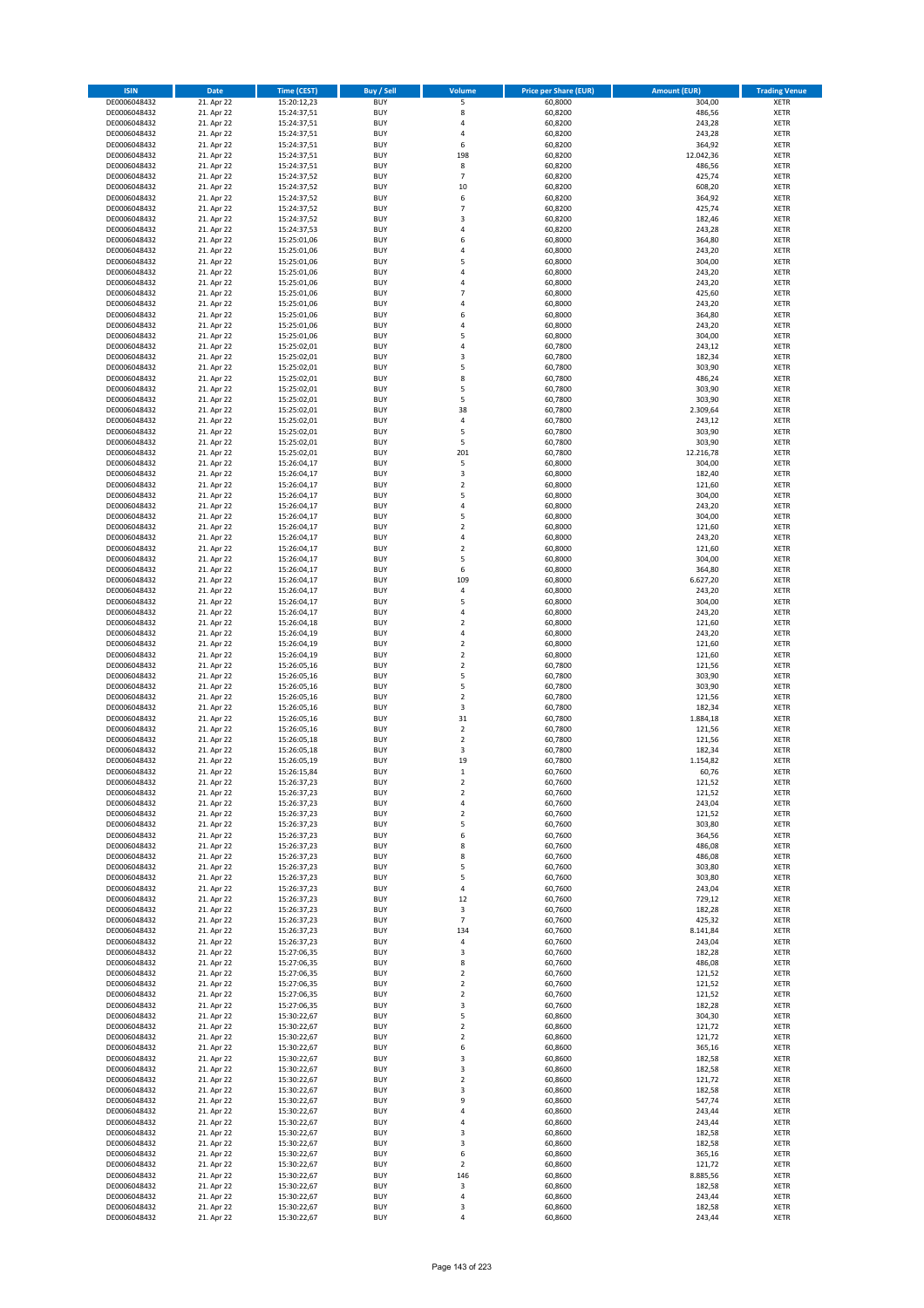| <b>ISIN</b>                  | <b>Date</b>              | <b>Time (CEST)</b>         | <b>Buy / Sell</b>        | Volume                  | <b>Price per Share (EUR)</b> | <b>Amount (EUR)</b> | <b>Trading Venue</b>       |
|------------------------------|--------------------------|----------------------------|--------------------------|-------------------------|------------------------------|---------------------|----------------------------|
| DE0006048432                 | 21. Apr 22               | 15:20:12,23                | <b>BUY</b>               | 5                       | 60,8000                      | 304,00              | <b>XETR</b>                |
| DE0006048432                 | 21. Apr 22               | 15:24:37,51                | <b>BUY</b>               | 8                       | 60,8200                      | 486,56              | <b>XETR</b>                |
| DE0006048432                 | 21. Apr 22               | 15:24:37,51                | <b>BUY</b>               | 4                       | 60,8200                      | 243,28              | <b>XETR</b>                |
| DE0006048432                 | 21. Apr 22               | 15:24:37,51                | <b>BUY</b>               | 4                       | 60,8200                      | 243,28              | <b>XETR</b>                |
| DE0006048432                 | 21. Apr 22               | 15:24:37,51                | <b>BUY</b>               | 6                       | 60,8200                      | 364,92              | <b>XETR</b>                |
| DE0006048432                 | 21. Apr 22               | 15:24:37,51                | <b>BUY</b>               | 198                     | 60,8200                      | 12.042,36           | <b>XETR</b>                |
| DE0006048432                 | 21. Apr 22               | 15:24:37,51                | <b>BUY</b>               | 8                       | 60,8200                      | 486,56              | <b>XETR</b>                |
| DE0006048432                 | 21. Apr 22               | 15:24:37,52                | <b>BUY</b>               | $\overline{7}$          | 60,8200                      | 425,74              | <b>XETR</b>                |
| DE0006048432                 | 21. Apr 22               | 15:24:37,52                | <b>BUY</b>               | 10                      | 60,8200                      | 608,20              | <b>XETR</b>                |
| DE0006048432                 | 21. Apr 22               | 15:24:37,52                | <b>BUY</b>               | 6                       | 60,8200                      | 364,92              | <b>XETR</b>                |
| DE0006048432                 | 21. Apr 22               | 15:24:37,52                | <b>BUY</b>               | $\overline{7}$          | 60,8200                      | 425,74              | <b>XETR</b>                |
| DE0006048432                 | 21. Apr 22               | 15:24:37,52                | <b>BUY</b>               | 3                       | 60,8200                      | 182,46              | <b>XETR</b>                |
| DE0006048432                 | 21. Apr 22               | 15:24:37,53                | <b>BUY</b>               | 4                       | 60,8200                      | 243,28              | <b>XETR</b>                |
| DE0006048432                 | 21. Apr 22               | 15:25:01,06                | <b>BUY</b>               | 6                       | 60,8000                      | 364,80              | <b>XETR</b>                |
| DE0006048432                 | 21. Apr 22               | 15:25:01,06                | <b>BUY</b>               | 4                       | 60,8000                      | 243,20              | <b>XETR</b>                |
| DE0006048432                 | 21. Apr 22               | 15:25:01,06                | <b>BUY</b>               | 5                       | 60,8000                      | 304,00              | <b>XETR</b>                |
| DE0006048432                 | 21. Apr 22               | 15:25:01,06                | <b>BUY</b>               | 4                       | 60,8000                      | 243,20              | <b>XETR</b>                |
| DE0006048432                 | 21. Apr 22               | 15:25:01,06                | <b>BUY</b>               | 4                       | 60,8000                      | 243,20              | <b>XETR</b>                |
| DE0006048432                 | 21. Apr 22               | 15:25:01,06                | <b>BUY</b>               | $\overline{7}$          | 60,8000                      | 425,60              | <b>XETR</b>                |
| DE0006048432                 | 21. Apr 22               | 15:25:01,06                | <b>BUY</b>               | 4                       | 60,8000                      | 243,20              | <b>XETR</b>                |
| DE0006048432                 | 21. Apr 22               | 15:25:01,06                | <b>BUY</b>               | 6                       | 60,8000                      | 364,80              | <b>XETR</b>                |
| DE0006048432                 | 21. Apr 22               | 15:25:01,06                | <b>BUY</b>               | 4                       | 60,8000                      | 243,20              | <b>XETR</b>                |
| DE0006048432                 | 21. Apr 22               | 15:25:01,06                | <b>BUY</b>               | 5                       | 60,8000                      | 304,00              | <b>XETR</b>                |
| DE0006048432                 | 21. Apr 22               | 15:25:02,01                | <b>BUY</b>               | 4                       | 60,7800                      | 243,12              | <b>XETR</b>                |
| DE0006048432                 | 21. Apr 22               | 15:25:02,01                | <b>BUY</b>               | 3                       | 60,7800                      | 182,34              | <b>XETR</b>                |
| DE0006048432                 | 21. Apr 22               | 15:25:02,01                | <b>BUY</b>               | 5                       | 60,7800                      | 303,90              | <b>XETR</b>                |
| DE0006048432                 | 21. Apr 22               | 15:25:02,01                | <b>BUY</b>               | 8                       | 60,7800                      | 486,24              | <b>XETR</b>                |
| DE0006048432                 | 21. Apr 22               | 15:25:02,01                | <b>BUY</b>               | 5                       | 60,7800                      | 303,90              | <b>XETR</b>                |
| DE0006048432                 | 21. Apr 22               | 15:25:02,01                | <b>BUY</b><br><b>BUY</b> | 5<br>38                 | 60,7800                      | 303,90              | <b>XETR</b><br><b>XETR</b> |
| DE0006048432                 | 21. Apr 22               | 15:25:02,01                | <b>BUY</b>               | 4                       | 60,7800                      | 2.309,64            |                            |
| DE0006048432<br>DE0006048432 | 21. Apr 22<br>21. Apr 22 | 15:25:02,01                | <b>BUY</b>               | 5                       | 60,7800                      | 243,12<br>303,90    | <b>XETR</b><br><b>XETR</b> |
| DE0006048432                 | 21. Apr 22               | 15:25:02,01<br>15:25:02,01 | <b>BUY</b>               | 5                       | 60,7800<br>60,7800           | 303,90              | <b>XETR</b>                |
| DE0006048432                 | 21. Apr 22               | 15:25:02,01                | <b>BUY</b>               | 201                     | 60,7800                      | 12.216,78           | <b>XETR</b>                |
| DE0006048432                 | 21. Apr 22               | 15:26:04,17                | <b>BUY</b>               | 5                       | 60,8000                      | 304,00              | <b>XETR</b>                |
| DE0006048432                 | 21. Apr 22               | 15:26:04,17                | <b>BUY</b>               | 3                       | 60,8000                      | 182,40              | <b>XETR</b>                |
| DE0006048432                 | 21. Apr 22               | 15:26:04,17                | <b>BUY</b>               | $\overline{\mathbf{c}}$ | 60,8000                      | 121,60              | <b>XETR</b>                |
| DE0006048432                 | 21. Apr 22               | 15:26:04,17                | <b>BUY</b>               | 5                       | 60,8000                      | 304,00              | <b>XETR</b>                |
| DE0006048432                 | 21. Apr 22               | 15:26:04,17                | <b>BUY</b>               | 4                       | 60,8000                      | 243,20              | <b>XETR</b>                |
| DE0006048432                 | 21. Apr 22               | 15:26:04,17                | <b>BUY</b>               | 5                       | 60,8000                      | 304,00              | <b>XETR</b>                |
| DE0006048432                 | 21. Apr 22               | 15:26:04,17                | <b>BUY</b>               | $\overline{\mathbf{c}}$ | 60,8000                      | 121,60              | <b>XETR</b>                |
| DE0006048432                 | 21. Apr 22               | 15:26:04,17                | <b>BUY</b>               | 4                       | 60,8000                      | 243,20              | <b>XETR</b>                |
| DE0006048432                 | 21. Apr 22               | 15:26:04,17                | <b>BUY</b>               | $\mathbf 2$             | 60,8000                      | 121,60              | <b>XETR</b>                |
| DE0006048432                 | 21. Apr 22               | 15:26:04,17                | <b>BUY</b>               | 5                       | 60,8000                      | 304,00              | <b>XETR</b>                |
| DE0006048432                 | 21. Apr 22               | 15:26:04,17                | <b>BUY</b>               | 6                       | 60,8000                      | 364,80              | <b>XETR</b>                |
| DE0006048432                 | 21. Apr 22               | 15:26:04,17                | <b>BUY</b>               | 109                     | 60,8000                      | 6.627,20            | <b>XETR</b>                |
| DE0006048432                 | 21. Apr 22               | 15:26:04,17                | <b>BUY</b>               | 4                       | 60,8000                      | 243,20              | <b>XETR</b>                |
| DE0006048432                 | 21. Apr 22               | 15:26:04,17                | <b>BUY</b>               | 5                       | 60,8000                      | 304,00              | <b>XETR</b>                |
| DE0006048432                 | 21. Apr 22               | 15:26:04,17                | <b>BUY</b>               | 4                       | 60,8000                      | 243,20              | <b>XETR</b>                |
| DE0006048432                 | 21. Apr 22               | 15:26:04,18                | <b>BUY</b>               | $\overline{\mathbf{c}}$ | 60,8000                      | 121,60              | <b>XETR</b>                |
| DE0006048432                 | 21. Apr 22               | 15:26:04,19                | <b>BUY</b>               | 4                       | 60,8000                      | 243,20              | <b>XETR</b>                |
| DE0006048432                 | 21. Apr 22               | 15:26:04,19                | <b>BUY</b>               | $\mathbf 2$             | 60,8000                      | 121,60              | <b>XETR</b>                |
| DE0006048432                 | 21. Apr 22               | 15:26:04,19                | <b>BUY</b>               | $\overline{2}$          | 60,8000                      | 121,60              | <b>XETR</b>                |
| DE0006048432                 | 21. Apr 22               | 15:26:05,16                | <b>BUY</b>               | $\mathbf 2$             | 60,7800                      | 121,56              | <b>XETR</b>                |
| DE0006048432                 | 21. Apr 22               | 15:26:05,16                | <b>BUY</b>               | 5                       | 60,7800                      | 303,90              | <b>XETR</b>                |
| DE0006048432                 | 21. Apr 22               | 15:26:05,16                | <b>BUY</b>               | 5                       | 60,7800                      | 303,90              | <b>XETR</b>                |
| DE0006048432                 | 21. Apr 22               | 15:26:05,16                | <b>BUY</b>               | $\overline{\mathbf{c}}$ | 60,7800                      | 121,56              | <b>XETR</b>                |
| DE0006048432                 | 21. Apr 22               | 15:26:05,16                | <b>BUY</b>               | 3                       | 60,7800                      | 182,34              | <b>XETR</b>                |
| DE0006048432                 | 21. Apr 22               | 15:26:05,16                | <b>BUY</b>               | 31                      | 60,7800                      | 1.884,18            | <b>XETR</b>                |
| DE0006048432                 | 21. Apr 22               | 15:26:05,16                | <b>BUY</b>               | $\overline{2}$          | 60,7800                      | 121,56              | <b>XETR</b>                |
| DE0006048432                 | 21. Apr 22               | 15:26:05,18                | <b>BUY</b>               | $\mathbf 2$             | 60,7800                      | 121,56              | <b>XETR</b>                |
| DE0006048432                 | 21. Apr 22               | 15:26:05,18                | <b>BUY</b>               | 3                       | 60,7800                      | 182,34              | <b>XETR</b>                |
| DE0006048432                 | 21. Apr 22               | 15:26:05,19                | <b>BUY</b>               | 19                      | 60,7800                      | 1.154,82            | <b>XETR</b>                |
| DE0006048432                 | 21. Apr 22               | 15:26:15,84                | <b>BUY</b>               | $\mathbf{1}$            | 60,7600                      | 60,76               | <b>XETR</b>                |
| DE0006048432                 | 21. Apr 22               | 15:26:37,23                | BUY                      | 2                       | 60,7600                      | 121,52              | <b>XETR</b>                |
| DE0006048432                 | 21. Apr 22               | 15:26:37,23                | <b>BUY</b>               | $\mathbf 2$             | 60,7600                      | 121,52              | <b>XETR</b>                |
| DE0006048432                 | 21. Apr 22               | 15:26:37,23                | <b>BUY</b>               | 4                       | 60,7600                      | 243,04              | <b>XETR</b>                |
| DE0006048432                 | 21. Apr 22               | 15:26:37,23                | <b>BUY</b>               | $\mathbf 2$             | 60,7600                      | 121,52              | XETR                       |
| DE0006048432                 | 21. Apr 22               | 15:26:37,23                | <b>BUY</b>               | 5                       | 60,7600                      | 303,80              | <b>XETR</b>                |
| DE0006048432                 | 21. Apr 22               | 15:26:37,23                | <b>BUY</b>               | 6                       | 60,7600                      | 364,56              | <b>XETR</b>                |
| DE0006048432                 | 21. Apr 22               | 15:26:37,23                | <b>BUY</b>               | 8                       | 60,7600                      | 486,08              | <b>XETR</b>                |
| DE0006048432                 | 21. Apr 22<br>21. Apr 22 | 15:26:37,23                | <b>BUY</b><br><b>BUY</b> | 8<br>5                  | 60,7600<br>60,7600           | 486,08<br>303,80    | <b>XETR</b>                |
| DE0006048432<br>DE0006048432 | 21. Apr 22               | 15:26:37,23<br>15:26:37,23 | <b>BUY</b>               | 5                       | 60,7600                      | 303,80              | <b>XETR</b><br>XETR        |
| DE0006048432                 | 21. Apr 22               | 15:26:37,23                | <b>BUY</b>               | 4                       | 60,7600                      | 243,04              | <b>XETR</b>                |
| DE0006048432                 | 21. Apr 22               | 15:26:37,23                | <b>BUY</b>               | 12                      | 60.7600                      | 729,12              | <b>XETR</b>                |
| DE0006048432                 | 21. Apr 22               | 15:26:37,23                | <b>BUY</b>               | $\mathsf 3$             | 60,7600                      | 182,28              | <b>XETR</b>                |
| DE0006048432                 | 21. Apr 22               | 15:26:37,23                | <b>BUY</b>               | $\overline{7}$          | 60,7600                      | 425,32              | <b>XETR</b>                |
| DE0006048432                 | 21. Apr 22               | 15:26:37,23                | <b>BUY</b>               | 134                     | 60,7600                      | 8.141,84            | <b>XETR</b>                |
| DE0006048432                 | 21. Apr 22               | 15:26:37,23                | <b>BUY</b>               | $\overline{4}$          | 60,7600                      | 243,04              | <b>XETR</b>                |
| DE0006048432                 | 21. Apr 22               | 15:27:06,35                | <b>BUY</b>               | 3                       | 60,7600                      | 182,28              | <b>XETR</b>                |
| DE0006048432                 | 21. Apr 22               | 15:27:06,35                | <b>BUY</b>               | 8                       | 60,7600                      | 486,08              | <b>XETR</b>                |
| DE0006048432                 | 21. Apr 22               | 15:27:06,35                | <b>BUY</b>               | $\mathbf 2$             | 60,7600                      | 121,52              | XETR                       |
| DE0006048432                 | 21. Apr 22               | 15:27:06,35                | <b>BUY</b>               | $\mathbf 2$             | 60,7600                      | 121,52              | <b>XETR</b>                |
| DE0006048432                 | 21. Apr 22               | 15:27:06,35                | <b>BUY</b>               | $\overline{2}$          | 60,7600                      | 121,52              | <b>XETR</b>                |
| DE0006048432                 | 21. Apr 22               | 15:27:06,35                | <b>BUY</b>               | 3                       | 60,7600                      | 182,28              | <b>XETR</b>                |
| DE0006048432                 | 21. Apr 22               | 15:30:22,67                | <b>BUY</b>               | 5                       | 60,8600                      | 304,30              | <b>XETR</b>                |
| DE0006048432                 | 21. Apr 22               | 15:30:22,67                | <b>BUY</b>               | $\mathbf 2$             | 60,8600                      | 121,72              | <b>XETR</b>                |
| DE0006048432                 | 21. Apr 22               | 15:30:22,67                | <b>BUY</b>               | $\mathbf 2$             | 60,8600                      | 121,72              | <b>XETR</b>                |
| DE0006048432                 | 21. Apr 22               | 15:30:22,67                | <b>BUY</b>               | 6                       | 60,8600                      | 365,16              | <b>XETR</b>                |
| DE0006048432                 | 21. Apr 22               | 15:30:22,67                | <b>BUY</b>               | 3                       | 60,8600                      | 182,58              | <b>XETR</b>                |
| DE0006048432                 | 21. Apr 22               | 15:30:22,67                | <b>BUY</b>               | 3                       | 60,8600                      | 182,58              | <b>XETR</b>                |
| DE0006048432                 | 21. Apr 22               | 15:30:22,67                | <b>BUY</b>               | $\mathbf 2$             | 60,8600                      | 121,72              | <b>XETR</b>                |
| DE0006048432                 | 21. Apr 22               | 15:30:22,67                | <b>BUY</b>               | 3                       | 60,8600                      | 182,58              | XETR                       |
| DE0006048432                 | 21. Apr 22               | 15:30:22,67                | <b>BUY</b>               | 9                       | 60,8600                      | 547,74              | <b>XETR</b>                |
| DE0006048432                 | 21. Apr 22               | 15:30:22,67                | <b>BUY</b>               | 4                       | 60,8600                      | 243,44              | <b>XETR</b>                |
| DE0006048432                 | 21. Apr 22               | 15:30:22,67                | <b>BUY</b>               | 4                       | 60,8600                      | 243,44              | <b>XETR</b>                |
| DE0006048432                 | 21. Apr 22               | 15:30:22,67                | <b>BUY</b>               | 3                       | 60,8600                      | 182,58              | <b>XETR</b>                |
| DE0006048432                 | 21. Apr 22               | 15:30:22,67                | <b>BUY</b>               | 3                       | 60,8600                      | 182,58              | <b>XETR</b>                |
| DE0006048432                 | 21. Apr 22               | 15:30:22,67                | <b>BUY</b>               | 6                       | 60,8600                      | 365,16              | <b>XETR</b>                |
| DE0006048432                 | 21. Apr 22               | 15:30:22,67                | <b>BUY</b>               | $\overline{2}$          | 60,8600                      | 121,72              | <b>XETR</b>                |
| DE0006048432<br>DE0006048432 | 21. Apr 22<br>21. Apr 22 | 15:30:22,67                | <b>BUY</b><br><b>BUY</b> | 146<br>3                | 60,8600<br>60,8600           | 8.885,56<br>182,58  | XETR<br><b>XETR</b>        |
|                              | 21. Apr 22               | 15:30:22,67                | <b>BUY</b>               |                         | 60,8600                      | 243,44              | <b>XETR</b>                |
| DE0006048432<br>DE0006048432 | 21. Apr 22               | 15:30:22,67<br>15:30:22,67 | <b>BUY</b>               | 4<br>3                  | 60,8600                      | 182,58              | <b>XETR</b>                |
| DE0006048432                 | 21. Apr 22               | 15:30:22,67                | <b>BUY</b>               | 4                       | 60,8600                      | 243,44              | XETR                       |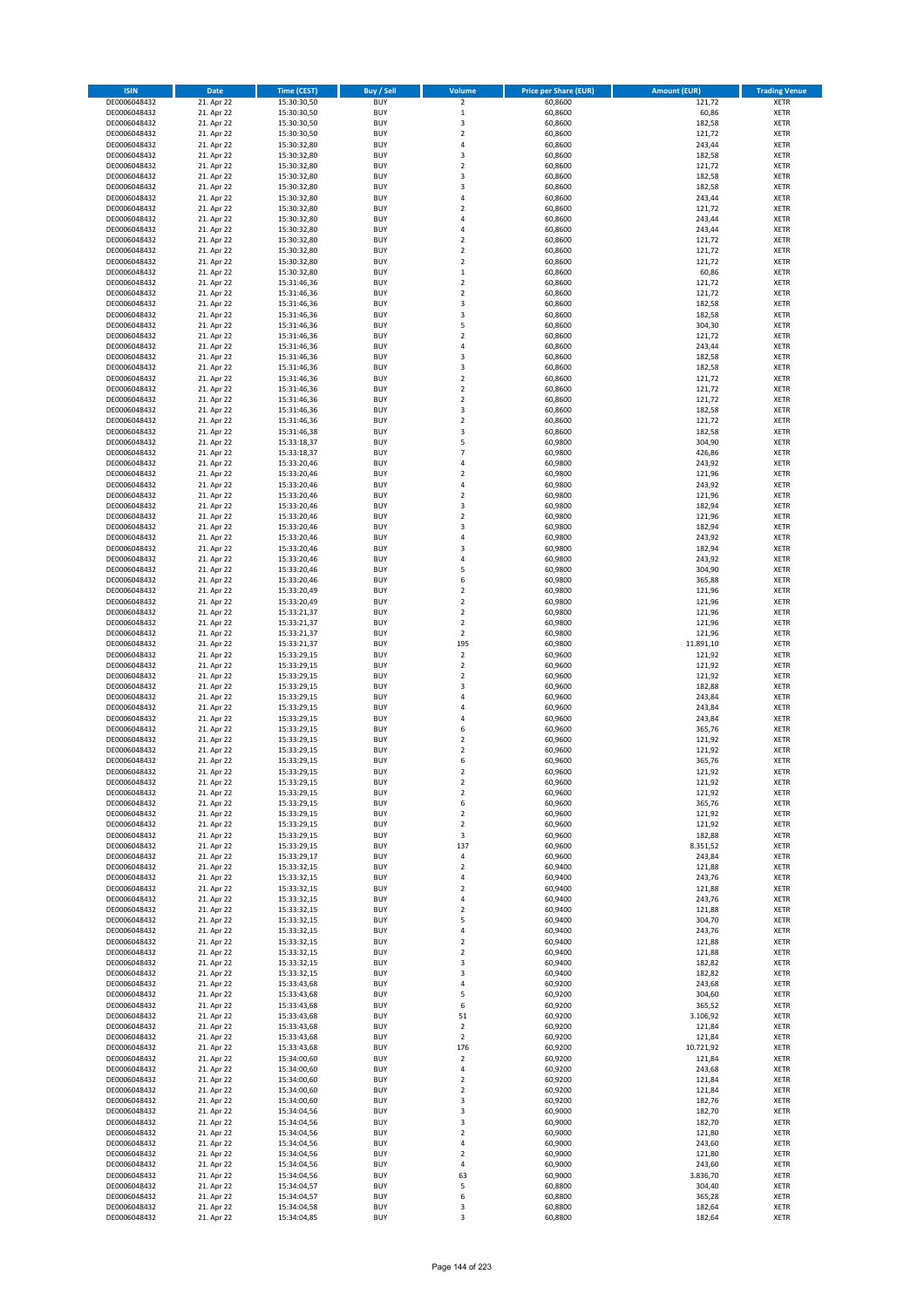| <b>ISIN</b>                  | <b>Date</b>              | <b>Time (CEST)</b>         | <b>Buy / Sell</b>        | <b>Volume</b>                | <b>Price per Share (EUR)</b> | <b>Amount (EUR)</b> | <b>Trading Venue</b>       |
|------------------------------|--------------------------|----------------------------|--------------------------|------------------------------|------------------------------|---------------------|----------------------------|
| DE0006048432                 | 21. Apr 22               | 15:30:30,50                | <b>BUY</b>               | $\overline{\mathbf{2}}$      | 60,8600                      | 121,72              | <b>XETR</b>                |
| DE0006048432                 | 21. Apr 22               | 15:30:30,50                | <b>BUY</b>               | $\mathbf 1$                  | 60,8600                      | 60,86               | <b>XETR</b>                |
| DE0006048432                 | 21. Apr 22               | 15:30:30,50                | <b>BUY</b>               | 3                            | 60,8600                      | 182,58              | <b>XETR</b>                |
| DE0006048432<br>DE0006048432 | 21. Apr 22<br>21. Apr 22 | 15:30:30,50<br>15:30:32,80 | <b>BUY</b><br><b>BUY</b> | $\mathbf 2$<br>4             | 60,8600<br>60,8600           | 121,72<br>243,44    | <b>XETR</b><br><b>XETR</b> |
| DE0006048432                 | 21. Apr 22               | 15:30:32,80                | <b>BUY</b>               | 3                            | 60,8600                      | 182,58              | <b>XETR</b>                |
| DE0006048432                 | 21. Apr 22               | 15:30:32,80                | <b>BUY</b>               | $\mathbf 2$                  | 60,8600                      | 121,72              | <b>XETR</b>                |
| DE0006048432                 | 21. Apr 22               | 15:30:32,80                | <b>BUY</b>               | 3                            | 60,8600                      | 182,58              | <b>XETR</b>                |
| DE0006048432                 | 21. Apr 22               | 15:30:32,80                | <b>BUY</b>               | 3                            | 60,8600                      | 182,58              | <b>XETR</b>                |
| DE0006048432                 | 21. Apr 22               | 15:30:32,80                | <b>BUY</b>               | 4                            | 60,8600                      | 243,44              | <b>XETR</b>                |
| DE0006048432                 | 21. Apr 22               | 15:30:32,80                | <b>BUY</b>               | $\overline{\mathbf{c}}$      | 60,8600                      | 121,72              | <b>XETR</b>                |
| DE0006048432                 | 21. Apr 22<br>21. Apr 22 | 15:30:32,80                | <b>BUY</b><br><b>BUY</b> | 4<br>4                       | 60,8600                      | 243,44              | <b>XETR</b><br><b>XETR</b> |
| DE0006048432<br>DE0006048432 | 21. Apr 22               | 15:30:32,80<br>15:30:32,80 | <b>BUY</b>               | $\overline{\mathbf{c}}$      | 60,8600<br>60,8600           | 243,44<br>121,72    | <b>XETR</b>                |
| DE0006048432                 | 21. Apr 22               | 15:30:32,80                | <b>BUY</b>               | $\overline{\mathbf{c}}$      | 60,8600                      | 121,72              | <b>XETR</b>                |
| DE0006048432                 | 21. Apr 22               | 15:30:32,80                | <b>BUY</b>               | $\overline{\mathbf{c}}$      | 60,8600                      | 121,72              | <b>XETR</b>                |
| DE0006048432                 | 21. Apr 22               | 15:30:32,80                | <b>BUY</b>               | $\mathbf 1$                  | 60,8600                      | 60,86               | <b>XETR</b>                |
| DE0006048432                 | 21. Apr 22               | 15:31:46,36                | <b>BUY</b>               | $\mathbf 2$                  | 60,8600                      | 121,72              | <b>XETR</b>                |
| DE0006048432                 | 21. Apr 22               | 15:31:46,36                | <b>BUY</b>               | $\overline{\mathbf{c}}$      | 60,8600                      | 121,72              | <b>XETR</b>                |
| DE0006048432                 | 21. Apr 22               | 15:31:46,36                | <b>BUY</b>               | 3                            | 60,8600                      | 182,58              | <b>XETR</b>                |
| DE0006048432<br>DE0006048432 | 21. Apr 22<br>21. Apr 22 | 15:31:46,36<br>15:31:46,36 | <b>BUY</b><br><b>BUY</b> | 3<br>5                       | 60,8600<br>60,8600           | 182,58<br>304,30    | <b>XETR</b><br><b>XETR</b> |
| DE0006048432                 | 21. Apr 22               | 15:31:46,36                | <b>BUY</b>               | $\mathbf 2$                  | 60,8600                      | 121,72              | <b>XETR</b>                |
| DE0006048432                 | 21. Apr 22               | 15:31:46,36                | <b>BUY</b>               | 4                            | 60,8600                      | 243,44              | <b>XETR</b>                |
| DE0006048432                 | 21. Apr 22               | 15:31:46,36                | <b>BUY</b>               | 3                            | 60,8600                      | 182,58              | <b>XETR</b>                |
| DE0006048432                 | 21. Apr 22               | 15:31:46,36                | <b>BUY</b>               | 3                            | 60,8600                      | 182,58              | <b>XETR</b>                |
| DE0006048432                 | 21. Apr 22               | 15:31:46,36                | <b>BUY</b>               | $\mathbf 2$                  | 60,8600                      | 121,72              | <b>XETR</b>                |
| DE0006048432                 | 21. Apr 22               | 15:31:46,36                | <b>BUY</b>               | $\overline{\mathbf{c}}$      | 60,8600                      | 121,72              | <b>XETR</b>                |
| DE0006048432<br>DE0006048432 | 21. Apr 22<br>21. Apr 22 | 15:31:46,36<br>15:31:46,36 | <b>BUY</b><br><b>BUY</b> | $\mathbf 2$<br>3             | 60,8600<br>60,8600           | 121,72<br>182,58    | <b>XETR</b><br><b>XETR</b> |
| DE0006048432                 | 21. Apr 22               | 15:31:46,36                | <b>BUY</b>               | $\mathbf 2$                  | 60,8600                      | 121,72              | <b>XETR</b>                |
| DE0006048432                 | 21. Apr 22               | 15:31:46,38                | <b>BUY</b>               | 3                            | 60,8600                      | 182,58              | <b>XETR</b>                |
| DE0006048432                 | 21. Apr 22               | 15:33:18,37                | <b>BUY</b>               | 5                            | 60,9800                      | 304,90              | <b>XETR</b>                |
| DE0006048432                 | 21. Apr 22               | 15:33:18,37                | <b>BUY</b>               | $\overline{7}$               | 60,9800                      | 426,86              | <b>XETR</b>                |
| DE0006048432                 | 21. Apr 22               | 15:33:20,46                | <b>BUY</b>               | 4                            | 60,9800                      | 243,92              | <b>XETR</b>                |
| DE0006048432                 | 21. Apr 22               | 15:33:20,46                | <b>BUY</b>               | $\mathbf 2$                  | 60,9800                      | 121,96              | <b>XETR</b>                |
| DE0006048432                 | 21. Apr 22               | 15:33:20,46                | <b>BUY</b><br><b>BUY</b> | 4                            | 60,9800                      | 243,92<br>121,96    | <b>XETR</b>                |
| DE0006048432<br>DE0006048432 | 21. Apr 22<br>21. Apr 22 | 15:33:20,46<br>15:33:20,46 | <b>BUY</b>               | $\mathbf 2$<br>3             | 60,9800<br>60,9800           | 182,94              | <b>XETR</b><br><b>XETR</b> |
| DE0006048432                 | 21. Apr 22               | 15:33:20,46                | <b>BUY</b>               | $\mathbf 2$                  | 60,9800                      | 121,96              | <b>XETR</b>                |
| DE0006048432                 | 21. Apr 22               | 15:33:20,46                | <b>BUY</b>               | 3                            | 60,9800                      | 182,94              | <b>XETR</b>                |
| DE0006048432                 | 21. Apr 22               | 15:33:20,46                | <b>BUY</b>               | 4                            | 60,9800                      | 243,92              | <b>XETR</b>                |
| DE0006048432                 | 21. Apr 22               | 15:33:20,46                | <b>BUY</b>               | 3                            | 60,9800                      | 182,94              | <b>XETR</b>                |
| DE0006048432                 | 21. Apr 22               | 15:33:20,46                | <b>BUY</b>               | 4                            | 60,9800                      | 243,92              | <b>XETR</b>                |
| DE0006048432                 | 21. Apr 22               | 15:33:20,46                | <b>BUY</b>               | 5                            | 60,9800                      | 304,90              | <b>XETR</b>                |
| DE0006048432                 | 21. Apr 22               | 15:33:20,46                | <b>BUY</b>               | 6                            | 60,9800                      | 365,88              | <b>XETR</b>                |
| DE0006048432<br>DE0006048432 | 21. Apr 22<br>21. Apr 22 | 15:33:20,49<br>15:33:20,49 | <b>BUY</b><br><b>BUY</b> | $\mathbf 2$<br>$\mathbf 2$   | 60,9800<br>60,9800           | 121,96<br>121,96    | <b>XETR</b><br><b>XETR</b> |
| DE0006048432                 | 21. Apr 22               | 15:33:21,37                | <b>BUY</b>               | $\mathbf 2$                  | 60,9800                      | 121,96              | <b>XETR</b>                |
| DE0006048432                 | 21. Apr 22               | 15:33:21,37                | <b>BUY</b>               | $\overline{\mathbf{c}}$      | 60,9800                      | 121,96              | <b>XETR</b>                |
| DE0006048432                 | 21. Apr 22               | 15:33:21,37                | <b>BUY</b>               | $\overline{2}$               | 60,9800                      | 121,96              | <b>XETR</b>                |
| DE0006048432                 | 21. Apr 22               | 15:33:21,37                | <b>BUY</b>               | 195                          | 60,9800                      | 11.891,10           | <b>XETR</b>                |
| DE0006048432                 | 21. Apr 22               | 15:33:29,15                | <b>BUY</b>               | $\overline{2}$               | 60,9600                      | 121,92              | <b>XETR</b>                |
| DE0006048432                 | 21. Apr 22               | 15:33:29,15                | <b>BUY</b>               | $\mathbf 2$                  | 60,9600                      | 121,92              | <b>XETR</b>                |
| DE0006048432<br>DE0006048432 | 21. Apr 22<br>21. Apr 22 | 15:33:29,15<br>15:33:29,15 | <b>BUY</b><br><b>BUY</b> | $\overline{\mathbf{c}}$<br>3 | 60,9600<br>60,9600           | 121,92<br>182,88    | <b>XETR</b><br><b>XETR</b> |
| DE0006048432                 | 21. Apr 22               | 15:33:29,15                | <b>BUY</b>               | 4                            | 60,9600                      | 243,84              | <b>XETR</b>                |
| DE0006048432                 | 21. Apr 22               | 15:33:29,15                | <b>BUY</b>               | 4                            | 60,9600                      | 243,84              | <b>XETR</b>                |
| DE0006048432                 | 21. Apr 22               | 15:33:29,15                | <b>BUY</b>               | 4                            | 60,9600                      | 243,84              | <b>XETR</b>                |
| DE0006048432                 | 21. Apr 22               | 15:33:29,15                | <b>BUY</b>               | 6                            | 60,9600                      | 365,76              | <b>XETR</b>                |
| DE0006048432                 | 21. Apr 22               | 15:33:29,15                | <b>BUY</b>               | $\mathbf 2$                  | 60,9600                      | 121,92              | <b>XETR</b>                |
| DE0006048432                 | 21. Apr 22               | 15:33:29,15                | <b>BUY</b>               | $\overline{\mathbf{c}}$      | 60,9600                      | 121,92              | <b>XETR</b>                |
| DE0006048432<br>DE0006048432 | 21. Apr 22<br>21. Apr 22 | 15:33:29,15<br>15:33:29,15 | <b>BUY</b><br><b>BUY</b> | 6<br>$\overline{2}$          | 60,9600<br>60,9600           | 365,76<br>121,92    | <b>XETR</b><br><b>XETR</b> |
| DE0006048432                 | 21. Apr 22               | 15:33:29,15                | BUY                      | 2                            | 60,9600                      | 121,92              | <b>XETR</b>                |
| DE0006048432                 | 21. Apr 22               | 15:33:29,15                | <b>BUY</b>               | $\mathbf 2$                  | 60,9600                      | 121,92              | <b>XETR</b>                |
| DE0006048432                 | 21. Apr 22               | 15:33:29,15                | <b>BUY</b>               | 6                            | 60,9600                      | 365,76              | <b>XETR</b>                |
| DE0006048432                 | 21. Apr 22               | 15:33:29,15                | <b>BUY</b>               | $\mathbf 2$                  | 60,9600                      | 121,92              | XETR                       |
| DE0006048432                 | 21. Apr 22               | 15:33:29,15                | <b>BUY</b>               | $\overline{2}$               | 60,9600                      | 121,92              | <b>XETR</b>                |
| DE0006048432                 | 21. Apr 22               | 15:33:29,15                | <b>BUY</b>               | 3                            | 60,9600                      | 182,88              | <b>XETR</b>                |
| DE0006048432<br>DE0006048432 | 21. Apr 22<br>21. Apr 22 | 15:33:29,15<br>15:33:29,17 | <b>BUY</b><br><b>BUY</b> | 137<br>4                     | 60,9600<br>60,9600           | 8.351,52<br>243,84  | <b>XETR</b><br><b>XETR</b> |
| DE0006048432                 | 21. Apr 22               | 15:33:32,15                | <b>BUY</b>               | $\mathbf 2$                  | 60,9400                      | 121,88              | <b>XETR</b>                |
| DE0006048432                 | 21. Apr 22               | 15:33:32,15                | <b>BUY</b>               | 4                            | 60,9400                      | 243,76              | <b>XETR</b>                |
| DE0006048432                 | 21. Apr 22               | 15:33:32,15                | <b>BUY</b>               | $\mathbf 2$                  | 60,9400                      | 121,88              | <b>XETR</b>                |
| DE0006048432                 | 21. Apr 22               | 15:33:32,15                | <b>BUY</b>               | 4                            | 60,9400                      | 243,76              | <b>XETR</b>                |
| DE0006048432                 | 21. Apr 22               | 15:33:32,15                | <b>BUY</b>               | $\overline{\mathbf{c}}$      | 60,9400                      | 121,88              | <b>XETR</b>                |
| DE0006048432<br>DE0006048432 | 21. Apr 22<br>21. Apr 22 | 15:33:32,15<br>15:33:32,15 | <b>BUY</b><br><b>BUY</b> | 5<br>4                       | 60,9400<br>60,9400           | 304,70<br>243,76    | <b>XETR</b><br><b>XETR</b> |
| DE0006048432                 | 21. Apr 22               | 15:33:32,15                | <b>BUY</b>               | $\overline{\mathbf{c}}$      | 60,9400                      | 121,88              | <b>XETR</b>                |
| DE0006048432                 | 21. Apr 22               | 15:33:32,15                | <b>BUY</b>               | $\mathbf 2$                  | 60,9400                      | 121,88              | <b>XETR</b>                |
| DE0006048432                 | 21. Apr 22               | 15:33:32,15                | <b>BUY</b>               | 3                            | 60,9400                      | 182,82              | <b>XETR</b>                |
| DE0006048432                 | 21. Apr 22               | 15:33:32,15                | <b>BUY</b>               | 3                            | 60,9400                      | 182,82              | XETR                       |
| DE0006048432                 | 21. Apr 22               | 15:33:43,68                | <b>BUY</b>               | 4                            | 60,9200                      | 243,68              | <b>XETR</b>                |
| DE0006048432                 | 21. Apr 22               | 15:33:43,68                | <b>BUY</b>               | 5                            | 60,9200                      | 304,60              | <b>XETR</b>                |
| DE0006048432<br>DE0006048432 | 21. Apr 22<br>21. Apr 22 | 15:33:43,68<br>15:33:43,68 | <b>BUY</b><br><b>BUY</b> | 6<br>51                      | 60,9200<br>60,9200           | 365,52<br>3.106,92  | <b>XETR</b><br><b>XETR</b> |
| DE0006048432                 | 21. Apr 22               | 15:33:43,68                | <b>BUY</b>               | $\mathbf 2$                  | 60,9200                      | 121,84              | <b>XETR</b>                |
| DE0006048432                 | 21. Apr 22               | 15:33:43,68                | <b>BUY</b>               | $\mathbf 2$                  | 60,9200                      | 121,84              | <b>XETR</b>                |
| DE0006048432                 | 21. Apr 22               | 15:33:43,68                | <b>BUY</b>               | 176                          | 60,9200                      | 10.721,92           | <b>XETR</b>                |
| DE0006048432                 | 21. Apr 22               | 15:34:00,60                | <b>BUY</b>               | $\mathbf 2$                  | 60,9200                      | 121,84              | <b>XETR</b>                |
| DE0006048432                 | 21. Apr 22               | 15:34:00,60                | <b>BUY</b>               | 4                            | 60,9200                      | 243,68              | <b>XETR</b>                |
| DE0006048432                 | 21. Apr 22               | 15:34:00,60                | <b>BUY</b>               | $\mathbf 2$                  | 60,9200                      | 121,84              | <b>XETR</b>                |
| DE0006048432                 | 21. Apr 22               | 15:34:00,60                | <b>BUY</b>               | $\overline{2}$               | 60,9200                      | 121,84              | <b>XETR</b>                |
| DE0006048432<br>DE0006048432 | 21. Apr 22<br>21. Apr 22 | 15:34:00,60<br>15:34:04,56 | <b>BUY</b><br><b>BUY</b> | 3<br>3                       | 60,9200<br>60,9000           | 182,76<br>182,70    | <b>XETR</b><br><b>XETR</b> |
| DE0006048432                 | 21. Apr 22               | 15:34:04,56                | <b>BUY</b>               | 3                            | 60,9000                      | 182,70              | <b>XETR</b>                |
| DE0006048432                 | 21. Apr 22               | 15:34:04,56                | <b>BUY</b>               | $\overline{\mathbf{c}}$      | 60,9000                      | 121,80              | <b>XETR</b>                |
| DE0006048432                 | 21. Apr 22               | 15:34:04,56                | <b>BUY</b>               | 4                            | 60,9000                      | 243,60              | <b>XETR</b>                |
| DE0006048432                 | 21. Apr 22               | 15:34:04,56                | <b>BUY</b>               | $\mathbf 2$                  | 60,9000                      | 121,80              | <b>XETR</b>                |
| DE0006048432                 | 21. Apr 22               | 15:34:04,56                | <b>BUY</b>               | 4                            | 60,9000                      | 243,60              | <b>XETR</b>                |
| DE0006048432<br>DE0006048432 | 21. Apr 22<br>21. Apr 22 | 15:34:04,56<br>15:34:04,57 | <b>BUY</b><br><b>BUY</b> | 63<br>5                      | 60,9000<br>60,8800           | 3.836,70<br>304,40  | XETR<br><b>XETR</b>        |
| DE0006048432                 | 21. Apr 22               | 15:34:04,57                | <b>BUY</b>               | 6                            | 60,8800                      | 365,28              | <b>XETR</b>                |
| DE0006048432                 | 21. Apr 22               | 15:34:04,58                | <b>BUY</b>               | 3                            | 60,8800                      | 182,64              | <b>XETR</b>                |
| DE0006048432                 | 21. Apr 22               | 15:34:04,85                | <b>BUY</b>               | 3                            | 60,8800                      | 182,64              | XETR                       |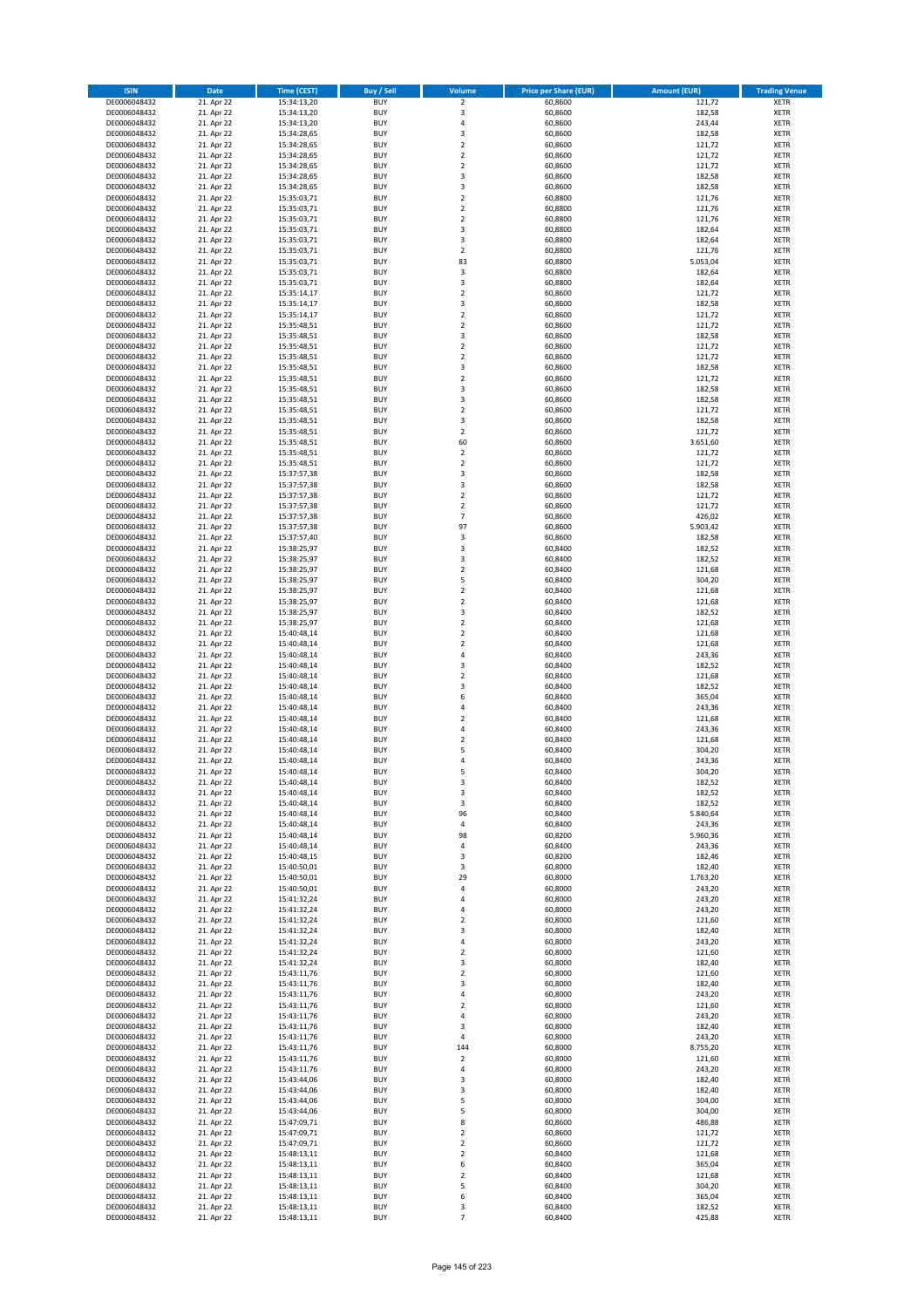| <b>ISIN</b>                  | <b>Date</b>              | <b>Time (CEST)</b>         | <b>Buy / Sell</b>        | Volume                                             | <b>Price per Share (EUR)</b> | <b>Amount (EUR)</b> | <b>Trading Venue</b>       |
|------------------------------|--------------------------|----------------------------|--------------------------|----------------------------------------------------|------------------------------|---------------------|----------------------------|
| DE0006048432                 | 21. Apr 22               | 15:34:13,20                | <b>BUY</b>               | $\overline{\mathbf{2}}$                            | 60,8600                      | 121,72              | <b>XETR</b>                |
| DE0006048432                 | 21. Apr 22               | 15:34:13,20                | <b>BUY</b>               | 3                                                  | 60,8600                      | 182,58              | <b>XETR</b>                |
| DE0006048432                 | 21. Apr 22               | 15:34:13,20                | <b>BUY</b>               | $\overline{4}$                                     | 60,8600                      | 243,44              | <b>XETR</b>                |
| DE0006048432                 | 21. Apr 22               | 15:34:28,65                | <b>BUY</b>               | $\mathsf 3$                                        | 60,8600                      | 182,58              | <b>XETR</b>                |
| DE0006048432<br>DE0006048432 | 21. Apr 22<br>21. Apr 22 | 15:34:28,65<br>15:34:28,65 | <b>BUY</b><br><b>BUY</b> | $\overline{2}$<br>$\mathbf 2$                      | 60,8600<br>60,8600           | 121,72<br>121,72    | <b>XETR</b><br><b>XETR</b> |
| DE0006048432                 | 21. Apr 22               | 15:34:28,65                | <b>BUY</b>               | $\overline{2}$                                     | 60,8600                      | 121,72              | <b>XETR</b>                |
| DE0006048432                 | 21. Apr 22               | 15:34:28,65                | <b>BUY</b>               | 3                                                  | 60,8600                      | 182,58              | <b>XETR</b>                |
| DE0006048432                 | 21. Apr 22               | 15:34:28,65                | BUY                      | 3                                                  | 60,8600                      | 182,58              | <b>XETR</b>                |
| DE0006048432                 | 21. Apr 22               | 15:35:03,71                | <b>BUY</b>               | $\overline{2}$                                     | 60,8800                      | 121,76              | <b>XETR</b>                |
| DE0006048432                 | 21. Apr 22               | 15:35:03,71                | <b>BUY</b>               | $\mathbf 2$                                        | 60,8800                      | 121,76              | <b>XETR</b>                |
| DE0006048432                 | 21. Apr 22               | 15:35:03,71                | <b>BUY</b>               | $\overline{2}$<br>$\overline{\mathbf{3}}$          | 60,8800                      | 121,76              | <b>XETR</b>                |
| DE0006048432<br>DE0006048432 | 21. Apr 22<br>21. Apr 22 | 15:35:03,71<br>15:35:03,71 | <b>BUY</b><br><b>BUY</b> | $\overline{\mathbf{3}}$                            | 60,8800<br>60,8800           | 182,64<br>182,64    | <b>XETR</b><br><b>XETR</b> |
| DE0006048432                 | 21. Apr 22               | 15:35:03,71                | <b>BUY</b>               | $\overline{2}$                                     | 60,8800                      | 121,76              | <b>XETR</b>                |
| DE0006048432                 | 21. Apr 22               | 15:35:03,71                | BUY                      | 83                                                 | 60,8800                      | 5.053,04            | <b>XETR</b>                |
| DE0006048432                 | 21. Apr 22               | 15:35:03,71                | <b>BUY</b>               | 3                                                  | 60,8800                      | 182,64              | <b>XETR</b>                |
| DE0006048432                 | 21. Apr 22               | 15:35:03,71                | <b>BUY</b>               | 3                                                  | 60,8800                      | 182,64              | <b>XETR</b>                |
| DE0006048432                 | 21. Apr 22               | 15:35:14,17                | <b>BUY</b>               | $\overline{2}$                                     | 60,8600                      | 121,72              | <b>XETR</b>                |
| DE0006048432<br>DE0006048432 | 21. Apr 22<br>21. Apr 22 | 15:35:14,17<br>15:35:14,17 | <b>BUY</b><br><b>BUY</b> | $\overline{\mathbf{3}}$<br>$\overline{\mathbf{2}}$ | 60,8600<br>60,8600           | 182,58<br>121,72    | <b>XETR</b><br><b>XETR</b> |
| DE0006048432                 | 21. Apr 22               | 15:35:48,51                | <b>BUY</b>               | $\mathbf 2$                                        | 60,8600                      | 121,72              | <b>XETR</b>                |
| DE0006048432                 | 21. Apr 22               | 15:35:48,51                | <b>BUY</b>               | $\overline{\mathbf{3}}$                            | 60,8600                      | 182,58              | <b>XETR</b>                |
| DE0006048432                 | 21. Apr 22               | 15:35:48,51                | <b>BUY</b>               | $\overline{2}$                                     | 60,8600                      | 121,72              | <b>XETR</b>                |
| DE0006048432                 | 21. Apr 22               | 15:35:48,51                | <b>BUY</b>               | $\mathbf 2$                                        | 60,8600                      | 121,72              | <b>XETR</b>                |
| DE0006048432                 | 21. Apr 22               | 15:35:48,51                | <b>BUY</b>               | 3                                                  | 60,8600                      | 182,58              | <b>XETR</b>                |
| DE0006048432                 | 21. Apr 22               | 15:35:48,51<br>15:35:48,51 | <b>BUY</b><br><b>BUY</b> | $\mathbf 2$<br>$\overline{\mathbf{3}}$             | 60,8600                      | 121,72              | <b>XETR</b><br><b>XETR</b> |
| DE0006048432<br>DE0006048432 | 21. Apr 22<br>21. Apr 22 | 15:35:48,51                | <b>BUY</b>               | 3                                                  | 60,8600<br>60,8600           | 182,58<br>182,58    | <b>XETR</b>                |
| DE0006048432                 | 21. Apr 22               | 15:35:48,51                | <b>BUY</b>               | $\overline{\mathbf{2}}$                            | 60,8600                      | 121,72              | <b>XETR</b>                |
| DE0006048432                 | 21. Apr 22               | 15:35:48,51                | <b>BUY</b>               | 3                                                  | 60,8600                      | 182,58              | <b>XETR</b>                |
| DE0006048432                 | 21. Apr 22               | 15:35:48,51                | <b>BUY</b>               | $\mathbf 2$                                        | 60,8600                      | 121,72              | <b>XETR</b>                |
| DE0006048432                 | 21. Apr 22               | 15:35:48,51                | <b>BUY</b>               | 60                                                 | 60,8600                      | 3.651,60            | <b>XETR</b>                |
| DE0006048432                 | 21. Apr 22               | 15:35:48,51                | <b>BUY</b>               | $\mathbf 2$                                        | 60,8600                      | 121,72              | <b>XETR</b>                |
| DE0006048432<br>DE0006048432 | 21. Apr 22<br>21. Apr 22 | 15:35:48,51<br>15:37:57,38 | <b>BUY</b><br><b>BUY</b> | $\overline{\mathbf{2}}$<br>3                       | 60,8600<br>60,8600           | 121,72<br>182,58    | <b>XETR</b><br><b>XETR</b> |
| DE0006048432                 | 21. Apr 22               | 15:37:57,38                | <b>BUY</b>               | $\overline{\mathbf{3}}$                            | 60,8600                      | 182,58              | <b>XETR</b>                |
| DE0006048432                 | 21. Apr 22               | 15:37:57,38                | BUY                      | $\mathbf 2$                                        | 60,8600                      | 121,72              | <b>XETR</b>                |
| DE0006048432                 | 21. Apr 22               | 15:37:57,38                | <b>BUY</b>               | $\mathbf 2$                                        | 60,8600                      | 121,72              | <b>XETR</b>                |
| DE0006048432                 | 21. Apr 22               | 15:37:57,38                | <b>BUY</b>               | $\overline{7}$                                     | 60,8600                      | 426,02              | <b>XETR</b>                |
| DE0006048432                 | 21. Apr 22               | 15:37:57,38                | <b>BUY</b>               | 97                                                 | 60,8600                      | 5.903,42            | <b>XETR</b>                |
| DE0006048432                 | 21. Apr 22<br>21. Apr 22 | 15:37:57,40                | <b>BUY</b><br><b>BUY</b> | 3<br>3                                             | 60,8600                      | 182,58<br>182,52    | <b>XETR</b>                |
| DE0006048432<br>DE0006048432 | 21. Apr 22               | 15:38:25,97<br>15:38:25,97 | <b>BUY</b>               | $\overline{\mathbf{3}}$                            | 60,8400<br>60,8400           | 182,52              | <b>XETR</b><br><b>XETR</b> |
| DE0006048432                 | 21. Apr 22               | 15:38:25,97                | <b>BUY</b>               | $\mathbf 2$                                        | 60,8400                      | 121,68              | <b>XETR</b>                |
| DE0006048432                 | 21. Apr 22               | 15:38:25,97                | <b>BUY</b>               | 5                                                  | 60,8400                      | 304,20              | <b>XETR</b>                |
| DE0006048432                 | 21. Apr 22               | 15:38:25,97                | <b>BUY</b>               | $\mathbf 2$                                        | 60,8400                      | 121,68              | <b>XETR</b>                |
| DE0006048432                 | 21. Apr 22               | 15:38:25,97                | <b>BUY</b>               | $\overline{\mathbf{2}}$                            | 60,8400                      | 121,68              | <b>XETR</b>                |
| DE0006048432                 | 21. Apr 22               | 15:38:25,97                | <b>BUY</b><br><b>BUY</b> | 3<br>$\overline{\mathbf{2}}$                       | 60,8400                      | 182,52              | <b>XETR</b><br><b>XETR</b> |
| DE0006048432<br>DE0006048432 | 21. Apr 22<br>21. Apr 22 | 15:38:25,97<br>15:40:48,14 | <b>BUY</b>               | $\overline{\mathbf{2}}$                            | 60,8400<br>60,8400           | 121,68<br>121,68    | <b>XETR</b>                |
| DE0006048432                 | 21. Apr 22               | 15:40:48,14                | <b>BUY</b>               | $\overline{2}$                                     | 60,8400                      | 121,68              | <b>XETR</b>                |
| DE0006048432                 | 21. Apr 22               | 15:40:48,14                | <b>BUY</b>               | $\overline{4}$                                     | 60,8400                      | 243,36              | <b>XETR</b>                |
| DE0006048432                 | 21. Apr 22               | 15:40:48,14                | <b>BUY</b>               | 3                                                  | 60,8400                      | 182,52              | <b>XETR</b>                |
| DE0006048432                 | 21. Apr 22               | 15:40:48,14                | <b>BUY</b>               | $\overline{\mathbf{2}}$                            | 60,8400                      | 121,68              | <b>XETR</b>                |
| DE0006048432                 | 21. Apr 22               | 15:40:48,14                | <b>BUY</b>               | $\overline{\mathbf{3}}$                            | 60,8400                      | 182,52              | <b>XETR</b>                |
| DE0006048432<br>DE0006048432 | 21. Apr 22<br>21. Apr 22 | 15:40:48,14<br>15:40:48,14 | <b>BUY</b><br><b>BUY</b> | 6<br>4                                             | 60,8400<br>60,8400           | 365,04<br>243,36    | <b>XETR</b><br><b>XETR</b> |
| DE0006048432                 | 21. Apr 22               | 15:40:48,14                | BUY                      | $\overline{2}$                                     | 60,8400                      | 121,68              | <b>XETR</b>                |
| DE0006048432                 | 21. Apr 22               | 15:40:48,14                | <b>BUY</b>               | $\overline{4}$                                     | 60,8400                      | 243,36              | <b>XETR</b>                |
| DE0006048432                 | 21. Apr 22               | 15:40:48,14                | <b>BUY</b>               | $\mathbf 2$                                        | 60,8400                      | 121,68              | <b>XETR</b>                |
| DE0006048432                 | 21. Apr 22               | 15:40:48,14                | BUY                      | 5                                                  | 60,8400                      | 304,20              | <b>XETR</b>                |
| DE0006048432                 | 21. Apr 22               | 15:40:48,14                | BUY                      | $\overline{a}$                                     | 60,8400                      | 243,36              | <b>XETR</b>                |
| DE0006048432<br>DE0006048432 | 21. Apr 22               | 15:40:48,14                | <b>BUY</b>               | 5                                                  | 60,8400<br>60,8400           | 304,20              | <b>XETR</b>                |
| DE0006048432                 | 21. Apr 22<br>21. Apr 22 | 15:40:48,14<br>15:40:48,14 | BUY<br><b>BUY</b>        | 3<br>3                                             | 60,8400                      | 182,52<br>182,52    | <b>XETR</b><br><b>XETR</b> |
| DE0006048432                 | 21. Apr 22               | 15:40:48,14                | <b>BUY</b>               | 3                                                  | 60,8400                      | 182,52              | <b>XETR</b>                |
| DE0006048432                 | 21. Apr 22               | 15:40:48,14                | <b>BUY</b>               | 96                                                 | 60,8400                      | 5.840,64            | <b>XETR</b>                |
| DE0006048432                 | 21. Apr 22               | 15:40:48,14                | <b>BUY</b>               | 4                                                  | 60,8400                      | 243,36              | <b>XETR</b>                |
| DE0006048432                 | 21. Apr 22               | 15:40:48,14                | <b>BUY</b>               | 98                                                 | 60,8200                      | 5.960,36            | <b>XETR</b>                |
| DE0006048432<br>DE0006048432 | 21. Apr 22<br>21. Apr 22 | 15:40:48,14<br>15:40:48,15 | <b>BUY</b><br><b>BUY</b> | 4<br>3                                             | 60,8400<br>60,8200           | 243,36<br>182,46    | <b>XETR</b><br><b>XETR</b> |
| DE0006048432                 | 21. Apr 22               | 15:40:50,01                | <b>BUY</b>               | 3                                                  | 60,8000                      | 182,40              | <b>XETR</b>                |
| DE0006048432                 | 21. Apr 22               | 15:40:50,01                | <b>BUY</b>               | 29                                                 | 60,8000                      | 1.763,20            | <b>XETR</b>                |
| DE0006048432                 | 21. Apr 22               | 15:40:50,01                | <b>BUY</b>               | 4                                                  | 60,8000                      | 243,20              | <b>XETR</b>                |
| DE0006048432                 | 21. Apr 22               | 15:41:32,24                | <b>BUY</b>               | $\overline{4}$                                     | 60,8000                      | 243,20              | <b>XETR</b>                |
| DE0006048432                 | 21. Apr 22<br>21. Apr 22 | 15:41:32,24                | <b>BUY</b>               | $\overline{4}$                                     | 60,8000                      | 243,20              | <b>XETR</b>                |
| DE0006048432<br>DE0006048432 | 21. Apr 22               | 15:41:32,24<br>15:41:32,24 | <b>BUY</b><br><b>BUY</b> | $\overline{2}$<br>3                                | 60,8000<br>60,8000           | 121,60<br>182,40    | <b>XETR</b><br><b>XETR</b> |
| DE0006048432                 | 21. Apr 22               | 15:41:32,24                | <b>BUY</b>               | $\overline{a}$                                     | 60,8000                      | 243,20              | <b>XETR</b>                |
| DE0006048432                 | 21. Apr 22               | 15:41:32,24                | <b>BUY</b>               | $\mathbf 2$                                        | 60,8000                      | 121,60              | <b>XETR</b>                |
| DE0006048432                 | 21. Apr 22               | 15:41:32,24                | <b>BUY</b>               | 3                                                  | 60,8000                      | 182,40              | <b>XETR</b>                |
| DE0006048432                 | 21. Apr 22               | 15:43:11,76                | <b>BUY</b>               | $\mathbf 2$                                        | 60,8000                      | 121,60              | <b>XETR</b>                |
| DE0006048432                 | 21. Apr 22               | 15:43:11,76                | <b>BUY</b>               | 3                                                  | 60,8000                      | 182,40              | <b>XETR</b>                |
| DE0006048432                 | 21. Apr 22<br>21. Apr 22 | 15:43:11,76                | <b>BUY</b>               | $\overline{4}$                                     | 60,8000<br>60,8000           | 243,20<br>121,60    | <b>XETR</b>                |
| DE0006048432<br>DE0006048432 | 21. Apr 22               | 15:43:11,76<br>15:43:11,76 | <b>BUY</b><br><b>BUY</b> | $\mathbf 2$<br>4                                   | 60,8000                      | 243,20              | <b>XETR</b><br><b>XETR</b> |
| DE0006048432                 | 21. Apr 22               | 15:43:11,76                | <b>BUY</b>               | $\overline{\mathbf{3}}$                            | 60,8000                      | 182,40              | <b>XETR</b>                |
| DE0006048432                 | 21. Apr 22               | 15:43:11,76                | <b>BUY</b>               | $\sqrt{4}$                                         | 60,8000                      | 243,20              | <b>XETR</b>                |
| DE0006048432                 | 21. Apr 22               | 15:43:11,76                | <b>BUY</b>               | 144                                                | 60,8000                      | 8.755,20            | <b>XETR</b>                |
| DE0006048432                 | 21. Apr 22               | 15:43:11,76                | <b>BUY</b>               | $\mathbf 2$                                        | 60,8000                      | 121,60              | <b>XETR</b>                |
| DE0006048432                 | 21. Apr 22               | 15:43:11,76                | <b>BUY</b>               | $\overline{4}$                                     | 60,8000                      | 243,20              | <b>XETR</b>                |
| DE0006048432<br>DE0006048432 | 21. Apr 22<br>21. Apr 22 | 15:43:44,06<br>15:43:44,06 | <b>BUY</b><br><b>BUY</b> | 3<br>3                                             | 60,8000<br>60,8000           | 182,40<br>182,40    | <b>XETR</b><br><b>XETR</b> |
| DE0006048432                 | 21. Apr 22               | 15:43:44,06                | <b>BUY</b>               | 5                                                  | 60,8000                      | 304,00              | <b>XETR</b>                |
| DE0006048432                 | 21. Apr 22               | 15:43:44,06                | <b>BUY</b>               | 5                                                  | 60,8000                      | 304,00              | <b>XETR</b>                |
| DE0006048432                 | 21. Apr 22               | 15:47:09,71                | <b>BUY</b>               | 8                                                  | 60,8600                      | 486,88              | <b>XETR</b>                |
| DE0006048432                 | 21. Apr 22               | 15:47:09,71                | <b>BUY</b>               | $\overline{2}$                                     | 60,8600                      | 121,72              | <b>XETR</b>                |
| DE0006048432                 | 21. Apr 22               | 15:47:09,71                | <b>BUY</b>               | $\mathbf 2$                                        | 60,8600                      | 121,72              | <b>XETR</b>                |
| DE0006048432<br>DE0006048432 | 21. Apr 22<br>21. Apr 22 | 15:48:13,11<br>15:48:13,11 | <b>BUY</b><br><b>BUY</b> | $\mathbf 2$<br>6                                   | 60,8400<br>60,8400           | 121,68<br>365,04    | <b>XETR</b><br><b>XETR</b> |
| DE0006048432                 | 21. Apr 22               | 15:48:13,11                | <b>BUY</b>               | $\mathbf 2$                                        | 60,8400                      | 121,68              | <b>XETR</b>                |
| DE0006048432                 | 21. Apr 22               | 15:48:13,11                | <b>BUY</b>               | 5                                                  | 60,8400                      | 304,20              | <b>XETR</b>                |
| DE0006048432                 | 21. Apr 22               | 15:48:13,11                | <b>BUY</b>               | 6                                                  | 60,8400                      | 365,04              | <b>XETR</b>                |
| DE0006048432                 | 21. Apr 22               | 15:48:13,11                | <b>BUY</b>               | 3                                                  | 60,8400                      | 182,52              | <b>XETR</b>                |
| DE0006048432                 | 21. Apr 22               | 15:48:13,11                | <b>BUY</b>               | $\overline{7}$                                     | 60,8400                      | 425,88              | <b>XETR</b>                |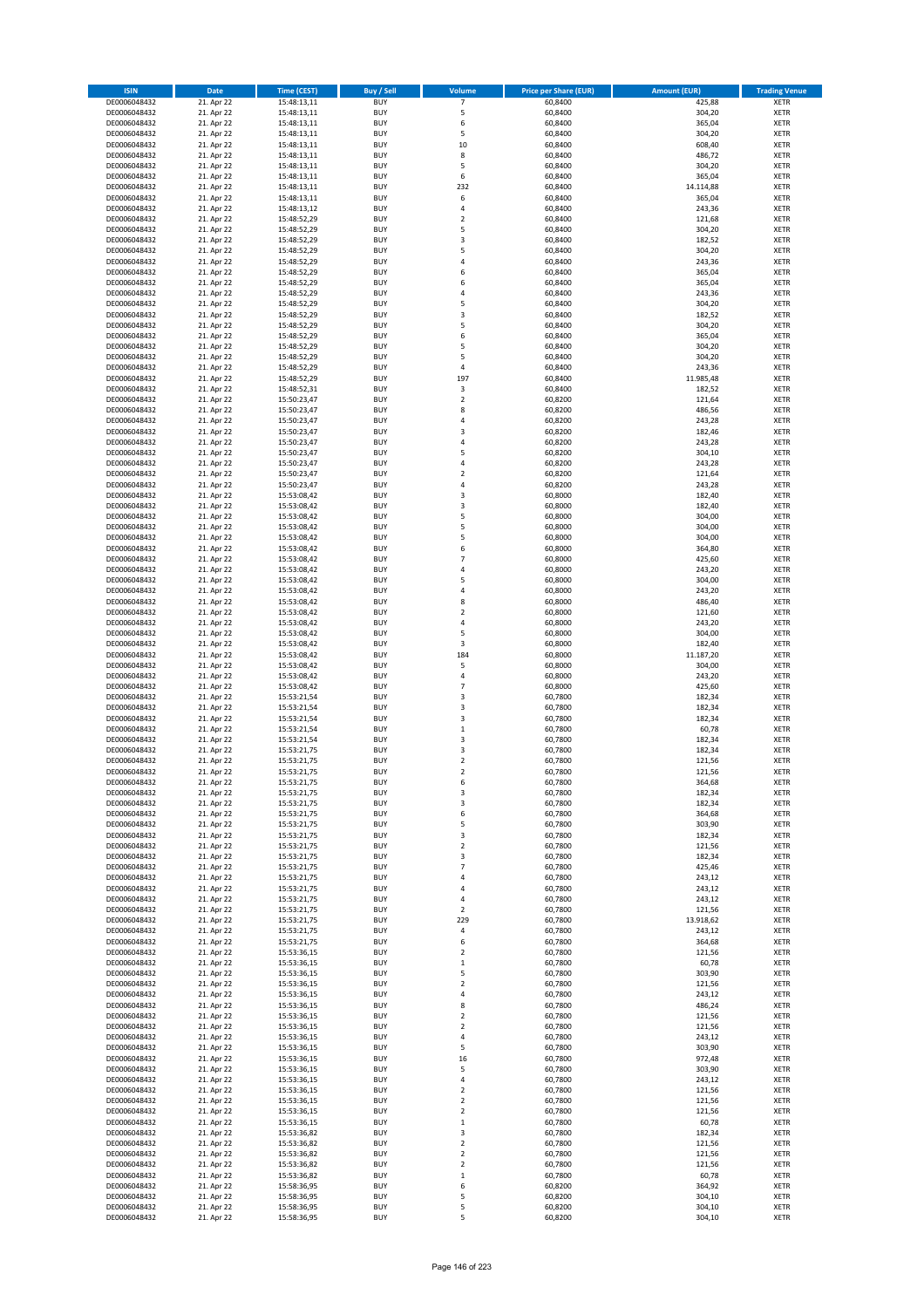| <b>ISIN</b>                  | <b>Date</b>              | Time (CEST)                | <b>Buy / Sell</b>        | Volume                           | <b>Price per Share (EUR)</b> | <b>Amount (EUR)</b> | <b>Trading Venue</b>       |
|------------------------------|--------------------------|----------------------------|--------------------------|----------------------------------|------------------------------|---------------------|----------------------------|
| DE0006048432                 | 21. Apr 22               | 15:48:13,11                | <b>BUY</b>               | 7                                | 60,8400                      | 425,88              | <b>XETR</b>                |
| DE0006048432                 | 21. Apr 22               | 15:48:13,11                | <b>BUY</b>               | 5                                | 60,8400                      | 304,20              | <b>XETR</b>                |
| DE0006048432                 | 21. Apr 22               | 15:48:13,11                | <b>BUY</b>               | 6                                | 60.8400                      | 365,04              | <b>XETR</b>                |
| DE0006048432                 | 21. Apr 22               | 15:48:13,11                | <b>BUY</b>               | 5                                | 60,8400                      | 304,20              | <b>XETR</b>                |
| DE0006048432<br>DE0006048432 | 21. Apr 22<br>21. Apr 22 | 15:48:13,11<br>15:48:13,11 | <b>BUY</b><br><b>BUY</b> | 10<br>8                          | 60,8400<br>60,8400           | 608,40<br>486,72    | <b>XETR</b><br><b>XETR</b> |
| DE0006048432                 | 21. Apr 22               | 15:48:13,11                | <b>BUY</b>               | 5                                | 60,8400                      | 304,20              | <b>XETR</b>                |
| DE0006048432                 | 21. Apr 22               | 15:48:13,11                | <b>BUY</b>               | 6                                | 60,8400                      | 365,04              | <b>XETR</b>                |
| DE0006048432                 | 21. Apr 22               | 15:48:13,11                | <b>BUY</b>               | 232                              | 60,8400                      | 14.114,88           | <b>XETR</b>                |
| DE0006048432                 | 21. Apr 22               | 15:48:13,11                | <b>BUY</b>               | 6                                | 60,8400                      | 365,04              | <b>XETR</b>                |
| DE0006048432                 | 21. Apr 22               | 15:48:13,12                | <b>BUY</b>               | 4                                | 60,8400                      | 243,36              | <b>XETR</b>                |
| DE0006048432                 | 21. Apr 22               | 15:48:52,29                | <b>BUY</b><br><b>BUY</b> | $\overline{2}$<br>5              | 60,8400                      | 121,68              | <b>XETR</b>                |
| DE0006048432<br>DE0006048432 | 21. Apr 22<br>21. Apr 22 | 15:48:52,29<br>15:48:52,29 | <b>BUY</b>               | $\overline{\mathbf{3}}$          | 60,8400<br>60,8400           | 304,20<br>182,52    | <b>XETR</b><br><b>XETR</b> |
| DE0006048432                 | 21. Apr 22               | 15:48:52,29                | <b>BUY</b>               | 5                                | 60,8400                      | 304,20              | <b>XETR</b>                |
| DE0006048432                 | 21. Apr 22               | 15:48:52,29                | BUY                      | $\overline{a}$                   | 60,8400                      | 243,36              | <b>XETR</b>                |
| DE0006048432                 | 21. Apr 22               | 15:48:52,29                | <b>BUY</b>               | 6                                | 60,8400                      | 365,04              | <b>XETR</b>                |
| DE0006048432                 | 21. Apr 22               | 15:48:52,29                | <b>BUY</b>               | 6                                | 60,8400                      | 365,04              | <b>XETR</b>                |
| DE0006048432                 | 21. Apr 22               | 15:48:52,29                | <b>BUY</b>               | $\overline{4}$                   | 60.8400                      | 243,36              | <b>XETR</b>                |
| DE0006048432<br>DE0006048432 | 21. Apr 22<br>21. Apr 22 | 15:48:52,29<br>15:48:52,29 | <b>BUY</b><br><b>BUY</b> | 5<br>$\overline{\mathbf{3}}$     | 60,8400<br>60,8400           | 304,20<br>182,52    | <b>XETR</b><br><b>XETR</b> |
| DE0006048432                 | 21. Apr 22               | 15:48:52,29                | <b>BUY</b>               | 5                                | 60,8400                      | 304,20              | <b>XETR</b>                |
| DE0006048432                 | 21. Apr 22               | 15:48:52,29                | <b>BUY</b>               | 6                                | 60,8400                      | 365,04              | <b>XETR</b>                |
| DE0006048432                 | 21. Apr 22               | 15:48:52,29                | <b>BUY</b>               | 5                                | 60,8400                      | 304,20              | <b>XETR</b>                |
| DE0006048432                 | 21. Apr 22               | 15:48:52,29                | <b>BUY</b>               | 5                                | 60,8400                      | 304,20              | <b>XETR</b>                |
| DE0006048432                 | 21. Apr 22               | 15:48:52,29                | <b>BUY</b>               | 4                                | 60,8400                      | 243,36              | <b>XETR</b>                |
| DE0006048432                 | 21. Apr 22               | 15:48:52,29                | <b>BUY</b><br><b>BUY</b> | 197                              | 60,8400                      | 11.985,48           | <b>XETR</b><br><b>XETR</b> |
| DE0006048432<br>DE0006048432 | 21. Apr 22<br>21. Apr 22 | 15:48:52,31<br>15:50:23,47 | <b>BUY</b>               | 3<br>$\mathbf 2$                 | 60,8400<br>60,8200           | 182,52<br>121,64    | <b>XETR</b>                |
| DE0006048432                 | 21. Apr 22               | 15:50:23,47                | <b>BUY</b>               | 8                                | 60,8200                      | 486,56              | <b>XETR</b>                |
| DE0006048432                 | 21. Apr 22               | 15:50:23,47                | <b>BUY</b>               | 4                                | 60,8200                      | 243,28              | <b>XETR</b>                |
| DE0006048432                 | 21. Apr 22               | 15:50:23,47                | <b>BUY</b>               | $\overline{\mathbf{3}}$          | 60,8200                      | 182,46              | <b>XETR</b>                |
| DE0006048432                 | 21. Apr 22               | 15:50:23,47                | <b>BUY</b>               | 4                                | 60,8200                      | 243,28              | <b>XETR</b>                |
| DE0006048432                 | 21. Apr 22               | 15:50:23,47                | <b>BUY</b>               | 5                                | 60,8200                      | 304,10              | <b>XETR</b>                |
| DE0006048432<br>DE0006048432 | 21. Apr 22<br>21. Apr 22 | 15:50:23,47<br>15:50:23,47 | <b>BUY</b><br><b>BUY</b> | $\overline{4}$<br>$\mathbf 2$    | 60,8200<br>60,8200           | 243,28<br>121,64    | <b>XETR</b><br><b>XETR</b> |
| DE0006048432                 | 21. Apr 22               | 15:50:23,47                | <b>BUY</b>               | $\overline{a}$                   | 60,8200                      | 243,28              | <b>XETR</b>                |
| DE0006048432                 | 21. Apr 22               | 15:53:08,42                | <b>BUY</b>               | $\overline{\mathbf{3}}$          | 60,8000                      | 182,40              | <b>XETR</b>                |
| DE0006048432                 | 21. Apr 22               | 15:53:08,42                | <b>BUY</b>               | 3                                | 60,8000                      | 182,40              | <b>XETR</b>                |
| DE0006048432                 | 21. Apr 22               | 15:53:08,42                | <b>BUY</b>               | 5                                | 60,8000                      | 304,00              | <b>XETR</b>                |
| DE0006048432                 | 21. Apr 22               | 15:53:08,42                | <b>BUY</b>               | 5                                | 60,8000                      | 304,00              | <b>XETR</b>                |
| DE0006048432                 | 21. Apr 22<br>21. Apr 22 | 15:53:08,42                | <b>BUY</b><br><b>BUY</b> | 5<br>6                           | 60,8000                      | 304,00<br>364,80    | <b>XETR</b>                |
| DE0006048432<br>DE0006048432 | 21. Apr 22               | 15:53:08,42<br>15:53:08,42 | <b>BUY</b>               | $\overline{7}$                   | 60,8000<br>60,8000           | 425,60              | <b>XETR</b><br><b>XETR</b> |
| DE0006048432                 | 21. Apr 22               | 15:53:08,42                | <b>BUY</b>               | $\overline{a}$                   | 60,8000                      | 243,20              | <b>XETR</b>                |
| DE0006048432                 | 21. Apr 22               | 15:53:08,42                | <b>BUY</b>               | 5                                | 60,8000                      | 304,00              | <b>XETR</b>                |
| DE0006048432                 | 21. Apr 22               | 15:53:08,42                | <b>BUY</b>               | 4                                | 60,8000                      | 243,20              | <b>XETR</b>                |
| DE0006048432                 | 21. Apr 22               | 15:53:08,42                | <b>BUY</b>               | 8                                | 60,8000                      | 486,40              | <b>XETR</b>                |
| DE0006048432<br>DE0006048432 | 21. Apr 22<br>21. Apr 22 | 15:53:08,42<br>15:53:08,42 | <b>BUY</b><br><b>BUY</b> | $\overline{2}$<br>$\overline{a}$ | 60,8000<br>60,8000           | 121,60<br>243,20    | <b>XETR</b><br><b>XETR</b> |
| DE0006048432                 | 21. Apr 22               | 15:53:08,42                | <b>BUY</b>               | 5                                | 60,8000                      | 304,00              | <b>XETR</b>                |
| DE0006048432                 | 21. Apr 22               | 15:53:08,42                | <b>BUY</b>               | 3                                | 60,8000                      | 182,40              | <b>XETR</b>                |
| DE0006048432                 | 21. Apr 22               | 15:53:08,42                | <b>BUY</b>               | 184                              | 60,8000                      | 11.187,20           | <b>XETR</b>                |
| DE0006048432                 | 21. Apr 22               | 15:53:08,42                | <b>BUY</b>               | 5                                | 60,8000                      | 304,00              | <b>XETR</b>                |
| DE0006048432                 | 21. Apr 22               | 15:53:08,42                | <b>BUY</b>               | $\overline{4}$                   | 60,8000                      | 243,20              | <b>XETR</b>                |
| DE0006048432                 | 21. Apr 22               | 15:53:08,42                | <b>BUY</b>               | $\overline{7}$                   | 60,8000                      | 425,60              | <b>XETR</b>                |
| DE0006048432<br>DE0006048432 | 21. Apr 22<br>21. Apr 22 | 15:53:21,54<br>15:53:21,54 | <b>BUY</b><br><b>BUY</b> | $\overline{3}$<br>3              | 60,7800<br>60,7800           | 182,34<br>182,34    | <b>XETR</b><br><b>XETR</b> |
| DE0006048432                 | 21. Apr 22               | 15:53:21,54                | BUY                      | $\overline{\mathbf{3}}$          | 60,7800                      | 182,34              | <b>XETR</b>                |
| DE0006048432                 | 21. Apr 22               | 15:53:21,54                | <b>BUY</b>               | $\mathbf 1$                      | 60,7800                      | 60,78               | <b>XETR</b>                |
| DE0006048432                 | 21. Apr 22               | 15:53:21,54                | <b>BUY</b>               | 3                                | 60,7800                      | 182,34              | <b>XETR</b>                |
| DE0006048432                 | 21. Apr 22               | 15:53:21,75                | BUY                      | $\overline{\mathbf{3}}$          | 60,7800                      | 182,34              | <b>XETR</b>                |
| DE0006048432                 | 21. Apr 22               | 15:53:21,75                | BUY                      | $\mathbf 2$                      | 60,7800                      | 121,56              | <b>XETR</b>                |
| DE0006048432<br>DE0006048432 | 21. Apr 22<br>21. Apr 22 | 15:53:21,75                | <b>BUY</b><br>BUY        | $\overline{2}$<br>6              | 60,7800<br>60,7800           | 121,56              | <b>XETR</b><br><b>XETR</b> |
| DE0006048432                 | 21. Apr 22               | 15:53:21,75<br>15:53:21,75 | <b>BUY</b>               | 3                                | 60,7800                      | 364,68<br>182,34    | <b>XETR</b>                |
| DE0006048432                 | 21. Apr 22               | 15:53:21,75                | <b>BUY</b>               | 3                                | 60,7800                      | 182,34              | <b>XETR</b>                |
| DE0006048432                 | 21. Apr 22               | 15:53:21,75                | <b>BUY</b>               | 6                                | 60,7800                      | 364,68              | <b>XETR</b>                |
| DE0006048432                 | 21. Apr 22               | 15:53:21,75                | <b>BUY</b>               | 5                                | 60,7800                      | 303,90              | <b>XETR</b>                |
| DE0006048432                 | 21. Apr 22               | 15:53:21,75                | <b>BUY</b>               | 3                                | 60,7800                      | 182,34              | <b>XETR</b>                |
| DE0006048432<br>DE0006048432 | 21. Apr 22<br>21. Apr 22 | 15:53:21,75<br>15:53:21,75 | <b>BUY</b><br><b>BUY</b> | $\overline{2}$                   | 60,7800<br>60,7800           | 121,56<br>182,34    | <b>XETR</b>                |
| DE0006048432                 | 21. Apr 22               | 15:53:21,75                | <b>BUY</b>               | 3<br>$\overline{7}$              | 60,7800                      | 425,46              | <b>XETR</b><br><b>XETR</b> |
| DE0006048432                 | 21. Apr 22               | 15:53:21,75                | <b>BUY</b>               | 4                                | 60,7800                      | 243,12              | <b>XETR</b>                |
| DE0006048432                 | 21. Apr 22               | 15:53:21,75                | <b>BUY</b>               | $\overline{4}$                   | 60,7800                      | 243,12              | <b>XETR</b>                |
| DE0006048432                 | 21. Apr 22               | 15:53:21,75                | <b>BUY</b>               | 4                                | 60,7800                      | 243,12              | <b>XETR</b>                |
| DE0006048432                 | 21. Apr 22<br>21. Apr 22 | 15:53:21,75<br>15:53:21,75 | <b>BUY</b><br><b>BUY</b> | $\mathbf 2$<br>229               | 60,7800                      | 121,56              | <b>XETR</b>                |
| DE0006048432<br>DE0006048432 | 21. Apr 22               | 15:53:21,75                | <b>BUY</b>               | 4                                | 60,7800<br>60,7800           | 13.918,62<br>243,12 | <b>XETR</b><br><b>XETR</b> |
| DE0006048432                 | 21. Apr 22               | 15:53:21,75                | <b>BUY</b>               | 6                                | 60,7800                      | 364,68              | <b>XETR</b>                |
| DE0006048432                 | 21. Apr 22               | 15:53:36,15                | <b>BUY</b>               | $\mathbf 2$                      | 60,7800                      | 121,56              | <b>XETR</b>                |
| DE0006048432                 | 21. Apr 22               | 15:53:36,15                | <b>BUY</b>               | $\mathbf 1$                      | 60,7800                      | 60,78               | <b>XETR</b>                |
| DE0006048432                 | 21. Apr 22               | 15:53:36,15                | <b>BUY</b>               | 5                                | 60,7800                      | 303,90              | <b>XETR</b>                |
| DE0006048432                 | 21. Apr 22               | 15:53:36,15                | <b>BUY</b>               | $\mathbf 2$                      | 60,7800                      | 121,56              | <b>XETR</b>                |
| DE0006048432<br>DE0006048432 | 21. Apr 22<br>21. Apr 22 | 15:53:36,15<br>15:53:36,15 | <b>BUY</b><br><b>BUY</b> | 4<br>8                           | 60,7800<br>60,7800           | 243,12<br>486,24    | <b>XETR</b><br><b>XETR</b> |
| DE0006048432                 | 21. Apr 22               | 15:53:36,15                | <b>BUY</b>               | $\overline{2}$                   | 60,7800                      | 121,56              | <b>XETR</b>                |
| DE0006048432                 | 21. Apr 22               | 15:53:36,15                | <b>BUY</b>               | $\overline{2}$                   | 60,7800                      | 121,56              | <b>XETR</b>                |
| DE0006048432                 | 21. Apr 22               | 15:53:36,15                | <b>BUY</b>               | 4                                | 60,7800                      | 243,12              | <b>XETR</b>                |
| DE0006048432                 | 21. Apr 22               | 15:53:36,15                | <b>BUY</b>               | 5                                | 60,7800                      | 303,90              | <b>XETR</b>                |
| DE0006048432                 | 21. Apr 22               | 15:53:36,15                | <b>BUY</b>               | 16                               | 60,7800                      | 972,48              | <b>XETR</b>                |
| DE0006048432                 | 21. Apr 22               | 15:53:36,15                | <b>BUY</b>               | 5                                | 60,7800                      | 303,90              | <b>XETR</b>                |
| DE0006048432<br>DE0006048432 | 21. Apr 22<br>21. Apr 22 | 15:53:36,15<br>15:53:36,15 | <b>BUY</b><br><b>BUY</b> | 4<br>$\overline{2}$              | 60,7800<br>60,7800           | 243,12<br>121,56    | <b>XETR</b><br><b>XETR</b> |
| DE0006048432                 | 21. Apr 22               | 15:53:36,15                | <b>BUY</b>               | $\mathbf 2$                      | 60,7800                      | 121,56              | <b>XETR</b>                |
| DE0006048432                 | 21. Apr 22               | 15:53:36,15                | <b>BUY</b>               | $\mathbf 2$                      | 60,7800                      | 121,56              | <b>XETR</b>                |
| DE0006048432                 | 21. Apr 22               | 15:53:36,15                | <b>BUY</b>               | $\mathbf 1$                      | 60,7800                      | 60,78               | <b>XETR</b>                |
| DE0006048432                 | 21. Apr 22               | 15:53:36,82                | <b>BUY</b>               | $\overline{\mathbf{3}}$          | 60,7800                      | 182,34              | <b>XETR</b>                |
| DE0006048432                 | 21. Apr 22               | 15:53:36,82                | <b>BUY</b>               | $\mathbf 2$                      | 60,7800                      | 121,56              | <b>XETR</b>                |
| DE0006048432<br>DE0006048432 | 21. Apr 22<br>21. Apr 22 | 15:53:36,82<br>15:53:36,82 | <b>BUY</b><br><b>BUY</b> | $\mathbf 2$<br>$\overline{2}$    | 60,7800<br>60,7800           | 121,56<br>121,56    | <b>XETR</b><br><b>XETR</b> |
| DE0006048432                 | 21. Apr 22               | 15:53:36,82                | <b>BUY</b>               | $\mathbf 1$                      | 60,7800                      | 60,78               | <b>XETR</b>                |
| DE0006048432                 | 21. Apr 22               | 15:58:36,95                | <b>BUY</b>               | 6                                | 60,8200                      | 364,92              | <b>XETR</b>                |
| DE0006048432                 | 21. Apr 22               | 15:58:36,95                | <b>BUY</b>               | 5                                | 60,8200                      | 304,10              | <b>XETR</b>                |
| DE0006048432                 | 21. Apr 22               | 15:58:36,95                | <b>BUY</b>               | 5                                | 60,8200                      | 304,10              | <b>XETR</b>                |
| DE0006048432                 | 21. Apr 22               | 15:58:36,95                | <b>BUY</b>               | 5                                | 60,8200                      | 304,10              | <b>XETR</b>                |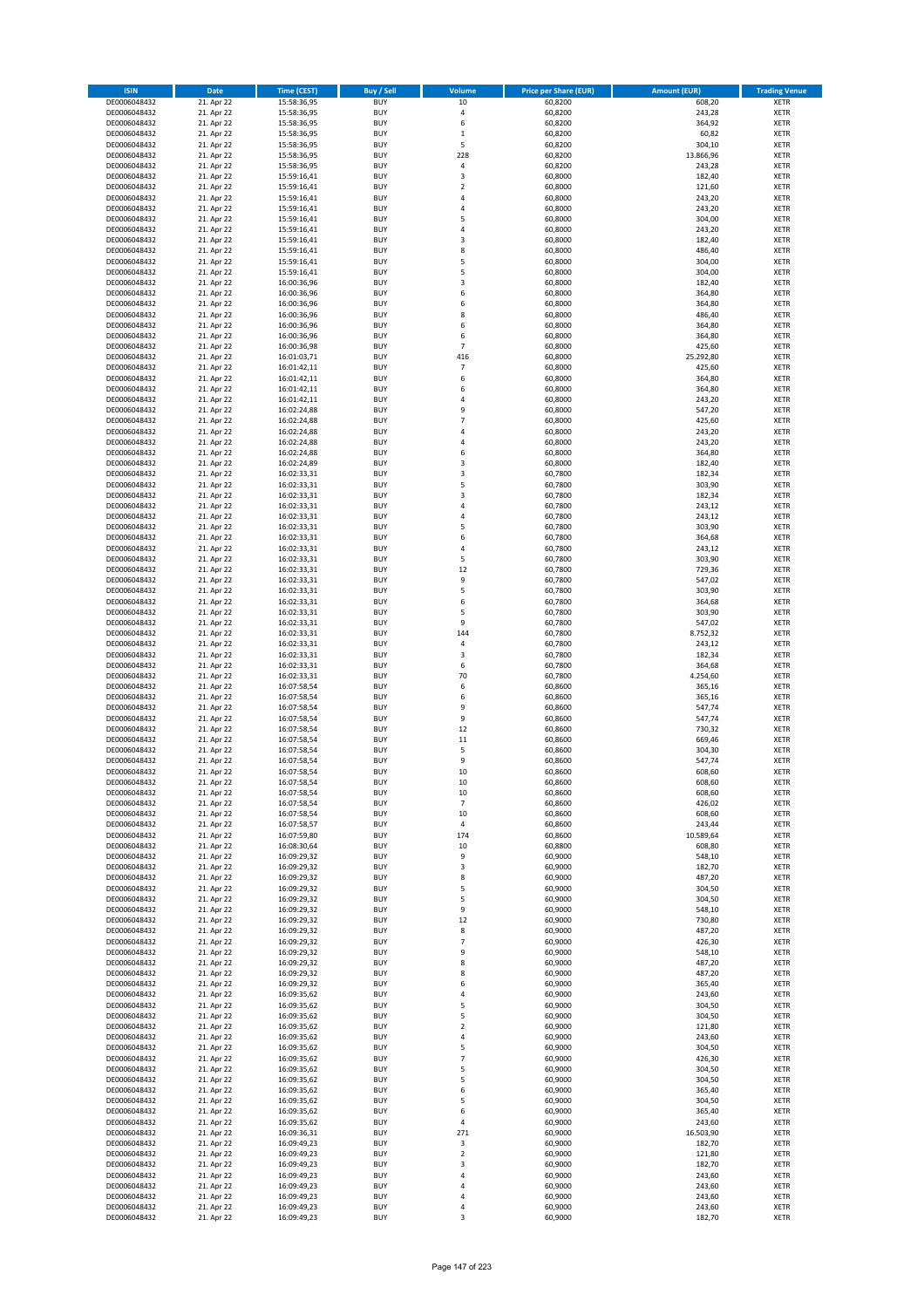| <b>ISIN</b>                  | Date                     | <b>Time (CEST)</b>         | <b>Buy / Sell</b>        | <b>Volume</b>       | <b>Price per Share (EUR)</b> | <b>Amount (EUR)</b> | <b>Trading Venue</b>       |
|------------------------------|--------------------------|----------------------------|--------------------------|---------------------|------------------------------|---------------------|----------------------------|
| DE0006048432                 | 21. Apr 22               | 15:58:36,95                | <b>BUY</b>               | 10                  | 60,8200                      | 608,20              | <b>XETR</b>                |
| DE0006048432                 | 21. Apr 22               | 15:58:36,95                | <b>BUY</b>               | 4                   | 60,8200                      | 243,28              | XETR                       |
| DE0006048432                 | 21. Apr 22               | 15:58:36,95                | <b>BUY</b>               | 6                   | 60,8200                      | 364,92              | <b>XETR</b>                |
| DE0006048432<br>DE0006048432 | 21. Apr 22<br>21. Apr 22 | 15:58:36,95<br>15:58:36,95 | <b>BUY</b><br><b>BUY</b> | $\mathbf 1$<br>5    | 60,8200<br>60,8200           | 60,82<br>304,10     | <b>XETR</b><br><b>XETR</b> |
| DE0006048432                 | 21. Apr 22               | 15:58:36,95                | <b>BUY</b>               | 228                 | 60,8200                      | 13.866,96           | <b>XETR</b>                |
| DE0006048432                 | 21. Apr 22               | 15:58:36,95                | <b>BUY</b>               | 4                   | 60,8200                      | 243,28              | <b>XETR</b>                |
| DE0006048432                 | 21. Apr 22               | 15:59:16,41                | <b>BUY</b>               | 3                   | 60,8000                      | 182,40              | <b>XETR</b>                |
| DE0006048432                 | 21. Apr 22               | 15:59:16,41                | <b>BUY</b>               | $\mathbf 2$         | 60,8000                      | 121,60              | <b>XETR</b>                |
| DE0006048432<br>DE0006048432 | 21. Apr 22<br>21. Apr 22 | 15:59:16,41<br>15:59:16,41 | <b>BUY</b><br><b>BUY</b> | 4<br>$\overline{4}$ | 60,8000<br>60,8000           | 243,20<br>243,20    | <b>XETR</b><br><b>XETR</b> |
| DE0006048432                 | 21. Apr 22               | 15:59:16,41                | <b>BUY</b>               | 5                   | 60,8000                      | 304,00              | <b>XETR</b>                |
| DE0006048432                 | 21. Apr 22               | 15:59:16,41                | <b>BUY</b>               | $\overline{4}$      | 60,8000                      | 243,20              | <b>XETR</b>                |
| DE0006048432                 | 21. Apr 22               | 15:59:16,41                | <b>BUY</b>               | $\mathsf 3$         | 60,8000                      | 182,40              | <b>XETR</b>                |
| DE0006048432                 | 21. Apr 22               | 15:59:16,41                | <b>BUY</b>               | 8                   | 60,8000                      | 486,40              | <b>XETR</b>                |
| DE0006048432<br>DE0006048432 | 21. Apr 22<br>21. Apr 22 | 15:59:16,41<br>15:59:16,41 | <b>BUY</b><br><b>BUY</b> | 5<br>5              | 60,8000<br>60,8000           | 304,00<br>304,00    | <b>XETR</b><br><b>XETR</b> |
| DE0006048432                 | 21. Apr 22               | 16:00:36,96                | <b>BUY</b>               | 3                   | 60,8000                      | 182,40              | <b>XETR</b>                |
| DE0006048432                 | 21. Apr 22               | 16:00:36,96                | <b>BUY</b>               | 6                   | 60,8000                      | 364,80              | <b>XETR</b>                |
| DE0006048432                 | 21. Apr 22               | 16:00:36,96                | <b>BUY</b>               | 6                   | 60.8000                      | 364,80              | <b>XETR</b>                |
| DE0006048432                 | 21. Apr 22               | 16:00:36,96                | <b>BUY</b>               | 8                   | 60,8000                      | 486,40              | <b>XETR</b>                |
| DE0006048432<br>DE0006048432 | 21. Apr 22<br>21. Apr 22 | 16:00:36,96<br>16:00:36,96 | <b>BUY</b><br><b>BUY</b> | 6<br>6              | 60,8000<br>60,8000           | 364,80<br>364,80    | <b>XETR</b><br><b>XETR</b> |
| DE0006048432                 | 21. Apr 22               | 16:00:36,98                | <b>BUY</b>               | $\overline{7}$      | 60,8000                      | 425,60              | <b>XETR</b>                |
| DE0006048432                 | 21. Apr 22               | 16:01:03,71                | <b>BUY</b>               | 416                 | 60,8000                      | 25.292,80           | <b>XETR</b>                |
| DE0006048432                 | 21. Apr 22               | 16:01:42,11                | <b>BUY</b>               | $\overline{7}$      | 60,8000                      | 425,60              | <b>XETR</b>                |
| DE0006048432                 | 21. Apr 22               | 16:01:42,11                | <b>BUY</b>               | 6                   | 60,8000                      | 364,80              | <b>XETR</b>                |
| DE0006048432<br>DE0006048432 | 21. Apr 22<br>21. Apr 22 | 16:01:42,11<br>16:01:42,11 | <b>BUY</b><br><b>BUY</b> | 6<br>$\overline{4}$ | 60,8000<br>60,8000           | 364,80<br>243,20    | <b>XETR</b><br><b>XETR</b> |
| DE0006048432                 | 21. Apr 22               | 16:02:24,88                | <b>BUY</b>               | 9                   | 60,8000                      | 547,20              | <b>XETR</b>                |
| DE0006048432                 | 21. Apr 22               | 16:02:24,88                | <b>BUY</b>               | $\overline{7}$      | 60,8000                      | 425,60              | <b>XETR</b>                |
| DE0006048432                 | 21. Apr 22               | 16:02:24,88                | <b>BUY</b>               | 4                   | 60,8000                      | 243,20              | <b>XETR</b>                |
| DE0006048432                 | 21. Apr 22               | 16:02:24,88                | <b>BUY</b>               | $\overline{4}$      | 60,8000                      | 243,20              | <b>XETR</b>                |
| DE0006048432<br>DE0006048432 | 21. Apr 22<br>21. Apr 22 | 16:02:24,88<br>16:02:24,89 | <b>BUY</b><br><b>BUY</b> | 6<br>3              | 60,8000<br>60,8000           | 364,80<br>182,40    | <b>XETR</b><br><b>XETR</b> |
| DE0006048432                 | 21. Apr 22               | 16:02:33,31                | <b>BUY</b>               | 3                   | 60,7800                      | 182,34              | <b>XETR</b>                |
| DE0006048432                 | 21. Apr 22               | 16:02:33,31                | <b>BUY</b>               | 5                   | 60,7800                      | 303,90              | <b>XETR</b>                |
| DE0006048432                 | 21. Apr 22               | 16:02:33,31                | <b>BUY</b>               | 3                   | 60,7800                      | 182,34              | <b>XETR</b>                |
| DE0006048432                 | 21. Apr 22               | 16:02:33,31                | <b>BUY</b>               | 4                   | 60,7800                      | 243,12              | <b>XETR</b>                |
| DE0006048432<br>DE0006048432 | 21. Apr 22<br>21. Apr 22 | 16:02:33,31<br>16:02:33,31 | <b>BUY</b><br><b>BUY</b> | 4<br>5              | 60,7800<br>60,7800           | 243,12<br>303,90    | <b>XETR</b><br><b>XETR</b> |
| DE0006048432                 | 21. Apr 22               | 16:02:33,31                | <b>BUY</b>               | 6                   | 60,7800                      | 364,68              | <b>XETR</b>                |
| DE0006048432                 | 21. Apr 22               | 16:02:33,31                | <b>BUY</b>               | $\overline{4}$      | 60,7800                      | 243,12              | <b>XETR</b>                |
| DE0006048432                 | 21. Apr 22               | 16:02:33,31                | <b>BUY</b>               | 5                   | 60,7800                      | 303,90              | <b>XETR</b>                |
| DE0006048432                 | 21. Apr 22               | 16:02:33,31                | <b>BUY</b>               | 12                  | 60,7800                      | 729,36              | <b>XETR</b>                |
| DE0006048432<br>DE0006048432 | 21. Apr 22<br>21. Apr 22 | 16:02:33,31<br>16:02:33,31 | <b>BUY</b><br><b>BUY</b> | 9<br>5              | 60,7800<br>60,7800           | 547,02<br>303,90    | <b>XETR</b><br><b>XETR</b> |
| DE0006048432                 | 21. Apr 22               | 16:02:33,31                | <b>BUY</b>               | 6                   | 60,7800                      | 364,68              | <b>XETR</b>                |
| DE0006048432                 | 21. Apr 22               | 16:02:33,31                | <b>BUY</b>               | 5                   | 60,7800                      | 303,90              | <b>XETR</b>                |
| DE0006048432                 | 21. Apr 22               | 16:02:33,31                | <b>BUY</b>               | 9                   | 60,7800                      | 547,02              | <b>XETR</b>                |
| DE0006048432                 | 21. Apr 22               | 16:02:33,31                | <b>BUY</b>               | 144                 | 60,7800                      | 8.752,32            | <b>XETR</b>                |
| DE0006048432<br>DE0006048432 | 21. Apr 22<br>21. Apr 22 | 16:02:33,31<br>16:02:33,31 | <b>BUY</b><br><b>BUY</b> | 4<br>3              | 60,7800<br>60,7800           | 243,12<br>182,34    | <b>XETR</b><br><b>XETR</b> |
| DE0006048432                 | 21. Apr 22               | 16:02:33,31                | <b>BUY</b>               | 6                   | 60,7800                      | 364,68              | <b>XETR</b>                |
| DE0006048432                 | 21. Apr 22               | 16:02:33,31                | <b>BUY</b>               | 70                  | 60,7800                      | 4.254,60            | <b>XETR</b>                |
| DE0006048432                 | 21. Apr 22               | 16:07:58,54                | <b>BUY</b>               | 6                   | 60,8600                      | 365,16              | <b>XETR</b>                |
| DE0006048432                 | 21. Apr 22               | 16:07:58,54                | <b>BUY</b><br><b>BUY</b> | 6<br>9              | 60,8600<br>60,8600           | 365,16              | <b>XETR</b><br><b>XETR</b> |
| DE0006048432<br>DE0006048432 | 21. Apr 22<br>21. Apr 22 | 16:07:58,54<br>16:07:58,54 | <b>BUY</b>               | 9                   | 60,8600                      | 547,74<br>547,74    | <b>XETR</b>                |
| DE0006048432                 | 21. Apr 22               | 16:07:58,54                | <b>BUY</b>               | 12                  | 60,8600                      | 730,32              | <b>XETR</b>                |
| DE0006048432                 | 21. Apr 22               | 16:07:58,54                | <b>BUY</b>               | 11                  | 60,8600                      | 669,46              | <b>XETR</b>                |
| DE0006048432                 | 21. Apr 22               | 16:07:58,54                | <b>BUY</b>               | 5                   | 60,8600                      | 304,30              | <b>XETR</b>                |
| DE0006048432<br>DE0006048432 | 21. Apr 22               | 16:07:58,54<br>16:07:58,54 | <b>BUY</b><br><b>BUY</b> | 9<br>10             | 60,8600<br>60,8600           | 547,74<br>608,60    | <b>XETR</b><br><b>XETR</b> |
| DE0006048432                 | 21. Apr 22<br>21. Apr 22 | 16:07:58,54                | <b>BUY</b>               | 10                  | 60,8600                      | 608,60              | <b>XETR</b>                |
| DE0006048432                 | 21. Apr 22               | 16:07:58,54                | <b>BUY</b>               | 10                  | 60,8600                      | 608,60              | <b>XETR</b>                |
| DE0006048432                 | 21. Apr 22               | 16:07:58,54                | <b>BUY</b>               | $\overline{7}$      | 60,8600                      | 426,02              | XETR                       |
| DE0006048432                 | 21. Apr 22               | 16:07:58,54                | <b>BUY</b>               | 10                  | 60.8600                      | 608,60              | <b>XETR</b>                |
| DE0006048432<br>DE0006048432 | 21. Apr 22<br>21. Apr 22 | 16:07:58,57<br>16:07:59,80 | <b>BUY</b><br><b>BUY</b> | 4<br>174            | 60,8600<br>60,8600           | 243,44<br>10.589,64 | <b>XETR</b><br><b>XETR</b> |
| DE0006048432                 | 21. Apr 22               | 16:08:30,64                | <b>BUY</b>               | 10                  | 60,8800                      | 608,80              | <b>XETR</b>                |
| DE0006048432                 | 21. Apr 22               | 16:09:29,32                | <b>BUY</b>               | 9                   | 60,9000                      | 548,10              | <b>XETR</b>                |
| DE0006048432                 | 21. Apr 22               | 16:09:29,32                | <b>BUY</b>               | 3                   | 60,9000                      | 182,70              | <b>XETR</b>                |
| DE0006048432                 | 21. Apr 22               | 16:09:29,32                | <b>BUY</b><br><b>BUY</b> | 8<br>5              | 60,9000<br>60,9000           | 487,20<br>304,50    | <b>XETR</b>                |
| DE0006048432<br>DE0006048432 | 21. Apr 22<br>21. Apr 22 | 16:09:29,32<br>16:09:29,32 | <b>BUY</b>               | ${\sf s}$           | 60,9000                      | 304,50              | <b>XETR</b><br><b>XETR</b> |
| DE0006048432                 | 21. Apr 22               | 16:09:29,32                | <b>BUY</b>               | 9                   | 60,9000                      | 548,10              | <b>XETR</b>                |
| DE0006048432                 | 21. Apr 22               | 16:09:29,32                | <b>BUY</b>               | 12                  | 60,9000                      | 730,80              | <b>XETR</b>                |
| DE0006048432                 | 21. Apr 22               | 16:09:29,32                | <b>BUY</b>               | 8                   | 60,9000                      | 487,20              | <b>XETR</b>                |
| DE0006048432<br>DE0006048432 | 21. Apr 22<br>21. Apr 22 | 16:09:29,32                | <b>BUY</b><br><b>BUY</b> | $\overline{7}$<br>9 | 60,9000<br>60,9000           | 426,30<br>548,10    | <b>XETR</b><br>XETR        |
| DE0006048432                 | 21. Apr 22               | 16:09:29,32<br>16:09:29,32 | <b>BUY</b>               | 8                   | 60,9000                      | 487,20              | <b>XETR</b>                |
| DE0006048432                 | 21. Apr 22               | 16:09:29,32                | <b>BUY</b>               | 8                   | 60,9000                      | 487,20              | <b>XETR</b>                |
| DE0006048432                 | 21. Apr 22               | 16:09:29,32                | <b>BUY</b>               | 6                   | 60,9000                      | 365,40              | <b>XETR</b>                |
| DE0006048432                 | 21. Apr 22               | 16:09:35,62                | <b>BUY</b>               | 4                   | 60,9000                      | 243,60              | <b>XETR</b>                |
| DE0006048432<br>DE0006048432 | 21. Apr 22<br>21. Apr 22 | 16:09:35,62<br>16:09:35,62 | <b>BUY</b><br><b>BUY</b> | 5<br>5              | 60,9000<br>60,9000           | 304,50<br>304,50    | <b>XETR</b><br><b>XETR</b> |
| DE0006048432                 | 21. Apr 22               | 16:09:35,62                | <b>BUY</b>               | $\mathbf 2$         | 60,9000                      | 121,80              | <b>XETR</b>                |
| DE0006048432                 | 21. Apr 22               | 16:09:35,62                | <b>BUY</b>               | 4                   | 60,9000                      | 243,60              | <b>XETR</b>                |
| DE0006048432                 | 21. Apr 22               | 16:09:35,62                | <b>BUY</b>               | 5                   | 60,9000                      | 304,50              | <b>XETR</b>                |
| DE0006048432                 | 21. Apr 22               | 16:09:35,62                | <b>BUY</b>               | $\overline{7}$      | 60,9000                      | 426,30              | <b>XETR</b>                |
| DE0006048432<br>DE0006048432 | 21. Apr 22<br>21. Apr 22 | 16:09:35,62<br>16:09:35,62 | <b>BUY</b><br><b>BUY</b> | 5<br>5              | 60,9000<br>60,9000           | 304,50<br>304,50    | <b>XETR</b><br><b>XETR</b> |
| DE0006048432                 | 21. Apr 22               | 16:09:35,62                | <b>BUY</b>               | 6                   | 60,9000                      | 365,40              | XETR                       |
| DE0006048432                 | 21. Apr 22               | 16:09:35,62                | <b>BUY</b>               | 5                   | 60,9000                      | 304,50              | <b>XETR</b>                |
| DE0006048432                 | 21. Apr 22               | 16:09:35,62                | <b>BUY</b>               | 6                   | 60,9000                      | 365,40              | <b>XETR</b>                |
| DE0006048432                 | 21. Apr 22               | 16:09:35,62                | <b>BUY</b>               | $\pmb{4}$           | 60,9000                      | 243,60              | <b>XETR</b>                |
| DE0006048432<br>DE0006048432 | 21. Apr 22<br>21. Apr 22 | 16:09:36,31<br>16:09:49,23 | BUY<br><b>BUY</b>        | 271<br>3            | 60,9000<br>60,9000           | 16.503,90<br>182,70 | <b>XETR</b><br><b>XETR</b> |
| DE0006048432                 | 21. Apr 22               | 16:09:49,23                | <b>BUY</b>               | $\overline{2}$      | 60,9000                      | 121,80              | <b>XETR</b>                |
| DE0006048432                 | 21. Apr 22               | 16:09:49,23                | <b>BUY</b>               | 3                   | 60,9000                      | 182,70              | XETR                       |
| DE0006048432                 | 21. Apr 22               | 16:09:49,23                | <b>BUY</b>               | $\overline{4}$      | 60,9000                      | 243,60              | <b>XETR</b>                |
| DE0006048432<br>DE0006048432 | 21. Apr 22<br>21. Apr 22 | 16:09:49,23<br>16:09:49,23 | <b>BUY</b><br><b>BUY</b> | 4<br>4              | 60,9000<br>60,9000           | 243,60<br>243,60    | XETR<br><b>XETR</b>        |
| DE0006048432                 | 21. Apr 22               | 16:09:49,23                | BUY                      | 4                   | 60,9000                      | 243,60              | <b>XETR</b>                |
| DE0006048432                 | 21. Apr 22               | 16:09:49,23                | <b>BUY</b>               | 3                   | 60,9000                      | 182,70              | <b>XETR</b>                |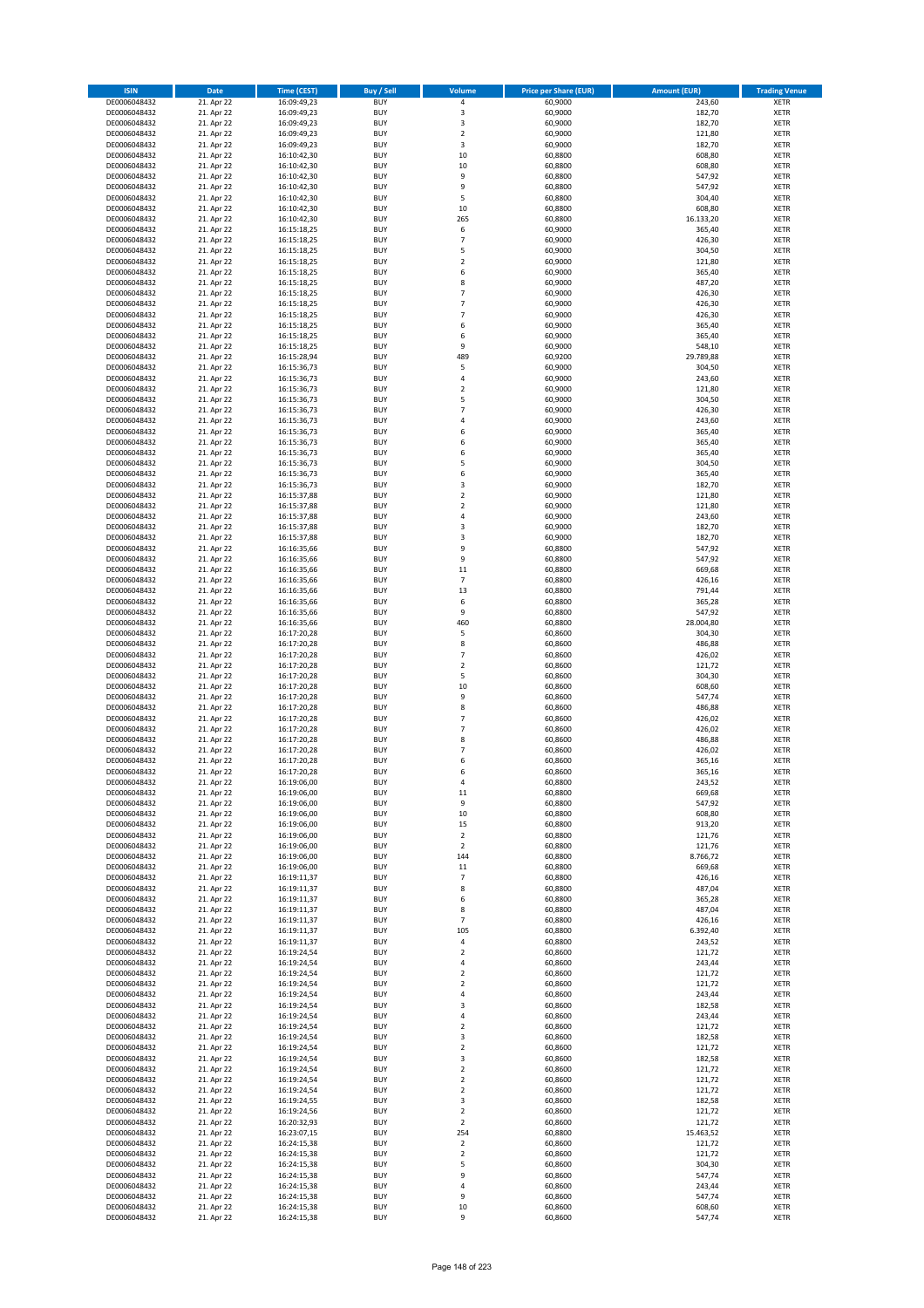| <b>ISIN</b>                  | Date                     | Time (CEST)                | <b>Buy / Sell</b>        | <b>Volume</b>            | <b>Price per Share (EUR)</b> | <b>Amount (EUR)</b> | <b>Trading Venue</b>       |
|------------------------------|--------------------------|----------------------------|--------------------------|--------------------------|------------------------------|---------------------|----------------------------|
| DE0006048432                 | 21. Apr 22               | 16:09:49,23                | <b>BUY</b>               | $\pmb{4}$                | 60,9000                      | 243,60              | <b>XETR</b>                |
| DE0006048432                 | 21. Apr 22               | 16:09:49,23                | <b>BUY</b>               | 3                        | 60,9000                      | 182,70              | XETR                       |
| DE0006048432                 | 21. Apr 22               | 16:09:49,23                | <b>BUY</b>               | 3                        | 60,9000                      | 182,70              | <b>XETR</b>                |
| DE0006048432<br>DE0006048432 | 21. Apr 22<br>21. Apr 22 | 16:09:49,23<br>16:09:49,23 | <b>BUY</b><br><b>BUY</b> | $\mathbf 2$<br>3         | 60,9000<br>60,9000           | 121,80<br>182,70    | <b>XETR</b><br><b>XETR</b> |
| DE0006048432                 | 21. Apr 22               | 16:10:42,30                | <b>BUY</b>               | 10                       | 60,8800                      | 608,80              | <b>XETR</b>                |
| DE0006048432                 | 21. Apr 22               | 16:10:42,30                | <b>BUY</b>               | 10                       | 60,8800                      | 608,80              | <b>XETR</b>                |
| DE0006048432                 | 21. Apr 22               | 16:10:42,30                | <b>BUY</b>               | 9                        | 60,8800                      | 547,92              | <b>XETR</b>                |
| DE0006048432                 | 21. Apr 22               | 16:10:42,30                | <b>BUY</b>               | 9                        | 60,8800                      | 547,92              | <b>XETR</b>                |
| DE0006048432                 | 21. Apr 22               | 16:10:42,30                | <b>BUY</b><br><b>BUY</b> | 5                        | 60,8800                      | 304,40              | <b>XETR</b><br><b>XETR</b> |
| DE0006048432<br>DE0006048432 | 21. Apr 22<br>21. Apr 22 | 16:10:42,30<br>16:10:42,30 | <b>BUY</b>               | 10<br>265                | 60,8800<br>60,8800           | 608,80<br>16.133,20 | <b>XETR</b>                |
| DE0006048432                 | 21. Apr 22               | 16:15:18,25                | <b>BUY</b>               | 6                        | 60,9000                      | 365,40              | <b>XETR</b>                |
| DE0006048432                 | 21. Apr 22               | 16:15:18,25                | <b>BUY</b>               | $\overline{7}$           | 60,9000                      | 426,30              | <b>XETR</b>                |
| DE0006048432                 | 21. Apr 22               | 16:15:18,25                | <b>BUY</b>               | 5                        | 60,9000                      | 304,50              | <b>XETR</b>                |
| DE0006048432                 | 21. Apr 22<br>21. Apr 22 | 16:15:18,25                | <b>BUY</b>               | $\overline{2}$           | 60,9000                      | 121,80              | <b>XETR</b>                |
| DE0006048432<br>DE0006048432 | 21. Apr 22               | 16:15:18,25<br>16:15:18,25 | <b>BUY</b><br><b>BUY</b> | 6<br>8                   | 60,9000<br>60,9000           | 365,40<br>487,20    | <b>XETR</b><br><b>XETR</b> |
| DE0006048432                 | 21. Apr 22               | 16:15:18,25                | <b>BUY</b>               | $\overline{7}$           | 60,9000                      | 426,30              | <b>XETR</b>                |
| DE0006048432                 | 21. Apr 22               | 16:15:18,25                | <b>BUY</b>               | $\overline{7}$           | 60,9000                      | 426,30              | <b>XETR</b>                |
| DE0006048432                 | 21. Apr 22               | 16:15:18,25                | <b>BUY</b>               | $\overline{7}$           | 60,9000                      | 426,30              | <b>XETR</b>                |
| DE0006048432                 | 21. Apr 22               | 16:15:18,25                | <b>BUY</b>               | 6                        | 60,9000                      | 365,40              | <b>XETR</b>                |
| DE0006048432<br>DE0006048432 | 21. Apr 22<br>21. Apr 22 | 16:15:18,25<br>16:15:18,25 | <b>BUY</b><br><b>BUY</b> | 6<br>9                   | 60,9000<br>60,9000           | 365,40<br>548,10    | <b>XETR</b><br><b>XETR</b> |
| DE0006048432                 | 21. Apr 22               | 16:15:28,94                | <b>BUY</b>               | 489                      | 60,9200                      | 29.789,88           | <b>XETR</b>                |
| DE0006048432                 | 21. Apr 22               | 16:15:36,73                | <b>BUY</b>               | 5                        | 60,9000                      | 304,50              | <b>XETR</b>                |
| DE0006048432                 | 21. Apr 22               | 16:15:36,73                | <b>BUY</b>               | $\sqrt{4}$               | 60,9000                      | 243,60              | <b>XETR</b>                |
| DE0006048432                 | 21. Apr 22               | 16:15:36,73                | <b>BUY</b>               | $\overline{\mathbf{c}}$  | 60,9000                      | 121,80              | <b>XETR</b>                |
| DE0006048432<br>DE0006048432 | 21. Apr 22<br>21. Apr 22 | 16:15:36,73<br>16:15:36,73 | <b>BUY</b><br><b>BUY</b> | 5<br>$\overline{7}$      | 60,9000<br>60,9000           | 304,50<br>426,30    | <b>XETR</b><br><b>XETR</b> |
| DE0006048432                 | 21. Apr 22               | 16:15:36,73                | <b>BUY</b>               | $\sqrt{4}$               | 60,9000                      | 243,60              | <b>XETR</b>                |
| DE0006048432                 | 21. Apr 22               | 16:15:36,73                | <b>BUY</b>               | 6                        | 60,9000                      | 365,40              | <b>XETR</b>                |
| DE0006048432                 | 21. Apr 22               | 16:15:36,73                | <b>BUY</b>               | 6                        | 60,9000                      | 365,40              | <b>XETR</b>                |
| DE0006048432                 | 21. Apr 22               | 16:15:36,73                | <b>BUY</b>               | 6                        | 60,9000                      | 365,40              | <b>XETR</b>                |
| DE0006048432                 | 21. Apr 22               | 16:15:36,73                | <b>BUY</b>               | 5                        | 60,9000                      | 304,50              | <b>XETR</b>                |
| DE0006048432<br>DE0006048432 | 21. Apr 22<br>21. Apr 22 | 16:15:36,73<br>16:15:36,73 | <b>BUY</b><br><b>BUY</b> | 6<br>3                   | 60,9000<br>60,9000           | 365,40<br>182,70    | <b>XETR</b><br><b>XETR</b> |
| DE0006048432                 | 21. Apr 22               | 16:15:37,88                | <b>BUY</b>               | $\mathbf 2$              | 60,9000                      | 121,80              | <b>XETR</b>                |
| DE0006048432                 | 21. Apr 22               | 16:15:37,88                | <b>BUY</b>               | $\mathbf 2$              | 60,9000                      | 121,80              | <b>XETR</b>                |
| DE0006048432                 | 21. Apr 22               | 16:15:37,88                | <b>BUY</b>               | 4                        | 60,9000                      | 243,60              | <b>XETR</b>                |
| DE0006048432                 | 21. Apr 22               | 16:15:37,88                | <b>BUY</b>               | 3                        | 60,9000                      | 182,70              | <b>XETR</b>                |
| DE0006048432                 | 21. Apr 22               | 16:15:37,88                | <b>BUY</b><br><b>BUY</b> | 3<br>9                   | 60,9000                      | 182,70<br>547,92    | <b>XETR</b>                |
| DE0006048432<br>DE0006048432 | 21. Apr 22<br>21. Apr 22 | 16:16:35,66<br>16:16:35,66 | <b>BUY</b>               | 9                        | 60,8800<br>60,8800           | 547,92              | <b>XETR</b><br><b>XETR</b> |
| DE0006048432                 | 21. Apr 22               | 16:16:35,66                | <b>BUY</b>               | 11                       | 60,8800                      | 669,68              | <b>XETR</b>                |
| DE0006048432                 | 21. Apr 22               | 16:16:35,66                | <b>BUY</b>               | $\overline{7}$           | 60,8800                      | 426,16              | <b>XETR</b>                |
| DE0006048432                 | 21. Apr 22               | 16:16:35,66                | <b>BUY</b>               | 13                       | 60,8800                      | 791,44              | <b>XETR</b>                |
| DE0006048432                 | 21. Apr 22               | 16:16:35,66                | <b>BUY</b>               | 6                        | 60,8800                      | 365,28              | <b>XETR</b>                |
| DE0006048432<br>DE0006048432 | 21. Apr 22<br>21. Apr 22 | 16:16:35,66<br>16:16:35,66 | <b>BUY</b><br><b>BUY</b> | 9<br>460                 | 60,8800<br>60,8800           | 547,92<br>28.004,80 | <b>XETR</b><br><b>XETR</b> |
| DE0006048432                 | 21. Apr 22               | 16:17:20,28                | <b>BUY</b>               | 5                        | 60,8600                      | 304,30              | <b>XETR</b>                |
| DE0006048432                 | 21. Apr 22               | 16:17:20,28                | <b>BUY</b>               | 8                        | 60,8600                      | 486,88              | <b>XETR</b>                |
| DE0006048432                 | 21. Apr 22               | 16:17:20,28                | <b>BUY</b>               | $\overline{7}$           | 60,8600                      | 426,02              | <b>XETR</b>                |
| DE0006048432                 | 21. Apr 22               | 16:17:20,28                | <b>BUY</b>               | $\mathbf 2$<br>5         | 60,8600                      | 121,72              | <b>XETR</b>                |
| DE0006048432<br>DE0006048432 | 21. Apr 22<br>21. Apr 22 | 16:17:20,28<br>16:17:20,28 | <b>BUY</b><br><b>BUY</b> | 10                       | 60,8600<br>60,8600           | 304,30<br>608,60    | <b>XETR</b><br><b>XETR</b> |
| DE0006048432                 | 21. Apr 22               | 16:17:20,28                | <b>BUY</b>               | 9                        | 60,8600                      | 547,74              | <b>XETR</b>                |
| DE0006048432                 | 21. Apr 22               | 16:17:20,28                | <b>BUY</b>               | 8                        | 60,8600                      | 486,88              | <b>XETR</b>                |
| DE0006048432                 | 21. Apr 22               | 16:17:20,28                | <b>BUY</b>               | $\overline{7}$           | 60,8600                      | 426,02              | <b>XETR</b>                |
| DE0006048432                 | 21. Apr 22               | 16:17:20,28                | <b>BUY</b>               | $\overline{7}$           | 60,8600                      | 426,02              | <b>XETR</b>                |
| DE0006048432<br>DE0006048432 | 21. Apr 22<br>21. Apr 22 | 16:17:20,28<br>16:17:20,28 | <b>BUY</b><br><b>BUY</b> | 8<br>$\overline{7}$      | 60,8600<br>60,8600           | 486,88<br>426,02    | <b>XETR</b><br><b>XETR</b> |
| DE0006048432                 | 21. Apr 22               | 16:17:20,28                | <b>BUY</b>               | 6                        | 60,8600                      | 365,16              | <b>XETR</b>                |
| DE0006048432                 | 21. Apr 22               | 16:17:20,28                | <b>BUY</b>               | 6                        | 60,8600                      | 365,16              | <b>XETR</b>                |
| DE0006048432                 | 21. Apr 22               | 16:19:06,00                | BUY                      | 4                        | 60,8800                      | 243,52              | XETR                       |
| DE0006048432                 | 21. Apr 22               | 16:19:06,00                | <b>BUY</b>               | 11                       | 60,8800                      | 669,68              | <b>XETR</b>                |
| DE0006048432<br>DE0006048432 | 21. Apr 22<br>21. Apr 22 | 16:19:06,00<br>16:19:06,00 | <b>BUY</b><br><b>BUY</b> | 9<br>$10\,$              | 60,8800<br>60,8800           | 547,92<br>608,80    | <b>XETR</b><br><b>XETR</b> |
| DE0006048432                 | 21. Apr 22               | 16:19:06,00                | <b>BUY</b>               | 15                       | 60,8800                      | 913,20              | <b>XETR</b>                |
| DE0006048432                 | 21. Apr 22               | 16:19:06,00                | <b>BUY</b>               | $\mathbf 2$              | 60,8800                      | 121,76              | <b>XETR</b>                |
| DE0006048432                 | 21. Apr 22               | 16:19:06,00                | <b>BUY</b>               | $\overline{2}$           | 60,8800                      | 121,76              | <b>XETR</b>                |
| DE0006048432                 | 21. Apr 22               | 16:19:06,00                | <b>BUY</b>               | 144                      | 60,8800                      | 8.766,72            | <b>XETR</b>                |
| DE0006048432<br>DE0006048432 | 21. Apr 22<br>21. Apr 22 | 16:19:06,00<br>16:19:11,37 | <b>BUY</b><br><b>BUY</b> | $11\,$<br>$\overline{7}$ | 60,8800<br>60,8800           | 669,68<br>426,16    | XETR<br><b>XETR</b>        |
| DE0006048432                 | 21. Apr 22               | 16:19:11,37                | <b>BUY</b>               | 8                        | 60,8800                      | 487,04              | XETR                       |
| DE0006048432                 | 21. Apr 22               | 16:19:11,37                | <b>BUY</b>               | 6                        | 60,8800                      | 365,28              | <b>XETR</b>                |
| DE0006048432                 | 21. Apr 22               | 16:19:11,37                | <b>BUY</b>               | 8                        | 60,8800                      | 487,04              | XETR                       |
| DE0006048432                 | 21. Apr 22<br>21. Apr 22 | 16:19:11,37                | <b>BUY</b><br><b>BUY</b> | $\overline{7}$<br>105    | 60,8800<br>60,8800           | 426,16<br>6.392,40  | <b>XETR</b>                |
| DE0006048432<br>DE0006048432 | 21. Apr 22               | 16:19:11,37<br>16:19:11,37 | <b>BUY</b>               | $\sqrt{4}$               | 60,8800                      | 243,52              | XETR<br><b>XETR</b>        |
| DE0006048432                 | 21. Apr 22               | 16:19:24,54                | <b>BUY</b>               | $\mathbf 2$              | 60,8600                      | 121,72              | <b>XETR</b>                |
| DE0006048432                 | 21. Apr 22               | 16:19:24,54                | <b>BUY</b>               | 4                        | 60,8600                      | 243,44              | <b>XETR</b>                |
| DE0006048432                 | 21. Apr 22               | 16:19:24,54                | <b>BUY</b>               | $\mathbf 2$              | 60,8600                      | 121,72              | XETR                       |
| DE0006048432                 | 21. Apr 22               | 16:19:24,54                | <b>BUY</b><br><b>BUY</b> | $\mathbf 2$<br>$\pmb{4}$ | 60,8600                      | 121,72              | XETR<br><b>XETR</b>        |
| DE0006048432<br>DE0006048432 | 21. Apr 22<br>21. Apr 22 | 16:19:24,54<br>16:19:24,54 | <b>BUY</b>               | 3                        | 60,8600<br>60,8600           | 243,44<br>182,58    | <b>XETR</b>                |
| DE0006048432                 | 21. Apr 22               | 16:19:24,54                | <b>BUY</b>               | 4                        | 60,8600                      | 243,44              | XETR                       |
| DE0006048432                 | 21. Apr 22               | 16:19:24,54                | <b>BUY</b>               | $\mathbf 2$              | 60,8600                      | 121,72              | <b>XETR</b>                |
| DE0006048432                 | 21. Apr 22               | 16:19:24,54                | <b>BUY</b>               | 3                        | 60,8600                      | 182,58              | XETR                       |
| DE0006048432                 | 21. Apr 22               | 16:19:24,54                | <b>BUY</b>               | $\overline{2}$           | 60,8600                      | 121,72              | <b>XETR</b>                |
| DE0006048432<br>DE0006048432 | 21. Apr 22<br>21. Apr 22 | 16:19:24,54<br>16:19:24,54 | <b>BUY</b><br><b>BUY</b> | 3<br>$\overline{2}$      | 60,8600<br>60,8600           | 182,58<br>121,72    | <b>XETR</b><br><b>XETR</b> |
| DE0006048432                 | 21. Apr 22               | 16:19:24,54                | <b>BUY</b>               | $\mathbf 2$              | 60,8600                      | 121,72              | <b>XETR</b>                |
| DE0006048432                 | 21. Apr 22               | 16:19:24,54                | <b>BUY</b>               | $\overline{2}$           | 60,8600                      | 121,72              | <b>XETR</b>                |
| DE0006048432                 | 21. Apr 22               | 16:19:24,55                | <b>BUY</b>               | 3                        | 60,8600                      | 182,58              | <b>XETR</b>                |
| DE0006048432                 | 21. Apr 22               | 16:19:24,56                | <b>BUY</b>               | $\mathbf 2$              | 60,8600                      | 121,72              | XETR                       |
| DE0006048432<br>DE0006048432 | 21. Apr 22<br>21. Apr 22 | 16:20:32,93<br>16:23:07,15 | <b>BUY</b><br><b>BUY</b> | $\mathbf 2$<br>254       | 60,8600<br>60,8800           | 121,72<br>15.463,52 | XETR<br><b>XETR</b>        |
| DE0006048432                 | 21. Apr 22               | 16:24:15,38                | <b>BUY</b>               | $\mathbf 2$              | 60,8600                      | 121,72              | <b>XETR</b>                |
| DE0006048432                 | 21. Apr 22               | 16:24:15,38                | <b>BUY</b>               | $\mathbf 2$              | 60,8600                      | 121,72              | <b>XETR</b>                |
| DE0006048432                 | 21. Apr 22               | 16:24:15,38                | <b>BUY</b>               | 5                        | 60,8600                      | 304,30              | XETR                       |
| DE0006048432                 | 21. Apr 22               | 16:24:15,38                | <b>BUY</b>               | 9                        | 60,8600                      | 547,74              | XETR                       |
| DE0006048432                 | 21. Apr 22<br>21. Apr 22 | 16:24:15,38                | <b>BUY</b>               | $\pmb{4}$<br>9           | 60,8600<br>60,8600           | 243,44<br>547,74    | <b>XETR</b>                |
| DE0006048432<br>DE0006048432 | 21. Apr 22               | 16:24:15,38<br>16:24:15,38 | <b>BUY</b><br><b>BUY</b> | $10\,$                   | 60,8600                      | 608,60              | XETR<br><b>XETR</b>        |
| DE0006048432                 | 21. Apr 22               | 16:24:15,38                | <b>BUY</b>               | 9                        | 60,8600                      | 547,74              | <b>XETR</b>                |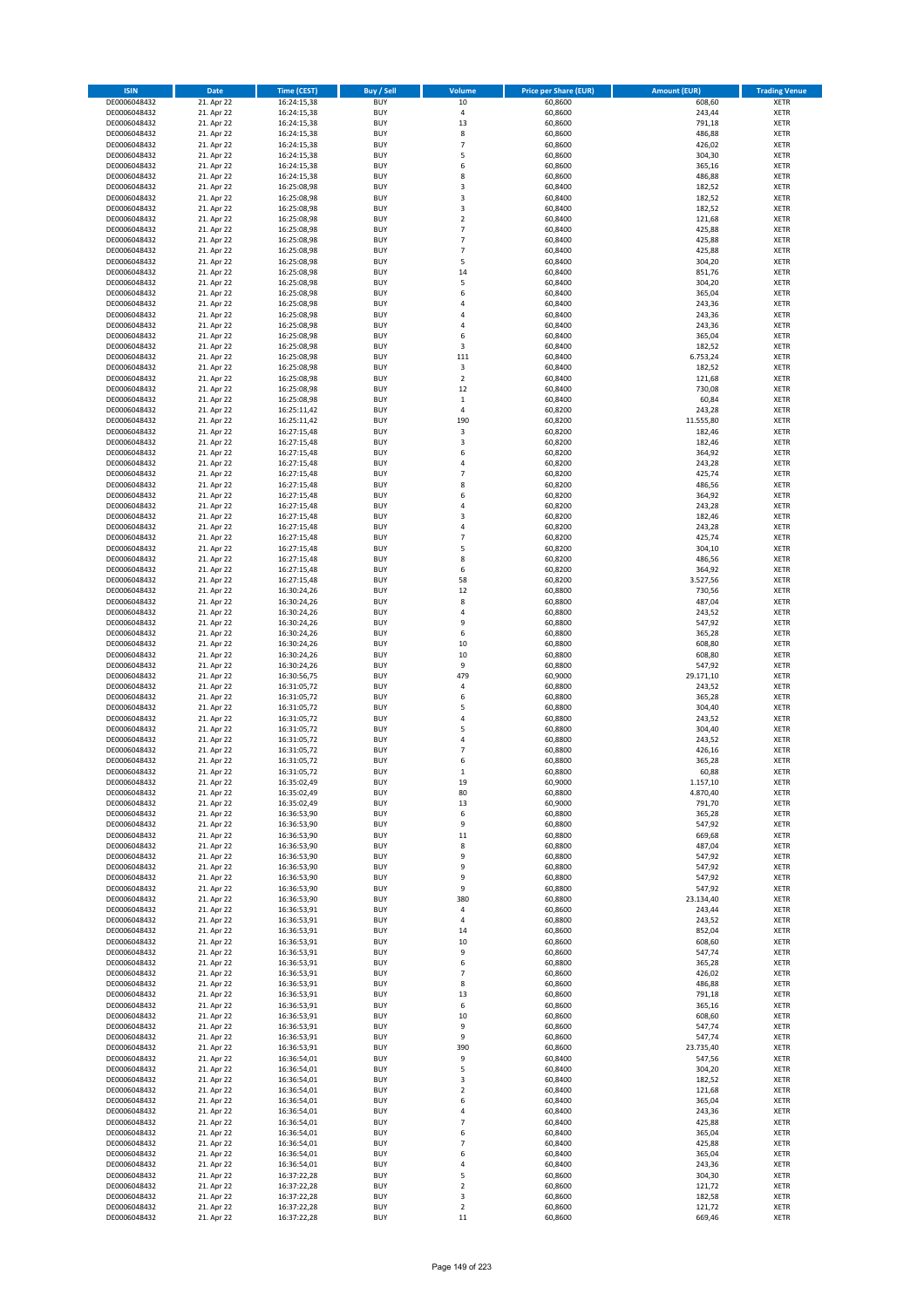| <b>ISIN</b>                  | <b>Date</b>              | <b>Time (CEST)</b>         | <b>Buy / Sell</b>        | <b>Volume</b>                             | <b>Price per Share (EUR)</b> | <b>Amount (EUR)</b> | <b>Trading Venue</b>       |
|------------------------------|--------------------------|----------------------------|--------------------------|-------------------------------------------|------------------------------|---------------------|----------------------------|
| DE0006048432                 | 21. Apr 22               | 16:24:15,38                | <b>BUY</b>               | 10                                        | 60,8600                      | 608,60              | <b>XETR</b>                |
| DE0006048432                 | 21. Apr 22               | 16:24:15,38                | <b>BUY</b>               | 4                                         | 60,8600                      | 243,44              | <b>XETR</b>                |
| DE0006048432                 | 21. Apr 22               | 16:24:15,38                | <b>BUY</b>               | 13                                        | 60,8600                      | 791,18              | <b>XETR</b>                |
| DE0006048432<br>DE0006048432 | 21. Apr 22<br>21. Apr 22 | 16:24:15,38<br>16:24:15,38 | <b>BUY</b><br><b>BUY</b> | 8<br>$\overline{7}$                       | 60,8600<br>60,8600           | 486,88<br>426,02    | <b>XETR</b><br><b>XETR</b> |
| DE0006048432                 | 21. Apr 22               | 16:24:15,38                | <b>BUY</b>               | 5                                         | 60,8600                      | 304,30              | <b>XETR</b>                |
| DE0006048432                 | 21. Apr 22               | 16:24:15,38                | <b>BUY</b>               | 6                                         | 60,8600                      | 365,16              | <b>XETR</b>                |
| DE0006048432                 | 21. Apr 22               | 16:24:15,38                | <b>BUY</b>               | 8                                         | 60,8600                      | 486,88              | <b>XETR</b>                |
| DE0006048432                 | 21. Apr 22               | 16:25:08,98                | <b>BUY</b>               | 3                                         | 60,8400                      | 182,52              | <b>XETR</b>                |
| DE0006048432                 | 21. Apr 22               | 16:25:08,98                | <b>BUY</b>               | 3                                         | 60,8400                      | 182,52              | <b>XETR</b>                |
| DE0006048432                 | 21. Apr 22               | 16:25:08,98                | <b>BUY</b>               | 3                                         | 60,8400                      | 182,52              | <b>XETR</b>                |
| DE0006048432                 | 21. Apr 22<br>21. Apr 22 | 16:25:08,98                | <b>BUY</b><br><b>BUY</b> | $\overline{\mathbf{c}}$<br>$\overline{7}$ | 60,8400                      | 121,68              | <b>XETR</b><br><b>XETR</b> |
| DE0006048432<br>DE0006048432 | 21. Apr 22               | 16:25:08,98<br>16:25:08,98 | <b>BUY</b>               | $\overline{7}$                            | 60,8400<br>60,8400           | 425,88<br>425,88    | <b>XETR</b>                |
| DE0006048432                 | 21. Apr 22               | 16:25:08,98                | <b>BUY</b>               | $\overline{7}$                            | 60,8400                      | 425,88              | <b>XETR</b>                |
| DE0006048432                 | 21. Apr 22               | 16:25:08,98                | <b>BUY</b>               | 5                                         | 60,8400                      | 304,20              | <b>XETR</b>                |
| DE0006048432                 | 21. Apr 22               | 16:25:08,98                | <b>BUY</b>               | 14                                        | 60,8400                      | 851,76              | <b>XETR</b>                |
| DE0006048432                 | 21. Apr 22               | 16:25:08,98                | <b>BUY</b>               | 5                                         | 60,8400                      | 304,20              | <b>XETR</b>                |
| DE0006048432                 | 21. Apr 22               | 16:25:08,98                | <b>BUY</b>               | 6                                         | 60,8400                      | 365,04              | <b>XETR</b>                |
| DE0006048432                 | 21. Apr 22               | 16:25:08,98                | <b>BUY</b>               | 4                                         | 60,8400                      | 243,36              | <b>XETR</b>                |
| DE0006048432<br>DE0006048432 | 21. Apr 22<br>21. Apr 22 | 16:25:08,98<br>16:25:08,98 | <b>BUY</b><br><b>BUY</b> | 4<br>4                                    | 60,8400<br>60,8400           | 243,36<br>243,36    | <b>XETR</b><br><b>XETR</b> |
| DE0006048432                 | 21. Apr 22               | 16:25:08,98                | <b>BUY</b>               | 6                                         | 60,8400                      | 365,04              | <b>XETR</b>                |
| DE0006048432                 | 21. Apr 22               | 16:25:08,98                | <b>BUY</b>               | 3                                         | 60,8400                      | 182,52              | <b>XETR</b>                |
| DE0006048432                 | 21. Apr 22               | 16:25:08,98                | <b>BUY</b>               | 111                                       | 60,8400                      | 6.753,24            | <b>XETR</b>                |
| DE0006048432                 | 21. Apr 22               | 16:25:08,98                | <b>BUY</b>               | $\mathsf 3$                               | 60,8400                      | 182,52              | <b>XETR</b>                |
| DE0006048432                 | 21. Apr 22               | 16:25:08,98                | <b>BUY</b>               | $\mathbf 2$                               | 60,8400                      | 121,68              | <b>XETR</b>                |
| DE0006048432                 | 21. Apr 22               | 16:25:08,98                | <b>BUY</b>               | 12                                        | 60,8400                      | 730,08              | <b>XETR</b>                |
| DE0006048432<br>DE0006048432 | 21. Apr 22<br>21. Apr 22 | 16:25:08,98<br>16:25:11,42 | <b>BUY</b><br><b>BUY</b> | $\mathbf 1$<br>4                          | 60,8400<br>60,8200           | 60,84<br>243,28     | <b>XETR</b><br><b>XETR</b> |
| DE0006048432                 | 21. Apr 22               | 16:25:11,42                | <b>BUY</b>               | 190                                       | 60,8200                      | 11.555,80           | <b>XETR</b>                |
| DE0006048432                 | 21. Apr 22               | 16:27:15,48                | <b>BUY</b>               | $\mathsf 3$                               | 60,8200                      | 182,46              | <b>XETR</b>                |
| DE0006048432                 | 21. Apr 22               | 16:27:15,48                | <b>BUY</b>               | 3                                         | 60,8200                      | 182,46              | <b>XETR</b>                |
| DE0006048432                 | 21. Apr 22               | 16:27:15,48                | <b>BUY</b>               | 6                                         | 60,8200                      | 364,92              | <b>XETR</b>                |
| DE0006048432                 | 21. Apr 22               | 16:27:15,48                | <b>BUY</b>               | 4                                         | 60,8200                      | 243,28              | <b>XETR</b>                |
| DE0006048432                 | 21. Apr 22               | 16:27:15,48                | <b>BUY</b>               | $\overline{7}$                            | 60,8200                      | 425,74              | <b>XETR</b>                |
| DE0006048432                 | 21. Apr 22               | 16:27:15,48                | <b>BUY</b>               | 8<br>6                                    | 60,8200                      | 486,56              | <b>XETR</b>                |
| DE0006048432<br>DE0006048432 | 21. Apr 22<br>21. Apr 22 | 16:27:15,48<br>16:27:15,48 | <b>BUY</b><br><b>BUY</b> | 4                                         | 60,8200<br>60,8200           | 364,92<br>243,28    | <b>XETR</b><br><b>XETR</b> |
| DE0006048432                 | 21. Apr 22               | 16:27:15,48                | <b>BUY</b>               | 3                                         | 60,8200                      | 182,46              | <b>XETR</b>                |
| DE0006048432                 | 21. Apr 22               | 16:27:15,48                | <b>BUY</b>               | 4                                         | 60,8200                      | 243,28              | <b>XETR</b>                |
| DE0006048432                 | 21. Apr 22               | 16:27:15,48                | <b>BUY</b>               | $\overline{7}$                            | 60,8200                      | 425,74              | <b>XETR</b>                |
| DE0006048432                 | 21. Apr 22               | 16:27:15,48                | <b>BUY</b>               | 5                                         | 60,8200                      | 304,10              | <b>XETR</b>                |
| DE0006048432                 | 21. Apr 22               | 16:27:15,48                | <b>BUY</b>               | 8                                         | 60,8200                      | 486,56              | <b>XETR</b>                |
| DE0006048432                 | 21. Apr 22               | 16:27:15,48                | <b>BUY</b>               | 6                                         | 60,8200                      | 364,92              | <b>XETR</b>                |
| DE0006048432                 | 21. Apr 22               | 16:27:15,48                | <b>BUY</b>               | 58                                        | 60,8200                      | 3.527,56            | <b>XETR</b>                |
| DE0006048432<br>DE0006048432 | 21. Apr 22<br>21. Apr 22 | 16:30:24,26<br>16:30:24,26 | <b>BUY</b><br><b>BUY</b> | 12<br>8                                   | 60,8800<br>60,8800           | 730,56<br>487,04    | <b>XETR</b><br><b>XETR</b> |
| DE0006048432                 | 21. Apr 22               | 16:30:24,26                | <b>BUY</b>               | 4                                         | 60,8800                      | 243,52              | <b>XETR</b>                |
| DE0006048432                 | 21. Apr 22               | 16:30:24,26                | <b>BUY</b>               | 9                                         | 60,8800                      | 547,92              | <b>XETR</b>                |
| DE0006048432                 | 21. Apr 22               | 16:30:24,26                | <b>BUY</b>               | 6                                         | 60,8800                      | 365,28              | <b>XETR</b>                |
| DE0006048432                 | 21. Apr 22               | 16:30:24,26                | <b>BUY</b>               | 10                                        | 60,8800                      | 608,80              | <b>XETR</b>                |
| DE0006048432                 | 21. Apr 22               | 16:30:24,26                | <b>BUY</b>               | 10                                        | 60,8800                      | 608,80              | <b>XETR</b>                |
| DE0006048432                 | 21. Apr 22               | 16:30:24,26                | <b>BUY</b>               | 9                                         | 60,8800                      | 547,92              | <b>XETR</b>                |
| DE0006048432<br>DE0006048432 | 21. Apr 22<br>21. Apr 22 | 16:30:56,75<br>16:31:05,72 | <b>BUY</b><br><b>BUY</b> | 479<br>4                                  | 60,9000<br>60,8800           | 29.171,10<br>243,52 | <b>XETR</b><br><b>XETR</b> |
| DE0006048432                 | 21. Apr 22               | 16:31:05,72                | <b>BUY</b>               | 6                                         | 60,8800                      | 365,28              | <b>XETR</b>                |
| DE0006048432                 | 21. Apr 22               | 16:31:05,72                | <b>BUY</b>               | 5                                         | 60,8800                      | 304,40              | <b>XETR</b>                |
| DE0006048432                 | 21. Apr 22               | 16:31:05,72                | <b>BUY</b>               | 4                                         | 60,8800                      | 243,52              | <b>XETR</b>                |
| DE0006048432                 | 21. Apr 22               | 16:31:05,72                | <b>BUY</b>               | 5                                         | 60,8800                      | 304,40              | <b>XETR</b>                |
| DE0006048432                 | 21. Apr 22               | 16:31:05,72                | <b>BUY</b>               | 4                                         | 60,8800                      | 243,52              | <b>XETR</b>                |
| DE0006048432                 | 21. Apr 22               | 16:31:05,72                | <b>BUY</b>               | $\overline{7}$                            | 60,8800                      | 426,16              | <b>XETR</b>                |
| DE0006048432<br>DE0006048432 | 21. Apr 22<br>21. Apr 22 | 16:31:05,72<br>16:31:05,72 | <b>BUY</b><br><b>BUY</b> | 6<br>$\mathbf{1}$                         | 60,8800<br>60,8800           | 365,28<br>60,88     | <b>XETR</b><br><b>XETR</b> |
| DE0006048432                 | 21. Apr 22               | 16:35:02,49                | BUY                      | 19                                        | 60,9000                      | 1.157,10            | <b>XETR</b>                |
| DE0006048432                 | 21. Apr 22               | 16:35:02,49                | <b>BUY</b>               | 80                                        | 60,8800                      | 4.870,40            | <b>XETR</b>                |
| DE0006048432                 | 21. Apr 22               | 16:35:02,49                | <b>BUY</b>               | 13                                        | 60,9000                      | 791,70              | <b>XETR</b>                |
| DE0006048432                 | 21. Apr 22               | 16:36:53,90                | <b>BUY</b>               | 6                                         | 60,8800                      | 365,28              | XETR                       |
| DE0006048432                 | 21. Apr 22               | 16:36:53,90                | <b>BUY</b>               | 9                                         | 60,8800                      | 547,92              | <b>XETR</b>                |
| DE0006048432                 | 21. Apr 22               | 16:36:53,90                | <b>BUY</b>               | 11                                        | 60,8800                      | 669,68              | <b>XETR</b>                |
| DE0006048432<br>DE0006048432 | 21. Apr 22<br>21. Apr 22 | 16:36:53,90<br>16:36:53,90 | <b>BUY</b><br><b>BUY</b> | 8<br>9                                    | 60,8800<br>60,8800           | 487,04<br>547,92    | <b>XETR</b><br><b>XETR</b> |
| DE0006048432                 | 21. Apr 22               | 16:36:53,90                | <b>BUY</b>               | 9                                         | 60,8800                      | 547,92              | <b>XETR</b>                |
| DE0006048432                 | 21. Apr 22               | 16:36:53,90                | <b>BUY</b>               | 9                                         | 60,8800                      | 547,92              | <b>XETR</b>                |
| DE0006048432                 | 21. Apr 22               | 16:36:53,90                | <b>BUY</b>               | 9                                         | 60,8800                      | 547,92              | <b>XETR</b>                |
| DE0006048432                 | 21. Apr 22               | 16:36:53,90                | <b>BUY</b>               | 380                                       | 60.8800                      | 23.134,40           | <b>XETR</b>                |
| DE0006048432                 | 21. Apr 22               | 16:36:53,91                | <b>BUY</b>               | 4                                         | 60,8600                      | 243,44              | <b>XETR</b>                |
| DE0006048432                 | 21. Apr 22<br>21. Apr 22 | 16:36:53,91                | <b>BUY</b><br><b>BUY</b> | 4                                         | 60,8800                      | 243,52<br>852,04    | <b>XETR</b>                |
| DE0006048432<br>DE0006048432 | 21. Apr 22               | 16:36:53,91<br>16:36:53,91 | <b>BUY</b>               | 14<br>10                                  | 60,8600<br>60,8600           | 608,60              | <b>XETR</b><br><b>XETR</b> |
| DE0006048432                 | 21. Apr 22               | 16:36:53,91                | <b>BUY</b>               | 9                                         | 60,8600                      | 547,74              | <b>XETR</b>                |
| DE0006048432                 | 21. Apr 22               | 16:36:53,91                | <b>BUY</b>               | 6                                         | 60,8800                      | 365,28              | <b>XETR</b>                |
| DE0006048432                 | 21. Apr 22               | 16:36:53,91                | <b>BUY</b>               | $\overline{7}$                            | 60,8600                      | 426,02              | XETR                       |
| DE0006048432                 | 21. Apr 22               | 16:36:53,91                | <b>BUY</b>               | 8                                         | 60,8600                      | 486,88              | <b>XETR</b>                |
| DE0006048432                 | 21. Apr 22               | 16:36:53,91                | <b>BUY</b>               | 13                                        | 60,8600                      | 791,18              | <b>XETR</b>                |
| DE0006048432<br>DE0006048432 | 21. Apr 22<br>21. Apr 22 | 16:36:53,91<br>16:36:53,91 | <b>BUY</b><br><b>BUY</b> | 6<br>10                                   | 60,8600<br>60,8600           | 365,16<br>608,60    | <b>XETR</b><br><b>XETR</b> |
| DE0006048432                 | 21. Apr 22               | 16:36:53,91                | <b>BUY</b>               | 9                                         | 60,8600                      | 547,74              | <b>XETR</b>                |
| DE0006048432                 | 21. Apr 22               | 16:36:53,91                | <b>BUY</b>               | 9                                         | 60,8600                      | 547,74              | <b>XETR</b>                |
| DE0006048432                 | 21. Apr 22               | 16:36:53,91                | <b>BUY</b>               | 390                                       | 60,8600                      | 23.735,40           | <b>XETR</b>                |
| DE0006048432                 | 21. Apr 22               | 16:36:54,01                | <b>BUY</b>               | 9                                         | 60,8400                      | 547,56              | <b>XETR</b>                |
| DE0006048432                 | 21. Apr 22               | 16:36:54,01                | <b>BUY</b>               | 5                                         | 60,8400                      | 304,20              | <b>XETR</b>                |
| DE0006048432                 | 21. Apr 22               | 16:36:54,01                | <b>BUY</b>               | 3                                         | 60,8400                      | 182,52              | <b>XETR</b>                |
| DE0006048432                 | 21. Apr 22               | 16:36:54,01                | <b>BUY</b>               | $\overline{\mathbf{c}}$                   | 60,8400                      | 121,68              | <b>XETR</b>                |
| DE0006048432<br>DE0006048432 | 21. Apr 22<br>21. Apr 22 | 16:36:54,01<br>16:36:54,01 | <b>BUY</b><br><b>BUY</b> | 6<br>4                                    | 60,8400<br>60,8400           | 365,04<br>243,36    | <b>XETR</b><br><b>XETR</b> |
| DE0006048432                 | 21. Apr 22               | 16:36:54,01                | <b>BUY</b>               | $\overline{7}$                            | 60,8400                      | 425,88              | <b>XETR</b>                |
| DE0006048432                 | 21. Apr 22               | 16:36:54,01                | <b>BUY</b>               | 6                                         | 60,8400                      | 365,04              | <b>XETR</b>                |
| DE0006048432                 | 21. Apr 22               | 16:36:54,01                | <b>BUY</b>               | $\overline{7}$                            | 60,8400                      | 425,88              | <b>XETR</b>                |
| DE0006048432                 | 21. Apr 22               | 16:36:54,01                | <b>BUY</b>               | 6                                         | 60,8400                      | 365,04              | <b>XETR</b>                |
| DE0006048432                 | 21. Apr 22               | 16:36:54,01                | <b>BUY</b>               | 4                                         | 60,8400                      | 243,36              | <b>XETR</b>                |
| DE0006048432                 | 21. Apr 22               | 16:37:22,28                | <b>BUY</b>               | 5                                         | 60,8600                      | 304,30              | XETR                       |
| DE0006048432<br>DE0006048432 | 21. Apr 22<br>21. Apr 22 | 16:37:22,28<br>16:37:22,28 | <b>BUY</b><br><b>BUY</b> | $\overline{2}$<br>3                       | 60,8600<br>60,8600           | 121,72<br>182,58    | <b>XETR</b><br><b>XETR</b> |
| DE0006048432                 | 21. Apr 22               | 16:37:22,28                | <b>BUY</b>               | $\mathbf 2$                               | 60,8600                      | 121,72              | <b>XETR</b>                |
| DE0006048432                 | 21. Apr 22               | 16:37:22,28                | <b>BUY</b>               | 11                                        | 60,8600                      | 669,46              | <b>XETR</b>                |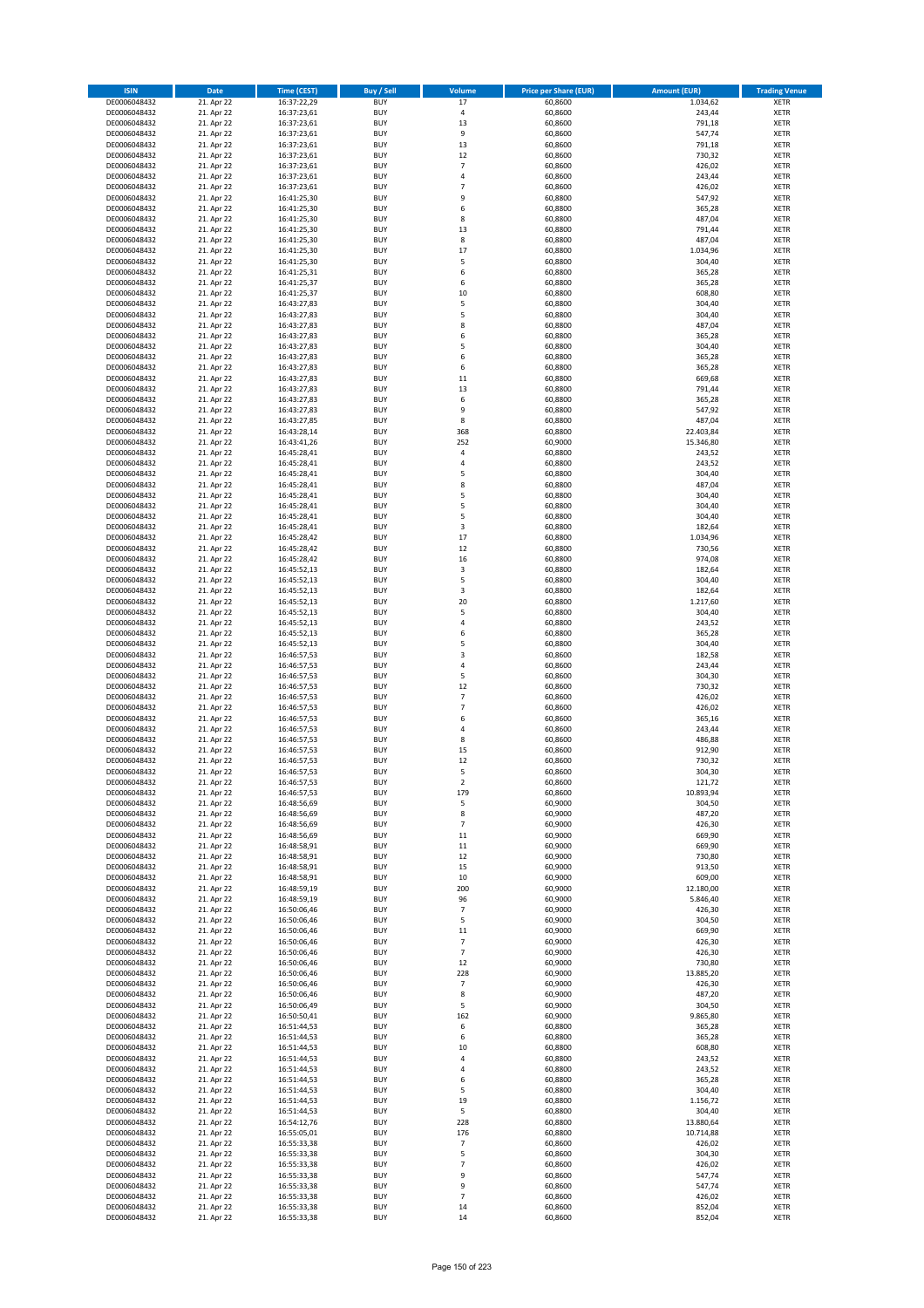| <b>ISIN</b>                  | <b>Date</b>              | <b>Time (CEST)</b>         | <b>Buy / Sell</b>        | Volume              | <b>Price per Share (EUR)</b> | <b>Amount (EUR)</b> | <b>Trading Venue</b>       |
|------------------------------|--------------------------|----------------------------|--------------------------|---------------------|------------------------------|---------------------|----------------------------|
| DE0006048432                 | 21. Apr 22               | 16:37:22,29                | <b>BUY</b>               | 17                  | 60,8600                      | 1.034,62            | <b>XETR</b>                |
| DE0006048432                 | 21. Apr 22               | 16:37:23,61                | <b>BUY</b>               | 4                   | 60,8600                      | 243,44              | <b>XETR</b>                |
| DE0006048432                 | 21. Apr 22               | 16:37:23,61                | <b>BUY</b>               | 13                  | 60,8600                      | 791,18              | <b>XETR</b>                |
| DE0006048432<br>DE0006048432 | 21. Apr 22<br>21. Apr 22 | 16:37:23,61<br>16:37:23,61 | <b>BUY</b><br><b>BUY</b> | 9<br>13             | 60,8600<br>60,8600           | 547,74<br>791,18    | <b>XETR</b><br><b>XETR</b> |
| DE0006048432                 | 21. Apr 22               | 16:37:23,61                | <b>BUY</b>               | 12                  | 60,8600                      | 730,32              | <b>XETR</b>                |
| DE0006048432                 | 21. Apr 22               | 16:37:23,61                | <b>BUY</b>               | $\overline{7}$      | 60,8600                      | 426,02              | <b>XETR</b>                |
| DE0006048432                 | 21. Apr 22               | 16:37:23,61                | <b>BUY</b>               | 4                   | 60,8600                      | 243,44              | <b>XETR</b>                |
| DE0006048432                 | 21. Apr 22               | 16:37:23,61                | <b>BUY</b>               | $\overline{7}$      | 60,8600                      | 426,02              | <b>XETR</b>                |
| DE0006048432                 | 21. Apr 22               | 16:41:25,30                | <b>BUY</b>               | 9                   | 60,8800                      | 547,92              | <b>XETR</b>                |
| DE0006048432                 | 21. Apr 22               | 16:41:25,30                | <b>BUY</b>               | 6                   | 60,8800                      | 365,28              | <b>XETR</b>                |
| DE0006048432                 | 21. Apr 22<br>21. Apr 22 | 16:41:25,30                | <b>BUY</b><br><b>BUY</b> | 8<br>13             | 60,8800                      | 487,04<br>791,44    | <b>XETR</b><br><b>XETR</b> |
| DE0006048432<br>DE0006048432 | 21. Apr 22               | 16:41:25,30<br>16:41:25,30 | <b>BUY</b>               | 8                   | 60,8800<br>60,8800           | 487,04              | <b>XETR</b>                |
| DE0006048432                 | 21. Apr 22               | 16:41:25,30                | <b>BUY</b>               | 17                  | 60,8800                      | 1.034,96            | <b>XETR</b>                |
| DE0006048432                 | 21. Apr 22               | 16:41:25,30                | <b>BUY</b>               | 5                   | 60,8800                      | 304,40              | <b>XETR</b>                |
| DE0006048432                 | 21. Apr 22               | 16:41:25,31                | <b>BUY</b>               | 6                   | 60,8800                      | 365,28              | <b>XETR</b>                |
| DE0006048432                 | 21. Apr 22               | 16:41:25,37                | <b>BUY</b>               | 6                   | 60,8800                      | 365,28              | <b>XETR</b>                |
| DE0006048432                 | 21. Apr 22               | 16:41:25,37                | <b>BUY</b>               | 10                  | 60,8800                      | 608,80              | <b>XETR</b>                |
| DE0006048432                 | 21. Apr 22               | 16:43:27,83                | <b>BUY</b>               | 5                   | 60,8800                      | 304,40              | <b>XETR</b>                |
| DE0006048432<br>DE0006048432 | 21. Apr 22<br>21. Apr 22 | 16:43:27,83<br>16:43:27,83 | <b>BUY</b><br><b>BUY</b> | 5<br>8              | 60,8800<br>60,8800           | 304,40<br>487,04    | <b>XETR</b><br><b>XETR</b> |
| DE0006048432                 | 21. Apr 22               | 16:43:27,83                | <b>BUY</b>               | 6                   | 60,8800                      | 365,28              | <b>XETR</b>                |
| DE0006048432                 | 21. Apr 22               | 16:43:27,83                | <b>BUY</b>               | 5                   | 60,8800                      | 304,40              | <b>XETR</b>                |
| DE0006048432                 | 21. Apr 22               | 16:43:27,83                | <b>BUY</b>               | 6                   | 60,8800                      | 365,28              | <b>XETR</b>                |
| DE0006048432                 | 21. Apr 22               | 16:43:27,83                | <b>BUY</b>               | 6                   | 60,8800                      | 365,28              | <b>XETR</b>                |
| DE0006048432                 | 21. Apr 22               | 16:43:27,83                | <b>BUY</b>               | 11                  | 60,8800                      | 669,68              | <b>XETR</b>                |
| DE0006048432                 | 21. Apr 22               | 16:43:27,83                | <b>BUY</b>               | 13                  | 60,8800                      | 791,44              | <b>XETR</b>                |
| DE0006048432<br>DE0006048432 | 21. Apr 22<br>21. Apr 22 | 16:43:27,83<br>16:43:27,83 | <b>BUY</b><br><b>BUY</b> | 6<br>9              | 60,8800<br>60,8800           | 365,28<br>547,92    | <b>XETR</b><br><b>XETR</b> |
| DE0006048432                 | 21. Apr 22               | 16:43:27,85                | <b>BUY</b>               | 8                   | 60,8800                      | 487,04              | <b>XETR</b>                |
| DE0006048432                 | 21. Apr 22               | 16:43:28,14                | <b>BUY</b>               | 368                 | 60,8800                      | 22.403,84           | <b>XETR</b>                |
| DE0006048432                 | 21. Apr 22               | 16:43:41,26                | <b>BUY</b>               | 252                 | 60,9000                      | 15.346,80           | <b>XETR</b>                |
| DE0006048432                 | 21. Apr 22               | 16:45:28,41                | <b>BUY</b>               | 4                   | 60,8800                      | 243,52              | <b>XETR</b>                |
| DE0006048432                 | 21. Apr 22               | 16:45:28,41                | <b>BUY</b>               | 4                   | 60,8800                      | 243,52              | <b>XETR</b>                |
| DE0006048432                 | 21. Apr 22               | 16:45:28,41                | <b>BUY</b>               | 5                   | 60,8800                      | 304,40              | <b>XETR</b>                |
| DE0006048432                 | 21. Apr 22               | 16:45:28,41                | <b>BUY</b><br><b>BUY</b> | 8<br>5              | 60,8800<br>60,8800           | 487,04<br>304,40    | <b>XETR</b><br><b>XETR</b> |
| DE0006048432<br>DE0006048432 | 21. Apr 22<br>21. Apr 22 | 16:45:28,41<br>16:45:28,41 | <b>BUY</b>               | 5                   | 60,8800                      | 304,40              | <b>XETR</b>                |
| DE0006048432                 | 21. Apr 22               | 16:45:28,41                | <b>BUY</b>               | 5                   | 60,8800                      | 304,40              | <b>XETR</b>                |
| DE0006048432                 | 21. Apr 22               | 16:45:28,41                | <b>BUY</b>               | 3                   | 60,8800                      | 182,64              | <b>XETR</b>                |
| DE0006048432                 | 21. Apr 22               | 16:45:28,42                | <b>BUY</b>               | 17                  | 60,8800                      | 1.034,96            | <b>XETR</b>                |
| DE0006048432                 | 21. Apr 22               | 16:45:28,42                | <b>BUY</b>               | 12                  | 60,8800                      | 730,56              | <b>XETR</b>                |
| DE0006048432                 | 21. Apr 22               | 16:45:28,42                | <b>BUY</b>               | 16                  | 60,8800                      | 974,08              | <b>XETR</b>                |
| DE0006048432                 | 21. Apr 22               | 16:45:52,13                | <b>BUY</b>               | 3                   | 60,8800                      | 182,64              | <b>XETR</b>                |
| DE0006048432<br>DE0006048432 | 21. Apr 22<br>21. Apr 22 | 16:45:52,13                | <b>BUY</b><br><b>BUY</b> | 5<br>3              | 60,8800<br>60,8800           | 304,40<br>182,64    | <b>XETR</b><br><b>XETR</b> |
| DE0006048432                 | 21. Apr 22               | 16:45:52,13<br>16:45:52,13 | <b>BUY</b>               | 20                  | 60,8800                      | 1.217,60            | <b>XETR</b>                |
| DE0006048432                 | 21. Apr 22               | 16:45:52,13                | <b>BUY</b>               | 5                   | 60,8800                      | 304,40              | <b>XETR</b>                |
| DE0006048432                 | 21. Apr 22               | 16:45:52,13                | <b>BUY</b>               | 4                   | 60,8800                      | 243,52              | <b>XETR</b>                |
| DE0006048432                 | 21. Apr 22               | 16:45:52,13                | <b>BUY</b>               | 6                   | 60,8800                      | 365,28              | <b>XETR</b>                |
| DE0006048432                 | 21. Apr 22               | 16:45:52,13                | <b>BUY</b>               | 5                   | 60,8800                      | 304,40              | <b>XETR</b>                |
| DE0006048432                 | 21. Apr 22               | 16:46:57,53                | <b>BUY</b>               | 3                   | 60,8600                      | 182,58              | <b>XETR</b>                |
| DE0006048432<br>DE0006048432 | 21. Apr 22<br>21. Apr 22 | 16:46:57,53<br>16:46:57,53 | <b>BUY</b><br><b>BUY</b> | 4<br>5              | 60,8600<br>60,8600           | 243,44<br>304,30    | <b>XETR</b><br><b>XETR</b> |
| DE0006048432                 | 21. Apr 22               | 16:46:57,53                | <b>BUY</b>               | 12                  | 60,8600                      | 730,32              | <b>XETR</b>                |
| DE0006048432                 | 21. Apr 22               | 16:46:57,53                | <b>BUY</b>               | $\overline{7}$      | 60,8600                      | 426,02              | <b>XETR</b>                |
| DE0006048432                 | 21. Apr 22               | 16:46:57,53                | <b>BUY</b>               | $\overline{7}$      | 60,8600                      | 426,02              | <b>XETR</b>                |
| DE0006048432                 | 21. Apr 22               | 16:46:57,53                | <b>BUY</b>               | 6                   | 60,8600                      | 365,16              | <b>XETR</b>                |
| DE0006048432                 | 21. Apr 22               | 16:46:57,53                | <b>BUY</b>               | 4                   | 60,8600                      | 243,44              | <b>XETR</b>                |
| DE0006048432                 | 21. Apr 22               | 16:46:57,53                | <b>BUY</b>               | 8                   | 60,8600                      | 486,88              | <b>XETR</b>                |
| DE0006048432<br>DE0006048432 | 21. Apr 22<br>21. Apr 22 | 16:46:57,53<br>16:46:57,53 | <b>BUY</b><br><b>BUY</b> | 15<br>12            | 60,8600<br>60,8600           | 912,90<br>730,32    | <b>XETR</b><br><b>XETR</b> |
| DE0006048432                 | 21. Apr 22               | 16:46:57,53                | <b>BUY</b>               | 5                   | 60,8600                      | 304,30              | <b>XETR</b>                |
| DE0006048432                 | 21. Apr 22               | 16:46:57,53                | BUY                      | 2                   | 60,8600                      | 121,72              | <b>XETR</b>                |
| DE0006048432                 | 21. Apr 22               | 16:46:57,53                | <b>BUY</b>               | 179                 | 60,8600                      | 10.893,94           | <b>XETR</b>                |
| DE0006048432                 | 21. Apr 22               | 16:48:56,69                | <b>BUY</b>               | 5                   | 60,9000                      | 304,50              | <b>XETR</b>                |
| DE0006048432                 | 21. Apr 22               | 16:48:56,69                | <b>BUY</b>               | 8                   | 60,9000                      | 487,20              | XETR                       |
| DE0006048432                 | 21. Apr 22               | 16:48:56,69                | <b>BUY</b>               | $\overline{7}$      | 60,9000                      | 426,30              | <b>XETR</b>                |
| DE0006048432<br>DE0006048432 | 21. Apr 22<br>21. Apr 22 | 16:48:56,69<br>16:48:58,91 | <b>BUY</b><br><b>BUY</b> | 11<br>11            | 60,9000<br>60,9000           | 669,90<br>669,90    | <b>XETR</b><br><b>XETR</b> |
| DE0006048432                 | 21. Apr 22               | 16:48:58,91                | <b>BUY</b>               | 12                  | 60,9000                      | 730,80              | <b>XETR</b>                |
| DE0006048432                 | 21. Apr 22               | 16:48:58,91                | <b>BUY</b>               | 15                  | 60,9000                      | 913,50              | <b>XETR</b>                |
| DE0006048432                 | 21. Apr 22               | 16:48:58,91                | <b>BUY</b>               | 10                  | 60,9000                      | 609,00              | <b>XETR</b>                |
| DE0006048432                 | 21. Apr 22               | 16:48:59,19                | <b>BUY</b>               | 200                 | 60,9000                      | 12.180,00           | <b>XETR</b>                |
| DE0006048432                 | 21. Apr 22               | 16:48:59,19                | <b>BUY</b>               | 96                  | 60,9000                      | 5.846,40            | <b>XETR</b>                |
| DE0006048432<br>DE0006048432 | 21. Apr 22<br>21. Apr 22 | 16:50:06,46<br>16:50:06,46 | <b>BUY</b><br><b>BUY</b> | $\overline{7}$<br>5 | 60,9000<br>60,9000           | 426,30<br>304,50    | <b>XETR</b><br><b>XETR</b> |
| DE0006048432                 | 21. Apr 22               | 16:50:06,46                | <b>BUY</b>               | 11                  | 60,9000                      | 669,90              | <b>XETR</b>                |
| DE0006048432                 | 21. Apr 22               | 16:50:06,46                | <b>BUY</b>               | $\overline{7}$      | 60,9000                      | 426,30              | <b>XETR</b>                |
| DE0006048432                 | 21. Apr 22               | 16:50:06,46                | <b>BUY</b>               | $\overline{7}$      | 60,9000                      | 426,30              | <b>XETR</b>                |
| DE0006048432                 | 21. Apr 22               | 16:50:06,46                | <b>BUY</b>               | 12                  | 60,9000                      | 730,80              | <b>XETR</b>                |
| DE0006048432                 | 21. Apr 22               | 16:50:06,46                | <b>BUY</b>               | 228                 | 60,9000                      | 13.885,20           | XETR                       |
| DE0006048432                 | 21. Apr 22               | 16:50:06,46                | <b>BUY</b>               | $\overline{7}$      | 60,9000                      | 426,30              | <b>XETR</b>                |
| DE0006048432<br>DE0006048432 | 21. Apr 22<br>21. Apr 22 | 16:50:06,46<br>16:50:06,49 | <b>BUY</b><br><b>BUY</b> | 8<br>5              | 60,9000<br>60,9000           | 487,20<br>304,50    | <b>XETR</b><br><b>XETR</b> |
| DE0006048432                 | 21. Apr 22               | 16:50:50,41                | <b>BUY</b>               | 162                 | 60,9000                      | 9.865,80            | <b>XETR</b>                |
| DE0006048432                 | 21. Apr 22               | 16:51:44,53                | <b>BUY</b>               | 6                   | 60,8800                      | 365,28              | <b>XETR</b>                |
| DE0006048432                 | 21. Apr 22               | 16:51:44,53                | <b>BUY</b>               | 6                   | 60,8800                      | 365,28              | <b>XETR</b>                |
| DE0006048432                 | 21. Apr 22               | 16:51:44,53                | <b>BUY</b>               | 10                  | 60,8800                      | 608,80              | <b>XETR</b>                |
| DE0006048432                 | 21. Apr 22               | 16:51:44,53                | <b>BUY</b>               | 4                   | 60,8800                      | 243,52              | <b>XETR</b>                |
| DE0006048432                 | 21. Apr 22               | 16:51:44,53                | <b>BUY</b>               | 4                   | 60,8800                      | 243,52              | <b>XETR</b>                |
| DE0006048432<br>DE0006048432 | 21. Apr 22<br>21. Apr 22 | 16:51:44,53<br>16:51:44,53 | <b>BUY</b><br><b>BUY</b> | 6<br>5              | 60,8800<br>60,8800           | 365,28<br>304,40    | <b>XETR</b><br><b>XETR</b> |
| DE0006048432                 | 21. Apr 22               | 16:51:44,53                | <b>BUY</b>               | 19                  | 60,8800                      | 1.156,72            | <b>XETR</b>                |
| DE0006048432                 | 21. Apr 22               | 16:51:44,53                | <b>BUY</b>               | 5                   | 60,8800                      | 304,40              | <b>XETR</b>                |
| DE0006048432                 | 21. Apr 22               | 16:54:12,76                | <b>BUY</b>               | 228                 | 60,8800                      | 13.880,64           | <b>XETR</b>                |
| DE0006048432                 | 21. Apr 22               | 16:55:05,01                | <b>BUY</b>               | 176                 | 60,8800                      | 10.714,88           | <b>XETR</b>                |
| DE0006048432                 | 21. Apr 22               | 16:55:33,38                | <b>BUY</b>               | $\overline{7}$      | 60,8600                      | 426,02              | <b>XETR</b>                |
| DE0006048432                 | 21. Apr 22               | 16:55:33,38                | <b>BUY</b>               | 5                   | 60,8600                      | 304,30              | <b>XETR</b>                |
| DE0006048432<br>DE0006048432 | 21. Apr 22<br>21. Apr 22 | 16:55:33,38<br>16:55:33,38 | <b>BUY</b><br><b>BUY</b> | $\overline{7}$<br>9 | 60,8600<br>60,8600           | 426,02<br>547,74    | <b>XETR</b><br>XETR        |
| DE0006048432                 | 21. Apr 22               | 16:55:33,38                | <b>BUY</b>               | 9                   | 60,8600                      | 547,74              | <b>XETR</b>                |
| DE0006048432                 | 21. Apr 22               | 16:55:33,38                | <b>BUY</b>               | $\overline{7}$      | 60,8600                      | 426,02              | <b>XETR</b>                |
| DE0006048432                 | 21. Apr 22               | 16:55:33,38                | <b>BUY</b>               | 14                  | 60,8600                      | 852,04              | <b>XETR</b>                |
| DE0006048432                 | 21. Apr 22               | 16:55:33,38                | <b>BUY</b>               | 14                  | 60,8600                      | 852,04              | <b>XETR</b>                |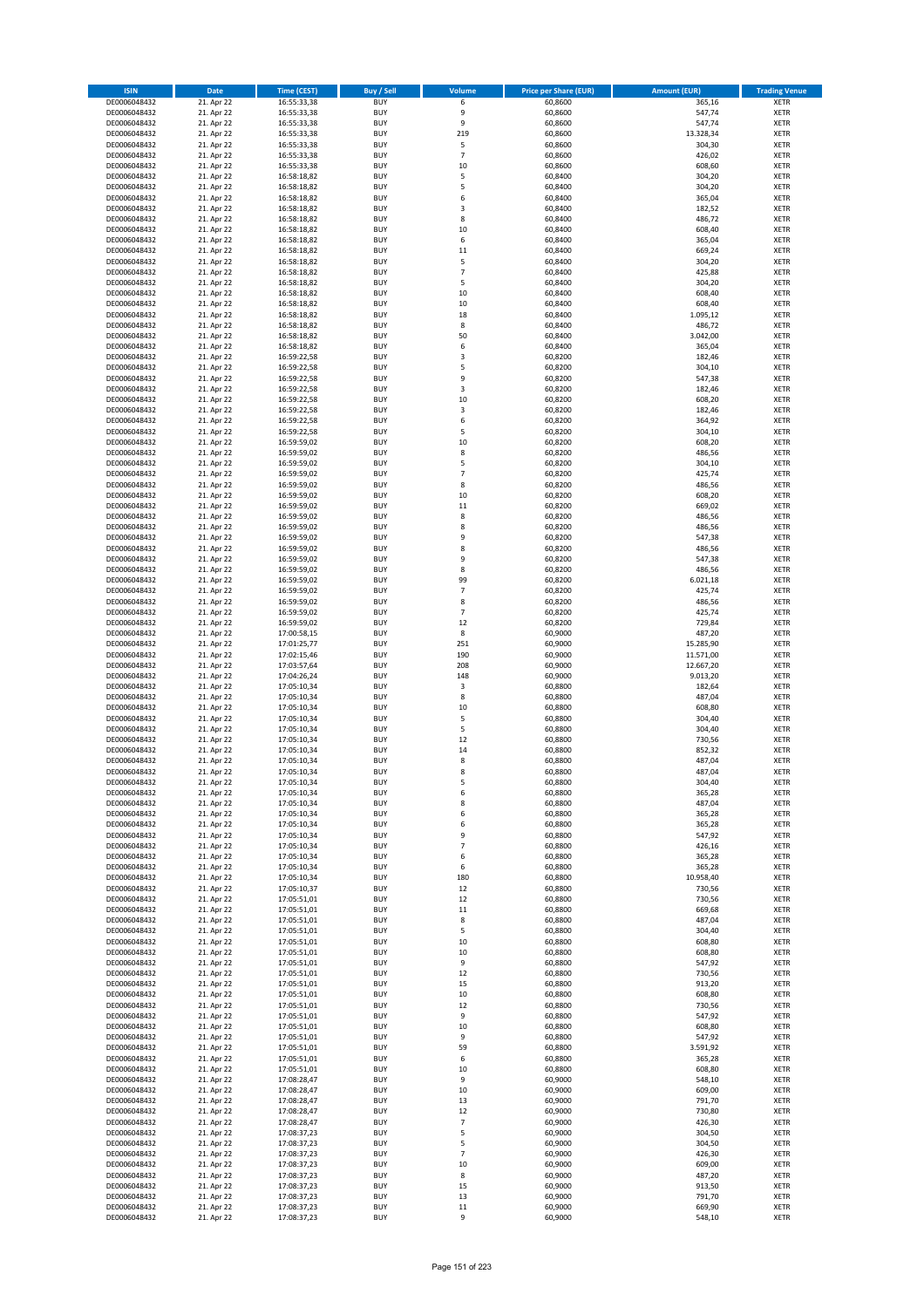| <b>ISIN</b>                  | <b>Date</b>              | <b>Time (CEST)</b>         | <b>Buy / Sell</b>        | Volume                   | <b>Price per Share (EUR)</b> | <b>Amount (EUR)</b> | <b>Trading Venue</b>       |
|------------------------------|--------------------------|----------------------------|--------------------------|--------------------------|------------------------------|---------------------|----------------------------|
| DE0006048432                 | 21. Apr 22               | 16:55:33,38                | <b>BUY</b>               | 6                        | 60,8600                      | 365,16              | <b>XETR</b>                |
| DE0006048432                 | 21. Apr 22               | 16:55:33,38                | <b>BUY</b>               | 9                        | 60,8600                      | 547,74              | <b>XETR</b>                |
| DE0006048432                 | 21. Apr 22               | 16:55:33,38                | <b>BUY</b>               | 9                        | 60,8600                      | 547,74              | <b>XETR</b>                |
| DE0006048432<br>DE0006048432 | 21. Apr 22<br>21. Apr 22 | 16:55:33,38<br>16:55:33,38 | <b>BUY</b><br><b>BUY</b> | 219<br>5                 | 60,8600<br>60,8600           | 13.328,34<br>304,30 | <b>XETR</b><br><b>XETR</b> |
| DE0006048432                 | 21. Apr 22               | 16:55:33,38                | <b>BUY</b>               | $\overline{\phantom{a}}$ | 60,8600                      | 426,02              | <b>XETR</b>                |
| DE0006048432                 | 21. Apr 22               | 16:55:33,38                | <b>BUY</b>               | 10                       | 60,8600                      | 608,60              | <b>XETR</b>                |
| DE0006048432                 | 21. Apr 22               | 16:58:18,82                | <b>BUY</b>               | 5                        | 60,8400                      | 304,20              | <b>XETR</b>                |
| DE0006048432                 | 21. Apr 22               | 16:58:18,82                | <b>BUY</b>               | 5                        | 60,8400                      | 304,20              | <b>XETR</b>                |
| DE0006048432                 | 21. Apr 22               | 16:58:18,82                | <b>BUY</b>               | 6                        | 60,8400                      | 365,04              | <b>XETR</b>                |
| DE0006048432                 | 21. Apr 22               | 16:58:18,82                | <b>BUY</b>               | 3                        | 60,8400                      | 182,52              | <b>XETR</b>                |
| DE0006048432                 | 21. Apr 22<br>21. Apr 22 | 16:58:18,82                | <b>BUY</b><br><b>BUY</b> | 8<br>10                  | 60,8400                      | 486,72<br>608,40    | <b>XETR</b><br><b>XETR</b> |
| DE0006048432<br>DE0006048432 | 21. Apr 22               | 16:58:18,82<br>16:58:18,82 | <b>BUY</b>               | 6                        | 60,8400<br>60,8400           | 365,04              | <b>XETR</b>                |
| DE0006048432                 | 21. Apr 22               | 16:58:18,82                | <b>BUY</b>               | 11                       | 60,8400                      | 669,24              | <b>XETR</b>                |
| DE0006048432                 | 21. Apr 22               | 16:58:18,82                | <b>BUY</b>               | 5                        | 60,8400                      | 304,20              | <b>XETR</b>                |
| DE0006048432                 | 21. Apr 22               | 16:58:18,82                | <b>BUY</b>               | $\overline{7}$           | 60,8400                      | 425,88              | <b>XETR</b>                |
| DE0006048432                 | 21. Apr 22               | 16:58:18,82                | <b>BUY</b>               | 5                        | 60,8400                      | 304,20              | <b>XETR</b>                |
| DE0006048432                 | 21. Apr 22               | 16:58:18,82                | <b>BUY</b>               | 10                       | 60,8400                      | 608,40              | <b>XETR</b>                |
| DE0006048432                 | 21. Apr 22               | 16:58:18,82                | <b>BUY</b>               | 10                       | 60,8400                      | 608,40              | <b>XETR</b>                |
| DE0006048432                 | 21. Apr 22               | 16:58:18,82                | <b>BUY</b><br><b>BUY</b> | 18<br>8                  | 60,8400                      | 1.095,12<br>486,72  | <b>XETR</b><br><b>XETR</b> |
| DE0006048432<br>DE0006048432 | 21. Apr 22<br>21. Apr 22 | 16:58:18,82<br>16:58:18,82 | <b>BUY</b>               | 50                       | 60,8400<br>60,8400           | 3.042,00            | <b>XETR</b>                |
| DE0006048432                 | 21. Apr 22               | 16:58:18,82                | <b>BUY</b>               | 6                        | 60,8400                      | 365,04              | <b>XETR</b>                |
| DE0006048432                 | 21. Apr 22               | 16:59:22,58                | <b>BUY</b>               | 3                        | 60,8200                      | 182,46              | <b>XETR</b>                |
| DE0006048432                 | 21. Apr 22               | 16:59:22,58                | <b>BUY</b>               | 5                        | 60,8200                      | 304,10              | <b>XETR</b>                |
| DE0006048432                 | 21. Apr 22               | 16:59:22,58                | <b>BUY</b>               | 9                        | 60,8200                      | 547,38              | <b>XETR</b>                |
| DE0006048432                 | 21. Apr 22               | 16:59:22,58                | <b>BUY</b>               | 3                        | 60,8200                      | 182,46              | <b>XETR</b>                |
| DE0006048432                 | 21. Apr 22               | 16:59:22,58                | <b>BUY</b>               | 10                       | 60,8200                      | 608,20              | <b>XETR</b>                |
| DE0006048432                 | 21. Apr 22<br>21. Apr 22 | 16:59:22,58                | <b>BUY</b><br><b>BUY</b> | 3<br>6                   | 60,8200<br>60,8200           | 182,46<br>364,92    | <b>XETR</b><br><b>XETR</b> |
| DE0006048432<br>DE0006048432 | 21. Apr 22               | 16:59:22,58<br>16:59:22,58 | <b>BUY</b>               | 5                        | 60,8200                      | 304,10              | <b>XETR</b>                |
| DE0006048432                 | 21. Apr 22               | 16:59:59,02                | <b>BUY</b>               | 10                       | 60,8200                      | 608,20              | <b>XETR</b>                |
| DE0006048432                 | 21. Apr 22               | 16:59:59,02                | <b>BUY</b>               | 8                        | 60,8200                      | 486,56              | <b>XETR</b>                |
| DE0006048432                 | 21. Apr 22               | 16:59:59,02                | <b>BUY</b>               | 5                        | 60,8200                      | 304,10              | <b>XETR</b>                |
| DE0006048432                 | 21. Apr 22               | 16:59:59,02                | <b>BUY</b>               | $\overline{7}$           | 60,8200                      | 425,74              | <b>XETR</b>                |
| DE0006048432                 | 21. Apr 22               | 16:59:59,02                | <b>BUY</b>               | 8                        | 60,8200                      | 486,56              | <b>XETR</b>                |
| DE0006048432                 | 21. Apr 22               | 16:59:59,02                | <b>BUY</b>               | 10                       | 60,8200                      | 608,20              | <b>XETR</b>                |
| DE0006048432                 | 21. Apr 22               | 16:59:59,02                | <b>BUY</b>               | 11                       | 60,8200                      | 669,02              | <b>XETR</b>                |
| DE0006048432<br>DE0006048432 | 21. Apr 22<br>21. Apr 22 | 16:59:59,02<br>16:59:59,02 | <b>BUY</b><br><b>BUY</b> | 8<br>8                   | 60,8200<br>60,8200           | 486,56<br>486,56    | <b>XETR</b><br><b>XETR</b> |
| DE0006048432                 | 21. Apr 22               | 16:59:59,02                | <b>BUY</b>               | 9                        | 60,8200                      | 547,38              | <b>XETR</b>                |
| DE0006048432                 | 21. Apr 22               | 16:59:59,02                | <b>BUY</b>               | 8                        | 60,8200                      | 486,56              | <b>XETR</b>                |
| DE0006048432                 | 21. Apr 22               | 16:59:59,02                | <b>BUY</b>               | 9                        | 60,8200                      | 547,38              | <b>XETR</b>                |
| DE0006048432                 | 21. Apr 22               | 16:59:59,02                | <b>BUY</b>               | 8                        | 60,8200                      | 486,56              | <b>XETR</b>                |
| DE0006048432                 | 21. Apr 22               | 16:59:59,02                | <b>BUY</b>               | 99                       | 60,8200                      | 6.021,18            | <b>XETR</b>                |
| DE0006048432                 | 21. Apr 22               | 16:59:59,02                | <b>BUY</b>               | $\overline{7}$           | 60,8200                      | 425,74              | <b>XETR</b>                |
| DE0006048432                 | 21. Apr 22               | 16:59:59,02                | <b>BUY</b>               | 8                        | 60,8200                      | 486,56              | <b>XETR</b>                |
| DE0006048432<br>DE0006048432 | 21. Apr 22<br>21. Apr 22 | 16:59:59,02<br>16:59:59,02 | <b>BUY</b><br><b>BUY</b> | $\overline{7}$<br>12     | 60,8200<br>60,8200           | 425,74<br>729,84    | <b>XETR</b><br><b>XETR</b> |
| DE0006048432                 | 21. Apr 22               | 17:00:58,15                | <b>BUY</b>               | 8                        | 60,9000                      | 487,20              | <b>XETR</b>                |
| DE0006048432                 | 21. Apr 22               | 17:01:25,77                | <b>BUY</b>               | 251                      | 60,9000                      | 15.285,90           | <b>XETR</b>                |
| DE0006048432                 | 21. Apr 22               | 17:02:15,46                | <b>BUY</b>               | 190                      | 60,9000                      | 11.571,00           | <b>XETR</b>                |
| DE0006048432                 | 21. Apr 22               | 17:03:57,64                | <b>BUY</b>               | 208                      | 60,9000                      | 12.667,20           | <b>XETR</b>                |
| DE0006048432                 | 21. Apr 22               | 17:04:26,24                | <b>BUY</b>               | 148                      | 60,9000                      | 9.013,20            | <b>XETR</b>                |
| DE0006048432                 | 21. Apr 22               | 17:05:10,34                | <b>BUY</b>               | 3                        | 60,8800                      | 182,64              | <b>XETR</b>                |
| DE0006048432                 | 21. Apr 22               | 17:05:10,34<br>17:05:10,34 | <b>BUY</b><br><b>BUY</b> | 8<br>10                  | 60,8800                      | 487,04              | <b>XETR</b><br><b>XETR</b> |
| DE0006048432<br>DE0006048432 | 21. Apr 22<br>21. Apr 22 | 17:05:10,34                | <b>BUY</b>               | 5                        | 60,8800<br>60,8800           | 608,80<br>304,40    | <b>XETR</b>                |
| DE0006048432                 | 21. Apr 22               | 17:05:10,34                | <b>BUY</b>               | 5                        | 60,8800                      | 304,40              | <b>XETR</b>                |
| DE0006048432                 | 21. Apr 22               | 17:05:10,34                | <b>BUY</b>               | 12                       | 60,8800                      | 730,56              | <b>XETR</b>                |
| DE0006048432                 | 21. Apr 22               | 17:05:10,34                | <b>BUY</b>               | 14                       | 60,8800                      | 852,32              | <b>XETR</b>                |
| DE0006048432                 | 21. Apr 22               | 17:05:10,34                | <b>BUY</b>               | 8                        | 60,8800                      | 487,04              | <b>XETR</b>                |
| DE0006048432                 | 21. Apr 22               | 17:05:10,34                | <b>BUY</b>               | 8                        | 60,8800                      | 487,04              | <b>XETR</b>                |
| DE0006048432                 | 21. Apr 22               | 17:05:10,34                | BUY                      | 5                        | 60,8800                      | 304,40              | <b>XETR</b>                |
| DE0006048432<br>DE0006048432 | 21. Apr 22<br>21. Apr 22 | 17:05:10,34<br>17:05:10,34 | <b>BUY</b><br><b>BUY</b> | 6<br>8                   | 60,8800<br>60,8800           | 365,28<br>487,04    | <b>XETR</b><br><b>XETR</b> |
| DE0006048432                 | 21. Apr 22               | 17:05:10,34                | <b>BUY</b>               | 6                        | 60,8800                      | 365,28              | XETR                       |
| DE0006048432                 | 21. Apr 22               | 17:05:10,34                | <b>BUY</b>               | 6                        | 60,8800                      | 365,28              | <b>XETR</b>                |
| DE0006048432                 | 21. Apr 22               | 17:05:10,34                | <b>BUY</b>               | 9                        | 60,8800                      | 547,92              | <b>XETR</b>                |
| DE0006048432                 | 21. Apr 22               | 17:05:10,34                | <b>BUY</b>               | $\overline{7}$           | 60,8800                      | 426,16              | <b>XETR</b>                |
| DE0006048432                 | 21. Apr 22               | 17:05:10,34                | <b>BUY</b>               | 6                        | 60,8800                      | 365,28              | <b>XETR</b>                |
| DE0006048432<br>DE0006048432 | 21. Apr 22               | 17:05:10,34                | <b>BUY</b>               | 6                        | 60,8800                      | 365,28<br>10.958,40 | <b>XETR</b>                |
| DE0006048432                 | 21. Apr 22<br>21. Apr 22 | 17:05:10,34<br>17:05:10,37 | <b>BUY</b><br><b>BUY</b> | 180<br>12                | 60,8800<br>60,8800           | 730,56              | <b>XETR</b><br><b>XETR</b> |
| DE0006048432                 | 21. Apr 22               | 17:05:51,01                | <b>BUY</b>               | 12                       | 60,8800                      | 730,56              | <b>XETR</b>                |
| DE0006048432                 | 21. Apr 22               | 17:05:51,01                | <b>BUY</b>               | 11                       | 60,8800                      | 669,68              | <b>XETR</b>                |
| DE0006048432                 | 21. Apr 22               | 17:05:51,01                | <b>BUY</b>               | 8                        | 60,8800                      | 487,04              | <b>XETR</b>                |
| DE0006048432                 | 21. Apr 22               | 17:05:51,01                | <b>BUY</b>               | 5                        | 60,8800                      | 304,40              | <b>XETR</b>                |
| DE0006048432                 | 21. Apr 22               | 17:05:51,01                | <b>BUY</b>               | 10                       | 60,8800                      | 608,80              | <b>XETR</b>                |
| DE0006048432                 | 21. Apr 22<br>21. Apr 22 | 17:05:51,01                | <b>BUY</b><br><b>BUY</b> | 10<br>9                  | 60,8800<br>60,8800           | 608,80<br>547,92    | <b>XETR</b><br><b>XETR</b> |
| DE0006048432<br>DE0006048432 | 21. Apr 22               | 17:05:51,01<br>17:05:51,01 | <b>BUY</b>               | 12                       | 60,8800                      | 730,56              | XETR                       |
| DE0006048432                 | 21. Apr 22               | 17:05:51,01                | <b>BUY</b>               | 15                       | 60,8800                      | 913,20              | <b>XETR</b>                |
| DE0006048432                 | 21. Apr 22               | 17:05:51,01                | <b>BUY</b>               | 10                       | 60,8800                      | 608,80              | <b>XETR</b>                |
| DE0006048432                 | 21. Apr 22               | 17:05:51,01                | <b>BUY</b>               | 12                       | 60,8800                      | 730,56              | <b>XETR</b>                |
| DE0006048432                 | 21. Apr 22               | 17:05:51,01                | <b>BUY</b>               | 9                        | 60,8800                      | 547,92              | <b>XETR</b>                |
| DE0006048432                 | 21. Apr 22               | 17:05:51,01                | <b>BUY</b>               | 10                       | 60,8800                      | 608,80              | <b>XETR</b>                |
| DE0006048432                 | 21. Apr 22               | 17:05:51,01                | <b>BUY</b>               | 9                        | 60,8800                      | 547,92              | <b>XETR</b>                |
| DE0006048432<br>DE0006048432 | 21. Apr 22<br>21. Apr 22 | 17:05:51,01<br>17:05:51,01 | <b>BUY</b><br><b>BUY</b> | 59<br>6                  | 60,8800<br>60,8800           | 3.591,92<br>365,28  | <b>XETR</b><br><b>XETR</b> |
| DE0006048432                 | 21. Apr 22               | 17:05:51,01                | <b>BUY</b>               | 10                       | 60,8800                      | 608,80              | <b>XETR</b>                |
| DE0006048432                 | 21. Apr 22               | 17:08:28,47                | <b>BUY</b>               | 9                        | 60,9000                      | 548,10              | <b>XETR</b>                |
| DE0006048432                 | 21. Apr 22               | 17:08:28,47                | <b>BUY</b>               | 10                       | 60,9000                      | 609,00              | <b>XETR</b>                |
| DE0006048432                 | 21. Apr 22               | 17:08:28,47                | <b>BUY</b>               | 13                       | 60,9000                      | 791,70              | <b>XETR</b>                |
| DE0006048432                 | 21. Apr 22               | 17:08:28,47                | <b>BUY</b>               | 12                       | 60,9000                      | 730,80              | <b>XETR</b>                |
| DE0006048432                 | 21. Apr 22               | 17:08:28,47                | <b>BUY</b>               | $\overline{7}$           | 60,9000                      | 426,30              | <b>XETR</b>                |
| DE0006048432                 | 21. Apr 22               | 17:08:37,23                | <b>BUY</b>               | 5<br>5                   | 60,9000                      | 304,50              | <b>XETR</b>                |
| DE0006048432<br>DE0006048432 | 21. Apr 22<br>21. Apr 22 | 17:08:37,23<br>17:08:37,23 | <b>BUY</b><br><b>BUY</b> | $\overline{7}$           | 60,9000<br>60,9000           | 304,50<br>426,30    | <b>XETR</b><br><b>XETR</b> |
| DE0006048432                 | 21. Apr 22               | 17:08:37,23                | <b>BUY</b>               | 10                       | 60,9000                      | 609,00              | <b>XETR</b>                |
| DE0006048432                 | 21. Apr 22               | 17:08:37,23                | <b>BUY</b>               | 8                        | 60,9000                      | 487,20              | XETR                       |
| DE0006048432                 | 21. Apr 22               | 17:08:37,23                | <b>BUY</b>               | 15                       | 60,9000                      | 913,50              | <b>XETR</b>                |
| DE0006048432                 | 21. Apr 22               | 17:08:37,23                | <b>BUY</b>               | 13                       | 60,9000                      | 791,70              | <b>XETR</b>                |
| DE0006048432                 | 21. Apr 22               | 17:08:37,23                | <b>BUY</b>               | 11                       | 60,9000                      | 669,90              | <b>XETR</b>                |
| DE0006048432                 | 21. Apr 22               | 17:08:37,23                | <b>BUY</b>               | 9                        | 60,9000                      | 548,10              | XETR                       |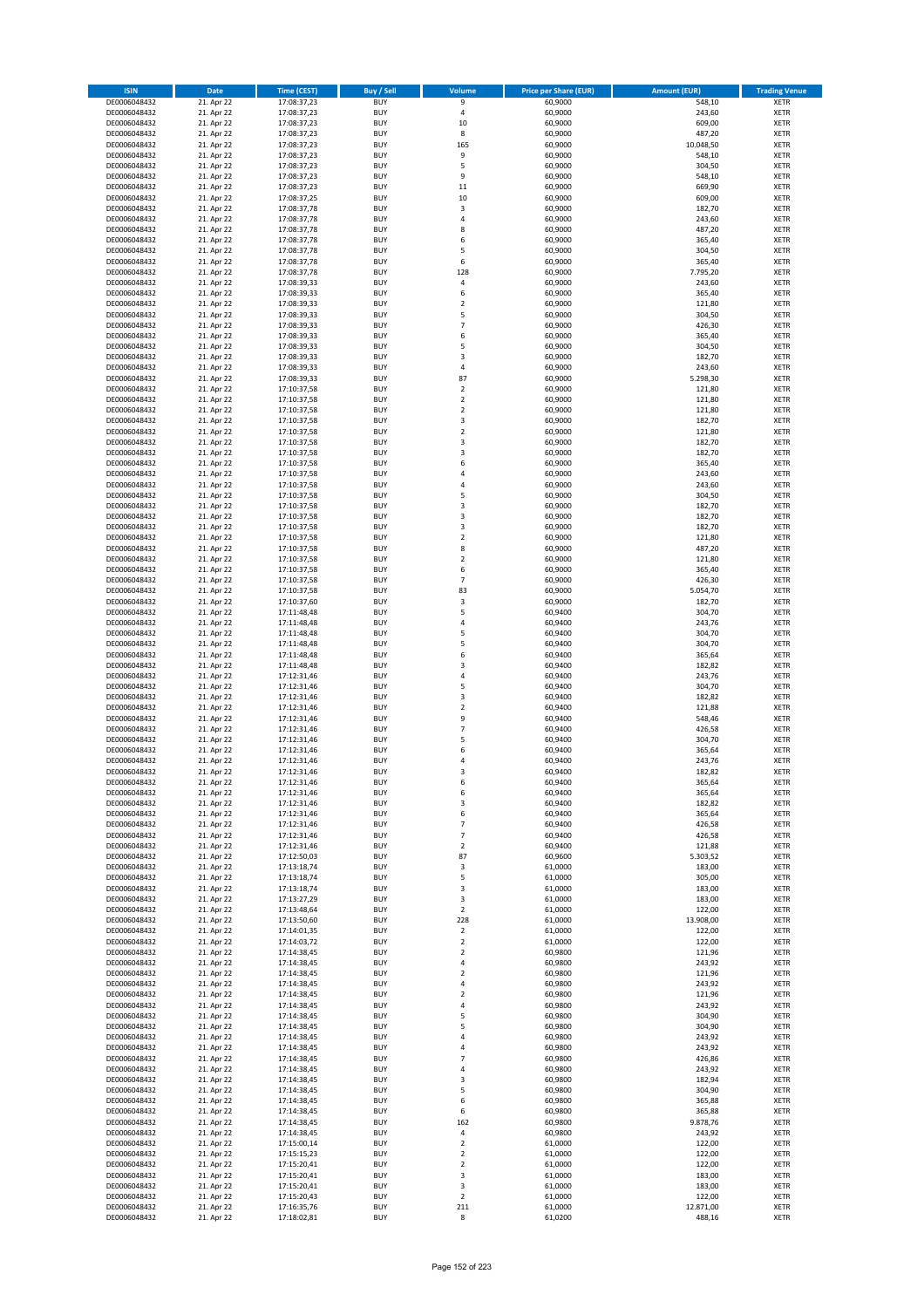| <b>ISIN</b>                  | Date                     | Time (CEST)                | <b>Buy / Sell</b>        | <b>Volume</b>             | <b>Price per Share (EUR)</b> | <b>Amount (EUR)</b> | <b>Trading Venue</b>       |
|------------------------------|--------------------------|----------------------------|--------------------------|---------------------------|------------------------------|---------------------|----------------------------|
| DE0006048432                 | 21. Apr 22               | 17:08:37,23                | <b>BUY</b>               | $\overline{9}$            | 60,9000                      | 548,10              | <b>XETR</b>                |
| DE0006048432                 | 21. Apr 22               | 17:08:37,23                | <b>BUY</b>               | $\sqrt{4}$                | 60,9000                      | 243,60              | XETR                       |
| DE0006048432                 | 21. Apr 22               | 17:08:37,23                | <b>BUY</b>               | 10                        | 60,9000                      | 609,00              | <b>XETR</b>                |
| DE0006048432<br>DE0006048432 | 21. Apr 22<br>21. Apr 22 | 17:08:37,23<br>17:08:37,23 | <b>BUY</b><br><b>BUY</b> | 8<br>165                  | 60,9000<br>60,9000           | 487,20<br>10.048,50 | XETR<br><b>XETR</b>        |
| DE0006048432                 | 21. Apr 22               | 17:08:37,23                | <b>BUY</b>               | 9                         | 60,9000                      | 548,10              | <b>XETR</b>                |
| DE0006048432                 | 21. Apr 22               | 17:08:37,23                | <b>BUY</b>               | 5                         | 60,9000                      | 304,50              | <b>XETR</b>                |
| DE0006048432                 | 21. Apr 22               | 17:08:37,23                | <b>BUY</b>               | 9                         | 60,9000                      | 548,10              | <b>XETR</b>                |
| DE0006048432                 | 21. Apr 22               | 17:08:37,23                | <b>BUY</b>               | 11                        | 60,9000                      | 669,90              | <b>XETR</b>                |
| DE0006048432                 | 21. Apr 22               | 17:08:37,25                | <b>BUY</b>               | 10                        | 60,9000                      | 609,00              | <b>XETR</b>                |
| DE0006048432                 | 21. Apr 22               | 17:08:37,78                | <b>BUY</b>               | $\mathsf 3$               | 60,9000                      | 182,70              | <b>XETR</b>                |
| DE0006048432                 | 21. Apr 22<br>21. Apr 22 | 17:08:37,78                | <b>BUY</b><br><b>BUY</b> | 4<br>8                    | 60,9000                      | 243,60              | <b>XETR</b><br><b>XETR</b> |
| DE0006048432<br>DE0006048432 | 21. Apr 22               | 17:08:37,78<br>17:08:37,78 | <b>BUY</b>               | 6                         | 60,9000<br>60,9000           | 487,20<br>365,40    | <b>XETR</b>                |
| DE0006048432                 | 21. Apr 22               | 17:08:37,78                | <b>BUY</b>               | 5                         | 60,9000                      | 304,50              | <b>XETR</b>                |
| DE0006048432                 | 21. Apr 22               | 17:08:37,78                | <b>BUY</b>               | 6                         | 60,9000                      | 365,40              | <b>XETR</b>                |
| DE0006048432                 | 21. Apr 22               | 17:08:37,78                | <b>BUY</b>               | 128                       | 60,9000                      | 7.795,20            | <b>XETR</b>                |
| DE0006048432                 | 21. Apr 22               | 17:08:39,33                | <b>BUY</b>               | 4                         | 60,9000                      | 243,60              | <b>XETR</b>                |
| DE0006048432                 | 21. Apr 22               | 17:08:39,33                | <b>BUY</b>               | 6                         | 60,9000                      | 365,40              | <b>XETR</b>                |
| DE0006048432                 | 21. Apr 22               | 17:08:39,33                | <b>BUY</b>               | $\mathbf 2$               | 60,9000                      | 121,80              | <b>XETR</b>                |
| DE0006048432                 | 21. Apr 22               | 17:08:39,33                | <b>BUY</b>               | 5<br>$\overline{7}$       | 60,9000                      | 304,50              | <b>XETR</b>                |
| DE0006048432<br>DE0006048432 | 21. Apr 22<br>21. Apr 22 | 17:08:39,33<br>17:08:39,33 | <b>BUY</b><br><b>BUY</b> | 6                         | 60,9000<br>60,9000           | 426,30<br>365,40    | <b>XETR</b><br><b>XETR</b> |
| DE0006048432                 | 21. Apr 22               | 17:08:39,33                | <b>BUY</b>               | 5                         | 60,9000                      | 304,50              | <b>XETR</b>                |
| DE0006048432                 | 21. Apr 22               | 17:08:39,33                | <b>BUY</b>               | 3                         | 60,9000                      | 182,70              | <b>XETR</b>                |
| DE0006048432                 | 21. Apr 22               | 17:08:39,33                | <b>BUY</b>               | 4                         | 60,9000                      | 243,60              | <b>XETR</b>                |
| DE0006048432                 | 21. Apr 22               | 17:08:39,33                | <b>BUY</b>               | 87                        | 60,9000                      | 5.298,30            | <b>XETR</b>                |
| DE0006048432                 | 21. Apr 22               | 17:10:37,58                | <b>BUY</b>               | $\overline{2}$            | 60,9000                      | 121,80              | <b>XETR</b>                |
| DE0006048432                 | 21. Apr 22               | 17:10:37,58                | <b>BUY</b>               | $\mathbf 2$               | 60,9000                      | 121,80              | <b>XETR</b>                |
| DE0006048432                 | 21. Apr 22               | 17:10:37,58                | <b>BUY</b><br><b>BUY</b> | $\overline{2}$<br>3       | 60,9000                      | 121,80              | <b>XETR</b>                |
| DE0006048432<br>DE0006048432 | 21. Apr 22<br>21. Apr 22 | 17:10:37,58<br>17:10:37,58 | <b>BUY</b>               | $\mathbf 2$               | 60,9000<br>60,9000           | 182,70<br>121,80    | <b>XETR</b><br><b>XETR</b> |
| DE0006048432                 | 21. Apr 22               | 17:10:37,58                | <b>BUY</b>               | 3                         | 60,9000                      | 182,70              | <b>XETR</b>                |
| DE0006048432                 | 21. Apr 22               | 17:10:37,58                | <b>BUY</b>               | 3                         | 60,9000                      | 182,70              | <b>XETR</b>                |
| DE0006048432                 | 21. Apr 22               | 17:10:37,58                | <b>BUY</b>               | 6                         | 60,9000                      | 365,40              | <b>XETR</b>                |
| DE0006048432                 | 21. Apr 22               | 17:10:37,58                | <b>BUY</b>               | 4                         | 60,9000                      | 243,60              | <b>XETR</b>                |
| DE0006048432                 | 21. Apr 22               | 17:10:37,58                | <b>BUY</b>               | $\overline{4}$            | 60,9000                      | 243,60              | <b>XETR</b>                |
| DE0006048432                 | 21. Apr 22               | 17:10:37,58                | <b>BUY</b>               | 5                         | 60,9000                      | 304,50              | <b>XETR</b>                |
| DE0006048432                 | 21. Apr 22               | 17:10:37,58                | <b>BUY</b>               | 3                         | 60,9000                      | 182,70              | <b>XETR</b>                |
| DE0006048432                 | 21. Apr 22               | 17:10:37,58                | <b>BUY</b><br><b>BUY</b> | 3<br>3                    | 60,9000                      | 182,70              | <b>XETR</b><br><b>XETR</b> |
| DE0006048432<br>DE0006048432 | 21. Apr 22<br>21. Apr 22 | 17:10:37,58<br>17:10:37,58 | <b>BUY</b>               | $\mathbf 2$               | 60,9000<br>60,9000           | 182,70<br>121,80    | <b>XETR</b>                |
| DE0006048432                 | 21. Apr 22               | 17:10:37,58                | <b>BUY</b>               | 8                         | 60,9000                      | 487,20              | <b>XETR</b>                |
| DE0006048432                 | 21. Apr 22               | 17:10:37,58                | <b>BUY</b>               | $\overline{2}$            | 60,9000                      | 121,80              | <b>XETR</b>                |
| DE0006048432                 | 21. Apr 22               | 17:10:37,58                | <b>BUY</b>               | 6                         | 60,9000                      | 365,40              | <b>XETR</b>                |
| DE0006048432                 | 21. Apr 22               | 17:10:37,58                | <b>BUY</b>               | $\overline{7}$            | 60,9000                      | 426,30              | <b>XETR</b>                |
| DE0006048432                 | 21. Apr 22               | 17:10:37,58                | <b>BUY</b>               | 83                        | 60,9000                      | 5.054,70            | <b>XETR</b>                |
| DE0006048432                 | 21. Apr 22               | 17:10:37,60                | <b>BUY</b>               | 3                         | 60,9000                      | 182,70              | <b>XETR</b>                |
| DE0006048432                 | 21. Apr 22               | 17:11:48,48                | <b>BUY</b>               | 5                         | 60,9400                      | 304,70              | <b>XETR</b>                |
| DE0006048432<br>DE0006048432 | 21. Apr 22<br>21. Apr 22 | 17:11:48,48<br>17:11:48,48 | <b>BUY</b><br><b>BUY</b> | $\sqrt{4}$<br>5           | 60,9400<br>60,9400           | 243,76<br>304,70    | <b>XETR</b><br><b>XETR</b> |
| DE0006048432                 | 21. Apr 22               | 17:11:48,48                | <b>BUY</b>               | 5                         | 60,9400                      | 304,70              | <b>XETR</b>                |
| DE0006048432                 | 21. Apr 22               | 17:11:48,48                | <b>BUY</b>               | 6                         | 60,9400                      | 365,64              | <b>XETR</b>                |
| DE0006048432                 | 21. Apr 22               | 17:11:48,48                | <b>BUY</b>               | 3                         | 60,9400                      | 182,82              | <b>XETR</b>                |
| DE0006048432                 | 21. Apr 22               | 17:12:31,46                | <b>BUY</b>               | 4                         | 60,9400                      | 243,76              | <b>XETR</b>                |
| DE0006048432                 | 21. Apr 22               | 17:12:31,46                | <b>BUY</b>               | 5                         | 60,9400                      | 304,70              | <b>XETR</b>                |
| DE0006048432                 | 21. Apr 22               | 17:12:31,46                | <b>BUY</b>               | 3                         | 60,9400                      | 182,82              | <b>XETR</b>                |
| DE0006048432                 | 21. Apr 22               | 17:12:31,46                | <b>BUY</b>               | $\mathbf 2$               | 60,9400                      | 121,88              | <b>XETR</b>                |
| DE0006048432                 | 21. Apr 22               | 17:12:31,46                | <b>BUY</b>               | 9<br>$\overline{7}$       | 60,9400                      | 548,46              | <b>XETR</b>                |
| DE0006048432<br>DE0006048432 | 21. Apr 22<br>21. Apr 22 | 17:12:31,46<br>17:12:31,46 | <b>BUY</b><br><b>BUY</b> | 5                         | 60,9400<br>60,9400           | 426,58<br>304,70    | <b>XETR</b><br><b>XETR</b> |
| DE0006048432                 | 21. Apr 22               | 17:12:31,46                | <b>BUY</b>               | 6                         | 60,9400                      | 365,64              | <b>XETR</b>                |
| DE0006048432                 | 21. Apr 22               | 17:12:31,46                | <b>BUY</b>               | $\overline{4}$            | 60,9400                      | 243,76              | <b>XETR</b>                |
| DE0006048432                 | 21. Apr 22               | 17:12:31,46                | <b>BUY</b>               | 3                         | 60,9400                      | 182,82              | <b>XETR</b>                |
| DE0006048432                 | 21. Apr 22               | 17:12:31,46                | <b>BUY</b>               | 6                         | 60,9400                      | 365,64              | XETR                       |
| DE0006048432                 | 21. Apr 22               | 17:12:31,46                | <b>BUY</b>               | 6                         | 60,9400                      | 365,64              | <b>XETR</b>                |
| DE0006048432                 | 21. Apr 22<br>21. Apr 22 | 17:12:31,46                | <b>BUY</b><br><b>BUY</b> | 3                         | 60,9400<br>60,9400           | 182,82<br>365,64    | <b>XETR</b>                |
| DE0006048432<br>DE0006048432 | 21. Apr 22               | 17:12:31,46<br>17:12:31,46 | <b>BUY</b>               | 6<br>$\overline{7}$       | 60,9400                      | 426,58              | <b>XETR</b><br><b>XETR</b> |
| DE0006048432                 | 21. Apr 22               | 17:12:31,46                | <b>BUY</b>               | $\overline{7}$            | 60,9400                      | 426,58              | <b>XETR</b>                |
| DE0006048432                 | 21. Apr 22               | 17:12:31,46                | <b>BUY</b>               | $\overline{2}$            | 60,9400                      | 121,88              | <b>XETR</b>                |
| DE0006048432                 | 21. Apr 22               | 17:12:50,03                | <b>BUY</b>               | 87                        | 60,9600                      | 5.303,52            | <b>XETR</b>                |
| DE0006048432                 | 21. Apr 22               | 17:13:18,74                | <b>BUY</b>               | 3                         | 61,0000                      | 183,00              | XETR                       |
| DE0006048432                 | 21. Apr 22               | 17:13:18,74                | <b>BUY</b>               | 5                         | 61,0000                      | 305,00              | <b>XETR</b>                |
| DE0006048432<br>DE0006048432 | 21. Apr 22<br>21. Apr 22 | 17:13:18,74                | <b>BUY</b><br><b>BUY</b> | 3<br>3                    | 61,0000<br>61,0000           | 183,00<br>183,00    | XETR<br><b>XETR</b>        |
| DE0006048432                 | 21. Apr 22               | 17:13:27,29<br>17:13:48,64 | <b>BUY</b>               | $\mathbf 2$               | 61,0000                      | 122,00              | XETR                       |
| DE0006048432                 | 21. Apr 22               | 17:13:50,60                | <b>BUY</b>               | 228                       | 61,0000                      | 13.908,00           | <b>XETR</b>                |
| DE0006048432                 | 21. Apr 22               | 17:14:01,35                | <b>BUY</b>               | $\mathbf 2$               | 61,0000                      | 122,00              | XETR                       |
| DE0006048432                 | 21. Apr 22               | 17:14:03,72                | <b>BUY</b>               | $\overline{2}$            | 61,0000                      | 122,00              | <b>XETR</b>                |
| DE0006048432                 | 21. Apr 22               | 17:14:38,45                | <b>BUY</b>               | $\overline{2}$            | 60,9800                      | 121,96              | <b>XETR</b>                |
| DE0006048432                 | 21. Apr 22               | 17:14:38,45                | <b>BUY</b>               | $\pmb{4}$                 | 60,9800                      | 243,92              | <b>XETR</b>                |
| DE0006048432                 | 21. Apr 22               | 17:14:38,45                | <b>BUY</b>               | $\mathbf 2$<br>$\sqrt{4}$ | 60,9800                      | 121,96              | XETR                       |
| DE0006048432<br>DE0006048432 | 21. Apr 22<br>21. Apr 22 | 17:14:38,45<br>17:14:38,45 | <b>BUY</b><br><b>BUY</b> | $\overline{2}$            | 60,9800<br>60,9800           | 243,92<br>121,96    | XETR<br><b>XETR</b>        |
| DE0006048432                 | 21. Apr 22               | 17:14:38,45                | <b>BUY</b>               | $\pmb{4}$                 | 60,9800                      | 243,92              | <b>XETR</b>                |
| DE0006048432                 | 21. Apr 22               | 17:14:38,45                | <b>BUY</b>               | 5                         | 60,9800                      | 304,90              | XETR                       |
| DE0006048432                 | 21. Apr 22               | 17:14:38,45                | <b>BUY</b>               | 5                         | 60,9800                      | 304,90              | XETR                       |
| DE0006048432                 | 21. Apr 22               | 17:14:38,45                | <b>BUY</b>               | 4                         | 60,9800                      | 243,92              | XETR                       |
| DE0006048432                 | 21. Apr 22               | 17:14:38,45                | <b>BUY</b>               | 4                         | 60,9800                      | 243,92              | <b>XETR</b>                |
| DE0006048432                 | 21. Apr 22               | 17:14:38,45                | <b>BUY</b>               | $\overline{7}$            | 60,9800                      | 426,86              | <b>XETR</b>                |
| DE0006048432                 | 21. Apr 22               | 17:14:38,45                | <b>BUY</b><br><b>BUY</b> | $\pmb{4}$                 | 60,9800<br>60,9800           | 243,92<br>182,94    | <b>XETR</b>                |
| DE0006048432<br>DE0006048432 | 21. Apr 22<br>21. Apr 22 | 17:14:38,45<br>17:14:38,45 | <b>BUY</b>               | 3<br>5                    | 60,9800                      | 304,90              | <b>XETR</b><br><b>XETR</b> |
| DE0006048432                 | 21. Apr 22               | 17:14:38,45                | <b>BUY</b>               | 6                         | 60,9800                      | 365,88              | XETR                       |
| DE0006048432                 | 21. Apr 22               | 17:14:38,45                | <b>BUY</b>               | 6                         | 60,9800                      | 365,88              | XETR                       |
| DE0006048432                 | 21. Apr 22               | 17:14:38,45                | <b>BUY</b>               | 162                       | 60,9800                      | 9.878,76            | XETR                       |
| DE0006048432                 | 21. Apr 22               | 17:14:38,45                | <b>BUY</b>               | $\pmb{4}$                 | 60,9800                      | 243,92              | <b>XETR</b>                |
| DE0006048432                 | 21. Apr 22               | 17:15:00,14                | <b>BUY</b>               | $\mathbf 2$               | 61,0000                      | 122,00              | <b>XETR</b>                |
| DE0006048432                 | 21. Apr 22               | 17:15:15,23                | <b>BUY</b>               | $\mathbf 2$               | 61,0000                      | 122,00              | XETR                       |
| DE0006048432<br>DE0006048432 | 21. Apr 22<br>21. Apr 22 | 17:15:20,41<br>17:15:20,41 | <b>BUY</b><br><b>BUY</b> | $\overline{2}$<br>3       | 61,0000<br>61,0000           | 122,00<br>183,00    | XETR<br>XETR               |
| DE0006048432                 | 21. Apr 22               | 17:15:20,41                | <b>BUY</b>               | 3                         | 61,0000                      | 183,00              | <b>XETR</b>                |
| DE0006048432                 | 21. Apr 22               | 17:15:20,43                | <b>BUY</b>               | $\mathbf 2$               | 61,0000                      | 122,00              | XETR                       |
| DE0006048432                 | 21. Apr 22               | 17:16:35,76                | <b>BUY</b>               | 211                       | 61,0000                      | 12.871,00           | <b>XETR</b>                |
| DE0006048432                 | 21. Apr 22               | 17:18:02,81                | <b>BUY</b>               | 8                         | 61,0200                      | 488,16              | XETR                       |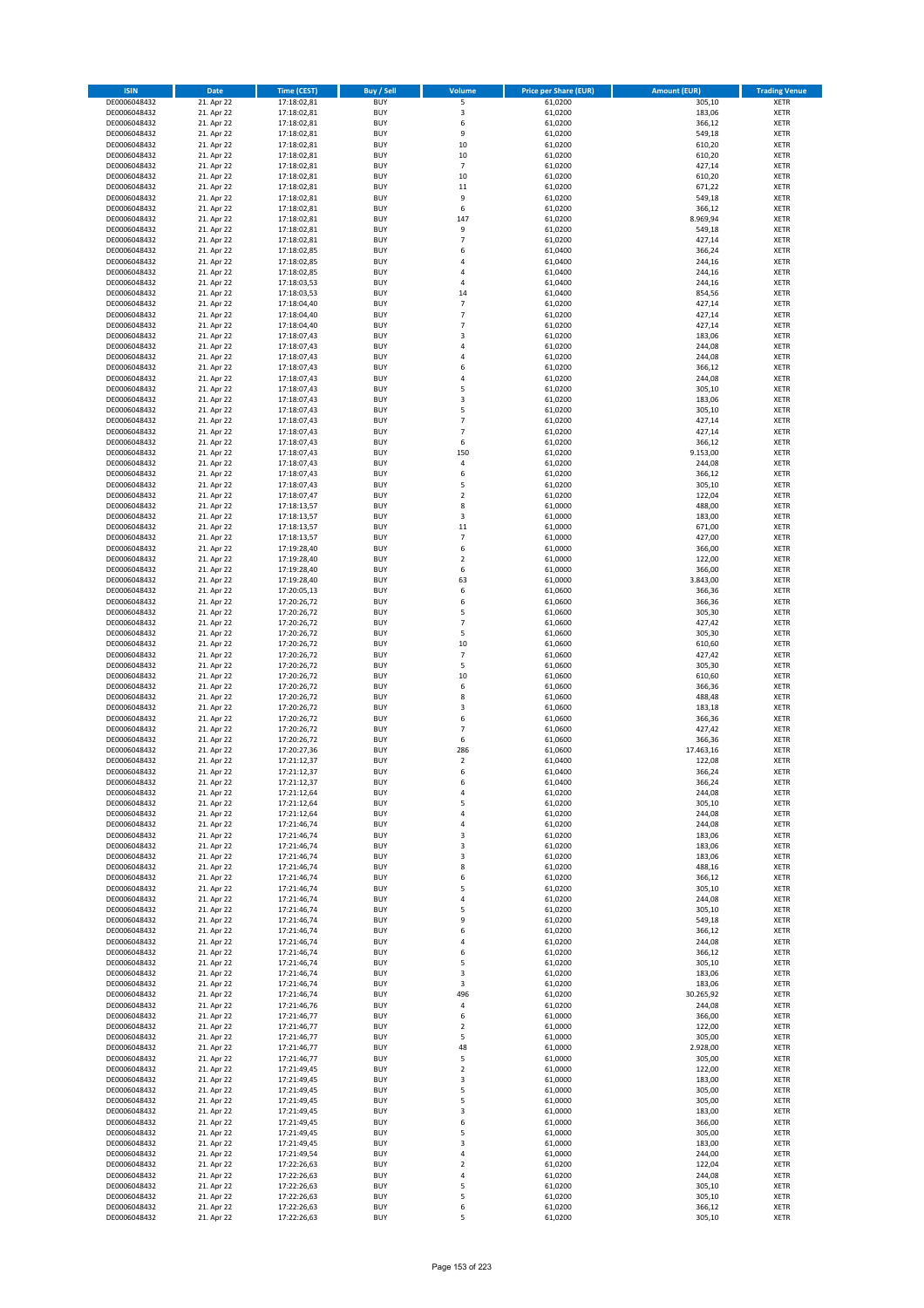| <b>ISIN</b>                  | <b>Date</b>              | Time (CEST)                | <b>Buy / Sell</b>        | Volume                           | <b>Price per Share (EUR)</b> | Amount (EUR)     | <b>Trading Venue</b>       |
|------------------------------|--------------------------|----------------------------|--------------------------|----------------------------------|------------------------------|------------------|----------------------------|
| DE0006048432                 | 21. Apr 22               | 17:18:02,81                | <b>BUY</b>               | 5                                | 61,0200                      | 305,10           | <b>XETR</b>                |
| DE0006048432                 | 21. Apr 22               | 17:18:02,81                | <b>BUY</b>               | 3                                | 61,0200                      | 183,06           | <b>XETR</b>                |
| DE0006048432                 | 21. Apr 22               | 17:18:02,81                | <b>BUY</b>               | 6                                | 61,0200                      | 366,12           | <b>XETR</b>                |
| DE0006048432                 | 21. Apr 22               | 17:18:02,81                | <b>BUY</b>               | 9                                | 61,0200                      | 549,18           | <b>XETR</b>                |
| DE0006048432                 | 21. Apr 22               | 17:18:02,81                | <b>BUY</b>               | 10                               | 61,0200                      | 610,20           | <b>XETR</b>                |
| DE0006048432                 | 21. Apr 22               | 17:18:02,81                | <b>BUY</b>               | 10                               | 61,0200                      | 610,20           | <b>XETR</b>                |
| DE0006048432                 | 21. Apr 22               | 17:18:02,81                | <b>BUY</b>               | $\overline{7}$                   | 61,0200                      | 427,14           | <b>XETR</b>                |
| DE0006048432                 | 21. Apr 22               | 17:18:02,81                | <b>BUY</b>               | 10                               | 61,0200                      | 610,20           | <b>XETR</b>                |
| DE0006048432<br>DE0006048432 | 21. Apr 22<br>21. Apr 22 | 17:18:02,81<br>17:18:02,81 | <b>BUY</b><br><b>BUY</b> | $11\,$<br>9                      | 61,0200<br>61,0200           | 671,22<br>549,18 | <b>XETR</b><br><b>XETR</b> |
| DE0006048432                 | 21. Apr 22               | 17:18:02,81                | <b>BUY</b>               | 6                                | 61,0200                      | 366,12           | <b>XETR</b>                |
| DE0006048432                 | 21. Apr 22               | 17:18:02,81                | <b>BUY</b>               | 147                              | 61,0200                      | 8.969,94         | <b>XETR</b>                |
| DE0006048432                 | 21. Apr 22               | 17:18:02,81                | <b>BUY</b>               | 9                                | 61,0200                      | 549,18           | <b>XETR</b>                |
| DE0006048432                 | 21. Apr 22               | 17:18:02,81                | <b>BUY</b>               | $\overline{7}$                   | 61,0200                      | 427,14           | <b>XETR</b>                |
| DE0006048432                 | 21. Apr 22               | 17:18:02,85                | <b>BUY</b>               | 6                                | 61,0400                      | 366,24           | <b>XETR</b>                |
| DE0006048432                 | 21. Apr 22               | 17:18:02,85                | <b>BUY</b>               | $\overline{a}$                   | 61,0400                      | 244,16           | <b>XETR</b>                |
| DE0006048432                 | 21. Apr 22               | 17:18:02,85                | <b>BUY</b>               | 4                                | 61,0400                      | 244,16           | <b>XETR</b>                |
| DE0006048432                 | 21. Apr 22               | 17:18:03,53                | <b>BUY</b>               | 4                                | 61,0400                      | 244,16           | <b>XETR</b>                |
| DE0006048432                 | 21. Apr 22<br>21. Apr 22 | 17:18:03.53                | <b>BUY</b>               | 14                               | 61.0400                      | 854,56           | <b>XETR</b>                |
| DE0006048432<br>DE0006048432 | 21. Apr 22               | 17:18:04,40<br>17:18:04,40 | <b>BUY</b><br><b>BUY</b> | $\overline{7}$<br>$\overline{7}$ | 61,0200<br>61,0200           | 427,14<br>427,14 | <b>XETR</b><br><b>XETR</b> |
| DE0006048432                 | 21. Apr 22               | 17:18:04,40                | <b>BUY</b>               | $\overline{7}$                   | 61,0200                      | 427,14           | <b>XETR</b>                |
| DE0006048432                 | 21. Apr 22               | 17:18:07,43                | <b>BUY</b>               | $\overline{3}$                   | 61,0200                      | 183,06           | <b>XETR</b>                |
| DE0006048432                 | 21. Apr 22               | 17:18:07,43                | <b>BUY</b>               | 4                                | 61,0200                      | 244,08           | <b>XETR</b>                |
| DE0006048432                 | 21. Apr 22               | 17:18:07,43                | <b>BUY</b>               | $\overline{4}$                   | 61,0200                      | 244,08           | <b>XETR</b>                |
| DE0006048432                 | 21. Apr 22               | 17:18:07,43                | <b>BUY</b>               | 6                                | 61,0200                      | 366,12           | <b>XETR</b>                |
| DE0006048432                 | 21. Apr 22               | 17:18:07,43                | <b>BUY</b>               | $\overline{a}$                   | 61,0200                      | 244,08           | <b>XETR</b>                |
| DE0006048432                 | 21. Apr 22               | 17:18:07,43                | <b>BUY</b>               | 5                                | 61,0200                      | 305,10           | <b>XETR</b>                |
| DE0006048432                 | 21. Apr 22               | 17:18:07,43                | <b>BUY</b>               | $\overline{\mathbf{3}}$          | 61,0200                      | 183,06           | <b>XETR</b>                |
| DE0006048432                 | 21. Apr 22               | 17:18:07,43                | <b>BUY</b><br><b>BUY</b> | 5<br>$\overline{7}$              | 61,0200                      | 305,10           | <b>XETR</b>                |
| DE0006048432<br>DE0006048432 | 21. Apr 22<br>21. Apr 22 | 17:18:07,43<br>17:18:07,43 | <b>BUY</b>               | 7                                | 61,0200<br>61,0200           | 427,14<br>427,14 | <b>XETR</b><br><b>XETR</b> |
| DE0006048432                 | 21. Apr 22               | 17:18:07,43                | <b>BUY</b>               | 6                                | 61,0200                      | 366,12           | <b>XETR</b>                |
| DE0006048432                 | 21. Apr 22               | 17:18:07,43                | <b>BUY</b>               | 150                              | 61,0200                      | 9.153,00         | <b>XETR</b>                |
| DE0006048432                 | 21. Apr 22               | 17:18:07,43                | <b>BUY</b>               | 4                                | 61,0200                      | 244,08           | <b>XETR</b>                |
| DE0006048432                 | 21. Apr 22               | 17:18:07,43                | <b>BUY</b>               | 6                                | 61,0200                      | 366,12           | <b>XETR</b>                |
| DE0006048432                 | 21. Apr 22               | 17:18:07,43                | <b>BUY</b>               | 5                                | 61,0200                      | 305,10           | <b>XETR</b>                |
| DE0006048432                 | 21. Apr 22               | 17:18:07,47                | <b>BUY</b>               | $\mathbf 2$                      | 61,0200                      | 122,04           | <b>XETR</b>                |
| DE0006048432                 | 21. Apr 22               | 17:18:13,57                | <b>BUY</b>               | 8                                | 61,0000                      | 488,00           | <b>XETR</b>                |
| DE0006048432                 | 21. Apr 22               | 17:18:13,57                | <b>BUY</b>               | 3                                | 61,0000                      | 183,00           | <b>XETR</b>                |
| DE0006048432                 | 21. Apr 22               | 17:18:13,57                | <b>BUY</b><br><b>BUY</b> | $11\,$<br>$\overline{7}$         | 61,0000                      | 671,00           | <b>XETR</b>                |
| DE0006048432<br>DE0006048432 | 21. Apr 22<br>21. Apr 22 | 17:18:13,57<br>17:19:28,40 | <b>BUY</b>               | 6                                | 61,0000<br>61,0000           | 427,00<br>366,00 | <b>XETR</b><br><b>XETR</b> |
| DE0006048432                 | 21. Apr 22               | 17:19:28,40                | <b>BUY</b>               | $\overline{2}$                   | 61,0000                      | 122,00           | <b>XETR</b>                |
| DE0006048432                 | 21. Apr 22               | 17:19:28,40                | <b>BUY</b>               | 6                                | 61,0000                      | 366,00           | <b>XETR</b>                |
| DE0006048432                 | 21. Apr 22               | 17:19:28,40                | <b>BUY</b>               | 63                               | 61,0000                      | 3.843,00         | <b>XETR</b>                |
| DE0006048432                 | 21. Apr 22               | 17:20:05,13                | <b>BUY</b>               | 6                                | 61,0600                      | 366,36           | <b>XETR</b>                |
| DE0006048432                 | 21. Apr 22               | 17:20:26,72                | <b>BUY</b>               | 6                                | 61,0600                      | 366,36           | <b>XETR</b>                |
| DE0006048432                 | 21. Apr 22               | 17:20:26,72                | <b>BUY</b>               | 5                                | 61,0600                      | 305,30           | <b>XETR</b>                |
| DE0006048432                 | 21. Apr 22               | 17:20:26,72                | <b>BUY</b>               | $\overline{7}$                   | 61,0600                      | 427,42           | <b>XETR</b>                |
| DE0006048432                 | 21. Apr 22               | 17:20:26,72                | <b>BUY</b>               | 5                                | 61,0600                      | 305,30           | <b>XETR</b>                |
| DE0006048432<br>DE0006048432 | 21. Apr 22               | 17:20:26,72                | <b>BUY</b><br><b>BUY</b> | 10<br>$\overline{7}$             | 61,0600                      | 610,60           | <b>XETR</b><br><b>XETR</b> |
| DE0006048432                 | 21. Apr 22<br>21. Apr 22 | 17:20:26,72<br>17:20:26,72 | <b>BUY</b>               | 5                                | 61,0600<br>61,0600           | 427,42<br>305,30 | <b>XETR</b>                |
| DE0006048432                 | 21. Apr 22               | 17:20:26,72                | <b>BUY</b>               | 10                               | 61,0600                      | 610,60           | <b>XETR</b>                |
| DE0006048432                 | 21. Apr 22               | 17:20:26,72                | <b>BUY</b>               | 6                                | 61,0600                      | 366,36           | <b>XETR</b>                |
| DE0006048432                 | 21. Apr 22               | 17:20:26,72                | <b>BUY</b>               | 8                                | 61,0600                      | 488,48           | <b>XETR</b>                |
| DE0006048432                 | 21. Apr 22               | 17:20:26,72                | <b>BUY</b>               | 3                                | 61,0600                      | 183,18           | <b>XETR</b>                |
| DE0006048432                 | 21. Apr 22               | 17:20:26,72                | <b>BUY</b>               | 6                                | 61,0600                      | 366,36           | <b>XETR</b>                |
| DE0006048432                 | 21. Apr 22               | 17:20:26,72                | <b>BUY</b>               | 7                                | 61,0600                      | 427,42           | <b>XETR</b>                |
| DE0006048432                 | 21. Apr 22               | 17:20:26,72                | <b>BUY</b>               | 6                                | 61,0600                      | 366,36           | <b>XETR</b>                |
| DE0006048432                 | 21. Apr 22               | 17:20:27,36                | BUY<br><b>BUY</b>        | 286                              | 61,0600                      | 17.463,16        | <b>XETR</b><br><b>XETR</b> |
| DE0006048432<br>DE0006048432 | 21. Apr 22<br>21. Apr 22 | 17:21:12,37<br>17:21:12,37 | <b>BUY</b>               | $\mathbf 2$<br>6                 | 61,0400<br>61,0400           | 122,08<br>366,24 | <b>XETR</b>                |
| DE0006048432                 | 21. Apr 22               | 17:21:12,37                | BUY                      | 6                                | 61,0400                      | 366,24           | <b>XETR</b>                |
| DE0006048432                 | 21. Apr 22               | 17:21:12,64                | <b>BUY</b>               | $\overline{4}$                   | 61,0200                      | 244,08           | <b>XETR</b>                |
| DE0006048432                 | 21. Apr 22               | 17:21:12,64                | <b>BUY</b>               | 5                                | 61,0200                      | 305,10           | <b>XETR</b>                |
| DE0006048432                 | 21. Apr 22               | 17:21:12,64                | <b>BUY</b>               | 4                                | 61,0200                      | 244,08           | <b>XETR</b>                |
| DE0006048432                 | 21. Apr 22               | 17:21:46,74                | <b>BUY</b>               | 4                                | 61,0200                      | 244,08           | <b>XETR</b>                |
| DE0006048432                 | 21. Apr 22               | 17:21:46,74                | <b>BUY</b>               | 3                                | 61,0200                      | 183,06           | <b>XETR</b>                |
| DE0006048432                 | 21. Apr 22               | 17:21:46,74                | <b>BUY</b>               | 3                                | 61,0200                      | 183,06           | <b>XETR</b>                |
| DE0006048432<br>DE0006048432 | 21. Apr 22<br>21. Apr 22 | 17:21:46,74                | <b>BUY</b><br><b>BUY</b> | 3<br>8                           | 61,0200<br>61,0200           | 183,06           | <b>XETR</b><br><b>XETR</b> |
| DE0006048432                 | 21. Apr 22               | 17:21:46,74<br>17:21:46,74 | <b>BUY</b>               | 6                                | 61,0200                      | 488,16<br>366,12 | <b>XETR</b>                |
| DE0006048432                 | 21. Apr 22               | 17:21:46,74                | <b>BUY</b>               | 5                                | 61,0200                      | 305,10           | <b>XETR</b>                |
| DE0006048432                 | 21. Apr 22               | 17:21:46,74                | <b>BUY</b>               | $\overline{4}$                   | 61,0200                      | 244,08           | <b>XETR</b>                |
| DE0006048432                 | 21. Apr 22               | 17:21:46,74                | <b>BUY</b>               | 5                                | 61,0200                      | 305,10           | <b>XETR</b>                |
| DE0006048432                 | 21. Apr 22               | 17:21:46,74                | <b>BUY</b>               | 9                                | 61,0200                      | 549,18           | <b>XETR</b>                |
| DE0006048432                 | 21. Apr 22               | 17:21:46,74                | <b>BUY</b>               | 6                                | 61,0200                      | 366,12           | <b>XETR</b>                |
| DE0006048432                 | 21. Apr 22               | 17:21:46,74                | <b>BUY</b>               | $\overline{a}$                   | 61,0200                      | 244,08           | <b>XETR</b>                |
| DE0006048432                 | 21. Apr 22               | 17:21:46,74                | <b>BUY</b>               | 6                                | 61,0200                      | 366,12           | <b>XETR</b>                |
| DE0006048432<br>DE0006048432 | 21. Apr 22<br>21. Apr 22 | 17:21:46,74<br>17:21:46,74 | <b>BUY</b><br><b>BUY</b> | 5<br>3                           | 61,0200<br>61,0200           | 305,10<br>183,06 | <b>XETR</b><br><b>XETR</b> |
| DE0006048432                 | 21. Apr 22               | 17:21:46,74                | <b>BUY</b>               | 3                                | 61,0200                      | 183,06           | <b>XETR</b>                |
| DE0006048432                 | 21. Apr 22               | 17:21:46,74                | <b>BUY</b>               | 496                              | 61,0200                      | 30.265,92        | <b>XETR</b>                |
| DE0006048432                 | 21. Apr 22               | 17:21:46,76                | <b>BUY</b>               | 4                                | 61,0200                      | 244,08           | <b>XETR</b>                |
| DE0006048432                 | 21. Apr 22               | 17:21:46,77                | <b>BUY</b>               | 6                                | 61,0000                      | 366,00           | <b>XETR</b>                |
| DE0006048432                 | 21. Apr 22               | 17:21:46,77                | <b>BUY</b>               | $\overline{2}$                   | 61,0000                      | 122,00           | <b>XETR</b>                |
| DE0006048432                 | 21. Apr 22               | 17:21:46,77                | <b>BUY</b>               | 5                                | 61,0000                      | 305,00           | <b>XETR</b>                |
| DE0006048432                 | 21. Apr 22               | 17:21:46,77                | <b>BUY</b>               | 48                               | 61,0000                      | 2.928,00         | <b>XETR</b>                |
| DE0006048432                 | 21. Apr 22               | 17:21:46,77                | <b>BUY</b>               | 5                                | 61,0000                      | 305,00           | <b>XETR</b>                |
| DE0006048432                 | 21. Apr 22<br>21. Apr 22 | 17:21:49,45                | <b>BUY</b><br><b>BUY</b> | $\overline{2}$<br>3              | 61,0000<br>61,0000           | 122,00<br>183,00 | <b>XETR</b>                |
| DE0006048432<br>DE0006048432 | 21. Apr 22               | 17:21:49,45<br>17:21:49,45 | <b>BUY</b>               | 5                                | 61,0000                      | 305,00           | <b>XETR</b><br><b>XETR</b> |
| DE0006048432                 | 21. Apr 22               | 17:21:49,45                | <b>BUY</b>               | 5                                | 61,0000                      | 305,00           | <b>XETR</b>                |
| DE0006048432                 | 21. Apr 22               | 17:21:49,45                | <b>BUY</b>               | 3                                | 61,0000                      | 183,00           | <b>XETR</b>                |
| DE0006048432                 | 21. Apr 22               | 17:21:49,45                | <b>BUY</b>               | 6                                | 61,0000                      | 366,00           | <b>XETR</b>                |
| DE0006048432                 | 21. Apr 22               | 17:21:49,45                | <b>BUY</b>               | 5                                | 61,0000                      | 305,00           | <b>XETR</b>                |
| DE0006048432                 | 21. Apr 22               | 17:21:49,45                | <b>BUY</b>               | 3                                | 61,0000                      | 183,00           | <b>XETR</b>                |
| DE0006048432                 | 21. Apr 22               | 17:21:49,54                | <b>BUY</b>               | 4                                | 61,0000                      | 244,00           | <b>XETR</b>                |
| DE0006048432                 | 21. Apr 22               | 17:22:26,63                | <b>BUY</b>               | $\overline{2}$                   | 61,0200                      | 122,04           | <b>XETR</b>                |
| DE0006048432                 | 21. Apr 22               | 17:22:26,63                | <b>BUY</b>               | 4                                | 61,0200                      | 244,08           | <b>XETR</b>                |
| DE0006048432<br>DE0006048432 | 21. Apr 22<br>21. Apr 22 | 17:22:26,63                | <b>BUY</b><br><b>BUY</b> | 5<br>5                           | 61,0200<br>61,0200           | 305,10<br>305,10 | <b>XETR</b>                |
| DE0006048432                 | 21. Apr 22               | 17:22:26,63<br>17:22:26,63 | <b>BUY</b>               | 6                                | 61,0200                      | 366,12           | <b>XETR</b><br><b>XETR</b> |
| DE0006048432                 | 21. Apr 22               | 17:22:26,63                | <b>BUY</b>               | 5                                | 61,0200                      | 305,10           | <b>XETR</b>                |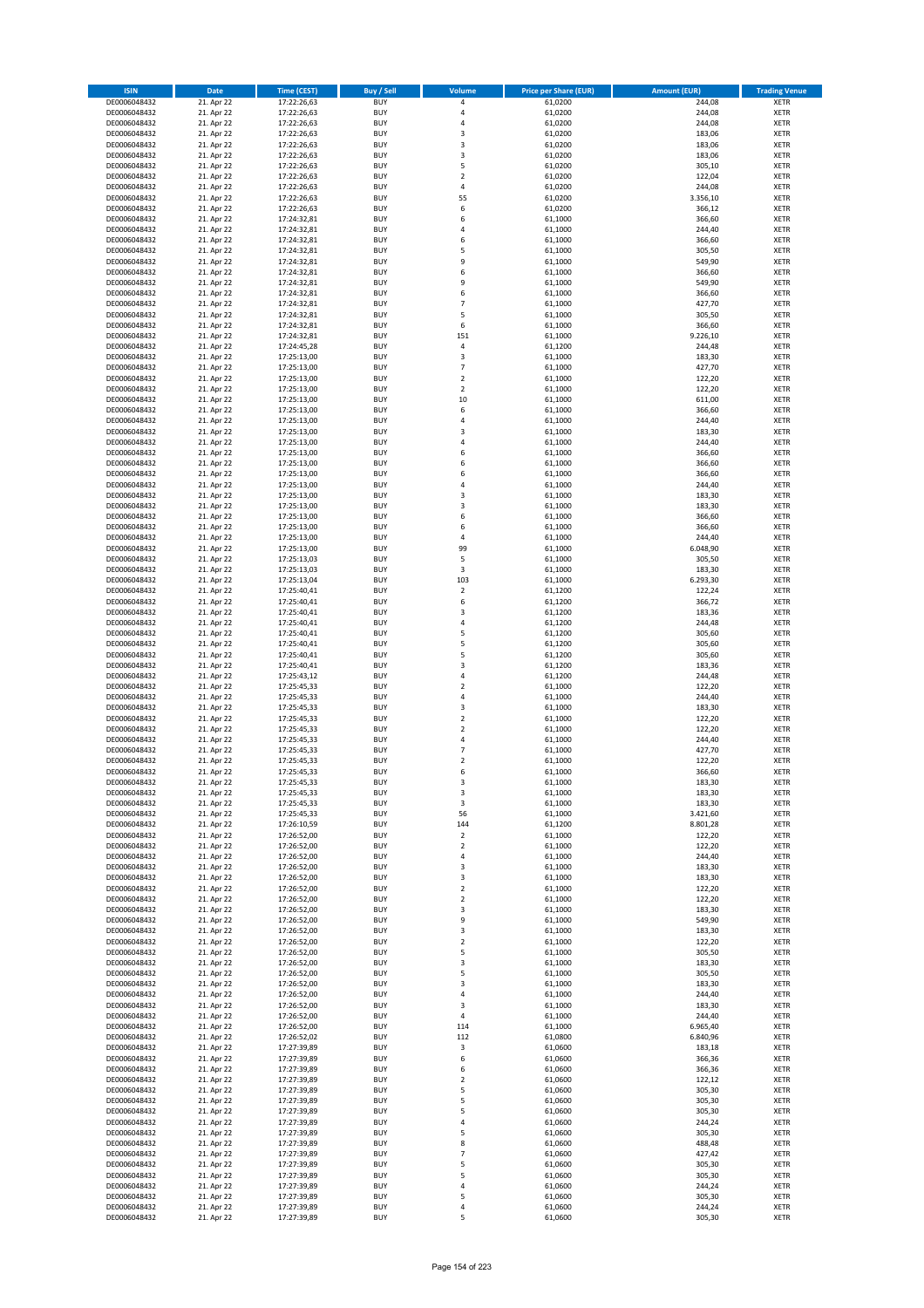| <b>ISIN</b>                  | Date                     | Time (CEST)                | <b>Buy / Sell</b>        | <b>Volume</b>                    | <b>Price per Share (EUR)</b> | <b>Amount (EUR)</b> | <b>Trading Venue</b>       |
|------------------------------|--------------------------|----------------------------|--------------------------|----------------------------------|------------------------------|---------------------|----------------------------|
| DE0006048432                 | 21. Apr 22               | 17:22:26,63                | <b>BUY</b>               | 4                                | 61,0200                      | 244,08              | <b>XETR</b>                |
| DE0006048432                 | 21. Apr 22               | 17:22:26,63                | <b>BUY</b>               | 4                                | 61,0200                      | 244,08              | XETR                       |
| DE0006048432                 | 21. Apr 22               | 17:22:26,63                | <b>BUY</b>               | 4                                | 61,0200                      | 244,08              | <b>XETR</b>                |
| DE0006048432<br>DE0006048432 | 21. Apr 22<br>21. Apr 22 | 17:22:26,63<br>17:22:26,63 | <b>BUY</b><br><b>BUY</b> | $\mathsf 3$<br>3                 | 61,0200<br>61,0200           | 183,06<br>183,06    | XETR<br><b>XETR</b>        |
| DE0006048432                 | 21. Apr 22               | 17:22:26,63                | <b>BUY</b>               | 3                                | 61,0200                      | 183,06              | <b>XETR</b>                |
| DE0006048432                 | 21. Apr 22               | 17:22:26,63                | <b>BUY</b>               | 5                                | 61,0200                      | 305,10              | <b>XETR</b>                |
| DE0006048432                 | 21. Apr 22               | 17:22:26,63                | <b>BUY</b>               | $\overline{2}$                   | 61,0200                      | 122,04              | <b>XETR</b>                |
| DE0006048432                 | 21. Apr 22               | 17:22:26,63                | <b>BUY</b>               | $\overline{4}$                   | 61,0200                      | 244,08              | <b>XETR</b>                |
| DE0006048432                 | 21. Apr 22               | 17:22:26,63                | <b>BUY</b><br><b>BUY</b> | 55                               | 61,0200                      | 3.356,10            | <b>XETR</b><br><b>XETR</b> |
| DE0006048432<br>DE0006048432 | 21. Apr 22<br>21. Apr 22 | 17:22:26,63<br>17:24:32,81 | <b>BUY</b>               | 6<br>6                           | 61,0200<br>61,1000           | 366,12<br>366,60    | <b>XETR</b>                |
| DE0006048432                 | 21. Apr 22               | 17:24:32,81                | <b>BUY</b>               | $\overline{4}$                   | 61,1000                      | 244,40              | <b>XETR</b>                |
| DE0006048432                 | 21. Apr 22               | 17:24:32,81                | <b>BUY</b>               | 6                                | 61,1000                      | 366,60              | <b>XETR</b>                |
| DE0006048432                 | 21. Apr 22               | 17:24:32,81                | <b>BUY</b>               | 5                                | 61,1000                      | 305,50              | <b>XETR</b>                |
| DE0006048432                 | 21. Apr 22               | 17:24:32,81                | <b>BUY</b>               | 9                                | 61,1000                      | 549,90              | <b>XETR</b>                |
| DE0006048432<br>DE0006048432 | 21. Apr 22<br>21. Apr 22 | 17:24:32,81<br>17:24:32,81 | <b>BUY</b><br><b>BUY</b> | 6<br>9                           | 61,1000<br>61,1000           | 366,60<br>549,90    | <b>XETR</b><br><b>XETR</b> |
| DE0006048432                 | 21. Apr 22               | 17:24:32,81                | <b>BUY</b>               | 6                                | 61,1000                      | 366,60              | <b>XETR</b>                |
| DE0006048432                 | 21. Apr 22               | 17:24:32,81                | <b>BUY</b>               | $\overline{7}$                   | 61,1000                      | 427,70              | <b>XETR</b>                |
| DE0006048432                 | 21. Apr 22               | 17:24:32,81                | <b>BUY</b>               | 5                                | 61,1000                      | 305,50              | <b>XETR</b>                |
| DE0006048432                 | 21. Apr 22               | 17:24:32,81                | <b>BUY</b>               | 6                                | 61,1000                      | 366,60              | <b>XETR</b>                |
| DE0006048432                 | 21. Apr 22               | 17:24:32,81                | <b>BUY</b>               | 151                              | 61,1000                      | 9.226,10            | <b>XETR</b>                |
| DE0006048432<br>DE0006048432 | 21. Apr 22<br>21. Apr 22 | 17:24:45,28<br>17:25:13,00 | <b>BUY</b><br><b>BUY</b> | $\pmb{4}$<br>3                   | 61,1200<br>61,1000           | 244,48<br>183,30    | <b>XETR</b><br><b>XETR</b> |
| DE0006048432                 | 21. Apr 22               | 17:25:13,00                | <b>BUY</b>               | $\overline{7}$                   | 61,1000                      | 427,70              | <b>XETR</b>                |
| DE0006048432                 | 21. Apr 22               | 17:25:13,00                | <b>BUY</b>               | $\mathbf 2$                      | 61,1000                      | 122,20              | <b>XETR</b>                |
| DE0006048432                 | 21. Apr 22               | 17:25:13,00                | <b>BUY</b>               | $\overline{2}$                   | 61,1000                      | 122,20              | <b>XETR</b>                |
| DE0006048432                 | 21. Apr 22               | 17:25:13,00                | <b>BUY</b>               | 10                               | 61,1000                      | 611,00              | <b>XETR</b>                |
| DE0006048432<br>DE0006048432 | 21. Apr 22<br>21. Apr 22 | 17:25:13,00<br>17:25:13,00 | <b>BUY</b><br><b>BUY</b> | 6<br>4                           | 61,1000<br>61,1000           | 366,60<br>244,40    | <b>XETR</b><br><b>XETR</b> |
| DE0006048432                 | 21. Apr 22               | 17:25:13,00                | <b>BUY</b>               | 3                                | 61,1000                      | 183,30              | <b>XETR</b>                |
| DE0006048432                 | 21. Apr 22               | 17:25:13,00                | <b>BUY</b>               | 4                                | 61,1000                      | 244,40              | <b>XETR</b>                |
| DE0006048432                 | 21. Apr 22               | 17:25:13,00                | <b>BUY</b>               | 6                                | 61,1000                      | 366,60              | <b>XETR</b>                |
| DE0006048432                 | 21. Apr 22               | 17:25:13,00                | <b>BUY</b>               | 6                                | 61,1000                      | 366,60              | <b>XETR</b>                |
| DE0006048432                 | 21. Apr 22               | 17:25:13,00                | <b>BUY</b>               | 6                                | 61,1000                      | 366,60              | <b>XETR</b>                |
| DE0006048432<br>DE0006048432 | 21. Apr 22<br>21. Apr 22 | 17:25:13,00<br>17:25:13,00 | <b>BUY</b><br><b>BUY</b> | 4<br>3                           | 61,1000<br>61,1000           | 244,40<br>183,30    | <b>XETR</b><br><b>XETR</b> |
| DE0006048432                 | 21. Apr 22               | 17:25:13,00                | <b>BUY</b>               | 3                                | 61,1000                      | 183,30              | <b>XETR</b>                |
| DE0006048432                 | 21. Apr 22               | 17:25:13,00                | <b>BUY</b>               | 6                                | 61,1000                      | 366,60              | <b>XETR</b>                |
| DE0006048432                 | 21. Apr 22               | 17:25:13,00                | <b>BUY</b>               | 6                                | 61,1000                      | 366,60              | <b>XETR</b>                |
| DE0006048432                 | 21. Apr 22               | 17:25:13,00                | <b>BUY</b>               | 4                                | 61,1000                      | 244,40              | <b>XETR</b>                |
| DE0006048432                 | 21. Apr 22               | 17:25:13,00                | <b>BUY</b><br><b>BUY</b> | 99<br>5                          | 61,1000                      | 6.048,90            | <b>XETR</b><br><b>XETR</b> |
| DE0006048432<br>DE0006048432 | 21. Apr 22<br>21. Apr 22 | 17:25:13,03<br>17:25:13,03 | <b>BUY</b>               | 3                                | 61,1000<br>61,1000           | 305,50<br>183,30    | <b>XETR</b>                |
| DE0006048432                 | 21. Apr 22               | 17:25:13,04                | <b>BUY</b>               | 103                              | 61,1000                      | 6.293,30            | <b>XETR</b>                |
| DE0006048432                 | 21. Apr 22               | 17:25:40,41                | <b>BUY</b>               | $\mathbf 2$                      | 61,1200                      | 122,24              | <b>XETR</b>                |
| DE0006048432                 | 21. Apr 22               | 17:25:40,41                | <b>BUY</b>               | 6                                | 61,1200                      | 366,72              | <b>XETR</b>                |
| DE0006048432                 | 21. Apr 22               | 17:25:40,41                | <b>BUY</b>               | 3                                | 61,1200                      | 183,36              | <b>XETR</b>                |
| DE0006048432<br>DE0006048432 | 21. Apr 22<br>21. Apr 22 | 17:25:40,41<br>17:25:40,41 | <b>BUY</b><br><b>BUY</b> | $\pmb{4}$<br>5                   | 61,1200<br>61,1200           | 244,48<br>305,60    | <b>XETR</b><br><b>XETR</b> |
| DE0006048432                 | 21. Apr 22               | 17:25:40,41                | <b>BUY</b>               | 5                                | 61,1200                      | 305,60              | <b>XETR</b>                |
| DE0006048432                 | 21. Apr 22               | 17:25:40,41                | <b>BUY</b>               | 5                                | 61,1200                      | 305,60              | <b>XETR</b>                |
| DE0006048432                 | 21. Apr 22               | 17:25:40,41                | <b>BUY</b>               | $\mathsf 3$                      | 61,1200                      | 183,36              | <b>XETR</b>                |
| DE0006048432                 | 21. Apr 22               | 17:25:43,12                | <b>BUY</b>               | 4                                | 61,1200                      | 244,48              | <b>XETR</b>                |
| DE0006048432                 | 21. Apr 22               | 17:25:45,33                | <b>BUY</b>               | $\mathbf 2$                      | 61,1000                      | 122,20              | <b>XETR</b>                |
| DE0006048432<br>DE0006048432 | 21. Apr 22<br>21. Apr 22 | 17:25:45,33<br>17:25:45,33 | <b>BUY</b><br><b>BUY</b> | $\overline{4}$<br>3              | 61,1000<br>61,1000           | 244,40<br>183,30    | <b>XETR</b><br><b>XETR</b> |
| DE0006048432                 | 21. Apr 22               | 17:25:45,33                | <b>BUY</b>               | $\mathbf 2$                      | 61,1000                      | 122,20              | <b>XETR</b>                |
| DE0006048432                 | 21. Apr 22               | 17:25:45,33                | <b>BUY</b>               | $\overline{2}$                   | 61,1000                      | 122,20              | <b>XETR</b>                |
| DE0006048432                 | 21. Apr 22               | 17:25:45,33                | <b>BUY</b>               | 4                                | 61,1000                      | 244,40              | <b>XETR</b>                |
| DE0006048432                 | 21. Apr 22               | 17:25:45,33                | <b>BUY</b>               | $\overline{7}$                   | 61,1000                      | 427,70              | <b>XETR</b>                |
| DE0006048432<br>DE0006048432 | 21. Apr 22<br>21. Apr 22 | 17:25:45,33<br>17:25:45,33 | <b>BUY</b><br><b>BUY</b> | $\mathbf 2$<br>6                 | 61,1000<br>61,1000           | 122,20<br>366,60    | <b>XETR</b><br><b>XETR</b> |
| DE0006048432                 | 21. Apr 22               | 17:25:45,33                | <b>BUY</b>               | 3                                | 61,1000                      | 183,30              | XETR                       |
| DE0006048432                 | 21. Apr 22               | 17:25:45,33                | <b>BUY</b>               | 3                                | 61,1000                      | 183,30              | <b>XETR</b>                |
| DE0006048432                 | 21. Apr 22               | 17:25:45,33                | <b>BUY</b>               | 3                                | 61,1000                      | 183,30              | <b>XETR</b>                |
| DE0006048432                 | 21. Apr 22               | 17:25:45,33                | <b>BUY</b>               | 56                               | 61,1000                      | 3.421,60            | <b>XETR</b>                |
| DE0006048432<br>DE0006048432 | 21. Apr 22<br>21. Apr 22 | 17:26:10,59<br>17:26:52,00 | <b>BUY</b><br><b>BUY</b> | 144<br>$\mathbf 2$               | 61,1200<br>61,1000           | 8.801,28<br>122,20  | <b>XETR</b><br><b>XETR</b> |
| DE0006048432                 | 21. Apr 22               | 17:26:52,00                | <b>BUY</b>               | $\overline{2}$                   | 61,1000                      | 122,20              | <b>XETR</b>                |
| DE0006048432                 | 21. Apr 22               | 17:26:52,00                | <b>BUY</b>               | $\pmb{4}$                        | 61,1000                      | 244,40              | <b>XETR</b>                |
| DE0006048432                 | 21. Apr 22               | 17:26:52,00                | <b>BUY</b>               | 3                                | 61,1000                      | 183,30              | XETR                       |
| DE0006048432                 | 21. Apr 22               | 17:26:52,00                | <b>BUY</b>               | 3                                | 61,1000                      | 183,30              | <b>XETR</b>                |
| DE0006048432<br>DE0006048432 | 21. Apr 22<br>21. Apr 22 | 17:26:52,00<br>17:26:52,00 | <b>BUY</b><br><b>BUY</b> | $\overline{2}$<br>$\overline{2}$ | 61,1000<br>61,1000           | 122,20<br>122,20    | XETR<br><b>XETR</b>        |
| DE0006048432                 | 21. Apr 22               | 17:26:52,00                | <b>BUY</b>               | 3                                | 61,1000                      | 183,30              | XETR                       |
| DE0006048432                 | 21. Apr 22               | 17:26:52,00                | <b>BUY</b>               | 9                                | 61,1000                      | 549,90              | <b>XETR</b>                |
| DE0006048432                 | 21. Apr 22               | 17:26:52,00                | <b>BUY</b>               | 3                                | 61,1000                      | 183,30              | XETR                       |
| DE0006048432                 | 21. Apr 22               | 17:26:52,00                | <b>BUY</b>               | $\mathbf 2$                      | 61,1000                      | 122,20              | <b>XETR</b>                |
| DE0006048432<br>DE0006048432 | 21. Apr 22<br>21. Apr 22 | 17:26:52,00<br>17:26:52,00 | <b>BUY</b><br><b>BUY</b> | 5<br>3                           | 61,1000<br>61,1000           | 305,50<br>183,30    | <b>XETR</b><br><b>XETR</b> |
| DE0006048432                 | 21. Apr 22               | 17:26:52,00                | <b>BUY</b>               | 5                                | 61,1000                      | 305,50              | XETR                       |
| DE0006048432                 | 21. Apr 22               | 17:26:52,00                | <b>BUY</b>               | 3                                | 61,1000                      | 183,30              | XETR                       |
| DE0006048432                 | 21. Apr 22               | 17:26:52,00                | <b>BUY</b>               | $\pmb{4}$                        | 61,1000                      | 244,40              | <b>XETR</b>                |
| DE0006048432                 | 21. Apr 22               | 17:26:52,00                | <b>BUY</b>               | 3                                | 61,1000                      | 183,30              | XETR                       |
| DE0006048432<br>DE0006048432 | 21. Apr 22<br>21. Apr 22 | 17:26:52,00<br>17:26:52,00 | <b>BUY</b><br><b>BUY</b> | 4<br>114                         | 61,1000<br>61,1000           | 244,40<br>6.965,40  | XETR<br>XETR               |
| DE0006048432                 | 21. Apr 22               | 17:26:52,02                | <b>BUY</b>               | 112                              | 61,0800                      | 6.840,96            | XETR                       |
| DE0006048432                 | 21. Apr 22               | 17:27:39,89                | <b>BUY</b>               | 3                                | 61,0600                      | 183,18              | <b>XETR</b>                |
| DE0006048432                 | 21. Apr 22               | 17:27:39,89                | <b>BUY</b>               | 6                                | 61,0600                      | 366,36              | <b>XETR</b>                |
| DE0006048432                 | 21. Apr 22               | 17:27:39,89                | <b>BUY</b>               | 6                                | 61,0600                      | 366,36              | <b>XETR</b>                |
| DE0006048432                 | 21. Apr 22               | 17:27:39,89                | <b>BUY</b>               | $\mathbf 2$                      | 61,0600                      | 122,12              | <b>XETR</b>                |
| DE0006048432                 | 21. Apr 22               | 17:27:39,89                | <b>BUY</b><br><b>BUY</b> | 5<br>5                           | 61,0600                      | 305,30              | <b>XETR</b>                |
| DE0006048432<br>DE0006048432 | 21. Apr 22<br>21. Apr 22 | 17:27:39,89<br>17:27:39,89 | <b>BUY</b>               | 5                                | 61,0600<br>61,0600           | 305,30<br>305,30    | XETR<br>XETR               |
| DE0006048432                 | 21. Apr 22               | 17:27:39,89                | <b>BUY</b>               | 4                                | 61,0600                      | 244,24              | XETR                       |
| DE0006048432                 | 21. Apr 22               | 17:27:39,89                | <b>BUY</b>               | 5                                | 61,0600                      | 305,30              | XETR                       |
| DE0006048432                 | 21. Apr 22               | 17:27:39,89                | <b>BUY</b>               | 8                                | 61,0600                      | 488,48              | <b>XETR</b>                |
| DE0006048432                 | 21. Apr 22               | 17:27:39,89                | <b>BUY</b>               | $\overline{7}$                   | 61,0600                      | 427,42              | XETR                       |
| DE0006048432<br>DE0006048432 | 21. Apr 22<br>21. Apr 22 | 17:27:39,89<br>17:27:39,89 | <b>BUY</b><br><b>BUY</b> | 5<br>5                           | 61,0600<br>61,0600           | 305,30<br>305,30    | XETR<br>XETR               |
| DE0006048432                 | 21. Apr 22               | 17:27:39,89                | <b>BUY</b>               | $\pmb{4}$                        | 61,0600                      | 244,24              | <b>XETR</b>                |
| DE0006048432                 | 21. Apr 22               | 17:27:39,89                | <b>BUY</b>               | 5                                | 61,0600                      | 305,30              | XETR                       |
| DE0006048432                 | 21. Apr 22               | 17:27:39,89                | <b>BUY</b>               | $\pmb{4}$                        | 61,0600                      | 244,24              | <b>XETR</b>                |
| DE0006048432                 | 21. Apr 22               | 17:27:39,89                | <b>BUY</b>               | 5                                | 61,0600                      | 305,30              | XETR                       |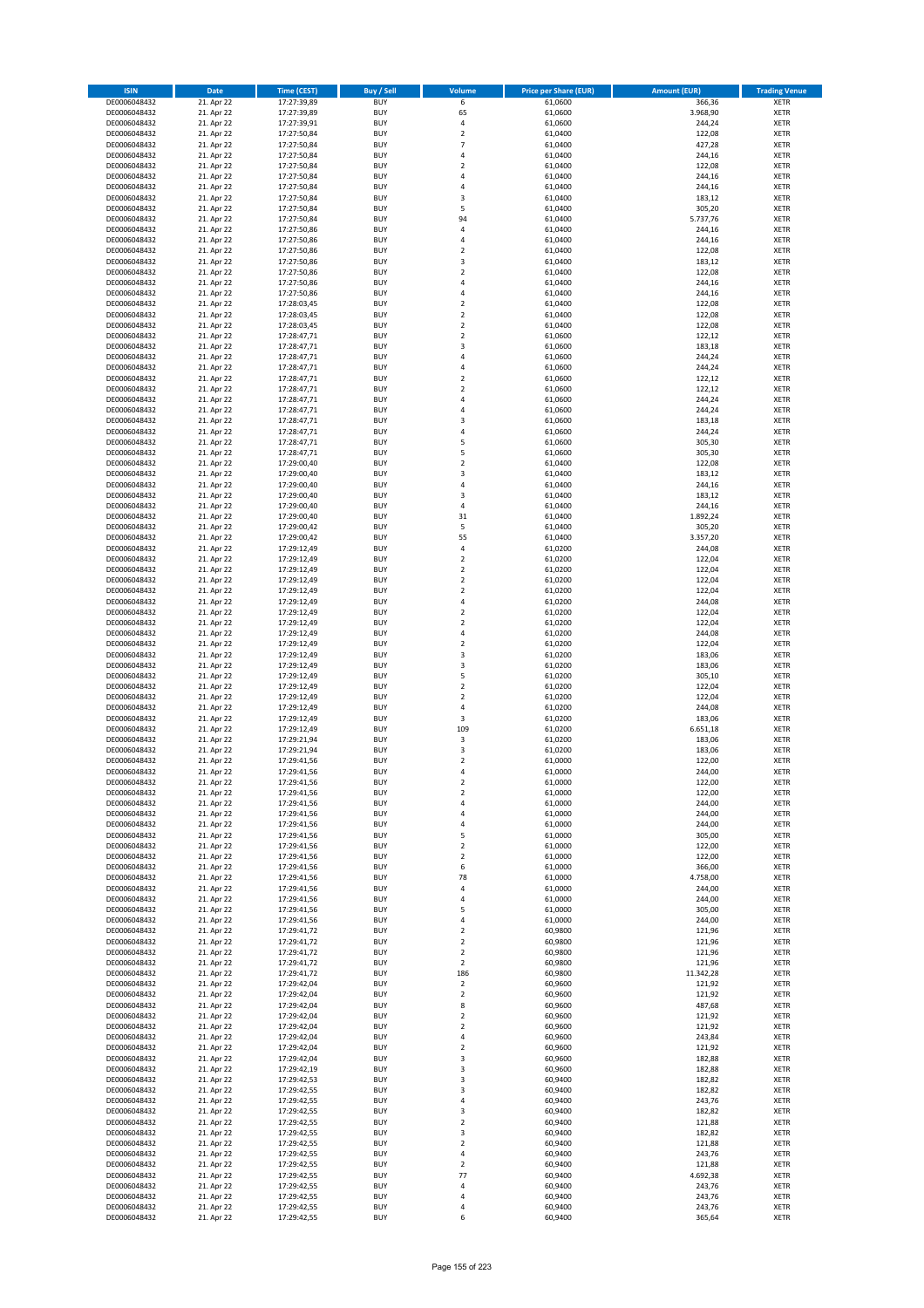| <b>ISIN</b>                  | <b>Date</b>              | <b>Time (CEST)</b>         | <b>Buy / Sell</b>        | <b>Volume</b>                          | <b>Price per Share (EUR)</b> | <b>Amount (EUR)</b> | <b>Trading Venue</b>       |
|------------------------------|--------------------------|----------------------------|--------------------------|----------------------------------------|------------------------------|---------------------|----------------------------|
| DE0006048432                 | 21. Apr 22               | 17:27:39,89                | <b>BUY</b>               | 6                                      | 61,0600                      | 366,36              | <b>XETR</b>                |
| DE0006048432                 | 21. Apr 22               | 17:27:39,89                | <b>BUY</b>               | 65                                     | 61,0600                      | 3.968,90            | <b>XETR</b>                |
| DE0006048432                 | 21. Apr 22               | 17:27:39,91                | <b>BUY</b>               | 4                                      | 61,0600                      | 244,24              | <b>XETR</b>                |
| DE0006048432<br>DE0006048432 | 21. Apr 22<br>21. Apr 22 | 17:27:50,84<br>17:27:50,84 | <b>BUY</b><br><b>BUY</b> | $\mathbf 2$<br>$\overline{7}$          | 61,0400<br>61,0400           | 122,08<br>427,28    | <b>XETR</b><br><b>XETR</b> |
| DE0006048432                 | 21. Apr 22               | 17:27:50,84                | <b>BUY</b>               | 4                                      | 61,0400                      | 244,16              | <b>XETR</b>                |
| DE0006048432                 | 21. Apr 22               | 17:27:50,84                | <b>BUY</b>               | $\overline{\mathbf{c}}$                | 61,0400                      | 122,08              | <b>XETR</b>                |
| DE0006048432                 | 21. Apr 22               | 17:27:50,84                | <b>BUY</b>               | 4                                      | 61,0400                      | 244,16              | <b>XETR</b>                |
| DE0006048432                 | 21. Apr 22               | 17:27:50,84                | <b>BUY</b>               | 4                                      | 61,0400                      | 244,16              | <b>XETR</b>                |
| DE0006048432                 | 21. Apr 22               | 17:27:50,84                | <b>BUY</b><br><b>BUY</b> | 3                                      | 61,0400                      | 183,12              | <b>XETR</b>                |
| DE0006048432<br>DE0006048432 | 21. Apr 22<br>21. Apr 22 | 17:27:50,84<br>17:27:50,84 | <b>BUY</b>               | 5<br>94                                | 61,0400<br>61,0400           | 305,20<br>5.737,76  | <b>XETR</b><br><b>XETR</b> |
| DE0006048432                 | 21. Apr 22               | 17:27:50,86                | <b>BUY</b>               | 4                                      | 61,0400                      | 244,16              | <b>XETR</b>                |
| DE0006048432                 | 21. Apr 22               | 17:27:50,86                | <b>BUY</b>               | 4                                      | 61,0400                      | 244,16              | <b>XETR</b>                |
| DE0006048432                 | 21. Apr 22               | 17:27:50,86                | <b>BUY</b>               | $\mathbf 2$                            | 61,0400                      | 122,08              | <b>XETR</b>                |
| DE0006048432                 | 21. Apr 22               | 17:27:50,86                | <b>BUY</b>               | 3                                      | 61,0400                      | 183,12              | <b>XETR</b>                |
| DE0006048432<br>DE0006048432 | 21. Apr 22<br>21. Apr 22 | 17:27:50,86<br>17:27:50,86 | <b>BUY</b><br><b>BUY</b> | $\mathbf 2$<br>4                       | 61,0400<br>61,0400           | 122,08<br>244,16    | <b>XETR</b><br><b>XETR</b> |
| DE0006048432                 | 21. Apr 22               | 17:27:50,86                | <b>BUY</b>               | 4                                      | 61,0400                      | 244,16              | <b>XETR</b>                |
| DE0006048432                 | 21. Apr 22               | 17:28:03,45                | <b>BUY</b>               | $\mathbf 2$                            | 61,0400                      | 122,08              | <b>XETR</b>                |
| DE0006048432                 | 21. Apr 22               | 17:28:03,45                | <b>BUY</b>               | $\overline{\mathbf{c}}$                | 61,0400                      | 122,08              | <b>XETR</b>                |
| DE0006048432                 | 21. Apr 22               | 17:28:03,45                | <b>BUY</b>               | $\mathbf 2$                            | 61,0400                      | 122,08              | <b>XETR</b>                |
| DE0006048432<br>DE0006048432 | 21. Apr 22<br>21. Apr 22 | 17:28:47,71                | <b>BUY</b><br><b>BUY</b> | $\mathbf 2$<br>3                       | 61,0600<br>61,0600           | 122,12<br>183,18    | <b>XETR</b><br><b>XETR</b> |
| DE0006048432                 | 21. Apr 22               | 17:28:47,71<br>17:28:47,71 | <b>BUY</b>               | 4                                      | 61,0600                      | 244,24              | <b>XETR</b>                |
| DE0006048432                 | 21. Apr 22               | 17:28:47,71                | <b>BUY</b>               | 4                                      | 61,0600                      | 244,24              | <b>XETR</b>                |
| DE0006048432                 | 21. Apr 22               | 17:28:47,71                | <b>BUY</b>               | $\mathbf 2$                            | 61,0600                      | 122,12              | <b>XETR</b>                |
| DE0006048432                 | 21. Apr 22               | 17:28:47,71                | <b>BUY</b>               | $\overline{\mathbf{c}}$                | 61,0600                      | 122,12              | <b>XETR</b>                |
| DE0006048432                 | 21. Apr 22               | 17:28:47,71                | <b>BUY</b>               | 4                                      | 61,0600                      | 244,24              | <b>XETR</b>                |
| DE0006048432<br>DE0006048432 | 21. Apr 22<br>21. Apr 22 | 17:28:47,71<br>17:28:47,71 | <b>BUY</b><br><b>BUY</b> | 4<br>3                                 | 61,0600<br>61,0600           | 244,24<br>183,18    | <b>XETR</b><br><b>XETR</b> |
| DE0006048432                 | 21. Apr 22               | 17:28:47,71                | <b>BUY</b>               | 4                                      | 61,0600                      | 244,24              | <b>XETR</b>                |
| DE0006048432                 | 21. Apr 22               | 17:28:47,71                | <b>BUY</b>               | 5                                      | 61,0600                      | 305,30              | <b>XETR</b>                |
| DE0006048432                 | 21. Apr 22               | 17:28:47,71                | <b>BUY</b>               | 5                                      | 61,0600                      | 305,30              | <b>XETR</b>                |
| DE0006048432                 | 21. Apr 22               | 17:29:00,40                | <b>BUY</b>               | $\mathbf 2$                            | 61,0400                      | 122,08              | <b>XETR</b>                |
| DE0006048432                 | 21. Apr 22               | 17:29:00,40                | <b>BUY</b>               | 3<br>4                                 | 61,0400                      | 183,12              | <b>XETR</b>                |
| DE0006048432<br>DE0006048432 | 21. Apr 22<br>21. Apr 22 | 17:29:00,40<br>17:29:00,40 | <b>BUY</b><br><b>BUY</b> | 3                                      | 61,0400<br>61,0400           | 244,16<br>183,12    | <b>XETR</b><br><b>XETR</b> |
| DE0006048432                 | 21. Apr 22               | 17:29:00,40                | <b>BUY</b>               | 4                                      | 61,0400                      | 244,16              | <b>XETR</b>                |
| DE0006048432                 | 21. Apr 22               | 17:29:00,40                | <b>BUY</b>               | 31                                     | 61,0400                      | 1.892,24            | <b>XETR</b>                |
| DE0006048432                 | 21. Apr 22               | 17:29:00,42                | <b>BUY</b>               | 5                                      | 61,0400                      | 305,20              | <b>XETR</b>                |
| DE0006048432                 | 21. Apr 22               | 17:29:00,42                | <b>BUY</b>               | 55                                     | 61,0400                      | 3.357,20            | <b>XETR</b>                |
| DE0006048432                 | 21. Apr 22               | 17:29:12,49                | <b>BUY</b>               | 4                                      | 61,0200                      | 244,08              | <b>XETR</b>                |
| DE0006048432<br>DE0006048432 | 21. Apr 22<br>21. Apr 22 | 17:29:12,49<br>17:29:12,49 | <b>BUY</b><br><b>BUY</b> | $\overline{\mathbf{c}}$<br>$\mathbf 2$ | 61,0200<br>61,0200           | 122,04<br>122,04    | <b>XETR</b><br><b>XETR</b> |
| DE0006048432                 | 21. Apr 22               | 17:29:12,49                | <b>BUY</b>               | $\overline{2}$                         | 61,0200                      | 122,04              | <b>XETR</b>                |
| DE0006048432                 | 21. Apr 22               | 17:29:12,49                | <b>BUY</b>               | $\mathbf 2$                            | 61,0200                      | 122,04              | <b>XETR</b>                |
| DE0006048432                 | 21. Apr 22               | 17:29:12,49                | <b>BUY</b>               | 4                                      | 61,0200                      | 244,08              | <b>XETR</b>                |
| DE0006048432                 | 21. Apr 22               | 17:29:12,49                | <b>BUY</b>               | $\mathbf 2$                            | 61,0200                      | 122,04              | <b>XETR</b>                |
| DE0006048432<br>DE0006048432 | 21. Apr 22<br>21. Apr 22 | 17:29:12,49<br>17:29:12,49 | <b>BUY</b><br><b>BUY</b> | $\overline{\mathbf{c}}$<br>4           | 61,0200<br>61,0200           | 122,04<br>244,08    | <b>XETR</b><br><b>XETR</b> |
| DE0006048432                 | 21. Apr 22               | 17:29:12,49                | <b>BUY</b>               | $\mathbf 2$                            | 61,0200                      | 122,04              | <b>XETR</b>                |
| DE0006048432                 | 21. Apr 22               | 17:29:12,49                | <b>BUY</b>               | 3                                      | 61,0200                      | 183,06              | <b>XETR</b>                |
| DE0006048432                 | 21. Apr 22               | 17:29:12,49                | <b>BUY</b>               | 3                                      | 61,0200                      | 183,06              | <b>XETR</b>                |
| DE0006048432                 | 21. Apr 22               | 17:29:12,49                | <b>BUY</b>               | 5                                      | 61,0200                      | 305,10              | <b>XETR</b>                |
| DE0006048432                 | 21. Apr 22               | 17:29:12,49                | <b>BUY</b>               | $\mathbf 2$                            | 61,0200                      | 122,04              | <b>XETR</b>                |
| DE0006048432<br>DE0006048432 | 21. Apr 22<br>21. Apr 22 | 17:29:12,49<br>17:29:12,49 | <b>BUY</b><br><b>BUY</b> | $\overline{\mathbf{c}}$<br>4           | 61,0200<br>61,0200           | 122,04<br>244,08    | <b>XETR</b><br><b>XETR</b> |
| DE0006048432                 | 21. Apr 22               | 17:29:12,49                | <b>BUY</b>               | 3                                      | 61,0200                      | 183,06              | <b>XETR</b>                |
| DE0006048432                 | 21. Apr 22               | 17:29:12,49                | <b>BUY</b>               | 109                                    | 61,0200                      | 6.651,18            | <b>XETR</b>                |
| DE0006048432                 | 21. Apr 22               | 17:29:21,94                | <b>BUY</b>               | 3                                      | 61,0200                      | 183,06              | <b>XETR</b>                |
| DE0006048432                 | 21. Apr 22               | 17:29:21,94                | <b>BUY</b>               | 3                                      | 61,0200                      | 183,06              | <b>XETR</b>                |
| DE0006048432<br>DE0006048432 | 21. Apr 22<br>21. Apr 22 | 17:29:41,56<br>17:29:41,56 | <b>BUY</b><br><b>BUY</b> | $\overline{\mathbf{c}}$<br>4           | 61,0000<br>61,0000           | 122,00<br>244,00    | <b>XETR</b><br><b>XETR</b> |
| DE0006048432                 | 21. Apr 22               | 17:29:41,56                | BUY                      | 2                                      | 61,0000                      | 122,00              | <b>XETR</b>                |
| DE0006048432                 | 21. Apr 22               | 17:29:41,56                | <b>BUY</b>               | $\mathbf 2$                            | 61,0000                      | 122,00              | XETR                       |
| DE0006048432                 | 21. Apr 22               | 17:29:41,56                | <b>BUY</b>               | 4                                      | 61,0000                      | 244,00              | XETR                       |
| DE0006048432                 | 21. Apr 22               | 17:29:41,56                | <b>BUY</b>               | 4                                      | 61,0000                      | 244,00              | XETR                       |
| DE0006048432<br>DE0006048432 | 21. Apr 22<br>21. Apr 22 | 17:29:41,56<br>17:29:41,56 | <b>BUY</b><br><b>BUY</b> | 4<br>5                                 | 61,0000<br>61,0000           | 244,00<br>305,00    | <b>XETR</b><br><b>XETR</b> |
| DE0006048432                 | 21. Apr 22               | 17:29:41,56                | <b>BUY</b>               | $\overline{2}$                         | 61,0000                      | 122,00              | <b>XETR</b>                |
| DE0006048432                 | 21. Apr 22               | 17:29:41,56                | <b>BUY</b>               | $\mathbf 2$                            | 61,0000                      | 122,00              | <b>XETR</b>                |
| DE0006048432                 | 21. Apr 22               | 17:29:41,56                | <b>BUY</b>               | 6                                      | 61,0000                      | 366,00              | <b>XETR</b>                |
| DE0006048432                 | 21. Apr 22               | 17:29:41,56                | <b>BUY</b>               | 78                                     | 61,0000                      | 4.758,00            | XETR                       |
| DE0006048432<br>DE0006048432 | 21. Apr 22<br>21. Apr 22 | 17:29:41,56<br>17:29:41,56 | <b>BUY</b><br><b>BUY</b> | 4<br>4                                 | 61,0000<br>61,0000           | 244,00<br>244,00    | <b>XETR</b><br><b>XETR</b> |
| DE0006048432                 | 21. Apr 22               | 17:29:41,56                | <b>BUY</b>               | 5                                      | 61,0000                      | 305,00              | <b>XETR</b>                |
| DE0006048432                 | 21. Apr 22               | 17:29:41,56                | <b>BUY</b>               | 4                                      | 61.0000                      | 244,00              | <b>XETR</b>                |
| DE0006048432                 | 21. Apr 22               | 17:29:41,72                | <b>BUY</b>               | $\mathbf 2$                            | 60,9800                      | 121,96              | <b>XETR</b>                |
| DE0006048432                 | 21. Apr 22               | 17:29:41,72                | <b>BUY</b>               | $\overline{2}$                         | 60,9800                      | 121,96              | <b>XETR</b>                |
| DE0006048432<br>DE0006048432 | 21. Apr 22<br>21. Apr 22 | 17:29:41,72<br>17:29:41,72 | <b>BUY</b><br><b>BUY</b> | $\overline{2}$<br>$\overline{2}$       | 60,9800<br>60,9800           | 121,96<br>121,96    | <b>XETR</b><br><b>XETR</b> |
| DE0006048432                 | 21. Apr 22               | 17:29:41,72                | <b>BUY</b>               | 186                                    | 60,9800                      | 11.342,28           | XETR                       |
| DE0006048432                 | 21. Apr 22               | 17:29:42,04                | <b>BUY</b>               | $\mathbf 2$                            | 60,9600                      | 121,92              | <b>XETR</b>                |
| DE0006048432                 | 21. Apr 22               | 17:29:42,04                | <b>BUY</b>               | $\overline{2}$                         | 60,9600                      | 121,92              | <b>XETR</b>                |
| DE0006048432                 | 21. Apr 22               | 17:29:42,04                | <b>BUY</b>               | 8                                      | 60,9600                      | 487,68              | <b>XETR</b>                |
| DE0006048432                 | 21. Apr 22<br>21. Apr 22 | 17:29:42,04                | <b>BUY</b><br><b>BUY</b> | $\overline{\mathbf{c}}$<br>$\mathbf 2$ | 60,9600<br>60,9600           | 121,92<br>121,92    | <b>XETR</b><br><b>XETR</b> |
| DE0006048432<br>DE0006048432 | 21. Apr 22               | 17:29:42,04<br>17:29:42,04 | <b>BUY</b>               | 4                                      | 60,9600                      | 243,84              | <b>XETR</b>                |
| DE0006048432                 | 21. Apr 22               | 17:29:42,04                | <b>BUY</b>               | $\mathbf 2$                            | 60,9600                      | 121,92              | XETR                       |
| DE0006048432                 | 21. Apr 22               | 17:29:42,04                | <b>BUY</b>               | 3                                      | 60,9600                      | 182,88              | <b>XETR</b>                |
| DE0006048432                 | 21. Apr 22               | 17:29:42,19                | <b>BUY</b>               | 3                                      | 60,9600                      | 182,88              | <b>XETR</b>                |
| DE0006048432                 | 21. Apr 22               | 17:29:42,53                | <b>BUY</b>               | 3                                      | 60,9400                      | 182,82              | <b>XETR</b>                |
| DE0006048432<br>DE0006048432 | 21. Apr 22               | 17:29:42,55                | <b>BUY</b><br><b>BUY</b> | 3<br>4                                 | 60,9400<br>60,9400           | 182,82              | XETR<br><b>XETR</b>        |
| DE0006048432                 | 21. Apr 22<br>21. Apr 22 | 17:29:42,55<br>17:29:42,55 | <b>BUY</b>               | 3                                      | 60,9400                      | 243,76<br>182,82    | <b>XETR</b>                |
| DE0006048432                 | 21. Apr 22               | 17:29:42,55                | <b>BUY</b>               | $\mathbf 2$                            | 60,9400                      | 121,88              | XETR                       |
| DE0006048432                 | 21. Apr 22               | 17:29:42,55                | <b>BUY</b>               | 3                                      | 60,9400                      | 182,82              | <b>XETR</b>                |
| DE0006048432                 | 21. Apr 22               | 17:29:42,55                | <b>BUY</b>               | $\mathbf 2$                            | 60,9400                      | 121,88              | <b>XETR</b>                |
| DE0006048432                 | 21. Apr 22               | 17:29:42,55                | <b>BUY</b>               | 4                                      | 60,9400                      | 243,76              | <b>XETR</b>                |
| DE0006048432<br>DE0006048432 | 21. Apr 22<br>21. Apr 22 | 17:29:42,55<br>17:29:42,55 | <b>BUY</b><br><b>BUY</b> | $\overline{2}$<br>77                   | 60,9400<br>60,9400           | 121,88<br>4.692,38  | <b>XETR</b><br><b>XETR</b> |
| DE0006048432                 | 21. Apr 22               | 17:29:42,55                | <b>BUY</b>               | 4                                      | 60,9400                      | 243,76              | <b>XETR</b>                |
| DE0006048432                 | 21. Apr 22               | 17:29:42,55                | <b>BUY</b>               | 4                                      | 60,9400                      | 243,76              | <b>XETR</b>                |
| DE0006048432                 | 21. Apr 22               | 17:29:42,55                | <b>BUY</b>               | 4                                      | 60,9400                      | 243,76              | <b>XETR</b>                |
| DE0006048432                 | 21. Apr 22               | 17:29:42,55                | <b>BUY</b>               | 6                                      | 60,9400                      | 365,64              | XETR                       |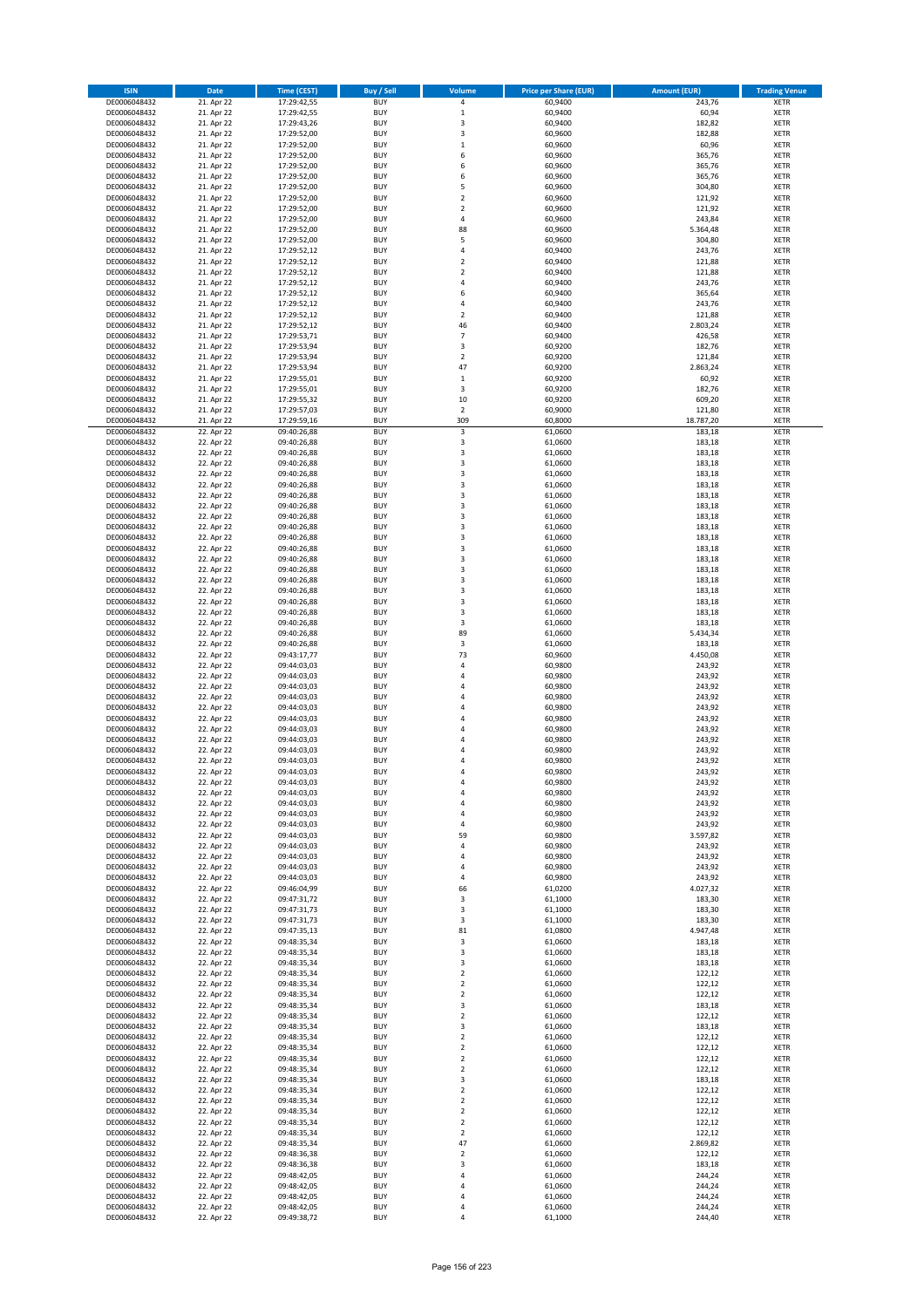| <b>ISIN</b>                  | Date                     | <b>Time (CEST)</b>         | <b>Buy / Sell</b>        | Volume                     | <b>Price per Share (EUR)</b> | <b>Amount (EUR)</b> | <b>Trading Venue</b>       |
|------------------------------|--------------------------|----------------------------|--------------------------|----------------------------|------------------------------|---------------------|----------------------------|
| DE0006048432                 | 21. Apr 22               | 17:29:42,55                | <b>BUY</b>               | 4                          | 60,9400                      | 243,76              | <b>XETR</b>                |
| DE0006048432                 | 21. Apr 22               | 17:29:42,55                | <b>BUY</b>               | $\mathbf 1$                | 60,9400                      | 60,94               | <b>XETR</b>                |
| DE0006048432                 | 21. Apr 22               | 17:29:43,26                | <b>BUY</b>               | 3                          | 60,9400                      | 182,82              | <b>XETR</b>                |
| DE0006048432                 | 21. Apr 22               | 17:29:52,00                | <b>BUY</b>               | 3                          | 60,9600                      | 182,88              | <b>XETR</b>                |
| DE0006048432                 | 21. Apr 22               | 17:29:52,00                | <b>BUY</b>               | $\mathbf 1$                | 60,9600                      | 60,96               | <b>XETR</b>                |
| DE0006048432                 | 21. Apr 22               | 17:29:52,00                | <b>BUY</b>               | 6                          | 60,9600                      | 365,76              | <b>XETR</b>                |
| DE0006048432                 | 21. Apr 22               | 17:29:52,00                | <b>BUY</b>               | 6                          | 60,9600                      | 365,76              | <b>XETR</b>                |
| DE0006048432                 | 21. Apr 22               | 17:29:52,00                | <b>BUY</b>               | 6                          | 60,9600                      | 365,76              | <b>XETR</b>                |
| DE0006048432                 | 21. Apr 22               | 17:29:52,00                | <b>BUY</b>               | 5<br>$\mathbf 2$           | 60,9600<br>60,9600           | 304,80<br>121,92    | <b>XETR</b>                |
| DE0006048432<br>DE0006048432 | 21. Apr 22<br>21. Apr 22 | 17:29:52,00<br>17:29:52,00 | <b>BUY</b><br><b>BUY</b> | $\mathbf 2$                | 60,9600                      | 121,92              | <b>XETR</b><br><b>XETR</b> |
| DE0006048432                 | 21. Apr 22               | 17:29:52,00                | <b>BUY</b>               | 4                          | 60,9600                      | 243,84              | <b>XETR</b>                |
| DE0006048432                 | 21. Apr 22               | 17:29:52,00                | <b>BUY</b>               | 88                         | 60,9600                      | 5.364,48            | <b>XETR</b>                |
| DE0006048432                 | 21. Apr 22               | 17:29:52,00                | <b>BUY</b>               | 5                          | 60,9600                      | 304,80              | <b>XETR</b>                |
| DE0006048432                 | 21. Apr 22               | 17:29:52,12                | <b>BUY</b>               | 4                          | 60,9400                      | 243,76              | <b>XETR</b>                |
| DE0006048432                 | 21. Apr 22               | 17:29:52,12                | <b>BUY</b>               | $\overline{2}$             | 60,9400                      | 121,88              | <b>XETR</b>                |
| DE0006048432                 | 21. Apr 22               | 17:29:52,12                | <b>BUY</b>               | $\overline{2}$             | 60,9400                      | 121,88              | <b>XETR</b>                |
| DE0006048432                 | 21. Apr 22               | 17:29:52,12                | <b>BUY</b>               | 4                          | 60,9400                      | 243,76              | <b>XETR</b>                |
| DE0006048432                 | 21. Apr 22               | 17:29:52,12                | <b>BUY</b>               | 6                          | 60,9400                      | 365,64              | <b>XETR</b>                |
| DE0006048432                 | 21. Apr 22               | 17:29:52,12                | <b>BUY</b>               | 4                          | 60,9400                      | 243,76              | <b>XETR</b>                |
| DE0006048432                 | 21. Apr 22               | 17:29:52,12                | <b>BUY</b>               | $\overline{\mathbf{2}}$    | 60,9400                      | 121,88              | <b>XETR</b>                |
| DE0006048432<br>DE0006048432 | 21. Apr 22<br>21. Apr 22 | 17:29:52,12<br>17:29:53,71 | <b>BUY</b><br><b>BUY</b> | 46<br>7                    | 60,9400<br>60,9400           | 2.803,24<br>426,58  | <b>XETR</b><br><b>XETR</b> |
| DE0006048432                 | 21. Apr 22               | 17:29:53,94                | <b>BUY</b>               | 3                          | 60,9200                      | 182,76              | <b>XETR</b>                |
| DE0006048432                 | 21. Apr 22               | 17:29:53,94                | <b>BUY</b>               | $\overline{2}$             | 60,9200                      | 121,84              | <b>XETR</b>                |
| DE0006048432                 | 21. Apr 22               | 17:29:53,94                | <b>BUY</b>               | 47                         | 60,9200                      | 2.863,24            | <b>XETR</b>                |
| DE0006048432                 | 21. Apr 22               | 17:29:55,01                | <b>BUY</b>               | $\mathbf 1$                | 60,9200                      | 60,92               | <b>XETR</b>                |
| DE0006048432                 | 21. Apr 22               | 17:29:55,01                | <b>BUY</b>               | 3                          | 60,9200                      | 182,76              | <b>XETR</b>                |
| DE0006048432                 | 21. Apr 22               | 17:29:55,32                | <b>BUY</b>               | $10\,$                     | 60,9200                      | 609,20              | <b>XETR</b>                |
| DE0006048432                 | 21. Apr 22               | 17:29:57,03                | <b>BUY</b>               | $\overline{2}$             | 60,9000                      | 121,80              | <b>XETR</b>                |
| DE0006048432                 | 21. Apr 22               | 17:29:59,16                | <b>BUY</b>               | 309                        | 60,8000                      | 18.787,20           | <b>XETR</b>                |
| DE0006048432                 | 22. Apr 22               | 09:40:26,88                | <b>BUY</b>               | 3                          | 61,0600                      | 183,18              | <b>XETR</b>                |
| DE0006048432<br>DE0006048432 | 22. Apr 22<br>22. Apr 22 | 09:40:26,88<br>09:40:26,88 | <b>BUY</b><br><b>BUY</b> | 3<br>3                     | 61,0600<br>61,0600           | 183,18<br>183,18    | <b>XETR</b><br><b>XETR</b> |
| DE0006048432                 | 22. Apr 22               | 09:40:26,88                | <b>BUY</b>               | 3                          | 61,0600                      | 183,18              | <b>XETR</b>                |
| DE0006048432                 | 22. Apr 22               | 09:40:26,88                | <b>BUY</b>               | 3                          | 61,0600                      | 183,18              | <b>XETR</b>                |
| DE0006048432                 | 22. Apr 22               | 09:40:26,88                | <b>BUY</b>               | 3                          | 61,0600                      | 183,18              | <b>XETR</b>                |
| DE0006048432                 | 22. Apr 22               | 09:40:26,88                | <b>BUY</b>               | 3                          | 61,0600                      | 183,18              | <b>XETR</b>                |
| DE0006048432                 | 22. Apr 22               | 09:40:26,88                | <b>BUY</b>               | 3                          | 61,0600                      | 183,18              | <b>XETR</b>                |
| DE0006048432                 | 22. Apr 22               | 09:40:26,88                | <b>BUY</b>               | 3                          | 61,0600                      | 183,18              | <b>XETR</b>                |
| DE0006048432                 | 22. Apr 22               | 09:40:26,88                | <b>BUY</b>               | 3                          | 61,0600                      | 183,18              | <b>XETR</b>                |
| DE0006048432                 | 22. Apr 22               | 09:40:26,88                | <b>BUY</b>               | 3                          | 61,0600                      | 183,18              | <b>XETR</b>                |
| DE0006048432                 | 22. Apr 22               | 09:40:26,88                | <b>BUY</b>               | 3                          | 61,0600                      | 183,18              | <b>XETR</b>                |
| DE0006048432                 | 22. Apr 22               | 09:40:26,88                | <b>BUY</b>               | 3                          | 61,0600                      | 183,18              | <b>XETR</b>                |
| DE0006048432                 | 22. Apr 22               | 09:40:26,88                | <b>BUY</b>               | 3                          | 61,0600                      | 183,18              | <b>XETR</b>                |
| DE0006048432<br>DE0006048432 | 22. Apr 22<br>22. Apr 22 | 09:40:26,88<br>09:40:26,88 | <b>BUY</b><br><b>BUY</b> | 3<br>3                     | 61,0600<br>61,0600           | 183,18<br>183,18    | <b>XETR</b><br><b>XETR</b> |
| DE0006048432                 | 22. Apr 22               | 09:40:26,88                | <b>BUY</b>               | 3                          | 61,0600                      | 183,18              | <b>XETR</b>                |
| DE0006048432                 | 22. Apr 22               | 09:40:26,88                | <b>BUY</b>               | 3                          | 61,0600                      | 183,18              | <b>XETR</b>                |
| DE0006048432                 | 22. Apr 22               | 09:40:26,88                | <b>BUY</b>               | 3                          | 61,0600                      | 183,18              | <b>XETR</b>                |
| DE0006048432                 | 22. Apr 22               | 09:40:26,88                | <b>BUY</b>               | 89                         | 61,0600                      | 5.434,34            | <b>XETR</b>                |
| DE0006048432                 | 22. Apr 22               | 09:40:26,88                | <b>BUY</b>               | 3                          | 61,0600                      | 183,18              | <b>XETR</b>                |
| DE0006048432                 | 22. Apr 22               | 09:43:17,77                | <b>BUY</b>               | 73                         | 60,9600                      | 4.450,08            | <b>XETR</b>                |
| DE0006048432                 | 22. Apr 22               | 09:44:03,03                | <b>BUY</b>               | 4                          | 60,9800                      | 243,92              | <b>XETR</b>                |
| DE0006048432                 | 22. Apr 22               | 09:44:03,03                | <b>BUY</b>               | 4                          | 60,9800                      | 243,92              | <b>XETR</b>                |
| DE0006048432                 | 22. Apr 22               | 09:44:03,03                | <b>BUY</b>               | 4                          | 60,9800                      | 243,92              | <b>XETR</b>                |
| DE0006048432                 | 22. Apr 22<br>22. Apr 22 | 09:44:03,03                | <b>BUY</b><br><b>BUY</b> | 4<br>4                     | 60,9800<br>60,9800           | 243,92<br>243,92    | <b>XETR</b><br><b>XETR</b> |
| DE0006048432<br>DE0006048432 | 22. Apr 22               | 09:44:03,03<br>09:44:03,03 | <b>BUY</b>               | 4                          | 60,9800                      | 243,92              | <b>XETR</b>                |
| DE0006048432                 | 22. Apr 22               | 09:44:03,03                | <b>BUY</b>               | 4                          | 60,9800                      | 243,92              | <b>XETR</b>                |
| DE0006048432                 | 22. Apr 22               | 09:44:03,03                | <b>BUY</b>               | 4                          | 60,9800                      | 243,92              | <b>XETR</b>                |
| DE0006048432                 | 22. Apr 22               | 09:44:03,03                | BUY                      | 4                          | 60,9800                      | 243,92              | <b>XETR</b>                |
| DE0006048432                 | 22. Apr 22               | 09:44:03,03                | <b>BUY</b>               | 4                          | 60,9800                      | 243,92              | <b>XETR</b>                |
| DE0006048432                 | 22. Apr 22               | 09:44:03,03                | <b>BUY</b>               | 4                          | 60,9800                      | 243,92              | <b>XETR</b>                |
| DE0006048432                 | 22. Apr 22               | 09:44:03,03                | BUY                      | 4                          | 60,9800                      | 243,92              | <b>XETR</b>                |
| DE0006048432                 | 22. Apr 22               | 09:44:03,03                | <b>BUY</b>               | 4                          | 60,9800                      | 243,92              | <b>XETR</b>                |
| DE0006048432                 | 22. Apr 22               | 09:44:03,03                | <b>BUY</b>               | 4                          | 60,9800                      | 243,92              | <b>XETR</b>                |
| DE0006048432<br>DE0006048432 | 22. Apr 22<br>22. Apr 22 | 09:44:03,03<br>09:44:03,03 | <b>BUY</b>               | 4<br>4                     | 60,9800<br>60,9800           | 243,92<br>243,92    | <b>XETR</b><br><b>XETR</b> |
| DE0006048432                 | 22. Apr 22               | 09:44:03,03                | <b>BUY</b><br><b>BUY</b> | 59                         | 60,9800                      | 3.597,82            | <b>XETR</b>                |
| DE0006048432                 | 22. Apr 22               | 09:44:03,03                | <b>BUY</b>               | 4                          | 60,9800                      | 243,92              | <b>XETR</b>                |
| DE0006048432                 | 22. Apr 22               | 09:44:03,03                | BUY                      | 4                          | 60,9800                      | 243,92              | <b>XETR</b>                |
| DE0006048432                 | 22. Apr 22               | 09:44:03,03                | <b>BUY</b>               | 4                          | 60,9800                      | 243,92              | <b>XETR</b>                |
| DE0006048432                 | 22. Apr 22               | 09:44:03,03                | <b>BUY</b>               | 4                          | 60,9800                      | 243,92              | <b>XETR</b>                |
| DE0006048432                 | 22. Apr 22               | 09:46:04,99                | <b>BUY</b>               | 66                         | 61,0200                      | 4.027,32            | <b>XETR</b>                |
| DE0006048432                 | 22. Apr 22               | 09:47:31,72                | <b>BUY</b>               | 3                          | 61,1000                      | 183,30              | <b>XETR</b>                |
| DE0006048432                 | 22. Apr 22               | 09:47:31,73                | <b>BUY</b>               | 3                          | 61,1000                      | 183,30              | <b>XETR</b>                |
| DE0006048432                 | 22. Apr 22               | 09:47:31,73                | <b>BUY</b>               | 3                          | 61,1000                      | 183,30<br>4.947,48  | <b>XETR</b>                |
| DE0006048432<br>DE0006048432 | 22. Apr 22<br>22. Apr 22 | 09:47:35,13<br>09:48:35,34 | <b>BUY</b><br><b>BUY</b> | 81<br>3                    | 61,0800<br>61,0600           | 183,18              | <b>XETR</b><br><b>XETR</b> |
| DE0006048432                 | 22. Apr 22               | 09:48:35,34                | <b>BUY</b>               | 3                          | 61,0600                      | 183,18              | <b>XETR</b>                |
| DE0006048432                 | 22. Apr 22               | 09:48:35,34                | <b>BUY</b>               | 3                          | 61,0600                      | 183,18              | <b>XETR</b>                |
| DE0006048432                 | 22. Apr 22               | 09:48:35,34                | <b>BUY</b>               | $\mathbf 2$                | 61,0600                      | 122,12              | <b>XETR</b>                |
| DE0006048432                 | 22. Apr 22               | 09:48:35,34                | <b>BUY</b>               | $\mathbf 2$                | 61,0600                      | 122,12              | <b>XETR</b>                |
| DE0006048432                 | 22. Apr 22               | 09:48:35,34                | BUY                      | $\mathbf 2$                | 61,0600                      | 122,12              | <b>XETR</b>                |
| DE0006048432                 | 22. Apr 22               | 09:48:35,34                | <b>BUY</b>               | 3                          | 61,0600                      | 183,18              | <b>XETR</b>                |
| DE0006048432                 | 22. Apr 22               | 09:48:35,34                | <b>BUY</b>               | $\overline{2}$             | 61,0600                      | 122,12              | <b>XETR</b>                |
| DE0006048432                 | 22. Apr 22               | 09:48:35,34                | <b>BUY</b>               | 3                          | 61,0600                      | 183,18              | <b>XETR</b>                |
| DE0006048432<br>DE0006048432 | 22. Apr 22<br>22. Apr 22 | 09:48:35,34<br>09:48:35,34 | <b>BUY</b><br><b>BUY</b> | $\mathbf 2$<br>$\mathbf 2$ | 61,0600<br>61,0600           | 122,12<br>122,12    | <b>XETR</b><br><b>XETR</b> |
| DE0006048432                 | 22. Apr 22               | 09:48:35,34                | <b>BUY</b>               | $\mathbf 2$                | 61,0600                      | 122,12              | <b>XETR</b>                |
| DE0006048432                 | 22. Apr 22               | 09:48:35,34                | <b>BUY</b>               | $\mathbf 2$                | 61,0600                      | 122,12              | <b>XETR</b>                |
| DE0006048432                 | 22. Apr 22               | 09:48:35,34                | <b>BUY</b>               | 3                          | 61,0600                      | 183,18              | <b>XETR</b>                |
| DE0006048432                 | 22. Apr 22               | 09:48:35,34                | <b>BUY</b>               | $\mathbf 2$                | 61,0600                      | 122,12              | <b>XETR</b>                |
| DE0006048432                 | 22. Apr 22               | 09:48:35,34                | <b>BUY</b>               | $\mathbf 2$                | 61,0600                      | 122,12              | <b>XETR</b>                |
| DE0006048432                 | 22. Apr 22               | 09:48:35,34                | <b>BUY</b>               | $\mathbf 2$                | 61,0600                      | 122,12              | <b>XETR</b>                |
| DE0006048432                 | 22. Apr 22               | 09:48:35,34                | <b>BUY</b>               | $\mathbf 2$                | 61,0600                      | 122,12              | <b>XETR</b>                |
| DE0006048432                 | 22. Apr 22               | 09:48:35,34                | <b>BUY</b>               | $\mathbf 2$                | 61,0600                      | 122,12              | <b>XETR</b>                |
| DE0006048432                 | 22. Apr 22               | 09:48:35,34                | <b>BUY</b>               | 47                         | 61,0600                      | 2.869,82            | <b>XETR</b>                |
| DE0006048432                 | 22. Apr 22               | 09:48:36,38                | <b>BUY</b>               | $\mathbf 2$                | 61,0600                      | 122,12              | <b>XETR</b>                |
| DE0006048432<br>DE0006048432 | 22. Apr 22<br>22. Apr 22 | 09:48:36,38<br>09:48:42,05 | <b>BUY</b><br><b>BUY</b> | 3<br>4                     | 61,0600<br>61,0600           | 183,18<br>244,24    | <b>XETR</b><br><b>XETR</b> |
| DE0006048432                 | 22. Apr 22               | 09:48:42,05                | BUY                      | 4                          | 61,0600                      | 244,24              | <b>XETR</b>                |
| DE0006048432                 | 22. Apr 22               | 09:48:42,05                | <b>BUY</b>               | 4                          | 61,0600                      | 244,24              | <b>XETR</b>                |
| DE0006048432                 | 22. Apr 22               | 09:48:42,05                | <b>BUY</b>               | 4                          | 61,0600                      | 244,24              | <b>XETR</b>                |
| DE0006048432                 | 22. Apr 22               | 09:49:38,72                | <b>BUY</b>               | 4                          | 61,1000                      | 244,40              | <b>XETR</b>                |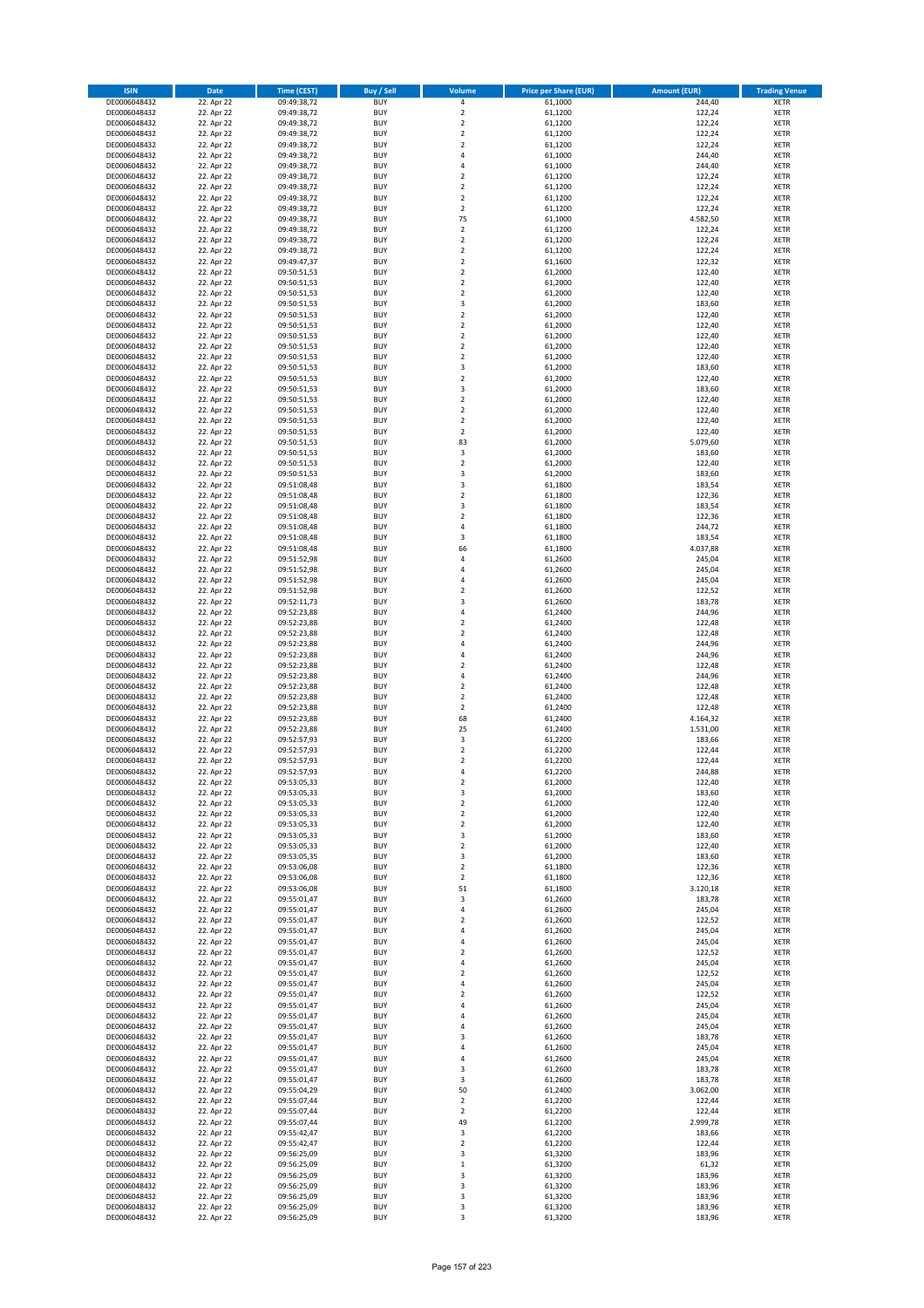| <b>ISIN</b>                  | Date                     | <b>Time (CEST)</b>         | <b>Buy / Sell</b>        | <b>Volume</b>                             | <b>Price per Share (EUR)</b> | <b>Amount (EUR)</b> | <b>Trading Venue</b>       |
|------------------------------|--------------------------|----------------------------|--------------------------|-------------------------------------------|------------------------------|---------------------|----------------------------|
| DE0006048432                 | 22. Apr 22               | 09:49:38,72                | <b>BUY</b>               | $\pmb{4}$                                 | 61,1000                      | 244,40              | <b>XETR</b>                |
| DE0006048432                 | 22. Apr 22               | 09:49:38,72                | <b>BUY</b>               | $\overline{2}$                            | 61,1200                      | 122,24              | <b>XETR</b>                |
| DE0006048432                 | 22. Apr 22               | 09:49:38,72                | <b>BUY</b>               | $\mathbf 2$                               | 61,1200                      | 122,24              | <b>XETR</b>                |
| DE0006048432<br>DE0006048432 | 22. Apr 22<br>22. Apr 22 | 09:49:38,72<br>09:49:38,72 | <b>BUY</b><br><b>BUY</b> | $\overline{2}$<br>$\mathbf 2$             | 61,1200<br>61,1200           | 122,24<br>122,24    | <b>XETR</b><br><b>XETR</b> |
| DE0006048432                 | 22. Apr 22               | 09:49:38,72                | <b>BUY</b>               | 4                                         | 61,1000                      | 244,40              | <b>XETR</b>                |
| DE0006048432                 | 22. Apr 22               | 09:49:38,72                | <b>BUY</b>               | 4                                         | 61,1000                      | 244,40              | <b>XETR</b>                |
| DE0006048432                 | 22. Apr 22               | 09:49:38,72                | <b>BUY</b>               | $\overline{\mathbf{c}}$                   | 61,1200                      | 122,24              | <b>XETR</b>                |
| DE0006048432                 | 22. Apr 22               | 09:49:38,72                | <b>BUY</b>               | $\overline{2}$                            | 61,1200                      | 122,24              | <b>XETR</b>                |
| DE0006048432<br>DE0006048432 | 22. Apr 22<br>22. Apr 22 | 09:49:38,72                | <b>BUY</b><br><b>BUY</b> | $\overline{2}$<br>$\overline{2}$          | 61,1200                      | 122,24              | <b>XETR</b><br><b>XETR</b> |
| DE0006048432                 | 22. Apr 22               | 09:49:38,72<br>09:49:38,72 | <b>BUY</b>               | 75                                        | 61,1200<br>61,1000           | 122,24<br>4.582,50  | <b>XETR</b>                |
| DE0006048432                 | 22. Apr 22               | 09:49:38,72                | <b>BUY</b>               | $\overline{2}$                            | 61,1200                      | 122,24              | <b>XETR</b>                |
| DE0006048432                 | 22. Apr 22               | 09:49:38,72                | <b>BUY</b>               | $\mathbf 2$                               | 61,1200                      | 122,24              | <b>XETR</b>                |
| DE0006048432                 | 22. Apr 22               | 09:49:38,72                | <b>BUY</b>               | $\overline{\mathbf{c}}$                   | 61,1200                      | 122,24              | <b>XETR</b>                |
| DE0006048432                 | 22. Apr 22               | 09:49:47,37                | <b>BUY</b>               | $\overline{2}$                            | 61,1600                      | 122,32              | <b>XETR</b>                |
| DE0006048432<br>DE0006048432 | 22. Apr 22<br>22. Apr 22 | 09:50:51,53<br>09:50:51,53 | <b>BUY</b><br><b>BUY</b> | $\overline{2}$<br>$\mathbf 2$             | 61,2000<br>61,2000           | 122,40<br>122,40    | <b>XETR</b><br><b>XETR</b> |
| DE0006048432                 | 22. Apr 22               | 09:50:51,53                | <b>BUY</b>               | $\mathbf 2$                               | 61,2000                      | 122,40              | <b>XETR</b>                |
| DE0006048432                 | 22. Apr 22               | 09:50:51,53                | <b>BUY</b>               | 3                                         | 61,2000                      | 183,60              | <b>XETR</b>                |
| DE0006048432                 | 22. Apr 22               | 09:50:51,53                | <b>BUY</b>               | $\mathbf 2$                               | 61,2000                      | 122,40              | <b>XETR</b>                |
| DE0006048432                 | 22. Apr 22               | 09:50:51,53                | <b>BUY</b>               | $\overline{2}$                            | 61,2000                      | 122,40              | <b>XETR</b>                |
| DE0006048432<br>DE0006048432 | 22. Apr 22               | 09:50:51,53                | <b>BUY</b><br><b>BUY</b> | $\overline{2}$<br>$\overline{2}$          | 61,2000                      | 122,40              | <b>XETR</b><br><b>XETR</b> |
| DE0006048432                 | 22. Apr 22<br>22. Apr 22 | 09:50:51,53<br>09:50:51,53 | <b>BUY</b>               | $\mathbf 2$                               | 61,2000<br>61,2000           | 122,40<br>122,40    | <b>XETR</b>                |
| DE0006048432                 | 22. Apr 22               | 09:50:51,53                | <b>BUY</b>               | 3                                         | 61,2000                      | 183,60              | <b>XETR</b>                |
| DE0006048432                 | 22. Apr 22               | 09:50:51,53                | <b>BUY</b>               | $\overline{\mathbf{c}}$                   | 61,2000                      | 122,40              | <b>XETR</b>                |
| DE0006048432                 | 22. Apr 22               | 09:50:51,53                | <b>BUY</b>               | 3                                         | 61,2000                      | 183,60              | <b>XETR</b>                |
| DE0006048432                 | 22. Apr 22               | 09:50:51,53                | <b>BUY</b>               | $\overline{\mathbf{c}}$                   | 61,2000                      | 122,40              | <b>XETR</b>                |
| DE0006048432<br>DE0006048432 | 22. Apr 22<br>22. Apr 22 | 09:50:51,53<br>09:50:51,53 | <b>BUY</b><br><b>BUY</b> | $\overline{2}$<br>$\overline{2}$          | 61,2000<br>61,2000           | 122,40<br>122,40    | <b>XETR</b><br><b>XETR</b> |
| DE0006048432                 | 22. Apr 22               | 09:50:51,53                | <b>BUY</b>               | $\mathbf 2$                               | 61,2000                      | 122,40              | <b>XETR</b>                |
| DE0006048432                 | 22. Apr 22               | 09:50:51,53                | <b>BUY</b>               | 83                                        | 61,2000                      | 5.079,60            | <b>XETR</b>                |
| DE0006048432                 | 22. Apr 22               | 09:50:51,53                | <b>BUY</b>               | 3                                         | 61,2000                      | 183,60              | <b>XETR</b>                |
| DE0006048432                 | 22. Apr 22               | 09:50:51,53                | <b>BUY</b>               | $\mathbf 2$                               | 61,2000                      | 122,40              | <b>XETR</b>                |
| DE0006048432<br>DE0006048432 | 22. Apr 22<br>22. Apr 22 | 09:50:51,53<br>09:51:08,48 | <b>BUY</b><br><b>BUY</b> | 3<br>3                                    | 61,2000<br>61,1800           | 183,60<br>183,54    | <b>XETR</b>                |
| DE0006048432                 | 22. Apr 22               | 09:51:08,48                | <b>BUY</b>               | $\overline{2}$                            | 61,1800                      | 122,36              | <b>XETR</b><br><b>XETR</b> |
| DE0006048432                 | 22. Apr 22               | 09:51:08,48                | <b>BUY</b>               | 3                                         | 61,1800                      | 183,54              | <b>XETR</b>                |
| DE0006048432                 | 22. Apr 22               | 09:51:08,48                | <b>BUY</b>               | $\overline{\mathbf{c}}$                   | 61,1800                      | 122,36              | <b>XETR</b>                |
| DE0006048432                 | 22. Apr 22               | 09:51:08,48                | <b>BUY</b>               | 4                                         | 61,1800                      | 244,72              | <b>XETR</b>                |
| DE0006048432                 | 22. Apr 22               | 09:51:08,48                | <b>BUY</b>               | 3                                         | 61,1800                      | 183,54              | <b>XETR</b>                |
| DE0006048432<br>DE0006048432 | 22. Apr 22<br>22. Apr 22 | 09:51:08,48<br>09:51:52,98 | <b>BUY</b><br><b>BUY</b> | 66<br>$\overline{4}$                      | 61,1800<br>61,2600           | 4.037,88<br>245,04  | <b>XETR</b><br><b>XETR</b> |
| DE0006048432                 | 22. Apr 22               | 09:51:52,98                | <b>BUY</b>               | 4                                         | 61,2600                      | 245,04              | <b>XETR</b>                |
| DE0006048432                 | 22. Apr 22               | 09:51:52,98                | <b>BUY</b>               | 4                                         | 61,2600                      | 245,04              | <b>XETR</b>                |
| DE0006048432                 | 22. Apr 22               | 09:51:52,98                | <b>BUY</b>               | $\overline{\mathbf{c}}$                   | 61,2600                      | 122,52              | <b>XETR</b>                |
| DE0006048432                 | 22. Apr 22               | 09:52:11,73                | <b>BUY</b>               | 3                                         | 61,2600                      | 183,78              | <b>XETR</b>                |
| DE0006048432                 | 22. Apr 22               | 09:52:23,88                | <b>BUY</b><br><b>BUY</b> | $\overline{4}$<br>$\overline{\mathbf{c}}$ | 61,2400                      | 244,96              | <b>XETR</b>                |
| DE0006048432<br>DE0006048432 | 22. Apr 22<br>22. Apr 22 | 09:52:23,88<br>09:52:23,88 | <b>BUY</b>               | $\overline{2}$                            | 61,2400<br>61,2400           | 122,48<br>122,48    | <b>XETR</b><br><b>XETR</b> |
| DE0006048432                 | 22. Apr 22               | 09:52:23,88                | <b>BUY</b>               | 4                                         | 61,2400                      | 244,96              | <b>XETR</b>                |
| DE0006048432                 | 22. Apr 22               | 09:52:23,88                | <b>BUY</b>               | 4                                         | 61,2400                      | 244,96              | <b>XETR</b>                |
| DE0006048432                 | 22. Apr 22               | 09:52:23,88                | <b>BUY</b>               | $\overline{\mathbf{c}}$                   | 61,2400                      | 122,48              | <b>XETR</b>                |
| DE0006048432                 | 22. Apr 22               | 09:52:23,88                | <b>BUY</b>               | $\overline{4}$                            | 61,2400                      | 244,96              | <b>XETR</b>                |
| DE0006048432<br>DE0006048432 | 22. Apr 22<br>22. Apr 22 | 09:52:23,88<br>09:52:23,88 | <b>BUY</b><br><b>BUY</b> | $\overline{2}$<br>$\overline{2}$          | 61,2400<br>61,2400           | 122,48<br>122,48    | <b>XETR</b><br><b>XETR</b> |
| DE0006048432                 | 22. Apr 22               | 09:52:23,88                | <b>BUY</b>               | $\overline{2}$                            | 61,2400                      | 122,48              | <b>XETR</b>                |
| DE0006048432                 | 22. Apr 22               | 09:52:23,88                | <b>BUY</b>               | 68                                        | 61,2400                      | 4.164,32            | <b>XETR</b>                |
| DE0006048432                 | 22. Apr 22               | 09:52:23,88                | <b>BUY</b>               | 25                                        | 61,2400                      | 1.531,00            | <b>XETR</b>                |
| DE0006048432                 | 22. Apr 22               | 09:52:57,93                | <b>BUY</b>               | 3                                         | 61,2200                      | 183,66              | <b>XETR</b>                |
| DE0006048432<br>DE0006048432 | 22. Apr 22<br>22. Apr 22 | 09:52:57,93<br>09:52:57,93 | <b>BUY</b><br><b>BUY</b> | $\overline{\mathbf{2}}$<br>$\overline{2}$ | 61,2200<br>61.2200           | 122,44<br>122,44    | <b>XETR</b><br><b>XETR</b> |
| DE0006048432                 | 22. Apr 22               | 09:52:57,93                | <b>BUY</b>               | $\overline{a}$                            | 61,2200                      | 244,88              | <b>XETR</b>                |
| DE0006048432                 | 22. Apr 22               | 09:53:05,33                | <b>BUY</b>               | $\overline{2}$                            | 61,2000                      | 122,40              | <b>XETR</b>                |
| DE0006048432                 | 22. Apr 22               | 09:53:05,33                | <b>BUY</b>               | 3                                         | 61,2000                      | 183,60              | <b>XETR</b>                |
| DE0006048432                 | 22. Apr 22               | 09:53:05,33                | <b>BUY</b>               | $\overline{2}$                            | 61,2000                      | 122,40              | <b>XETR</b>                |
| DE0006048432<br>DE0006048432 | 22. Apr 22<br>22. Apr 22 | 09:53:05,33<br>09:53:05,33 | <b>BUY</b><br><b>BUY</b> | $\overline{2}$<br>$\mathbf 2$             | 61,2000<br>61,2000           | 122,40<br>122,40    | <b>XETR</b><br><b>XETR</b> |
| DE0006048432                 | 22. Apr 22               | 09:53:05,33                | <b>BUY</b>               | 3                                         | 61,2000                      | 183,60              | <b>XETR</b>                |
| DE0006048432                 | 22. Apr 22               | 09:53:05,33                | <b>BUY</b>               | $\overline{2}$                            | 61,2000                      | 122,40              | <b>XETR</b>                |
| DE0006048432                 | 22. Apr 22               | 09:53:05,35                | <b>BUY</b>               | 3                                         | 61,2000                      | 183,60              | <b>XETR</b>                |
| DE0006048432                 | 22. Apr 22               | 09:53:06,08                | <b>BUY</b>               | $\overline{2}$                            | 61,1800                      | 122,36              | <b>XETR</b>                |
| DE0006048432<br>DE0006048432 | 22. Apr 22<br>22. Apr 22 | 09:53:06,08<br>09:53:06,08 | <b>BUY</b><br><b>BUY</b> | $\overline{2}$<br>51                      | 61,1800<br>61,1800           | 122,36<br>3.120,18  | <b>XETR</b><br><b>XETR</b> |
| DE0006048432                 | 22. Apr 22               | 09:55:01,47                | <b>BUY</b>               | 3                                         | 61,2600                      | 183,78              | <b>XETR</b>                |
| DE0006048432                 | 22. Apr 22               | 09:55:01,47                | <b>BUY</b>               | $\sqrt{4}$                                | 61,2600                      | 245,04              | <b>XETR</b>                |
| DE0006048432                 | 22. Apr 22               | 09:55:01,47                | <b>BUY</b>               | $\overline{2}$                            | 61,2600                      | 122,52              | <b>XETR</b>                |
| DE0006048432                 | 22. Apr 22               | 09:55:01,47                | <b>BUY</b>               | 4                                         | 61,2600                      | 245,04              | <b>XETR</b>                |
| DE0006048432                 | 22. Apr 22               | 09:55:01,47                | <b>BUY</b><br><b>BUY</b> | 4<br>$\overline{2}$                       | 61,2600                      | 245,04<br>122,52    | <b>XETR</b>                |
| DE0006048432<br>DE0006048432 | 22. Apr 22<br>22. Apr 22 | 09:55:01,47<br>09:55:01,47 | <b>BUY</b>               | $\sqrt{4}$                                | 61,2600<br>61,2600           | 245,04              | <b>XETR</b><br><b>XETR</b> |
| DE0006048432                 | 22. Apr 22               | 09:55:01,47                | <b>BUY</b>               | $\overline{2}$                            | 61,2600                      | 122,52              | <b>XETR</b>                |
| DE0006048432                 | 22. Apr 22               | 09:55:01,47                | <b>BUY</b>               | $\sqrt{4}$                                | 61,2600                      | 245,04              | <b>XETR</b>                |
| DE0006048432                 | 22. Apr 22               | 09:55:01,47                | <b>BUY</b>               | $\mathbf 2$                               | 61,2600                      | 122,52              | <b>XETR</b>                |
| DE0006048432<br>DE0006048432 | 22. Apr 22<br>22. Apr 22 | 09:55:01,47                | <b>BUY</b><br><b>BUY</b> | $\overline{a}$<br>$\overline{4}$          | 61,2600                      | 245,04<br>245,04    | <b>XETR</b><br><b>XETR</b> |
| DE0006048432                 | 22. Apr 22               | 09:55:01,47<br>09:55:01,47 | <b>BUY</b>               | $\sqrt{4}$                                | 61,2600<br>61,2600           | 245,04              | <b>XETR</b>                |
| DE0006048432                 | 22. Apr 22               | 09:55:01,47                | <b>BUY</b>               | 3                                         | 61,2600                      | 183,78              | <b>XETR</b>                |
| DE0006048432                 | 22. Apr 22               | 09:55:01,47                | <b>BUY</b>               | $\overline{4}$                            | 61,2600                      | 245,04              | <b>XETR</b>                |
| DE0006048432                 | 22. Apr 22               | 09:55:01,47                | <b>BUY</b>               | $\sqrt{4}$                                | 61,2600                      | 245,04              | <b>XETR</b>                |
| DE0006048432                 | 22. Apr 22               | 09:55:01,47                | <b>BUY</b>               | $\mathsf 3$                               | 61,2600                      | 183,78              | <b>XETR</b>                |
| DE0006048432<br>DE0006048432 | 22. Apr 22<br>22. Apr 22 | 09:55:01,47<br>09:55:04,29 | <b>BUY</b><br><b>BUY</b> | 3<br>50                                   | 61,2600<br>61,2400           | 183,78<br>3.062,00  | <b>XETR</b><br><b>XETR</b> |
| DE0006048432                 | 22. Apr 22               | 09:55:07,44                | <b>BUY</b>               | $\overline{2}$                            | 61,2200                      | 122,44              | <b>XETR</b>                |
| DE0006048432                 | 22. Apr 22               | 09:55:07,44                | <b>BUY</b>               | $\overline{2}$                            | 61,2200                      | 122,44              | <b>XETR</b>                |
| DE0006048432                 | 22. Apr 22               | 09:55:07,44                | <b>BUY</b>               | 49                                        | 61,2200                      | 2.999,78            | <b>XETR</b>                |
| DE0006048432                 | 22. Apr 22               | 09:55:42,47                | <b>BUY</b>               | 3                                         | 61,2200                      | 183,66              | <b>XETR</b>                |
| DE0006048432                 | 22. Apr 22               | 09:55:42,47                | <b>BUY</b>               | $\overline{2}$                            | 61,2200                      | 122,44              | <b>XETR</b>                |
| DE0006048432<br>DE0006048432 | 22. Apr 22<br>22. Apr 22 | 09:56:25,09<br>09:56:25,09 | <b>BUY</b><br><b>BUY</b> | 3<br>$\,$ 1 $\,$                          | 61,3200<br>61,3200           | 183,96<br>61,32     | <b>XETR</b><br><b>XETR</b> |
| DE0006048432                 | 22. Apr 22               | 09:56:25,09                | <b>BUY</b>               | 3                                         | 61,3200                      | 183,96              | <b>XETR</b>                |
| DE0006048432                 | 22. Apr 22               | 09:56:25,09                | <b>BUY</b>               | 3                                         | 61,3200                      | 183,96              | <b>XETR</b>                |
| DE0006048432                 | 22. Apr 22               | 09:56:25,09                | <b>BUY</b>               | 3                                         | 61,3200                      | 183,96              | <b>XETR</b>                |
| DE0006048432                 | 22. Apr 22               | 09:56:25,09                | <b>BUY</b>               | 3                                         | 61,3200                      | 183,96              | <b>XETR</b>                |
| DE0006048432                 | 22. Apr 22               | 09:56:25,09                | <b>BUY</b>               | 3                                         | 61,3200                      | 183,96              | <b>XETR</b>                |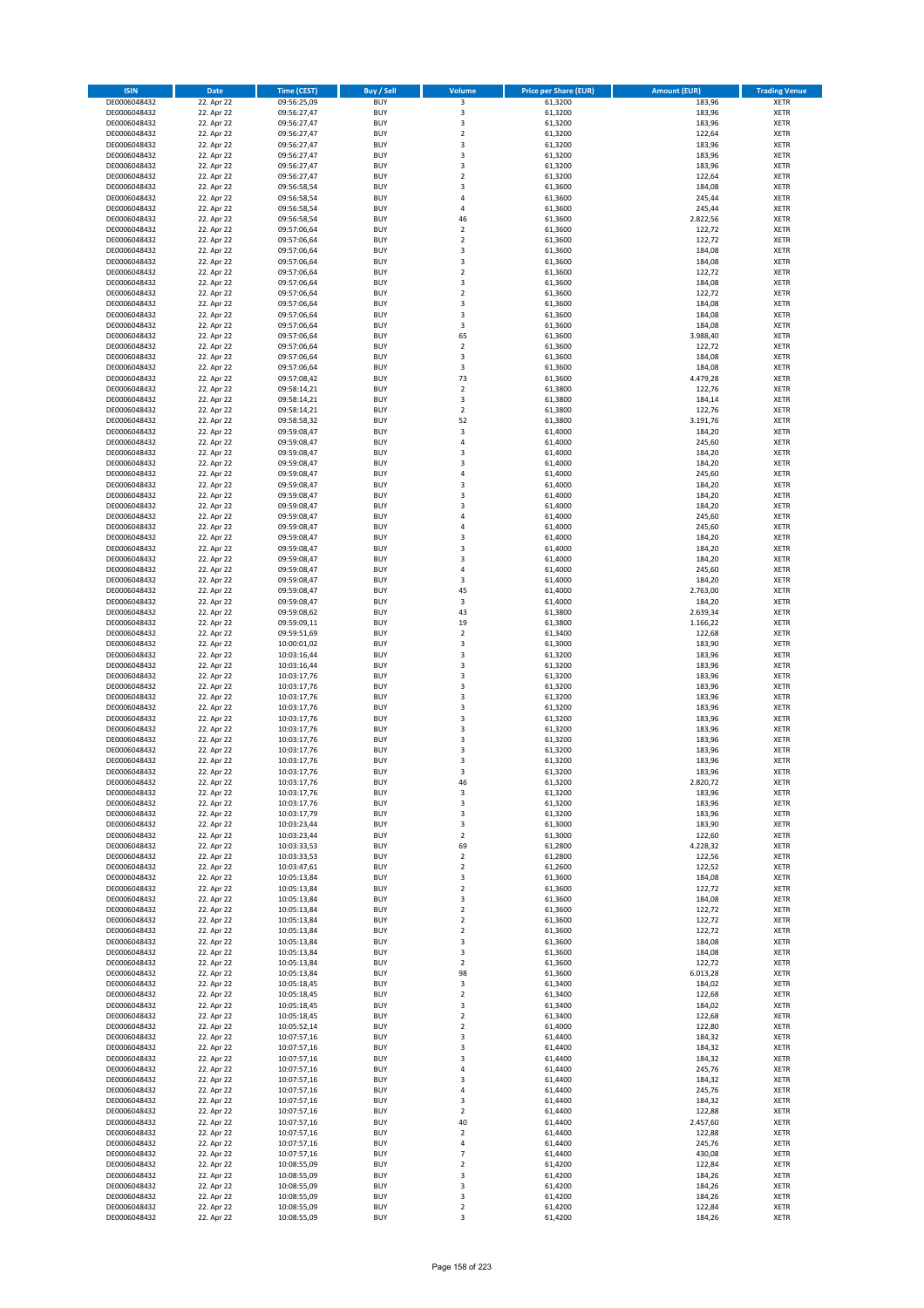| <b>ISIN</b>                  | <b>Date</b>              | <b>Time (CEST)</b>         | <b>Buy / Sell</b>        | Volume                                    | <b>Price per Share (EUR)</b> | <b>Amount (EUR)</b> | <b>Trading Venue</b>       |
|------------------------------|--------------------------|----------------------------|--------------------------|-------------------------------------------|------------------------------|---------------------|----------------------------|
| DE0006048432                 | 22. Apr 22               | 09:56:25,09                | <b>BUY</b>               | 3                                         | 61,3200                      | 183,96              | <b>XETR</b>                |
| DE0006048432                 | 22. Apr 22               | 09:56:27,47                | <b>BUY</b>               | 3                                         | 61,3200                      | 183,96              | <b>XETR</b>                |
| DE0006048432                 | 22. Apr 22               | 09:56:27,47                | <b>BUY</b>               | $\overline{\mathbf{3}}$                   | 61,3200                      | 183,96              | <b>XETR</b>                |
| DE0006048432                 | 22. Apr 22               | 09:56:27,47                | <b>BUY</b>               | $\mathbf 2$                               | 61,3200                      | 122,64              | <b>XETR</b>                |
| DE0006048432                 | 22. Apr 22               | 09:56:27,47                | <b>BUY</b>               | 3                                         | 61,3200                      | 183,96              | <b>XETR</b>                |
| DE0006048432                 | 22. Apr 22               | 09:56:27,47                | <b>BUY</b>               | $\overline{\mathbf{3}}$                   | 61,3200                      | 183,96              | <b>XETR</b>                |
| DE0006048432                 | 22. Apr 22               | 09:56:27,47                | <b>BUY</b>               | $\overline{\mathbf{3}}$                   | 61,3200                      | 183,96              | <b>XETR</b>                |
| DE0006048432                 | 22. Apr 22               | 09:56:27,47                | <b>BUY</b>               | $\overline{\mathbf{2}}$                   | 61,3200                      | 122,64              | <b>XETR</b>                |
| DE0006048432                 | 22. Apr 22               | 09:56:58,54                | BUY                      | $\overline{3}$                            | 61,3600                      | 184,08              | <b>XETR</b>                |
| DE0006048432                 | 22. Apr 22               | 09:56:58,54                | <b>BUY</b>               | 4                                         | 61,3600                      | 245,44              | <b>XETR</b>                |
| DE0006048432                 | 22. Apr 22               | 09:56:58,54                | <b>BUY</b>               | 4                                         | 61,3600                      | 245,44              | <b>XETR</b>                |
| DE0006048432                 | 22. Apr 22               | 09:56:58,54                | <b>BUY</b>               | 46                                        | 61,3600                      | 2.822,56            | <b>XETR</b>                |
| DE0006048432                 | 22. Apr 22               | 09:57:06,64                | <b>BUY</b>               | $\mathbf 2$                               | 61,3600                      | 122,72              | <b>XETR</b>                |
| DE0006048432                 | 22. Apr 22               | 09:57:06,64                | <b>BUY</b>               | $\overline{\mathbf{2}}$<br>$\overline{3}$ | 61,3600                      | 122,72              | <b>XETR</b>                |
| DE0006048432<br>DE0006048432 | 22. Apr 22<br>22. Apr 22 | 09:57:06,64<br>09:57:06,64 | <b>BUY</b><br>BUY        | $\overline{3}$                            | 61,3600<br>61,3600           | 184,08<br>184,08    | <b>XETR</b><br><b>XETR</b> |
| DE0006048432                 | 22. Apr 22               | 09:57:06,64                | <b>BUY</b>               | $\overline{2}$                            | 61,3600                      | 122,72              | <b>XETR</b>                |
| DE0006048432                 | 22. Apr 22               | 09:57:06,64                | <b>BUY</b>               | 3                                         | 61,3600                      | 184,08              | <b>XETR</b>                |
| DE0006048432                 | 22. Apr 22               | 09:57:06,64                | <b>BUY</b>               | $\overline{2}$                            | 61,3600                      | 122,72              | <b>XETR</b>                |
| DE0006048432                 | 22. Apr 22               | 09:57:06,64                | <b>BUY</b>               | $\overline{\mathbf{3}}$                   | 61,3600                      | 184,08              | <b>XETR</b>                |
| DE0006048432                 | 22. Apr 22               | 09:57:06,64                | <b>BUY</b>               | $\overline{3}$                            | 61,3600                      | 184,08              | <b>XETR</b>                |
| DE0006048432                 | 22. Apr 22               | 09:57:06,64                | <b>BUY</b>               | 3                                         | 61,3600                      | 184,08              | <b>XETR</b>                |
| DE0006048432                 | 22. Apr 22               | 09:57:06,64                | <b>BUY</b>               | 65                                        | 61,3600                      | 3.988,40            | <b>XETR</b>                |
| DE0006048432                 | 22. Apr 22               | 09:57:06,64                | <b>BUY</b>               | $\overline{2}$                            | 61,3600                      | 122,72              | <b>XETR</b>                |
| DE0006048432                 | 22. Apr 22               | 09:57:06,64                | <b>BUY</b>               | 3                                         | 61,3600                      | 184,08              | <b>XETR</b>                |
| DE0006048432                 | 22. Apr 22               | 09:57:06,64                | <b>BUY</b>               | 3                                         | 61,3600                      | 184,08              | <b>XETR</b>                |
| DE0006048432                 | 22. Apr 22               | 09:57:08,42                | <b>BUY</b>               | 73                                        | 61,3600                      | 4.479,28            | <b>XETR</b>                |
| DE0006048432                 | 22. Apr 22               | 09:58:14,21                | <b>BUY</b>               | $\overline{\mathbf{2}}$                   | 61,3800                      | 122,76              | <b>XETR</b>                |
| DE0006048432                 | 22. Apr 22               | 09:58:14,21                | <b>BUY</b>               | 3                                         | 61,3800                      | 184,14              | <b>XETR</b>                |
| DE0006048432                 | 22. Apr 22               | 09:58:14,21                | <b>BUY</b>               | $\overline{\mathbf{2}}$                   | 61,3800                      | 122,76              | <b>XETR</b>                |
| DE0006048432                 | 22. Apr 22               | 09:58:58,32                | <b>BUY</b>               | 52                                        | 61,3800                      | 3.191,76            | <b>XETR</b>                |
| DE0006048432                 | 22. Apr 22               | 09:59:08,47                | <b>BUY</b>               | 3                                         | 61,4000                      | 184,20              | <b>XETR</b>                |
| DE0006048432                 | 22. Apr 22               | 09:59:08,47                | <b>BUY</b>               | 4                                         | 61,4000                      | 245,60              | <b>XETR</b>                |
| DE0006048432                 | 22. Apr 22               | 09:59:08,47                | <b>BUY</b>               | $\overline{3}$                            | 61,4000                      | 184,20              | <b>XETR</b>                |
| DE0006048432<br>DE0006048432 | 22. Apr 22               | 09:59:08,47                | <b>BUY</b>               | $\overline{3}$<br>4                       | 61,4000                      | 184,20              | <b>XETR</b>                |
| DE0006048432                 | 22. Apr 22<br>22. Apr 22 | 09:59:08,47<br>09:59:08,47 | <b>BUY</b><br><b>BUY</b> | $\overline{3}$                            | 61,4000<br>61,4000           | 245,60<br>184,20    | <b>XETR</b><br><b>XETR</b> |
| DE0006048432                 | 22. Apr 22               | 09:59:08,47                | <b>BUY</b>               | $\overline{3}$                            | 61,4000                      | 184,20              | <b>XETR</b>                |
| DE0006048432                 | 22. Apr 22               | 09:59:08,47                | <b>BUY</b>               | $\overline{3}$                            | 61,4000                      | 184,20              | <b>XETR</b>                |
| DE0006048432                 | 22. Apr 22               | 09:59:08,47                | <b>BUY</b>               | 4                                         | 61,4000                      | 245,60              | <b>XETR</b>                |
| DE0006048432                 | 22. Apr 22               | 09:59:08,47                | <b>BUY</b>               | $\overline{a}$                            | 61,4000                      | 245,60              | <b>XETR</b>                |
| DE0006048432                 | 22. Apr 22               | 09:59:08,47                | <b>BUY</b>               | $\overline{3}$                            | 61,4000                      | 184,20              | <b>XETR</b>                |
| DE0006048432                 | 22. Apr 22               | 09:59:08,47                | <b>BUY</b>               | $\overline{3}$                            | 61,4000                      | 184,20              | <b>XETR</b>                |
| DE0006048432                 | 22. Apr 22               | 09:59:08,47                | <b>BUY</b>               | $\overline{3}$                            | 61,4000                      | 184,20              | <b>XETR</b>                |
| DE0006048432                 | 22. Apr 22               | 09:59:08,47                | <b>BUY</b>               | $\overline{a}$                            | 61,4000                      | 245,60              | <b>XETR</b>                |
| DE0006048432                 | 22. Apr 22               | 09:59:08,47                | <b>BUY</b>               | 3                                         | 61,4000                      | 184,20              | <b>XETR</b>                |
| DE0006048432                 | 22. Apr 22               | 09:59:08,47                | <b>BUY</b>               | 45                                        | 61,4000                      | 2.763,00            | <b>XETR</b>                |
| DE0006048432                 | 22. Apr 22               | 09:59:08,47                | <b>BUY</b>               | 3                                         | 61,4000                      | 184,20              | <b>XETR</b>                |
| DE0006048432                 | 22. Apr 22               | 09:59:08,62                | <b>BUY</b>               | 43                                        | 61,3800                      | 2.639,34            | <b>XETR</b>                |
| DE0006048432                 | 22. Apr 22               | 09:59:09,11                | <b>BUY</b>               | 19                                        | 61,3800                      | 1.166,22            | <b>XETR</b>                |
| DE0006048432                 | 22. Apr 22               | 09:59:51,69                | <b>BUY</b>               | $\overline{\mathbf{2}}$                   | 61,3400                      | 122,68              | <b>XETR</b>                |
| DE0006048432                 | 22. Apr 22               | 10:00:01,02                | <b>BUY</b>               | 3                                         | 61,3000                      | 183,90              | <b>XETR</b>                |
| DE0006048432                 | 22. Apr 22               | 10:03:16,44                | <b>BUY</b>               | $\overline{3}$                            | 61,3200                      | 183,96              | <b>XETR</b>                |
| DE0006048432<br>DE0006048432 | 22. Apr 22               | 10:03:16,44                | <b>BUY</b><br><b>BUY</b> | 3<br>$\overline{3}$                       | 61,3200                      | 183,96              | <b>XETR</b><br><b>XETR</b> |
|                              | 22. Apr 22<br>22. Apr 22 | 10:03:17,76                | <b>BUY</b>               | $\overline{\mathbf{3}}$                   | 61,3200                      | 183,96              | <b>XETR</b>                |
| DE0006048432<br>DE0006048432 | 22. Apr 22               | 10:03:17,76<br>10:03:17,76 | <b>BUY</b>               | $\overline{3}$                            | 61,3200<br>61,3200           | 183,96<br>183,96    | <b>XETR</b>                |
| DE0006048432                 | 22. Apr 22               | 10:03:17,76                | <b>BUY</b>               | 3                                         | 61,3200                      | 183,96              | <b>XETR</b>                |
| DE0006048432                 | 22. Apr 22               | 10:03:17,76                | BUY                      | $\overline{3}$                            | 61,3200                      | 183,96              | <b>XETR</b>                |
| DE0006048432                 | 22. Apr 22               | 10:03:17,76                | <b>BUY</b>               | $\overline{3}$                            | 61,3200                      | 183,96              | <b>XETR</b>                |
| DE0006048432                 | 22. Apr 22               | 10:03:17,76                | <b>BUY</b>               | 3                                         | 61,3200                      | 183,96              | <b>XETR</b>                |
| DE0006048432                 | 22. Apr 22               | 10:03:17,76                | BUY                      | 3                                         | 61,3200                      | 183,96              | <b>XETR</b>                |
| DE0006048432                 | 22. Apr 22               | 10:03:17,76                | BUY                      | $\overline{3}$                            | 61,3200                      | 183,96              | <b>XETR</b>                |
| DE0006048432                 | 22. Apr 22               | 10:03:17,76                | <b>BUY</b>               | $\overline{3}$                            | 61,3200                      | 183,96              | <b>XETR</b>                |
| DE0006048432                 | 22. Apr 22               | 10:03:17,76                | <b>BUY</b>               | 46                                        | 61,3200                      | 2.820,72            | <b>XETR</b>                |
| DE0006048432                 | 22. Apr 22               | 10:03:17,76                | <b>BUY</b>               | 3                                         | 61,3200                      | 183,96              | <b>XETR</b>                |
| DE0006048432                 | 22. Apr 22               | 10:03:17,76                | <b>BUY</b>               | 3                                         | 61,3200                      | 183,96              | <b>XETR</b>                |
| DE0006048432                 | 22. Apr 22               | 10:03:17,79                | <b>BUY</b>               | 3                                         | 61,3200                      | 183,96              | <b>XETR</b>                |
| DE0006048432                 | 22. Apr 22               | 10:03:23,44                | <b>BUY</b>               | 3                                         | 61,3000                      | 183,90              | <b>XETR</b>                |
| DE0006048432                 | 22. Apr 22               | 10:03:23,44                | <b>BUY</b>               | $\mathbf 2$                               | 61,3000                      | 122,60              | <b>XETR</b>                |
| DE0006048432                 | 22. Apr 22               | 10:03:33,53                | <b>BUY</b>               | 69                                        | 61,2800                      | 4.228,32            | <b>XETR</b>                |
| DE0006048432                 | 22. Apr 22               | 10:03:33,53                | <b>BUY</b>               | 2                                         | 61,2800                      | 122,56              | <b>XETR</b>                |
| DE0006048432                 | 22. Apr 22<br>22. Apr 22 | 10:03:47,61<br>10:05:13,84 | <b>BUY</b><br><b>BUY</b> | $\mathbf 2$                               | 61,2600<br>61,3600           | 122,52<br>184,08    | <b>XETR</b>                |
| DE0006048432<br>DE0006048432 | 22. Apr 22               | 10:05:13,84                | <b>BUY</b>               | 3<br>$\mathbf 2$                          | 61,3600                      | 122,72              | <b>XETR</b><br><b>XETR</b> |
| DE0006048432                 | 22. Apr 22               | 10:05:13,84                | <b>BUY</b>               | 3                                         | 61,3600                      | 184,08              | <b>XETR</b>                |
| DE0006048432                 | 22. Apr 22               | 10:05:13,84                | <b>BUY</b>               | $\mathbf 2$                               | 61,3600                      | 122,72              | <b>XETR</b>                |
| DE0006048432                 | 22. Apr 22               | 10:05:13,84                | <b>BUY</b>               | $\overline{\mathbf{2}}$                   | 61,3600                      | 122,72              | <b>XETR</b>                |
| DE0006048432                 | 22. Apr 22               | 10:05:13,84                | <b>BUY</b>               | 2                                         | 61,3600                      | 122,72              | <b>XETR</b>                |
| DE0006048432                 | 22. Apr 22               | 10:05:13,84                | <b>BUY</b>               | 3                                         | 61,3600                      | 184,08              | <b>XETR</b>                |
| DE0006048432                 | 22. Apr 22               | 10:05:13,84                | <b>BUY</b>               | 3                                         | 61,3600                      | 184,08              | <b>XETR</b>                |
| DE0006048432                 | 22. Apr 22               | 10:05:13,84                | <b>BUY</b>               | $\mathbf 2$                               | 61,3600                      | 122,72              | <b>XETR</b>                |
| DE0006048432                 | 22. Apr 22               | 10:05:13,84                | <b>BUY</b>               | 98                                        | 61,3600                      | 6.013,28            | <b>XETR</b>                |
| DE0006048432                 | 22. Apr 22               | 10:05:18,45                | <b>BUY</b>               | 3                                         | 61,3400                      | 184,02              | <b>XETR</b>                |
| DE0006048432                 | 22. Apr 22               | 10:05:18,45                | <b>BUY</b>               | $\overline{\mathbf{2}}$                   | 61,3400                      | 122,68              | <b>XETR</b>                |
| DE0006048432                 | 22. Apr 22               | 10:05:18,45                | <b>BUY</b>               | 3                                         | 61,3400                      | 184,02              | <b>XETR</b>                |
| DE0006048432                 | 22. Apr 22               | 10:05:18,45                | <b>BUY</b>               | $\overline{\mathbf{2}}$                   | 61,3400                      | 122,68              | <b>XETR</b>                |
| DE0006048432<br>DE0006048432 | 22. Apr 22<br>22. Apr 22 | 10:05:52,14                | <b>BUY</b><br><b>BUY</b> | $\mathbf 2$<br>3                          | 61,4000<br>61,4400           | 122,80<br>184,32    | <b>XETR</b><br><b>XETR</b> |
| DE0006048432                 | 22. Apr 22               | 10:07:57,16<br>10:07:57,16 | <b>BUY</b>               | 3                                         | 61,4400                      | 184,32              | <b>XETR</b>                |
| DE0006048432                 | 22. Apr 22               | 10:07:57,16                | <b>BUY</b>               | $\overline{3}$                            | 61,4400                      | 184,32              | <b>XETR</b>                |
| DE0006048432                 | 22. Apr 22               | 10:07:57,16                | <b>BUY</b>               | $\overline{4}$                            | 61,4400                      | 245,76              | <b>XETR</b>                |
| DE0006048432                 | 22. Apr 22               | 10:07:57,16                | <b>BUY</b>               | 3                                         | 61,4400                      | 184,32              | <b>XETR</b>                |
| DE0006048432                 | 22. Apr 22               | 10:07:57,16                | <b>BUY</b>               | 4                                         | 61,4400                      | 245,76              | <b>XETR</b>                |
| DE0006048432                 | 22. Apr 22               | 10:07:57,16                | <b>BUY</b>               | 3                                         | 61,4400                      | 184,32              | <b>XETR</b>                |
| DE0006048432                 | 22. Apr 22               | 10:07:57,16                | <b>BUY</b>               | $\mathbf 2$                               | 61,4400                      | 122,88              | <b>XETR</b>                |
| DE0006048432                 | 22. Apr 22               | 10:07:57,16                | <b>BUY</b>               | 40                                        | 61,4400                      | 2.457,60            | <b>XETR</b>                |
| DE0006048432                 | 22. Apr 22               | 10:07:57,16                | <b>BUY</b>               | $\overline{2}$                            | 61,4400                      | 122,88              | <b>XETR</b>                |
| DE0006048432                 | 22. Apr 22               | 10:07:57,16                | <b>BUY</b>               | 4                                         | 61,4400                      | 245,76              | <b>XETR</b>                |
| DE0006048432                 | 22. Apr 22               | 10:07:57,16                | <b>BUY</b>               | $\overline{7}$                            | 61,4400                      | 430,08              | <b>XETR</b>                |
| DE0006048432                 | 22. Apr 22               | 10:08:55,09                | <b>BUY</b>               | $\overline{2}$                            | 61,4200                      | 122,84              | <b>XETR</b>                |
| DE0006048432                 | 22. Apr 22               | 10:08:55,09                | <b>BUY</b>               | 3                                         | 61,4200                      | 184,26              | <b>XETR</b>                |
| DE0006048432                 | 22. Apr 22               | 10:08:55,09                | <b>BUY</b>               | 3                                         | 61,4200                      | 184,26              | <b>XETR</b>                |
| DE0006048432                 | 22. Apr 22               | 10:08:55,09                | <b>BUY</b>               | 3                                         | 61,4200                      | 184,26              | <b>XETR</b>                |
| DE0006048432                 | 22. Apr 22               | 10:08:55,09                | <b>BUY</b>               | $\mathbf 2$                               | 61,4200                      | 122,84              | <b>XETR</b>                |
| DE0006048432                 | 22. Apr 22               | 10:08:55,09                | <b>BUY</b>               | 3                                         | 61,4200                      | 184,26              | <b>XETR</b>                |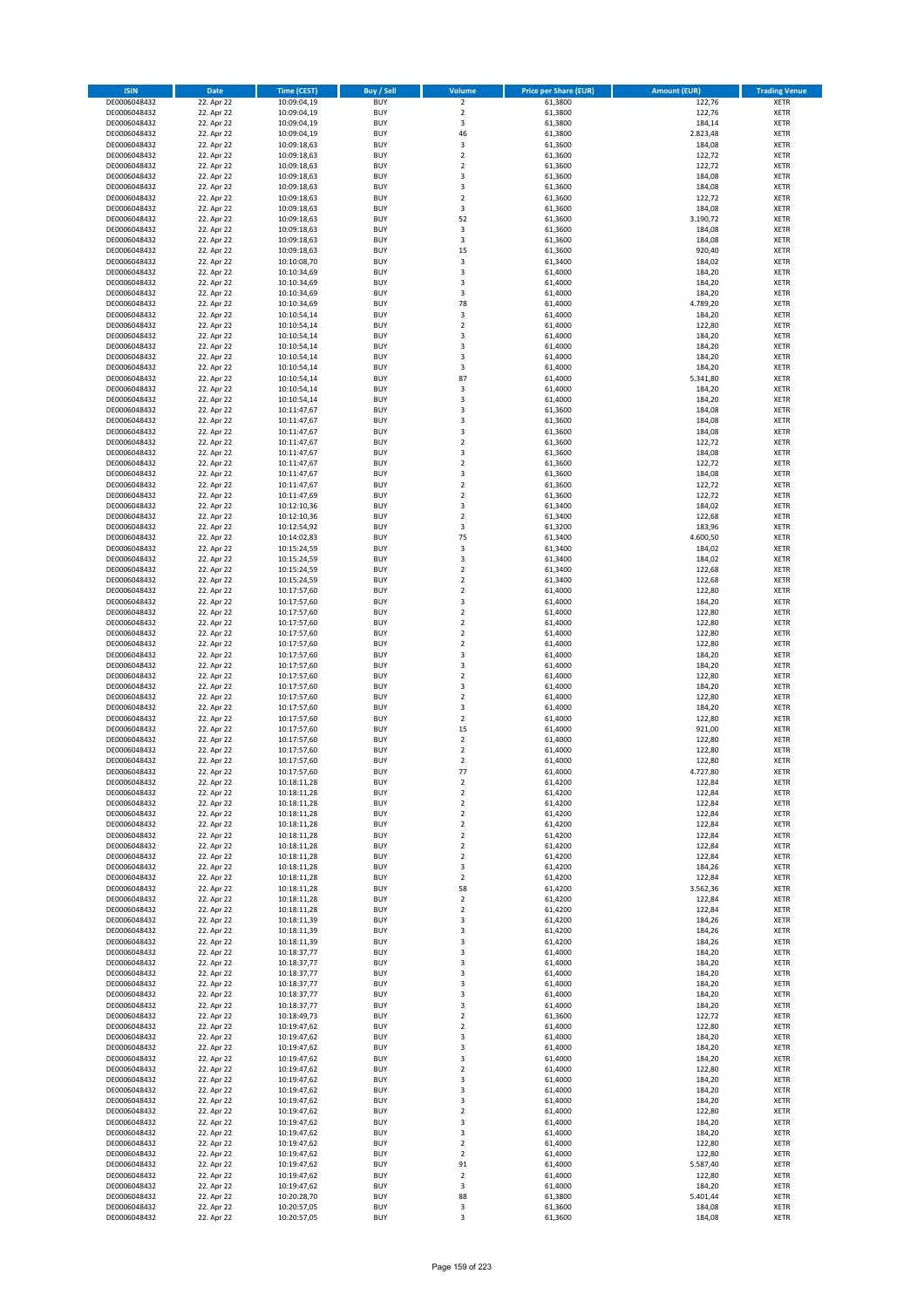| <b>ISIN</b>                  | <b>Date</b>              | <b>Time (CEST)</b>         | <b>Buy / Sell</b>        | <b>Volume</b>                | <b>Price per Share (EUR)</b> | <b>Amount (EUR)</b> | <b>Trading Venue</b>       |
|------------------------------|--------------------------|----------------------------|--------------------------|------------------------------|------------------------------|---------------------|----------------------------|
| DE0006048432                 | 22. Apr 22               | 10:09:04,19                | <b>BUY</b>               | $\overline{2}$               | 61,3800                      | 122,76              | <b>XETR</b>                |
| DE0006048432                 | 22. Apr 22               | 10:09:04,19                | <b>BUY</b>               | $\mathbf 2$                  | 61,3800                      | 122,76              | <b>XETR</b>                |
| DE0006048432                 | 22. Apr 22               | 10:09:04,19                | <b>BUY</b>               | 3                            | 61,3800                      | 184,14              | <b>XETR</b>                |
| DE0006048432                 | 22. Apr 22               | 10:09:04,19                | <b>BUY</b>               | 46                           | 61,3800                      | 2.823,48            | <b>XETR</b>                |
| DE0006048432<br>DE0006048432 | 22. Apr 22<br>22. Apr 22 | 10:09:18,63<br>10:09:18,63 | <b>BUY</b><br><b>BUY</b> | 3<br>$\mathbf 2$             | 61,3600<br>61,3600           | 184,08<br>122,72    | <b>XETR</b><br><b>XETR</b> |
| DE0006048432                 | 22. Apr 22               | 10:09:18,63                | <b>BUY</b>               | $\mathbf 2$                  | 61,3600                      | 122,72              | <b>XETR</b>                |
| DE0006048432                 | 22. Apr 22               | 10:09:18,63                | <b>BUY</b>               | 3                            | 61,3600                      | 184,08              | <b>XETR</b>                |
| DE0006048432                 | 22. Apr 22               | 10:09:18,63                | <b>BUY</b>               | 3                            | 61,3600                      | 184,08              | <b>XETR</b>                |
| DE0006048432                 | 22. Apr 22               | 10:09:18,63                | <b>BUY</b>               | $\overline{2}$               | 61,3600                      | 122,72              | <b>XETR</b>                |
| DE0006048432                 | 22. Apr 22               | 10:09:18,63                | <b>BUY</b>               | 3                            | 61,3600                      | 184,08              | <b>XETR</b>                |
| DE0006048432                 | 22. Apr 22               | 10:09:18,63                | <b>BUY</b>               | 52<br>3                      | 61,3600                      | 3.190,72            | <b>XETR</b><br><b>XETR</b> |
| DE0006048432<br>DE0006048432 | 22. Apr 22<br>22. Apr 22 | 10:09:18,63<br>10:09:18,63 | <b>BUY</b><br><b>BUY</b> | 3                            | 61,3600<br>61,3600           | 184,08<br>184,08    | <b>XETR</b>                |
| DE0006048432                 | 22. Apr 22               | 10:09:18,63                | <b>BUY</b>               | 15                           | 61,3600                      | 920,40              | <b>XETR</b>                |
| DE0006048432                 | 22. Apr 22               | 10:10:08,70                | <b>BUY</b>               | 3                            | 61,3400                      | 184,02              | <b>XETR</b>                |
| DE0006048432                 | 22. Apr 22               | 10:10:34,69                | <b>BUY</b>               | 3                            | 61,4000                      | 184,20              | <b>XETR</b>                |
| DE0006048432                 | 22. Apr 22               | 10:10:34,69                | <b>BUY</b>               | 3                            | 61,4000                      | 184,20              | <b>XETR</b>                |
| DE0006048432                 | 22. Apr 22               | 10:10:34,69                | <b>BUY</b>               | 3                            | 61,4000                      | 184,20              | <b>XETR</b>                |
| DE0006048432<br>DE0006048432 | 22. Apr 22<br>22. Apr 22 | 10:10:34,69<br>10:10:54,14 | <b>BUY</b><br><b>BUY</b> | 78<br>3                      | 61,4000<br>61,4000           | 4.789,20<br>184,20  | <b>XETR</b><br><b>XETR</b> |
| DE0006048432                 | 22. Apr 22               | 10:10:54,14                | <b>BUY</b>               | $\mathbf 2$                  | 61,4000                      | 122,80              | <b>XETR</b>                |
| DE0006048432                 | 22. Apr 22               | 10:10:54,14                | <b>BUY</b>               | 3                            | 61,4000                      | 184,20              | <b>XETR</b>                |
| DE0006048432                 | 22. Apr 22               | 10:10:54,14                | <b>BUY</b>               | 3                            | 61,4000                      | 184,20              | <b>XETR</b>                |
| DE0006048432                 | 22. Apr 22               | 10:10:54,14                | <b>BUY</b>               | 3                            | 61,4000                      | 184,20              | <b>XETR</b>                |
| DE0006048432                 | 22. Apr 22               | 10:10:54,14                | <b>BUY</b>               | 3                            | 61,4000                      | 184,20              | <b>XETR</b>                |
| DE0006048432<br>DE0006048432 | 22. Apr 22<br>22. Apr 22 | 10:10:54,14<br>10:10:54,14 | <b>BUY</b><br><b>BUY</b> | 87<br>3                      | 61,4000<br>61,4000           | 5.341,80<br>184,20  | <b>XETR</b><br><b>XETR</b> |
| DE0006048432                 | 22. Apr 22               | 10:10:54,14                | <b>BUY</b>               | 3                            | 61,4000                      | 184,20              | <b>XETR</b>                |
| DE0006048432                 | 22. Apr 22               | 10:11:47,67                | <b>BUY</b>               | 3                            | 61,3600                      | 184,08              | <b>XETR</b>                |
| DE0006048432                 | 22. Apr 22               | 10:11:47,67                | <b>BUY</b>               | 3                            | 61,3600                      | 184,08              | <b>XETR</b>                |
| DE0006048432                 | 22. Apr 22               | 10:11:47,67                | <b>BUY</b>               | 3                            | 61,3600                      | 184,08              | <b>XETR</b>                |
| DE0006048432                 | 22. Apr 22               | 10:11:47,67                | <b>BUY</b>               | $\mathbf 2$                  | 61,3600                      | 122,72              | <b>XETR</b>                |
| DE0006048432                 | 22. Apr 22               | 10:11:47,67                | <b>BUY</b>               | 3                            | 61,3600                      | 184,08              | <b>XETR</b>                |
| DE0006048432<br>DE0006048432 | 22. Apr 22<br>22. Apr 22 | 10:11:47,67<br>10:11:47,67 | <b>BUY</b><br><b>BUY</b> | $\mathbf 2$<br>3             | 61,3600<br>61,3600           | 122,72<br>184,08    | <b>XETR</b><br><b>XETR</b> |
| DE0006048432                 | 22. Apr 22               | 10:11:47,67                | <b>BUY</b>               | $\overline{\mathbf{c}}$      | 61,3600                      | 122,72              | <b>XETR</b>                |
| DE0006048432                 | 22. Apr 22               | 10:11:47,69                | <b>BUY</b>               | $\mathbf 2$                  | 61,3600                      | 122,72              | <b>XETR</b>                |
| DE0006048432                 | 22. Apr 22               | 10:12:10,36                | <b>BUY</b>               | 3                            | 61,3400                      | 184,02              | <b>XETR</b>                |
| DE0006048432                 | 22. Apr 22               | 10:12:10,36                | <b>BUY</b>               | $\mathbf 2$                  | 61,3400                      | 122,68              | <b>XETR</b>                |
| DE0006048432                 | 22. Apr 22               | 10:12:54,92                | <b>BUY</b>               | 3                            | 61,3200                      | 183,96              | <b>XETR</b>                |
| DE0006048432                 | 22. Apr 22<br>22. Apr 22 | 10:14:02,83                | <b>BUY</b><br><b>BUY</b> | 75<br>3                      | 61,3400<br>61,3400           | 4.600,50<br>184,02  | <b>XETR</b><br><b>XETR</b> |
| DE0006048432<br>DE0006048432 | 22. Apr 22               | 10:15:24,59<br>10:15:24,59 | <b>BUY</b>               | 3                            | 61,3400                      | 184,02              | <b>XETR</b>                |
| DE0006048432                 | 22. Apr 22               | 10:15:24,59                | <b>BUY</b>               | $\mathbf 2$                  | 61,3400                      | 122,68              | <b>XETR</b>                |
| DE0006048432                 | 22. Apr 22               | 10:15:24,59                | <b>BUY</b>               | $\overline{2}$               | 61,3400                      | 122,68              | <b>XETR</b>                |
| DE0006048432                 | 22. Apr 22               | 10:17:57,60                | <b>BUY</b>               | $\mathbf 2$                  | 61,4000                      | 122,80              | <b>XETR</b>                |
| DE0006048432                 | 22. Apr 22               | 10:17:57,60                | <b>BUY</b>               | 3                            | 61,4000                      | 184,20              | <b>XETR</b>                |
| DE0006048432<br>DE0006048432 | 22. Apr 22<br>22. Apr 22 | 10:17:57,60<br>10:17:57,60 | <b>BUY</b><br><b>BUY</b> | $\mathbf 2$<br>$\mathbf 2$   | 61,4000<br>61,4000           | 122,80<br>122,80    | <b>XETR</b><br><b>XETR</b> |
| DE0006048432                 | 22. Apr 22               | 10:17:57,60                | <b>BUY</b>               | $\overline{\mathbf{c}}$      | 61,4000                      | 122,80              | <b>XETR</b>                |
| DE0006048432                 | 22. Apr 22               | 10:17:57,60                | <b>BUY</b>               | $\mathbf 2$                  | 61,4000                      | 122,80              | <b>XETR</b>                |
| DE0006048432                 | 22. Apr 22               | 10:17:57,60                | <b>BUY</b>               | 3                            | 61,4000                      | 184,20              | <b>XETR</b>                |
| DE0006048432                 | 22. Apr 22               | 10:17:57,60                | <b>BUY</b>               | 3                            | 61,4000                      | 184,20              | <b>XETR</b>                |
| DE0006048432                 | 22. Apr 22               | 10:17:57,60                | <b>BUY</b>               | $\overline{\mathbf{c}}$      | 61,4000                      | 122,80              | <b>XETR</b>                |
| DE0006048432                 | 22. Apr 22               | 10:17:57,60                | <b>BUY</b>               | 3                            | 61,4000                      | 184,20              | <b>XETR</b>                |
| DE0006048432<br>DE0006048432 | 22. Apr 22<br>22. Apr 22 | 10:17:57,60<br>10:17:57,60 | <b>BUY</b><br><b>BUY</b> | $\overline{\mathbf{c}}$<br>3 | 61,4000<br>61,4000           | 122,80<br>184,20    | <b>XETR</b><br><b>XETR</b> |
| DE0006048432                 | 22. Apr 22               | 10:17:57,60                | <b>BUY</b>               | $\mathbf 2$                  | 61,4000                      | 122,80              | <b>XETR</b>                |
| DE0006048432                 | 22. Apr 22               | 10:17:57,60                | <b>BUY</b>               | 15                           | 61,4000                      | 921,00              | <b>XETR</b>                |
| DE0006048432                 | 22. Apr 22               | 10:17:57,60                | <b>BUY</b>               | $\mathbf 2$                  | 61,4000                      | 122,80              | <b>XETR</b>                |
| DE0006048432                 | 22. Apr 22               | 10:17:57,60                | <b>BUY</b>               | $\overline{\mathbf{c}}$      | 61,4000                      | 122,80              | <b>XETR</b>                |
| DE0006048432                 | 22. Apr 22               | 10:17:57,60                | <b>BUY</b>               | $\mathbf 2$                  | 61,4000                      | 122,80              | <b>XETR</b>                |
| DE0006048432<br>DE0006048432 | 22. Apr 22<br>22. Apr 22 | 10:17:57,60<br>10:18:11,28 | <b>BUY</b><br>BUY        | 77<br>2                      | 61,4000<br>61,4200           | 4.727,80<br>122,84  | <b>XETR</b><br><b>XETR</b> |
| DE0006048432                 | 22. Apr 22               | 10:18:11,28                | <b>BUY</b>               | $\mathbf 2$                  | 61,4200                      | 122,84              | <b>XETR</b>                |
| DE0006048432                 | 22. Apr 22               | 10:18:11,28                | <b>BUY</b>               | $\mathbf 2$                  | 61,4200                      | 122,84              | <b>XETR</b>                |
| DE0006048432                 | 22. Apr 22               | 10:18:11,28                | <b>BUY</b>               | 2                            | 61,4200                      | 122,84              | XETR                       |
| DE0006048432                 | 22. Apr 22               | 10:18:11,28                | <b>BUY</b>               | $\mathbf 2$                  | 61,4200                      | 122,84              | <b>XETR</b>                |
| DE0006048432                 | 22. Apr 22               | 10:18:11,28                | <b>BUY</b>               | $\mathbf 2$                  | 61,4200                      | 122,84              | <b>XETR</b>                |
| DE0006048432<br>DE0006048432 | 22. Apr 22<br>22. Apr 22 | 10:18:11,28<br>10:18:11,28 | <b>BUY</b><br><b>BUY</b> | $\mathbf 2$<br>$\mathbf 2$   | 61,4200<br>61,4200           | 122,84<br>122,84    | <b>XETR</b><br><b>XETR</b> |
| DE0006048432                 | 22. Apr 22               | 10:18:11,28                | <b>BUY</b>               | 3                            | 61,4200                      | 184,26              | <b>XETR</b>                |
| DE0006048432                 | 22. Apr 22               | 10:18:11,28                | <b>BUY</b>               | $\mathbf 2$                  | 61,4200                      | 122,84              | <b>XETR</b>                |
| DE0006048432                 | 22. Apr 22               | 10:18:11,28                | <b>BUY</b>               | 58                           | 61,4200                      | 3.562,36            | <b>XETR</b>                |
| DE0006048432                 | 22. Apr 22               | 10:18:11,28                | <b>BUY</b>               | $\mathbf 2$                  | 61,4200                      | 122,84              | <b>XETR</b>                |
| DE0006048432                 | 22. Apr 22               | 10:18:11,28                | <b>BUY</b>               | $\mathbf 2$                  | 61,4200                      | 122,84              | <b>XETR</b>                |
| DE0006048432<br>DE0006048432 | 22. Apr 22<br>22. Apr 22 | 10:18:11,39<br>10:18:11,39 | <b>BUY</b><br><b>BUY</b> | 3<br>3                       | 61,4200<br>61,4200           | 184,26<br>184,26    | <b>XETR</b><br><b>XETR</b> |
| DE0006048432                 | 22. Apr 22               | 10:18:11,39                | <b>BUY</b>               | 3                            | 61,4200                      | 184,26              | <b>XETR</b>                |
| DE0006048432                 | 22. Apr 22               | 10:18:37,77                | <b>BUY</b>               | 3                            | 61,4000                      | 184,20              | <b>XETR</b>                |
| DE0006048432                 | 22. Apr 22               | 10:18:37,77                | <b>BUY</b>               | 3                            | 61,4000                      | 184,20              | <b>XETR</b>                |
| DE0006048432                 | 22. Apr 22               | 10:18:37,77                | <b>BUY</b>               | 3                            | 61,4000                      | 184,20              | XETR                       |
| DE0006048432                 | 22. Apr 22               | 10:18:37,77                | <b>BUY</b>               | 3                            | 61,4000                      | 184,20              | <b>XETR</b>                |
| DE0006048432<br>DE0006048432 | 22. Apr 22<br>22. Apr 22 | 10:18:37,77                | <b>BUY</b><br><b>BUY</b> | 3<br>3                       | 61,4000<br>61,4000           | 184,20<br>184,20    | <b>XETR</b><br><b>XETR</b> |
| DE0006048432                 | 22. Apr 22               | 10:18:37,77<br>10:18:49,73 | <b>BUY</b>               | $\overline{\mathbf{c}}$      | 61,3600                      | 122,72              | <b>XETR</b>                |
| DE0006048432                 | 22. Apr 22               | 10:19:47,62                | <b>BUY</b>               | $\mathbf 2$                  | 61,4000                      | 122,80              | <b>XETR</b>                |
| DE0006048432                 | 22. Apr 22               | 10:19:47,62                | <b>BUY</b>               | 3                            | 61,4000                      | 184,20              | <b>XETR</b>                |
| DE0006048432                 | 22. Apr 22               | 10:19:47,62                | <b>BUY</b>               | 3                            | 61,4000                      | 184,20              | <b>XETR</b>                |
| DE0006048432                 | 22. Apr 22               | 10:19:47,62                | <b>BUY</b>               | 3                            | 61,4000                      | 184,20              | <b>XETR</b>                |
| DE0006048432                 | 22. Apr 22               | 10:19:47,62                | <b>BUY</b>               | $\overline{\mathbf{2}}$      | 61,4000                      | 122,80              | <b>XETR</b>                |
| DE0006048432<br>DE0006048432 | 22. Apr 22<br>22. Apr 22 | 10:19:47,62<br>10:19:47,62 | <b>BUY</b><br><b>BUY</b> | 3<br>3                       | 61,4000<br>61,4000           | 184,20<br>184,20    | <b>XETR</b><br>XETR        |
| DE0006048432                 | 22. Apr 22               | 10:19:47,62                | <b>BUY</b>               | 3                            | 61,4000                      | 184,20              | <b>XETR</b>                |
| DE0006048432                 | 22. Apr 22               | 10:19:47,62                | <b>BUY</b>               | $\mathbf 2$                  | 61,4000                      | 122,80              | <b>XETR</b>                |
| DE0006048432                 | 22. Apr 22               | 10:19:47,62                | <b>BUY</b>               | 3                            | 61,4000                      | 184,20              | <b>XETR</b>                |
| DE0006048432                 | 22. Apr 22               | 10:19:47,62                | <b>BUY</b>               | 3                            | 61,4000                      | 184,20              | <b>XETR</b>                |
| DE0006048432                 | 22. Apr 22               | 10:19:47,62                | <b>BUY</b>               | $\mathbf 2$                  | 61,4000                      | 122,80              | <b>XETR</b>                |
| DE0006048432<br>DE0006048432 | 22. Apr 22<br>22. Apr 22 | 10:19:47,62<br>10:19:47,62 | <b>BUY</b><br><b>BUY</b> | $\mathbf 2$<br>91            | 61,4000<br>61,4000           | 122,80<br>5.587,40  | <b>XETR</b><br><b>XETR</b> |
| DE0006048432                 | 22. Apr 22               | 10:19:47,62                | <b>BUY</b>               | $\mathbf 2$                  | 61,4000                      | 122,80              | XETR                       |
| DE0006048432                 | 22. Apr 22               | 10:19:47,62                | <b>BUY</b>               | 3                            | 61,4000                      | 184,20              | <b>XETR</b>                |
| DE0006048432                 | 22. Apr 22               | 10:20:28,70                | <b>BUY</b>               | 88                           | 61,3800                      | 5.401,44            | XETR                       |
| DE0006048432                 | 22. Apr 22               | 10:20:57,05                | <b>BUY</b>               | 3                            | 61,3600                      | 184,08              | <b>XETR</b>                |
| DE0006048432                 | 22. Apr 22               | 10:20:57,05                | <b>BUY</b>               | 3                            | 61,3600                      | 184,08              | <b>XETR</b>                |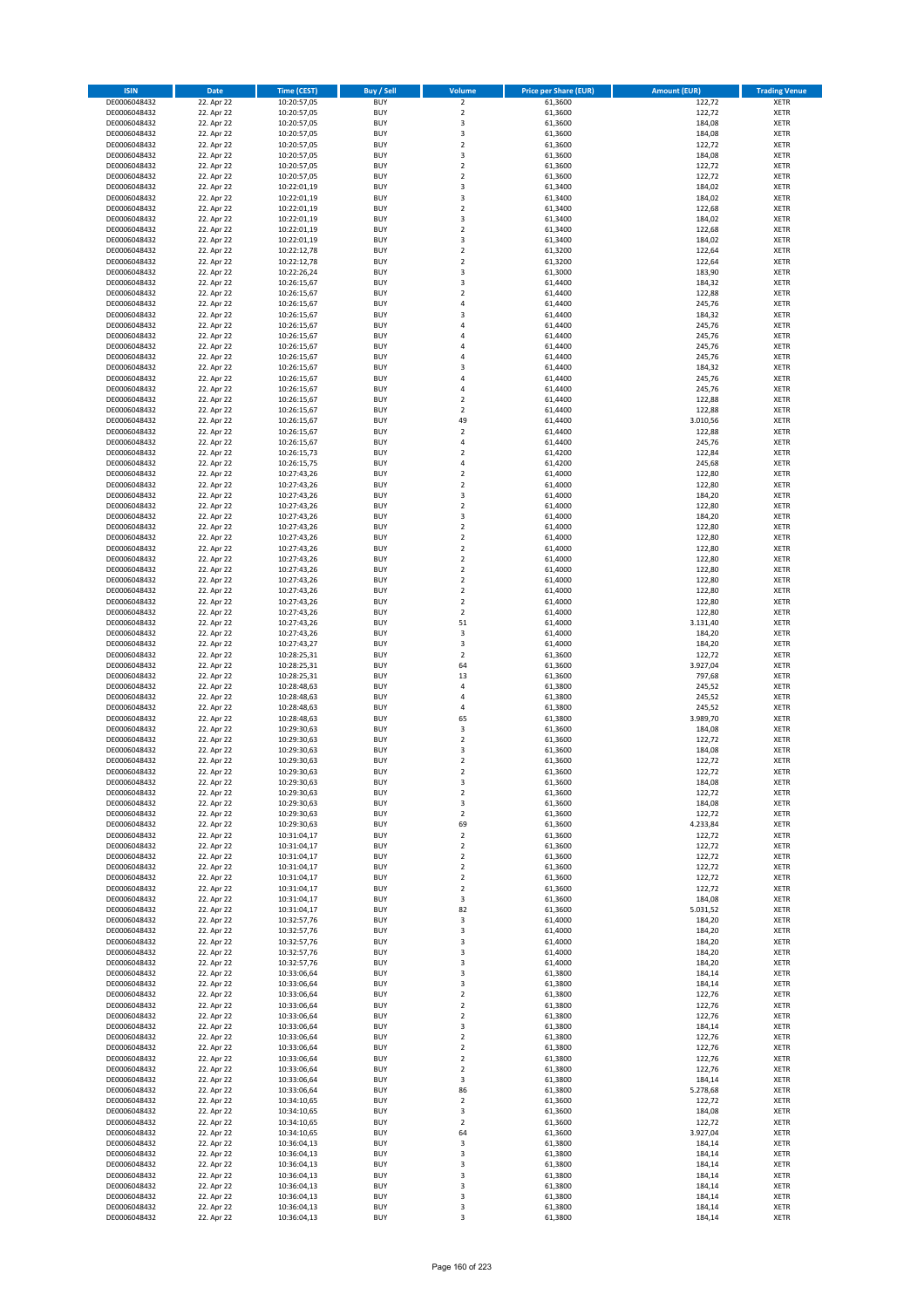| <b>ISIN</b>                  | <b>Date</b>              | <b>Time (CEST)</b>         | <b>Buy / Sell</b>        | Volume                                    | <b>Price per Share (EUR)</b> | <b>Amount (EUR)</b> | <b>Trading Venue</b>       |
|------------------------------|--------------------------|----------------------------|--------------------------|-------------------------------------------|------------------------------|---------------------|----------------------------|
| DE0006048432                 | 22. Apr 22               | 10:20:57,05                | <b>BUY</b>               | $\overline{\mathbf{2}}$                   | 61,3600                      | 122,72              | <b>XETR</b>                |
| DE0006048432                 | 22. Apr 22               | 10:20:57,05                | <b>BUY</b>               | $\mathbf 2$                               | 61,3600                      | 122,72              | <b>XETR</b>                |
| DE0006048432                 | 22. Apr 22               | 10:20:57,05                | <b>BUY</b>               | 3                                         | 61,3600                      | 184,08              | <b>XETR</b>                |
| DE0006048432                 | 22. Apr 22               | 10:20:57,05                | <b>BUY</b>               | 3                                         | 61,3600                      | 184,08              | <b>XETR</b>                |
| DE0006048432<br>DE0006048432 | 22. Apr 22<br>22. Apr 22 | 10:20:57,05<br>10:20:57,05 | <b>BUY</b><br><b>BUY</b> | $\overline{\mathbf{2}}$<br>3              | 61,3600<br>61,3600           | 122,72<br>184,08    | <b>XETR</b><br><b>XETR</b> |
| DE0006048432                 | 22. Apr 22               | 10:20:57,05                | <b>BUY</b>               | $\overline{\mathbf{2}}$                   | 61,3600                      | 122,72              | <b>XETR</b>                |
| DE0006048432                 | 22. Apr 22               | 10:20:57,05                | <b>BUY</b>               | $\overline{\mathbf{2}}$                   | 61,3600                      | 122,72              | <b>XETR</b>                |
| DE0006048432                 | 22. Apr 22               | 10:22:01,19                | BUY                      | 3                                         | 61,3400                      | 184,02              | <b>XETR</b>                |
| DE0006048432                 | 22. Apr 22               | 10:22:01,19                | <b>BUY</b>               | 3                                         | 61,3400                      | 184,02              | <b>XETR</b>                |
| DE0006048432                 | 22. Apr 22               | 10:22:01,19                | <b>BUY</b>               | $\mathbf 2$                               | 61,3400                      | 122,68              | <b>XETR</b>                |
| DE0006048432                 | 22. Apr 22               | 10:22:01,19                | <b>BUY</b>               | 3<br>$\overline{2}$                       | 61,3400                      | 184,02              | <b>XETR</b>                |
| DE0006048432<br>DE0006048432 | 22. Apr 22<br>22. Apr 22 | 10:22:01,19<br>10:22:01,19 | <b>BUY</b><br><b>BUY</b> | $\overline{\mathbf{3}}$                   | 61,3400<br>61,3400           | 122,68<br>184,02    | <b>XETR</b><br><b>XETR</b> |
| DE0006048432                 | 22. Apr 22               | 10:22:12,78                | <b>BUY</b>               | $\overline{\mathbf{2}}$                   | 61,3200                      | 122,64              | <b>XETR</b>                |
| DE0006048432                 | 22. Apr 22               | 10:22:12,78                | BUY                      | $\overline{2}$                            | 61,3200                      | 122,64              | <b>XETR</b>                |
| DE0006048432                 | 22. Apr 22               | 10:22:26,24                | <b>BUY</b>               | 3                                         | 61,3000                      | 183,90              | <b>XETR</b>                |
| DE0006048432                 | 22. Apr 22               | 10:26:15,67                | <b>BUY</b>               | 3                                         | 61,4400                      | 184,32              | <b>XETR</b>                |
| DE0006048432                 | 22. Apr 22               | 10:26:15,67                | <b>BUY</b>               | $\overline{2}$                            | 61.4400                      | 122,88              | <b>XETR</b>                |
| DE0006048432<br>DE0006048432 | 22. Apr 22<br>22. Apr 22 | 10:26:15,67<br>10:26:15,67 | <b>BUY</b><br><b>BUY</b> | $\overline{a}$<br>$\overline{\mathbf{3}}$ | 61,4400<br>61,4400           | 245,76<br>184,32    | <b>XETR</b><br><b>XETR</b> |
| DE0006048432                 | 22. Apr 22               | 10:26:15,67                | <b>BUY</b>               | 4                                         | 61,4400                      | 245,76              | <b>XETR</b>                |
| DE0006048432                 | 22. Apr 22               | 10:26:15,67                | <b>BUY</b>               | $\overline{a}$                            | 61,4400                      | 245,76              | <b>XETR</b>                |
| DE0006048432                 | 22. Apr 22               | 10:26:15,67                | <b>BUY</b>               | 4                                         | 61,4400                      | 245,76              | <b>XETR</b>                |
| DE0006048432                 | 22. Apr 22               | 10:26:15,67                | <b>BUY</b>               | $\overline{4}$                            | 61,4400                      | 245,76              | <b>XETR</b>                |
| DE0006048432                 | 22. Apr 22               | 10:26:15,67                | <b>BUY</b>               | 3                                         | 61,4400                      | 184,32              | <b>XETR</b>                |
| DE0006048432                 | 22. Apr 22               | 10:26:15,67                | <b>BUY</b><br><b>BUY</b> | $\overline{a}$<br>$\overline{4}$          | 61,4400                      | 245,76              | <b>XETR</b><br><b>XETR</b> |
| DE0006048432<br>DE0006048432 | 22. Apr 22<br>22. Apr 22 | 10:26:15,67<br>10:26:15,67 | <b>BUY</b>               | $\mathbf 2$                               | 61,4400<br>61,4400           | 245,76<br>122,88    | <b>XETR</b>                |
| DE0006048432                 | 22. Apr 22               | 10:26:15,67                | <b>BUY</b>               | $\overline{2}$                            | 61,4400                      | 122,88              | <b>XETR</b>                |
| DE0006048432                 | 22. Apr 22               | 10:26:15,67                | <b>BUY</b>               | 49                                        | 61,4400                      | 3.010,56            | <b>XETR</b>                |
| DE0006048432                 | 22. Apr 22               | 10:26:15,67                | <b>BUY</b>               | $\mathbf 2$                               | 61,4400                      | 122,88              | <b>XETR</b>                |
| DE0006048432                 | 22. Apr 22               | 10:26:15,67                | <b>BUY</b>               | 4                                         | 61,4400                      | 245,76              | <b>XETR</b>                |
| DE0006048432                 | 22. Apr 22               | 10:26:15,73                | <b>BUY</b>               | $\overline{2}$                            | 61,4200                      | 122,84              | <b>XETR</b>                |
| DE0006048432<br>DE0006048432 | 22. Apr 22<br>22. Apr 22 | 10:26:15,75<br>10:27:43,26 | <b>BUY</b><br><b>BUY</b> | $\overline{4}$<br>$\mathbf 2$             | 61,4200<br>61,4000           | 245,68<br>122,80    | <b>XETR</b><br><b>XETR</b> |
| DE0006048432                 | 22. Apr 22               | 10:27:43,26                | <b>BUY</b>               | $\overline{2}$                            | 61,4000                      | 122,80              | <b>XETR</b>                |
| DE0006048432                 | 22. Apr 22               | 10:27:43,26                | <b>BUY</b>               | 3                                         | 61,4000                      | 184,20              | <b>XETR</b>                |
| DE0006048432                 | 22. Apr 22               | 10:27:43,26                | <b>BUY</b>               | $\mathbf 2$                               | 61,4000                      | 122,80              | <b>XETR</b>                |
| DE0006048432                 | 22. Apr 22               | 10:27:43,26                | <b>BUY</b>               | 3                                         | 61,4000                      | 184,20              | <b>XETR</b>                |
| DE0006048432                 | 22. Apr 22               | 10:27:43,26                | <b>BUY</b>               | $\overline{2}$                            | 61,4000                      | 122,80              | <b>XETR</b>                |
| DE0006048432                 | 22. Apr 22               | 10:27:43,26                | <b>BUY</b><br><b>BUY</b> | $\overline{2}$                            | 61,4000                      | 122,80              | <b>XETR</b>                |
| DE0006048432<br>DE0006048432 | 22. Apr 22<br>22. Apr 22 | 10:27:43,26<br>10:27:43,26 | <b>BUY</b>               | $\mathbf 2$<br>$\overline{2}$             | 61,4000<br>61,4000           | 122,80<br>122,80    | <b>XETR</b><br><b>XETR</b> |
| DE0006048432                 | 22. Apr 22               | 10:27:43,26                | <b>BUY</b>               | $\mathbf 2$                               | 61,4000                      | 122,80              | <b>XETR</b>                |
| DE0006048432                 | 22. Apr 22               | 10:27:43,26                | <b>BUY</b>               | $\overline{2}$                            | 61,4000                      | 122,80              | <b>XETR</b>                |
| DE0006048432                 | 22. Apr 22               | 10:27:43,26                | <b>BUY</b>               | $\mathbf 2$                               | 61,4000                      | 122,80              | <b>XETR</b>                |
| DE0006048432                 | 22. Apr 22               | 10:27:43,26                | <b>BUY</b>               | $\mathbf 2$                               | 61,4000                      | 122,80              | <b>XETR</b>                |
| DE0006048432                 | 22. Apr 22               | 10:27:43,26                | <b>BUY</b><br><b>BUY</b> | $\mathbf 2$<br>51                         | 61,4000                      | 122,80              | <b>XETR</b><br><b>XETR</b> |
| DE0006048432<br>DE0006048432 | 22. Apr 22<br>22. Apr 22 | 10:27:43,26<br>10:27:43,26 | <b>BUY</b>               | 3                                         | 61,4000<br>61,4000           | 3.131,40<br>184,20  | <b>XETR</b>                |
| DE0006048432                 | 22. Apr 22               | 10:27:43,27                | <b>BUY</b>               | 3                                         | 61,4000                      | 184,20              | <b>XETR</b>                |
| DE0006048432                 | 22. Apr 22               | 10:28:25,31                | <b>BUY</b>               | $\overline{2}$                            | 61,3600                      | 122,72              | <b>XETR</b>                |
| DE0006048432                 | 22. Apr 22               | 10:28:25,31                | <b>BUY</b>               | 64                                        | 61,3600                      | 3.927,04            | <b>XETR</b>                |
| DE0006048432                 | 22. Apr 22               | 10:28:25,31                | <b>BUY</b>               | 13                                        | 61,3600                      | 797,68              | <b>XETR</b>                |
| DE0006048432                 | 22. Apr 22               | 10:28:48,63                | <b>BUY</b>               | 4                                         | 61,3800                      | 245,52              | <b>XETR</b>                |
| DE0006048432<br>DE0006048432 | 22. Apr 22<br>22. Apr 22 | 10:28:48,63<br>10:28:48,63 | <b>BUY</b><br><b>BUY</b> | $\overline{a}$<br>4                       | 61,3800<br>61,3800           | 245,52<br>245,52    | <b>XETR</b><br><b>XETR</b> |
| DE0006048432                 | 22. Apr 22               | 10:28:48,63                | BUY                      | 65                                        | 61,3800                      | 3.989,70            | <b>XETR</b>                |
| DE0006048432                 | 22. Apr 22               | 10:29:30,63                | <b>BUY</b>               | 3                                         | 61,3600                      | 184,08              | <b>XETR</b>                |
| DE0006048432                 | 22. Apr 22               | 10:29:30,63                | <b>BUY</b>               | $\mathbf 2$                               | 61,3600                      | 122,72              | <b>XETR</b>                |
| DE0006048432                 | 22. Apr 22               | 10:29:30,63                | BUY                      | 3                                         | 61,3600                      | 184,08              | <b>XETR</b>                |
| DE0006048432                 | 22. Apr 22               | 10:29:30,63                | BUY                      | $\overline{2}$                            | 61,3600                      | 122,72              | <b>XETR</b>                |
| DE0006048432                 | 22. Apr 22               | 10:29:30,63                | <b>BUY</b>               | $\overline{2}$                            | 61,3600                      | 122,72              | <b>XETR</b>                |
| DE0006048432<br>DE0006048432 | 22. Apr 22<br>22. Apr 22 | 10:29:30,63<br>10:29:30,63 | BUY<br><b>BUY</b>        | 3<br>$\mathbf 2$                          | 61,3600<br>61,3600           | 184,08<br>122,72    | <b>XETR</b><br><b>XETR</b> |
| DE0006048432                 | 22. Apr 22               | 10:29:30,63                | <b>BUY</b>               | 3                                         | 61,3600                      | 184,08              | <b>XETR</b>                |
| DE0006048432                 | 22. Apr 22               | 10:29:30,63                | <b>BUY</b>               | $\mathbf 2$                               | 61,3600                      | 122,72              | <b>XETR</b>                |
| DE0006048432                 | 22. Apr 22               | 10:29:30,63                | <b>BUY</b>               | 69                                        | 61,3600                      | 4.233,84            | <b>XETR</b>                |
| DE0006048432                 | 22. Apr 22               | 10:31:04,17                | <b>BUY</b>               | $\mathbf 2$                               | 61,3600                      | 122,72              | <b>XETR</b>                |
| DE0006048432                 | 22. Apr 22               | 10:31:04,17                | <b>BUY</b>               | $\mathbf 2$                               | 61,3600                      | 122,72              | <b>XETR</b>                |
| DE0006048432<br>DE0006048432 | 22. Apr 22<br>22. Apr 22 | 10:31:04,17                | <b>BUY</b><br><b>BUY</b> | 2<br>$\mathbf 2$                          | 61,3600<br>61,3600           | 122,72<br>122,72    | <b>XETR</b><br><b>XETR</b> |
| DE0006048432                 | 22. Apr 22               | 10:31:04,17<br>10:31:04,17 | <b>BUY</b>               | $\mathbf 2$                               | 61,3600                      | 122,72              | <b>XETR</b>                |
| DE0006048432                 | 22. Apr 22               | 10:31:04,17                | <b>BUY</b>               | $\mathbf 2$                               | 61,3600                      | 122,72              | <b>XETR</b>                |
| DE0006048432                 | 22. Apr 22               | 10:31:04,17                | <b>BUY</b>               | 3                                         | 61,3600                      | 184,08              | <b>XETR</b>                |
| DE0006048432                 | 22. Apr 22               | 10:31:04,17                | <b>BUY</b>               | 82                                        | 61,3600                      | 5.031,52            | <b>XETR</b>                |
| DE0006048432                 | 22. Apr 22               | 10:32:57,76                | <b>BUY</b>               | 3                                         | 61,4000                      | 184,20              | <b>XETR</b>                |
| DE0006048432<br>DE0006048432 | 22. Apr 22<br>22. Apr 22 | 10:32:57,76<br>10:32:57,76 | <b>BUY</b><br><b>BUY</b> | 3<br>$\overline{\mathbf{3}}$              | 61,4000<br>61,4000           | 184,20<br>184,20    | <b>XETR</b><br><b>XETR</b> |
| DE0006048432                 | 22. Apr 22               | 10:32:57,76                | <b>BUY</b>               | 3                                         | 61,4000                      | 184,20              | <b>XETR</b>                |
| DE0006048432                 | 22. Apr 22               | 10:32:57,76                | <b>BUY</b>               | 3                                         | 61,4000                      | 184,20              | <b>XETR</b>                |
| DE0006048432                 | 22. Apr 22               | 10:33:06,64                | <b>BUY</b>               | 3                                         | 61,3800                      | 184,14              | <b>XETR</b>                |
| DE0006048432                 | 22. Apr 22               | 10:33:06,64                | <b>BUY</b>               | 3                                         | 61,3800                      | 184,14              | <b>XETR</b>                |
| DE0006048432                 | 22. Apr 22               | 10:33:06,64                | <b>BUY</b>               | $\overline{2}$                            | 61,3800                      | 122,76              | <b>XETR</b>                |
| DE0006048432<br>DE0006048432 | 22. Apr 22<br>22. Apr 22 | 10:33:06,64<br>10:33:06,64 | <b>BUY</b><br><b>BUY</b> | $\mathbf 2$<br>$\overline{2}$             | 61,3800<br>61,3800           | 122,76<br>122,76    | <b>XETR</b><br><b>XETR</b> |
| DE0006048432                 | 22. Apr 22               | 10:33:06,64                | <b>BUY</b>               | 3                                         | 61,3800                      | 184,14              | <b>XETR</b>                |
| DE0006048432                 | 22. Apr 22               | 10:33:06,64                | <b>BUY</b>               | $\mathbf 2$                               | 61,3800                      | 122,76              | <b>XETR</b>                |
| DE0006048432                 | 22. Apr 22               | 10:33:06,64                | <b>BUY</b>               | $\mathbf 2$                               | 61,3800                      | 122,76              | <b>XETR</b>                |
| DE0006048432                 | 22. Apr 22               | 10:33:06,64                | <b>BUY</b>               | $\overline{2}$                            | 61,3800                      | 122,76              | <b>XETR</b>                |
| DE0006048432                 | 22. Apr 22               | 10:33:06,64                | <b>BUY</b>               | $\overline{2}$                            | 61,3800                      | 122,76              | <b>XETR</b>                |
| DE0006048432<br>DE0006048432 | 22. Apr 22<br>22. Apr 22 | 10:33:06,64<br>10:33:06,64 | <b>BUY</b><br><b>BUY</b> | 3<br>86                                   | 61,3800<br>61,3800           | 184,14<br>5.278,68  | <b>XETR</b><br><b>XETR</b> |
| DE0006048432                 | 22. Apr 22               | 10:34:10,65                | <b>BUY</b>               | $\mathbf 2$                               | 61,3600                      | 122,72              | <b>XETR</b>                |
| DE0006048432                 | 22. Apr 22               | 10:34:10,65                | <b>BUY</b>               | 3                                         | 61,3600                      | 184,08              | <b>XETR</b>                |
| DE0006048432                 | 22. Apr 22               | 10:34:10,65                | <b>BUY</b>               | $\mathbf 2$                               | 61,3600                      | 122,72              | <b>XETR</b>                |
| DE0006048432                 | 22. Apr 22               | 10:34:10,65                | <b>BUY</b>               | 64                                        | 61,3600                      | 3.927,04            | <b>XETR</b>                |
| DE0006048432                 | 22. Apr 22               | 10:36:04,13                | <b>BUY</b>               | 3                                         | 61,3800                      | 184,14              | <b>XETR</b>                |
| DE0006048432                 | 22. Apr 22               | 10:36:04,13                | <b>BUY</b>               | 3                                         | 61,3800                      | 184,14              | <b>XETR</b>                |
| DE0006048432<br>DE0006048432 | 22. Apr 22<br>22. Apr 22 | 10:36:04,13<br>10:36:04,13 | <b>BUY</b><br><b>BUY</b> | 3<br>3                                    | 61,3800<br>61,3800           | 184,14<br>184,14    | <b>XETR</b><br><b>XETR</b> |
| DE0006048432                 | 22. Apr 22               | 10:36:04,13                | <b>BUY</b>               | 3                                         | 61,3800                      | 184,14              | <b>XETR</b>                |
| DE0006048432                 | 22. Apr 22               | 10:36:04,13                | <b>BUY</b>               | 3                                         | 61,3800                      | 184,14              | <b>XETR</b>                |
| DE0006048432                 | 22. Apr 22               | 10:36:04,13                | <b>BUY</b>               | 3                                         | 61,3800                      | 184,14              | <b>XETR</b>                |
| DE0006048432                 | 22. Apr 22               | 10:36:04,13                | <b>BUY</b>               | 3                                         | 61,3800                      | 184,14              | <b>XETR</b>                |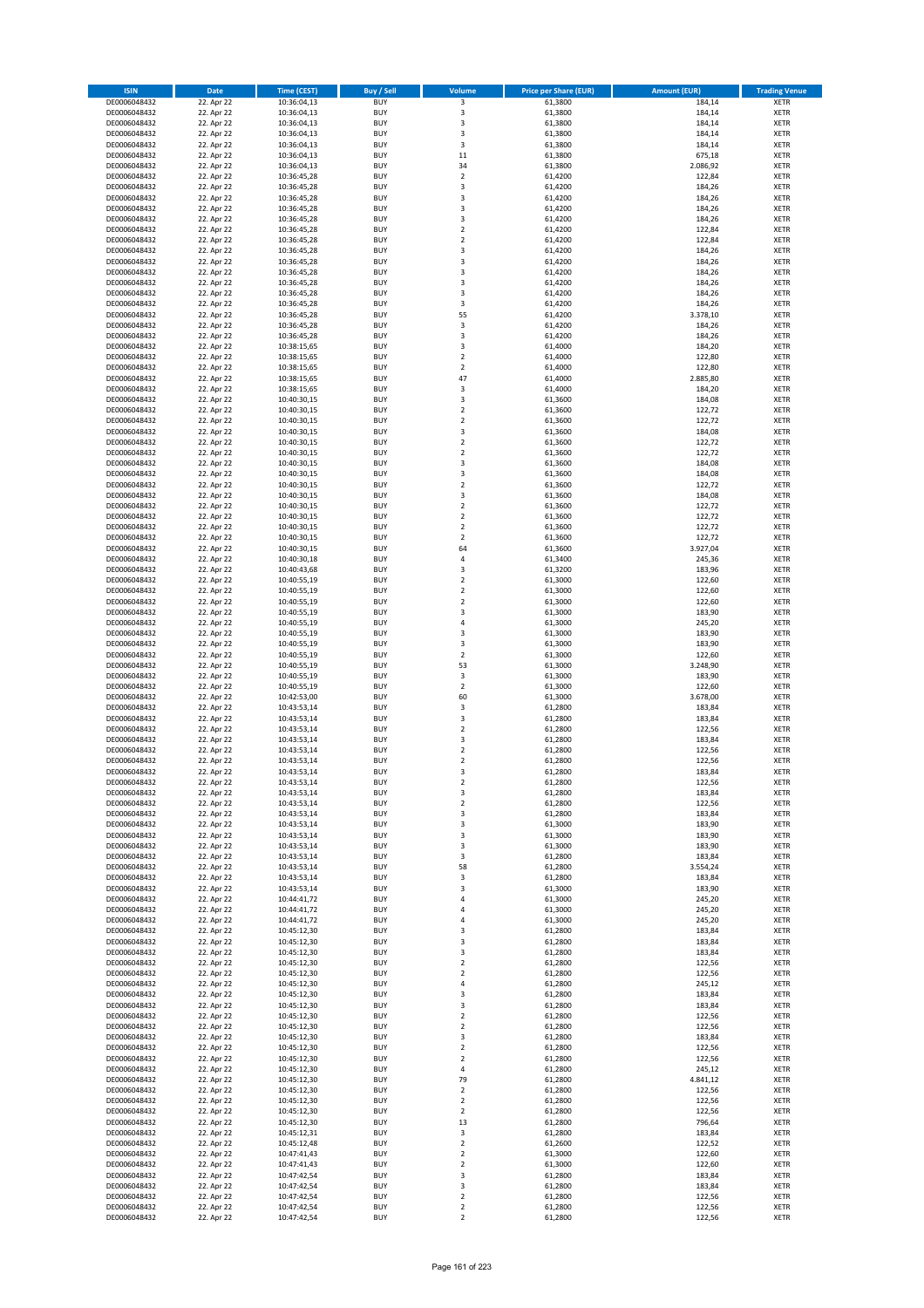| <b>ISIN</b>                  | <b>Date</b>              | <b>Time (CEST)</b>         | <b>Buy / Sell</b>        | Volume                                 | <b>Price per Share (EUR)</b> | <b>Amount (EUR)</b> | <b>Trading Venue</b>       |
|------------------------------|--------------------------|----------------------------|--------------------------|----------------------------------------|------------------------------|---------------------|----------------------------|
| DE0006048432                 | 22. Apr 22               | 10:36:04,13                | <b>BUY</b>               | 3                                      | 61,3800                      | 184,14              | <b>XETR</b>                |
| DE0006048432                 | 22. Apr 22               | 10:36:04,13                | <b>BUY</b>               | 3                                      | 61,3800                      | 184,14              | <b>XETR</b>                |
| DE0006048432                 | 22. Apr 22               | 10:36:04,13                | <b>BUY</b>               | 3                                      | 61,3800                      | 184,14              | <b>XETR</b>                |
| DE0006048432                 | 22. Apr 22               | 10:36:04,13                | <b>BUY</b>               | 3                                      | 61,3800                      | 184,14              | <b>XETR</b>                |
| DE0006048432<br>DE0006048432 | 22. Apr 22<br>22. Apr 22 | 10:36:04,13<br>10:36:04,13 | <b>BUY</b><br><b>BUY</b> | 3<br>11                                | 61,3800<br>61,3800           | 184,14<br>675,18    | <b>XETR</b><br><b>XETR</b> |
| DE0006048432                 | 22. Apr 22               | 10:36:04,13                | <b>BUY</b>               | 34                                     | 61,3800                      | 2.086,92            | <b>XETR</b>                |
| DE0006048432                 | 22. Apr 22               | 10:36:45,28                | <b>BUY</b>               | $\mathbf 2$                            | 61,4200                      | 122,84              | <b>XETR</b>                |
| DE0006048432                 | 22. Apr 22               | 10:36:45,28                | <b>BUY</b>               | 3                                      | 61,4200                      | 184,26              | <b>XETR</b>                |
| DE0006048432                 | 22. Apr 22               | 10:36:45,28                | <b>BUY</b>               | 3                                      | 61,4200                      | 184,26              | <b>XETR</b>                |
| DE0006048432                 | 22. Apr 22               | 10:36:45,28                | <b>BUY</b>               | 3                                      | 61,4200                      | 184,26              | <b>XETR</b>                |
| DE0006048432                 | 22. Apr 22               | 10:36:45,28                | <b>BUY</b>               | 3<br>$\mathbf 2$                       | 61,4200                      | 184,26              | <b>XETR</b><br><b>XETR</b> |
| DE0006048432<br>DE0006048432 | 22. Apr 22<br>22. Apr 22 | 10:36:45,28<br>10:36:45,28 | <b>BUY</b><br><b>BUY</b> | $\overline{\mathbf{c}}$                | 61,4200<br>61,4200           | 122,84<br>122,84    | <b>XETR</b>                |
| DE0006048432                 | 22. Apr 22               | 10:36:45,28                | <b>BUY</b>               | 3                                      | 61,4200                      | 184,26              | <b>XETR</b>                |
| DE0006048432                 | 22. Apr 22               | 10:36:45,28                | <b>BUY</b>               | 3                                      | 61,4200                      | 184,26              | <b>XETR</b>                |
| DE0006048432                 | 22. Apr 22               | 10:36:45,28                | <b>BUY</b>               | 3                                      | 61,4200                      | 184,26              | <b>XETR</b>                |
| DE0006048432                 | 22. Apr 22               | 10:36:45,28                | <b>BUY</b>               | 3                                      | 61,4200                      | 184,26              | <b>XETR</b>                |
| DE0006048432                 | 22. Apr 22               | 10:36:45,28                | <b>BUY</b>               | 3                                      | 61,4200                      | 184,26              | <b>XETR</b>                |
| DE0006048432<br>DE0006048432 | 22. Apr 22<br>22. Apr 22 | 10:36:45,28<br>10:36:45,28 | <b>BUY</b><br><b>BUY</b> | 3<br>55                                | 61,4200<br>61,4200           | 184,26<br>3.378,10  | <b>XETR</b><br><b>XETR</b> |
| DE0006048432                 | 22. Apr 22               | 10:36:45,28                | <b>BUY</b>               | 3                                      | 61,4200                      | 184,26              | <b>XETR</b>                |
| DE0006048432                 | 22. Apr 22               | 10:36:45,28                | <b>BUY</b>               | 3                                      | 61,4200                      | 184,26              | <b>XETR</b>                |
| DE0006048432                 | 22. Apr 22               | 10:38:15,65                | <b>BUY</b>               | 3                                      | 61,4000                      | 184,20              | <b>XETR</b>                |
| DE0006048432                 | 22. Apr 22               | 10:38:15,65                | <b>BUY</b>               | $\mathbf 2$                            | 61,4000                      | 122,80              | <b>XETR</b>                |
| DE0006048432                 | 22. Apr 22               | 10:38:15,65                | <b>BUY</b>               | $\mathbf 2$                            | 61,4000                      | 122,80              | <b>XETR</b>                |
| DE0006048432<br>DE0006048432 | 22. Apr 22               | 10:38:15,65                | <b>BUY</b><br><b>BUY</b> | 47<br>3                                | 61,4000                      | 2.885,80            | <b>XETR</b><br><b>XETR</b> |
| DE0006048432                 | 22. Apr 22<br>22. Apr 22 | 10:38:15,65<br>10:40:30,15 | <b>BUY</b>               | 3                                      | 61,4000<br>61,3600           | 184,20<br>184,08    | <b>XETR</b>                |
| DE0006048432                 | 22. Apr 22               | 10:40:30,15                | <b>BUY</b>               | $\overline{\mathbf{c}}$                | 61,3600                      | 122,72              | <b>XETR</b>                |
| DE0006048432                 | 22. Apr 22               | 10:40:30,15                | <b>BUY</b>               | $\overline{2}$                         | 61,3600                      | 122,72              | <b>XETR</b>                |
| DE0006048432                 | 22. Apr 22               | 10:40:30,15                | <b>BUY</b>               | 3                                      | 61,3600                      | 184,08              | <b>XETR</b>                |
| DE0006048432                 | 22. Apr 22               | 10:40:30,15                | <b>BUY</b>               | $\mathbf 2$                            | 61,3600                      | 122,72              | <b>XETR</b>                |
| DE0006048432                 | 22. Apr 22               | 10:40:30,15                | <b>BUY</b>               | $\mathbf 2$                            | 61,3600                      | 122,72              | <b>XETR</b>                |
| DE0006048432<br>DE0006048432 | 22. Apr 22<br>22. Apr 22 | 10:40:30,15<br>10:40:30,15 | <b>BUY</b><br><b>BUY</b> | 3<br>3                                 | 61,3600<br>61,3600           | 184,08<br>184,08    | <b>XETR</b><br><b>XETR</b> |
| DE0006048432                 | 22. Apr 22               | 10:40:30,15                | <b>BUY</b>               | $\overline{\mathbf{c}}$                | 61,3600                      | 122,72              | <b>XETR</b>                |
| DE0006048432                 | 22. Apr 22               | 10:40:30,15                | <b>BUY</b>               | 3                                      | 61,3600                      | 184,08              | <b>XETR</b>                |
| DE0006048432                 | 22. Apr 22               | 10:40:30,15                | <b>BUY</b>               | $\overline{2}$                         | 61,3600                      | 122,72              | <b>XETR</b>                |
| DE0006048432                 | 22. Apr 22               | 10:40:30,15                | <b>BUY</b>               | $\mathbf 2$                            | 61,3600                      | 122,72              | <b>XETR</b>                |
| DE0006048432                 | 22. Apr 22               | 10:40:30,15                | <b>BUY</b>               | $\overline{\mathbf{c}}$                | 61,3600                      | 122,72              | <b>XETR</b>                |
| DE0006048432                 | 22. Apr 22               | 10:40:30,15                | <b>BUY</b><br><b>BUY</b> | $\mathbf 2$                            | 61,3600                      | 122,72              | <b>XETR</b>                |
| DE0006048432<br>DE0006048432 | 22. Apr 22<br>22. Apr 22 | 10:40:30,15<br>10:40:30,18 | <b>BUY</b>               | 64<br>4                                | 61,3600<br>61,3400           | 3.927,04<br>245,36  | <b>XETR</b><br><b>XETR</b> |
| DE0006048432                 | 22. Apr 22               | 10:40:43,68                | <b>BUY</b>               | 3                                      | 61,3200                      | 183,96              | <b>XETR</b>                |
| DE0006048432                 | 22. Apr 22               | 10:40:55,19                | <b>BUY</b>               | $\overline{2}$                         | 61,3000                      | 122,60              | <b>XETR</b>                |
| DE0006048432                 | 22. Apr 22               | 10:40:55,19                | <b>BUY</b>               | $\mathbf 2$                            | 61,3000                      | 122,60              | <b>XETR</b>                |
| DE0006048432                 | 22. Apr 22               | 10:40:55,19                | <b>BUY</b>               | $\mathbf 2$                            | 61,3000                      | 122,60              | <b>XETR</b>                |
| DE0006048432                 | 22. Apr 22               | 10:40:55,19                | <b>BUY</b><br><b>BUY</b> | 3<br>4                                 | 61,3000                      | 183,90              | <b>XETR</b>                |
| DE0006048432<br>DE0006048432 | 22. Apr 22<br>22. Apr 22 | 10:40:55,19<br>10:40:55,19 | <b>BUY</b>               | 3                                      | 61,3000<br>61,3000           | 245,20<br>183,90    | <b>XETR</b><br><b>XETR</b> |
| DE0006048432                 | 22. Apr 22               | 10:40:55,19                | <b>BUY</b>               | 3                                      | 61,3000                      | 183,90              | <b>XETR</b>                |
| DE0006048432                 | 22. Apr 22               | 10:40:55,19                | <b>BUY</b>               | $\overline{2}$                         | 61,3000                      | 122,60              | <b>XETR</b>                |
| DE0006048432                 | 22. Apr 22               | 10:40:55,19                | <b>BUY</b>               | 53                                     | 61,3000                      | 3.248,90            | <b>XETR</b>                |
| DE0006048432                 | 22. Apr 22               | 10:40:55,19                | <b>BUY</b>               | 3                                      | 61,3000                      | 183,90              | <b>XETR</b>                |
| DE0006048432                 | 22. Apr 22               | 10:40:55,19                | <b>BUY</b>               | $\mathbf 2$                            | 61,3000                      | 122,60              | <b>XETR</b>                |
| DE0006048432<br>DE0006048432 | 22. Apr 22<br>22. Apr 22 | 10:42:53,00<br>10:43:53,14 | <b>BUY</b><br><b>BUY</b> | 60<br>3                                | 61,3000<br>61,2800           | 3.678,00<br>183,84  | <b>XETR</b><br><b>XETR</b> |
| DE0006048432                 | 22. Apr 22               | 10:43:53,14                | <b>BUY</b>               | 3                                      | 61,2800                      | 183,84              | <b>XETR</b>                |
| DE0006048432                 | 22. Apr 22               | 10:43:53,14                | <b>BUY</b>               | $\overline{2}$                         | 61,2800                      | 122,56              | <b>XETR</b>                |
| DE0006048432                 | 22. Apr 22               | 10:43:53,14                | <b>BUY</b>               | 3                                      | 61,2800                      | 183,84              | <b>XETR</b>                |
| DE0006048432                 | 22. Apr 22               | 10:43:53,14                | <b>BUY</b>               | $\overline{\mathbf{c}}$                | 61,2800                      | 122,56              | <b>XETR</b>                |
| DE0006048432                 | 22. Apr 22               | 10:43:53,14                | <b>BUY</b>               | $\overline{\mathbf{c}}$                | 61,2800                      | 122,56              | <b>XETR</b>                |
| DE0006048432                 | 22. Apr 22               | 10:43:53,14                | <b>BUY</b>               | 3                                      | 61,2800<br>61,2800           | 183,84              | <b>XETR</b>                |
| DE0006048432<br>DE0006048432 | 22. Apr 22<br>22. Apr 22 | 10:43:53,14<br>10:43:53,14 | BUY<br><b>BUY</b>        | 2<br>3                                 | 61,2800                      | 122,56<br>183,84    | <b>XETR</b><br>XETR        |
| DE0006048432                 | 22. Apr 22               | 10:43:53,14                | <b>BUY</b>               | $\mathbf 2$                            | 61,2800                      | 122,56              | XETR                       |
| DE0006048432                 | 22. Apr 22               | 10:43:53,14                | <b>BUY</b>               | 3                                      | 61,2800                      | 183,84              | XETR                       |
| DE0006048432                 | 22. Apr 22               | 10:43:53,14                | <b>BUY</b>               | 3                                      | 61,3000                      | 183,90              | <b>XETR</b>                |
| DE0006048432                 | 22. Apr 22               | 10:43:53,14                | <b>BUY</b>               | 3                                      | 61,3000                      | 183,90              | XETR                       |
| DE0006048432                 | 22. Apr 22               | 10:43:53,14                | <b>BUY</b>               | 3                                      | 61,3000                      | 183,90              | <b>XETR</b>                |
| DE0006048432<br>DE0006048432 | 22. Apr 22<br>22. Apr 22 | 10:43:53,14<br>10:43:53,14 | <b>BUY</b><br><b>BUY</b> | 3<br>58                                | 61,2800<br>61,2800           | 183,84<br>3.554,24  | XETR<br><b>XETR</b>        |
| DE0006048432                 | 22. Apr 22               | 10:43:53,14                | <b>BUY</b>               | 3                                      | 61,2800                      | 183,84              | XETR                       |
| DE0006048432                 | 22. Apr 22               | 10:43:53,14                | <b>BUY</b>               | 3                                      | 61,3000                      | 183,90              | XETR                       |
| DE0006048432                 | 22. Apr 22               | 10:44:41,72                | <b>BUY</b>               | 4                                      | 61,3000                      | 245,20              | <b>XETR</b>                |
| DE0006048432                 | 22. Apr 22               | 10:44:41,72                | <b>BUY</b>               | 4                                      | 61,3000                      | 245,20              | XETR                       |
| DE0006048432                 | 22. Apr 22               | 10:44:41,72                | <b>BUY</b>               | 4                                      | 61,3000                      | 245,20              | <b>XETR</b>                |
| DE0006048432<br>DE0006048432 | 22. Apr 22<br>22. Apr 22 | 10:45:12,30<br>10:45:12,30 | <b>BUY</b><br><b>BUY</b> | 3<br>3                                 | 61,2800<br>61,2800           | 183,84<br>183,84    | XETR<br><b>XETR</b>        |
| DE0006048432                 | 22. Apr 22               | 10:45:12,30                | <b>BUY</b>               | 3                                      | 61,2800                      | 183,84              | <b>XETR</b>                |
| DE0006048432                 | 22. Apr 22               | 10:45:12,30                | <b>BUY</b>               | $\mathbf 2$                            | 61,2800                      | 122,56              | <b>XETR</b>                |
| DE0006048432                 | 22. Apr 22               | 10:45:12,30                | <b>BUY</b>               | $\mathbf 2$                            | 61,2800                      | 122,56              | XETR                       |
| DE0006048432                 | 22. Apr 22               | 10:45:12,30                | <b>BUY</b>               | 4                                      | 61,2800                      | 245,12              | <b>XETR</b>                |
| DE0006048432                 | 22. Apr 22               | 10:45:12,30                | <b>BUY</b>               | 3                                      | 61,2800                      | 183,84              | <b>XETR</b>                |
| DE0006048432<br>DE0006048432 | 22. Apr 22               | 10:45:12,30                | <b>BUY</b><br><b>BUY</b> | 3<br>$\overline{2}$                    | 61,2800<br>61,2800           | 183,84              | XETR<br><b>XETR</b>        |
| DE0006048432                 | 22. Apr 22<br>22. Apr 22 | 10:45:12,30<br>10:45:12,30 | <b>BUY</b>               | $\mathbf 2$                            | 61,2800                      | 122,56<br>122,56    | <b>XETR</b>                |
| DE0006048432                 | 22. Apr 22               | 10:45:12,30                | <b>BUY</b>               | 3                                      | 61,2800                      | 183,84              | XETR                       |
| DE0006048432                 | 22. Apr 22               | 10:45:12,30                | <b>BUY</b>               | $\mathbf 2$                            | 61,2800                      | 122,56              | XETR                       |
| DE0006048432                 | 22. Apr 22               | 10:45:12,30                | <b>BUY</b>               | $\mathbf 2$                            | 61,2800                      | 122,56              | <b>XETR</b>                |
| DE0006048432                 | 22. Apr 22               | 10:45:12,30                | <b>BUY</b>               | 4                                      | 61,2800                      | 245,12              | <b>XETR</b>                |
| DE0006048432                 | 22. Apr 22               | 10:45:12,30                | <b>BUY</b>               | 79                                     | 61,2800                      | 4.841,12            | XETR                       |
| DE0006048432<br>DE0006048432 | 22. Apr 22<br>22. Apr 22 | 10:45:12,30<br>10:45:12,30 | <b>BUY</b><br><b>BUY</b> | $\overline{\mathbf{c}}$<br>$\mathbf 2$ | 61,2800<br>61,2800           | 122,56<br>122,56    | XETR<br>XETR               |
| DE0006048432                 | 22. Apr 22               | 10:45:12,30                | <b>BUY</b>               | $\mathbf 2$                            | 61,2800                      | 122,56              | <b>XETR</b>                |
| DE0006048432                 | 22. Apr 22               | 10:45:12,30                | <b>BUY</b>               | 13                                     | 61,2800                      | 796,64              | XETR                       |
| DE0006048432                 | 22. Apr 22               | 10:45:12,31                | <b>BUY</b>               | 3                                      | 61,2800                      | 183,84              | <b>XETR</b>                |
| DE0006048432                 | 22. Apr 22               | 10:45:12,48                | <b>BUY</b>               | $\mathbf 2$                            | 61,2600                      | 122,52              | <b>XETR</b>                |
| DE0006048432                 | 22. Apr 22               | 10:47:41,43                | <b>BUY</b>               | $\mathbf 2$                            | 61,3000                      | 122,60              | XETR                       |
| DE0006048432<br>DE0006048432 | 22. Apr 22<br>22. Apr 22 | 10:47:41,43<br>10:47:42,54 | <b>BUY</b><br><b>BUY</b> | $\overline{\mathbf{2}}$<br>3           | 61,3000<br>61,2800           | 122,60<br>183,84    | <b>XETR</b><br>XETR        |
| DE0006048432                 | 22. Apr 22               | 10:47:42,54                | <b>BUY</b>               | 3                                      | 61,2800                      | 183,84              | <b>XETR</b>                |
| DE0006048432                 | 22. Apr 22               | 10:47:42,54                | <b>BUY</b>               | $\mathbf 2$                            | 61,2800                      | 122,56              | <b>XETR</b>                |
| DE0006048432                 | 22. Apr 22               | 10:47:42,54                | <b>BUY</b>               | $\mathbf 2$                            | 61,2800                      | 122,56              | <b>XETR</b>                |
| DE0006048432                 | 22. Apr 22               | 10:47:42,54                | <b>BUY</b>               | $\mathbf 2$                            | 61,2800                      | 122,56              | XETR                       |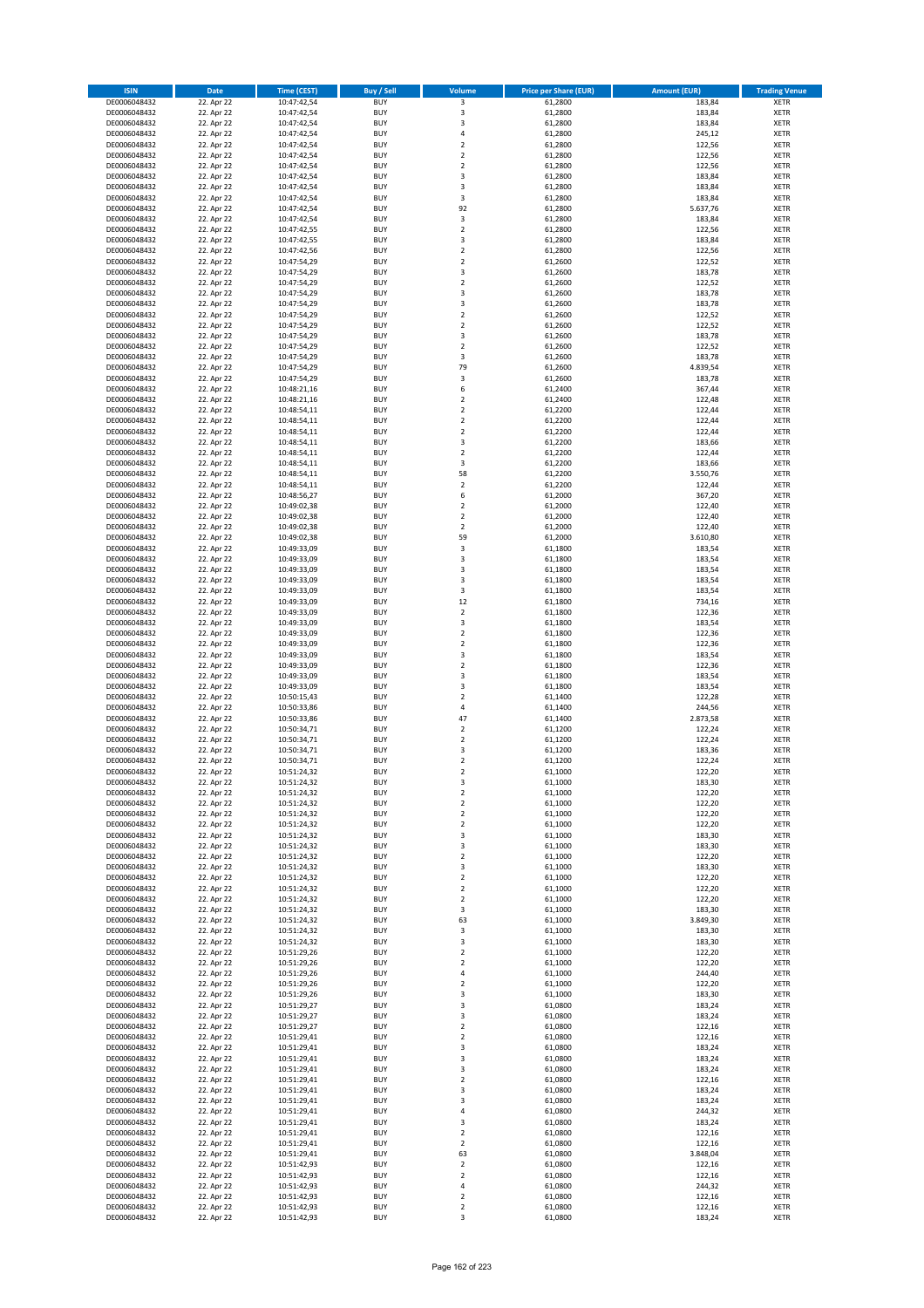| <b>ISIN</b>                  | <b>Date</b>              | <b>Time (CEST)</b>         | <b>Buy / Sell</b>        | Volume                                    | <b>Price per Share (EUR)</b> | <b>Amount (EUR)</b> | <b>Trading Venue</b>       |
|------------------------------|--------------------------|----------------------------|--------------------------|-------------------------------------------|------------------------------|---------------------|----------------------------|
| DE0006048432                 | 22. Apr 22               | 10:47:42,54                | <b>BUY</b>               | 3                                         | 61,2800                      | 183,84              | <b>XETR</b>                |
| DE0006048432                 | 22. Apr 22               | 10:47:42,54                | <b>BUY</b>               | 3                                         | 61,2800                      | 183,84              | <b>XETR</b>                |
| DE0006048432                 | 22. Apr 22               | 10:47:42,54                | <b>BUY</b>               | $\overline{\mathbf{3}}$                   | 61,2800                      | 183,84              | <b>XETR</b>                |
| DE0006048432                 | 22. Apr 22               | 10:47:42,54                | <b>BUY</b>               | 4                                         | 61,2800                      | 245,12              | <b>XETR</b>                |
| DE0006048432<br>DE0006048432 | 22. Apr 22<br>22. Apr 22 | 10:47:42,54<br>10:47:42,54 | <b>BUY</b><br><b>BUY</b> | $\overline{\mathbf{2}}$<br>$\mathbf 2$    | 61,2800<br>61,2800           | 122,56<br>122,56    | <b>XETR</b><br><b>XETR</b> |
| DE0006048432                 | 22. Apr 22               | 10:47:42,54                | <b>BUY</b>               | $\overline{\mathbf{2}}$                   | 61,2800                      | 122,56              | <b>XETR</b>                |
| DE0006048432                 | 22. Apr 22               | 10:47:42,54                | <b>BUY</b>               | 3                                         | 61,2800                      | 183,84              | <b>XETR</b>                |
| DE0006048432                 | 22. Apr 22               | 10:47:42,54                | BUY                      | 3                                         | 61,2800                      | 183,84              | <b>XETR</b>                |
| DE0006048432                 | 22. Apr 22               | 10:47:42,54                | <b>BUY</b>               | 3                                         | 61,2800                      | 183,84              | <b>XETR</b>                |
| DE0006048432                 | 22. Apr 22               | 10:47:42,54                | <b>BUY</b>               | 92                                        | 61,2800                      | 5.637,76            | <b>XETR</b>                |
| DE0006048432                 | 22. Apr 22               | 10:47:42,54                | <b>BUY</b>               | 3<br>$\overline{2}$                       | 61,2800                      | 183,84              | <b>XETR</b>                |
| DE0006048432<br>DE0006048432 | 22. Apr 22<br>22. Apr 22 | 10:47:42,55<br>10:47:42,55 | <b>BUY</b><br><b>BUY</b> | $\overline{\mathbf{3}}$                   | 61,2800<br>61,2800           | 122,56<br>183,84    | <b>XETR</b><br><b>XETR</b> |
| DE0006048432                 | 22. Apr 22               | 10:47:42,56                | <b>BUY</b>               | $\overline{2}$                            | 61,2800                      | 122,56              | <b>XETR</b>                |
| DE0006048432                 | 22. Apr 22               | 10:47:54,29                | BUY                      | $\overline{2}$                            | 61,2600                      | 122,52              | <b>XETR</b>                |
| DE0006048432                 | 22. Apr 22               | 10:47:54,29                | <b>BUY</b>               | 3                                         | 61,2600                      | 183,78              | <b>XETR</b>                |
| DE0006048432                 | 22. Apr 22               | 10:47:54,29                | <b>BUY</b>               | $\overline{2}$                            | 61,2600                      | 122,52              | <b>XETR</b>                |
| DE0006048432                 | 22. Apr 22               | 10:47:54,29                | <b>BUY</b>               | 3                                         | 61,2600                      | 183,78              | <b>XETR</b>                |
| DE0006048432<br>DE0006048432 | 22. Apr 22<br>22. Apr 22 | 10:47:54,29<br>10:47:54,29 | <b>BUY</b><br><b>BUY</b> | $\overline{\mathbf{3}}$<br>$\overline{2}$ | 61,2600<br>61,2600           | 183,78<br>122,52    | <b>XETR</b><br><b>XETR</b> |
| DE0006048432                 | 22. Apr 22               | 10:47:54,29                | <b>BUY</b>               | $\mathbf 2$                               | 61,2600                      | 122,52              | <b>XETR</b>                |
| DE0006048432                 | 22. Apr 22               | 10:47:54,29                | <b>BUY</b>               | $\overline{\mathbf{3}}$                   | 61,2600                      | 183,78              | <b>XETR</b>                |
| DE0006048432                 | 22. Apr 22               | 10:47:54,29                | <b>BUY</b>               | $\overline{2}$                            | 61,2600                      | 122,52              | <b>XETR</b>                |
| DE0006048432                 | 22. Apr 22               | 10:47:54,29                | <b>BUY</b>               | 3                                         | 61,2600                      | 183,78              | <b>XETR</b>                |
| DE0006048432                 | 22. Apr 22               | 10:47:54,29                | <b>BUY</b>               | 79                                        | 61,2600                      | 4.839,54            | <b>XETR</b>                |
| DE0006048432<br>DE0006048432 | 22. Apr 22               | 10:47:54,29                | <b>BUY</b><br><b>BUY</b> | $\mathsf 3$<br>6                          | 61,2600                      | 183,78              | <b>XETR</b><br><b>XETR</b> |
| DE0006048432                 | 22. Apr 22<br>22. Apr 22 | 10:48:21,16<br>10:48:21,16 | <b>BUY</b>               | 2                                         | 61,2400<br>61,2400           | 367,44<br>122,48    | <b>XETR</b>                |
| DE0006048432                 | 22. Apr 22               | 10:48:54,11                | <b>BUY</b>               | $\overline{2}$                            | 61,2200                      | 122,44              | <b>XETR</b>                |
| DE0006048432                 | 22. Apr 22               | 10:48:54,11                | <b>BUY</b>               | $\mathbf 2$                               | 61,2200                      | 122,44              | <b>XETR</b>                |
| DE0006048432                 | 22. Apr 22               | 10:48:54,11                | <b>BUY</b>               | $\mathbf 2$                               | 61,2200                      | 122,44              | <b>XETR</b>                |
| DE0006048432                 | 22. Apr 22               | 10:48:54,11                | <b>BUY</b>               | 3                                         | 61,2200                      | 183,66              | <b>XETR</b>                |
| DE0006048432                 | 22. Apr 22               | 10:48:54,11                | <b>BUY</b>               | $\overline{2}$                            | 61,2200                      | 122,44              | <b>XETR</b>                |
| DE0006048432<br>DE0006048432 | 22. Apr 22<br>22. Apr 22 | 10:48:54,11<br>10:48:54,11 | <b>BUY</b><br><b>BUY</b> | 3<br>58                                   | 61,2200<br>61,2200           | 183,66<br>3.550,76  | <b>XETR</b><br><b>XETR</b> |
| DE0006048432                 | 22. Apr 22               | 10:48:54,11                | <b>BUY</b>               | $\overline{2}$                            | 61,2200                      | 122,44              | <b>XETR</b>                |
| DE0006048432                 | 22. Apr 22               | 10:48:56,27                | <b>BUY</b>               | 6                                         | 61,2000                      | 367,20              | <b>XETR</b>                |
| DE0006048432                 | 22. Apr 22               | 10:49:02,38                | <b>BUY</b>               | $\mathbf 2$                               | 61,2000                      | 122,40              | <b>XETR</b>                |
| DE0006048432                 | 22. Apr 22               | 10:49:02,38                | <b>BUY</b>               | $\mathbf 2$                               | 61,2000                      | 122,40              | <b>XETR</b>                |
| DE0006048432                 | 22. Apr 22               | 10:49:02,38                | <b>BUY</b>               | $\overline{2}$                            | 61,2000                      | 122,40              | <b>XETR</b>                |
| DE0006048432<br>DE0006048432 | 22. Apr 22<br>22. Apr 22 | 10:49:02,38                | <b>BUY</b><br><b>BUY</b> | 59<br>3                                   | 61,2000<br>61,1800           | 3.610,80<br>183,54  | <b>XETR</b><br><b>XETR</b> |
| DE0006048432                 | 22. Apr 22               | 10:49:33,09<br>10:49:33,09 | <b>BUY</b>               | $\overline{\mathbf{3}}$                   | 61,1800                      | 183,54              | <b>XETR</b>                |
| DE0006048432                 | 22. Apr 22               | 10:49:33,09                | <b>BUY</b>               | $\overline{3}$                            | 61,1800                      | 183,54              | <b>XETR</b>                |
| DE0006048432                 | 22. Apr 22               | 10:49:33,09                | <b>BUY</b>               | 3                                         | 61,1800                      | 183,54              | <b>XETR</b>                |
| DE0006048432                 | 22. Apr 22               | 10:49:33,09                | <b>BUY</b>               | 3                                         | 61,1800                      | 183,54              | <b>XETR</b>                |
| DE0006048432                 | 22. Apr 22               | 10:49:33,09                | <b>BUY</b>               | 12                                        | 61,1800                      | 734,16              | <b>XETR</b>                |
| DE0006048432<br>DE0006048432 | 22. Apr 22               | 10:49:33,09                | <b>BUY</b><br><b>BUY</b> | $\mathbf 2$<br>3                          | 61,1800<br>61,1800           | 122,36<br>183,54    | <b>XETR</b><br><b>XETR</b> |
| DE0006048432                 | 22. Apr 22<br>22. Apr 22 | 10:49:33,09<br>10:49:33,09 | <b>BUY</b>               | $\overline{2}$                            | 61,1800                      | 122,36              | <b>XETR</b>                |
| DE0006048432                 | 22. Apr 22               | 10:49:33,09                | <b>BUY</b>               | $\overline{2}$                            | 61,1800                      | 122,36              | <b>XETR</b>                |
| DE0006048432                 | 22. Apr 22               | 10:49:33,09                | <b>BUY</b>               | 3                                         | 61,1800                      | 183,54              | <b>XETR</b>                |
| DE0006048432                 | 22. Apr 22               | 10:49:33,09                | <b>BUY</b>               | $\mathbf 2$                               | 61,1800                      | 122,36              | <b>XETR</b>                |
| DE0006048432                 | 22. Apr 22               | 10:49:33,09                | <b>BUY</b>               | $\overline{\mathbf{3}}$                   | 61,1800                      | 183,54              | <b>XETR</b>                |
| DE0006048432                 | 22. Apr 22               | 10:49:33,09                | <b>BUY</b>               | $\overline{3}$                            | 61,1800                      | 183,54              | <b>XETR</b>                |
| DE0006048432<br>DE0006048432 | 22. Apr 22<br>22. Apr 22 | 10:50:15,43<br>10:50:33,86 | <b>BUY</b><br><b>BUY</b> | $\overline{2}$<br>4                       | 61,1400<br>61,1400           | 122,28<br>244,56    | <b>XETR</b><br><b>XETR</b> |
| DE0006048432                 | 22. Apr 22               | 10:50:33,86                | BUY                      | 47                                        | 61,1400                      | 2.873,58            | <b>XETR</b>                |
| DE0006048432                 | 22. Apr 22               | 10:50:34,71                | <b>BUY</b>               | $\overline{2}$                            | 61,1200                      | 122,24              | <b>XETR</b>                |
| DE0006048432                 | 22. Apr 22               | 10:50:34,71                | <b>BUY</b>               | $\mathbf 2$                               | 61,1200                      | 122,24              | <b>XETR</b>                |
| DE0006048432                 | 22. Apr 22               | 10:50:34,71                | BUY                      | $\overline{\mathbf{3}}$                   | 61,1200                      | 183,36              | <b>XETR</b>                |
| DE0006048432                 | 22. Apr 22               | 10:50:34,71                | BUY                      | $\mathbf 2$                               | 61,1200                      | 122,24              | <b>XETR</b>                |
| DE0006048432<br>DE0006048432 | 22. Apr 22<br>22. Apr 22 | 10:51:24,32<br>10:51:24,32 | <b>BUY</b><br>BUY        | $\overline{2}$<br>3                       | 61,1000<br>61,1000           | 122,20              | <b>XETR</b><br><b>XETR</b> |
| DE0006048432                 | 22. Apr 22               | 10:51:24,32                | <b>BUY</b>               | $\mathbf 2$                               | 61,1000                      | 183,30<br>122,20    | <b>XETR</b>                |
| DE0006048432                 | 22. Apr 22               | 10:51:24,32                | <b>BUY</b>               | $\mathbf 2$                               | 61,1000                      | 122,20              | <b>XETR</b>                |
| DE0006048432                 | 22. Apr 22               | 10:51:24,32                | <b>BUY</b>               | $\mathbf 2$                               | 61,1000                      | 122,20              | <b>XETR</b>                |
| DE0006048432                 | 22. Apr 22               | 10:51:24,32                | <b>BUY</b>               | $\overline{2}$                            | 61,1000                      | 122,20              | <b>XETR</b>                |
| DE0006048432                 | 22. Apr 22               | 10:51:24,32                | <b>BUY</b><br><b>BUY</b> | 3<br>3                                    | 61,1000                      | 183,30              | <b>XETR</b>                |
| DE0006048432<br>DE0006048432 | 22. Apr 22<br>22. Apr 22 | 10:51:24,32                | <b>BUY</b>               |                                           | 61,1000<br>61,1000           | 183,30<br>122,20    | <b>XETR</b>                |
| DE0006048432                 | 22. Apr 22               | 10:51:24,32<br>10:51:24,32 | <b>BUY</b>               | 2<br>3                                    | 61,1000                      | 183,30              | <b>XETR</b><br><b>XETR</b> |
| DE0006048432                 | 22. Apr 22               | 10:51:24,32                | <b>BUY</b>               | $\mathbf 2$                               | 61,1000                      | 122,20              | <b>XETR</b>                |
| DE0006048432                 | 22. Apr 22               | 10:51:24,32                | <b>BUY</b>               | $\mathbf 2$                               | 61,1000                      | 122,20              | <b>XETR</b>                |
| DE0006048432                 | 22. Apr 22               | 10:51:24,32                | <b>BUY</b>               | $\overline{2}$                            | 61,1000                      | 122,20              | <b>XETR</b>                |
| DE0006048432                 | 22. Apr 22<br>22. Apr 22 | 10:51:24,32                | <b>BUY</b><br><b>BUY</b> | 3<br>63                                   | 61,1000                      | 183,30              | <b>XETR</b>                |
| DE0006048432<br>DE0006048432 | 22. Apr 22               | 10:51:24,32<br>10:51:24,32 | <b>BUY</b>               | 3                                         | 61,1000<br>61,1000           | 3.849,30<br>183,30  | <b>XETR</b><br><b>XETR</b> |
| DE0006048432                 | 22. Apr 22               | 10:51:24,32                | <b>BUY</b>               | 3                                         | 61,1000                      | 183,30              | <b>XETR</b>                |
| DE0006048432                 | 22. Apr 22               | 10:51:29,26                | <b>BUY</b>               | $\mathbf 2$                               | 61,1000                      | 122,20              | <b>XETR</b>                |
| DE0006048432                 | 22. Apr 22               | 10:51:29,26                | <b>BUY</b>               | $\mathbf 2$                               | 61,1000                      | 122,20              | <b>XETR</b>                |
| DE0006048432                 | 22. Apr 22               | 10:51:29,26                | <b>BUY</b>               | 4                                         | 61,1000                      | 244,40              | <b>XETR</b>                |
| DE0006048432                 | 22. Apr 22               | 10:51:29,26                | <b>BUY</b>               | $\mathbf 2$                               | 61,1000                      | 122,20              | <b>XETR</b>                |
| DE0006048432<br>DE0006048432 | 22. Apr 22<br>22. Apr 22 | 10:51:29,26<br>10:51:29,27 | <b>BUY</b><br><b>BUY</b> | $\overline{\mathbf{3}}$<br>3              | 61,1000<br>61,0800           | 183,30<br>183,24    | <b>XETR</b><br><b>XETR</b> |
| DE0006048432                 | 22. Apr 22               | 10:51:29,27                | <b>BUY</b>               | $\overline{\mathbf{3}}$                   | 61,0800                      | 183,24              | <b>XETR</b>                |
| DE0006048432                 | 22. Apr 22               | 10:51:29,27                | <b>BUY</b>               | $\overline{2}$                            | 61,0800                      | 122,16              | <b>XETR</b>                |
| DE0006048432                 | 22. Apr 22               | 10:51:29,41                | <b>BUY</b>               | $\mathbf 2$                               | 61,0800                      | 122,16              | <b>XETR</b>                |
| DE0006048432                 | 22. Apr 22               | 10:51:29,41                | <b>BUY</b>               | 3                                         | 61,0800                      | 183,24              | <b>XETR</b>                |
| DE0006048432                 | 22. Apr 22               | 10:51:29,41                | <b>BUY</b>               | 3                                         | 61,0800                      | 183,24              | <b>XETR</b>                |
| DE0006048432                 | 22. Apr 22               | 10:51:29,41                | <b>BUY</b>               | $\overline{\mathbf{3}}$                   | 61,0800                      | 183,24              | <b>XETR</b>                |
| DE0006048432<br>DE0006048432 | 22. Apr 22<br>22. Apr 22 | 10:51:29,41<br>10:51:29,41 | <b>BUY</b><br><b>BUY</b> | $\mathbf 2$<br>$\overline{\mathbf{3}}$    | 61,0800<br>61,0800           | 122,16<br>183,24    | <b>XETR</b><br><b>XETR</b> |
| DE0006048432                 | 22. Apr 22               | 10:51:29,41                | <b>BUY</b>               | 3                                         | 61,0800                      | 183,24              | <b>XETR</b>                |
| DE0006048432                 | 22. Apr 22               | 10:51:29,41                | <b>BUY</b>               | 4                                         | 61,0800                      | 244,32              | <b>XETR</b>                |
| DE0006048432                 | 22. Apr 22               | 10:51:29,41                | <b>BUY</b>               | 3                                         | 61,0800                      | 183,24              | <b>XETR</b>                |
| DE0006048432                 | 22. Apr 22               | 10:51:29,41                | <b>BUY</b>               | $\overline{2}$                            | 61,0800                      | 122,16              | <b>XETR</b>                |
| DE0006048432                 | 22. Apr 22               | 10:51:29,41                | <b>BUY</b>               | $\mathbf 2$                               | 61,0800                      | 122,16              | <b>XETR</b>                |
| DE0006048432<br>DE0006048432 | 22. Apr 22<br>22. Apr 22 | 10:51:29,41<br>10:51:42,93 | <b>BUY</b><br><b>BUY</b> | 63<br>$\overline{2}$                      | 61,0800<br>61,0800           | 3.848,04<br>122,16  | <b>XETR</b><br><b>XETR</b> |
| DE0006048432                 | 22. Apr 22               | 10:51:42,93                | <b>BUY</b>               | $\mathbf 2$                               | 61,0800                      | 122,16              | <b>XETR</b>                |
| DE0006048432                 | 22. Apr 22               | 10:51:42,93                | <b>BUY</b>               | 4                                         | 61,0800                      | 244,32              | <b>XETR</b>                |
| DE0006048432                 | 22. Apr 22               | 10:51:42,93                | <b>BUY</b>               | $\mathbf 2$                               | 61,0800                      | 122,16              | <b>XETR</b>                |
| DE0006048432                 | 22. Apr 22               | 10:51:42,93                | <b>BUY</b>               | $\mathbf 2$                               | 61,0800                      | 122,16              | <b>XETR</b>                |
| DE0006048432                 | 22. Apr 22               | 10:51:42,93                | <b>BUY</b>               | 3                                         | 61,0800                      | 183,24              | <b>XETR</b>                |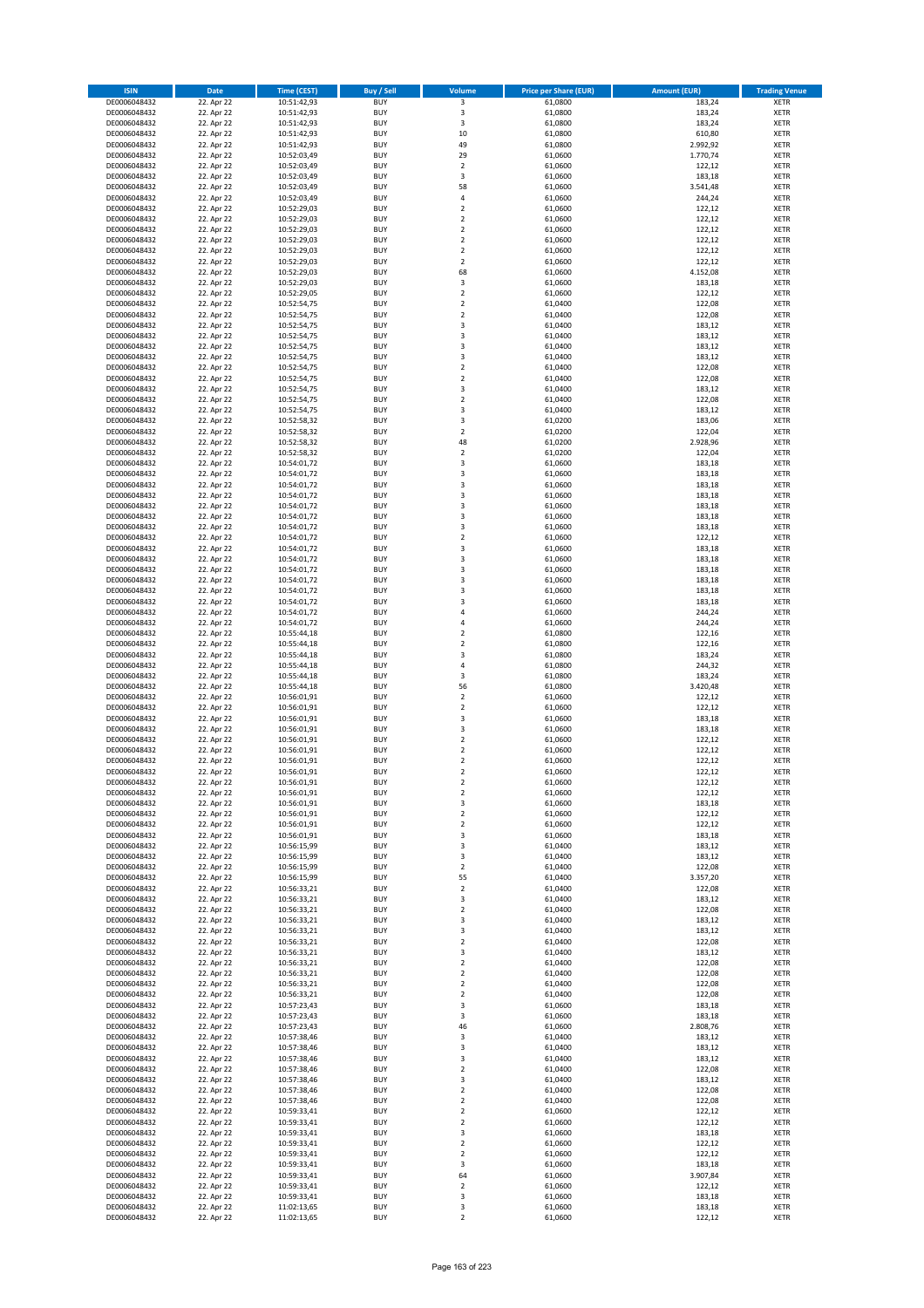| <b>ISIN</b>                  | <b>Date</b>              | <b>Time (CEST)</b>         | <b>Buy / Sell</b>        | Volume                        | <b>Price per Share (EUR)</b> | <b>Amount (EUR)</b> | <b>Trading Venue</b>       |
|------------------------------|--------------------------|----------------------------|--------------------------|-------------------------------|------------------------------|---------------------|----------------------------|
| DE0006048432                 | 22. Apr 22               | 10:51:42,93                | <b>BUY</b>               | 3                             | 61,0800                      | 183,24              | <b>XETR</b>                |
| DE0006048432                 | 22. Apr 22               | 10:51:42,93                | <b>BUY</b>               | 3                             | 61,0800                      | 183,24              | <b>XETR</b>                |
| DE0006048432                 | 22. Apr 22               | 10:51:42,93                | <b>BUY</b>               | 3                             | 61,0800                      | 183,24              | <b>XETR</b>                |
| DE0006048432<br>DE0006048432 | 22. Apr 22<br>22. Apr 22 | 10:51:42,93<br>10:51:42,93 | <b>BUY</b><br><b>BUY</b> | 10<br>49                      | 61,0800<br>61,0800           | 610,80<br>2.992,92  | <b>XETR</b><br><b>XETR</b> |
| DE0006048432                 | 22. Apr 22               | 10:52:03,49                | <b>BUY</b>               | 29                            | 61,0600                      | 1.770,74            | <b>XETR</b>                |
| DE0006048432                 | 22. Apr 22               | 10:52:03,49                | <b>BUY</b>               | $\mathbf 2$                   | 61,0600                      | 122,12              | <b>XETR</b>                |
| DE0006048432                 | 22. Apr 22               | 10:52:03,49                | <b>BUY</b>               | 3                             | 61,0600                      | 183,18              | <b>XETR</b>                |
| DE0006048432                 | 22. Apr 22               | 10:52:03,49                | <b>BUY</b>               | 58                            | 61,0600                      | 3.541,48            | <b>XETR</b>                |
| DE0006048432<br>DE0006048432 | 22. Apr 22<br>22. Apr 22 | 10:52:03,49<br>10:52:29,03 | <b>BUY</b><br><b>BUY</b> | 4<br>$\mathbf 2$              | 61,0600<br>61,0600           | 244,24<br>122,12    | <b>XETR</b><br><b>XETR</b> |
| DE0006048432                 | 22. Apr 22               | 10:52:29,03                | <b>BUY</b>               | $\overline{\mathbf{c}}$       | 61,0600                      | 122,12              | <b>XETR</b>                |
| DE0006048432                 | 22. Apr 22               | 10:52:29,03                | <b>BUY</b>               | $\mathbf 2$                   | 61,0600                      | 122,12              | <b>XETR</b>                |
| DE0006048432                 | 22. Apr 22               | 10:52:29,03                | <b>BUY</b>               | $\overline{2}$                | 61,0600                      | 122,12              | <b>XETR</b>                |
| DE0006048432                 | 22. Apr 22               | 10:52:29,03                | <b>BUY</b>               | $\mathbf 2$                   | 61,0600                      | 122,12              | <b>XETR</b>                |
| DE0006048432<br>DE0006048432 | 22. Apr 22<br>22. Apr 22 | 10:52:29,03<br>10:52:29,03 | <b>BUY</b><br><b>BUY</b> | $\overline{\mathbf{c}}$<br>68 | 61,0600<br>61,0600           | 122,12<br>4.152,08  | <b>XETR</b><br><b>XETR</b> |
| DE0006048432                 | 22. Apr 22               | 10:52:29,03                | <b>BUY</b>               | 3                             | 61,0600                      | 183,18              | <b>XETR</b>                |
| DE0006048432                 | 22. Apr 22               | 10:52:29,05                | <b>BUY</b>               | $\overline{\mathbf{c}}$       | 61,0600                      | 122,12              | <b>XETR</b>                |
| DE0006048432                 | 22. Apr 22               | 10:52:54,75                | <b>BUY</b>               | $\mathbf 2$                   | 61,0400                      | 122,08              | <b>XETR</b>                |
| DE0006048432                 | 22. Apr 22               | 10:52:54,75                | <b>BUY</b>               | $\overline{\mathbf{c}}$       | 61,0400                      | 122,08              | <b>XETR</b>                |
| DE0006048432<br>DE0006048432 | 22. Apr 22               | 10:52:54,75                | <b>BUY</b><br><b>BUY</b> | 3<br>3                        | 61,0400<br>61,0400           | 183,12              | <b>XETR</b><br><b>XETR</b> |
| DE0006048432                 | 22. Apr 22<br>22. Apr 22 | 10:52:54,75<br>10:52:54,75 | <b>BUY</b>               | 3                             | 61,0400                      | 183,12<br>183,12    | <b>XETR</b>                |
| DE0006048432                 | 22. Apr 22               | 10:52:54,75                | <b>BUY</b>               | 3                             | 61,0400                      | 183,12              | <b>XETR</b>                |
| DE0006048432                 | 22. Apr 22               | 10:52:54,75                | <b>BUY</b>               | $\mathbf 2$                   | 61,0400                      | 122,08              | <b>XETR</b>                |
| DE0006048432                 | 22. Apr 22               | 10:52:54,75                | <b>BUY</b>               | $\mathbf 2$                   | 61,0400                      | 122,08              | <b>XETR</b>                |
| DE0006048432                 | 22. Apr 22<br>22. Apr 22 | 10:52:54,75<br>10:52:54,75 | <b>BUY</b><br><b>BUY</b> | 3                             | 61,0400                      | 183,12<br>122,08    | <b>XETR</b>                |
| DE0006048432<br>DE0006048432 | 22. Apr 22               | 10:52:54,75                | <b>BUY</b>               | $\mathbf 2$<br>3              | 61,0400<br>61,0400           | 183,12              | <b>XETR</b><br><b>XETR</b> |
| DE0006048432                 | 22. Apr 22               | 10:52:58,32                | <b>BUY</b>               | 3                             | 61,0200                      | 183,06              | <b>XETR</b>                |
| DE0006048432                 | 22. Apr 22               | 10:52:58,32                | <b>BUY</b>               | $\overline{2}$                | 61,0200                      | 122,04              | <b>XETR</b>                |
| DE0006048432                 | 22. Apr 22               | 10:52:58,32                | <b>BUY</b>               | 48                            | 61,0200                      | 2.928,96            | <b>XETR</b>                |
| DE0006048432                 | 22. Apr 22               | 10:52:58,32                | <b>BUY</b>               | $\overline{\mathbf{c}}$       | 61,0200                      | 122,04              | <b>XETR</b>                |
| DE0006048432<br>DE0006048432 | 22. Apr 22<br>22. Apr 22 | 10:54:01,72<br>10:54:01,72 | <b>BUY</b><br><b>BUY</b> | 3<br>3                        | 61,0600<br>61,0600           | 183,18<br>183,18    | <b>XETR</b><br><b>XETR</b> |
| DE0006048432                 | 22. Apr 22               | 10:54:01,72                | <b>BUY</b>               | 3                             | 61,0600                      | 183,18              | <b>XETR</b>                |
| DE0006048432                 | 22. Apr 22               | 10:54:01,72                | <b>BUY</b>               | 3                             | 61,0600                      | 183,18              | <b>XETR</b>                |
| DE0006048432                 | 22. Apr 22               | 10:54:01,72                | <b>BUY</b>               | 3                             | 61,0600                      | 183,18              | <b>XETR</b>                |
| DE0006048432                 | 22. Apr 22               | 10:54:01,72                | <b>BUY</b>               | 3                             | 61,0600                      | 183,18              | <b>XETR</b>                |
| DE0006048432<br>DE0006048432 | 22. Apr 22<br>22. Apr 22 | 10:54:01,72<br>10:54:01,72 | <b>BUY</b><br><b>BUY</b> | 3<br>$\mathbf 2$              | 61,0600<br>61,0600           | 183,18<br>122,12    | <b>XETR</b><br><b>XETR</b> |
| DE0006048432                 | 22. Apr 22               | 10:54:01,72                | <b>BUY</b>               | 3                             | 61,0600                      | 183,18              | <b>XETR</b>                |
| DE0006048432                 | 22. Apr 22               | 10:54:01,72                | <b>BUY</b>               | 3                             | 61,0600                      | 183,18              | <b>XETR</b>                |
| DE0006048432                 | 22. Apr 22               | 10:54:01,72                | <b>BUY</b>               | 3                             | 61,0600                      | 183,18              | <b>XETR</b>                |
| DE0006048432                 | 22. Apr 22               | 10:54:01,72                | <b>BUY</b>               | 3                             | 61,0600                      | 183,18              | <b>XETR</b>                |
| DE0006048432                 | 22. Apr 22               | 10:54:01,72                | <b>BUY</b><br><b>BUY</b> | 3<br>3                        | 61,0600                      | 183,18              | <b>XETR</b><br><b>XETR</b> |
| DE0006048432<br>DE0006048432 | 22. Apr 22<br>22. Apr 22 | 10:54:01,72<br>10:54:01,72 | <b>BUY</b>               | 4                             | 61,0600<br>61,0600           | 183,18<br>244,24    | <b>XETR</b>                |
| DE0006048432                 | 22. Apr 22               | 10:54:01,72                | <b>BUY</b>               | 4                             | 61,0600                      | 244,24              | <b>XETR</b>                |
| DE0006048432                 | 22. Apr 22               | 10:55:44,18                | <b>BUY</b>               | $\overline{\mathbf{c}}$       | 61,0800                      | 122,16              | <b>XETR</b>                |
| DE0006048432                 | 22. Apr 22               | 10:55:44,18                | <b>BUY</b>               | $\mathbf 2$                   | 61,0800                      | 122,16              | <b>XETR</b>                |
| DE0006048432                 | 22. Apr 22               | 10:55:44,18                | <b>BUY</b><br><b>BUY</b> | 3                             | 61,0800                      | 183,24<br>244,32    | <b>XETR</b>                |
| DE0006048432<br>DE0006048432 | 22. Apr 22<br>22. Apr 22 | 10:55:44,18<br>10:55:44,18 | <b>BUY</b>               | 4<br>3                        | 61,0800<br>61,0800           | 183,24              | <b>XETR</b><br><b>XETR</b> |
| DE0006048432                 | 22. Apr 22               | 10:55:44,18                | <b>BUY</b>               | 56                            | 61,0800                      | 3.420,48            | <b>XETR</b>                |
| DE0006048432                 | 22. Apr 22               | 10:56:01,91                | <b>BUY</b>               | $\overline{\mathbf{c}}$       | 61,0600                      | 122,12              | <b>XETR</b>                |
| DE0006048432                 | 22. Apr 22               | 10:56:01,91                | <b>BUY</b>               | $\mathbf 2$                   | 61,0600                      | 122,12              | <b>XETR</b>                |
| DE0006048432                 | 22. Apr 22               | 10:56:01,91                | <b>BUY</b>               | 3                             | 61,0600                      | 183,18              | <b>XETR</b>                |
| DE0006048432<br>DE0006048432 | 22. Apr 22<br>22. Apr 22 | 10:56:01,91<br>10:56:01,91 | <b>BUY</b><br><b>BUY</b> | 3<br>$\mathbf 2$              | 61,0600<br>61,0600           | 183,18<br>122,12    | <b>XETR</b><br><b>XETR</b> |
| DE0006048432                 | 22. Apr 22               | 10:56:01,91                | <b>BUY</b>               | $\overline{\mathbf{c}}$       | 61,0600                      | 122,12              | <b>XETR</b>                |
| DE0006048432                 | 22. Apr 22               | 10:56:01,91                | <b>BUY</b>               | $\overline{\mathbf{c}}$       | 61,0600                      | 122,12              | <b>XETR</b>                |
| DE0006048432                 | 22. Apr 22               | 10:56:01,91                | <b>BUY</b>               | $\overline{2}$                | 61,0600                      | 122,12              | <b>XETR</b>                |
| DE0006048432                 | 22. Apr 22               | 10:56:01,91                | BUY                      | 2                             | 61,0600                      | 122,12              | <b>XETR</b>                |
| DE0006048432<br>DE0006048432 | 22. Apr 22<br>22. Apr 22 | 10:56:01,91<br>10:56:01,91 | <b>BUY</b><br><b>BUY</b> | $\mathbf 2$<br>3              | 61,0600<br>61,0600           | 122,12<br>183,18    | XETR<br>XETR               |
| DE0006048432                 | 22. Apr 22               | 10:56:01,91                | <b>BUY</b>               | $\mathbf 2$                   | 61,0600                      | 122,12              | XETR                       |
| DE0006048432                 | 22. Apr 22               | 10:56:01,91                | <b>BUY</b>               | $\mathbf 2$                   | 61,0600                      | 122,12              | <b>XETR</b>                |
| DE0006048432                 | 22. Apr 22               | 10:56:01,91                | <b>BUY</b>               | 3                             | 61,0600                      | 183,18              | <b>XETR</b>                |
| DE0006048432                 | 22. Apr 22               | 10:56:15,99                | <b>BUY</b>               | 3                             | 61,0400                      | 183,12              | <b>XETR</b>                |
| DE0006048432<br>DE0006048432 | 22. Apr 22<br>22. Apr 22 | 10:56:15,99<br>10:56:15,99 | <b>BUY</b><br><b>BUY</b> | 3<br>$\mathbf 2$              | 61,0400<br>61,0400           | 183,12<br>122,08    | <b>XETR</b><br><b>XETR</b> |
| DE0006048432                 | 22. Apr 22               | 10:56:15,99                | <b>BUY</b>               | 55                            | 61,0400                      | 3.357,20            | XETR                       |
| DE0006048432                 | 22. Apr 22               | 10:56:33,21                | <b>BUY</b>               | $\mathbf 2$                   | 61,0400                      | 122,08              | <b>XETR</b>                |
| DE0006048432                 | 22. Apr 22               | 10:56:33,21                | <b>BUY</b>               | 3                             | 61,0400                      | 183,12              | <b>XETR</b>                |
| DE0006048432<br>DE0006048432 | 22. Apr 22<br>22. Apr 22 | 10:56:33,21<br>10:56:33,21 | <b>BUY</b><br><b>BUY</b> | $\mathbf 2$<br>3              | 61,0400<br>61,0400           | 122,08<br>183,12    | <b>XETR</b><br><b>XETR</b> |
| DE0006048432                 | 22. Apr 22               | 10:56:33,21                | <b>BUY</b>               | 3                             | 61,0400                      | 183,12              | <b>XETR</b>                |
| DE0006048432                 | 22. Apr 22               | 10:56:33,21                | <b>BUY</b>               | $\mathbf 2$                   | 61,0400                      | 122,08              | <b>XETR</b>                |
| DE0006048432                 | 22. Apr 22               | 10:56:33,21                | <b>BUY</b>               | 3                             | 61,0400                      | 183,12              | <b>XETR</b>                |
| DE0006048432                 | 22. Apr 22               | 10:56:33,21                | <b>BUY</b>               | $\mathbf 2$                   | 61,0400                      | 122,08              | <b>XETR</b>                |
| DE0006048432<br>DE0006048432 | 22. Apr 22<br>22. Apr 22 | 10:56:33,21<br>10:56:33,21 | <b>BUY</b><br><b>BUY</b> | $\mathbf 2$<br>$\mathbf 2$    | 61,0400<br>61,0400           | 122,08<br>122,08    | XETR<br><b>XETR</b>        |
| DE0006048432                 | 22. Apr 22               | 10:56:33,21                | <b>BUY</b>               | $\overline{2}$                | 61,0400                      | 122,08              | <b>XETR</b>                |
| DE0006048432                 | 22. Apr 22               | 10:57:23,43                | <b>BUY</b>               | 3                             | 61,0600                      | 183,18              | <b>XETR</b>                |
| DE0006048432                 | 22. Apr 22               | 10:57:23,43                | <b>BUY</b>               | 3                             | 61,0600                      | 183,18              | <b>XETR</b>                |
| DE0006048432                 | 22. Apr 22               | 10:57:23,43                | <b>BUY</b>               | 46                            | 61,0600                      | 2.808,76            | <b>XETR</b>                |
| DE0006048432                 | 22. Apr 22               | 10:57:38,46                | <b>BUY</b>               | 3                             | 61,0400                      | 183,12              | <b>XETR</b>                |
| DE0006048432<br>DE0006048432 | 22. Apr 22<br>22. Apr 22 | 10:57:38,46<br>10:57:38,46 | <b>BUY</b><br><b>BUY</b> | 3<br>3                        | 61,0400<br>61,0400           | 183,12<br>183,12    | <b>XETR</b><br><b>XETR</b> |
| DE0006048432                 | 22. Apr 22               | 10:57:38,46                | <b>BUY</b>               | $\overline{2}$                | 61,0400                      | 122,08              | <b>XETR</b>                |
| DE0006048432                 | 22. Apr 22               | 10:57:38,46                | <b>BUY</b>               | 3                             | 61,0400                      | 183,12              | <b>XETR</b>                |
| DE0006048432                 | 22. Apr 22               | 10:57:38,46                | <b>BUY</b>               | $\overline{\mathbf{c}}$       | 61,0400                      | 122,08              | XETR                       |
| DE0006048432                 | 22. Apr 22               | 10:57:38,46                | <b>BUY</b>               | $\mathbf 2$                   | 61,0400                      | 122,08              | <b>XETR</b>                |
| DE0006048432                 | 22. Apr 22               | 10:59:33,41                | <b>BUY</b><br><b>BUY</b> | $\mathbf 2$                   | 61,0600                      | 122,12<br>122,12    | <b>XETR</b>                |
| DE0006048432<br>DE0006048432 | 22. Apr 22<br>22. Apr 22 | 10:59:33,41<br>10:59:33,41 | <b>BUY</b>               | $\mathbf 2$<br>3              | 61,0600<br>61,0600           | 183,18              | <b>XETR</b><br><b>XETR</b> |
| DE0006048432                 | 22. Apr 22               | 10:59:33,41                | <b>BUY</b>               | $\mathbf 2$                   | 61,0600                      | 122,12              | <b>XETR</b>                |
| DE0006048432                 | 22. Apr 22               | 10:59:33,41                | <b>BUY</b>               | $\mathbf 2$                   | 61,0600                      | 122,12              | <b>XETR</b>                |
| DE0006048432                 | 22. Apr 22               | 10:59:33,41                | <b>BUY</b>               | 3                             | 61,0600                      | 183,18              | <b>XETR</b>                |
| DE0006048432<br>DE0006048432 | 22. Apr 22               | 10:59:33,41                | <b>BUY</b><br><b>BUY</b> | 64<br>$\overline{2}$          | 61,0600<br>61,0600           | 3.907,84<br>122,12  | XETR<br><b>XETR</b>        |
| DE0006048432                 | 22. Apr 22<br>22. Apr 22 | 10:59:33,41<br>10:59:33,41 | <b>BUY</b>               | 3                             | 61,0600                      | 183,18              | <b>XETR</b>                |
| DE0006048432                 | 22. Apr 22               | 11:02:13,65                | <b>BUY</b>               | 3                             | 61,0600                      | 183,18              | <b>XETR</b>                |
| DE0006048432                 | 22. Apr 22               | 11:02:13,65                | <b>BUY</b>               | $\mathbf 2$                   | 61,0600                      | 122,12              | XETR                       |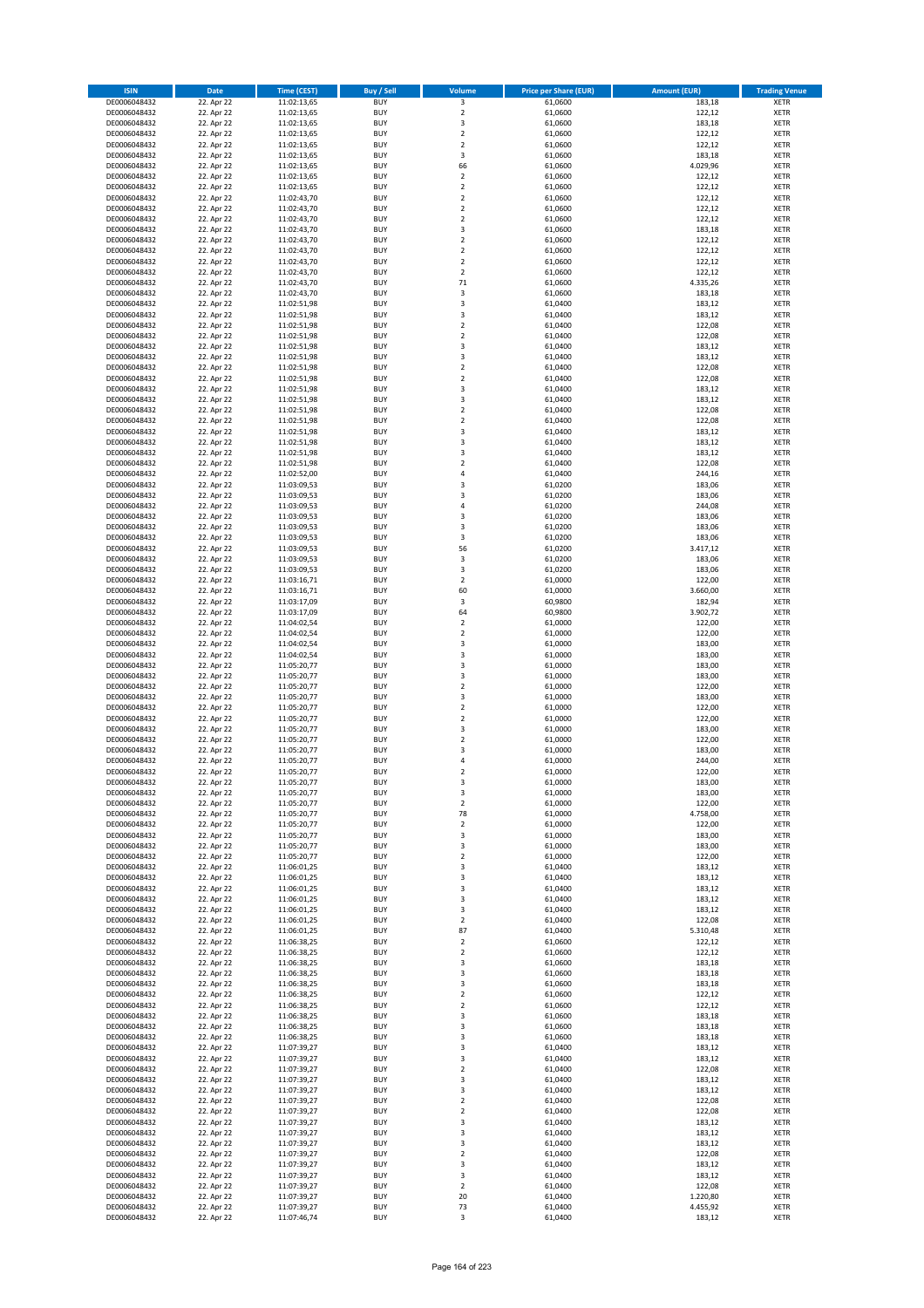| <b>ISIN</b>                  | <b>Date</b>              | <b>Time (CEST)</b>         | <b>Buy / Sell</b>        | Volume                       | <b>Price per Share (EUR)</b> | <b>Amount (EUR)</b> | <b>Trading Venue</b>       |
|------------------------------|--------------------------|----------------------------|--------------------------|------------------------------|------------------------------|---------------------|----------------------------|
| DE0006048432                 | 22. Apr 22               | 11:02:13,65                | <b>BUY</b>               | $\overline{\mathbf{3}}$      | 61,0600                      | 183,18              | <b>XETR</b>                |
| DE0006048432                 | 22. Apr 22               | 11:02:13,65                | <b>BUY</b>               | $\mathbf 2$                  | 61,0600                      | 122,12              | <b>XETR</b>                |
| DE0006048432                 | 22. Apr 22               | 11:02:13,65                | <b>BUY</b>               | 3                            | 61,0600                      | 183,18              | <b>XETR</b>                |
| DE0006048432                 | 22. Apr 22               | 11:02:13,65                | <b>BUY</b>               | $\mathbf 2$                  | 61,0600                      | 122,12              | <b>XETR</b>                |
| DE0006048432<br>DE0006048432 | 22. Apr 22<br>22. Apr 22 | 11:02:13,65<br>11:02:13,65 | <b>BUY</b><br><b>BUY</b> | $\overline{\mathbf{c}}$<br>3 | 61,0600<br>61,0600           | 122,12<br>183,18    | <b>XETR</b><br><b>XETR</b> |
| DE0006048432                 | 22. Apr 22               | 11:02:13,65                | <b>BUY</b>               | 66                           | 61,0600                      | 4.029,96            | <b>XETR</b>                |
| DE0006048432                 | 22. Apr 22               | 11:02:13,65                | <b>BUY</b>               | $\overline{\mathbf{c}}$      | 61,0600                      | 122,12              | <b>XETR</b>                |
| DE0006048432                 | 22. Apr 22               | 11:02:13,65                | <b>BUY</b>               | $\overline{2}$               | 61,0600                      | 122,12              | <b>XETR</b>                |
| DE0006048432                 | 22. Apr 22               | 11:02:43,70                | <b>BUY</b>               | $\overline{2}$               | 61,0600                      | 122,12              | <b>XETR</b>                |
| DE0006048432                 | 22. Apr 22               | 11:02:43,70                | <b>BUY</b>               | $\mathbf 2$                  | 61,0600                      | 122,12              | <b>XETR</b>                |
| DE0006048432                 | 22. Apr 22               | 11:02:43,70                | <b>BUY</b>               | $\overline{\mathbf{c}}$<br>3 | 61,0600                      | 122,12              | <b>XETR</b><br><b>XETR</b> |
| DE0006048432<br>DE0006048432 | 22. Apr 22<br>22. Apr 22 | 11:02:43,70<br>11:02:43,70 | <b>BUY</b><br><b>BUY</b> | $\overline{\mathbf{c}}$      | 61,0600<br>61,0600           | 183,18<br>122,12    | <b>XETR</b>                |
| DE0006048432                 | 22. Apr 22               | 11:02:43,70                | <b>BUY</b>               | $\mathbf 2$                  | 61,0600                      | 122,12              | <b>XETR</b>                |
| DE0006048432                 | 22. Apr 22               | 11:02:43,70                | <b>BUY</b>               | $\overline{\mathbf{c}}$      | 61,0600                      | 122,12              | <b>XETR</b>                |
| DE0006048432                 | 22. Apr 22               | 11:02:43,70                | <b>BUY</b>               | $\mathbf 2$                  | 61,0600                      | 122,12              | <b>XETR</b>                |
| DE0006048432                 | 22. Apr 22               | 11:02:43,70                | <b>BUY</b>               | 71                           | 61,0600                      | 4.335,26            | <b>XETR</b>                |
| DE0006048432                 | 22. Apr 22               | 11:02:43,70                | <b>BUY</b>               | 3                            | 61,0600                      | 183,18              | <b>XETR</b>                |
| DE0006048432<br>DE0006048432 | 22. Apr 22<br>22. Apr 22 | 11:02:51,98                | <b>BUY</b><br><b>BUY</b> | 3<br>3                       | 61,0400<br>61,0400           | 183,12<br>183,12    | <b>XETR</b><br><b>XETR</b> |
| DE0006048432                 | 22. Apr 22               | 11:02:51,98<br>11:02:51,98 | <b>BUY</b>               | $\mathbf 2$                  | 61,0400                      | 122,08              | <b>XETR</b>                |
| DE0006048432                 | 22. Apr 22               | 11:02:51,98                | <b>BUY</b>               | $\mathbf 2$                  | 61,0400                      | 122,08              | <b>XETR</b>                |
| DE0006048432                 | 22. Apr 22               | 11:02:51,98                | <b>BUY</b>               | 3                            | 61,0400                      | 183,12              | <b>XETR</b>                |
| DE0006048432                 | 22. Apr 22               | 11:02:51,98                | <b>BUY</b>               | 3                            | 61,0400                      | 183,12              | <b>XETR</b>                |
| DE0006048432                 | 22. Apr 22               | 11:02:51,98                | <b>BUY</b>               | $\mathbf 2$                  | 61,0400                      | 122,08              | <b>XETR</b>                |
| DE0006048432                 | 22. Apr 22               | 11:02:51,98                | <b>BUY</b>               | $\mathbf 2$                  | 61,0400                      | 122,08              | <b>XETR</b>                |
| DE0006048432<br>DE0006048432 | 22. Apr 22<br>22. Apr 22 | 11:02:51,98<br>11:02:51,98 | <b>BUY</b><br><b>BUY</b> | 3<br>3                       | 61,0400<br>61,0400           | 183,12<br>183,12    | <b>XETR</b><br><b>XETR</b> |
| DE0006048432                 | 22. Apr 22               | 11:02:51,98                | <b>BUY</b>               | $\overline{\mathbf{c}}$      | 61,0400                      | 122,08              | <b>XETR</b>                |
| DE0006048432                 | 22. Apr 22               | 11:02:51,98                | <b>BUY</b>               | $\overline{a}$               | 61,0400                      | 122,08              | <b>XETR</b>                |
| DE0006048432                 | 22. Apr 22               | 11:02:51,98                | <b>BUY</b>               | 3                            | 61,0400                      | 183,12              | <b>XETR</b>                |
| DE0006048432                 | 22. Apr 22               | 11:02:51,98                | <b>BUY</b>               | 3                            | 61,0400                      | 183,12              | <b>XETR</b>                |
| DE0006048432                 | 22. Apr 22               | 11:02:51,98                | <b>BUY</b>               | 3                            | 61,0400                      | 183,12              | <b>XETR</b>                |
| DE0006048432<br>DE0006048432 | 22. Apr 22<br>22. Apr 22 | 11:02:51,98<br>11:02:52,00 | <b>BUY</b><br><b>BUY</b> | $\mathbf 2$<br>4             | 61,0400<br>61,0400           | 122,08<br>244,16    | <b>XETR</b><br><b>XETR</b> |
| DE0006048432                 | 22. Apr 22               | 11:03:09,53                | <b>BUY</b>               | 3                            | 61,0200                      | 183,06              | <b>XETR</b>                |
| DE0006048432                 | 22. Apr 22               | 11:03:09,53                | <b>BUY</b>               | 3                            | 61,0200                      | 183,06              | <b>XETR</b>                |
| DE0006048432                 | 22. Apr 22               | 11:03:09,53                | <b>BUY</b>               | 4                            | 61,0200                      | 244,08              | <b>XETR</b>                |
| DE0006048432                 | 22. Apr 22               | 11:03:09,53                | <b>BUY</b>               | 3                            | 61,0200                      | 183,06              | <b>XETR</b>                |
| DE0006048432                 | 22. Apr 22               | 11:03:09,53                | <b>BUY</b>               | 3                            | 61,0200                      | 183,06              | <b>XETR</b>                |
| DE0006048432                 | 22. Apr 22               | 11:03:09,53                | <b>BUY</b><br><b>BUY</b> | 3                            | 61,0200                      | 183,06              | <b>XETR</b>                |
| DE0006048432<br>DE0006048432 | 22. Apr 22<br>22. Apr 22 | 11:03:09,53<br>11:03:09,53 | <b>BUY</b>               | 56<br>3                      | 61,0200<br>61,0200           | 3.417,12<br>183,06  | <b>XETR</b><br><b>XETR</b> |
| DE0006048432                 | 22. Apr 22               | 11:03:09,53                | <b>BUY</b>               | 3                            | 61,0200                      | 183,06              | <b>XETR</b>                |
| DE0006048432                 | 22. Apr 22               | 11:03:16,71                | <b>BUY</b>               | $\overline{2}$               | 61,0000                      | 122,00              | <b>XETR</b>                |
| DE0006048432                 | 22. Apr 22               | 11:03:16,71                | <b>BUY</b>               | 60                           | 61,0000                      | 3.660,00            | <b>XETR</b>                |
| DE0006048432                 | 22. Apr 22               | 11:03:17,09                | <b>BUY</b>               | 3                            | 60,9800                      | 182,94              | <b>XETR</b>                |
| DE0006048432<br>DE0006048432 | 22. Apr 22               | 11:03:17,09                | <b>BUY</b><br><b>BUY</b> | 64<br>$\mathbf 2$            | 60,9800                      | 3.902,72<br>122,00  | <b>XETR</b><br><b>XETR</b> |
| DE0006048432                 | 22. Apr 22<br>22. Apr 22 | 11:04:02,54<br>11:04:02,54 | <b>BUY</b>               | $\mathbf 2$                  | 61,0000<br>61,0000           | 122,00              | <b>XETR</b>                |
| DE0006048432                 | 22. Apr 22               | 11:04:02,54                | <b>BUY</b>               | 3                            | 61,0000                      | 183,00              | <b>XETR</b>                |
| DE0006048432                 | 22. Apr 22               | 11:04:02,54                | <b>BUY</b>               | 3                            | 61,0000                      | 183,00              | <b>XETR</b>                |
| DE0006048432                 | 22. Apr 22               | 11:05:20,77                | <b>BUY</b>               | 3                            | 61,0000                      | 183,00              | <b>XETR</b>                |
| DE0006048432                 | 22. Apr 22               | 11:05:20,77                | <b>BUY</b>               | 3                            | 61,0000                      | 183,00              | <b>XETR</b>                |
| DE0006048432                 | 22. Apr 22               | 11:05:20,77                | <b>BUY</b>               | $\mathbf 2$                  | 61,0000                      | 122,00              | <b>XETR</b>                |
| DE0006048432<br>DE0006048432 | 22. Apr 22<br>22. Apr 22 | 11:05:20,77<br>11:05:20,77 | <b>BUY</b><br><b>BUY</b> | 3<br>$\mathbf 2$             | 61,0000<br>61,0000           | 183,00<br>122,00    | <b>XETR</b><br><b>XETR</b> |
| DE0006048432                 | 22. Apr 22               | 11:05:20,77                | <b>BUY</b>               | $\mathbf 2$                  | 61,0000                      | 122,00              | <b>XETR</b>                |
| DE0006048432                 | 22. Apr 22               | 11:05:20,77                | <b>BUY</b>               | 3                            | 61,0000                      | 183,00              | <b>XETR</b>                |
| DE0006048432                 | 22. Apr 22               | 11:05:20,77                | <b>BUY</b>               | $\mathbf 2$                  | 61,0000                      | 122,00              | <b>XETR</b>                |
| DE0006048432                 | 22. Apr 22               | 11:05:20,77                | <b>BUY</b>               | $\overline{\mathbf{3}}$      | 61,0000                      | 183,00              | <b>XETR</b>                |
| DE0006048432                 | 22. Apr 22               | 11:05:20,77                | <b>BUY</b>               | 4                            | 61,0000                      | 244,00              | <b>XETR</b>                |
| DE0006048432<br>DE0006048432 | 22. Apr 22<br>22. Apr 22 | 11:05:20,77                | <b>BUY</b><br>BUY        | $\overline{2}$<br>3          | 61,0000<br>61,0000           | 122,00<br>183,00    | <b>XETR</b><br><b>XETR</b> |
| DE0006048432                 | 22. Apr 22               | 11:05:20,77<br>11:05:20,77 | <b>BUY</b>               | 3                            | 61,0000                      | 183,00              | XETR                       |
| DE0006048432                 | 22. Apr 22               | 11:05:20,77                | <b>BUY</b>               | $\mathbf 2$                  | 61,0000                      | 122,00              | XETR                       |
| DE0006048432                 | 22. Apr 22               | 11:05:20,77                | <b>BUY</b>               | 78                           | 61,0000                      | 4.758,00            | XETR                       |
| DE0006048432                 | 22. Apr 22               | 11:05:20,77                | <b>BUY</b>               | $\mathbf 2$                  | 61,0000                      | 122,00              | <b>XETR</b>                |
| DE0006048432                 | 22. Apr 22               | 11:05:20,77                | <b>BUY</b>               | 3                            | 61,0000                      | 183,00              | <b>XETR</b>                |
| DE0006048432<br>DE0006048432 | 22. Apr 22<br>22. Apr 22 | 11:05:20,77<br>11:05:20,77 | <b>BUY</b><br><b>BUY</b> | 3<br>$\mathbf 2$             | 61,0000<br>61,0000           | 183,00<br>122,00    | <b>XETR</b><br><b>XETR</b> |
| DE0006048432                 | 22. Apr 22               | 11:06:01,25                | <b>BUY</b>               | 3                            | 61,0400                      | 183,12              | <b>XETR</b>                |
| DE0006048432                 | 22. Apr 22               | 11:06:01,25                | <b>BUY</b>               | 3                            | 61,0400                      | 183,12              | XETR                       |
| DE0006048432                 | 22. Apr 22               | 11:06:01,25                | <b>BUY</b>               | 3                            | 61,0400                      | 183,12              | XETR                       |
| DE0006048432                 | 22. Apr 22               | 11:06:01,25                | <b>BUY</b>               | 3                            | 61,0400                      | 183,12              | <b>XETR</b>                |
| DE0006048432                 | 22. Apr 22               | 11:06:01,25                | <b>BUY</b>               | 3                            | 61,0400                      | 183,12              | <b>XETR</b>                |
| DE0006048432<br>DE0006048432 | 22. Apr 22<br>22. Apr 22 | 11:06:01,25<br>11:06:01,25 | <b>BUY</b><br><b>BUY</b> | $\overline{2}$<br>87         | 61,0400<br>61,0400           | 122,08<br>5.310,48  | <b>XETR</b><br><b>XETR</b> |
| DE0006048432                 | 22. Apr 22               | 11:06:38,25                | <b>BUY</b>               | $\mathbf 2$                  | 61,0600                      | 122,12              | <b>XETR</b>                |
| DE0006048432                 | 22. Apr 22               | 11:06:38,25                | <b>BUY</b>               | $\mathbf 2$                  | 61,0600                      | 122,12              | <b>XETR</b>                |
| DE0006048432                 | 22. Apr 22               | 11:06:38,25                | <b>BUY</b>               | 3                            | 61,0600                      | 183,18              | <b>XETR</b>                |
| DE0006048432                 | 22. Apr 22               | 11:06:38,25                | <b>BUY</b>               | 3                            | 61,0600                      | 183,18              | XETR                       |
| DE0006048432                 | 22. Apr 22               | 11:06:38,25                | <b>BUY</b>               | 3                            | 61,0600                      | 183,18              | <b>XETR</b>                |
| DE0006048432                 | 22. Apr 22               | 11:06:38,25                | <b>BUY</b><br><b>BUY</b> | $\overline{2}$               | 61,0600                      | 122,12<br>122,12    | <b>XETR</b>                |
| DE0006048432<br>DE0006048432 | 22. Apr 22<br>22. Apr 22 | 11:06:38,25<br>11:06:38,25 | <b>BUY</b>               | $\mathbf 2$<br>3             | 61,0600<br>61,0600           | 183,18              | <b>XETR</b><br><b>XETR</b> |
| DE0006048432                 | 22. Apr 22               | 11:06:38,25                | <b>BUY</b>               | 3                            | 61,0600                      | 183,18              | <b>XETR</b>                |
| DE0006048432                 | 22. Apr 22               | 11:06:38,25                | <b>BUY</b>               | 3                            | 61,0600                      | 183,18              | <b>XETR</b>                |
| DE0006048432                 | 22. Apr 22               | 11:07:39,27                | <b>BUY</b>               | 3                            | 61,0400                      | 183,12              | XETR                       |
| DE0006048432                 | 22. Apr 22               | 11:07:39,27                | <b>BUY</b>               | 3                            | 61,0400                      | 183,12              | <b>XETR</b>                |
| DE0006048432                 | 22. Apr 22               | 11:07:39,27                | <b>BUY</b>               | $\overline{2}$               | 61,0400                      | 122,08              | <b>XETR</b>                |
| DE0006048432<br>DE0006048432 | 22. Apr 22<br>22. Apr 22 | 11:07:39,27                | <b>BUY</b><br><b>BUY</b> | 3<br>3                       | 61,0400<br>61,0400           | 183,12<br>183,12    | <b>XETR</b><br>XETR        |
| DE0006048432                 | 22. Apr 22               | 11:07:39,27<br>11:07:39,27 | <b>BUY</b>               | $\mathbf 2$                  | 61,0400                      | 122,08              | <b>XETR</b>                |
| DE0006048432                 | 22. Apr 22               | 11:07:39,27                | <b>BUY</b>               | $\mathbf 2$                  | 61,0400                      | 122,08              | <b>XETR</b>                |
| DE0006048432                 | 22. Apr 22               | 11:07:39,27                | <b>BUY</b>               | 3                            | 61,0400                      | 183,12              | <b>XETR</b>                |
| DE0006048432                 | 22. Apr 22               | 11:07:39,27                | <b>BUY</b>               | 3                            | 61,0400                      | 183,12              | <b>XETR</b>                |
| DE0006048432                 | 22. Apr 22               | 11:07:39,27                | <b>BUY</b>               | 3                            | 61,0400                      | 183,12              | <b>XETR</b>                |
| DE0006048432<br>DE0006048432 | 22. Apr 22               | 11:07:39,27                | <b>BUY</b><br><b>BUY</b> | $\mathbf 2$<br>3             | 61,0400                      | 122,08              | <b>XETR</b><br><b>XETR</b> |
| DE0006048432                 | 22. Apr 22<br>22. Apr 22 | 11:07:39,27<br>11:07:39,27 | <b>BUY</b>               | 3                            | 61,0400<br>61,0400           | 183,12<br>183,12    | XETR                       |
| DE0006048432                 | 22. Apr 22               | 11:07:39,27                | <b>BUY</b>               | $\overline{2}$               | 61,0400                      | 122,08              | <b>XETR</b>                |
| DE0006048432                 | 22. Apr 22               | 11:07:39,27                | <b>BUY</b>               | 20                           | 61,0400                      | 1.220,80            | <b>XETR</b>                |
| DE0006048432                 | 22. Apr 22               | 11:07:39,27                | <b>BUY</b>               | 73                           | 61,0400                      | 4.455,92            | <b>XETR</b>                |
| DE0006048432                 | 22. Apr 22               | 11:07:46,74                | <b>BUY</b>               | 3                            | 61,0400                      | 183,12              | XETR                       |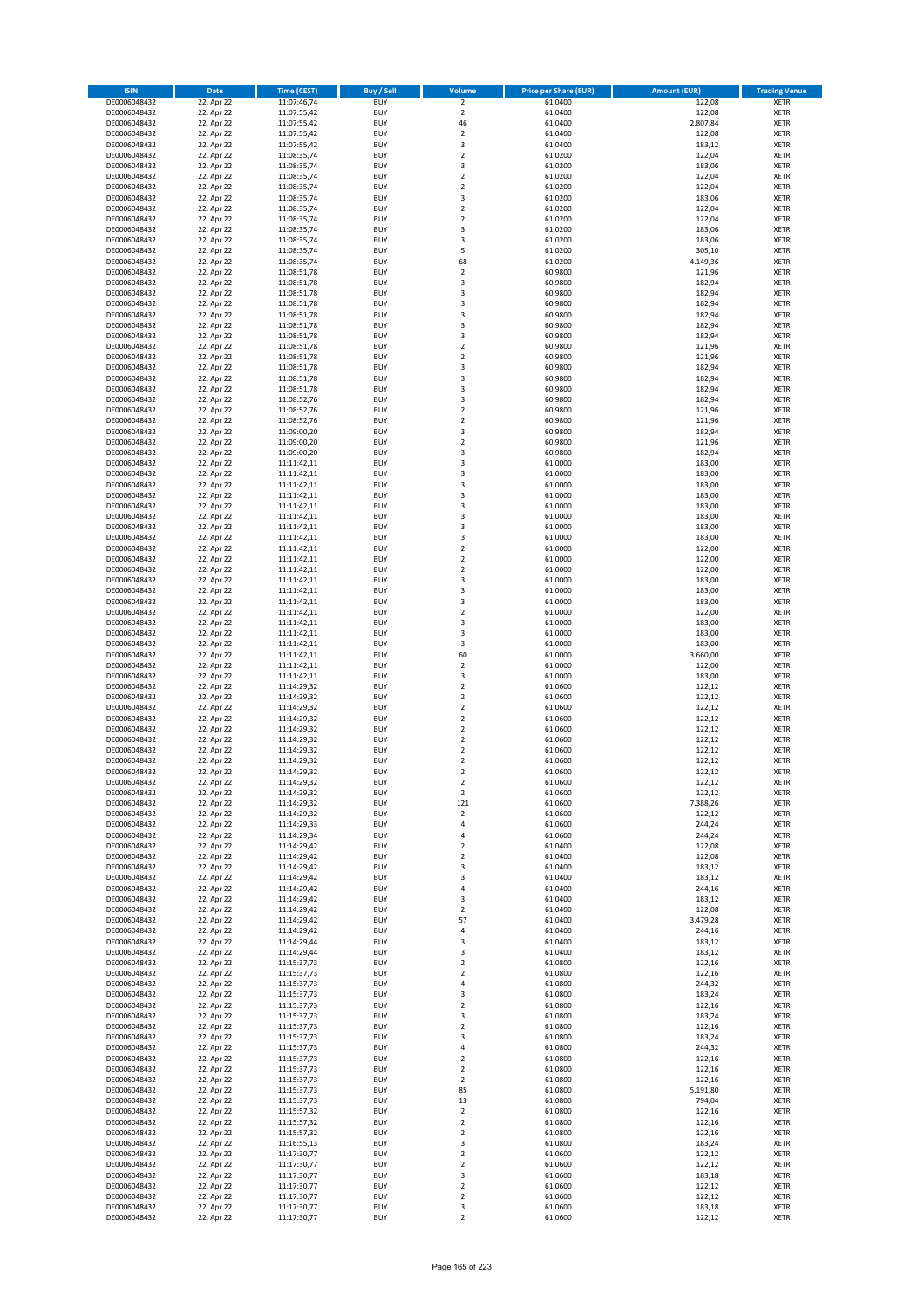| <b>ISIN</b>                  | <b>Date</b>              | <b>Time (CEST)</b>         | <b>Buy / Sell</b>        | Volume                                    | <b>Price per Share (EUR)</b> | <b>Amount (EUR)</b> | <b>Trading Venue</b>       |
|------------------------------|--------------------------|----------------------------|--------------------------|-------------------------------------------|------------------------------|---------------------|----------------------------|
| DE0006048432                 | 22. Apr 22               | 11:07:46,74                | <b>BUY</b>               | $\overline{2}$                            | 61,0400                      | 122,08              | <b>XETR</b>                |
| DE0006048432                 | 22. Apr 22               | 11:07:55,42                | <b>BUY</b>               | $\mathbf 2$                               | 61,0400                      | 122,08              | <b>XETR</b>                |
| DE0006048432                 | 22. Apr 22               | 11:07:55,42                | <b>BUY</b>               | 46                                        | 61,0400                      | 2.807,84            | <b>XETR</b>                |
| DE0006048432<br>DE0006048432 | 22. Apr 22<br>22. Apr 22 | 11:07:55,42<br>11:07:55,42 | <b>BUY</b><br><b>BUY</b> | $\mathbf 2$<br>3                          | 61,0400<br>61,0400           | 122,08<br>183,12    | <b>XETR</b><br><b>XETR</b> |
| DE0006048432                 | 22. Apr 22               | 11:08:35,74                | <b>BUY</b>               | $\mathbf 2$                               | 61,0200                      | 122,04              | <b>XETR</b>                |
| DE0006048432                 | 22. Apr 22               | 11:08:35,74                | <b>BUY</b>               | 3                                         | 61.0200                      | 183,06              | <b>XETR</b>                |
| DE0006048432                 | 22. Apr 22               | 11:08:35,74                | <b>BUY</b>               | $\mathbf 2$                               | 61,0200                      | 122,04              | <b>XETR</b>                |
| DE0006048432                 | 22. Apr 22               | 11:08:35,74                | <b>BUY</b>               | $\overline{2}$                            | 61,0200                      | 122,04              | <b>XETR</b>                |
| DE0006048432                 | 22. Apr 22               | 11:08:35,74                | <b>BUY</b>               | 3                                         | 61,0200                      | 183,06              | <b>XETR</b>                |
| DE0006048432                 | 22. Apr 22               | 11:08:35,74                | <b>BUY</b>               | $\mathbf 2$                               | 61,0200                      | 122,04              | <b>XETR</b>                |
| DE0006048432                 | 22. Apr 22               | 11:08:35,74                | <b>BUY</b>               | $\mathbf 2$                               | 61,0200                      | 122,04              | <b>XETR</b>                |
| DE0006048432<br>DE0006048432 | 22. Apr 22<br>22. Apr 22 | 11:08:35,74                | <b>BUY</b><br><b>BUY</b> | 3<br>3                                    | 61,0200<br>61,0200           | 183,06<br>183,06    | <b>XETR</b><br><b>XETR</b> |
| DE0006048432                 | 22. Apr 22               | 11:08:35,74<br>11:08:35,74 | <b>BUY</b>               | 5                                         | 61,0200                      | 305,10              | <b>XETR</b>                |
| DE0006048432                 | 22. Apr 22               | 11:08:35,74                | <b>BUY</b>               | 68                                        | 61,0200                      | 4.149,36            | <b>XETR</b>                |
| DE0006048432                 | 22. Apr 22               | 11:08:51,78                | <b>BUY</b>               | $\mathbf 2$                               | 60,9800                      | 121,96              | <b>XETR</b>                |
| DE0006048432                 | 22. Apr 22               | 11:08:51,78                | <b>BUY</b>               | 3                                         | 60,9800                      | 182,94              | <b>XETR</b>                |
| DE0006048432                 | 22. Apr 22               | 11:08:51,78                | <b>BUY</b>               | 3                                         | 60,9800                      | 182,94              | <b>XETR</b>                |
| DE0006048432                 | 22. Apr 22               | 11:08:51,78                | <b>BUY</b>               | 3                                         | 60,9800                      | 182,94              | <b>XETR</b>                |
| DE0006048432                 | 22. Apr 22               | 11:08:51,78                | <b>BUY</b><br><b>BUY</b> | 3                                         | 60,9800                      | 182,94              | <b>XETR</b>                |
| DE0006048432<br>DE0006048432 | 22. Apr 22<br>22. Apr 22 | 11:08:51,78<br>11:08:51,78 | <b>BUY</b>               | 3<br>3                                    | 60,9800<br>60,9800           | 182,94<br>182,94    | <b>XETR</b><br><b>XETR</b> |
| DE0006048432                 | 22. Apr 22               | 11:08:51,78                | <b>BUY</b>               | $\mathbf 2$                               | 60,9800                      | 121,96              | <b>XETR</b>                |
| DE0006048432                 | 22. Apr 22               | 11:08:51,78                | <b>BUY</b>               | $\mathbf 2$                               | 60,9800                      | 121,96              | <b>XETR</b>                |
| DE0006048432                 | 22. Apr 22               | 11:08:51,78                | <b>BUY</b>               | 3                                         | 60,9800                      | 182,94              | <b>XETR</b>                |
| DE0006048432                 | 22. Apr 22               | 11:08:51,78                | <b>BUY</b>               | 3                                         | 60,9800                      | 182,94              | <b>XETR</b>                |
| DE0006048432                 | 22. Apr 22               | 11:08:51,78                | <b>BUY</b>               | 3                                         | 60,9800                      | 182,94              | <b>XETR</b>                |
| DE0006048432                 | 22. Apr 22               | 11:08:52,76                | <b>BUY</b>               | 3                                         | 60,9800                      | 182,94              | <b>XETR</b>                |
| DE0006048432                 | 22. Apr 22<br>22. Apr 22 | 11:08:52,76                | <b>BUY</b><br><b>BUY</b> | $\overline{\mathbf{c}}$<br>$\overline{a}$ | 60,9800<br>60,9800           | 121,96<br>121,96    | <b>XETR</b><br><b>XETR</b> |
| DE0006048432<br>DE0006048432 | 22. Apr 22               | 11:08:52,76<br>11:09:00,20 | <b>BUY</b>               | 3                                         | 60,9800                      | 182,94              | <b>XETR</b>                |
| DE0006048432                 | 22. Apr 22               | 11:09:00,20                | <b>BUY</b>               | $\mathbf 2$                               | 60,9800                      | 121,96              | <b>XETR</b>                |
| DE0006048432                 | 22. Apr 22               | 11:09:00,20                | <b>BUY</b>               | 3                                         | 60,9800                      | 182,94              | <b>XETR</b>                |
| DE0006048432                 | 22. Apr 22               | 11:11:42.11                | <b>BUY</b>               | 3                                         | 61,0000                      | 183,00              | <b>XETR</b>                |
| DE0006048432                 | 22. Apr 22               | 11:11:42,11                | <b>BUY</b>               | 3                                         | 61,0000                      | 183,00              | <b>XETR</b>                |
| DE0006048432                 | 22. Apr 22               | 11:11:42,11                | <b>BUY</b>               | 3                                         | 61,0000                      | 183,00              | <b>XETR</b>                |
| DE0006048432                 | 22. Apr 22               | 11:11:42,11                | <b>BUY</b>               | 3                                         | 61,0000                      | 183,00              | <b>XETR</b>                |
| DE0006048432                 | 22. Apr 22               | 11:11:42,11                | <b>BUY</b>               | 3                                         | 61,0000                      | 183,00              | <b>XETR</b>                |
| DE0006048432<br>DE0006048432 | 22. Apr 22<br>22. Apr 22 | 11:11:42,11<br>11:11:42,11 | <b>BUY</b><br><b>BUY</b> | 3<br>3                                    | 61,0000<br>61,0000           | 183,00<br>183,00    | <b>XETR</b><br><b>XETR</b> |
| DE0006048432                 | 22. Apr 22               | 11:11:42,11                | <b>BUY</b>               | 3                                         | 61,0000                      | 183,00              | <b>XETR</b>                |
| DE0006048432                 | 22. Apr 22               | 11:11:42,11                | <b>BUY</b>               | $\mathbf 2$                               | 61,0000                      | 122,00              | <b>XETR</b>                |
| DE0006048432                 | 22. Apr 22               | 11:11:42,11                | <b>BUY</b>               | $\overline{\mathbf{c}}$                   | 61,0000                      | 122,00              | <b>XETR</b>                |
| DE0006048432                 | 22. Apr 22               | 11:11:42,11                | <b>BUY</b>               | $\mathbf 2$                               | 61,0000                      | 122,00              | <b>XETR</b>                |
| DE0006048432                 | 22. Apr 22               | 11:11:42,11                | <b>BUY</b>               | 3                                         | 61,0000                      | 183,00              | <b>XETR</b>                |
| DE0006048432                 | 22. Apr 22               | 11:11:42,11                | <b>BUY</b>               | 3                                         | 61,0000                      | 183,00              | <b>XETR</b>                |
| DE0006048432                 | 22. Apr 22               | 11:11:42,11                | <b>BUY</b>               | 3                                         | 61,0000                      | 183,00              | <b>XETR</b>                |
| DE0006048432<br>DE0006048432 | 22. Apr 22<br>22. Apr 22 | 11:11:42,11<br>11:11:42,11 | <b>BUY</b><br><b>BUY</b> | $\mathbf 2$<br>3                          | 61,0000<br>61,0000           | 122,00<br>183,00    | <b>XETR</b><br><b>XETR</b> |
| DE0006048432                 | 22. Apr 22               | 11:11:42,11                | <b>BUY</b>               | 3                                         | 61,0000                      | 183,00              | <b>XETR</b>                |
| DE0006048432                 | 22. Apr 22               | 11:11:42,11                | <b>BUY</b>               | 3                                         | 61,0000                      | 183,00              | <b>XETR</b>                |
| DE0006048432                 | 22. Apr 22               | 11:11:42,11                | <b>BUY</b>               | 60                                        | 61,0000                      | 3.660,00            | <b>XETR</b>                |
| DE0006048432                 | 22. Apr 22               | 11:11:42,11                | <b>BUY</b>               | $\mathbf 2$                               | 61,0000                      | 122,00              | <b>XETR</b>                |
| DE0006048432                 | 22. Apr 22               | 11:11:42,11                | <b>BUY</b>               | 3                                         | 61,0000                      | 183,00              | <b>XETR</b>                |
| DE0006048432                 | 22. Apr 22               | 11:14:29,32                | <b>BUY</b>               | $\overline{a}$                            | 61,0600                      | 122,12              | <b>XETR</b>                |
| DE0006048432                 | 22. Apr 22               | 11:14:29,32                | <b>BUY</b>               | $\overline{\mathbf{c}}$                   | 61,0600                      | 122,12              | <b>XETR</b>                |
| DE0006048432<br>DE0006048432 | 22. Apr 22               | 11:14:29,32<br>11:14:29,32 | <b>BUY</b><br><b>BUY</b> | $\mathbf 2$<br>$\mathbf 2$                | 61,0600<br>61,0600           | 122,12<br>122,12    | <b>XETR</b><br><b>XETR</b> |
| DE0006048432                 | 22. Apr 22<br>22. Apr 22 | 11:14:29,32                | <b>BUY</b>               | $\overline{2}$                            | 61,0600                      | 122,12              | <b>XETR</b>                |
| DE0006048432                 | 22. Apr 22               | 11:14:29,32                | <b>BUY</b>               | $\mathbf 2$                               | 61,0600                      | 122,12              | <b>XETR</b>                |
| DE0006048432                 | 22. Apr 22               | 11:14:29,32                | <b>BUY</b>               | $\overline{\mathbf{c}}$                   | 61,0600                      | 122,12              | <b>XETR</b>                |
| DE0006048432                 | 22. Apr 22               | 11:14:29,32                | <b>BUY</b>               | $\overline{\mathbf{c}}$                   | 61,0600                      | 122,12              | <b>XETR</b>                |
| DE0006048432                 | 22. Apr 22               | 11:14:29,32                | <b>BUY</b>               | $\overline{2}$                            | 61,0600                      | 122,12              | <b>XETR</b>                |
| DE0006048432                 | 22. Apr 22               | 11:14:29,32                | BUY                      | 2                                         | 61,0600                      | 122,12              | <b>XETR</b>                |
| DE0006048432<br>DE0006048432 | 22. Apr 22<br>22. Apr 22 | 11:14:29,32<br>11:14:29,32 | <b>BUY</b><br><b>BUY</b> | $\overline{2}$<br>121                     | 61,0600<br>61,0600           | 122,12<br>7.388,26  | XETR<br>XETR               |
| DE0006048432                 | 22. Apr 22               | 11:14:29,32                | <b>BUY</b>               | $\mathbf 2$                               | 61,0600                      | 122,12              | XETR                       |
| DE0006048432                 | 22. Apr 22               | 11:14:29,33                | <b>BUY</b>               | 4                                         | 61,0600                      | 244,24              | <b>XETR</b>                |
| DE0006048432                 | 22. Apr 22               | 11:14:29,34                | <b>BUY</b>               | 4                                         | 61,0600                      | 244,24              | XETR                       |
| DE0006048432                 | 22. Apr 22               | 11:14:29,42                | <b>BUY</b>               | $\overline{2}$                            | 61,0400                      | 122,08              | <b>XETR</b>                |
| DE0006048432                 | 22. Apr 22               | 11:14:29,42                | <b>BUY</b>               | $\mathbf 2$                               | 61,0400                      | 122,08              | <b>XETR</b>                |
| DE0006048432                 | 22. Apr 22               | 11:14:29,42                | <b>BUY</b>               | 3                                         | 61,0400                      | 183,12              | <b>XETR</b>                |
| DE0006048432<br>DE0006048432 | 22. Apr 22<br>22. Apr 22 | 11:14:29,42<br>11:14:29,42 | <b>BUY</b><br><b>BUY</b> | 3<br>4                                    | 61,0400<br>61,0400           | 183,12<br>244,16    | XETR<br>XETR               |
| DE0006048432                 | 22. Apr 22               | 11:14:29,42                | <b>BUY</b>               | 3                                         | 61,0400                      | 183,12              | <b>XETR</b>                |
| DE0006048432                 | 22. Apr 22               | 11:14:29,42                | <b>BUY</b>               | $\mathbf 2$                               | 61,0400                      | 122,08              | XETR                       |
| DE0006048432                 | 22. Apr 22               | 11:14:29,42                | <b>BUY</b>               | 57                                        | 61,0400                      | 3.479,28            | <b>XETR</b>                |
| DE0006048432                 | 22. Apr 22               | 11:14:29,42                | <b>BUY</b>               | 4                                         | 61,0400                      | 244,16              | XETR                       |
| DE0006048432                 | 22. Apr 22               | 11:14:29,44                | <b>BUY</b>               | 3                                         | 61,0400                      | 183,12              | <b>XETR</b>                |
| DE0006048432                 | 22. Apr 22               | 11:14:29,44                | <b>BUY</b><br><b>BUY</b> | 3                                         | 61,0400                      | 183,12              | <b>XETR</b>                |
| DE0006048432<br>DE0006048432 | 22. Apr 22<br>22. Apr 22 | 11:15:37,73<br>11:15:37,73 | <b>BUY</b>               | $\mathbf 2$<br>$\mathbf 2$                | 61,0800<br>61,0800           | 122,16<br>122,16    | <b>XETR</b><br>XETR        |
| DE0006048432                 | 22. Apr 22               | 11:15:37,73                | <b>BUY</b>               | 4                                         | 61,0800                      | 244,32              | <b>XETR</b>                |
| DE0006048432                 | 22. Apr 22               | 11:15:37,73                | <b>BUY</b>               | 3                                         | 61,0800                      | 183,24              | <b>XETR</b>                |
| DE0006048432                 | 22. Apr 22               | 11:15:37,73                | <b>BUY</b>               | $\mathbf 2$                               | 61,0800                      | 122,16              | XETR                       |
| DE0006048432                 | 22. Apr 22               | 11:15:37,73                | <b>BUY</b>               | 3                                         | 61,0800                      | 183,24              | <b>XETR</b>                |
| DE0006048432                 | 22. Apr 22               | 11:15:37,73                | <b>BUY</b>               | $\mathbf 2$                               | 61,0800                      | 122,16              | <b>XETR</b>                |
| DE0006048432                 | 22. Apr 22               | 11:15:37,73                | <b>BUY</b>               | 3                                         | 61,0800                      | 183,24              | <b>XETR</b>                |
| DE0006048432<br>DE0006048432 | 22. Apr 22<br>22. Apr 22 | 11:15:37,73<br>11:15:37,73 | <b>BUY</b><br><b>BUY</b> | 4<br>$\mathbf 2$                          | 61,0800<br>61,0800           | 244,32<br>122,16    | XETR<br><b>XETR</b>        |
| DE0006048432                 | 22. Apr 22               | 11:15:37,73                | <b>BUY</b>               | $\overline{2}$                            | 61,0800                      | 122,16              | <b>XETR</b>                |
| DE0006048432                 | 22. Apr 22               | 11:15:37,73                | <b>BUY</b>               | $\mathbf 2$                               | 61,0800                      | 122,16              | <b>XETR</b>                |
| DE0006048432                 | 22. Apr 22               | 11:15:37,73                | <b>BUY</b>               | 85                                        | 61,0800                      | 5.191,80            | XETR                       |
| DE0006048432                 | 22. Apr 22               | 11:15:37,73                | <b>BUY</b>               | 13                                        | 61,0800                      | 794,04              | <b>XETR</b>                |
| DE0006048432                 | 22. Apr 22               | 11:15:57,32                | <b>BUY</b>               | $\overline{\mathbf{2}}$                   | 61,0800                      | 122,16              | <b>XETR</b>                |
| DE0006048432                 | 22. Apr 22               | 11:15:57,32                | <b>BUY</b>               | $\mathbf 2$                               | 61,0800                      | 122,16              | XETR                       |
| DE0006048432                 | 22. Apr 22<br>22. Apr 22 | 11:15:57,32                | <b>BUY</b>               | $\overline{2}$<br>3                       | 61,0800                      | 122,16              | <b>XETR</b>                |
| DE0006048432<br>DE0006048432 | 22. Apr 22               | 11:16:55,13<br>11:17:30,77 | <b>BUY</b><br><b>BUY</b> | $\mathbf 2$                               | 61,0800<br>61,0600           | 183,24<br>122,12    | <b>XETR</b><br><b>XETR</b> |
| DE0006048432                 | 22. Apr 22               | 11:17:30,77                | <b>BUY</b>               | $\overline{2}$                            | 61,0600                      | 122,12              | <b>XETR</b>                |
| DE0006048432                 | 22. Apr 22               | 11:17:30,77                | <b>BUY</b>               | 3                                         | 61,0600                      | 183,18              | XETR                       |
| DE0006048432                 | 22. Apr 22               | 11:17:30,77                | <b>BUY</b>               | $\overline{2}$                            | 61,0600                      | 122,12              | <b>XETR</b>                |
| DE0006048432                 | 22. Apr 22               | 11:17:30,77                | <b>BUY</b>               | $\mathbf 2$                               | 61,0600                      | 122,12              | <b>XETR</b>                |
| DE0006048432                 | 22. Apr 22               | 11:17:30,77                | <b>BUY</b>               | 3                                         | 61,0600                      | 183,18              | <b>XETR</b>                |
| DE0006048432                 | 22. Apr 22               | 11:17:30,77                | <b>BUY</b>               | $\mathbf 2$                               | 61,0600                      | 122,12              | XETR                       |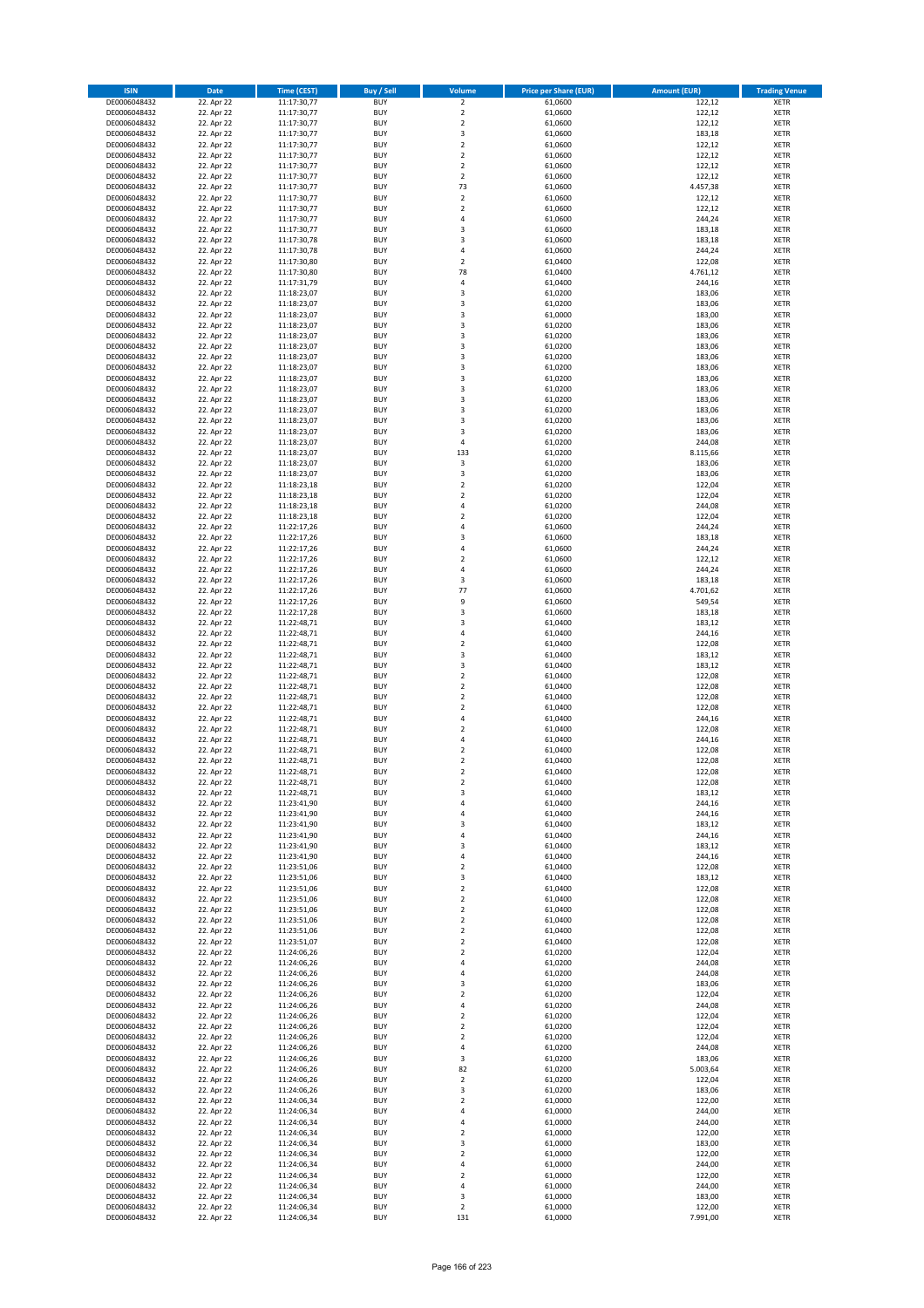| <b>ISIN</b>                  | <b>Date</b>              | <b>Time (CEST)</b>         | <b>Buy / Sell</b>        | Volume                                    | <b>Price per Share (EUR)</b> | <b>Amount (EUR)</b> | <b>Trading Venue</b>       |
|------------------------------|--------------------------|----------------------------|--------------------------|-------------------------------------------|------------------------------|---------------------|----------------------------|
| DE0006048432                 | 22. Apr 22               | 11:17:30,77                | <b>BUY</b>               | $\overline{2}$                            | 61,0600                      | 122,12              | <b>XETR</b>                |
| DE0006048432                 | 22. Apr 22               | 11:17:30,77                | <b>BUY</b>               | $\mathbf 2$                               | 61,0600                      | 122,12              | <b>XETR</b>                |
| DE0006048432                 | 22. Apr 22               | 11:17:30,77                | <b>BUY</b>               | $\overline{2}$                            | 61,0600                      | 122,12              | <b>XETR</b>                |
| DE0006048432<br>DE0006048432 | 22. Apr 22<br>22. Apr 22 | 11:17:30,77<br>11:17:30,77 | <b>BUY</b><br><b>BUY</b> | 3<br>$\overline{\mathbf{c}}$              | 61,0600<br>61,0600           | 183,18<br>122,12    | <b>XETR</b><br><b>XETR</b> |
| DE0006048432                 | 22. Apr 22               | 11:17:30,77                | <b>BUY</b>               | $\mathbf 2$                               | 61,0600                      | 122,12              | <b>XETR</b>                |
| DE0006048432                 | 22. Apr 22               | 11:17:30,77                | <b>BUY</b>               | $\mathbf 2$                               | 61,0600                      | 122,12              | <b>XETR</b>                |
| DE0006048432                 | 22. Apr 22               | 11:17:30,77                | <b>BUY</b>               | $\overline{2}$                            | 61,0600                      | 122,12              | <b>XETR</b>                |
| DE0006048432                 | 22. Apr 22               | 11:17:30,77                | <b>BUY</b><br><b>BUY</b> | 73<br>$\overline{2}$                      | 61,0600                      | 4.457,38            | <b>XETR</b>                |
| DE0006048432<br>DE0006048432 | 22. Apr 22<br>22. Apr 22 | 11:17:30,77<br>11:17:30,77 | <b>BUY</b>               | $\mathbf 2$                               | 61,0600<br>61,0600           | 122,12<br>122,12    | <b>XETR</b><br><b>XETR</b> |
| DE0006048432                 | 22. Apr 22               | 11:17:30,77                | <b>BUY</b>               | 4                                         | 61,0600                      | 244,24              | <b>XETR</b>                |
| DE0006048432                 | 22. Apr 22               | 11:17:30,77                | <b>BUY</b>               | 3                                         | 61,0600                      | 183,18              | <b>XETR</b>                |
| DE0006048432                 | 22. Apr 22               | 11:17:30,78                | <b>BUY</b>               | 3                                         | 61,0600                      | 183,18              | <b>XETR</b>                |
| DE0006048432                 | 22. Apr 22               | 11:17:30,78                | <b>BUY</b>               | 4                                         | 61,0600                      | 244,24              | <b>XETR</b>                |
| DE0006048432<br>DE0006048432 | 22. Apr 22<br>22. Apr 22 | 11:17:30,80<br>11:17:30,80 | <b>BUY</b><br><b>BUY</b> | $\overline{\mathbf{c}}$<br>78             | 61,0400<br>61,0400           | 122,08<br>4.761,12  | <b>XETR</b><br><b>XETR</b> |
| DE0006048432                 | 22. Apr 22               | 11:17:31,79                | <b>BUY</b>               | 4                                         | 61,0400                      | 244,16              | <b>XETR</b>                |
| DE0006048432                 | 22. Apr 22               | 11:18:23,07                | <b>BUY</b>               | 3                                         | 61,0200                      | 183,06              | <b>XETR</b>                |
| DE0006048432                 | 22. Apr 22               | 11:18:23,07                | <b>BUY</b>               | 3                                         | 61,0200                      | 183,06              | <b>XETR</b>                |
| DE0006048432                 | 22. Apr 22               | 11:18:23,07                | <b>BUY</b>               | 3                                         | 61,0000                      | 183,00              | <b>XETR</b>                |
| DE0006048432<br>DE0006048432 | 22. Apr 22<br>22. Apr 22 | 11:18:23,07<br>11:18:23,07 | <b>BUY</b><br><b>BUY</b> | 3<br>3                                    | 61,0200<br>61,0200           | 183,06<br>183,06    | <b>XETR</b><br><b>XETR</b> |
| DE0006048432                 | 22. Apr 22               | 11:18:23,07                | <b>BUY</b>               | 3                                         | 61,0200                      | 183,06              | <b>XETR</b>                |
| DE0006048432                 | 22. Apr 22               | 11:18:23,07                | <b>BUY</b>               | 3                                         | 61,0200                      | 183,06              | <b>XETR</b>                |
| DE0006048432                 | 22. Apr 22               | 11:18:23,07                | <b>BUY</b>               | 3                                         | 61,0200                      | 183,06              | <b>XETR</b>                |
| DE0006048432                 | 22. Apr 22               | 11:18:23,07                | <b>BUY</b>               | 3                                         | 61,0200                      | 183,06              | <b>XETR</b>                |
| DE0006048432<br>DE0006048432 | 22. Apr 22<br>22. Apr 22 | 11:18:23,07<br>11:18:23,07 | <b>BUY</b><br><b>BUY</b> | 3<br>3                                    | 61,0200<br>61,0200           | 183,06<br>183,06    | <b>XETR</b><br><b>XETR</b> |
| DE0006048432                 | 22. Apr 22               | 11:18:23,07                | <b>BUY</b>               | 3                                         | 61,0200                      | 183,06              | <b>XETR</b>                |
| DE0006048432                 | 22. Apr 22               | 11:18:23,07                | <b>BUY</b>               | 3                                         | 61,0200                      | 183,06              | <b>XETR</b>                |
| DE0006048432                 | 22. Apr 22               | 11:18:23,07                | <b>BUY</b>               | 3                                         | 61,0200                      | 183,06              | <b>XETR</b>                |
| DE0006048432                 | 22. Apr 22               | 11:18:23,07                | <b>BUY</b><br><b>BUY</b> | 4<br>133                                  | 61,0200                      | 244,08              | <b>XETR</b><br><b>XETR</b> |
| DE0006048432<br>DE0006048432 | 22. Apr 22<br>22. Apr 22 | 11:18:23,07<br>11:18:23,07 | <b>BUY</b>               | 3                                         | 61,0200<br>61,0200           | 8.115,66<br>183,06  | <b>XETR</b>                |
| DE0006048432                 | 22. Apr 22               | 11:18:23,07                | <b>BUY</b>               | 3                                         | 61,0200                      | 183,06              | <b>XETR</b>                |
| DE0006048432                 | 22. Apr 22               | 11:18:23,18                | <b>BUY</b>               | $\overline{\mathbf{c}}$                   | 61,0200                      | 122,04              | <b>XETR</b>                |
| DE0006048432                 | 22. Apr 22               | 11:18:23,18                | <b>BUY</b>               | $\overline{\mathbf{c}}$                   | 61,0200                      | 122,04              | <b>XETR</b>                |
| DE0006048432                 | 22. Apr 22               | 11:18:23,18                | <b>BUY</b>               | 4                                         | 61,0200                      | 244,08              | <b>XETR</b>                |
| DE0006048432<br>DE0006048432 | 22. Apr 22<br>22. Apr 22 | 11:18:23,18<br>11:22:17,26 | <b>BUY</b><br><b>BUY</b> | $\overline{\mathbf{c}}$<br>4              | 61,0200<br>61,0600           | 122,04<br>244,24    | <b>XETR</b><br><b>XETR</b> |
| DE0006048432                 | 22. Apr 22               | 11:22:17,26                | <b>BUY</b>               | 3                                         | 61,0600                      | 183,18              | <b>XETR</b>                |
| DE0006048432                 | 22. Apr 22               | 11:22:17,26                | <b>BUY</b>               | 4                                         | 61,0600                      | 244,24              | <b>XETR</b>                |
| DE0006048432                 | 22. Apr 22               | 11:22:17,26                | <b>BUY</b>               | $\overline{\mathbf{c}}$                   | 61,0600                      | 122,12              | <b>XETR</b>                |
| DE0006048432                 | 22. Apr 22               | 11:22:17,26                | <b>BUY</b><br><b>BUY</b> | 4<br>3                                    | 61,0600                      | 244,24              | <b>XETR</b><br><b>XETR</b> |
| DE0006048432<br>DE0006048432 | 22. Apr 22<br>22. Apr 22 | 11:22:17,26<br>11:22:17,26 | <b>BUY</b>               | 77                                        | 61,0600<br>61,0600           | 183,18<br>4.701,62  | <b>XETR</b>                |
| DE0006048432                 | 22. Apr 22               | 11:22:17,26                | <b>BUY</b>               | 9                                         | 61,0600                      | 549,54              | <b>XETR</b>                |
| DE0006048432                 | 22. Apr 22               | 11:22:17,28                | <b>BUY</b>               | 3                                         | 61,0600                      | 183,18              | <b>XETR</b>                |
| DE0006048432                 | 22. Apr 22               | 11:22:48,71                | <b>BUY</b>               | 3                                         | 61,0400                      | 183,12              | <b>XETR</b>                |
| DE0006048432<br>DE0006048432 | 22. Apr 22<br>22. Apr 22 | 11:22:48,71<br>11:22:48,71 | <b>BUY</b><br><b>BUY</b> | 4<br>$\mathbf 2$                          | 61,0400<br>61,0400           | 244,16<br>122,08    | <b>XETR</b><br><b>XETR</b> |
| DE0006048432                 | 22. Apr 22               | 11:22:48,71                | <b>BUY</b>               | 3                                         | 61,0400                      | 183,12              | <b>XETR</b>                |
| DE0006048432                 | 22. Apr 22               | 11:22:48,71                | <b>BUY</b>               | 3                                         | 61,0400                      | 183,12              | <b>XETR</b>                |
| DE0006048432                 | 22. Apr 22               | 11:22:48,71                | <b>BUY</b>               | $\overline{\mathbf{c}}$                   | 61,0400                      | 122,08              | <b>XETR</b>                |
| DE0006048432                 | 22. Apr 22               | 11:22:48,71                | <b>BUY</b>               | $\overline{a}$                            | 61,0400                      | 122,08              | <b>XETR</b>                |
| DE0006048432                 | 22. Apr 22<br>22. Apr 22 | 11:22:48,71                | <b>BUY</b><br><b>BUY</b> | $\overline{\mathbf{c}}$<br>$\mathbf 2$    | 61,0400<br>61,0400           | 122,08<br>122,08    | <b>XETR</b><br><b>XETR</b> |
| DE0006048432<br>DE0006048432 | 22. Apr 22               | 11:22:48,71<br>11:22:48,71 | <b>BUY</b>               | 4                                         | 61,0400                      | 244,16              | <b>XETR</b>                |
| DE0006048432                 | 22. Apr 22               | 11:22:48,71                | <b>BUY</b>               | $\mathbf 2$                               | 61,0400                      | 122,08              | <b>XETR</b>                |
| DE0006048432                 | 22. Apr 22               | 11:22:48,71                | <b>BUY</b>               | 4                                         | 61,0400                      | 244,16              | <b>XETR</b>                |
| DE0006048432                 | 22. Apr 22               | 11:22:48,71                | <b>BUY</b>               | $\overline{\mathbf{c}}$                   | 61,0400                      | 122,08              | <b>XETR</b>                |
| DE0006048432<br>DE0006048432 | 22. Apr 22<br>22. Apr 22 | 11:22:48,71<br>11:22:48,71 | <b>BUY</b><br><b>BUY</b> | $\overline{\mathbf{c}}$<br>$\overline{2}$ | 61,0400<br>61,0400           | 122,08<br>122,08    | <b>XETR</b><br><b>XETR</b> |
| DE0006048432                 | 22. Apr 22               | 11:22:48,71                | BUY                      | 2                                         | 61,0400                      | 122,08              | <b>XETR</b>                |
| DE0006048432                 | 22. Apr 22               | 11:22:48,71                | <b>BUY</b>               | 3                                         | 61,0400                      | 183,12              | XETR                       |
| DE0006048432                 | 22. Apr 22               | 11:23:41,90                | <b>BUY</b>               | 4                                         | 61,0400                      | 244,16              | XETR                       |
| DE0006048432                 | 22. Apr 22               | 11:23:41,90                | <b>BUY</b>               | 4                                         | 61,0400                      | 244,16              | XETR                       |
| DE0006048432<br>DE0006048432 | 22. Apr 22<br>22. Apr 22 | 11:23:41,90<br>11:23:41,90 | <b>BUY</b><br><b>BUY</b> | 3<br>4                                    | 61,0400<br>61,0400           | 183,12<br>244,16    | <b>XETR</b><br><b>XETR</b> |
| DE0006048432                 | 22. Apr 22               | 11:23:41,90                | <b>BUY</b>               | 3                                         | 61,0400                      | 183,12              | <b>XETR</b>                |
| DE0006048432                 | 22. Apr 22               | 11:23:41,90                | <b>BUY</b>               | 4                                         | 61,0400                      | 244,16              | <b>XETR</b>                |
| DE0006048432                 | 22. Apr 22               | 11:23:51,06                | <b>BUY</b>               | $\mathbf 2$                               | 61,0400                      | 122,08              | <b>XETR</b>                |
| DE0006048432<br>DE0006048432 | 22. Apr 22<br>22. Apr 22 | 11:23:51,06<br>11:23:51,06 | <b>BUY</b><br><b>BUY</b> | 3<br>$\mathbf 2$                          | 61,0400<br>61,0400           | 183,12<br>122,08    | XETR<br><b>XETR</b>        |
| DE0006048432                 | 22. Apr 22               | 11:23:51,06                | <b>BUY</b>               | $\overline{2}$                            | 61,0400                      | 122,08              | <b>XETR</b>                |
| DE0006048432                 | 22. Apr 22               | 11:23:51,06                | <b>BUY</b>               | $\mathbf 2$                               | 61,0400                      | 122,08              | <b>XETR</b>                |
| DE0006048432                 | 22. Apr 22               | 11:23:51,06                | <b>BUY</b>               | $\overline{\mathbf{2}}$                   | 61,0400                      | 122,08              | <b>XETR</b>                |
| DE0006048432                 | 22. Apr 22               | 11:23:51,06                | <b>BUY</b>               | $\mathbf 2$                               | 61,0400                      | 122,08              | <b>XETR</b>                |
| DE0006048432<br>DE0006048432 | 22. Apr 22<br>22. Apr 22 | 11:23:51,07<br>11:24:06,26 | <b>BUY</b><br><b>BUY</b> | $\mathbf 2$<br>$\mathbf 2$                | 61,0400<br>61,0200           | 122,08<br>122,04    | <b>XETR</b><br><b>XETR</b> |
| DE0006048432                 | 22. Apr 22               | 11:24:06,26                | <b>BUY</b>               | 4                                         | 61,0200                      | 244,08              | <b>XETR</b>                |
| DE0006048432                 | 22. Apr 22               | 11:24:06,26                | <b>BUY</b>               | 4                                         | 61,0200                      | 244,08              | XETR                       |
| DE0006048432                 | 22. Apr 22               | 11:24:06,26                | <b>BUY</b>               | 3                                         | 61,0200                      | 183,06              | <b>XETR</b>                |
| DE0006048432                 | 22. Apr 22               | 11:24:06,26                | <b>BUY</b><br><b>BUY</b> | $\overline{\mathbf{2}}$                   | 61,0200                      | 122,04              | <b>XETR</b>                |
| DE0006048432<br>DE0006048432 | 22. Apr 22<br>22. Apr 22 | 11:24:06,26<br>11:24:06,26 | <b>BUY</b>               | 4<br>$\overline{\mathbf{2}}$              | 61,0200<br>61,0200           | 244,08<br>122,04    | <b>XETR</b><br><b>XETR</b> |
| DE0006048432                 | 22. Apr 22               | 11:24:06,26                | <b>BUY</b>               | $\mathbf 2$                               | 61,0200                      | 122,04              | <b>XETR</b>                |
| DE0006048432                 | 22. Apr 22               | 11:24:06,26                | <b>BUY</b>               | $\mathbf 2$                               | 61,0200                      | 122,04              | <b>XETR</b>                |
| DE0006048432                 | 22. Apr 22               | 11:24:06,26                | <b>BUY</b>               | 4                                         | 61,0200                      | 244,08              | XETR                       |
| DE0006048432<br>DE0006048432 | 22. Apr 22<br>22. Apr 22 | 11:24:06,26<br>11:24:06,26 | <b>BUY</b><br><b>BUY</b> | 3<br>82                                   | 61,0200<br>61,0200           | 183,06<br>5.003,64  | <b>XETR</b><br><b>XETR</b> |
| DE0006048432                 | 22. Apr 22               | 11:24:06,26                | <b>BUY</b>               | $\mathbf 2$                               | 61,0200                      | 122,04              | <b>XETR</b>                |
| DE0006048432                 | 22. Apr 22               | 11:24:06,26                | <b>BUY</b>               | 3                                         | 61,0200                      | 183,06              | XETR                       |
| DE0006048432                 | 22. Apr 22               | 11:24:06,34                | <b>BUY</b>               | $\mathbf 2$                               | 61,0000                      | 122,00              | <b>XETR</b>                |
| DE0006048432                 | 22. Apr 22               | 11:24:06,34                | <b>BUY</b>               | 4                                         | 61,0000                      | 244,00              | <b>XETR</b>                |
| DE0006048432<br>DE0006048432 | 22. Apr 22<br>22. Apr 22 | 11:24:06,34<br>11:24:06,34 | <b>BUY</b><br><b>BUY</b> | 4<br>$\mathbf 2$                          | 61,0000<br>61,0000           | 244,00<br>122,00    | XETR<br><b>XETR</b>        |
| DE0006048432                 | 22. Apr 22               | 11:24:06,34                | <b>BUY</b>               | 3                                         | 61,0000                      | 183,00              | <b>XETR</b>                |
| DE0006048432                 | 22. Apr 22               | 11:24:06,34                | <b>BUY</b>               | $\mathbf 2$                               | 61,0000                      | 122,00              | <b>XETR</b>                |
| DE0006048432                 | 22. Apr 22               | 11:24:06,34                | <b>BUY</b>               | 4                                         | 61,0000                      | 244,00              | <b>XETR</b>                |
| DE0006048432                 | 22. Apr 22               | 11:24:06,34                | <b>BUY</b>               | $\overline{\mathbf{c}}$                   | 61,0000                      | 122,00              | XETR                       |
| DE0006048432<br>DE0006048432 | 22. Apr 22<br>22. Apr 22 | 11:24:06,34<br>11:24:06,34 | <b>BUY</b><br><b>BUY</b> | 4<br>3                                    | 61,0000<br>61,0000           | 244,00<br>183,00    | <b>XETR</b><br><b>XETR</b> |
| DE0006048432                 | 22. Apr 22               | 11:24:06,34                | <b>BUY</b>               | $\mathbf 2$                               | 61,0000                      | 122,00              | <b>XETR</b>                |
| DE0006048432                 | 22. Apr 22               | 11:24:06,34                | <b>BUY</b>               | 131                                       | 61,0000                      | 7.991,00            | XETR                       |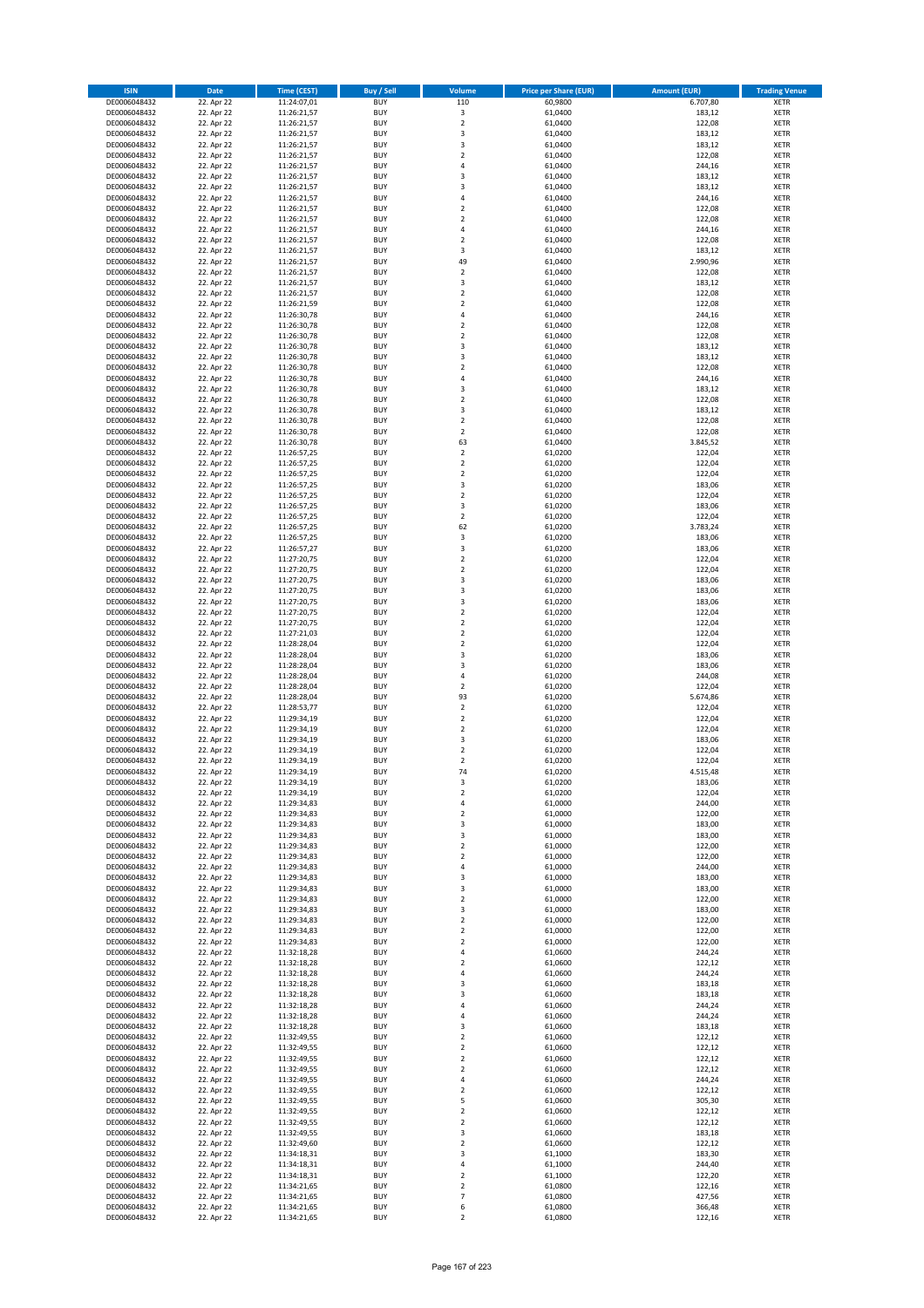| <b>ISIN</b>                  | <b>Date</b>              | Time (CEST)                | <b>Buy / Sell</b>        | Volume                                    | <b>Price per Share (EUR)</b> | <b>Amount (EUR)</b> | <b>Trading Venue</b>       |
|------------------------------|--------------------------|----------------------------|--------------------------|-------------------------------------------|------------------------------|---------------------|----------------------------|
| DE0006048432                 | 22. Apr 22               | 11:24:07,01                | <b>BUY</b>               | 110                                       | 60,9800                      | 6.707,80            | <b>XETR</b>                |
| DE0006048432                 | 22. Apr 22               | 11:26:21,57                | <b>BUY</b>               | $\mathsf 3$                               | 61,0400                      | 183,12              | <b>XETR</b>                |
| DE0006048432                 | 22. Apr 22               | 11:26:21,57                | <b>BUY</b>               | $\overline{2}$                            | 61,0400                      | 122,08              | <b>XETR</b>                |
| DE0006048432                 | 22. Apr 22               | 11:26:21,57                | <b>BUY</b>               | 3                                         | 61,0400                      | 183,12              | <b>XETR</b>                |
| DE0006048432<br>DE0006048432 | 22. Apr 22<br>22. Apr 22 | 11:26:21,57<br>11:26:21,57 | <b>BUY</b><br><b>BUY</b> | 3<br>$\mathbf 2$                          | 61,0400<br>61,0400           | 183,12<br>122,08    | <b>XETR</b><br><b>XETR</b> |
| DE0006048432                 | 22. Apr 22               | 11:26:21,57                | <b>BUY</b>               | 4                                         | 61,0400                      | 244,16              | <b>XETR</b>                |
| DE0006048432                 | 22. Apr 22               | 11:26:21,57                | <b>BUY</b>               | 3                                         | 61,0400                      | 183,12              | <b>XETR</b>                |
| DE0006048432                 | 22. Apr 22               | 11:26:21,57                | <b>BUY</b>               | 3                                         | 61,0400                      | 183,12              | <b>XETR</b>                |
| DE0006048432                 | 22. Apr 22               | 11:26:21,57                | <b>BUY</b>               | 4                                         | 61,0400                      | 244,16              | <b>XETR</b>                |
| DE0006048432                 | 22. Apr 22               | 11:26:21,57                | <b>BUY</b>               | $\mathbf 2$                               | 61,0400                      | 122,08              | <b>XETR</b>                |
| DE0006048432                 | 22. Apr 22               | 11:26:21,57                | <b>BUY</b>               | $\overline{\mathbf{c}}$                   | 61,0400                      | 122,08              | <b>XETR</b><br><b>XETR</b> |
| DE0006048432<br>DE0006048432 | 22. Apr 22<br>22. Apr 22 | 11:26:21,57<br>11:26:21,57 | <b>BUY</b><br><b>BUY</b> | 4<br>$\overline{\mathbf{c}}$              | 61,0400<br>61,0400           | 244,16<br>122,08    | <b>XETR</b>                |
| DE0006048432                 | 22. Apr 22               | 11:26:21,57                | <b>BUY</b>               | 3                                         | 61,0400                      | 183,12              | <b>XETR</b>                |
| DE0006048432                 | 22. Apr 22               | 11:26:21,57                | <b>BUY</b>               | 49                                        | 61,0400                      | 2.990,96            | <b>XETR</b>                |
| DE0006048432                 | 22. Apr 22               | 11:26:21,57                | <b>BUY</b>               | $\mathbf 2$                               | 61,0400                      | 122,08              | <b>XETR</b>                |
| DE0006048432                 | 22. Apr 22               | 11:26:21,57                | <b>BUY</b>               | 3                                         | 61,0400                      | 183,12              | <b>XETR</b>                |
| DE0006048432                 | 22. Apr 22               | 11:26:21,57                | <b>BUY</b>               | $\overline{\mathbf{c}}$                   | 61,0400                      | 122,08              | <b>XETR</b>                |
| DE0006048432<br>DE0006048432 | 22. Apr 22<br>22. Apr 22 | 11:26:21,59<br>11:26:30,78 | <b>BUY</b><br><b>BUY</b> | $\mathbf 2$<br>4                          | 61,0400<br>61,0400           | 122,08<br>244,16    | <b>XETR</b><br><b>XETR</b> |
| DE0006048432                 | 22. Apr 22               | 11:26:30,78                | <b>BUY</b>               | $\mathbf 2$                               | 61,0400                      | 122,08              | <b>XETR</b>                |
| DE0006048432                 | 22. Apr 22               | 11:26:30,78                | <b>BUY</b>               | $\overline{\mathbf{c}}$                   | 61,0400                      | 122,08              | <b>XETR</b>                |
| DE0006048432                 | 22. Apr 22               | 11:26:30,78                | <b>BUY</b>               | 3                                         | 61,0400                      | 183,12              | <b>XETR</b>                |
| DE0006048432                 | 22. Apr 22               | 11:26:30,78                | <b>BUY</b>               | 3                                         | 61,0400                      | 183,12              | <b>XETR</b>                |
| DE0006048432                 | 22. Apr 22               | 11:26:30,78                | <b>BUY</b>               | $\mathbf 2$                               | 61,0400                      | 122,08              | <b>XETR</b>                |
| DE0006048432                 | 22. Apr 22               | 11:26:30,78                | <b>BUY</b>               | 4                                         | 61,0400                      | 244,16              | <b>XETR</b>                |
| DE0006048432<br>DE0006048432 | 22. Apr 22<br>22. Apr 22 | 11:26:30,78<br>11:26:30,78 | <b>BUY</b><br><b>BUY</b> | 3<br>$\mathbf 2$                          | 61,0400<br>61,0400           | 183,12<br>122,08    | <b>XETR</b><br><b>XETR</b> |
| DE0006048432                 | 22. Apr 22               | 11:26:30,78                | <b>BUY</b>               | 3                                         | 61,0400                      | 183,12              | <b>XETR</b>                |
| DE0006048432                 | 22. Apr 22               | 11:26:30,78                | <b>BUY</b>               | $\overline{a}$                            | 61,0400                      | 122,08              | <b>XETR</b>                |
| DE0006048432                 | 22. Apr 22               | 11:26:30,78                | <b>BUY</b>               | $\overline{2}$                            | 61,0400                      | 122,08              | <b>XETR</b>                |
| DE0006048432                 | 22. Apr 22               | 11:26:30,78                | <b>BUY</b>               | 63                                        | 61,0400                      | 3.845,52            | <b>XETR</b>                |
| DE0006048432                 | 22. Apr 22               | 11:26:57,25                | <b>BUY</b>               | $\mathbf 2$                               | 61,0200                      | 122,04              | <b>XETR</b>                |
| DE0006048432<br>DE0006048432 | 22. Apr 22<br>22. Apr 22 | 11:26:57,25<br>11:26:57,25 | <b>BUY</b><br><b>BUY</b> | $\overline{2}$<br>$\overline{\mathbf{c}}$ | 61,0200<br>61,0200           | 122,04<br>122,04    | <b>XETR</b><br><b>XETR</b> |
| DE0006048432                 | 22. Apr 22               | 11:26:57,25                | <b>BUY</b>               | 3                                         | 61,0200                      | 183,06              | <b>XETR</b>                |
| DE0006048432                 | 22. Apr 22               | 11:26:57,25                | <b>BUY</b>               | $\mathbf 2$                               | 61,0200                      | 122,04              | <b>XETR</b>                |
| DE0006048432                 | 22. Apr 22               | 11:26:57,25                | <b>BUY</b>               | 3                                         | 61,0200                      | 183,06              | <b>XETR</b>                |
| DE0006048432                 | 22. Apr 22               | 11:26:57,25                | <b>BUY</b>               | $\mathbf 2$                               | 61,0200                      | 122,04              | <b>XETR</b>                |
| DE0006048432                 | 22. Apr 22               | 11:26:57,25                | <b>BUY</b>               | 62                                        | 61,0200                      | 3.783,24            | <b>XETR</b>                |
| DE0006048432                 | 22. Apr 22               | 11:26:57,25                | <b>BUY</b>               | 3                                         | 61,0200                      | 183,06              | <b>XETR</b>                |
| DE0006048432<br>DE0006048432 | 22. Apr 22<br>22. Apr 22 | 11:26:57,27<br>11:27:20,75 | <b>BUY</b><br><b>BUY</b> | 3<br>$\overline{\mathbf{c}}$              | 61,0200<br>61,0200           | 183,06<br>122,04    | <b>XETR</b><br><b>XETR</b> |
| DE0006048432                 | 22. Apr 22               | 11:27:20,75                | <b>BUY</b>               | $\mathbf 2$                               | 61,0200                      | 122,04              | <b>XETR</b>                |
| DE0006048432                 | 22. Apr 22               | 11:27:20,75                | <b>BUY</b>               | 3                                         | 61,0200                      | 183,06              | <b>XETR</b>                |
| DE0006048432                 | 22. Apr 22               | 11:27:20,75                | <b>BUY</b>               | 3                                         | 61,0200                      | 183,06              | <b>XETR</b>                |
| DE0006048432                 | 22. Apr 22               | 11:27:20,75                | <b>BUY</b>               | 3                                         | 61,0200                      | 183,06              | <b>XETR</b>                |
| DE0006048432                 | 22. Apr 22               | 11:27:20,75                | <b>BUY</b>               | $\mathbf 2$                               | 61,0200                      | 122,04              | <b>XETR</b>                |
| DE0006048432                 | 22. Apr 22               | 11:27:20,75                | <b>BUY</b>               | $\overline{\mathbf{c}}$                   | 61,0200                      | 122,04              | <b>XETR</b>                |
| DE0006048432                 | 22. Apr 22               | 11:27:21,03                | <b>BUY</b>               | $\mathbf 2$                               | 61,0200                      | 122,04              | <b>XETR</b>                |
| DE0006048432<br>DE0006048432 | 22. Apr 22<br>22. Apr 22 | 11:28:28,04<br>11:28:28,04 | <b>BUY</b><br><b>BUY</b> | $\mathbf 2$<br>3                          | 61,0200<br>61,0200           | 122,04<br>183,06    | <b>XETR</b><br><b>XETR</b> |
| DE0006048432                 | 22. Apr 22               | 11:28:28,04                | <b>BUY</b>               | 3                                         | 61,0200                      | 183,06              | <b>XETR</b>                |
| DE0006048432                 | 22. Apr 22               | 11:28:28,04                | <b>BUY</b>               | 4                                         | 61,0200                      | 244,08              | <b>XETR</b>                |
| DE0006048432                 | 22. Apr 22               | 11:28:28,04                | <b>BUY</b>               | $\mathbf 2$                               | 61,0200                      | 122,04              | <b>XETR</b>                |
| DE0006048432                 | 22. Apr 22               | 11:28:28,04                | <b>BUY</b>               | 93                                        | 61,0200                      | 5.674,86            | <b>XETR</b>                |
| DE0006048432                 | 22. Apr 22               | 11:28:53,77                | <b>BUY</b>               | $\mathbf 2$                               | 61,0200                      | 122,04              | <b>XETR</b>                |
| DE0006048432                 | 22. Apr 22               | 11:29:34,19                | <b>BUY</b>               | $\mathbf 2$                               | 61,0200                      | 122,04              | <b>XETR</b>                |
| DE0006048432<br>DE0006048432 | 22. Apr 22<br>22. Apr 22 | 11:29:34,19<br>11:29:34,19 | <b>BUY</b><br><b>BUY</b> | $\overline{2}$<br>3                       | 61,0200<br>61,0200           | 122,04<br>183,06    | <b>XETR</b><br><b>XETR</b> |
| DE0006048432                 | 22. Apr 22               | 11:29:34,19                | <b>BUY</b>               | $\overline{\mathbf{c}}$                   | 61,0200                      | 122,04              | <b>XETR</b>                |
| DE0006048432                 | 22. Apr 22               | 11:29:34,19                | <b>BUY</b>               | $\overline{\mathbf{c}}$                   | 61,0200                      | 122,04              | <b>XETR</b>                |
| DE0006048432                 | 22. Apr 22               | 11:29:34,19                | <b>BUY</b>               | 74                                        | 61,0200                      | 4.515,48            | <b>XETR</b>                |
| DE0006048432                 | 22. Apr 22               | 11:29:34,19                | BUY                      | 3                                         | 61,0200                      | 183,06              | <b>XETR</b>                |
| DE0006048432                 | 22. Apr 22               | 11:29:34,19                | <b>BUY</b>               | 2                                         | 61,0200                      | 122,04              | <b>XETR</b>                |
| DE0006048432                 | 22. Apr 22               | 11:29:34,83                | <b>BUY</b><br><b>BUY</b> | 4                                         | 61,0000<br>61,0000           | 244,00<br>122,00    | <b>XETR</b>                |
| DE0006048432<br>DE0006048432 | 22. Apr 22<br>22. Apr 22 | 11:29:34,83<br>11:29:34,83 | <b>BUY</b>               | $\mathbf 2$<br>3                          | 61,0000                      | 183,00              | XETR<br><b>XETR</b>        |
| DE0006048432                 | 22. Apr 22               | 11:29:34,83                | <b>BUY</b>               | 3                                         | 61,0000                      | 183,00              | <b>XETR</b>                |
| DE0006048432                 | 22. Apr 22               | 11:29:34,83                | <b>BUY</b>               | $\overline{\mathbf{2}}$                   | 61,0000                      | 122,00              | <b>XETR</b>                |
| DE0006048432                 | 22. Apr 22               | 11:29:34,83                | <b>BUY</b>               | $\mathbf 2$                               | 61,0000                      | 122,00              | <b>XETR</b>                |
| DE0006048432                 | 22. Apr 22               | 11:29:34,83                | <b>BUY</b>               | 4                                         | 61,0000                      | 244,00              | <b>XETR</b>                |
| DE0006048432                 | 22. Apr 22               | 11:29:34,83                | <b>BUY</b>               | 3                                         | 61,0000                      | 183,00              | <b>XETR</b>                |
| DE0006048432<br>DE0006048432 | 22. Apr 22<br>22. Apr 22 | 11:29:34,83<br>11:29:34,83 | <b>BUY</b><br><b>BUY</b> | 3<br>$\mathbf 2$                          | 61,0000<br>61,0000           | 183,00<br>122,00    | <b>XETR</b><br><b>XETR</b> |
| DE0006048432                 | 22. Apr 22               | 11:29:34,83                | <b>BUY</b>               | 3                                         | 61,0000                      | 183,00              | <b>XETR</b>                |
| DE0006048432                 | 22. Apr 22               | 11:29:34,83                | <b>BUY</b>               | $\overline{\mathbf{2}}$                   | 61,0000                      | 122,00              | <b>XETR</b>                |
| DE0006048432                 | 22. Apr 22               | 11:29:34,83                | <b>BUY</b>               | $\mathbf 2$                               | 61,0000                      | 122,00              | <b>XETR</b>                |
| DE0006048432                 | 22. Apr 22               | 11:29:34,83                | <b>BUY</b>               | $\mathbf 2$                               | 61,0000                      | 122,00              | <b>XETR</b>                |
| DE0006048432                 | 22. Apr 22               | 11:32:18,28                | <b>BUY</b>               | 4                                         | 61,0600                      | 244,24              | <b>XETR</b>                |
| DE0006048432                 | 22. Apr 22               | 11:32:18,28                | <b>BUY</b>               | $\overline{\mathbf{c}}$                   | 61,0600                      | 122,12              | <b>XETR</b>                |
| DE0006048432<br>DE0006048432 | 22. Apr 22<br>22. Apr 22 | 11:32:18,28<br>11:32:18,28 | <b>BUY</b><br><b>BUY</b> | 4<br>3                                    | 61,0600<br>61,0600           | 244,24<br>183,18    | XETR<br><b>XETR</b>        |
| DE0006048432                 | 22. Apr 22               | 11:32:18,28                | <b>BUY</b>               | 3                                         | 61,0600                      | 183,18              | <b>XETR</b>                |
| DE0006048432                 | 22. Apr 22               | 11:32:18,28                | <b>BUY</b>               | 4                                         | 61,0600                      | 244,24              | <b>XETR</b>                |
| DE0006048432                 | 22. Apr 22               | 11:32:18,28                | <b>BUY</b>               | 4                                         | 61,0600                      | 244,24              | <b>XETR</b>                |
| DE0006048432                 | 22. Apr 22               | 11:32:18,28                | <b>BUY</b>               | 3                                         | 61,0600                      | 183,18              | <b>XETR</b>                |
| DE0006048432                 | 22. Apr 22               | 11:32:49,55                | <b>BUY</b>               | $\mathbf 2$                               | 61,0600                      | 122,12              | <b>XETR</b>                |
| DE0006048432                 | 22. Apr 22               | 11:32:49,55                | <b>BUY</b>               | $\mathbf 2$                               | 61,0600                      | 122,12              | <b>XETR</b>                |
| DE0006048432                 | 22. Apr 22               | 11:32:49,55                | <b>BUY</b>               | $\mathbf 2$                               | 61,0600                      | 122,12              | <b>XETR</b>                |
| DE0006048432<br>DE0006048432 | 22. Apr 22<br>22. Apr 22 | 11:32:49,55<br>11:32:49,55 | <b>BUY</b><br><b>BUY</b> | $\overline{2}$<br>4                       | 61,0600<br>61,0600           | 122,12<br>244,24    | <b>XETR</b><br><b>XETR</b> |
| DE0006048432                 | 22. Apr 22               | 11:32:49,55                | <b>BUY</b>               | $\overline{\mathbf{c}}$                   | 61,0600                      | 122,12              | <b>XETR</b>                |
| DE0006048432                 | 22. Apr 22               | 11:32:49,55                | <b>BUY</b>               | 5                                         | 61,0600                      | 305,30              | <b>XETR</b>                |
| DE0006048432                 | 22. Apr 22               | 11:32:49,55                | <b>BUY</b>               | $\mathbf 2$                               | 61,0600                      | 122,12              | <b>XETR</b>                |
| DE0006048432                 | 22. Apr 22               | 11:32:49,55                | <b>BUY</b>               | $\mathbf 2$                               | 61,0600                      | 122,12              | <b>XETR</b>                |
| DE0006048432                 | 22. Apr 22               | 11:32:49,55                | <b>BUY</b>               | 3                                         | 61,0600                      | 183,18              | <b>XETR</b>                |
| DE0006048432                 | 22. Apr 22               | 11:32:49,60                | <b>BUY</b>               | $\mathbf 2$                               | 61,0600                      | 122,12              | <b>XETR</b>                |
| DE0006048432<br>DE0006048432 | 22. Apr 22<br>22. Apr 22 | 11:34:18,31<br>11:34:18,31 | <b>BUY</b><br><b>BUY</b> | 3<br>4                                    | 61,1000<br>61,1000           | 183,30<br>244,40    | <b>XETR</b><br><b>XETR</b> |
| DE0006048432                 | 22. Apr 22               | 11:34:18,31                | <b>BUY</b>               | $\overline{\mathbf{c}}$                   | 61,1000                      | 122,20              | XETR                       |
| DE0006048432                 | 22. Apr 22               | 11:34:21,65                | <b>BUY</b>               | $\overline{2}$                            | 61,0800                      | 122,16              | <b>XETR</b>                |
| DE0006048432                 | 22. Apr 22               | 11:34:21,65                | <b>BUY</b>               | $\overline{7}$                            | 61,0800                      | 427,56              | <b>XETR</b>                |
| DE0006048432                 | 22. Apr 22               | 11:34:21,65                | <b>BUY</b>               | 6                                         | 61,0800                      | 366,48              | <b>XETR</b>                |
| DE0006048432                 | 22. Apr 22               | 11:34:21,65                | <b>BUY</b>               | $\overline{2}$                            | 61,0800                      | 122,16              | <b>XETR</b>                |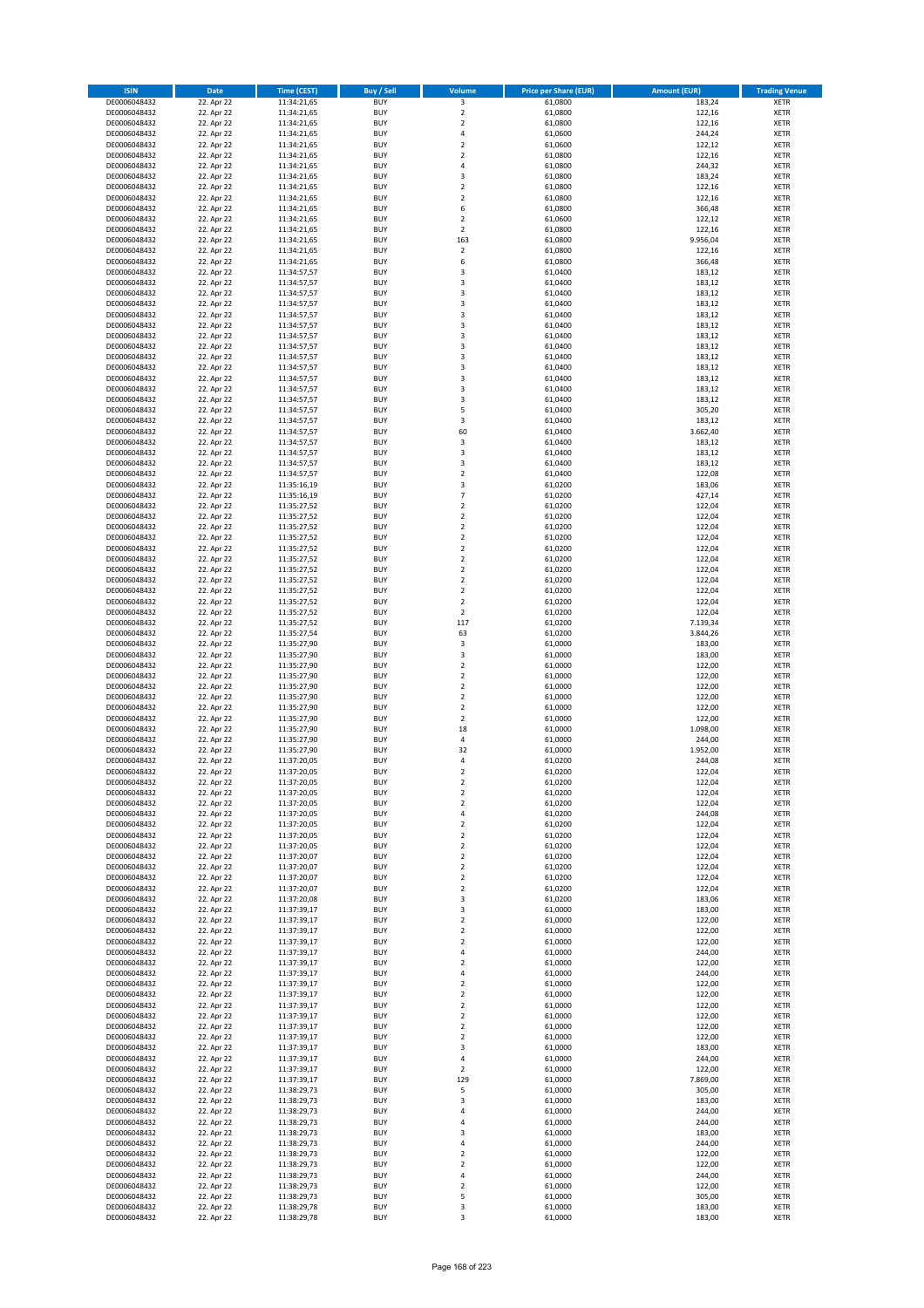| <b>ISIN</b>                  | <b>Date</b>              | Time (CEST)                | <b>Buy / Sell</b>        | Volume                                             | <b>Price per Share (EUR)</b> | Amount (EUR)       | <b>Trading Venue</b>       |
|------------------------------|--------------------------|----------------------------|--------------------------|----------------------------------------------------|------------------------------|--------------------|----------------------------|
| DE0006048432                 | 22. Apr 22               | 11:34:21,65                | <b>BUY</b>               | $\overline{\mathbf{3}}$                            | 61,0800                      | 183,24             | <b>XETR</b>                |
| DE0006048432                 | 22. Apr 22               | 11:34:21,65                | <b>BUY</b>               | $\mathbf 2$                                        | 61,0800                      | 122,16             | <b>XETR</b>                |
| DE0006048432                 | 22. Apr 22               | 11:34:21,65                | <b>BUY</b>               | $\overline{2}$                                     | 61,0800                      | 122,16             | <b>XETR</b>                |
| DE0006048432                 | 22. Apr 22               | 11:34:21,65                | <b>BUY</b>               | 4                                                  | 61,0600                      | 244,24             | <b>XETR</b>                |
| DE0006048432<br>DE0006048432 | 22. Apr 22<br>22. Apr 22 | 11:34:21,65<br>11:34:21,65 | <b>BUY</b><br><b>BUY</b> | $\overline{2}$<br>$\overline{2}$                   | 61,0600<br>61,0800           | 122,12<br>122,16   | <b>XETR</b><br><b>XETR</b> |
| DE0006048432                 | 22. Apr 22               | 11:34:21,65                | <b>BUY</b>               | $\overline{a}$                                     | 61,0800                      | 244,32             | <b>XETR</b>                |
| DE0006048432                 | 22. Apr 22               | 11:34:21,65                | <b>BUY</b>               | 3                                                  | 61,0800                      | 183,24             | <b>XETR</b>                |
| DE0006048432                 | 22. Apr 22               | 11:34:21,65                | BUY                      | $\overline{2}$                                     | 61,0800                      | 122,16             | <b>XETR</b>                |
| DE0006048432                 | 22. Apr 22               | 11:34:21,65                | <b>BUY</b>               | $\overline{2}$                                     | 61,0800                      | 122,16             | <b>XETR</b>                |
| DE0006048432                 | 22. Apr 22               | 11:34:21,65                | <b>BUY</b>               | 6                                                  | 61,0800                      | 366,48             | <b>XETR</b>                |
| DE0006048432                 | 22. Apr 22               | 11:34:21,65                | <b>BUY</b><br><b>BUY</b> | $\overline{2}$<br>$\mathbf 2$                      | 61,0600                      | 122,12             | <b>XETR</b>                |
| DE0006048432<br>DE0006048432 | 22. Apr 22<br>22. Apr 22 | 11:34:21,65<br>11:34:21,65 | <b>BUY</b>               | 163                                                | 61,0800<br>61,0800           | 122,16<br>9.956,04 | <b>XETR</b><br><b>XETR</b> |
| DE0006048432                 | 22. Apr 22               | 11:34:21,65                | <b>BUY</b>               | $\mathbf 2$                                        | 61,0800                      | 122,16             | <b>XETR</b>                |
| DE0006048432                 | 22. Apr 22               | 11:34:21,65                | <b>BUY</b>               | 6                                                  | 61,0800                      | 366,48             | <b>XETR</b>                |
| DE0006048432                 | 22. Apr 22               | 11:34:57,57                | <b>BUY</b>               | $\overline{\mathbf{3}}$                            | 61,0400                      | 183,12             | <b>XETR</b>                |
| DE0006048432                 | 22. Apr 22               | 11:34:57,57                | <b>BUY</b>               | 3                                                  | 61,0400                      | 183,12             | <b>XETR</b>                |
| DE0006048432                 | 22. Apr 22<br>22. Apr 22 | 11:34:57,57                | <b>BUY</b>               | $\overline{3}$<br>$\overline{\mathbf{3}}$          | 61.0400                      | 183,12             | <b>XETR</b>                |
| DE0006048432<br>DE0006048432 | 22. Apr 22               | 11:34:57,57<br>11:34:57,57 | <b>BUY</b><br><b>BUY</b> | $\overline{3}$                                     | 61,0400<br>61,0400           | 183,12<br>183,12   | <b>XETR</b><br><b>XETR</b> |
| DE0006048432                 | 22. Apr 22               | 11:34:57,57                | <b>BUY</b>               | $\overline{3}$                                     | 61,0400                      | 183,12             | <b>XETR</b>                |
| DE0006048432                 | 22. Apr 22               | 11:34:57,57                | <b>BUY</b>               | $\overline{3}$                                     | 61,0400                      | 183,12             | <b>XETR</b>                |
| DE0006048432                 | 22. Apr 22               | 11:34:57,57                | <b>BUY</b>               | 3                                                  | 61,0400                      | 183,12             | <b>XETR</b>                |
| DE0006048432                 | 22. Apr 22               | 11:34:57,57                | <b>BUY</b>               | 3                                                  | 61,0400                      | 183,12             | <b>XETR</b>                |
| DE0006048432                 | 22. Apr 22               | 11:34:57,57                | <b>BUY</b>               | 3                                                  | 61,0400                      | 183,12             | <b>XETR</b>                |
| DE0006048432<br>DE0006048432 | 22. Apr 22<br>22. Apr 22 | 11:34:57,57                | <b>BUY</b><br><b>BUY</b> | 3<br>$\overline{3}$                                | 61,0400<br>61,0400           | 183,12<br>183,12   | <b>XETR</b><br><b>XETR</b> |
| DE0006048432                 | 22. Apr 22               | 11:34:57,57<br>11:34:57,57 | <b>BUY</b>               | $\overline{3}$                                     | 61,0400                      | 183,12             | <b>XETR</b>                |
| DE0006048432                 | 22. Apr 22               | 11:34:57,57                | <b>BUY</b>               | 5                                                  | 61,0400                      | 305,20             | <b>XETR</b>                |
| DE0006048432                 | 22. Apr 22               | 11:34:57,57                | <b>BUY</b>               | 3                                                  | 61,0400                      | 183,12             | <b>XETR</b>                |
| DE0006048432                 | 22. Apr 22               | 11:34:57,57                | <b>BUY</b>               | 60                                                 | 61,0400                      | 3.662,40           | <b>XETR</b>                |
| DE0006048432                 | 22. Apr 22               | 11:34:57,57                | <b>BUY</b>               | 3                                                  | 61,0400                      | 183,12             | <b>XETR</b>                |
| DE0006048432                 | 22. Apr 22               | 11:34:57,57                | <b>BUY</b>               | 3                                                  | 61,0400                      | 183,12             | <b>XETR</b>                |
| DE0006048432<br>DE0006048432 | 22. Apr 22<br>22. Apr 22 | 11:34:57,57<br>11:34:57,57 | <b>BUY</b><br><b>BUY</b> | $\overline{3}$<br>$\mathbf 2$                      | 61,0400<br>61,0400           | 183,12<br>122,08   | <b>XETR</b><br><b>XETR</b> |
| DE0006048432                 | 22. Apr 22               | 11:35:16,19                | <b>BUY</b>               | $\overline{3}$                                     | 61,0200                      | 183,06             | <b>XETR</b>                |
| DE0006048432                 | 22. Apr 22               | 11:35:16,19                | <b>BUY</b>               | $\overline{7}$                                     | 61,0200                      | 427,14             | <b>XETR</b>                |
| DE0006048432                 | 22. Apr 22               | 11:35:27,52                | <b>BUY</b>               | $\mathbf 2$                                        | 61,0200                      | 122,04             | <b>XETR</b>                |
| DE0006048432                 | 22. Apr 22               | 11:35:27,52                | <b>BUY</b>               | $\mathbf 2$                                        | 61,0200                      | 122,04             | <b>XETR</b>                |
| DE0006048432                 | 22. Apr 22               | 11:35:27,52                | <b>BUY</b>               | $\overline{2}$                                     | 61,0200                      | 122,04             | <b>XETR</b>                |
| DE0006048432<br>DE0006048432 | 22. Apr 22<br>22. Apr 22 | 11:35:27,52<br>11:35:27,52 | <b>BUY</b><br><b>BUY</b> | $\overline{2}$<br>$\mathbf 2$                      | 61,0200<br>61,0200           | 122,04<br>122,04   | <b>XETR</b><br><b>XETR</b> |
| DE0006048432                 | 22. Apr 22               | 11:35:27,52                | <b>BUY</b>               | $\overline{2}$                                     | 61,0200                      | 122,04             | <b>XETR</b>                |
| DE0006048432                 | 22. Apr 22               | 11:35:27,52                | <b>BUY</b>               | $\overline{2}$                                     | 61,0200                      | 122,04             | <b>XETR</b>                |
| DE0006048432                 | 22. Apr 22               | 11:35:27,52                | <b>BUY</b>               | $\overline{2}$                                     | 61,0200                      | 122,04             | <b>XETR</b>                |
| DE0006048432                 | 22. Apr 22               | 11:35:27,52                | <b>BUY</b>               | $\overline{2}$                                     | 61,0200                      | 122,04             | <b>XETR</b>                |
| DE0006048432                 | 22. Apr 22               | 11:35:27,52                | <b>BUY</b>               | $\mathbf 2$                                        | 61,0200                      | 122,04             | <b>XETR</b>                |
| DE0006048432<br>DE0006048432 | 22. Apr 22<br>22. Apr 22 | 11:35:27,52<br>11:35:27,52 | <b>BUY</b><br><b>BUY</b> | $\mathbf 2$<br>117                                 | 61,0200<br>61,0200           | 122,04<br>7.139,34 | <b>XETR</b><br><b>XETR</b> |
| DE0006048432                 | 22. Apr 22               | 11:35:27,54                | <b>BUY</b>               | 63                                                 | 61,0200                      | 3.844,26           | <b>XETR</b>                |
| DE0006048432                 | 22. Apr 22               | 11:35:27,90                | <b>BUY</b>               | 3                                                  | 61,0000                      | 183,00             | <b>XETR</b>                |
| DE0006048432                 | 22. Apr 22               | 11:35:27,90                | <b>BUY</b>               | $\overline{3}$                                     | 61,0000                      | 183,00             | <b>XETR</b>                |
| DE0006048432                 | 22. Apr 22               | 11:35:27,90                | <b>BUY</b>               | $\mathbf 2$                                        | 61,0000                      | 122,00             | <b>XETR</b>                |
| DE0006048432                 | 22. Apr 22               | 11:35:27,90                | <b>BUY</b>               | $\overline{2}$                                     | 61,0000                      | 122,00             | <b>XETR</b>                |
| DE0006048432                 | 22. Apr 22<br>22. Apr 22 | 11:35:27,90                | <b>BUY</b>               | $\overline{2}$                                     | 61,0000                      | 122,00             | <b>XETR</b>                |
| DE0006048432<br>DE0006048432 | 22. Apr 22               | 11:35:27,90<br>11:35:27,90 | <b>BUY</b><br><b>BUY</b> | $\overline{\mathbf{2}}$<br>$\overline{\mathbf{2}}$ | 61,0000<br>61,0000           | 122,00<br>122,00   | <b>XETR</b><br><b>XETR</b> |
| DE0006048432                 | 22. Apr 22               | 11:35:27,90                | BUY                      | $\overline{2}$                                     | 61,0000                      | 122,00             | <b>XETR</b>                |
| DE0006048432                 | 22. Apr 22               | 11:35:27,90                | <b>BUY</b>               | 18                                                 | 61,0000                      | 1.098,00           | <b>XETR</b>                |
| DE0006048432                 | 22. Apr 22               | 11:35:27,90                | <b>BUY</b>               | 4                                                  | 61,0000                      | 244,00             | <b>XETR</b>                |
| DE0006048432                 | 22. Apr 22               | 11:35:27,90                | BUY                      | 32                                                 | 61,0000                      | 1.952,00           | <b>XETR</b>                |
| DE0006048432                 | 22. Apr 22               | 11:37:20,05                | BUY                      | 4                                                  | 61,0200                      | 244,08             | <b>XETR</b>                |
| DE0006048432<br>DE0006048432 | 22. Apr 22<br>22. Apr 22 | 11:37:20,05<br>11:37:20,05 | <b>BUY</b><br><b>BUY</b> | $\overline{2}$<br>2                                | 61,0200<br>61,0200           | 122,04<br>122,04   | <b>XETR</b><br><b>XETR</b> |
| DE0006048432                 | 22. Apr 22               | 11:37:20,05                | <b>BUY</b>               | $\mathbf 2$                                        | 61,0200                      | 122,04             | <b>XETR</b>                |
| DE0006048432                 | 22. Apr 22               | 11:37:20,05                | <b>BUY</b>               | $\mathbf 2$                                        | 61,0200                      | 122,04             | <b>XETR</b>                |
| DE0006048432                 | 22. Apr 22               | 11:37:20,05                | <b>BUY</b>               | 4                                                  | 61,0200                      | 244,08             | <b>XETR</b>                |
| DE0006048432                 | 22. Apr 22               | 11:37:20,05                | <b>BUY</b>               | $\overline{\mathbf{2}}$                            | 61,0200                      | 122,04             | <b>XETR</b>                |
| DE0006048432                 | 22. Apr 22               | 11:37:20,05                | <b>BUY</b>               | $\mathbf 2$                                        | 61,0200                      | 122,04             | <b>XETR</b>                |
| DE0006048432<br>DE0006048432 | 22. Apr 22<br>22. Apr 22 | 11:37:20,05<br>11:37:20,07 | <b>BUY</b><br><b>BUY</b> | 2<br>2                                             | 61,0200<br>61,0200           | 122,04<br>122,04   | <b>XETR</b><br><b>XETR</b> |
| DE0006048432                 | 22. Apr 22               | 11:37:20,07                | <b>BUY</b>               | $\mathbf 2$                                        | 61,0200                      | 122,04             | <b>XETR</b>                |
| DE0006048432                 | 22. Apr 22               | 11:37:20,07                | <b>BUY</b>               | $\mathbf 2$                                        | 61,0200                      | 122,04             | <b>XETR</b>                |
| DE0006048432                 | 22. Apr 22               | 11:37:20,07                | <b>BUY</b>               | 2                                                  | 61,0200                      | 122,04             | <b>XETR</b>                |
| DE0006048432                 | 22. Apr 22               | 11:37:20,08                | <b>BUY</b>               | 3                                                  | 61,0200                      | 183,06             | <b>XETR</b>                |
| DE0006048432<br>DE0006048432 | 22. Apr 22<br>22. Apr 22 | 11:37:39,17                | <b>BUY</b><br><b>BUY</b> | 3<br>$\overline{2}$                                | 61,0000<br>61,0000           | 183,00<br>122,00   | <b>XETR</b>                |
| DE0006048432                 | 22. Apr 22               | 11:37:39,17<br>11:37:39,17 | <b>BUY</b>               | 2                                                  | 61,0000                      | 122,00             | <b>XETR</b><br><b>XETR</b> |
| DE0006048432                 | 22. Apr 22               | 11:37:39,17                | <b>BUY</b>               | $\overline{2}$                                     | 61,0000                      | 122,00             | <b>XETR</b>                |
| DE0006048432                 | 22. Apr 22               | 11:37:39,17                | <b>BUY</b>               | 4                                                  | 61,0000                      | 244,00             | <b>XETR</b>                |
| DE0006048432                 | 22. Apr 22               | 11:37:39,17                | <b>BUY</b>               | $\mathbf 2$                                        | 61,0000                      | 122,00             | <b>XETR</b>                |
| DE0006048432                 | 22. Apr 22               | 11:37:39,17                | <b>BUY</b>               | 4                                                  | 61,0000                      | 244,00             | <b>XETR</b>                |
| DE0006048432                 | 22. Apr 22               | 11:37:39,17                | <b>BUY</b>               | $\mathbf 2$                                        | 61,0000                      | 122,00             | <b>XETR</b>                |
| DE0006048432<br>DE0006048432 | 22. Apr 22<br>22. Apr 22 | 11:37:39,17<br>11:37:39,17 | <b>BUY</b><br><b>BUY</b> | $\overline{2}$<br>2                                | 61,0000<br>61,0000           | 122,00<br>122,00   | <b>XETR</b><br><b>XETR</b> |
| DE0006048432                 | 22. Apr 22               | 11:37:39,17                | <b>BUY</b>               | $\overline{2}$                                     | 61,0000                      | 122,00             | <b>XETR</b>                |
| DE0006048432                 | 22. Apr 22               | 11:37:39,17                | <b>BUY</b>               | $\mathbf 2$                                        | 61,0000                      | 122,00             | <b>XETR</b>                |
| DE0006048432                 | 22. Apr 22               | 11:37:39,17                | <b>BUY</b>               | $\mathbf 2$                                        | 61,0000                      | 122,00             | <b>XETR</b>                |
| DE0006048432                 | 22. Apr 22               | 11:37:39,17                | <b>BUY</b>               | 3                                                  | 61,0000                      | 183,00             | <b>XETR</b>                |
| DE0006048432                 | 22. Apr 22               | 11:37:39,17                | <b>BUY</b>               | 4                                                  | 61,0000                      | 244,00             | <b>XETR</b>                |
| DE0006048432<br>DE0006048432 | 22. Apr 22<br>22. Apr 22 | 11:37:39,17<br>11:37:39,17 | <b>BUY</b><br><b>BUY</b> | $\overline{2}$<br>129                              | 61,0000<br>61,0000           | 122,00<br>7.869,00 | <b>XETR</b><br><b>XETR</b> |
| DE0006048432                 | 22. Apr 22               | 11:38:29,73                | <b>BUY</b>               | 5                                                  | 61,0000                      | 305,00             | <b>XETR</b>                |
| DE0006048432                 | 22. Apr 22               | 11:38:29,73                | <b>BUY</b>               | 3                                                  | 61,0000                      | 183,00             | <b>XETR</b>                |
| DE0006048432                 | 22. Apr 22               | 11:38:29,73                | <b>BUY</b>               | $\overline{4}$                                     | 61,0000                      | 244,00             | <b>XETR</b>                |
| DE0006048432                 | 22. Apr 22               | 11:38:29,73                | <b>BUY</b>               | 4                                                  | 61,0000                      | 244,00             | <b>XETR</b>                |
| DE0006048432                 | 22. Apr 22               | 11:38:29,73                | <b>BUY</b>               | $\overline{3}$                                     | 61,0000                      | 183,00             | <b>XETR</b>                |
| DE0006048432<br>DE0006048432 | 22. Apr 22<br>22. Apr 22 | 11:38:29,73                | <b>BUY</b><br><b>BUY</b> | 4<br>$\mathbf 2$                                   | 61,0000<br>61,0000           | 244,00<br>122,00   | <b>XETR</b><br><b>XETR</b> |
| DE0006048432                 | 22. Apr 22               | 11:38:29,73<br>11:38:29,73 | <b>BUY</b>               | 2                                                  | 61,0000                      | 122,00             | <b>XETR</b>                |
| DE0006048432                 | 22. Apr 22               | 11:38:29,73                | <b>BUY</b>               | 4                                                  | 61,0000                      | 244,00             | <b>XETR</b>                |
| DE0006048432                 | 22. Apr 22               | 11:38:29,73                | <b>BUY</b>               | 2                                                  | 61,0000                      | 122,00             | <b>XETR</b>                |
| DE0006048432                 | 22. Apr 22               | 11:38:29,73                | <b>BUY</b>               | 5                                                  | 61,0000                      | 305,00             | <b>XETR</b>                |
| DE0006048432                 | 22. Apr 22               | 11:38:29,78                | <b>BUY</b>               | 3                                                  | 61,0000                      | 183,00             | <b>XETR</b>                |
| DE0006048432                 | 22. Apr 22               | 11:38:29,78                | <b>BUY</b>               | 3                                                  | 61,0000                      | 183,00             | <b>XETR</b>                |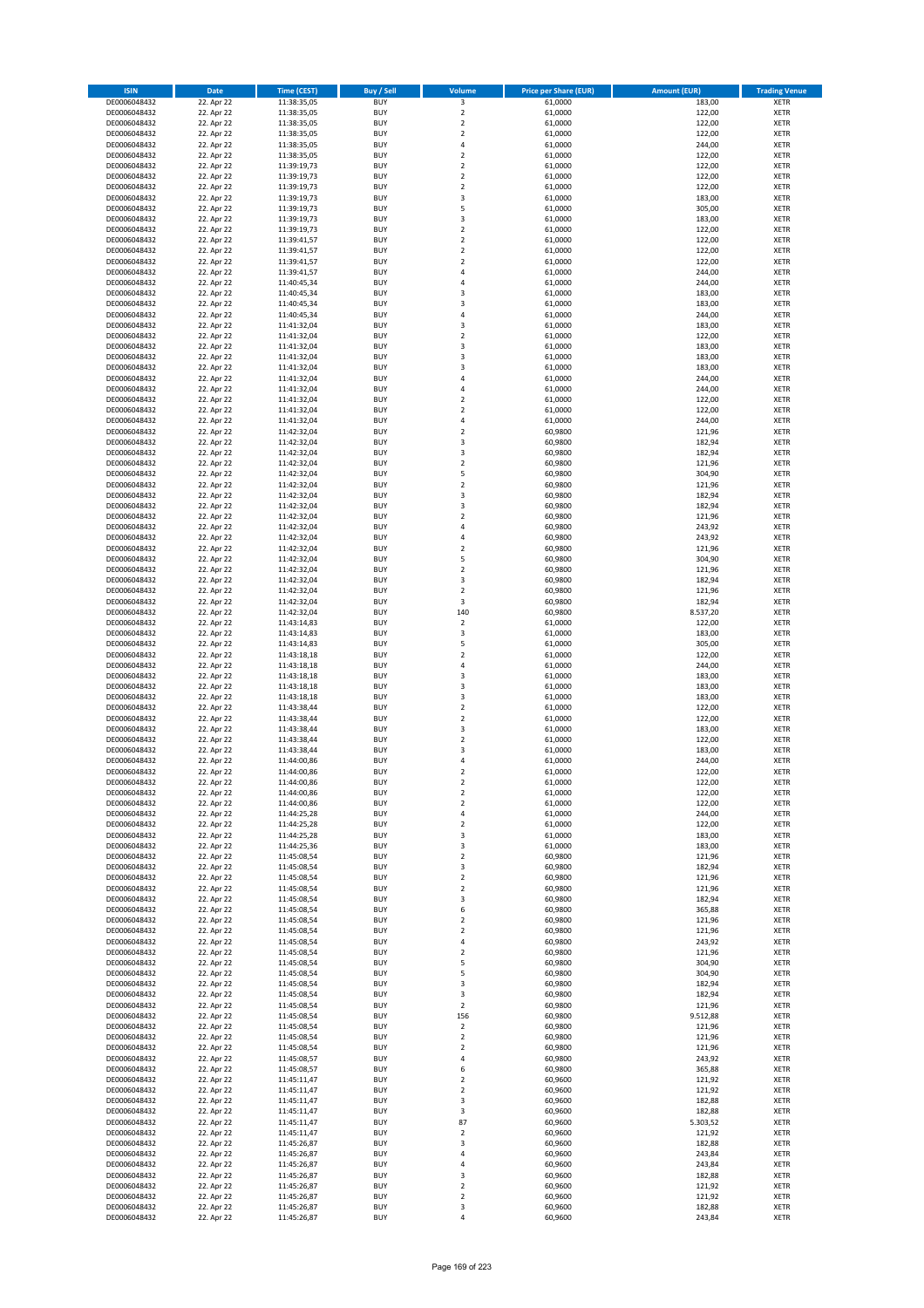| <b>ISIN</b>                  | <b>Date</b>              | <b>Time (CEST)</b>         | <b>Buy / Sell</b>        | Volume                                 | <b>Price per Share (EUR)</b> | <b>Amount (EUR)</b> | <b>Trading Venue</b>       |
|------------------------------|--------------------------|----------------------------|--------------------------|----------------------------------------|------------------------------|---------------------|----------------------------|
| DE0006048432                 | 22. Apr 22               | 11:38:35,05                | <b>BUY</b>               | $\overline{\mathbf{3}}$                | 61,0000                      | 183,00              | <b>XETR</b>                |
| DE0006048432                 | 22. Apr 22               | 11:38:35,05                | <b>BUY</b>               | $\mathbf 2$                            | 61,0000                      | 122,00              | <b>XETR</b>                |
| DE0006048432                 | 22. Apr 22               | 11:38:35,05                | <b>BUY</b>               | $\overline{2}$                         | 61,0000                      | 122,00              | <b>XETR</b>                |
| DE0006048432<br>DE0006048432 | 22. Apr 22<br>22. Apr 22 | 11:38:35,05<br>11:38:35,05 | <b>BUY</b><br><b>BUY</b> | $\mathbf 2$<br>4                       | 61,0000<br>61,0000           | 122,00<br>244,00    | <b>XETR</b><br><b>XETR</b> |
| DE0006048432                 | 22. Apr 22               | 11:38:35,05                | <b>BUY</b>               | $\mathbf 2$                            | 61,0000                      | 122,00              | <b>XETR</b>                |
| DE0006048432                 | 22. Apr 22               | 11:39:19,73                | <b>BUY</b>               | $\mathbf 2$                            | 61,0000                      | 122,00              | <b>XETR</b>                |
| DE0006048432                 | 22. Apr 22               | 11:39:19,73                | <b>BUY</b>               | $\mathbf 2$                            | 61,0000                      | 122,00              | <b>XETR</b>                |
| DE0006048432                 | 22. Apr 22               | 11:39:19,73                | <b>BUY</b>               | $\overline{2}$                         | 61,0000                      | 122,00              | <b>XETR</b>                |
| DE0006048432                 | 22. Apr 22               | 11:39:19,73                | <b>BUY</b>               | 3                                      | 61,0000                      | 183,00              | <b>XETR</b>                |
| DE0006048432                 | 22. Apr 22               | 11:39:19,73                | <b>BUY</b>               | 5                                      | 61,0000                      | 305,00              | <b>XETR</b>                |
| DE0006048432                 | 22. Apr 22<br>22. Apr 22 | 11:39:19,73                | <b>BUY</b><br><b>BUY</b> | 3<br>$\mathbf 2$                       | 61,0000<br>61,0000           | 183,00<br>122,00    | <b>XETR</b><br><b>XETR</b> |
| DE0006048432<br>DE0006048432 | 22. Apr 22               | 11:39:19,73<br>11:39:41,57 | <b>BUY</b>               | $\overline{\mathbf{c}}$                | 61,0000                      | 122,00              | <b>XETR</b>                |
| DE0006048432                 | 22. Apr 22               | 11:39:41,57                | <b>BUY</b>               | $\mathbf 2$                            | 61,0000                      | 122,00              | <b>XETR</b>                |
| DE0006048432                 | 22. Apr 22               | 11:39:41,57                | <b>BUY</b>               | $\overline{\mathbf{c}}$                | 61,0000                      | 122,00              | <b>XETR</b>                |
| DE0006048432                 | 22. Apr 22               | 11:39:41,57                | <b>BUY</b>               | 4                                      | 61,0000                      | 244,00              | <b>XETR</b>                |
| DE0006048432                 | 22. Apr 22               | 11:40:45,34                | <b>BUY</b>               | 4                                      | 61,0000                      | 244,00              | <b>XETR</b>                |
| DE0006048432                 | 22. Apr 22               | 11:40:45,34                | <b>BUY</b>               | 3                                      | 61,0000                      | 183,00              | <b>XETR</b>                |
| DE0006048432                 | 22. Apr 22               | 11:40:45,34                | <b>BUY</b>               | 3                                      | 61,0000                      | 183,00              | <b>XETR</b>                |
| DE0006048432<br>DE0006048432 | 22. Apr 22<br>22. Apr 22 | 11:40:45,34<br>11:41:32,04 | <b>BUY</b><br><b>BUY</b> | 4<br>3                                 | 61,0000<br>61,0000           | 244,00<br>183,00    | <b>XETR</b><br><b>XETR</b> |
| DE0006048432                 | 22. Apr 22               | 11:41:32,04                | <b>BUY</b>               | $\mathbf 2$                            | 61,0000                      | 122,00              | <b>XETR</b>                |
| DE0006048432                 | 22. Apr 22               | 11:41:32,04                | <b>BUY</b>               | 3                                      | 61,0000                      | 183,00              | <b>XETR</b>                |
| DE0006048432                 | 22. Apr 22               | 11:41:32,04                | <b>BUY</b>               | 3                                      | 61,0000                      | 183,00              | <b>XETR</b>                |
| DE0006048432                 | 22. Apr 22               | 11:41:32,04                | <b>BUY</b>               | 3                                      | 61,0000                      | 183,00              | <b>XETR</b>                |
| DE0006048432                 | 22. Apr 22               | 11:41:32,04                | <b>BUY</b>               | 4                                      | 61,0000                      | 244,00              | <b>XETR</b>                |
| DE0006048432                 | 22. Apr 22               | 11:41:32,04                | <b>BUY</b>               | 4                                      | 61,0000                      | 244,00              | <b>XETR</b>                |
| DE0006048432<br>DE0006048432 | 22. Apr 22<br>22. Apr 22 | 11:41:32,04<br>11:41:32,04 | <b>BUY</b><br><b>BUY</b> | $\mathbf 2$<br>$\overline{\mathbf{c}}$ | 61,0000<br>61,0000           | 122,00<br>122,00    | <b>XETR</b><br><b>XETR</b> |
| DE0006048432                 | 22. Apr 22               | 11:41:32,04                | <b>BUY</b>               | 4                                      | 61,0000                      | 244,00              | <b>XETR</b>                |
| DE0006048432                 | 22. Apr 22               | 11:42:32,04                | <b>BUY</b>               | $\overline{\mathbf{c}}$                | 60,9800                      | 121,96              | <b>XETR</b>                |
| DE0006048432                 | 22. Apr 22               | 11:42:32,04                | <b>BUY</b>               | 3                                      | 60,9800                      | 182,94              | <b>XETR</b>                |
| DE0006048432                 | 22. Apr 22               | 11:42:32,04                | <b>BUY</b>               | 3                                      | 60,9800                      | 182,94              | <b>XETR</b>                |
| DE0006048432                 | 22. Apr 22               | 11:42:32,04                | <b>BUY</b>               | $\mathbf 2$                            | 60,9800                      | 121,96              | <b>XETR</b>                |
| DE0006048432                 | 22. Apr 22               | 11:42:32,04                | <b>BUY</b>               | 5                                      | 60,9800                      | 304,90              | <b>XETR</b>                |
| DE0006048432                 | 22. Apr 22               | 11:42:32,04                | <b>BUY</b><br><b>BUY</b> | $\overline{\mathbf{c}}$<br>3           | 60,9800                      | 121,96<br>182,94    | <b>XETR</b><br><b>XETR</b> |
| DE0006048432<br>DE0006048432 | 22. Apr 22<br>22. Apr 22 | 11:42:32,04<br>11:42:32,04 | <b>BUY</b>               | 3                                      | 60,9800<br>60,9800           | 182,94              | <b>XETR</b>                |
| DE0006048432                 | 22. Apr 22               | 11:42:32,04                | <b>BUY</b>               | $\overline{\mathbf{c}}$                | 60,9800                      | 121,96              | <b>XETR</b>                |
| DE0006048432                 | 22. Apr 22               | 11:42:32,04                | <b>BUY</b>               | 4                                      | 60,9800                      | 243,92              | <b>XETR</b>                |
| DE0006048432                 | 22. Apr 22               | 11:42:32,04                | <b>BUY</b>               | 4                                      | 60,9800                      | 243,92              | <b>XETR</b>                |
| DE0006048432                 | 22. Apr 22               | 11:42:32,04                | <b>BUY</b>               | $\mathbf 2$                            | 60,9800                      | 121,96              | <b>XETR</b>                |
| DE0006048432                 | 22. Apr 22               | 11:42:32,04                | <b>BUY</b>               | 5                                      | 60,9800                      | 304,90              | <b>XETR</b>                |
| DE0006048432                 | 22. Apr 22               | 11:42:32,04                | <b>BUY</b>               | $\mathbf 2$                            | 60,9800                      | 121,96              | <b>XETR</b>                |
| DE0006048432<br>DE0006048432 | 22. Apr 22<br>22. Apr 22 | 11:42:32,04                | <b>BUY</b><br><b>BUY</b> | 3<br>$\mathbf 2$                       | 60,9800<br>60,9800           | 182,94<br>121,96    | <b>XETR</b><br><b>XETR</b> |
| DE0006048432                 | 22. Apr 22               | 11:42:32,04<br>11:42:32,04 | <b>BUY</b>               | 3                                      | 60,9800                      | 182,94              | <b>XETR</b>                |
| DE0006048432                 | 22. Apr 22               | 11:42:32,04                | <b>BUY</b>               | 140                                    | 60,9800                      | 8.537,20            | <b>XETR</b>                |
| DE0006048432                 | 22. Apr 22               | 11:43:14,83                | <b>BUY</b>               | $\mathbf 2$                            | 61,0000                      | 122,00              | <b>XETR</b>                |
| DE0006048432                 | 22. Apr 22               | 11:43:14,83                | <b>BUY</b>               | 3                                      | 61,0000                      | 183,00              | <b>XETR</b>                |
| DE0006048432                 | 22. Apr 22               | 11:43:14,83                | <b>BUY</b>               | 5                                      | 61,0000                      | 305,00              | <b>XETR</b>                |
| DE0006048432                 | 22. Apr 22               | 11:43:18,18                | <b>BUY</b>               | $\overline{\mathbf{c}}$                | 61,0000                      | 122,00              | <b>XETR</b>                |
| DE0006048432<br>DE0006048432 | 22. Apr 22<br>22. Apr 22 | 11:43:18,18<br>11:43:18,18 | <b>BUY</b><br><b>BUY</b> | 4<br>3                                 | 61,0000<br>61,0000           | 244,00<br>183,00    | <b>XETR</b><br><b>XETR</b> |
| DE0006048432                 | 22. Apr 22               | 11:43:18,18                | <b>BUY</b>               | 3                                      | 61,0000                      | 183,00              | <b>XETR</b>                |
| DE0006048432                 | 22. Apr 22               | 11:43:18,18                | <b>BUY</b>               | 3                                      | 61,0000                      | 183,00              | <b>XETR</b>                |
| DE0006048432                 | 22. Apr 22               | 11:43:38,44                | <b>BUY</b>               | $\mathbf 2$                            | 61,0000                      | 122,00              | <b>XETR</b>                |
| DE0006048432                 | 22. Apr 22               | 11:43:38,44                | <b>BUY</b>               | $\mathbf 2$                            | 61,0000                      | 122,00              | <b>XETR</b>                |
| DE0006048432                 | 22. Apr 22               | 11:43:38,44                | <b>BUY</b>               | 3                                      | 61,0000                      | 183,00              | <b>XETR</b>                |
| DE0006048432                 | 22. Apr 22               | 11:43:38,44                | <b>BUY</b>               | $\mathbf 2$                            | 61,0000                      | 122,00              | <b>XETR</b>                |
| DE0006048432<br>DE0006048432 | 22. Apr 22<br>22. Apr 22 | 11:43:38,44<br>11:44:00,86 | <b>BUY</b><br><b>BUY</b> | $\overline{\mathbf{3}}$<br>4           | 61,0000<br>61,0000           | 183,00<br>244,00    | <b>XETR</b><br><b>XETR</b> |
| DE0006048432                 | 22. Apr 22               | 11:44:00,86                | <b>BUY</b>               | $\overline{2}$                         | 61,0000                      | 122,00              | <b>XETR</b>                |
| DE0006048432                 | 22. Apr 22               | 11:44:00,86                | BUY                      | 2                                      | 61,0000                      | 122,00              | <b>XETR</b>                |
| DE0006048432                 | 22. Apr 22               | 11:44:00,86                | <b>BUY</b>               | $\mathbf 2$                            | 61,0000                      | 122,00              | <b>XETR</b>                |
| DE0006048432                 | 22. Apr 22               | 11:44:00,86                | <b>BUY</b>               | $\mathbf 2$                            | 61,0000                      | 122,00              | <b>XETR</b>                |
| DE0006048432                 | 22. Apr 22               | 11:44:25,28                | <b>BUY</b>               | 4                                      | 61,0000                      | 244,00              | XETR                       |
| DE0006048432                 | 22. Apr 22               | 11:44:25,28                | <b>BUY</b>               | $\mathbf 2$                            | 61,0000                      | 122,00              | <b>XETR</b>                |
| DE0006048432<br>DE0006048432 | 22. Apr 22<br>22. Apr 22 | 11:44:25,28<br>11:44:25,36 | <b>BUY</b><br><b>BUY</b> | 3<br>3                                 | 61,0000<br>61,0000           | 183,00<br>183,00    | <b>XETR</b><br><b>XETR</b> |
| DE0006048432                 | 22. Apr 22               | 11:45:08,54                | <b>BUY</b>               | $\mathbf 2$                            | 60,9800                      | 121,96              | <b>XETR</b>                |
| DE0006048432                 | 22. Apr 22               | 11:45:08,54                | <b>BUY</b>               | 3                                      | 60,9800                      | 182,94              | <b>XETR</b>                |
| DE0006048432                 | 22. Apr 22               | 11:45:08,54                | <b>BUY</b>               | $\mathbf 2$                            | 60,9800                      | 121,96              | <b>XETR</b>                |
| DE0006048432                 | 22. Apr 22               | 11:45:08,54                | <b>BUY</b>               | $\mathbf 2$                            | 60,9800                      | 121,96              | <b>XETR</b>                |
| DE0006048432                 | 22. Apr 22               | 11:45:08,54                | <b>BUY</b>               | 3                                      | 60,9800                      | 182,94              | <b>XETR</b>                |
| DE0006048432<br>DE0006048432 | 22. Apr 22<br>22. Apr 22 | 11:45:08,54<br>11:45:08,54 | <b>BUY</b><br><b>BUY</b> | 6<br>$\overline{\mathbf{c}}$           | 60,9800<br>60,9800           | 365,88<br>121,96    | <b>XETR</b><br><b>XETR</b> |
| DE0006048432                 | 22. Apr 22               | 11:45:08,54                | <b>BUY</b>               | $\mathbf 2$                            | 60,9800                      | 121,96              | <b>XETR</b>                |
| DE0006048432                 | 22. Apr 22               | 11:45:08,54                | <b>BUY</b>               | 4                                      | 60,9800                      | 243,92              | <b>XETR</b>                |
| DE0006048432                 | 22. Apr 22               | 11:45:08,54                | <b>BUY</b>               | $\mathbf 2$                            | 60,9800                      | 121,96              | <b>XETR</b>                |
| DE0006048432                 | 22. Apr 22               | 11:45:08,54                | <b>BUY</b>               | 5                                      | 60,9800                      | 304,90              | <b>XETR</b>                |
| DE0006048432                 | 22. Apr 22               | 11:45:08,54                | <b>BUY</b>               | 5                                      | 60,9800                      | 304,90              | XETR                       |
| DE0006048432                 | 22. Apr 22               | 11:45:08,54                | <b>BUY</b>               | 3                                      | 60,9800                      | 182,94              | <b>XETR</b>                |
| DE0006048432<br>DE0006048432 | 22. Apr 22<br>22. Apr 22 | 11:45:08,54<br>11:45:08,54 | <b>BUY</b><br><b>BUY</b> | 3<br>$\mathbf 2$                       | 60,9800<br>60,9800           | 182,94<br>121,96    | <b>XETR</b><br><b>XETR</b> |
| DE0006048432                 | 22. Apr 22               | 11:45:08,54                | <b>BUY</b>               | 156                                    | 60,9800                      | 9.512,88            | <b>XETR</b>                |
| DE0006048432                 | 22. Apr 22               | 11:45:08,54                | <b>BUY</b>               | $\mathbf 2$                            | 60,9800                      | 121,96              | <b>XETR</b>                |
| DE0006048432                 | 22. Apr 22               | 11:45:08,54                | <b>BUY</b>               | 2                                      | 60,9800                      | 121,96              | <b>XETR</b>                |
| DE0006048432                 | 22. Apr 22               | 11:45:08,54                | <b>BUY</b>               | $\mathbf 2$                            | 60,9800                      | 121,96              | <b>XETR</b>                |
| DE0006048432                 | 22. Apr 22               | 11:45:08,57                | <b>BUY</b>               | 4                                      | 60,9800                      | 243,92              | <b>XETR</b>                |
| DE0006048432<br>DE0006048432 | 22. Apr 22<br>22. Apr 22 | 11:45:08,57<br>11:45:11,47 | <b>BUY</b><br><b>BUY</b> | 6<br>2                                 | 60,9800<br>60,9600           | 365,88<br>121,92    | <b>XETR</b><br><b>XETR</b> |
| DE0006048432                 | 22. Apr 22               | 11:45:11,47                | <b>BUY</b>               | $\overline{2}$                         | 60,9600                      | 121,92              | <b>XETR</b>                |
| DE0006048432                 | 22. Apr 22               | 11:45:11,47                | <b>BUY</b>               | 3                                      | 60,9600                      | 182,88              | <b>XETR</b>                |
| DE0006048432                 | 22. Apr 22               | 11:45:11,47                | <b>BUY</b>               | 3                                      | 60,9600                      | 182,88              | <b>XETR</b>                |
| DE0006048432                 | 22. Apr 22               | 11:45:11,47                | <b>BUY</b>               | 87                                     | 60,9600                      | 5.303,52            | <b>XETR</b>                |
| DE0006048432                 | 22. Apr 22               | 11:45:11,47                | <b>BUY</b>               | $\mathbf 2$                            | 60,9600                      | 121,92              | <b>XETR</b>                |
| DE0006048432                 | 22. Apr 22               | 11:45:26,87                | <b>BUY</b>               | 3                                      | 60,9600                      | 182,88              | <b>XETR</b>                |
| DE0006048432<br>DE0006048432 | 22. Apr 22<br>22. Apr 22 | 11:45:26,87<br>11:45:26,87 | <b>BUY</b><br><b>BUY</b> | 4<br>4                                 | 60,9600<br>60,9600           | 243,84<br>243,84    | <b>XETR</b><br><b>XETR</b> |
| DE0006048432                 | 22. Apr 22               | 11:45:26,87                | <b>BUY</b>               | 3                                      | 60,9600                      | 182,88              | XETR                       |
| DE0006048432                 | 22. Apr 22               | 11:45:26,87                | <b>BUY</b>               | $\overline{2}$                         | 60,9600                      | 121,92              | <b>XETR</b>                |
| DE0006048432                 | 22. Apr 22               | 11:45:26,87                | <b>BUY</b>               | $\mathbf 2$                            | 60,9600                      | 121,92              | <b>XETR</b>                |
| DE0006048432                 | 22. Apr 22               | 11:45:26,87                | <b>BUY</b>               | 3                                      | 60,9600                      | 182,88              | <b>XETR</b>                |
| DE0006048432                 | 22. Apr 22               | 11:45:26,87                | <b>BUY</b>               | 4                                      | 60,9600                      | 243,84              | <b>XETR</b>                |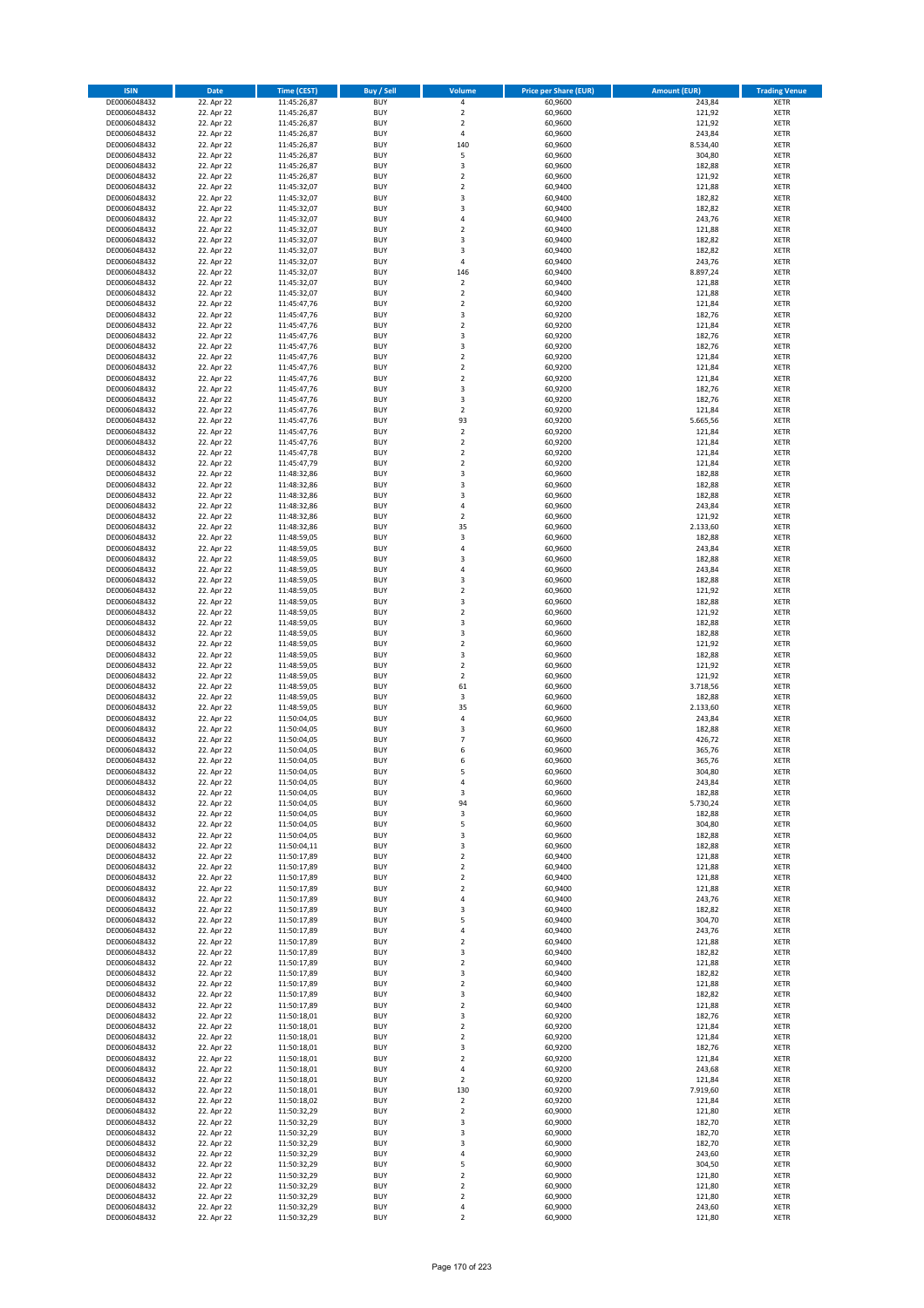| <b>ISIN</b>                  | <b>Date</b>              | <b>Time (CEST)</b>         | <b>Buy / Sell</b>        | Volume                                 | <b>Price per Share (EUR)</b> | <b>Amount (EUR)</b> | <b>Trading Venue</b>       |
|------------------------------|--------------------------|----------------------------|--------------------------|----------------------------------------|------------------------------|---------------------|----------------------------|
| DE0006048432                 | 22. Apr 22               | 11:45:26,87                | <b>BUY</b>               | 4                                      | 60,9600                      | 243,84              | <b>XETR</b>                |
| DE0006048432                 | 22. Apr 22               | 11:45:26,87                | <b>BUY</b>               | $\mathbf 2$                            | 60,9600                      | 121,92              | <b>XETR</b>                |
| DE0006048432                 | 22. Apr 22               | 11:45:26,87                | <b>BUY</b>               | $\overline{2}$                         | 60,9600                      | 121,92              | <b>XETR</b>                |
| DE0006048432<br>DE0006048432 | 22. Apr 22<br>22. Apr 22 | 11:45:26,87<br>11:45:26,87 | <b>BUY</b><br><b>BUY</b> | 4<br>140                               | 60,9600<br>60,9600           | 243,84<br>8.534,40  | <b>XETR</b><br><b>XETR</b> |
| DE0006048432                 | 22. Apr 22               | 11:45:26,87                | <b>BUY</b>               | 5                                      | 60,9600                      | 304,80              | <b>XETR</b>                |
| DE0006048432                 | 22. Apr 22               | 11:45:26,87                | <b>BUY</b>               | 3                                      | 60,9600                      | 182,88              | <b>XETR</b>                |
| DE0006048432                 | 22. Apr 22               | 11:45:26,87                | <b>BUY</b>               | $\overline{\mathbf{c}}$                | 60,9600                      | 121,92              | <b>XETR</b>                |
| DE0006048432                 | 22. Apr 22               | 11:45:32,07                | <b>BUY</b>               | $\overline{2}$                         | 60,9400                      | 121,88              | <b>XETR</b>                |
| DE0006048432                 | 22. Apr 22               | 11:45:32,07                | <b>BUY</b>               | 3                                      | 60,9400                      | 182,82              | <b>XETR</b>                |
| DE0006048432                 | 22. Apr 22               | 11:45:32,07                | <b>BUY</b>               | 3                                      | 60,9400                      | 182,82              | <b>XETR</b>                |
| DE0006048432<br>DE0006048432 | 22. Apr 22<br>22. Apr 22 | 11:45:32,07                | <b>BUY</b><br><b>BUY</b> | 4<br>$\mathbf 2$                       | 60,9400<br>60,9400           | 243,76<br>121,88    | <b>XETR</b><br><b>XETR</b> |
| DE0006048432                 | 22. Apr 22               | 11:45:32,07<br>11:45:32,07 | <b>BUY</b>               | 3                                      | 60,9400                      | 182,82              | <b>XETR</b>                |
| DE0006048432                 | 22. Apr 22               | 11:45:32,07                | <b>BUY</b>               | 3                                      | 60,9400                      | 182,82              | <b>XETR</b>                |
| DE0006048432                 | 22. Apr 22               | 11:45:32,07                | <b>BUY</b>               | 4                                      | 60,9400                      | 243,76              | <b>XETR</b>                |
| DE0006048432                 | 22. Apr 22               | 11:45:32,07                | <b>BUY</b>               | 146                                    | 60,9400                      | 8.897,24            | <b>XETR</b>                |
| DE0006048432                 | 22. Apr 22               | 11:45:32,07                | <b>BUY</b>               | $\mathbf 2$                            | 60,9400                      | 121,88              | <b>XETR</b>                |
| DE0006048432                 | 22. Apr 22               | 11:45:32,07                | <b>BUY</b>               | $\overline{\mathbf{c}}$                | 60,9400                      | 121,88              | <b>XETR</b>                |
| DE0006048432                 | 22. Apr 22               | 11:45:47,76                | <b>BUY</b>               | $\mathbf 2$                            | 60,9200                      | 121,84              | <b>XETR</b>                |
| DE0006048432<br>DE0006048432 | 22. Apr 22<br>22. Apr 22 | 11:45:47,76<br>11:45:47,76 | <b>BUY</b><br><b>BUY</b> | 3<br>$\mathbf 2$                       | 60,9200<br>60,9200           | 182,76<br>121,84    | <b>XETR</b><br><b>XETR</b> |
| DE0006048432                 | 22. Apr 22               | 11:45:47,76                | <b>BUY</b>               | 3                                      | 60,9200                      | 182,76              | <b>XETR</b>                |
| DE0006048432                 | 22. Apr 22               | 11:45:47,76                | <b>BUY</b>               | 3                                      | 60,9200                      | 182,76              | <b>XETR</b>                |
| DE0006048432                 | 22. Apr 22               | 11:45:47,76                | <b>BUY</b>               | $\mathbf 2$                            | 60,9200                      | 121,84              | <b>XETR</b>                |
| DE0006048432                 | 22. Apr 22               | 11:45:47,76                | <b>BUY</b>               | $\mathbf 2$                            | 60,9200                      | 121,84              | <b>XETR</b>                |
| DE0006048432                 | 22. Apr 22               | 11:45:47,76                | <b>BUY</b>               | $\mathbf 2$                            | 60,9200                      | 121,84              | <b>XETR</b>                |
| DE0006048432                 | 22. Apr 22               | 11:45:47,76                | <b>BUY</b>               | 3                                      | 60,9200                      | 182,76              | <b>XETR</b>                |
| DE0006048432<br>DE0006048432 | 22. Apr 22<br>22. Apr 22 | 11:45:47,76<br>11:45:47,76 | <b>BUY</b><br><b>BUY</b> | 3<br>$\overline{\mathbf{c}}$           | 60,9200<br>60,9200           | 182,76<br>121,84    | <b>XETR</b><br><b>XETR</b> |
| DE0006048432                 | 22. Apr 22               | 11:45:47,76                | <b>BUY</b>               | 93                                     | 60,9200                      | 5.665,56            | <b>XETR</b>                |
| DE0006048432                 | 22. Apr 22               | 11:45:47,76                | <b>BUY</b>               | $\overline{\mathbf{c}}$                | 60,9200                      | 121,84              | <b>XETR</b>                |
| DE0006048432                 | 22. Apr 22               | 11:45:47,76                | <b>BUY</b>               | $\mathbf 2$                            | 60,9200                      | 121,84              | <b>XETR</b>                |
| DE0006048432                 | 22. Apr 22               | 11:45:47,78                | <b>BUY</b>               | $\mathbf 2$                            | 60,9200                      | 121,84              | <b>XETR</b>                |
| DE0006048432                 | 22. Apr 22               | 11:45:47,79                | <b>BUY</b>               | $\mathbf 2$                            | 60,9200                      | 121,84              | <b>XETR</b>                |
| DE0006048432                 | 22. Apr 22               | 11:48:32,86                | <b>BUY</b>               | 3                                      | 60,9600                      | 182,88              | <b>XETR</b>                |
| DE0006048432                 | 22. Apr 22               | 11:48:32,86                | <b>BUY</b><br><b>BUY</b> | 3<br>3                                 | 60,9600                      | 182,88              | <b>XETR</b>                |
| DE0006048432<br>DE0006048432 | 22. Apr 22<br>22. Apr 22 | 11:48:32,86<br>11:48:32,86 | <b>BUY</b>               | 4                                      | 60,9600<br>60,9600           | 182,88<br>243,84    | <b>XETR</b><br><b>XETR</b> |
| DE0006048432                 | 22. Apr 22               | 11:48:32,86                | <b>BUY</b>               | $\mathbf 2$                            | 60,9600                      | 121,92              | <b>XETR</b>                |
| DE0006048432                 | 22. Apr 22               | 11:48:32,86                | <b>BUY</b>               | 35                                     | 60,9600                      | 2.133,60            | <b>XETR</b>                |
| DE0006048432                 | 22. Apr 22               | 11:48:59,05                | <b>BUY</b>               | 3                                      | 60,9600                      | 182,88              | <b>XETR</b>                |
| DE0006048432                 | 22. Apr 22               | 11:48:59,05                | <b>BUY</b>               | 4                                      | 60,9600                      | 243,84              | <b>XETR</b>                |
| DE0006048432                 | 22. Apr 22               | 11:48:59,05                | <b>BUY</b>               | 3                                      | 60,9600                      | 182,88              | <b>XETR</b>                |
| DE0006048432                 | 22. Apr 22               | 11:48:59,05                | <b>BUY</b>               | 4                                      | 60,9600                      | 243,84              | <b>XETR</b>                |
| DE0006048432                 | 22. Apr 22<br>22. Apr 22 | 11:48:59,05                | <b>BUY</b><br><b>BUY</b> | 3<br>$\mathbf 2$                       | 60,9600<br>60,9600           | 182,88<br>121,92    | <b>XETR</b><br><b>XETR</b> |
| DE0006048432<br>DE0006048432 | 22. Apr 22               | 11:48:59,05<br>11:48:59,05 | <b>BUY</b>               | 3                                      | 60,9600                      | 182,88              | <b>XETR</b>                |
| DE0006048432                 | 22. Apr 22               | 11:48:59,05                | <b>BUY</b>               | $\mathbf 2$                            | 60,9600                      | 121,92              | <b>XETR</b>                |
| DE0006048432                 | 22. Apr 22               | 11:48:59,05                | <b>BUY</b>               | 3                                      | 60,9600                      | 182,88              | <b>XETR</b>                |
| DE0006048432                 | 22. Apr 22               | 11:48:59,05                | <b>BUY</b>               | 3                                      | 60,9600                      | 182,88              | <b>XETR</b>                |
| DE0006048432                 | 22. Apr 22               | 11:48:59,05                | <b>BUY</b>               | $\mathbf 2$                            | 60,9600                      | 121,92              | <b>XETR</b>                |
| DE0006048432                 | 22. Apr 22               | 11:48:59,05                | <b>BUY</b>               | 3                                      | 60,9600                      | 182,88              | <b>XETR</b>                |
| DE0006048432<br>DE0006048432 | 22. Apr 22<br>22. Apr 22 | 11:48:59,05<br>11:48:59,05 | <b>BUY</b><br><b>BUY</b> | $\mathbf 2$<br>$\overline{\mathbf{c}}$ | 60,9600<br>60,9600           | 121,92<br>121,92    | <b>XETR</b><br><b>XETR</b> |
| DE0006048432                 | 22. Apr 22               | 11:48:59,05                | <b>BUY</b>               | 61                                     | 60,9600                      | 3.718,56            | <b>XETR</b>                |
| DE0006048432                 | 22. Apr 22               | 11:48:59,05                | <b>BUY</b>               | 3                                      | 60,9600                      | 182,88              | <b>XETR</b>                |
| DE0006048432                 | 22. Apr 22               | 11:48:59,05                | <b>BUY</b>               | 35                                     | 60,9600                      | 2.133,60            | <b>XETR</b>                |
| DE0006048432                 | 22. Apr 22               | 11:50:04,05                | <b>BUY</b>               | 4                                      | 60,9600                      | 243,84              | <b>XETR</b>                |
| DE0006048432                 | 22. Apr 22               | 11:50:04,05                | <b>BUY</b>               | 3                                      | 60,9600                      | 182,88              | <b>XETR</b>                |
| DE0006048432                 | 22. Apr 22               | 11:50:04,05                | <b>BUY</b>               | $\overline{7}$                         | 60,9600                      | 426,72              | <b>XETR</b>                |
| DE0006048432<br>DE0006048432 | 22. Apr 22<br>22. Apr 22 | 11:50:04,05<br>11:50:04,05 | <b>BUY</b><br><b>BUY</b> | 6<br>6                                 | 60,9600<br>60,9600           | 365,76<br>365,76    | <b>XETR</b><br><b>XETR</b> |
| DE0006048432                 | 22. Apr 22               | 11:50:04,05                | <b>BUY</b>               | 5                                      | 60,9600                      | 304,80              | <b>XETR</b>                |
| DE0006048432                 | 22. Apr 22               | 11:50:04,05                | BUY                      | 4                                      | 60,9600                      | 243,84              | <b>XETR</b>                |
| DE0006048432                 | 22. Apr 22               | 11:50:04,05                | <b>BUY</b>               | 3                                      | 60,9600                      | 182,88              | <b>XETR</b>                |
| DE0006048432                 | 22. Apr 22               | 11:50:04,05                | <b>BUY</b>               | 94                                     | 60,9600                      | 5.730,24            | <b>XETR</b>                |
| DE0006048432                 | 22. Apr 22               | 11:50:04,05                | <b>BUY</b>               | 3                                      | 60,9600                      | 182,88              | XETR                       |
| DE0006048432                 | 22. Apr 22               | 11:50:04,05                | <b>BUY</b>               | 5                                      | 60,9600                      | 304,80              | <b>XETR</b>                |
| DE0006048432<br>DE0006048432 | 22. Apr 22<br>22. Apr 22 | 11:50:04,05<br>11:50:04,11 | <b>BUY</b><br><b>BUY</b> | 3<br>3                                 | 60,9600<br>60,9600           | 182,88<br>182,88    | <b>XETR</b><br><b>XETR</b> |
| DE0006048432                 | 22. Apr 22               | 11:50:17,89                | <b>BUY</b>               | $\mathbf 2$                            | 60,9400                      | 121,88              | <b>XETR</b>                |
| DE0006048432                 | 22. Apr 22               | 11:50:17,89                | <b>BUY</b>               | $\mathbf 2$                            | 60,9400                      | 121,88              | <b>XETR</b>                |
| DE0006048432                 | 22. Apr 22               | 11:50:17,89                | <b>BUY</b>               | $\mathbf 2$                            | 60,9400                      | 121,88              | <b>XETR</b>                |
| DE0006048432                 | 22. Apr 22               | 11:50:17,89                | <b>BUY</b>               | $\mathbf 2$                            | 60,9400                      | 121,88              | <b>XETR</b>                |
| DE0006048432                 | 22. Apr 22               | 11:50:17,89                | <b>BUY</b>               | 4                                      | 60,9400                      | 243,76              | <b>XETR</b>                |
| DE0006048432<br>DE0006048432 | 22. Apr 22<br>22. Apr 22 | 11:50:17,89<br>11:50:17,89 | <b>BUY</b><br><b>BUY</b> | 3<br>5                                 | 60,9400<br>60,9400           | 182,82<br>304,70    | <b>XETR</b><br><b>XETR</b> |
| DE0006048432                 | 22. Apr 22               | 11:50:17,89                | <b>BUY</b>               | 4                                      | 60,9400                      | 243,76              | <b>XETR</b>                |
| DE0006048432                 | 22. Apr 22               | 11:50:17,89                | <b>BUY</b>               | $\overline{\mathbf{c}}$                | 60,9400                      | 121,88              | <b>XETR</b>                |
| DE0006048432                 | 22. Apr 22               | 11:50:17,89                | <b>BUY</b>               | 3                                      | 60,9400                      | 182,82              | <b>XETR</b>                |
| DE0006048432                 | 22. Apr 22               | 11:50:17,89                | <b>BUY</b>               | $\mathbf 2$                            | 60,9400                      | 121,88              | <b>XETR</b>                |
| DE0006048432                 | 22. Apr 22               | 11:50:17,89                | <b>BUY</b>               | 3                                      | 60,9400                      | 182,82              | XETR                       |
| DE0006048432                 | 22. Apr 22               | 11:50:17,89                | <b>BUY</b>               | $\mathbf 2$                            | 60,9400                      | 121,88              | <b>XETR</b>                |
| DE0006048432<br>DE0006048432 | 22. Apr 22<br>22. Apr 22 | 11:50:17,89<br>11:50:17,89 | <b>BUY</b><br><b>BUY</b> | 3<br>$\mathbf 2$                       | 60,9400<br>60,9400           | 182,82<br>121,88    | <b>XETR</b><br><b>XETR</b> |
| DE0006048432                 | 22. Apr 22               | 11:50:18,01                | <b>BUY</b>               | 3                                      | 60,9200                      | 182,76              | <b>XETR</b>                |
| DE0006048432                 | 22. Apr 22               | 11:50:18,01                | <b>BUY</b>               | $\mathbf 2$                            | 60,9200                      | 121,84              | <b>XETR</b>                |
| DE0006048432                 | 22. Apr 22               | 11:50:18,01                | <b>BUY</b>               | $\mathbf 2$                            | 60,9200                      | 121,84              | <b>XETR</b>                |
| DE0006048432                 | 22. Apr 22               | 11:50:18,01                | <b>BUY</b>               | 3                                      | 60,9200                      | 182,76              | <b>XETR</b>                |
| DE0006048432                 | 22. Apr 22               | 11:50:18,01                | <b>BUY</b>               | $\mathbf 2$                            | 60,9200                      | 121,84              | <b>XETR</b>                |
| DE0006048432<br>DE0006048432 | 22. Apr 22<br>22. Apr 22 | 11:50:18,01<br>11:50:18,01 | <b>BUY</b><br><b>BUY</b> | 4<br>$\mathbf 2$                       | 60,9200<br>60,9200           | 243,68<br>121,84    | <b>XETR</b><br><b>XETR</b> |
| DE0006048432                 | 22. Apr 22               | 11:50:18,01                | <b>BUY</b>               | 130                                    | 60,9200                      | 7.919,60            | <b>XETR</b>                |
| DE0006048432                 | 22. Apr 22               | 11:50:18,02                | <b>BUY</b>               | $\mathbf 2$                            | 60,9200                      | 121,84              | <b>XETR</b>                |
| DE0006048432                 | 22. Apr 22               | 11:50:32,29                | <b>BUY</b>               | $\mathbf 2$                            | 60,9000                      | 121,80              | <b>XETR</b>                |
| DE0006048432                 | 22. Apr 22               | 11:50:32,29                | <b>BUY</b>               | 3                                      | 60,9000                      | 182,70              | <b>XETR</b>                |
| DE0006048432                 | 22. Apr 22               | 11:50:32,29                | <b>BUY</b>               | 3                                      | 60,9000                      | 182,70              | <b>XETR</b>                |
| DE0006048432                 | 22. Apr 22               | 11:50:32,29                | <b>BUY</b>               | 3                                      | 60,9000                      | 182,70              | <b>XETR</b>                |
| DE0006048432<br>DE0006048432 | 22. Apr 22<br>22. Apr 22 | 11:50:32,29<br>11:50:32,29 | <b>BUY</b><br><b>BUY</b> | 4<br>5                                 | 60,9000<br>60,9000           | 243,60<br>304,50    | <b>XETR</b><br><b>XETR</b> |
| DE0006048432                 | 22. Apr 22               | 11:50:32,29                | <b>BUY</b>               | $\mathbf 2$                            | 60,9000                      | 121,80              | XETR                       |
| DE0006048432                 | 22. Apr 22               | 11:50:32,29                | <b>BUY</b>               | $\overline{2}$                         | 60,9000                      | 121,80              | <b>XETR</b>                |
| DE0006048432                 | 22. Apr 22               | 11:50:32,29                | <b>BUY</b>               | $\mathbf 2$                            | 60,9000                      | 121,80              | <b>XETR</b>                |
| DE0006048432                 | 22. Apr 22               | 11:50:32,29                | <b>BUY</b>               | 4                                      | 60,9000                      | 243,60              | <b>XETR</b>                |
| DE0006048432                 | 22. Apr 22               | 11:50:32,29                | <b>BUY</b>               | $\mathbf 2$                            | 60,9000                      | 121,80              | <b>XETR</b>                |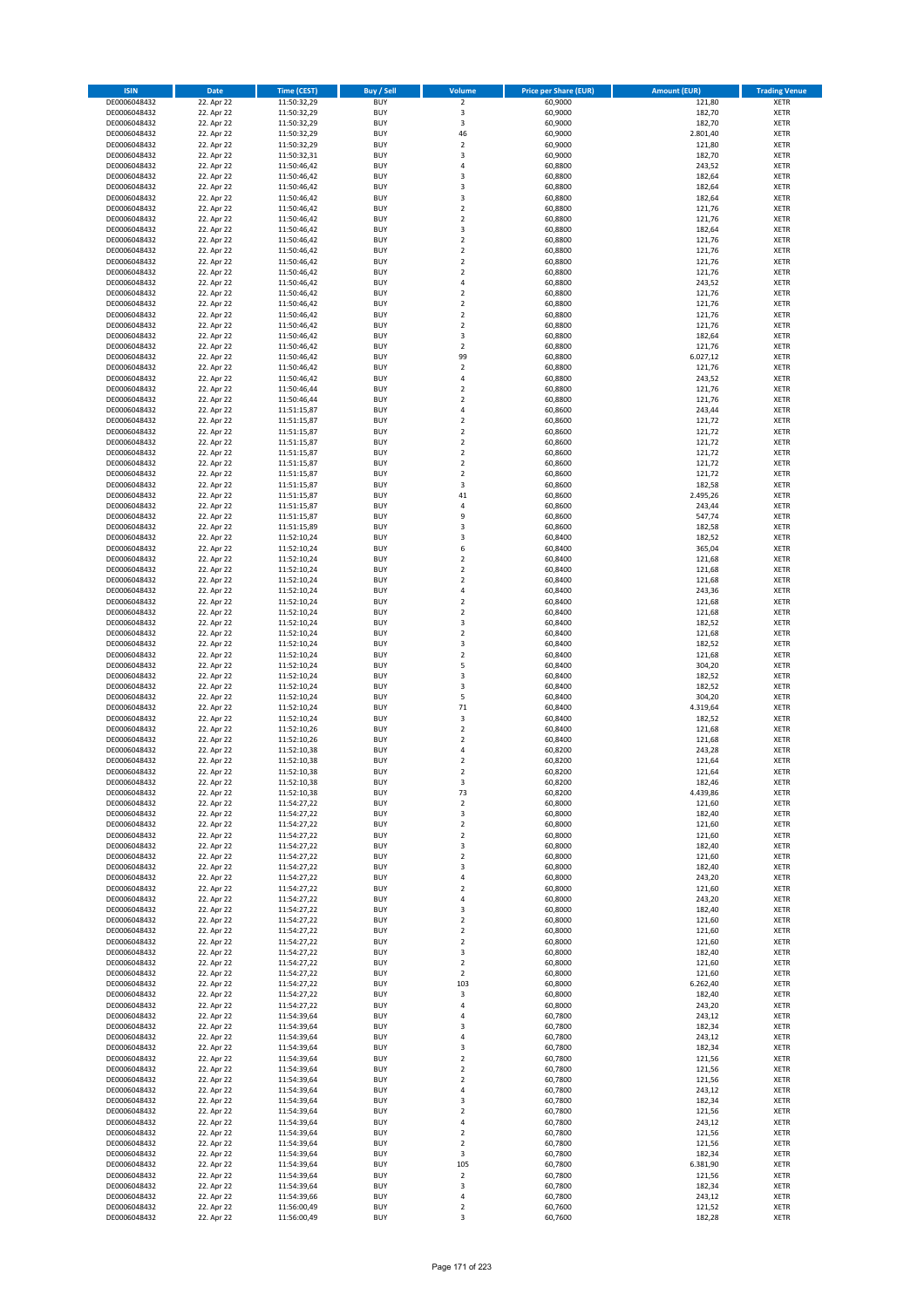| <b>ISIN</b>                  | Date                     | <b>Time (CEST)</b>         | <b>Buy / Sell</b>        | <b>Volume</b>                             | <b>Price per Share (EUR)</b> | <b>Amount (EUR)</b> | <b>Trading Venue</b>       |
|------------------------------|--------------------------|----------------------------|--------------------------|-------------------------------------------|------------------------------|---------------------|----------------------------|
| DE0006048432                 | 22. Apr 22               | 11:50:32,29                | <b>BUY</b>               | $\overline{2}$                            | 60,9000                      | 121,80              | <b>XETR</b>                |
| DE0006048432                 | 22. Apr 22               | 11:50:32,29                | <b>BUY</b>               | 3                                         | 60,9000                      | 182,70              | <b>XETR</b>                |
| DE0006048432                 | 22. Apr 22               | 11:50:32,29                | <b>BUY</b>               | $\mathsf 3$                               | 60,9000                      | 182,70              | <b>XETR</b>                |
| DE0006048432<br>DE0006048432 | 22. Apr 22<br>22. Apr 22 | 11:50:32,29<br>11:50:32,29 | <b>BUY</b><br><b>BUY</b> | 46<br>$\mathbf 2$                         | 60,9000<br>60,9000           | 2.801,40<br>121,80  | <b>XETR</b><br><b>XETR</b> |
| DE0006048432                 | 22. Apr 22               | 11:50:32,31                | <b>BUY</b>               | 3                                         | 60,9000                      | 182,70              | <b>XETR</b>                |
| DE0006048432                 | 22. Apr 22               | 11:50:46,42                | <b>BUY</b>               | 4                                         | 60,8800                      | 243,52              | <b>XETR</b>                |
| DE0006048432                 | 22. Apr 22               | 11:50:46,42                | <b>BUY</b>               | 3                                         | 60,8800                      | 182,64              | <b>XETR</b>                |
| DE0006048432                 | 22. Apr 22               | 11:50:46,42                | <b>BUY</b>               | 3                                         | 60,8800                      | 182,64              | <b>XETR</b>                |
| DE0006048432                 | 22. Apr 22               | 11:50:46,42                | <b>BUY</b>               | 3                                         | 60,8800                      | 182,64              | <b>XETR</b>                |
| DE0006048432<br>DE0006048432 | 22. Apr 22<br>22. Apr 22 | 11:50:46,42<br>11:50:46,42 | <b>BUY</b><br><b>BUY</b> | $\overline{\mathbf{c}}$<br>$\mathbf 2$    | 60,8800<br>60,8800           | 121,76<br>121,76    | <b>XETR</b><br><b>XETR</b> |
| DE0006048432                 | 22. Apr 22               | 11:50:46,42                | <b>BUY</b>               | 3                                         | 60,8800                      | 182,64              | <b>XETR</b>                |
| DE0006048432                 | 22. Apr 22               | 11:50:46,42                | <b>BUY</b>               | $\mathbf 2$                               | 60,8800                      | 121,76              | <b>XETR</b>                |
| DE0006048432                 | 22. Apr 22               | 11:50:46,42                | <b>BUY</b>               | $\overline{\mathbf{c}}$                   | 60,8800                      | 121,76              | <b>XETR</b>                |
| DE0006048432                 | 22. Apr 22               | 11:50:46,42                | <b>BUY</b>               | $\mathbf 2$                               | 60,8800                      | 121,76              | <b>XETR</b>                |
| DE0006048432<br>DE0006048432 | 22. Apr 22<br>22. Apr 22 | 11:50:46,42<br>11:50:46,42 | <b>BUY</b><br><b>BUY</b> | $\overline{2}$<br>4                       | 60,8800<br>60,8800           | 121,76<br>243,52    | <b>XETR</b><br><b>XETR</b> |
| DE0006048432                 | 22. Apr 22               | 11:50:46,42                | <b>BUY</b>               | $\mathbf 2$                               | 60,8800                      | 121,76              | <b>XETR</b>                |
| DE0006048432                 | 22. Apr 22               | 11:50:46,42                | <b>BUY</b>               | $\overline{2}$                            | 60,8800                      | 121,76              | <b>XETR</b>                |
| DE0006048432                 | 22. Apr 22               | 11:50:46,42                | <b>BUY</b>               | $\mathbf 2$                               | 60,8800                      | 121,76              | <b>XETR</b>                |
| DE0006048432                 | 22. Apr 22               | 11:50:46,42                | <b>BUY</b>               | $\overline{2}$                            | 60,8800                      | 121,76              | <b>XETR</b>                |
| DE0006048432<br>DE0006048432 | 22. Apr 22<br>22. Apr 22 | 11:50:46,42<br>11:50:46,42 | <b>BUY</b><br><b>BUY</b> | 3<br>$\mathbf 2$                          | 60,8800<br>60,8800           | 182,64<br>121,76    | <b>XETR</b><br><b>XETR</b> |
| DE0006048432                 | 22. Apr 22               | 11:50:46,42                | <b>BUY</b>               | 99                                        | 60,8800                      | 6.027,12            | <b>XETR</b>                |
| DE0006048432                 | 22. Apr 22               | 11:50:46,42                | <b>BUY</b>               | $\mathbf 2$                               | 60,8800                      | 121,76              | <b>XETR</b>                |
| DE0006048432                 | 22. Apr 22               | 11:50:46,42                | <b>BUY</b>               | 4                                         | 60,8800                      | 243,52              | <b>XETR</b>                |
| DE0006048432                 | 22. Apr 22               | 11:50:46,44                | <b>BUY</b>               | $\mathbf 2$                               | 60,8800                      | 121,76              | <b>XETR</b>                |
| DE0006048432<br>DE0006048432 | 22. Apr 22<br>22. Apr 22 | 11:50:46,44<br>11:51:15,87 | <b>BUY</b><br><b>BUY</b> | $\overline{\mathbf{c}}$<br>$\overline{4}$ | 60,8800<br>60,8600           | 121,76<br>243,44    | <b>XETR</b><br><b>XETR</b> |
| DE0006048432                 | 22. Apr 22               | 11:51:15,87                | <b>BUY</b>               | $\overline{2}$                            | 60,8600                      | 121,72              | <b>XETR</b>                |
| DE0006048432                 | 22. Apr 22               | 11:51:15,87                | <b>BUY</b>               | $\mathbf 2$                               | 60,8600                      | 121,72              | <b>XETR</b>                |
| DE0006048432                 | 22. Apr 22               | 11:51:15,87                | <b>BUY</b>               | $\mathbf 2$                               | 60,8600                      | 121,72              | <b>XETR</b>                |
| DE0006048432                 | 22. Apr 22               | 11:51:15,87                | <b>BUY</b>               | $\mathbf 2$                               | 60,8600                      | 121,72              | <b>XETR</b>                |
| DE0006048432                 | 22. Apr 22               | 11:51:15,87                | <b>BUY</b>               | $\mathbf 2$                               | 60,8600                      | 121,72              | <b>XETR</b>                |
| DE0006048432<br>DE0006048432 | 22. Apr 22<br>22. Apr 22 | 11:51:15,87<br>11:51:15,87 | <b>BUY</b><br><b>BUY</b> | $\overline{2}$<br>3                       | 60,8600<br>60,8600           | 121,72<br>182,58    | <b>XETR</b><br><b>XETR</b> |
| DE0006048432                 | 22. Apr 22               | 11:51:15,87                | <b>BUY</b>               | 41                                        | 60,8600                      | 2.495,26            | <b>XETR</b>                |
| DE0006048432                 | 22. Apr 22               | 11:51:15,87                | <b>BUY</b>               | 4                                         | 60,8600                      | 243,44              | <b>XETR</b>                |
| DE0006048432                 | 22. Apr 22               | 11:51:15,87                | <b>BUY</b>               | 9                                         | 60,8600                      | 547,74              | <b>XETR</b>                |
| DE0006048432                 | 22. Apr 22               | 11:51:15,89                | <b>BUY</b>               | 3                                         | 60,8600                      | 182,58              | <b>XETR</b>                |
| DE0006048432                 | 22. Apr 22               | 11:52:10,24                | <b>BUY</b>               | 3                                         | 60,8400                      | 182,52              | <b>XETR</b>                |
| DE0006048432<br>DE0006048432 | 22. Apr 22<br>22. Apr 22 | 11:52:10,24                | <b>BUY</b><br><b>BUY</b> | 6<br>$\overline{2}$                       | 60,8400<br>60,8400           | 365,04<br>121,68    | <b>XETR</b><br><b>XETR</b> |
| DE0006048432                 | 22. Apr 22               | 11:52:10,24<br>11:52:10,24 | <b>BUY</b>               | $\overline{2}$                            | 60,8400                      | 121,68              | <b>XETR</b>                |
| DE0006048432                 | 22. Apr 22               | 11:52:10,24                | <b>BUY</b>               | $\mathbf 2$                               | 60,8400                      | 121,68              | <b>XETR</b>                |
| DE0006048432                 | 22. Apr 22               | 11:52:10,24                | <b>BUY</b>               | $\overline{4}$                            | 60,8400                      | 243,36              | <b>XETR</b>                |
| DE0006048432                 | 22. Apr 22               | 11:52:10,24                | <b>BUY</b>               | $\mathbf 2$                               | 60,8400                      | 121,68              | <b>XETR</b>                |
| DE0006048432                 | 22. Apr 22               | 11:52:10,24                | <b>BUY</b>               | $\overline{2}$                            | 60,8400                      | 121,68              | <b>XETR</b>                |
| DE0006048432<br>DE0006048432 | 22. Apr 22<br>22. Apr 22 | 11:52:10,24<br>11:52:10,24 | <b>BUY</b><br><b>BUY</b> | 3<br>$\overline{2}$                       | 60,8400<br>60,8400           | 182,52<br>121,68    | <b>XETR</b><br><b>XETR</b> |
| DE0006048432                 | 22. Apr 22               | 11:52:10,24                | <b>BUY</b>               | 3                                         | 60,8400                      | 182,52              | <b>XETR</b>                |
| DE0006048432                 | 22. Apr 22               | 11:52:10,24                | <b>BUY</b>               | $\mathbf 2$                               | 60,8400                      | 121,68              | <b>XETR</b>                |
| DE0006048432                 | 22. Apr 22               | 11:52:10,24                | <b>BUY</b>               | 5                                         | 60,8400                      | 304,20              | <b>XETR</b>                |
| DE0006048432                 | 22. Apr 22               | 11:52:10,24                | <b>BUY</b>               | 3                                         | 60,8400                      | 182,52              | <b>XETR</b>                |
| DE0006048432<br>DE0006048432 | 22. Apr 22<br>22. Apr 22 | 11:52:10,24<br>11:52:10,24 | <b>BUY</b><br><b>BUY</b> | 3<br>5                                    | 60,8400<br>60,8400           | 182,52<br>304,20    | <b>XETR</b><br><b>XETR</b> |
| DE0006048432                 | 22. Apr 22               | 11:52:10,24                | <b>BUY</b>               | 71                                        | 60,8400                      | 4.319,64            | <b>XETR</b>                |
| DE0006048432                 | 22. Apr 22               | 11:52:10,24                | <b>BUY</b>               | 3                                         | 60,8400                      | 182,52              | <b>XETR</b>                |
| DE0006048432                 | 22. Apr 22               | 11:52:10,26                | <b>BUY</b>               | $\mathbf 2$                               | 60,8400                      | 121,68              | <b>XETR</b>                |
| DE0006048432                 | 22. Apr 22               | 11:52:10,26                | <b>BUY</b>               | $\overline{\mathbf{2}}$                   | 60,8400                      | 121,68              | <b>XETR</b>                |
| DE0006048432                 | 22. Apr 22               | 11:52:10,38                | <b>BUY</b>               | $\overline{a}$                            | 60,8200                      | 243,28              | <b>XETR</b>                |
| DE0006048432<br>DE0006048432 | 22. Apr 22<br>22. Apr 22 | 11:52:10,38<br>11:52:10,38 | <b>BUY</b><br><b>BUY</b> | $\overline{2}$<br>$\mathfrak{p}$          | 60,8200<br>60,8200           | 121,64<br>121,64    | <b>XETR</b><br><b>XETR</b> |
| DE0006048432                 | 22. Apr 22               | 11:52:10,38                | <b>BUY</b>               | 3                                         | 60,8200                      | 182,46              | <b>XETR</b>                |
| DE0006048432                 | 22. Apr 22               | 11:52:10,38                | <b>BUY</b>               | 73                                        | 60,8200                      | 4.439,86            | <b>XETR</b>                |
| DE0006048432                 | 22. Apr 22               | 11:54:27,22                | <b>BUY</b>               | $\overline{2}$                            | 60,8000                      | 121,60              | <b>XETR</b>                |
| DE0006048432                 | 22. Apr 22               | 11:54:27,22                | <b>BUY</b>               | 3                                         | 60,8000                      | 182,40              | <b>XETR</b>                |
| DE0006048432<br>DE0006048432 | 22. Apr 22<br>22. Apr 22 | 11:54:27,22<br>11:54:27,22 | <b>BUY</b><br><b>BUY</b> | $\mathbf 2$<br>$\overline{2}$             | 60,8000<br>60,8000           | 121,60<br>121,60    | <b>XETR</b><br><b>XETR</b> |
| DE0006048432                 | 22. Apr 22               | 11:54:27,22                | <b>BUY</b>               | 3                                         | 60,8000                      | 182,40              | <b>XETR</b>                |
| DE0006048432                 | 22. Apr 22               | 11:54:27,22                | <b>BUY</b>               | $\mathbf 2$                               | 60,8000                      | 121,60              | <b>XETR</b>                |
| DE0006048432                 | 22. Apr 22               | 11:54:27,22                | <b>BUY</b>               | 3                                         | 60,8000                      | 182,40              | <b>XETR</b>                |
| DE0006048432                 | 22. Apr 22               | 11:54:27,22                | <b>BUY</b>               | $\sqrt{4}$                                | 60,8000                      | 243,20              | <b>XETR</b>                |
| DE0006048432<br>DE0006048432 | 22. Apr 22<br>22. Apr 22 | 11:54:27,22<br>11:54:27,22 | <b>BUY</b><br><b>BUY</b> | $\overline{2}$<br>$\overline{4}$          | 60,8000<br>60,8000           | 121,60<br>243,20    | <b>XETR</b><br><b>XETR</b> |
| DE0006048432                 | 22. Apr 22               | 11:54:27,22                | <b>BUY</b>               | 3                                         | 60,8000                      | 182,40              | <b>XETR</b>                |
| DE0006048432                 | 22. Apr 22               | 11:54:27,22                | <b>BUY</b>               | $\overline{2}$                            | 60,8000                      | 121,60              | <b>XETR</b>                |
| DE0006048432                 | 22. Apr 22               | 11:54:27,22                | <b>BUY</b>               | $\overline{2}$                            | 60,8000                      | 121,60              | <b>XETR</b>                |
| DE0006048432                 | 22. Apr 22               | 11:54:27,22                | <b>BUY</b>               | $\overline{2}$                            | 60,8000                      | 121,60              | <b>XETR</b>                |
| DE0006048432<br>DE0006048432 | 22. Apr 22<br>22. Apr 22 | 11:54:27,22<br>11:54:27,22 | <b>BUY</b><br><b>BUY</b> | 3<br>$\mathbf 2$                          | 60,8000<br>60,8000           | 182,40<br>121,60    | <b>XETR</b><br><b>XETR</b> |
| DE0006048432                 | 22. Apr 22               | 11:54:27,22                | <b>BUY</b>               | $\mathbf 2$                               | 60,8000                      | 121,60              | <b>XETR</b>                |
| DE0006048432                 | 22. Apr 22               | 11:54:27,22                | <b>BUY</b>               | 103                                       | 60,8000                      | 6.262,40            | <b>XETR</b>                |
| DE0006048432                 | 22. Apr 22               | 11:54:27,22                | <b>BUY</b>               | 3                                         | 60,8000                      | 182,40              | <b>XETR</b>                |
| DE0006048432                 | 22. Apr 22               | 11:54:27,22                | <b>BUY</b>               | 4                                         | 60,8000                      | 243,20              | <b>XETR</b>                |
| DE0006048432                 | 22. Apr 22               | 11:54:39,64                | <b>BUY</b><br><b>BUY</b> | $\overline{4}$                            | 60,7800                      | 243,12              | <b>XETR</b>                |
| DE0006048432<br>DE0006048432 | 22. Apr 22<br>22. Apr 22 | 11:54:39,64<br>11:54:39,64 | <b>BUY</b>               | 3<br>$\sqrt{4}$                           | 60,7800<br>60,7800           | 182,34<br>243,12    | <b>XETR</b><br><b>XETR</b> |
| DE0006048432                 | 22. Apr 22               | 11:54:39,64                | <b>BUY</b>               | 3                                         | 60,7800                      | 182,34              | <b>XETR</b>                |
| DE0006048432                 | 22. Apr 22               | 11:54:39,64                | <b>BUY</b>               | $\overline{2}$                            | 60,7800                      | 121,56              | <b>XETR</b>                |
| DE0006048432                 | 22. Apr 22               | 11:54:39,64                | <b>BUY</b>               | $\overline{2}$                            | 60,7800                      | 121,56              | <b>XETR</b>                |
| DE0006048432                 | 22. Apr 22               | 11:54:39,64                | <b>BUY</b>               | $\overline{2}$                            | 60,7800                      | 121,56              | <b>XETR</b>                |
| DE0006048432<br>DE0006048432 | 22. Apr 22<br>22. Apr 22 | 11:54:39,64<br>11:54:39,64 | <b>BUY</b><br><b>BUY</b> | $\sqrt{4}$<br>3                           | 60,7800<br>60,7800           | 243,12<br>182,34    | <b>XETR</b><br><b>XETR</b> |
| DE0006048432                 | 22. Apr 22               | 11:54:39,64                | <b>BUY</b>               | $\overline{2}$                            | 60,7800                      | 121,56              | <b>XETR</b>                |
| DE0006048432                 | 22. Apr 22               | 11:54:39,64                | <b>BUY</b>               | $\sqrt{4}$                                | 60,7800                      | 243,12              | <b>XETR</b>                |
| DE0006048432                 | 22. Apr 22               | 11:54:39,64                | <b>BUY</b>               | $\overline{2}$                            | 60,7800                      | 121,56              | <b>XETR</b>                |
| DE0006048432                 | 22. Apr 22               | 11:54:39,64                | <b>BUY</b>               | $\overline{2}$                            | 60,7800                      | 121,56              | <b>XETR</b>                |
| DE0006048432<br>DE0006048432 | 22. Apr 22<br>22. Apr 22 | 11:54:39,64<br>11:54:39,64 | <b>BUY</b><br><b>BUY</b> | 3<br>105                                  | 60,7800<br>60,7800           | 182,34<br>6.381,90  | <b>XETR</b><br><b>XETR</b> |
| DE0006048432                 | 22. Apr 22               | 11:54:39,64                | <b>BUY</b>               | $\overline{2}$                            | 60,7800                      | 121,56              | <b>XETR</b>                |
| DE0006048432                 | 22. Apr 22               | 11:54:39,64                | <b>BUY</b>               | $\mathsf 3$                               | 60,7800                      | 182,34              | <b>XETR</b>                |
| DE0006048432                 | 22. Apr 22               | 11:54:39,66                | <b>BUY</b>               | $\sqrt{4}$                                | 60,7800                      | 243,12              | <b>XETR</b>                |
| DE0006048432                 | 22. Apr 22               | 11:56:00,49                | <b>BUY</b>               | $\mathbf 2$                               | 60,7600                      | 121,52              | <b>XETR</b>                |
| DE0006048432                 | 22. Apr 22               | 11:56:00,49                | <b>BUY</b>               | 3                                         | 60,7600                      | 182,28              | <b>XETR</b>                |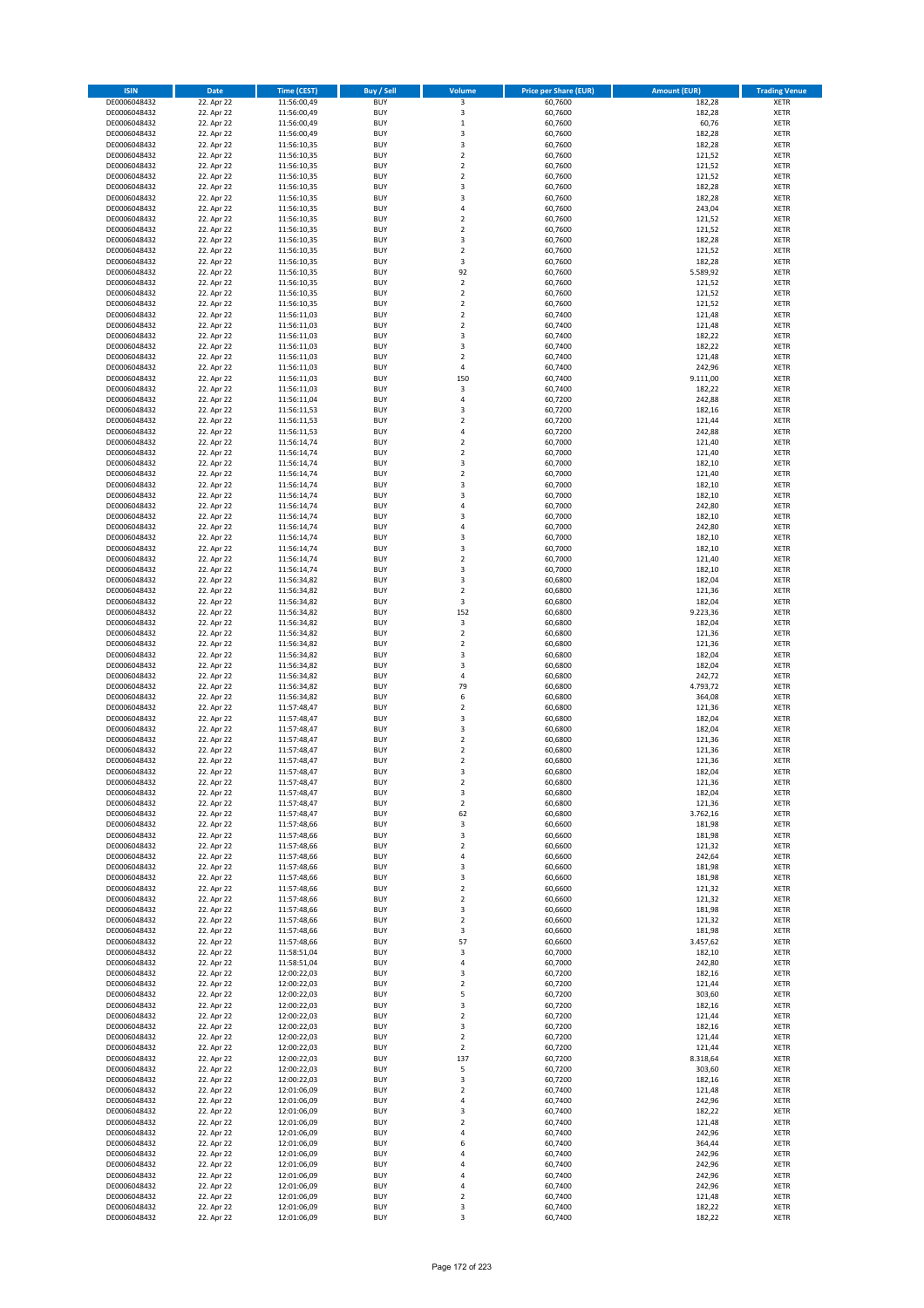| <b>ISIN</b>                  | <b>Date</b>              | <b>Time (CEST)</b>         | <b>Buy / Sell</b>        | Volume                                             | <b>Price per Share (EUR)</b> | <b>Amount (EUR)</b> | <b>Trading Venue</b>       |
|------------------------------|--------------------------|----------------------------|--------------------------|----------------------------------------------------|------------------------------|---------------------|----------------------------|
| DE0006048432                 | 22. Apr 22               | 11:56:00,49                | <b>BUY</b>               | 3                                                  | 60,7600                      | 182,28              | <b>XETR</b>                |
| DE0006048432                 | 22. Apr 22               | 11:56:00,49                | <b>BUY</b>               | 3                                                  | 60,7600                      | 182,28              | <b>XETR</b>                |
| DE0006048432                 | 22. Apr 22               | 11:56:00,49                | <b>BUY</b>               | $\mathbf 1$                                        | 60,7600                      | 60,76               | <b>XETR</b>                |
| DE0006048432<br>DE0006048432 | 22. Apr 22<br>22. Apr 22 | 11:56:00,49<br>11:56:10,35 | <b>BUY</b><br><b>BUY</b> | 3<br>3                                             | 60,7600<br>60,7600           | 182,28<br>182,28    | <b>XETR</b><br><b>XETR</b> |
| DE0006048432                 | 22. Apr 22               | 11:56:10,35                | <b>BUY</b>               | $\mathbf 2$                                        | 60,7600                      | 121,52              | <b>XETR</b>                |
| DE0006048432                 | 22. Apr 22               | 11:56:10,35                | <b>BUY</b>               | $\mathbf 2$                                        | 60,7600                      | 121,52              | <b>XETR</b>                |
| DE0006048432                 | 22. Apr 22               | 11:56:10,35                | <b>BUY</b>               | $\mathbf 2$                                        | 60,7600                      | 121,52              | <b>XETR</b>                |
| DE0006048432                 | 22. Apr 22               | 11:56:10,35                | <b>BUY</b>               | 3                                                  | 60,7600                      | 182,28              | <b>XETR</b>                |
| DE0006048432                 | 22. Apr 22               | 11:56:10,35                | <b>BUY</b>               | 3                                                  | 60,7600                      | 182,28              | <b>XETR</b>                |
| DE0006048432                 | 22. Apr 22               | 11:56:10,35                | <b>BUY</b>               | 4                                                  | 60,7600                      | 243,04              | <b>XETR</b>                |
| DE0006048432                 | 22. Apr 22<br>22. Apr 22 | 11:56:10,35                | <b>BUY</b><br><b>BUY</b> | $\overline{\mathbf{c}}$<br>$\mathbf 2$             | 60,7600                      | 121,52              | <b>XETR</b><br><b>XETR</b> |
| DE0006048432<br>DE0006048432 | 22. Apr 22               | 11:56:10,35<br>11:56:10,35 | <b>BUY</b>               | 3                                                  | 60,7600<br>60,7600           | 121,52<br>182,28    | <b>XETR</b>                |
| DE0006048432                 | 22. Apr 22               | 11:56:10,35                | <b>BUY</b>               | $\mathbf 2$                                        | 60,7600                      | 121,52              | <b>XETR</b>                |
| DE0006048432                 | 22. Apr 22               | 11:56:10,35                | <b>BUY</b>               | 3                                                  | 60,7600                      | 182,28              | <b>XETR</b>                |
| DE0006048432                 | 22. Apr 22               | 11:56:10,35                | <b>BUY</b>               | 92                                                 | 60,7600                      | 5.589,92            | <b>XETR</b>                |
| DE0006048432                 | 22. Apr 22               | 11:56:10,35                | <b>BUY</b>               | $\mathbf 2$                                        | 60,7600                      | 121,52              | <b>XETR</b>                |
| DE0006048432                 | 22. Apr 22               | 11:56:10,35                | <b>BUY</b>               | $\overline{\mathbf{c}}$                            | 60,7600                      | 121,52              | <b>XETR</b>                |
| DE0006048432                 | 22. Apr 22               | 11:56:10,35                | <b>BUY</b>               | $\mathbf 2$                                        | 60,7600                      | 121,52              | <b>XETR</b>                |
| DE0006048432<br>DE0006048432 | 22. Apr 22<br>22. Apr 22 | 11:56:11,03<br>11:56:11,03 | <b>BUY</b><br><b>BUY</b> | $\overline{\mathbf{c}}$<br>$\mathbf 2$             | 60,7400<br>60,7400           | 121,48<br>121,48    | <b>XETR</b><br><b>XETR</b> |
| DE0006048432                 | 22. Apr 22               | 11:56:11,03                | <b>BUY</b>               | 3                                                  | 60,7400                      | 182,22              | <b>XETR</b>                |
| DE0006048432                 | 22. Apr 22               | 11:56:11,03                | <b>BUY</b>               | 3                                                  | 60,7400                      | 182,22              | <b>XETR</b>                |
| DE0006048432                 | 22. Apr 22               | 11:56:11,03                | <b>BUY</b>               | $\overline{\mathbf{c}}$                            | 60,7400                      | 121,48              | <b>XETR</b>                |
| DE0006048432                 | 22. Apr 22               | 11:56:11,03                | <b>BUY</b>               | 4                                                  | 60,7400                      | 242,96              | <b>XETR</b>                |
| DE0006048432                 | 22. Apr 22               | 11:56:11,03                | <b>BUY</b>               | 150                                                | 60,7400                      | 9.111,00            | <b>XETR</b>                |
| DE0006048432                 | 22. Apr 22               | 11:56:11,03                | <b>BUY</b>               | 3                                                  | 60,7400                      | 182,22              | <b>XETR</b>                |
| DE0006048432<br>DE0006048432 | 22. Apr 22<br>22. Apr 22 | 11:56:11,04<br>11:56:11,53 | <b>BUY</b><br><b>BUY</b> | 4<br>3                                             | 60,7200<br>60,7200           | 242,88<br>182,16    | <b>XETR</b><br><b>XETR</b> |
| DE0006048432                 | 22. Apr 22               | 11:56:11,53                | <b>BUY</b>               | $\mathbf 2$                                        | 60,7200                      | 121,44              | <b>XETR</b>                |
| DE0006048432                 | 22. Apr 22               | 11:56:11,53                | <b>BUY</b>               | 4                                                  | 60,7200                      | 242,88              | <b>XETR</b>                |
| DE0006048432                 | 22. Apr 22               | 11:56:14,74                | <b>BUY</b>               | $\mathbf 2$                                        | 60,7000                      | 121,40              | <b>XETR</b>                |
| DE0006048432                 | 22. Apr 22               | 11:56:14,74                | <b>BUY</b>               | $\mathbf 2$                                        | 60,7000                      | 121,40              | <b>XETR</b>                |
| DE0006048432                 | 22. Apr 22               | 11:56:14,74                | <b>BUY</b>               | 3                                                  | 60,7000                      | 182,10              | <b>XETR</b>                |
| DE0006048432                 | 22. Apr 22               | 11:56:14,74                | <b>BUY</b>               | $\mathbf 2$                                        | 60,7000                      | 121,40              | <b>XETR</b>                |
| DE0006048432                 | 22. Apr 22<br>22. Apr 22 | 11:56:14,74                | <b>BUY</b><br><b>BUY</b> | 3<br>3                                             | 60,7000                      | 182,10              | <b>XETR</b><br><b>XETR</b> |
| DE0006048432<br>DE0006048432 | 22. Apr 22               | 11:56:14,74<br>11:56:14,74 | <b>BUY</b>               | 4                                                  | 60,7000<br>60,7000           | 182,10<br>242,80    | <b>XETR</b>                |
| DE0006048432                 | 22. Apr 22               | 11:56:14,74                | <b>BUY</b>               | 3                                                  | 60,7000                      | 182,10              | <b>XETR</b>                |
| DE0006048432                 | 22. Apr 22               | 11:56:14,74                | <b>BUY</b>               | 4                                                  | 60,7000                      | 242,80              | <b>XETR</b>                |
| DE0006048432                 | 22. Apr 22               | 11:56:14,74                | <b>BUY</b>               | 3                                                  | 60,7000                      | 182,10              | <b>XETR</b>                |
| DE0006048432                 | 22. Apr 22               | 11:56:14,74                | <b>BUY</b>               | 3                                                  | 60,7000                      | 182,10              | <b>XETR</b>                |
| DE0006048432                 | 22. Apr 22               | 11:56:14,74                | <b>BUY</b>               | $\overline{\mathbf{c}}$                            | 60,7000                      | 121,40              | <b>XETR</b>                |
| DE0006048432                 | 22. Apr 22               | 11:56:14,74                | <b>BUY</b>               | 3                                                  | 60,7000                      | 182,10              | <b>XETR</b>                |
| DE0006048432                 | 22. Apr 22               | 11:56:34,82                | <b>BUY</b><br><b>BUY</b> | 3<br>$\mathbf 2$                                   | 60,6800                      | 182,04              | <b>XETR</b>                |
| DE0006048432<br>DE0006048432 | 22. Apr 22<br>22. Apr 22 | 11:56:34,82<br>11:56:34,82 | <b>BUY</b>               | 3                                                  | 60,6800<br>60,6800           | 121,36<br>182,04    | <b>XETR</b><br><b>XETR</b> |
| DE0006048432                 | 22. Apr 22               | 11:56:34,82                | <b>BUY</b>               | 152                                                | 60,6800                      | 9.223,36            | <b>XETR</b>                |
| DE0006048432                 | 22. Apr 22               | 11:56:34,82                | <b>BUY</b>               | 3                                                  | 60,6800                      | 182,04              | <b>XETR</b>                |
| DE0006048432                 | 22. Apr 22               | 11:56:34,82                | <b>BUY</b>               | $\mathbf 2$                                        | 60,6800                      | 121,36              | <b>XETR</b>                |
| DE0006048432                 | 22. Apr 22               | 11:56:34,82                | <b>BUY</b>               | $\mathbf 2$                                        | 60,6800                      | 121,36              | <b>XETR</b>                |
| DE0006048432                 | 22. Apr 22               | 11:56:34,82                | <b>BUY</b>               | 3                                                  | 60,6800                      | 182,04              | <b>XETR</b>                |
| DE0006048432<br>DE0006048432 | 22. Apr 22<br>22. Apr 22 | 11:56:34,82<br>11:56:34,82 | <b>BUY</b><br><b>BUY</b> | 3<br>4                                             | 60,6800<br>60,6800           | 182,04<br>242,72    | <b>XETR</b><br><b>XETR</b> |
| DE0006048432                 | 22. Apr 22               | 11:56:34,82                | <b>BUY</b>               | 79                                                 | 60,6800                      | 4.793,72            | <b>XETR</b>                |
| DE0006048432                 | 22. Apr 22               | 11:56:34,82                | <b>BUY</b>               | 6                                                  | 60,6800                      | 364,08              | <b>XETR</b>                |
| DE0006048432                 | 22. Apr 22               | 11:57:48,47                | <b>BUY</b>               | $\overline{\mathbf{c}}$                            | 60,6800                      | 121,36              | <b>XETR</b>                |
| DE0006048432                 | 22. Apr 22               | 11:57:48,47                | <b>BUY</b>               | 3                                                  | 60,6800                      | 182,04              | <b>XETR</b>                |
| DE0006048432                 | 22. Apr 22               | 11:57:48,47                | <b>BUY</b>               | 3                                                  | 60,6800                      | 182,04              | <b>XETR</b>                |
| DE0006048432                 | 22. Apr 22               | 11:57:48,47                | <b>BUY</b>               | $\mathbf 2$                                        | 60,6800                      | 121,36              | <b>XETR</b>                |
| DE0006048432<br>DE0006048432 | 22. Apr 22<br>22. Apr 22 | 11:57:48,47<br>11:57:48,47 | <b>BUY</b><br><b>BUY</b> | $\overline{\mathbf{c}}$<br>$\overline{\mathbf{c}}$ | 60,6800<br>60,6800           | 121,36<br>121,36    | <b>XETR</b><br><b>XETR</b> |
| DE0006048432                 | 22. Apr 22               | 11:57:48,47                | <b>BUY</b>               | 3                                                  | 60,6800                      | 182,04              | <b>XETR</b>                |
| DE0006048432                 | 22. Apr 22               | 11:57:48,47                | BUY                      | 2                                                  | 60,6800                      | 121,36              | <b>XETR</b>                |
| DE0006048432                 | 22. Apr 22               | 11:57:48,47                | <b>BUY</b>               | 3                                                  | 60,6800                      | 182,04              | <b>XETR</b>                |
| DE0006048432                 | 22. Apr 22               | 11:57:48,47                | <b>BUY</b>               | $\mathbf 2$                                        | 60,6800                      | 121,36              | <b>XETR</b>                |
| DE0006048432                 | 22. Apr 22               | 11:57:48,47                | <b>BUY</b>               | 62                                                 | 60,6800                      | 3.762,16            | XETR                       |
| DE0006048432<br>DE0006048432 | 22. Apr 22<br>22. Apr 22 | 11:57:48,66                | <b>BUY</b><br><b>BUY</b> | 3<br>3                                             | 60,6600<br>60,6600           | 181,98<br>181,98    | <b>XETR</b><br><b>XETR</b> |
| DE0006048432                 | 22. Apr 22               | 11:57:48,66<br>11:57:48,66 | <b>BUY</b>               | $\overline{2}$                                     | 60,6600                      | 121,32              | <b>XETR</b>                |
| DE0006048432                 | 22. Apr 22               | 11:57:48,66                | <b>BUY</b>               | 4                                                  | 60,6600                      | 242,64              | <b>XETR</b>                |
| DE0006048432                 | 22. Apr 22               | 11:57:48,66                | <b>BUY</b>               | 3                                                  | 60,6600                      | 181,98              | <b>XETR</b>                |
| DE0006048432                 | 22. Apr 22               | 11:57:48,66                | <b>BUY</b>               | 3                                                  | 60,6600                      | 181,98              | <b>XETR</b>                |
| DE0006048432                 | 22. Apr 22               | 11:57:48,66                | <b>BUY</b>               | $\mathbf 2$                                        | 60,6600                      | 121,32              | <b>XETR</b>                |
| DE0006048432                 | 22. Apr 22               | 11:57:48,66                | <b>BUY</b>               | $\overline{2}$                                     | 60.6600                      | 121,32              | <b>XETR</b>                |
| DE0006048432<br>DE0006048432 | 22. Apr 22<br>22. Apr 22 | 11:57:48,66<br>11:57:48,66 | <b>BUY</b><br><b>BUY</b> | 3<br>$\overline{2}$                                | 60,6600<br>60,6600           | 181,98<br>121,32    | <b>XETR</b><br><b>XETR</b> |
| DE0006048432                 | 22. Apr 22               | 11:57:48,66                | <b>BUY</b>               | 3                                                  | 60,6600                      | 181,98              | <b>XETR</b>                |
| DE0006048432                 | 22. Apr 22               | 11:57:48,66                | <b>BUY</b>               | 57                                                 | 60,6600                      | 3.457,62            | <b>XETR</b>                |
| DE0006048432                 | 22. Apr 22               | 11:58:51,04                | <b>BUY</b>               | 3                                                  | 60,7000                      | 182,10              | <b>XETR</b>                |
| DE0006048432                 | 22. Apr 22               | 11:58:51,04                | <b>BUY</b>               | 4                                                  | 60,7000                      | 242,80              | <b>XETR</b>                |
| DE0006048432                 | 22. Apr 22               | 12:00:22,03                | <b>BUY</b>               | 3                                                  | 60,7200                      | 182,16              | XETR                       |
| DE0006048432<br>DE0006048432 | 22. Apr 22<br>22. Apr 22 | 12:00:22,03<br>12:00:22,03 | <b>BUY</b><br><b>BUY</b> | $\mathbf 2$<br>5                                   | 60,7200<br>60,7200           | 121,44<br>303,60    | <b>XETR</b><br><b>XETR</b> |
| DE0006048432                 | 22. Apr 22               | 12:00:22,03                | <b>BUY</b>               | 3                                                  | 60,7200                      | 182,16              | <b>XETR</b>                |
| DE0006048432                 | 22. Apr 22               | 12:00:22,03                | <b>BUY</b>               | $\overline{\mathbf{c}}$                            | 60,7200                      | 121,44              | <b>XETR</b>                |
| DE0006048432                 | 22. Apr 22               | 12:00:22,03                | <b>BUY</b>               | 3                                                  | 60,7200                      | 182,16              | <b>XETR</b>                |
| DE0006048432                 | 22. Apr 22               | 12:00:22,03                | <b>BUY</b>               | $\mathbf 2$                                        | 60,7200                      | 121,44              | <b>XETR</b>                |
| DE0006048432                 | 22. Apr 22               | 12:00:22,03                | <b>BUY</b>               | $\mathbf 2$                                        | 60,7200                      | 121,44              | <b>XETR</b>                |
| DE0006048432                 | 22. Apr 22               | 12:00:22,03                | <b>BUY</b>               | 137                                                | 60,7200                      | 8.318,64            | <b>XETR</b>                |
| DE0006048432<br>DE0006048432 | 22. Apr 22<br>22. Apr 22 | 12:00:22,03                | <b>BUY</b><br><b>BUY</b> | 5<br>3                                             | 60,7200<br>60,7200           | 303,60<br>182,16    | <b>XETR</b><br><b>XETR</b> |
| DE0006048432                 | 22. Apr 22               | 12:00:22,03<br>12:01:06,09 | <b>BUY</b>               | $\overline{\mathbf{c}}$                            | 60,7400                      | 121,48              | <b>XETR</b>                |
| DE0006048432                 | 22. Apr 22               | 12:01:06,09                | <b>BUY</b>               | 4                                                  | 60,7400                      | 242,96              | <b>XETR</b>                |
| DE0006048432                 | 22. Apr 22               | 12:01:06,09                | <b>BUY</b>               | 3                                                  | 60,7400                      | 182,22              | <b>XETR</b>                |
| DE0006048432                 | 22. Apr 22               | 12:01:06,09                | <b>BUY</b>               | $\mathbf 2$                                        | 60,7400                      | 121,48              | <b>XETR</b>                |
| DE0006048432                 | 22. Apr 22               | 12:01:06,09                | <b>BUY</b>               | 4                                                  | 60,7400                      | 242,96              | <b>XETR</b>                |
| DE0006048432                 | 22. Apr 22               | 12:01:06,09                | <b>BUY</b><br><b>BUY</b> | 6                                                  | 60,7400                      | 364,44              | <b>XETR</b>                |
| DE0006048432<br>DE0006048432 | 22. Apr 22<br>22. Apr 22 | 12:01:06,09<br>12:01:06,09 | <b>BUY</b>               | 4<br>4                                             | 60,7400<br>60,7400           | 242,96<br>242,96    | <b>XETR</b><br><b>XETR</b> |
| DE0006048432                 | 22. Apr 22               | 12:01:06,09                | <b>BUY</b>               | 4                                                  | 60,7400                      | 242,96              | XETR                       |
| DE0006048432                 | 22. Apr 22               | 12:01:06,09                | <b>BUY</b>               | 4                                                  | 60,7400                      | 242,96              | <b>XETR</b>                |
| DE0006048432                 | 22. Apr 22               | 12:01:06,09                | <b>BUY</b>               | $\mathbf 2$                                        | 60,7400                      | 121,48              | <b>XETR</b>                |
| DE0006048432                 | 22. Apr 22               | 12:01:06,09                | <b>BUY</b>               | 3                                                  | 60,7400                      | 182,22              | <b>XETR</b>                |
| DE0006048432                 | 22. Apr 22               | 12:01:06,09                | <b>BUY</b>               | 3                                                  | 60,7400                      | 182,22              | XETR                       |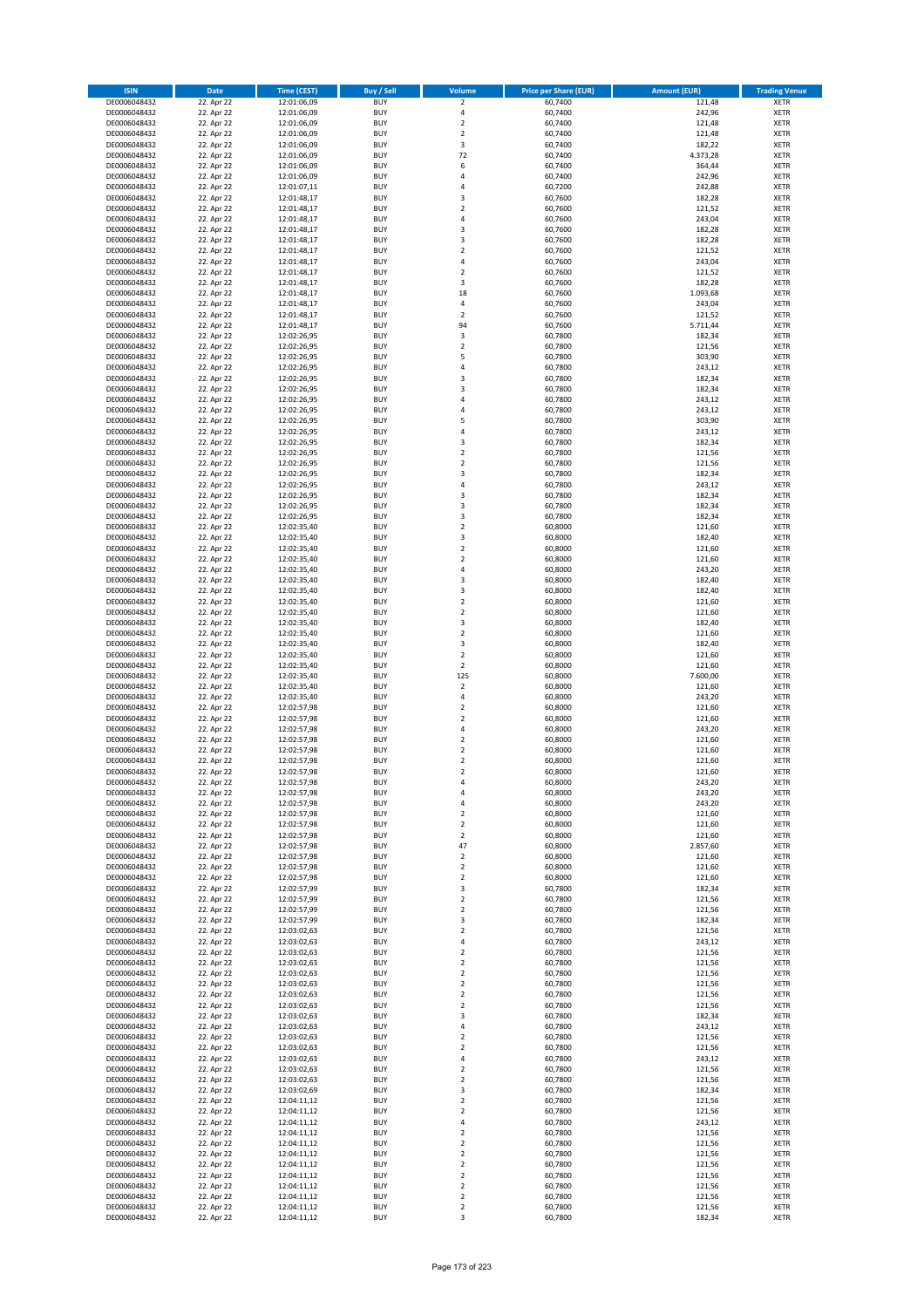| <b>ISIN</b>                  | <b>Date</b>              | Time (CEST)                | <b>Buy / Sell</b>        | Volume                                 | <b>Price per Share (EUR)</b> | <b>Amount (EUR)</b> | <b>Trading Venue</b>       |
|------------------------------|--------------------------|----------------------------|--------------------------|----------------------------------------|------------------------------|---------------------|----------------------------|
| DE0006048432                 | 22. Apr 22               | 12:01:06,09                | <b>BUY</b>               | $\overline{\mathbf{2}}$                | 60,7400                      | 121,48              | <b>XETR</b>                |
| DE0006048432                 | 22. Apr 22               | 12:01:06,09                | <b>BUY</b>               | 4                                      | 60,7400                      | 242,96              | <b>XETR</b>                |
| DE0006048432                 | 22. Apr 22               | 12:01:06,09                | <b>BUY</b>               | $\mathbf 2$                            | 60,7400                      | 121,48              | <b>XETR</b>                |
| DE0006048432<br>DE0006048432 | 22. Apr 22<br>22. Apr 22 | 12:01:06,09<br>12:01:06,09 | <b>BUY</b><br><b>BUY</b> | $\mathbf 2$<br>3                       | 60,7400<br>60,7400           | 121,48<br>182,22    | <b>XETR</b><br><b>XETR</b> |
| DE0006048432                 | 22. Apr 22               | 12:01:06,09                | <b>BUY</b>               | 72                                     | 60,7400                      | 4.373,28            | <b>XETR</b>                |
| DE0006048432                 | 22. Apr 22               | 12:01:06,09                | <b>BUY</b>               | 6                                      | 60,7400                      | 364,44              | <b>XETR</b>                |
| DE0006048432                 | 22. Apr 22               | 12:01:06,09                | <b>BUY</b>               | 4                                      | 60,7400                      | 242,96              | <b>XETR</b>                |
| DE0006048432                 | 22. Apr 22               | 12:01:07,11                | <b>BUY</b><br><b>BUY</b> | 4                                      | 60,7200                      | 242,88              | <b>XETR</b>                |
| DE0006048432<br>DE0006048432 | 22. Apr 22<br>22. Apr 22 | 12:01:48,17<br>12:01:48,17 | <b>BUY</b>               | 3<br>$\mathbf 2$                       | 60,7600<br>60,7600           | 182,28<br>121,52    | <b>XETR</b><br><b>XETR</b> |
| DE0006048432                 | 22. Apr 22               | 12:01:48,17                | <b>BUY</b>               | 4                                      | 60,7600                      | 243,04              | <b>XETR</b>                |
| DE0006048432                 | 22. Apr 22               | 12:01:48,17                | <b>BUY</b>               | 3                                      | 60,7600                      | 182,28              | <b>XETR</b>                |
| DE0006048432                 | 22. Apr 22               | 12:01:48,17                | <b>BUY</b>               | 3                                      | 60,7600                      | 182,28              | <b>XETR</b>                |
| DE0006048432                 | 22. Apr 22               | 12:01:48,17                | <b>BUY</b>               | $\mathbf 2$                            | 60,7600                      | 121,52              | <b>XETR</b>                |
| DE0006048432<br>DE0006048432 | 22. Apr 22<br>22. Apr 22 | 12:01:48,17<br>12:01:48,17 | <b>BUY</b><br><b>BUY</b> | 4<br>$\overline{\mathbf{c}}$           | 60,7600<br>60,7600           | 243,04<br>121,52    | <b>XETR</b><br><b>XETR</b> |
| DE0006048432                 | 22. Apr 22               | 12:01:48,17                | <b>BUY</b>               | 3                                      | 60,7600                      | 182,28              | <b>XETR</b>                |
| DE0006048432                 | 22. Apr 22               | 12:01:48,17                | <b>BUY</b>               | 18                                     | 60,7600                      | 1.093,68            | <b>XETR</b>                |
| DE0006048432                 | 22. Apr 22               | 12:01:48,17                | <b>BUY</b>               | 4                                      | 60,7600                      | 243,04              | <b>XETR</b>                |
| DE0006048432                 | 22. Apr 22               | 12:01:48,17                | <b>BUY</b>               | $\overline{\mathbf{c}}$                | 60,7600                      | 121,52              | <b>XETR</b>                |
| DE0006048432<br>DE0006048432 | 22. Apr 22               | 12:01:48,17                | <b>BUY</b><br><b>BUY</b> | 94<br>3                                | 60,7600<br>60,7800           | 5.711,44            | <b>XETR</b><br><b>XETR</b> |
| DE0006048432                 | 22. Apr 22<br>22. Apr 22 | 12:02:26,95<br>12:02:26,95 | <b>BUY</b>               | $\mathbf 2$                            | 60,7800                      | 182,34<br>121,56    | <b>XETR</b>                |
| DE0006048432                 | 22. Apr 22               | 12:02:26,95                | <b>BUY</b>               | 5                                      | 60,7800                      | 303,90              | <b>XETR</b>                |
| DE0006048432                 | 22. Apr 22               | 12:02:26,95                | <b>BUY</b>               | 4                                      | 60,7800                      | 243,12              | <b>XETR</b>                |
| DE0006048432                 | 22. Apr 22               | 12:02:26,95                | <b>BUY</b>               | 3                                      | 60,7800                      | 182,34              | <b>XETR</b>                |
| DE0006048432<br>DE0006048432 | 22. Apr 22<br>22. Apr 22 | 12:02:26,95<br>12:02:26,95 | <b>BUY</b><br><b>BUY</b> | 3<br>4                                 | 60,7800<br>60,7800           | 182,34<br>243,12    | <b>XETR</b><br><b>XETR</b> |
| DE0006048432                 | 22. Apr 22               | 12:02:26,95                | <b>BUY</b>               | 4                                      | 60,7800                      | 243,12              | <b>XETR</b>                |
| DE0006048432                 | 22. Apr 22               | 12:02:26,95                | <b>BUY</b>               | 5                                      | 60,7800                      | 303,90              | <b>XETR</b>                |
| DE0006048432                 | 22. Apr 22               | 12:02:26,95                | <b>BUY</b>               | 4                                      | 60,7800                      | 243,12              | <b>XETR</b>                |
| DE0006048432                 | 22. Apr 22               | 12:02:26,95                | <b>BUY</b>               | 3                                      | 60,7800                      | 182,34              | <b>XETR</b>                |
| DE0006048432                 | 22. Apr 22<br>22. Apr 22 | 12:02:26,95<br>12:02:26.95 | <b>BUY</b>               | $\mathbf 2$<br>$\mathbf 2$             | 60,7800                      | 121,56              | <b>XETR</b>                |
| DE0006048432<br>DE0006048432 | 22. Apr 22               | 12:02:26,95                | <b>BUY</b><br><b>BUY</b> | 3                                      | 60,7800<br>60,7800           | 121,56<br>182,34    | <b>XETR</b><br><b>XETR</b> |
| DE0006048432                 | 22. Apr 22               | 12:02:26,95                | <b>BUY</b>               | 4                                      | 60,7800                      | 243,12              | <b>XETR</b>                |
| DE0006048432                 | 22. Apr 22               | 12:02:26,95                | <b>BUY</b>               | 3                                      | 60,7800                      | 182,34              | <b>XETR</b>                |
| DE0006048432                 | 22. Apr 22               | 12:02:26,95                | <b>BUY</b>               | 3                                      | 60,7800                      | 182,34              | <b>XETR</b>                |
| DE0006048432                 | 22. Apr 22               | 12:02:26,95                | <b>BUY</b>               | 3<br>$\mathbf 2$                       | 60,7800                      | 182,34              | <b>XETR</b>                |
| DE0006048432<br>DE0006048432 | 22. Apr 22<br>22. Apr 22 | 12:02:35,40<br>12:02:35,40 | <b>BUY</b><br><b>BUY</b> | 3                                      | 60,8000<br>60,8000           | 121,60<br>182,40    | <b>XETR</b><br><b>XETR</b> |
| DE0006048432                 | 22. Apr 22               | 12:02:35,40                | <b>BUY</b>               | $\mathbf 2$                            | 60,8000                      | 121,60              | <b>XETR</b>                |
| DE0006048432                 | 22. Apr 22               | 12:02:35,40                | <b>BUY</b>               | $\overline{\mathbf{c}}$                | 60,8000                      | 121,60              | <b>XETR</b>                |
| DE0006048432                 | 22. Apr 22               | 12:02:35,40                | <b>BUY</b>               | 4                                      | 60,8000                      | 243,20              | <b>XETR</b>                |
| DE0006048432                 | 22. Apr 22               | 12:02:35,40                | <b>BUY</b>               | 3                                      | 60,8000                      | 182,40              | <b>XETR</b>                |
| DE0006048432<br>DE0006048432 | 22. Apr 22<br>22. Apr 22 | 12:02:35,40<br>12:02:35,40 | <b>BUY</b><br><b>BUY</b> | 3<br>$\mathbf 2$                       | 60,8000<br>60,8000           | 182,40<br>121,60    | <b>XETR</b><br><b>XETR</b> |
| DE0006048432                 | 22. Apr 22               | 12:02:35,40                | <b>BUY</b>               | $\mathbf 2$                            | 60,8000                      | 121,60              | <b>XETR</b>                |
| DE0006048432                 | 22. Apr 22               | 12:02:35,40                | <b>BUY</b>               | 3                                      | 60,8000                      | 182,40              | <b>XETR</b>                |
| DE0006048432                 | 22. Apr 22               | 12:02:35,40                | <b>BUY</b>               | $\mathbf 2$                            | 60,8000                      | 121,60              | <b>XETR</b>                |
| DE0006048432                 | 22. Apr 22               | 12:02:35,40                | <b>BUY</b>               | 3                                      | 60,8000                      | 182,40              | <b>XETR</b>                |
| DE0006048432<br>DE0006048432 | 22. Apr 22<br>22. Apr 22 | 12:02:35,40<br>12:02:35,40 | <b>BUY</b><br><b>BUY</b> | $\overline{2}$<br>$\mathbf 2$          | 60,8000<br>60,8000           | 121,60<br>121,60    | <b>XETR</b><br><b>XETR</b> |
| DE0006048432                 | 22. Apr 22               | 12:02:35,40                | <b>BUY</b>               | 125                                    | 60,8000                      | 7.600,00            | <b>XETR</b>                |
| DE0006048432                 | 22. Apr 22               | 12:02:35,40                | <b>BUY</b>               | $\mathbf 2$                            | 60,8000                      | 121,60              | <b>XETR</b>                |
| DE0006048432                 | 22. Apr 22               | 12:02:35,40                | <b>BUY</b>               | 4                                      | 60,8000                      | 243,20              | <b>XETR</b>                |
| DE0006048432                 | 22. Apr 22               | 12:02:57,98                | <b>BUY</b>               | $\overline{\mathbf{c}}$                | 60,8000                      | 121,60              | <b>XETR</b>                |
| DE0006048432<br>DE0006048432 | 22. Apr 22<br>22. Apr 22 | 12:02:57,98<br>12:02:57,98 | <b>BUY</b><br><b>BUY</b> | $\overline{\mathbf{c}}$<br>4           | 60,8000<br>60,8000           | 121,60<br>243,20    | <b>XETR</b><br><b>XETR</b> |
| DE0006048432                 | 22. Apr 22               | 12:02:57,98                | <b>BUY</b>               | $\mathbf 2$                            | 60,8000                      | 121,60              | <b>XETR</b>                |
| DE0006048432                 | 22. Apr 22               | 12:02:57,98                | <b>BUY</b>               | $\overline{\mathbf{c}}$                | 60,8000                      | 121,60              | <b>XETR</b>                |
| DE0006048432                 | 22. Apr 22               | 12:02:57,98                | <b>BUY</b>               | $\overline{\mathbf{c}}$                | 60,8000                      | 121,60              | <b>XETR</b>                |
| DE0006048432                 | 22. Apr 22               | 12:02:57,98                | <b>BUY</b>               | $\overline{2}$                         | 60,8000                      | 121,60              | <b>XETR</b>                |
| DE0006048432<br>DE0006048432 | 22. Apr 22<br>22. Apr 22 | 12:02:57,98<br>12:02:57,98 | BUY<br><b>BUY</b>        | 4<br>4                                 | 60,8000<br>60,8000           | 243,20<br>243,20    | <b>XETR</b><br><b>XETR</b> |
| DE0006048432                 | 22. Apr 22               | 12:02:57,98                | <b>BUY</b>               | 4                                      | 60,8000                      | 243,20              | <b>XETR</b>                |
| DE0006048432                 | 22. Apr 22               | 12:02:57,98                | <b>BUY</b>               | $\mathbf 2$                            | 60,8000                      | 121,60              | XETR                       |
| DE0006048432                 | 22. Apr 22               | 12:02:57,98                | <b>BUY</b>               | $\mathbf 2$                            | 60,8000                      | 121,60              | <b>XETR</b>                |
| DE0006048432                 | 22. Apr 22               | 12:02:57,98                | <b>BUY</b><br><b>BUY</b> | $\mathbf 2$<br>47                      | 60,8000                      | 121,60              | <b>XETR</b>                |
| DE0006048432<br>DE0006048432 | 22. Apr 22<br>22. Apr 22 | 12:02:57,98<br>12:02:57,98 | <b>BUY</b>               | $\mathbf 2$                            | 60,8000<br>60,8000           | 2.857,60<br>121,60  | <b>XETR</b><br><b>XETR</b> |
| DE0006048432                 | 22. Apr 22               | 12:02:57,98                | <b>BUY</b>               | $\mathbf 2$                            | 60,8000                      | 121,60              | <b>XETR</b>                |
| DE0006048432                 | 22. Apr 22               | 12:02:57,98                | <b>BUY</b>               | $\mathbf 2$                            | 60,8000                      | 121,60              | <b>XETR</b>                |
| DE0006048432                 | 22. Apr 22               | 12:02:57,99                | <b>BUY</b>               | 3                                      | 60,7800                      | 182,34              | <b>XETR</b>                |
| DE0006048432<br>DE0006048432 | 22. Apr 22<br>22. Apr 22 | 12:02:57,99<br>12:02:57,99 | <b>BUY</b><br><b>BUY</b> | $\overline{2}$<br>$\mathbf 2$          | 60,7800<br>60,7800           | 121,56<br>121,56    | <b>XETR</b><br><b>XETR</b> |
| DE0006048432                 | 22. Apr 22               | 12:02:57,99                | <b>BUY</b>               | 3                                      | 60,7800                      | 182,34              | <b>XETR</b>                |
| DE0006048432                 | 22. Apr 22               | 12:03:02,63                | <b>BUY</b>               | $\mathbf 2$                            | 60,7800                      | 121,56              | <b>XETR</b>                |
| DE0006048432                 | 22. Apr 22               | 12:03:02,63                | <b>BUY</b>               | 4                                      | 60,7800                      | 243,12              | <b>XETR</b>                |
| DE0006048432                 | 22. Apr 22               | 12:03:02,63                | <b>BUY</b>               | $\overline{2}$                         | 60,7800                      | 121,56              | <b>XETR</b>                |
| DE0006048432<br>DE0006048432 | 22. Apr 22<br>22. Apr 22 | 12:03:02,63<br>12:03:02,63 | <b>BUY</b><br><b>BUY</b> | $\mathbf 2$<br>$\mathbf 2$             | 60,7800<br>60,7800           | 121,56<br>121,56    | <b>XETR</b><br>XETR        |
| DE0006048432                 | 22. Apr 22               | 12:03:02,63                | <b>BUY</b>               | $\mathbf 2$                            | 60,7800                      | 121,56              | <b>XETR</b>                |
| DE0006048432                 | 22. Apr 22               | 12:03:02,63                | <b>BUY</b>               | $\overline{\mathbf{2}}$                | 60,7800                      | 121,56              | <b>XETR</b>                |
| DE0006048432                 | 22. Apr 22               | 12:03:02,63                | <b>BUY</b>               | $\mathbf 2$                            | 60,7800                      | 121,56              | <b>XETR</b>                |
| DE0006048432                 | 22. Apr 22               | 12:03:02,63                | <b>BUY</b>               | 3                                      | 60,7800                      | 182,34              | <b>XETR</b>                |
| DE0006048432<br>DE0006048432 | 22. Apr 22<br>22. Apr 22 | 12:03:02,63<br>12:03:02,63 | <b>BUY</b><br><b>BUY</b> | 4<br>$\mathbf 2$                       | 60,7800<br>60,7800           | 243,12<br>121,56    | <b>XETR</b><br><b>XETR</b> |
| DE0006048432                 | 22. Apr 22               | 12:03:02,63                | <b>BUY</b>               | $\mathbf 2$                            | 60,7800                      | 121,56              | <b>XETR</b>                |
| DE0006048432                 | 22. Apr 22               | 12:03:02,63                | <b>BUY</b>               | 4                                      | 60,7800                      | 243,12              | <b>XETR</b>                |
| DE0006048432                 | 22. Apr 22               | 12:03:02,63                | <b>BUY</b>               | $\overline{\mathbf{2}}$                | 60,7800                      | 121,56              | <b>XETR</b>                |
| DE0006048432                 | 22. Apr 22               | 12:03:02,63                | <b>BUY</b>               | $\mathbf 2$                            | 60,7800                      | 121,56              | <b>XETR</b>                |
| DE0006048432<br>DE0006048432 | 22. Apr 22               | 12:03:02,69                | <b>BUY</b><br><b>BUY</b> | 3<br>$\mathbf 2$                       | 60,7800<br>60,7800           | 182,34<br>121,56    | <b>XETR</b><br><b>XETR</b> |
| DE0006048432                 | 22. Apr 22<br>22. Apr 22 | 12:04:11,12<br>12:04:11,12 | <b>BUY</b>               | $\mathbf 2$                            | 60,7800                      | 121,56              | <b>XETR</b>                |
| DE0006048432                 | 22. Apr 22               | 12:04:11,12                | <b>BUY</b>               | 4                                      | 60,7800                      | 243,12              | <b>XETR</b>                |
| DE0006048432                 | 22. Apr 22               | 12:04:11,12                | <b>BUY</b>               | $\mathbf 2$                            | 60,7800                      | 121,56              | <b>XETR</b>                |
| DE0006048432                 | 22. Apr 22               | 12:04:11,12                | <b>BUY</b>               | $\mathbf 2$                            | 60,7800                      | 121,56              | <b>XETR</b>                |
| DE0006048432<br>DE0006048432 | 22. Apr 22<br>22. Apr 22 | 12:04:11,12<br>12:04:11,12 | <b>BUY</b><br><b>BUY</b> | $\mathbf 2$<br>$\overline{\mathbf{c}}$ | 60,7800<br>60,7800           | 121,56<br>121,56    | <b>XETR</b><br><b>XETR</b> |
| DE0006048432                 | 22. Apr 22               | 12:04:11,12                | <b>BUY</b>               | $\mathbf 2$                            | 60,7800                      | 121,56              | XETR                       |
| DE0006048432                 | 22. Apr 22               | 12:04:11,12                | <b>BUY</b>               | $\overline{2}$                         | 60,7800                      | 121,56              | <b>XETR</b>                |
| DE0006048432                 | 22. Apr 22               | 12:04:11,12                | <b>BUY</b>               | $\mathbf 2$                            | 60,7800                      | 121,56              | <b>XETR</b>                |
| DE0006048432                 | 22. Apr 22               | 12:04:11,12                | <b>BUY</b>               | $\mathbf 2$                            | 60,7800                      | 121,56              | <b>XETR</b>                |
| DE0006048432                 | 22. Apr 22               | 12:04:11,12                | <b>BUY</b>               | 3                                      | 60,7800                      | 182,34              | <b>XETR</b>                |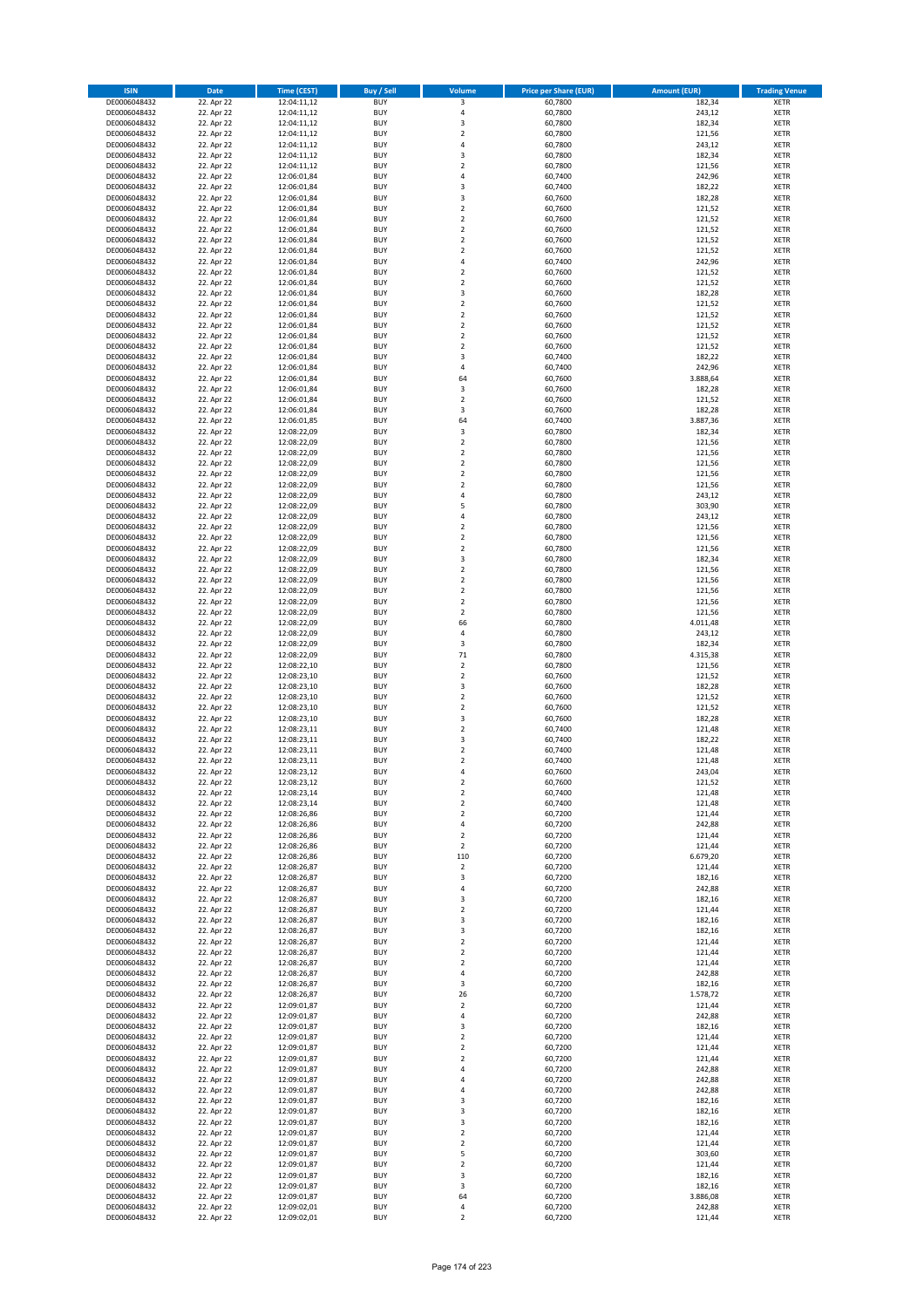| <b>ISIN</b>                  | <b>Date</b>              | Time (CEST)                | <b>Buy / Sell</b>        | <b>Volume</b>                          | <b>Price per Share (EUR)</b> | <b>Amount (EUR)</b> | <b>Trading Venue</b>       |
|------------------------------|--------------------------|----------------------------|--------------------------|----------------------------------------|------------------------------|---------------------|----------------------------|
| DE0006048432                 | 22. Apr 22               | 12:04:11,12                | <b>BUY</b>               | 3                                      | 60,7800                      | 182,34              | <b>XETR</b>                |
| DE0006048432                 | 22. Apr 22               | 12:04:11,12                | <b>BUY</b>               | 4                                      | 60,7800                      | 243,12              | <b>XETR</b>                |
| DE0006048432                 | 22. Apr 22               | 12:04:11,12                | <b>BUY</b>               | 3                                      | 60,7800                      | 182,34              | <b>XETR</b>                |
| DE0006048432<br>DE0006048432 | 22. Apr 22<br>22. Apr 22 | 12:04:11,12<br>12:04:11,12 | <b>BUY</b><br><b>BUY</b> | $\mathbf 2$<br>4                       | 60,7800<br>60,7800           | 121,56<br>243,12    | <b>XETR</b><br><b>XETR</b> |
| DE0006048432                 | 22. Apr 22               | 12:04:11,12                | <b>BUY</b>               | 3                                      | 60,7800                      | 182,34              | <b>XETR</b>                |
| DE0006048432                 | 22. Apr 22               | 12:04:11,12                | <b>BUY</b>               | $\mathbf 2$                            | 60,7800                      | 121,56              | <b>XETR</b>                |
| DE0006048432                 | 22. Apr 22               | 12:06:01,84                | <b>BUY</b>               | 4                                      | 60,7400                      | 242,96              | <b>XETR</b>                |
| DE0006048432                 | 22. Apr 22               | 12:06:01,84                | <b>BUY</b><br><b>BUY</b> | 3<br>3                                 | 60,7400                      | 182,22              | <b>XETR</b>                |
| DE0006048432<br>DE0006048432 | 22. Apr 22<br>22. Apr 22 | 12:06:01,84<br>12:06:01,84 | <b>BUY</b>               | $\mathbf 2$                            | 60,7600<br>60,7600           | 182,28<br>121,52    | <b>XETR</b><br><b>XETR</b> |
| DE0006048432                 | 22. Apr 22               | 12:06:01,84                | <b>BUY</b>               | $\overline{\mathbf{c}}$                | 60,7600                      | 121,52              | <b>XETR</b>                |
| DE0006048432                 | 22. Apr 22               | 12:06:01,84                | <b>BUY</b>               | $\mathbf 2$                            | 60,7600                      | 121,52              | <b>XETR</b>                |
| DE0006048432                 | 22. Apr 22               | 12:06:01,84                | <b>BUY</b>               | $\overline{\mathbf{c}}$                | 60,7600                      | 121,52              | <b>XETR</b>                |
| DE0006048432                 | 22. Apr 22               | 12:06:01,84                | <b>BUY</b>               | $\mathbf 2$                            | 60,7600                      | 121,52              | <b>XETR</b>                |
| DE0006048432<br>DE0006048432 | 22. Apr 22<br>22. Apr 22 | 12:06:01,84<br>12:06:01,84 | <b>BUY</b><br><b>BUY</b> | 4<br>$\mathbf 2$                       | 60,7400<br>60,7600           | 242,96<br>121,52    | <b>XETR</b><br><b>XETR</b> |
| DE0006048432                 | 22. Apr 22               | 12:06:01,84                | <b>BUY</b>               | $\mathbf 2$                            | 60,7600                      | 121,52              | <b>XETR</b>                |
| DE0006048432                 | 22. Apr 22               | 12:06:01,84                | <b>BUY</b>               | 3                                      | 60,7600                      | 182,28              | <b>XETR</b>                |
| DE0006048432                 | 22. Apr 22               | 12:06:01,84                | <b>BUY</b>               | $\mathbf 2$                            | 60,7600                      | 121,52              | <b>XETR</b>                |
| DE0006048432                 | 22. Apr 22               | 12:06:01,84                | <b>BUY</b>               | $\overline{\mathbf{c}}$                | 60,7600                      | 121,52              | <b>XETR</b>                |
| DE0006048432<br>DE0006048432 | 22. Apr 22<br>22. Apr 22 | 12:06:01,84<br>12:06:01,84 | <b>BUY</b><br><b>BUY</b> | $\mathbf 2$<br>$\mathbf 2$             | 60,7600<br>60,7600           | 121,52<br>121,52    | <b>XETR</b><br><b>XETR</b> |
| DE0006048432                 | 22. Apr 22               | 12:06:01,84                | <b>BUY</b>               | $\mathbf 2$                            | 60,7600                      | 121,52              | <b>XETR</b>                |
| DE0006048432                 | 22. Apr 22               | 12:06:01,84                | <b>BUY</b>               | 3                                      | 60,7400                      | 182,22              | <b>XETR</b>                |
| DE0006048432                 | 22. Apr 22               | 12:06:01,84                | <b>BUY</b>               | 4                                      | 60,7400                      | 242,96              | <b>XETR</b>                |
| DE0006048432                 | 22. Apr 22               | 12:06:01,84                | <b>BUY</b>               | 64                                     | 60,7600                      | 3.888,64            | <b>XETR</b>                |
| DE0006048432<br>DE0006048432 | 22. Apr 22<br>22. Apr 22 | 12:06:01,84<br>12:06:01,84 | <b>BUY</b><br><b>BUY</b> | 3<br>$\mathbf 2$                       | 60,7600<br>60,7600           | 182,28<br>121,52    | <b>XETR</b><br><b>XETR</b> |
| DE0006048432                 | 22. Apr 22               | 12:06:01,84                | <b>BUY</b>               | 3                                      | 60,7600                      | 182,28              | <b>XETR</b>                |
| DE0006048432                 | 22. Apr 22               | 12:06:01,85                | <b>BUY</b>               | 64                                     | 60,7400                      | 3.887,36            | <b>XETR</b>                |
| DE0006048432                 | 22. Apr 22               | 12:08:22,09                | <b>BUY</b>               | 3                                      | 60,7800                      | 182,34              | <b>XETR</b>                |
| DE0006048432                 | 22. Apr 22               | 12:08:22,09                | <b>BUY</b>               | $\mathbf 2$                            | 60,7800                      | 121,56              | <b>XETR</b>                |
| DE0006048432                 | 22. Apr 22<br>22. Apr 22 | 12:08:22,09                | <b>BUY</b>               | $\mathbf 2$<br>$\overline{2}$          | 60,7800                      | 121,56              | <b>XETR</b>                |
| DE0006048432<br>DE0006048432 | 22. Apr 22               | 12:08:22,09<br>12:08:22,09 | <b>BUY</b><br><b>BUY</b> | $\mathbf 2$                            | 60,7800<br>60,7800           | 121,56<br>121,56    | <b>XETR</b><br><b>XETR</b> |
| DE0006048432                 | 22. Apr 22               | 12:08:22,09                | <b>BUY</b>               | $\overline{\mathbf{c}}$                | 60,7800                      | 121,56              | <b>XETR</b>                |
| DE0006048432                 | 22. Apr 22               | 12:08:22,09                | <b>BUY</b>               | 4                                      | 60,7800                      | 243,12              | <b>XETR</b>                |
| DE0006048432                 | 22. Apr 22               | 12:08:22,09                | <b>BUY</b>               | 5                                      | 60,7800                      | 303,90              | <b>XETR</b>                |
| DE0006048432                 | 22. Apr 22               | 12:08:22,09<br>12:08:22,09 | <b>BUY</b>               | 4                                      | 60,7800                      | 243,12              | <b>XETR</b>                |
| DE0006048432<br>DE0006048432 | 22. Apr 22<br>22. Apr 22 | 12:08:22,09                | <b>BUY</b><br><b>BUY</b> | $\overline{\mathbf{c}}$<br>$\mathbf 2$ | 60,7800<br>60,7800           | 121,56<br>121,56    | <b>XETR</b><br><b>XETR</b> |
| DE0006048432                 | 22. Apr 22               | 12:08:22,09                | <b>BUY</b>               | $\mathbf 2$                            | 60,7800                      | 121,56              | <b>XETR</b>                |
| DE0006048432                 | 22. Apr 22               | 12:08:22,09                | <b>BUY</b>               | 3                                      | 60,7800                      | 182,34              | <b>XETR</b>                |
| DE0006048432                 | 22. Apr 22               | 12:08:22,09                | <b>BUY</b>               | $\mathbf 2$                            | 60,7800                      | 121,56              | <b>XETR</b>                |
| DE0006048432                 | 22. Apr 22               | 12:08:22,09                | <b>BUY</b>               | $\overline{2}$                         | 60,7800                      | 121,56              | <b>XETR</b>                |
| DE0006048432<br>DE0006048432 | 22. Apr 22<br>22. Apr 22 | 12:08:22,09<br>12:08:22,09 | <b>BUY</b><br><b>BUY</b> | $\mathbf 2$<br>$\mathbf 2$             | 60,7800<br>60,7800           | 121,56<br>121,56    | <b>XETR</b><br><b>XETR</b> |
| DE0006048432                 | 22. Apr 22               | 12:08:22,09                | <b>BUY</b>               | $\mathbf 2$                            | 60,7800                      | 121,56              | <b>XETR</b>                |
| DE0006048432                 | 22. Apr 22               | 12:08:22,09                | <b>BUY</b>               | 66                                     | 60,7800                      | 4.011,48            | <b>XETR</b>                |
| DE0006048432                 | 22. Apr 22               | 12:08:22,09                | <b>BUY</b>               | 4                                      | 60,7800                      | 243,12              | <b>XETR</b>                |
| DE0006048432                 | 22. Apr 22               | 12:08:22,09                | <b>BUY</b>               | 3                                      | 60,7800                      | 182,34              | <b>XETR</b>                |
| DE0006048432<br>DE0006048432 | 22. Apr 22<br>22. Apr 22 | 12:08:22,09<br>12:08:22,10 | <b>BUY</b><br><b>BUY</b> | 71<br>$\mathbf 2$                      | 60,7800<br>60,7800           | 4.315,38<br>121,56  | <b>XETR</b><br><b>XETR</b> |
| DE0006048432                 | 22. Apr 22               | 12:08:23,10                | <b>BUY</b>               | $\mathbf 2$                            | 60,7600                      | 121,52              | <b>XETR</b>                |
| DE0006048432                 | 22. Apr 22               | 12:08:23,10                | <b>BUY</b>               | 3                                      | 60,7600                      | 182,28              | <b>XETR</b>                |
| DE0006048432                 | 22. Apr 22               | 12:08:23,10                | <b>BUY</b>               | $\overline{\mathbf{c}}$                | 60,7600                      | 121,52              | <b>XETR</b>                |
| DE0006048432                 | 22. Apr 22               | 12:08:23,10                | <b>BUY</b>               | $\mathbf 2$                            | 60,7600                      | 121,52              | <b>XETR</b>                |
| DE0006048432<br>DE0006048432 | 22. Apr 22<br>22. Apr 22 | 12:08:23,10<br>12:08:23,11 | <b>BUY</b><br><b>BUY</b> | 3<br>$\overline{2}$                    | 60,7600<br>60,7400           | 182,28<br>121,48    | <b>XETR</b><br><b>XETR</b> |
| DE0006048432                 | 22. Apr 22               | 12:08:23,11                | <b>BUY</b>               | 3                                      | 60,7400                      | 182,22              | <b>XETR</b>                |
| DE0006048432                 | 22. Apr 22               | 12:08:23,11                | <b>BUY</b>               | $\overline{\mathbf{c}}$                | 60,7400                      | 121,48              | <b>XETR</b>                |
| DE0006048432                 | 22. Apr 22               | 12:08:23,11                | <b>BUY</b>               | $\overline{\mathbf{c}}$                | 60,7400                      | 121,48              | <b>XETR</b>                |
| DE0006048432                 | 22. Apr 22               | 12:08:23,12                | <b>BUY</b>               | 4                                      | 60,7600                      | 243,04              | <b>XETR</b>                |
| DE0006048432<br>DE0006048432 | 22. Apr 22<br>22. Apr 22 | 12:08:23,12<br>12:08:23,14 | BUY<br><b>BUY</b>        | 2<br>$\mathbf 2$                       | 60,7600<br>60,7400           | 121,52<br>121,48    | <b>XETR</b><br><b>XETR</b> |
| DE0006048432                 | 22. Apr 22               | 12:08:23,14                | <b>BUY</b>               | $\mathbf 2$                            | 60,7400                      | 121,48              | <b>XETR</b>                |
| DE0006048432                 | 22. Apr 22               | 12:08:26,86                | <b>BUY</b>               | $\mathbf 2$                            | 60,7200                      | 121,44              | XETR                       |
| DE0006048432                 | 22. Apr 22               | 12:08:26,86                | <b>BUY</b>               | 4                                      | 60,7200                      | 242,88              | <b>XETR</b>                |
| DE0006048432                 | 22. Apr 22               | 12:08:26,86                | <b>BUY</b><br><b>BUY</b> | $\mathbf 2$                            | 60,7200                      | 121,44              | <b>XETR</b>                |
| DE0006048432<br>DE0006048432 | 22. Apr 22<br>22. Apr 22 | 12:08:26,86<br>12:08:26,86 | <b>BUY</b>               | $\mathbf 2$<br>110                     | 60,7200<br>60,7200           | 121,44<br>6.679,20  | <b>XETR</b><br><b>XETR</b> |
| DE0006048432                 | 22. Apr 22               | 12:08:26,87                | <b>BUY</b>               | $\mathbf 2$                            | 60,7200                      | 121,44              | <b>XETR</b>                |
| DE0006048432                 | 22. Apr 22               | 12:08:26,87                | <b>BUY</b>               | 3                                      | 60,7200                      | 182,16              | XETR                       |
| DE0006048432                 | 22. Apr 22               | 12:08:26,87                | <b>BUY</b>               | 4                                      | 60,7200                      | 242,88              | <b>XETR</b>                |
| DE0006048432<br>DE0006048432 | 22. Apr 22<br>22. Apr 22 | 12:08:26,87<br>12:08:26,87 | <b>BUY</b><br><b>BUY</b> | 3<br>$\mathbf 2$                       | 60,7200<br>60,7200           | 182,16<br>121,44    | <b>XETR</b><br><b>XETR</b> |
| DE0006048432                 | 22. Apr 22               | 12:08:26,87                | <b>BUY</b>               | 3                                      | 60,7200                      | 182,16              | <b>XETR</b>                |
| DE0006048432                 | 22. Apr 22               | 12:08:26,87                | <b>BUY</b>               | 3                                      | 60,7200                      | 182,16              | <b>XETR</b>                |
| DE0006048432                 | 22. Apr 22               | 12:08:26,87                | <b>BUY</b>               | $\mathbf 2$                            | 60,7200                      | 121,44              | <b>XETR</b>                |
| DE0006048432                 | 22. Apr 22               | 12:08:26,87                | <b>BUY</b>               | $\mathbf 2$                            | 60,7200                      | 121,44              | <b>XETR</b>                |
| DE0006048432<br>DE0006048432 | 22. Apr 22<br>22. Apr 22 | 12:08:26,87<br>12:08:26,87 | <b>BUY</b><br><b>BUY</b> | $\overline{2}$<br>4                    | 60,7200<br>60,7200           | 121,44<br>242,88    | <b>XETR</b><br>XETR        |
| DE0006048432                 | 22. Apr 22               | 12:08:26,87                | <b>BUY</b>               | 3                                      | 60,7200                      | 182,16              | <b>XETR</b>                |
| DE0006048432                 | 22. Apr 22               | 12:08:26,87                | <b>BUY</b>               | 26                                     | 60,7200                      | 1.578,72            | <b>XETR</b>                |
| DE0006048432                 | 22. Apr 22               | 12:09:01,87                | <b>BUY</b>               | $\mathbf 2$                            | 60,7200                      | 121,44              | <b>XETR</b>                |
| DE0006048432                 | 22. Apr 22               | 12:09:01,87                | <b>BUY</b>               | 4                                      | 60,7200                      | 242,88              | <b>XETR</b>                |
| DE0006048432<br>DE0006048432 | 22. Apr 22<br>22. Apr 22 | 12:09:01,87<br>12:09:01,87 | <b>BUY</b><br><b>BUY</b> | 3<br>$\mathbf 2$                       | 60,7200<br>60,7200           | 182,16<br>121,44    | <b>XETR</b><br><b>XETR</b> |
| DE0006048432                 | 22. Apr 22               | 12:09:01,87                | <b>BUY</b>               | $\mathbf 2$                            | 60,7200                      | 121,44              | <b>XETR</b>                |
| DE0006048432                 | 22. Apr 22               | 12:09:01,87                | <b>BUY</b>               | $\mathbf 2$                            | 60,7200                      | 121,44              | <b>XETR</b>                |
| DE0006048432                 | 22. Apr 22               | 12:09:01,87                | <b>BUY</b>               | 4                                      | 60,7200                      | 242,88              | <b>XETR</b>                |
| DE0006048432                 | 22. Apr 22               | 12:09:01,87                | <b>BUY</b>               | 4                                      | 60,7200                      | 242,88              | <b>XETR</b>                |
| DE0006048432<br>DE0006048432 | 22. Apr 22<br>22. Apr 22 | 12:09:01,87<br>12:09:01,87 | <b>BUY</b><br><b>BUY</b> | 4<br>3                                 | 60,7200<br>60,7200           | 242,88<br>182,16    | XETR<br><b>XETR</b>        |
| DE0006048432                 | 22. Apr 22               | 12:09:01,87                | <b>BUY</b>               | 3                                      | 60,7200                      | 182,16              | <b>XETR</b>                |
| DE0006048432                 | 22. Apr 22               | 12:09:01,87                | <b>BUY</b>               | 3                                      | 60,7200                      | 182,16              | <b>XETR</b>                |
| DE0006048432                 | 22. Apr 22               | 12:09:01,87                | <b>BUY</b>               | $\mathbf 2$                            | 60,7200                      | 121,44              | <b>XETR</b>                |
| DE0006048432                 | 22. Apr 22               | 12:09:01,87                | <b>BUY</b>               | $\mathbf 2$                            | 60,7200                      | 121,44              | <b>XETR</b>                |
| DE0006048432<br>DE0006048432 | 22. Apr 22<br>22. Apr 22 | 12:09:01,87<br>12:09:01,87 | <b>BUY</b><br><b>BUY</b> | 5<br>$\overline{\mathbf{c}}$           | 60,7200<br>60,7200           | 303,60<br>121,44    | <b>XETR</b><br><b>XETR</b> |
| DE0006048432                 | 22. Apr 22               | 12:09:01,87                | <b>BUY</b>               | 3                                      | 60,7200                      | 182,16              | XETR                       |
| DE0006048432                 | 22. Apr 22               | 12:09:01,87                | <b>BUY</b>               | 3                                      | 60,7200                      | 182,16              | <b>XETR</b>                |
| DE0006048432                 | 22. Apr 22               | 12:09:01,87                | <b>BUY</b>               | 64                                     | 60,7200                      | 3.886,08            | <b>XETR</b>                |
| DE0006048432                 | 22. Apr 22               | 12:09:02,01                | <b>BUY</b>               | 4                                      | 60,7200                      | 242,88              | <b>XETR</b>                |
| DE0006048432                 | 22. Apr 22               | 12:09:02,01                | <b>BUY</b>               | $\mathbf 2$                            | 60,7200                      | 121,44              | XETR                       |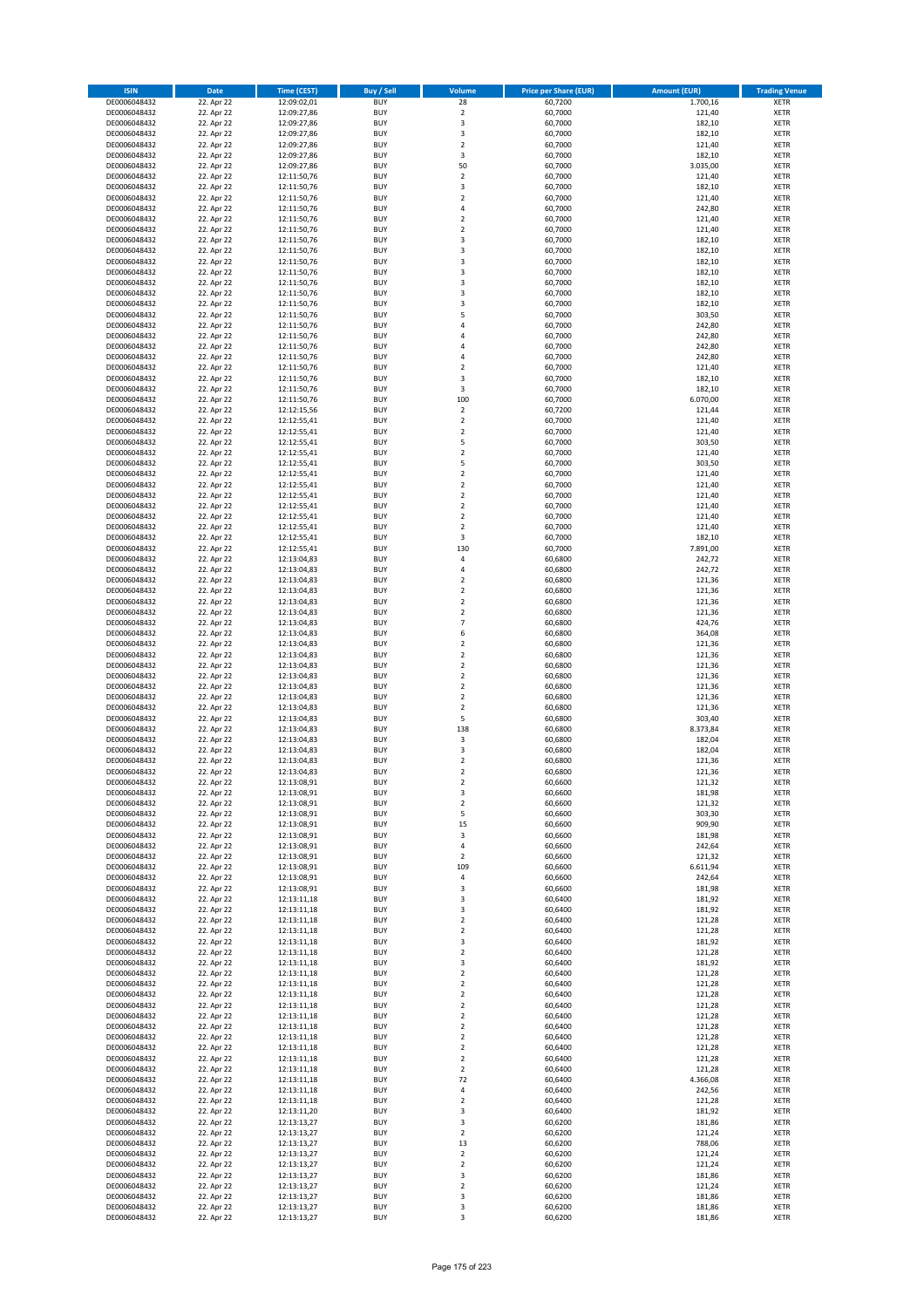| <b>ISIN</b>                  | <b>Date</b>              | <b>Time (CEST)</b>         | <b>Buy / Sell</b>        | <b>Volume</b>                          | <b>Price per Share (EUR)</b> | <b>Amount (EUR)</b> | <b>Trading Venue</b>       |
|------------------------------|--------------------------|----------------------------|--------------------------|----------------------------------------|------------------------------|---------------------|----------------------------|
| DE0006048432                 | 22. Apr 22               | 12:09:02,01                | <b>BUY</b>               | 28                                     | 60,7200                      | 1.700,16            | <b>XETR</b>                |
| DE0006048432                 | 22. Apr 22               | 12:09:27,86                | <b>BUY</b>               | $\mathbf 2$                            | 60,7000                      | 121,40              | <b>XETR</b>                |
| DE0006048432                 | 22. Apr 22               | 12:09:27,86                | <b>BUY</b>               | 3                                      | 60,7000                      | 182,10              | <b>XETR</b>                |
| DE0006048432                 | 22. Apr 22               | 12:09:27,86                | <b>BUY</b>               | 3                                      | 60,7000                      | 182,10              | <b>XETR</b>                |
| DE0006048432<br>DE0006048432 | 22. Apr 22<br>22. Apr 22 | 12:09:27,86<br>12:09:27,86 | <b>BUY</b><br><b>BUY</b> | $\overline{\mathbf{c}}$<br>3           | 60,7000<br>60,7000           | 121,40<br>182,10    | <b>XETR</b><br><b>XETR</b> |
| DE0006048432                 | 22. Apr 22               | 12:09:27,86                | <b>BUY</b>               | 50                                     | 60,7000                      | 3.035,00            | <b>XETR</b>                |
| DE0006048432                 | 22. Apr 22               | 12:11:50,76                | <b>BUY</b>               | $\mathbf 2$                            | 60,7000                      | 121,40              | <b>XETR</b>                |
| DE0006048432                 | 22. Apr 22               | 12:11:50,76                | <b>BUY</b>               | 3                                      | 60,7000                      | 182,10              | <b>XETR</b>                |
| DE0006048432                 | 22. Apr 22               | 12:11:50,76                | <b>BUY</b>               | $\mathbf 2$                            | 60,7000                      | 121,40              | <b>XETR</b>                |
| DE0006048432                 | 22. Apr 22               | 12:11:50,76                | <b>BUY</b>               | 4                                      | 60,7000                      | 242,80              | <b>XETR</b>                |
| DE0006048432                 | 22. Apr 22               | 12:11:50,76                | <b>BUY</b>               | $\overline{\mathbf{c}}$                | 60,7000                      | 121,40              | <b>XETR</b>                |
| DE0006048432<br>DE0006048432 | 22. Apr 22<br>22. Apr 22 | 12:11:50,76<br>12:11:50,76 | <b>BUY</b><br><b>BUY</b> | $\mathbf 2$<br>3                       | 60,7000<br>60,7000           | 121,40<br>182,10    | <b>XETR</b><br><b>XETR</b> |
| DE0006048432                 | 22. Apr 22               | 12:11:50,76                | <b>BUY</b>               | 3                                      | 60,7000                      | 182,10              | <b>XETR</b>                |
| DE0006048432                 | 22. Apr 22               | 12:11:50,76                | <b>BUY</b>               | 3                                      | 60,7000                      | 182,10              | <b>XETR</b>                |
| DE0006048432                 | 22. Apr 22               | 12:11:50,76                | <b>BUY</b>               | 3                                      | 60,7000                      | 182,10              | <b>XETR</b>                |
| DE0006048432                 | 22. Apr 22               | 12:11:50,76                | <b>BUY</b>               | 3                                      | 60,7000                      | 182,10              | <b>XETR</b>                |
| DE0006048432                 | 22. Apr 22               | 12:11:50,76                | <b>BUY</b>               | 3                                      | 60,7000                      | 182,10              | <b>XETR</b>                |
| DE0006048432<br>DE0006048432 | 22. Apr 22<br>22. Apr 22 | 12:11:50,76                | <b>BUY</b><br><b>BUY</b> | 3<br>5                                 | 60,7000<br>60,7000           | 182,10<br>303,50    | <b>XETR</b><br><b>XETR</b> |
| DE0006048432                 | 22. Apr 22               | 12:11:50,76<br>12:11:50,76 | <b>BUY</b>               | 4                                      | 60,7000                      | 242,80              | <b>XETR</b>                |
| DE0006048432                 | 22. Apr 22               | 12:11:50,76                | <b>BUY</b>               | 4                                      | 60,7000                      | 242,80              | <b>XETR</b>                |
| DE0006048432                 | 22. Apr 22               | 12:11:50,76                | <b>BUY</b>               | 4                                      | 60,7000                      | 242,80              | <b>XETR</b>                |
| DE0006048432                 | 22. Apr 22               | 12:11:50,76                | <b>BUY</b>               | 4                                      | 60,7000                      | 242,80              | <b>XETR</b>                |
| DE0006048432                 | 22. Apr 22               | 12:11:50,76                | <b>BUY</b>               | $\mathbf 2$                            | 60,7000                      | 121,40              | <b>XETR</b>                |
| DE0006048432<br>DE0006048432 | 22. Apr 22               | 12:11:50,76                | <b>BUY</b><br><b>BUY</b> | 3<br>3                                 | 60,7000                      | 182,10              | <b>XETR</b><br><b>XETR</b> |
| DE0006048432                 | 22. Apr 22<br>22. Apr 22 | 12:11:50,76<br>12:11:50,76 | <b>BUY</b>               | 100                                    | 60,7000<br>60,7000           | 182,10<br>6.070,00  | <b>XETR</b>                |
| DE0006048432                 | 22. Apr 22               | 12:12:15,56                | <b>BUY</b>               | $\overline{\mathbf{c}}$                | 60,7200                      | 121,44              | <b>XETR</b>                |
| DE0006048432                 | 22. Apr 22               | 12:12:55,41                | <b>BUY</b>               | $\overline{a}$                         | 60,7000                      | 121,40              | <b>XETR</b>                |
| DE0006048432                 | 22. Apr 22               | 12:12:55,41                | <b>BUY</b>               | $\overline{2}$                         | 60,7000                      | 121,40              | <b>XETR</b>                |
| DE0006048432                 | 22. Apr 22               | 12:12:55,41                | <b>BUY</b>               | 5                                      | 60,7000                      | 303,50              | <b>XETR</b>                |
| DE0006048432                 | 22. Apr 22               | 12:12:55,41                | <b>BUY</b>               | $\mathbf 2$                            | 60,7000                      | 121,40              | <b>XETR</b>                |
| DE0006048432<br>DE0006048432 | 22. Apr 22<br>22. Apr 22 | 12:12:55,41<br>12:12:55,41 | <b>BUY</b><br><b>BUY</b> | 5<br>$\mathbf 2$                       | 60,7000<br>60,7000           | 303,50<br>121,40    | <b>XETR</b><br><b>XETR</b> |
| DE0006048432                 | 22. Apr 22               | 12:12:55,41                | <b>BUY</b>               | $\overline{\mathbf{c}}$                | 60,7000                      | 121,40              | <b>XETR</b>                |
| DE0006048432                 | 22. Apr 22               | 12:12:55,41                | <b>BUY</b>               | $\mathbf 2$                            | 60,7000                      | 121,40              | <b>XETR</b>                |
| DE0006048432                 | 22. Apr 22               | 12:12:55,41                | <b>BUY</b>               | $\overline{2}$                         | 60,7000                      | 121,40              | <b>XETR</b>                |
| DE0006048432                 | 22. Apr 22               | 12:12:55,41                | <b>BUY</b>               | $\mathbf 2$                            | 60,7000                      | 121,40              | <b>XETR</b>                |
| DE0006048432                 | 22. Apr 22               | 12:12:55,41                | <b>BUY</b>               | $\overline{\mathbf{c}}$                | 60,7000                      | 121,40              | <b>XETR</b>                |
| DE0006048432                 | 22. Apr 22               | 12:12:55,41                | <b>BUY</b><br><b>BUY</b> | 3<br>130                               | 60,7000                      | 182,10              | <b>XETR</b>                |
| DE0006048432<br>DE0006048432 | 22. Apr 22<br>22. Apr 22 | 12:12:55,41<br>12:13:04,83 | <b>BUY</b>               | 4                                      | 60,7000<br>60,6800           | 7.891,00<br>242,72  | <b>XETR</b><br><b>XETR</b> |
| DE0006048432                 | 22. Apr 22               | 12:13:04,83                | <b>BUY</b>               | 4                                      | 60,6800                      | 242,72              | <b>XETR</b>                |
| DE0006048432                 | 22. Apr 22               | 12:13:04,83                | <b>BUY</b>               | $\overline{2}$                         | 60,6800                      | 121,36              | <b>XETR</b>                |
| DE0006048432                 | 22. Apr 22               | 12:13:04,83                | <b>BUY</b>               | $\mathbf 2$                            | 60,6800                      | 121,36              | <b>XETR</b>                |
| DE0006048432                 | 22. Apr 22               | 12:13:04,83                | <b>BUY</b>               | $\mathbf 2$                            | 60,6800                      | 121,36              | <b>XETR</b>                |
| DE0006048432                 | 22. Apr 22               | 12:13:04,83                | <b>BUY</b><br><b>BUY</b> | $\overline{2}$<br>$\overline{7}$       | 60,6800                      | 121,36              | <b>XETR</b><br><b>XETR</b> |
| DE0006048432<br>DE0006048432 | 22. Apr 22<br>22. Apr 22 | 12:13:04,83<br>12:13:04,83 | <b>BUY</b>               | 6                                      | 60,6800<br>60,6800           | 424,76<br>364,08    | <b>XETR</b>                |
| DE0006048432                 | 22. Apr 22               | 12:13:04,83                | <b>BUY</b>               | $\mathbf 2$                            | 60,6800                      | 121,36              | <b>XETR</b>                |
| DE0006048432                 | 22. Apr 22               | 12:13:04,83                | <b>BUY</b>               | $\overline{2}$                         | 60,6800                      | 121,36              | <b>XETR</b>                |
| DE0006048432                 | 22. Apr 22               | 12:13:04,83                | <b>BUY</b>               | $\mathbf 2$                            | 60,6800                      | 121,36              | <b>XETR</b>                |
| DE0006048432                 | 22. Apr 22               | 12:13:04,83                | <b>BUY</b>               | $\mathbf 2$                            | 60,6800                      | 121,36              | <b>XETR</b>                |
| DE0006048432                 | 22. Apr 22               | 12:13:04,83                | <b>BUY</b>               | $\mathbf 2$                            | 60,6800                      | 121,36              | <b>XETR</b>                |
| DE0006048432<br>DE0006048432 | 22. Apr 22<br>22. Apr 22 | 12:13:04,83<br>12:13:04,83 | <b>BUY</b><br><b>BUY</b> | $\overline{\mathbf{c}}$<br>$\mathbf 2$ | 60,6800<br>60,6800           | 121,36<br>121,36    | <b>XETR</b><br><b>XETR</b> |
| DE0006048432                 | 22. Apr 22               | 12:13:04,83                | <b>BUY</b>               | 5                                      | 60,6800                      | 303,40              | <b>XETR</b>                |
| DE0006048432                 | 22. Apr 22               | 12:13:04,83                | <b>BUY</b>               | 138                                    | 60,6800                      | 8.373,84            | <b>XETR</b>                |
| DE0006048432                 | 22. Apr 22               | 12:13:04,83                | <b>BUY</b>               | $\mathsf 3$                            | 60,6800                      | 182,04              | <b>XETR</b>                |
| DE0006048432                 | 22. Apr 22               | 12:13:04,83                | <b>BUY</b>               | 3                                      | 60,6800                      | 182,04              | <b>XETR</b>                |
| DE0006048432                 | 22. Apr 22               | 12:13:04,83                | <b>BUY</b>               | $\overline{\mathbf{c}}$                | 60,6800                      | 121,36              | <b>XETR</b>                |
| DE0006048432                 | 22. Apr 22               | 12:13:04,83                | <b>BUY</b><br><b>BUY</b> | $\overline{2}$                         | 60,6800<br>60,6600           | 121,36              | <b>XETR</b>                |
| DE0006048432<br>DE0006048432 | 22. Apr 22<br>22. Apr 22 | 12:13:08,91<br>12:13:08,91 | <b>BUY</b>               | 2<br>3                                 | 60,6600                      | 121,32<br>181,98    | <b>XETR</b><br>XETR        |
| DE0006048432                 | 22. Apr 22               | 12:13:08,91                | <b>BUY</b>               | $\mathbf 2$                            | 60,6600                      | 121,32              | XETR                       |
| DE0006048432                 | 22. Apr 22               | 12:13:08,91                | <b>BUY</b>               | 5                                      | 60,6600                      | 303,30              | XETR                       |
| DE0006048432                 | 22. Apr 22               | 12:13:08,91                | <b>BUY</b>               | 15                                     | 60,6600                      | 909,90              | <b>XETR</b>                |
| DE0006048432                 | 22. Apr 22               | 12:13:08,91                | <b>BUY</b>               | 3                                      | 60,6600                      | 181,98              | <b>XETR</b>                |
| DE0006048432                 | 22. Apr 22               | 12:13:08,91                | <b>BUY</b>               | 4                                      | 60,6600                      | 242,64              | <b>XETR</b>                |
| DE0006048432<br>DE0006048432 | 22. Apr 22<br>22. Apr 22 | 12:13:08,91<br>12:13:08,91 | <b>BUY</b><br><b>BUY</b> | $\mathbf 2$<br>109                     | 60,6600<br>60,6600           | 121,32<br>6.611,94  | <b>XETR</b><br><b>XETR</b> |
| DE0006048432                 | 22. Apr 22               | 12:13:08,91                | <b>BUY</b>               | 4                                      | 60,6600                      | 242,64              | XETR                       |
| DE0006048432                 | 22. Apr 22               | 12:13:08,91                | <b>BUY</b>               | 3                                      | 60,6600                      | 181,98              | <b>XETR</b>                |
| DE0006048432                 | 22. Apr 22               | 12:13:11,18                | <b>BUY</b>               | 3                                      | 60,6400                      | 181,92              | <b>XETR</b>                |
| DE0006048432                 | 22. Apr 22               | 12:13:11,18                | <b>BUY</b>               | 3                                      | 60,6400                      | 181,92              | <b>XETR</b>                |
| DE0006048432                 | 22. Apr 22<br>22. Apr 22 | 12:13:11,18                | <b>BUY</b><br><b>BUY</b> | $\overline{2}$                         | 60,6400<br>60,6400           | 121,28<br>121,28    | <b>XETR</b>                |
| DE0006048432<br>DE0006048432 | 22. Apr 22               | 12:13:11,18<br>12:13:11,18 | <b>BUY</b>               | $\mathbf 2$<br>3                       | 60,6400                      | 181,92              | <b>XETR</b><br><b>XETR</b> |
| DE0006048432                 | 22. Apr 22               | 12:13:11,18                | <b>BUY</b>               | $\overline{2}$                         | 60,6400                      | 121,28              | <b>XETR</b>                |
| DE0006048432                 | 22. Apr 22               | 12:13:11,18                | <b>BUY</b>               | 3                                      | 60,6400                      | 181,92              | <b>XETR</b>                |
| DE0006048432                 | 22. Apr 22               | 12:13:11,18                | <b>BUY</b>               | $\mathbf 2$                            | 60,6400                      | 121,28              | XETR                       |
| DE0006048432                 | 22. Apr 22               | 12:13:11,18                | <b>BUY</b>               | $\mathbf 2$                            | 60,6400                      | 121,28              | <b>XETR</b>                |
| DE0006048432                 | 22. Apr 22               | 12:13:11,18                | <b>BUY</b>               | $\overline{2}$                         | 60,6400                      | 121,28              | <b>XETR</b>                |
| DE0006048432<br>DE0006048432 | 22. Apr 22<br>22. Apr 22 | 12:13:11,18<br>12:13:11,18 | <b>BUY</b><br><b>BUY</b> | $\mathbf 2$<br>$\overline{2}$          | 60,6400<br>60,6400           | 121,28<br>121,28    | <b>XETR</b><br><b>XETR</b> |
| DE0006048432                 | 22. Apr 22               | 12:13:11,18                | <b>BUY</b>               | $\mathbf 2$                            | 60,6400                      | 121,28              | <b>XETR</b>                |
| DE0006048432                 | 22. Apr 22               | 12:13:11,18                | <b>BUY</b>               | $\mathbf 2$                            | 60,6400                      | 121,28              | <b>XETR</b>                |
| DE0006048432                 | 22. Apr 22               | 12:13:11,18                | <b>BUY</b>               | $\mathbf 2$                            | 60,6400                      | 121,28              | XETR                       |
| DE0006048432                 | 22. Apr 22               | 12:13:11,18                | <b>BUY</b>               | $\mathbf 2$                            | 60,6400                      | 121,28              | <b>XETR</b>                |
| DE0006048432                 | 22. Apr 22               | 12:13:11,18                | <b>BUY</b>               | $\overline{2}$                         | 60,6400                      | 121,28              | <b>XETR</b>                |
| DE0006048432<br>DE0006048432 | 22. Apr 22<br>22. Apr 22 | 12:13:11,18<br>12:13:11,18 | <b>BUY</b><br><b>BUY</b> | 72<br>4                                | 60,6400<br>60,6400           | 4.366,08<br>242,56  | <b>XETR</b><br>XETR        |
| DE0006048432                 | 22. Apr 22               | 12:13:11,18                | <b>BUY</b>               | $\mathbf 2$                            | 60,6400                      | 121,28              | <b>XETR</b>                |
| DE0006048432                 | 22. Apr 22               | 12:13:11,20                | <b>BUY</b>               | 3                                      | 60,6400                      | 181,92              | <b>XETR</b>                |
| DE0006048432                 | 22. Apr 22               | 12:13:13,27                | <b>BUY</b>               | 3                                      | 60,6200                      | 181,86              | XETR                       |
| DE0006048432                 | 22. Apr 22               | 12:13:13,27                | <b>BUY</b>               | $\mathbf 2$                            | 60,6200                      | 121,24              | <b>XETR</b>                |
| DE0006048432                 | 22. Apr 22               | 12:13:13,27                | <b>BUY</b>               | 13                                     | 60,6200                      | 788,06              | <b>XETR</b>                |
| DE0006048432                 | 22. Apr 22               | 12:13:13,27                | <b>BUY</b>               | $\mathbf 2$<br>$\overline{2}$          | 60,6200                      | 121,24              | <b>XETR</b>                |
| DE0006048432<br>DE0006048432 | 22. Apr 22<br>22. Apr 22 | 12:13:13,27<br>12:13:13,27 | <b>BUY</b><br><b>BUY</b> | 3                                      | 60,6200<br>60,6200           | 121,24<br>181,86    | <b>XETR</b><br>XETR        |
| DE0006048432                 | 22. Apr 22               | 12:13:13,27                | <b>BUY</b>               | $\overline{2}$                         | 60,6200                      | 121,24              | <b>XETR</b>                |
| DE0006048432                 | 22. Apr 22               | 12:13:13,27                | <b>BUY</b>               | 3                                      | 60,6200                      | 181,86              | XETR                       |
| DE0006048432                 | 22. Apr 22               | 12:13:13,27                | <b>BUY</b>               | 3                                      | 60,6200                      | 181,86              | <b>XETR</b>                |
| DE0006048432                 | 22. Apr 22               | 12:13:13,27                | <b>BUY</b>               | 3                                      | 60,6200                      | 181,86              | XETR                       |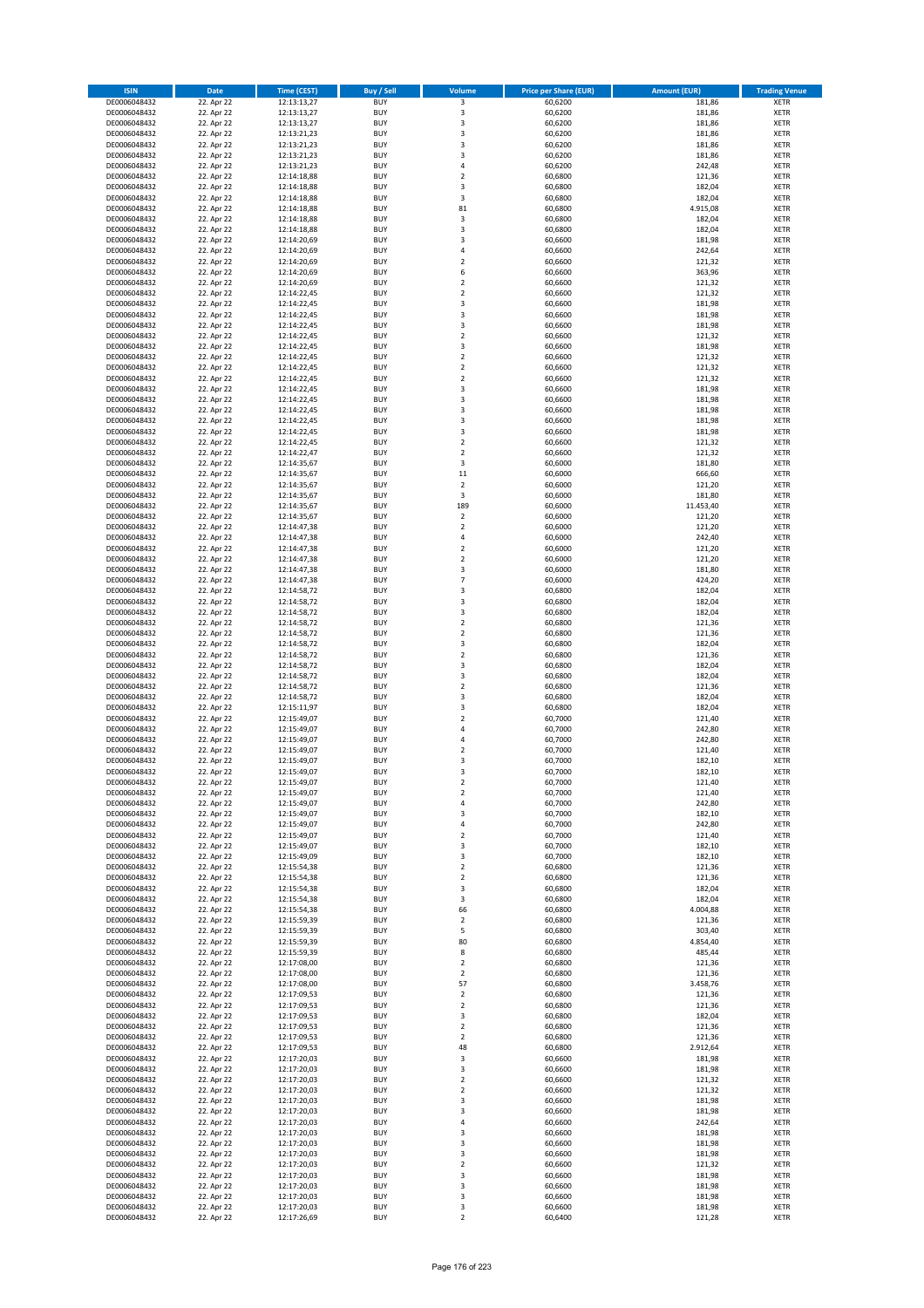| <b>ISIN</b>                  | <b>Date</b>              | Time (CEST)                | <b>Buy / Sell</b>        | Volume                                             | <b>Price per Share (EUR)</b> | Amount (EUR)     | <b>Trading Venue</b>       |
|------------------------------|--------------------------|----------------------------|--------------------------|----------------------------------------------------|------------------------------|------------------|----------------------------|
| DE0006048432                 | 22. Apr 22               | 12:13:13,27                | <b>BUY</b>               | $\overline{\mathbf{3}}$                            | 60,6200                      | 181,86           | <b>XETR</b>                |
| DE0006048432                 | 22. Apr 22               | 12:13:13,27                | <b>BUY</b>               | 3                                                  | 60,6200                      | 181,86           | <b>XETR</b>                |
| DE0006048432                 | 22. Apr 22               | 12:13:13,27                | <b>BUY</b>               | $\overline{\mathbf{3}}$                            | 60,6200                      | 181,86           | <b>XETR</b>                |
| DE0006048432                 | 22. Apr 22               | 12:13:21,23                | <b>BUY</b>               | 3                                                  | 60,6200                      | 181,86           | <b>XETR</b>                |
| DE0006048432<br>DE0006048432 | 22. Apr 22<br>22. Apr 22 | 12:13:21,23<br>12:13:21,23 | <b>BUY</b><br><b>BUY</b> | 3<br>$\overline{\mathbf{3}}$                       | 60,6200<br>60,6200           | 181,86<br>181,86 | <b>XETR</b><br><b>XETR</b> |
| DE0006048432                 | 22. Apr 22               | 12:13:21,23                | <b>BUY</b>               | $\overline{a}$                                     | 60,6200                      | 242,48           | <b>XETR</b>                |
| DE0006048432                 | 22. Apr 22               | 12:14:18,88                | <b>BUY</b>               | $\overline{2}$                                     | 60,6800                      | 121,36           | <b>XETR</b>                |
| DE0006048432                 | 22. Apr 22               | 12:14:18,88                | BUY                      | 3                                                  | 60,6800                      | 182,04           | <b>XETR</b>                |
| DE0006048432                 | 22. Apr 22               | 12:14:18,88                | <b>BUY</b>               | 3                                                  | 60,6800                      | 182,04           | <b>XETR</b>                |
| DE0006048432                 | 22. Apr 22               | 12:14:18,88                | <b>BUY</b>               | 81                                                 | 60,6800                      | 4.915,08         | <b>XETR</b>                |
| DE0006048432                 | 22. Apr 22               | 12:14:18,88                | <b>BUY</b>               | 3                                                  | 60,6800                      | 182,04           | <b>XETR</b>                |
| DE0006048432<br>DE0006048432 | 22. Apr 22<br>22. Apr 22 | 12:14:18,88<br>12:14:20,69 | <b>BUY</b><br><b>BUY</b> | 3<br>$\overline{3}$                                | 60,6800<br>60,6600           | 182,04<br>181,98 | <b>XETR</b><br><b>XETR</b> |
| DE0006048432                 | 22. Apr 22               | 12:14:20,69                | <b>BUY</b>               | 4                                                  | 60,6600                      | 242,64           | <b>XETR</b>                |
| DE0006048432                 | 22. Apr 22               | 12:14:20,69                | <b>BUY</b>               | $\overline{\phantom{a}}$                           | 60,6600                      | 121,32           | <b>XETR</b>                |
| DE0006048432                 | 22. Apr 22               | 12:14:20,69                | <b>BUY</b>               | 6                                                  | 60,6600                      | 363,96           | <b>XETR</b>                |
| DE0006048432                 | 22. Apr 22               | 12:14:20,69                | <b>BUY</b>               | $\overline{\mathbf{2}}$                            | 60,6600                      | 121,32           | <b>XETR</b>                |
| DE0006048432                 | 22. Apr 22               | 12:14:22.45                | <b>BUY</b>               | $\overline{2}$                                     | 60,6600                      | 121,32           | <b>XETR</b>                |
| DE0006048432<br>DE0006048432 | 22. Apr 22<br>22. Apr 22 | 12:14:22,45<br>12:14:22,45 | <b>BUY</b><br><b>BUY</b> | $\overline{3}$<br>$\overline{\mathbf{3}}$          | 60,6600<br>60,6600           | 181,98<br>181,98 | <b>XETR</b><br><b>XETR</b> |
| DE0006048432                 | 22. Apr 22               | 12:14:22,45                | <b>BUY</b>               | $\overline{\mathbf{3}}$                            | 60,6600                      | 181,98           | <b>XETR</b>                |
| DE0006048432                 | 22. Apr 22               | 12:14:22,45                | <b>BUY</b>               | $\overline{\mathbf{2}}$                            | 60,6600                      | 121,32           | <b>XETR</b>                |
| DE0006048432                 | 22. Apr 22               | 12:14:22,45                | <b>BUY</b>               | 3                                                  | 60,6600                      | 181,98           | <b>XETR</b>                |
| DE0006048432                 | 22. Apr 22               | 12:14:22,45                | <b>BUY</b>               | $\overline{\mathbf{2}}$                            | 60,6600                      | 121,32           | <b>XETR</b>                |
| DE0006048432                 | 22. Apr 22               | 12:14:22,45                | <b>BUY</b>               | $\mathbf 2$                                        | 60,6600                      | 121,32           | <b>XETR</b>                |
| DE0006048432                 | 22. Apr 22               | 12:14:22,45                | <b>BUY</b><br><b>BUY</b> | $\mathbf 2$<br>$\overline{\mathbf{3}}$             | 60,6600                      | 121,32           | <b>XETR</b><br><b>XETR</b> |
| DE0006048432<br>DE0006048432 | 22. Apr 22<br>22. Apr 22 | 12:14:22,45<br>12:14:22,45 | <b>BUY</b>               | 3                                                  | 60,6600<br>60,6600           | 181,98<br>181,98 | <b>XETR</b>                |
| DE0006048432                 | 22. Apr 22               | 12:14:22,45                | <b>BUY</b>               | $\overline{\mathbf{3}}$                            | 60,6600                      | 181,98           | <b>XETR</b>                |
| DE0006048432                 | 22. Apr 22               | 12:14:22,45                | <b>BUY</b>               | 3                                                  | 60,6600                      | 181,98           | <b>XETR</b>                |
| DE0006048432                 | 22. Apr 22               | 12:14:22,45                | <b>BUY</b>               | 3                                                  | 60,6600                      | 181,98           | <b>XETR</b>                |
| DE0006048432                 | 22. Apr 22               | 12:14:22,45                | <b>BUY</b>               | $\mathbf 2$                                        | 60,6600                      | 121,32           | <b>XETR</b>                |
| DE0006048432                 | 22. Apr 22               | 12:14:22,47                | <b>BUY</b>               | $\overline{\mathbf{2}}$                            | 60,6600                      | 121,32           | <b>XETR</b>                |
| DE0006048432<br>DE0006048432 | 22. Apr 22<br>22. Apr 22 | 12:14:35,67<br>12:14:35,67 | <b>BUY</b><br><b>BUY</b> | 3<br>$11\,$                                        | 60,6000<br>60,6000           | 181,80<br>666,60 | <b>XETR</b><br><b>XETR</b> |
| DE0006048432                 | 22. Apr 22               | 12:14:35,67                | <b>BUY</b>               | $\overline{2}$                                     | 60,6000                      | 121,20           | <b>XETR</b>                |
| DE0006048432                 | 22. Apr 22               | 12:14:35,67                | <b>BUY</b>               | 3                                                  | 60,6000                      | 181,80           | <b>XETR</b>                |
| DE0006048432                 | 22. Apr 22               | 12:14:35,67                | <b>BUY</b>               | 189                                                | 60,6000                      | 11.453,40        | <b>XETR</b>                |
| DE0006048432                 | 22. Apr 22               | 12:14:35,67                | <b>BUY</b>               | $\mathbf 2$                                        | 60,6000                      | 121,20           | <b>XETR</b>                |
| DE0006048432                 | 22. Apr 22               | 12:14:47,38                | <b>BUY</b>               | $\overline{2}$                                     | 60,6000                      | 121,20           | <b>XETR</b>                |
| DE0006048432                 | 22. Apr 22               | 12:14:47,38                | <b>BUY</b><br><b>BUY</b> | 4                                                  | 60,6000                      | 242,40           | <b>XETR</b>                |
| DE0006048432<br>DE0006048432 | 22. Apr 22<br>22. Apr 22 | 12:14:47,38<br>12:14:47,38 | <b>BUY</b>               | $\mathbf 2$<br>$\overline{\mathbf{2}}$             | 60,6000<br>60,6000           | 121,20<br>121,20 | <b>XETR</b><br><b>XETR</b> |
| DE0006048432                 | 22. Apr 22               | 12:14:47,38                | <b>BUY</b>               | 3                                                  | 60,6000                      | 181,80           | <b>XETR</b>                |
| DE0006048432                 | 22. Apr 22               | 12:14:47,38                | <b>BUY</b>               | 7                                                  | 60,6000                      | 424,20           | <b>XETR</b>                |
| DE0006048432                 | 22. Apr 22               | 12:14:58,72                | <b>BUY</b>               | 3                                                  | 60,6800                      | 182,04           | <b>XETR</b>                |
| DE0006048432                 | 22. Apr 22               | 12:14:58,72                | <b>BUY</b>               | $\overline{\mathbf{3}}$                            | 60,6800                      | 182,04           | <b>XETR</b>                |
| DE0006048432                 | 22. Apr 22               | 12:14:58,72                | <b>BUY</b><br><b>BUY</b> | 3<br>$\overline{\mathbf{2}}$                       | 60,6800                      | 182,04<br>121,36 | <b>XETR</b><br><b>XETR</b> |
| DE0006048432<br>DE0006048432 | 22. Apr 22<br>22. Apr 22 | 12:14:58,72<br>12:14:58,72 | <b>BUY</b>               | $\overline{2}$                                     | 60,6800<br>60,6800           | 121,36           | <b>XETR</b>                |
| DE0006048432                 | 22. Apr 22               | 12:14:58,72                | <b>BUY</b>               | $\overline{3}$                                     | 60,6800                      | 182,04           | <b>XETR</b>                |
| DE0006048432                 | 22. Apr 22               | 12:14:58,72                | <b>BUY</b>               | $\overline{\mathbf{2}}$                            | 60,6800                      | 121,36           | <b>XETR</b>                |
| DE0006048432                 | 22. Apr 22               | 12:14:58,72                | <b>BUY</b>               | 3                                                  | 60,6800                      | 182,04           | <b>XETR</b>                |
| DE0006048432                 | 22. Apr 22               | 12:14:58,72                | <b>BUY</b>               | $\overline{\mathbf{3}}$                            | 60,6800                      | 182,04           | <b>XETR</b>                |
| DE0006048432                 | 22. Apr 22               | 12:14:58,72                | <b>BUY</b>               | $\overline{2}$                                     | 60,6800                      | 121,36           | <b>XETR</b>                |
| DE0006048432<br>DE0006048432 | 22. Apr 22<br>22. Apr 22 | 12:14:58,72<br>12:15:11,97 | <b>BUY</b><br><b>BUY</b> | $\overline{\mathbf{3}}$<br>$\overline{\mathbf{3}}$ | 60,6800<br>60,6800           | 182,04<br>182,04 | <b>XETR</b><br><b>XETR</b> |
| DE0006048432                 | 22. Apr 22               | 12:15:49,07                | BUY                      | $\overline{2}$                                     | 60,7000                      | 121,40           | <b>XETR</b>                |
| DE0006048432                 | 22. Apr 22               | 12:15:49,07                | <b>BUY</b>               | $\overline{4}$                                     | 60,7000                      | 242,80           | <b>XETR</b>                |
| DE0006048432                 | 22. Apr 22               | 12:15:49,07                | <b>BUY</b>               | $\overline{4}$                                     | 60,7000                      | 242,80           | <b>XETR</b>                |
| DE0006048432                 | 22. Apr 22               | 12:15:49,07                | BUY                      | $\overline{2}$                                     | 60,7000                      | 121,40           | <b>XETR</b>                |
| DE0006048432                 | 22. Apr 22               | 12:15:49,07                | BUY                      | $\overline{\mathbf{3}}$                            | 60,7000                      | 182,10           | <b>XETR</b>                |
| DE0006048432                 | 22. Apr 22               | 12:15:49,07                | <b>BUY</b>               | $\overline{3}$                                     | 60,7000<br>60,7000           | 182,10<br>121,40 | <b>XETR</b>                |
| DE0006048432<br>DE0006048432 | 22. Apr 22<br>22. Apr 22 | 12:15:49,07<br>12:15:49,07 | BUY<br><b>BUY</b>        | 2<br>$\mathbf 2$                                   | 60,7000                      | 121,40           | <b>XETR</b><br><b>XETR</b> |
| DE0006048432                 | 22. Apr 22               | 12:15:49,07                | <b>BUY</b>               | 4                                                  | 60,7000                      | 242,80           | <b>XETR</b>                |
| DE0006048432                 | 22. Apr 22               | 12:15:49,07                | <b>BUY</b>               | 3                                                  | 60,7000                      | 182,10           | <b>XETR</b>                |
| DE0006048432                 | 22. Apr 22               | 12:15:49,07                | <b>BUY</b>               | 4                                                  | 60,7000                      | 242,80           | <b>XETR</b>                |
| DE0006048432                 | 22. Apr 22               | 12:15:49,07                | <b>BUY</b>               | $\mathbf 2$                                        | 60,7000                      | 121,40           | <b>XETR</b>                |
| DE0006048432                 | 22. Apr 22               | 12:15:49,07<br>12:15:49,09 | <b>BUY</b><br><b>BUY</b> | 3                                                  | 60,7000                      | 182,10           | <b>XETR</b>                |
| DE0006048432<br>DE0006048432 | 22. Apr 22<br>22. Apr 22 | 12:15:54,38                | <b>BUY</b>               | 3<br>$\mathbf 2$                                   | 60,7000<br>60,6800           | 182,10<br>121,36 | <b>XETR</b><br><b>XETR</b> |
| DE0006048432                 | 22. Apr 22               | 12:15:54,38                | <b>BUY</b>               | $\mathbf 2$                                        | 60,6800                      | 121,36           | <b>XETR</b>                |
| DE0006048432                 | 22. Apr 22               | 12:15:54,38                | <b>BUY</b>               | 3                                                  | 60,6800                      | 182,04           | <b>XETR</b>                |
| DE0006048432                 | 22. Apr 22               | 12:15:54,38                | <b>BUY</b>               | 3                                                  | 60.6800                      | 182,04           | <b>XETR</b>                |
| DE0006048432                 | 22. Apr 22               | 12:15:54,38                | <b>BUY</b>               | 66                                                 | 60,6800                      | 4.004,88         | <b>XETR</b>                |
| DE0006048432<br>DE0006048432 | 22. Apr 22<br>22. Apr 22 | 12:15:59,39<br>12:15:59,39 | <b>BUY</b><br><b>BUY</b> | 2<br>5                                             | 60,6800<br>60,6800           | 121,36<br>303,40 | <b>XETR</b><br><b>XETR</b> |
| DE0006048432                 | 22. Apr 22               | 12:15:59,39                | <b>BUY</b>               | 80                                                 | 60,6800                      | 4.854,40         | <b>XETR</b>                |
| DE0006048432                 | 22. Apr 22               | 12:15:59,39                | <b>BUY</b>               | 8                                                  | 60,6800                      | 485,44           | <b>XETR</b>                |
| DE0006048432                 | 22. Apr 22               | 12:17:08,00                | <b>BUY</b>               | $\mathbf 2$                                        | 60,6800                      | 121,36           | <b>XETR</b>                |
| DE0006048432                 | 22. Apr 22               | 12:17:08,00                | <b>BUY</b>               | $\mathbf 2$                                        | 60,6800                      | 121,36           | <b>XETR</b>                |
| DE0006048432                 | 22. Apr 22               | 12:17:08,00                | <b>BUY</b>               | 57                                                 | 60,6800                      | 3.458,76         | <b>XETR</b>                |
| DE0006048432<br>DE0006048432 | 22. Apr 22<br>22. Apr 22 | 12:17:09,53<br>12:17:09,53 | <b>BUY</b><br><b>BUY</b> | $\overline{2}$<br>$\mathbf 2$                      | 60,6800<br>60,6800           | 121,36<br>121,36 | <b>XETR</b><br><b>XETR</b> |
| DE0006048432                 | 22. Apr 22               | 12:17:09,53                | <b>BUY</b>               | 3                                                  | 60,6800                      | 182,04           | <b>XETR</b>                |
| DE0006048432                 | 22. Apr 22               | 12:17:09,53                | <b>BUY</b>               | $\overline{2}$                                     | 60,6800                      | 121,36           | <b>XETR</b>                |
| DE0006048432                 | 22. Apr 22               | 12:17:09,53                | <b>BUY</b>               | $\mathbf 2$                                        | 60,6800                      | 121,36           | <b>XETR</b>                |
| DE0006048432                 | 22. Apr 22               | 12:17:09,53                | <b>BUY</b>               | 48                                                 | 60,6800                      | 2.912,64         | <b>XETR</b>                |
| DE0006048432                 | 22. Apr 22               | 12:17:20,03                | <b>BUY</b>               | 3                                                  | 60,6600                      | 181,98           | <b>XETR</b>                |
| DE0006048432                 | 22. Apr 22               | 12:17:20,03                | <b>BUY</b>               | $\overline{\mathbf{3}}$                            | 60,6600                      | 181,98           | <b>XETR</b>                |
| DE0006048432<br>DE0006048432 | 22. Apr 22<br>22. Apr 22 | 12:17:20,03<br>12:17:20,03 | <b>BUY</b><br><b>BUY</b> | $\mathbf 2$<br>$\overline{\mathbf{2}}$             | 60,6600<br>60,6600           | 121,32<br>121,32 | <b>XETR</b><br><b>XETR</b> |
| DE0006048432                 | 22. Apr 22               | 12:17:20,03                | <b>BUY</b>               | 3                                                  | 60,6600                      | 181,98           | <b>XETR</b>                |
| DE0006048432                 | 22. Apr 22               | 12:17:20,03                | <b>BUY</b>               | 3                                                  | 60,6600                      | 181,98           | <b>XETR</b>                |
| DE0006048432                 | 22. Apr 22               | 12:17:20,03                | <b>BUY</b>               | 4                                                  | 60,6600                      | 242,64           | <b>XETR</b>                |
| DE0006048432                 | 22. Apr 22               | 12:17:20,03                | <b>BUY</b>               | $\overline{\mathbf{3}}$                            | 60,6600                      | 181,98           | <b>XETR</b>                |
| DE0006048432                 | 22. Apr 22               | 12:17:20,03                | <b>BUY</b>               | 3                                                  | 60,6600                      | 181,98           | <b>XETR</b>                |
| DE0006048432<br>DE0006048432 | 22. Apr 22<br>22. Apr 22 | 12:17:20,03<br>12:17:20,03 | <b>BUY</b><br><b>BUY</b> | 3<br>$\overline{2}$                                | 60,6600<br>60,6600           | 181,98<br>121,32 | <b>XETR</b><br><b>XETR</b> |
| DE0006048432                 | 22. Apr 22               | 12:17:20,03                | <b>BUY</b>               | 3                                                  | 60,6600                      | 181,98           | <b>XETR</b>                |
| DE0006048432                 | 22. Apr 22               | 12:17:20,03                | <b>BUY</b>               | 3                                                  | 60,6600                      | 181,98           | <b>XETR</b>                |
| DE0006048432                 | 22. Apr 22               | 12:17:20,03                | <b>BUY</b>               | 3                                                  | 60,6600                      | 181,98           | <b>XETR</b>                |
| DE0006048432                 | 22. Apr 22               | 12:17:20,03                | <b>BUY</b>               | 3                                                  | 60,6600                      | 181,98           | <b>XETR</b>                |
| DE0006048432                 | 22. Apr 22               | 12:17:26,69                | <b>BUY</b>               | $\mathbf 2$                                        | 60,6400                      | 121,28           | <b>XETR</b>                |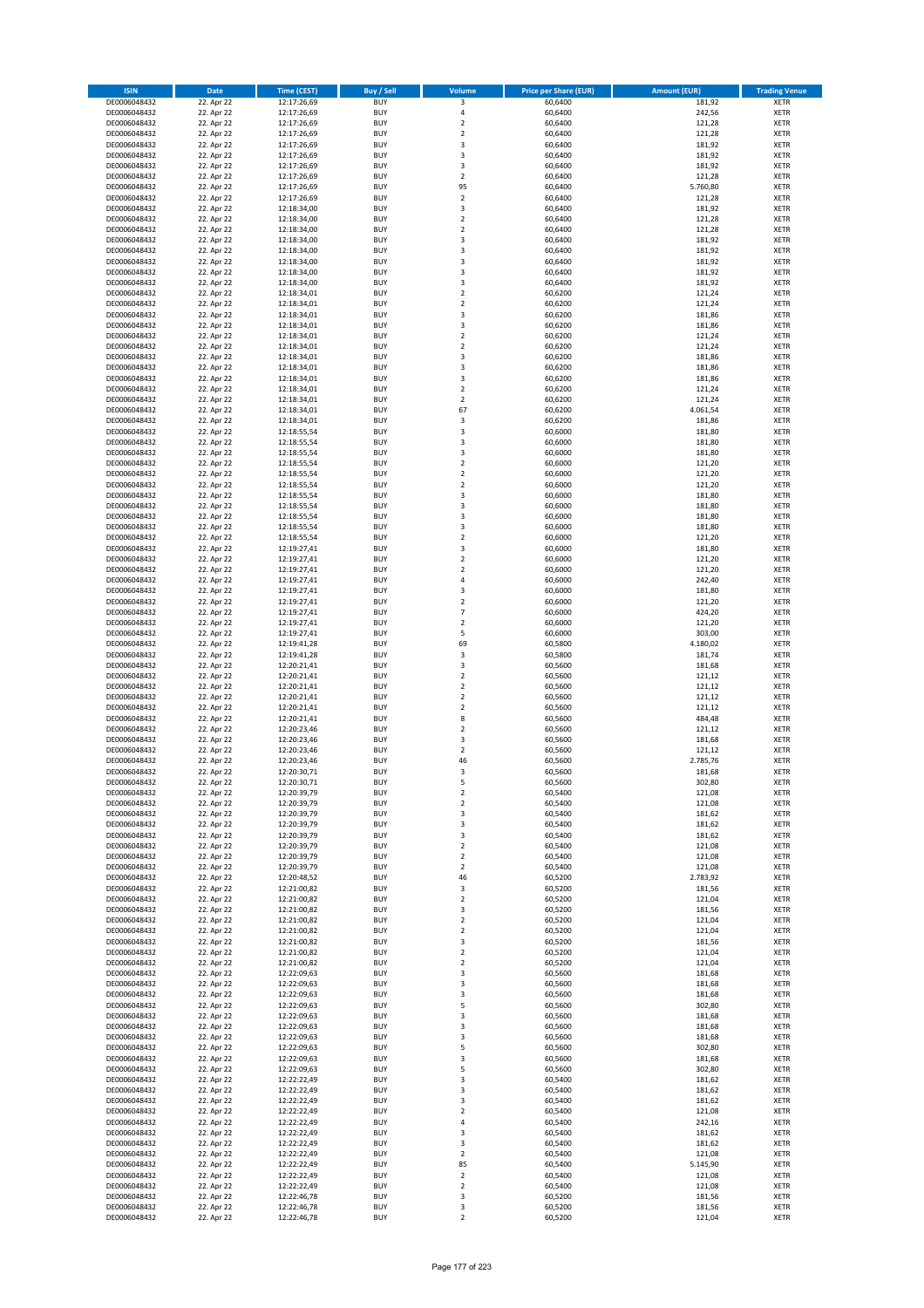| <b>ISIN</b>                  | Date                     | <b>Time (CEST)</b>         | <b>Buy / Sell</b>        | <b>Volume</b>                          | <b>Price per Share (EUR)</b> | <b>Amount (EUR)</b> | <b>Trading Venue</b>       |
|------------------------------|--------------------------|----------------------------|--------------------------|----------------------------------------|------------------------------|---------------------|----------------------------|
| DE0006048432                 | 22. Apr 22               | 12:17:26,69                | <b>BUY</b>               | 3                                      | 60,6400                      | 181,92              | <b>XETR</b>                |
| DE0006048432                 | 22. Apr 22               | 12:17:26,69                | <b>BUY</b>               | 4                                      | 60,6400                      | 242,56              | <b>XETR</b>                |
| DE0006048432                 | 22. Apr 22               | 12:17:26,69                | <b>BUY</b>               | $\mathbf 2$                            | 60,6400                      | 121,28              | <b>XETR</b>                |
| DE0006048432<br>DE0006048432 | 22. Apr 22<br>22. Apr 22 | 12:17:26,69<br>12:17:26,69 | <b>BUY</b><br><b>BUY</b> | $\overline{2}$<br>$\mathsf 3$          | 60,6400<br>60,6400           | 121,28<br>181,92    | <b>XETR</b><br><b>XETR</b> |
| DE0006048432                 | 22. Apr 22               | 12:17:26,69                | <b>BUY</b>               | 3                                      | 60,6400                      | 181,92              | <b>XETR</b>                |
| DE0006048432                 | 22. Apr 22               | 12:17:26,69                | <b>BUY</b>               | 3                                      | 60,6400                      | 181,92              | <b>XETR</b>                |
| DE0006048432                 | 22. Apr 22               | 12:17:26,69                | <b>BUY</b>               | $\overline{2}$                         | 60,6400                      | 121,28              | <b>XETR</b>                |
| DE0006048432                 | 22. Apr 22               | 12:17:26,69                | <b>BUY</b>               | 95                                     | 60,6400                      | 5.760,80            | <b>XETR</b>                |
| DE0006048432<br>DE0006048432 | 22. Apr 22<br>22. Apr 22 | 12:17:26,69                | <b>BUY</b><br><b>BUY</b> | $\mathbf 2$<br>3                       | 60,6400<br>60,6400           | 121,28              | <b>XETR</b><br><b>XETR</b> |
| DE0006048432                 | 22. Apr 22               | 12:18:34,00<br>12:18:34,00 | <b>BUY</b>               | $\mathbf 2$                            | 60,6400                      | 181,92<br>121,28    | <b>XETR</b>                |
| DE0006048432                 | 22. Apr 22               | 12:18:34,00                | <b>BUY</b>               | $\overline{2}$                         | 60,6400                      | 121,28              | <b>XETR</b>                |
| DE0006048432                 | 22. Apr 22               | 12:18:34,00                | <b>BUY</b>               | 3                                      | 60,6400                      | 181,92              | <b>XETR</b>                |
| DE0006048432                 | 22. Apr 22               | 12:18:34,00                | <b>BUY</b>               | 3                                      | 60,6400                      | 181,92              | <b>XETR</b>                |
| DE0006048432<br>DE0006048432 | 22. Apr 22               | 12:18:34,00<br>12:18:34,00 | <b>BUY</b><br><b>BUY</b> | 3<br>3                                 | 60,6400                      | 181,92              | <b>XETR</b><br><b>XETR</b> |
| DE0006048432                 | 22. Apr 22<br>22. Apr 22 | 12:18:34,00                | <b>BUY</b>               | 3                                      | 60,6400<br>60,6400           | 181,92<br>181,92    | <b>XETR</b>                |
| DE0006048432                 | 22. Apr 22               | 12:18:34,01                | <b>BUY</b>               | $\mathbf 2$                            | 60,6200                      | 121,24              | <b>XETR</b>                |
| DE0006048432                 | 22. Apr 22               | 12:18:34,01                | <b>BUY</b>               | $\overline{2}$                         | 60,6200                      | 121,24              | <b>XETR</b>                |
| DE0006048432                 | 22. Apr 22               | 12:18:34,01                | <b>BUY</b>               | 3                                      | 60,6200                      | 181,86              | <b>XETR</b>                |
| DE0006048432                 | 22. Apr 22               | 12:18:34,01                | <b>BUY</b>               | 3                                      | 60,6200                      | 181,86              | <b>XETR</b>                |
| DE0006048432<br>DE0006048432 | 22. Apr 22<br>22. Apr 22 | 12:18:34,01<br>12:18:34,01 | <b>BUY</b><br><b>BUY</b> | $\mathbf 2$<br>$\overline{2}$          | 60,6200<br>60,6200           | 121,24<br>121,24    | <b>XETR</b><br><b>XETR</b> |
| DE0006048432                 | 22. Apr 22               | 12:18:34,01                | <b>BUY</b>               | 3                                      | 60,6200                      | 181,86              | <b>XETR</b>                |
| DE0006048432                 | 22. Apr 22               | 12:18:34,01                | <b>BUY</b>               | 3                                      | 60,6200                      | 181,86              | <b>XETR</b>                |
| DE0006048432                 | 22. Apr 22               | 12:18:34,01                | <b>BUY</b>               | 3                                      | 60,6200                      | 181,86              | <b>XETR</b>                |
| DE0006048432                 | 22. Apr 22               | 12:18:34,01                | <b>BUY</b>               | $\mathbf 2$                            | 60,6200                      | 121,24              | <b>XETR</b>                |
| DE0006048432<br>DE0006048432 | 22. Apr 22<br>22. Apr 22 | 12:18:34,01<br>12:18:34,01 | <b>BUY</b><br><b>BUY</b> | $\overline{2}$<br>67                   | 60,6200<br>60,6200           | 121,24<br>4.061,54  | <b>XETR</b><br><b>XETR</b> |
| DE0006048432                 | 22. Apr 22               | 12:18:34,01                | <b>BUY</b>               | 3                                      | 60,6200                      | 181,86              | <b>XETR</b>                |
| DE0006048432                 | 22. Apr 22               | 12:18:55,54                | <b>BUY</b>               | 3                                      | 60,6000                      | 181,80              | <b>XETR</b>                |
| DE0006048432                 | 22. Apr 22               | 12:18:55,54                | <b>BUY</b>               | 3                                      | 60,6000                      | 181,80              | <b>XETR</b>                |
| DE0006048432                 | 22. Apr 22               | 12:18:55,54                | <b>BUY</b>               | 3                                      | 60,6000                      | 181,80              | <b>XETR</b>                |
| DE0006048432<br>DE0006048432 | 22. Apr 22<br>22. Apr 22 | 12:18:55,54                | <b>BUY</b><br><b>BUY</b> | $\mathbf 2$<br>$\overline{\mathbf{c}}$ | 60,6000<br>60,6000           | 121,20<br>121,20    | <b>XETR</b><br><b>XETR</b> |
| DE0006048432                 | 22. Apr 22               | 12:18:55,54<br>12:18:55,54 | <b>BUY</b>               | $\overline{2}$                         | 60,6000                      | 121,20              | <b>XETR</b>                |
| DE0006048432                 | 22. Apr 22               | 12:18:55,54                | <b>BUY</b>               | 3                                      | 60,6000                      | 181,80              | <b>XETR</b>                |
| DE0006048432                 | 22. Apr 22               | 12:18:55,54                | <b>BUY</b>               | 3                                      | 60,6000                      | 181,80              | <b>XETR</b>                |
| DE0006048432                 | 22. Apr 22               | 12:18:55,54                | <b>BUY</b>               | 3                                      | 60,6000                      | 181,80              | <b>XETR</b>                |
| DE0006048432                 | 22. Apr 22               | 12:18:55,54                | <b>BUY</b>               | 3                                      | 60,6000                      | 181,80              | <b>XETR</b>                |
| DE0006048432<br>DE0006048432 | 22. Apr 22<br>22. Apr 22 | 12:18:55,54<br>12:19:27,41 | <b>BUY</b><br><b>BUY</b> | $\overline{2}$<br>3                    | 60,6000<br>60,6000           | 121,20<br>181,80    | <b>XETR</b><br><b>XETR</b> |
| DE0006048432                 | 22. Apr 22               | 12:19:27,41                | <b>BUY</b>               | $\overline{2}$                         | 60,6000                      | 121,20              | <b>XETR</b>                |
| DE0006048432                 | 22. Apr 22               | 12:19:27,41                | <b>BUY</b>               | $\overline{2}$                         | 60,6000                      | 121,20              | <b>XETR</b>                |
| DE0006048432                 | 22. Apr 22               | 12:19:27,41                | <b>BUY</b>               | 4                                      | 60,6000                      | 242,40              | <b>XETR</b>                |
| DE0006048432                 | 22. Apr 22               | 12:19:27,41                | <b>BUY</b>               | 3                                      | 60,6000                      | 181,80              | <b>XETR</b>                |
| DE0006048432<br>DE0006048432 | 22. Apr 22<br>22. Apr 22 | 12:19:27,41<br>12:19:27,41 | <b>BUY</b><br><b>BUY</b> | $\overline{2}$<br>$\overline{7}$       | 60,6000<br>60,6000           | 121,20<br>424,20    | <b>XETR</b><br><b>XETR</b> |
| DE0006048432                 | 22. Apr 22               | 12:19:27,41                | <b>BUY</b>               | $\overline{2}$                         | 60,6000                      | 121,20              | <b>XETR</b>                |
| DE0006048432                 | 22. Apr 22               | 12:19:27,41                | <b>BUY</b>               | 5                                      | 60,6000                      | 303,00              | <b>XETR</b>                |
| DE0006048432                 | 22. Apr 22               | 12:19:41,28                | <b>BUY</b>               | 69                                     | 60,5800                      | 4.180,02            | <b>XETR</b>                |
| DE0006048432                 | 22. Apr 22               | 12:19:41,28                | <b>BUY</b>               | 3                                      | 60,5800                      | 181,74              | <b>XETR</b>                |
| DE0006048432<br>DE0006048432 | 22. Apr 22<br>22. Apr 22 | 12:20:21,41<br>12:20:21,41 | <b>BUY</b><br><b>BUY</b> | 3<br>$\overline{2}$                    | 60,5600<br>60,5600           | 181,68<br>121,12    | <b>XETR</b><br><b>XETR</b> |
| DE0006048432                 | 22. Apr 22               | 12:20:21,41                | <b>BUY</b>               | $\overline{2}$                         | 60,5600                      | 121,12              | <b>XETR</b>                |
| DE0006048432                 | 22. Apr 22               | 12:20:21,41                | <b>BUY</b>               | $\overline{2}$                         | 60,5600                      | 121,12              | <b>XETR</b>                |
| DE0006048432                 | 22. Apr 22               | 12:20:21,41                | <b>BUY</b>               | $\overline{\mathbf{c}}$                | 60,5600                      | 121,12              | <b>XETR</b>                |
| DE0006048432                 | 22. Apr 22               | 12:20:21,41                | <b>BUY</b>               | 8                                      | 60,5600                      | 484,48              | <b>XETR</b>                |
| DE0006048432<br>DE0006048432 | 22. Apr 22<br>22. Apr 22 | 12:20:23,46<br>12:20:23.46 | <b>BUY</b><br><b>BUY</b> | $\mathbf 2$<br>3                       | 60,5600<br>60,5600           | 121,12<br>181,68    | <b>XETR</b><br><b>XETR</b> |
| DE0006048432                 | 22. Apr 22               | 12:20:23,46                | <b>BUY</b>               | $\overline{\mathbf{c}}$                | 60,5600                      | 121,12              | <b>XETR</b>                |
| DE0006048432                 | 22. Apr 22               | 12:20:23.46                | <b>BUY</b>               | 46                                     | 60,5600                      | 2.785,76            | <b>XETR</b>                |
| DE0006048432                 | 22. Apr 22               | 12:20:30,71                | <b>BUY</b>               | 3                                      | 60,5600                      | 181,68              | <b>XETR</b>                |
| DE0006048432                 | 22. Apr 22               | 12:20:30,71                | <b>BUY</b>               | 5                                      | 60,5600                      | 302,80              | <b>XETR</b>                |
| DE0006048432<br>DE0006048432 | 22. Apr 22<br>22. Apr 22 | 12:20:39,79<br>12:20:39,79 | <b>BUY</b><br><b>BUY</b> | $\mathbf 2$<br>$\overline{2}$          | 60,5400<br>60,5400           | 121,08<br>121,08    | <b>XETR</b><br><b>XETR</b> |
| DE0006048432                 | 22. Apr 22               | 12:20:39.79                | <b>BUY</b>               | 3                                      | 60,5400                      | 181,62              | <b>XETR</b>                |
| DE0006048432                 | 22. Apr 22               | 12:20:39,79                | <b>BUY</b>               | 3                                      | 60,5400                      | 181,62              | <b>XETR</b>                |
| DE0006048432                 | 22. Apr 22               | 12:20:39,79                | <b>BUY</b>               | 3                                      | 60,5400                      | 181,62              | <b>XETR</b>                |
| DE0006048432                 | 22. Apr 22               | 12:20:39,79                | <b>BUY</b>               | $\overline{2}$                         | 60,5400                      | 121,08              | <b>XETR</b>                |
| DE0006048432<br>DE0006048432 | 22. Apr 22<br>22. Apr 22 | 12:20:39,79<br>12:20:39,79 | <b>BUY</b><br><b>BUY</b> | $\overline{2}$<br>$\overline{2}$       | 60,5400<br>60,5400           | 121,08<br>121,08    | <b>XETR</b><br><b>XETR</b> |
| DE0006048432                 | 22. Apr 22               | 12:20:48,52                | <b>BUY</b>               | 46                                     | 60,5200                      | 2.783,92            | <b>XETR</b>                |
| DE0006048432                 | 22. Apr 22               | 12:21:00,82                | <b>BUY</b>               | 3                                      | 60,5200                      | 181,56              | <b>XETR</b>                |
| DE0006048432                 | 22. Apr 22               | 12:21:00,82                | <b>BUY</b>               | $\mathbf 2$                            | 60,5200                      | 121,04              | <b>XETR</b>                |
| DE0006048432<br>DE0006048432 | 22. Apr 22<br>22. Apr 22 | 12:21:00,82<br>12:21:00,82 | <b>BUY</b><br><b>BUY</b> | 3<br>$\overline{2}$                    | 60,5200<br>60,5200           | 181,56<br>121,04    | <b>XETR</b><br><b>XETR</b> |
| DE0006048432                 | 22. Apr 22               | 12:21:00,82                | <b>BUY</b>               | $\overline{2}$                         | 60,5200                      | 121,04              | <b>XETR</b>                |
| DE0006048432                 | 22. Apr 22               | 12:21:00,82                | <b>BUY</b>               | 3                                      | 60,5200                      | 181,56              | <b>XETR</b>                |
| DE0006048432                 | 22. Apr 22               | 12:21:00,82                | <b>BUY</b>               | $\overline{2}$                         | 60,5200                      | 121,04              | <b>XETR</b>                |
| DE0006048432                 | 22. Apr 22               | 12:21:00,82                | <b>BUY</b>               | $\mathbf 2$                            | 60,5200                      | 121,04              | <b>XETR</b>                |
| DE0006048432                 | 22. Apr 22<br>22. Apr 22 | 12:22:09,63                | <b>BUY</b><br><b>BUY</b> | 3<br>3                                 | 60,5600                      | 181,68              | <b>XETR</b>                |
| DE0006048432<br>DE0006048432 | 22. Apr 22               | 12:22:09,63<br>12:22:09,63 | <b>BUY</b>               | 3                                      | 60,5600<br>60,5600           | 181,68<br>181,68    | <b>XETR</b><br><b>XETR</b> |
| DE0006048432                 | 22. Apr 22               | 12:22:09,63                | <b>BUY</b>               | 5                                      | 60,5600                      | 302,80              | <b>XETR</b>                |
| DE0006048432                 | 22. Apr 22               | 12:22:09,63                | <b>BUY</b>               | 3                                      | 60,5600                      | 181,68              | <b>XETR</b>                |
| DE0006048432                 | 22. Apr 22               | 12:22:09,63                | <b>BUY</b>               | 3                                      | 60,5600                      | 181,68              | <b>XETR</b>                |
| DE0006048432<br>DE0006048432 | 22. Apr 22<br>22. Apr 22 | 12:22:09,63<br>12:22:09,63 | <b>BUY</b><br><b>BUY</b> | 3<br>5                                 | 60,5600<br>60,5600           | 181,68<br>302,80    | <b>XETR</b><br><b>XETR</b> |
| DE0006048432                 | 22. Apr 22               | 12:22:09,63                | <b>BUY</b>               | 3                                      | 60,5600                      | 181,68              | <b>XETR</b>                |
| DE0006048432                 | 22. Apr 22               | 12:22:09,63                | <b>BUY</b>               | 5                                      | 60,5600                      | 302,80              | <b>XETR</b>                |
| DE0006048432                 | 22. Apr 22               | 12:22:22,49                | <b>BUY</b>               | 3                                      | 60,5400                      | 181,62              | <b>XETR</b>                |
| DE0006048432                 | 22. Apr 22               | 12:22:22,49                | <b>BUY</b>               | 3                                      | 60,5400                      | 181,62              | <b>XETR</b>                |
| DE0006048432                 | 22. Apr 22<br>22. Apr 22 | 12:22:22,49                | <b>BUY</b><br><b>BUY</b> | 3<br>$\overline{2}$                    | 60,5400<br>60,5400           | 181,62<br>121,08    | <b>XETR</b><br><b>XETR</b> |
| DE0006048432<br>DE0006048432 | 22. Apr 22               | 12:22:22,49<br>12:22:22,49 | <b>BUY</b>               | $\overline{4}$                         | 60,5400                      | 242,16              | <b>XETR</b>                |
| DE0006048432                 | 22. Apr 22               | 12:22:22,49                | <b>BUY</b>               | 3                                      | 60,5400                      | 181,62              | <b>XETR</b>                |
| DE0006048432                 | 22. Apr 22               | 12:22:22,49                | <b>BUY</b>               | 3                                      | 60,5400                      | 181,62              | <b>XETR</b>                |
| DE0006048432                 | 22. Apr 22               | 12:22:22,49                | <b>BUY</b>               | $\overline{2}$                         | 60,5400                      | 121,08              | <b>XETR</b>                |
| DE0006048432<br>DE0006048432 | 22. Apr 22<br>22. Apr 22 | 12:22:22,49<br>12:22:22,49 | <b>BUY</b><br><b>BUY</b> | 85<br>$\overline{2}$                   | 60,5400<br>60,5400           | 5.145,90<br>121,08  | <b>XETR</b><br><b>XETR</b> |
| DE0006048432                 | 22. Apr 22               | 12:22:22,49                | <b>BUY</b>               | $\mathbf 2$                            | 60,5400                      | 121,08              | <b>XETR</b>                |
| DE0006048432                 | 22. Apr 22               | 12:22:46,78                | <b>BUY</b>               | 3                                      | 60,5200                      | 181,56              | <b>XETR</b>                |
| DE0006048432                 | 22. Apr 22               | 12:22:46,78                | <b>BUY</b>               | 3                                      | 60,5200                      | 181,56              | <b>XETR</b>                |
| DE0006048432                 | 22. Apr 22               | 12:22:46,78                | <b>BUY</b>               | $\overline{2}$                         | 60,5200                      | 121,04              | <b>XETR</b>                |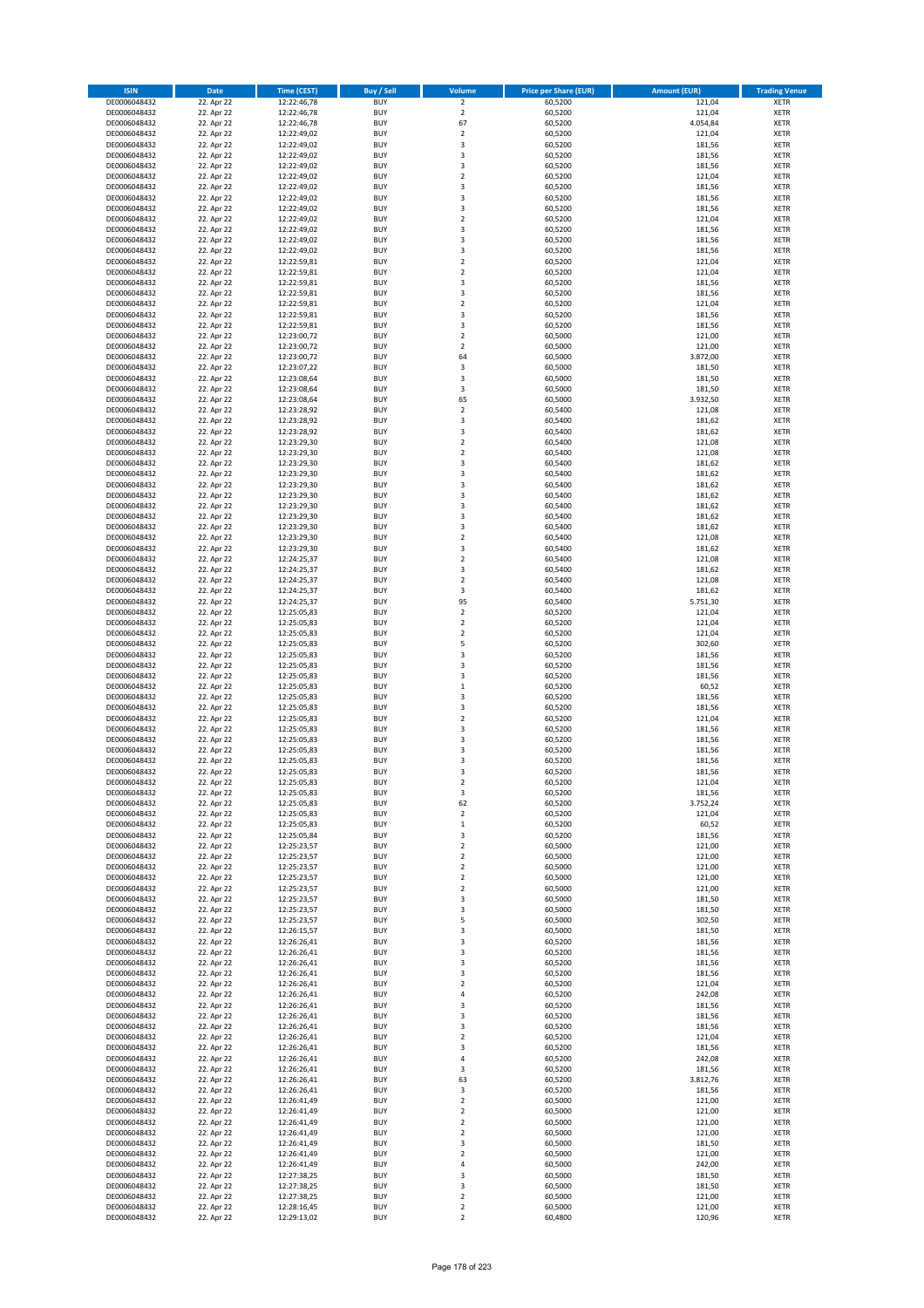| <b>ISIN</b>                  | <b>Date</b>              | <b>Time (CEST)</b>         | <b>Buy / Sell</b>        | <b>Volume</b>                | <b>Price per Share (EUR)</b> | <b>Amount (EUR)</b> | <b>Trading Venue</b>       |
|------------------------------|--------------------------|----------------------------|--------------------------|------------------------------|------------------------------|---------------------|----------------------------|
| DE0006048432                 | 22. Apr 22               | 12:22:46,78                | <b>BUY</b>               | $\overline{2}$               | 60,5200                      | 121,04              | <b>XETR</b>                |
| DE0006048432                 | 22. Apr 22               | 12:22:46,78                | <b>BUY</b>               | $\mathbf 2$                  | 60,5200                      | 121,04              | <b>XETR</b>                |
| DE0006048432                 | 22. Apr 22               | 12:22:46,78                | <b>BUY</b>               | 67                           | 60,5200                      | 4.054,84            | <b>XETR</b>                |
| DE0006048432                 | 22. Apr 22               | 12:22:49,02                | <b>BUY</b>               | $\mathbf 2$                  | 60,5200                      | 121,04              | <b>XETR</b>                |
| DE0006048432<br>DE0006048432 | 22. Apr 22<br>22. Apr 22 | 12:22:49,02<br>12:22:49,02 | <b>BUY</b><br><b>BUY</b> | 3<br>3                       | 60,5200<br>60,5200           | 181,56<br>181,56    | <b>XETR</b><br><b>XETR</b> |
| DE0006048432                 | 22. Apr 22               | 12:22:49,02                | <b>BUY</b>               | 3                            | 60,5200                      | 181,56              | <b>XETR</b>                |
| DE0006048432                 | 22. Apr 22               | 12:22:49,02                | <b>BUY</b>               | $\mathbf 2$                  | 60,5200                      | 121,04              | <b>XETR</b>                |
| DE0006048432                 | 22. Apr 22               | 12:22:49,02                | <b>BUY</b>               | 3                            | 60,5200                      | 181,56              | <b>XETR</b>                |
| DE0006048432                 | 22. Apr 22               | 12:22:49,02                | <b>BUY</b>               | 3                            | 60,5200                      | 181,56              | <b>XETR</b>                |
| DE0006048432                 | 22. Apr 22               | 12:22:49,02                | <b>BUY</b>               | 3                            | 60,5200                      | 181,56              | <b>XETR</b>                |
| DE0006048432                 | 22. Apr 22               | 12:22:49,02                | <b>BUY</b>               | $\overline{\mathbf{c}}$      | 60,5200                      | 121,04              | <b>XETR</b>                |
| DE0006048432<br>DE0006048432 | 22. Apr 22<br>22. Apr 22 | 12:22:49,02<br>12:22:49,02 | <b>BUY</b><br><b>BUY</b> | 3<br>3                       | 60,5200<br>60,5200           | 181,56<br>181,56    | <b>XETR</b><br><b>XETR</b> |
| DE0006048432                 | 22. Apr 22               | 12:22:49,02                | <b>BUY</b>               | 3                            | 60,5200                      | 181,56              | <b>XETR</b>                |
| DE0006048432                 | 22. Apr 22               | 12:22:59,81                | <b>BUY</b>               | $\overline{\mathbf{c}}$      | 60,5200                      | 121,04              | <b>XETR</b>                |
| DE0006048432                 | 22. Apr 22               | 12:22:59,81                | <b>BUY</b>               | $\mathbf 2$                  | 60,5200                      | 121,04              | <b>XETR</b>                |
| DE0006048432                 | 22. Apr 22               | 12:22:59,81                | <b>BUY</b>               | 3                            | 60,5200                      | 181,56              | <b>XETR</b>                |
| DE0006048432                 | 22. Apr 22               | 12:22:59,81                | <b>BUY</b>               | 3                            | 60,5200                      | 181,56              | <b>XETR</b>                |
| DE0006048432                 | 22. Apr 22               | 12:22:59,81                | <b>BUY</b>               | $\mathbf 2$                  | 60,5200                      | 121,04              | <b>XETR</b>                |
| DE0006048432                 | 22. Apr 22               | 12:22:59,81                | <b>BUY</b><br><b>BUY</b> | 3                            | 60,5200                      | 181,56              | <b>XETR</b>                |
| DE0006048432<br>DE0006048432 | 22. Apr 22<br>22. Apr 22 | 12:22:59,81<br>12:23:00,72 | <b>BUY</b>               | 3<br>$\overline{\mathbf{c}}$ | 60,5200<br>60,5000           | 181,56<br>121,00    | <b>XETR</b><br><b>XETR</b> |
| DE0006048432                 | 22. Apr 22               | 12:23:00,72                | <b>BUY</b>               | $\mathbf 2$                  | 60,5000                      | 121,00              | <b>XETR</b>                |
| DE0006048432                 | 22. Apr 22               | 12:23:00,72                | <b>BUY</b>               | 64                           | 60,5000                      | 3.872,00            | <b>XETR</b>                |
| DE0006048432                 | 22. Apr 22               | 12:23:07,22                | <b>BUY</b>               | 3                            | 60,5000                      | 181,50              | <b>XETR</b>                |
| DE0006048432                 | 22. Apr 22               | 12:23:08,64                | <b>BUY</b>               | 3                            | 60,5000                      | 181,50              | <b>XETR</b>                |
| DE0006048432                 | 22. Apr 22               | 12:23:08,64                | <b>BUY</b>               | 3                            | 60,5000                      | 181,50              | <b>XETR</b>                |
| DE0006048432                 | 22. Apr 22               | 12:23:08,64                | <b>BUY</b>               | 65                           | 60,5000                      | 3.932,50            | <b>XETR</b>                |
| DE0006048432<br>DE0006048432 | 22. Apr 22<br>22. Apr 22 | 12:23:28,92<br>12:23:28,92 | <b>BUY</b><br><b>BUY</b> | $\overline{\mathbf{c}}$<br>3 | 60,5400<br>60,5400           | 121,08<br>181,62    | <b>XETR</b><br><b>XETR</b> |
| DE0006048432                 | 22. Apr 22               | 12:23:28,92                | <b>BUY</b>               | 3                            | 60,5400                      | 181,62              | <b>XETR</b>                |
| DE0006048432                 | 22. Apr 22               | 12:23:29,30                | <b>BUY</b>               | $\mathbf 2$                  | 60,5400                      | 121,08              | <b>XETR</b>                |
| DE0006048432                 | 22. Apr 22               | 12:23:29,30                | <b>BUY</b>               | $\mathbf 2$                  | 60,5400                      | 121,08              | <b>XETR</b>                |
| DE0006048432                 | 22. Apr 22               | 12:23:29,30                | <b>BUY</b>               | 3                            | 60,5400                      | 181,62              | <b>XETR</b>                |
| DE0006048432                 | 22. Apr 22               | 12:23:29,30                | <b>BUY</b>               | 3                            | 60,5400                      | 181,62              | <b>XETR</b>                |
| DE0006048432                 | 22. Apr 22               | 12:23:29,30                | <b>BUY</b>               | 3                            | 60,5400                      | 181,62              | <b>XETR</b>                |
| DE0006048432                 | 22. Apr 22               | 12:23:29,30                | <b>BUY</b><br><b>BUY</b> | 3                            | 60,5400                      | 181,62              | <b>XETR</b>                |
| DE0006048432<br>DE0006048432 | 22. Apr 22<br>22. Apr 22 | 12:23:29,30<br>12:23:29,30 | <b>BUY</b>               | 3<br>3                       | 60,5400<br>60,5400           | 181,62<br>181,62    | <b>XETR</b><br><b>XETR</b> |
| DE0006048432                 | 22. Apr 22               | 12:23:29,30                | <b>BUY</b>               | 3                            | 60,5400                      | 181,62              | <b>XETR</b>                |
| DE0006048432                 | 22. Apr 22               | 12:23:29,30                | <b>BUY</b>               | $\mathbf 2$                  | 60,5400                      | 121,08              | <b>XETR</b>                |
| DE0006048432                 | 22. Apr 22               | 12:23:29,30                | <b>BUY</b>               | 3                            | 60,5400                      | 181,62              | <b>XETR</b>                |
| DE0006048432                 | 22. Apr 22               | 12:24:25,37                | <b>BUY</b>               | $\overline{\mathbf{c}}$      | 60,5400                      | 121,08              | <b>XETR</b>                |
| DE0006048432                 | 22. Apr 22               | 12:24:25,37                | <b>BUY</b>               | 3                            | 60,5400                      | 181,62              | <b>XETR</b>                |
| DE0006048432                 | 22. Apr 22               | 12:24:25,37                | <b>BUY</b>               | $\overline{2}$               | 60,5400                      | 121,08              | <b>XETR</b>                |
| DE0006048432                 | 22. Apr 22               | 12:24:25,37                | <b>BUY</b>               | 3<br>95                      | 60,5400                      | 181,62              | <b>XETR</b>                |
| DE0006048432<br>DE0006048432 | 22. Apr 22<br>22. Apr 22 | 12:24:25,37<br>12:25:05,83 | <b>BUY</b><br><b>BUY</b> | $\mathbf 2$                  | 60,5400<br>60,5200           | 5.751,30<br>121,04  | <b>XETR</b><br><b>XETR</b> |
| DE0006048432                 | 22. Apr 22               | 12:25:05,83                | <b>BUY</b>               | $\mathbf 2$                  | 60,5200                      | 121,04              | <b>XETR</b>                |
| DE0006048432                 | 22. Apr 22               | 12:25:05,83                | <b>BUY</b>               | $\overline{\mathbf{c}}$      | 60,5200                      | 121,04              | <b>XETR</b>                |
| DE0006048432                 | 22. Apr 22               | 12:25:05,83                | <b>BUY</b>               | 5                            | 60,5200                      | 302,60              | <b>XETR</b>                |
| DE0006048432                 | 22. Apr 22               | 12:25:05,83                | <b>BUY</b>               | 3                            | 60,5200                      | 181,56              | <b>XETR</b>                |
| DE0006048432                 | 22. Apr 22               | 12:25:05,83                | <b>BUY</b>               | 3                            | 60,5200                      | 181,56              | <b>XETR</b>                |
| DE0006048432                 | 22. Apr 22               | 12:25:05,83                | <b>BUY</b>               | 3                            | 60,5200                      | 181,56              | <b>XETR</b>                |
| DE0006048432                 | 22. Apr 22<br>22. Apr 22 | 12:25:05,83<br>12:25:05,83 | <b>BUY</b><br><b>BUY</b> | $\mathbf 1$<br>3             | 60,5200                      | 60,52               | <b>XETR</b><br><b>XETR</b> |
| DE0006048432<br>DE0006048432 | 22. Apr 22               | 12:25:05,83                | <b>BUY</b>               | 3                            | 60,5200<br>60,5200           | 181,56<br>181,56    | <b>XETR</b>                |
| DE0006048432                 | 22. Apr 22               | 12:25:05,83                | <b>BUY</b>               | $\mathbf 2$                  | 60,5200                      | 121,04              | <b>XETR</b>                |
| DE0006048432                 | 22. Apr 22               | 12:25:05,83                | <b>BUY</b>               | 3                            | 60,5200                      | 181,56              | <b>XETR</b>                |
| DE0006048432                 | 22. Apr 22               | 12:25:05,83                | <b>BUY</b>               | 3                            | 60,5200                      | 181,56              | <b>XETR</b>                |
| DE0006048432                 | 22. Apr 22               | 12:25:05,83                | <b>BUY</b>               | 3                            | 60,5200                      | 181,56              | <b>XETR</b>                |
| DE0006048432                 | 22. Apr 22               | 12:25:05,83                | <b>BUY</b>               | 3                            | 60,5200                      | 181,56              | <b>XETR</b>                |
| DE0006048432                 | 22. Apr 22               | 12:25:05,83                | <b>BUY</b>               | 3                            | 60,5200                      | 181,56              | <b>XETR</b>                |
| DE0006048432<br>DE0006048432 | 22. Apr 22<br>22. Apr 22 | 12:25:05,83<br>12:25:05,83 | BUY<br><b>BUY</b>        | 2<br>3                       | 60,5200<br>60,5200           | 121,04<br>181,56    | <b>XETR</b><br><b>XETR</b> |
| DE0006048432                 | 22. Apr 22               | 12:25:05,83                | <b>BUY</b>               | 62                           | 60,5200                      | 3.752,24            | <b>XETR</b>                |
| DE0006048432                 | 22. Apr 22               | 12:25:05,83                | <b>BUY</b>               | $\mathbf 2$                  | 60,5200                      | 121,04              | XETR                       |
| DE0006048432                 | 22. Apr 22               | 12:25:05,83                | <b>BUY</b>               | $\mathbf 1$                  | 60,5200                      | 60,52               | <b>XETR</b>                |
| DE0006048432                 | 22. Apr 22               | 12:25:05,84                | <b>BUY</b>               | 3                            | 60,5200                      | 181,56              | <b>XETR</b>                |
| DE0006048432                 | 22. Apr 22               | 12:25:23,57                | <b>BUY</b>               | $\overline{2}$               | 60,5000                      | 121,00              | <b>XETR</b>                |
| DE0006048432<br>DE0006048432 | 22. Apr 22<br>22. Apr 22 | 12:25:23,57<br>12:25:23,57 | <b>BUY</b><br><b>BUY</b> | $\mathbf 2$<br>$\mathbf 2$   | 60,5000<br>60,5000           | 121,00<br>121,00    | <b>XETR</b><br><b>XETR</b> |
| DE0006048432                 | 22. Apr 22               | 12:25:23,57                | <b>BUY</b>               | $\mathbf 2$                  | 60,5000                      | 121,00              | XETR                       |
| DE0006048432                 | 22. Apr 22               | 12:25:23,57                | <b>BUY</b>               | $\mathbf 2$                  | 60,5000                      | 121,00              | <b>XETR</b>                |
| DE0006048432                 | 22. Apr 22               | 12:25:23,57                | <b>BUY</b>               | 3                            | 60,5000                      | 181,50              | <b>XETR</b>                |
| DE0006048432                 | 22. Apr 22               | 12:25:23,57                | <b>BUY</b>               | 3                            | 60,5000                      | 181,50              | <b>XETR</b>                |
| DE0006048432                 | 22. Apr 22               | 12:25:23,57                | <b>BUY</b>               | 5                            | 60,5000                      | 302,50              | <b>XETR</b>                |
| DE0006048432<br>DE0006048432 | 22. Apr 22<br>22. Apr 22 | 12:26:15,57<br>12:26:26,41 | <b>BUY</b><br><b>BUY</b> | 3<br>3                       | 60,5000<br>60,5200           | 181,50<br>181,56    | <b>XETR</b><br><b>XETR</b> |
| DE0006048432                 | 22. Apr 22               | 12:26:26,41                | <b>BUY</b>               | 3                            | 60,5200                      | 181,56              | <b>XETR</b>                |
| DE0006048432                 | 22. Apr 22               | 12:26:26,41                | <b>BUY</b>               | 3                            | 60,5200                      | 181,56              | <b>XETR</b>                |
| DE0006048432                 | 22. Apr 22               | 12:26:26,41                | <b>BUY</b>               | 3                            | 60,5200                      | 181,56              | XETR                       |
| DE0006048432                 | 22. Apr 22               | 12:26:26,41                | <b>BUY</b>               | $\mathbf 2$                  | 60,5200                      | 121,04              | <b>XETR</b>                |
| DE0006048432                 | 22. Apr 22               | 12:26:26,41                | <b>BUY</b>               | 4                            | 60,5200                      | 242,08              | <b>XETR</b>                |
| DE0006048432                 | 22. Apr 22               | 12:26:26,41                | <b>BUY</b><br><b>BUY</b> | 3<br>3                       | 60,5200                      | 181,56              | <b>XETR</b><br><b>XETR</b> |
| DE0006048432<br>DE0006048432 | 22. Apr 22<br>22. Apr 22 | 12:26:26,41<br>12:26:26,41 | <b>BUY</b>               | 3                            | 60,5200<br>60,5200           | 181,56<br>181,56    | <b>XETR</b>                |
| DE0006048432                 | 22. Apr 22               | 12:26:26,41                | <b>BUY</b>               | $\mathbf 2$                  | 60,5200                      | 121,04              | <b>XETR</b>                |
| DE0006048432                 | 22. Apr 22               | 12:26:26,41                | <b>BUY</b>               | 3                            | 60,5200                      | 181,56              | <b>XETR</b>                |
| DE0006048432                 | 22. Apr 22               | 12:26:26,41                | <b>BUY</b>               | 4                            | 60,5200                      | 242,08              | <b>XETR</b>                |
| DE0006048432                 | 22. Apr 22               | 12:26:26,41                | <b>BUY</b>               | 3                            | 60,5200                      | 181,56              | <b>XETR</b>                |
| DE0006048432                 | 22. Apr 22               | 12:26:26,41                | <b>BUY</b>               | 63                           | 60,5200                      | 3.812,76            | <b>XETR</b>                |
| DE0006048432                 | 22. Apr 22               | 12:26:26,41                | <b>BUY</b>               | 3                            | 60,5200                      | 181,56              | XETR                       |
| DE0006048432                 | 22. Apr 22               | 12:26:41,49                | <b>BUY</b>               | $\mathbf 2$                  | 60,5000                      | 121,00              | <b>XETR</b>                |
| DE0006048432<br>DE0006048432 | 22. Apr 22<br>22. Apr 22 | 12:26:41,49<br>12:26:41,49 | <b>BUY</b><br><b>BUY</b> | $\mathbf 2$<br>$\mathbf 2$   | 60,5000<br>60,5000           | 121,00<br>121,00    | <b>XETR</b><br><b>XETR</b> |
| DE0006048432                 | 22. Apr 22               | 12:26:41,49                | <b>BUY</b>               | $\mathbf 2$                  | 60,5000                      | 121,00              | <b>XETR</b>                |
| DE0006048432                 | 22. Apr 22               | 12:26:41,49                | <b>BUY</b>               | 3                            | 60,5000                      | 181,50              | <b>XETR</b>                |
| DE0006048432                 | 22. Apr 22               | 12:26:41,49                | <b>BUY</b>               | $\mathbf 2$                  | 60,5000                      | 121,00              | <b>XETR</b>                |
| DE0006048432                 | 22. Apr 22               | 12:26:41,49                | <b>BUY</b>               | 4                            | 60,5000                      | 242,00              | <b>XETR</b>                |
| DE0006048432                 | 22. Apr 22               | 12:27:38,25                | <b>BUY</b>               | 3                            | 60,5000                      | 181,50              | XETR                       |
| DE0006048432                 | 22. Apr 22               | 12:27:38,25                | <b>BUY</b>               | 3                            | 60,5000                      | 181,50              | <b>XETR</b>                |
| DE0006048432<br>DE0006048432 | 22. Apr 22<br>22. Apr 22 | 12:27:38,25<br>12:28:16,45 | <b>BUY</b><br><b>BUY</b> | $\mathbf 2$<br>$\mathbf 2$   | 60,5000<br>60,5000           | 121,00<br>121,00    | <b>XETR</b><br><b>XETR</b> |
| DE0006048432                 | 22. Apr 22               | 12:29:13,02                | <b>BUY</b>               | $\mathbf 2$                  | 60,4800                      | 120,96              | XETR                       |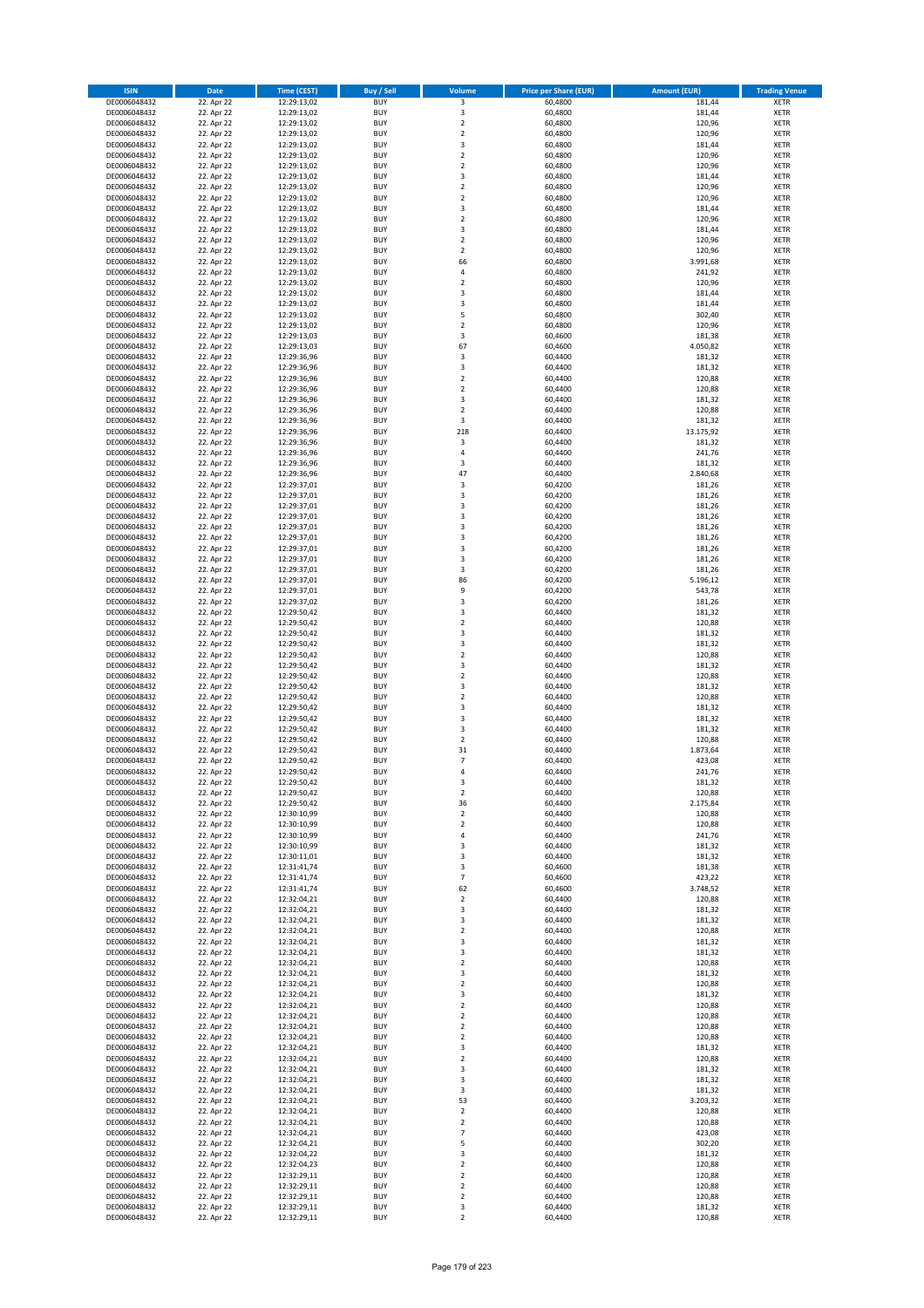| <b>ISIN</b>                  | Date                     | <b>Time (CEST)</b>         | <b>Buy / Sell</b>        | <b>Volume</b>                    | <b>Price per Share (EUR)</b> | <b>Amount (EUR)</b> | <b>Trading Venue</b>       |
|------------------------------|--------------------------|----------------------------|--------------------------|----------------------------------|------------------------------|---------------------|----------------------------|
| DE0006048432                 | 22. Apr 22               | 12:29:13,02                | <b>BUY</b>               | 3                                | 60,4800                      | 181,44              | <b>XETR</b>                |
| DE0006048432                 | 22. Apr 22               | 12:29:13,02                | <b>BUY</b>               | 3                                | 60,4800                      | 181,44              | <b>XETR</b>                |
| DE0006048432                 | 22. Apr 22               | 12:29:13,02                | <b>BUY</b>               | $\mathbf 2$                      | 60,4800                      | 120,96              | <b>XETR</b>                |
| DE0006048432<br>DE0006048432 | 22. Apr 22<br>22. Apr 22 | 12:29:13,02<br>12:29:13,02 | <b>BUY</b><br><b>BUY</b> | $\overline{2}$<br>$\mathsf 3$    | 60,4800<br>60,4800           | 120,96<br>181,44    | <b>XETR</b><br><b>XETR</b> |
| DE0006048432                 | 22. Apr 22               | 12:29:13,02                | <b>BUY</b>               | $\overline{2}$                   | 60,4800                      | 120,96              | <b>XETR</b>                |
| DE0006048432                 | 22. Apr 22               | 12:29:13,02                | <b>BUY</b>               | $\overline{2}$                   | 60,4800                      | 120,96              | <b>XETR</b>                |
| DE0006048432                 | 22. Apr 22               | 12:29:13,02                | <b>BUY</b>               | 3                                | 60,4800                      | 181,44              | <b>XETR</b>                |
| DE0006048432                 | 22. Apr 22               | 12:29:13,02                | <b>BUY</b>               | $\overline{2}$                   | 60,4800                      | 120,96              | <b>XETR</b>                |
| DE0006048432                 | 22. Apr 22               | 12:29:13,02                | <b>BUY</b>               | $\mathbf 2$                      | 60,4800                      | 120,96              | <b>XETR</b>                |
| DE0006048432<br>DE0006048432 | 22. Apr 22<br>22. Apr 22 | 12:29:13,02<br>12:29:13,02 | <b>BUY</b><br><b>BUY</b> | 3<br>$\mathbf 2$                 | 60,4800<br>60,4800           | 181,44<br>120,96    | <b>XETR</b><br><b>XETR</b> |
| DE0006048432                 | 22. Apr 22               | 12:29:13,02                | <b>BUY</b>               | 3                                | 60,4800                      | 181,44              | <b>XETR</b>                |
| DE0006048432                 | 22. Apr 22               | 12:29:13,02                | <b>BUY</b>               | $\mathbf 2$                      | 60,4800                      | 120,96              | <b>XETR</b>                |
| DE0006048432                 | 22. Apr 22               | 12:29:13,02                | <b>BUY</b>               | $\overline{2}$                   | 60,4800                      | 120,96              | <b>XETR</b>                |
| DE0006048432                 | 22. Apr 22               | 12:29:13,02                | <b>BUY</b>               | 66                               | 60,4800                      | 3.991,68            | <b>XETR</b>                |
| DE0006048432                 | 22. Apr 22               | 12:29:13,02                | <b>BUY</b><br><b>BUY</b> | 4                                | 60,4800                      | 241,92              | <b>XETR</b>                |
| DE0006048432<br>DE0006048432 | 22. Apr 22<br>22. Apr 22 | 12:29:13,02<br>12:29:13,02 | <b>BUY</b>               | $\mathbf 2$<br>3                 | 60,4800<br>60,4800           | 120,96<br>181,44    | <b>XETR</b><br><b>XETR</b> |
| DE0006048432                 | 22. Apr 22               | 12:29:13,02                | <b>BUY</b>               | 3                                | 60,4800                      | 181,44              | <b>XETR</b>                |
| DE0006048432                 | 22. Apr 22               | 12:29:13,02                | <b>BUY</b>               | 5                                | 60,4800                      | 302,40              | <b>XETR</b>                |
| DE0006048432                 | 22. Apr 22               | 12:29:13,02                | <b>BUY</b>               | $\overline{2}$                   | 60,4800                      | 120,96              | <b>XETR</b>                |
| DE0006048432                 | 22. Apr 22               | 12:29:13,03                | <b>BUY</b>               | 3                                | 60,4600                      | 181,38              | <b>XETR</b>                |
| DE0006048432                 | 22. Apr 22               | 12:29:13,03                | <b>BUY</b>               | 67                               | 60,4600                      | 4.050,82            | <b>XETR</b>                |
| DE0006048432<br>DE0006048432 | 22. Apr 22<br>22. Apr 22 | 12:29:36,96<br>12:29:36,96 | <b>BUY</b><br><b>BUY</b> | 3<br>3                           | 60,4400<br>60,4400           | 181,32<br>181,32    | <b>XETR</b><br><b>XETR</b> |
| DE0006048432                 | 22. Apr 22               | 12:29:36,96                | <b>BUY</b>               | $\overline{2}$                   | 60,4400                      | 120,88              | <b>XETR</b>                |
| DE0006048432                 | 22. Apr 22               | 12:29:36,96                | <b>BUY</b>               | $\mathbf 2$                      | 60,4400                      | 120,88              | <b>XETR</b>                |
| DE0006048432                 | 22. Apr 22               | 12:29:36,96                | <b>BUY</b>               | 3                                | 60,4400                      | 181,32              | <b>XETR</b>                |
| DE0006048432                 | 22. Apr 22               | 12:29:36,96                | <b>BUY</b>               | $\overline{2}$                   | 60,4400                      | 120,88              | <b>XETR</b>                |
| DE0006048432                 | 22. Apr 22               | 12:29:36,96                | <b>BUY</b>               | 3                                | 60,4400                      | 181,32              | <b>XETR</b>                |
| DE0006048432<br>DE0006048432 | 22. Apr 22               | 12:29:36,96                | <b>BUY</b><br><b>BUY</b> | 218<br>3                         | 60,4400                      | 13.175,92           | <b>XETR</b><br><b>XETR</b> |
| DE0006048432                 | 22. Apr 22<br>22. Apr 22 | 12:29:36,96<br>12:29:36,96 | <b>BUY</b>               | 4                                | 60,4400<br>60,4400           | 181,32<br>241,76    | <b>XETR</b>                |
| DE0006048432                 | 22. Apr 22               | 12:29:36,96                | <b>BUY</b>               | 3                                | 60,4400                      | 181,32              | <b>XETR</b>                |
| DE0006048432                 | 22. Apr 22               | 12:29:36,96                | <b>BUY</b>               | 47                               | 60,4400                      | 2.840,68            | <b>XETR</b>                |
| DE0006048432                 | 22. Apr 22               | 12:29:37,01                | <b>BUY</b>               | 3                                | 60,4200                      | 181,26              | <b>XETR</b>                |
| DE0006048432                 | 22. Apr 22               | 12:29:37,01                | <b>BUY</b>               | 3                                | 60,4200                      | 181,26              | <b>XETR</b>                |
| DE0006048432                 | 22. Apr 22               | 12:29:37,01                | <b>BUY</b>               | 3                                | 60,4200                      | 181,26              | <b>XETR</b>                |
| DE0006048432<br>DE0006048432 | 22. Apr 22<br>22. Apr 22 | 12:29:37,01<br>12:29:37,01 | <b>BUY</b><br><b>BUY</b> | 3<br>3                           | 60,4200<br>60,4200           | 181,26<br>181,26    | <b>XETR</b><br><b>XETR</b> |
| DE0006048432                 | 22. Apr 22               | 12:29:37,01                | <b>BUY</b>               | 3                                | 60,4200                      | 181,26              | <b>XETR</b>                |
| DE0006048432                 | 22. Apr 22               | 12:29:37,01                | <b>BUY</b>               | 3                                | 60,4200                      | 181,26              | <b>XETR</b>                |
| DE0006048432                 | 22. Apr 22               | 12:29:37,01                | <b>BUY</b>               | 3                                | 60,4200                      | 181,26              | <b>XETR</b>                |
| DE0006048432                 | 22. Apr 22               | 12:29:37,01                | <b>BUY</b>               | 3                                | 60,4200                      | 181,26              | <b>XETR</b>                |
| DE0006048432                 | 22. Apr 22               | 12:29:37,01                | <b>BUY</b>               | 86                               | 60,4200                      | 5.196,12            | <b>XETR</b>                |
| DE0006048432<br>DE0006048432 | 22. Apr 22<br>22. Apr 22 | 12:29:37,01                | <b>BUY</b><br><b>BUY</b> | 9<br>3                           | 60,4200<br>60,4200           | 543,78<br>181,26    | <b>XETR</b><br><b>XETR</b> |
| DE0006048432                 | 22. Apr 22               | 12:29:37,02<br>12:29:50,42 | <b>BUY</b>               | 3                                | 60,4400                      | 181,32              | <b>XETR</b>                |
| DE0006048432                 | 22. Apr 22               | 12:29:50,42                | <b>BUY</b>               | $\overline{2}$                   | 60,4400                      | 120,88              | <b>XETR</b>                |
| DE0006048432                 | 22. Apr 22               | 12:29:50,42                | <b>BUY</b>               | 3                                | 60,4400                      | 181,32              | <b>XETR</b>                |
| DE0006048432                 | 22. Apr 22               | 12:29:50,42                | <b>BUY</b>               | 3                                | 60,4400                      | 181,32              | <b>XETR</b>                |
| DE0006048432                 | 22. Apr 22               | 12:29:50,42                | <b>BUY</b>               | $\mathbf 2$                      | 60,4400                      | 120,88              | <b>XETR</b>                |
| DE0006048432<br>DE0006048432 | 22. Apr 22<br>22. Apr 22 | 12:29:50,42<br>12:29:50,42 | <b>BUY</b><br><b>BUY</b> | 3<br>$\overline{2}$              | 60,4400<br>60,4400           | 181,32<br>120,88    | <b>XETR</b><br><b>XETR</b> |
| DE0006048432                 | 22. Apr 22               | 12:29:50,42                | <b>BUY</b>               | 3                                | 60,4400                      | 181,32              | <b>XETR</b>                |
| DE0006048432                 | 22. Apr 22               | 12:29:50,42                | <b>BUY</b>               | $\overline{2}$                   | 60,4400                      | 120,88              | <b>XETR</b>                |
| DE0006048432                 | 22. Apr 22               | 12:29:50,42                | <b>BUY</b>               | 3                                | 60,4400                      | 181,32              | <b>XETR</b>                |
| DE0006048432                 | 22. Apr 22               | 12:29:50,42                | <b>BUY</b>               | 3                                | 60,4400                      | 181,32              | <b>XETR</b>                |
| DE0006048432                 | 22. Apr 22               | 12:29:50,42                | <b>BUY</b>               | $\mathsf 3$                      | 60,4400                      | 181,32              | <b>XETR</b>                |
| DE0006048432<br>DE0006048432 | 22. Apr 22<br>22. Apr 22 | 12:29:50.42<br>12:29:50,42 | <b>BUY</b><br><b>BUY</b> | $\overline{2}$<br>31             | 60,4400<br>60,4400           | 120,88<br>1.873,64  | <b>XETR</b><br><b>XETR</b> |
| DE0006048432                 | 22. Apr 22               | 12:29:50.42                | <b>BUY</b>               | $\overline{7}$                   | 60,4400                      | 423,08              | <b>XETR</b>                |
| DE0006048432                 | 22. Apr 22               | 12:29:50,42                | <b>BUY</b>               | $\overline{a}$                   | 60,4400                      | 241,76              | <b>XETR</b>                |
| DE0006048432                 | 22. Apr 22               | 12:29:50,42                | <b>BUY</b>               | 3                                | 60,4400                      | 181,32              | <b>XETR</b>                |
| DE0006048432                 | 22. Apr 22               | 12:29:50,42                | <b>BUY</b>               | $\mathbf 2$                      | 60,4400                      | 120,88              | <b>XETR</b>                |
| DE0006048432                 | 22. Apr 22               | 12:29:50,42                | <b>BUY</b>               | 36                               | 60,4400                      | 2.175,84            | <b>XETR</b>                |
| DE0006048432<br>DE0006048432 | 22. Apr 22<br>22. Apr 22 | 12:30:10.99                | <b>BUY</b><br><b>BUY</b> | $\overline{2}$<br>$\mathbf 2$    | 60,4400<br>60,4400           | 120,88<br>120,88    | <b>XETR</b>                |
| DE0006048432                 | 22. Apr 22               | 12:30:10,99<br>12:30:10,99 | <b>BUY</b>               | $\pmb{4}$                        | 60,4400                      | 241,76              | <b>XETR</b><br><b>XETR</b> |
| DE0006048432                 | 22. Apr 22               | 12:30:10,99                | <b>BUY</b>               | 3                                | 60,4400                      | 181,32              | <b>XETR</b>                |
| DE0006048432                 | 22. Apr 22               | 12:30:11,01                | <b>BUY</b>               | 3                                | 60,4400                      | 181,32              | <b>XETR</b>                |
| DE0006048432                 | 22. Apr 22               | 12:31:41,74                | <b>BUY</b>               | 3                                | 60,4600                      | 181,38              | <b>XETR</b>                |
| DE0006048432                 | 22. Apr 22               | 12:31:41,74                | <b>BUY</b>               | $\overline{7}$                   | 60,4600                      | 423,22              | <b>XETR</b>                |
| DE0006048432<br>DE0006048432 | 22. Apr 22<br>22. Apr 22 | 12:31:41,74<br>12:32:04,21 | <b>BUY</b><br><b>BUY</b> | 62<br>$\overline{2}$             | 60,4600<br>60,4400           | 3.748,52<br>120,88  | <b>XETR</b><br><b>XETR</b> |
| DE0006048432                 | 22. Apr 22               | 12:32:04,21                | <b>BUY</b>               | 3                                | 60,4400                      | 181,32              | <b>XETR</b>                |
| DE0006048432                 | 22. Apr 22               | 12:32:04,21                | <b>BUY</b>               | 3                                | 60,4400                      | 181,32              | <b>XETR</b>                |
| DE0006048432                 | 22. Apr 22               | 12:32:04,21                | <b>BUY</b>               | $\overline{2}$                   | 60,4400                      | 120,88              | <b>XETR</b>                |
| DE0006048432                 | 22. Apr 22               | 12:32:04,21                | <b>BUY</b>               | 3                                | 60,4400                      | 181,32              | <b>XETR</b>                |
| DE0006048432                 | 22. Apr 22               | 12:32:04,21                | <b>BUY</b>               | 3                                | 60,4400                      | 181,32              | <b>XETR</b>                |
| DE0006048432                 | 22. Apr 22<br>22. Apr 22 | 12:32:04,21                | <b>BUY</b>               | $\mathbf 2$<br>3                 | 60,4400<br>60,4400           | 120,88<br>181,32    | <b>XETR</b>                |
| DE0006048432<br>DE0006048432 | 22. Apr 22               | 12:32:04,21<br>12:32:04,21 | <b>BUY</b><br><b>BUY</b> | $\overline{2}$                   | 60,4400                      | 120,88              | <b>XETR</b><br><b>XETR</b> |
| DE0006048432                 | 22. Apr 22               | 12:32:04,21                | <b>BUY</b>               | 3                                | 60,4400                      | 181,32              | <b>XETR</b>                |
| DE0006048432                 | 22. Apr 22               | 12:32:04,21                | <b>BUY</b>               | $\overline{2}$                   | 60,4400                      | 120,88              | <b>XETR</b>                |
| DE0006048432                 | 22. Apr 22               | 12:32:04,21                | <b>BUY</b>               | $\overline{2}$                   | 60,4400                      | 120,88              | <b>XETR</b>                |
| DE0006048432                 | 22. Apr 22               | 12:32:04,21                | <b>BUY</b>               | $\overline{2}$                   | 60,4400                      | 120,88              | <b>XETR</b>                |
| DE0006048432                 | 22. Apr 22               | 12:32:04,21                | <b>BUY</b>               | $\mathbf 2$<br>3                 | 60,4400                      | 120,88              | <b>XETR</b>                |
| DE0006048432<br>DE0006048432 | 22. Apr 22<br>22. Apr 22 | 12:32:04,21<br>12:32:04,21 | <b>BUY</b><br><b>BUY</b> | $\overline{2}$                   | 60,4400<br>60,4400           | 181,32<br>120,88    | <b>XETR</b><br><b>XETR</b> |
| DE0006048432                 | 22. Apr 22               | 12:32:04,21                | <b>BUY</b>               | 3                                | 60,4400                      | 181,32              | <b>XETR</b>                |
| DE0006048432                 | 22. Apr 22               | 12:32:04,21                | <b>BUY</b>               | 3                                | 60,4400                      | 181,32              | <b>XETR</b>                |
| DE0006048432                 | 22. Apr 22               | 12:32:04,21                | <b>BUY</b>               | 3                                | 60,4400                      | 181,32              | <b>XETR</b>                |
| DE0006048432                 | 22. Apr 22               | 12:32:04,21                | <b>BUY</b>               | 53                               | 60,4400                      | 3.203,32            | <b>XETR</b>                |
| DE0006048432                 | 22. Apr 22               | 12:32:04,21                | <b>BUY</b>               | $\mathbf 2$                      | 60,4400                      | 120,88              | <b>XETR</b>                |
| DE0006048432<br>DE0006048432 | 22. Apr 22<br>22. Apr 22 | 12:32:04,21<br>12:32:04,21 | <b>BUY</b><br><b>BUY</b> | $\overline{2}$<br>$\overline{7}$ | 60,4400<br>60,4400           | 120,88<br>423,08    | <b>XETR</b><br><b>XETR</b> |
| DE0006048432                 | 22. Apr 22               | 12:32:04,21                | <b>BUY</b>               | 5                                | 60,4400                      | 302,20              | <b>XETR</b>                |
| DE0006048432                 | 22. Apr 22               | 12:32:04,22                | <b>BUY</b>               | 3                                | 60,4400                      | 181,32              | <b>XETR</b>                |
| DE0006048432                 | 22. Apr 22               | 12:32:04,23                | <b>BUY</b>               | $\mathbf 2$                      | 60,4400                      | 120,88              | <b>XETR</b>                |
| DE0006048432                 | 22. Apr 22               | 12:32:29,11                | <b>BUY</b>               | $\overline{2}$                   | 60,4400                      | 120,88              | <b>XETR</b>                |
| DE0006048432                 | 22. Apr 22               | 12:32:29,11                | <b>BUY</b>               | $\mathbf 2$                      | 60,4400                      | 120,88              | <b>XETR</b>                |
| DE0006048432<br>DE0006048432 | 22. Apr 22<br>22. Apr 22 | 12:32:29,11<br>12:32:29,11 | <b>BUY</b><br><b>BUY</b> | $\mathbf 2$<br>3                 | 60,4400<br>60,4400           | 120,88<br>181,32    | <b>XETR</b>                |
| DE0006048432                 | 22. Apr 22               | 12:32:29,11                | <b>BUY</b>               | $\overline{2}$                   | 60,4400                      | 120,88              | <b>XETR</b><br><b>XETR</b> |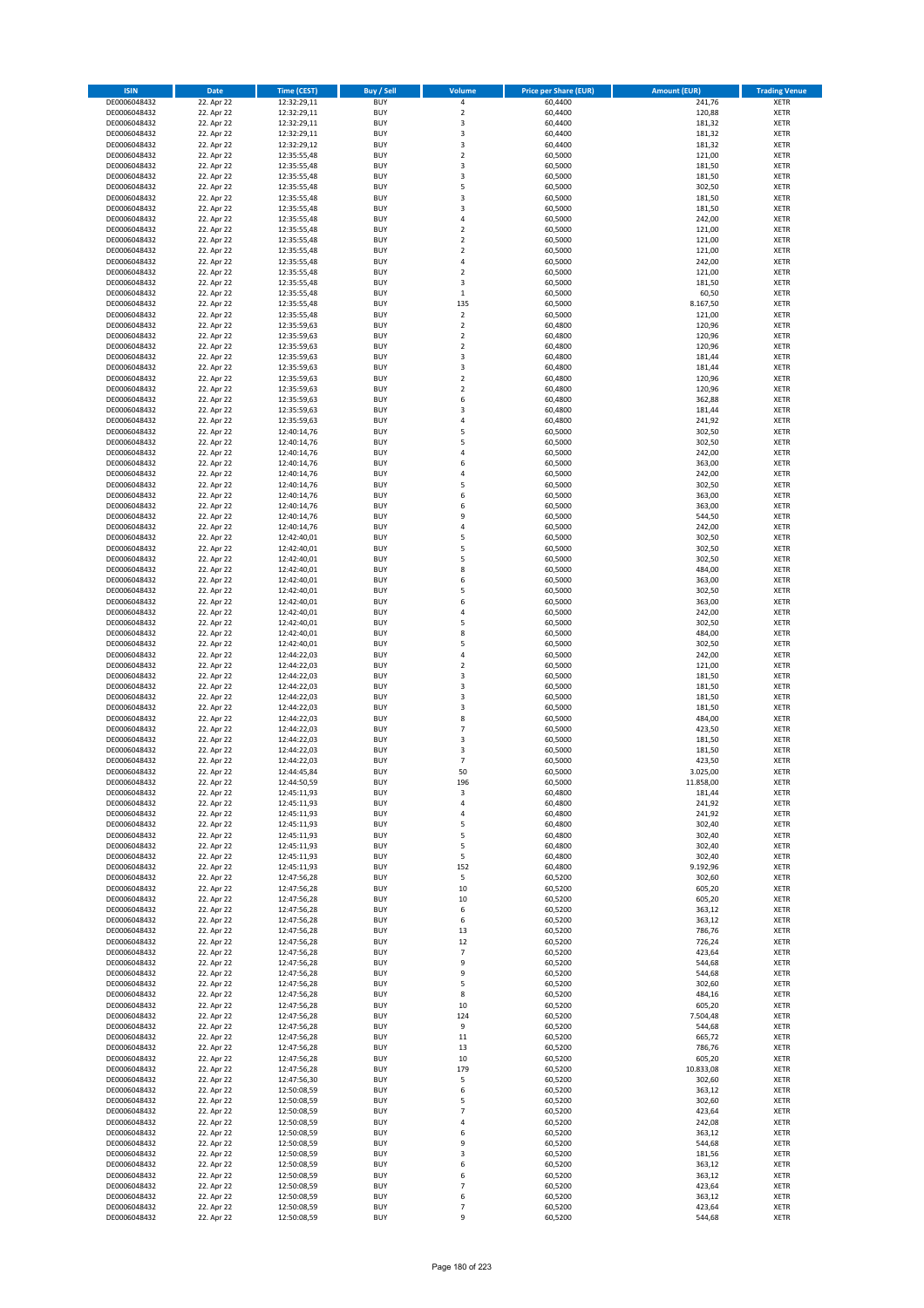| <b>ISIN</b>                  | Date                     | Time (CEST)                | <b>Buy / Sell</b>        | <b>Volume</b>                 | <b>Price per Share (EUR)</b> | <b>Amount (EUR)</b> | <b>Trading Venue</b>       |
|------------------------------|--------------------------|----------------------------|--------------------------|-------------------------------|------------------------------|---------------------|----------------------------|
| DE0006048432                 | 22. Apr 22               | 12:32:29,11                | <b>BUY</b>               | $\pmb{4}$                     | 60,4400                      | 241,76              | <b>XETR</b>                |
| DE0006048432                 | 22. Apr 22               | 12:32:29,11                | <b>BUY</b>               | $\mathbf 2$                   | 60,4400                      | 120,88              | XETR                       |
| DE0006048432                 | 22. Apr 22               | 12:32:29,11                | <b>BUY</b>               | 3                             | 60,4400                      | 181,32              | <b>XETR</b>                |
| DE0006048432<br>DE0006048432 | 22. Apr 22               | 12:32:29,11                | <b>BUY</b><br><b>BUY</b> | $\mathsf 3$<br>3              | 60,4400                      | 181,32<br>181,32    | XETR<br><b>XETR</b>        |
| DE0006048432                 | 22. Apr 22<br>22. Apr 22 | 12:32:29,12<br>12:35:55,48 | <b>BUY</b>               | $\mathbf 2$                   | 60,4400<br>60,5000           | 121,00              | <b>XETR</b>                |
| DE0006048432                 | 22. Apr 22               | 12:35:55,48                | <b>BUY</b>               | 3                             | 60,5000                      | 181,50              | <b>XETR</b>                |
| DE0006048432                 | 22. Apr 22               | 12:35:55,48                | <b>BUY</b>               | 3                             | 60,5000                      | 181,50              | <b>XETR</b>                |
| DE0006048432                 | 22. Apr 22               | 12:35:55,48                | <b>BUY</b>               | 5                             | 60,5000                      | 302,50              | <b>XETR</b>                |
| DE0006048432                 | 22. Apr 22               | 12:35:55,48                | <b>BUY</b>               | 3                             | 60,5000                      | 181,50              | <b>XETR</b>                |
| DE0006048432                 | 22. Apr 22               | 12:35:55,48                | <b>BUY</b>               | $\mathsf 3$                   | 60,5000                      | 181,50              | <b>XETR</b>                |
| DE0006048432                 | 22. Apr 22<br>22. Apr 22 | 12:35:55,48                | <b>BUY</b><br><b>BUY</b> | 4<br>$\mathbf 2$              | 60,5000                      | 242,00<br>121,00    | <b>XETR</b><br><b>XETR</b> |
| DE0006048432<br>DE0006048432 | 22. Apr 22               | 12:35:55,48<br>12:35:55,48 | <b>BUY</b>               | $\mathbf 2$                   | 60,5000<br>60,5000           | 121,00              | <b>XETR</b>                |
| DE0006048432                 | 22. Apr 22               | 12:35:55,48                | <b>BUY</b>               | $\mathbf 2$                   | 60,5000                      | 121,00              | <b>XETR</b>                |
| DE0006048432                 | 22. Apr 22               | 12:35:55,48                | <b>BUY</b>               | $\overline{4}$                | 60,5000                      | 242,00              | <b>XETR</b>                |
| DE0006048432                 | 22. Apr 22               | 12:35:55,48                | <b>BUY</b>               | $\mathbf 2$                   | 60,5000                      | 121,00              | <b>XETR</b>                |
| DE0006048432                 | 22. Apr 22               | 12:35:55,48                | <b>BUY</b>               | 3                             | 60,5000                      | 181,50              | <b>XETR</b>                |
| DE0006048432                 | 22. Apr 22               | 12:35:55,48                | <b>BUY</b>               | $\,1\,$                       | 60,5000                      | 60,50               | <b>XETR</b>                |
| DE0006048432                 | 22. Apr 22               | 12:35:55,48                | <b>BUY</b>               | 135                           | 60,5000                      | 8.167,50            | <b>XETR</b>                |
| DE0006048432<br>DE0006048432 | 22. Apr 22<br>22. Apr 22 | 12:35:55,48<br>12:35:59,63 | <b>BUY</b><br><b>BUY</b> | $\overline{2}$<br>$\mathbf 2$ | 60,5000<br>60,4800           | 121,00<br>120,96    | <b>XETR</b><br><b>XETR</b> |
| DE0006048432                 | 22. Apr 22               | 12:35:59,63                | <b>BUY</b>               | $\mathbf 2$                   | 60,4800                      | 120,96              | <b>XETR</b>                |
| DE0006048432                 | 22. Apr 22               | 12:35:59,63                | <b>BUY</b>               | $\mathbf 2$                   | 60,4800                      | 120,96              | <b>XETR</b>                |
| DE0006048432                 | 22. Apr 22               | 12:35:59,63                | <b>BUY</b>               | 3                             | 60,4800                      | 181,44              | <b>XETR</b>                |
| DE0006048432                 | 22. Apr 22               | 12:35:59,63                | <b>BUY</b>               | 3                             | 60,4800                      | 181,44              | <b>XETR</b>                |
| DE0006048432                 | 22. Apr 22               | 12:35:59,63                | <b>BUY</b>               | $\mathbf 2$                   | 60,4800                      | 120,96              | <b>XETR</b>                |
| DE0006048432                 | 22. Apr 22               | 12:35:59,63                | <b>BUY</b>               | $\mathbf 2$                   | 60,4800                      | 120,96              | <b>XETR</b>                |
| DE0006048432<br>DE0006048432 | 22. Apr 22<br>22. Apr 22 | 12:35:59,63<br>12:35:59,63 | <b>BUY</b><br><b>BUY</b> | 6<br>3                        | 60,4800<br>60,4800           | 362,88<br>181,44    | <b>XETR</b><br><b>XETR</b> |
| DE0006048432                 | 22. Apr 22               | 12:35:59,63                | <b>BUY</b>               | $\sqrt{4}$                    | 60,4800                      | 241,92              | <b>XETR</b>                |
| DE0006048432                 | 22. Apr 22               | 12:40:14,76                | <b>BUY</b>               | 5                             | 60,5000                      | 302,50              | <b>XETR</b>                |
| DE0006048432                 | 22. Apr 22               | 12:40:14,76                | <b>BUY</b>               | 5                             | 60,5000                      | 302,50              | <b>XETR</b>                |
| DE0006048432                 | 22. Apr 22               | 12:40:14,76                | <b>BUY</b>               | $\overline{4}$                | 60,5000                      | 242,00              | <b>XETR</b>                |
| DE0006048432                 | 22. Apr 22               | 12:40:14,76                | <b>BUY</b>               | 6                             | 60,5000                      | 363,00              | <b>XETR</b>                |
| DE0006048432                 | 22. Apr 22               | 12:40:14,76                | <b>BUY</b>               | 4                             | 60,5000                      | 242,00              | <b>XETR</b>                |
| DE0006048432                 | 22. Apr 22               | 12:40:14,76                | <b>BUY</b><br><b>BUY</b> | 5<br>6                        | 60,5000                      | 302,50              | <b>XETR</b>                |
| DE0006048432<br>DE0006048432 | 22. Apr 22<br>22. Apr 22 | 12:40:14,76<br>12:40:14,76 | <b>BUY</b>               | 6                             | 60,5000<br>60,5000           | 363,00<br>363,00    | <b>XETR</b><br><b>XETR</b> |
| DE0006048432                 | 22. Apr 22               | 12:40:14,76                | <b>BUY</b>               | 9                             | 60,5000                      | 544,50              | <b>XETR</b>                |
| DE0006048432                 | 22. Apr 22               | 12:40:14,76                | <b>BUY</b>               | $\overline{4}$                | 60,5000                      | 242,00              | <b>XETR</b>                |
| DE0006048432                 | 22. Apr 22               | 12:42:40,01                | <b>BUY</b>               | 5                             | 60,5000                      | 302,50              | <b>XETR</b>                |
| DE0006048432                 | 22. Apr 22               | 12:42:40,01                | <b>BUY</b>               | 5                             | 60,5000                      | 302,50              | <b>XETR</b>                |
| DE0006048432                 | 22. Apr 22               | 12:42:40,01                | <b>BUY</b>               | 5                             | 60,5000                      | 302,50              | <b>XETR</b>                |
| DE0006048432                 | 22. Apr 22               | 12:42:40,01                | <b>BUY</b>               | 8                             | 60,5000                      | 484,00              | <b>XETR</b>                |
| DE0006048432                 | 22. Apr 22               | 12:42:40,01                | <b>BUY</b><br><b>BUY</b> | 6<br>5                        | 60,5000                      | 363,00              | <b>XETR</b>                |
| DE0006048432<br>DE0006048432 | 22. Apr 22<br>22. Apr 22 | 12:42:40,01<br>12:42:40,01 | <b>BUY</b>               | 6                             | 60,5000<br>60,5000           | 302,50<br>363,00    | <b>XETR</b><br><b>XETR</b> |
| DE0006048432                 | 22. Apr 22               | 12:42:40,01                | <b>BUY</b>               | 4                             | 60,5000                      | 242,00              | <b>XETR</b>                |
| DE0006048432                 | 22. Apr 22               | 12:42:40,01                | <b>BUY</b>               | 5                             | 60,5000                      | 302,50              | <b>XETR</b>                |
| DE0006048432                 | 22. Apr 22               | 12:42:40,01                | <b>BUY</b>               | 8                             | 60,5000                      | 484,00              | <b>XETR</b>                |
| DE0006048432                 | 22. Apr 22               | 12:42:40,01                | <b>BUY</b>               | 5                             | 60,5000                      | 302,50              | <b>XETR</b>                |
| DE0006048432                 | 22. Apr 22               | 12:44:22,03                | <b>BUY</b>               | 4                             | 60,5000                      | 242,00              | <b>XETR</b>                |
| DE0006048432<br>DE0006048432 | 22. Apr 22               | 12:44:22,03                | <b>BUY</b><br><b>BUY</b> | $\mathbf 2$<br>3              | 60,5000                      | 121,00              | <b>XETR</b><br><b>XETR</b> |
| DE0006048432                 | 22. Apr 22<br>22. Apr 22 | 12:44:22,03<br>12:44:22,03 | <b>BUY</b>               | 3                             | 60,5000<br>60,5000           | 181,50<br>181,50    | <b>XETR</b>                |
| DE0006048432                 | 22. Apr 22               | 12:44:22,03                | <b>BUY</b>               | 3                             | 60,5000                      | 181,50              | <b>XETR</b>                |
| DE0006048432                 | 22. Apr 22               | 12:44:22,03                | <b>BUY</b>               | 3                             | 60,5000                      | 181,50              | <b>XETR</b>                |
| DE0006048432                 | 22. Apr 22               | 12:44:22,03                | <b>BUY</b>               | 8                             | 60,5000                      | 484,00              | <b>XETR</b>                |
| DE0006048432                 | 22. Apr 22               | 12:44:22,03                | <b>BUY</b>               | $\overline{7}$                | 60,5000                      | 423,50              | <b>XETR</b>                |
| DE0006048432                 | 22. Apr 22               | 12:44:22,03                | <b>BUY</b>               | 3                             | 60,5000                      | 181,50              | <b>XETR</b>                |
| DE0006048432<br>DE0006048432 | 22. Apr 22<br>22. Apr 22 | 12:44:22,03<br>12:44:22,03 | <b>BUY</b><br><b>BUY</b> | 3<br>$\overline{7}$           | 60,5000<br>60,5000           | 181,50<br>423,50    | <b>XETR</b><br><b>XETR</b> |
| DE0006048432                 | 22. Apr 22               | 12:44:45,84                | <b>BUY</b>               | 50                            | 60,5000                      | 3.025,00            | <b>XETR</b>                |
| DE0006048432                 | 22. Apr 22               | 12:44:50,59                | <b>BUY</b>               | 196                           | 60,5000                      | 11.858,00           | XETR                       |
| DE0006048432                 | 22. Apr 22               | 12:45:11,93                | <b>BUY</b>               | 3                             | 60,4800                      | 181,44              | <b>XETR</b>                |
| DE0006048432                 | 22. Apr 22               | 12:45:11,93                | <b>BUY</b>               | 4                             | 60,4800                      | 241,92              | <b>XETR</b>                |
| DE0006048432                 | 22. Apr 22               | 12:45:11,93                | <b>BUY</b>               | 4                             | 60,4800                      | 241,92              | XETR                       |
| DE0006048432                 | 22. Apr 22               | 12:45:11,93                | <b>BUY</b>               | 5                             | 60.4800                      | 302,40              | <b>XETR</b>                |
| DE0006048432<br>DE0006048432 | 22. Apr 22<br>22. Apr 22 | 12:45:11,93<br>12:45:11,93 | <b>BUY</b><br><b>BUY</b> | 5<br>5                        | 60,4800<br>60,4800           | 302,40<br>302,40    | <b>XETR</b><br><b>XETR</b> |
| DE0006048432                 | 22. Apr 22               | 12:45:11,93                | <b>BUY</b>               | 5                             | 60,4800                      | 302,40              | <b>XETR</b>                |
| DE0006048432                 | 22. Apr 22               | 12:45:11,93                | <b>BUY</b>               | 152                           | 60,4800                      | 9.192,96            | XETR                       |
| DE0006048432                 | 22. Apr 22               | 12:47:56,28                | <b>BUY</b>               | 5                             | 60,5200                      | 302,60              | <b>XETR</b>                |
| DE0006048432                 | 22. Apr 22               | 12:47:56,28                | <b>BUY</b>               | 10                            | 60,5200                      | 605,20              | XETR                       |
| DE0006048432                 | 22. Apr 22               | 12:47:56,28                | <b>BUY</b>               | 10                            | 60,5200                      | 605,20              | <b>XETR</b>                |
| DE0006048432<br>DE0006048432 | 22. Apr 22<br>22. Apr 22 | 12:47:56,28<br>12:47:56,28 | <b>BUY</b><br><b>BUY</b> | 6<br>6                        | 60,5200<br>60,5200           | 363,12<br>363,12    | XETR<br><b>XETR</b>        |
| DE0006048432                 | 22. Apr 22               | 12:47:56,28                | <b>BUY</b>               | 13                            | 60,5200                      | 786,76              | XETR                       |
| DE0006048432                 | 22. Apr 22               | 12:47:56,28                | <b>BUY</b>               | 12                            | 60,5200                      | 726,24              | <b>XETR</b>                |
| DE0006048432                 | 22. Apr 22               | 12:47:56,28                | <b>BUY</b>               | $\overline{7}$                | 60,5200                      | 423,64              | <b>XETR</b>                |
| DE0006048432                 | 22. Apr 22               | 12:47:56,28                | <b>BUY</b>               | 9                             | 60,5200                      | 544,68              | <b>XETR</b>                |
| DE0006048432                 | 22. Apr 22               | 12:47:56,28                | <b>BUY</b>               | 9                             | 60,5200                      | 544,68              | XETR                       |
| DE0006048432                 | 22. Apr 22               | 12:47:56,28                | <b>BUY</b>               | 5                             | 60,5200                      | 302,60              | <b>XETR</b>                |
| DE0006048432<br>DE0006048432 | 22. Apr 22<br>22. Apr 22 | 12:47:56,28<br>12:47:56,28 | <b>BUY</b><br><b>BUY</b> | 8<br>$10\,$                   | 60,5200<br>60,5200           | 484,16<br>605,20    | <b>XETR</b><br><b>XETR</b> |
| DE0006048432                 | 22. Apr 22               | 12:47:56,28                | <b>BUY</b>               | 124                           | 60,5200                      | 7.504,48            | XETR                       |
| DE0006048432                 | 22. Apr 22               | 12:47:56,28                | <b>BUY</b>               | 9                             | 60,5200                      | 544,68              | XETR                       |
| DE0006048432                 | 22. Apr 22               | 12:47:56,28                | <b>BUY</b>               | $11\,$                        | 60,5200                      | 665,72              | XETR                       |
| DE0006048432                 | 22. Apr 22               | 12:47:56,28                | <b>BUY</b>               | 13                            | 60,5200                      | 786,76              | <b>XETR</b>                |
| DE0006048432                 | 22. Apr 22               | 12:47:56,28                | <b>BUY</b>               | $10\,$                        | 60,5200                      | 605,20              | XETR                       |
| DE0006048432<br>DE0006048432 | 22. Apr 22<br>22. Apr 22 | 12:47:56,28                | <b>BUY</b><br><b>BUY</b> | 179<br>5                      | 60,5200<br>60,5200           | 10.833,08<br>302,60 | <b>XETR</b><br>XETR        |
| DE0006048432                 | 22. Apr 22               | 12:47:56,30<br>12:50:08,59 | <b>BUY</b>               | 6                             | 60,5200                      | 363,12              | <b>XETR</b>                |
| DE0006048432                 | 22. Apr 22               | 12:50:08,59                | <b>BUY</b>               | 5                             | 60,5200                      | 302,60              | XETR                       |
| DE0006048432                 | 22. Apr 22               | 12:50:08,59                | <b>BUY</b>               | $\overline{7}$                | 60,5200                      | 423,64              | XETR                       |
| DE0006048432                 | 22. Apr 22               | 12:50:08,59                | <b>BUY</b>               | 4                             | 60,5200                      | 242,08              | XETR                       |
| DE0006048432                 | 22. Apr 22               | 12:50:08,59                | <b>BUY</b>               | 6                             | 60,5200                      | 363,12              | <b>XETR</b>                |
| DE0006048432                 | 22. Apr 22               | 12:50:08,59                | <b>BUY</b>               | 9                             | 60,5200                      | 544,68              | <b>XETR</b>                |
| DE0006048432<br>DE0006048432 | 22. Apr 22<br>22. Apr 22 | 12:50:08,59<br>12:50:08,59 | <b>BUY</b><br><b>BUY</b> | $\mathsf 3$<br>6              | 60,5200<br>60,5200           | 181,56<br>363,12    | XETR<br>XETR               |
| DE0006048432                 | 22. Apr 22               | 12:50:08,59                | <b>BUY</b>               | 6                             | 60,5200                      | 363,12              | XETR                       |
| DE0006048432                 | 22. Apr 22               | 12:50:08,59                | <b>BUY</b>               | $\overline{7}$                | 60,5200                      | 423,64              | <b>XETR</b>                |
| DE0006048432                 | 22. Apr 22               | 12:50:08,59                | <b>BUY</b>               | 6                             | 60,5200                      | 363,12              | XETR                       |
| DE0006048432                 | 22. Apr 22               | 12:50:08,59                | <b>BUY</b>               | $\overline{7}$                | 60,5200                      | 423,64              | <b>XETR</b>                |
| DE0006048432                 | 22. Apr 22               | 12:50:08,59                | <b>BUY</b>               | 9                             | 60,5200                      | 544,68              | XETR                       |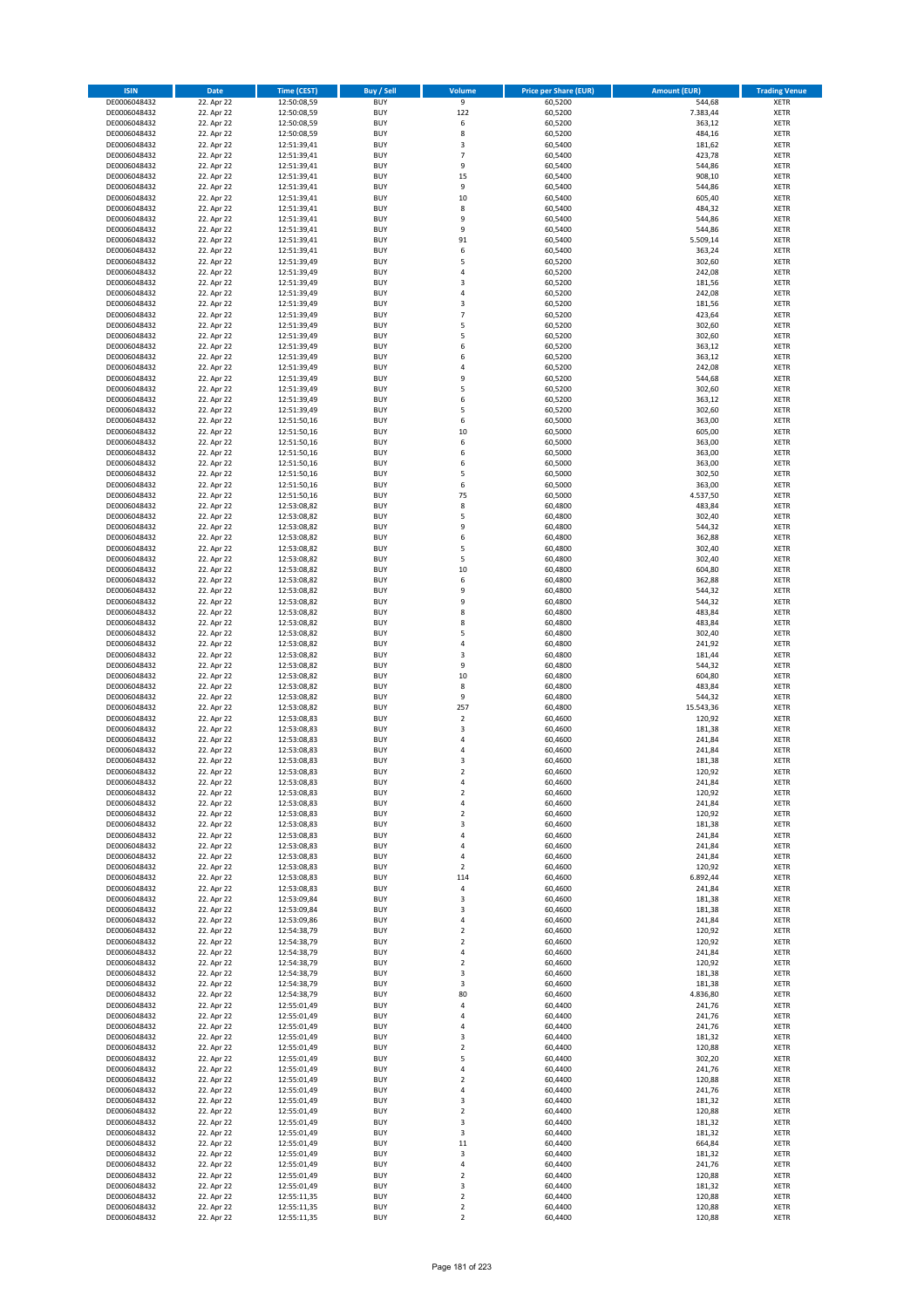| <b>ISIN</b>                  | <b>Date</b>              | <b>Time (CEST)</b>         | <b>Buy / Sell</b>        | Volume              | <b>Price per Share (EUR)</b> | <b>Amount (EUR)</b> | <b>Trading Venue</b>       |
|------------------------------|--------------------------|----------------------------|--------------------------|---------------------|------------------------------|---------------------|----------------------------|
| DE0006048432                 | 22. Apr 22               | 12:50:08,59                | <b>BUY</b>               | $\overline{9}$      | 60,5200                      | 544,68              | <b>XETR</b>                |
| DE0006048432                 | 22. Apr 22               | 12:50:08,59                | <b>BUY</b>               | 122                 | 60,5200                      | 7.383,44            | <b>XETR</b>                |
| DE0006048432                 | 22. Apr 22               | 12:50:08,59                | <b>BUY</b>               | 6                   | 60,5200                      | 363,12              | <b>XETR</b>                |
| DE0006048432                 | 22. Apr 22               | 12:50:08,59                | <b>BUY</b>               | 8                   | 60,5200                      | 484,16              | <b>XETR</b>                |
| DE0006048432<br>DE0006048432 | 22. Apr 22<br>22. Apr 22 | 12:51:39,41<br>12:51:39,41 | <b>BUY</b><br><b>BUY</b> | 3<br>$\overline{7}$ | 60,5400<br>60,5400           | 181,62<br>423,78    | <b>XETR</b><br><b>XETR</b> |
| DE0006048432                 | 22. Apr 22               | 12:51:39,41                | <b>BUY</b>               | 9                   | 60,5400                      | 544,86              | <b>XETR</b>                |
| DE0006048432                 | 22. Apr 22               | 12:51:39,41                | <b>BUY</b>               | 15                  | 60,5400                      | 908,10              | <b>XETR</b>                |
| DE0006048432                 | 22. Apr 22               | 12:51:39,41                | <b>BUY</b>               | 9                   | 60,5400                      | 544,86              | <b>XETR</b>                |
| DE0006048432                 | 22. Apr 22               | 12:51:39,41                | <b>BUY</b>               | 10                  | 60,5400                      | 605,40              | <b>XETR</b>                |
| DE0006048432                 | 22. Apr 22               | 12:51:39,41                | <b>BUY</b>               | 8                   | 60,5400                      | 484,32              | <b>XETR</b>                |
| DE0006048432<br>DE0006048432 | 22. Apr 22<br>22. Apr 22 | 12:51:39,41<br>12:51:39,41 | <b>BUY</b><br><b>BUY</b> | 9<br>9              | 60,5400<br>60,5400           | 544,86<br>544,86    | <b>XETR</b><br><b>XETR</b> |
| DE0006048432                 | 22. Apr 22               | 12:51:39,41                | <b>BUY</b>               | 91                  | 60,5400                      | 5.509,14            | <b>XETR</b>                |
| DE0006048432                 | 22. Apr 22               | 12:51:39,41                | <b>BUY</b>               | 6                   | 60,5400                      | 363,24              | <b>XETR</b>                |
| DE0006048432                 | 22. Apr 22               | 12:51:39,49                | <b>BUY</b>               | 5                   | 60,5200                      | 302,60              | <b>XETR</b>                |
| DE0006048432                 | 22. Apr 22               | 12:51:39,49                | <b>BUY</b>               | 4                   | 60,5200                      | 242,08              | <b>XETR</b>                |
| DE0006048432                 | 22. Apr 22               | 12:51:39,49                | <b>BUY</b>               | 3                   | 60,5200                      | 181,56              | <b>XETR</b>                |
| DE0006048432<br>DE0006048432 | 22. Apr 22<br>22. Apr 22 | 12:51:39,49                | <b>BUY</b><br><b>BUY</b> | 4<br>3              | 60,5200<br>60,5200           | 242,08<br>181,56    | <b>XETR</b><br><b>XETR</b> |
| DE0006048432                 | 22. Apr 22               | 12:51:39,49<br>12:51:39,49 | <b>BUY</b>               | $\overline{7}$      | 60,5200                      | 423,64              | <b>XETR</b>                |
| DE0006048432                 | 22. Apr 22               | 12:51:39,49                | <b>BUY</b>               | 5                   | 60,5200                      | 302,60              | <b>XETR</b>                |
| DE0006048432                 | 22. Apr 22               | 12:51:39,49                | <b>BUY</b>               | 5                   | 60,5200                      | 302,60              | <b>XETR</b>                |
| DE0006048432                 | 22. Apr 22               | 12:51:39,49                | <b>BUY</b>               | 6                   | 60,5200                      | 363,12              | <b>XETR</b>                |
| DE0006048432                 | 22. Apr 22               | 12:51:39,49                | <b>BUY</b>               | 6                   | 60,5200                      | 363,12              | <b>XETR</b>                |
| DE0006048432                 | 22. Apr 22               | 12:51:39,49                | <b>BUY</b>               | 4                   | 60,5200                      | 242,08              | <b>XETR</b>                |
| DE0006048432<br>DE0006048432 | 22. Apr 22<br>22. Apr 22 | 12:51:39,49<br>12:51:39,49 | <b>BUY</b><br><b>BUY</b> | 9<br>5              | 60,5200<br>60,5200           | 544,68<br>302,60    | <b>XETR</b><br><b>XETR</b> |
| DE0006048432                 | 22. Apr 22               | 12:51:39,49                | <b>BUY</b>               | 6                   | 60,5200                      | 363,12              | <b>XETR</b>                |
| DE0006048432                 | 22. Apr 22               | 12:51:39,49                | <b>BUY</b>               | 5                   | 60,5200                      | 302,60              | <b>XETR</b>                |
| DE0006048432                 | 22. Apr 22               | 12:51:50,16                | <b>BUY</b>               | 6                   | 60,5000                      | 363,00              | <b>XETR</b>                |
| DE0006048432                 | 22. Apr 22               | 12:51:50,16                | <b>BUY</b>               | 10                  | 60,5000                      | 605,00              | <b>XETR</b>                |
| DE0006048432                 | 22. Apr 22               | 12:51:50,16                | <b>BUY</b>               | 6                   | 60,5000                      | 363,00              | <b>XETR</b>                |
| DE0006048432<br>DE0006048432 | 22. Apr 22<br>22. Apr 22 | 12:51:50,16                | <b>BUY</b><br><b>BUY</b> | 6<br>6              | 60,5000<br>60,5000           | 363,00<br>363,00    | <b>XETR</b><br><b>XETR</b> |
| DE0006048432                 | 22. Apr 22               | 12:51:50,16<br>12:51:50,16 | <b>BUY</b>               | 5                   | 60,5000                      | 302,50              | <b>XETR</b>                |
| DE0006048432                 | 22. Apr 22               | 12:51:50,16                | <b>BUY</b>               | 6                   | 60,5000                      | 363,00              | <b>XETR</b>                |
| DE0006048432                 | 22. Apr 22               | 12:51:50,16                | <b>BUY</b>               | 75                  | 60,5000                      | 4.537,50            | <b>XETR</b>                |
| DE0006048432                 | 22. Apr 22               | 12:53:08,82                | <b>BUY</b>               | 8                   | 60,4800                      | 483,84              | <b>XETR</b>                |
| DE0006048432                 | 22. Apr 22               | 12:53:08,82                | <b>BUY</b>               | 5                   | 60,4800                      | 302,40              | <b>XETR</b>                |
| DE0006048432                 | 22. Apr 22               | 12:53:08,82                | <b>BUY</b>               | 9<br>6              | 60,4800                      | 544,32              | <b>XETR</b>                |
| DE0006048432<br>DE0006048432 | 22. Apr 22<br>22. Apr 22 | 12:53:08,82<br>12:53:08,82 | <b>BUY</b><br><b>BUY</b> | 5                   | 60,4800<br>60,4800           | 362,88<br>302,40    | <b>XETR</b><br><b>XETR</b> |
| DE0006048432                 | 22. Apr 22               | 12:53:08,82                | <b>BUY</b>               | 5                   | 60,4800                      | 302,40              | <b>XETR</b>                |
| DE0006048432                 | 22. Apr 22               | 12:53:08,82                | <b>BUY</b>               | 10                  | 60,4800                      | 604,80              | <b>XETR</b>                |
| DE0006048432                 | 22. Apr 22               | 12:53:08,82                | <b>BUY</b>               | 6                   | 60,4800                      | 362,88              | <b>XETR</b>                |
| DE0006048432                 | 22. Apr 22               | 12:53:08,82                | <b>BUY</b>               | 9                   | 60,4800                      | 544,32              | <b>XETR</b>                |
| DE0006048432                 | 22. Apr 22               | 12:53:08,82                | <b>BUY</b>               | 9                   | 60,4800                      | 544,32              | <b>XETR</b>                |
| DE0006048432<br>DE0006048432 | 22. Apr 22<br>22. Apr 22 | 12:53:08,82<br>12:53:08,82 | <b>BUY</b><br><b>BUY</b> | 8<br>8              | 60,4800<br>60,4800           | 483,84<br>483,84    | <b>XETR</b><br><b>XETR</b> |
| DE0006048432                 | 22. Apr 22               | 12:53:08,82                | <b>BUY</b>               | 5                   | 60,4800                      | 302,40              | <b>XETR</b>                |
| DE0006048432                 | 22. Apr 22               | 12:53:08,82                | <b>BUY</b>               | 4                   | 60,4800                      | 241,92              | <b>XETR</b>                |
| DE0006048432                 | 22. Apr 22               | 12:53:08,82                | <b>BUY</b>               | 3                   | 60,4800                      | 181,44              | <b>XETR</b>                |
| DE0006048432                 | 22. Apr 22               | 12:53:08,82                | <b>BUY</b>               | 9                   | 60,4800                      | 544,32              | <b>XETR</b>                |
| DE0006048432                 | 22. Apr 22               | 12:53:08,82                | <b>BUY</b>               | 10                  | 60,4800                      | 604,80              | <b>XETR</b>                |
| DE0006048432<br>DE0006048432 | 22. Apr 22<br>22. Apr 22 | 12:53:08,82<br>12:53:08,82 | <b>BUY</b><br><b>BUY</b> | 8<br>9              | 60,4800<br>60,4800           | 483,84<br>544,32    | <b>XETR</b><br><b>XETR</b> |
| DE0006048432                 | 22. Apr 22               | 12:53:08,82                | <b>BUY</b>               | 257                 | 60,4800                      | 15.543,36           | <b>XETR</b>                |
| DE0006048432                 | 22. Apr 22               | 12:53:08,83                | <b>BUY</b>               | $\mathbf 2$         | 60,4600                      | 120,92              | <b>XETR</b>                |
| DE0006048432                 | 22. Apr 22               | 12:53:08,83                | <b>BUY</b>               | 3                   | 60,4600                      | 181,38              | <b>XETR</b>                |
| DE0006048432                 | 22. Apr 22               | 12:53:08,83                | <b>BUY</b>               | 4                   | 60,4600                      | 241,84              | <b>XETR</b>                |
| DE0006048432                 | 22. Apr 22               | 12:53:08,83                | <b>BUY</b>               | 4                   | 60,4600                      | 241,84              | <b>XETR</b>                |
| DE0006048432                 | 22. Apr 22               | 12:53:08,83                | <b>BUY</b>               | 3                   | 60,4600                      | 181,38              | <b>XETR</b>                |
| DE0006048432<br>DE0006048432 | 22. Apr 22<br>22. Apr 22 | 12:53:08,83<br>12:53:08,83 | <b>BUY</b><br>BUY        | $\overline{2}$<br>4 | 60,4600<br>60,4600           | 120,92<br>241,84    | <b>XETR</b><br><b>XETR</b> |
| DE0006048432                 | 22. Apr 22               | 12:53:08,83                | <b>BUY</b>               | 2                   | 60,4600                      | 120,92              | <b>XETR</b>                |
| DE0006048432                 | 22. Apr 22               | 12:53:08,83                | <b>BUY</b>               | 4                   | 60,4600                      | 241,84              | <b>XETR</b>                |
| DE0006048432                 | 22. Apr 22               | 12:53:08,83                | <b>BUY</b>               | $\mathbf 2$         | 60,4600                      | 120,92              | XETR                       |
| DE0006048432                 | 22. Apr 22               | 12:53:08,83                | <b>BUY</b>               | 3                   | 60,4600                      | 181,38              | <b>XETR</b>                |
| DE0006048432                 | 22. Apr 22               | 12:53:08,83                | <b>BUY</b>               | 4                   | 60,4600                      | 241,84              | <b>XETR</b>                |
| DE0006048432                 | 22. Apr 22               | 12:53:08,83                | <b>BUY</b><br><b>BUY</b> | 4                   | 60,4600                      | 241,84<br>241,84    | <b>XETR</b>                |
| DE0006048432<br>DE0006048432 | 22. Apr 22<br>22. Apr 22 | 12:53:08,83<br>12:53:08,83 | <b>BUY</b>               | 4<br>$\mathbf 2$    | 60,4600<br>60,4600           | 120,92              | <b>XETR</b><br><b>XETR</b> |
| DE0006048432                 | 22. Apr 22               | 12:53:08,83                | <b>BUY</b>               | 114                 | 60,4600                      | 6.892,44            | <b>XETR</b>                |
| DE0006048432                 | 22. Apr 22               | 12:53:08,83                | <b>BUY</b>               | $\pmb{4}$           | 60,4600                      | 241,84              | <b>XETR</b>                |
| DE0006048432                 | 22. Apr 22               | 12:53:09,84                | <b>BUY</b>               | 3                   | 60,4600                      | 181,38              | <b>XETR</b>                |
| DE0006048432                 | 22. Apr 22<br>22. Apr 22 | 12:53:09,84                | <b>BUY</b>               | 3                   | 60,4600                      | 181,38              | <b>XETR</b>                |
| DE0006048432<br>DE0006048432 | 22. Apr 22               | 12:53:09,86<br>12:54:38,79 | <b>BUY</b><br><b>BUY</b> | 4<br>$\mathbf 2$    | 60,4600<br>60,4600           | 241,84<br>120,92    | <b>XETR</b><br><b>XETR</b> |
| DE0006048432                 | 22. Apr 22               | 12:54:38,79                | <b>BUY</b>               | $\mathbf 2$         | 60,4600                      | 120,92              | <b>XETR</b>                |
| DE0006048432                 | 22. Apr 22               | 12:54:38,79                | <b>BUY</b>               | 4                   | 60,4600                      | 241,84              | <b>XETR</b>                |
| DE0006048432                 | 22. Apr 22               | 12:54:38,79                | <b>BUY</b>               | $\overline{2}$      | 60,4600                      | 120,92              | <b>XETR</b>                |
| DE0006048432                 | 22. Apr 22               | 12:54:38,79                | <b>BUY</b>               | 3                   | 60,4600                      | 181,38              | XETR                       |
| DE0006048432                 | 22. Apr 22               | 12:54:38,79                | <b>BUY</b>               | 3                   | 60,4600                      | 181,38              | <b>XETR</b>                |
| DE0006048432                 | 22. Apr 22               | 12:54:38,79                | <b>BUY</b><br><b>BUY</b> | 80                  | 60,4600                      | 4.836,80<br>241,76  | <b>XETR</b>                |
| DE0006048432<br>DE0006048432 | 22. Apr 22<br>22. Apr 22 | 12:55:01,49<br>12:55:01,49 | <b>BUY</b>               | 4<br>4              | 60,4400<br>60,4400           | 241,76              | <b>XETR</b><br><b>XETR</b> |
| DE0006048432                 | 22. Apr 22               | 12:55:01,49                | <b>BUY</b>               | 4                   | 60,4400                      | 241,76              | <b>XETR</b>                |
| DE0006048432                 | 22. Apr 22               | 12:55:01,49                | <b>BUY</b>               | 3                   | 60,4400                      | 181,32              | <b>XETR</b>                |
| DE0006048432                 | 22. Apr 22               | 12:55:01,49                | <b>BUY</b>               | $\mathbf 2$         | 60,4400                      | 120,88              | <b>XETR</b>                |
| DE0006048432                 | 22. Apr 22               | 12:55:01,49                | <b>BUY</b>               | 5                   | 60,4400                      | 302,20              | <b>XETR</b>                |
| DE0006048432                 | 22. Apr 22               | 12:55:01,49                | <b>BUY</b>               | 4                   | 60,4400                      | 241,76              | <b>XETR</b>                |
| DE0006048432<br>DE0006048432 | 22. Apr 22<br>22. Apr 22 | 12:55:01,49<br>12:55:01,49 | <b>BUY</b><br><b>BUY</b> | $\mathbf 2$<br>4    | 60,4400<br>60,4400           | 120,88<br>241,76    | <b>XETR</b><br><b>XETR</b> |
| DE0006048432                 | 22. Apr 22               | 12:55:01,49                | <b>BUY</b>               | 3                   | 60,4400                      | 181,32              | <b>XETR</b>                |
| DE0006048432                 | 22. Apr 22               | 12:55:01,49                | <b>BUY</b>               | $\mathbf 2$         | 60,4400                      | 120,88              | <b>XETR</b>                |
| DE0006048432                 | 22. Apr 22               | 12:55:01,49                | <b>BUY</b>               | 3                   | 60,4400                      | 181,32              | <b>XETR</b>                |
| DE0006048432                 | 22. Apr 22               | 12:55:01,49                | <b>BUY</b>               | 3                   | 60,4400                      | 181,32              | <b>XETR</b>                |
| DE0006048432                 | 22. Apr 22               | 12:55:01,49                | <b>BUY</b>               | 11                  | 60,4400                      | 664,84              | <b>XETR</b>                |
| DE0006048432<br>DE0006048432 | 22. Apr 22<br>22. Apr 22 | 12:55:01,49<br>12:55:01,49 | <b>BUY</b><br><b>BUY</b> | 3<br>4              | 60,4400<br>60,4400           | 181,32<br>241,76    | <b>XETR</b><br><b>XETR</b> |
| DE0006048432                 | 22. Apr 22               | 12:55:01,49                | <b>BUY</b>               | $\mathbf 2$         | 60,4400                      | 120,88              | <b>XETR</b>                |
| DE0006048432                 | 22. Apr 22               | 12:55:01,49                | <b>BUY</b>               | 3                   | 60,4400                      | 181,32              | <b>XETR</b>                |
| DE0006048432                 | 22. Apr 22               | 12:55:11,35                | <b>BUY</b>               | $\mathbf 2$         | 60,4400                      | 120,88              | <b>XETR</b>                |
| DE0006048432                 | 22. Apr 22               | 12:55:11,35                | <b>BUY</b>               | $\mathbf 2$         | 60,4400                      | 120,88              | <b>XETR</b>                |
| DE0006048432                 | 22. Apr 22               | 12:55:11,35                | <b>BUY</b>               | $\mathbf 2$         | 60,4400                      | 120,88              | XETR                       |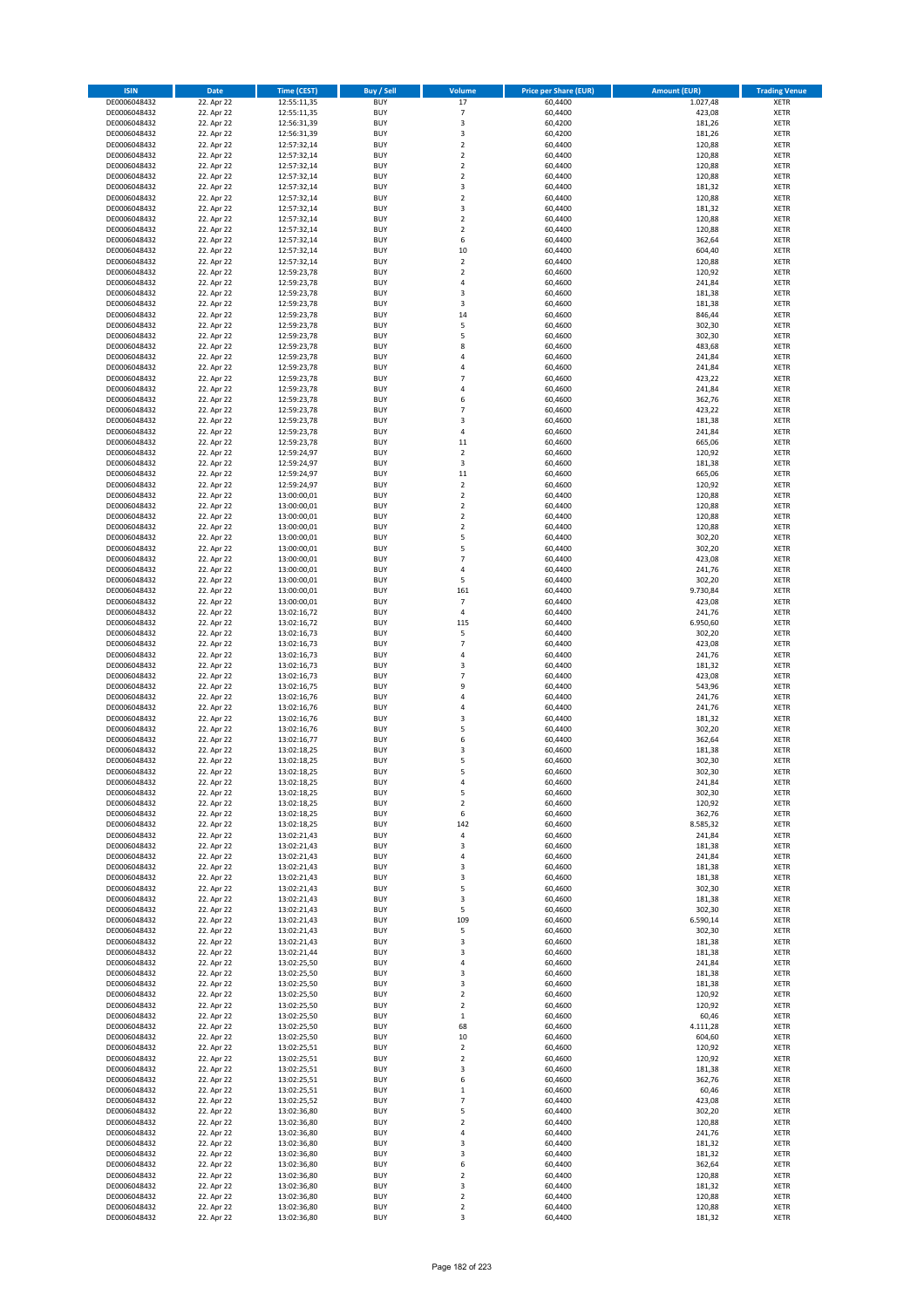| <b>ISIN</b>                  | <b>Date</b>              | <b>Time (CEST)</b>         | <b>Buy / Sell</b>        | Volume                           | <b>Price per Share (EUR)</b> | <b>Amount (EUR)</b> | <b>Trading Venue</b>       |
|------------------------------|--------------------------|----------------------------|--------------------------|----------------------------------|------------------------------|---------------------|----------------------------|
| DE0006048432                 | 22. Apr 22               | 12:55:11,35                | <b>BUY</b>               | 17                               | 60,4400                      | 1.027,48            | <b>XETR</b>                |
| DE0006048432                 | 22. Apr 22               | 12:55:11,35                | <b>BUY</b>               | $\overline{7}$                   | 60,4400                      | 423,08              | <b>XETR</b>                |
| DE0006048432                 | 22. Apr 22               | 12:56:31,39                | <b>BUY</b>               | 3                                | 60,4200                      | 181,26              | <b>XETR</b>                |
| DE0006048432                 | 22. Apr 22               | 12:56:31,39                | <b>BUY</b>               | 3                                | 60,4200                      | 181,26              | <b>XETR</b>                |
| DE0006048432<br>DE0006048432 | 22. Apr 22<br>22. Apr 22 | 12:57:32,14<br>12:57:32,14 | <b>BUY</b><br><b>BUY</b> | $\overline{2}$<br>$\mathbf 2$    | 60,4400<br>60,4400           | 120,88<br>120,88    | <b>XETR</b><br><b>XETR</b> |
| DE0006048432                 | 22. Apr 22               | 12:57:32,14                | <b>BUY</b>               | $\overline{2}$                   | 60,4400                      | 120,88              | <b>XETR</b>                |
| DE0006048432                 | 22. Apr 22               | 12:57:32,14                | <b>BUY</b>               | $\overline{2}$                   | 60,4400                      | 120,88              | <b>XETR</b>                |
| DE0006048432                 | 22. Apr 22               | 12:57:32,14                | BUY                      | 3                                | 60,4400                      | 181,32              | <b>XETR</b>                |
| DE0006048432                 | 22. Apr 22               | 12:57:32,14                | <b>BUY</b>               | $\overline{2}$                   | 60,4400                      | 120,88              | <b>XETR</b>                |
| DE0006048432                 | 22. Apr 22               | 12:57:32,14                | <b>BUY</b>               | 3                                | 60,4400                      | 181,32              | <b>XETR</b>                |
| DE0006048432<br>DE0006048432 | 22. Apr 22<br>22. Apr 22 | 12:57:32,14<br>12:57:32,14 | <b>BUY</b><br><b>BUY</b> | $\overline{2}$<br>$\overline{2}$ | 60,4400<br>60,4400           | 120,88<br>120,88    | <b>XETR</b><br><b>XETR</b> |
| DE0006048432                 | 22. Apr 22               | 12:57:32,14                | <b>BUY</b>               | 6                                | 60,4400                      | 362,64              | <b>XETR</b>                |
| DE0006048432                 | 22. Apr 22               | 12:57:32,14                | <b>BUY</b>               | 10                               | 60,4400                      | 604,40              | <b>XETR</b>                |
| DE0006048432                 | 22. Apr 22               | 12:57:32,14                | BUY                      | $\overline{2}$                   | 60,4400                      | 120,88              | <b>XETR</b>                |
| DE0006048432                 | 22. Apr 22               | 12:59:23,78                | <b>BUY</b>               | $\overline{2}$                   | 60,4600                      | 120,92              | <b>XETR</b>                |
| DE0006048432                 | 22. Apr 22               | 12:59:23,78                | <b>BUY</b>               | $\overline{4}$                   | 60,4600                      | 241,84              | <b>XETR</b>                |
| DE0006048432<br>DE0006048432 | 22. Apr 22<br>22. Apr 22 | 12:59:23,78<br>12:59:23,78 | <b>BUY</b><br><b>BUY</b> | $\overline{\mathbf{3}}$<br>3     | 60.4600<br>60,4600           | 181,38<br>181,38    | <b>XETR</b><br><b>XETR</b> |
| DE0006048432                 | 22. Apr 22               | 12:59:23,78                | <b>BUY</b>               | 14                               | 60,4600                      | 846,44              | <b>XETR</b>                |
| DE0006048432                 | 22. Apr 22               | 12:59:23,78                | <b>BUY</b>               | 5                                | 60,4600                      | 302,30              | <b>XETR</b>                |
| DE0006048432                 | 22. Apr 22               | 12:59:23,78                | <b>BUY</b>               | 5                                | 60,4600                      | 302,30              | <b>XETR</b>                |
| DE0006048432                 | 22. Apr 22               | 12:59:23,78                | <b>BUY</b>               | 8                                | 60,4600                      | 483,68              | <b>XETR</b>                |
| DE0006048432                 | 22. Apr 22               | 12:59:23,78                | <b>BUY</b>               | $\overline{4}$                   | 60,4600                      | 241,84              | <b>XETR</b>                |
| DE0006048432<br>DE0006048432 | 22. Apr 22<br>22. Apr 22 | 12:59:23,78                | <b>BUY</b><br><b>BUY</b> | 4<br>$\overline{7}$              | 60,4600<br>60,4600           | 241,84<br>423,22    | <b>XETR</b><br><b>XETR</b> |
| DE0006048432                 | 22. Apr 22               | 12:59:23,78<br>12:59:23,78 | <b>BUY</b>               | $\overline{4}$                   | 60,4600                      | 241,84              | <b>XETR</b>                |
| DE0006048432                 | 22. Apr 22               | 12:59:23,78                | <b>BUY</b>               | 6                                | 60,4600                      | 362,76              | <b>XETR</b>                |
| DE0006048432                 | 22. Apr 22               | 12:59:23,78                | <b>BUY</b>               | $\overline{7}$                   | 60,4600                      | 423,22              | <b>XETR</b>                |
| DE0006048432                 | 22. Apr 22               | 12:59:23,78                | <b>BUY</b>               | $\overline{\mathbf{3}}$          | 60,4600                      | 181,38              | <b>XETR</b>                |
| DE0006048432                 | 22. Apr 22               | 12:59:23,78                | <b>BUY</b>               | 4                                | 60,4600                      | 241,84              | <b>XETR</b>                |
| DE0006048432<br>DE0006048432 | 22. Apr 22<br>22. Apr 22 | 12:59:23,78<br>12:59:24,97 | <b>BUY</b><br><b>BUY</b> | $11\,$<br>$\mathbf 2$            | 60,4600<br>60,4600           | 665,06<br>120,92    | <b>XETR</b><br><b>XETR</b> |
| DE0006048432                 | 22. Apr 22               | 12:59:24,97                | <b>BUY</b>               | 3                                | 60,4600                      | 181,38              | <b>XETR</b>                |
| DE0006048432                 | 22. Apr 22               | 12:59:24,97                | <b>BUY</b>               | $11\,$                           | 60,4600                      | 665,06              | <b>XETR</b>                |
| DE0006048432                 | 22. Apr 22               | 12:59:24,97                | <b>BUY</b>               | $\overline{2}$                   | 60,4600                      | 120,92              | <b>XETR</b>                |
| DE0006048432                 | 22. Apr 22               | 13:00:00,01                | <b>BUY</b>               | $\mathbf 2$                      | 60,4400                      | 120,88              | <b>XETR</b>                |
| DE0006048432                 | 22. Apr 22               | 13:00:00,01                | <b>BUY</b>               | $\mathbf 2$                      | 60,4400                      | 120,88              | <b>XETR</b>                |
| DE0006048432<br>DE0006048432 | 22. Apr 22<br>22. Apr 22 | 13:00:00,01<br>13:00:00,01 | <b>BUY</b><br><b>BUY</b> | $\mathbf 2$<br>$\overline{2}$    | 60,4400<br>60,4400           | 120,88<br>120,88    | <b>XETR</b><br><b>XETR</b> |
| DE0006048432                 | 22. Apr 22               | 13:00:00,01                | <b>BUY</b>               | 5                                | 60,4400                      | 302,20              | <b>XETR</b>                |
| DE0006048432                 | 22. Apr 22               | 13:00:00,01                | <b>BUY</b>               | 5                                | 60,4400                      | 302,20              | <b>XETR</b>                |
| DE0006048432                 | 22. Apr 22               | 13:00:00,01                | <b>BUY</b>               | $\overline{7}$                   | 60,4400                      | 423,08              | <b>XETR</b>                |
| DE0006048432                 | 22. Apr 22               | 13:00:00,01                | <b>BUY</b>               | $\overline{4}$                   | 60,4400                      | 241,76              | <b>XETR</b>                |
| DE0006048432                 | 22. Apr 22               | 13:00:00,01                | <b>BUY</b>               | 5                                | 60,4400                      | 302,20              | <b>XETR</b>                |
| DE0006048432                 | 22. Apr 22<br>22. Apr 22 | 13:00:00,01                | <b>BUY</b><br><b>BUY</b> | 161<br>$\overline{7}$            | 60,4400<br>60,4400           | 9.730,84            | <b>XETR</b><br><b>XETR</b> |
| DE0006048432<br>DE0006048432 | 22. Apr 22               | 13:00:00,01<br>13:02:16,72 | <b>BUY</b>               | $\sqrt{4}$                       | 60,4400                      | 423,08<br>241,76    | <b>XETR</b>                |
| DE0006048432                 | 22. Apr 22               | 13:02:16,72                | <b>BUY</b>               | 115                              | 60,4400                      | 6.950,60            | <b>XETR</b>                |
| DE0006048432                 | 22. Apr 22               | 13:02:16,73                | <b>BUY</b>               | 5                                | 60,4400                      | 302,20              | <b>XETR</b>                |
| DE0006048432                 | 22. Apr 22               | 13:02:16,73                | <b>BUY</b>               | $\overline{7}$                   | 60,4400                      | 423,08              | <b>XETR</b>                |
| DE0006048432                 | 22. Apr 22               | 13:02:16,73                | <b>BUY</b>               | $\overline{4}$                   | 60,4400                      | 241,76              | <b>XETR</b>                |
| DE0006048432<br>DE0006048432 | 22. Apr 22<br>22. Apr 22 | 13:02:16,73<br>13:02:16,73 | <b>BUY</b><br><b>BUY</b> | 3<br>$\overline{7}$              | 60,4400<br>60,4400           | 181,32<br>423,08    | <b>XETR</b><br><b>XETR</b> |
| DE0006048432                 | 22. Apr 22               | 13:02:16,75                | <b>BUY</b>               | 9                                | 60,4400                      | 543,96              | <b>XETR</b>                |
| DE0006048432                 | 22. Apr 22               | 13:02:16,76                | <b>BUY</b>               | $\overline{a}$                   | 60,4400                      | 241,76              | <b>XETR</b>                |
| DE0006048432                 | 22. Apr 22               | 13:02:16,76                | <b>BUY</b>               | 4                                | 60,4400                      | 241,76              | <b>XETR</b>                |
| DE0006048432                 | 22. Apr 22               | 13:02:16,76                | BUY                      | $\overline{\mathbf{3}}$          | 60,4400                      | 181,32              | <b>XETR</b>                |
| DE0006048432                 | 22. Apr 22               | 13:02:16,76                | <b>BUY</b>               | 5                                | 60,4400                      | 302,20              | <b>XETR</b>                |
| DE0006048432<br>DE0006048432 | 22. Apr 22<br>22. Apr 22 | 13:02:16,77<br>13:02:18,25 | <b>BUY</b><br>BUY        | 6<br>3                           | 60,4400<br>60,4600           | 362,64<br>181,38    | <b>XETR</b><br><b>XETR</b> |
| DE0006048432                 | 22. Apr 22               | 13:02:18,25                | BUY                      | 5                                | 60,4600                      | 302,30              | <b>XETR</b>                |
| DE0006048432                 | 22. Apr 22               | 13:02:18,25                | <b>BUY</b>               | 5                                | 60,4600                      | 302,30              | <b>XETR</b>                |
| DE0006048432                 | 22. Apr 22               | 13:02:18,25                | BUY                      | 4                                | 60,4600                      | 241,84              | <b>XETR</b>                |
| DE0006048432                 | 22. Apr 22               | 13:02:18,25                | <b>BUY</b>               | 5                                | 60,4600                      | 302,30              | <b>XETR</b>                |
| DE0006048432                 | 22. Apr 22               | 13:02:18,25                | <b>BUY</b>               | $\mathbf 2$                      | 60,4600                      | 120,92              | <b>XETR</b>                |
| DE0006048432<br>DE0006048432 | 22. Apr 22<br>22. Apr 22 | 13:02:18,25<br>13:02:18,25 | <b>BUY</b><br><b>BUY</b> | 6<br>142                         | 60,4600<br>60,4600           | 362,76<br>8.585,32  | <b>XETR</b><br><b>XETR</b> |
| DE0006048432                 | 22. Apr 22               | 13:02:21,43                | <b>BUY</b>               | 4                                | 60,4600                      | 241,84              | <b>XETR</b>                |
| DE0006048432                 | 22. Apr 22               | 13:02:21,43                | <b>BUY</b>               | 3                                | 60,4600                      | 181,38              | <b>XETR</b>                |
| DE0006048432                 | 22. Apr 22               | 13:02:21,43                | <b>BUY</b>               | 4                                | 60,4600                      | 241,84              | <b>XETR</b>                |
| DE0006048432                 | 22. Apr 22               | 13:02:21,43                | <b>BUY</b>               | $\overline{\mathbf{3}}$          | 60,4600                      | 181,38              | <b>XETR</b>                |
| DE0006048432                 | 22. Apr 22               | 13:02:21,43                | <b>BUY</b>               | 3                                | 60,4600                      | 181,38              | <b>XETR</b>                |
| DE0006048432<br>DE0006048432 | 22. Apr 22<br>22. Apr 22 | 13:02:21,43<br>13:02:21,43 | <b>BUY</b><br><b>BUY</b> | 5<br>3                           | 60,4600<br>60,4600           | 302,30<br>181,38    | <b>XETR</b><br><b>XETR</b> |
| DE0006048432                 | 22. Apr 22               | 13:02:21,43                | <b>BUY</b>               | 5                                | 60,4600                      | 302,30              | <b>XETR</b>                |
| DE0006048432                 | 22. Apr 22               | 13:02:21,43                | <b>BUY</b>               | 109                              | 60,4600                      | 6.590,14            | <b>XETR</b>                |
| DE0006048432                 | 22. Apr 22               | 13:02:21,43                | <b>BUY</b>               | 5                                | 60,4600                      | 302,30              | <b>XETR</b>                |
| DE0006048432                 | 22. Apr 22               | 13:02:21,43                | <b>BUY</b>               | 3                                | 60,4600                      | 181,38              | <b>XETR</b>                |
| DE0006048432<br>DE0006048432 | 22. Apr 22<br>22. Apr 22 | 13:02:21,44<br>13:02:25,50 | <b>BUY</b><br><b>BUY</b> | 3<br>4                           | 60,4600<br>60,4600           | 181,38<br>241,84    | <b>XETR</b><br><b>XETR</b> |
| DE0006048432                 | 22. Apr 22               | 13:02:25,50                | <b>BUY</b>               | 3                                | 60,4600                      | 181,38              | <b>XETR</b>                |
| DE0006048432                 | 22. Apr 22               | 13:02:25,50                | <b>BUY</b>               | 3                                | 60,4600                      | 181,38              | <b>XETR</b>                |
| DE0006048432                 | 22. Apr 22               | 13:02:25,50                | <b>BUY</b>               | $\overline{\mathbf{2}}$          | 60,4600                      | 120,92              | <b>XETR</b>                |
| DE0006048432                 | 22. Apr 22               | 13:02:25,50                | <b>BUY</b>               | $\mathbf 2$                      | 60,4600                      | 120,92              | <b>XETR</b>                |
| DE0006048432                 | 22. Apr 22               | 13:02:25,50                | <b>BUY</b>               | $\mathbf 1$                      | 60,4600                      | 60,46               | <b>XETR</b>                |
| DE0006048432<br>DE0006048432 | 22. Apr 22<br>22. Apr 22 | 13:02:25,50<br>13:02:25,50 | <b>BUY</b><br><b>BUY</b> | 68<br>$10\,$                     | 60,4600<br>60,4600           | 4.111,28<br>604,60  | <b>XETR</b><br><b>XETR</b> |
| DE0006048432                 | 22. Apr 22               | 13:02:25,51                | <b>BUY</b>               | $\mathbf 2$                      | 60,4600                      | 120,92              | <b>XETR</b>                |
| DE0006048432                 | 22. Apr 22               | 13:02:25,51                | <b>BUY</b>               | $\overline{\mathbf{2}}$          | 60,4600                      | 120,92              | <b>XETR</b>                |
| DE0006048432                 | 22. Apr 22               | 13:02:25,51                | <b>BUY</b>               | $\overline{\mathbf{3}}$          | 60,4600                      | 181,38              | <b>XETR</b>                |
| DE0006048432                 | 22. Apr 22               | 13:02:25,51                | <b>BUY</b>               | 6                                | 60,4600                      | 362,76              | <b>XETR</b>                |
| DE0006048432                 | 22. Apr 22               | 13:02:25,51                | <b>BUY</b><br><b>BUY</b> | $\mathbf{1}$<br>$\overline{7}$   | 60,4600<br>60,4400           | 60,46               | <b>XETR</b>                |
| DE0006048432<br>DE0006048432 | 22. Apr 22<br>22. Apr 22 | 13:02:25,52<br>13:02:36,80 | <b>BUY</b>               | 5                                | 60,4400                      | 423,08<br>302,20    | <b>XETR</b><br><b>XETR</b> |
| DE0006048432                 | 22. Apr 22               | 13:02:36,80                | <b>BUY</b>               | $\mathbf 2$                      | 60,4400                      | 120,88              | <b>XETR</b>                |
| DE0006048432                 | 22. Apr 22               | 13:02:36,80                | <b>BUY</b>               | $\overline{4}$                   | 60,4400                      | 241,76              | <b>XETR</b>                |
| DE0006048432                 | 22. Apr 22               | 13:02:36,80                | <b>BUY</b>               | 3                                | 60,4400                      | 181,32              | <b>XETR</b>                |
| DE0006048432                 | 22. Apr 22               | 13:02:36,80                | <b>BUY</b>               | 3                                | 60,4400                      | 181,32              | <b>XETR</b>                |
| DE0006048432                 | 22. Apr 22               | 13:02:36,80                | <b>BUY</b>               | 6                                | 60,4400                      | 362,64              | <b>XETR</b>                |
| DE0006048432<br>DE0006048432 | 22. Apr 22<br>22. Apr 22 | 13:02:36,80<br>13:02:36,80 | <b>BUY</b><br><b>BUY</b> | $\mathbf 2$<br>3                 | 60,4400<br>60,4400           | 120,88<br>181,32    | <b>XETR</b><br><b>XETR</b> |
| DE0006048432                 | 22. Apr 22               | 13:02:36,80                | <b>BUY</b>               | $\mathbf 2$                      | 60,4400                      | 120,88              | <b>XETR</b>                |
| DE0006048432                 | 22. Apr 22               | 13:02:36,80                | <b>BUY</b>               | $\mathbf 2$                      | 60,4400                      | 120,88              | <b>XETR</b>                |
| DE0006048432                 | 22. Apr 22               | 13:02:36,80                | <b>BUY</b>               | 3                                | 60,4400                      | 181,32              | <b>XETR</b>                |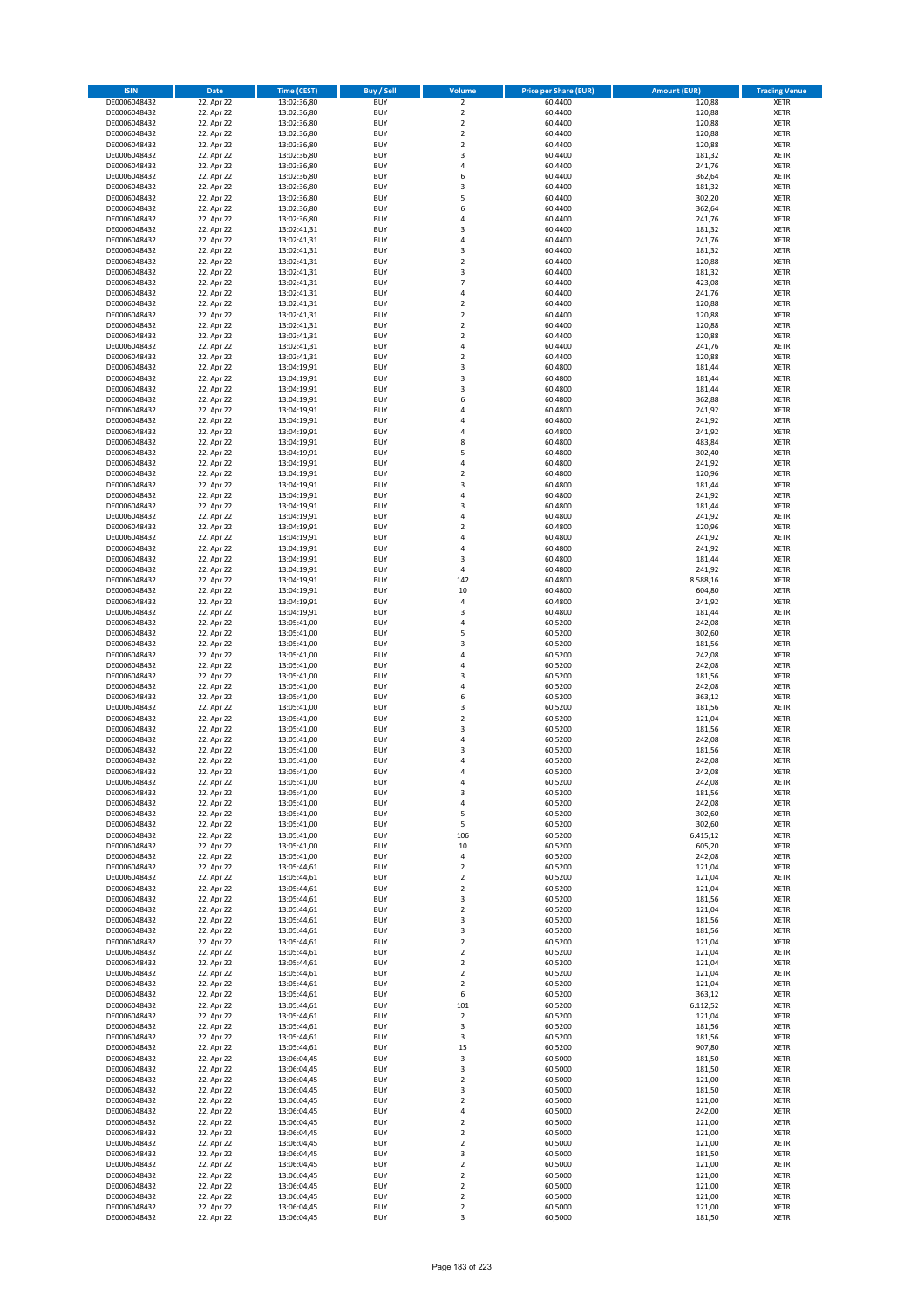| <b>ISIN</b>                  | <b>Date</b>              | <b>Time (CEST)</b>         | <b>Buy / Sell</b>        | Volume                                             | <b>Price per Share (EUR)</b> | Amount (EUR)       | <b>Trading Venue</b>       |
|------------------------------|--------------------------|----------------------------|--------------------------|----------------------------------------------------|------------------------------|--------------------|----------------------------|
| DE0006048432                 | 22. Apr 22               | 13:02:36,80                | <b>BUY</b>               | $\overline{\mathbf{2}}$                            | 60,4400                      | 120,88             | <b>XETR</b>                |
| DE0006048432                 | 22. Apr 22               | 13:02:36,80                | <b>BUY</b>               | $\mathbf 2$                                        | 60,4400                      | 120,88             | <b>XETR</b>                |
| DE0006048432                 | 22. Apr 22               | 13:02:36,80                | <b>BUY</b>               | $\overline{2}$                                     | 60.4400                      | 120,88             | <b>XETR</b>                |
| DE0006048432                 | 22. Apr 22               | 13:02:36,80                | <b>BUY</b>               | $\mathbf 2$                                        | 60,4400                      | 120,88             | <b>XETR</b>                |
| DE0006048432<br>DE0006048432 | 22. Apr 22<br>22. Apr 22 | 13:02:36,80<br>13:02:36,80 | <b>BUY</b><br><b>BUY</b> | $\overline{2}$<br>$\overline{3}$                   | 60,4400<br>60,4400           | 120,88<br>181,32   | <b>XETR</b><br><b>XETR</b> |
| DE0006048432                 | 22. Apr 22               | 13:02:36,80                | <b>BUY</b>               | $\overline{a}$                                     | 60,4400                      | 241,76             | <b>XETR</b>                |
| DE0006048432                 | 22. Apr 22               | 13:02:36,80                | <b>BUY</b>               | 6                                                  | 60,4400                      | 362,64             | <b>XETR</b>                |
| DE0006048432                 | 22. Apr 22               | 13:02:36,80                | BUY                      | $\overline{\mathbf{3}}$                            | 60,4400                      | 181,32             | <b>XETR</b>                |
| DE0006048432                 | 22. Apr 22               | 13:02:36,80                | <b>BUY</b>               | 5                                                  | 60,4400                      | 302,20             | <b>XETR</b>                |
| DE0006048432                 | 22. Apr 22               | 13:02:36,80                | <b>BUY</b>               | 6                                                  | 60,4400                      | 362,64             | <b>XETR</b>                |
| DE0006048432                 | 22. Apr 22               | 13:02:36,80                | <b>BUY</b>               | $\overline{4}$<br>$\overline{3}$                   | 60,4400                      | 241,76             | <b>XETR</b>                |
| DE0006048432<br>DE0006048432 | 22. Apr 22<br>22. Apr 22 | 13:02:41,31<br>13:02:41,31 | <b>BUY</b><br><b>BUY</b> | $\overline{a}$                                     | 60,4400<br>60,4400           | 181,32<br>241,76   | <b>XETR</b><br><b>XETR</b> |
| DE0006048432                 | 22. Apr 22               | 13:02:41,31                | <b>BUY</b>               | $\overline{\mathbf{3}}$                            | 60,4400                      | 181,32             | <b>XETR</b>                |
| DE0006048432                 | 22. Apr 22               | 13:02:41,31                | <b>BUY</b>               | $\overline{\phantom{a}}$                           | 60,4400                      | 120,88             | <b>XETR</b>                |
| DE0006048432                 | 22. Apr 22               | 13:02:41,31                | <b>BUY</b>               | 3                                                  | 60,4400                      | 181,32             | <b>XETR</b>                |
| DE0006048432                 | 22. Apr 22               | 13:02:41,31                | <b>BUY</b>               | $\overline{7}$                                     | 60,4400                      | 423,08             | <b>XETR</b>                |
| DE0006048432                 | 22. Apr 22               | 13:02:41,31                | <b>BUY</b>               | $\overline{4}$                                     | 60.4400                      | 241,76             | <b>XETR</b>                |
| DE0006048432<br>DE0006048432 | 22. Apr 22<br>22. Apr 22 | 13:02:41,31<br>13:02:41,31 | <b>BUY</b><br><b>BUY</b> | $\overline{2}$<br>$\overline{2}$                   | 60,4400<br>60,4400           | 120,88<br>120,88   | <b>XETR</b><br><b>XETR</b> |
| DE0006048432                 | 22. Apr 22               | 13:02:41,31                | <b>BUY</b>               | $\mathbf 2$                                        | 60,4400                      | 120,88             | <b>XETR</b>                |
| DE0006048432                 | 22. Apr 22               | 13:02:41,31                | <b>BUY</b>               | $\overline{\phantom{a}}$                           | 60,4400                      | 120,88             | <b>XETR</b>                |
| DE0006048432                 | 22. Apr 22               | 13:02:41,31                | <b>BUY</b>               | $\overline{4}$                                     | 60,4400                      | 241,76             | <b>XETR</b>                |
| DE0006048432                 | 22. Apr 22               | 13:02:41,31                | <b>BUY</b>               | $\overline{2}$                                     | 60,4400                      | 120,88             | <b>XETR</b>                |
| DE0006048432                 | 22. Apr 22               | 13:04:19,91                | <b>BUY</b>               | 3                                                  | 60,4800                      | 181,44             | <b>XETR</b>                |
| DE0006048432                 | 22. Apr 22               | 13:04:19,91                | <b>BUY</b><br><b>BUY</b> | $\overline{\mathbf{3}}$<br>$\overline{\mathbf{3}}$ | 60,4800                      | 181,44             | <b>XETR</b><br><b>XETR</b> |
| DE0006048432<br>DE0006048432 | 22. Apr 22<br>22. Apr 22 | 13:04:19,91<br>13:04:19,91 | <b>BUY</b>               | 6                                                  | 60,4800<br>60,4800           | 181,44<br>362,88   | <b>XETR</b>                |
| DE0006048432                 | 22. Apr 22               | 13:04:19,91                | <b>BUY</b>               | $\overline{a}$                                     | 60,4800                      | 241,92             | <b>XETR</b>                |
| DE0006048432                 | 22. Apr 22               | 13:04:19,91                | <b>BUY</b>               | 4                                                  | 60,4800                      | 241,92             | <b>XETR</b>                |
| DE0006048432                 | 22. Apr 22               | 13:04:19,91                | <b>BUY</b>               | $\overline{4}$                                     | 60,4800                      | 241,92             | <b>XETR</b>                |
| DE0006048432                 | 22. Apr 22               | 13:04:19,91                | <b>BUY</b>               | 8                                                  | 60,4800                      | 483,84             | <b>XETR</b>                |
| DE0006048432                 | 22. Apr 22               | 13:04:19,91                | <b>BUY</b>               | 5                                                  | 60,4800                      | 302,40             | <b>XETR</b>                |
| DE0006048432<br>DE0006048432 | 22. Apr 22<br>22. Apr 22 | 13:04:19,91<br>13:04:19,91 | <b>BUY</b><br><b>BUY</b> | $\overline{4}$<br>$\mathbf 2$                      | 60,4800<br>60,4800           | 241,92<br>120,96   | <b>XETR</b><br><b>XETR</b> |
| DE0006048432                 | 22. Apr 22               | 13:04:19,91                | <b>BUY</b>               | $\overline{\mathbf{3}}$                            | 60,4800                      | 181,44             | <b>XETR</b>                |
| DE0006048432                 | 22. Apr 22               | 13:04:19,91                | <b>BUY</b>               | $\overline{4}$                                     | 60,4800                      | 241,92             | <b>XETR</b>                |
| DE0006048432                 | 22. Apr 22               | 13:04:19,91                | <b>BUY</b>               | $\overline{\mathbf{3}}$                            | 60,4800                      | 181,44             | <b>XETR</b>                |
| DE0006048432                 | 22. Apr 22               | 13:04:19,91                | <b>BUY</b>               | 4                                                  | 60,4800                      | 241,92             | <b>XETR</b>                |
| DE0006048432                 | 22. Apr 22               | 13:04:19,91                | <b>BUY</b>               | $\overline{2}$                                     | 60,4800                      | 120,96             | <b>XETR</b>                |
| DE0006048432                 | 22. Apr 22<br>22. Apr 22 | 13:04:19,91                | <b>BUY</b><br><b>BUY</b> | 4<br>$\overline{4}$                                | 60,4800<br>60,4800           | 241,92<br>241,92   | <b>XETR</b>                |
| DE0006048432<br>DE0006048432 | 22. Apr 22               | 13:04:19,91<br>13:04:19,91 | <b>BUY</b>               | 3                                                  | 60,4800                      | 181,44             | <b>XETR</b><br><b>XETR</b> |
| DE0006048432                 | 22. Apr 22               | 13:04:19,91                | <b>BUY</b>               | 4                                                  | 60,4800                      | 241,92             | <b>XETR</b>                |
| DE0006048432                 | 22. Apr 22               | 13:04:19,91                | <b>BUY</b>               | 142                                                | 60,4800                      | 8.588,16           | <b>XETR</b>                |
| DE0006048432                 | 22. Apr 22               | 13:04:19,91                | <b>BUY</b>               | 10                                                 | 60,4800                      | 604,80             | <b>XETR</b>                |
| DE0006048432                 | 22. Apr 22               | 13:04:19,91                | <b>BUY</b>               | $\overline{4}$                                     | 60,4800                      | 241,92             | <b>XETR</b>                |
| DE0006048432                 | 22. Apr 22               | 13:04:19,91                | <b>BUY</b><br><b>BUY</b> | $\overline{3}$<br>$\overline{a}$                   | 60,4800                      | 181,44<br>242,08   | <b>XETR</b><br><b>XETR</b> |
| DE0006048432<br>DE0006048432 | 22. Apr 22<br>22. Apr 22 | 13:05:41,00<br>13:05:41,00 | <b>BUY</b>               | 5                                                  | 60,5200<br>60,5200           | 302,60             | <b>XETR</b>                |
| DE0006048432                 | 22. Apr 22               | 13:05:41,00                | <b>BUY</b>               | $\overline{3}$                                     | 60,5200                      | 181,56             | <b>XETR</b>                |
| DE0006048432                 | 22. Apr 22               | 13:05:41,00                | <b>BUY</b>               | $\overline{4}$                                     | 60,5200                      | 242,08             | <b>XETR</b>                |
| DE0006048432                 | 22. Apr 22               | 13:05:41,00                | <b>BUY</b>               | $\overline{4}$                                     | 60,5200                      | 242,08             | <b>XETR</b>                |
| DE0006048432                 | 22. Apr 22               | 13:05:41,00                | <b>BUY</b>               | $\overline{\mathbf{3}}$                            | 60,5200                      | 181,56             | <b>XETR</b>                |
| DE0006048432                 | 22. Apr 22               | 13:05:41,00                | <b>BUY</b>               | 4                                                  | 60,5200                      | 242,08             | <b>XETR</b>                |
| DE0006048432<br>DE0006048432 | 22. Apr 22<br>22. Apr 22 | 13:05:41,00<br>13:05:41,00 | <b>BUY</b><br><b>BUY</b> | 6<br>3                                             | 60,5200<br>60,5200           | 363,12<br>181,56   | <b>XETR</b><br><b>XETR</b> |
| DE0006048432                 | 22. Apr 22               | 13:05:41,00                | BUY                      | $\overline{2}$                                     | 60,5200                      | 121,04             | <b>XETR</b>                |
| DE0006048432                 | 22. Apr 22               | 13:05:41,00                | <b>BUY</b>               | $\overline{\mathbf{3}}$                            | 60,5200                      | 181,56             | <b>XETR</b>                |
| DE0006048432                 | 22. Apr 22               | 13:05:41,00                | <b>BUY</b>               | 4                                                  | 60,5200                      | 242,08             | <b>XETR</b>                |
| DE0006048432                 | 22. Apr 22               | 13:05:41,00                | BUY                      | 3                                                  | 60,5200                      | 181,56             | <b>XETR</b>                |
| DE0006048432                 | 22. Apr 22               | 13:05:41,00                | BUY                      | $\overline{a}$                                     | 60,5200                      | 242,08             | <b>XETR</b>                |
| DE0006048432<br>DE0006048432 | 22. Apr 22<br>22. Apr 22 | 13:05:41,00<br>13:05:41,00 | <b>BUY</b><br>BUY        | $\overline{a}$<br>4                                | 60,5200<br>60,5200           | 242,08<br>242,08   | <b>XETR</b><br><b>XETR</b> |
| DE0006048432                 | 22. Apr 22               | 13:05:41,00                | <b>BUY</b>               | $\overline{\mathbf{3}}$                            | 60,5200                      | 181,56             | <b>XETR</b>                |
| DE0006048432                 | 22. Apr 22               | 13:05:41,00                | <b>BUY</b>               | 4                                                  | 60,5200                      | 242,08             | <b>XETR</b>                |
| DE0006048432                 | 22. Apr 22               | 13:05:41,00                | <b>BUY</b>               | 5                                                  | 60,5200                      | 302,60             | <b>XETR</b>                |
| DE0006048432                 | 22. Apr 22               | 13:05:41,00                | <b>BUY</b>               | 5                                                  | 60,5200                      | 302,60             | <b>XETR</b>                |
| DE0006048432                 | 22. Apr 22               | 13:05:41,00                | <b>BUY</b>               | 106                                                | 60,5200                      | 6.415,12           | <b>XETR</b>                |
| DE0006048432<br>DE0006048432 | 22. Apr 22<br>22. Apr 22 | 13:05:41,00<br>13:05:41,00 | <b>BUY</b><br><b>BUY</b> | $10\,$<br>4                                        | 60,5200<br>60,5200           | 605,20<br>242,08   | <b>XETR</b><br><b>XETR</b> |
| DE0006048432                 | 22. Apr 22               | 13:05:44,61                | <b>BUY</b>               | $\mathbf 2$                                        | 60,5200                      | 121,04             | <b>XETR</b>                |
| DE0006048432                 | 22. Apr 22               | 13:05:44,61                | <b>BUY</b>               | $\mathbf 2$                                        | 60,5200                      | 121,04             | <b>XETR</b>                |
| DE0006048432                 | 22. Apr 22               | 13:05:44,61                | <b>BUY</b>               | $\mathbf 2$                                        | 60,5200                      | 121,04             | <b>XETR</b>                |
| DE0006048432                 | 22. Apr 22               | 13:05:44,61                | <b>BUY</b>               | 3                                                  | 60,5200                      | 181,56             | <b>XETR</b>                |
| DE0006048432<br>DE0006048432 | 22. Apr 22<br>22. Apr 22 | 13:05:44,61                | <b>BUY</b>               | $\mathbf 2$<br>$\overline{\mathbf{3}}$             | 60,5200                      | 121,04             | <b>XETR</b>                |
| DE0006048432                 | 22. Apr 22               | 13:05:44,61<br>13:05:44,61 | <b>BUY</b><br><b>BUY</b> | 3                                                  | 60,5200<br>60,5200           | 181,56<br>181,56   | <b>XETR</b><br><b>XETR</b> |
| DE0006048432                 | 22. Apr 22               | 13:05:44,61                | <b>BUY</b>               | $\overline{2}$                                     | 60,5200                      | 121,04             | <b>XETR</b>                |
| DE0006048432                 | 22. Apr 22               | 13:05:44,61                | <b>BUY</b>               | $\mathbf 2$                                        | 60,5200                      | 121,04             | <b>XETR</b>                |
| DE0006048432                 | 22. Apr 22               | 13:05:44,61                | <b>BUY</b>               | $\mathbf 2$                                        | 60,5200                      | 121,04             | <b>XETR</b>                |
| DE0006048432                 | 22. Apr 22               | 13:05:44,61                | <b>BUY</b>               | $\mathbf 2$                                        | 60,5200                      | 121,04             | <b>XETR</b>                |
| DE0006048432                 | 22. Apr 22               | 13:05:44,61                | <b>BUY</b>               | $\mathbf 2$                                        | 60,5200                      | 121,04             | <b>XETR</b>                |
| DE0006048432<br>DE0006048432 | 22. Apr 22<br>22. Apr 22 | 13:05:44,61<br>13:05:44,61 | <b>BUY</b><br><b>BUY</b> | 6<br>101                                           | 60,5200<br>60,5200           | 363,12<br>6.112,52 | <b>XETR</b><br><b>XETR</b> |
| DE0006048432                 | 22. Apr 22               | 13:05:44,61                | <b>BUY</b>               | $\overline{2}$                                     | 60,5200                      | 121,04             | <b>XETR</b>                |
| DE0006048432                 | 22. Apr 22               | 13:05:44,61                | <b>BUY</b>               | 3                                                  | 60,5200                      | 181,56             | <b>XETR</b>                |
| DE0006048432                 | 22. Apr 22               | 13:05:44,61                | <b>BUY</b>               | 3                                                  | 60,5200                      | 181,56             | <b>XETR</b>                |
| DE0006048432                 | 22. Apr 22               | 13:05:44,61                | <b>BUY</b>               | 15                                                 | 60,5200                      | 907,80             | <b>XETR</b>                |
| DE0006048432                 | 22. Apr 22               | 13:06:04,45                | <b>BUY</b>               | 3                                                  | 60,5000                      | 181,50             | <b>XETR</b>                |
| DE0006048432                 | 22. Apr 22               | 13:06:04,45                | <b>BUY</b>               | $\overline{\mathbf{3}}$                            | 60,5000                      | 181,50             | <b>XETR</b>                |
| DE0006048432<br>DE0006048432 | 22. Apr 22<br>22. Apr 22 | 13:06:04,45<br>13:06:04,45 | <b>BUY</b><br><b>BUY</b> | $\mathbf 2$<br>$\overline{\mathbf{3}}$             | 60,5000<br>60,5000           | 121,00<br>181,50   | <b>XETR</b><br><b>XETR</b> |
| DE0006048432                 | 22. Apr 22               | 13:06:04,45                | <b>BUY</b>               | $\mathbf 2$                                        | 60,5000                      | 121,00             | <b>XETR</b>                |
| DE0006048432                 | 22. Apr 22               | 13:06:04,45                | <b>BUY</b>               | 4                                                  | 60,5000                      | 242,00             | <b>XETR</b>                |
| DE0006048432                 | 22. Apr 22               | 13:06:04,45                | <b>BUY</b>               | $\mathbf 2$                                        | 60,5000                      | 121,00             | <b>XETR</b>                |
| DE0006048432                 | 22. Apr 22               | 13:06:04,45                | <b>BUY</b>               | $\overline{2}$                                     | 60,5000                      | 121,00             | <b>XETR</b>                |
| DE0006048432                 | 22. Apr 22               | 13:06:04,45                | <b>BUY</b>               | $\mathbf 2$                                        | 60,5000                      | 121,00             | <b>XETR</b>                |
| DE0006048432<br>DE0006048432 | 22. Apr 22<br>22. Apr 22 | 13:06:04,45                | <b>BUY</b><br><b>BUY</b> | 3<br>$\overline{2}$                                | 60,5000<br>60,5000           | 181,50<br>121,00   | <b>XETR</b><br><b>XETR</b> |
| DE0006048432                 | 22. Apr 22               | 13:06:04,45<br>13:06:04,45 | <b>BUY</b>               | $\mathbf 2$                                        | 60,5000                      | 121,00             | <b>XETR</b>                |
| DE0006048432                 | 22. Apr 22               | 13:06:04,45                | <b>BUY</b>               | $\mathbf 2$                                        | 60,5000                      | 121,00             | <b>XETR</b>                |
| DE0006048432                 | 22. Apr 22               | 13:06:04,45                | <b>BUY</b>               | $\mathbf 2$                                        | 60,5000                      | 121,00             | <b>XETR</b>                |
| DE0006048432                 | 22. Apr 22               | 13:06:04,45                | <b>BUY</b>               | $\mathbf 2$                                        | 60,5000                      | 121,00             | <b>XETR</b>                |
| DE0006048432                 | 22. Apr 22               | 13:06:04,45                | <b>BUY</b>               | 3                                                  | 60,5000                      | 181,50             | <b>XETR</b>                |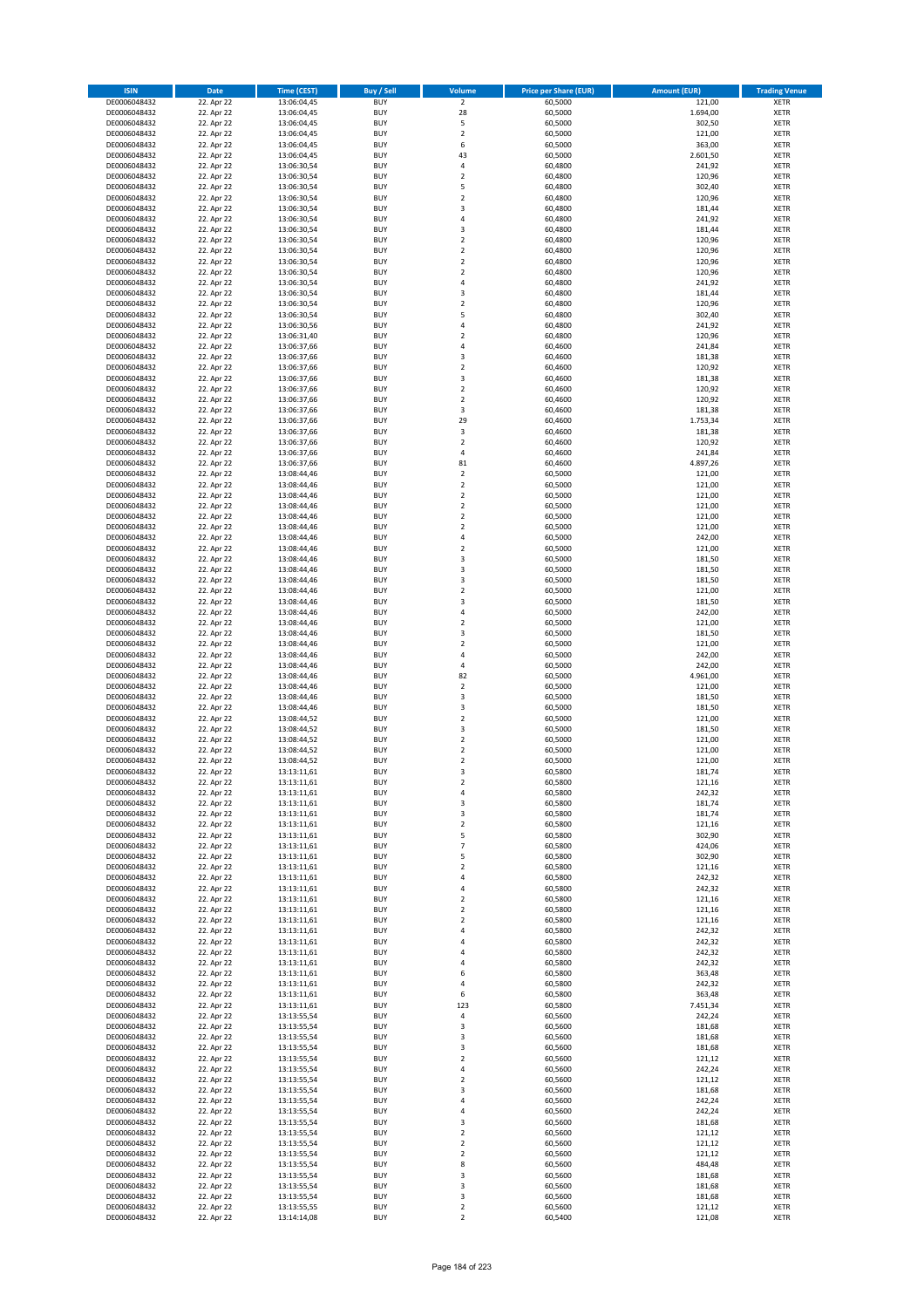| <b>ISIN</b>                  | <b>Date</b>              | <b>Time (CEST)</b>         | <b>Buy / Sell</b>        | <b>Volume</b>                                      | <b>Price per Share (EUR)</b> | <b>Amount (EUR)</b> | <b>Trading Venue</b>       |
|------------------------------|--------------------------|----------------------------|--------------------------|----------------------------------------------------|------------------------------|---------------------|----------------------------|
| DE0006048432                 | 22. Apr 22               | 13:06:04,45                | <b>BUY</b>               | $\overline{2}$                                     | 60,5000                      | 121,00              | <b>XETR</b>                |
| DE0006048432                 | 22. Apr 22               | 13:06:04,45                | <b>BUY</b>               | 28                                                 | 60,5000                      | 1.694,00            | <b>XETR</b>                |
| DE0006048432                 | 22. Apr 22               | 13:06:04,45                | <b>BUY</b>               | 5                                                  | 60,5000                      | 302,50              | <b>XETR</b>                |
| DE0006048432<br>DE0006048432 | 22. Apr 22<br>22. Apr 22 | 13:06:04,45<br>13:06:04,45 | <b>BUY</b><br><b>BUY</b> | $\mathbf 2$<br>6                                   | 60,5000<br>60,5000           | 121,00<br>363,00    | <b>XETR</b><br><b>XETR</b> |
| DE0006048432                 | 22. Apr 22               | 13:06:04,45                | <b>BUY</b>               | 43                                                 | 60,5000                      | 2.601,50            | <b>XETR</b>                |
| DE0006048432                 | 22. Apr 22               | 13:06:30,54                | <b>BUY</b>               | 4                                                  | 60,4800                      | 241,92              | <b>XETR</b>                |
| DE0006048432                 | 22. Apr 22               | 13:06:30,54                | <b>BUY</b>               | $\mathbf 2$                                        | 60,4800                      | 120,96              | <b>XETR</b>                |
| DE0006048432                 | 22. Apr 22               | 13:06:30,54                | <b>BUY</b>               | 5                                                  | 60,4800                      | 302,40              | <b>XETR</b>                |
| DE0006048432                 | 22. Apr 22               | 13:06:30,54                | <b>BUY</b>               | $\mathbf 2$                                        | 60,4800                      | 120,96              | <b>XETR</b>                |
| DE0006048432                 | 22. Apr 22               | 13:06:30,54                | <b>BUY</b>               | 3                                                  | 60,4800                      | 181,44              | <b>XETR</b>                |
| DE0006048432<br>DE0006048432 | 22. Apr 22<br>22. Apr 22 | 13:06:30,54                | <b>BUY</b><br><b>BUY</b> | 4<br>3                                             | 60,4800<br>60,4800           | 241,92<br>181,44    | <b>XETR</b><br><b>XETR</b> |
| DE0006048432                 | 22. Apr 22               | 13:06:30,54<br>13:06:30,54 | <b>BUY</b>               | $\overline{\mathbf{c}}$                            | 60,4800                      | 120,96              | <b>XETR</b>                |
| DE0006048432                 | 22. Apr 22               | 13:06:30,54                | <b>BUY</b>               | $\mathbf 2$                                        | 60,4800                      | 120,96              | <b>XETR</b>                |
| DE0006048432                 | 22. Apr 22               | 13:06:30,54                | <b>BUY</b>               | $\overline{\mathbf{c}}$                            | 60,4800                      | 120,96              | <b>XETR</b>                |
| DE0006048432                 | 22. Apr 22               | 13:06:30,54                | <b>BUY</b>               | $\mathbf 2$                                        | 60,4800                      | 120,96              | <b>XETR</b>                |
| DE0006048432                 | 22. Apr 22               | 13:06:30,54                | <b>BUY</b>               | 4                                                  | 60,4800                      | 241,92              | <b>XETR</b>                |
| DE0006048432                 | 22. Apr 22               | 13:06:30,54                | <b>BUY</b>               | 3                                                  | 60,4800                      | 181,44              | <b>XETR</b>                |
| DE0006048432                 | 22. Apr 22               | 13:06:30,54                | <b>BUY</b>               | $\mathbf 2$                                        | 60,4800                      | 120,96              | <b>XETR</b>                |
| DE0006048432<br>DE0006048432 | 22. Apr 22<br>22. Apr 22 | 13:06:30,54<br>13:06:30,56 | <b>BUY</b><br><b>BUY</b> | 5<br>4                                             | 60,4800<br>60,4800           | 302,40<br>241,92    | <b>XETR</b><br><b>XETR</b> |
| DE0006048432                 | 22. Apr 22               | 13:06:31,40                | <b>BUY</b>               | $\mathbf 2$                                        | 60,4800                      | 120,96              | <b>XETR</b>                |
| DE0006048432                 | 22. Apr 22               | 13:06:37,66                | <b>BUY</b>               | 4                                                  | 60,4600                      | 241,84              | <b>XETR</b>                |
| DE0006048432                 | 22. Apr 22               | 13:06:37,66                | <b>BUY</b>               | 3                                                  | 60,4600                      | 181,38              | <b>XETR</b>                |
| DE0006048432                 | 22. Apr 22               | 13:06:37,66                | <b>BUY</b>               | $\mathbf 2$                                        | 60,4600                      | 120,92              | <b>XETR</b>                |
| DE0006048432                 | 22. Apr 22               | 13:06:37,66                | <b>BUY</b>               | 3                                                  | 60,4600                      | 181,38              | <b>XETR</b>                |
| DE0006048432                 | 22. Apr 22               | 13:06:37,66                | <b>BUY</b>               | $\overline{\mathbf{c}}$                            | 60,4600                      | 120,92              | <b>XETR</b>                |
| DE0006048432<br>DE0006048432 | 22. Apr 22<br>22. Apr 22 | 13:06:37,66<br>13:06:37,66 | <b>BUY</b><br><b>BUY</b> | $\mathbf 2$<br>3                                   | 60,4600<br>60,4600           | 120,92<br>181,38    | <b>XETR</b><br><b>XETR</b> |
| DE0006048432                 | 22. Apr 22               | 13:06:37,66                | <b>BUY</b>               | 29                                                 | 60,4600                      | 1.753,34            | <b>XETR</b>                |
| DE0006048432                 | 22. Apr 22               | 13:06:37,66                | <b>BUY</b>               | 3                                                  | 60,4600                      | 181,38              | <b>XETR</b>                |
| DE0006048432                 | 22. Apr 22               | 13:06:37,66                | <b>BUY</b>               | $\mathbf 2$                                        | 60,4600                      | 120,92              | <b>XETR</b>                |
| DE0006048432                 | 22. Apr 22               | 13:06:37,66                | <b>BUY</b>               | 4                                                  | 60,4600                      | 241,84              | <b>XETR</b>                |
| DE0006048432                 | 22. Apr 22               | 13:06:37,66                | <b>BUY</b>               | 81                                                 | 60,4600                      | 4.897,26            | <b>XETR</b>                |
| DE0006048432                 | 22. Apr 22               | 13:08:44,46                | <b>BUY</b>               | $\mathbf 2$                                        | 60,5000                      | 121,00              | <b>XETR</b>                |
| DE0006048432                 | 22. Apr 22               | 13:08:44,46<br>13:08:44,46 | <b>BUY</b><br><b>BUY</b> | $\overline{\mathbf{c}}$<br>$\mathbf 2$             | 60,5000<br>60,5000           | 121,00<br>121,00    | <b>XETR</b><br><b>XETR</b> |
| DE0006048432<br>DE0006048432 | 22. Apr 22<br>22. Apr 22 | 13:08:44,46                | <b>BUY</b>               | $\mathbf 2$                                        | 60,5000                      | 121,00              | <b>XETR</b>                |
| DE0006048432                 | 22. Apr 22               | 13:08:44,46                | <b>BUY</b>               | $\mathbf 2$                                        | 60,5000                      | 121,00              | <b>XETR</b>                |
| DE0006048432                 | 22. Apr 22               | 13:08:44,46                | <b>BUY</b>               | $\overline{\mathbf{c}}$                            | 60,5000                      | 121,00              | <b>XETR</b>                |
| DE0006048432                 | 22. Apr 22               | 13:08:44,46                | <b>BUY</b>               | 4                                                  | 60,5000                      | 242,00              | <b>XETR</b>                |
| DE0006048432                 | 22. Apr 22               | 13:08:44,46                | <b>BUY</b>               | $\mathbf 2$                                        | 60,5000                      | 121,00              | <b>XETR</b>                |
| DE0006048432                 | 22. Apr 22               | 13:08:44,46                | <b>BUY</b>               | 3                                                  | 60,5000                      | 181,50              | <b>XETR</b>                |
| DE0006048432                 | 22. Apr 22               | 13:08:44,46                | <b>BUY</b>               | 3                                                  | 60,5000                      | 181,50              | <b>XETR</b>                |
| DE0006048432<br>DE0006048432 | 22. Apr 22<br>22. Apr 22 | 13:08:44,46<br>13:08:44,46 | <b>BUY</b><br><b>BUY</b> | 3<br>$\mathbf 2$                                   | 60,5000<br>60,5000           | 181,50<br>121,00    | <b>XETR</b><br><b>XETR</b> |
| DE0006048432                 | 22. Apr 22               | 13:08:44,46                | <b>BUY</b>               | 3                                                  | 60,5000                      | 181,50              | <b>XETR</b>                |
| DE0006048432                 | 22. Apr 22               | 13:08:44,46                | <b>BUY</b>               | 4                                                  | 60,5000                      | 242,00              | <b>XETR</b>                |
| DE0006048432                 | 22. Apr 22               | 13:08:44,46                | <b>BUY</b>               | $\overline{\mathbf{c}}$                            | 60,5000                      | 121,00              | <b>XETR</b>                |
| DE0006048432                 | 22. Apr 22               | 13:08:44,46                | <b>BUY</b>               | 3                                                  | 60,5000                      | 181,50              | <b>XETR</b>                |
| DE0006048432                 | 22. Apr 22               | 13:08:44,46                | <b>BUY</b>               | $\mathbf 2$                                        | 60,5000                      | 121,00              | <b>XETR</b>                |
| DE0006048432                 | 22. Apr 22               | 13:08:44,46                | <b>BUY</b><br><b>BUY</b> | 4                                                  | 60,5000                      | 242,00              | <b>XETR</b><br><b>XETR</b> |
| DE0006048432<br>DE0006048432 | 22. Apr 22<br>22. Apr 22 | 13:08:44,46<br>13:08:44,46 | <b>BUY</b>               | 4<br>82                                            | 60,5000<br>60,5000           | 242,00<br>4.961,00  | <b>XETR</b>                |
| DE0006048432                 | 22. Apr 22               | 13:08:44,46                | <b>BUY</b>               | $\mathbf 2$                                        | 60,5000                      | 121,00              | <b>XETR</b>                |
| DE0006048432                 | 22. Apr 22               | 13:08:44,46                | <b>BUY</b>               | 3                                                  | 60,5000                      | 181,50              | <b>XETR</b>                |
| DE0006048432                 | 22. Apr 22               | 13:08:44,46                | <b>BUY</b>               | 3                                                  | 60,5000                      | 181,50              | <b>XETR</b>                |
| DE0006048432                 | 22. Apr 22               | 13:08:44,52                | <b>BUY</b>               | $\mathbf 2$                                        | 60,5000                      | 121,00              | <b>XETR</b>                |
| DE0006048432                 | 22. Apr 22               | 13:08:44,52                | <b>BUY</b>               | 3                                                  | 60,5000                      | 181,50              | <b>XETR</b>                |
| DE0006048432                 | 22. Apr 22               | 13:08:44,52                | <b>BUY</b>               | $\mathbf 2$                                        | 60,5000                      | 121,00              | <b>XETR</b>                |
| DE0006048432<br>DE0006048432 | 22. Apr 22<br>22. Apr 22 | 13:08:44,52<br>13:08:44,52 | <b>BUY</b><br><b>BUY</b> | $\overline{\mathbf{c}}$<br>$\overline{\mathbf{c}}$ | 60,5000<br>60,5000           | 121,00<br>121,00    | <b>XETR</b><br><b>XETR</b> |
| DE0006048432                 | 22. Apr 22               | 13:13:11,61                | <b>BUY</b>               | 3                                                  | 60,5800                      | 181,74              | <b>XETR</b>                |
| DE0006048432                 | 22. Apr 22               | 13:13:11,61                | BUY                      | 2                                                  | 60,5800                      | 121,16              | <b>XETR</b>                |
| DE0006048432                 | 22. Apr 22               | 13:13:11,61                | <b>BUY</b>               | 4                                                  | 60,5800                      | 242,32              | <b>XETR</b>                |
| DE0006048432                 | 22. Apr 22               | 13:13:11,61                | <b>BUY</b>               | 3                                                  | 60,5800                      | 181,74              | <b>XETR</b>                |
| DE0006048432                 | 22. Apr 22               | 13:13:11,61                | <b>BUY</b>               | 3                                                  | 60,5800                      | 181,74              | XETR                       |
| DE0006048432<br>DE0006048432 | 22. Apr 22<br>22. Apr 22 | 13:13:11,61                | <b>BUY</b>               | $\mathbf 2$                                        | 60,5800                      | 121,16<br>302,90    | <b>XETR</b>                |
| DE0006048432                 | 22. Apr 22               | 13:13:11,61<br>13:13:11,61 | <b>BUY</b><br><b>BUY</b> | 5<br>$\overline{7}$                                | 60,5800<br>60,5800           | 424,06              | <b>XETR</b><br><b>XETR</b> |
| DE0006048432                 | 22. Apr 22               | 13:13:11,61                | <b>BUY</b>               | 5                                                  | 60,5800                      | 302,90              | <b>XETR</b>                |
| DE0006048432                 | 22. Apr 22               | 13:13:11,61                | <b>BUY</b>               | $\mathbf 2$                                        | 60,5800                      | 121,16              | <b>XETR</b>                |
| DE0006048432                 | 22. Apr 22               | 13:13:11,61                | <b>BUY</b>               | 4                                                  | 60,5800                      | 242,32              | <b>XETR</b>                |
| DE0006048432                 | 22. Apr 22               | 13:13:11,61                | <b>BUY</b>               | 4                                                  | 60,5800                      | 242,32              | <b>XETR</b>                |
| DE0006048432                 | 22. Apr 22               | 13:13:11,61                | <b>BUY</b>               | $\overline{\mathbf{c}}$                            | 60,5800                      | 121,16              | <b>XETR</b>                |
| DE0006048432<br>DE0006048432 | 22. Apr 22<br>22. Apr 22 | 13:13:11,61<br>13:13:11,61 | <b>BUY</b><br><b>BUY</b> | $\mathbf 2$<br>$\overline{\mathbf{2}}$             | 60,5800<br>60,5800           | 121,16<br>121,16    | <b>XETR</b><br><b>XETR</b> |
| DE0006048432                 | 22. Apr 22               | 13:13:11,61                | <b>BUY</b>               | 4                                                  | 60,5800                      | 242,32              | <b>XETR</b>                |
| DE0006048432                 | 22. Apr 22               | 13:13:11,61                | <b>BUY</b>               | 4                                                  | 60,5800                      | 242,32              | <b>XETR</b>                |
| DE0006048432                 | 22. Apr 22               | 13:13:11,61                | <b>BUY</b>               | 4                                                  | 60,5800                      | 242,32              | <b>XETR</b>                |
| DE0006048432                 | 22. Apr 22               | 13:13:11,61                | <b>BUY</b>               | 4                                                  | 60,5800                      | 242,32              | <b>XETR</b>                |
| DE0006048432                 | 22. Apr 22               | 13:13:11,61                | <b>BUY</b>               | 6                                                  | 60,5800                      | 363,48              | XETR                       |
| DE0006048432                 | 22. Apr 22               | 13:13:11,61                | <b>BUY</b>               | 4                                                  | 60,5800                      | 242,32              | <b>XETR</b>                |
| DE0006048432<br>DE0006048432 | 22. Apr 22<br>22. Apr 22 | 13:13:11,61<br>13:13:11,61 | <b>BUY</b><br><b>BUY</b> | 6<br>123                                           | 60,5800<br>60,5800           | 363,48<br>7.451,34  | <b>XETR</b><br><b>XETR</b> |
| DE0006048432                 | 22. Apr 22               | 13:13:55,54                | <b>BUY</b>               | 4                                                  | 60,5600                      | 242,24              | <b>XETR</b>                |
| DE0006048432                 | 22. Apr 22               | 13:13:55,54                | <b>BUY</b>               | 3                                                  | 60,5600                      | 181,68              | <b>XETR</b>                |
| DE0006048432                 | 22. Apr 22               | 13:13:55,54                | <b>BUY</b>               | 3                                                  | 60,5600                      | 181,68              | <b>XETR</b>                |
| DE0006048432                 | 22. Apr 22               | 13:13:55,54                | <b>BUY</b>               | 3                                                  | 60,5600                      | 181,68              | <b>XETR</b>                |
| DE0006048432                 | 22. Apr 22               | 13:13:55,54                | <b>BUY</b>               | $\mathbf 2$                                        | 60,5600                      | 121,12              | <b>XETR</b>                |
| DE0006048432                 | 22. Apr 22               | 13:13:55,54                | <b>BUY</b>               | 4                                                  | 60,5600                      | 242,24              | <b>XETR</b>                |
| DE0006048432<br>DE0006048432 | 22. Apr 22<br>22. Apr 22 | 13:13:55,54<br>13:13:55,54 | <b>BUY</b><br><b>BUY</b> | $\mathbf 2$<br>3                                   | 60,5600<br>60,5600           | 121,12<br>181,68    | <b>XETR</b><br>XETR        |
| DE0006048432                 | 22. Apr 22               | 13:13:55,54                | <b>BUY</b>               | 4                                                  | 60,5600                      | 242,24              | <b>XETR</b>                |
| DE0006048432                 | 22. Apr 22               | 13:13:55,54                | <b>BUY</b>               | 4                                                  | 60,5600                      | 242,24              | <b>XETR</b>                |
| DE0006048432                 | 22. Apr 22               | 13:13:55,54                | <b>BUY</b>               | 3                                                  | 60,5600                      | 181,68              | <b>XETR</b>                |
| DE0006048432                 | 22. Apr 22               | 13:13:55,54                | <b>BUY</b>               | $\mathbf 2$                                        | 60,5600                      | 121,12              | <b>XETR</b>                |
| DE0006048432                 | 22. Apr 22               | 13:13:55,54                | <b>BUY</b>               | $\mathbf 2$                                        | 60,5600                      | 121,12              | <b>XETR</b>                |
| DE0006048432<br>DE0006048432 | 22. Apr 22<br>22. Apr 22 | 13:13:55,54<br>13:13:55,54 | <b>BUY</b><br><b>BUY</b> | $\mathbf 2$<br>8                                   | 60,5600<br>60,5600           | 121,12<br>484,48    | <b>XETR</b><br><b>XETR</b> |
| DE0006048432                 | 22. Apr 22               | 13:13:55,54                | <b>BUY</b>               | 3                                                  | 60,5600                      | 181,68              | XETR                       |
| DE0006048432                 | 22. Apr 22               | 13:13:55,54                | <b>BUY</b>               | 3                                                  | 60,5600                      | 181,68              | <b>XETR</b>                |
| DE0006048432                 | 22. Apr 22               | 13:13:55,54                | <b>BUY</b>               | 3                                                  | 60,5600                      | 181,68              | XETR                       |
| DE0006048432                 | 22. Apr 22               | 13:13:55,55                | <b>BUY</b>               | $\mathbf 2$                                        | 60,5600                      | 121,12              | <b>XETR</b>                |
| DE0006048432                 | 22. Apr 22               | 13:14:14,08                | <b>BUY</b>               | $\overline{2}$                                     | 60,5400                      | 121,08              | <b>XETR</b>                |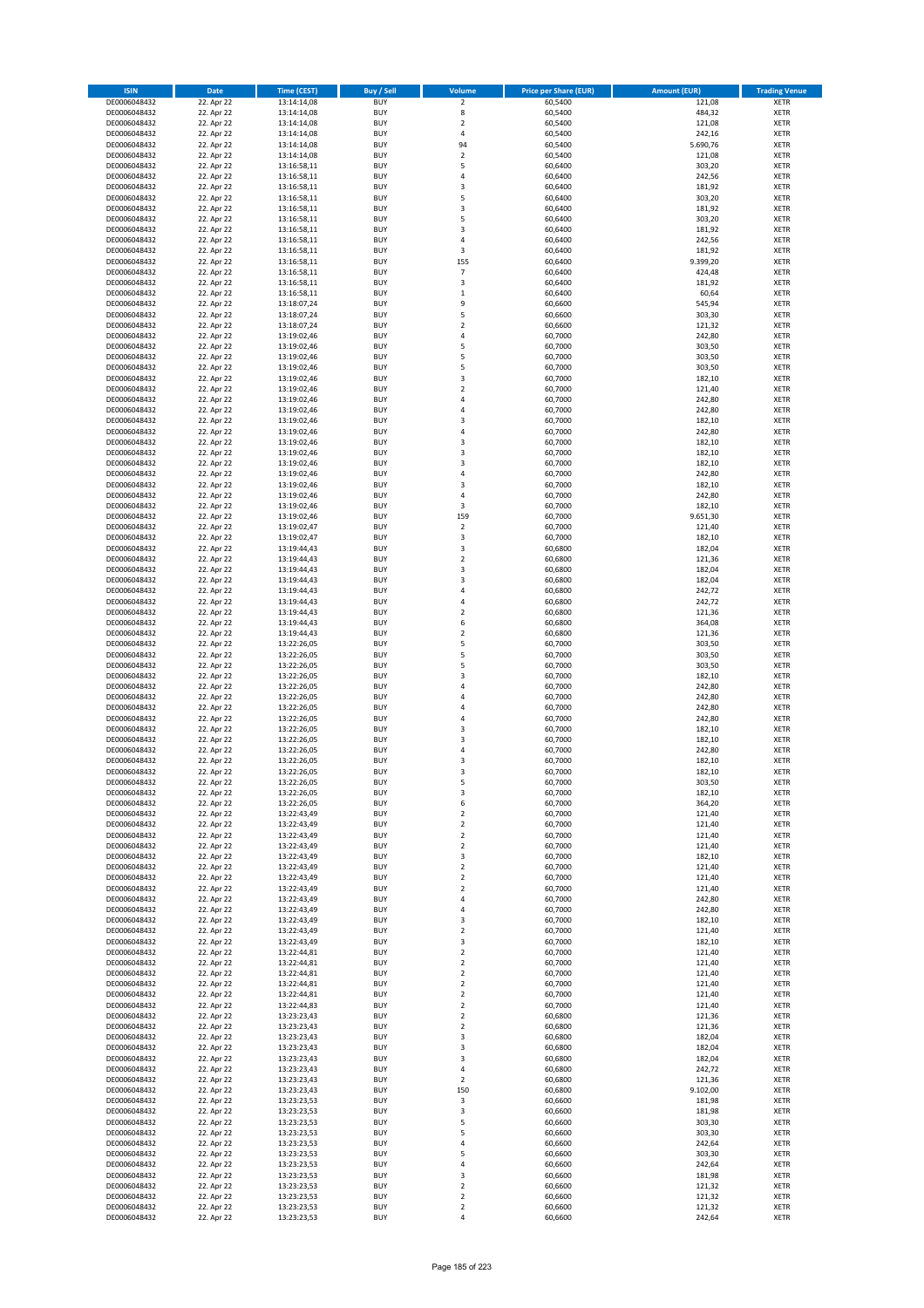| <b>ISIN</b>                  | <b>Date</b>              | Time (CEST)                | Buy / Sell               | Volume                                 | <b>Price per Share (EUR)</b> | Amount (EUR)       | <b>Trading Venue</b>       |
|------------------------------|--------------------------|----------------------------|--------------------------|----------------------------------------|------------------------------|--------------------|----------------------------|
| DE0006048432                 | 22. Apr 22               | 13:14:14,08                | <b>BUY</b>               | $\overline{\mathbf{2}}$                | 60,5400                      | 121,08             | <b>XETR</b>                |
| DE0006048432                 | 22. Apr 22               | 13:14:14,08                | <b>BUY</b>               | 8                                      | 60,5400                      | 484,32             | <b>XETR</b>                |
| DE0006048432                 | 22. Apr 22               | 13:14:14,08                | <b>BUY</b>               | $\overline{\mathbf{2}}$                | 60,5400                      | 121,08             | <b>XETR</b>                |
| DE0006048432                 | 22. Apr 22               | 13:14:14,08                | <b>BUY</b>               | 4                                      | 60,5400                      | 242,16             | <b>XETR</b>                |
| DE0006048432<br>DE0006048432 | 22. Apr 22<br>22. Apr 22 | 13:14:14,08<br>13:14:14,08 | <b>BUY</b><br><b>BUY</b> | 94<br>$\mathbf 2$                      | 60,5400<br>60,5400           | 5.690,76<br>121,08 | <b>XETR</b><br><b>XETR</b> |
| DE0006048432                 | 22. Apr 22               | 13:16:58,11                | <b>BUY</b>               | 5                                      | 60,6400                      | 303,20             | <b>XETR</b>                |
| DE0006048432                 | 22. Apr 22               | 13:16:58,11                | <b>BUY</b>               | 4                                      | 60,6400                      | 242,56             | <b>XETR</b>                |
| DE0006048432                 | 22. Apr 22               | 13:16:58,11                | <b>BUY</b>               | $\overline{\mathbf{3}}$                | 60,6400                      | 181,92             | <b>XETR</b>                |
| DE0006048432                 | 22. Apr 22               | 13:16:58,11                | <b>BUY</b>               | 5                                      | 60,6400                      | 303,20             | <b>XETR</b>                |
| DE0006048432                 | 22. Apr 22               | 13:16:58,11                | <b>BUY</b>               | 3                                      | 60,6400                      | 181,92             | <b>XETR</b>                |
| DE0006048432                 | 22. Apr 22               | 13:16:58,11                | <b>BUY</b>               | 5<br>$\overline{3}$                    | 60,6400                      | 303,20             | <b>XETR</b>                |
| DE0006048432<br>DE0006048432 | 22. Apr 22<br>22. Apr 22 | 13:16:58,11<br>13:16:58,11 | <b>BUY</b><br><b>BUY</b> | $\overline{a}$                         | 60,6400<br>60,6400           | 181,92<br>242,56   | <b>XETR</b><br><b>XETR</b> |
| DE0006048432                 | 22. Apr 22               | 13:16:58,11                | <b>BUY</b>               | 3                                      | 60,6400                      | 181,92             | <b>XETR</b>                |
| DE0006048432                 | 22. Apr 22               | 13:16:58,11                | <b>BUY</b>               | 155                                    | 60,6400                      | 9.399,20           | <b>XETR</b>                |
| DE0006048432                 | 22. Apr 22               | 13:16:58,11                | <b>BUY</b>               | $\overline{7}$                         | 60,6400                      | 424,48             | <b>XETR</b>                |
| DE0006048432                 | 22. Apr 22               | 13:16:58,11                | <b>BUY</b>               | 3                                      | 60,6400                      | 181,92             | <b>XETR</b>                |
| DE0006048432                 | 22. Apr 22               | 13:16:58.11                | <b>BUY</b>               | $\,1\,$                                | 60,6400                      | 60,64              | <b>XETR</b>                |
| DE0006048432<br>DE0006048432 | 22. Apr 22<br>22. Apr 22 | 13:18:07,24<br>13:18:07,24 | <b>BUY</b><br><b>BUY</b> | 9<br>5                                 | 60,6600<br>60,6600           | 545,94<br>303,30   | <b>XETR</b><br><b>XETR</b> |
| DE0006048432                 | 22. Apr 22               | 13:18:07,24                | <b>BUY</b>               | $\overline{\mathbf{2}}$                | 60,6600                      | 121,32             | <b>XETR</b>                |
| DE0006048432                 | 22. Apr 22               | 13:19:02,46                | <b>BUY</b>               | $\overline{a}$                         | 60,7000                      | 242,80             | <b>XETR</b>                |
| DE0006048432                 | 22. Apr 22               | 13:19:02,46                | <b>BUY</b>               | 5                                      | 60,7000                      | 303,50             | <b>XETR</b>                |
| DE0006048432                 | 22. Apr 22               | 13:19:02,46                | <b>BUY</b>               | 5                                      | 60,7000                      | 303,50             | <b>XETR</b>                |
| DE0006048432                 | 22. Apr 22               | 13:19:02,46                | <b>BUY</b>               | 5                                      | 60,7000                      | 303,50             | <b>XETR</b>                |
| DE0006048432                 | 22. Apr 22               | 13:19:02,46                | <b>BUY</b><br><b>BUY</b> | 3<br>$\overline{\mathbf{2}}$           | 60,7000                      | 182,10             | <b>XETR</b><br><b>XETR</b> |
| DE0006048432<br>DE0006048432 | 22. Apr 22<br>22. Apr 22 | 13:19:02,46<br>13:19:02,46 | <b>BUY</b>               | 4                                      | 60,7000<br>60,7000           | 121,40<br>242,80   | <b>XETR</b>                |
| DE0006048432                 | 22. Apr 22               | 13:19:02,46                | <b>BUY</b>               | 4                                      | 60,7000                      | 242,80             | <b>XETR</b>                |
| DE0006048432                 | 22. Apr 22               | 13:19:02,46                | <b>BUY</b>               | $\overline{\mathbf{3}}$                | 60,7000                      | 182,10             | <b>XETR</b>                |
| DE0006048432                 | 22. Apr 22               | 13:19:02,46                | <b>BUY</b>               | 4                                      | 60,7000                      | 242,80             | <b>XETR</b>                |
| DE0006048432                 | 22. Apr 22               | 13:19:02,46                | <b>BUY</b>               | 3                                      | 60,7000                      | 182,10             | <b>XETR</b>                |
| DE0006048432                 | 22. Apr 22               | 13:19:02,46                | <b>BUY</b>               | 3                                      | 60,7000                      | 182,10             | <b>XETR</b>                |
| DE0006048432<br>DE0006048432 | 22. Apr 22<br>22. Apr 22 | 13:19:02,46<br>13:19:02,46 | <b>BUY</b><br><b>BUY</b> | $\overline{\mathbf{3}}$<br>4           | 60,7000<br>60,7000           | 182,10<br>242,80   | <b>XETR</b><br><b>XETR</b> |
| DE0006048432                 | 22. Apr 22               | 13:19:02,46                | <b>BUY</b>               | $\overline{\mathbf{3}}$                | 60,7000                      | 182,10             | <b>XETR</b>                |
| DE0006048432                 | 22. Apr 22               | 13:19:02,46                | <b>BUY</b>               | $\overline{a}$                         | 60,7000                      | 242,80             | <b>XETR</b>                |
| DE0006048432                 | 22. Apr 22               | 13:19:02,46                | <b>BUY</b>               | 3                                      | 60,7000                      | 182,10             | <b>XETR</b>                |
| DE0006048432                 | 22. Apr 22               | 13:19:02,46                | <b>BUY</b>               | 159                                    | 60,7000                      | 9.651,30           | <b>XETR</b>                |
| DE0006048432                 | 22. Apr 22               | 13:19:02,47                | <b>BUY</b>               | $\mathbf 2$                            | 60,7000                      | 121,40             | <b>XETR</b>                |
| DE0006048432                 | 22. Apr 22               | 13:19:02,47                | <b>BUY</b><br><b>BUY</b> | 3                                      | 60,7000                      | 182,10             | <b>XETR</b>                |
| DE0006048432<br>DE0006048432 | 22. Apr 22<br>22. Apr 22 | 13:19:44,43<br>13:19:44,43 | <b>BUY</b>               | 3<br>$\overline{\mathbf{2}}$           | 60,6800<br>60,6800           | 182,04<br>121,36   | <b>XETR</b><br><b>XETR</b> |
| DE0006048432                 | 22. Apr 22               | 13:19:44,43                | <b>BUY</b>               | $\overline{\mathbf{3}}$                | 60,6800                      | 182,04             | <b>XETR</b>                |
| DE0006048432                 | 22. Apr 22               | 13:19:44,43                | <b>BUY</b>               | $\overline{\mathbf{3}}$                | 60,6800                      | 182,04             | <b>XETR</b>                |
| DE0006048432                 | 22. Apr 22               | 13:19:44,43                | <b>BUY</b>               | $\overline{4}$                         | 60,6800                      | 242,72             | <b>XETR</b>                |
| DE0006048432                 | 22. Apr 22               | 13:19:44,43                | <b>BUY</b>               | $\overline{a}$                         | 60,6800                      | 242,72             | <b>XETR</b>                |
| DE0006048432                 | 22. Apr 22               | 13:19:44,43                | <b>BUY</b><br><b>BUY</b> | $\overline{2}$<br>6                    | 60,6800                      | 121,36             | <b>XETR</b><br><b>XETR</b> |
| DE0006048432<br>DE0006048432 | 22. Apr 22<br>22. Apr 22 | 13:19:44,43<br>13:19:44,43 | <b>BUY</b>               | $\overline{\mathbf{2}}$                | 60,6800<br>60,6800           | 364,08<br>121,36   | <b>XETR</b>                |
| DE0006048432                 | 22. Apr 22               | 13:22:26,05                | <b>BUY</b>               | 5                                      | 60,7000                      | 303,50             | <b>XETR</b>                |
| DE0006048432                 | 22. Apr 22               | 13:22:26,05                | <b>BUY</b>               | 5                                      | 60,7000                      | 303,50             | <b>XETR</b>                |
| DE0006048432                 | 22. Apr 22               | 13:22:26,05                | <b>BUY</b>               | 5                                      | 60,7000                      | 303,50             | <b>XETR</b>                |
| DE0006048432                 | 22. Apr 22               | 13:22:26,05                | <b>BUY</b>               | $\overline{\mathbf{3}}$                | 60,7000                      | 182,10             | <b>XETR</b>                |
| DE0006048432                 | 22. Apr 22               | 13:22:26,05                | <b>BUY</b>               | 4                                      | 60,7000                      | 242,80             | <b>XETR</b>                |
| DE0006048432<br>DE0006048432 | 22. Apr 22<br>22. Apr 22 | 13:22:26,05<br>13:22:26,05 | <b>BUY</b><br><b>BUY</b> | $\overline{a}$<br>4                    | 60,7000<br>60,7000           | 242,80<br>242,80   | <b>XETR</b><br><b>XETR</b> |
| DE0006048432                 | 22. Apr 22               | 13:22:26,05                | BUY                      | $\overline{a}$                         | 60,7000                      | 242,80             | <b>XETR</b>                |
| DE0006048432                 | 22. Apr 22               | 13:22:26,05                | <b>BUY</b>               | $\overline{\mathbf{3}}$                | 60,7000                      | 182,10             | <b>XETR</b>                |
| DE0006048432                 | 22. Apr 22               | 13:22:26,05                | <b>BUY</b>               | 3                                      | 60,7000                      | 182,10             | <b>XETR</b>                |
| DE0006048432                 | 22. Apr 22               | 13:22:26,05                | BUY                      | $\overline{a}$                         | 60,7000                      | 242,80             | <b>XETR</b>                |
| DE0006048432                 | 22. Apr 22               | 13:22:26,05                | BUY                      | $\overline{\mathbf{3}}$                | 60,7000                      | 182,10             | <b>XETR</b>                |
| DE0006048432                 | 22. Apr 22               | 13:22:26,05<br>13:22:26,05 | <b>BUY</b>               | $\overline{3}$<br>5                    | 60,7000<br>60,7000           | 182,10<br>303,50   | <b>XETR</b>                |
| DE0006048432<br>DE0006048432 | 22. Apr 22<br>22. Apr 22 | 13:22:26,05                | BUY<br><b>BUY</b>        | 3                                      | 60,7000                      | 182,10             | <b>XETR</b><br><b>XETR</b> |
| DE0006048432                 | 22. Apr 22               | 13:22:26,05                | <b>BUY</b>               | 6                                      | 60,7000                      | 364,20             | <b>XETR</b>                |
| DE0006048432                 | 22. Apr 22               | 13:22:43,49                | <b>BUY</b>               | $\mathbf 2$                            | 60,7000                      | 121,40             | <b>XETR</b>                |
| DE0006048432                 | 22. Apr 22               | 13:22:43,49                | <b>BUY</b>               | $\overline{\mathbf{2}}$                | 60,7000                      | 121,40             | <b>XETR</b>                |
| DE0006048432                 | 22. Apr 22               | 13:22:43,49                | <b>BUY</b>               | $\mathbf 2$                            | 60,7000                      | 121,40             | <b>XETR</b>                |
| DE0006048432                 | 22. Apr 22               | 13:22:43,49                | <b>BUY</b>               | $\overline{\mathbf{2}}$                | 60,7000                      | 121,40             | <b>XETR</b>                |
| DE0006048432<br>DE0006048432 | 22. Apr 22<br>22. Apr 22 | 13:22:43,49<br>13:22:43,49 | <b>BUY</b><br><b>BUY</b> | 3<br>$\mathbf 2$                       | 60,7000<br>60,7000           | 182,10<br>121,40   | <b>XETR</b><br><b>XETR</b> |
| DE0006048432                 | 22. Apr 22               | 13:22:43,49                | <b>BUY</b>               | $\mathbf 2$                            | 60,7000                      | 121,40             | <b>XETR</b>                |
| DE0006048432                 | 22. Apr 22               | 13:22:43,49                | <b>BUY</b>               | $\mathbf 2$                            | 60,7000                      | 121,40             | <b>XETR</b>                |
| DE0006048432                 | 22. Apr 22               | 13:22:43,49                | <b>BUY</b>               | $\overline{4}$                         | 60,7000                      | 242,80             | <b>XETR</b>                |
| DE0006048432                 | 22. Apr 22               | 13:22:43,49                | <b>BUY</b>               | $\overline{4}$                         | 60,7000                      | 242,80             | <b>XETR</b>                |
| DE0006048432                 | 22. Apr 22               | 13:22:43,49                | <b>BUY</b>               | 3                                      | 60,7000                      | 182,10             | <b>XETR</b>                |
| DE0006048432<br>DE0006048432 | 22. Apr 22<br>22. Apr 22 | 13:22:43,49<br>13:22:43,49 | <b>BUY</b><br><b>BUY</b> | $\mathbf 2$<br>3                       | 60,7000<br>60,7000           | 121,40<br>182,10   | <b>XETR</b><br><b>XETR</b> |
| DE0006048432                 | 22. Apr 22               | 13:22:44,81                | <b>BUY</b>               | $\mathbf 2$                            | 60,7000                      | 121,40             | <b>XETR</b>                |
| DE0006048432                 | 22. Apr 22               | 13:22:44,81                | <b>BUY</b>               | $\mathbf 2$                            | 60,7000                      | 121,40             | <b>XETR</b>                |
| DE0006048432                 | 22. Apr 22               | 13:22:44,81                | <b>BUY</b>               | $\mathbf 2$                            | 60,7000                      | 121,40             | <b>XETR</b>                |
| DE0006048432                 | 22. Apr 22               | 13:22:44,81                | <b>BUY</b>               | $\mathbf 2$                            | 60,7000                      | 121,40             | <b>XETR</b>                |
| DE0006048432                 | 22. Apr 22               | 13:22:44,81                | <b>BUY</b>               | $\overline{\mathbf{2}}$                | 60,7000                      | 121,40             | <b>XETR</b>                |
| DE0006048432<br>DE0006048432 | 22. Apr 22<br>22. Apr 22 | 13:22:44,83<br>13:23:23,43 | <b>BUY</b><br><b>BUY</b> | $\mathbf 2$<br>$\overline{\mathbf{2}}$ | 60,7000<br>60,6800           | 121,40<br>121,36   | <b>XETR</b><br><b>XETR</b> |
| DE0006048432                 | 22. Apr 22               | 13:23:23,43                | <b>BUY</b>               | $\mathbf 2$                            | 60,6800                      | 121,36             | <b>XETR</b>                |
| DE0006048432                 | 22. Apr 22               | 13:23:23,43                | <b>BUY</b>               | 3                                      | 60,6800                      | 182,04             | <b>XETR</b>                |
| DE0006048432                 | 22. Apr 22               | 13:23:23,43                | <b>BUY</b>               | 3                                      | 60,6800                      | 182,04             | <b>XETR</b>                |
| DE0006048432                 | 22. Apr 22               | 13:23:23,43                | <b>BUY</b>               | $\overline{\mathbf{3}}$                | 60,6800                      | 182,04             | <b>XETR</b>                |
| DE0006048432                 | 22. Apr 22               | 13:23:23,43                | <b>BUY</b>               | $\overline{4}$                         | 60,6800                      | 242,72             | <b>XETR</b>                |
| DE0006048432                 | 22. Apr 22               | 13:23:23,43                | <b>BUY</b>               | $\mathbf 2$                            | 60,6800                      | 121,36             | <b>XETR</b>                |
| DE0006048432<br>DE0006048432 | 22. Apr 22<br>22. Apr 22 | 13:23:23,43<br>13:23:23,53 | <b>BUY</b><br><b>BUY</b> | 150<br>3                               | 60,6800<br>60,6600           | 9.102,00<br>181,98 | <b>XETR</b><br><b>XETR</b> |
| DE0006048432                 | 22. Apr 22               | 13:23:23,53                | <b>BUY</b>               | 3                                      | 60,6600                      | 181,98             | <b>XETR</b>                |
| DE0006048432                 | 22. Apr 22               | 13:23:23,53                | <b>BUY</b>               | 5                                      | 60,6600                      | 303,30             | <b>XETR</b>                |
| DE0006048432                 | 22. Apr 22               | 13:23:23,53                | <b>BUY</b>               | 5                                      | 60,6600                      | 303,30             | <b>XETR</b>                |
| DE0006048432                 | 22. Apr 22               | 13:23:23,53                | <b>BUY</b>               | 4                                      | 60,6600                      | 242,64             | <b>XETR</b>                |
| DE0006048432                 | 22. Apr 22               | 13:23:23,53                | <b>BUY</b>               | 5                                      | 60,6600                      | 303,30             | <b>XETR</b>                |
| DE0006048432                 | 22. Apr 22               | 13:23:23,53                | <b>BUY</b>               | 4<br>3                                 | 60,6600                      | 242,64<br>181,98   | <b>XETR</b>                |
| DE0006048432<br>DE0006048432 | 22. Apr 22<br>22. Apr 22 | 13:23:23,53<br>13:23:23,53 | <b>BUY</b><br><b>BUY</b> | 2                                      | 60,6600<br>60,6600           | 121,32             | <b>XETR</b><br><b>XETR</b> |
| DE0006048432                 | 22. Apr 22               | 13:23:23,53                | <b>BUY</b>               | $\mathbf 2$                            | 60,6600                      | 121,32             | <b>XETR</b>                |
| DE0006048432                 | 22. Apr 22               | 13:23:23,53                | <b>BUY</b>               | $\mathbf 2$                            | 60,6600                      | 121,32             | <b>XETR</b>                |
| DE0006048432                 | 22. Apr 22               | 13:23:23,53                | <b>BUY</b>               | 4                                      | 60,6600                      | 242,64             | <b>XETR</b>                |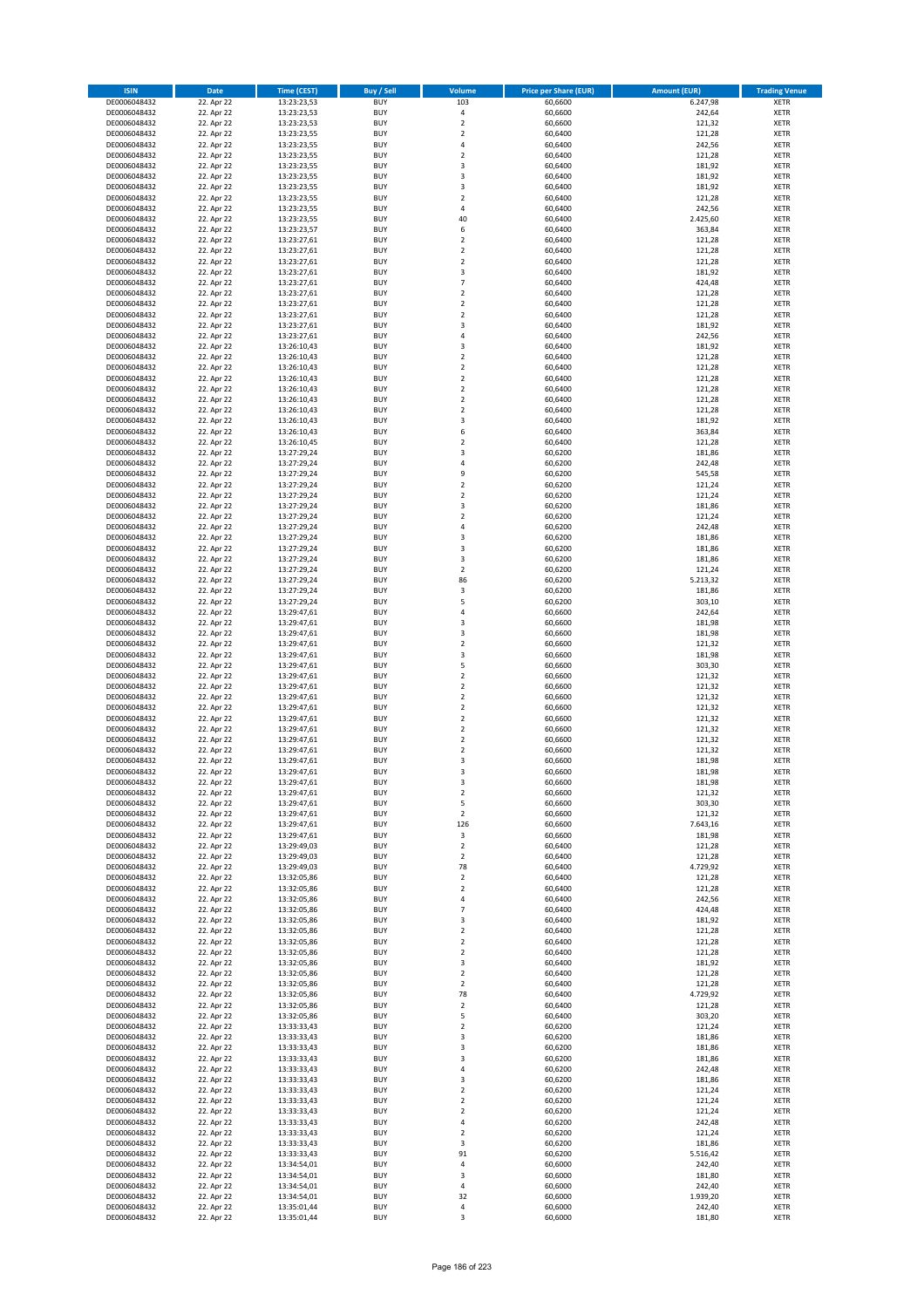| <b>ISIN</b>                  | <b>Date</b>              | <b>Time (CEST)</b>         | <b>Buy / Sell</b>        | Volume                                             | <b>Price per Share (EUR)</b> | <b>Amount (EUR)</b> | <b>Trading Venue</b>       |
|------------------------------|--------------------------|----------------------------|--------------------------|----------------------------------------------------|------------------------------|---------------------|----------------------------|
| DE0006048432                 | 22. Apr 22               | 13:23:23,53                | <b>BUY</b>               | 103                                                | 60,6600                      | 6.247,98            | <b>XETR</b>                |
| DE0006048432                 | 22. Apr 22               | 13:23:23,53                | <b>BUY</b>               | $\pmb{4}$                                          | 60,6600                      | 242,64              | <b>XETR</b>                |
| DE0006048432                 | 22. Apr 22               | 13:23:23,53                | <b>BUY</b>               | $\overline{2}$                                     | 60,6600                      | 121,32              | <b>XETR</b>                |
| DE0006048432                 | 22. Apr 22               | 13:23:23,55                | <b>BUY</b>               | $\mathbf 2$                                        | 60,6400                      | 121,28              | <b>XETR</b>                |
| DE0006048432<br>DE0006048432 | 22. Apr 22<br>22. Apr 22 | 13:23:23,55<br>13:23:23,55 | <b>BUY</b><br><b>BUY</b> | $\overline{4}$<br>$\mathbf 2$                      | 60,6400<br>60,6400           | 242,56<br>121,28    | <b>XETR</b><br><b>XETR</b> |
| DE0006048432                 | 22. Apr 22               | 13:23:23,55                | <b>BUY</b>               | $\overline{\mathbf{3}}$                            | 60,6400                      | 181,92              | <b>XETR</b>                |
| DE0006048432                 | 22. Apr 22               | 13:23:23,55                | <b>BUY</b>               | 3                                                  | 60,6400                      | 181,92              | <b>XETR</b>                |
| DE0006048432                 | 22. Apr 22               | 13:23:23,55                | BUY                      | 3                                                  | 60,6400                      | 181,92              | <b>XETR</b>                |
| DE0006048432                 | 22. Apr 22               | 13:23:23,55                | <b>BUY</b>               | $\overline{2}$                                     | 60,6400                      | 121,28              | <b>XETR</b>                |
| DE0006048432                 | 22. Apr 22               | 13:23:23,55                | <b>BUY</b>               | 4                                                  | 60,6400                      | 242,56              | <b>XETR</b>                |
| DE0006048432                 | 22. Apr 22               | 13:23:23,55                | <b>BUY</b>               | 40                                                 | 60,6400                      | 2.425,60            | <b>XETR</b>                |
| DE0006048432<br>DE0006048432 | 22. Apr 22<br>22. Apr 22 | 13:23:23,57<br>13:23:27,61 | <b>BUY</b><br><b>BUY</b> | 6<br>$\overline{2}$                                | 60,6400<br>60,6400           | 363,84<br>121,28    | <b>XETR</b><br><b>XETR</b> |
| DE0006048432                 | 22. Apr 22               | 13:23:27,61                | <b>BUY</b>               | $\overline{2}$                                     | 60,6400                      | 121,28              | <b>XETR</b>                |
| DE0006048432                 | 22. Apr 22               | 13:23:27,61                | BUY                      | $\overline{2}$                                     | 60,6400                      | 121,28              | <b>XETR</b>                |
| DE0006048432                 | 22. Apr 22               | 13:23:27,61                | <b>BUY</b>               | 3                                                  | 60,6400                      | 181,92              | <b>XETR</b>                |
| DE0006048432                 | 22. Apr 22               | 13:23:27,61                | <b>BUY</b>               | $\overline{7}$                                     | 60,6400                      | 424,48              | <b>XETR</b>                |
| DE0006048432                 | 22. Apr 22               | 13:23:27,61                | <b>BUY</b>               | $\overline{2}$                                     | 60.6400                      | 121,28              | <b>XETR</b>                |
| DE0006048432<br>DE0006048432 | 22. Apr 22<br>22. Apr 22 | 13:23:27,61<br>13:23:27,61 | <b>BUY</b><br><b>BUY</b> | $\overline{2}$<br>$\overline{2}$                   | 60,6400<br>60,6400           | 121,28<br>121,28    | <b>XETR</b><br><b>XETR</b> |
| DE0006048432                 | 22. Apr 22               | 13:23:27,61                | <b>BUY</b>               | $\overline{\mathbf{3}}$                            | 60,6400                      | 181,92              | <b>XETR</b>                |
| DE0006048432                 | 22. Apr 22               | 13:23:27,61                | <b>BUY</b>               | $\overline{a}$                                     | 60,6400                      | 242,56              | <b>XETR</b>                |
| DE0006048432                 | 22. Apr 22               | 13:26:10,43                | <b>BUY</b>               | $\overline{\mathbf{3}}$                            | 60,6400                      | 181,92              | <b>XETR</b>                |
| DE0006048432                 | 22. Apr 22               | 13:26:10,43                | <b>BUY</b>               | $\overline{2}$                                     | 60,6400                      | 121,28              | <b>XETR</b>                |
| DE0006048432                 | 22. Apr 22               | 13:26:10,43                | <b>BUY</b>               | $\mathbf 2$                                        | 60,6400                      | 121,28              | <b>XETR</b>                |
| DE0006048432                 | 22. Apr 22<br>22. Apr 22 | 13:26:10,43                | <b>BUY</b><br><b>BUY</b> | $\mathbf 2$<br>$\overline{2}$                      | 60,6400                      | 121,28              | <b>XETR</b><br><b>XETR</b> |
| DE0006048432<br>DE0006048432 | 22. Apr 22               | 13:26:10,43<br>13:26:10,43 | <b>BUY</b>               | $\mathbf 2$                                        | 60,6400<br>60,6400           | 121,28<br>121,28    | <b>XETR</b>                |
| DE0006048432                 | 22. Apr 22               | 13:26:10,43                | <b>BUY</b>               | $\overline{2}$                                     | 60,6400                      | 121,28              | <b>XETR</b>                |
| DE0006048432                 | 22. Apr 22               | 13:26:10,43                | <b>BUY</b>               | 3                                                  | 60,6400                      | 181,92              | <b>XETR</b>                |
| DE0006048432                 | 22. Apr 22               | 13:26:10,43                | <b>BUY</b>               | 6                                                  | 60,6400                      | 363,84              | <b>XETR</b>                |
| DE0006048432                 | 22. Apr 22               | 13:26:10,45                | <b>BUY</b>               | 2                                                  | 60,6400                      | 121,28              | <b>XETR</b>                |
| DE0006048432                 | 22. Apr 22               | 13:27:29,24                | <b>BUY</b>               | $\overline{\mathbf{3}}$                            | 60,6200                      | 181,86              | <b>XETR</b>                |
| DE0006048432<br>DE0006048432 | 22. Apr 22<br>22. Apr 22 | 13:27:29,24<br>13:27:29,24 | <b>BUY</b><br><b>BUY</b> | $\overline{4}$<br>9                                | 60,6200<br>60,6200           | 242,48<br>545,58    | <b>XETR</b><br><b>XETR</b> |
| DE0006048432                 | 22. Apr 22               | 13:27:29,24                | <b>BUY</b>               | $\overline{2}$                                     | 60,6200                      | 121,24              | <b>XETR</b>                |
| DE0006048432                 | 22. Apr 22               | 13:27:29,24                | <b>BUY</b>               | $\mathbf 2$                                        | 60,6200                      | 121,24              | <b>XETR</b>                |
| DE0006048432                 | 22. Apr 22               | 13:27:29,24                | <b>BUY</b>               | 3                                                  | 60,6200                      | 181,86              | <b>XETR</b>                |
| DE0006048432                 | 22. Apr 22               | 13:27:29,24                | <b>BUY</b>               | $\overline{2}$                                     | 60,6200                      | 121,24              | <b>XETR</b>                |
| DE0006048432                 | 22. Apr 22               | 13:27:29,24                | <b>BUY</b>               | $\overline{a}$                                     | 60,6200                      | 242,48              | <b>XETR</b>                |
| DE0006048432                 | 22. Apr 22<br>22. Apr 22 | 13:27:29,24                | <b>BUY</b><br><b>BUY</b> | $\overline{\mathbf{3}}$<br>$\overline{\mathbf{3}}$ | 60,6200                      | 181,86              | <b>XETR</b>                |
| DE0006048432<br>DE0006048432 | 22. Apr 22               | 13:27:29,24<br>13:27:29,24 | <b>BUY</b>               | $\overline{\mathbf{3}}$                            | 60,6200<br>60,6200           | 181,86<br>181,86    | <b>XETR</b><br><b>XETR</b> |
| DE0006048432                 | 22. Apr 22               | 13:27:29,24                | <b>BUY</b>               | $\mathbf 2$                                        | 60,6200                      | 121,24              | <b>XETR</b>                |
| DE0006048432                 | 22. Apr 22               | 13:27:29,24                | <b>BUY</b>               | 86                                                 | 60,6200                      | 5.213,32            | <b>XETR</b>                |
| DE0006048432                 | 22. Apr 22               | 13:27:29,24                | <b>BUY</b>               | 3                                                  | 60,6200                      | 181,86              | <b>XETR</b>                |
| DE0006048432                 | 22. Apr 22               | 13:27:29,24                | <b>BUY</b>               | 5                                                  | 60,6200                      | 303,10              | <b>XETR</b>                |
| DE0006048432                 | 22. Apr 22               | 13:29:47,61                | <b>BUY</b><br><b>BUY</b> | 4<br>$\overline{\mathbf{3}}$                       | 60,6600                      | 242,64<br>181,98    | <b>XETR</b><br><b>XETR</b> |
| DE0006048432<br>DE0006048432 | 22. Apr 22<br>22. Apr 22 | 13:29:47,61<br>13:29:47,61 | <b>BUY</b>               | $\overline{\mathbf{3}}$                            | 60,6600<br>60,6600           | 181,98              | <b>XETR</b>                |
| DE0006048432                 | 22. Apr 22               | 13:29:47,61                | <b>BUY</b>               | $\overline{2}$                                     | 60,6600                      | 121,32              | <b>XETR</b>                |
| DE0006048432                 | 22. Apr 22               | 13:29:47,61                | <b>BUY</b>               | $\overline{\mathbf{3}}$                            | 60,6600                      | 181,98              | <b>XETR</b>                |
| DE0006048432                 | 22. Apr 22               | 13:29:47,61                | <b>BUY</b>               | 5                                                  | 60,6600                      | 303,30              | <b>XETR</b>                |
| DE0006048432                 | 22. Apr 22               | 13:29:47,61                | <b>BUY</b>               | $\overline{2}$                                     | 60,6600                      | 121,32              | <b>XETR</b>                |
| DE0006048432                 | 22. Apr 22               | 13:29:47,61                | <b>BUY</b>               | $\overline{2}$                                     | 60,6600                      | 121,32              | <b>XETR</b>                |
| DE0006048432<br>DE0006048432 | 22. Apr 22<br>22. Apr 22 | 13:29:47,61<br>13:29:47,61 | <b>BUY</b><br><b>BUY</b> | $\overline{2}$<br>$\overline{2}$                   | 60,6600<br>60,6600           | 121,32<br>121,32    | <b>XETR</b><br><b>XETR</b> |
| DE0006048432                 | 22. Apr 22               | 13:29:47,61                | BUY                      | $\overline{2}$                                     | 60,6600                      | 121,32              | <b>XETR</b>                |
| DE0006048432                 | 22. Apr 22               | 13:29:47,61                | <b>BUY</b>               | $\overline{2}$                                     | 60,6600                      | 121,32              | <b>XETR</b>                |
| DE0006048432                 | 22. Apr 22               | 13:29:47,61                | <b>BUY</b>               | $\mathbf 2$                                        | 60,6600                      | 121,32              | <b>XETR</b>                |
| DE0006048432                 | 22. Apr 22               | 13:29:47,61                | BUY                      | $\overline{2}$                                     | 60,6600                      | 121,32              | <b>XETR</b>                |
| DE0006048432                 | 22. Apr 22               | 13:29:47,61                | BUY                      | $\overline{\mathbf{3}}$                            | 60,6600                      | 181,98              | <b>XETR</b>                |
| DE0006048432<br>DE0006048432 | 22. Apr 22               | 13:29:47,61<br>13:29:47,61 | <b>BUY</b>               | $\overline{3}$                                     | 60,6600                      | 181,98              | <b>XETR</b>                |
| DE0006048432                 | 22. Apr 22<br>22. Apr 22 | 13:29:47,61                | BUY<br><b>BUY</b>        | 3<br>$\mathbf 2$                                   | 60,6600<br>60,6600           | 181,98<br>121,32    | <b>XETR</b><br><b>XETR</b> |
| DE0006048432                 | 22. Apr 22               | 13:29:47,61                | <b>BUY</b>               | 5                                                  | 60,6600                      | 303,30              | <b>XETR</b>                |
| DE0006048432                 | 22. Apr 22               | 13:29:47,61                | <b>BUY</b>               | $\mathbf 2$                                        | 60,6600                      | 121,32              | <b>XETR</b>                |
| DE0006048432                 | 22. Apr 22               | 13:29:47,61                | <b>BUY</b>               | 126                                                | 60,6600                      | 7.643,16            | <b>XETR</b>                |
| DE0006048432                 | 22. Apr 22               | 13:29:47,61                | <b>BUY</b>               | 3                                                  | 60,6600                      | 181,98              | <b>XETR</b>                |
| DE0006048432                 | 22. Apr 22               | 13:29:49,03                | <b>BUY</b><br><b>BUY</b> | $\mathbf 2$                                        | 60,6400                      | 121,28              | <b>XETR</b>                |
| DE0006048432<br>DE0006048432 | 22. Apr 22<br>22. Apr 22 | 13:29:49,03<br>13:29:49,03 | <b>BUY</b>               | 2<br>78                                            | 60,6400<br>60,6400           | 121,28<br>4.729,92  | <b>XETR</b><br><b>XETR</b> |
| DE0006048432                 | 22. Apr 22               | 13:32:05,86                | <b>BUY</b>               | $\mathbf 2$                                        | 60,6400                      | 121,28              | <b>XETR</b>                |
| DE0006048432                 | 22. Apr 22               | 13:32:05,86                | <b>BUY</b>               | $\mathbf 2$                                        | 60,6400                      | 121,28              | <b>XETR</b>                |
| DE0006048432                 | 22. Apr 22               | 13:32:05,86                | <b>BUY</b>               | 4                                                  | 60,6400                      | 242,56              | <b>XETR</b>                |
| DE0006048432                 | 22. Apr 22<br>22. Apr 22 | 13:32:05,86                | <b>BUY</b>               | $\overline{7}$<br>$\overline{\mathbf{3}}$          | 60,6400                      | 424,48              | <b>XETR</b>                |
| DE0006048432<br>DE0006048432 | 22. Apr 22               | 13:32:05,86<br>13:32:05,86 | <b>BUY</b><br><b>BUY</b> | $\mathbf 2$                                        | 60,6400<br>60,6400           | 181,92<br>121,28    | <b>XETR</b><br><b>XETR</b> |
| DE0006048432                 | 22. Apr 22               | 13:32:05,86                | <b>BUY</b>               | $\mathbf 2$                                        | 60,6400                      | 121,28              | <b>XETR</b>                |
| DE0006048432                 | 22. Apr 22               | 13:32:05,86                | <b>BUY</b>               | $\mathbf 2$                                        | 60,6400                      | 121,28              | <b>XETR</b>                |
| DE0006048432                 | 22. Apr 22               | 13:32:05,86                | <b>BUY</b>               | 3                                                  | 60,6400                      | 181,92              | <b>XETR</b>                |
| DE0006048432                 | 22. Apr 22               | 13:32:05,86                | <b>BUY</b>               | $\mathbf 2$                                        | 60,6400                      | 121,28              | <b>XETR</b>                |
| DE0006048432                 | 22. Apr 22               | 13:32:05,86                | <b>BUY</b>               | $\mathbf 2$                                        | 60,6400                      | 121,28              | <b>XETR</b>                |
| DE0006048432                 | 22. Apr 22<br>22. Apr 22 | 13:32:05,86                | <b>BUY</b>               | 78                                                 | 60,6400                      | 4.729,92<br>121,28  | <b>XETR</b>                |
| DE0006048432<br>DE0006048432 | 22. Apr 22               | 13:32:05,86<br>13:32:05,86 | <b>BUY</b><br><b>BUY</b> | $\mathbf 2$<br>5                                   | 60,6400<br>60,6400           | 303,20              | <b>XETR</b><br><b>XETR</b> |
| DE0006048432                 | 22. Apr 22               | 13:33:33,43                | <b>BUY</b>               | $\overline{2}$                                     | 60,6200                      | 121,24              | <b>XETR</b>                |
| DE0006048432                 | 22. Apr 22               | 13:33:33,43                | <b>BUY</b>               | 3                                                  | 60,6200                      | 181,86              | <b>XETR</b>                |
| DE0006048432                 | 22. Apr 22               | 13:33:33,43                | <b>BUY</b>               | 3                                                  | 60,6200                      | 181,86              | <b>XETR</b>                |
| DE0006048432                 | 22. Apr 22               | 13:33:33,43                | <b>BUY</b>               | $\overline{\mathbf{3}}$                            | 60,6200                      | 181,86              | <b>XETR</b>                |
| DE0006048432                 | 22. Apr 22               | 13:33:33,43                | <b>BUY</b>               | $\overline{4}$                                     | 60,6200                      | 242,48              | <b>XETR</b>                |
| DE0006048432<br>DE0006048432 | 22. Apr 22<br>22. Apr 22 | 13:33:33,43<br>13:33:33,43 | <b>BUY</b><br><b>BUY</b> | 3<br>$\overline{\mathbf{2}}$                       | 60,6200<br>60,6200           | 181,86<br>121,24    | <b>XETR</b><br><b>XETR</b> |
| DE0006048432                 | 22. Apr 22               | 13:33:33,43                | <b>BUY</b>               | $\mathbf 2$                                        | 60,6200                      | 121,24              | <b>XETR</b>                |
| DE0006048432                 | 22. Apr 22               | 13:33:33,43                | <b>BUY</b>               | $\overline{\mathbf{2}}$                            | 60,6200                      | 121,24              | <b>XETR</b>                |
| DE0006048432                 | 22. Apr 22               | 13:33:33,43                | <b>BUY</b>               | 4                                                  | 60,6200                      | 242,48              | <b>XETR</b>                |
| DE0006048432                 | 22. Apr 22               | 13:33:33,43                | <b>BUY</b>               | $\overline{\mathbf{2}}$                            | 60,6200                      | 121,24              | <b>XETR</b>                |
| DE0006048432                 | 22. Apr 22               | 13:33:33,43                | <b>BUY</b>               | 3                                                  | 60,6200                      | 181,86              | <b>XETR</b>                |
| DE0006048432<br>DE0006048432 | 22. Apr 22<br>22. Apr 22 | 13:33:33,43<br>13:34:54,01 | <b>BUY</b><br><b>BUY</b> | 91<br>4                                            | 60,6200<br>60,6000           | 5.516,42<br>242,40  | <b>XETR</b><br><b>XETR</b> |
| DE0006048432                 | 22. Apr 22               | 13:34:54,01                | <b>BUY</b>               | 3                                                  | 60,6000                      | 181,80              | <b>XETR</b>                |
| DE0006048432                 | 22. Apr 22               | 13:34:54,01                | <b>BUY</b>               | 4                                                  | 60,6000                      | 242,40              | <b>XETR</b>                |
| DE0006048432                 | 22. Apr 22               | 13:34:54,01                | <b>BUY</b>               | 32                                                 | 60,6000                      | 1.939,20            | <b>XETR</b>                |
| DE0006048432                 | 22. Apr 22               | 13:35:01,44                | <b>BUY</b>               | 4                                                  | 60,6000                      | 242,40              | <b>XETR</b>                |
| DE0006048432                 | 22. Apr 22               | 13:35:01,44                | <b>BUY</b>               | 3                                                  | 60,6000                      | 181,80              | <b>XETR</b>                |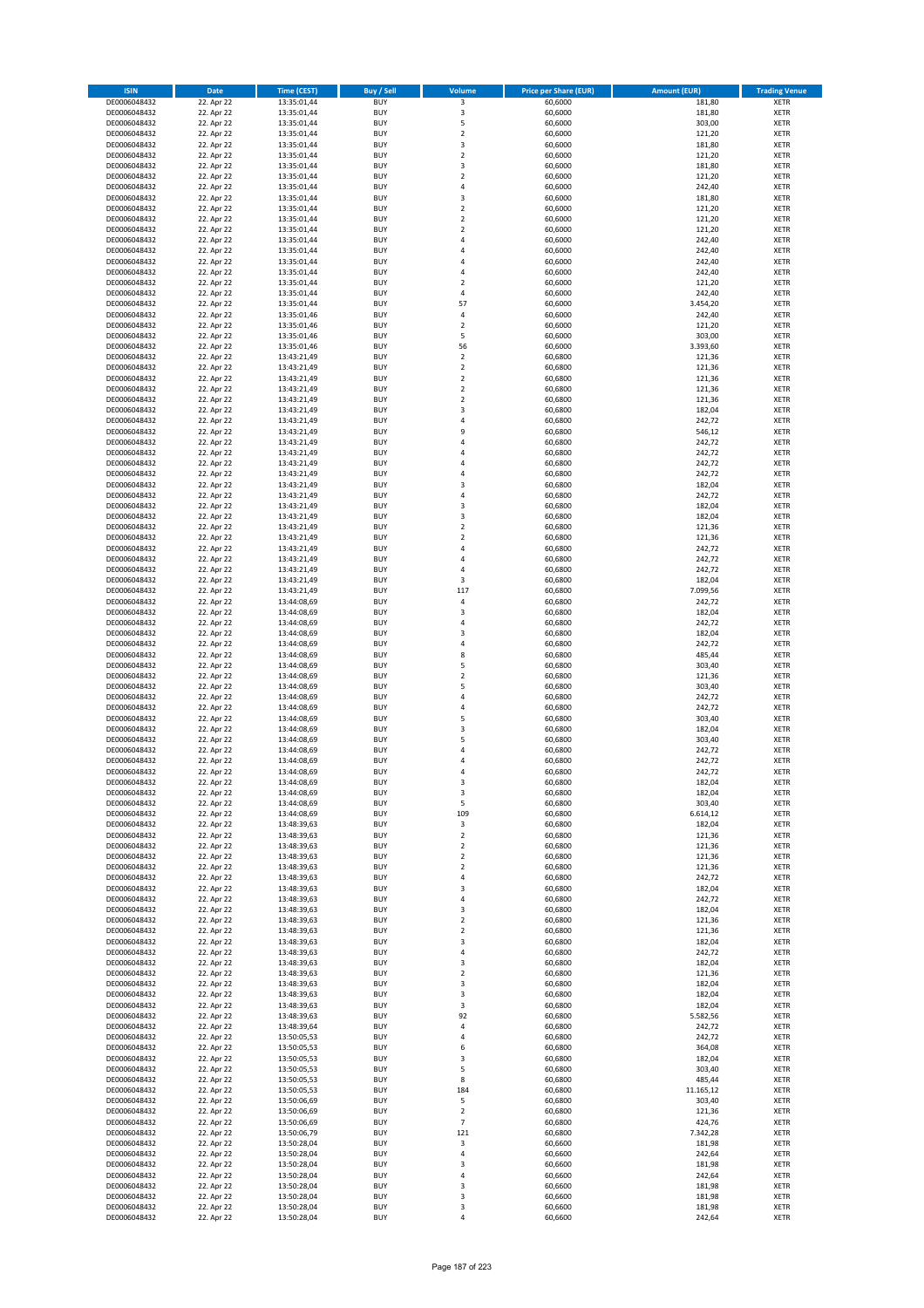| <b>ISIN</b>                  | Date                     | <b>Time (CEST)</b>         | <b>Buy / Sell</b>        | <b>Volume</b>                          | <b>Price per Share (EUR)</b> | <b>Amount (EUR)</b> | <b>Trading Venue</b>       |
|------------------------------|--------------------------|----------------------------|--------------------------|----------------------------------------|------------------------------|---------------------|----------------------------|
| DE0006048432                 | 22. Apr 22               | 13:35:01,44                | <b>BUY</b>               | 3                                      | 60,6000                      | 181,80              | <b>XETR</b>                |
| DE0006048432                 | 22. Apr 22               | 13:35:01,44                | <b>BUY</b>               | 3                                      | 60,6000                      | 181,80              | <b>XETR</b>                |
| DE0006048432                 | 22. Apr 22               | 13:35:01,44<br>13:35:01.44 | <b>BUY</b>               | 5                                      | 60,6000                      | 303,00              | <b>XETR</b>                |
| DE0006048432<br>DE0006048432 | 22. Apr 22<br>22. Apr 22 | 13:35:01,44                | <b>BUY</b><br><b>BUY</b> | $\overline{\mathbf{c}}$<br>$\mathsf 3$ | 60,6000<br>60,6000           | 121,20<br>181,80    | <b>XETR</b><br><b>XETR</b> |
| DE0006048432                 | 22. Apr 22               | 13:35:01,44                | <b>BUY</b>               | $\overline{2}$                         | 60,6000                      | 121,20              | <b>XETR</b>                |
| DE0006048432                 | 22. Apr 22               | 13:35:01,44                | <b>BUY</b>               | 3                                      | 60,6000                      | 181,80              | <b>XETR</b>                |
| DE0006048432                 | 22. Apr 22               | 13:35:01,44                | <b>BUY</b>               | $\overline{\mathbf{c}}$                | 60,6000                      | 121,20              | <b>XETR</b>                |
| DE0006048432                 | 22. Apr 22               | 13:35:01,44                | <b>BUY</b>               | 4                                      | 60,6000                      | 242,40              | <b>XETR</b>                |
| DE0006048432                 | 22. Apr 22               | 13:35:01,44                | <b>BUY</b>               | 3                                      | 60,6000                      | 181,80              | <b>XETR</b>                |
| DE0006048432<br>DE0006048432 | 22. Apr 22<br>22. Apr 22 | 13:35:01,44<br>13:35:01,44 | <b>BUY</b><br><b>BUY</b> | $\overline{\mathbf{c}}$<br>$\mathbf 2$ | 60,6000<br>60,6000           | 121,20<br>121,20    | <b>XETR</b><br><b>XETR</b> |
| DE0006048432                 | 22. Apr 22               | 13:35:01,44                | <b>BUY</b>               | $\overline{2}$                         | 60,6000                      | 121,20              | <b>XETR</b>                |
| DE0006048432                 | 22. Apr 22               | 13:35:01,44                | <b>BUY</b>               | 4                                      | 60,6000                      | 242,40              | <b>XETR</b>                |
| DE0006048432                 | 22. Apr 22               | 13:35:01,44                | <b>BUY</b>               | $\overline{a}$                         | 60,6000                      | 242,40              | <b>XETR</b>                |
| DE0006048432                 | 22. Apr 22               | 13:35:01,44                | <b>BUY</b>               | 4                                      | 60,6000                      | 242,40              | <b>XETR</b>                |
| DE0006048432<br>DE0006048432 | 22. Apr 22<br>22. Apr 22 | 13:35:01,44<br>13:35:01,44 | <b>BUY</b><br><b>BUY</b> | 4<br>$\mathbf 2$                       | 60,6000<br>60,6000           | 242,40<br>121,20    | <b>XETR</b><br><b>XETR</b> |
| DE0006048432                 | 22. Apr 22               | 13:35:01,44                | <b>BUY</b>               | $\overline{4}$                         | 60,6000                      | 242,40              | <b>XETR</b>                |
| DE0006048432                 | 22. Apr 22               | 13:35:01,44                | <b>BUY</b>               | 57                                     | 60,6000                      | 3.454,20            | <b>XETR</b>                |
| DE0006048432                 | 22. Apr 22               | 13:35:01,46                | <b>BUY</b>               | 4                                      | 60,6000                      | 242,40              | <b>XETR</b>                |
| DE0006048432                 | 22. Apr 22               | 13:35:01,46                | <b>BUY</b>               | $\overline{\mathbf{c}}$                | 60,6000                      | 121,20              | <b>XETR</b>                |
| DE0006048432<br>DE0006048432 | 22. Apr 22               | 13:35:01,46                | <b>BUY</b><br><b>BUY</b> | 5                                      | 60,6000                      | 303,00              | <b>XETR</b><br><b>XETR</b> |
| DE0006048432                 | 22. Apr 22<br>22. Apr 22 | 13:35:01,46<br>13:43:21,49 | <b>BUY</b>               | 56<br>$\mathbf 2$                      | 60,6000<br>60,6800           | 3.393,60<br>121,36  | <b>XETR</b>                |
| DE0006048432                 | 22. Apr 22               | 13:43:21,49                | <b>BUY</b>               | $\mathbf 2$                            | 60,6800                      | 121,36              | <b>XETR</b>                |
| DE0006048432                 | 22. Apr 22               | 13:43:21,49                | <b>BUY</b>               | $\overline{2}$                         | 60,6800                      | 121,36              | <b>XETR</b>                |
| DE0006048432                 | 22. Apr 22               | 13:43:21,49                | <b>BUY</b>               | $\mathbf 2$                            | 60,6800                      | 121,36              | <b>XETR</b>                |
| DE0006048432                 | 22. Apr 22               | 13:43:21,49                | <b>BUY</b>               | $\overline{\mathbf{c}}$                | 60,6800                      | 121,36              | <b>XETR</b>                |
| DE0006048432<br>DE0006048432 | 22. Apr 22<br>22. Apr 22 | 13:43:21,49<br>13:43:21,49 | <b>BUY</b><br><b>BUY</b> | 3<br>4                                 | 60,6800<br>60,6800           | 182,04<br>242,72    | <b>XETR</b><br><b>XETR</b> |
| DE0006048432                 | 22. Apr 22               | 13:43:21,49                | <b>BUY</b>               | 9                                      | 60,6800                      | 546,12              | <b>XETR</b>                |
| DE0006048432                 | 22. Apr 22               | 13:43:21,49                | <b>BUY</b>               | $\overline{a}$                         | 60,6800                      | 242,72              | <b>XETR</b>                |
| DE0006048432                 | 22. Apr 22               | 13:43:21,49                | <b>BUY</b>               | 4                                      | 60,6800                      | 242,72              | <b>XETR</b>                |
| DE0006048432                 | 22. Apr 22               | 13:43:21,49                | <b>BUY</b>               | $\overline{4}$                         | 60,6800                      | 242,72              | <b>XETR</b>                |
| DE0006048432<br>DE0006048432 | 22. Apr 22<br>22. Apr 22 | 13:43:21,49                | <b>BUY</b>               | $\overline{a}$                         | 60,6800                      | 242,72              | <b>XETR</b>                |
| DE0006048432                 | 22. Apr 22               | 13:43:21,49<br>13:43:21,49 | <b>BUY</b><br><b>BUY</b> | 3<br>4                                 | 60,6800<br>60,6800           | 182,04<br>242,72    | <b>XETR</b><br><b>XETR</b> |
| DE0006048432                 | 22. Apr 22               | 13:43:21,49                | <b>BUY</b>               | 3                                      | 60,6800                      | 182,04              | <b>XETR</b>                |
| DE0006048432                 | 22. Apr 22               | 13:43:21,49                | <b>BUY</b>               | 3                                      | 60,6800                      | 182,04              | <b>XETR</b>                |
| DE0006048432                 | 22. Apr 22               | 13:43:21,49                | <b>BUY</b>               | $\overline{2}$                         | 60,6800                      | 121,36              | <b>XETR</b>                |
| DE0006048432                 | 22. Apr 22               | 13:43:21,49                | <b>BUY</b>               | $\overline{\mathbf{c}}$                | 60,6800                      | 121,36              | <b>XETR</b>                |
| DE0006048432                 | 22. Apr 22               | 13:43:21,49                | <b>BUY</b>               | $\overline{a}$<br>$\overline{4}$       | 60,6800                      | 242,72              | <b>XETR</b>                |
| DE0006048432<br>DE0006048432 | 22. Apr 22<br>22. Apr 22 | 13:43:21,49<br>13:43:21,49 | <b>BUY</b><br><b>BUY</b> | 4                                      | 60,6800<br>60,6800           | 242,72<br>242,72    | <b>XETR</b><br><b>XETR</b> |
| DE0006048432                 | 22. Apr 22               | 13:43:21,49                | <b>BUY</b>               | 3                                      | 60,6800                      | 182,04              | <b>XETR</b>                |
| DE0006048432                 | 22. Apr 22               | 13:43:21,49                | <b>BUY</b>               | 117                                    | 60,6800                      | 7.099,56            | <b>XETR</b>                |
| DE0006048432                 | 22. Apr 22               | 13:44:08,69                | <b>BUY</b>               | 4                                      | 60,6800                      | 242,72              | <b>XETR</b>                |
| DE0006048432                 | 22. Apr 22               | 13:44:08,69                | <b>BUY</b>               | 3                                      | 60,6800                      | 182,04              | <b>XETR</b>                |
| DE0006048432<br>DE0006048432 | 22. Apr 22<br>22. Apr 22 | 13:44:08,69<br>13:44:08,69 | <b>BUY</b><br><b>BUY</b> | 4<br>3                                 | 60,6800<br>60,6800           | 242,72<br>182,04    | <b>XETR</b><br><b>XETR</b> |
| DE0006048432                 | 22. Apr 22               | 13:44:08,69                | <b>BUY</b>               | 4                                      | 60,6800                      | 242,72              | <b>XETR</b>                |
| DE0006048432                 | 22. Apr 22               | 13:44:08,69                | <b>BUY</b>               | 8                                      | 60,6800                      | 485,44              | <b>XETR</b>                |
| DE0006048432                 | 22. Apr 22               | 13:44:08,69                | <b>BUY</b>               | 5                                      | 60,6800                      | 303,40              | <b>XETR</b>                |
| DE0006048432                 | 22. Apr 22               | 13:44:08,69                | <b>BUY</b>               | $\overline{\mathbf{c}}$                | 60,6800                      | 121,36              | <b>XETR</b>                |
| DE0006048432<br>DE0006048432 | 22. Apr 22<br>22. Apr 22 | 13:44:08,69<br>13:44:08,69 | <b>BUY</b><br><b>BUY</b> | 5<br>4                                 | 60,6800<br>60,6800           | 303,40<br>242,72    | <b>XETR</b><br><b>XETR</b> |
| DE0006048432                 | 22. Apr 22               | 13:44:08,69                | <b>BUY</b>               | $\overline{4}$                         | 60,6800                      | 242,72              | <b>XETR</b>                |
| DE0006048432                 | 22. Apr 22               | 13:44:08,69                | <b>BUY</b>               | 5                                      | 60,6800                      | 303,40              | <b>XETR</b>                |
| DE0006048432                 | 22. Apr 22               | 13:44:08,69                | <b>BUY</b>               | 3                                      | 60,6800                      | 182,04              | <b>XETR</b>                |
| DE0006048432                 | 22. Apr 22               | 13:44:08,69                | <b>BUY</b>               | 5                                      | 60,6800                      | 303,40              | <b>XETR</b>                |
| DE0006048432<br>DE0006048432 | 22. Apr 22<br>22. Apr 22 | 13:44:08,69<br>13:44:08,69 | <b>BUY</b><br><b>BUY</b> | $\overline{a}$<br>$\overline{a}$       | 60,6800<br>60,6800           | 242,72<br>242,72    | <b>XETR</b><br><b>XETR</b> |
| DE0006048432                 | 22. Apr 22               | 13:44:08,69                | <b>BUY</b>               | $\overline{a}$                         | 60,6800                      | 242,72              | <b>XETR</b>                |
| DE0006048432                 | 22. Apr 22               | 13:44:08,69                | <b>BUY</b>               | 3                                      | 60,6800                      | 182,04              | <b>XETR</b>                |
| DE0006048432                 | 22. Apr 22               | 13:44:08,69                | <b>BUY</b>               | 3                                      | 60,6800                      | 182,04              | <b>XETR</b>                |
| DE0006048432                 | 22. Apr 22               | 13:44:08,69                | <b>BUY</b>               | 5                                      | 60,6800                      | 303,40              | <b>XETR</b>                |
| DE0006048432<br>DE0006048432 | 22. Apr 22<br>22. Apr 22 | 13:44:08,69<br>13:48:39,63 | <b>BUY</b><br><b>BUY</b> | 109<br>3                               | 60,6800<br>60,6800           | 6.614,12<br>182,04  | <b>XETR</b><br><b>XETR</b> |
| DE0006048432                 | 22. Apr 22               | 13:48:39,63                | <b>BUY</b>               | $\overline{2}$                         | 60,6800                      | 121,36              | <b>XETR</b>                |
| DE0006048432                 | 22. Apr 22               | 13:48:39,63                | <b>BUY</b>               | $\mathbf 2$                            | 60,6800                      | 121,36              | <b>XETR</b>                |
| DE0006048432                 | 22. Apr 22               | 13:48:39,63                | <b>BUY</b>               | $\mathbf 2$                            | 60,6800                      | 121,36              | <b>XETR</b>                |
| DE0006048432                 | 22. Apr 22               | 13:48:39,63                | <b>BUY</b>               | $\overline{2}$                         | 60,6800                      | 121,36              | <b>XETR</b>                |
| DE0006048432<br>DE0006048432 | 22. Apr 22<br>22. Apr 22 | 13:48:39,63                | <b>BUY</b><br><b>BUY</b> | $\pmb{4}$<br>3                         | 60,6800<br>60,6800           | 242,72<br>182,04    | <b>XETR</b>                |
| DE0006048432                 | 22. Apr 22               | 13:48:39,63<br>13:48:39,63 | <b>BUY</b>               | $\overline{4}$                         | 60,6800                      | 242,72              | <b>XETR</b><br><b>XETR</b> |
| DE0006048432                 | 22. Apr 22               | 13:48:39,63                | <b>BUY</b>               | 3                                      | 60,6800                      | 182,04              | <b>XETR</b>                |
| DE0006048432                 | 22. Apr 22               | 13:48:39,63                | <b>BUY</b>               | $\mathbf 2$                            | 60,6800                      | 121,36              | <b>XETR</b>                |
| DE0006048432                 | 22. Apr 22               | 13:48:39,63                | <b>BUY</b>               | $\overline{2}$                         | 60,6800                      | 121,36              | <b>XETR</b>                |
| DE0006048432                 | 22. Apr 22               | 13:48:39,63                | <b>BUY</b>               | 3                                      | 60,6800                      | 182,04              | <b>XETR</b>                |
| DE0006048432<br>DE0006048432 | 22. Apr 22<br>22. Apr 22 | 13:48:39,63<br>13:48:39,63 | <b>BUY</b><br><b>BUY</b> | 4<br>3                                 | 60,6800<br>60,6800           | 242,72<br>182,04    | <b>XETR</b><br><b>XETR</b> |
| DE0006048432                 | 22. Apr 22               | 13:48:39,63                | <b>BUY</b>               | $\overline{2}$                         | 60,6800                      | 121,36              | <b>XETR</b>                |
| DE0006048432                 | 22. Apr 22               | 13:48:39,63                | <b>BUY</b>               | 3                                      | 60,6800                      | 182,04              | <b>XETR</b>                |
| DE0006048432                 | 22. Apr 22               | 13:48:39,63                | <b>BUY</b>               | 3                                      | 60,6800                      | 182,04              | <b>XETR</b>                |
| DE0006048432                 | 22. Apr 22               | 13:48:39,63                | <b>BUY</b>               | 3                                      | 60,6800                      | 182,04              | <b>XETR</b>                |
| DE0006048432<br>DE0006048432 | 22. Apr 22<br>22. Apr 22 | 13:48:39,63<br>13:48:39,64 | <b>BUY</b><br><b>BUY</b> | 92<br>$\sqrt{4}$                       | 60,6800<br>60,6800           | 5.582,56<br>242,72  | <b>XETR</b><br><b>XETR</b> |
| DE0006048432                 | 22. Apr 22               | 13:50:05,53                | <b>BUY</b>               | 4                                      | 60,6800                      | 242,72              | <b>XETR</b>                |
| DE0006048432                 | 22. Apr 22               | 13:50:05,53                | <b>BUY</b>               | 6                                      | 60,6800                      | 364,08              | <b>XETR</b>                |
| DE0006048432                 | 22. Apr 22               | 13:50:05,53                | <b>BUY</b>               | 3                                      | 60,6800                      | 182,04              | <b>XETR</b>                |
| DE0006048432                 | 22. Apr 22               | 13:50:05,53                | <b>BUY</b>               | 5                                      | 60,6800                      | 303,40              | <b>XETR</b>                |
| DE0006048432                 | 22. Apr 22<br>22. Apr 22 | 13:50:05,53                | <b>BUY</b><br><b>BUY</b> | 8<br>184                               | 60,6800<br>60,6800           | 485,44<br>11.165,12 | <b>XETR</b>                |
| DE0006048432<br>DE0006048432 | 22. Apr 22               | 13:50:05,53<br>13:50:06,69 | <b>BUY</b>               | 5                                      | 60,6800                      | 303,40              | <b>XETR</b><br><b>XETR</b> |
| DE0006048432                 | 22. Apr 22               | 13:50:06,69                | <b>BUY</b>               | $\mathbf 2$                            | 60,6800                      | 121,36              | <b>XETR</b>                |
| DE0006048432                 | 22. Apr 22               | 13:50:06,69                | <b>BUY</b>               | $\overline{7}$                         | 60,6800                      | 424,76              | <b>XETR</b>                |
| DE0006048432                 | 22. Apr 22               | 13:50:06,79                | <b>BUY</b>               | 121                                    | 60,6800                      | 7.342,28            | <b>XETR</b>                |
| DE0006048432                 | 22. Apr 22               | 13:50:28,04                | <b>BUY</b>               | 3                                      | 60,6600                      | 181,98              | <b>XETR</b>                |
| DE0006048432<br>DE0006048432 | 22. Apr 22<br>22. Apr 22 | 13:50:28,04<br>13:50:28,04 | <b>BUY</b><br><b>BUY</b> | 4<br>3                                 | 60,6600<br>60,6600           | 242,64<br>181,98    | <b>XETR</b><br><b>XETR</b> |
| DE0006048432                 | 22. Apr 22               | 13:50:28,04                | <b>BUY</b>               | 4                                      | 60,6600                      | 242,64              | <b>XETR</b>                |
| DE0006048432                 | 22. Apr 22               | 13:50:28,04                | <b>BUY</b>               | 3                                      | 60,6600                      | 181,98              | <b>XETR</b>                |
| DE0006048432                 | 22. Apr 22               | 13:50:28,04                | <b>BUY</b>               | 3                                      | 60,6600                      | 181,98              | <b>XETR</b>                |
| DE0006048432                 | 22. Apr 22               | 13:50:28,04                | <b>BUY</b>               | 3<br>$\sqrt{4}$                        | 60,6600                      | 181,98              | <b>XETR</b>                |
| DE0006048432                 | 22. Apr 22               | 13:50:28,04                | <b>BUY</b>               |                                        | 60,6600                      | 242,64              | <b>XETR</b>                |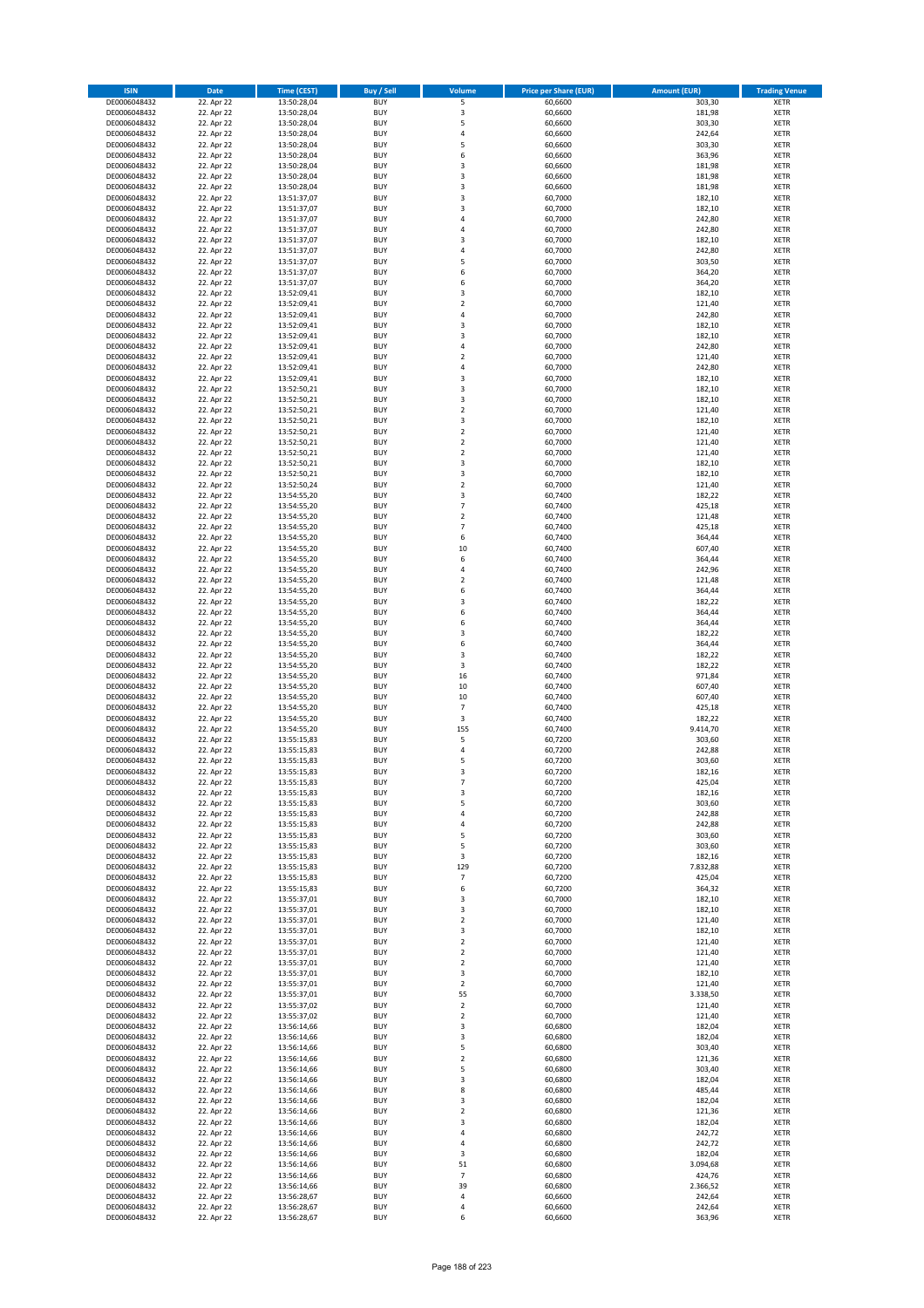| <b>ISIN</b>                  | <b>Date</b>              | <b>Time (CEST)</b>         | <b>Buy / Sell</b>        | Volume                                    | <b>Price per Share (EUR)</b> | <b>Amount (EUR)</b> | <b>Trading Venue</b>       |
|------------------------------|--------------------------|----------------------------|--------------------------|-------------------------------------------|------------------------------|---------------------|----------------------------|
| DE0006048432                 | 22. Apr 22               | 13:50:28,04                | <b>BUY</b>               | 5                                         | 60,6600                      | 303,30              | <b>XETR</b>                |
| DE0006048432                 | 22. Apr 22               | 13:50:28,04                | <b>BUY</b>               | 3                                         | 60,6600                      | 181,98              | <b>XETR</b>                |
| DE0006048432                 | 22. Apr 22               | 13:50:28,04                | <b>BUY</b>               | 5                                         | 60,6600                      | 303,30              | <b>XETR</b>                |
| DE0006048432                 | 22. Apr 22               | 13:50:28,04                | <b>BUY</b>               | 4                                         | 60,6600                      | 242,64              | <b>XETR</b>                |
| DE0006048432<br>DE0006048432 | 22. Apr 22<br>22. Apr 22 | 13:50:28,04<br>13:50:28,04 | <b>BUY</b><br><b>BUY</b> | 5<br>6                                    | 60,6600<br>60,6600           | 303,30<br>363,96    | <b>XETR</b><br><b>XETR</b> |
| DE0006048432                 | 22. Apr 22               | 13:50:28,04                | <b>BUY</b>               | $\overline{3}$                            | 60,6600                      | 181,98              | <b>XETR</b>                |
| DE0006048432                 | 22. Apr 22               | 13:50:28,04                | <b>BUY</b>               | 3                                         | 60,6600                      | 181,98              | <b>XETR</b>                |
| DE0006048432                 | 22. Apr 22               | 13:50:28,04                | BUY                      | $\overline{3}$                            | 60,6600                      | 181,98              | <b>XETR</b>                |
| DE0006048432                 | 22. Apr 22               | 13:51:37,07                | <b>BUY</b>               | 3                                         | 60,7000                      | 182,10              | <b>XETR</b>                |
| DE0006048432                 | 22. Apr 22               | 13:51:37,07                | <b>BUY</b>               | 3                                         | 60,7000                      | 182,10              | <b>XETR</b>                |
| DE0006048432<br>DE0006048432 | 22. Apr 22<br>22. Apr 22 | 13:51:37,07<br>13:51:37,07 | <b>BUY</b><br><b>BUY</b> | $\overline{4}$<br>$\overline{a}$          | 60,7000<br>60,7000           | 242,80<br>242,80    | <b>XETR</b><br><b>XETR</b> |
| DE0006048432                 | 22. Apr 22               | 13:51:37,07                | <b>BUY</b>               | $\overline{3}$                            | 60,7000                      | 182,10              | <b>XETR</b>                |
| DE0006048432                 | 22. Apr 22               | 13:51:37,07                | <b>BUY</b>               | 4                                         | 60,7000                      | 242,80              | <b>XETR</b>                |
| DE0006048432                 | 22. Apr 22               | 13:51:37,07                | BUY                      | 5                                         | 60,7000                      | 303,50              | <b>XETR</b>                |
| DE0006048432                 | 22. Apr 22               | 13:51:37,07                | <b>BUY</b>               | 6                                         | 60,7000                      | 364,20              | <b>XETR</b>                |
| DE0006048432                 | 22. Apr 22               | 13:51:37,07                | <b>BUY</b>               | 6                                         | 60,7000                      | 364,20              | <b>XETR</b>                |
| DE0006048432<br>DE0006048432 | 22. Apr 22<br>22. Apr 22 | 13:52:09.41<br>13:52:09,41 | <b>BUY</b><br><b>BUY</b> | $\overline{\mathbf{3}}$<br>$\overline{2}$ | 60.7000<br>60,7000           | 182,10<br>121,40    | <b>XETR</b><br><b>XETR</b> |
| DE0006048432                 | 22. Apr 22               | 13:52:09,41                | <b>BUY</b>               | $\overline{4}$                            | 60,7000                      | 242,80              | <b>XETR</b>                |
| DE0006048432                 | 22. Apr 22               | 13:52:09,41                | <b>BUY</b>               | $\overline{\mathbf{3}}$                   | 60,7000                      | 182,10              | <b>XETR</b>                |
| DE0006048432                 | 22. Apr 22               | 13:52:09,41                | <b>BUY</b>               | $\overline{3}$                            | 60,7000                      | 182,10              | <b>XETR</b>                |
| DE0006048432                 | 22. Apr 22               | 13:52:09,41                | <b>BUY</b>               | 4                                         | 60,7000                      | 242,80              | <b>XETR</b>                |
| DE0006048432                 | 22. Apr 22               | 13:52:09,41                | <b>BUY</b>               | $\overline{2}$                            | 60,7000                      | 121,40              | <b>XETR</b>                |
| DE0006048432<br>DE0006048432 | 22. Apr 22<br>22. Apr 22 | 13:52:09,41<br>13:52:09,41 | <b>BUY</b><br><b>BUY</b> | 4<br>$\overline{3}$                       | 60,7000<br>60,7000           | 242,80<br>182,10    | <b>XETR</b><br><b>XETR</b> |
| DE0006048432                 | 22. Apr 22               | 13:52:50,21                | <b>BUY</b>               | $\overline{\mathbf{3}}$                   | 60,7000                      | 182,10              | <b>XETR</b>                |
| DE0006048432                 | 22. Apr 22               | 13:52:50,21                | <b>BUY</b>               | 3                                         | 60,7000                      | 182,10              | <b>XETR</b>                |
| DE0006048432                 | 22. Apr 22               | 13:52:50,21                | <b>BUY</b>               | $\overline{2}$                            | 60,7000                      | 121,40              | <b>XETR</b>                |
| DE0006048432                 | 22. Apr 22               | 13:52:50,21                | <b>BUY</b>               | 3                                         | 60,7000                      | 182,10              | <b>XETR</b>                |
| DE0006048432                 | 22. Apr 22               | 13:52:50,21                | <b>BUY</b>               | $\mathbf 2$                               | 60,7000                      | 121,40              | <b>XETR</b>                |
| DE0006048432<br>DE0006048432 | 22. Apr 22<br>22. Apr 22 | 13:52:50,21<br>13:52:50,21 | <b>BUY</b><br><b>BUY</b> | $\mathbf 2$<br>$\overline{2}$             | 60,7000<br>60,7000           | 121,40<br>121,40    | <b>XETR</b><br><b>XETR</b> |
| DE0006048432                 | 22. Apr 22               | 13:52:50,21                | <b>BUY</b>               | $\overline{\mathbf{3}}$                   | 60,7000                      | 182,10              | <b>XETR</b>                |
| DE0006048432                 | 22. Apr 22               | 13:52:50,21                | <b>BUY</b>               | 3                                         | 60,7000                      | 182,10              | <b>XETR</b>                |
| DE0006048432                 | 22. Apr 22               | 13:52:50,24                | <b>BUY</b>               | $\overline{2}$                            | 60,7000                      | 121,40              | <b>XETR</b>                |
| DE0006048432                 | 22. Apr 22               | 13:54:55,20                | <b>BUY</b>               | 3                                         | 60,7400                      | 182,22              | <b>XETR</b>                |
| DE0006048432                 | 22. Apr 22               | 13:54:55,20                | <b>BUY</b>               | $\overline{7}$                            | 60,7400                      | 425,18              | <b>XETR</b>                |
| DE0006048432<br>DE0006048432 | 22. Apr 22<br>22. Apr 22 | 13:54:55,20                | <b>BUY</b><br><b>BUY</b> | $\mathbf 2$<br>$\overline{7}$             | 60,7400<br>60,7400           | 121,48<br>425,18    | <b>XETR</b><br><b>XETR</b> |
| DE0006048432                 | 22. Apr 22               | 13:54:55,20<br>13:54:55,20 | <b>BUY</b>               | 6                                         | 60,7400                      | 364,44              | <b>XETR</b>                |
| DE0006048432                 | 22. Apr 22               | 13:54:55,20                | <b>BUY</b>               | 10                                        | 60,7400                      | 607,40              | <b>XETR</b>                |
| DE0006048432                 | 22. Apr 22               | 13:54:55,20                | <b>BUY</b>               | 6                                         | 60,7400                      | 364,44              | <b>XETR</b>                |
| DE0006048432                 | 22. Apr 22               | 13:54:55,20                | <b>BUY</b>               | $\overline{a}$                            | 60,7400                      | 242,96              | <b>XETR</b>                |
| DE0006048432                 | 22. Apr 22               | 13:54:55,20                | <b>BUY</b>               | $\overline{2}$                            | 60,7400                      | 121,48              | <b>XETR</b>                |
| DE0006048432                 | 22. Apr 22<br>22. Apr 22 | 13:54:55,20                | <b>BUY</b><br><b>BUY</b> | 6<br>$\overline{\mathbf{3}}$              | 60,7400<br>60,7400           | 364,44<br>182,22    | <b>XETR</b><br><b>XETR</b> |
| DE0006048432<br>DE0006048432 | 22. Apr 22               | 13:54:55,20<br>13:54:55,20 | <b>BUY</b>               | 6                                         | 60,7400                      | 364,44              | <b>XETR</b>                |
| DE0006048432                 | 22. Apr 22               | 13:54:55,20                | <b>BUY</b>               | 6                                         | 60,7400                      | 364,44              | <b>XETR</b>                |
| DE0006048432                 | 22. Apr 22               | 13:54:55,20                | <b>BUY</b>               | $\overline{\mathbf{3}}$                   | 60,7400                      | 182,22              | <b>XETR</b>                |
| DE0006048432                 | 22. Apr 22               | 13:54:55,20                | <b>BUY</b>               | 6                                         | 60,7400                      | 364,44              | <b>XETR</b>                |
| DE0006048432                 | 22. Apr 22               | 13:54:55,20                | <b>BUY</b>               | $\overline{\mathbf{3}}$                   | 60,7400                      | 182,22              | <b>XETR</b>                |
| DE0006048432<br>DE0006048432 | 22. Apr 22<br>22. Apr 22 | 13:54:55,20                | <b>BUY</b><br><b>BUY</b> | 3<br>16                                   | 60,7400<br>60,7400           | 182,22<br>971,84    | <b>XETR</b><br><b>XETR</b> |
| DE0006048432                 | 22. Apr 22               | 13:54:55,20<br>13:54:55,20 | <b>BUY</b>               | $10\,$                                    | 60,7400                      | 607,40              | <b>XETR</b>                |
| DE0006048432                 | 22. Apr 22               | 13:54:55,20                | <b>BUY</b>               | 10                                        | 60,7400                      | 607,40              | <b>XETR</b>                |
| DE0006048432                 | 22. Apr 22               | 13:54:55,20                | <b>BUY</b>               | $\overline{7}$                            | 60,7400                      | 425,18              | <b>XETR</b>                |
| DE0006048432                 | 22. Apr 22               | 13:54:55,20                | BUY                      | 3                                         | 60,7400                      | 182,22              | <b>XETR</b>                |
| DE0006048432                 | 22. Apr 22               | 13:54:55,20                | <b>BUY</b>               | 155                                       | 60,7400                      | 9.414,70            | <b>XETR</b>                |
| DE0006048432<br>DE0006048432 | 22. Apr 22<br>22. Apr 22 | 13:55:15,83<br>13:55:15,83 | <b>BUY</b><br>BUY        | 5<br>4                                    | 60,7200<br>60,7200           | 303,60<br>242,88    | <b>XETR</b><br><b>XETR</b> |
| DE0006048432                 | 22. Apr 22               | 13:55:15,83                | BUY                      | 5                                         | 60,7200                      | 303,60              | <b>XETR</b>                |
| DE0006048432                 | 22. Apr 22               | 13:55:15,83                | <b>BUY</b>               | $\overline{3}$                            | 60,7200                      | 182,16              | <b>XETR</b>                |
| DE0006048432                 | 22. Apr 22               | 13:55:15,83                | BUY                      | $\overline{7}$                            | 60,7200                      | 425,04              | <b>XETR</b>                |
| DE0006048432                 | 22. Apr 22               | 13:55:15,83                | <b>BUY</b>               | 3                                         | 60,7200                      | 182,16              | <b>XETR</b>                |
| DE0006048432                 | 22. Apr 22               | 13:55:15,83                | <b>BUY</b>               | 5                                         | 60,7200                      | 303,60              | <b>XETR</b>                |
| DE0006048432<br>DE0006048432 | 22. Apr 22<br>22. Apr 22 | 13:55:15,83<br>13:55:15,83 | <b>BUY</b><br><b>BUY</b> | 4<br>4                                    | 60,7200<br>60,7200           | 242,88<br>242,88    | <b>XETR</b><br><b>XETR</b> |
| DE0006048432                 | 22. Apr 22               | 13:55:15,83                | <b>BUY</b>               | 5                                         | 60,7200                      | 303,60              | <b>XETR</b>                |
| DE0006048432                 | 22. Apr 22               | 13:55:15,83                | <b>BUY</b>               | 5                                         | 60,7200                      | 303,60              | <b>XETR</b>                |
| DE0006048432                 | 22. Apr 22               | 13:55:15,83                | <b>BUY</b>               | 3                                         | 60,7200                      | 182,16              | <b>XETR</b>                |
| DE0006048432                 | 22. Apr 22               | 13:55:15,83                | <b>BUY</b>               | 129                                       | 60,7200                      | 7.832,88            | <b>XETR</b>                |
| DE0006048432<br>DE0006048432 | 22. Apr 22<br>22. Apr 22 | 13:55:15,83<br>13:55:15,83 | <b>BUY</b><br><b>BUY</b> | $\overline{7}$<br>6                       | 60,7200<br>60,7200           | 425,04<br>364,32    | <b>XETR</b><br><b>XETR</b> |
| DE0006048432                 | 22. Apr 22               | 13:55:37,01                | <b>BUY</b>               | 3                                         | 60,7000                      | 182,10              | <b>XETR</b>                |
| DE0006048432                 | 22. Apr 22               | 13:55:37,01                | <b>BUY</b>               | 3                                         | 60,7000                      | 182,10              | <b>XETR</b>                |
| DE0006048432                 | 22. Apr 22               | 13:55:37,01                | <b>BUY</b>               | $\overline{\mathbf{2}}$                   | 60,7000                      | 121,40              | <b>XETR</b>                |
| DE0006048432                 | 22. Apr 22               | 13:55:37,01                | <b>BUY</b>               | 3                                         | 60,7000                      | 182,10              | <b>XETR</b>                |
| DE0006048432                 | 22. Apr 22<br>22. Apr 22 | 13:55:37,01<br>13:55:37,01 | <b>BUY</b><br><b>BUY</b> | $\overline{\mathbf{2}}$                   | 60,7000                      | 121,40<br>121,40    | <b>XETR</b>                |
| DE0006048432<br>DE0006048432 | 22. Apr 22               | 13:55:37,01                | <b>BUY</b>               | $\mathbf 2$<br>$\mathbf 2$                | 60,7000<br>60,7000           | 121,40              | <b>XETR</b><br><b>XETR</b> |
| DE0006048432                 | 22. Apr 22               | 13:55:37,01                | <b>BUY</b>               | 3                                         | 60,7000                      | 182,10              | <b>XETR</b>                |
| DE0006048432                 | 22. Apr 22               | 13:55:37,01                | <b>BUY</b>               | $\mathbf 2$                               | 60,7000                      | 121,40              | <b>XETR</b>                |
| DE0006048432                 | 22. Apr 22               | 13:55:37,01                | <b>BUY</b>               | 55                                        | 60,7000                      | 3.338,50            | <b>XETR</b>                |
| DE0006048432                 | 22. Apr 22               | 13:55:37,02                | <b>BUY</b>               | $\mathbf 2$                               | 60,7000                      | 121,40              | <b>XETR</b>                |
| DE0006048432<br>DE0006048432 | 22. Apr 22<br>22. Apr 22 | 13:55:37,02<br>13:56:14,66 | <b>BUY</b><br><b>BUY</b> | $\overline{\mathbf{2}}$<br>3              | 60,7000<br>60,6800           | 121,40<br>182,04    | <b>XETR</b><br><b>XETR</b> |
| DE0006048432                 | 22. Apr 22               | 13:56:14,66                | <b>BUY</b>               | 3                                         | 60,6800                      | 182,04              | <b>XETR</b>                |
| DE0006048432                 | 22. Apr 22               | 13:56:14,66                | <b>BUY</b>               | 5                                         | 60,6800                      | 303,40              | <b>XETR</b>                |
| DE0006048432                 | 22. Apr 22               | 13:56:14,66                | <b>BUY</b>               | $\overline{\mathbf{2}}$                   | 60,6800                      | 121,36              | <b>XETR</b>                |
| DE0006048432                 | 22. Apr 22               | 13:56:14,66                | <b>BUY</b>               | 5                                         | 60,6800                      | 303,40              | <b>XETR</b>                |
| DE0006048432                 | 22. Apr 22               | 13:56:14,66                | <b>BUY</b>               | 3                                         | 60,6800                      | 182,04              | <b>XETR</b>                |
| DE0006048432<br>DE0006048432 | 22. Apr 22<br>22. Apr 22 | 13:56:14,66<br>13:56:14,66 | <b>BUY</b><br><b>BUY</b> | 8<br>3                                    | 60,6800<br>60,6800           | 485,44<br>182,04    | <b>XETR</b><br><b>XETR</b> |
| DE0006048432                 | 22. Apr 22               | 13:56:14,66                | <b>BUY</b>               | $\mathbf 2$                               | 60,6800                      | 121,36              | <b>XETR</b>                |
| DE0006048432                 | 22. Apr 22               | 13:56:14,66                | <b>BUY</b>               | 3                                         | 60,6800                      | 182,04              | <b>XETR</b>                |
| DE0006048432                 | 22. Apr 22               | 13:56:14,66                | <b>BUY</b>               | $\overline{a}$                            | 60,6800                      | 242,72              | <b>XETR</b>                |
| DE0006048432                 | 22. Apr 22               | 13:56:14,66                | <b>BUY</b>               | 4                                         | 60,6800                      | 242,72              | <b>XETR</b>                |
| DE0006048432                 | 22. Apr 22               | 13:56:14,66                | <b>BUY</b>               | 3                                         | 60,6800                      | 182,04              | <b>XETR</b>                |
| DE0006048432<br>DE0006048432 | 22. Apr 22<br>22. Apr 22 | 13:56:14,66<br>13:56:14,66 | <b>BUY</b><br><b>BUY</b> | 51<br>$\overline{7}$                      | 60,6800<br>60,6800           | 3.094,68<br>424,76  | <b>XETR</b><br><b>XETR</b> |
| DE0006048432                 | 22. Apr 22               | 13:56:14,66                | <b>BUY</b>               | 39                                        | 60,6800                      | 2.366,52            | <b>XETR</b>                |
| DE0006048432                 | 22. Apr 22               | 13:56:28,67                | <b>BUY</b>               | 4                                         | 60,6600                      | 242,64              | <b>XETR</b>                |
| DE0006048432                 | 22. Apr 22               | 13:56:28,67                | <b>BUY</b>               | $\overline{4}$                            | 60,6600                      | 242,64              | <b>XETR</b>                |
| DE0006048432                 | 22. Apr 22               | 13:56:28,67                | <b>BUY</b>               | 6                                         | 60,6600                      | 363,96              | <b>XETR</b>                |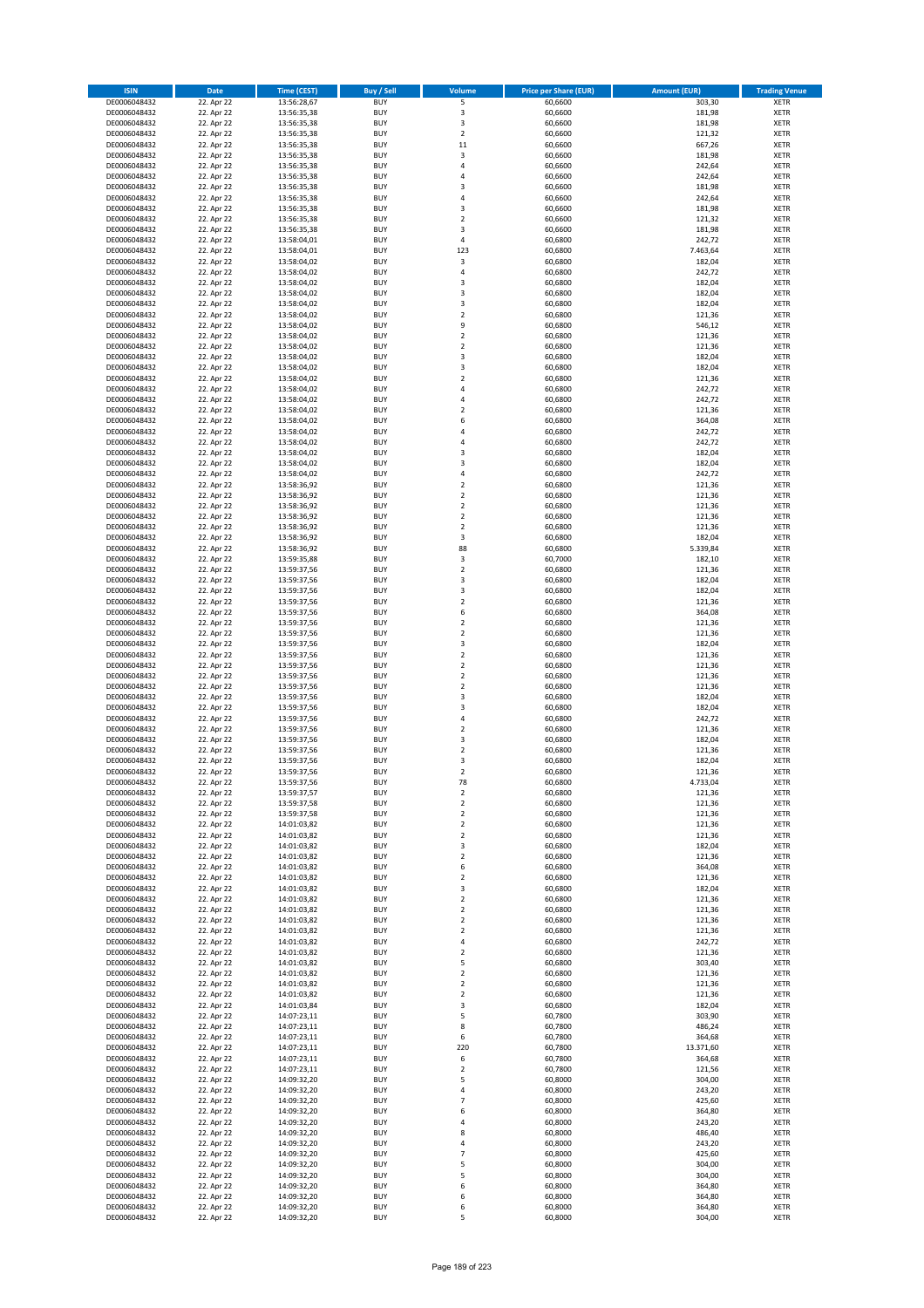| <b>ISIN</b>                  | <b>Date</b>              | <b>Time (CEST)</b>         | <b>Buy / Sell</b>        | <b>Volume</b>                          | <b>Price per Share (EUR)</b> | <b>Amount (EUR)</b> | <b>Trading Venue</b>       |
|------------------------------|--------------------------|----------------------------|--------------------------|----------------------------------------|------------------------------|---------------------|----------------------------|
| DE0006048432                 | 22. Apr 22               | 13:56:28,67                | <b>BUY</b>               | 5                                      | 60,6600                      | 303,30              | <b>XETR</b>                |
| DE0006048432                 | 22. Apr 22               | 13:56:35,38                | <b>BUY</b>               | 3                                      | 60,6600                      | 181,98              | <b>XETR</b>                |
| DE0006048432                 | 22. Apr 22               | 13:56:35,38                | <b>BUY</b>               | 3                                      | 60,6600                      | 181,98              | <b>XETR</b>                |
| DE0006048432<br>DE0006048432 | 22. Apr 22<br>22. Apr 22 | 13:56:35,38<br>13:56:35,38 | <b>BUY</b><br><b>BUY</b> | $\mathbf 2$<br>11                      | 60,6600<br>60,6600           | 121,32<br>667,26    | <b>XETR</b><br><b>XETR</b> |
| DE0006048432                 | 22. Apr 22               | 13:56:35,38                | <b>BUY</b>               | 3                                      | 60,6600                      | 181,98              | <b>XETR</b>                |
| DE0006048432                 | 22. Apr 22               | 13:56:35,38                | <b>BUY</b>               | 4                                      | 60,6600                      | 242,64              | <b>XETR</b>                |
| DE0006048432                 | 22. Apr 22               | 13:56:35,38                | <b>BUY</b>               | 4                                      | 60,6600                      | 242,64              | <b>XETR</b>                |
| DE0006048432                 | 22. Apr 22               | 13:56:35,38                | <b>BUY</b>               | 3                                      | 60,6600                      | 181,98              | <b>XETR</b>                |
| DE0006048432                 | 22. Apr 22               | 13:56:35,38                | <b>BUY</b><br><b>BUY</b> | 4                                      | 60,6600                      | 242,64              | <b>XETR</b>                |
| DE0006048432<br>DE0006048432 | 22. Apr 22<br>22. Apr 22 | 13:56:35,38<br>13:56:35,38 | <b>BUY</b>               | 3<br>$\overline{\mathbf{c}}$           | 60,6600<br>60,6600           | 181,98<br>121,32    | <b>XETR</b><br><b>XETR</b> |
| DE0006048432                 | 22. Apr 22               | 13:56:35,38                | <b>BUY</b>               | 3                                      | 60,6600                      | 181,98              | <b>XETR</b>                |
| DE0006048432                 | 22. Apr 22               | 13:58:04,01                | <b>BUY</b>               | 4                                      | 60,6800                      | 242,72              | <b>XETR</b>                |
| DE0006048432                 | 22. Apr 22               | 13:58:04,01                | <b>BUY</b>               | 123                                    | 60,6800                      | 7.463,64            | <b>XETR</b>                |
| DE0006048432                 | 22. Apr 22               | 13:58:04,02                | <b>BUY</b>               | 3                                      | 60,6800                      | 182,04              | <b>XETR</b>                |
| DE0006048432                 | 22. Apr 22               | 13:58:04,02                | <b>BUY</b><br><b>BUY</b> | 4                                      | 60,6800                      | 242,72              | <b>XETR</b><br><b>XETR</b> |
| DE0006048432<br>DE0006048432 | 22. Apr 22<br>22. Apr 22 | 13:58:04,02<br>13:58:04,02 | <b>BUY</b>               | 3<br>3                                 | 60,6800<br>60,6800           | 182,04<br>182,04    | <b>XETR</b>                |
| DE0006048432                 | 22. Apr 22               | 13:58:04,02                | <b>BUY</b>               | 3                                      | 60,6800                      | 182,04              | <b>XETR</b>                |
| DE0006048432                 | 22. Apr 22               | 13:58:04,02                | <b>BUY</b>               | $\overline{\mathbf{c}}$                | 60,6800                      | 121,36              | <b>XETR</b>                |
| DE0006048432                 | 22. Apr 22               | 13:58:04,02                | <b>BUY</b>               | 9                                      | 60,6800                      | 546,12              | <b>XETR</b>                |
| DE0006048432                 | 22. Apr 22               | 13:58:04,02                | <b>BUY</b>               | $\mathbf 2$                            | 60,6800                      | 121,36              | <b>XETR</b>                |
| DE0006048432<br>DE0006048432 | 22. Apr 22               | 13:58:04,02<br>13:58:04,02 | <b>BUY</b><br><b>BUY</b> | $\mathbf 2$<br>3                       | 60,6800<br>60,6800           | 121,36              | <b>XETR</b><br><b>XETR</b> |
| DE0006048432                 | 22. Apr 22<br>22. Apr 22 | 13:58:04,02                | <b>BUY</b>               | 3                                      | 60,6800                      | 182,04<br>182,04    | <b>XETR</b>                |
| DE0006048432                 | 22. Apr 22               | 13:58:04,02                | <b>BUY</b>               | $\mathbf 2$                            | 60,6800                      | 121,36              | <b>XETR</b>                |
| DE0006048432                 | 22. Apr 22               | 13:58:04,02                | <b>BUY</b>               | 4                                      | 60,6800                      | 242,72              | <b>XETR</b>                |
| DE0006048432                 | 22. Apr 22               | 13:58:04,02                | <b>BUY</b>               | 4                                      | 60,6800                      | 242,72              | <b>XETR</b>                |
| DE0006048432                 | 22. Apr 22               | 13:58:04,02                | <b>BUY</b>               | $\overline{\mathbf{c}}$                | 60,6800                      | 121,36              | <b>XETR</b>                |
| DE0006048432<br>DE0006048432 | 22. Apr 22<br>22. Apr 22 | 13:58:04,02<br>13:58:04,02 | <b>BUY</b><br><b>BUY</b> | 6<br>4                                 | 60,6800<br>60,6800           | 364,08<br>242,72    | <b>XETR</b><br><b>XETR</b> |
| DE0006048432                 | 22. Apr 22               | 13:58:04,02                | <b>BUY</b>               | 4                                      | 60,6800                      | 242,72              | <b>XETR</b>                |
| DE0006048432                 | 22. Apr 22               | 13:58:04,02                | <b>BUY</b>               | 3                                      | 60,6800                      | 182,04              | <b>XETR</b>                |
| DE0006048432                 | 22. Apr 22               | 13:58:04,02                | <b>BUY</b>               | 3                                      | 60,6800                      | 182,04              | <b>XETR</b>                |
| DE0006048432                 | 22. Apr 22               | 13:58:04,02                | <b>BUY</b>               | 4                                      | 60,6800                      | 242,72              | <b>XETR</b>                |
| DE0006048432                 | 22. Apr 22               | 13:58:36,92                | <b>BUY</b>               | $\overline{\mathbf{c}}$                | 60,6800                      | 121,36              | <b>XETR</b>                |
| DE0006048432<br>DE0006048432 | 22. Apr 22               | 13:58:36,92<br>13:58:36,92 | <b>BUY</b><br><b>BUY</b> | $\mathbf 2$<br>$\mathbf 2$             | 60,6800<br>60,6800           | 121,36<br>121,36    | <b>XETR</b><br><b>XETR</b> |
| DE0006048432                 | 22. Apr 22<br>22. Apr 22 | 13:58:36,92                | <b>BUY</b>               | $\mathbf 2$                            | 60,6800                      | 121,36              | <b>XETR</b>                |
| DE0006048432                 | 22. Apr 22               | 13:58:36,92                | <b>BUY</b>               | $\overline{\mathbf{c}}$                | 60,6800                      | 121,36              | <b>XETR</b>                |
| DE0006048432                 | 22. Apr 22               | 13:58:36,92                | <b>BUY</b>               | 3                                      | 60,6800                      | 182,04              | <b>XETR</b>                |
| DE0006048432                 | 22. Apr 22               | 13:58:36,92                | <b>BUY</b>               | 88                                     | 60,6800                      | 5.339,84            | <b>XETR</b>                |
| DE0006048432                 | 22. Apr 22               | 13:59:35,88                | <b>BUY</b>               | 3                                      | 60,7000                      | 182,10              | <b>XETR</b>                |
| DE0006048432                 | 22. Apr 22               | 13:59:37,56                | <b>BUY</b><br><b>BUY</b> | $\mathbf 2$<br>3                       | 60,6800                      | 121,36              | <b>XETR</b><br><b>XETR</b> |
| DE0006048432<br>DE0006048432 | 22. Apr 22<br>22. Apr 22 | 13:59:37,56<br>13:59:37,56 | <b>BUY</b>               | 3                                      | 60,6800<br>60,6800           | 182,04<br>182,04    | <b>XETR</b>                |
| DE0006048432                 | 22. Apr 22               | 13:59:37,56                | <b>BUY</b>               | $\mathbf 2$                            | 60,6800                      | 121,36              | <b>XETR</b>                |
| DE0006048432                 | 22. Apr 22               | 13:59:37,56                | <b>BUY</b>               | 6                                      | 60,6800                      | 364,08              | <b>XETR</b>                |
| DE0006048432                 | 22. Apr 22               | 13:59:37,56                | <b>BUY</b>               | $\mathbf 2$                            | 60,6800                      | 121,36              | <b>XETR</b>                |
| DE0006048432                 | 22. Apr 22               | 13:59:37,56                | <b>BUY</b>               | $\overline{\mathbf{c}}$                | 60,6800                      | 121,36              | <b>XETR</b>                |
| DE0006048432                 | 22. Apr 22               | 13:59:37,56                | <b>BUY</b>               | 3                                      | 60,6800                      | 182,04              | <b>XETR</b>                |
| DE0006048432<br>DE0006048432 | 22. Apr 22<br>22. Apr 22 | 13:59:37,56<br>13:59:37,56 | <b>BUY</b><br><b>BUY</b> | $\overline{\mathbf{2}}$<br>$\mathbf 2$ | 60,6800<br>60,6800           | 121,36<br>121,36    | <b>XETR</b><br><b>XETR</b> |
| DE0006048432                 | 22. Apr 22               | 13:59:37,56                | <b>BUY</b>               | $\overline{\mathbf{c}}$                | 60,6800                      | 121,36              | <b>XETR</b>                |
| DE0006048432                 | 22. Apr 22               | 13:59:37,56                | <b>BUY</b>               | $\mathbf 2$                            | 60,6800                      | 121,36              | <b>XETR</b>                |
| DE0006048432                 | 22. Apr 22               | 13:59:37,56                | <b>BUY</b>               | 3                                      | 60,6800                      | 182,04              | <b>XETR</b>                |
| DE0006048432                 | 22. Apr 22               | 13:59:37,56                | <b>BUY</b>               | 3                                      | 60,6800                      | 182,04              | <b>XETR</b>                |
| DE0006048432                 | 22. Apr 22               | 13:59:37,56                | <b>BUY</b>               | 4                                      | 60,6800                      | 242,72              | <b>XETR</b>                |
| DE0006048432<br>DE0006048432 | 22. Apr 22<br>22. Apr 22 | 13:59:37,56<br>13:59:37,56 | <b>BUY</b><br><b>BUY</b> | $\overline{\mathbf{c}}$<br>3           | 60,6800<br>60,6800           | 121,36<br>182,04    | <b>XETR</b><br><b>XETR</b> |
| DE0006048432                 | 22. Apr 22               | 13:59:37,56                | <b>BUY</b>               | $\overline{\mathbf{c}}$                | 60,6800                      | 121,36              | <b>XETR</b>                |
| DE0006048432                 | 22. Apr 22               | 13:59:37,56                | <b>BUY</b>               | 3                                      | 60,6800                      | 182,04              | <b>XETR</b>                |
| DE0006048432                 | 22. Apr 22               | 13:59:37,56                | <b>BUY</b>               | $\overline{2}$                         | 60,6800                      | 121,36              | <b>XETR</b>                |
| DE0006048432                 | 22. Apr 22               | 13:59:37,56                | BUY                      | 78                                     | 60,6800                      | 4.733,04            | <b>XETR</b>                |
| DE0006048432                 | 22. Apr 22               | 13:59:37,57                | <b>BUY</b><br><b>BUY</b> | 2                                      | 60,6800                      | 121,36              | <b>XETR</b>                |
| DE0006048432<br>DE0006048432 | 22. Apr 22<br>22. Apr 22 | 13:59:37,58<br>13:59:37,58 | <b>BUY</b>               | $\mathbf 2$<br>$\mathbf 2$             | 60,6800<br>60,6800           | 121,36<br>121,36    | <b>XETR</b><br>XETR        |
| DE0006048432                 | 22. Apr 22               | 14:01:03,82                | <b>BUY</b>               | $\mathbf 2$                            | 60,6800                      | 121,36              | <b>XETR</b>                |
| DE0006048432                 | 22. Apr 22               | 14:01:03,82                | <b>BUY</b>               | $\mathbf 2$                            | 60,6800                      | 121,36              | <b>XETR</b>                |
| DE0006048432                 | 22. Apr 22               | 14:01:03,82                | <b>BUY</b>               | 3                                      | 60,6800                      | 182,04              | <b>XETR</b>                |
| DE0006048432                 | 22. Apr 22               | 14:01:03,82                | <b>BUY</b>               | $\mathbf 2$                            | 60,6800                      | 121,36              | <b>XETR</b>                |
| DE0006048432<br>DE0006048432 | 22. Apr 22<br>22. Apr 22 | 14:01:03,82<br>14:01:03,82 | <b>BUY</b><br><b>BUY</b> | 6<br>$\mathbf 2$                       | 60,6800<br>60,6800           | 364,08<br>121,36    | <b>XETR</b><br>XETR        |
| DE0006048432                 | 22. Apr 22               | 14:01:03,82                | <b>BUY</b>               | 3                                      | 60,6800                      | 182,04              | <b>XETR</b>                |
| DE0006048432                 | 22. Apr 22               | 14:01:03,82                | <b>BUY</b>               | $\overline{2}$                         | 60.6800                      | 121,36              | <b>XETR</b>                |
| DE0006048432                 | 22. Apr 22               | 14:01:03,82                | <b>BUY</b>               | $\mathbf 2$                            | 60,6800                      | 121,36              | <b>XETR</b>                |
| DE0006048432                 | 22. Apr 22               | 14:01:03,82                | <b>BUY</b>               | $\overline{\mathbf{2}}$                | 60,6800                      | 121,36              | <b>XETR</b>                |
| DE0006048432                 | 22. Apr 22               | 14:01:03,82                | <b>BUY</b>               | $\mathbf 2$                            | 60,6800                      | 121,36              | <b>XETR</b>                |
| DE0006048432                 | 22. Apr 22<br>22. Apr 22 | 14:01:03,82                | <b>BUY</b><br><b>BUY</b> | 4<br>$\mathbf 2$                       | 60,6800<br>60,6800           | 242,72              | <b>XETR</b><br><b>XETR</b> |
| DE0006048432<br>DE0006048432 | 22. Apr 22               | 14:01:03,82<br>14:01:03,82 | <b>BUY</b>               | 5                                      | 60,6800                      | 121,36<br>303,40    | <b>XETR</b>                |
| DE0006048432                 | 22. Apr 22               | 14:01:03,82                | <b>BUY</b>               | $\mathbf 2$                            | 60,6800                      | 121,36              | XETR                       |
| DE0006048432                 | 22. Apr 22               | 14:01:03,82                | <b>BUY</b>               | $\mathbf 2$                            | 60,6800                      | 121,36              | <b>XETR</b>                |
| DE0006048432                 | 22. Apr 22               | 14:01:03,82                | <b>BUY</b>               | $\overline{\mathbf{2}}$                | 60,6800                      | 121,36              | <b>XETR</b>                |
| DE0006048432                 | 22. Apr 22               | 14:01:03,84                | <b>BUY</b>               | 3                                      | 60,6800                      | 182,04              | <b>XETR</b>                |
| DE0006048432<br>DE0006048432 | 22. Apr 22<br>22. Apr 22 | 14:07:23,11                | <b>BUY</b><br><b>BUY</b> | 5<br>8                                 | 60,7800<br>60,7800           | 303,90<br>486,24    | <b>XETR</b><br><b>XETR</b> |
| DE0006048432                 | 22. Apr 22               | 14:07:23,11<br>14:07:23,11 | <b>BUY</b>               | 6                                      | 60,7800                      | 364,68              | <b>XETR</b>                |
| DE0006048432                 | 22. Apr 22               | 14:07:23,11                | <b>BUY</b>               | 220                                    | 60,7800                      | 13.371,60           | <b>XETR</b>                |
| DE0006048432                 | 22. Apr 22               | 14:07:23,11                | <b>BUY</b>               | 6                                      | 60,7800                      | 364,68              | <b>XETR</b>                |
| DE0006048432                 | 22. Apr 22               | 14:07:23,11                | <b>BUY</b>               | $\overline{\mathbf{c}}$                | 60,7800                      | 121,56              | <b>XETR</b>                |
| DE0006048432                 | 22. Apr 22               | 14:09:32,20                | <b>BUY</b>               | 5                                      | 60,8000                      | 304,00              | <b>XETR</b>                |
| DE0006048432                 | 22. Apr 22               | 14:09:32,20                | <b>BUY</b>               | 4                                      | 60,8000                      | 243,20              | XETR                       |
| DE0006048432<br>DE0006048432 | 22. Apr 22<br>22. Apr 22 | 14:09:32,20<br>14:09:32,20 | <b>BUY</b><br><b>BUY</b> | 7<br>6                                 | 60,8000<br>60,8000           | 425,60<br>364,80    | <b>XETR</b><br><b>XETR</b> |
| DE0006048432                 | 22. Apr 22               | 14:09:32,20                | <b>BUY</b>               | 4                                      | 60,8000                      | 243,20              | <b>XETR</b>                |
| DE0006048432                 | 22. Apr 22               | 14:09:32,20                | <b>BUY</b>               | 8                                      | 60,8000                      | 486,40              | <b>XETR</b>                |
| DE0006048432                 | 22. Apr 22               | 14:09:32,20                | <b>BUY</b>               | 4                                      | 60,8000                      | 243,20              | <b>XETR</b>                |
| DE0006048432                 | 22. Apr 22               | 14:09:32,20                | <b>BUY</b>               | $\overline{7}$                         | 60,8000                      | 425,60              | <b>XETR</b>                |
| DE0006048432                 | 22. Apr 22               | 14:09:32,20                | <b>BUY</b>               | 5                                      | 60,8000                      | 304,00              | <b>XETR</b>                |
| DE0006048432<br>DE0006048432 | 22. Apr 22<br>22. Apr 22 | 14:09:32,20<br>14:09:32,20 | <b>BUY</b><br><b>BUY</b> | 5<br>6                                 | 60,8000<br>60,8000           | 304,00<br>364,80    | XETR<br><b>XETR</b>        |
| DE0006048432                 | 22. Apr 22               | 14:09:32,20                | <b>BUY</b>               | 6                                      | 60,8000                      | 364,80              | <b>XETR</b>                |
| DE0006048432                 | 22. Apr 22               | 14:09:32,20                | <b>BUY</b>               | 6                                      | 60,8000                      | 364,80              | <b>XETR</b>                |
| DE0006048432                 | 22. Apr 22               | 14:09:32,20                | <b>BUY</b>               | 5                                      | 60,8000                      | 304,00              | XETR                       |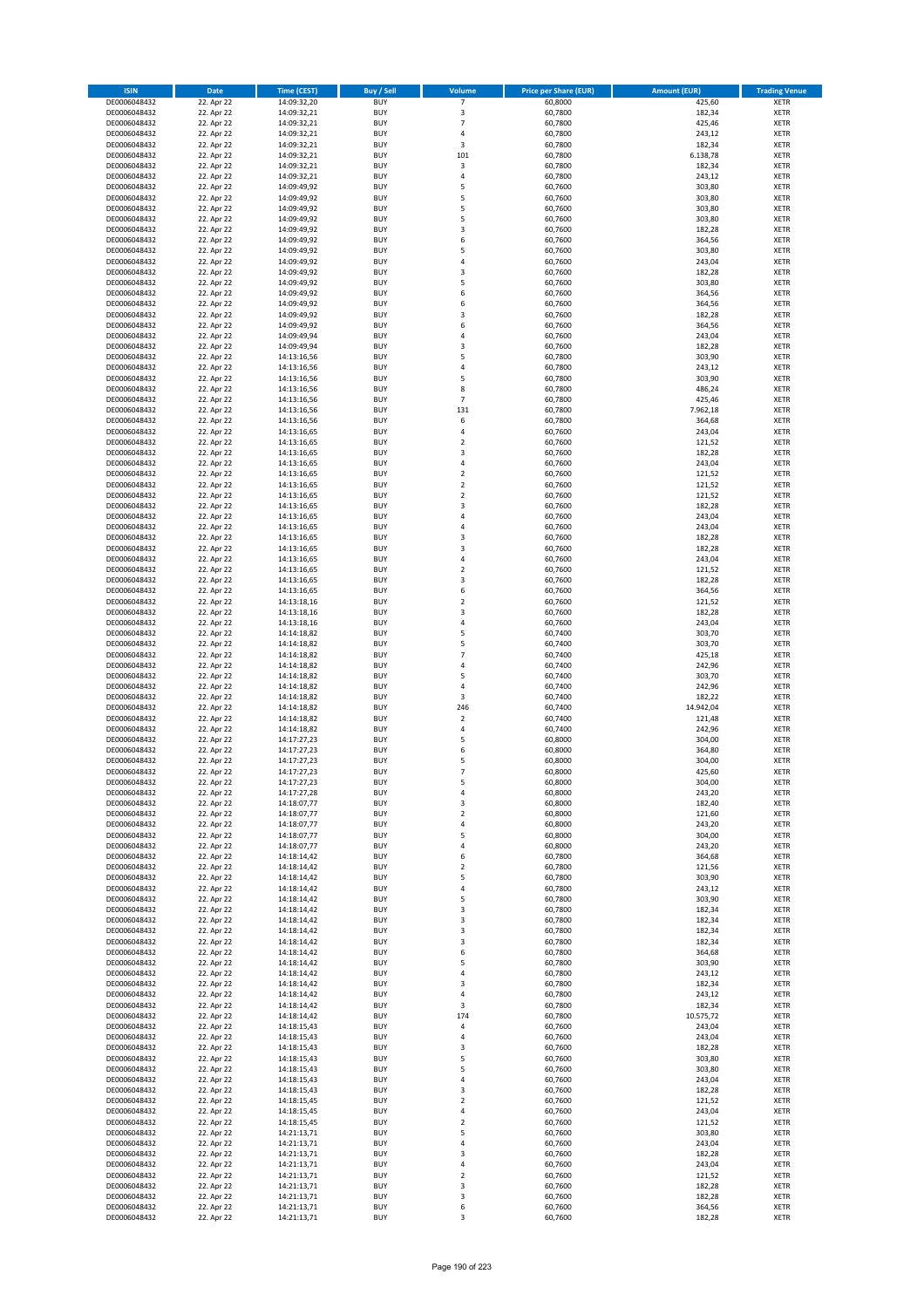| <b>ISIN</b>                  | <b>Date</b>              | <b>Time (CEST)</b>         | <b>Buy / Sell</b>        | Volume                                    | <b>Price per Share (EUR)</b> | <b>Amount (EUR)</b> | <b>Trading Venue</b>       |
|------------------------------|--------------------------|----------------------------|--------------------------|-------------------------------------------|------------------------------|---------------------|----------------------------|
| DE0006048432                 | 22. Apr 22               | 14:09:32,20                | <b>BUY</b>               | 7                                         | 60,8000                      | 425,60              | <b>XETR</b>                |
| DE0006048432                 | 22. Apr 22               | 14:09:32,21                | <b>BUY</b>               | 3                                         | 60,7800                      | 182,34              | <b>XETR</b>                |
| DE0006048432                 | 22. Apr 22               | 14:09:32,21                | <b>BUY</b>               | 7                                         | 60.7800                      | 425,46              | <b>XETR</b>                |
| DE0006048432                 | 22. Apr 22               | 14:09:32,21                | <b>BUY</b>               | 4                                         | 60,7800                      | 243,12              | <b>XETR</b>                |
| DE0006048432<br>DE0006048432 | 22. Apr 22<br>22. Apr 22 | 14:09:32,21<br>14:09:32,21 | <b>BUY</b><br><b>BUY</b> | 3<br>101                                  | 60,7800<br>60,7800           | 182,34<br>6.138,78  | <b>XETR</b><br><b>XETR</b> |
| DE0006048432                 | 22. Apr 22               | 14:09:32,21                | <b>BUY</b>               | 3                                         | 60,7800                      | 182,34              | <b>XETR</b>                |
| DE0006048432                 | 22. Apr 22               | 14:09:32,21                | <b>BUY</b>               | 4                                         | 60,7800                      | 243,12              | <b>XETR</b>                |
| DE0006048432                 | 22. Apr 22               | 14:09:49,92                | BUY                      | 5                                         | 60,7600                      | 303,80              | <b>XETR</b>                |
| DE0006048432                 | 22. Apr 22               | 14:09:49,92                | <b>BUY</b>               | 5                                         | 60,7600                      | 303,80              | <b>XETR</b>                |
| DE0006048432                 | 22. Apr 22               | 14:09:49,92                | <b>BUY</b>               | 5                                         | 60,7600                      | 303,80              | <b>XETR</b>                |
| DE0006048432<br>DE0006048432 | 22. Apr 22<br>22. Apr 22 | 14:09:49,92<br>14:09:49,92 | <b>BUY</b><br><b>BUY</b> | 5<br>$\overline{\mathbf{3}}$              | 60,7600<br>60,7600           | 303,80<br>182,28    | <b>XETR</b><br><b>XETR</b> |
| DE0006048432                 | 22. Apr 22               | 14:09:49,92                | <b>BUY</b>               | 6                                         | 60,7600                      | 364,56              | <b>XETR</b>                |
| DE0006048432                 | 22. Apr 22               | 14:09:49,92                | <b>BUY</b>               | 5                                         | 60,7600                      | 303,80              | <b>XETR</b>                |
| DE0006048432                 | 22. Apr 22               | 14:09:49,92                | <b>BUY</b>               | $\overline{a}$                            | 60,7600                      | 243,04              | <b>XETR</b>                |
| DE0006048432                 | 22. Apr 22               | 14:09:49,92                | <b>BUY</b>               | $\overline{\mathbf{3}}$                   | 60,7600                      | 182,28              | <b>XETR</b>                |
| DE0006048432                 | 22. Apr 22               | 14:09:49,92                | <b>BUY</b>               | 5                                         | 60,7600                      | 303,80              | <b>XETR</b>                |
| DE0006048432<br>DE0006048432 | 22. Apr 22<br>22. Apr 22 | 14:09:49,92                | <b>BUY</b><br><b>BUY</b> | 6<br>6                                    | 60.7600                      | 364,56<br>364,56    | <b>XETR</b><br><b>XETR</b> |
| DE0006048432                 | 22. Apr 22               | 14:09:49,92<br>14:09:49,92 | <b>BUY</b>               | $\overline{\mathbf{3}}$                   | 60,7600<br>60,7600           | 182,28              | <b>XETR</b>                |
| DE0006048432                 | 22. Apr 22               | 14:09:49,92                | <b>BUY</b>               | 6                                         | 60,7600                      | 364,56              | <b>XETR</b>                |
| DE0006048432                 | 22. Apr 22               | 14:09:49,94                | <b>BUY</b>               | $\overline{a}$                            | 60,7600                      | 243,04              | <b>XETR</b>                |
| DE0006048432                 | 22. Apr 22               | 14:09:49,94                | <b>BUY</b>               | $\overline{\mathbf{3}}$                   | 60,7600                      | 182,28              | <b>XETR</b>                |
| DE0006048432                 | 22. Apr 22               | 14:13:16,56                | <b>BUY</b>               | 5                                         | 60,7800                      | 303,90              | <b>XETR</b>                |
| DE0006048432                 | 22. Apr 22               | 14:13:16,56                | <b>BUY</b>               | 4                                         | 60,7800                      | 243,12              | <b>XETR</b>                |
| DE0006048432<br>DE0006048432 | 22. Apr 22<br>22. Apr 22 | 14:13:16,56<br>14:13:16,56 | <b>BUY</b><br><b>BUY</b> | 5<br>8                                    | 60,7800<br>60,7800           | 303,90<br>486,24    | <b>XETR</b><br><b>XETR</b> |
| DE0006048432                 | 22. Apr 22               | 14:13:16,56                | <b>BUY</b>               | $\overline{7}$                            | 60,7800                      | 425,46              | <b>XETR</b>                |
| DE0006048432                 | 22. Apr 22               | 14:13:16,56                | <b>BUY</b>               | 131                                       | 60,7800                      | 7.962,18            | <b>XETR</b>                |
| DE0006048432                 | 22. Apr 22               | 14:13:16,56                | <b>BUY</b>               | 6                                         | 60,7800                      | 364,68              | <b>XETR</b>                |
| DE0006048432                 | 22. Apr 22               | 14:13:16,65                | <b>BUY</b>               | 4                                         | 60,7600                      | 243,04              | <b>XETR</b>                |
| DE0006048432                 | 22. Apr 22               | 14:13:16,65                | <b>BUY</b>               | $\overline{\mathbf{2}}$                   | 60,7600                      | 121,52              | <b>XETR</b>                |
| DE0006048432<br>DE0006048432 | 22. Apr 22               | 14:13:16,65                | <b>BUY</b><br><b>BUY</b> | $\overline{\mathbf{3}}$<br>4              | 60,7600                      | 182,28              | <b>XETR</b><br><b>XETR</b> |
| DE0006048432                 | 22. Apr 22<br>22. Apr 22 | 14:13:16,65<br>14:13:16,65 | <b>BUY</b>               | $\mathbf 2$                               | 60,7600<br>60,7600           | 243,04<br>121,52    | <b>XETR</b>                |
| DE0006048432                 | 22. Apr 22               | 14:13:16,65                | <b>BUY</b>               | $\overline{\mathbf{2}}$                   | 60,7600                      | 121,52              | <b>XETR</b>                |
| DE0006048432                 | 22. Apr 22               | 14:13:16,65                | <b>BUY</b>               | $\mathbf 2$                               | 60,7600                      | 121,52              | <b>XETR</b>                |
| DE0006048432                 | 22. Apr 22               | 14:13:16,65                | <b>BUY</b>               | 3                                         | 60,7600                      | 182,28              | <b>XETR</b>                |
| DE0006048432                 | 22. Apr 22               | 14:13:16,65                | <b>BUY</b>               | 4                                         | 60,7600                      | 243,04              | <b>XETR</b>                |
| DE0006048432                 | 22. Apr 22               | 14:13:16,65                | <b>BUY</b><br><b>BUY</b> | $\overline{a}$<br>$\overline{\mathbf{3}}$ | 60,7600                      | 243,04              | <b>XETR</b>                |
| DE0006048432<br>DE0006048432 | 22. Apr 22<br>22. Apr 22 | 14:13:16,65<br>14:13:16,65 | <b>BUY</b>               | $\overline{\mathbf{3}}$                   | 60,7600<br>60,7600           | 182,28<br>182,28    | <b>XETR</b><br><b>XETR</b> |
| DE0006048432                 | 22. Apr 22               | 14:13:16,65                | <b>BUY</b>               | $\overline{a}$                            | 60,7600                      | 243,04              | <b>XETR</b>                |
| DE0006048432                 | 22. Apr 22               | 14:13:16,65                | <b>BUY</b>               | $\overline{2}$                            | 60,7600                      | 121,52              | <b>XETR</b>                |
| DE0006048432                 | 22. Apr 22               | 14:13:16,65                | <b>BUY</b>               | $\overline{\mathbf{3}}$                   | 60,7600                      | 182,28              | <b>XETR</b>                |
| DE0006048432                 | 22. Apr 22               | 14:13:16,65                | <b>BUY</b>               | 6                                         | 60,7600                      | 364,56              | <b>XETR</b>                |
| DE0006048432                 | 22. Apr 22               | 14:13:18,16                | <b>BUY</b>               | $\overline{2}$                            | 60,7600                      | 121,52              | <b>XETR</b>                |
| DE0006048432<br>DE0006048432 | 22. Apr 22<br>22. Apr 22 | 14:13:18,16<br>14:13:18,16 | <b>BUY</b><br><b>BUY</b> | 3<br>$\overline{a}$                       | 60,7600<br>60,7600           | 182,28<br>243,04    | <b>XETR</b><br><b>XETR</b> |
| DE0006048432                 | 22. Apr 22               | 14:14:18,82                | <b>BUY</b>               | 5                                         | 60,7400                      | 303,70              | <b>XETR</b>                |
| DE0006048432                 | 22. Apr 22               | 14:14:18,82                | <b>BUY</b>               | 5                                         | 60,7400                      | 303,70              | <b>XETR</b>                |
| DE0006048432                 | 22. Apr 22               | 14:14:18,82                | <b>BUY</b>               | 7                                         | 60,7400                      | 425,18              | <b>XETR</b>                |
| DE0006048432                 | 22. Apr 22               | 14:14:18,82                | <b>BUY</b>               | $\overline{4}$                            | 60,7400                      | 242,96              | <b>XETR</b>                |
| DE0006048432                 | 22. Apr 22               | 14:14:18,82                | <b>BUY</b>               | 5                                         | 60,7400                      | 303,70              | <b>XETR</b>                |
| DE0006048432<br>DE0006048432 | 22. Apr 22<br>22. Apr 22 | 14:14:18,82<br>14:14:18,82 | <b>BUY</b><br><b>BUY</b> | 4<br>3                                    | 60,7400<br>60,7400           | 242,96<br>182,22    | <b>XETR</b><br><b>XETR</b> |
| DE0006048432                 | 22. Apr 22               | 14:14:18,82                | <b>BUY</b>               | 246                                       | 60,7400                      | 14.942,04           | <b>XETR</b>                |
| DE0006048432                 | 22. Apr 22               | 14:14:18,82                | BUY                      | $\overline{2}$                            | 60,7400                      | 121,48              | <b>XETR</b>                |
| DE0006048432                 | 22. Apr 22               | 14:14:18,82                | <b>BUY</b>               | $\overline{4}$                            | 60,7400                      | 242,96              | <b>XETR</b>                |
| DE0006048432                 | 22. Apr 22               | 14:17:27,23                | <b>BUY</b>               | 5                                         | 60,8000                      | 304,00              | <b>XETR</b>                |
| DE0006048432                 | 22. Apr 22               | 14:17:27,23                | BUY                      | 6                                         | 60,8000                      | 364,80              | <b>XETR</b>                |
| DE0006048432                 | 22. Apr 22               | 14:17:27,23                | BUY                      | 5<br>$\overline{7}$                       | 60,8000                      | 304,00              | <b>XETR</b>                |
| DE0006048432<br>DE0006048432 | 22. Apr 22<br>22. Apr 22 | 14:17:27,23<br>14:17:27,23 | <b>BUY</b><br>BUY        | 5                                         | 60,8000<br>60,8000           | 425,60<br>304,00    | <b>XETR</b><br><b>XETR</b> |
| DE0006048432                 | 22. Apr 22               | 14:17:27,28                | <b>BUY</b>               | $\overline{4}$                            | 60,8000                      | 243,20              | <b>XETR</b>                |
| DE0006048432                 | 22. Apr 22               | 14:18:07,77                | <b>BUY</b>               | 3                                         | 60,8000                      | 182,40              | <b>XETR</b>                |
| DE0006048432                 | 22. Apr 22               | 14:18:07,77                | <b>BUY</b>               | $\mathbf 2$                               | 60,8000                      | 121,60              | <b>XETR</b>                |
| DE0006048432                 | 22. Apr 22               | 14:18:07,77                | <b>BUY</b>               | 4                                         | 60,8000                      | 243,20              | <b>XETR</b>                |
| DE0006048432<br>DE0006048432 | 22. Apr 22<br>22. Apr 22 | 14:18:07,77<br>14:18:07,77 | <b>BUY</b><br><b>BUY</b> | 5<br>4                                    | 60,8000<br>60,8000           | 304,00<br>243,20    | <b>XETR</b>                |
| DE0006048432                 | 22. Apr 22               | 14:18:14,42                | <b>BUY</b>               | 6                                         | 60,7800                      | 364,68              | <b>XETR</b><br><b>XETR</b> |
| DE0006048432                 | 22. Apr 22               | 14:18:14,42                | <b>BUY</b>               | $\mathbf 2$                               | 60,7800                      | 121,56              | <b>XETR</b>                |
| DE0006048432                 | 22. Apr 22               | 14:18:14,42                | <b>BUY</b>               | 5                                         | 60,7800                      | 303,90              | <b>XETR</b>                |
| DE0006048432                 | 22. Apr 22               | 14:18:14,42                | <b>BUY</b>               | 4                                         | 60,7800                      | 243,12              | <b>XETR</b>                |
| DE0006048432                 | 22. Apr 22               | 14:18:14,42                | <b>BUY</b>               | 5                                         | 60,7800                      | 303,90              | <b>XETR</b>                |
| DE0006048432<br>DE0006048432 | 22. Apr 22<br>22. Apr 22 | 14:18:14,42<br>14:18:14,42 | <b>BUY</b><br><b>BUY</b> | 3<br>$\overline{\mathbf{3}}$              | 60,7800<br>60,7800           | 182,34<br>182,34    | <b>XETR</b><br><b>XETR</b> |
| DE0006048432                 | 22. Apr 22               | 14:18:14,42                | <b>BUY</b>               | 3                                         | 60,7800                      | 182,34              | <b>XETR</b>                |
| DE0006048432                 | 22. Apr 22               | 14:18:14,42                | <b>BUY</b>               | 3                                         | 60,7800                      | 182,34              | <b>XETR</b>                |
| DE0006048432                 | 22. Apr 22               | 14:18:14,42                | <b>BUY</b>               | 6                                         | 60,7800                      | 364,68              | <b>XETR</b>                |
| DE0006048432                 | 22. Apr 22               | 14:18:14,42                | <b>BUY</b>               | 5                                         | 60,7800                      | 303,90              | <b>XETR</b>                |
| DE0006048432                 | 22. Apr 22               | 14:18:14,42                | <b>BUY</b>               | 4                                         | 60,7800                      | 243,12              | <b>XETR</b>                |
| DE0006048432<br>DE0006048432 | 22. Apr 22               | 14:18:14,42                | <b>BUY</b><br><b>BUY</b> | 3<br>4                                    | 60,7800                      | 182,34              | <b>XETR</b><br><b>XETR</b> |
| DE0006048432                 | 22. Apr 22<br>22. Apr 22 | 14:18:14,42<br>14:18:14,42 | <b>BUY</b>               | 3                                         | 60,7800<br>60,7800           | 243,12<br>182,34    | <b>XETR</b>                |
| DE0006048432                 | 22. Apr 22               | 14:18:14,42                | <b>BUY</b>               | 174                                       | 60,7800                      | 10.575,72           | <b>XETR</b>                |
| DE0006048432                 | 22. Apr 22               | 14:18:15,43                | <b>BUY</b>               | 4                                         | 60,7600                      | 243,04              | <b>XETR</b>                |
| DE0006048432                 | 22. Apr 22               | 14:18:15,43                | <b>BUY</b>               | 4                                         | 60,7600                      | 243,04              | <b>XETR</b>                |
| DE0006048432                 | 22. Apr 22               | 14:18:15,43                | <b>BUY</b>               | $\overline{\mathbf{3}}$                   | 60,7600                      | 182,28              | <b>XETR</b>                |
| DE0006048432                 | 22. Apr 22               | 14:18:15,43                | <b>BUY</b>               | 5                                         | 60,7600                      | 303,80              | <b>XETR</b>                |
| DE0006048432<br>DE0006048432 | 22. Apr 22<br>22. Apr 22 | 14:18:15,43<br>14:18:15,43 | <b>BUY</b><br><b>BUY</b> | 5<br>4                                    | 60,7600<br>60,7600           | 303,80<br>243,04    | <b>XETR</b><br><b>XETR</b> |
| DE0006048432                 | 22. Apr 22               | 14:18:15,43                | <b>BUY</b>               | $\overline{\mathbf{3}}$                   | 60,7600                      | 182,28              | <b>XETR</b>                |
| DE0006048432                 | 22. Apr 22               | 14:18:15,45                | <b>BUY</b>               | $\mathbf 2$                               | 60,7600                      | 121,52              | <b>XETR</b>                |
| DE0006048432                 | 22. Apr 22               | 14:18:15,45                | <b>BUY</b>               | 4                                         | 60,7600                      | 243,04              | <b>XETR</b>                |
| DE0006048432                 | 22. Apr 22               | 14:18:15,45                | <b>BUY</b>               | $\mathbf 2$                               | 60,7600                      | 121,52              | <b>XETR</b>                |
| DE0006048432                 | 22. Apr 22               | 14:21:13,71                | <b>BUY</b>               | 5                                         | 60,7600                      | 303,80              | <b>XETR</b>                |
| DE0006048432<br>DE0006048432 | 22. Apr 22<br>22. Apr 22 | 14:21:13,71                | <b>BUY</b><br><b>BUY</b> | 4<br>3                                    | 60,7600<br>60,7600           | 243,04<br>182,28    | <b>XETR</b><br><b>XETR</b> |
| DE0006048432                 | 22. Apr 22               | 14:21:13,71<br>14:21:13,71 | <b>BUY</b>               | 4                                         | 60,7600                      | 243,04              | <b>XETR</b>                |
| DE0006048432                 | 22. Apr 22               | 14:21:13,71                | <b>BUY</b>               | $\mathbf 2$                               | 60,7600                      | 121,52              | <b>XETR</b>                |
| DE0006048432                 | 22. Apr 22               | 14:21:13,71                | <b>BUY</b>               | 3                                         | 60,7600                      | 182,28              | <b>XETR</b>                |
| DE0006048432                 | 22. Apr 22               | 14:21:13,71                | <b>BUY</b>               | 3                                         | 60,7600                      | 182,28              | <b>XETR</b>                |
| DE0006048432                 | 22. Apr 22               | 14:21:13,71                | <b>BUY</b>               | 6                                         | 60,7600                      | 364,56              | <b>XETR</b>                |
| DE0006048432                 | 22. Apr 22               | 14:21:13,71                | <b>BUY</b>               | 3                                         | 60,7600                      | 182,28              | <b>XETR</b>                |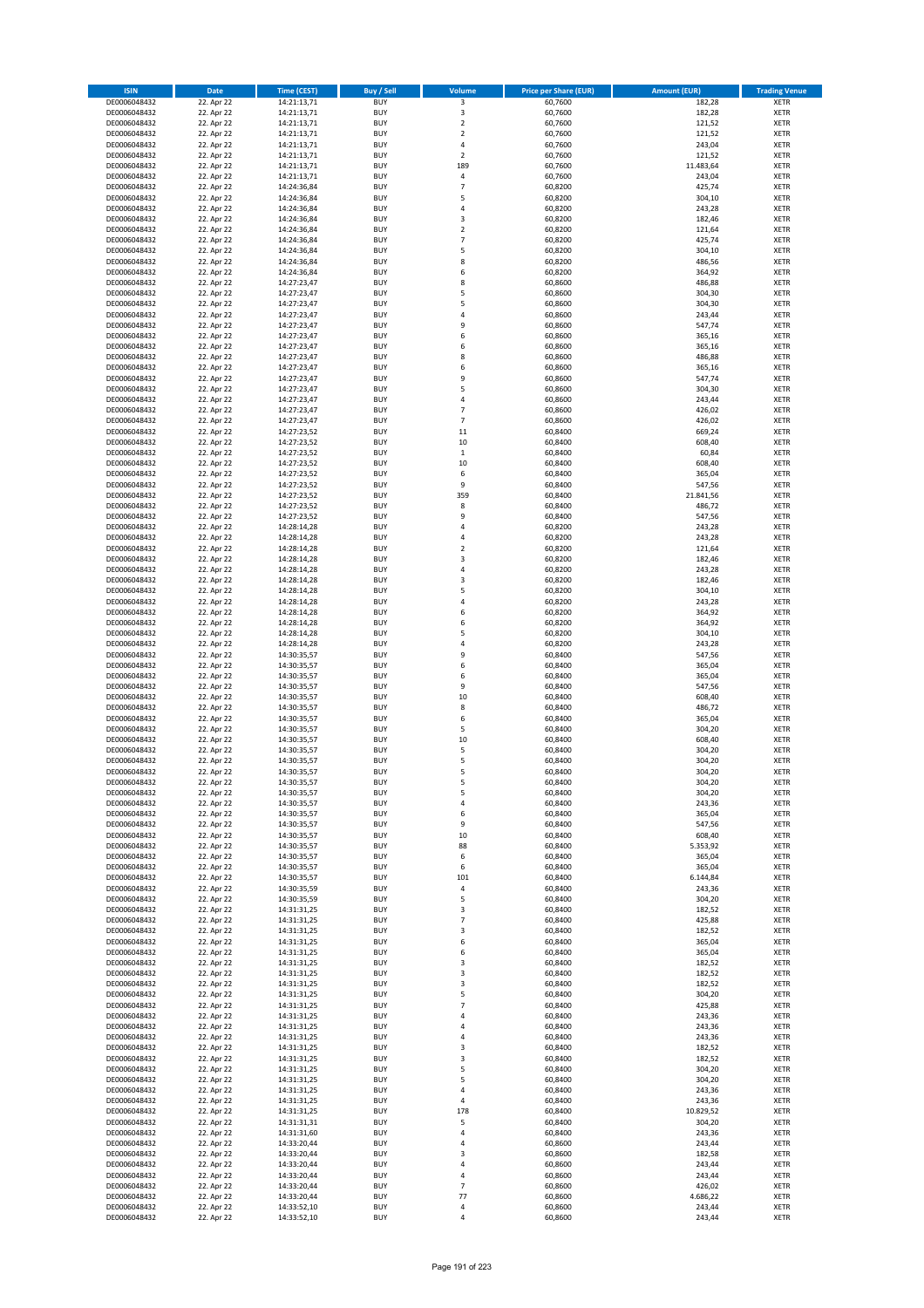| <b>ISIN</b>                  | <b>Date</b>              | <b>Time (CEST)</b>         | <b>Buy / Sell</b>        | Volume                                 | <b>Price per Share (EUR)</b> | <b>Amount (EUR)</b> | <b>Trading Venue</b>       |
|------------------------------|--------------------------|----------------------------|--------------------------|----------------------------------------|------------------------------|---------------------|----------------------------|
| DE0006048432                 | 22. Apr 22               | 14:21:13,71                | <b>BUY</b>               | 3                                      | 60,7600                      | 182,28              | <b>XETR</b>                |
| DE0006048432                 | 22. Apr 22               | 14:21:13,71                | <b>BUY</b>               | 3                                      | 60,7600                      | 182,28              | <b>XETR</b>                |
| DE0006048432                 | 22. Apr 22               | 14:21:13,71                | <b>BUY</b>               | $\overline{2}$                         | 60,7600                      | 121,52              | <b>XETR</b>                |
| DE0006048432                 | 22. Apr 22               | 14:21:13,71                | <b>BUY</b>               | $\mathbf 2$                            | 60,7600                      | 121,52              | <b>XETR</b>                |
| DE0006048432<br>DE0006048432 | 22. Apr 22<br>22. Apr 22 | 14:21:13,71<br>14:21:13,71 | <b>BUY</b><br><b>BUY</b> | $\overline{4}$<br>$\mathbf 2$          | 60,7600<br>60,7600           | 243,04<br>121,52    | <b>XETR</b><br><b>XETR</b> |
| DE0006048432                 | 22. Apr 22               | 14:21:13,71                | <b>BUY</b>               | 189                                    | 60,7600                      | 11.483,64           | <b>XETR</b>                |
| DE0006048432                 | 22. Apr 22               | 14:21:13,71                | <b>BUY</b>               | 4                                      | 60,7600                      | 243,04              | <b>XETR</b>                |
| DE0006048432                 | 22. Apr 22               | 14:24:36,84                | BUY                      | $\overline{7}$                         | 60,8200                      | 425,74              | <b>XETR</b>                |
| DE0006048432                 | 22. Apr 22               | 14:24:36,84                | <b>BUY</b>               | 5                                      | 60,8200                      | 304,10              | <b>XETR</b>                |
| DE0006048432                 | 22. Apr 22               | 14:24:36,84                | <b>BUY</b>               | 4                                      | 60,8200                      | 243,28              | <b>XETR</b>                |
| DE0006048432                 | 22. Apr 22               | 14:24:36,84                | <b>BUY</b>               | 3                                      | 60,8200                      | 182,46              | <b>XETR</b>                |
| DE0006048432<br>DE0006048432 | 22. Apr 22<br>22. Apr 22 | 14:24:36,84<br>14:24:36,84 | <b>BUY</b><br><b>BUY</b> | $\overline{2}$<br>$\overline{7}$       | 60,8200<br>60,8200           | 121,64<br>425,74    | <b>XETR</b><br><b>XETR</b> |
| DE0006048432                 | 22. Apr 22               | 14:24:36,84                | <b>BUY</b>               | 5                                      | 60,8200                      | 304,10              | <b>XETR</b>                |
| DE0006048432                 | 22. Apr 22               | 14:24:36,84                | BUY                      | 8                                      | 60,8200                      | 486,56              | <b>XETR</b>                |
| DE0006048432                 | 22. Apr 22               | 14:24:36,84                | <b>BUY</b>               | 6                                      | 60,8200                      | 364,92              | <b>XETR</b>                |
| DE0006048432                 | 22. Apr 22               | 14:27:23,47                | <b>BUY</b>               | 8                                      | 60,8600                      | 486,88              | <b>XETR</b>                |
| DE0006048432                 | 22. Apr 22               | 14:27:23,47                | <b>BUY</b>               | 5                                      | 60.8600                      | 304,30              | <b>XETR</b>                |
| DE0006048432<br>DE0006048432 | 22. Apr 22<br>22. Apr 22 | 14:27:23,47<br>14:27:23,47 | <b>BUY</b><br><b>BUY</b> | 5<br>$\overline{a}$                    | 60,8600<br>60,8600           | 304,30<br>243,44    | <b>XETR</b><br><b>XETR</b> |
| DE0006048432                 | 22. Apr 22               | 14:27:23,47                | <b>BUY</b>               | 9                                      | 60,8600                      | 547,74              | <b>XETR</b>                |
| DE0006048432                 | 22. Apr 22               | 14:27:23,47                | <b>BUY</b>               | 6                                      | 60,8600                      | 365,16              | <b>XETR</b>                |
| DE0006048432                 | 22. Apr 22               | 14:27:23,47                | <b>BUY</b>               | 6                                      | 60,8600                      | 365,16              | <b>XETR</b>                |
| DE0006048432                 | 22. Apr 22               | 14:27:23,47                | <b>BUY</b>               | 8                                      | 60,8600                      | 486,88              | <b>XETR</b>                |
| DE0006048432                 | 22. Apr 22               | 14:27:23,47                | <b>BUY</b>               | 6                                      | 60,8600                      | 365,16              | <b>XETR</b>                |
| DE0006048432                 | 22. Apr 22               | 14:27:23,47<br>14:27:23,47 | <b>BUY</b><br><b>BUY</b> | 9<br>5                                 | 60,8600                      | 547,74              | <b>XETR</b><br><b>XETR</b> |
| DE0006048432<br>DE0006048432 | 22. Apr 22<br>22. Apr 22 | 14:27:23,47                | <b>BUY</b>               | 4                                      | 60,8600<br>60,8600           | 304,30<br>243,44    | <b>XETR</b>                |
| DE0006048432                 | 22. Apr 22               | 14:27:23,47                | <b>BUY</b>               | $\overline{7}$                         | 60,8600                      | 426,02              | <b>XETR</b>                |
| DE0006048432                 | 22. Apr 22               | 14:27:23,47                | <b>BUY</b>               | $\overline{7}$                         | 60,8600                      | 426,02              | <b>XETR</b>                |
| DE0006048432                 | 22. Apr 22               | 14:27:23,52                | <b>BUY</b>               | $11\,$                                 | 60,8400                      | 669,24              | <b>XETR</b>                |
| DE0006048432                 | 22. Apr 22               | 14:27:23,52                | <b>BUY</b>               | $10\,$                                 | 60,8400                      | 608,40              | <b>XETR</b>                |
| DE0006048432                 | 22. Apr 22               | 14:27:23,52                | <b>BUY</b>               | $\,$ 1                                 | 60,8400                      | 60,84               | <b>XETR</b>                |
| DE0006048432<br>DE0006048432 | 22. Apr 22<br>22. Apr 22 | 14:27:23,52<br>14:27:23,52 | <b>BUY</b><br><b>BUY</b> | 10<br>6                                | 60,8400<br>60,8400           | 608,40<br>365,04    | <b>XETR</b><br><b>XETR</b> |
| DE0006048432                 | 22. Apr 22               | 14:27:23,52                | <b>BUY</b>               | 9                                      | 60,8400                      | 547,56              | <b>XETR</b>                |
| DE0006048432                 | 22. Apr 22               | 14:27:23,52                | <b>BUY</b>               | 359                                    | 60,8400                      | 21.841,56           | <b>XETR</b>                |
| DE0006048432                 | 22. Apr 22               | 14:27:23,52                | <b>BUY</b>               | 8                                      | 60,8400                      | 486,72              | <b>XETR</b>                |
| DE0006048432                 | 22. Apr 22               | 14:27:23,52                | <b>BUY</b>               | 9                                      | 60,8400                      | 547,56              | <b>XETR</b>                |
| DE0006048432                 | 22. Apr 22               | 14:28:14,28                | <b>BUY</b>               | $\overline{a}$                         | 60,8200                      | 243,28              | <b>XETR</b>                |
| DE0006048432                 | 22. Apr 22<br>22. Apr 22 | 14:28:14,28                | <b>BUY</b><br><b>BUY</b> | 4                                      | 60,8200                      | 243,28<br>121,64    | <b>XETR</b>                |
| DE0006048432<br>DE0006048432 | 22. Apr 22               | 14:28:14,28<br>14:28:14,28 | <b>BUY</b>               | $\mathbf 2$<br>$\overline{\mathbf{3}}$ | 60,8200<br>60,8200           | 182,46              | <b>XETR</b><br><b>XETR</b> |
| DE0006048432                 | 22. Apr 22               | 14:28:14,28                | <b>BUY</b>               | $\overline{a}$                         | 60,8200                      | 243,28              | <b>XETR</b>                |
| DE0006048432                 | 22. Apr 22               | 14:28:14,28                | <b>BUY</b>               | $\overline{\mathbf{3}}$                | 60,8200                      | 182,46              | <b>XETR</b>                |
| DE0006048432                 | 22. Apr 22               | 14:28:14,28                | <b>BUY</b>               | 5                                      | 60,8200                      | 304,10              | <b>XETR</b>                |
| DE0006048432                 | 22. Apr 22               | 14:28:14,28                | <b>BUY</b>               | $\overline{a}$                         | 60,8200                      | 243,28              | <b>XETR</b>                |
| DE0006048432                 | 22. Apr 22               | 14:28:14,28                | <b>BUY</b><br><b>BUY</b> | 6<br>6                                 | 60,8200                      | 364,92              | <b>XETR</b><br><b>XETR</b> |
| DE0006048432<br>DE0006048432 | 22. Apr 22<br>22. Apr 22 | 14:28:14,28<br>14:28:14,28 | <b>BUY</b>               | 5                                      | 60,8200<br>60,8200           | 364,92<br>304,10    | <b>XETR</b>                |
| DE0006048432                 | 22. Apr 22               | 14:28:14,28                | <b>BUY</b>               | $\overline{a}$                         | 60,8200                      | 243,28              | <b>XETR</b>                |
| DE0006048432                 | 22. Apr 22               | 14:30:35,57                | <b>BUY</b>               | 9                                      | 60,8400                      | 547,56              | <b>XETR</b>                |
| DE0006048432                 | 22. Apr 22               | 14:30:35,57                | <b>BUY</b>               | 6                                      | 60,8400                      | 365,04              | <b>XETR</b>                |
| DE0006048432                 | 22. Apr 22               | 14:30:35,57                | <b>BUY</b>               | 6                                      | 60,8400                      | 365,04              | <b>XETR</b>                |
| DE0006048432                 | 22. Apr 22               | 14:30:35,57                | <b>BUY</b>               | 9                                      | 60,8400                      | 547,56              | <b>XETR</b>                |
| DE0006048432<br>DE0006048432 | 22. Apr 22<br>22. Apr 22 | 14:30:35,57<br>14:30:35,57 | <b>BUY</b><br><b>BUY</b> | 10<br>8                                | 60,8400<br>60,8400           | 608,40<br>486,72    | <b>XETR</b><br><b>XETR</b> |
| DE0006048432                 | 22. Apr 22               | 14:30:35,57                | BUY                      | 6                                      | 60,8400                      | 365,04              | <b>XETR</b>                |
| DE0006048432                 | 22. Apr 22               | 14:30:35,57                | <b>BUY</b>               | 5                                      | 60,8400                      | 304,20              | <b>XETR</b>                |
| DE0006048432                 | 22. Apr 22               | 14:30:35,57                | <b>BUY</b>               | $10\,$                                 | 60,8400                      | 608,40              | <b>XETR</b>                |
| DE0006048432                 | 22. Apr 22               | 14:30:35,57                | BUY                      | 5                                      | 60,8400                      | 304,20              | <b>XETR</b>                |
| DE0006048432                 | 22. Apr 22               | 14:30:35,57                | BUY                      | 5                                      | 60,8400                      | 304,20              | <b>XETR</b>                |
| DE0006048432<br>DE0006048432 | 22. Apr 22               | 14:30:35,57                | <b>BUY</b>               | 5<br>5                                 | 60,8400<br>60,8400           | 304,20<br>304,20    | <b>XETR</b>                |
| DE0006048432                 | 22. Apr 22<br>22. Apr 22 | 14:30:35,57<br>14:30:35,57 | BUY<br><b>BUY</b>        | 5                                      | 60,8400                      | 304,20              | <b>XETR</b><br><b>XETR</b> |
| DE0006048432                 | 22. Apr 22               | 14:30:35,57                | <b>BUY</b>               | 4                                      | 60,8400                      | 243,36              | <b>XETR</b>                |
| DE0006048432                 | 22. Apr 22               | 14:30:35,57                | <b>BUY</b>               | 6                                      | 60,8400                      | 365,04              | <b>XETR</b>                |
| DE0006048432                 | 22. Apr 22               | 14:30:35,57                | <b>BUY</b>               | 9                                      | 60,8400                      | 547,56              | <b>XETR</b>                |
| DE0006048432                 | 22. Apr 22               | 14:30:35,57                | <b>BUY</b>               | $10\,$                                 | 60,8400                      | 608,40              | <b>XETR</b>                |
| DE0006048432                 | 22. Apr 22               | 14:30:35,57                | <b>BUY</b>               | 88                                     | 60,8400                      | 5.353,92            | <b>XETR</b>                |
| DE0006048432<br>DE0006048432 | 22. Apr 22<br>22. Apr 22 | 14:30:35,57<br>14:30:35,57 | <b>BUY</b><br><b>BUY</b> | 6<br>6                                 | 60,8400<br>60,8400           | 365,04<br>365,04    | <b>XETR</b><br><b>XETR</b> |
| DE0006048432                 | 22. Apr 22               | 14:30:35,57                | <b>BUY</b>               | 101                                    | 60,8400                      | 6.144,84            | <b>XETR</b>                |
| DE0006048432                 | 22. Apr 22               | 14:30:35,59                | <b>BUY</b>               | 4                                      | 60,8400                      | 243,36              | <b>XETR</b>                |
| DE0006048432                 | 22. Apr 22               | 14:30:35,59                | <b>BUY</b>               | 5                                      | 60,8400                      | 304,20              | <b>XETR</b>                |
| DE0006048432                 | 22. Apr 22               | 14:31:31,25                | <b>BUY</b>               | 3                                      | 60,8400                      | 182,52              | <b>XETR</b>                |
| DE0006048432                 | 22. Apr 22               | 14:31:31,25                | <b>BUY</b><br><b>BUY</b> | 7<br>3                                 | 60,8400<br>60,8400           | 425,88<br>182,52    | <b>XETR</b><br><b>XETR</b> |
| DE0006048432<br>DE0006048432 | 22. Apr 22<br>22. Apr 22 | 14:31:31,25<br>14:31:31,25 | <b>BUY</b>               | 6                                      | 60,8400                      | 365,04              | <b>XETR</b>                |
| DE0006048432                 | 22. Apr 22               | 14:31:31,25                | <b>BUY</b>               | 6                                      | 60,8400                      | 365,04              | <b>XETR</b>                |
| DE0006048432                 | 22. Apr 22               | 14:31:31,25                | <b>BUY</b>               | 3                                      | 60,8400                      | 182,52              | <b>XETR</b>                |
| DE0006048432                 | 22. Apr 22               | 14:31:31,25                | <b>BUY</b>               | 3                                      | 60,8400                      | 182,52              | <b>XETR</b>                |
| DE0006048432                 | 22. Apr 22               | 14:31:31,25                | <b>BUY</b>               | 3                                      | 60,8400                      | 182,52              | <b>XETR</b>                |
| DE0006048432                 | 22. Apr 22               | 14:31:31,25                | <b>BUY</b>               | 5                                      | 60,8400                      | 304,20              | <b>XETR</b>                |
| DE0006048432<br>DE0006048432 | 22. Apr 22<br>22. Apr 22 | 14:31:31,25<br>14:31:31,25 | <b>BUY</b><br><b>BUY</b> | $\overline{7}$<br>4                    | 60,8400<br>60,8400           | 425,88<br>243,36    | <b>XETR</b><br><b>XETR</b> |
| DE0006048432                 | 22. Apr 22               | 14:31:31,25                | <b>BUY</b>               | 4                                      | 60,8400                      | 243,36              | <b>XETR</b>                |
| DE0006048432                 | 22. Apr 22               | 14:31:31,25                | <b>BUY</b>               | 4                                      | 60,8400                      | 243,36              | <b>XETR</b>                |
| DE0006048432                 | 22. Apr 22               | 14:31:31,25                | <b>BUY</b>               | 3                                      | 60,8400                      | 182,52              | <b>XETR</b>                |
| DE0006048432                 | 22. Apr 22               | 14:31:31,25                | <b>BUY</b>               | 3                                      | 60,8400                      | 182,52              | <b>XETR</b>                |
| DE0006048432                 | 22. Apr 22               | 14:31:31,25                | <b>BUY</b>               | 5                                      | 60,8400                      | 304,20              | <b>XETR</b>                |
| DE0006048432<br>DE0006048432 | 22. Apr 22<br>22. Apr 22 | 14:31:31,25<br>14:31:31,25 | <b>BUY</b><br><b>BUY</b> | 5<br>4                                 | 60,8400<br>60,8400           | 304,20<br>243,36    | <b>XETR</b><br><b>XETR</b> |
| DE0006048432                 | 22. Apr 22               | 14:31:31,25                | <b>BUY</b>               | $\overline{4}$                         | 60,8400                      | 243,36              | <b>XETR</b>                |
| DE0006048432                 | 22. Apr 22               | 14:31:31,25                | <b>BUY</b>               | 178                                    | 60,8400                      | 10.829,52           | <b>XETR</b>                |
| DE0006048432                 | 22. Apr 22               | 14:31:31,31                | <b>BUY</b>               | 5                                      | 60,8400                      | 304,20              | <b>XETR</b>                |
| DE0006048432                 | 22. Apr 22               | 14:31:31,60                | <b>BUY</b>               | $\overline{a}$                         | 60,8400                      | 243,36              | <b>XETR</b>                |
| DE0006048432                 | 22. Apr 22               | 14:33:20,44                | <b>BUY</b>               | 4                                      | 60,8600                      | 243,44              | <b>XETR</b>                |
| DE0006048432                 | 22. Apr 22               | 14:33:20,44                | <b>BUY</b>               | 3                                      | 60,8600                      | 182,58              | <b>XETR</b>                |
| DE0006048432<br>DE0006048432 | 22. Apr 22<br>22. Apr 22 | 14:33:20,44<br>14:33:20,44 | <b>BUY</b><br><b>BUY</b> | 4<br>4                                 | 60,8600<br>60,8600           | 243,44<br>243,44    | <b>XETR</b><br><b>XETR</b> |
| DE0006048432                 | 22. Apr 22               | 14:33:20,44                | <b>BUY</b>               | $\overline{7}$                         | 60,8600                      | 426,02              | <b>XETR</b>                |
| DE0006048432                 | 22. Apr 22               | 14:33:20,44                | <b>BUY</b>               | 77                                     | 60,8600                      | 4.686,22            | <b>XETR</b>                |
| DE0006048432                 | 22. Apr 22               | 14:33:52,10                | <b>BUY</b>               | 4                                      | 60,8600                      | 243,44              | <b>XETR</b>                |
| DE0006048432                 | 22. Apr 22               | 14:33:52,10                | <b>BUY</b>               | 4                                      | 60,8600                      | 243,44              | <b>XETR</b>                |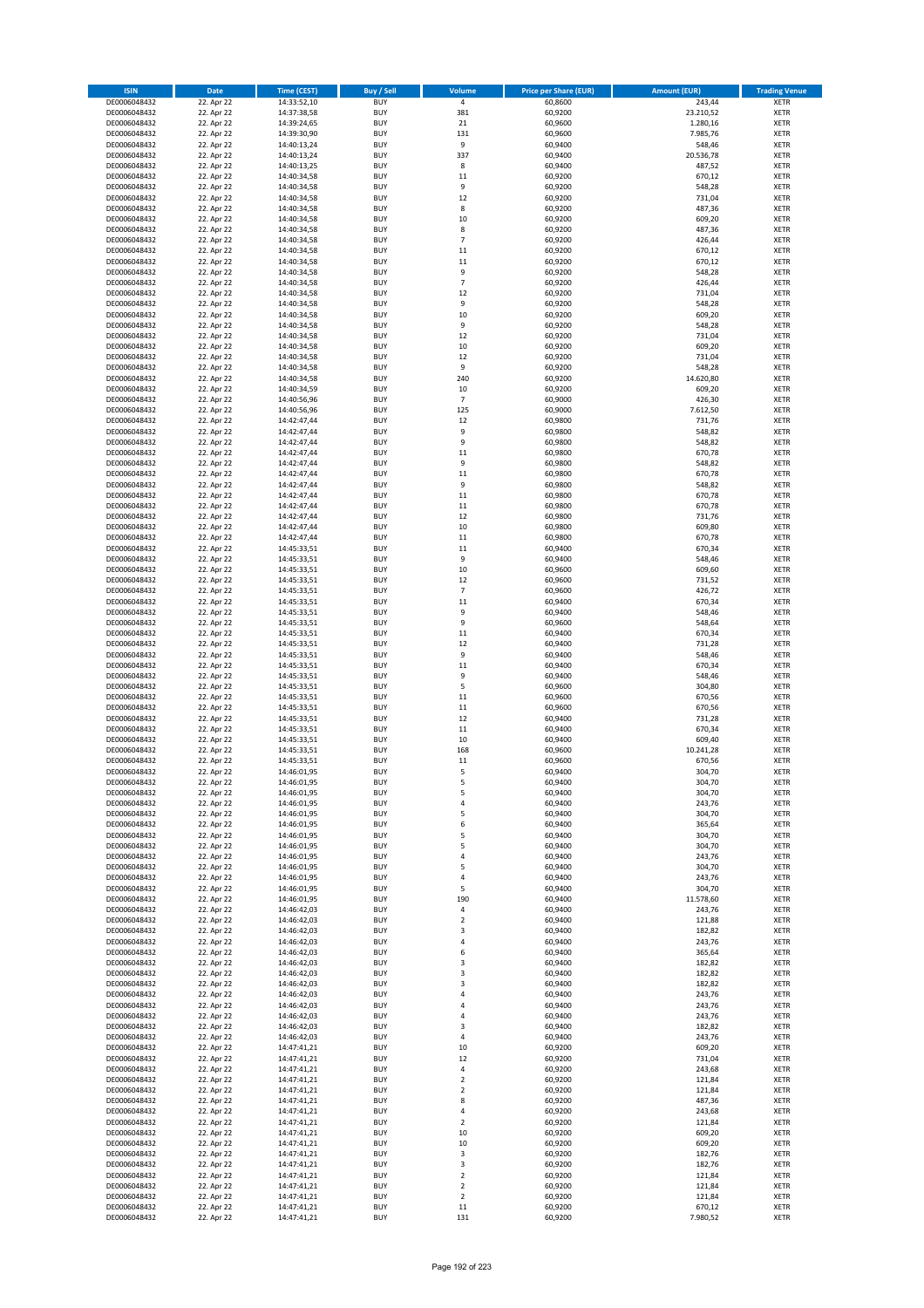| <b>ISIN</b>                  | Date                     | Time (CEST)                | <b>Buy / Sell</b>        | Volume            | <b>Price per Share (EUR)</b> | <b>Amount (EUR)</b> | <b>Trading Venue</b>       |
|------------------------------|--------------------------|----------------------------|--------------------------|-------------------|------------------------------|---------------------|----------------------------|
| DE0006048432                 | 22. Apr 22               | 14:33:52,10                | <b>BUY</b>               | $\overline{4}$    | 60,8600                      | 243,44              | <b>XETR</b>                |
| DE0006048432                 | 22. Apr 22               | 14:37:38,58                | <b>BUY</b>               | 381               | 60,9200                      | 23.210,52           | XETR                       |
| DE0006048432                 | 22. Apr 22               | 14:39:24,65                | <b>BUY</b>               | 21                | 60,9600                      | 1.280,16            | <b>XETR</b>                |
| DE0006048432<br>DE0006048432 | 22. Apr 22<br>22. Apr 22 | 14:39:30,90<br>14:40:13,24 | <b>BUY</b><br><b>BUY</b> | 131<br>9          | 60,9600<br>60,9400           | 7.985,76<br>548,46  | XETR<br><b>XETR</b>        |
| DE0006048432                 | 22. Apr 22               | 14:40:13,24                | <b>BUY</b>               | 337               | 60,9400                      | 20.536,78           | <b>XETR</b>                |
| DE0006048432                 | 22. Apr 22               | 14:40:13,25                | <b>BUY</b>               | 8                 | 60,9400                      | 487,52              | <b>XETR</b>                |
| DE0006048432                 | 22. Apr 22               | 14:40:34,58                | <b>BUY</b>               | 11                | 60,9200                      | 670,12              | <b>XETR</b>                |
| DE0006048432                 | 22. Apr 22               | 14:40:34,58                | <b>BUY</b>               | 9                 | 60,9200                      | 548,28              | <b>XETR</b>                |
| DE0006048432                 | 22. Apr 22               | 14:40:34,58                | <b>BUY</b>               | 12                | 60,9200                      | 731,04              | <b>XETR</b>                |
| DE0006048432<br>DE0006048432 | 22. Apr 22<br>22. Apr 22 | 14:40:34,58<br>14:40:34,58 | <b>BUY</b><br><b>BUY</b> | 8<br>10           | 60,9200<br>60,9200           | 487,36<br>609,20    | <b>XETR</b><br><b>XETR</b> |
| DE0006048432                 | 22. Apr 22               | 14:40:34,58                | <b>BUY</b>               | 8                 | 60,9200                      | 487,36              | <b>XETR</b>                |
| DE0006048432                 | 22. Apr 22               | 14:40:34,58                | <b>BUY</b>               | $\overline{7}$    | 60,9200                      | 426,44              | <b>XETR</b>                |
| DE0006048432                 | 22. Apr 22               | 14:40:34,58                | <b>BUY</b>               | 11                | 60,9200                      | 670,12              | <b>XETR</b>                |
| DE0006048432                 | 22. Apr 22               | 14:40:34,58                | <b>BUY</b>               | 11                | 60,9200                      | 670,12              | <b>XETR</b>                |
| DE0006048432                 | 22. Apr 22               | 14:40:34,58                | <b>BUY</b>               | 9                 | 60,9200                      | 548,28              | <b>XETR</b>                |
| DE0006048432                 | 22. Apr 22               | 14:40:34,58                | <b>BUY</b>               | $\overline{7}$    | 60,9200                      | 426,44              | <b>XETR</b>                |
| DE0006048432<br>DE0006048432 | 22. Apr 22<br>22. Apr 22 | 14:40:34,58<br>14:40:34,58 | <b>BUY</b><br><b>BUY</b> | 12<br>9           | 60,9200<br>60,9200           | 731,04<br>548,28    | <b>XETR</b><br><b>XETR</b> |
| DE0006048432                 | 22. Apr 22               | 14:40:34,58                | <b>BUY</b>               | 10                | 60,9200                      | 609,20              | <b>XETR</b>                |
| DE0006048432                 | 22. Apr 22               | 14:40:34,58                | <b>BUY</b>               | 9                 | 60,9200                      | 548,28              | <b>XETR</b>                |
| DE0006048432                 | 22. Apr 22               | 14:40:34,58                | <b>BUY</b>               | 12                | 60,9200                      | 731,04              | <b>XETR</b>                |
| DE0006048432                 | 22. Apr 22               | 14:40:34,58                | <b>BUY</b>               | 10                | 60,9200                      | 609,20              | <b>XETR</b>                |
| DE0006048432                 | 22. Apr 22               | 14:40:34,58                | <b>BUY</b>               | 12                | 60,9200                      | 731,04              | <b>XETR</b>                |
| DE0006048432<br>DE0006048432 | 22. Apr 22<br>22. Apr 22 | 14:40:34,58<br>14:40:34,58 | <b>BUY</b><br><b>BUY</b> | 9<br>240          | 60,9200<br>60,9200           | 548,28<br>14.620,80 | <b>XETR</b><br><b>XETR</b> |
| DE0006048432                 | 22. Apr 22               | 14:40:34,59                | <b>BUY</b>               | 10                | 60,9200                      | 609,20              | <b>XETR</b>                |
| DE0006048432                 | 22. Apr 22               | 14:40:56,96                | <b>BUY</b>               | $\overline{7}$    | 60,9000                      | 426,30              | <b>XETR</b>                |
| DE0006048432                 | 22. Apr 22               | 14:40:56,96                | <b>BUY</b>               | 125               | 60,9000                      | 7.612,50            | <b>XETR</b>                |
| DE0006048432                 | 22. Apr 22               | 14:42:47,44                | <b>BUY</b>               | 12                | 60,9800                      | 731,76              | <b>XETR</b>                |
| DE0006048432                 | 22. Apr 22               | 14:42:47,44                | <b>BUY</b>               | 9                 | 60,9800                      | 548,82              | <b>XETR</b>                |
| DE0006048432                 | 22. Apr 22               | 14:42:47,44                | <b>BUY</b><br><b>BUY</b> | 9<br>11           | 60,9800                      | 548,82              | <b>XETR</b><br><b>XETR</b> |
| DE0006048432<br>DE0006048432 | 22. Apr 22<br>22. Apr 22 | 14:42:47,44<br>14:42:47,44 | <b>BUY</b>               | 9                 | 60,9800<br>60,9800           | 670,78<br>548,82    | <b>XETR</b>                |
| DE0006048432                 | 22. Apr 22               | 14:42:47,44                | <b>BUY</b>               | 11                | 60,9800                      | 670,78              | <b>XETR</b>                |
| DE0006048432                 | 22. Apr 22               | 14:42:47,44                | <b>BUY</b>               | 9                 | 60,9800                      | 548,82              | <b>XETR</b>                |
| DE0006048432                 | 22. Apr 22               | 14:42:47,44                | <b>BUY</b>               | 11                | 60,9800                      | 670,78              | <b>XETR</b>                |
| DE0006048432                 | 22. Apr 22               | 14:42:47,44                | <b>BUY</b>               | 11                | 60,9800                      | 670,78              | <b>XETR</b>                |
| DE0006048432                 | 22. Apr 22               | 14:42:47,44                | <b>BUY</b>               | 12                | 60,9800                      | 731,76              | <b>XETR</b>                |
| DE0006048432<br>DE0006048432 | 22. Apr 22<br>22. Apr 22 | 14:42:47,44<br>14:42:47,44 | <b>BUY</b><br><b>BUY</b> | 10<br>11          | 60,9800<br>60,9800           | 609,80<br>670,78    | <b>XETR</b><br><b>XETR</b> |
| DE0006048432                 | 22. Apr 22               | 14:45:33,51                | <b>BUY</b>               | 11                | 60,9400                      | 670,34              | <b>XETR</b>                |
| DE0006048432                 | 22. Apr 22               | 14:45:33,51                | <b>BUY</b>               | 9                 | 60,9400                      | 548,46              | <b>XETR</b>                |
| DE0006048432                 | 22. Apr 22               | 14:45:33,51                | <b>BUY</b>               | 10                | 60,9600                      | 609,60              | <b>XETR</b>                |
| DE0006048432                 | 22. Apr 22               | 14:45:33,51                | <b>BUY</b>               | 12                | 60,9600                      | 731,52              | <b>XETR</b>                |
| DE0006048432                 | 22. Apr 22               | 14:45:33,51                | <b>BUY</b>               | $\overline{7}$    | 60,9600                      | 426,72              | <b>XETR</b>                |
| DE0006048432<br>DE0006048432 | 22. Apr 22<br>22. Apr 22 | 14:45:33,51                | <b>BUY</b><br><b>BUY</b> | 11<br>9           | 60,9400<br>60,9400           | 670,34<br>548,46    | <b>XETR</b>                |
| DE0006048432                 | 22. Apr 22               | 14:45:33,51<br>14:45:33,51 | <b>BUY</b>               | 9                 | 60,9600                      | 548,64              | <b>XETR</b><br><b>XETR</b> |
| DE0006048432                 | 22. Apr 22               | 14:45:33,51                | <b>BUY</b>               | 11                | 60,9400                      | 670,34              | <b>XETR</b>                |
| DE0006048432                 | 22. Apr 22               | 14:45:33,51                | <b>BUY</b>               | 12                | 60,9400                      | 731,28              | <b>XETR</b>                |
| DE0006048432                 | 22. Apr 22               | 14:45:33,51                | <b>BUY</b>               | 9                 | 60,9400                      | 548,46              | <b>XETR</b>                |
| DE0006048432                 | 22. Apr 22               | 14:45:33,51                | <b>BUY</b>               | $11\,$            | 60,9400                      | 670,34              | <b>XETR</b>                |
| DE0006048432<br>DE0006048432 | 22. Apr 22<br>22. Apr 22 | 14:45:33,51                | <b>BUY</b><br><b>BUY</b> | 9<br>5            | 60,9400<br>60,9600           | 548,46<br>304,80    | <b>XETR</b><br><b>XETR</b> |
| DE0006048432                 | 22. Apr 22               | 14:45:33,51<br>14:45:33,51 | <b>BUY</b>               | 11                | 60,9600                      | 670,56              | <b>XETR</b>                |
| DE0006048432                 | 22. Apr 22               | 14:45:33,51                | <b>BUY</b>               | 11                | 60,9600                      | 670,56              | <b>XETR</b>                |
| DE0006048432                 | 22. Apr 22               | 14:45:33,51                | <b>BUY</b>               | 12                | 60,9400                      | 731,28              | <b>XETR</b>                |
| DE0006048432                 | 22. Apr 22               | 14:45:33,51                | <b>BUY</b>               | 11                | 60,9400                      | 670,34              | <b>XETR</b>                |
| DE0006048432                 | 22. Apr 22               | 14:45:33,51                | <b>BUY</b>               | 10                | 60,9400                      | 609,40              | <b>XETR</b>                |
| DE0006048432<br>DE0006048432 | 22. Apr 22<br>22. Apr 22 | 14:45:33,51<br>14:45:33,51 | <b>BUY</b><br><b>BUY</b> | 168<br>11         | 60,9600<br>60,9600           | 10.241,28<br>670,56 | <b>XETR</b><br><b>XETR</b> |
| DE0006048432                 | 22. Apr 22               | 14:46:01,95                | <b>BUY</b>               | 5                 | 60,9400                      | 304,70              | <b>XETR</b>                |
| DE0006048432                 | 22. Apr 22               | 14:46:01,95                | <b>BUY</b>               | 5                 | 60,9400                      | 304,70              | XETR                       |
| DE0006048432                 | 22. Apr 22               | 14:46:01,95                | <b>BUY</b>               | 5                 | 60,9400                      | 304,70              | <b>XETR</b>                |
| DE0006048432                 | 22. Apr 22               | 14:46:01,95                | <b>BUY</b>               | 4                 | 60,9400                      | 243,76              | <b>XETR</b>                |
| DE0006048432                 | 22. Apr 22               | 14:46:01,95                | <b>BUY</b>               | 5                 | 60,9400                      | 304,70              | <b>XETR</b>                |
| DE0006048432<br>DE0006048432 | 22. Apr 22<br>22. Apr 22 | 14:46:01,95<br>14:46:01,95 | <b>BUY</b><br><b>BUY</b> | 6<br>5            | 60,9400<br>60,9400           | 365,64<br>304,70    | <b>XETR</b><br><b>XETR</b> |
| DE0006048432                 | 22. Apr 22               | 14:46:01,95                | <b>BUY</b>               | 5                 | 60,9400                      | 304,70              | <b>XETR</b>                |
| DE0006048432                 | 22. Apr 22               | 14:46:01,95                | <b>BUY</b>               | $\sqrt{4}$        | 60,9400                      | 243,76              | <b>XETR</b>                |
| DE0006048432                 | 22. Apr 22               | 14:46:01,95                | <b>BUY</b>               | 5                 | 60,9400                      | 304,70              | XETR                       |
| DE0006048432                 | 22. Apr 22               | 14:46:01,95                | <b>BUY</b>               | $\sqrt{4}$        | 60,9400                      | 243,76              | <b>XETR</b>                |
| DE0006048432                 | 22. Apr 22               | 14:46:01,95                | <b>BUY</b>               | 5                 | 60,9400                      | 304,70              | XETR                       |
| DE0006048432<br>DE0006048432 | 22. Apr 22<br>22. Apr 22 | 14:46:01.95<br>14:46:42,03 | <b>BUY</b><br><b>BUY</b> | 190<br>$\sqrt{4}$ | 60,9400<br>60,9400           | 11.578,60<br>243,76 | <b>XETR</b><br>XETR        |
| DE0006048432                 | 22. Apr 22               | 14:46:42,03                | <b>BUY</b>               | $\mathbf 2$       | 60,9400                      | 121,88              | <b>XETR</b>                |
| DE0006048432                 | 22. Apr 22               | 14:46:42,03                | <b>BUY</b>               | 3                 | 60,9400                      | 182,82              | XETR                       |
| DE0006048432                 | 22. Apr 22               | 14:46:42,03                | <b>BUY</b>               | $\overline{4}$    | 60,9400                      | 243,76              | <b>XETR</b>                |
| DE0006048432                 | 22. Apr 22               | 14:46:42,03                | <b>BUY</b>               | 6                 | 60,9400                      | 365,64              | <b>XETR</b>                |
| DE0006048432                 | 22. Apr 22               | 14:46:42,03                | <b>BUY</b>               | 3                 | 60,9400                      | 182,82              | <b>XETR</b>                |
| DE0006048432                 | 22. Apr 22               | 14:46:42,03                | <b>BUY</b>               | 3<br>3            | 60,9400                      | 182,82              | XETR                       |
| DE0006048432<br>DE0006048432 | 22. Apr 22<br>22. Apr 22 | 14:46:42,03<br>14:46:42,03 | <b>BUY</b><br><b>BUY</b> | $\sqrt{4}$        | 60,9400<br>60,9400           | 182,82<br>243,76    | <b>XETR</b><br><b>XETR</b> |
| DE0006048432                 | 22. Apr 22               | 14:46:42,03                | <b>BUY</b>               | $\sqrt{4}$        | 60,9400                      | 243,76              | XETR                       |
| DE0006048432                 | 22. Apr 22               | 14:46:42,03                | <b>BUY</b>               | 4                 | 60,9400                      | 243,76              | XETR                       |
| DE0006048432                 | 22. Apr 22               | 14:46:42,03                | <b>BUY</b>               | 3                 | 60,9400                      | 182,82              | XETR                       |
| DE0006048432                 | 22. Apr 22               | 14:46:42,03                | <b>BUY</b>               | $\pmb{4}$         | 60,9400                      | 243,76              | XETR                       |
| DE0006048432                 | 22. Apr 22               | 14:47:41,21                | <b>BUY</b>               | $10\,$<br>12      | 60,9200                      | 609,20              | <b>XETR</b>                |
| DE0006048432<br>DE0006048432 | 22. Apr 22<br>22. Apr 22 | 14:47:41,21<br>14:47:41,21 | <b>BUY</b><br><b>BUY</b> | $\sqrt{4}$        | 60,9200<br>60,9200           | 731,04<br>243,68    | <b>XETR</b><br><b>XETR</b> |
| DE0006048432                 | 22. Apr 22               | 14:47:41,21                | <b>BUY</b>               | $\mathbf 2$       | 60,9200                      | 121,84              | <b>XETR</b>                |
| DE0006048432                 | 22. Apr 22               | 14:47:41,21                | <b>BUY</b>               | $\overline{2}$    | 60,9200                      | 121,84              | <b>XETR</b>                |
| DE0006048432                 | 22. Apr 22               | 14:47:41,21                | <b>BUY</b>               | 8                 | 60,9200                      | 487,36              | XETR                       |
| DE0006048432                 | 22. Apr 22               | 14:47:41,21                | <b>BUY</b>               | $\pmb{4}$         | 60,9200                      | 243,68              | XETR                       |
| DE0006048432                 | 22. Apr 22               | 14:47:41,21                | <b>BUY</b>               | $\mathbf 2$       | 60,9200                      | 121,84              | XETR                       |
| DE0006048432<br>DE0006048432 | 22. Apr 22<br>22. Apr 22 | 14:47:41,21<br>14:47:41,21 | <b>BUY</b><br><b>BUY</b> | 10<br>10          | 60,9200<br>60,9200           | 609,20<br>609,20    | <b>XETR</b><br><b>XETR</b> |
| DE0006048432                 | 22. Apr 22               | 14:47:41,21                | <b>BUY</b>               | 3                 | 60,9200                      | 182,76              | XETR                       |
| DE0006048432                 | 22. Apr 22               | 14:47:41,21                | <b>BUY</b>               | 3                 | 60,9200                      | 182,76              | XETR                       |
| DE0006048432                 | 22. Apr 22               | 14:47:41,21                | <b>BUY</b>               | $\mathbf 2$       | 60,9200                      | 121,84              | XETR                       |
| DE0006048432                 | 22. Apr 22               | 14:47:41,21                | <b>BUY</b>               | $\overline{2}$    | 60,9200                      | 121,84              | <b>XETR</b>                |
| DE0006048432                 | 22. Apr 22               | 14:47:41,21                | <b>BUY</b>               | $\mathbf 2$       | 60,9200                      | 121,84              | XETR                       |
| DE0006048432<br>DE0006048432 | 22. Apr 22<br>22. Apr 22 | 14:47:41,21<br>14:47:41,21 | <b>BUY</b><br><b>BUY</b> | $11\,$<br>131     | 60,9200<br>60,9200           | 670,12<br>7.980,52  | <b>XETR</b><br>XETR        |
|                              |                          |                            |                          |                   |                              |                     |                            |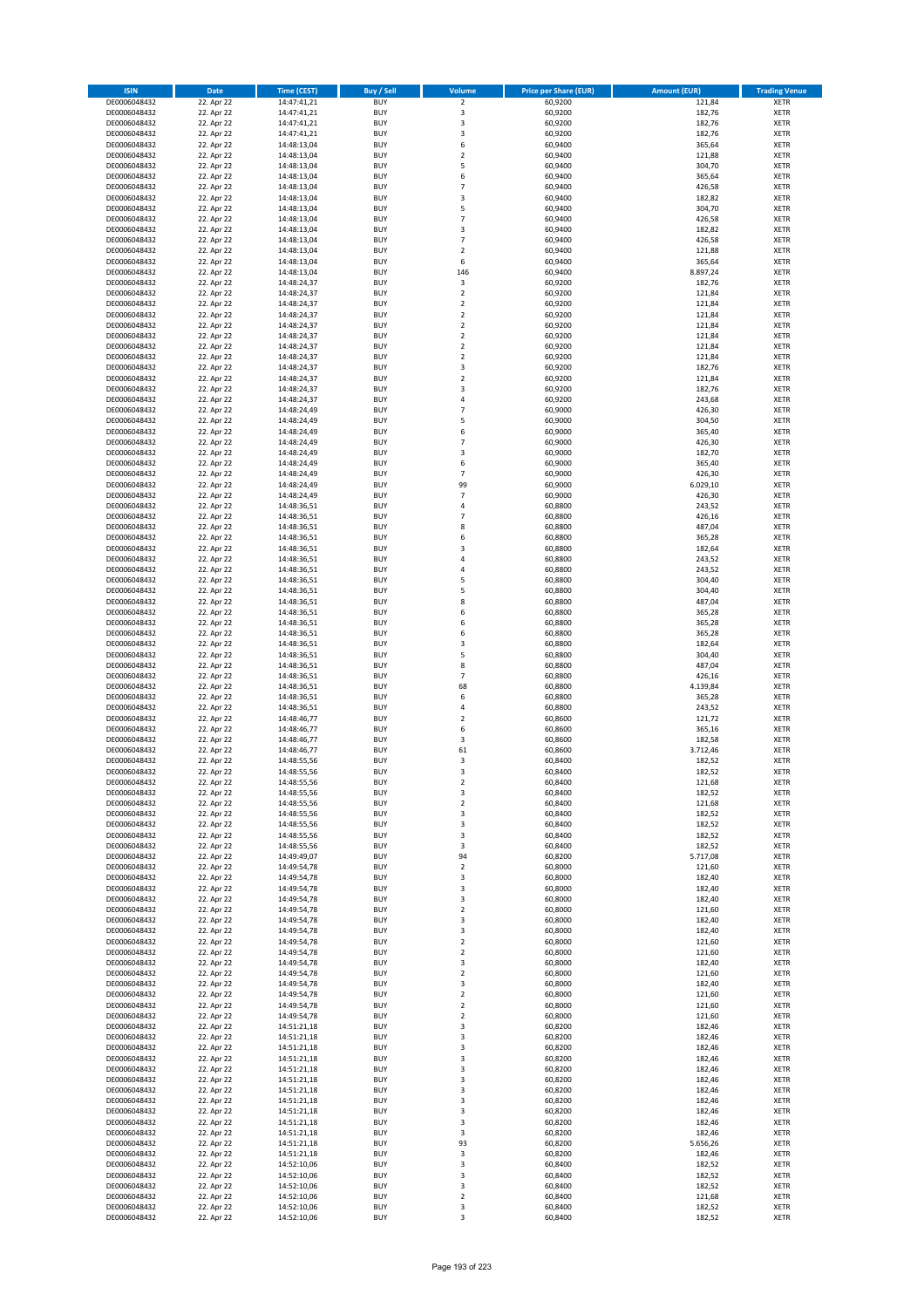| <b>ISIN</b>                  | <b>Date</b>              | <b>Time (CEST)</b>         | <b>Buy / Sell</b>        | Volume                                    | <b>Price per Share (EUR)</b> | <b>Amount (EUR)</b> | <b>Trading Venue</b>       |
|------------------------------|--------------------------|----------------------------|--------------------------|-------------------------------------------|------------------------------|---------------------|----------------------------|
| DE0006048432                 | 22. Apr 22               | 14:47:41,21                | <b>BUY</b>               | $\overline{\mathbf{2}}$                   | 60,9200                      | 121,84              | <b>XETR</b>                |
| DE0006048432                 | 22. Apr 22               | 14:47:41,21                | <b>BUY</b>               | 3                                         | 60,9200                      | 182,76              | <b>XETR</b>                |
| DE0006048432                 | 22. Apr 22               | 14:47:41,21                | <b>BUY</b>               | $\overline{\mathbf{3}}$                   | 60,9200                      | 182,76              | <b>XETR</b>                |
| DE0006048432                 | 22. Apr 22               | 14:47:41,21                | <b>BUY</b>               | 3                                         | 60,9200                      | 182,76              | <b>XETR</b>                |
| DE0006048432<br>DE0006048432 | 22. Apr 22<br>22. Apr 22 | 14:48:13,04<br>14:48:13,04 | <b>BUY</b><br><b>BUY</b> | 6<br>$\mathbf 2$                          | 60,9400<br>60,9400           | 365,64<br>121,88    | <b>XETR</b><br><b>XETR</b> |
| DE0006048432                 | 22. Apr 22               | 14:48:13,04                | <b>BUY</b>               | 5                                         | 60,9400                      | 304,70              | <b>XETR</b>                |
| DE0006048432                 | 22. Apr 22               | 14:48:13,04                | <b>BUY</b>               | 6                                         | 60,9400                      | 365,64              | <b>XETR</b>                |
| DE0006048432                 | 22. Apr 22               | 14:48:13,04                | BUY                      | $\overline{7}$                            | 60,9400                      | 426,58              | <b>XETR</b>                |
| DE0006048432                 | 22. Apr 22               | 14:48:13,04                | <b>BUY</b>               | 3                                         | 60,9400                      | 182,82              | <b>XETR</b>                |
| DE0006048432                 | 22. Apr 22               | 14:48:13,04                | <b>BUY</b>               | 5                                         | 60,9400                      | 304,70              | <b>XETR</b>                |
| DE0006048432                 | 22. Apr 22               | 14:48:13,04                | <b>BUY</b>               | $\overline{7}$<br>$\overline{\mathbf{3}}$ | 60,9400                      | 426,58              | <b>XETR</b>                |
| DE0006048432<br>DE0006048432 | 22. Apr 22<br>22. Apr 22 | 14:48:13,04<br>14:48:13,04 | BUY<br><b>BUY</b>        | $\overline{7}$                            | 60,9400<br>60,9400           | 182,82<br>426,58    | <b>XETR</b><br><b>XETR</b> |
| DE0006048432                 | 22. Apr 22               | 14:48:13,04                | <b>BUY</b>               | $\overline{2}$                            | 60,9400                      | 121,88              | <b>XETR</b>                |
| DE0006048432                 | 22. Apr 22               | 14:48:13,04                | BUY                      | 6                                         | 60,9400                      | 365,64              | <b>XETR</b>                |
| DE0006048432                 | 22. Apr 22               | 14:48:13,04                | <b>BUY</b>               | 146                                       | 60,9400                      | 8.897,24            | <b>XETR</b>                |
| DE0006048432                 | 22. Apr 22               | 14:48:24,37                | <b>BUY</b>               | 3                                         | 60,9200                      | 182,76              | <b>XETR</b>                |
| DE0006048432                 | 22. Apr 22               | 14:48:24,37                | <b>BUY</b>               | $\overline{2}$                            | 60,9200                      | 121,84              | <b>XETR</b>                |
| DE0006048432<br>DE0006048432 | 22. Apr 22<br>22. Apr 22 | 14:48:24,37<br>14:48:24,37 | <b>BUY</b><br><b>BUY</b> | $\overline{2}$<br>$\overline{2}$          | 60,9200<br>60,9200           | 121,84<br>121,84    | <b>XETR</b><br><b>XETR</b> |
| DE0006048432                 | 22. Apr 22               | 14:48:24,37                | <b>BUY</b>               | $\mathbf 2$                               | 60,9200                      | 121,84              | <b>XETR</b>                |
| DE0006048432                 | 22. Apr 22               | 14:48:24,37                | <b>BUY</b>               | $\overline{2}$                            | 60,9200                      | 121,84              | <b>XETR</b>                |
| DE0006048432                 | 22. Apr 22               | 14:48:24,37                | <b>BUY</b>               | $\overline{2}$                            | 60,9200                      | 121,84              | <b>XETR</b>                |
| DE0006048432                 | 22. Apr 22               | 14:48:24,37                | <b>BUY</b>               | $\mathbf 2$                               | 60,9200                      | 121,84              | <b>XETR</b>                |
| DE0006048432                 | 22. Apr 22               | 14:48:24,37                | <b>BUY</b>               | 3                                         | 60,9200                      | 182,76              | <b>XETR</b>                |
| DE0006048432                 | 22. Apr 22               | 14:48:24,37                | <b>BUY</b>               | $\mathbf 2$<br>$\overline{\mathbf{3}}$    | 60,9200                      | 121,84              | <b>XETR</b>                |
| DE0006048432<br>DE0006048432 | 22. Apr 22<br>22. Apr 22 | 14:48:24,37<br>14:48:24,37 | <b>BUY</b><br><b>BUY</b> | 4                                         | 60,9200<br>60,9200           | 182,76<br>243,68    | <b>XETR</b><br><b>XETR</b> |
| DE0006048432                 | 22. Apr 22               | 14:48:24,49                | <b>BUY</b>               | $\overline{7}$                            | 60,9000                      | 426,30              | <b>XETR</b>                |
| DE0006048432                 | 22. Apr 22               | 14:48:24,49                | <b>BUY</b>               | 5                                         | 60,9000                      | 304,50              | <b>XETR</b>                |
| DE0006048432                 | 22. Apr 22               | 14:48:24,49                | <b>BUY</b>               | 6                                         | 60,9000                      | 365,40              | <b>XETR</b>                |
| DE0006048432                 | 22. Apr 22               | 14:48:24,49                | <b>BUY</b>               | $\overline{7}$                            | 60,9000                      | 426,30              | <b>XETR</b>                |
| DE0006048432                 | 22. Apr 22               | 14:48:24,49                | <b>BUY</b>               | $\overline{\mathbf{3}}$                   | 60,9000                      | 182,70              | <b>XETR</b>                |
| DE0006048432<br>DE0006048432 | 22. Apr 22<br>22. Apr 22 | 14:48:24,49<br>14:48:24,49 | <b>BUY</b><br><b>BUY</b> | 6<br>$\overline{7}$                       | 60.9000<br>60,9000           | 365,40<br>426,30    | <b>XETR</b><br><b>XETR</b> |
| DE0006048432                 | 22. Apr 22               | 14:48:24,49                | <b>BUY</b>               | 99                                        | 60,9000                      | 6.029,10            | <b>XETR</b>                |
| DE0006048432                 | 22. Apr 22               | 14:48:24,49                | <b>BUY</b>               | $\overline{7}$                            | 60,9000                      | 426,30              | <b>XETR</b>                |
| DE0006048432                 | 22. Apr 22               | 14:48:36,51                | <b>BUY</b>               | 4                                         | 60,8800                      | 243,52              | <b>XETR</b>                |
| DE0006048432                 | 22. Apr 22               | 14:48:36,51                | <b>BUY</b>               | $\overline{7}$                            | 60,8800                      | 426,16              | <b>XETR</b>                |
| DE0006048432                 | 22. Apr 22               | 14:48:36,51                | <b>BUY</b>               | 8                                         | 60,8800                      | 487,04              | <b>XETR</b>                |
| DE0006048432                 | 22. Apr 22<br>22. Apr 22 | 14:48:36,51                | <b>BUY</b><br><b>BUY</b> | 6<br>3                                    | 60,8800<br>60,8800           | 365,28<br>182,64    | <b>XETR</b>                |
| DE0006048432<br>DE0006048432 | 22. Apr 22               | 14:48:36,51<br>14:48:36,51 | <b>BUY</b>               | $\overline{a}$                            | 60,8800                      | 243,52              | <b>XETR</b><br><b>XETR</b> |
| DE0006048432                 | 22. Apr 22               | 14:48:36,51                | <b>BUY</b>               | $\overline{a}$                            | 60,8800                      | 243,52              | <b>XETR</b>                |
| DE0006048432                 | 22. Apr 22               | 14:48:36,51                | <b>BUY</b>               | 5                                         | 60,8800                      | 304,40              | <b>XETR</b>                |
| DE0006048432                 | 22. Apr 22               | 14:48:36,51                | <b>BUY</b>               | 5                                         | 60,8800                      | 304,40              | <b>XETR</b>                |
| DE0006048432                 | 22. Apr 22               | 14:48:36,51                | <b>BUY</b>               | 8                                         | 60,8800                      | 487,04              | <b>XETR</b>                |
| DE0006048432<br>DE0006048432 | 22. Apr 22               | 14:48:36,51                | <b>BUY</b><br><b>BUY</b> | 6<br>6                                    | 60,8800<br>60,8800           | 365,28<br>365,28    | <b>XETR</b><br><b>XETR</b> |
| DE0006048432                 | 22. Apr 22<br>22. Apr 22 | 14:48:36,51<br>14:48:36,51 | <b>BUY</b>               | 6                                         | 60,8800                      | 365,28              | <b>XETR</b>                |
| DE0006048432                 | 22. Apr 22               | 14:48:36,51                | <b>BUY</b>               | $\overline{\mathbf{3}}$                   | 60,8800                      | 182,64              | <b>XETR</b>                |
| DE0006048432                 | 22. Apr 22               | 14:48:36,51                | <b>BUY</b>               | 5                                         | 60,8800                      | 304,40              | <b>XETR</b>                |
| DE0006048432                 | 22. Apr 22               | 14:48:36,51                | <b>BUY</b>               | 8                                         | 60,8800                      | 487,04              | <b>XETR</b>                |
| DE0006048432                 | 22. Apr 22               | 14:48:36,51                | <b>BUY</b>               | $\overline{7}$                            | 60,8800                      | 426,16              | <b>XETR</b>                |
| DE0006048432                 | 22. Apr 22               | 14:48:36,51                | <b>BUY</b>               | 68                                        | 60,8800                      | 4.139,84            | <b>XETR</b>                |
| DE0006048432<br>DE0006048432 | 22. Apr 22<br>22. Apr 22 | 14:48:36,51<br>14:48:36,51 | <b>BUY</b><br><b>BUY</b> | 6<br>4                                    | 60,8800<br>60,8800           | 365,28<br>243,52    | <b>XETR</b><br><b>XETR</b> |
| DE0006048432                 | 22. Apr 22               | 14:48:46,77                | BUY                      | $\overline{2}$                            | 60,8600                      | 121,72              | <b>XETR</b>                |
| DE0006048432                 | 22. Apr 22               | 14:48:46,77                | <b>BUY</b>               | 6                                         | 60,8600                      | 365,16              | <b>XETR</b>                |
| DE0006048432                 | 22. Apr 22               | 14:48:46,77                | <b>BUY</b>               | 3                                         | 60,8600                      | 182,58              | <b>XETR</b>                |
| DE0006048432                 | 22. Apr 22               | 14:48:46,77                | BUY                      | 61                                        | 60,8600                      | 3.712,46            | <b>XETR</b>                |
| DE0006048432                 | 22. Apr 22               | 14:48:55,56                | BUY                      | 3                                         | 60,8400                      | 182,52              | <b>XETR</b>                |
| DE0006048432<br>DE0006048432 | 22. Apr 22<br>22. Apr 22 | 14:48:55,56<br>14:48:55,56 | <b>BUY</b><br>BUY        | $\overline{3}$<br>2                       | 60,8400<br>60,8400           | 182,52              | <b>XETR</b><br><b>XETR</b> |
| DE0006048432                 | 22. Apr 22               | 14:48:55,56                | <b>BUY</b>               | 3                                         | 60,8400                      | 121,68<br>182,52    | <b>XETR</b>                |
| DE0006048432                 | 22. Apr 22               | 14:48:55,56                | <b>BUY</b>               | $\mathbf 2$                               | 60,8400                      | 121,68              | <b>XETR</b>                |
| DE0006048432                 | 22. Apr 22               | 14:48:55,56                | <b>BUY</b>               | 3                                         | 60,8400                      | 182,52              | <b>XETR</b>                |
| DE0006048432                 | 22. Apr 22               | 14:48:55,56                | <b>BUY</b>               | 3                                         | 60,8400                      | 182,52              | <b>XETR</b>                |
| DE0006048432                 | 22. Apr 22               | 14:48:55,56                | <b>BUY</b>               | 3                                         | 60,8400                      | 182,52              | <b>XETR</b>                |
| DE0006048432                 | 22. Apr 22               | 14:48:55,56                | <b>BUY</b>               | 3                                         | 60,8400                      | 182,52              | <b>XETR</b>                |
| DE0006048432<br>DE0006048432 | 22. Apr 22<br>22. Apr 22 | 14:49:49,07<br>14:49:54,78 | <b>BUY</b><br><b>BUY</b> | 94<br>$\mathbf 2$                         | 60,8200<br>60,8000           | 5.717,08<br>121,60  | <b>XETR</b><br><b>XETR</b> |
| DE0006048432                 | 22. Apr 22               | 14:49:54,78                | <b>BUY</b>               | 3                                         | 60,8000                      | 182,40              | <b>XETR</b>                |
| DE0006048432                 | 22. Apr 22               | 14:49:54,78                | <b>BUY</b>               | 3                                         | 60,8000                      | 182,40              | <b>XETR</b>                |
| DE0006048432                 | 22. Apr 22               | 14:49:54,78                | <b>BUY</b>               | 3                                         | 60,8000                      | 182,40              | <b>XETR</b>                |
| DE0006048432                 | 22. Apr 22               | 14:49:54,78                | <b>BUY</b>               | $\mathbf 2$                               | 60,8000                      | 121,60              | <b>XETR</b>                |
| DE0006048432                 | 22. Apr 22               | 14:49:54,78                | <b>BUY</b><br><b>BUY</b> | $\overline{\mathbf{3}}$<br>3              | 60,8000<br>60,8000           | 182,40<br>182,40    | <b>XETR</b><br><b>XETR</b> |
| DE0006048432<br>DE0006048432 | 22. Apr 22<br>22. Apr 22 | 14:49:54,78<br>14:49:54,78 | <b>BUY</b>               | $\overline{2}$                            | 60,8000                      | 121,60              | <b>XETR</b>                |
| DE0006048432                 | 22. Apr 22               | 14:49:54,78                | <b>BUY</b>               | $\mathbf 2$                               | 60,8000                      | 121,60              | <b>XETR</b>                |
| DE0006048432                 | 22. Apr 22               | 14:49:54,78                | <b>BUY</b>               | 3                                         | 60,8000                      | 182,40              | <b>XETR</b>                |
| DE0006048432                 | 22. Apr 22               | 14:49:54,78                | <b>BUY</b>               | $\mathbf 2$                               | 60,8000                      | 121,60              | <b>XETR</b>                |
| DE0006048432                 | 22. Apr 22               | 14:49:54,78                | <b>BUY</b>               | 3                                         | 60,8000                      | 182,40              | <b>XETR</b>                |
| DE0006048432                 | 22. Apr 22               | 14:49:54,78                | <b>BUY</b>               | $\overline{2}$                            | 60,8000                      | 121,60              | <b>XETR</b>                |
| DE0006048432<br>DE0006048432 | 22. Apr 22<br>22. Apr 22 | 14:49:54,78<br>14:49:54,78 | <b>BUY</b><br><b>BUY</b> | $\mathbf 2$<br>$\overline{2}$             | 60,8000<br>60,8000           | 121,60<br>121,60    | <b>XETR</b><br><b>XETR</b> |
| DE0006048432                 | 22. Apr 22               | 14:51:21,18                | <b>BUY</b>               | 3                                         | 60,8200                      | 182,46              | <b>XETR</b>                |
| DE0006048432                 | 22. Apr 22               | 14:51:21,18                | <b>BUY</b>               | 3                                         | 60,8200                      | 182,46              | <b>XETR</b>                |
| DE0006048432                 | 22. Apr 22               | 14:51:21,18                | <b>BUY</b>               | 3                                         | 60,8200                      | 182,46              | <b>XETR</b>                |
| DE0006048432                 | 22. Apr 22               | 14:51:21,18                | <b>BUY</b>               | $\overline{\mathbf{3}}$                   | 60,8200                      | 182,46              | <b>XETR</b>                |
| DE0006048432                 | 22. Apr 22               | 14:51:21,18                | <b>BUY</b>               | $\overline{\mathbf{3}}$                   | 60,8200                      | 182,46              | <b>XETR</b>                |
| DE0006048432<br>DE0006048432 | 22. Apr 22<br>22. Apr 22 | 14:51:21,18<br>14:51:21,18 | <b>BUY</b><br><b>BUY</b> | 3<br>$\overline{\mathbf{3}}$              | 60,8200<br>60,8200           | 182,46<br>182,46    | <b>XETR</b><br><b>XETR</b> |
| DE0006048432                 | 22. Apr 22               | 14:51:21,18                | <b>BUY</b>               | 3                                         | 60,8200                      | 182,46              | <b>XETR</b>                |
| DE0006048432                 | 22. Apr 22               | 14:51:21,18                | <b>BUY</b>               | 3                                         | 60,8200                      | 182,46              | <b>XETR</b>                |
| DE0006048432                 | 22. Apr 22               | 14:51:21,18                | <b>BUY</b>               | 3                                         | 60,8200                      | 182,46              | <b>XETR</b>                |
| DE0006048432                 | 22. Apr 22               | 14:51:21,18                | <b>BUY</b>               | 3                                         | 60,8200                      | 182,46              | <b>XETR</b>                |
| DE0006048432                 | 22. Apr 22               | 14:51:21,18                | <b>BUY</b>               | 93                                        | 60,8200                      | 5.656,26            | <b>XETR</b>                |
| DE0006048432<br>DE0006048432 | 22. Apr 22<br>22. Apr 22 | 14:51:21,18                | <b>BUY</b><br><b>BUY</b> | 3<br>3                                    | 60,8200<br>60,8400           | 182,46<br>182,52    | <b>XETR</b><br><b>XETR</b> |
| DE0006048432                 | 22. Apr 22               | 14:52:10,06<br>14:52:10,06 | <b>BUY</b>               | 3                                         | 60,8400                      | 182,52              | <b>XETR</b>                |
| DE0006048432                 | 22. Apr 22               | 14:52:10,06                | <b>BUY</b>               | 3                                         | 60,8400                      | 182,52              | <b>XETR</b>                |
| DE0006048432                 | 22. Apr 22               | 14:52:10,06                | <b>BUY</b>               | $\mathbf 2$                               | 60,8400                      | 121,68              | <b>XETR</b>                |
| DE0006048432                 | 22. Apr 22               | 14:52:10,06                | <b>BUY</b>               | 3                                         | 60,8400                      | 182,52              | <b>XETR</b>                |
| DE0006048432                 | 22. Apr 22               | 14:52:10,06                | <b>BUY</b>               | 3                                         | 60,8400                      | 182,52              | <b>XETR</b>                |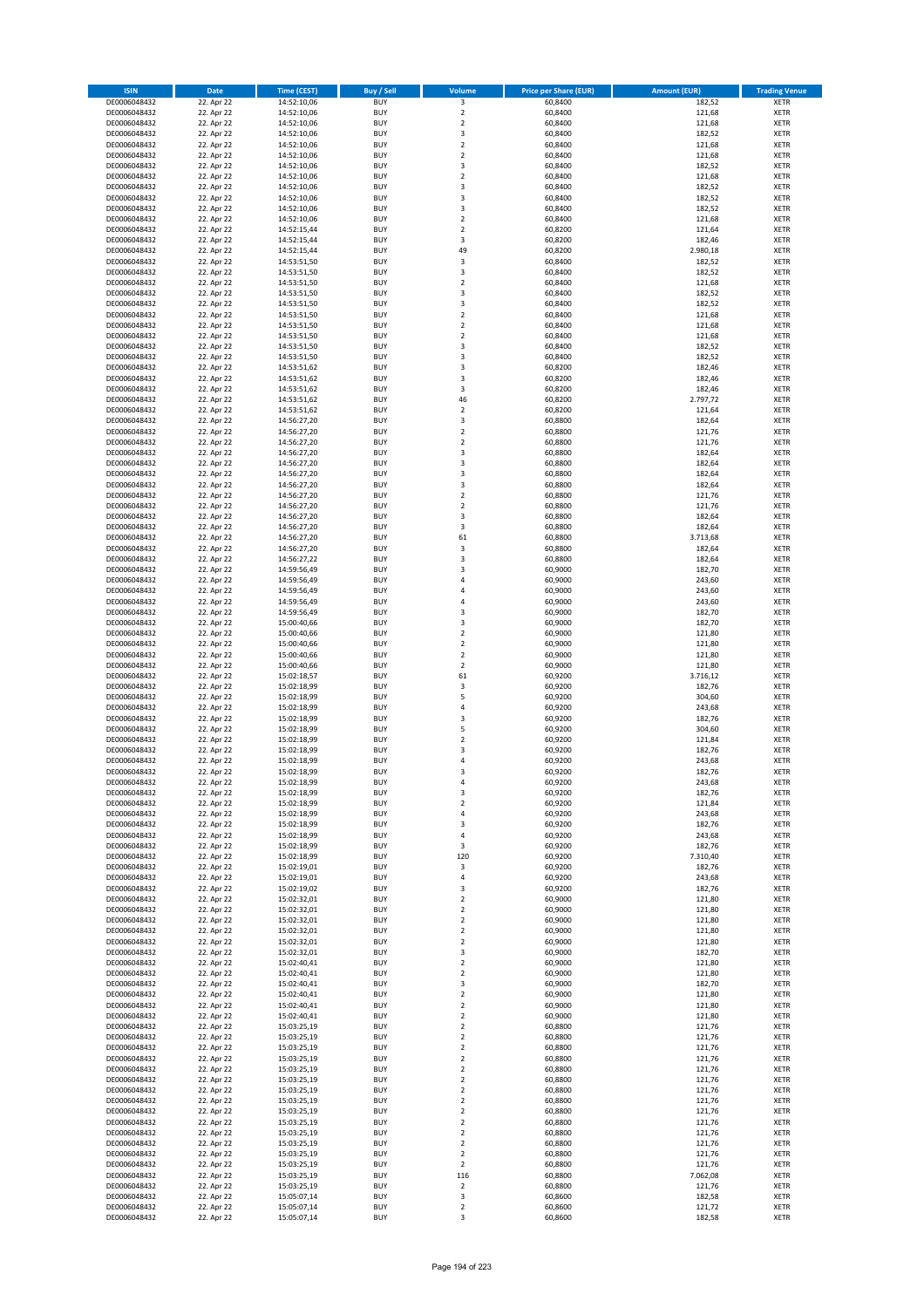| <b>ISIN</b>                  | <b>Date</b>              | <b>Time (CEST)</b>         | <b>Buy / Sell</b>        | Volume                                    | <b>Price per Share (EUR)</b> | <b>Amount (EUR)</b> | <b>Trading Venue</b>       |
|------------------------------|--------------------------|----------------------------|--------------------------|-------------------------------------------|------------------------------|---------------------|----------------------------|
| DE0006048432                 | 22. Apr 22               | 14:52:10,06                | <b>BUY</b>               | 3                                         | 60,8400                      | 182,52              | <b>XETR</b>                |
| DE0006048432                 | 22. Apr 22               | 14:52:10,06                | <b>BUY</b>               | $\mathbf 2$                               | 60,8400                      | 121,68              | <b>XETR</b>                |
| DE0006048432                 | 22. Apr 22               | 14:52:10,06                | <b>BUY</b>               | $\overline{2}$                            | 60.8400                      | 121,68              | <b>XETR</b>                |
| DE0006048432                 | 22. Apr 22               | 14:52:10,06                | <b>BUY</b>               | 3                                         | 60,8400                      | 182,52              | <b>XETR</b>                |
| DE0006048432<br>DE0006048432 | 22. Apr 22<br>22. Apr 22 | 14:52:10,06<br>14:52:10,06 | <b>BUY</b><br><b>BUY</b> | $\overline{2}$<br>$\mathbf 2$             | 60,8400<br>60,8400           | 121,68<br>121,68    | <b>XETR</b><br><b>XETR</b> |
| DE0006048432                 | 22. Apr 22               | 14:52:10,06                | <b>BUY</b>               | 3                                         | 60,8400                      | 182,52              | <b>XETR</b>                |
| DE0006048432                 | 22. Apr 22               | 14:52:10,06                | <b>BUY</b>               | $\overline{2}$                            | 60,8400                      | 121,68              | <b>XETR</b>                |
| DE0006048432                 | 22. Apr 22               | 14:52:10,06                | BUY                      | 3                                         | 60,8400                      | 182,52              | <b>XETR</b>                |
| DE0006048432                 | 22. Apr 22               | 14:52:10,06                | <b>BUY</b>               | 3                                         | 60,8400                      | 182,52              | <b>XETR</b>                |
| DE0006048432                 | 22. Apr 22               | 14:52:10,06                | <b>BUY</b>               | 3                                         | 60,8400                      | 182,52              | <b>XETR</b>                |
| DE0006048432                 | 22. Apr 22               | 14:52:10,06                | <b>BUY</b>               | $\overline{2}$<br>$\overline{2}$          | 60,8400                      | 121,68              | <b>XETR</b>                |
| DE0006048432<br>DE0006048432 | 22. Apr 22<br>22. Apr 22 | 14:52:15,44<br>14:52:15,44 | <b>BUY</b><br><b>BUY</b> | $\overline{\mathbf{3}}$                   | 60,8200<br>60,8200           | 121,64<br>182,46    | <b>XETR</b><br><b>XETR</b> |
| DE0006048432                 | 22. Apr 22               | 14:52:15,44                | <b>BUY</b>               | 49                                        | 60,8200                      | 2.980,18            | <b>XETR</b>                |
| DE0006048432                 | 22. Apr 22               | 14:53:51,50                | BUY                      | 3                                         | 60,8400                      | 182,52              | <b>XETR</b>                |
| DE0006048432                 | 22. Apr 22               | 14:53:51,50                | <b>BUY</b>               | 3                                         | 60,8400                      | 182,52              | <b>XETR</b>                |
| DE0006048432                 | 22. Apr 22               | 14:53:51,50                | <b>BUY</b>               | $\overline{2}$                            | 60,8400                      | 121,68              | <b>XETR</b>                |
| DE0006048432                 | 22. Apr 22               | 14:53:51,50                | <b>BUY</b>               | 3                                         | 60,8400                      | 182,52              | <b>XETR</b>                |
| DE0006048432<br>DE0006048432 | 22. Apr 22<br>22. Apr 22 | 14:53:51,50<br>14:53:51,50 | <b>BUY</b><br><b>BUY</b> | $\overline{\mathbf{3}}$<br>$\overline{2}$ | 60,8400<br>60,8400           | 182,52<br>121,68    | <b>XETR</b><br><b>XETR</b> |
| DE0006048432                 | 22. Apr 22               | 14:53:51,50                | <b>BUY</b>               | $\mathbf 2$                               | 60,8400                      | 121,68              | <b>XETR</b>                |
| DE0006048432                 | 22. Apr 22               | 14:53:51,50                | <b>BUY</b>               | $\overline{2}$                            | 60,8400                      | 121,68              | <b>XETR</b>                |
| DE0006048432                 | 22. Apr 22               | 14:53:51,50                | <b>BUY</b>               | 3                                         | 60,8400                      | 182,52              | <b>XETR</b>                |
| DE0006048432                 | 22. Apr 22               | 14:53:51,50                | <b>BUY</b>               | 3                                         | 60,8400                      | 182,52              | <b>XETR</b>                |
| DE0006048432                 | 22. Apr 22               | 14:53:51,62                | <b>BUY</b>               | 3                                         | 60,8200                      | 182,46              | <b>XETR</b>                |
| DE0006048432<br>DE0006048432 | 22. Apr 22               | 14:53:51,62                | <b>BUY</b><br><b>BUY</b> | 3<br>$\overline{\mathbf{3}}$              | 60,8200                      | 182,46              | <b>XETR</b><br><b>XETR</b> |
| DE0006048432                 | 22. Apr 22<br>22. Apr 22 | 14:53:51,62<br>14:53:51,62 | <b>BUY</b>               | 46                                        | 60,8200<br>60,8200           | 182,46<br>2.797,72  | <b>XETR</b>                |
| DE0006048432                 | 22. Apr 22               | 14:53:51,62                | <b>BUY</b>               | $\overline{2}$                            | 60,8200                      | 121,64              | <b>XETR</b>                |
| DE0006048432                 | 22. Apr 22               | 14:56:27,20                | <b>BUY</b>               | 3                                         | 60,8800                      | 182,64              | <b>XETR</b>                |
| DE0006048432                 | 22. Apr 22               | 14:56:27,20                | <b>BUY</b>               | $\mathbf 2$                               | 60,8800                      | 121,76              | <b>XETR</b>                |
| DE0006048432                 | 22. Apr 22               | 14:56:27,20                | <b>BUY</b>               | $\mathbf 2$                               | 60,8800                      | 121,76              | <b>XETR</b>                |
| DE0006048432                 | 22. Apr 22               | 14:56:27,20                | <b>BUY</b>               | 3                                         | 60,8800                      | 182,64              | <b>XETR</b>                |
| DE0006048432<br>DE0006048432 | 22. Apr 22<br>22. Apr 22 | 14:56:27,20<br>14:56:27,20 | <b>BUY</b><br><b>BUY</b> | $\overline{\mathbf{3}}$<br>3              | 60,8800<br>60,8800           | 182,64<br>182,64    | <b>XETR</b><br><b>XETR</b> |
| DE0006048432                 | 22. Apr 22               | 14:56:27,20                | <b>BUY</b>               | $\overline{\mathbf{3}}$                   | 60,8800                      | 182,64              | <b>XETR</b>                |
| DE0006048432                 | 22. Apr 22               | 14:56:27,20                | BUY                      | $\mathbf 2$                               | 60,8800                      | 121,76              | <b>XETR</b>                |
| DE0006048432                 | 22. Apr 22               | 14:56:27,20                | <b>BUY</b>               | $\mathbf 2$                               | 60,8800                      | 121,76              | <b>XETR</b>                |
| DE0006048432                 | 22. Apr 22               | 14:56:27,20                | <b>BUY</b>               | 3                                         | 60,8800                      | 182,64              | <b>XETR</b>                |
| DE0006048432                 | 22. Apr 22               | 14:56:27,20                | <b>BUY</b>               | $\overline{\mathbf{3}}$                   | 60,8800                      | 182,64              | <b>XETR</b>                |
| DE0006048432                 | 22. Apr 22<br>22. Apr 22 | 14:56:27,20                | <b>BUY</b><br><b>BUY</b> | 61                                        | 60,8800                      | 3.713,68            | <b>XETR</b>                |
| DE0006048432<br>DE0006048432 | 22. Apr 22               | 14:56:27,20<br>14:56:27,22 | <b>BUY</b>               | 3<br>$\overline{\mathbf{3}}$              | 60,8800<br>60,8800           | 182,64<br>182,64    | <b>XETR</b><br><b>XETR</b> |
| DE0006048432                 | 22. Apr 22               | 14:59:56,49                | <b>BUY</b>               | $\overline{\mathbf{3}}$                   | 60,9000                      | 182,70              | <b>XETR</b>                |
| DE0006048432                 | 22. Apr 22               | 14:59:56,49                | <b>BUY</b>               | $\overline{4}$                            | 60,9000                      | 243,60              | <b>XETR</b>                |
| DE0006048432                 | 22. Apr 22               | 14:59:56,49                | <b>BUY</b>               | 4                                         | 60,9000                      | 243,60              | <b>XETR</b>                |
| DE0006048432                 | 22. Apr 22               | 14:59:56,49                | <b>BUY</b>               | $\overline{a}$                            | 60,9000                      | 243,60              | <b>XETR</b>                |
| DE0006048432<br>DE0006048432 | 22. Apr 22               | 14:59:56,49                | <b>BUY</b><br><b>BUY</b> | $\overline{3}$<br>3                       | 60,9000<br>60,9000           | 182,70<br>182,70    | <b>XETR</b><br><b>XETR</b> |
| DE0006048432                 | 22. Apr 22<br>22. Apr 22 | 15:00:40,66<br>15:00:40,66 | <b>BUY</b>               | $\overline{\mathbf{2}}$                   | 60,9000                      | 121,80              | <b>XETR</b>                |
| DE0006048432                 | 22. Apr 22               | 15:00:40,66                | <b>BUY</b>               | $\overline{2}$                            | 60,9000                      | 121,80              | <b>XETR</b>                |
| DE0006048432                 | 22. Apr 22               | 15:00:40,66                | <b>BUY</b>               | $\overline{\mathbf{2}}$                   | 60,9000                      | 121,80              | <b>XETR</b>                |
| DE0006048432                 | 22. Apr 22               | 15:00:40,66                | <b>BUY</b>               | $\mathbf 2$                               | 60,9000                      | 121,80              | <b>XETR</b>                |
| DE0006048432                 | 22. Apr 22               | 15:02:18,57                | <b>BUY</b>               | 61                                        | 60,9200                      | 3.716,12            | <b>XETR</b>                |
| DE0006048432                 | 22. Apr 22               | 15:02:18,99                | <b>BUY</b>               | 3                                         | 60,9200                      | 182,76              | <b>XETR</b>                |
| DE0006048432<br>DE0006048432 | 22. Apr 22<br>22. Apr 22 | 15:02:18,99<br>15:02:18,99 | <b>BUY</b><br><b>BUY</b> | 5<br>4                                    | 60,9200<br>60,9200           | 304,60<br>243,68    | <b>XETR</b><br><b>XETR</b> |
| DE0006048432                 | 22. Apr 22               | 15:02:18,99                | BUY                      | $\overline{\mathbf{3}}$                   | 60,9200                      | 182,76              | <b>XETR</b>                |
| DE0006048432                 | 22. Apr 22               | 15:02:18,99                | <b>BUY</b>               | 5                                         | 60,9200                      | 304,60              | <b>XETR</b>                |
| DE0006048432                 | 22. Apr 22               | 15:02:18,99                | <b>BUY</b>               | $\mathbf 2$                               | 60,9200                      | 121,84              | <b>XETR</b>                |
| DE0006048432                 | 22. Apr 22               | 15:02:18,99                | BUY                      | 3                                         | 60,9200                      | 182,76              | <b>XETR</b>                |
| DE0006048432                 | 22. Apr 22               | 15:02:18,99                | BUY                      | $\overline{a}$                            | 60,9200                      | 243,68              | <b>XETR</b>                |
| DE0006048432<br>DE0006048432 | 22. Apr 22<br>22. Apr 22 | 15:02:18,99<br>15:02:18,99 | <b>BUY</b><br>BUY        | $\overline{3}$<br>4                       | 60,9200<br>60,9200           | 182,76              | <b>XETR</b><br><b>XETR</b> |
| DE0006048432                 | 22. Apr 22               | 15:02:18,99                | <b>BUY</b>               | 3                                         | 60,9200                      | 243,68<br>182,76    | <b>XETR</b>                |
| DE0006048432                 | 22. Apr 22               | 15:02:18,99                | <b>BUY</b>               | $\mathbf 2$                               | 60,9200                      | 121,84              | <b>XETR</b>                |
| DE0006048432                 | 22. Apr 22               | 15:02:18,99                | <b>BUY</b>               | 4                                         | 60,9200                      | 243,68              | <b>XETR</b>                |
| DE0006048432                 | 22. Apr 22               | 15:02:18,99                | <b>BUY</b>               | 3                                         | 60,9200                      | 182,76              | <b>XETR</b>                |
| DE0006048432                 | 22. Apr 22               | 15:02:18,99                | <b>BUY</b>               | 4                                         | 60,9200                      | 243,68              | <b>XETR</b>                |
| DE0006048432<br>DE0006048432 | 22. Apr 22<br>22. Apr 22 | 15:02:18,99<br>15:02:18,99 | <b>BUY</b><br><b>BUY</b> | 3<br>120                                  | 60,9200<br>60,9200           | 182,76<br>7.310,40  | <b>XETR</b><br><b>XETR</b> |
| DE0006048432                 | 22. Apr 22               | 15:02:19,01                | <b>BUY</b>               | 3                                         | 60,9200                      | 182,76              | <b>XETR</b>                |
| DE0006048432                 | 22. Apr 22               | 15:02:19,01                | <b>BUY</b>               | 4                                         | 60,9200                      | 243,68              | <b>XETR</b>                |
| DE0006048432                 | 22. Apr 22               | 15:02:19,02                | <b>BUY</b>               | 3                                         | 60,9200                      | 182,76              | <b>XETR</b>                |
| DE0006048432                 | 22. Apr 22               | 15:02:32,01                | <b>BUY</b>               | $\overline{\mathbf{2}}$                   | 60,9000                      | 121,80              | <b>XETR</b>                |
| DE0006048432<br>DE0006048432 | 22. Apr 22<br>22. Apr 22 | 15:02:32,01<br>15:02:32,01 | <b>BUY</b><br><b>BUY</b> | $\mathbf 2$<br>$\overline{\mathbf{2}}$    | 60,9000<br>60,9000           | 121,80<br>121,80    | <b>XETR</b><br><b>XETR</b> |
| DE0006048432                 | 22. Apr 22               | 15:02:32,01                | <b>BUY</b>               | 2                                         | 60,9000                      | 121,80              | <b>XETR</b>                |
| DE0006048432                 | 22. Apr 22               | 15:02:32,01                | <b>BUY</b>               | $\mathbf 2$                               | 60,9000                      | 121,80              | <b>XETR</b>                |
| DE0006048432                 | 22. Apr 22               | 15:02:32,01                | <b>BUY</b>               | 3                                         | 60,9000                      | 182,70              | <b>XETR</b>                |
| DE0006048432                 | 22. Apr 22               | 15:02:40,41                | <b>BUY</b>               | $\mathbf 2$                               | 60,9000                      | 121,80              | <b>XETR</b>                |
| DE0006048432                 | 22. Apr 22               | 15:02:40,41                | <b>BUY</b>               | $\mathbf 2$                               | 60,9000                      | 121,80              | <b>XETR</b>                |
| DE0006048432                 | 22. Apr 22               | 15:02:40,41                | <b>BUY</b>               | 3                                         | 60,9000                      | 182,70              | <b>XETR</b>                |
| DE0006048432<br>DE0006048432 | 22. Apr 22<br>22. Apr 22 | 15:02:40,41<br>15:02:40,41 | <b>BUY</b><br><b>BUY</b> | $\overline{2}$<br>$\mathbf 2$             | 60,9000<br>60,9000           | 121,80<br>121,80    | <b>XETR</b><br><b>XETR</b> |
| DE0006048432                 | 22. Apr 22               | 15:02:40,41                | <b>BUY</b>               | $\overline{2}$                            | 60,9000                      | 121,80              | <b>XETR</b>                |
| DE0006048432                 | 22. Apr 22               | 15:03:25,19                | <b>BUY</b>               | $\mathbf 2$                               | 60,8800                      | 121,76              | <b>XETR</b>                |
| DE0006048432                 | 22. Apr 22               | 15:03:25,19                | <b>BUY</b>               | $\mathbf 2$                               | 60,8800                      | 121,76              | <b>XETR</b>                |
| DE0006048432                 | 22. Apr 22               | 15:03:25,19                | <b>BUY</b>               | $\mathbf 2$                               | 60,8800                      | 121,76              | <b>XETR</b>                |
| DE0006048432                 | 22. Apr 22               | 15:03:25,19                | <b>BUY</b>               | $\overline{2}$                            | 60,8800                      | 121,76              | <b>XETR</b>                |
| DE0006048432                 | 22. Apr 22               | 15:03:25,19                | <b>BUY</b>               | $\overline{2}$                            | 60,8800                      | 121,76              | <b>XETR</b>                |
| DE0006048432<br>DE0006048432 | 22. Apr 22<br>22. Apr 22 | 15:03:25,19<br>15:03:25,19 | <b>BUY</b><br><b>BUY</b> | $\mathbf 2$<br>$\overline{2}$             | 60,8800<br>60,8800           | 121,76<br>121,76    | <b>XETR</b><br><b>XETR</b> |
| DE0006048432                 | 22. Apr 22               | 15:03:25,19                | <b>BUY</b>               | $\mathbf 2$                               | 60,8800                      | 121,76              | <b>XETR</b>                |
| DE0006048432                 | 22. Apr 22               | 15:03:25,19                | <b>BUY</b>               | $\mathbf 2$                               | 60,8800                      | 121,76              | <b>XETR</b>                |
| DE0006048432                 | 22. Apr 22               | 15:03:25,19                | <b>BUY</b>               | $\mathbf 2$                               | 60,8800                      | 121,76              | <b>XETR</b>                |
| DE0006048432                 | 22. Apr 22               | 15:03:25,19                | <b>BUY</b>               | $\overline{2}$                            | 60,8800                      | 121,76              | <b>XETR</b>                |
| DE0006048432                 | 22. Apr 22               | 15:03:25,19                | <b>BUY</b>               | $\mathbf 2$                               | 60,8800                      | 121,76              | <b>XETR</b>                |
| DE0006048432<br>DE0006048432 | 22. Apr 22<br>22. Apr 22 | 15:03:25,19<br>15:03:25,19 | <b>BUY</b><br><b>BUY</b> | $\mathbf 2$<br>$\overline{2}$             | 60,8800<br>60,8800           | 121,76<br>121,76    | <b>XETR</b><br><b>XETR</b> |
| DE0006048432                 | 22. Apr 22               | 15:03:25,19                | <b>BUY</b>               | 116                                       | 60,8800                      | 7.062,08            | <b>XETR</b>                |
| DE0006048432                 | 22. Apr 22               | 15:03:25,19                | <b>BUY</b>               | $\mathbf 2$                               | 60,8800                      | 121,76              | <b>XETR</b>                |
| DE0006048432                 | 22. Apr 22               | 15:05:07,14                | <b>BUY</b>               | 3                                         | 60,8600                      | 182,58              | <b>XETR</b>                |
| DE0006048432                 | 22. Apr 22               | 15:05:07,14                | <b>BUY</b>               | $\mathbf 2$                               | 60,8600                      | 121,72              | <b>XETR</b>                |
| DE0006048432                 | 22. Apr 22               | 15:05:07,14                | <b>BUY</b>               | 3                                         | 60,8600                      | 182,58              | <b>XETR</b>                |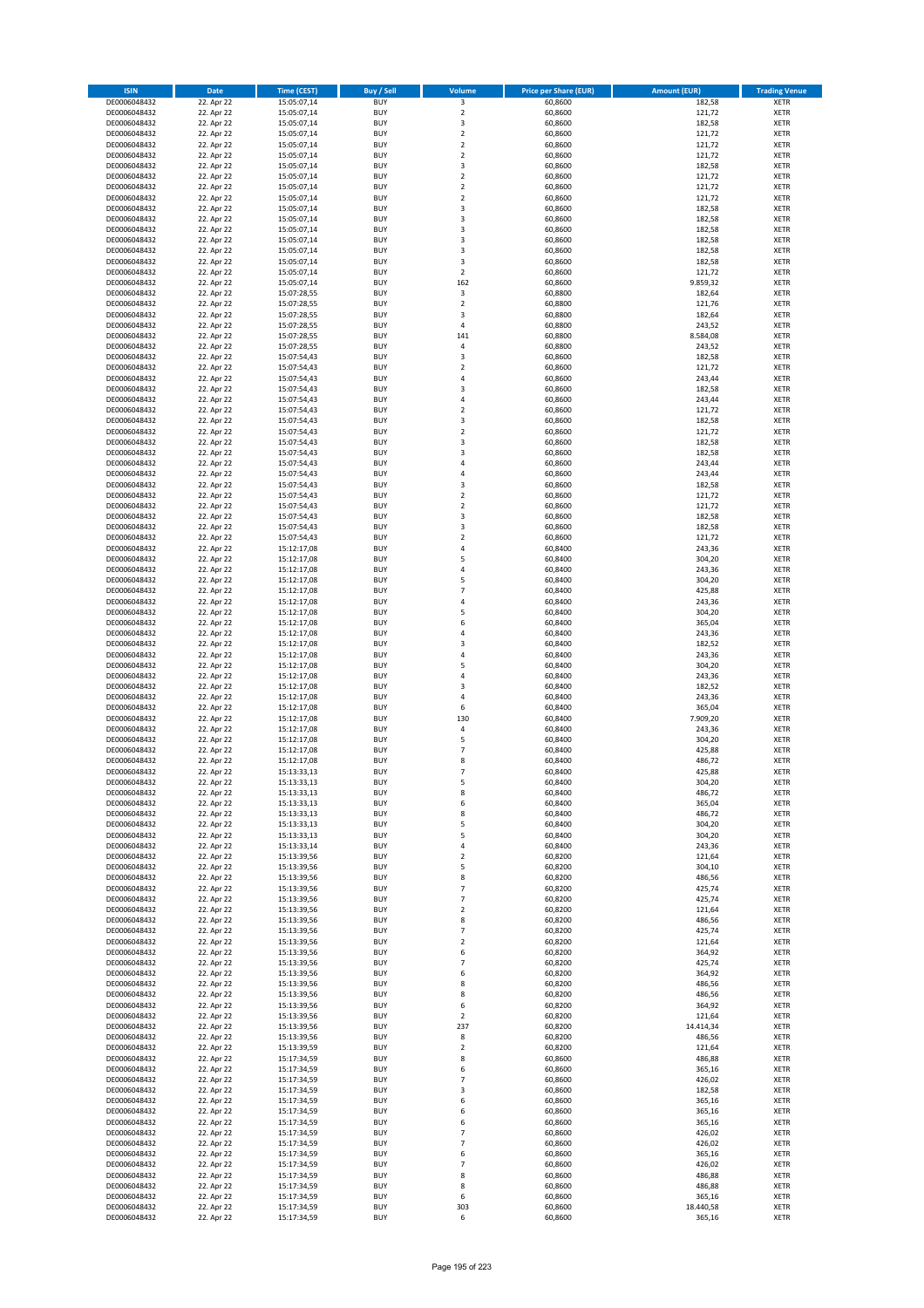| <b>ISIN</b>                  | <b>Date</b>              | <b>Time (CEST)</b>         | <b>Buy / Sell</b>        | <b>Volume</b>                          | <b>Price per Share (EUR)</b> | <b>Amount (EUR)</b> | <b>Trading Venue</b>       |
|------------------------------|--------------------------|----------------------------|--------------------------|----------------------------------------|------------------------------|---------------------|----------------------------|
| DE0006048432                 | 22. Apr 22               | 15:05:07,14                | <b>BUY</b>               | 3                                      | 60,8600                      | 182,58              | <b>XETR</b>                |
| DE0006048432                 | 22. Apr 22               | 15:05:07,14                | <b>BUY</b>               | $\mathbf 2$                            | 60,8600                      | 121,72              | <b>XETR</b>                |
| DE0006048432                 | 22. Apr 22               | 15:05:07,14                | <b>BUY</b>               | 3                                      | 60,8600                      | 182,58              | <b>XETR</b>                |
| DE0006048432                 | 22. Apr 22               | 15:05:07,14                | <b>BUY</b>               | $\mathbf 2$                            | 60,8600                      | 121,72              | <b>XETR</b>                |
| DE0006048432<br>DE0006048432 | 22. Apr 22<br>22. Apr 22 | 15:05:07,14<br>15:05:07,14 | <b>BUY</b><br><b>BUY</b> | $\overline{\mathbf{c}}$<br>$\mathbf 2$ | 60,8600<br>60,8600           | 121,72<br>121,72    | <b>XETR</b><br><b>XETR</b> |
| DE0006048432                 | 22. Apr 22               | 15:05:07,14                | <b>BUY</b>               | 3                                      | 60,8600                      | 182,58              | <b>XETR</b>                |
| DE0006048432                 | 22. Apr 22               | 15:05:07,14                | <b>BUY</b>               | $\mathbf 2$                            | 60,8600                      | 121,72              | <b>XETR</b>                |
| DE0006048432                 | 22. Apr 22               | 15:05:07,14                | <b>BUY</b>               | $\overline{2}$                         | 60,8600                      | 121,72              | <b>XETR</b>                |
| DE0006048432                 | 22. Apr 22               | 15:05:07,14                | <b>BUY</b>               | $\overline{2}$                         | 60,8600                      | 121,72              | <b>XETR</b>                |
| DE0006048432                 | 22. Apr 22               | 15:05:07,14                | <b>BUY</b>               | 3                                      | 60,8600                      | 182,58              | <b>XETR</b>                |
| DE0006048432                 | 22. Apr 22               | 15:05:07,14                | <b>BUY</b>               | 3                                      | 60,8600                      | 182,58              | <b>XETR</b>                |
| DE0006048432<br>DE0006048432 | 22. Apr 22<br>22. Apr 22 | 15:05:07,14                | <b>BUY</b><br><b>BUY</b> | 3<br>3                                 | 60,8600<br>60,8600           | 182,58<br>182,58    | <b>XETR</b><br><b>XETR</b> |
| DE0006048432                 | 22. Apr 22               | 15:05:07,14<br>15:05:07,14 | <b>BUY</b>               | 3                                      | 60,8600                      | 182,58              | <b>XETR</b>                |
| DE0006048432                 | 22. Apr 22               | 15:05:07,14                | <b>BUY</b>               | 3                                      | 60,8600                      | 182,58              | <b>XETR</b>                |
| DE0006048432                 | 22. Apr 22               | 15:05:07,14                | <b>BUY</b>               | $\mathbf 2$                            | 60,8600                      | 121,72              | <b>XETR</b>                |
| DE0006048432                 | 22. Apr 22               | 15:05:07,14                | <b>BUY</b>               | 162                                    | 60,8600                      | 9.859,32            | <b>XETR</b>                |
| DE0006048432                 | 22. Apr 22               | 15:07:28,55                | <b>BUY</b>               | 3                                      | 60,8800                      | 182,64              | <b>XETR</b>                |
| DE0006048432                 | 22. Apr 22               | 15:07:28,55                | <b>BUY</b>               | $\mathbf 2$                            | 60,8800                      | 121,76              | <b>XETR</b>                |
| DE0006048432                 | 22. Apr 22               | 15:07:28,55                | <b>BUY</b><br><b>BUY</b> | 3                                      | 60,8800                      | 182,64              | <b>XETR</b>                |
| DE0006048432<br>DE0006048432 | 22. Apr 22<br>22. Apr 22 | 15:07:28,55<br>15:07:28,55 | <b>BUY</b>               | 4<br>141                               | 60,8800<br>60,8800           | 243,52<br>8.584,08  | <b>XETR</b><br><b>XETR</b> |
| DE0006048432                 | 22. Apr 22               | 15:07:28,55                | <b>BUY</b>               | 4                                      | 60,8800                      | 243,52              | <b>XETR</b>                |
| DE0006048432                 | 22. Apr 22               | 15:07:54,43                | <b>BUY</b>               | 3                                      | 60,8600                      | 182,58              | <b>XETR</b>                |
| DE0006048432                 | 22. Apr 22               | 15:07:54,43                | <b>BUY</b>               | $\mathbf 2$                            | 60,8600                      | 121,72              | <b>XETR</b>                |
| DE0006048432                 | 22. Apr 22               | 15:07:54,43                | <b>BUY</b>               | 4                                      | 60,8600                      | 243,44              | <b>XETR</b>                |
| DE0006048432                 | 22. Apr 22               | 15:07:54,43                | <b>BUY</b>               | 3                                      | 60,8600                      | 182,58              | <b>XETR</b>                |
| DE0006048432                 | 22. Apr 22<br>22. Apr 22 | 15:07:54,43                | <b>BUY</b>               | 4                                      | 60,8600                      | 243,44              | <b>XETR</b>                |
| DE0006048432<br>DE0006048432 | 22. Apr 22               | 15:07:54,43<br>15:07:54,43 | <b>BUY</b><br><b>BUY</b> | $\overline{\mathbf{c}}$<br>3           | 60,8600<br>60,8600           | 121,72<br>182,58    | <b>XETR</b><br><b>XETR</b> |
| DE0006048432                 | 22. Apr 22               | 15:07:54,43                | <b>BUY</b>               | $\overline{\mathbf{c}}$                | 60,8600                      | 121,72              | <b>XETR</b>                |
| DE0006048432                 | 22. Apr 22               | 15:07:54,43                | <b>BUY</b>               | 3                                      | 60,8600                      | 182,58              | <b>XETR</b>                |
| DE0006048432                 | 22. Apr 22               | 15:07:54,43                | <b>BUY</b>               | 3                                      | 60,8600                      | 182,58              | <b>XETR</b>                |
| DE0006048432                 | 22. Apr 22               | 15:07:54,43                | <b>BUY</b>               | 4                                      | 60,8600                      | 243,44              | <b>XETR</b>                |
| DE0006048432                 | 22. Apr 22               | 15:07:54,43                | <b>BUY</b>               | 4                                      | 60,8600                      | 243,44              | <b>XETR</b>                |
| DE0006048432                 | 22. Apr 22               | 15:07:54,43                | <b>BUY</b>               | 3                                      | 60,8600                      | 182,58              | <b>XETR</b>                |
| DE0006048432                 | 22. Apr 22               | 15:07:54,43                | <b>BUY</b>               | $\mathbf 2$                            | 60,8600                      | 121,72              | <b>XETR</b>                |
| DE0006048432<br>DE0006048432 | 22. Apr 22<br>22. Apr 22 | 15:07:54,43<br>15:07:54,43 | <b>BUY</b><br><b>BUY</b> | $\mathbf 2$<br>3                       | 60,8600<br>60,8600           | 121,72<br>182,58    | <b>XETR</b><br><b>XETR</b> |
| DE0006048432                 | 22. Apr 22               | 15:07:54,43                | <b>BUY</b>               | 3                                      | 60,8600                      | 182,58              | <b>XETR</b>                |
| DE0006048432                 | 22. Apr 22               | 15:07:54,43                | <b>BUY</b>               | $\mathbf 2$                            | 60,8600                      | 121,72              | <b>XETR</b>                |
| DE0006048432                 | 22. Apr 22               | 15:12:17,08                | <b>BUY</b>               | 4                                      | 60,8400                      | 243,36              | <b>XETR</b>                |
| DE0006048432                 | 22. Apr 22               | 15:12:17,08                | <b>BUY</b>               | 5                                      | 60,8400                      | 304,20              | <b>XETR</b>                |
| DE0006048432                 | 22. Apr 22               | 15:12:17,08                | <b>BUY</b>               | 4                                      | 60,8400                      | 243,36              | <b>XETR</b>                |
| DE0006048432                 | 22. Apr 22               | 15:12:17,08                | <b>BUY</b>               | 5                                      | 60,8400                      | 304,20              | <b>XETR</b>                |
| DE0006048432                 | 22. Apr 22               | 15:12:17,08                | <b>BUY</b><br><b>BUY</b> | $\overline{7}$<br>4                    | 60,8400                      | 425,88              | <b>XETR</b><br><b>XETR</b> |
| DE0006048432<br>DE0006048432 | 22. Apr 22<br>22. Apr 22 | 15:12:17,08<br>15:12:17,08 | <b>BUY</b>               | 5                                      | 60,8400<br>60,8400           | 243,36<br>304,20    | <b>XETR</b>                |
| DE0006048432                 | 22. Apr 22               | 15:12:17,08                | <b>BUY</b>               | 6                                      | 60,8400                      | 365,04              | <b>XETR</b>                |
| DE0006048432                 | 22. Apr 22               | 15:12:17,08                | <b>BUY</b>               | 4                                      | 60,8400                      | 243,36              | <b>XETR</b>                |
| DE0006048432                 | 22. Apr 22               | 15:12:17,08                | <b>BUY</b>               | 3                                      | 60,8400                      | 182,52              | <b>XETR</b>                |
| DE0006048432                 | 22. Apr 22               | 15:12:17,08                | <b>BUY</b>               | 4                                      | 60,8400                      | 243,36              | <b>XETR</b>                |
| DE0006048432                 | 22. Apr 22               | 15:12:17,08                | <b>BUY</b>               | 5                                      | 60,8400                      | 304,20              | <b>XETR</b>                |
| DE0006048432                 | 22. Apr 22               | 15:12:17,08                | <b>BUY</b>               | 4<br>3                                 | 60,8400                      | 243,36              | <b>XETR</b>                |
| DE0006048432<br>DE0006048432 | 22. Apr 22<br>22. Apr 22 | 15:12:17,08<br>15:12:17,08 | <b>BUY</b><br><b>BUY</b> | 4                                      | 60,8400<br>60,8400           | 182,52<br>243,36    | <b>XETR</b><br><b>XETR</b> |
| DE0006048432                 | 22. Apr 22               | 15:12:17,08                | <b>BUY</b>               | 6                                      | 60,8400                      | 365,04              | <b>XETR</b>                |
| DE0006048432                 | 22. Apr 22               | 15:12:17,08                | <b>BUY</b>               | 130                                    | 60,8400                      | 7.909,20            | <b>XETR</b>                |
| DE0006048432                 | 22. Apr 22               | 15:12:17,08                | <b>BUY</b>               | 4                                      | 60,8400                      | 243,36              | <b>XETR</b>                |
| DE0006048432                 | 22. Apr 22               | 15:12:17,08                | <b>BUY</b>               | 5                                      | 60,8400                      | 304,20              | <b>XETR</b>                |
| DE0006048432                 | 22. Apr 22               | 15:12:17,08                | <b>BUY</b>               | $\overline{7}$                         | 60,8400                      | 425,88              | <b>XETR</b>                |
| DE0006048432                 | 22. Apr 22               | 15:12:17,08                | <b>BUY</b><br><b>BUY</b> | 8<br>$\overline{7}$                    | 60,8400                      | 486,72              | <b>XETR</b><br><b>XETR</b> |
| DE0006048432<br>DE0006048432 | 22. Apr 22<br>22. Apr 22 | 15:13:33,13<br>15:13:33,13 | BUY                      | 5                                      | 60,8400<br>60,8400           | 425,88<br>304,20    | <b>XETR</b>                |
| DE0006048432                 | 22. Apr 22               | 15:13:33,13                | <b>BUY</b>               | 8                                      | 60,8400                      | 486,72              | <b>XETR</b>                |
| DE0006048432                 | 22. Apr 22               | 15:13:33,13                | <b>BUY</b>               | 6                                      | 60,8400                      | 365,04              | <b>XETR</b>                |
| DE0006048432                 | 22. Apr 22               | 15:13:33,13                | <b>BUY</b>               | 8                                      | 60,8400                      | 486,72              | XETR                       |
| DE0006048432                 | 22. Apr 22               | 15:13:33,13                | <b>BUY</b>               | 5                                      | 60,8400                      | 304,20              | <b>XETR</b>                |
| DE0006048432                 | 22. Apr 22               | 15:13:33,13                | <b>BUY</b>               | 5                                      | 60,8400                      | 304,20              | <b>XETR</b>                |
| DE0006048432<br>DE0006048432 | 22. Apr 22<br>22. Apr 22 | 15:13:33,14<br>15:13:39,56 | <b>BUY</b><br><b>BUY</b> | 4<br>$\mathbf 2$                       | 60,8400<br>60,8200           | 243,36<br>121,64    | <b>XETR</b><br><b>XETR</b> |
| DE0006048432                 | 22. Apr 22               | 15:13:39,56                | <b>BUY</b>               | 5                                      | 60,8200                      | 304,10              | <b>XETR</b>                |
| DE0006048432                 | 22. Apr 22               | 15:13:39,56                | <b>BUY</b>               | 8                                      | 60,8200                      | 486,56              | <b>XETR</b>                |
| DE0006048432                 | 22. Apr 22               | 15:13:39,56                | <b>BUY</b>               | $\overline{7}$                         | 60,8200                      | 425,74              | <b>XETR</b>                |
| DE0006048432                 | 22. Apr 22               | 15:13:39,56                | <b>BUY</b>               | $\overline{7}$                         | 60,8200                      | 425,74              | <b>XETR</b>                |
| DE0006048432                 | 22. Apr 22               | 15:13:39,56                | <b>BUY</b>               | $\mathbf 2$                            | 60,8200                      | 121,64              | <b>XETR</b>                |
| DE0006048432<br>DE0006048432 | 22. Apr 22<br>22. Apr 22 | 15:13:39,56<br>15:13:39,56 | <b>BUY</b><br><b>BUY</b> | 8<br>$\overline{7}$                    | 60,8200<br>60,8200           | 486,56<br>425,74    | <b>XETR</b><br><b>XETR</b> |
| DE0006048432                 | 22. Apr 22               | 15:13:39,56                | <b>BUY</b>               | $\overline{\mathbf{c}}$                | 60,8200                      | 121,64              | <b>XETR</b>                |
| DE0006048432                 | 22. Apr 22               | 15:13:39,56                | <b>BUY</b>               | 6                                      | 60,8200                      | 364,92              | <b>XETR</b>                |
| DE0006048432                 | 22. Apr 22               | 15:13:39,56                | <b>BUY</b>               | $\overline{7}$                         | 60,8200                      | 425,74              | <b>XETR</b>                |
| DE0006048432                 | 22. Apr 22               | 15:13:39,56                | <b>BUY</b>               | 6                                      | 60,8200                      | 364,92              | <b>XETR</b>                |
| DE0006048432                 | 22. Apr 22               | 15:13:39,56                | <b>BUY</b>               | 8                                      | 60,8200                      | 486,56              | <b>XETR</b>                |
| DE0006048432                 | 22. Apr 22               | 15:13:39,56                | <b>BUY</b>               | 8                                      | 60,8200                      | 486,56              | <b>XETR</b>                |
| DE0006048432<br>DE0006048432 | 22. Apr 22<br>22. Apr 22 | 15:13:39,56<br>15:13:39,56 | <b>BUY</b><br><b>BUY</b> | 6<br>$\overline{2}$                    | 60,8200<br>60,8200           | 364,92<br>121,64    | <b>XETR</b><br><b>XETR</b> |
| DE0006048432                 | 22. Apr 22               | 15:13:39,56                | <b>BUY</b>               | 237                                    | 60,8200                      | 14.414,34           | <b>XETR</b>                |
| DE0006048432                 | 22. Apr 22               | 15:13:39,56                | <b>BUY</b>               | 8                                      | 60,8200                      | 486,56              | <b>XETR</b>                |
| DE0006048432                 | 22. Apr 22               | 15:13:39,59                | <b>BUY</b>               | $\mathbf 2$                            | 60,8200                      | 121,64              | <b>XETR</b>                |
| DE0006048432                 | 22. Apr 22               | 15:17:34,59                | <b>BUY</b>               | 8                                      | 60,8600                      | 486,88              | <b>XETR</b>                |
| DE0006048432                 | 22. Apr 22               | 15:17:34,59                | <b>BUY</b>               | 6                                      | 60,8600                      | 365,16              | <b>XETR</b>                |
| DE0006048432                 | 22. Apr 22               | 15:17:34,59                | <b>BUY</b>               | $\overline{7}$                         | 60,8600                      | 426,02              | <b>XETR</b>                |
| DE0006048432<br>DE0006048432 | 22. Apr 22<br>22. Apr 22 | 15:17:34,59<br>15:17:34,59 | <b>BUY</b><br><b>BUY</b> | 3<br>6                                 | 60,8600<br>60,8600           | 182,58<br>365,16    | <b>XETR</b><br><b>XETR</b> |
| DE0006048432                 | 22. Apr 22               | 15:17:34,59                | <b>BUY</b>               | 6                                      | 60,8600                      | 365,16              | <b>XETR</b>                |
| DE0006048432                 | 22. Apr 22               | 15:17:34,59                | <b>BUY</b>               | 6                                      | 60,8600                      | 365,16              | <b>XETR</b>                |
| DE0006048432                 | 22. Apr 22               | 15:17:34,59                | <b>BUY</b>               | $\overline{7}$                         | 60,8600                      | 426,02              | <b>XETR</b>                |
| DE0006048432                 | 22. Apr 22               | 15:17:34,59                | <b>BUY</b>               | $\overline{7}$                         | 60,8600                      | 426,02              | <b>XETR</b>                |
| DE0006048432                 | 22. Apr 22               | 15:17:34,59                | <b>BUY</b>               | 6                                      | 60,8600                      | 365,16              | <b>XETR</b>                |
| DE0006048432                 | 22. Apr 22<br>22. Apr 22 | 15:17:34,59                | <b>BUY</b><br><b>BUY</b> | $\overline{7}$<br>8                    | 60,8600<br>60,8600           | 426,02<br>486,88    | <b>XETR</b>                |
| DE0006048432<br>DE0006048432 | 22. Apr 22               | 15:17:34,59<br>15:17:34,59 | <b>BUY</b>               | 8                                      | 60,8600                      | 486,88              | XETR<br><b>XETR</b>        |
| DE0006048432                 | 22. Apr 22               | 15:17:34,59                | <b>BUY</b>               | 6                                      | 60,8600                      | 365,16              | <b>XETR</b>                |
| DE0006048432                 | 22. Apr 22               | 15:17:34,59                | <b>BUY</b>               | 303                                    | 60,8600                      | 18.440,58           | <b>XETR</b>                |
| DE0006048432                 | 22. Apr 22               | 15:17:34,59                | <b>BUY</b>               | 6                                      | 60,8600                      | 365,16              | <b>XETR</b>                |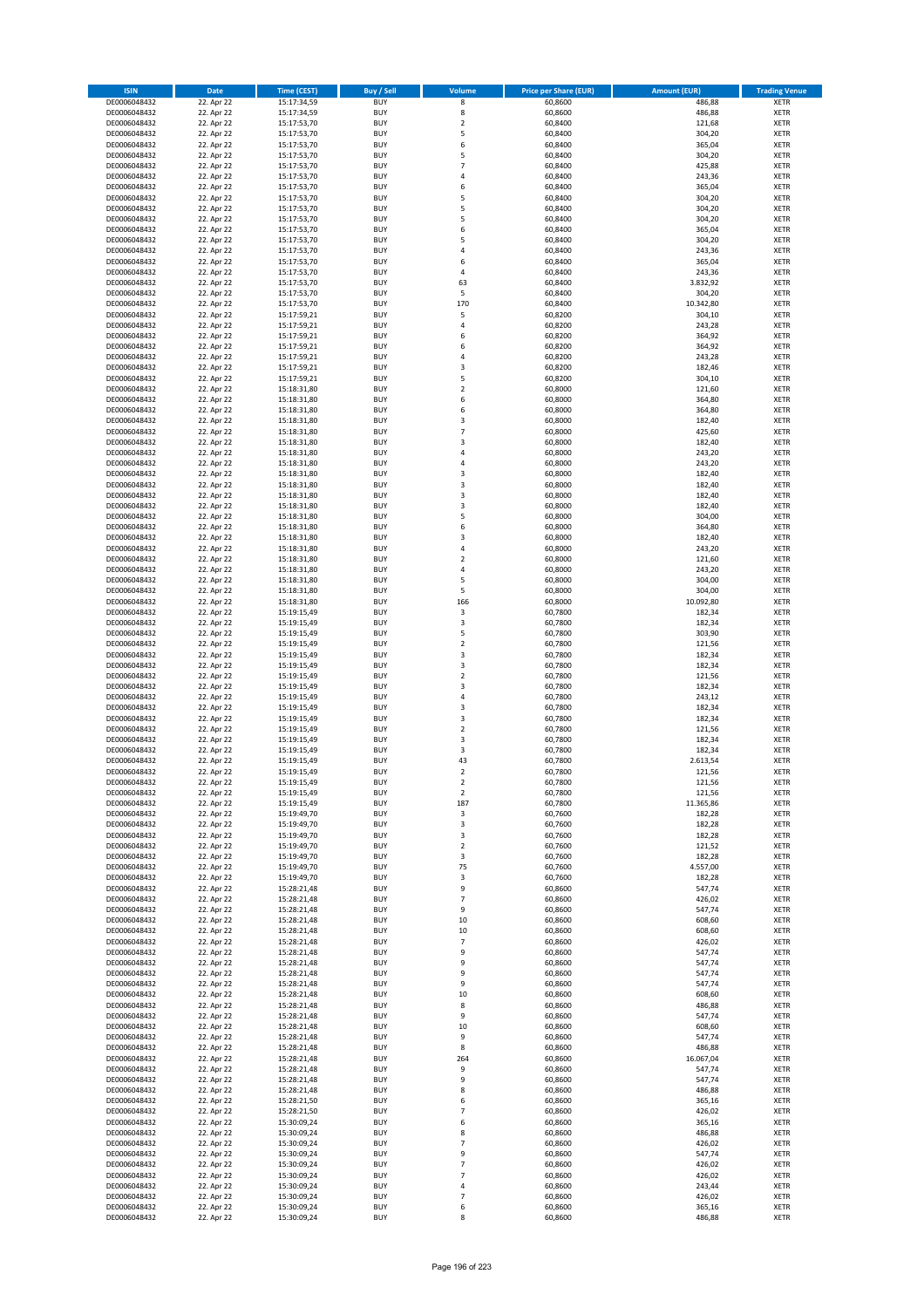| <b>ISIN</b>                  | <b>Date</b>              | <b>Time (CEST)</b>         | <b>Buy / Sell</b>        | Volume                                    | <b>Price per Share (EUR)</b> | <b>Amount (EUR)</b> | <b>Trading Venue</b>       |
|------------------------------|--------------------------|----------------------------|--------------------------|-------------------------------------------|------------------------------|---------------------|----------------------------|
| DE0006048432                 | 22. Apr 22               | 15:17:34,59                | <b>BUY</b>               | 8                                         | 60,8600                      | 486,88              | <b>XETR</b>                |
| DE0006048432                 | 22. Apr 22               | 15:17:34,59                | <b>BUY</b>               | 8                                         | 60,8600                      | 486,88              | <b>XETR</b>                |
| DE0006048432                 | 22. Apr 22               | 15:17:53,70                | <b>BUY</b>               | $\overline{2}$                            | 60.8400                      | 121,68              | <b>XETR</b>                |
| DE0006048432<br>DE0006048432 | 22. Apr 22<br>22. Apr 22 | 15:17:53,70<br>15:17:53,70 | <b>BUY</b><br><b>BUY</b> | 5<br>6                                    | 60,8400<br>60,8400           | 304,20<br>365,04    | <b>XETR</b><br><b>XETR</b> |
| DE0006048432                 | 22. Apr 22               | 15:17:53,70                | <b>BUY</b>               | 5                                         | 60,8400                      | 304,20              | <b>XETR</b>                |
| DE0006048432                 | 22. Apr 22               | 15:17:53,70                | <b>BUY</b>               | $\overline{7}$                            | 60.8400                      | 425,88              | <b>XETR</b>                |
| DE0006048432                 | 22. Apr 22               | 15:17:53,70                | <b>BUY</b>               | 4                                         | 60,8400                      | 243,36              | <b>XETR</b>                |
| DE0006048432                 | 22. Apr 22               | 15:17:53,70                | BUY                      | 6                                         | 60,8400                      | 365,04              | <b>XETR</b>                |
| DE0006048432                 | 22. Apr 22               | 15:17:53,70                | <b>BUY</b><br><b>BUY</b> | 5<br>5                                    | 60,8400                      | 304,20              | <b>XETR</b>                |
| DE0006048432<br>DE0006048432 | 22. Apr 22<br>22. Apr 22 | 15:17:53,70<br>15:17:53,70 | <b>BUY</b>               | 5                                         | 60,8400<br>60,8400           | 304,20<br>304,20    | <b>XETR</b><br><b>XETR</b> |
| DE0006048432                 | 22. Apr 22               | 15:17:53,70                | <b>BUY</b>               | 6                                         | 60,8400                      | 365,04              | <b>XETR</b>                |
| DE0006048432                 | 22. Apr 22               | 15:17:53,70                | <b>BUY</b>               | 5                                         | 60,8400                      | 304,20              | <b>XETR</b>                |
| DE0006048432                 | 22. Apr 22               | 15:17:53,70                | <b>BUY</b>               | 4                                         | 60,8400                      | 243,36              | <b>XETR</b>                |
| DE0006048432                 | 22. Apr 22               | 15:17:53,70                | <b>BUY</b>               | 6                                         | 60,8400                      | 365,04              | <b>XETR</b>                |
| DE0006048432                 | 22. Apr 22               | 15:17:53,70                | <b>BUY</b><br><b>BUY</b> | 4<br>63                                   | 60,8400                      | 243,36<br>3.832,92  | <b>XETR</b><br><b>XETR</b> |
| DE0006048432<br>DE0006048432 | 22. Apr 22<br>22. Apr 22 | 15:17:53,70<br>15:17:53,70 | <b>BUY</b>               | 5                                         | 60,8400<br>60.8400           | 304,20              | <b>XETR</b>                |
| DE0006048432                 | 22. Apr 22               | 15:17:53,70                | <b>BUY</b>               | 170                                       | 60,8400                      | 10.342,80           | <b>XETR</b>                |
| DE0006048432                 | 22. Apr 22               | 15:17:59,21                | <b>BUY</b>               | 5                                         | 60,8200                      | 304,10              | <b>XETR</b>                |
| DE0006048432                 | 22. Apr 22               | 15:17:59,21                | <b>BUY</b>               | 4                                         | 60,8200                      | 243,28              | <b>XETR</b>                |
| DE0006048432                 | 22. Apr 22               | 15:17:59,21                | <b>BUY</b>               | 6                                         | 60,8200                      | 364,92              | <b>XETR</b>                |
| DE0006048432<br>DE0006048432 | 22. Apr 22<br>22. Apr 22 | 15:17:59,21<br>15:17:59,21 | <b>BUY</b><br><b>BUY</b> | 6<br>$\overline{4}$                       | 60,8200<br>60,8200           | 364,92<br>243,28    | <b>XETR</b><br><b>XETR</b> |
| DE0006048432                 | 22. Apr 22               | 15:17:59,21                | <b>BUY</b>               | 3                                         | 60,8200                      | 182,46              | <b>XETR</b>                |
| DE0006048432                 | 22. Apr 22               | 15:17:59,21                | <b>BUY</b>               | 5                                         | 60,8200                      | 304,10              | <b>XETR</b>                |
| DE0006048432                 | 22. Apr 22               | 15:18:31,80                | <b>BUY</b>               | $\overline{2}$                            | 60,8000                      | 121,60              | <b>XETR</b>                |
| DE0006048432                 | 22. Apr 22               | 15:18:31,80                | <b>BUY</b>               | 6                                         | 60,8000                      | 364,80              | <b>XETR</b>                |
| DE0006048432                 | 22. Apr 22               | 15:18:31,80                | <b>BUY</b>               | 6                                         | 60,8000                      | 364,80              | <b>XETR</b>                |
| DE0006048432<br>DE0006048432 | 22. Apr 22<br>22. Apr 22 | 15:18:31,80<br>15:18:31,80 | <b>BUY</b><br><b>BUY</b> | 3<br>7                                    | 60,8000<br>60,8000           | 182,40<br>425,60    | <b>XETR</b><br><b>XETR</b> |
| DE0006048432                 | 22. Apr 22               | 15:18:31,80                | <b>BUY</b>               | 3                                         | 60,8000                      | 182,40              | <b>XETR</b>                |
| DE0006048432                 | 22. Apr 22               | 15:18:31,80                | <b>BUY</b>               | $\overline{a}$                            | 60,8000                      | 243,20              | <b>XETR</b>                |
| DE0006048432                 | 22. Apr 22               | 15:18:31,80                | <b>BUY</b>               | $\overline{4}$                            | 60,8000                      | 243,20              | <b>XETR</b>                |
| DE0006048432                 | 22. Apr 22               | 15:18:31,80                | <b>BUY</b>               | 3                                         | 60,8000                      | 182,40              | <b>XETR</b>                |
| DE0006048432                 | 22. Apr 22               | 15:18:31,80                | <b>BUY</b>               | $\overline{\mathbf{3}}$                   | 60,8000                      | 182,40              | <b>XETR</b>                |
| DE0006048432<br>DE0006048432 | 22. Apr 22<br>22. Apr 22 | 15:18:31,80<br>15:18:31,80 | <b>BUY</b><br><b>BUY</b> | $\overline{\mathbf{3}}$<br>3              | 60,8000<br>60,8000           | 182,40<br>182,40    | <b>XETR</b><br><b>XETR</b> |
| DE0006048432                 | 22. Apr 22               | 15:18:31,80                | <b>BUY</b>               | 5                                         | 60,8000                      | 304,00              | <b>XETR</b>                |
| DE0006048432                 | 22. Apr 22               | 15:18:31,80                | <b>BUY</b>               | 6                                         | 60,8000                      | 364,80              | <b>XETR</b>                |
| DE0006048432                 | 22. Apr 22               | 15:18:31,80                | <b>BUY</b>               | 3                                         | 60,8000                      | 182,40              | <b>XETR</b>                |
| DE0006048432                 | 22. Apr 22               | 15:18:31,80                | <b>BUY</b>               | $\overline{4}$                            | 60,8000                      | 243,20              | <b>XETR</b>                |
| DE0006048432                 | 22. Apr 22               | 15:18:31,80                | <b>BUY</b>               | $\overline{2}$                            | 60,8000                      | 121,60              | <b>XETR</b>                |
| DE0006048432<br>DE0006048432 | 22. Apr 22<br>22. Apr 22 | 15:18:31,80<br>15:18:31,80 | <b>BUY</b><br><b>BUY</b> | $\overline{a}$<br>5                       | 60,8000<br>60,8000           | 243,20<br>304,00    | <b>XETR</b><br><b>XETR</b> |
| DE0006048432                 | 22. Apr 22               | 15:18:31,80                | <b>BUY</b>               | 5                                         | 60,8000                      | 304,00              | <b>XETR</b>                |
| DE0006048432                 | 22. Apr 22               | 15:18:31,80                | <b>BUY</b>               | 166                                       | 60,8000                      | 10.092,80           | <b>XETR</b>                |
| DE0006048432                 | 22. Apr 22               | 15:19:15,49                | <b>BUY</b>               | 3                                         | 60,7800                      | 182,34              | <b>XETR</b>                |
| DE0006048432                 | 22. Apr 22               | 15:19:15,49                | <b>BUY</b>               | 3                                         | 60,7800                      | 182,34              | <b>XETR</b>                |
| DE0006048432                 | 22. Apr 22               | 15:19:15,49                | <b>BUY</b>               | 5                                         | 60,7800                      | 303,90              | <b>XETR</b>                |
| DE0006048432                 | 22. Apr 22               | 15:19:15,49                | <b>BUY</b>               | $\overline{2}$<br>$\overline{\mathbf{3}}$ | 60,7800                      | 121,56              | <b>XETR</b>                |
| DE0006048432<br>DE0006048432 | 22. Apr 22<br>22. Apr 22 | 15:19:15,49<br>15:19:15,49 | <b>BUY</b><br><b>BUY</b> | 3                                         | 60,7800<br>60,7800           | 182,34<br>182,34    | <b>XETR</b><br><b>XETR</b> |
| DE0006048432                 | 22. Apr 22               | 15:19:15,49                | <b>BUY</b>               | $\overline{2}$                            | 60,7800                      | 121,56              | <b>XETR</b>                |
| DE0006048432                 | 22. Apr 22               | 15:19:15,49                | <b>BUY</b>               | $\overline{3}$                            | 60,7800                      | 182,34              | <b>XETR</b>                |
| DE0006048432                 | 22. Apr 22               | 15:19:15,49                | <b>BUY</b>               | $\overline{a}$                            | 60,7800                      | 243,12              | <b>XETR</b>                |
| DE0006048432                 | 22. Apr 22               | 15:19:15,49                | <b>BUY</b>               | $\overline{\mathbf{3}}$                   | 60,7800                      | 182,34              | <b>XETR</b>                |
| DE0006048432                 | 22. Apr 22               | 15:19:15,49                | BUY                      | 3                                         | 60,7800                      | 182,34              | <b>XETR</b>                |
| DE0006048432<br>DE0006048432 | 22. Apr 22<br>22. Apr 22 | 15:19:15,49<br>15:19:15,49 | <b>BUY</b><br><b>BUY</b> | $\overline{2}$<br>3                       | 60,7800<br>60,7800           | 121,56<br>182,34    | <b>XETR</b><br><b>XETR</b> |
| DE0006048432                 | 22. Apr 22               | 15:19:15,49                | BUY                      | 3                                         | 60,7800                      | 182,34              | <b>XETR</b>                |
| DE0006048432                 | 22. Apr 22               | 15:19:15,49                | BUY                      | 43                                        | 60,7800                      | 2.613,54            | <b>XETR</b>                |
| DE0006048432                 | 22. Apr 22               | 15:19:15,49                | <b>BUY</b>               | $\overline{2}$                            | 60,7800                      | 121,56              | <b>XETR</b>                |
| DE0006048432                 | 22. Apr 22               | 15:19:15,49                | BUY                      | 2                                         | 60,7800                      | 121,56              | <b>XETR</b>                |
| DE0006048432                 | 22. Apr 22               | 15:19:15,49                | <b>BUY</b><br><b>BUY</b> | $\mathbf 2$                               | 60,7800<br>60,7800           | 121,56              | <b>XETR</b>                |
| DE0006048432<br>DE0006048432 | 22. Apr 22<br>22. Apr 22 | 15:19:15,49<br>15:19:49,70 | <b>BUY</b>               | 187<br>3                                  | 60,7600                      | 11.365,86<br>182,28 | <b>XETR</b><br><b>XETR</b> |
| DE0006048432                 | 22. Apr 22               | 15:19:49,70                | <b>BUY</b>               | 3                                         | 60,7600                      | 182,28              | <b>XETR</b>                |
| DE0006048432                 | 22. Apr 22               | 15:19:49,70                | <b>BUY</b>               | 3                                         | 60,7600                      | 182,28              | <b>XETR</b>                |
| DE0006048432                 | 22. Apr 22               | 15:19:49,70                | <b>BUY</b>               | 2                                         | 60,7600                      | 121,52              | <b>XETR</b>                |
| DE0006048432                 | 22. Apr 22               | 15:19:49,70                | <b>BUY</b>               | 3                                         | 60,7600                      | 182,28              | <b>XETR</b>                |
| DE0006048432<br>DE0006048432 | 22. Apr 22<br>22. Apr 22 | 15:19:49,70<br>15:19:49,70 | <b>BUY</b><br><b>BUY</b> | 75<br>3                                   | 60,7600<br>60,7600           | 4.557,00<br>182,28  | <b>XETR</b><br><b>XETR</b> |
| DE0006048432                 | 22. Apr 22               | 15:28:21,48                | <b>BUY</b>               | 9                                         | 60,8600                      | 547,74              | <b>XETR</b>                |
| DE0006048432                 | 22. Apr 22               | 15:28:21,48                | <b>BUY</b>               | $\overline{7}$                            | 60,8600                      | 426,02              | <b>XETR</b>                |
| DE0006048432                 | 22. Apr 22               | 15:28:21,48                | <b>BUY</b>               | 9                                         | 60,8600                      | 547,74              | <b>XETR</b>                |
| DE0006048432                 | 22. Apr 22               | 15:28:21,48                | <b>BUY</b>               | 10                                        | 60,8600                      | 608,60              | <b>XETR</b>                |
| DE0006048432<br>DE0006048432 | 22. Apr 22               | 15:28:21,48                | <b>BUY</b>               | $10\,$<br>$\overline{7}$                  | 60,8600                      | 608,60              | <b>XETR</b>                |
| DE0006048432                 | 22. Apr 22<br>22. Apr 22 | 15:28:21,48<br>15:28:21,48 | <b>BUY</b><br><b>BUY</b> | 9                                         | 60,8600<br>60,8600           | 426,02<br>547,74    | <b>XETR</b><br><b>XETR</b> |
| DE0006048432                 | 22. Apr 22               | 15:28:21,48                | <b>BUY</b>               | 9                                         | 60,8600                      | 547,74              | <b>XETR</b>                |
| DE0006048432                 | 22. Apr 22               | 15:28:21,48                | <b>BUY</b>               | 9                                         | 60,8600                      | 547,74              | <b>XETR</b>                |
| DE0006048432                 | 22. Apr 22               | 15:28:21,48                | <b>BUY</b>               | 9                                         | 60,8600                      | 547,74              | <b>XETR</b>                |
| DE0006048432                 | 22. Apr 22               | 15:28:21,48                | <b>BUY</b>               | 10                                        | 60,8600                      | 608,60              | <b>XETR</b>                |
| DE0006048432<br>DE0006048432 | 22. Apr 22<br>22. Apr 22 | 15:28:21,48<br>15:28:21,48 | <b>BUY</b><br><b>BUY</b> | 8<br>9                                    | 60,8600<br>60,8600           | 486,88<br>547,74    | <b>XETR</b><br><b>XETR</b> |
| DE0006048432                 | 22. Apr 22               | 15:28:21,48                | <b>BUY</b>               | $10\,$                                    | 60,8600                      | 608,60              | <b>XETR</b>                |
| DE0006048432                 | 22. Apr 22               | 15:28:21,48                | <b>BUY</b>               | 9                                         | 60,8600                      | 547,74              | <b>XETR</b>                |
| DE0006048432                 | 22. Apr 22               | 15:28:21,48                | <b>BUY</b>               | 8                                         | 60,8600                      | 486,88              | <b>XETR</b>                |
| DE0006048432                 | 22. Apr 22               | 15:28:21,48                | <b>BUY</b>               | 264                                       | 60,8600                      | 16.067,04           | <b>XETR</b>                |
| DE0006048432                 | 22. Apr 22               | 15:28:21,48                | <b>BUY</b>               | 9                                         | 60,8600                      | 547,74              | <b>XETR</b>                |
| DE0006048432                 | 22. Apr 22               | 15:28:21,48                | <b>BUY</b><br><b>BUY</b> | 9<br>8                                    | 60,8600                      | 547,74              | <b>XETR</b><br><b>XETR</b> |
| DE0006048432<br>DE0006048432 | 22. Apr 22<br>22. Apr 22 | 15:28:21,48<br>15:28:21,50 | <b>BUY</b>               | 6                                         | 60,8600<br>60,8600           | 486,88<br>365,16    | <b>XETR</b>                |
| DE0006048432                 | 22. Apr 22               | 15:28:21,50                | <b>BUY</b>               | 7                                         | 60,8600                      | 426,02              | <b>XETR</b>                |
| DE0006048432                 | 22. Apr 22               | 15:30:09,24                | <b>BUY</b>               | 6                                         | 60,8600                      | 365,16              | <b>XETR</b>                |
| DE0006048432                 | 22. Apr 22               | 15:30:09,24                | <b>BUY</b>               | 8                                         | 60,8600                      | 486,88              | <b>XETR</b>                |
| DE0006048432                 | 22. Apr 22               | 15:30:09,24                | <b>BUY</b>               | 7                                         | 60,8600                      | 426,02              | <b>XETR</b>                |
| DE0006048432                 | 22. Apr 22               | 15:30:09,24                | <b>BUY</b>               | 9                                         | 60,8600                      | 547,74              | <b>XETR</b>                |
| DE0006048432<br>DE0006048432 | 22. Apr 22<br>22. Apr 22 | 15:30:09,24<br>15:30:09,24 | <b>BUY</b><br><b>BUY</b> | $\overline{7}$<br>$\overline{7}$          | 60,8600<br>60,8600           | 426,02<br>426,02    | <b>XETR</b><br><b>XETR</b> |
| DE0006048432                 | 22. Apr 22               | 15:30:09,24                | <b>BUY</b>               | $\overline{4}$                            | 60,8600                      | 243,44              | <b>XETR</b>                |
| DE0006048432                 | 22. Apr 22               | 15:30:09,24                | <b>BUY</b>               | $\overline{7}$                            | 60,8600                      | 426,02              | <b>XETR</b>                |
| DE0006048432                 | 22. Apr 22               | 15:30:09,24                | <b>BUY</b>               | 6                                         | 60,8600                      | 365,16              | <b>XETR</b>                |
| DE0006048432                 | 22. Apr 22               | 15:30:09,24                | <b>BUY</b>               | 8                                         | 60,8600                      | 486,88              | <b>XETR</b>                |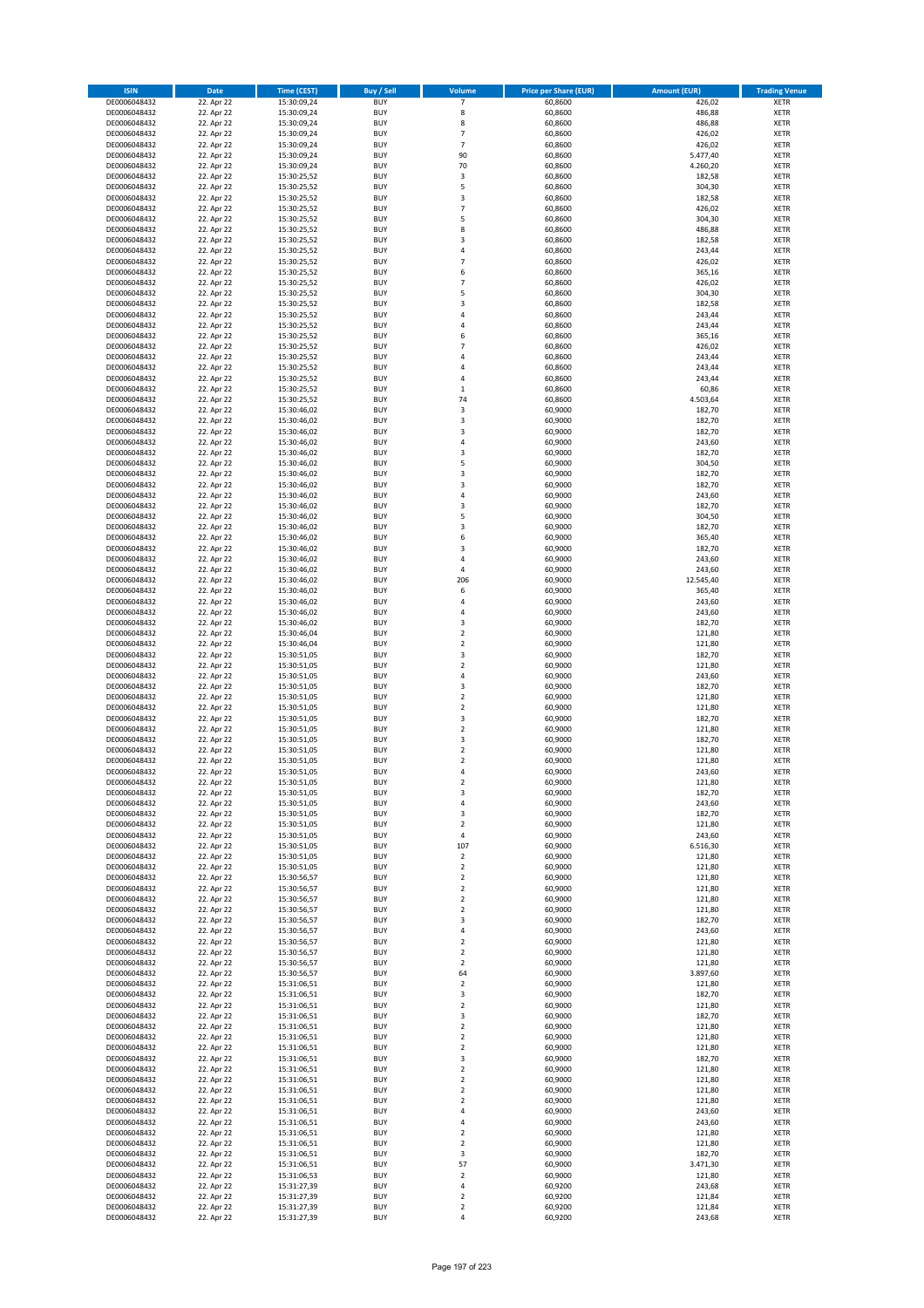| <b>ISIN</b>                  | <b>Date</b>              | <b>Time (CEST)</b>         | <b>Buy / Sell</b>        | Volume                                             | <b>Price per Share (EUR)</b> | <b>Amount (EUR)</b> | <b>Trading Venue</b>       |
|------------------------------|--------------------------|----------------------------|--------------------------|----------------------------------------------------|------------------------------|---------------------|----------------------------|
| DE0006048432                 | 22. Apr 22               | 15:30:09,24                | <b>BUY</b>               | $\overline{7}$                                     | 60,8600                      | 426,02              | <b>XETR</b>                |
| DE0006048432                 | 22. Apr 22               | 15:30:09,24                | <b>BUY</b>               | 8                                                  | 60,8600                      | 486,88              | <b>XETR</b>                |
| DE0006048432                 | 22. Apr 22               | 15:30:09,24                | <b>BUY</b>               | 8                                                  | 60,8600                      | 486,88              | <b>XETR</b>                |
| DE0006048432                 | 22. Apr 22               | 15:30:09,24                | <b>BUY</b>               | $\overline{7}$                                     | 60,8600                      | 426,02              | <b>XETR</b>                |
| DE0006048432<br>DE0006048432 | 22. Apr 22<br>22. Apr 22 | 15:30:09,24<br>15:30:09,24 | <b>BUY</b><br><b>BUY</b> | $\overline{7}$<br>90                               | 60,8600<br>60,8600           | 426,02<br>5.477,40  | <b>XETR</b><br><b>XETR</b> |
| DE0006048432                 | 22. Apr 22               | 15:30:09,24                | <b>BUY</b>               | 70                                                 | 60,8600                      | 4.260,20            | <b>XETR</b>                |
| DE0006048432                 | 22. Apr 22               | 15:30:25,52                | <b>BUY</b>               | 3                                                  | 60,8600                      | 182,58              | <b>XETR</b>                |
| DE0006048432                 | 22. Apr 22               | 15:30:25,52                | <b>BUY</b>               | 5                                                  | 60,8600                      | 304,30              | <b>XETR</b>                |
| DE0006048432                 | 22. Apr 22               | 15:30:25,52                | <b>BUY</b>               | 3                                                  | 60,8600                      | 182,58              | <b>XETR</b>                |
| DE0006048432                 | 22. Apr 22               | 15:30:25,52                | <b>BUY</b>               | $\overline{7}$                                     | 60,8600                      | 426,02              | <b>XETR</b>                |
| DE0006048432                 | 22. Apr 22               | 15:30:25,52                | <b>BUY</b>               | 5<br>8                                             | 60,8600                      | 304,30              | <b>XETR</b><br><b>XETR</b> |
| DE0006048432<br>DE0006048432 | 22. Apr 22<br>22. Apr 22 | 15:30:25,52<br>15:30:25,52 | <b>BUY</b><br><b>BUY</b> | 3                                                  | 60,8600<br>60,8600           | 486,88<br>182,58    | <b>XETR</b>                |
| DE0006048432                 | 22. Apr 22               | 15:30:25,52                | <b>BUY</b>               | 4                                                  | 60,8600                      | 243,44              | <b>XETR</b>                |
| DE0006048432                 | 22. Apr 22               | 15:30:25,52                | <b>BUY</b>               | $\overline{7}$                                     | 60,8600                      | 426,02              | <b>XETR</b>                |
| DE0006048432                 | 22. Apr 22               | 15:30:25,52                | <b>BUY</b>               | 6                                                  | 60,8600                      | 365,16              | <b>XETR</b>                |
| DE0006048432                 | 22. Apr 22               | 15:30:25,52                | <b>BUY</b>               | $\overline{7}$                                     | 60,8600                      | 426,02              | <b>XETR</b>                |
| DE0006048432                 | 22. Apr 22               | 15:30:25,52                | <b>BUY</b>               | 5                                                  | 60,8600                      | 304,30              | <b>XETR</b>                |
| DE0006048432<br>DE0006048432 | 22. Apr 22<br>22. Apr 22 | 15:30:25,52<br>15:30:25,52 | <b>BUY</b><br><b>BUY</b> | 3<br>4                                             | 60,8600<br>60,8600           | 182,58<br>243,44    | <b>XETR</b><br><b>XETR</b> |
| DE0006048432                 | 22. Apr 22               | 15:30:25,52                | <b>BUY</b>               | 4                                                  | 60,8600                      | 243,44              | <b>XETR</b>                |
| DE0006048432                 | 22. Apr 22               | 15:30:25,52                | <b>BUY</b>               | 6                                                  | 60,8600                      | 365,16              | <b>XETR</b>                |
| DE0006048432                 | 22. Apr 22               | 15:30:25,52                | <b>BUY</b>               | $\overline{7}$                                     | 60,8600                      | 426,02              | <b>XETR</b>                |
| DE0006048432                 | 22. Apr 22               | 15:30:25,52                | <b>BUY</b>               | 4                                                  | 60,8600                      | 243,44              | <b>XETR</b>                |
| DE0006048432                 | 22. Apr 22               | 15:30:25,52                | <b>BUY</b>               | 4                                                  | 60,8600                      | 243,44              | <b>XETR</b>                |
| DE0006048432<br>DE0006048432 | 22. Apr 22               | 15:30:25,52                | <b>BUY</b><br><b>BUY</b> | 4<br>$\mathbf 1$                                   | 60,8600                      | 243,44              | <b>XETR</b><br><b>XETR</b> |
| DE0006048432                 | 22. Apr 22<br>22. Apr 22 | 15:30:25,52<br>15:30:25,52 | <b>BUY</b>               | 74                                                 | 60,8600<br>60,8600           | 60,86<br>4.503,64   | <b>XETR</b>                |
| DE0006048432                 | 22. Apr 22               | 15:30:46,02                | <b>BUY</b>               | 3                                                  | 60,9000                      | 182,70              | <b>XETR</b>                |
| DE0006048432                 | 22. Apr 22               | 15:30:46,02                | <b>BUY</b>               | 3                                                  | 60,9000                      | 182,70              | <b>XETR</b>                |
| DE0006048432                 | 22. Apr 22               | 15:30:46,02                | <b>BUY</b>               | 3                                                  | 60,9000                      | 182,70              | <b>XETR</b>                |
| DE0006048432                 | 22. Apr 22               | 15:30:46,02                | <b>BUY</b>               | 4                                                  | 60,9000                      | 243,60              | <b>XETR</b>                |
| DE0006048432                 | 22. Apr 22               | 15:30:46,02                | <b>BUY</b>               | 3                                                  | 60,9000                      | 182,70              | <b>XETR</b>                |
| DE0006048432<br>DE0006048432 | 22. Apr 22<br>22. Apr 22 | 15:30:46,02<br>15:30:46,02 | <b>BUY</b><br><b>BUY</b> | 5<br>3                                             | 60,9000<br>60,9000           | 304,50<br>182,70    | <b>XETR</b><br><b>XETR</b> |
| DE0006048432                 | 22. Apr 22               | 15:30:46,02                | <b>BUY</b>               | 3                                                  | 60,9000                      | 182,70              | <b>XETR</b>                |
| DE0006048432                 | 22. Apr 22               | 15:30:46,02                | <b>BUY</b>               | 4                                                  | 60,9000                      | 243,60              | <b>XETR</b>                |
| DE0006048432                 | 22. Apr 22               | 15:30:46,02                | <b>BUY</b>               | 3                                                  | 60,9000                      | 182,70              | <b>XETR</b>                |
| DE0006048432                 | 22. Apr 22               | 15:30:46,02                | <b>BUY</b>               | 5                                                  | 60,9000                      | 304,50              | <b>XETR</b>                |
| DE0006048432                 | 22. Apr 22               | 15:30:46,02                | <b>BUY</b>               | 3                                                  | 60,9000                      | 182,70              | <b>XETR</b>                |
| DE0006048432                 | 22. Apr 22<br>22. Apr 22 | 15:30:46,02                | <b>BUY</b><br><b>BUY</b> | 6<br>3                                             | 60,9000<br>60,9000           | 365,40<br>182,70    | <b>XETR</b><br><b>XETR</b> |
| DE0006048432<br>DE0006048432 | 22. Apr 22               | 15:30:46,02<br>15:30:46,02 | <b>BUY</b>               | 4                                                  | 60,9000                      | 243,60              | <b>XETR</b>                |
| DE0006048432                 | 22. Apr 22               | 15:30:46,02                | <b>BUY</b>               | 4                                                  | 60,9000                      | 243,60              | <b>XETR</b>                |
| DE0006048432                 | 22. Apr 22               | 15:30:46,02                | <b>BUY</b>               | 206                                                | 60,9000                      | 12.545,40           | <b>XETR</b>                |
| DE0006048432                 | 22. Apr 22               | 15:30:46,02                | <b>BUY</b>               | 6                                                  | 60,9000                      | 365,40              | <b>XETR</b>                |
| DE0006048432                 | 22. Apr 22               | 15:30:46,02                | <b>BUY</b>               | 4                                                  | 60,9000                      | 243,60              | <b>XETR</b>                |
| DE0006048432<br>DE0006048432 | 22. Apr 22<br>22. Apr 22 | 15:30:46,02<br>15:30:46,02 | <b>BUY</b><br><b>BUY</b> | 4<br>3                                             | 60,9000<br>60,9000           | 243,60<br>182,70    | <b>XETR</b><br><b>XETR</b> |
| DE0006048432                 | 22. Apr 22               | 15:30:46,04                | <b>BUY</b>               | $\overline{\mathbf{c}}$                            | 60,9000                      | 121,80              | <b>XETR</b>                |
| DE0006048432                 | 22. Apr 22               | 15:30:46,04                | <b>BUY</b>               | $\mathbf 2$                                        | 60,9000                      | 121,80              | <b>XETR</b>                |
| DE0006048432                 | 22. Apr 22               | 15:30:51,05                | <b>BUY</b>               | 3                                                  | 60,9000                      | 182,70              | <b>XETR</b>                |
| DE0006048432                 | 22. Apr 22               | 15:30:51,05                | <b>BUY</b>               | $\overline{\mathbf{c}}$                            | 60,9000                      | 121,80              | <b>XETR</b>                |
| DE0006048432                 | 22. Apr 22               | 15:30:51,05                | <b>BUY</b>               | 4                                                  | 60,9000                      | 243,60              | <b>XETR</b>                |
| DE0006048432                 | 22. Apr 22               | 15:30:51,05                | <b>BUY</b>               | 3                                                  | 60,9000                      | 182,70              | <b>XETR</b>                |
| DE0006048432<br>DE0006048432 | 22. Apr 22<br>22. Apr 22 | 15:30:51,05<br>15:30:51,05 | <b>BUY</b><br><b>BUY</b> | $\overline{\mathbf{c}}$<br>$\overline{\mathbf{c}}$ | 60,9000<br>60,9000           | 121,80<br>121,80    | <b>XETR</b><br><b>XETR</b> |
| DE0006048432                 | 22. Apr 22               | 15:30:51,05                | <b>BUY</b>               | 3                                                  | 60,9000                      | 182,70              | <b>XETR</b>                |
| DE0006048432                 | 22. Apr 22               | 15:30:51,05                | <b>BUY</b>               | $\overline{2}$                                     | 60,9000                      | 121,80              | <b>XETR</b>                |
| DE0006048432                 | 22. Apr 22               | 15:30:51,05                | <b>BUY</b>               | 3                                                  | 60,9000                      | 182,70              | <b>XETR</b>                |
| DE0006048432                 | 22. Apr 22               | 15:30:51,05                | <b>BUY</b>               | $\overline{\mathbf{c}}$                            | 60,9000                      | 121,80              | <b>XETR</b>                |
| DE0006048432                 | 22. Apr 22               | 15:30:51,05                | <b>BUY</b>               | $\overline{\mathbf{c}}$                            | 60,9000                      | 121,80              | <b>XETR</b>                |
| DE0006048432<br>DE0006048432 | 22. Apr 22<br>22. Apr 22 | 15:30:51,05<br>15:30:51,05 | <b>BUY</b><br>BUY        | 4<br>2                                             | 60,9000<br>60,9000           | 243,60<br>121,80    | <b>XETR</b><br><b>XETR</b> |
| DE0006048432                 | 22. Apr 22               | 15:30:51,05                | <b>BUY</b>               | 3                                                  | 60,9000                      | 182,70              | <b>XETR</b>                |
| DE0006048432                 | 22. Apr 22               | 15:30:51,05                | <b>BUY</b>               | 4                                                  | 60,9000                      | 243,60              | <b>XETR</b>                |
| DE0006048432                 | 22. Apr 22               | 15:30:51,05                | <b>BUY</b>               | 3                                                  | 60,9000                      | 182,70              | XETR                       |
| DE0006048432                 | 22. Apr 22               | 15:30:51,05                | <b>BUY</b>               | $\overline{\mathbf{c}}$                            | 60,9000                      | 121,80              | <b>XETR</b>                |
| DE0006048432                 | 22. Apr 22               | 15:30:51,05                | <b>BUY</b>               | 4                                                  | 60,9000                      | 243,60              | <b>XETR</b>                |
| DE0006048432<br>DE0006048432 | 22. Apr 22<br>22. Apr 22 | 15:30:51,05                | <b>BUY</b><br><b>BUY</b> | 107<br>$\mathbf 2$                                 | 60,9000<br>60,9000           | 6.516,30<br>121,80  | <b>XETR</b><br><b>XETR</b> |
| DE0006048432                 | 22. Apr 22               | 15:30:51,05<br>15:30:51,05 | <b>BUY</b>               | $\mathbf 2$                                        | 60,9000                      | 121,80              | <b>XETR</b>                |
| DE0006048432                 | 22. Apr 22               | 15:30:56,57                | <b>BUY</b>               | $\mathbf 2$                                        | 60,9000                      | 121,80              | <b>XETR</b>                |
| DE0006048432                 | 22. Apr 22               | 15:30:56,57                | <b>BUY</b>               | $\mathbf 2$                                        | 60,9000                      | 121,80              | <b>XETR</b>                |
| DE0006048432                 | 22. Apr 22               | 15:30:56,57                | <b>BUY</b>               | $\overline{2}$                                     | 60,9000                      | 121,80              | <b>XETR</b>                |
| DE0006048432                 | 22. Apr 22               | 15:30:56,57                | <b>BUY</b>               | $\mathbf 2$                                        | 60,9000                      | 121,80              | <b>XETR</b>                |
| DE0006048432<br>DE0006048432 | 22. Apr 22<br>22. Apr 22 | 15:30:56,57<br>15:30:56,57 | <b>BUY</b><br><b>BUY</b> | 3<br>4                                             | 60,9000<br>60,9000           | 182,70<br>243,60    | <b>XETR</b><br><b>XETR</b> |
| DE0006048432                 | 22. Apr 22               | 15:30:56,57                | <b>BUY</b>               | $\overline{\mathbf{c}}$                            | 60,9000                      | 121,80              | <b>XETR</b>                |
| DE0006048432                 | 22. Apr 22               | 15:30:56,57                | <b>BUY</b>               | $\mathbf 2$                                        | 60,9000                      | 121,80              | <b>XETR</b>                |
| DE0006048432                 | 22. Apr 22               | 15:30:56,57                | <b>BUY</b>               | $\mathbf 2$                                        | 60,9000                      | 121,80              | <b>XETR</b>                |
| DE0006048432                 | 22. Apr 22               | 15:30:56,57                | <b>BUY</b>               | 64                                                 | 60,9000                      | 3.897,60            | XETR                       |
| DE0006048432                 | 22. Apr 22               | 15:31:06,51                | <b>BUY</b>               | $\mathbf 2$                                        | 60,9000                      | 121,80              | <b>XETR</b>                |
| DE0006048432<br>DE0006048432 | 22. Apr 22<br>22. Apr 22 | 15:31:06,51                | <b>BUY</b><br><b>BUY</b> | 3<br>$\mathbf 2$                                   | 60,9000<br>60,9000           | 182,70<br>121,80    | <b>XETR</b><br><b>XETR</b> |
| DE0006048432                 | 22. Apr 22               | 15:31:06,51<br>15:31:06,51 | <b>BUY</b>               | 3                                                  | 60,9000                      | 182,70              | <b>XETR</b>                |
| DE0006048432                 | 22. Apr 22               | 15:31:06,51                | <b>BUY</b>               | $\mathbf 2$                                        | 60,9000                      | 121,80              | <b>XETR</b>                |
| DE0006048432                 | 22. Apr 22               | 15:31:06,51                | <b>BUY</b>               | $\mathbf 2$                                        | 60,9000                      | 121,80              | <b>XETR</b>                |
| DE0006048432                 | 22. Apr 22               | 15:31:06,51                | <b>BUY</b>               | $\mathbf 2$                                        | 60,9000                      | 121,80              | <b>XETR</b>                |
| DE0006048432                 | 22. Apr 22               | 15:31:06,51                | <b>BUY</b>               | 3                                                  | 60,9000                      | 182,70              | <b>XETR</b>                |
| DE0006048432                 | 22. Apr 22               | 15:31:06,51                | <b>BUY</b>               | $\overline{2}$                                     | 60,9000                      | 121,80              | <b>XETR</b>                |
| DE0006048432<br>DE0006048432 | 22. Apr 22<br>22. Apr 22 | 15:31:06,51<br>15:31:06,51 | <b>BUY</b><br><b>BUY</b> | $\mathbf 2$<br>$\overline{\mathbf{c}}$             | 60,9000<br>60,9000           | 121,80<br>121,80    | <b>XETR</b><br><b>XETR</b> |
| DE0006048432                 | 22. Apr 22               | 15:31:06,51                | <b>BUY</b>               | $\mathbf 2$                                        | 60,9000                      | 121,80              | <b>XETR</b>                |
| DE0006048432                 | 22. Apr 22               | 15:31:06,51                | <b>BUY</b>               | 4                                                  | 60,9000                      | 243,60              | <b>XETR</b>                |
| DE0006048432                 | 22. Apr 22               | 15:31:06,51                | <b>BUY</b>               | 4                                                  | 60,9000                      | 243,60              | <b>XETR</b>                |
| DE0006048432                 | 22. Apr 22               | 15:31:06,51                | <b>BUY</b>               | $\mathbf 2$                                        | 60,9000                      | 121,80              | <b>XETR</b>                |
| DE0006048432                 | 22. Apr 22               | 15:31:06,51                | <b>BUY</b>               | $\mathbf 2$                                        | 60,9000                      | 121,80              | <b>XETR</b>                |
| DE0006048432<br>DE0006048432 | 22. Apr 22<br>22. Apr 22 | 15:31:06,51<br>15:31:06,51 | <b>BUY</b><br><b>BUY</b> | 3<br>57                                            | 60,9000<br>60,9000           | 182,70<br>3.471,30  | <b>XETR</b><br><b>XETR</b> |
| DE0006048432                 | 22. Apr 22               | 15:31:06,53                | <b>BUY</b>               | $\mathbf 2$                                        | 60,9000                      | 121,80              | XETR                       |
| DE0006048432                 | 22. Apr 22               | 15:31:27,39                | <b>BUY</b>               | 4                                                  | 60,9200                      | 243,68              | <b>XETR</b>                |
| DE0006048432                 | 22. Apr 22               | 15:31:27,39                | <b>BUY</b>               | $\mathbf 2$                                        | 60,9200                      | 121,84              | <b>XETR</b>                |
| DE0006048432                 | 22. Apr 22               | 15:31:27,39                | <b>BUY</b>               | $\mathbf 2$                                        | 60,9200                      | 121,84              | <b>XETR</b>                |
| DE0006048432                 | 22. Apr 22               | 15:31:27,39                | <b>BUY</b>               | 4                                                  | 60,9200                      | 243,68              | <b>XETR</b>                |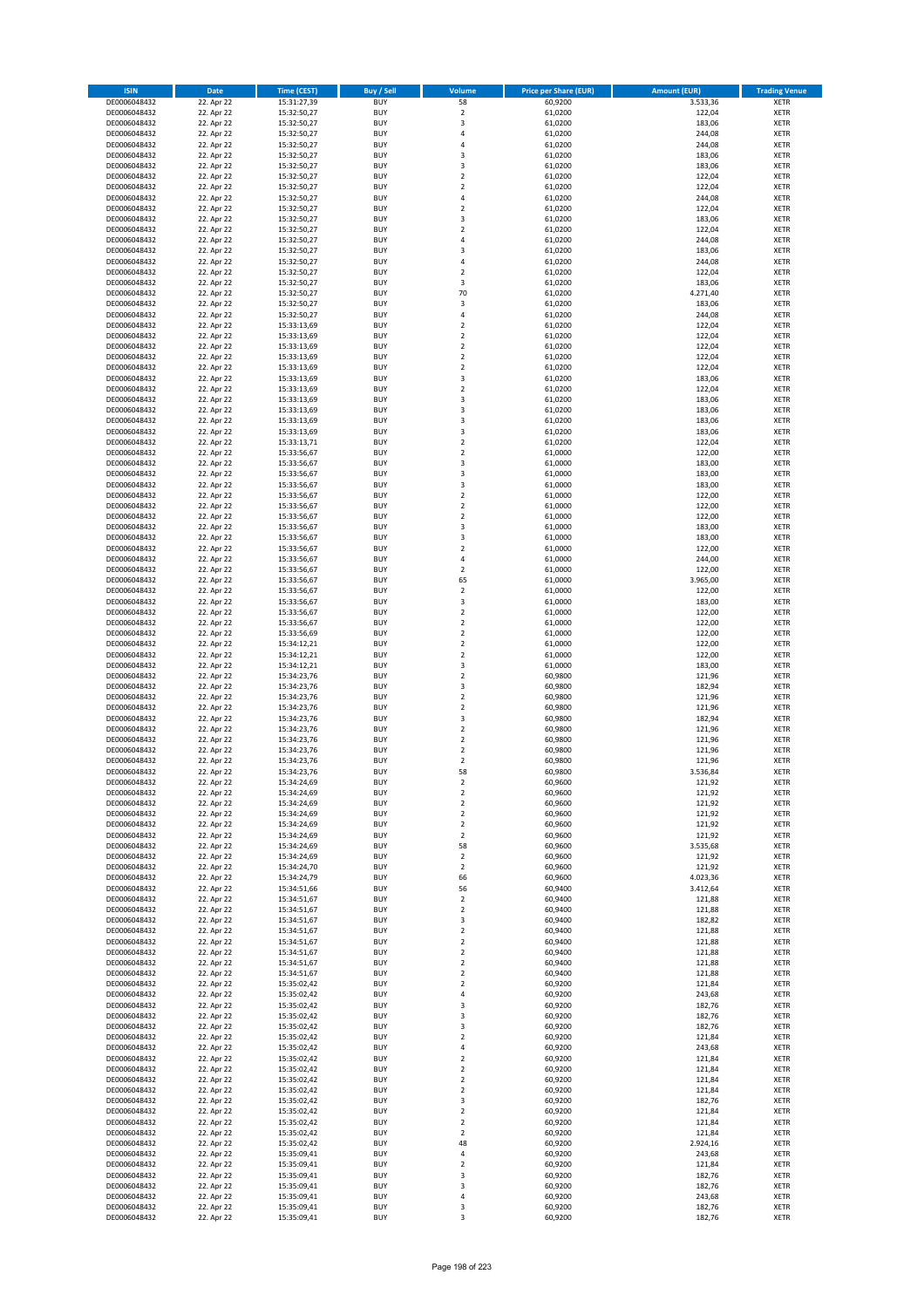| <b>ISIN</b>                  | <b>Date</b>              | <b>Time (CEST)</b>         | <b>Buy / Sell</b>        | Volume                           | <b>Price per Share (EUR)</b> | <b>Amount (EUR)</b> | <b>Trading Venue</b>       |
|------------------------------|--------------------------|----------------------------|--------------------------|----------------------------------|------------------------------|---------------------|----------------------------|
| DE0006048432                 | 22. Apr 22               | 15:31:27,39                | <b>BUY</b>               | 58                               | 60,9200                      | 3.533,36            | <b>XETR</b>                |
| DE0006048432                 | 22. Apr 22               | 15:32:50,27                | <b>BUY</b>               | $\mathbf 2$                      | 61,0200                      | 122,04              | <b>XETR</b>                |
| DE0006048432                 | 22. Apr 22               | 15:32:50,27                | <b>BUY</b>               | $\overline{\mathbf{3}}$          | 61,0200                      | 183,06              | <b>XETR</b>                |
| DE0006048432                 | 22. Apr 22               | 15:32:50,27                | <b>BUY</b>               | 4                                | 61,0200                      | 244,08              | <b>XETR</b>                |
| DE0006048432                 | 22. Apr 22               | 15:32:50,27                | <b>BUY</b>               | $\overline{4}$                   | 61,0200                      | 244,08              | <b>XETR</b>                |
| DE0006048432                 | 22. Apr 22               | 15:32:50,27                | <b>BUY</b>               | $\overline{\mathbf{3}}$          | 61,0200                      | 183,06              | <b>XETR</b>                |
| DE0006048432                 | 22. Apr 22               | 15:32:50,27                | <b>BUY</b>               | $\overline{\mathbf{3}}$          | 61,0200                      | 183,06              | <b>XETR</b>                |
| DE0006048432                 | 22. Apr 22               | 15:32:50,27                | <b>BUY</b>               | $\overline{2}$                   | 61,0200                      | 122,04              | <b>XETR</b>                |
| DE0006048432                 | 22. Apr 22               | 15:32:50,27                | BUY                      | $\overline{2}$                   | 61,0200                      | 122,04              | <b>XETR</b>                |
| DE0006048432                 | 22. Apr 22               | 15:32:50,27                | <b>BUY</b>               | $\overline{4}$                   | 61,0200                      | 244,08              | <b>XETR</b>                |
| DE0006048432                 | 22. Apr 22               | 15:32:50,27                | <b>BUY</b>               | $\mathbf 2$                      | 61,0200                      | 122,04              | <b>XETR</b>                |
| DE0006048432                 | 22. Apr 22               | 15:32:50,27                | <b>BUY</b>               | $\overline{\mathbf{3}}$          | 61,0200                      | 183,06              | <b>XETR</b>                |
| DE0006048432                 | 22. Apr 22               | 15:32:50,27                | <b>BUY</b>               | $\overline{2}$<br>$\overline{a}$ | 61,0200                      | 122,04              | <b>XETR</b>                |
| DE0006048432                 | 22. Apr 22               | 15:32:50,27                | <b>BUY</b>               | $\overline{\mathbf{3}}$          | 61,0200                      | 244,08              | <b>XETR</b>                |
| DE0006048432<br>DE0006048432 | 22. Apr 22<br>22. Apr 22 | 15:32:50,27<br>15:32:50,27 | <b>BUY</b><br>BUY        | $\overline{a}$                   | 61,0200<br>61,0200           | 183,06<br>244,08    | <b>XETR</b><br><b>XETR</b> |
| DE0006048432                 | 22. Apr 22               | 15:32:50,27                | <b>BUY</b>               | $\overline{2}$                   | 61,0200                      | 122,04              | <b>XETR</b>                |
| DE0006048432                 | 22. Apr 22               | 15:32:50,27                | <b>BUY</b>               | 3                                | 61,0200                      | 183,06              | <b>XETR</b>                |
| DE0006048432                 | 22. Apr 22               | 15:32:50,27                | <b>BUY</b>               | 70                               | 61,0200                      | 4.271,40            | <b>XETR</b>                |
| DE0006048432                 | 22. Apr 22               | 15:32:50,27                | <b>BUY</b>               | $\mathsf 3$                      | 61,0200                      | 183,06              | <b>XETR</b>                |
| DE0006048432                 | 22. Apr 22               | 15:32:50,27                | <b>BUY</b>               | $\overline{4}$                   | 61,0200                      | 244,08              | <b>XETR</b>                |
| DE0006048432                 | 22. Apr 22               | 15:33:13,69                | <b>BUY</b>               | $\mathbf 2$                      | 61,0200                      | 122,04              | <b>XETR</b>                |
| DE0006048432                 | 22. Apr 22               | 15:33:13,69                | <b>BUY</b>               | $\overline{2}$                   | 61,0200                      | 122,04              | <b>XETR</b>                |
| DE0006048432                 | 22. Apr 22               | 15:33:13,69                | <b>BUY</b>               | $\overline{2}$                   | 61,0200                      | 122,04              | <b>XETR</b>                |
| DE0006048432                 | 22. Apr 22               | 15:33:13,69                | <b>BUY</b>               | $\mathbf 2$                      | 61,0200                      | 122,04              | <b>XETR</b>                |
| DE0006048432                 | 22. Apr 22               | 15:33:13,69                | <b>BUY</b>               | $\mathbf 2$                      | 61,0200                      | 122,04              | <b>XETR</b>                |
| DE0006048432                 | 22. Apr 22               | 15:33:13,69                | <b>BUY</b>               | 3                                | 61,0200                      | 183,06              | <b>XETR</b>                |
| DE0006048432                 | 22. Apr 22               | 15:33:13,69                | <b>BUY</b>               | $\overline{2}$                   | 61,0200                      | 122,04              | <b>XETR</b>                |
| DE0006048432                 | 22. Apr 22               | 15:33:13,69                | <b>BUY</b>               | 3                                | 61,0200                      | 183,06              | <b>XETR</b>                |
| DE0006048432                 | 22. Apr 22               | 15:33:13,69                | <b>BUY</b>               | $\overline{\mathbf{3}}$          | 61,0200                      | 183,06              | <b>XETR</b>                |
| DE0006048432                 | 22. Apr 22               | 15:33:13,69                | <b>BUY</b>               | 3                                | 61,0200                      | 183,06              | <b>XETR</b>                |
| DE0006048432                 | 22. Apr 22               | 15:33:13,69                | <b>BUY</b>               | 3                                | 61,0200                      | 183,06              | <b>XETR</b>                |
| DE0006048432                 | 22. Apr 22               | 15:33:13,71                | <b>BUY</b>               | $\mathbf 2$                      | 61,0200                      | 122,04              | <b>XETR</b>                |
| DE0006048432                 | 22. Apr 22               | 15:33:56,67                | <b>BUY</b>               | $\overline{2}$                   | 61,0000                      | 122,00              | <b>XETR</b>                |
| DE0006048432                 | 22. Apr 22               | 15:33:56,67                | <b>BUY</b>               | $\overline{\mathbf{3}}$<br>3     | 61,0000                      | 183,00              | <b>XETR</b>                |
| DE0006048432<br>DE0006048432 | 22. Apr 22<br>22. Apr 22 | 15:33:56,67<br>15:33:56,67 | <b>BUY</b><br><b>BUY</b> | $\overline{\mathbf{3}}$          | 61,0000<br>61,0000           | 183,00<br>183,00    | <b>XETR</b><br><b>XETR</b> |
| DE0006048432                 | 22. Apr 22               | 15:33:56,67                | <b>BUY</b>               | $\mathbf 2$                      | 61,0000                      | 122,00              | <b>XETR</b>                |
| DE0006048432                 | 22. Apr 22               | 15:33:56,67                | <b>BUY</b>               | $\mathbf 2$                      | 61,0000                      | 122,00              | <b>XETR</b>                |
| DE0006048432                 | 22. Apr 22               | 15:33:56,67                | <b>BUY</b>               | $\mathbf 2$                      | 61,0000                      | 122,00              | <b>XETR</b>                |
| DE0006048432                 | 22. Apr 22               | 15:33:56,67                | <b>BUY</b>               | 3                                | 61,0000                      | 183,00              | <b>XETR</b>                |
| DE0006048432                 | 22. Apr 22               | 15:33:56,67                | <b>BUY</b>               | 3                                | 61,0000                      | 183,00              | <b>XETR</b>                |
| DE0006048432                 | 22. Apr 22               | 15:33:56,67                | <b>BUY</b>               | $\mathbf 2$                      | 61,0000                      | 122,00              | <b>XETR</b>                |
| DE0006048432                 | 22. Apr 22               | 15:33:56,67                | <b>BUY</b>               | $\overline{4}$                   | 61,0000                      | 244,00              | <b>XETR</b>                |
| DE0006048432                 | 22. Apr 22               | 15:33:56,67                | <b>BUY</b>               | $\overline{2}$                   | 61,0000                      | 122,00              | <b>XETR</b>                |
| DE0006048432                 | 22. Apr 22               | 15:33:56,67                | <b>BUY</b>               | 65                               | 61,0000                      | 3.965,00            | <b>XETR</b>                |
| DE0006048432                 | 22. Apr 22               | 15:33:56,67                | <b>BUY</b>               | $\mathbf 2$                      | 61,0000                      | 122,00              | <b>XETR</b>                |
| DE0006048432                 | 22. Apr 22               | 15:33:56,67                | <b>BUY</b>               | 3                                | 61,0000                      | 183,00              | <b>XETR</b>                |
| DE0006048432                 | 22. Apr 22               | 15:33:56,67                | <b>BUY</b>               | $\overline{2}$                   | 61,0000                      | 122,00              | <b>XETR</b>                |
| DE0006048432                 | 22. Apr 22               | 15:33:56,67                | <b>BUY</b>               | $\overline{2}$                   | 61,0000                      | 122,00              | <b>XETR</b>                |
| DE0006048432                 | 22. Apr 22               | 15:33:56,69                | <b>BUY</b>               | $\overline{2}$                   | 61,0000                      | 122,00              | <b>XETR</b>                |
| DE0006048432                 | 22. Apr 22               | 15:34:12,21                | <b>BUY</b>               | $\overline{2}$                   | 61,0000                      | 122,00              | <b>XETR</b>                |
| DE0006048432                 | 22. Apr 22               | 15:34:12,21                | <b>BUY</b>               | $\overline{2}$                   | 61,0000                      | 122,00              | <b>XETR</b>                |
| DE0006048432<br>DE0006048432 | 22. Apr 22               | 15:34:12,21                | <b>BUY</b><br><b>BUY</b> | 3<br>$\overline{2}$              | 61,0000                      | 183,00              | <b>XETR</b><br><b>XETR</b> |
|                              | 22. Apr 22               | 15:34:23,76                |                          | 3                                | 60,9800                      | 121,96              |                            |
| DE0006048432<br>DE0006048432 | 22. Apr 22<br>22. Apr 22 | 15:34:23,76<br>15:34:23,76 | <b>BUY</b><br><b>BUY</b> | $\overline{2}$                   | 60,9800<br>60,9800           | 182,94<br>121,96    | <b>XETR</b><br><b>XETR</b> |
| DE0006048432                 | 22. Apr 22               | 15:34:23,76                | <b>BUY</b>               | $\overline{2}$                   | 60,9800                      | 121,96              | <b>XETR</b>                |
| DE0006048432                 | 22. Apr 22               | 15:34:23,76                | BUY                      | 3                                | 60,9800                      | 182,94              | <b>XETR</b>                |
| DE0006048432                 | 22. Apr 22               | 15:34:23,76                | <b>BUY</b>               | $\overline{2}$                   | 60,9800                      | 121,96              | <b>XETR</b>                |
| DE0006048432                 | 22. Apr 22               | 15:34:23,76                | <b>BUY</b>               | $\mathbf 2$                      | 60,9800                      | 121,96              | <b>XETR</b>                |
| DE0006048432                 | 22. Apr 22               | 15:34:23,76                | BUY                      | $\overline{2}$                   | 60,9800                      | 121,96              | <b>XETR</b>                |
| DE0006048432                 | 22. Apr 22               | 15:34:23,76                | BUY                      | $\mathbf 2$                      | 60,9800                      | 121,96              | <b>XETR</b>                |
| DE0006048432                 | 22. Apr 22               | 15:34:23,76                | <b>BUY</b>               | 58                               | 60,9800                      | 3.536,84            | <b>XETR</b>                |
| DE0006048432                 | 22. Apr 22               | 15:34:24,69                | BUY                      | 2                                | 60,9600                      | 121,92              | <b>XETR</b>                |
| DE0006048432                 | 22. Apr 22               | 15:34:24,69                | <b>BUY</b>               | $\mathbf 2$                      | 60,9600                      | 121,92              | <b>XETR</b>                |
| DE0006048432                 | 22. Apr 22               | 15:34:24,69                | <b>BUY</b>               | $\mathbf 2$                      | 60,9600                      | 121,92              | <b>XETR</b>                |
| DE0006048432                 | 22. Apr 22               | 15:34:24,69                | <b>BUY</b>               | $\mathbf 2$                      | 60,9600                      | 121,92              | <b>XETR</b>                |
| DE0006048432                 | 22. Apr 22               | 15:34:24,69                | <b>BUY</b>               | $\overline{2}$                   | 60,9600                      | 121,92              | <b>XETR</b>                |
| DE0006048432                 | 22. Apr 22               | 15:34:24,69                | <b>BUY</b>               | $\mathbf 2$                      | 60,9600                      | 121,92              | <b>XETR</b>                |
| DE0006048432                 | 22. Apr 22               | 15:34:24,69                | <b>BUY</b>               | 58                               | 60,9600                      | 3.535,68            | <b>XETR</b>                |
| DE0006048432                 | 22. Apr 22               | 15:34:24,69                | <b>BUY</b>               | $\mathbf 2$                      | 60,9600                      | 121,92              | <b>XETR</b>                |
| DE0006048432                 | 22. Apr 22               | 15:34:24,70                | <b>BUY</b>               | $\mathbf 2$                      | 60,9600                      | 121,92              | <b>XETR</b>                |
| DE0006048432                 | 22. Apr 22               | 15:34:24,79                | <b>BUY</b>               | 66                               | 60,9600                      | 4.023,36            | <b>XETR</b>                |
| DE0006048432<br>DE0006048432 | 22. Apr 22               | 15:34:51,66                | <b>BUY</b><br><b>BUY</b> | 56                               | 60,9400<br>60.9400           | 3.412,64            | <b>XETR</b><br><b>XETR</b> |
| DE0006048432                 | 22. Apr 22<br>22. Apr 22 | 15:34:51,67<br>15:34:51,67 | <b>BUY</b>               | $\mathbf 2$<br>$\mathbf 2$       | 60,9400                      | 121,88<br>121,88    | <b>XETR</b>                |
| DE0006048432                 | 22. Apr 22               | 15:34:51,67                | <b>BUY</b>               | $\overline{\mathbf{3}}$          | 60,9400                      | 182,82              | <b>XETR</b>                |
| DE0006048432                 | 22. Apr 22               | 15:34:51,67                | <b>BUY</b>               | $\mathbf 2$                      | 60,9400                      | 121,88              | <b>XETR</b>                |
| DE0006048432                 | 22. Apr 22               | 15:34:51,67                | <b>BUY</b>               | $\mathbf 2$                      | 60,9400                      | 121,88              | <b>XETR</b>                |
| DE0006048432                 | 22. Apr 22               | 15:34:51,67                | <b>BUY</b>               | $\mathbf 2$                      | 60,9400                      | 121,88              | <b>XETR</b>                |
| DE0006048432                 | 22. Apr 22               | 15:34:51,67                | <b>BUY</b>               | $\mathbf 2$                      | 60,9400                      | 121,88              | <b>XETR</b>                |
| DE0006048432                 | 22. Apr 22               | 15:34:51,67                | <b>BUY</b>               | $\mathbf 2$                      | 60,9400                      | 121,88              | <b>XETR</b>                |
| DE0006048432                 | 22. Apr 22               | 15:35:02,42                | <b>BUY</b>               | $\mathbf 2$                      | 60,9200                      | 121,84              | <b>XETR</b>                |
| DE0006048432                 | 22. Apr 22               | 15:35:02,42                | <b>BUY</b>               | $\overline{4}$                   | 60,9200                      | 243,68              | <b>XETR</b>                |
| DE0006048432                 | 22. Apr 22               | 15:35:02,42                | <b>BUY</b>               | 3                                | 60,9200                      | 182,76              | <b>XETR</b>                |
| DE0006048432                 | 22. Apr 22               | 15:35:02,42                | <b>BUY</b>               | $\overline{\mathbf{3}}$          | 60,9200                      | 182,76              | <b>XETR</b>                |
| DE0006048432                 | 22. Apr 22               | 15:35:02,42                | <b>BUY</b>               | 3                                | 60,9200                      | 182,76              | <b>XETR</b>                |
| DE0006048432                 | 22. Apr 22               | 15:35:02,42                | <b>BUY</b>               | $\overline{2}$                   | 60,9200                      | 121,84              | <b>XETR</b>                |
| DE0006048432                 | 22. Apr 22               | 15:35:02,42                | <b>BUY</b>               | 4                                | 60,9200                      | 243,68              | <b>XETR</b>                |
| DE0006048432                 | 22. Apr 22               | 15:35:02,42                | <b>BUY</b>               | $\overline{2}$                   | 60,9200                      | 121,84              | <b>XETR</b>                |
| DE0006048432                 | 22. Apr 22               | 15:35:02,42                | <b>BUY</b>               | $\overline{2}$                   | 60,9200                      | 121,84              | <b>XETR</b>                |
| DE0006048432                 | 22. Apr 22               | 15:35:02,42                | <b>BUY</b>               | $\mathbf 2$                      | 60,9200                      | 121,84              | <b>XETR</b>                |
| DE0006048432                 | 22. Apr 22               | 15:35:02,42                | <b>BUY</b><br><b>BUY</b> | $\overline{2}$                   | 60,9200<br>60,9200           | 121,84<br>182,76    | <b>XETR</b>                |
| DE0006048432<br>DE0006048432 | 22. Apr 22<br>22. Apr 22 | 15:35:02,42<br>15:35:02,42 | <b>BUY</b>               | 3<br>$\mathbf 2$                 | 60,9200                      | 121,84              | <b>XETR</b><br><b>XETR</b> |
| DE0006048432                 | 22. Apr 22               | 15:35:02,42                | <b>BUY</b>               | $\mathbf 2$                      | 60,9200                      | 121,84              | <b>XETR</b>                |
| DE0006048432                 | 22. Apr 22               | 15:35:02,42                | <b>BUY</b>               | $\overline{2}$                   | 60,9200                      | 121,84              | <b>XETR</b>                |
| DE0006048432                 | 22. Apr 22               | 15:35:02,42                | <b>BUY</b>               | 48                               | 60,9200                      | 2.924,16            | <b>XETR</b>                |
| DE0006048432                 | 22. Apr 22               | 15:35:09,41                | <b>BUY</b>               | 4                                | 60,9200                      | 243,68              | <b>XETR</b>                |
| DE0006048432                 | 22. Apr 22               | 15:35:09,41                | <b>BUY</b>               | $\overline{2}$                   | 60,9200                      | 121,84              | <b>XETR</b>                |
| DE0006048432                 | 22. Apr 22               | 15:35:09,41                | <b>BUY</b>               | 3                                | 60,9200                      | 182,76              | <b>XETR</b>                |
| DE0006048432                 | 22. Apr 22               | 15:35:09,41                | <b>BUY</b>               | 3                                | 60,9200                      | 182,76              | <b>XETR</b>                |
| DE0006048432                 | 22. Apr 22               | 15:35:09,41                | <b>BUY</b>               | 4                                | 60,9200                      | 243,68              | <b>XETR</b>                |
| DE0006048432                 | 22. Apr 22               | 15:35:09,41                | <b>BUY</b>               | 3                                | 60,9200                      | 182,76              | <b>XETR</b>                |
| DE0006048432                 | 22. Apr 22               | 15:35:09,41                | <b>BUY</b>               | 3                                | 60,9200                      | 182,76              | <b>XETR</b>                |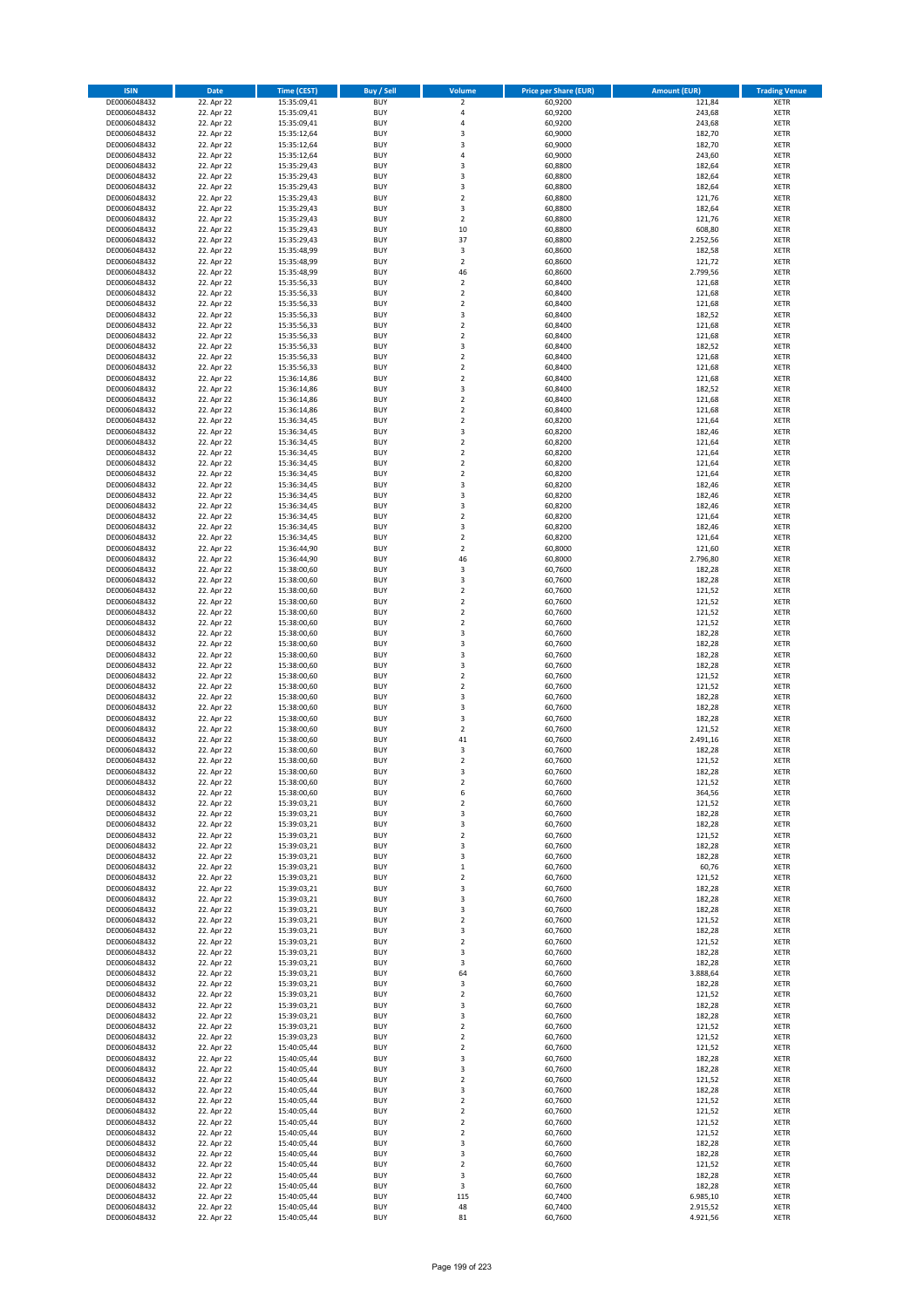| <b>ISIN</b>                  | <b>Date</b>              | <b>Time (CEST)</b>         | <b>Buy / Sell</b>        | <b>Volume</b>                          | <b>Price per Share (EUR)</b> | <b>Amount (EUR)</b>  | <b>Trading Venue</b>       |
|------------------------------|--------------------------|----------------------------|--------------------------|----------------------------------------|------------------------------|----------------------|----------------------------|
| DE0006048432                 | 22. Apr 22               | 15:35:09,41                | <b>BUY</b>               | $\mathbf 2$                            | 60,9200                      | 121,84               | <b>XETR</b>                |
| DE0006048432                 | 22. Apr 22               | 15:35:09,41                | <b>BUY</b>               | 4                                      | 60,9200                      | 243,68               | <b>XETR</b>                |
| DE0006048432                 | 22. Apr 22               | 15:35:09,41                | <b>BUY</b>               | 4                                      | 60,9200                      | 243,68               | <b>XETR</b>                |
| DE0006048432<br>DE0006048432 | 22. Apr 22<br>22. Apr 22 | 15:35:12,64<br>15:35:12,64 | <b>BUY</b><br><b>BUY</b> | 3<br>3                                 | 60,9000<br>60,9000           | 182,70<br>182,70     | <b>XETR</b><br><b>XETR</b> |
| DE0006048432                 | 22. Apr 22               | 15:35:12,64                | <b>BUY</b>               | 4                                      | 60,9000                      | 243,60               | <b>XETR</b>                |
| DE0006048432                 | 22. Apr 22               | 15:35:29,43                | <b>BUY</b>               | 3                                      | 60,8800                      | 182,64               | <b>XETR</b>                |
| DE0006048432                 | 22. Apr 22               | 15:35:29,43                | <b>BUY</b>               | 3                                      | 60,8800                      | 182,64               | <b>XETR</b>                |
| DE0006048432                 | 22. Apr 22               | 15:35:29,43                | <b>BUY</b>               | 3                                      | 60,8800                      | 182,64               | <b>XETR</b>                |
| DE0006048432                 | 22. Apr 22               | 15:35:29,43                | <b>BUY</b><br><b>BUY</b> | $\overline{2}$                         | 60,8800                      | 121,76               | <b>XETR</b><br><b>XETR</b> |
| DE0006048432<br>DE0006048432 | 22. Apr 22<br>22. Apr 22 | 15:35:29,43<br>15:35:29,43 | <b>BUY</b>               | 3<br>$\overline{\mathbf{c}}$           | 60,8800<br>60,8800           | 182,64<br>121,76     | <b>XETR</b>                |
| DE0006048432                 | 22. Apr 22               | 15:35:29,43                | <b>BUY</b>               | 10                                     | 60,8800                      | 608,80               | <b>XETR</b>                |
| DE0006048432                 | 22. Apr 22               | 15:35:29,43                | <b>BUY</b>               | 37                                     | 60,8800                      | 2.252,56             | <b>XETR</b>                |
| DE0006048432                 | 22. Apr 22               | 15:35:48,99                | <b>BUY</b>               | 3                                      | 60,8600                      | 182,58               | <b>XETR</b>                |
| DE0006048432                 | 22. Apr 22               | 15:35:48,99                | <b>BUY</b>               | $\overline{\mathbf{c}}$                | 60,8600                      | 121,72               | <b>XETR</b>                |
| DE0006048432<br>DE0006048432 | 22. Apr 22<br>22. Apr 22 | 15:35:48,99<br>15:35:56,33 | <b>BUY</b><br><b>BUY</b> | 46<br>$\mathbf 2$                      | 60,8600<br>60,8400           | 2.799,56<br>121,68   | <b>XETR</b><br><b>XETR</b> |
| DE0006048432                 | 22. Apr 22               | 15:35:56,33                | <b>BUY</b>               | $\overline{\mathbf{c}}$                | 60,8400                      | 121,68               | <b>XETR</b>                |
| DE0006048432                 | 22. Apr 22               | 15:35:56,33                | <b>BUY</b>               | $\mathbf 2$                            | 60,8400                      | 121,68               | <b>XETR</b>                |
| DE0006048432                 | 22. Apr 22               | 15:35:56,33                | <b>BUY</b>               | 3                                      | 60,8400                      | 182,52               | <b>XETR</b>                |
| DE0006048432                 | 22. Apr 22               | 15:35:56,33                | <b>BUY</b>               | $\mathbf 2$                            | 60,8400                      | 121,68               | <b>XETR</b>                |
| DE0006048432                 | 22. Apr 22<br>22. Apr 22 | 15:35:56,33                | <b>BUY</b><br><b>BUY</b> | $\mathbf 2$<br>3                       | 60,8400<br>60,8400           | 121,68<br>182,52     | <b>XETR</b><br><b>XETR</b> |
| DE0006048432<br>DE0006048432 | 22. Apr 22               | 15:35:56,33<br>15:35:56,33 | <b>BUY</b>               | $\mathbf 2$                            | 60,8400                      | 121,68               | <b>XETR</b>                |
| DE0006048432                 | 22. Apr 22               | 15:35:56,33                | <b>BUY</b>               | $\mathbf 2$                            | 60,8400                      | 121,68               | <b>XETR</b>                |
| DE0006048432                 | 22. Apr 22               | 15:36:14,86                | <b>BUY</b>               | $\mathbf 2$                            | 60,8400                      | 121,68               | <b>XETR</b>                |
| DE0006048432                 | 22. Apr 22               | 15:36:14,86                | <b>BUY</b>               | 3                                      | 60,8400                      | 182,52               | <b>XETR</b>                |
| DE0006048432                 | 22. Apr 22               | 15:36:14,86                | <b>BUY</b><br><b>BUY</b> | $\mathbf 2$<br>$\overline{\mathbf{c}}$ | 60,8400                      | 121,68               | <b>XETR</b><br><b>XETR</b> |
| DE0006048432<br>DE0006048432 | 22. Apr 22<br>22. Apr 22 | 15:36:14,86<br>15:36:34,45 | <b>BUY</b>               | $\overline{2}$                         | 60,8400<br>60,8200           | 121,68<br>121,64     | <b>XETR</b>                |
| DE0006048432                 | 22. Apr 22               | 15:36:34,45                | <b>BUY</b>               | 3                                      | 60,8200                      | 182,46               | <b>XETR</b>                |
| DE0006048432                 | 22. Apr 22               | 15:36:34,45                | <b>BUY</b>               | $\mathbf 2$                            | 60,8200                      | 121,64               | <b>XETR</b>                |
| DE0006048432                 | 22. Apr 22               | 15:36:34,45                | <b>BUY</b>               | $\mathbf 2$                            | 60,8200                      | 121,64               | <b>XETR</b>                |
| DE0006048432                 | 22. Apr 22               | 15:36:34,45                | <b>BUY</b>               | $\mathbf 2$                            | 60,8200                      | 121,64               | <b>XETR</b>                |
| DE0006048432                 | 22. Apr 22<br>22. Apr 22 | 15:36:34,45                | <b>BUY</b><br><b>BUY</b> | $\mathbf 2$<br>3                       | 60,8200                      | 121,64               | <b>XETR</b><br><b>XETR</b> |
| DE0006048432<br>DE0006048432 | 22. Apr 22               | 15:36:34,45<br>15:36:34,45 | <b>BUY</b>               | 3                                      | 60,8200<br>60,8200           | 182,46<br>182,46     | <b>XETR</b>                |
| DE0006048432                 | 22. Apr 22               | 15:36:34,45                | <b>BUY</b>               | 3                                      | 60,8200                      | 182,46               | <b>XETR</b>                |
| DE0006048432                 | 22. Apr 22               | 15:36:34,45                | <b>BUY</b>               | $\mathbf 2$                            | 60,8200                      | 121,64               | <b>XETR</b>                |
| DE0006048432                 | 22. Apr 22               | 15:36:34,45                | <b>BUY</b>               | 3                                      | 60,8200                      | 182,46               | <b>XETR</b>                |
| DE0006048432                 | 22. Apr 22               | 15:36:34,45                | <b>BUY</b>               | $\mathbf 2$                            | 60,8200                      | 121,64               | <b>XETR</b>                |
| DE0006048432                 | 22. Apr 22               | 15:36:44,90                | <b>BUY</b><br><b>BUY</b> | $\mathbf 2$<br>46                      | 60,8000                      | 121,60               | <b>XETR</b><br><b>XETR</b> |
| DE0006048432<br>DE0006048432 | 22. Apr 22<br>22. Apr 22 | 15:36:44,90<br>15:38:00,60 | <b>BUY</b>               | 3                                      | 60,8000<br>60,7600           | 2.796,80<br>182,28   | <b>XETR</b>                |
| DE0006048432                 | 22. Apr 22               | 15:38:00,60                | <b>BUY</b>               | 3                                      | 60,7600                      | 182,28               | <b>XETR</b>                |
| DE0006048432                 | 22. Apr 22               | 15:38:00,60                | <b>BUY</b>               | $\mathbf 2$                            | 60,7600                      | 121,52               | <b>XETR</b>                |
| DE0006048432                 | 22. Apr 22               | 15:38:00,60                | <b>BUY</b>               | $\mathbf 2$                            | 60,7600                      | 121,52               | <b>XETR</b>                |
| DE0006048432                 | 22. Apr 22               | 15:38:00,60                | <b>BUY</b>               | $\mathbf 2$                            | 60,7600                      | 121,52               | <b>XETR</b>                |
| DE0006048432<br>DE0006048432 | 22. Apr 22<br>22. Apr 22 | 15:38:00,60<br>15:38:00,60 | <b>BUY</b><br><b>BUY</b> | $\mathbf 2$<br>3                       | 60,7600<br>60,7600           | 121,52<br>182,28     | <b>XETR</b><br><b>XETR</b> |
| DE0006048432                 | 22. Apr 22               | 15:38:00,60                | <b>BUY</b>               | 3                                      | 60,7600                      | 182,28               | <b>XETR</b>                |
| DE0006048432                 | 22. Apr 22               | 15:38:00,60                | <b>BUY</b>               | 3                                      | 60,7600                      | 182,28               | <b>XETR</b>                |
| DE0006048432                 | 22. Apr 22               | 15:38:00,60                | <b>BUY</b>               | 3                                      | 60,7600                      | 182,28               | <b>XETR</b>                |
| DE0006048432                 | 22. Apr 22               | 15:38:00,60                | <b>BUY</b>               | $\overline{\mathbf{c}}$                | 60,7600                      | 121,52               | <b>XETR</b>                |
| DE0006048432<br>DE0006048432 | 22. Apr 22<br>22. Apr 22 | 15:38:00,60<br>15:38:00,60 | <b>BUY</b><br><b>BUY</b> | $\mathbf 2$<br>3                       | 60,7600<br>60,7600           | 121,52<br>182,28     | <b>XETR</b><br><b>XETR</b> |
| DE0006048432                 | 22. Apr 22               | 15:38:00,60                | <b>BUY</b>               | 3                                      | 60,7600                      | 182,28               | <b>XETR</b>                |
| DE0006048432                 | 22. Apr 22               | 15:38:00,60                | <b>BUY</b>               | 3                                      | 60,7600                      | 182,28               | <b>XETR</b>                |
| DE0006048432                 | 22. Apr 22               | 15:38:00,60                | <b>BUY</b>               | $\overline{\mathbf{2}}$                | 60,7600                      | 121,52               | <b>XETR</b>                |
| DE0006048432                 | 22. Apr 22               | 15:38:00,60                | <b>BUY</b>               | 41                                     | 60,7600                      | 2.491,16             | <b>XETR</b>                |
| DE0006048432<br>DE0006048432 | 22. Apr 22<br>22. Apr 22 | 15:38:00,60<br>15:38:00,60 | <b>BUY</b><br><b>BUY</b> | 3<br>$\overline{\mathbf{c}}$           | 60,7600<br>60,7600           | 182,28<br>121,52     | <b>XETR</b><br><b>XETR</b> |
| DE0006048432                 | 22. Apr 22               | 15:38:00,60                | <b>BUY</b>               | 3                                      | 60,7600                      | 182,28               | <b>XETR</b>                |
| DE0006048432                 | 22. Apr 22               | 15:38:00,60                | BUY                      | 2                                      | 60,7600                      | 121,52               | <b>XETR</b>                |
| DE0006048432                 | 22. Apr 22               | 15:38:00,60                | <b>BUY</b>               | 6                                      | 60,7600                      | 364,56               | <b>XETR</b>                |
| DE0006048432                 | 22. Apr 22               | 15:39:03,21                | <b>BUY</b>               | $\mathbf 2$                            | 60,7600                      | 121,52               | <b>XETR</b>                |
| DE0006048432<br>DE0006048432 | 22. Apr 22<br>22. Apr 22 | 15:39:03,21<br>15:39:03,21 | <b>BUY</b><br><b>BUY</b> | 3<br>3                                 | 60,7600<br>60,7600           | 182,28               | XETR<br><b>XETR</b>        |
| DE0006048432                 | 22. Apr 22               | 15:39:03,21                | <b>BUY</b>               | $\mathbf 2$                            | 60,7600                      | 182,28<br>121,52     | <b>XETR</b>                |
| DE0006048432                 | 22. Apr 22               | 15:39:03,21                | <b>BUY</b>               | 3                                      | 60,7600                      | 182,28               | <b>XETR</b>                |
| DE0006048432                 | 22. Apr 22               | 15:39:03,21                | <b>BUY</b>               | 3                                      | 60,7600                      | 182,28               | <b>XETR</b>                |
| DE0006048432                 | 22. Apr 22               | 15:39:03,21                | <b>BUY</b>               | $\mathbf 1$                            | 60,7600                      | 60,76                | <b>XETR</b>                |
| DE0006048432                 | 22. Apr 22               | 15:39:03,21                | <b>BUY</b><br><b>BUY</b> | $\mathbf 2$                            | 60,7600                      | 121,52               | XETR                       |
| DE0006048432<br>DE0006048432 | 22. Apr 22<br>22. Apr 22 | 15:39:03,21<br>15:39:03,21 | <b>BUY</b>               | 3<br>3                                 | 60,7600<br>60.7600           | 182,28<br>182,28     | <b>XETR</b><br><b>XETR</b> |
| DE0006048432                 | 22. Apr 22               | 15:39:03,21                | <b>BUY</b>               | 3                                      | 60,7600                      | 182,28               | <b>XETR</b>                |
| DE0006048432                 | 22. Apr 22               | 15:39:03,21                | <b>BUY</b>               | $\overline{\mathbf{2}}$                | 60,7600                      | 121,52               | <b>XETR</b>                |
| DE0006048432                 | 22. Apr 22               | 15:39:03,21                | <b>BUY</b>               | 3                                      | 60,7600                      | 182,28               | <b>XETR</b>                |
| DE0006048432                 | 22. Apr 22<br>22. Apr 22 | 15:39:03,21<br>15:39:03,21 | <b>BUY</b><br><b>BUY</b> | $\mathbf 2$<br>3                       | 60,7600<br>60,7600           | 121,52<br>182,28     | <b>XETR</b><br><b>XETR</b> |
| DE0006048432<br>DE0006048432 | 22. Apr 22               | 15:39:03,21                | <b>BUY</b>               | 3                                      | 60,7600                      | 182,28               | <b>XETR</b>                |
| DE0006048432                 | 22. Apr 22               | 15:39:03,21                | <b>BUY</b>               | 64                                     | 60,7600                      | 3.888,64             | XETR                       |
| DE0006048432                 | 22. Apr 22               | 15:39:03,21                | <b>BUY</b>               | 3                                      | 60,7600                      | 182,28               | <b>XETR</b>                |
| DE0006048432                 | 22. Apr 22               | 15:39:03,21                | <b>BUY</b>               | $\overline{\mathbf{2}}$                | 60,7600                      | 121,52               | <b>XETR</b>                |
| DE0006048432                 | 22. Apr 22               | 15:39:03,21                | <b>BUY</b><br><b>BUY</b> | 3<br>3                                 | 60,7600                      | 182,28               | <b>XETR</b><br><b>XETR</b> |
| DE0006048432<br>DE0006048432 | 22. Apr 22<br>22. Apr 22 | 15:39:03,21<br>15:39:03,21 | <b>BUY</b>               | $\mathbf 2$                            | 60,7600<br>60,7600           | 182,28<br>121,52     | <b>XETR</b>                |
| DE0006048432                 | 22. Apr 22               | 15:39:03,23                | <b>BUY</b>               | $\mathbf 2$                            | 60,7600                      | 121,52               | <b>XETR</b>                |
| DE0006048432                 | 22. Apr 22               | 15:40:05,44                | <b>BUY</b>               | $\mathbf 2$                            | 60,7600                      | 121,52               | <b>XETR</b>                |
| DE0006048432                 | 22. Apr 22               | 15:40:05,44                | <b>BUY</b>               | 3                                      | 60,7600                      | 182,28               | <b>XETR</b>                |
| DE0006048432                 | 22. Apr 22               | 15:40:05,44                | <b>BUY</b>               | 3                                      | 60,7600                      | 182,28               | <b>XETR</b>                |
| DE0006048432<br>DE0006048432 | 22. Apr 22<br>22. Apr 22 | 15:40:05,44<br>15:40:05,44 | <b>BUY</b><br><b>BUY</b> | $\mathbf 2$<br>3                       | 60,7600<br>60,7600           | 121,52<br>182,28     | <b>XETR</b><br>XETR        |
| DE0006048432                 | 22. Apr 22               | 15:40:05,44                | <b>BUY</b>               | $\mathbf 2$                            | 60,7600                      | 121,52               | <b>XETR</b>                |
| DE0006048432                 | 22. Apr 22               | 15:40:05,44                | <b>BUY</b>               | $\mathbf 2$                            | 60,7600                      | 121,52               | <b>XETR</b>                |
| DE0006048432                 | 22. Apr 22               | 15:40:05,44                | <b>BUY</b>               | $\mathbf 2$                            | 60,7600                      | 121,52               | <b>XETR</b>                |
| DE0006048432                 | 22. Apr 22               | 15:40:05,44                | <b>BUY</b>               | $\mathbf 2$                            | 60,7600                      | 121,52               | <b>XETR</b>                |
| DE0006048432<br>DE0006048432 | 22. Apr 22<br>22. Apr 22 | 15:40:05,44<br>15:40:05,44 | <b>BUY</b><br><b>BUY</b> | 3<br>3                                 | 60,7600<br>60,7600           | 182,28<br>182,28     | <b>XETR</b><br><b>XETR</b> |
| DE0006048432                 | 22. Apr 22               | 15:40:05,44                | <b>BUY</b>               | $\overline{\mathbf{c}}$                | 60,7600                      | 121,52               | <b>XETR</b>                |
| DE0006048432                 | 22. Apr 22               | 15:40:05,44                | <b>BUY</b>               | 3                                      | 60,7600                      | 182,28               | XETR                       |
| DE0006048432                 | 22. Apr 22               | 15:40:05,44                | <b>BUY</b>               | 3                                      | 60,7600                      | 182,28               | <b>XETR</b>                |
| DE0006048432                 | 22. Apr 22               | 15:40:05,44                | <b>BUY</b>               | 115                                    | 60,7400                      | 6.985,10             | <b>XETR</b>                |
| DE0006048432<br>DE0006048432 | 22. Apr 22<br>22. Apr 22 | 15:40:05,44<br>15:40:05,44 | <b>BUY</b><br><b>BUY</b> | 48<br>81                               | 60,7400<br>60,7600           | 2.915,52<br>4.921,56 | <b>XETR</b><br>XETR        |
|                              |                          |                            |                          |                                        |                              |                      |                            |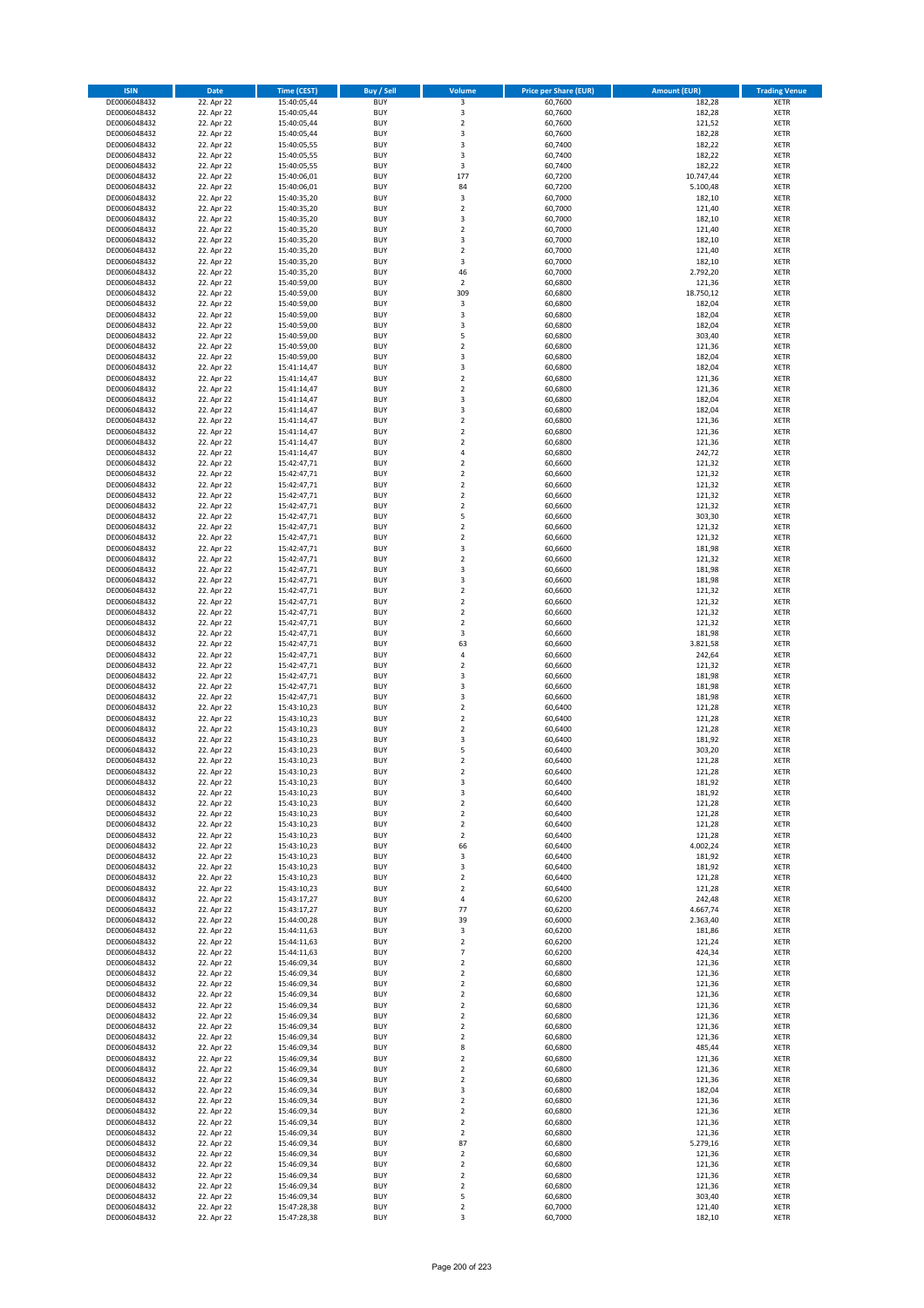| <b>ISIN</b>                  | <b>Date</b>              | <b>Time (CEST)</b>         | <b>Buy / Sell</b>        | Volume                                    | <b>Price per Share (EUR)</b> | <b>Amount (EUR)</b> | <b>Trading Venue</b>       |
|------------------------------|--------------------------|----------------------------|--------------------------|-------------------------------------------|------------------------------|---------------------|----------------------------|
| DE0006048432                 | 22. Apr 22               | 15:40:05,44                | <b>BUY</b>               | 3                                         | 60,7600                      | 182,28              | <b>XETR</b>                |
| DE0006048432                 | 22. Apr 22               | 15:40:05,44                | <b>BUY</b>               | 3                                         | 60,7600                      | 182,28              | <b>XETR</b>                |
| DE0006048432                 | 22. Apr 22               | 15:40:05,44                | <b>BUY</b>               | $\overline{\mathbf{2}}$                   | 60,7600                      | 121,52              | <b>XETR</b>                |
| DE0006048432                 | 22. Apr 22               | 15:40:05,44                | <b>BUY</b>               | 3                                         | 60,7600                      | 182,28              | <b>XETR</b>                |
| DE0006048432<br>DE0006048432 | 22. Apr 22<br>22. Apr 22 | 15:40:05,55<br>15:40:05,55 | <b>BUY</b><br><b>BUY</b> | 3<br>3                                    | 60,7400<br>60,7400           | 182,22<br>182,22    | <b>XETR</b><br><b>XETR</b> |
| DE0006048432                 | 22. Apr 22               | 15:40:05,55                | <b>BUY</b>               | 3                                         | 60.7400                      | 182,22              | <b>XETR</b>                |
| DE0006048432                 | 22. Apr 22               | 15:40:06,01                | <b>BUY</b>               | 177                                       | 60,7200                      | 10.747,44           | <b>XETR</b>                |
| DE0006048432                 | 22. Apr 22               | 15:40:06,01                | BUY                      | 84                                        | 60,7200                      | 5.100,48            | <b>XETR</b>                |
| DE0006048432                 | 22. Apr 22               | 15:40:35,20                | <b>BUY</b>               | 3                                         | 60,7000                      | 182,10              | <b>XETR</b>                |
| DE0006048432                 | 22. Apr 22               | 15:40:35,20                | <b>BUY</b>               | $\mathbf 2$                               | 60,7000                      | 121,40              | <b>XETR</b>                |
| DE0006048432                 | 22. Apr 22               | 15:40:35,20                | <b>BUY</b>               | $\overline{\mathbf{3}}$<br>$\overline{2}$ | 60,7000                      | 182,10              | <b>XETR</b>                |
| DE0006048432<br>DE0006048432 | 22. Apr 22<br>22. Apr 22 | 15:40:35,20<br>15:40:35,20 | BUY<br><b>BUY</b>        | $\overline{\mathbf{3}}$                   | 60,7000<br>60,7000           | 121,40<br>182,10    | <b>XETR</b><br><b>XETR</b> |
| DE0006048432                 | 22. Apr 22               | 15:40:35,20                | <b>BUY</b>               | $\overline{\mathbf{2}}$                   | 60,7000                      | 121,40              | <b>XETR</b>                |
| DE0006048432                 | 22. Apr 22               | 15:40:35,20                | BUY                      | 3                                         | 60,7000                      | 182,10              | <b>XETR</b>                |
| DE0006048432                 | 22. Apr 22               | 15:40:35,20                | <b>BUY</b>               | 46                                        | 60,7000                      | 2.792,20            | <b>XETR</b>                |
| DE0006048432                 | 22. Apr 22               | 15:40:59,00                | <b>BUY</b>               | $\overline{2}$                            | 60,6800                      | 121,36              | <b>XETR</b>                |
| DE0006048432                 | 22. Apr 22               | 15:40:59,00                | <b>BUY</b>               | 309                                       | 60,6800                      | 18.750,12           | <b>XETR</b>                |
| DE0006048432<br>DE0006048432 | 22. Apr 22<br>22. Apr 22 | 15:40:59,00<br>15:40:59,00 | <b>BUY</b><br><b>BUY</b> | 3<br>$\overline{\mathbf{3}}$              | 60,6800<br>60,6800           | 182,04<br>182,04    | <b>XETR</b><br><b>XETR</b> |
| DE0006048432                 | 22. Apr 22               | 15:40:59,00                | <b>BUY</b>               | 3                                         | 60,6800                      | 182,04              | <b>XETR</b>                |
| DE0006048432                 | 22. Apr 22               | 15:40:59,00                | <b>BUY</b>               | 5                                         | 60,6800                      | 303,40              | <b>XETR</b>                |
| DE0006048432                 | 22. Apr 22               | 15:40:59,00                | <b>BUY</b>               | $\overline{\mathbf{2}}$                   | 60,6800                      | 121,36              | <b>XETR</b>                |
| DE0006048432                 | 22. Apr 22               | 15:40:59,00                | <b>BUY</b>               | 3                                         | 60,6800                      | 182,04              | <b>XETR</b>                |
| DE0006048432                 | 22. Apr 22               | 15:41:14,47                | <b>BUY</b>               | 3                                         | 60,6800                      | 182,04              | <b>XETR</b>                |
| DE0006048432<br>DE0006048432 | 22. Apr 22               | 15:41:14,47                | <b>BUY</b>               | $\mathbf 2$                               | 60,6800                      | 121,36              | <b>XETR</b>                |
| DE0006048432                 | 22. Apr 22<br>22. Apr 22 | 15:41:14,47<br>15:41:14,47 | <b>BUY</b><br><b>BUY</b> | $\overline{\mathbf{2}}$<br>3              | 60,6800<br>60,6800           | 121,36<br>182,04    | <b>XETR</b><br><b>XETR</b> |
| DE0006048432                 | 22. Apr 22               | 15:41:14,47                | <b>BUY</b>               | $\overline{\mathbf{3}}$                   | 60,6800                      | 182,04              | <b>XETR</b>                |
| DE0006048432                 | 22. Apr 22               | 15:41:14,47                | <b>BUY</b>               | $\mathbf 2$                               | 60,6800                      | 121,36              | <b>XETR</b>                |
| DE0006048432                 | 22. Apr 22               | 15:41:14,47                | <b>BUY</b>               | $\mathbf 2$                               | 60,6800                      | 121,36              | <b>XETR</b>                |
| DE0006048432                 | 22. Apr 22               | 15:41:14,47                | <b>BUY</b>               | $\overline{\mathbf{2}}$                   | 60,6800                      | 121,36              | <b>XETR</b>                |
| DE0006048432                 | 22. Apr 22               | 15:41:14,47                | <b>BUY</b>               | $\overline{a}$                            | 60,6800                      | 242,72              | <b>XETR</b>                |
| DE0006048432<br>DE0006048432 | 22. Apr 22<br>22. Apr 22 | 15:42:47,71<br>15:42:47,71 | <b>BUY</b><br><b>BUY</b> | $\overline{\mathbf{2}}$<br>$\mathbf 2$    | 60,6600<br>60,6600           | 121,32<br>121,32    | <b>XETR</b><br><b>XETR</b> |
| DE0006048432                 | 22. Apr 22               | 15:42:47,71                | <b>BUY</b>               | $\overline{\mathbf{2}}$                   | 60,6600                      | 121,32              | <b>XETR</b>                |
| DE0006048432                 | 22. Apr 22               | 15:42:47,71                | BUY                      | $\mathbf 2$                               | 60,6600                      | 121,32              | <b>XETR</b>                |
| DE0006048432                 | 22. Apr 22               | 15:42:47,71                | <b>BUY</b>               | $\mathbf 2$                               | 60,6600                      | 121,32              | <b>XETR</b>                |
| DE0006048432                 | 22. Apr 22               | 15:42:47,71                | <b>BUY</b>               | 5                                         | 60,6600                      | 303,30              | <b>XETR</b>                |
| DE0006048432                 | 22. Apr 22               | 15:42:47,71                | <b>BUY</b>               | $\overline{\mathbf{2}}$                   | 60,6600                      | 121,32              | <b>XETR</b>                |
| DE0006048432<br>DE0006048432 | 22. Apr 22<br>22. Apr 22 | 15:42:47,71                | <b>BUY</b><br><b>BUY</b> | $\overline{2}$<br>3                       | 60,6600<br>60,6600           | 121,32<br>181,98    | <b>XETR</b><br><b>XETR</b> |
| DE0006048432                 | 22. Apr 22               | 15:42:47,71<br>15:42:47,71 | <b>BUY</b>               | $\overline{\mathbf{2}}$                   | 60,6600                      | 121,32              | <b>XETR</b>                |
| DE0006048432                 | 22. Apr 22               | 15:42:47,71                | <b>BUY</b>               | 3                                         | 60,6600                      | 181,98              | <b>XETR</b>                |
| DE0006048432                 | 22. Apr 22               | 15:42:47,71                | <b>BUY</b>               | $\overline{\mathbf{3}}$                   | 60,6600                      | 181,98              | <b>XETR</b>                |
| DE0006048432                 | 22. Apr 22               | 15:42:47,71                | <b>BUY</b>               | $\mathbf 2$                               | 60,6600                      | 121,32              | <b>XETR</b>                |
| DE0006048432                 | 22. Apr 22               | 15:42:47,71                | <b>BUY</b>               | $\overline{\mathbf{2}}$                   | 60,6600                      | 121,32              | <b>XETR</b>                |
| DE0006048432<br>DE0006048432 | 22. Apr 22               | 15:42:47,71<br>15:42:47,71 | <b>BUY</b><br><b>BUY</b> | $\overline{2}$<br>$\overline{2}$          | 60,6600<br>60,6600           | 121,32<br>121,32    | <b>XETR</b><br><b>XETR</b> |
| DE0006048432                 | 22. Apr 22<br>22. Apr 22 | 15:42:47,71                | <b>BUY</b>               | 3                                         | 60,6600                      | 181,98              | <b>XETR</b>                |
| DE0006048432                 | 22. Apr 22               | 15:42:47,71                | <b>BUY</b>               | 63                                        | 60,6600                      | 3.821,58            | <b>XETR</b>                |
| DE0006048432                 | 22. Apr 22               | 15:42:47,71                | <b>BUY</b>               | $\overline{4}$                            | 60,6600                      | 242,64              | <b>XETR</b>                |
| DE0006048432                 | 22. Apr 22               | 15:42:47,71                | <b>BUY</b>               | $\mathbf 2$                               | 60,6600                      | 121,32              | <b>XETR</b>                |
| DE0006048432                 | 22. Apr 22               | 15:42:47,71                | <b>BUY</b>               | $\overline{\mathbf{3}}$                   | 60,6600                      | 181,98              | <b>XETR</b>                |
| DE0006048432                 | 22. Apr 22               | 15:42:47,71                | <b>BUY</b>               | $\overline{\mathbf{3}}$                   | 60,6600                      | 181,98              | <b>XETR</b>                |
| DE0006048432<br>DE0006048432 | 22. Apr 22<br>22. Apr 22 | 15:42:47,71<br>15:43:10,23 | <b>BUY</b><br><b>BUY</b> | $\overline{\mathbf{3}}$<br>$\overline{2}$ | 60,6600<br>60,6400           | 181,98<br>121,28    | <b>XETR</b><br><b>XETR</b> |
| DE0006048432                 | 22. Apr 22               | 15:43:10,23                | BUY                      | $\overline{2}$                            | 60,6400                      | 121,28              | <b>XETR</b>                |
| DE0006048432                 | 22. Apr 22               | 15:43:10,23                | <b>BUY</b>               | $\overline{2}$                            | 60,6400                      | 121,28              | <b>XETR</b>                |
| DE0006048432                 | 22. Apr 22               | 15:43:10,23                | <b>BUY</b>               | 3                                         | 60,6400                      | 181,92              | <b>XETR</b>                |
| DE0006048432                 | 22. Apr 22               | 15:43:10,23                | BUY                      | 5                                         | 60,6400                      | 303,20              | <b>XETR</b>                |
| DE0006048432                 | 22. Apr 22               | 15:43:10,23                | BUY                      | $\mathbf 2$                               | 60,6400                      | 121,28              | <b>XETR</b>                |
| DE0006048432<br>DE0006048432 | 22. Apr 22<br>22. Apr 22 | 15:43:10,23<br>15:43:10,23 | <b>BUY</b><br><b>BUY</b> | $\overline{2}$<br>3                       | 60,6400<br>60,6400           | 121,28<br>181,92    | <b>XETR</b><br><b>XETR</b> |
| DE0006048432                 | 22. Apr 22               | 15:43:10,23                | <b>BUY</b>               | 3                                         | 60,6400                      | 181,92              | <b>XETR</b>                |
| DE0006048432                 | 22. Apr 22               | 15:43:10,23                | <b>BUY</b>               | $\mathbf 2$                               | 60,6400                      | 121,28              | <b>XETR</b>                |
| DE0006048432                 | 22. Apr 22               | 15:43:10,23                | <b>BUY</b>               | $\mathbf 2$                               | 60,6400                      | 121,28              | <b>XETR</b>                |
| DE0006048432                 | 22. Apr 22               | 15:43:10,23                | <b>BUY</b>               | $\overline{2}$                            | 60,6400                      | 121,28              | <b>XETR</b>                |
| DE0006048432                 | 22. Apr 22               | 15:43:10,23                | <b>BUY</b>               | $\mathbf 2$                               | 60,6400                      | 121,28              | <b>XETR</b>                |
| DE0006048432<br>DE0006048432 | 22. Apr 22<br>22. Apr 22 | 15:43:10,23<br>15:43:10,23 | <b>BUY</b><br><b>BUY</b> | 66<br>3                                   | 60,6400<br>60,6400           | 4.002,24<br>181,92  | <b>XETR</b><br><b>XETR</b> |
| DE0006048432                 | 22. Apr 22               | 15:43:10,23                | <b>BUY</b>               | 3                                         | 60,6400                      | 181,92              | <b>XETR</b>                |
| DE0006048432                 | 22. Apr 22               | 15:43:10,23                | <b>BUY</b>               | $\mathbf 2$                               | 60,6400                      | 121,28              | <b>XETR</b>                |
| DE0006048432                 | 22. Apr 22               | 15:43:10,23                | <b>BUY</b>               | $\mathbf 2$                               | 60,6400                      | 121,28              | <b>XETR</b>                |
| DE0006048432                 | 22. Apr 22               | 15:43:17,27                | <b>BUY</b>               | $\sqrt{4}$                                | 60,6200                      | 242,48              | <b>XETR</b>                |
| DE0006048432                 | 22. Apr 22               | 15:43:17,27                | <b>BUY</b>               | 77                                        | 60,6200                      | 4.667,74            | <b>XETR</b>                |
| DE0006048432<br>DE0006048432 | 22. Apr 22<br>22. Apr 22 | 15:44:00,28<br>15:44:11,63 | <b>BUY</b><br><b>BUY</b> | 39<br>3                                   | 60,6000<br>60,6200           | 2.363,40<br>181,86  | <b>XETR</b><br><b>XETR</b> |
| DE0006048432                 | 22. Apr 22               | 15:44:11,63                | <b>BUY</b>               | $\mathbf 2$                               | 60,6200                      | 121,24              | <b>XETR</b>                |
| DE0006048432                 | 22. Apr 22               | 15:44:11,63                | <b>BUY</b>               | $\overline{7}$                            | 60,6200                      | 424,34              | <b>XETR</b>                |
| DE0006048432                 | 22. Apr 22               | 15:46:09,34                | <b>BUY</b>               | $\mathbf 2$                               | 60,6800                      | 121,36              | <b>XETR</b>                |
| DE0006048432                 | 22. Apr 22               | 15:46:09,34                | <b>BUY</b>               | $\mathbf 2$                               | 60,6800                      | 121,36              | <b>XETR</b>                |
| DE0006048432                 | 22. Apr 22               | 15:46:09,34                | <b>BUY</b>               | $\mathbf 2$                               | 60,6800                      | 121,36              | <b>XETR</b>                |
| DE0006048432<br>DE0006048432 | 22. Apr 22<br>22. Apr 22 | 15:46:09,34<br>15:46:09,34 | <b>BUY</b><br><b>BUY</b> | $\overline{2}$<br>2                       | 60,6800<br>60,6800           | 121,36<br>121,36    | <b>XETR</b><br><b>XETR</b> |
| DE0006048432                 | 22. Apr 22               | 15:46:09,34                | <b>BUY</b>               | $\overline{2}$                            | 60,6800                      | 121,36              | <b>XETR</b>                |
| DE0006048432                 | 22. Apr 22               | 15:46:09,34                | <b>BUY</b>               | $\mathbf 2$                               | 60,6800                      | 121,36              | <b>XETR</b>                |
| DE0006048432                 | 22. Apr 22               | 15:46:09,34                | <b>BUY</b>               | $\mathbf 2$                               | 60,6800                      | 121,36              | <b>XETR</b>                |
| DE0006048432                 | 22. Apr 22               | 15:46:09,34                | <b>BUY</b>               | 8                                         | 60,6800                      | 485,44              | <b>XETR</b>                |
| DE0006048432                 | 22. Apr 22               | 15:46:09,34                | <b>BUY</b>               | $\overline{2}$                            | 60,6800                      | 121,36              | <b>XETR</b>                |
| DE0006048432                 | 22. Apr 22               | 15:46:09,34                | <b>BUY</b>               | $\overline{2}$                            | 60,6800                      | 121,36<br>121,36    | <b>XETR</b>                |
| DE0006048432<br>DE0006048432 | 22. Apr 22<br>22. Apr 22 | 15:46:09,34<br>15:46:09,34 | <b>BUY</b><br><b>BUY</b> | 2<br>3                                    | 60,6800<br>60,6800           | 182,04              | <b>XETR</b><br><b>XETR</b> |
| DE0006048432                 | 22. Apr 22               | 15:46:09,34                | <b>BUY</b>               | $\mathbf 2$                               | 60,6800                      | 121,36              | <b>XETR</b>                |
| DE0006048432                 | 22. Apr 22               | 15:46:09,34                | <b>BUY</b>               | $\mathbf 2$                               | 60,6800                      | 121,36              | <b>XETR</b>                |
| DE0006048432                 | 22. Apr 22               | 15:46:09,34                | <b>BUY</b>               | $\mathbf 2$                               | 60,6800                      | 121,36              | <b>XETR</b>                |
| DE0006048432                 | 22. Apr 22               | 15:46:09,34                | <b>BUY</b>               | $\overline{2}$                            | 60,6800                      | 121,36              | <b>XETR</b>                |
| DE0006048432                 | 22. Apr 22               | 15:46:09,34                | <b>BUY</b>               | 87                                        | 60,6800                      | 5.279,16            | <b>XETR</b>                |
| DE0006048432<br>DE0006048432 | 22. Apr 22<br>22. Apr 22 | 15:46:09,34<br>15:46:09,34 | <b>BUY</b><br><b>BUY</b> | $\mathbf 2$<br>$\overline{2}$             | 60,6800<br>60,6800           | 121,36<br>121,36    | <b>XETR</b><br><b>XETR</b> |
| DE0006048432                 | 22. Apr 22               | 15:46:09,34                | <b>BUY</b>               | $\mathbf 2$                               | 60,6800                      | 121,36              | <b>XETR</b>                |
| DE0006048432                 | 22. Apr 22               | 15:46:09,34                | <b>BUY</b>               | 2                                         | 60,6800                      | 121,36              | <b>XETR</b>                |
| DE0006048432                 | 22. Apr 22               | 15:46:09,34                | <b>BUY</b>               | 5                                         | 60,6800                      | 303,40              | <b>XETR</b>                |
| DE0006048432                 | 22. Apr 22               | 15:47:28,38                | <b>BUY</b>               | $\mathbf 2$                               | 60,7000                      | 121,40              | <b>XETR</b>                |
| DE0006048432                 | 22. Apr 22               | 15:47:28,38                | <b>BUY</b>               | 3                                         | 60,7000                      | 182,10              | <b>XETR</b>                |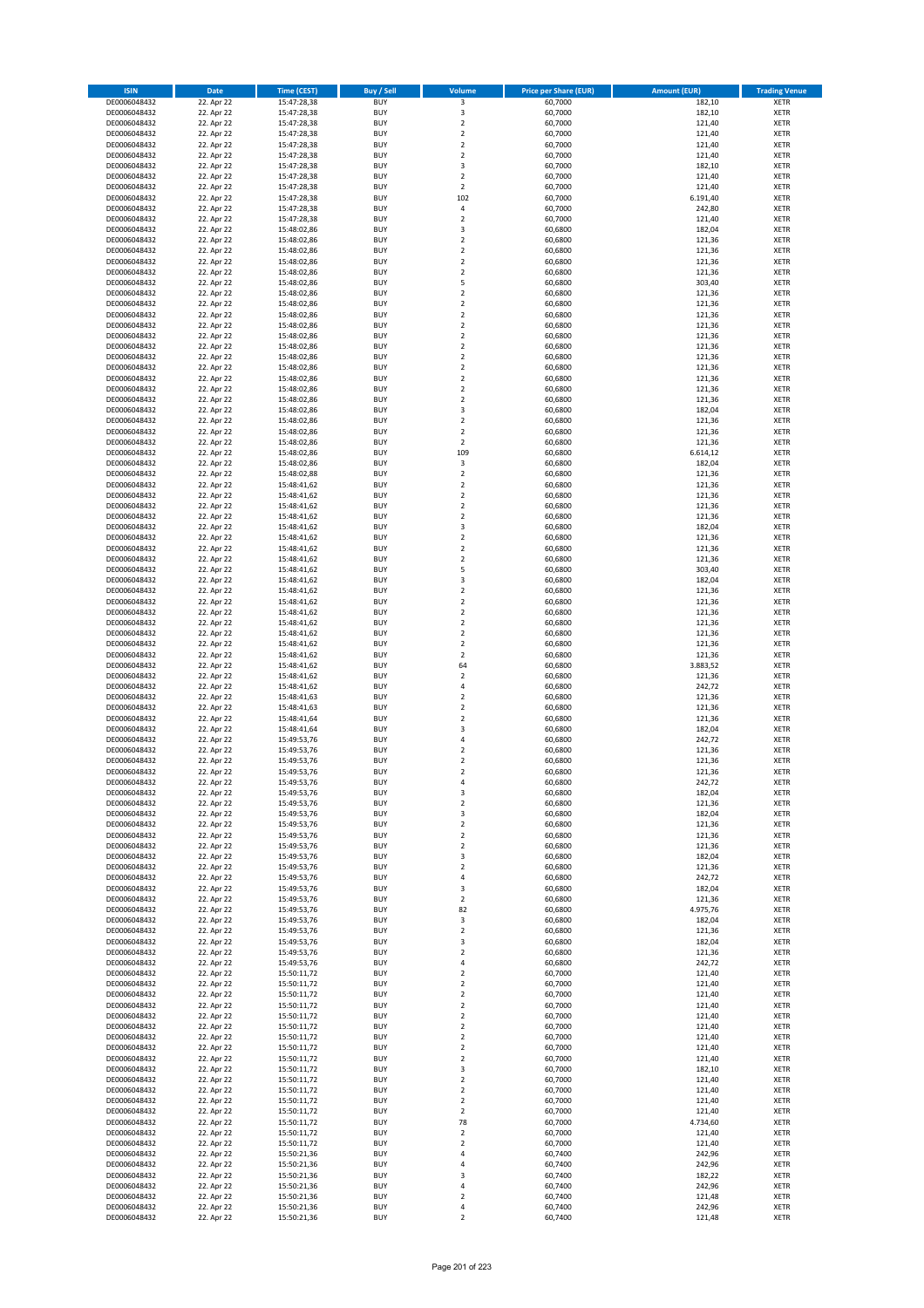| <b>ISIN</b>                  | <b>Date</b>              | <b>Time (CEST)</b>         | <b>Buy / Sell</b>        | Volume                                 | <b>Price per Share (EUR)</b> | <b>Amount (EUR)</b> | <b>Trading Venue</b>       |
|------------------------------|--------------------------|----------------------------|--------------------------|----------------------------------------|------------------------------|---------------------|----------------------------|
| DE0006048432                 | 22. Apr 22               | 15:47:28,38                | <b>BUY</b>               | 3                                      | 60,7000                      | 182,10              | <b>XETR</b>                |
| DE0006048432                 | 22. Apr 22               | 15:47:28,38                | <b>BUY</b>               | 3                                      | 60,7000                      | 182,10              | <b>XETR</b>                |
| DE0006048432                 | 22. Apr 22               | 15:47:28,38                | <b>BUY</b>               | $\overline{2}$                         | 60,7000                      | 121,40              | <b>XETR</b>                |
| DE0006048432                 | 22. Apr 22               | 15:47:28,38                | <b>BUY</b>               | $\mathbf 2$                            | 60,7000                      | 121,40              | <b>XETR</b>                |
| DE0006048432<br>DE0006048432 | 22. Apr 22<br>22. Apr 22 | 15:47:28,38<br>15:47:28,38 | <b>BUY</b><br><b>BUY</b> | $\overline{2}$<br>$\mathbf 2$          | 60,7000<br>60,7000           | 121,40<br>121,40    | <b>XETR</b><br><b>XETR</b> |
| DE0006048432                 | 22. Apr 22               | 15:47:28,38                | <b>BUY</b>               | 3                                      | 60,7000                      | 182,10              | <b>XETR</b>                |
| DE0006048432                 | 22. Apr 22               | 15:47:28,38                | <b>BUY</b>               | $\overline{2}$                         | 60,7000                      | 121,40              | <b>XETR</b>                |
| DE0006048432                 | 22. Apr 22               | 15:47:28,38                | BUY                      | $\overline{2}$                         | 60,7000                      | 121,40              | <b>XETR</b>                |
| DE0006048432                 | 22. Apr 22               | 15:47:28,38                | <b>BUY</b>               | 102                                    | 60,7000                      | 6.191,40            | <b>XETR</b>                |
| DE0006048432                 | 22. Apr 22               | 15:47:28,38                | <b>BUY</b>               | $\pmb{4}$                              | 60,7000                      | 242,80              | <b>XETR</b>                |
| DE0006048432                 | 22. Apr 22               | 15:47:28,38                | <b>BUY</b>               | $\overline{2}$<br>$\overline{3}$       | 60,7000                      | 121,40              | <b>XETR</b>                |
| DE0006048432<br>DE0006048432 | 22. Apr 22<br>22. Apr 22 | 15:48:02,86<br>15:48:02,86 | <b>BUY</b><br><b>BUY</b> | $\overline{2}$                         | 60,6800<br>60,6800           | 182,04<br>121,36    | <b>XETR</b><br><b>XETR</b> |
| DE0006048432                 | 22. Apr 22               | 15:48:02,86                | <b>BUY</b>               | $\overline{2}$                         | 60,6800                      | 121,36              | <b>XETR</b>                |
| DE0006048432                 | 22. Apr 22               | 15:48:02,86                | BUY                      | $\overline{2}$                         | 60,6800                      | 121,36              | <b>XETR</b>                |
| DE0006048432                 | 22. Apr 22               | 15:48:02,86                | <b>BUY</b>               | $\overline{2}$                         | 60,6800                      | 121,36              | <b>XETR</b>                |
| DE0006048432                 | 22. Apr 22               | 15:48:02,86                | <b>BUY</b>               | 5                                      | 60,6800                      | 303,40              | <b>XETR</b>                |
| DE0006048432                 | 22. Apr 22               | 15:48:02,86                | <b>BUY</b>               | $\overline{2}$                         | 60.6800                      | 121,36              | <b>XETR</b>                |
| DE0006048432<br>DE0006048432 | 22. Apr 22<br>22. Apr 22 | 15:48:02,86<br>15:48:02,86 | <b>BUY</b><br><b>BUY</b> | $\overline{2}$<br>$\overline{2}$       | 60,6800<br>60,6800           | 121,36<br>121,36    | <b>XETR</b><br><b>XETR</b> |
| DE0006048432                 | 22. Apr 22               | 15:48:02,86                | <b>BUY</b>               | $\mathbf 2$                            | 60,6800                      | 121,36              | <b>XETR</b>                |
| DE0006048432                 | 22. Apr 22               | 15:48:02,86                | <b>BUY</b>               | $\overline{2}$                         | 60,6800                      | 121,36              | <b>XETR</b>                |
| DE0006048432                 | 22. Apr 22               | 15:48:02,86                | <b>BUY</b>               | $\overline{2}$                         | 60,6800                      | 121,36              | <b>XETR</b>                |
| DE0006048432                 | 22. Apr 22               | 15:48:02,86                | <b>BUY</b>               | $\mathbf 2$                            | 60,6800                      | 121,36              | <b>XETR</b>                |
| DE0006048432                 | 22. Apr 22               | 15:48:02,86                | <b>BUY</b>               | $\mathbf 2$                            | 60,6800                      | 121,36              | <b>XETR</b>                |
| DE0006048432<br>DE0006048432 | 22. Apr 22<br>22. Apr 22 | 15:48:02,86                | <b>BUY</b><br><b>BUY</b> | $\mathbf 2$<br>$\overline{2}$          | 60,6800<br>60,6800           | 121,36<br>121,36    | <b>XETR</b><br><b>XETR</b> |
| DE0006048432                 | 22. Apr 22               | 15:48:02,86<br>15:48:02,86 | <b>BUY</b>               | $\mathbf 2$                            | 60,6800                      | 121,36              | <b>XETR</b>                |
| DE0006048432                 | 22. Apr 22               | 15:48:02,86                | <b>BUY</b>               | $\overline{\mathbf{3}}$                | 60,6800                      | 182,04              | <b>XETR</b>                |
| DE0006048432                 | 22. Apr 22               | 15:48:02,86                | <b>BUY</b>               | $\overline{2}$                         | 60,6800                      | 121,36              | <b>XETR</b>                |
| DE0006048432                 | 22. Apr 22               | 15:48:02,86                | <b>BUY</b>               | $\mathbf 2$                            | 60,6800                      | 121,36              | <b>XETR</b>                |
| DE0006048432                 | 22. Apr 22               | 15:48:02,86                | <b>BUY</b>               | $\mathbf 2$                            | 60,6800                      | 121,36              | <b>XETR</b>                |
| DE0006048432                 | 22. Apr 22               | 15:48:02,86                | <b>BUY</b>               | 109                                    | 60,6800                      | 6.614,12            | <b>XETR</b>                |
| DE0006048432<br>DE0006048432 | 22. Apr 22<br>22. Apr 22 | 15:48:02,86<br>15:48:02,88 | <b>BUY</b><br><b>BUY</b> | 3<br>$\mathbf 2$                       | 60,6800<br>60,6800           | 182,04<br>121,36    | <b>XETR</b><br><b>XETR</b> |
| DE0006048432                 | 22. Apr 22               | 15:48:41,62                | <b>BUY</b>               | $\overline{2}$                         | 60,6800                      | 121,36              | <b>XETR</b>                |
| DE0006048432                 | 22. Apr 22               | 15:48:41,62                | BUY                      | $\mathbf 2$                            | 60,6800                      | 121,36              | <b>XETR</b>                |
| DE0006048432                 | 22. Apr 22               | 15:48:41,62                | <b>BUY</b>               | $\mathbf 2$                            | 60,6800                      | 121,36              | <b>XETR</b>                |
| DE0006048432                 | 22. Apr 22               | 15:48:41,62                | <b>BUY</b>               | $\mathbf 2$                            | 60,6800                      | 121,36              | <b>XETR</b>                |
| DE0006048432                 | 22. Apr 22               | 15:48:41,62                | <b>BUY</b>               | 3                                      | 60,6800                      | 182,04              | <b>XETR</b>                |
| DE0006048432<br>DE0006048432 | 22. Apr 22<br>22. Apr 22 | 15:48:41,62                | <b>BUY</b><br><b>BUY</b> | $\overline{2}$<br>$\mathbf 2$          | 60,6800<br>60,6800           | 121,36<br>121,36    | <b>XETR</b><br><b>XETR</b> |
| DE0006048432                 | 22. Apr 22               | 15:48:41,62<br>15:48:41,62 | <b>BUY</b>               | $\overline{2}$                         | 60,6800                      | 121,36              | <b>XETR</b>                |
| DE0006048432                 | 22. Apr 22               | 15:48:41,62                | <b>BUY</b>               | 5                                      | 60,6800                      | 303,40              | <b>XETR</b>                |
| DE0006048432                 | 22. Apr 22               | 15:48:41,62                | <b>BUY</b>               | $\overline{\mathbf{3}}$                | 60,6800                      | 182,04              | <b>XETR</b>                |
| DE0006048432                 | 22. Apr 22               | 15:48:41,62                | <b>BUY</b>               | $\mathbf 2$                            | 60,6800                      | 121,36              | <b>XETR</b>                |
| DE0006048432                 | 22. Apr 22               | 15:48:41,62                | <b>BUY</b>               | $\overline{2}$                         | 60,6800                      | 121,36              | <b>XETR</b>                |
| DE0006048432<br>DE0006048432 | 22. Apr 22<br>22. Apr 22 | 15:48:41,62<br>15:48:41,62 | <b>BUY</b><br><b>BUY</b> | $\overline{2}$<br>$\overline{2}$       | 60,6800<br>60,6800           | 121,36<br>121,36    | <b>XETR</b><br><b>XETR</b> |
| DE0006048432                 | 22. Apr 22               | 15:48:41,62                | <b>BUY</b>               | $\overline{2}$                         | 60,6800                      | 121,36              | <b>XETR</b>                |
| DE0006048432                 | 22. Apr 22               | 15:48:41,62                | <b>BUY</b>               | $\overline{2}$                         | 60,6800                      | 121,36              | <b>XETR</b>                |
| DE0006048432                 | 22. Apr 22               | 15:48:41,62                | <b>BUY</b>               | $\overline{2}$                         | 60,6800                      | 121,36              | <b>XETR</b>                |
| DE0006048432                 | 22. Apr 22               | 15:48:41,62                | <b>BUY</b>               | 64                                     | 60,6800                      | 3.883,52            | <b>XETR</b>                |
| DE0006048432                 | 22. Apr 22               | 15:48:41,62                | <b>BUY</b>               | $\overline{2}$                         | 60,6800                      | 121,36              | <b>XETR</b>                |
| DE0006048432                 | 22. Apr 22               | 15:48:41,62                | <b>BUY</b>               | 4                                      | 60,6800                      | 242,72              | <b>XETR</b>                |
| DE0006048432<br>DE0006048432 | 22. Apr 22<br>22. Apr 22 | 15:48:41,63<br>15:48:41,63 | <b>BUY</b><br><b>BUY</b> | $\overline{2}$<br>$\overline{2}$       | 60,6800<br>60,6800           | 121,36<br>121,36    | <b>XETR</b><br><b>XETR</b> |
| DE0006048432                 | 22. Apr 22               | 15:48:41,64                | BUY                      | $\overline{2}$                         | 60,6800                      | 121,36              | <b>XETR</b>                |
| DE0006048432                 | 22. Apr 22               | 15:48:41,64                | <b>BUY</b>               | $\overline{\mathbf{3}}$                | 60,6800                      | 182,04              | <b>XETR</b>                |
| DE0006048432                 | 22. Apr 22               | 15:49:53,76                | <b>BUY</b>               | 4                                      | 60,6800                      | 242,72              | <b>XETR</b>                |
| DE0006048432                 | 22. Apr 22               | 15:49:53,76                | BUY                      | $\overline{2}$                         | 60,6800                      | 121,36              | <b>XETR</b>                |
| DE0006048432                 | 22. Apr 22               | 15:49:53,76                | BUY                      | $\mathbf 2$                            | 60,6800                      | 121,36              | <b>XETR</b>                |
| DE0006048432<br>DE0006048432 | 22. Apr 22<br>22. Apr 22 | 15:49:53,76<br>15:49:53,76 | <b>BUY</b><br><b>BUY</b> | $\overline{2}$<br>4                    | 60,6800<br>60,6800           | 121,36<br>242,72    | <b>XETR</b><br><b>XETR</b> |
| DE0006048432                 | 22. Apr 22               | 15:49:53,76                | <b>BUY</b>               | 3                                      | 60,6800                      | 182,04              | <b>XETR</b>                |
| DE0006048432                 | 22. Apr 22               | 15:49:53,76                | <b>BUY</b>               | $\mathbf 2$                            | 60,6800                      | 121,36              | <b>XETR</b>                |
| DE0006048432                 | 22. Apr 22               | 15:49:53,76                | <b>BUY</b>               | 3                                      | 60,6800                      | 182,04              | <b>XETR</b>                |
| DE0006048432                 | 22. Apr 22               | 15:49:53,76                | <b>BUY</b>               | $\overline{2}$                         | 60,6800                      | 121,36              | <b>XETR</b>                |
| DE0006048432                 | 22. Apr 22               | 15:49:53,76                | <b>BUY</b>               | $\mathbf 2$                            | 60,6800                      | 121,36              | <b>XETR</b>                |
| DE0006048432                 | 22. Apr 22               | 15:49:53,76                | <b>BUY</b>               | 2                                      | 60,6800                      | 121,36              | <b>XETR</b>                |
| DE0006048432<br>DE0006048432 | 22. Apr 22<br>22. Apr 22 | 15:49:53,76<br>15:49:53,76 | <b>BUY</b><br><b>BUY</b> | 3<br>$\mathbf 2$                       | 60,6800<br>60,6800           | 182,04<br>121,36    | <b>XETR</b><br><b>XETR</b> |
| DE0006048432                 | 22. Apr 22               | 15:49:53,76                | <b>BUY</b>               | 4                                      | 60,6800                      | 242,72              | <b>XETR</b>                |
| DE0006048432                 | 22. Apr 22               | 15:49:53,76                | <b>BUY</b>               | 3                                      | 60,6800                      | 182,04              | <b>XETR</b>                |
| DE0006048432                 | 22. Apr 22               | 15:49:53,76                | <b>BUY</b>               | $\overline{2}$                         | 60,6800                      | 121,36              | <b>XETR</b>                |
| DE0006048432                 | 22. Apr 22               | 15:49:53,76                | <b>BUY</b>               | 82                                     | 60,6800                      | 4.975,76            | <b>XETR</b>                |
| DE0006048432                 | 22. Apr 22               | 15:49:53,76                | <b>BUY</b>               | 3                                      | 60,6800                      | 182,04              | <b>XETR</b>                |
| DE0006048432<br>DE0006048432 | 22. Apr 22<br>22. Apr 22 | 15:49:53,76<br>15:49:53,76 | <b>BUY</b><br><b>BUY</b> | $\mathbf 2$<br>3                       | 60,6800<br>60,6800           | 121,36<br>182,04    | <b>XETR</b><br><b>XETR</b> |
| DE0006048432                 | 22. Apr 22               | 15:49:53,76                | <b>BUY</b>               | $\mathbf 2$                            | 60,6800                      | 121,36              | <b>XETR</b>                |
| DE0006048432                 | 22. Apr 22               | 15:49:53,76                | <b>BUY</b>               | 4                                      | 60,6800                      | 242,72              | <b>XETR</b>                |
| DE0006048432                 | 22. Apr 22               | 15:50:11,72                | <b>BUY</b>               | $\mathbf 2$                            | 60,7000                      | 121,40              | <b>XETR</b>                |
| DE0006048432                 | 22. Apr 22               | 15:50:11,72                | <b>BUY</b>               | $\mathbf 2$                            | 60,7000                      | 121,40              | <b>XETR</b>                |
| DE0006048432                 | 22. Apr 22               | 15:50:11,72                | <b>BUY</b>               | $\overline{2}$                         | 60,7000                      | 121,40<br>121,40    | <b>XETR</b>                |
| DE0006048432<br>DE0006048432 | 22. Apr 22<br>22. Apr 22 | 15:50:11,72<br>15:50:11,72 | <b>BUY</b><br><b>BUY</b> | 2<br>$\overline{2}$                    | 60,7000<br>60,7000           | 121,40              | <b>XETR</b><br><b>XETR</b> |
| DE0006048432                 | 22. Apr 22               | 15:50:11,72                | <b>BUY</b>               | $\mathbf 2$                            | 60,7000                      | 121,40              | <b>XETR</b>                |
| DE0006048432                 | 22. Apr 22               | 15:50:11,72                | <b>BUY</b>               | $\mathbf 2$                            | 60,7000                      | 121,40              | <b>XETR</b>                |
| DE0006048432                 | 22. Apr 22               | 15:50:11,72                | <b>BUY</b>               | $\mathbf 2$                            | 60,7000                      | 121,40              | <b>XETR</b>                |
| DE0006048432                 | 22. Apr 22               | 15:50:11,72                | <b>BUY</b>               | $\overline{2}$                         | 60,7000                      | 121,40              | <b>XETR</b>                |
| DE0006048432                 | 22. Apr 22               | 15:50:11,72                | <b>BUY</b>               | $\overline{\mathbf{3}}$                | 60,7000                      | 182,10              | <b>XETR</b>                |
| DE0006048432                 | 22. Apr 22               | 15:50:11,72                | <b>BUY</b><br><b>BUY</b> | $\mathbf 2$<br>$\overline{\mathbf{2}}$ | 60,7000                      | 121,40              | <b>XETR</b><br><b>XETR</b> |
| DE0006048432<br>DE0006048432 | 22. Apr 22<br>22. Apr 22 | 15:50:11,72<br>15:50:11,72 | <b>BUY</b>               | $\mathbf 2$                            | 60,7000<br>60,7000           | 121,40<br>121,40    | <b>XETR</b>                |
| DE0006048432                 | 22. Apr 22               | 15:50:11,72                | <b>BUY</b>               | $\mathbf 2$                            | 60,7000                      | 121,40              | <b>XETR</b>                |
| DE0006048432                 | 22. Apr 22               | 15:50:11,72                | <b>BUY</b>               | 78                                     | 60,7000                      | 4.734,60            | <b>XETR</b>                |
| DE0006048432                 | 22. Apr 22               | 15:50:11,72                | <b>BUY</b>               | $\mathbf 2$                            | 60,7000                      | 121,40              | <b>XETR</b>                |
| DE0006048432                 | 22. Apr 22               | 15:50:11,72                | <b>BUY</b>               | $\mathbf 2$                            | 60,7000                      | 121,40              | <b>XETR</b>                |
| DE0006048432                 | 22. Apr 22               | 15:50:21,36                | <b>BUY</b>               | 4                                      | 60,7400                      | 242,96              | <b>XETR</b>                |
| DE0006048432<br>DE0006048432 | 22. Apr 22<br>22. Apr 22 | 15:50:21,36<br>15:50:21,36 | <b>BUY</b><br><b>BUY</b> | 4<br>3                                 | 60,7400<br>60,7400           | 242,96<br>182,22    | <b>XETR</b><br><b>XETR</b> |
| DE0006048432                 | 22. Apr 22               | 15:50:21,36                | <b>BUY</b>               | 4                                      | 60,7400                      | 242,96              | <b>XETR</b>                |
| DE0006048432                 | 22. Apr 22               | 15:50:21,36                | <b>BUY</b>               | $\overline{\mathbf{2}}$                | 60,7400                      | 121,48              | <b>XETR</b>                |
| DE0006048432                 | 22. Apr 22               | 15:50:21,36                | <b>BUY</b>               | 4                                      | 60,7400                      | 242,96              | <b>XETR</b>                |
| DE0006048432                 | 22. Apr 22               | 15:50:21,36                | <b>BUY</b>               | $\mathbf 2$                            | 60,7400                      | 121,48              | <b>XETR</b>                |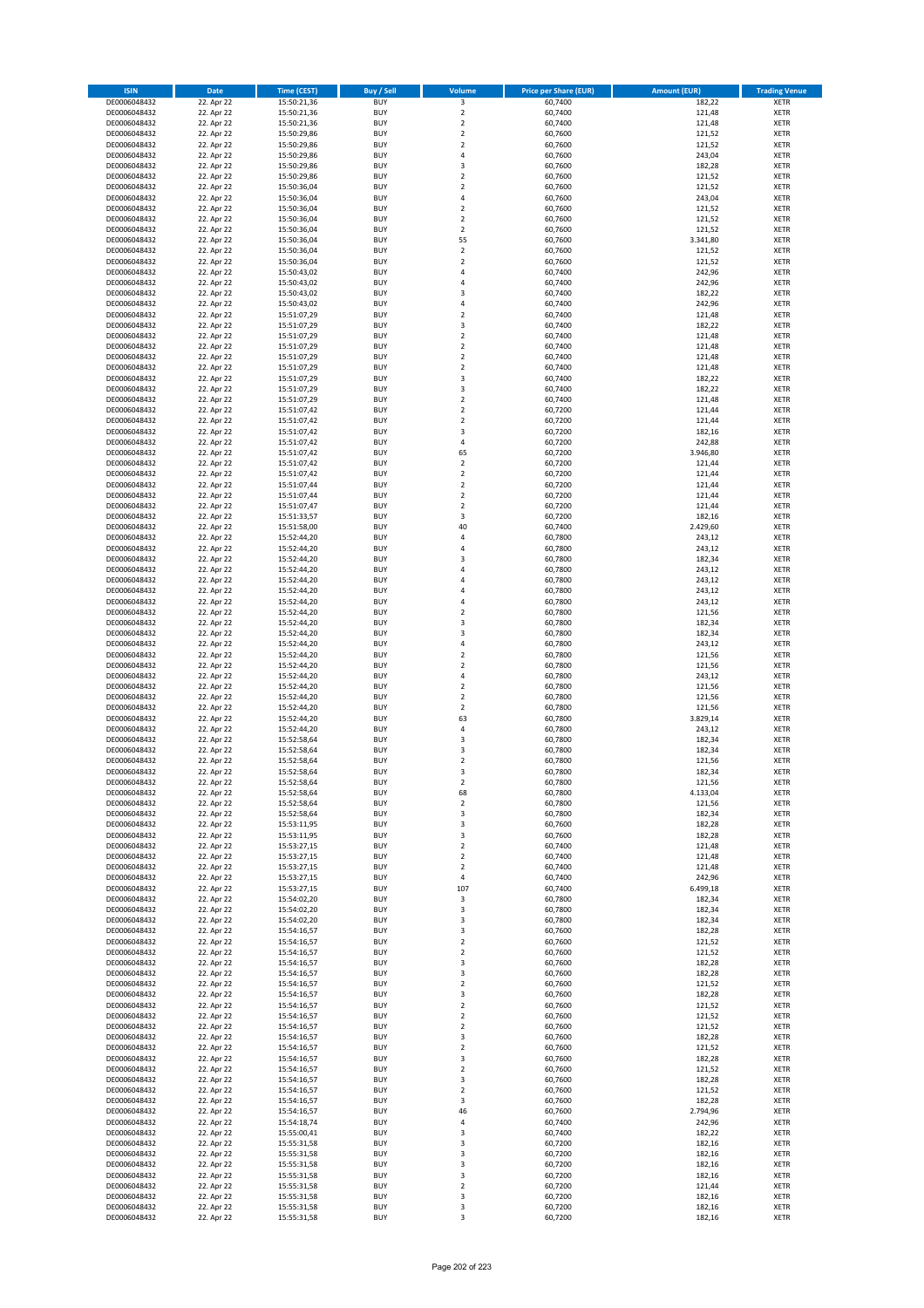| <b>ISIN</b>                  | <b>Date</b>              | Time (CEST)                | <b>Buy / Sell</b>        | Volume                                    | <b>Price per Share (EUR)</b> | <b>Amount (EUR)</b> | <b>Trading Venue</b>       |
|------------------------------|--------------------------|----------------------------|--------------------------|-------------------------------------------|------------------------------|---------------------|----------------------------|
| DE0006048432                 | 22. Apr 22               | 15:50:21,36                | <b>BUY</b>               | 3                                         | 60,7400                      | 182,22              | <b>XETR</b>                |
| DE0006048432                 | 22. Apr 22               | 15:50:21,36                | <b>BUY</b>               | $\mathbf 2$                               | 60,7400                      | 121,48              | <b>XETR</b>                |
| DE0006048432                 | 22. Apr 22               | 15:50:21,36                | <b>BUY</b>               | $\overline{\mathbf{2}}$                   | 60.7400                      | 121,48              | <b>XETR</b>                |
| DE0006048432                 | 22. Apr 22               | 15:50:29,86                | <b>BUY</b>               | $\mathbf 2$                               | 60,7600                      | 121,52              | <b>XETR</b>                |
| DE0006048432<br>DE0006048432 | 22. Apr 22<br>22. Apr 22 | 15:50:29,86<br>15:50:29,86 | <b>BUY</b><br><b>BUY</b> | $\overline{\mathbf{2}}$<br>$\overline{4}$ | 60,7600<br>60,7600           | 121,52<br>243,04    | <b>XETR</b><br><b>XETR</b> |
| DE0006048432                 | 22. Apr 22               | 15:50:29,86                | <b>BUY</b>               | 3                                         | 60,7600                      | 182,28              | <b>XETR</b>                |
| DE0006048432                 | 22. Apr 22               | 15:50:29,86                | <b>BUY</b>               | $\overline{\mathbf{2}}$                   | 60,7600                      | 121,52              | <b>XETR</b>                |
| DE0006048432                 | 22. Apr 22               | 15:50:36,04                | BUY                      | $\overline{2}$                            | 60,7600                      | 121,52              | <b>XETR</b>                |
| DE0006048432                 | 22. Apr 22               | 15:50:36,04                | <b>BUY</b>               | 4                                         | 60,7600                      | 243,04              | <b>XETR</b>                |
| DE0006048432                 | 22. Apr 22               | 15:50:36,04                | <b>BUY</b>               | $\mathbf 2$                               | 60,7600                      | 121,52              | <b>XETR</b>                |
| DE0006048432                 | 22. Apr 22               | 15:50:36,04                | <b>BUY</b><br><b>BUY</b> | $\overline{\mathbf{2}}$<br>$\mathbf 2$    | 60,7600                      | 121,52              | <b>XETR</b>                |
| DE0006048432<br>DE0006048432 | 22. Apr 22<br>22. Apr 22 | 15:50:36,04<br>15:50:36,04 | <b>BUY</b>               | 55                                        | 60,7600<br>60,7600           | 121,52<br>3.341,80  | <b>XETR</b><br><b>XETR</b> |
| DE0006048432                 | 22. Apr 22               | 15:50:36,04                | <b>BUY</b>               | $\mathbf 2$                               | 60,7600                      | 121,52              | <b>XETR</b>                |
| DE0006048432                 | 22. Apr 22               | 15:50:36,04                | BUY                      | $\overline{2}$                            | 60,7600                      | 121,52              | <b>XETR</b>                |
| DE0006048432                 | 22. Apr 22               | 15:50:43,02                | <b>BUY</b>               | $\overline{4}$                            | 60,7400                      | 242,96              | <b>XETR</b>                |
| DE0006048432                 | 22. Apr 22               | 15:50:43,02                | <b>BUY</b>               | $\overline{4}$                            | 60,7400                      | 242,96              | <b>XETR</b>                |
| DE0006048432<br>DE0006048432 | 22. Apr 22<br>22. Apr 22 | 15:50:43,02<br>15:50:43,02 | <b>BUY</b><br><b>BUY</b> | $\overline{\mathbf{3}}$<br>$\overline{a}$ | 60.7400<br>60,7400           | 182,22<br>242,96    | <b>XETR</b><br><b>XETR</b> |
| DE0006048432                 | 22. Apr 22               | 15:51:07,29                | <b>BUY</b>               | $\overline{\mathbf{2}}$                   | 60,7400                      | 121,48              | <b>XETR</b>                |
| DE0006048432                 | 22. Apr 22               | 15:51:07,29                | <b>BUY</b>               | $\overline{\mathbf{3}}$                   | 60,7400                      | 182,22              | <b>XETR</b>                |
| DE0006048432                 | 22. Apr 22               | 15:51:07,29                | <b>BUY</b>               | $\overline{\mathbf{2}}$                   | 60,7400                      | 121,48              | <b>XETR</b>                |
| DE0006048432                 | 22. Apr 22               | 15:51:07,29                | <b>BUY</b>               | $\overline{2}$                            | 60,7400                      | 121,48              | <b>XETR</b>                |
| DE0006048432                 | 22. Apr 22               | 15:51:07,29                | <b>BUY</b>               | $\overline{\mathbf{2}}$                   | 60,7400                      | 121,48              | <b>XETR</b>                |
| DE0006048432                 | 22. Apr 22               | 15:51:07,29                | <b>BUY</b>               | $\mathbf 2$                               | 60,7400                      | 121,48              | <b>XETR</b>                |
| DE0006048432<br>DE0006048432 | 22. Apr 22<br>22. Apr 22 | 15:51:07,29<br>15:51:07,29 | <b>BUY</b><br><b>BUY</b> | 3<br>$\overline{\mathbf{3}}$              | 60,7400<br>60,7400           | 182,22<br>182,22    | <b>XETR</b><br><b>XETR</b> |
| DE0006048432                 | 22. Apr 22               | 15:51:07,29                | <b>BUY</b>               | $\mathbf 2$                               | 60,7400                      | 121,48              | <b>XETR</b>                |
| DE0006048432                 | 22. Apr 22               | 15:51:07,42                | <b>BUY</b>               | $\overline{2}$                            | 60,7200                      | 121,44              | <b>XETR</b>                |
| DE0006048432                 | 22. Apr 22               | 15:51:07,42                | <b>BUY</b>               | $\overline{2}$                            | 60,7200                      | 121,44              | <b>XETR</b>                |
| DE0006048432                 | 22. Apr 22               | 15:51:07,42                | <b>BUY</b>               | 3                                         | 60,7200                      | 182,16              | <b>XETR</b>                |
| DE0006048432                 | 22. Apr 22               | 15:51:07,42                | <b>BUY</b>               | 4                                         | 60,7200                      | 242,88              | <b>XETR</b>                |
| DE0006048432<br>DE0006048432 | 22. Apr 22<br>22. Apr 22 | 15:51:07,42<br>15:51:07,42 | <b>BUY</b><br><b>BUY</b> | 65<br>$\overline{2}$                      | 60,7200<br>60,7200           | 3.946,80<br>121,44  | <b>XETR</b><br><b>XETR</b> |
| DE0006048432                 | 22. Apr 22               | 15:51:07,42                | <b>BUY</b>               | $\mathbf 2$                               | 60,7200                      | 121,44              | <b>XETR</b>                |
| DE0006048432                 | 22. Apr 22               | 15:51:07,44                | <b>BUY</b>               | $\overline{2}$                            | 60,7200                      | 121,44              | <b>XETR</b>                |
| DE0006048432                 | 22. Apr 22               | 15:51:07,44                | <b>BUY</b>               | $\mathbf 2$                               | 60,7200                      | 121,44              | <b>XETR</b>                |
| DE0006048432                 | 22. Apr 22               | 15:51:07,47                | <b>BUY</b>               | $\mathbf 2$                               | 60,7200                      | 121,44              | <b>XETR</b>                |
| DE0006048432                 | 22. Apr 22               | 15:51:33,57                | <b>BUY</b>               | 3                                         | 60,7200                      | 182,16              | <b>XETR</b>                |
| DE0006048432<br>DE0006048432 | 22. Apr 22<br>22. Apr 22 | 15:51:58,00                | <b>BUY</b><br><b>BUY</b> | 40<br>4                                   | 60,7400<br>60,7800           | 2.429,60<br>243,12  | <b>XETR</b>                |
| DE0006048432                 | 22. Apr 22               | 15:52:44,20<br>15:52:44,20 | <b>BUY</b>               | $\overline{4}$                            | 60,7800                      | 243,12              | <b>XETR</b><br><b>XETR</b> |
| DE0006048432                 | 22. Apr 22               | 15:52:44,20                | <b>BUY</b>               | $\overline{\mathbf{3}}$                   | 60,7800                      | 182,34              | <b>XETR</b>                |
| DE0006048432                 | 22. Apr 22               | 15:52:44,20                | <b>BUY</b>               | $\overline{a}$                            | 60,7800                      | 243,12              | <b>XETR</b>                |
| DE0006048432                 | 22. Apr 22               | 15:52:44,20                | <b>BUY</b>               | $\overline{a}$                            | 60,7800                      | 243,12              | <b>XETR</b>                |
| DE0006048432                 | 22. Apr 22               | 15:52:44,20                | <b>BUY</b>               | 4                                         | 60,7800                      | 243,12              | <b>XETR</b>                |
| DE0006048432                 | 22. Apr 22               | 15:52:44,20                | <b>BUY</b>               | $\overline{a}$<br>$\overline{2}$          | 60,7800                      | 243,12              | <b>XETR</b>                |
| DE0006048432<br>DE0006048432 | 22. Apr 22<br>22. Apr 22 | 15:52:44,20<br>15:52:44,20 | <b>BUY</b><br><b>BUY</b> | $\overline{3}$                            | 60,7800<br>60,7800           | 121,56<br>182,34    | <b>XETR</b><br><b>XETR</b> |
| DE0006048432                 | 22. Apr 22               | 15:52:44,20                | <b>BUY</b>               | $\overline{\mathbf{3}}$                   | 60,7800                      | 182,34              | <b>XETR</b>                |
| DE0006048432                 | 22. Apr 22               | 15:52:44,20                | <b>BUY</b>               | $\overline{a}$                            | 60,7800                      | 243,12              | <b>XETR</b>                |
| DE0006048432                 | 22. Apr 22               | 15:52:44,20                | <b>BUY</b>               | $\overline{2}$                            | 60,7800                      | 121,56              | <b>XETR</b>                |
| DE0006048432                 | 22. Apr 22               | 15:52:44,20                | <b>BUY</b>               | $\overline{2}$                            | 60,7800                      | 121,56              | <b>XETR</b>                |
| DE0006048432                 | 22. Apr 22               | 15:52:44,20                | <b>BUY</b>               | $\overline{4}$                            | 60,7800                      | 243,12              | <b>XETR</b>                |
| DE0006048432<br>DE0006048432 | 22. Apr 22<br>22. Apr 22 | 15:52:44,20<br>15:52:44,20 | <b>BUY</b><br><b>BUY</b> | $\overline{2}$<br>$\overline{2}$          | 60,7800<br>60,7800           | 121,56<br>121,56    | <b>XETR</b><br><b>XETR</b> |
| DE0006048432                 | 22. Apr 22               | 15:52:44,20                | <b>BUY</b>               | $\overline{2}$                            | 60,7800                      | 121,56              | <b>XETR</b>                |
| DE0006048432                 | 22. Apr 22               | 15:52:44,20                | BUY                      | 63                                        | 60,7800                      | 3.829,14            | <b>XETR</b>                |
| DE0006048432                 | 22. Apr 22               | 15:52:44,20                | <b>BUY</b>               | $\overline{4}$                            | 60,7800                      | 243,12              | <b>XETR</b>                |
| DE0006048432                 | 22. Apr 22               | 15:52:58,64                | <b>BUY</b>               | 3                                         | 60,7800                      | 182,34              | <b>XETR</b>                |
| DE0006048432                 | 22. Apr 22               | 15:52:58,64                | BUY                      | $\overline{\mathbf{3}}$                   | 60,7800                      | 182,34              | <b>XETR</b>                |
| DE0006048432<br>DE0006048432 | 22. Apr 22               | 15:52:58,64<br>15:52:58,64 | BUY<br><b>BUY</b>        | $\overline{2}$<br>$\overline{3}$          | 60,7800<br>60,7800           | 121,56<br>182,34    | <b>XETR</b><br><b>XETR</b> |
| DE0006048432                 | 22. Apr 22<br>22. Apr 22 | 15:52:58,64                | <b>BUY</b>               | 2                                         | 60,7800                      | 121,56              | <b>XETR</b>                |
| DE0006048432                 | 22. Apr 22               | 15:52:58,64                | <b>BUY</b>               | 68                                        | 60,7800                      | 4.133,04            | <b>XETR</b>                |
| DE0006048432                 | 22. Apr 22               | 15:52:58,64                | <b>BUY</b>               | 2                                         | 60,7800                      | 121,56              | <b>XETR</b>                |
| DE0006048432                 | 22. Apr 22               | 15:52:58,64                | <b>BUY</b>               | 3                                         | 60,7800                      | 182,34              | <b>XETR</b>                |
| DE0006048432                 | 22. Apr 22               | 15:53:11,95                | <b>BUY</b>               | 3                                         | 60,7600                      | 182,28              | <b>XETR</b>                |
| DE0006048432<br>DE0006048432 | 22. Apr 22<br>22. Apr 22 | 15:53:11,95<br>15:53:27,15 | <b>BUY</b><br><b>BUY</b> | 3<br>2                                    | 60,7600<br>60,7400           | 182,28<br>121,48    | <b>XETR</b><br><b>XETR</b> |
| DE0006048432                 | 22. Apr 22               | 15:53:27,15                | <b>BUY</b>               | 2                                         | 60,7400                      | 121,48              | <b>XETR</b>                |
| DE0006048432                 | 22. Apr 22               | 15:53:27,15                | <b>BUY</b>               | $\mathbf 2$                               | 60,7400                      | 121,48              | <b>XETR</b>                |
| DE0006048432                 | 22. Apr 22               | 15:53:27,15                | <b>BUY</b>               | 4                                         | 60,7400                      | 242,96              | <b>XETR</b>                |
| DE0006048432                 | 22. Apr 22               | 15:53:27,15                | <b>BUY</b>               | 107                                       | 60,7400                      | 6.499,18            | <b>XETR</b>                |
| DE0006048432                 | 22. Apr 22               | 15:54:02,20                | <b>BUY</b>               | 3                                         | 60,7800                      | 182,34              | <b>XETR</b>                |
| DE0006048432<br>DE0006048432 | 22. Apr 22<br>22. Apr 22 | 15:54:02,20<br>15:54:02,20 | <b>BUY</b><br><b>BUY</b> | 3<br>3                                    | 60,7800<br>60,7800           | 182,34<br>182,34    | <b>XETR</b><br><b>XETR</b> |
| DE0006048432                 | 22. Apr 22               | 15:54:16,57                | <b>BUY</b>               | 3                                         | 60,7600                      | 182,28              | <b>XETR</b>                |
| DE0006048432                 | 22. Apr 22               | 15:54:16,57                | <b>BUY</b>               | $\mathbf 2$                               | 60,7600                      | 121,52              | <b>XETR</b>                |
| DE0006048432                 | 22. Apr 22               | 15:54:16,57                | <b>BUY</b>               | $\mathbf 2$                               | 60,7600                      | 121,52              | <b>XETR</b>                |
| DE0006048432                 | 22. Apr 22               | 15:54:16,57                | <b>BUY</b>               | 3                                         | 60,7600                      | 182,28              | <b>XETR</b>                |
| DE0006048432                 | 22. Apr 22               | 15:54:16,57                | <b>BUY</b>               | 3                                         | 60,7600                      | 182,28              | <b>XETR</b>                |
| DE0006048432<br>DE0006048432 | 22. Apr 22<br>22. Apr 22 | 15:54:16,57<br>15:54:16,57 | <b>BUY</b><br><b>BUY</b> | $\mathbf 2$<br>$\overline{\mathbf{3}}$    | 60,7600<br>60,7600           | 121,52<br>182,28    | <b>XETR</b><br><b>XETR</b> |
| DE0006048432                 | 22. Apr 22               | 15:54:16,57                | <b>BUY</b>               | $\mathbf 2$                               | 60,7600                      | 121,52              | <b>XETR</b>                |
| DE0006048432                 | 22. Apr 22               | 15:54:16,57                | <b>BUY</b>               | $\overline{2}$                            | 60,7600                      | 121,52              | <b>XETR</b>                |
| DE0006048432                 | 22. Apr 22               | 15:54:16,57                | <b>BUY</b>               | $\mathbf 2$                               | 60,7600                      | 121,52              | <b>XETR</b>                |
| DE0006048432                 | 22. Apr 22               | 15:54:16,57                | <b>BUY</b>               | 3                                         | 60,7600                      | 182,28              | <b>XETR</b>                |
| DE0006048432                 | 22. Apr 22               | 15:54:16,57                | <b>BUY</b>               | $\mathbf 2$                               | 60,7600                      | 121,52              | <b>XETR</b>                |
| DE0006048432<br>DE0006048432 | 22. Apr 22               | 15:54:16,57                | <b>BUY</b><br><b>BUY</b> | 3<br>$\overline{2}$                       | 60,7600<br>60,7600           | 182,28              | <b>XETR</b><br><b>XETR</b> |
| DE0006048432                 | 22. Apr 22<br>22. Apr 22 | 15:54:16,57<br>15:54:16,57 | <b>BUY</b>               | 3                                         | 60,7600                      | 121,52<br>182,28    | <b>XETR</b>                |
| DE0006048432                 | 22. Apr 22               | 15:54:16,57                | <b>BUY</b>               | $\overline{2}$                            | 60,7600                      | 121,52              | <b>XETR</b>                |
| DE0006048432                 | 22. Apr 22               | 15:54:16,57                | <b>BUY</b>               | 3                                         | 60,7600                      | 182,28              | <b>XETR</b>                |
| DE0006048432                 | 22. Apr 22               | 15:54:16,57                | <b>BUY</b>               | 46                                        | 60,7600                      | 2.794,96            | <b>XETR</b>                |
| DE0006048432                 | 22. Apr 22               | 15:54:18,74                | <b>BUY</b>               | 4                                         | 60,7400                      | 242,96              | <b>XETR</b>                |
| DE0006048432                 | 22. Apr 22               | 15:55:00,41                | <b>BUY</b>               | $\overline{\mathbf{3}}$                   | 60,7400                      | 182,22              | <b>XETR</b>                |
| DE0006048432<br>DE0006048432 | 22. Apr 22<br>22. Apr 22 | 15:55:31,58<br>15:55:31,58 | <b>BUY</b><br><b>BUY</b> | 3<br>3                                    | 60,7200<br>60,7200           | 182,16<br>182,16    | <b>XETR</b><br><b>XETR</b> |
| DE0006048432                 | 22. Apr 22               | 15:55:31,58                | <b>BUY</b>               | 3                                         | 60,7200                      | 182,16              | <b>XETR</b>                |
| DE0006048432                 | 22. Apr 22               | 15:55:31,58                | <b>BUY</b>               | 3                                         | 60,7200                      | 182,16              | <b>XETR</b>                |
| DE0006048432                 | 22. Apr 22               | 15:55:31,58                | <b>BUY</b>               | 2                                         | 60,7200                      | 121,44              | <b>XETR</b>                |
| DE0006048432                 | 22. Apr 22               | 15:55:31,58                | <b>BUY</b>               | 3                                         | 60,7200                      | 182,16              | <b>XETR</b>                |
| DE0006048432                 | 22. Apr 22               | 15:55:31,58                | <b>BUY</b>               | 3                                         | 60,7200                      | 182,16              | <b>XETR</b>                |
| DE0006048432                 | 22. Apr 22               | 15:55:31,58                | <b>BUY</b>               | 3                                         | 60,7200                      | 182,16              | <b>XETR</b>                |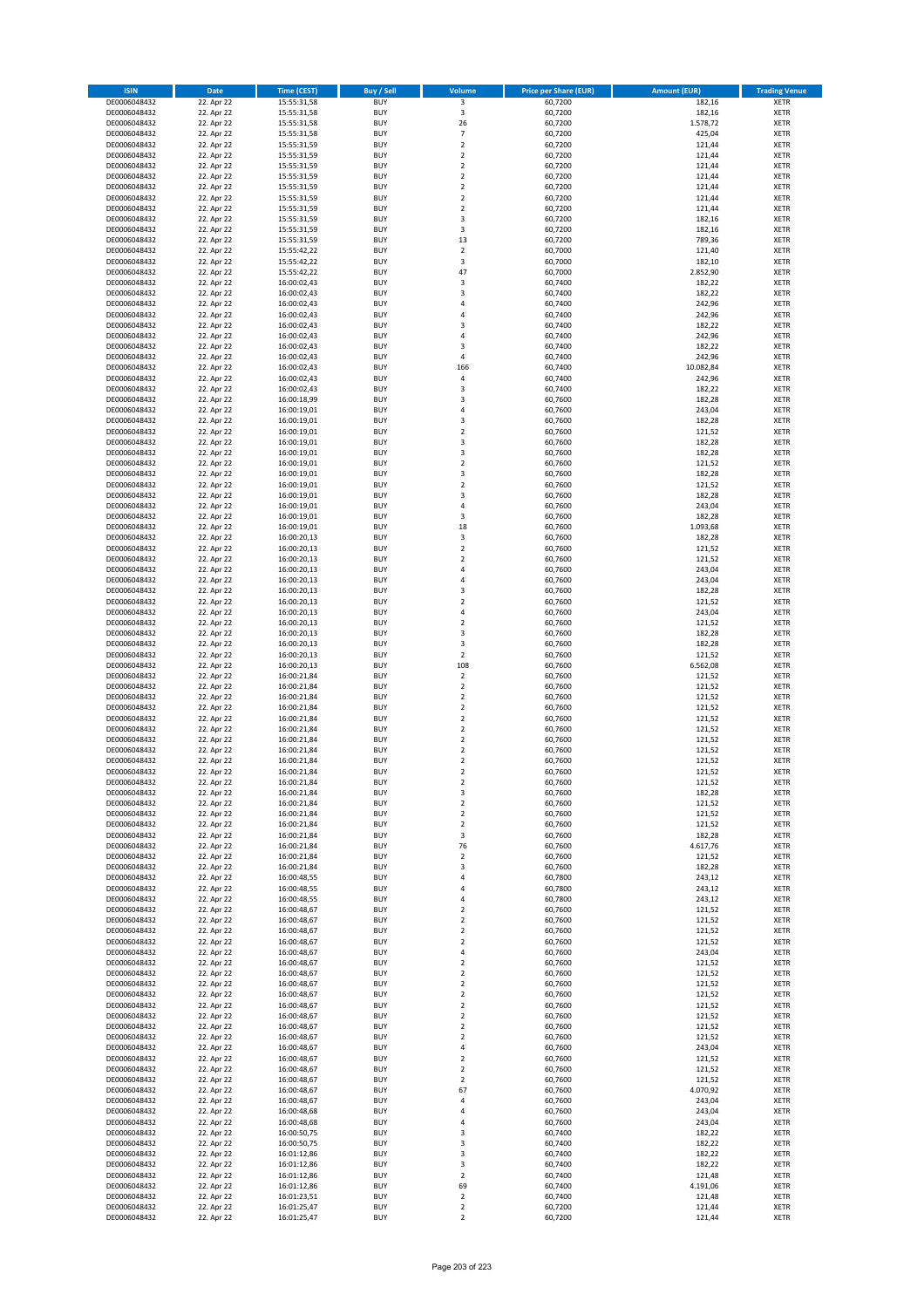| <b>ISIN</b>                  | <b>Date</b>              | <b>Time (CEST)</b>         | <b>Buy / Sell</b>        | <b>Volume</b>                                      | <b>Price per Share (EUR)</b> | <b>Amount (EUR)</b> | <b>Trading Venue</b>       |
|------------------------------|--------------------------|----------------------------|--------------------------|----------------------------------------------------|------------------------------|---------------------|----------------------------|
| DE0006048432                 | 22. Apr 22               | 15:55:31,58                | <b>BUY</b>               | $\overline{\mathbf{3}}$                            | 60,7200                      | 182,16              | <b>XETR</b>                |
| DE0006048432                 | 22. Apr 22               | 15:55:31,58                | <b>BUY</b>               | 3                                                  | 60,7200                      | 182,16              | <b>XETR</b>                |
| DE0006048432                 | 22. Apr 22               | 15:55:31,58                | <b>BUY</b>               | 26                                                 | 60,7200                      | 1.578,72            | <b>XETR</b>                |
| DE0006048432<br>DE0006048432 | 22. Apr 22<br>22. Apr 22 | 15:55:31,58<br>15:55:31,59 | <b>BUY</b><br><b>BUY</b> | $\overline{7}$<br>$\mathbf 2$                      | 60,7200<br>60,7200           | 425,04<br>121,44    | <b>XETR</b><br><b>XETR</b> |
| DE0006048432                 | 22. Apr 22               | 15:55:31,59                | <b>BUY</b>               | $\mathbf 2$                                        | 60,7200                      | 121,44              | <b>XETR</b>                |
| DE0006048432                 | 22. Apr 22               | 15:55:31,59                | <b>BUY</b>               | $\mathbf 2$                                        | 60,7200                      | 121,44              | <b>XETR</b>                |
| DE0006048432                 | 22. Apr 22               | 15:55:31,59                | <b>BUY</b>               | $\mathbf 2$                                        | 60,7200                      | 121,44              | <b>XETR</b>                |
| DE0006048432                 | 22. Apr 22               | 15:55:31,59                | <b>BUY</b>               | $\overline{2}$                                     | 60,7200                      | 121,44              | <b>XETR</b>                |
| DE0006048432                 | 22. Apr 22               | 15:55:31,59                | <b>BUY</b>               | $\overline{2}$                                     | 60,7200                      | 121,44              | <b>XETR</b>                |
| DE0006048432                 | 22. Apr 22               | 15:55:31,59                | <b>BUY</b>               | $\mathbf 2$                                        | 60,7200                      | 121,44              | <b>XETR</b>                |
| DE0006048432<br>DE0006048432 | 22. Apr 22<br>22. Apr 22 | 15:55:31,59                | <b>BUY</b><br><b>BUY</b> | 3<br>3                                             | 60,7200<br>60,7200           | 182,16<br>182,16    | <b>XETR</b><br><b>XETR</b> |
| DE0006048432                 | 22. Apr 22               | 15:55:31,59<br>15:55:31,59 | <b>BUY</b>               | 13                                                 | 60,7200                      | 789,36              | <b>XETR</b>                |
| DE0006048432                 | 22. Apr 22               | 15:55:42,22                | <b>BUY</b>               | $\mathbf 2$                                        | 60,7000                      | 121,40              | <b>XETR</b>                |
| DE0006048432                 | 22. Apr 22               | 15:55:42,22                | <b>BUY</b>               | 3                                                  | 60,7000                      | 182,10              | <b>XETR</b>                |
| DE0006048432                 | 22. Apr 22               | 15:55:42,22                | <b>BUY</b>               | 47                                                 | 60,7000                      | 2.852,90            | <b>XETR</b>                |
| DE0006048432                 | 22. Apr 22               | 16:00:02,43                | <b>BUY</b>               | 3                                                  | 60,7400                      | 182,22              | <b>XETR</b>                |
| DE0006048432                 | 22. Apr 22               | 16:00:02,43                | <b>BUY</b>               | 3                                                  | 60,7400                      | 182,22              | <b>XETR</b>                |
| DE0006048432                 | 22. Apr 22               | 16:00:02,43                | <b>BUY</b>               | 4                                                  | 60,7400                      | 242,96              | <b>XETR</b>                |
| DE0006048432<br>DE0006048432 | 22. Apr 22<br>22. Apr 22 | 16:00:02,43<br>16:00:02,43 | <b>BUY</b><br><b>BUY</b> | 4<br>3                                             | 60,7400<br>60,7400           | 242,96<br>182,22    | <b>XETR</b><br><b>XETR</b> |
| DE0006048432                 | 22. Apr 22               | 16:00:02,43                | <b>BUY</b>               | 4                                                  | 60,7400                      | 242,96              | <b>XETR</b>                |
| DE0006048432                 | 22. Apr 22               | 16:00:02,43                | <b>BUY</b>               | 3                                                  | 60,7400                      | 182,22              | <b>XETR</b>                |
| DE0006048432                 | 22. Apr 22               | 16:00:02,43                | <b>BUY</b>               | 4                                                  | 60,7400                      | 242,96              | <b>XETR</b>                |
| DE0006048432                 | 22. Apr 22               | 16:00:02,43                | <b>BUY</b>               | 166                                                | 60,7400                      | 10.082,84           | <b>XETR</b>                |
| DE0006048432                 | 22. Apr 22               | 16:00:02,43                | <b>BUY</b>               | 4                                                  | 60,7400                      | 242,96              | <b>XETR</b>                |
| DE0006048432                 | 22. Apr 22               | 16:00:02,43                | <b>BUY</b>               | 3                                                  | 60,7400                      | 182,22              | <b>XETR</b>                |
| DE0006048432<br>DE0006048432 | 22. Apr 22<br>22. Apr 22 | 16:00:18,99<br>16:00:19,01 | <b>BUY</b><br><b>BUY</b> | 3<br>4                                             | 60,7600<br>60,7600           | 182,28<br>243,04    | <b>XETR</b><br><b>XETR</b> |
| DE0006048432                 | 22. Apr 22               | 16:00:19,01                | <b>BUY</b>               | 3                                                  | 60,7600                      | 182,28              | <b>XETR</b>                |
| DE0006048432                 | 22. Apr 22               | 16:00:19,01                | <b>BUY</b>               | $\overline{\mathbf{c}}$                            | 60,7600                      | 121,52              | <b>XETR</b>                |
| DE0006048432                 | 22. Apr 22               | 16:00:19,01                | <b>BUY</b>               | 3                                                  | 60,7600                      | 182,28              | <b>XETR</b>                |
| DE0006048432                 | 22. Apr 22               | 16:00:19,01                | <b>BUY</b>               | 3                                                  | 60,7600                      | 182,28              | <b>XETR</b>                |
| DE0006048432                 | 22. Apr 22               | 16:00:19,01                | <b>BUY</b>               | $\mathbf 2$                                        | 60,7600                      | 121,52              | <b>XETR</b>                |
| DE0006048432                 | 22. Apr 22               | 16:00:19,01                | <b>BUY</b>               | 3                                                  | 60,7600                      | 182,28              | <b>XETR</b>                |
| DE0006048432                 | 22. Apr 22               | 16:00:19,01<br>16:00:19,01 | <b>BUY</b><br><b>BUY</b> | $\overline{\mathbf{c}}$<br>3                       | 60,7600<br>60,7600           | 121,52<br>182,28    | <b>XETR</b><br><b>XETR</b> |
| DE0006048432<br>DE0006048432 | 22. Apr 22<br>22. Apr 22 | 16:00:19,01                | <b>BUY</b>               | 4                                                  | 60,7600                      | 243,04              | <b>XETR</b>                |
| DE0006048432                 | 22. Apr 22               | 16:00:19,01                | <b>BUY</b>               | 3                                                  | 60,7600                      | 182,28              | <b>XETR</b>                |
| DE0006048432                 | 22. Apr 22               | 16:00:19,01                | <b>BUY</b>               | 18                                                 | 60,7600                      | 1.093,68            | <b>XETR</b>                |
| DE0006048432                 | 22. Apr 22               | 16:00:20,13                | <b>BUY</b>               | 3                                                  | 60,7600                      | 182,28              | <b>XETR</b>                |
| DE0006048432                 | 22. Apr 22               | 16:00:20,13                | <b>BUY</b>               | $\mathbf 2$                                        | 60,7600                      | 121,52              | <b>XETR</b>                |
| DE0006048432                 | 22. Apr 22               | 16:00:20,13                | <b>BUY</b>               | $\overline{\mathbf{c}}$                            | 60,7600                      | 121,52              | <b>XETR</b>                |
| DE0006048432                 | 22. Apr 22               | 16:00:20,13                | <b>BUY</b>               | 4                                                  | 60,7600                      | 243,04              | <b>XETR</b>                |
| DE0006048432<br>DE0006048432 | 22. Apr 22<br>22. Apr 22 | 16:00:20,13                | <b>BUY</b><br><b>BUY</b> | 4<br>3                                             | 60,7600<br>60,7600           | 243,04<br>182,28    | <b>XETR</b><br><b>XETR</b> |
| DE0006048432                 | 22. Apr 22               | 16:00:20,13<br>16:00:20,13 | <b>BUY</b>               | $\overline{\mathbf{c}}$                            | 60,7600                      | 121,52              | <b>XETR</b>                |
| DE0006048432                 | 22. Apr 22               | 16:00:20,13                | <b>BUY</b>               | 4                                                  | 60,7600                      | 243,04              | <b>XETR</b>                |
| DE0006048432                 | 22. Apr 22               | 16:00:20,13                | <b>BUY</b>               | $\overline{\mathbf{c}}$                            | 60,7600                      | 121,52              | <b>XETR</b>                |
| DE0006048432                 | 22. Apr 22               | 16:00:20,13                | <b>BUY</b>               | 3                                                  | 60,7600                      | 182,28              | <b>XETR</b>                |
| DE0006048432                 | 22. Apr 22               | 16:00:20,13                | <b>BUY</b>               | 3                                                  | 60,7600                      | 182,28              | <b>XETR</b>                |
| DE0006048432                 | 22. Apr 22               | 16:00:20,13                | <b>BUY</b>               | $\overline{2}$                                     | 60,7600                      | 121,52              | <b>XETR</b>                |
| DE0006048432<br>DE0006048432 | 22. Apr 22<br>22. Apr 22 | 16:00:20,13<br>16:00:21,84 | <b>BUY</b><br><b>BUY</b> | 108<br>$\overline{\mathbf{c}}$                     | 60,7600<br>60,7600           | 6.562,08<br>121,52  | <b>XETR</b><br><b>XETR</b> |
| DE0006048432                 | 22. Apr 22               | 16:00:21,84                | <b>BUY</b>               | $\mathbf 2$                                        | 60,7600                      | 121,52              | <b>XETR</b>                |
| DE0006048432                 | 22. Apr 22               | 16:00:21,84                | <b>BUY</b>               | $\overline{\mathbf{c}}$                            | 60,7600                      | 121,52              | <b>XETR</b>                |
| DE0006048432                 | 22. Apr 22               | 16:00:21,84                | <b>BUY</b>               | $\overline{\mathbf{c}}$                            | 60,7600                      | 121,52              | <b>XETR</b>                |
| DE0006048432                 | 22. Apr 22               | 16:00:21,84                | <b>BUY</b>               | $\overline{\mathbf{c}}$                            | 60,7600                      | 121,52              | <b>XETR</b>                |
| DE0006048432                 | 22. Apr 22               | 16:00:21,84                | <b>BUY</b>               | $\overline{2}$                                     | 60,7600                      | 121,52              | <b>XETR</b>                |
| DE0006048432                 | 22. Apr 22               | 16:00:21,84                | <b>BUY</b>               | $\mathbf 2$                                        | 60,7600                      | 121,52              | <b>XETR</b>                |
| DE0006048432<br>DE0006048432 | 22. Apr 22<br>22. Apr 22 | 16:00:21,84                | <b>BUY</b><br><b>BUY</b> | $\overline{\mathbf{c}}$<br>$\overline{\mathbf{c}}$ | 60,7600<br>60,7600           | 121,52<br>121,52    | <b>XETR</b><br><b>XETR</b> |
| DE0006048432                 | 22. Apr 22               | 16:00:21,84<br>16:00:21,84 | <b>BUY</b>               | $\overline{2}$                                     | 60,7600                      | 121,52              | <b>XETR</b>                |
| DE0006048432                 | 22. Apr 22               | 16:00:21,84                | BUY                      | 2                                                  | 60,7600                      | 121,52              | <b>XETR</b>                |
| DE0006048432                 | 22. Apr 22               | 16:00:21,84                | <b>BUY</b>               | 3                                                  | 60,7600                      | 182,28              | <b>XETR</b>                |
| DE0006048432                 | 22. Apr 22               | 16:00:21,84                | <b>BUY</b>               | $\mathbf 2$                                        | 60,7600                      | 121,52              | <b>XETR</b>                |
| DE0006048432                 | 22. Apr 22               | 16:00:21,84                | <b>BUY</b>               | $\mathbf 2$                                        | 60,7600                      | 121,52              | XETR                       |
| DE0006048432                 | 22. Apr 22               | 16:00:21,84                | <b>BUY</b>               | $\mathbf 2$                                        | 60,7600                      | 121,52              | <b>XETR</b>                |
| DE0006048432<br>DE0006048432 | 22. Apr 22<br>22. Apr 22 | 16:00:21,84<br>16:00:21,84 | <b>BUY</b><br><b>BUY</b> | 3<br>76                                            | 60,7600<br>60,7600           | 182,28<br>4.617,76  | <b>XETR</b><br><b>XETR</b> |
| DE0006048432                 | 22. Apr 22               | 16:00:21,84                | <b>BUY</b>               | $\mathbf 2$                                        | 60,7600                      | 121,52              | <b>XETR</b>                |
| DE0006048432                 | 22. Apr 22               | 16:00:21,84                | <b>BUY</b>               | 3                                                  | 60,7600                      | 182,28              | <b>XETR</b>                |
| DE0006048432                 | 22. Apr 22               | 16:00:48,55                | <b>BUY</b>               | 4                                                  | 60,7800                      | 243,12              | <b>XETR</b>                |
| DE0006048432                 | 22. Apr 22               | 16:00:48,55                | <b>BUY</b>               | 4                                                  | 60,7800                      | 243,12              | <b>XETR</b>                |
| DE0006048432                 | 22. Apr 22               | 16:00:48,55                | <b>BUY</b>               | 4                                                  | 60,7800                      | 243,12              | <b>XETR</b>                |
| DE0006048432<br>DE0006048432 | 22. Apr 22<br>22. Apr 22 | 16:00:48,67<br>16:00:48,67 | <b>BUY</b><br><b>BUY</b> | $\mathbf 2$<br>$\overline{\mathbf{c}}$             | 60,7600<br>60,7600           | 121,52<br>121,52    | <b>XETR</b><br><b>XETR</b> |
| DE0006048432                 | 22. Apr 22               | 16:00:48,67                | <b>BUY</b>               | $\mathbf 2$                                        | 60,7600                      | 121,52              | <b>XETR</b>                |
| DE0006048432                 | 22. Apr 22               | 16:00:48,67                | <b>BUY</b>               | $\overline{\mathbf{c}}$                            | 60,7600                      | 121,52              | <b>XETR</b>                |
| DE0006048432                 | 22. Apr 22               | 16:00:48,67                | <b>BUY</b>               | 4                                                  | 60,7600                      | 243,04              | <b>XETR</b>                |
| DE0006048432                 | 22. Apr 22               | 16:00:48,67                | <b>BUY</b>               | $\mathbf 2$                                        | 60,7600                      | 121,52              | <b>XETR</b>                |
| DE0006048432                 | 22. Apr 22               | 16:00:48,67                | <b>BUY</b>               | $\mathbf 2$                                        | 60,7600                      | 121,52              | XETR                       |
| DE0006048432                 | 22. Apr 22               | 16:00:48,67                | <b>BUY</b>               | $\mathbf 2$                                        | 60,7600                      | 121,52              | <b>XETR</b>                |
| DE0006048432<br>DE0006048432 | 22. Apr 22<br>22. Apr 22 | 16:00:48,67<br>16:00:48,67 | <b>BUY</b><br><b>BUY</b> | $\overline{2}$<br>$\mathbf 2$                      | 60,7600<br>60,7600           | 121,52<br>121,52    | <b>XETR</b><br><b>XETR</b> |
| DE0006048432                 | 22. Apr 22               | 16:00:48,67                | <b>BUY</b>               | $\overline{2}$                                     | 60,7600                      | 121,52              | <b>XETR</b>                |
| DE0006048432                 | 22. Apr 22               | 16:00:48,67                | <b>BUY</b>               | $\mathbf 2$                                        | 60,7600                      | 121,52              | <b>XETR</b>                |
| DE0006048432                 | 22. Apr 22               | 16:00:48,67                | <b>BUY</b>               | $\mathbf 2$                                        | 60,7600                      | 121,52              | <b>XETR</b>                |
| DE0006048432                 | 22. Apr 22               | 16:00:48,67                | <b>BUY</b>               | 4                                                  | 60,7600                      | 243,04              | <b>XETR</b>                |
| DE0006048432                 | 22. Apr 22               | 16:00:48,67                | <b>BUY</b>               | $\mathbf 2$                                        | 60,7600                      | 121,52              | <b>XETR</b>                |
| DE0006048432<br>DE0006048432 | 22. Apr 22<br>22. Apr 22 | 16:00:48,67<br>16:00:48,67 | <b>BUY</b><br><b>BUY</b> | $\overline{\mathbf{2}}$<br>2                       | 60,7600<br>60,7600           | 121,52<br>121,52    | <b>XETR</b><br><b>XETR</b> |
| DE0006048432                 | 22. Apr 22               | 16:00:48,67                | <b>BUY</b>               | 67                                                 | 60,7600                      | 4.070,92            | <b>XETR</b>                |
| DE0006048432                 | 22. Apr 22               | 16:00:48,67                | <b>BUY</b>               | 4                                                  | 60,7600                      | 243,04              | <b>XETR</b>                |
| DE0006048432                 | 22. Apr 22               | 16:00:48,68                | <b>BUY</b>               | 4                                                  | 60,7600                      | 243,04              | <b>XETR</b>                |
| DE0006048432                 | 22. Apr 22               | 16:00:48,68                | <b>BUY</b>               | 4                                                  | 60,7600                      | 243,04              | <b>XETR</b>                |
| DE0006048432                 | 22. Apr 22               | 16:00:50,75                | <b>BUY</b>               | 3                                                  | 60,7400                      | 182,22              | <b>XETR</b>                |
| DE0006048432                 | 22. Apr 22               | 16:00:50,75                | <b>BUY</b>               | 3                                                  | 60,7400                      | 182,22              | <b>XETR</b>                |
| DE0006048432<br>DE0006048432 | 22. Apr 22<br>22. Apr 22 | 16:01:12,86<br>16:01:12,86 | <b>BUY</b><br><b>BUY</b> | 3<br>3                                             | 60,7400<br>60,7400           | 182,22<br>182,22    | <b>XETR</b><br><b>XETR</b> |
| DE0006048432                 | 22. Apr 22               | 16:01:12,86                | <b>BUY</b>               | $\mathbf 2$                                        | 60,7400                      | 121,48              | XETR                       |
| DE0006048432                 | 22. Apr 22               | 16:01:12,86                | <b>BUY</b>               | 69                                                 | 60,7400                      | 4.191,06            | <b>XETR</b>                |
| DE0006048432                 | 22. Apr 22               | 16:01:23,51                | <b>BUY</b>               | $\mathbf 2$                                        | 60,7400                      | 121,48              | <b>XETR</b>                |
| DE0006048432                 | 22. Apr 22               | 16:01:25,47                | <b>BUY</b>               | $\overline{2}$                                     | 60,7200                      | 121,44              | <b>XETR</b>                |
| DE0006048432                 | 22. Apr 22               | 16:01:25,47                | <b>BUY</b>               | $\overline{2}$                                     | 60,7200                      | 121,44              | XETR                       |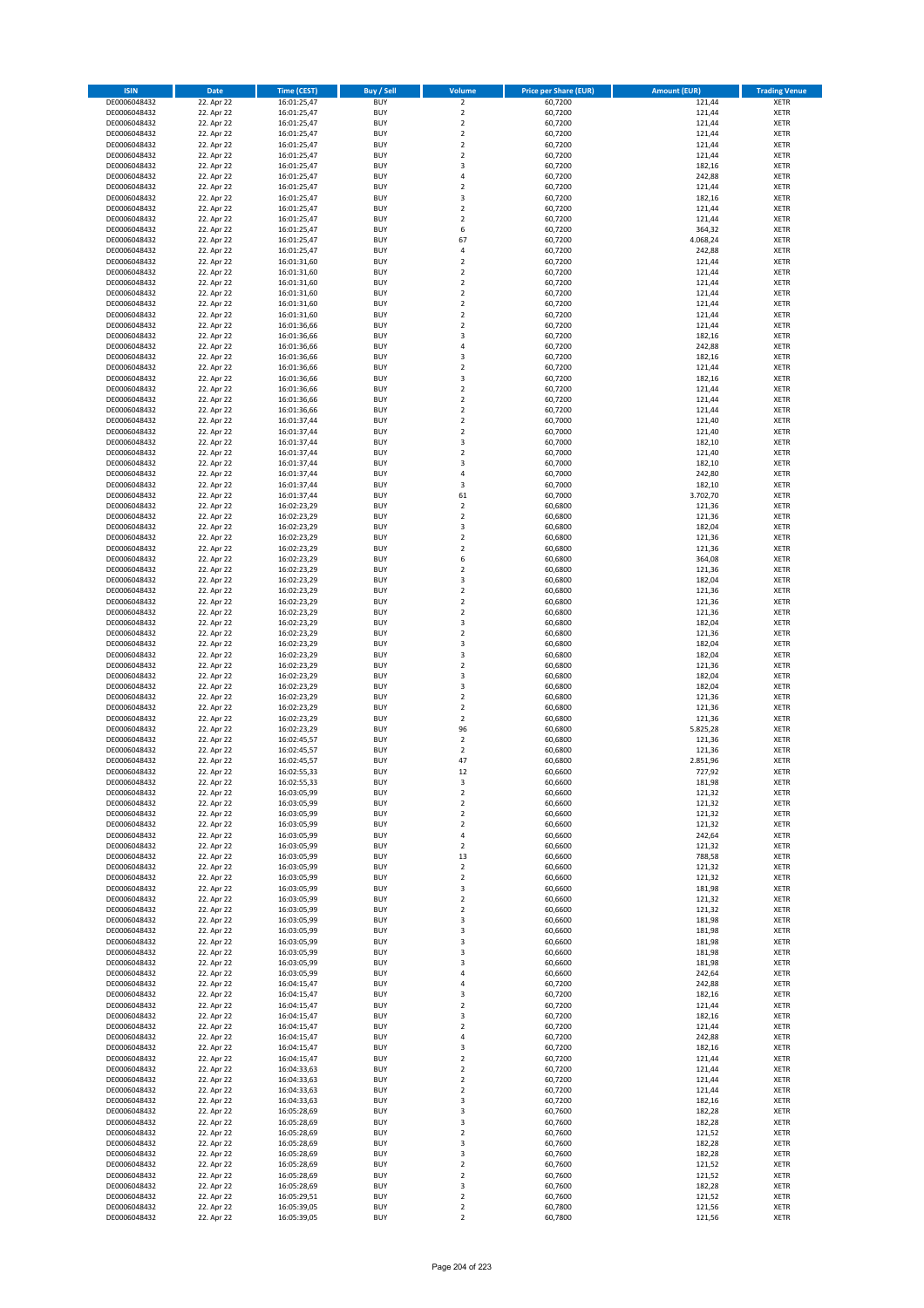| <b>ISIN</b>                  | <b>Date</b>              | <b>Time (CEST)</b>         | <b>Buy / Sell</b>        | Volume                                             | <b>Price per Share (EUR)</b> | <b>Amount (EUR)</b> | <b>Trading Venue</b>       |
|------------------------------|--------------------------|----------------------------|--------------------------|----------------------------------------------------|------------------------------|---------------------|----------------------------|
| DE0006048432                 | 22. Apr 22               | 16:01:25,47                | <b>BUY</b>               | $\overline{\mathbf{2}}$                            | 60,7200                      | 121,44              | <b>XETR</b>                |
| DE0006048432                 | 22. Apr 22               | 16:01:25,47                | <b>BUY</b>               | $\mathbf 2$                                        | 60,7200                      | 121,44              | <b>XETR</b>                |
| DE0006048432                 | 22. Apr 22               | 16:01:25,47                | <b>BUY</b>               | $\overline{2}$                                     | 60,7200                      | 121,44              | <b>XETR</b>                |
| DE0006048432<br>DE0006048432 | 22. Apr 22<br>22. Apr 22 | 16:01:25,47<br>16:01:25,47 | <b>BUY</b><br><b>BUY</b> | $\mathbf 2$<br>$\overline{\mathbf{2}}$             | 60,7200<br>60,7200           | 121,44<br>121,44    | <b>XETR</b><br><b>XETR</b> |
| DE0006048432                 | 22. Apr 22               | 16:01:25,47                | <b>BUY</b>               | $\mathbf 2$                                        | 60,7200                      | 121,44              | <b>XETR</b>                |
| DE0006048432                 | 22. Apr 22               | 16:01:25,47                | <b>BUY</b>               | 3                                                  | 60,7200                      | 182,16              | <b>XETR</b>                |
| DE0006048432                 | 22. Apr 22               | 16:01:25,47                | <b>BUY</b>               | 4                                                  | 60,7200                      | 242,88              | <b>XETR</b>                |
| DE0006048432                 | 22. Apr 22               | 16:01:25,47                | BUY                      | $\overline{2}$                                     | 60,7200                      | 121,44              | <b>XETR</b>                |
| DE0006048432<br>DE0006048432 | 22. Apr 22<br>22. Apr 22 | 16:01:25,47<br>16:01:25,47 | <b>BUY</b><br><b>BUY</b> | 3<br>$\mathbf 2$                                   | 60,7200<br>60,7200           | 182,16<br>121,44    | <b>XETR</b><br><b>XETR</b> |
| DE0006048432                 | 22. Apr 22               | 16:01:25,47                | <b>BUY</b>               | $\overline{\mathbf{2}}$                            | 60,7200                      | 121,44              | <b>XETR</b>                |
| DE0006048432                 | 22. Apr 22               | 16:01:25,47                | <b>BUY</b>               | 6                                                  | 60,7200                      | 364,32              | <b>XETR</b>                |
| DE0006048432                 | 22. Apr 22               | 16:01:25,47                | <b>BUY</b>               | 67                                                 | 60,7200                      | 4.068,24            | <b>XETR</b>                |
| DE0006048432                 | 22. Apr 22               | 16:01:25,47                | <b>BUY</b>               | 4<br>$\overline{\phantom{a}}$                      | 60,7200                      | 242,88              | <b>XETR</b>                |
| DE0006048432<br>DE0006048432 | 22. Apr 22<br>22. Apr 22 | 16:01:31,60<br>16:01:31,60 | BUY<br><b>BUY</b>        | $\overline{2}$                                     | 60,7200<br>60,7200           | 121,44<br>121,44    | <b>XETR</b><br><b>XETR</b> |
| DE0006048432                 | 22. Apr 22               | 16:01:31,60                | <b>BUY</b>               | $\overline{\mathbf{2}}$                            | 60,7200                      | 121,44              | <b>XETR</b>                |
| DE0006048432                 | 22. Apr 22               | 16:01:31,60                | <b>BUY</b>               | $\overline{2}$                                     | 60,7200                      | 121,44              | <b>XETR</b>                |
| DE0006048432                 | 22. Apr 22               | 16:01:31,60                | <b>BUY</b>               | $\overline{2}$                                     | 60,7200                      | 121,44              | <b>XETR</b>                |
| DE0006048432                 | 22. Apr 22               | 16:01:31,60                | <b>BUY</b><br><b>BUY</b> | $\overline{\mathbf{2}}$                            | 60,7200                      | 121,44<br>121,44    | <b>XETR</b>                |
| DE0006048432<br>DE0006048432 | 22. Apr 22<br>22. Apr 22 | 16:01:36,66<br>16:01:36,66 | <b>BUY</b>               | $\mathbf 2$<br>$\overline{3}$                      | 60,7200<br>60,7200           | 182,16              | <b>XETR</b><br><b>XETR</b> |
| DE0006048432                 | 22. Apr 22               | 16:01:36,66                | <b>BUY</b>               | 4                                                  | 60,7200                      | 242,88              | <b>XETR</b>                |
| DE0006048432                 | 22. Apr 22               | 16:01:36,66                | <b>BUY</b>               | $\overline{\mathbf{3}}$                            | 60,7200                      | 182,16              | <b>XETR</b>                |
| DE0006048432                 | 22. Apr 22               | 16:01:36,66                | <b>BUY</b>               | $\mathbf 2$                                        | 60,7200                      | 121,44              | <b>XETR</b>                |
| DE0006048432                 | 22. Apr 22               | 16:01:36,66                | <b>BUY</b>               | 3                                                  | 60,7200                      | 182,16              | <b>XETR</b>                |
| DE0006048432<br>DE0006048432 | 22. Apr 22<br>22. Apr 22 | 16:01:36,66<br>16:01:36,66 | <b>BUY</b><br><b>BUY</b> | $\overline{\mathbf{2}}$<br>$\mathbf 2$             | 60,7200<br>60,7200           | 121,44<br>121,44    | <b>XETR</b><br><b>XETR</b> |
| DE0006048432                 | 22. Apr 22               | 16:01:36,66                | <b>BUY</b>               | $\overline{\mathbf{2}}$                            | 60,7200                      | 121,44              | <b>XETR</b>                |
| DE0006048432                 | 22. Apr 22               | 16:01:37,44                | <b>BUY</b>               | $\mathbf 2$                                        | 60,7000                      | 121,40              | <b>XETR</b>                |
| DE0006048432                 | 22. Apr 22               | 16:01:37,44                | <b>BUY</b>               | $\mathbf 2$                                        | 60,7000                      | 121,40              | <b>XETR</b>                |
| DE0006048432                 | 22. Apr 22               | 16:01:37,44                | <b>BUY</b>               | 3<br>$\overline{\mathbf{2}}$                       | 60,7000                      | 182,10              | <b>XETR</b>                |
| DE0006048432<br>DE0006048432 | 22. Apr 22<br>22. Apr 22 | 16:01:37,44<br>16:01:37,44 | <b>BUY</b><br><b>BUY</b> | $\overline{\mathbf{3}}$                            | 60,7000<br>60,7000           | 121,40<br>182,10    | <b>XETR</b><br><b>XETR</b> |
| DE0006048432                 | 22. Apr 22               | 16:01:37,44                | <b>BUY</b>               | 4                                                  | 60,7000                      | 242,80              | <b>XETR</b>                |
| DE0006048432                 | 22. Apr 22               | 16:01:37,44                | <b>BUY</b>               | 3                                                  | 60,7000                      | 182,10              | <b>XETR</b>                |
| DE0006048432                 | 22. Apr 22               | 16:01:37,44                | <b>BUY</b>               | 61                                                 | 60,7000                      | 3.702,70            | <b>XETR</b>                |
| DE0006048432                 | 22. Apr 22               | 16:02:23,29                | <b>BUY</b>               | $\mathbf 2$                                        | 60,6800                      | 121,36              | <b>XETR</b>                |
| DE0006048432<br>DE0006048432 | 22. Apr 22<br>22. Apr 22 | 16:02:23,29<br>16:02:23,29 | <b>BUY</b><br><b>BUY</b> | $\mathbf 2$<br>3                                   | 60,6800<br>60,6800           | 121,36<br>182,04    | <b>XETR</b><br><b>XETR</b> |
| DE0006048432                 | 22. Apr 22               | 16:02:23,29                | <b>BUY</b>               | $\overline{2}$                                     | 60,6800                      | 121,36              | <b>XETR</b>                |
| DE0006048432                 | 22. Apr 22               | 16:02:23,29                | <b>BUY</b>               | $\mathbf 2$                                        | 60,6800                      | 121,36              | <b>XETR</b>                |
| DE0006048432                 | 22. Apr 22               | 16:02:23,29                | <b>BUY</b>               | 6                                                  | 60,6800                      | 364,08              | <b>XETR</b>                |
| DE0006048432                 | 22. Apr 22               | 16:02:23,29                | <b>BUY</b>               | $\overline{2}$                                     | 60,6800                      | 121,36              | <b>XETR</b>                |
| DE0006048432<br>DE0006048432 | 22. Apr 22<br>22. Apr 22 | 16:02:23,29<br>16:02:23,29 | <b>BUY</b><br><b>BUY</b> | 3<br>$\mathbf 2$                                   | 60,6800<br>60,6800           | 182,04<br>121,36    | <b>XETR</b><br><b>XETR</b> |
| DE0006048432                 | 22. Apr 22               | 16:02:23,29                | <b>BUY</b>               | $\overline{\mathbf{2}}$                            | 60,6800                      | 121,36              | <b>XETR</b>                |
| DE0006048432                 | 22. Apr 22               | 16:02:23,29                | <b>BUY</b>               | $\overline{2}$                                     | 60,6800                      | 121,36              | <b>XETR</b>                |
| DE0006048432                 | 22. Apr 22               | 16:02:23,29                | <b>BUY</b>               | 3                                                  | 60,6800                      | 182,04              | <b>XETR</b>                |
| DE0006048432                 | 22. Apr 22               | 16:02:23,29                | <b>BUY</b><br><b>BUY</b> | $\overline{2}$<br>$\overline{\mathbf{3}}$          | 60,6800                      | 121,36              | <b>XETR</b>                |
| DE0006048432<br>DE0006048432 | 22. Apr 22<br>22. Apr 22 | 16:02:23,29<br>16:02:23,29 | <b>BUY</b>               | $\overline{\mathbf{3}}$                            | 60,6800<br>60,6800           | 182,04<br>182,04    | <b>XETR</b><br><b>XETR</b> |
| DE0006048432                 | 22. Apr 22               | 16:02:23,29                | <b>BUY</b>               | $\mathbf 2$                                        | 60,6800                      | 121,36              | <b>XETR</b>                |
| DE0006048432                 | 22. Apr 22               | 16:02:23,29                | <b>BUY</b>               | $\overline{\mathbf{3}}$                            | 60,6800                      | 182,04              | <b>XETR</b>                |
| DE0006048432                 | 22. Apr 22               | 16:02:23,29                | <b>BUY</b>               | 3                                                  | 60,6800                      | 182,04              | <b>XETR</b>                |
| DE0006048432                 | 22. Apr 22<br>22. Apr 22 | 16:02:23,29                | <b>BUY</b><br><b>BUY</b> | $\overline{\mathbf{2}}$<br>$\overline{\mathbf{2}}$ | 60,6800<br>60,6800           | 121,36<br>121,36    | <b>XETR</b><br><b>XETR</b> |
| DE0006048432<br>DE0006048432 | 22. Apr 22               | 16:02:23,29<br>16:02:23,29 | BUY                      | $\overline{2}$                                     | 60,6800                      | 121,36              | <b>XETR</b>                |
| DE0006048432                 | 22. Apr 22               | 16:02:23,29                | <b>BUY</b>               | 96                                                 | 60,6800                      | 5.825,28            | <b>XETR</b>                |
| DE0006048432                 | 22. Apr 22               | 16:02:45,57                | <b>BUY</b>               | $\mathbf 2$                                        | 60,6800                      | 121,36              | <b>XETR</b>                |
| DE0006048432                 | 22. Apr 22               | 16:02:45,57                | BUY                      | $\overline{\mathbf{2}}$                            | 60,6800                      | 121,36              | <b>XETR</b>                |
| DE0006048432<br>DE0006048432 | 22. Apr 22<br>22. Apr 22 | 16:02:45,57<br>16:02:55,33 | BUY<br><b>BUY</b>        | 47<br>12                                           | 60,6800<br>60,6600           | 2.851,96<br>727,92  | <b>XETR</b><br><b>XETR</b> |
| DE0006048432                 | 22. Apr 22               | 16:02:55,33                | <b>BUY</b>               | 3                                                  | 60,6600                      | 181,98              | <b>XETR</b>                |
| DE0006048432                 | 22. Apr 22               | 16:03:05,99                | <b>BUY</b>               | $\mathbf 2$                                        | 60,6600                      | 121,32              | <b>XETR</b>                |
| DE0006048432                 | 22. Apr 22               | 16:03:05,99                | <b>BUY</b>               | $\mathbf 2$                                        | 60,6600                      | 121,32              | <b>XETR</b>                |
| DE0006048432                 | 22. Apr 22               | 16:03:05,99                | <b>BUY</b>               | $\mathbf 2$                                        | 60,6600                      | 121,32              | <b>XETR</b>                |
| DE0006048432<br>DE0006048432 | 22. Apr 22<br>22. Apr 22 | 16:03:05,99<br>16:03:05,99 | <b>BUY</b><br><b>BUY</b> | $\overline{\mathbf{2}}$<br>4                       | 60,6600<br>60,6600           | 121,32<br>242,64    | <b>XETR</b><br><b>XETR</b> |
| DE0006048432                 | 22. Apr 22               | 16:03:05,99                | <b>BUY</b>               | 2                                                  | 60,6600                      | 121,32              | <b>XETR</b>                |
| DE0006048432                 | 22. Apr 22               | 16:03:05,99                | <b>BUY</b>               | 13                                                 | 60,6600                      | 788,58              | <b>XETR</b>                |
| DE0006048432                 | 22. Apr 22               | 16:03:05,99                | <b>BUY</b>               | $\mathbf 2$                                        | 60,6600                      | 121,32              | <b>XETR</b>                |
| DE0006048432<br>DE0006048432 | 22. Apr 22<br>22. Apr 22 | 16:03:05,99                | <b>BUY</b><br><b>BUY</b> | $\mathbf 2$<br>3                                   | 60,6600<br>60,6600           | 121,32<br>181,98    | <b>XETR</b><br><b>XETR</b> |
| DE0006048432                 | 22. Apr 22               | 16:03:05,99<br>16:03:05,99 | <b>BUY</b>               | $\overline{2}$                                     | 60,6600                      | 121,32              | <b>XETR</b>                |
| DE0006048432                 | 22. Apr 22               | 16:03:05,99                | <b>BUY</b>               | $\mathbf 2$                                        | 60,6600                      | 121,32              | <b>XETR</b>                |
| DE0006048432                 | 22. Apr 22               | 16:03:05,99                | <b>BUY</b>               | 3                                                  | 60,6600                      | 181,98              | <b>XETR</b>                |
| DE0006048432                 | 22. Apr 22               | 16:03:05,99                | <b>BUY</b>               | 3                                                  | 60,6600                      | 181,98              | <b>XETR</b>                |
| DE0006048432<br>DE0006048432 | 22. Apr 22<br>22. Apr 22 | 16:03:05,99<br>16:03:05,99 | <b>BUY</b><br><b>BUY</b> | $\overline{\mathbf{3}}$<br>3                       | 60,6600<br>60,6600           | 181,98<br>181,98    | <b>XETR</b><br><b>XETR</b> |
| DE0006048432                 | 22. Apr 22               | 16:03:05,99                | <b>BUY</b>               | 3                                                  | 60,6600                      | 181,98              | <b>XETR</b>                |
| DE0006048432                 | 22. Apr 22               | 16:03:05,99                | <b>BUY</b>               | 4                                                  | 60,6600                      | 242,64              | <b>XETR</b>                |
| DE0006048432                 | 22. Apr 22               | 16:04:15,47                | <b>BUY</b>               | 4                                                  | 60,7200                      | 242,88              | <b>XETR</b>                |
| DE0006048432                 | 22. Apr 22               | 16:04:15,47                | <b>BUY</b>               | $\overline{\mathbf{3}}$                            | 60,7200                      | 182,16              | <b>XETR</b>                |
| DE0006048432<br>DE0006048432 | 22. Apr 22<br>22. Apr 22 | 16:04:15,47<br>16:04:15,47 | <b>BUY</b><br><b>BUY</b> | $\mathbf 2$<br>$\overline{\mathbf{3}}$             | 60,7200<br>60,7200           | 121,44<br>182,16    | <b>XETR</b><br><b>XETR</b> |
| DE0006048432                 | 22. Apr 22               | 16:04:15,47                | <b>BUY</b>               | $\overline{2}$                                     | 60,7200                      | 121,44              | <b>XETR</b>                |
| DE0006048432                 | 22. Apr 22               | 16:04:15,47                | <b>BUY</b>               | 4                                                  | 60,7200                      | 242,88              | <b>XETR</b>                |
| DE0006048432                 | 22. Apr 22               | 16:04:15,47                | <b>BUY</b>               | 3                                                  | 60,7200                      | 182,16              | <b>XETR</b>                |
| DE0006048432                 | 22. Apr 22               | 16:04:15,47                | <b>BUY</b>               | $\overline{2}$                                     | 60,7200                      | 121,44              | <b>XETR</b>                |
| DE0006048432<br>DE0006048432 | 22. Apr 22<br>22. Apr 22 | 16:04:33,63<br>16:04:33,63 | <b>BUY</b><br><b>BUY</b> | $\overline{2}$<br>2                                | 60,7200<br>60,7200           | 121,44<br>121,44    | <b>XETR</b><br><b>XETR</b> |
| DE0006048432                 | 22. Apr 22               | 16:04:33,63                | <b>BUY</b>               | $\overline{2}$                                     | 60,7200                      | 121,44              | <b>XETR</b>                |
| DE0006048432                 | 22. Apr 22               | 16:04:33,63                | <b>BUY</b>               | 3                                                  | 60,7200                      | 182,16              | <b>XETR</b>                |
| DE0006048432                 | 22. Apr 22               | 16:05:28,69                | <b>BUY</b>               | 3                                                  | 60,7600                      | 182,28              | <b>XETR</b>                |
| DE0006048432<br>DE0006048432 | 22. Apr 22<br>22. Apr 22 | 16:05:28,69                | <b>BUY</b><br><b>BUY</b> | 3<br>$\overline{2}$                                | 60,7600<br>60,7600           | 182,28<br>121,52    | <b>XETR</b><br><b>XETR</b> |
| DE0006048432                 | 22. Apr 22               | 16:05:28,69<br>16:05:28,69 | <b>BUY</b>               | 3                                                  | 60,7600                      | 182,28              | <b>XETR</b>                |
| DE0006048432                 | 22. Apr 22               | 16:05:28,69                | <b>BUY</b>               | 3                                                  | 60,7600                      | 182,28              | <b>XETR</b>                |
| DE0006048432                 | 22. Apr 22               | 16:05:28,69                | <b>BUY</b>               | $\overline{2}$                                     | 60,7600                      | 121,52              | <b>XETR</b>                |
| DE0006048432                 | 22. Apr 22               | 16:05:28,69                | <b>BUY</b>               | $\mathbf 2$                                        | 60,7600                      | 121,52              | <b>XETR</b>                |
| DE0006048432<br>DE0006048432 | 22. Apr 22<br>22. Apr 22 | 16:05:28,69<br>16:05:29,51 | <b>BUY</b><br><b>BUY</b> | 3<br>$\mathbf 2$                                   | 60,7600<br>60,7600           | 182,28<br>121,52    | <b>XETR</b><br><b>XETR</b> |
| DE0006048432                 | 22. Apr 22               | 16:05:39,05                | <b>BUY</b>               | $\mathbf 2$                                        | 60,7800                      | 121,56              | <b>XETR</b>                |
| DE0006048432                 | 22. Apr 22               | 16:05:39,05                | <b>BUY</b>               | $\mathbf 2$                                        | 60,7800                      | 121,56              | <b>XETR</b>                |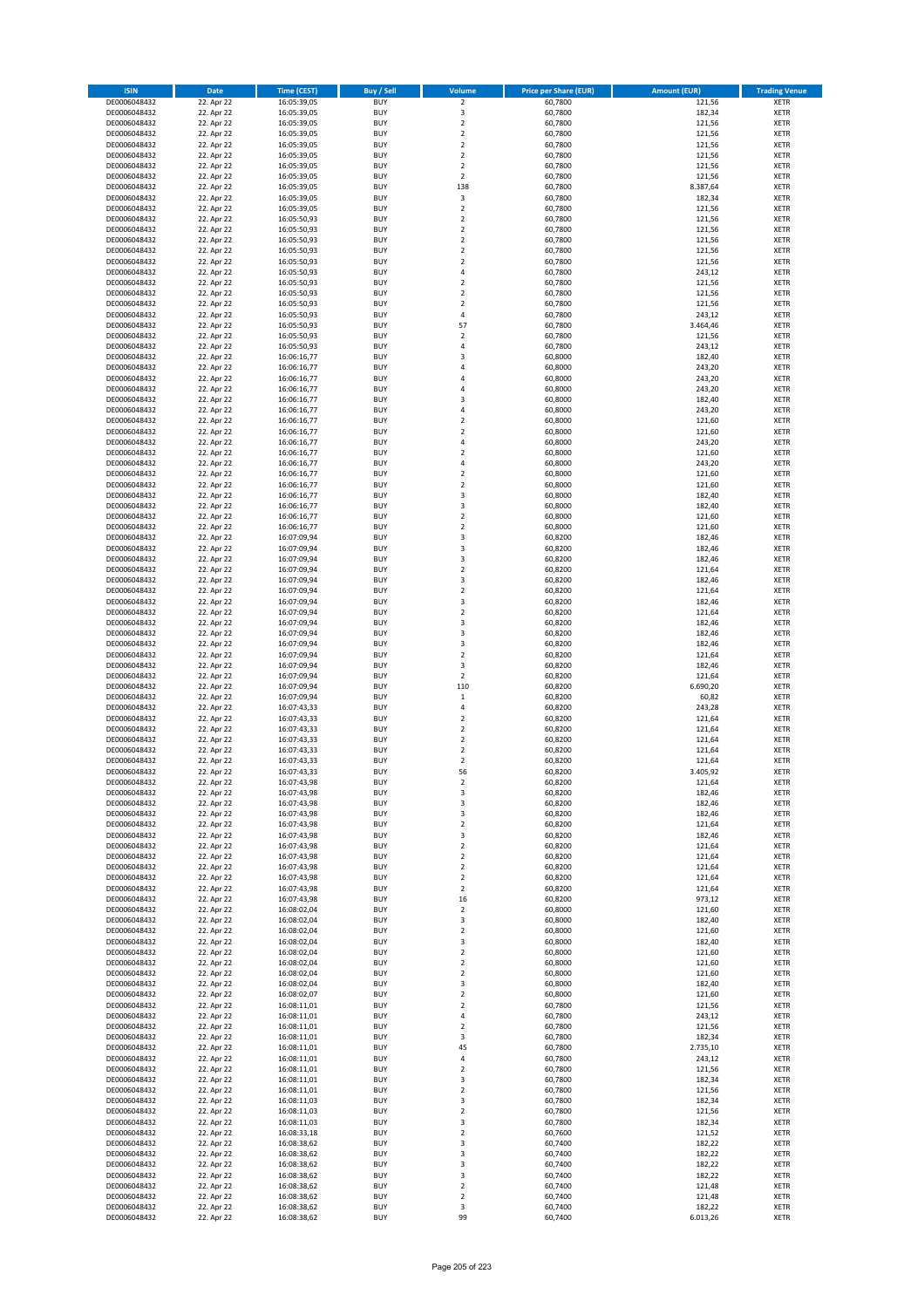| <b>ISIN</b>                  | <b>Date</b>              | <b>Time (CEST)</b>         | <b>Buy / Sell</b>        | <b>Volume</b>                          | <b>Price per Share (EUR)</b> | <b>Amount (EUR)</b> | <b>Trading Venue</b>       |
|------------------------------|--------------------------|----------------------------|--------------------------|----------------------------------------|------------------------------|---------------------|----------------------------|
| DE0006048432                 | 22. Apr 22               | 16:05:39,05                | <b>BUY</b>               | $\overline{\mathbf{2}}$                | 60,7800                      | 121,56              | <b>XETR</b>                |
| DE0006048432                 | 22. Apr 22               | 16:05:39,05                | <b>BUY</b>               | 3                                      | 60,7800                      | 182,34              | <b>XETR</b>                |
| DE0006048432                 | 22. Apr 22               | 16:05:39,05                | <b>BUY</b>               | $\overline{2}$                         | 60,7800                      | 121,56              | <b>XETR</b>                |
| DE0006048432<br>DE0006048432 | 22. Apr 22<br>22. Apr 22 | 16:05:39,05<br>16:05:39,05 | <b>BUY</b><br><b>BUY</b> | $\mathbf 2$<br>$\overline{\mathbf{c}}$ | 60,7800<br>60,7800           | 121,56<br>121,56    | <b>XETR</b><br><b>XETR</b> |
| DE0006048432                 | 22. Apr 22               | 16:05:39,05                | <b>BUY</b>               | $\mathbf 2$                            | 60,7800                      | 121,56              | <b>XETR</b>                |
| DE0006048432                 | 22. Apr 22               | 16:05:39,05                | <b>BUY</b>               | $\overline{2}$                         | 60,7800                      | 121,56              | <b>XETR</b>                |
| DE0006048432                 | 22. Apr 22               | 16:05:39,05                | <b>BUY</b>               | $\overline{2}$                         | 60,7800                      | 121,56              | <b>XETR</b>                |
| DE0006048432                 | 22. Apr 22               | 16:05:39,05                | <b>BUY</b>               | 138                                    | 60,7800                      | 8.387,64            | <b>XETR</b>                |
| DE0006048432                 | 22. Apr 22               | 16:05:39,05                | <b>BUY</b><br><b>BUY</b> | 3                                      | 60,7800                      | 182,34              | <b>XETR</b>                |
| DE0006048432<br>DE0006048432 | 22. Apr 22<br>22. Apr 22 | 16:05:39,05<br>16:05:50,93 | <b>BUY</b>               | $\mathbf 2$<br>$\overline{\mathbf{c}}$ | 60,7800<br>60,7800           | 121,56<br>121,56    | <b>XETR</b><br><b>XETR</b> |
| DE0006048432                 | 22. Apr 22               | 16:05:50,93                | <b>BUY</b>               | $\mathbf 2$                            | 60,7800                      | 121,56              | <b>XETR</b>                |
| DE0006048432                 | 22. Apr 22               | 16:05:50,93                | <b>BUY</b>               | $\overline{\mathbf{c}}$                | 60,7800                      | 121,56              | <b>XETR</b>                |
| DE0006048432                 | 22. Apr 22               | 16:05:50,93                | <b>BUY</b>               | $\overline{\mathbf{c}}$                | 60,7800                      | 121,56              | <b>XETR</b>                |
| DE0006048432                 | 22. Apr 22               | 16:05:50,93                | <b>BUY</b>               | $\overline{\mathbf{c}}$                | 60,7800                      | 121,56              | <b>XETR</b>                |
| DE0006048432<br>DE0006048432 | 22. Apr 22<br>22. Apr 22 | 16:05:50,93<br>16:05:50,93 | <b>BUY</b><br><b>BUY</b> | 4<br>$\mathbf 2$                       | 60,7800<br>60,7800           | 243,12<br>121,56    | <b>XETR</b><br><b>XETR</b> |
| DE0006048432                 | 22. Apr 22               | 16:05:50,93                | <b>BUY</b>               | $\overline{\mathbf{c}}$                | 60,7800                      | 121,56              | <b>XETR</b>                |
| DE0006048432                 | 22. Apr 22               | 16:05:50,93                | <b>BUY</b>               | $\mathbf 2$                            | 60,7800                      | 121,56              | <b>XETR</b>                |
| DE0006048432                 | 22. Apr 22               | 16:05:50,93                | <b>BUY</b>               | 4                                      | 60,7800                      | 243,12              | <b>XETR</b>                |
| DE0006048432                 | 22. Apr 22               | 16:05:50,93                | <b>BUY</b>               | 57                                     | 60,7800                      | 3.464,46            | <b>XETR</b>                |
| DE0006048432                 | 22. Apr 22               | 16:05:50,93                | <b>BUY</b>               | $\mathbf 2$                            | 60,7800                      | 121,56              | <b>XETR</b>                |
| DE0006048432<br>DE0006048432 | 22. Apr 22<br>22. Apr 22 | 16:05:50,93<br>16:06:16,77 | <b>BUY</b><br><b>BUY</b> | 4<br>3                                 | 60,7800<br>60,8000           | 243,12<br>182,40    | <b>XETR</b><br><b>XETR</b> |
| DE0006048432                 | 22. Apr 22               | 16:06:16,77                | <b>BUY</b>               | 4                                      | 60,8000                      | 243,20              | <b>XETR</b>                |
| DE0006048432                 | 22. Apr 22               | 16:06:16,77                | <b>BUY</b>               | 4                                      | 60,8000                      | 243,20              | <b>XETR</b>                |
| DE0006048432                 | 22. Apr 22               | 16:06:16,77                | <b>BUY</b>               | 4                                      | 60,8000                      | 243,20              | <b>XETR</b>                |
| DE0006048432                 | 22. Apr 22               | 16:06:16,77                | <b>BUY</b>               | 3                                      | 60,8000                      | 182,40              | <b>XETR</b>                |
| DE0006048432<br>DE0006048432 | 22. Apr 22<br>22. Apr 22 | 16:06:16,77<br>16:06:16,77 | <b>BUY</b><br><b>BUY</b> | 4<br>$\mathbf 2$                       | 60,8000<br>60,8000           | 243,20<br>121,60    | <b>XETR</b><br><b>XETR</b> |
| DE0006048432                 | 22. Apr 22               | 16:06:16,77                | <b>BUY</b>               | $\overline{\mathbf{c}}$                | 60,8000                      | 121,60              | <b>XETR</b>                |
| DE0006048432                 | 22. Apr 22               | 16:06:16,77                | <b>BUY</b>               | 4                                      | 60,8000                      | 243,20              | <b>XETR</b>                |
| DE0006048432                 | 22. Apr 22               | 16:06:16,77                | <b>BUY</b>               | $\overline{2}$                         | 60,8000                      | 121,60              | <b>XETR</b>                |
| DE0006048432                 | 22. Apr 22               | 16:06:16,77                | <b>BUY</b>               | 4                                      | 60,8000                      | 243,20              | <b>XETR</b>                |
| DE0006048432                 | 22. Apr 22               | 16:06:16,77                | <b>BUY</b>               | $\mathbf 2$                            | 60,8000                      | 121,60              | <b>XETR</b>                |
| DE0006048432<br>DE0006048432 | 22. Apr 22<br>22. Apr 22 | 16:06:16,77<br>16:06:16,77 | <b>BUY</b><br><b>BUY</b> | $\overline{\mathbf{c}}$<br>3           | 60,8000<br>60,8000           | 121,60<br>182,40    | <b>XETR</b><br><b>XETR</b> |
| DE0006048432                 | 22. Apr 22               | 16:06:16,77                | <b>BUY</b>               | 3                                      | 60,8000                      | 182,40              | <b>XETR</b>                |
| DE0006048432                 | 22. Apr 22               | 16:06:16,77                | <b>BUY</b>               | $\mathbf 2$                            | 60,8000                      | 121,60              | <b>XETR</b>                |
| DE0006048432                 | 22. Apr 22               | 16:06:16,77                | <b>BUY</b>               | $\overline{\mathbf{c}}$                | 60,8000                      | 121,60              | <b>XETR</b>                |
| DE0006048432                 | 22. Apr 22               | 16:07:09,94                | <b>BUY</b>               | 3                                      | 60,8200                      | 182,46              | <b>XETR</b>                |
| DE0006048432                 | 22. Apr 22               | 16:07:09,94                | <b>BUY</b>               | 3                                      | 60,8200                      | 182,46              | <b>XETR</b>                |
| DE0006048432<br>DE0006048432 | 22. Apr 22<br>22. Apr 22 | 16:07:09,94<br>16:07:09,94 | <b>BUY</b><br><b>BUY</b> | 3<br>$\mathbf 2$                       | 60,8200<br>60,8200           | 182,46<br>121,64    | <b>XETR</b><br><b>XETR</b> |
| DE0006048432                 | 22. Apr 22               | 16:07:09,94                | <b>BUY</b>               | 3                                      | 60,8200                      | 182,46              | <b>XETR</b>                |
| DE0006048432                 | 22. Apr 22               | 16:07:09,94                | <b>BUY</b>               | $\mathbf 2$                            | 60,8200                      | 121,64              | <b>XETR</b>                |
| DE0006048432                 | 22. Apr 22               | 16:07:09,94                | <b>BUY</b>               | 3                                      | 60,8200                      | 182,46              | <b>XETR</b>                |
| DE0006048432                 | 22. Apr 22               | 16:07:09,94                | <b>BUY</b>               | $\mathbf 2$                            | 60,8200                      | 121,64              | <b>XETR</b>                |
| DE0006048432<br>DE0006048432 | 22. Apr 22<br>22. Apr 22 | 16:07:09,94<br>16:07:09,94 | <b>BUY</b><br><b>BUY</b> | 3<br>3                                 | 60,8200<br>60,8200           | 182,46<br>182,46    | <b>XETR</b><br><b>XETR</b> |
| DE0006048432                 | 22. Apr 22               | 16:07:09,94                | <b>BUY</b>               | 3                                      | 60,8200                      | 182,46              | <b>XETR</b>                |
| DE0006048432                 | 22. Apr 22               | 16:07:09,94                | <b>BUY</b>               | $\overline{\mathbf{c}}$                | 60,8200                      | 121,64              | <b>XETR</b>                |
| DE0006048432                 | 22. Apr 22               | 16:07:09,94                | <b>BUY</b>               | 3                                      | 60,8200                      | 182,46              | <b>XETR</b>                |
| DE0006048432                 | 22. Apr 22               | 16:07:09,94                | <b>BUY</b>               | $\overline{\mathbf{c}}$                | 60,8200                      | 121,64              | <b>XETR</b>                |
| DE0006048432<br>DE0006048432 | 22. Apr 22<br>22. Apr 22 | 16:07:09,94<br>16:07:09,94 | <b>BUY</b><br><b>BUY</b> | 110<br>$\mathbf 1$                     | 60,8200<br>60,8200           | 6.690,20<br>60,82   | <b>XETR</b><br><b>XETR</b> |
| DE0006048432                 | 22. Apr 22               | 16:07:43,33                | <b>BUY</b>               | 4                                      | 60,8200                      | 243,28              | <b>XETR</b>                |
| DE0006048432                 | 22. Apr 22               | 16:07:43,33                | <b>BUY</b>               | $\overline{\mathbf{c}}$                | 60,8200                      | 121,64              | <b>XETR</b>                |
| DE0006048432                 | 22. Apr 22               | 16:07:43,33                | <b>BUY</b>               | $\overline{2}$                         | 60,8200                      | 121,64              | <b>XETR</b>                |
| DE0006048432                 | 22. Apr 22               | 16:07:43,33                | <b>BUY</b>               | $\mathbf 2$                            | 60,8200                      | 121,64              | <b>XETR</b>                |
| DE0006048432<br>DE0006048432 | 22. Apr 22<br>22. Apr 22 | 16:07:43,33<br>16:07:43,33 | <b>BUY</b><br><b>BUY</b> | $\overline{\mathbf{c}}$<br>$\mathbf 2$ | 60,8200<br>60,8200           | 121,64<br>121,64    | <b>XETR</b><br><b>XETR</b> |
| DE0006048432                 | 22. Apr 22               | 16:07:43,33                | <b>BUY</b>               | 56                                     | 60,8200                      | 3.405,92            | <b>XETR</b>                |
| DE0006048432                 | 22. Apr 22               | 16:07:43,98                | BUY                      | 2                                      | 60,8200                      | 121,64              | <b>XETR</b>                |
| DE0006048432                 | 22. Apr 22               | 16:07:43,98                | <b>BUY</b>               | 3                                      | 60,8200                      | 182,46              | <b>XETR</b>                |
| DE0006048432                 | 22. Apr 22               | 16:07:43,98                | <b>BUY</b>               | 3                                      | 60,8200                      | 182,46              | <b>XETR</b>                |
| DE0006048432<br>DE0006048432 | 22. Apr 22<br>22. Apr 22 | 16:07:43,98                | <b>BUY</b><br><b>BUY</b> | 3<br>$\mathbf 2$                       | 60,8200<br>60,8200           | 182,46<br>121,64    | XETR<br><b>XETR</b>        |
| DE0006048432                 | 22. Apr 22               | 16:07:43,98<br>16:07:43,98 | <b>BUY</b>               | 3                                      | 60,8200                      | 182,46              | <b>XETR</b>                |
| DE0006048432                 | 22. Apr 22               | 16:07:43,98                | <b>BUY</b>               | $\overline{2}$                         | 60,8200                      | 121,64              | <b>XETR</b>                |
| DE0006048432                 | 22. Apr 22               | 16:07:43,98                | <b>BUY</b>               | $\mathbf 2$                            | 60,8200                      | 121,64              | <b>XETR</b>                |
| DE0006048432                 | 22. Apr 22               | 16:07:43,98                | <b>BUY</b>               | $\mathbf 2$                            | 60,8200                      | 121,64              | <b>XETR</b>                |
| DE0006048432<br>DE0006048432 | 22. Apr 22<br>22. Apr 22 | 16:07:43,98                | <b>BUY</b><br><b>BUY</b> | $\mathbf 2$<br>$\mathbf 2$             | 60,8200<br>60,8200           | 121,64<br>121,64    | <b>XETR</b><br><b>XETR</b> |
| DE0006048432                 | 22. Apr 22               | 16:07:43,98<br>16:07:43,98 | <b>BUY</b>               | 16                                     | 60,8200                      | 973,12              | <b>XETR</b>                |
| DE0006048432                 | 22. Apr 22               | 16:08:02,04                | <b>BUY</b>               | $\mathbf 2$                            | 60,8000                      | 121,60              | <b>XETR</b>                |
| DE0006048432                 | 22. Apr 22               | 16:08:02,04                | <b>BUY</b>               | 3                                      | 60,8000                      | 182,40              | <b>XETR</b>                |
| DE0006048432                 | 22. Apr 22               | 16:08:02,04                | <b>BUY</b>               | $\mathbf 2$                            | 60,8000                      | 121,60              | <b>XETR</b>                |
| DE0006048432<br>DE0006048432 | 22. Apr 22<br>22. Apr 22 | 16:08:02,04<br>16:08:02,04 | <b>BUY</b><br><b>BUY</b> | 3<br>$\mathbf 2$                       | 60,8000<br>60,8000           | 182,40<br>121,60    | <b>XETR</b><br><b>XETR</b> |
| DE0006048432                 | 22. Apr 22               | 16:08:02,04                | <b>BUY</b>               | $\mathbf 2$                            | 60,8000                      | 121,60              | <b>XETR</b>                |
| DE0006048432                 | 22. Apr 22               | 16:08:02,04                | <b>BUY</b>               | $\mathbf 2$                            | 60,8000                      | 121,60              | XETR                       |
| DE0006048432                 | 22. Apr 22               | 16:08:02,04                | <b>BUY</b>               | 3                                      | 60,8000                      | 182,40              | <b>XETR</b>                |
| DE0006048432                 | 22. Apr 22               | 16:08:02,07                | <b>BUY</b>               | $\overline{2}$                         | 60,8000                      | 121,60              | <b>XETR</b>                |
| DE0006048432<br>DE0006048432 | 22. Apr 22<br>22. Apr 22 | 16:08:11,01                | <b>BUY</b><br><b>BUY</b> | $\mathbf 2$<br>4                       | 60,7800<br>60,7800           | 121,56<br>243,12    | <b>XETR</b><br><b>XETR</b> |
| DE0006048432                 | 22. Apr 22               | 16:08:11,01<br>16:08:11,01 | <b>BUY</b>               | $\mathbf 2$                            | 60,7800                      | 121,56              | <b>XETR</b>                |
| DE0006048432                 | 22. Apr 22               | 16:08:11,01                | <b>BUY</b>               | 3                                      | 60,7800                      | 182,34              | <b>XETR</b>                |
| DE0006048432                 | 22. Apr 22               | 16:08:11,01                | <b>BUY</b>               | 45                                     | 60,7800                      | 2.735,10            | <b>XETR</b>                |
| DE0006048432                 | 22. Apr 22               | 16:08:11,01                | <b>BUY</b>               | 4                                      | 60,7800                      | 243,12              | <b>XETR</b>                |
| DE0006048432                 | 22. Apr 22               | 16:08:11,01                | <b>BUY</b>               | $\overline{2}$                         | 60,7800                      | 121,56              | <b>XETR</b>                |
| DE0006048432<br>DE0006048432 | 22. Apr 22<br>22. Apr 22 | 16:08:11,01<br>16:08:11,01 | <b>BUY</b><br><b>BUY</b> | 3<br>$\overline{\mathbf{c}}$           | 60,7800<br>60,7800           | 182,34<br>121,56    | <b>XETR</b><br>XETR        |
| DE0006048432                 | 22. Apr 22               | 16:08:11,03                | <b>BUY</b>               | 3                                      | 60,7800                      | 182,34              | <b>XETR</b>                |
| DE0006048432                 | 22. Apr 22               | 16:08:11,03                | <b>BUY</b>               | $\mathbf 2$                            | 60,7800                      | 121,56              | <b>XETR</b>                |
| DE0006048432                 | 22. Apr 22               | 16:08:11,03                | <b>BUY</b>               | 3                                      | 60,7800                      | 182,34              | <b>XETR</b>                |
| DE0006048432                 | 22. Apr 22               | 16:08:33,18                | <b>BUY</b>               | $\mathbf 2$                            | 60,7600                      | 121,52              | <b>XETR</b>                |
| DE0006048432<br>DE0006048432 | 22. Apr 22<br>22. Apr 22 | 16:08:38,62<br>16:08:38,62 | <b>BUY</b><br><b>BUY</b> | 3<br>3                                 | 60,7400<br>60,7400           | 182,22<br>182,22    | <b>XETR</b><br><b>XETR</b> |
| DE0006048432                 | 22. Apr 22               | 16:08:38,62                | <b>BUY</b>               | 3                                      | 60,7400                      | 182,22              | <b>XETR</b>                |
| DE0006048432                 | 22. Apr 22               | 16:08:38,62                | <b>BUY</b>               | 3                                      | 60,7400                      | 182,22              | XETR                       |
| DE0006048432                 | 22. Apr 22               | 16:08:38,62                | <b>BUY</b>               | $\overline{2}$                         | 60,7400                      | 121,48              | <b>XETR</b>                |
| DE0006048432                 | 22. Apr 22               | 16:08:38,62                | <b>BUY</b>               | $\mathbf 2$                            | 60,7400                      | 121,48              | <b>XETR</b>                |
| DE0006048432<br>DE0006048432 | 22. Apr 22<br>22. Apr 22 | 16:08:38,62<br>16:08:38,62 | <b>BUY</b><br><b>BUY</b> | 3<br>99                                | 60,7400<br>60,7400           | 182,22<br>6.013,26  | <b>XETR</b><br>XETR        |
|                              |                          |                            |                          |                                        |                              |                     |                            |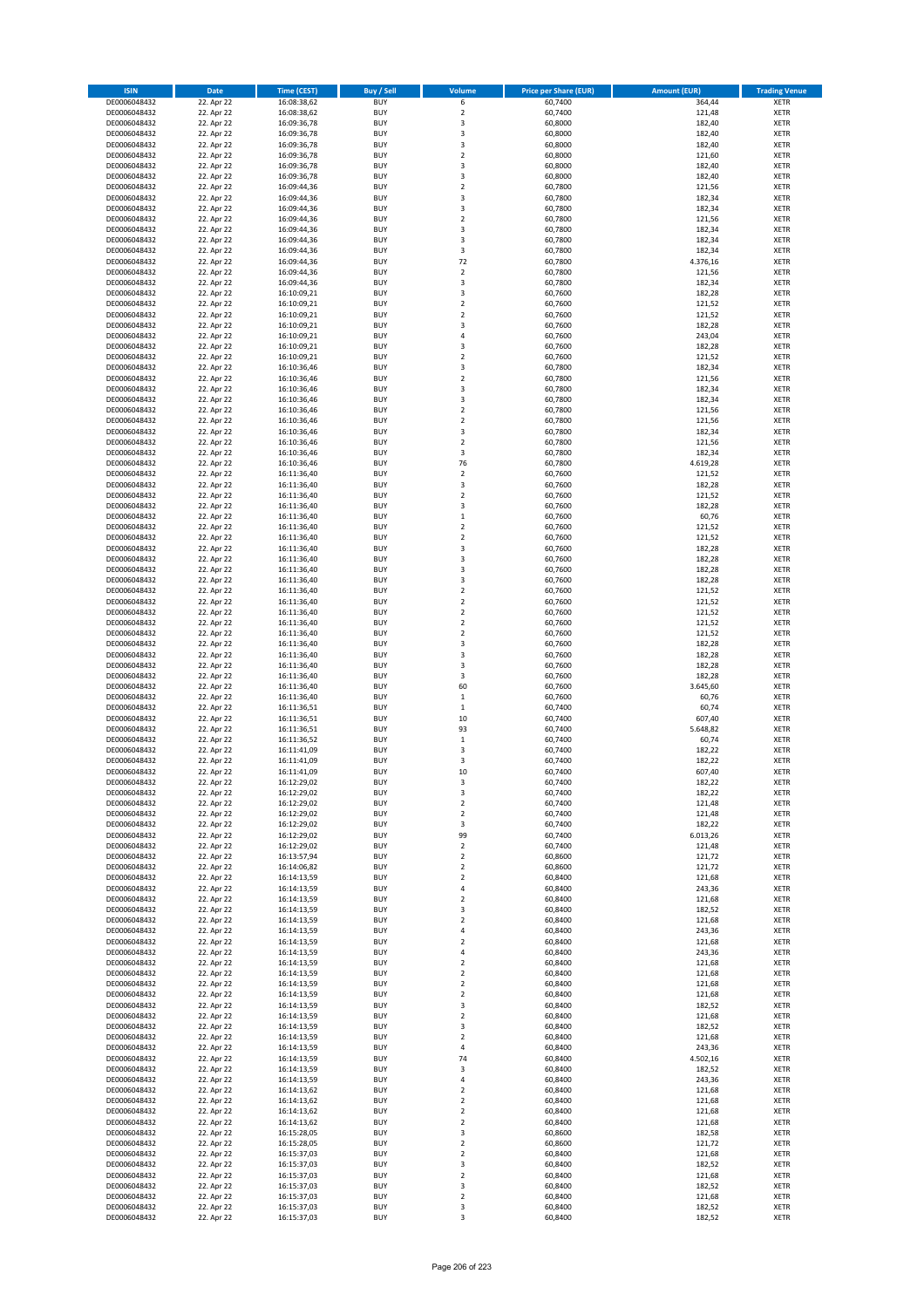| <b>ISIN</b>                  | <b>Date</b>              | <b>Time (CEST)</b>         | <b>Buy / Sell</b>        | Volume                                 | <b>Price per Share (EUR)</b> | <b>Amount (EUR)</b> | <b>Trading Venue</b>       |
|------------------------------|--------------------------|----------------------------|--------------------------|----------------------------------------|------------------------------|---------------------|----------------------------|
| DE0006048432                 | 22. Apr 22               | 16:08:38,62                | <b>BUY</b>               | 6                                      | 60,7400                      | 364,44              | <b>XETR</b>                |
| DE0006048432                 | 22. Apr 22               | 16:08:38,62                | <b>BUY</b>               | $\mathbf 2$                            | 60,7400                      | 121,48              | <b>XETR</b>                |
| DE0006048432                 | 22. Apr 22               | 16:09:36,78                | <b>BUY</b>               | 3                                      | 60.8000                      | 182,40              | <b>XETR</b>                |
| DE0006048432                 | 22. Apr 22               | 16:09:36,78                | <b>BUY</b>               | 3                                      | 60,8000                      | 182,40              | <b>XETR</b>                |
| DE0006048432<br>DE0006048432 | 22. Apr 22<br>22. Apr 22 | 16:09:36,78<br>16:09:36,78 | <b>BUY</b><br><b>BUY</b> | 3<br>$\mathbf 2$                       | 60,8000<br>60,8000           | 182,40<br>121,60    | <b>XETR</b><br><b>XETR</b> |
| DE0006048432                 | 22. Apr 22               | 16:09:36,78                | <b>BUY</b>               | $\overline{\mathbf{3}}$                | 60,8000                      | 182,40              | <b>XETR</b>                |
| DE0006048432                 | 22. Apr 22               | 16:09:36,78                | <b>BUY</b>               | 3                                      | 60,8000                      | 182,40              | <b>XETR</b>                |
| DE0006048432                 | 22. Apr 22               | 16:09:44,36                | BUY                      | $\overline{2}$                         | 60,7800                      | 121,56              | <b>XETR</b>                |
| DE0006048432                 | 22. Apr 22               | 16:09:44,36                | <b>BUY</b>               | 3                                      | 60,7800                      | 182,34              | <b>XETR</b>                |
| DE0006048432                 | 22. Apr 22               | 16:09:44,36                | <b>BUY</b>               | 3                                      | 60,7800                      | 182,34              | <b>XETR</b>                |
| DE0006048432                 | 22. Apr 22               | 16:09:44,36                | <b>BUY</b><br><b>BUY</b> | $\overline{2}$<br>$\overline{3}$       | 60,7800                      | 121,56              | <b>XETR</b>                |
| DE0006048432<br>DE0006048432 | 22. Apr 22<br>22. Apr 22 | 16:09:44,36<br>16:09:44,36 | <b>BUY</b>               | $\overline{\mathbf{3}}$                | 60,7800<br>60,7800           | 182,34<br>182,34    | <b>XETR</b><br><b>XETR</b> |
| DE0006048432                 | 22. Apr 22               | 16:09:44,36                | <b>BUY</b>               | 3                                      | 60,7800                      | 182,34              | <b>XETR</b>                |
| DE0006048432                 | 22. Apr 22               | 16:09:44,36                | BUY                      | 72                                     | 60,7800                      | 4.376,16            | <b>XETR</b>                |
| DE0006048432                 | 22. Apr 22               | 16:09:44,36                | <b>BUY</b>               | $\mathbf 2$                            | 60,7800                      | 121,56              | <b>XETR</b>                |
| DE0006048432                 | 22. Apr 22               | 16:09:44,36                | <b>BUY</b>               | 3                                      | 60,7800                      | 182,34              | <b>XETR</b>                |
| DE0006048432                 | 22. Apr 22               | 16:10:09,21                | <b>BUY</b>               | 3                                      | 60.7600                      | 182,28              | <b>XETR</b>                |
| DE0006048432<br>DE0006048432 | 22. Apr 22<br>22. Apr 22 | 16:10:09,21<br>16:10:09,21 | <b>BUY</b><br><b>BUY</b> | $\overline{2}$<br>$\overline{2}$       | 60,7600<br>60,7600           | 121,52<br>121,52    | <b>XETR</b><br><b>XETR</b> |
| DE0006048432                 | 22. Apr 22               | 16:10:09,21                | <b>BUY</b>               | $\overline{\mathbf{3}}$                | 60,7600                      | 182,28              | <b>XETR</b>                |
| DE0006048432                 | 22. Apr 22               | 16:10:09,21                | <b>BUY</b>               | $\overline{a}$                         | 60,7600                      | 243,04              | <b>XETR</b>                |
| DE0006048432                 | 22. Apr 22               | 16:10:09,21                | <b>BUY</b>               | $\overline{\mathbf{3}}$                | 60,7600                      | 182,28              | <b>XETR</b>                |
| DE0006048432                 | 22. Apr 22               | 16:10:09,21                | <b>BUY</b>               | $\overline{2}$                         | 60,7600                      | 121,52              | <b>XETR</b>                |
| DE0006048432                 | 22. Apr 22               | 16:10:36,46                | <b>BUY</b>               | 3                                      | 60,7800                      | 182,34              | <b>XETR</b>                |
| DE0006048432<br>DE0006048432 | 22. Apr 22               | 16:10:36,46                | <b>BUY</b><br><b>BUY</b> | $\mathbf 2$<br>$\overline{\mathbf{3}}$ | 60,7800                      | 121,56              | <b>XETR</b><br><b>XETR</b> |
| DE0006048432                 | 22. Apr 22<br>22. Apr 22 | 16:10:36,46<br>16:10:36,46 | <b>BUY</b>               | 3                                      | 60,7800<br>60,7800           | 182,34<br>182,34    | <b>XETR</b>                |
| DE0006048432                 | 22. Apr 22               | 16:10:36,46                | <b>BUY</b>               | $\overline{2}$                         | 60,7800                      | 121,56              | <b>XETR</b>                |
| DE0006048432                 | 22. Apr 22               | 16:10:36,46                | <b>BUY</b>               | $\mathbf 2$                            | 60,7800                      | 121,56              | <b>XETR</b>                |
| DE0006048432                 | 22. Apr 22               | 16:10:36,46                | <b>BUY</b>               | 3                                      | 60,7800                      | 182,34              | <b>XETR</b>                |
| DE0006048432                 | 22. Apr 22               | 16:10:36,46                | <b>BUY</b>               | $\mathbf 2$                            | 60,7800                      | 121,56              | <b>XETR</b>                |
| DE0006048432                 | 22. Apr 22               | 16:10:36,46                | <b>BUY</b>               | 3                                      | 60,7800                      | 182,34              | <b>XETR</b>                |
| DE0006048432<br>DE0006048432 | 22. Apr 22<br>22. Apr 22 | 16:10:36,46<br>16:11:36,40 | <b>BUY</b><br><b>BUY</b> | 76<br>$\mathbf 2$                      | 60,7800<br>60,7600           | 4.619,28<br>121,52  | <b>XETR</b><br><b>XETR</b> |
| DE0006048432                 | 22. Apr 22               | 16:11:36,40                | <b>BUY</b>               | $\overline{\mathbf{3}}$                | 60,7600                      | 182,28              | <b>XETR</b>                |
| DE0006048432                 | 22. Apr 22               | 16:11:36,40                | <b>BUY</b>               | $\mathbf 2$                            | 60,7600                      | 121,52              | <b>XETR</b>                |
| DE0006048432                 | 22. Apr 22               | 16:11:36,40                | <b>BUY</b>               | 3                                      | 60,7600                      | 182,28              | <b>XETR</b>                |
| DE0006048432                 | 22. Apr 22               | 16:11:36,40                | <b>BUY</b>               | $\mathbf 1$                            | 60,7600                      | 60,76               | <b>XETR</b>                |
| DE0006048432                 | 22. Apr 22               | 16:11:36,40                | <b>BUY</b>               | $\overline{2}$                         | 60,7600                      | 121,52              | <b>XETR</b>                |
| DE0006048432                 | 22. Apr 22<br>22. Apr 22 | 16:11:36,40                | <b>BUY</b><br><b>BUY</b> | $\overline{2}$<br>3                    | 60,7600                      | 121,52<br>182,28    | <b>XETR</b>                |
| DE0006048432<br>DE0006048432 | 22. Apr 22               | 16:11:36,40<br>16:11:36,40 | <b>BUY</b>               | $\overline{\mathbf{3}}$                | 60,7600<br>60,7600           | 182,28              | <b>XETR</b><br><b>XETR</b> |
| DE0006048432                 | 22. Apr 22               | 16:11:36,40                | <b>BUY</b>               | $\overline{3}$                         | 60,7600                      | 182,28              | <b>XETR</b>                |
| DE0006048432                 | 22. Apr 22               | 16:11:36,40                | <b>BUY</b>               | $\overline{\mathbf{3}}$                | 60,7600                      | 182,28              | <b>XETR</b>                |
| DE0006048432                 | 22. Apr 22               | 16:11:36,40                | <b>BUY</b>               | $\overline{2}$                         | 60,7600                      | 121,52              | <b>XETR</b>                |
| DE0006048432                 | 22. Apr 22               | 16:11:36,40                | <b>BUY</b>               | $\overline{2}$                         | 60,7600                      | 121,52              | <b>XETR</b>                |
| DE0006048432<br>DE0006048432 | 22. Apr 22               | 16:11:36,40<br>16:11:36,40 | <b>BUY</b><br><b>BUY</b> | $\overline{2}$<br>$\overline{2}$       | 60,7600<br>60,7600           | 121,52<br>121,52    | <b>XETR</b><br><b>XETR</b> |
| DE0006048432                 | 22. Apr 22<br>22. Apr 22 | 16:11:36,40                | <b>BUY</b>               | $\overline{2}$                         | 60,7600                      | 121,52              | <b>XETR</b>                |
| DE0006048432                 | 22. Apr 22               | 16:11:36,40                | <b>BUY</b>               | 3                                      | 60,7600                      | 182,28              | <b>XETR</b>                |
| DE0006048432                 | 22. Apr 22               | 16:11:36,40                | <b>BUY</b>               | $\overline{\mathbf{3}}$                | 60,7600                      | 182,28              | <b>XETR</b>                |
| DE0006048432                 | 22. Apr 22               | 16:11:36,40                | <b>BUY</b>               | 3                                      | 60,7600                      | 182,28              | <b>XETR</b>                |
| DE0006048432                 | 22. Apr 22               | 16:11:36,40                | <b>BUY</b>               | 3                                      | 60,7600                      | 182,28              | <b>XETR</b>                |
| DE0006048432                 | 22. Apr 22               | 16:11:36,40                | <b>BUY</b>               | 60                                     | 60,7600                      | 3.645,60            | <b>XETR</b>                |
| DE0006048432<br>DE0006048432 | 22. Apr 22<br>22. Apr 22 | 16:11:36,40<br>16:11:36,51 | <b>BUY</b><br><b>BUY</b> | $\mathbf 1$<br>$\mathbf{1}$            | 60,7600<br>60,7400           | 60,76<br>60,74      | <b>XETR</b><br><b>XETR</b> |
| DE0006048432                 | 22. Apr 22               | 16:11:36,51                | BUY                      | 10                                     | 60,7400                      | 607,40              | <b>XETR</b>                |
| DE0006048432                 | 22. Apr 22               | 16:11:36,51                | <b>BUY</b>               | 93                                     | 60,7400                      | 5.648,82            | <b>XETR</b>                |
| DE0006048432                 | 22. Apr 22               | 16:11:36,52                | <b>BUY</b>               | $\,$ 1                                 | 60,7400                      | 60,74               | <b>XETR</b>                |
| DE0006048432                 | 22. Apr 22               | 16:11:41,09                | BUY                      | $\overline{\mathbf{3}}$                | 60,7400                      | 182,22              | <b>XETR</b>                |
| DE0006048432                 | 22. Apr 22               | 16:11:41,09                | BUY                      | 3                                      | 60,7400                      | 182,22              | <b>XETR</b>                |
| DE0006048432<br>DE0006048432 | 22. Apr 22<br>22. Apr 22 | 16:11:41,09<br>16:12:29,02 | <b>BUY</b><br>BUY        | 10<br>3                                | 60,7400<br>60,7400           | 607,40              | <b>XETR</b><br><b>XETR</b> |
| DE0006048432                 | 22. Apr 22               | 16:12:29,02                | <b>BUY</b>               | 3                                      | 60,7400                      | 182,22<br>182,22    | <b>XETR</b>                |
| DE0006048432                 | 22. Apr 22               | 16:12:29,02                | <b>BUY</b>               | $\mathbf 2$                            | 60,7400                      | 121,48              | <b>XETR</b>                |
| DE0006048432                 | 22. Apr 22               | 16:12:29,02                | <b>BUY</b>               | $\mathbf 2$                            | 60,7400                      | 121,48              | <b>XETR</b>                |
| DE0006048432                 | 22. Apr 22               | 16:12:29,02                | <b>BUY</b>               | 3                                      | 60,7400                      | 182,22              | <b>XETR</b>                |
| DE0006048432                 | 22. Apr 22               | 16:12:29,02                | <b>BUY</b>               | 99                                     | 60,7400                      | 6.013,26            | <b>XETR</b>                |
| DE0006048432                 | 22. Apr 22               | 16:12:29,02                | <b>BUY</b>               | 2                                      | 60,7400                      | 121,48              | <b>XETR</b>                |
| DE0006048432<br>DE0006048432 | 22. Apr 22<br>22. Apr 22 | 16:13:57,94<br>16:14:06,82 | <b>BUY</b><br><b>BUY</b> | 2<br>$\mathbf 2$                       | 60,8600<br>60,8600           | 121,72<br>121,72    | <b>XETR</b><br><b>XETR</b> |
| DE0006048432                 | 22. Apr 22               | 16:14:13,59                | <b>BUY</b>               | $\mathbf 2$                            | 60,8400                      | 121,68              | <b>XETR</b>                |
| DE0006048432                 | 22. Apr 22               | 16:14:13,59                | <b>BUY</b>               | 4                                      | 60,8400                      | 243,36              | <b>XETR</b>                |
| DE0006048432                 | 22. Apr 22               | 16:14:13,59                | <b>BUY</b>               | $\overline{2}$                         | 60,8400                      | 121,68              | <b>XETR</b>                |
| DE0006048432                 | 22. Apr 22               | 16:14:13,59                | <b>BUY</b>               | 3                                      | 60,8400                      | 182,52              | <b>XETR</b>                |
| DE0006048432<br>DE0006048432 | 22. Apr 22<br>22. Apr 22 | 16:14:13,59<br>16:14:13,59 | <b>BUY</b><br><b>BUY</b> | $\overline{2}$<br>4                    | 60,8400<br>60,8400           | 121,68<br>243,36    | <b>XETR</b><br><b>XETR</b> |
| DE0006048432                 | 22. Apr 22               | 16:14:13,59                | <b>BUY</b>               | $\overline{2}$                         | 60,8400                      | 121,68              | <b>XETR</b>                |
| DE0006048432                 | 22. Apr 22               | 16:14:13,59                | <b>BUY</b>               | 4                                      | 60,8400                      | 243,36              | <b>XETR</b>                |
| DE0006048432                 | 22. Apr 22               | 16:14:13,59                | <b>BUY</b>               | $\mathbf 2$                            | 60,8400                      | 121,68              | <b>XETR</b>                |
| DE0006048432                 | 22. Apr 22               | 16:14:13,59                | <b>BUY</b>               | $\mathbf 2$                            | 60,8400                      | 121,68              | <b>XETR</b>                |
| DE0006048432                 | 22. Apr 22               | 16:14:13,59                | <b>BUY</b>               | $\mathbf 2$                            | 60,8400                      | 121,68              | <b>XETR</b>                |
| DE0006048432                 | 22. Apr 22<br>22. Apr 22 | 16:14:13,59                | <b>BUY</b>               | $\overline{2}$                         | 60,8400<br>60,8400           | 121,68<br>182,52    | <b>XETR</b>                |
| DE0006048432<br>DE0006048432 | 22. Apr 22               | 16:14:13,59<br>16:14:13,59 | <b>BUY</b><br><b>BUY</b> | 3<br>$\overline{2}$                    | 60,8400                      | 121,68              | <b>XETR</b><br><b>XETR</b> |
| DE0006048432                 | 22. Apr 22               | 16:14:13,59                | <b>BUY</b>               | 3                                      | 60,8400                      | 182,52              | <b>XETR</b>                |
| DE0006048432                 | 22. Apr 22               | 16:14:13,59                | <b>BUY</b>               | $\overline{2}$                         | 60,8400                      | 121,68              | <b>XETR</b>                |
| DE0006048432                 | 22. Apr 22               | 16:14:13,59                | <b>BUY</b>               | 4                                      | 60,8400                      | 243,36              | <b>XETR</b>                |
| DE0006048432                 | 22. Apr 22               | 16:14:13,59                | <b>BUY</b>               | 74                                     | 60,8400                      | 4.502,16            | <b>XETR</b>                |
| DE0006048432                 | 22. Apr 22               | 16:14:13,59                | <b>BUY</b>               | 3                                      | 60,8400                      | 182,52              | <b>XETR</b>                |
| DE0006048432<br>DE0006048432 | 22. Apr 22<br>22. Apr 22 | 16:14:13,59<br>16:14:13,62 | <b>BUY</b><br><b>BUY</b> | 4<br>$\overline{2}$                    | 60,8400<br>60,8400           | 243,36<br>121,68    | <b>XETR</b><br><b>XETR</b> |
| DE0006048432                 | 22. Apr 22               | 16:14:13,62                | <b>BUY</b>               | $\mathbf 2$                            | 60,8400                      | 121,68              | <b>XETR</b>                |
| DE0006048432                 | 22. Apr 22               | 16:14:13,62                | <b>BUY</b>               | $\mathbf 2$                            | 60,8400                      | 121,68              | <b>XETR</b>                |
| DE0006048432                 | 22. Apr 22               | 16:14:13,62                | <b>BUY</b>               | $\mathbf 2$                            | 60,8400                      | 121,68              | <b>XETR</b>                |
| DE0006048432                 | 22. Apr 22               | 16:15:28,05                | <b>BUY</b>               | 3                                      | 60,8600                      | 182,58              | <b>XETR</b>                |
| DE0006048432                 | 22. Apr 22               | 16:15:28,05                | <b>BUY</b>               | $\mathbf 2$                            | 60,8600                      | 121,72              | <b>XETR</b>                |
| DE0006048432<br>DE0006048432 | 22. Apr 22<br>22. Apr 22 | 16:15:37,03                | <b>BUY</b><br><b>BUY</b> | $\mathbf 2$<br>3                       | 60,8400<br>60,8400           | 121,68<br>182,52    | <b>XETR</b><br><b>XETR</b> |
| DE0006048432                 | 22. Apr 22               | 16:15:37,03<br>16:15:37,03 | <b>BUY</b>               | $\mathbf 2$                            | 60,8400                      | 121,68              | <b>XETR</b>                |
| DE0006048432                 | 22. Apr 22               | 16:15:37,03                | <b>BUY</b>               | 3                                      | 60,8400                      | 182,52              | <b>XETR</b>                |
| DE0006048432                 | 22. Apr 22               | 16:15:37,03                | <b>BUY</b>               | $\mathbf 2$                            | 60,8400                      | 121,68              | <b>XETR</b>                |
| DE0006048432                 | 22. Apr 22               | 16:15:37,03                | <b>BUY</b>               | 3                                      | 60,8400                      | 182,52              | <b>XETR</b>                |
| DE0006048432                 | 22. Apr 22               | 16:15:37,03                | <b>BUY</b>               | 3                                      | 60,8400                      | 182,52              | <b>XETR</b>                |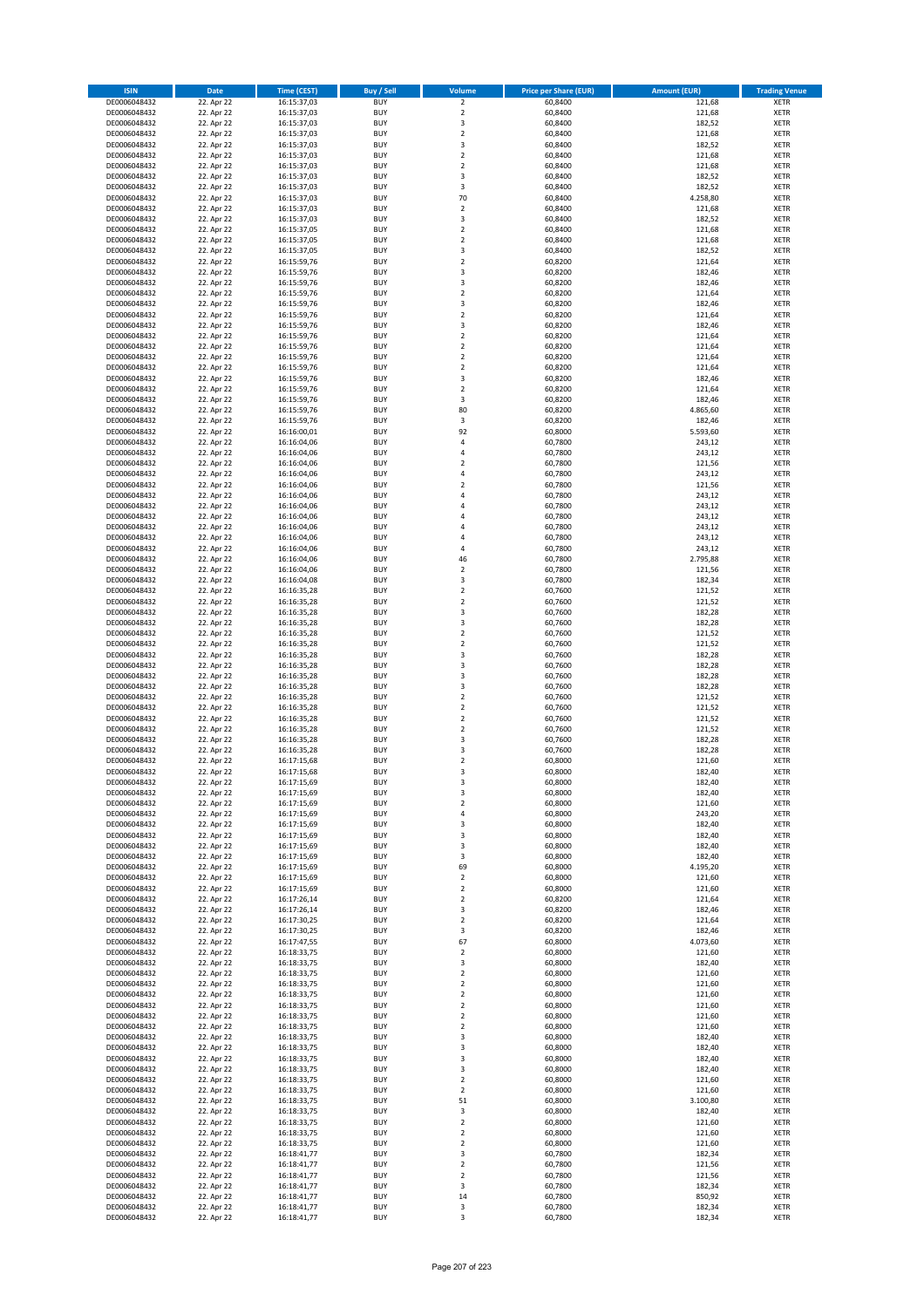| <b>ISIN</b>                  | Date                     | <b>Time (CEST)</b>         | <b>Buy / Sell</b>        | <b>Volume</b>                             | <b>Price per Share (EUR)</b> | <b>Amount (EUR)</b> | <b>Trading Venue</b>       |
|------------------------------|--------------------------|----------------------------|--------------------------|-------------------------------------------|------------------------------|---------------------|----------------------------|
| DE0006048432                 | 22. Apr 22               | 16:15:37,03                | <b>BUY</b>               | $\overline{2}$                            | 60,8400                      | 121,68              | <b>XETR</b>                |
| DE0006048432                 | 22. Apr 22               | 16:15:37,03                | <b>BUY</b>               | $\overline{2}$                            | 60,8400                      | 121,68              | <b>XETR</b>                |
| DE0006048432                 | 22. Apr 22               | 16:15:37,03                | <b>BUY</b>               | $\mathsf 3$                               | 60,8400                      | 182,52              | <b>XETR</b>                |
| DE0006048432<br>DE0006048432 | 22. Apr 22<br>22. Apr 22 | 16:15:37,03<br>16:15:37,03 | <b>BUY</b><br><b>BUY</b> | $\overline{\mathbf{c}}$<br>$\mathsf 3$    | 60,8400<br>60,8400           | 121,68<br>182,52    | <b>XETR</b><br><b>XETR</b> |
| DE0006048432                 | 22. Apr 22               | 16:15:37,03                | <b>BUY</b>               | $\overline{2}$                            | 60,8400                      | 121,68              | <b>XETR</b>                |
| DE0006048432                 | 22. Apr 22               | 16:15:37,03                | <b>BUY</b>               | $\overline{2}$                            | 60,8400                      | 121,68              | <b>XETR</b>                |
| DE0006048432                 | 22. Apr 22               | 16:15:37,03                | <b>BUY</b>               | 3                                         | 60,8400                      | 182,52              | <b>XETR</b>                |
| DE0006048432                 | 22. Apr 22               | 16:15:37,03                | <b>BUY</b>               | 3                                         | 60,8400                      | 182,52              | <b>XETR</b>                |
| DE0006048432<br>DE0006048432 | 22. Apr 22<br>22. Apr 22 | 16:15:37,03                | <b>BUY</b><br><b>BUY</b> | 70<br>$\overline{\mathbf{c}}$             | 60,8400<br>60,8400           | 4.258,80            | <b>XETR</b><br><b>XETR</b> |
| DE0006048432                 | 22. Apr 22               | 16:15:37,03<br>16:15:37,03 | <b>BUY</b>               | $\mathsf 3$                               | 60,8400                      | 121,68<br>182,52    | <b>XETR</b>                |
| DE0006048432                 | 22. Apr 22               | 16:15:37,05                | <b>BUY</b>               | $\overline{2}$                            | 60,8400                      | 121,68              | <b>XETR</b>                |
| DE0006048432                 | 22. Apr 22               | 16:15:37,05                | <b>BUY</b>               | $\overline{\mathbf{2}}$                   | 60,8400                      | 121,68              | <b>XETR</b>                |
| DE0006048432                 | 22. Apr 22               | 16:15:37,05                | <b>BUY</b>               | 3                                         | 60,8400                      | 182,52              | <b>XETR</b>                |
| DE0006048432                 | 22. Apr 22               | 16:15:59,76                | <b>BUY</b>               | $\mathbf 2$                               | 60,8200                      | 121,64              | <b>XETR</b>                |
| DE0006048432<br>DE0006048432 | 22. Apr 22<br>22. Apr 22 | 16:15:59,76<br>16:15:59,76 | <b>BUY</b><br><b>BUY</b> | 3<br>3                                    | 60,8200<br>60,8200           | 182,46<br>182,46    | <b>XETR</b><br><b>XETR</b> |
| DE0006048432                 | 22. Apr 22               | 16:15:59,76                | <b>BUY</b>               | $\mathbf 2$                               | 60,8200                      | 121,64              | <b>XETR</b>                |
| DE0006048432                 | 22. Apr 22               | 16:15:59,76                | <b>BUY</b>               | 3                                         | 60,8200                      | 182,46              | <b>XETR</b>                |
| DE0006048432                 | 22. Apr 22               | 16:15:59,76                | <b>BUY</b>               | $\mathbf 2$                               | 60,8200                      | 121,64              | <b>XETR</b>                |
| DE0006048432                 | 22. Apr 22               | 16:15:59,76                | <b>BUY</b>               | 3                                         | 60,8200                      | 182,46              | <b>XETR</b>                |
| DE0006048432<br>DE0006048432 | 22. Apr 22<br>22. Apr 22 | 16:15:59,76<br>16:15:59,76 | <b>BUY</b><br><b>BUY</b> | $\mathbf 2$<br>$\overline{2}$             | 60,8200<br>60,8200           | 121,64<br>121,64    | <b>XETR</b><br><b>XETR</b> |
| DE0006048432                 | 22. Apr 22               | 16:15:59,76                | <b>BUY</b>               | $\mathbf 2$                               | 60,8200                      | 121,64              | <b>XETR</b>                |
| DE0006048432                 | 22. Apr 22               | 16:15:59,76                | <b>BUY</b>               | $\mathbf 2$                               | 60,8200                      | 121,64              | <b>XETR</b>                |
| DE0006048432                 | 22. Apr 22               | 16:15:59,76                | <b>BUY</b>               | 3                                         | 60,8200                      | 182,46              | <b>XETR</b>                |
| DE0006048432                 | 22. Apr 22               | 16:15:59,76                | <b>BUY</b>               | $\mathbf 2$                               | 60,8200                      | 121,64              | <b>XETR</b>                |
| DE0006048432                 | 22. Apr 22               | 16:15:59,76                | <b>BUY</b>               | 3<br>80                                   | 60,8200                      | 182,46              | <b>XETR</b>                |
| DE0006048432<br>DE0006048432 | 22. Apr 22<br>22. Apr 22 | 16:15:59,76<br>16:15:59,76 | <b>BUY</b><br><b>BUY</b> | 3                                         | 60,8200<br>60,8200           | 4.865,60<br>182,46  | <b>XETR</b><br><b>XETR</b> |
| DE0006048432                 | 22. Apr 22               | 16:16:00,01                | <b>BUY</b>               | 92                                        | 60,8000                      | 5.593,60            | <b>XETR</b>                |
| DE0006048432                 | 22. Apr 22               | 16:16:04,06                | <b>BUY</b>               | $\overline{4}$                            | 60,7800                      | 243,12              | <b>XETR</b>                |
| DE0006048432                 | 22. Apr 22               | 16:16:04,06                | <b>BUY</b>               | 4                                         | 60,7800                      | 243,12              | <b>XETR</b>                |
| DE0006048432                 | 22. Apr 22               | 16:16:04,06                | <b>BUY</b>               | $\mathbf 2$                               | 60,7800                      | 121,56              | <b>XETR</b>                |
| DE0006048432                 | 22. Apr 22               | 16:16:04,06                | <b>BUY</b>               | $\overline{a}$                            | 60,7800                      | 243,12              | <b>XETR</b>                |
| DE0006048432<br>DE0006048432 | 22. Apr 22<br>22. Apr 22 | 16:16:04,06<br>16:16:04,06 | <b>BUY</b><br><b>BUY</b> | $\overline{\mathbf{c}}$<br>4              | 60,7800<br>60,7800           | 121,56<br>243,12    | <b>XETR</b><br><b>XETR</b> |
| DE0006048432                 | 22. Apr 22               | 16:16:04,06                | <b>BUY</b>               | 4                                         | 60,7800                      | 243,12              | <b>XETR</b>                |
| DE0006048432                 | 22. Apr 22               | 16:16:04,06                | <b>BUY</b>               | $\overline{a}$                            | 60,7800                      | 243,12              | <b>XETR</b>                |
| DE0006048432                 | 22. Apr 22               | 16:16:04,06                | <b>BUY</b>               | 4                                         | 60,7800                      | 243,12              | <b>XETR</b>                |
| DE0006048432                 | 22. Apr 22               | 16:16:04,06                | <b>BUY</b>               | $\overline{4}$                            | 60,7800                      | 243,12              | <b>XETR</b>                |
| DE0006048432                 | 22. Apr 22               | 16:16:04,06                | <b>BUY</b>               | 4                                         | 60,7800                      | 243,12              | <b>XETR</b>                |
| DE0006048432<br>DE0006048432 | 22. Apr 22<br>22. Apr 22 | 16:16:04,06                | <b>BUY</b><br><b>BUY</b> | 46<br>$\overline{2}$                      | 60,7800<br>60,7800           | 2.795,88<br>121,56  | <b>XETR</b><br><b>XETR</b> |
| DE0006048432                 | 22. Apr 22               | 16:16:04,06<br>16:16:04,08 | <b>BUY</b>               | 3                                         | 60,7800                      | 182,34              | <b>XETR</b>                |
| DE0006048432                 | 22. Apr 22               | 16:16:35,28                | <b>BUY</b>               | $\overline{2}$                            | 60,7600                      | 121,52              | <b>XETR</b>                |
| DE0006048432                 | 22. Apr 22               | 16:16:35,28                | <b>BUY</b>               | $\mathbf 2$                               | 60,7600                      | 121,52              | <b>XETR</b>                |
| DE0006048432                 | 22. Apr 22               | 16:16:35,28                | <b>BUY</b>               | 3                                         | 60,7600                      | 182,28              | <b>XETR</b>                |
| DE0006048432                 | 22. Apr 22               | 16:16:35,28                | <b>BUY</b>               | 3                                         | 60,7600                      | 182,28              | <b>XETR</b>                |
| DE0006048432<br>DE0006048432 | 22. Apr 22<br>22. Apr 22 | 16:16:35,28                | <b>BUY</b><br><b>BUY</b> | $\overline{2}$<br>$\overline{2}$          | 60,7600<br>60,7600           | 121,52<br>121,52    | <b>XETR</b><br><b>XETR</b> |
| DE0006048432                 | 22. Apr 22               | 16:16:35,28<br>16:16:35,28 | <b>BUY</b>               | 3                                         | 60,7600                      | 182,28              | <b>XETR</b>                |
| DE0006048432                 | 22. Apr 22               | 16:16:35,28                | <b>BUY</b>               | 3                                         | 60,7600                      | 182,28              | <b>XETR</b>                |
| DE0006048432                 | 22. Apr 22               | 16:16:35,28                | <b>BUY</b>               | 3                                         | 60,7600                      | 182,28              | <b>XETR</b>                |
| DE0006048432                 | 22. Apr 22               | 16:16:35,28                | <b>BUY</b>               | 3                                         | 60,7600                      | 182,28              | <b>XETR</b>                |
| DE0006048432                 | 22. Apr 22               | 16:16:35,28                | <b>BUY</b>               | $\overline{2}$                            | 60,7600                      | 121,52              | <b>XETR</b>                |
| DE0006048432<br>DE0006048432 | 22. Apr 22<br>22. Apr 22 | 16:16:35,28<br>16:16:35,28 | <b>BUY</b><br><b>BUY</b> | $\overline{\mathbf{c}}$<br>$\overline{2}$ | 60,7600<br>60,7600           | 121,52<br>121,52    | <b>XETR</b><br><b>XETR</b> |
| DE0006048432                 | 22. Apr 22               | 16:16:35,28                | <b>BUY</b>               | $\mathbf 2$                               | 60,7600                      | 121,52              | <b>XETR</b>                |
| DE0006048432                 | 22. Apr 22               | 16:16:35,28                | <b>BUY</b>               | 3                                         | 60,7600                      | 182,28              | <b>XETR</b>                |
| DE0006048432                 | 22. Apr 22               | 16:16:35,28                | <b>BUY</b>               | 3                                         | 60,7600                      | 182,28              | <b>XETR</b>                |
| DE0006048432                 | 22. Apr 22               | 16:17:15,68                | <b>BUY</b>               | $\overline{2}$                            | 60,8000                      | 121,60              | <b>XETR</b>                |
| DE0006048432                 | 22. Apr 22               | 16:17:15,68                | <b>BUY</b><br><b>BUY</b> | 3<br>3                                    | 60,8000<br>60,8000           | 182,40              | <b>XETR</b><br><b>XETR</b> |
| DE0006048432<br>DE0006048432 | 22. Apr 22<br>22. Apr 22 | 16:17:15,69<br>16:17:15,69 | <b>BUY</b>               | 3                                         | 60,8000                      | 182,40<br>182,40    | <b>XETR</b>                |
| DE0006048432                 | 22. Apr 22               | 16:17:15,69                | <b>BUY</b>               | $\overline{2}$                            | 60,8000                      | 121,60              | <b>XETR</b>                |
| DE0006048432                 | 22. Apr 22               | 16:17:15,69                | <b>BUY</b>               | 4                                         | 60,8000                      | 243,20              | <b>XETR</b>                |
| DE0006048432                 | 22. Apr 22               | 16:17:15,69                | <b>BUY</b>               | 3                                         | 60,8000                      | 182,40              | <b>XETR</b>                |
| DE0006048432                 | 22. Apr 22               | 16:17:15,69                | <b>BUY</b>               | 3                                         | 60,8000                      | 182,40              | <b>XETR</b>                |
| DE0006048432<br>DE0006048432 | 22. Apr 22<br>22. Apr 22 | 16:17:15,69<br>16:17:15,69 | <b>BUY</b><br><b>BUY</b> | 3<br>3                                    | 60,8000<br>60,8000           | 182,40<br>182,40    | <b>XETR</b><br><b>XETR</b> |
| DE0006048432                 | 22. Apr 22               | 16:17:15,69                | <b>BUY</b>               | 69                                        | 60,8000                      | 4.195,20            | <b>XETR</b>                |
| DE0006048432                 | 22. Apr 22               | 16:17:15,69                | <b>BUY</b>               | $\overline{2}$                            | 60,8000                      | 121,60              | <b>XETR</b>                |
| DE0006048432                 | 22. Apr 22               | 16:17:15,69                | <b>BUY</b>               | $\mathbf 2$                               | 60,8000                      | 121,60              | <b>XETR</b>                |
| DE0006048432                 | 22. Apr 22               | 16:17:26,14                | <b>BUY</b>               | $\overline{2}$                            | 60,8200                      | 121,64              | <b>XETR</b>                |
| DE0006048432                 | 22. Apr 22<br>22. Apr 22 | 16:17:26,14                | <b>BUY</b><br><b>BUY</b> | 3                                         | 60,8200                      | 182,46<br>121,64    | <b>XETR</b>                |
| DE0006048432<br>DE0006048432 | 22. Apr 22               | 16:17:30,25<br>16:17:30,25 | <b>BUY</b>               | $\overline{2}$<br>3                       | 60,8200<br>60,8200           | 182,46              | <b>XETR</b><br><b>XETR</b> |
| DE0006048432                 | 22. Apr 22               | 16:17:47,55                | <b>BUY</b>               | 67                                        | 60,8000                      | 4.073,60            | <b>XETR</b>                |
| DE0006048432                 | 22. Apr 22               | 16:18:33,75                | <b>BUY</b>               | $\overline{2}$                            | 60,8000                      | 121,60              | <b>XETR</b>                |
| DE0006048432                 | 22. Apr 22               | 16:18:33,75                | <b>BUY</b>               | 3                                         | 60,8000                      | 182,40              | XETR                       |
| DE0006048432                 | 22. Apr 22               | 16:18:33,75                | <b>BUY</b>               | $\overline{2}$                            | 60,8000                      | 121,60              | <b>XETR</b>                |
| DE0006048432<br>DE0006048432 | 22. Apr 22<br>22. Apr 22 | 16:18:33,75                | <b>BUY</b><br><b>BUY</b> | $\overline{2}$<br>$\overline{2}$          | 60,8000<br>60,8000           | 121,60<br>121,60    | <b>XETR</b><br><b>XETR</b> |
| DE0006048432                 | 22. Apr 22               | 16:18:33,75<br>16:18:33,75 | <b>BUY</b>               | $\overline{2}$                            | 60,8000                      | 121,60              | <b>XETR</b>                |
| DE0006048432                 | 22. Apr 22               | 16:18:33,75                | <b>BUY</b>               | $\overline{2}$                            | 60,8000                      | 121,60              | <b>XETR</b>                |
| DE0006048432                 | 22. Apr 22               | 16:18:33,75                | <b>BUY</b>               | $\overline{2}$                            | 60,8000                      | 121,60              | <b>XETR</b>                |
| DE0006048432                 | 22. Apr 22               | 16:18:33,75                | <b>BUY</b>               | 3                                         | 60,8000                      | 182,40              | <b>XETR</b>                |
| DE0006048432                 | 22. Apr 22               | 16:18:33,75                | <b>BUY</b>               | 3                                         | 60,8000                      | 182,40              | <b>XETR</b>                |
| DE0006048432<br>DE0006048432 | 22. Apr 22<br>22. Apr 22 | 16:18:33,75<br>16:18:33,75 | <b>BUY</b><br><b>BUY</b> | 3<br>3                                    | 60,8000<br>60,8000           | 182,40<br>182,40    | <b>XETR</b><br><b>XETR</b> |
| DE0006048432                 | 22. Apr 22               | 16:18:33,75                | <b>BUY</b>               | $\overline{2}$                            | 60,8000                      | 121,60              | <b>XETR</b>                |
| DE0006048432                 | 22. Apr 22               | 16:18:33,75                | <b>BUY</b>               | $\overline{2}$                            | 60,8000                      | 121,60              | <b>XETR</b>                |
| DE0006048432                 | 22. Apr 22               | 16:18:33,75                | <b>BUY</b>               | 51                                        | 60,8000                      | 3.100,80            | <b>XETR</b>                |
| DE0006048432                 | 22. Apr 22               | 16:18:33,75                | <b>BUY</b>               | 3                                         | 60,8000                      | 182,40              | <b>XETR</b>                |
| DE0006048432                 | 22. Apr 22               | 16:18:33,75                | <b>BUY</b>               | $\mathbf 2$                               | 60,8000                      | 121,60              | <b>XETR</b>                |
| DE0006048432<br>DE0006048432 | 22. Apr 22<br>22. Apr 22 | 16:18:33,75<br>16:18:33,75 | <b>BUY</b><br><b>BUY</b> | $\overline{2}$<br>$\overline{2}$          | 60,8000<br>60,8000           | 121,60<br>121,60    | <b>XETR</b><br><b>XETR</b> |
| DE0006048432                 | 22. Apr 22               | 16:18:41,77                | <b>BUY</b>               | 3                                         | 60,7800                      | 182,34              | <b>XETR</b>                |
| DE0006048432                 | 22. Apr 22               | 16:18:41,77                | <b>BUY</b>               | $\mathbf 2$                               | 60,7800                      | 121,56              | <b>XETR</b>                |
| DE0006048432                 | 22. Apr 22               | 16:18:41,77                | <b>BUY</b>               | $\overline{2}$                            | 60,7800                      | 121,56              | <b>XETR</b>                |
| DE0006048432                 | 22. Apr 22               | 16:18:41,77                | <b>BUY</b>               | 3                                         | 60,7800                      | 182,34              | <b>XETR</b>                |
| DE0006048432<br>DE0006048432 | 22. Apr 22<br>22. Apr 22 | 16:18:41,77<br>16:18:41,77 | <b>BUY</b><br><b>BUY</b> | 14<br>3                                   | 60,7800<br>60,7800           | 850,92<br>182,34    | <b>XETR</b><br><b>XETR</b> |
| DE0006048432                 | 22. Apr 22               | 16:18:41,77                | <b>BUY</b>               | 3                                         | 60,7800                      | 182,34              | <b>XETR</b>                |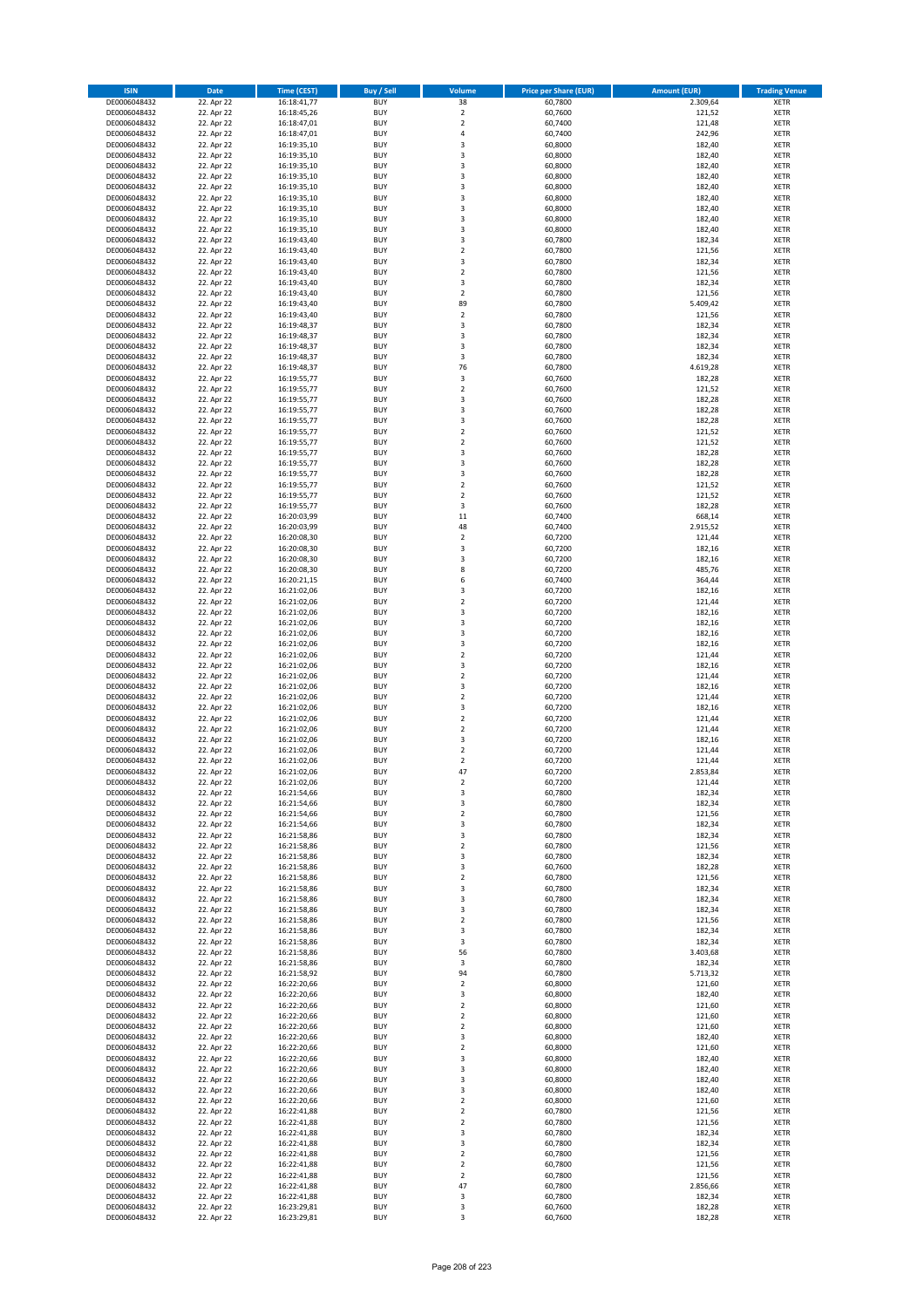| <b>ISIN</b>                  | <b>Date</b>              | <b>Time (CEST)</b>         | <b>Buy / Sell</b>        | <b>Volume</b>                          | <b>Price per Share (EUR)</b> | <b>Amount (EUR)</b> | <b>Trading Venue</b>       |
|------------------------------|--------------------------|----------------------------|--------------------------|----------------------------------------|------------------------------|---------------------|----------------------------|
| DE0006048432                 | 22. Apr 22               | 16:18:41,77                | <b>BUY</b>               | 38                                     | 60,7800                      | 2.309,64            | <b>XETR</b>                |
| DE0006048432                 | 22. Apr 22               | 16:18:45,26                | <b>BUY</b>               | $\mathbf 2$                            | 60,7600                      | 121,52              | <b>XETR</b>                |
| DE0006048432                 | 22. Apr 22               | 16:18:47,01                | <b>BUY</b>               | $\overline{2}$                         | 60,7400                      | 121,48              | <b>XETR</b>                |
| DE0006048432                 | 22. Apr 22               | 16:18:47,01                | <b>BUY</b>               | 4                                      | 60,7400                      | 242,96              | <b>XETR</b>                |
| DE0006048432<br>DE0006048432 | 22. Apr 22<br>22. Apr 22 | 16:19:35,10<br>16:19:35,10 | <b>BUY</b><br><b>BUY</b> | 3<br>3                                 | 60,8000<br>60,8000           | 182,40<br>182,40    | <b>XETR</b><br><b>XETR</b> |
| DE0006048432                 | 22. Apr 22               | 16:19:35,10                | <b>BUY</b>               | 3                                      | 60,8000                      | 182,40              | <b>XETR</b>                |
| DE0006048432                 | 22. Apr 22               | 16:19:35,10                | <b>BUY</b>               | 3                                      | 60,8000                      | 182,40              | <b>XETR</b>                |
| DE0006048432                 | 22. Apr 22               | 16:19:35,10                | <b>BUY</b>               | 3                                      | 60,8000                      | 182,40              | <b>XETR</b>                |
| DE0006048432                 | 22. Apr 22               | 16:19:35,10                | <b>BUY</b>               | 3                                      | 60,8000                      | 182,40              | <b>XETR</b>                |
| DE0006048432                 | 22. Apr 22               | 16:19:35,10                | <b>BUY</b>               | 3                                      | 60,8000                      | 182,40              | <b>XETR</b>                |
| DE0006048432                 | 22. Apr 22               | 16:19:35,10                | <b>BUY</b>               | 3<br>3                                 | 60,8000                      | 182,40              | <b>XETR</b><br><b>XETR</b> |
| DE0006048432<br>DE0006048432 | 22. Apr 22<br>22. Apr 22 | 16:19:35,10<br>16:19:43,40 | <b>BUY</b><br><b>BUY</b> | 3                                      | 60,8000<br>60,7800           | 182,40<br>182,34    | <b>XETR</b>                |
| DE0006048432                 | 22. Apr 22               | 16:19:43,40                | <b>BUY</b>               | $\mathbf 2$                            | 60,7800                      | 121,56              | <b>XETR</b>                |
| DE0006048432                 | 22. Apr 22               | 16:19:43,40                | <b>BUY</b>               | 3                                      | 60,7800                      | 182,34              | <b>XETR</b>                |
| DE0006048432                 | 22. Apr 22               | 16:19:43,40                | <b>BUY</b>               | $\mathbf 2$                            | 60,7800                      | 121,56              | <b>XETR</b>                |
| DE0006048432                 | 22. Apr 22               | 16:19:43,40                | <b>BUY</b>               | 3                                      | 60,7800                      | 182,34              | <b>XETR</b>                |
| DE0006048432                 | 22. Apr 22               | 16:19:43,40                | <b>BUY</b>               | $\overline{\mathbf{c}}$                | 60,7800                      | 121,56              | <b>XETR</b>                |
| DE0006048432<br>DE0006048432 | 22. Apr 22<br>22. Apr 22 | 16:19:43,40<br>16:19:43,40 | <b>BUY</b><br><b>BUY</b> | 89<br>$\overline{\mathbf{c}}$          | 60,7800<br>60,7800           | 5.409,42<br>121,56  | <b>XETR</b><br><b>XETR</b> |
| DE0006048432                 | 22. Apr 22               | 16:19:48,37                | <b>BUY</b>               | 3                                      | 60,7800                      | 182,34              | <b>XETR</b>                |
| DE0006048432                 | 22. Apr 22               | 16:19:48,37                | <b>BUY</b>               | 3                                      | 60,7800                      | 182,34              | <b>XETR</b>                |
| DE0006048432                 | 22. Apr 22               | 16:19:48,37                | <b>BUY</b>               | 3                                      | 60,7800                      | 182,34              | <b>XETR</b>                |
| DE0006048432                 | 22. Apr 22               | 16:19:48,37                | <b>BUY</b>               | 3                                      | 60,7800                      | 182,34              | <b>XETR</b>                |
| DE0006048432                 | 22. Apr 22               | 16:19:48,37                | <b>BUY</b>               | 76                                     | 60,7800                      | 4.619,28            | <b>XETR</b>                |
| DE0006048432<br>DE0006048432 | 22. Apr 22               | 16:19:55,77                | <b>BUY</b><br><b>BUY</b> | 3<br>$\overline{\mathbf{c}}$           | 60,7600                      | 182,28              | <b>XETR</b><br><b>XETR</b> |
| DE0006048432                 | 22. Apr 22<br>22. Apr 22 | 16:19:55,77<br>16:19:55,77 | <b>BUY</b>               | 3                                      | 60,7600<br>60,7600           | 121,52<br>182,28    | <b>XETR</b>                |
| DE0006048432                 | 22. Apr 22               | 16:19:55,77                | <b>BUY</b>               | 3                                      | 60,7600                      | 182,28              | <b>XETR</b>                |
| DE0006048432                 | 22. Apr 22               | 16:19:55,77                | <b>BUY</b>               | 3                                      | 60,7600                      | 182,28              | <b>XETR</b>                |
| DE0006048432                 | 22. Apr 22               | 16:19:55,77                | <b>BUY</b>               | $\overline{\mathbf{c}}$                | 60,7600                      | 121,52              | <b>XETR</b>                |
| DE0006048432                 | 22. Apr 22               | 16:19:55,77                | <b>BUY</b>               | $\mathbf 2$                            | 60,7600                      | 121,52              | <b>XETR</b>                |
| DE0006048432                 | 22. Apr 22               | 16:19:55,77                | <b>BUY</b>               | 3                                      | 60,7600                      | 182,28              | <b>XETR</b>                |
| DE0006048432<br>DE0006048432 | 22. Apr 22<br>22. Apr 22 | 16:19:55,77<br>16:19:55,77 | <b>BUY</b><br><b>BUY</b> | 3<br>3                                 | 60,7600<br>60,7600           | 182,28<br>182,28    | <b>XETR</b><br><b>XETR</b> |
| DE0006048432                 | 22. Apr 22               | 16:19:55,77                | <b>BUY</b>               | $\overline{\mathbf{c}}$                | 60,7600                      | 121,52              | <b>XETR</b>                |
| DE0006048432                 | 22. Apr 22               | 16:19:55,77                | <b>BUY</b>               | $\mathbf 2$                            | 60,7600                      | 121,52              | <b>XETR</b>                |
| DE0006048432                 | 22. Apr 22               | 16:19:55,77                | <b>BUY</b>               | 3                                      | 60,7600                      | 182,28              | <b>XETR</b>                |
| DE0006048432                 | 22. Apr 22               | 16:20:03,99                | <b>BUY</b>               | 11                                     | 60,7400                      | 668,14              | <b>XETR</b>                |
| DE0006048432                 | 22. Apr 22               | 16:20:03,99                | <b>BUY</b>               | 48                                     | 60,7400                      | 2.915,52            | <b>XETR</b>                |
| DE0006048432                 | 22. Apr 22               | 16:20:08,30                | <b>BUY</b>               | $\mathbf 2$                            | 60,7200                      | 121,44              | <b>XETR</b>                |
| DE0006048432<br>DE0006048432 | 22. Apr 22<br>22. Apr 22 | 16:20:08,30<br>16:20:08,30 | <b>BUY</b><br><b>BUY</b> | 3<br>3                                 | 60,7200<br>60,7200           | 182,16<br>182,16    | <b>XETR</b><br><b>XETR</b> |
| DE0006048432                 | 22. Apr 22               | 16:20:08,30                | <b>BUY</b>               | 8                                      | 60,7200                      | 485,76              | <b>XETR</b>                |
| DE0006048432                 | 22. Apr 22               | 16:20:21,15                | <b>BUY</b>               | 6                                      | 60,7400                      | 364,44              | <b>XETR</b>                |
| DE0006048432                 | 22. Apr 22               | 16:21:02,06                | <b>BUY</b>               | 3                                      | 60,7200                      | 182,16              | <b>XETR</b>                |
| DE0006048432                 | 22. Apr 22               | 16:21:02,06                | <b>BUY</b>               | $\mathbf 2$                            | 60,7200                      | 121,44              | <b>XETR</b>                |
| DE0006048432                 | 22. Apr 22               | 16:21:02,06                | <b>BUY</b><br><b>BUY</b> | 3<br>3                                 | 60,7200                      | 182,16              | <b>XETR</b><br><b>XETR</b> |
| DE0006048432<br>DE0006048432 | 22. Apr 22<br>22. Apr 22 | 16:21:02,06<br>16:21:02,06 | <b>BUY</b>               | 3                                      | 60,7200<br>60,7200           | 182,16<br>182,16    | <b>XETR</b>                |
| DE0006048432                 | 22. Apr 22               | 16:21:02,06                | <b>BUY</b>               | 3                                      | 60,7200                      | 182,16              | <b>XETR</b>                |
| DE0006048432                 | 22. Apr 22               | 16:21:02,06                | <b>BUY</b>               | $\overline{2}$                         | 60,7200                      | 121,44              | <b>XETR</b>                |
| DE0006048432                 | 22. Apr 22               | 16:21:02,06                | <b>BUY</b>               | 3                                      | 60,7200                      | 182,16              | <b>XETR</b>                |
| DE0006048432                 | 22. Apr 22               | 16:21:02,06                | <b>BUY</b>               | $\overline{\mathbf{c}}$                | 60,7200                      | 121,44              | <b>XETR</b>                |
| DE0006048432                 | 22. Apr 22               | 16:21:02,06                | <b>BUY</b>               | 3                                      | 60,7200                      | 182,16              | <b>XETR</b>                |
| DE0006048432<br>DE0006048432 | 22. Apr 22<br>22. Apr 22 | 16:21:02,06<br>16:21:02,06 | <b>BUY</b><br><b>BUY</b> | $\overline{\mathbf{c}}$<br>3           | 60,7200<br>60,7200           | 121,44<br>182,16    | <b>XETR</b><br><b>XETR</b> |
| DE0006048432                 | 22. Apr 22               | 16:21:02,06                | <b>BUY</b>               | $\overline{\mathbf{c}}$                | 60,7200                      | 121,44              | <b>XETR</b>                |
| DE0006048432                 | 22. Apr 22               | 16:21:02,06                | <b>BUY</b>               | $\overline{2}$                         | 60,7200                      | 121,44              | <b>XETR</b>                |
| DE0006048432                 | 22. Apr 22               | 16:21:02,06                | <b>BUY</b>               | 3                                      | 60,7200                      | 182,16              | <b>XETR</b>                |
| DE0006048432                 | 22. Apr 22               | 16:21:02,06                | <b>BUY</b>               | $\overline{\mathbf{c}}$                | 60,7200                      | 121,44              | <b>XETR</b>                |
| DE0006048432                 | 22. Apr 22               | 16:21:02,06                | <b>BUY</b>               | $\mathbf 2$                            | 60,7200                      | 121,44              | <b>XETR</b>                |
| DE0006048432                 | 22. Apr 22               | 16:21:02,06<br>16:21:02,06 | <b>BUY</b>               | 47                                     | 60,7200<br>60,7200           | 2.853,84<br>121,44  | <b>XETR</b>                |
| DE0006048432<br>DE0006048432 | 22. Apr 22<br>22. Apr 22 | 16:21:54,66                | BUY<br><b>BUY</b>        | 2<br>3                                 | 60,7800                      | 182,34              | <b>XETR</b><br><b>XETR</b> |
| DE0006048432                 | 22. Apr 22               | 16:21:54,66                | <b>BUY</b>               | 3                                      | 60,7800                      | 182,34              | <b>XETR</b>                |
| DE0006048432                 | 22. Apr 22               | 16:21:54,66                | <b>BUY</b>               | $\mathbf 2$                            | 60,7800                      | 121,56              | XETR                       |
| DE0006048432                 | 22. Apr 22               | 16:21:54,66                | <b>BUY</b>               | 3                                      | 60,7800                      | 182,34              | <b>XETR</b>                |
| DE0006048432                 | 22. Apr 22               | 16:21:58,86                | <b>BUY</b>               | 3                                      | 60,7800                      | 182,34              | <b>XETR</b>                |
| DE0006048432                 | 22. Apr 22               | 16:21:58,86                | <b>BUY</b>               | $\overline{2}$                         | 60,7800                      | 121,56              | <b>XETR</b>                |
| DE0006048432<br>DE0006048432 | 22. Apr 22<br>22. Apr 22 | 16:21:58,86<br>16:21:58,86 | <b>BUY</b><br><b>BUY</b> | 3<br>3                                 | 60,7800<br>60,7600           | 182,34<br>182,28    | <b>XETR</b><br><b>XETR</b> |
| DE0006048432                 | 22. Apr 22               | 16:21:58,86                | <b>BUY</b>               | $\mathbf 2$                            | 60,7800                      | 121,56              | <b>XETR</b>                |
| DE0006048432                 | 22. Apr 22               | 16:21:58,86                | <b>BUY</b>               | 3                                      | 60,7800                      | 182,34              | <b>XETR</b>                |
| DE0006048432                 | 22. Apr 22               | 16:21:58,86                | <b>BUY</b>               | 3                                      | 60.7800                      | 182,34              | <b>XETR</b>                |
| DE0006048432                 | 22. Apr 22               | 16:21:58,86                | <b>BUY</b>               | 3                                      | 60,7800                      | 182,34              | <b>XETR</b>                |
| DE0006048432                 | 22. Apr 22               | 16:21:58,86                | <b>BUY</b><br><b>BUY</b> | $\overline{\mathbf{2}}$                | 60,7800                      | 121,56              | <b>XETR</b>                |
| DE0006048432<br>DE0006048432 | 22. Apr 22<br>22. Apr 22 | 16:21:58,86<br>16:21:58,86 | <b>BUY</b>               | 3<br>3                                 | 60,7800<br>60,7800           | 182,34<br>182,34    | <b>XETR</b><br><b>XETR</b> |
| DE0006048432                 | 22. Apr 22               | 16:21:58,86                | <b>BUY</b>               | 56                                     | 60,7800                      | 3.403,68            | <b>XETR</b>                |
| DE0006048432                 | 22. Apr 22               | 16:21:58,86                | <b>BUY</b>               | 3                                      | 60,7800                      | 182,34              | <b>XETR</b>                |
| DE0006048432                 | 22. Apr 22               | 16:21:58,92                | <b>BUY</b>               | 94                                     | 60,7800                      | 5.713,32            | XETR                       |
| DE0006048432                 | 22. Apr 22               | 16:22:20,66                | <b>BUY</b>               | $\mathbf 2$                            | 60,8000                      | 121,60              | <b>XETR</b>                |
| DE0006048432                 | 22. Apr 22               | 16:22:20,66                | <b>BUY</b>               | 3                                      | 60,8000                      | 182,40              | <b>XETR</b>                |
| DE0006048432<br>DE0006048432 | 22. Apr 22<br>22. Apr 22 | 16:22:20,66<br>16:22:20,66 | <b>BUY</b><br><b>BUY</b> | $\mathbf 2$<br>$\overline{\mathbf{2}}$ | 60,8000<br>60,8000           | 121,60<br>121,60    | <b>XETR</b><br><b>XETR</b> |
| DE0006048432                 | 22. Apr 22               | 16:22:20,66                | <b>BUY</b>               | $\mathbf 2$                            | 60,8000                      | 121,60              | <b>XETR</b>                |
| DE0006048432                 | 22. Apr 22               | 16:22:20,66                | <b>BUY</b>               | 3                                      | 60,8000                      | 182,40              | <b>XETR</b>                |
| DE0006048432                 | 22. Apr 22               | 16:22:20,66                | <b>BUY</b>               | $\mathbf 2$                            | 60,8000                      | 121,60              | <b>XETR</b>                |
| DE0006048432                 | 22. Apr 22               | 16:22:20,66                | <b>BUY</b>               | 3                                      | 60,8000                      | 182,40              | <b>XETR</b>                |
| DE0006048432                 | 22. Apr 22               | 16:22:20,66                | <b>BUY</b>               | 3                                      | 60,8000                      | 182,40              | <b>XETR</b>                |
| DE0006048432<br>DE0006048432 | 22. Apr 22<br>22. Apr 22 | 16:22:20,66<br>16:22:20,66 | <b>BUY</b><br><b>BUY</b> | 3<br>3                                 | 60,8000<br>60,8000           | 182,40<br>182,40    | <b>XETR</b><br>XETR        |
| DE0006048432                 | 22. Apr 22               | 16:22:20,66                | <b>BUY</b>               | $\mathbf 2$                            | 60,8000                      | 121,60              | <b>XETR</b>                |
| DE0006048432                 | 22. Apr 22               | 16:22:41,88                | <b>BUY</b>               | $\mathbf 2$                            | 60,7800                      | 121,56              | <b>XETR</b>                |
| DE0006048432                 | 22. Apr 22               | 16:22:41,88                | <b>BUY</b>               | $\mathbf 2$                            | 60,7800                      | 121,56              | <b>XETR</b>                |
| DE0006048432                 | 22. Apr 22               | 16:22:41,88                | <b>BUY</b>               | 3                                      | 60,7800                      | 182,34              | <b>XETR</b>                |
| DE0006048432                 | 22. Apr 22               | 16:22:41,88                | <b>BUY</b>               | 3                                      | 60,7800                      | 182,34              | <b>XETR</b>                |
| DE0006048432                 | 22. Apr 22               | 16:22:41,88                | <b>BUY</b>               | $\mathbf 2$                            | 60,7800                      | 121,56              | <b>XETR</b>                |
| DE0006048432<br>DE0006048432 | 22. Apr 22<br>22. Apr 22 | 16:22:41,88<br>16:22:41,88 | <b>BUY</b><br><b>BUY</b> | $\overline{\mathbf{2}}$<br>$\mathbf 2$ | 60,7800<br>60,7800           | 121,56<br>121,56    | <b>XETR</b><br>XETR        |
| DE0006048432                 | 22. Apr 22               | 16:22:41,88                | <b>BUY</b>               | 47                                     | 60,7800                      | 2.856,66            | <b>XETR</b>                |
| DE0006048432                 | 22. Apr 22               | 16:22:41,88                | <b>BUY</b>               | 3                                      | 60,7800                      | 182,34              | <b>XETR</b>                |
| DE0006048432                 | 22. Apr 22               | 16:23:29,81                | <b>BUY</b>               | 3                                      | 60,7600                      | 182,28              | <b>XETR</b>                |
| DE0006048432                 | 22. Apr 22               | 16:23:29,81                | <b>BUY</b>               | 3                                      | 60,7600                      | 182,28              | XETR                       |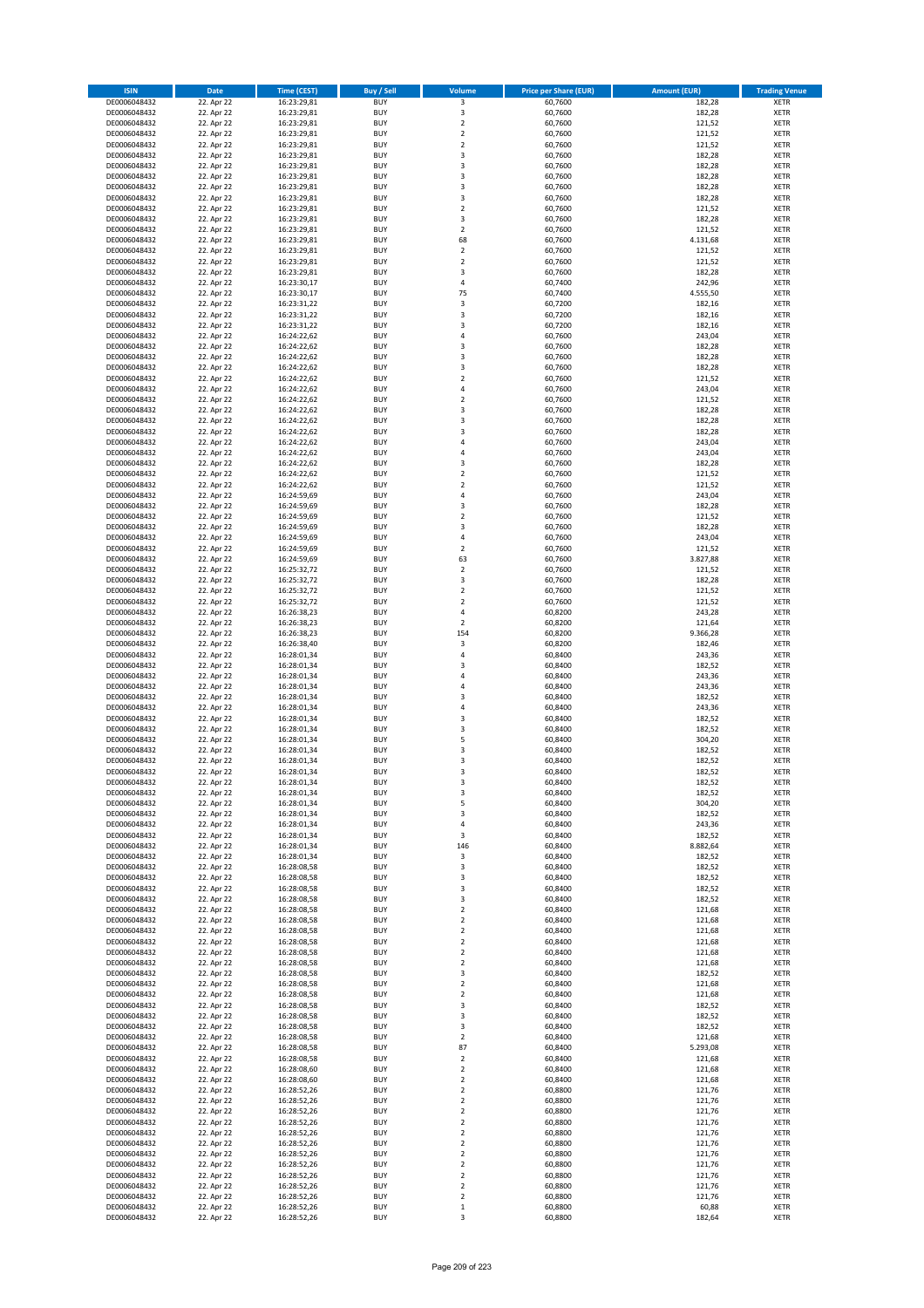| <b>ISIN</b>                  | <b>Date</b>              | <b>Time (CEST)</b>         | <b>Buy / Sell</b>        | Volume                                    | <b>Price per Share (EUR)</b> | <b>Amount (EUR)</b> | <b>Trading Venue</b>       |
|------------------------------|--------------------------|----------------------------|--------------------------|-------------------------------------------|------------------------------|---------------------|----------------------------|
| DE0006048432                 | 22. Apr 22               | 16:23:29,81                | <b>BUY</b>               | 3                                         | 60,7600                      | 182,28              | <b>XETR</b>                |
| DE0006048432                 | 22. Apr 22               | 16:23:29,81                | <b>BUY</b>               | 3                                         | 60,7600                      | 182,28              | <b>XETR</b>                |
| DE0006048432                 | 22. Apr 22               | 16:23:29,81                | <b>BUY</b>               | $\overline{\mathbf{2}}$                   | 60,7600                      | 121,52              | <b>XETR</b>                |
| DE0006048432                 | 22. Apr 22               | 16:23:29,81                | <b>BUY</b>               | $\mathbf 2$                               | 60,7600                      | 121,52              | <b>XETR</b>                |
| DE0006048432<br>DE0006048432 | 22. Apr 22<br>22. Apr 22 | 16:23:29,81<br>16:23:29,81 | <b>BUY</b><br><b>BUY</b> | $\overline{\mathbf{2}}$<br>$\overline{3}$ | 60,7600<br>60,7600           | 121,52<br>182,28    | <b>XETR</b><br><b>XETR</b> |
| DE0006048432                 | 22. Apr 22               | 16:23:29,81                | <b>BUY</b>               | $\overline{\mathbf{3}}$                   | 60,7600                      | 182,28              | <b>XETR</b>                |
| DE0006048432                 | 22. Apr 22               | 16:23:29,81                | <b>BUY</b>               | 3                                         | 60,7600                      | 182,28              | <b>XETR</b>                |
| DE0006048432                 | 22. Apr 22               | 16:23:29,81                | BUY                      | $\overline{3}$                            | 60,7600                      | 182,28              | <b>XETR</b>                |
| DE0006048432                 | 22. Apr 22               | 16:23:29,81                | <b>BUY</b>               | 3                                         | 60,7600                      | 182,28              | <b>XETR</b>                |
| DE0006048432                 | 22. Apr 22               | 16:23:29,81                | <b>BUY</b>               | $\mathbf 2$                               | 60,7600                      | 121,52              | <b>XETR</b>                |
| DE0006048432                 | 22. Apr 22               | 16:23:29,81                | <b>BUY</b>               | 3<br>$\overline{2}$                       | 60,7600                      | 182,28              | <b>XETR</b>                |
| DE0006048432<br>DE0006048432 | 22. Apr 22<br>22. Apr 22 | 16:23:29,81<br>16:23:29,81 | <b>BUY</b><br><b>BUY</b> | 68                                        | 60,7600<br>60,7600           | 121,52<br>4.131,68  | <b>XETR</b><br><b>XETR</b> |
| DE0006048432                 | 22. Apr 22               | 16:23:29,81                | <b>BUY</b>               | $\overline{2}$                            | 60,7600                      | 121,52              | <b>XETR</b>                |
| DE0006048432                 | 22. Apr 22               | 16:23:29,81                | BUY                      | $\overline{2}$                            | 60,7600                      | 121,52              | <b>XETR</b>                |
| DE0006048432                 | 22. Apr 22               | 16:23:29,81                | <b>BUY</b>               | 3                                         | 60,7600                      | 182,28              | <b>XETR</b>                |
| DE0006048432                 | 22. Apr 22               | 16:23:30,17                | <b>BUY</b>               | 4                                         | 60,7400                      | 242,96              | <b>XETR</b>                |
| DE0006048432                 | 22. Apr 22               | 16:23:30,17                | <b>BUY</b>               | 75                                        | 60.7400                      | 4.555,50            | <b>XETR</b>                |
| DE0006048432<br>DE0006048432 | 22. Apr 22<br>22. Apr 22 | 16:23:31,22<br>16:23:31,22 | <b>BUY</b><br><b>BUY</b> | $\mathsf 3$<br>$\overline{\mathbf{3}}$    | 60,7200<br>60,7200           | 182,16<br>182,16    | <b>XETR</b><br><b>XETR</b> |
| DE0006048432                 | 22. Apr 22               | 16:23:31,22                | <b>BUY</b>               | $\overline{\mathbf{3}}$                   | 60,7200                      | 182,16              | <b>XETR</b>                |
| DE0006048432                 | 22. Apr 22               | 16:24:22,62                | <b>BUY</b>               | $\overline{a}$                            | 60,7600                      | 243,04              | <b>XETR</b>                |
| DE0006048432                 | 22. Apr 22               | 16:24:22,62                | <b>BUY</b>               | $\overline{\mathbf{3}}$                   | 60,7600                      | 182,28              | <b>XETR</b>                |
| DE0006048432                 | 22. Apr 22               | 16:24:22,62                | <b>BUY</b>               | 3                                         | 60,7600                      | 182,28              | <b>XETR</b>                |
| DE0006048432                 | 22. Apr 22               | 16:24:22,62                | <b>BUY</b>               | 3                                         | 60,7600                      | 182,28              | <b>XETR</b>                |
| DE0006048432                 | 22. Apr 22               | 16:24:22,62                | <b>BUY</b><br><b>BUY</b> | $\overline{2}$<br>$\overline{4}$          | 60,7600                      | 121,52              | <b>XETR</b><br><b>XETR</b> |
| DE0006048432<br>DE0006048432 | 22. Apr 22<br>22. Apr 22 | 16:24:22,62<br>16:24:22,62 | <b>BUY</b>               | $\mathbf 2$                               | 60,7600<br>60,7600           | 243,04<br>121,52    | <b>XETR</b>                |
| DE0006048432                 | 22. Apr 22               | 16:24:22,62                | <b>BUY</b>               | $\overline{\mathbf{3}}$                   | 60,7600                      | 182,28              | <b>XETR</b>                |
| DE0006048432                 | 22. Apr 22               | 16:24:22,62                | <b>BUY</b>               | $\overline{\mathbf{3}}$                   | 60,7600                      | 182,28              | <b>XETR</b>                |
| DE0006048432                 | 22. Apr 22               | 16:24:22,62                | <b>BUY</b>               | 3                                         | 60,7600                      | 182,28              | <b>XETR</b>                |
| DE0006048432                 | 22. Apr 22               | 16:24:22,62                | <b>BUY</b>               | 4                                         | 60,7600                      | 243,04              | <b>XETR</b>                |
| DE0006048432                 | 22. Apr 22               | 16:24:22,62                | <b>BUY</b>               | $\overline{a}$                            | 60,7600                      | 243,04              | <b>XETR</b>                |
| DE0006048432<br>DE0006048432 | 22. Apr 22<br>22. Apr 22 | 16:24:22,62<br>16:24:22,62 | <b>BUY</b><br><b>BUY</b> | $\overline{\mathbf{3}}$<br>$\mathbf 2$    | 60,7600<br>60,7600           | 182,28<br>121,52    | <b>XETR</b><br><b>XETR</b> |
| DE0006048432                 | 22. Apr 22               | 16:24:22,62                | <b>BUY</b>               | $\overline{\mathbf{2}}$                   | 60,7600                      | 121,52              | <b>XETR</b>                |
| DE0006048432                 | 22. Apr 22               | 16:24:59,69                | <b>BUY</b>               | $\overline{4}$                            | 60,7600                      | 243,04              | <b>XETR</b>                |
| DE0006048432                 | 22. Apr 22               | 16:24:59,69                | <b>BUY</b>               | 3                                         | 60,7600                      | 182,28              | <b>XETR</b>                |
| DE0006048432                 | 22. Apr 22               | 16:24:59,69                | <b>BUY</b>               | $\mathbf 2$                               | 60,7600                      | 121,52              | <b>XETR</b>                |
| DE0006048432                 | 22. Apr 22               | 16:24:59,69                | <b>BUY</b>               | $\overline{3}$                            | 60,7600                      | 182,28              | <b>XETR</b>                |
| DE0006048432                 | 22. Apr 22               | 16:24:59,69                | <b>BUY</b><br><b>BUY</b> | 4                                         | 60,7600                      | 243,04              | <b>XETR</b>                |
| DE0006048432<br>DE0006048432 | 22. Apr 22<br>22. Apr 22 | 16:24:59,69<br>16:24:59,69 | <b>BUY</b>               | $\mathbf 2$<br>63                         | 60,7600<br>60,7600           | 121,52<br>3.827,88  | <b>XETR</b><br><b>XETR</b> |
| DE0006048432                 | 22. Apr 22               | 16:25:32,72                | <b>BUY</b>               | $\mathbf 2$                               | 60,7600                      | 121,52              | <b>XETR</b>                |
| DE0006048432                 | 22. Apr 22               | 16:25:32,72                | <b>BUY</b>               | 3                                         | 60,7600                      | 182,28              | <b>XETR</b>                |
| DE0006048432                 | 22. Apr 22               | 16:25:32,72                | <b>BUY</b>               | $\overline{2}$                            | 60,7600                      | 121,52              | <b>XETR</b>                |
| DE0006048432                 | 22. Apr 22               | 16:25:32,72                | <b>BUY</b>               | $\overline{\phantom{a}}$                  | 60,7600                      | 121,52              | <b>XETR</b>                |
| DE0006048432                 | 22. Apr 22               | 16:26:38,23                | <b>BUY</b><br><b>BUY</b> | 4<br>$\overline{2}$                       | 60,8200                      | 243,28              | <b>XETR</b><br><b>XETR</b> |
| DE0006048432<br>DE0006048432 | 22. Apr 22<br>22. Apr 22 | 16:26:38,23<br>16:26:38,23 | <b>BUY</b>               | 154                                       | 60,8200<br>60,8200           | 121,64<br>9.366,28  | <b>XETR</b>                |
| DE0006048432                 | 22. Apr 22               | 16:26:38,40                | <b>BUY</b>               | 3                                         | 60,8200                      | 182,46              | <b>XETR</b>                |
| DE0006048432                 | 22. Apr 22               | 16:28:01,34                | <b>BUY</b>               | $\overline{4}$                            | 60,8400                      | 243,36              | <b>XETR</b>                |
| DE0006048432                 | 22. Apr 22               | 16:28:01,34                | <b>BUY</b>               | 3                                         | 60,8400                      | 182,52              | <b>XETR</b>                |
| DE0006048432                 | 22. Apr 22               | 16:28:01,34                | <b>BUY</b>               | $\overline{a}$                            | 60,8400                      | 243,36              | <b>XETR</b>                |
| DE0006048432                 | 22. Apr 22               | 16:28:01,34                | <b>BUY</b>               | 4                                         | 60,8400                      | 243,36              | <b>XETR</b>                |
| DE0006048432<br>DE0006048432 | 22. Apr 22<br>22. Apr 22 | 16:28:01,34<br>16:28:01,34 | <b>BUY</b><br><b>BUY</b> | $\overline{\mathbf{3}}$<br>4              | 60,8400<br>60,8400           | 182,52<br>243,36    | <b>XETR</b><br><b>XETR</b> |
| DE0006048432                 | 22. Apr 22               | 16:28:01,34                | BUY                      | $\overline{\mathbf{3}}$                   | 60,8400                      | 182,52              | <b>XETR</b>                |
| DE0006048432                 | 22. Apr 22               | 16:28:01,34                | <b>BUY</b>               | $\overline{\mathbf{3}}$                   | 60,8400                      | 182,52              | <b>XETR</b>                |
| DE0006048432                 | 22. Apr 22               | 16:28:01,34                | <b>BUY</b>               | 5                                         | 60,8400                      | 304,20              | <b>XETR</b>                |
| DE0006048432                 | 22. Apr 22               | 16:28:01,34                | BUY                      | $\overline{\mathbf{3}}$                   | 60,8400                      | 182,52              | <b>XETR</b>                |
| DE0006048432                 | 22. Apr 22               | 16:28:01,34                | BUY                      | $\overline{\mathbf{3}}$                   | 60,8400                      | 182,52              | <b>XETR</b>                |
| DE0006048432                 | 22. Apr 22               | 16:28:01,34<br>16:28:01,34 | <b>BUY</b>               | $\overline{3}$                            | 60,8400<br>60,8400           | 182,52              | <b>XETR</b>                |
| DE0006048432<br>DE0006048432 | 22. Apr 22<br>22. Apr 22 | 16:28:01,34                | BUY<br><b>BUY</b>        | 3<br>3                                    | 60,8400                      | 182,52<br>182,52    | <b>XETR</b><br><b>XETR</b> |
| DE0006048432                 | 22. Apr 22               | 16:28:01,34                | <b>BUY</b>               | 5                                         | 60,8400                      | 304,20              | <b>XETR</b>                |
| DE0006048432                 | 22. Apr 22               | 16:28:01,34                | <b>BUY</b>               | 3                                         | 60,8400                      | 182,52              | <b>XETR</b>                |
| DE0006048432                 | 22. Apr 22               | 16:28:01,34                | <b>BUY</b>               | 4                                         | 60,8400                      | 243,36              | <b>XETR</b>                |
| DE0006048432                 | 22. Apr 22               | 16:28:01,34                | <b>BUY</b>               | 3                                         | 60,8400                      | 182,52              | <b>XETR</b>                |
| DE0006048432<br>DE0006048432 | 22. Apr 22<br>22. Apr 22 | 16:28:01,34                | <b>BUY</b><br><b>BUY</b> | 146                                       | 60,8400<br>60,8400           | 8.882,64<br>182,52  | <b>XETR</b>                |
| DE0006048432                 | 22. Apr 22               | 16:28:01,34<br>16:28:08,58 | <b>BUY</b>               | 3<br>3                                    | 60,8400                      | 182,52              | <b>XETR</b><br><b>XETR</b> |
| DE0006048432                 | 22. Apr 22               | 16:28:08,58                | <b>BUY</b>               | 3                                         | 60,8400                      | 182,52              | <b>XETR</b>                |
| DE0006048432                 | 22. Apr 22               | 16:28:08,58                | <b>BUY</b>               | 3                                         | 60,8400                      | 182,52              | <b>XETR</b>                |
| DE0006048432                 | 22. Apr 22               | 16:28:08,58                | <b>BUY</b>               | 3                                         | 60,8400                      | 182,52              | <b>XETR</b>                |
| DE0006048432                 | 22. Apr 22               | 16:28:08,58                | <b>BUY</b>               | $\mathbf 2$                               | 60,8400                      | 121,68              | <b>XETR</b>                |
| DE0006048432<br>DE0006048432 | 22. Apr 22<br>22. Apr 22 | 16:28:08,58<br>16:28:08,58 | <b>BUY</b><br><b>BUY</b> | $\overline{\mathbf{2}}$<br>2              | 60,8400<br>60,8400           | 121,68<br>121,68    | <b>XETR</b><br><b>XETR</b> |
| DE0006048432                 | 22. Apr 22               | 16:28:08,58                | <b>BUY</b>               | $\mathbf 2$                               | 60,8400                      | 121,68              | <b>XETR</b>                |
| DE0006048432                 | 22. Apr 22               | 16:28:08,58                | <b>BUY</b>               | $\mathbf 2$                               | 60,8400                      | 121,68              | <b>XETR</b>                |
| DE0006048432                 | 22. Apr 22               | 16:28:08,58                | <b>BUY</b>               | $\mathbf 2$                               | 60,8400                      | 121,68              | <b>XETR</b>                |
| DE0006048432                 | 22. Apr 22               | 16:28:08,58                | <b>BUY</b>               | 3                                         | 60,8400                      | 182,52              | <b>XETR</b>                |
| DE0006048432                 | 22. Apr 22               | 16:28:08,58                | <b>BUY</b>               | $\mathbf 2$                               | 60,8400                      | 121,68              | <b>XETR</b>                |
| DE0006048432<br>DE0006048432 | 22. Apr 22<br>22. Apr 22 | 16:28:08,58<br>16:28:08,58 | <b>BUY</b><br><b>BUY</b> | $\overline{\mathbf{2}}$<br>3              | 60,8400<br>60,8400           | 121,68<br>182,52    | <b>XETR</b><br><b>XETR</b> |
| DE0006048432                 | 22. Apr 22               | 16:28:08,58                | <b>BUY</b>               | $\overline{\mathbf{3}}$                   | 60,8400                      | 182,52              | <b>XETR</b>                |
| DE0006048432                 | 22. Apr 22               | 16:28:08,58                | <b>BUY</b>               | 3                                         | 60,8400                      | 182,52              | <b>XETR</b>                |
| DE0006048432                 | 22. Apr 22               | 16:28:08,58                | <b>BUY</b>               | $\mathbf 2$                               | 60,8400                      | 121,68              | <b>XETR</b>                |
| DE0006048432                 | 22. Apr 22               | 16:28:08,58                | <b>BUY</b>               | 87                                        | 60,8400                      | 5.293,08            | <b>XETR</b>                |
| DE0006048432                 | 22. Apr 22               | 16:28:08,58                | <b>BUY</b>               | $\overline{2}$                            | 60,8400                      | 121,68              | <b>XETR</b>                |
| DE0006048432                 | 22. Apr 22               | 16:28:08,60                | <b>BUY</b>               | $\overline{\mathbf{2}}$                   | 60,8400                      | 121,68              | <b>XETR</b>                |
| DE0006048432<br>DE0006048432 | 22. Apr 22<br>22. Apr 22 | 16:28:08,60<br>16:28:52,26 | <b>BUY</b><br><b>BUY</b> | 2<br>$\overline{\mathbf{2}}$              | 60,8400<br>60,8800           | 121,68<br>121,76    | <b>XETR</b><br><b>XETR</b> |
| DE0006048432                 | 22. Apr 22               | 16:28:52,26                | <b>BUY</b>               | $\mathbf 2$                               | 60,8800                      | 121,76              | <b>XETR</b>                |
| DE0006048432                 | 22. Apr 22               | 16:28:52,26                | <b>BUY</b>               | $\mathbf 2$                               | 60,8800                      | 121,76              | <b>XETR</b>                |
| DE0006048432                 | 22. Apr 22               | 16:28:52,26                | <b>BUY</b>               | $\mathbf 2$                               | 60,8800                      | 121,76              | <b>XETR</b>                |
| DE0006048432                 | 22. Apr 22               | 16:28:52,26                | <b>BUY</b>               | $\overline{\mathbf{2}}$                   | 60,8800                      | 121,76              | <b>XETR</b>                |
| DE0006048432                 | 22. Apr 22               | 16:28:52,26                | <b>BUY</b>               | $\mathbf 2$                               | 60,8800                      | 121,76              | <b>XETR</b>                |
| DE0006048432<br>DE0006048432 | 22. Apr 22<br>22. Apr 22 | 16:28:52,26<br>16:28:52,26 | <b>BUY</b><br><b>BUY</b> | $\mathbf 2$<br>$\overline{\mathbf{2}}$    | 60,8800<br>60,8800           | 121,76<br>121,76    | <b>XETR</b><br><b>XETR</b> |
| DE0006048432                 | 22. Apr 22               | 16:28:52,26                | <b>BUY</b>               | $\mathbf 2$                               | 60,8800                      | 121,76              | <b>XETR</b>                |
| DE0006048432                 | 22. Apr 22               | 16:28:52,26                | <b>BUY</b>               | 2                                         | 60,8800                      | 121,76              | <b>XETR</b>                |
| DE0006048432                 | 22. Apr 22               | 16:28:52,26                | <b>BUY</b>               | 2                                         | 60,8800                      | 121,76              | <b>XETR</b>                |
| DE0006048432                 | 22. Apr 22               | 16:28:52,26                | <b>BUY</b>               | $\,$ 1                                    | 60,8800                      | 60,88               | <b>XETR</b>                |
| DE0006048432                 | 22. Apr 22               | 16:28:52,26                | <b>BUY</b>               | 3                                         | 60,8800                      | 182,64              | <b>XETR</b>                |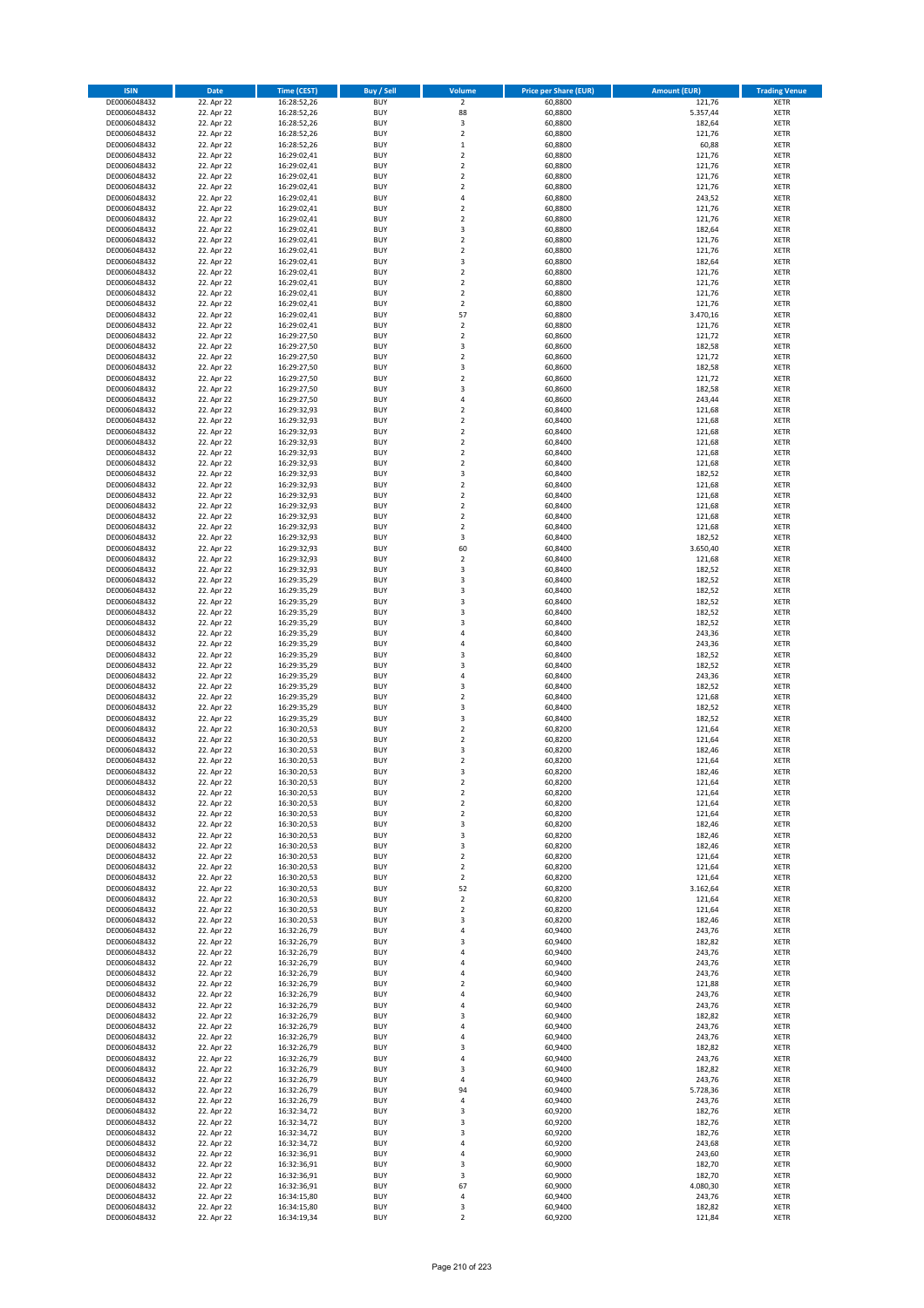| <b>ISIN</b>                  | Date                     | Time (CEST)                | <b>Buy / Sell</b>        | <b>Volume</b>                 | <b>Price per Share (EUR)</b> | <b>Amount (EUR)</b> | <b>Trading Venue</b>       |
|------------------------------|--------------------------|----------------------------|--------------------------|-------------------------------|------------------------------|---------------------|----------------------------|
| DE0006048432                 | 22. Apr 22               | 16:28:52,26                | <b>BUY</b>               | $\overline{2}$                | 60,8800                      | 121,76              | <b>XETR</b>                |
| DE0006048432                 | 22. Apr 22               | 16:28:52,26                | <b>BUY</b>               | 88                            | 60,8800                      | 5.357,44            | XETR                       |
| DE0006048432                 | 22. Apr 22               | 16:28:52,26                | <b>BUY</b>               | 3                             | 60,8800                      | 182,64              | <b>XETR</b>                |
| DE0006048432<br>DE0006048432 | 22. Apr 22<br>22. Apr 22 | 16:28:52,26<br>16:28:52,26 | <b>BUY</b><br><b>BUY</b> | $\mathbf 2$<br>$\,1\,$        | 60,8800<br>60,8800           | 121,76<br>60,88     | XETR<br><b>XETR</b>        |
| DE0006048432                 | 22. Apr 22               | 16:29:02,41                | <b>BUY</b>               | $\mathbf 2$                   | 60,8800                      | 121,76              | <b>XETR</b>                |
| DE0006048432                 | 22. Apr 22               | 16:29:02,41                | <b>BUY</b>               | $\mathbf 2$                   | 60,8800                      | 121,76              | <b>XETR</b>                |
| DE0006048432                 | 22. Apr 22               | 16:29:02,41                | <b>BUY</b>               | $\mathbf 2$                   | 60,8800                      | 121,76              | <b>XETR</b>                |
| DE0006048432                 | 22. Apr 22               | 16:29:02,41                | <b>BUY</b>               | $\overline{2}$                | 60,8800                      | 121,76              | <b>XETR</b>                |
| DE0006048432                 | 22. Apr 22               | 16:29:02,41                | <b>BUY</b>               | $\pmb{4}$                     | 60,8800                      | 243,52              | <b>XETR</b>                |
| DE0006048432                 | 22. Apr 22               | 16:29:02,41                | <b>BUY</b>               | $\mathbf 2$                   | 60,8800                      | 121,76              | <b>XETR</b>                |
| DE0006048432                 | 22. Apr 22<br>22. Apr 22 | 16:29:02,41                | <b>BUY</b><br><b>BUY</b> | $\mathbf 2$<br>3              | 60,8800                      | 121,76<br>182,64    | <b>XETR</b><br><b>XETR</b> |
| DE0006048432<br>DE0006048432 | 22. Apr 22               | 16:29:02,41<br>16:29:02,41 | <b>BUY</b>               | $\overline{2}$                | 60,8800<br>60,8800           | 121,76              | <b>XETR</b>                |
| DE0006048432                 | 22. Apr 22               | 16:29:02,41                | <b>BUY</b>               | $\mathbf 2$                   | 60,8800                      | 121,76              | <b>XETR</b>                |
| DE0006048432                 | 22. Apr 22               | 16:29:02,41                | <b>BUY</b>               | 3                             | 60,8800                      | 182,64              | <b>XETR</b>                |
| DE0006048432                 | 22. Apr 22               | 16:29:02,41                | <b>BUY</b>               | $\overline{2}$                | 60,8800                      | 121,76              | <b>XETR</b>                |
| DE0006048432                 | 22. Apr 22               | 16:29:02,41                | <b>BUY</b>               | $\overline{2}$                | 60,8800                      | 121,76              | <b>XETR</b>                |
| DE0006048432                 | 22. Apr 22               | 16:29:02,41                | <b>BUY</b>               | $\overline{2}$                | 60,8800                      | 121,76              | <b>XETR</b>                |
| DE0006048432                 | 22. Apr 22               | 16:29:02,41                | <b>BUY</b>               | $\mathbf 2$                   | 60,8800                      | 121,76              | <b>XETR</b>                |
| DE0006048432<br>DE0006048432 | 22. Apr 22<br>22. Apr 22 | 16:29:02,41<br>16:29:02,41 | <b>BUY</b><br><b>BUY</b> | 57<br>$\mathbf 2$             | 60,8800<br>60,8800           | 3.470,16<br>121,76  | <b>XETR</b><br><b>XETR</b> |
| DE0006048432                 | 22. Apr 22               | 16:29:27,50                | <b>BUY</b>               | $\mathbf 2$                   | 60,8600                      | 121,72              | <b>XETR</b>                |
| DE0006048432                 | 22. Apr 22               | 16:29:27,50                | <b>BUY</b>               | 3                             | 60,8600                      | 182,58              | <b>XETR</b>                |
| DE0006048432                 | 22. Apr 22               | 16:29:27,50                | <b>BUY</b>               | $\mathbf 2$                   | 60,8600                      | 121,72              | <b>XETR</b>                |
| DE0006048432                 | 22. Apr 22               | 16:29:27,50                | <b>BUY</b>               | 3                             | 60,8600                      | 182,58              | <b>XETR</b>                |
| DE0006048432                 | 22. Apr 22               | 16:29:27,50                | <b>BUY</b>               | $\mathbf 2$                   | 60,8600                      | 121,72              | <b>XETR</b>                |
| DE0006048432                 | 22. Apr 22               | 16:29:27,50                | <b>BUY</b>               | 3                             | 60,8600                      | 182,58              | <b>XETR</b>                |
| DE0006048432<br>DE0006048432 | 22. Apr 22<br>22. Apr 22 | 16:29:27,50<br>16:29:32,93 | <b>BUY</b><br><b>BUY</b> | 4<br>$\overline{2}$           | 60,8600<br>60,8400           | 243,44<br>121,68    | <b>XETR</b><br><b>XETR</b> |
| DE0006048432                 | 22. Apr 22               | 16:29:32,93                | <b>BUY</b>               | $\overline{2}$                | 60,8400                      | 121,68              | <b>XETR</b>                |
| DE0006048432                 | 22. Apr 22               | 16:29:32,93                | <b>BUY</b>               | $\overline{2}$                | 60,8400                      | 121,68              | <b>XETR</b>                |
| DE0006048432                 | 22. Apr 22               | 16:29:32,93                | <b>BUY</b>               | $\mathbf 2$                   | 60,8400                      | 121,68              | <b>XETR</b>                |
| DE0006048432                 | 22. Apr 22               | 16:29:32,93                | <b>BUY</b>               | $\mathbf 2$                   | 60,8400                      | 121,68              | <b>XETR</b>                |
| DE0006048432                 | 22. Apr 22               | 16:29:32,93                | <b>BUY</b>               | $\mathbf 2$                   | 60,8400                      | 121,68              | <b>XETR</b>                |
| DE0006048432                 | 22. Apr 22               | 16:29:32,93                | <b>BUY</b>               | 3                             | 60,8400                      | 182,52              | <b>XETR</b>                |
| DE0006048432                 | 22. Apr 22               | 16:29:32,93                | <b>BUY</b><br><b>BUY</b> | $\overline{2}$<br>$\mathbf 2$ | 60,8400                      | 121,68<br>121,68    | <b>XETR</b>                |
| DE0006048432<br>DE0006048432 | 22. Apr 22<br>22. Apr 22 | 16:29:32,93<br>16:29:32,93 | <b>BUY</b>               | $\overline{2}$                | 60,8400<br>60,8400           | 121,68              | <b>XETR</b><br><b>XETR</b> |
| DE0006048432                 | 22. Apr 22               | 16:29:32,93                | <b>BUY</b>               | $\mathbf 2$                   | 60,8400                      | 121,68              | <b>XETR</b>                |
| DE0006048432                 | 22. Apr 22               | 16:29:32,93                | <b>BUY</b>               | $\mathbf 2$                   | 60,8400                      | 121,68              | <b>XETR</b>                |
| DE0006048432                 | 22. Apr 22               | 16:29:32,93                | <b>BUY</b>               | 3                             | 60,8400                      | 182,52              | <b>XETR</b>                |
| DE0006048432                 | 22. Apr 22               | 16:29:32,93                | <b>BUY</b>               | 60                            | 60,8400                      | 3.650,40            | <b>XETR</b>                |
| DE0006048432                 | 22. Apr 22               | 16:29:32,93                | <b>BUY</b>               | $\overline{2}$                | 60,8400                      | 121,68              | <b>XETR</b>                |
| DE0006048432                 | 22. Apr 22               | 16:29:32,93                | <b>BUY</b>               | 3                             | 60,8400                      | 182,52              | <b>XETR</b>                |
| DE0006048432                 | 22. Apr 22               | 16:29:35,29                | <b>BUY</b><br><b>BUY</b> | 3<br>3                        | 60,8400                      | 182,52              | <b>XETR</b>                |
| DE0006048432<br>DE0006048432 | 22. Apr 22<br>22. Apr 22 | 16:29:35,29<br>16:29:35,29 | <b>BUY</b>               | 3                             | 60,8400<br>60,8400           | 182,52<br>182,52    | <b>XETR</b><br><b>XETR</b> |
| DE0006048432                 | 22. Apr 22               | 16:29:35,29                | <b>BUY</b>               | 3                             | 60,8400                      | 182,52              | <b>XETR</b>                |
| DE0006048432                 | 22. Apr 22               | 16:29:35,29                | <b>BUY</b>               | 3                             | 60,8400                      | 182,52              | <b>XETR</b>                |
| DE0006048432                 | 22. Apr 22               | 16:29:35,29                | <b>BUY</b>               | $\overline{a}$                | 60,8400                      | 243,36              | <b>XETR</b>                |
| DE0006048432                 | 22. Apr 22               | 16:29:35,29                | <b>BUY</b>               | $\overline{4}$                | 60,8400                      | 243,36              | <b>XETR</b>                |
| DE0006048432                 | 22. Apr 22               | 16:29:35,29                | <b>BUY</b>               | 3                             | 60,8400                      | 182,52              | <b>XETR</b>                |
| DE0006048432<br>DE0006048432 | 22. Apr 22<br>22. Apr 22 | 16:29:35,29<br>16:29:35,29 | <b>BUY</b><br><b>BUY</b> | 3<br>4                        | 60,8400<br>60,8400           | 182,52<br>243,36    | <b>XETR</b><br><b>XETR</b> |
| DE0006048432                 | 22. Apr 22               | 16:29:35,29                | <b>BUY</b>               | 3                             | 60,8400                      | 182,52              | <b>XETR</b>                |
| DE0006048432                 | 22. Apr 22               | 16:29:35,29                | <b>BUY</b>               | $\mathbf 2$                   | 60,8400                      | 121,68              | <b>XETR</b>                |
| DE0006048432                 | 22. Apr 22               | 16:29:35,29                | <b>BUY</b>               | 3                             | 60,8400                      | 182,52              | <b>XETR</b>                |
| DE0006048432                 | 22. Apr 22               | 16:29:35,29                | <b>BUY</b>               | 3                             | 60,8400                      | 182,52              | <b>XETR</b>                |
| DE0006048432                 | 22. Apr 22               | 16:30:20,53                | <b>BUY</b>               | $\mathbf 2$                   | 60,8200                      | 121,64              | <b>XETR</b>                |
| DE0006048432                 | 22. Apr 22               | 16:30:20,53                | <b>BUY</b>               | $\mathbf 2$                   | 60,8200                      | 121,64              | <b>XETR</b>                |
| DE0006048432                 | 22. Apr 22               | 16:30:20,53                | <b>BUY</b><br><b>BUY</b> | 3<br>$\overline{2}$           | 60,8200                      | 182,46              | <b>XETR</b><br><b>XETR</b> |
| DE0006048432<br>DE0006048432 | 22. Apr 22<br>22. Apr 22 | 16:30:20,53<br>16:30:20,53 | <b>BUY</b>               | 3                             | 60,8200<br>60,8200           | 121,64<br>182,46    | <b>XETR</b>                |
| DE0006048432                 | 22. Apr 22               | 16:30:20,53                | <b>BUY</b>               | $\mathbf 2$                   | 60,8200                      | 121,64              | XETR                       |
| DE0006048432                 | 22. Apr 22               | 16:30:20,53                | <b>BUY</b>               | $\mathbf 2$                   | 60,8200                      | 121,64              | <b>XETR</b>                |
| DE0006048432                 | 22. Apr 22               | 16:30:20,53                | <b>BUY</b>               | $\overline{2}$                | 60,8200                      | 121,64              | <b>XETR</b>                |
| DE0006048432                 | 22. Apr 22               | 16:30:20,53                | <b>BUY</b>               | $\overline{2}$                | 60,8200                      | 121,64              | <b>XETR</b>                |
| DE0006048432                 | 22. Apr 22               | 16:30:20,53                | <b>BUY</b>               | 3                             | 60,8200                      | 182,46              | <b>XETR</b>                |
| DE0006048432<br>DE0006048432 | 22. Apr 22<br>22. Apr 22 | 16:30:20,53<br>16:30:20,53 | <b>BUY</b><br><b>BUY</b> | 3<br>3                        | 60,8200<br>60,8200           | 182,46<br>182,46    | <b>XETR</b><br><b>XETR</b> |
| DE0006048432                 | 22. Apr 22               | 16:30:20,53                | <b>BUY</b>               | $\mathbf 2$                   | 60,8200                      | 121,64              | <b>XETR</b>                |
| DE0006048432                 | 22. Apr 22               | 16:30:20,53                | <b>BUY</b>               | $\mathbf 2$                   | 60,8200                      | 121,64              | XETR                       |
| DE0006048432                 | 22. Apr 22               | 16:30:20,53                | <b>BUY</b>               | $\overline{2}$                | 60,8200                      | 121,64              | <b>XETR</b>                |
| DE0006048432                 | 22. Apr 22               | 16:30:20,53                | <b>BUY</b>               | 52                            | 60,8200                      | 3.162,64            | XETR                       |
| DE0006048432                 | 22. Apr 22               | 16:30:20,53                | <b>BUY</b>               | $\overline{2}$                | 60,8200                      | 121,64              | <b>XETR</b>                |
| DE0006048432<br>DE0006048432 | 22. Apr 22<br>22. Apr 22 | 16:30:20,53<br>16:30:20,53 | <b>BUY</b><br><b>BUY</b> | $\mathbf 2$<br>3              | 60,8200<br>60,8200           | 121,64<br>182,46    | XETR<br><b>XETR</b>        |
| DE0006048432                 | 22. Apr 22               | 16:32:26,79                | <b>BUY</b>               | $\sqrt{4}$                    | 60,9400                      | 243,76              | XETR                       |
| DE0006048432                 | 22. Apr 22               | 16:32:26,79                | <b>BUY</b>               | 3                             | 60,9400                      | 182,82              | <b>XETR</b>                |
| DE0006048432                 | 22. Apr 22               | 16:32:26,79                | <b>BUY</b>               | 4                             | 60,9400                      | 243,76              | <b>XETR</b>                |
| DE0006048432                 | 22. Apr 22               | 16:32:26,79                | <b>BUY</b>               | $\sqrt{4}$                    | 60,9400                      | 243,76              | <b>XETR</b>                |
| DE0006048432                 | 22. Apr 22               | 16:32:26,79                | <b>BUY</b>               | 4                             | 60,9400                      | 243,76              | XETR                       |
| DE0006048432                 | 22. Apr 22               | 16:32:26,79                | <b>BUY</b>               | $\mathbf 2$                   | 60,9400                      | 121,88              | <b>XETR</b>                |
| DE0006048432                 | 22. Apr 22               | 16:32:26,79                | <b>BUY</b>               | 4                             | 60,9400                      | 243,76              | <b>XETR</b>                |
| DE0006048432<br>DE0006048432 | 22. Apr 22<br>22. Apr 22 | 16:32:26,79<br>16:32:26,79 | <b>BUY</b><br><b>BUY</b> | $\sqrt{4}$<br>3               | 60,9400<br>60,9400           | 243,76<br>182,82    | XETR<br>XETR               |
| DE0006048432                 | 22. Apr 22               | 16:32:26,79                | <b>BUY</b>               | 4                             | 60,9400                      | 243,76              | XETR                       |
| DE0006048432                 | 22. Apr 22               | 16:32:26,79                | <b>BUY</b>               | 4                             | 60,9400                      | 243,76              | XETR                       |
| DE0006048432                 | 22. Apr 22               | 16:32:26,79                | <b>BUY</b>               | 3                             | 60,9400                      | 182,82              | <b>XETR</b>                |
| DE0006048432                 | 22. Apr 22               | 16:32:26,79                | <b>BUY</b>               | 4                             | 60,9400                      | 243,76              | <b>XETR</b>                |
| DE0006048432                 | 22. Apr 22               | 16:32:26,79                | <b>BUY</b>               | 3                             | 60,9400                      | 182,82              | <b>XETR</b>                |
| DE0006048432                 | 22. Apr 22               | 16:32:26,79                | <b>BUY</b>               | $\sqrt{4}$                    | 60,9400                      | 243,76              | <b>XETR</b>                |
| DE0006048432<br>DE0006048432 | 22. Apr 22<br>22. Apr 22 | 16:32:26,79<br>16:32:26,79 | <b>BUY</b><br><b>BUY</b> | 94<br>$\sqrt{4}$              | 60,9400<br>60,9400           | 5.728,36<br>243,76  | <b>XETR</b><br>XETR        |
| DE0006048432                 | 22. Apr 22               | 16:32:34,72                | <b>BUY</b>               | 3                             | 60,9200                      | 182,76              | XETR                       |
| DE0006048432                 | 22. Apr 22               | 16:32:34,72                | <b>BUY</b>               | 3                             | 60,9200                      | 182,76              | XETR                       |
| DE0006048432                 | 22. Apr 22               | 16:32:34,72                | <b>BUY</b>               | 3                             | 60,9200                      | 182,76              | <b>XETR</b>                |
| DE0006048432                 | 22. Apr 22               | 16:32:34,72                | <b>BUY</b>               | $\sqrt{4}$                    | 60,9200                      | 243,68              | <b>XETR</b>                |
| DE0006048432                 | 22. Apr 22               | 16:32:36,91                | <b>BUY</b>               | $\sqrt{4}$                    | 60,9000                      | 243,60              | XETR                       |
| DE0006048432                 | 22. Apr 22<br>22. Apr 22 | 16:32:36,91                | <b>BUY</b><br><b>BUY</b> | 3<br>3                        | 60,9000<br>60,9000           | 182,70<br>182,70    | XETR                       |
| DE0006048432<br>DE0006048432 | 22. Apr 22               | 16:32:36,91<br>16:32:36,91 | <b>BUY</b>               | 67                            | 60,9000                      | 4.080,30            | XETR<br><b>XETR</b>        |
| DE0006048432                 | 22. Apr 22               | 16:34:15,80                | <b>BUY</b>               | 4                             | 60,9400                      | 243,76              | XETR                       |
| DE0006048432                 | 22. Apr 22               | 16:34:15,80                | <b>BUY</b>               | 3                             | 60,9400                      | 182,82              | <b>XETR</b>                |
| DE0006048432                 | 22. Apr 22               | 16:34:19,34                | <b>BUY</b>               | $\overline{2}$                | 60,9200                      | 121,84              | XETR                       |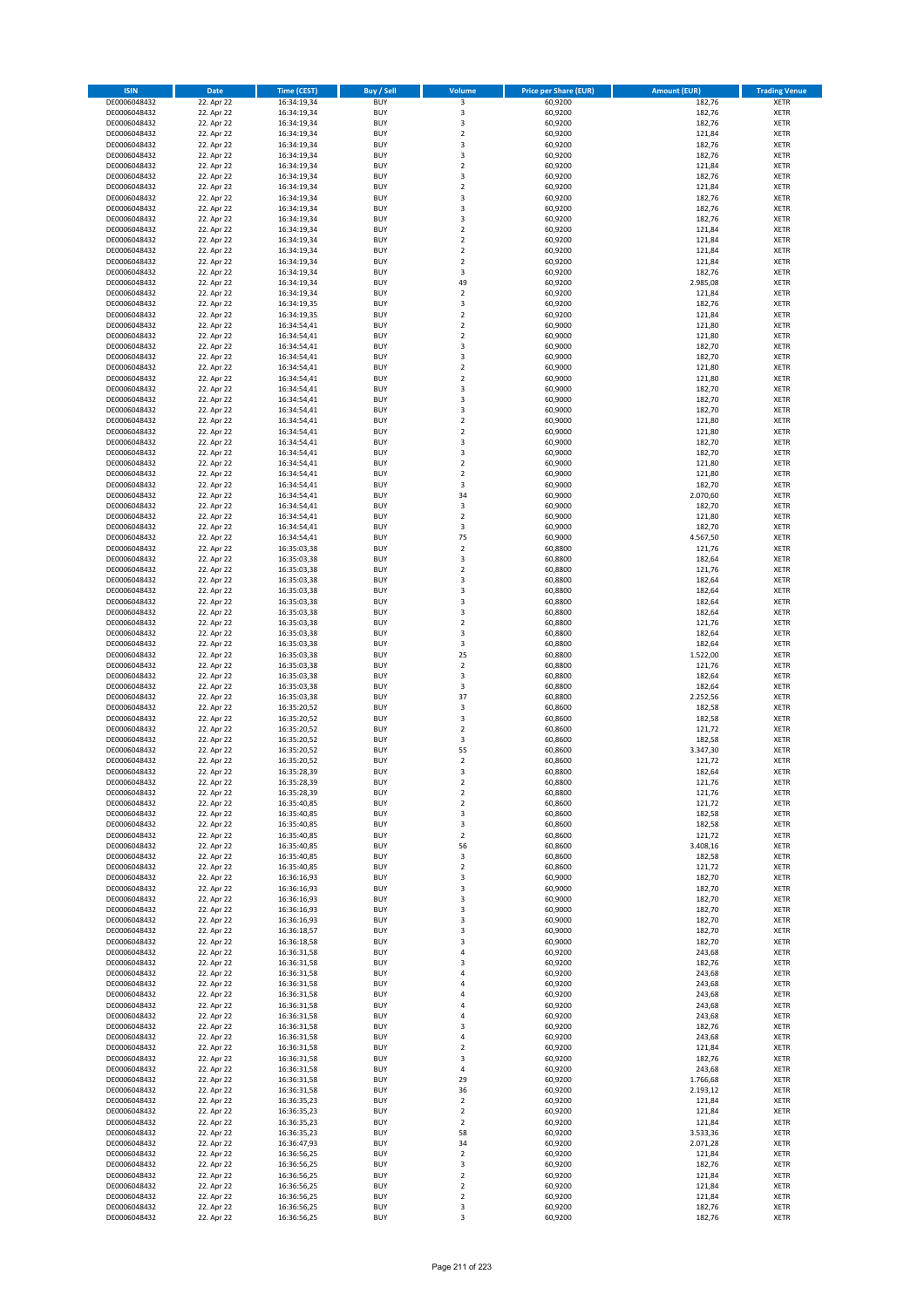| <b>ISIN</b>                  | <b>Date</b>              | Time (CEST)                | <b>Buy / Sell</b>        | Volume                                    | <b>Price per Share (EUR)</b> | <b>Amount (EUR)</b> | <b>Trading Venue</b>       |
|------------------------------|--------------------------|----------------------------|--------------------------|-------------------------------------------|------------------------------|---------------------|----------------------------|
| DE0006048432                 | 22. Apr 22               | 16:34:19,34                | <b>BUY</b>               | $\overline{\mathbf{3}}$                   | 60,9200                      | 182,76              | <b>XETR</b>                |
| DE0006048432                 | 22. Apr 22               | 16:34:19,34                | <b>BUY</b>               | 3                                         | 60,9200                      | 182,76              | <b>XETR</b>                |
| DE0006048432                 | 22. Apr 22               | 16:34:19,34                | <b>BUY</b>               | $\overline{\mathbf{3}}$                   | 60,9200                      | 182,76              | <b>XETR</b>                |
| DE0006048432                 | 22. Apr 22               | 16:34:19,34                | <b>BUY</b>               | $\mathbf 2$                               | 60,9200                      | 121,84              | <b>XETR</b>                |
| DE0006048432                 | 22. Apr 22               | 16:34:19,34                | <b>BUY</b>               | 3                                         | 60,9200                      | 182,76              | <b>XETR</b>                |
| DE0006048432                 | 22. Apr 22               | 16:34:19,34                | <b>BUY</b>               | $\overline{\mathbf{3}}$                   | 60,9200                      | 182,76              | <b>XETR</b>                |
| DE0006048432                 | 22. Apr 22               | 16:34:19,34                | <b>BUY</b>               | $\overline{2}$                            | 60,9200                      | 121,84              | <b>XETR</b>                |
| DE0006048432                 | 22. Apr 22               | 16:34:19,34                | <b>BUY</b>               | 3                                         | 60,9200                      | 182,76              | <b>XETR</b>                |
| DE0006048432<br>DE0006048432 | 22. Apr 22<br>22. Apr 22 | 16:34:19,34<br>16:34:19,34 | BUY<br><b>BUY</b>        | $\overline{2}$<br>3                       | 60,9200<br>60,9200           | 121,84<br>182,76    | <b>XETR</b><br><b>XETR</b> |
| DE0006048432                 | 22. Apr 22               | 16:34:19,34                | <b>BUY</b>               | 3                                         | 60,9200                      | 182,76              | <b>XETR</b>                |
| DE0006048432                 | 22. Apr 22               | 16:34:19,34                | <b>BUY</b>               | 3                                         | 60,9200                      | 182,76              | <b>XETR</b>                |
| DE0006048432                 | 22. Apr 22               | 16:34:19,34                | <b>BUY</b>               | $\overline{2}$                            | 60,9200                      | 121,84              | <b>XETR</b>                |
| DE0006048432                 | 22. Apr 22               | 16:34:19,34                | <b>BUY</b>               | $\overline{2}$                            | 60,9200                      | 121,84              | <b>XETR</b>                |
| DE0006048432                 | 22. Apr 22               | 16:34:19,34                | <b>BUY</b>               | $\overline{2}$                            | 60,9200                      | 121,84              | <b>XETR</b>                |
| DE0006048432                 | 22. Apr 22               | 16:34:19,34                | BUY                      | $\overline{2}$                            | 60,9200                      | 121,84              | <b>XETR</b>                |
| DE0006048432                 | 22. Apr 22               | 16:34:19,34                | <b>BUY</b>               | 3                                         | 60,9200                      | 182,76              | <b>XETR</b>                |
| DE0006048432                 | 22. Apr 22               | 16:34:19,34                | <b>BUY</b>               | 49                                        | 60,9200                      | 2.985,08            | <b>XETR</b>                |
| DE0006048432                 | 22. Apr 22               | 16:34:19,34                | <b>BUY</b>               | $\overline{2}$                            | 60,9200                      | 121,84              | <b>XETR</b>                |
| DE0006048432<br>DE0006048432 | 22. Apr 22<br>22. Apr 22 | 16:34:19,35<br>16:34:19,35 | <b>BUY</b><br><b>BUY</b> | 3<br>$\overline{2}$                       | 60,9200<br>60,9200           | 182,76<br>121,84    | <b>XETR</b><br><b>XETR</b> |
| DE0006048432                 | 22. Apr 22               | 16:34:54,41                | <b>BUY</b>               | $\mathbf 2$                               | 60,9000                      | 121,80              | <b>XETR</b>                |
| DE0006048432                 | 22. Apr 22               | 16:34:54,41                | <b>BUY</b>               | $\overline{2}$                            | 60,9000                      | 121,80              | <b>XETR</b>                |
| DE0006048432                 | 22. Apr 22               | 16:34:54,41                | <b>BUY</b>               | 3                                         | 60,9000                      | 182,70              | <b>XETR</b>                |
| DE0006048432                 | 22. Apr 22               | 16:34:54,41                | <b>BUY</b>               | 3                                         | 60,9000                      | 182,70              | <b>XETR</b>                |
| DE0006048432                 | 22. Apr 22               | 16:34:54,41                | <b>BUY</b>               | $\mathbf 2$                               | 60,9000                      | 121,80              | <b>XETR</b>                |
| DE0006048432                 | 22. Apr 22               | 16:34:54,41                | <b>BUY</b>               | $\mathbf 2$                               | 60,9000                      | 121,80              | <b>XETR</b>                |
| DE0006048432                 | 22. Apr 22               | 16:34:54,41                | <b>BUY</b>               | $\overline{\mathbf{3}}$                   | 60,9000                      | 182,70              | <b>XETR</b>                |
| DE0006048432                 | 22. Apr 22               | 16:34:54,41                | <b>BUY</b>               | 3                                         | 60,9000                      | 182,70              | <b>XETR</b>                |
| DE0006048432                 | 22. Apr 22               | 16:34:54,41                | <b>BUY</b><br><b>BUY</b> | $\overline{\mathbf{3}}$<br>$\overline{2}$ | 60,9000                      | 182,70              | <b>XETR</b>                |
| DE0006048432<br>DE0006048432 | 22. Apr 22<br>22. Apr 22 | 16:34:54,41<br>16:34:54,41 | <b>BUY</b>               | $\mathbf 2$                               | 60,9000<br>60,9000           | 121,80<br>121,80    | <b>XETR</b><br><b>XETR</b> |
| DE0006048432                 | 22. Apr 22               | 16:34:54,41                | <b>BUY</b>               | 3                                         | 60,9000                      | 182,70              | <b>XETR</b>                |
| DE0006048432                 | 22. Apr 22               | 16:34:54,41                | <b>BUY</b>               | 3                                         | 60,9000                      | 182,70              | <b>XETR</b>                |
| DE0006048432                 | 22. Apr 22               | 16:34:54,41                | <b>BUY</b>               | $\overline{\mathbf{2}}$                   | 60.9000                      | 121,80              | <b>XETR</b>                |
| DE0006048432                 | 22. Apr 22               | 16:34:54,41                | <b>BUY</b>               | $\mathbf 2$                               | 60,9000                      | 121,80              | <b>XETR</b>                |
| DE0006048432                 | 22. Apr 22               | 16:34:54,41                | <b>BUY</b>               | 3                                         | 60,9000                      | 182,70              | <b>XETR</b>                |
| DE0006048432                 | 22. Apr 22               | 16:34:54,41                | <b>BUY</b>               | 34                                        | 60,9000                      | 2.070,60            | <b>XETR</b>                |
| DE0006048432                 | 22. Apr 22               | 16:34:54,41                | <b>BUY</b>               | 3                                         | 60,9000                      | 182,70              | <b>XETR</b>                |
| DE0006048432                 | 22. Apr 22               | 16:34:54,41                | <b>BUY</b>               | $\mathbf 2$                               | 60,9000                      | 121,80              | <b>XETR</b>                |
| DE0006048432                 | 22. Apr 22               | 16:34:54,41                | <b>BUY</b><br><b>BUY</b> | 3<br>75                                   | 60,9000                      | 182,70              | <b>XETR</b>                |
| DE0006048432<br>DE0006048432 | 22. Apr 22<br>22. Apr 22 | 16:34:54,41<br>16:35:03,38 | <b>BUY</b>               | $\mathbf 2$                               | 60,9000<br>60,8800           | 4.567,50<br>121,76  | <b>XETR</b><br><b>XETR</b> |
| DE0006048432                 | 22. Apr 22               | 16:35:03,38                | <b>BUY</b>               | $\overline{\mathbf{3}}$                   | 60,8800                      | 182,64              | <b>XETR</b>                |
| DE0006048432                 | 22. Apr 22               | 16:35:03,38                | <b>BUY</b>               | $\overline{2}$                            | 60,8800                      | 121,76              | <b>XETR</b>                |
| DE0006048432                 | 22. Apr 22               | 16:35:03,38                | <b>BUY</b>               | 3                                         | 60,8800                      | 182,64              | <b>XETR</b>                |
| DE0006048432                 | 22. Apr 22               | 16:35:03,38                | <b>BUY</b>               | 3                                         | 60,8800                      | 182,64              | <b>XETR</b>                |
| DE0006048432                 | 22. Apr 22               | 16:35:03,38                | <b>BUY</b>               | $\overline{\mathbf{3}}$                   | 60,8800                      | 182,64              | <b>XETR</b>                |
| DE0006048432                 | 22. Apr 22               | 16:35:03,38                | <b>BUY</b>               | 3                                         | 60,8800                      | 182,64              | <b>XETR</b>                |
| DE0006048432                 | 22. Apr 22               | 16:35:03,38                | <b>BUY</b>               | $\overline{\mathbf{2}}$                   | 60,8800                      | 121,76              | <b>XETR</b>                |
| DE0006048432                 | 22. Apr 22               | 16:35:03,38                | <b>BUY</b>               | $\overline{\mathbf{3}}$                   | 60,8800                      | 182,64              | <b>XETR</b>                |
| DE0006048432<br>DE0006048432 | 22. Apr 22               | 16:35:03,38                | <b>BUY</b><br><b>BUY</b> | 3<br>25                                   | 60,8800                      | 182,64              | <b>XETR</b><br><b>XETR</b> |
| DE0006048432                 | 22. Apr 22<br>22. Apr 22 | 16:35:03,38<br>16:35:03,38 | <b>BUY</b>               | $\mathbf 2$                               | 60,8800<br>60,8800           | 1.522,00<br>121,76  | <b>XETR</b>                |
| DE0006048432                 | 22. Apr 22               | 16:35:03,38                | <b>BUY</b>               | $\overline{\mathbf{3}}$                   | 60,8800                      | 182,64              | <b>XETR</b>                |
| DE0006048432                 | 22. Apr 22               | 16:35:03,38                | <b>BUY</b>               | $\overline{\mathbf{3}}$                   | 60,8800                      | 182,64              | <b>XETR</b>                |
| DE0006048432                 | 22. Apr 22               | 16:35:03,38                | <b>BUY</b>               | 37                                        | 60,8800                      | 2.252,56            | <b>XETR</b>                |
| DE0006048432                 | 22. Apr 22               | 16:35:20,52                | <b>BUY</b>               | 3                                         | 60,8600                      | 182,58              | <b>XETR</b>                |
| DE0006048432                 | 22. Apr 22               | 16:35:20,52                | BUY                      | 3                                         | 60,8600                      | 182,58              | <b>XETR</b>                |
| DE0006048432                 | 22. Apr 22               | 16:35:20,52                | <b>BUY</b>               | $\overline{\mathbf{2}}$                   | 60,8600                      | 121,72              | <b>XETR</b>                |
| DE0006048432                 | 22. Apr 22               | 16:35:20,52                | <b>BUY</b>               | 3                                         | 60,8600                      | 182,58              | <b>XETR</b>                |
| DE0006048432<br>DE0006048432 | 22. Apr 22<br>22. Apr 22 | 16:35:20,52                | BUY<br>BUY               | 55<br>$\mathbf 2$                         | 60,8600<br>60,8600           | 3.347,30<br>121,72  | <b>XETR</b><br><b>XETR</b> |
| DE0006048432                 | 22. Apr 22               | 16:35:20,52<br>16:35:28,39 | <b>BUY</b>               | $\overline{3}$                            | 60,8800                      | 182,64              | <b>XETR</b>                |
| DE0006048432                 | 22. Apr 22               | 16:35:28,39                | BUY                      | 2                                         | 60,8800                      | 121,76              | <b>XETR</b>                |
| DE0006048432                 | 22. Apr 22               | 16:35:28,39                | <b>BUY</b>               | $\mathbf 2$                               | 60,8800                      | 121,76              | <b>XETR</b>                |
| DE0006048432                 | 22. Apr 22               | 16:35:40,85                | <b>BUY</b>               | $\mathbf 2$                               | 60,8600                      | 121,72              | <b>XETR</b>                |
| DE0006048432                 | 22. Apr 22               | 16:35:40,85                | <b>BUY</b>               | 3                                         | 60,8600                      | 182,58              | <b>XETR</b>                |
| DE0006048432                 | 22. Apr 22               | 16:35:40,85                | <b>BUY</b>               | 3                                         | 60,8600                      | 182,58              | <b>XETR</b>                |
| DE0006048432                 | 22. Apr 22               | 16:35:40,85                | <b>BUY</b>               | $\mathbf 2$                               | 60,8600                      | 121,72              | <b>XETR</b>                |
| DE0006048432                 | 22. Apr 22               | 16:35:40,85                | <b>BUY</b>               | 56                                        | 60,8600                      | 3.408,16            | <b>XETR</b>                |
| DE0006048432<br>DE0006048432 | 22. Apr 22<br>22. Apr 22 | 16:35:40,85                | <b>BUY</b><br><b>BUY</b> | 3<br>$\mathbf 2$                          | 60,8600<br>60,8600           | 182,58<br>121,72    | <b>XETR</b><br><b>XETR</b> |
| DE0006048432                 | 22. Apr 22               | 16:35:40,85<br>16:36:16,93 | <b>BUY</b>               | 3                                         | 60,9000                      | 182,70              | <b>XETR</b>                |
| DE0006048432                 | 22. Apr 22               | 16:36:16,93                | <b>BUY</b>               | 3                                         | 60,9000                      | 182,70              | <b>XETR</b>                |
| DE0006048432                 | 22. Apr 22               | 16:36:16,93                | <b>BUY</b>               | 3                                         | 60,9000                      | 182,70              | <b>XETR</b>                |
| DE0006048432                 | 22. Apr 22               | 16:36:16,93                | <b>BUY</b>               | 3                                         | 60,9000                      | 182,70              | <b>XETR</b>                |
| DE0006048432                 | 22. Apr 22               | 16:36:16,93                | <b>BUY</b>               | $\overline{\mathbf{3}}$                   | 60,9000                      | 182,70              | <b>XETR</b>                |
| DE0006048432                 | 22. Apr 22               | 16:36:18,57                | <b>BUY</b>               | 3                                         | 60,9000                      | 182,70              | <b>XETR</b>                |
| DE0006048432                 | 22. Apr 22               | 16:36:18,58                | <b>BUY</b>               | $\overline{\mathbf{3}}$                   | 60,9000                      | 182,70              | <b>XETR</b>                |
| DE0006048432<br>DE0006048432 | 22. Apr 22               | 16:36:31,58                | <b>BUY</b><br><b>BUY</b> | 4<br>$\overline{\mathbf{3}}$              | 60,9200<br>60,9200           | 243,68              | <b>XETR</b><br><b>XETR</b> |
| DE0006048432                 | 22. Apr 22<br>22. Apr 22 | 16:36:31,58<br>16:36:31,58 | <b>BUY</b>               | 4                                         | 60,9200                      | 182,76<br>243,68    | <b>XETR</b>                |
| DE0006048432                 | 22. Apr 22               | 16:36:31,58                | <b>BUY</b>               | $\overline{a}$                            | 60,9200                      | 243,68              | <b>XETR</b>                |
| DE0006048432                 | 22. Apr 22               | 16:36:31,58                | <b>BUY</b>               | $\overline{4}$                            | 60,9200                      | 243,68              | <b>XETR</b>                |
| DE0006048432                 | 22. Apr 22               | 16:36:31,58                | <b>BUY</b>               | 4                                         | 60,9200                      | 243,68              | <b>XETR</b>                |
| DE0006048432                 | 22. Apr 22               | 16:36:31,58                | <b>BUY</b>               | 4                                         | 60,9200                      | 243,68              | <b>XETR</b>                |
| DE0006048432                 | 22. Apr 22               | 16:36:31,58                | <b>BUY</b>               | $\overline{\mathbf{3}}$                   | 60,9200                      | 182,76              | <b>XETR</b>                |
| DE0006048432                 | 22. Apr 22               | 16:36:31,58                | <b>BUY</b>               | 4                                         | 60,9200                      | 243,68              | <b>XETR</b>                |
| DE0006048432                 | 22. Apr 22               | 16:36:31,58                | <b>BUY</b>               | $\mathbf 2$                               | 60,9200                      | 121,84              | <b>XETR</b>                |
| DE0006048432<br>DE0006048432 | 22. Apr 22               | 16:36:31,58                | <b>BUY</b><br><b>BUY</b> | 3<br>$\overline{4}$                       | 60,9200<br>60,9200           | 182,76<br>243,68    | <b>XETR</b><br><b>XETR</b> |
| DE0006048432                 | 22. Apr 22<br>22. Apr 22 | 16:36:31,58<br>16:36:31,58 | <b>BUY</b>               | 29                                        | 60,9200                      | 1.766,68            | <b>XETR</b>                |
| DE0006048432                 | 22. Apr 22               | 16:36:31,58                | <b>BUY</b>               | 36                                        | 60,9200                      | 2.193,12            | <b>XETR</b>                |
| DE0006048432                 | 22. Apr 22               | 16:36:35,23                | <b>BUY</b>               | $\mathbf 2$                               | 60,9200                      | 121,84              | <b>XETR</b>                |
| DE0006048432                 | 22. Apr 22               | 16:36:35,23                | <b>BUY</b>               | $\mathbf 2$                               | 60,9200                      | 121,84              | <b>XETR</b>                |
| DE0006048432                 | 22. Apr 22               | 16:36:35,23                | <b>BUY</b>               | $\mathbf 2$                               | 60,9200                      | 121,84              | <b>XETR</b>                |
| DE0006048432                 | 22. Apr 22               | 16:36:35,23                | <b>BUY</b>               | 58                                        | 60,9200                      | 3.533,36            | <b>XETR</b>                |
| DE0006048432                 | 22. Apr 22               | 16:36:47,93                | <b>BUY</b>               | 34                                        | 60,9200                      | 2.071,28            | <b>XETR</b>                |
| DE0006048432                 | 22. Apr 22               | 16:36:56,25                | <b>BUY</b>               | $\mathbf 2$                               | 60,9200                      | 121,84              | <b>XETR</b>                |
| DE0006048432                 | 22. Apr 22               | 16:36:56,25                | <b>BUY</b>               | 3                                         | 60,9200                      | 182,76              | <b>XETR</b>                |
| DE0006048432<br>DE0006048432 | 22. Apr 22<br>22. Apr 22 | 16:36:56,25<br>16:36:56,25 | <b>BUY</b><br><b>BUY</b> | $\mathbf 2$<br>2                          | 60,9200<br>60,9200           | 121,84<br>121,84    | <b>XETR</b><br><b>XETR</b> |
| DE0006048432                 | 22. Apr 22               | 16:36:56,25                | <b>BUY</b>               | $\mathbf 2$                               | 60,9200                      | 121,84              | <b>XETR</b>                |
| DE0006048432                 | 22. Apr 22               | 16:36:56,25                | <b>BUY</b>               | 3                                         | 60,9200                      | 182,76              | <b>XETR</b>                |
| DE0006048432                 | 22. Apr 22               | 16:36:56,25                | <b>BUY</b>               | 3                                         | 60,9200                      | 182,76              | <b>XETR</b>                |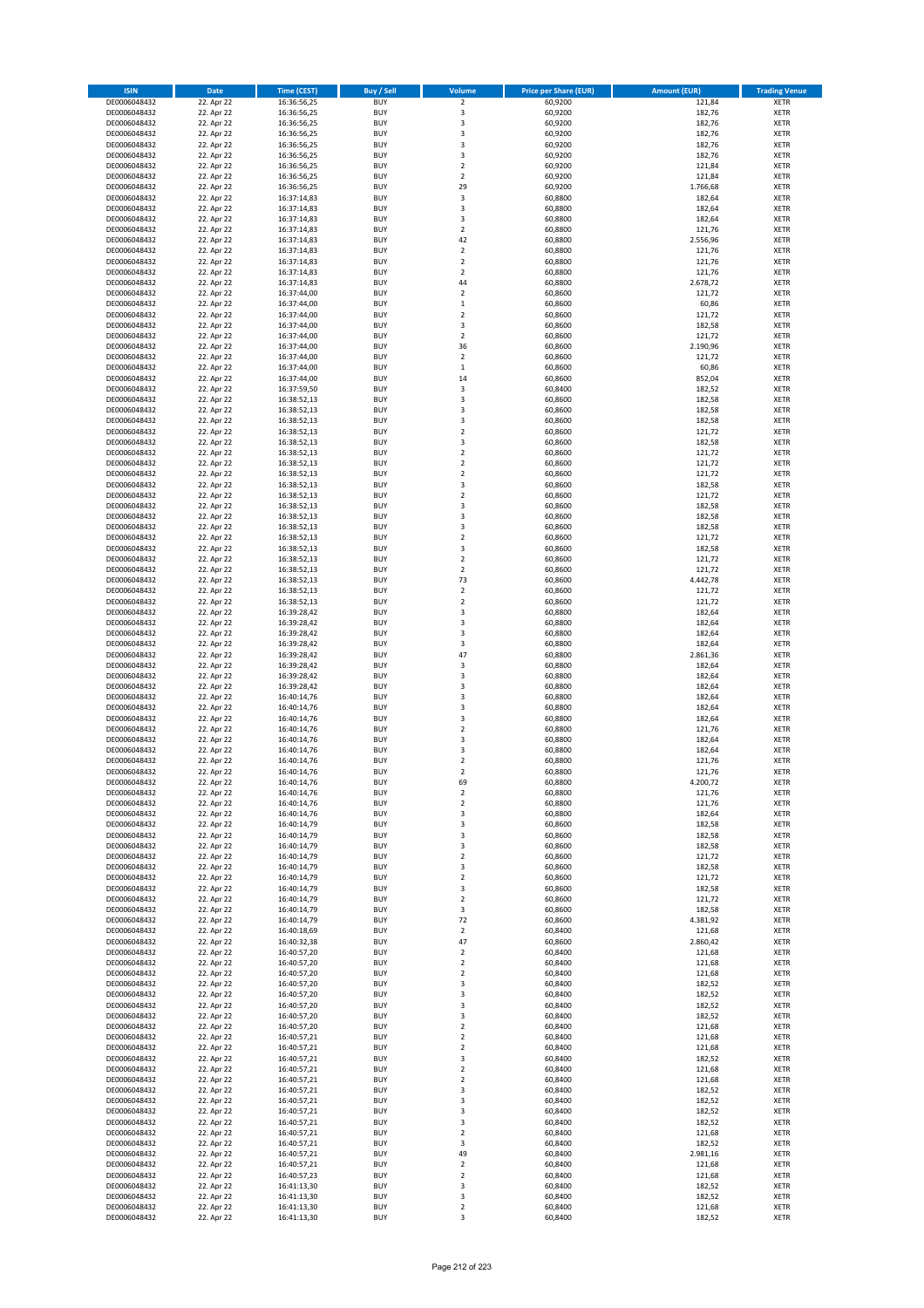| <b>ISIN</b>                  | <b>Date</b>              | <b>Time (CEST)</b>         | <b>Buy / Sell</b>        | Volume                                 | <b>Price per Share (EUR)</b> | <b>Amount (EUR)</b> | <b>Trading Venue</b>       |
|------------------------------|--------------------------|----------------------------|--------------------------|----------------------------------------|------------------------------|---------------------|----------------------------|
| DE0006048432                 | 22. Apr 22               | 16:36:56,25                | <b>BUY</b>               | $\overline{\mathbf{2}}$                | 60,9200                      | 121,84              | <b>XETR</b>                |
| DE0006048432                 | 22. Apr 22               | 16:36:56,25                | <b>BUY</b>               | 3                                      | 60,9200                      | 182,76              | <b>XETR</b>                |
| DE0006048432                 | 22. Apr 22               | 16:36:56,25                | <b>BUY</b>               | 3                                      | 60,9200                      | 182,76              | <b>XETR</b>                |
| DE0006048432<br>DE0006048432 | 22. Apr 22<br>22. Apr 22 | 16:36:56,25<br>16:36:56,25 | <b>BUY</b><br><b>BUY</b> | 3<br>3                                 | 60,9200<br>60,9200           | 182,76<br>182,76    | <b>XETR</b><br><b>XETR</b> |
| DE0006048432                 | 22. Apr 22               | 16:36:56,25                | <b>BUY</b>               | 3                                      | 60,9200                      | 182,76              | <b>XETR</b>                |
| DE0006048432                 | 22. Apr 22               | 16:36:56,25                | <b>BUY</b>               | $\overline{2}$                         | 60,9200                      | 121,84              | <b>XETR</b>                |
| DE0006048432                 | 22. Apr 22               | 16:36:56,25                | <b>BUY</b>               | $\overline{2}$                         | 60,9200                      | 121,84              | <b>XETR</b>                |
| DE0006048432                 | 22. Apr 22               | 16:36:56,25                | BUY                      | 29                                     | 60,9200                      | 1.766,68            | <b>XETR</b>                |
| DE0006048432                 | 22. Apr 22               | 16:37:14,83                | <b>BUY</b>               | 3                                      | 60,8800                      | 182,64              | <b>XETR</b>                |
| DE0006048432                 | 22. Apr 22               | 16:37:14,83                | <b>BUY</b>               | 3                                      | 60,8800                      | 182,64              | <b>XETR</b>                |
| DE0006048432<br>DE0006048432 | 22. Apr 22<br>22. Apr 22 | 16:37:14,83<br>16:37:14,83 | <b>BUY</b><br><b>BUY</b> | 3<br>$\overline{2}$                    | 60,8800<br>60,8800           | 182,64<br>121,76    | <b>XETR</b><br><b>XETR</b> |
| DE0006048432                 | 22. Apr 22               | 16:37:14,83                | <b>BUY</b>               | 42                                     | 60,8800                      | 2.556,96            | <b>XETR</b>                |
| DE0006048432                 | 22. Apr 22               | 16:37:14,83                | <b>BUY</b>               | $\overline{2}$                         | 60,8800                      | 121,76              | <b>XETR</b>                |
| DE0006048432                 | 22. Apr 22               | 16:37:14,83                | BUY                      | $\overline{2}$                         | 60,8800                      | 121,76              | <b>XETR</b>                |
| DE0006048432                 | 22. Apr 22               | 16:37:14,83                | <b>BUY</b>               | $\mathbf 2$                            | 60,8800                      | 121,76              | <b>XETR</b>                |
| DE0006048432                 | 22. Apr 22               | 16:37:14,83                | <b>BUY</b>               | 44                                     | 60,8800                      | 2.678,72            | <b>XETR</b>                |
| DE0006048432                 | 22. Apr 22               | 16:37:44,00                | <b>BUY</b>               | $\overline{2}$                         | 60,8600                      | 121,72              | <b>XETR</b>                |
| DE0006048432                 | 22. Apr 22               | 16:37:44,00                | <b>BUY</b>               | $\,1\,$                                | 60,8600                      | 60,86               | <b>XETR</b>                |
| DE0006048432<br>DE0006048432 | 22. Apr 22<br>22. Apr 22 | 16:37:44,00<br>16:37:44,00 | <b>BUY</b><br><b>BUY</b> | $\overline{2}$<br>3                    | 60,8600<br>60,8600           | 121,72<br>182,58    | <b>XETR</b><br><b>XETR</b> |
| DE0006048432                 | 22. Apr 22               | 16:37:44,00                | <b>BUY</b>               | $\overline{2}$                         | 60,8600                      | 121,72              | <b>XETR</b>                |
| DE0006048432                 | 22. Apr 22               | 16:37:44,00                | <b>BUY</b>               | 36                                     | 60,8600                      | 2.190,96            | <b>XETR</b>                |
| DE0006048432                 | 22. Apr 22               | 16:37:44,00                | <b>BUY</b>               | $\mathbf 2$                            | 60,8600                      | 121,72              | <b>XETR</b>                |
| DE0006048432                 | 22. Apr 22               | 16:37:44,00                | <b>BUY</b>               | $\mathbf 1$                            | 60,8600                      | 60,86               | <b>XETR</b>                |
| DE0006048432                 | 22. Apr 22               | 16:37:44,00                | <b>BUY</b>               | 14                                     | 60,8600                      | 852,04              | <b>XETR</b>                |
| DE0006048432                 | 22. Apr 22               | 16:37:59,50                | <b>BUY</b>               | 3                                      | 60,8400                      | 182,52              | <b>XETR</b>                |
| DE0006048432<br>DE0006048432 | 22. Apr 22<br>22. Apr 22 | 16:38:52,13<br>16:38:52,13 | <b>BUY</b><br><b>BUY</b> | 3<br>3                                 | 60,8600<br>60,8600           | 182,58<br>182,58    | <b>XETR</b><br><b>XETR</b> |
| DE0006048432                 | 22. Apr 22               | 16:38:52,13                | <b>BUY</b>               | 3                                      | 60,8600                      | 182,58              | <b>XETR</b>                |
| DE0006048432                 | 22. Apr 22               | 16:38:52,13                | <b>BUY</b>               | $\mathbf 2$                            | 60,8600                      | 121,72              | <b>XETR</b>                |
| DE0006048432                 | 22. Apr 22               | 16:38:52,13                | <b>BUY</b>               | 3                                      | 60,8600                      | 182,58              | <b>XETR</b>                |
| DE0006048432                 | 22. Apr 22               | 16:38:52,13                | <b>BUY</b>               | $\mathbf 2$                            | 60,8600                      | 121,72              | <b>XETR</b>                |
| DE0006048432                 | 22. Apr 22               | 16:38:52,13                | <b>BUY</b>               | $\overline{2}$                         | 60,8600                      | 121,72              | <b>XETR</b>                |
| DE0006048432                 | 22. Apr 22               | 16:38:52,13                | <b>BUY</b>               | $\mathbf 2$                            | 60,8600                      | 121,72              | <b>XETR</b>                |
| DE0006048432                 | 22. Apr 22               | 16:38:52,13                | <b>BUY</b><br>BUY        | $\overline{\mathbf{3}}$<br>$\mathbf 2$ | 60,8600<br>60,8600           | 182,58<br>121,72    | <b>XETR</b><br><b>XETR</b> |
| DE0006048432<br>DE0006048432 | 22. Apr 22<br>22. Apr 22 | 16:38:52,13<br>16:38:52,13 | <b>BUY</b>               | 3                                      | 60,8600                      | 182,58              | <b>XETR</b>                |
| DE0006048432                 | 22. Apr 22               | 16:38:52,13                | <b>BUY</b>               | 3                                      | 60,8600                      | 182,58              | <b>XETR</b>                |
| DE0006048432                 | 22. Apr 22               | 16:38:52,13                | <b>BUY</b>               | $\overline{\mathbf{3}}$                | 60,8600                      | 182,58              | <b>XETR</b>                |
| DE0006048432                 | 22. Apr 22               | 16:38:52,13                | <b>BUY</b>               | $\overline{2}$                         | 60,8600                      | 121,72              | <b>XETR</b>                |
| DE0006048432                 | 22. Apr 22               | 16:38:52,13                | <b>BUY</b>               | 3                                      | 60,8600                      | 182,58              | <b>XETR</b>                |
| DE0006048432                 | 22. Apr 22               | 16:38:52,13                | <b>BUY</b>               | $\overline{2}$                         | 60,8600                      | 121,72              | <b>XETR</b>                |
| DE0006048432                 | 22. Apr 22               | 16:38:52,13                | <b>BUY</b>               | $\mathbf 2$                            | 60,8600                      | 121,72              | <b>XETR</b>                |
| DE0006048432<br>DE0006048432 | 22. Apr 22<br>22. Apr 22 | 16:38:52,13                | <b>BUY</b><br><b>BUY</b> | 73<br>$\mathbf 2$                      | 60,8600<br>60,8600           | 4.442,78<br>121,72  | <b>XETR</b><br><b>XETR</b> |
| DE0006048432                 | 22. Apr 22               | 16:38:52,13<br>16:38:52,13 | <b>BUY</b>               | $\mathbf 2$                            | 60,8600                      | 121,72              | <b>XETR</b>                |
| DE0006048432                 | 22. Apr 22               | 16:39:28,42                | <b>BUY</b>               | 3                                      | 60,8800                      | 182,64              | <b>XETR</b>                |
| DE0006048432                 | 22. Apr 22               | 16:39:28,42                | <b>BUY</b>               | 3                                      | 60,8800                      | 182,64              | <b>XETR</b>                |
| DE0006048432                 | 22. Apr 22               | 16:39:28,42                | <b>BUY</b>               | $\overline{\mathbf{3}}$                | 60,8800                      | 182,64              | <b>XETR</b>                |
| DE0006048432                 | 22. Apr 22               | 16:39:28,42                | <b>BUY</b>               | 3                                      | 60,8800                      | 182,64              | <b>XETR</b>                |
| DE0006048432                 | 22. Apr 22               | 16:39:28,42                | <b>BUY</b>               | 47                                     | 60,8800                      | 2.861,36            | <b>XETR</b>                |
| DE0006048432<br>DE0006048432 | 22. Apr 22<br>22. Apr 22 | 16:39:28,42<br>16:39:28,42 | <b>BUY</b><br><b>BUY</b> | 3<br>$\overline{\mathbf{3}}$           | 60,8800<br>60,8800           | 182,64<br>182,64    | <b>XETR</b><br><b>XETR</b> |
| DE0006048432                 | 22. Apr 22               | 16:39:28,42                | <b>BUY</b>               | $\overline{\mathbf{3}}$                | 60,8800                      | 182,64              | <b>XETR</b>                |
| DE0006048432                 | 22. Apr 22               | 16:40:14,76                | <b>BUY</b>               | $\overline{\mathbf{3}}$                | 60,8800                      | 182,64              | <b>XETR</b>                |
| DE0006048432                 | 22. Apr 22               | 16:40:14,76                | <b>BUY</b>               | 3                                      | 60,8800                      | 182,64              | <b>XETR</b>                |
| DE0006048432                 | 22. Apr 22               | 16:40:14,76                | BUY                      | $\overline{\mathbf{3}}$                | 60,8800                      | 182,64              | <b>XETR</b>                |
| DE0006048432                 | 22. Apr 22               | 16:40:14,76                | <b>BUY</b>               | $\overline{2}$                         | 60,8800                      | 121,76              | <b>XETR</b>                |
| DE0006048432                 | 22. Apr 22               | 16:40:14,76                | <b>BUY</b>               | 3                                      | 60,8800                      | 182,64              | <b>XETR</b>                |
| DE0006048432<br>DE0006048432 | 22. Apr 22<br>22. Apr 22 | 16:40:14,76<br>16:40:14,76 | BUY<br>BUY               | $\overline{\mathbf{3}}$<br>$\mathbf 2$ | 60,8800<br>60,8800           | 182,64<br>121,76    | <b>XETR</b><br><b>XETR</b> |
| DE0006048432                 | 22. Apr 22               | 16:40:14,76                | <b>BUY</b>               | $\overline{2}$                         | 60,8800                      | 121,76              | <b>XETR</b>                |
| DE0006048432                 | 22. Apr 22               | 16:40:14,76                | <b>BUY</b>               | 69                                     | 60,8800                      | 4.200,72            | <b>XETR</b>                |
| DE0006048432                 | 22. Apr 22               | 16:40:14,76                | <b>BUY</b>               | $\mathbf 2$                            | 60,8800                      | 121,76              | <b>XETR</b>                |
| DE0006048432                 | 22. Apr 22               | 16:40:14,76                | <b>BUY</b>               | $\mathbf 2$                            | 60,8800                      | 121,76              | <b>XETR</b>                |
| DE0006048432                 | 22. Apr 22               | 16:40:14,76                | <b>BUY</b>               | 3                                      | 60,8800                      | 182,64              | <b>XETR</b>                |
| DE0006048432                 | 22. Apr 22               | 16:40:14,79                | <b>BUY</b>               | 3                                      | 60,8600                      | 182,58              | <b>XETR</b>                |
| DE0006048432<br>DE0006048432 | 22. Apr 22<br>22. Apr 22 | 16:40:14,79<br>16:40:14,79 | <b>BUY</b><br><b>BUY</b> | 3<br>3                                 | 60,8600<br>60,8600           | 182,58<br>182,58    | <b>XETR</b><br><b>XETR</b> |
| DE0006048432                 | 22. Apr 22               | 16:40:14,79                | <b>BUY</b>               | 2                                      | 60,8600                      | 121,72              | <b>XETR</b>                |
| DE0006048432                 | 22. Apr 22               | 16:40:14,79                | <b>BUY</b>               | 3                                      | 60,8600                      | 182,58              | <b>XETR</b>                |
| DE0006048432                 | 22. Apr 22               | 16:40:14,79                | <b>BUY</b>               | $\mathbf 2$                            | 60,8600                      | 121,72              | <b>XETR</b>                |
| DE0006048432                 | 22. Apr 22               | 16:40:14,79                | <b>BUY</b>               | 3                                      | 60,8600                      | 182,58              | <b>XETR</b>                |
| DE0006048432                 | 22. Apr 22               | 16:40:14,79                | <b>BUY</b>               | $\overline{2}$                         | 60,8600                      | 121,72              | <b>XETR</b>                |
| DE0006048432<br>DE0006048432 | 22. Apr 22<br>22. Apr 22 | 16:40:14,79<br>16:40:14,79 | <b>BUY</b><br><b>BUY</b> | 3<br>72                                | 60,8600<br>60,8600           | 182,58<br>4.381,92  | <b>XETR</b><br><b>XETR</b> |
| DE0006048432                 | 22. Apr 22               | 16:40:18,69                | <b>BUY</b>               | 2                                      | 60,8400                      | 121,68              | <b>XETR</b>                |
| DE0006048432                 | 22. Apr 22               | 16:40:32,38                | <b>BUY</b>               | 47                                     | 60,8600                      | 2.860,42            | <b>XETR</b>                |
| DE0006048432                 | 22. Apr 22               | 16:40:57,20                | <b>BUY</b>               | $\mathbf 2$                            | 60,8400                      | 121,68              | <b>XETR</b>                |
| DE0006048432                 | 22. Apr 22               | 16:40:57,20                | <b>BUY</b>               | $\mathbf 2$                            | 60,8400                      | 121,68              | <b>XETR</b>                |
| DE0006048432                 | 22. Apr 22               | 16:40:57,20                | <b>BUY</b>               | $\mathbf 2$                            | 60,8400                      | 121,68              | <b>XETR</b>                |
| DE0006048432                 | 22. Apr 22               | 16:40:57,20                | <b>BUY</b>               | 3                                      | 60,8400                      | 182,52              | <b>XETR</b>                |
| DE0006048432<br>DE0006048432 | 22. Apr 22<br>22. Apr 22 | 16:40:57,20                | <b>BUY</b><br><b>BUY</b> | $\overline{\mathbf{3}}$<br>3           | 60,8400<br>60,8400           | 182,52<br>182,52    | <b>XETR</b><br><b>XETR</b> |
| DE0006048432                 | 22. Apr 22               | 16:40:57,20<br>16:40:57,20 | <b>BUY</b>               | $\overline{\mathbf{3}}$                | 60,8400                      | 182,52              | <b>XETR</b>                |
| DE0006048432                 | 22. Apr 22               | 16:40:57,20                | <b>BUY</b>               | $\mathbf 2$                            | 60,8400                      | 121,68              | <b>XETR</b>                |
| DE0006048432                 | 22. Apr 22               | 16:40:57,21                | <b>BUY</b>               | $\mathbf 2$                            | 60,8400                      | 121,68              | <b>XETR</b>                |
| DE0006048432                 | 22. Apr 22               | 16:40:57,21                | <b>BUY</b>               | $\mathbf 2$                            | 60,8400                      | 121,68              | <b>XETR</b>                |
| DE0006048432                 | 22. Apr 22               | 16:40:57,21                | <b>BUY</b>               | 3                                      | 60,8400                      | 182,52              | <b>XETR</b>                |
| DE0006048432                 | 22. Apr 22               | 16:40:57,21                | <b>BUY</b>               | $\overline{2}$                         | 60,8400                      | 121,68              | <b>XETR</b>                |
| DE0006048432<br>DE0006048432 | 22. Apr 22<br>22. Apr 22 | 16:40:57,21<br>16:40:57,21 | <b>BUY</b><br><b>BUY</b> | 2<br>3                                 | 60,8400<br>60,8400           | 121,68<br>182,52    | <b>XETR</b><br><b>XETR</b> |
| DE0006048432                 | 22. Apr 22               | 16:40:57,21                | <b>BUY</b>               | 3                                      | 60,8400                      | 182,52              | <b>XETR</b>                |
| DE0006048432                 | 22. Apr 22               | 16:40:57,21                | <b>BUY</b>               | 3                                      | 60,8400                      | 182,52              | <b>XETR</b>                |
| DE0006048432                 | 22. Apr 22               | 16:40:57,21                | <b>BUY</b>               | 3                                      | 60,8400                      | 182,52              | <b>XETR</b>                |
| DE0006048432                 | 22. Apr 22               | 16:40:57,21                | <b>BUY</b>               | $\overline{2}$                         | 60,8400                      | 121,68              | <b>XETR</b>                |
| DE0006048432                 | 22. Apr 22               | 16:40:57,21                | <b>BUY</b>               | 3                                      | 60,8400                      | 182,52              | <b>XETR</b>                |
| DE0006048432                 | 22. Apr 22               | 16:40:57,21                | <b>BUY</b>               | 49                                     | 60,8400                      | 2.981,16            | <b>XETR</b>                |
| DE0006048432<br>DE0006048432 | 22. Apr 22<br>22. Apr 22 | 16:40:57,21<br>16:40:57,23 | <b>BUY</b><br><b>BUY</b> | $\overline{2}$<br>$\mathbf 2$          | 60,8400<br>60,8400           | 121,68<br>121,68    | <b>XETR</b><br><b>XETR</b> |
| DE0006048432                 | 22. Apr 22               | 16:41:13,30                | <b>BUY</b>               | 3                                      | 60,8400                      | 182,52              | <b>XETR</b>                |
| DE0006048432                 | 22. Apr 22               | 16:41:13,30                | <b>BUY</b>               | 3                                      | 60,8400                      | 182,52              | <b>XETR</b>                |
| DE0006048432                 | 22. Apr 22               | 16:41:13,30                | <b>BUY</b>               | $\mathbf 2$                            | 60,8400                      | 121,68              | <b>XETR</b>                |
| DE0006048432                 | 22. Apr 22               | 16:41:13,30                | <b>BUY</b>               | 3                                      | 60,8400                      | 182,52              | <b>XETR</b>                |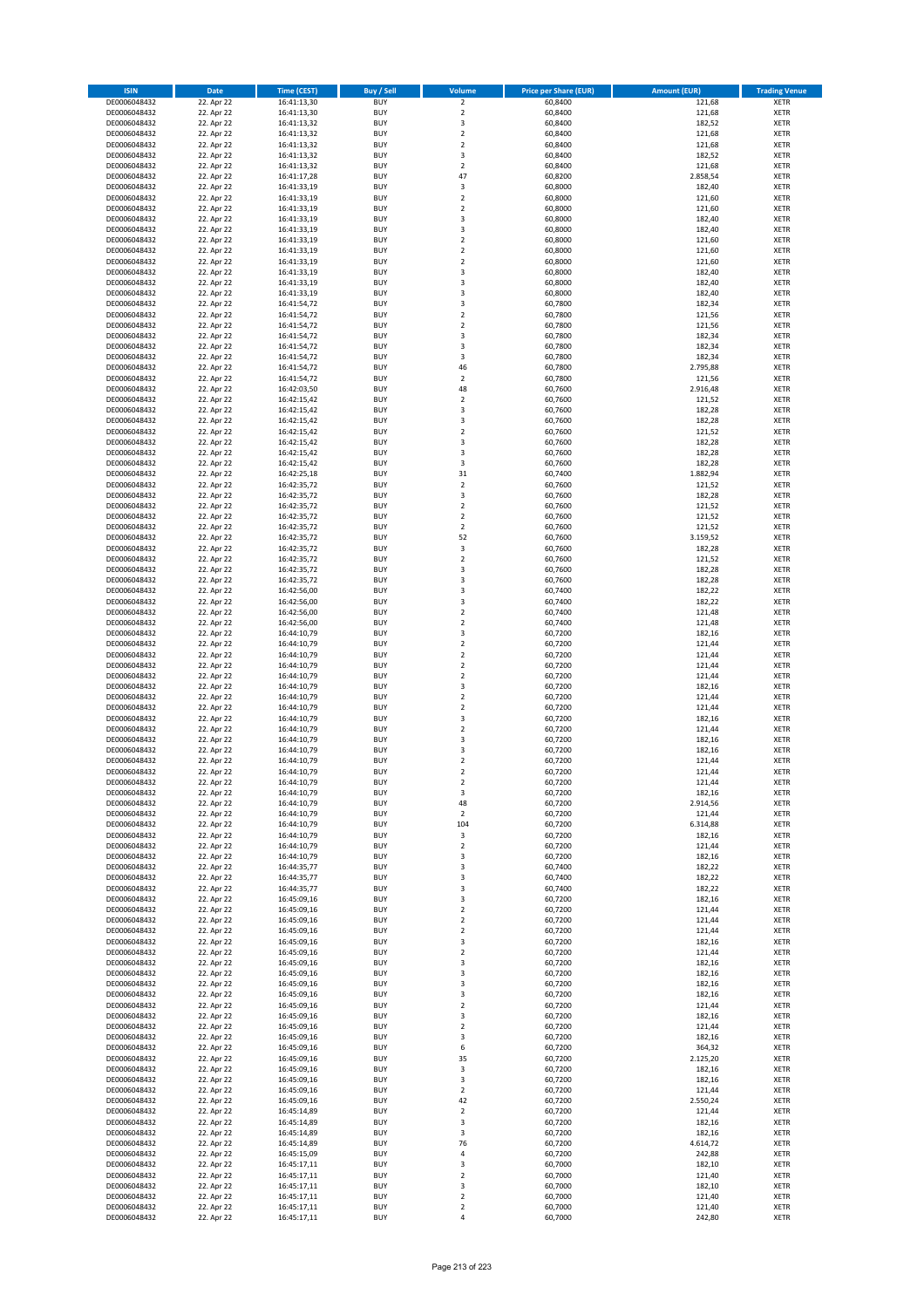| <b>ISIN</b>                  | <b>Date</b>              | Time (CEST)                | <b>Buy / Sell</b>        | Volume                                             | <b>Price per Share (EUR)</b> | <b>Amount (EUR)</b> | <b>Trading Venue</b>       |
|------------------------------|--------------------------|----------------------------|--------------------------|----------------------------------------------------|------------------------------|---------------------|----------------------------|
| DE0006048432                 | 22. Apr 22               | 16:41:13,30                | <b>BUY</b>               | $\overline{\mathbf{2}}$                            | 60,8400                      | 121,68              | <b>XETR</b>                |
| DE0006048432                 | 22. Apr 22               | 16:41:13,30                | <b>BUY</b>               | $\mathbf 2$                                        | 60,8400                      | 121,68              | <b>XETR</b>                |
| DE0006048432                 | 22. Apr 22               | 16:41:13,32                | <b>BUY</b>               | 3                                                  | 60.8400                      | 182,52              | <b>XETR</b>                |
| DE0006048432                 | 22. Apr 22               | 16:41:13,32                | <b>BUY</b>               | $\mathbf 2$                                        | 60,8400                      | 121,68              | <b>XETR</b>                |
| DE0006048432<br>DE0006048432 | 22. Apr 22<br>22. Apr 22 | 16:41:13,32<br>16:41:13,32 | <b>BUY</b><br><b>BUY</b> | $\overline{2}$<br>3                                | 60,8400<br>60,8400           | 121,68<br>182,52    | <b>XETR</b><br><b>XETR</b> |
| DE0006048432                 | 22. Apr 22               | 16:41:13,32                | <b>BUY</b>               | $\overline{2}$                                     | 60,8400                      | 121,68              | <b>XETR</b>                |
| DE0006048432                 | 22. Apr 22               | 16:41:17,28                | <b>BUY</b>               | 47                                                 | 60,8200                      | 2.858,54            | <b>XETR</b>                |
| DE0006048432                 | 22. Apr 22               | 16:41:33,19                | BUY                      | 3                                                  | 60,8000                      | 182,40              | <b>XETR</b>                |
| DE0006048432                 | 22. Apr 22               | 16:41:33,19                | <b>BUY</b>               | $\mathbf 2$                                        | 60,8000                      | 121,60              | <b>XETR</b>                |
| DE0006048432                 | 22. Apr 22               | 16:41:33,19                | <b>BUY</b>               | $\mathbf 2$                                        | 60,8000                      | 121,60              | <b>XETR</b>                |
| DE0006048432                 | 22. Apr 22               | 16:41:33,19                | <b>BUY</b>               | $\overline{\mathbf{3}}$<br>$\overline{3}$          | 60,8000                      | 182,40              | <b>XETR</b>                |
| DE0006048432<br>DE0006048432 | 22. Apr 22<br>22. Apr 22 | 16:41:33,19<br>16:41:33,19 | BUY<br><b>BUY</b>        | $\overline{2}$                                     | 60,8000<br>60,8000           | 182,40<br>121,60    | <b>XETR</b><br><b>XETR</b> |
| DE0006048432                 | 22. Apr 22               | 16:41:33,19                | <b>BUY</b>               | $\overline{2}$                                     | 60,8000                      | 121,60              | <b>XETR</b>                |
| DE0006048432                 | 22. Apr 22               | 16:41:33,19                | BUY                      | $\overline{2}$                                     | 60,8000                      | 121,60              | <b>XETR</b>                |
| DE0006048432                 | 22. Apr 22               | 16:41:33,19                | <b>BUY</b>               | 3                                                  | 60,8000                      | 182,40              | <b>XETR</b>                |
| DE0006048432                 | 22. Apr 22               | 16:41:33,19                | <b>BUY</b>               | 3                                                  | 60,8000                      | 182,40              | <b>XETR</b>                |
| DE0006048432                 | 22. Apr 22               | 16:41:33,19                | <b>BUY</b>               | 3                                                  | 60.8000                      | 182,40              | <b>XETR</b>                |
| DE0006048432<br>DE0006048432 | 22. Apr 22<br>22. Apr 22 | 16:41:54,72<br>16:41:54,72 | <b>BUY</b><br><b>BUY</b> | $\overline{3}$<br>$\overline{2}$                   | 60,7800<br>60,7800           | 182,34<br>121,56    | <b>XETR</b><br><b>XETR</b> |
| DE0006048432                 | 22. Apr 22               | 16:41:54,72                | <b>BUY</b>               | $\mathbf 2$                                        | 60,7800                      | 121,56              | <b>XETR</b>                |
| DE0006048432                 | 22. Apr 22               | 16:41:54,72                | <b>BUY</b>               | $\overline{\mathbf{3}}$                            | 60,7800                      | 182,34              | <b>XETR</b>                |
| DE0006048432                 | 22. Apr 22               | 16:41:54,72                | <b>BUY</b>               | 3                                                  | 60,7800                      | 182,34              | <b>XETR</b>                |
| DE0006048432                 | 22. Apr 22               | 16:41:54,72                | <b>BUY</b>               | 3                                                  | 60,7800                      | 182,34              | <b>XETR</b>                |
| DE0006048432                 | 22. Apr 22               | 16:41:54,72                | <b>BUY</b>               | 46                                                 | 60,7800                      | 2.795,88            | <b>XETR</b>                |
| DE0006048432                 | 22. Apr 22               | 16:41:54,72                | <b>BUY</b><br><b>BUY</b> | $\mathbf 2$<br>48                                  | 60,7800                      | 121,56              | <b>XETR</b><br><b>XETR</b> |
| DE0006048432<br>DE0006048432 | 22. Apr 22<br>22. Apr 22 | 16:42:03,50<br>16:42:15,42 | <b>BUY</b>               | $\mathbf 2$                                        | 60,7600<br>60,7600           | 2.916,48<br>121,52  | <b>XETR</b>                |
| DE0006048432                 | 22. Apr 22               | 16:42:15,42                | <b>BUY</b>               | $\overline{\mathbf{3}}$                            | 60,7600                      | 182,28              | <b>XETR</b>                |
| DE0006048432                 | 22. Apr 22               | 16:42:15,42                | <b>BUY</b>               | 3                                                  | 60,7600                      | 182,28              | <b>XETR</b>                |
| DE0006048432                 | 22. Apr 22               | 16:42:15,42                | <b>BUY</b>               | $\mathbf 2$                                        | 60,7600                      | 121,52              | <b>XETR</b>                |
| DE0006048432                 | 22. Apr 22               | 16:42:15,42                | <b>BUY</b>               | 3                                                  | 60,7600                      | 182,28              | <b>XETR</b>                |
| DE0006048432                 | 22. Apr 22               | 16:42:15,42                | <b>BUY</b>               | 3                                                  | 60,7600                      | 182,28              | <b>XETR</b>                |
| DE0006048432<br>DE0006048432 | 22. Apr 22<br>22. Apr 22 | 16:42:15,42<br>16:42:25,18 | <b>BUY</b><br><b>BUY</b> | 3<br>31                                            | 60,7600<br>60,7400           | 182,28<br>1.882,94  | <b>XETR</b><br><b>XETR</b> |
| DE0006048432                 | 22. Apr 22               | 16:42:35,72                | <b>BUY</b>               | $\overline{2}$                                     | 60,7600                      | 121,52              | <b>XETR</b>                |
| DE0006048432                 | 22. Apr 22               | 16:42:35,72                | <b>BUY</b>               | 3                                                  | 60,7600                      | 182,28              | <b>XETR</b>                |
| DE0006048432                 | 22. Apr 22               | 16:42:35,72                | <b>BUY</b>               | $\mathbf 2$                                        | 60,7600                      | 121,52              | <b>XETR</b>                |
| DE0006048432                 | 22. Apr 22               | 16:42:35,72                | <b>BUY</b>               | $\mathbf 2$                                        | 60,7600                      | 121,52              | <b>XETR</b>                |
| DE0006048432                 | 22. Apr 22               | 16:42:35,72                | <b>BUY</b>               | $\mathbf 2$                                        | 60,7600                      | 121,52              | <b>XETR</b>                |
| DE0006048432                 | 22. Apr 22<br>22. Apr 22 | 16:42:35,72                | <b>BUY</b><br><b>BUY</b> | 52                                                 | 60,7600                      | 3.159,52<br>182,28  | <b>XETR</b>                |
| DE0006048432<br>DE0006048432 | 22. Apr 22               | 16:42:35,72<br>16:42:35,72 | <b>BUY</b>               | 3<br>$\overline{\mathbf{2}}$                       | 60,7600<br>60,7600           | 121,52              | <b>XETR</b><br><b>XETR</b> |
| DE0006048432                 | 22. Apr 22               | 16:42:35,72                | <b>BUY</b>               | $\overline{3}$                                     | 60,7600                      | 182,28              | <b>XETR</b>                |
| DE0006048432                 | 22. Apr 22               | 16:42:35,72                | <b>BUY</b>               | $\overline{\mathbf{3}}$                            | 60,7600                      | 182,28              | <b>XETR</b>                |
| DE0006048432                 | 22. Apr 22               | 16:42:56,00                | <b>BUY</b>               | 3                                                  | 60,7400                      | 182,22              | <b>XETR</b>                |
| DE0006048432                 | 22. Apr 22               | 16:42:56,00                | <b>BUY</b>               | $\overline{\mathbf{3}}$                            | 60,7400                      | 182,22              | <b>XETR</b>                |
| DE0006048432                 | 22. Apr 22               | 16:42:56,00                | <b>BUY</b><br><b>BUY</b> | $\overline{2}$<br>$\overline{\mathbf{2}}$          | 60,7400                      | 121,48              | <b>XETR</b><br><b>XETR</b> |
| DE0006048432<br>DE0006048432 | 22. Apr 22<br>22. Apr 22 | 16:42:56,00<br>16:44:10,79 | <b>BUY</b>               | $\overline{\mathbf{3}}$                            | 60,7400<br>60,7200           | 121,48<br>182,16    | <b>XETR</b>                |
| DE0006048432                 | 22. Apr 22               | 16:44:10,79                | <b>BUY</b>               | $\overline{2}$                                     | 60,7200                      | 121,44              | <b>XETR</b>                |
| DE0006048432                 | 22. Apr 22               | 16:44:10,79                | <b>BUY</b>               | $\overline{\mathbf{2}}$                            | 60,7200                      | 121,44              | <b>XETR</b>                |
| DE0006048432                 | 22. Apr 22               | 16:44:10,79                | <b>BUY</b>               | $\mathbf 2$                                        | 60,7200                      | 121,44              | <b>XETR</b>                |
| DE0006048432                 | 22. Apr 22               | 16:44:10,79                | <b>BUY</b>               | $\overline{\mathbf{2}}$                            | 60,7200                      | 121,44              | <b>XETR</b>                |
| DE0006048432                 | 22. Apr 22               | 16:44:10,79                | <b>BUY</b>               | 3                                                  | 60,7200                      | 182,16              | <b>XETR</b>                |
| DE0006048432<br>DE0006048432 | 22. Apr 22<br>22. Apr 22 | 16:44:10,79<br>16:44:10,79 | <b>BUY</b><br><b>BUY</b> | $\overline{\mathbf{2}}$<br>$\overline{\mathbf{2}}$ | 60,7200<br>60,7200           | 121,44<br>121,44    | <b>XETR</b><br><b>XETR</b> |
| DE0006048432                 | 22. Apr 22               | 16:44:10,79                | BUY                      | 3                                                  | 60,7200                      | 182,16              | <b>XETR</b>                |
| DE0006048432                 | 22. Apr 22               | 16:44:10,79                | <b>BUY</b>               | $\overline{\mathbf{2}}$                            | 60,7200                      | 121,44              | <b>XETR</b>                |
| DE0006048432                 | 22. Apr 22               | 16:44:10,79                | <b>BUY</b>               | 3                                                  | 60,7200                      | 182,16              | <b>XETR</b>                |
| DE0006048432                 | 22. Apr 22               | 16:44:10,79                | BUY                      | $\overline{\mathbf{3}}$                            | 60,7200                      | 182,16              | <b>XETR</b>                |
| DE0006048432                 | 22. Apr 22               | 16:44:10,79                | BUY                      | $\mathbf 2$                                        | 60,7200                      | 121,44              | <b>XETR</b>                |
| DE0006048432                 | 22. Apr 22               | 16:44:10,79<br>16:44:10,79 | <b>BUY</b>               | $\overline{2}$                                     | 60,7200                      | 121,44              | <b>XETR</b>                |
| DE0006048432<br>DE0006048432 | 22. Apr 22<br>22. Apr 22 | 16:44:10,79                | BUY<br><b>BUY</b>        | 2<br>3                                             | 60,7200<br>60,7200           | 121,44<br>182,16    | <b>XETR</b><br><b>XETR</b> |
| DE0006048432                 | 22. Apr 22               | 16:44:10,79                | <b>BUY</b>               | 48                                                 | 60,7200                      | 2.914,56            | <b>XETR</b>                |
| DE0006048432                 | 22. Apr 22               | 16:44:10,79                | <b>BUY</b>               | $\mathbf 2$                                        | 60,7200                      | 121,44              | <b>XETR</b>                |
| DE0006048432                 | 22. Apr 22               | 16:44:10,79                | <b>BUY</b>               | 104                                                | 60,7200                      | 6.314,88            | <b>XETR</b>                |
| DE0006048432                 | 22. Apr 22               | 16:44:10,79                | <b>BUY</b>               | 3                                                  | 60,7200                      | 182,16              | <b>XETR</b>                |
| DE0006048432                 | 22. Apr 22               | 16:44:10,79                | <b>BUY</b>               | 2                                                  | 60,7200                      | 121,44              | <b>XETR</b>                |
| DE0006048432<br>DE0006048432 | 22. Apr 22<br>22. Apr 22 | 16:44:10,79                | <b>BUY</b><br><b>BUY</b> | 3<br>3                                             | 60,7200<br>60,7400           | 182,16<br>182,22    | <b>XETR</b><br><b>XETR</b> |
| DE0006048432                 | 22. Apr 22               | 16:44:35,77<br>16:44:35,77 | <b>BUY</b>               | 3                                                  | 60,7400                      | 182,22              | <b>XETR</b>                |
| DE0006048432                 | 22. Apr 22               | 16:44:35,77                | <b>BUY</b>               | 3                                                  | 60,7400                      | 182,22              | <b>XETR</b>                |
| DE0006048432                 | 22. Apr 22               | 16:45:09,16                | <b>BUY</b>               | 3                                                  | 60,7200                      | 182,16              | <b>XETR</b>                |
| DE0006048432                 | 22. Apr 22               | 16:45:09,16                | <b>BUY</b>               | $\mathbf 2$                                        | 60,7200                      | 121,44              | <b>XETR</b>                |
| DE0006048432                 | 22. Apr 22               | 16:45:09,16                | <b>BUY</b>               | $\overline{2}$                                     | 60,7200                      | 121,44              | <b>XETR</b>                |
| DE0006048432<br>DE0006048432 | 22. Apr 22<br>22. Apr 22 | 16:45:09,16<br>16:45:09,16 | <b>BUY</b><br><b>BUY</b> | 2<br>3                                             | 60,7200<br>60,7200           | 121,44<br>182,16    | <b>XETR</b><br><b>XETR</b> |
| DE0006048432                 | 22. Apr 22               | 16:45:09,16                | <b>BUY</b>               | $\mathbf 2$                                        | 60,7200                      | 121,44              | <b>XETR</b>                |
| DE0006048432                 | 22. Apr 22               | 16:45:09,16                | <b>BUY</b>               | 3                                                  | 60,7200                      | 182,16              | <b>XETR</b>                |
| DE0006048432                 | 22. Apr 22               | 16:45:09,16                | <b>BUY</b>               | 3                                                  | 60,7200                      | 182,16              | <b>XETR</b>                |
| DE0006048432                 | 22. Apr 22               | 16:45:09,16                | <b>BUY</b>               | 3                                                  | 60,7200                      | 182,16              | <b>XETR</b>                |
| DE0006048432                 | 22. Apr 22               | 16:45:09,16                | <b>BUY</b>               | $\overline{\mathbf{3}}$                            | 60,7200                      | 182,16              | <b>XETR</b>                |
| DE0006048432<br>DE0006048432 | 22. Apr 22<br>22. Apr 22 | 16:45:09,16<br>16:45:09,16 | <b>BUY</b><br><b>BUY</b> | $\mathbf 2$<br>$\overline{\mathbf{3}}$             | 60,7200<br>60,7200           | 121,44<br>182,16    | <b>XETR</b><br><b>XETR</b> |
| DE0006048432                 | 22. Apr 22               | 16:45:09,16                | <b>BUY</b>               | $\overline{2}$                                     | 60,7200                      | 121,44              | <b>XETR</b>                |
| DE0006048432                 | 22. Apr 22               | 16:45:09,16                | <b>BUY</b>               | 3                                                  | 60,7200                      | 182,16              | <b>XETR</b>                |
| DE0006048432                 | 22. Apr 22               | 16:45:09,16                | <b>BUY</b>               | 6                                                  | 60,7200                      | 364,32              | <b>XETR</b>                |
| DE0006048432                 | 22. Apr 22               | 16:45:09,16                | <b>BUY</b>               | 35                                                 | 60,7200                      | 2.125,20            | <b>XETR</b>                |
| DE0006048432                 | 22. Apr 22               | 16:45:09,16                | <b>BUY</b>               | 3                                                  | 60,7200                      | 182,16              | <b>XETR</b>                |
| DE0006048432<br>DE0006048432 | 22. Apr 22<br>22. Apr 22 | 16:45:09,16<br>16:45:09,16 | <b>BUY</b><br><b>BUY</b> | 3<br>$\overline{2}$                                | 60,7200<br>60,7200           | 182,16<br>121,44    | <b>XETR</b><br><b>XETR</b> |
| DE0006048432                 | 22. Apr 22               | 16:45:09,16                | <b>BUY</b>               | 42                                                 | 60,7200                      | 2.550,24            | <b>XETR</b>                |
| DE0006048432                 | 22. Apr 22               | 16:45:14,89                | <b>BUY</b>               | $\mathbf 2$                                        | 60,7200                      | 121,44              | <b>XETR</b>                |
| DE0006048432                 | 22. Apr 22               | 16:45:14,89                | <b>BUY</b>               | 3                                                  | 60,7200                      | 182,16              | <b>XETR</b>                |
| DE0006048432                 | 22. Apr 22               | 16:45:14,89                | <b>BUY</b>               | 3                                                  | 60,7200                      | 182,16              | <b>XETR</b>                |
| DE0006048432                 | 22. Apr 22               | 16:45:14,89                | <b>BUY</b>               | 76                                                 | 60,7200                      | 4.614,72            | <b>XETR</b>                |
| DE0006048432                 | 22. Apr 22               | 16:45:15,09                | <b>BUY</b>               | 4                                                  | 60,7200                      | 242,88              | <b>XETR</b>                |
| DE0006048432<br>DE0006048432 | 22. Apr 22<br>22. Apr 22 | 16:45:17,11<br>16:45:17,11 | <b>BUY</b><br><b>BUY</b> | 3<br>$\mathbf 2$                                   | 60,7000<br>60,7000           | 182,10<br>121,40    | <b>XETR</b><br><b>XETR</b> |
| DE0006048432                 | 22. Apr 22               | 16:45:17,11                | <b>BUY</b>               | 3                                                  | 60,7000                      | 182,10              | <b>XETR</b>                |
| DE0006048432                 | 22. Apr 22               | 16:45:17,11                | <b>BUY</b>               | $\mathbf 2$                                        | 60,7000                      | 121,40              | <b>XETR</b>                |
| DE0006048432                 | 22. Apr 22               | 16:45:17,11                | <b>BUY</b>               | $\mathbf 2$                                        | 60,7000                      | 121,40              | <b>XETR</b>                |
| DE0006048432                 | 22. Apr 22               | 16:45:17,11                | <b>BUY</b>               | 4                                                  | 60,7000                      | 242,80              | <b>XETR</b>                |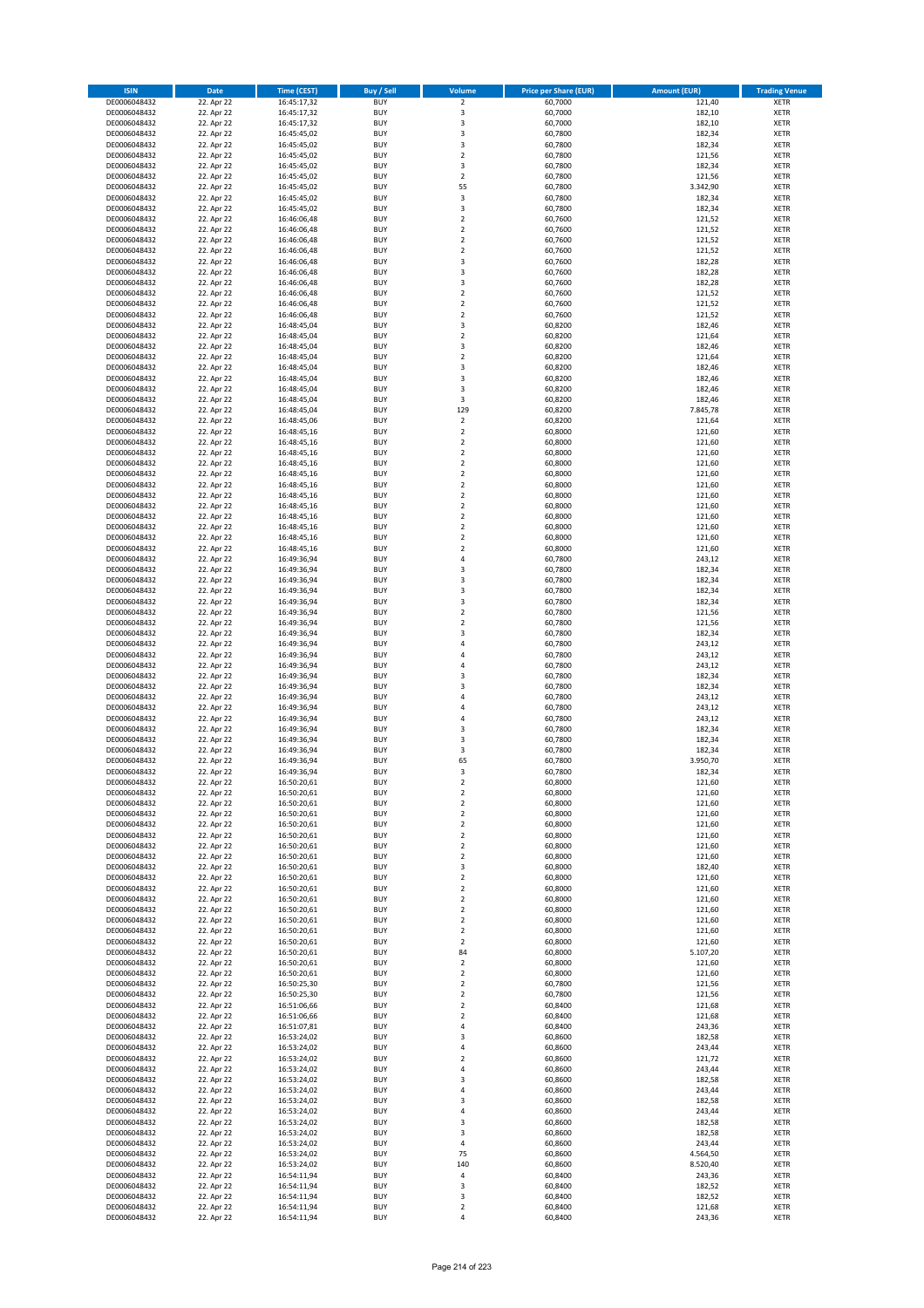| <b>ISIN</b>                  | <b>Date</b>              | <b>Time (CEST)</b>         | <b>Buy / Sell</b>        | Volume                                    | <b>Price per Share (EUR)</b> | <b>Amount (EUR)</b> | <b>Trading Venue</b>       |
|------------------------------|--------------------------|----------------------------|--------------------------|-------------------------------------------|------------------------------|---------------------|----------------------------|
| DE0006048432                 | 22. Apr 22               | 16:45:17,32                | <b>BUY</b>               | $\overline{\mathbf{2}}$                   | 60,7000                      | 121,40              | <b>XETR</b>                |
| DE0006048432                 | 22. Apr 22               | 16:45:17,32                | <b>BUY</b>               | 3                                         | 60,7000                      | 182,10              | <b>XETR</b>                |
| DE0006048432                 | 22. Apr 22               | 16:45:17,32                | <b>BUY</b>               | 3                                         | 60,7000                      | 182,10              | <b>XETR</b>                |
| DE0006048432                 | 22. Apr 22               | 16:45:45,02                | <b>BUY</b>               | 3                                         | 60,7800                      | 182,34              | <b>XETR</b>                |
| DE0006048432<br>DE0006048432 | 22. Apr 22<br>22. Apr 22 | 16:45:45,02<br>16:45:45,02 | <b>BUY</b><br><b>BUY</b> | 3<br>$\mathbf 2$                          | 60,7800<br>60,7800           | 182,34<br>121,56    | <b>XETR</b><br><b>XETR</b> |
| DE0006048432                 | 22. Apr 22               | 16:45:45,02                | <b>BUY</b>               | 3                                         | 60,7800                      | 182,34              | <b>XETR</b>                |
| DE0006048432                 | 22. Apr 22               | 16:45:45,02                | <b>BUY</b>               | $\overline{2}$                            | 60,7800                      | 121,56              | <b>XETR</b>                |
| DE0006048432                 | 22. Apr 22               | 16:45:45,02                | BUY                      | 55                                        | 60,7800                      | 3.342,90            | <b>XETR</b>                |
| DE0006048432                 | 22. Apr 22               | 16:45:45,02                | <b>BUY</b>               | 3                                         | 60,7800                      | 182,34              | <b>XETR</b>                |
| DE0006048432                 | 22. Apr 22               | 16:45:45,02                | <b>BUY</b>               | 3                                         | 60,7800                      | 182,34              | <b>XETR</b>                |
| DE0006048432                 | 22. Apr 22               | 16:46:06,48                | <b>BUY</b>               | $\overline{2}$<br>$\overline{2}$          | 60,7600                      | 121,52              | <b>XETR</b>                |
| DE0006048432<br>DE0006048432 | 22. Apr 22<br>22. Apr 22 | 16:46:06,48<br>16:46:06,48 | <b>BUY</b><br><b>BUY</b> | $\overline{2}$                            | 60,7600<br>60,7600           | 121,52<br>121,52    | <b>XETR</b><br><b>XETR</b> |
| DE0006048432                 | 22. Apr 22               | 16:46:06,48                | <b>BUY</b>               | $\overline{2}$                            | 60,7600                      | 121,52              | <b>XETR</b>                |
| DE0006048432                 | 22. Apr 22               | 16:46:06,48                | BUY                      | $\overline{3}$                            | 60,7600                      | 182,28              | <b>XETR</b>                |
| DE0006048432                 | 22. Apr 22               | 16:46:06,48                | <b>BUY</b>               | 3                                         | 60,7600                      | 182,28              | <b>XETR</b>                |
| DE0006048432                 | 22. Apr 22               | 16:46:06,48                | <b>BUY</b>               | 3                                         | 60,7600                      | 182,28              | <b>XETR</b>                |
| DE0006048432                 | 22. Apr 22               | 16:46:06,48                | <b>BUY</b>               | $\overline{2}$                            | 60.7600                      | 121,52              | <b>XETR</b>                |
| DE0006048432                 | 22. Apr 22               | 16:46:06,48                | <b>BUY</b>               | $\overline{2}$                            | 60,7600                      | 121,52              | <b>XETR</b>                |
| DE0006048432<br>DE0006048432 | 22. Apr 22<br>22. Apr 22 | 16:46:06,48<br>16:48:45,04 | <b>BUY</b><br><b>BUY</b> | $\overline{2}$<br>3                       | 60,7600<br>60,8200           | 121,52<br>182,46    | <b>XETR</b><br><b>XETR</b> |
| DE0006048432                 | 22. Apr 22               | 16:48:45,04                | <b>BUY</b>               | $\overline{2}$                            | 60,8200                      | 121,64              | <b>XETR</b>                |
| DE0006048432                 | 22. Apr 22               | 16:48:45,04                | <b>BUY</b>               | 3                                         | 60,8200                      | 182,46              | <b>XETR</b>                |
| DE0006048432                 | 22. Apr 22               | 16:48:45,04                | <b>BUY</b>               | $\mathbf 2$                               | 60,8200                      | 121,64              | <b>XETR</b>                |
| DE0006048432                 | 22. Apr 22               | 16:48:45,04                | <b>BUY</b>               | 3                                         | 60,8200                      | 182,46              | <b>XETR</b>                |
| DE0006048432                 | 22. Apr 22               | 16:48:45,04                | <b>BUY</b>               | $\overline{\mathbf{3}}$                   | 60,8200                      | 182,46              | <b>XETR</b>                |
| DE0006048432                 | 22. Apr 22               | 16:48:45,04                | <b>BUY</b>               | $\overline{\mathbf{3}}$                   | 60,8200                      | 182,46              | <b>XETR</b>                |
| DE0006048432                 | 22. Apr 22               | 16:48:45,04                | <b>BUY</b><br><b>BUY</b> | 3<br>129                                  | 60,8200                      | 182,46              | <b>XETR</b><br><b>XETR</b> |
| DE0006048432<br>DE0006048432 | 22. Apr 22<br>22. Apr 22 | 16:48:45,04<br>16:48:45,06 | <b>BUY</b>               | $\mathbf 2$                               | 60,8200<br>60,8200           | 7.845,78<br>121,64  | <b>XETR</b>                |
| DE0006048432                 | 22. Apr 22               | 16:48:45,16                | <b>BUY</b>               | $\mathbf 2$                               | 60,8000                      | 121,60              | <b>XETR</b>                |
| DE0006048432                 | 22. Apr 22               | 16:48:45,16                | <b>BUY</b>               | $\mathbf 2$                               | 60,8000                      | 121,60              | <b>XETR</b>                |
| DE0006048432                 | 22. Apr 22               | 16:48:45,16                | <b>BUY</b>               | $\mathbf 2$                               | 60,8000                      | 121,60              | <b>XETR</b>                |
| DE0006048432                 | 22. Apr 22               | 16:48:45,16                | <b>BUY</b>               | $\overline{\mathbf{2}}$                   | 60,8000                      | 121,60              | <b>XETR</b>                |
| DE0006048432                 | 22. Apr 22               | 16:48:45,16                | <b>BUY</b>               | $\mathbf 2$                               | 60,8000                      | 121,60              | <b>XETR</b>                |
| DE0006048432                 | 22. Apr 22               | 16:48:45,16                | <b>BUY</b>               | $\overline{\mathbf{2}}$                   | 60,8000                      | 121,60              | <b>XETR</b>                |
| DE0006048432                 | 22. Apr 22               | 16:48:45,16                | BUY                      | $\mathbf 2$                               | 60,8000                      | 121,60              | <b>XETR</b>                |
| DE0006048432<br>DE0006048432 | 22. Apr 22<br>22. Apr 22 | 16:48:45,16<br>16:48:45,16 | <b>BUY</b><br><b>BUY</b> | $\mathbf 2$<br>$\mathbf 2$                | 60,8000<br>60,8000           | 121,60<br>121,60    | <b>XETR</b><br><b>XETR</b> |
| DE0006048432                 | 22. Apr 22               | 16:48:45,16                | <b>BUY</b>               | $\overline{\mathbf{2}}$                   | 60,8000                      | 121,60              | <b>XETR</b>                |
| DE0006048432                 | 22. Apr 22               | 16:48:45,16                | <b>BUY</b>               | $\overline{2}$                            | 60,8000                      | 121,60              | <b>XETR</b>                |
| DE0006048432                 | 22. Apr 22               | 16:48:45,16                | <b>BUY</b>               | $\mathbf 2$                               | 60,8000                      | 121,60              | <b>XETR</b>                |
| DE0006048432                 | 22. Apr 22               | 16:49:36,94                | <b>BUY</b>               | 4                                         | 60,7800                      | 243,12              | <b>XETR</b>                |
| DE0006048432                 | 22. Apr 22               | 16:49:36,94                | <b>BUY</b>               | $\overline{\mathbf{3}}$                   | 60,7800                      | 182,34              | <b>XETR</b>                |
| DE0006048432                 | 22. Apr 22               | 16:49:36,94                | <b>BUY</b>               | $\overline{\mathbf{3}}$                   | 60,7800                      | 182,34              | <b>XETR</b>                |
| DE0006048432                 | 22. Apr 22               | 16:49:36,94                | <b>BUY</b>               | 3                                         | 60,7800                      | 182,34              | <b>XETR</b>                |
| DE0006048432<br>DE0006048432 | 22. Apr 22<br>22. Apr 22 | 16:49:36,94                | <b>BUY</b><br><b>BUY</b> | $\overline{\mathbf{3}}$<br>$\overline{2}$ | 60,7800<br>60,7800           | 182,34<br>121,56    | <b>XETR</b><br><b>XETR</b> |
| DE0006048432                 | 22. Apr 22               | 16:49:36,94<br>16:49:36,94 | <b>BUY</b>               | $\overline{\mathbf{2}}$                   | 60,7800                      | 121,56              | <b>XETR</b>                |
| DE0006048432                 | 22. Apr 22               | 16:49:36,94                | <b>BUY</b>               | $\overline{\mathbf{3}}$                   | 60,7800                      | 182,34              | <b>XETR</b>                |
| DE0006048432                 | 22. Apr 22               | 16:49:36,94                | <b>BUY</b>               | $\overline{a}$                            | 60,7800                      | 243,12              | <b>XETR</b>                |
| DE0006048432                 | 22. Apr 22               | 16:49:36,94                | <b>BUY</b>               | $\overline{4}$                            | 60,7800                      | 243,12              | <b>XETR</b>                |
| DE0006048432                 | 22. Apr 22               | 16:49:36,94                | <b>BUY</b>               | $\overline{4}$                            | 60,7800                      | 243,12              | <b>XETR</b>                |
| DE0006048432                 | 22. Apr 22               | 16:49:36,94                | <b>BUY</b>               | $\overline{\mathbf{3}}$                   | 60,7800                      | 182,34              | <b>XETR</b>                |
| DE0006048432                 | 22. Apr 22               | 16:49:36,94                | <b>BUY</b>               | $\overline{\mathbf{3}}$                   | 60,7800                      | 182,34              | <b>XETR</b>                |
| DE0006048432<br>DE0006048432 | 22. Apr 22<br>22. Apr 22 | 16:49:36,94<br>16:49:36,94 | <b>BUY</b><br><b>BUY</b> | $\overline{a}$<br>4                       | 60,7800<br>60,7800           | 243,12<br>243,12    | <b>XETR</b><br><b>XETR</b> |
| DE0006048432                 | 22. Apr 22               | 16:49:36,94                | BUY                      | $\overline{a}$                            | 60,7800                      | 243,12              | <b>XETR</b>                |
| DE0006048432                 | 22. Apr 22               | 16:49:36,94                | <b>BUY</b>               | $\overline{\mathbf{3}}$                   | 60,7800                      | 182,34              | <b>XETR</b>                |
| DE0006048432                 | 22. Apr 22               | 16:49:36,94                | <b>BUY</b>               | 3                                         | 60,7800                      | 182,34              | <b>XETR</b>                |
| DE0006048432                 | 22. Apr 22               | 16:49:36,94                | BUY                      | 3                                         | 60,7800                      | 182,34              | <b>XETR</b>                |
| DE0006048432                 | 22. Apr 22               | 16:49:36,94                | BUY                      | 65                                        | 60,7800                      | 3.950,70            | <b>XETR</b>                |
| DE0006048432                 | 22. Apr 22               | 16:49:36,94                | <b>BUY</b>               | $\overline{3}$                            | 60,7800                      | 182,34              | <b>XETR</b>                |
| DE0006048432<br>DE0006048432 | 22. Apr 22<br>22. Apr 22 | 16:50:20,61                | BUY<br><b>BUY</b>        | 2<br>$\mathbf 2$                          | 60,8000<br>60,8000           | 121,60<br>121,60    | <b>XETR</b><br><b>XETR</b> |
| DE0006048432                 | 22. Apr 22               | 16:50:20,61<br>16:50:20,61 | <b>BUY</b>               | $\mathbf 2$                               | 60,8000                      | 121,60              | <b>XETR</b>                |
| DE0006048432                 | 22. Apr 22               | 16:50:20,61                | <b>BUY</b>               | $\mathbf 2$                               | 60,8000                      | 121,60              | <b>XETR</b>                |
| DE0006048432                 | 22. Apr 22               | 16:50:20,61                | <b>BUY</b>               | $\overline{2}$                            | 60,8000                      | 121,60              | <b>XETR</b>                |
| DE0006048432                 | 22. Apr 22               | 16:50:20,61                | <b>BUY</b>               | $\mathbf 2$                               | 60,8000                      | 121,60              | <b>XETR</b>                |
| DE0006048432                 | 22. Apr 22               | 16:50:20,61                | <b>BUY</b>               | 2                                         | 60,8000                      | 121,60              | <b>XETR</b>                |
| DE0006048432                 | 22. Apr 22               | 16:50:20,61                | <b>BUY</b>               | 2                                         | 60,8000                      | 121,60              | <b>XETR</b>                |
| DE0006048432<br>DE0006048432 | 22. Apr 22<br>22. Apr 22 | 16:50:20,61<br>16:50:20,61 | <b>BUY</b><br><b>BUY</b> | 3<br>$\mathbf 2$                          | 60,8000<br>60,8000           | 182,40<br>121,60    | <b>XETR</b><br><b>XETR</b> |
| DE0006048432                 | 22. Apr 22               | 16:50:20,61                | <b>BUY</b>               | $\mathbf 2$                               | 60,8000                      | 121,60              | <b>XETR</b>                |
| DE0006048432                 | 22. Apr 22               | 16:50:20,61                | <b>BUY</b>               | $\overline{2}$                            | 60,8000                      | 121,60              | <b>XETR</b>                |
| DE0006048432                 | 22. Apr 22               | 16:50:20,61                | <b>BUY</b>               | $\mathbf 2$                               | 60,8000                      | 121,60              | <b>XETR</b>                |
| DE0006048432                 | 22. Apr 22               | 16:50:20,61                | <b>BUY</b>               | $\overline{2}$                            | 60,8000                      | 121,60              | <b>XETR</b>                |
| DE0006048432                 | 22. Apr 22               | 16:50:20,61                | <b>BUY</b>               | 2                                         | 60,8000                      | 121,60              | <b>XETR</b>                |
| DE0006048432<br>DE0006048432 | 22. Apr 22<br>22. Apr 22 | 16:50:20,61                | <b>BUY</b><br><b>BUY</b> | $\mathbf 2$<br>84                         | 60,8000<br>60,8000           | 121,60<br>5.107,20  | <b>XETR</b>                |
| DE0006048432                 | 22. Apr 22               | 16:50:20,61<br>16:50:20,61 | <b>BUY</b>               | $\mathbf 2$                               | 60,8000                      | 121,60              | <b>XETR</b><br><b>XETR</b> |
| DE0006048432                 | 22. Apr 22               | 16:50:20,61                | <b>BUY</b>               | $\mathbf 2$                               | 60,8000                      | 121,60              | <b>XETR</b>                |
| DE0006048432                 | 22. Apr 22               | 16:50:25,30                | <b>BUY</b>               | $\mathbf 2$                               | 60,7800                      | 121,56              | <b>XETR</b>                |
| DE0006048432                 | 22. Apr 22               | 16:50:25,30                | <b>BUY</b>               | $\overline{2}$                            | 60,7800                      | 121,56              | <b>XETR</b>                |
| DE0006048432                 | 22. Apr 22               | 16:51:06,66                | <b>BUY</b>               | 2                                         | 60,8400                      | 121,68              | <b>XETR</b>                |
| DE0006048432                 | 22. Apr 22               | 16:51:06,66                | <b>BUY</b>               | $\overline{2}$                            | 60,8400                      | 121,68              | <b>XETR</b>                |
| DE0006048432                 | 22. Apr 22               | 16:51:07,81                | <b>BUY</b>               | 4<br>$\overline{\mathbf{3}}$              | 60,8400                      | 243,36              | <b>XETR</b>                |
| DE0006048432<br>DE0006048432 | 22. Apr 22<br>22. Apr 22 | 16:53:24,02<br>16:53:24,02 | <b>BUY</b><br><b>BUY</b> | 4                                         | 60,8600<br>60,8600           | 182,58<br>243,44    | <b>XETR</b><br><b>XETR</b> |
| DE0006048432                 | 22. Apr 22               | 16:53:24,02                | <b>BUY</b>               | $\overline{2}$                            | 60,8600                      | 121,72              | <b>XETR</b>                |
| DE0006048432                 | 22. Apr 22               | 16:53:24,02                | <b>BUY</b>               | $\overline{4}$                            | 60,8600                      | 243,44              | <b>XETR</b>                |
| DE0006048432                 | 22. Apr 22               | 16:53:24,02                | <b>BUY</b>               | 3                                         | 60,8600                      | 182,58              | <b>XETR</b>                |
| DE0006048432                 | 22. Apr 22               | 16:53:24,02                | <b>BUY</b>               | 4                                         | 60,8600                      | 243,44              | <b>XETR</b>                |
| DE0006048432                 | 22. Apr 22               | 16:53:24,02                | <b>BUY</b>               | 3                                         | 60,8600                      | 182,58              | <b>XETR</b>                |
| DE0006048432                 | 22. Apr 22               | 16:53:24,02                | <b>BUY</b>               | 4                                         | 60,8600                      | 243,44              | <b>XETR</b>                |
| DE0006048432<br>DE0006048432 | 22. Apr 22<br>22. Apr 22 | 16:53:24,02<br>16:53:24,02 | <b>BUY</b><br><b>BUY</b> | 3<br>$\overline{\mathbf{3}}$              | 60,8600<br>60,8600           | 182,58<br>182,58    | <b>XETR</b><br><b>XETR</b> |
| DE0006048432                 | 22. Apr 22               | 16:53:24,02                | <b>BUY</b>               | 4                                         | 60,8600                      | 243,44              | <b>XETR</b>                |
| DE0006048432                 | 22. Apr 22               | 16:53:24,02                | <b>BUY</b>               | 75                                        | 60,8600                      | 4.564,50            | <b>XETR</b>                |
| DE0006048432                 | 22. Apr 22               | 16:53:24,02                | <b>BUY</b>               | 140                                       | 60,8600                      | 8.520,40            | <b>XETR</b>                |
| DE0006048432                 | 22. Apr 22               | 16:54:11,94                | <b>BUY</b>               | 4                                         | 60,8400                      | 243,36              | <b>XETR</b>                |
| DE0006048432                 | 22. Apr 22               | 16:54:11,94                | <b>BUY</b>               | 3                                         | 60,8400                      | 182,52              | <b>XETR</b>                |
| DE0006048432                 | 22. Apr 22               | 16:54:11,94                | <b>BUY</b>               | 3                                         | 60,8400                      | 182,52              | <b>XETR</b>                |
| DE0006048432                 | 22. Apr 22               | 16:54:11,94                | <b>BUY</b>               | $\mathbf 2$                               | 60,8400                      | 121,68              | <b>XETR</b>                |
| DE0006048432                 | 22. Apr 22               | 16:54:11,94                | <b>BUY</b>               | 4                                         | 60,8400                      | 243,36              | <b>XETR</b>                |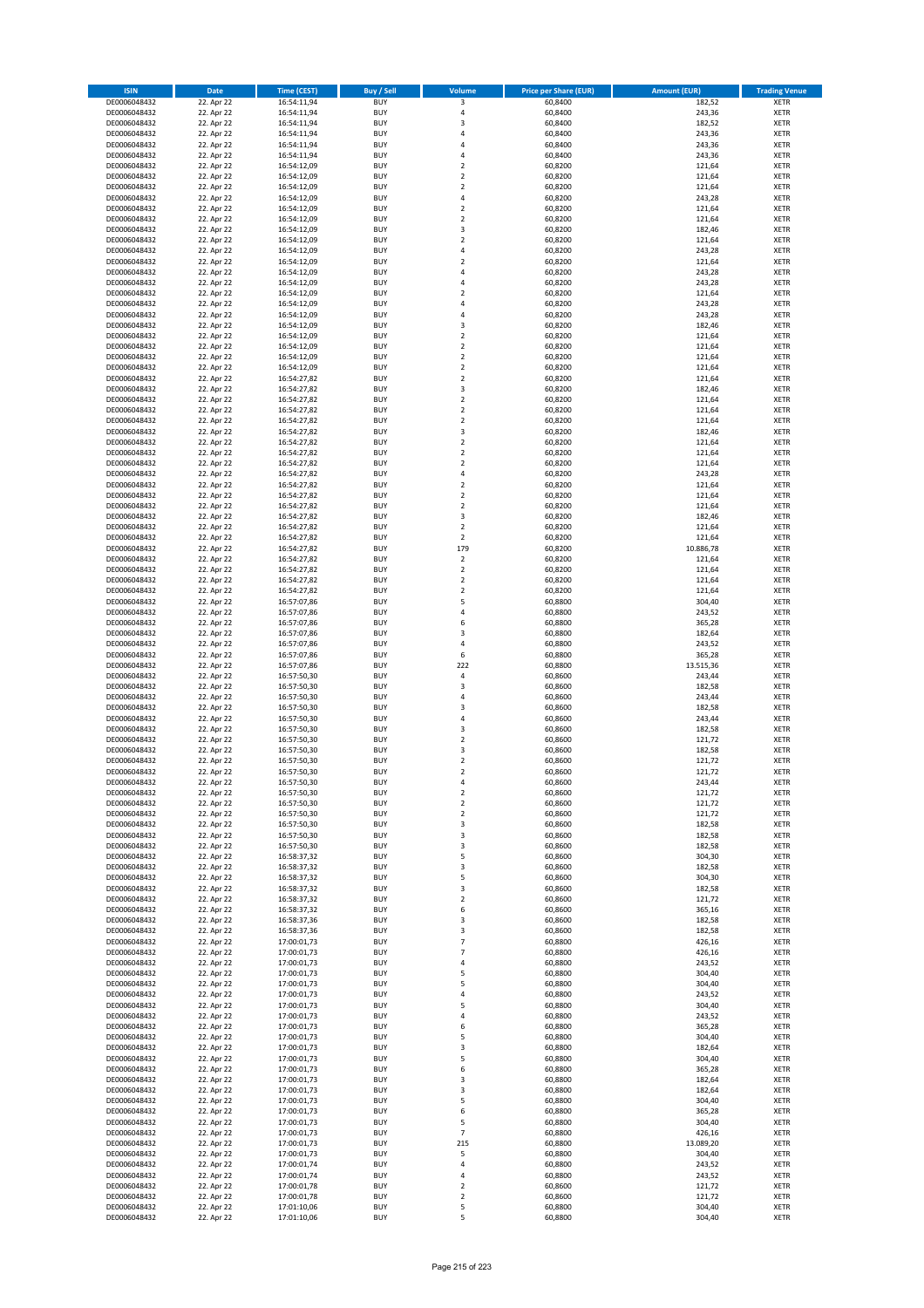| <b>ISIN</b>                  | <b>Date</b>              | <b>Time (CEST)</b>         | <b>Buy / Sell</b>        | Volume                                    | <b>Price per Share (EUR)</b> | <b>Amount (EUR)</b> | <b>Trading Venue</b>       |
|------------------------------|--------------------------|----------------------------|--------------------------|-------------------------------------------|------------------------------|---------------------|----------------------------|
| DE0006048432                 | 22. Apr 22               | 16:54:11,94                | <b>BUY</b>               | 3                                         | 60,8400                      | 182,52              | <b>XETR</b>                |
| DE0006048432                 | 22. Apr 22               | 16:54:11,94                | <b>BUY</b>               | $\overline{4}$                            | 60,8400                      | 243,36              | <b>XETR</b>                |
| DE0006048432                 | 22. Apr 22               | 16:54:11,94                | <b>BUY</b>               | $\overline{\mathbf{3}}$                   | 60.8400                      | 182,52              | <b>XETR</b>                |
| DE0006048432                 | 22. Apr 22               | 16:54:11,94                | <b>BUY</b>               | 4                                         | 60,8400                      | 243,36              | <b>XETR</b>                |
| DE0006048432<br>DE0006048432 | 22. Apr 22<br>22. Apr 22 | 16:54:11,94<br>16:54:11,94 | <b>BUY</b><br><b>BUY</b> | 4<br>$\overline{a}$                       | 60,8400<br>60,8400           | 243,36<br>243,36    | <b>XETR</b><br><b>XETR</b> |
| DE0006048432                 | 22. Apr 22               | 16:54:12,09                | <b>BUY</b>               | $\overline{2}$                            | 60,8200                      | 121,64              | <b>XETR</b>                |
| DE0006048432                 | 22. Apr 22               | 16:54:12,09                | <b>BUY</b>               | $\overline{2}$                            | 60,8200                      | 121,64              | <b>XETR</b>                |
| DE0006048432                 | 22. Apr 22               | 16:54:12,09                | BUY                      | $\overline{2}$                            | 60,8200                      | 121,64              | <b>XETR</b>                |
| DE0006048432                 | 22. Apr 22               | 16:54:12,09                | <b>BUY</b>               | $\overline{4}$                            | 60,8200                      | 243,28              | <b>XETR</b>                |
| DE0006048432                 | 22. Apr 22               | 16:54:12,09                | <b>BUY</b>               | $\mathbf 2$                               | 60,8200                      | 121,64              | <b>XETR</b>                |
| DE0006048432                 | 22. Apr 22               | 16:54:12,09                | <b>BUY</b>               | $\overline{2}$<br>$\overline{\mathbf{3}}$ | 60,8200                      | 121,64              | <b>XETR</b>                |
| DE0006048432<br>DE0006048432 | 22. Apr 22<br>22. Apr 22 | 16:54:12,09<br>16:54:12,09 | <b>BUY</b><br><b>BUY</b> | $\overline{2}$                            | 60,8200<br>60,8200           | 182,46<br>121,64    | <b>XETR</b><br><b>XETR</b> |
| DE0006048432                 | 22. Apr 22               | 16:54:12,09                | <b>BUY</b>               | 4                                         | 60,8200                      | 243,28              | <b>XETR</b>                |
| DE0006048432                 | 22. Apr 22               | 16:54:12,09                | BUY                      | $\overline{\phantom{a}}$                  | 60,8200                      | 121,64              | <b>XETR</b>                |
| DE0006048432                 | 22. Apr 22               | 16:54:12,09                | <b>BUY</b>               | 4                                         | 60,8200                      | 243,28              | <b>XETR</b>                |
| DE0006048432                 | 22. Apr 22               | 16:54:12,09                | <b>BUY</b>               | $\overline{4}$                            | 60,8200                      | 243,28              | <b>XETR</b>                |
| DE0006048432                 | 22. Apr 22               | 16:54:12,09                | <b>BUY</b>               | $\overline{2}$                            | 60,8200                      | 121,64              | <b>XETR</b>                |
| DE0006048432<br>DE0006048432 | 22. Apr 22<br>22. Apr 22 | 16:54:12,09<br>16:54:12,09 | <b>BUY</b><br><b>BUY</b> | $\overline{a}$<br>$\overline{4}$          | 60,8200<br>60,8200           | 243,28<br>243,28    | <b>XETR</b><br><b>XETR</b> |
| DE0006048432                 | 22. Apr 22               | 16:54:12,09                | <b>BUY</b>               | $\overline{3}$                            | 60,8200                      | 182,46              | <b>XETR</b>                |
| DE0006048432                 | 22. Apr 22               | 16:54:12,09                | <b>BUY</b>               | $\overline{2}$                            | 60,8200                      | 121,64              | <b>XETR</b>                |
| DE0006048432                 | 22. Apr 22               | 16:54:12,09                | <b>BUY</b>               | $\overline{2}$                            | 60,8200                      | 121,64              | <b>XETR</b>                |
| DE0006048432                 | 22. Apr 22               | 16:54:12,09                | <b>BUY</b>               | $\overline{2}$                            | 60,8200                      | 121,64              | <b>XETR</b>                |
| DE0006048432                 | 22. Apr 22               | 16:54:12,09                | <b>BUY</b>               | $\mathbf 2$                               | 60,8200                      | 121,64              | <b>XETR</b>                |
| DE0006048432<br>DE0006048432 | 22. Apr 22               | 16:54:27,82                | <b>BUY</b><br><b>BUY</b> | $\mathbf 2$<br>$\overline{3}$             | 60,8200                      | 121,64              | <b>XETR</b><br><b>XETR</b> |
| DE0006048432                 | 22. Apr 22<br>22. Apr 22 | 16:54:27,82<br>16:54:27,82 | <b>BUY</b>               | $\mathbf 2$                               | 60,8200<br>60,8200           | 182,46<br>121,64    | <b>XETR</b>                |
| DE0006048432                 | 22. Apr 22               | 16:54:27,82                | <b>BUY</b>               | $\overline{2}$                            | 60,8200                      | 121,64              | <b>XETR</b>                |
| DE0006048432                 | 22. Apr 22               | 16:54:27,82                | <b>BUY</b>               | $\mathbf 2$                               | 60,8200                      | 121,64              | <b>XETR</b>                |
| DE0006048432                 | 22. Apr 22               | 16:54:27,82                | <b>BUY</b>               | 3                                         | 60,8200                      | 182,46              | <b>XETR</b>                |
| DE0006048432                 | 22. Apr 22               | 16:54:27,82                | <b>BUY</b>               | $\mathbf 2$                               | 60,8200                      | 121,64              | <b>XETR</b>                |
| DE0006048432                 | 22. Apr 22               | 16:54:27,82                | <b>BUY</b>               | $\overline{2}$                            | 60,8200                      | 121,64              | <b>XETR</b>                |
| DE0006048432<br>DE0006048432 | 22. Apr 22<br>22. Apr 22 | 16:54:27,82<br>16:54:27,82 | <b>BUY</b><br><b>BUY</b> | $\overline{2}$<br>4                       | 60,8200<br>60,8200           | 121,64<br>243,28    | <b>XETR</b><br><b>XETR</b> |
| DE0006048432                 | 22. Apr 22               | 16:54:27,82                | <b>BUY</b>               | $\overline{2}$                            | 60,8200                      | 121,64              | <b>XETR</b>                |
| DE0006048432                 | 22. Apr 22               | 16:54:27,82                | <b>BUY</b>               | $\mathbf 2$                               | 60,8200                      | 121,64              | <b>XETR</b>                |
| DE0006048432                 | 22. Apr 22               | 16:54:27,82                | <b>BUY</b>               | $\mathbf 2$                               | 60,8200                      | 121,64              | <b>XETR</b>                |
| DE0006048432                 | 22. Apr 22               | 16:54:27,82                | <b>BUY</b>               | 3                                         | 60,8200                      | 182,46              | <b>XETR</b>                |
| DE0006048432                 | 22. Apr 22               | 16:54:27,82                | <b>BUY</b>               | $\overline{2}$                            | 60,8200                      | 121,64              | <b>XETR</b>                |
| DE0006048432                 | 22. Apr 22               | 16:54:27,82                | <b>BUY</b>               | $\overline{2}$<br>179                     | 60,8200                      | 121,64              | <b>XETR</b>                |
| DE0006048432<br>DE0006048432 | 22. Apr 22<br>22. Apr 22 | 16:54:27,82<br>16:54:27,82 | <b>BUY</b><br><b>BUY</b> | $\overline{2}$                            | 60,8200<br>60,8200           | 10.886,78<br>121,64 | <b>XETR</b><br><b>XETR</b> |
| DE0006048432                 | 22. Apr 22               | 16:54:27,82                | <b>BUY</b>               | $\mathbf 2$                               | 60,8200                      | 121,64              | <b>XETR</b>                |
| DE0006048432                 | 22. Apr 22               | 16:54:27,82                | <b>BUY</b>               | $\overline{2}$                            | 60,8200                      | 121,64              | <b>XETR</b>                |
| DE0006048432                 | 22. Apr 22               | 16:54:27,82                | <b>BUY</b>               | $\mathbf 2$                               | 60,8200                      | 121,64              | <b>XETR</b>                |
| DE0006048432                 | 22. Apr 22               | 16:57:07,86                | <b>BUY</b>               | 5                                         | 60,8800                      | 304,40              | <b>XETR</b>                |
| DE0006048432<br>DE0006048432 | 22. Apr 22               | 16:57:07,86                | <b>BUY</b><br><b>BUY</b> | 4<br>6                                    | 60,8800<br>60,8800           | 243,52<br>365,28    | <b>XETR</b><br><b>XETR</b> |
| DE0006048432                 | 22. Apr 22<br>22. Apr 22 | 16:57:07,86<br>16:57:07,86 | <b>BUY</b>               | $\overline{3}$                            | 60,8800                      | 182,64              | <b>XETR</b>                |
| DE0006048432                 | 22. Apr 22               | 16:57:07,86                | <b>BUY</b>               | $\overline{a}$                            | 60,8800                      | 243,52              | <b>XETR</b>                |
| DE0006048432                 | 22. Apr 22               | 16:57:07,86                | <b>BUY</b>               | 6                                         | 60,8800                      | 365,28              | <b>XETR</b>                |
| DE0006048432                 | 22. Apr 22               | 16:57:07,86                | <b>BUY</b>               | 222                                       | 60,8800                      | 13.515,36           | <b>XETR</b>                |
| DE0006048432                 | 22. Apr 22               | 16:57:50,30                | <b>BUY</b>               | 4                                         | 60,8600                      | 243,44              | <b>XETR</b>                |
| DE0006048432                 | 22. Apr 22               | 16:57:50,30                | <b>BUY</b>               | $\overline{\mathbf{3}}$                   | 60,8600                      | 182,58              | <b>XETR</b>                |
| DE0006048432<br>DE0006048432 | 22. Apr 22<br>22. Apr 22 | 16:57:50,30<br>16:57:50,30 | <b>BUY</b><br><b>BUY</b> | $\overline{a}$<br>3                       | 60,8600<br>60,8600           | 243,44<br>182,58    | <b>XETR</b><br><b>XETR</b> |
| DE0006048432                 | 22. Apr 22               | 16:57:50,30                | BUY                      | $\overline{a}$                            | 60,8600                      | 243,44              | <b>XETR</b>                |
| DE0006048432                 | 22. Apr 22               | 16:57:50,30                | <b>BUY</b>               | $\overline{\mathbf{3}}$                   | 60,8600                      | 182,58              | <b>XETR</b>                |
| DE0006048432                 | 22. Apr 22               | 16:57:50,30                | <b>BUY</b>               | $\mathbf 2$                               | 60,8600                      | 121,72              | <b>XETR</b>                |
| DE0006048432                 | 22. Apr 22               | 16:57:50,30                | BUY                      | 3                                         | 60,8600                      | 182,58              | <b>XETR</b>                |
| DE0006048432                 | 22. Apr 22               | 16:57:50,30                | BUY                      | $\overline{\mathbf{2}}$                   | 60,8600                      | 121,72              | <b>XETR</b>                |
| DE0006048432                 | 22. Apr 22               | 16:57:50,30                | <b>BUY</b>               | $\overline{2}$<br>4                       | 60,8600                      | 121,72              | <b>XETR</b>                |
| DE0006048432<br>DE0006048432 | 22. Apr 22<br>22. Apr 22 | 16:57:50,30<br>16:57:50,30 | <b>BUY</b><br><b>BUY</b> | $\mathbf 2$                               | 60,8600<br>60,8600           | 243,44<br>121,72    | <b>XETR</b><br><b>XETR</b> |
| DE0006048432                 | 22. Apr 22               | 16:57:50,30                | <b>BUY</b>               | $\mathbf 2$                               | 60,8600                      | 121,72              | <b>XETR</b>                |
| DE0006048432                 | 22. Apr 22               | 16:57:50,30                | <b>BUY</b>               | $\mathbf 2$                               | 60,8600                      | 121,72              | <b>XETR</b>                |
| DE0006048432                 | 22. Apr 22               | 16:57:50,30                | <b>BUY</b>               | 3                                         | 60,8600                      | 182,58              | <b>XETR</b>                |
| DE0006048432                 | 22. Apr 22               | 16:57:50,30                | <b>BUY</b>               | 3                                         | 60,8600                      | 182,58              | <b>XETR</b>                |
| DE0006048432                 | 22. Apr 22               | 16:57:50,30                | <b>BUY</b>               | 3                                         | 60,8600                      | 182,58              | <b>XETR</b>                |
| DE0006048432<br>DE0006048432 | 22. Apr 22<br>22. Apr 22 | 16:58:37,32<br>16:58:37,32 | <b>BUY</b><br><b>BUY</b> | 5<br>3                                    | 60,8600<br>60,8600           | 304,30<br>182,58    | <b>XETR</b><br><b>XETR</b> |
| DE0006048432                 | 22. Apr 22               | 16:58:37,32                | <b>BUY</b>               | 5                                         | 60,8600                      | 304,30              | <b>XETR</b>                |
| DE0006048432                 | 22. Apr 22               | 16:58:37,32                | <b>BUY</b>               | 3                                         | 60,8600                      | 182,58              | <b>XETR</b>                |
| DE0006048432                 | 22. Apr 22               | 16:58:37,32                | <b>BUY</b>               | $\overline{\mathbf{2}}$                   | 60,8600                      | 121,72              | <b>XETR</b>                |
| DE0006048432                 | 22. Apr 22               | 16:58:37,32                | <b>BUY</b>               | 6                                         | 60,8600                      | 365,16              | <b>XETR</b>                |
| DE0006048432                 | 22. Apr 22               | 16:58:37,36                | <b>BUY</b>               | $\overline{\mathbf{3}}$                   | 60,8600                      | 182,58              | <b>XETR</b>                |
| DE0006048432<br>DE0006048432 | 22. Apr 22<br>22. Apr 22 | 16:58:37,36<br>17:00:01,73 | <b>BUY</b><br><b>BUY</b> | 3<br>$\overline{7}$                       | 60,8600<br>60,8800           | 182,58<br>426,16    | <b>XETR</b><br><b>XETR</b> |
| DE0006048432                 | 22. Apr 22               | 17:00:01,73                | <b>BUY</b>               | $\overline{7}$                            | 60,8800                      | 426,16              | <b>XETR</b>                |
| DE0006048432                 | 22. Apr 22               | 17:00:01,73                | <b>BUY</b>               | 4                                         | 60,8800                      | 243,52              | <b>XETR</b>                |
| DE0006048432                 | 22. Apr 22               | 17:00:01,73                | <b>BUY</b>               | 5                                         | 60,8800                      | 304,40              | <b>XETR</b>                |
| DE0006048432                 | 22. Apr 22               | 17:00:01,73                | <b>BUY</b>               | 5                                         | 60,8800                      | 304,40              | <b>XETR</b>                |
| DE0006048432                 | 22. Apr 22               | 17:00:01,73                | <b>BUY</b>               | 4                                         | 60,8800                      | 243,52              | <b>XETR</b>                |
| DE0006048432<br>DE0006048432 | 22. Apr 22<br>22. Apr 22 | 17:00:01,73<br>17:00:01,73 | <b>BUY</b><br><b>BUY</b> | 5<br>4                                    | 60,8800<br>60,8800           | 304,40<br>243,52    | <b>XETR</b><br><b>XETR</b> |
| DE0006048432                 | 22. Apr 22               | 17:00:01,73                | <b>BUY</b>               | 6                                         | 60,8800                      | 365,28              | <b>XETR</b>                |
| DE0006048432                 | 22. Apr 22               | 17:00:01,73                | <b>BUY</b>               | 5                                         | 60,8800                      | 304,40              | <b>XETR</b>                |
| DE0006048432                 | 22. Apr 22               | 17:00:01,73                | <b>BUY</b>               | 3                                         | 60,8800                      | 182,64              | <b>XETR</b>                |
| DE0006048432                 | 22. Apr 22               | 17:00:01,73                | <b>BUY</b>               | 5                                         | 60,8800                      | 304,40              | <b>XETR</b>                |
| DE0006048432                 | 22. Apr 22               | 17:00:01,73                | <b>BUY</b>               | 6                                         | 60,8800                      | 365,28              | <b>XETR</b>                |
| DE0006048432<br>DE0006048432 | 22. Apr 22<br>22. Apr 22 | 17:00:01,73<br>17:00:01,73 | <b>BUY</b><br><b>BUY</b> | 3<br>3                                    | 60,8800<br>60,8800           | 182,64<br>182,64    | <b>XETR</b><br><b>XETR</b> |
| DE0006048432                 | 22. Apr 22               | 17:00:01,73                | <b>BUY</b>               | 5                                         | 60,8800                      | 304,40              | <b>XETR</b>                |
| DE0006048432                 | 22. Apr 22               | 17:00:01,73                | <b>BUY</b>               | 6                                         | 60,8800                      | 365,28              | <b>XETR</b>                |
| DE0006048432                 | 22. Apr 22               | 17:00:01,73                | <b>BUY</b>               | 5                                         | 60,8800                      | 304,40              | <b>XETR</b>                |
| DE0006048432                 | 22. Apr 22               | 17:00:01,73                | <b>BUY</b>               | $\overline{7}$                            | 60,8800                      | 426,16              | <b>XETR</b>                |
| DE0006048432                 | 22. Apr 22               | 17:00:01,73                | <b>BUY</b>               | 215                                       | 60,8800                      | 13.089,20           | <b>XETR</b>                |
| DE0006048432                 | 22. Apr 22               | 17:00:01,73                | <b>BUY</b>               | 5                                         | 60,8800                      | 304,40              | <b>XETR</b>                |
| DE0006048432<br>DE0006048432 | 22. Apr 22<br>22. Apr 22 | 17:00:01,74<br>17:00:01,74 | <b>BUY</b><br><b>BUY</b> | 4<br>4                                    | 60,8800<br>60,8800           | 243,52<br>243,52    | <b>XETR</b><br><b>XETR</b> |
| DE0006048432                 | 22. Apr 22               | 17:00:01,78                | <b>BUY</b>               | 2                                         | 60,8600                      | 121,72              | <b>XETR</b>                |
| DE0006048432                 | 22. Apr 22               | 17:00:01,78                | <b>BUY</b>               | $\mathbf 2$                               | 60,8600                      | 121,72              | <b>XETR</b>                |
| DE0006048432                 | 22. Apr 22               | 17:01:10,06                | <b>BUY</b>               | 5                                         | 60,8800                      | 304,40              | <b>XETR</b>                |
| DE0006048432                 | 22. Apr 22               | 17:01:10,06                | <b>BUY</b>               | 5                                         | 60,8800                      | 304,40              | <b>XETR</b>                |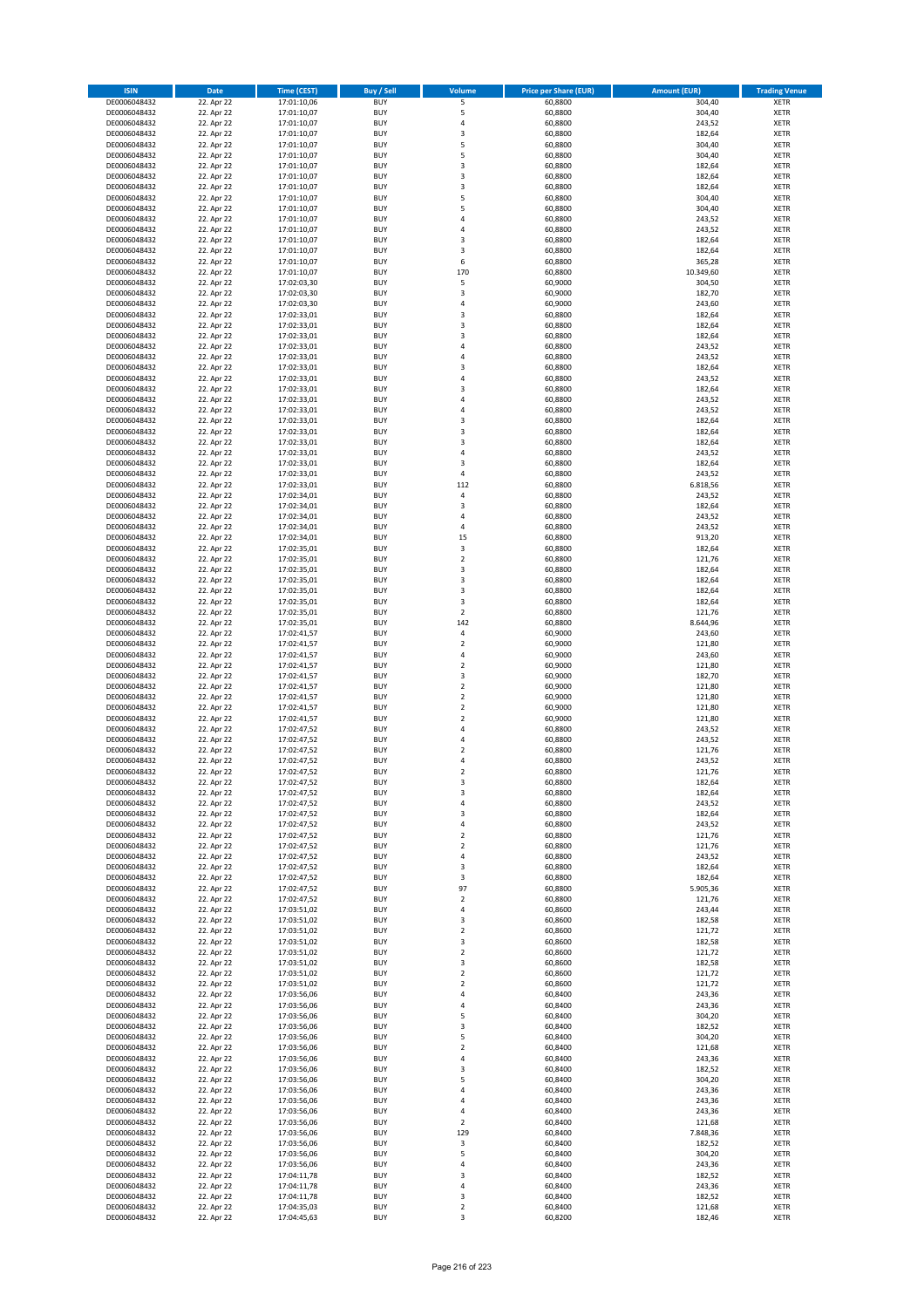| <b>ISIN</b>                  | <b>Date</b>              | <b>Time (CEST)</b>         | <b>Buy / Sell</b>        | <b>Volume</b>                          | <b>Price per Share (EUR)</b> | <b>Amount (EUR)</b> | <b>Trading Venue</b>       |
|------------------------------|--------------------------|----------------------------|--------------------------|----------------------------------------|------------------------------|---------------------|----------------------------|
| DE0006048432                 | 22. Apr 22               | 17:01:10,06                | <b>BUY</b>               | 5                                      | 60,8800                      | 304,40              | <b>XETR</b>                |
| DE0006048432                 | 22. Apr 22               | 17:01:10,07                | <b>BUY</b>               | 5                                      | 60,8800                      | 304,40              | <b>XETR</b>                |
| DE0006048432                 | 22. Apr 22               | 17:01:10,07                | <b>BUY</b>               | 4                                      | 60,8800                      | 243,52              | <b>XETR</b>                |
| DE0006048432<br>DE0006048432 | 22. Apr 22<br>22. Apr 22 | 17:01:10,07<br>17:01:10,07 | <b>BUY</b><br><b>BUY</b> | 3<br>5                                 | 60,8800<br>60,8800           | 182,64<br>304,40    | <b>XETR</b><br><b>XETR</b> |
| DE0006048432                 | 22. Apr 22               | 17:01:10,07                | <b>BUY</b>               | 5                                      | 60,8800                      | 304,40              | <b>XETR</b>                |
| DE0006048432                 | 22. Apr 22               | 17:01:10,07                | <b>BUY</b>               | 3                                      | 60,8800                      | 182,64              | <b>XETR</b>                |
| DE0006048432                 | 22. Apr 22               | 17:01:10,07                | <b>BUY</b>               | 3                                      | 60,8800                      | 182,64              | <b>XETR</b>                |
| DE0006048432                 | 22. Apr 22               | 17:01:10,07                | <b>BUY</b>               | 3                                      | 60,8800                      | 182,64              | <b>XETR</b>                |
| DE0006048432                 | 22. Apr 22               | 17:01:10,07                | <b>BUY</b><br><b>BUY</b> | 5<br>5                                 | 60,8800                      | 304,40              | <b>XETR</b>                |
| DE0006048432<br>DE0006048432 | 22. Apr 22<br>22. Apr 22 | 17:01:10,07<br>17:01:10,07 | <b>BUY</b>               | 4                                      | 60,8800<br>60,8800           | 304,40<br>243,52    | <b>XETR</b><br><b>XETR</b> |
| DE0006048432                 | 22. Apr 22               | 17:01:10,07                | <b>BUY</b>               | 4                                      | 60,8800                      | 243,52              | <b>XETR</b>                |
| DE0006048432                 | 22. Apr 22               | 17:01:10,07                | <b>BUY</b>               | 3                                      | 60,8800                      | 182,64              | <b>XETR</b>                |
| DE0006048432                 | 22. Apr 22               | 17:01:10,07                | <b>BUY</b>               | 3                                      | 60,8800                      | 182,64              | <b>XETR</b>                |
| DE0006048432                 | 22. Apr 22               | 17:01:10,07                | <b>BUY</b>               | 6                                      | 60,8800                      | 365,28              | <b>XETR</b>                |
| DE0006048432<br>DE0006048432 | 22. Apr 22<br>22. Apr 22 | 17:01:10,07<br>17:02:03,30 | <b>BUY</b><br><b>BUY</b> | 170<br>5                               | 60,8800<br>60,9000           | 10.349,60<br>304,50 | <b>XETR</b><br><b>XETR</b> |
| DE0006048432                 | 22. Apr 22               | 17:02:03,30                | <b>BUY</b>               | 3                                      | 60,9000                      | 182,70              | <b>XETR</b>                |
| DE0006048432                 | 22. Apr 22               | 17:02:03,30                | <b>BUY</b>               | 4                                      | 60,9000                      | 243,60              | <b>XETR</b>                |
| DE0006048432                 | 22. Apr 22               | 17:02:33,01                | <b>BUY</b>               | 3                                      | 60,8800                      | 182,64              | <b>XETR</b>                |
| DE0006048432                 | 22. Apr 22               | 17:02:33,01                | <b>BUY</b>               | 3                                      | 60,8800                      | 182,64              | <b>XETR</b>                |
| DE0006048432                 | 22. Apr 22               | 17:02:33,01                | <b>BUY</b><br><b>BUY</b> | 3                                      | 60,8800                      | 182,64              | <b>XETR</b>                |
| DE0006048432<br>DE0006048432 | 22. Apr 22<br>22. Apr 22 | 17:02:33,01<br>17:02:33,01 | <b>BUY</b>               | 4<br>4                                 | 60,8800<br>60,8800           | 243,52<br>243,52    | <b>XETR</b><br><b>XETR</b> |
| DE0006048432                 | 22. Apr 22               | 17:02:33,01                | <b>BUY</b>               | 3                                      | 60,8800                      | 182,64              | <b>XETR</b>                |
| DE0006048432                 | 22. Apr 22               | 17:02:33,01                | <b>BUY</b>               | 4                                      | 60,8800                      | 243,52              | <b>XETR</b>                |
| DE0006048432                 | 22. Apr 22               | 17:02:33,01                | <b>BUY</b>               | 3                                      | 60,8800                      | 182,64              | <b>XETR</b>                |
| DE0006048432                 | 22. Apr 22               | 17:02:33,01                | <b>BUY</b>               | 4                                      | 60,8800                      | 243,52              | <b>XETR</b>                |
| DE0006048432<br>DE0006048432 | 22. Apr 22<br>22. Apr 22 | 17:02:33,01<br>17:02:33,01 | <b>BUY</b><br><b>BUY</b> | 4<br>3                                 | 60,8800<br>60,8800           | 243,52<br>182,64    | <b>XETR</b><br><b>XETR</b> |
| DE0006048432                 | 22. Apr 22               | 17:02:33,01                | <b>BUY</b>               | 3                                      | 60,8800                      | 182,64              | <b>XETR</b>                |
| DE0006048432                 | 22. Apr 22               | 17:02:33,01                | <b>BUY</b>               | 3                                      | 60,8800                      | 182,64              | <b>XETR</b>                |
| DE0006048432                 | 22. Apr 22               | 17:02:33,01                | <b>BUY</b>               | 4                                      | 60,8800                      | 243,52              | <b>XETR</b>                |
| DE0006048432                 | 22. Apr 22               | 17:02:33,01                | <b>BUY</b>               | 3                                      | 60,8800                      | 182,64              | <b>XETR</b>                |
| DE0006048432                 | 22. Apr 22               | 17:02:33,01                | <b>BUY</b>               | 4                                      | 60,8800                      | 243,52              | <b>XETR</b>                |
| DE0006048432<br>DE0006048432 | 22. Apr 22<br>22. Apr 22 | 17:02:33,01<br>17:02:34,01 | <b>BUY</b><br><b>BUY</b> | 112<br>4                               | 60,8800<br>60,8800           | 6.818,56<br>243,52  | <b>XETR</b><br><b>XETR</b> |
| DE0006048432                 | 22. Apr 22               | 17:02:34,01                | <b>BUY</b>               | 3                                      | 60,8800                      | 182,64              | <b>XETR</b>                |
| DE0006048432                 | 22. Apr 22               | 17:02:34,01                | <b>BUY</b>               | 4                                      | 60,8800                      | 243,52              | <b>XETR</b>                |
| DE0006048432                 | 22. Apr 22               | 17:02:34,01                | <b>BUY</b>               | 4                                      | 60,8800                      | 243,52              | <b>XETR</b>                |
| DE0006048432                 | 22. Apr 22               | 17:02:34,01                | <b>BUY</b>               | 15                                     | 60,8800                      | 913,20              | <b>XETR</b>                |
| DE0006048432                 | 22. Apr 22               | 17:02:35,01                | <b>BUY</b><br><b>BUY</b> | 3<br>$\overline{\mathbf{c}}$           | 60,8800                      | 182,64              | <b>XETR</b><br><b>XETR</b> |
| DE0006048432<br>DE0006048432 | 22. Apr 22<br>22. Apr 22 | 17:02:35,01<br>17:02:35,01 | <b>BUY</b>               | 3                                      | 60,8800<br>60,8800           | 121,76<br>182,64    | <b>XETR</b>                |
| DE0006048432                 | 22. Apr 22               | 17:02:35,01                | <b>BUY</b>               | 3                                      | 60,8800                      | 182,64              | <b>XETR</b>                |
| DE0006048432                 | 22. Apr 22               | 17:02:35,01                | <b>BUY</b>               | 3                                      | 60,8800                      | 182,64              | <b>XETR</b>                |
| DE0006048432                 | 22. Apr 22               | 17:02:35,01                | <b>BUY</b>               | 3                                      | 60,8800                      | 182,64              | <b>XETR</b>                |
| DE0006048432                 | 22. Apr 22               | 17:02:35,01                | <b>BUY</b>               | $\mathbf 2$                            | 60,8800                      | 121,76              | <b>XETR</b>                |
| DE0006048432<br>DE0006048432 | 22. Apr 22<br>22. Apr 22 | 17:02:35,01<br>17:02:41,57 | <b>BUY</b><br><b>BUY</b> | 142<br>4                               | 60,8800<br>60,9000           | 8.644,96<br>243,60  | <b>XETR</b><br><b>XETR</b> |
| DE0006048432                 | 22. Apr 22               | 17:02:41,57                | <b>BUY</b>               | $\mathbf 2$                            | 60,9000                      | 121,80              | <b>XETR</b>                |
| DE0006048432                 | 22. Apr 22               | 17:02:41,57                | <b>BUY</b>               | 4                                      | 60,9000                      | 243,60              | <b>XETR</b>                |
| DE0006048432                 | 22. Apr 22               | 17:02:41,57                | <b>BUY</b>               | $\mathbf 2$                            | 60,9000                      | 121,80              | <b>XETR</b>                |
| DE0006048432                 | 22. Apr 22               | 17:02:41,57                | <b>BUY</b>               | 3                                      | 60,9000                      | 182,70              | <b>XETR</b>                |
| DE0006048432<br>DE0006048432 | 22. Apr 22<br>22. Apr 22 | 17:02:41,57<br>17:02:41,57 | <b>BUY</b><br><b>BUY</b> | $\mathbf 2$<br>$\overline{\mathbf{c}}$ | 60,9000<br>60,9000           | 121,80<br>121,80    | <b>XETR</b><br><b>XETR</b> |
| DE0006048432                 | 22. Apr 22               | 17:02:41,57                | <b>BUY</b>               | $\mathbf 2$                            | 60,9000                      | 121,80              | <b>XETR</b>                |
| DE0006048432                 | 22. Apr 22               | 17:02:41,57                | <b>BUY</b>               | $\overline{\mathbf{c}}$                | 60,9000                      | 121,80              | <b>XETR</b>                |
| DE0006048432                 | 22. Apr 22               | 17:02:47,52                | <b>BUY</b>               | 4                                      | 60,8800                      | 243,52              | <b>XETR</b>                |
| DE0006048432                 | 22. Apr 22               | 17:02:47,52                | <b>BUY</b>               | 4                                      | 60,8800                      | 243,52              | <b>XETR</b>                |
| DE0006048432<br>DE0006048432 | 22. Apr 22<br>22. Apr 22 | 17:02:47,52<br>17:02:47,52 | <b>BUY</b><br><b>BUY</b> | $\overline{\mathbf{c}}$<br>4           | 60,8800<br>60,8800           | 121,76<br>243,52    | <b>XETR</b><br><b>XETR</b> |
| DE0006048432                 | 22. Apr 22               | 17:02:47,52                | <b>BUY</b>               | $\overline{2}$                         | 60,8800                      | 121,76              | <b>XETR</b>                |
| DE0006048432                 | 22. Apr 22               | 17:02:47,52                | BUY                      | 3                                      | 60,8800                      | 182,64              | <b>XETR</b>                |
| DE0006048432                 | 22. Apr 22               | 17:02:47,52                | <b>BUY</b>               | 3                                      | 60,8800                      | 182,64              | <b>XETR</b>                |
| DE0006048432                 | 22. Apr 22               | 17:02:47,52                | <b>BUY</b>               | 4                                      | 60,8800                      | 243,52              | <b>XETR</b>                |
| DE0006048432<br>DE0006048432 | 22. Apr 22               | 17:02:47,52                | <b>BUY</b><br><b>BUY</b> | 3<br>4                                 | 60,8800                      | 182,64              | XETR<br><b>XETR</b>        |
| DE0006048432                 | 22. Apr 22<br>22. Apr 22 | 17:02:47,52<br>17:02:47,52 | <b>BUY</b>               | $\mathbf 2$                            | 60,8800<br>60,8800           | 243,52<br>121,76    | <b>XETR</b>                |
| DE0006048432                 | 22. Apr 22               | 17:02:47,52                | <b>BUY</b>               | $\overline{\mathbf{2}}$                | 60,8800                      | 121,76              | <b>XETR</b>                |
| DE0006048432                 | 22. Apr 22               | 17:02:47,52                | <b>BUY</b>               | 4                                      | 60,8800                      | 243,52              | <b>XETR</b>                |
| DE0006048432                 | 22. Apr 22               | 17:02:47,52                | <b>BUY</b>               | 3                                      | 60,8800                      | 182,64              | <b>XETR</b>                |
| DE0006048432                 | 22. Apr 22               | 17:02:47,52                | <b>BUY</b>               | 3                                      | 60,8800                      | 182,64              | XETR                       |
| DE0006048432<br>DE0006048432 | 22. Apr 22<br>22. Apr 22 | 17:02:47,52<br>17:02:47,52 | <b>BUY</b><br><b>BUY</b> | 97<br>$\mathbf 2$                      | 60,8800<br>60.8800           | 5.905,36<br>121,76  | <b>XETR</b><br><b>XETR</b> |
| DE0006048432                 | 22. Apr 22               | 17:03:51,02                | <b>BUY</b>               | 4                                      | 60,8600                      | 243,44              | <b>XETR</b>                |
| DE0006048432                 | 22. Apr 22               | 17:03:51,02                | <b>BUY</b>               | 3                                      | 60,8600                      | 182,58              | <b>XETR</b>                |
| DE0006048432                 | 22. Apr 22               | 17:03:51,02                | <b>BUY</b>               | $\mathbf 2$                            | 60,8600                      | 121,72              | <b>XETR</b>                |
| DE0006048432                 | 22. Apr 22               | 17:03:51,02                | <b>BUY</b><br><b>BUY</b> | 3                                      | 60,8600                      | 182,58              | <b>XETR</b>                |
| DE0006048432<br>DE0006048432 | 22. Apr 22<br>22. Apr 22 | 17:03:51,02<br>17:03:51,02 | <b>BUY</b>               | $\mathbf 2$<br>3                       | 60,8600<br>60,8600           | 121,72<br>182,58    | <b>XETR</b><br><b>XETR</b> |
| DE0006048432                 | 22. Apr 22               | 17:03:51,02                | <b>BUY</b>               | $\mathbf 2$                            | 60,8600                      | 121,72              | XETR                       |
| DE0006048432                 | 22. Apr 22               | 17:03:51,02                | <b>BUY</b>               | $\mathbf 2$                            | 60,8600                      | 121,72              | <b>XETR</b>                |
| DE0006048432                 | 22. Apr 22               | 17:03:56,06                | <b>BUY</b>               | 4                                      | 60,8400                      | 243,36              | <b>XETR</b>                |
| DE0006048432                 | 22. Apr 22               | 17:03:56,06                | <b>BUY</b>               | 4                                      | 60,8400                      | 243,36              | <b>XETR</b>                |
| DE0006048432<br>DE0006048432 | 22. Apr 22<br>22. Apr 22 | 17:03:56,06<br>17:03:56,06 | <b>BUY</b><br><b>BUY</b> | 5<br>3                                 | 60,8400<br>60,8400           | 304,20<br>182,52    | <b>XETR</b><br><b>XETR</b> |
| DE0006048432                 | 22. Apr 22               | 17:03:56,06                | <b>BUY</b>               | 5                                      | 60,8400                      | 304,20              | <b>XETR</b>                |
| DE0006048432                 | 22. Apr 22               | 17:03:56,06                | <b>BUY</b>               | $\mathbf 2$                            | 60,8400                      | 121,68              | <b>XETR</b>                |
| DE0006048432                 | 22. Apr 22               | 17:03:56,06                | <b>BUY</b>               | 4                                      | 60,8400                      | 243,36              | <b>XETR</b>                |
| DE0006048432                 | 22. Apr 22               | 17:03:56,06                | <b>BUY</b>               | 3                                      | 60,8400                      | 182,52              | <b>XETR</b>                |
| DE0006048432                 | 22. Apr 22               | 17:03:56,06                | <b>BUY</b>               | 5                                      | 60,8400                      | 304,20              | <b>XETR</b>                |
| DE0006048432<br>DE0006048432 | 22. Apr 22<br>22. Apr 22 | 17:03:56,06<br>17:03:56,06 | <b>BUY</b><br><b>BUY</b> | 4<br>4                                 | 60,8400<br>60,8400           | 243,36<br>243,36    | XETR<br><b>XETR</b>        |
| DE0006048432                 | 22. Apr 22               | 17:03:56,06                | <b>BUY</b>               | 4                                      | 60,8400                      | 243,36              | <b>XETR</b>                |
| DE0006048432                 | 22. Apr 22               | 17:03:56,06                | <b>BUY</b>               | $\mathbf 2$                            | 60,8400                      | 121,68              | <b>XETR</b>                |
| DE0006048432                 | 22. Apr 22               | 17:03:56,06                | <b>BUY</b>               | 129                                    | 60,8400                      | 7.848,36            | <b>XETR</b>                |
| DE0006048432                 | 22. Apr 22               | 17:03:56,06                | <b>BUY</b>               | 3                                      | 60,8400                      | 182,52              | <b>XETR</b>                |
| DE0006048432<br>DE0006048432 | 22. Apr 22<br>22. Apr 22 | 17:03:56,06<br>17:03:56,06 | <b>BUY</b><br><b>BUY</b> | 5<br>4                                 | 60,8400<br>60,8400           | 304,20<br>243,36    | <b>XETR</b><br><b>XETR</b> |
| DE0006048432                 | 22. Apr 22               | 17:04:11,78                | <b>BUY</b>               | 3                                      | 60,8400                      | 182,52              | <b>XETR</b>                |
| DE0006048432                 | 22. Apr 22               | 17:04:11,78                | <b>BUY</b>               | 4                                      | 60,8400                      | 243,36              | <b>XETR</b>                |
| DE0006048432                 | 22. Apr 22               | 17:04:11,78                | <b>BUY</b>               | 3                                      | 60,8400                      | 182,52              | <b>XETR</b>                |
| DE0006048432                 | 22. Apr 22               | 17:04:35,03                | <b>BUY</b>               | $\mathbf 2$                            | 60,8400                      | 121,68              | <b>XETR</b>                |
| DE0006048432                 | 22. Apr 22               | 17:04:45,63                | <b>BUY</b>               | 3                                      | 60,8200                      | 182,46              | XETR                       |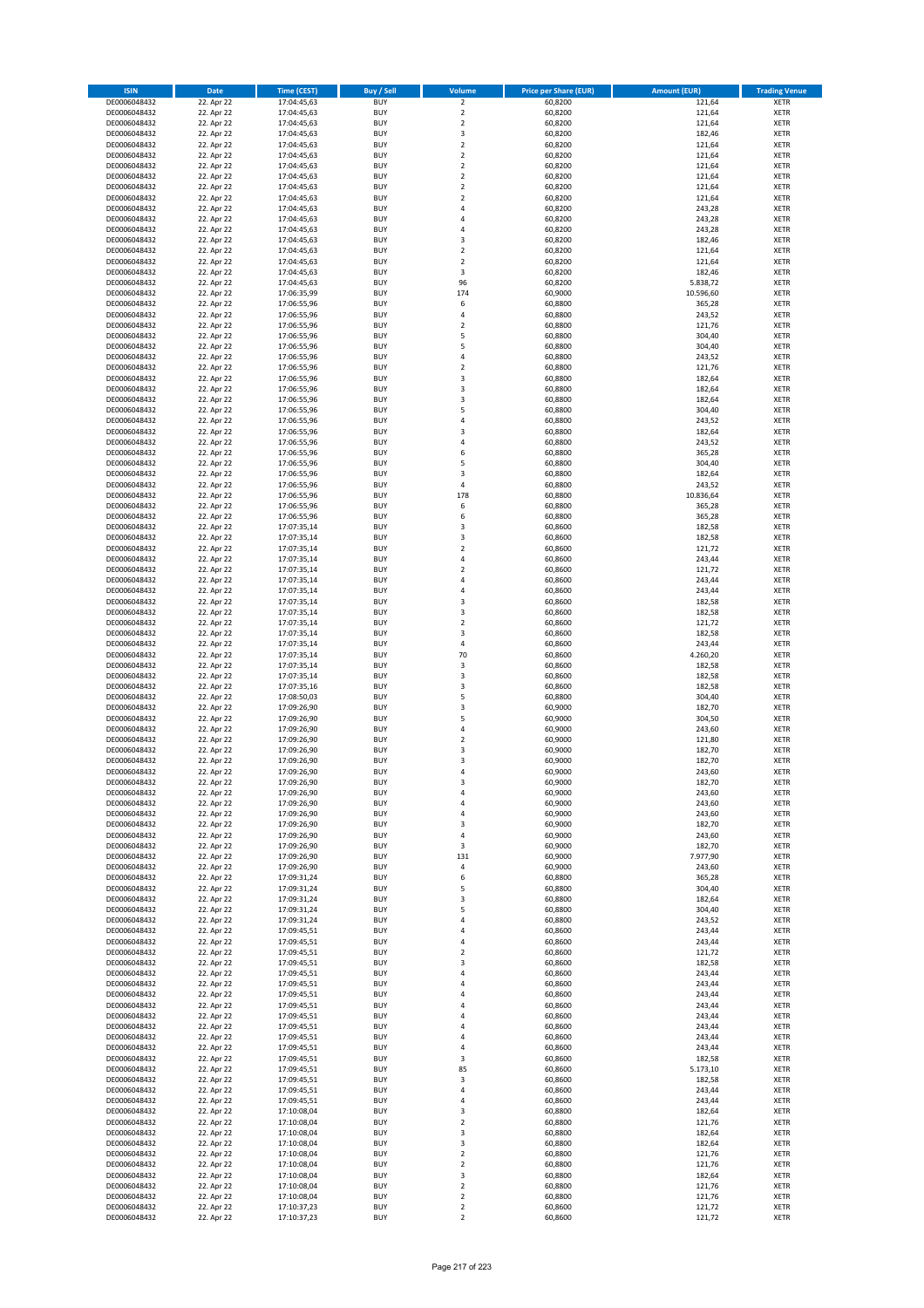| <b>ISIN</b>                  | Date                     | Time (CEST)                | <b>Buy / Sell</b>        | <b>Volume</b>              | <b>Price per Share (EUR)</b> | <b>Amount (EUR)</b> | <b>Trading Venue</b>       |
|------------------------------|--------------------------|----------------------------|--------------------------|----------------------------|------------------------------|---------------------|----------------------------|
| DE0006048432                 | 22. Apr 22               | 17:04:45,63                | <b>BUY</b>               | $\overline{2}$             | 60,8200                      | 121,64              | <b>XETR</b>                |
| DE0006048432                 | 22. Apr 22               | 17:04:45,63                | <b>BUY</b>               | $\mathbf 2$                | 60,8200                      | 121,64              | <b>XETR</b>                |
| DE0006048432                 | 22. Apr 22               | 17:04:45,63                | <b>BUY</b>               | $\mathbf 2$                | 60,8200                      | 121,64              | XETR                       |
| DE0006048432<br>DE0006048432 | 22. Apr 22<br>22. Apr 22 | 17:04:45,63<br>17:04:45,63 | <b>BUY</b><br><b>BUY</b> | 3<br>$\mathbf 2$           | 60,8200<br>60,8200           | 182,46<br>121,64    | <b>XETR</b><br><b>XETR</b> |
| DE0006048432                 | 22. Apr 22               | 17:04:45,63                | <b>BUY</b>               | $\overline{2}$             | 60,8200                      | 121,64              | <b>XETR</b>                |
| DE0006048432                 | 22. Apr 22               | 17:04:45,63                | <b>BUY</b>               | $\mathbf 2$                | 60,8200                      | 121,64              | <b>XETR</b>                |
| DE0006048432                 | 22. Apr 22               | 17:04:45,63                | <b>BUY</b>               | $\mathbf 2$                | 60,8200                      | 121,64              | <b>XETR</b>                |
| DE0006048432                 | 22. Apr 22               | 17:04:45,63                | <b>BUY</b>               | $\mathbf 2$                | 60,8200                      | 121,64              | <b>XETR</b>                |
| DE0006048432<br>DE0006048432 | 22. Apr 22               | 17:04:45,63                | <b>BUY</b><br><b>BUY</b> | $\mathbf 2$<br>4           | 60,8200                      | 121,64              | <b>XETR</b><br><b>XETR</b> |
| DE0006048432                 | 22. Apr 22<br>22. Apr 22 | 17:04:45,63<br>17:04:45,63 | <b>BUY</b>               | $\overline{4}$             | 60,8200<br>60,8200           | 243,28<br>243,28    | <b>XETR</b>                |
| DE0006048432                 | 22. Apr 22               | 17:04:45,63                | <b>BUY</b>               | 4                          | 60,8200                      | 243,28              | <b>XETR</b>                |
| DE0006048432                 | 22. Apr 22               | 17:04:45,63                | <b>BUY</b>               | 3                          | 60,8200                      | 182,46              | <b>XETR</b>                |
| DE0006048432                 | 22. Apr 22               | 17:04:45,63                | <b>BUY</b>               | $\mathbf 2$                | 60,8200                      | 121,64              | <b>XETR</b>                |
| DE0006048432<br>DE0006048432 | 22. Apr 22               | 17:04:45,63                | <b>BUY</b>               | $\mathbf 2$                | 60,8200                      | 121,64              | <b>XETR</b>                |
| DE0006048432                 | 22. Apr 22<br>22. Apr 22 | 17:04:45,63<br>17:04:45,63 | <b>BUY</b><br><b>BUY</b> | 3<br>96                    | 60,8200<br>60,8200           | 182,46<br>5.838,72  | <b>XETR</b><br><b>XETR</b> |
| DE0006048432                 | 22. Apr 22               | 17:06:35,99                | <b>BUY</b>               | 174                        | 60,9000                      | 10.596,60           | <b>XETR</b>                |
| DE0006048432                 | 22. Apr 22               | 17:06:55,96                | <b>BUY</b>               | 6                          | 60,8800                      | 365,28              | <b>XETR</b>                |
| DE0006048432                 | 22. Apr 22               | 17:06:55,96                | <b>BUY</b>               | 4                          | 60,8800                      | 243,52              | <b>XETR</b>                |
| DE0006048432                 | 22. Apr 22               | 17:06:55,96                | <b>BUY</b>               | $\overline{2}$             | 60,8800                      | 121,76              | <b>XETR</b>                |
| DE0006048432<br>DE0006048432 | 22. Apr 22<br>22. Apr 22 | 17:06:55,96<br>17:06:55,96 | <b>BUY</b><br><b>BUY</b> | 5<br>5                     | 60,8800<br>60,8800           | 304,40<br>304,40    | <b>XETR</b><br><b>XETR</b> |
| DE0006048432                 | 22. Apr 22               | 17:06:55,96                | <b>BUY</b>               | 4                          | 60,8800                      | 243,52              | <b>XETR</b>                |
| DE0006048432                 | 22. Apr 22               | 17:06:55,96                | <b>BUY</b>               | $\mathbf 2$                | 60,8800                      | 121,76              | <b>XETR</b>                |
| DE0006048432                 | 22. Apr 22               | 17:06:55,96                | <b>BUY</b>               | 3                          | 60,8800                      | 182,64              | <b>XETR</b>                |
| DE0006048432                 | 22. Apr 22               | 17:06:55,96                | <b>BUY</b>               | 3                          | 60,8800                      | 182,64              | <b>XETR</b>                |
| DE0006048432                 | 22. Apr 22               | 17:06:55,96                | <b>BUY</b>               | 3<br>5                     | 60,8800                      | 182,64              | <b>XETR</b>                |
| DE0006048432<br>DE0006048432 | 22. Apr 22<br>22. Apr 22 | 17:06:55,96<br>17:06:55,96 | <b>BUY</b><br><b>BUY</b> | 4                          | 60,8800<br>60,8800           | 304,40<br>243,52    | <b>XETR</b><br><b>XETR</b> |
| DE0006048432                 | 22. Apr 22               | 17:06:55,96                | <b>BUY</b>               | 3                          | 60,8800                      | 182,64              | <b>XETR</b>                |
| DE0006048432                 | 22. Apr 22               | 17:06:55,96                | <b>BUY</b>               | 4                          | 60,8800                      | 243,52              | <b>XETR</b>                |
| DE0006048432                 | 22. Apr 22               | 17:06:55,96                | <b>BUY</b>               | 6                          | 60,8800                      | 365,28              | <b>XETR</b>                |
| DE0006048432                 | 22. Apr 22               | 17:06:55,96                | <b>BUY</b>               | 5                          | 60,8800                      | 304,40              | <b>XETR</b>                |
| DE0006048432<br>DE0006048432 | 22. Apr 22<br>22. Apr 22 | 17:06:55,96<br>17:06:55,96 | <b>BUY</b><br><b>BUY</b> | 3<br>$\sqrt{4}$            | 60,8800<br>60,8800           | 182,64<br>243,52    | <b>XETR</b><br><b>XETR</b> |
| DE0006048432                 | 22. Apr 22               | 17:06:55,96                | <b>BUY</b>               | 178                        | 60,8800                      | 10.836,64           | <b>XETR</b>                |
| DE0006048432                 | 22. Apr 22               | 17:06:55,96                | <b>BUY</b>               | 6                          | 60,8800                      | 365,28              | <b>XETR</b>                |
| DE0006048432                 | 22. Apr 22               | 17:06:55,96                | <b>BUY</b>               | 6                          | 60,8800                      | 365,28              | <b>XETR</b>                |
| DE0006048432                 | 22. Apr 22               | 17:07:35,14                | <b>BUY</b>               | 3                          | 60,8600                      | 182,58              | <b>XETR</b>                |
| DE0006048432                 | 22. Apr 22               | 17:07:35,14                | <b>BUY</b>               | 3<br>$\overline{2}$        | 60,8600                      | 182,58              | <b>XETR</b>                |
| DE0006048432<br>DE0006048432 | 22. Apr 22<br>22. Apr 22 | 17:07:35,14<br>17:07:35,14 | <b>BUY</b><br><b>BUY</b> | 4                          | 60,8600<br>60,8600           | 121,72<br>243,44    | <b>XETR</b><br><b>XETR</b> |
| DE0006048432                 | 22. Apr 22               | 17:07:35,14                | <b>BUY</b>               | $\overline{2}$             | 60,8600                      | 121,72              | <b>XETR</b>                |
| DE0006048432                 | 22. Apr 22               | 17:07:35,14                | <b>BUY</b>               | 4                          | 60,8600                      | 243,44              | <b>XETR</b>                |
| DE0006048432                 | 22. Apr 22               | 17:07:35,14                | <b>BUY</b>               | 4                          | 60,8600                      | 243,44              | <b>XETR</b>                |
| DE0006048432                 | 22. Apr 22               | 17:07:35,14                | <b>BUY</b>               | 3                          | 60,8600                      | 182,58              | <b>XETR</b>                |
| DE0006048432<br>DE0006048432 | 22. Apr 22<br>22. Apr 22 | 17:07:35,14<br>17:07:35,14 | <b>BUY</b><br><b>BUY</b> | 3<br>$\mathbf 2$           | 60,8600<br>60,8600           | 182,58<br>121,72    | <b>XETR</b><br><b>XETR</b> |
| DE0006048432                 | 22. Apr 22               | 17:07:35,14                | <b>BUY</b>               | 3                          | 60,8600                      | 182,58              | <b>XETR</b>                |
| DE0006048432                 | 22. Apr 22               | 17:07:35,14                | <b>BUY</b>               | $\sqrt{4}$                 | 60,8600                      | 243,44              | <b>XETR</b>                |
| DE0006048432                 | 22. Apr 22               | 17:07:35,14                | <b>BUY</b>               | 70                         | 60,8600                      | 4.260,20            | <b>XETR</b>                |
| DE0006048432                 | 22. Apr 22               | 17:07:35,14                | <b>BUY</b>               | 3                          | 60,8600                      | 182,58              | <b>XETR</b>                |
| DE0006048432<br>DE0006048432 | 22. Apr 22<br>22. Apr 22 | 17:07:35,14<br>17:07:35,16 | <b>BUY</b><br><b>BUY</b> | 3<br>3                     | 60,8600<br>60,8600           | 182,58<br>182,58    | <b>XETR</b><br><b>XETR</b> |
| DE0006048432                 | 22. Apr 22               | 17:08:50,03                | <b>BUY</b>               | 5                          | 60,8800                      | 304,40              | <b>XETR</b>                |
| DE0006048432                 | 22. Apr 22               | 17:09:26,90                | <b>BUY</b>               | 3                          | 60,9000                      | 182,70              | <b>XETR</b>                |
| DE0006048432                 | 22. Apr 22               | 17:09:26,90                | <b>BUY</b>               | 5                          | 60,9000                      | 304,50              | <b>XETR</b>                |
| DE0006048432                 | 22. Apr 22               | 17:09:26,90                | <b>BUY</b>               | 4                          | 60,9000                      | 243,60              | <b>XETR</b>                |
| DE0006048432<br>DE0006048432 | 22. Apr 22<br>22. Apr 22 | 17:09:26,90<br>17:09:26,90 | <b>BUY</b><br><b>BUY</b> | $\overline{2}$<br>3        | 60,9000<br>60,9000           | 121,80<br>182,70    | <b>XETR</b><br><b>XETR</b> |
| DE0006048432                 | 22. Apr 22               | 17:09:26,90                | <b>BUY</b>               | 3                          | 60,9000                      | 182,70              | <b>XETR</b>                |
| DE0006048432                 | 22. Apr 22               | 17:09:26,90                | <b>BUY</b>               | $\overline{a}$             | 60,9000                      | 243,60              | <b>XETR</b>                |
| DE0006048432                 | 22. Apr 22               | 17:09:26,90                | <b>BUY</b>               | 3                          | 60,9000                      | 182,70              | <b>XETR</b>                |
| DE0006048432                 | 22. Apr 22               | 17:09:26,90                | <b>BUY</b>               | 4                          | 60,9000                      | 243,60              | <b>XETR</b>                |
| DE0006048432<br>DE0006048432 | 22. Apr 22<br>22. Apr 22 | 17:09:26,90<br>17:09:26,90 | <b>BUY</b><br><b>BUY</b> | 4<br>4                     | 60,9000<br>60.9000           | 243,60<br>243,60    | XETR<br><b>XETR</b>        |
| DE0006048432                 | 22. Apr 22               | 17:09:26,90                | <b>BUY</b>               | 3                          | 60,9000                      | 182,70              | <b>XETR</b>                |
| DE0006048432                 | 22. Apr 22               | 17:09:26,90                | <b>BUY</b>               | $\sqrt{4}$                 | 60,9000                      | 243,60              | <b>XETR</b>                |
| DE0006048432                 | 22. Apr 22               | 17:09:26,90                | <b>BUY</b>               | 3                          | 60,9000                      | 182,70              | <b>XETR</b>                |
| DE0006048432                 | 22. Apr 22               | 17:09:26,90                | <b>BUY</b>               | 131                        | 60,9000                      | 7.977,90            | <b>XETR</b>                |
| DE0006048432<br>DE0006048432 | 22. Apr 22<br>22. Apr 22 | 17:09:26,90<br>17:09:31,24 | <b>BUY</b><br><b>BUY</b> | $\sqrt{4}$<br>6            | 60,9000<br>60,8800           | 243,60<br>365,28    | <b>XETR</b><br>XETR        |
| DE0006048432                 | 22. Apr 22               | 17:09:31,24                | <b>BUY</b>               | 5                          | 60,8800                      | 304,40              | <b>XETR</b>                |
| DE0006048432                 | 22. Apr 22               | 17:09:31,24                | <b>BUY</b>               | 3                          | 60,8800                      | 182,64              | <b>XETR</b>                |
| DE0006048432                 | 22. Apr 22               | 17:09:31,24                | <b>BUY</b>               | 5                          | 60,8800                      | 304,40              | <b>XETR</b>                |
| DE0006048432                 | 22. Apr 22               | 17:09:31,24                | <b>BUY</b>               | 4                          | 60,8800                      | 243,52              | <b>XETR</b>                |
| DE0006048432<br>DE0006048432 | 22. Apr 22<br>22. Apr 22 | 17:09:45,51<br>17:09:45,51 | <b>BUY</b><br><b>BUY</b> | 4<br>4                     | 60,8600<br>60,8600           | 243,44<br>243,44    | <b>XETR</b><br><b>XETR</b> |
| DE0006048432                 | 22. Apr 22               | 17:09:45,51                | <b>BUY</b>               | $\mathbf 2$                | 60,8600                      | 121,72              | XETR                       |
| DE0006048432                 | 22. Apr 22               | 17:09:45,51                | <b>BUY</b>               | 3                          | 60,8600                      | 182,58              | <b>XETR</b>                |
| DE0006048432                 | 22. Apr 22               | 17:09:45,51                | <b>BUY</b>               | 4                          | 60,8600                      | 243,44              | <b>XETR</b>                |
| DE0006048432                 | 22. Apr 22               | 17:09:45,51                | <b>BUY</b>               | 4<br>4                     | 60,8600                      | 243,44              | <b>XETR</b>                |
| DE0006048432<br>DE0006048432 | 22. Apr 22<br>22. Apr 22 | 17:09:45,51<br>17:09:45,51 | <b>BUY</b><br><b>BUY</b> | 4                          | 60,8600<br>60,8600           | 243,44<br>243,44    | <b>XETR</b><br><b>XETR</b> |
| DE0006048432                 | 22. Apr 22               | 17:09:45,51                | <b>BUY</b>               | 4                          | 60,8600                      | 243,44              | <b>XETR</b>                |
| DE0006048432                 | 22. Apr 22               | 17:09:45,51                | <b>BUY</b>               | 4                          | 60,8600                      | 243,44              | <b>XETR</b>                |
| DE0006048432                 | 22. Apr 22               | 17:09:45,51                | <b>BUY</b>               | 4                          | 60,8600                      | 243,44              | <b>XETR</b>                |
| DE0006048432                 | 22. Apr 22               | 17:09:45,51                | <b>BUY</b>               | 4                          | 60,8600                      | 243,44              | <b>XETR</b>                |
| DE0006048432<br>DE0006048432 | 22. Apr 22<br>22. Apr 22 | 17:09:45,51<br>17:09:45,51 | <b>BUY</b><br><b>BUY</b> | 3<br>85                    | 60,8600<br>60,8600           | 182,58<br>5.173,10  | <b>XETR</b><br><b>XETR</b> |
| DE0006048432                 | 22. Apr 22               | 17:09:45,51                | <b>BUY</b>               | 3                          | 60,8600                      | 182,58              | <b>XETR</b>                |
| DE0006048432                 | 22. Apr 22               | 17:09:45,51                | <b>BUY</b>               | 4                          | 60,8600                      | 243,44              | XETR                       |
| DE0006048432                 | 22. Apr 22               | 17:09:45,51                | <b>BUY</b>               | 4                          | 60,8600                      | 243,44              | <b>XETR</b>                |
| DE0006048432                 | 22. Apr 22               | 17:10:08,04                | <b>BUY</b>               | 3                          | 60,8800                      | 182,64              | <b>XETR</b>                |
| DE0006048432                 | 22. Apr 22<br>22. Apr 22 | 17:10:08,04                | <b>BUY</b>               | $\overline{2}$<br>3        | 60,8800<br>60,8800           | 121,76<br>182,64    | <b>XETR</b><br><b>XETR</b> |
| DE0006048432<br>DE0006048432 | 22. Apr 22               | 17:10:08,04<br>17:10:08,04 | <b>BUY</b><br><b>BUY</b> | 3                          | 60,8800                      | 182,64              | <b>XETR</b>                |
| DE0006048432                 | 22. Apr 22               | 17:10:08,04                | <b>BUY</b>               | $\overline{2}$             | 60,8800                      | 121,76              | <b>XETR</b>                |
| DE0006048432                 | 22. Apr 22               | 17:10:08,04                | <b>BUY</b>               | $\mathbf 2$                | 60,8800                      | 121,76              | XETR                       |
| DE0006048432                 | 22. Apr 22               | 17:10:08,04                | <b>BUY</b>               | 3                          | 60,8800                      | 182,64              | <b>XETR</b>                |
| DE0006048432                 | 22. Apr 22               | 17:10:08,04                | <b>BUY</b>               | $\overline{2}$             | 60,8800                      | 121,76              | XETR                       |
| DE0006048432<br>DE0006048432 | 22. Apr 22<br>22. Apr 22 | 17:10:08,04<br>17:10:37,23 | <b>BUY</b><br><b>BUY</b> | $\mathbf 2$<br>$\mathbf 2$ | 60,8800<br>60,8600           | 121,76<br>121,72    | <b>XETR</b><br><b>XETR</b> |
| DE0006048432                 | 22. Apr 22               | 17:10:37,23                | <b>BUY</b>               | $\overline{\mathbf{2}}$    | 60,8600                      | 121,72              | <b>XETR</b>                |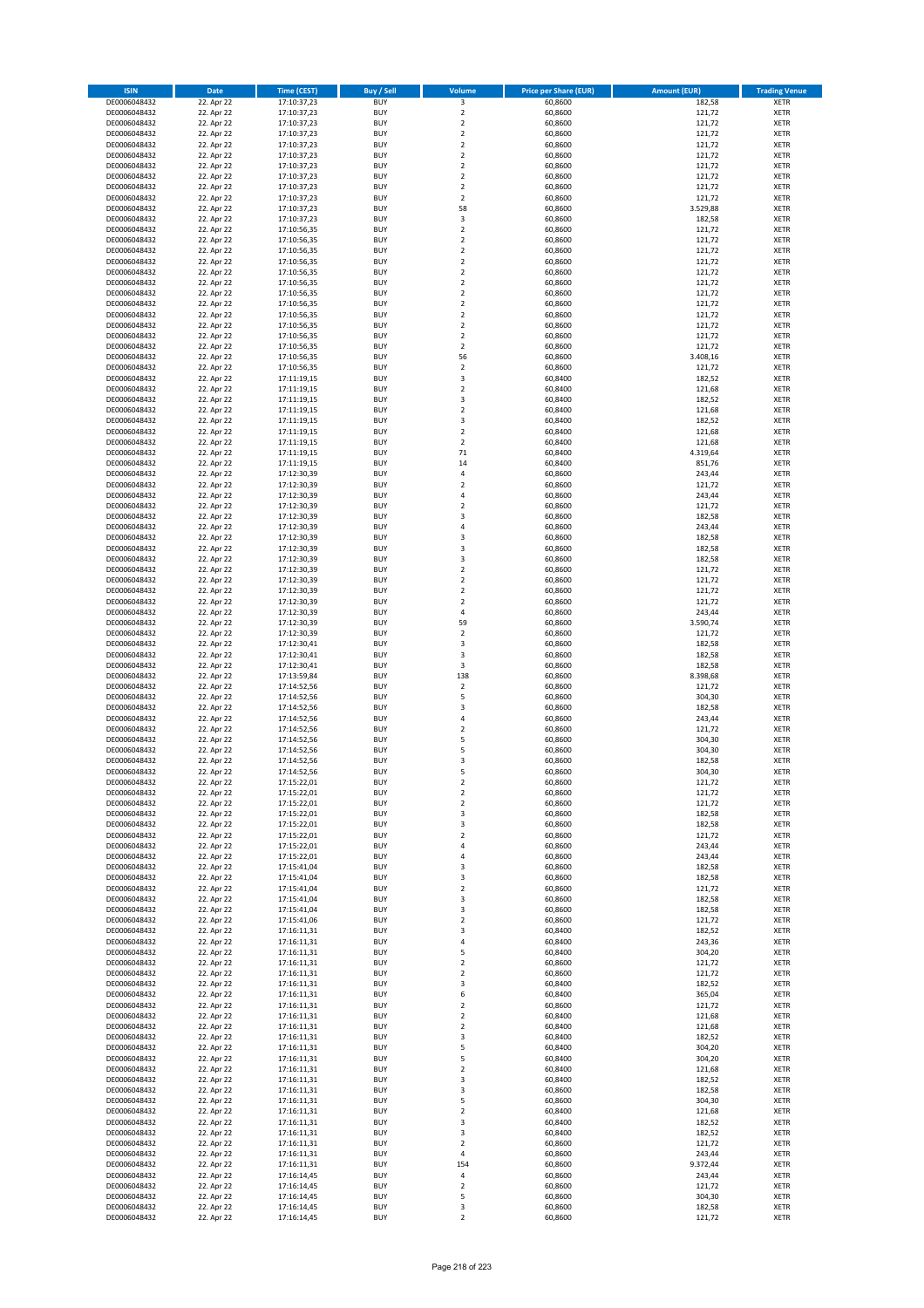| <b>ISIN</b>                  | <b>Date</b>              | <b>Time (CEST)</b>         | <b>Buy / Sell</b>        | Volume                                 | <b>Price per Share (EUR)</b> | <b>Amount (EUR)</b> | <b>Trading Venue</b>       |
|------------------------------|--------------------------|----------------------------|--------------------------|----------------------------------------|------------------------------|---------------------|----------------------------|
| DE0006048432                 | 22. Apr 22               | 17:10:37,23                | <b>BUY</b>               | 3                                      | 60,8600                      | 182,58              | <b>XETR</b>                |
| DE0006048432                 | 22. Apr 22               | 17:10:37,23                | <b>BUY</b>               | $\mathbf 2$                            | 60,8600                      | 121,72              | <b>XETR</b>                |
| DE0006048432                 | 22. Apr 22               | 17:10:37,23                | <b>BUY</b>               | $\overline{2}$                         | 60,8600                      | 121,72              | <b>XETR</b>                |
| DE0006048432<br>DE0006048432 | 22. Apr 22<br>22. Apr 22 | 17:10:37,23<br>17:10:37,23 | <b>BUY</b><br><b>BUY</b> | $\mathbf 2$<br>$\overline{\mathbf{c}}$ | 60,8600<br>60,8600           | 121,72<br>121,72    | <b>XETR</b><br><b>XETR</b> |
| DE0006048432                 | 22. Apr 22               | 17:10:37,23                | <b>BUY</b>               | $\mathbf 2$                            | 60,8600                      | 121,72              | <b>XETR</b>                |
| DE0006048432                 | 22. Apr 22               | 17:10:37,23                | <b>BUY</b>               | $\mathbf 2$                            | 60,8600                      | 121,72              | <b>XETR</b>                |
| DE0006048432                 | 22. Apr 22               | 17:10:37,23                | <b>BUY</b>               | $\mathbf 2$                            | 60,8600                      | 121,72              | <b>XETR</b>                |
| DE0006048432                 | 22. Apr 22               | 17:10:37,23                | <b>BUY</b>               | $\mathbf 2$                            | 60,8600                      | 121,72              | <b>XETR</b>                |
| DE0006048432                 | 22. Apr 22               | 17:10:37,23                | <b>BUY</b><br><b>BUY</b> | $\overline{2}$                         | 60,8600                      | 121,72              | <b>XETR</b>                |
| DE0006048432<br>DE0006048432 | 22. Apr 22<br>22. Apr 22 | 17:10:37,23<br>17:10:37,23 | <b>BUY</b>               | 58<br>3                                | 60,8600<br>60,8600           | 3.529,88<br>182,58  | <b>XETR</b><br><b>XETR</b> |
| DE0006048432                 | 22. Apr 22               | 17:10:56,35                | <b>BUY</b>               | $\mathbf 2$                            | 60,8600                      | 121,72              | <b>XETR</b>                |
| DE0006048432                 | 22. Apr 22               | 17:10:56,35                | <b>BUY</b>               | $\overline{\mathbf{c}}$                | 60,8600                      | 121,72              | <b>XETR</b>                |
| DE0006048432                 | 22. Apr 22               | 17:10:56,35                | <b>BUY</b>               | $\overline{\mathbf{c}}$                | 60,8600                      | 121,72              | <b>XETR</b>                |
| DE0006048432                 | 22. Apr 22               | 17:10:56,35                | <b>BUY</b>               | $\overline{\mathbf{c}}$                | 60,8600                      | 121,72              | <b>XETR</b>                |
| DE0006048432<br>DE0006048432 | 22. Apr 22<br>22. Apr 22 | 17:10:56,35<br>17:10:56,35 | <b>BUY</b><br><b>BUY</b> | $\mathbf 2$<br>$\mathbf 2$             | 60,8600<br>60,8600           | 121,72<br>121,72    | <b>XETR</b><br><b>XETR</b> |
| DE0006048432                 | 22. Apr 22               | 17:10:56,35                | <b>BUY</b>               | $\overline{\mathbf{c}}$                | 60,8600                      | 121,72              | <b>XETR</b>                |
| DE0006048432                 | 22. Apr 22               | 17:10:56,35                | <b>BUY</b>               | $\mathbf 2$                            | 60,8600                      | 121,72              | <b>XETR</b>                |
| DE0006048432                 | 22. Apr 22               | 17:10:56,35                | <b>BUY</b>               | $\overline{\mathbf{c}}$                | 60,8600                      | 121,72              | <b>XETR</b>                |
| DE0006048432                 | 22. Apr 22               | 17:10:56,35                | <b>BUY</b>               | $\mathbf 2$                            | 60,8600                      | 121,72              | <b>XETR</b>                |
| DE0006048432<br>DE0006048432 | 22. Apr 22<br>22. Apr 22 | 17:10:56,35<br>17:10:56,35 | <b>BUY</b><br><b>BUY</b> | $\mathbf 2$<br>$\mathbf 2$             | 60,8600<br>60,8600           | 121,72<br>121,72    | <b>XETR</b><br><b>XETR</b> |
| DE0006048432                 | 22. Apr 22               | 17:10:56,35                | <b>BUY</b>               | 56                                     | 60,8600                      | 3.408,16            | <b>XETR</b>                |
| DE0006048432                 | 22. Apr 22               | 17:10:56,35                | <b>BUY</b>               | $\mathbf 2$                            | 60,8600                      | 121,72              | <b>XETR</b>                |
| DE0006048432                 | 22. Apr 22               | 17:11:19,15                | <b>BUY</b>               | 3                                      | 60,8400                      | 182,52              | <b>XETR</b>                |
| DE0006048432                 | 22. Apr 22               | 17:11:19,15                | <b>BUY</b>               | $\overline{\mathbf{c}}$                | 60,8400                      | 121,68              | <b>XETR</b>                |
| DE0006048432<br>DE0006048432 | 22. Apr 22<br>22. Apr 22 | 17:11:19,15<br>17:11:19,15 | <b>BUY</b><br><b>BUY</b> | 3<br>$\overline{\mathbf{c}}$           | 60,8400<br>60,8400           | 182,52<br>121,68    | <b>XETR</b><br><b>XETR</b> |
| DE0006048432                 | 22. Apr 22               | 17:11:19,15                | <b>BUY</b>               | 3                                      | 60,8400                      | 182,52              | <b>XETR</b>                |
| DE0006048432                 | 22. Apr 22               | 17:11:19,15                | <b>BUY</b>               | $\overline{2}$                         | 60,8400                      | 121,68              | <b>XETR</b>                |
| DE0006048432                 | 22. Apr 22               | 17:11:19,15                | <b>BUY</b>               | $\mathbf 2$                            | 60,8400                      | 121,68              | <b>XETR</b>                |
| DE0006048432                 | 22. Apr 22               | 17:11:19,15                | <b>BUY</b>               | 71                                     | 60,8400                      | 4.319,64            | <b>XETR</b>                |
| DE0006048432                 | 22. Apr 22<br>22. Apr 22 | 17:11:19,15                | <b>BUY</b>               | 14                                     | 60,8400                      | 851,76              | <b>XETR</b>                |
| DE0006048432<br>DE0006048432 | 22. Apr 22               | 17:12:30,39<br>17:12:30,39 | <b>BUY</b><br><b>BUY</b> | 4<br>$\overline{\mathbf{c}}$           | 60,8600<br>60,8600           | 243,44<br>121,72    | <b>XETR</b><br><b>XETR</b> |
| DE0006048432                 | 22. Apr 22               | 17:12:30,39                | <b>BUY</b>               | 4                                      | 60,8600                      | 243,44              | <b>XETR</b>                |
| DE0006048432                 | 22. Apr 22               | 17:12:30,39                | <b>BUY</b>               | $\overline{\mathbf{c}}$                | 60,8600                      | 121,72              | <b>XETR</b>                |
| DE0006048432                 | 22. Apr 22               | 17:12:30,39                | <b>BUY</b>               | 3                                      | 60,8600                      | 182,58              | <b>XETR</b>                |
| DE0006048432                 | 22. Apr 22               | 17:12:30,39                | <b>BUY</b>               | 4                                      | 60,8600                      | 243,44              | <b>XETR</b>                |
| DE0006048432                 | 22. Apr 22               | 17:12:30,39                | <b>BUY</b>               | 3                                      | 60,8600                      | 182,58              | <b>XETR</b>                |
| DE0006048432<br>DE0006048432 | 22. Apr 22<br>22. Apr 22 | 17:12:30,39<br>17:12:30,39 | <b>BUY</b><br><b>BUY</b> | 3<br>3                                 | 60,8600<br>60,8600           | 182,58<br>182,58    | <b>XETR</b><br><b>XETR</b> |
| DE0006048432                 | 22. Apr 22               | 17:12:30,39                | <b>BUY</b>               | $\mathbf 2$                            | 60,8600                      | 121,72              | <b>XETR</b>                |
| DE0006048432                 | 22. Apr 22               | 17:12:30,39                | <b>BUY</b>               | $\overline{2}$                         | 60,8600                      | 121,72              | <b>XETR</b>                |
| DE0006048432                 | 22. Apr 22               | 17:12:30,39                | <b>BUY</b>               | $\mathbf 2$                            | 60,8600                      | 121,72              | <b>XETR</b>                |
| DE0006048432                 | 22. Apr 22               | 17:12:30,39                | <b>BUY</b>               | $\overline{\mathbf{c}}$                | 60,8600                      | 121,72              | <b>XETR</b>                |
| DE0006048432<br>DE0006048432 | 22. Apr 22<br>22. Apr 22 | 17:12:30,39<br>17:12:30,39 | <b>BUY</b><br><b>BUY</b> | 4<br>59                                | 60,8600<br>60,8600           | 243,44<br>3.590,74  | <b>XETR</b><br><b>XETR</b> |
| DE0006048432                 | 22. Apr 22               | 17:12:30,39                | <b>BUY</b>               | $\overline{\mathbf{c}}$                | 60,8600                      | 121,72              | <b>XETR</b>                |
| DE0006048432                 | 22. Apr 22               | 17:12:30,41                | <b>BUY</b>               | 3                                      | 60,8600                      | 182,58              | <b>XETR</b>                |
| DE0006048432                 | 22. Apr 22               | 17:12:30,41                | <b>BUY</b>               | 3                                      | 60,8600                      | 182,58              | <b>XETR</b>                |
| DE0006048432                 | 22. Apr 22               | 17:12:30,41                | <b>BUY</b>               | 3                                      | 60,8600                      | 182,58              | <b>XETR</b>                |
| DE0006048432                 | 22. Apr 22               | 17:13:59,84                | <b>BUY</b>               | 138                                    | 60,8600                      | 8.398,68            | <b>XETR</b>                |
| DE0006048432<br>DE0006048432 | 22. Apr 22<br>22. Apr 22 | 17:14:52,56<br>17:14:52,56 | <b>BUY</b><br><b>BUY</b> | $\mathbf 2$<br>5                       | 60,8600<br>60,8600           | 121,72<br>304,30    | <b>XETR</b><br><b>XETR</b> |
| DE0006048432                 | 22. Apr 22               | 17:14:52,56                | <b>BUY</b>               | 3                                      | 60,8600                      | 182,58              | <b>XETR</b>                |
| DE0006048432                 | 22. Apr 22               | 17:14:52,56                | <b>BUY</b>               | 4                                      | 60,8600                      | 243,44              | <b>XETR</b>                |
| DE0006048432                 | 22. Apr 22               | 17:14:52,56                | <b>BUY</b>               | $\overline{2}$                         | 60,8600                      | 121,72              | <b>XETR</b>                |
| DE0006048432                 | 22. Apr 22               | 17:14:52,56                | <b>BUY</b>               | 5                                      | 60,8600                      | 304,30              | <b>XETR</b>                |
| DE0006048432<br>DE0006048432 | 22. Apr 22<br>22. Apr 22 | 17:14:52,56<br>17:14:52,56 | <b>BUY</b><br><b>BUY</b> | 5<br>3                                 | 60,8600<br>60,8600           | 304,30<br>182,58    | <b>XETR</b><br><b>XETR</b> |
| DE0006048432                 | 22. Apr 22               | 17:14:52,56                | <b>BUY</b>               | 5                                      | 60,8600                      | 304,30              | <b>XETR</b>                |
| DE0006048432                 | 22. Apr 22               | 17:15:22,01                | BUY                      | 2                                      | 60,8600                      | 121,72              | <b>XETR</b>                |
| DE0006048432                 | 22. Apr 22               | 17:15:22,01                | <b>BUY</b>               | $\mathbf 2$                            | 60,8600                      | 121,72              | <b>XETR</b>                |
| DE0006048432                 | 22. Apr 22               | 17:15:22,01                | <b>BUY</b>               | $\mathbf 2$                            | 60,8600                      | 121,72              | <b>XETR</b>                |
| DE0006048432<br>DE0006048432 | 22. Apr 22<br>22. Apr 22 | 17:15:22,01<br>17:15:22,01 | <b>BUY</b><br><b>BUY</b> | 3<br>3                                 | 60,8600<br>60,8600           | 182,58<br>182,58    | XETR<br><b>XETR</b>        |
| DE0006048432                 | 22. Apr 22               | 17:15:22,01                | <b>BUY</b>               | $\mathbf 2$                            | 60,8600                      | 121,72              | <b>XETR</b>                |
| DE0006048432                 | 22. Apr 22               | 17:15:22,01                | <b>BUY</b>               | 4                                      | 60,8600                      | 243,44              | <b>XETR</b>                |
| DE0006048432                 | 22. Apr 22               | 17:15:22,01                | <b>BUY</b>               | 4                                      | 60,8600                      | 243,44              | <b>XETR</b>                |
| DE0006048432                 | 22. Apr 22               | 17:15:41,04                | <b>BUY</b>               | 3                                      | 60,8600                      | 182,58              | <b>XETR</b>                |
| DE0006048432<br>DE0006048432 | 22. Apr 22<br>22. Apr 22 | 17:15:41,04<br>17:15:41,04 | <b>BUY</b><br><b>BUY</b> | 3<br>$\mathbf 2$                       | 60,8600<br>60,8600           | 182,58<br>121,72    | <b>XETR</b><br><b>XETR</b> |
| DE0006048432                 | 22. Apr 22               | 17:15:41,04                | <b>BUY</b>               | 3                                      | 60,8600                      | 182,58              | <b>XETR</b>                |
| DE0006048432                 | 22. Apr 22               | 17:15:41,04                | <b>BUY</b>               | 3                                      | 60,8600                      | 182,58              | <b>XETR</b>                |
| DE0006048432                 | 22. Apr 22               | 17:15:41,06                | <b>BUY</b>               | $\overline{2}$                         | 60,8600                      | 121,72              | <b>XETR</b>                |
| DE0006048432                 | 22. Apr 22               | 17:16:11,31                | <b>BUY</b>               | 3                                      | 60,8400                      | 182,52              | <b>XETR</b>                |
| DE0006048432<br>DE0006048432 | 22. Apr 22<br>22. Apr 22 | 17:16:11,31<br>17:16:11,31 | <b>BUY</b><br><b>BUY</b> | 4<br>5                                 | 60,8400<br>60,8400           | 243,36<br>304,20    | <b>XETR</b><br><b>XETR</b> |
| DE0006048432                 | 22. Apr 22               | 17:16:11,31                | <b>BUY</b>               | $\mathbf 2$                            | 60,8600                      | 121,72              | <b>XETR</b>                |
| DE0006048432                 | 22. Apr 22               | 17:16:11,31                | <b>BUY</b>               | $\mathbf 2$                            | 60,8600                      | 121,72              | XETR                       |
| DE0006048432                 | 22. Apr 22               | 17:16:11,31                | <b>BUY</b>               | 3                                      | 60,8400                      | 182,52              | <b>XETR</b>                |
| DE0006048432                 | 22. Apr 22               | 17:16:11,31                | <b>BUY</b>               | 6                                      | 60,8400                      | 365,04              | <b>XETR</b>                |
| DE0006048432<br>DE0006048432 | 22. Apr 22<br>22. Apr 22 | 17:16:11,31                | <b>BUY</b><br><b>BUY</b> | $\mathbf 2$<br>$\overline{2}$          | 60,8600<br>60,8400           | 121,72<br>121,68    | <b>XETR</b><br><b>XETR</b> |
| DE0006048432                 | 22. Apr 22               | 17:16:11,31<br>17:16:11,31 | <b>BUY</b>               | $\mathbf 2$                            | 60,8400                      | 121,68              | <b>XETR</b>                |
| DE0006048432                 | 22. Apr 22               | 17:16:11,31                | <b>BUY</b>               | 3                                      | 60,8400                      | 182,52              | <b>XETR</b>                |
| DE0006048432                 | 22. Apr 22               | 17:16:11,31                | <b>BUY</b>               | 5                                      | 60,8400                      | 304,20              | <b>XETR</b>                |
| DE0006048432                 | 22. Apr 22               | 17:16:11,31                | <b>BUY</b>               | 5                                      | 60,8400                      | 304,20              | <b>XETR</b>                |
| DE0006048432                 | 22. Apr 22               | 17:16:11,31                | <b>BUY</b>               | $\overline{2}$                         | 60,8400                      | 121,68              | <b>XETR</b>                |
| DE0006048432<br>DE0006048432 | 22. Apr 22<br>22. Apr 22 | 17:16:11,31<br>17:16:11,31 | <b>BUY</b><br><b>BUY</b> | 3<br>3                                 | 60,8400<br>60,8600           | 182,52<br>182,58    | <b>XETR</b><br>XETR        |
| DE0006048432                 | 22. Apr 22               | 17:16:11,31                | <b>BUY</b>               | 5                                      | 60,8600                      | 304,30              | <b>XETR</b>                |
| DE0006048432                 | 22. Apr 22               | 17:16:11,31                | <b>BUY</b>               | $\mathbf 2$                            | 60,8400                      | 121,68              | <b>XETR</b>                |
| DE0006048432                 | 22. Apr 22               | 17:16:11,31                | <b>BUY</b>               | 3                                      | 60,8400                      | 182,52              | <b>XETR</b>                |
| DE0006048432                 | 22. Apr 22               | 17:16:11,31                | <b>BUY</b>               | 3                                      | 60,8400                      | 182,52              | <b>XETR</b>                |
| DE0006048432<br>DE0006048432 | 22. Apr 22<br>22. Apr 22 | 17:16:11,31<br>17:16:11,31 | <b>BUY</b><br><b>BUY</b> | $\mathbf 2$<br>4                       | 60,8600<br>60,8600           | 121,72<br>243,44    | <b>XETR</b><br><b>XETR</b> |
| DE0006048432                 | 22. Apr 22               | 17:16:11,31                | <b>BUY</b>               | 154                                    | 60,8600                      | 9.372,44            | <b>XETR</b>                |
| DE0006048432                 | 22. Apr 22               | 17:16:14,45                | <b>BUY</b>               | 4                                      | 60,8600                      | 243,44              | XETR                       |
| DE0006048432                 | 22. Apr 22               | 17:16:14,45                | <b>BUY</b>               | $\overline{2}$                         | 60,8600                      | 121,72              | <b>XETR</b>                |
| DE0006048432                 | 22. Apr 22               | 17:16:14,45                | <b>BUY</b>               | 5                                      | 60,8600                      | 304,30              | <b>XETR</b>                |
| DE0006048432<br>DE0006048432 | 22. Apr 22<br>22. Apr 22 | 17:16:14,45<br>17:16:14,45 | <b>BUY</b><br><b>BUY</b> | 3<br>$\mathbf 2$                       | 60,8600<br>60,8600           | 182,58<br>121,72    | <b>XETR</b><br>XETR        |
|                              |                          |                            |                          |                                        |                              |                     |                            |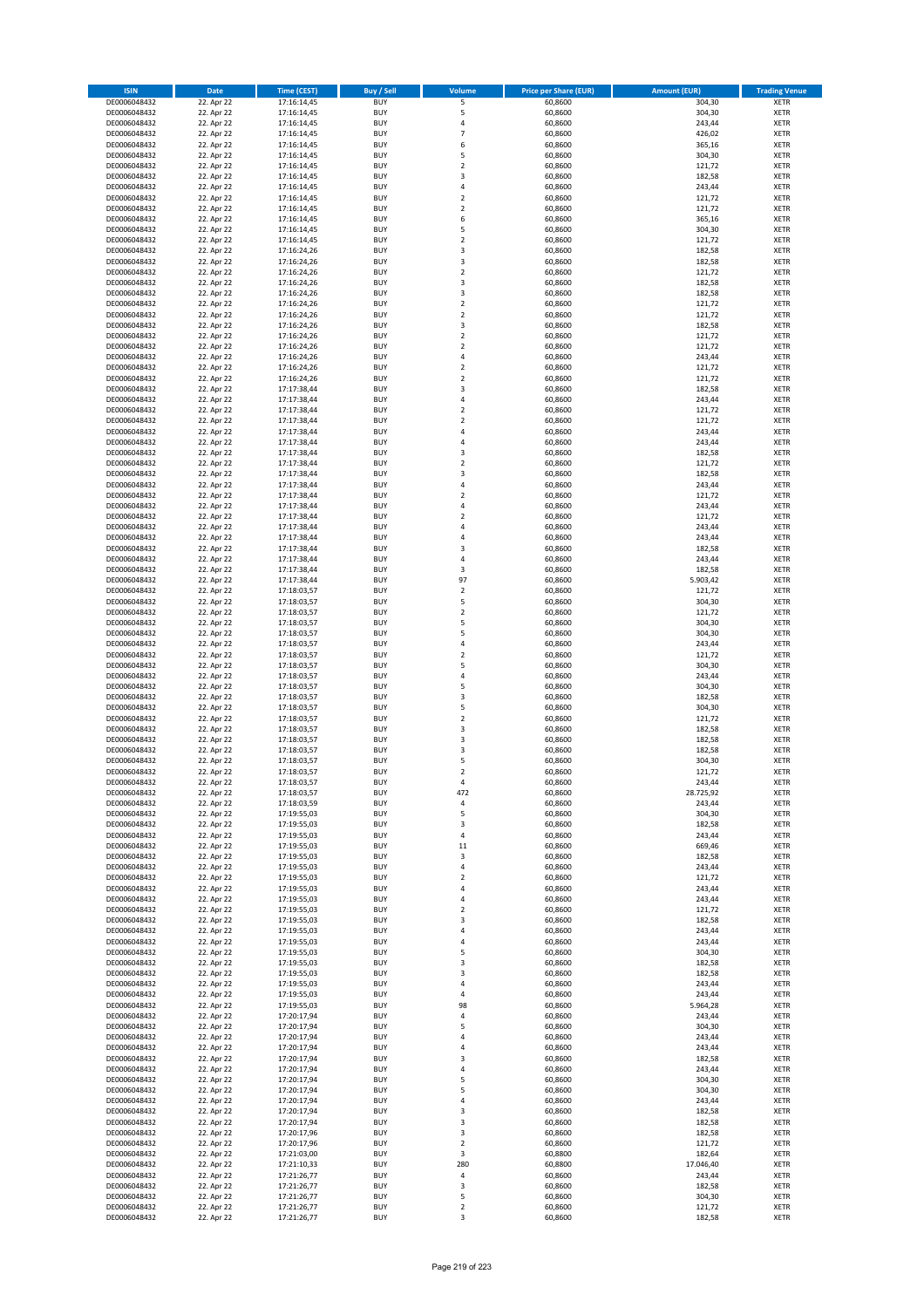| <b>ISIN</b>                  | <b>Date</b>              | <b>Time (CEST)</b>         | <b>Buy / Sell</b>        | <b>Volume</b>                          | <b>Price per Share (EUR)</b> | <b>Amount (EUR)</b> | <b>Trading Venue</b>       |
|------------------------------|--------------------------|----------------------------|--------------------------|----------------------------------------|------------------------------|---------------------|----------------------------|
| DE0006048432                 | 22. Apr 22               | 17:16:14,45                | <b>BUY</b>               | 5                                      | 60,8600                      | 304,30              | <b>XETR</b>                |
| DE0006048432                 | 22. Apr 22               | 17:16:14,45                | <b>BUY</b>               | 5                                      | 60,8600                      | 304,30              | <b>XETR</b>                |
| DE0006048432                 | 22. Apr 22               | 17:16:14,45                | <b>BUY</b>               | 4                                      | 60,8600                      | 243,44              | <b>XETR</b>                |
| DE0006048432<br>DE0006048432 | 22. Apr 22<br>22. Apr 22 | 17:16:14,45<br>17:16:14,45 | <b>BUY</b><br><b>BUY</b> | $\overline{7}$<br>6                    | 60,8600<br>60,8600           | 426,02<br>365,16    | <b>XETR</b><br><b>XETR</b> |
| DE0006048432                 | 22. Apr 22               | 17:16:14,45                | <b>BUY</b>               | 5                                      | 60,8600                      | 304,30              | <b>XETR</b>                |
| DE0006048432                 | 22. Apr 22               | 17:16:14,45                | <b>BUY</b>               | $\mathbf 2$                            | 60,8600                      | 121,72              | <b>XETR</b>                |
| DE0006048432                 | 22. Apr 22               | 17:16:14,45                | <b>BUY</b>               | 3                                      | 60,8600                      | 182,58              | <b>XETR</b>                |
| DE0006048432                 | 22. Apr 22               | 17:16:14,45                | <b>BUY</b>               | 4                                      | 60,8600                      | 243,44              | <b>XETR</b>                |
| DE0006048432                 | 22. Apr 22               | 17:16:14,45                | <b>BUY</b><br><b>BUY</b> | $\mathbf 2$                            | 60,8600                      | 121,72              | <b>XETR</b><br><b>XETR</b> |
| DE0006048432<br>DE0006048432 | 22. Apr 22<br>22. Apr 22 | 17:16:14,45<br>17:16:14,45 | <b>BUY</b>               | $\mathbf 2$<br>6                       | 60,8600<br>60,8600           | 121,72<br>365,16    | <b>XETR</b>                |
| DE0006048432                 | 22. Apr 22               | 17:16:14,45                | <b>BUY</b>               | 5                                      | 60,8600                      | 304,30              | <b>XETR</b>                |
| DE0006048432                 | 22. Apr 22               | 17:16:14,45                | <b>BUY</b>               | $\overline{\mathbf{c}}$                | 60,8600                      | 121,72              | <b>XETR</b>                |
| DE0006048432                 | 22. Apr 22               | 17:16:24,26                | <b>BUY</b>               | 3                                      | 60,8600                      | 182,58              | <b>XETR</b>                |
| DE0006048432                 | 22. Apr 22               | 17:16:24,26                | <b>BUY</b>               | 3                                      | 60,8600                      | 182,58              | <b>XETR</b>                |
| DE0006048432<br>DE0006048432 | 22. Apr 22<br>22. Apr 22 | 17:16:24,26<br>17:16:24,26 | <b>BUY</b><br><b>BUY</b> | $\mathbf 2$<br>3                       | 60,8600<br>60,8600           | 121,72<br>182,58    | <b>XETR</b><br><b>XETR</b> |
| DE0006048432                 | 22. Apr 22               | 17:16:24,26                | <b>BUY</b>               | 3                                      | 60,8600                      | 182,58              | <b>XETR</b>                |
| DE0006048432                 | 22. Apr 22               | 17:16:24,26                | <b>BUY</b>               | $\mathbf 2$                            | 60,8600                      | 121,72              | <b>XETR</b>                |
| DE0006048432                 | 22. Apr 22               | 17:16:24,26                | <b>BUY</b>               | $\overline{\mathbf{c}}$                | 60,8600                      | 121,72              | <b>XETR</b>                |
| DE0006048432                 | 22. Apr 22               | 17:16:24,26                | <b>BUY</b>               | 3                                      | 60,8600                      | 182,58              | <b>XETR</b>                |
| DE0006048432                 | 22. Apr 22               | 17:16:24,26                | <b>BUY</b>               | $\mathbf 2$                            | 60,8600                      | 121,72              | <b>XETR</b>                |
| DE0006048432<br>DE0006048432 | 22. Apr 22<br>22. Apr 22 | 17:16:24,26<br>17:16:24,26 | <b>BUY</b><br><b>BUY</b> | $\mathbf 2$<br>4                       | 60,8600<br>60,8600           | 121,72<br>243,44    | <b>XETR</b><br><b>XETR</b> |
| DE0006048432                 | 22. Apr 22               | 17:16:24,26                | <b>BUY</b>               | $\mathbf 2$                            | 60,8600                      | 121,72              | <b>XETR</b>                |
| DE0006048432                 | 22. Apr 22               | 17:16:24,26                | <b>BUY</b>               | $\mathbf 2$                            | 60,8600                      | 121,72              | <b>XETR</b>                |
| DE0006048432                 | 22. Apr 22               | 17:17:38,44                | <b>BUY</b>               | 3                                      | 60,8600                      | 182,58              | <b>XETR</b>                |
| DE0006048432                 | 22. Apr 22               | 17:17:38,44                | <b>BUY</b>               | 4                                      | 60,8600                      | 243,44              | <b>XETR</b>                |
| DE0006048432<br>DE0006048432 | 22. Apr 22<br>22. Apr 22 | 17:17:38,44<br>17:17:38,44 | <b>BUY</b><br><b>BUY</b> | $\overline{\mathbf{c}}$<br>$\mathbf 2$ | 60,8600<br>60,8600           | 121,72<br>121,72    | <b>XETR</b><br><b>XETR</b> |
| DE0006048432                 | 22. Apr 22               | 17:17:38,44                | <b>BUY</b>               | 4                                      | 60,8600                      | 243,44              | <b>XETR</b>                |
| DE0006048432                 | 22. Apr 22               | 17:17:38,44                | <b>BUY</b>               | 4                                      | 60,8600                      | 243,44              | <b>XETR</b>                |
| DE0006048432                 | 22. Apr 22               | 17:17:38,44                | <b>BUY</b>               | 3                                      | 60,8600                      | 182,58              | <b>XETR</b>                |
| DE0006048432                 | 22. Apr 22               | 17:17:38,44                | <b>BUY</b>               | $\mathbf 2$                            | 60,8600                      | 121,72              | <b>XETR</b>                |
| DE0006048432                 | 22. Apr 22               | 17:17:38,44                | <b>BUY</b>               | 3<br>4                                 | 60,8600                      | 182,58              | <b>XETR</b>                |
| DE0006048432<br>DE0006048432 | 22. Apr 22<br>22. Apr 22 | 17:17:38,44<br>17:17:38,44 | <b>BUY</b><br><b>BUY</b> | $\mathbf 2$                            | 60,8600<br>60,8600           | 243,44<br>121,72    | <b>XETR</b><br><b>XETR</b> |
| DE0006048432                 | 22. Apr 22               | 17:17:38,44                | <b>BUY</b>               | 4                                      | 60,8600                      | 243,44              | <b>XETR</b>                |
| DE0006048432                 | 22. Apr 22               | 17:17:38,44                | <b>BUY</b>               | $\overline{\mathbf{c}}$                | 60,8600                      | 121,72              | <b>XETR</b>                |
| DE0006048432                 | 22. Apr 22               | 17:17:38,44                | <b>BUY</b>               | 4                                      | 60,8600                      | 243,44              | <b>XETR</b>                |
| DE0006048432                 | 22. Apr 22               | 17:17:38,44                | <b>BUY</b>               | 4                                      | 60,8600                      | 243,44              | <b>XETR</b>                |
| DE0006048432                 | 22. Apr 22               | 17:17:38,44                | <b>BUY</b>               | 3                                      | 60,8600                      | 182,58              | <b>XETR</b>                |
| DE0006048432<br>DE0006048432 | 22. Apr 22<br>22. Apr 22 | 17:17:38,44<br>17:17:38,44 | <b>BUY</b><br><b>BUY</b> | 4<br>3                                 | 60,8600<br>60,8600           | 243,44<br>182,58    | <b>XETR</b><br><b>XETR</b> |
| DE0006048432                 | 22. Apr 22               | 17:17:38,44                | <b>BUY</b>               | 97                                     | 60,8600                      | 5.903,42            | <b>XETR</b>                |
| DE0006048432                 | 22. Apr 22               | 17:18:03,57                | <b>BUY</b>               | $\mathbf 2$                            | 60,8600                      | 121,72              | <b>XETR</b>                |
| DE0006048432                 | 22. Apr 22               | 17:18:03,57                | <b>BUY</b>               | 5                                      | 60,8600                      | 304,30              | <b>XETR</b>                |
| DE0006048432                 | 22. Apr 22               | 17:18:03,57                | <b>BUY</b>               | $\mathbf 2$                            | 60,8600                      | 121,72              | <b>XETR</b>                |
| DE0006048432<br>DE0006048432 | 22. Apr 22<br>22. Apr 22 | 17:18:03,57                | <b>BUY</b><br><b>BUY</b> | 5<br>5                                 | 60,8600<br>60,8600           | 304,30<br>304,30    | <b>XETR</b><br><b>XETR</b> |
| DE0006048432                 | 22. Apr 22               | 17:18:03,57<br>17:18:03,57 | <b>BUY</b>               | 4                                      | 60,8600                      | 243,44              | <b>XETR</b>                |
| DE0006048432                 | 22. Apr 22               | 17:18:03,57                | <b>BUY</b>               | $\overline{\mathbf{c}}$                | 60,8600                      | 121,72              | <b>XETR</b>                |
| DE0006048432                 | 22. Apr 22               | 17:18:03,57                | <b>BUY</b>               | 5                                      | 60,8600                      | 304,30              | <b>XETR</b>                |
| DE0006048432                 | 22. Apr 22               | 17:18:03,57                | <b>BUY</b>               | 4                                      | 60,8600                      | 243,44              | <b>XETR</b>                |
| DE0006048432                 | 22. Apr 22               | 17:18:03,57                | <b>BUY</b>               | 5                                      | 60,8600                      | 304,30              | <b>XETR</b>                |
| DE0006048432<br>DE0006048432 | 22. Apr 22<br>22. Apr 22 | 17:18:03,57<br>17:18:03,57 | <b>BUY</b><br><b>BUY</b> | 3<br>5                                 | 60,8600<br>60,8600           | 182,58<br>304,30    | <b>XETR</b><br><b>XETR</b> |
| DE0006048432                 | 22. Apr 22               | 17:18:03,57                | <b>BUY</b>               | $\overline{\mathbf{c}}$                | 60,8600                      | 121,72              | <b>XETR</b>                |
| DE0006048432                 | 22. Apr 22               | 17:18:03,57                | <b>BUY</b>               | 3                                      | 60,8600                      | 182,58              | <b>XETR</b>                |
| DE0006048432                 | 22. Apr 22               | 17:18:03,57                | <b>BUY</b>               | 3                                      | 60,8600                      | 182,58              | <b>XETR</b>                |
| DE0006048432                 | 22. Apr 22               | 17:18:03,57                | <b>BUY</b>               | 3                                      | 60,8600                      | 182,58              | <b>XETR</b>                |
| DE0006048432                 | 22. Apr 22               | 17:18:03,57                | <b>BUY</b><br><b>BUY</b> | 5<br>$\overline{2}$                    | 60,8600                      | 304,30              | <b>XETR</b><br><b>XETR</b> |
| DE0006048432<br>DE0006048432 | 22. Apr 22<br>22. Apr 22 | 17:18:03,57<br>17:18:03,57 | BUY                      | 4                                      | 60,8600<br>60,8600           | 121,72<br>243,44    | <b>XETR</b>                |
| DE0006048432                 | 22. Apr 22               | 17:18:03,57                | <b>BUY</b>               | 472                                    | 60,8600                      | 28.725,92           | <b>XETR</b>                |
| DE0006048432                 | 22. Apr 22               | 17:18:03,59                | <b>BUY</b>               | 4                                      | 60,8600                      | 243,44              | <b>XETR</b>                |
| DE0006048432                 | 22. Apr 22               | 17:19:55,03                | <b>BUY</b>               | 5                                      | 60,8600                      | 304,30              | XETR                       |
| DE0006048432                 | 22. Apr 22               | 17:19:55,03                | <b>BUY</b>               | 3                                      | 60,8600                      | 182,58              | <b>XETR</b>                |
| DE0006048432<br>DE0006048432 | 22. Apr 22<br>22. Apr 22 | 17:19:55,03<br>17:19:55,03 | <b>BUY</b><br><b>BUY</b> | 4<br>11                                | 60,8600<br>60,8600           | 243,44<br>669,46    | <b>XETR</b><br><b>XETR</b> |
| DE0006048432                 | 22. Apr 22               | 17:19:55,03                | <b>BUY</b>               | 3                                      | 60,8600                      | 182,58              | <b>XETR</b>                |
| DE0006048432                 | 22. Apr 22               | 17:19:55,03                | <b>BUY</b>               | 4                                      | 60,8600                      | 243,44              | <b>XETR</b>                |
| DE0006048432                 | 22. Apr 22               | 17:19:55,03                | <b>BUY</b>               | $\mathbf 2$                            | 60,8600                      | 121,72              | <b>XETR</b>                |
| DE0006048432                 | 22. Apr 22               | 17:19:55,03                | <b>BUY</b>               | 4                                      | 60,8600                      | 243,44              | <b>XETR</b>                |
| DE0006048432<br>DE0006048432 | 22. Apr 22<br>22. Apr 22 | 17:19:55,03<br>17:19:55,03 | <b>BUY</b><br><b>BUY</b> | 4<br>$\mathbf 2$                       | 60.8600<br>60,8600           | 243,44<br>121,72    | <b>XETR</b><br><b>XETR</b> |
| DE0006048432                 | 22. Apr 22               | 17:19:55,03                | <b>BUY</b>               | 3                                      | 60,8600                      | 182,58              | <b>XETR</b>                |
| DE0006048432                 | 22. Apr 22               | 17:19:55,03                | <b>BUY</b>               | 4                                      | 60,8600                      | 243,44              | <b>XETR</b>                |
| DE0006048432                 | 22. Apr 22               | 17:19:55,03                | <b>BUY</b>               | 4                                      | 60,8600                      | 243,44              | <b>XETR</b>                |
| DE0006048432                 | 22. Apr 22               | 17:19:55,03                | <b>BUY</b>               | 5                                      | 60,8600                      | 304,30              | <b>XETR</b>                |
| DE0006048432<br>DE0006048432 | 22. Apr 22<br>22. Apr 22 | 17:19:55,03<br>17:19:55,03 | <b>BUY</b><br><b>BUY</b> | 3<br>3                                 | 60,8600<br>60,8600           | 182,58<br>182,58    | <b>XETR</b><br>XETR        |
| DE0006048432                 | 22. Apr 22               | 17:19:55,03                | <b>BUY</b>               | 4                                      | 60,8600                      | 243,44              | <b>XETR</b>                |
| DE0006048432                 | 22. Apr 22               | 17:19:55,03                | <b>BUY</b>               | 4                                      | 60,8600                      | 243,44              | <b>XETR</b>                |
| DE0006048432                 | 22. Apr 22               | 17:19:55,03                | <b>BUY</b>               | 98                                     | 60,8600                      | 5.964,28            | <b>XETR</b>                |
| DE0006048432                 | 22. Apr 22               | 17:20:17,94                | <b>BUY</b>               | 4                                      | 60,8600                      | 243,44              | <b>XETR</b>                |
| DE0006048432<br>DE0006048432 | 22. Apr 22               | 17:20:17,94                | <b>BUY</b><br><b>BUY</b> | 5<br>4                                 | 60,8600<br>60,8600           | 304,30              | <b>XETR</b><br><b>XETR</b> |
| DE0006048432                 | 22. Apr 22<br>22. Apr 22 | 17:20:17,94<br>17:20:17,94 | <b>BUY</b>               | 4                                      | 60,8600                      | 243,44<br>243,44    | <b>XETR</b>                |
| DE0006048432                 | 22. Apr 22               | 17:20:17,94                | <b>BUY</b>               | 3                                      | 60,8600                      | 182,58              | <b>XETR</b>                |
| DE0006048432                 | 22. Apr 22               | 17:20:17,94                | <b>BUY</b>               | 4                                      | 60,8600                      | 243,44              | <b>XETR</b>                |
| DE0006048432                 | 22. Apr 22               | 17:20:17,94                | <b>BUY</b>               | 5                                      | 60,8600                      | 304,30              | <b>XETR</b>                |
| DE0006048432                 | 22. Apr 22               | 17:20:17,94                | <b>BUY</b>               | 5                                      | 60,8600                      | 304,30              | <b>XETR</b>                |
| DE0006048432<br>DE0006048432 | 22. Apr 22<br>22. Apr 22 | 17:20:17,94<br>17:20:17,94 | <b>BUY</b><br><b>BUY</b> | 4<br>3                                 | 60,8600<br>60,8600           | 243,44<br>182,58    | <b>XETR</b><br><b>XETR</b> |
| DE0006048432                 | 22. Apr 22               | 17:20:17,94                | <b>BUY</b>               | 3                                      | 60,8600                      | 182,58              | <b>XETR</b>                |
| DE0006048432                 | 22. Apr 22               | 17:20:17,96                | <b>BUY</b>               | 3                                      | 60,8600                      | 182,58              | <b>XETR</b>                |
| DE0006048432                 | 22. Apr 22               | 17:20:17,96                | <b>BUY</b>               | $\mathbf 2$                            | 60,8600                      | 121,72              | <b>XETR</b>                |
| DE0006048432                 | 22. Apr 22               | 17:21:03,00                | <b>BUY</b>               | 3                                      | 60,8800                      | 182,64              | <b>XETR</b>                |
| DE0006048432                 | 22. Apr 22<br>22. Apr 22 | 17:21:10,33                | <b>BUY</b><br><b>BUY</b> | 280<br>4                               | 60,8800<br>60,8600           | 17.046,40           | <b>XETR</b>                |
| DE0006048432<br>DE0006048432 | 22. Apr 22               | 17:21:26,77<br>17:21:26,77 | <b>BUY</b>               | 3                                      | 60,8600                      | 243,44<br>182,58    | XETR<br><b>XETR</b>        |
| DE0006048432                 | 22. Apr 22               | 17:21:26,77                | <b>BUY</b>               | 5                                      | 60,8600                      | 304,30              | <b>XETR</b>                |
| DE0006048432                 | 22. Apr 22               | 17:21:26,77                | <b>BUY</b>               | $\mathbf 2$                            | 60,8600                      | 121,72              | <b>XETR</b>                |
| DE0006048432                 | 22. Apr 22               | 17:21:26,77                | <b>BUY</b>               | 3                                      | 60,8600                      | 182,58              | <b>XETR</b>                |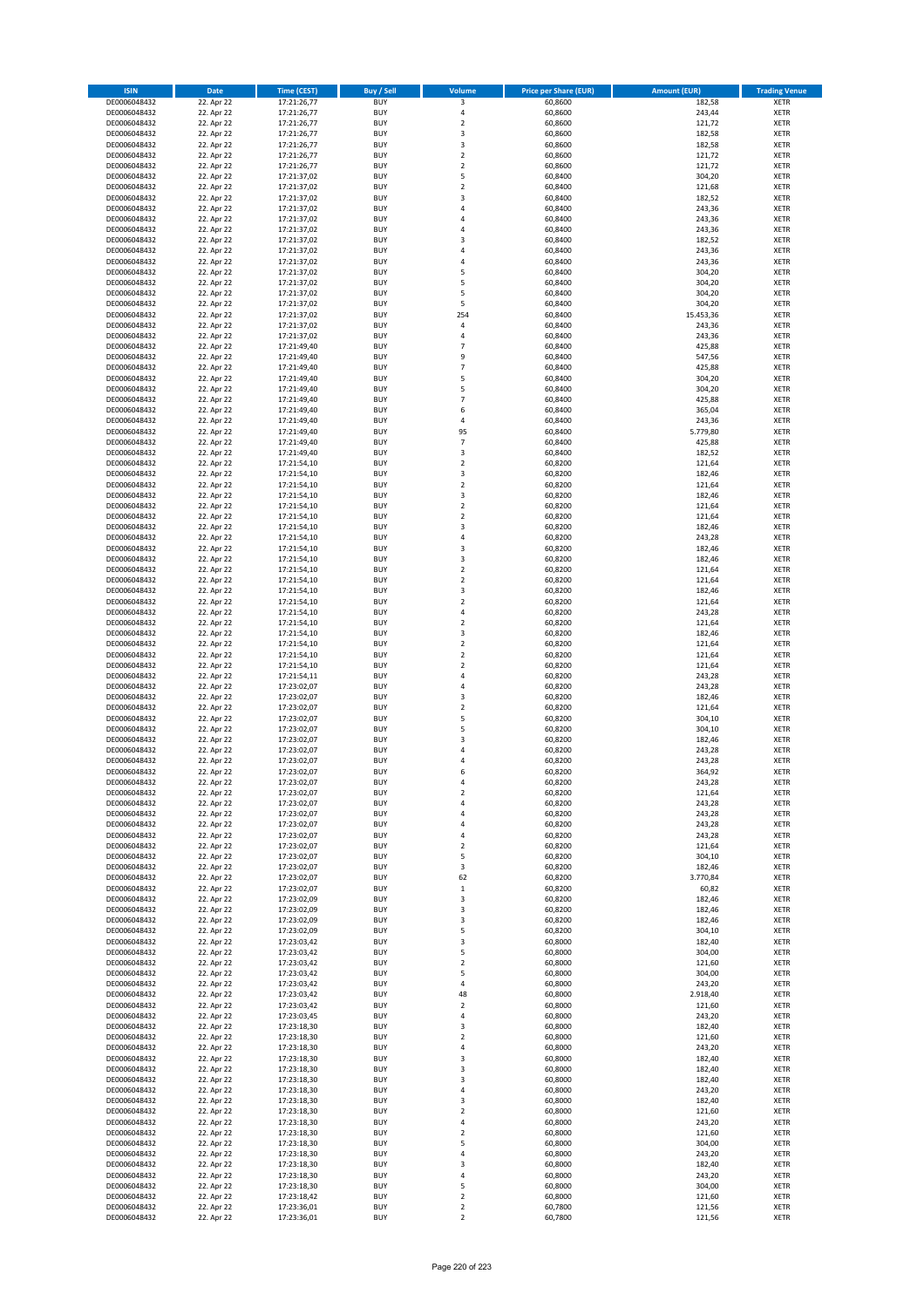| <b>ISIN</b>                  | <b>Date</b>              | <b>Time (CEST)</b>         | <b>Buy / Sell</b>        | <b>Volume</b>                | <b>Price per Share (EUR)</b> | <b>Amount (EUR)</b> | <b>Trading Venue</b>       |
|------------------------------|--------------------------|----------------------------|--------------------------|------------------------------|------------------------------|---------------------|----------------------------|
| DE0006048432                 | 22. Apr 22               | 17:21:26,77                | <b>BUY</b>               | 3                            | 60,8600                      | 182,58              | <b>XETR</b>                |
| DE0006048432                 | 22. Apr 22               | 17:21:26,77                | <b>BUY</b>               | 4                            | 60,8600                      | 243,44              | <b>XETR</b>                |
| DE0006048432                 | 22. Apr 22               | 17:21:26,77                | <b>BUY</b>               | $\mathbf 2$                  | 60,8600                      | 121,72              | <b>XETR</b>                |
| DE0006048432<br>DE0006048432 | 22. Apr 22<br>22. Apr 22 | 17:21:26,77<br>17:21:26,77 | <b>BUY</b><br><b>BUY</b> | 3<br>3                       | 60,8600<br>60,8600           | 182,58<br>182,58    | <b>XETR</b><br><b>XETR</b> |
| DE0006048432                 | 22. Apr 22               | 17:21:26,77                | <b>BUY</b>               | $\mathbf 2$                  | 60,8600                      | 121,72              | <b>XETR</b>                |
| DE0006048432                 | 22. Apr 22               | 17:21:26,77                | <b>BUY</b>               | $\mathbf 2$                  | 60,8600                      | 121,72              | <b>XETR</b>                |
| DE0006048432                 | 22. Apr 22               | 17:21:37,02                | <b>BUY</b>               | 5                            | 60,8400                      | 304,20              | <b>XETR</b>                |
| DE0006048432                 | 22. Apr 22               | 17:21:37,02                | <b>BUY</b>               | $\overline{2}$               | 60,8400                      | 121,68              | <b>XETR</b>                |
| DE0006048432                 | 22. Apr 22               | 17:21:37,02                | <b>BUY</b>               | 3                            | 60,8400                      | 182,52              | <b>XETR</b>                |
| DE0006048432                 | 22. Apr 22               | 17:21:37,02                | <b>BUY</b>               | 4                            | 60,8400                      | 243,36              | <b>XETR</b>                |
| DE0006048432                 | 22. Apr 22<br>22. Apr 22 | 17:21:37,02                | <b>BUY</b><br><b>BUY</b> | 4<br>4                       | 60,8400                      | 243,36              | <b>XETR</b><br><b>XETR</b> |
| DE0006048432<br>DE0006048432 | 22. Apr 22               | 17:21:37,02<br>17:21:37,02 | <b>BUY</b>               | 3                            | 60,8400<br>60,8400           | 243,36<br>182,52    | <b>XETR</b>                |
| DE0006048432                 | 22. Apr 22               | 17:21:37,02                | <b>BUY</b>               | 4                            | 60,8400                      | 243,36              | <b>XETR</b>                |
| DE0006048432                 | 22. Apr 22               | 17:21:37,02                | <b>BUY</b>               | 4                            | 60,8400                      | 243,36              | <b>XETR</b>                |
| DE0006048432                 | 22. Apr 22               | 17:21:37,02                | <b>BUY</b>               | 5                            | 60,8400                      | 304,20              | <b>XETR</b>                |
| DE0006048432                 | 22. Apr 22               | 17:21:37,02                | <b>BUY</b>               | 5                            | 60,8400                      | 304,20              | <b>XETR</b>                |
| DE0006048432                 | 22. Apr 22               | 17:21:37,02                | <b>BUY</b>               | 5                            | 60,8400                      | 304,20              | <b>XETR</b>                |
| DE0006048432                 | 22. Apr 22               | 17:21:37,02                | <b>BUY</b>               | 5                            | 60,8400                      | 304,20              | <b>XETR</b>                |
| DE0006048432                 | 22. Apr 22               | 17:21:37,02                | <b>BUY</b><br><b>BUY</b> | 254                          | 60,8400                      | 15.453,36           | <b>XETR</b>                |
| DE0006048432<br>DE0006048432 | 22. Apr 22<br>22. Apr 22 | 17:21:37,02<br>17:21:37,02 | <b>BUY</b>               | 4<br>4                       | 60,8400<br>60,8400           | 243,36<br>243,36    | <b>XETR</b><br><b>XETR</b> |
| DE0006048432                 | 22. Apr 22               | 17:21:49,40                | <b>BUY</b>               | $\overline{7}$               | 60,8400                      | 425,88              | <b>XETR</b>                |
| DE0006048432                 | 22. Apr 22               | 17:21:49,40                | <b>BUY</b>               | 9                            | 60,8400                      | 547,56              | <b>XETR</b>                |
| DE0006048432                 | 22. Apr 22               | 17:21:49,40                | <b>BUY</b>               | $\overline{7}$               | 60,8400                      | 425,88              | <b>XETR</b>                |
| DE0006048432                 | 22. Apr 22               | 17:21:49,40                | <b>BUY</b>               | 5                            | 60,8400                      | 304,20              | <b>XETR</b>                |
| DE0006048432                 | 22. Apr 22               | 17:21:49,40                | <b>BUY</b>               | 5                            | 60,8400                      | 304,20              | <b>XETR</b>                |
| DE0006048432                 | 22. Apr 22               | 17:21:49,40                | <b>BUY</b>               | $\overline{7}$               | 60,8400                      | 425,88              | <b>XETR</b>                |
| DE0006048432                 | 22. Apr 22<br>22. Apr 22 | 17:21:49,40                | <b>BUY</b><br><b>BUY</b> | 6<br>4                       | 60,8400<br>60,8400           | 365,04<br>243,36    | <b>XETR</b><br><b>XETR</b> |
| DE0006048432<br>DE0006048432 | 22. Apr 22               | 17:21:49,40<br>17:21:49,40 | <b>BUY</b>               | 95                           | 60,8400                      | 5.779,80            | <b>XETR</b>                |
| DE0006048432                 | 22. Apr 22               | 17:21:49,40                | <b>BUY</b>               | $\overline{7}$               | 60,8400                      | 425,88              | <b>XETR</b>                |
| DE0006048432                 | 22. Apr 22               | 17:21:49,40                | <b>BUY</b>               | 3                            | 60,8400                      | 182,52              | <b>XETR</b>                |
| DE0006048432                 | 22. Apr 22               | 17:21:54,10                | <b>BUY</b>               | $\mathbf 2$                  | 60,8200                      | 121,64              | <b>XETR</b>                |
| DE0006048432                 | 22. Apr 22               | 17:21:54,10                | <b>BUY</b>               | 3                            | 60,8200                      | 182,46              | <b>XETR</b>                |
| DE0006048432                 | 22. Apr 22               | 17:21:54,10                | <b>BUY</b>               | $\overline{\mathbf{c}}$      | 60,8200                      | 121,64              | <b>XETR</b>                |
| DE0006048432                 | 22. Apr 22               | 17:21:54,10                | <b>BUY</b>               | 3                            | 60,8200                      | 182,46              | <b>XETR</b>                |
| DE0006048432                 | 22. Apr 22               | 17:21:54,10                | <b>BUY</b>               | $\mathbf 2$                  | 60,8200                      | 121,64              | <b>XETR</b>                |
| DE0006048432<br>DE0006048432 | 22. Apr 22<br>22. Apr 22 | 17:21:54,10<br>17:21:54,10 | <b>BUY</b><br><b>BUY</b> | $\mathbf 2$<br>3             | 60,8200<br>60,8200           | 121,64<br>182,46    | <b>XETR</b><br><b>XETR</b> |
| DE0006048432                 | 22. Apr 22               | 17:21:54,10                | <b>BUY</b>               | 4                            | 60,8200                      | 243,28              | <b>XETR</b>                |
| DE0006048432                 | 22. Apr 22               | 17:21:54,10                | <b>BUY</b>               | 3                            | 60,8200                      | 182,46              | <b>XETR</b>                |
| DE0006048432                 | 22. Apr 22               | 17:21:54,10                | <b>BUY</b>               | 3                            | 60,8200                      | 182,46              | <b>XETR</b>                |
| DE0006048432                 | 22. Apr 22               | 17:21:54,10                | <b>BUY</b>               | $\mathbf 2$                  | 60,8200                      | 121,64              | <b>XETR</b>                |
| DE0006048432                 | 22. Apr 22               | 17:21:54,10                | <b>BUY</b>               | $\overline{2}$               | 60,8200                      | 121,64              | <b>XETR</b>                |
| DE0006048432                 | 22. Apr 22               | 17:21:54,10                | <b>BUY</b>               | 3                            | 60,8200                      | 182,46              | <b>XETR</b>                |
| DE0006048432                 | 22. Apr 22               | 17:21:54,10                | <b>BUY</b>               | $\mathbf 2$                  | 60,8200                      | 121,64              | <b>XETR</b>                |
| DE0006048432                 | 22. Apr 22               | 17:21:54,10                | <b>BUY</b>               | 4                            | 60,8200                      | 243,28              | <b>XETR</b>                |
| DE0006048432<br>DE0006048432 | 22. Apr 22<br>22. Apr 22 | 17:21:54,10<br>17:21:54,10 | <b>BUY</b><br><b>BUY</b> | $\overline{\mathbf{c}}$<br>3 | 60,8200<br>60,8200           | 121,64<br>182,46    | <b>XETR</b><br><b>XETR</b> |
| DE0006048432                 | 22. Apr 22               | 17:21:54,10                | <b>BUY</b>               | $\mathbf 2$                  | 60,8200                      | 121,64              | <b>XETR</b>                |
| DE0006048432                 | 22. Apr 22               | 17:21:54,10                | <b>BUY</b>               | $\overline{2}$               | 60,8200                      | 121,64              | <b>XETR</b>                |
| DE0006048432                 | 22. Apr 22               | 17:21:54,10                | <b>BUY</b>               | $\overline{\mathbf{c}}$      | 60,8200                      | 121,64              | <b>XETR</b>                |
| DE0006048432                 | 22. Apr 22               | 17:21:54,11                | <b>BUY</b>               | 4                            | 60,8200                      | 243,28              | <b>XETR</b>                |
| DE0006048432                 | 22. Apr 22               | 17:23:02,07                | <b>BUY</b>               | 4                            | 60,8200                      | 243,28              | <b>XETR</b>                |
| DE0006048432                 | 22. Apr 22               | 17:23:02,07                | <b>BUY</b>               | 3                            | 60,8200                      | 182,46              | <b>XETR</b>                |
| DE0006048432                 | 22. Apr 22               | 17:23:02,07                | <b>BUY</b>               | $\overline{\mathbf{c}}$      | 60,8200                      | 121,64              | <b>XETR</b>                |
| DE0006048432<br>DE0006048432 | 22. Apr 22               | 17:23:02,07                | <b>BUY</b><br><b>BUY</b> | 5<br>5                       | 60,8200                      | 304,10              | <b>XETR</b><br><b>XETR</b> |
| DE0006048432                 | 22. Apr 22<br>22. Apr 22 | 17:23:02,07<br>17:23:02,07 | <b>BUY</b>               | 3                            | 60,8200<br>60,8200           | 304,10<br>182,46    | <b>XETR</b>                |
| DE0006048432                 | 22. Apr 22               | 17:23:02,07                | <b>BUY</b>               | $\overline{a}$               | 60,8200                      | 243,28              | <b>XETR</b>                |
| DE0006048432                 | 22. Apr 22               | 17:23:02,07                | <b>BUY</b>               | 4                            | 60,8200                      | 243,28              | <b>XETR</b>                |
| DE0006048432                 | 22. Apr 22               | 17:23:02,07                | <b>BUY</b>               | 6                            | 60,8200                      | 364,92              | <b>XETR</b>                |
| DE0006048432                 | 22. Apr 22               | 17:23:02,07                | BUY                      | 4                            | 60,8200                      | 243,28              | <b>XETR</b>                |
| DE0006048432                 | 22. Apr 22               | 17:23:02,07                | <b>BUY</b>               | $\mathbf 2$                  | 60,8200                      | 121,64              | <b>XETR</b>                |
| DE0006048432<br>DE0006048432 | 22. Apr 22<br>22. Apr 22 | 17:23:02,07                | <b>BUY</b><br><b>BUY</b> | 4                            | 60,8200<br>60,8200           | 243,28<br>243,28    | <b>XETR</b>                |
| DE0006048432                 | 22. Apr 22               | 17:23:02,07<br>17:23:02,07 | <b>BUY</b>               | 4<br>4                       | 60,8200                      | 243,28              | XETR<br><b>XETR</b>        |
| DE0006048432                 | 22. Apr 22               | 17:23:02,07                | <b>BUY</b>               | 4                            | 60,8200                      | 243,28              | <b>XETR</b>                |
| DE0006048432                 | 22. Apr 22               | 17:23:02,07                | <b>BUY</b>               | $\overline{2}$               | 60,8200                      | 121,64              | <b>XETR</b>                |
| DE0006048432                 | 22. Apr 22               | 17:23:02,07                | <b>BUY</b>               | 5                            | 60,8200                      | 304,10              | <b>XETR</b>                |
| DE0006048432                 | 22. Apr 22               | 17:23:02,07                | <b>BUY</b>               | 3                            | 60,8200                      | 182,46              | <b>XETR</b>                |
| DE0006048432                 | 22. Apr 22               | 17:23:02,07                | <b>BUY</b>               | 62                           | 60,8200                      | 3.770,84            | XETR                       |
| DE0006048432<br>DE0006048432 | 22. Apr 22               | 17:23:02,07<br>17:23:02,09 | <b>BUY</b><br><b>BUY</b> | $\,$ 1<br>3                  | 60,8200<br>60,8200           | 60,82               | <b>XETR</b><br><b>XETR</b> |
| DE0006048432                 | 22. Apr 22<br>22. Apr 22 | 17:23:02,09                | <b>BUY</b>               | 3                            | 60,8200                      | 182,46<br>182,46    | <b>XETR</b>                |
| DE0006048432                 | 22. Apr 22               | 17:23:02,09                | <b>BUY</b>               | 3                            | 60,8200                      | 182,46              | <b>XETR</b>                |
| DE0006048432                 | 22. Apr 22               | 17:23:02,09                | <b>BUY</b>               | 5                            | 60,8200                      | 304,10              | <b>XETR</b>                |
| DE0006048432                 | 22. Apr 22               | 17:23:03,42                | <b>BUY</b>               | 3                            | 60,8000                      | 182,40              | <b>XETR</b>                |
| DE0006048432                 | 22. Apr 22               | 17:23:03,42                | <b>BUY</b>               | 5                            | 60,8000                      | 304,00              | <b>XETR</b>                |
| DE0006048432                 | 22. Apr 22               | 17:23:03,42                | <b>BUY</b>               | $\mathbf 2$                  | 60,8000                      | 121,60              | <b>XETR</b>                |
| DE0006048432                 | 22. Apr 22               | 17:23:03,42                | <b>BUY</b><br><b>BUY</b> | 5                            | 60,8000                      | 304,00              | XETR<br><b>XETR</b>        |
| DE0006048432<br>DE0006048432 | 22. Apr 22<br>22. Apr 22 | 17:23:03,42<br>17:23:03,42 | <b>BUY</b>               | 4<br>48                      | 60,8000<br>60,8000           | 243,20<br>2.918,40  | <b>XETR</b>                |
| DE0006048432                 | 22. Apr 22               | 17:23:03,42                | <b>BUY</b>               | $\mathbf 2$                  | 60,8000                      | 121,60              | <b>XETR</b>                |
| DE0006048432                 | 22. Apr 22               | 17:23:03,45                | <b>BUY</b>               | 4                            | 60,8000                      | 243,20              | <b>XETR</b>                |
| DE0006048432                 | 22. Apr 22               | 17:23:18,30                | <b>BUY</b>               | 3                            | 60,8000                      | 182,40              | <b>XETR</b>                |
| DE0006048432                 | 22. Apr 22               | 17:23:18,30                | <b>BUY</b>               | $\mathbf 2$                  | 60,8000                      | 121,60              | <b>XETR</b>                |
| DE0006048432                 | 22. Apr 22               | 17:23:18,30                | <b>BUY</b>               | 4                            | 60,8000                      | 243,20              | <b>XETR</b>                |
| DE0006048432                 | 22. Apr 22               | 17:23:18,30                | <b>BUY</b>               | 3                            | 60,8000                      | 182,40              | <b>XETR</b>                |
| DE0006048432                 | 22. Apr 22               | 17:23:18,30                | <b>BUY</b><br><b>BUY</b> | 3                            | 60,8000                      | 182,40              | <b>XETR</b>                |
| DE0006048432<br>DE0006048432 | 22. Apr 22<br>22. Apr 22 | 17:23:18,30<br>17:23:18,30 | <b>BUY</b>               | 3<br>4                       | 60,8000<br>60,8000           | 182,40<br>243,20    | <b>XETR</b><br>XETR        |
| DE0006048432                 | 22. Apr 22               | 17:23:18,30                | <b>BUY</b>               | 3                            | 60,8000                      | 182,40              | <b>XETR</b>                |
| DE0006048432                 | 22. Apr 22               | 17:23:18,30                | <b>BUY</b>               | $\mathbf 2$                  | 60,8000                      | 121,60              | <b>XETR</b>                |
| DE0006048432                 | 22. Apr 22               | 17:23:18,30                | <b>BUY</b>               | 4                            | 60,8000                      | 243,20              | <b>XETR</b>                |
| DE0006048432                 | 22. Apr 22               | 17:23:18,30                | <b>BUY</b>               | $\overline{\mathbf{c}}$      | 60,8000                      | 121,60              | <b>XETR</b>                |
| DE0006048432                 | 22. Apr 22               | 17:23:18,30                | <b>BUY</b>               | 5                            | 60,8000                      | 304,00              | <b>XETR</b>                |
| DE0006048432                 | 22. Apr 22               | 17:23:18,30                | <b>BUY</b>               | 4                            | 60,8000                      | 243,20              | <b>XETR</b>                |
| DE0006048432<br>DE0006048432 | 22. Apr 22<br>22. Apr 22 | 17:23:18,30<br>17:23:18,30 | <b>BUY</b><br><b>BUY</b> | 3<br>4                       | 60,8000<br>60,8000           | 182,40<br>243,20    | <b>XETR</b><br>XETR        |
| DE0006048432                 | 22. Apr 22               | 17:23:18,30                | <b>BUY</b>               | 5                            | 60,8000                      | 304,00              | <b>XETR</b>                |
| DE0006048432                 | 22. Apr 22               | 17:23:18,42                | <b>BUY</b>               | $\mathbf 2$                  | 60,8000                      | 121,60              | <b>XETR</b>                |
| DE0006048432                 | 22. Apr 22               | 17:23:36,01                | <b>BUY</b>               | $\mathbf 2$                  | 60,7800                      | 121,56              | <b>XETR</b>                |
| DE0006048432                 | 22. Apr 22               | 17:23:36,01                | <b>BUY</b>               | $\mathbf 2$                  | 60,7800                      | 121,56              | XETR                       |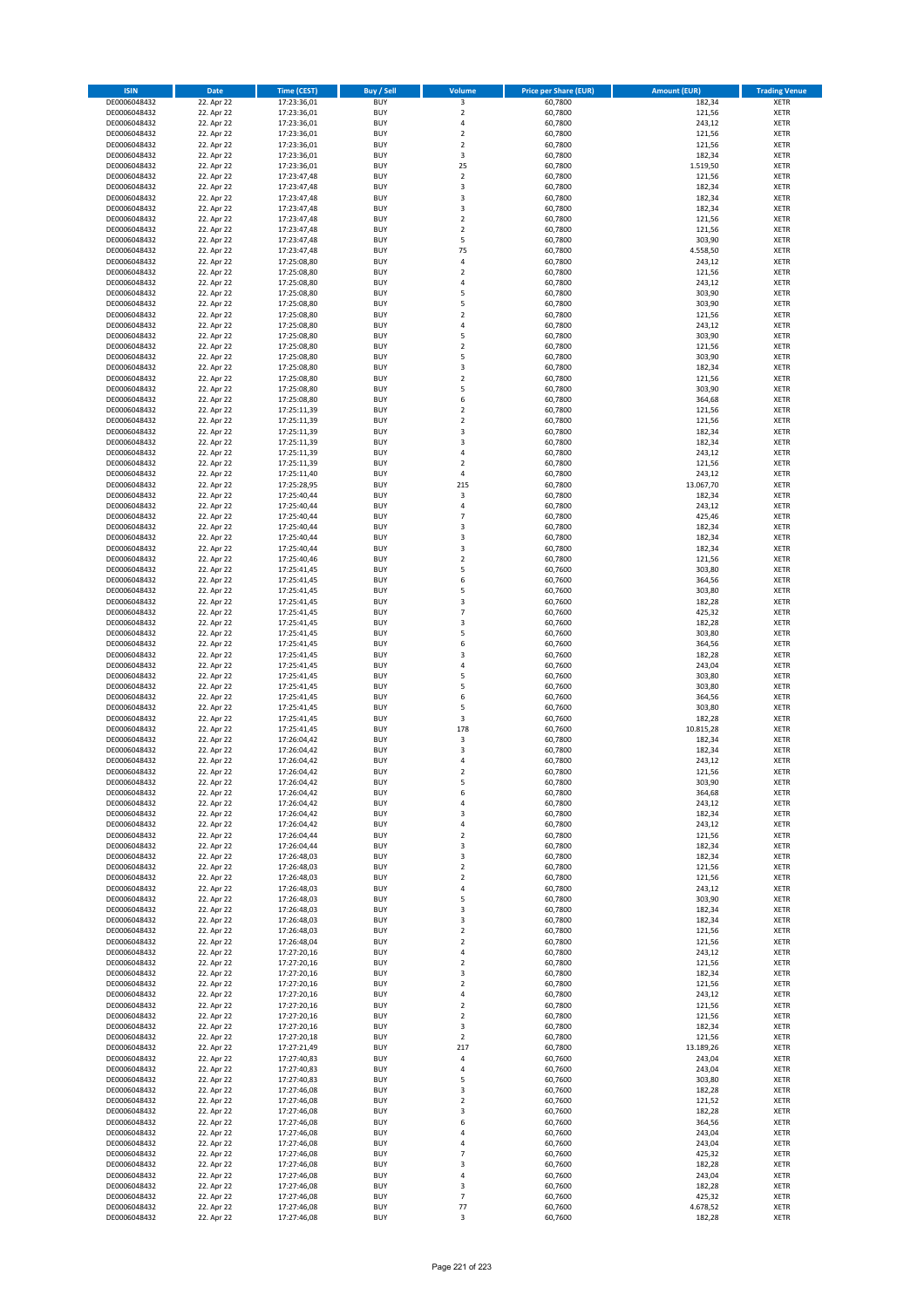| <b>ISIN</b>                  | <b>Date</b>              | <b>Time (CEST)</b>         | <b>Buy / Sell</b>        | Volume                           | <b>Price per Share (EUR)</b> | <b>Amount (EUR)</b> | <b>Trading Venue</b>       |
|------------------------------|--------------------------|----------------------------|--------------------------|----------------------------------|------------------------------|---------------------|----------------------------|
| DE0006048432                 | 22. Apr 22               | 17:23:36,01                | <b>BUY</b>               | 3                                | 60,7800                      | 182,34              | <b>XETR</b>                |
| DE0006048432                 | 22. Apr 22               | 17:23:36,01                | <b>BUY</b>               | $\mathbf 2$                      | 60,7800                      | 121,56              | <b>XETR</b>                |
| DE0006048432                 | 22. Apr 22               | 17:23:36,01                | <b>BUY</b>               | 4                                | 60.7800                      | 243,12              | <b>XETR</b>                |
| DE0006048432                 | 22. Apr 22               | 17:23:36,01                | <b>BUY</b>               | $\mathbf 2$                      | 60,7800                      | 121,56              | <b>XETR</b>                |
| DE0006048432<br>DE0006048432 | 22. Apr 22<br>22. Apr 22 | 17:23:36,01<br>17:23:36,01 | <b>BUY</b><br><b>BUY</b> | $\overline{2}$<br>3              | 60,7800<br>60,7800           | 121,56<br>182,34    | <b>XETR</b><br><b>XETR</b> |
| DE0006048432                 | 22. Apr 22               | 17:23:36,01                | <b>BUY</b>               | 25                               | 60,7800                      | 1.519,50            | <b>XETR</b>                |
| DE0006048432                 | 22. Apr 22               | 17:23:47,48                | <b>BUY</b>               | $\overline{2}$                   | 60,7800                      | 121,56              | <b>XETR</b>                |
| DE0006048432                 | 22. Apr 22               | 17:23:47,48                | BUY                      | 3                                | 60,7800                      | 182,34              | <b>XETR</b>                |
| DE0006048432                 | 22. Apr 22               | 17:23:47,48                | <b>BUY</b>               | 3                                | 60,7800                      | 182,34              | <b>XETR</b>                |
| DE0006048432                 | 22. Apr 22               | 17:23:47,48                | <b>BUY</b>               | 3                                | 60,7800                      | 182,34              | <b>XETR</b>                |
| DE0006048432                 | 22. Apr 22               | 17:23:47,48                | <b>BUY</b>               | $\overline{2}$                   | 60,7800                      | 121,56              | <b>XETR</b>                |
| DE0006048432<br>DE0006048432 | 22. Apr 22<br>22. Apr 22 | 17:23:47,48<br>17:23:47,48 | <b>BUY</b><br><b>BUY</b> | $\overline{2}$<br>5              | 60,7800<br>60,7800           | 121,56<br>303,90    | <b>XETR</b><br><b>XETR</b> |
| DE0006048432                 | 22. Apr 22               | 17:23:47,48                | <b>BUY</b>               | 75                               | 60,7800                      | 4.558,50            | <b>XETR</b>                |
| DE0006048432                 | 22. Apr 22               | 17:25:08,80                | BUY                      | $\overline{a}$                   | 60,7800                      | 243,12              | <b>XETR</b>                |
| DE0006048432                 | 22. Apr 22               | 17:25:08,80                | <b>BUY</b>               | $\overline{2}$                   | 60,7800                      | 121,56              | <b>XETR</b>                |
| DE0006048432                 | 22. Apr 22               | 17:25:08,80                | <b>BUY</b>               | 4                                | 60,7800                      | 243,12              | <b>XETR</b>                |
| DE0006048432                 | 22. Apr 22               | 17:25:08,80                | <b>BUY</b>               | 5<br>5                           | 60.7800                      | 303,90              | <b>XETR</b>                |
| DE0006048432<br>DE0006048432 | 22. Apr 22<br>22. Apr 22 | 17:25:08,80<br>17:25:08,80 | <b>BUY</b><br><b>BUY</b> | $\overline{2}$                   | 60,7800<br>60,7800           | 303,90<br>121,56    | <b>XETR</b><br><b>XETR</b> |
| DE0006048432                 | 22. Apr 22               | 17:25:08,80                | <b>BUY</b>               | 4                                | 60,7800                      | 243,12              | <b>XETR</b>                |
| DE0006048432                 | 22. Apr 22               | 17:25:08,80                | <b>BUY</b>               | 5                                | 60,7800                      | 303,90              | <b>XETR</b>                |
| DE0006048432                 | 22. Apr 22               | 17:25:08,80                | <b>BUY</b>               | $\overline{2}$                   | 60,7800                      | 121,56              | <b>XETR</b>                |
| DE0006048432                 | 22. Apr 22               | 17:25:08,80                | <b>BUY</b>               | 5                                | 60,7800                      | 303,90              | <b>XETR</b>                |
| DE0006048432                 | 22. Apr 22               | 17:25:08,80                | <b>BUY</b>               | 3                                | 60,7800                      | 182,34              | <b>XETR</b>                |
| DE0006048432<br>DE0006048432 | 22. Apr 22<br>22. Apr 22 | 17:25:08,80<br>17:25:08,80 | <b>BUY</b><br><b>BUY</b> | $\mathbf 2$<br>5                 | 60,7800<br>60,7800           | 121,56<br>303,90    | <b>XETR</b><br><b>XETR</b> |
| DE0006048432                 | 22. Apr 22               | 17:25:08,80                | <b>BUY</b>               | 6                                | 60,7800                      | 364,68              | <b>XETR</b>                |
| DE0006048432                 | 22. Apr 22               | 17:25:11,39                | <b>BUY</b>               | $\overline{2}$                   | 60,7800                      | 121,56              | <b>XETR</b>                |
| DE0006048432                 | 22. Apr 22               | 17:25:11,39                | <b>BUY</b>               | $\mathbf 2$                      | 60,7800                      | 121,56              | <b>XETR</b>                |
| DE0006048432                 | 22. Apr 22               | 17:25:11,39                | <b>BUY</b>               | 3                                | 60,7800                      | 182,34              | <b>XETR</b>                |
| DE0006048432                 | 22. Apr 22               | 17:25:11,39                | <b>BUY</b>               | 3                                | 60,7800                      | 182,34              | <b>XETR</b>                |
| DE0006048432<br>DE0006048432 | 22. Apr 22               | 17:25:11,39<br>17:25:11,39 | <b>BUY</b><br><b>BUY</b> | $\overline{a}$<br>$\overline{2}$ | 60,7800<br>60.7800           | 243,12              | <b>XETR</b><br><b>XETR</b> |
| DE0006048432                 | 22. Apr 22<br>22. Apr 22 | 17:25:11,40                | <b>BUY</b>               | 4                                | 60,7800                      | 121,56<br>243,12    | <b>XETR</b>                |
| DE0006048432                 | 22. Apr 22               | 17:25:28,95                | <b>BUY</b>               | 215                              | 60,7800                      | 13.067,70           | <b>XETR</b>                |
| DE0006048432                 | 22. Apr 22               | 17:25:40,44                | <b>BUY</b>               | 3                                | 60,7800                      | 182,34              | <b>XETR</b>                |
| DE0006048432                 | 22. Apr 22               | 17:25:40,44                | <b>BUY</b>               | 4                                | 60,7800                      | 243,12              | <b>XETR</b>                |
| DE0006048432                 | 22. Apr 22               | 17:25:40,44                | <b>BUY</b>               | $\overline{7}$                   | 60,7800                      | 425,46              | <b>XETR</b>                |
| DE0006048432                 | 22. Apr 22               | 17:25:40,44                | <b>BUY</b><br><b>BUY</b> | $\overline{\mathbf{3}}$<br>3     | 60,7800                      | 182,34              | <b>XETR</b>                |
| DE0006048432<br>DE0006048432 | 22. Apr 22<br>22. Apr 22 | 17:25:40,44<br>17:25:40,44 | <b>BUY</b>               | 3                                | 60,7800<br>60,7800           | 182,34<br>182,34    | <b>XETR</b><br><b>XETR</b> |
| DE0006048432                 | 22. Apr 22               | 17:25:40,46                | <b>BUY</b>               | $\overline{2}$                   | 60,7800                      | 121,56              | <b>XETR</b>                |
| DE0006048432                 | 22. Apr 22               | 17:25:41,45                | <b>BUY</b>               | 5                                | 60,7600                      | 303,80              | <b>XETR</b>                |
| DE0006048432                 | 22. Apr 22               | 17:25:41,45                | <b>BUY</b>               | 6                                | 60,7600                      | 364,56              | <b>XETR</b>                |
| DE0006048432                 | 22. Apr 22               | 17:25:41,45                | <b>BUY</b>               | 5                                | 60,7600                      | 303,80              | <b>XETR</b>                |
| DE0006048432                 | 22. Apr 22               | 17:25:41,45                | <b>BUY</b>               | 3                                | 60,7600                      | 182,28              | <b>XETR</b>                |
| DE0006048432<br>DE0006048432 | 22. Apr 22<br>22. Apr 22 | 17:25:41,45<br>17:25:41,45 | <b>BUY</b><br><b>BUY</b> | $\overline{7}$<br>$\overline{3}$ | 60,7600<br>60,7600           | 425,32<br>182,28    | <b>XETR</b><br><b>XETR</b> |
| DE0006048432                 | 22. Apr 22               | 17:25:41,45                | <b>BUY</b>               | 5                                | 60,7600                      | 303,80              | <b>XETR</b>                |
| DE0006048432                 | 22. Apr 22               | 17:25:41,45                | <b>BUY</b>               | 6                                | 60,7600                      | 364,56              | <b>XETR</b>                |
| DE0006048432                 | 22. Apr 22               | 17:25:41,45                | <b>BUY</b>               | $\overline{\mathbf{3}}$          | 60,7600                      | 182,28              | <b>XETR</b>                |
| DE0006048432                 | 22. Apr 22               | 17:25:41,45                | <b>BUY</b>               | 4                                | 60,7600                      | 243,04              | <b>XETR</b>                |
| DE0006048432                 | 22. Apr 22               | 17:25:41,45                | <b>BUY</b>               | 5                                | 60,7600                      | 303,80              | <b>XETR</b>                |
| DE0006048432<br>DE0006048432 | 22. Apr 22<br>22. Apr 22 | 17:25:41,45<br>17:25:41,45 | <b>BUY</b><br><b>BUY</b> | 5<br>6                           | 60,7600<br>60,7600           | 303,80<br>364,56    | <b>XETR</b><br><b>XETR</b> |
| DE0006048432                 | 22. Apr 22               | 17:25:41,45                | <b>BUY</b>               | 5                                | 60,7600                      | 303,80              | <b>XETR</b>                |
| DE0006048432                 | 22. Apr 22               | 17:25:41,45                | BUY                      | 3                                | 60,7600                      | 182,28              | <b>XETR</b>                |
| DE0006048432                 | 22. Apr 22               | 17:25:41,45                | <b>BUY</b>               | 178                              | 60,7600                      | 10.815,28           | <b>XETR</b>                |
| DE0006048432                 | 22. Apr 22               | 17:26:04,42                | <b>BUY</b>               | 3                                | 60,7800                      | 182,34              | <b>XETR</b>                |
| DE0006048432                 | 22. Apr 22               | 17:26:04,42                | BUY                      | $\overline{\mathbf{3}}$          | 60,7800                      | 182,34              | <b>XETR</b>                |
| DE0006048432<br>DE0006048432 | 22. Apr 22               | 17:26:04,42                | BUY<br><b>BUY</b>        | $\overline{a}$<br>$\overline{2}$ | 60,7800                      | 243,12              | <b>XETR</b><br><b>XETR</b> |
| DE0006048432                 | 22. Apr 22<br>22. Apr 22 | 17:26:04,42<br>17:26:04,42 | BUY                      | 5                                | 60,7800<br>60,7800           | 121,56<br>303,90    | <b>XETR</b>                |
| DE0006048432                 | 22. Apr 22               | 17:26:04,42                | <b>BUY</b>               | 6                                | 60,7800                      | 364,68              | <b>XETR</b>                |
| DE0006048432                 | 22. Apr 22               | 17:26:04,42                | <b>BUY</b>               | 4                                | 60,7800                      | 243,12              | <b>XETR</b>                |
| DE0006048432                 | 22. Apr 22               | 17:26:04,42                | <b>BUY</b>               | 3                                | 60,7800                      | 182,34              | <b>XETR</b>                |
| DE0006048432                 | 22. Apr 22               | 17:26:04,42                | <b>BUY</b>               | 4                                | 60,7800                      | 243,12              | <b>XETR</b>                |
| DE0006048432<br>DE0006048432 | 22. Apr 22<br>22. Apr 22 | 17:26:04,44<br>17:26:04,44 | <b>BUY</b><br><b>BUY</b> | $\mathbf 2$<br>3                 | 60,7800<br>60,7800           | 121,56<br>182,34    | <b>XETR</b><br><b>XETR</b> |
| DE0006048432                 | 22. Apr 22               | 17:26:48,03                | <b>BUY</b>               | 3                                | 60,7800                      | 182,34              | <b>XETR</b>                |
| DE0006048432                 | 22. Apr 22               | 17:26:48,03                | <b>BUY</b>               | $\mathbf 2$                      | 60,7800                      | 121,56              | <b>XETR</b>                |
| DE0006048432                 | 22. Apr 22               | 17:26:48,03                | <b>BUY</b>               | $\mathbf 2$                      | 60,7800                      | 121,56              | <b>XETR</b>                |
| DE0006048432                 | 22. Apr 22               | 17:26:48,03                | <b>BUY</b>               | 4                                | 60,7800                      | 243,12              | <b>XETR</b>                |
| DE0006048432<br>DE0006048432 | 22. Apr 22<br>22. Apr 22 | 17:26:48,03                | <b>BUY</b>               | 5                                | 60,7800                      | 303,90              | <b>XETR</b>                |
| DE0006048432                 | 22. Apr 22               | 17:26:48,03<br>17:26:48,03 | <b>BUY</b><br><b>BUY</b> | 3<br>$\overline{\mathbf{3}}$     | 60,7800<br>60,7800           | 182,34<br>182,34    | <b>XETR</b><br><b>XETR</b> |
| DE0006048432                 | 22. Apr 22               | 17:26:48,03                | <b>BUY</b>               | $\mathbf 2$                      | 60,7800                      | 121,56              | <b>XETR</b>                |
| DE0006048432                 | 22. Apr 22               | 17:26:48,04                | <b>BUY</b>               | $\overline{2}$                   | 60,7800                      | 121,56              | <b>XETR</b>                |
| DE0006048432                 | 22. Apr 22               | 17:27:20,16                | <b>BUY</b>               | 4                                | 60,7800                      | 243,12              | <b>XETR</b>                |
| DE0006048432                 | 22. Apr 22               | 17:27:20,16                | <b>BUY</b>               | $\mathbf 2$                      | 60,7800                      | 121,56              | <b>XETR</b>                |
| DE0006048432                 | 22. Apr 22               | 17:27:20,16                | <b>BUY</b>               | 3                                | 60,7800                      | 182,34              | <b>XETR</b>                |
| DE0006048432<br>DE0006048432 | 22. Apr 22<br>22. Apr 22 | 17:27:20,16<br>17:27:20,16 | <b>BUY</b><br><b>BUY</b> | $\mathbf 2$<br>4                 | 60,7800<br>60,7800           | 121,56<br>243,12    | <b>XETR</b><br><b>XETR</b> |
| DE0006048432                 | 22. Apr 22               | 17:27:20,16                | <b>BUY</b>               | $\mathbf 2$                      | 60,7800                      | 121,56              | <b>XETR</b>                |
| DE0006048432                 | 22. Apr 22               | 17:27:20,16                | <b>BUY</b>               | $\overline{2}$                   | 60,7800                      | 121,56              | <b>XETR</b>                |
| DE0006048432                 | 22. Apr 22               | 17:27:20,16                | <b>BUY</b>               | 3                                | 60,7800                      | 182,34              | <b>XETR</b>                |
| DE0006048432                 | 22. Apr 22               | 17:27:20,18                | <b>BUY</b>               | $\overline{2}$                   | 60,7800                      | 121,56              | <b>XETR</b>                |
| DE0006048432                 | 22. Apr 22               | 17:27:21,49                | <b>BUY</b>               | 217                              | 60,7800                      | 13.189,26           | <b>XETR</b>                |
| DE0006048432<br>DE0006048432 | 22. Apr 22<br>22. Apr 22 | 17:27:40,83<br>17:27:40,83 | <b>BUY</b><br><b>BUY</b> | 4<br>4                           | 60,7600<br>60,7600           | 243,04<br>243,04    | <b>XETR</b><br><b>XETR</b> |
| DE0006048432                 | 22. Apr 22               | 17:27:40,83                | <b>BUY</b>               | 5                                | 60,7600                      | 303,80              | <b>XETR</b>                |
| DE0006048432                 | 22. Apr 22               | 17:27:46,08                | <b>BUY</b>               | $\overline{\mathbf{3}}$          | 60,7600                      | 182,28              | <b>XETR</b>                |
| DE0006048432                 | 22. Apr 22               | 17:27:46,08                | <b>BUY</b>               | $\mathbf 2$                      | 60,7600                      | 121,52              | <b>XETR</b>                |
| DE0006048432                 | 22. Apr 22               | 17:27:46,08                | <b>BUY</b>               | 3                                | 60,7600                      | 182,28              | <b>XETR</b>                |
| DE0006048432                 | 22. Apr 22               | 17:27:46,08                | <b>BUY</b>               | 6                                | 60,7600                      | 364,56              | <b>XETR</b>                |
| DE0006048432                 | 22. Apr 22               | 17:27:46,08                | <b>BUY</b>               | $\overline{a}$                   | 60,7600                      | 243,04              | <b>XETR</b>                |
| DE0006048432<br>DE0006048432 | 22. Apr 22<br>22. Apr 22 | 17:27:46,08<br>17:27:46,08 | <b>BUY</b><br><b>BUY</b> | 4<br>$\overline{7}$              | 60,7600<br>60,7600           | 243,04<br>425,32    | <b>XETR</b><br><b>XETR</b> |
| DE0006048432                 | 22. Apr 22               | 17:27:46,08                | <b>BUY</b>               | 3                                | 60,7600                      | 182,28              | <b>XETR</b>                |
| DE0006048432                 | 22. Apr 22               | 17:27:46,08                | <b>BUY</b>               | 4                                | 60,7600                      | 243,04              | <b>XETR</b>                |
| DE0006048432                 | 22. Apr 22               | 17:27:46,08                | <b>BUY</b>               | 3                                | 60,7600                      | 182,28              | <b>XETR</b>                |
| DE0006048432                 | 22. Apr 22               | 17:27:46,08                | <b>BUY</b>               | $\overline{7}$                   | 60,7600                      | 425,32              | <b>XETR</b>                |
| DE0006048432                 | 22. Apr 22               | 17:27:46,08                | <b>BUY</b>               | 77                               | 60,7600                      | 4.678,52            | <b>XETR</b>                |
| DE0006048432                 | 22. Apr 22               | 17:27:46,08                | <b>BUY</b>               | 3                                | 60,7600                      | 182,28              | <b>XETR</b>                |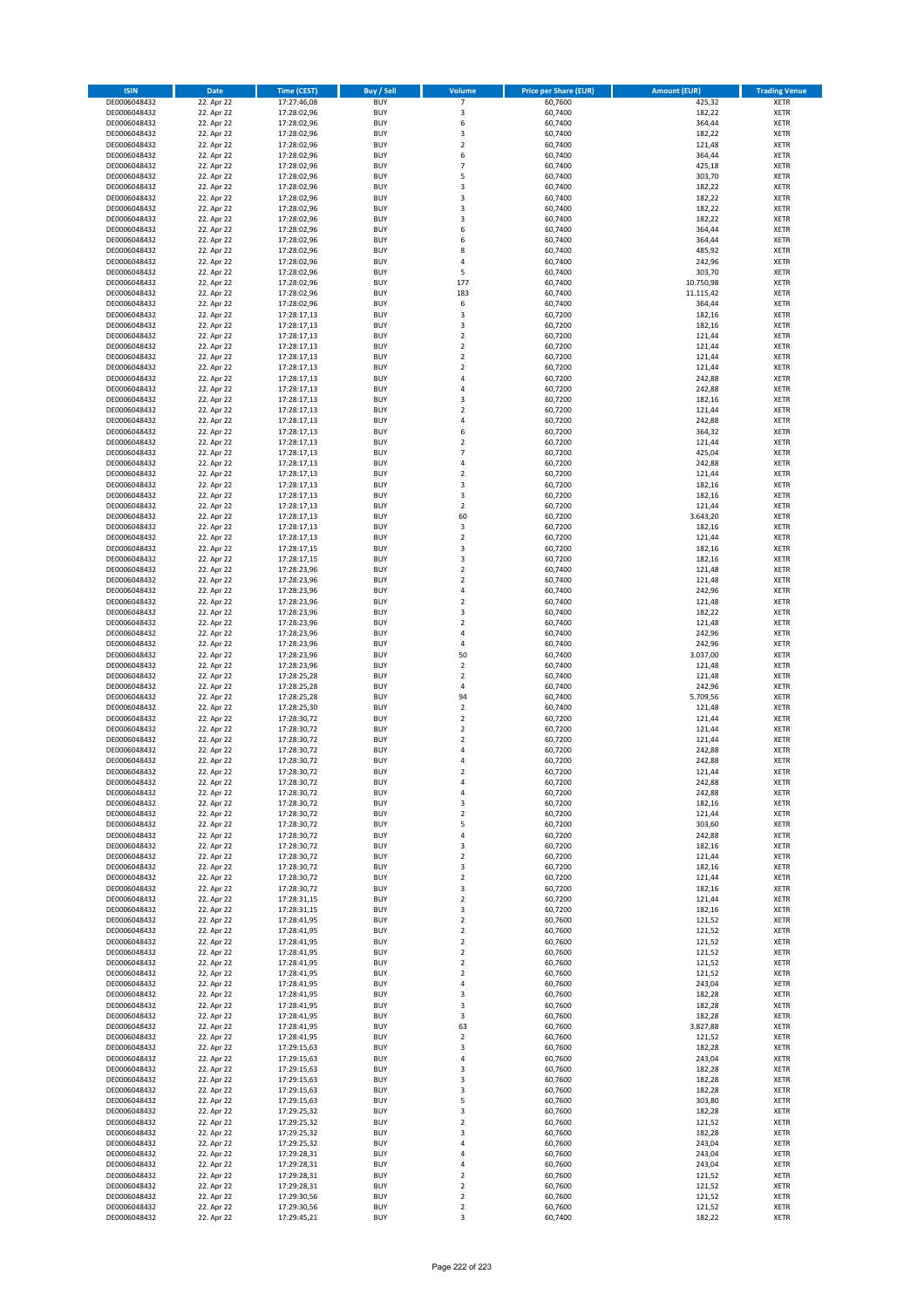| <b>ISIN</b>                  | <b>Date</b>              | <b>Time (CEST)</b>         | <b>Buy / Sell</b>        | <b>Volume</b>                          | <b>Price per Share (EUR)</b> | <b>Amount (EUR)</b> | <b>Trading Venue</b>       |
|------------------------------|--------------------------|----------------------------|--------------------------|----------------------------------------|------------------------------|---------------------|----------------------------|
| DE0006048432                 | 22. Apr 22               | 17:27:46,08                | <b>BUY</b>               | 7                                      | 60,7600                      | 425,32              | <b>XETR</b>                |
| DE0006048432                 | 22. Apr 22               | 17:28:02,96                | <b>BUY</b>               | 3                                      | 60,7400                      | 182,22              | <b>XETR</b>                |
| DE0006048432                 | 22. Apr 22               | 17:28:02,96                | <b>BUY</b>               | 6                                      | 60,7400                      | 364,44              | <b>XETR</b>                |
| DE0006048432<br>DE0006048432 | 22. Apr 22<br>22. Apr 22 | 17:28:02,96<br>17:28:02,96 | <b>BUY</b><br><b>BUY</b> | 3<br>$\overline{\mathbf{c}}$           | 60,7400<br>60,7400           | 182,22<br>121,48    | <b>XETR</b><br><b>XETR</b> |
| DE0006048432                 | 22. Apr 22               | 17:28:02,96                | <b>BUY</b>               | 6                                      | 60,7400                      | 364,44              | <b>XETR</b>                |
| DE0006048432                 | 22. Apr 22               | 17:28:02,96                | <b>BUY</b>               | $\overline{7}$                         | 60,7400                      | 425,18              | <b>XETR</b>                |
| DE0006048432                 | 22. Apr 22               | 17:28:02,96                | <b>BUY</b>               | 5                                      | 60,7400                      | 303,70              | <b>XETR</b>                |
| DE0006048432                 | 22. Apr 22               | 17:28:02,96                | <b>BUY</b>               | 3                                      | 60,7400                      | 182,22              | <b>XETR</b>                |
| DE0006048432<br>DE0006048432 | 22. Apr 22<br>22. Apr 22 | 17:28:02,96<br>17:28:02,96 | <b>BUY</b><br><b>BUY</b> | 3<br>3                                 | 60,7400<br>60,7400           | 182,22<br>182,22    | <b>XETR</b><br><b>XETR</b> |
| DE0006048432                 | 22. Apr 22               | 17:28:02,96                | <b>BUY</b>               | 3                                      | 60,7400                      | 182,22              | <b>XETR</b>                |
| DE0006048432                 | 22. Apr 22               | 17:28:02,96                | <b>BUY</b>               | 6                                      | 60,7400                      | 364,44              | <b>XETR</b>                |
| DE0006048432                 | 22. Apr 22               | 17:28:02,96                | <b>BUY</b>               | 6                                      | 60,7400                      | 364,44              | <b>XETR</b>                |
| DE0006048432                 | 22. Apr 22               | 17:28:02,96                | <b>BUY</b>               | 8                                      | 60,7400                      | 485,92              | <b>XETR</b>                |
| DE0006048432<br>DE0006048432 | 22. Apr 22<br>22. Apr 22 | 17:28:02,96<br>17:28:02,96 | <b>BUY</b><br><b>BUY</b> | 4<br>5                                 | 60,7400<br>60,7400           | 242,96<br>303,70    | <b>XETR</b><br><b>XETR</b> |
| DE0006048432                 | 22. Apr 22               | 17:28:02,96                | <b>BUY</b>               | 177                                    | 60,7400                      | 10.750,98           | <b>XETR</b>                |
| DE0006048432                 | 22. Apr 22               | 17:28:02,96                | <b>BUY</b>               | 183                                    | 60,7400                      | 11.115,42           | <b>XETR</b>                |
| DE0006048432                 | 22. Apr 22               | 17:28:02,96                | <b>BUY</b>               | 6                                      | 60,7400                      | 364,44              | <b>XETR</b>                |
| DE0006048432                 | 22. Apr 22               | 17:28:17,13                | <b>BUY</b>               | 3                                      | 60,7200                      | 182,16              | <b>XETR</b>                |
| DE0006048432<br>DE0006048432 | 22. Apr 22<br>22. Apr 22 | 17:28:17,13<br>17:28:17,13 | <b>BUY</b><br><b>BUY</b> | 3<br>$\mathbf 2$                       | 60,7200<br>60,7200           | 182,16<br>121,44    | <b>XETR</b><br><b>XETR</b> |
| DE0006048432                 | 22. Apr 22               | 17:28:17,13                | <b>BUY</b>               | $\mathbf 2$                            | 60,7200                      | 121,44              | <b>XETR</b>                |
| DE0006048432                 | 22. Apr 22               | 17:28:17,13                | <b>BUY</b>               | $\mathbf 2$                            | 60,7200                      | 121,44              | <b>XETR</b>                |
| DE0006048432                 | 22. Apr 22               | 17:28:17,13                | <b>BUY</b>               | $\mathbf 2$                            | 60,7200                      | 121,44              | <b>XETR</b>                |
| DE0006048432                 | 22. Apr 22               | 17:28:17,13                | <b>BUY</b>               | 4                                      | 60,7200                      | 242,88              | <b>XETR</b>                |
| DE0006048432<br>DE0006048432 | 22. Apr 22<br>22. Apr 22 | 17:28:17,13<br>17:28:17,13 | <b>BUY</b><br><b>BUY</b> | 4<br>3                                 | 60,7200<br>60,7200           | 242,88<br>182,16    | <b>XETR</b><br><b>XETR</b> |
| DE0006048432                 | 22. Apr 22               | 17:28:17,13                | <b>BUY</b>               | $\overline{\mathbf{c}}$                | 60,7200                      | 121,44              | <b>XETR</b>                |
| DE0006048432                 | 22. Apr 22               | 17:28:17,13                | <b>BUY</b>               | 4                                      | 60,7200                      | 242,88              | <b>XETR</b>                |
| DE0006048432                 | 22. Apr 22               | 17:28:17,13                | <b>BUY</b>               | 6                                      | 60,7200                      | 364,32              | <b>XETR</b>                |
| DE0006048432                 | 22. Apr 22               | 17:28:17,13                | <b>BUY</b>               | $\overline{\mathbf{c}}$                | 60,7200                      | 121,44              | <b>XETR</b>                |
| DE0006048432<br>DE0006048432 | 22. Apr 22<br>22. Apr 22 | 17:28:17,13<br>17:28:17,13 | <b>BUY</b><br><b>BUY</b> | $\overline{7}$<br>4                    | 60,7200<br>60.7200           | 425,04<br>242,88    | <b>XETR</b><br><b>XETR</b> |
| DE0006048432                 | 22. Apr 22               | 17:28:17,13                | <b>BUY</b>               | $\mathbf 2$                            | 60,7200                      | 121,44              | <b>XETR</b>                |
| DE0006048432                 | 22. Apr 22               | 17:28:17,13                | <b>BUY</b>               | 3                                      | 60,7200                      | 182,16              | <b>XETR</b>                |
| DE0006048432                 | 22. Apr 22               | 17:28:17,13                | <b>BUY</b>               | 3                                      | 60,7200                      | 182,16              | <b>XETR</b>                |
| DE0006048432                 | 22. Apr 22               | 17:28:17,13                | <b>BUY</b>               | $\overline{2}$                         | 60,7200                      | 121,44              | <b>XETR</b>                |
| DE0006048432<br>DE0006048432 | 22. Apr 22<br>22. Apr 22 | 17:28:17,13                | <b>BUY</b><br><b>BUY</b> | 60<br>3                                | 60,7200<br>60,7200           | 3.643,20<br>182,16  | <b>XETR</b><br><b>XETR</b> |
| DE0006048432                 | 22. Apr 22               | 17:28:17,13<br>17:28:17,13 | <b>BUY</b>               | $\mathbf 2$                            | 60,7200                      | 121,44              | <b>XETR</b>                |
| DE0006048432                 | 22. Apr 22               | 17:28:17,15                | <b>BUY</b>               | 3                                      | 60,7200                      | 182,16              | <b>XETR</b>                |
| DE0006048432                 | 22. Apr 22               | 17:28:17,15                | <b>BUY</b>               | 3                                      | 60,7200                      | 182,16              | <b>XETR</b>                |
| DE0006048432                 | 22. Apr 22               | 17:28:23,96                | <b>BUY</b>               | $\mathbf 2$                            | 60,7400                      | 121,48              | <b>XETR</b>                |
| DE0006048432                 | 22. Apr 22               | 17:28:23,96                | <b>BUY</b>               | $\overline{2}$                         | 60,7400                      | 121,48              | <b>XETR</b>                |
| DE0006048432<br>DE0006048432 | 22. Apr 22<br>22. Apr 22 | 17:28:23,96<br>17:28:23,96 | <b>BUY</b><br><b>BUY</b> | 4<br>$\mathbf 2$                       | 60,7400<br>60,7400           | 242,96<br>121,48    | <b>XETR</b><br><b>XETR</b> |
| DE0006048432                 | 22. Apr 22               | 17:28:23,96                | <b>BUY</b>               | 3                                      | 60,7400                      | 182,22              | <b>XETR</b>                |
| DE0006048432                 | 22. Apr 22               | 17:28:23,96                | <b>BUY</b>               | $\overline{\mathbf{c}}$                | 60,7400                      | 121,48              | <b>XETR</b>                |
| DE0006048432                 | 22. Apr 22               | 17:28:23,96                | <b>BUY</b>               | 4                                      | 60,7400                      | 242,96              | <b>XETR</b>                |
| DE0006048432                 | 22. Apr 22               | 17:28:23,96                | <b>BUY</b>               | 4                                      | 60,7400                      | 242,96              | <b>XETR</b>                |
| DE0006048432<br>DE0006048432 | 22. Apr 22<br>22. Apr 22 | 17:28:23,96<br>17:28:23,96 | <b>BUY</b><br><b>BUY</b> | 50<br>$\mathbf 2$                      | 60,7400<br>60,7400           | 3.037,00<br>121,48  | <b>XETR</b><br><b>XETR</b> |
| DE0006048432                 | 22. Apr 22               | 17:28:25,28                | <b>BUY</b>               | $\mathbf 2$                            | 60,7400                      | 121,48              | <b>XETR</b>                |
| DE0006048432                 | 22. Apr 22               | 17:28:25,28                | <b>BUY</b>               | 4                                      | 60,7400                      | 242,96              | <b>XETR</b>                |
| DE0006048432                 | 22. Apr 22               | 17:28:25,28                | <b>BUY</b>               | 94                                     | 60,7400                      | 5.709,56            | <b>XETR</b>                |
| DE0006048432<br>DE0006048432 | 22. Apr 22<br>22. Apr 22 | 17:28:25,30<br>17:28:30,72 | <b>BUY</b><br><b>BUY</b> | $\mathbf 2$<br>$\overline{\mathbf{c}}$ | 60,7400<br>60,7200           | 121,48<br>121,44    | <b>XETR</b><br><b>XETR</b> |
| DE0006048432                 | 22. Apr 22               | 17:28:30,72                | <b>BUY</b>               | $\overline{2}$                         | 60,7200                      | 121,44              | <b>XETR</b>                |
| DE0006048432                 | 22. Apr 22               | 17:28:30,72                | <b>BUY</b>               | $\mathbf 2$                            | 60,7200                      | 121,44              | <b>XETR</b>                |
| DE0006048432                 | 22. Apr 22               | 17:28:30,72                | <b>BUY</b>               | 4                                      | 60,7200                      | 242,88              | <b>XETR</b>                |
| DE0006048432                 | 22. Apr 22               | 17:28:30,72                | <b>BUY</b>               | 4                                      | 60,7200                      | 242,88              | <b>XETR</b>                |
| DE0006048432<br>DE0006048432 | 22. Apr 22<br>22. Apr 22 | 17:28:30,72<br>17:28:30,72 | <b>BUY</b><br>BUY        | $\overline{2}$<br>4                    | 60,7200<br>60,7200           | 121,44<br>242,88    | <b>XETR</b><br><b>XETR</b> |
| DE0006048432                 | 22. Apr 22               | 17:28:30,72                | <b>BUY</b>               | 4                                      | 60,7200                      | 242,88              | <b>XETR</b>                |
| DE0006048432                 | 22. Apr 22               | 17:28:30,72                | <b>BUY</b>               | 3                                      | 60,7200                      | 182,16              | <b>XETR</b>                |
| DE0006048432                 | 22. Apr 22               | 17:28:30,72                | <b>BUY</b>               | $\mathbf 2$                            | 60,7200                      | 121,44              | XETR                       |
| DE0006048432                 | 22. Apr 22               | 17:28:30,72                | <b>BUY</b>               | 5                                      | 60,7200                      | 303,60              | <b>XETR</b>                |
| DE0006048432<br>DE0006048432 | 22. Apr 22<br>22. Apr 22 | 17:28:30,72<br>17:28:30,72 | <b>BUY</b><br><b>BUY</b> | 4<br>3                                 | 60,7200<br>60,7200           | 242,88<br>182,16    | <b>XETR</b><br><b>XETR</b> |
| DE0006048432                 | 22. Apr 22               | 17:28:30,72                | <b>BUY</b>               | $\mathbf 2$                            | 60,7200                      | 121,44              | <b>XETR</b>                |
| DE0006048432                 | 22. Apr 22               | 17:28:30,72                | <b>BUY</b>               | 3                                      | 60,7200                      | 182,16              | <b>XETR</b>                |
| DE0006048432                 | 22. Apr 22               | 17:28:30,72                | <b>BUY</b>               | $\mathbf 2$                            | 60,7200                      | 121,44              | <b>XETR</b>                |
| DE0006048432                 | 22. Apr 22               | 17:28:30,72                | <b>BUY</b>               | 3                                      | 60,7200                      | 182,16              | <b>XETR</b>                |
| DE0006048432<br>DE0006048432 | 22. Apr 22<br>22. Apr 22 | 17:28:31,15<br>17:28:31,15 | <b>BUY</b><br><b>BUY</b> | $\mathbf 2$<br>3                       | 60,7200<br>60,7200           | 121,44<br>182,16    | <b>XETR</b><br><b>XETR</b> |
| DE0006048432                 | 22. Apr 22               | 17:28:41,95                | <b>BUY</b>               | $\overline{2}$                         | 60,7600                      | 121,52              | <b>XETR</b>                |
| DE0006048432                 | 22. Apr 22               | 17:28:41,95                | <b>BUY</b>               | $\mathbf 2$                            | 60,7600                      | 121,52              | <b>XETR</b>                |
| DE0006048432                 | 22. Apr 22               | 17:28:41,95                | <b>BUY</b>               | $\mathbf 2$                            | 60,7600                      | 121,52              | <b>XETR</b>                |
| DE0006048432<br>DE0006048432 | 22. Apr 22<br>22. Apr 22 | 17:28:41,95<br>17:28:41,95 | <b>BUY</b><br><b>BUY</b> | $\mathbf 2$<br>$\mathbf 2$             | 60,7600<br>60,7600           | 121,52<br>121,52    | <b>XETR</b><br><b>XETR</b> |
| DE0006048432                 | 22. Apr 22               | 17:28:41,95                | <b>BUY</b>               | $\mathbf 2$                            | 60,7600                      | 121,52              | XETR                       |
| DE0006048432                 | 22. Apr 22               | 17:28:41,95                | <b>BUY</b>               | 4                                      | 60,7600                      | 243,04              | <b>XETR</b>                |
| DE0006048432                 | 22. Apr 22               | 17:28:41,95                | <b>BUY</b>               | 3                                      | 60,7600                      | 182,28              | <b>XETR</b>                |
| DE0006048432                 | 22. Apr 22               | 17:28:41,95                | <b>BUY</b>               | 3                                      | 60,7600                      | 182,28              | <b>XETR</b>                |
| DE0006048432<br>DE0006048432 | 22. Apr 22<br>22. Apr 22 | 17:28:41,95<br>17:28:41,95 | <b>BUY</b><br><b>BUY</b> | 3<br>63                                | 60,7600<br>60,7600           | 182,28<br>3.827,88  | <b>XETR</b><br><b>XETR</b> |
| DE0006048432                 | 22. Apr 22               | 17:28:41,95                | <b>BUY</b>               | $\mathbf 2$                            | 60,7600                      | 121,52              | <b>XETR</b>                |
| DE0006048432                 | 22. Apr 22               | 17:29:15,63                | <b>BUY</b>               | 3                                      | 60,7600                      | 182,28              | <b>XETR</b>                |
| DE0006048432                 | 22. Apr 22               | 17:29:15,63                | <b>BUY</b>               | 4                                      | 60,7600                      | 243,04              | <b>XETR</b>                |
| DE0006048432                 | 22. Apr 22               | 17:29:15,63                | <b>BUY</b>               | 3                                      | 60,7600                      | 182,28              | <b>XETR</b>                |
| DE0006048432<br>DE0006048432 | 22. Apr 22<br>22. Apr 22 | 17:29:15,63<br>17:29:15,63 | <b>BUY</b><br><b>BUY</b> | 3<br>3                                 | 60,7600<br>60,7600           | 182,28<br>182,28    | <b>XETR</b><br>XETR        |
| DE0006048432                 | 22. Apr 22               | 17:29:15,63                | <b>BUY</b>               | 5                                      | 60,7600                      | 303,80              | <b>XETR</b>                |
| DE0006048432                 | 22. Apr 22               | 17:29:25,32                | <b>BUY</b>               | 3                                      | 60,7600                      | 182,28              | <b>XETR</b>                |
| DE0006048432                 | 22. Apr 22               | 17:29:25,32                | <b>BUY</b>               | $\mathbf 2$                            | 60,7600                      | 121,52              | <b>XETR</b>                |
| DE0006048432                 | 22. Apr 22               | 17:29:25,32                | <b>BUY</b>               | 3                                      | 60,7600                      | 182,28              | <b>XETR</b>                |
| DE0006048432<br>DE0006048432 | 22. Apr 22<br>22. Apr 22 | 17:29:25,32<br>17:29:28,31 | <b>BUY</b><br><b>BUY</b> | 4<br>4                                 | 60,7600<br>60,7600           | 243,04<br>243,04    | <b>XETR</b><br><b>XETR</b> |
| DE0006048432                 | 22. Apr 22               | 17:29:28,31                | <b>BUY</b>               | 4                                      | 60,7600                      | 243,04              | <b>XETR</b>                |
| DE0006048432                 | 22. Apr 22               | 17:29:28,31                | <b>BUY</b>               | $\overline{\mathbf{c}}$                | 60,7600                      | 121,52              | XETR                       |
| DE0006048432                 | 22. Apr 22               | 17:29:28,31                | <b>BUY</b>               | $\overline{2}$                         | 60,7600                      | 121,52              | <b>XETR</b>                |
| DE0006048432                 | 22. Apr 22               | 17:29:30,56                | <b>BUY</b>               | $\mathbf 2$                            | 60,7600                      | 121,52              | <b>XETR</b>                |
| DE0006048432<br>DE0006048432 | 22. Apr 22<br>22. Apr 22 | 17:29:30,56<br>17:29:45,21 | <b>BUY</b><br><b>BUY</b> | $\mathbf 2$<br>3                       | 60,7600<br>60,7400           | 121,52<br>182,22    | <b>XETR</b><br>XETR        |